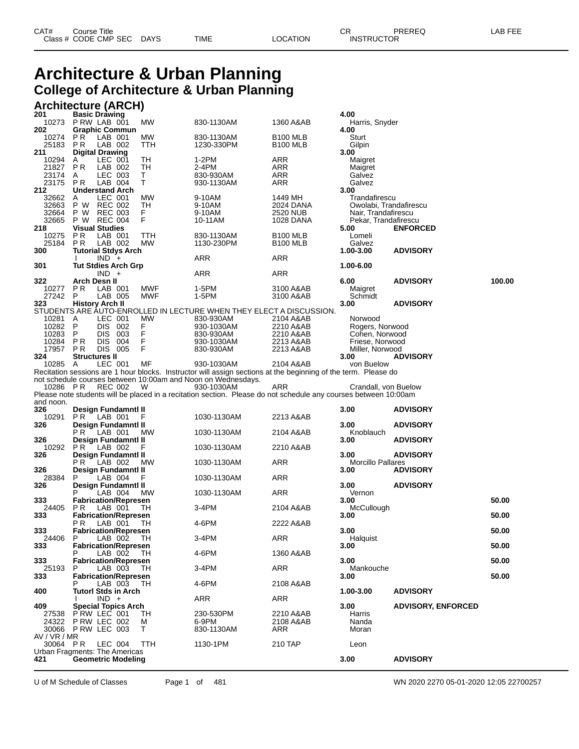#### **Architecture & Urban Planning College of Architecture & Urban Planning**

### **Architecture (ARCH) 201 Basic Drawing 4.00**

|                                      |                      | <b>Dasit Drawing</b><br>10273 P RW LAB 001 | <b>MW</b> | 830-1130AM                                                                                                      | 1360 A&AB              | 7.VV<br>Harris, Snyder                  |                           |        |
|--------------------------------------|----------------------|--------------------------------------------|-----------|-----------------------------------------------------------------------------------------------------------------|------------------------|-----------------------------------------|---------------------------|--------|
| 202                                  |                      | <b>Graphic Commun</b>                      |           |                                                                                                                 |                        | 4.00                                    |                           |        |
| 10274 PR                             |                      | LAB 001                                    | МW        | 830-1130AM                                                                                                      | <b>B100 MLB</b>        | Sturt                                   |                           |        |
| 25183 PR                             |                      | LAB 002                                    | TTH       | 1230-330PM                                                                                                      | B <sub>100</sub> MLB   | Gilpin                                  |                           |        |
| 211<br>10294                         | A                    | <b>Digital Drawing</b><br>LEC 001          | TН        | 1-2PM                                                                                                           | ARR                    | 3.00<br>Maigret                         |                           |        |
| 21827                                | P R                  | LAB 002                                    | TH        | 2-4PM                                                                                                           | ARR                    | Maigret                                 |                           |        |
| 23174                                | A                    | LEC 003                                    | T.        | 830-930AM                                                                                                       | ARR                    | Galvez                                  |                           |        |
| 23175 PR                             |                      | LAB 004                                    | T.        | 930-1130AM                                                                                                      | ARR                    | Galvez                                  |                           |        |
| 212                                  |                      | <b>Understand Arch</b>                     |           |                                                                                                                 |                        | 3.00                                    |                           |        |
| 32662 A<br>32663                     |                      | LEC 001<br>P W REC 002                     | МW<br>TH  | 9-10AM<br>9-10AM                                                                                                | 1449 MH<br>2024 DANA   | Trandafirescu<br>Owolabi, Trandafirescu |                           |        |
| 32664                                |                      | P W REC 003                                | F.        | 9-10AM                                                                                                          | 2520 NUB               | Nair, Trandafirescu                     |                           |        |
| 32665                                |                      | P W REC 004                                | F.        | 10-11AM                                                                                                         | 1028 DANA              | Pekar, Trandafirescu                    |                           |        |
| 218                                  |                      | <b>Visual Studies</b>                      |           |                                                                                                                 |                        | 5.00                                    | <b>ENFORCED</b>           |        |
| 10275                                | P <sub>R</sub>       | LAB 001                                    | ттн       | 830-1130AM                                                                                                      | <b>B100 MLB</b>        | Lomeli                                  |                           |        |
| 25184<br>300                         |                      | PR LAB 002<br><b>Tutorial Stdys Arch</b>   | МW        | 1130-230PM                                                                                                      | <b>B100 MLB</b>        | Galvez<br>1.00-3.00                     | <b>ADVISORY</b>           |        |
|                                      |                      | $IND +$                                    |           | ARR                                                                                                             | ARR                    |                                         |                           |        |
| 301                                  |                      | <b>Tut Stdies Arch Grp</b>                 |           |                                                                                                                 |                        | 1.00-6.00                               |                           |        |
|                                      |                      | $IND +$                                    |           | ARR                                                                                                             | ARR                    |                                         |                           |        |
| 322                                  | Arch Desn II         |                                            |           |                                                                                                                 |                        | 6.00                                    | <b>ADVISORY</b>           | 100.00 |
| 10277 PR                             |                      | LAB 001                                    | MWF       | 1-5PM                                                                                                           | 3100 A&AB              | Maigret                                 |                           |        |
| 27242 P<br>323                       |                      | LAB 005<br><b>History Arch II</b>          | MWF       | 1-5PM                                                                                                           | 3100 A&AB              | Schmidt<br>3.00                         | <b>ADVISORY</b>           |        |
|                                      |                      |                                            |           | STUDENTS ARE AUTO-ENROLLED IN LECTURE WHEN THEY ELECT A DISCUSSION.                                             |                        |                                         |                           |        |
| 10281 A                              |                      | LEC 001                                    | МW        | 830-930AM                                                                                                       | 2104 A&AB              | Norwood                                 |                           |        |
| 10282 P                              |                      | DIS 002                                    | F.        | 930-1030AM                                                                                                      | 2210 A&AB              | Rogers, Norwood                         |                           |        |
| 10283 P                              |                      | DIS 003                                    | F         | 830-930AM                                                                                                       | 2210 A&AB              | Cohen, Norwood                          |                           |        |
| 10284 PR<br>17957 PR                 |                      | DIS 004<br>DIS 005                         | F<br>E    | 930-1030AM<br>830-930AM                                                                                         | 2213 A&AB<br>2213 A&AB | Friese, Norwood<br>Miller, Norwood      |                           |        |
| 324                                  | <b>Structures II</b> |                                            |           |                                                                                                                 |                        | 3.00                                    | <b>ADVISORY</b>           |        |
| 10285 A                              |                      | LEC 001                                    | MF        | 930-1030AM                                                                                                      | 2104 A&AB              | von Buelow                              |                           |        |
|                                      |                      |                                            |           | Recitation sessions are 1 hour blocks. Instructor will assign sections at the beginning of the term. Please do  |                        |                                         |                           |        |
|                                      |                      |                                            |           | not schedule courses between 10:00am and Noon on Wednesdays.                                                    |                        |                                         |                           |        |
|                                      |                      | 10286 PR REC 002 W                         |           | 930-1030AM                                                                                                      | ARR                    | Crandall, von Buelow                    |                           |        |
|                                      |                      |                                            |           |                                                                                                                 |                        |                                         |                           |        |
|                                      |                      |                                            |           | Please note students will be placed in a recitation section. Please do not schedule any courses between 10:00am |                        |                                         |                           |        |
| and noon.<br>326                     |                      | <b>Design Fundamntl II</b>                 |           |                                                                                                                 |                        | 3.00                                    | <b>ADVISORY</b>           |        |
| 10291                                |                      | <b>PR</b> LAB 001                          | - F       | 1030-1130AM                                                                                                     | 2213 A&AB              |                                         |                           |        |
| 326                                  |                      | Design Fundamntl II                        |           |                                                                                                                 |                        | 3.00                                    | <b>ADVISORY</b>           |        |
|                                      |                      | PR LAB 001                                 | MW        | 1030-1130AM                                                                                                     | 2104 A&AB              | Knoblauch                               |                           |        |
| 326                                  |                      | Design Fundamntl II                        |           |                                                                                                                 |                        | 3.00                                    | <b>ADVISORY</b>           |        |
| 10292 PR<br>326                      |                      | LAB 002<br>Design Fundamntl II             | - F       | 1030-1130AM                                                                                                     | 2210 A&AB              | 3.00                                    | <b>ADVISORY</b>           |        |
|                                      |                      | PR LAB 002                                 | MW        | 1030-1130AM                                                                                                     | ARR                    | <b>Morcillo Pallares</b>                |                           |        |
| 326                                  |                      | Design Fundamntl II                        |           |                                                                                                                 |                        | 3.00                                    | <b>ADVISORY</b>           |        |
| 28384                                | P.                   | LAB 004                                    | - F       | 1030-1130AM                                                                                                     | ARR                    |                                         |                           |        |
| 326                                  |                      | Design Fundamntl II                        |           |                                                                                                                 |                        | 3.00                                    | <b>ADVISORY</b>           |        |
| 333                                  |                      | LAB 004<br><b>Fabrication/Represen</b>     | МW        | 1030-1130AM                                                                                                     | ARR                    | Vernon<br>3.00                          |                           | 50.00  |
| 24405                                | P R                  | LAB 001                                    | TH.       | 3-4PM                                                                                                           | 2104 A&AB              | McCullough                              |                           |        |
| 333                                  |                      | <b>Fabrication/Represen</b>                |           |                                                                                                                 |                        | 3.00                                    |                           | 50.00  |
|                                      | PR.                  | LAB 001                                    | TH        | 4-6PM                                                                                                           | 2222 A&AB              |                                         |                           |        |
| 333                                  |                      | <b>Fabrication/Represen</b>                |           |                                                                                                                 |                        | 3.00                                    |                           | 50.00  |
| 24406<br>333                         | P.                   | LAB 002 TH                                 |           | 3-4PM                                                                                                           | ARR                    | Halquist<br>3.00                        |                           | 50.00  |
|                                      | Р                    | <b>Fabrication/Represen</b><br>LAB 002     | - тн      | 4-6PM                                                                                                           | 1360 A&AB              |                                         |                           |        |
| 333                                  |                      | <b>Fabrication/Represen</b>                |           |                                                                                                                 |                        | 3.00                                    |                           | 50.00  |
| 25193                                | P                    | LAB 003                                    | TH        | 3-4PM                                                                                                           | <b>ARR</b>             | Mankouche                               |                           |        |
| 333                                  |                      | <b>Fabrication/Represen</b>                |           |                                                                                                                 |                        | 3.00                                    |                           | 50.00  |
| 400                                  |                      | LAB 003<br><b>Tutorl Stds in Arch</b>      | ТH        | 4-6PM                                                                                                           | 2108 A&AB              | 1.00-3.00                               | <b>ADVISORY</b>           |        |
|                                      |                      | $IND +$                                    |           | ARR                                                                                                             | ARR                    |                                         |                           |        |
| 409                                  |                      | <b>Special Topics Arch</b>                 |           |                                                                                                                 |                        | 3.00                                    | <b>ADVISORY, ENFORCED</b> |        |
| 27538                                |                      | P RW LEC 001                               | TH        | 230-530PM                                                                                                       | 2210 A&AB              | Harris                                  |                           |        |
| 24322                                |                      | P RW LEC 002                               | м<br>т    | 6-9PM                                                                                                           | 2108 A&AB              | Nanda                                   |                           |        |
| AV / VR / MR                         |                      | 30066 P RW LEC 003                         |           | 830-1130AM                                                                                                      | ARR                    | Moran                                   |                           |        |
| 30064 PR                             |                      | LEC 004                                    | TTH       | 1130-1PM                                                                                                        | 210 TAP                | Leon                                    |                           |        |
| Urban Fragments: The Americas<br>421 |                      | <b>Geometric Modeling</b>                  |           |                                                                                                                 |                        | 3.00                                    | <b>ADVISORY</b>           |        |

U of M Schedule of Classes Page 1 of 481 WN 2020 2270 05-01-2020 12:05 22700257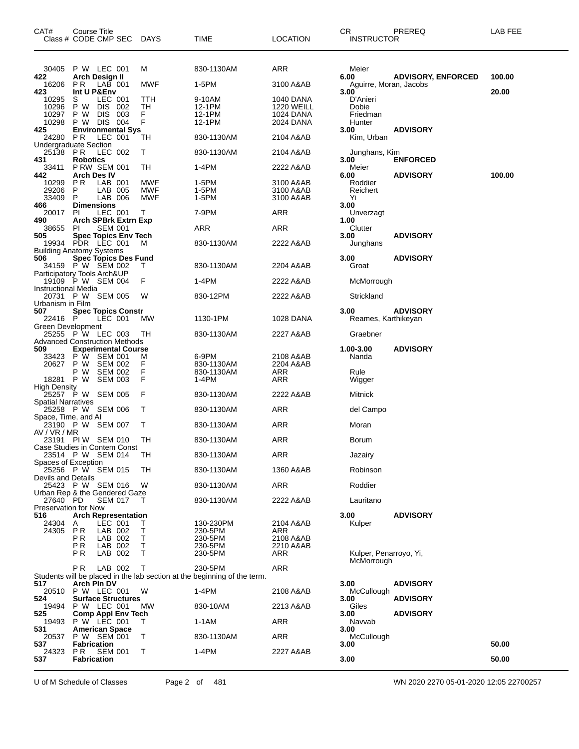| CAT#                                                      | Course Title              | Class # CODE CMP SEC DAYS                     |                          | <b>TIME</b>                                                                         | <b>LOCATION</b>        | CR.<br><b>INSTRUCTOR</b>       | PREREQ                    | LAB FEE |
|-----------------------------------------------------------|---------------------------|-----------------------------------------------|--------------------------|-------------------------------------------------------------------------------------|------------------------|--------------------------------|---------------------------|---------|
| 30405                                                     |                           | P W LEC 001                                   | м                        | 830-1130AM                                                                          | ARR                    | Meier                          |                           |         |
| 422<br>16206                                              | PR.                       | Arch Design II<br>LAB 001                     | <b>MWF</b>               | 1-5PM                                                                               | 3100 A&AB              | 6.00<br>Aguirre, Moran, Jacobs | <b>ADVISORY, ENFORCED</b> | 100.00  |
| 423<br>10295                                              | Int U P&Env<br>S          | LEC 001                                       | TTH                      | 9-10AM                                                                              | 1040 DANA              | 3.00<br>D'Anieri               |                           | 20.00   |
| 10296                                                     | P W                       | DIS 002                                       | TН                       | 12-1PM                                                                              | <b>1220 WEILL</b>      | Dobie                          |                           |         |
| 10297<br>10298                                            | P W                       | DIS 003<br>P W DIS 004                        | F<br>F                   | 12-1PM<br>12-1PM                                                                    | 1024 DANA<br>2024 DANA | Friedman<br>Hunter             |                           |         |
| 425<br>24280                                              | PR.                       | <b>Environmental Sys</b><br>LEC 001           | TН                       | 830-1130AM                                                                          | 2104 A&AB              | 3.00<br>Kim, Urban             | <b>ADVISORY</b>           |         |
| <b>Undergraduate Section</b><br>25138                     | PR.                       | LEC 002                                       | т                        | 830-1130AM                                                                          | 2104 A&AB              | Junghans, Kim                  |                           |         |
| 431<br>33411                                              | <b>Robotics</b>           | <b>P RW SEM 001</b>                           | TН                       | 1-4PM                                                                               | 2222 A&AB              | 3.00<br>Meier                  | <b>ENFORCED</b>           | 100.00  |
| 442<br>10299                                              | <b>Arch Des IV</b><br>PR. | LAB 001                                       | MWF                      | 1-5PM                                                                               | 3100 A&AB              | 6.00<br>Roddier                | <b>ADVISORY</b>           |         |
| 29206<br>33409                                            | P<br>P                    | LAB 005<br>LAB 006                            | <b>MWF</b><br><b>MWF</b> | 1-5PM<br>1-5PM                                                                      | 3100 A&AB<br>3100 A&AB | Reichert<br>Yi                 |                           |         |
| 466                                                       | <b>Dimensions</b>         |                                               |                          |                                                                                     |                        | 3.00                           |                           |         |
| 20017<br>490                                              | -PI                       | LEC 001<br><b>Arch SPBrk Extrn Exp</b>        | Т                        | 7-9PM                                                                               | ARR                    | Unverzagt<br>1.00              |                           |         |
| 38655<br>505                                              | PI.                       | <b>SEM 001</b><br><b>Spec Topics Env Tech</b> |                          | ARR                                                                                 | ARR                    | Clutter<br>3.00                | <b>ADVISORY</b>           |         |
|                                                           |                           | 19934 PDR LEC 001                             | M                        | 830-1130AM                                                                          | 2222 A&AB              | Junghans                       |                           |         |
| <b>Building Anatomy Systems</b><br>506                    |                           | Spec Topics Des Fund                          |                          |                                                                                     |                        | 3.00                           | <b>ADVISORY</b>           |         |
|                                                           |                           | 34159 PW SEM 002                              | Τ                        | 830-1130AM                                                                          | 2204 A&AB              | Groat                          |                           |         |
| Participatory Tools Arch&UP<br><b>Instructional Media</b> |                           | 19109 P W SEM 004                             | F                        | 1-4PM                                                                               | 2222 A&AB              | McMorrough                     |                           |         |
|                                                           |                           | 20731 P W SEM 005                             | W                        | 830-12PM                                                                            | 2222 A&AB              | Strickland                     |                           |         |
| Urbanism in Film<br>507                                   |                           | <b>Spec Topics Constr</b>                     |                          |                                                                                     |                        | 3.00                           | <b>ADVISORY</b>           |         |
| 22416 P<br>Green Development                              |                           | LEC 001                                       | МW                       | 1130-1PM                                                                            | 1028 DANA              | Reames, Karthikeyan            |                           |         |
| <b>Advanced Construction Methods</b>                      |                           | 25255 P W LEC 003                             | TН                       | 830-1130AM                                                                          | 2227 A&AB              | Graebner                       |                           |         |
| 509                                                       |                           | <b>Experimental Course</b>                    |                          |                                                                                     |                        | 1.00-3.00                      | <b>ADVISORY</b>           |         |
| 33423<br>20627                                            | РW<br>P W                 | <b>SEM 001</b><br><b>SEM 002</b>              | M<br>F                   | 6-9PM<br>830-1130AM                                                                 | 2108 A&AB<br>2204 A&AB | Nanda                          |                           |         |
| 18281                                                     | P W<br>P W                | <b>SEM 002</b><br><b>SEM 003</b>              | F<br>F                   | 830-1130AM<br>1-4PM                                                                 | ARR<br>ARR             | Rule<br>Wigger                 |                           |         |
| <b>High Density</b>                                       |                           | 25257 P W SEM 005                             | F                        | 830-1130AM                                                                          | 2222 A&AB              | Mitnick                        |                           |         |
| <b>Spatial Narratives</b>                                 |                           |                                               |                          |                                                                                     |                        |                                |                           |         |
| Space, Time, and Al                                       |                           | 25258 P W SEM 006                             | Τ                        | 830-1130AM                                                                          | ARR                    | del Campo                      |                           |         |
| AV / VR / MR                                              |                           | 23190 P W SEM 007                             | Т                        | 830-1130AM                                                                          | ARR                    | Moran                          |                           |         |
| Case Studies in Contem Const                              |                           | 23191 PIW SEM 010                             | TН                       | 830-1130AM                                                                          | ARR                    | Borum                          |                           |         |
| Spaces of Exception                                       |                           | 23514 P W SEM 014                             | TH                       | 830-1130AM                                                                          | ARR                    | Jazairy                        |                           |         |
| <b>Devils and Details</b>                                 |                           | 25256 P W SEM 015                             | TН                       | 830-1130AM                                                                          | 1360 A&AB              | Robinson                       |                           |         |
|                                                           |                           | 25423 P W SEM 016                             | W                        | 830-1130AM                                                                          | ARR                    | Roddier                        |                           |         |
| Urban Rep & the Gendered Gaze<br>27640 PD                 |                           | <b>SEM 017</b>                                | T                        | 830-1130AM                                                                          | 2222 A&AB              | Lauritano                      |                           |         |
| <b>Preservation for Now</b><br>516                        |                           | <b>Arch Representation</b>                    |                          |                                                                                     |                        | 3.00                           | <b>ADVISORY</b>           |         |
| 24304                                                     | A                         | LEC 001                                       | т                        | 130-230PM                                                                           | 2104 A&AB              | Kulper                         |                           |         |
| 24305                                                     | PR<br>ΡR                  | LAB 002<br>LAB 002                            | Τ<br>$\mathsf T$         | 230-5PM<br>230-5PM                                                                  | ARR<br>2108 A&AB       |                                |                           |         |
|                                                           | РR<br>P <sub>R</sub>      | LAB 002<br>LAB 002                            | Τ<br>Τ                   | 230-5PM<br>230-5PM                                                                  | 2210 A&AB<br>ARR       | Kulper, Penarroyo, Yi,         |                           |         |
|                                                           |                           |                                               |                          |                                                                                     |                        | McMorrough                     |                           |         |
|                                                           | P R                       | LAB 002                                       | $\top$                   | 230-5PM<br>Students will be placed in the lab section at the beginning of the term. | ARR                    |                                |                           |         |
| 517<br>20510                                              | Arch Pln DV               | P W LEC 001                                   | W                        | 1-4PM                                                                               | 2108 A&AB              | 3.00<br>McCullough             | <b>ADVISORY</b>           |         |
| 524                                                       |                           | <b>Surface Structures</b>                     |                          |                                                                                     |                        | 3.00                           | <b>ADVISORY</b>           |         |
| 19494<br>525                                              |                           | P W LEC 001<br><b>Comp Appl Env Tech</b>      | МW                       | 830-10AM                                                                            | 2213 A&AB              | Giles<br>3.00                  | <b>ADVISORY</b>           |         |
| 19493<br>531                                              |                           | P W LEC 001<br><b>American Space</b>          | Τ                        | 1-1AM                                                                               | ARR                    | Navvab<br>3.00                 |                           |         |
| 20537                                                     |                           | P W SEM 001                                   | T                        | 830-1130AM                                                                          | ARR                    | McCullough                     |                           |         |
| 537<br>24323                                              | <b>Fabrication</b><br>PR. | <b>SEM 001</b>                                | T                        | 1-4PM                                                                               | 2227 A&AB              | 3.00                           |                           | 50.00   |
| 537                                                       | <b>Fabrication</b>        |                                               |                          |                                                                                     |                        | 3.00                           |                           | 50.00   |

U of M Schedule of Classes Page 2 of 481 WN 2020 2270 05-01-2020 12:05 22700257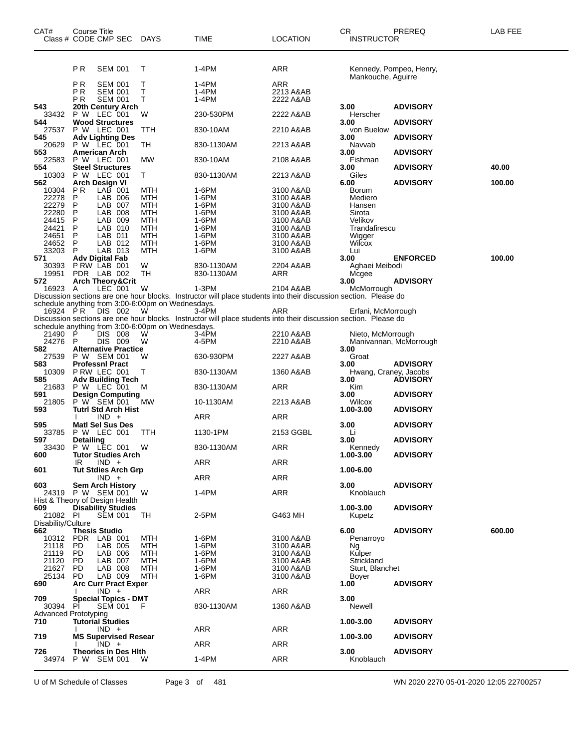| CAT#                                 | Course Title     | Class # CODE CMP SEC DAYS                  |                                                        | TIME                                                                                                             | <b>LOCATION</b>        | CR.<br><b>INSTRUCTOR</b>      | PREREQ                  | LAB FEE |
|--------------------------------------|------------------|--------------------------------------------|--------------------------------------------------------|------------------------------------------------------------------------------------------------------------------|------------------------|-------------------------------|-------------------------|---------|
|                                      | P <sub>R</sub>   | <b>SEM 001</b>                             | т                                                      | 1-4PM                                                                                                            | ARR                    | Mankouche, Aguirre            | Kennedy, Pompeo, Henry, |         |
|                                      | P R              | <b>SEM 001</b>                             | т                                                      | 1-4PM                                                                                                            | ARR                    |                               |                         |         |
|                                      | ΡR               | <b>SEM 001</b>                             | Τ                                                      | 1-4PM                                                                                                            | 2213 A&AB              |                               |                         |         |
|                                      | ΡR               | <b>SEM 001</b>                             | т                                                      | 1-4PM                                                                                                            | 2222 A&AB              |                               |                         |         |
| 543                                  |                  | 20th Century Arch                          |                                                        |                                                                                                                  |                        | 3.00                          | <b>ADVISORY</b>         |         |
| 33432                                |                  | P W LEC 001                                | W                                                      | 230-530PM                                                                                                        | 2222 A&AB              | Herscher                      |                         |         |
| 544<br>27537                         |                  | <b>Wood Structures</b><br>P W LEC 001      | TTH                                                    | 830-10AM                                                                                                         | 2210 A&AB              | 3.00<br>von Buelow            | <b>ADVISORY</b>         |         |
| 545                                  |                  | <b>Adv Lighting Des</b>                    |                                                        |                                                                                                                  |                        | 3.00                          | <b>ADVISORY</b>         |         |
| 20629                                |                  | P W LEC 001                                | ТH                                                     | 830-1130AM                                                                                                       | 2213 A&AB              | Navvab                        |                         |         |
| 553                                  |                  | <b>American Arch</b>                       |                                                        |                                                                                                                  |                        | 3.00                          | <b>ADVISORY</b>         |         |
| 22583                                |                  | P W LEC 001                                | MW                                                     | 830-10AM                                                                                                         | 2108 A&AB              | Fishman                       |                         |         |
| 554<br>10303                         |                  | <b>Steel Structures</b><br>P W LEC 001     | Τ                                                      | 830-1130AM                                                                                                       | 2213 A&AB              | 3.00<br>Giles                 | <b>ADVISORY</b>         | 40.00   |
| 562                                  |                  | Arch Design VI                             |                                                        |                                                                                                                  |                        | 6.00                          | <b>ADVISORY</b>         | 100.00  |
| 10304                                | <b>PR</b>        | $LAB$ 001                                  | MTH                                                    | 1-6PM                                                                                                            | 3100 A&AB              | <b>Borum</b>                  |                         |         |
| 22278                                | P                | LAB 006                                    | MTH                                                    | 1-6PM                                                                                                            | 3100 A&AB              | Mediero                       |                         |         |
| 22279                                | P                | LAB 007                                    | <b>MTH</b>                                             | 1-6PM<br>1-6PM                                                                                                   | 3100 A&AB              | Hansen                        |                         |         |
| 22280<br>24415                       | P<br>P           | LAB 008<br>LAB 009                         | MTH<br>MTH                                             | 1-6PM                                                                                                            | 3100 A&AB<br>3100 A&AB | Sirota<br>Velikov             |                         |         |
| 24421                                | P                | LAB 010                                    | <b>MTH</b>                                             | 1-6PM                                                                                                            | 3100 A&AB              | Trandafirescu                 |                         |         |
| 24651                                | P                | LAB 011                                    | MTH                                                    | 1-6PM                                                                                                            | 3100 A&AB              | Wigger                        |                         |         |
| 24652                                | P                | LAB 012                                    | MTH                                                    | 1-6PM                                                                                                            | 3100 A&AB              | Wilcox                        |                         |         |
| 33203                                | P                | LAB 013                                    | MTH                                                    | 1-6PM                                                                                                            | 3100 A&AB              | Lui                           |                         |         |
| 571<br>30393                         |                  | Adv Digital Fab<br>PRW LAB 001             | W                                                      | 830-1130AM                                                                                                       | 2204 A&AB              | 3.00<br>Aghaei Meibodi        | <b>ENFORCED</b>         | 100.00  |
| 19951                                |                  | PDR LAB 002                                | <b>TH</b>                                              | 830-1130AM                                                                                                       | ARR                    | Mcgee                         |                         |         |
| 572                                  |                  | <b>Arch Theory&amp;Crit</b>                |                                                        |                                                                                                                  |                        | 3.00                          | <b>ADVISORY</b>         |         |
| 16923                                | A                | $LEC$ 001                                  | W                                                      | 1-3PM                                                                                                            | 2104 A&AB              | McMorrough                    |                         |         |
|                                      |                  |                                            |                                                        | Discussion sections are one hour blocks. Instructor will place students into their discussion section. Please do |                        |                               |                         |         |
| 16924 PR                             |                  | DIS 002                                    | schedule anything from 3:00-6:00pm on Wednesdays.<br>W | 3-4PM                                                                                                            | ARR                    | Erfani, McMorrough            |                         |         |
|                                      |                  |                                            |                                                        | Discussion sections are one hour blocks. Instructor will place students into their discussion section. Please do |                        |                               |                         |         |
|                                      |                  |                                            | schedule anything from 3:00-6:00pm on Wednesdays.      |                                                                                                                  |                        |                               |                         |         |
| 21490                                | P                | DIS 008                                    | W                                                      | $3-4PM$                                                                                                          | 2210 A&AB              | Nieto, McMorrough             |                         |         |
| 24276                                | P                | DIS 009                                    | W                                                      | 4-5PM                                                                                                            | 2210 A&AB              |                               | Manivannan, McMorrough  |         |
| 582<br>27539                         |                  | <b>Alternative Practice</b><br>P W SEM 001 | W                                                      | 630-930PM                                                                                                        | 2227 A&AB              | 3.00<br>Groat                 |                         |         |
| 583                                  |                  | <b>ProfessnI Pract</b>                     |                                                        |                                                                                                                  |                        | 3.00                          | <b>ADVISORY</b>         |         |
| 10309                                |                  | PRW LEC 001                                | т                                                      | 830-1130AM                                                                                                       | 1360 A&AB              | Hwang, Craney, Jacobs         |                         |         |
| 585                                  |                  | <b>Adv Building Tech</b>                   |                                                        |                                                                                                                  |                        | 3.00                          | <b>ADVISORY</b>         |         |
| 21683<br>591                         |                  | P W LEC 001<br><b>Design Computing</b>     | M                                                      | 830-1130AM                                                                                                       | ARR                    | Kim<br>3.00                   | <b>ADVISORY</b>         |         |
| 21805                                |                  | P W SEM 001                                | МW                                                     | 10-1130AM                                                                                                        | 2213 A&AB              | Wilcox                        |                         |         |
| 593                                  |                  | <b>Tutrl Std Arch Hist</b>                 |                                                        |                                                                                                                  |                        | 1.00-3.00                     | <b>ADVISORY</b>         |         |
|                                      |                  | $IND +$                                    |                                                        | ARR                                                                                                              | ARR                    |                               |                         |         |
| 595                                  |                  | <b>Matl Sel Sus Des</b>                    |                                                        |                                                                                                                  |                        | 3.00                          | <b>ADVISORY</b>         |         |
| 33785<br>597                         | <b>Detailing</b> | P W LEC 001                                | TTH                                                    | 1130-1PM                                                                                                         | 2153 GGBL              | Li<br>3.00                    | <b>ADVISORY</b>         |         |
|                                      |                  | 33430 P W LEC 001                          | W                                                      | 830-1130AM                                                                                                       | ARR                    | Kennedy                       |                         |         |
| 600                                  |                  | <b>Tutor Studies Arch</b>                  |                                                        |                                                                                                                  |                        | 1.00-3.00                     | <b>ADVISORY</b>         |         |
|                                      | IR               | $IND +$                                    |                                                        | ARR                                                                                                              | ARR                    |                               |                         |         |
| 601                                  |                  | <b>Tut Stdies Arch Grp</b>                 |                                                        |                                                                                                                  |                        | 1.00-6.00                     |                         |         |
| 603                                  |                  | $IND +$<br><b>Sem Arch History</b>         |                                                        | ARR                                                                                                              | ARR                    | 3.00                          | <b>ADVISORY</b>         |         |
|                                      |                  | 24319 P W SEM 001                          | W                                                      | 1-4PM                                                                                                            | ARR                    | Knoblauch                     |                         |         |
|                                      |                  | Hist & Theory of Design Health             |                                                        |                                                                                                                  |                        |                               |                         |         |
| 609                                  |                  | <b>Disability Studies</b>                  |                                                        |                                                                                                                  |                        | 1.00-3.00                     | <b>ADVISORY</b>         |         |
| 21082 PI<br>Disability/Culture       |                  | <b>SEM 001</b>                             | TH                                                     | 2-5PM                                                                                                            | G463 MH                | Kupetz                        |                         |         |
| 662                                  |                  | <b>Thesis Studio</b>                       |                                                        |                                                                                                                  |                        | 6.00                          | <b>ADVISORY</b>         | 600.00  |
| 10312                                |                  | PDR LAB 001                                | MTH                                                    | 1-6PM                                                                                                            | 3100 A&AB              | Penarroyo                     |                         |         |
| 21118                                | PD.              | LAB 005                                    | <b>MTH</b>                                             | 1-6PM                                                                                                            | 3100 A&AB              | Ng                            |                         |         |
| 21119                                | PD.              | LAB 006                                    | MTH                                                    | 1-6PM                                                                                                            | 3100 A&AB              | Kulper                        |                         |         |
| 21120<br>21627                       | PD.<br>PD.       | LAB 007<br>LAB 008                         | MTH<br>MTH                                             | 1-6PM<br>1-6PM                                                                                                   | 3100 A&AB<br>3100 A&AB | Strickland<br>Sturt, Blanchet |                         |         |
| 25134                                | <b>PD</b>        | LAB 009                                    | MTH                                                    | 1-6PM                                                                                                            | 3100 A&AB              | Boyer                         |                         |         |
| 690                                  |                  | <b>Arc Curr Pract Exper</b>                |                                                        |                                                                                                                  |                        | 1.00                          | <b>ADVISORY</b>         |         |
|                                      |                  | $IND +$                                    |                                                        | ARR                                                                                                              | ARR                    |                               |                         |         |
| 709                                  |                  | <b>Special Topics - DMT</b>                |                                                        |                                                                                                                  |                        | 3.00                          |                         |         |
| 30394<br><b>Advanced Prototyping</b> | PI               | <b>SEM 001</b>                             | F.                                                     | 830-1130AM                                                                                                       | 1360 A&AB              | Newell                        |                         |         |
| 710                                  |                  | <b>Tutorial Studies</b>                    |                                                        |                                                                                                                  |                        | 1.00-3.00                     | <b>ADVISORY</b>         |         |
|                                      |                  | $IND +$                                    |                                                        | ARR                                                                                                              | ARR                    |                               |                         |         |
| 719                                  |                  | <b>MS Supervised Resear</b>                |                                                        |                                                                                                                  |                        | 1.00-3.00                     | <b>ADVISORY</b>         |         |
| 726                                  |                  | $IND +$<br>Theories in Des Hith            |                                                        | ARR                                                                                                              | ARR                    | 3.00                          | <b>ADVISORY</b>         |         |
| 34974                                |                  | P W SEM 001                                | W                                                      | 1-4PM                                                                                                            | ARR                    | Knoblauch                     |                         |         |
|                                      |                  |                                            |                                                        |                                                                                                                  |                        |                               |                         |         |

U of M Schedule of Classes Page 3 of 481 WN 2020 2270 05-01-2020 12:05 22700257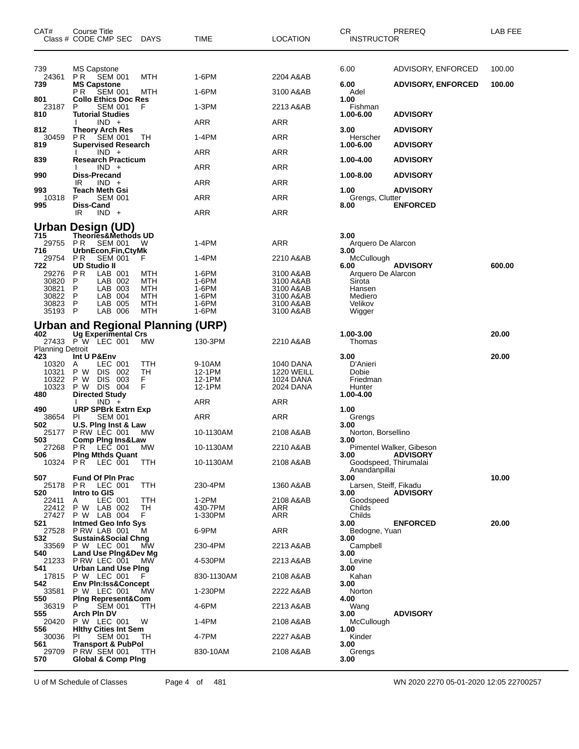| CAT#                    | Course Title<br>Class # CODE CMP SEC DAYS                 |            | TIME             | LOCATION                       | CR<br><b>INSTRUCTOR</b>                | PREREQ                                      | LAB FEE |
|-------------------------|-----------------------------------------------------------|------------|------------------|--------------------------------|----------------------------------------|---------------------------------------------|---------|
| 739<br>24361            | <b>MS Capstone</b><br>PR -<br><b>SEM 001</b>              | MTH        | 1-6PM            | 2204 A&AB                      | 6.00                                   | ADVISORY, ENFORCED                          | 100.00  |
| 739                     | <b>MS Capstone</b><br>P R<br><b>SEM 001</b>               | MTH        | 1-6PM            | 3100 A&AB                      | 6.00<br>Adel                           | <b>ADVISORY, ENFORCED</b>                   | 100.00  |
| 801<br>23187            | <b>Collo Ethics Doc Res</b><br>P<br><b>SEM 001</b>        | F          | 1-3PM            | 2213 A&AB                      | 1.00<br>Fishman                        |                                             |         |
| 810                     | <b>Tutorial Studies</b><br>$IND +$                        |            | <b>ARR</b>       | ARR                            | 1.00-6.00                              | <b>ADVISORY</b>                             |         |
| 812<br>30459            | <b>Theory Arch Res</b><br>PR SEM 001                      | TH.        | 1-4PM            | ARR                            | 3.00<br>Herscher                       | <b>ADVISORY</b>                             |         |
| 819                     | <b>Supervised Research</b><br>$IND +$                     |            | ARR              | ARR                            | 1.00-6.00                              | <b>ADVISORY</b>                             |         |
| 839                     | <b>Research Practicum</b>                                 |            |                  |                                | 1.00-4.00                              | <b>ADVISORY</b>                             |         |
| 990                     | $IND +$<br><b>Diss-Precand</b>                            |            | ARR              | ARR                            | 1.00-8.00                              | <b>ADVISORY</b>                             |         |
| 993                     | IR.<br>$IND +$<br>Teach Meth Gsi                          |            | ARR              | ARR                            | 1.00                                   | <b>ADVISORY</b>                             |         |
| 10318<br>995            | P<br><b>SEM 001</b><br><b>Diss-Cand</b>                   |            | ARR              | ARR                            | Grengs, Clutter<br>8.00                | <b>ENFORCED</b>                             |         |
|                         | $IND +$<br>IR                                             |            | <b>ARR</b>       | ARR                            |                                        |                                             |         |
| 715                     | Urban Design (UD)<br>Theories&Methods UD                  |            |                  |                                | 3.00                                   |                                             |         |
| 29755<br>716            | <b>SEM 001</b><br>PR.                                     | - W        | 1-4PM            | ARR                            | Arquero De Alarcon<br>3.00             |                                             |         |
| 29754                   | UrbnEcon,Fin,CtyMk<br><b>SEM 001</b><br>P R               |            | 1-4PM            | 2210 A&AB                      | McCullough                             |                                             |         |
| 722<br>29276            | <b>UD Studio II</b><br>P R<br>LAB 001                     | MTH        | 1-6PM            | 3100 A&AB                      | 6.00<br>Arquero De Alarcon             | <b>ADVISORY</b>                             | 600.00  |
| 30820<br>30821          | P<br>LAB 002<br>LAB 003<br>P                              | MTH<br>MTH | 1-6PM<br>1-6PM   | 3100 A&AB<br>3100 A&AB         | Sirota<br>Hansen                       |                                             |         |
| 30822 P<br>30823 P      | LAB 004<br>LAB 005                                        | MTH<br>MTH | 1-6PM<br>1-6PM   | 3100 A&AB<br>3100 A&AB         | Mediero<br>Velikov                     |                                             |         |
| 35193 P                 | LAB 006                                                   | MTH        | 1-6PM            | 3100 A&AB                      | Wigger                                 |                                             |         |
| 402                     | Urban and Regional Planning (URP)<br>Ug Experimental Crs  |            |                  |                                | 1.00-3.00                              |                                             | 20.00   |
| <b>Planning Detroit</b> | 27433 P W LEC 001                                         | МW         | 130-3PM          | 2210 A&AB                      | Thomas                                 |                                             |         |
| 423                     | Int U P&Env                                               |            |                  |                                | 3.00                                   |                                             | 20.00   |
| 10320<br>10321          | LEC 001<br>A<br>P W<br>DIS.<br>-002                       | TTH<br>TН  | 9-10AM<br>12-1PM | 1040 DANA<br><b>1220 WEILL</b> | D'Anieri<br>Dobie                      |                                             |         |
| 10322<br>10323          | P W<br><b>DIS</b><br>003<br>P W DIS 004                   | F<br>F     | 12-1PM<br>12-1PM | 1024 DANA<br>2024 DANA         | Friedman<br>Hunter                     |                                             |         |
| 480                     | <b>Directed Study</b><br>$IND +$                          |            | ARR              | ARR                            | 1.00-4.00                              |                                             |         |
| 490<br>38654            | <b>URP SPBrk Extrn Exp</b><br><b>PI</b><br><b>SEM 001</b> |            | ARR              | ARR                            | 1.00<br>Grengs                         |                                             |         |
| 502<br>25177            | U.S. Ping Inst & Law                                      |            | 10-1130AM        | 2108 A&AB                      | 3.00                                   |                                             |         |
| 503                     | PRW LEC 001<br><b>Comp Ping Ins&amp;Law</b>               | <b>MW</b>  |                  |                                | Norton, Borsellino<br>3.00             |                                             |         |
| 27268<br>506            | PR LEC 001<br><b>Ping Mthds Quant</b>                     | <b>MW</b>  | 10-1130AM        | 2210 A&AB                      | 3.00                                   | Pimentel Walker, Gibeson<br><b>ADVISORY</b> |         |
|                         | 10324 PR LEC 001                                          | <b>TTH</b> | 10-1130AM        | 2108 A&AB                      | Goodspeed, Thirumalai<br>Anandanpillai |                                             |         |
| 507<br>25178            | <b>Fund Of PIn Prac</b><br>PR.<br>LEC 001                 | TTH        | 230-4PM          | 1360 A&AB                      | 3.00<br>Larsen, Steiff, Fikadu         |                                             | 10.00   |
| 520<br>22411            | Intro to GIS<br>LEC 001<br>A                              | TTH        | 1-2PM            | 2108 A&AB                      | 3.00<br>Goodspeed                      | <b>ADVISORY</b>                             |         |
| 22412<br>27427          | P W LAB 002                                               | TН<br>F    | 430-7PM          | ARR                            | Childs<br>Childs                       |                                             |         |
| 521                     | P W LAB 004<br><b>Intmed Geo Info Sys</b>                 |            | 1-330PM          | ARR                            | 3.00                                   | <b>ENFORCED</b>                             | 20.00   |
| 27528<br>532            | PRW LAB 001<br>Sustain&Social Chng                        | M          | 6-9PM            | <b>ARR</b>                     | Bedogne, Yuan<br>3.00                  |                                             |         |
| 33569<br>540            | P W LEC 001<br>Land Use Ping&Dev Mg                       | МW         | 230-4PM          | 2213 A&AB                      | Campbell<br>3.00                       |                                             |         |
| 21233<br>541            | PRW LEC 001<br>Urban Land Use Ping                        | <b>MW</b>  | 4-530PM          | 2213 A&AB                      | Levine<br>3.00                         |                                             |         |
| 542                     | 17815 P W LEC 001<br><b>Env Pin:Iss&amp;Concept</b>       | F          | 830-1130AM       | 2108 A&AB                      | Kahan<br>3.00                          |                                             |         |
| 33581                   | P W LEC 001                                               | <b>MW</b>  | 1-230PM          | 2222 A&AB                      | Norton                                 |                                             |         |
| 550<br>36319            | <b>Ping Represent&amp;Com</b><br><b>SEM 001</b><br>P      | TTH        | 4-6PM            | 2213 A&AB                      | 4.00<br>Wang                           |                                             |         |
| 555<br>20420            | Arch Pin DV<br>P W LEC 001                                | W          | 1-4PM            | 2108 A&AB                      | 3.00<br>McCullough                     | <b>ADVISORY</b>                             |         |
| 556<br>30036            | <b>Hithy Cities Int Sem</b><br><b>SEM 001</b><br>PL       | TH         | 4-7PM            | 2227 A&AB                      | 1.00<br>Kinder                         |                                             |         |
| 561<br>29709            | <b>Transport &amp; PubPol</b><br><b>P RW SEM 001</b>      | TTH        | 830-10AM         | 2108 A&AB                      | 3.00<br>Grengs                         |                                             |         |
| 570                     | <b>Global &amp; Comp Ping</b>                             |            |                  |                                | 3.00                                   |                                             |         |

U of M Schedule of Classes Page 4 of 481 WN 2020 2270 05-01-2020 12:05 22700257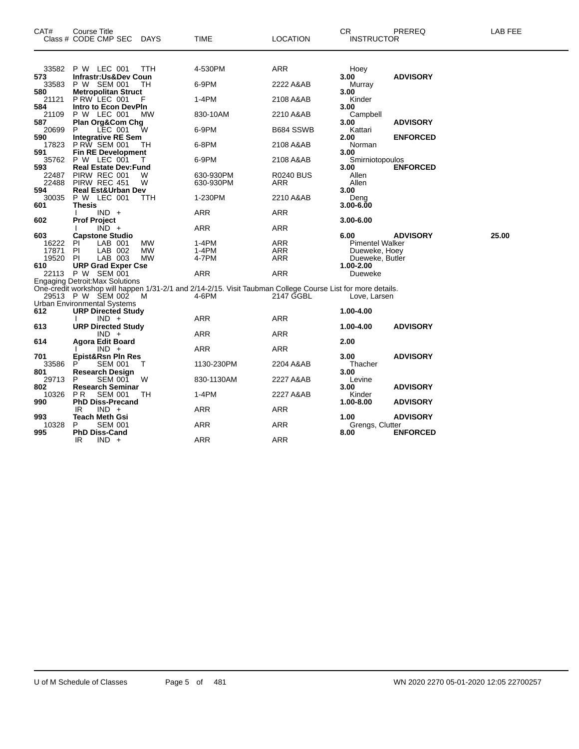| CAT#           | <b>Course Title</b><br>Class # CODE CMP SEC<br>DAYS                                                         | TIME                   | <b>LOCATION</b>         | <b>CR</b><br>PREREQ<br><b>INSTRUCTOR</b> | <b>LAB FEE</b> |
|----------------|-------------------------------------------------------------------------------------------------------------|------------------------|-------------------------|------------------------------------------|----------------|
| 33582          | P W LEC 001<br>ттн                                                                                          | 4-530PM                | ARR                     | Hoey                                     |                |
| 573            | Infrastr:Us&Dev Coun                                                                                        |                        |                         | 3.00<br><b>ADVISORY</b>                  |                |
| 33583          | P W SEM 001<br>TН                                                                                           | 6-9PM                  | 2222 A&AB               | Murray                                   |                |
| 580            | <b>Metropolitan Struct</b>                                                                                  |                        |                         | 3.00                                     |                |
| 21121          | PRW LEC 001                                                                                                 | 1-4PM                  | 2108 A&AB               | Kinder                                   |                |
| 584<br>21109   | Intro to Econ DevPin<br>P W LEC 001<br>МW                                                                   | 830-10AM               | 2210 A&AB               | 3.00<br>Campbell                         |                |
| 587            | Plan Org&Com Chg                                                                                            |                        |                         | 3.00<br><b>ADVISORY</b>                  |                |
| 20699          | LEC 001<br>W<br>P                                                                                           | 6-9PM                  | B684 SSWB               | Kattari                                  |                |
| 590            | <b>Integrative RE Sem</b>                                                                                   |                        |                         | 2.00<br><b>ENFORCED</b>                  |                |
| 17823          | <b>PRW SEM 001</b><br>TН                                                                                    | 6-8PM                  | 2108 A&AB               | Norman                                   |                |
| 591            | <b>Fin RE Development</b>                                                                                   |                        |                         | 3.00                                     |                |
| 35762          | P W LEC 001                                                                                                 | 6-9PM                  | 2108 A&AB               | Smirniotopoulos                          |                |
| 593            | <b>Real Estate Dev:Fund</b><br>W                                                                            |                        |                         | 3.00<br><b>ENFORCED</b><br>Allen         |                |
| 22487<br>22488 | PIRW REC 001<br>PIRW REC 451<br>W                                                                           | 630-930PM<br>630-930PM | <b>R0240 BUS</b><br>ARR | Allen                                    |                |
| 594            | <b>Real Est&amp;Urban Dev</b>                                                                               |                        |                         | 3.00                                     |                |
| 30035          | P W LEC 001<br>TTH                                                                                          | 1-230PM                | 2210 A&AB               | Deng                                     |                |
| 601            | Thesis                                                                                                      |                        |                         | 3.00-6.00                                |                |
|                | $IND +$                                                                                                     | ARR                    | ARR                     |                                          |                |
| 602            | <b>Prof Project</b>                                                                                         |                        |                         | $3.00 - 6.00$                            |                |
|                | $IND +$                                                                                                     | <b>ARR</b>             | <b>ARR</b>              |                                          |                |
| 603            | <b>Capstone Studio</b>                                                                                      |                        |                         | 6.00<br><b>ADVISORY</b>                  | 25.00          |
| 16222          | ΡI<br>LAB 001<br>MW                                                                                         | 1-4PM                  | <b>ARR</b>              | <b>Pimentel Walker</b>                   |                |
| 17871<br>19520 | PI.<br>LAB 002<br>MW<br>ΡI<br>LAB 003<br>MW                                                                 | 1-4PM<br>4-7PM         | ARR<br>ARR              | Dueweke, Hoey<br>Dueweke, Butler         |                |
| 610            | <b>URP Grad Exper Cse</b>                                                                                   |                        |                         | 1.00-2.00                                |                |
| 22113          | P W SEM 001                                                                                                 | ARR                    | <b>ARR</b>              | Dueweke                                  |                |
|                | <b>Engaging Detroit: Max Solutions</b>                                                                      |                        |                         |                                          |                |
|                | One-credit workshop will happen 1/31-2/1 and 2/14-2/15. Visit Taubman College Course List for more details. |                        |                         |                                          |                |
|                | 29513 P W SEM 002 M                                                                                         | 4-6PM                  | 2147 GGBL               | Love, Larsen                             |                |
|                | Urban Environmental Systems                                                                                 |                        |                         |                                          |                |
| 612            | <b>URP Directed Study</b>                                                                                   |                        |                         | 1.00-4.00                                |                |
| 613            | $IND +$                                                                                                     | ARR                    | <b>ARR</b>              | 1.00-4.00<br><b>ADVISORY</b>             |                |
|                | <b>URP Directed Study</b><br>$IND +$                                                                        | <b>ARR</b>             | <b>ARR</b>              |                                          |                |
| 614            | Agora Edit Board                                                                                            |                        |                         | 2.00                                     |                |
|                | $IND +$                                                                                                     | <b>ARR</b>             | <b>ARR</b>              |                                          |                |
| 701            | Epist&Rsn Pln Res                                                                                           |                        |                         | 3.00<br><b>ADVISORY</b>                  |                |
| 33586          | Р<br><b>SEM 001</b><br>т                                                                                    | 1130-230PM             | 2204 A&AB               | Thacher                                  |                |
| 801            | Research Design                                                                                             |                        |                         | 3.00                                     |                |
| 29713          | P<br><b>SEM 001</b><br>W                                                                                    | 830-1130AM             | 2227 A&AB               | Levine                                   |                |
| 802            | <b>Research Seminar</b>                                                                                     |                        |                         | 3.00<br><b>ADVISORY</b>                  |                |
| 10326<br>990   | P R<br><b>SEM 001</b><br>TН<br><b>PhD Diss-Precand</b>                                                      | 1-4PM                  | 2227 A&AB               | Kinder<br>1.00-8.00<br><b>ADVISORY</b>   |                |
|                | $IND +$<br>IR                                                                                               | ARR                    | <b>ARR</b>              |                                          |                |
| 993            | <b>Teach Meth Gsi</b>                                                                                       |                        |                         | 1.00<br><b>ADVISORY</b>                  |                |
| 10328          | P<br><b>SEM 001</b>                                                                                         | <b>ARR</b>             | <b>ARR</b>              | Grengs, Clutter                          |                |
| 995            | <b>PhD Diss-Cand</b>                                                                                        |                        |                         | 8.00<br><b>ENFORCED</b>                  |                |
|                | IR<br>$IND +$                                                                                               | <b>ARR</b>             | <b>ARR</b>              |                                          |                |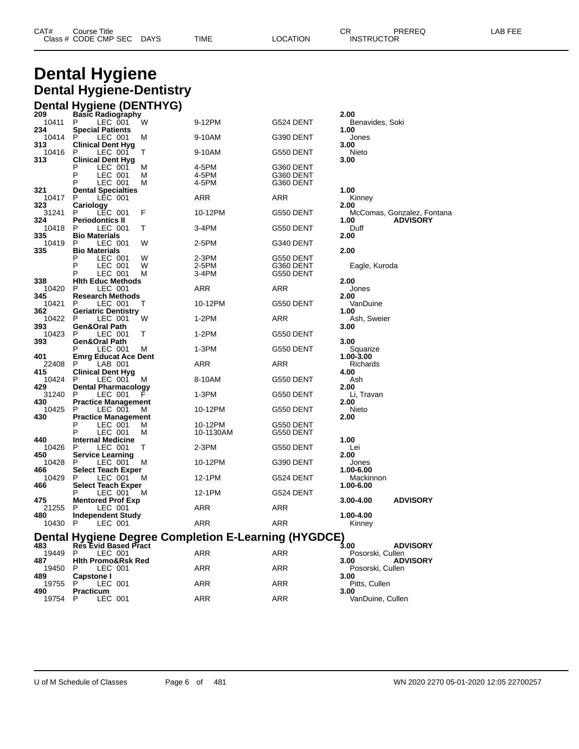| CAT# | Course Title         |             |      |          | ◠г<br>◡⊓ | PREREQ            | _AB FEF |
|------|----------------------|-------------|------|----------|----------|-------------------|---------|
|      | Class # CODE CMP SEC | <b>DAYS</b> | TIME | LOCATION |          | <b>INSTRUCTOR</b> |         |

## **Dental Hygiene Dental Hygiene-Dentistry**

|              | <b>Dental Hygiene (DENTHYG)</b>               |   |                                                      |            |                                             |
|--------------|-----------------------------------------------|---|------------------------------------------------------|------------|---------------------------------------------|
| 209          | <b>Basic Radiography</b>                      |   |                                                      |            | 2.00                                        |
| 10411<br>234 | P<br>LEC 001<br><b>Special Patients</b>       | W | 9-12PM                                               | G524 DENT  | Benavides, Soki<br>1.00                     |
| 10414<br>313 | P<br>LEC 001<br><b>Clinical Dent Hyg</b>      | M | 9-10AM                                               | G390 DENT  | Jones<br>3.00                               |
| 10416        | P<br>LEC 001                                  | т | 9-10AM                                               | G550 DENT  | Nieto                                       |
| 313          | <b>Clinical Dent Hyg</b><br>P<br>LEC 001      | M | 4-5PM                                                | G360 DENT  | 3.00                                        |
|              | P<br>LEC 001                                  | M | 4-5PM                                                | G360 DENT  |                                             |
|              | P<br>LEC 001                                  | М | 4-5PM                                                | G360 DENT  |                                             |
| 321<br>10417 | <b>Dental Specialties</b><br>P<br>LEC 001     |   | ARR                                                  | ARR        | 1.00<br>Kinney                              |
| 323          | Cariology                                     |   |                                                      |            | 2.00                                        |
| 31241        | P<br>LEC 001                                  | F | 10-12PM                                              | G550 DENT  | McComas, Gonzalez, Fontana                  |
| 324<br>10418 | <b>Periodontics II</b><br>P<br>LEC 001        | т | 3-4PM                                                | G550 DENT  | <b>ADVISORY</b><br>1.00<br>Duff             |
| 335          | <b>Bio Materials</b>                          |   |                                                      |            | 2.00                                        |
| 10419<br>335 | P<br>LEC 001<br><b>Bio Materials</b>          | W | 2-5PM                                                | G340 DENT  | 2.00                                        |
|              | Ρ<br>LEC 001                                  | W | 2-3PM                                                | G550 DENT  |                                             |
|              | P<br>LEC 001                                  | W | 2-5PM                                                | G360 DENT  | Eagle, Kuroda                               |
|              | P<br>LEC 001                                  | М | 3-4PM                                                | G550 DENT  |                                             |
| 338          | <b>Hith Educ Methods</b>                      |   |                                                      |            | 2.00                                        |
| 10420        | P<br>LEC 001                                  |   | ARR                                                  | ARR        | Jones                                       |
| 345<br>10421 | <b>Research Methods</b><br>P<br>LEC 001       | Т | 10-12PM                                              | G550 DENT  | 2.00<br>VanDuine                            |
| 362          | <b>Geriatric Dentistry</b>                    |   |                                                      |            | 1.00                                        |
| 10422        | P<br>LEC 001                                  | W | $1-2PM$                                              | ARR        | Ash, Sweier                                 |
| 393          | Gen&Oral Path                                 |   |                                                      |            | 3.00                                        |
| 10423        | P<br>LEC 001                                  | т | 1-2PM                                                | G550 DENT  |                                             |
| 393          | <b>Gen&amp;Oral Path</b><br>P                 |   |                                                      |            | 3.00                                        |
| 401          | LEC 001<br><b>Emrg Educat Ace Dent</b>        | M | $1-3PM$                                              | G550 DENT  | Squarize<br>1.00-3.00                       |
| 22408        | P<br>LAB 001                                  |   | ARR                                                  | ARR        | Richards                                    |
| 415          | <b>Clinical Dent Hyg</b>                      |   |                                                      |            | 4.00                                        |
| 10424        | P<br>LEC 001                                  | M | 8-10AM                                               | G550 DENT  | Ash                                         |
| 429          | <b>Dental Pharmacology</b>                    |   |                                                      |            | 2.00                                        |
| 31240<br>430 | P<br>LEC 001<br><b>Practice Management</b>    |   | 1-3PM                                                | G550 DENT  | Li, Travan<br>2.00                          |
| 10425        | P<br>LEC 001                                  | М | 10-12PM                                              | G550 DENT  | Nieto                                       |
| 430          | <b>Practice Management</b>                    |   |                                                      |            | 2.00                                        |
|              | P<br>LEC 001                                  | м | 10-12PM                                              | G550 DENT  |                                             |
|              | P<br>LEC 001                                  | М | 10-1130AM                                            | G550 DENT  |                                             |
| 440          | <b>Internal Medicine</b><br>P                 |   |                                                      |            | 1.00                                        |
| 10426<br>450 | LEC 001<br><b>Service Learning</b>            | Т | 2-3PM                                                | G550 DENT  | Lei<br>2.00                                 |
| 10428        | P<br>LEC 001                                  | M | 10-12PM                                              | G390 DENT  | Jones                                       |
| 466          | <b>Select Teach Exper</b>                     |   |                                                      |            | 1.00-6.00                                   |
| 10429        | P<br>LEC 001                                  | M | 12-1PM                                               | G524 DENT  | Mackinnon                                   |
| 466          | <b>Select Teach Exper</b>                     |   |                                                      |            | 1.00-6.00                                   |
|              | Ρ<br>LEC 001                                  | M | 12-1PM                                               | G524 DENT  |                                             |
| 475<br>21255 | <b>Mentored Prof Exp</b><br>P<br>LEC 001      |   | ARR                                                  | ARR        | <b>ADVISORY</b><br>3.00-4.00                |
| 480          | <b>Independent Study</b>                      |   |                                                      |            | 1.00-4.00                                   |
| 10430        | P<br>LEC 001                                  |   | ARR                                                  | ARR        | Kinney                                      |
|              |                                               |   | Dental Hygiene Degree Completion E-Learning (HYGDCE) |            |                                             |
| 483          | <b>Res Evid Based Pract</b>                   |   |                                                      |            | 3.00<br><b>ADVISORY</b>                     |
| 19449        | LEC 001<br>P                                  |   | ARR                                                  | <b>ARR</b> | Posorski, Cullen                            |
| 487<br>19450 | <b>Hith Promo&amp;Rsk Red</b><br>P<br>LEC 001 |   | ARR                                                  | ARR        | <b>ADVISORY</b><br>3.00<br>Posorski, Cullen |

**Capstone I 3.00**

**Practicum 3.00**

P LEC 001 ARR ARR Pitts, Cullen

P LEC 001 ARR ARR VanDuine, Cullen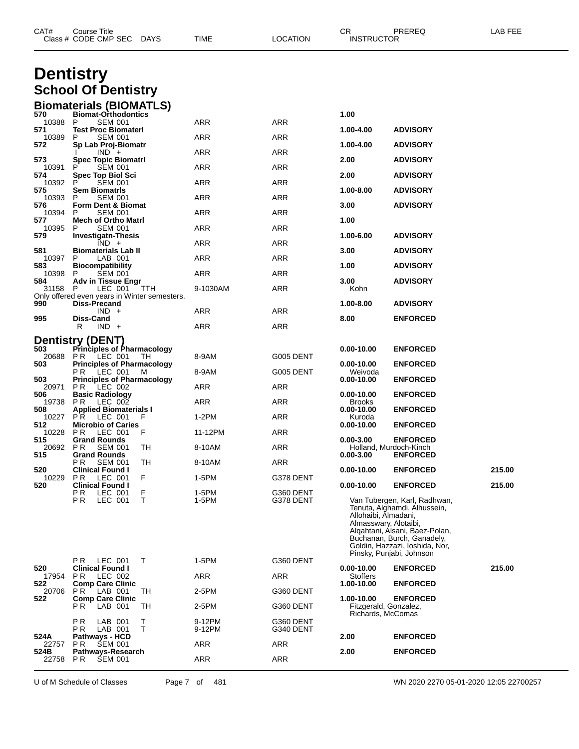| CAT#            | Course Title<br>Class # CODE CMP SEC DAYS                    |        | TIME             | LOCATION               | CR<br><b>INSTRUCTOR</b>                       | PREREQ                                                                                                                                                         | LAB FEE |
|-----------------|--------------------------------------------------------------|--------|------------------|------------------------|-----------------------------------------------|----------------------------------------------------------------------------------------------------------------------------------------------------------------|---------|
|                 | <b>Dentistry</b>                                             |        |                  |                        |                                               |                                                                                                                                                                |         |
|                 | <b>School Of Dentistry</b>                                   |        |                  |                        |                                               |                                                                                                                                                                |         |
| 570             | <b>Biomaterials (BIOMATLS)</b>                               |        |                  |                        |                                               |                                                                                                                                                                |         |
| 10388           | <b>Biomat-Orthodontics</b><br>P<br><b>SEM 001</b>            |        | ARR              | ARR                    | 1.00                                          |                                                                                                                                                                |         |
| 571<br>10389    | <b>Test Proc Biomaterl</b><br>P<br><b>SEM 001</b>            |        | ARR              | ARR                    | 1.00-4.00                                     | <b>ADVISORY</b>                                                                                                                                                |         |
| 572             | Sp Lab Proj-Biomatr<br>$IND +$                               |        | ARR              | ARR                    | 1.00-4.00                                     | <b>ADVISORY</b>                                                                                                                                                |         |
| 573<br>10391    | <b>Spec Topic Biomatri</b><br><b>SEM 001</b>                 |        | ARR              | ARR                    | 2.00                                          | <b>ADVISORY</b>                                                                                                                                                |         |
| 574<br>10392    | <b>Spec Top Biol Sci</b><br>P<br><b>SEM 001</b>              |        | ARR              | ARR                    | 2.00                                          | <b>ADVISORY</b>                                                                                                                                                |         |
| 575<br>10393    | Sem BiomatrIs<br><b>SEM 001</b><br>P                         |        | ARR              | ARR                    | 1.00-8.00                                     | <b>ADVISORY</b>                                                                                                                                                |         |
| 576<br>10394    | Form Dent & Biomat<br><b>SEM 001</b><br>P                    |        | ARR              | ARR                    | 3.00                                          | <b>ADVISORY</b>                                                                                                                                                |         |
| 577<br>10395    | <b>Mech of Ortho Matri</b><br><b>SEM 001</b>                 |        | ARR              | ARR                    | 1.00                                          |                                                                                                                                                                |         |
| 579             | <b>Investigatn-Thesis</b><br>$IND +$                         |        | ARR              | ARR                    | 1.00-6.00                                     | <b>ADVISORY</b>                                                                                                                                                |         |
| 581<br>10397    | <b>Biomaterials Lab II</b><br>P<br>LAB 001                   |        | ARR              | ARR                    | 3.00                                          | <b>ADVISORY</b>                                                                                                                                                |         |
| 583<br>10398    | <b>Biocompatibility</b><br>P<br><b>SEM 001</b>               |        | ARR              | ARR                    | 1.00                                          | <b>ADVISORY</b>                                                                                                                                                |         |
| 584<br>31158    | <b>Adv in Tissue Engr</b>                                    |        |                  |                        | 3.00                                          | <b>ADVISORY</b>                                                                                                                                                |         |
|                 | LEC 001<br>P<br>Only offered even years in Winter semesters. | TTH    | 9-1030AM         | ARR                    | Kohn                                          |                                                                                                                                                                |         |
| 990             | <b>Diss-Precand</b><br>$IND +$                               |        | ARR              | ARR                    | 1.00-8.00                                     | <b>ADVISORY</b>                                                                                                                                                |         |
| 995             | Diss-Cand<br>R<br>$IND +$                                    |        | ARR              | ARR                    | 8.00                                          | <b>ENFORCED</b>                                                                                                                                                |         |
|                 | <b>Dentistry (DENT)</b>                                      |        |                  |                        |                                               |                                                                                                                                                                |         |
| 503<br>20688    | <b>Principles of Pharmacology</b><br>LEC 001<br>P R          | TH     | 8-9AM            | G005 DENT              | $0.00 - 10.00$                                | <b>ENFORCED</b>                                                                                                                                                |         |
| 503             | <b>Principles of Pharmacology</b><br>LEC 001<br>P R          | M      | 8-9AM            | G005 DENT              | 0.00-10.00<br>Weivoda                         | <b>ENFORCED</b>                                                                                                                                                |         |
| 503<br>20971    | <b>Principles of Pharmacology</b><br>P R<br>LEC 002          |        | ARR              | ARR                    | 0.00-10.00                                    | <b>ENFORCED</b>                                                                                                                                                |         |
| 506<br>19738    | <b>Basic Radiology</b><br>PR.<br>LEC 002                     |        | ARR              | ARR                    | 0.00-10.00<br><b>Brooks</b>                   | <b>ENFORCED</b>                                                                                                                                                |         |
| 508<br>10227    | <b>Applied Biomaterials I</b><br>PR.<br>LEC 001              | F      | 1-2PM            | ARR                    | 0.00-10.00<br>Kuroda                          | <b>ENFORCED</b>                                                                                                                                                |         |
| 512<br>10228    | <b>Microbio of Caries</b><br><b>PR</b><br>LEC 001            | F      | 11-12PM          | ARR                    | 0.00-10.00                                    | <b>ENFORCED</b>                                                                                                                                                |         |
| 515             | Grand Rounds                                                 |        |                  |                        | $0.00 - 3.00$                                 | <b>ENFORCED</b>                                                                                                                                                |         |
| 20692 PR<br>515 | <b>SEM 001</b><br><b>Grand Rounds</b>                        | TН     | 8-10AM           | <b>ARR</b>             | $0.00 - 3.00$                                 | Holland, Murdoch-Kinch<br><b>ENFORCED</b>                                                                                                                      |         |
| 520             | P R<br><b>SEM 001</b><br><b>Clinical Found I</b>             | TН     | 8-10AM           | <b>ARR</b>             | 0.00-10.00                                    | <b>ENFORCED</b>                                                                                                                                                | 215.00  |
| 10229<br>520    | PR.<br>LEC 001<br><b>Clinical Found I</b>                    | F      | 1-5PM            | G378 DENT              | $0.00 - 10.00$                                | <b>ENFORCED</b>                                                                                                                                                | 215.00  |
|                 | LEC 001<br>P R<br>PR.<br>LEC 001                             | F<br>T | 1-5PM<br>1-5PM   | G360 DENT<br>G378 DENT | Allohaibi, Almadani,<br>Almasswary, Alotaibi, | Van Tubergen, Karl, Radhwan,<br>Tenuta, Alghamdi, Alhussein,<br>Algahtani, Alsani, Baez-Polan,<br>Buchanan, Burch, Ganadely,<br>Goldin, Hazzazi, Ioshida, Nor, |         |
|                 | LEC 001<br>P R                                               | T      | 1-5PM            | G360 DENT              |                                               | Pinsky, Punjabi, Johnson                                                                                                                                       |         |
| 520<br>17954    | <b>Clinical Found I</b><br>LEC 002<br>P <sub>R</sub>         |        | ARR              | ARR                    | $0.00 - 10.00$<br><b>Stoffers</b>             | <b>ENFORCED</b>                                                                                                                                                | 215.00  |
| 522<br>20706    | <b>Comp Care Clinic</b><br><b>PR</b> LAB 001                 | TH     | 2-5PM            | G360 DENT              | 1.00-10.00                                    | <b>ENFORCED</b>                                                                                                                                                |         |
| 522             | <b>Comp Care Clinic</b><br>LAB 001<br>P R.                   | TH     | 2-5PM            | G360 DENT              | 1.00-10.00<br>Fitzgerald, Gonzalez,           | <b>ENFORCED</b>                                                                                                                                                |         |
|                 |                                                              |        |                  |                        | Richards, McComas                             |                                                                                                                                                                |         |
|                 | P <sub>R</sub><br>LAB 001<br>LAB 001<br>P R                  | Τ<br>Τ | 9-12PM<br>9-12PM | G360 DENT<br>G340 DENT |                                               |                                                                                                                                                                |         |
| 524A<br>22757   | <b>Pathways - HCD</b><br>P R<br><b>SEM 001</b>               |        | <b>ARR</b>       | ARR                    | 2.00                                          | <b>ENFORCED</b>                                                                                                                                                |         |
| 524B<br>22758   | Pathways-Research<br>P R<br><b>SEM 001</b>                   |        | ARR              | ARR                    | 2.00                                          | <b>ENFORCED</b>                                                                                                                                                |         |

U of M Schedule of Classes Page 7 of 481 WN 2020 2270 05-01-2020 12:05 22700257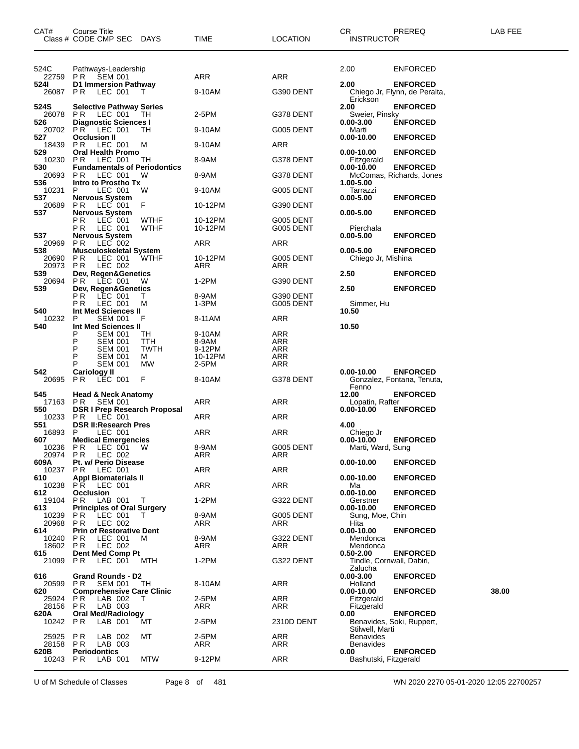| CAT#             | Course Title<br>Class # CODE CMP SEC                         | DAYS               | TIME                | <b>LOCATION</b>   | CR.<br><b>INSTRUCTOR</b>             | PREREQ                                      | LAB FEE |
|------------------|--------------------------------------------------------------|--------------------|---------------------|-------------------|--------------------------------------|---------------------------------------------|---------|
| 524C<br>22759    | Pathways-Leadership<br><b>SEM 001</b><br>PR                  |                    | <b>ARR</b>          | <b>ARR</b>        | 2.00                                 | <b>ENFORCED</b>                             |         |
| 524I             | D1 Immersion Pathway                                         |                    |                     |                   | 2.00                                 | <b>ENFORCED</b>                             |         |
| 26087            | P R<br>LEC 001                                               | T                  | 9-10AM              | G390 DENT         | Erickson                             | Chiego Jr, Flynn, de Peralta,               |         |
| 524S<br>26078    | <b>Selective Pathway Series</b><br>PR.<br>LEC 001            | TН                 | 2-5PM               | G378 DENT         | 2.00<br>Sweier, Pinsky               | <b>ENFORCED</b>                             |         |
| 526<br>20702     | <b>Diagnostic Sciences I</b><br><b>PR LEC 001</b>            | ТH                 | 9-10AM              | G005 DENT         | $0.00 - 3.00$<br>Marti               | <b>ENFORCED</b>                             |         |
| 527<br>18439     | <b>Occlusion II</b><br>LEC 001<br>PR.                        | м                  | 9-10AM              | ARR               | $0.00 - 10.00$                       | <b>ENFORCED</b>                             |         |
| 529<br>10230     | <b>Oral Health Promo</b><br>P R<br>LEC 001                   | TН                 | 8-9AM               | G378 DENT         | 0.00-10.00<br>Fitzgerald             | <b>ENFORCED</b>                             |         |
| 530<br>20693     | <b>Fundamentals of Periodontics</b><br>P R<br>LEC 001        | W                  | 8-9AM               | G378 DENT         | 0.00-10.00                           | <b>ENFORCED</b><br>McComas, Richards, Jones |         |
| 536<br>10231     | Intro to Prostho Tx<br>P<br>LEC 001                          | W                  | 9-10AM              | G005 DENT         | 1.00-5.00<br>Tarrazzi                |                                             |         |
| 537<br>20689     | <b>Nervous System</b><br><b>PR</b><br>LEC 001                | F                  | 10-12PM             | G390 DENT         | $0.00 - 5.00$                        | <b>ENFORCED</b>                             |         |
| 537              | <b>Nervous System</b><br>РR<br>LEC 001                       | <b>WTHF</b>        | 10-12PM             | G005 DENT         | $0.00 - 5.00$                        | <b>ENFORCED</b>                             |         |
| 537              | PR<br>LEC 001<br><b>Nervous System</b>                       | <b>WTHF</b>        | 10-12PM             | G005 DENT         | Pierchala<br>$0.00 - 5.00$           | <b>ENFORCED</b>                             |         |
| 20969<br>538     | P R<br>LEC 002<br><b>Musculoskeletal System</b>              |                    | ARR                 | ARR               | 0.00-5.00                            | <b>ENFORCED</b>                             |         |
| 20690<br>20973   | P R<br>LEC 001<br>P R<br>LEC 002                             | <b>WTHF</b>        | 10-12PM<br>ARR      | G005 DENT<br>ARR  | Chiego Jr, Mishina                   |                                             |         |
| 539<br>20694     | Dev, Regen&Genetics<br>PR.<br>LEC 001                        | W                  | 1-2PM               | G390 DENT         | 2.50                                 | <b>ENFORCED</b>                             |         |
| 539              | Dev, Regen&Genetics<br>РR<br>LEC 001                         | T.                 | 8-9AM               | G390 DENT         | 2.50                                 | <b>ENFORCED</b>                             |         |
| 540              | P R<br>LEC 001<br>Int Med Sciences II                        | м                  | $1-3PM$             | G005 DENT         | Simmer, Hu<br>10.50                  |                                             |         |
| 10232<br>540     | <b>SEM 001</b><br>P<br>Int Med Sciences II                   | F                  | 8-11AM              | <b>ARR</b>        | 10.50                                |                                             |         |
|                  | <b>SEM 001</b><br>Р                                          | TН                 | 9-10AM              | <b>ARR</b>        |                                      |                                             |         |
|                  | Ρ<br><b>SEM 001</b><br>Р<br><b>SEM 001</b>                   | TTH<br><b>TWTH</b> | 8-9AM<br>9-12PM     | <b>ARR</b><br>ARR |                                      |                                             |         |
|                  | Р<br><b>SEM 001</b><br><b>SEM 001</b><br>Р                   | м<br>МW            | 10-12PM<br>2-5PM    | ARR<br><b>ARR</b> |                                      |                                             |         |
| 542              | <b>Cariology II</b>                                          |                    |                     |                   | $0.00 - 10.00$                       | <b>ENFORCED</b>                             |         |
| 20695            | P R<br>LEC 001                                               | F                  | 8-10AM              | G378 DENT         | Fenno                                | Gonzalez, Fontana, Tenuta,                  |         |
| 545<br>17163     | <b>Head &amp; Neck Anatomy</b><br>SEM 001<br>PR.             |                    | ARR                 | ARR               | 12.00<br>Lopatin, Rafter             | <b>ENFORCED</b>                             |         |
| 550<br>10233     | <b>DSR I Prep Research Proposal</b><br>P R<br>LEC 001        |                    | ARR                 | ARR               | 0.00-10.00                           | <b>ENFORCED</b>                             |         |
| 551<br>16893     | <b>DSR II:Research Pres</b><br>LEC 001<br>P                  |                    | ARR                 | ARR               | 4.00                                 |                                             |         |
| 607              | <b>Medical Emergencies</b>                                   |                    |                     |                   | Chiego Jr<br>$0.00 - 10.00$          | <b>ENFORCED</b>                             |         |
| 10236<br>20974   | P R<br>LEC 001<br>PR<br>LEC 002                              | W                  | 8-9AM<br><b>ARR</b> | G005 DENT<br>ARR  | Marti, Ward, Sung                    |                                             |         |
| 609A<br>10237    | Pt. w/ Perio Disease<br>P R<br>LEC 001                       |                    | ARR                 | <b>ARR</b>        | $0.00 - 10.00$                       | <b>ENFORCED</b>                             |         |
| 610<br>10238     | <b>Appl Biomaterials II</b><br>LEC 001                       |                    | ARR                 | <b>ARR</b>        | $0.00 - 10.00$                       | <b>ENFORCED</b>                             |         |
| 612              | PR.<br><b>Occlusion</b>                                      |                    |                     |                   | Ma<br>$0.00 - 10.00$                 | <b>ENFORCED</b>                             |         |
| 19104<br>613     | LAB 001<br>PR.<br><b>Principles of Oral Surgery</b>          | T                  | $1-2PM$             | G322 DENT         | Gerstner<br>0.00-10.00               | <b>ENFORCED</b>                             |         |
| 10239            | P R<br>LEC 001                                               | T.                 | 8-9AM               | G005 DENT         | Sung, Moe, Chin                      |                                             |         |
| 20968<br>614     | P <sub>R</sub><br>LEC 002<br><b>Prin of Restorative Dent</b> |                    | ARR                 | ARR               | Hita<br>$0.00 - 10.00$               | <b>ENFORCED</b>                             |         |
| 10240<br>18602   | P R<br>LEC 001<br><b>PR</b><br>LEC 002                       | M                  | 8-9AM<br>ARR        | G322 DENT<br>ARR  | Mendonca<br>Mendonca                 |                                             |         |
| 615              | Dent Med Comp Pt                                             |                    |                     |                   | $0.50 - 2.00$                        | <b>ENFORCED</b>                             |         |
| 21099            | P R<br>LEC 001                                               | MTH                | $1-2PM$             | G322 DENT         | Tindle, Cornwall, Dabiri,<br>Zalucha |                                             |         |
| 616<br>20599     | <b>Grand Rounds - D2</b><br>P R<br><b>SEM 001</b>            | TH                 | 8-10AM              | ARR               | $0.00 - 3.00$<br>Holland             | <b>ENFORCED</b>                             |         |
| 620              | <b>Comprehensive Care Clinic</b>                             |                    |                     |                   | $0.00 - 10.00$                       | <b>ENFORCED</b>                             | 38.00   |
| 25924<br>28156   | P R<br>LAB 002<br>LAB 003<br>P R                             | Т                  | 2-5PM<br>ARR        | <b>ARR</b><br>ARR | Fitzgerald<br>Fitzgerald             |                                             |         |
| 620A             | <b>Oral Med/Radiology</b>                                    |                    |                     |                   | 0.00                                 | <b>ENFORCED</b>                             |         |
| 10242 PR         | LAB 001                                                      | МT                 | 2-5PM               | 2310D DENT        | Stilwell, Marti                      | Benavides, Soki, Ruppert,                   |         |
| 25925<br>28158   | P <sub>R</sub><br>LAB 002<br>LAB 003<br>P R                  | МT                 | 2-5PM<br>ARR        | ARR<br>ARR        | <b>Benavides</b><br>Benavides        |                                             |         |
| 620B<br>10243 PR | <b>Periodontics</b><br>LAB 001                               | MTW                | 9-12PM              | ARR               | 0.00<br>Bashutski, Fitzgerald        | <b>ENFORCED</b>                             |         |
|                  |                                                              |                    |                     |                   |                                      |                                             |         |

U of M Schedule of Classes Page 8 of 481 WN 2020 2270 05-01-2020 12:05 22700257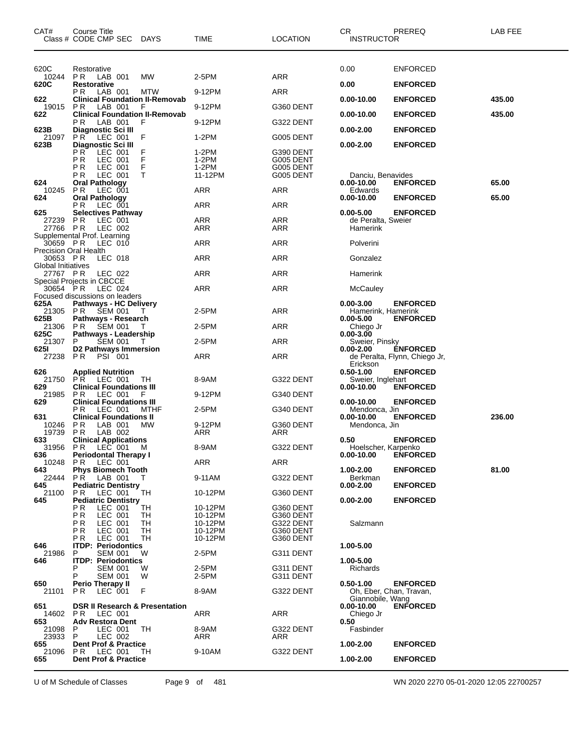| CAT#                           | Course Title<br>Class # CODE CMP SEC<br>DAYS                       | TIME               | <b>LOCATION</b>        | CR<br><b>INSTRUCTOR</b>                     | PREREQ                        | LAB FEE |
|--------------------------------|--------------------------------------------------------------------|--------------------|------------------------|---------------------------------------------|-------------------------------|---------|
| 620C                           | Restorative                                                        |                    |                        | 0.00                                        | <b>ENFORCED</b>               |         |
| 10244<br>620C                  | PR.<br>LAB 001<br>MW<br><b>Restorative</b>                         | 2-5PM              | ARR                    | 0.00                                        | <b>ENFORCED</b>               |         |
| 622                            | P R<br>LAB 001<br>MTW<br><b>Clinical Foundation II-Removab</b>     | 9-12PM             | ARR                    | $0.00 - 10.00$                              | <b>ENFORCED</b>               | 435.00  |
| 19015                          | LAB 001<br>P <sub>R</sub><br>F                                     | 9-12PM             | G360 DENT              |                                             |                               |         |
| 622                            | <b>Clinical Foundation II-Removab</b><br>РR<br>LAB 001<br>F        | 9-12PM             | G322 DENT              | 0.00-10.00                                  | <b>ENFORCED</b>               | 435.00  |
| 623B<br>21097                  | Diagnostic Sci III<br><b>PR</b><br>LEC 001<br>F                    | 1-2PM              | G005 DENT              | $0.00 - 2.00$                               | <b>ENFORCED</b>               |         |
| 623B                           | Diagnostic Sci III<br>РR<br>LEC 001                                | 1-2PM              | G390 DENT              | $0.00 - 2.00$                               | <b>ENFORCED</b>               |         |
|                                | F<br>РR<br>LEC 001                                                 | 1-2PM              | G005 DENT              |                                             |                               |         |
|                                | F<br>РR<br>LEC 001<br>т<br>РR<br>LEC 001                           | 1-2PM<br>11-12PM   | G005 DENT<br>G005 DENT | Danciu, Benavides                           |                               |         |
| 624<br>10245                   | <b>Oral Pathology</b><br>P R<br>LEC 001                            | ARR                | ARR                    | $0.00 - 10.00$<br>Edwards                   | <b>ENFORCED</b>               | 65.00   |
| 624                            | <b>Oral Pathology</b><br>LEC 001<br>РR                             | ARR                | ARR                    | $0.00 - 10.00$                              | <b>ENFORCED</b>               | 65.00   |
| 625                            | <b>Selectives Pathway</b>                                          |                    |                        | $0.00 - 5.00$                               | <b>ENFORCED</b>               |         |
| 27239<br>27766 PR              | P R<br>LEC 001<br>LEC 002                                          | ARR<br>ARR         | ARR<br>ARR             | de Peralta, Sweier<br>Hamerink              |                               |         |
| 30659 PR                       | Supplemental Prof. Learning<br>LEC 010                             | ARR                | ARR                    | Polverini                                   |                               |         |
| Precision Oral Health          |                                                                    |                    |                        |                                             |                               |         |
| 30653 PR<br>Global Initiatives | LEC 018                                                            | ARR                | ARR                    | Gonzalez                                    |                               |         |
| 27767 PR                       | LEC 022<br>Special Projects in CBCCE                               | ARR                | ARR                    | Hamerink                                    |                               |         |
| 30654 PR                       | LEC 024<br>Focused discussions on leaders                          | ARR                | ARR                    | McCauley                                    |                               |         |
| 625A                           | <b>Pathways - HC Delivery</b>                                      |                    |                        | $0.00 - 3.00$                               | <b>ENFORCED</b>               |         |
| 21305<br>625B                  | <b>SEM 001</b><br>P R<br>T<br>Pathways - Research                  | 2-5PM              | ARR                    | Hamerink, Hamerink<br>$0.00 - 5.00$         | <b>ENFORCED</b>               |         |
| 21306<br>625C                  | P R<br>SEM 001<br>T<br>Pathways - Leadership                       | 2-5PM              | <b>ARR</b>             | Chiego Jr<br>$0.00 - 3.00$                  |                               |         |
| 21307<br>625I                  | <b>SEM 001</b><br>P<br>T<br>D2 Pathways Immersion                  | 2-5PM              | ARR                    | Sweier, Pinsky<br>$0.00 - 2.00$             | <b>ENFORCED</b>               |         |
| 27238                          | P <sub>R</sub><br><b>PSI 001</b>                                   | ARR                | ARR                    |                                             | de Peralta, Flynn, Chiego Jr, |         |
| 626                            | <b>Applied Nutrition</b>                                           |                    |                        | Erickson<br>$0.50 - 1.00$                   | <b>ENFORCED</b>               |         |
| 21750<br>629                   | P <sub>R</sub><br>LEC 001<br>ТH<br><b>Clinical Foundations III</b> | 8-9AM              | G322 DENT              | Sweier, Inglehart<br>0.00-10.00             | <b>ENFORCED</b>               |         |
| 21985<br>629                   | P R<br>LEC 001<br>- F<br><b>Clinical Foundations III</b>           | 9-12PM             | G340 DENT              | $0.00 - 10.00$                              | <b>ENFORCED</b>               |         |
|                                | LEC 001<br>РR<br><b>MTHF</b>                                       | 2-5PM              | G340 DENT              | Mendonca, Jin                               |                               |         |
| 631<br>10246                   | <b>Clinical Foundations II</b><br>P R<br>LAB 001<br>МW             | 9-12PM             | G360 DENT              | 0.00-10.00<br>Mendonca, Jin                 | <b>ENFORCED</b>               | 236.00  |
| 19739<br>633                   | PR.<br>LAB 002<br><b>Clinical Applications</b>                     | ARR                | ARR                    | 0.50                                        | <b>ENFORCED</b>               |         |
| 31956<br>636                   | PR LEC 001 M<br><b>Periodontal Therapy I</b>                       | 8-9AM              | G322 DENT              | Hoelscher, Karpenko<br>$0.00 - 10.00$       | <b>ENFORCED</b>               |         |
| 10248                          | PR.<br>LEC 001                                                     | ARR                | ARR                    |                                             |                               |         |
| 643<br>22444                   | <b>Phys Biomech Tooth</b><br>PR.<br>LAB 001<br>T.                  | 9-11AM             | G322 DENT              | 1.00-2.00<br>Berkman                        | <b>ENFORCED</b>               | 81.00   |
| 645<br>21100                   | <b>Pediatric Dentistry</b><br><b>TH</b><br>LEC 001<br>P R          | 10-12PM            | G360 DENT              | $0.00 - 2.00$                               | <b>ENFORCED</b>               |         |
| 645                            | <b>Pediatric Dentistry</b><br>РR<br>LEC 001<br>TН                  | 10-12PM            | G360 DENT              | $0.00 - 2.00$                               | <b>ENFORCED</b>               |         |
|                                | ΡR<br>LEC 001<br>TН                                                | 10-12PM            | G360 DENT              |                                             |                               |         |
|                                | ΡR<br>LEC 001<br>TН<br>РR<br>LEC 001<br>TН                         | 10-12PM<br>10-12PM | G322 DENT<br>G360 DENT | Salzmann                                    |                               |         |
| 646                            | LEC 001<br>TН<br>РR<br><b>ITDP: Periodontics</b>                   | 10-12PM            | G360 DENT              | 1.00-5.00                                   |                               |         |
| 21986                          | <b>SEM 001</b><br>W<br>P                                           | 2-5PM              | G311 DENT              |                                             |                               |         |
| 646                            | <b>ITDP: Periodontics</b><br>Р<br><b>SEM 001</b><br>W              | 2-5PM              | G311 DENT              | 1.00-5.00<br>Richards                       |                               |         |
| 650                            | P<br><b>SEM 001</b><br>W<br>Perio Therapy II                       | 2-5PM              | G311 DENT              | $0.50 - 1.00$                               | <b>ENFORCED</b>               |         |
| 21101                          | F<br>P R<br>LEC 001                                                | 8-9AM              | G322 DENT              | Oh, Eber, Chan, Travan,<br>Giannobile, Wang |                               |         |
| 651                            | <b>DSR II Research &amp; Presentation</b>                          |                    |                        | $0.00 - 10.00$                              | <b>ENFORCED</b>               |         |
| 14602<br>653                   | P R<br>LEC 001<br><b>Adv Restora Dent</b>                          | <b>ARR</b>         | ARR                    | Chiego Jr<br>0.50                           |                               |         |
| 21098<br>23933                 | LEC 001<br>TН<br>P<br>LEC 002<br>P                                 | 8-9AM<br>ARR       | G322 DENT<br>ARR       | Fasbinder                                   |                               |         |
| 655                            | <b>Dent Prof &amp; Practice</b>                                    |                    |                        | 1.00-2.00                                   | <b>ENFORCED</b>               |         |
| 21096<br>655                   | P R<br>LEC 001<br>TН<br><b>Dent Prof &amp; Practice</b>            | 9-10AM             | G322 DENT              | 1.00-2.00                                   | <b>ENFORCED</b>               |         |
|                                |                                                                    |                    |                        |                                             |                               |         |

U of M Schedule of Classes Page 9 of 481 WN 2020 2270 05-01-2020 12:05 22700257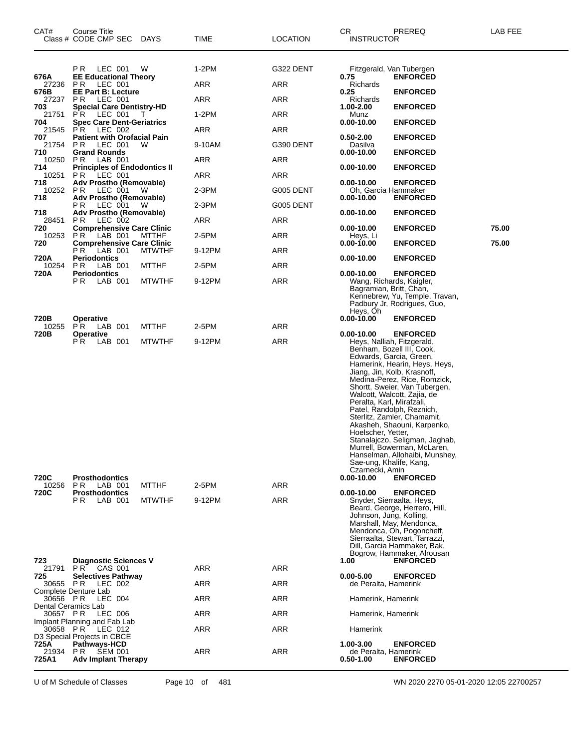| CAT#                                                                                                                                                            | Course Title<br>Class # CODE CMP SEC DAYS                                                                                                                                                                                                                                                                                                                                                                                                                                                                                                             |                               | TIME                                                                                     | <b>LOCATION</b>                                                                                                 | CR<br><b>INSTRUCTOR</b>                                                                                                                                                                                                                    | PREREQ                                                                                                                                                                                                                                                                                                                                                                                                                                                                                 | LAB FEE |
|-----------------------------------------------------------------------------------------------------------------------------------------------------------------|-------------------------------------------------------------------------------------------------------------------------------------------------------------------------------------------------------------------------------------------------------------------------------------------------------------------------------------------------------------------------------------------------------------------------------------------------------------------------------------------------------------------------------------------------------|-------------------------------|------------------------------------------------------------------------------------------|-----------------------------------------------------------------------------------------------------------------|--------------------------------------------------------------------------------------------------------------------------------------------------------------------------------------------------------------------------------------------|----------------------------------------------------------------------------------------------------------------------------------------------------------------------------------------------------------------------------------------------------------------------------------------------------------------------------------------------------------------------------------------------------------------------------------------------------------------------------------------|---------|
| 676A<br>27236<br>676B<br>27237<br>703<br>21751<br>704<br>21545<br>707<br>21754<br>710<br>10250<br>714<br>10251<br>718<br>10252 PR<br>718<br>718<br>28451<br>720 | PR LEC 001<br><b>EE Educational Theory</b><br>LEC 001<br>PR.<br><b>EE Part B: Lecture</b><br>P R<br>LEC 001<br><b>Special Care Dentistry-HD</b><br>LEC 001<br>PR.<br><b>Spec Care Dent-Geriatrics</b><br>LEC 002<br>PR.<br><b>Patient with Orofacial Pain</b><br>P R<br>LEC 001<br><b>Grand Rounds</b><br>LAB 001<br>PR.<br><b>Principles of Endodontics II</b><br>LEC 001<br>PR.<br>Adv Prostho (Removable)<br>LEC 001<br>Adv Prostho (Removable)<br>P R<br>LEC 001<br>Adv Prostho (Removable)<br>LEC 002<br>PR.<br><b>Comprehensive Care Clinic</b> | W<br>T<br>W<br>W<br>W         | 1-2PM<br>ARR<br>ARR<br>$1-2PM$<br>ARR<br>9-10AM<br>ARR<br>ARR<br>2-3PM<br>$2-3PM$<br>ARR | G322 DENT<br><b>ARR</b><br>ARR<br>ARR<br>ARR<br>G390 DENT<br><b>ARR</b><br>ARR<br>G005 DENT<br>G005 DENT<br>ARR | 0.75<br>Richards<br>0.25<br>Richards<br>1.00-2.00<br>Munz<br>$0.00 - 10.00$<br>$0.50 - 2.00$<br>Dasilva<br>$0.00 - 10.00$<br>$0.00 - 10.00$<br>$0.00 - 10.00$<br>Oh, Garcia Hammaker<br>$0.00 - 10.00$<br>$0.00 - 10.00$<br>$0.00 - 10.00$ | Fitzgerald, Van Tubergen<br><b>ENFORCED</b><br><b>ENFORCED</b><br><b>ENFORCED</b><br><b>ENFORCED</b><br><b>ENFORCED</b><br><b>ENFORCED</b><br><b>ENFORCED</b><br><b>ENFORCED</b><br><b>ENFORCED</b><br><b>ENFORCED</b><br><b>ENFORCED</b>                                                                                                                                                                                                                                              | 75.00   |
| 10253<br>720                                                                                                                                                    | PR.<br>LAB 001<br><b>Comprehensive Care Clinic</b>                                                                                                                                                                                                                                                                                                                                                                                                                                                                                                    | <b>MTTHF</b>                  | 2-5PM                                                                                    | ARR                                                                                                             | Hevs. Li<br>$0.00 - 10.00$                                                                                                                                                                                                                 | <b>ENFORCED</b>                                                                                                                                                                                                                                                                                                                                                                                                                                                                        | 75.00   |
| 720A                                                                                                                                                            | LAB 001<br>P R<br><b>Periodontics</b>                                                                                                                                                                                                                                                                                                                                                                                                                                                                                                                 | <b>MTWTHF</b>                 | 9-12PM                                                                                   | <b>ARR</b>                                                                                                      | 0.00-10.00                                                                                                                                                                                                                                 | <b>ENFORCED</b>                                                                                                                                                                                                                                                                                                                                                                                                                                                                        |         |
| 10254<br>720A                                                                                                                                                   | LAB 001<br>PR.<br><b>Periodontics</b><br>P R<br>LAB 001                                                                                                                                                                                                                                                                                                                                                                                                                                                                                               | <b>MTTHF</b><br><b>MTWTHF</b> | 2-5PM<br>9-12PM                                                                          | ARR<br>ARR                                                                                                      | $0.00 - 10.00$<br>Bagramian, Britt, Chan,<br>Heys, Oh                                                                                                                                                                                      | <b>ENFORCED</b><br>Wang, Richards, Kaigler,<br>Kennebrew, Yu, Temple, Travan,<br>Padbury Jr, Rodrigues, Guo,                                                                                                                                                                                                                                                                                                                                                                           |         |
| 720B<br>10255                                                                                                                                                   | Operative<br>PR.<br>LAB 001                                                                                                                                                                                                                                                                                                                                                                                                                                                                                                                           | <b>MTTHF</b>                  | 2-5PM                                                                                    | ARR                                                                                                             | $0.00 - 10.00$                                                                                                                                                                                                                             | <b>ENFORCED</b>                                                                                                                                                                                                                                                                                                                                                                                                                                                                        |         |
| 720B<br>720C                                                                                                                                                    | Operative<br>ΡR<br>LAB 001<br><b>Prosthodontics</b>                                                                                                                                                                                                                                                                                                                                                                                                                                                                                                   | <b>MTWTHF</b>                 | 9-12PM                                                                                   | <b>ARR</b>                                                                                                      | $0.00 - 10.00$<br>Peralta, Karl, Mirafzali,<br>Hoelscher, Yetter,<br>Sae-ung, Khalife, Kang,<br>Czarnecki, Amin<br>$0.00 - 10.00$                                                                                                          | <b>ENFORCED</b><br>Heys, Nalliah, Fitzgerald,<br>Benham, Bozell III, Cook,<br>Edwards, Garcia, Green,<br>Hamerink, Hearin, Heys, Heys,<br>Jiang, Jin, Kolb, Krasnoff,<br>Medina-Perez, Rice, Romzick,<br>Shortt, Sweier, Van Tubergen,<br>Walcott, Walcott, Zajia, de<br>Patel, Randolph, Reznich,<br>Sterlitz, Zamler, Chamamit,<br>Akasheh, Shaouni, Karpenko,<br>Stanalajczo, Seligman, Jaghab,<br>Murrell, Bowerman, McLaren,<br>Hanselman, Allohaibi, Munshey,<br><b>ENFORCED</b> |         |
| 10256                                                                                                                                                           | P R<br>LAB 001                                                                                                                                                                                                                                                                                                                                                                                                                                                                                                                                        | <b>MTTHF</b>                  | 2-5PM                                                                                    | ARR                                                                                                             |                                                                                                                                                                                                                                            |                                                                                                                                                                                                                                                                                                                                                                                                                                                                                        |         |
| 720C                                                                                                                                                            | <b>Prosthodontics</b><br>P R<br>LAB 001                                                                                                                                                                                                                                                                                                                                                                                                                                                                                                               | <b>MTWTHF</b>                 | 9-12PM                                                                                   | <b>ARR</b>                                                                                                      | $0.00 - 10.00$<br>Johnson, Jung, Kolling,                                                                                                                                                                                                  | <b>ENFORCED</b><br>Snyder, Sierraalta, Heys,<br>Beard, George, Herrero, Hill,<br>Marshall, May, Mendonca,<br>Mendonca, Oh, Pogoncheff,<br>Sierraalta, Stewart, Tarrazzi,<br>Dill, Garcia Hammaker, Bak,<br>Bogrow, Hammaker, Alrousan                                                                                                                                                                                                                                                  |         |
| 723<br>21791                                                                                                                                                    | <b>Diagnostic Sciences V</b><br>P R<br>CAS 001                                                                                                                                                                                                                                                                                                                                                                                                                                                                                                        |                               | <b>ARR</b>                                                                               | <b>ARR</b>                                                                                                      | 1.00                                                                                                                                                                                                                                       | <b>ENFORCED</b>                                                                                                                                                                                                                                                                                                                                                                                                                                                                        |         |
| 725<br>30655                                                                                                                                                    | <b>Selectives Pathway</b><br>P R<br>LEC 002                                                                                                                                                                                                                                                                                                                                                                                                                                                                                                           |                               | ARR                                                                                      | ARR                                                                                                             | $0.00 - 5.00$<br>de Peralta, Hamerink                                                                                                                                                                                                      | <b>ENFORCED</b>                                                                                                                                                                                                                                                                                                                                                                                                                                                                        |         |
| 30656 PR                                                                                                                                                        | Complete Denture Lab<br>LEC 004                                                                                                                                                                                                                                                                                                                                                                                                                                                                                                                       |                               | ARR                                                                                      | ARR                                                                                                             | Hamerink, Hamerink                                                                                                                                                                                                                         |                                                                                                                                                                                                                                                                                                                                                                                                                                                                                        |         |
| Dental Ceramics Lab<br>30657 PR                                                                                                                                 | LEC 006                                                                                                                                                                                                                                                                                                                                                                                                                                                                                                                                               |                               | ARR                                                                                      | <b>ARR</b>                                                                                                      | Hamerink, Hamerink                                                                                                                                                                                                                         |                                                                                                                                                                                                                                                                                                                                                                                                                                                                                        |         |
| 30658 PR                                                                                                                                                        | Implant Planning and Fab Lab<br>LEC 012                                                                                                                                                                                                                                                                                                                                                                                                                                                                                                               |                               | ARR                                                                                      | ARR                                                                                                             | Hamerink                                                                                                                                                                                                                                   |                                                                                                                                                                                                                                                                                                                                                                                                                                                                                        |         |
| 725A<br>21934 PR<br>725A1                                                                                                                                       | D3 Special Projects in CBCE<br><b>Pathways-HCD</b><br><b>SEM 001</b><br><b>Adv Implant Therapy</b>                                                                                                                                                                                                                                                                                                                                                                                                                                                    |                               | ARR                                                                                      | ARR                                                                                                             | 1.00-3.00<br>de Peralta, Hamerink<br>$0.50 - 1.00$                                                                                                                                                                                         | <b>ENFORCED</b><br><b>ENFORCED</b>                                                                                                                                                                                                                                                                                                                                                                                                                                                     |         |

U of M Schedule of Classes Page 10 of 481 WN 2020 2270 05-01-2020 12:05 22700257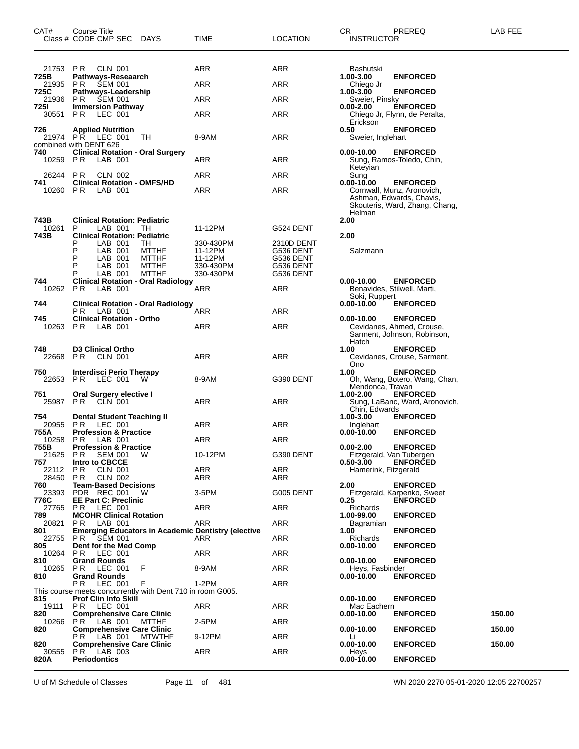| CAT#                 | Course Title<br>Class # CODE CMP SEC<br><b>DAYS</b>                                     | TIME                   | LOCATION               | PREREQ<br>CR.<br><b>INSTRUCTOR</b>                                                                 | LAB FEE |
|----------------------|-----------------------------------------------------------------------------------------|------------------------|------------------------|----------------------------------------------------------------------------------------------------|---------|
| 21753                | P R<br>CLN 001                                                                          | ARR                    | ARR                    | Bashutski                                                                                          |         |
| 725B<br>21935        | Pathways-Reseaarch<br>P R<br><b>SEM 001</b>                                             | ARR                    | ARR                    | 1.00-3.00<br><b>ENFORCED</b><br>Chiego Jr                                                          |         |
| 725C<br>21936        | Pathways-Leadership<br>P R<br><b>SEM 001</b>                                            | <b>ARR</b>             | ARR                    | 1.00-3.00<br><b>ENFORCED</b><br>Sweier, Pinsky                                                     |         |
| 725I<br>30551        | <b>Immersion Pathway</b><br>P R<br>LEC 001                                              | ARR                    | ARR                    | $0.00 - 2.00$<br><b>ENFORCED</b>                                                                   |         |
|                      |                                                                                         |                        |                        | Chiego Jr, Flynn, de Peralta,<br>Erickson                                                          |         |
| 726<br>21974         | <b>Applied Nutrition</b><br>P R<br>LEC 001<br>TН<br>combined with DENT 626              | 8-9AM                  | ARR                    | 0.50<br><b>ENFORCED</b><br>Sweier, Inglehart                                                       |         |
| 740<br>10259 PR      | <b>Clinical Rotation - Oral Surgery</b><br>LAB 001                                      | ARR                    | ARR                    | $0.00 - 10.00$<br><b>ENFORCED</b><br>Sung, Ramos-Toledo, Chin,<br>Keteyian                         |         |
| 26244<br>741         | P R<br>CLN 002<br><b>Clinical Rotation - OMFS/HD</b>                                    | ARR                    | ARR                    | Sung<br>$0.00 - 10.00$<br><b>ENFORCED</b>                                                          |         |
| 10260                | <b>PR</b><br>LAB 001                                                                    | ARR                    | ARR                    | Cornwall, Munz, Aronovich,<br>Ashman, Edwards, Chavis,<br>Skouteris, Ward, Zhang, Chang,<br>Helman |         |
| 743B<br>10261        | <b>Clinical Rotation: Pediatric</b><br>LAB 001<br>P<br>TН                               | 11-12PM                | G524 DENT              | 2.00                                                                                               |         |
| 743B                 | <b>Clinical Rotation: Pediatric</b><br>LAB 001<br>P<br>ТH                               | 330-430PM              | 2310D DENT             | 2.00                                                                                               |         |
|                      | P<br>LAB 001<br><b>MTTHF</b><br>P<br>LAB 001<br><b>MTTHF</b>                            | 11-12PM<br>11-12PM     | G536 DENT<br>G536 DENT | Salzmann                                                                                           |         |
|                      | P<br>LAB 001<br><b>MTTHF</b><br>P<br><b>MTTHF</b><br>LAB 001                            | 330-430PM<br>330-430PM | G536 DENT<br>G536 DENT |                                                                                                    |         |
| 744                  | <b>Clinical Rotation - Oral Radiology</b>                                               |                        |                        | <b>ENFORCED</b><br>$0.00 - 10.00$                                                                  |         |
| 10262                | LAB 001<br>PR.                                                                          | ARR                    | ARR                    | Benavides, Stilwell, Marti,<br>Soki, Ruppert                                                       |         |
| 744                  | Clinical Rotation - Oral Radiology<br>LAB 001<br>P R.                                   | ARR                    | ARR                    | $0.00 - 10.00$<br><b>ENFORCED</b>                                                                  |         |
| 745<br>10263         | <b>Clinical Rotation - Ortho</b><br>P <sub>R</sub><br>LAB 001                           | ARR                    | ARR                    | $0.00 - 10.00$<br><b>ENFORCED</b><br>Cevidanes, Ahmed, Crouse,                                     |         |
|                      |                                                                                         |                        |                        | Sarment, Johnson, Robinson,<br>Hatch                                                               |         |
| 748<br>22668         | <b>D3 Clinical Ortho</b><br>PR.<br>CLN 001                                              | ARR                    | ARR                    | 1.00<br><b>ENFORCED</b><br>Cevidanes, Crouse, Sarment,<br><b>Ono</b>                               |         |
| 750<br>22653         | Interdisci Perio Therapy<br>PR.<br>LEC 001<br>W                                         | 8-9AM                  | G390 DENT              | 1.00<br><b>ENFORCED</b><br>Oh, Wang, Botero, Wang, Chan,<br>Mendonca, Travan                       |         |
| 751<br>25987         | Oral Surgery elective I<br>PR.<br>CLN 001                                               | ARR                    | ARR                    | <b>ENFORCED</b><br>1.00-2.00<br>Sung, LaBanc, Ward, Aronovich,<br>Chin, Edwards                    |         |
| 754<br>20955<br>755A | <b>Dental Student Teaching II</b><br>PR.<br>LEC 001<br><b>Profession &amp; Practice</b> | ARR                    | ARR                    | 1.00-3.00<br><b>ENFORCED</b><br>Inglehart<br>$0.00 - 10.00$                                        |         |
| 10258                | P R<br>LAB 001                                                                          | ARR                    | ARR                    | <b>ENFORCED</b>                                                                                    |         |
| 755B<br>21625        | <b>Profession &amp; Practice</b><br>P R<br><b>SEM 001</b><br>W                          | 10-12PM                | G390 DENT              | <b>ENFORCED</b><br>$0.00 - 2.00$<br>Fitzgerald, Van Tubergen                                       |         |
| 757<br>22112         | Intro to CBCCE<br><b>CLN 001</b><br>P R                                                 | ARR                    | ARR                    | <b>ENFORCED</b><br>$0.50 - 3.00$<br>Hamerink, Fitzgerald                                           |         |
| 28450<br>760         | PR.<br>CLN 002<br><b>Team-Based Decisions</b>                                           | ARR                    | ARR                    | 2.00<br><b>ENFORCED</b>                                                                            |         |
| 23393<br>776C        | PDR REC 001<br>W<br><b>EE Part C: Preclinic</b>                                         | 3-5PM                  | G005 DENT              | Fitzgerald, Karpenko, Sweet<br>0.25<br><b>ENFORCED</b>                                             |         |
| 27765                | P <sub>R</sub><br>LEC 001                                                               | ARR                    | ARR                    | <b>Richards</b>                                                                                    |         |
| 789<br>20821         | <b>MCOHR Clinical Rotation</b><br>P <sub>R</sub><br>LAB 001                             | ARR                    | ARR                    | 1.00-99.00<br><b>ENFORCED</b><br>Bagramian                                                         |         |
| 801<br>22755         | <b>Emerging Educators in Academic Dentistry (elective</b><br><b>SEM 001</b><br>P R      | ARR                    | ARR                    | 1.00<br><b>ENFORCED</b><br><b>Richards</b>                                                         |         |
| 805<br>10264         | Dent for the Med Comp<br>P R<br>LEC 001                                                 | ARR                    | ARR                    | $0.00 - 10.00$<br><b>ENFORCED</b>                                                                  |         |
| 810<br>10265         | <b>Grand Rounds</b><br>LEC 001<br>PR.<br>F                                              | 8-9AM                  | ARR                    | $0.00 - 10.00$<br><b>ENFORCED</b><br>Hevs. Fasbinder                                               |         |
| 810                  | <b>Grand Rounds</b>                                                                     |                        |                        | <b>ENFORCED</b><br>$0.00 - 10.00$                                                                  |         |
|                      | F<br>P R.<br>LEC 001<br>This course meets concurrently with Dent 710 in room G005.      | 1-2PM                  | ARR                    |                                                                                                    |         |
| 815<br>19111         | <b>Prof Clin Info Skill</b><br>PR.<br>LEC 001                                           | ARR                    | ARR                    | $0.00 - 10.00$<br><b>ENFORCED</b><br>Mac Eachern                                                   |         |
| 820<br>10266         | <b>Comprehensive Care Clinic</b><br>PR.<br>LAB 001<br>MTTHF                             | 2-5PM                  | ARR                    | $0.00 - 10.00$<br><b>ENFORCED</b>                                                                  | 150.00  |
| 820                  | <b>Comprehensive Care Clinic</b><br>LAB 001<br><b>MTWTHF</b><br>P R .                   | 9-12PM                 | ARR                    | $0.00 - 10.00$<br><b>ENFORCED</b><br>Li                                                            | 150.00  |
| 820<br>30555         | <b>Comprehensive Care Clinic</b><br>P R<br>LAB 003                                      | ARR                    | ARR                    | $0.00 - 10.00$<br><b>ENFORCED</b>                                                                  | 150.00  |
| 820A                 | <b>Periodontics</b>                                                                     |                        |                        | Heys<br>$0.00 - 10.00$<br><b>ENFORCED</b>                                                          |         |
|                      |                                                                                         |                        |                        |                                                                                                    |         |

U of M Schedule of Classes Page 11 of 481 WN 2020 2270 05-01-2020 12:05 22700257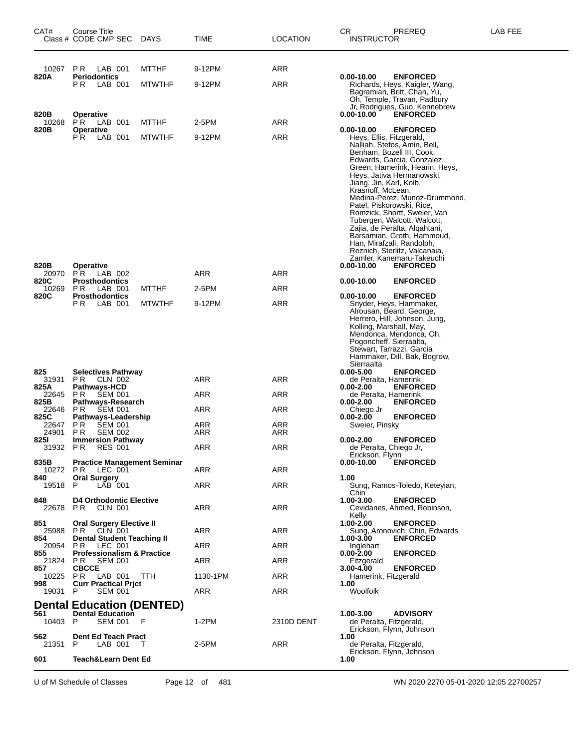| CAT#          | Course Title<br>Class # CODE CMP SEC                                               | <b>DAYS</b>   | TIME       | <b>LOCATION</b> | CR<br><b>INSTRUCTOR</b>             | PREREQ                                                                                                                                                                                                                                                                                                                                                                                                                                                                                     | LAB FEE |
|---------------|------------------------------------------------------------------------------------|---------------|------------|-----------------|-------------------------------------|--------------------------------------------------------------------------------------------------------------------------------------------------------------------------------------------------------------------------------------------------------------------------------------------------------------------------------------------------------------------------------------------------------------------------------------------------------------------------------------------|---------|
| 10267         | PR.<br>LAB 001                                                                     | <b>MTTHF</b>  | 9-12PM     | ARR             |                                     |                                                                                                                                                                                                                                                                                                                                                                                                                                                                                            |         |
| 820A          | <b>Periodontics</b><br>РR<br>LAB 001                                               | <b>MTWTHF</b> | 9-12PM     | <b>ARR</b>      | $0.00 - 10.00$                      | <b>ENFORCED</b><br>Richards, Heys, Kaigler, Wang,<br>Bagramian, Britt, Chan, Yu,<br>Oh, Temple, Travan, Padbury<br>Jr, Rodrigues, Guo, Kennebrew                                                                                                                                                                                                                                                                                                                                           |         |
| 820B<br>10268 | Operative<br>PR.<br>LAB 001                                                        | <b>MTTHF</b>  | 2-5PM      | ARR             | $0.00 - 10.00$                      | <b>ENFORCED</b>                                                                                                                                                                                                                                                                                                                                                                                                                                                                            |         |
| 820B          | <b>Operative</b><br>PR.<br>LAB 001                                                 | <b>MTWTHF</b> | 9-12PM     | ARR             | $0.00 - 10.00$<br>Krasnoff, McLean, | <b>ENFORCED</b><br>Heys, Ellis, Fitzgerald,<br>Nalliah, Stefos, Amin, Bell,<br>Benham, Bozell III, Cook,<br>Edwards, Garcia, Gonzalez,<br>Green, Hamerink, Hearin, Heys,<br>Heys, Jativa Hermanowski,<br>Jiang, Jin, Karl, Kolb,<br>Medina-Perez, Munoz-Drummond,<br>Patel, Piskorowski, Rice,<br>Romzick, Shortt, Sweier, Van<br>Tubergen, Walcott, Walcott,<br>Zajia, de Peralta, Algahtani,<br>Barsamian, Groth, Hammoud,<br>Han, Mirafzali, Randolph,<br>Reznich, Sterlitz, Valcanaia, |         |
| 820B          | <b>Operative</b>                                                                   |               |            |                 | $0.00 - 10.00$                      | Zamler, Kanemaru-Takeuchi<br><b>ENFORCED</b>                                                                                                                                                                                                                                                                                                                                                                                                                                               |         |
| 20970         | PR.<br>LAB 002                                                                     |               | ARR        | ARR             |                                     |                                                                                                                                                                                                                                                                                                                                                                                                                                                                                            |         |
| 820C<br>10269 | <b>Prosthodontics</b><br>P <sub>R</sub><br>LAB 001                                 | <b>MTTHF</b>  | 2-5PM      | ARR             | $0.00 - 10.00$                      | <b>ENFORCED</b>                                                                                                                                                                                                                                                                                                                                                                                                                                                                            |         |
| 820C          | <b>Prosthodontics</b><br>LAB 001<br>P R .                                          | <b>MTWTHF</b> | 9-12PM     | ARR             | 0.00-10.00<br>Sierraalta            | <b>ENFORCED</b><br>Snyder, Heys, Hammaker,<br>Alrousan, Beard, George,<br>Herrero, Hill, Johnson, Jung,<br>Kolling, Marshall, May,<br>Mendonca, Mendonca, Oh,<br>Pogoncheff, Sierraalta,<br>Stewart, Tarrazzi, Garcia<br>Hammaker, Dill, Bak, Bogrow,                                                                                                                                                                                                                                      |         |
| 825           | Selectives Pathway                                                                 |               |            |                 | $0.00 - 5.00$                       | <b>ENFORCED</b>                                                                                                                                                                                                                                                                                                                                                                                                                                                                            |         |
| 31931<br>825A | PR.<br>CLN 002<br>Pathways-HCD                                                     |               | ARR        | ARR             | $0.00 - 2.00$                       | de Peralta, Hamerink<br><b>ENFORCED</b>                                                                                                                                                                                                                                                                                                                                                                                                                                                    |         |
| 22645         | <b>SEM 001</b><br>PR.                                                              |               | ARR        | ARR             | $0.00 - 2.00$                       | de Peralta. Hamerink<br><b>ENFORCED</b>                                                                                                                                                                                                                                                                                                                                                                                                                                                    |         |
| 825B<br>22646 | Pathways-Research<br>P R<br><b>SEM 001</b>                                         |               | ARR        | ARR             | Chiego Jr                           |                                                                                                                                                                                                                                                                                                                                                                                                                                                                                            |         |
| 825C<br>22647 | Pathways-Leadership<br><b>SEM 001</b><br>P R                                       |               | ARR        | ARR             | $0.00 - 2.00$<br>Sweier, Pinsky     | <b>ENFORCED</b>                                                                                                                                                                                                                                                                                                                                                                                                                                                                            |         |
| 24901<br>825I | P R<br><b>SEM 002</b><br><b>Immersion Pathway</b>                                  |               | ARR        | ARR             | $0.00 - 2.00$                       | <b>ENFORCED</b>                                                                                                                                                                                                                                                                                                                                                                                                                                                                            |         |
| 31932         | P R<br><b>RES 001</b>                                                              |               | <b>ARR</b> | <b>ARR</b>      | Erickson, Flynn                     | de Peralta, Chiego Jr,                                                                                                                                                                                                                                                                                                                                                                                                                                                                     |         |
| 835B          | <b>Practice Management Seminar</b>                                                 |               |            |                 | $0.00 - 10.00$                      | <b>ENFORCED</b>                                                                                                                                                                                                                                                                                                                                                                                                                                                                            |         |
| 10272<br>840  | P R<br>LEC 001<br><b>Oral Surgery</b>                                              |               | ARR        | ARR             | 1.00                                |                                                                                                                                                                                                                                                                                                                                                                                                                                                                                            |         |
| 19518         | P<br>LAB 001                                                                       |               | ARR        | ARR             | Chin.                               | Sung, Ramos-Toledo, Keteyian,                                                                                                                                                                                                                                                                                                                                                                                                                                                              |         |
| 848           | <b>D4 Orthodontic Elective</b><br>22678 PR CLN 001                                 |               | ARR        | ARR             | 1.00-3.00<br>Kelly                  | <b>ENFORCED</b><br>Cevidanes, Ahmed, Robinson,                                                                                                                                                                                                                                                                                                                                                                                                                                             |         |
| 851<br>25988  | Oral Surgery Elective II<br>PR CLN 001                                             |               | ARR        | ARR             | 1.00-2.00                           | <b>ENFORCED</b><br>Sung, Aronovich, Chin, Edwards                                                                                                                                                                                                                                                                                                                                                                                                                                          |         |
| 854<br>20954  | <b>Dental Student Teaching II</b><br>P <sub>R</sub><br>LEC 001                     |               | ARR        | ARR             | 1.00-3.00<br>Inglehart              | <b>ENFORCED</b>                                                                                                                                                                                                                                                                                                                                                                                                                                                                            |         |
| 855<br>21824  | <b>Professionalism &amp; Practice</b><br>P R<br><b>SEM 001</b>                     |               | ARR        | ARR             | $0.00 - 2.00$<br>Fitzgerald         | <b>ENFORCED</b>                                                                                                                                                                                                                                                                                                                                                                                                                                                                            |         |
| 857<br>10225  | <b>CBCCE</b><br>PR.<br>LAB 001                                                     | TTH           | 1130-1PM   | ARR             | $3.00 - 4.00$                       | <b>ENFORCED</b><br>Hamerink, Fitzgerald                                                                                                                                                                                                                                                                                                                                                                                                                                                    |         |
| 998<br>19031  | <b>Curr Practical Prjct</b><br>P<br><b>SEM 001</b>                                 |               | ARR        | ARR             | 1.00<br>Woolfolk                    |                                                                                                                                                                                                                                                                                                                                                                                                                                                                                            |         |
|               |                                                                                    |               |            |                 |                                     |                                                                                                                                                                                                                                                                                                                                                                                                                                                                                            |         |
| 561<br>10403  | <b>Dental Education (DENTED)</b><br><b>Dental Education</b><br>P<br><b>SEM 001</b> | - F           | $1-2PM$    | 2310D DENT      | 1.00-3.00                           | <b>ADVISORY</b><br>de Peralta, Fitzgerald,<br>Erickson, Flynn, Johnson                                                                                                                                                                                                                                                                                                                                                                                                                     |         |
| 562<br>21351  | <b>Dent Ed Teach Pract</b><br>P<br>LAB 001                                         | - T           | 2-5PM      | ARR             | 1.00                                | de Peralta, Fitzgerald,                                                                                                                                                                                                                                                                                                                                                                                                                                                                    |         |
| 601           | <b>Teach&amp;Learn Dent Ed</b>                                                     |               |            |                 | 1.00                                | Erickson, Flynn, Johnson                                                                                                                                                                                                                                                                                                                                                                                                                                                                   |         |

U of M Schedule of Classes Page 12 of 481 WN 2020 2270 05-01-2020 12:05 22700257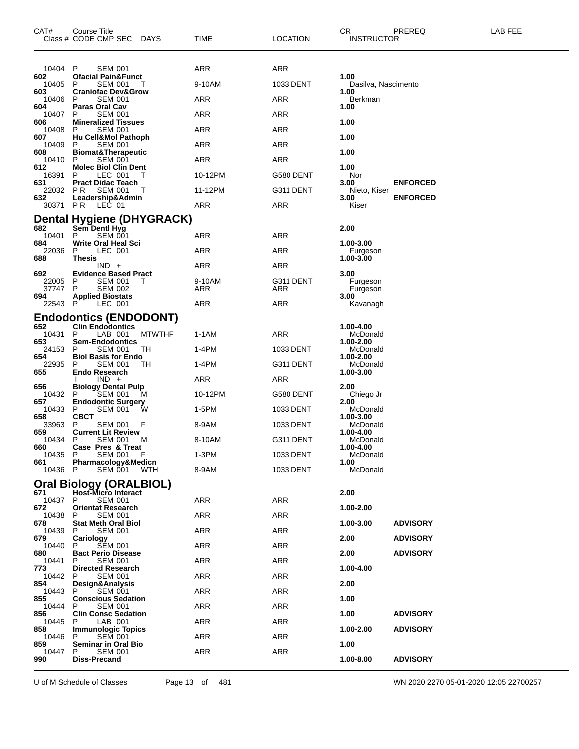| CAT#           | Course Title<br>Class # CODE CMP SEC<br>DAYS                 | TIME    | LOCATION   | CR<br><b>INSTRUCTOR</b>     | PREREQ          | LAB FEE |
|----------------|--------------------------------------------------------------|---------|------------|-----------------------------|-----------------|---------|
| 10404          | P<br><b>SEM 001</b>                                          | ARR     | ARR        |                             |                 |         |
| 602<br>10405   | <b>Ofacial Pain&amp;Funct</b><br>P<br><b>SEM 001</b>         | 9-10AM  | 1033 DENT  | 1.00<br>Dasilva, Nascimento |                 |         |
| 603<br>10406   | <b>Craniofac Dev&amp;Grow</b><br>P<br>SEM 001                | ARR     | ARR        | 1.00<br>Berkman             |                 |         |
| 604<br>10407   | <b>Paras Oral Cav</b><br>P<br><b>SEM 001</b>                 | ARR     | ARR        | 1.00                        |                 |         |
| 606<br>10408   | <b>Mineralized Tissues</b><br>P<br><b>SEM 001</b>            | ARR     |            | 1.00                        |                 |         |
| 607            | Hu Cell&Mol Pathoph                                          |         | ARR        | 1.00                        |                 |         |
| 10409<br>608   | P<br>SEM 001<br><b>Biomat&amp;Therapeutic</b>                | ARR     | <b>ARR</b> | 1.00                        |                 |         |
| 10410<br>612   | P<br><b>SEM 001</b><br><b>Molec Biol Clin Dent</b>           | ARR     | ARR        | 1.00                        |                 |         |
| 16391<br>631   | P<br>LEC 001<br>$\mathbf{L}$<br><b>Pract Didac Teach</b>     | 10-12PM | G580 DENT  | Nor<br>3.00                 | <b>ENFORCED</b> |         |
| 22032<br>632   | P R<br><b>SEM 001</b><br>Leadership&Admin                    | 11-12PM | G311 DENT  | Nieto, Kiser<br>3.00        | <b>ENFORCED</b> |         |
| 30371 PR       | LEC 01                                                       | ARR     | ARR        | Kiser                       |                 |         |
| 682            | <b>Dental Hygiene (DHYGRACK)</b><br>Sem Dentl Hyg            |         |            | 2.00                        |                 |         |
| 10401          | <b>SEM 001</b><br>P                                          | ARR     | ARR        |                             |                 |         |
| 684<br>22036   | Write Oral Heal Sci<br>P<br>LEC 001                          | ARR     | ARR        | 1.00-3.00<br>Furgeson       |                 |         |
| 688            | Thesis<br>$IND +$                                            | ARR     | ARR        | 1.00-3.00                   |                 |         |
| 692<br>22005   | <b>Evidence Based Pract</b><br>SEM 001<br>P                  | 9-10AM  | G311 DENT  | 3.00<br>Furgeson            |                 |         |
| 37747<br>694   | P<br>SEM 002<br><b>Applied Biostats</b>                      | ARR     | ARR        | Furgeson<br>3.00            |                 |         |
| 22543          | -P<br>LEC 001                                                | ARR     | <b>ARR</b> | Kavanagh                    |                 |         |
| 652            | <b>Endodontics (ENDODONT)</b><br><b>Clin Endodontics</b>     |         |            | 1.00-4.00                   |                 |         |
| 10431          | P<br>LAB 001<br><b>MTWTHF</b>                                | 1-1AM   | ARR        | McDonald                    |                 |         |
| 653<br>24153   | <b>Sem-Endodontics</b><br>P<br>SEM 001<br>TН                 | 1-4PM   | 1033 DENT  | 1.00-2.00<br>McDonald       |                 |         |
| 654<br>22935   | <b>Biol Basis for Endo</b><br><b>SEM 001</b><br>P<br>TН      | 1-4PM   | G311 DENT  | 1.00-2.00<br>McDonald       |                 |         |
| 655            | <b>Endo Research</b><br>$IND +$                              | ARR     | ARR        | 1.00-3.00                   |                 |         |
| 656<br>10432   | <b>Biology Dental Pulp</b><br>P<br>SEM 001<br>M              | 10-12PM | G580 DENT  | 2.00<br>Chiego Jr           |                 |         |
| 657<br>10433   | <b>Endodontic Surgery</b><br>P<br>SEM 001<br>W               | 1-5PM   | 1033 DENT  | 2.00<br>McDonald            |                 |         |
| 658<br>33963   | <b>CBCT</b><br>P<br><b>SEM 001</b><br>F                      | 8-9AM   | 1033 DENT  | 1.00-3.00<br>McDonald       |                 |         |
| 659<br>10434   | <b>Current Lit Review</b><br>P<br>SEM 001<br>м               | 8-10AM  | G311 DENT  | 1.00-4.00<br>McDonald       |                 |         |
| 660            | Case Pres & Treat<br>SEM 001 F                               |         |            | 1.00-4.00                   |                 |         |
| 10435 P<br>661 | Pharmacology&Medicn                                          | $1-3PM$ | 1033 DENT  | McDonald<br>1.00            |                 |         |
| 10436 P        | SEM 001<br>WTH                                               | 8-9AM   | 1033 DENT  | McDonald                    |                 |         |
| 671            | <b>Oral Biology (ORALBIOL)</b><br><b>Host-Micro Interact</b> |         |            | 2.00                        |                 |         |
| 10437 P<br>672 | <b>SEM 001</b><br><b>Orientat Research</b>                   | ARR     | ARR        | 1.00-2.00                   |                 |         |
| 10438<br>678   | <b>SEM 001</b><br>P<br><b>Stat Meth Oral Biol</b>            | ARR     | <b>ARR</b> | 1.00-3.00                   | <b>ADVISORY</b> |         |
| 10439 P<br>679 | <b>SEM 001</b><br>Cariology                                  | ARR     | ARR        | 2.00                        | <b>ADVISORY</b> |         |
| 10440<br>680   | <b>SEM 001</b><br>P<br><b>Bact Perio Disease</b>             | ARR     | ARR        | 2.00                        | <b>ADVISORY</b> |         |
| 10441          | <b>SEM 001</b><br>P.                                         | ARR     | ARR        |                             |                 |         |
| 773<br>10442 P | <b>Directed Research</b><br><b>SEM 001</b>                   | ARR     | ARR        | 1.00-4.00                   |                 |         |
| 854<br>10443   | Design&Analysis<br><b>SEM 001</b><br>P.                      | ARR     | ARR        | 2.00                        |                 |         |
| 855<br>10444   | <b>Conscious Sedation</b><br><b>SEM 001</b><br>P.            | ARR     | ARR        | 1.00                        |                 |         |
| 856<br>10445 P | <b>Clin Consc Sedation</b><br>LAB 001                        | ARR     | ARR        | 1.00                        | <b>ADVISORY</b> |         |
| 858<br>10446   | <b>Immunologic Topics</b><br><b>SEM 001</b><br>P             | ARR     | ARR        | 1.00-2.00                   | <b>ADVISORY</b> |         |
| 859<br>10447   | <b>Seminar in Oral Bio</b><br>P.<br><b>SEM 001</b>           | ARR     | ARR        | 1.00                        |                 |         |
| 990            | <b>Diss-Precand</b>                                          |         |            | 1.00-8.00                   | <b>ADVISORY</b> |         |

U of M Schedule of Classes Page 13 of 481 WN 2020 2270 05-01-2020 12:05 22700257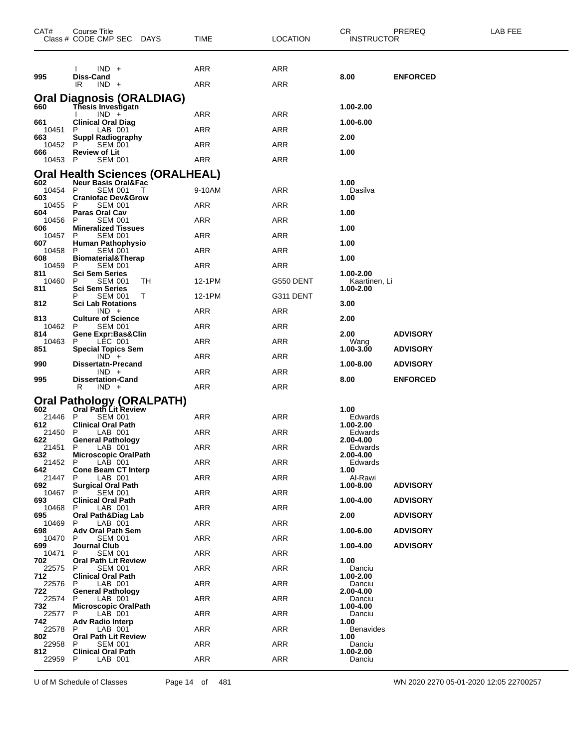| CAT#           | <b>Course Title</b><br>Class # CODE CMP SEC DAYS       |    | <b>TIME</b> | <b>LOCATION</b> | CR.<br><b>INSTRUCTOR</b>   | PREREQ          | LAB FEE |
|----------------|--------------------------------------------------------|----|-------------|-----------------|----------------------------|-----------------|---------|
|                | $IND +$                                                |    | ARR         | ARR             |                            |                 |         |
| 995            | <b>Diss-Cand</b>                                       |    |             |                 | 8.00                       | <b>ENFORCED</b> |         |
|                | IR<br>$IND +$                                          |    | ARR         | ARR             |                            |                 |         |
| 660            | Oral Diagnosis (ORALDIAG)<br><b>Thesis Investigatn</b> |    |             |                 | 1.00-2.00                  |                 |         |
| 661            | $IND +$<br><b>Clinical Oral Diag</b>                   |    | ARR         | ARR             | 1.00-6.00                  |                 |         |
| 10451          | P<br>LAB 001                                           |    | ARR         | ARR             |                            |                 |         |
| 663<br>10452   | <b>Suppl Radiography</b><br>P<br><b>SEM 001</b>        |    | ARR         | ARR             | 2.00                       |                 |         |
| 666<br>10453 P | <b>Review of Lit</b><br><b>SEM 001</b>                 |    | ARR         | ARR             | 1.00                       |                 |         |
|                | Oral Health Sciences (ORALHEAL)                        |    |             |                 |                            |                 |         |
| 602<br>10454   | <b>Neur Basis Oral&amp;Fac</b><br>P<br><b>SEM 001</b>  |    | 9-10AM      | ARR             | 1.00<br>Dasilva            |                 |         |
| 603            | <b>Craniofac Dev&amp;Grow</b>                          |    |             |                 | 1.00                       |                 |         |
| 10455<br>604   | P<br><b>SEM 001</b><br><b>Paras Oral Cav</b>           |    | ARR         | ARR             | 1.00                       |                 |         |
| 10456<br>606   | <b>SEM 001</b><br>P<br><b>Mineralized Tissues</b>      |    | ARR         | ARR             | 1.00                       |                 |         |
| 10457<br>607   | P<br><b>SEM 001</b><br><b>Human Pathophysio</b>        |    | ARR         | ARR             | 1.00                       |                 |         |
| 10458<br>608   | <b>SEM 001</b><br>P                                    |    | ARR         | ARR             |                            |                 |         |
| 10459          | <b>Biomaterial&amp;Therap</b><br>P<br><b>SEM 001</b>   |    | ARR         | ARR             | 1.00                       |                 |         |
| 811<br>10460   | <b>Sci Sem Series</b><br>P<br><b>SEM 001</b>           | TН | 12-1PM      | G550 DENT       | 1.00-2.00<br>Kaartinen, Li |                 |         |
| 811            | <b>Sci Sem Series</b><br>Р<br><b>SEM 001</b>           | Т  | 12-1PM      | G311 DENT       | 1.00-2.00                  |                 |         |
| 812            | <b>Sci Lab Rotations</b><br>$IND +$                    |    | ARR         | ARR             | 3.00                       |                 |         |
| 813            | <b>Culture of Science</b>                              |    |             |                 | 2.00                       |                 |         |
| 10462<br>814   | P<br><b>SEM 001</b><br>Gene Expr:Bas&Clin              |    | ARR         | ARR             | 2.00                       | <b>ADVISORY</b> |         |
| 10463<br>851   | P<br>LEC 001<br><b>Special Topics Sem</b>              |    | ARR         | ARR             | Wang<br>1.00-3.00          | <b>ADVISORY</b> |         |
| 990            | $IND +$<br><b>Dissertatn-Precand</b>                   |    | ARR         | ARR             | 1.00-8.00                  | <b>ADVISORY</b> |         |
| 995            | $IND +$<br><b>Dissertation-Cand</b>                    |    | ARR         | ARR             | 8.00                       | <b>ENFORCED</b> |         |
|                | R<br>$IND +$                                           |    | <b>ARR</b>  | ARR             |                            |                 |         |
|                | Oral Pathology (ORALPATH)                              |    |             |                 |                            |                 |         |
| 602<br>21446   | Oral Path Lit Review<br>P<br><b>SEM 001</b>            |    | ARR         | ARR             | 1.00<br>Edwards            |                 |         |
| 612<br>21450   | <b>Clinical Oral Path</b><br>P<br>LAB 001              |    | ARR         | ARR             | 1.00-2.00<br>Edwards       |                 |         |
| 622<br>21451   | <b>General Pathology</b><br>P<br>LAB 001               |    | ARR         | <b>ARR</b>      | 2.00-4.00<br>Edwards       |                 |         |
| 632<br>21452 P | <b>Microscopic OralPath</b>                            |    |             |                 | 2.00-4.00                  |                 |         |
| 642            | LAB 001<br><b>Cone Beam CT Interp</b>                  |    | ARR         | ARR             | Edwards<br>1.00            |                 |         |
| 21447<br>692   | LAB 001<br>P.<br><b>Surgical Oral Path</b>             |    | ARR         | <b>ARR</b>      | Al-Rawi<br>1.00-8.00       | <b>ADVISORY</b> |         |
| 10467<br>693   | <b>SEM 001</b><br>P.<br><b>Clinical Oral Path</b>      |    | <b>ARR</b>  | <b>ARR</b>      | 1.00-4.00                  | <b>ADVISORY</b> |         |
| 10468<br>695   | P<br>LAB 001<br>Oral Path&Diag Lab                     |    | <b>ARR</b>  | <b>ARR</b>      | 2.00                       | <b>ADVISORY</b> |         |
| 10469<br>698   | LAB 001<br>P                                           |    | <b>ARR</b>  | <b>ARR</b>      | 1.00-6.00                  |                 |         |
| 10470          | Adv Oral Path Sem<br><b>SEM 001</b><br>P.              |    | ARR         | <b>ARR</b>      |                            | <b>ADVISORY</b> |         |
| 699<br>10471   | <b>Journal Club</b><br><b>SEM 001</b><br>P.            |    | <b>ARR</b>  | <b>ARR</b>      | 1.00-4.00                  | <b>ADVISORY</b> |         |
| 702<br>22575   | <b>Oral Path Lit Review</b><br>P<br><b>SEM 001</b>     |    | <b>ARR</b>  | ARR             | 1.00<br>Danciu             |                 |         |
| 712<br>22576   | <b>Clinical Oral Path</b><br>P<br>LAB 001              |    | ARR         | <b>ARR</b>      | 1.00-2.00<br>Danciu        |                 |         |
| 722            | <b>General Pathology</b>                               |    | <b>ARR</b>  | <b>ARR</b>      | 2.00-4.00                  |                 |         |
| 22574<br>732   | P.<br>LAB 001<br><b>Microscopic OralPath</b>           |    |             |                 | Danciu<br>1.00-4.00        |                 |         |
| 22577<br>742   | LAB 001<br>P<br><b>Adv Radio Interp</b>                |    | <b>ARR</b>  | <b>ARR</b>      | Danciu<br>1.00             |                 |         |
| 22578<br>802   | LAB 001<br>P.<br><b>Oral Path Lit Review</b>           |    | ARR         | <b>ARR</b>      | <b>Benavides</b><br>1.00   |                 |         |
| 22958<br>812   | P.<br><b>SEM 001</b><br><b>Clinical Oral Path</b>      |    | <b>ARR</b>  | <b>ARR</b>      | Danciu<br>1.00-2.00        |                 |         |
| 22959          | LAB 001<br>P                                           |    | <b>ARR</b>  | <b>ARR</b>      | Danciu                     |                 |         |
|                |                                                        |    |             |                 |                            |                 |         |

U of M Schedule of Classes Page 14 of 481 WN 2020 2270 05-01-2020 12:05 22700257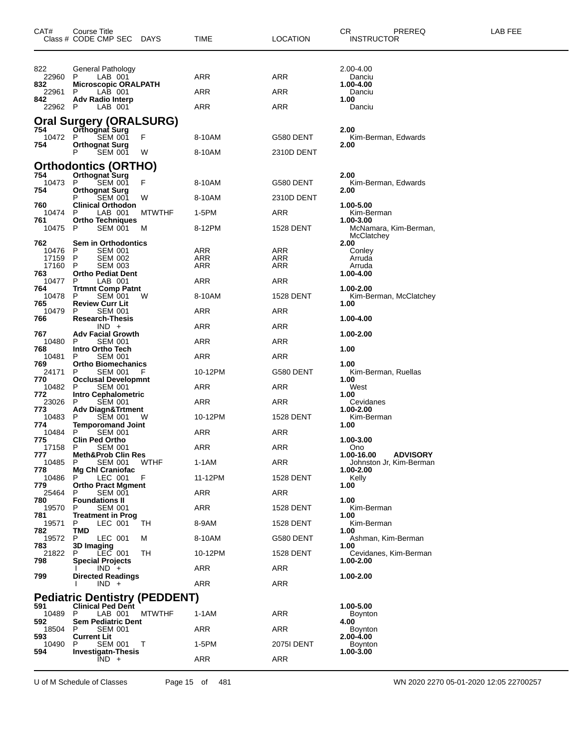| CAT#           | Course Title<br>Class # CODE CMP SEC<br><b>DAYS</b>        | TIME       | <b>LOCATION</b>   | CR.<br>PREREQ<br><b>INSTRUCTOR</b>               | LAB FEE |
|----------------|------------------------------------------------------------|------------|-------------------|--------------------------------------------------|---------|
| 822            | General Pathology                                          |            |                   | 2.00-4.00                                        |         |
| 22960<br>832   | LAB 001<br>P.<br><b>Microscopic ORALPATH</b>               | ARR        | ARR               | Danciu<br>1.00-4.00                              |         |
| 22961          | P<br>LAB 001                                               | ARR        | ARR               | Danciu                                           |         |
| 842<br>22962 P | <b>Adv Radio Interp</b><br>LAB 001                         | ARR        | ARR               | 1.00<br>Danciu                                   |         |
|                | <b>Oral Surgery (ORALSURG)</b>                             |            |                   |                                                  |         |
| 754            | Orthognat Surg<br>F                                        |            |                   | 2.00                                             |         |
| 10472<br>754   | P<br><b>SEM 001</b><br><b>Orthognat Surg</b>               | 8-10AM     | G580 DENT         | Kim-Berman, Edwards<br>2.00                      |         |
|                | P<br><b>SEM 001</b><br>W                                   | 8-10AM     | 2310D DENT        |                                                  |         |
| 754            | Orthodontics (ORTHO)<br>Orthognat Surg                     |            |                   | 2.00                                             |         |
| 10473          | F<br>P<br><b>SEM 001</b>                                   | 8-10AM     | G580 DENT         | Kim-Berman, Edwards                              |         |
| 754            | <b>Orthognat Surg</b><br><b>SEM 001</b><br>Р<br>W          | 8-10AM     | 2310D DENT        | 2.00                                             |         |
| 760<br>10474   | <b>Clinical Orthodon</b><br>LAB 001<br><b>MTWTHF</b><br>-P | 1-5PM      | ARR               | 1.00-5.00<br>Kim-Berman                          |         |
| 761<br>10475   | <b>Ortho Techniques</b><br>P<br><b>SEM 001</b><br>M        | 8-12PM     | 1528 DENT         | 1.00-3.00<br>McNamara, Kim-Berman,<br>McClatchey |         |
| 762            | <b>Sem in Orthodontics</b>                                 |            |                   | 2.00                                             |         |
| 10476<br>17159 | P<br>SEM 001<br>P<br><b>SEM 002</b>                        | ARR<br>ARR | ARR<br>ARR        | Conley<br>Arruda                                 |         |
| 17160<br>763   | -P<br><b>SEM 003</b><br><b>Ortho Pediat Dent</b>           | ARR        | ARR               | Arruda<br>1.00-4.00                              |         |
| 10477          | P<br>LAB 001<br><b>Trtmnt Comp Patnt</b>                   | ARR        | ARR               |                                                  |         |
| 764<br>10478   | P<br><b>SEM 001</b><br>W                                   | 8-10AM     | <b>1528 DENT</b>  | 1.00-2.00<br>Kim-Berman, McClatchey              |         |
| 765<br>10479   | <b>Review Curr Lit</b><br><b>SEM 001</b><br>P              | ARR        | ARR               | 1.00                                             |         |
| 766            | <b>Research-Thesis</b><br>$IND +$                          | ARR        | ARR               | 1.00-4.00                                        |         |
| 767            | <b>Adv Facial Growth</b>                                   |            |                   | 1.00-2.00                                        |         |
| 10480<br>768   | P<br>SEM 001<br>Intro Ortho Tech                           | ARR        | ARR               | 1.00                                             |         |
| 10481<br>769   | <b>SEM 001</b><br>P<br><b>Ortho Biomechanics</b>           | ARR        | ARR               | 1.00                                             |         |
| 24171<br>770   | <b>SEM 001</b><br>P<br>F<br><b>Occlusal Developmnt</b>     | 10-12PM    | G580 DENT         | Kim-Berman, Ruellas<br>1.00                      |         |
| 10482          | P<br><b>SEM 001</b><br><b>Intro Cephalometric</b>          | ARR        | ARR               | West<br>1.00                                     |         |
| 772<br>23026   | <b>SEM 001</b><br>P                                        | ARR        | ARR               | Cevidanes                                        |         |
| 773<br>10483   | <b>Adv Diagn&amp;Trtment</b><br><b>SEM 001</b><br>P.<br>w  | 10-12PM    | 1528 DENT         | 1.00-2.00<br>Kim-Berman                          |         |
| 774<br>10484   | <b>Temporomand Joint</b><br>P<br><b>SEM 001</b>            | ARR        | ARR               | 1.00                                             |         |
| 775<br>17158 P | <b>Clin Ped Ortho</b><br><b>SEM 001</b>                    | ARR        | <b>ARR</b>        | 1.00-3.00<br>Ono                                 |         |
| 777            | <b>Meth&amp;Prob Clin Res</b>                              |            |                   | 1.00-16.00<br><b>ADVISORY</b>                    |         |
| 10485<br>778   | P.<br><b>SEM 001</b><br>WTHF<br>Mg Chl Craniofac           | 1-1AM      | ARR               | Johnston Jr, Kim-Berman<br>1.00-2.00             |         |
| 10486<br>779   | F<br>P<br>LEC 001<br><b>Ortho Pract Mgment</b>             | 11-12PM    | <b>1528 DENT</b>  | Kelly<br>1.00                                    |         |
| 25464<br>780   | <b>SEM 001</b><br>P<br><b>Foundations II</b>               | ARR        | ARR               | 1.00                                             |         |
| 19570<br>781   | <b>SEM 001</b><br>P<br><b>Treatment in Prog</b>            | ARR        | <b>1528 DENT</b>  | Kim-Berman<br>1.00                               |         |
| 19571          | LEC 001<br>TН<br>P                                         | 8-9AM      | <b>1528 DENT</b>  | Kim-Berman                                       |         |
| 782<br>19572   | TMD<br>P<br>LEC 001<br>м                                   | 8-10AM     | G580 DENT         | 1.00<br>Ashman, Kim-Berman                       |         |
| 783<br>21822   | 3D Imaging<br>P LEC 001<br>TН                              | 10-12PM    | <b>1528 DENT</b>  | 1.00<br>Cevidanes, Kim-Berman                    |         |
| 798            | <b>Special Projects</b><br>$IND +$                         | ARR        | ARR               | 1.00-2.00                                        |         |
| 799            | <b>Directed Readings</b><br>$IND +$                        | ARR        | ARR               | 1.00-2.00                                        |         |
|                | <b>Pediatric Dentistry (PEDDENT)</b>                       |            |                   |                                                  |         |
| 591            | <b>Clinical Ped Dent</b>                                   |            |                   | 1.00-5.00                                        |         |
| 10489 P<br>592 | LAB 001<br><b>MTWTHF</b><br><b>Sem Pediatric Dent</b>      | $1-1AM$    | <b>ARR</b>        | <b>Boynton</b><br>4.00                           |         |
| 18504<br>593   | <b>SEM 001</b><br>P<br><b>Current Lit</b>                  | ARR        | <b>ARR</b>        | Boynton<br>2.00-4.00                             |         |
| 10490<br>594   | <b>SEM 001</b><br>P<br>т<br><b>Investigatn-Thesis</b>      | 1-5PM      | <b>2075I DENT</b> | Boynton<br>1.00-3.00                             |         |
|                | $IND +$                                                    | ARR        | ARR               |                                                  |         |

U of M Schedule of Classes Page 15 of 481 WN 2020 2270 05-01-2020 12:05 22700257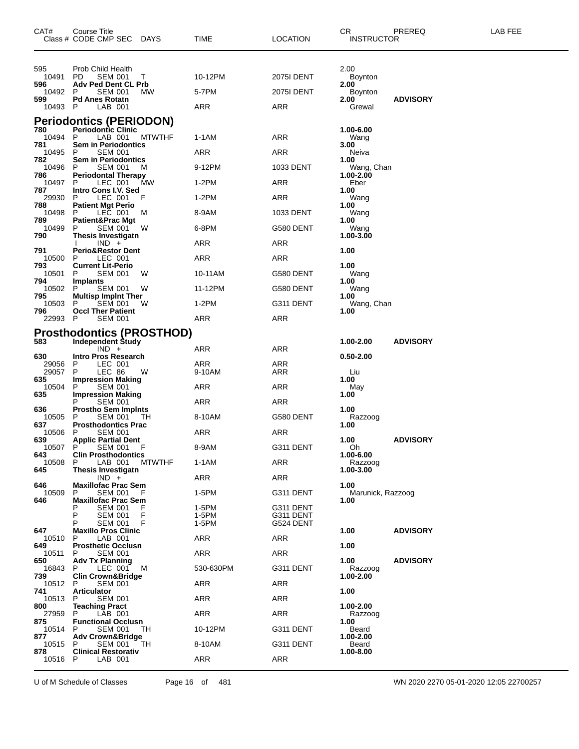| CAT#           | Course Title<br>Class # CODE CMP SEC DAYS          |               | TIME           | LOCATION               | CR<br><b>INSTRUCTOR</b>     | PREREQ          | LAB FEE |
|----------------|----------------------------------------------------|---------------|----------------|------------------------|-----------------------------|-----------------|---------|
|                |                                                    |               |                |                        |                             |                 |         |
| 595<br>10491   | Prob Child Health<br>PD<br><b>SEM 001</b>          | Τ             | 10-12PM        | <b>2075I DENT</b>      | 2.00<br>Boynton             |                 |         |
| 596<br>10492   | <b>Adv Ped Dent CL Prb</b><br>P<br><b>SEM 001</b>  | <b>MW</b>     | 5-7PM          | <b>2075I DENT</b>      | 2.00<br><b>Boynton</b>      |                 |         |
| 599<br>10493 P | <b>Pd Anes Rotatn</b><br>LAB 001                   |               | ARR            | ARR                    | 2.00<br>Grewal              | <b>ADVISORY</b> |         |
|                | <b>Periodontics (PERIODON)</b>                     |               |                |                        |                             |                 |         |
| 780<br>10494   | <b>Periodontic Clinic</b><br>P<br>LAB 001          | <b>MTWTHF</b> | 1-1AM          | ARR                    | 1.00-6.00<br>Wang           |                 |         |
| 781<br>10495 P | <b>Sem in Periodontics</b><br><b>SEM 001</b>       |               | ARR            | ARR                    | 3.00<br>Neiva               |                 |         |
| 782<br>10496   | <b>Sem in Periodontics</b><br><b>SEM 001</b><br>P  | м             | 9-12PM         | 1033 DENT              | 1.00<br>Wang, Chan          |                 |         |
| 786<br>10497   | <b>Periodontal Therapy</b><br>P<br>LEC 001         | МW            | 1-2PM          | ARR                    | 1.00-2.00<br>Eber           |                 |         |
| 787<br>29930   | Intro Cons I.V. Sed<br>LEC 001<br>P                | F             | 1-2PM          | ARR                    | 1.00                        |                 |         |
| 788            | <b>Patient Mgt Perio</b>                           |               |                |                        | Wang<br>1.00                |                 |         |
| 10498<br>789   | LEC 001<br>P<br>Patient&Prac Mgt                   | M             | 8-9AM          | 1033 DENT              | Wang<br>1.00                |                 |         |
| 10499<br>790   | SEM 001<br>P<br><b>Thesis Investigatn</b>          | w             | 6-8PM          | G580 DENT              | Wang<br>1.00-3.00           |                 |         |
| 791            | $IND +$<br><b>Perio&amp;Restor Dent</b>            |               | ARR            | ARR                    | 1.00                        |                 |         |
| 10500<br>793   | LEC 001<br>P<br><b>Current Lit-Perio</b>           |               | ARR            | ARR                    | 1.00                        |                 |         |
| 10501<br>794   | P<br><b>SEM 001</b><br>Implants                    | W             | 10-11AM        | G580 DENT              | Wang<br>1.00                |                 |         |
| 10502<br>795   | P<br><b>SEM 001</b><br><b>Multisp Impint Ther</b>  | W             | 11-12PM        | G580 DENT              | Wang<br>1.00                |                 |         |
| 10503<br>796   | <b>SEM 001</b><br>P<br><b>Occl Ther Patient</b>    | W             | $1-2PM$        | G311 DENT              | Wang, Chan<br>1.00          |                 |         |
| 22993 P        | <b>SEM 001</b>                                     |               | ARR            | ARR                    |                             |                 |         |
|                | <b>Prosthodontics (PROSTHOD)</b>                   |               |                |                        |                             |                 |         |
| 583            | <b>Independent Study</b><br>$IND +$                |               | ARR            | ARR                    | 1.00-2.00                   | <b>ADVISORY</b> |         |
| 630<br>29056   | <b>Intro Pros Research</b><br>P<br>LEC 001         |               | ARR            | ARR                    | 0.50-2.00                   |                 |         |
| 29057<br>635   | P<br>LEC 86<br><b>Impression Making</b>            | W             | 9-10AM         | ARR                    | Liu<br>1.00                 |                 |         |
| 10504<br>635   | P<br><b>SEM 001</b><br><b>Impression Making</b>    |               | ARR            | ARR                    | May<br>1.00                 |                 |         |
| 636            | <b>SEM 001</b><br>P<br><b>Prostho Sem Impints</b>  |               | ARR            | ARR                    | 1.00                        |                 |         |
| 10505<br>637   | <b>SEM 001</b><br>P<br><b>Prosthodontics Prac</b>  | TH            | 8-10AM         | G580 DENT              | Razzoog<br>1.00             |                 |         |
| 10506<br>639   | <b>SEM 001</b><br>P<br><b>Applic Partial Dent</b>  |               | ARR            | ARR                    | 1.00                        | <b>ADVISORY</b> |         |
| 10507          | P<br>SEM 001                                       |               | 8-9AM          | G311 DENT              | Oh                          |                 |         |
| 643<br>10508   | <b>Clin Prosthodontics</b><br>LAB 001<br>P.        | <b>MTWTHF</b> | 1-1AM          | ARR                    | 1.00-6.00<br>Razzoog        |                 |         |
| 645            | <b>Thesis Investigatn</b><br>$IND +$               |               | ARR            | ARR                    | 1.00-3.00                   |                 |         |
| 646<br>10509   | <b>Maxillofac Prac Sem</b><br>P<br><b>SEM 001</b>  | F             | 1-5PM          | G311 DENT              | 1.00<br>Marunick, Razzoog   |                 |         |
| 646            | <b>Maxillofac Prac Sem</b><br><b>SEM 001</b>       | F             | 1-5PM          | G311 DENT              | 1.00                        |                 |         |
|                | P<br><b>SEM 001</b><br>P<br><b>SEM 001</b>         | F<br>F        | 1-5PM<br>1-5PM | G311 DENT<br>G524 DENT |                             |                 |         |
| 647<br>10510   | <b>Maxillo Pros Clinic</b><br>LAB 001<br>P         |               | ARR            | ARR                    | 1.00                        | <b>ADVISORY</b> |         |
| 649<br>10511   | <b>Prosthetic Occlusn</b><br><b>SEM 001</b><br>P   |               | ARR            | ARR                    | 1.00                        |                 |         |
| 650<br>16843   | <b>Adv Tx Planning</b><br>P                        |               | 530-630PM      |                        | 1.00                        | <b>ADVISORY</b> |         |
| 739            | LEC 001<br><b>Clin Crown&amp;Bridge</b>            | M             |                | G311 DENT              | <b>Razzoog</b><br>1.00-2.00 |                 |         |
| 10512<br>741   | P<br><b>SEM 001</b><br><b>Articulator</b>          |               | ARR            | ARR                    | 1.00                        |                 |         |
| 10513<br>800   | <b>SEM 001</b><br>P<br><b>Teaching Pract</b>       |               | ARR            | ARR                    | 1.00-2.00                   |                 |         |
| 27959<br>875   | P<br>LAB 001<br><b>Functional Occlusn</b>          |               | ARR            | ARR                    | Razzoog<br>1.00             |                 |         |
| 10514<br>877   | <b>SEM 001</b><br>P<br><b>Adv Crown&amp;Bridge</b> | TH.           | 10-12PM        | G311 DENT              | Beard<br>1.00-2.00          |                 |         |
| 10515<br>878   | P<br>SEM 001<br><b>Clinical Restorativ</b>         | ТH            | 8-10AM         | G311 DENT              | Beard<br>1.00-8.00          |                 |         |
| 10516          | P<br>LAB 001                                       |               | ARR            | ARR                    |                             |                 |         |
|                |                                                    |               |                |                        |                             |                 |         |

U of M Schedule of Classes Page 16 of 481 WN 2020 2270 05-01-2020 12:05 22700257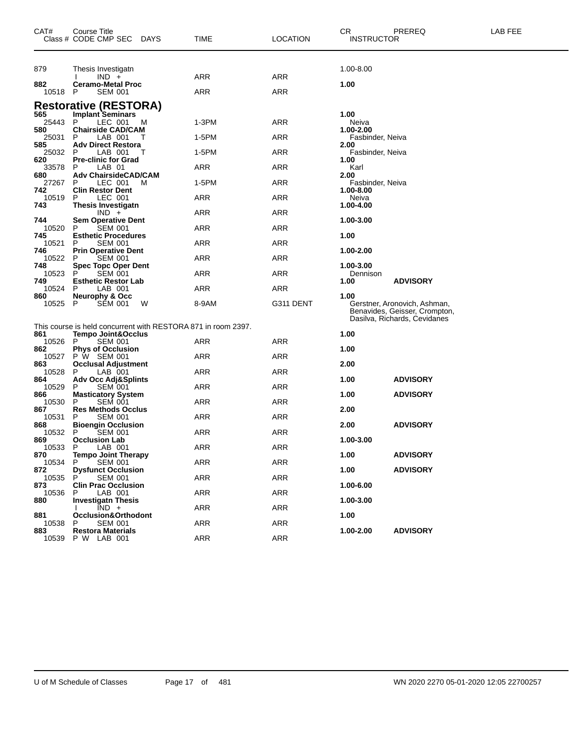| CAT#         | Course Title<br>Class # CODE CMP SEC                                                           | <b>DAYS</b> | TIME       | <b>LOCATION</b> | CR<br><b>INSTRUCTOR</b>  | PREREQ                                                                                        | LAB FEE |
|--------------|------------------------------------------------------------------------------------------------|-------------|------------|-----------------|--------------------------|-----------------------------------------------------------------------------------------------|---------|
| 879          | Thesis Investigatn                                                                             |             |            |                 | 1.00-8.00                |                                                                                               |         |
| 882          | $IND +$<br><b>Ceramo-Metal Proc</b>                                                            |             | ARR        | <b>ARR</b>      | 1.00                     |                                                                                               |         |
| 10518        | <b>SEM 001</b><br>P                                                                            |             | ARR        | <b>ARR</b>      |                          |                                                                                               |         |
| 565          | <b>Restorative (RESTORA)</b><br><b>Implant Seminars</b>                                        |             |            |                 | 1.00                     |                                                                                               |         |
| 25443<br>580 | P<br>LEC 001<br><b>Chairside CAD/CAM</b>                                                       | M           | $1-3PM$    | ARR             | Neiva<br>1.00-2.00       |                                                                                               |         |
| 25031<br>585 | LAB 001<br>P<br><b>Adv Direct Restora</b>                                                      | Τ           | 1-5PM      | ARR             | Fasbinder, Neiva<br>2.00 |                                                                                               |         |
| 25032        | Р<br>LAB 001                                                                                   | т           | 1-5PM      | <b>ARR</b>      | Fasbinder, Neiva         |                                                                                               |         |
| 620<br>33578 | <b>Pre-clinic for Grad</b><br>Р<br>LAB 01                                                      |             | ARR        | <b>ARR</b>      | 1.00<br>Karl             |                                                                                               |         |
| 680<br>27267 | <b>Adv ChairsideCAD/CAM</b><br>P<br>LEC 001                                                    | м           | 1-5PM      | ARR             | 2.00<br>Fasbinder, Neiva |                                                                                               |         |
| 742<br>10519 | <b>Clin Restor Dent</b><br>P<br>LEC 001                                                        |             | ARR        | <b>ARR</b>      | 1.00-8.00<br>Neiva       |                                                                                               |         |
| 743          | <b>Thesis Investigatn</b><br>$IND +$                                                           |             | ARR        | <b>ARR</b>      | 1.00-4.00                |                                                                                               |         |
| 744<br>10520 | <b>Sem Operative Dent</b><br><b>SEM 001</b><br>P                                               |             | ARR        | ARR             | 1.00-3.00                |                                                                                               |         |
| 745<br>10521 | <b>Esthetic Procedures</b><br><b>SEM 001</b><br>P                                              |             | ARR        | <b>ARR</b>      | 1.00                     |                                                                                               |         |
| 746<br>10522 | <b>Prin Operative Dent</b><br><b>SEM 001</b><br>Р                                              |             | ARR        | <b>ARR</b>      | 1.00-2.00                |                                                                                               |         |
| 748<br>10523 | <b>Spec Topc Oper Dent</b><br><b>SEM 001</b><br>Р                                              |             | ARR        | ARR             | 1.00-3.00<br>Dennison    |                                                                                               |         |
| 749<br>10524 | <b>Esthetic Restor Lab</b><br>LAB 001<br>P                                                     |             | ARR        | <b>ARR</b>      | 1.00                     | <b>ADVISORY</b>                                                                               |         |
| 860<br>10525 | <b>Neurophy &amp; Occ</b><br><b>SEM 001</b><br>P                                               | W           | 8-9AM      | G311 DENT       | 1.00                     | Gerstner, Aronovich, Ashman,<br>Benavides, Geisser, Crompton,<br>Dasilva, Richards, Cevidanes |         |
| 861          | This course is held concurrent with RESTORA 871 in room 2397.<br><b>Tempo Joint&amp;Occlus</b> |             |            |                 | 1.00                     |                                                                                               |         |
| 10526        | <b>SEM 001</b><br>P                                                                            |             | ARR        | ARR             |                          |                                                                                               |         |
| 862          | <b>Phys of Occlusion</b><br>10527 P W SEM 001                                                  |             | ARR        | <b>ARR</b>      | 1.00                     |                                                                                               |         |
| 863<br>10528 | <b>Occlusal Adjustment</b><br>P<br>LAB 001                                                     |             | ARR        | ARR             | 2.00                     |                                                                                               |         |
| 864<br>10529 | Adv Occ Adj&Splints<br><b>SEM 001</b><br>P                                                     |             | ARR        | ARR             | 1.00                     | <b>ADVISORY</b>                                                                               |         |
| 866<br>10530 | <b>Masticatory System</b><br><b>SEM 001</b><br>P                                               |             | ARR        | <b>ARR</b>      | 1.00                     | <b>ADVISORY</b>                                                                               |         |
| 867<br>10531 | <b>Res Methods Occlus</b><br><b>SEM 001</b><br>Р                                               |             | ARR        | <b>ARR</b>      | 2.00                     |                                                                                               |         |
| 868<br>10532 | <b>Bioengin Occlusion</b><br><b>SEM 001</b><br>P                                               |             | ARR        | ARR             | 2.00                     | <b>ADVISORY</b>                                                                               |         |
| 869<br>10533 | <b>Occlusion Lab</b><br>P<br>LAB 001                                                           |             | <b>ARR</b> | <b>ARR</b>      | 1.00-3.00                |                                                                                               |         |
| 870<br>10534 | <b>Tempo Joint Therapy</b><br><b>SEM 001</b><br>P.                                             |             | ARR        | ARR             | 1.00                     | <b>ADVISORY</b>                                                                               |         |
| 872<br>10535 | <b>Dysfunct Occlusion</b><br><b>SEM 001</b><br>P                                               |             | ARR        | ARR             | 1.00                     | <b>ADVISORY</b>                                                                               |         |
| 873<br>10536 | <b>Clin Prac Occlusion</b><br>LAB 001                                                          |             | ARR        | ARR             | 1.00-6.00                |                                                                                               |         |
| 880          | <b>Investigatn Thesis</b><br>$IND +$                                                           |             | <b>ARR</b> | ARR             | 1.00-3.00                |                                                                                               |         |
| 881<br>10538 | Occlusion&Orthodont<br><b>SEM 001</b><br>P.                                                    |             | <b>ARR</b> | ARR             | 1.00                     |                                                                                               |         |
| 883          | <b>Restora Materials</b><br>10539 P W LAB 001                                                  |             | ARR        | ARR             | 1.00-2.00                | <b>ADVISORY</b>                                                                               |         |
|              |                                                                                                |             |            |                 |                          |                                                                                               |         |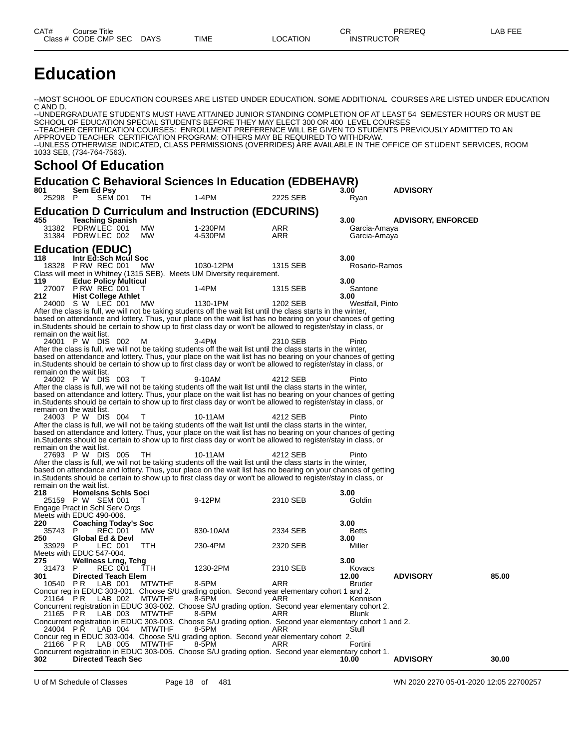# **Education**

--MOST SCHOOL OF EDUCATION COURSES ARE LISTED UNDER EDUCATION. SOME ADDITIONAL COURSES ARE LISTED UNDER EDUCATION C AND D.

--UNDERGRADUATE STUDENTS MUST HAVE ATTAINED JUNIOR STANDING COMPLETION OF AT LEAST 54 SEMESTER HOURS OR MUST BE SCHOOL OF EDUCATION SPECIAL STUDENTS BEFORE THEY MAY ELECT 300 OR 400 LEVEL COURSES --TEACHER CERTIFICATION COURSES: ENROLLMENT PREFERENCE WILL BE GIVEN TO STUDENTS PREVIOUSLY ADMITTED TO AN APPROVED TEACHER CERTIFICATION PROGRAM: OTHERS MAY BE REQUIRED TO WITHDRAW. --UNLESS OTHERWISE INDICATED, CLASS PERMISSIONS (OVERRIDES) ARE AVAILABLE IN THE OFFICE OF STUDENT SERVICES, ROOM 1033 SEB, (734-764-7563).

#### **School Of Education**

### **Education C Behavioral Sciences In Education (EDBEHAVR)**<br>801 Sem Ed Psy

**801 Sem Ed Psy 3.00 ADVISORY** 25298 P SEM 001 TH 1-4PM 2225 SEB Ryan **Education D Curriculum and Instruction (EDCURINS) 455 Teaching Spanish 3.00 ADVISORY, ENFORCED** 31382 PDRW LEC 001 MW 1-230PM ARR Garcia-Amaya 31384 PDRW LEC 002 MW 4-530PM ARR Garcia-Amaya Education (EDUC)<br><sup>118</sup> and lintr Ed:Sch Meul Soc **118 Intr Ed:Sch Mcul Soc 3.00** 18328 P RW REC 001 MW 1030-12PM 1315 SEB Rosario-Ramos Class will meet in Whitney (1315 SEB). Meets UM Diversity requirement. **119 Educ Policy Multicul 3.00** 119 Educ Policy Multicul (19 = 1-4PM 1315 SEB 3.00<br>27007 P RW REC 001 T 1-4PM 1315 SEB Santone<br>212 Hist College Athlet **212 Hist College Athlet 3.00** S W LEC 001 After the class is full, we will not be taking students off the wait list until the class starts in the winter, based on attendance and lottery. Thus, your place on the wait list has no bearing on your chances of getting in.Students should be certain to show up to first class day or won't be allowed to register/stay in class, or remain on the wait list. 24001 P W DIS 002 M 3-4PM 2310 SEB Pinto After the class is full, we will not be taking students off the wait list until the class starts in the winter, based on attendance and lottery. Thus, your place on the wait list has no bearing on your chances of getting in.Students should be certain to show up to first class day or won't be allowed to register/stay in class, or remain on the wait list. 24002 P W DIS 003 T 9-10AM 4212 SEB Pinto After the class is full, we will not be taking students off the wait list until the class starts in the winter, based on attendance and lottery. Thus, your place on the wait list has no bearing on your chances of getting in.Students should be certain to show up to first class day or won't be allowed to register/stay in class, or remain on the wait list.<br>24003 P W DIS 004 24003 P W DIS 004 T 10-11AM 4212 SEB Pinto After the class is full, we will not be taking students off the wait list until the class starts in the winter, based on attendance and lottery. Thus, your place on the wait list has no bearing on your chances of getting in.Students should be certain to show up to first class day or won't be allowed to register/stay in class, or remain on the wait list.<br>27693 P W DIS 005 27693 P W DIS 005 TH 10-11AM 4212 SEB Pinto After the class is full, we will not be taking students off the wait list until the class starts in the winter, based on attendance and lottery. Thus, your place on the wait list has no bearing on your chances of getting in.Students should be certain to show up to first class day or won't be allowed to register/stay in class, or remain on the wait list.<br>**218 Homelsns 218 Homelsns Schls Soci 3.00** 25159 P W SEM 001 T 9-12PM 2310 SEB Goldin Engage Pract in Schl Serv Orgs Meets with EDUC 490-006 **220 Coaching Today's Soc 3.00** 35743 P REC 001 MW 830-10AM 2334 SEB Betts **250 Global Ed & Devl 3.00** 33929 P LEC 001 TTH 230-4PM 2320 SEB Miller Meets with EDUC 547-004.<br>275 **Wellness Lrng 275 Wellness Lrng, Tchg 3.00** 31473 P REC 001 TTH 1230-2PM 2310 SEB Kovacs **301 Directed Teach Elem 12.00 ADVISORY 85.00** 10540 P R LAB 001 MTWTHF 8-5PM ARR Bruder Concur reg in EDUC 303-001. Choose S/U grading option. Second year elementary cohort 1 and 2. 21164 P R LAB 002 MTWTHF 8-5PM ARR Kennison Concurrent registration in EDUC 303-002. Choose S/U grading option. Second year elementary cohort 2. 21165 P.R LAB 003 MTWTHF 8-5PM ARR Blunk Concurrent registration in EDUC 303-003. Choose S/U grading option. Second year elementary cohort 1 and 2. 24004 P.R LAB 004 MTWTHF 8-5PM ARR Stull Concur reg in EDUC 303-004. Choose S/U grading option. Second year elementary cohort 2. 21166 P.R. LAB 005 MTWTHF 8-5PM ARR ARR Fortini Concurrent registration in EDUC 303-005. Choose S/U grading option. Second year elementary cohort 1. **302 Directed Teach Sec 10.00 ADVISORY 30.00**

U of M Schedule of Classes Page 18 of 481 WN 2020 2270 05-01-2020 12:05 22700257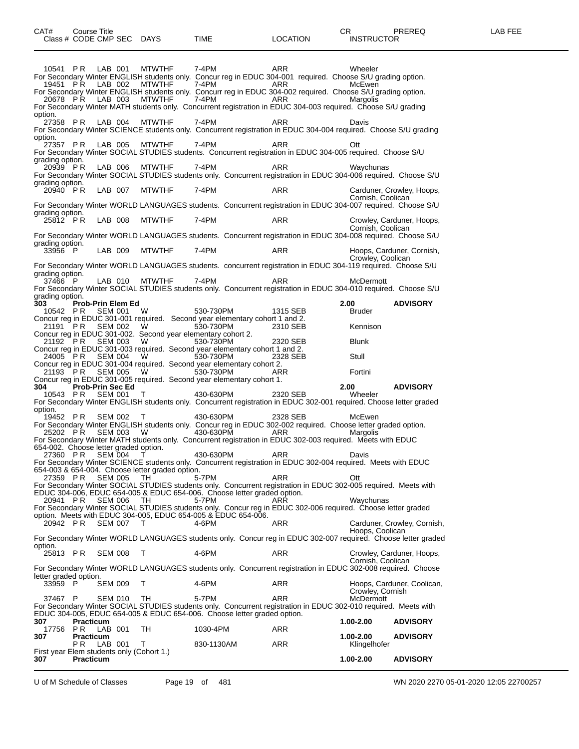10541 P.R LAB 001 MTWTHF 7-4PM ARR Wheeler For Secondary Winter ENGLISH students only. Concur reg in EDUC 304-001 required. Choose S/U grading option. 19451 P.R. LAB 002 MTWTHF 7-4PM ARR McEwen For Secondary Winter ENGLISH students only. Concurr reg in EDUC 304-002 required. Choose S/U grading option. 20678 P.R. LAB 003 MTWTHF 7-4PM ARR ARR Margolis For Secondary Winter MATH students only. Concurrent registration in EDUC 304-003 required. Choose S/U grading option.<br>27358 P R 27358 P.R LAB 004 MTWTHF 7-4PM ARR Davis For Secondary Winter SCIENCE students only. Concurrent registration in EDUC 304-004 required. Choose S/U grading option.<br>27357  $\overrightarrow{PR}$ LAB 005 MTWTHF 7-4PM ARR ARR Ott For Secondary Winter SOCIAL STUDIES students. Concurrent registration in EDUC 304-005 required. Choose S/U grading option.<br>20939 PR 20939 P R LAB 006 MTWTHF 7-4PM ARR Waychunas For Secondary Winter SOCIAL STUDIES students only. Concurrent registration in EDUC 304-006 required. Choose S/U grading option.<br>20940 PR 20940 PR LAB 007 MTWTHF 7-4PM ARR Carduner, Crowley, Hoops, Cornish, Coolican For Secondary Winter WORLD LANGUAGES students. Concurrent registration in EDUC 304-007 required. Choose S/U grading option.<br>25812 P R 25812 P R LAB 008 MTWTHF 7-4PM ARR Crowley, Carduner, Hoops, Cornish, Coolican For Secondary Winter WORLD LANGUAGES students. Concurrent registration in EDUC 304-008 required. Choose S/U grading option.<br>33956 P LAB 009 MTWTHF 7-4PM ARR Hoops, Carduner, Cornish, Crowley, Coolican For Secondary Winter WORLD LANGUAGES students. concurrent registration in EDUC 304-119 required. Choose S/U grading option.<br>37466 P LAB 010 MTWTHF 7-4PM ARR ARR McDermott For Secondary Winter SOCIAL STUDIES students only. Concurrent registration in EDUC 304-010 required. Choose S/U grading option.<br>303 Prob-Prin Elem Ed **303 Prob-Prin Elem Ed 2.00 ADVISORY** 10542 PR SEM 001 W 530-730PM 1315 SEB Bruder Concur reg in EDUC 301-001 required. Second year elementary cohort 1 and 2. 21191 P R SEM 002 W 530-730PM 2310 SEB Kennison Concur reg in EDUC 301-002. Second year elementary cohort 2. 21192 P R SEM 003 W 530-730PM 2320 SEB Blunk Concur reg in EDUC 301-003 required. Second year elementary cohort 1 and 2. 24005 P R SEM 004 W 530-730PM 2328 SEB Stull Concur reg in EDUC 301-004 required. Second year elementary cohort 2. 21193 P R SEM 005 W 530-730PM ARR Fortini Concur reg in EDUC 301-005 required. Second year elementary cohort 1. **304 Prob-Prin Sec Ed 2.00 ADVISORY** 10543 P R SEM 001 T 430-630PM 2320 SEB Wheeler For Secondary Winter ENGLISH students only. Concurrent registration in EDUC 302-001 required. Choose letter graded option.<br> $19452$  PR 19452 P R SEM 002 T 430-630PM 2328 SEB McEwen For Secondary Winter ENGLISH students only. Concur reg in EDUC 302-002 required. Choose letter graded option. 25202 P R SEM 003 W 430-630PM ARR Margolis For Secondary Winter MATH students only. Concurrent registration in EDUC 302-003 required. Meets with EDUC 654-002. Choose letter graded option.<br>27360 PR SEM 004 T 27360 P.R SEM 004 T 430-630PM ARR Davis For Secondary Winter SCIENCE students only. Concurrent registration in EDUC 302-004 required. Meets with EDUC 654-003 & 654-004. Choose letter graded option. 27359 P R SEM 005 TH 5-7PM ARR Ott For Secondary Winter SOCIAL STUDIES students only. Concurrent registration in EDUC 302-005 required. Meets with EDUC 304-006, EDUC 654-005 & EDUC 654-006. Choose letter graded option. 20941 P.R SEM 006 TH 5-7PM ARR Waychunas For Secondary Winter SOCIAL STUDIES students only. Concur reg in EDUC 302-006 required. Choose letter graded option. Meets with EDUC 304-005, EDUC 654-005 & EDUC 654-006. 20942 PR SEM 007 T 4-6PM ARR Carduner, Crowley, Cornish, Hoops, Coolican For Secondary Winter WORLD LANGUAGES students only. Concur reg in EDUC 302-007 required. Choose letter graded option.<br>25813 PR SEM 008 T 4-6PM ARR Crowley, Carduner, Hoops, Cornish, Coolican For Secondary Winter WORLD LANGUAGES students only. Concurrent registration in EDUC 302-008 required. Choose letter graded option.<br>33959 P SEM 009 T 4-6PM ARR Hoops, Carduner, Coolican, Crowley, Cornish<br>McDermott 37467 P SEM 010 TH 5-7PM ARR McDermott For Secondary Winter SOCIAL STUDIES students only. Concurrent registration in EDUC 302-010 required. Meets with EDUC 304-005, EDUC 654-005 & EDUC 654-006. Choose letter graded option. **307 Practicum 1.00-2.00 ADVISORY** 17756 P R LAB 001 TH 1030-4PM ARR **307 Practicum 1.00-2.00 ADVISORY** PR LAB 001 T 830-1130AM ARR Klingelhofer First year Elem students only (Cohort 1.)<br>307 Practicum **307 Practicum 1.00-2.00 ADVISORY**

U of M Schedule of Classes Page 19 of 481 WN 2020 2270 05-01-2020 12:05 22700257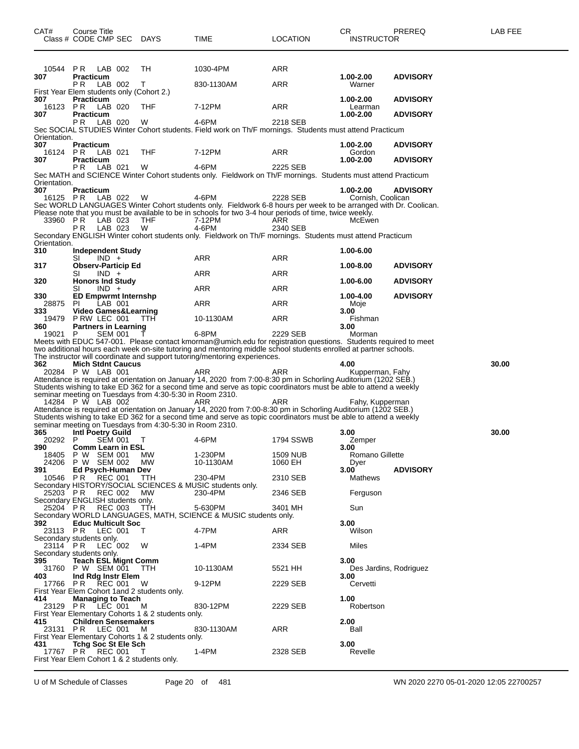| <b>PR</b> LAB 002<br>TН<br>1030-4PM<br>ARR<br>10544<br>Practicum<br>1.00-2.00<br><b>ADVISORY</b><br>307<br>P R<br>LAB 002<br>Т<br>ARR<br>Warner<br>830-1130AM<br>First Year Elem students only (Cohort 2.)<br>1.00-2.00<br>307<br><b>Practicum</b><br><b>ADVISORY</b><br>16123 PR<br>LAB 020<br>THF<br>7-12PM<br>ARR<br>Learman<br><b>Practicum</b><br>1.00-2.00<br><b>ADVISORY</b><br>307<br>4-6PM<br>LAB 020<br>W<br>2218 SEB<br>P R<br>Sec SOCIAL STUDIES Winter Cohort students. Field work on Th/F mornings. Students must attend Practicum<br>Orientation.<br>307<br><b>Practicum</b><br><b>ADVISORY</b><br>1.00-2.00<br>16124 PR LAB 021<br>THF<br>7-12PM<br>ARR<br>Gordon<br><b>Practicum</b><br>1.00-2.00<br><b>ADVISORY</b><br>307<br>4-6PM<br>2225 SEB<br>LAB 021<br>W<br>PR.<br>Sec MATH and SCIENCE Winter Cohort students only. Fieldwork on Th/F mornings. Students must attend Practicum<br>Orientation.<br>307<br><b>Practicum</b><br><b>ADVISORY</b><br>1.00-2.00<br>16125 PR LAB 022<br>4-6PM<br>2228 SEB<br>Cornish, Coolican<br>W<br>Sec WORLD LANGUAGES Winter Cohort students only. Fieldwork 6-8 hours per week to be arranged with Dr. Coolican.<br>Please note that you must be available to be in schools for two 3-4 hour periods of time, twice weekly.<br>33960 PR<br>LAB 023<br>THF<br>7-12PM<br>ARR<br>McEwen<br>LAB 023<br>4-6PM<br>P R<br>W<br>2340 SEB<br>Secondary ENGLISH Winter cohort students only. Fieldwork on Th/F mornings. Students must attend Practicum<br>Orientation.<br>310<br>1.00-6.00<br>Independent Study<br>ARR<br>ARR<br>SI<br>$IND +$<br><b>Observ-Particip Ed</b><br><b>ADVISORY</b><br>317<br>1.00-8.00<br>$IND +$<br>ARR<br>ARR<br>SI<br><b>Honors Ind Study</b><br>320<br>1.00-6.00<br><b>ADVISORY</b><br>$IND +$<br>ARR<br>ARR<br>SI<br>330<br><b>ED Empwrmt Internshp</b><br><b>ADVISORY</b><br>1.00-4.00<br>ARR<br>LAB 001<br>ARR<br>28875<br>PL<br>Moje<br><b>Video Games&amp;Learning</b><br>333<br>3.00<br>19479<br>PRW LEC 001<br>TTH<br>10-1130AM<br>ARR<br>Fishman<br>360<br><b>Partners in Learning</b><br>3.00<br>P<br><b>SEM 001</b><br>6-8PM<br>2229 SEB<br>19021<br>Morman<br>Meets with EDUC 547-001. Please contact kmorman@umich.edu for registration questions. Students required to meet<br>two additional hours each week on-site tutoring and mentoring middle school students enrolled at partner schools.<br>The instructor will coordinate and support tutoring/mentoring experiences.<br><b>Mich Stdnt Caucus</b><br>30.00<br>362<br>4.00<br>20284 P W LAB 001<br>ARR<br>ARR<br>Kupperman, Fahy<br>Attendance is required at orientation on January 14, 2020 from 7:00-8:30 pm in Schorling Auditorium (1202 SEB.)<br>Students wishing to take ED 362 for a second time and serve as topic coordinators must be able to attend a weekly<br>seminar meeting on Tuesdays from 4:30-5:30 in Room 2310.<br>14284 P W LAB 002<br>ARR<br>ARR<br>Fahy, Kupperman<br>Attendance is required at orientation on January 14, 2020 from 7:00-8:30 pm in Schorling Auditorium (1202 SEB.)<br>Students wishing to take ED 362 for a second time and serve as topic coordinators must be able to attend a weekly<br>seminar meeting on Tuesdays from 4:30-5:30 in Room 2310.<br>365<br><b>Intl Poetry Guild</b><br>30.00<br>3.00<br>SEM 001<br>4-6PM<br>1794 SSWB<br>20292<br>P<br>Т<br>Zemper<br>3.00<br>390<br><b>Comm Learn in ESL</b><br>MW<br>1-230PM<br>Romano Gillette<br>18405 P W SEM 001<br>1509 NUB<br>МW<br>1060 EH<br>24206 P W SEM 002<br>10-1130AM<br>Dyer<br>3.00<br><b>ADVISORY</b><br>391<br>Ed Psych-Human Dev<br><b>REC 001</b><br>10546<br>PR<br>TTH<br>230-4PM<br>2310 SEB<br>Mathews<br>Secondary HISTORY/SOCIAL SCIENCES & MUSIC students only.<br>25203 PR<br><b>REC 002</b><br>230-4PM<br>2346 SEB<br>Ferguson<br><b>MW</b><br>Secondary ENGLISH students only. | CAT# | Course Title<br>Class # CODE CMP SEC DAYS |       | TIME    | LOCATION | CR<br>INSTRUCTOR | PREREQ | LAB FEE |
|------------------------------------------------------------------------------------------------------------------------------------------------------------------------------------------------------------------------------------------------------------------------------------------------------------------------------------------------------------------------------------------------------------------------------------------------------------------------------------------------------------------------------------------------------------------------------------------------------------------------------------------------------------------------------------------------------------------------------------------------------------------------------------------------------------------------------------------------------------------------------------------------------------------------------------------------------------------------------------------------------------------------------------------------------------------------------------------------------------------------------------------------------------------------------------------------------------------------------------------------------------------------------------------------------------------------------------------------------------------------------------------------------------------------------------------------------------------------------------------------------------------------------------------------------------------------------------------------------------------------------------------------------------------------------------------------------------------------------------------------------------------------------------------------------------------------------------------------------------------------------------------------------------------------------------------------------------------------------------------------------------------------------------------------------------------------------------------------------------------------------------------------------------------------------------------------------------------------------------------------------------------------------------------------------------------------------------------------------------------------------------------------------------------------------------------------------------------------------------------------------------------------------------------------------------------------------------------------------------------------------------------------------------------------------------------------------------------------------------------------------------------------------------------------------------------------------------------------------------------------------------------------------------------------------------------------------------------------------------------------------------------------------------------------------------------------------------------------------------------------------------------------------------------------------------------------------------------------------------------------------------------------------------------------------------------------------------------------------------------------------------------------------------------------------------------------------------------------------------------------------------------------------------------------------------------------------------------------------------------------------------------------------------------------------------------------------------------------------------------------------------------------------------------------------------------------------------------------------------------|------|-------------------------------------------|-------|---------|----------|------------------|--------|---------|
|                                                                                                                                                                                                                                                                                                                                                                                                                                                                                                                                                                                                                                                                                                                                                                                                                                                                                                                                                                                                                                                                                                                                                                                                                                                                                                                                                                                                                                                                                                                                                                                                                                                                                                                                                                                                                                                                                                                                                                                                                                                                                                                                                                                                                                                                                                                                                                                                                                                                                                                                                                                                                                                                                                                                                                                                                                                                                                                                                                                                                                                                                                                                                                                                                                                                                                                                                                                                                                                                                                                                                                                                                                                                                                                                                                                                                                                                  |      |                                           |       |         |          |                  |        |         |
|                                                                                                                                                                                                                                                                                                                                                                                                                                                                                                                                                                                                                                                                                                                                                                                                                                                                                                                                                                                                                                                                                                                                                                                                                                                                                                                                                                                                                                                                                                                                                                                                                                                                                                                                                                                                                                                                                                                                                                                                                                                                                                                                                                                                                                                                                                                                                                                                                                                                                                                                                                                                                                                                                                                                                                                                                                                                                                                                                                                                                                                                                                                                                                                                                                                                                                                                                                                                                                                                                                                                                                                                                                                                                                                                                                                                                                                                  |      |                                           |       |         |          |                  |        |         |
|                                                                                                                                                                                                                                                                                                                                                                                                                                                                                                                                                                                                                                                                                                                                                                                                                                                                                                                                                                                                                                                                                                                                                                                                                                                                                                                                                                                                                                                                                                                                                                                                                                                                                                                                                                                                                                                                                                                                                                                                                                                                                                                                                                                                                                                                                                                                                                                                                                                                                                                                                                                                                                                                                                                                                                                                                                                                                                                                                                                                                                                                                                                                                                                                                                                                                                                                                                                                                                                                                                                                                                                                                                                                                                                                                                                                                                                                  |      |                                           |       |         |          |                  |        |         |
|                                                                                                                                                                                                                                                                                                                                                                                                                                                                                                                                                                                                                                                                                                                                                                                                                                                                                                                                                                                                                                                                                                                                                                                                                                                                                                                                                                                                                                                                                                                                                                                                                                                                                                                                                                                                                                                                                                                                                                                                                                                                                                                                                                                                                                                                                                                                                                                                                                                                                                                                                                                                                                                                                                                                                                                                                                                                                                                                                                                                                                                                                                                                                                                                                                                                                                                                                                                                                                                                                                                                                                                                                                                                                                                                                                                                                                                                  |      |                                           |       |         |          |                  |        |         |
|                                                                                                                                                                                                                                                                                                                                                                                                                                                                                                                                                                                                                                                                                                                                                                                                                                                                                                                                                                                                                                                                                                                                                                                                                                                                                                                                                                                                                                                                                                                                                                                                                                                                                                                                                                                                                                                                                                                                                                                                                                                                                                                                                                                                                                                                                                                                                                                                                                                                                                                                                                                                                                                                                                                                                                                                                                                                                                                                                                                                                                                                                                                                                                                                                                                                                                                                                                                                                                                                                                                                                                                                                                                                                                                                                                                                                                                                  |      |                                           |       |         |          |                  |        |         |
|                                                                                                                                                                                                                                                                                                                                                                                                                                                                                                                                                                                                                                                                                                                                                                                                                                                                                                                                                                                                                                                                                                                                                                                                                                                                                                                                                                                                                                                                                                                                                                                                                                                                                                                                                                                                                                                                                                                                                                                                                                                                                                                                                                                                                                                                                                                                                                                                                                                                                                                                                                                                                                                                                                                                                                                                                                                                                                                                                                                                                                                                                                                                                                                                                                                                                                                                                                                                                                                                                                                                                                                                                                                                                                                                                                                                                                                                  |      |                                           |       |         |          |                  |        |         |
|                                                                                                                                                                                                                                                                                                                                                                                                                                                                                                                                                                                                                                                                                                                                                                                                                                                                                                                                                                                                                                                                                                                                                                                                                                                                                                                                                                                                                                                                                                                                                                                                                                                                                                                                                                                                                                                                                                                                                                                                                                                                                                                                                                                                                                                                                                                                                                                                                                                                                                                                                                                                                                                                                                                                                                                                                                                                                                                                                                                                                                                                                                                                                                                                                                                                                                                                                                                                                                                                                                                                                                                                                                                                                                                                                                                                                                                                  |      |                                           |       |         |          |                  |        |         |
|                                                                                                                                                                                                                                                                                                                                                                                                                                                                                                                                                                                                                                                                                                                                                                                                                                                                                                                                                                                                                                                                                                                                                                                                                                                                                                                                                                                                                                                                                                                                                                                                                                                                                                                                                                                                                                                                                                                                                                                                                                                                                                                                                                                                                                                                                                                                                                                                                                                                                                                                                                                                                                                                                                                                                                                                                                                                                                                                                                                                                                                                                                                                                                                                                                                                                                                                                                                                                                                                                                                                                                                                                                                                                                                                                                                                                                                                  |      |                                           |       |         |          |                  |        |         |
|                                                                                                                                                                                                                                                                                                                                                                                                                                                                                                                                                                                                                                                                                                                                                                                                                                                                                                                                                                                                                                                                                                                                                                                                                                                                                                                                                                                                                                                                                                                                                                                                                                                                                                                                                                                                                                                                                                                                                                                                                                                                                                                                                                                                                                                                                                                                                                                                                                                                                                                                                                                                                                                                                                                                                                                                                                                                                                                                                                                                                                                                                                                                                                                                                                                                                                                                                                                                                                                                                                                                                                                                                                                                                                                                                                                                                                                                  |      |                                           |       |         |          |                  |        |         |
|                                                                                                                                                                                                                                                                                                                                                                                                                                                                                                                                                                                                                                                                                                                                                                                                                                                                                                                                                                                                                                                                                                                                                                                                                                                                                                                                                                                                                                                                                                                                                                                                                                                                                                                                                                                                                                                                                                                                                                                                                                                                                                                                                                                                                                                                                                                                                                                                                                                                                                                                                                                                                                                                                                                                                                                                                                                                                                                                                                                                                                                                                                                                                                                                                                                                                                                                                                                                                                                                                                                                                                                                                                                                                                                                                                                                                                                                  |      |                                           |       |         |          |                  |        |         |
|                                                                                                                                                                                                                                                                                                                                                                                                                                                                                                                                                                                                                                                                                                                                                                                                                                                                                                                                                                                                                                                                                                                                                                                                                                                                                                                                                                                                                                                                                                                                                                                                                                                                                                                                                                                                                                                                                                                                                                                                                                                                                                                                                                                                                                                                                                                                                                                                                                                                                                                                                                                                                                                                                                                                                                                                                                                                                                                                                                                                                                                                                                                                                                                                                                                                                                                                                                                                                                                                                                                                                                                                                                                                                                                                                                                                                                                                  |      |                                           |       |         |          |                  |        |         |
|                                                                                                                                                                                                                                                                                                                                                                                                                                                                                                                                                                                                                                                                                                                                                                                                                                                                                                                                                                                                                                                                                                                                                                                                                                                                                                                                                                                                                                                                                                                                                                                                                                                                                                                                                                                                                                                                                                                                                                                                                                                                                                                                                                                                                                                                                                                                                                                                                                                                                                                                                                                                                                                                                                                                                                                                                                                                                                                                                                                                                                                                                                                                                                                                                                                                                                                                                                                                                                                                                                                                                                                                                                                                                                                                                                                                                                                                  |      |                                           |       |         |          |                  |        |         |
|                                                                                                                                                                                                                                                                                                                                                                                                                                                                                                                                                                                                                                                                                                                                                                                                                                                                                                                                                                                                                                                                                                                                                                                                                                                                                                                                                                                                                                                                                                                                                                                                                                                                                                                                                                                                                                                                                                                                                                                                                                                                                                                                                                                                                                                                                                                                                                                                                                                                                                                                                                                                                                                                                                                                                                                                                                                                                                                                                                                                                                                                                                                                                                                                                                                                                                                                                                                                                                                                                                                                                                                                                                                                                                                                                                                                                                                                  |      |                                           |       |         |          |                  |        |         |
|                                                                                                                                                                                                                                                                                                                                                                                                                                                                                                                                                                                                                                                                                                                                                                                                                                                                                                                                                                                                                                                                                                                                                                                                                                                                                                                                                                                                                                                                                                                                                                                                                                                                                                                                                                                                                                                                                                                                                                                                                                                                                                                                                                                                                                                                                                                                                                                                                                                                                                                                                                                                                                                                                                                                                                                                                                                                                                                                                                                                                                                                                                                                                                                                                                                                                                                                                                                                                                                                                                                                                                                                                                                                                                                                                                                                                                                                  |      |                                           |       |         |          |                  |        |         |
|                                                                                                                                                                                                                                                                                                                                                                                                                                                                                                                                                                                                                                                                                                                                                                                                                                                                                                                                                                                                                                                                                                                                                                                                                                                                                                                                                                                                                                                                                                                                                                                                                                                                                                                                                                                                                                                                                                                                                                                                                                                                                                                                                                                                                                                                                                                                                                                                                                                                                                                                                                                                                                                                                                                                                                                                                                                                                                                                                                                                                                                                                                                                                                                                                                                                                                                                                                                                                                                                                                                                                                                                                                                                                                                                                                                                                                                                  |      |                                           |       |         |          |                  |        |         |
|                                                                                                                                                                                                                                                                                                                                                                                                                                                                                                                                                                                                                                                                                                                                                                                                                                                                                                                                                                                                                                                                                                                                                                                                                                                                                                                                                                                                                                                                                                                                                                                                                                                                                                                                                                                                                                                                                                                                                                                                                                                                                                                                                                                                                                                                                                                                                                                                                                                                                                                                                                                                                                                                                                                                                                                                                                                                                                                                                                                                                                                                                                                                                                                                                                                                                                                                                                                                                                                                                                                                                                                                                                                                                                                                                                                                                                                                  |      |                                           |       |         |          |                  |        |         |
|                                                                                                                                                                                                                                                                                                                                                                                                                                                                                                                                                                                                                                                                                                                                                                                                                                                                                                                                                                                                                                                                                                                                                                                                                                                                                                                                                                                                                                                                                                                                                                                                                                                                                                                                                                                                                                                                                                                                                                                                                                                                                                                                                                                                                                                                                                                                                                                                                                                                                                                                                                                                                                                                                                                                                                                                                                                                                                                                                                                                                                                                                                                                                                                                                                                                                                                                                                                                                                                                                                                                                                                                                                                                                                                                                                                                                                                                  |      |                                           |       |         |          |                  |        |         |
|                                                                                                                                                                                                                                                                                                                                                                                                                                                                                                                                                                                                                                                                                                                                                                                                                                                                                                                                                                                                                                                                                                                                                                                                                                                                                                                                                                                                                                                                                                                                                                                                                                                                                                                                                                                                                                                                                                                                                                                                                                                                                                                                                                                                                                                                                                                                                                                                                                                                                                                                                                                                                                                                                                                                                                                                                                                                                                                                                                                                                                                                                                                                                                                                                                                                                                                                                                                                                                                                                                                                                                                                                                                                                                                                                                                                                                                                  |      |                                           |       |         |          |                  |        |         |
|                                                                                                                                                                                                                                                                                                                                                                                                                                                                                                                                                                                                                                                                                                                                                                                                                                                                                                                                                                                                                                                                                                                                                                                                                                                                                                                                                                                                                                                                                                                                                                                                                                                                                                                                                                                                                                                                                                                                                                                                                                                                                                                                                                                                                                                                                                                                                                                                                                                                                                                                                                                                                                                                                                                                                                                                                                                                                                                                                                                                                                                                                                                                                                                                                                                                                                                                                                                                                                                                                                                                                                                                                                                                                                                                                                                                                                                                  |      |                                           |       |         |          |                  |        |         |
|                                                                                                                                                                                                                                                                                                                                                                                                                                                                                                                                                                                                                                                                                                                                                                                                                                                                                                                                                                                                                                                                                                                                                                                                                                                                                                                                                                                                                                                                                                                                                                                                                                                                                                                                                                                                                                                                                                                                                                                                                                                                                                                                                                                                                                                                                                                                                                                                                                                                                                                                                                                                                                                                                                                                                                                                                                                                                                                                                                                                                                                                                                                                                                                                                                                                                                                                                                                                                                                                                                                                                                                                                                                                                                                                                                                                                                                                  |      |                                           |       |         |          |                  |        |         |
|                                                                                                                                                                                                                                                                                                                                                                                                                                                                                                                                                                                                                                                                                                                                                                                                                                                                                                                                                                                                                                                                                                                                                                                                                                                                                                                                                                                                                                                                                                                                                                                                                                                                                                                                                                                                                                                                                                                                                                                                                                                                                                                                                                                                                                                                                                                                                                                                                                                                                                                                                                                                                                                                                                                                                                                                                                                                                                                                                                                                                                                                                                                                                                                                                                                                                                                                                                                                                                                                                                                                                                                                                                                                                                                                                                                                                                                                  |      |                                           |       |         |          |                  |        |         |
|                                                                                                                                                                                                                                                                                                                                                                                                                                                                                                                                                                                                                                                                                                                                                                                                                                                                                                                                                                                                                                                                                                                                                                                                                                                                                                                                                                                                                                                                                                                                                                                                                                                                                                                                                                                                                                                                                                                                                                                                                                                                                                                                                                                                                                                                                                                                                                                                                                                                                                                                                                                                                                                                                                                                                                                                                                                                                                                                                                                                                                                                                                                                                                                                                                                                                                                                                                                                                                                                                                                                                                                                                                                                                                                                                                                                                                                                  |      |                                           |       |         |          |                  |        |         |
|                                                                                                                                                                                                                                                                                                                                                                                                                                                                                                                                                                                                                                                                                                                                                                                                                                                                                                                                                                                                                                                                                                                                                                                                                                                                                                                                                                                                                                                                                                                                                                                                                                                                                                                                                                                                                                                                                                                                                                                                                                                                                                                                                                                                                                                                                                                                                                                                                                                                                                                                                                                                                                                                                                                                                                                                                                                                                                                                                                                                                                                                                                                                                                                                                                                                                                                                                                                                                                                                                                                                                                                                                                                                                                                                                                                                                                                                  |      |                                           |       |         |          |                  |        |         |
|                                                                                                                                                                                                                                                                                                                                                                                                                                                                                                                                                                                                                                                                                                                                                                                                                                                                                                                                                                                                                                                                                                                                                                                                                                                                                                                                                                                                                                                                                                                                                                                                                                                                                                                                                                                                                                                                                                                                                                                                                                                                                                                                                                                                                                                                                                                                                                                                                                                                                                                                                                                                                                                                                                                                                                                                                                                                                                                                                                                                                                                                                                                                                                                                                                                                                                                                                                                                                                                                                                                                                                                                                                                                                                                                                                                                                                                                  |      |                                           |       |         |          |                  |        |         |
|                                                                                                                                                                                                                                                                                                                                                                                                                                                                                                                                                                                                                                                                                                                                                                                                                                                                                                                                                                                                                                                                                                                                                                                                                                                                                                                                                                                                                                                                                                                                                                                                                                                                                                                                                                                                                                                                                                                                                                                                                                                                                                                                                                                                                                                                                                                                                                                                                                                                                                                                                                                                                                                                                                                                                                                                                                                                                                                                                                                                                                                                                                                                                                                                                                                                                                                                                                                                                                                                                                                                                                                                                                                                                                                                                                                                                                                                  |      |                                           |       |         |          |                  |        |         |
|                                                                                                                                                                                                                                                                                                                                                                                                                                                                                                                                                                                                                                                                                                                                                                                                                                                                                                                                                                                                                                                                                                                                                                                                                                                                                                                                                                                                                                                                                                                                                                                                                                                                                                                                                                                                                                                                                                                                                                                                                                                                                                                                                                                                                                                                                                                                                                                                                                                                                                                                                                                                                                                                                                                                                                                                                                                                                                                                                                                                                                                                                                                                                                                                                                                                                                                                                                                                                                                                                                                                                                                                                                                                                                                                                                                                                                                                  |      |                                           |       |         |          |                  |        |         |
|                                                                                                                                                                                                                                                                                                                                                                                                                                                                                                                                                                                                                                                                                                                                                                                                                                                                                                                                                                                                                                                                                                                                                                                                                                                                                                                                                                                                                                                                                                                                                                                                                                                                                                                                                                                                                                                                                                                                                                                                                                                                                                                                                                                                                                                                                                                                                                                                                                                                                                                                                                                                                                                                                                                                                                                                                                                                                                                                                                                                                                                                                                                                                                                                                                                                                                                                                                                                                                                                                                                                                                                                                                                                                                                                                                                                                                                                  |      |                                           |       |         |          |                  |        |         |
|                                                                                                                                                                                                                                                                                                                                                                                                                                                                                                                                                                                                                                                                                                                                                                                                                                                                                                                                                                                                                                                                                                                                                                                                                                                                                                                                                                                                                                                                                                                                                                                                                                                                                                                                                                                                                                                                                                                                                                                                                                                                                                                                                                                                                                                                                                                                                                                                                                                                                                                                                                                                                                                                                                                                                                                                                                                                                                                                                                                                                                                                                                                                                                                                                                                                                                                                                                                                                                                                                                                                                                                                                                                                                                                                                                                                                                                                  |      |                                           |       |         |          |                  |        |         |
|                                                                                                                                                                                                                                                                                                                                                                                                                                                                                                                                                                                                                                                                                                                                                                                                                                                                                                                                                                                                                                                                                                                                                                                                                                                                                                                                                                                                                                                                                                                                                                                                                                                                                                                                                                                                                                                                                                                                                                                                                                                                                                                                                                                                                                                                                                                                                                                                                                                                                                                                                                                                                                                                                                                                                                                                                                                                                                                                                                                                                                                                                                                                                                                                                                                                                                                                                                                                                                                                                                                                                                                                                                                                                                                                                                                                                                                                  |      |                                           |       |         |          |                  |        |         |
|                                                                                                                                                                                                                                                                                                                                                                                                                                                                                                                                                                                                                                                                                                                                                                                                                                                                                                                                                                                                                                                                                                                                                                                                                                                                                                                                                                                                                                                                                                                                                                                                                                                                                                                                                                                                                                                                                                                                                                                                                                                                                                                                                                                                                                                                                                                                                                                                                                                                                                                                                                                                                                                                                                                                                                                                                                                                                                                                                                                                                                                                                                                                                                                                                                                                                                                                                                                                                                                                                                                                                                                                                                                                                                                                                                                                                                                                  |      |                                           |       |         |          |                  |        |         |
|                                                                                                                                                                                                                                                                                                                                                                                                                                                                                                                                                                                                                                                                                                                                                                                                                                                                                                                                                                                                                                                                                                                                                                                                                                                                                                                                                                                                                                                                                                                                                                                                                                                                                                                                                                                                                                                                                                                                                                                                                                                                                                                                                                                                                                                                                                                                                                                                                                                                                                                                                                                                                                                                                                                                                                                                                                                                                                                                                                                                                                                                                                                                                                                                                                                                                                                                                                                                                                                                                                                                                                                                                                                                                                                                                                                                                                                                  |      |                                           |       |         |          |                  |        |         |
|                                                                                                                                                                                                                                                                                                                                                                                                                                                                                                                                                                                                                                                                                                                                                                                                                                                                                                                                                                                                                                                                                                                                                                                                                                                                                                                                                                                                                                                                                                                                                                                                                                                                                                                                                                                                                                                                                                                                                                                                                                                                                                                                                                                                                                                                                                                                                                                                                                                                                                                                                                                                                                                                                                                                                                                                                                                                                                                                                                                                                                                                                                                                                                                                                                                                                                                                                                                                                                                                                                                                                                                                                                                                                                                                                                                                                                                                  |      |                                           |       |         |          |                  |        |         |
|                                                                                                                                                                                                                                                                                                                                                                                                                                                                                                                                                                                                                                                                                                                                                                                                                                                                                                                                                                                                                                                                                                                                                                                                                                                                                                                                                                                                                                                                                                                                                                                                                                                                                                                                                                                                                                                                                                                                                                                                                                                                                                                                                                                                                                                                                                                                                                                                                                                                                                                                                                                                                                                                                                                                                                                                                                                                                                                                                                                                                                                                                                                                                                                                                                                                                                                                                                                                                                                                                                                                                                                                                                                                                                                                                                                                                                                                  |      |                                           |       |         |          |                  |        |         |
|                                                                                                                                                                                                                                                                                                                                                                                                                                                                                                                                                                                                                                                                                                                                                                                                                                                                                                                                                                                                                                                                                                                                                                                                                                                                                                                                                                                                                                                                                                                                                                                                                                                                                                                                                                                                                                                                                                                                                                                                                                                                                                                                                                                                                                                                                                                                                                                                                                                                                                                                                                                                                                                                                                                                                                                                                                                                                                                                                                                                                                                                                                                                                                                                                                                                                                                                                                                                                                                                                                                                                                                                                                                                                                                                                                                                                                                                  |      |                                           |       |         |          |                  |        |         |
|                                                                                                                                                                                                                                                                                                                                                                                                                                                                                                                                                                                                                                                                                                                                                                                                                                                                                                                                                                                                                                                                                                                                                                                                                                                                                                                                                                                                                                                                                                                                                                                                                                                                                                                                                                                                                                                                                                                                                                                                                                                                                                                                                                                                                                                                                                                                                                                                                                                                                                                                                                                                                                                                                                                                                                                                                                                                                                                                                                                                                                                                                                                                                                                                                                                                                                                                                                                                                                                                                                                                                                                                                                                                                                                                                                                                                                                                  |      |                                           |       |         |          |                  |        |         |
| 25204 PR<br>Secondary WORLD LANGUAGES, MATH, SCIENCE & MUSIC students only.                                                                                                                                                                                                                                                                                                                                                                                                                                                                                                                                                                                                                                                                                                                                                                                                                                                                                                                                                                                                                                                                                                                                                                                                                                                                                                                                                                                                                                                                                                                                                                                                                                                                                                                                                                                                                                                                                                                                                                                                                                                                                                                                                                                                                                                                                                                                                                                                                                                                                                                                                                                                                                                                                                                                                                                                                                                                                                                                                                                                                                                                                                                                                                                                                                                                                                                                                                                                                                                                                                                                                                                                                                                                                                                                                                                      |      | REC 003                                   | - ттн | 5-630PM | 3401 MH  | Sun              |        |         |
| <b>Educ Multicult Soc</b><br>3.00<br>392<br>23113 PR LEC 001<br>4-7PM<br>ARR<br>Wilson<br>$\top$                                                                                                                                                                                                                                                                                                                                                                                                                                                                                                                                                                                                                                                                                                                                                                                                                                                                                                                                                                                                                                                                                                                                                                                                                                                                                                                                                                                                                                                                                                                                                                                                                                                                                                                                                                                                                                                                                                                                                                                                                                                                                                                                                                                                                                                                                                                                                                                                                                                                                                                                                                                                                                                                                                                                                                                                                                                                                                                                                                                                                                                                                                                                                                                                                                                                                                                                                                                                                                                                                                                                                                                                                                                                                                                                                                 |      |                                           |       |         |          |                  |        |         |
| Secondary students only.                                                                                                                                                                                                                                                                                                                                                                                                                                                                                                                                                                                                                                                                                                                                                                                                                                                                                                                                                                                                                                                                                                                                                                                                                                                                                                                                                                                                                                                                                                                                                                                                                                                                                                                                                                                                                                                                                                                                                                                                                                                                                                                                                                                                                                                                                                                                                                                                                                                                                                                                                                                                                                                                                                                                                                                                                                                                                                                                                                                                                                                                                                                                                                                                                                                                                                                                                                                                                                                                                                                                                                                                                                                                                                                                                                                                                                         |      |                                           |       |         |          |                  |        |         |
| LEC 002<br>23114 PR<br>1-4PM<br>2334 SEB<br>Miles<br>W<br>Secondary students only.                                                                                                                                                                                                                                                                                                                                                                                                                                                                                                                                                                                                                                                                                                                                                                                                                                                                                                                                                                                                                                                                                                                                                                                                                                                                                                                                                                                                                                                                                                                                                                                                                                                                                                                                                                                                                                                                                                                                                                                                                                                                                                                                                                                                                                                                                                                                                                                                                                                                                                                                                                                                                                                                                                                                                                                                                                                                                                                                                                                                                                                                                                                                                                                                                                                                                                                                                                                                                                                                                                                                                                                                                                                                                                                                                                               |      |                                           |       |         |          |                  |        |         |
| <b>Teach ESL Mignt Comm</b><br>3.00<br>395<br>31760 P W SEM 001<br>10-1130AM<br>5521 HH<br>Des Jardins, Rodriguez<br><b>TTH</b>                                                                                                                                                                                                                                                                                                                                                                                                                                                                                                                                                                                                                                                                                                                                                                                                                                                                                                                                                                                                                                                                                                                                                                                                                                                                                                                                                                                                                                                                                                                                                                                                                                                                                                                                                                                                                                                                                                                                                                                                                                                                                                                                                                                                                                                                                                                                                                                                                                                                                                                                                                                                                                                                                                                                                                                                                                                                                                                                                                                                                                                                                                                                                                                                                                                                                                                                                                                                                                                                                                                                                                                                                                                                                                                                  |      |                                           |       |         |          |                  |        |         |
| Ind Rdg Instr Elem<br>403<br>3.00<br><b>REC 001</b><br>17766 PR<br>9-12PM<br>2229 SEB<br>Cervetti                                                                                                                                                                                                                                                                                                                                                                                                                                                                                                                                                                                                                                                                                                                                                                                                                                                                                                                                                                                                                                                                                                                                                                                                                                                                                                                                                                                                                                                                                                                                                                                                                                                                                                                                                                                                                                                                                                                                                                                                                                                                                                                                                                                                                                                                                                                                                                                                                                                                                                                                                                                                                                                                                                                                                                                                                                                                                                                                                                                                                                                                                                                                                                                                                                                                                                                                                                                                                                                                                                                                                                                                                                                                                                                                                                |      |                                           |       |         |          |                  |        |         |
| - W<br>First Year Elem Cohort 1 and 2 students only.                                                                                                                                                                                                                                                                                                                                                                                                                                                                                                                                                                                                                                                                                                                                                                                                                                                                                                                                                                                                                                                                                                                                                                                                                                                                                                                                                                                                                                                                                                                                                                                                                                                                                                                                                                                                                                                                                                                                                                                                                                                                                                                                                                                                                                                                                                                                                                                                                                                                                                                                                                                                                                                                                                                                                                                                                                                                                                                                                                                                                                                                                                                                                                                                                                                                                                                                                                                                                                                                                                                                                                                                                                                                                                                                                                                                             |      |                                           |       |         |          |                  |        |         |
| <b>Managing to Teach</b><br>1.00<br>414<br>23129 PR LEC 001<br>830-12PM<br>2229 SEB<br>Robertson<br>M                                                                                                                                                                                                                                                                                                                                                                                                                                                                                                                                                                                                                                                                                                                                                                                                                                                                                                                                                                                                                                                                                                                                                                                                                                                                                                                                                                                                                                                                                                                                                                                                                                                                                                                                                                                                                                                                                                                                                                                                                                                                                                                                                                                                                                                                                                                                                                                                                                                                                                                                                                                                                                                                                                                                                                                                                                                                                                                                                                                                                                                                                                                                                                                                                                                                                                                                                                                                                                                                                                                                                                                                                                                                                                                                                            |      |                                           |       |         |          |                  |        |         |
| First Year Elementary Cohorts 1 & 2 students only.<br><b>Children Sensemakers</b><br>2.00<br>415                                                                                                                                                                                                                                                                                                                                                                                                                                                                                                                                                                                                                                                                                                                                                                                                                                                                                                                                                                                                                                                                                                                                                                                                                                                                                                                                                                                                                                                                                                                                                                                                                                                                                                                                                                                                                                                                                                                                                                                                                                                                                                                                                                                                                                                                                                                                                                                                                                                                                                                                                                                                                                                                                                                                                                                                                                                                                                                                                                                                                                                                                                                                                                                                                                                                                                                                                                                                                                                                                                                                                                                                                                                                                                                                                                 |      |                                           |       |         |          |                  |        |         |
| 23131 PR LEC 001<br>830-1130AM<br>ARR<br>Ball<br>M                                                                                                                                                                                                                                                                                                                                                                                                                                                                                                                                                                                                                                                                                                                                                                                                                                                                                                                                                                                                                                                                                                                                                                                                                                                                                                                                                                                                                                                                                                                                                                                                                                                                                                                                                                                                                                                                                                                                                                                                                                                                                                                                                                                                                                                                                                                                                                                                                                                                                                                                                                                                                                                                                                                                                                                                                                                                                                                                                                                                                                                                                                                                                                                                                                                                                                                                                                                                                                                                                                                                                                                                                                                                                                                                                                                                               |      |                                           |       |         |          |                  |        |         |
| First Year Elementary Cohorts 1 & 2 students only.<br><b>Tchg Soc St Ele Sch</b><br>3.00<br>431                                                                                                                                                                                                                                                                                                                                                                                                                                                                                                                                                                                                                                                                                                                                                                                                                                                                                                                                                                                                                                                                                                                                                                                                                                                                                                                                                                                                                                                                                                                                                                                                                                                                                                                                                                                                                                                                                                                                                                                                                                                                                                                                                                                                                                                                                                                                                                                                                                                                                                                                                                                                                                                                                                                                                                                                                                                                                                                                                                                                                                                                                                                                                                                                                                                                                                                                                                                                                                                                                                                                                                                                                                                                                                                                                                  |      |                                           |       |         |          |                  |        |         |
| 17767 PR REC 001<br>1-4PM<br>2328 SEB<br>Revelle<br>$\top$<br>First Year Elem Cohort 1 & 2 students only.                                                                                                                                                                                                                                                                                                                                                                                                                                                                                                                                                                                                                                                                                                                                                                                                                                                                                                                                                                                                                                                                                                                                                                                                                                                                                                                                                                                                                                                                                                                                                                                                                                                                                                                                                                                                                                                                                                                                                                                                                                                                                                                                                                                                                                                                                                                                                                                                                                                                                                                                                                                                                                                                                                                                                                                                                                                                                                                                                                                                                                                                                                                                                                                                                                                                                                                                                                                                                                                                                                                                                                                                                                                                                                                                                        |      |                                           |       |         |          |                  |        |         |

U of M Schedule of Classes Page 20 of 481 WN 2020 2270 05-01-2020 12:05 22700257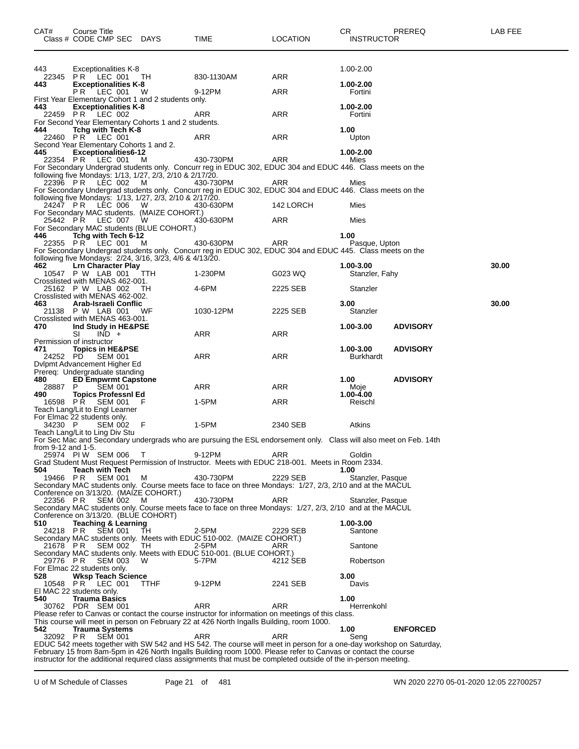| CAT#                            | Course Title      | Class # CODE CMP SEC DAYS                                      |                                                          | <b>TIME</b>                                                                                                                                                                                    | <b>LOCATION</b> | CR.<br><b>INSTRUCTOR</b> | PREREQ          | <b>LAB FEE</b> |
|---------------------------------|-------------------|----------------------------------------------------------------|----------------------------------------------------------|------------------------------------------------------------------------------------------------------------------------------------------------------------------------------------------------|-----------------|--------------------------|-----------------|----------------|
| 443                             |                   | <b>Exceptionalities K-8</b>                                    |                                                          |                                                                                                                                                                                                |                 | 1.00-2.00                |                 |                |
| 443                             |                   | 22345 PR LEC 001<br><b>Exceptionalities K-8</b>                | TH                                                       | 830-1130AM                                                                                                                                                                                     | ARR             | 1.00-2.00                |                 |                |
|                                 | PR.               | LEC 001                                                        | W<br>First Year Elementary Cohort 1 and 2 students only. | 9-12PM                                                                                                                                                                                         | ARR             | Fortini                  |                 |                |
| 443<br>22459 PR                 |                   | <b>Exceptionalities K-8</b><br>LEC 002                         |                                                          | ARR                                                                                                                                                                                            | ARR             | 1.00-2.00<br>Fortini     |                 |                |
|                                 |                   |                                                                | For Second Year Elementary Cohorts 1 and 2 students.     |                                                                                                                                                                                                |                 |                          |                 |                |
| 444<br>22460 PR                 |                   | Tchg with Tech K-8<br>LEC 001                                  |                                                          | ARR                                                                                                                                                                                            | ARR             | 1.00<br>Upton            |                 |                |
|                                 |                   | Second Year Elementary Cohorts 1 and 2.                        |                                                          |                                                                                                                                                                                                |                 |                          |                 |                |
| 445<br>22354 PR                 |                   | <b>Exceptionalities6-12</b><br>LEC 001                         | м                                                        | 430-730PM                                                                                                                                                                                      | ARR             | 1.00-2.00<br>Mies        |                 |                |
|                                 |                   |                                                                | following five Mondays: 1/13, 1/27, 2/3, 2/10 & 2/17/20. | For Secondary Undergrad students only. Concurr reg in EDUC 302, EDUC 304 and EDUC 446. Class meets on the                                                                                      |                 |                          |                 |                |
|                                 | 22396 PR LEC 002  |                                                                | M                                                        | 430-730PM                                                                                                                                                                                      | ARR             | Mies                     |                 |                |
|                                 |                   |                                                                | following five Mondays: 1/13, 1/27, 2/3, 2/10 & 2/17/20. | For Secondary Undergrad students only. Concurr reg in EDUC 302, EDUC 304 and EDUC 446. Class meets on the                                                                                      |                 |                          |                 |                |
|                                 | 24247 PR LEC 006  |                                                                | W                                                        | 430-630PM                                                                                                                                                                                      | 142 LORCH       | Mies                     |                 |                |
| 25442 PR                        |                   | LEC 007                                                        | For Secondary MAC students. (MAIZE COHORT.)<br>W         | 430-630PM                                                                                                                                                                                      | ARR             | Mies                     |                 |                |
|                                 |                   |                                                                | For Secondary MAC students (BLUE COHORT.)                |                                                                                                                                                                                                |                 |                          |                 |                |
| 446                             | 22355 PR LEC 001  | Tchg with Tech 6-12                                            | м                                                        | 430-630PM                                                                                                                                                                                      | <b>ARR</b>      | 1.00<br>Pasque, Upton    |                 |                |
|                                 |                   |                                                                |                                                          | For Secondary Undergrad students only. Concurr reg in EDUC 302, EDUC 304 and EDUC 445. Class meets on the                                                                                      |                 |                          |                 |                |
| 462                             |                   | <b>Lrn Character Play</b>                                      | following five Mondays: 2/24, 3/16, 3/23, 4/6 & 4/13/20. |                                                                                                                                                                                                |                 | 1.00-3.00                |                 | 30.00          |
|                                 | 10547 P W LAB 001 |                                                                | ттн                                                      | 1-230PM                                                                                                                                                                                        | G023 WQ         | Stanzler, Fahy           |                 |                |
|                                 | 25162 P W LAB 002 | Crosslisted with MENAS 462-001.                                | ТH                                                       | 4-6PM                                                                                                                                                                                          | 2225 SEB        | Stanzler                 |                 |                |
| 463                             |                   | Crosslisted with MENAS 462-002.<br>Arab-Israeli Conflic        |                                                          |                                                                                                                                                                                                |                 | 3.00                     |                 | 30.00          |
|                                 | 21138 P W LAB 001 |                                                                | WF                                                       | 1030-12PM                                                                                                                                                                                      | 2225 SEB        | Stanzler                 |                 |                |
| 470                             |                   | Crosslisted with MENAS 463-001.<br>Ind Study in HE&PSE         |                                                          |                                                                                                                                                                                                |                 | 1.00-3.00                | <b>ADVISORY</b> |                |
|                                 | SI                | $IND +$                                                        |                                                          | ARR                                                                                                                                                                                            | <b>ARR</b>      |                          |                 |                |
| Permission of instructor<br>471 |                   | <b>Topics in HE&amp;PSE</b>                                    |                                                          |                                                                                                                                                                                                |                 | 1.00-3.00                | <b>ADVISORY</b> |                |
| 24252 PD                        |                   | <b>SEM 001</b>                                                 |                                                          | <b>ARR</b>                                                                                                                                                                                     | <b>ARR</b>      | <b>Burkhardt</b>         |                 |                |
|                                 |                   | Dvlpmt Advancement Higher Ed<br>Prereq: Undergraduate standing |                                                          |                                                                                                                                                                                                |                 |                          |                 |                |
| 480<br>28887                    | P                 | <b>ED Empwrmt Capstone</b><br><b>SEM 001</b>                   |                                                          | ARR                                                                                                                                                                                            | ARR             | 1.00<br>Moje             | <b>ADVISORY</b> |                |
| 490                             |                   | <b>Topics Professnl Ed</b>                                     |                                                          |                                                                                                                                                                                                |                 | $1.00 - 4.00$            |                 |                |
| 16598 PR                        |                   | SEM 001<br>Teach Lang/Lit to Engl Learner                      | F                                                        | 1-5PM                                                                                                                                                                                          | <b>ARR</b>      | Reischl                  |                 |                |
| For Elmac 22 students only.     |                   |                                                                |                                                          |                                                                                                                                                                                                |                 |                          |                 |                |
| 34230 P                         |                   | <b>SEM 002</b><br>Teach Lang/Lit to Ling Div Stu               | - F                                                      | 1-5PM                                                                                                                                                                                          | 2340 SEB        | Atkins                   |                 |                |
|                                 |                   |                                                                |                                                          | For Sec Mac and Secondary undergrads who are pursuing the ESL endorsement only. Class will also meet on Feb. 14th                                                                              |                 |                          |                 |                |
| from 9-12 and 1-5.              |                   | 25974 PIW SEM 006                                              | T                                                        | 9-12PM                                                                                                                                                                                         | ARR             | Goldin                   |                 |                |
|                                 |                   |                                                                |                                                          | Grad Student Must Request Permission of Instructor. Meets with EDUC 218-001. Meets in Room 2334.                                                                                               |                 |                          |                 |                |
| 504<br>19466 PR                 |                   | <b>Teach with Tech</b><br><b>SEM 001</b>                       | М                                                        | 430-730PM                                                                                                                                                                                      | 2229 SEB        | 1.00<br>Stanzler, Pasque |                 |                |
|                                 |                   |                                                                | Conference on 3/13/20. (MAIZE COHORT.)                   | Secondary MAC students only. Course meets face to face on three Mondays: 1/27, 2/3, 2/10 and at the MACUL                                                                                      |                 |                          |                 |                |
| 22356 PR                        |                   | <b>SEM 002</b>                                                 | м                                                        | 430-730PM                                                                                                                                                                                      | ARR             | Stanzler, Pasque         |                 |                |
|                                 |                   |                                                                | Conference on 3/13/20. (BLUE COHORT)                     | Secondary MAC students only. Course meets face to face on three Mondays: 1/27, 2/3, 2/10 and at the MACUL                                                                                      |                 |                          |                 |                |
| 510                             |                   | <b>Teaching &amp; Learning</b>                                 |                                                          |                                                                                                                                                                                                |                 | 1.00-3.00                |                 |                |
| 24218 PR                        |                   | <b>SEM 001</b>                                                 | TН                                                       | 2-5PM<br>Secondary MAC students only. Meets with EDUC 510-002. (MAIZE COHORT.)                                                                                                                 | 2229 SEB        | Santone                  |                 |                |
| 21678 PR                        |                   | <b>SEM 002</b>                                                 | TH                                                       | 2-5PM                                                                                                                                                                                          | ARR             | Santone                  |                 |                |
| 29776 PR                        |                   | <b>SEM 003</b>                                                 | W                                                        | Secondary MAC students only. Meets with EDUC 510-001. (BLUE COHORT.)<br>5-7PM                                                                                                                  | 4212 SEB        | Robertson                |                 |                |
| For Elmac 22 students only.     |                   |                                                                |                                                          |                                                                                                                                                                                                |                 |                          |                 |                |
| 528                             | 10548 PR LEC 001  | <b>Wksp Teach Science</b>                                      | TTHF                                                     | 9-12PM                                                                                                                                                                                         | 2241 SEB        | 3.00<br>Davis            |                 |                |
| El MAC 22 students only.<br>540 |                   | <b>Trauma Basics</b>                                           |                                                          |                                                                                                                                                                                                |                 | 1.00                     |                 |                |
|                                 | 30762 PDR SEM 001 |                                                                |                                                          | ARR                                                                                                                                                                                            | ARR             | Herrenkohl               |                 |                |
|                                 |                   |                                                                |                                                          | Please refer to Canvas or contact the course instructor for information on meetings of this class.<br>This course will meet in person on February 22 at 426 North Ingalls Building, room 1000. |                 |                          |                 |                |
| 542                             |                   | <b>Trauma Systems</b>                                          |                                                          |                                                                                                                                                                                                |                 | 1.00                     | <b>ENFORCED</b> |                |
| 32092 PR                        |                   | <b>SEM 001</b>                                                 |                                                          | ARR<br>EDUC 542 meets together with SW 542 and HS 542. The course will meet in person for a one-day workshop on Saturday,                                                                      | ARR             | Seng                     |                 |                |
|                                 |                   |                                                                |                                                          | February 15 from 8am-5pm in 426 North Ingalls Building room 1000. Please refer to Canvas or contact the course                                                                                 |                 |                          |                 |                |

instructor for the additional required class assignments that must be completed outside of the in-person meeting.

U of M Schedule of Classes Page 21 of 481 WN 2020 2270 05-01-2020 12:05 22700257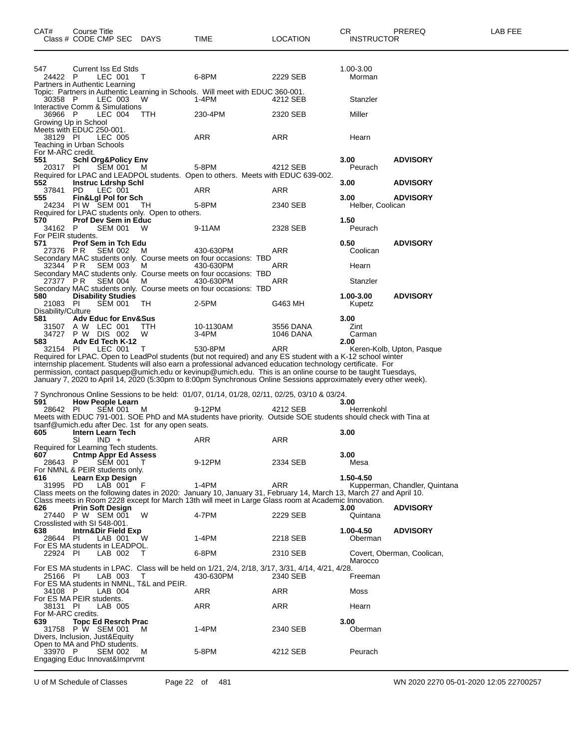| CAT#                                  | Course Title<br>Class # CODE CMP SEC DAYS                                                    |          | TIME                                                                                                                                                                                                                                                                                                                                                                                                                                                                     | <b>LOCATION</b>               | CR<br><b>INSTRUCTOR</b>  | PREREQ                        | LAB FEE |
|---------------------------------------|----------------------------------------------------------------------------------------------|----------|--------------------------------------------------------------------------------------------------------------------------------------------------------------------------------------------------------------------------------------------------------------------------------------------------------------------------------------------------------------------------------------------------------------------------------------------------------------------------|-------------------------------|--------------------------|-------------------------------|---------|
| 547<br>24422 P                        | Current Iss Ed Stds<br>LEC 001                                                               | $\top$   | 6-8PM                                                                                                                                                                                                                                                                                                                                                                                                                                                                    | 2229 SEB                      | 1.00-3.00<br>Morman      |                               |         |
| 30358 P                               | Partners in Authentic Learning<br>LEC 003                                                    | W        | Topic: Partners in Authentic Learning in Schools. Will meet with EDUC 360-001.<br>1-4PM                                                                                                                                                                                                                                                                                                                                                                                  | 4212 SEB                      | Stanzler                 |                               |         |
| 36966 P                               | Interactive Comm & Simulations<br>LEC 004<br>Growing Up in School                            | TTH      | 230-4PM                                                                                                                                                                                                                                                                                                                                                                                                                                                                  | 2320 SEB                      | Miller                   |                               |         |
| 38129 PI                              | Meets with EDUC 250-001.<br>LEC 005<br>Teaching in Urban Schools                             |          | ARR                                                                                                                                                                                                                                                                                                                                                                                                                                                                      | ARR                           | Hearn                    |                               |         |
| For M-ARC credit.<br>551              | <b>Schl Org&amp;Policy Env</b>                                                               |          |                                                                                                                                                                                                                                                                                                                                                                                                                                                                          |                               | 3.00                     | <b>ADVISORY</b>               |         |
| 20317 PI                              | SEM 001 M                                                                                    |          | 5-8PM<br>Required for LPAC and LEADPOL students. Open to others. Meets with EDUC 639-002.                                                                                                                                                                                                                                                                                                                                                                                | 4212 SEB                      | Peurach                  |                               |         |
| 552<br>37841 PD                       | <b>Instruc Ldrshp Schl</b><br>LEC 001                                                        |          | ARR                                                                                                                                                                                                                                                                                                                                                                                                                                                                      | ARR                           | 3.00                     | <b>ADVISORY</b>               |         |
| 555                                   | Fin&Lgl Pol for Sch<br>24234 PIW SEM 001<br>Required for LPAC students only. Open to others. | TН       | 5-8PM                                                                                                                                                                                                                                                                                                                                                                                                                                                                    | 2340 SEB                      | 3.00<br>Helber, Coolican | <b>ADVISORY</b>               |         |
| 570<br>34162 P                        | <b>Prof Dev Sem in Educ</b><br><b>SEM 001</b>                                                | W        | 9-11AM                                                                                                                                                                                                                                                                                                                                                                                                                                                                   | 2328 SEB                      | 1.50<br>Peurach          |                               |         |
| For PEIR students.<br>571<br>27376 PR | <b>Prof Sem in Tch Edu</b><br><b>SEM 002</b>                                                 | м        | 430-630PM                                                                                                                                                                                                                                                                                                                                                                                                                                                                | ARR                           | 0.50<br>Coolican         | <b>ADVISORY</b>               |         |
| 32344 PR                              | <b>SEM 003</b>                                                                               | M        | Secondary MAC students only. Course meets on four occasions: TBD<br>430-630PM                                                                                                                                                                                                                                                                                                                                                                                            | ARR                           | Hearn                    |                               |         |
| 27377 PR                              | <b>SEM 004</b>                                                                               | M        | Secondary MAC students only. Course meets on four occasions: TBD<br>430-630PM<br>Secondary MAC students only. Course meets on four occasions: TBD                                                                                                                                                                                                                                                                                                                        | ARR                           | Stanzler                 |                               |         |
| 580<br>21083 PI                       | <b>Disability Studies</b><br>SEM 001                                                         | TH.      | 2-5PM                                                                                                                                                                                                                                                                                                                                                                                                                                                                    | G463 MH                       | 1.00-3.00<br>Kupetz      | <b>ADVISORY</b>               |         |
| Disability/Culture<br>581             | <b>Adv Educ for Env&amp;Sus</b>                                                              |          |                                                                                                                                                                                                                                                                                                                                                                                                                                                                          |                               | 3.00                     |                               |         |
| 31507<br>34727<br>583                 | A W LEC 001<br>P W DIS 002<br>Adv Ed Tech K-12                                               | TTH<br>W | 10-1130AM<br>$3-4PM$                                                                                                                                                                                                                                                                                                                                                                                                                                                     | 3556 DANA<br><b>1046 DANA</b> | Zint<br>Carman<br>2.00   |                               |         |
| 32154 PI                              | LEC 001                                                                                      | $\top$   | 530-8PM<br>Required for LPAC. Open to LeadPol students (but not required) and any ES student with a K-12 school winter<br>internship placement. Students will also earn a professional advanced education technology certificate. For<br>permission, contact pasquep@umich.edu or kevinup@umich.edu. This is an online course to be taught Tuesdays,<br>January 7, 2020 to April 14, 2020 (5:30pm to 8:00pm Synchronous Online Sessions approximately every other week). | ARR                           |                          | Keren-Kolb, Upton, Pasque     |         |
| 591                                   | <b>How People Learn</b>                                                                      |          | 7 Synchronous Online Sessions to be held: 01/07, 01/14, 01/28, 02/11, 02/25, 03/10 & 03/24.                                                                                                                                                                                                                                                                                                                                                                              |                               | 3.00                     |                               |         |
| 28642 PI                              | SEM 001 M<br>tsanf@umich.edu after Dec. 1st for any open seats.                              |          | 9-12PM<br>Meets with EDUC 791-001. SOE PhD and MA students have priority. Outside SOE students should check with Tina at                                                                                                                                                                                                                                                                                                                                                 | 4212 SEB                      | Herrenkohl               |                               |         |
| 605                                   | <b>Intern Learn Tech</b><br>SI<br>$IND +$<br>Required for Learning Tech students.            |          | ARR                                                                                                                                                                                                                                                                                                                                                                                                                                                                      | ARR                           | 3.00                     |                               |         |
| 607<br>28643                          | <b>Cntmp Appr Ed Assess</b><br>P<br>SEM 001<br>For NMNL & PEIR students only.                | $\top$   | 9-12PM                                                                                                                                                                                                                                                                                                                                                                                                                                                                   | 2334 SEB                      | 3.00<br>Mesa             |                               |         |
| 616<br>31995 PD                       | Learn Exp Design<br>LAB 001                                                                  | - F      | 1-4PM<br>Class meets on the following dates in 2020: January 10, January 31, February 14, March 13, March 27 and April 10.<br>Class meets in Room 2228 except for March 13th will meet in Large Glass room at Academic Innovation.                                                                                                                                                                                                                                       | <b>ARR</b>                    | 1.50-4.50                | Kupperman, Chandler, Quintana |         |
| 626                                   | <b>Prin Soft Design</b><br>27440 P W SEM 001                                                 | w        | 4-7PM                                                                                                                                                                                                                                                                                                                                                                                                                                                                    | 2229 SEB                      | 3.00<br>Quintana         | <b>ADVISORY</b>               |         |
| 638<br>28644 PI                       | Crosslisted with SI 548-001.<br>Intrn&Dir Field Exp<br>LAB 001                               | W        | $1-4PM$                                                                                                                                                                                                                                                                                                                                                                                                                                                                  | 2218 SEB                      | 1.00-4.50<br>Oberman     | <b>ADVISORY</b>               |         |
| 22924 PI                              | For ES MA students in LEADPOL.<br>LAB 002                                                    | T        | 6-8PM                                                                                                                                                                                                                                                                                                                                                                                                                                                                    | 2310 SEB                      |                          | Covert, Oberman, Coolican,    |         |
|                                       |                                                                                              |          | For ES MA students in LPAC. Class will be held on 1/21, 2/4, 2/18, 3/17, 3/31, 4/14, 4/21, 4/28.                                                                                                                                                                                                                                                                                                                                                                         |                               | Marocco                  |                               |         |
| 25166 PI                              | LAB 003<br>For ES MA students in NMNL, T&L and PEIR.                                         | Т        | 430-630PM                                                                                                                                                                                                                                                                                                                                                                                                                                                                | 2340 SEB                      | Freeman                  |                               |         |
| 34108 P<br>38131 PI                   | LAB 004<br>For ES MA PEIR students.<br>LAB 005                                               |          | ARR<br>ARR                                                                                                                                                                                                                                                                                                                                                                                                                                                               | ARR<br>ARR                    | Moss<br>Hearn            |                               |         |
| For M-ARC credits.<br>639             | <b>Topc Ed Resrch Prac</b>                                                                   |          |                                                                                                                                                                                                                                                                                                                                                                                                                                                                          |                               | 3.00                     |                               |         |
|                                       | 31758 P W SEM 001<br>Divers, Inclusion, Just&Equity<br>Open to MA and PhD students.          | M        | 1-4PM                                                                                                                                                                                                                                                                                                                                                                                                                                                                    | 2340 SEB                      | Oberman                  |                               |         |
| 33970 P                               | <b>SEM 002</b><br>Engaging Educ Innovat&Imprvmt                                              | M        | 5-8PM                                                                                                                                                                                                                                                                                                                                                                                                                                                                    | 4212 SEB                      | Peurach                  |                               |         |

U of M Schedule of Classes Page 22 of 481 WN 2020 2270 05-01-2020 12:05 22700257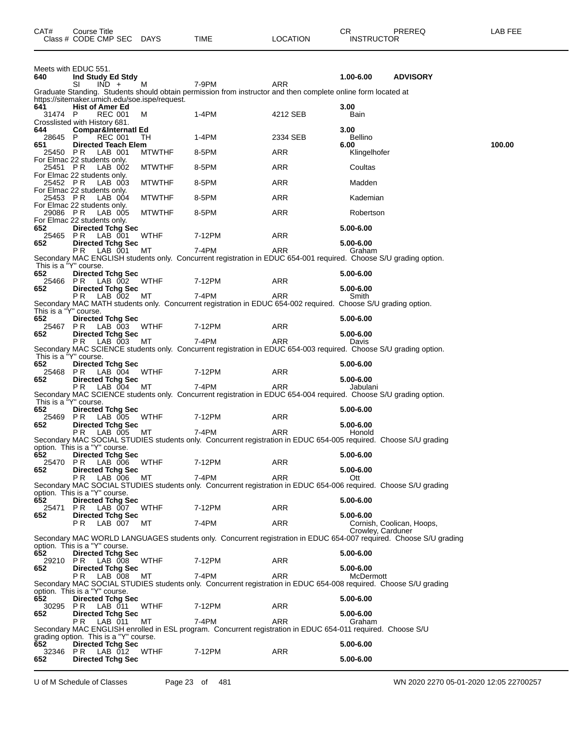| 640                   | Meets with EDUC 551.<br>Ind Study Ed Stdy                               |               |                                                                                                                           |            | 1.00-6.00                      | <b>ADVISORY</b>           |        |
|-----------------------|-------------------------------------------------------------------------|---------------|---------------------------------------------------------------------------------------------------------------------------|------------|--------------------------------|---------------------------|--------|
|                       | SI<br>$IND +$                                                           | м             | 7-9PM                                                                                                                     | ARR        |                                |                           |        |
| 641                   | https://sitemaker.umich.edu/soe.ispe/request.<br><b>Hist of Amer Ed</b> |               | Graduate Standing. Students should obtain permission from instructor and then complete online form located at             |            | 3.00                           |                           |        |
| 31474 P               | <b>REC 001</b><br>Crosslisted with History 681.                         | м             | 1-4PM                                                                                                                     | 4212 SEB   | Bain                           |                           |        |
| 644<br>28645          | Compar&Internatl Ed<br>REC 001<br>P.                                    | TH            | 1-4PM                                                                                                                     | 2334 SEB   | 3.00<br><b>Bellino</b>         |                           |        |
| 651<br>25450 PR       | <b>Directed Teach Elem</b><br>LAB 001                                   | <b>MTWTHF</b> | 8-5PM                                                                                                                     | ARR        | 6.00<br>Klingelhofer           |                           | 100.00 |
| 25451 PR              | For Elmac 22 students only.<br>LAB 002                                  | <b>MTWTHF</b> | 8-5PM                                                                                                                     | ARR        | Coultas                        |                           |        |
| 25452 PR              | For Elmac 22 students only.<br>LAB 003                                  | <b>MTWTHF</b> | 8-5PM                                                                                                                     | ARR        | Madden                         |                           |        |
| 25453 PR              | For Elmac 22 students only.<br>LAB 004<br>For Elmac 22 students only.   | <b>MTWTHF</b> | 8-5PM                                                                                                                     | ARR        | Kademian                       |                           |        |
| 29086 PR              | LAB 005<br>For Elmac 22 students only.                                  | <b>MTWTHF</b> | 8-5PM                                                                                                                     | ARR        | Robertson                      |                           |        |
| 652<br>25465 PR       | <b>Directed Tchg Sec</b><br>LAB 001                                     | <b>WTHF</b>   | 7-12PM                                                                                                                    | ARR        | 5.00-6.00                      |                           |        |
| 652                   | <b>Directed Tchg Sec</b><br>LAB 001<br>P R                              | МT            | 7-4PM                                                                                                                     | ARR        | 5.00-6.00<br>Graham            |                           |        |
| This is a "Y" course. |                                                                         |               | Secondary MAC ENGLISH students only. Concurrent registration in EDUC 654-001 required. Choose S/U grading option.         |            |                                |                           |        |
| 652<br>25466 PR       | <b>Directed Tchg Sec</b><br>LAB 002                                     | WTHF          | 7-12PM                                                                                                                    | ARR        | 5.00-6.00                      |                           |        |
| 652                   | <b>Directed Tchg Sec</b><br>LAB 002<br>P R                              | МT            | 7-4PM                                                                                                                     | ARR        | 5.00-6.00<br>Smith             |                           |        |
| This is a "Y" course. |                                                                         |               | Secondary MAC MATH students only. Concurrent registration in EDUC 654-002 required. Choose S/U grading option.            |            |                                |                           |        |
| 652<br>25467 PR       | <b>Directed Tchg Sec</b><br>LAB 003                                     | WTHF          | 7-12PM                                                                                                                    | ARR        | 5.00-6.00                      |                           |        |
| 652                   | <b>Directed Tchg Sec</b><br>PR.<br>LAB 003                              | МT            | 7-4PM                                                                                                                     | ARR        | 5.00-6.00<br>Davis             |                           |        |
| This is a "Y" course. |                                                                         |               | Secondary MAC SCIENCE students only. Concurrent registration in EDUC 654-003 required. Choose S/U grading option.         |            |                                |                           |        |
| 652<br>25468          | <b>Directed Tchg Sec</b><br>LAB 004<br>PR                               | WTHF          | 7-12PM                                                                                                                    | ARR        | 5.00-6.00                      |                           |        |
| 652                   | <b>Directed Tchg Sec</b><br>PR.<br>LAB 004                              | МT            | 7-4PM                                                                                                                     | ARR        | 5.00-6.00<br>Jabulani          |                           |        |
| This is a "Y" course. |                                                                         |               | Secondary MAC SCIENCE students only. Concurrent registration in EDUC 654-004 required. Choose S/U grading option.         |            |                                |                           |        |
| 652<br>25469          | <b>Directed Tchg Sec</b><br>LAB 005<br>PR.                              | <b>WTHF</b>   | 7-12PM                                                                                                                    | ARR        | 5.00-6.00                      |                           |        |
| 652                   | <b>Directed Tchg Sec</b>                                                |               |                                                                                                                           |            | 5.00-6.00                      |                           |        |
|                       | PR.<br>LAB 005                                                          | МT            | 7-4PM<br>Secondary MAC SOCIAL STUDIES students only. Concurrent registration in EDUC 654-005 required. Choose S/U grading | ARR        | Honold                         |                           |        |
| 652                   | option. This is a "Y" course.<br><b>Directed Tchg Sec</b>               |               |                                                                                                                           |            | 5.00-6.00                      |                           |        |
| 25470<br>652          | P R<br>LAB 006<br><b>Directed Tchg Sec</b>                              | <b>WTHF</b>   | 7-12PM                                                                                                                    | ARR        | 5.00-6.00                      |                           |        |
|                       | PR LAB 006 MT                                                           |               | 7-4PM<br>Secondary MAC SOCIAL STUDIES students only. Concurrent registration in EDUC 654-006 required. Choose S/U grading | ARR        | Ott                            |                           |        |
| 652                   | option. This is a "Y" course.<br><b>Directed Tchg Sec</b>               |               |                                                                                                                           |            | 5.00-6.00                      |                           |        |
| 25471                 | LAB 007 WTHF<br>PR.                                                     |               | 7-12PM                                                                                                                    | <b>ARR</b> |                                |                           |        |
| 652                   | <b>Directed Tchg Sec</b><br>PR.<br>LAB 007 MT                           |               | 7-4PM                                                                                                                     | ARR        | 5.00-6.00<br>Crowley, Carduner | Cornish, Coolican, Hoops, |        |
|                       |                                                                         |               | Secondary MAC WORLD LANGUAGES students only. Concurrent registration in EDUC 654-007 required. Choose S/U grading         |            |                                |                           |        |
| 652                   | option. This is a "Y" course.<br><b>Directed Tchg Sec</b>               |               |                                                                                                                           |            | 5.00-6.00                      |                           |        |
| 652                   | 29210 PR LAB 008<br><b>Directed Tchg Sec</b>                            | WTHF          | 7-12PM                                                                                                                    | <b>ARR</b> | 5.00-6.00                      |                           |        |
|                       | LAB 008<br>P R .                                                        | МT            | 7-4PM<br>Secondary MAC SOCIAL STUDIES students only. Concurrent registration in EDUC 654-008 required. Choose S/U grading | <b>ARR</b> | McDermott                      |                           |        |
|                       | option. This is a "Y" course.                                           |               |                                                                                                                           |            |                                |                           |        |
| 652                   | <b>Directed Tchg Sec</b><br>30295 PR LAB 011                            | WTHF          | 7-12PM                                                                                                                    | <b>ARR</b> | 5.00-6.00<br>5.00-6.00         |                           |        |
| 652                   | <b>Directed Tchg Sec</b><br>LAB 011<br>PR.                              | МT            | 7-4PM                                                                                                                     | ARR        | Graham                         |                           |        |
|                       | grading option. This is a "Y" course.                                   |               | Secondary MAC ENGLISH enrolled in ESL program. Concurrent registration in EDUC 654-011 required. Choose S/U               |            |                                |                           |        |
| 652<br>32346 PR       | <b>Directed Tchg Sec</b><br>LAB 012 WTHF                                |               | 7-12PM                                                                                                                    | <b>ARR</b> | 5.00-6.00                      |                           |        |
| 652                   | <b>Directed Tchg Sec</b>                                                |               |                                                                                                                           |            | 5.00-6.00                      |                           |        |

CAT# Course Title Case CR PREREQ LAB FEE

Class # CODE CMP SEC DAYS TIME LOCATION INSTRUCTOR

U of M Schedule of Classes Page 23 of 481 WN 2020 2270 05-01-2020 12:05 22700257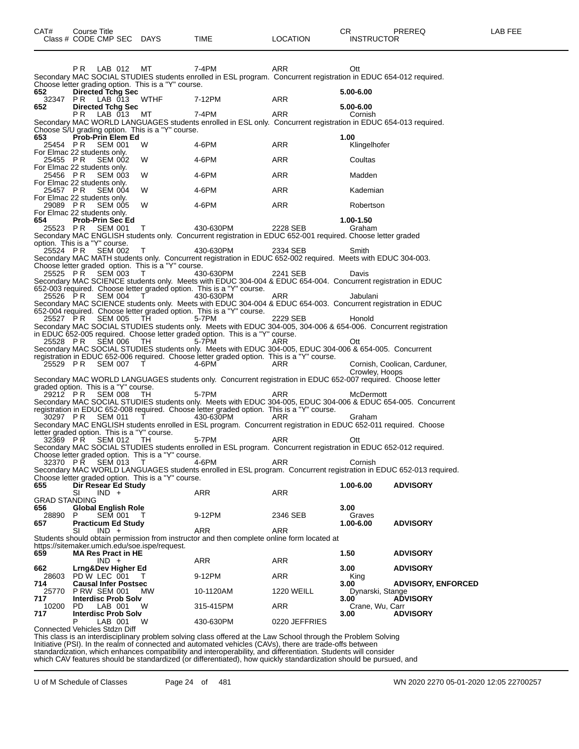|               | LAB 012<br>PR.                                     |         | MT                                                  | 7-4PM                                                                                                                                                                                                     | ARR               |      | Ott              |                              |
|---------------|----------------------------------------------------|---------|-----------------------------------------------------|-----------------------------------------------------------------------------------------------------------------------------------------------------------------------------------------------------------|-------------------|------|------------------|------------------------------|
|               |                                                    |         |                                                     | Secondary MAC SOCIAL STUDIES students enrolled in ESL program. Concurrent registration in EDUC 654-012 required.                                                                                          |                   |      |                  |                              |
|               |                                                    |         | Choose letter grading option. This is a "Y" course. |                                                                                                                                                                                                           |                   |      |                  |                              |
| 652           | <b>Directed Tchg Sec</b>                           |         |                                                     |                                                                                                                                                                                                           |                   |      | 5.00-6.00        |                              |
| 32347         | P R<br>LAB 013                                     |         | WTHF                                                | 7-12PM                                                                                                                                                                                                    | ARR               |      | 5.00-6.00        |                              |
| 652           | <b>Directed Tchg Sec</b><br>РR<br>LAB 013          |         | MT                                                  | 7-4PM                                                                                                                                                                                                     | ARR               |      | Cornish          |                              |
|               |                                                    |         |                                                     | Secondary MAC WORLD LANGUAGES students enrolled in ESL only. Concurrent registration in EDUC 654-013 required.                                                                                            |                   |      |                  |                              |
|               |                                                    |         | Choose S/U grading option. This is a "Y" course.    |                                                                                                                                                                                                           |                   |      |                  |                              |
| 653           | Prob-Prin Elem Ed                                  |         |                                                     |                                                                                                                                                                                                           |                   | 1.00 |                  |                              |
| 25454 PR      | <b>SEM 001</b>                                     |         | W                                                   | 4-6PM                                                                                                                                                                                                     | ARR               |      | Klingelhofer     |                              |
|               | For Elmac 22 students only.                        |         |                                                     |                                                                                                                                                                                                           |                   |      |                  |                              |
| 25455 PR      | <b>SEM 002</b>                                     |         | W                                                   | 4-6PM                                                                                                                                                                                                     | ARR               |      | Coultas          |                              |
|               | For Elmac 22 students only.                        |         |                                                     |                                                                                                                                                                                                           |                   |      |                  |                              |
| 25456 PR      | <b>SEM 003</b>                                     |         | W                                                   | 4-6PM                                                                                                                                                                                                     | ARR               |      | Madden           |                              |
|               | For Elmac 22 students only.                        |         |                                                     |                                                                                                                                                                                                           |                   |      |                  |                              |
| 25457 PR      | <b>SEM 004</b>                                     |         | W                                                   | 4-6PM                                                                                                                                                                                                     | ARR               |      | Kademian         |                              |
|               | For Elmac 22 students only.                        |         |                                                     |                                                                                                                                                                                                           |                   |      |                  |                              |
| 29089 PR      | <b>SEM 005</b><br>For Elmac 22 students only.      |         | W                                                   | 4-6PM                                                                                                                                                                                                     | ARR               |      | Robertson        |                              |
| 654           | <b>Prob-Prin Sec Ed</b>                            |         |                                                     |                                                                                                                                                                                                           |                   |      | 1.00-1.50        |                              |
| 25523 PR      | <b>SEM 001</b>                                     |         | T.                                                  | 430-630PM                                                                                                                                                                                                 | 2228 SEB          |      | Graham           |                              |
|               |                                                    |         |                                                     | Secondary MAC ENGLISH students only. Concurrent registration in EDUC 652-001 required. Choose letter graded                                                                                               |                   |      |                  |                              |
|               | option. This is a "Y" course.                      |         |                                                     |                                                                                                                                                                                                           |                   |      |                  |                              |
| 25524 PR      | <b>SEM 002</b>                                     |         | Т                                                   | 430-630PM                                                                                                                                                                                                 | 2334 SEB          |      | Smith            |                              |
|               |                                                    |         |                                                     | Secondary MAC MATH students only. Concurrent registration in EDUC 652-002 required. Meets with EDUC 304-003.                                                                                              |                   |      |                  |                              |
|               |                                                    |         | Choose letter graded option. This is a "Y" course.  |                                                                                                                                                                                                           |                   |      |                  |                              |
| 25525 PR      | <b>SEM 003</b>                                     |         | T.                                                  | 430-630PM                                                                                                                                                                                                 | 2241 SEB          |      | Davis            |                              |
|               |                                                    |         |                                                     | Secondary MAC SCIENCE students only. Meets with EDUC 304-004 & EDUC 654-004. Concurrent registration in EDUC                                                                                              |                   |      |                  |                              |
|               |                                                    |         |                                                     | 652-003 required. Choose letter graded option. This is a "Y" course.                                                                                                                                      |                   |      |                  |                              |
| 25526 PR      | <b>SEM 004</b>                                     |         | T.                                                  | 430-630PM                                                                                                                                                                                                 | ARR               |      | Jabulani         |                              |
|               |                                                    |         |                                                     | Secondary MAC SCIENCE students only. Meets with EDUC 304-004 & EDUC 654-003. Concurrent registration in EDUC<br>652-004 required. Choose letter graded option. This is a "Y" course.                      |                   |      |                  |                              |
| 25527 PR      | <b>SEM 005</b>                                     |         | TH                                                  | 5-7PM                                                                                                                                                                                                     | 2229 SEB          |      | Honold           |                              |
|               |                                                    |         |                                                     | Secondary MAC SOCIAL STUDIES students only. Meets with EDUC 304-005, 304-006 & 654-006. Concurrent registration                                                                                           |                   |      |                  |                              |
|               |                                                    |         |                                                     | in EDUC 652-005 required. Choose letter graded option. This is a "Y" course.                                                                                                                              |                   |      |                  |                              |
| 25528 PR      | <b>SEM 006</b>                                     |         | TH.                                                 | 5-7PM                                                                                                                                                                                                     | ARR               |      | Ott              |                              |
|               |                                                    |         |                                                     | Secondary MAC SOCIAL STUDIES students only. Meets with EDUC 304-005, EDUC 304-006 & 654-005. Concurrent                                                                                                   |                   |      |                  |                              |
|               |                                                    |         |                                                     | registration in EDUC 652-006 required. Choose letter graded option. This is a "Y" course.                                                                                                                 |                   |      |                  |                              |
| 25529 PR      | SEM 007                                            |         | $\top$                                              | 4-6PM                                                                                                                                                                                                     | ARR               |      |                  | Cornish, Coolican, Carduner, |
|               |                                                    |         |                                                     |                                                                                                                                                                                                           |                   |      | Crowley, Hoops   |                              |
|               |                                                    |         |                                                     | Secondary MAC WORLD LANGUAGES students only. Concurrent registration in EDUC 652-007 required. Choose letter                                                                                              |                   |      |                  |                              |
|               | graded option. This is a "Y" course.               |         |                                                     |                                                                                                                                                                                                           |                   |      |                  |                              |
| 29212 PR      |                                                    | SEM 008 | TH.                                                 | 5-7PM                                                                                                                                                                                                     | ARR               |      | McDermott        |                              |
|               |                                                    |         |                                                     | Secondary MAC SOCIAL STUDIES students only. Meets with EDUC 304-005, EDUC 304-006 & EDUC 654-005. Concurrent<br>registration in EDUC 652-008 required. Choose letter graded option. This is a "Y" course. |                   |      |                  |                              |
| 30297 PR      | SEM 011                                            |         | $\top$                                              | 430-630PM                                                                                                                                                                                                 | ARR               |      | Graham           |                              |
|               |                                                    |         |                                                     | Secondary MAC ENGLISH students enrolled in ESL program. Concurrent registration in EDUC 652-011 required. Choose                                                                                          |                   |      |                  |                              |
|               | letter graded option. This is a "Y" course.        |         |                                                     |                                                                                                                                                                                                           |                   |      |                  |                              |
|               | 32369 PR SEM 012                                   |         | TH.                                                 | 5-7PM                                                                                                                                                                                                     | ARR               |      | Ott              |                              |
|               |                                                    |         |                                                     | Secondary MAC SOCIAL STUDIES students enrolled in ESL program. Concurrent registration in EDUC 652-012 required.                                                                                          |                   |      |                  |                              |
|               |                                                    |         | Choose letter graded option. This is a "Y" course.  |                                                                                                                                                                                                           |                   |      |                  |                              |
| 32370 PŘ      | SEM 013                                            |         | $\top$                                              | 4-6PM                                                                                                                                                                                                     | ARR               |      | Cornish          |                              |
|               |                                                    |         |                                                     | Secondary MAC WORLD LANGUAGES students enrolled in ESL program. Concurrent registration in EDUC 652-013 required.                                                                                         |                   |      |                  |                              |
|               |                                                    |         | Choose letter graded option. This is a "Y" course.  |                                                                                                                                                                                                           |                   |      |                  |                              |
| 655           | Dir Resear Ed Study<br>SI<br>$IND +$               |         |                                                     | ARR                                                                                                                                                                                                       | ARR               |      | 1.00-6.00        | <b>ADVISORY</b>              |
| GRAD STANDING |                                                    |         |                                                     |                                                                                                                                                                                                           |                   |      |                  |                              |
| 656           | <b>Global English Role</b>                         |         |                                                     |                                                                                                                                                                                                           |                   | 3.00 |                  |                              |
| 28890         | P.<br><b>SEM 001</b>                               |         | Т                                                   | 9-12PM                                                                                                                                                                                                    | 2346 SEB          |      | Graves           |                              |
| 657           | <b>Practicum Ed Study</b>                          |         |                                                     |                                                                                                                                                                                                           |                   |      | 1.00-6.00        | <b>ADVISORY</b>              |
|               | SI<br>$IND +$                                      |         |                                                     | ARR                                                                                                                                                                                                       | ARR               |      |                  |                              |
|               |                                                    |         |                                                     | Students should obtain permission from instructor and then complete online form located at                                                                                                                |                   |      |                  |                              |
|               |                                                    |         | https://sitemaker.umich.edu/soe.ispe/request.       |                                                                                                                                                                                                           |                   |      |                  |                              |
| 659           | <b>MA Res Pract in HE</b>                          |         |                                                     |                                                                                                                                                                                                           |                   | 1.50 |                  | <b>ADVISORY</b>              |
|               | $IND +$                                            |         |                                                     | ARR                                                                                                                                                                                                       | ARR               |      |                  |                              |
| 662           | Lrng&Dev Higher Ed                                 |         |                                                     |                                                                                                                                                                                                           |                   | 3.00 |                  | <b>ADVISORY</b>              |
| 28603         | PD W LEC 001                                       |         | T                                                   | 9-12PM                                                                                                                                                                                                    | ARR               |      | King             |                              |
| 714<br>25770  | <b>Causal Infer Postsec</b><br><b>P RW SEM 001</b> |         | MW                                                  | 10-1120AM                                                                                                                                                                                                 | <b>1220 WEILL</b> | 3.00 | Dynarski, Stange | <b>ADVISORY, ENFORCED</b>    |
| 717.          | <b>Interdisc Prob Solv</b>                         |         |                                                     |                                                                                                                                                                                                           |                   | 3.00 |                  | <b>ADVISORY</b>              |
| 10200         | LAB 001<br>PD.                                     |         | W                                                   | 315-415PM                                                                                                                                                                                                 | ARR               |      | Crane, Wu, Carr  |                              |
| 717           | <b>Interdisc Prob Solv</b>                         |         |                                                     |                                                                                                                                                                                                           |                   | 3.00 |                  | <b>ADVISORY</b>              |
|               | P<br>LAB 001                                       |         | W                                                   | 430-630PM                                                                                                                                                                                                 | 0220 JEFFRIES     |      |                  |                              |
|               | Connected Vehicles Stdzn Diff                      |         |                                                     |                                                                                                                                                                                                           |                   |      |                  |                              |

This class is an interdisciplinary problem solving class offered at the Law School through the Problem Solving Initiative (PSI). In the realm of connected and automated vehicles (CAVs), there are trade-offs between standardization, which enhances compatibility and interoperability, and differentiation. Students will consider which CAV features should be standardized (or differentiated), how quickly standardization should be pursued, and

U of M Schedule of Classes Page 24 of 481 WN 2020 2270 05-01-2020 12:05 22700257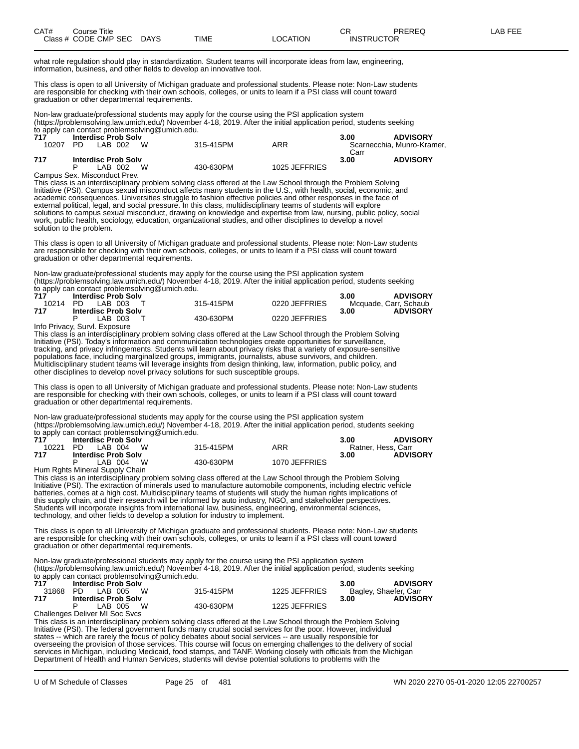| CAT# | Title<br>Course      |             |      |          | ∼⊏<br>◡⊓          | PREREQ | AR FEF |
|------|----------------------|-------------|------|----------|-------------------|--------|--------|
|      | Class # CODE CMP SEC | <b>DAYS</b> | TIME | _OCATION | <b>INSTRUCTOR</b> |        |        |

what role regulation should play in standardization. Student teams will incorporate ideas from law, engineering, information, business, and other fields to develop an innovative tool.

This class is open to all University of Michigan graduate and professional students. Please note: Non-Law students are responsible for checking with their own schools, colleges, or units to learn if a PSI class will count toward graduation or other departmental requirements.

Non-law graduate/professional students may apply for the course using the PSI application system (https://problemsolving.law.umich.edu/) November 4-18, 2019. After the initial application period, students seeking to apply can contact problemsolving@umich.edu.

| 717   | <b>Interdisc Prob Solv</b> |           |               | 3.00 | <b>ADVISORY</b>            |
|-------|----------------------------|-----------|---------------|------|----------------------------|
| 10207 | LAB 002<br>PD.             | 315-415PM | ARR           |      | Scarnecchia. Munro-Kramer. |
|       |                            |           |               | Carr |                            |
| 717   | <b>Interdisc Prob Solv</b> |           |               | 3.00 | <b>ADVISORY</b>            |
|       | W<br>LAB 002               | 430-630PM | 1025 JEFFRIES |      |                            |
|       |                            |           |               |      |                            |

Campus Sex. Misconduct Prev.

This class is an interdisciplinary problem solving class offered at the Law School through the Problem Solving Initiative (PSI). Campus sexual misconduct affects many students in the U.S., with health, social, economic, and academic consequences. Universities struggle to fashion effective policies and other responses in the face of external political, legal, and social pressure. In this class, multidisciplinary teams of students will explore solutions to campus sexual misconduct, drawing on knowledge and expertise from law, nursing, public policy, social work, public health, sociology, education, organizational studies, and other disciplines to develop a novel solution to the problem.

This class is open to all University of Michigan graduate and professional students. Please note: Non-Law students are responsible for checking with their own schools, colleges, or units to learn if a PSI class will count toward graduation or other departmental requirements.

Non-law graduate/professional students may apply for the course using the PSI application system (https://problemsolving.law.umich.edu/) November 4-18, 2019. After the initial application period, students seeking to apply can contact problemsolving@umich.edu.

| 717 | <b>Interdisc Prob Solv</b> |           |               | <b>ADVISORY</b><br>3.00 |
|-----|----------------------------|-----------|---------------|-------------------------|
|     | 10214 PD LAB 003 T         | 315-415PM | 0220 JEFFRIES | Mcquade, Carr, Schaub   |
| 717 | <b>Interdisc Prob Solv</b> |           |               | <b>ADVISORY</b><br>3.00 |
|     | LAB 003 T                  | 430-630PM | 0220 JEFFRIES |                         |

Info Privacy, Survl. Exposure

This class is an interdisciplinary problem solving class offered at the Law School through the Problem Solving Initiative (PSI). Today's information and communication technologies create opportunities for surveillance, tracking, and privacy infringements. Students will learn about privacy risks that a variety of exposure-sensitive populations face, including marginalized groups, immigrants, journalists, abuse survivors, and children. Multidisciplinary student teams will leverage insights from design thinking, law, information, public policy, and other disciplines to develop novel privacy solutions for such susceptible groups.

This class is open to all University of Michigan graduate and professional students. Please note: Non-Law students are responsible for checking with their own schools, colleges, or units to learn if a PSI class will count toward graduation or other departmental requirements.

Non-law graduate/professional students may apply for the course using the PSI application system (https://problemsolving.law.umich.edu/) November 4-18, 2019. After the initial application period, students seeking to apply can contact problemsolving@umich.edu.

| 717   | <b>Interdisc Prob Solv</b> |           |               | <b>ADVISORY</b><br>3.00 |
|-------|----------------------------|-----------|---------------|-------------------------|
| 10221 | PD IAB 004<br><b>W</b>     | 315-415PM | ARR           | Ratner, Hess, Carr      |
| 717   | <b>Interdisc Prob Solv</b> |           |               | <b>ADVISORY</b><br>3.00 |
|       | W.<br>LAB 004              | 430-630PM | 1070 JEFFRIES |                         |

Hum Rghts Mineral Supply Chain

This class is an interdisciplinary problem solving class offered at the Law School through the Problem Solving Initiative (PSI). The extraction of minerals used to manufacture automobile components, including electric vehicle batteries, comes at a high cost. Multidisciplinary teams of students will study the human rights implications of this supply chain, and their research will be informed by auto industry, NGO, and stakeholder perspectives. Students will incorporate insights from international law, business, engineering, environmental sciences, technology, and other fields to develop a solution for industry to implement.

This class is open to all University of Michigan graduate and professional students. Please note: Non-Law students are responsible for checking with their own schools, colleges, or units to learn if a PSI class will count toward graduation or other departmental requirements.

Non-law graduate/professional students may apply for the course using the PSI application system (https://problemsolving.law.umich.edu/) November 4-18, 2019. After the initial application period, students seeking to apply can contact problemsolving@umich.edu.<br>717 **Interdisc Prob Solv 717 Interdisc Prob Solv 3.00 ADVISORY**

|      | 31868 PD LAB 005 W             | 315-415PM | 1225 JEFFRIES | Bagley, Shaefer, Carr   |
|------|--------------------------------|-----------|---------------|-------------------------|
| -717 | <b>Interdisc Prob Solv</b>     |           |               | <b>ADVISORY</b><br>3.00 |
|      | LAB 005 W                      | 430-630PM | 1225 JEFFRIES |                         |
|      | Challenges Deliver MI Soc Svcs |           |               |                         |

This class is an interdisciplinary problem solving class offered at the Law School through the Problem Solving Initiative (PSI). The federal government funds many crucial social services for the poor. However, individual states -- which are rarely the focus of policy debates about social services -- are usually responsible for overseeing the provision of those services. This course will focus on emerging challenges to the delivery of social services in Michigan, including Medicaid, food stamps, and TANF. Working closely with officials from the Michigan Department of Health and Human Services, students will devise potential solutions to problems with the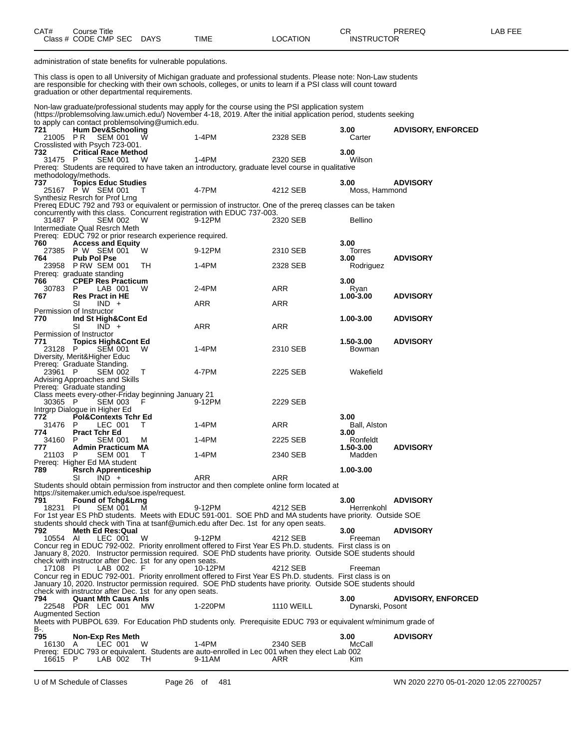| CAT# | Title<br>Courseٽ     |             |             |          | ∩⊓<br>◡⊓          | PREREQ | _AB FEF |
|------|----------------------|-------------|-------------|----------|-------------------|--------|---------|
|      | Class # CODE CMP SEC | <b>DAYS</b> | <b>TIME</b> | LOCATION | <b>INSTRUCTOR</b> |        |         |

administration of state benefits for vulnerable populations.

This class is open to all University of Michigan graduate and professional students. Please note: Non-Law students are responsible for checking with their own schools, colleges, or units to learn if a PSI class will count toward graduation or other departmental requirements.

Non-law graduate/professional students may apply for the course using the PSI application system (https://problemsolving.law.umich.edu/) November 4-18, 2019. After the initial application period, students seeking to apply can contact problemsolving@umich.edu.

| ິ<br>721                 | <b>Hum Dev&amp;Schooling</b>                               |                | $\frac{1}{2}$                                            |                                                                                                                |                   | 3.00               | <b>ADVISORY, ENFORCED</b> |
|--------------------------|------------------------------------------------------------|----------------|----------------------------------------------------------|----------------------------------------------------------------------------------------------------------------|-------------------|--------------------|---------------------------|
| 21005 PR                 |                                                            | <b>SEM 001</b> | - W                                                      | $1-4PM$                                                                                                        | 2328 SEB          | Carter             |                           |
|                          | Crosslisted with Psych 723-001.                            |                |                                                          |                                                                                                                |                   |                    |                           |
| 732<br>31475 P           | <b>Critical Race Method</b>                                | <b>SEM 001</b> | W                                                        | $1-4PM$                                                                                                        | 2320 SEB          | 3.00<br>Wilson     |                           |
|                          |                                                            |                |                                                          | Prereq: Students are required to have taken an introductory, graduate level course in qualitative              |                   |                    |                           |
|                          | methodology/methods.                                       |                |                                                          |                                                                                                                |                   |                    |                           |
| 737                      | <b>Topics Educ Studies</b>                                 |                |                                                          |                                                                                                                |                   | 3.00               | <b>ADVISORY</b>           |
|                          | 25167 P W SEM 001                                          |                | $\top$                                                   | 4-7PM                                                                                                          | 4212 SEB          | Moss, Hammond      |                           |
|                          | Synthesiz Resrch for Prof Lrng                             |                |                                                          |                                                                                                                |                   |                    |                           |
|                          |                                                            |                |                                                          | Prereq EDUC 792 and 793 or equivalent or permission of instructor. One of the prereq classes can be taken      |                   |                    |                           |
|                          |                                                            |                |                                                          | concurrently with this class. Concurrent registration with EDUC 737-003.                                       |                   |                    |                           |
| 31487 P                  | Intermediate Qual Resrch Meth                              | SEM 002        | W                                                        | 9-12PM                                                                                                         | 2320 SEB          | <b>Bellino</b>     |                           |
|                          |                                                            |                | Prereq: EDUC 792 or prior research experience required.  |                                                                                                                |                   |                    |                           |
| 760                      | <b>Access and Equity</b>                                   |                |                                                          |                                                                                                                |                   | 3.00               |                           |
|                          | 27385 P W SEM 001                                          |                | W                                                        | 9-12PM                                                                                                         | 2310 SEB          | Torres             |                           |
| 764                      | <b>Pub Pol Pse</b>                                         |                |                                                          |                                                                                                                |                   | 3.00               | <b>ADVISORY</b>           |
|                          | 23958 PRW SEM 001                                          |                | TH.                                                      | 1-4PM                                                                                                          | 2328 SEB          | Rodriguez          |                           |
|                          | Prereq: graduate standing                                  |                |                                                          |                                                                                                                |                   |                    |                           |
| 766<br>30783             | <b>CPEP Res Practicum</b><br>P.                            | LAB 001        | W                                                        | 2-4PM                                                                                                          | ARR               | 3.00               |                           |
| 767                      | <b>Res Pract in HE</b>                                     |                |                                                          |                                                                                                                |                   | Ryan<br>1.00-3.00  | <b>ADVISORY</b>           |
|                          | SI                                                         | $IND +$        |                                                          | ARR                                                                                                            | ARR               |                    |                           |
|                          | Permission of Instructor                                   |                |                                                          |                                                                                                                |                   |                    |                           |
| 770                      | Ind St High&Cont Ed                                        |                |                                                          |                                                                                                                |                   | 1.00-3.00          | <b>ADVISORY</b>           |
|                          | SI                                                         | $IND +$        |                                                          | ARR                                                                                                            | ARR               |                    |                           |
|                          | Permission of Instructor                                   |                |                                                          |                                                                                                                |                   |                    |                           |
| 771                      | <b>Topics High&amp;Cont Ed</b>                             |                |                                                          |                                                                                                                |                   | 1.50-3.00          | <b>ADVISORY</b>           |
| 23128 P                  |                                                            | <b>SEM 001</b> | W                                                        | 1-4PM                                                                                                          | 2310 SEB          | Bowman             |                           |
|                          | Diversity, Merit&Higher Educ<br>Prereg: Graduate Standing. |                |                                                          |                                                                                                                |                   |                    |                           |
| 23961 P                  |                                                            | <b>SEM 002</b> | T                                                        | 4-7PM                                                                                                          | 2225 SEB          | Wakefield          |                           |
|                          | Advising Approaches and Skills                             |                |                                                          |                                                                                                                |                   |                    |                           |
|                          | Prereq: Graduate standing                                  |                |                                                          |                                                                                                                |                   |                    |                           |
|                          |                                                            |                | Class meets every-other-Friday beginning January 21      |                                                                                                                |                   |                    |                           |
| 30365 P                  |                                                            | <b>SEM 003</b> | F                                                        | 9-12PM                                                                                                         | 2229 SEB          |                    |                           |
|                          | Intrgrp Dialogue in Higher Ed                              |                |                                                          |                                                                                                                |                   |                    |                           |
| 772.                     | <b>Pol&amp;Contexts Tchr Ed</b>                            |                |                                                          |                                                                                                                |                   | 3.00               |                           |
| 31476                    | P                                                          | LEC 001        | T                                                        | 1-4PM                                                                                                          | ARR               | Ball, Alston       |                           |
| 774.<br>34160            | <b>Pract Tchr Ed</b><br>P.                                 | <b>SEM 001</b> | M                                                        | 1-4PM                                                                                                          | 2225 SEB          | 3.00<br>Ronfeldt   |                           |
| 777.                     | <b>Admin Practicum MA</b>                                  |                |                                                          |                                                                                                                |                   | 1.50-3.00          | <b>ADVISORY</b>           |
| 21103 P                  |                                                            | <b>SEM 001</b> | T                                                        | 1-4PM                                                                                                          | 2340 SEB          | Madden             |                           |
|                          | Prereq: Higher Ed MA student                               |                |                                                          |                                                                                                                |                   |                    |                           |
| 789.                     | <b>Rsrch Apprenticeship</b>                                |                |                                                          |                                                                                                                |                   | 1.00-3.00          |                           |
|                          | SI                                                         | $IND +$        |                                                          | ARR                                                                                                            | ARR               |                    |                           |
|                          |                                                            |                |                                                          | Students should obtain permission from instructor and then complete online form located at                     |                   |                    |                           |
|                          |                                                            |                | https://sitemaker.umich.edu/soe.ispe/request.            |                                                                                                                |                   |                    |                           |
| 791<br>18231 PI          | <b>Found of Tchg&amp;Lrng</b>                              | <b>SEM 001</b> | - M                                                      | 9-12PM                                                                                                         | 4212 SEB          | 3.00<br>Herrenkohl | <b>ADVISORY</b>           |
|                          |                                                            |                |                                                          | For 1st year ES PhD students. Meets with EDUC 591-001. SOE PhD and MA students have priority. Outside SOE      |                   |                    |                           |
|                          |                                                            |                |                                                          | students should check with Tina at tsanf@umich.edu after Dec. 1st for any open seats.                          |                   |                    |                           |
| 792.                     | Meth Ed Res:Qual                                           |                |                                                          |                                                                                                                |                   | 3.00               | <b>ADVISORY</b>           |
| 10554 AI                 |                                                            |                |                                                          | 9-12PM                                                                                                         | 4212 SEB          |                    |                           |
|                          |                                                            | LEC 001        | W                                                        |                                                                                                                |                   | Freeman            |                           |
|                          |                                                            |                |                                                          | Concur reg in EDUC 792-002. Priority enrollment offered to First Year ES Ph.D. students. First class is on     |                   |                    |                           |
|                          |                                                            |                |                                                          | January 8, 2020. Instructor permission required. SOE PhD students have priority. Outside SOE students should   |                   |                    |                           |
|                          |                                                            |                | check with instructor after Dec. 1st for any open seats. |                                                                                                                |                   |                    |                           |
| 17108 PI                 |                                                            | LAB 002        |                                                          | 10-12PM                                                                                                        | 4212 SEB          | Freeman            |                           |
|                          |                                                            |                |                                                          | Concur reg in EDUC 792-001. Priority enrollment offered to First Year ES Ph.D. students. First class is on     |                   |                    |                           |
|                          |                                                            |                |                                                          | January 10, 2020. Instructor permission required. SOE PhD students have priority. Outside SOE students should  |                   |                    |                           |
| 794                      |                                                            |                | check with instructor after Dec. 1st for any open seats. |                                                                                                                |                   | 3.00               | <b>ADVISORY, ENFORCED</b> |
|                          | <b>Quant Mth Caus Anis</b><br>22548 PDR LEC 001            |                | MW                                                       | 1-220PM                                                                                                        | <b>1110 WEILL</b> | Dynarski, Posont   |                           |
| <b>Augmented Section</b> |                                                            |                |                                                          |                                                                                                                |                   |                    |                           |
|                          |                                                            |                |                                                          | Meets with PUBPOL 639. For Education PhD students only. Prerequisite EDUC 793 or equivalent w/minimum grade of |                   |                    |                           |
| B-.                      |                                                            |                |                                                          |                                                                                                                |                   |                    |                           |
| 795                      | <b>Non-Exp Res Meth</b>                                    |                |                                                          |                                                                                                                |                   | 3.00               | <b>ADVISORY</b>           |
| 16130 A                  |                                                            | LEC 001        | W                                                        | $1-4PM$<br>Prereq: EDUC 793 or equivalent. Students are auto-enrolled in Lec 001 when they elect Lab 002       | 2340 SEB          | McCall             |                           |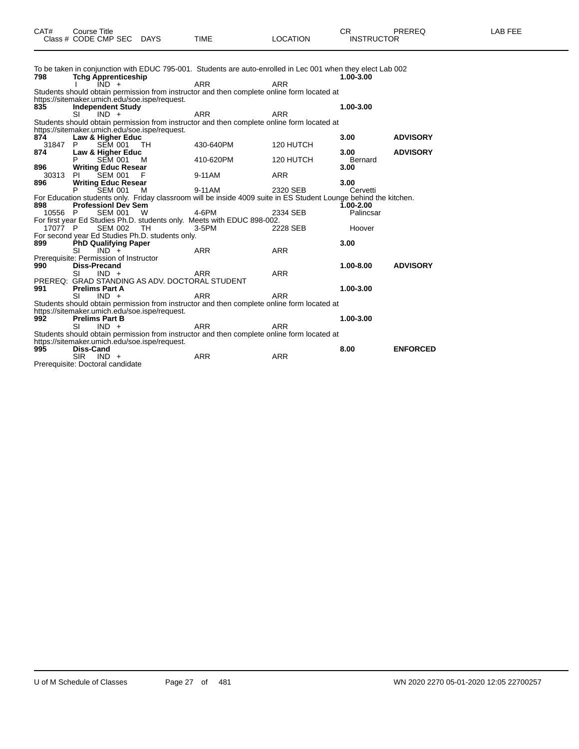| CAT# | ourse Titleٽ                         |             |      |          | חי<br>- UN        | PREREQ | -AB FEE |
|------|--------------------------------------|-------------|------|----------|-------------------|--------|---------|
|      | Class # $CODE$ CMP SEC $\rightarrow$ | <b>DAYS</b> | TIME | LOCATION | <b>INSTRUCTOR</b> |        |         |

|         | To be taken in conjunction with EDUC 795-001. Students are auto-enrolled in Lec 001 when they elect Lab 002      |            |            |                 |                 |
|---------|------------------------------------------------------------------------------------------------------------------|------------|------------|-----------------|-----------------|
| 798     | <b>Tchg Apprenticeship</b><br>$IND +$                                                                            | <b>ARR</b> | <b>ARR</b> | 1.00-3.00       |                 |
|         | Students should obtain permission from instructor and then complete online form located at                       |            |            |                 |                 |
| 835     | https://sitemaker.umich.edu/soe.ispe/request.<br><b>Independent Study</b>                                        |            |            | 1.00-3.00       |                 |
|         | SI.<br>$IND +$                                                                                                   | <b>ARR</b> | <b>ARR</b> |                 |                 |
|         | Students should obtain permission from instructor and then complete online form located at                       |            |            |                 |                 |
|         | https://sitemaker.umich.edu/soe.ispe/request.                                                                    |            |            |                 |                 |
| 874     | Law & Higher Educ                                                                                                |            |            | 3.00            | <b>ADVISORY</b> |
| 31847   | P.<br><b>SEM 001</b><br>TH.                                                                                      | 430-640PM  | 120 HUTCH  |                 |                 |
| 874     | Law & Higher Educ<br><b>SEM 001</b><br><b>M</b>                                                                  | 410-620PM  | 120 HUTCH  | 3.00<br>Bernard | <b>ADVISORY</b> |
| 896     | <b>Writing Educ Resear</b>                                                                                       |            |            | 3.00            |                 |
| 30313   | <b>SEM 001</b><br>PL.<br>F                                                                                       | 9-11AM     | <b>ARR</b> |                 |                 |
| 896     | <b>Writing Educ Resear</b>                                                                                       |            |            | 3.00            |                 |
|         | SEM 001<br>м                                                                                                     | 9-11AM     | 2320 SEB   | Cervetti        |                 |
|         | For Education students only. Friday classroom will be inside 4009 suite in ES Student Lounge behind the kitchen. |            |            |                 |                 |
| 898     | <b>Professionl Dev Sem</b>                                                                                       |            |            | 1.00-2.00       |                 |
| 10556 P | <b>SEM 001 W</b>                                                                                                 | 4-6PM      | 2334 SEB   | Palincsar       |                 |
|         | For first year Ed Studies Ph.D. students only. Meets with EDUC 898-002.                                          |            |            |                 |                 |
| 17077 P | <b>SEM 002</b><br>TH                                                                                             | $3-5$ PM   | 2228 SEB   | Hoover          |                 |
| 899     | For second year Ed Studies Ph.D. students only.                                                                  |            |            | 3.00            |                 |
|         | <b>PhD Qualifying Paper</b><br>SI<br>$IND +$                                                                     | <b>ARR</b> | <b>ARR</b> |                 |                 |
|         | Prerequisite: Permission of Instructor                                                                           |            |            |                 |                 |
| 990     | <b>Diss-Precand</b>                                                                                              |            |            | 1.00-8.00       | <b>ADVISORY</b> |
|         | SI<br>$IND +$                                                                                                    | <b>ARR</b> | <b>ARR</b> |                 |                 |
|         | PREREQ: GRAD STANDING AS ADV. DOCTORAL STUDENT                                                                   |            |            |                 |                 |
| 991     | <b>Prelims Part A</b>                                                                                            |            |            | 1.00-3.00       |                 |
|         | SI<br>$IND +$                                                                                                    | <b>ARR</b> | ARR        |                 |                 |
|         | Students should obtain permission from instructor and then complete online form located at                       |            |            |                 |                 |
|         | https://sitemaker.umich.edu/soe.ispe/request.                                                                    |            |            |                 |                 |
| 992     | <b>Prelims Part B</b><br>SI<br>$IND +$                                                                           | <b>ARR</b> | <b>ARR</b> | 1.00-3.00       |                 |
|         | Students should obtain permission from instructor and then complete online form located at                       |            |            |                 |                 |
|         | https://sitemaker.umich.edu/soe.ispe/request.                                                                    |            |            |                 |                 |
| 995     | Diss-Cand                                                                                                        |            |            | 8.00            | <b>ENFORCED</b> |
|         | <b>SIR</b><br>$IND +$                                                                                            | <b>ARR</b> | <b>ARR</b> |                 |                 |
|         | Prerequisite: Doctoral candidate                                                                                 |            |            |                 |                 |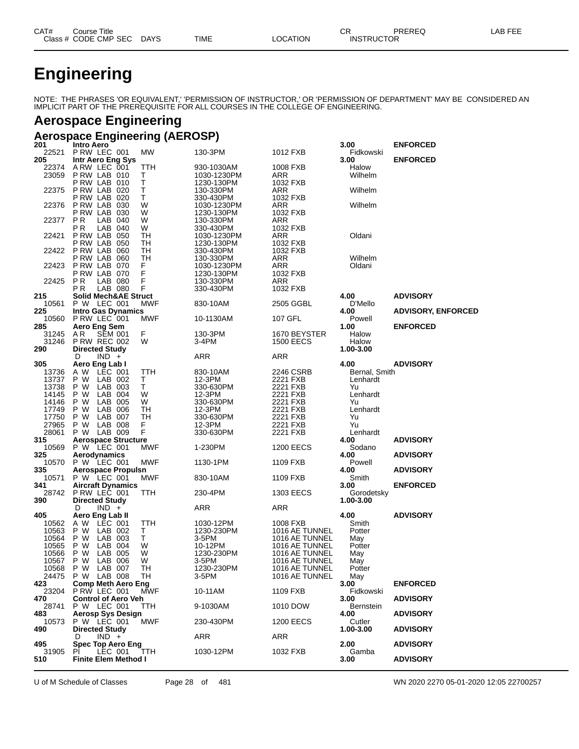| CAT# | Title<br>Course      |      |             |                | СR                | <b>PREREC</b><br>1 L I 1 L V | AR FEE<br>- רו<br>-- |
|------|----------------------|------|-------------|----------------|-------------------|------------------------------|----------------------|
|      | Class # CODE CMP SEC | DAYS | <b>TIME</b> | <b>OCATION</b> | <b>INSTRUCTOR</b> |                              |                      |

# **Engineering**

NOTE: THE PHRASES 'OR EQUIVALENT,' 'PERMISSION OF INSTRUCTOR,' OR 'PERMISSION OF DEPARTMENT' MAY BE CONSIDERED AN IMPLICIT PART OF THE PREREQUISITE FOR ALL COURSES IN THE COLLEGE OF ENGINEERING.

# **Aerospace Engineering**

### **Aerospace Engineering (AEROSP)**

| 201            | Intro Aero                               |            |                        |                                  | 3.00                  | <b>ENFORCED</b>           |
|----------------|------------------------------------------|------------|------------------------|----------------------------------|-----------------------|---------------------------|
| 22521          | P RW LEC 001                             | MW         | 130-3PM                | 1012 FXB                         | Fidkowski             |                           |
| 205<br>22374   | Intr Aero Eng Sys                        | TTH        | 930-1030AM             | 1008 FXB                         | 3.00<br>Halow         | <b>ENFORCED</b>           |
| 23059          | ARW LEC 001<br>PRW LAB 010               | т          | 1030-1230PM            | ARR                              | Wilhelm               |                           |
|                | PRW LAB 010                              | т          | 1230-130PM             | 1032 FXB                         |                       |                           |
| 22375          | PRW LAB 020                              | Τ          | 130-330PM              | ARR                              | Wilhelm               |                           |
|                | P RW LAB 020                             | т          | 330-430PM              | 1032 FXB                         |                       |                           |
| 22376          | P RW LAB 030                             | W          | 1030-1230PM            | ARR                              | Wilhelm               |                           |
|                | P RW LAB<br>030                          | W          | 1230-130PM             | 1032 FXB                         |                       |                           |
| 22377          | <b>PR</b><br>LAB<br>040                  | W          | 130-330PM              | ARR                              |                       |                           |
|                | РR<br>LAB<br>040                         | W          | 330-430PM              | 1032 FXB                         |                       |                           |
| 22421          | P RW LAB<br>050                          | TН         | 1030-1230PM            | ARR                              | Oldani                |                           |
|                | <b>P RW LAB 050</b>                      | TН         | 1230-130PM             | 1032 FXB                         |                       |                           |
| 22422          | <b>P RW LAB 060</b>                      | TН         | 330-430PM              | 1032 FXB                         |                       |                           |
|                | P RW LAB<br>060                          | TН         | 130-330PM              | ARR                              | Wilhelm               |                           |
| 22423          | PRW LAB 070                              | F          | 1030-1230PM            | ARR                              | Oldani                |                           |
| 22425          | <b>P RW LAB 070</b><br>ΡR<br>LAB 080     | F<br>F     | 1230-130PM             | 1032 FXB                         |                       |                           |
|                | LAB 080<br>P R                           | F          | 130-330PM<br>330-430PM | ARR<br>1032 FXB                  |                       |                           |
| 215            | <b>Solid Mech&amp;AE Struct</b>          |            |                        |                                  | 4.00                  | <b>ADVISORY</b>           |
| 10561          | P W LEC 001                              | MWF        | 830-10AM               | 2505 GGBL                        | D'Mello               |                           |
| 225            | <b>Intro Gas Dynamics</b>                |            |                        |                                  | 4.00                  | <b>ADVISORY, ENFORCED</b> |
| 10560          | P RW LEC 001                             | MWF        | 10-1130AM              | 107 GFL                          | Powell                |                           |
| 285            | Aero Eng Sem                             |            |                        |                                  | 1.00                  | <b>ENFORCED</b>           |
| 31245          | ΑR<br><b>SEM 001</b>                     | F          | 130-3PM                | 1670 BEYSTER                     | Halow                 |                           |
| 31246          | <b>P RW REC 002</b>                      | W          | 3-4PM                  | <b>1500 EECS</b>                 | Halow                 |                           |
| 290            | <b>Directed Study</b>                    |            |                        |                                  | 1.00-3.00             |                           |
|                | $IND +$<br>D                             |            | ARR                    | ARR                              |                       |                           |
| 305            | Aero Eng Lab I                           |            |                        |                                  | 4.00<br>Bernal, Smith | <b>ADVISORY</b>           |
| 13736<br>13737 | A W<br>LEC 001<br>P W<br>LAB 002         | TTH<br>Т   | 830-10AM<br>12-3PM     | 2246 CSRB<br>2221 FXB            | Lenhardt              |                           |
| 13738          | P W<br>LAB 003                           | Τ          | 330-630PM              | 2221 FXB                         | Yu                    |                           |
| 14145          | P W<br>LAB<br>004                        | W          | 12-3PM                 | 2221 FXB                         | Lenhardt              |                           |
| 14146          | P W<br>LAB<br>005                        | W          | 330-630PM              | 2221 FXB                         | Yu                    |                           |
| 17749          | P W<br>LAB<br>006                        | TН         | 12-3PM                 | 2221 FXB                         | Lenhardt              |                           |
| 17750          | P W<br>LAB 007                           | TН         | 330-630PM              | 2221 FXB                         | Yu                    |                           |
| 27965          | P W<br>LAB 008                           | F          | 12-3PM                 | 2221 FXB                         | Yu                    |                           |
| 28061          | P W LAB 009                              | F          | 330-630PM              | 2221 FXB                         | Lenhardt              |                           |
| 315            | <b>Aerospace Structure</b>               |            |                        |                                  | 4.00                  | <b>ADVISORY</b>           |
| 10569          | P W LEC 001                              | <b>MWF</b> | 1-230PM                | <b>1200 EECS</b>                 | Sodano                |                           |
| 325            | Aerodynamics                             |            |                        |                                  | 4.00                  | <b>ADVISORY</b>           |
| 10570<br>335   | P W LEC 001<br><b>Aerospace Propulsn</b> | MWF        | 1130-1PM               | 1109 FXB                         | Powell<br>4.00        | <b>ADVISORY</b>           |
| 10571          | P W LEC 001                              | MWF        | 830-10AM               | 1109 FXB                         | Smith                 |                           |
| 341            | <b>Aircraft Dynamics</b>                 |            |                        |                                  | 3.00                  | <b>ENFORCED</b>           |
| 28742          | PRW LEC 001                              | TTH        | 230-4PM                | <b>1303 EECS</b>                 | Gorodetsky            |                           |
| 390            | <b>Directed Study</b>                    |            |                        |                                  | 1.00-3.00             |                           |
|                | $IND +$<br>D                             |            | ARR                    | ARR                              |                       |                           |
| 405            | Aero Eng Lab II                          |            |                        |                                  | 4.00                  | <b>ADVISORY</b>           |
| 10562          | A W<br>LEC 001                           | TTH        | 1030-12PM              | 1008 FXB                         | Smith                 |                           |
| 10563          | P W<br>LAB 002                           | Т          | 1230-230PM             | 1016 AE TUNNEL                   | Potter                |                           |
| 10564          | P W<br>LAB 003                           | Τ<br>W     | 3-5PM                  | 1016 AE TUNNEL                   | May                   |                           |
| 10565<br>10566 | P W<br>LAB<br>-004<br>LAB 005<br>P W     | W          | 10-12PM<br>1230-230PM  | 1016 AE TUNNEL<br>1016 AE TUNNEL | Potter<br>May         |                           |
| 10567          | P W<br>LAB 006                           | W          | 3-5PM                  | 1016 AE TUNNEL                   | May                   |                           |
|                | 10568 P W LAB 007                        | TH.        | 1230-230PM             | 1016 AE TUNNEL                   | Potter                |                           |
| 24475          | P W LAB 008                              | ТH         | 3-5PM                  | 1016 AE TUNNEL                   | May                   |                           |
| 423            | <b>Comp Meth Aero Eng</b>                |            |                        |                                  | 3.00                  | <b>ENFORCED</b>           |
| 23204          | P RW LEC 001                             | <b>MWF</b> | 10-11AM                | 1109 FXB                         | Fidkowski             |                           |
| 470            | <b>Control of Aero Veh</b>               |            |                        |                                  | 3.00                  | <b>ADVISORY</b>           |
| 28741          | P W LEC 001                              | TTH        | 9-1030AM               | 1010 DOW                         | <b>Bernstein</b>      |                           |
| 483            | <b>Aerosp Sys Design</b>                 |            |                        |                                  | 4.00                  | <b>ADVISORY</b>           |
| 10573<br>490   | P W LEC 001<br><b>Directed Study</b>     | MWF        | 230-430PM              | <b>1200 EECS</b>                 | Cutler<br>1.00-3.00   | <b>ADVISORY</b>           |
|                | D<br>$IND +$                             |            | ARR                    | ARR                              |                       |                           |
| 495            | <b>Spec Top Aero Eng</b>                 |            |                        |                                  | 2.00                  | <b>ADVISORY</b>           |
| 31905          | ΡĪ<br>LEC 001                            | TTH.       | 1030-12PM              | 1032 FXB                         | Gamba                 |                           |
| 510            | <b>Finite Elem Method I</b>              |            |                        |                                  | 3.00                  | <b>ADVISORY</b>           |

U of M Schedule of Classes Page 28 of 481 WN 2020 2270 05-01-2020 12:05 22700257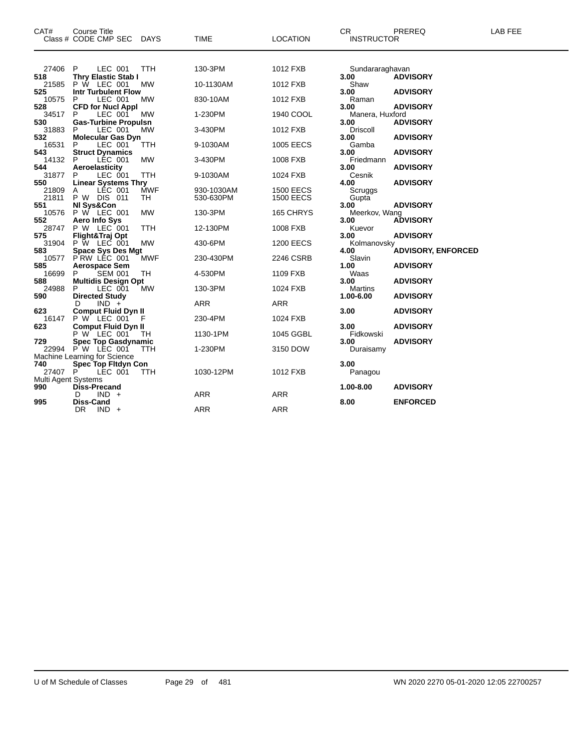| CAT#                       | <b>Course Title</b><br>Class # CODE CMP SEC                | DAYS       | <b>TIME</b>             | <b>LOCATION</b>                      | CR.<br><b>INSTRUCTOR</b> | PREREQ                    | LAB FEE |
|----------------------------|------------------------------------------------------------|------------|-------------------------|--------------------------------------|--------------------------|---------------------------|---------|
| 27406                      | P.<br>LEC 001                                              | <b>TTH</b> | 130-3PM                 | 1012 FXB                             | Sundararaghavan          |                           |         |
| 518<br>21585               | <b>Thry Elastic Stab I</b><br>P W LEC 001                  | MW         | 10-1130AM               | 1012 FXB                             | 3.00<br>Shaw             | <b>ADVISORY</b>           |         |
| 525                        | <b>Intr Turbulent Flow</b>                                 |            |                         |                                      | 3.00                     | <b>ADVISORY</b>           |         |
| 10575<br>528               | LEC 001<br>P<br><b>CFD for Nucl Appl</b>                   | МW         | 830-10AM                | 1012 FXB                             | Raman<br>3.00            | <b>ADVISORY</b>           |         |
| 34517                      | LEC 001<br>P.                                              | MW         | 1-230PM                 | 1940 COOL                            | Manera, Huxford          |                           |         |
| 530<br>31883               | <b>Gas-Turbine Propulsn</b><br>LEC 001<br>P.               | <b>MW</b>  | 3-430PM                 | 1012 FXB                             | 3.00<br>Driscoll         | <b>ADVISORY</b>           |         |
| 532                        | <b>Molecular Gas Dyn</b>                                   |            |                         |                                      | 3.00                     | <b>ADVISORY</b>           |         |
| 16531<br>543               | LEC 001<br><b>Struct Dynamics</b>                          | TTH        | 9-1030AM                | 1005 EECS                            | Gamba<br>3.00            | <b>ADVISORY</b>           |         |
| 14132                      | LÉC 001<br>P                                               | <b>MW</b>  | 3-430PM                 | 1008 FXB                             | Friedmann                |                           |         |
| 544<br>31877               | Aeroelasticity<br>LEC 001<br>P                             | <b>TTH</b> | 9-1030AM                | 1024 FXB                             | 3.00<br>Cesnik           | <b>ADVISORY</b>           |         |
| 550                        | <b>Linear Systems Thry</b>                                 | <b>MWF</b> |                         |                                      | 4.00                     | <b>ADVISORY</b>           |         |
| 21809<br>21811             | LEC 001<br>A<br><b>P W DIS 011</b>                         | TH         | 930-1030AM<br>530-630PM | <b>1500 EECS</b><br><b>1500 EECS</b> | Scruggs<br>Gupta         |                           |         |
| 551<br>10576               | NI Sys&Con<br>P W LEC 001                                  | <b>MW</b>  | 130-3PM                 | 165 CHRYS                            | 3.00<br>Meerkov, Wang    | <b>ADVISORY</b>           |         |
| 552                        | Aero Info Sys                                              |            |                         |                                      | 3.00                     | <b>ADVISORY</b>           |         |
| 28747<br>575               | P W LEC 001<br>Flight&Traj Opt                             | <b>TTH</b> | 12-130PM                | 1008 FXB                             | Kuevor<br>3.00           | <b>ADVISORY</b>           |         |
| 31904                      | P W LEC 001                                                | <b>MW</b>  | 430-6PM                 | <b>1200 EECS</b>                     | Kolmanovsky              |                           |         |
| 583<br>10577               | <b>Space Sys Des Mgt</b><br>PRW LEC 001                    | <b>MWF</b> | 230-430PM               | 2246 CSRB                            | 4.00<br>Slavin           | <b>ADVISORY, ENFORCED</b> |         |
| 585                        | <b>Aerospace Sem</b>                                       |            |                         |                                      | 1.00                     | <b>ADVISORY</b>           |         |
| 16699<br>588               | <b>SEM 001</b><br>P<br><b>Multidis Design Opt</b>          | TH.        | 4-530PM                 | 1109 FXB                             | Waas<br>3.00             | <b>ADVISORY</b>           |         |
| 24988                      | LEC 001<br>P.                                              | <b>MW</b>  | 130-3PM                 | 1024 FXB                             | Martins                  |                           |         |
| 590                        | <b>Directed Study</b><br>$IND +$<br>D                      |            | ARR                     | ARR                                  | 1.00-6.00                | <b>ADVISORY</b>           |         |
| 623<br>16147               | <b>Comput Fluid Dyn II</b><br>P W LEC 001                  |            | 230-4PM                 | 1024 FXB                             | 3.00                     | <b>ADVISORY</b>           |         |
| 623                        | <b>Comput Fluid Dyn II</b>                                 |            |                         |                                      | 3.00                     | <b>ADVISORY</b>           |         |
| 729                        | P W LEC 001<br><b>Spec Top Gasdynamic</b>                  | TH         | 1130-1PM                | 1045 GGBL                            | Fidkowski<br>3.00        | <b>ADVISORY</b>           |         |
|                            | 22994 PW LEC 001                                           | <b>TTH</b> | 1-230PM                 | 3150 DOW                             | Duraisamy                |                           |         |
| 740                        | Machine Learning for Science<br><b>Spec Top Fitdyn Con</b> |            |                         |                                      | 3.00                     |                           |         |
| 27407 P                    | LEC 001                                                    | <b>TTH</b> | 1030-12PM               | 1012 FXB                             | Panagou                  |                           |         |
| Multi Agent Systems<br>990 | Diss-Precand                                               |            |                         |                                      | 1.00-8.00                | <b>ADVISORY</b>           |         |
|                            | $IND +$<br>D                                               |            | <b>ARR</b>              | <b>ARR</b>                           |                          |                           |         |
| 995                        | <b>Diss-Cand</b><br>DR.<br>$IND +$                         |            | <b>ARR</b>              | <b>ARR</b>                           | 8.00                     | <b>ENFORCED</b>           |         |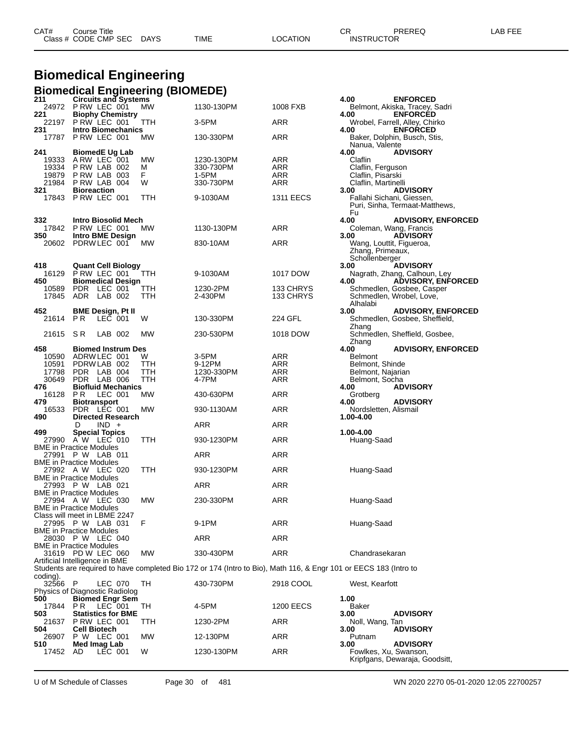| CAT# | Title<br>Course i    |             |      |          | Ωn<br>◡⊓          | PREREQ | AR FFF |
|------|----------------------|-------------|------|----------|-------------------|--------|--------|
|      | Class # CODE CMP SEC | <b>DAYS</b> | TIME | LOCATION | <b>INSTRUCTOR</b> |        |        |

# **Biomedical Engineering**

|                                         |                                             |         | Biomedical Engineering (BIOMEDE) |                                                                                                                   |                  |                                                      |                                                            |
|-----------------------------------------|---------------------------------------------|---------|----------------------------------|-------------------------------------------------------------------------------------------------------------------|------------------|------------------------------------------------------|------------------------------------------------------------|
| 211<br>24972                            | <b>Circuits and Systems</b><br>P RW LEC 001 |         | <b>MW</b>                        | 1130-130PM                                                                                                        | 1008 FXB         | 4.00                                                 | <b>ENFORCED</b><br>Belmont, Akiska, Tracey, Sadri          |
| 221<br>22197                            | <b>Biophy Chemistry</b><br>P RW LEC 001     |         | ттн                              | 3-5PM                                                                                                             | ARR              | 4.00                                                 | <b>ENFORCED</b><br>Wrobel, Farrell, Alley, Chirko          |
| 231<br>17787                            | <b>Intro Biomechanics</b><br>PRW LEC 001    |         | МW                               | 130-330PM                                                                                                         | ARR              | 4.00                                                 | <b>ENFORCED</b><br>Baker, Dolphin, Busch, Stis,            |
|                                         |                                             |         |                                  |                                                                                                                   |                  | Nanua, Valente                                       |                                                            |
| 241<br>19333                            | <b>BiomedE Ug Lab</b><br>ARW LEC 001        |         | MW                               | 1230-130PM                                                                                                        | ARR              | 4.00<br>Claflin                                      | <b>ADVISORY</b>                                            |
| 19334<br>19879                          | PRW LAB 002<br>PRW LAB 003                  |         | М<br>F                           | 330-730PM<br>1-5PM                                                                                                | ARR<br>ARR       | Claflin, Ferguson<br>Claflin, Pisarski               |                                                            |
| 21984                                   | PRW LAB 004                                 |         | W                                | 330-730PM                                                                                                         | ARR              | Claflin, Martinelli                                  |                                                            |
| 321<br>17843                            | <b>Bioreaction</b><br>P RW LEC 001          |         | ттн                              | 9-1030AM                                                                                                          | <b>1311 EECS</b> | 3.00<br>Fallahi Sichani, Giessen,                    | <b>ADVISORY</b><br>Puri, Sinha, Termaat-Matthews,          |
|                                         |                                             |         |                                  |                                                                                                                   |                  | Fu                                                   |                                                            |
| 332<br>17842                            | Intro Biosolid Mech<br>PRW LEC 001          |         | МW                               | 1130-130PM                                                                                                        | ARR              | 4.00<br>Coleman, Wang, Francis                       | <b>ADVISORY, ENFORCED</b>                                  |
| 350<br>20602                            | Intro BME Design<br>PDRW LEC 001            |         | МW                               | 830-10AM                                                                                                          | ARR              | 3.00<br>Wang, Louttit, Figueroa,<br>Zhang, Primeaux, | <b>ADVISORY</b>                                            |
|                                         |                                             |         |                                  |                                                                                                                   |                  | Schollenberger                                       |                                                            |
| 418<br>16129                            | <b>Quant Cell Biology</b><br>PRW LEC 001    |         | TTH                              | 9-1030AM                                                                                                          | 1017 DOW         | 3.00                                                 | <b>ADVISORY</b><br>Nagrath, Zhang, Calhoun, Ley            |
| 450<br>10589                            | <b>Biomedical Design</b><br>PDR.            | LEC 001 | TТH                              | 1230-2PM                                                                                                          | 133 CHRYS        | 4.00                                                 | <b>ADVISORY, ENFORCED</b><br>Schmedlen, Gosbee, Casper     |
| 17845                                   | <b>ADR</b>                                  | LAB 002 | TTH                              | 2-430PM                                                                                                           | 133 CHRYS        | Alhalabi                                             | Schmedlen, Wrobel, Love,                                   |
| 452<br>21614                            | <b>BME Design, Pt II</b><br>P R             | LEC 001 | W                                | 130-330PM                                                                                                         | 224 GFL          | 3.00                                                 | <b>ADVISORY, ENFORCED</b><br>Schmedlen, Gosbee, Sheffield, |
| 21615                                   | S R                                         | LAB 002 | MW                               | 230-530PM                                                                                                         | 1018 DOW         | Zhang                                                | Schmedlen, Sheffield, Gosbee,                              |
| 458                                     | <b>Biomed Instrum Des</b>                   |         |                                  |                                                                                                                   |                  | Zhang<br>4.00                                        | <b>ADVISORY, ENFORCED</b>                                  |
| 10590                                   | ADRW LEC 001                                |         | W                                | 3-5PM                                                                                                             | ARR              | <b>Belmont</b>                                       |                                                            |
| 10591<br>17798                          | PDRW LAB 002<br>PDR LAB 004                 |         | ттн<br>TTH                       | 9-12PM<br>1230-330PM                                                                                              | ARR<br>ARR       | Belmont, Shinde                                      |                                                            |
| 30649                                   | PDR LAB 006                                 |         | ттн                              | 4-7PM                                                                                                             | ARR              | Belmont, Najarian<br>Belmont, Socha                  |                                                            |
| 476<br>16128                            | <b>Biofluid Mechanics</b><br>P R            | LEC 001 | МW                               | 430-630PM                                                                                                         | ARR              | 4.00<br>Grotberg                                     | <b>ADVISORY</b>                                            |
| 479<br>16533                            | <b>Biotransport</b><br><b>PDR</b>           | LEC 001 | МW                               | 930-1130AM                                                                                                        | ARR              | 4.00<br>Nordsletten, Alismail                        | <b>ADVISORY</b>                                            |
| 490                                     | <b>Directed Research</b><br>D               | $IND +$ |                                  | ARR                                                                                                               | ARR              | 1.00-4.00                                            |                                                            |
| 499                                     | <b>Special Topics</b><br>27990 A W LEC 010  |         | TTH                              | 930-1230PM                                                                                                        | ARR              | 1.00-4.00<br>Huang-Saad                              |                                                            |
| BME in Practice Modules<br>27991        | P W LAB 011                                 |         |                                  | ARR                                                                                                               | ARR              |                                                      |                                                            |
| BME in Practice Modules                 |                                             |         |                                  |                                                                                                                   |                  |                                                      |                                                            |
| <b>BME</b> in Practice Modules          | 27992 A W LEC 020                           |         | TTH                              | 930-1230PM                                                                                                        | ARR              | Huang-Saad                                           |                                                            |
| <b>BME</b> in Practice Modules          | 27993 P W LAB 021                           |         |                                  | ARR                                                                                                               | ARR              |                                                      |                                                            |
| <b>BME</b> in Practice Modules          | 27994 AW LEC 030                            |         | МW                               | 230-330PM                                                                                                         | ARR              | Huang-Saad                                           |                                                            |
| Class will meet in LBME 2247            |                                             |         |                                  |                                                                                                                   |                  |                                                      |                                                            |
| 27995<br><b>BME in Practice Modules</b> | P W LAB 031                                 |         | F                                | 9-1PM                                                                                                             | ARR              | Huang-Saad                                           |                                                            |
| BME in Practice Modules                 | 28030 P W LEC 040                           |         |                                  | ARR                                                                                                               | <b>ARR</b>       |                                                      |                                                            |
| Artificial Intelligence in BME          | 31619 PD W LEC 060                          |         | MW                               | 330-430PM                                                                                                         | ARR              | Chandrasekaran                                       |                                                            |
|                                         |                                             |         |                                  | Students are required to have completed Bio 172 or 174 (Intro to Bio), Math 116, & Engr 101 or EECS 183 (Intro to |                  |                                                      |                                                            |
| coding).<br>32566                       | - P                                         | LEC 070 | TН                               | 430-730PM                                                                                                         | 2918 COOL        | West, Kearfott                                       |                                                            |
| Physics of Diagnostic Radiolog<br>500   | <b>Biomed Engr Sem</b>                      |         |                                  |                                                                                                                   |                  | 1.00                                                 |                                                            |
| 17844                                   | PR.                                         | LEC 001 | TН                               | 4-5PM                                                                                                             | 1200 EECS        | Baker                                                |                                                            |
| 503<br>21637                            | <b>Statistics for BME</b><br>PRW LEC 001    |         | TTH                              | 1230-2PM                                                                                                          | ARR              | 3.00<br>Noll, Wang, Tan                              | <b>ADVISORY</b>                                            |
| 504<br>26907                            | Cell Biotech<br>P W LEC 001                 |         | MW                               | 12-130PM                                                                                                          | ARR              | 3.00<br>Putnam                                       | <b>ADVISORY</b>                                            |
| 510<br>17452                            | Med Imag Lab<br>AD.                         | LEC 001 | W                                | 1230-130PM                                                                                                        | <b>ARR</b>       | 3.00<br>Fowlkes, Xu, Swanson,                        | <b>ADVISORY</b><br>Kripfgans, Dewaraja, Goodsitt,          |

U of M Schedule of Classes Page 30 of 481 WN 2020 2270 05-01-2020 12:05 22700257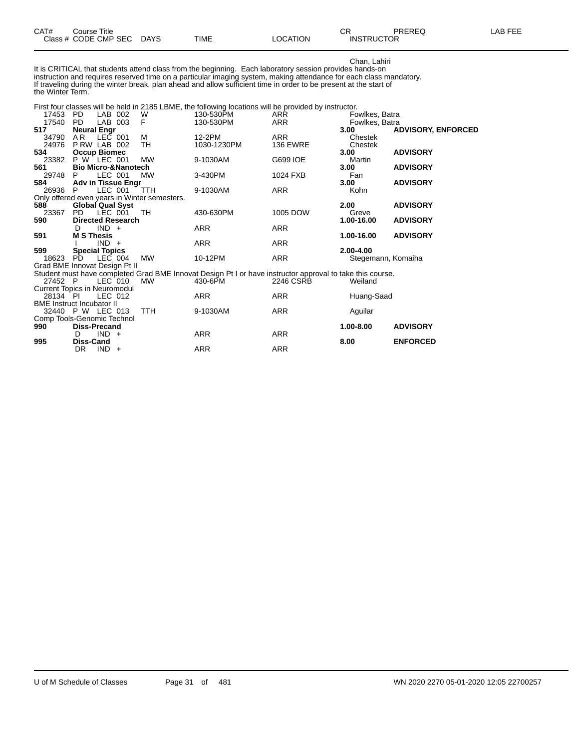|  | CAT# | ourse Titleٽ<br>Class # CODE CMP SEC | <b>DAYS</b> | TIME | LOCATION | ⌒冖<br>- UN<br><b>INSTRUCTOR</b> | PREREQ | 8 EEE<br>AR. |
|--|------|--------------------------------------|-------------|------|----------|---------------------------------|--------|--------------|
|--|------|--------------------------------------|-------------|------|----------|---------------------------------|--------|--------------|

Chan, Lahiri It is CRITICAL that students attend class from the beginning. Each laboratory session provides hands-on instruction and requires reserved time on a particular imaging system, making attendance for each class mandatory. If traveling during the winter break, plan ahead and allow sufficient time in order to be present at the start of the Winter Term.

#### First four classes will be held in 2185 LBME, the following locations will be provided by instructor.

| 17453                               | PD.                            | LAB 002   | W                                            | 130-530PM                                                                                                 | ARR             | Fowlkes, Batra     |                           |
|-------------------------------------|--------------------------------|-----------|----------------------------------------------|-----------------------------------------------------------------------------------------------------------|-----------------|--------------------|---------------------------|
| 17540                               | <b>PD</b>                      | LAB 003   | F                                            | 130-530PM                                                                                                 | ARR             | Fowlkes, Batra     |                           |
| 517                                 | <b>Neural Engr</b>             |           |                                              |                                                                                                           |                 | 3.00               | <b>ADVISORY, ENFORCED</b> |
| 34790                               | AR.                            | LEC 001   | м                                            | 12-2PM                                                                                                    | <b>ARR</b>      | Chestek            |                           |
| 24976                               | PRW LAB 002                    |           | TH                                           | 1030-1230PM                                                                                               | <b>136 EWRE</b> | Chestek            |                           |
| 534                                 | <b>Occup Biomec</b>            |           |                                              |                                                                                                           |                 | 3.00               | <b>ADVISORY</b>           |
| 23382                               | P W LEC 001                    |           | <b>MW</b>                                    | 9-1030AM                                                                                                  | G699 IOE        | Martin             |                           |
| 561                                 | <b>Bio Micro-&amp;Nanotech</b> |           |                                              |                                                                                                           |                 | 3.00               | <b>ADVISORY</b>           |
| 29748                               | P.                             | LEC 001   | МW                                           | 3-430PM                                                                                                   | 1024 FXB        | Fan                |                           |
| 584                                 | Adv in Tissue Engr             |           |                                              |                                                                                                           |                 | 3.00               | <b>ADVISORY</b>           |
| 26936                               |                                | LEC 001   | TTH                                          | 9-1030AM                                                                                                  | ARR             | Kohn               |                           |
|                                     |                                |           | Only offered even years in Winter semesters. |                                                                                                           |                 |                    |                           |
| 588                                 | <b>Global Qual Syst</b>        |           |                                              |                                                                                                           |                 | 2.00               | <b>ADVISORY</b>           |
| 23367                               | PD.                            | LEC 001   | TH                                           | 430-630PM                                                                                                 | 1005 DOW        | Greve              |                           |
| 590                                 | <b>Directed Research</b>       |           |                                              |                                                                                                           |                 | 1.00-16.00         | <b>ADVISORY</b>           |
|                                     | D                              | $IND +$   |                                              | ARR                                                                                                       | ARR             |                    |                           |
| 591                                 | <b>M S Thesis</b>              |           |                                              |                                                                                                           |                 | 1.00-16.00         | <b>ADVISORY</b>           |
|                                     |                                | $IND +$   |                                              | ARR                                                                                                       | ARR             |                    |                           |
| 599                                 | <b>Special Topics</b>          |           |                                              |                                                                                                           |                 | $2.00 - 4.00$      |                           |
| 18623                               | PD.                            | LEC 004   | <b>MW</b>                                    | 10-12PM                                                                                                   | ARR             | Stegemann, Komaiha |                           |
| Grad BME Innovat Design Pt II       |                                |           |                                              |                                                                                                           |                 |                    |                           |
|                                     |                                |           |                                              | Student must have completed Grad BME Innovat Design Pt I or have instructor approval to take this course. |                 |                    |                           |
| 27452 P                             |                                | $LEC$ 010 | <b>MW</b>                                    | 430-6PM                                                                                                   | 2246 CSRB       | Weiland            |                           |
| <b>Current Topics in Neuromodul</b> |                                |           |                                              |                                                                                                           |                 |                    |                           |
| 28134 PI                            |                                | LEC 012   |                                              | ARR                                                                                                       | ARR             | Huang-Saad         |                           |
| <b>BME</b> Instruct Incubator II    |                                |           |                                              |                                                                                                           |                 |                    |                           |
| 32440 P W LEC 013                   |                                |           | TTH                                          | 9-1030AM                                                                                                  | <b>ARR</b>      | Aguilar            |                           |
| Comp Tools-Genomic Technol          |                                |           |                                              |                                                                                                           |                 |                    |                           |
| 990                                 | <b>Diss-Precand</b>            |           |                                              |                                                                                                           |                 | 1.00-8.00          | <b>ADVISORY</b>           |
|                                     | D                              | $IND +$   |                                              | ARR                                                                                                       | ARR             |                    |                           |
| 995                                 | <b>Diss-Cand</b>               |           |                                              |                                                                                                           |                 | 8.00               | <b>ENFORCED</b>           |
|                                     | DR.                            | $IND +$   |                                              | <b>ARR</b>                                                                                                | <b>ARR</b>      |                    |                           |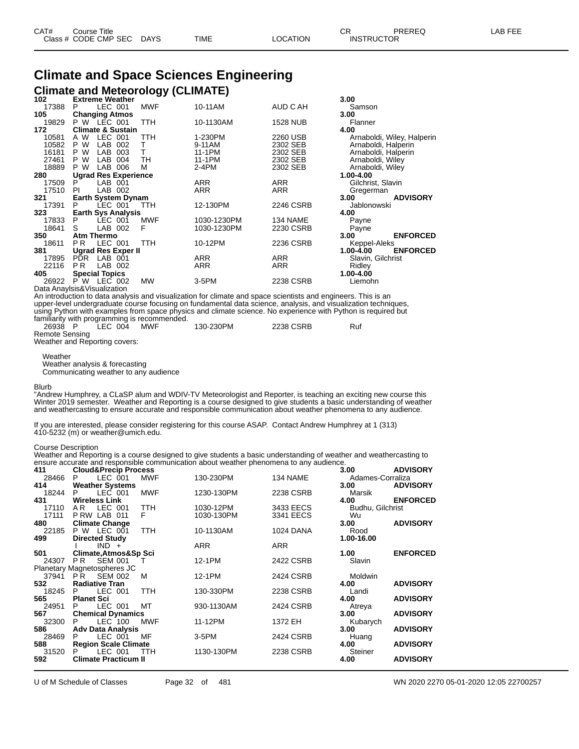#### **Climate and Space Sciences Engineering Climate and Meteorology (CLIMATE)**

| 102   | <b>Extreme Weather</b>        |            |             |                 | 3.00                         |
|-------|-------------------------------|------------|-------------|-----------------|------------------------------|
| 17388 | LEC 001<br>P                  | <b>MWF</b> | 10-11AM     | AUD C AH        | Samson                       |
| 105   | <b>Changing Atmos</b>         |            |             |                 | 3.00                         |
| 19829 | $P W$ LEC 001                 | TTH        | 10-1130AM   | <b>1528 NUB</b> | Flanner                      |
| 172   | <b>Climate &amp; Sustain</b>  |            |             |                 | 4.00                         |
| 10581 | LEC 001<br>A W                | TTH        | 1-230PM     | 2260 USB        | Arnaboldi, Wiley, Halperin   |
| 10582 | P W<br>LAB<br>002             | т          | 9-11AM      | 2302 SEB        | Arnaboldi, Halperin          |
| 16181 | W<br>LAB<br>P.<br>003         | т          | 11-1PM      | 2302 SEB        | Arnaboldi, Halperin          |
| 27461 | W<br>LAB<br>P<br>004          | TH         | 11-1PM      | 2302 SEB        | Arnaboldi, Wiley             |
| 18889 | P W<br>LAB 006                | M          | $2-4PM$     | 2302 SEB        | Arnaboldi, Wiley             |
| 280   | <b>Ugrad Res Experience</b>   |            |             |                 | 1.00-4.00                    |
| 17509 | LAB 001<br>P                  |            | <b>ARR</b>  | <b>ARR</b>      | Gilchrist, Slavin            |
| 17510 | LAB 002<br>PI.                |            | ARR         | ARR             | Gregerman                    |
| 321   | <b>Earth System Dynam</b>     |            |             |                 | <b>ADVISORY</b><br>3.00      |
| 17391 | LEC 001<br>P.                 | <b>TTH</b> | 12-130PM    | 2246 CSRB       | Jablonowski                  |
| 323   | <b>Earth Sys Analysis</b>     |            |             |                 | 4.00                         |
| 17833 | LEC 001<br>P                  | <b>MWF</b> | 1030-1230PM | 134 NAME        | Payne                        |
| 18641 | LAB 002<br>S                  | F          | 1030-1230PM | 2230 CSRB       | Payne                        |
| 350   | <b>Atm Thermo</b>             |            |             |                 | <b>ENFORCED</b><br>3.00      |
| 18611 | LEC 001<br>PR.                | <b>TTH</b> | 10-12PM     | 2236 CSRB       | Keppel-Aleks                 |
| 381   | <b>Ugrad Res Exper II</b>     |            |             |                 | 1.00-4.00<br><b>ENFORCED</b> |
| 17895 | PDR LAB 001                   |            | ARR         | <b>ARR</b>      | Slavin, Gilchrist            |
| 22116 | P <sub>R</sub><br>LAB 002     |            | <b>ARR</b>  | <b>ARR</b>      | Ridley                       |
| 405   | <b>Special Topics</b>         |            |             |                 | 1.00-4.00                    |
| 26922 | P W LEC 002                   | MW         | 3-5PM       | 2238 CSRB       | Liemohn                      |
|       | Dota Apoulois 8 Viouglization |            |             |                 |                              |

Data Anaylsis&Visualization

An introduction to data analysis and visualization for climate and space scientists and engineers. This is an upper-level undergraduate course focusing on fundamental data science, analysis, and visualization techniques, using Python with examples from space physics and climate science. No experience with Python is required but familiarity with programming is recommended.<br>26938 P LEC 004 MWF

LEC 004 MWF 130-230PM 2238 CSRB Ruf Remote Sensing

Weather and Reporting covers:

Weather

Weather analysis & forecasting

Communicating weather to any audience

#### Blurb

"Andrew Humphrey, a CLaSP alum and WDIV-TV Meteorologist and Reporter, is teaching an exciting new course this Winter 2019 semester. Weather and Reporting is a course designed to give students a basic understanding of weather and weathercasting to ensure accurate and responsible communication about weather phenomena to any audience.

If you are interested, please consider registering for this course ASAP. Contact Andrew Humphrey at 1 (313) 410-5232 (m) or weather@umich.edu.

Weather and Reporting is a course designed to give students a basic understanding of weather and weathercasting to ensure accurate and responsible communication about weather phenomena to any audience.

| 411   | <b>Cloud&amp;Precip Process</b> |            |            |                  | 3.00             | <b>ADVISORY</b> |
|-------|---------------------------------|------------|------------|------------------|------------------|-----------------|
| 28466 | P<br>LEC 001                    | <b>MWF</b> | 130-230PM  | 134 NAME         | Adames-Corraliza |                 |
| 414   | <b>Weather Systems</b>          |            |            |                  | 3.00             | <b>ADVISORY</b> |
| 18244 | P<br>LEC 001                    | <b>MWF</b> | 1230-130PM | 2238 CSRB        | Marsik           |                 |
| 431   | <b>Wireless Link</b>            |            |            |                  | 4.00             | <b>ENFORCED</b> |
| 17110 | LEC 001<br>AR.                  | TTH        | 1030-12PM  | 3433 EECS        | Budhu, Gilchrist |                 |
| 17111 | PRW LAB 011                     | F          | 1030-130PM | 3341 EECS        | Wu               |                 |
| 480   | <b>Climate Change</b>           |            |            |                  | 3.00             | <b>ADVISORY</b> |
| 22185 | P W LEC 001                     | <b>TTH</b> | 10-1130AM  | <b>1024 DANA</b> | Rood             |                 |
| 499   | <b>Directed Study</b>           |            |            |                  | 1.00-16.00       |                 |
|       | $IND +$                         |            | <b>ARR</b> | <b>ARR</b>       |                  |                 |
| 501   | Climate, Atmos&Sp Sci           |            |            |                  | 1.00             | <b>ENFORCED</b> |
| 24307 | <b>SEM 001</b><br>PR -          | T          | 12-1PM     | 2422 CSRB        | Slavin           |                 |
|       | Planetary Magnetospheres JC     |            |            |                  |                  |                 |
| 37941 | <b>SEM 002</b><br>PR            | M          | 12-1PM     | 2424 CSRB        | Moldwin          |                 |
| 532   | <b>Radiative Tran</b>           |            |            |                  | 4.00             | <b>ADVISORY</b> |
| 18245 | LEC 001<br>P                    | <b>TTH</b> | 130-330PM  | 2238 CSRB        | Landi            |                 |
| 565   | <b>Planet Sci</b>               |            |            |                  | 4.00             | <b>ADVISORY</b> |
| 24951 | LEC 001<br>P                    | MT         | 930-1130AM | 2424 CSRB        | Atreya           |                 |
| 567   | <b>Chemical Dynamics</b>        |            |            |                  | 3.00             | <b>ADVISORY</b> |
| 32300 | LEC 100<br>P                    | <b>MWF</b> | 11-12PM    | 1372 EH          | Kubarych         |                 |
| 586   | <b>Adv Data Analysis</b>        |            |            |                  | 3.00             | <b>ADVISORY</b> |
| 28469 | LEC 001<br>P                    | MF         | $3-5$ PM   | 2424 CSRB        | Huang            |                 |
| 588   | <b>Region Scale Climate</b>     |            |            |                  | 4.00             | <b>ADVISORY</b> |
| 31520 | LEC 001                         | <b>TTH</b> | 1130-130PM | 2238 CSRB        | Steiner          |                 |
| 592   | <b>Climate Practicum II</b>     |            |            |                  | 4.00             | <b>ADVISORY</b> |
|       |                                 |            |            |                  |                  |                 |

U of M Schedule of Classes Page 32 of 481 WN 2020 2270 05-01-2020 12:05 22700257

Course Description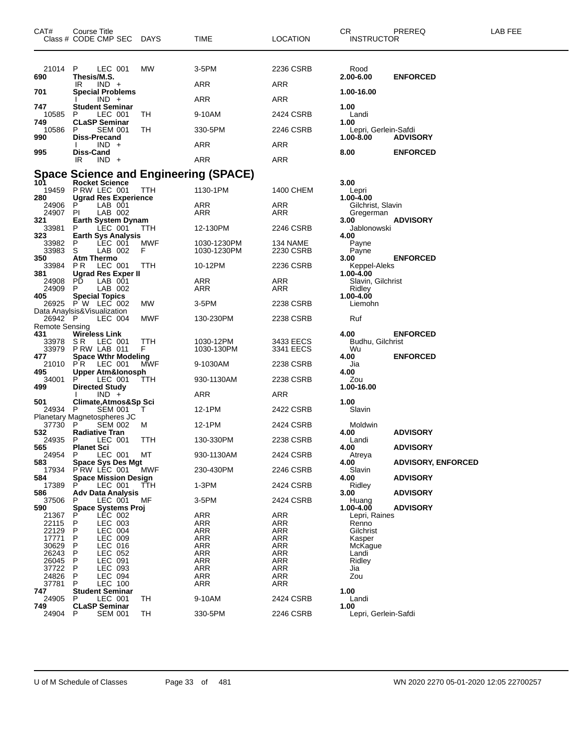| CAT#                                           | Course Title<br>Class # CODE CMP SEC DAYS                              |           | <b>TIME</b>                | <b>LOCATION</b>          | CR<br><b>INSTRUCTOR</b>                   | PREREQ                    | LAB FEE |
|------------------------------------------------|------------------------------------------------------------------------|-----------|----------------------------|--------------------------|-------------------------------------------|---------------------------|---------|
| 21014<br>690                                   | P<br>LEC 001<br>Thesis/M.S.<br>$IND +$<br>IR                           | MW        | 3-5PM<br>ARR               | 2236 CSRB<br>ARR         | Rood<br>2.00-6.00                         | <b>ENFORCED</b>           |         |
| 701                                            | <b>Special Problems</b><br>$IND +$                                     |           | ARR                        | ARR                      | 1.00-16.00                                |                           |         |
| 747<br>10585<br>749                            | <b>Student Seminar</b><br>P<br>LEC 001                                 | TН        | 9-10AM                     | 2424 CSRB                | 1.00<br>Landi                             |                           |         |
| 10586<br>990                                   | <b>CLaSP Seminar</b><br><b>SEM 001</b><br>- P<br><b>Diss-Precand</b>   | TН        | 330-5PM                    | 2246 CSRB                | 1.00<br>Lepri, Gerlein-Safdi<br>1.00-8.00 | <b>ADVISORY</b>           |         |
| 995                                            | $IND +$<br>Diss-Cand                                                   |           | ARR                        | ARR                      | 8.00                                      | <b>ENFORCED</b>           |         |
|                                                | IR<br>$IND +$                                                          |           | <b>ARR</b>                 | ARR                      |                                           |                           |         |
|                                                | Space Science and Engineering (SPACE)                                  |           |                            |                          |                                           |                           |         |
| 101<br>19459<br>280                            | <b>Rocket Science</b><br>P RW LEC 001<br><b>Ugrad Res Experience</b>   | TTH       | 1130-1PM                   | 1400 CHEM                | 3.00<br>Lepri<br>1.00-4.00                |                           |         |
| 24906<br>24907<br>321                          | LAB 001<br>P<br>LAB 002<br>PI<br><b>Earth System Dynam</b>             |           | ARR<br>ARR                 | ARR<br>ARR               | Gilchrist, Slavin<br>Gregerman<br>3.00    | <b>ADVISORY</b>           |         |
| 33981<br>323                                   | P<br>LEC 001<br><b>Earth Sys Analysis</b>                              | TTH       | 12-130PM                   | 2246 CSRB                | Jablonowski<br>4.00                       |                           |         |
| 33982 P<br>33983                               | LEC 001<br>LAB 002<br>S                                                | MWF<br>F  | 1030-1230PM<br>1030-1230PM | 134 NAME<br>2230 CSRB    | Payne<br>Payne                            |                           |         |
| 350<br>33984<br>381                            | Atm Thermo<br>PR<br>LEC 001<br><b>Ugrad Res Exper II</b>               | TTH       | 10-12PM                    | 2236 CSRB                | 3.00<br>Keppel-Aleks<br>1.00-4.00         | <b>ENFORCED</b>           |         |
| 24908<br>24909                                 | LAB 001<br>PD.<br>LAB 002<br>P                                         |           | ARR<br>ARR                 | ARR<br><b>ARR</b>        | Slavin, Gilchrist<br>Ridley               |                           |         |
| 405                                            | <b>Special Topics</b><br>26925 PW LEC 002                              | MW        | 3-5PM                      | 2238 CSRB                | 1.00-4.00<br>Liemohn                      |                           |         |
| 26942 P                                        | Data Anaylsis&Visualization<br>LEC 004                                 | MWF       | 130-230PM                  | 2238 CSRB                | Ruf                                       |                           |         |
| <b>Remote Sensing</b><br>431<br>33978<br>33979 | <b>Wireless Link</b><br>S R<br>LEC 001<br>PRW LAB 011                  | TTH<br>F. | 1030-12PM<br>1030-130PM    | 3433 EECS<br>3341 EECS   | 4.00<br>Budhu, Gilchrist<br>Wu            | <b>ENFORCED</b>           |         |
| 477<br>21010                                   | <b>Space Wthr Modeling</b><br>PR<br>LEC 001                            | MWF       | 9-1030AM                   | 2238 CSRB                | 4.00<br>Jia                               | <b>ENFORCED</b>           |         |
| 495<br>34001                                   | <b>Upper Atm&amp;lonosph</b><br>LEC 001<br>P.                          | TTH       | 930-1130AM                 | 2238 CSRB                | 4.00<br>Zou                               |                           |         |
| 499                                            | <b>Directed Study</b><br>$IND +$                                       |           | ARR                        | ARR                      | 1.00-16.00                                |                           |         |
| 501<br>24934 P                                 | Climate, Atmos&Sp Sci<br>SEM 001                                       | Τ         | 12-1PM                     | 2422 CSRB                | 1.00<br>Slavin                            |                           |         |
| 37730<br>532                                   | Planetary Magnetospheres JC<br>SEM 002<br>- P<br><b>Radiative Tran</b> | M         | 12-1PM                     | 2424 CSRB                | Moldwin<br>4.00                           | <b>ADVISORY</b>           |         |
| 24935<br>565                                   | LEC 001<br>P<br><b>Planet Sci</b>                                      | TTH       | 130-330PM                  | 2238 CSRB                | Landi<br>4.00                             | <b>ADVISORY</b>           |         |
| 24954<br>583                                   | LEC 001<br>$\mathsf{P}$<br><b>Space Sys Des Mgt</b>                    | МT        | 930-1130AM                 | 2424 CSRB                | Atreya<br>4.00                            | <b>ADVISORY, ENFORCED</b> |         |
| 17934<br>584                                   | PRW LEC 001<br><b>Space Mission Design</b>                             | MWF       | 230-430PM                  | 2246 CSRB                | Slavin<br>4.00                            | <b>ADVISORY</b>           |         |
| 17389<br>586                                   | P<br>LEC 001<br><b>Adv Data Analysis</b>                               | TTH       | 1-3PM                      | 2424 CSRB                | Ridlev<br>3.00                            | <b>ADVISORY</b>           |         |
| 37506<br>590                                   | P<br>LEC 001<br><b>Space Systems Proj</b>                              | МF        | 3-5PM                      | 2424 CSRB                | Huang<br>1.00-4.00                        | <b>ADVISORY</b>           |         |
| 21367                                          | LÉC 002<br>P                                                           |           | ARR                        | <b>ARR</b>               | Lepri, Raines<br>Renno                    |                           |         |
| 22115<br>22129                                 | LEC 003<br>P<br>P<br>LEC 004                                           |           | ARR<br><b>ARR</b>          | ARR<br><b>ARR</b>        | Gilchrist                                 |                           |         |
| 17771<br>30629                                 | LEC 009<br>P<br>LEC 016<br>P                                           |           | ARR<br>ARR                 | ARR<br>ARR               | Kasper<br>McKague                         |                           |         |
| 26243                                          | P<br>LEC 052                                                           |           | <b>ARR</b>                 | <b>ARR</b>               | Landi                                     |                           |         |
| 26045<br>37722                                 | P<br>LEC 091<br>LEC 093<br>P                                           |           | ARR<br>ARR                 | ARR<br><b>ARR</b>        | Ridley<br>Jia                             |                           |         |
| 24826                                          | P<br>LEC 094<br>P<br>LEC 100                                           |           | <b>ARR</b><br><b>ARR</b>   | <b>ARR</b><br><b>ARR</b> | Zou                                       |                           |         |
| 37781<br>747                                   | <b>Student Seminar</b>                                                 |           |                            |                          | 1.00                                      |                           |         |
| 24905<br>749<br>24904                          | LEC 001<br>P<br><b>CLaSP Seminar</b><br>P<br><b>SEM 001</b>            | TН<br>TН  | 9-10AM<br>330-5PM          | 2424 CSRB<br>2246 CSRB   | Landi<br>1.00<br>Lepri, Gerlein-Safdi     |                           |         |
|                                                |                                                                        |           |                            |                          |                                           |                           |         |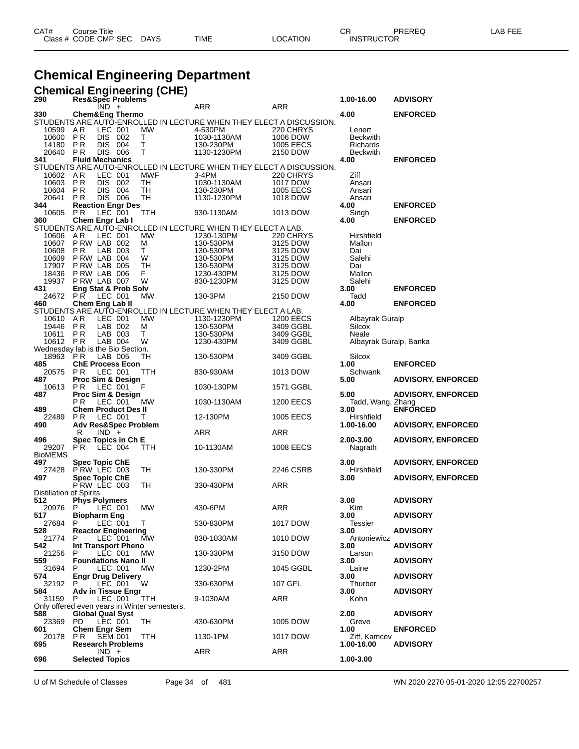| CAT# | Title<br>Course      |      |      |          | Ωm<br>- UN        | PREREQ | ----<br>AR<br>--- |
|------|----------------------|------|------|----------|-------------------|--------|-------------------|
|      | Class # CODE CMP SEC | DAYS | TIME | LOCATION | <b>INSTRUCTOR</b> |        |                   |

#### **Chemical Engineering Department**

|                                   |                                       |                      | <b>Chemical Engineering (CHE)</b>                   |                                                                     |                  |                        |                           |
|-----------------------------------|---------------------------------------|----------------------|-----------------------------------------------------|---------------------------------------------------------------------|------------------|------------------------|---------------------------|
| 290                               | Res&Spec Problems                     |                      |                                                     |                                                                     |                  | 1.00-16.00             | <b>ADVISORY</b>           |
| 330                               | <b>Chem&amp;Eng Thermo</b>            | IND +                |                                                     | ARR                                                                 | ARR              | 4.00                   | <b>ENFORCED</b>           |
|                                   |                                       |                      |                                                     | STUDENTS ARE AUTO-ENROLLED IN LECTURE WHEN THEY ELECT A DISCUSSION. |                  |                        |                           |
| 10599                             | A R                                   | LEC 001              | <b>MW</b>                                           | 4-530PM                                                             | 220 CHRYS        | Lenert                 |                           |
| 10600                             | <b>DIS</b><br>P R                     | 002                  | Τ                                                   | 1030-1130AM                                                         | 1006 DOW         | <b>Beckwith</b>        |                           |
| 14180                             | P <sub>R</sub><br><b>DIS</b>          | 004                  | Τ                                                   | 130-230PM                                                           | 1005 EECS        | Richards               |                           |
| 20640                             | P R                                   | DIS 006              | т                                                   | 1130-1230PM                                                         | 2150 DOW         | <b>Beckwith</b>        |                           |
| 341                               | <b>Fluid Mechanics</b>                |                      |                                                     |                                                                     |                  | 4.00                   | <b>ENFORCED</b>           |
|                                   |                                       |                      |                                                     | STUDENTS ARE AUTO-ENROLLED IN LECTURE WHEN THEY ELECT A DISCUSSION. |                  |                        |                           |
| 10602                             | AR                                    | LEC 001              | <b>MWF</b>                                          | 3-4PM                                                               | 220 CHRYS        | Ziff                   |                           |
| 10603                             | P R                                   | DIS 002              | TН                                                  | 1030-1130AM                                                         | 1017 DOW         | Ansari                 |                           |
| 10604                             | <b>PR</b><br><b>DIS</b>               | 004                  | TH                                                  | 130-230PM                                                           | 1005 EECS        | Ansari                 |                           |
| 20641                             | P R                                   | DIS 006              | TH                                                  | 1130-1230PM                                                         | 1018 DOW         | Ansari                 |                           |
| 344                               | <b>Reaction Engr Des</b>              |                      |                                                     |                                                                     |                  | 4.00                   | <b>ENFORCED</b>           |
| 10605                             | <b>PR</b>                             | LEC 001              | TTH                                                 | 930-1130AM                                                          | 1013 DOW         | Singh                  |                           |
| 360                               | Chem Engr Lab I                       |                      |                                                     |                                                                     |                  | 4.00                   | <b>ENFORCED</b>           |
|                                   |                                       |                      |                                                     | STUDENTS ARE AUTO-ENROLLED IN LECTURE WHEN THEY ELECT A LAB.        |                  |                        |                           |
| 10606                             | A R                                   | LEC 001              | МW                                                  | 1230-130PM                                                          | 220 CHRYS        | Hirshfield             |                           |
| 10607                             | P RW LAB 002                          |                      | м                                                   | 130-530PM                                                           | 3125 DOW         | Mallon                 |                           |
| 10608                             | P R                                   | LAB 003              | T                                                   | 130-530PM                                                           | 3125 DOW         | Dai                    |                           |
| 10609                             | P RW LAB 004                          |                      | W                                                   | 130-530PM                                                           | 3125 DOW         | Salehi                 |                           |
| 17907                             | P RW LAB 005                          |                      | TН                                                  | 130-530PM                                                           | 3125 DOW         | Dai                    |                           |
| 18436                             | PRW LAB 006                           |                      | F.                                                  | 1230-430PM                                                          | 3125 DOW         | Mallon                 |                           |
| 19937<br>431                      | P RW LAB 007                          |                      | W                                                   | 830-1230PM                                                          | 3125 DOW         | Salehi                 | <b>ENFORCED</b>           |
| 24672                             | Eng Stat & Prob Solv                  | LEC 001              |                                                     |                                                                     |                  | 3.00                   |                           |
| 460                               | P R<br>Chem Eng Lab II                |                      | MW                                                  | 130-3PM                                                             | 2150 DOW         | Tadd<br>4.00           | <b>ENFORCED</b>           |
|                                   |                                       |                      |                                                     | STUDENTS ARE AUTO-ENROLLED IN LECTURE WHEN THEY ELECT A LAB.        |                  |                        |                           |
| 10610                             | AR.                                   | LEC 001              | МW                                                  | 1130-1230PM                                                         | <b>1200 EECS</b> | Albayrak Guralp        |                           |
| 19446                             | <b>PR</b>                             | LAB 002              | м                                                   | 130-530PM                                                           | 3409 GGBL        | Silcox                 |                           |
| 10611                             | P R                                   | LAB 003              | T.                                                  | 130-530PM                                                           | 3409 GGBL        | Neale                  |                           |
| 10612                             | P R                                   | LAB 004              | W                                                   | 1230-430PM                                                          | 3409 GGBL        | Albayrak Guralp, Banka |                           |
| Wednesday lab is the Bio Section. |                                       |                      |                                                     |                                                                     |                  |                        |                           |
| 18963                             | P R                                   | LAB 005              | TН                                                  | 130-530PM                                                           | 3409 GGBL        | Silcox                 |                           |
| 485                               | <b>ChE Process Econ</b>               |                      |                                                     |                                                                     |                  | 1.00                   | <b>ENFORCED</b>           |
| 20575                             | <b>PR</b>                             | LEC 001              | ттн                                                 | 830-930AM                                                           | 1013 DOW         | Schwank                |                           |
| 487                               | <b>Proc Sim &amp; Design</b>          |                      |                                                     |                                                                     |                  | 5.00                   | <b>ADVISORY, ENFORCED</b> |
| 10613                             | P R                                   | LEC 001              | F                                                   | 1030-130PM                                                          | 1571 GGBL        |                        |                           |
| 487                               | Proc Sim & Design                     |                      |                                                     |                                                                     |                  | 5.00                   | <b>ADVISORY, ENFORCED</b> |
|                                   | P <sub>R</sub>                        | LEC 001              | МW                                                  | 1030-1130AM                                                         | <b>1200 EECS</b> | Tadd, Wang, Zhang      |                           |
| 489                               | <b>Chem Product Des II</b>            |                      |                                                     |                                                                     |                  | 3.00                   | <b>ENFORCED</b>           |
| 22489                             | P R                                   | LEC 001              | т                                                   | 12-130PM                                                            | 1005 EECS        | Hirshfield             |                           |
| 490                               | <b>Adv Res&amp;Spec Problem</b>       |                      |                                                     |                                                                     |                  | 1.00-16.00             | <b>ADVISORY, ENFORCED</b> |
|                                   | R                                     | $IND +$              |                                                     | ARR                                                                 | ARR              |                        |                           |
| 496<br>29207                      | Spec Topics in Ch E<br>P <sub>R</sub> | LEC 004              | TTH                                                 | 10-1130AM                                                           | <b>1008 EECS</b> | 2.00-3.00              | <b>ADVISORY, ENFORCED</b> |
| <b>BioMEMS</b>                    |                                       |                      |                                                     |                                                                     |                  | Nagrath                |                           |
| 497                               | <b>Spec Topic ChE</b>                 |                      |                                                     |                                                                     |                  | 3.00                   | <b>ADVISORY, ENFORCED</b> |
| 27428                             | PRW LEC 003                           |                      | TH                                                  | 130-330PM                                                           | 2246 CSRB        | Hirshfield             |                           |
| 497                               | <b>Spec Topic ChE</b>                 |                      |                                                     |                                                                     |                  | 3.00                   | <b>ADVISORY, ENFORCED</b> |
|                                   | PRW LEC 003                           |                      | TН                                                  | 330-430PM                                                           | ARR              |                        |                           |
| Distillation of Spirits           |                                       |                      |                                                     |                                                                     |                  |                        |                           |
| 512                               | <b>Phys Polymers</b>                  |                      |                                                     |                                                                     |                  | 3.00                   | <b>ADVISORY</b>           |
| 20976                             | P                                     | LEC 001              | <b>MW</b>                                           | 430-6PM                                                             | <b>ARR</b>       | Kim                    |                           |
| 517                               | <b>Biopharm Eng</b>                   |                      |                                                     |                                                                     |                  | 3.00                   | <b>ADVISORY</b>           |
| 27684                             | P                                     | LEC 001              | T                                                   | 530-830PM                                                           | 1017 DOW         | Tessier                |                           |
| 528                               | <b>Reactor Engineering</b>            |                      |                                                     |                                                                     |                  | 3.00                   | <b>ADVISORY</b>           |
| 21774                             | P.                                    | LEC <sup>-</sup> 001 | <b>MW</b>                                           | 830-1030AM                                                          | 1010 DOW         | Antoniewicz            |                           |
| 542.                              | Int Transport Pheno                   |                      |                                                     |                                                                     |                  | 3.00                   | <b>ADVISORY</b>           |
| 21256                             | P                                     | LEC 001              | <b>MW</b>                                           | 130-330PM                                                           | 3150 DOW         | Larson                 |                           |
| 559                               | <b>Foundations Nano II</b>            |                      |                                                     |                                                                     |                  | 3.00                   | <b>ADVISORY</b>           |
| 31694                             | P                                     | LEC 001              | MW                                                  | 1230-2PM                                                            | 1045 GGBL        | Laine                  |                           |
| 574                               | <b>Engr Drug Delivery</b>             |                      |                                                     |                                                                     |                  | 3.00                   | <b>ADVISORY</b>           |
| 32192                             | P.                                    | LEC 001              | W                                                   | 330-630PM                                                           | 107 GFL          | Thurber                |                           |
| 584                               | Adv in Tissue Engr                    |                      |                                                     |                                                                     |                  | 3.00                   | <b>ADVISORY</b>           |
| 31159                             | P                                     | LEC 001              | ттн<br>Only offered even years in Winter semesters. | 9-1030AM                                                            | ARR              | Kohn                   |                           |
| 588                               | <b>Global Qual Syst</b>               |                      |                                                     |                                                                     |                  | 2.00                   | <b>ADVISORY</b>           |
| 23369                             | PD.                                   | LEC 001              | TH                                                  | 430-630PM                                                           | 1005 DOW         | Greve                  |                           |
| 601                               | <b>Chem Engr Sem</b>                  |                      |                                                     |                                                                     |                  | 1.00                   | <b>ENFORCED</b>           |
| 20178                             | P R                                   | <b>SEM 001</b>       | TTH                                                 | 1130-1PM                                                            | 1017 DOW         | Ziff, Kamcev           |                           |
| 695                               | <b>Research Problems</b>              |                      |                                                     |                                                                     |                  | 1.00-16.00             | <b>ADVISORY</b>           |
|                                   |                                       | $IND +$              |                                                     | ARR                                                                 | ARR              |                        |                           |
| 696                               | <b>Selected Topics</b>                |                      |                                                     |                                                                     |                  | 1.00-3.00              |                           |

U of M Schedule of Classes Page 34 of 481 WN 2020 2270 05-01-2020 12:05 22700257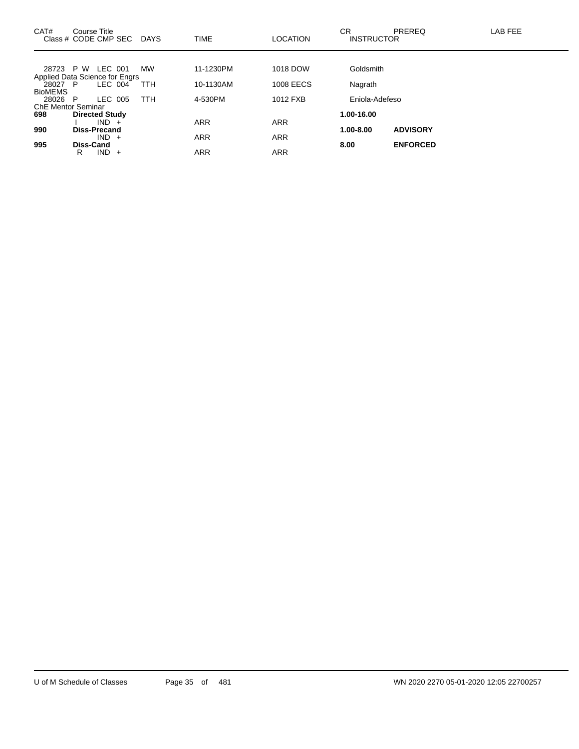| CAT#<br>Class # CODE CMP SEC   |                     | Course Title          | <b>DAYS</b> | <b>TIME</b> | <b>LOCATION</b>  | <b>CR</b><br><b>INSTRUCTOR</b> | PREREQ          | LAB FEE |
|--------------------------------|---------------------|-----------------------|-------------|-------------|------------------|--------------------------------|-----------------|---------|
|                                |                     |                       |             |             |                  |                                |                 |         |
| 28723 P W                      |                     | LEC 001               | <b>MW</b>   | 11-1230PM   | 1018 DOW         | Goldsmith                      |                 |         |
| Applied Data Science for Engrs |                     |                       |             |             |                  |                                |                 |         |
| 28027 P                        |                     | LEC 004               | TTH         | 10-1130AM   | <b>1008 EECS</b> | Nagrath                        |                 |         |
| <b>BioMEMS</b>                 |                     |                       |             |             |                  |                                |                 |         |
| 28026                          | - P                 | LEC 005               | <b>TTH</b>  | 4-530PM     | 1012 FXB         | Eniola-Adefeso                 |                 |         |
| <b>ChE Mentor Seminar</b>      |                     |                       |             |             |                  |                                |                 |         |
| 698                            |                     | <b>Directed Study</b> |             |             |                  | 1.00-16.00                     |                 |         |
|                                |                     | $IND +$               |             | <b>ARR</b>  | <b>ARR</b>       |                                |                 |         |
| 990                            | <b>Diss-Precand</b> |                       |             |             |                  | 1.00-8.00                      | <b>ADVISORY</b> |         |
|                                |                     | $IND +$               |             | <b>ARR</b>  | <b>ARR</b>       |                                |                 |         |
| 995                            | <b>Diss-Cand</b>    |                       |             |             |                  | 8.00                           | <b>ENFORCED</b> |         |
|                                | R                   | $IND +$               |             | ARR         | <b>ARR</b>       |                                |                 |         |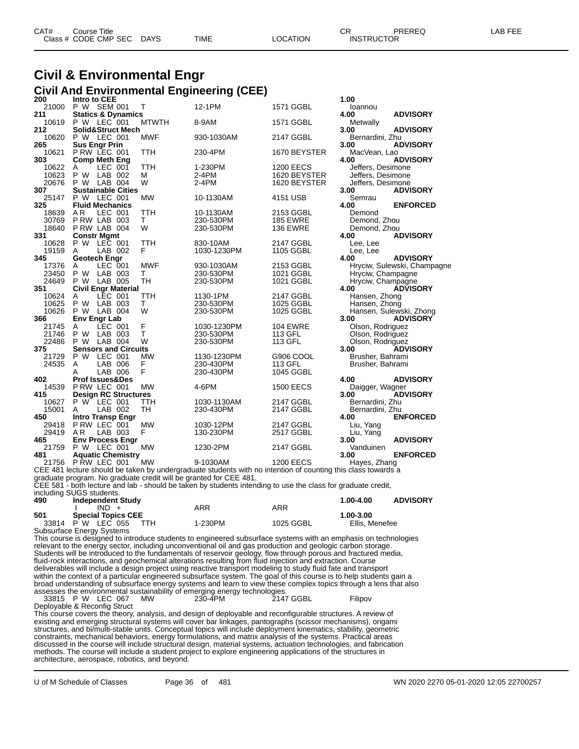| CAT# | Course Title         |             |      |                 | ∩⊓<br>◡           | PREREQ | LAB FEE |
|------|----------------------|-------------|------|-----------------|-------------------|--------|---------|
|      | Class # CODE CMP SEC | <b>DAYS</b> | TIME | <b>LOCATION</b> | <b>INSTRUCTOR</b> |        |         |

#### **Civil & Environmental Engr Civil And Environmental Engineering (CEE)**

| 200   | Intro to CEE               |         |                               |              |             |                                                                                                              | 1.00              |                             |
|-------|----------------------------|---------|-------------------------------|--------------|-------------|--------------------------------------------------------------------------------------------------------------|-------------------|-----------------------------|
| 21000 | P W SEM 001                |         |                               | т            | 12-1PM      | 1571 GGBL                                                                                                    | loannou           |                             |
| 211   |                            |         | <b>Statics &amp; Dynamics</b> |              |             |                                                                                                              | 4.00              | <b>ADVISORY</b>             |
| 10619 | P W LEC 001                |         |                               | <b>MTWTH</b> | 8-9AM       | 1571 GGBL                                                                                                    | Metwally          |                             |
| 212   |                            |         | <b>Solid&amp;Struct Mech</b>  |              |             |                                                                                                              | 3.00              | <b>ADVISORY</b>             |
| 10620 | P W LEC 001                |         |                               | <b>MWF</b>   | 930-1030AM  | 2147 GGBL                                                                                                    | Bernardini, Zhu   |                             |
| 265   | <b>Sus Engr Prin</b>       |         |                               |              |             |                                                                                                              | 3.00              | <b>ADVISORY</b>             |
| 10621 | PRW LEC 001                |         |                               | TTH          | 230-4PM     | 1670 BEYSTER                                                                                                 | MacVean, Lao      |                             |
| 303   | <b>Comp Meth Eng</b>       |         |                               |              |             |                                                                                                              | 4.00              | <b>ADVISORY</b>             |
| 10622 | A                          | LEC 001 |                               | TTH          | 1-230PM     | <b>1200 EECS</b>                                                                                             | Jeffers, Desimone |                             |
| 10623 | P W                        | LAB 002 |                               | M            | 2-4PM       | 1620 BEYSTER                                                                                                 | Jeffers, Desimone |                             |
| 20676 | P W LAB 004                |         |                               | W            | 2-4PM       | 1620 BEYSTER                                                                                                 | Jeffers, Desimone |                             |
| 307   |                            |         | <b>Sustainable Cities</b>     |              |             |                                                                                                              | 3.00              | <b>ADVISORY</b>             |
| 25147 | P W LEC 001                |         |                               | <b>MW</b>    | 10-1130AM   | 4151 USB                                                                                                     | Semrau            |                             |
| 325   | <b>Fluid Mechanics</b>     |         |                               |              |             |                                                                                                              | 4.00              | <b>ENFORCED</b>             |
| 18639 | A R                        | LEC 001 |                               | <b>TTH</b>   | 10-1130AM   | 2153 GGBL                                                                                                    | Demond            |                             |
| 30769 | P RW LAB 003               |         |                               | T.           | 230-530PM   | <b>185 EWRE</b>                                                                                              |                   |                             |
|       |                            |         |                               | W            |             |                                                                                                              | Demond, Zhou      |                             |
| 18640 | PRW LAB 004                |         |                               |              | 230-530PM   | <b>136 EWRE</b>                                                                                              | Demond, Zhou      |                             |
| 331   | <b>Constr Mgmt</b>         |         |                               |              |             |                                                                                                              | 4.00              | <b>ADVISORY</b>             |
| 10628 | P W LEC 001                |         |                               | TTH          | 830-10AM    | 2147 GGBL                                                                                                    | Lee, Lee          |                             |
| 19159 | A                          | LAB 002 |                               | F            | 1030-1230PM | 1105 GGBL                                                                                                    | Lee, Lee          |                             |
| 345   | <b>Geotech Engr</b>        |         |                               |              |             |                                                                                                              | 4.00              | <b>ADVISORY</b>             |
| 17376 | A                          | LEC 001 |                               | <b>MWF</b>   | 930-1030AM  | 2153 GGBL                                                                                                    |                   | Hryciw, Sulewski, Champagne |
| 23450 | P W                        | LAB 003 |                               | т            | 230-530PM   | 1021 GGBL                                                                                                    | Hryciw, Champagne |                             |
| 24649 | P W                        | LAB 005 |                               | <b>TH</b>    | 230-530PM   | 1021 GGBL                                                                                                    | Hryciw, Champagne |                             |
| 351   |                            |         | <b>Civil Engr Material</b>    |              |             |                                                                                                              | 4.00              | <b>ADVISORY</b>             |
| 10624 | A                          | LEC 001 |                               | TTH          | 1130-1PM    | 2147 GGBL                                                                                                    | Hansen, Zhong     |                             |
| 10625 | P W LAB 003                |         |                               | т            | 230-530PM   | 1025 GGBL                                                                                                    | Hansen, Zhong     |                             |
| 10626 | P W                        | LAB 004 |                               | W            | 230-530PM   | 1025 GGBL                                                                                                    |                   | Hansen, Sulewski, Zhong     |
| 366   | <b>Env Engr Lab</b>        |         |                               |              |             |                                                                                                              | 3.00              | <b>ADVISORY</b>             |
| 21745 | A                          | LEC 001 |                               | F            | 1030-1230PM | <b>104 EWRE</b>                                                                                              | Olson, Rodriguez  |                             |
| 21746 | P W                        | LAB 003 |                               | T            | 230-530PM   | 113 GFL                                                                                                      | Olson, Rodriguez  |                             |
| 22486 | P W                        | LAB 004 |                               | W            | 230-530PM   | 113 GFL                                                                                                      | Olson, Rodriguez  |                             |
| 375   |                            |         | <b>Sensors and Circuits</b>   |              |             |                                                                                                              | 3.00              | <b>ADVISORY</b>             |
| 21729 | P W LEC 001                |         |                               | MW           | 1130-1230PM | G906 COOL                                                                                                    | Brusher, Bahrami  |                             |
| 24535 | A                          | LAB 006 |                               | F            | 230-430PM   | 113 GFL                                                                                                      | Brusher, Bahrami  |                             |
|       | А                          | LAB 006 |                               | F            | 230-430PM   | 1045 GGBL                                                                                                    |                   |                             |
| 402   | <b>Prof Issues&amp;Des</b> |         |                               |              |             |                                                                                                              | 4.00              | <b>ADVISORY</b>             |
| 14539 | P RW LEC 001               |         |                               | <b>MW</b>    | 4-6PM       | <b>1500 EECS</b>                                                                                             | Daigger, Wagner   |                             |
| 415   |                            |         | <b>Design RC Structures</b>   |              |             |                                                                                                              | 3.00              | <b>ADVISORY</b>             |
| 10627 | P W LEC 001                |         |                               | TTH          | 1030-1130AM | 2147 GGBL                                                                                                    | Bernardini, Zhu   |                             |
|       |                            | LAB 002 |                               | <b>TH</b>    | 230-430PM   |                                                                                                              |                   |                             |
| 15001 | A                          |         |                               |              |             | 2147 GGBL                                                                                                    | Bernardini, Zhu   |                             |
| 450   | <b>Intro Transp Engr</b>   |         |                               |              |             |                                                                                                              | 4.00              | <b>ENFORCED</b>             |
| 29418 | P RW LEC 001               |         |                               | <b>MW</b>    | 1030-12PM   | 2147 GGBL                                                                                                    | Liu, Yang         |                             |
| 29419 | A <sub>R</sub>             | LAB 003 |                               | F            | 130-230PM   | 2517 GGBL                                                                                                    | Liu, Yang         |                             |
| 465   |                            |         | <b>Env Process Engr</b>       |              |             |                                                                                                              | 3.00              | <b>ADVISORY</b>             |
| 21759 | <b>P W LEC 001</b>         |         |                               | <b>MW</b>    | 1230-2PM    | 2147 GGBL                                                                                                    | Vanduinen         |                             |
| 481   |                            |         | <b>Aquatic Chemistry</b>      |              |             |                                                                                                              | 3.00              | <b>ENFORCED</b>             |
| 21756 | P RW LEC 001               |         |                               | <b>MW</b>    | 9-1030AM    | <b>1200 EECS</b>                                                                                             | Hayes, Zhang      |                             |
|       |                            |         |                               |              |             | CEE 481 lecture should be taken by undergraduate students with no intention of counting this class towards a |                   |                             |

CEE 481 lecture should be taken by undergraduate students with no intention of counting this class towards a

graduate program. No graduate credit will be granted for CEE 481.

CEE 581 - both lecture and lab - should be taken by students intending to use the class for graduate credit,

including SUGS students.

| 490 | <br><b>Independent Study</b> |         |           | <b>ADVISORY</b><br>1.00-4.00 |
|-----|------------------------------|---------|-----------|------------------------------|
|     | $IND +$                      | ARR     | ARR       |                              |
| 501 | <b>Special Topics CEE</b>    |         |           | 1.00-3.00                    |
|     | TTH<br>33814 P W LEC 055     | 1-230PM | 1025 GGBL | Ellis, Menefee               |
|     | Subcurface Eperay Systems    |         |           |                              |

Subsurface Energy Systems

This course is designed to introduce students to engineered subsurface systems with an emphasis on technologies relevant to the energy sector, including unconventional oil and gas production and geologic carbon storage. Students will be introduced to the fundamentals of reservoir geology, flow through porous and fractured media, fluid-rock interactions, and geochemical alterations resulting from fluid injection and extraction. Course deliverables will include a design project using reactive transport modeling to study fluid fate and transport within the context of a particular engineered subsurface system. The goal of this course is to help students gain a broad understanding of subsurface energy systems and learn to view these complex topics through a lens that also

assesses the environmental sustainability of emerging energy technologies.<br>33815 P W LEC 067 MW 230-4PM 2147 GGBL 33815 P W LEC 067 MW 230-4PM 200 2147 GGBL Filipov

Deployable & Reconfig Struct

This course covers the theory, analysis, and design of deployable and reconfigurable structures. A review of existing and emerging structural systems will cover bar linkages, pantographs (scissor mechanisms), origami structures, and bi/multi-stable units. Conceptual topics will include deployment kinematics, stability, geometric constraints, mechanical behaviors, energy formulations, and matrix analysis of the systems. Practical areas discussed in the course will include structural design, material systems, actuation technologies, and fabrication methods. The course will include a student project to explore engineering applications of the structures in architecture, aerospace, robotics, and beyond.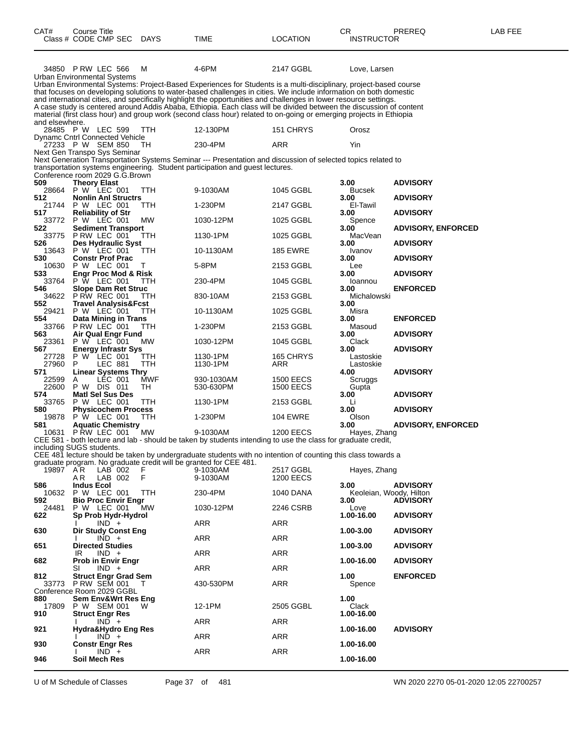| CAT#                  | Course Title<br>Class # CODE CMP SEC                                           | DAYS             | TIME                                                                                                                                                                                                                                                                                                                                                            | <b>LOCATION</b>               | CR<br><b>INSTRUCTOR</b>         | PREREQ                    | LAB FEE |
|-----------------------|--------------------------------------------------------------------------------|------------------|-----------------------------------------------------------------------------------------------------------------------------------------------------------------------------------------------------------------------------------------------------------------------------------------------------------------------------------------------------------------|-------------------------------|---------------------------------|---------------------------|---------|
|                       | 34850 PRW LEC 566<br>Urban Environmental Systems                               | M                | 4-6PM<br>Urban Environmental Systems: Project-Based Experiences for Students is a multi-disciplinary, project-based course<br>that focuses on developing solutions to water-based challenges in cities. We include information on both domestic                                                                                                                 | 2147 GGBL                     | Love, Larsen                    |                           |         |
|                       |                                                                                |                  | and international cities, and specifically highlight the opportunities and challenges in lower resource settings.<br>A case study is centered around Addis Ababa, Ethiopia. Each class will be divided between the discussion of content<br>material (first class hour) and group work (second class hour) related to on-going or emerging projects in Ethiopia |                               |                                 |                           |         |
| and elsewhere.        | 28485 P W LEC 599                                                              | TTH              | 12-130PM                                                                                                                                                                                                                                                                                                                                                        | 151 CHRYS                     | Orosz                           |                           |         |
|                       | <b>Dynamc Cntrl Connected Vehicle</b><br>27233 PW SEM 850                      | ТH               | 230-4PM                                                                                                                                                                                                                                                                                                                                                         | ARR                           | Yin                             |                           |         |
|                       | Next Gen Transpo Sys Seminar<br>Conference room 2029 G.G.Brown                 |                  | Next Generation Transportation Systems Seminar --- Presentation and discussion of selected topics related to<br>transportation systems engineering. Student participation and guest lectures.                                                                                                                                                                   |                               |                                 |                           |         |
| 509<br>28664          | <b>Theory Elast</b><br>P W LEC 001                                             | TTH              | 9-1030AM                                                                                                                                                                                                                                                                                                                                                        | 1045 GGBL                     | 3.00<br>Bucsek                  | <b>ADVISORY</b>           |         |
| 512<br>21744          | <b>Nonlin Anl Structrs</b><br>P W LEC 001                                      | TTH              | 1-230PM                                                                                                                                                                                                                                                                                                                                                         | 2147 GGBL                     | 3.00<br>El-Tawil                | <b>ADVISORY</b>           |         |
| 517<br>33772          | <b>Reliability of Str</b><br>P W LEC 001                                       | MW.              | 1030-12PM                                                                                                                                                                                                                                                                                                                                                       | 1025 GGBL                     | 3.00<br>Spence                  | <b>ADVISORY</b>           |         |
| 522<br>33775          | <b>Sediment Transport</b><br>P RW LEC 001                                      | ттн              | 1130-1PM                                                                                                                                                                                                                                                                                                                                                        | 1025 GGBL                     | 3.00<br>MacVean                 | <b>ADVISORY, ENFORCED</b> |         |
| 526<br>13643          | <b>Des Hydraulic Syst</b><br>P W LEC 001                                       | TTH              | 10-1130AM                                                                                                                                                                                                                                                                                                                                                       | 185 EWRE                      | 3.00<br>Ivanov                  | <b>ADVISORY</b>           |         |
| 530<br>10630          | <b>Constr Prof Prac</b><br>P W LEC 001                                         | Τ                | 5-8PM                                                                                                                                                                                                                                                                                                                                                           | 2153 GGBL                     | 3.00<br>Lee                     | <b>ADVISORY</b>           |         |
| 533<br>33764          | Engr Proc Mod & Risk<br>P W LEC 001                                            | TTH              | 230-4PM                                                                                                                                                                                                                                                                                                                                                         | 1045 GGBL                     | 3.00<br>Ioannou                 | <b>ADVISORY</b>           |         |
| 546<br>34622          | <b>Slope Dam Ret Struc</b><br><b>P RW REC 001</b>                              | TTH              | 830-10AM                                                                                                                                                                                                                                                                                                                                                        | 2153 GGBL                     | 3.00<br>Michalowski             | <b>ENFORCED</b>           |         |
| 552<br>29421          | <b>Travel Analysis&amp;Fcst</b><br>P W LEC 001                                 | TTH              | 10-1130AM                                                                                                                                                                                                                                                                                                                                                       | 1025 GGBL                     | 3.00<br>Misra                   |                           |         |
| 554<br>33766          | Data Mining in Trans<br>PRW LEC 001                                            | ттн              | 1-230PM                                                                                                                                                                                                                                                                                                                                                         | 2153 GGBL                     | 3.00<br>Masoud                  | <b>ENFORCED</b>           |         |
| 563<br>23361          | Air Qual Engr Fund<br>P W LEC 001                                              | МW               | 1030-12PM                                                                                                                                                                                                                                                                                                                                                       | 1045 GGBL                     | 3.00<br>Clack                   | <b>ADVISORY</b>           |         |
| 567<br>27728<br>27960 | <b>Energy Infrastr Sys</b><br>P W LEC 001<br>LEC 881<br>P                      | TТH<br>TTH       | 1130-1PM<br>1130-1PM                                                                                                                                                                                                                                                                                                                                            | 165 CHRYS<br>ARR              | 3.00<br>Lastoskie<br>Lastoskie  | <b>ADVISORY</b>           |         |
| 571<br>22599<br>22600 | <b>Linear Systems Thry</b><br>LEC 001<br>Α<br>P W DIS 011                      | <b>MWF</b><br>TH | 930-1030AM<br>530-630PM                                                                                                                                                                                                                                                                                                                                         | <b>1500 EECS</b><br>1500 EECS | 4.00<br>Scruggs<br>Gupta        | <b>ADVISORY</b>           |         |
| 574<br>33765          | <b>Matl Sel Sus Des</b><br>P W LEC 001                                         | ттн              | 1130-1PM                                                                                                                                                                                                                                                                                                                                                        | 2153 GGBL                     | 3.00<br>Li                      | <b>ADVISORY</b>           |         |
| 580<br>19878          | <b>Physicochem Process</b><br>P W LEC 001                                      | TTH              | 1-230PM                                                                                                                                                                                                                                                                                                                                                         | 104 EWRE                      | 3.00<br>Olson                   | <b>ADVISORY</b>           |         |
| 581<br>10631          | <b>Aquatic Chemistry</b><br>PRW LEC 001                                        | MW               | 9-1030AM                                                                                                                                                                                                                                                                                                                                                        | <b>1200 EECS</b>              | 3.00<br>Hayes, Zhang            | <b>ADVISORY, ENFORCED</b> |         |
|                       | including SUGS students.                                                       |                  | CEE 581 - both lecture and lab - should be taken by students intending to use the class for graduate credit,<br>CEE 481 lecture should be taken by undergraduate students with no intention of counting this class towards a                                                                                                                                    |                               |                                 |                           |         |
| 19897 AR              | graduate program. No graduate credit will be granted for CEE 481.<br>$LAB$ 002 | F                | 9-1030AM                                                                                                                                                                                                                                                                                                                                                        | 2517 GGBL                     | Hayes, Zhang                    |                           |         |
| 586                   | AR.<br>LAB 002<br><b>Indus Ecol</b>                                            | F                | 9-1030AM                                                                                                                                                                                                                                                                                                                                                        | <b>1200 EECS</b>              | 3.00                            | <b>ADVISORY</b>           |         |
| 10632<br>592          | P W LEC 001<br><b>Bio Proc Envir Engr</b>                                      | TTH              | 230-4PM                                                                                                                                                                                                                                                                                                                                                         | <b>1040 DANA</b>              | Keoleian, Woody, Hilton<br>3.00 | <b>ADVISORY</b>           |         |
| 24481<br>622          | P W LEC 001<br>Sp Prob Hydr-Hydrol                                             | <b>MW</b>        | 1030-12PM                                                                                                                                                                                                                                                                                                                                                       | 2246 CSRB                     | Love<br>1.00-16.00              | <b>ADVISORY</b>           |         |
| 630                   | $IND +$<br>Dir Study Const Eng                                                 |                  | <b>ARR</b>                                                                                                                                                                                                                                                                                                                                                      | <b>ARR</b>                    | 1.00-3.00                       | <b>ADVISORY</b>           |         |
| 651                   | $IND +$<br><b>Directed Studies</b>                                             |                  | ARR                                                                                                                                                                                                                                                                                                                                                             | ARR                           | 1.00-3.00                       | <b>ADVISORY</b>           |         |
| 682                   | $IND +$<br>IR                                                                  |                  | ARR                                                                                                                                                                                                                                                                                                                                                             | ARR                           | 1.00-16.00                      |                           |         |
|                       | <b>Prob in Envir Engr</b><br>$IND +$<br>SI                                     |                  | <b>ARR</b>                                                                                                                                                                                                                                                                                                                                                      | <b>ARR</b>                    |                                 | <b>ADVISORY</b>           |         |
| 812<br>33773          | <b>Struct Engr Grad Sem</b><br>P RW SEM 001                                    | T                | 430-530PM                                                                                                                                                                                                                                                                                                                                                       | <b>ARR</b>                    | 1.00<br>Spence                  | <b>ENFORCED</b>           |         |
| 880<br>17809          | Conference Room 2029 GGBL<br>Sem Env&Wrt Res Eng<br>P W SEM 001                | W                | 12-1PM                                                                                                                                                                                                                                                                                                                                                          | 2505 GGBL                     | 1.00<br>Clack                   |                           |         |
| 910                   | <b>Struct Engr Res</b><br>$IND +$                                              |                  | ARR                                                                                                                                                                                                                                                                                                                                                             | ARR                           | 1.00-16.00                      |                           |         |
| 921                   | Hydra&Hydro Eng Res<br>$IND +$                                                 |                  | <b>ARR</b>                                                                                                                                                                                                                                                                                                                                                      | <b>ARR</b>                    | 1.00-16.00                      | <b>ADVISORY</b>           |         |
| 930                   | <b>Constr Engr Res</b><br>$IND +$                                              |                  | <b>ARR</b>                                                                                                                                                                                                                                                                                                                                                      | ARR                           | 1.00-16.00                      |                           |         |
| 946                   | Soil Mech Res                                                                  |                  |                                                                                                                                                                                                                                                                                                                                                                 |                               | 1.00-16.00                      |                           |         |

U of M Schedule of Classes Page 37 of 481 WN 2020 2270 05-01-2020 12:05 22700257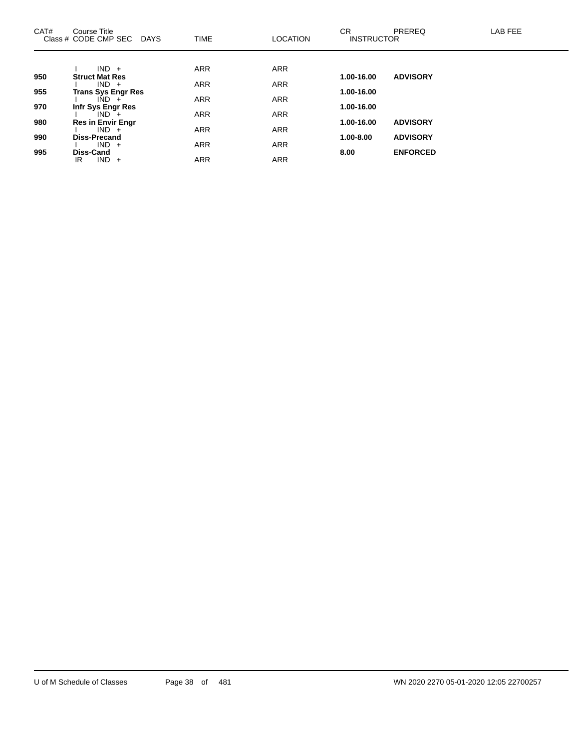| CAT# | Course Title<br>Class # CODE CMP SEC<br><b>DAYS</b> | <b>TIME</b> | <b>LOCATION</b> | CR.<br><b>INSTRUCTOR</b> | PREREQ          | LAB FEE |
|------|-----------------------------------------------------|-------------|-----------------|--------------------------|-----------------|---------|
|      |                                                     |             |                 |                          |                 |         |
|      | $IND +$                                             | <b>ARR</b>  | <b>ARR</b>      |                          |                 |         |
| 950  | <b>Struct Mat Res</b><br>$IND +$                    | <b>ARR</b>  | <b>ARR</b>      | 1.00-16.00               | <b>ADVISORY</b> |         |
| 955  | <b>Trans Sys Engr Res</b>                           |             |                 | 1.00-16.00               |                 |         |
|      | $IND +$                                             | <b>ARR</b>  | <b>ARR</b>      |                          |                 |         |
| 970  | Infr Sys Engr Res                                   |             |                 | 1.00-16.00               |                 |         |
|      | $IND +$                                             | <b>ARR</b>  | <b>ARR</b>      |                          |                 |         |
| 980  | <b>Res in Envir Engr</b><br>$IND +$                 | <b>ARR</b>  | <b>ARR</b>      | 1.00-16.00               | <b>ADVISORY</b> |         |
| 990  | <b>Diss-Precand</b>                                 |             |                 | 1.00-8.00                | <b>ADVISORY</b> |         |
|      | $IND +$                                             | <b>ARR</b>  | <b>ARR</b>      |                          |                 |         |
| 995  | <b>Diss-Cand</b>                                    |             |                 | 8.00                     | <b>ENFORCED</b> |         |
|      | $IND +$<br>IR.                                      | <b>ARR</b>  | <b>ARR</b>      |                          |                 |         |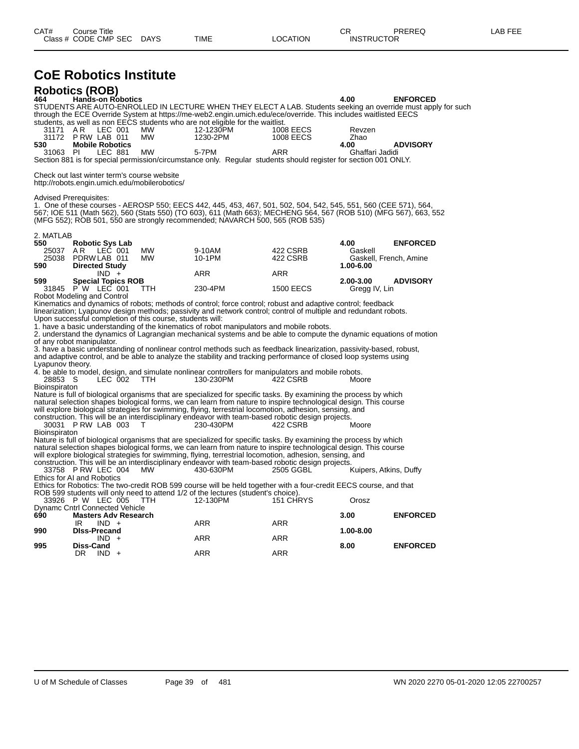| CAT# | ourse Titleٽ         |             |      |          | ⌒冖<br>◡           | PREREQ | AR FFF |
|------|----------------------|-------------|------|----------|-------------------|--------|--------|
|      | Class # CODE CMP SEC | <b>DAYS</b> | TIME | LOCATION | <b>INSTRUCTOR</b> |        |        |

### **CoE Robotics Institute**

|                      | <b>Robotics (ROB)</b>                                                                        |           |                                                                                                                                                                                                                                                                                                                       |                  |                            |                                                                                                                                  |
|----------------------|----------------------------------------------------------------------------------------------|-----------|-----------------------------------------------------------------------------------------------------------------------------------------------------------------------------------------------------------------------------------------------------------------------------------------------------------------------|------------------|----------------------------|----------------------------------------------------------------------------------------------------------------------------------|
| 464                  | <b>Hands-on Robotics</b>                                                                     |           |                                                                                                                                                                                                                                                                                                                       |                  | 4.00                       | <b>ENFORCED</b><br>STUDENTS ARE AUTO-ENROLLED IN LECTURE WHEN THEY ELECT A LAB. Students seeking an override must apply for such |
|                      |                                                                                              |           | through the ECE Override System at https://me-web2.engin.umich.edu/ece/override. This includes waitlisted EECS<br>students, as well as non EECS students who are not eligible for the waitlist.                                                                                                                       |                  |                            |                                                                                                                                  |
| 31171                | LEC 001<br>AR                                                                                | MW        | 12-1230PM                                                                                                                                                                                                                                                                                                             | 1008 EECS        | Revzen                     |                                                                                                                                  |
| 31172<br>530         | PRW LAB 011<br><b>Mobile Robotics</b>                                                        | MW        | 1230-2PM                                                                                                                                                                                                                                                                                                              | <b>1008 EECS</b> | Zhao<br>4.00               | <b>ADVISORY</b>                                                                                                                  |
| 31063 PI             | LEC 881                                                                                      | <b>MW</b> | 5-7PM                                                                                                                                                                                                                                                                                                                 | <b>ARR</b>       | Ghaffari Jadidi            |                                                                                                                                  |
|                      |                                                                                              |           | Section 881 is for special permission/circumstance only. Regular students should register for section 001 ONLY.                                                                                                                                                                                                       |                  |                            |                                                                                                                                  |
|                      | Check out last winter term's course website<br>http://robots.engin.umich.edu/mobilerobotics/ |           |                                                                                                                                                                                                                                                                                                                       |                  |                            |                                                                                                                                  |
|                      | <b>Advised Prerequisites:</b>                                                                |           | 1. One of these courses - AEROSP 550; EECS 442, 445, 453, 467, 501, 502, 504, 542, 545, 551, 560 (CEE 571), 564,<br>567; IOE 511 (Math 562), 560 (Stats 550) (TO 603), 611 (Math 663); MECHENG 564, 567 (ROB 510) (MFG 567), 663, 552<br>(MFG 552); ROB 501, 550 are strongly recommended; NAVARCH 500, 565 (ROB 535) |                  |                            |                                                                                                                                  |
| 2. MATLAB<br>550     |                                                                                              |           |                                                                                                                                                                                                                                                                                                                       |                  | 4.00                       | <b>ENFORCED</b>                                                                                                                  |
| 25037                | <b>Robotic Sys Lab</b><br>AR.<br>LEC 001                                                     | MW        | 9-10AM                                                                                                                                                                                                                                                                                                                | 422 CSRB         | Gaskell                    |                                                                                                                                  |
| 25038<br>590         | PDRWLAB 011<br><b>Directed Study</b>                                                         | <b>MW</b> | 10-1PM                                                                                                                                                                                                                                                                                                                | 422 CSRB         | 1.00-6.00                  | Gaskell, French, Amine                                                                                                           |
|                      | $IND +$                                                                                      |           | <b>ARR</b>                                                                                                                                                                                                                                                                                                            | <b>ARR</b>       |                            |                                                                                                                                  |
| 599<br>31845         | <b>Special Topics ROB</b><br>P W LEC 001                                                     | TTH.      | 230-4PM                                                                                                                                                                                                                                                                                                               | <b>1500 EECS</b> | 2.00-3.00<br>Gregg IV, Lin | <b>ADVISORY</b>                                                                                                                  |
|                      | Robot Modeling and Control                                                                   |           |                                                                                                                                                                                                                                                                                                                       |                  |                            |                                                                                                                                  |
|                      |                                                                                              |           | Kinematics and dynamics of robots; methods of control; force control; robust and adaptive control; feedback<br>linearization; Lyapunov design methods; passivity and network control; control of multiple and redundant robots.                                                                                       |                  |                            |                                                                                                                                  |
|                      | Upon successful completion of this course, students will:                                    |           |                                                                                                                                                                                                                                                                                                                       |                  |                            |                                                                                                                                  |
|                      |                                                                                              |           | 1. have a basic understanding of the kinematics of robot manipulators and mobile robots.<br>2. understand the dynamics of Lagrangian mechanical systems and be able to compute the dynamic equations of motion                                                                                                        |                  |                            |                                                                                                                                  |
|                      | of any robot manipulator.                                                                    |           | 3. have a basic understanding of nonlinear control methods such as feedback linearization, passivity-based, robust,                                                                                                                                                                                                   |                  |                            |                                                                                                                                  |
|                      |                                                                                              |           | and adaptive control, and be able to analyze the stability and tracking performance of closed loop systems using                                                                                                                                                                                                      |                  |                            |                                                                                                                                  |
| Lyapunov theory.     |                                                                                              |           | 4. be able to model, design, and simulate nonlinear controllers for manipulators and mobile robots.                                                                                                                                                                                                                   |                  |                            |                                                                                                                                  |
| 28853 S              | LEC 002                                                                                      | TTH.      | 130-230PM                                                                                                                                                                                                                                                                                                             | 422 CSRB         | Moore                      |                                                                                                                                  |
| <b>Bioinspiraton</b> |                                                                                              |           | Nature is full of biological organisms that are specialized for specific tasks. By examining the process by which                                                                                                                                                                                                     |                  |                            |                                                                                                                                  |
|                      |                                                                                              |           | natural selection shapes biological forms, we can learn from nature to inspire technological design. This course                                                                                                                                                                                                      |                  |                            |                                                                                                                                  |
|                      |                                                                                              |           | will explore biological strategies for swimming, flying, terrestrial locomotion, adhesion, sensing, and<br>construction. This will be an interdisciplinary endeavor with team-based robotic design projects.                                                                                                          |                  |                            |                                                                                                                                  |
|                      | 30031 P RW LAB 003                                                                           | т         | 230-430PM                                                                                                                                                                                                                                                                                                             | 422 CSRB         | Moore                      |                                                                                                                                  |
| <b>Bioinspiraton</b> |                                                                                              |           | Nature is full of biological organisms that are specialized for specific tasks. By examining the process by which                                                                                                                                                                                                     |                  |                            |                                                                                                                                  |
|                      |                                                                                              |           | natural selection shapes biological forms, we can learn from nature to inspire technological design. This course                                                                                                                                                                                                      |                  |                            |                                                                                                                                  |
|                      |                                                                                              |           | will explore biological strategies for swimming, flying, terrestrial locomotion, adhesion, sensing, and<br>construction. This will be an interdisciplinary endeavor with team-based robotic design projects.                                                                                                          |                  |                            |                                                                                                                                  |
|                      | 33758 P RW LEC 004                                                                           | MW        | 430-630PM                                                                                                                                                                                                                                                                                                             | 2505 GGBL        | Kuipers, Atkins, Duffy     |                                                                                                                                  |
|                      | Ethics for AI and Robotics                                                                   |           | Ethics for Robotics: The two-credit ROB 599 course will be held together with a four-credit EECS course, and that                                                                                                                                                                                                     |                  |                            |                                                                                                                                  |
|                      |                                                                                              |           | ROB 599 students will only need to attend 1/2 of the lectures (student's choice).                                                                                                                                                                                                                                     |                  |                            |                                                                                                                                  |
|                      | 33926 P W LEC 005<br><b>Dynamc Cntrl Connected Vehicle</b>                                   | TTH.      | 12-130PM                                                                                                                                                                                                                                                                                                              | 151 CHRYS        | Orosz                      |                                                                                                                                  |
| 690                  | <b>Masters Adv Research</b>                                                                  |           |                                                                                                                                                                                                                                                                                                                       | <b>ARR</b>       | 3.00                       | <b>ENFORCED</b>                                                                                                                  |
| 990                  | $IND +$<br>IR.<br><b>DIss-Precand</b>                                                        |           | ARR                                                                                                                                                                                                                                                                                                                   |                  | 1.00-8.00                  |                                                                                                                                  |
| 995                  | $IND +$<br>Diss-Cand                                                                         |           | <b>ARR</b>                                                                                                                                                                                                                                                                                                            | <b>ARR</b>       | 8.00                       | <b>ENFORCED</b>                                                                                                                  |
|                      | DR.<br>$IND +$                                                                               |           | <b>ARR</b>                                                                                                                                                                                                                                                                                                            | <b>ARR</b>       |                            |                                                                                                                                  |
|                      |                                                                                              |           |                                                                                                                                                                                                                                                                                                                       |                  |                            |                                                                                                                                  |
|                      |                                                                                              |           |                                                                                                                                                                                                                                                                                                                       |                  |                            |                                                                                                                                  |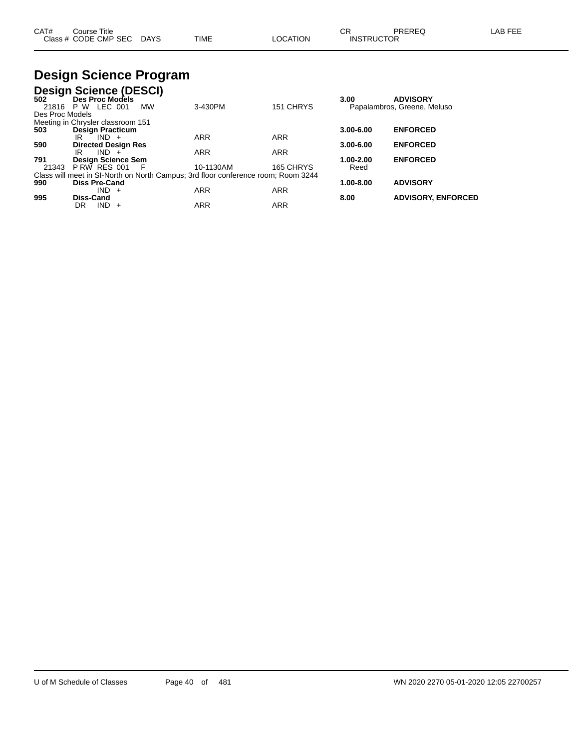| CAT# | ourse Titleٽ              |      |                 |                   | PREREQ | LAB FEE |
|------|---------------------------|------|-----------------|-------------------|--------|---------|
|      | Class # CODE CMP SEC DAYS | TIME | <b>LOCATION</b> | <b>INSTRUCTOR</b> |        |         |

## **Design Science Program**

|                 | <b>Design Science (DESCI)</b>     |           |                                                                                   |            |               |                             |
|-----------------|-----------------------------------|-----------|-----------------------------------------------------------------------------------|------------|---------------|-----------------------------|
| 502             | Des Proc Models                   |           |                                                                                   |            | 3.00          | <b>ADVISORY</b>             |
|                 | 21816 P W LEC 001                 | <b>MW</b> | 3-430PM                                                                           | 151 CHRYS  |               | Papalambros, Greene, Meluso |
| Des Proc Models |                                   |           |                                                                                   |            |               |                             |
|                 | Meeting in Chrysler classroom 151 |           |                                                                                   |            |               |                             |
| 503             | <b>Design Practicum</b>           |           |                                                                                   |            | $3.00 - 6.00$ | <b>ENFORCED</b>             |
|                 | $IND +$<br>IR                     |           | <b>ARR</b>                                                                        | <b>ARR</b> |               |                             |
| 590             | <b>Directed Design Res</b>        |           |                                                                                   |            | $3.00 - 6.00$ | <b>ENFORCED</b>             |
|                 | $IND +$<br>IR                     |           | <b>ARR</b>                                                                        | <b>ARR</b> |               |                             |
| 791             | Design Science Sem                |           |                                                                                   |            | 1.00-2.00     | <b>ENFORCED</b>             |
| 21343           | PRW RES 001                       | - F       | 10-1130AM                                                                         | 165 CHRYS  | Reed          |                             |
|                 |                                   |           | Class will meet in SI-North on North Campus; 3rd floor conference room; Room 3244 |            |               |                             |
| 990             | <b>Diss Pre-Cand</b>              |           |                                                                                   |            | 1.00-8.00     | <b>ADVISORY</b>             |
|                 | $IND +$                           |           | <b>ARR</b>                                                                        | <b>ARR</b> |               |                             |
| 995             | Diss-Cand                         |           |                                                                                   |            | 8.00          | <b>ADVISORY, ENFORCED</b>   |
|                 | IND.<br>DR<br>$\pm$               |           | <b>ARR</b>                                                                        | <b>ARR</b> |               |                             |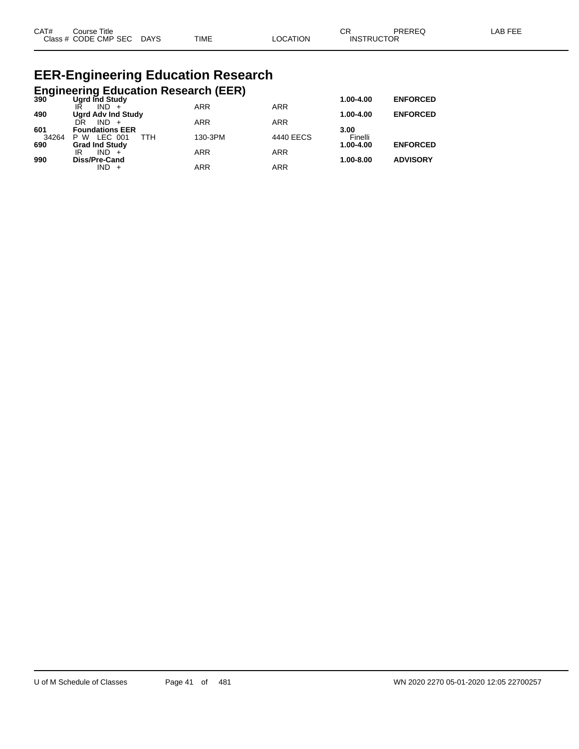| CAT# | Course Title         |             |             |                | ົ<br>◡            | PREREG | . AB FF <sup>r</sup> |
|------|----------------------|-------------|-------------|----------------|-------------------|--------|----------------------|
|      | Class # CODE CMP SEC | <b>DAYS</b> | <b>TIME</b> | <b>OCATION</b> | <b>INSTRUCTOR</b> |        |                      |

## **EER-Engineering Education Research**

|  | Engineering Education Research (EER) |  |
|--|--------------------------------------|--|
|  |                                      |  |

| 390   | Ugrd Ind Study            |            |            | 1.00-4.00     | <b>ENFORCED</b> |
|-------|---------------------------|------------|------------|---------------|-----------------|
|       | IŔ<br>$IND +$             | <b>ARR</b> | <b>ARR</b> |               |                 |
| 490   | <b>Ugrd Adv Ind Study</b> |            |            | 1.00-4.00     | <b>ENFORCED</b> |
|       | DR<br>$IND +$             | <b>ARR</b> | <b>ARR</b> |               |                 |
| 601   | <b>Foundations EER</b>    |            |            | 3.00          |                 |
| 34264 | TTH<br>LEC 001<br>P W     | 130-3PM    | 4440 EECS  | Finelli       |                 |
| 690   | <b>Grad Ind Study</b>     |            |            | 1.00-4.00     | <b>ENFORCED</b> |
|       | $IND +$<br>IR             | <b>ARR</b> | <b>ARR</b> |               |                 |
| 990   | Diss/Pre-Cand             |            |            | $1.00 - 8.00$ | <b>ADVISORY</b> |
|       | $IND +$                   | ARR        | ARR        |               |                 |
|       |                           |            |            |               |                 |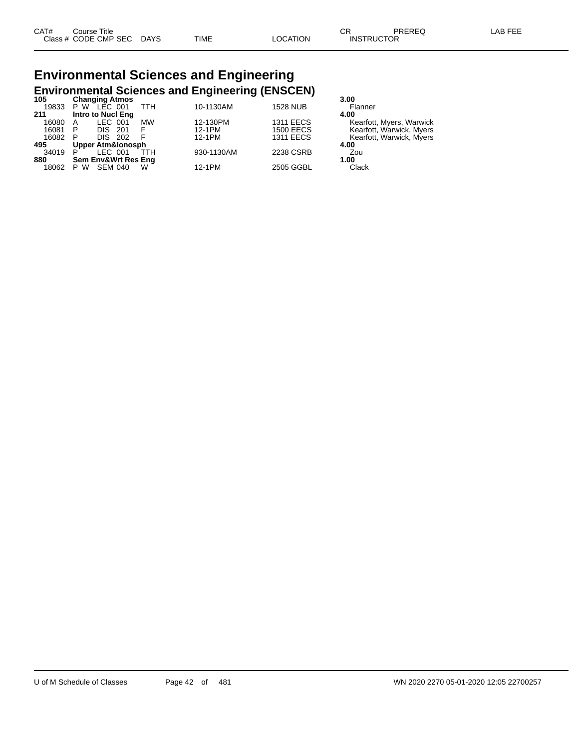## **Environmental Sciences and Engineering Environmental Sciences and Engineering (ENSCEN) 105 Changing Atmos 3.00**

| כּטו  | Unanging Atmos            |            |                  | J.UU                     |
|-------|---------------------------|------------|------------------|--------------------------|
| 19833 | TTH<br>P W LEC 001        | 10-1130AM  | <b>1528 NUB</b>  | Flanner                  |
| 211   | Intro to Nucl Eng         |            |                  | 4.00                     |
| 16080 | <b>MW</b><br>LEC 001<br>A | 12-130PM   | <b>1311 EECS</b> | Kearfott, Myers, Warwick |
| 16081 | <b>DIS 201</b><br>F<br>P. | 12-1PM     | <b>1500 EECS</b> | Kearfott, Warwick, Myers |
| 16082 | - F<br>DIS 202<br>P       | 12-1PM     | <b>1311 EECS</b> | Kearfott, Warwick, Myers |
| 495   | Upper Atm&lonosph         |            |                  | 4.00                     |
| 34019 | TTH<br>LEC 001<br>P       | 930-1130AM | 2238 CSRB        | Zou                      |
| 880   | Sem Env&Wrt Res Eng       |            |                  | 1.00                     |
| 18062 | SEM 040<br>P W<br>w       | 12-1PM     | 2505 GGBL        | Clack                    |
|       |                           |            |                  |                          |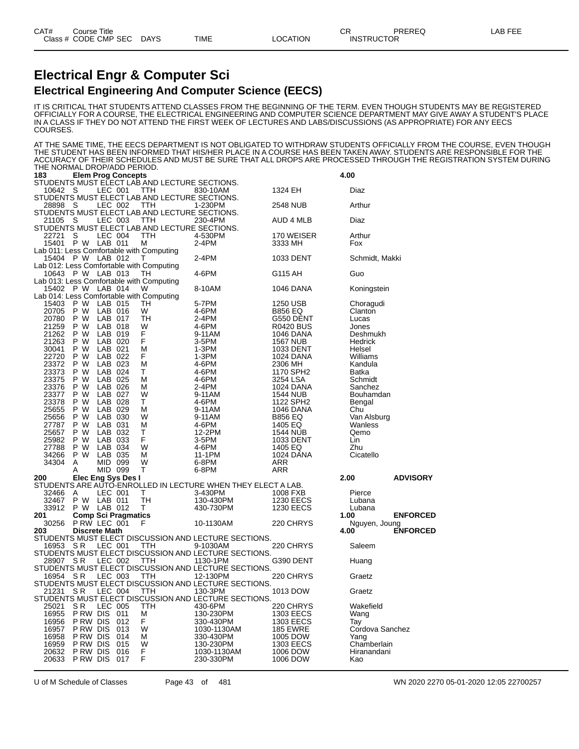#### **Electrical Engr & Computer Sci Electrical Engineering And Computer Science (EECS)**

IT IS CRITICAL THAT STUDENTS ATTEND CLASSES FROM THE BEGINNING OF THE TERM. EVEN THOUGH STUDENTS MAY BE REGISTERED OFFICIALLY FOR A COURSE, THE ELECTRICAL ENGINEERING AND COMPUTER SCIENCE DEPARTMENT MAY GIVE AWAY A STUDENT'S PLACE IN A CLASS IF THEY DO NOT ATTEND THE FIRST WEEK OF LECTURES AND LABS/DISCUSSIONS (AS APPROPRIATE) FOR ANY EECS COURSES.

AT THE SAME TIME, THE EECS DEPARTMENT IS NOT OBLIGATED TO WITHDRAW STUDENTS OFFICIALLY FROM THE COURSE, EVEN THOUGH THE STUDENT HAS BEEN INFORMED THAT HIS/HER PLACE IN A COURSE HAS BEEN TAKEN AWAY. STUDENTS ARE RESPONSIBLE FOR THE ACCURACY OF THEIR SCHEDULES AND MUST BE SURE THAT ALL DROPS ARE PROCESSED THROUGH THE REGISTRATION SYSTEM DURING THE NORMAL DROP/ADD PERIOD.

| 183   |                      |                | <b>Elem Prog Concepts</b>  |                                                      |                                                                                      |                  | 4.00            |                 |
|-------|----------------------|----------------|----------------------------|------------------------------------------------------|--------------------------------------------------------------------------------------|------------------|-----------------|-----------------|
|       |                      |                |                            | STUDENTS MUST ELECT LAB AND LECTURE SECTIONS.        |                                                                                      |                  |                 |                 |
| 10642 | S                    | LEC 001        |                            | TTH                                                  | 830-10AM                                                                             | 1324 EH          | Diaz            |                 |
|       |                      |                |                            | STUDENTS MUST ELECT LAB AND LECTURE SECTIONS.<br>ттн | 1-230PM                                                                              |                  |                 |                 |
| 28898 | S                    | LEC 002        |                            | STUDENTS MUST ELECT LAB AND LECTURE SECTIONS.        |                                                                                      | 2548 NUB         | Arthur          |                 |
| 21105 | S                    | LEC 003        |                            | TTH                                                  | 230-4PM                                                                              | AUD 4 MLB        | Diaz            |                 |
|       |                      |                |                            | STUDENTS MUST ELECT LAB AND LECTURE SECTIONS.        |                                                                                      |                  |                 |                 |
| 22721 | S                    | LEC 004        |                            | TTH                                                  | 4-530PM                                                                              | 170 WEISER       | Arthur          |                 |
| 15401 | P W                  | LAB 011        |                            | М                                                    | 2-4PM                                                                                | 3333 MH          | Fox             |                 |
|       |                      |                |                            | Lab 011: Less Comfortable with Computing             |                                                                                      |                  |                 |                 |
| 15404 | P W                  | LAB 012        |                            | т                                                    | 2-4PM                                                                                | 1033 DENT        | Schmidt, Makki  |                 |
|       |                      |                |                            | Lab 012: Less Comfortable with Computing             |                                                                                      |                  |                 |                 |
| 10643 | P W                  | LAB 013        |                            | ТH                                                   | 4-6PM                                                                                | G115 AH          | Guo             |                 |
| 15402 | P W                  |                |                            | Lab 013: Less Comfortable with Computing             |                                                                                      |                  |                 |                 |
|       |                      | LAB 014        |                            | w<br>Lab 014: Less Comfortable with Computing        | 8-10AM                                                                               | 1046 DANA        | Koningstein     |                 |
| 15403 | P W                  | LAB 015        |                            | ТH                                                   | 5-7PM                                                                                | 1250 USB         | Choragudi       |                 |
| 20705 | P W                  | LAB 016        |                            | W                                                    | 4-6PM                                                                                | <b>B856 EQ</b>   | Clanton         |                 |
| 20780 | P W                  | LAB 017        |                            | TН                                                   | 2-4PM                                                                                | G550 DENT        | Lucas           |                 |
| 21259 | P W                  | LAB 018        |                            | W                                                    | 4-6PM                                                                                | <b>R0420 BUS</b> | Jones           |                 |
| 21262 | P W                  | LAB 019        |                            | F.                                                   | 9-11AM                                                                               | <b>1046 DANA</b> | Deshmukh        |                 |
| 21263 | P W                  | LAB 020        |                            | F                                                    | 3-5PM                                                                                | <b>1567 NUB</b>  | Hedrick         |                 |
| 30041 | P W                  | LAB 021        |                            | М                                                    | 1-3PM                                                                                | 1033 DENT        | Helsel          |                 |
| 22720 | P W                  | LAB 022        |                            | F                                                    | 1-3PM                                                                                | 1024 DANA        | Williams        |                 |
| 23372 | P W                  | LAB 023        |                            | М                                                    | 4-6PM                                                                                | 2306 MH          | Kandula         |                 |
| 23373 | P W                  | LAB 024        |                            | Т                                                    | 4-6PM                                                                                | 1170 SPH2        | Batka           |                 |
| 23375 | P W                  | LAB 025        |                            | м                                                    | 4-6PM                                                                                | 3254 LSA         | Schmidt         |                 |
| 23376 | P W                  | LAB 026        |                            | М                                                    | 2-4PM                                                                                | <b>1024 DANA</b> | Sanchez         |                 |
| 23377 | P W                  | LAB 027        |                            | W                                                    | 9-11AM                                                                               | <b>1544 NUB</b>  | Bouhamdan       |                 |
| 23378 | P W                  | LAB 028        |                            | т                                                    | 4-6PM                                                                                | 1122 SPH2        | Bengal          |                 |
| 25655 | P W                  | LAB 029        |                            | М                                                    | 9-11AM                                                                               | <b>1046 DANA</b> | Chu             |                 |
| 25656 | P W                  | LAB 030        |                            | W                                                    | 9-11AM                                                                               | <b>B856 EQ</b>   | Van Alsburg     |                 |
| 27787 | P W                  | LAB 031        |                            | М                                                    | 4-6PM                                                                                | 1405 EQ          | Wanless         |                 |
| 25657 | P W                  | LAB 032        |                            | т                                                    | 12-2PM                                                                               | <b>1544 NUB</b>  | Qemo            |                 |
| 25982 | P<br>W               | LAB 033        |                            | F                                                    | 3-5PM                                                                                | 1033 DENT        | Lin             |                 |
| 27788 | P W                  | LAB 034        |                            | W                                                    | 4-6PM                                                                                | 1405 EQ          | Zhu             |                 |
| 34266 | P W                  | LAB 035        |                            | м                                                    | 11-1PM                                                                               | <b>1024 DANA</b> | Cicatello       |                 |
| 34304 | A                    | MID 099        |                            | W                                                    | 6-8PM                                                                                | <b>ARR</b>       |                 |                 |
|       | A                    | MID 099        |                            | т                                                    | 6-8PM                                                                                | <b>ARR</b>       |                 |                 |
| 200   |                      |                | Elec Eng Sys Des I         |                                                      |                                                                                      |                  | 2.00            | <b>ADVISORY</b> |
| 32466 | Α                    | LEC 001        |                            | т                                                    | STUDENTS ARE AUTO-ENROLLED IN LECTURE WHEN THEY ELECT A LAB.<br>3-430PM              | 1008 FXB         | Pierce          |                 |
| 32467 | P W                  | LAB 011        |                            | TН                                                   | 130-430PM                                                                            | <b>1230 EECS</b> | Lubana          |                 |
| 33912 | P W                  | LAB 012        |                            | т                                                    | 430-730PM                                                                            | <b>1230 EECS</b> | Lubana          |                 |
| 201   |                      |                | <b>Comp Sci Pragmatics</b> |                                                      |                                                                                      |                  | 1.00            | <b>ENFORCED</b> |
| 30256 | PRW LEC 001          |                |                            | F                                                    | 10-1130AM                                                                            | 220 CHRYS        | Nguyen, Joung   |                 |
| 203   | <b>Discrete Math</b> |                |                            |                                                      |                                                                                      |                  | 4.00            | <b>ENFORCED</b> |
|       |                      |                |                            |                                                      | STUDENTS MUST ELECT DISCUSSION AND LECTURE SECTIONS.                                 |                  |                 |                 |
| 16953 | S R                  | LEC 001        |                            | TTH                                                  | 9-1030AM                                                                             | 220 CHRYS        | Saleem          |                 |
|       |                      |                |                            |                                                      | STUDENTS MUST ELECT DISCUSSION AND LECTURE SECTIONS.                                 |                  |                 |                 |
| 28907 | S R                  | LEC 002        |                            | ттн                                                  | 1130-1PM                                                                             | G390 DENT        | Huang           |                 |
|       |                      |                |                            |                                                      | STUDENTS MUST ELECT DISCUSSION AND LECTURE SECTIONS.                                 |                  |                 |                 |
| 16954 | SR.                  | LEC 003        |                            | TTH                                                  | 12-130PM                                                                             | 220 CHRYS        | Graetz          |                 |
|       |                      |                |                            |                                                      | STUDENTS MUST ELECT DISCUSSION AND LECTURE SECTIONS.                                 |                  |                 |                 |
|       |                      |                |                            |                                                      | 21231 SR LEC 004 TTH 130-3PM<br>STUDENTS MUST ELECT DISCUSSION AND LECTURE SECTIONS. | 1013 DOW         | Graetz          |                 |
|       |                      |                |                            |                                                      |                                                                                      |                  |                 |                 |
| 25021 | S R                  | <b>LEC 005</b> |                            | TTH                                                  | 430-6PM                                                                              | 220 CHRYS        | Wakefield       |                 |
| 16955 | PRW DIS 011          |                |                            | М                                                    | 130-230PM                                                                            | <b>1303 EECS</b> | Wang            |                 |
| 16956 | P RW DIS             |                | 012                        | F                                                    | 330-430PM                                                                            | 1303 EECS        | Тау             |                 |
| 16957 | P RW DIS             |                | 013                        | W                                                    | 1030-1130AM                                                                          | <b>185 EWRE</b>  | Cordova Sanchez |                 |
| 16958 | P RW DIS             |                | 014                        | М                                                    | 330-430PM                                                                            | 1005 DOW         | Yang            |                 |
| 16959 | P RW DIS             |                | 015                        | W                                                    | 130-230PM                                                                            | 1303 EECS        | Chamberlain     |                 |
| 20632 | P RW DIS             |                | 016                        | F                                                    | 1030-1130AM                                                                          | 1006 DOW         | Hiranandani     |                 |
| 20633 | P RW DIS             |                | 017                        | F                                                    | 230-330PM                                                                            | 1006 DOW         | Kao             |                 |

U of M Schedule of Classes Page 43 of 481 WN 2020 2270 05-01-2020 12:05 22700257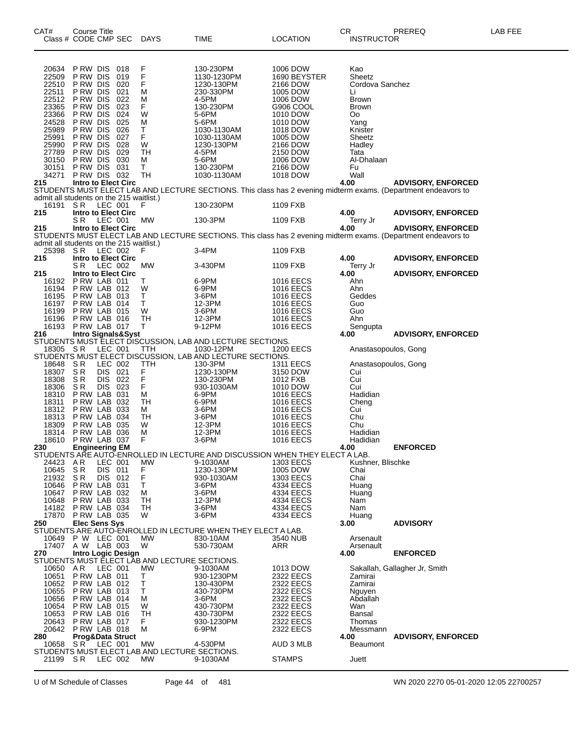| CAT#           | <b>Course Title</b><br>Class # CODE CMP SEC                     | DAYS        | TIME                                                                                    | LOCATION               | CR<br><b>INSTRUCTOR</b> | PREREQ                                                                                                         | <b>LAB FEE</b> |
|----------------|-----------------------------------------------------------------|-------------|-----------------------------------------------------------------------------------------|------------------------|-------------------------|----------------------------------------------------------------------------------------------------------------|----------------|
|                |                                                                 |             |                                                                                         |                        |                         |                                                                                                                |                |
| 20634          | P RW DIS<br>018                                                 |             | 130-230PM                                                                               | 1006 DOW               | Kao                     |                                                                                                                |                |
| 22509          | P RW DIS<br>019                                                 | F<br>F<br>F | 1130-1230PM                                                                             | 1690 BEYSTER           | Sheetz                  |                                                                                                                |                |
| 22510          | P RW DIS<br>020                                                 |             | 1230-130PM                                                                              | 2166 DOW               | Cordova Sanchez         |                                                                                                                |                |
| 22511<br>22512 | P RW DIS<br>021<br>P RW DIS<br>022                              | М<br>М      | 230-330PM<br>4-5PM                                                                      | 1005 DOW<br>1006 DOW   | Li<br><b>Brown</b>      |                                                                                                                |                |
| 23365          | P RW DIS<br>023                                                 | F           | 130-230PM                                                                               | G906 COOL              | <b>Brown</b>            |                                                                                                                |                |
| 23366          | P RW DIS<br>024                                                 | W           | 5-6PM                                                                                   | 1010 DOW               | Oo                      |                                                                                                                |                |
| 24528          | P RW DIS<br>025                                                 | М           | 5-6PM                                                                                   | 1010 DOW               | Yang                    |                                                                                                                |                |
| 25989<br>25991 | P RW DIS<br>026<br>P RW DIS<br>027                              | Τ<br>F.     | 1030-1130AM<br>1030-1130AM                                                              | 1018 DOW<br>1005 DOW   | Knister<br>Sheetz       |                                                                                                                |                |
| 25990          | P RW DIS<br>028                                                 | W           | 1230-130PM                                                                              | 2166 DOW               | Hadley                  |                                                                                                                |                |
| 27789          | P RW DIS<br>029                                                 | TH          | 4-5PM                                                                                   | 2150 DOW               | Tata                    |                                                                                                                |                |
| 30150          | P RW DIS<br>030                                                 | м           | 5-6PM                                                                                   | 1006 DOW               | Al-Dhalaan              |                                                                                                                |                |
| 30151          | P RW DIS<br>031                                                 | T.          | 130-230PM                                                                               | 2166 DOW               | Fu                      |                                                                                                                |                |
| 34271<br>215   | PRW DIS 032<br><b>Intro to Elect Circ</b>                       | TН          | 1030-1130AM                                                                             | 1018 DOW               | Wall<br>4.00            | <b>ADVISORY, ENFORCED</b>                                                                                      |                |
|                |                                                                 |             |                                                                                         |                        |                         | STUDENTS MUST ELECT LAB AND LECTURE SECTIONS. This class has 2 evening midterm exams. (Department endeavors to |                |
|                | admit all students on the 215 waitlist.)                        |             |                                                                                         |                        |                         |                                                                                                                |                |
| 16191          | S R<br>LEC 001                                                  | F           | 130-230PM                                                                               | 1109 FXB               |                         |                                                                                                                |                |
| 215            | Intro to Elect Circ<br>S R<br>LEC 001                           | MW          | 130-3PM                                                                                 | 1109 FXB               | 4.00<br>Terry Jr        | <b>ADVISORY, ENFORCED</b>                                                                                      |                |
| 215            | Intro to Elect Circ                                             |             |                                                                                         |                        | 4.00                    | <b>ADVISORY, ENFORCED</b>                                                                                      |                |
|                |                                                                 |             |                                                                                         |                        |                         | STUDENTS MUST ELECT LAB AND LECTURE SECTIONS. This class has 2 evening midterm exams. (Department endeavors to |                |
|                | admit all students on the 215 waitlist.)                        |             |                                                                                         |                        |                         |                                                                                                                |                |
| 25398<br>215   | S R<br>LEC 002<br>Intro to Elect Circ                           | F           | $3-4PM$                                                                                 | 1109 FXB               | 4.00                    | <b>ADVISORY, ENFORCED</b>                                                                                      |                |
|                | S R<br>LEC 002                                                  | MW          | 3-430PM                                                                                 | 1109 FXB               | Terry Jr                |                                                                                                                |                |
| 215            | <b>Intro to Elect Circ</b>                                      |             |                                                                                         |                        | 4.00                    | <b>ADVISORY, ENFORCED</b>                                                                                      |                |
| 16192          | PRW LAB 011                                                     | Τ           | 6-9PM                                                                                   | <b>1016 EECS</b>       | Ahn                     |                                                                                                                |                |
| 16194          | PRW LAB 012                                                     | W           | 6-9PM                                                                                   | <b>1016 EECS</b>       | Ahn                     |                                                                                                                |                |
| 16195<br>16197 | PRW LAB 013<br>PRW LAB 014                                      | Τ<br>T.     | 3-6PM<br>12-3PM                                                                         | 1016 EECS<br>1016 EECS | Geddes<br>Guo           |                                                                                                                |                |
| 16199          | PRW LAB 015                                                     | W           | 3-6PM                                                                                   | <b>1016 EECS</b>       | Guo                     |                                                                                                                |                |
| 16196          | PRW LAB 016                                                     | TH          | 12-3PM                                                                                  | 1016 EECS              | Ahn                     |                                                                                                                |                |
| 16193          | PRW LAB 017                                                     | T.          | 9-12PM                                                                                  | 1016 EECS              | Sengupta                |                                                                                                                |                |
| 216            | Intro Signals&Syst                                              |             | STUDENTS MUST ELECT DISCUSSION, LAB AND LECTURE SECTIONS.                               |                        | 4.00                    | <b>ADVISORY, ENFORCED</b>                                                                                      |                |
| 18305 SR       | LEC 001                                                         | TTH         | 1030-12PM                                                                               | <b>1200 EECS</b>       | Anastasopoulos, Gong    |                                                                                                                |                |
|                |                                                                 |             | STUDENTS MUST ELECT DISCUSSION, LAB AND LECTURE SECTIONS.                               |                        |                         |                                                                                                                |                |
| 18648          | S R<br>LEC 002                                                  | TTH         | 130-3PM                                                                                 | <b>1311 EECS</b>       | Anastasopoulos, Gong    |                                                                                                                |                |
| 18307<br>18308 | SR<br>DIS 021<br>SR<br>DIS 022                                  | Ė<br>F      | 1230-130PM<br>130-230PM                                                                 | 3150 DOW<br>1012 FXB   | Cui<br>Cui              |                                                                                                                |                |
| 18306          | S R<br>DIS 023                                                  | F           | 930-1030AM                                                                              | 1010 DOW               | Cui                     |                                                                                                                |                |
| 18310          | PRW LAB 031                                                     | М           | 6-9PM                                                                                   | <b>1016 EECS</b>       | Hadidian                |                                                                                                                |                |
| 18311          | P RW LAB 032                                                    | TH          | 6-9PM                                                                                   | <b>1016 EECS</b>       | Cheng                   |                                                                                                                |                |
| 18312<br>18313 | PRW LAB 033<br>P RW LAB 034                                     | м<br>TH     | 3-6PM<br>$3-6$ PM                                                                       | 1016 EECS<br>1016 EECS | Cui<br>Chu              |                                                                                                                |                |
| 18309          | P RW LAB 035                                                    | W           | 12-3PM                                                                                  | <b>1016 EECS</b>       | Chu                     |                                                                                                                |                |
| 18314          | PRW LAB 036                                                     | М           | 12-3PM                                                                                  | 1016 EECS              | Hadidian                |                                                                                                                |                |
| 18610          | PRW LAB 037                                                     | F           | 3-6PM                                                                                   | <b>1016 EECS</b>       | Hadidian                |                                                                                                                |                |
| 230            | <b>Engineering EM</b>                                           |             |                                                                                         |                        | 4.00                    | <b>ENFORCED</b>                                                                                                |                |
| 24423          | A R<br>LEC 001                                                  | МW          | STUDENTS ARE AUTO-ENROLLED IN LECTURE AND DISCUSSION WHEN THEY ELECT A LAB.<br>9-1030AM | 1303 EECS              | Kushner, Blischke       |                                                                                                                |                |
| 10645          | SR<br>DIS 011                                                   | F           | 1230-130PM                                                                              | 1005 DOW               | Chai                    |                                                                                                                |                |
| 21932          | SR.<br>DIS 012                                                  | F           | 930-1030AM                                                                              | 1303 EECS              | Chai                    |                                                                                                                |                |
| 10646<br>10647 | PRW LAB 031<br>P RW LAB 032                                     | Τ           | 3-6PM<br>3-6PM                                                                          | 4334 EECS              | Huang                   |                                                                                                                |                |
| 10648          | PRW LAB 033                                                     | м<br>TН     | 12-3PM                                                                                  | 4334 EECS<br>4334 EECS | Huang<br>Nam            |                                                                                                                |                |
| 14182          | PRW LAB 034                                                     | TH          | 3-6PM                                                                                   | 4334 EECS              | Nam                     |                                                                                                                |                |
| 17870          | P RW LAB 035                                                    | W           | 3-6PM                                                                                   | 4334 EECS              | Huang                   |                                                                                                                |                |
| 250            | <b>Elec Sens Sys</b>                                            |             |                                                                                         |                        | 3.00                    | <b>ADVISORY</b>                                                                                                |                |
| 10649          | P W LEC 001                                                     | МW          | STUDENTS ARE AUTO-ENROLLED IN LECTURE WHEN THEY ELECT A LAB.<br>830-10AM                | 3540 NUB               | Arsenault               |                                                                                                                |                |
|                | 17407 A W LAB 003                                               | W           | 530-730AM                                                                               | ARR                    | Arsenault               |                                                                                                                |                |
| 270            | <b>Intro Logic Design</b>                                       |             |                                                                                         |                        | 4.00                    | <b>ENFORCED</b>                                                                                                |                |
|                | STUDENTS MUST ELECT LAB AND LECTURE SECTIONS.                   |             |                                                                                         |                        |                         |                                                                                                                |                |
| 10650<br>10651 | AR<br>LEC 001<br>PRW LAB 011                                    | MW<br>Τ     | 9-1030AM<br>930-1230PM                                                                  | 1013 DOW<br>2322 EECS  | Zamirai                 | Sakallah, Gallagher Jr, Smith                                                                                  |                |
| 10652          | PRW LAB 012                                                     | Τ           | 130-430PM                                                                               | 2322 EECS              | Zamirai                 |                                                                                                                |                |
| 10655          | PRW LAB 013                                                     | т           | 430-730PM                                                                               | 2322 EECS              | Nguyen                  |                                                                                                                |                |
| 10656          | PRW LAB 014                                                     | м           | 3-6PM                                                                                   | 2322 EECS              | Abdallah                |                                                                                                                |                |
| 10654          | PRW LAB 015                                                     | W           | 430-730PM                                                                               | 2322 EECS              | Wan                     |                                                                                                                |                |
| 10653<br>20643 | PRW LAB 016<br>PRW LAB 017                                      | TН<br>F.    | 430-730PM<br>930-1230PM                                                                 | 2322 EECS<br>2322 EECS | Bansal<br>Thomas        |                                                                                                                |                |
| 20642          | PRW LAB 018                                                     | м           | 6-9PM                                                                                   | 2322 EECS              | Messmann                |                                                                                                                |                |
| 280            | Prog&Data Struct                                                |             |                                                                                         |                        | 4.00                    | <b>ADVISORY, ENFORCED</b>                                                                                      |                |
| 10658          | SR <sup>1</sup><br>LEC 001                                      | MW          | 4-530PM                                                                                 | AUD 3 MLB              | <b>Beaumont</b>         |                                                                                                                |                |
| 21199          | STUDENTS MUST ELECT LAB AND LECTURE SECTIONS.<br>S R<br>LEC 002 | MW          | 9-1030AM                                                                                | <b>STAMPS</b>          | Juett                   |                                                                                                                |                |
|                |                                                                 |             |                                                                                         |                        |                         |                                                                                                                |                |

U of M Schedule of Classes Page 44 of 481 WN 2020 2270 05-01-2020 12:05 22700257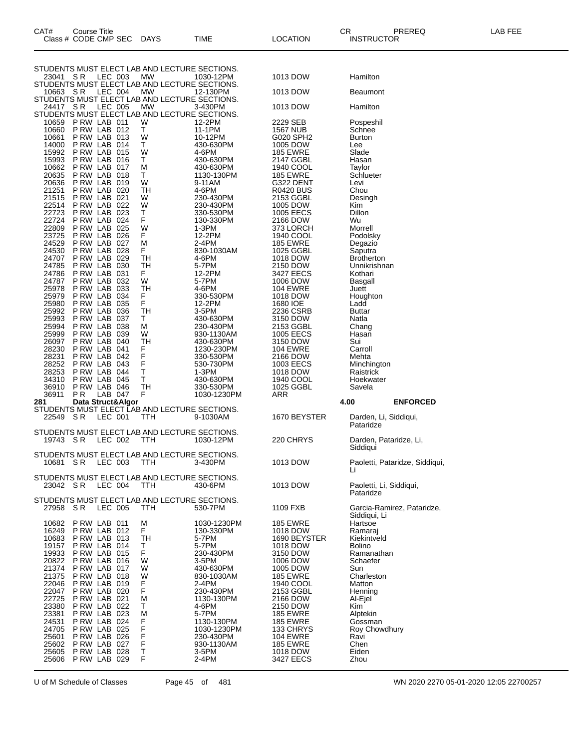| CAT#           | Course Title                |                |                                                      |                         |                                    | CR.                                | PREREQ                         | LAB FEE |
|----------------|-----------------------------|----------------|------------------------------------------------------|-------------------------|------------------------------------|------------------------------------|--------------------------------|---------|
|                | Class # CODE CMP SEC        |                | DAYS                                                 | TIME                    | <b>LOCATION</b>                    | <b>INSTRUCTOR</b>                  |                                |         |
|                |                             |                |                                                      |                         |                                    |                                    |                                |         |
| 23041 SR       |                             | LEC 003        | STUDENTS MUST ELECT LAB AND LECTURE SECTIONS.<br>МW  | 1030-12PM               | 1013 DOW                           | Hamilton                           |                                |         |
|                |                             |                | STUDENTS MUST ELECT LAB AND LECTURE SECTIONS.        |                         |                                    |                                    |                                |         |
| 10663 SR       |                             | LEC 004        | МW<br>STUDENTS MUST ELECT LAB AND LECTURE SECTIONS.  | 12-130PM                | 1013 DOW                           | <b>Beaumont</b>                    |                                |         |
| 24417 SR       |                             | <b>LEC 005</b> | MW<br>STUDENTS MUST ELECT LAB AND LECTURE SECTIONS.  | 3-430PM                 | 1013 DOW                           | Hamilton                           |                                |         |
| 10659          | PRW LAB 011                 |                | W                                                    | 12-2PM                  | 2229 SEB                           | Pospeshil                          |                                |         |
| 10660<br>10661 | PRW LAB 012<br>PRW LAB 013  |                | T.<br>W                                              | 11-1PM<br>10-12PM       | <b>1567 NUB</b><br>G020 SPH2       | Schnee<br><b>Burton</b>            |                                |         |
| 14000          | PRW LAB 014                 |                | T                                                    | 430-630PM               | 1005 DOW                           | Lee                                |                                |         |
| 15992<br>15993 | PRW LAB 015<br>PRW LAB 016  |                | W<br>T                                               | 4-6PM<br>430-630PM      | <b>185 EWRE</b><br>2147 GGBL       | Slade<br>Hasan                     |                                |         |
| 10662          | PRW LAB 017                 |                | М                                                    | 430-630PM               | 1940 COOL                          | Taylor                             |                                |         |
| 20635          | PRW LAB 018                 |                | Τ<br>W                                               | 1130-130PM              | <b>185 EWRE</b>                    | Schlueter                          |                                |         |
| 20636<br>21251 | PRW LAB 019<br>P RW LAB 020 |                | <b>TH</b>                                            | 9-11AM<br>4-6PM         | G322 DENT<br><b>R0420 BUS</b>      | Levi<br>Chou                       |                                |         |
| 21515          | PRW LAB 021                 |                | W                                                    | 230-430PM               | 2153 GGBL                          | Desingh                            |                                |         |
| 22514<br>22723 | PRW LAB 022<br>P RW LAB 023 |                | W<br>Т                                               | 230-430PM<br>330-530PM  | 1005 DOW<br><b>1005 EECS</b>       | Kim<br>Dillon                      |                                |         |
| 22724          | PRW LAB 024                 |                | F                                                    | 130-330PM               | 2166 DOW                           | Wu                                 |                                |         |
| 22809<br>23725 | PRW LAB 025<br>P RW LAB 026 |                | W<br>F                                               | $1-3PM$<br>12-2PM       | 373 LORCH<br>1940 COOL             | Morrell<br>Podolsky                |                                |         |
| 24529          | PRW LAB 027                 |                | M                                                    | 2-4PM                   | <b>185 EWRE</b>                    | Degazio                            |                                |         |
| 24530<br>24707 | PRW LAB 028<br>PRW LAB 029  |                | F                                                    | 830-1030AM              | 1025 GGBL                          | Saputra                            |                                |         |
| 24785          | PRW LAB 030                 |                | TН<br>TН                                             | 4-6PM<br>5-7PM          | 1018 DOW<br>2150 DOW               | <b>Brotherton</b><br>Unnikrishnan  |                                |         |
| 24786          | PRW LAB 031                 |                | F.                                                   | 12-2PM                  | 3427 EECS                          | Kothari                            |                                |         |
| 24787<br>25978 | P RW LAB 032<br>PRW LAB 033 |                | W<br><b>TH</b>                                       | 5-7PM<br>4-6PM          | 1006 DOW<br><b>104 EWRE</b>        | Basgall<br>Juett                   |                                |         |
| 25979          | PRW LAB 034                 |                | F<br>F                                               | 330-530PM               | 1018 DOW                           | Houghton                           |                                |         |
| 25980<br>25992 | P RW LAB 035<br>PRW LAB 036 |                | <b>TH</b>                                            | 12-2PM<br>3-5PM         | 1680 IOE<br>2236 CSRB              | Ladd<br><b>Buttar</b>              |                                |         |
| 25993          | PRW LAB 037                 |                | Τ                                                    | 430-630PM               | 3150 DOW                           | Natla                              |                                |         |
| 25994          | P RW LAB 038                |                | М                                                    | 230-430PM               | 2153 GGBL                          | Chang                              |                                |         |
| 25999<br>26097 | P RW LAB 039<br>PRW LAB 040 |                | W<br><b>TH</b>                                       | 930-1130AM<br>430-630PM | <b>1005 EECS</b><br>3150 DOW       | Hasan<br>Sui                       |                                |         |
| 28230          | PRW LAB 041                 |                | F<br>F                                               | 1230-230PM              | <b>104 EWRE</b>                    | Carroll                            |                                |         |
| 28231<br>28252 | PRW LAB 042<br>PRW LAB 043  |                | F                                                    | 330-530PM<br>530-730PM  | 2166 DOW<br>1003 EECS              | Mehta<br>Minchington               |                                |         |
| 28253          | PRW LAB 044                 |                | Τ                                                    | $1-3PM$                 | 1018 DOW                           | Raistrick                          |                                |         |
| 34310<br>36910 | P RW LAB 045<br>PRW LAB 046 |                | Τ<br><b>TH</b>                                       | 430-630PM<br>330-530PM  | 1940 COOL<br>1025 GGBL             | Hoekwater<br>Savela                |                                |         |
| 36911          | P <sub>R</sub>              | LAB 047        | F                                                    | 1030-1230PM             | ARR                                |                                    |                                |         |
| 281            | Data Struct&Algor           |                | STUDENTS MUST ELECT LAB AND LECTURE SECTIONS.        |                         |                                    | 4.00                               | <b>ENFORCED</b>                |         |
| 22549 SR       |                             | LEC 001        | TTH                                                  | 9-1030AM                | 1670 BEYSTER                       | Darden, Li, Siddiqui,<br>Pataridze |                                |         |
| 19743 SR       |                             | LEC 002        | STUDENTS MUST ELECT LAB AND LECTURE SECTIONS.<br>TTH | 1030-12PM               | 220 CHRYS                          | Darden, Pataridze, Li,             |                                |         |
|                |                             |                |                                                      |                         |                                    | Siddiqui                           |                                |         |
| 10681 SR       |                             | LEC 003        | STUDENTS MUST ELECT LAB AND LECTURE SECTIONS.<br>TTH | 3-430PM                 | 1013 DOW                           |                                    | Paoletti, Pataridze, Siddiqui, |         |
|                |                             |                |                                                      |                         |                                    |                                    |                                |         |
| 23042 SR       |                             | LEC 004        | STUDENTS MUST ELECT LAB AND LECTURE SECTIONS.<br>TTH | 430-6PM                 | 1013 DOW                           | Paoletti, Li, Siddiqui,            |                                |         |
|                |                             |                | STUDENTS MUST ELECT LAB AND LECTURE SECTIONS.        |                         |                                    | Pataridze                          |                                |         |
| 27958 SR       |                             | LEC 005        | ттн                                                  | 530-7PM                 | 1109 FXB                           |                                    | Garcia-Ramirez, Pataridze,     |         |
| 10682          | P RW LAB 011                |                | М                                                    | 1030-1230PM             | <b>185 EWRE</b>                    | Siddiqui, Li<br>Hartsoe            |                                |         |
| 16249          | PRW LAB 012                 |                | F                                                    | 130-330PM               | 1018 DOW                           | Ramaraj                            |                                |         |
| 10683<br>19157 | PRW LAB 013<br>PRW LAB 014  |                | <b>TH</b><br>т                                       | 5-7PM<br>5-7PM          | 1690 BEYSTER<br>1018 DOW           | Kiekintveld<br>Bolino              |                                |         |
| 19933          | PRW LAB 015                 |                | F                                                    | 230-430PM               | 3150 DOW                           | Ramanathan                         |                                |         |
| 20822          | PRW LAB 016                 |                | W                                                    | 3-5PM                   | 1006 DOW                           | Schaefer                           |                                |         |
| 21374<br>21375 | PRW LAB 017<br>PRW LAB 018  |                | W<br>W                                               | 430-630PM<br>830-1030AM | 1005 DOW<br><b>185 EWRE</b>        | Sun<br>Charleston                  |                                |         |
| 22046          | P RW LAB 019                |                | F                                                    | 2-4PM                   | 1940 COOL                          | Matton                             |                                |         |
| 22047<br>22725 | PRW LAB 020<br>P RW LAB 021 |                | F<br>M                                               | 230-430PM<br>1130-130PM | 2153 GGBL<br>2166 DOW              | Henning<br>Al-Ejel                 |                                |         |
| 23380          | P RW LAB 022                |                | т                                                    | 4-6PM                   | 2150 DOW                           | Kim                                |                                |         |
| 23381<br>24531 | PRW LAB 023<br>PRW LAB 024  |                | M                                                    | 5-7PM<br>1130-130PM     | <b>185 EWRE</b><br><b>185 EWRE</b> | Alptekin<br>Gossman                |                                |         |
| 24705          | P RW LAB 025                |                | F<br>F                                               | 1030-1230PM             | 133 CHRYS                          | Roy Chowdhury                      |                                |         |
| 25601<br>25602 | PRW LAB 026<br>P RW LAB 027 |                | F<br>F                                               | 230-430PM<br>930-1130AM | <b>104 EWRE</b><br><b>185 EWRE</b> | Ravi<br>Chen                       |                                |         |
| 25605          | PRW LAB 028                 |                | T                                                    | 3-5PM                   | 1018 DOW                           | Eiden                              |                                |         |
|                | 25606 P RW LAB 029          |                | F                                                    | 2-4PM                   | 3427 EECS                          | Zhou                               |                                |         |

U of M Schedule of Classes Page 45 of 481 WN 2020 2270 05-01-2020 12:05 22700257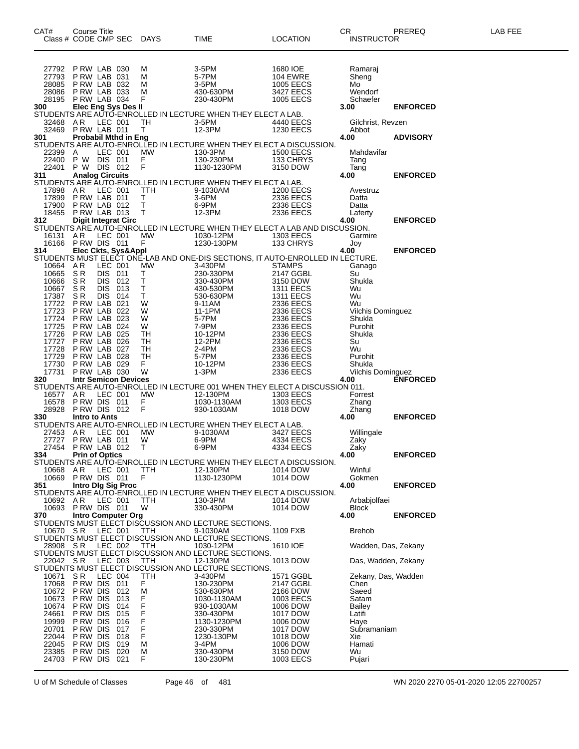| CAT#              | <b>Course Title</b><br>Class # CODE CMP SEC |                    |            | DAYS               | TIME                                                                                                      | <b>LOCATION</b>               | CR<br><b>INSTRUCTOR</b>          | PREREQ          | LAB FEE |
|-------------------|---------------------------------------------|--------------------|------------|--------------------|-----------------------------------------------------------------------------------------------------------|-------------------------------|----------------------------------|-----------------|---------|
|                   | 27792 P RW LAB 030                          |                    |            | м                  | $3-5PM$                                                                                                   | 1680 IOE                      | Ramaraj                          |                 |         |
| 27793             | P RW LAB 031                                |                    |            | м                  | 5-7PM                                                                                                     | <b>104 EWRE</b>               | Sheng                            |                 |         |
| 28085             | P RW LAB 032                                |                    |            | M                  | 3-5PM                                                                                                     | <b>1005 EECS</b>              | Mo                               |                 |         |
| 28086             | PRW LAB 033<br>28195 P RW LAB 034           |                    |            | M<br>F.            | 430-630PM<br>230-430PM                                                                                    | 3427 EECS<br>1005 EECS        | Wendorf<br>Schaefer              |                 |         |
| 300               | Elec Eng Sys Des II                         |                    |            |                    |                                                                                                           |                               | 3.00                             | <b>ENFORCED</b> |         |
|                   |                                             |                    |            |                    | STUDENTS ARE AUTO-ENROLLED IN LECTURE WHEN THEY ELECT A LAB.                                              |                               |                                  |                 |         |
| 32468<br>32469    | AR<br>PRW LAB 011                           | LEC 001            |            | TH<br>T.           | 3-5PM<br>12-3PM                                                                                           | 4440 EECS<br><b>1230 EECS</b> | Gilchrist, Revzen<br>Abbot       |                 |         |
| 301               | <b>Probabil Mthd in Eng</b>                 |                    |            |                    |                                                                                                           |                               | 4.00                             | <b>ADVISORY</b> |         |
|                   |                                             |                    |            |                    | STUDENTS ARE AUTO-ENROLLED IN LECTURE WHEN THEY ELECT A DISCUSSION.                                       |                               |                                  |                 |         |
| 22399 A           | 22400 P W DIS 011                           | LEC 001            |            | MW                 | 130-3PM<br>130-230PM                                                                                      | <b>1500 EECS</b><br>133 CHRYS | Mahdavifar<br>Tang               |                 |         |
| 22401             | P W DIS 012                                 |                    |            | $\frac{F}{F}$      | 1130-1230PM                                                                                               | 3150 DOW                      | Tang                             |                 |         |
| 311               | <b>Analog Circuits</b>                      |                    |            |                    |                                                                                                           |                               | 4.00                             | <b>ENFORCED</b> |         |
| 17898             | AR                                          | <b>LEC 001</b>     |            | TTH                | STUDENTS ARE AUTO-ENROLLED IN LECTURE WHEN THEY ELECT A LAB.<br>9-1030AM                                  | <b>1200 EECS</b>              | Avestruz                         |                 |         |
| 17899             | PRW LAB 011                                 |                    |            | T                  | 3-6PM                                                                                                     | 2336 EECS                     | Datta                            |                 |         |
| 17900             | PRW LAB 012                                 |                    |            | $\top$             | 6-9PM                                                                                                     | 2336 EECS                     | Datta                            |                 |         |
| 18455<br>312      | PRW LAB 013<br><b>Digit Integrat Circ</b>   |                    |            | $\mathsf{T}$       | 12-3PM                                                                                                    | 2336 EECS                     | Laferty<br>4.00                  | <b>ENFORCED</b> |         |
|                   |                                             |                    |            |                    | STUDENTS ARE AUTO-ENROLLED IN LECTURE WHEN THEY ELECT A LAB AND DISCUSSION.                               |                               |                                  |                 |         |
| 16131             | AR                                          | LEC 001            |            | MW                 | 1030-12PM                                                                                                 | 1303 EECS                     | Garmire                          |                 |         |
| 16166             | PRW DIS 011                                 |                    |            | F.                 | 1230-130PM                                                                                                | 133 CHRYS                     | Joy                              | <b>ENFORCED</b> |         |
|                   |                                             |                    |            |                    | 314 Elec Ckts, Sys&Appl<br>STUDENTS MUST ELECT ONE-LAB AND ONE-DIS SECTIONS, IT AUTO-ENROLLED IN LECTURE. |                               |                                  |                 |         |
| 10664 AR          |                                             | LEC 001            |            | MW                 | 3-430PM                                                                                                   | <b>STAMPS</b>                 | Ganago                           |                 |         |
| 10665<br>10666 SR | SR                                          | DIS 011<br>DIS 012 |            | T.<br>$\mathsf{T}$ | 230-330PM<br>330-430PM                                                                                    | 2147 GGBL                     | Su<br>Shukla                     |                 |         |
| 10667             | SR                                          | DIS 013            |            | $\mathsf{T}$       | 430-530PM                                                                                                 | 3150 DOW<br>1311 EECS         | Wu                               |                 |         |
| 17387             | S R                                         | DIS 014            |            | T                  | 530-630PM                                                                                                 | 1311 EECS                     | Wu                               |                 |         |
| 17722<br>17723    | PRW LAB 021<br>PRW LAB 022                  |                    |            | W<br>W             | 9-11AM<br>11-1PM                                                                                          | 2336 EECS<br>2336 EECS        | Wu<br><b>Vilchis Dominguez</b>   |                 |         |
| 17724             | PRW LAB 023                                 |                    |            | W                  | 5-7PM                                                                                                     | 2336 EECS                     | Shukla                           |                 |         |
| 17725             | PRW LAB 024                                 |                    |            | W                  | 7-9PM                                                                                                     | 2336 EECS                     | Purohit                          |                 |         |
| 17726             | PRW LAB 025<br>PRW LAB 026                  |                    |            | TH<br>TH           | 10-12PM<br>12-2PM                                                                                         | 2336 EECS                     | Shukla                           |                 |         |
| 17727<br>17728    | PRW LAB 027                                 |                    |            | TH                 | 2-4PM                                                                                                     | 2336 EECS<br>2336 EECS        | Su<br>Wu                         |                 |         |
| 17729             | PRW LAB 028                                 |                    |            | TH                 | 5-7PM                                                                                                     | 2336 EECS                     | Purohit                          |                 |         |
| 17730<br>17731    | PRW LAB 029<br>P RW LAB 030                 |                    |            | F.<br>W            | 10-12PM<br>1-3PM                                                                                          | 2336 EECS<br>2336 EECS        | Shukla                           |                 |         |
| 320               | <b>Intr Semicon Devices</b>                 |                    |            |                    |                                                                                                           |                               | <b>Vilchis Dominguez</b><br>4.00 | <b>ENFORCED</b> |         |
|                   |                                             |                    |            |                    | STUDENTS ARE AUTO-ENROLLED IN LECTURE 001 WHEN THEY ELECT A DISCUSSION 011.                               |                               |                                  |                 |         |
| 16577<br>16578    | AR<br>PRW DIS 011                           | <b>LEC 001</b>     |            | <b>MW</b><br>F.    | 12-130PM<br>1030-1130AM                                                                                   | 1303 EECS<br>1303 EECS        | Forrest<br>Zhang                 |                 |         |
|                   | 28928 PRW DIS 012                           |                    |            | F                  | 930-1030AM                                                                                                | 1018 DOW                      | Zhang                            |                 |         |
| 330               | Intro to Ants                               |                    |            |                    |                                                                                                           |                               | 4.00                             | <b>ENFORCED</b> |         |
| 27453             | AR                                          | LEC 001            |            | МW                 | STUDENTS ARE AUTO-ENROLLED IN LECTURE WHEN THEY ELECT A LAB.<br>9-1030AM                                  | 3427 EECS                     |                                  |                 |         |
| 27727             | PRW LAB 011                                 |                    |            | W                  | 6-9PM                                                                                                     | 4334 EECS                     | Willingale<br>Zaky               |                 |         |
|                   | 27454 P RW LAB 012                          |                    |            | T.                 | 6-9PM                                                                                                     | 4334 EECS                     | Zaky                             |                 |         |
| 334               | <b>Prin of Optics</b>                       |                    |            |                    | STUDENTS ARE AUTO-ENROLLED IN LECTURE WHEN THEY ELECT A DISCUSSION.                                       |                               | 4.00                             | <b>ENFORCED</b> |         |
| 10668             | A R                                         | LEC 001            |            | <b>TTH</b>         | 12-130PM                                                                                                  | 1014 DOW                      | Winful                           |                 |         |
|                   | 10669 PRW DIS 011                           |                    |            | F                  | 1130-1230PM                                                                                               | 1014 DOW                      | Gokmen                           |                 |         |
| 351               | Intro Dig Sig Proc                          |                    |            |                    | STUDENTS ARE AUTO-ENROLLED IN LECTURE WHEN THEY ELECT A DISCUSSION.                                       |                               | 4.00                             | <b>ENFORCED</b> |         |
| 10692 AR          |                                             | LEC 001            |            | TTH                | 130-3PM                                                                                                   | 1014 DOW                      | Arbabjolfaei                     |                 |         |
| 10693             | PRW DIS 011                                 |                    |            | W                  | 330-430PM                                                                                                 | 1014 DOW                      | <b>Block</b>                     |                 |         |
| 370               | <b>Intro Computer Org</b>                   |                    |            |                    |                                                                                                           |                               | 4.00                             | <b>ENFORCED</b> |         |
| 10670 SR          |                                             | LEC 001            |            | TTH                | STUDENTS MUST ELECT DISCUSSION AND LECTURE SECTIONS.<br>9-1030AM                                          | 1109 FXB                      | <b>Brehob</b>                    |                 |         |
|                   |                                             |                    |            |                    | STUDENTS MUST ELECT DISCUSSION AND LECTURE SECTIONS.                                                      |                               |                                  |                 |         |
| 28908 SR          |                                             | LEC 002            |            | TTH                | 1030-12PM<br>STUDENTS MUST ELECT DISCUSSION AND LECTURE SECTIONS.                                         | 1610 IOE                      | Wadden, Das, Zekany              |                 |         |
| 22042 SR          |                                             | LEC 003            |            | TTH                | 12-130PM                                                                                                  | 1013 DOW                      | Das, Wadden, Zekany              |                 |         |
|                   |                                             |                    |            |                    | STUDENTS MUST ELECT DISCUSSION AND LECTURE SECTIONS.                                                      |                               |                                  |                 |         |
| 10671             | S R                                         | LEC 004            |            | ттн                | 3-430PM                                                                                                   | 1571 GGBL                     | Zekany, Das, Wadden              |                 |         |
| 17068<br>10672    | P RW DIS<br>P RW DIS                        |                    | 011<br>012 | F<br>М             | 130-230PM<br>530-630PM                                                                                    | 2147 GGBL<br>2166 DOW         | Chen<br>Saeed                    |                 |         |
| 10673             | P RW DIS                                    |                    | 013        | F                  | 1030-1130AM                                                                                               | 1003 EECS                     | Satam                            |                 |         |
| 10674             | P RW DIS                                    |                    | 014        | F                  | 930-1030AM                                                                                                | 1006 DOW                      | Bailey                           |                 |         |
| 24661<br>19999    | P RW DIS<br>P RW DIS                        |                    | 015<br>016 | F<br>F             | 330-430PM<br>1130-1230PM                                                                                  | 1017 DOW<br>1006 DOW          | Latifi<br>Haye                   |                 |         |
| 20701             | P RW DIS                                    |                    | 017        | F                  | 230-330PM                                                                                                 | 1017 DOW                      | Subramaniam                      |                 |         |
| 22044             | P RW DIS                                    |                    | 018        | F                  | 1230-130PM                                                                                                | 1018 DOW                      | Xie                              |                 |         |
| 22045<br>23385    | P RW DIS<br>P RW DIS                        |                    | 019<br>020 | M<br>M             | $3-4PM$<br>330-430PM                                                                                      | 1006 DOW<br>3150 DOW          | Hamati<br>Wu                     |                 |         |
|                   | 24703 PRW DIS 021                           |                    |            | F                  | 130-230PM                                                                                                 | 1003 EECS                     | Pujari                           |                 |         |

U of M Schedule of Classes Page 46 of 481 WN 2020 2270 05-01-2020 12:05 22700257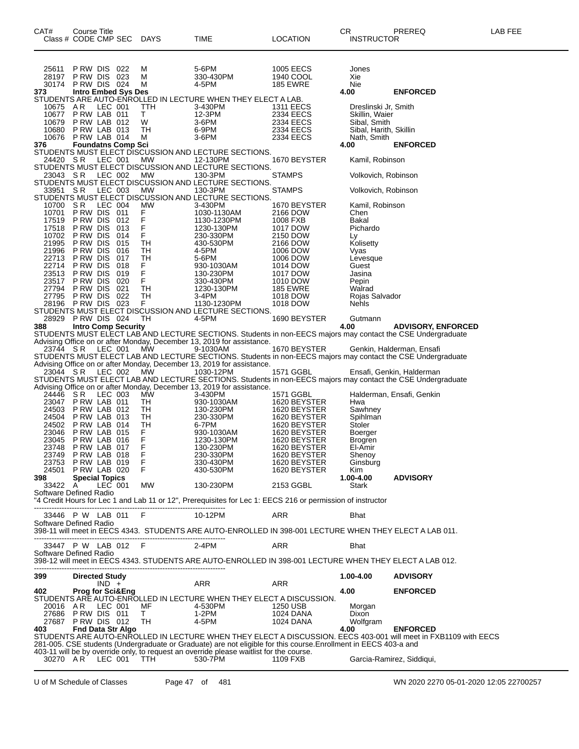| 25611                                         | P RW DIS                    |         | 022                        | M                | 5-6PM                                                                                                                                                                                                       | 1005 EECS                     | Jones                                  |                                                                                                                 |
|-----------------------------------------------|-----------------------------|---------|----------------------------|------------------|-------------------------------------------------------------------------------------------------------------------------------------------------------------------------------------------------------------|-------------------------------|----------------------------------------|-----------------------------------------------------------------------------------------------------------------|
| 28197                                         | P RW DIS                    |         | 023                        | M                | 330-430PM                                                                                                                                                                                                   | 1940 COOL                     | Xie                                    |                                                                                                                 |
| 30174<br>373                                  | PRW DIS 024                 |         | <b>Intro Embed Sys Des</b> | M                | 4-5PM                                                                                                                                                                                                       | <b>185 EWRE</b>               | Nie<br>4.00                            | <b>ENFORCED</b>                                                                                                 |
|                                               |                             |         |                            |                  | STUDENTS ARE AUTO-ENROLLED IN LECTURE WHEN THEY ELECT A LAB.                                                                                                                                                |                               |                                        |                                                                                                                 |
| 10675<br>10677                                | AR.<br>PRW LAB 011          | LEC 001 |                            | TTH<br>Т         | 3-430PM<br>12-3PM                                                                                                                                                                                           | <b>1311 EECS</b><br>2334 EECS | Dreslinski Jr, Smith<br>Skillin, Waier |                                                                                                                 |
| 10679                                         | PRW LAB 012                 |         |                            | W                | 3-6PM                                                                                                                                                                                                       | 2334 EECS                     | Sibal, Smith                           |                                                                                                                 |
| 10680                                         | PRW LAB 013                 |         |                            | TН               | 6-9PM                                                                                                                                                                                                       | 2334 EECS                     | Sibal, Harith, Skillin                 |                                                                                                                 |
| 10676<br>376                                  | PRW LAB 014                 |         | <b>Foundatns Comp Sci</b>  | M                | 3-6PM                                                                                                                                                                                                       | 2334 EECS                     | Nath, Smith<br>4.00                    | <b>ENFORCED</b>                                                                                                 |
|                                               |                             |         |                            |                  | STUDENTS MUST ELECT DISCUSSION AND LECTURE SECTIONS.                                                                                                                                                        |                               |                                        |                                                                                                                 |
| 24420 SR                                      |                             | LEC 001 |                            | МW               | 12-130PM<br>STUDENTS MUST ELECT DISCUSSION AND LECTURE SECTIONS.                                                                                                                                            | 1670 BEYSTER                  | Kamil, Robinson                        |                                                                                                                 |
| 23043                                         | -S R                        | LEC 002 |                            | МW               | 130-3PM                                                                                                                                                                                                     | <b>STAMPS</b>                 | Volkovich, Robinson                    |                                                                                                                 |
|                                               |                             |         |                            |                  | STUDENTS MUST ELECT DISCUSSION AND LECTURE SECTIONS.                                                                                                                                                        |                               |                                        |                                                                                                                 |
| 33951                                         | S R                         | LEC 003 |                            | MW               | 130-3PM<br>STUDENTS MUST ELECT DISCUSSION AND LECTURE SECTIONS.                                                                                                                                             | <b>STAMPS</b>                 | Volkovich, Robinson                    |                                                                                                                 |
| 10700                                         | S R                         | LEC 004 |                            | МW               | 3-430PM                                                                                                                                                                                                     | 1670 BEYSTER                  | Kamil, Robinson                        |                                                                                                                 |
| 10701                                         | P RW DIS                    |         | 011                        | F.               | 1030-1130AM                                                                                                                                                                                                 | 2166 DOW                      | Chen                                   |                                                                                                                 |
| 17519<br>17518                                | P RW DIS<br>P RW DIS        |         | 012<br>013                 | F<br>F           | 1130-1230PM<br>1230-130PM                                                                                                                                                                                   | 1008 FXB<br>1017 DOW          | Bakal<br>Pichardo                      |                                                                                                                 |
| 10702                                         | P RW DIS                    |         | 014                        | F                | 230-330PM                                                                                                                                                                                                   | 2150 DOW                      | Ly                                     |                                                                                                                 |
| 21995                                         | P RW DIS                    |         | 015                        | <b>TH</b>        | 430-530PM                                                                                                                                                                                                   | 2166 DOW                      | Kolisetty                              |                                                                                                                 |
| 21996<br>22713                                | P RW DIS<br>P RW DIS        |         | 016<br>017                 | TН<br>TН         | 4-5PM<br>5-6PM                                                                                                                                                                                              | 1006 DOW<br>1006 DOW          | Vyas                                   |                                                                                                                 |
| 22714                                         | P RW DIS                    |         | 018                        | F                | 930-1030AM                                                                                                                                                                                                  | 1014 DOW                      | Levesque<br>Guest                      |                                                                                                                 |
| 23513                                         | P RW DIS                    |         | 019                        | F                | 130-230PM                                                                                                                                                                                                   | 1017 DOW                      | Jasina                                 |                                                                                                                 |
| 23517<br>27794                                | P RW DIS<br>P RW DIS        |         | 020<br>021                 | F<br>TH          | 330-430PM                                                                                                                                                                                                   | 1010 DOW<br><b>185 EWRE</b>   | Pepin                                  |                                                                                                                 |
| 27795                                         | P RW DIS                    |         | 022                        | TН               | 1230-130PM<br>3-4PM                                                                                                                                                                                         | 1018 DOW                      | Walrad<br>Rojas Salvador               |                                                                                                                 |
| 28196                                         | <b>PRW DIS 023</b>          |         |                            | F.               | 1130-1230PM                                                                                                                                                                                                 | 1018 DOW                      | <b>Nehls</b>                           |                                                                                                                 |
|                                               |                             |         |                            |                  | STUDENTS MUST ELECT DISCUSSION AND LECTURE SECTIONS.<br>4-5PM                                                                                                                                               |                               |                                        |                                                                                                                 |
| 28929 PRW DIS 024<br>388                      |                             |         | <b>Intro Comp Security</b> | TН               |                                                                                                                                                                                                             | 1690 BEYSTER                  | Gutmann<br>4.00                        | <b>ADVISORY, ENFORCED</b>                                                                                       |
|                                               |                             |         |                            |                  | STUDENTS MUST ELECT LAB AND LECTURE SECTIONS. Students in non-EECS majors may contact the CSE Undergraduate                                                                                                 |                               |                                        |                                                                                                                 |
| 23744 SR                                      |                             | LEC 001 |                            | МW               | Advising Office on or after Monday, December 13, 2019 for assistance.<br>9-1030AM                                                                                                                           | 1670 BEYSTER                  |                                        | Genkin, Halderman, Ensafi                                                                                       |
|                                               |                             |         |                            |                  | STUDENTS MUST ELECT LAB AND LECTURE SECTIONS. Students in non-EECS majors may contact the CSE Undergraduate                                                                                                 |                               |                                        |                                                                                                                 |
|                                               |                             |         |                            |                  | Advising Office on or after Monday, December 13, 2019 for assistance.                                                                                                                                       |                               |                                        |                                                                                                                 |
| 23044 SR                                      |                             | LEC 002 |                            | МW               | 1030-12PM<br>STUDENTS MUST ELECT LAB AND LECTURE SECTIONS. Students in non-EECS majors may contact the CSE Undergraduate                                                                                    | 1571 GGBL                     |                                        | Ensafi, Genkin, Halderman                                                                                       |
|                                               |                             |         |                            |                  | Advising Office on or after Monday, December 13, 2019 for assistance.                                                                                                                                       |                               |                                        |                                                                                                                 |
| 24446                                         | S R                         | LEC 003 |                            | МW               | 3-430PM                                                                                                                                                                                                     | 1571 GGBL                     |                                        | Halderman, Ensafi, Genkin                                                                                       |
| 23047<br>24503                                | PRW LAB 011<br>PRW LAB 012  |         |                            | TН<br>TН         | 930-1030AM                                                                                                                                                                                                  | 1620 BEYSTER                  | Hwa                                    |                                                                                                                 |
| 24504                                         | PRW LAB 013                 |         |                            | TН               | 130-230PM<br>230-330PM                                                                                                                                                                                      | 1620 BEYSTER<br>1620 BEYSTER  | Sawhney<br>Spihlman                    |                                                                                                                 |
| 24502                                         | PRW LAB 014                 |         |                            | TН               | 6-7PM                                                                                                                                                                                                       | 1620 BEYSTER                  | Stoler                                 |                                                                                                                 |
| 23046<br>23045                                | PRW LAB 015<br>PRW LAB 016  |         |                            | F<br>F           | 930-1030AM                                                                                                                                                                                                  | 1620 BEYSTER                  | Boerger                                |                                                                                                                 |
| 23748                                         | PRW LAB 017                 |         |                            | F                | 1230-130PM<br>130-230PM                                                                                                                                                                                     | 1620 BEYSTER<br>1620 BEYSTER  | Brogren<br>El-Amir                     |                                                                                                                 |
| 23749                                         | PRW LAB 018                 |         |                            | F                | 230-330PM                                                                                                                                                                                                   | 1620 BEYSTER                  | Shenoy                                 |                                                                                                                 |
| 23753<br>24501 P RW LAB 020                   | PRW LAB 019                 |         |                            | F<br>$\mathsf F$ | 330-430PM<br>430-530PM                                                                                                                                                                                      | 1620 BEYSTER<br>1620 BEYSTER  | Ginsburg                               |                                                                                                                 |
| 398 -                                         | <b>Special Topics</b>       |         |                            |                  |                                                                                                                                                                                                             |                               | Kim<br>1.00-4.00                       | <b>ADVISORY</b>                                                                                                 |
| 33422 A                                       |                             | LEC 001 |                            | MW               | 130-230PM                                                                                                                                                                                                   | 2153 GGBL                     | Stark                                  |                                                                                                                 |
| Software Defined Radio                        |                             |         |                            |                  | "4 Credit Hours for Lec 1 and Lab 11 or 12", Prerequisites for Lec 1: EECS 216 or permission of instructor                                                                                                  |                               |                                        |                                                                                                                 |
|                                               |                             |         |                            |                  |                                                                                                                                                                                                             |                               |                                        |                                                                                                                 |
| 33446 P W LAB 011 F<br>Software Defined Radio |                             |         |                            |                  | 10-12PM                                                                                                                                                                                                     | ARR                           | Bhat                                   |                                                                                                                 |
|                                               |                             |         |                            |                  | .398-11 will meet in EECS 4343. STUDENTS ARE AUTO-ENROLLED IN 398-001 LECTURE WHEN THEY ELECT A LAB 011                                                                                                     |                               |                                        |                                                                                                                 |
| 33447 PW LAB 012 F                            |                             |         |                            |                  | 2-4PM                                                                                                                                                                                                       | ARR                           | Bhat                                   |                                                                                                                 |
| Software Defined Radio                        |                             |         |                            |                  |                                                                                                                                                                                                             |                               |                                        |                                                                                                                 |
|                                               |                             |         |                            |                  | .398-12 will meet in EECS 4343. STUDENTS ARE AUTO-ENROLLED IN 398-001 LECTURE WHEN THEY ELECT A LAB 012                                                                                                     |                               |                                        |                                                                                                                 |
| 399                                           | <b>Directed Study</b>       |         |                            |                  |                                                                                                                                                                                                             |                               | $1.00 - 4.00$                          | <b>ADVISORY</b>                                                                                                 |
| 402                                           | <b>Prog for Sci&amp;Eng</b> | $IND +$ |                            |                  | ARR                                                                                                                                                                                                         | ARR                           | 4.00                                   | <b>ENFORCED</b>                                                                                                 |
|                                               |                             |         |                            |                  | STUDENTS ARE AUTO-ENROLLED IN LECTURE WHEN THEY ELECT A DISCUSSION.                                                                                                                                         |                               |                                        |                                                                                                                 |
| 20016 AR LEC 001 MF                           |                             |         |                            |                  | 4-530PM                                                                                                                                                                                                     | 1250 USB                      | Morgan                                 |                                                                                                                 |
| 27686<br>27687                                | PRW DIS 011<br>PRW DIS 012  |         |                            | T.<br>TH         | 1-2PM<br>4-5PM                                                                                                                                                                                              | 1024 DANA<br>1024 DANA        | Dixon<br>Wolfgram                      |                                                                                                                 |
| 403                                           | <b>Fnd Data Str Algo</b>    |         |                            |                  |                                                                                                                                                                                                             |                               | 4.00                                   | <b>ENFORCED</b>                                                                                                 |
|                                               |                             |         |                            |                  |                                                                                                                                                                                                             |                               |                                        | STUDENTS ARE AUTO-ENROLLED IN LECTURE WHEN THEY ELECT A DISCUSSION. EECS 403-001 will meet in FXB1109 with EECS |
|                                               |                             |         |                            |                  | 281-005. CSE students (Undergraduate or Graduate) are not eligible for this course. Enrollment in EECS 403-a and<br>403-11 will be by override only, to request an override please waitlist for the course. |                               |                                        |                                                                                                                 |
| 30270 AR LEC 001                              |                             |         |                            | TTH              | 530-7PM                                                                                                                                                                                                     | 1109 FXB                      |                                        | Garcia-Ramirez, Siddiqui,                                                                                       |
|                                               |                             |         |                            |                  |                                                                                                                                                                                                             |                               |                                        |                                                                                                                 |

Class # CODE CMP SEC DAYS TIME LOCATION INSTRUCTOR

U of M Schedule of Classes Page 47 of 481 WN 2020 2270 05-01-2020 12:05 22700257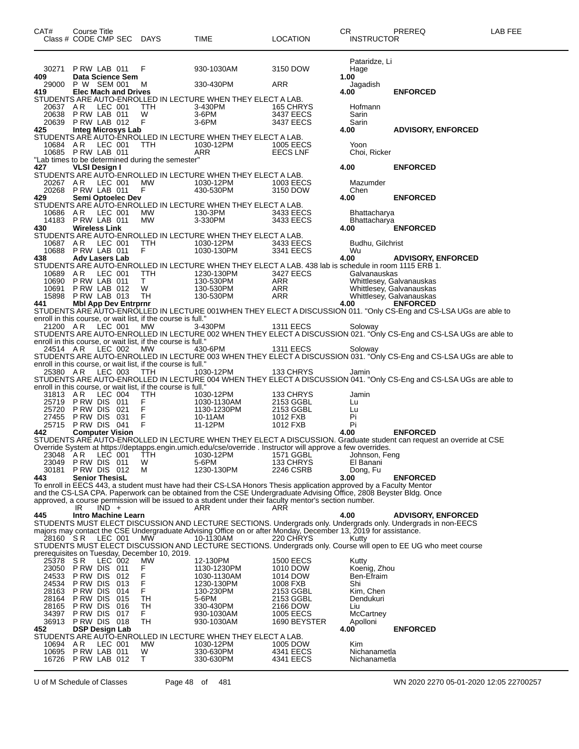| CAT#           | Course Title<br>Class # CODE CMP SEC DAYS        |            |                                                              | TIME                                                                                                                                                                                                                                    | <b>LOCATION</b>        | CR            | <b>INSTRUCTOR</b>            | PREREQ                                                                                                                                     | LAB FEE |
|----------------|--------------------------------------------------|------------|--------------------------------------------------------------|-----------------------------------------------------------------------------------------------------------------------------------------------------------------------------------------------------------------------------------------|------------------------|---------------|------------------------------|--------------------------------------------------------------------------------------------------------------------------------------------|---------|
|                |                                                  |            |                                                              |                                                                                                                                                                                                                                         |                        |               | Pataridze, Li                |                                                                                                                                            |         |
| 409            | 30271 P RW LAB 011<br>Data Science Sem           |            | F                                                            | 930-1030AM                                                                                                                                                                                                                              | 3150 DOW               | Hage<br>1.00  |                              |                                                                                                                                            |         |
|                | 29000 P W SEM 001                                |            | м                                                            | 330-430PM                                                                                                                                                                                                                               | ARR                    |               | Jagadish                     |                                                                                                                                            |         |
| 419.           | <b>Elec Mach and Drives</b>                      |            |                                                              | STUDENTS ARE AUTO-ENROLLED IN LECTURE WHEN THEY ELECT A LAB.                                                                                                                                                                            |                        | 4.00          |                              | <b>ENFORCED</b>                                                                                                                            |         |
| 20637 AR       | LEC 001                                          |            | TTH                                                          | 3-430PM                                                                                                                                                                                                                                 | 165 CHRYS              |               | Hofmann                      |                                                                                                                                            |         |
|                | 20638 PRW LAB 011                                |            | W                                                            | 3-6PM                                                                                                                                                                                                                                   | 3437 EECS              | Sarin         |                              |                                                                                                                                            |         |
| 20639<br>425   | PRW LAB 012<br><b>Integ Microsys Lab</b>         |            | - F                                                          | $3-6$ PM                                                                                                                                                                                                                                | 3437 EECS              | Sarin<br>4.00 |                              | <b>ADVISORY, ENFORCED</b>                                                                                                                  |         |
|                |                                                  |            |                                                              | STUDENTS ARE AUTO-ENROLLED IN LECTURE WHEN THEY ELECT A LAB.                                                                                                                                                                            |                        |               |                              |                                                                                                                                            |         |
| 10684 AR       | LEC 001                                          |            | TTH                                                          | 1030-12PM                                                                                                                                                                                                                               | 1005 EECS              | Yoon          |                              |                                                                                                                                            |         |
|                | 10685 PRW LAB 011                                |            | "Lab times to be determined during the semester"             | ARR                                                                                                                                                                                                                                     | EECS LNF               |               | Choi, Ricker                 |                                                                                                                                            |         |
| 427            | VLSI Design I                                    |            |                                                              |                                                                                                                                                                                                                                         |                        | 4.00          |                              | <b>ENFORCED</b>                                                                                                                            |         |
|                |                                                  |            |                                                              | STUDENTS ARE AUTO-ENROLLED IN LECTURE WHEN THEY ELECT A LAB.                                                                                                                                                                            |                        |               |                              |                                                                                                                                            |         |
| 20267 AR       | LEC 001<br>20268 PRW LAB 011                     |            | MW<br>F.                                                     | 1030-12PM<br>430-530PM                                                                                                                                                                                                                  | 1003 EECS<br>3150 DOW  | Chen          | Mazumder                     |                                                                                                                                            |         |
| 429            | Semi Optoelec Dev                                |            |                                                              |                                                                                                                                                                                                                                         |                        | 4.00          |                              | <b>ENFORCED</b>                                                                                                                            |         |
| 10686          | AR LEC 001                                       |            | МW                                                           | STUDENTS ARE AUTO-ENROLLED IN LECTURE WHEN THEY ELECT A LAB.<br>130-3PM                                                                                                                                                                 | 3433 EECS              |               |                              |                                                                                                                                            |         |
|                | 14183 P RW LAB 011                               |            | MW                                                           | 3-330PM                                                                                                                                                                                                                                 | 3433 EECS              |               | Bhattacharya<br>Bhattacharya |                                                                                                                                            |         |
| 430            | <b>Wireless Link</b>                             |            |                                                              |                                                                                                                                                                                                                                         |                        | 4.00          |                              | <b>ENFORCED</b>                                                                                                                            |         |
| 10687 AR       | LEC 001                                          |            | TTH                                                          | STUDENTS ARE AUTO-ENROLLED IN LECTURE WHEN THEY ELECT A LAB.<br>1030-12PM                                                                                                                                                               | 3433 EECS              |               | Budhu, Gilchrist             |                                                                                                                                            |         |
|                | 10688 P RW LAB 011                               |            | F.                                                           | 1030-130PM                                                                                                                                                                                                                              | 3341 EECS              | Wu            |                              |                                                                                                                                            |         |
| 438            | <b>Adv Lasers Lab</b>                            |            |                                                              |                                                                                                                                                                                                                                         |                        | 4.00          |                              | <b>ADVISORY, ENFORCED</b>                                                                                                                  |         |
| 10689 AR       | LEC 001                                          |            | <b>TTH</b>                                                   | STUDENTS ARE AUTO-ENROLLED IN LECTURE WHEN THEY ELECT A LAB. 438 lab is schedule in room 1115 ERB 1.<br>1230-130PM                                                                                                                      | 3427 EECS              |               | Galvanauskas                 |                                                                                                                                            |         |
| 10690          | PRW LAB 011                                      |            | T                                                            | 130-530PM                                                                                                                                                                                                                               | ARR                    |               |                              | Whittlesey, Galvanauskas                                                                                                                   |         |
| 10691          | PRW LAB 012                                      |            | W                                                            | 130-530PM<br>ARR<br>ARR                                                                                                                                                                                                                 | ARR<br>ARR             |               |                              | Whittlesey, Galvanauskas                                                                                                                   |         |
| 441            | 15898 PRW LAB 013<br><b>Mbl App Dev Entrprnr</b> |            | TH                                                           | 130-530PM                                                                                                                                                                                                                               |                        | 4.00          |                              | Whittlesey, Galvanauskas<br><b>ENFORCED</b>                                                                                                |         |
|                |                                                  |            |                                                              |                                                                                                                                                                                                                                         |                        |               |                              | STUDENTS ARE AUTO-ENROLLED IN LECTURE 001WHEN THEY ELECT A DISCUSSION 011. "Only CS-Eng and CS-LSA UGs are able to                         |         |
|                | 21200 AR LEC 001                                 |            | enroll in this course, or wait list, if the course is full." | 3-430PM                                                                                                                                                                                                                                 |                        |               |                              |                                                                                                                                            |         |
|                |                                                  |            | MW                                                           |                                                                                                                                                                                                                                         | 1311 EECS              |               | Soloway                      | STUDENTS ARE AUTO-ENROLLED IN LECTURE 002 WHEN THEY ELECT A DISCUSSION 021. "Only CS-Eng and CS-LSA UGs are able to                        |         |
|                |                                                  |            | enroll in this course, or wait list, if the course is full." |                                                                                                                                                                                                                                         |                        |               |                              |                                                                                                                                            |         |
| 24514 AR       | LEC 002                                          |            | MW                                                           | 430-6PM                                                                                                                                                                                                                                 | 1311 EECS              |               | Soloway                      | STUDENTS ARE AUTO-ENROLLED IN LECTURE 003 WHEN THEY ELECT A DISCUSSION 031. "Only CS-Eng and CS-LSA UGs are able to                        |         |
|                |                                                  |            | enroll in this course, or wait list, if the course is full." |                                                                                                                                                                                                                                         |                        |               |                              |                                                                                                                                            |         |
| 25380 AR       | LEC 003                                          |            | TTH                                                          | 1030-12PM                                                                                                                                                                                                                               | 133 CHRYS              |               | Jamin                        |                                                                                                                                            |         |
|                |                                                  |            | enroll in this course, or wait list, if the course is full." |                                                                                                                                                                                                                                         |                        |               |                              | STUDENTS ARE AUTO-ENROLLED IN LECTURE 004 WHEN THEY ELECT A DISCUSSION 041. "Only CS-Eng and CS-LSA UGs are able to                        |         |
| 31813 AR       | LEC 004                                          |            | TTH                                                          | 1030-12PM                                                                                                                                                                                                                               | 133 CHRYS              |               | Jamin                        |                                                                                                                                            |         |
|                | 25719 PRW DIS 011                                |            | F                                                            | 1030-1130AM                                                                                                                                                                                                                             | 2153 GGBL              | Lu            |                              |                                                                                                                                            |         |
| 25720<br>27455 | PRW DIS 021 F<br>PRW DIS 031 F<br>PRW DIS 041 F  |            |                                                              | 1130-1230PM<br>10-11AM                                                                                                                                                                                                                  | 2153 GGBL<br>1012 FXB  | Lu<br>Pi      |                              |                                                                                                                                            |         |
| 25715          |                                                  |            |                                                              | 11-12PM                                                                                                                                                                                                                                 | 1012 FXB               | Pi            |                              |                                                                                                                                            |         |
| 442            | <b>Computer Vision</b>                           |            |                                                              |                                                                                                                                                                                                                                         |                        | 4.00          |                              | <b>ENFORCED</b><br>STUDENTS ARE AUTO-ENROLLED IN LECTURE WHEN THEY ELECT A DISCUSSION. Graduate student can request an override at CSE     |         |
|                |                                                  |            |                                                              | Override System at https://deptapps.engin.umich.edu/cse/override . Instructor will approve a few overrides.                                                                                                                             |                        |               |                              |                                                                                                                                            |         |
| 23048          | A R<br>LEC 001                                   |            | TТH                                                          | 1030-12PM                                                                                                                                                                                                                               | 1571 GGBL              |               | Johnson, Feng                |                                                                                                                                            |         |
| 23049<br>30181 | PRW DIS 011<br>PRW DIS 012                       |            | W<br>м                                                       | 5-6PM<br>1230-130PM                                                                                                                                                                                                                     | 133 CHRYS<br>2246 CSRB |               | El Banani<br>Dong, Fu        |                                                                                                                                            |         |
| 443            | <b>Senior ThesisL</b>                            |            |                                                              |                                                                                                                                                                                                                                         |                        | 3.00          |                              | <b>ENFORCED</b>                                                                                                                            |         |
|                |                                                  |            |                                                              | To enroll in EECS 443, a student must have had their CS-LSA Honors Thesis application approved by a Faculty Mentor<br>and the CS-LSA CPA. Paperwork can be obtained from the CSE Undergraduate Advising Office, 2808 Beyster Bldg. Once |                        |               |                              |                                                                                                                                            |         |
|                |                                                  |            |                                                              | approved, a course permission will be issued to a student under their faculty mentor's section number.                                                                                                                                  |                        |               |                              |                                                                                                                                            |         |
|                | $IND +$<br>IR                                    |            |                                                              | ARR                                                                                                                                                                                                                                     | ARR                    |               |                              |                                                                                                                                            |         |
| 445            | <b>Intro Machine Learn</b>                       |            |                                                              |                                                                                                                                                                                                                                         |                        | 4.00          |                              | <b>ADVISORY, ENFORCED</b><br>STUDENTS MUST ELECT DISCUSSION AND LECTURE SECTIONS. Undergrads only. Undergrads only. Undergrads in non-EECS |         |
|                |                                                  |            |                                                              | majors may contact the CSE Undergraduate Advising Office on or after Monday, December 13, 2019 for assistance.                                                                                                                          |                        |               |                              |                                                                                                                                            |         |
| 28160 SR       | LEC 001                                          |            | МW                                                           | 10-1130AM                                                                                                                                                                                                                               | 220 CHRYS              | Kutty         |                              |                                                                                                                                            |         |
|                |                                                  |            | prerequisites on Tuesday, December 10, 2019.                 |                                                                                                                                                                                                                                         |                        |               |                              | STUDENTS MUST ELECT DISCUSSION AND LECTURE SECTIONS. Undergrads only. Course will open to EE UG who meet course                            |         |
| 25378          | S R<br>LEC 002                                   |            | MW                                                           | 12-130PM                                                                                                                                                                                                                                | <b>1500 EECS</b>       | Kutty         |                              |                                                                                                                                            |         |
| 23050          | PRW DIS 011<br>P RW DIS                          | 012        | F.<br>F                                                      | 1130-1230PM                                                                                                                                                                                                                             | 1010 DOW               |               | Koenig, Zhou                 |                                                                                                                                            |         |
| 24533<br>24534 | P RW DIS                                         | 013        | F                                                            | 1030-1130AM<br>1230-130PM                                                                                                                                                                                                               | 1014 DOW<br>1008 FXB   | Shi           | Ben-Efraim                   |                                                                                                                                            |         |
| 28163          | P RW DIS                                         | 014        | F                                                            | 130-230PM                                                                                                                                                                                                                               | 2153 GGBL              |               | Kim, Chen                    |                                                                                                                                            |         |
| 28164<br>28165 | P RW DIS<br>P RW DIS                             | 015<br>016 | TН<br>TН                                                     | 5-6PM<br>330-430PM                                                                                                                                                                                                                      | 2153 GGBL<br>2166 DOW  | Liu           | Dendukuri                    |                                                                                                                                            |         |
| 34397          | P RW DIS                                         | 017        | F.                                                           | 930-1030AM                                                                                                                                                                                                                              | <b>1005 EECS</b>       |               | McCartney                    |                                                                                                                                            |         |
| 36913          | PRW DIS 018                                      |            | TH                                                           | 930-1030AM                                                                                                                                                                                                                              | 1690 BEYSTER           |               | Apolloni                     |                                                                                                                                            |         |
| 452            | <b>DSP Design Lab</b>                            |            |                                                              | STUDENTS ARE AUTO-ENROLLED IN LECTURE WHEN THEY ELECT A LAB.                                                                                                                                                                            |                        | 4.00          |                              | <b>ENFORCED</b>                                                                                                                            |         |
| 10694          | LEC 001<br>AR                                    |            | MW                                                           | 1030-12PM                                                                                                                                                                                                                               | 1005 DOW               | Kim.          |                              |                                                                                                                                            |         |
| 10695          | PRW LAB 011                                      |            | W                                                            | 330-630PM                                                                                                                                                                                                                               | 4341 EECS              |               | Nichanametla                 |                                                                                                                                            |         |
| 16726          | PRW LAB 012                                      |            | T.                                                           | 330-630PM                                                                                                                                                                                                                               | 4341 EECS              |               | Nichanametla                 |                                                                                                                                            |         |

U of M Schedule of Classes Page 48 of 481 WN 2020 2270 05-01-2020 12:05 22700257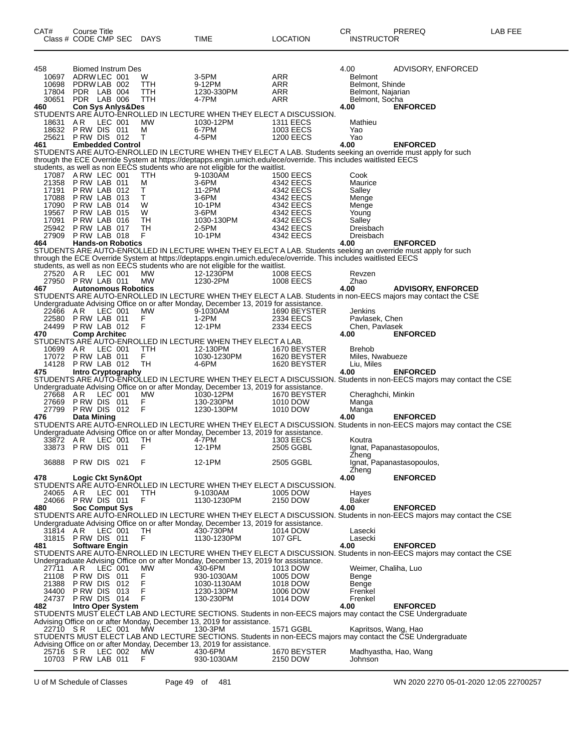| CAT#           | Course Title<br>Class # CODE CMP SEC       | DAYS              | <b>TIME</b>                                                                                                     | LOCATION                      | CR<br><b>INSTRUCTOR</b>             | PREREQ                                                                                                                                 | LAB FEE |
|----------------|--------------------------------------------|-------------------|-----------------------------------------------------------------------------------------------------------------|-------------------------------|-------------------------------------|----------------------------------------------------------------------------------------------------------------------------------------|---------|
| 458            | Biomed Instrum Des                         |                   |                                                                                                                 |                               | 4.00                                | ADVISORY, ENFORCED                                                                                                                     |         |
| 10697          | ADRW LEC 001                               | W                 | 3-5PM                                                                                                           | ARR                           | <b>Belmont</b>                      |                                                                                                                                        |         |
| 10698          | PDRW LAB 002                               | TTH               | 9-12PM                                                                                                          | ARR                           | Belmont, Shinde                     |                                                                                                                                        |         |
| 17804<br>30651 | PDR LAB 004<br>PDR LAB 006                 | ттн<br><b>TTH</b> | 1230-330PM<br>4-7PM                                                                                             | ARR<br>ARR                    | Belmont, Najarian<br>Belmont, Socha |                                                                                                                                        |         |
| 460            | <b>Con Sys Anlys&amp;Des</b>               |                   |                                                                                                                 |                               | 4.00                                | <b>ENFORCED</b>                                                                                                                        |         |
|                |                                            |                   | STUDENTS ARE AUTO-ENROLLED IN LECTURE WHEN THEY ELECT A DISCUSSION.                                             |                               |                                     |                                                                                                                                        |         |
| 18631          | LEC 001<br>A R                             | МW                | 1030-12PM                                                                                                       | <b>1311 EECS</b>              | Mathieu                             |                                                                                                                                        |         |
| 18632<br>25621 | PRW DIS 011<br>PRW DIS 012                 | м<br>т            | 6-7PM<br>4-5PM                                                                                                  | 1003 EECS<br><b>1200 EECS</b> | Yao<br>Yao                          |                                                                                                                                        |         |
| 461            | <b>Embedded Control</b>                    |                   |                                                                                                                 |                               | 4.00                                | <b>ENFORCED</b>                                                                                                                        |         |
|                |                                            |                   |                                                                                                                 |                               |                                     | STUDENTS ARE AUTO-ENROLLED IN LECTURE WHEN THEY ELECT A LAB. Students seeking an override must apply for such                          |         |
|                |                                            |                   | through the ECE Override System at https://deptapps.engin.umich.edu/ece/override. This includes waitlisted EECS |                               |                                     |                                                                                                                                        |         |
|                | 17087 A RW LEC 001                         | TTH               | students, as well as non EECS students who are not eligible for the waitlist.<br>9-1030AM                       | <b>1500 EECS</b>              | Cook                                |                                                                                                                                        |         |
| 21358          | PRW LAB 011                                | M                 | 3-6PM                                                                                                           | 4342 EECS                     | Maurice                             |                                                                                                                                        |         |
| 17191          | PRW LAB 012                                | т                 | 11-2PM                                                                                                          | 4342 EECS                     | Salley                              |                                                                                                                                        |         |
| 17088          | PRW LAB 013                                | T                 | 3-6PM                                                                                                           | 4342 EECS                     | Menge                               |                                                                                                                                        |         |
| 17090          | PRW LAB 014<br>PRW LAB 015                 | W                 | 10-1PM<br>$3-6$ PM                                                                                              | 4342 EECS                     | Menge                               |                                                                                                                                        |         |
| 19567<br>17091 | PRW LAB 016                                | W<br>TН           | 1030-130PM                                                                                                      | 4342 EECS<br>4342 EECS        | Young<br>Salley                     |                                                                                                                                        |         |
| 25942          | PRW LAB 017                                | TН                | 2-5PM                                                                                                           | 4342 EECS                     | Dreisbach                           |                                                                                                                                        |         |
| 27909          | PRW LAB 018                                | F                 | 10-1PM                                                                                                          | 4342 EECS                     | Dreisbach                           |                                                                                                                                        |         |
| 464            | <b>Hands-on Robotics</b>                   |                   |                                                                                                                 |                               | 4.00                                | <b>ENFORCED</b>                                                                                                                        |         |
|                |                                            |                   | through the ECE Override System at https://deptapps.engin.umich.edu/ece/override. This includes waitlisted EECS |                               |                                     | STUDENTS ARE AUTO-ENROLLED IN LECTURE WHEN THEY ELECT A LAB. Students seeking an override must apply for such                          |         |
|                |                                            |                   | students, as well as non EECS students who are not eligible for the waitlist.                                   |                               |                                     |                                                                                                                                        |         |
| 27520 AR       | LEC 001                                    | МW                | 12-1230PM                                                                                                       | 1008 EECS                     | Revzen                              |                                                                                                                                        |         |
| 27950          | PRW LAB 011                                | MW                | 1230-2PM                                                                                                        | 1008 EECS                     | Zhao                                |                                                                                                                                        |         |
| 467            | <b>Autonomous Robotics</b>                 |                   |                                                                                                                 |                               | 4.00                                | <b>ADVISORY, ENFORCED</b>                                                                                                              |         |
|                |                                            |                   | Undergraduate Advising Office on or after Monday, December 13, 2019 for assistance.                             |                               |                                     | STUDENTS ARE AUTO-ENROLLED IN LECTURE WHEN THEY ELECT A LAB. Students in non-EECS majors may contact the CSE                           |         |
| 22466 AR       | LEC 001                                    | МW                | 9-1030AM                                                                                                        | 1690 BEYSTER                  | Jenkins                             |                                                                                                                                        |         |
| 22580          | PRW LAB 011                                | F                 | $1-2PM$                                                                                                         | 2334 EECS                     | Pavlasek, Chen                      |                                                                                                                                        |         |
| 24499          | PRW LAB 012                                | F                 | 12-1PM                                                                                                          | 2334 EECS                     | Chen, Pavlasek                      |                                                                                                                                        |         |
| 470            | <b>Comp Architec</b>                       |                   | STUDENTS ARE AUTO-ENROLLED IN LECTURE WHEN THEY ELECT A LAB.                                                    |                               | 4.00                                | <b>ENFORCED</b>                                                                                                                        |         |
| 10699          | LEC 001<br>AR                              | TTH               | 12-130PM                                                                                                        | 1670 BEYSTER                  | <b>Brehob</b>                       |                                                                                                                                        |         |
| 17072          | PRW LAB 011                                | F                 | 1030-1230PM                                                                                                     | 1620 BEYSTER                  | Miles, Nwabueze                     |                                                                                                                                        |         |
| 14128          | PRW LAB 012                                | TH                | 4-6PM                                                                                                           | 1620 BEYSTER                  | Liu, Miles                          |                                                                                                                                        |         |
| 475            | <b>Intro Cryptography</b>                  |                   |                                                                                                                 |                               | 4.00                                | <b>ENFORCED</b>                                                                                                                        |         |
|                |                                            |                   | Undergraduate Advising Office on or after Monday, December 13, 2019 for assistance.                             |                               |                                     | STUDENTS ARE AUTO-ENROLLED IN LECTURE WHEN THEY ELECT A DISCUSSION. Students in non-EECS majors may contact the CSE                    |         |
| 27668 AR       | LEC 001                                    | MW                | 1030-12PM                                                                                                       | 1670 BEYSTER                  | Cheraghchi, Minkin                  |                                                                                                                                        |         |
| 27669          | PRW DIS 011                                | F                 | 130-230PM                                                                                                       | 1010 DOW                      | Manga                               |                                                                                                                                        |         |
| 27799          | PRW DIS 012                                | F                 | 1230-130PM                                                                                                      | 1010 DOW                      | Manga                               |                                                                                                                                        |         |
| 476            | Data Mining                                |                   |                                                                                                                 |                               | 4.00                                | <b>ENFORCED</b><br>STUDENTS ARE AUTO-ENROLLED IN LECTURE WHEN THEY ELECT A DISCUSSION. Students in non-EECS majors may contact the CSE |         |
|                |                                            |                   | Undergraduate Advising Office on or after Monday, December 13, 2019 for assistance.                             |                               |                                     |                                                                                                                                        |         |
| 33872 AR       | LEC 001                                    | TН                | 4-7PM                                                                                                           | <b>1303 EECS</b>              | Koutra                              |                                                                                                                                        |         |
|                | 33873 PRW DIS 011                          | F                 | 12-1PM                                                                                                          | 2505 GGBL                     |                                     | Ignat, Papanastasopoulos,                                                                                                              |         |
|                |                                            |                   |                                                                                                                 |                               | Zheng                               |                                                                                                                                        |         |
|                | 36888 PRW DIS 021                          | F                 | 12-1PM                                                                                                          | 2505 GGBL                     | Zheng                               | Ignat, Papanastasopoulos,                                                                                                              |         |
| 478            | Logic Ckt Syn&Opt                          |                   |                                                                                                                 |                               | 4.00                                | <b>ENFORCED</b>                                                                                                                        |         |
|                |                                            |                   | STUDENTS ARE AUTO-ENROLLED IN LECTURE WHEN THEY ELECT A DISCUSSION.                                             |                               |                                     |                                                                                                                                        |         |
| 24065 AR       | LEC 001                                    | <b>TTH</b>        | 9-1030AM                                                                                                        | 1005 DOW                      | Hayes                               |                                                                                                                                        |         |
| 480            | 24066 PRW DIS 011<br><b>Soc Comput Sys</b> | F                 | 1130-1230PM                                                                                                     | 2150 DOW                      | Baker<br>4.00                       | <b>ENFORCED</b>                                                                                                                        |         |
|                |                                            |                   |                                                                                                                 |                               |                                     | STUDENTS ARE AUTO-ENROLLED IN LECTURE WHEN THEY ELECT A DISCUSSION. Students in non-EECS majors may contact the CSE                    |         |
|                |                                            |                   | Undergraduate Advising Office on or after Monday, December 13, 2019 for assistance.                             |                               |                                     |                                                                                                                                        |         |
| 31814 AR       | LEC 001                                    | TH                | 430-730PM                                                                                                       | 1014 DOW                      | Lasecki                             |                                                                                                                                        |         |
|                | 31815 PRW DIS 011                          | F                 | 1130-1230PM                                                                                                     | 107 GFL                       | Lasecki                             |                                                                                                                                        |         |
| 481            | <b>Software Engin</b>                      |                   |                                                                                                                 |                               | 4.00                                | <b>ENFORCED</b><br>STUDENTS ARE AUTO-ENROLLED IN LECTURE WHEN THEY ELECT A DISCUSSION. Students in non-EECS majors may contact the CSE |         |
|                |                                            |                   | Undergraduate Advising Office on or after Monday, December 13, 2019 for assistance.                             |                               |                                     |                                                                                                                                        |         |
| 27711          | AR.<br>LEC 001                             | МW                | 430-6PM                                                                                                         | 1013 DOW                      | Weimer, Chaliha, Luo                |                                                                                                                                        |         |
| 21108          | PRW DIS 011                                | F                 | 930-1030AM                                                                                                      | 1005 DOW                      | Benge                               |                                                                                                                                        |         |
| 21388<br>34400 | PRW DIS 012<br>PRW DIS 013                 | Ë<br>F            | 1030-1130AM<br>1230-130PM                                                                                       | 1018 DOW                      | Benge<br>Frenkel                    |                                                                                                                                        |         |
| 24737          | PRW DIS 014                                | F                 | 130-230PM                                                                                                       | 1006 DOW<br>1014 DOW          | Frenkel                             |                                                                                                                                        |         |
| 482            | <b>Intro Oper System</b>                   |                   |                                                                                                                 |                               | 4.00                                | <b>ENFORCED</b>                                                                                                                        |         |
|                |                                            |                   |                                                                                                                 |                               |                                     | STUDENTS MUST ELECT LAB AND LECTURE SECTIONS. Students in non-EECS majors may contact the CSE Undergraduate                            |         |
|                |                                            |                   | Advising Office on or after Monday, December 13, 2019 for assistance.                                           |                               |                                     |                                                                                                                                        |         |
| 22710 SR       | LEC 001                                    | MW                | 130-3PM                                                                                                         | 1571 GGBL                     | Kapritsos, Wang, Hao                | STUDENTS MUST ELECT LAB AND LECTURE SECTIONS. Students in non-EECS majors may contact the CSE Undergraduate                            |         |
|                |                                            |                   | Advising Office on or after Monday, December 13, 2019 for assistance.                                           |                               |                                     |                                                                                                                                        |         |
| 25716 SR       | LEC 002                                    | МW                | 430-6PM                                                                                                         | 1670 BEYSTER                  |                                     | Madhyastha, Hao, Wang                                                                                                                  |         |
|                | 10703 P RW LAB 011                         | F.                | 930-1030AM                                                                                                      | 2150 DOW                      | Johnson                             |                                                                                                                                        |         |
|                |                                            |                   |                                                                                                                 |                               |                                     |                                                                                                                                        |         |

U of M Schedule of Classes Page 49 of 481 WN 2020 2270 05-01-2020 12:05 22700257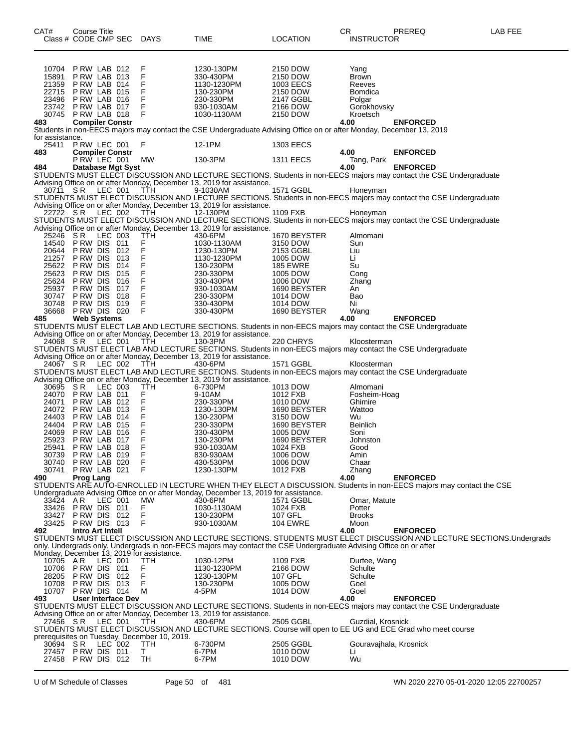| CAT# |                 | Course Title                      |         | Class # CODE CMP SEC | <b>DAYS</b>                                      | TIME                                                                                                                                                                                 | <b>LOCATION</b>          | CR.<br><b>INSTRUCTOR</b> | PREREQ          | LAB FEE                                                                                                             |
|------|-----------------|-----------------------------------|---------|----------------------|--------------------------------------------------|--------------------------------------------------------------------------------------------------------------------------------------------------------------------------------------|--------------------------|--------------------------|-----------------|---------------------------------------------------------------------------------------------------------------------|
|      |                 |                                   |         |                      |                                                  |                                                                                                                                                                                      |                          |                          |                 |                                                                                                                     |
|      |                 |                                   |         |                      |                                                  |                                                                                                                                                                                      |                          |                          |                 |                                                                                                                     |
|      | 10704<br>15891  | PRW LAB 012<br>PRW LAB 013        |         |                      | F<br>F                                           | 1230-130PM<br>330-430PM                                                                                                                                                              | 2150 DOW<br>2150 DOW     | Yang<br><b>Brown</b>     |                 |                                                                                                                     |
|      | 21359           | PRW LAB 014                       |         |                      | $\frac{F}{F}$                                    | 1130-1230PM                                                                                                                                                                          | 1003 EECS                | Reeves                   |                 |                                                                                                                     |
|      | 22715           | PRW LAB 015                       |         |                      |                                                  | 130-230PM                                                                                                                                                                            | 2150 DOW                 | Bomdica                  |                 |                                                                                                                     |
|      | 23496<br>23742  | PRW LAB 016<br>PRW LAB 017        |         |                      | F<br>F                                           | 230-330PM<br>930-1030AM                                                                                                                                                              | 2147 GGBL<br>2166 DOW    | Polgar<br>Gorokhovsky    |                 |                                                                                                                     |
|      | 30745           | PRW LAB 018                       |         |                      | F                                                | 1030-1130AM                                                                                                                                                                          | 2150 DOW                 | Kroetsch                 |                 |                                                                                                                     |
| 483  |                 | <b>Compiler Constr</b>            |         |                      |                                                  |                                                                                                                                                                                      |                          | 4.00                     | <b>ENFORCED</b> |                                                                                                                     |
|      | for assistance. |                                   |         |                      |                                                  | Students in non-EECS majors may contact the CSE Undergraduate Advising Office on or after Monday, December 13, 2019                                                                  |                          |                          |                 |                                                                                                                     |
|      | 25411           | PRW LEC 001                       |         |                      | F.                                               | 12-1PM                                                                                                                                                                               | 1303 EECS                |                          |                 |                                                                                                                     |
| 483  |                 | <b>Compiler Constr</b>            |         |                      |                                                  |                                                                                                                                                                                      |                          | 4.00                     | <b>ENFORCED</b> |                                                                                                                     |
| 484  |                 | P RW LEC 001                      |         | Database Mgt Syst    | МW                                               | 130-3PM                                                                                                                                                                              | <b>1311 EECS</b>         | Tang, Park<br>4.00       | <b>ENFORCED</b> |                                                                                                                     |
|      |                 |                                   |         |                      |                                                  | STUDENTS MUST ELECT DISCUSSION AND LECTURE SECTIONS. Students in non-EECS majors may contact the CSE Undergraduate                                                                   |                          |                          |                 |                                                                                                                     |
|      |                 |                                   |         |                      |                                                  | Advising Office on or after Monday, December 13, 2019 for assistance.                                                                                                                |                          |                          |                 |                                                                                                                     |
|      | 30711 SR        |                                   | LEC 001 |                      | TTH                                              | 9-1030AM<br>STUDENTS MUST ELECT DISCUSSION AND LECTURE SECTIONS. Students in non-EECS majors may contact the CSE Undergraduate                                                       | 1571 GGBL                | Honeyman                 |                 |                                                                                                                     |
|      |                 |                                   |         |                      |                                                  | Advising Office on or after Monday, December 13, 2019 for assistance.                                                                                                                |                          |                          |                 |                                                                                                                     |
|      | 22722 SR        |                                   | LEC 002 |                      | TTH                                              | 12-130PM<br>STUDENTS MUST ELECT DISCUSSION AND LECTURE SECTIONS. Students in non-EECS majors may contact the CSE Undergraduate                                                       | 1109 FXB                 | Honeyman                 |                 |                                                                                                                     |
|      |                 |                                   |         |                      |                                                  | Advising Office on or after Monday, December 13, 2019 for assistance.                                                                                                                |                          |                          |                 |                                                                                                                     |
|      | 25246           | S R                               | LEC 003 |                      | TTH                                              | 430-6PM                                                                                                                                                                              | 1670 BEYSTER             | Almomani                 |                 |                                                                                                                     |
|      | 14540           | PRW DIS 011                       |         |                      | $\frac{\mathsf{F}}{\mathsf{F}}$                  | 1030-1130AM                                                                                                                                                                          | 3150 DOW                 | Sun                      |                 |                                                                                                                     |
|      | 20644<br>21257  | P RW DIS<br>P RW DIS              |         | 012<br>013           | F                                                | 1230-130PM<br>1130-1230PM                                                                                                                                                            | 2153 GGBL<br>1005 DOW    | Liu<br>Li                |                 |                                                                                                                     |
|      | 25622           | P RW DIS                          |         | 014                  | .<br>F                                           | 130-230PM                                                                                                                                                                            | <b>185 EWRE</b>          | Su                       |                 |                                                                                                                     |
|      | 25623           | P RW DIS                          |         | 015                  |                                                  | 230-330PM                                                                                                                                                                            | 1005 DOW                 | Cong                     |                 |                                                                                                                     |
|      | 25624<br>25937  | P RW DIS<br>P RW DIS              |         | 016<br>017           |                                                  | 330-430PM<br>930-1030AM                                                                                                                                                              | 1006 DOW<br>1690 BEYSTER | Zhang<br>An              |                 |                                                                                                                     |
|      | 30747           | P RW DIS                          |         | 018                  | F<br>F<br>F<br>F                                 | 230-330PM                                                                                                                                                                            | 1014 DOW                 | Bao                      |                 |                                                                                                                     |
|      | 30748           | PRW DIS 019                       |         |                      | F                                                | 330-430PM                                                                                                                                                                            | 1014 DOW                 | Ni                       |                 |                                                                                                                     |
| 485  | 36668           | PRW DIS 020<br><b>Web Systems</b> |         |                      | F                                                | 330-430PM                                                                                                                                                                            | 1690 BEYSTER             | Wang<br>4.00             | <b>ENFORCED</b> |                                                                                                                     |
|      |                 |                                   |         |                      |                                                  | STUDENTS MUST ELECT LAB AND LECTURE SECTIONS. Students in non-EECS majors may contact the CSE Undergraduate                                                                          |                          |                          |                 |                                                                                                                     |
|      |                 |                                   |         |                      |                                                  | Advising Office on or after Monday, December 13, 2019 for assistance.                                                                                                                |                          |                          |                 |                                                                                                                     |
|      |                 | 24068 SR LEC 001                  |         |                      | TTH                                              | 130-3PM<br>STUDENTS MUST ELECT LAB AND LECTURE SECTIONS. Students in non-EECS majors may contact the CSE Undergraduate                                                               | 220 CHRYS                | Kloosterman              |                 |                                                                                                                     |
|      |                 |                                   |         |                      |                                                  | Advising Office on or after Monday, December 13, 2019 for assistance.                                                                                                                |                          |                          |                 |                                                                                                                     |
|      |                 | 24067 SR LEC 002                  |         |                      | TTH                                              | 430-6PM                                                                                                                                                                              | 1571 GGBL                | Kloosterman              |                 |                                                                                                                     |
|      |                 |                                   |         |                      |                                                  | STUDENTS MUST ELECT LAB AND LECTURE SECTIONS. Students in non-EECS majors may contact the CSE Undergraduate<br>Advising Office on or after Monday, December 13, 2019 for assistance. |                          |                          |                 |                                                                                                                     |
|      | 30695 SR        |                                   | LEC 003 |                      | TTH                                              | 6-730PM                                                                                                                                                                              | 1013 DOW                 | Almomani                 |                 |                                                                                                                     |
|      | 24070           | PRW LAB 011                       |         |                      | F.                                               | 9-10AM                                                                                                                                                                               | 1012 FXB                 | Fosheim-Hoag             |                 |                                                                                                                     |
|      | 24071<br>24072  | PRW LAB 012<br>PRW LAB 013        |         |                      | F<br>$\overline{F}$                              | 230-330PM                                                                                                                                                                            | 1010 DOW                 | Ghimire<br>Wattoo        |                 |                                                                                                                     |
|      | 24403           | PRW LAB 014                       |         |                      | F                                                | 1230-130PM<br>130-230PM                                                                                                                                                              | 1690 BEYSTER<br>3150 DOW | Wu                       |                 |                                                                                                                     |
|      | 24404           | PRW LAB 015                       |         |                      | .<br>F                                           | 230-330PM                                                                                                                                                                            | 1690 BEYSTER             | <b>Beinlich</b>          |                 |                                                                                                                     |
|      | 24069           | PRW LAB 016<br>PRW LAB 017        |         |                      | F                                                | 330-430PM                                                                                                                                                                            | 1005 DOW                 | Soni                     |                 |                                                                                                                     |
|      | 25923<br>25941  | PRW LAB 018                       |         |                      | F                                                | 130-230PM<br>930-1030AM                                                                                                                                                              | 1690 BEYSTER<br>1024 FXB | Johnston<br>Good         |                 |                                                                                                                     |
|      | 30739           | PRW LAB 019                       |         |                      | F                                                | 830-930AM                                                                                                                                                                            | 1006 DOW                 | Amin                     |                 |                                                                                                                     |
|      | 30740<br>30741  | PRW LAB 020<br>PRW LAB 021        |         |                      | F<br>F                                           | 430-530PM                                                                                                                                                                            | 1006 DOW                 | Chaar                    |                 |                                                                                                                     |
| 490  |                 | <b>Prog Lang</b>                  |         |                      |                                                  | 1230-130PM                                                                                                                                                                           | 1012 FXB                 | Zhang<br>4.00            | <b>ENFORCED</b> |                                                                                                                     |
|      |                 |                                   |         |                      |                                                  | STUDENTS ARE AUTO-ENROLLED IN LECTURE WHEN THEY ELECT A DISCUSSION. Students in non-EECS majors may contact the CSE                                                                  |                          |                          |                 |                                                                                                                     |
|      | 33424 A R       |                                   | LEC 001 |                      | МW                                               | Undergraduate Advising Office on or after Monday, December 13, 2019 for assistance.<br>430-6PM                                                                                       | 1571 GGBL                | Omar, Matute             |                 |                                                                                                                     |
|      | 33426           | PRW DIS 011                       |         |                      |                                                  | 1030-1130AM                                                                                                                                                                          | 1024 FXB                 | Potter                   |                 |                                                                                                                     |
|      | 33427           | PRW DIS 012                       |         |                      | $_{F}^{F}$                                       | 130-230PM                                                                                                                                                                            | 107 GFL                  | <b>Brooks</b>            |                 |                                                                                                                     |
|      | 33425           | PRW DIS 013                       |         |                      | F                                                | 930-1030AM                                                                                                                                                                           | <b>104 EWRE</b>          | Moon<br>4.00             |                 |                                                                                                                     |
| 492  |                 | Intro Art Intell                  |         |                      |                                                  |                                                                                                                                                                                      |                          |                          | <b>ENFORCED</b> | STUDENTS MUST ELECT DISCUSSION AND LECTURE SECTIONS. STUDENTS MUST ELECT DISCUSSION AND LECTURE SECTIONS.Undergrads |
|      |                 |                                   |         |                      |                                                  | only. Undergrads only. Undergrads in non-EECS majors may contact the CSE Undergraduate Advising Office on or after                                                                   |                          |                          |                 |                                                                                                                     |
|      | 10705 AR        |                                   | LEC 001 |                      | Monday, December 13, 2019 for assistance.<br>TTH | 1030-12PM                                                                                                                                                                            | 1109 FXB                 | Durfee, Wang             |                 |                                                                                                                     |
|      | 10706           | PRW DIS 011                       |         |                      | F                                                | 1130-1230PM                                                                                                                                                                          | 2166 DOW                 | Schulte                  |                 |                                                                                                                     |
|      | 28205           | PRW DIS 012                       |         |                      | F                                                | 1230-130PM                                                                                                                                                                           | 107 GFL                  | Schulte                  |                 |                                                                                                                     |
|      | 10708<br>10707  | PRW DIS 013<br>PRW DIS 014        |         |                      | F<br>M                                           | 130-230PM<br>4-5PM                                                                                                                                                                   | 1005 DOW                 | Goel<br>Goel             |                 |                                                                                                                     |
| 493  |                 |                                   |         | User Interface Dev   |                                                  |                                                                                                                                                                                      | 1014 DOW                 | 4.00                     | <b>ENFORCED</b> |                                                                                                                     |
|      |                 |                                   |         |                      |                                                  | STUDENTS MUST ELECT DISCUSSION AND LECTURE SECTIONS. Students in non-EECS majors may contact the CSE Undergraduate                                                                   |                          |                          |                 |                                                                                                                     |
|      |                 |                                   |         |                      |                                                  | Advising Office on or after Monday, December 13, 2019 for assistance.                                                                                                                | 2505 GGBL                |                          |                 |                                                                                                                     |
|      | 27456 SR        |                                   | LEC 001 |                      | TTH                                              | 430-6PM<br>STUDENTS MUST ELECT DISCUSSION AND LECTURE SECTIONS. Course will open to EE UG and ECE Grad who meet course                                                               |                          | Guzdial, Krosnick        |                 |                                                                                                                     |
|      |                 |                                   |         |                      | prerequisites on Tuesday, December 10, 2019.     |                                                                                                                                                                                      |                          |                          |                 |                                                                                                                     |
|      | 30694           | S R                               | LEC 002 |                      | TTH<br>Τ                                         | 6-730PM                                                                                                                                                                              | 2505 GGBL                | Gouravajhala, Krosnick   |                 |                                                                                                                     |
|      | 27457<br>27458  | PRW DIS 011<br>PRW DIS 012        |         |                      | TH                                               | 6-7PM<br>6-7PM                                                                                                                                                                       | 1010 DOW<br>1010 DOW     | Li<br>Wu                 |                 |                                                                                                                     |
|      |                 |                                   |         |                      |                                                  |                                                                                                                                                                                      |                          |                          |                 |                                                                                                                     |

U of M Schedule of Classes Page 50 of 481 WN 2020 2270 05-01-2020 12:05 22700257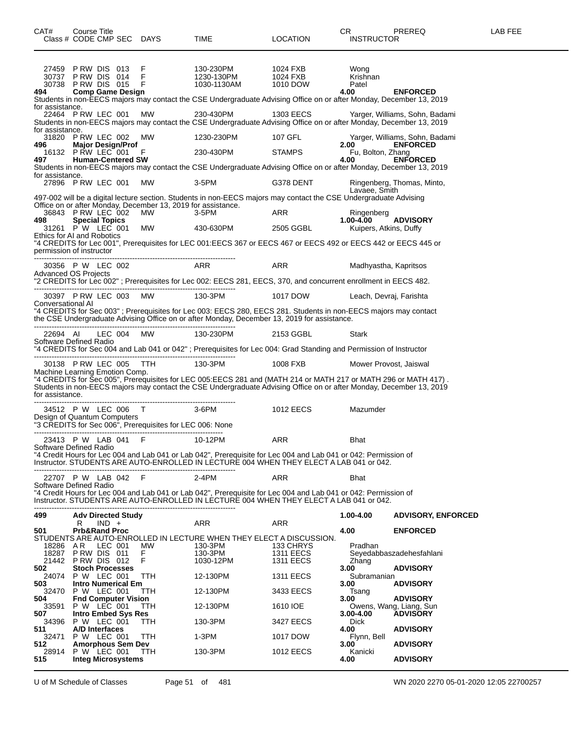| CAT#                                            | Course Title                  |         |                                                                             | Class # CODE CMP SEC DAYS                                                               | TIME                                                                                                                                                                                                                                    | <b>LOCATION</b>                            | CR.<br><b>INSTRUCTOR</b>          | <b>PREREQ</b>                              | LAB FEE |
|-------------------------------------------------|-------------------------------|---------|-----------------------------------------------------------------------------|-----------------------------------------------------------------------------------------|-----------------------------------------------------------------------------------------------------------------------------------------------------------------------------------------------------------------------------------------|--------------------------------------------|-----------------------------------|--------------------------------------------|---------|
| 30737 PRW DIS 014<br>30738 PRW DIS 015<br>494   |                               |         | 27459 PRW DIS 013<br><b>Comp Game Design</b>                                | F<br>- F<br>- F                                                                         | 130-230PM<br>1230-130PM<br>1030-1130AM<br>Students in non-EECS majors may contact the CSE Undergraduate Advising Office on or after Monday, December 13, 2019                                                                           | 1024 FXB<br>1024 FXB<br>1010 DOW           | Wong<br>Krishnan<br>Patel<br>4.00 | <b>ENFORCED</b>                            |         |
| for assistance.<br>22464 PRW LEC 001            |                               |         |                                                                             | MW                                                                                      | 230-430PM<br>Students in non-EECS majors may contact the CSE Undergraduate Advising Office on or after Monday, December 13, 2019                                                                                                        | 1303 EECS                                  |                                   | Yarger, Williams, Sohn, Badami             |         |
| for assistance.                                 |                               |         | 31820 PRW LEC 002 MW                                                        |                                                                                         | 1230-230PM                                                                                                                                                                                                                              | 107 GFL                                    |                                   | Yarger, Williams, Sohn, Badami             |         |
| 496<br>497                                      |                               |         | <b>Major Design/Prof</b><br>16132 PRW LEC 001 F<br><b>Human-Centered SW</b> |                                                                                         | 230-430PM                                                                                                                                                                                                                               | <b>STAMPS</b>                              | 2.00<br>Fu, Bolton, Zhang<br>4.00 | <b>ENFORCED</b><br><b>ENFORCED</b>         |         |
| for assistance.                                 |                               |         |                                                                             |                                                                                         | Students in non-EECS majors may contact the CSE Undergraduate Advising Office on or after Monday, December 13, 2019                                                                                                                     |                                            |                                   |                                            |         |
| 27896 P RW LEC 001                              |                               |         |                                                                             | <b>MW</b>                                                                               | 3-5PM                                                                                                                                                                                                                                   | G378 DENT                                  | Lavaee, Smith                     | Ringenberg, Thomas, Minto,                 |         |
| 36843 P RW LEC 002                              |                               |         |                                                                             | Office on or after Monday, December 13, 2019 for assistance.<br>MW                      | 497-002 will be a digital lecture section. Students in non-EECS majors may contact the CSE Undergraduate Advising                                                                                                                       |                                            |                                   |                                            |         |
| 498                                             | <b>Special Topics</b>         |         |                                                                             |                                                                                         | 3-5PM                                                                                                                                                                                                                                   | ARR                                        | Ringenberg<br>$1.00 - 4.00$       | <b>ADVISORY</b>                            |         |
| 31261 P W LEC 001<br>Ethics for AI and Robotics |                               |         |                                                                             | MW                                                                                      | 430-630PM<br>"4 CREDITS for Lec 001", Prerequisites for LEC 001:EECS 367 or EECS 467 or EECS 492 or EECS 442 or EECS 445 or                                                                                                             | 2505 GGBL                                  | Kuipers, Atkins, Duffy            |                                            |         |
| permission of instructor                        |                               |         |                                                                             |                                                                                         |                                                                                                                                                                                                                                         |                                            |                                   |                                            |         |
| 30356 P W LEC 002<br>Advanced OS Projects       |                               |         |                                                                             |                                                                                         | ARR                                                                                                                                                                                                                                     | <b>ARR</b>                                 | Madhyastha, Kapritsos             |                                            |         |
|                                                 |                               |         |                                                                             |                                                                                         | "2 CREDITS for Lec 002" ; Prerequisites for Lec 002: EECS 281, EECS, 370, and concurrent enrollment in EECS 482.                                                                                                                        |                                            |                                   |                                            |         |
| Conversational Al                               |                               |         | 30397 PRW LEC 003 MW                                                        |                                                                                         | 130-3PM                                                                                                                                                                                                                                 | 1017 DOW                                   | Leach, Devraj, Farishta           |                                            |         |
|                                                 |                               |         |                                                                             |                                                                                         | "4 CREDITS for Sec 003"; Prerequisites for Lec 003: EECS 280, EECS 281. Students in non-EECS majors may contact<br>the CSE Undergraduate Advising Office on or after Monday, December 13, 2019 for assistance.                          |                                            |                                   |                                            |         |
| 22694 AI<br>Software Defined Radio              |                               |         | LEC 004 MW                                                                  |                                                                                         | 130-230PM                                                                                                                                                                                                                               | 2153 GGBL                                  | Stark                             |                                            |         |
|                                                 |                               |         |                                                                             |                                                                                         | "4 CREDITS for Sec 004 and Lab 041 or 042" ; Prerequisites for Lec 004: Grad Standing and Permission of Instructor                                                                                                                      |                                            |                                   |                                            |         |
| Machine Learning Emotion Comp.                  |                               |         | 30138 PRW LEC 005 TTH                                                       |                                                                                         | 130-3PM                                                                                                                                                                                                                                 | 1008 FXB                                   | Mower Provost, Jaiswal            |                                            |         |
| for assistance.                                 |                               |         |                                                                             |                                                                                         | "4 CREDITS for Sec 005", Prerequisites for LEC 005:EECS 281 and (MATH 214 or MATH 217 or MATH 296 or MATH 417) .<br>Students in non-EECS majors may contact the CSE Undergraduate Advising Office on or after Monday, December 13, 2019 |                                            |                                   |                                            |         |
|                                                 |                               |         | 34512 P W LEC 006 T                                                         |                                                                                         | 3-6PM                                                                                                                                                                                                                                   | 1012 EECS                                  | Mazumder                          |                                            |         |
|                                                 |                               |         |                                                                             | Design of Quantum Computers<br>"3 CREDITS for Sec 006", Prerequisites for LEC 006: None |                                                                                                                                                                                                                                         |                                            |                                   |                                            |         |
| Software Defined Radio                          |                               |         | 23413 P W LAB 041 F                                                         |                                                                                         | 10-12PM                                                                                                                                                                                                                                 | ARR                                        | <b>Bhat</b>                       |                                            |         |
|                                                 |                               |         |                                                                             |                                                                                         | "4 Credit Hours for Lec 004 and Lab 041 or Lab 042", Prerequisite for Lec 004 and Lab 041 or 042: Permission of<br>Instructor. STUDENTS ARE AUTO-ENROLLED IN LECTURE 004 WHEN THEY ELECT A LAB 041 or 042.                              |                                            |                                   |                                            |         |
| 22707 P W LAB 042<br>Software Defined Radio     |                               |         |                                                                             | - F                                                                                     | $2-4PM$                                                                                                                                                                                                                                 | ARR                                        | Bhat                              |                                            |         |
|                                                 |                               |         |                                                                             |                                                                                         | "4 Credit Hours for Lec 004 and Lab 041 or Lab 042", Prerequisite for Lec 004 and Lab 041 or 042: Permission of<br>Instructor. STUDENTS ARE AUTO-ENROLLED IN LECTURE 004 WHEN THEY ELECT A LAB 041 or 042.                              |                                            |                                   |                                            |         |
| 499                                             | R                             | $IND +$ | <b>Adv Directed Study</b>                                                   |                                                                                         | ARR                                                                                                                                                                                                                                     | ARR                                        | 1.00-4.00                         | <b>ADVISORY, ENFORCED</b>                  |         |
| 501                                             | <b>Prb&amp;Rand Proc</b>      |         |                                                                             |                                                                                         | STUDENTS ARE AUTO-ENROLLED IN LECTURE WHEN THEY ELECT A DISCUSSION.                                                                                                                                                                     |                                            | 4.00                              | <b>ENFORCED</b>                            |         |
| 18286<br>18287<br>21442 PRW DIS 012             | AR<br>PRW DIS 011             | LEC 001 |                                                                             | MW<br>F.<br>F.                                                                          | 130-3PM<br>130-3PM<br>1030-12PM                                                                                                                                                                                                         | 133 CHRYS<br><b>1311 EECS</b><br>1311 EECS | Pradhan<br>Zhang                  | Seyedabbaszadehesfahlani                   |         |
| 502<br>24074                                    | P W LEC 001                   |         | <b>Stoch Processes</b>                                                      | <b>TTH</b>                                                                              | 12-130PM                                                                                                                                                                                                                                | <b>1311 EECS</b>                           | 3.00<br>Subramanian               | <b>ADVISORY</b>                            |         |
| 503<br>32470                                    | P W LEC 001                   |         | <b>Intro Numerical Em</b>                                                   | <b>TTH</b>                                                                              | 12-130PM                                                                                                                                                                                                                                | 3433 EECS                                  | 3.00<br>Tsang                     | <b>ADVISORY</b>                            |         |
| 504<br>33591                                    | P W LEC 001                   |         | <b>Fnd Computer Vision</b>                                                  | TTH.                                                                                    | 12-130PM                                                                                                                                                                                                                                | 1610 IOE                                   | 3.00                              | <b>ADVISORY</b><br>Owens, Wang, Liang, Sun |         |
| 507<br>34396                                    | P W LEC 001                   |         | <b>Intro Embed Sys Res</b>                                                  | TTH                                                                                     | 130-3PM                                                                                                                                                                                                                                 | 3427 EECS                                  | 3.00-4.00<br><b>Dick</b>          | <b>ADVISORY</b>                            |         |
| 511<br>32471                                    | A/D Interfaces<br>P W LEC 001 |         |                                                                             | TTH                                                                                     | $1-3PM$                                                                                                                                                                                                                                 | 1017 DOW                                   | 4.00<br>Flynn, Bell               | <b>ADVISORY</b>                            |         |
| 512.<br>28914                                   | P W LEC 001                   |         | <b>Amorphous Sem Dev</b>                                                    | TTH                                                                                     | 130-3PM                                                                                                                                                                                                                                 | <b>1012 EECS</b>                           | 3.00<br>Kanicki                   | <b>ADVISORY</b>                            |         |
| 515                                             |                               |         | <b>Integ Microsystems</b>                                                   |                                                                                         |                                                                                                                                                                                                                                         |                                            | 4.00                              | <b>ADVISORY</b>                            |         |

U of M Schedule of Classes Page 51 of 481 WN 2020 2270 05-01-2020 12:05 22700257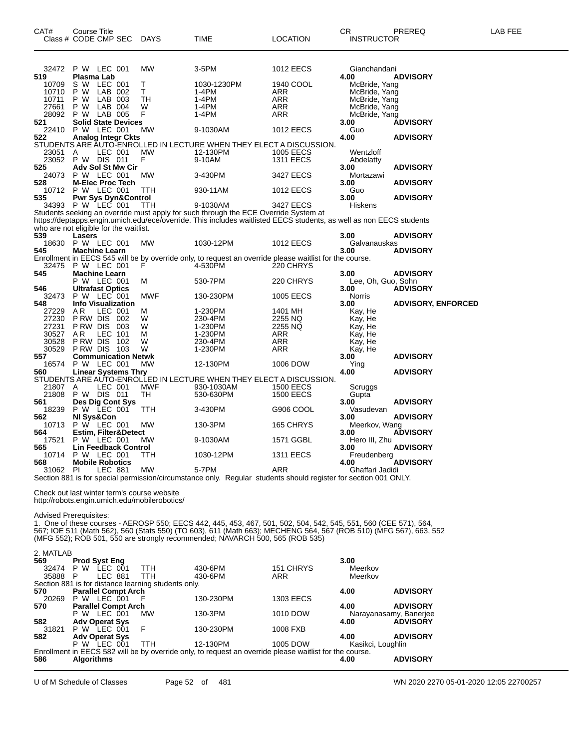| CAT#<br>Class # CODE CMP SEC | Course Title                   |                |     | <b>DAYS</b> | TIME                                                                                                                | <b>LOCATION</b>  | CR.<br><b>INSTRUCTOR</b> | PREREQ          | LAB FEE |
|------------------------------|--------------------------------|----------------|-----|-------------|---------------------------------------------------------------------------------------------------------------------|------------------|--------------------------|-----------------|---------|
|                              |                                |                |     |             |                                                                                                                     |                  |                          |                 |         |
| 32472                        | P W LEC 001                    |                |     | MW          | $3-5$ PM                                                                                                            | <b>1012 EECS</b> | Gianchandani             |                 |         |
| 519                          | Plasma Lab                     |                |     |             |                                                                                                                     |                  | 4.00                     | <b>ADVISORY</b> |         |
| 10709                        | s w                            | LEC 001        |     |             | 1030-1230PM                                                                                                         | 1940 COOL        | McBride, Yang            |                 |         |
| 10710                        | P W                            | LAB            | 002 |             | 1-4PM                                                                                                               | ARR              | McBride, Yang            |                 |         |
| 10711                        | P W                            | LAB            | 003 | TH          | 1-4PM                                                                                                               | ARR              | McBride, Yang            |                 |         |
| 27661                        | P W                            | LAB            | 004 | W           | 1-4PM                                                                                                               | ARR              | McBride, Yang            |                 |         |
| 28092                        | P W                            | LAB 005        |     |             | 1-4PM                                                                                                               | <b>ARR</b>       | McBride, Yang            |                 |         |
| 521                          | <b>Solid State Devices</b>     |                |     |             |                                                                                                                     |                  | 3.00                     | <b>ADVISORY</b> |         |
| 22410                        | P W                            | LEC 001        |     | MW          | 9-1030AM                                                                                                            | <b>1012 EECS</b> | Guo                      |                 |         |
| 522                          | <b>Analog Integr Ckts</b>      |                |     |             |                                                                                                                     |                  | 4.00                     | <b>ADVISORY</b> |         |
|                              |                                |                |     |             | STUDENTS ARE AUTO-ENROLLED IN LECTURE WHEN THEY ELECT A DISCUSSION.                                                 |                  |                          |                 |         |
| 23051                        | A                              | LEC 001        |     | МW          | 12-130PM                                                                                                            | 1005 EECS        | Wentzloff                |                 |         |
| 23052                        | P W                            | <b>DIS 011</b> |     | F           | 9-10AM                                                                                                              | <b>1311 EECS</b> | Abdelatty                |                 |         |
| 525                          | Adv Sol St Mw Cir              |                |     |             |                                                                                                                     |                  | 3.00                     | <b>ADVISORY</b> |         |
| 24073                        | <b>P W LEC 001</b>             |                |     | MW          | 3-430PM                                                                                                             | 3427 EECS        | Mortazawi                |                 |         |
| 528                          | <b>M-Elec Proc Tech</b>        |                |     |             |                                                                                                                     |                  | 3.00                     | <b>ADVISORY</b> |         |
| 10712                        | P W LEC 001                    |                |     | <b>TTH</b>  | 930-11AM                                                                                                            | <b>1012 EECS</b> | Guo                      |                 |         |
| 535                          | <b>Pwr Sys Dyn&amp;Control</b> |                |     |             |                                                                                                                     |                  | 3.00                     | <b>ADVISORY</b> |         |
| 34393                        | P W LEC 001                    |                |     | TTH.        | 9-1030AM                                                                                                            | 3427 EECS        | <b>Hiskens</b>           |                 |         |
|                              |                                |                |     |             | Students seeking an override must apply for such through the ECE Override System at                                 |                  |                          |                 |         |
|                              |                                |                |     |             | https://deptapps.engin.umich.edu/ece/override. This includes waitlisted EECS students, as well as non EECS students |                  |                          |                 |         |

https://deptapps.engin.umich.edu/ece/override. This includes waitlisted EECS students, as well as non EECS students who are not eligible for the waitlist.

| Lasers               |            |                                                                                                                           |                  | 3.00          | <b>ADVISORY</b>                                                                                                                               |
|----------------------|------------|---------------------------------------------------------------------------------------------------------------------------|------------------|---------------|-----------------------------------------------------------------------------------------------------------------------------------------------|
| P W                  | <b>MW</b>  | 1030-12PM                                                                                                                 | <b>1012 EECS</b> |               |                                                                                                                                               |
| <b>Machine Learn</b> |            |                                                                                                                           |                  | 3.00          | <b>ADVISORY</b>                                                                                                                               |
|                      |            |                                                                                                                           |                  |               |                                                                                                                                               |
| P W                  |            | 4-530PM                                                                                                                   | 220 CHRYS        |               |                                                                                                                                               |
| <b>Machine Learn</b> |            |                                                                                                                           |                  | 3.00          | <b>ADVISORY</b>                                                                                                                               |
| P W                  | м          | 530-7PM                                                                                                                   | 220 CHRYS        |               |                                                                                                                                               |
|                      |            |                                                                                                                           |                  | 3.00          | <b>ADVISORY</b>                                                                                                                               |
| P W                  | <b>MWF</b> | 130-230PM                                                                                                                 | <b>1005 EECS</b> | <b>Norris</b> |                                                                                                                                               |
|                      |            |                                                                                                                           |                  | 3.00          | <b>ADVISORY, ENFORCED</b>                                                                                                                     |
| A R                  | м          | 1-230PM                                                                                                                   | 1401 MH          | Kay, He       |                                                                                                                                               |
| P RW<br>DIS.         | W          | 230-4PM                                                                                                                   | 2255 NQ          | Kay, He       |                                                                                                                                               |
| P RW DIS             | W          | 1-230PM                                                                                                                   | 2255 NQ          | Kay, He       |                                                                                                                                               |
|                      |            | LEC 001<br>LEC 001<br>LEC 001<br><b>Ultrafast Optics</b><br>LEC 001<br><b>Info Visualization</b><br>LEC 001<br>002<br>003 |                  |               | Galvanauskas<br>Enrollment in EECS 545 will be by override only, to request an override please waitlist for the course.<br>Lee, Oh, Guo, Sohn |

| 30527 | A <sub>R</sub><br>LEC.<br>101   | М          | 1-230PM       | <b>ARR</b>            | Kay, He       |                 |
|-------|---------------------------------|------------|---------------|-----------------------|---------------|-----------------|
| 30528 | P RW<br><b>DIS</b><br>102       | W          | 230-4PM       | <b>ARR</b>            | Kay, He       |                 |
| 30529 | <b>DIS</b><br>P RW<br>103       | W          | 1-230PM       | <b>ARR</b>            | Kay, He       |                 |
| 557   | <b>Communication Netwk</b>      |            |               |                       | 3.00          | <b>ADVISORY</b> |
| 16574 | LEC 001<br>P W                  | <b>MW</b>  | 12-130PM      | 1006 DOW              | Ying          |                 |
| 560   | <b>Linear Systems Thry</b>      |            |               |                       | 4.00          | <b>ADVISORY</b> |
|       | STUDENTS ARE AUTO-ENROLLED IN   | LECT.      | URE WHEN THEY | ' ELECT A DISCUSSION. |               |                 |
| 21807 | LEC 001<br>Α                    | <b>MWF</b> | 930-1030AM    | <b>1500 EECS</b>      | Scruggs       |                 |
| 21808 | <b>DIS 011</b><br>P W           | TН         | 530-630PM     | 1500 EECS             | Gupta         |                 |
| 561   | Des Dig Cont Sys                |            |               |                       | 3.00          | <b>ADVISORY</b> |
| 18239 | P W LEC 001                     | <b>TTH</b> | 3-430PM       | G906 COOL             | Vasudevan     |                 |
| 562   | NI Svs&Con                      |            |               |                       | 3.00          | <b>ADVISORY</b> |
| 10713 | P W<br>LEC 001                  | <b>MW</b>  | 130-3PM       | 165 CHRYS             | Meerkov, Wang |                 |
| 564   | <b>Estim. Filter&amp;Detect</b> |            |               |                       | 3.00          | <b>ADVISORY</b> |
| 17521 | LEC 001<br>P W                  | MW         | 9-1030AM      | 1571 GGBL             | Hero III, Zhu |                 |
| 565   | <b>Lin Feedback Control</b>     |            |               |                       | 3.00          | <b>ADVISORY</b> |
| 10714 | LEC 001<br>P W                  | TTH        | 1030-12PM     | <b>1311 EECS</b>      | Freudenberg   |                 |
| 568   | <b>Mobile Robotics</b>          |            |               |                       | 4.00          | <b>ADVISORY</b> |

Check out last winter term's course website http://robots.engin.umich.edu/mobilerobotics/

Advised Prerequisites:

1. One of these courses - AEROSP 550; EECS 442, 445, 453, 467, 501, 502, 504, 542, 545, 551, 560 (CEE 571), 564, 567; IOE 511 (Math 562), 560 (Stats 550) (TO 603), 611 (Math 663); MECHENG 564, 567 (ROB 510) (MFG 567), 663, 552 (MFG 552); ROB 501, 550 are strongly recommended; NAVARCH 500, 565 (ROB 535)

 PI LEC 881 MW 5-7PM ARR Ghaffari Jadidi Section 881 is for special permission/circumstance only. Regular students should register for section 001 ONLY.

| 2. MATLAB |                                                                                                         |  |                                                     |           |                  |                        |                 |  |  |  |
|-----------|---------------------------------------------------------------------------------------------------------|--|-----------------------------------------------------|-----------|------------------|------------------------|-----------------|--|--|--|
| 569       | <b>Prod Syst Eng</b>                                                                                    |  |                                                     |           |                  | 3.00                   |                 |  |  |  |
| 32474     | LEC 001<br>P W                                                                                          |  | <b>TTH</b>                                          | 430-6PM   | 151 CHRYS        | Meerkov                |                 |  |  |  |
| 35888     | LEC 881<br>P                                                                                            |  | <b>TTH</b>                                          | 430-6PM   | ARR              | Meerkov                |                 |  |  |  |
|           |                                                                                                         |  | Section 881 is for distance learning students only. |           |                  |                        |                 |  |  |  |
| 570       | <b>Parallel Compt Arch</b>                                                                              |  |                                                     |           |                  | 4.00                   | <b>ADVISORY</b> |  |  |  |
| 20269     | P W LEC 001                                                                                             |  | - F                                                 | 130-230PM | <b>1303 EECS</b> |                        |                 |  |  |  |
| 570       | <b>Parallel Compt Arch</b>                                                                              |  |                                                     |           |                  | 4.00                   | <b>ADVISORY</b> |  |  |  |
|           | LEC 001<br>P W                                                                                          |  | MW                                                  | 130-3PM   | 1010 DOW         | Narayanasamy, Banerjee |                 |  |  |  |
| 582       | <b>Adv Operat Sys</b>                                                                                   |  |                                                     |           |                  | 4.00                   | <b>ADVISORY</b> |  |  |  |
| 31821     | LEC 001<br>P W                                                                                          |  | F.                                                  | 130-230PM | 1008 FXB         |                        |                 |  |  |  |
| 582       | <b>Adv Operat Sys</b>                                                                                   |  |                                                     |           |                  | 4.00                   | <b>ADVISORY</b> |  |  |  |
|           | LEC 001<br>P W                                                                                          |  | <b>TTH</b>                                          | 12-130PM  | 1005 DOW         | Kasikci, Loughlin      |                 |  |  |  |
|           | Enrollment in EECS 582 will be by override only, to request an override please waitlist for the course. |  |                                                     |           |                  |                        |                 |  |  |  |
| 586       | <b>Algorithms</b>                                                                                       |  |                                                     |           |                  | 4.00                   | <b>ADVISORY</b> |  |  |  |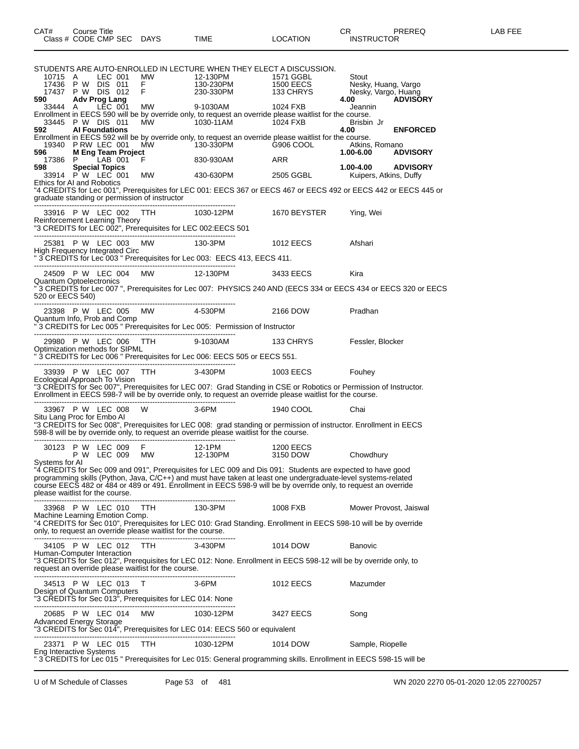| 10715 A                        | LEC 001                                        |                                                              | STUDENTS ARE AUTO-ENROLLED IN LECTURE WHEN THEY ELECT A DISCUSSION.<br>12-130PM                            | 1571 GGBL                                                                                                                                                                                                                                                                                                                                      | Stout                       |                 |
|--------------------------------|------------------------------------------------|--------------------------------------------------------------|------------------------------------------------------------------------------------------------------------|------------------------------------------------------------------------------------------------------------------------------------------------------------------------------------------------------------------------------------------------------------------------------------------------------------------------------------------------|-----------------------------|-----------------|
|                                | 17436 P W DIS 011<br>17437 P W DIS 012         |                                                              | MW     12-130PM      1571 GGBL<br>F      130-230PM     1500 EECS<br>F      230-330PM     133 CHRYS         |                                                                                                                                                                                                                                                                                                                                                | Nesky, Huang, Vargo         |                 |
| 590                            | Adv Prog Lang                                  |                                                              |                                                                                                            |                                                                                                                                                                                                                                                                                                                                                | Nesky, Vargo, Huang<br>4.00 | <b>ADVISORY</b> |
| 33444 A                        | LĒC 001                                        | MW                                                           |                                                                                                            | Enrollment in EECS 590 will be by override only, to request an override please waitlist for the course.                                                                                                                                                                                                                                        | Jeannin                     |                 |
| 592                            | 33445 P W DIS 011<br><b>Al Foundations</b>     | MW                                                           | $1030 - 11AM$                                                                                              | 1024 FXB                                                                                                                                                                                                                                                                                                                                       | Brisbin Jr<br>4.00          | <b>ENFORCED</b> |
| 596 — 1                        | 19340 PRW LEC 001<br><b>M Eng Team Project</b> | MW                                                           | 130-330PM                                                                                                  | Enrollment in EECS 592 will be by override only, to request an override please waitlist for the course.<br>G906 COOL                                                                                                                                                                                                                           | Atkins, Romano<br>1.00-6.00 | <b>ADVISORY</b> |
| 17386 P<br>598                 | $-LAB$ 001                                     | F                                                            | 830-930AM                                                                                                  | ARR                                                                                                                                                                                                                                                                                                                                            | 1.00-4.00                   | <b>ADVISORY</b> |
|                                | <b>Special Topics</b><br>33914 P W LEC 001     | <b>MW</b>                                                    | 430-630PM 2505 GGBL                                                                                        |                                                                                                                                                                                                                                                                                                                                                | Kuipers, Atkins, Duffy      |                 |
| Ethics for AI and Robotics     |                                                | graduate standing or permission of instructor                |                                                                                                            | "4 CREDITS for Lec 001", Prerequisites for LEC 001: EECS 367 or EECS 467 or EECS 492 or EECS 442 or EECS 445 or                                                                                                                                                                                                                                |                             |                 |
|                                |                                                | 33916 P W LEC 002 TTH 1030-12PM                              |                                                                                                            | 1670 BEYSTER                                                                                                                                                                                                                                                                                                                                   | Ying, Wei                   |                 |
|                                | Reinforcement Learning Theory                  |                                                              | "3 CREDITS for LEC 002", Prerequisites for LEC 002:EECS 501                                                |                                                                                                                                                                                                                                                                                                                                                |                             |                 |
|                                |                                                | 25381 P W LEC 003 MW 130-3PM                                 |                                                                                                            | 1012 EECS                                                                                                                                                                                                                                                                                                                                      | Afshari                     |                 |
|                                |                                                |                                                              | High Frequency Integrated Circ<br>" 3 CREDITS for Lec 003 " Prerequisites for Lec 003: EECS 413, EECS 411. |                                                                                                                                                                                                                                                                                                                                                |                             |                 |
| <b>Quantum Optoelectronics</b> | 24509 P W LEC 004                              | MW 12-130PM                                                  |                                                                                                            | 3433 EECS                                                                                                                                                                                                                                                                                                                                      | Kira                        |                 |
| 520 or EECS 540)               |                                                |                                                              |                                                                                                            | "3 CREDITS for Lec 007 ", Prerequisites for Lec 007: PHYSICS 240 AND (EECS 334 or EECS 434 or EECS 320 or EECS                                                                                                                                                                                                                                 |                             |                 |
|                                |                                                | 23398 P W LEC 005 MW 4-530PM                                 |                                                                                                            | 2166 DOW                                                                                                                                                                                                                                                                                                                                       | Pradhan                     |                 |
|                                | Quantum Info, Prob and Comp                    |                                                              | " 3 CREDITS for Lec 005 " Prerequisites for Lec 005: Permission of Instructor                              |                                                                                                                                                                                                                                                                                                                                                |                             |                 |
|                                | Optimization methods for SIPML                 | 29980 P W LEC 006 TTH 9-1030AM                               | " 3 CREDITS for Lec 006 " Prerequisites for Lec 006: EECS 505 or EECS 551.                                 | 133 CHRYS                                                                                                                                                                                                                                                                                                                                      | Fessler, Blocker            |                 |
|                                |                                                | 33939 P W LEC 007 TTH 3-430PM                                |                                                                                                            | 1003 EECS Fouhey                                                                                                                                                                                                                                                                                                                               |                             |                 |
|                                | Ecological Approach To Vision                  |                                                              |                                                                                                            | "3 CREDITS for Sec 007", Prerequisites for LEC 007: Grad Standing in CSE or Robotics or Permission of Instructor.<br>Enrollment in EECS 598-7 will be by override only, to request an override please waitlist for the course.<br>--                                                                                                           |                             |                 |
|                                | 33967 P W LEC 008                              | 3-6PM<br>W                                                   |                                                                                                            | 1940 COOL                                                                                                                                                                                                                                                                                                                                      | Chai                        |                 |
| Situ Lang Proc for Embo Al     |                                                |                                                              | 598-8 will be by override only, to request an override please waitlist for the course.                     | "3 CREDITS for Sec 008", Prerequisites for LEC 008: grad standing or permission of instructor. Enrollment in EECS                                                                                                                                                                                                                              |                             |                 |
|                                | 30123 P W LEC 009<br>P W LEC 009               |                                                              |                                                                                                            |                                                                                                                                                                                                                                                                                                                                                | Chowdhury                   |                 |
| Systems for AI                 | please waitlist for the course.                |                                                              |                                                                                                            | "4 CREDITS for Sec 009 and 091", Prerequisites for LEC 009 and Dis 091: Students are expected to have good<br>programming skills (Python, Java, C/C++) and must have taken at least one undergraduate-level systems-related<br>course EECS 482 or 484 or 489 or 491. Enrollment in EECS 598-9 will be by override only, to request an override |                             |                 |
|                                | 33968 P W LEC 010                              | TTH T                                                        | 130-3PM                                                                                                    | 1008 FXB                                                                                                                                                                                                                                                                                                                                       | Mower Provost, Jaiswal      |                 |
|                                | Machine Learning Emotion Comp.                 | only, to request an override please waitlist for the course. |                                                                                                            | "4 CREDITS for Sec 010", Prerequisites for LEC 010: Grad Standing. Enrollment in EECS 598-10 will be by override                                                                                                                                                                                                                               |                             |                 |
|                                | 34105 P W LEC 012                              | TTH                                                          | 3-430PM                                                                                                    | 1014 DOW                                                                                                                                                                                                                                                                                                                                       | <b>Banovic</b>              |                 |
|                                | Human-Computer Interaction                     | request an override please waitlist for the course.          |                                                                                                            | "3 CREDITS for Sec 012", Prerequisites for LEC 012: None. Enrollment in EECS 598-12 will be by override only, to                                                                                                                                                                                                                               |                             |                 |
|                                | 34513 P W LEC 013 T                            |                                                              | $3-6$ PM                                                                                                   | 1012 EECS                                                                                                                                                                                                                                                                                                                                      | Mazumder                    |                 |
|                                | Design of Quantum Computers                    | "3 CREDITS for Sec 013", Prerequisites for LEC 014: None     |                                                                                                            |                                                                                                                                                                                                                                                                                                                                                |                             |                 |
|                                | 20685 P W LEC 014                              | <b>MW</b>                                                    | 1030-12PM                                                                                                  | 3427 EECS                                                                                                                                                                                                                                                                                                                                      | Song                        |                 |
|                                |                                                |                                                              | Advanced Energy Storage<br>"3 CREDITS for Sec 014", Prerequisites for LEC 014: EECS 560 or equivalent      |                                                                                                                                                                                                                                                                                                                                                |                             |                 |
|                                | 23371 P W LEC 015                              | -----------------------------<br>TTH                         | 1030-12PM                                                                                                  | 1014 DOW                                                                                                                                                                                                                                                                                                                                       | Sample, Riopelle            |                 |
| Eng Interactive Systems        |                                                |                                                              |                                                                                                            | " 3 CREDITS for Lec 015 " Prerequisites for Lec 015: General programming skills. Enrollment in EECS 598-15 will be                                                                                                                                                                                                                             |                             |                 |

U of M Schedule of Classes Page 53 of 481 WN 2020 2270 05-01-2020 12:05 22700257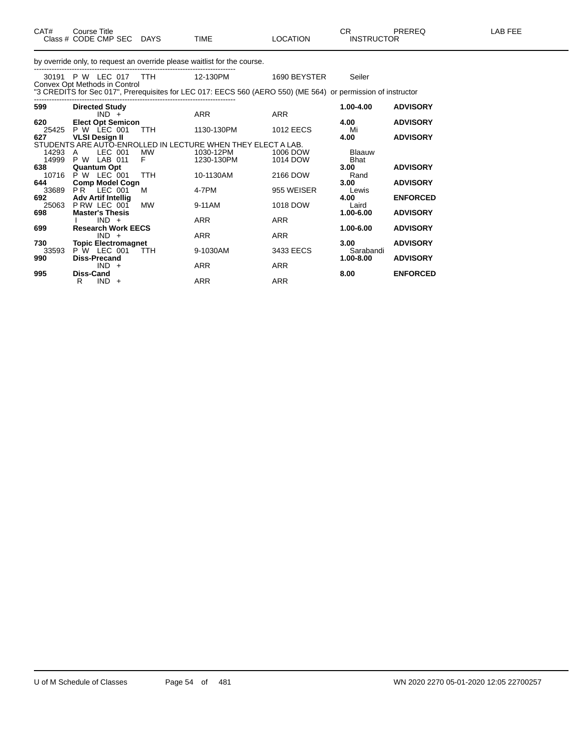| CAT#           | Course Title<br>Class # CODE CMP SEC                                    | <b>DAYS</b>    | <b>TIME</b>                                                                                                  | <b>LOCATION</b>      | CR.<br><b>INSTRUCTOR</b>     | <b>PREREQ</b>   | <b>LAB FEE</b> |
|----------------|-------------------------------------------------------------------------|----------------|--------------------------------------------------------------------------------------------------------------|----------------------|------------------------------|-----------------|----------------|
|                |                                                                         |                | by override only, to request an override please waitlist for the course.                                     |                      |                              |                 |                |
|                | 30191 P W LEC 017<br>Convex Opt Methods in Control                      | TTH            | 12-130PM                                                                                                     | 1690 BEYSTER         | Seiler                       |                 |                |
|                |                                                                         |                | "3 CREDITS for Sec 017", Prerequisites for LEC 017: EECS 560 (AERO 550) (ME 564) or permission of instructor |                      |                              |                 |                |
| 599            | <b>Directed Study</b><br>$IND +$                                        |                | <b>ARR</b>                                                                                                   | <b>ARR</b>           | 1.00-4.00                    | <b>ADVISORY</b> |                |
| 620<br>25425   | <b>Elect Opt Semicon</b><br><b>P W LEC 001</b>                          | <b>TTH</b>     | 1130-130PM                                                                                                   | <b>1012 EECS</b>     | 4.00<br>Mi                   | <b>ADVISORY</b> |                |
| 627            | <b>VLSI Design II</b>                                                   |                | STUDENTS ARE AUTO-ENROLLED IN LECTURE WHEN THEY ELECT A LAB.                                                 |                      | 4.00                         | <b>ADVISORY</b> |                |
| 14293<br>14999 | LEC 001<br>A<br>P W<br>LAB 011                                          | <b>MW</b><br>F | 1030-12PM<br>1230-130PM                                                                                      | 1006 DOW<br>1014 DOW | <b>Blaauw</b><br><b>Bhat</b> |                 |                |
| 638<br>10716   | <b>Quantum Opt</b><br>P W<br>LEC 001                                    | <b>TTH</b>     | 10-1130AM                                                                                                    | 2166 DOW             | 3.00<br>Rand                 | <b>ADVISORY</b> |                |
| 644<br>33689   | <b>Comp Model Cogn</b><br>LEC 001<br>PR.                                | M              | 4-7PM                                                                                                        | 955 WEISER           | 3.00<br>Lewis                | <b>ADVISORY</b> |                |
| 692<br>25063   | <b>Adv Artif Intellig</b><br>PRW LEC 001                                | <b>MW</b>      | 9-11AM                                                                                                       | 1018 DOW             | 4.00<br>Laird                | <b>ENFORCED</b> |                |
| 698            | <b>Master's Thesis</b><br>$IND +$                                       |                | <b>ARR</b>                                                                                                   | <b>ARR</b>           | 1.00-6.00                    | <b>ADVISORY</b> |                |
| 699<br>730     | <b>Research Work EECS</b><br>$IND +$                                    |                | <b>ARR</b>                                                                                                   | <b>ARR</b>           | 1.00-6.00                    | <b>ADVISORY</b> |                |
| 33593          | <b>Topic Electromagnet</b><br><b>P</b> W LEC 001<br><b>Diss-Precand</b> | <b>TTH</b>     | 9-1030AM                                                                                                     | 3433 EECS            | 3.00<br>Sarabandi            | <b>ADVISORY</b> |                |
| 990            | $IND +$                                                                 |                | ARR                                                                                                          | ARR                  | 1.00-8.00                    | <b>ADVISORY</b> |                |

**995 Diss-Cand 8.00 ENFORCED**

R IND + ARR ARR ARR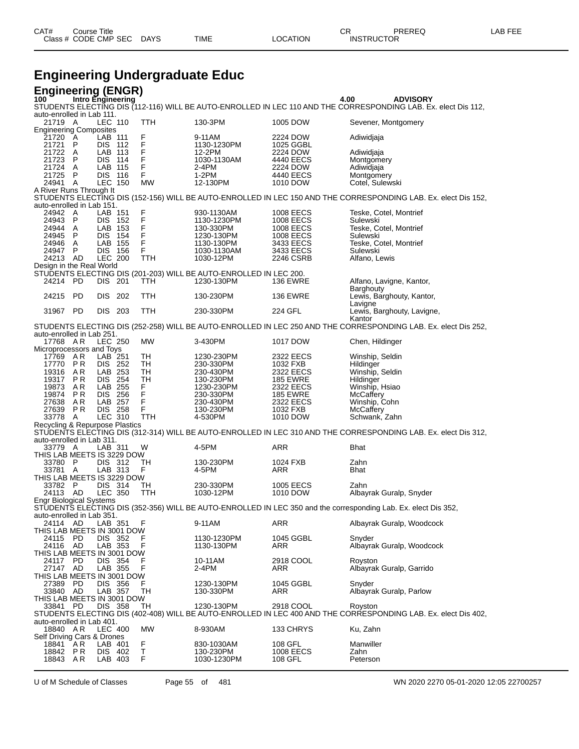**Engineering Undergraduate Educ Engineering (ENGR)**<br>100 Intro Engineering **100 Intro Engineering 4.00 ADVISORY** STUDENTS ELECTING DIS (112-116) WILL BE AUTO-ENROLLED IN LEC 110 AND THE CORRESPONDING LAB. Ex. elect Dis 112, auto-enrolled in Lab 111.<br>21719 A LEC 110 TTH 130-3PM 1005 DOW Sevener, Montgomery Engineering Composites 21720 A LAB 111 F 9-11AM 2224 DOW Adiwidjaja 21721 P DIS 112 F 1130-1230PM 1025 GGBL<br>21722 A LAB 113 F 12-2PM 2224 DOW 21722 A LAB 113 F 12-2PM 2224 DOW Adiwidjaja<br>21723 P DIS 114 F 1030-1130AM 4440 EECS Montgomery 21723 P DIS 114 F 1030-1130AM 4440 EECS Montgome<br>21724 A LAB 115 F 2-4PM 2224 DOW Adiwidjaja 21724 A LAB 115 F 2-4PM 2224 DOW Adiwidjaja 21725 P DIS 116 F 1-2PM 4440 EECS Montgomery<br>24941 A LEC 150 MW 12-130PM 1010 DOW Cotel Sulew n Lengenbury<br>Cotel, Sulewski A River Runs Through It STUDENTS ELECTING DIS (152-156) WILL BE AUTO-ENROLLED IN LEC 150 AND THE CORRESPONDING LAB. Ex. elect Dis 152, auto-enrolled in Lab 151.<br>24942 A LAB 151 24942 A LAB 151 F 930-1130AM 1008 EECS Teske, Cotel, Montrief 24943 P DIS 152 F 1130-1230PM 1008 EECS Sulewski 24944 A LAB 153 F 130-330PM 1008 EECS Teske, Cotel, Montrief 24945 P DIS 154 F 1230-130PM 1008 EECS Sulewski 24946 A LAB 155 F 1130-130PM 3433 EECS Teske, Cotel, Montrief 24946 A LAB 155 F 1130-130PM 3433 EECS Teske, Cotel,<br>24947 P DIS 156 F 1030-1130AM 3433 EECS Sulewski<br>24213 AD LEC 200 TTH 1030-12PM 2246 CSRB Alfano, Lewis 24213 AD LEC 200 TTH 1030-12PM 2246 CSRB Alfano, Lewis Design in the Real World STUDENTS ELECTING DIS (201-203) WILL BE AUTO-ENROLLED IN LEC 200. 24214 PD DIS 201 TTH 1230-130PM 136 EWRE Alfano, Lavigne, Kantor, Barghouty 24215 PD DIS 202 TTH 130-230PM 136 EWRE Lewis, Barghouty, Kantor, Lavigne 31967 PD DIS 203 TTH 230-330PM 224 GFL Lewis, Barghouty, Lavigne, Kantor STUDENTS ELECTING DIS (252-258) WILL BE AUTO-ENROLLED IN LEC 250 AND THE CORRESPONDING LAB. Ex. elect Dis 252, auto-enrolled in Lab 251.<br>17768 AR LEC 250 MW 3-430PM 1017 DOW Chen, Hildinger Microprocessors and Toys<br>17769 A R LAB 25<br>17770 P R DIS 25 17769 A.R LAB 251 TH 1230-230PM 2322 EECS Winship, Seldin<br>17770 P.R DIS 252 TH 230-330PM 1032 FXB Hildinger 17770 P.R DIS 252 TH 230-330PM 1032 FXB<br>19316 A.R LAB 253 TH 230-430PM 2322 EECS 19316 A.R LAB 253 TH 230-430PM 2322 EECS Winship, Seldin<br>19317 P.R. DIS 254 TH 130-230PM 185 EWRE H 19317 P R DIS 254 TH 130-230PM 185 EWRE Hildinger 19317 P.R. DIS 254 TH 130-230PM 185 EWRE Hildinger<br>19873 A.R. LAB 255 F 1230-230PM 2322 EECS Winship, Hsiao<br>19874 P.R. DIS 256 F 230-330PM 185 EWRE McCaffery 19874 P R DIS 256 F 230-330PM 185 EWRE McCaffery 27638 A R LAB 257 F 230-430PM 2322 EECS Winship, Cohn 27639 P R DIS 258 F 130-230PM 1032 FXB McCaffery 33778 A LEC 310 TTH 4-530PM 1010 DOW Schwank, Zahn Recycling & Repurpose Plastics STUDENTS ELECTING DIS (312-314) WILL BE AUTO-ENROLLED IN LEC 310 AND THE CORRESPONDING LAB. Ex. elect Dis 312, auto-enrolled in Lab 311.<br>33779 A LAB 311 33779 A LAB 311 W 4-5PM ARR Bhat THIS LAB MEETS IS 3229 DOW<br>33780 P DIS 312 TH 33780 P DIS 312 TH 130-230PM 1024 FXB Zahn 33781 A LAB 313 F 4-5PM ARR Bhat THIS LAB MEETS IS 3229 DOW<br>33782 P DIS 314 TH 33782 P DIS 314 TH 230-330PM 1005 EECS Zahn<br>24113 AD LEC 350 TTH 1030-12PM 1010 DOW Albayrak Guralp, Snyder 24113 AD LEC 350 TTH 1030-12PM 1010 DOW Albayrak Guralp, Snyder Engr Biological Systems STUDENTS ELECTING DIS (352-356) WILL BE AUTO-ENROLLED IN LEC 350 and the corresponding Lab. Ex. elect Dis 352, auto-enrolled in Lab 351.<br>24114 AD LAB 351 24114 AD LAB 351 F 9-11AM ARR Albayrak Guralp, Woodcock THIS LAB MEETS IN 3001 DOW<br>24115 PD DIS 352 F<br>24116 AD LAB 353 F 24115 PD DIS 352 F 1130-1230PM 1045 GGBL Snyder 24116 AD LAB 353 F 1130-130PM ARR Albayrak Guralp, Woodcock IIS LAB MEETS IN 3001 DOW<br>24117 PD DIS 354 F<br>27147 AD LAB 355 F 2918 COOL Royston F 10-11AM 2918 COOL Royston Royston Providence Research Providence Research Providence Resear<br>Providence 2-4PM ARR 27147 AD LAB 355 F 2-4PM ARR Albayrak Guralp, Garrido ATIS LAB MEETS IN 3001 DOW IIS LAB MEETS IN 3001 DOW<br>27389 PD DIS 356 F<br>33840 AD LAB 357 T 27389 PD DIS 356 F 1230-130PM 1045 GGBL Snyder Albayrak Guralp, Parlow THIS LAB MEETS IN 3001 DOW 33841 PD DIS 358 TH 1230-130PM 2918 COOL Royston STUDENTS ELECTING DIS (402-408) WILL BE AUTO-ENROLLED IN LEC 400 AND THE CORRESPONDING LAB. Ex. elect Dis 402, auto-enrolled in Lab 401.<br>18840 AR LEC 400 18840 A R LEC 400 MW 8-930AM 133 CHRYS Ku, Zahn Self Driving Cars & Drones<br>18841 AR LAB 401 18841 A R LAB 401 F 830-1030AM 108 GFL Manwiller

18842 P R DIS 402 T 130-230PM 1008 EECS Zahn<br>18843 A R LAB 403 F 1030-1230PM 108 GFL Peterson 1030-1230PM

U of M Schedule of Classes Page 55 of 481 WN 2020 2270 05-01-2020 12:05 22700257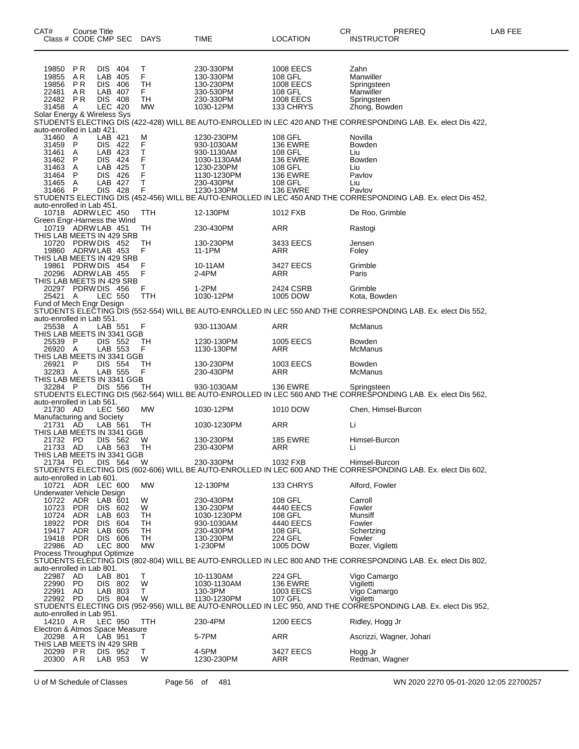| CAT#<br>Class # CODE CMP SEC                    | <b>Course Title</b> |                           |     | DAYS            | TIME                      | <b>LOCATION</b>            | CR<br>PREREQ<br><b>INSTRUCTOR</b>                                                                                             | LAB FEE |
|-------------------------------------------------|---------------------|---------------------------|-----|-----------------|---------------------------|----------------------------|-------------------------------------------------------------------------------------------------------------------------------|---------|
| 19850                                           | <b>PR</b>           | DIS.<br>LAB 405           | 404 | Т<br>F          | 230-330PM<br>130-330PM    | 1008 EECS                  | Zahn                                                                                                                          |         |
| 19855<br>19856                                  | ΑR<br>P R           | DIS 406                   |     | TН              | 130-230PM                 | 108 GFL<br>1008 EECS       | Manwiller<br>Springsteen                                                                                                      |         |
| 22481                                           | ΑR                  | LAB 407                   |     | F.              | 330-530PM                 | 108 GFL                    | Manwiller                                                                                                                     |         |
| 22482                                           | P R                 | DIS.                      | 408 | TН              | 230-330PM                 | 1008 EECS                  | Springsteen                                                                                                                   |         |
| 31458<br>Solar Energy & Wireless Sys            | A                   | LEC 420                   |     | MW              | 1030-12PM                 | 133 CHRYS                  | Zhong, Bowden                                                                                                                 |         |
| auto-enrolled in Lab 421.                       |                     |                           |     |                 |                           |                            | STUDENTS ELECTING DIS (422-428) WILL BE AUTO-ENROLLED IN LEC 420 AND THE CORRESPONDING LAB. Ex. elect Dis 422,                |         |
| 31460<br>31459                                  | A<br>P              | LAB 421<br>DIS 422        |     | M<br>F          | 1230-230PM<br>930-1030AM  | 108 GFL<br><b>136 EWRE</b> | Novilla<br>Bowden                                                                                                             |         |
| 31461                                           | A                   | LAB 423                   |     | Т               | 930-1130AM                | 108 GFL                    | Liu                                                                                                                           |         |
| 31462                                           | P                   | DIS 424                   |     | F               | 1030-1130AM               | <b>136 EWRE</b>            | <b>Bowden</b>                                                                                                                 |         |
| 31463<br>31464                                  | A<br>P              | LAB 425<br>DIS 426        |     | т<br>F          | 1230-230PM<br>1130-1230PM | 108 GFL<br><b>136 EWRE</b> | Liu<br>Pavlov                                                                                                                 |         |
| 31465                                           | A                   | LAB 427                   |     | т               | 230-430PM                 | 108 GFL                    | Liu                                                                                                                           |         |
| 31466                                           | P                   | DIS 428                   |     | F               | 1230-130PM                | <b>136 EWRE</b>            | Pavlov                                                                                                                        |         |
|                                                 |                     |                           |     |                 |                           |                            | STUDENTS ELECTING DIS (452-456) WILL BE AUTO-ENROLLED IN LEC 450 AND THE CORRESPONDING LAB. Ex. elect Dis 452,                |         |
| auto-enrolled in Lab 451.<br>10718 ADRW LEC 450 |                     |                           |     | TTH             | 12-130PM                  | 1012 FXB                   | De Roo, Grimble                                                                                                               |         |
| Green Engr-Harness the Wind                     |                     |                           |     |                 |                           |                            |                                                                                                                               |         |
| 10719 ADRW LAB 451<br>THIS LAB MEETS IN 429 SRB |                     |                           |     | TН              | 230-430PM                 | ARR                        | Rastogi                                                                                                                       |         |
| 10720 PDRW DIS 452                              |                     |                           |     | TН              | 130-230PM                 | 3433 EECS                  | Jensen                                                                                                                        |         |
| 19860 ADRW LAB 453                              |                     |                           |     | F               | 11-1PM                    | ARR                        | Foley                                                                                                                         |         |
| THIS LAB MEETS IN 429 SRB<br>19861 PDRW DIS 454 |                     |                           |     | F               |                           | 3427 EECS                  | Grimble                                                                                                                       |         |
| 20296 ADRW LAB 455                              |                     |                           |     | F               | 10-11AM<br>2-4PM          | ARR                        | Paris                                                                                                                         |         |
| THIS LAB MEETS IN 429 SRB                       |                     |                           |     |                 |                           |                            |                                                                                                                               |         |
| 20297 PDRW DIS 456                              |                     |                           |     | F               | 1-2PM                     | 2424 CSRB                  | Grimble                                                                                                                       |         |
| 25421 A<br>Fund of Mech Engr Design             |                     | <b>LEC 550</b>            |     | TTH             | 1030-12PM                 | 1005 DOW                   | Kota, Bowden                                                                                                                  |         |
|                                                 |                     |                           |     |                 |                           |                            | STUDENTS ELECTING DIS (552-554) WILL BE AUTO-ENROLLED IN LEC 550 AND THE CORRESPONDING LAB. Ex. elect Dis 552,                |         |
| auto-enrolled in Lab 551.                       |                     |                           |     |                 |                           |                            |                                                                                                                               |         |
| 25538 A<br>THIS LAB MEETS IN 3341 GGB           |                     | LAB 551                   |     | F               | 930-1130AM                | ARR                        | McManus                                                                                                                       |         |
| 25539 P                                         |                     | DIS 552                   |     | TН              | 1230-130PM                | 1005 EECS                  | <b>Bowden</b>                                                                                                                 |         |
| 26920 A                                         |                     | LAB 553                   |     | F               | 1130-130PM                | ARR                        | McManus                                                                                                                       |         |
| THIS LAB MEETS IN 3341 GGB<br>26921 P           |                     | DIS 554                   |     | TН              | 130-230PM                 | 1003 EECS                  | <b>Bowden</b>                                                                                                                 |         |
| 32283 A                                         |                     | LAB 555                   |     | F               | 230-430PM                 | ARR                        | McManus                                                                                                                       |         |
| THIS LAB MEETS IN 3341 GGB                      |                     |                           |     |                 |                           |                            |                                                                                                                               |         |
| 32284 P                                         |                     | DIS 556                   |     | TН              | 930-1030AM                | <b>136 EWRE</b>            | Springsteen<br>STUDENTS ELECTING DIS (562-564) WILL BE AUTO-ENROLLED IN LEC 560 AND THE CORRESPONDING LAB. Ex. elect Dis 562, |         |
| auto-enrolled in Lab 561.                       |                     |                           |     |                 |                           |                            |                                                                                                                               |         |
| 21730 AD                                        |                     | <b>LEC 560</b>            |     | MW              | 1030-12PM                 | 1010 DOW                   | Chen, Himsel-Burcon                                                                                                           |         |
| Manufacturing and Society<br>21731 AD           |                     | LAB 561                   |     | TH              | 1030-1230PM               | ARR                        | Li                                                                                                                            |         |
| THIS LAB MEETS IN 3341 GGB                      |                     |                           |     |                 |                           |                            |                                                                                                                               |         |
| 21732 PD                                        |                     | DIS 562                   |     | W               | 130-230PM                 | <b>185 EWRE</b>            | Himsel-Burcon                                                                                                                 |         |
| 21733 AD<br>THIS LAB MEETS IN 3341 GGB          |                     | LAB 563                   |     | ТH              | 230-430PM                 | ARR                        | Li                                                                                                                            |         |
| 21734 PD                                        |                     | DIS 564                   |     | W               | 230-330PM                 | 1032 FXB                   | Himsel-Burcon                                                                                                                 |         |
| auto-enrolled in Lab 601.                       |                     |                           |     |                 |                           |                            | STUDENTS ELECTING DIS (602-606) WILL BE AUTO-ENROLLED IN LEC 600 AND THE CORRESPONDING LAB. Ex. elect Dis 602,                |         |
| 10721 ADR LEC 600                               |                     |                           |     | МW              | 12-130PM                  | 133 CHRYS                  | Alford, Fowler                                                                                                                |         |
| Underwater Vehicle Design                       |                     |                           |     |                 |                           |                            |                                                                                                                               |         |
| 10722                                           | ADR                 | LAB 601                   |     | W               | 230-430PM                 | 108 GFL                    | Carroll<br>Fowler                                                                                                             |         |
| 10723<br>10724                                  | <b>PDR</b><br>ADR   | DIS.<br>LAB 603           | 602 | W<br>TН         | 130-230PM<br>1030-1230PM  | 4440 EECS<br>108 GFL       | Munsiff                                                                                                                       |         |
| 18922                                           | <b>PDR</b>          | DIS 604                   |     | TН              | 930-1030AM                | 4440 EECS                  | Fowler                                                                                                                        |         |
| 19417                                           | ADR                 | LAB 605                   |     | TН              | 230-430PM                 | 108 GFL                    | Schertzing                                                                                                                    |         |
| 19418 PDR<br>22986 AD                           |                     | DIS 606<br><b>LEC 800</b> |     | TH<br><b>MW</b> | 130-230PM<br>1-230PM      | 224 GFL<br>1005 DOW        | Fowler<br>Bozer, Vigiletti                                                                                                    |         |
| Process Throughput Optimize                     |                     |                           |     |                 |                           |                            |                                                                                                                               |         |
|                                                 |                     |                           |     |                 |                           |                            | STUDENTS ELECTING DIS (802-804) WILL BE AUTO-ENROLLED IN LEC 800 AND THE CORRESPONDING LAB. Ex. elect Dis 802,                |         |
| auto-enrolled in Lab 801.<br>22987              | AD                  | LAB 801                   |     | Т               | 10-1130AM                 | 224 GFL                    | Vigo Camargo                                                                                                                  |         |
| 22990 PD                                        |                     | DIS 802                   |     | W               | 1030-1130AM               | <b>136 EWRE</b>            | Vigiletti                                                                                                                     |         |
| 22991                                           | AD                  | LAB 803                   |     | T.              | 130-3PM                   | 1003 EECS                  | Vigo Camargo                                                                                                                  |         |
| 22992 PD                                        |                     | DIS 804                   |     | W               | 1130-1230PM               | 107 GFL                    | Vigiletti<br>STUDENTS ELECTING DIS (952-956) WILL BE AUTO-ENROLLED IN LEC 950, AND THE CORRESPONDING LAB. Ex. elect Dis 952,  |         |
| auto-enrolled in Lab 951.                       |                     |                           |     |                 |                           |                            |                                                                                                                               |         |
| 14210 AR                                        |                     | LEC 950                   |     | TTH             | 230-4PM                   | <b>1200 EECS</b>           | Ridley, Hogg Jr                                                                                                               |         |
| Electron & Atmos Space Measure<br>20298 AR      |                     | LAB 951                   |     | Τ               | 5-7PM                     | ARR                        | Ascrizzi, Wagner, Johari                                                                                                      |         |
| THIS LAB MEETS IN 429 SRB                       |                     |                           |     |                 |                           |                            |                                                                                                                               |         |
| 20299 PR                                        |                     | DIS 952                   |     | T               | 4-5PM                     | 3427 EECS                  | Hogg Jr                                                                                                                       |         |
| 20300 AR                                        |                     | LAB 953                   |     | W               | 1230-230PM                | ARR                        | Redman, Wagner                                                                                                                |         |

U of M Schedule of Classes Page 56 of 481 WN 2020 2270 05-01-2020 12:05 22700257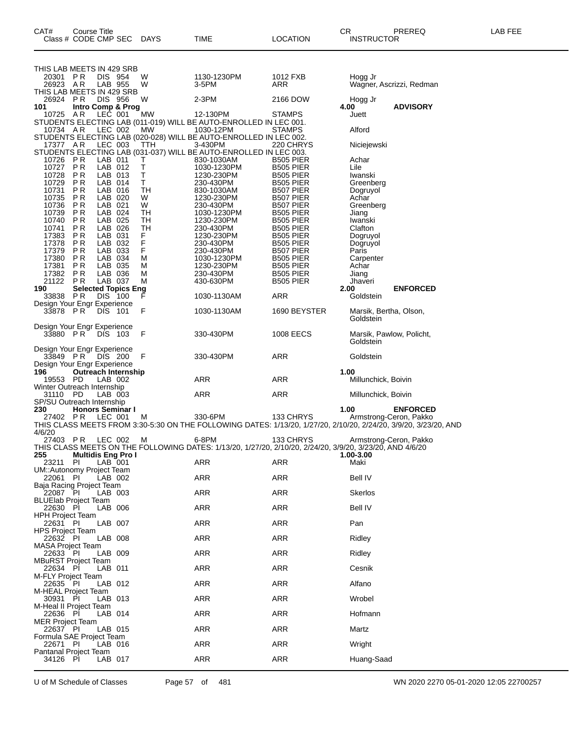| THIS LAB MEETS IN 429 SRB<br>20301 PR<br>DIS 954<br>W<br>26923 AR<br>LAB 955<br>W                                                            | 1130-1230PM<br>3-5PM      | 1012 FXB<br>ARR                      | Hogg Jr<br>Wagner, Ascrizzi, Redman   |  |
|----------------------------------------------------------------------------------------------------------------------------------------------|---------------------------|--------------------------------------|---------------------------------------|--|
| THIS LAB MEETS IN 429 SRB<br>26924 PR<br>DIS 956<br>W                                                                                        | 2-3PM                     | 2166 DOW                             | Hogg Jr                               |  |
| Intro Comp & Prog<br>101<br>10725 AR<br>LEC 001<br>MW                                                                                        | 12-130PM                  | STAMPS                               | <b>ADVISORY</b><br>4.00<br>Juett      |  |
| STUDENTS ELECTING LAB (011-019) WILL BE AUTO-ENROLLED IN LEC 001.<br>10734 AR<br>LEC 002<br>MW                                               | 1030-12PM                 | <b>STAMPS</b>                        | Alford                                |  |
| STUDENTS ELECTING LAB (020-028) WILL BE AUTO-ENROLLED IN LEC 002.<br>17377 AR<br>LEC 003<br>TTH                                              | 3-430PM                   | 220 CHRYS                            | Niciejewski                           |  |
| STUDENTS ELECTING LAB (031-037) WILL BE AUTO-ENROLLED IN LEC 003.<br>10726 PR<br>LAB 011<br>т                                                | 830-1030AM                | <b>B505 PIER</b>                     | Achar                                 |  |
| T<br>10727<br><b>PR</b><br>LAB 012<br>10728<br>LAB 013<br>Т<br>P R                                                                           | 1030-1230PM<br>1230-230PM | B505 PIER<br><b>B505 PIER</b>        | Lile<br>Iwanski                       |  |
| т<br>10729<br>P R<br>LAB 014<br>P <sub>R</sub><br>LAB 016<br>TH<br>10731                                                                     | 230-430PM                 | <b>B505 PIER</b><br>B507 PIER        | Greenberg                             |  |
| 10735<br>LAB 020<br>P R<br>W                                                                                                                 | 830-1030AM<br>1230-230PM  | B507 PIER                            | Dogruyol<br>Achar                     |  |
| W<br>10736<br>P R<br>LAB 021<br>10739<br><b>PR</b><br>LAB 024<br>TН                                                                          | 230-430PM<br>1030-1230PM  | B507 PIER<br>B505 PIER               | Greenberg<br>Jiang                    |  |
| 10740<br>LAB 025<br>TН<br>P R<br>TН<br>10741<br>P R<br>LAB 026                                                                               | 1230-230PM<br>230-430PM   | <b>B505 PIER</b><br><b>B505 PIER</b> | Iwanski<br>Clafton                    |  |
| <b>PR</b><br>LAB 031<br>F.<br>17383<br>F<br>17378<br>LAB 032<br>P R                                                                          | 1230-230PM<br>230-430PM   | B505 PIER<br>B505 PIER               | Dogruyol<br>Dogruyol                  |  |
| F<br>17379<br>P R<br>LAB 033<br><b>PR</b><br>17380<br>LAB 034<br>M                                                                           | 230-430PM<br>1030-1230PM  | B507 PIER<br><b>B505 PIER</b>        | Paris<br>Carpenter                    |  |
| 17381<br>P R<br>LAB 035<br>м<br>17382<br>P R<br>LAB 036<br>М                                                                                 | 1230-230PM<br>230-430PM   | B505 PIER<br><b>B505 PIER</b>        | Achar<br>Jiang                        |  |
| 21122<br>PR<br>LAB 037<br>м<br>190<br><b>Selected Topics Eng</b>                                                                             | 430-630PM                 | <b>B505 PIER</b>                     | Jhaveri<br><b>ENFORCED</b><br>2.00    |  |
| 33838 PR<br>DIS 100<br>F                                                                                                                     | 1030-1130AM               | ARR                                  | Goldstein                             |  |
| Design Your Engr Experience<br>F<br>33878 PR<br>DIS 101                                                                                      | 1030-1130AM               | 1690 BEYSTER                         | Marsik, Bertha, Olson,<br>Goldstein   |  |
| Design Your Engr Experience<br>33880 PR DIS 103<br>F                                                                                         | 330-430PM                 | 1008 EECS                            | Marsik, Pawlow, Policht,<br>Goldstein |  |
| Design Your Engr Experience<br>33849 PR DIS 200<br>F<br>Design Your Engr Experience                                                          | 330-430PM                 | ARR                                  | Goldstein                             |  |
| 196<br><b>Outreach Internship</b><br>19553 PD<br>LAB 002                                                                                     | ARR                       | ARR                                  | 1.00<br>Millunchick, Boivin           |  |
| Winter Outreach Internship<br>31110 PD<br>LAB 003                                                                                            | ARR                       | ARR                                  | Millunchick, Boivin                   |  |
| SP/SU Outreach Internship<br><b>Honors Seminar I</b><br>230                                                                                  |                           |                                      | 1.00<br><b>ENFORCED</b>               |  |
| 27402 PR<br>LEC 001<br>м<br>THIS CLASS MEETS FROM 3:30-5:30 ON THE FOLLOWING DATES: 1/13/20, 1/27/20, 2/10/20, 2/24/20, 3/9/20, 3/23/20, AND | 330-6PM                   | 133 CHRYS                            | Armstrong-Ceron, Pakko                |  |
| 4/6/20<br>27403 PR<br>LEC 002<br>- M                                                                                                         | 6-8PM                     | 133 CHRYS                            | Armstrong-Ceron, Pakko                |  |
| THIS CLASS MEETS ON THE FOLLOWING DATES: 1/13/20, 1/27/20, 2/10/20, 2/24/20, 3/9/20, 3/23/20, AND 4/6/20<br>255<br><b>Multidis Eng Pro I</b> |                           |                                      | 1.00-3.00                             |  |
| <b>PI</b><br>$LAB$ 001<br>23211<br>UM::Autonomy Project Team                                                                                 | ARR                       | ARR                                  | Maki                                  |  |
| 22061 PI<br>LAB 002<br>Baja Racing Project Team                                                                                              | ARR                       | ARR                                  | Bell IV                               |  |
| 22087 PI<br>LAB 003<br>BLUElab Project Team                                                                                                  | ARR                       | <b>ARR</b>                           | Skerlos                               |  |
| 22630 PI<br>LAB 006<br><b>HPH Project Team</b>                                                                                               | <b>ARR</b>                | <b>ARR</b>                           | <b>Bell IV</b>                        |  |
| 22631 PI<br>LAB 007                                                                                                                          | ARR                       | <b>ARR</b>                           | Pan                                   |  |
| <b>HPS Project Team</b><br>22632 PI<br>LAB 008                                                                                               | ARR                       | <b>ARR</b>                           | Ridley                                |  |
| <b>MASA Project Team</b><br>22633 PI<br>LAB 009                                                                                              | <b>ARR</b>                | ARR                                  | Ridley                                |  |
| <b>MBuRST Project Team</b><br>22634 PI<br>LAB 011                                                                                            | ARR                       | ARR                                  | Cesnik                                |  |
| <b>M-FLY Project Team</b><br>22635 PI<br>LAB 012                                                                                             | ARR                       | <b>ARR</b>                           | Alfano                                |  |
| M-HEAL Proiect Team<br>30931 PI<br>LAB 013<br>M-Heal II Project Team                                                                         | ARR                       | ARR                                  | Wrobel                                |  |

Class # CODE CMP SEC DAYS TIME LOCATION INSTRUCTOR

U of M Schedule of Classes Page 57 of 481 WN 2020 2270 05-01-2020 12:05 22700257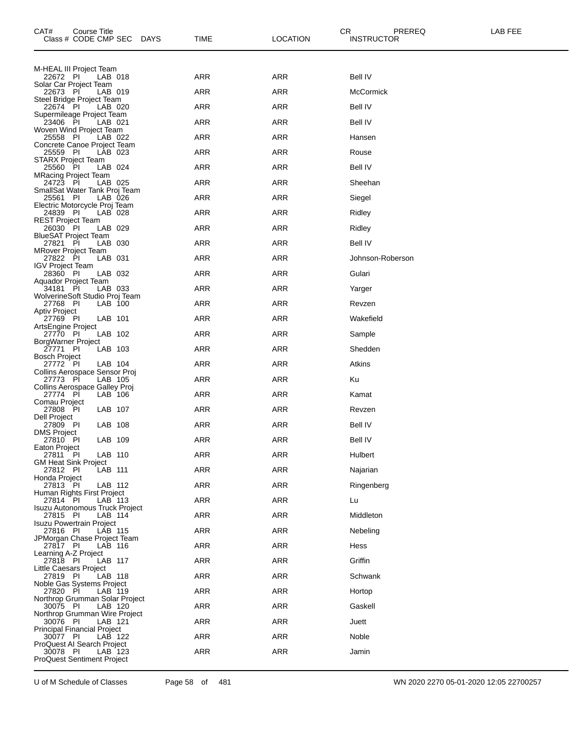| CAT#<br>Course Title<br>Class # CODE CMP SEC<br><b>DAYS</b> | TIME       | LOCATION   | CR<br>PREREQ<br><b>INSTRUCTOR</b> | LAB FEE |
|-------------------------------------------------------------|------------|------------|-----------------------------------|---------|
| M-HEAL III Project Team                                     |            |            |                                   |         |
| 22672 PI<br>LAB 018<br>Solar Car Project Team               | <b>ARR</b> | ARR        | Bell IV                           |         |
| 22673 PI<br>LAB 019<br>Steel Bridge Project Team            | <b>ARR</b> | ARR        | <b>McCormick</b>                  |         |
| 22674 PI<br>LAB 020                                         | ARR        | ARR        | Bell IV                           |         |
| Supermileage Project Team<br>23406 PI<br>LAB 021            | <b>ARR</b> | ARR        | Bell IV                           |         |
| Woven Wind Project Team<br>25558 PI<br>LAB 022              | <b>ARR</b> | <b>ARR</b> | Hansen                            |         |
| Concrete Canoe Project Team<br>25559 PI<br>LAB 023          | ARR        | ARR        | Rouse                             |         |
| STARX Project Team<br>LAB 024<br>25560 PI                   | <b>ARR</b> | ARR        | Bell IV                           |         |
| <b>MRacing Project Team</b><br>24723 PI<br>LAB 025          | <b>ARR</b> | <b>ARR</b> | Sheehan                           |         |
| SmallSat Water Tank Proj Team<br>25561 PI<br>LAB 026        | ARR        | ARR        | Siegel                            |         |
| Electric Motorcycle Proj Team<br>24839 PI<br>LAB 028        | <b>ARR</b> | ARR        | Ridley                            |         |
| <b>REST Project Team</b><br>26030 PI<br>LAB 029             | <b>ARR</b> | <b>ARR</b> | Ridley                            |         |
| <b>BlueSAT Project Team</b><br>27821 PI<br>LAB 030          | ARR        | ARR        | <b>Bell IV</b>                    |         |
| <b>MRover Project Team</b><br>LAB 031<br>27822 PI           | <b>ARR</b> | ARR        | Johnson-Roberson                  |         |
| <b>IGV Project Team</b><br>28360 PI<br>LAB 032              | <b>ARR</b> | <b>ARR</b> | Gulari                            |         |
| Aquador Project Team<br>34181 PI<br>LAB 033                 | ARR        | ARR        | Yarger                            |         |
| WolverineSoft Studio Proj Team<br>27768 PI<br>LAB 100       | <b>ARR</b> | ARR        | Revzen                            |         |
| Aptiv Project<br>27769 PI<br>LAB 101                        | <b>ARR</b> | ARR        | Wakefield                         |         |
| ArtsEngine Project<br>27770 PI<br>LAB 102                   | ARR        | ARR        | Sample                            |         |
| BorgWarner Project<br>LAB 103<br>27771 PI                   | <b>ARR</b> | ARR        | Shedden                           |         |
| <b>Bosch Project</b><br>27772 PI<br>LAB 104                 | <b>ARR</b> | ARR        | Atkins                            |         |
| Collins Aerospace Sensor Proj<br>27773 PI<br>LAB 105        | ARR        | ARR        | Ku                                |         |
| Collins Aerospace Galley Proj<br>27774 PI<br>LAB 106        | <b>ARR</b> | ARR        | Kamat                             |         |
| Comau Project<br>27808 PI<br>LAB 107                        | ARR        | ARR        | Revzen                            |         |
| Dell Project<br>27809 PI<br>LAB 108                         | ARR        | ARR        | Bell IV                           |         |
| <b>DMS Project</b><br>LAB 109<br>27810 PI                   | <b>ARR</b> | ARR        | <b>Bell IV</b>                    |         |
| Eaton Project<br>27811 PI<br>LAB 110                        | <b>ARR</b> | <b>ARR</b> | Hulbert                           |         |
| <b>GM Heat Sink Project</b><br>LAB 111<br>27812 PI          | ARR        | ARR        | Najarian                          |         |
| Honda Project<br>LAB 112<br>27813 PI                        | <b>ARR</b> | ARR        | Ringenberg                        |         |
| Human Rights First Project<br>27814 PI<br>LAB 113           | <b>ARR</b> | ARR        | Lu                                |         |
| Isuzu Autonomous Truck Project<br>27815 PI<br>LAB 114       | ARR        | ARR        | Middleton                         |         |
| <b>Isuzu Powertrain Project</b><br>27816 PI<br>LAB 115      | <b>ARR</b> | ARR        | Nebeling                          |         |
| JPMorgan Chase Project Team<br>27817 PI<br>LAB 116          | <b>ARR</b> | ARR        | Hess                              |         |
| Learning A-Z Project<br>LAB 117<br>27818 PI                 | <b>ARR</b> | ARR        | Griffin                           |         |
| Little Caesars Project<br>27819 PI<br>LAB 118               | <b>ARR</b> | ARR        | Schwank                           |         |
| Noble Gas Systems Project<br>27820 PI<br>LAB 119            | <b>ARR</b> | ARR        | Hortop                            |         |
| Northrop Grumman Solar Project<br>30075 PI<br>LAB 120       | <b>ARR</b> | ARR        | Gaskell                           |         |
| Northrop Grumman Wire Project<br>30076 PI<br>LAB 121        | <b>ARR</b> | ARR        | Juett                             |         |
| <b>Principal Financial Project</b><br>30077 PI<br>LAB 122   | <b>ARR</b> | ARR        | Noble                             |         |
| ProQuest AI Search Project<br>30078 PI<br>LAB 123           | <b>ARR</b> | ARR        | Jamin                             |         |
| <b>ProQuest Sentiment Project</b>                           |            |            |                                   |         |

U of M Schedule of Classes Page 58 of 481 WN 2020 2270 05-01-2020 12:05 22700257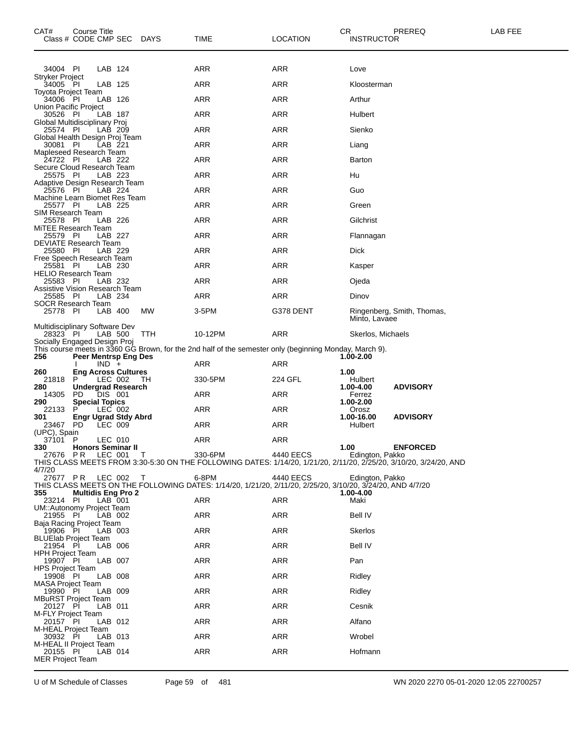| CAT#                                       | Course Title<br>Class # CODE CMP SEC DAYS     |         |         |            | TIME                                                                                                               | LOCATION  | CR                  | PREREQ<br><b>INSTRUCTOR</b>                                                                                                          | LAB FEE |
|--------------------------------------------|-----------------------------------------------|---------|---------|------------|--------------------------------------------------------------------------------------------------------------------|-----------|---------------------|--------------------------------------------------------------------------------------------------------------------------------------|---------|
| 34004 PI                                   |                                               | LAB 124 |         |            | ARR                                                                                                                | ARR       | Love                |                                                                                                                                      |         |
| <b>Stryker Project</b><br>34005 PI         |                                               | LAB 125 |         |            | ARR                                                                                                                | ARR       |                     | Kloosterman                                                                                                                          |         |
| Toyota Project Team<br>34006 PI            |                                               | LAB 126 |         |            | ARR                                                                                                                | ARR       | Arthur              |                                                                                                                                      |         |
| Union Pacific Project<br>30526 PI          |                                               | LAB 187 |         |            | ARR                                                                                                                | ARR       | Hulbert             |                                                                                                                                      |         |
| Global Multidisciplinary Proj<br>25574 PI  |                                               | LAB 209 |         |            | <b>ARR</b>                                                                                                         | ARR       | Sienko              |                                                                                                                                      |         |
| Global Health Design Proj Team             |                                               |         |         |            |                                                                                                                    |           |                     |                                                                                                                                      |         |
| 30081 PI<br>Mapleseed Research Team        |                                               | LAB 221 |         |            | ARR                                                                                                                | ARR       | Liang               |                                                                                                                                      |         |
| 24722 PI<br>Secure Cloud Research Team     |                                               | LAB 222 |         |            | ARR                                                                                                                | ARR       | Barton              |                                                                                                                                      |         |
| 25575 PI<br>Adaptive Design Research Team  |                                               | LAB 223 |         |            | ARR                                                                                                                | ARR       | Hu                  |                                                                                                                                      |         |
| 25576 PI<br>Machine Learn Biomet Res Team  |                                               | LAB 224 |         |            | ARR                                                                                                                | ARR       | Guo                 |                                                                                                                                      |         |
| 25577 PI<br>SIM Research Team              |                                               | LAB 225 |         |            | ARR                                                                                                                | ARR       | Green               |                                                                                                                                      |         |
| 25578 PI<br>MiTEE Research Team            |                                               | LAB 226 |         |            | ARR                                                                                                                | ARR       | Gilchrist           |                                                                                                                                      |         |
| 25579 PI<br>DEVIATE Research Team          |                                               | LAB 227 |         |            | ARR                                                                                                                | ARR       | Flannagan           |                                                                                                                                      |         |
| 25580 PI                                   |                                               | LAB 229 |         |            | ARR                                                                                                                | ARR       | <b>Dick</b>         |                                                                                                                                      |         |
| Free Speech Research Team<br>25581 PI      |                                               | LAB 230 |         |            | ARR                                                                                                                | ARR       | Kasper              |                                                                                                                                      |         |
| HELIO Research Team<br>25583 PI            |                                               | LAB 232 |         |            | ARR                                                                                                                | ARR       | Ojeda               |                                                                                                                                      |         |
| Assistive Vision Research Team<br>25585 PI |                                               | LAB 234 |         |            | ARR                                                                                                                | ARR       | Dinov               |                                                                                                                                      |         |
| <b>SOCR Research Team</b><br>25778 PI      |                                               | LAB 400 |         | МW         | 3-5PM                                                                                                              | G378 DENT |                     | Ringenberg, Smith, Thomas,<br>Minto, Lavaee                                                                                          |         |
| Multidisciplinary Software Dev<br>28323 PI |                                               |         | LAB 500 | <b>TTH</b> | 10-12PM                                                                                                            | ARR       |                     | Skerlos, Michaels                                                                                                                    |         |
| Socially Engaged Design Proj               |                                               |         |         |            | This course meets in 3360 GG Brown, for the 2nd half of the semester only (beginning Monday, March 9).             |           |                     |                                                                                                                                      |         |
| 256                                        | Peer Mentrsp Eng Des                          | $IND +$ |         |            | ARR                                                                                                                | ARR       | 1.00-2.00           |                                                                                                                                      |         |
| 260<br>21818                               | <b>Eng Across Cultures</b><br>P               |         | LEC 002 | TH.        | 330-5PM                                                                                                            | 224 GFL   | 1.00<br>Hulbert     |                                                                                                                                      |         |
| 280<br>14305                               | Undergrad Research<br>PD.                     | DIS 001 |         |            | ARR                                                                                                                | ARR       | 1.00-4.00<br>Ferrez | <b>ADVISORY</b>                                                                                                                      |         |
| 290<br>22133                               | <b>Special Topics</b><br>P                    | LEC 002 |         |            | ARR                                                                                                                | ARR       | 1.00-2.00<br>Orosz  |                                                                                                                                      |         |
| 301                                        | <b>Engr Ugrad Stdy Abrd</b>                   |         |         |            |                                                                                                                    |           | 1.00-16.00          | <b>ADVISORY</b>                                                                                                                      |         |
| 23467<br>(UPC), Spain                      | PD.                                           | LEC 009 |         |            | ARR                                                                                                                | ARR       | Hulbert             |                                                                                                                                      |         |
| 37101 P<br>330                             | <b>Honors Seminar II</b>                      | LEC 010 |         |            | ARR                                                                                                                | ARR       | 1.00                | <b>ENFORCED</b>                                                                                                                      |         |
| 4/7/20                                     | 27676 PR LEC 001                              |         |         | $\top$     | 330-6PM                                                                                                            | 4440 EECS |                     | Edington, Pakko<br>THIS CLASS MEETS FROM 3:30-5:30 ON THE FOLLOWING DATES: 1/14/20, 1/21/20, 2/11/20, 2/25/20, 3/10/20, 3/24/20, AND |         |
| 355                                        | 27677 PR LEC 002<br><b>Multidis Eng Pro 2</b> |         |         | $\top$     | 6-8PM<br>THIS CLASS MEETS ON THE FOLLOWING DATES: 1/14/20, 1/21/20, 2/11/20, 2/25/20, 3/10/20, 3/24/20, AND 4/7/20 | 4440 EECS | 1.00-4.00           | Edington, Pakko                                                                                                                      |         |
| 23214 PI<br>UM::Autonomy Project Team      |                                               | LAB 001 |         |            | ARR                                                                                                                | ARR       | Maki                |                                                                                                                                      |         |
| 21955 PI<br>Baja Racing Project Team       |                                               |         | LAB 002 |            | ARR                                                                                                                | ARR       | Bell IV             |                                                                                                                                      |         |
| 19906 PI                                   |                                               | LAB 003 |         |            | ARR                                                                                                                | ARR       | <b>Skerlos</b>      |                                                                                                                                      |         |
| <b>BLUElab Project Team</b><br>21954 PI    |                                               |         | LAB 006 |            | ARR                                                                                                                | ARR       | Bell IV             |                                                                                                                                      |         |
| <b>HPH Project Team</b><br>19907 PI        |                                               | LAB 007 |         |            | ARR                                                                                                                | ARR       | Pan                 |                                                                                                                                      |         |
| <b>HPS Project Team</b><br>19908 PI        |                                               | LAB 008 |         |            | ARR                                                                                                                | ARR       | Ridley              |                                                                                                                                      |         |
| MASA Project Team<br>19990 PI              |                                               | LAB 009 |         |            | ARR                                                                                                                | ARR       | Ridley              |                                                                                                                                      |         |
| <b>MBuRST Project Team</b><br>20127 PI     |                                               | LAB 011 |         |            | ARR                                                                                                                | ARR       | Cesnik              |                                                                                                                                      |         |
| M-FLY Project Team<br>20157 PI             |                                               |         | LAB 012 |            | ARR                                                                                                                | ARR       | Alfano              |                                                                                                                                      |         |
| M-HEAL Project Team                        |                                               |         |         |            |                                                                                                                    | ARR       | Wrobel              |                                                                                                                                      |         |
| 30932 PI<br>M-HEAL II Project Team         |                                               | LAB 013 |         |            | ARR                                                                                                                |           |                     |                                                                                                                                      |         |
| 20155 PI<br><b>MER Project Team</b>        |                                               |         | LAB 014 |            | ARR                                                                                                                | ARR       | Hofmann             |                                                                                                                                      |         |

U of M Schedule of Classes Page 59 of 481 WN 2020 2270 05-01-2020 12:05 22700257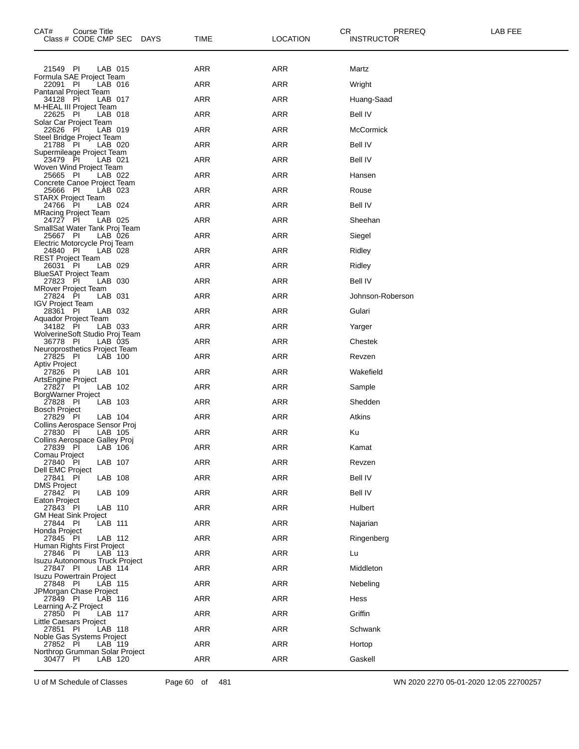| CAT#<br><b>Course Title</b><br>Class # CODE CMP SEC DAYS     | TIME       | <b>LOCATION</b> | CR<br>PREREQ<br>LAB FEE<br><b>INSTRUCTOR</b> |
|--------------------------------------------------------------|------------|-----------------|----------------------------------------------|
| 21549 PI<br>LAB 015                                          | <b>ARR</b> | <b>ARR</b>      | Martz                                        |
| Formula SAE Project Team<br>22091 PI<br>LAB 016              | ARR        | ARR             | Wright                                       |
| <b>Pantanal Project Team</b><br>34128 PI<br>LAB 017          | ARR        | ARR             | Huang-Saad                                   |
| M-HEAL III Project Team<br>LAB 018<br>22625 PI               | <b>ARR</b> | <b>ARR</b>      | Bell IV                                      |
| Solar Car Project Team<br>22626 PI<br>LAB 019                | ARR        | ARR             | <b>McCormick</b>                             |
| Steel Bridge Project Team<br>21788 PI<br>LAB 020             | ARR        | ARR             | <b>Bell IV</b>                               |
| Supermileage Project Team<br>LAB 021<br>23479 PI             | <b>ARR</b> | <b>ARR</b>      | <b>Bell IV</b>                               |
| Woven Wind Project Team<br>25665 PI<br>LAB 022               | ARR        | ARR             | Hansen                                       |
| Concrete Canoe Project Team<br>25666 PI<br>LAB 023           | ARR        | ARR             | Rouse                                        |
| <b>STARX Project Team</b><br>LAB 024<br>24766 PI             | <b>ARR</b> | <b>ARR</b>      | <b>Bell IV</b>                               |
| <b>MRacing Project Team</b><br>24727 PI<br>LAB 025           | ARR        | ARR             | Sheehan                                      |
| SmallSat Water Tank Proj Team<br>25667 PI<br>LAB 026         | ARR        | ARR             | Siegel                                       |
| Electric Motorcycle Proj Team<br>LAB 028                     | <b>ARR</b> | <b>ARR</b>      |                                              |
| 24840 PI<br><b>REST Project Team</b>                         |            |                 | Ridley                                       |
| 26031 PI<br>LAB 029<br><b>BlueSAT Project Team</b>           | ARR        | ARR             | Ridley                                       |
| 27823 PI<br>LAB 030<br><b>MRover Project Team</b>            | ARR        | ARR             | <b>Bell IV</b>                               |
| LAB 031<br>27824 PI<br><b>IGV Project Team</b>               | <b>ARR</b> | <b>ARR</b>      | Johnson-Roberson                             |
| 28361 PI<br>LAB 032<br>Aquador Project Team                  | ARR        | ARR             | Gulari                                       |
| 34182 PI<br>LAB 033<br>WolverineSoft Studio Proj Team        | ARR        | ARR             | Yarger                                       |
| 36778 PI<br>LAB 035<br>Neuroprosthetics Project Team         | <b>ARR</b> | <b>ARR</b>      | Chestek                                      |
| 27825 PI<br>LAB 100<br>Aptiv Project                         | ARR        | ARR             | Revzen                                       |
| 27826 PI<br>LAB 101<br>ArtsEngine Project                    | ARR        | ARR             | Wakefield                                    |
| LAB 102<br>27827 PI<br>BorgWarner Project                    | <b>ARR</b> | <b>ARR</b>      | Sample                                       |
| 27828 PI<br>LAB 103<br><b>Bosch Project</b>                  | ARR        | ARR             | Shedden                                      |
| 27829 PI<br>LAB 104<br>Collins Aerospace Sensor Proj         | <b>ARR</b> | ARR             | Atkins                                       |
| 27830 PI<br>LAB 105<br>Collins Aerospace Galley Proj         | <b>ARR</b> | <b>ARR</b>      | Ku                                           |
| 27839 PI<br>$LAB-106$<br>Comau Project                       | ARR        | ARR             | Kamat                                        |
| 27840 PI<br>LAB 107<br><b>Dell EMC Project</b>               | <b>ARR</b> | ARR             | Revzen                                       |
| LAB 108<br>27841 PI<br><b>DMS Project</b>                    | <b>ARR</b> | <b>ARR</b>      | <b>Bell IV</b>                               |
| 27842 PI<br>LAB 109<br>Eaton Project                         | ARR        | ARR             | <b>Bell IV</b>                               |
| 27843 PI<br>LAB 110<br>GM Heat Sink Project                  | <b>ARR</b> | ARR             | Hulbert                                      |
| LAB 111<br>27844 PI                                          | <b>ARR</b> | <b>ARR</b>      | Najarian                                     |
| Honda Project<br>27845 PI<br>LAB 112                         | <b>ARR</b> | ARR             | Ringenberg                                   |
| Human Rights First Project<br>LAB 113<br>27846 PI            | <b>ARR</b> | ARR             | Lu                                           |
| <b>Isuzu Autonomous Truck Project</b><br>27847 PI<br>LAB 114 | <b>ARR</b> | <b>ARR</b>      | Middleton                                    |
| <b>Isuzu Powertrain Project</b><br>27848 PI<br>LAB 115       | <b>ARR</b> | ARR             | Nebeling                                     |
| JPMorgan Chase Project<br>27849 PI<br>LAB 116                | <b>ARR</b> | ARR             | Hess                                         |
| Learning A-Z Project<br>LAB 117<br>27850 PI                  | <b>ARR</b> | <b>ARR</b>      | Griffin                                      |
| Little Caesars Project<br>27851 PI<br>LAB 118                | ARR        | ARR             | Schwank                                      |
| Noble Gas Systems Project<br>27852 PI<br>LAB 119             | <b>ARR</b> | ARR             | Hortop                                       |
| Northrop Grumman Solar Project<br>30477 PI<br>LAB 120        | ARR        | <b>ARR</b>      | Gaskell                                      |

U of M Schedule of Classes Page 60 of 481 WN 2020 2270 05-01-2020 12:05 22700257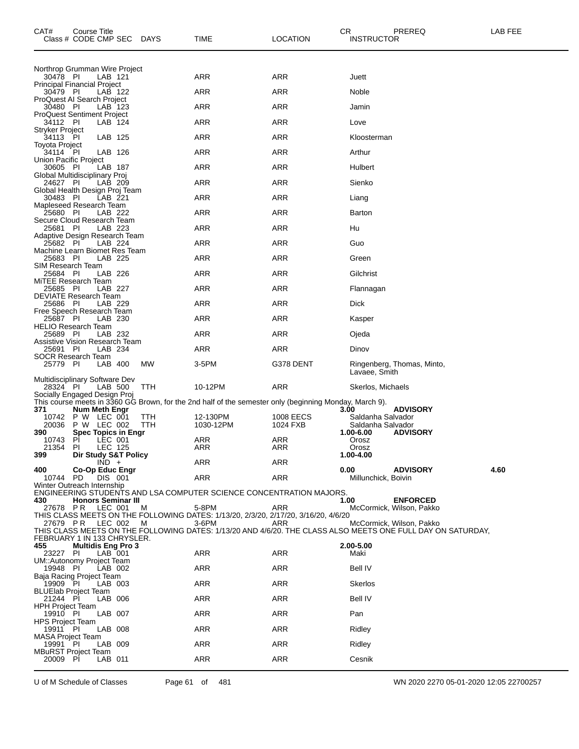| CAT#<br>Class # CODE CMP SEC                  |          | Course Title  |                                           | <b>DAYS</b> | TIME                                                                                                   | <b>LOCATION</b> | CR<br><b>INSTRUCTOR</b>            | PREREQ                                                                                                                                  | LAB FEE |
|-----------------------------------------------|----------|---------------|-------------------------------------------|-------------|--------------------------------------------------------------------------------------------------------|-----------------|------------------------------------|-----------------------------------------------------------------------------------------------------------------------------------------|---------|
| Northrop Grumman Wire Project                 |          |               |                                           |             |                                                                                                        |                 |                                    |                                                                                                                                         |         |
| 30478 PI<br>Principal Financial Project       |          |               | LAB 121                                   |             | ARR                                                                                                    | <b>ARR</b>      | Juett                              |                                                                                                                                         |         |
| 30479 PI<br>ProQuest AI Search Project        |          |               | LAB 122                                   |             | ARR                                                                                                    | <b>ARR</b>      | Noble                              |                                                                                                                                         |         |
| 30480 PI                                      |          |               | LAB 123                                   |             | <b>ARR</b>                                                                                             | <b>ARR</b>      | Jamin                              |                                                                                                                                         |         |
| <b>ProQuest Sentiment Project</b><br>34112 PI |          |               | LAB 124                                   |             | ARR                                                                                                    | ARR             | Love                               |                                                                                                                                         |         |
| Stryker Project<br>34113 PI                   |          |               | LAB 125                                   |             | ARR                                                                                                    | <b>ARR</b>      | Kloosterman                        |                                                                                                                                         |         |
| <b>Toyota Project</b><br>34114 PI             |          |               | LAB 126                                   |             | ARR                                                                                                    | <b>ARR</b>      | Arthur                             |                                                                                                                                         |         |
| Union Pacific Project<br>30605 PI             |          |               | LAB 187                                   |             | ARR                                                                                                    | <b>ARR</b>      | Hulbert                            |                                                                                                                                         |         |
| Global Multidisciplinary Proj<br>24627 PI     |          |               | LAB 209                                   |             | ARR                                                                                                    | ARR             | Sienko                             |                                                                                                                                         |         |
| Global Health Design Proj Team<br>30483 PI    |          |               | LAB 221                                   |             | <b>ARR</b>                                                                                             | <b>ARR</b>      | Liang                              |                                                                                                                                         |         |
| Mapleseed Research Team<br>25680 PI           |          |               | LAB 222                                   |             | ARR                                                                                                    | <b>ARR</b>      | Barton                             |                                                                                                                                         |         |
| Secure Cloud Research Team<br>25681 PI        |          |               | LAB 223                                   |             | ARR                                                                                                    | ARR             | Hu                                 |                                                                                                                                         |         |
| Adaptive Design Research Team<br>25682 PI     |          |               | LAB 224                                   |             | <b>ARR</b>                                                                                             | <b>ARR</b>      | Guo                                |                                                                                                                                         |         |
| Machine Learn Biomet Res Team<br>25683 PI     |          |               | LAB 225                                   |             | ARR                                                                                                    | <b>ARR</b>      | Green                              |                                                                                                                                         |         |
| SIM Research Team<br>25684 PI                 |          |               | LAB 226                                   |             | ARR                                                                                                    | <b>ARR</b>      | Gilchrist                          |                                                                                                                                         |         |
| MITEE Research Team<br>25685 PI               |          |               | LAB 227                                   |             | <b>ARR</b>                                                                                             | <b>ARR</b>      | Flannagan                          |                                                                                                                                         |         |
| <b>DEVIATE Research Team</b><br>25686 PI      |          |               | LAB 229                                   |             | ARR                                                                                                    | <b>ARR</b>      | Dick                               |                                                                                                                                         |         |
| Free Speech Research Team<br>25687 PI         |          |               | LAB 230                                   |             | ARR                                                                                                    | ARR             | Kasper                             |                                                                                                                                         |         |
| <b>HELIO Research Team</b><br>25689 PI        |          |               | LAB 232                                   |             | <b>ARR</b>                                                                                             | <b>ARR</b>      | Ojeda                              |                                                                                                                                         |         |
| Assistive Vision Research Team<br>25691 PI    |          |               | LAB 234                                   |             | ARR                                                                                                    | ARR             | Dinov                              |                                                                                                                                         |         |
| <b>SOCR Research Team</b><br>25779 PI         |          |               | LAB 400                                   | МW          | 3-5PM                                                                                                  | G378 DENT       |                                    | Ringenberg, Thomas, Minto,                                                                                                              |         |
| Multidisciplinary Software Dev<br>28324 PI    |          |               | LAB 500                                   | <b>TTH</b>  | 10-12PM                                                                                                | ARR             | Lavaee, Smith<br>Skerlos, Michaels |                                                                                                                                         |         |
| Socially Engaged Design Proj                  |          |               |                                           |             | This course meets in 3360 GG Brown, for the 2nd half of the semester only (beginning Monday, March 9). |                 |                                    |                                                                                                                                         |         |
| 371<br>10742 P W LEC 001                      |          | Num Meth Engr |                                           | ттн         | 12-130PM                                                                                               | 1008 EECS       | 3.00<br>Saldanha Salvador          | <b>ADVISORY</b>                                                                                                                         |         |
| 20036<br>390                                  |          |               | P W LEC 002<br><b>Spec Topics in Engr</b> | TTH         | 1030-12PM                                                                                              | 1024 FXB        | Saldanha Salvador<br>1.00-6.00     | <b>ADVISORY</b>                                                                                                                         |         |
| 10743<br>21354                                | PI<br>PI |               | LEC 001<br>LEC 125                        |             | ARR<br>ARR                                                                                             | ARR<br>ARR      | Orosz<br>Orosz                     |                                                                                                                                         |         |
| 399                                           |          |               | Dir Study S&T Policy                      |             |                                                                                                        |                 | 1.00-4.00                          |                                                                                                                                         |         |
| 400                                           |          | $IND +$       | <b>Co-Op Educ Engr</b>                    |             | ARR                                                                                                    | ARR             | 0.00                               | <b>ADVISORY</b>                                                                                                                         | 4.60    |
| 10744 PD<br>Winter Outreach Internship        |          |               | DIS 001                                   |             | ARR                                                                                                    | <b>ARR</b>      | Millunchick, Boivin                |                                                                                                                                         |         |
| 430                                           |          |               | <b>Honors Seminar III</b>                 |             | ENGINEERING STUDENTS AND LSA COMPUTER SCIENCE CONCENTRATION MAJORS.                                    |                 | 1.00                               | <b>ENFORCED</b>                                                                                                                         |         |
| 27678 PR LEC 001                              |          |               |                                           | M           | 5-8PM<br>THIS CLASS MEETS ON THE FOLLOWING DATES: 1/13/20, 2/3/20, 2/17/20, 3/16/20, 4/6/20            | ARR             |                                    | McCormick, Wilson, Pakko                                                                                                                |         |
|                                               |          |               | 27679 PR LEC 002 M                        |             | 3-6PM                                                                                                  | ARR             |                                    | McCormick, Wilson, Pakko<br>THIS CLASS MEETS ON THE FOLLOWING DATES: 1/13/20 AND 4/6/20. THE CLASS ALSO MEETS ONE FULL DAY ON SATURDAY, |         |
| FEBRUARY 1 IN 133 CHRYSLER.<br>455            |          |               | <b>Multidis Eng Pro 3</b>                 |             |                                                                                                        |                 | 2.00-5.00                          |                                                                                                                                         |         |
| 23227 PI<br>UM::Autonomy Project Team         |          |               | LAB 001                                   |             | ARR                                                                                                    | ARR             | Maki                               |                                                                                                                                         |         |
| 19948 PI<br>Baja Racing Project Team          |          |               | LAB 002                                   |             | ARR                                                                                                    | ARR             | Bell IV                            |                                                                                                                                         |         |
| 19909 PI<br><b>BLUElab Project Team</b>       |          |               | LAB 003                                   |             | ARR                                                                                                    | ARR             | Skerlos                            |                                                                                                                                         |         |
| 21244 PI<br><b>HPH Project Team</b>           |          |               | LAB 006                                   |             | ARR                                                                                                    | ARR             | Bell IV                            |                                                                                                                                         |         |
| 19910 PI<br><b>HPS Project Team</b>           |          |               | LAB 007                                   |             | ARR                                                                                                    | ARR             | Pan                                |                                                                                                                                         |         |
| 19911 PI<br><b>MASA Project Team</b>          |          |               | LAB 008                                   |             | ARR                                                                                                    | ARR             | Ridley                             |                                                                                                                                         |         |
| 19991 PI<br><b>MBuRST Project Team</b>        |          |               | LAB 009                                   |             | ARR                                                                                                    | ARR             | Ridley                             |                                                                                                                                         |         |
| 20009 PI                                      |          |               | LAB 011                                   |             | ARR                                                                                                    | ARR             | Cesnik                             |                                                                                                                                         |         |

U of M Schedule of Classes Page 61 of 481 WN 2020 2270 05-01-2020 12:05 22700257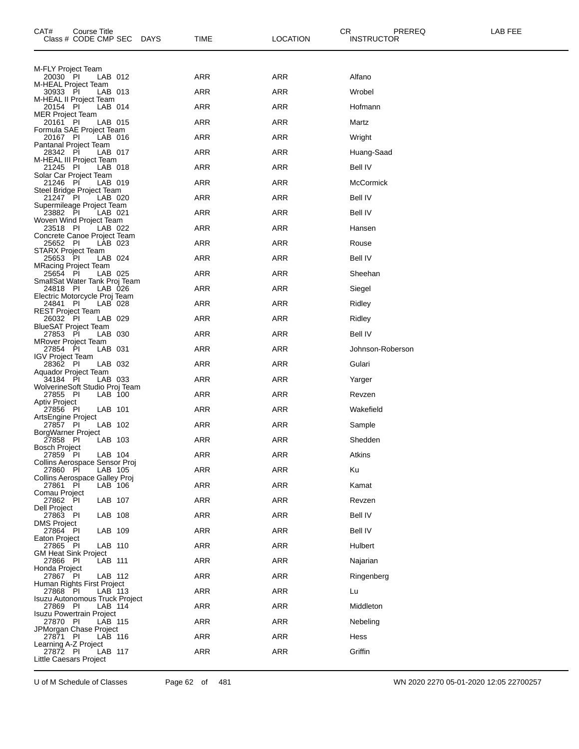| CAT#<br>Course Title<br>Class # CODE CMP SEC<br><b>DAYS</b>  | <b>TIME</b> | <b>LOCATION</b> | CR.<br>PREREQ<br><b>INSTRUCTOR</b> | LAB FEE |
|--------------------------------------------------------------|-------------|-----------------|------------------------------------|---------|
| M-FLY Project Team                                           |             |                 |                                    |         |
| LAB 012<br>20030 PI                                          | ARR         | ARR             | Alfano                             |         |
| M-HEAL Project Team<br>30933 PI<br>LAB 013                   | ARR         | <b>ARR</b>      | Wrobel                             |         |
| M-HEAL II Project Team<br>LAB 014<br>20154 PI                | ARR         | <b>ARR</b>      | Hofmann                            |         |
| <b>MER Project Team</b><br>20161 PI<br>LAB 015               | ARR         | ARR             | Martz                              |         |
| Formula SAE Project Team<br>20167 PI<br>LAB 016              | <b>ARR</b>  | <b>ARR</b>      | Wright                             |         |
| Pantanal Project Team<br>28342 PI<br>LAB 017                 | <b>ARR</b>  | <b>ARR</b>      | Huang-Saad                         |         |
| M-HEAL III Project Team<br>21245 PI<br>LAB 018               | ARR         | ARR             | Bell IV                            |         |
| Solar Car Project Team<br>21246 PI<br>LAB 019                | ARR         | ARR             | McCormick                          |         |
| Steel Bridge Project Team<br>21247 PI<br>LAB 020             | ARR         | <b>ARR</b>      | <b>Bell IV</b>                     |         |
| Supermileage Project Team<br>23882 PI<br>LAB 021             | ARR         | ARR             | <b>Bell IV</b>                     |         |
| Woven Wind Project Team<br>23518 PI<br>LAB 022               | <b>ARR</b>  | <b>ARR</b>      | Hansen                             |         |
| Concrete Canoe Project Team<br>25652 PI<br>LAB 023           | <b>ARR</b>  | <b>ARR</b>      | Rouse                              |         |
| <b>STARX Project Team</b><br>25653 PI<br>LAB 024             | ARR         | ARR             | <b>Bell IV</b>                     |         |
| <b>MRacing Project Team</b><br>25654 PI<br>LAB 025           | <b>ARR</b>  | ARR             | Sheehan                            |         |
| SmallSat Water Tank Proj Team<br>24818 PI<br>LAB 026         | ARR         | <b>ARR</b>      | Siegel                             |         |
| Electric Motorcycle Proj Team<br>24841 PI<br>LAB 028         | ARR         | ARR             | Ridley                             |         |
| <b>REST Project Team</b><br>26032 PI<br>LAB 029              | <b>ARR</b>  | <b>ARR</b>      | Ridley                             |         |
| <b>BlueSAT Project Team</b><br>LAB 030<br>27853 PI           | ARR         | <b>ARR</b>      | Bell IV                            |         |
| <b>MRover Project Team</b><br>27854 PI<br>LAB 031            | ARR         | ARR             | Johnson-Roberson                   |         |
| <b>IGV Project Team</b>                                      | ARR         | ARR             |                                    |         |
| 28362 PI<br>LAB 032<br>Aquador Project Team<br>LAB 033       | ARR         | <b>ARR</b>      | Gulari                             |         |
| 34184 PI<br>WolverineSoft Studio Proj Team                   |             |                 | Yarger                             |         |
| 27855 PI<br>LAB 100<br><b>Aptiv Project</b>                  | ARR         | ARR             | Revzen                             |         |
| LAB 101<br>27856 PI<br>ArtsEngine Project                    | <b>ARR</b>  | ARR             | Wakefield                          |         |
| 27857 PI<br>LAB 102<br><b>BorgWarner Project</b>             | ARR         | ARR             | Sample                             |         |
| LAB 103<br>27858 PI<br>Bosch Project                         | <b>ARR</b>  | ARR             | Shedden                            |         |
| LAB 104<br>27859 PI<br>Collins Aerospace Sensor Proj         | ARR         | ARR             | Atkins                             |         |
| 27860 PI<br>LAB 105<br>Collins Aerospace Galley Proj         | <b>ARR</b>  | <b>ARR</b>      | Ku                                 |         |
| 27861 PI<br>LAB 106<br>Comau Project                         | <b>ARR</b>  | ARR             | Kamat                              |         |
| 27862 PI<br>LAB 107<br>Dell Project                          | ARR         | ARR             | Revzen                             |         |
| 27863 PI<br>LAB 108<br>DMS Project                           | ARR         | <b>ARR</b>      | <b>Bell IV</b>                     |         |
| 27864 PI<br>LAB 109<br>Eaton Project                         | ARR         | ARR             | Bell IV                            |         |
| 27865 PI<br>LAB 110<br><b>GM Heat Sink Project</b>           | ARR         | ARR             | Hulbert                            |         |
| 27866 PI<br>LAB 111<br>Honda Project                         | ARR         | <b>ARR</b>      | Najarian                           |         |
| 27867 PI<br>LAB 112<br>Human Rights First Project            | ARR         | ARR             | Ringenberg                         |         |
| LAB 113<br>27868 PI<br><b>Isuzu Autonomous Truck Project</b> | ARR         | ARR             | Lu                                 |         |
| 27869 PI<br>LAB 114<br><b>Isuzu Powertrain Project</b>       | ARR         | <b>ARR</b>      | Middleton                          |         |
| 27870 PI<br>LAB 115<br>JPMorgan Chase Project                | ARR         | ARR             | Nebeling                           |         |
| 27871 PI<br>LAB 116                                          | ARR         | ARR             | Hess                               |         |
| Learning A-Z Project<br>27872 PI<br>LAB 117                  | <b>ARR</b>  | ARR             | Griffin                            |         |
| Little Caesars Project                                       |             |                 |                                    |         |

U of M Schedule of Classes Page 62 of 481 WN 2020 2270 05-01-2020 12:05 22700257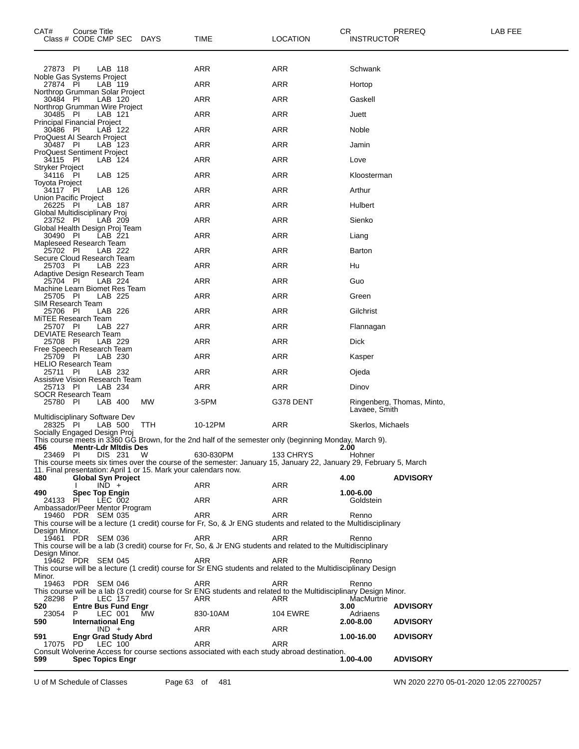| CAT#                                           | Course Title<br>Class # CODE CMP SEC |                                        | <b>DAYS</b>                                                     | TIME                                                                                                                      | <b>LOCATION</b> | CR<br><b>INSTRUCTOR</b> | PREREQ                     | LAB FEE |
|------------------------------------------------|--------------------------------------|----------------------------------------|-----------------------------------------------------------------|---------------------------------------------------------------------------------------------------------------------------|-----------------|-------------------------|----------------------------|---------|
| 27873 PI                                       |                                      | LAB 118                                |                                                                 | ARR                                                                                                                       | ARR             | Schwank                 |                            |         |
| Noble Gas Systems Project                      |                                      |                                        |                                                                 | <b>ARR</b>                                                                                                                | <b>ARR</b>      |                         |                            |         |
| 27874 PI<br>Northrop Grumman Solar Project     |                                      | LAB 119                                |                                                                 |                                                                                                                           |                 | Hortop                  |                            |         |
| 30484 PI<br>Northrop Grumman Wire Project      |                                      | LAB 120                                |                                                                 | <b>ARR</b>                                                                                                                | <b>ARR</b>      | Gaskell                 |                            |         |
| 30485 PI<br><b>Principal Financial Project</b> |                                      | LAB 121                                |                                                                 | ARR                                                                                                                       | ARR             | Juett                   |                            |         |
| 30486 PI<br>ProQuest AI Search Project         |                                      | LAB 122                                |                                                                 | ARR                                                                                                                       | <b>ARR</b>      | Noble                   |                            |         |
| 30487 PI<br>ProQuest Sentiment Project         |                                      | LAB 123                                |                                                                 | <b>ARR</b>                                                                                                                | ARR             | Jamin                   |                            |         |
| 34115 PI<br>Stryker Project                    |                                      | LAB 124                                |                                                                 | ARR                                                                                                                       | <b>ARR</b>      | Love                    |                            |         |
| 34116 PI                                       |                                      | LAB 125                                |                                                                 | <b>ARR</b>                                                                                                                | <b>ARR</b>      | Kloosterman             |                            |         |
| Toyota Project<br>34117 PI                     |                                      | LAB 126                                |                                                                 | ARR                                                                                                                       | <b>ARR</b>      | Arthur                  |                            |         |
| Union Pacific Project<br>26225 PI              |                                      | LAB 187                                |                                                                 | ARR                                                                                                                       | ARR             | Hulbert                 |                            |         |
| Global Multidisciplinary Proj<br>23752 PI      |                                      | LAB 209                                |                                                                 | ARR                                                                                                                       | <b>ARR</b>      | Sienko                  |                            |         |
| Global Health Design Proj Team<br>30490 PI     |                                      | LAB 221                                |                                                                 | <b>ARR</b>                                                                                                                | ARR             | Liang                   |                            |         |
| Mapleseed Research Team<br>25702 PI            |                                      | LAB 222                                |                                                                 | ARR                                                                                                                       | ARR             | Barton                  |                            |         |
| Secure Cloud Research Team<br>25703 PI         |                                      | LAB 223                                |                                                                 | <b>ARR</b>                                                                                                                | <b>ARR</b>      | Hu                      |                            |         |
| Adaptive Design Research Team<br>25704 PI      |                                      | LAB 224                                |                                                                 | <b>ARR</b>                                                                                                                | <b>ARR</b>      | Guo                     |                            |         |
| Machine Learn Biomet Res Team<br>25705 PI      |                                      | LAB 225                                |                                                                 | ARR                                                                                                                       | <b>ARR</b>      | Green                   |                            |         |
| SIM Research Team<br>25706 PI                  |                                      | LAB 226                                |                                                                 | <b>ARR</b>                                                                                                                | <b>ARR</b>      | Gilchrist               |                            |         |
| MITEE Research Team<br>25707 PI                |                                      | LAB 227                                |                                                                 | ARR                                                                                                                       | <b>ARR</b>      | Flannagan               |                            |         |
| DEVIATE Research Team<br>25708 PI              |                                      | LAB 229                                |                                                                 | ARR                                                                                                                       | ARR             | Dick                    |                            |         |
| Free Speech Research Team<br>25709 PI          |                                      | LAB 230                                |                                                                 | ARR                                                                                                                       | <b>ARR</b>      | Kasper                  |                            |         |
| <b>HELIO Research Team</b><br>25711 PI         |                                      | LAB 232                                |                                                                 | <b>ARR</b>                                                                                                                | ARR             | Ojeda                   |                            |         |
| Assistive Vision Research Team<br>25713 PI     |                                      | LAB 234                                |                                                                 | ARR                                                                                                                       | <b>ARR</b>      | Dinov                   |                            |         |
| <b>SOCR Research Team</b><br>25780 PI          |                                      | LAB 400                                | MW                                                              | 3-5PM                                                                                                                     | G378 DENT       | Lavaee, Smith           | Ringenberg, Thomas, Minto, |         |
| Multidisciplinary Software Dev<br>28325 PI     |                                      | LAB 500                                | TTH                                                             | 10-12PM                                                                                                                   | <b>ARR</b>      | Skerlos, Michaels       |                            |         |
| Socially Engaged Design Proj                   |                                      |                                        |                                                                 | This course meets in 3360 GG Brown, for the 2nd half of the semester only (beginning Monday, March 9).                    |                 |                         |                            |         |
| 456<br>23469 PI                                |                                      | <b>Mentr-Ldr Mitdis Des</b><br>DIS 231 | - W                                                             | 630-830PM                                                                                                                 | 133 CHRYS       | 2.00<br>Hohner          |                            |         |
|                                                |                                      |                                        | 11. Final presentation: April 1 or 15. Mark your calendars now. | This course meets six times over the course of the semester: January 15, January 22, January 29, February 5, March        |                 |                         |                            |         |
| 480                                            |                                      | <b>Global Syn Project</b><br>$IND +$   |                                                                 | ARR                                                                                                                       | ARR             | 4.00                    | <b>ADVISORY</b>            |         |
| 490<br>24133 PI                                | <b>Spec Top Engin</b>                | LEC 002                                |                                                                 | ARR                                                                                                                       | ARR             | 1.00-6.00<br>Goldstein  |                            |         |
| Ambassador/Peer Mentor Program                 | 19460 PDR SEM 035                    |                                        |                                                                 | <b>ARR</b>                                                                                                                | <b>ARR</b>      | Renno                   |                            |         |
| Design Minor.                                  |                                      |                                        |                                                                 | This course will be a lecture (1 credit) course for Fr, So, & Jr ENG students and related to the Multidisciplinary        |                 |                         |                            |         |
|                                                | 19461 PDR SEM 036                    |                                        |                                                                 | ARR<br>This course will be a lab (3 credit) course for Fr, So, & Jr ENG students and related to the Multidisciplinary     | ARR             | Renno                   |                            |         |
| Design Minor.                                  | 19462 PDR SEM 045                    |                                        |                                                                 | ARR                                                                                                                       | ARR             | Renno                   |                            |         |
| Minor.                                         |                                      |                                        |                                                                 | This course will be a lecture (1 credit) course for Sr ENG students and related to the Multidisciplinary Design           |                 |                         |                            |         |
|                                                | 19463 PDR SEM 046                    |                                        |                                                                 | ARR<br>This course will be a lab (3 credit) course for Sr ENG students and related to the Multidisciplinary Design Minor. | ARR             | Renno                   |                            |         |
| 28298<br>520                                   | P                                    | LEC 157<br><b>Entre Bus Fund Engr</b>  |                                                                 | ARR                                                                                                                       | ARR             | MacMurtrie<br>3.00      | <b>ADVISORY</b>            |         |
| 23054<br>590                                   | P                                    | LEC 001                                | <b>MW</b>                                                       | 830-10AM                                                                                                                  | <b>104 EWRE</b> | Adriaens                |                            |         |
|                                                | <b>International Eng</b>             | $IND +$                                |                                                                 | ARR                                                                                                                       | ARR             | 2.00-8.00               | <b>ADVISORY</b>            |         |
| 591<br>17075                                   | PD                                   | <b>Engr Grad Study Abrd</b><br>LEC 100 |                                                                 | ARR                                                                                                                       | ARR             | 1.00-16.00              | <b>ADVISORY</b>            |         |
| 599                                            |                                      | <b>Spec Topics Engr</b>                |                                                                 | Consult Wolverine Access for course sections associated with each study abroad destination.                               |                 | 1.00-4.00               | <b>ADVISORY</b>            |         |

U of M Schedule of Classes Page 63 of 481 WN 2020 2270 05-01-2020 12:05 22700257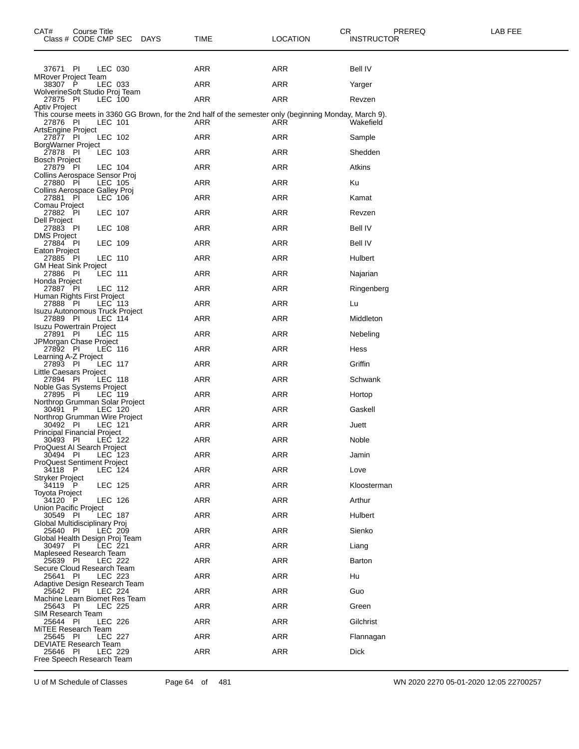| CAT#                                                   | Course Title<br>Class # CODE CMP SEC DAYS |                |  | TIME                                                                                                          | <b>LOCATION</b> | CR<br>PREREQ<br><b>INSTRUCTOR</b> | LAB FEE |
|--------------------------------------------------------|-------------------------------------------|----------------|--|---------------------------------------------------------------------------------------------------------------|-----------------|-----------------------------------|---------|
| 37671 PI                                               |                                           | LEC 030        |  | ARR                                                                                                           | ARR             | Bell IV                           |         |
| <b>MRover Project Team</b><br>38307 P                  |                                           | LEC 033        |  | ARR                                                                                                           | ARR             | Yarger                            |         |
| WolverineSoft Studio Proj Team<br>27875 PI             |                                           | LEC 100        |  | <b>ARR</b>                                                                                                    | <b>ARR</b>      | Revzen                            |         |
| Aptiv Project                                          |                                           |                |  |                                                                                                               |                 |                                   |         |
| 27876 PI<br>ArtsEngine Project                         |                                           | LEC 101        |  | This course meets in 3360 GG Brown, for the 2nd half of the semester only (beginning Monday, March 9).<br>ARR | ARR             | Wakefield                         |         |
| 27877 PI                                               |                                           | LEC 102        |  | ARR                                                                                                           | <b>ARR</b>      | Sample                            |         |
| BorgWarner Project<br>27878 PI<br><b>Bosch Project</b> |                                           | LEC 103        |  | ARR                                                                                                           | ARR             | Shedden                           |         |
| 27879 PI<br>Collins Aerospace Sensor Proj              |                                           | LEC 104        |  | ARR                                                                                                           | <b>ARR</b>      | Atkins                            |         |
| 27880 PI                                               |                                           | LEC 105        |  | ARR                                                                                                           | ARR             | Ku                                |         |
| Collins Aerospace Galley Proj<br>27881 PI              |                                           | LEC 106        |  | ARR                                                                                                           | ARR             | Kamat                             |         |
| Comau Project<br>27882 PI<br>Dell Project              |                                           | LEC 107        |  | ARR                                                                                                           | <b>ARR</b>      | Revzen                            |         |
| 27883 PI                                               |                                           | LEC 108        |  | ARR                                                                                                           | <b>ARR</b>      | Bell IV                           |         |
| DMS Project<br>27884 PI                                |                                           | LEC 109        |  | ARR                                                                                                           | <b>ARR</b>      | Bell IV                           |         |
| Eaton Project<br>27885 PI                              |                                           | <b>LEC 110</b> |  | ARR                                                                                                           | <b>ARR</b>      | Hulbert                           |         |
| GM Heat Sink Project<br>27886 PI                       |                                           | LEC 111        |  | ARR                                                                                                           | ARR             | Najarian                          |         |
| Honda Project<br>27887 PI                              |                                           | LEC 112        |  | ARR                                                                                                           | <b>ARR</b>      | Ringenberg                        |         |
| Human Rights First Project<br>27888 PI                 |                                           | LEC 113        |  | <b>ARR</b>                                                                                                    | <b>ARR</b>      | Lu                                |         |
| Isuzu Autonomous Truck Project<br>27889 PI             |                                           | LEC 114        |  | ARR                                                                                                           | ARR             | Middleton                         |         |
| <b>Isuzu Powertrain Project</b><br>27891 PI            |                                           | LEC 115        |  | ARR                                                                                                           | ARR             | Nebeling                          |         |
| JPMorgan Chase Project<br>27892 PI                     |                                           | LEC 116        |  | ARR                                                                                                           | <b>ARR</b>      | Hess                              |         |
| Learning A-Z Project<br>27893 PI                       |                                           | <b>LEC 117</b> |  | ARR                                                                                                           | <b>ARR</b>      | Griffin                           |         |
| Little Caesars Project<br>27894 PI                     |                                           | LEC 118        |  | ARR                                                                                                           | ARR             | Schwank                           |         |
| Noble Gas Systems Project<br>27895 PI                  |                                           | LEC 119        |  | ARR                                                                                                           | <b>ARR</b>      | Hortop                            |         |
| Northrop Grumman Solar Project<br>30491 P              |                                           | LEC 120        |  | ARR                                                                                                           | ARR             | Gaskell                           |         |
| Northrop Grumman Wire Project<br>30492 PI              |                                           | LEC 121        |  | ARR                                                                                                           | ARR             | Juett                             |         |
| <b>Principal Financial Project</b><br>30493 PI         |                                           | LEC 122        |  | ARR                                                                                                           | ARR             | Noble                             |         |
| ProQuest AI Search Project<br>30494 PI                 |                                           | LEC 123        |  | ARR                                                                                                           | ARR             | Jamin                             |         |
| <b>ProQuest Sentiment Project</b><br>34118 P           |                                           | LEC 124        |  | <b>ARR</b>                                                                                                    | <b>ARR</b>      | Love                              |         |
| Stryker Project<br>34119 P                             |                                           | LEC 125        |  | ARR                                                                                                           | <b>ARR</b>      | Kloosterman                       |         |
| Toyota Project<br>34120 P                              |                                           | LEC 126        |  | ARR                                                                                                           | <b>ARR</b>      | Arthur                            |         |
| <b>Union Pacific Project</b><br>30549 PI               |                                           | LEC 187        |  | ARR                                                                                                           | ARR             | Hulbert                           |         |
| Global Multidisciplinary Proj<br>25640 PI              |                                           | LEC 209        |  | <b>ARR</b>                                                                                                    | <b>ARR</b>      | Sienko                            |         |
| Global Health Design Proj Team<br>30497 PI             |                                           | LEC 221        |  | ARR                                                                                                           | ARR             | Liang                             |         |
| Mapleseed Research Team<br>25639 PI                    |                                           | LEC 222        |  | <b>ARR</b>                                                                                                    | ARR             | Barton                            |         |
| Secure Cloud Research Team<br>25641 PI                 |                                           | LEC 223        |  | <b>ARR</b>                                                                                                    | <b>ARR</b>      | Hu                                |         |
| Adaptive Design Research Team<br>25642 PI              |                                           | LEC 224        |  | ARR                                                                                                           | <b>ARR</b>      | Guo                               |         |
| Machine Learn Biomet Res Team<br>25643 PI              |                                           | LEC 225        |  | <b>ARR</b>                                                                                                    | ARR             | Green                             |         |
| SIM Research Team<br>25644 PI                          |                                           | LEC 226        |  | ARR                                                                                                           | <b>ARR</b>      | Gilchrist                         |         |
| MiTEE Research Team<br>25645 PI                        |                                           | <b>LEC 227</b> |  | ARR                                                                                                           | ARR             | Flannagan                         |         |
| DEVIATE Research Team<br>25646 PI                      |                                           | LEC 229        |  | <b>ARR</b>                                                                                                    | ARR             | <b>Dick</b>                       |         |
| Free Speech Research Team                              |                                           |                |  |                                                                                                               |                 |                                   |         |

U of M Schedule of Classes Page 64 of 481 WN 2020 2270 05-01-2020 12:05 22700257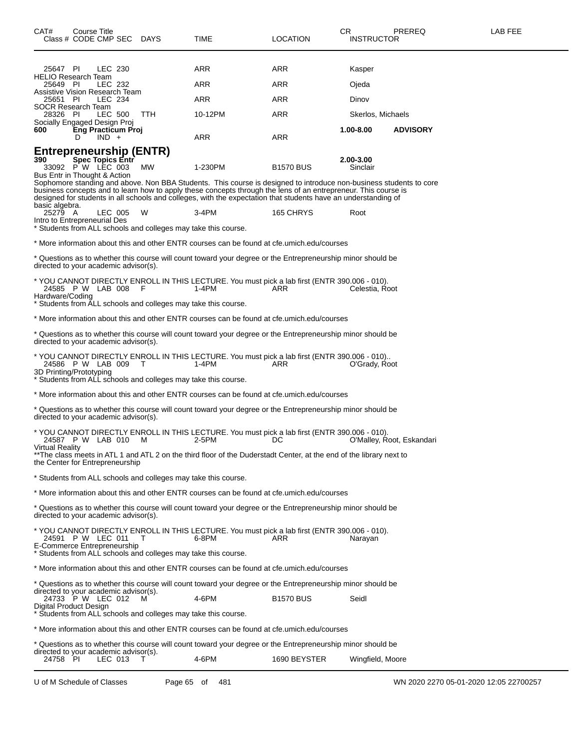| CAT#<br>Course Title<br>Class # CODE CMP SEC DAYS                                                                                                      |         |            | <b>TIME</b>                                                                                                                                                                                                                      | <b>LOCATION</b>  | CR<br><b>INSTRUCTOR</b> | PREREQ                    | LAB FEE |
|--------------------------------------------------------------------------------------------------------------------------------------------------------|---------|------------|----------------------------------------------------------------------------------------------------------------------------------------------------------------------------------------------------------------------------------|------------------|-------------------------|---------------------------|---------|
| 25647 PI                                                                                                                                               | LEC 230 |            | ARR                                                                                                                                                                                                                              | ARR              | Kasper                  |                           |         |
| <b>HELIO Research Team</b><br>25649 PI                                                                                                                 | LEC 232 |            | ARR                                                                                                                                                                                                                              | ARR              | Ojeda                   |                           |         |
| Assistive Vision Research Team<br>25651 PI                                                                                                             | LEC 234 |            | <b>ARR</b>                                                                                                                                                                                                                       | ARR              | Dinov                   |                           |         |
| SOCR Research Team<br>28326 PI                                                                                                                         | LEC 500 | <b>TTH</b> | 10-12PM                                                                                                                                                                                                                          | <b>ARR</b>       | Skerlos, Michaels       |                           |         |
| Socially Engaged Design Proj<br><b>Eng Practicum Proj</b><br>600                                                                                       |         |            |                                                                                                                                                                                                                                  |                  | 1.00-8.00               | <b>ADVISORY</b>           |         |
| $IND +$<br>D                                                                                                                                           |         |            | ARR                                                                                                                                                                                                                              | <b>ARR</b>       |                         |                           |         |
| Entrepreneurship (ENTR)<br>Spec Topics Entr<br>390<br>33092 PW LEC 003<br>Bus Entr in Thought & Action                                                 |         | МW         | 1-230PM<br>Sophomore standing and above. Non BBA Students. This course is designed to introduce non-business students to core                                                                                                    | <b>B1570 BUS</b> | 2.00-3.00<br>Sinclair   |                           |         |
| basic algebra.                                                                                                                                         |         |            | business concepts and to learn how to apply these concepts through the lens of an entrepreneur. This course is<br>designed for students in all schools and colleges, with the expectation that students have an understanding of |                  |                         |                           |         |
| 25279 A<br>Intro to Entrepreneurial Des                                                                                                                | LEC 005 | W          | $3-4PM$                                                                                                                                                                                                                          | 165 CHRYS        | Root                    |                           |         |
| * Students from ALL schools and colleges may take this course.                                                                                         |         |            |                                                                                                                                                                                                                                  |                  |                         |                           |         |
|                                                                                                                                                        |         |            | * More information about this and other ENTR courses can be found at cfe.umich.edu/courses                                                                                                                                       |                  |                         |                           |         |
| directed to your academic advisor(s).                                                                                                                  |         |            | t Questions as to whether this course will count toward your degree or the Entrepreneurship minor should be                                                                                                                      |                  |                         |                           |         |
| 24585 P W LAB 008 F<br>Hardware/Coding<br>* Students from ALL schools and colleges may take this course.                                               |         |            | * YOU CANNOT DIRECTLY ENROLL IN THIS LECTURE. You must pick a lab first (ENTR 390.006 - 010).<br>1-4PM                                                                                                                           | ARR              | Celestia, Root          |                           |         |
|                                                                                                                                                        |         |            | * More information about this and other ENTR courses can be found at cfe.umich.edu/courses                                                                                                                                       |                  |                         |                           |         |
| directed to your academic advisor(s).                                                                                                                  |         |            | * Questions as to whether this course will count toward your degree or the Entrepreneurship minor should be                                                                                                                      |                  |                         |                           |         |
| 24586 P W LAB 009 T<br>3D Printing/Prototyping                                                                                                         |         |            | * YOU CANNOT DIRECTLY ENROLL IN THIS LECTURE. You must pick a lab first (ENTR 390.006 - 010)<br>1-4PM                                                                                                                            | ARR              | O'Grady, Root           |                           |         |
| * Students from ALL schools and colleges may take this course.                                                                                         |         |            |                                                                                                                                                                                                                                  |                  |                         |                           |         |
|                                                                                                                                                        |         |            | * More information about this and other ENTR courses can be found at cfe.umich.edu/courses                                                                                                                                       |                  |                         |                           |         |
| directed to your academic advisor(s).                                                                                                                  |         |            | t Questions as to whether this course will count toward your degree or the Entrepreneurship minor should be                                                                                                                      |                  |                         |                           |         |
| 24587 P W LAB 010 M<br><b>Virtual Reality</b>                                                                                                          |         |            | * YOU CANNOT DIRECTLY ENROLL IN THIS LECTURE. You must pick a lab first (ENTR 390.006 - 010).<br>2-5PM                                                                                                                           | DC               |                         | O'Malley, Root, Eskandari |         |
| the Center for Entrepreneurship                                                                                                                        |         |            | **The class meets in ATL 1 and ATL 2 on the third floor of the Duderstadt Center, at the end of the library next to                                                                                                              |                  |                         |                           |         |
| * Students from ALL schools and colleges may take this course.                                                                                         |         |            |                                                                                                                                                                                                                                  |                  |                         |                           |         |
|                                                                                                                                                        |         |            | * More information about this and other ENTR courses can be found at cfe.umich.edu/courses                                                                                                                                       |                  |                         |                           |         |
| directed to your academic advisor(s).                                                                                                                  |         |            | t Questions as to whether this course will count toward your degree or the Entrepreneurship minor should be **                                                                                                                   |                  |                         |                           |         |
| 24591 P W LEC 011<br>E-Commerce Entrepreneurship<br>* Students from ALL schools and colleges may take this course.                                     |         | T          | * YOU CANNOT DIRECTLY ENROLL IN THIS LECTURE. You must pick a lab first (ENTR 390.006 - 010).<br>6-8PM                                                                                                                           | ARR              | Narayan                 |                           |         |
|                                                                                                                                                        |         |            | * More information about this and other ENTR courses can be found at cfe.umich.edu/courses                                                                                                                                       |                  |                         |                           |         |
|                                                                                                                                                        |         |            | * Questions as to whether this course will count toward your degree or the Entrepreneurship minor should be                                                                                                                      |                  |                         |                           |         |
| directed to your academic advisor(s).<br>24733 P W LEC 012<br>Digital Product Design<br>* Students from ALL schools and colleges may take this course. |         | M          | 4-6PM                                                                                                                                                                                                                            | <b>B1570 BUS</b> | Seidl                   |                           |         |
|                                                                                                                                                        |         |            | * More information about this and other ENTR courses can be found at cfe.umich.edu/courses                                                                                                                                       |                  |                         |                           |         |
|                                                                                                                                                        |         |            | * Questions as to whether this course will count toward your degree or the Entrepreneurship minor should be                                                                                                                      |                  |                         |                           |         |

directed to your academic advisor(s). 24758 PI LEC 013 T 4-6PM 1690 BEYSTER Wingfield, Moore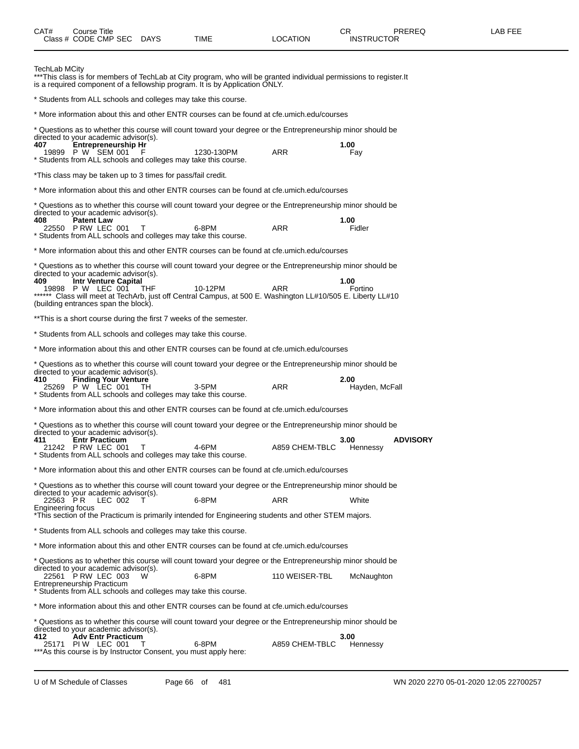| CAT#                          | Course Title<br>Class # CODE CMP SEC DAYS                                                                                  |                                                                        | TIME                                                                                                                                                                                                                                  | LOCATION       | CR.<br><b>INSTRUCTOR</b> | <b>PREREQ</b>   | LAB FEE |
|-------------------------------|----------------------------------------------------------------------------------------------------------------------------|------------------------------------------------------------------------|---------------------------------------------------------------------------------------------------------------------------------------------------------------------------------------------------------------------------------------|----------------|--------------------------|-----------------|---------|
| TechLab MCity                 |                                                                                                                            |                                                                        | ***This class is for members of TechLab at City program, who will be granted individual permissions to register.It<br>is a required component of a fellowship program. It is by Application ONLY.                                     |                |                          |                 |         |
|                               |                                                                                                                            | * Students from ALL schools and colleges may take this course.         |                                                                                                                                                                                                                                       |                |                          |                 |         |
|                               |                                                                                                                            |                                                                        | * More information about this and other ENTR courses can be found at cfe.umich.edu/courses                                                                                                                                            |                |                          |                 |         |
| 407                           | directed to your academic advisor(s).<br>Entrepreneurship Hr<br>19899 P W SEM 001                                          | * Students from ALL schools and colleges may take this course.         | * Questions as to whether this course will count toward your degree or the Entrepreneurship minor should be<br>1230-130PM                                                                                                             | <b>ARR</b>     | 1.00<br>Fay              |                 |         |
|                               |                                                                                                                            | *This class may be taken up to 3 times for pass/fail credit.           |                                                                                                                                                                                                                                       |                |                          |                 |         |
|                               |                                                                                                                            |                                                                        | * More information about this and other ENTR courses can be found at cfe.umich.edu/courses                                                                                                                                            |                |                          |                 |         |
| 408                           | directed to your academic advisor(s).<br><b>Patent Law</b>                                                                 |                                                                        | * Questions as to whether this course will count toward your degree or the Entrepreneurship minor should be                                                                                                                           |                | 1.00                     |                 |         |
|                               | 22550 P RW LEC 001                                                                                                         | T<br>* Students from ALL schools and colleges may take this course.    | 6-8PM                                                                                                                                                                                                                                 | <b>ARR</b>     | Fidler                   |                 |         |
|                               |                                                                                                                            |                                                                        | * More information about this and other ENTR courses can be found at cfe.umich.edu/courses                                                                                                                                            |                |                          |                 |         |
| 409                           | directed to your academic advisor(s).<br>Intr Venture Capital<br>19898 P W LEC 001<br>(building entrances span the block). | THF                                                                    | * Questions as to whether this course will count toward your degree or the Entrepreneurship minor should be<br>10-12PM<br>****** Class will meet at TechArb, just off Central Campus, at 500 E. Washington LL#10/505 E. Liberty LL#10 | ARR            | 1.00<br>Fortino          |                 |         |
|                               |                                                                                                                            | **This is a short course during the first 7 weeks of the semester.     |                                                                                                                                                                                                                                       |                |                          |                 |         |
|                               |                                                                                                                            | * Students from ALL schools and colleges may take this course.         |                                                                                                                                                                                                                                       |                |                          |                 |         |
|                               |                                                                                                                            |                                                                        | * More information about this and other ENTR courses can be found at cfe.umich.edu/courses                                                                                                                                            |                |                          |                 |         |
| 410                           | directed to your academic advisor(s).<br><b>Finding Your Venture</b><br>25269 P W LEC 001                                  | TH                                                                     | t Questions as to whether this course will count toward your degree or the Entrepreneurship minor should be<br>3-5PM                                                                                                                  | <b>ARR</b>     | 2.00<br>Hayden, McFall   |                 |         |
|                               |                                                                                                                            | * Students from ALL schools and colleges may take this course.         |                                                                                                                                                                                                                                       |                |                          |                 |         |
|                               |                                                                                                                            |                                                                        | * More information about this and other ENTR courses can be found at cfe.umich.edu/courses                                                                                                                                            |                |                          |                 |         |
|                               | directed to your academic advisor(s).                                                                                      |                                                                        | * Questions as to whether this course will count toward your degree or the Entrepreneurship minor should be                                                                                                                           |                |                          |                 |         |
| 411                           | <b>Entr Practicum</b><br>21242 PRW LEC 001                                                                                 | * Students from ALL schools and colleges may take this course.         | 4-6PM                                                                                                                                                                                                                                 | A859 CHEM-TBLC | 3.00<br>Hennessy         | <b>ADVISORY</b> |         |
|                               |                                                                                                                            |                                                                        | * More information about this and other ENTR courses can be found at cfe.umich.edu/courses                                                                                                                                            |                |                          |                 |         |
|                               | directed to your academic advisor(s).                                                                                      |                                                                        | t Questions as to whether this course will count toward your degree or the Entrepreneurship minor should be **                                                                                                                        |                |                          |                 |         |
| 22563 PR<br>Engineering focus | LEC 002                                                                                                                    |                                                                        | 6-8PM                                                                                                                                                                                                                                 | ARR            | White                    |                 |         |
|                               |                                                                                                                            |                                                                        | *This section of the Practicum is primarily intended for Engineering students and other STEM majors.                                                                                                                                  |                |                          |                 |         |
|                               |                                                                                                                            | * Students from ALL schools and colleges may take this course.         |                                                                                                                                                                                                                                       |                |                          |                 |         |
|                               |                                                                                                                            |                                                                        | * More information about this and other ENTR courses can be found at cfe.umich.edu/courses                                                                                                                                            |                |                          |                 |         |
|                               | directed to your academic advisor(s).                                                                                      |                                                                        | * Questions as to whether this course will count toward your degree or the Entrepreneurship minor should be                                                                                                                           |                |                          |                 |         |
|                               | 22561 PRW LEC 003<br>Entrepreneurship Practicum                                                                            | W<br>* Students from ALL schools and colleges may take this course.    | 6-8PM                                                                                                                                                                                                                                 | 110 WEISER-TBL | McNaughton               |                 |         |
|                               |                                                                                                                            |                                                                        | * More information about this and other ENTR courses can be found at cfe.umich.edu/courses                                                                                                                                            |                |                          |                 |         |
|                               |                                                                                                                            |                                                                        | * Questions as to whether this course will count toward your degree or the Entrepreneurship minor should be                                                                                                                           |                |                          |                 |         |
| 412.                          | directed to your academic advisor(s).<br><b>Adv Entr Practicum</b><br>25171 PIW LEC 001                                    | т<br>*** As this course is by Instructor Consent, you must apply here: | 6-8PM                                                                                                                                                                                                                                 | A859 CHEM-TBLC | 3.00<br>Hennessy         |                 |         |
|                               |                                                                                                                            |                                                                        |                                                                                                                                                                                                                                       |                |                          |                 |         |

U of M Schedule of Classes Page 66 of 481 WN 2020 2270 05-01-2020 12:05 22700257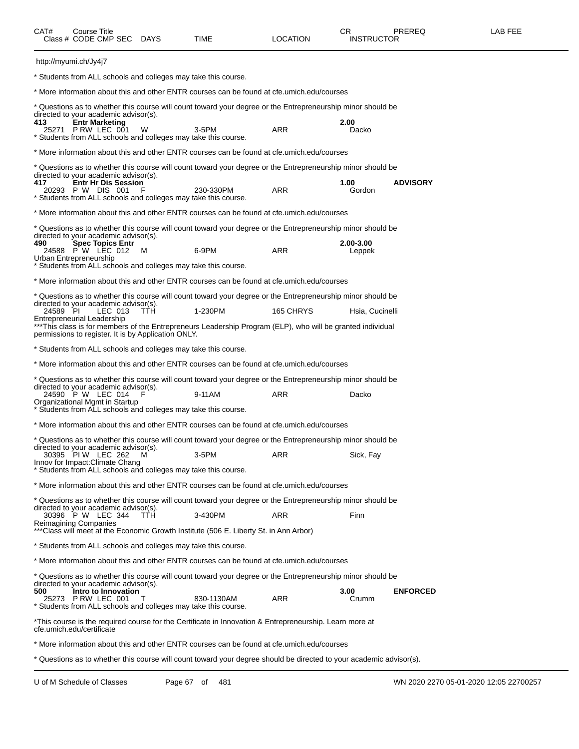| CAT#     | Course Title<br>Class # CODE CMP SEC DAYS                                                                             |            | TIME                                                                                                                   | LOCATION   | CR<br>INSTRUCTOR                            | <b>PREREQ</b>   | LAB FEE |
|----------|-----------------------------------------------------------------------------------------------------------------------|------------|------------------------------------------------------------------------------------------------------------------------|------------|---------------------------------------------|-----------------|---------|
|          | http://myumi.ch/Jy4j7                                                                                                 |            |                                                                                                                        |            |                                             |                 |         |
|          | * Students from ALL schools and colleges may take this course.                                                        |            |                                                                                                                        |            |                                             |                 |         |
|          |                                                                                                                       |            | * More information about this and other ENTR courses can be found at cfe.umich.edu/courses                             |            |                                             |                 |         |
| 413      | directed to your academic advisor(s).<br><b>Entr Marketing</b>                                                        |            | * Questions as to whether this course will count toward your degree or the Entrepreneurship minor should be            |            | 2.00                                        |                 |         |
|          | 25271 PRW LEC 001                                                                                                     | W          | $3-5$ PM<br>* Students from ALL schools and colleges may take this course.                                             | ARR        | Dacko                                       |                 |         |
|          |                                                                                                                       |            | * More information about this and other ENTR courses can be found at cfe.umich.edu/courses                             |            |                                             |                 |         |
| 417      | directed to your academic advisor(s).<br><b>Entr Hr Dis Session</b>                                                   |            | * Questions as to whether this course will count toward your degree or the Entrepreneurship minor should be            |            | 1.00                                        | <b>ADVISORY</b> |         |
|          | 20293 P W DIS 001<br>* Students from ALL schools and colleges may take this course.                                   |            | 230-330PM                                                                                                              | <b>ARR</b> | Gordon                                      |                 |         |
|          |                                                                                                                       |            | * More information about this and other ENTR courses can be found at cfe.umich.edu/courses                             |            |                                             |                 |         |
|          | directed to your academic advisor(s).                                                                                 |            | * Questions as to whether this course will count toward your degree or the Entrepreneurship minor should be            |            |                                             |                 |         |
| 490      | Spec Topics Entr<br>24588 PW LEC 012<br>Urban Entrepreneurship                                                        | M          | 6-9PM                                                                                                                  | <b>ARR</b> | 2.00-3.00<br>Leppek                         |                 |         |
|          | * Students from ALL schools and colleges may take this course.                                                        |            |                                                                                                                        |            |                                             |                 |         |
|          |                                                                                                                       |            | * More information about this and other ENTR courses can be found at cfe.umich.edu/courses                             |            |                                             |                 |         |
|          | directed to your academic advisor(s).                                                                                 |            | * Questions as to whether this course will count toward your degree or the Entrepreneurship minor should be            |            |                                             |                 |         |
| 24589 PI | LEC 013<br>Entrepreneurial Leadership                                                                                 | <b>TTH</b> | 1-230PM<br>***This class is for members of the Entrepreneurs Leadership Program (ELP), who will be granted individual  | 165 CHRYS  | Hsia, Cucinelli                             |                 |         |
|          | permissions to register. It is by Application ONLY.<br>* Students from ALL schools and colleges may take this course. |            |                                                                                                                        |            |                                             |                 |         |
|          |                                                                                                                       |            | * More information about this and other ENTR courses can be found at cfe.umich.edu/courses                             |            |                                             |                 |         |
|          |                                                                                                                       |            | * Questions as to whether this course will count toward your degree or the Entrepreneurship minor should be            |            |                                             |                 |         |
|          | directed to your academic advisor(s).<br>24590 P W LEC 014 F                                                          |            | 9-11AM                                                                                                                 | ARR        | Dacko                                       |                 |         |
|          | Organizational Mgmt in Startup                                                                                        |            | * Students from ALL schools and colleges may take this course.                                                         |            |                                             |                 |         |
|          |                                                                                                                       |            | * More information about this and other ENTR courses can be found at cfe.umich.edu/courses                             |            |                                             |                 |         |
|          |                                                                                                                       |            | t Questions as to whether this course will count toward your degree or the Entrepreneurship minor should be            |            |                                             |                 |         |
|          | directed to your academic advisor(s).<br>30395 PIW LEC 262 M<br>Innov for Impact: Climate Chang                       |            | 3-5PM                                                                                                                  | ARR        | Sick, Fay                                   |                 |         |
|          | * Students from ALL schools and colleges may take this course.                                                        |            |                                                                                                                        |            |                                             |                 |         |
|          |                                                                                                                       |            | * More information about this and other ENTR courses can be found at cfe.umich.edu/courses                             |            |                                             |                 |         |
|          | directed to your academic advisor(s).<br>30396 P W LEC 344                                                            | - TTH      | * Questions as to whether this course will count toward your degree or the Entrepreneurship minor should be<br>3-430PM | ARR        | Finn                                        |                 |         |
|          | Reimagining Companies                                                                                                 |            | *** Class will meet at the Economic Growth Institute (506 E. Liberty St. in Ann Arbor)                                 |            |                                             |                 |         |
|          | * Students from ALL schools and colleges may take this course.                                                        |            |                                                                                                                        |            |                                             |                 |         |
|          |                                                                                                                       |            | * More information about this and other ENTR courses can be found at cfe.umich.edu/courses                             |            |                                             |                 |         |
|          | directed to your academic advisor(s).                                                                                 |            | * Questions as to whether this course will count toward your degree or the Entrepreneurship minor should be            |            |                                             |                 |         |
| 500      | Intro to Innovation<br>25273 P RW LEC 001<br>* Students from ALL schools and colleges may take this course.           |            | 830-1130AM                                                                                                             | ARR        | 3.00<br>Crumm                               | <b>ENFORCED</b> |         |
|          | cfe.umich.edu/certificate                                                                                             |            | *This course is the required course for the Certificate in Innovation & Entrepreneurship. Learn more at                |            |                                             |                 |         |
|          |                                                                                                                       |            | * More information about this and other ENTR courses can be found at cfe.umich.edu/courses                             |            |                                             |                 |         |
|          |                                                                                                                       |            | e thio course will count toward your decree                                                                            |            | $\mathbf{a}$ to usus occorrection of incurs |                 |         |

Questions as to whether this course will count toward your degree should be directed to your academic advisor(s).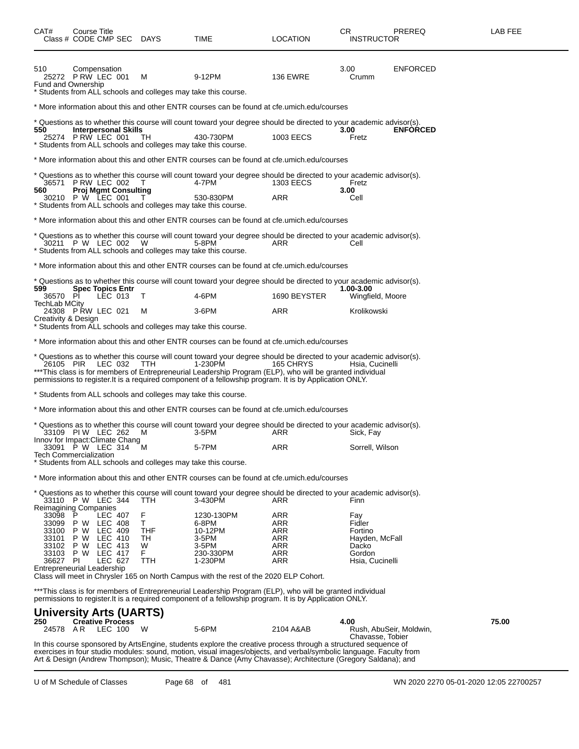| CAT#<br>Class # CODE CMP SEC DAYS                      |   | Course Title                       |                             |              | TIME                                                                                                                                                                                                                                                                                                                                                 | <b>LOCATION</b> | CR.<br><b>INSTRUCTOR</b>      | PREREQ                  | LAB FEE |
|--------------------------------------------------------|---|------------------------------------|-----------------------------|--------------|------------------------------------------------------------------------------------------------------------------------------------------------------------------------------------------------------------------------------------------------------------------------------------------------------------------------------------------------------|-----------------|-------------------------------|-------------------------|---------|
| 510<br>25272 P RW LEC 001<br><b>Fund and Ownership</b> |   | Compensation                       |                             | м            | 9-12PM<br>* Students from ALL schools and colleges may take this course.                                                                                                                                                                                                                                                                             | <b>136 EWRE</b> | 3.00<br>Crumm                 | <b>ENFORCED</b>         |         |
|                                                        |   |                                    |                             |              | * More information about this and other ENTR courses can be found at cfe.umich.edu/courses                                                                                                                                                                                                                                                           |                 |                               |                         |         |
|                                                        |   |                                    |                             |              | * Questions as to whether this course will count toward your degree should be directed to your academic advisor(s).                                                                                                                                                                                                                                  |                 |                               |                         |         |
| 550<br>25274 PRW LEC 001                               |   |                                    | <b>Interpersonal Skills</b> | TH.          | 430-730PM<br>Students from ALL schools and colleges may take this course.                                                                                                                                                                                                                                                                            | 1003 EECS       | 3.00<br>Fretz                 | <b>ENFORCED</b>         |         |
|                                                        |   |                                    |                             |              | * More information about this and other ENTR courses can be found at cfe.umich.edu/courses                                                                                                                                                                                                                                                           |                 |                               |                         |         |
|                                                        |   |                                    |                             |              | * Questions as to whether this course will count toward your degree should be directed to your academic advisor(s).                                                                                                                                                                                                                                  |                 |                               |                         |         |
| 36571 PRW LEC 002<br>560                               |   |                                    | <b>Proj Mgmt Consulting</b> | $\mathbf{L}$ | 4-7PM                                                                                                                                                                                                                                                                                                                                                | 1303 EECS       | Fretz<br>3.00                 |                         |         |
| 30210 P W LEC 001                                      |   |                                    |                             |              | 530-830PM<br>* Students from ALL schools and colleges may take this course.                                                                                                                                                                                                                                                                          | <b>ARR</b>      | Cell                          |                         |         |
|                                                        |   |                                    |                             |              | * More information about this and other ENTR courses can be found at cfe.umich.edu/courses                                                                                                                                                                                                                                                           |                 |                               |                         |         |
| 30211 P W LEC 002                                      |   |                                    |                             | W            | * Questions as to whether this course will count toward your degree should be directed to your academic advisor(s).<br>5-8PM<br>* Students from ALL schools and colleges may take this course.                                                                                                                                                       | ARR             | Cell                          |                         |         |
|                                                        |   |                                    |                             |              | * More information about this and other ENTR courses can be found at cfe.umich.edu/courses                                                                                                                                                                                                                                                           |                 |                               |                         |         |
|                                                        |   |                                    |                             |              | * Questions as to whether this course will count toward your degree should be directed to your academic advisor(s).                                                                                                                                                                                                                                  |                 |                               |                         |         |
| 599<br>36570 PI                                        |   | <b>Spec Topics Entr</b><br>LEC 013 |                             | т            | 4-6PM                                                                                                                                                                                                                                                                                                                                                | 1690 BEYSTER    | 1.00-3.00<br>Wingfield, Moore |                         |         |
| <b>TechLab MCity</b><br>24308 P RW LEC 021             |   |                                    |                             | м            | $3-6$ PM                                                                                                                                                                                                                                                                                                                                             | ARR             | Krolikowski                   |                         |         |
| Creativity & Design                                    |   |                                    |                             |              | * Students from ALL schools and colleges may take this course.                                                                                                                                                                                                                                                                                       |                 |                               |                         |         |
|                                                        |   |                                    |                             |              | * More information about this and other ENTR courses can be found at cfe.umich.edu/courses                                                                                                                                                                                                                                                           |                 |                               |                         |         |
| 26105 PIR                                              |   | LEC 032                            |                             | TTH.         | * Questions as to whether this course will count toward your degree should be directed to your academic advisor(s).<br>1-230PM<br>***This class is for members of Entrepreneurial Leadership Program (ELP), who will be granted individual<br>permissions to register.It is a required component of a fellowship program. It is by Application ONLY. | 165 CHRYS       | Hsia, Cucinelli               |                         |         |
|                                                        |   |                                    |                             |              | * Students from ALL schools and colleges may take this course.                                                                                                                                                                                                                                                                                       |                 |                               |                         |         |
|                                                        |   |                                    |                             |              | * More information about this and other ENTR courses can be found at cfe.umich.edu/courses                                                                                                                                                                                                                                                           |                 |                               |                         |         |
|                                                        |   |                                    |                             |              | * Questions as to whether this course will count toward your degree should be directed to your academic advisor(s).                                                                                                                                                                                                                                  |                 |                               |                         |         |
| 33109 PIW LEC 262<br>Innov for Impact: Climate Chang   |   |                                    |                             | м            | 3-5PM                                                                                                                                                                                                                                                                                                                                                | ARR             | Sick, Fay                     |                         |         |
| 33091 P W LEC 314 M<br>Tech Commercialization          |   |                                    |                             |              | 5-7PM                                                                                                                                                                                                                                                                                                                                                | <b>ARR</b>      | Sorrell, Wilson               |                         |         |
|                                                        |   |                                    |                             |              | * Students from ALL schools and colleges may take this course.                                                                                                                                                                                                                                                                                       |                 |                               |                         |         |
|                                                        |   |                                    |                             |              | * More information about this and other ENTR courses can be found at cfe.umich.edu/courses                                                                                                                                                                                                                                                           |                 |                               |                         |         |
| 33110 P W LEC 344                                      |   |                                    |                             | TTH          | * Questions as to whether this course will count toward your degree should be directed to your academic advisor(s).<br>3-430PM                                                                                                                                                                                                                       | ARR             | Finn                          |                         |         |
| Reimagining Companies<br>33098                         | Ř | LEC 407                            |                             | F            | 1230-130PM                                                                                                                                                                                                                                                                                                                                           | ARR             | Fay                           |                         |         |
| 33099 PW<br>33100 P W LEC 409                          |   | <b>LEC 408</b>                     |                             | T.<br>THF    | 6-8PM<br>10-12PM                                                                                                                                                                                                                                                                                                                                     | ARR<br>ARR      | Fidler<br>Fortino             |                         |         |
| 33101 P W LEC 410<br>33102 P W                         |   | LEC 413                            |                             | TH<br>W      | 3-5PM<br>3-5PM                                                                                                                                                                                                                                                                                                                                       | ARR<br>ARR      | Hayden, McFall<br>Dacko       |                         |         |
| 33103 P W LEC 417                                      |   |                                    |                             | F.           | 230-330PM                                                                                                                                                                                                                                                                                                                                            | ARR             | Gordon                        |                         |         |
| 36627 PI<br>Entrepreneurial Leadership                 |   | LEC 627                            |                             | TTH          | 1-230PM                                                                                                                                                                                                                                                                                                                                              | ARR             | Hsia, Cucinelli               |                         |         |
|                                                        |   |                                    |                             |              | Class will meet in Chrysler 165 on North Campus with the rest of the 2020 ELP Cohort.                                                                                                                                                                                                                                                                |                 |                               |                         |         |
|                                                        |   |                                    |                             |              | ***This class is for members of Entrepreneurial Leadership Program (ELP), who will be granted individual<br>permissions to register. It is a required component of a fellowship program. It is by Application ONLY.                                                                                                                                  |                 |                               |                         |         |
| <b>University Arts (UARTS)</b>                         |   |                                    |                             |              |                                                                                                                                                                                                                                                                                                                                                      |                 |                               |                         |         |
| 250<br>24578 AR                                        |   | <b>Creative Process</b><br>LEC 100 |                             | W            | 5-6PM                                                                                                                                                                                                                                                                                                                                                | 2104 A&AB       | 4.00                          | Rush, AbuSeir, Moldwin, | 75.00   |
|                                                        |   |                                    |                             |              | In this course sponsored by ArtsEngine, students explore the creative process through a structured sequence of<br>exercises in four studio modules: sound, motion, visual images/objects, and verbal/symbolic language. Faculty from<br>Art & Design (Andrew Thompson); Music, Theatre & Dance (Amy Chavasse); Architecture (Gregory Saldana); and   |                 | Chavasse, Tobier              |                         |         |

U of M Schedule of Classes Page 68 of 481 WN 2020 2270 05-01-2020 12:05 22700257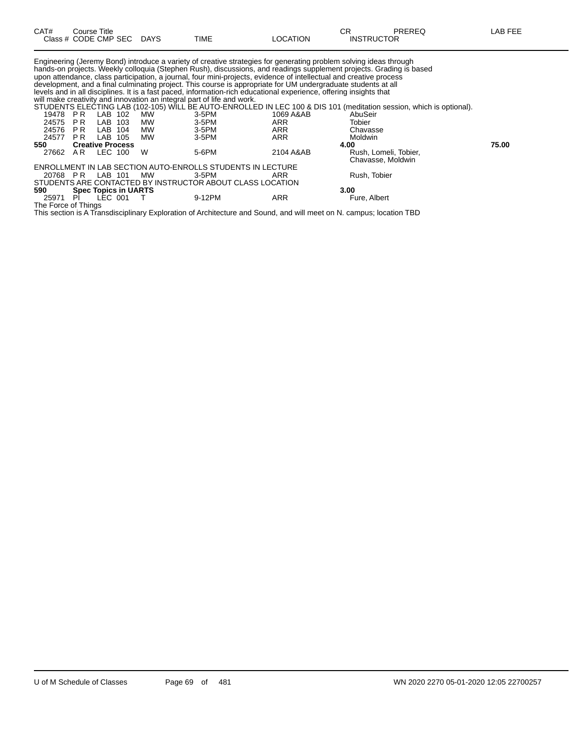| CAT#                    | Course Title   |                                    | Class # CODE CMP SEC DAYS | <b>TIME</b>                                                                                          | <b>LOCATION</b>                                                                                                                                                                                                                                                                                                                                                                                                                                                                                                  | PREREQ<br>СR<br><b>INSTRUCTOR</b>                                                                                                                                                                                                                                           | LAB FEE |
|-------------------------|----------------|------------------------------------|---------------------------|------------------------------------------------------------------------------------------------------|------------------------------------------------------------------------------------------------------------------------------------------------------------------------------------------------------------------------------------------------------------------------------------------------------------------------------------------------------------------------------------------------------------------------------------------------------------------------------------------------------------------|-----------------------------------------------------------------------------------------------------------------------------------------------------------------------------------------------------------------------------------------------------------------------------|---------|
| 19478<br>24575<br>24576 | PR<br>PR<br>PR | LAB 102<br>LAB 103<br>LAB 104      | MW<br>MW<br>MW            | will make creativity and innovation an integral part of life and work.<br>$3-5$ PM<br>3-5PM<br>3-5PM | Engineering (Jeremy Bond) introduce a variety of creative strategies for generating problem solving ideas through<br>upon attendance, class participation, a journal, four mini-projects, evidence of intellectual and creative process<br>development, and a final culminating project. This course is appropriate for UM undergraduate students at all<br>levels and in all disciplines. It is a fast paced, information-rich educational experience, offering insights that<br>1069 A&AB<br>ARR<br><b>ARR</b> | hands-on projects. Weekly colloquia (Stephen Rush), discussions, and readings supplement projects. Grading is based<br>STUDENTS ELECTING LAB (102-105) WILL BE AUTO-ENROLLED IN LEC 100 & DIS 101 (meditation session, which is optional).<br>AbuSeir<br>Tobier<br>Chavasse |         |
| 24577                   | PR             | LAB 105                            | MW                        | $3-5$ PM                                                                                             | <b>ARR</b>                                                                                                                                                                                                                                                                                                                                                                                                                                                                                                       | Moldwin                                                                                                                                                                                                                                                                     |         |
| 550<br>27662            | AR             | <b>Creative Process</b><br>LEC 100 | W                         | 5-6PM                                                                                                | 2104 A&AB                                                                                                                                                                                                                                                                                                                                                                                                                                                                                                        | 4.00<br>Rush, Lomeli, Tobier,<br>Chavasse, Moldwin                                                                                                                                                                                                                          | 75.00   |

ENROLLMENT IN LAB SECTION AUTO-ENROLLS STUDENTS IN LECTURE

STUDENTS ARE CONTACTED BY INSTRUCTOR ABOUT CLASS LOCATION

The Force of Things

20768 P R LAB 101 MW 3-5PM ARR Rush, Tobier

25971 PI LEC 001 T 9-12PM ARR Fure, Albert

This section is A Transdisciplinary Exploration of Architecture and Sound, and will meet on N. campus; location TBD

**590 Spec Topics in UARTS 3.00**

U of M Schedule of Classes Page 69 of 481 WN 2020 2270 05-01-2020 12:05 22700257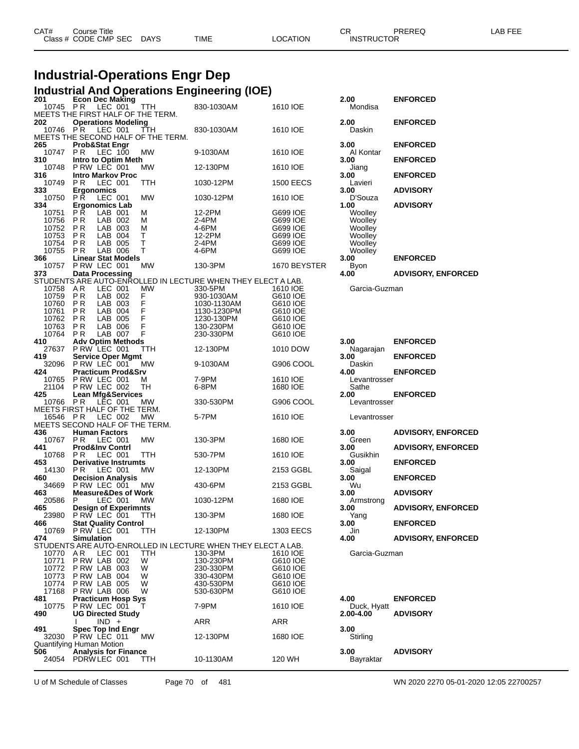| CAT# | Course Title         |             |             |          | $\sim$ r          | PREREQ | LAB FEE |
|------|----------------------|-------------|-------------|----------|-------------------|--------|---------|
|      | Class # CODE CMP SEC | <b>DAYS</b> | <b>TIME</b> | LOCATION | <b>INSTRUCTOR</b> |        |         |
|      |                      |             |             |          |                   |        |         |

# **Industrial-Operations Engr Dep**

|  | <b>Industrial And Operations Engineering (IOE)</b> |  |  |
|--|----------------------------------------------------|--|--|
|  |                                                    |  |  |

| 201            | <b>Econ Dec Making</b>                                       |            |                                                              |                      | 2.00          | <b>ENFORCED</b>           |
|----------------|--------------------------------------------------------------|------------|--------------------------------------------------------------|----------------------|---------------|---------------------------|
| 10745          | P R<br>LEC 001                                               | <b>TTH</b> | 830-1030AM                                                   | 1610 IOE             | Mondisa       |                           |
|                | MEETS THE FIRST HALF OF THE TERM.                            |            |                                                              |                      |               |                           |
| 202            | <b>Operations Modeling</b>                                   |            |                                                              |                      | 2.00          | <b>ENFORCED</b>           |
| 10746          | P R<br>LEC 001                                               | TTH        | 830-1030AM                                                   | 1610 IOE             | Daskin        |                           |
|                | MEETS THE SECOND HALF OF THE TERM.                           |            |                                                              |                      |               |                           |
| 265            | Prob&Stat Engr                                               |            |                                                              |                      | 3.00          | <b>ENFORCED</b>           |
| 10747          | PR<br>LEC 100                                                | <b>MW</b>  | 9-1030AM                                                     | 1610 IOE             | Al Kontar     |                           |
| 310            | Intro to Optim Meth                                          |            |                                                              |                      | 3.00          | <b>ENFORCED</b>           |
| 10748          | PRW LEC 001                                                  | МW         | 12-130PM                                                     | 1610 IOE             | Jiang         |                           |
| 316            | <b>Intro Markov Proc</b>                                     |            |                                                              |                      | 3.00          | <b>ENFORCED</b>           |
| 10749          | P <sub>R</sub><br>LEC 001                                    | TTH        | 1030-12PM                                                    | <b>1500 EECS</b>     | Lavieri       |                           |
| 333            | <b>Ergonomics</b>                                            |            |                                                              |                      | 3.00          | <b>ADVISORY</b>           |
| 10750          | РŘ<br>LEC 001                                                | <b>MW</b>  | 1030-12PM                                                    | 1610 IOE             | D'Souza       |                           |
| 334            | <b>Ergonomics Lab</b>                                        |            |                                                              |                      | 1.00          | <b>ADVISORY</b>           |
| 10751          | РŘ<br>LAB 001<br>М                                           |            | 12-2PM                                                       | G699 IOE             | Woolley       |                           |
| 10756          | P R<br>LAB 002<br>М                                          |            | 2-4PM                                                        | G699 IOE             | Woolley       |                           |
| 10752          | LAB 003<br>P R<br>М                                          |            | 4-6PM                                                        | G699 IOE             | Woolley       |                           |
| 10753          | LAB<br>т<br>P R<br>-004                                      |            | 12-2PM                                                       | G699 IOE             | Woolley       |                           |
| 10754          | T<br>P R<br>LAB 005                                          |            | 2-4PM                                                        | G699 IOE             | Woolley       |                           |
| 10755          | Τ<br><b>PR</b><br>LAB 006                                    |            | 4-6PM                                                        | G699 IOE             | Woolley       |                           |
| 366            | <b>Linear Stat Models</b>                                    |            |                                                              |                      | 3.00          | <b>ENFORCED</b>           |
| 10757          | PRW LEC 001                                                  | MW         | 130-3PM                                                      | 1670 BEYSTER         | <b>Byon</b>   |                           |
| 373            | <b>Data Processing</b>                                       |            |                                                              |                      | 4.00          | <b>ADVISORY, ENFORCED</b> |
|                |                                                              |            | STUDENTS ARE AUTO-ENROLLED IN LECTURE WHEN THEY ELECT A LAB. |                      |               |                           |
| 10758          | LEC 001<br>AR                                                | MW         | 330-5PM                                                      | 1610 IOE             | Garcia-Guzman |                           |
| 10759          | P <sub>R</sub><br>LAB 002<br>F<br>F<br>P <sub>R</sub><br>LAB |            | 930-1030AM                                                   | G610 IOE             |               |                           |
| 10760<br>10761 | 003<br>F<br>P R<br>LAB<br>-004                               |            | 1030-1130AM<br>1130-1230PM                                   | G610 IOE<br>G610 IOE |               |                           |
| 10762          | F<br>LAB 005<br>P R                                          |            | 1230-130PM                                                   | G610 IOE             |               |                           |
| 10763          | F<br>P <sub>R</sub><br>LAB 006                               |            | 130-230PM                                                    | G610 IOE             |               |                           |
| 10764          | F<br>LAB 007<br>P R                                          |            | 230-330PM                                                    | G610 IOE             |               |                           |
| 410            | <b>Adv Optim Methods</b>                                     |            |                                                              |                      | 3.00          | <b>ENFORCED</b>           |
| 27637          | PRW LEC 001                                                  | TTH        | 12-130PM                                                     | 1010 DOW             | Nagarajan     |                           |
| 419            | <b>Service Oper Mgmt</b>                                     |            |                                                              |                      | 3.00          | <b>ENFORCED</b>           |
| 32096          | P RW LEC 001                                                 | МW         | 9-1030AM                                                     | G906 COOL            | Daskin        |                           |
| 424            | <b>Practicum Prod&amp;Srv</b>                                |            |                                                              |                      | 4.00          | <b>ENFORCED</b>           |
| 10765          | PRW LEC 001<br>M                                             |            | 7-9PM                                                        | 1610 IOE             | Levantrosser  |                           |
| 21104          | P RW LEC 002                                                 | TH         | 6-8PM                                                        | 1680 IOE             | Sathe         |                           |
| 425            | <b>Lean Mfg&amp;Services</b>                                 |            |                                                              |                      | 2.00          | <b>ENFORCED</b>           |
| 10766          | LEC 001<br>PR                                                | MW         | 330-530PM                                                    | G906 COOL            | Levantrosser  |                           |
|                | MEETS FIRST HALF OF THE TERM.                                |            |                                                              |                      |               |                           |
| 16546          | LEC 002<br>P R                                               | MW         | 5-7PM                                                        | 1610 IOE             | Levantrosser  |                           |
|                | MEETS SECOND HALF OF THE TERM.                               |            |                                                              |                      |               |                           |
| 436            | <b>Human Factors</b>                                         |            |                                                              |                      | 3.00          | <b>ADVISORY, ENFORCED</b> |
| 10767          | PR<br>LEC 001                                                | <b>MW</b>  | 130-3PM                                                      | 1680 IOE             | Green         |                           |
| 441            | <b>Prod&amp;Inv Contri</b>                                   |            |                                                              |                      | 3.00          | <b>ADVISORY, ENFORCED</b> |
| 10768          | ΡR<br>LEC 001                                                | TTH        | 530-7PM                                                      | 1610 IOE             | Gusikhin      |                           |
| 453            | <b>Derivative Instrumts</b>                                  |            |                                                              |                      | 3.00          | <b>ENFORCED</b>           |
| 14130          | P R<br>LEC 001                                               | MW         | 12-130PM                                                     | 2153 GGBL            | Saigal        |                           |
| 460            | <b>Decision Analysis</b>                                     |            |                                                              |                      | 3.00          | <b>ENFORCED</b>           |
| 34669          | PRW LEC 001                                                  | MW         | 430-6PM                                                      | 2153 GGBL            | Wu            |                           |
| 463            | <b>Measure&amp;Des of Work</b>                               |            |                                                              |                      | 3.00          | <b>ADVISORY</b>           |
| 20586          | P<br>LEC 001                                                 | МW         | 1030-12PM                                                    | 1680 IOE             | Armstrong     |                           |
| 465            | <b>Design of Experimnts</b>                                  |            |                                                              |                      | 3.00          | <b>ADVISORY, ENFORCED</b> |
| 23980          | PRW LEC 001                                                  | TTH        | 130-3PM                                                      | 1680 IOE             | Yang          |                           |
| 466<br>10769   | <b>Stat Quality Control</b>                                  |            | 12-130PM                                                     |                      | 3.00          | <b>ENFORCED</b>           |
| 474            | PRW LEC 001<br><b>Simulation</b>                             | TTH        |                                                              | 1303 EECS            | Jin<br>4.00   | <b>ADVISORY, ENFORCED</b> |
|                |                                                              |            | STUDENTS ARE AUTO-ENROLLED IN LECTURE WHEN THEY ELECT A LAB. |                      |               |                           |
| 10770          | AR.<br>LEC 001                                               | TTH        | 130-3PM                                                      | 1610 IOE             | Garcia-Guzman |                           |
| 10771          | PRW LAB 002<br>W                                             |            | 130-230PM                                                    | G610 IOE             |               |                           |
| 10772          | PRW LAB 003<br>W                                             |            | 230-330PM                                                    | G610 IOE             |               |                           |
| 10773          | PRW LAB 004<br>W                                             |            | 330-430PM                                                    | G610 IOE             |               |                           |
| 10774          | PRW LAB 005<br>W                                             |            | 430-530PM                                                    | G610 IOE             |               |                           |
| 17168          | PRW LAB 006<br>W                                             |            | 530-630PM                                                    | G610 IOE             |               |                           |
| 481            | <b>Practicum Hosp Sys</b>                                    |            |                                                              |                      | 4.00          | <b>ENFORCED</b>           |
| 10775          | PRW LEC 001                                                  |            | 7-9PM                                                        | 1610 IOE             | Duck, Hyatt   |                           |
| 490            | <b>UG Directed Study</b>                                     |            |                                                              |                      | 2.00-4.00     | <b>ADVISORY</b>           |
|                | $IND +$                                                      |            | ARR                                                          | ARR                  |               |                           |
| 491            | <b>Spec Top Ind Engr</b>                                     |            |                                                              |                      | 3.00          |                           |
|                | 32030 PRW LEC 011                                            | MW         | 12-130PM                                                     | 1680 IOE             | Stirling      |                           |
|                | Quantifying Human Motion                                     |            |                                                              |                      |               |                           |
| 506            | <b>Analysis for Finance</b>                                  |            |                                                              |                      | 3.00          | <b>ADVISORY</b>           |
|                |                                                              |            |                                                              |                      |               |                           |
|                | 24054 PDRW LEC 001                                           | TTH        | 10-1130AM                                                    | 120 WH               | Bayraktar     |                           |

U of M Schedule of Classes Page 70 of 481 WN 2020 2270 05-01-2020 12:05 22700257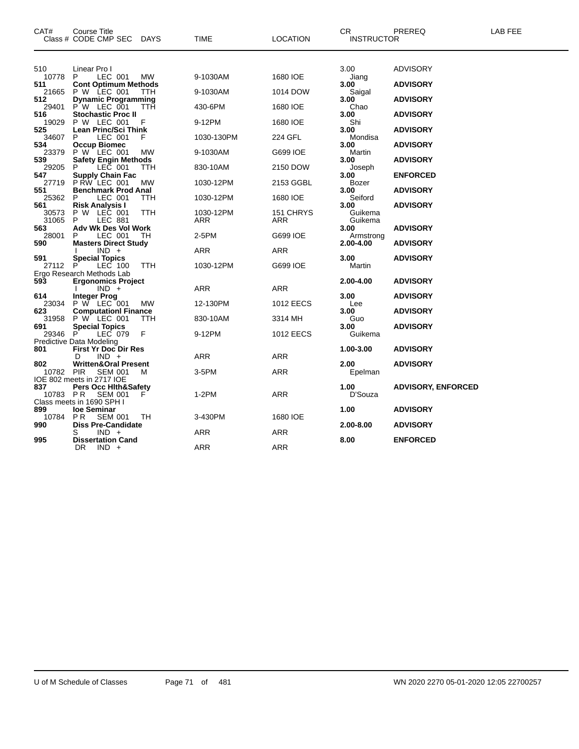| CAT#         | <b>Course Title</b><br>Class # CODE CMP SEC DAYS |            | <b>TIME</b> | <b>LOCATION</b>  | CR<br><b>INSTRUCTOR</b> | PREREQ                    | LAB FEE |
|--------------|--------------------------------------------------|------------|-------------|------------------|-------------------------|---------------------------|---------|
| 510          | Linear Pro I                                     |            |             |                  | 3.00                    | <b>ADVISORY</b>           |         |
| 10778        | LEC 001<br>P.                                    | МW         | 9-1030AM    | 1680 IOE         | Jiang                   |                           |         |
| 511          | <b>Cont Optimum Methods</b>                      |            |             |                  | 3.00                    | <b>ADVISORY</b>           |         |
| 21665<br>512 | P W LEC 001<br><b>Dynamic Programming</b>        | <b>TTH</b> | 9-1030AM    | 1014 DOW         | Saigal<br>3.00          | <b>ADVISORY</b>           |         |
| 29401<br>516 | P W LEC 001                                      | ттн        | 430-6PM     | 1680 IOE         | Chao                    |                           |         |
| 19029        | Stochastic Proc II<br>P W LEC 001                | F          | 9-12PM      | 1680 IOE         | 3.00<br>Shi             | <b>ADVISORY</b>           |         |
| 525<br>34607 | Lean Princ/Sci Think<br>P<br>LEC 001             | F          | 1030-130PM  | 224 GFL          | 3.00<br>Mondisa         | <b>ADVISORY</b>           |         |
| 534          | <b>Occup Biomec</b>                              |            |             |                  | 3.00                    | <b>ADVISORY</b>           |         |
| 23379        | P W LEC 001                                      | МW         | 9-1030AM    | G699 IOE         | Martin                  |                           |         |
| 539          | Safety Engin Methods                             |            |             |                  | 3.00                    | <b>ADVISORY</b>           |         |
| 29205<br>547 | LEC 001<br><b>Supply Chain Fac</b>               | TTH        | 830-10AM    | 2150 DOW         | Joseph<br>3.00          | <b>ENFORCED</b>           |         |
| 27719        | PRW LEC 001                                      | <b>MW</b>  | 1030-12PM   | 2153 GGBL        | Bozer                   |                           |         |
| 551          | <b>Benchmark Prod Anal</b>                       |            |             |                  | 3.00                    | <b>ADVISORY</b>           |         |
| 25362        | LEC 001<br>P                                     | <b>TTH</b> | 1030-12PM   | 1680 IOE         | Seiford                 |                           |         |
| 561<br>30573 | Risk Analysis I<br>P W LEC 001                   | <b>TTH</b> | 1030-12PM   | 151 CHRYS        | 3.00<br>Guikema         | <b>ADVISORY</b>           |         |
| 31065        | <b>LEC 881</b><br>P                              |            | ARR         | ARR              | Guikema                 |                           |         |
| 563          | Adv Wk Des Vol Work                              |            |             |                  | 3.00                    | <b>ADVISORY</b>           |         |
| 28001<br>590 | P<br>LEC 001<br><b>Masters Direct Study</b>      | TН         | 2-5PM       | G699 IOE         | Armstrong<br>2.00-4.00  | <b>ADVISORY</b>           |         |
|              | $IND +$                                          |            | ARR         | ARR              |                         |                           |         |
| 591          | <b>Special Topics</b>                            |            |             |                  | 3.00                    | <b>ADVISORY</b>           |         |
| 27112        | LEC 100<br>P                                     | TTH        | 1030-12PM   | G699 IOE         | Martin                  |                           |         |
| 593          | Ergo Research Methods Lab                        |            |             |                  |                         |                           |         |
|              | <b>Ergonomics Project</b><br>$IND +$             |            | ARR         | ARR              | 2.00-4.00               | <b>ADVISORY</b>           |         |
| 614          | <b>Integer Prog</b>                              |            |             |                  | 3.00                    | <b>ADVISORY</b>           |         |
| 23034        | P W LEC 001                                      | МW         | 12-130PM    | 1012 EECS        | Lee                     |                           |         |
| 623<br>31958 | <b>Computationl Finance</b><br>P W LEC 001       | <b>TTH</b> | 830-10AM    | 3314 MH          | 3.00<br>Guo             | <b>ADVISORY</b>           |         |
| 691          | <b>Special Topics</b>                            |            |             |                  | 3.00                    | <b>ADVISORY</b>           |         |
| 29346        | LEC 079<br>P.                                    | F          | 9-12PM      | <b>1012 EECS</b> | Guikema                 |                           |         |
|              | Predictive Data Modeling                         |            |             |                  |                         |                           |         |
| 801          | <b>First Yr Doc Dir Res</b><br>$IND +$           |            |             |                  | 1.00-3.00               | <b>ADVISORY</b>           |         |
| 802          | D<br><b>Written&amp;Oral Present</b>             |            | ARR         | ARR              | 2.00                    | <b>ADVISORY</b>           |         |
| 10782 PIR    | <b>SEM 001</b>                                   | M          | 3-5PM       | ARR              | Epelman                 |                           |         |
|              | IOE 802 meets in 2717 IOE                        |            |             |                  |                         |                           |         |
| 837          | <b>Pers Occ Hith&amp;Safety</b>                  |            |             |                  | 1.00                    | <b>ADVISORY, ENFORCED</b> |         |
| 10783 PR     | <b>SEM 001</b><br>Class meets in 1690 SPH I      | F          | $1-2PM$     | ARR              | D'Souza                 |                           |         |
| 899          | loe Seminar                                      |            |             |                  | 1.00                    | <b>ADVISORY</b>           |         |
| 10784        | PR.<br><b>SEM 001</b>                            | TН         | 3-430PM     | 1680 IOE         |                         |                           |         |
| 990          | <b>Diss Pre-Candidate</b>                        |            |             |                  | 2.00-8.00               | <b>ADVISORY</b>           |         |
|              | $IND +$                                          |            | <b>ARR</b>  | ARR              |                         |                           |         |
| 995          | <b>Dissertation Cand</b><br>$IND +$<br>DR.       |            | ARR         | ARR              | 8.00                    | <b>ENFORCED</b>           |         |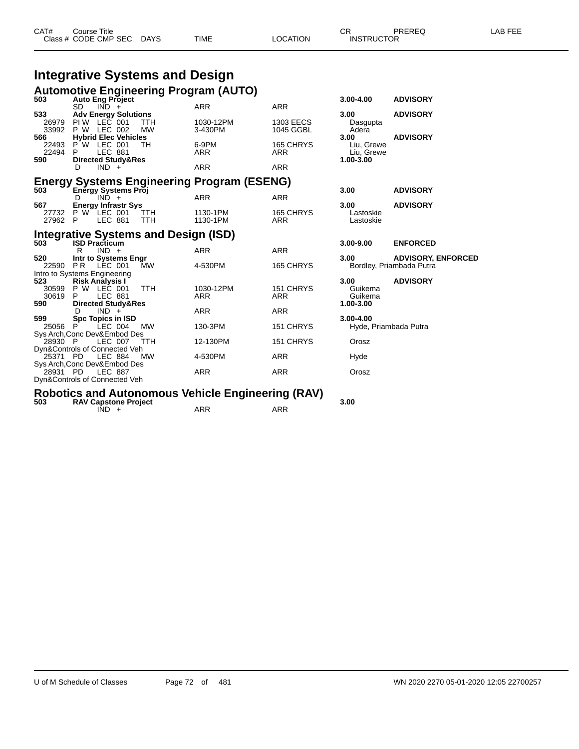| CAT# | Course Title              |      |          | חה<br>◡๙          | PREREQ | LAB FEE |
|------|---------------------------|------|----------|-------------------|--------|---------|
|      | Class # CODE CMP SEC DAYS | TIME | LOCATION | <b>INSTRUCTOR</b> |        |         |

#### **Integrative Systems and Design Automotive Engineering Program (AUTO)**

| 503                                     | <b>Auto Eng Project</b>       |                |                                             | Automotive Liigineemig Flogram (AUTO)                                 |                         | $3.00 - 4.00$            | <b>ADVISORY</b>           |
|-----------------------------------------|-------------------------------|----------------|---------------------------------------------|-----------------------------------------------------------------------|-------------------------|--------------------------|---------------------------|
|                                         | SD.                           | $IND +$        |                                             | <b>ARR</b>                                                            | <b>ARR</b>              |                          |                           |
| 533                                     | <b>Adv Energy Solutions</b>   |                |                                             |                                                                       |                         | 3.00                     | <b>ADVISORY</b>           |
| 26979                                   | $PIW$ LEC 001                 |                | <b>TTH</b>                                  | 1030-12PM                                                             | <b>1303 EECS</b>        | Dasgupta                 |                           |
| 33992                                   | <b>P W LEC 002</b>            |                | <b>MW</b>                                   | 3-430PM                                                               | 1045 GGBL               | Adera                    |                           |
| 566                                     | <b>Hybrid Elec Vehicles</b>   |                |                                             |                                                                       |                         | 3.00                     | <b>ADVISORY</b>           |
| 22493 P W LEC 001<br>22494              | P.                            | <b>LEC 881</b> | TH                                          | 6-9PM<br><b>ARR</b>                                                   | 165 CHRYS<br><b>ARR</b> | Liu, Grewe<br>Liu, Grewe |                           |
| 590                                     | <b>Directed Study&amp;Res</b> |                |                                             |                                                                       |                         | 1.00-3.00                |                           |
|                                         | D                             | $IND +$        |                                             | <b>ARR</b>                                                            | <b>ARR</b>              |                          |                           |
|                                         |                               |                |                                             | Energy Systems Engineering Program (ESENG)<br>503 Energy Systems Proj |                         |                          |                           |
|                                         | Energy Systems Proj           |                |                                             |                                                                       |                         | 3.00                     | <b>ADVISORY</b>           |
|                                         | D.                            | IND +          |                                             | <b>ARR</b>                                                            | <b>ARR</b>              |                          |                           |
| 567                                     | <b>Energy Infrastr Sys</b>    |                |                                             |                                                                       |                         | 3.00                     | <b>ADVISORY</b>           |
| 27732 P W LEC 001<br>27962              | $\mathsf{P}$                  | LEC 881        | <b>TTH</b><br><b>TTH</b>                    | 1130-1PM<br>1130-1PM                                                  | 165 CHRYS<br><b>ARR</b> | Lastoskie<br>Lastoskie   |                           |
|                                         |                               |                |                                             |                                                                       |                         |                          |                           |
|                                         |                               |                | <b>Integrative Systems and Design (ISD)</b> |                                                                       |                         |                          |                           |
| 503                                     | <b>ISD Practicum</b>          |                |                                             |                                                                       |                         | $3.00 - 9.00$            | <b>ENFORCED</b>           |
|                                         | R                             | $IND +$        |                                             | <b>ARR</b>                                                            | <b>ARR</b>              |                          |                           |
| 520                                     | Intr to Systems Engr          |                |                                             |                                                                       |                         | 3.00                     | <b>ADVISORY, ENFORCED</b> |
| 22590                                   | P R                           | LEC 001        | MW                                          | 4-530PM                                                               | 165 CHRYS               | Bordley, Priambada Putra |                           |
| Intro to Systems Engineering<br>523     | <b>Risk Analysis I</b>        |                |                                             |                                                                       |                         | 3.00                     | <b>ADVISORY</b>           |
| 30599 P W LEC 001                       |                               |                | <b>TTH</b>                                  | 1030-12PM                                                             | 151 CHRYS               | Guikema                  |                           |
| 30619 P                                 |                               | LEC 881        |                                             | <b>ARR</b>                                                            | <b>ARR</b>              | Guikema                  |                           |
| 590                                     | <b>Directed Study&amp;Res</b> |                |                                             |                                                                       |                         | 1.00-3.00                |                           |
|                                         | D.                            | $IND +$        |                                             | <b>ARR</b>                                                            | ARR                     |                          |                           |
| 599                                     | <b>Spc Topics in ISD</b>      | LEC 004        | <b>MW</b>                                   | 130-3PM                                                               |                         | $3.00 - 4.00$            |                           |
| 25056 P<br>Sys Arch, Conc Dev&Embod Des |                               |                |                                             |                                                                       | 151 CHRYS               | Hyde, Priambada Putra    |                           |
| 28930 P                                 |                               | LEC 007        | <b>TTH</b>                                  | 12-130PM                                                              | 151 CHRYS               | Orosz                    |                           |
| Dyn&Controls of Connected Veh           |                               |                |                                             |                                                                       |                         |                          |                           |
| 25371 PD                                |                               | LEC 884        | <b>MW</b>                                   | 4-530PM                                                               | ARR                     | Hyde                     |                           |
| Sys Arch, Conc Dev&Embod Des            |                               |                |                                             |                                                                       |                         |                          |                           |
| 28931 PD                                |                               | <b>LEC 887</b> |                                             | <b>ARR</b>                                                            | <b>ARR</b>              | Orosz                    |                           |
| Dyn&Controls of Connected Veh           |                               |                |                                             |                                                                       |                         |                          |                           |

## **Robotics and Autonomous Vehicle Engineering (RAV) 503 RAV Capstone Project 3.00**

 $IND + ARR$  ARR ARR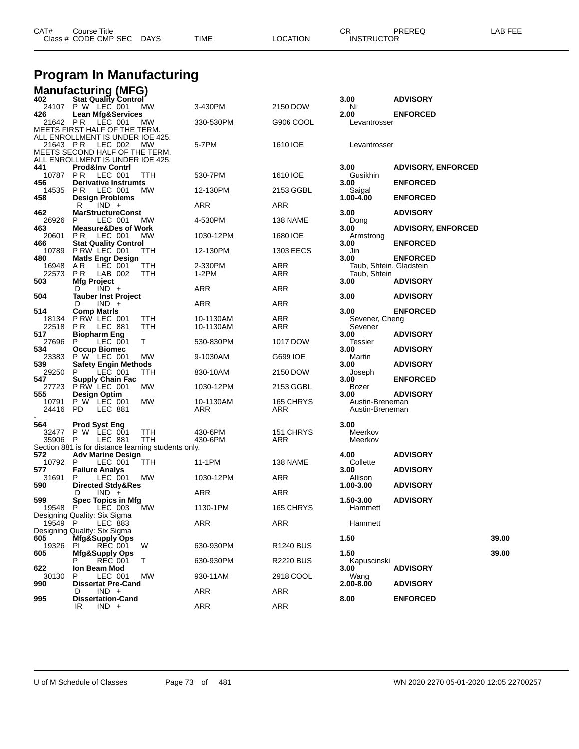| CAT# | Title<br>Course 1<br>Class # CODE CMP SEC | <b>DAYS</b> | <b>TIME</b> | <b>LOCATION</b> | ⌒冖<br>◡◠<br><b>INSTRUCTOR</b> | PREREQ | $\overline{a}$<br>--- |
|------|-------------------------------------------|-------------|-------------|-----------------|-------------------------------|--------|-----------------------|
|      |                                           |             |             |                 |                               |        |                       |

## **Program In Manufacturing**

|                  | <b>Manufacturing (MFG)</b>                                         |                    |                  |                                    |                           |       |
|------------------|--------------------------------------------------------------------|--------------------|------------------|------------------------------------|---------------------------|-------|
| 402              | <b>Stat Quality Control</b><br>24107 P W LEC 001<br>MW             | 3-430PM            | 2150 DOW         | 3.00<br>Ni                         | <b>ADVISORY</b>           |       |
| 426              | <b>Lean Mfg&amp;Services</b>                                       |                    |                  | 2.00                               | <b>ENFORCED</b>           |       |
| 21642 PR         | LEC 001<br>МW                                                      | 330-530PM          | G906 COOL        | Levantrosser                       |                           |       |
|                  | MEETS FIRST HALF OF THE TERM.<br>ALL ENROLLMENT IS UNDER IOE 425.  |                    |                  |                                    |                           |       |
| 21643 PR         | LEC 002<br>МW                                                      | 5-7PM              | 1610 IOE         | Levantrosser                       |                           |       |
|                  | MEETS SECOND HALF OF THE TERM.<br>ALL ENROLLMENT IS UNDER IOE 425. |                    |                  |                                    |                           |       |
| 441              | <b>Prod&amp;Inv Contrl</b>                                         |                    |                  | 3.00                               | <b>ADVISORY, ENFORCED</b> |       |
| 10787 PR         | LEC 001<br>TTH                                                     | 530-7PM            | 1610 IOE         | Gusikhin                           |                           |       |
| 456<br>14535     | <b>Derivative Instrumts</b><br>P R<br>LEC 001<br>МW                | 12-130PM           | 2153 GGBL        | 3.00<br>Saigal                     | <b>ENFORCED</b>           |       |
| 458              | <b>Design Problems</b>                                             |                    |                  | 1.00-4.00                          | <b>ENFORCED</b>           |       |
| 462              | R<br>$IND +$<br><b>MarStructureConst</b>                           | ARR                | ARR              | 3.00                               | <b>ADVISORY</b>           |       |
| 26926            | P<br>LEC 001<br>МW                                                 | 4-530PM            | 138 NAME         | Dong                               |                           |       |
| 463<br>20601     | <b>Measure&amp;Des of Work</b><br>P R<br>LEC 001<br>MW             | 1030-12PM          | 1680 IOE         | 3.00<br>Armstrong                  | <b>ADVISORY, ENFORCED</b> |       |
| 466              | <b>Stat Quality Control</b>                                        |                    |                  | 3.00                               | <b>ENFORCED</b>           |       |
| 10789<br>480     | PRW LEC 001<br>ттн<br><b>Matls Engr Design</b>                     | 12-130PM           | 1303 EECS        | Jin<br>3.00                        | <b>ENFORCED</b>           |       |
| 16948            | A R<br>LEC 001<br>TTH                                              | 2-330PM            | ARR              | Taub, Shtein, Gladstein            |                           |       |
| 22573            | P R<br>LAB 002<br>TTH                                              | 1-2PM              | ARR              | Taub, Shtein                       |                           |       |
| 503              | <b>Mfg Project</b><br>$IND +$<br>D                                 | ARR                | <b>ARR</b>       | 3.00                               | <b>ADVISORY</b>           |       |
| 504              | <b>Tauber Inst Project</b>                                         |                    |                  | 3.00                               | <b>ADVISORY</b>           |       |
| 514              | $IND +$<br>D<br><b>Comp Matris</b>                                 | ARR                | ARR              | 3.00                               | <b>ENFORCED</b>           |       |
| 18134            | PRW LEC 001<br>TTH                                                 | 10-1130AM          | ARR              | Sevener, Cheng                     |                           |       |
| 22518            | LEC 881<br><b>TTH</b><br>P R                                       | 10-1130AM          | ARR              | Sevener                            |                           |       |
| 517<br>27696     | <b>Biopharm Eng</b><br>P<br>LEC 001<br>Т                           | 530-830PM          | 1017 DOW         | 3.00<br>Tessier                    | <b>ADVISORY</b>           |       |
| 534              | <b>Occup Biomec</b>                                                |                    |                  | 3.00                               | <b>ADVISORY</b>           |       |
| 23383<br>539     | P W LEC 001<br>МW<br><b>Safety Engin Methods</b>                   | 9-1030AM           | G699 IOE         | Martin<br>3.00                     | <b>ADVISORY</b>           |       |
| 29250            | LEC 001<br>TTH<br>P.                                               | 830-10AM           | 2150 DOW         | Joseph                             |                           |       |
| 547<br>27723     | <b>Supply Chain Fac</b><br>PRW LEC 001<br>МW                       | 1030-12PM          | 2153 GGBL        | 3.00<br>Bozer                      | <b>ENFORCED</b>           |       |
| 555              | Design Optim                                                       |                    |                  | 3.00                               | <b>ADVISORY</b>           |       |
| 10791<br>24416   | P W LEC 001<br>MW<br>PD.<br><b>LEC 881</b>                         | 10-1130AM<br>ARR   | 165 CHRYS<br>ARR | Austin-Breneman<br>Austin-Breneman |                           |       |
|                  |                                                                    |                    |                  |                                    |                           |       |
| 564              | <b>Prod Syst Eng</b>                                               |                    |                  | 3.00                               |                           |       |
| 32477<br>35906 P | P W LEC 001<br>TTH<br><b>LEC 881</b><br>TTH                        | 430-6PM<br>430-6PM | 151 CHRYS<br>ARR | Meerkov<br>Meerkov                 |                           |       |
|                  | Section 881 is for distance learning students only.                |                    |                  |                                    |                           |       |
| 572<br>10792 P   | <b>Adv Marine Design</b><br>LEC 001<br>TTH                         | 11-1PM             | 138 NAME         | 4.00<br>Collette                   | <b>ADVISORY</b>           |       |
| 577              | <b>Failure Analys</b>                                              |                    |                  | 3.00                               | <b>ADVISORY</b>           |       |
| 31691<br>590     | LEC 001<br>P.<br>МW<br><b>Directed Stdy&amp;Res</b>                | 1030-12PM          | ARR              | Allison<br>1.00-3.00               | <b>ADVISORY</b>           |       |
|                  | $IND +$<br>D                                                       | ARR                | ARR              |                                    |                           |       |
| 599<br>19548     | <b>Spec Topics in Mfg</b><br>P<br>LEC 003<br>МW                    | 1130-1PM           | 165 CHRYS        | 1.50-3.00                          | <b>ADVISORY</b>           |       |
|                  | Designing Quality: Six Sigma                                       |                    |                  | Hammett                            |                           |       |
| 19549 P          | LEC 883                                                            | <b>ARR</b>         | ARR              | Hammett                            |                           |       |
| 605              | Designing Quality: Six Sigma<br>Mfg&Supply Ops                     |                    |                  | 1.50                               |                           | 39.00 |
| 19326            | PI.<br><b>REC 001</b><br>W                                         | 630-930PM          | <b>R1240 BUS</b> |                                    |                           |       |
| 605              | <b>Mfg&amp;Supply Ops</b><br>REC 001<br>T                          | 630-930PM          | <b>R2220 BUS</b> | 1.50<br>Kapuscinski                |                           | 39.00 |
| 622              | Ion Beam Mod                                                       |                    |                  | 3.00                               | <b>ADVISORY</b>           |       |
| 30130<br>990     | P<br>LEC 001<br>МW<br><b>Dissertat Pre-Cand</b>                    | 930-11AM           | 2918 COOL        | Wang<br>$2.00 - 8.00$              | <b>ADVISORY</b>           |       |
|                  | $IND +$<br>D                                                       | ARR                | ARR              |                                    |                           |       |
| 995              | <b>Dissertation-Cand</b><br>$IND +$<br>IR                          | <b>ARR</b>         | <b>ARR</b>       | 8.00                               | <b>ENFORCED</b>           |       |
|                  |                                                                    |                    |                  |                                    |                           |       |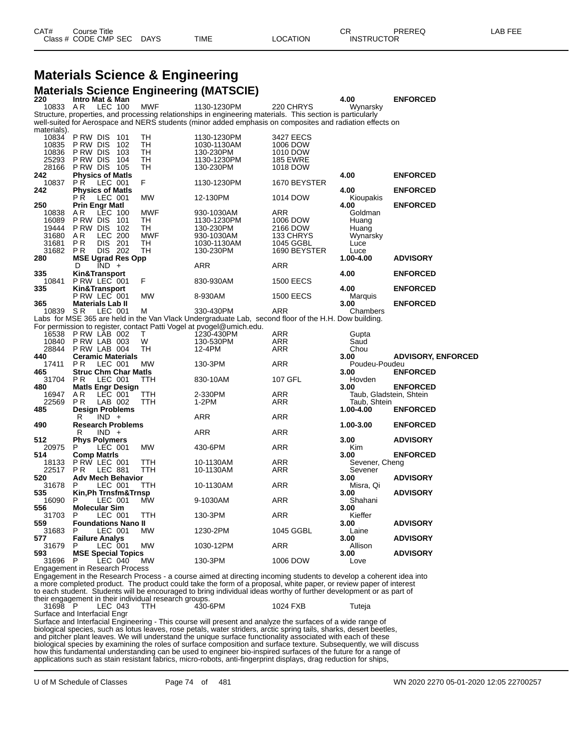# **Materials Science & Engineering**

**Materials Science Engineering (MATSCIE)**<br>220 Intro Mat & Man **2 1 11170 Mat & Man 2 2 4.00 ENFORCED**<br>10833 AR LEC 100 MWF 1130-1230PM 220 CHRYS Wynarsky 10833 A R LEC 100 MWF 1130-1230PM 220 CHRYS Wynarsky Structure, properties, and processing relationships in engineering materials. This section is particularly well-suited for Aerospace and NERS students (minor added emphasis on composites and radiation effects on materials).<br>10834 10834 P RW DIS 101 TH 1130-1230PM 3427 EECS 10835 P RW DIS 102 TH 1030-1130AM 1006 DOW 10836 P RW DIS 103 TH 130-230PM 1010 DOW .<br>28166 P RW DIS 104 TH 1130-1230PM 185 EWRE<br>28166 P RW DIS 105 TH 130-230PM 1018 DOW 28166 P RW DIS<br>242 Physics of **242 Physics of Matls 4.00 ENFORCED** 10837 PR LEC 001 F 1130-1230PM 1670 BEYSTER **242 Physics of Matls 4.00 ENFORCED** LEC 001 MW 12-130PM 1014 DOW Kioupakis<br>nar Matl 100 1014 1014 1014 100 **250 Prin Engr Matl 4.00 ENFORCED** 10838 A R LEC 100 MWF 930-1030AM ARR Goldman 16089 P RW DIS 101 TH 1130-1230PM 1006 DOW Huang 19444 P RW DIS 102 TH 130-230PM 2166 DOW Huang 31680 A R LEC 200 MWF 930-1030AM 133 CHRYS Wynarsky 31681 P.R. LLC 2001 MW1. 310-1030-1030AM 1045 GGBL 1046<br>31681 P.R. DIS 201 TH 1030-1130AM 1045 GGBL Luce<br>31682 P.R. DIS 202 TH 130-230PM 1690 BEYSTER Luce 31682 PR DIS 202 TH 130-230PM 1690 BEYSTER Luce<br>280 MSE Ugrad Res Opp 1.00-4.00 **280 MSE Ugrad Res Opp 1.00-4.00 ADVISORY** D IND + ARR ARR ARR **335 Kin&Transport 4.00 ENFORCED** 10841 P RW LEC 001<br>335 **Kin&Transport 335 Kin&Transport 4.00 ENFORCED** P RW LEC 001 MW 8-930AM 1500 EECS Marquis **365 Materials Lab II 3.00 ENFORCED** 330-430PM Labs for MSE 365 are held in the Van Vlack Undergraduate Lab, second floor of the H.H. Dow building. For permission to register, contact Patti Vogel at pvogel@umich.edu.<br>16538 PRW LAB 002 T 1230-430PM 16538 P\_RW\_LAB\_002 T 1230-430PM ARR Gupta<br>10840 P\_RW\_LAB\_003 W 130-530PM ARR Saud 10840 P RW LAB 003 W 130-530PM ARR Saud 28844 P RW LAB 004 TH 12-4PM ARR Chou **440 Ceramic Materials 3.00 ADVISORY, ENFORCED** 17410 Ceramic Materials **17411** PR LEC 001 MW 130-3PM ARR 3.00 ADVISORY,<br>17411 PR LEC 001 MW 130-3PM ARR Poudeu-Poudeu and Struc Chm Char Matls 130-3PM ARR 2.00 **ENFORCED 465 Struc Chm Char Matls 3.00 ENFORCED** 31704 P R LEC 001 TTH 830-10AM 107 GFL Hovden **480 Matls Engr Design 3.00 ENFORCED** 16947 A.R LEC 001 TTH 2-330PM ARR Taub, Gladstein, Shtein<br>22569 P.R LAB 002 TTH 1-2PM ARR Taub, Shtein 22569 P.R LAB 002 TTH 1-2PM ARR Taub, Shtein<br>**485 Design Problems** 1.00-4.00 **485 Design Problems 1.00-4.00 ENFORCED**  $IND +$ 

 **Research Problems 1.00-3.00 ENFORCED**  $IND +$  **Phys Polymers 3.00 ADVISORY** 20975 P LEC 001 MW 430-6PM ARR Kim Kim 430-6PM 430-6PM ARR 430-6PM ARR Kim **Comp Matrls 3.00 ENFORCED** P RW LEC 001<br>P R LEC 881 22517 P R LEC 881 TTH 10-1130AM ARR Sevener **Adv Mech Behavior 3.00 ADVISORY** P LEC 001 TTH 10-1130AM ARR Misra, Qi **Kin,Ph Trnsfm&Trnsp 3.00 ADVISORY** P LEC 001 MW 9-1030AM ARR Shahani **Molecular Sim 3.00** 31703 P LEC 001 TTH 130-3PM ARR Kieffer **Foundations Nano II 3.00 ADVISORY** P LEC 001 MW 1230-2PM 1045 GGBL Laine **Failure Analys 3.00 ADVISORY** P LEC 001 MW 1030-12PM ARR Allison **MSE Special Topics 3.00 ADVISORY** 1006 DOW Engagement in Research Process

Engagement in the Research Process - a course aimed at directing incoming students to develop a coherent idea into a more completed product. The product could take the form of a proposal, white paper, or review paper of interest to each student. Students will be encouraged to bring individual ideas worthy of further development or as part of their engagement in their individual research groups.<br>31698 P LEC 043 TTH 430-6PM LEC 043 TTH 430-6PM 1024 FXB Tuteja Surface and Interfacial Engr

Surface and Interfacial Engineering - This course will present and analyze the surfaces of a wide range of biological species, such as lotus leaves, rose petals, water striders, arctic spring tails, sharks, desert beetles, and pitcher plant leaves. We will understand the unique surface functionality associated with each of these biological species by examining the roles of surface composition and surface texture. Subsequently, we will discuss how this fundamental understanding can be used to engineer bio-inspired surfaces of the future for a range of applications such as stain resistant fabrics, micro-robots, anti-fingerprint displays, drag reduction for ships,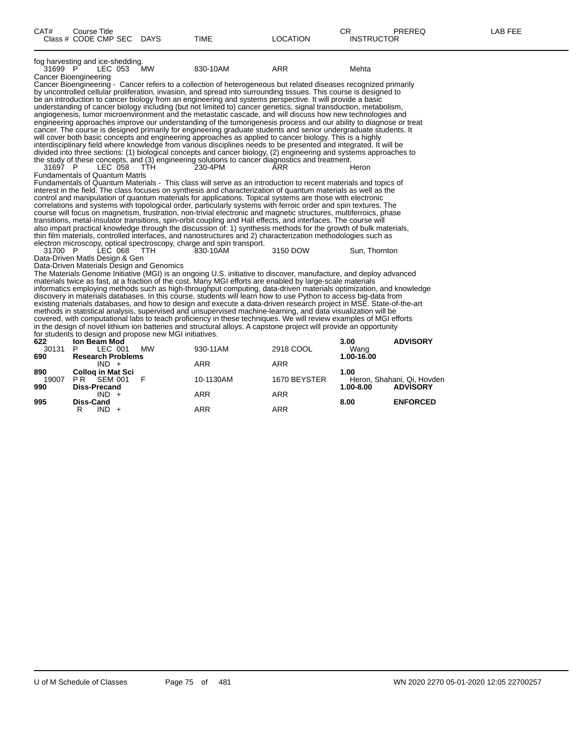| CAT#         | Course Title<br>Class # CODE CMP SEC DAYS               |           | <b>TIME</b>                                                                                                                                                                                                                          | LOCATION     | CR.<br><b>INSTRUCTOR</b> | <b>PREREQ</b>              | LAB FEE |
|--------------|---------------------------------------------------------|-----------|--------------------------------------------------------------------------------------------------------------------------------------------------------------------------------------------------------------------------------------|--------------|--------------------------|----------------------------|---------|
| 31699 P      | fog harvesting and ice-shedding.<br>LEC 053 MW          |           | 830-10AM                                                                                                                                                                                                                             | <b>ARR</b>   | Mehta                    |                            |         |
|              | <b>Cancer Bioengineering</b>                            |           |                                                                                                                                                                                                                                      |              |                          |                            |         |
|              |                                                         |           | Cancer Bioengineering - Cancer refers to a collection of heterogeneous but related diseases recognized primarily                                                                                                                     |              |                          |                            |         |
|              |                                                         |           | by uncontrolled cellular proliferation, invasion, and spread into surrounding tissues. This course is designed to                                                                                                                    |              |                          |                            |         |
|              |                                                         |           | be an introduction to cancer biology from an engineering and systems perspective. It will provide a basic                                                                                                                            |              |                          |                            |         |
|              |                                                         |           | understanding of cancer biology including (but not limited to) cancer genetics, signal transduction, metabolism,                                                                                                                     |              |                          |                            |         |
|              |                                                         |           | angiogenesis, tumor microenvironment and the metastatic cascade, and will discuss how new technologies and                                                                                                                           |              |                          |                            |         |
|              |                                                         |           | engineering approaches improve our understanding of the tumorigenesis process and our ability to diagnose or treat                                                                                                                   |              |                          |                            |         |
|              |                                                         |           | cancer. The course is designed primarily for engineering graduate students and senior undergraduate students. It                                                                                                                     |              |                          |                            |         |
|              |                                                         |           | will cover both basic concepts and engineering approaches as applied to cancer biology. This is a highly<br>interdisciplinary field where knowledge from various disciplines needs to be presented and integrated. It will be        |              |                          |                            |         |
|              |                                                         |           | divided into three sections: (1) biological concepts and cancer biology, (2) engineering and systems approaches to                                                                                                                   |              |                          |                            |         |
|              |                                                         |           | the study of these concepts, and (3) engineering solutions to cancer diagnostics and treatment.                                                                                                                                      |              |                          |                            |         |
| 31697 P      | LEC 058                                                 | - ттн     | 230-4PM                                                                                                                                                                                                                              | ARR          | Heron                    |                            |         |
|              | <b>Fundamentals of Quantum Matris</b>                   |           |                                                                                                                                                                                                                                      |              |                          |                            |         |
|              |                                                         |           | Fundamentals of Quantum Materials - This class will serve as an introduction to recent materials and topics of                                                                                                                       |              |                          |                            |         |
|              |                                                         |           | interest in the field. The class focuses on synthesis and characterization of quantum materials as well as the                                                                                                                       |              |                          |                            |         |
|              |                                                         |           | control and manipulation of quantum materials for applications. Topical systems are those with electronic                                                                                                                            |              |                          |                            |         |
|              |                                                         |           | correlations and systems with topological order, particularly systems with ferroic order and spin textures. The                                                                                                                      |              |                          |                            |         |
|              |                                                         |           | course will focus on magnetism, frustration, non-trivial electronic and magnetic structures, multiferroics, phase                                                                                                                    |              |                          |                            |         |
|              |                                                         |           | transitions, metal-insulator transitions, spin-orbit coupling and Hall effects, and interfaces. The course will                                                                                                                      |              |                          |                            |         |
|              |                                                         |           | also impart practical knowledge through the discussion of: 1) synthesis methods for the growth of bulk materials,<br>thin film materials, controlled interfaces, and nanostructures and 2) characterization methodologies such as    |              |                          |                            |         |
|              |                                                         |           | electron microscopy, optical spectroscopy, charge and spin transport.                                                                                                                                                                |              |                          |                            |         |
| 31700 P      | LEC 068                                                 | TTH.      | 830-10AM                                                                                                                                                                                                                             | 3150 DOW     | Sun, Thornton            |                            |         |
|              | Data-Driven Matls Design & Gen                          |           |                                                                                                                                                                                                                                      |              |                          |                            |         |
|              | Data-Driven Materials Design and Genomics               |           |                                                                                                                                                                                                                                      |              |                          |                            |         |
|              |                                                         |           | The Materials Genome Initiative (MGI) is an ongoing U.S. initiative to discover, manufacture, and deploy advanced                                                                                                                    |              |                          |                            |         |
|              |                                                         |           | materials twice as fast, at a fraction of the cost. Many MGI efforts are enabled by large-scale materials                                                                                                                            |              |                          |                            |         |
|              |                                                         |           | informatics employing methods such as high-throughput computing, data-driven materials optimization, and knowledge                                                                                                                   |              |                          |                            |         |
|              |                                                         |           | discovery in materials databases. In this course, students will learn how to use Python to access big-data from                                                                                                                      |              |                          |                            |         |
|              |                                                         |           | existing materials databases, and how to design and execute a data-driven research project in MSE. State-of-the-art<br>methods in statistical analysis, supervised and unsupervised machine-learning, and data visualization will be |              |                          |                            |         |
|              |                                                         |           | covered, with computational labs to teach proficiency in these techniques. We will review examples of MGI efforts                                                                                                                    |              |                          |                            |         |
|              |                                                         |           | in the design of novel lithium ion batteries and structural alloys. A capstone project will provide an opportunity                                                                                                                   |              |                          |                            |         |
|              | for students to design and propose new MGI initiatives. |           |                                                                                                                                                                                                                                      |              |                          |                            |         |
| 622          | <b>Ion Beam Mod</b>                                     |           |                                                                                                                                                                                                                                      |              | 3.00                     | <b>ADVISORY</b>            |         |
| 30131        | P.<br>LEC 001                                           | <b>MW</b> | 930-11AM                                                                                                                                                                                                                             | 2918 COOL    | Wang                     |                            |         |
| 690          | <b>Research Problems</b>                                |           |                                                                                                                                                                                                                                      |              | 1.00-16.00               |                            |         |
|              | $IND +$                                                 |           | ARR                                                                                                                                                                                                                                  | ARR          |                          |                            |         |
| 890          | <b>Colloq in Mat Sci</b>                                |           |                                                                                                                                                                                                                                      |              | 1.00                     |                            |         |
| 19007<br>990 | PR<br><b>SEM 001</b>                                    | F         | 10-1130AM                                                                                                                                                                                                                            | 1670 BEYSTER |                          | Heron, Shahani, Qi, Hovden |         |
|              | <b>Diss-Precand</b>                                     |           |                                                                                                                                                                                                                                      |              | $1.00 - 8.00$            | <b>ADVISORY</b>            |         |

**995 Diss-Cand 8.00 ENFORCED**

R IND + ARR ARR ARR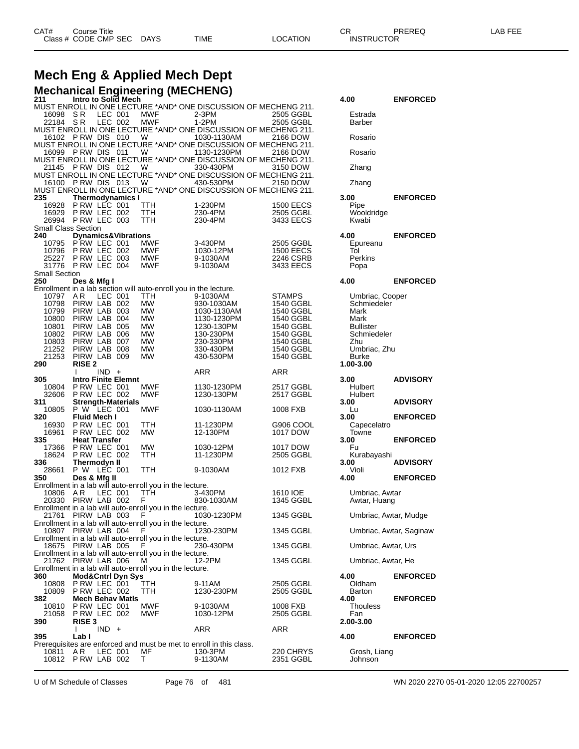## **Mech Eng & Applied Mech Dept**

| <b>Mechanical Engineering (MECHENG)</b> |     |                     |  |      |                                                                 |             |         |                 |  |  |  |
|-----------------------------------------|-----|---------------------|--|------|-----------------------------------------------------------------|-------------|---------|-----------------|--|--|--|
| 211                                     |     | Intro to Solid Mech |  |      |                                                                 |             | 4.00    | <b>ENFORCED</b> |  |  |  |
|                                         |     |                     |  |      | MUST ENROLL IN ONE LECTURE *AND* ONE DISCUSSION OF MECHENG 211. |             |         |                 |  |  |  |
| 16098 SR LEC 001                        |     |                     |  | MWF  | 2-3PM                                                           | 2505 GGBL   | Estrada |                 |  |  |  |
| 22184                                   | S D | LEC 002             |  | MM/E | $1.2$ DM                                                        | $2505$ CCRI | Rarher  |                 |  |  |  |

| 16098                      | S R                                      | LEC 001 | MWF                                                                     | 2-3PM                                                                          | 2505 GGBL                     | Estrada                  |                         |
|----------------------------|------------------------------------------|---------|-------------------------------------------------------------------------|--------------------------------------------------------------------------------|-------------------------------|--------------------------|-------------------------|
| 22184                      | - S R                                    | LEC 002 | MWF                                                                     | $1-2PM$<br>MUST ENROLL IN ONE LECTURE *AND* ONE DISCUSSION OF MECHENG 211.     | 2505 GGBL                     | Barber                   |                         |
| 16102                      | PRW DIS 010                              |         | W                                                                       | 1030-1130AM                                                                    | 2166 DOW                      | Rosario                  |                         |
|                            |                                          |         |                                                                         | MUST ENROLL IN ONE LECTURE *AND* ONE DISCUSSION OF MECHENG 211.                |                               |                          |                         |
| 16099                      | PRW DIS 011                              |         | W                                                                       | 1130-1230PM<br>MUST ENROLL IN ONE LECTURE *AND* ONE DISCUSSION OF MECHENG 211. | 2166 DOW                      | Rosario                  |                         |
| 21145                      | PRW DIS 012                              |         | W                                                                       | 330-430PM                                                                      | 3150 DOW                      | Zhang                    |                         |
|                            |                                          |         |                                                                         | MUST ENROLL IN ONE LECTURE *AND* ONE DISCUSSION OF MECHENG 211.                |                               |                          |                         |
| 16100                      | PRW DIS 013                              |         | W                                                                       | 430-530PM<br>MUST ENROLL IN ONE LECTURE *AND* ONE DISCUSSION OF MECHENG 211.   | 2150 DOW                      | Zhang                    |                         |
| 235                        | <b>Thermodynamics I</b>                  |         |                                                                         |                                                                                |                               | 3.00                     | <b>ENFORCED</b>         |
| 16928                      | PRW LEC 001                              |         | TTH                                                                     | 1-230PM                                                                        | <b>1500 EECS</b>              | Pipe                     |                         |
| 16929<br>26994             | PRW LEC 002<br>PRW LEC 003               |         | TTH<br>TTH                                                              | 230-4PM<br>230-4PM                                                             | 2505 GGBL                     | Wooldridge               |                         |
| <b>Small Class Section</b> |                                          |         |                                                                         |                                                                                | 3433 EECS                     | Kwabi                    |                         |
| 240                        | <b>Dynamics&amp;Vibrations</b>           |         |                                                                         |                                                                                |                               | 4.00                     | <b>ENFORCED</b>         |
| 10795                      | PRW LEC 001                              |         | MWF                                                                     | 3-430PM                                                                        | 2505 GGBL                     | Epureanu                 |                         |
| 10796<br>25227             | P RW LEC 002<br>PRW LEC 003              |         | MWF<br>MWF                                                              | 1030-12PM<br>9-1030AM                                                          | <b>1500 EECS</b><br>2246 CSRB | Tol<br>Perkins           |                         |
| 31776                      | PRW LEC 004                              |         | MWF                                                                     | 9-1030AM                                                                       | 3433 EECS                     | Popa                     |                         |
| <b>Small Section</b>       |                                          |         |                                                                         |                                                                                |                               |                          |                         |
| 250                        | Des & Mfg I                              |         |                                                                         |                                                                                |                               | 4.00                     | <b>ENFORCED</b>         |
| 10797                      | AR                                       | LEC 001 | Enrollment in a lab section will auto-enroll you in the lecture.<br>ттн | 9-1030AM                                                                       | <b>STAMPS</b>                 | Umbriac, Cooper          |                         |
| 10798                      | PIRW LAB 002                             |         | MW                                                                      | 930-1030AM                                                                     | 1540 GGBL                     | Schmiedeler              |                         |
| 10799                      | PIRW LAB 003                             |         | МW                                                                      | 1030-1130AM                                                                    | 1540 GGBL                     | Mark                     |                         |
| 10800<br>10801             | PIRW LAB 004<br>PIRW LAB 005             |         | MW<br>МW                                                                | 1130-1230PM                                                                    | 1540 GGBL<br>1540 GGBL        | Mark<br><b>Bullister</b> |                         |
| 10802                      | PIRW LAB 006                             |         | МW                                                                      | 1230-130PM<br>130-230PM                                                        | 1540 GGBL                     | Schmiedeler              |                         |
| 10803                      | PIRW LAB 007                             |         | MW                                                                      | 230-330PM                                                                      | 1540 GGBL                     | Zhu                      |                         |
| 21252                      | PIRW LAB 008                             |         | MW                                                                      | 330-430PM                                                                      | 1540 GGBL                     | Umbriac, Zhu             |                         |
| 21253<br>290               | PIRW LAB 009<br><b>RISE 2</b>            |         | МW                                                                      | 430-530PM                                                                      | 1540 GGBL                     | Burke<br>1.00-3.00       |                         |
|                            |                                          | $IND +$ |                                                                         | ARR                                                                            | ARR                           |                          |                         |
| 305                        | <b>Intro Finite Elemnt</b>               |         |                                                                         |                                                                                |                               | 3.00                     | <b>ADVISORY</b>         |
| 10804                      | PRW LEC 001                              |         | MWF                                                                     | 1130-1230PM                                                                    | 2517 GGBL                     | Hulbert                  |                         |
| 32606<br>311               | PRW LEC 002<br><b>Strength-Materials</b> |         | MWF                                                                     | 1230-130PM                                                                     | 2517 GGBL                     | Hulbert<br>3.00          | <b>ADVISORY</b>         |
| 10805                      | P W LEC 001                              |         | MWF                                                                     | 1030-1130AM                                                                    | 1008 FXB                      | Lu                       |                         |
| 320                        | <b>Fluid Mech I</b>                      |         |                                                                         |                                                                                |                               | 3.00                     | <b>ENFORCED</b>         |
| 16930                      | PRW LEC 001                              |         | ттн                                                                     | 11-1230PM                                                                      | G906 COOL                     | Capecelatro              |                         |
| 16961<br>335               | PRW LEC 002<br><b>Heat Transfer</b>      |         | MW                                                                      | 12-130PM                                                                       | 1017 DOW                      | Towne<br>3.00            | <b>ENFORCED</b>         |
| 17366                      | PRW LEC 001                              |         | MW                                                                      | 1030-12PM                                                                      | 1017 DOW                      | Fu                       |                         |
| 18624                      | PRW LEC 002                              |         | TTH                                                                     | 11-1230PM                                                                      | 2505 GGBL                     | Kurabayashi              |                         |
| 336<br>28661               | <b>Thermodyn II</b><br>P W LEC 001       |         |                                                                         |                                                                                |                               | 3.00                     | <b>ADVISORY</b>         |
| 350                        | Des & Mfg II                             |         | TTH                                                                     | 9-1030AM                                                                       | 1012 FXB                      | Violi<br>4.00            | <b>ENFORCED</b>         |
|                            |                                          |         | Enrollment in a lab will auto-enroll you in the lecture.                |                                                                                |                               |                          |                         |
| 10806                      | AR.                                      | LEC 001 | TTH                                                                     | 3-430PM                                                                        | 1610 IOE                      | Umbriac, Awtar           |                         |
| 20330 PIRW LAB 002         |                                          |         | F.<br>Enrollment in a lab will auto-enroll you in the lecture.          | 830-1030AM                                                                     | 1345 GGBL                     | Awtar, Huang             |                         |
| 21761                      | PIRW LAB 003                             |         | F                                                                       | 1030-1230PM                                                                    | 1345 GGBL                     | Umbriac, Awtar, Mudge    |                         |
|                            |                                          |         | Enrollment in a lab will auto-enroll you in the lecture.                |                                                                                |                               |                          |                         |
| 10807 PIRW LAB 004         |                                          |         | F                                                                       | 1230-230PM                                                                     | 1345 GGBL                     |                          | Umbriac, Awtar, Saginaw |
|                            | 18675 PIRW LAB 005                       |         | Enrollment in a lab will auto-enroll you in the lecture.<br>F           | 230-430PM                                                                      | 1345 GGBL                     | Umbriac, Awtar, Urs      |                         |
|                            |                                          |         | Enrollment in a lab will auto-enroll you in the lecture.                |                                                                                |                               |                          |                         |
| 21762 PIRW LAB 006         |                                          |         | м                                                                       | 12-2PM                                                                         | 1345 GGBL                     | Umbriac, Awtar, He       |                         |
| 360                        | <b>Mod&amp;Cntrl Dyn Sys</b>             |         | Enrollment in a lab will auto-enroll you in the lecture.                |                                                                                |                               | 4.00                     | <b>ENFORCED</b>         |
| 10808 PRW LEC 001          |                                          |         | TTH                                                                     | 9-11AM                                                                         | 2505 GGBL                     | Oldham                   |                         |
| 10809                      | P RW LEC 002                             |         | TTH.                                                                    | 1230-230PM                                                                     | 2505 GGBL                     | Barton                   |                         |
| 382                        | <b>Mech Behav Matis</b>                  |         |                                                                         |                                                                                |                               | 4.00                     | <b>ENFORCED</b>         |
| 10810<br>21058             | PRW LEC 001<br>P RW LEC 002              |         | MWF<br>MWF                                                              | 9-1030AM<br>1030-12PM                                                          | 1008 FXB<br>2505 GGBL         | Thouless<br>Fan          |                         |
| 390                        | <b>RISE 3</b>                            |         |                                                                         |                                                                                |                               | 2.00-3.00                |                         |
|                            | $\mathbf{I}$                             | $IND +$ |                                                                         | ARR                                                                            | ARR                           |                          |                         |
| 395                        | Lab I                                    |         |                                                                         | Prerequisites are enforced and must be met to enroll in this class.            |                               | 4.00                     | <b>ENFORCED</b>         |
| 10811                      | AR.                                      | LEC 001 | МF                                                                      | 130-3PM                                                                        | 220 CHRYS                     | Grosh, Liang             |                         |
|                            | 10812 PRW LAB 002                        |         | T.                                                                      | 9-1130AM                                                                       | 2351 GGBL                     | Johnson                  |                         |
|                            |                                          |         |                                                                         |                                                                                |                               |                          |                         |

| 4.00                                                                                                                           | <b>ENFORCED</b>         |
|--------------------------------------------------------------------------------------------------------------------------------|-------------------------|
| Estrada<br>Barber                                                                                                              |                         |
| Rosario                                                                                                                        |                         |
| Rosario                                                                                                                        |                         |
| Zhang                                                                                                                          |                         |
| Zhang                                                                                                                          |                         |
| 3.00<br>Pipe<br>Wooldridge<br>Kwabi                                                                                            | <b>ENFORCED</b>         |
| 4.00<br>Epureanu<br>Tol<br>Perkins<br>Popa                                                                                     | <b>ENFORCED</b>         |
| 4.00                                                                                                                           | <b>ENFORCED</b>         |
| Umbriac, Cooper<br>Schmiedeler<br>Mark<br>Mark<br><b>Bullister</b><br>Schmiedeler<br>Zhu<br>Umbriac, Zhu<br>Burke<br>1.00-3.00 |                         |
| 3.00<br>Hulbert<br>Hulbert                                                                                                     | <b>ADVISORY</b>         |
| 3.00<br>Lu                                                                                                                     | <b>ADVISORY</b>         |
| 3.00                                                                                                                           | <b>ENFORCED</b>         |
| Capecelatro<br>Towne<br>3.00<br>Fu                                                                                             | <b>ENFORCED</b>         |
| Kurabayashi<br>3.00                                                                                                            | <b>ADVISORY</b>         |
| Violi<br>4.00                                                                                                                  | <b>ENFORCED</b>         |
| Umbriac, Awtar<br>Awtar, Huang                                                                                                 |                         |
| Umbriac, Awtar, Mudge                                                                                                          |                         |
|                                                                                                                                | Umbriac, Awtar, Saginaw |
| Umbriac, Awtar, Urs                                                                                                            |                         |
| Umbriac, Awtar, He                                                                                                             |                         |
| 4.00<br>Oldham                                                                                                                 | <b>ENFORCED</b>         |
| Barton<br>4.00<br>Thouless<br>Fan<br>2.00-3.00                                                                                 | <b>ENFORCED</b>         |
| 4.00                                                                                                                           | <b>ENFORCED</b>         |
| Grosh, Liang                                                                                                                   |                         |

U of M Schedule of Classes Page 76 of 481 WN 2020 2270 05-01-2020 12:05 22700257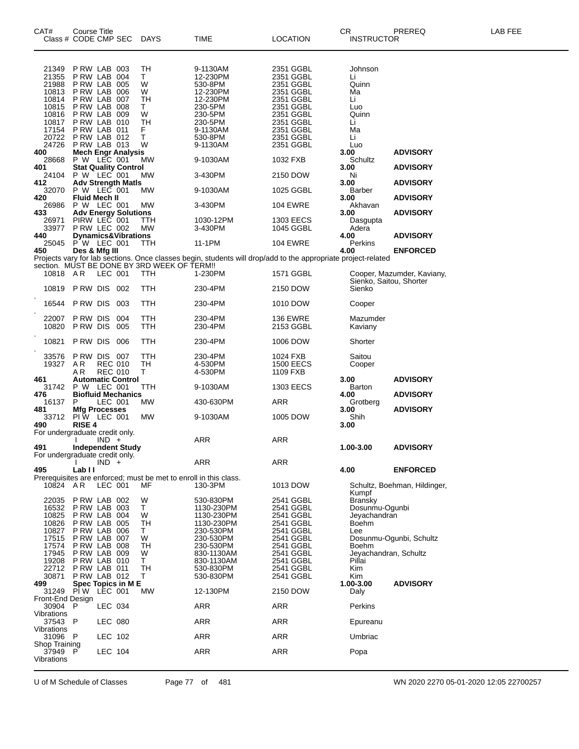| CAT#<br>Class # CODE CMP SEC   | Course Title                |                |                                | DAYS                                        | TIME                                                                                                          | LOCATION                     | CR<br><b>INSTRUCTOR</b>           | PREREQ                       | LAB FEE |
|--------------------------------|-----------------------------|----------------|--------------------------------|---------------------------------------------|---------------------------------------------------------------------------------------------------------------|------------------------------|-----------------------------------|------------------------------|---------|
| 21349                          | PRW LAB 003                 |                |                                | TН                                          | 9-1130AM                                                                                                      | 2351 GGBL                    | Johnson                           |                              |         |
| 21355                          | PRW LAB 004                 |                |                                | T.                                          | 12-230PM                                                                                                      | 2351 GGBL                    | Li                                |                              |         |
| 21988<br>10813                 | PRW LAB 005<br>PRW LAB 006  |                |                                | W<br>W                                      | 530-8PM<br>12-230PM                                                                                           | 2351 GGBL<br>2351 GGBL       | Quinn<br>Ma                       |                              |         |
| 10814                          | PRW LAB 007                 |                |                                | TН                                          | 12-230PM                                                                                                      | 2351 GGBL                    | Li                                |                              |         |
| 10815                          | PRW LAB 008                 |                |                                | T.                                          | 230-5PM                                                                                                       | 2351 GGBL                    | Luo                               |                              |         |
| 10816<br>10817                 | PRW LAB 009<br>P RW LAB 010 |                |                                | W<br>TН                                     | 230-5PM<br>230-5PM                                                                                            | 2351 GGBL<br>2351 GGBL       | Quinn<br>Li                       |                              |         |
| 17154                          | PRW LAB 011                 |                |                                | F                                           | 9-1130AM                                                                                                      | 2351 GGBL                    | Ma                                |                              |         |
| 20722                          | PRW LAB 012                 |                |                                | Τ                                           | 530-8PM                                                                                                       | 2351 GGBL                    | Li                                |                              |         |
| 24726<br>400                   | PRW LAB 013                 |                |                                | W                                           | 9-1130AM                                                                                                      | 2351 GGBL                    | Luo                               |                              |         |
| 28668                          | P W LEC 001                 |                | <b>Mech Engr Analysis</b>      | MW                                          | 9-1030AM                                                                                                      | 1032 FXB                     | 3.00<br>Schultz                   | <b>ADVISORY</b>              |         |
| 401                            |                             |                | <b>Stat Quality Control</b>    |                                             |                                                                                                               |                              | 3.00                              | <b>ADVISORY</b>              |         |
| 24104                          | P W LEC 001                 |                |                                | MW                                          | 3-430PM                                                                                                       | 2150 DOW                     | Ni                                |                              |         |
| 412<br>32070                   | P W LEC 001                 |                | <b>Adv Strength Matls</b>      | МW                                          | 9-1030AM                                                                                                      | 1025 GGBL                    | 3.00<br>Barber                    | <b>ADVISORY</b>              |         |
| 420                            | <b>Fluid Mech II</b>        |                |                                |                                             |                                                                                                               |                              | 3.00                              | <b>ADVISORY</b>              |         |
| 26986                          | P W LEC 001                 |                |                                | MW                                          | 3-430PM                                                                                                       | 104 EWRE                     | Akhavan                           |                              |         |
| 433                            | PIRW LEC 001                |                | <b>Adv Energy Solutions</b>    | TTH                                         | 1030-12PM                                                                                                     | 1303 EECS                    | 3.00                              | <b>ADVISORY</b>              |         |
| 26971<br>33977                 | PRW LEC 002                 |                |                                | МW                                          | 3-430PM                                                                                                       | 1045 GGBL                    | Dasgupta<br>Adera                 |                              |         |
| 440                            |                             |                | <b>Dynamics&amp;Vibrations</b> |                                             |                                                                                                               |                              | 4.00                              | <b>ADVISORY</b>              |         |
| 25045                          | P W LEC 001                 |                |                                | TTH                                         | 11-1PM                                                                                                        | <b>104 EWRE</b>              | Perkins                           |                              |         |
| 450                            | Des & Mfg III               |                |                                |                                             | Projects vary for lab sections. Once classes begin, students will drop/add to the appropriate project-related |                              | 4.00                              | <b>ENFORCED</b>              |         |
|                                |                             |                |                                | section. MUST BE DONE BY 3RD WEEK OF TERM!! |                                                                                                               |                              |                                   |                              |         |
| 10818 AR                       |                             | LEC 001        |                                | TTH                                         | 1-230PM                                                                                                       | 1571 GGBL                    |                                   | Cooper, Mazumder, Kaviany,   |         |
| 10819 PRW DIS                  |                             |                | 002                            | TTH                                         | 230-4PM                                                                                                       | 2150 DOW                     | Sienko, Saitou, Shorter<br>Sienko |                              |         |
|                                |                             |                |                                |                                             |                                                                                                               |                              |                                   |                              |         |
| 16544                          | P RW DIS                    |                | 003                            | TTH                                         | 230-4PM                                                                                                       | 1010 DOW                     | Cooper                            |                              |         |
| 22007                          | P RW DIS                    |                | 004                            | TTH                                         | 230-4PM                                                                                                       | <b>136 EWRE</b>              | Mazumder                          |                              |         |
| 10820                          | P RW DIS                    |                | 005                            | TTH                                         | 230-4PM                                                                                                       | 2153 GGBL                    | Kaviany                           |                              |         |
| 10821                          | P RW DIS                    |                | 006                            | TTH                                         | 230-4PM                                                                                                       | 1006 DOW                     | Shorter                           |                              |         |
|                                |                             |                |                                |                                             |                                                                                                               |                              |                                   |                              |         |
| 33576                          | PRW DIS 007                 |                |                                | TTH                                         | 230-4PM                                                                                                       | 1024 FXB                     | Saitou                            |                              |         |
| 19327                          | A R<br>ΑR                   | <b>REC 010</b> | <b>REC 010</b>                 | TН<br>т                                     | 4-530PM<br>4-530PM                                                                                            | <b>1500 EECS</b><br>1109 FXB | Cooper                            |                              |         |
| 461                            |                             |                | <b>Automatic Control</b>       |                                             |                                                                                                               |                              | 3.00                              | <b>ADVISORY</b>              |         |
| 31742                          | P W LEC 001                 |                |                                | ттн                                         | 9-1030AM                                                                                                      | 1303 EECS                    | Barton                            |                              |         |
| 476<br>16137                   | P                           | LEC 001        | <b>Biofluid Mechanics</b>      | MW                                          | 430-630PM                                                                                                     | ARR                          | 4.00<br>Grotberg                  | <b>ADVISORY</b>              |         |
| 481                            | <b>Mfg Processes</b>        |                |                                |                                             |                                                                                                               |                              | 3.00                              | <b>ADVISORY</b>              |         |
| 33712 PIW LEC 001              |                             |                |                                | МW                                          | 9-1030AM                                                                                                      | 1005 DOW                     | Shih                              |                              |         |
| 490                            | <b>RISE 4</b>               |                |                                |                                             |                                                                                                               |                              | 3.00                              |                              |         |
| For undergraduate credit only. |                             | $IND +$        |                                |                                             | ARR                                                                                                           | ARR                          |                                   |                              |         |
| 491                            |                             |                | <b>Independent Study</b>       |                                             |                                                                                                               |                              | 1.00-3.00                         | <b>ADVISORY</b>              |         |
| For undergraduate credit only. |                             |                |                                |                                             |                                                                                                               |                              |                                   |                              |         |
| 495                            | Ι.<br>Lab II                | $IND +$        |                                |                                             | <b>ARR</b>                                                                                                    | <b>ARR</b>                   | 4.00                              | <b>ENFORCED</b>              |         |
|                                |                             |                |                                |                                             | Prerequisites are enforced; must be met to enroll in this class.                                              |                              |                                   |                              |         |
| 10824 AR                       |                             | LEC 001        |                                | МF                                          | 130-3PM                                                                                                       | 1013 DOW                     |                                   | Schultz, Boehman, Hildinger, |         |
|                                |                             |                |                                |                                             |                                                                                                               |                              | Kumpf                             |                              |         |
| 22035<br>16532                 | PRW LAB 002<br>P RW LAB 003 |                |                                | W<br>T.                                     | 530-830PM<br>1130-230PM                                                                                       | 2541 GGBL<br>2541 GGBL       | Bransky<br>Dosunmu-Ogunbi         |                              |         |
| 10825                          | PRW LAB 004                 |                |                                | W                                           | 1130-230PM                                                                                                    | 2541 GGBL                    | Jeyachandran                      |                              |         |
| 10826                          | PRW LAB 005                 |                |                                | TН                                          | 1130-230PM                                                                                                    | 2541 GGBL                    | Boehm                             |                              |         |
| 10827                          | P RW LAB 006                |                |                                | T.                                          | 230-530PM                                                                                                     | 2541 GGBL                    | Lee                               |                              |         |
| 17515<br>17574                 | PRW LAB 007<br>PRW LAB 008  |                |                                | W<br>TН                                     | 230-530PM<br>230-530PM                                                                                        | 2541 GGBL<br>2541 GGBL       | Boehm                             | Dosunmu-Ogunbi, Schultz      |         |
| 17945                          | PRW LAB 009                 |                |                                | W                                           | 830-1130AM                                                                                                    | 2541 GGBL                    | Jeyachandran, Schultz             |                              |         |
| 19208                          | PRW LAB 010                 |                |                                | T.                                          | 830-1130AM                                                                                                    | 2541 GGBL                    | Pillai                            |                              |         |
| 22712                          | PRW LAB 011<br>PRW LAB 012  |                |                                | <b>TH</b><br>т                              | 530-830PM                                                                                                     | 2541 GGBL                    | Kim                               |                              |         |
| 30871<br>499                   |                             |                | Spec Topics in ME              |                                             | 530-830PM                                                                                                     | 2541 GGBL                    | Kim<br>1.00-3.00                  | <b>ADVISORY</b>              |         |
| 31249 PIW LEC 001              |                             |                |                                | МW                                          | 12-130PM                                                                                                      | 2150 DOW                     | Daly                              |                              |         |
| Front-End Design               |                             |                |                                |                                             |                                                                                                               |                              |                                   |                              |         |
| 30904 P<br>Vibrations          |                             | LEC 034        |                                |                                             | ARR                                                                                                           | ARR                          | Perkins                           |                              |         |
| 37543 P                        |                             | <b>LEC 080</b> |                                |                                             | ARR                                                                                                           | ARR                          | Epureanu                          |                              |         |
| Vibrations<br>31096 P          |                             | LEC 102        |                                |                                             | ARR                                                                                                           | ARR                          | Umbriac                           |                              |         |
| Shop Training                  |                             |                |                                |                                             |                                                                                                               |                              |                                   |                              |         |
| 37949 P<br>Vibrations          |                             | LEC 104        |                                |                                             | ARR                                                                                                           | ARR                          | Popa                              |                              |         |
|                                |                             |                |                                |                                             |                                                                                                               |                              |                                   |                              |         |

U of M Schedule of Classes Page 77 of 481 WN 2020 2270 05-01-2020 12:05 22700257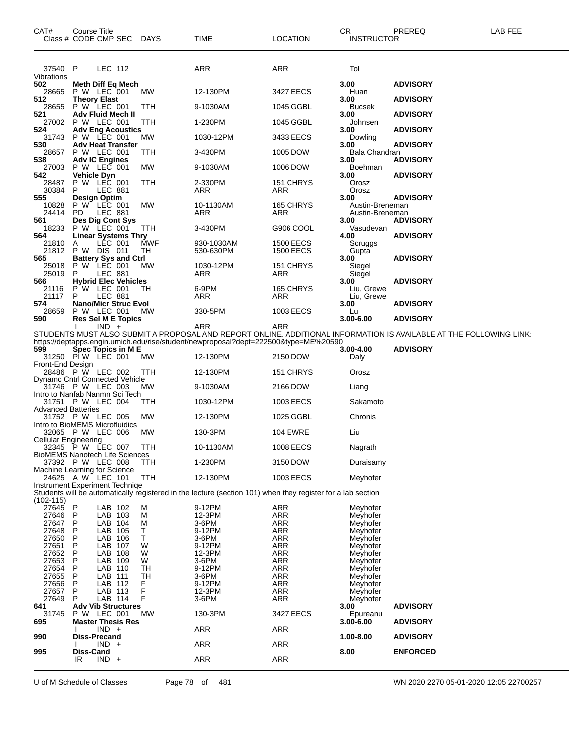| CAT#                        | Course Title<br>Class # CODE CMP SEC                    | DAYS   | TIME                                                                                                        | <b>LOCATION</b>          | CR.<br><b>INSTRUCTOR</b>           | PREREQ                                                                                                             | LAB FEE |
|-----------------------------|---------------------------------------------------------|--------|-------------------------------------------------------------------------------------------------------------|--------------------------|------------------------------------|--------------------------------------------------------------------------------------------------------------------|---------|
| 37540 P<br>Vibrations       | LEC 112                                                 |        | ARR                                                                                                         | ARR                      | Tol                                |                                                                                                                    |         |
| 502<br>28665<br>512         | Meth Diff Eq Mech<br>P W LEC 001<br><b>Theory Elast</b> | МW     | 12-130PM                                                                                                    | 3427 EECS                | 3.00<br>Huan<br>3.00               | <b>ADVISORY</b><br><b>ADVISORY</b>                                                                                 |         |
| 28655                       | P W LEC 001                                             | TTH    | 9-1030AM                                                                                                    | 1045 GGBL                | Bucsek                             |                                                                                                                    |         |
| 521<br>27002                | <b>Adv Fluid Mech II</b><br>P W LEC 001                 | TTH    | 1-230PM                                                                                                     | 1045 GGBL                | 3.00<br>Johnsen                    | <b>ADVISORY</b>                                                                                                    |         |
| 524<br>31743                | <b>Adv Eng Acoustics</b><br>P W LEC 001                 | MW     | 1030-12PM                                                                                                   | 3433 EECS                | 3.00<br>Dowling                    | <b>ADVISORY</b>                                                                                                    |         |
| 530<br>28657                | <b>Adv Heat Transfer</b><br>P W LEC 001                 | TTH    | 3-430PM                                                                                                     | 1005 DOW                 | 3.00<br>Bala Chandran              | <b>ADVISORY</b>                                                                                                    |         |
| 538<br>27003                | <b>Adv IC Engines</b><br>P W LEC 001                    | МW     | 9-1030AM                                                                                                    | 1006 DOW                 | 3.00<br>Boehman                    | <b>ADVISORY</b>                                                                                                    |         |
| 542<br>28487                | <b>Vehicle Dyn</b><br>P W LEC 001                       | TTH    | 2-330PM                                                                                                     | 151 CHRYS                | 3.00<br>Orosz                      | <b>ADVISORY</b>                                                                                                    |         |
| 30384<br>555                | P<br>LEC 881                                            |        | ARR                                                                                                         | ARR                      | Orosz<br>3.00                      | <b>ADVISORY</b>                                                                                                    |         |
| 10828<br>24414              | <b>Design Optim</b><br>P W LEC 001<br>PD.<br>LEC 881    | МW     | 10-1130AM<br>ARR                                                                                            | 165 CHRYS<br>ARR         | Austin-Breneman<br>Austin-Breneman |                                                                                                                    |         |
| 561<br>18233                | Des Dig Cont Sys<br>P W LEC 001                         | TTH    | 3-430PM                                                                                                     | G906 COOL                | 3.00<br>Vasudevan                  | <b>ADVISORY</b>                                                                                                    |         |
| 564<br>21810                | <b>Linear Systems Thry</b><br>LEC 001<br>A              | MWF    | 930-1030AM                                                                                                  | <b>1500 EECS</b>         | 4.00<br>Scruggs                    | <b>ADVISORY</b>                                                                                                    |         |
| 21812<br>565                | P W DIS 011<br><b>Battery Sys and Ctrl</b>              | TH     | 530-630PM                                                                                                   | <b>1500 EECS</b>         | Gupta<br>3.00                      | <b>ADVISORY</b>                                                                                                    |         |
| 25018                       | P W LEC 001                                             | МW     | 1030-12PM                                                                                                   | 151 CHRYS                | Siegel                             |                                                                                                                    |         |
| 25019<br>566                | P<br><b>LEC 881</b><br><b>Hybrid Elec Vehicles</b>      |        | ARR                                                                                                         | ARR                      | Siegel<br>3.00                     | <b>ADVISORY</b>                                                                                                    |         |
| 21116<br>21117              | P W LEC 001<br>P<br>LEC 881                             | TН     | 6-9PM<br>ARR                                                                                                | 165 CHRYS<br>ARR         | Liu, Grewe<br>Liu, Grewe           |                                                                                                                    |         |
| 574<br>28659                | <b>Nano/Micr Struc Evol</b><br>P W LEC 001              | МW     | 330-5PM                                                                                                     | 1003 EECS                | 3.00<br>Lu                         | <b>ADVISORY</b>                                                                                                    |         |
| 590                         | <b>Res Sel M E Topics</b><br>$IND +$                    |        | ARR                                                                                                         | ARR                      | 3.00-6.00                          | <b>ADVISORY</b>                                                                                                    |         |
|                             |                                                         |        | https://deptapps.engin.umich.edu/rise/student/newproposal?dept=222500&type=ME%20590                         |                          |                                    | STUDENTS MUST ALSO SUBMIT A PROPOSAL AND REPORT ONLINE. ADDITIONAL INFORMATION IS AVAILABLE AT THE FOLLOWING LINK: |         |
| 599                         | Spec Topics in M E<br>31250 PIW LEC 001                 | МW     | 12-130PM                                                                                                    | 2150 DOW                 | 3.00-4.00<br>Daly                  | <b>ADVISORY</b>                                                                                                    |         |
| Front-End Design            | 28486 P W LEC 002                                       | ттн    | 12-130PM                                                                                                    | 151 CHRYS                | Orosz                              |                                                                                                                    |         |
|                             | Dynamc Cntrl Connected Vehicle<br>31746 P W LEC 003     | MW     | 9-1030AM                                                                                                    | 2166 DOW                 | Liang                              |                                                                                                                    |         |
|                             | Intro to Nanfab Nanmn Sci Tech<br>31751 P W LEC 004     | TTH    | 1030-12PM                                                                                                   | 1003 EECS                | Sakamoto                           |                                                                                                                    |         |
| <b>Advanced Batteries</b>   | 31752 P W LEC 005<br>Intro to BioMEMS Microfluidics     | MW     | 12-130PM                                                                                                    | 1025 GGBL                | Chronis                            |                                                                                                                    |         |
|                             | 32065 PW LEC 006                                        | МW     | 130-3PM                                                                                                     | <b>104 EWRE</b>          | Liu                                |                                                                                                                    |         |
| <b>Cellular Engineering</b> | 32345 P W LEC 007                                       | TTH    | 10-1130AM                                                                                                   | 1008 EECS                | Nagrath                            |                                                                                                                    |         |
|                             | BioMEMS Nanotech Life Sciences<br>37392 P W LEC 008     | ттн    | 1-230PM                                                                                                     | 3150 DOW                 | Duraisamy                          |                                                                                                                    |         |
|                             | Machine Learning for Science<br>24625 A W LEC 101       | TTH    | 12-130PM                                                                                                    | 1003 EECS                | Meyhofer                           |                                                                                                                    |         |
| $(102 - 115)$               | Instrument Experiment Technige                          |        | Students will be automatically registered in the lecture (section 101) when they register for a lab section |                          |                                    |                                                                                                                    |         |
| 27645<br>27646              | P<br>LAB 102<br>Ρ<br>LAB 103                            | м<br>M | 9-12PM<br>12-3PM                                                                                            | ARR<br><b>ARR</b>        | Meyhofer<br>Meyhofer               |                                                                                                                    |         |
| 27647                       | Ρ<br>LAB 104                                            | M      | 3-6PM                                                                                                       | <b>ARR</b>               | Meyhofer                           |                                                                                                                    |         |
| 27648<br>27650              | Ρ<br>LAB 105<br>Ρ<br>LAB<br>106                         | Т<br>т | 9-12PM<br>3-6PM                                                                                             | ARR<br><b>ARR</b>        | Meyhofer<br>Meyhofer               |                                                                                                                    |         |
| 27651                       | Ρ<br>LAB 107                                            | W      | 9-12PM                                                                                                      | <b>ARR</b>               | Meyhofer                           |                                                                                                                    |         |
| 27652<br>27653              | P<br>LAB<br>108<br>Ρ<br>LAB 109                         | W<br>W | 12-3PM<br>3-6PM                                                                                             | <b>ARR</b><br><b>ARR</b> | Meyhofer<br>Meyhofer               |                                                                                                                    |         |
| 27654                       | Ρ<br>LAB 110                                            | TН     | 9-12PM                                                                                                      | <b>ARR</b>               | Meyhofer                           |                                                                                                                    |         |
| 27655                       | Ρ<br>LAB<br>111                                         | TН     | 3-6PM                                                                                                       | <b>ARR</b>               | Meyhofer                           |                                                                                                                    |         |
| 27656<br>27657              | P<br>LAB 112<br>P<br>LAB 113                            | F<br>F | 9-12PM<br>12-3PM                                                                                            | <b>ARR</b><br><b>ARR</b> | Meyhofer<br>Meyhofer               |                                                                                                                    |         |
| 27649                       | P<br>LAB 114                                            | F      | 3-6PM                                                                                                       | ARR                      | Meyhofer                           |                                                                                                                    |         |
| 641                         | <b>Adv Vib Structures</b><br>P W LEC 001                |        |                                                                                                             |                          | 3.00                               | <b>ADVISORY</b>                                                                                                    |         |
| 31745<br>695                | <b>Master Thesis Res</b><br>$IND +$                     | MW     | 130-3PM<br><b>ARR</b>                                                                                       | 3427 EECS<br>ARR         | Epureanu<br>$3.00 - 6.00$          | <b>ADVISORY</b>                                                                                                    |         |
| 990                         | Diss-Precand                                            |        |                                                                                                             |                          | 1.00-8.00                          | <b>ADVISORY</b>                                                                                                    |         |
| 995                         | IND<br>$+$<br>Diss-Cand                                 |        | ARR                                                                                                         | <b>ARR</b>               | 8.00                               | <b>ENFORCED</b>                                                                                                    |         |
|                             | IR<br>$IND +$                                           |        | ARR                                                                                                         | <b>ARR</b>               |                                    |                                                                                                                    |         |

U of M Schedule of Classes Page 78 of 481 WN 2020 2270 05-01-2020 12:05 22700257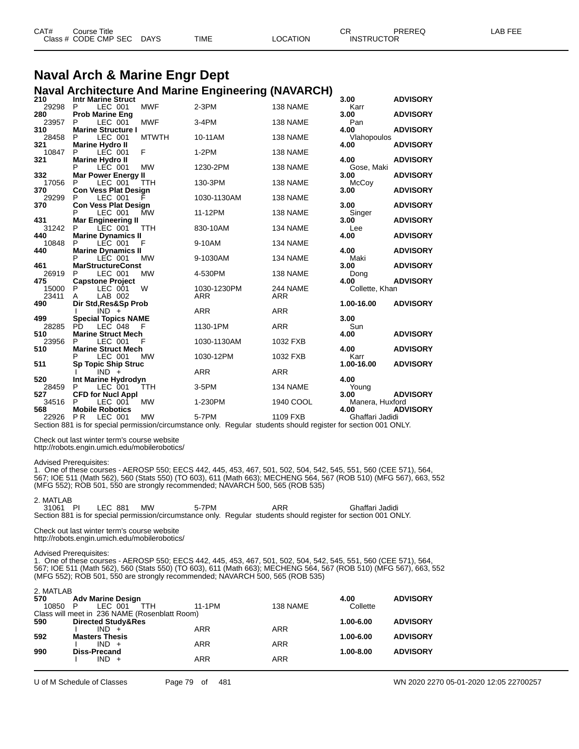| CAT# | Course Title         |             |             |          | ⌒г<br>◡           | PREREQ | LAB FEF |
|------|----------------------|-------------|-------------|----------|-------------------|--------|---------|
|      | Class # CODE CMP SEC | <b>DAYS</b> | <b>TIME</b> | LOCATION | <b>INSTRUCTOR</b> |        |         |

#### **Naval Arch & Marine Engr Dept Naval Architecture And Marine Engineering (NAVARCH)**

| 210   | <b>Intr Marine Struct</b>                |              |             |            | 3.00            | <b>ADVISORY</b> |
|-------|------------------------------------------|--------------|-------------|------------|-----------------|-----------------|
| 29298 | P.<br>LEC 001                            | <b>MWF</b>   | $2-3PM$     | 138 NAME   | Karr            |                 |
| 280   | <b>Prob Marine Eng</b>                   |              |             |            | 3.00            | <b>ADVISORY</b> |
| 23957 | LEC 001<br>P                             | <b>MWF</b>   | $3-4PM$     | 138 NAME   | Pan             |                 |
| 310   | <b>Marine Structure I</b>                |              |             |            | 4.00            | <b>ADVISORY</b> |
| 28458 | LEC 001<br>P                             | <b>MTWTH</b> | 10-11AM     | 138 NAME   | Vlahopoulos     |                 |
| 321   | <b>Marine Hydro II</b>                   |              |             |            | 4.00            | <b>ADVISORY</b> |
| 10847 | LEC 001<br>P                             | F            | $1-2PM$     | 138 NAME   |                 |                 |
| 321   | <b>Marine Hydro II</b>                   |              |             |            | 4.00            | <b>ADVISORY</b> |
|       | P<br>LEC 001                             | <b>MW</b>    | 1230-2PM    | 138 NAME   | Gose, Maki      |                 |
| 332   | <b>Mar Power Energy II</b>               |              |             |            | 3.00            | <b>ADVISORY</b> |
| 17056 | LEC 001<br>P                             | <b>TTH</b>   | 130-3PM     | 138 NAME   | McCoy           |                 |
| 370   | <b>Con Vess Plat Design</b>              |              |             |            | 3.00            | <b>ADVISORY</b> |
| 29299 | P<br>LEC 001                             |              | 1030-1130AM | 138 NAME   |                 |                 |
| 370   | <b>Con Vess Plat Design</b>              |              |             |            | 3.00            | <b>ADVISORY</b> |
|       | LEC 001<br>P                             | <b>MW</b>    | 11-12PM     | 138 NAME   | Singer          |                 |
| 431   | <b>Mar Engineering II</b>                |              |             |            | 3.00            | <b>ADVISORY</b> |
| 31242 | LEC 001<br>P                             | <b>TTH</b>   | 830-10AM    | 134 NAME   | Lee             |                 |
| 440   | <b>Marine Dynamics II</b>                |              |             |            | 4.00            | <b>ADVISORY</b> |
| 10848 | P<br>LEC 001                             | - F          | 9-10AM      | 134 NAME   |                 |                 |
| 440   | <b>Marine Dynamics II</b>                |              |             |            | 4.00            | <b>ADVISORY</b> |
| 461   | LEC 001<br>P<br><b>MarStructureConst</b> | <b>MW</b>    | 9-1030AM    | 134 NAME   | Maki<br>3.00    | <b>ADVISORY</b> |
| 26919 | LEC 001<br>P                             | <b>MW</b>    | 4-530PM     | 138 NAME   |                 |                 |
| 475   | <b>Capstone Project</b>                  |              |             |            | Dong<br>4.00    | <b>ADVISORY</b> |
| 15000 | P<br>LEC 001                             | W            | 1030-1230PM | 244 NAME   | Collette, Khan  |                 |
| 23411 | LAB 002<br>A                             |              | <b>ARR</b>  | <b>ARR</b> |                 |                 |
| 490   | Dir Std, Res&Sp Prob                     |              |             |            | 1.00-16.00      | <b>ADVISORY</b> |
|       | $IND +$                                  |              | <b>ARR</b>  | <b>ARR</b> |                 |                 |
| 499   | <b>Special Topics NAME</b>               |              |             |            | 3.00            |                 |
| 28285 | PD.<br>LEC 048                           | F            | 1130-1PM    | <b>ARR</b> | Sun             |                 |
| 510   | <b>Marine Struct Mech</b>                |              |             |            | 4.00            | <b>ADVISORY</b> |
| 23956 | P<br>LEC 001                             | F            | 1030-1130AM | 1032 FXB   |                 |                 |
| 510   | <b>Marine Struct Mech</b>                |              |             |            | 4.00            | <b>ADVISORY</b> |
|       | P<br>LEC 001                             | MW           | 1030-12PM   | 1032 FXB   | Karr            |                 |
| 511   | <b>Sp Topic Ship Struc</b>               |              |             |            | 1.00-16.00      | <b>ADVISORY</b> |
|       | $IND +$                                  |              | <b>ARR</b>  | <b>ARR</b> |                 |                 |
| 520   | Int Marine Hydrodyn                      |              |             |            | 4.00            |                 |
| 28459 | P<br>LEC 001                             | <b>TTH</b>   | 3-5PM       | 134 NAME   | Young           |                 |
| 527   | <b>CFD for Nucl Appl</b>                 |              |             |            | 3.00            | <b>ADVISORY</b> |
| 34516 | P<br>LEC 001                             | <b>MW</b>    | 1-230PM     | 1940 COOL  | Manera, Huxford |                 |
| 568   | <b>Mobile Robotics</b>                   |              |             |            | 4.00            | <b>ADVISORY</b> |
| 22926 | <b>PR</b><br>LEC 001                     | <b>MW</b>    | 5-7PM       | 1109 FXB   | Ghaffari Jadidi |                 |

Section 881 is for special permission/circumstance only. Regular students should register for section 001 ONLY.

Check out last winter term's course website

http://robots.engin.umich.edu/mobilerobotics/

#### Advised Prerequisites:

1. One of these courses - AEROSP 550; EECS 442, 445, 453, 467, 501, 502, 504, 542, 545, 551, 560 (CEE 571), 564, 567; IOE 511 (Math 562), 560 (Stats 550) (TO 603), 611 (Math 663); MECHENG 564, 567 (ROB 510) (MFG 567), 663, 552 (MFG 552); ROB 501, 550 are strongly recommended; NAVARCH 500, 565 (ROB 535)

#### 2. MATLAB

| 31061 PI | LEC 881 | МW | 5-7PM | ARR                                                                                                             | Ghaffari Jadidi |  |
|----------|---------|----|-------|-----------------------------------------------------------------------------------------------------------------|-----------------|--|
|          |         |    |       | Section 881 is for special permission/circumstance only. Regular students should register for section 001 ONLY. |                 |  |

Check out last winter term's course website http://robots.engin.umich.edu/mobilerobotics/

#### Advised Prerequisites:

1. One of these courses - AEROSP 550; EECS 442, 445, 453, 467, 501, 502, 504, 542, 545, 551, 560 (CEE 571), 564, 567; IOE 511 (Math 562), 560 (Stats 550) (TO 603), 611 (Math 663); MECHENG 564, 567 (ROB 510) (MFG 567), 663, 552 (MFG 552); ROB 501, 550 are strongly recommended; NAVARCH 500, 565 (ROB 535)

| 2. MATLAB<br>570<br>10850<br>- P | <b>Adv Marine Design</b><br>LEC 001<br>TTH                                                | 11-1PM     | 138 NAME   | 4.00<br>Collette | <b>ADVISORY</b> |
|----------------------------------|-------------------------------------------------------------------------------------------|------------|------------|------------------|-----------------|
| 590                              | Class will meet in 236 NAME (Rosenblatt Room)<br><b>Directed Study&amp;Res</b><br>$IND +$ | <b>ARR</b> | <b>ARR</b> | 1.00-6.00        | <b>ADVISORY</b> |
| 592                              | <b>Masters Thesis</b><br>$IND +$                                                          | <b>ARR</b> | <b>ARR</b> | 1.00-6.00        | <b>ADVISORY</b> |
| 990                              | <b>Diss-Precand</b><br>$IND +$                                                            | ARR        | <b>ARR</b> | $1.00 - 8.00$    | <b>ADVISORY</b> |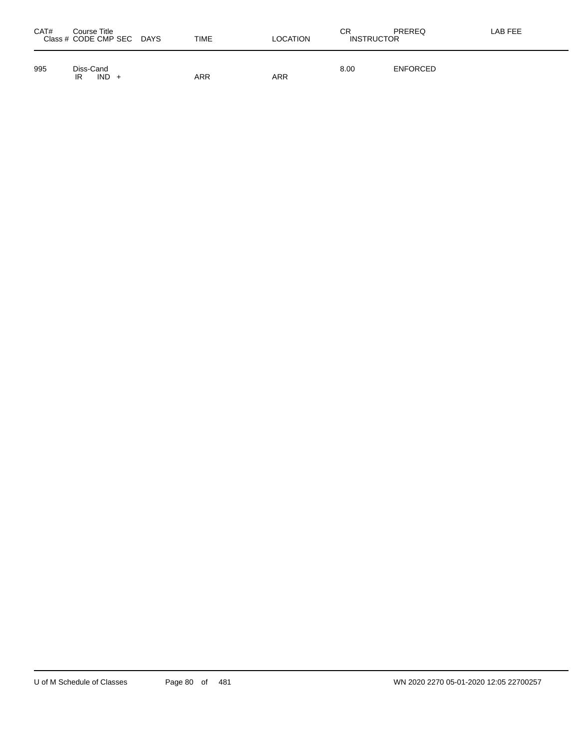| CAT# | Course Title<br>Class # CODE CMP SEC DAYS | <b>TIME</b> | <b>LOCATION</b> | СR<br><b>INSTRUCTOR</b> | PREREQ          | LAB FEE |
|------|-------------------------------------------|-------------|-----------------|-------------------------|-----------------|---------|
| 995  | Diss-Cand<br>$IND +$<br>IR                | ARR         | ARR             | 8.00                    | <b>ENFORCED</b> |         |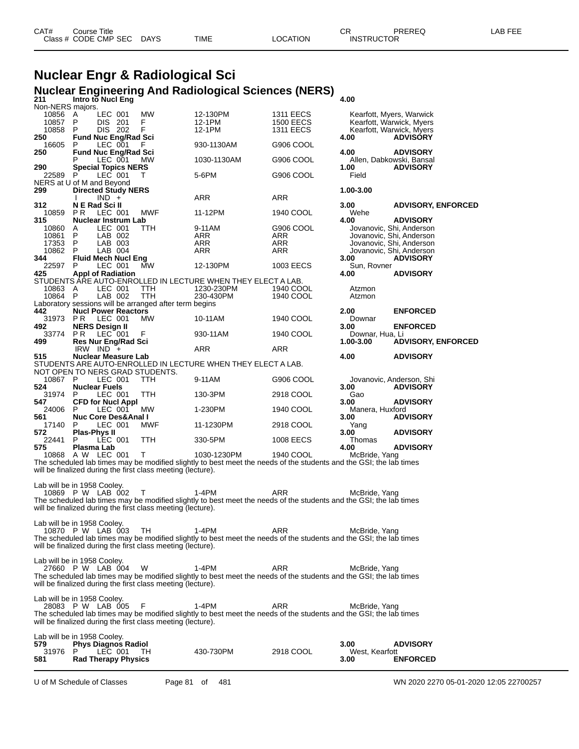| CAT# | Course Title              |             |          | СF                | PREREQ | LAB FEE |
|------|---------------------------|-------------|----------|-------------------|--------|---------|
|      | Class # CODE CMP SEC DAYS | <b>TIME</b> | LOCATION | <b>INSTRUCTOR</b> |        |         |

# **Nuclear Engr & Radiological Sci Nuclear Engineering And Radiological Sciences (NERS) 211 Intro to Nucl Eng 4.00**

| Non-NERS majors.                   |                                           |                    |                                                               |                                                                                                                    |                                      |                 |                                                      |
|------------------------------------|-------------------------------------------|--------------------|---------------------------------------------------------------|--------------------------------------------------------------------------------------------------------------------|--------------------------------------|-----------------|------------------------------------------------------|
| 10856<br>10857                     | A<br>P                                    | LEC 001<br>DIS 201 | MW<br>F.                                                      | 12-130PM<br>12-1PM                                                                                                 | <b>1311 EECS</b><br><b>1500 EECS</b> |                 | Kearfott, Myers, Warwick<br>Kearfott, Warwick, Myers |
| 10858                              | P                                         | DIS 202            | F                                                             | 12-1PM                                                                                                             | <b>1311 EECS</b>                     |                 | Kearfott, Warwick, Myers                             |
| 250                                | <b>Fund Nuc Eng/Rad Sci</b>               |                    |                                                               |                                                                                                                    |                                      | 4.00            | <b>ADVISORY</b>                                      |
| 16605                              | P                                         | LEC 001            |                                                               | 930-1130AM                                                                                                         | G906 COOL                            |                 |                                                      |
| 250                                | <b>Fund Nuc Eng/Rad Sci</b>               |                    |                                                               |                                                                                                                    |                                      | 4.00            | <b>ADVISORY</b>                                      |
| 290                                | <b>Special Topics NERS</b>                | LEC 001            | MW                                                            | 1030-1130AM                                                                                                        | G906 COOL                            | 1.00            | Allen, Dabkowski, Bansal<br><b>ADVISORY</b>          |
| 22589                              | P                                         | LEC 001            | T                                                             | 5-6PM                                                                                                              | G906 COOL                            | Field           |                                                      |
| NERS at U of M and Beyond          |                                           |                    |                                                               |                                                                                                                    |                                      |                 |                                                      |
| 299                                | <b>Directed Study NERS</b>                |                    |                                                               |                                                                                                                    |                                      | 1.00-3.00       |                                                      |
|                                    |                                           | $IND +$            |                                                               | ARR                                                                                                                | ARR                                  |                 |                                                      |
| 312.<br>10859                      | N E Rad Sci II<br>P R                     | LEC 001            | <b>MWF</b>                                                    | 11-12PM                                                                                                            | 1940 COOL                            | 3.00<br>Wehe    | <b>ADVISORY, ENFORCED</b>                            |
| 315                                | <b>Nuclear Instrum Lab</b>                |                    |                                                               |                                                                                                                    |                                      | 4.00            | <b>ADVISORY</b>                                      |
| 10860                              | A                                         | LEC 001            | TTH                                                           | 9-11AM                                                                                                             | G906 COOL                            |                 | Jovanovic, Shi, Anderson                             |
| 10861                              | P                                         | LAB 002            |                                                               | ARR                                                                                                                | ARR                                  |                 | Jovanovic, Shi, Anderson                             |
| 17353                              | P                                         | LAB 003            |                                                               | ARR                                                                                                                | ARR                                  |                 | Jovanovic, Shi, Anderson                             |
| 10862<br>344                       | P<br><b>Fluid Mech Nucl Eng</b>           | LAB 004            |                                                               | ARR                                                                                                                | ARR                                  | 3.00            | Jovanovic, Shi, Anderson<br><b>ADVISORY</b>          |
| 22597                              | P                                         | LEC 001            | MW                                                            | 12-130PM                                                                                                           | 1003 EECS                            | Sun, Rovner     |                                                      |
| 425                                | <b>Appl of Radiation</b>                  |                    |                                                               |                                                                                                                    |                                      | 4.00            | <b>ADVISORY</b>                                      |
|                                    |                                           |                    |                                                               | STUDENTS ARE AUTO-ENROLLED IN LECTURE WHEN THEY ELECT A LAB.                                                       |                                      |                 |                                                      |
| 10863 A                            |                                           | LEC 001            | TTH                                                           | 1230-230PM                                                                                                         | 1940 COOL                            | Atzmon          |                                                      |
| 10864                              | - P                                       | LAB 002            | TTH<br>Laboratory sessions will be arranged after term begins | 230-430PM                                                                                                          | 1940 COOL                            | Atzmon          |                                                      |
| 442                                | <b>Nucl Power Reactors</b>                |                    |                                                               |                                                                                                                    |                                      | 2.00            | <b>ENFORCED</b>                                      |
| 31973 PR                           |                                           | LEC 001            | MW                                                            | 10-11AM                                                                                                            | 1940 COOL                            | Downar          |                                                      |
| 492                                | <b>NERS Design II</b>                     |                    |                                                               |                                                                                                                    |                                      | 3.00            | <b>ENFORCED</b>                                      |
| 33774                              | <b>PR</b>                                 | $LEC$ 001          | F                                                             | 930-11AM                                                                                                           | 1940 COOL                            | Downar, Hua, Li |                                                      |
| 499                                | <b>Res Nur Eng/Rad Sci</b>                |                    |                                                               |                                                                                                                    |                                      | $1.00 - 3.00$   | <b>ADVISORY, ENFORCED</b>                            |
| 515                                | IRW IND $+$<br><b>Nuclear Measure Lab</b> |                    |                                                               | ARR                                                                                                                | ARR                                  | 4.00            | <b>ADVISORY</b>                                      |
|                                    |                                           |                    |                                                               | STUDENTS ARE AUTO-ENROLLED IN LECTURE WHEN THEY ELECT A LAB.                                                       |                                      |                 |                                                      |
|                                    |                                           |                    | NOT OPEN TO NERS GRAD STUDENTS.                               |                                                                                                                    |                                      |                 |                                                      |
| 10867 P                            |                                           | LEC 001            | <b>TTH</b>                                                    | 9-11AM                                                                                                             | G906 COOL                            |                 | Jovanovic, Anderson, Shi                             |
| 524                                | <b>Nuclear Fuels</b>                      |                    |                                                               |                                                                                                                    |                                      | 3.00            | <b>ADVISORY</b>                                      |
| 31974<br>547                       | P<br><b>CFD for Nucl Appl</b>             | LEC 001            | TTH                                                           | 130-3PM                                                                                                            | 2918 COOL                            | Gao<br>3.00     | <b>ADVISORY</b>                                      |
| 24006                              | P                                         | LEC 001            | MW                                                            | 1-230PM                                                                                                            | 1940 COOL                            | Manera, Huxford |                                                      |
| 561                                | <b>Nuc Core Des&amp;Anal I</b>            |                    |                                                               |                                                                                                                    |                                      | 3.00            | <b>ADVISORY</b>                                      |
| 17140                              | P                                         | LEC 001            | <b>MWF</b>                                                    | 11-1230PM                                                                                                          | 2918 COOL                            | Yang            |                                                      |
| 572                                | Plas-Phys II                              |                    |                                                               |                                                                                                                    |                                      | 3.00            | <b>ADVISORY</b>                                      |
| 22441<br>575                       | P<br>Plasma Lab                           | LEC 001            | TTH                                                           | 330-5PM                                                                                                            | 1008 EECS                            | Thomas<br>4.00  | <b>ADVISORY</b>                                      |
|                                    | 10868 A W LEC 001                         |                    | T                                                             | 1030-1230PM                                                                                                        | 1940 COOL                            | McBride, Yang   |                                                      |
|                                    |                                           |                    |                                                               | The scheduled lab times may be modified slightly to best meet the needs of the students and the GSI; the lab times |                                      |                 |                                                      |
|                                    |                                           |                    | will be finalized during the first class meeting (lecture).   |                                                                                                                    |                                      |                 |                                                      |
|                                    |                                           |                    |                                                               |                                                                                                                    |                                      |                 |                                                      |
| Lab will be in 1958 Cooley.        | 10869 P W LAB 002                         |                    | т                                                             | 1-4PM                                                                                                              | ARR                                  |                 |                                                      |
|                                    |                                           |                    |                                                               | The scheduled lab times may be modified slightly to best meet the needs of the students and the GSI; the lab times |                                      | McBride, Yang   |                                                      |
|                                    |                                           |                    | will be finalized during the first class meeting (lecture).   |                                                                                                                    |                                      |                 |                                                      |
|                                    |                                           |                    |                                                               |                                                                                                                    |                                      |                 |                                                      |
| Lab will be in 1958 Cooley.        |                                           |                    |                                                               |                                                                                                                    |                                      |                 |                                                      |
|                                    | 10870 P W LAB 003 TH                      |                    | $1-4PM$                                                       |                                                                                                                    | ARR                                  | McBride, Yang   |                                                      |
|                                    |                                           |                    | will be finalized during the first class meeting (lecture).   | The scheduled lab times may be modified slightly to best meet the needs of the students and the GSI; the lab times |                                      |                 |                                                      |
|                                    |                                           |                    |                                                               |                                                                                                                    |                                      |                 |                                                      |
| Lab will be in 1958 Cooley.        |                                           |                    |                                                               |                                                                                                                    |                                      |                 |                                                      |
|                                    | 27660 P W LAB 004                         |                    | W                                                             | $1-4PM$                                                                                                            | <b>ARR</b>                           | McBride, Yang   |                                                      |
|                                    |                                           |                    |                                                               | The scheduled lab times may be modified slightly to best meet the needs of the students and the GSI; the lab times |                                      |                 |                                                      |
|                                    |                                           |                    | will be finalized during the first class meeting (lecture).   |                                                                                                                    |                                      |                 |                                                      |
| Lab will be in 1958 Cooley.        |                                           |                    |                                                               |                                                                                                                    |                                      |                 |                                                      |
|                                    | 28083 P W LAB 005                         |                    | F                                                             | $1-4PM$                                                                                                            | ARR                                  | McBride, Yang   |                                                      |
|                                    |                                           |                    |                                                               | The scheduled lab times may be modified slightly to best meet the needs of the students and the GSI; the lab times |                                      |                 |                                                      |
|                                    |                                           |                    | will be finalized during the first class meeting (lecture).   |                                                                                                                    |                                      |                 |                                                      |
|                                    |                                           |                    |                                                               |                                                                                                                    |                                      |                 |                                                      |
| Lab will be in 1958 Cooley.<br>579 | <b>Phys Diagnos Radiol</b>                |                    |                                                               |                                                                                                                    |                                      | 3.00            | <b>ADVISORY</b>                                      |
| 31976                              | P                                         | LEC 001            | TH.                                                           | 430-730PM                                                                                                          | 2918 COOL                            | West, Kearfott  |                                                      |
| 581                                | <b>Rad Therapy Physics</b>                |                    |                                                               |                                                                                                                    |                                      | 3.00            | <b>ENFORCED</b>                                      |
|                                    |                                           |                    |                                                               |                                                                                                                    |                                      |                 |                                                      |

U of M Schedule of Classes Page 81 of 481 WN 2020 2270 05-01-2020 12:05 22700257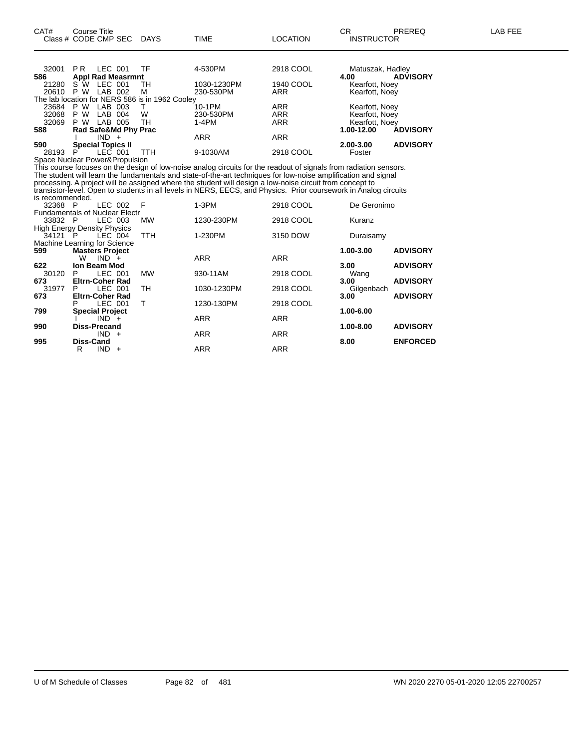| 32001<br>586 | PR.                      | LEC 001<br><b>Appl Rad Measrmnt</b> | TF                                              | 4-530PM     | 2918 COOL  | Matuszak, Hadley<br>4.00 | <b>ADVISORY</b> |
|--------------|--------------------------|-------------------------------------|-------------------------------------------------|-------------|------------|--------------------------|-----------------|
| 21280        | S W                      | LEC 001                             | TН                                              | 1030-1230PM | 1940 COOL  | Kearfott, Noey           |                 |
| 20610        | P W                      | LAB 002                             | м                                               | 230-530PM   | ARR        | Kearfott, Noey           |                 |
|              |                          |                                     | The lab location for NERS 586 is in 1962 Cooley |             |            |                          |                 |
| 23684        | P W                      | LAB 003                             |                                                 | 10-1PM      | <b>ARR</b> | Kearfott, Noey           |                 |
| 32068        | P W                      | LAB 004                             | W                                               | 230-530PM   | <b>ARR</b> | Kearfott, Noey           |                 |
| 32069        | P W                      | LAB 005                             | TH                                              | $1-4PM$     | <b>ARR</b> | Kearfott, Noey           |                 |
| 588          |                          | Rad Safe&Md Phy Prac                |                                                 |             |            | 1.00-12.00               | <b>ADVISORY</b> |
|              |                          | $IND +$                             |                                                 | <b>ARR</b>  | <b>ARR</b> |                          |                 |
| 590          | <b>Special Topics II</b> |                                     |                                                 |             |            | 2.00-3.00                | <b>ADVISORY</b> |
| 28193        |                          | LEC 001                             | ттн                                             | 9-1030AM    | 2918 COOL  | Foster                   |                 |

Space Nuclear Power&Propulsion

This course focuses on the design of low-noise analog circuits for the readout of signals from radiation sensors. The student will learn the fundamentals and state-of-the-art techniques for low-noise amplification and signal processing. A project will be assigned where the student will design a low-noise circuit from concept to transistor-level. Open to students in all levels in NERS, EECS, and Physics. Prior coursework in Analog circuits is recommended.

| 32368                                 | P                | LEC 002                |     | F          | $1-3PM$     | 2918 COOL  | De Geronimo |                 |
|---------------------------------------|------------------|------------------------|-----|------------|-------------|------------|-------------|-----------------|
| <b>Fundamentals of Nuclear Electr</b> |                  |                        |     |            |             |            |             |                 |
| 33832 P                               |                  | LEC 003                |     | <b>MW</b>  | 1230-230PM  | 2918 COOL  | Kuranz      |                 |
| <b>High Energy Density Physics</b>    |                  |                        |     |            |             |            |             |                 |
| 34121 P                               |                  | LEC 004                |     | <b>TTH</b> | 1-230PM     | 3150 DOW   | Duraisamy   |                 |
| Machine Learning for Science          |                  |                        |     |            |             |            |             |                 |
| 599                                   |                  | <b>Masters Project</b> |     |            |             |            | 1.00-3.00   | <b>ADVISORY</b> |
|                                       | W                | $IND +$                |     |            | <b>ARR</b>  | <b>ARR</b> |             |                 |
| 622                                   |                  | Ion Beam Mod           |     |            |             |            | 3.00        | <b>ADVISORY</b> |
| 30120                                 | P                | LEC 001                |     | <b>MW</b>  | 930-11AM    | 2918 COOL  | Wang        |                 |
| 673                                   |                  | <b>Eltrn-Coher Rad</b> |     |            |             |            | 3.00        | <b>ADVISORY</b> |
| 31977                                 | P                | LEC 001                |     | TH         | 1030-1230PM | 2918 COOL  | Gilgenbach  |                 |
| 673                                   |                  | <b>Eltrn-Coher Rad</b> |     |            |             |            | 3.00        | <b>ADVISORY</b> |
|                                       | Р                | LEC 001                |     | т          | 1230-130PM  | 2918 COOL  |             |                 |
| 799                                   |                  | <b>Special Project</b> |     |            |             |            | 1.00-6.00   |                 |
|                                       |                  | $IND +$                |     |            | <b>ARR</b>  | <b>ARR</b> |             |                 |
| 990                                   |                  | <b>Diss-Precand</b>    |     |            |             |            | 1.00-8.00   | <b>ADVISORY</b> |
|                                       |                  | $IND +$                |     |            | <b>ARR</b>  | <b>ARR</b> |             |                 |
| 995                                   | <b>Diss-Cand</b> |                        |     |            |             |            | 8.00        | <b>ENFORCED</b> |
|                                       | R                | <b>IND</b>             | $+$ |            | <b>ARR</b>  | <b>ARR</b> |             |                 |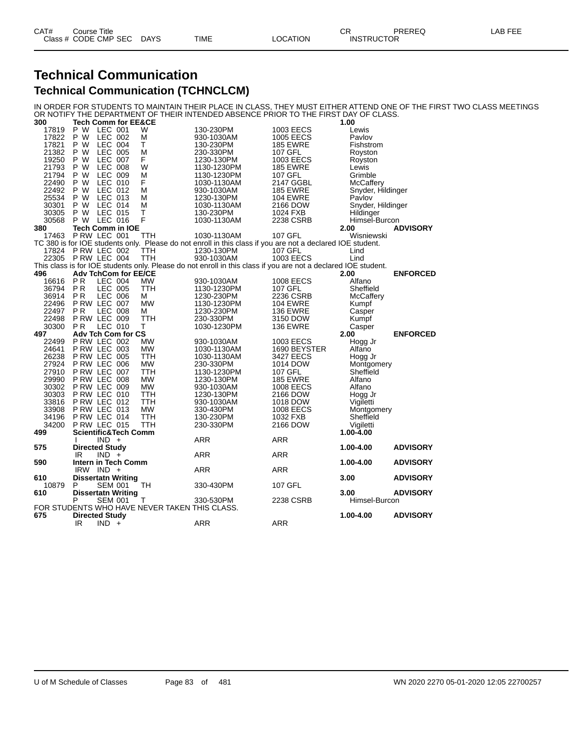## **Technical Communication Technical Communication (TCHNCLCM)**

IN ORDER FOR STUDENTS TO MAINTAIN THEIR PLACE IN CLASS, THEY MUST EITHER ATTEND ONE OF THE FIRST TWO CLASS MEETINGS OR NOTIFY THE DEPARTMENT OF THEIR INTENDED ABSENCE PRIOR TO THE FIRST DAY OF CLASS.

| 300   | <b>Tech Comm for EE&amp;CE</b>                |                                                                                                                |                  | 1.00              |                 |
|-------|-----------------------------------------------|----------------------------------------------------------------------------------------------------------------|------------------|-------------------|-----------------|
| 17819 | P W<br>LEC 001<br>W                           | 130-230PM                                                                                                      | 1003 EECS        | Lewis             |                 |
| 17822 | P W<br>LEC 002<br>М                           | 930-1030AM                                                                                                     | <b>1005 EECS</b> | Pavlov            |                 |
| 17821 | P W<br><b>LEC 004</b><br>Т                    | 130-230PM                                                                                                      | <b>185 EWRE</b>  | Fishstrom         |                 |
| 21382 | <b>LEC 005</b><br>P W<br>М                    | 230-330PM                                                                                                      | <b>107 GFL</b>   | Royston           |                 |
| 19250 | LEC 007<br>F<br>P W                           | 1230-130PM                                                                                                     | 1003 EECS        | Royston           |                 |
| 21793 | P W<br>LEC 008<br>W                           | 1130-1230PM                                                                                                    | <b>185 EWRE</b>  | Lewis             |                 |
| 21794 | P W<br>LEC 009<br>м                           | 1130-1230PM                                                                                                    | 107 GFL          | Grimble           |                 |
| 22490 | P W<br>LEC 010<br>F                           | 1030-1130AM                                                                                                    | 2147 GGBL        | McCaffery         |                 |
| 22492 | P W<br>LEC 012<br>М                           | 930-1030AM                                                                                                     | <b>185 EWRE</b>  | Snyder, Hildinger |                 |
| 25534 | P W<br>LEC 013<br>м                           | 1230-130PM                                                                                                     | <b>104 EWRE</b>  | Pavlov            |                 |
| 30301 | P W<br>LEC 014<br>M                           | 1030-1130AM                                                                                                    | 2166 DOW         | Snyder, Hildinger |                 |
| 30305 | P W<br>LEC 015<br>Τ                           | 130-230PM                                                                                                      | 1024 FXB         | Hildinger         |                 |
| 30568 | F<br><b>LEC 016</b><br>P W                    | 1030-1130AM                                                                                                    | 2238 CSRB        | Himsel-Burcon     |                 |
|       |                                               |                                                                                                                |                  |                   |                 |
| 380   | Tech Comm in IOE                              |                                                                                                                |                  | 2.00              | <b>ADVISORY</b> |
| 17463 | P RW LEC 001<br>TTH                           | 1030-1130AM                                                                                                    | 107 GFL          | Wisniewski        |                 |
|       |                                               | TC 380 is for IOE students only. Please do not enroll in this class if you are not a declared IOE student.     |                  |                   |                 |
| 17824 | PRW LEC 002<br>TTH                            | 1230-130PM                                                                                                     | 107 GFL          | Lind              |                 |
| 22305 | PRW LEC 004<br>TTH                            | 930-1030AM                                                                                                     | 1003 EECS        | Lind              |                 |
|       |                                               | This class is for IOE students only. Please do not enroll in this class if you are not a declared IOE student. |                  |                   |                 |
| 496   | <b>Adv TchCom for EE/CE</b>                   |                                                                                                                |                  | 2.00              | <b>ENFORCED</b> |
| 16616 | P <sub>R</sub><br>LEC 004<br><b>MW</b>        | 930-1030AM                                                                                                     | <b>1008 EECS</b> | Alfano            |                 |
| 36794 | PR<br>LEC 005<br>TTH                          | 1130-1230PM                                                                                                    | 107 GFL          | Sheffield         |                 |
| 36914 | <b>PR</b><br>LEC 006<br>м                     | 1230-230PM                                                                                                     | 2236 CSRB        | McCaffery         |                 |
| 22496 | P RW LEC 007<br><b>MW</b>                     | 1130-1230PM                                                                                                    | <b>104 EWRE</b>  | Kumpf             |                 |
| 22497 | <b>PR</b><br><b>LEC 008</b><br>М              | 1230-230PM                                                                                                     | <b>136 EWRE</b>  | Casper            |                 |
| 22498 | <b>P RW LEC 009</b><br>TTH                    | 230-330PM                                                                                                      | 3150 DOW         | Kumpf             |                 |
| 30300 | LEC 010<br>т<br><b>PR</b>                     | 1030-1230PM                                                                                                    | <b>136 EWRE</b>  | Casper            |                 |
| 497   | Adv Tch Com for CS                            |                                                                                                                |                  | 2.00              | <b>ENFORCED</b> |
| 22499 | PRW LEC 002<br>МW                             | 930-1030AM                                                                                                     | 1003 EECS        | Hogg Jr           |                 |
| 24641 | P RW LEC 003<br>MW                            | 1030-1130AM                                                                                                    | 1690 BEYSTER     | Alfano            |                 |
| 26238 | P RW LEC 005<br>TTH                           | 1030-1130AM                                                                                                    | 3427 EECS        | Hogg Jr           |                 |
| 27924 | PRW LEC 006<br>МW                             | 230-330PM                                                                                                      | 1014 DOW         | Montgomery        |                 |
| 27910 | P RW LEC 007<br>TTH                           | 1130-1230PM                                                                                                    | 107 GFL          | Sheffield         |                 |
| 29990 | P RW LEC 008<br>МW                            | 1230-130PM                                                                                                     | <b>185 EWRE</b>  | Alfano            |                 |
| 30302 | PRW LEC 009<br><b>MW</b>                      | 930-1030AM                                                                                                     | <b>1008 EECS</b> | Alfano            |                 |
|       | P RW LEC 010                                  |                                                                                                                |                  |                   |                 |
| 30303 | ттн<br>PRW LEC 012<br>TTH                     | 1230-130PM                                                                                                     | 2166 DOW         | Hogg Jr           |                 |
| 33816 | PRW LEC 013                                   | 930-1030AM                                                                                                     | 1018 DOW         | Vigiletti         |                 |
| 33908 | <b>MW</b>                                     | 330-430PM                                                                                                      | 1008 EECS        | Montgomery        |                 |
| 34196 | P RW LEC 014<br>TTH                           | 130-230PM                                                                                                      | 1032 FXB         | Sheffield         |                 |
| 34200 | PRW LEC 015<br>TTH                            | 230-330PM                                                                                                      | 2166 DOW         | Vigiletti         |                 |
| 499   | <b>Scientific&amp;Tech Comm</b>               |                                                                                                                |                  | 1.00-4.00         |                 |
|       | $IND +$<br><sup>1</sup>                       | ARR                                                                                                            | ARR              |                   |                 |
| 575   | <b>Directed Study</b>                         |                                                                                                                |                  | 1.00-4.00         | <b>ADVISORY</b> |
|       | $IND +$<br>IR                                 | <b>ARR</b>                                                                                                     | <b>ARR</b>       |                   |                 |
| 590   | Intern in Tech Comm                           |                                                                                                                |                  | 1.00-4.00         | <b>ADVISORY</b> |
|       | $IRW$ IND $+$                                 | ARR                                                                                                            | ARR              |                   |                 |
| 610   | <b>Dissertatn Writing</b>                     |                                                                                                                |                  | 3.00              | <b>ADVISORY</b> |
| 10879 | P<br><b>SEM 001</b><br>TН                     | 330-430PM                                                                                                      | 107 GFL          |                   |                 |
| 610   | <b>Dissertatn Writing</b>                     |                                                                                                                |                  | 3.00              | <b>ADVISORY</b> |
|       | P<br><b>SEM 001</b><br>т                      | 330-530PM                                                                                                      | 2238 CSRB        | Himsel-Burcon     |                 |
|       | FOR STUDENTS WHO HAVE NEVER TAKEN THIS CLASS. |                                                                                                                |                  |                   |                 |
| 675   | <b>Directed Study</b>                         |                                                                                                                |                  | 1.00-4.00         | <b>ADVISORY</b> |
|       | IR<br>$IND +$                                 | <b>ARR</b>                                                                                                     | <b>ARR</b>       |                   |                 |
|       |                                               |                                                                                                                |                  |                   |                 |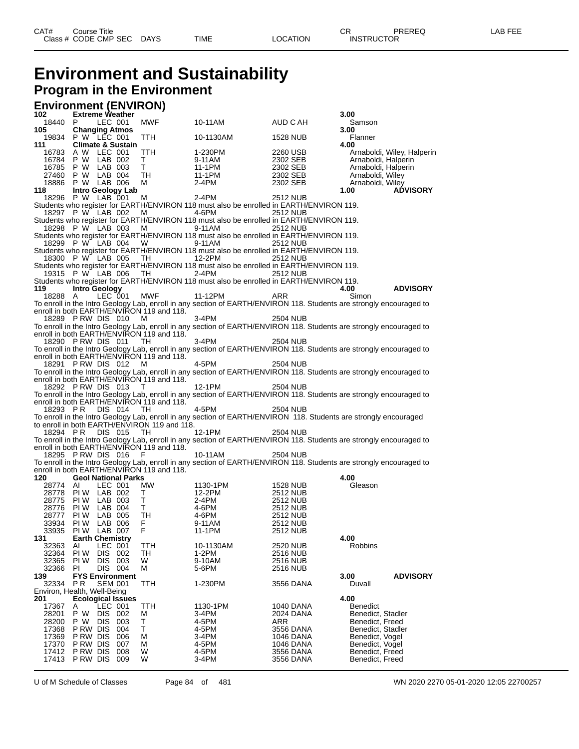# **Environment and Sustainability**

#### **Program in the Environment**

#### **Environment (ENVIRON)**

| 102            | <b>Extreme Weather</b>                               |        |                                                                                                                                |                                    | 3.00                                 |                            |
|----------------|------------------------------------------------------|--------|--------------------------------------------------------------------------------------------------------------------------------|------------------------------------|--------------------------------------|----------------------------|
| 18440<br>105   | LEC 001<br>P.                                        | MWF    | 10-11AM                                                                                                                        | AUD C AH                           | Samson                               |                            |
| 19834          | <b>Changing Atmos</b><br>P W LEC 001                 | TTH    | 10-1130AM                                                                                                                      | 1528 NUB                           | 3.00<br>Flanner                      |                            |
| 111            | <b>Climate &amp; Sustain</b>                         |        |                                                                                                                                |                                    | 4.00                                 |                            |
| 16783          | A W LEC 001                                          | TTH    | 1-230PM                                                                                                                        | 2260 USB                           |                                      | Arnaboldi, Wiley, Halperin |
| 16784          | P W LAB 002                                          | т      | 9-11AM                                                                                                                         | 2302 SEB                           | Arnaboldi, Halperin                  |                            |
| 16785          | P W<br>LAB 003                                       | Τ      | 11-1PM                                                                                                                         | 2302 SEB                           | Arnaboldi, Halperin                  |                            |
|                | 27460 P W LAB 004                                    | TH     | 11-1PM                                                                                                                         | 2302 SEB                           | Arnaboldi, Wiley                     |                            |
| 18886          | P W LAB 006                                          | м      | 2-4PM                                                                                                                          | 2302 SEB                           | Arnaboldi, Wiley                     |                            |
| 118<br>18296   | Intro Geology Lab<br>P W LAB 001                     | M      | 2-4PM                                                                                                                          | 2512 NUB                           | 1.00                                 | <b>ADVISORY</b>            |
|                |                                                      |        | Students who register for EARTH/ENVIRON 118 must also be enrolled in EARTH/ENVIRON 119.                                        |                                    |                                      |                            |
|                | 18297 P W LAB 002                                    | M      | 4-6PM                                                                                                                          | <b>2512 NUB</b>                    |                                      |                            |
|                |                                                      |        | Students who register for EARTH/ENVIRON 118 must also be enrolled in EARTH/ENVIRON 119.                                        |                                    |                                      |                            |
|                | 18298 P W LAB 003                                    | м      | 9-11AM                                                                                                                         | 2512 NUB                           |                                      |                            |
|                |                                                      |        | Students who register for EARTH/ENVIRON 118 must also be enrolled in EARTH/ENVIRON 119.                                        |                                    |                                      |                            |
|                | 18299 P W LAB 004                                    | W      | 9-11AM<br>Students who register for EARTH/ENVIRON 118 must also be enrolled in EARTH/ENVIRON 119.                              | 2512 NUB                           |                                      |                            |
|                | 18300 P W LAB 005                                    | TH.    | 12-2PM                                                                                                                         | 2512 NUB                           |                                      |                            |
|                |                                                      |        | Students who register for EARTH/ENVIRON 118 must also be enrolled in EARTH/ENVIRON 119.                                        |                                    |                                      |                            |
|                | 19315 P W LAB 006                                    | TH     | 2-4PM                                                                                                                          | 2512 NUB                           |                                      |                            |
|                |                                                      |        | Students who register for EARTH/ENVIRON 118 must also be enrolled in EARTH/ENVIRON 119.                                        |                                    |                                      |                            |
| 119            | Intro Geology                                        |        |                                                                                                                                |                                    | 4.00                                 | <b>ADVISORY</b>            |
| 18288          | LEC 001<br>A                                         | MWF    | 11-12PM<br>To enroll in the Intro Geology Lab, enroll in any section of EARTH/ENVIRON 118. Students are strongly encouraged to | <b>ARR</b>                         | Simon                                |                            |
|                | enroll in both EARTH/ENVIRON 119 and 118.            |        |                                                                                                                                |                                    |                                      |                            |
|                | 18289 PRW DIS 010                                    | м      | 3-4PM                                                                                                                          | <b>2504 NUB</b>                    |                                      |                            |
|                |                                                      |        | To enroll in the Intro Geology Lab, enroll in any section of EARTH/ENVIRON 118. Students are strongly encouraged to            |                                    |                                      |                            |
|                | enroll in both EARTH/ENVIRON 119 and 118.            |        |                                                                                                                                |                                    |                                      |                            |
|                | 18290 PRW DIS 011                                    | TH.    | 3-4PM                                                                                                                          | <b>2504 NUB</b>                    |                                      |                            |
|                | enroll in both EARTH/ENVIRON 119 and 118.            |        | To enroll in the Intro Geology Lab, enroll in any section of EARTH/ENVIRON 118. Students are strongly encouraged to            |                                    |                                      |                            |
|                | 18291 PRW DIS 012                                    | м      | 4-5PM                                                                                                                          | <b>2504 NUB</b>                    |                                      |                            |
|                |                                                      |        | To enroll in the Intro Geology Lab, enroll in any section of EARTH/ENVIRON 118. Students are strongly encouraged to            |                                    |                                      |                            |
|                | enroll in both EARTH/ENVIRON 119 and 118.            |        |                                                                                                                                |                                    |                                      |                            |
|                | 18292 PRW DIS 013                                    | т      | 12-1PM                                                                                                                         | 2504 NUB                           |                                      |                            |
|                |                                                      |        | To enroll in the Intro Geology Lab, enroll in any section of EARTH/ENVIRON 118. Students are strongly encouraged to            |                                    |                                      |                            |
| 18293 PR       | enroll in both EARTH/ENVIRON 119 and 118.<br>DIS 014 | TH.    | 4-5PM                                                                                                                          | 2504 NUB                           |                                      |                            |
|                |                                                      |        | To enroll in the Intro Geology Lab, enroll in any section of EARTH/ENVIRON 118. Students are strongly encouraged               |                                    |                                      |                            |
|                | to enroll in both EARTH/ENVIRON 119 and 118.         |        |                                                                                                                                |                                    |                                      |                            |
| 18294 PR       | DIS 015                                              | TH.    | 12-1PM                                                                                                                         | 2504 NUB                           |                                      |                            |
|                |                                                      |        | To enroll in the Intro Geology Lab, enroll in any section of EARTH/ENVIRON 118. Students are strongly encouraged to            |                                    |                                      |                            |
|                | enroll in both EARTH/ENVIRON 119 and 118.            |        |                                                                                                                                |                                    |                                      |                            |
|                | 18295 PRW DIS 016                                    | -F     | 10-11AM<br>To enroll in the Intro Geology Lab, enroll in any section of EARTH/ENVIRON 118. Students are strongly encouraged to | 2504 NUB                           |                                      |                            |
|                | enroll in both EARTH/ENVIRON 119 and 118.            |        |                                                                                                                                |                                    |                                      |                            |
| 120            | <b>Geol National Parks</b>                           |        |                                                                                                                                |                                    | 4.00                                 |                            |
| 28774          | LEC 001<br>AI                                        | MW     | 1130-1PM                                                                                                                       | 1528 NUB                           | Gleason                              |                            |
|                | 28778 PIW LAB 002                                    | Τ      | 12-2PM                                                                                                                         | 2512 NUB                           |                                      |                            |
| 28775<br>28776 | PI W<br>LAB 003<br>LAB 004<br>PI W                   | т<br>т | 2-4PM                                                                                                                          | <b>2512 NUB</b><br><b>2512 NUB</b> |                                      |                            |
| 28777          | PI W<br>LAB 005                                      | TН     | 4-6PM<br>4-6PM                                                                                                                 | 2512 NUB                           |                                      |                            |
| 33934          | PI W<br>LAB 006                                      | F      | 9-11AM                                                                                                                         | 2512 NUB                           |                                      |                            |
| 33935          | PI W<br>LAB 007                                      | F      | 11-1PM                                                                                                                         | 2512 NUB                           |                                      |                            |
| 131            | <b>Earth Chemistry</b>                               |        |                                                                                                                                |                                    | 4.00                                 |                            |
| 32363          | AI<br>LEC 001                                        | TTH    | 10-1130AM                                                                                                                      | 2520 NUB                           | Robbins                              |                            |
| 32364          | PI W<br>DIS 002                                      | TH     | 1-2PM                                                                                                                          | 2516 NUB                           |                                      |                            |
| 32365<br>32366 | PI W<br>DIS 003<br>ΡI<br>DIS 004                     | W<br>м | 9-10AM<br>5-6PM                                                                                                                | 2516 NUB<br>2516 NUB               |                                      |                            |
| 139            | <b>FYS Environment</b>                               |        |                                                                                                                                |                                    | 3.00                                 | <b>ADVISORY</b>            |
| 32334          | P <sub>R</sub><br><b>SEM 001</b>                     | TTH    | 1-230PM                                                                                                                        | 3556 DANA                          | Duvall                               |                            |
|                | Environ, Health, Well-Being                          |        |                                                                                                                                |                                    |                                      |                            |
| 201            | <b>Ecological Issues</b>                             |        |                                                                                                                                |                                    | 4.00                                 |                            |
| 17367          | LEC 001<br>Α<br>РW                                   | TTH    | 1130-1PM                                                                                                                       | 1040 DANA                          | <b>Benedict</b>                      |                            |
| 28201<br>28200 | DIS .<br>002<br><b>DIS</b><br>P W<br>003             | M<br>т | 3-4PM<br>4-5PM                                                                                                                 | 2024 DANA<br>ARR                   | Benedict, Stadler<br>Benedict, Freed |                            |
| 17368          | P RW DIS<br>004                                      | т      | 4-5PM                                                                                                                          | 3556 DANA                          | Benedict, Stadler                    |                            |
| 17369          | P RW DIS<br>006                                      | М      | 3-4PM                                                                                                                          | 1046 DANA                          | Benedict. Vogel                      |                            |
| 17370          | P RW DIS<br>007                                      | М      | 4-5PM                                                                                                                          | <b>1046 DANA</b>                   | Benedict, Vogel                      |                            |
| 17412          | P RW DIS<br>008                                      | W      | 4-5PM                                                                                                                          | 3556 DANA                          | Benedict, Freed                      |                            |
| 17413          | P RW DIS<br>009                                      | W      | 3-4PM                                                                                                                          | 3556 DANA                          | Benedict, Freed                      |                            |

U of M Schedule of Classes Page 84 of 481 WN 2020 2270 05-01-2020 12:05 22700257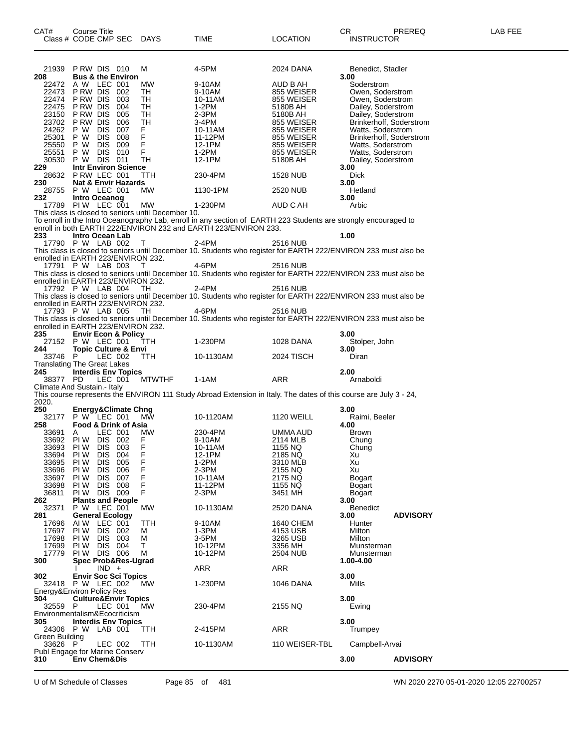| 21939<br>208       | PRW DIS 010<br><b>Bus &amp; the Environ</b>                             | M                            | 4-5PM                                                           | 2024 DANA                | Benedict, Stadler<br>3.00                                                                                         |
|--------------------|-------------------------------------------------------------------------|------------------------------|-----------------------------------------------------------------|--------------------------|-------------------------------------------------------------------------------------------------------------------|
| 22472              | A W LEC 001                                                             | МW                           | 9-10AM                                                          | AUD B AH                 | Soderstrom                                                                                                        |
| 22473              | PRW DIS 002                                                             | TH                           | 9-10AM                                                          | 855 WEISER               | Owen, Soderstrom                                                                                                  |
|                    | 22474 PRW DIS<br>003<br>22475 PRW DIS<br>004                            | TH<br>TH                     | 10-11AM<br>1-2PM                                                | 855 WEISER<br>5180B AH   | Owen, Soderstrom<br>Dailey, Soderstrom                                                                            |
|                    | 23150 PRW DIS<br>005                                                    | TH                           | 2-3PM                                                           | 5180B AH                 | Dailey, Soderstrom                                                                                                |
|                    | 23702 PRW DIS<br>006                                                    | TH                           | 3-4PM                                                           | 855 WEISER               | Brinkerhoff, Soderstrom                                                                                           |
| 24262 P W<br>25301 | DIS .<br>007<br>P W<br>DIS.                                             | F.<br>F                      | 10-11AM                                                         | 855 WEISER               | Watts, Soderstrom                                                                                                 |
| 25550 P W          | 008<br><b>DIS</b><br>009                                                |                              | 11-12PM<br>12-1PM                                               | 855 WEISER<br>855 WEISER | Brinkerhoff, Soderstrom<br>Watts, Soderstrom                                                                      |
| 25551 P W          | <b>DIS 010</b>                                                          | $_{\mathsf{F}}^{\mathsf{F}}$ | 1-2PM                                                           | 855 WEISER               | Watts, Soderstrom                                                                                                 |
|                    | 30530 P W DIS 011                                                       | TH                           | 12-1PM                                                          | 5180B AH                 | Dailey, Soderstrom                                                                                                |
| 229                | <b>Intr Environ Science</b><br>28632 P RW LEC 001                       | TTH                          | 230-4PM                                                         | 1528 NUB                 | 3.00<br><b>Dick</b>                                                                                               |
| 230                | Nat & Envir Hazards                                                     |                              |                                                                 |                          | 3.00                                                                                                              |
|                    | 28755 P W LEC 001                                                       | MW                           | 1130-1PM                                                        | 2520 NUB                 | Hetland                                                                                                           |
| 232                | Intro Oceanog                                                           |                              |                                                                 |                          | 3.00                                                                                                              |
|                    | 17789 PIW LEC 001<br>This class is closed to seniors until December 10. | МW                           | 1-230PM                                                         | AUD C AH                 | Arbic                                                                                                             |
|                    |                                                                         |                              |                                                                 |                          | To enroll in the Intro Oceanography Lab, enroll in any section of EARTH 223 Students are strongly encouraged to   |
|                    |                                                                         |                              | enroll in both EARTH 222/ENVIRON 232 and EARTH 223/ENVIRON 233. |                          |                                                                                                                   |
| 233                | Intro Ocean Lab<br>17790 P W LAB 002                                    |                              | 2-4PM                                                           | <b>2516 NUB</b>          | 1.00                                                                                                              |
|                    |                                                                         | $\top$                       |                                                                 |                          | This class is closed to seniors until December 10. Students who register for EARTH 222/ENVIRON 233 must also be   |
|                    | enrolled in EARTH 223/ENVIRON 232.                                      |                              |                                                                 |                          |                                                                                                                   |
|                    | 17791 P W LAB 003                                                       | $\top$                       | 4-6PM                                                           | <b>2516 NUB</b>          |                                                                                                                   |
|                    | enrolled in EARTH 223/ENVIRON 232.                                      |                              |                                                                 |                          | This class is closed to seniors until December 10. Students who register for EARTH 222/ENVIRON 233 must also be   |
|                    | 17792 P W LAB 004                                                       | TH.                          | $2-4PM$                                                         | 2516 NUB                 |                                                                                                                   |
|                    |                                                                         |                              |                                                                 |                          | This class is closed to seniors until December 10. Students who register for EARTH 222/ENVIRON 233 must also be   |
|                    | enrolled in EARTH 223/ENVIRON 232.                                      |                              |                                                                 |                          |                                                                                                                   |
|                    | 17793 P W LAB 005                                                       | - тн                         | 4-6PM                                                           | 2516 NUB                 | This class is closed to seniors until December 10. Students who register for EARTH 222/ENVIRON 233 must also be   |
|                    | enrolled in EARTH 223/ENVIRON 232.                                      |                              |                                                                 |                          |                                                                                                                   |
| 235                | <b>Envir Econ &amp; Policy</b>                                          |                              |                                                                 |                          | 3.00                                                                                                              |
|                    | 27152 P W LEC 001                                                       | TTH                          | 1-230PM                                                         | 1028 DANA                | Stolper, John                                                                                                     |
| 244<br>33746 P     | <b>Topic Culture &amp; Envi</b><br>LEC 002                              | <b>TTH</b>                   | 10-1130AM                                                       | 2024 TISCH               | 3.00<br>Diran                                                                                                     |
|                    | <b>Translating The Great Lakes</b>                                      |                              |                                                                 |                          |                                                                                                                   |
|                    |                                                                         |                              |                                                                 |                          |                                                                                                                   |
| 245                | <b>Interdis Env Topics</b>                                              |                              |                                                                 |                          | 2.00                                                                                                              |
| 38377 PD           | LEC 001                                                                 | <b>MTWTHF</b>                | $1-1AM$                                                         | <b>ARR</b>               | Arnaboldi                                                                                                         |
|                    | Climate And Sustain.- Italy                                             |                              |                                                                 |                          |                                                                                                                   |
| 2020.              |                                                                         |                              |                                                                 |                          | This course represents the ENVIRON 111 Study Abroad Extension in Italy. The dates of this course are July 3 - 24, |
| 250                | <b>Energy&amp;Climate Chng</b>                                          |                              |                                                                 |                          | 3.00                                                                                                              |
|                    | 32177 P W LEC 001                                                       | MW                           | 10-1120AM                                                       | <b>1120 WEILL</b>        | Raimi, Beeler                                                                                                     |
| 258<br>33691       | Food & Drink of Asia                                                    | MW                           |                                                                 |                          | 4.00                                                                                                              |
|                    | LEC 001<br>A<br>33692 PIW<br>DIS 002                                    |                              | 230-4PM<br>9-10AM                                               | UMMA AUD<br>2114 MLB     | <b>Brown</b><br>Chung                                                                                             |
| 33693 PIW          | DIS 003                                                                 | $_{\mathsf{F}}^{\mathsf{F}}$ | 10-11AM                                                         | 1155 NQ                  | Chung                                                                                                             |
| 33694              | PI W<br>DIS<br>004                                                      |                              | 12-1PM                                                          | 2185 NQ                  | Xu                                                                                                                |
| 33695              | DIS.<br>005<br>PI W                                                     |                              | 1-2PM                                                           | 3310 MLB                 | Xu                                                                                                                |
| 33696<br>33697     | DIS.<br>PI W<br>006<br>PI W<br><b>DIS</b><br>007                        | F<br>F<br>F<br>F             | 2-3PM<br>10-11AM                                                | 2155 NQ<br>2175 NQ       | Xu<br>Bogart                                                                                                      |
| 33698              | PI W<br>DIS 008                                                         | F                            | 11-12PM                                                         | 1155 NQ                  | Bogart                                                                                                            |
| 36811              | PIW DIS 009                                                             | F                            | 2-3PM                                                           | 3451 MH                  | Bogart                                                                                                            |
| 262<br>32371       | <b>Plants and People</b><br>P W LEC 001                                 | <b>MW</b>                    | 10-1130AM                                                       | 2520 DANA                | 3.00<br><b>Benedict</b>                                                                                           |
| 281                | <b>General Ecology</b>                                                  |                              |                                                                 |                          | 3.00<br><b>ADVISORY</b>                                                                                           |
| 17696              | AI W<br>LEC 001                                                         | <b>TTH</b>                   | 9-10AM                                                          | 1640 CHEM                | Hunter                                                                                                            |
| 17697              | PI W<br><b>DIS 002</b>                                                  | м                            | $1-3PM$                                                         | 4153 USB                 | Milton                                                                                                            |
| 17698<br>17699     | PI W<br>DIS 003<br>PI W<br>DIS.<br>004                                  | М<br>т                       | 3-5PM<br>10-12PM                                                | 3265 USB<br>3356 MH      | Milton<br>Munsterman                                                                                              |
| 17779              | PIW DIS 006                                                             | м                            | 10-12PM                                                         | 2504 NUB                 | Munsterman                                                                                                        |
| 300                | Spec Prob&Res-Ugrad                                                     |                              |                                                                 |                          | 1.00-4.00                                                                                                         |
| 302                | $IND +$<br>-1<br><b>Envir Soc Sci Topics</b>                            |                              | ARR                                                             | <b>ARR</b>               | 3.00                                                                                                              |
|                    | 32418 P W LEC 002                                                       | MW.                          | 1-230PM                                                         | 1046 DANA                | Mills                                                                                                             |
|                    | Energy&Environ Policy Res                                               |                              |                                                                 |                          |                                                                                                                   |
| 304                | <b>Culture&amp;Envir Topics</b>                                         |                              |                                                                 |                          | 3.00                                                                                                              |
| 32559              | - P<br>LEC 001<br>Environmentalism&Ecocriticism                         | <b>MW</b>                    | 230-4PM                                                         | 2155 NQ                  | Ewing                                                                                                             |
| 305                | <b>Interdis Env Topics</b>                                              |                              |                                                                 |                          | 3.00                                                                                                              |
|                    | 24306 P W LAB 001                                                       | TTH                          | 2-415PM                                                         | <b>ARR</b>               | Trumpey                                                                                                           |
| Green Building     |                                                                         |                              |                                                                 |                          |                                                                                                                   |
| 33626 P            | LEC 002<br>Publ Engage for Marine Conserv                               | <b>TTH</b>                   | 10-1130AM                                                       | 110 WEISER-TBL           | Campbell-Arvai                                                                                                    |
| 310                | <b>Env Chem&amp;Dis</b>                                                 |                              |                                                                 |                          | 3.00<br><b>ADVISORY</b>                                                                                           |

U of M Schedule of Classes Page 85 of 481 WN 2020 2270 05-01-2020 12:05 22700257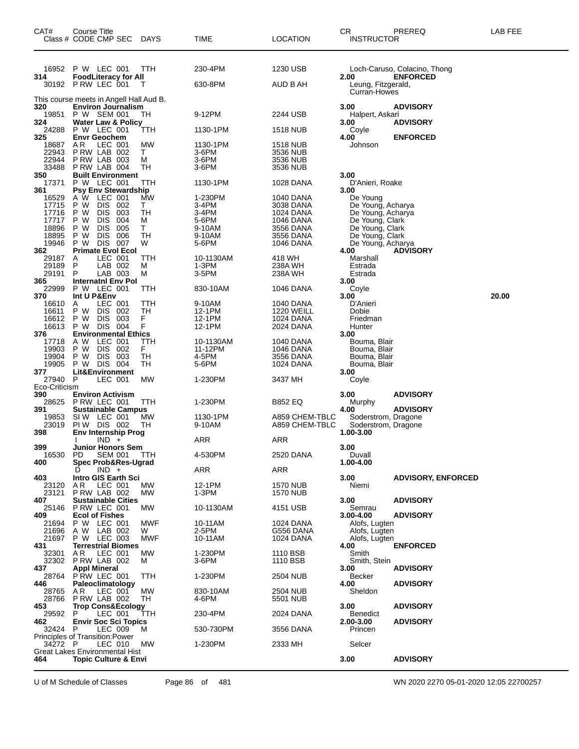| CAT#                 | Course Title<br>Class # CODE CMP SEC DAYS             |            | TIME               | <b>LOCATION</b>        | CR<br><b>INSTRUCTOR</b>                | PREREQ                       | LAB FEE |
|----------------------|-------------------------------------------------------|------------|--------------------|------------------------|----------------------------------------|------------------------------|---------|
| 16952                | P W LEC 001                                           | TTH        | 230-4PM            | 1230 USB               |                                        | Loch-Caruso, Colacino, Thong |         |
| 314                  | <b>FoodLiteracy for All</b><br>30192 P RW LEC 001     | Т          | 630-8PM            | AUD B AH               | 2.00<br>Leung, Fitzgerald,             | <b>ENFORCED</b>              |         |
|                      | This course meets in Angell Hall Aud B.               |            |                    |                        | Curran-Howes                           |                              |         |
| 320<br>19851         | <b>Environ Journalism</b><br>P W SEM 001              | TН         | 9-12PM             | 2244 USB               | 3.00<br>Halpert, Askari                | <b>ADVISORY</b>              |         |
| 324                  | Water Law & Policy                                    |            |                    |                        | 3.00                                   | <b>ADVISORY</b>              |         |
| 24288<br>325         | P W LEC 001<br><b>Envr Geochem</b>                    | TTH        | 1130-1PM           | <b>1518 NUB</b>        | Coyle<br>4.00                          | <b>ENFORCED</b>              |         |
| 18687<br>22943       | A R<br>LEC 001<br>PRW LAB 002                         | MW<br>T.   | 1130-1PM<br>3-6PM  | 1518 NUB<br>3536 NUB   | Johnson                                |                              |         |
| 22944                | PRW LAB 003                                           | м          | 3-6PM              | 3536 NUB               |                                        |                              |         |
| 33488<br>350         | PRW LAB 004<br><b>Built Environment</b>               | TH         | 3-6PM              | 3536 NUB               | 3.00                                   |                              |         |
| 17371<br>361         | P W LEC 001<br><b>Psy Env Stewardship</b>             | TTH        | 1130-1PM           | 1028 DANA              | D'Anieri, Roake<br>3.00                |                              |         |
| 16529                | A W LEC 001                                           | MW         | 1-230PM            | 1040 DANA              | De Young                               |                              |         |
| 17715<br>17716       | P W<br>DIS 002<br>P W<br><b>DIS</b><br>003            | Τ<br>TН    | 3-4PM<br>3-4PM     | 3038 DANA<br>1024 DANA | De Young, Acharya<br>De Young, Acharya |                              |         |
| 17717<br>18896       | <b>DIS</b><br>P W<br>-004<br><b>DIS</b><br>005<br>P W | м<br>Τ     | 5-6PM<br>9-10AM    | 1046 DANA<br>3556 DANA | De Young, Clark<br>De Young, Clark     |                              |         |
| 18895                | DIS 006<br>DIS 007<br>P W                             | TH         | 9-10AM             | 3556 DANA              | De Young, Clark                        |                              |         |
| 19946<br>362         | P W<br><b>Primate Evol Ecol</b>                       | W          | 5-6PM              | 1046 DANA              | De Young, Acharya<br>4.00              | <b>ADVISORY</b>              |         |
| 29187<br>29189       | LEC 001<br>A<br>P<br>LAB 002                          | TTH<br>М   | 10-1130AM<br>1-3PM | 418 WH<br>238A WH      | Marshall<br>Estrada                    |                              |         |
| 29191                | P<br>LAB 003                                          | М          | 3-5PM              | 238A WH                | Estrada                                |                              |         |
| 365<br>22999         | <b>Internatni Env Pol</b><br>P W LEC 001              | TTH        | 830-10AM           | 1046 DANA              | 3.00<br>Coyle                          |                              |         |
| 370<br>16610         | Int U P&Env<br>LEC 001<br>A                           | ттн        | 9-10AM             | 1040 DANA              | 3.00<br>D'Anieri                       |                              | 20.00   |
| 16611                | P W<br>DIS 002                                        | TН         | 12-1PM             | <b>1220 WEILL</b>      | Dobie                                  |                              |         |
| 16612<br>16613       | P W<br>DIS 003<br>DIS 004<br>P W                      | F<br>F     | 12-1PM<br>12-1PM   | 1024 DANA<br>2024 DANA | Friedman<br>Hunter                     |                              |         |
| 376<br>17718         | <b>Environmental Ethics</b><br>A W<br>LEC 001         | TTH        | 10-1130AM          | 1040 DANA              | 3.00<br>Bouma, Blair                   |                              |         |
| 19903                | P W<br>DIS 002                                        | F.         | 11-12PM            | 1046 DANA              | Bouma, Blair                           |                              |         |
| 19904<br>19905       | P W<br>DIS 003<br>DIS 004<br>P W                      | TH<br>TН   | 4-5PM<br>5-6PM     | 3556 DANA<br>1024 DANA | Bouma, Blair<br>Bouma, Blair           |                              |         |
| 377<br>27940 P       | Lit&Environment<br>LEC 001                            | MW         | 1-230PM            | 3437 MH                | 3.00<br>Coyle                          |                              |         |
| Eco-Criticism<br>390 |                                                       |            |                    |                        | 3.00                                   | <b>ADVISORY</b>              |         |
| 28625                | <b>Environ Activism</b><br>P RW LEC 001               | TTH        | 1-230PM            | <b>B852 EQ</b>         | Murphy                                 |                              |         |
| 391<br>19853         | <b>Sustainable Campus</b><br>SIW LEC 001              | МW         | 1130-1PM           | A859 CHEM-TBLC         | 4.00<br>Soderstrom, Dragone            | <b>ADVISORY</b>              |         |
| 23019<br>398         | PIW DIS 002<br>Env Internship Prog                    | TН         | 9-10AM             | A859 CHEM-TBLC         | Soderstrom, Dragone<br>1.00-3.00       |                              |         |
|                      | $IND +$                                               |            | ARR                | ARR                    |                                        |                              |         |
| 399<br>16530 PD      | Junior Honors Sem<br>SEM 001 TTH                      |            | 4-530PM            | 2520 DANA              | 3.00<br>Duvall                         |                              |         |
| 400                  | <b>Spec Prob&amp;Res-Ugrad</b><br>D<br>$IND +$        |            | ARR                | ARR                    | 1.00-4.00                              |                              |         |
| 403<br>23120         | Intro GIS Earth Sci<br>AR.<br>LEC 001                 | MW.        | 12-1PM             | <b>1570 NUB</b>        | 3.00<br>Niemi                          | <b>ADVISORY, ENFORCED</b>    |         |
| 23121                | P RW LAB 002                                          | MW         | 1-3PM              | 1570 NUB               |                                        |                              |         |
| 407<br>25146         | <b>Sustainable Cities</b><br>PRW LEC 001              | МW         | 10-1130AM          | 4151 USB               | 3.00<br>Semrau                         | <b>ADVISORY</b>              |         |
| 409<br>21694         | <b>Ecol of Fishes</b><br>P W LEC 001                  | <b>MWF</b> | 10-11AM            | 1024 DANA              | 3.00-4.00<br>Alofs, Lugten             | <b>ADVISORY</b>              |         |
| 21696                | A W LAB 002                                           | W          | 2-5PM              | G556 DANA              | Alofs, Lugten                          |                              |         |
| 21697<br>431         | P W LEC 003<br><b>Terrestrial Biomes</b>              | <b>MWF</b> | 10-11AM            | 1024 DANA              | Alofs, Lugten<br>4.00                  | <b>ENFORCED</b>              |         |
| 32301<br>32302       | A R<br>LEC 001<br>PRW LAB 002                         | МW<br>м    | 1-230PM<br>3-6PM   | 1110 BSB<br>1110 BSB   | Smith<br>Smith, Stein                  |                              |         |
| 437                  | <b>Appl Mineral</b>                                   |            |                    |                        | 3.00                                   | <b>ADVISORY</b>              |         |
| 446                  | 28764 PRW LEC 001<br>Paleoclimatology                 | TTH        | 1-230PM            | 2504 NUB               | Becker<br>4.00                         | <b>ADVISORY</b>              |         |
| 28765<br>28766       | A R<br>LEC 001<br><b>P RW LAB 002</b>                 | МW<br>TH   | 830-10AM<br>4-6PM  | 2504 NUB<br>5501 NUB   | Sheldon                                |                              |         |
| 453                  | <b>Trop Cons&amp;Ecology</b>                          |            |                    |                        | 3.00                                   | <b>ADVISORY</b>              |         |
| 29592<br>462         | LEC 001<br>P.<br><b>Envir Soc Sci Topics</b>          | TTH        | 230-4PM            | 2024 DANA              | Benedict<br>2.00-3.00                  | <b>ADVISORY</b>              |         |
| 32424 P              | LEC 009<br>Principles of Transition: Power            | м          | 530-730PM          | 3556 DANA              | Princen                                |                              |         |
| 34272 P              | LEC 010<br>Great Lakes Environmental Hist             | MW         | 1-230PM            | 2333 MH                | Selcer                                 |                              |         |
| 464                  | <b>Topic Culture &amp; Envi</b>                       |            |                    |                        | 3.00                                   | <b>ADVISORY</b>              |         |

U of M Schedule of Classes Page 86 of 481 WN 2020 2270 05-01-2020 12:05 22700257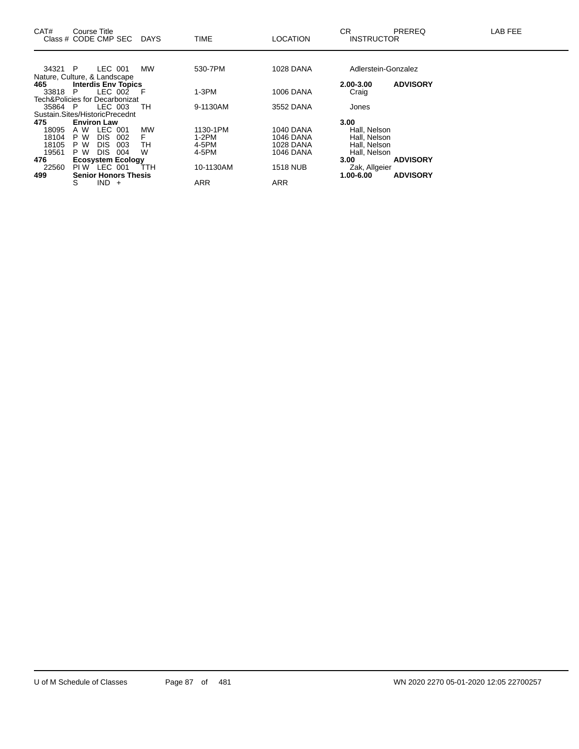| CAT#                           | Course Title       | Class # CODE CMP SEC        |     | DAYS      | <b>TIME</b> | <b>LOCATION</b>  | СR<br><b>INSTRUCTOR</b> | <b>PREREQ</b>   | LAB FEE |
|--------------------------------|--------------------|-----------------------------|-----|-----------|-------------|------------------|-------------------------|-----------------|---------|
|                                |                    |                             |     |           |             |                  |                         |                 |         |
| 34321 P                        |                    | LEC 001                     |     | <b>MW</b> | 530-7PM     | <b>1028 DANA</b> | Adlerstein-Gonzalez     |                 |         |
| Nature, Culture, & Landscape   |                    |                             |     |           |             |                  |                         |                 |         |
| 465                            |                    | <b>Interdis Env Topics</b>  |     |           |             |                  | 2.00-3.00               | <b>ADVISORY</b> |         |
| 33818                          | P                  | LEC 002                     | - F |           | $1-3PM$     | <b>1006 DANA</b> | Craig                   |                 |         |
| Tech&Policies for Decarbonizat |                    |                             |     |           |             |                  |                         |                 |         |
| 35864                          | - P                | LEC 003                     |     | TН        | 9-1130AM    | 3552 DANA        | Jones                   |                 |         |
| Sustain.Sites/HistoricPrecednt |                    |                             |     |           |             |                  |                         |                 |         |
| 475                            | <b>Environ Law</b> |                             |     |           |             |                  | 3.00                    |                 |         |
| 18095                          | A W                | <b>LEC</b><br>001           |     | <b>MW</b> | 1130-1PM    | 1040 DANA        | Hall, Nelson            |                 |         |
| 18104                          | P W                | DIS.<br>002                 |     |           | $1-2PM$     | 1046 DANA        | Hall, Nelson            |                 |         |
| 18105                          | P W                | <b>DIS</b><br>003           |     | TН        | 4-5PM       | <b>1028 DANA</b> | Hall, Nelson            |                 |         |
| 19561                          | P W                | <b>DIS</b><br>004           |     | W         | 4-5PM       | 1046 DANA        | Hall, Nelson            |                 |         |
| 476                            |                    | <b>Ecosystem Ecology</b>    |     |           |             |                  | 3.00                    | <b>ADVISORY</b> |         |
| 22560                          |                    | PIW LEC 001                 |     | ттн       | 10-1130AM   | <b>1518 NUB</b>  | Zak, Allgeier           |                 |         |
| 499                            |                    | <b>Senior Honors Thesis</b> |     |           |             |                  | 1.00-6.00               | <b>ADVISORY</b> |         |
|                                | S                  | <b>IND</b><br>$+$           |     |           | <b>ARR</b>  | <b>ARR</b>       |                         |                 |         |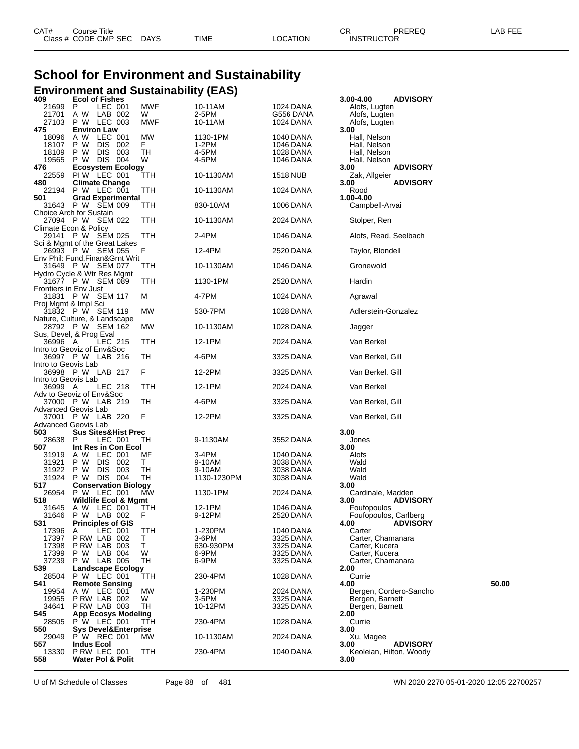| CAT# | ourse Titleٽ         |             |      |          | ◠г<br>◡           | PREREQ | _AB FEE |
|------|----------------------|-------------|------|----------|-------------------|--------|---------|
|      | Class # CODE CMP SEC | <b>DAYS</b> | TIME | ∟OCATION | <b>INSTRUCTOR</b> |        |         |

# **School for Environment and Sustainability Environment and Sustainability (EAS) 409 Ecol of Fishes 3.00-4.00 ADVISORY**

| 4UJ<br>21699          | <b>ECOLOL FISHES</b><br>P<br>LEC 001               | MWF        | 10-11AM        | <b>1024 DANA</b>       | ง.บบ-4.บบ<br><b>ADVISURI</b><br>Alofs, Lugten |       |
|-----------------------|----------------------------------------------------|------------|----------------|------------------------|-----------------------------------------------|-------|
| 21701                 | LAB 002<br>A W                                     | W          | 2-5PM          | G556 DANA              | Alofs, Lugten                                 |       |
| 27103                 | P W LEC 003                                        | MWF        | 10-11AM        | 1024 DANA              | Alofs, Lugten                                 |       |
| 475                   | <b>Environ Law</b>                                 |            |                |                        | 3.00                                          |       |
| 18096                 | LEC 001<br>A W                                     | <b>MW</b>  | 1130-1PM       | 1040 DANA              | Hall, Nelson                                  |       |
| 18107                 | <b>DIS</b><br>P W<br>002                           | F.         | 1-2PM          | 1046 DANA              | Hall, Nelson                                  |       |
| 18109                 | P W<br>DIS 003                                     | TН         | 4-5PM          | 1028 DANA              | Hall, Nelson                                  |       |
| 19565                 | P W DIS 004                                        | W          | 4-5PM          | 1046 DANA              | Hall, Nelson                                  |       |
| 476                   | <b>Ecosystem Ecology</b><br>PIW LEC 001            |            |                | <b>1518 NUB</b>        | 3.00<br><b>ADVISORY</b><br>Zak, Allgeier      |       |
| 22559<br>480          | <b>Climate Change</b>                              | TTH        | 10-1130AM      |                        | 3.00<br><b>ADVISORY</b>                       |       |
| 22194                 | P W LEC 001                                        | TTH        | 10-1130AM      | 1024 DANA              | Rood                                          |       |
| 501                   | <b>Grad Experimental</b>                           |            |                |                        | 1.00-4.00                                     |       |
|                       | 31643 P W SEM 009                                  | TTH        | 830-10AM       | 1006 DANA              | Campbell-Arvai                                |       |
|                       | Choice Arch for Sustain                            |            |                |                        |                                               |       |
|                       | 27094 P W SEM 022                                  | TTH        | 10-1130AM      | 2024 DANA              | Stolper, Ren                                  |       |
|                       | Climate Econ & Policy                              |            |                |                        |                                               |       |
|                       | 29141 P W SEM 025<br>Sci & Mgmt of the Great Lakes | TTH        | 2-4PM          | 1046 DANA              | Alofs, Read, Seelbach                         |       |
|                       | 26993 P W SEM 055                                  | F          | 12-4PM         | 2520 DANA              | Taylor, Blondell                              |       |
|                       | Env Phil: Fund, Finan& Grnt Writ                   |            |                |                        |                                               |       |
|                       | 31649 P W SEM 077                                  | TTH        | 10-1130AM      | 1046 DANA              | Gronewold                                     |       |
|                       | Hydro Cycle & Wtr Res Mgmt                         |            |                |                        |                                               |       |
|                       | 31677 P W SEM 089                                  | TTH        | 1130-1PM       | 2520 DANA              | Hardin                                        |       |
| Frontiers in Env Just |                                                    |            |                |                        |                                               |       |
|                       | 31831 P W SEM 117                                  | M          | 4-7PM          | 1024 DANA              | Agrawal                                       |       |
| Proj Mgmt & Impl Sci  | 31832 P W SEM 119                                  | МW         | 530-7PM        | 1028 DANA              | Adlerstein-Gonzalez                           |       |
|                       | Nature, Culture, & Landscape                       |            |                |                        |                                               |       |
|                       | 28792 P W SEM 162                                  | MW         | 10-1130AM      | 1028 DANA              | Jagger                                        |       |
|                       | Sus, Devel, & Prog Eval                            |            |                |                        |                                               |       |
| 36996 A               | LEC 215                                            | TTH        | 12-1PM         | 2024 DANA              | Van Berkel                                    |       |
|                       | Intro to Geoviz of Env&Soc                         |            |                |                        |                                               |       |
|                       | 36997 PW LAB 216                                   | TН         | 4-6PM          | 3325 DANA              | Van Berkel, Gill                              |       |
| Intro to Geovis Lab   | 36998 P W LAB 217                                  | F          | 12-2PM         | 3325 DANA              | Van Berkel, Gill                              |       |
| Intro to Geovis Lab   |                                                    |            |                |                        |                                               |       |
| 36999 A               | LEC 218                                            | TTH        | 12-1PM         | 2024 DANA              | Van Berkel                                    |       |
|                       | Adv to Geoviz of Env&Soc                           |            |                |                        |                                               |       |
|                       | 37000 P W LAB 219                                  | TН         | 4-6PM          | 3325 DANA              | Van Berkel, Gill                              |       |
|                       | Advanced Geovis Lab                                |            |                |                        |                                               |       |
| 37001                 | P W LAB 220                                        | F          | 12-2PM         | 3325 DANA              | Van Berkel, Gill                              |       |
|                       | Advanced Geovis Lab                                |            |                |                        |                                               |       |
| 503<br>28638          | <b>Sus Sites&amp;Hist Prec</b><br>P<br>LEC 001     | TН         | 9-1130AM       | 3552 DANA              | 3.00<br>Jones                                 |       |
| 507                   | Int Res in Con Ecol                                |            |                |                        | 3.00                                          |       |
| 31919                 | LEC 001<br>A W                                     | МF         | 3-4PM          | 1040 DANA              | Alofs                                         |       |
| 31921                 | DIS 002<br>P W                                     | T.         | 9-10AM         | 3038 DANA              | Wald                                          |       |
| 31922                 | P W DIS 003                                        | TН         | 9-10AM         | 3038 DANA              | Wald                                          |       |
| 31924                 | P W DIS 004                                        | TН         | 1130-1230PM    | 3038 DANA              | Wald                                          |       |
| 517                   | <b>Conservation Biology</b>                        |            |                |                        | 3.00                                          |       |
| 26954<br>518          | P W LEC 001<br>Wildlife Ecol & Mgmt                | МW         | 1130-1PM       | 2024 DANA              | Cardinale, Madden<br><b>ADVISORY</b><br>3.00  |       |
| 31645                 | A W LEC 001                                        | ттн        | 12-1PM         | 1046 DANA              | Foufopoulos                                   |       |
| 31646                 | P W LAB 002                                        | F          | 9-12PM         | 2520 DANA              | Foufopoulos, Carlberg                         |       |
| 531                   | <b>Principles of GIS</b>                           |            |                |                        | 4.00 ADVISORY                                 |       |
| 17396                 | LEC 001<br>A                                       | <b>TTH</b> | 1-230PM        | 1040 DANA              | Carter                                        |       |
| 17397                 | P RW LAB 002                                       | т          | $3-6$ PM       | 3325 DANA              | Carter, Chamanara                             |       |
| 17398                 | P RW LAB 003                                       | T          | 630-930PM      | 3325 DANA              | Carter, Kucera                                |       |
| 17399<br>37239        | P W LAB 004<br>P W LAB 005                         | W<br>TН    | 6-9PM<br>6-9PM | 3325 DANA<br>3325 DANA | Carter, Kucera<br>Carter, Chamanara           |       |
| 539                   | <b>Landscape Ecology</b>                           |            |                |                        | 2.00                                          |       |
| 28504                 | P W LEC 001                                        | ттн        | 230-4PM        | 1028 DANA              | Currie                                        |       |
| 541                   | <b>Remote Sensing</b>                              |            |                |                        | 4.00                                          | 50.00 |
| 19954                 | A W LEC 001                                        | МW         | 1-230PM        | 2024 DANA              | Bergen, Cordero-Sancho                        |       |
| 19955                 | P RW LAB 002                                       | W          | $3-5$ PM       | 3325 DANA              | Bergen, Barnett                               |       |
| 34641                 | P RW LAB 003                                       | TН         | 10-12PM        | 3325 DANA              | Bergen, Barnett                               |       |
| 545<br>28505          | <b>App Ecosys Modeling</b><br>$P'W$ LEC 001        | TŤH        | 230-4PM        | 1028 DANA              | 2.00<br>Currie                                |       |
| 550                   | <b>Sys Devel&amp;Enterprise</b>                    |            |                |                        | 3.00                                          |       |
| 29049                 | P W REC 001                                        | МW         | 10-1130AM      | 2024 DANA              | Xu, Magee                                     |       |
| 557                   | <b>Indus Ecol</b>                                  |            |                |                        | <b>ADVISORY</b><br>3.00                       |       |
| 13330                 | PRW LEC 001                                        | TTH        | 230-4PM        | 1040 DANA              | Keoleian, Hilton, Woody                       |       |
| 558                   | Water Pol & Polit                                  |            |                |                        | 3.00                                          |       |
|                       |                                                    |            |                |                        |                                               |       |

U of M Schedule of Classes Page 88 of 481 WN 2020 2270 05-01-2020 12:05 22700257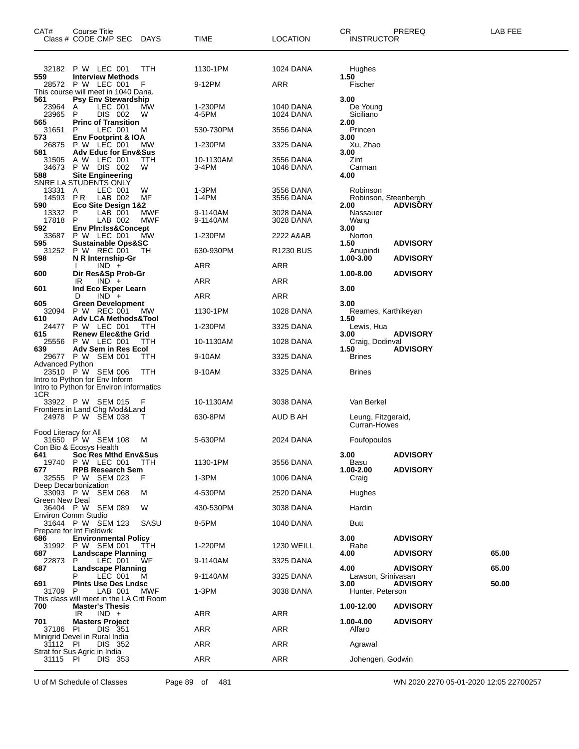| CAT#                  | Course Title<br>Class # CODE CMP SEC DAYS                                 |            | TIME                 | <b>LOCATION</b>        | CR<br><b>INSTRUCTOR</b>            | PREREQ          | LAB FEE |
|-----------------------|---------------------------------------------------------------------------|------------|----------------------|------------------------|------------------------------------|-----------------|---------|
|                       | 32182 P W LEC 001                                                         | <b>TTH</b> | 1130-1PM             | 1024 DANA              | Hughes                             |                 |         |
| 559                   | <b>Interview Methods</b><br>28572 P W LEC 001                             | F          | 9-12PM               | ARR                    | 1.50<br>Fischer                    |                 |         |
|                       | This course will meet in 1040 Dana.                                       |            |                      |                        |                                    |                 |         |
| 561<br>23964          | <b>Psy Env Stewardship</b><br>A<br>LEC 001                                | MW         | 1-230PM              | 1040 DANA              | 3.00<br>De Young                   |                 |         |
| 23965<br>565          | DIS 002<br>P<br><b>Princ of Transition</b>                                | W          | 4-5PM                | 1024 DANA              | Siciliano                          |                 |         |
| 31651                 | LEC 001<br>P                                                              | м          | 530-730PM            | 3556 DANA              | 2.00<br>Princen                    |                 |         |
| 573<br>26875          | Env Footprint & IOA<br><b>P W LEC 001</b>                                 | МW         | 1-230PM              | 3325 DANA              | 3.00<br>Xu, Zhao                   |                 |         |
| 581<br>31505          | <b>Adv Educ for Env&amp;Sus</b><br>A W LEC 001                            | TTH        | 10-1130AM            | 3556 DANA              | 3.00<br>Zint                       |                 |         |
| 34673                 | P W DIS 002                                                               | W          | 3-4PM                | 1046 DANA              | Carman                             |                 |         |
| 588                   | <b>Site Engineering</b><br>SNRE LA STUDENTS ONLY                          |            |                      |                        | 4.00                               |                 |         |
| 13331<br>14593 PR     | LEC 001<br>A<br>LAB 002                                                   | W<br>МF    | $1-3PM$<br>1-4PM     | 3556 DANA<br>3556 DANA | Robinson                           |                 |         |
| 590                   | Eco Site Design 1&2                                                       |            |                      |                        | Robinson, Steenbergh<br>2.00       | <b>ADVISORY</b> |         |
| 13332<br>17818        | LAB 001<br>P<br>LAB 002<br>P                                              | MWF<br>MWF | 9-1140AM<br>9-1140AM | 3028 DANA<br>3028 DANA | Nassauer<br>Wang                   |                 |         |
| 592.<br>33687         | <b>Env Pin:Iss&amp;Concept</b><br>P W LEC 001                             | МW         | 1-230PM              | 2222 A&AB              | 3.00                               |                 |         |
| 595                   | <b>Sustainable Ops&amp;SC</b>                                             |            |                      |                        | Norton<br>1.50                     | <b>ADVISORY</b> |         |
| 31252<br>598          | P W REC 001<br>N R Internship-Gr                                          | TН         | 630-930PM            | <b>R1230 BUS</b>       | Anupindi<br>1.00-3.00              | <b>ADVISORY</b> |         |
| 600                   | $IND +$                                                                   |            | ARR                  | ARR                    | 1.00-8.00                          |                 |         |
|                       | Dir Res&Sp Prob-Gr<br>IR<br>$IND +$                                       |            | ARR                  | ARR                    |                                    | <b>ADVISORY</b> |         |
| 601                   | Ind Eco Exper Learn<br>$IND +$<br>D                                       |            | ARR                  | ARR                    | 3.00                               |                 |         |
| 605<br>32094          | <b>Green Development</b><br>P W REC 001                                   | <b>MW</b>  | 1130-1PM             | 1028 DANA              | 3.00<br>Reames, Karthikeyan        |                 |         |
| 610                   | <b>Adv LCA Methods&amp;Tool</b>                                           |            |                      |                        | 1.50                               |                 |         |
| 24477<br>615          | P W LEC 001<br><b>Renew Elec&amp;the Grid</b>                             | <b>TTH</b> | 1-230PM              | 3325 DANA              | Lewis, Hua<br>3.00                 | <b>ADVISORY</b> |         |
| 25556<br>639          | P W LEC 001<br>Adv Sem in Res Ecol                                        | <b>TTH</b> | 10-1130AM            | 1028 DANA              | Craig, Dodinval<br>1.50            | <b>ADVISORY</b> |         |
|                       | 29677 P W SEM 001                                                         | ттн        | 9-10AM               | 3325 DANA              | <b>Brines</b>                      |                 |         |
| Advanced Python       | 23510 P W SEM 006                                                         | <b>TTH</b> | 9-10AM               | 3325 DANA              | <b>Brines</b>                      |                 |         |
|                       | Intro to Python for Env Inform<br>Intro to Python for Environ Informatics |            |                      |                        |                                    |                 |         |
| 1CR                   |                                                                           | - F        | 10-1130AM            | 3038 DANA              | Van Berkel                         |                 |         |
|                       | 33922 P W SEM 015<br>Frontiers in Land Chg Mod&Land                       |            |                      |                        |                                    |                 |         |
|                       | 24978 P W SEM 038                                                         |            | 630-8PM              | AUD B AH               | Leung, Fitzgerald,<br>Curran-Howes |                 |         |
| Food Literacy for All | 31650 P W SEM 108                                                         | м          | 5-630PM              | 2024 DANA              | Foufopoulos                        |                 |         |
|                       | Con Bio & Ecosys Health                                                   |            |                      |                        |                                    |                 |         |
| 641<br>19740          | <b>Soc Res Mthd Env&amp;Sus</b><br>P W LEC 001                            | TTH        | 1130-1PM             | 3556 DANA              | 3.00<br>Basu                       | <b>ADVISORY</b> |         |
| 677                   | <b>RPB Research Sem</b><br>32555 P W SEM 023                              | F          | 1-3PM                | 1006 DANA              | 1.00-2.00<br>Craig                 | <b>ADVISORY</b> |         |
|                       | Deep Decarbonization                                                      |            |                      |                        |                                    |                 |         |
| Green New Deal        | 33093 P W SEM 068                                                         | м          | 4-530PM              | 2520 DANA              | Hughes                             |                 |         |
|                       | 36404 P W SEM 089<br>Environ Comm Studio                                  | W          | 430-530PM            | 3038 DANA              | Hardin                             |                 |         |
|                       | 31644 P W SEM 123                                                         | SASU       | 8-5PM                | 1040 DANA              | Butt                               |                 |         |
| 686                   | Prepare for Int Fieldwrk<br><b>Environmental Policy</b>                   |            |                      |                        | 3.00                               | <b>ADVISORY</b> |         |
| 31992<br>687          | P W SEM 001<br><b>Landscape Planning</b>                                  | TTH        | 1-220PM              | <b>1230 WEILL</b>      | Rabe<br>4.00                       | <b>ADVISORY</b> | 65.00   |
| 22873                 | P<br>LEC 001                                                              | ŴF         | 9-1140AM             | 3325 DANA              |                                    |                 |         |
| 687                   | <b>Landscape Planning</b><br>LEC 001                                      | м          | 9-1140AM             | 3325 DANA              | 4.00<br>Lawson, Srinivasan         | <b>ADVISORY</b> | 65.00   |
| 691<br>31709          | <b>Pints Use Des Lndsc</b><br>LAB 001<br>P                                | MWF        | $1-3PM$              | 3038 DANA              | 3.00<br>Hunter, Peterson           | <b>ADVISORY</b> | 50.00   |
| 700                   | This class will meet in the LA Crit Room<br><b>Master's Thesis</b>        |            |                      |                        | 1.00-12.00                         | <b>ADVISORY</b> |         |
|                       | $IND +$<br>IR.                                                            |            | <b>ARR</b>           | ARR                    |                                    |                 |         |
| 701<br>37186          | <b>Masters Project</b><br>-PI<br>DIS 351                                  |            | <b>ARR</b>           | <b>ARR</b>             | 1.00-4.00<br>Alfaro                | <b>ADVISORY</b> |         |
| 31112 PI              | Minigrid Devel in Rural India<br>DIS 352                                  |            | <b>ARR</b>           | <b>ARR</b>             | Agrawal                            |                 |         |
|                       | Strat for Sus Agric in India                                              |            |                      |                        |                                    |                 |         |
| 31115 PI              | DIS 353                                                                   |            | <b>ARR</b>           | ARR                    | Johengen, Godwin                   |                 |         |

U of M Schedule of Classes Page 89 of 481 WN 2020 2270 05-01-2020 12:05 22700257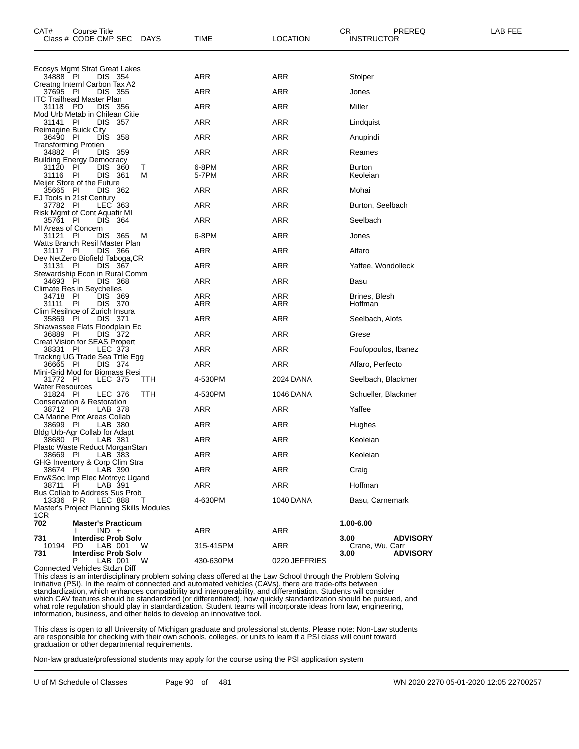| CAT#<br>Course Title<br>Class # CODE CMP SEC<br>DAYS                                                       | TIME              | <b>LOCATION</b> | CR.<br>PREREQ<br><b>INSTRUCTOR</b>         | LAB FEE |
|------------------------------------------------------------------------------------------------------------|-------------------|-----------------|--------------------------------------------|---------|
| Ecosys Mgmt Strat Great Lakes                                                                              |                   |                 |                                            |         |
| 34888 PI<br>DIS 354                                                                                        | <b>ARR</b>        | ARR             | Stolper                                    |         |
| Creatng Internl Carbon Tax A2<br>37695 PI<br>DIS 355                                                       | ARR               | <b>ARR</b>      | Jones                                      |         |
| <b>ITC Trailhead Master Plan</b><br>31118 PD<br>DIS 356                                                    | <b>ARR</b>        | ARR             | Miller                                     |         |
| Mod Urb Metab in Chilean Citie<br>PI<br>DIS 357<br>31141                                                   | ARR               | ARR             | Lindquist                                  |         |
| Reimagine Buick City<br><b>DIS</b><br>- 358<br>36490 PI                                                    | ARR               | ARR             | Anupindi                                   |         |
| <b>Transforming Protien</b><br>34882 PI<br>DIS 359                                                         | <b>ARR</b>        | ARR             | Reames                                     |         |
| <b>Building Energy Democracy</b><br>PI<br><b>DIS</b><br>360<br>31120<br>Τ<br>M<br>- PI<br>DIS 361<br>31116 | 6-8PM<br>5-7PM    | ARR<br>ARR      | <b>Burton</b><br>Keoleian                  |         |
| Meijer Store of the Future<br>35665 PI<br>DIS 362                                                          | ARR               | ARR             | Mohai                                      |         |
| EJ Tools in 21st Century<br>37782 PI<br>LEC 363                                                            | ARR               | ARR             | Burton, Seelbach                           |         |
| Risk Mgmt of Cont Aquafir MI<br>35761 PI<br>DIS 364                                                        | <b>ARR</b>        | ARR             | Seelbach                                   |         |
| MI Areas of Concern<br>31121<br>PI<br>M<br>DIS 365                                                         | 6-8PM             | ARR             | Jones                                      |         |
| Watts Branch Resil Master Plan<br>31117<br>- PI<br>DIS 366                                                 | <b>ARR</b>        | ARR             | Alfaro                                     |         |
| Dev NetZero Biofield Taboga, CR<br>DIS 367<br>31131 PI                                                     | <b>ARR</b>        | <b>ARR</b>      | Yaffee, Wondolleck                         |         |
| Stewardship Econ in Rural Comm<br>34693 PI<br>DIS 368                                                      | ARR               | ARR             | Basu                                       |         |
| <b>Climate Res in Seychelles</b><br>34718 PI<br>DIS 369<br>31111<br>ΡI<br>DIS 370                          | <b>ARR</b><br>ARR | ARR<br>ARR      | Brines, Blesh<br>Hoffman                   |         |
| Clim Resilnce of Zurich Insura<br>35869 PI<br>DIS 371                                                      | ARR               | ARR             | Seelbach, Alofs                            |         |
| Shiawassee Flats Floodplain Ec<br>DIS 372<br>36889 PI                                                      | <b>ARR</b>        | ARR             | Grese                                      |         |
| Creat Vision for SEAS Propert<br>LEC 373<br>38331 PI                                                       | ARR               | ARR             | Foufopoulos, Ibanez                        |         |
| Trackng UG Trade Sea Trtle Egg                                                                             |                   |                 |                                            |         |
| 36665 PI<br>DIS 374<br>Mini-Grid Mod for Biomass Resi                                                      | <b>ARR</b>        | ARR             | Alfaro, Perfecto                           |         |
| 31772 PI<br>LEC 375<br>TTH<br>Water Resources                                                              | 4-530PM           | 2024 DANA       | Seelbach, Blackmer                         |         |
| 31824 PI<br>TTH<br>LEC 376<br>Conservation & Restoration                                                   | 4-530PM           | 1046 DANA       | Schueller, Blackmer                        |         |
| 38712 PI<br>LAB 378<br>CA Marine Prot Areas Collab                                                         | ARR               | ARR             | Yaffee                                     |         |
| 38699 PI<br>LAB 380<br>Bldg Urb-Agr Collab for Adapt                                                       | <b>ARR</b>        | <b>ARR</b>      | Hughes                                     |         |
| 38680 PI<br>LAB 381                                                                                        | ARR               | ARR             | Keoleian                                   |         |
| Plastc Waste Reduct MorganStan<br>LAB 383<br>38669 PI                                                      | ARR               | ARR             | Keoleian                                   |         |
| GHG Inventory & Corp Clim Stra<br>38674<br>- PI<br>LAB 390                                                 | <b>ARR</b>        | <b>ARR</b>      | Craig                                      |         |
| Env&Soc Imp Elec Motrcyc Ugand<br>38711 PI<br>LAB 391                                                      | ARR               | ARR             | Hoffman                                    |         |
| Bus Collab to Address Sus Prob<br>13336 PR<br>LEC 888<br>$\top$                                            | 4-630PM           | 1040 DANA       | Basu, Carnemark                            |         |
| Master's Project Planning Skills Modules<br>1CR                                                            |                   |                 |                                            |         |
| 702<br><b>Master's Practicum</b><br>$IND +$                                                                | ARR               | ARR             | 1.00-6.00                                  |         |
| 731<br><b>Interdisc Prob Solv</b><br>10194<br><b>PD</b><br>LAB 001<br>W                                    | 315-415PM         | <b>ARR</b>      | <b>ADVISORY</b><br>3.00<br>Crane, Wu, Carr |         |
| 731<br><b>Interdisc Prob Solv</b><br>LAB 001<br>W<br>P<br>Connected Vehicles Stdzn Diff                    | 430-630PM         | 0220 JEFFRIES   | <b>ADVISORY</b><br>3.00                    |         |

This class is an interdisciplinary problem solving class offered at the Law School through the Problem Solving Initiative (PSI). In the realm of connected and automated vehicles (CAVs), there are trade-offs between standardization, which enhances compatibility and interoperability, and differentiation. Students will consider which CAV features should be standardized (or differentiated), how quickly standardization should be pursued, and what role regulation should play in standardization. Student teams will incorporate ideas from law, engineering, information, business, and other fields to develop an innovative tool.

This class is open to all University of Michigan graduate and professional students. Please note: Non-Law students are responsible for checking with their own schools, colleges, or units to learn if a PSI class will count toward graduation or other departmental requirements.

Non-law graduate/professional students may apply for the course using the PSI application system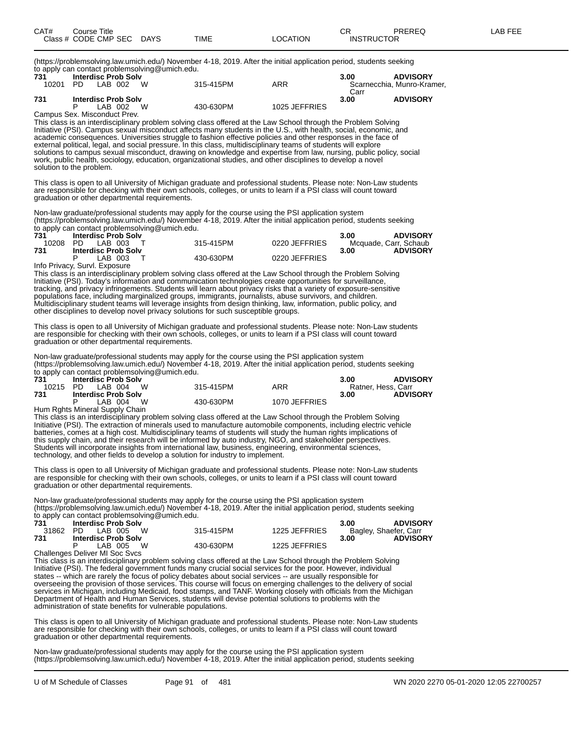(https://problemsolving.law.umich.edu/) November 4-18, 2019. After the initial application period, students seeking to apply can contact problemsolving@umich.edu.

| 731   | <b>Interdisc Prob Solv</b>   |           |               | 3.00 | <b>ADVISORY</b>            |
|-------|------------------------------|-----------|---------------|------|----------------------------|
| 10201 | W<br>PD.<br>LAB 002          | 315-415PM | ARR           |      | Scarnecchia, Munro-Kramer. |
|       |                              |           |               | Carr |                            |
| 731   | <b>Interdisc Prob Solv</b>   |           |               | 3.00 | <b>ADVISORY</b>            |
|       | W<br>LAB 002                 | 430-630PM | 1025 JEFFRIES |      |                            |
|       | Campus Sex. Misconduct Prev. |           |               |      |                            |

This class is an interdisciplinary problem solving class offered at the Law School through the Problem Solving Initiative (PSI). Campus sexual misconduct affects many students in the U.S., with health, social, economic, and academic consequences. Universities struggle to fashion effective policies and other responses in the face of external political, legal, and social pressure. In this class, multidisciplinary teams of students will explore solutions to campus sexual misconduct, drawing on knowledge and expertise from law, nursing, public policy, social work, public health, sociology, education, organizational studies, and other disciplines to develop a novel solution to the problem.

This class is open to all University of Michigan graduate and professional students. Please note: Non-Law students are responsible for checking with their own schools, colleges, or units to learn if a PSI class will count toward graduation or other departmental requirements.

Non-law graduate/professional students may apply for the course using the PSI application system (https://problemsolving.law.umich.edu/) November 4-18, 2019. After the initial application period, students seeking to apply can contact problemsolving@umich.edu.

| .<br>731 | <b>Interdisc Prob Solv</b> |           |               | <b>ADVISORY</b><br>3.00 |
|----------|----------------------------|-----------|---------------|-------------------------|
| 10208    | PD LAB 003                 | 315-415PM | 0220 JEFFRIES | Mcquade, Carr, Schaub   |
| 731      | <b>Interdisc Prob Solv</b> |           |               | <b>ADVISORY</b><br>3.00 |
|          | LAB 003                    | 430-630PM | 0220 JEFFRIES |                         |

Info Privacy, Survl. Exposure

This class is an interdisciplinary problem solving class offered at the Law School through the Problem Solving Initiative (PSI). Today's information and communication technologies create opportunities for surveillance, tracking, and privacy infringements. Students will learn about privacy risks that a variety of exposure-sensitive populations face, including marginalized groups, immigrants, journalists, abuse survivors, and children. Multidisciplinary student teams will leverage insights from design thinking, law, information, public policy, and other disciplines to develop novel privacy solutions for such susceptible groups.

This class is open to all University of Michigan graduate and professional students. Please note: Non-Law students are responsible for checking with their own schools, colleges, or units to learn if a PSI class will count toward graduation or other departmental requirements.

Non-law graduate/professional students may apply for the course using the PSI application system (https://problemsolving.law.umich.edu/) November 4-18, 2019. After the initial application period, students seeking to apply can contact problemsolving  $@$  umich.edu.

| 731 | <b>Interdisc Prob Solv</b>     |           |               | 3.00               | <b>ADVISORY</b> |
|-----|--------------------------------|-----------|---------------|--------------------|-----------------|
|     | 10215 PD LAB 004 W             | 315-415PM | ARR           | Ratner. Hess. Carr |                 |
| 731 | <b>Interdisc Prob Solv</b>     |           | 3.00          | <b>ADVISORY</b>    |                 |
|     | LAB 004 W<br>P                 | 430-630PM | 1070 JEFFRIES |                    |                 |
|     | Hum Rghts Mineral Supply Chain |           |               |                    |                 |

This class is an interdisciplinary problem solving class offered at the Law School through the Problem Solving Initiative (PSI). The extraction of minerals used to manufacture automobile components, including electric vehicle batteries, comes at a high cost. Multidisciplinary teams of students will study the human rights implications of this supply chain, and their research will be informed by auto industry, NGO, and stakeholder perspectives. Students will incorporate insights from international law, business, engineering, environmental sciences, technology, and other fields to develop a solution for industry to implement.

This class is open to all University of Michigan graduate and professional students. Please note: Non-Law students are responsible for checking with their own schools, colleges, or units to learn if a PSI class will count toward graduation or other departmental requirements.

Non-law graduate/professional students may apply for the course using the PSI application system (https://problemsolving.law.umich.edu/) November 4-18, 2019. After the initial application period, students seeking to apply can contact problemsolving@umich.edu.

| 731   | <b>Interdisc Prob Solv</b>     |           |               | <b>ADVISORY</b><br>3.00 |
|-------|--------------------------------|-----------|---------------|-------------------------|
| 31862 | PD LAB 005 W                   | 315-415PM | 1225 JEFFRIES | Bagley, Shaefer, Carr   |
| 731   | <b>Interdisc Prob Solv</b>     |           |               | <b>ADVISORY</b><br>3.00 |
|       | LAB 005 W                      | 430-630PM | 1225 JEFFRIES |                         |
|       | Challenges Deliver MI Soc Svcs |           |               |                         |

This class is an interdisciplinary problem solving class offered at the Law School through the Problem Solving Initiative (PSI). The federal government funds many crucial social services for the poor. However, individual states -- which are rarely the focus of policy debates about social services -- are usually responsible for overseeing the provision of those services. This course will focus on emerging challenges to the delivery of social services in Michigan, including Medicaid, food stamps, and TANF. Working closely with officials from the Michigan Department of Health and Human Services, students will devise potential solutions to problems with the administration of state benefits for vulnerable populations.

This class is open to all University of Michigan graduate and professional students. Please note: Non-Law students are responsible for checking with their own schools, colleges, or units to learn if a PSI class will count toward graduation or other departmental requirements.

Non-law graduate/professional students may apply for the course using the PSI application system (https://problemsolving.law.umich.edu/) November 4-18, 2019. After the initial application period, students seeking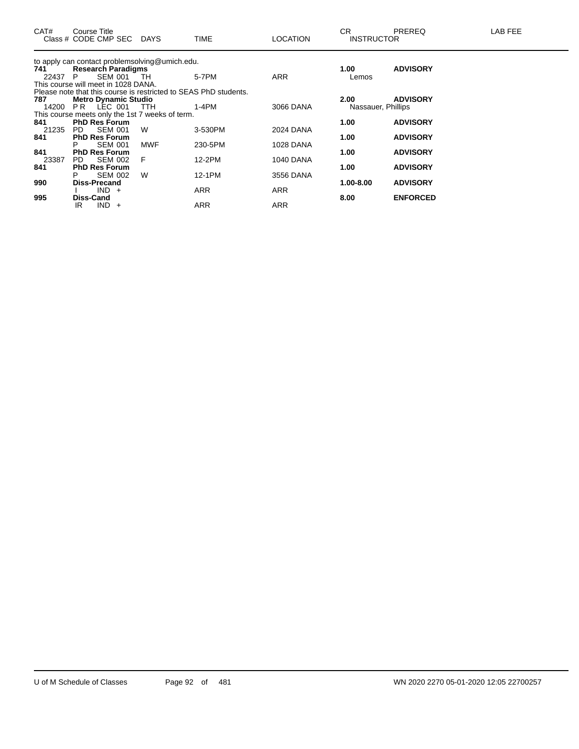| CAT#  | Course Title<br>Class # CODE CMP SEC DAYS                        |            | <b>TIME</b> | <b>LOCATION</b>  | CR.<br><b>INSTRUCTOR</b>   | <b>PREREQ</b>   | LAB FEE |
|-------|------------------------------------------------------------------|------------|-------------|------------------|----------------------------|-----------------|---------|
|       | to apply can contact problemsolving@umich.edu.                   |            |             |                  |                            |                 |         |
| 741   | <b>Research Paradigms</b>                                        |            |             |                  | 1.00                       | <b>ADVISORY</b> |         |
| 22437 | SEM 001 TH<br>P.                                                 |            | 5-7PM       | <b>ARR</b>       | Lemos                      |                 |         |
|       | This course will meet in 1028 DANA.                              |            |             |                  |                            |                 |         |
| 787   | Please note that this course is restricted to SEAS PhD students. |            |             |                  |                            | <b>ADVISORY</b> |         |
| 14200 | <b>Metro Dynamic Studio</b><br>PR LEC 001 TTH                    |            | 1-4PM       | 3066 DANA        | 2.00<br>Nassauer, Phillips |                 |         |
|       | This course meets only the 1st 7 weeks of term.                  |            |             |                  |                            |                 |         |
| 841   | <b>PhD Res Forum</b>                                             |            |             |                  | 1.00                       | <b>ADVISORY</b> |         |
| 21235 | <b>SEM 001</b><br>PD.                                            | W          | 3-530PM     | 2024 DANA        |                            |                 |         |
| 841   | <b>PhD Res Forum</b>                                             |            |             |                  | 1.00                       | <b>ADVISORY</b> |         |
|       | <b>SEM 001</b>                                                   | <b>MWF</b> | 230-5PM     | <b>1028 DANA</b> |                            |                 |         |
| 841   | <b>PhD Res Forum</b>                                             |            |             |                  | 1.00                       | <b>ADVISORY</b> |         |
| 23387 | SEM 002<br>PD.                                                   | F          | 12-2PM      | 1040 DANA        |                            |                 |         |
| 841   | <b>PhD Res Forum</b>                                             |            |             |                  | 1.00                       | <b>ADVISORY</b> |         |
|       | <b>SEM 002</b><br>Р                                              | W          | 12-1PM      | 3556 DANA        |                            |                 |         |
| 990   | <b>Diss-Precand</b>                                              |            |             |                  | 1.00-8.00                  | <b>ADVISORY</b> |         |
|       | $IND +$                                                          |            | <b>ARR</b>  | <b>ARR</b>       |                            |                 |         |
| 995   | <b>Diss-Cand</b>                                                 |            |             |                  | 8.00                       | <b>ENFORCED</b> |         |
|       | IR.<br>$IND +$                                                   |            | ARR         | <b>ARR</b>       |                            |                 |         |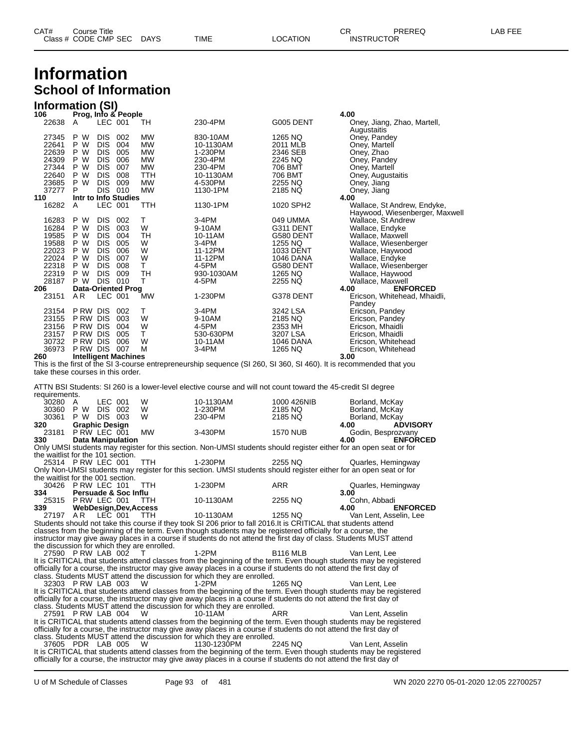| CAT# | Title<br>Course      |      |      |          | Ωn<br>- UN | PREREQ            | ---<br>AR.<br>--- |
|------|----------------------|------|------|----------|------------|-------------------|-------------------|
|      | Class # CODE CMP SEC | DAYS | TIME | LOCATION |            | <b>INSTRUCTOR</b> |                   |

## **Information School of Information**

#### **Information (SI)**

| 106                               | Prog, Info & People         |            |         |            |            |           | 4.00                                                                                                                |
|-----------------------------------|-----------------------------|------------|---------|------------|------------|-----------|---------------------------------------------------------------------------------------------------------------------|
| 22638                             | A                           | LEC 001    |         | TН         | 230-4PM    | G005 DENT | Oney, Jiang, Zhao, Martell,<br>Augustaitis                                                                          |
| 27345                             | P W                         | <b>DIS</b> | 002     | MW         | 830-10AM   | 1265 NQ   | Oney, Pandey                                                                                                        |
| 22641                             | P W                         | <b>DIS</b> | 004     | MW         | 10-1130AM  | 2011 MLB  | Oney, Martell                                                                                                       |
| 22639                             | P W                         | <b>DIS</b> | 005     | <b>MW</b>  | 1-230PM    | 2346 SEB  | Oney, Zhao                                                                                                          |
| 24309                             | P.<br>W                     | <b>DIS</b> | 006     | <b>MW</b>  | 230-4PM    | 2245 NQ   | Oney, Pandey                                                                                                        |
| 27344                             | W<br>P                      | <b>DIS</b> | 007     | <b>MW</b>  | 230-4PM    | 706 BMT   | Oney, Martell                                                                                                       |
| 22640                             | P<br>W                      | <b>DIS</b> | 008     | <b>TTH</b> | 10-1130AM  | 706 BMT   | Oney, Augustaitis                                                                                                   |
| 23685                             | W<br>P                      | <b>DIS</b> | 009     | <b>MW</b>  | 4-530PM    | 2255 NQ   | Oney, Jiang                                                                                                         |
| 37277                             | P                           | <b>DIS</b> | 010     | MW         | 1130-1PM   | 2185 NQ   | Oney, Jiang                                                                                                         |
| 110                               | Intr to Info Studies        |            |         |            |            |           | 4.00                                                                                                                |
| 16282                             | A                           |            | LEC 001 | TTH        | 1130-1PM   | 1020 SPH2 | Wallace, St Andrew, Endyke,<br>Haywood, Wiesenberger, Maxwell                                                       |
| 16283                             | P W                         | <b>DIS</b> | 002     | т          | $3-4PM$    | 049 UMMA  | Wallace, St Andrew                                                                                                  |
| 16284                             | W<br>P.                     | <b>DIS</b> | 003     | W          | 9-10AM     | G311 DENT | Wallace, Endyke                                                                                                     |
| 19585                             | P W                         | <b>DIS</b> | 004     | TH         | 10-11AM    | G580 DENT | Wallace, Maxwell                                                                                                    |
| 19588                             | P W                         | <b>DIS</b> | 005     | W          | $3-4PM$    | 1255 NQ   | Wallace, Wiesenberger                                                                                               |
| 22023                             | W<br>P.                     | <b>DIS</b> | 006     | W          | 11-12PM    | 1033 DENT | Wallace, Haywood                                                                                                    |
| 22024                             | P<br>W                      | <b>DIS</b> | 007     | W          | 11-12PM    | 1046 DANA | Wallace, Endyke                                                                                                     |
| 22318                             | W<br>P                      | <b>DIS</b> | 008     | T.         | 4-5PM      | G580 DENT | Wallace, Wiesenberger                                                                                               |
| 22319                             | W<br>P.                     | <b>DIS</b> | 009     | <b>TH</b>  | 930-1030AM | 1265 NQ   | Wallace, Haywood                                                                                                    |
| 28187                             | P W                         | <b>DIS</b> | 010     | т          | 4-5PM      | 2255 NQ   | Wallace, Maxwell                                                                                                    |
| 206                               | <b>Data-Oriented Prog</b>   |            |         |            |            |           | <b>ENFORCED</b><br>4.00                                                                                             |
| 23151                             | AR.                         | LEC 001    |         | <b>MW</b>  | 1-230PM    | G378 DENT | Ericson, Whitehead, Mhaidli,<br>Pandey                                                                              |
| 23154                             | P RW DIS                    |            | 002     | т          | 3-4PM      | 3242 LSA  | Ericson, Pandey                                                                                                     |
| 23155                             | P RW DIS                    |            | 003     | W          | 9-10AM     | 2185 NQ   | Ericson, Pandey                                                                                                     |
| 23156                             | P RW DIS                    |            | 004     | W          | 4-5PM      | 2353 MH   | Ericson, Mhaidli                                                                                                    |
| 23157                             | P RW DIS                    |            | 005     | т          | 530-630PM  | 3207 LSA  | Ericson, Mhaidli                                                                                                    |
| 30732                             | P RW DIS                    |            | 006     | W          | 10-11AM    | 1046 DANA | Ericson, Whitehead                                                                                                  |
| 36973                             | P RW DIS                    |            | 007     | M          | 3-4PM      | 1265 NQ   | Ericson, Whitehead                                                                                                  |
| 260                               | <b>Intelligent Machines</b> |            |         |            |            |           | 3.00                                                                                                                |
|                                   |                             |            |         |            |            |           | This is the first of the SI 3-course entrepreneurship sequence (SI 260, SI 360, SI 460). It is recommended that you |
| take these courses in this order. |                             |            |         |            |            |           |                                                                                                                     |

ATTN BSI Students: SI 260 is a lower-level elective course and will not count toward the 45-credit SI degree ruirements

| regumenterits.                              |                       |                |                                 |            |                                                                                                                     |                 |                                                                                                                    |
|---------------------------------------------|-----------------------|----------------|---------------------------------|------------|---------------------------------------------------------------------------------------------------------------------|-----------------|--------------------------------------------------------------------------------------------------------------------|
| 30280 A                                     |                       | LEC 001        |                                 | W          | 10-1130AM                                                                                                           | 1000 426NIB     | Borland, McKay                                                                                                     |
| 30360 P W                                   |                       | DIS 002        |                                 | W          | 1-230PM                                                                                                             | 2185 NQ         | Borland, McKay                                                                                                     |
| 30361 P W                                   |                       | <b>DIS 003</b> |                                 | W          | 230-4PM                                                                                                             | 2185 NQ         | Borland, McKay                                                                                                     |
| 320                                         | <b>Graphic Design</b> |                |                                 |            |                                                                                                                     |                 | 4.00<br><b>ADVISORY</b>                                                                                            |
| 23181 P RW LEC 001                          |                       |                |                                 | <b>MW</b>  | 3-430PM                                                                                                             | <b>1570 NUB</b> | Godin, Besprozvany                                                                                                 |
| 330                                         |                       |                | <b>Data Manipulation</b>        |            |                                                                                                                     |                 | <b>ENFORCED</b><br>4.00                                                                                            |
|                                             |                       |                |                                 |            | Only UMSI students may register for this section. Non-UMSI students should register either for an open seat or for  |                 |                                                                                                                    |
| the waitlist for the 101 section.           |                       |                |                                 |            |                                                                                                                     |                 |                                                                                                                    |
| 25314 P RW LEC 001                          |                       |                |                                 | <b>TTH</b> | 1-230PM                                                                                                             | 2255 NQ         | Quarles, Hemingway                                                                                                 |
|                                             |                       |                |                                 |            | Only Non-UMSI students may register for this section. UMSI students should register either for an open seat or for  |                 |                                                                                                                    |
| the waitlist for the 001 section.           |                       |                |                                 |            |                                                                                                                     |                 |                                                                                                                    |
| 30426 P RW LEC 101                          |                       |                |                                 | <b>TTH</b> | 1-230PM                                                                                                             | <b>ARR</b>      | Quarles, Hemingway                                                                                                 |
| 334                                         |                       |                | <b>Persuade &amp; Soc Influ</b> |            |                                                                                                                     |                 | 3.00                                                                                                               |
| 25315 P RW LEC 001                          |                       |                |                                 | <b>TTH</b> | 10-1130AM                                                                                                           | 2255 NQ         | Cohn, Abbadi                                                                                                       |
| 339                                         |                       |                | WebDesign, Dev, Access          |            |                                                                                                                     |                 | <b>ENFORCED</b><br>4.00                                                                                            |
| 27197 AR LEC 001                            |                       |                |                                 | TTH        | 10-1130AM                                                                                                           | 1255 NQ         | Van Lent, Asselin, Lee                                                                                             |
|                                             |                       |                |                                 |            | Students should not take this course if they took SI 206 prior to fall 2016. It is CRITICAL that students attend    |                 |                                                                                                                    |
|                                             |                       |                |                                 |            | classes from the beginning of the term. Even though students may be registered officially for a course, the         |                 |                                                                                                                    |
|                                             |                       |                |                                 |            | instructor may give away places in a course if students do not attend the first day of class. Students MUST attend  |                 |                                                                                                                    |
| the discussion for which they are enrolled. |                       |                |                                 |            |                                                                                                                     |                 |                                                                                                                    |
| 27590 P RW LAB 002                          |                       |                |                                 | $\top$     | 1-2PM                                                                                                               | <b>B116 MLB</b> | Van Lent. Lee                                                                                                      |
|                                             |                       |                |                                 |            |                                                                                                                     |                 | It is CRITICAL that students attend classes from the beginning of the term. Even though students may be registered |
|                                             |                       |                |                                 |            | officially for a course, the instructor may give away places in a course if students do not attend the first day of |                 |                                                                                                                    |
|                                             |                       |                |                                 |            | class. Students MUST attend the discussion for which they are enrolled.                                             |                 |                                                                                                                    |
| 32303 P RW LAB 003                          |                       |                |                                 | - W        | $1-2PM$                                                                                                             | 1265 NQ         | Van Lent. Lee                                                                                                      |
|                                             |                       |                |                                 |            |                                                                                                                     |                 | It is CRITICAL that students attend classes from the beginning of the term. Even though students may be registered |
|                                             |                       |                |                                 |            | officially for a course, the instructor may give away places in a course if students do not attend the first day of |                 |                                                                                                                    |
|                                             |                       |                |                                 |            | class. Students MUST attend the discussion for which they are enrolled.                                             |                 |                                                                                                                    |
| 27591 P RW LAB 004                          |                       |                |                                 | W          | 10-11AM                                                                                                             | ARR             | Van Lent. Asselin                                                                                                  |
|                                             |                       |                |                                 |            |                                                                                                                     |                 | It is CRITICAL that students attend classes from the beginning of the term. Even though students may be registered |
|                                             |                       |                |                                 |            | officially for a course, the instructor may give away places in a course if students do not attend the first day of |                 |                                                                                                                    |
|                                             |                       |                |                                 |            | class. Students MUST attend the discussion for which they are enrolled.                                             |                 |                                                                                                                    |
| 37605 PDR LAB 005                           |                       |                |                                 | W          | 1130-1230PM                                                                                                         | 2245 NO         | Van Lent. Asselin                                                                                                  |
|                                             |                       |                |                                 |            |                                                                                                                     |                 | It is CRITICAL that students attend classes from the beginning of the term. Even though students may be registered |
|                                             |                       |                |                                 |            | officially for a course, the instructor may give away places in a course if students do not attend the first day of |                 |                                                                                                                    |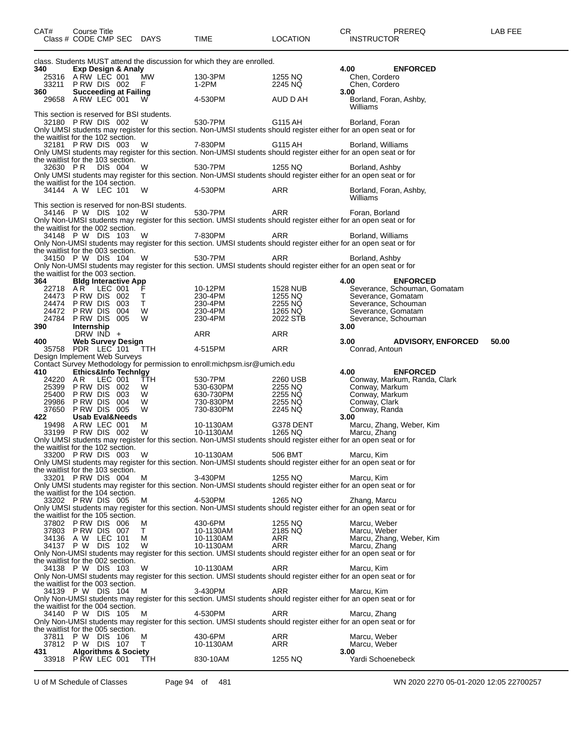| CAT#     | Course Title                                                                         | Class # CODE CMP SEC DAYS                           | TIME                                                                       | <b>LOCATION</b>                                       | LAB FEE<br>CR.<br>PREREQ<br><b>INSTRUCTOR</b>                                                                                           |
|----------|--------------------------------------------------------------------------------------|-----------------------------------------------------|----------------------------------------------------------------------------|-------------------------------------------------------|-----------------------------------------------------------------------------------------------------------------------------------------|
| 340      | Exp Design & Analy                                                                   |                                                     | class. Students MUST attend the discussion for which they are enrolled.    |                                                       | 4.00<br><b>ENFORCED</b>                                                                                                                 |
|          | 25316 ARW LEC 001<br>33211 PRW DIS 002                                               | <b>MW</b><br>- F                                    | 130-3PM<br>1-2PM                                                           | 1255 NQ<br>2245 NQ                                    | Chen, Cordero<br>Chen, Cordero                                                                                                          |
| 360 —    | <b>Succeeding at Failing</b><br>29658 A RW LEC 001                                   | W.                                                  | 4-530PM                                                                    | AUD D AH                                              | 3.00<br>Borland, Foran, Ashby,<br>Williams                                                                                              |
|          | This section is reserved for BSI students.<br>32180 PRW DIS 002 W                    |                                                     | 530-7PM                                                                    | G115 AH                                               | Borland, Foran                                                                                                                          |
|          | the waitlist for the 102 section.<br>32181 PRW DIS 003                               | W                                                   | 7-830PM 2001                                                               | G115 AH                                               | Only UMSI students may register for this section. Non-UMSI students should register either for an open seat or for<br>Borland, Williams |
| 32630 PR | the waitlist for the 103 section.<br>DIS 004                                         | W                                                   | 530-7PM                                                                    | 1255 NQ                                               | Only UMSI students may register for this section. Non-UMSI students should register either for an open seat or for<br>Borland, Ashby    |
|          | the waitlist for the 104 section.                                                    |                                                     |                                                                            |                                                       | Only UMSI students may register for this section. Non-UMSI students should register either for an open seat or for                      |
|          | 34144 A W LEC 101                                                                    | W<br>This section is reserved for non-BSI students. | 4-530PM                                                                    | ARR                                                   | Borland, Foran, Ashby,<br>Williams                                                                                                      |
|          | 34146 P W DIS 102<br>the waitlist for the 002 section.                               | W.                                                  | 530-7PM                                                                    | ARR                                                   | Foran, Borland<br>Only Non-UMSI students may register for this section. UMSI students should register either for an open seat or for    |
|          | 34148 P W DIS 103                                                                    | - W                                                 | 7-830PM                                                                    | ARR                                                   | Borland, Williams<br>Only Non-UMSI students may register for this section. UMSI students should register either for an open seat or for |
|          | the waitlist for the 003 section.<br>34150 P W DIS 104 W                             |                                                     | 530-7PM                                                                    | ARR                                                   | Borland, Ashby<br>Only Non-UMSI students may register for this section. UMSI students should register either for an open seat or for    |
| 364      | the waitlist for the 003 section.<br><b>Bldg Interactive App</b><br>22718 AR LEC 001 | ∴F.                                                 | 10-12PM                                                                    |                                                       | 4.00<br><b>ENFORCED</b><br>Severance, Schouman, Gomatam                                                                                 |
|          | 24473 P RW DIS 002<br>24474 PRW DIS 003                                              | T<br>$\top$                                         |                                                                            | 1528 NUB<br>1255 NQ<br>2255 NQ<br>1265 NQ<br>2022 STB | Severance, Gomatam<br>Severance, Gomatam<br>Severance, Schouman                                                                         |
|          | 24472 PRW DIS 004                                                                    | <b>W</b>                                            | 230-4PM<br>230-4PM<br>230-4PM                                              |                                                       | Severance, Gomatam                                                                                                                      |
| 390 l    | 24784 PRW DIS 005<br>Internship                                                      | <b>W</b>                                            | 230-4PM                                                                    |                                                       | Severance, Schouman<br>3.00                                                                                                             |
| 400      | DRW $\mathsf{IND}$ +<br><b>Web Survey Design</b>                                     |                                                     | ARR                                                                        | ARR                                                   | 3.00<br><b>ADVISORY, ENFORCED</b><br>50.00                                                                                              |
|          | 35758 PDR LEC 101                                                                    | TTH                                                 | 4-515PM                                                                    | ARR                                                   | Conrad, Antoun                                                                                                                          |
|          | Design Implement Web Surveys                                                         |                                                     | Contact Survey Methodology for permission to enroll: michpsm.isr@umich.edu |                                                       |                                                                                                                                         |
| 410      | Ethics&Info Technigy<br>24220 AR LEC 001                                             | TTH                                                 | 530-7PM                                                                    | 2260 USB                                              | 4.00<br><b>ENFORCED</b><br>Conway, Markum, Randa, Clark                                                                                 |
|          | 25399 PRW DIS 002                                                                    | W                                                   | 530-630PM                                                                  | 2255 NQ                                               | Conway, Markum                                                                                                                          |
|          | 25400 PRW DIS 003<br>29986 PRW DIS 004                                               | W.<br>- W                                           | 630-730PM<br>730-830PM                                                     | 2255 NQ<br>2255 NQ                                    | Conway, Markum<br>Conway, Clark                                                                                                         |
|          | 37650 PRW DIS 005                                                                    | W                                                   | 730-830PM                                                                  | 2245 NQ                                               | Conway, Randa                                                                                                                           |
| 422      | <b>Usab Eval&amp;Needs</b><br>19498 A RW LEC 001                                     | М                                                   | 10-1130AM                                                                  | G378 DENT                                             | 3.00<br>Marcu, Zhang, Weber, Kim                                                                                                        |
|          | 33199 PRW DIS 002                                                                    | W                                                   | 10-1130AM                                                                  | 1265 NQ                                               | Marcu, Zhang                                                                                                                            |
|          | the waitlist for the 102 section.<br>33200 PRW DIS 003 W                             |                                                     | 10-1130AM                                                                  | 506 BMT                                               | Only UMSI students may register for this section. Non-UMSI students should register either for an open seat or for<br>Marcu, Kim        |
|          | the waitlist for the 103 section.                                                    |                                                     |                                                                            |                                                       | Only UMSI students may register for this section. Non-UMSI students should register either for an open seat or for                      |
|          | 33201 PRW DIS 004<br>the waitlist for the 104 section.                               | M                                                   | 3-430PM                                                                    | 1255 NQ                                               | Marcu, Kim<br>Only UMSI students may register for this section. Non-UMSI students should register either for an open seat or for        |
|          | 33202 PRW DIS 005<br>the waitlist for the 105 section.                               | M                                                   | 4-530PM                                                                    | 1265 NQ                                               | Zhang, Marcu<br>Only UMSI students may register for this section. Non-UMSI students should register either for an open seat or for      |
|          | 37802 PRW DIS 006                                                                    | м                                                   | 430-6PM                                                                    | 1255 NQ                                               | Marcu, Weber                                                                                                                            |
|          | 37803 PRW DIS 007<br>34136 A W LEC 101                                               | T.<br>м                                             | 10-1130AM<br>10-1130AM                                                     | 2185 NQ<br>ARR                                        | Marcu, Weber<br>Marcu, Zhang, Weber, Kim                                                                                                |
|          | 34137 P W DIS 102                                                                    | W                                                   | 10-1130AM                                                                  | ARR                                                   | Marcu, Zhang                                                                                                                            |
|          | the waitlist for the 002 section.                                                    |                                                     |                                                                            |                                                       | Only Non-UMSI students may register for this section. UMSI students should register either for an open seat or for                      |
|          | 34138 P W DIS 103<br>the waitlist for the 003 section.                               | W                                                   | 10-1130AM                                                                  | ARR                                                   | Marcu, Kim<br>Only Non-UMSI students may register for this section. UMSI students should register either for an open seat or for        |
|          | 34139 P W DIS 104                                                                    | м                                                   | 3-430PM                                                                    | ARR                                                   | Marcu, Kim<br>Only Non-UMSI students may register for this section. UMSI students should register either for an open seat or for        |
|          | the waitlist for the 004 section.<br>34140 P W DIS 105                               | М                                                   | 4-530PM                                                                    | ARR                                                   | Marcu, Zhang<br>Only Non-UMSI students may register for this section. UMSI students should register either for an open seat or for      |
| 37811    | the waitlist for the 005 section.<br>P W DIS 106<br>37812 P W DIS 107                | М<br>T.                                             | 430-6PM<br>10-1130AM                                                       | ARR<br>ARR                                            | Marcu, Weber<br>Marcu, Weber                                                                                                            |
| 431      | <b>Algorithms &amp; Society</b><br>33918 P RW LEC 001                                | TTH                                                 | 830-10AM                                                                   | 1255 NQ                                               | 3.00<br>Yardi Schoenebeck                                                                                                               |
|          |                                                                                      |                                                     |                                                                            |                                                       |                                                                                                                                         |

U of M Schedule of Classes Page 94 of 481 WN 2020 2270 05-01-2020 12:05 22700257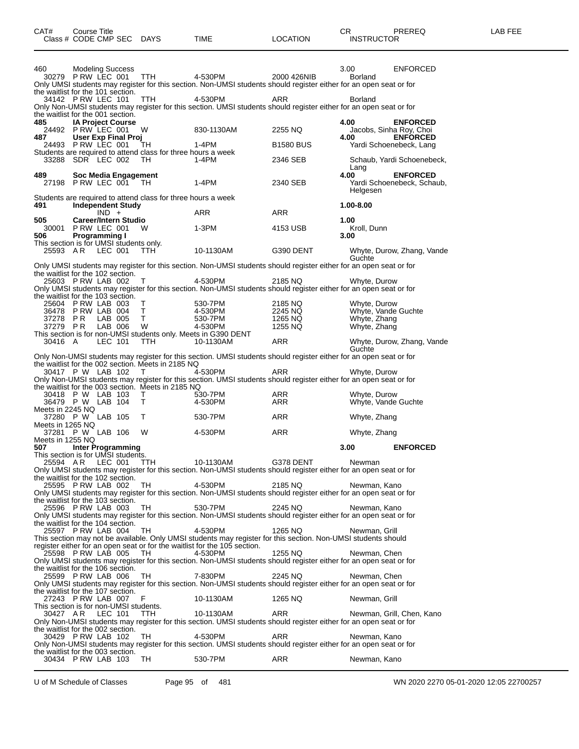| Class # CODE CMP SEC                                          |                          |         |                             | DAYS                                                               | TIME                                                                                                                                                                  | LOCATION           | <b>INSTRUCTOR</b>                   |                                            |
|---------------------------------------------------------------|--------------------------|---------|-----------------------------|--------------------------------------------------------------------|-----------------------------------------------------------------------------------------------------------------------------------------------------------------------|--------------------|-------------------------------------|--------------------------------------------|
|                                                               |                          |         |                             |                                                                    |                                                                                                                                                                       |                    |                                     |                                            |
| 460                                                           | <b>Modeling Success</b>  |         |                             |                                                                    |                                                                                                                                                                       |                    | 3.00                                | <b>ENFORCED</b>                            |
| 30279 P RW LEC 001                                            |                          |         |                             | <b>TTH</b>                                                         | 4-530PM<br>Only UMSI students may register for this section. Non-UMSI students should register either for an open seat or for                                         | 2000 426NIB        | <b>Borland</b>                      |                                            |
| the waitlist for the 101 section.                             |                          |         |                             |                                                                    |                                                                                                                                                                       |                    |                                     |                                            |
| 34142 PRW LEC 101                                             |                          |         |                             | TTH                                                                | 4-530PM<br>Only Non-UMSI students may register for this section. UMSI students should register either for an open seat or for                                         | ARR                | <b>Borland</b>                      |                                            |
| the waitlist for the 001 section.                             |                          |         |                             |                                                                    |                                                                                                                                                                       |                    |                                     |                                            |
| 485<br>24492 P RW LEC 001                                     | <b>IA Project Course</b> |         |                             | W                                                                  | 830-1130AM                                                                                                                                                            | 2255 NQ            | 4.00                                | <b>ENFORCED</b><br>Jacobs, Sinha Roy, Choi |
| 487.                                                          |                          |         | <b>User Exp Final Proj</b>  |                                                                    |                                                                                                                                                                       |                    | 4.00                                | <b>ENFORCED</b>                            |
| 24493 P RW LEC 001                                            |                          |         |                             | TН<br>Students are required to attend class for three hours a week | $1-4PM$                                                                                                                                                               | <b>B1580 BUS</b>   |                                     | Yardi Schoenebeck, Lang                    |
| 33288 SDR LEC 002                                             |                          |         |                             | TH.                                                                | 1-4PM                                                                                                                                                                 | 2346 SEB           |                                     | Schaub, Yardi Schoenebeck,                 |
| 489                                                           |                          |         | Soc Media Engagement        |                                                                    |                                                                                                                                                                       |                    | Lang<br>4.00                        | <b>ENFORCED</b>                            |
| 27198 P RW LEC 001                                            |                          |         |                             | - TH                                                               | $1-4PM$                                                                                                                                                               | 2340 SEB           |                                     | Yardi Schoenebeck, Schaub,                 |
|                                                               |                          |         |                             | Students are required to attend class for three hours a week       |                                                                                                                                                                       |                    | Helgesen                            |                                            |
| 491                                                           |                          |         | <b>Independent Study</b>    |                                                                    |                                                                                                                                                                       |                    | 1.00-8.00                           |                                            |
| 505                                                           |                          | $IND +$ | <b>Career/Intern Studio</b> |                                                                    | ARR                                                                                                                                                                   | <b>ARR</b>         | 1.00                                |                                            |
| 30001                                                         | PRW LEC 001              |         |                             | W                                                                  | 1-3PM                                                                                                                                                                 | 4153 USB           | Kroll, Dunn                         |                                            |
| 506<br>This section is for UMSI students only.                | <b>Programming I</b>     |         |                             |                                                                    |                                                                                                                                                                       |                    | 3.00                                |                                            |
| 25593 AR                                                      |                          | LEC 001 |                             | TTH.                                                               | 10-1130AM                                                                                                                                                             | G390 DENT          |                                     | Whyte, Durow, Zhang, Vande                 |
|                                                               |                          |         |                             |                                                                    | Only UMSI students may register for this section. Non-UMSI students should register either for an open seat or for                                                    |                    | Guchte                              |                                            |
| the waitlist for the 102 section.                             |                          |         |                             |                                                                    |                                                                                                                                                                       |                    |                                     |                                            |
| 25603 PRW LAB 002                                             |                          |         |                             | Τ                                                                  | 4-530PM<br>Only UMSI students may register for this section. Non-UMSI students should register either for an open seat or for                                         | 2185 NQ            | Whyte, Durow                        |                                            |
| the waitlist for the 103 section.                             |                          |         |                             |                                                                    |                                                                                                                                                                       |                    |                                     |                                            |
| 25604 PRW LAB 003<br>36478 PRW LAB 004                        |                          |         |                             | т<br>т                                                             | 530-7PM<br>4-530PM                                                                                                                                                    | 2185 NQ<br>2245 NQ | Whyte, Durow<br>Whyte, Vande Guchte |                                            |
| 37278                                                         | P R                      | LAB 005 |                             | Τ                                                                  | 530-7PM                                                                                                                                                               | 1265 NQ            | Whyte, Zhang                        |                                            |
| 37279 PR                                                      |                          | LAB 006 |                             | W                                                                  | 4-530PM<br>This section is for non-UMSI students only. Meets in G390 DENT                                                                                             | 1255 NQ            | Whyte, Zhang                        |                                            |
| 30416 A                                                       |                          | LEC 101 |                             | TTH.                                                               | 10-1130AM                                                                                                                                                             | ARR                |                                     | Whyte, Durow, Zhang, Vande                 |
|                                                               |                          |         |                             |                                                                    | Only Non-UMSI students may register for this section. UMSI students should register either for an open seat or for                                                    |                    | Guchte                              |                                            |
|                                                               |                          |         |                             | the waitlist for the 002 section. Meets in 2185 NQ                 |                                                                                                                                                                       |                    |                                     |                                            |
| 30417 P W LAB 102                                             |                          |         |                             | T                                                                  | 4-530PM<br>Only Non-UMSI students may register for this section. UMSI students should register either for an open seat or for                                         | <b>ARR</b>         | Whyte, Durow                        |                                            |
|                                                               |                          |         |                             | the waitlist for the 003 section. Meets in 2185 NQ                 |                                                                                                                                                                       |                    |                                     |                                            |
| 30418 P W LAB 103<br>36479 P W LAB 104                        |                          |         |                             | Τ<br>Τ                                                             | 530-7PM<br>4-530PM                                                                                                                                                    | ARR<br>ARR         | Whyte, Durow<br>Whyte, Vande Guchte |                                            |
| Meets in 2245 NQ                                              |                          |         |                             |                                                                    |                                                                                                                                                                       |                    |                                     |                                            |
| 37280 P W LAB 105<br>Meets in 1265 NQ                         |                          |         |                             | т                                                                  | 530-7PM                                                                                                                                                               | <b>ARR</b>         | Whyte, Zhang                        |                                            |
| 37281 P W LAB 106                                             |                          |         |                             | W                                                                  | 4-530PM                                                                                                                                                               | ARR                | Whyte, Zhang                        |                                            |
| Meets in 1255 NQ<br>507                                       |                          |         | <b>Inter Programming</b>    |                                                                    |                                                                                                                                                                       |                    | 3.00                                | <b>ENFORCED</b>                            |
| This section is for UMSI students.                            |                          |         |                             |                                                                    |                                                                                                                                                                       |                    |                                     |                                            |
|                                                               |                          |         |                             |                                                                    | 25594 AR LEC 001 TTH 10-1130AM G378 DENT Newman<br>Only UMSI students may register for this section. Non-UMSI students should register either for an open seat or for |                    |                                     |                                            |
| the waitlist for the 102 section.                             |                          |         |                             |                                                                    |                                                                                                                                                                       |                    |                                     |                                            |
| 25595 PRW LAB 002 TH                                          |                          |         |                             |                                                                    | 4-530PM<br>Only UMSI students may register for this section. Non-UMSI students should register either for an open seat or for                                         | 2185 NQ            | Newman, Kano                        |                                            |
| the waitlist for the 103 section.                             |                          |         |                             |                                                                    |                                                                                                                                                                       |                    |                                     |                                            |
| 25596 PRW LAB 003 TH                                          |                          |         |                             |                                                                    | 530-7PM<br>Only UMSI students may register for this section. Non-UMSI students should register either for an open seat or for                                         | 2245 NQ            | Newman, Kano                        |                                            |
| the waitlist for the 104 section.                             |                          |         |                             |                                                                    |                                                                                                                                                                       |                    |                                     |                                            |
| 25597 PRW LAB 004                                             |                          |         |                             | TH                                                                 | 4-530PM<br>This section may not be available. Only UMSI students may register for this section. Non-UMSI students should                                              | 1265 NQ            | Newman, Grill                       |                                            |
|                                                               |                          |         |                             |                                                                    | register either for an open seat or for the waitlist for the 105 section.                                                                                             |                    |                                     |                                            |
| 25598 PRW LAB 005                                             |                          |         |                             | TH <sub>1</sub>                                                    | 4-530PM<br>Only UMSI students may register for this section. Non-UMSI students should register either for an open seat or for                                         | 1255 NQ            | Newman, Chen                        |                                            |
| the waitlist for the 106 section.                             |                          |         |                             |                                                                    |                                                                                                                                                                       |                    |                                     |                                            |
| 25599 PRW LAB 006 TH                                          |                          |         |                             |                                                                    | 7-830PM<br>Only UMSI students may register for this section. Non-UMSI students should register either for an open seat or for                                         | 2245 NQ            | Newman, Chen                        |                                            |
| the waitlist for the 107 section.                             |                          |         |                             |                                                                    |                                                                                                                                                                       |                    |                                     |                                            |
| 27243 PRW LAB 007 F<br>This section is for non-UMSI students. |                          |         |                             |                                                                    | 10-1130AM                                                                                                                                                             | 1265 NQ            | Newman, Grill                       |                                            |
| 30427 A R                                                     |                          | LEC 101 |                             | TTH                                                                | 10-1130AM                                                                                                                                                             | ARR                |                                     | Newman, Grill, Chen, Kano                  |
| the waitlist for the 002 section.                             |                          |         |                             |                                                                    | Only Non-UMSI students may register for this section. UMSI students should register either for an open seat or for                                                    |                    |                                     |                                            |
| 30429 PRW LAB 102                                             |                          |         |                             | TH                                                                 | 4-530PM                                                                                                                                                               | ARR                | Newman, Kano                        |                                            |
| the waitlist for the 003 section.                             |                          |         |                             |                                                                    | Only Non-UMSI students may register for this section. UMSI students should register either for an open seat or for                                                    |                    |                                     |                                            |
| 30434 P RW LAB 103                                            |                          |         |                             | TH                                                                 | 530-7PM                                                                                                                                                               | ARR                | Newman, Kano                        |                                            |
|                                                               |                          |         |                             |                                                                    |                                                                                                                                                                       |                    |                                     |                                            |

CAT# Course Title Case CR PREREQ LAB FEE

U of M Schedule of Classes Page 95 of 481 WN 2020 2270 05-01-2020 12:05 22700257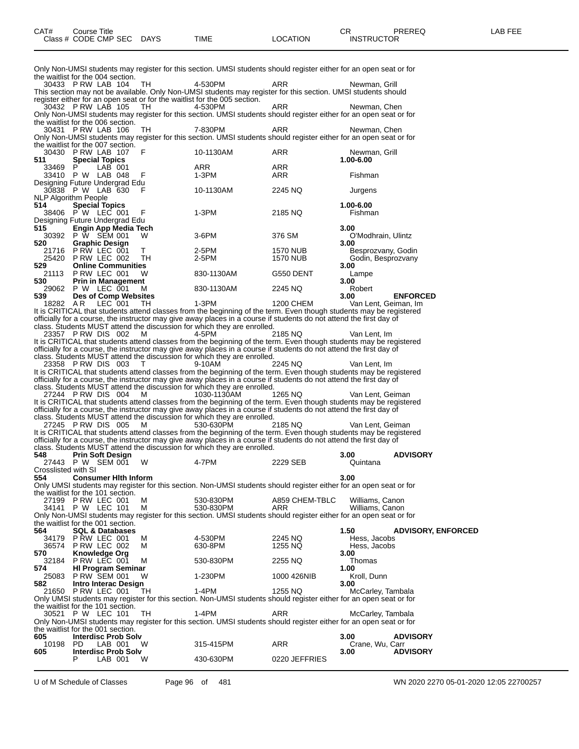Only Non-UMSI students may register for this section. UMSI students should register either for an open seat or for the waitlist for the 004 section.

30433 P RW LAB 104 TH 4-530PM ARR Newman, Grill This section may not be available. Only Non-UMSI students may register for this section. UMSI students should register either for an open seat or for the waitlist for the 005 section.<br>30432 P RW LAB 105 TH 4-530PM

30432 P RW LAB 105 TH 4-530PM ARR Newman, Chen Only Non-UMSI students may register for this section. UMSI students should register either for an open seat or for

the waitlist for the 006 section.<br>30431 P RW LAB 106 30431 P RW LAB 106 TH 7-830PM ARR Newman, Chen Only Non-UMSI students may register for this section. UMSI students should register either for an open seat or for the waitlist for the 007 section.

| 30430 | PRW LAB 107                    | F  | 10-1130AM  | <b>ARR</b>       | Newman, Grill           |
|-------|--------------------------------|----|------------|------------------|-------------------------|
| 511   | <b>Special Topics</b>          |    |            |                  | 1.00-6.00               |
| 33469 | LAB 001<br>P                   |    | <b>ARR</b> | <b>ARR</b>       |                         |
| 33410 | P W<br>LAB 048                 | F  | $1-3PM$    | <b>ARR</b>       | Fishman                 |
|       | Designing Future Undergrad Edu |    |            |                  |                         |
|       | 30838 P W LAB 630<br>- F       |    | 10-1130AM  | 2245 NQ          | Jurgens                 |
|       | <b>NLP Algorithm People</b>    |    |            |                  |                         |
| 514   | <b>Special Topics</b>          |    |            |                  | 1.00-6.00               |
| 38406 | P W LEC 001                    | F  | $1-3PM$    | 2185 NQ          | Fishman                 |
|       | Designing Future Undergrad Edu |    |            |                  |                         |
| 515   | <b>Engin App Media Tech</b>    |    |            |                  | 3.00                    |
| 30392 | P W SEM 001                    | W  | $3-6$ PM   | 376 SM           | O'Modhrain, Ulintz      |
| 520   | <b>Graphic Design</b>          |    |            |                  | 3.00                    |
| 21716 | PRW LEC 001                    | т  | 2-5PM      | <b>1570 NUB</b>  | Besprozvany, Godin      |
| 25420 | PRW LEC 002                    | TН | 2-5PM      | 1570 NUB         | Godin, Besprozvany      |
| 529   | <b>Online Communities</b>      |    |            |                  | 3.00                    |
| 21113 | PRW LEC 001                    | w  | 830-1130AM | G550 DENT        | Lampe                   |
| 530   | <b>Prin in Management</b>      |    |            |                  | 3.00                    |
| 29062 | P W LEC 001                    | м  | 830-1130AM | 2245 NQ          | Robert                  |
| 539   | Des of Comp Websites           |    |            |                  | <b>ENFORCED</b><br>3.00 |
| 18282 | AR.<br>LEC 001                 | TН | $1-3PM$    | <b>1200 CHEM</b> | Van Lent, Geiman, Im    |

It is CRITICAL that students attend classes from the beginning of the term. Even though students may be registered officially for a course, the instructor may give away places in a course if students do not attend the first day of class. Students MUST attend the discussion for which they are enrolled.

23357 P RW DIS 002 M 4-5PM 2185 NQ Van Lent, Im It is CRITICAL that students attend classes from the beginning of the term. Even though students may be registered officially for a course, the instructor may give away places in a course if students do not attend the first day of class. Students MUST attend the discussion for which they are enrolled.

23358 P RW DIS 003 T 9-10AM 2245 NQ Van Lent, Im It is CRITICAL that students attend classes from the beginning of the term. Even though students may be registered officially for a course, the instructor may give away places in a course if students do not attend the first day of class. Students MUST attend the discussion for which they are enrolled.

27244 P RW DIS 004 M 1030-1130AM 1265 NQ Van Lent, Geiman It is CRITICAL that students attend classes from the beginning of the term. Even though students may be registered officially for a course, the instructor may give away places in a course if students do not attend the first day of class. Students MUST attend the discussion for which they are enrolled.

27245 P RW DIS 005 M 530-630PM 2185 NQ Van Lent, Geiman It is CRITICAL that students attend classes from the beginning of the term. Even though students may be registered officially for a course, the instructor may give away places in a course if students do not attend the first day of class. Students MUST attend the discussion for which they are enrolled.

| 548                 | <b>Prin Soft Design</b>           |   |                                                                                                                    |                | 3.00              | <b>ADVISORY</b>           |
|---------------------|-----------------------------------|---|--------------------------------------------------------------------------------------------------------------------|----------------|-------------------|---------------------------|
|                     | 27443 P W SEM 001 W               |   | 4-7PM                                                                                                              | 2229 SEB       | Quintana          |                           |
| Crosslisted with SI |                                   |   |                                                                                                                    |                |                   |                           |
| 554                 | <b>Consumer Hith Inform</b>       |   |                                                                                                                    |                | 3.00              |                           |
|                     |                                   |   | Only UMSI students may register for this section. Non-UMSI students should register either for an open seat or for |                |                   |                           |
|                     | the waitlist for the 101 section. |   |                                                                                                                    |                |                   |                           |
|                     | 27199 P RW LEC 001                | M | 530-830PM                                                                                                          | A859 CHEM-TBLC | Williams, Canon   |                           |
|                     | 34141 P W LEC 101                 | M | 530-830PM                                                                                                          | <b>ARR</b>     | Williams, Canon   |                           |
|                     |                                   |   | Only Non-UMSI students may register for this section. UMSI students should register either for an open seat or for |                |                   |                           |
|                     | the waitlist for the 001 section. |   |                                                                                                                    |                |                   |                           |
| 564                 | <b>SQL &amp; Databases</b>        |   |                                                                                                                    |                | 1.50              | <b>ADVISORY, ENFORCED</b> |
|                     | 34179 P RW LEC 001                | M | 4-530PM                                                                                                            | 2245 NQ        | Hess, Jacobs      |                           |
| 36574               | PRW LEC 002                       | M | 630-8PM                                                                                                            | 1255 NQ        | Hess, Jacobs      |                           |
| 570                 | <b>Knowledge Org</b>              |   |                                                                                                                    |                | 3.00              |                           |
|                     | 32184 P RW LEC 001                | M | 530-830PM                                                                                                          | 2255 NQ        | Thomas            |                           |
| 574                 | <b>HI Program Seminar</b>         |   |                                                                                                                    |                | 1.00              |                           |
|                     | 25083 P RW SEM 001 W              |   | 1-230PM                                                                                                            | 1000 426NIB    | Kroll, Dunn       |                           |
| 582                 | Intro Interac Design              |   |                                                                                                                    |                | 3.00              |                           |
|                     | 21650 PRW LEC 001 TH              |   | 1-4PM                                                                                                              | 1255 NQ        | McCarley, Tambala |                           |
|                     |                                   |   | Only UMSI students may register for this section. Non-UMSI students should register either for an open seat or for |                |                   |                           |
|                     | the waitlist for the 101 section. |   |                                                                                                                    |                |                   |                           |
|                     | 30521 P W LEC 101 TH              |   | 1-4PM                                                                                                              | ARR            | McCarley, Tambala |                           |
|                     |                                   |   | Only Non-UMSI students may register for this section. UMSI students should register either for an open seat or for |                |                   |                           |
|                     | the waitlist for the 001 section. |   |                                                                                                                    |                |                   |                           |
| 605                 | <b>Interdisc Prob Solv</b>        |   |                                                                                                                    |                | 3.00              | <b>ADVISORY</b>           |
| 10198               | LAB 001<br>PD.                    | W | 315-415PM                                                                                                          | ARR            | Crane, Wu, Carr   |                           |
| 605                 | <b>Interdisc Prob Solv</b>        |   |                                                                                                                    |                | 3.00              | <b>ADVISORY</b>           |
|                     | P<br>LAB 001                      | W | 430-630PM                                                                                                          | 0220 JEFFRIES  |                   |                           |
|                     |                                   |   |                                                                                                                    |                |                   |                           |

U of M Schedule of Classes Page 96 of 481 WN 2020 2270 05-01-2020 12:05 22700257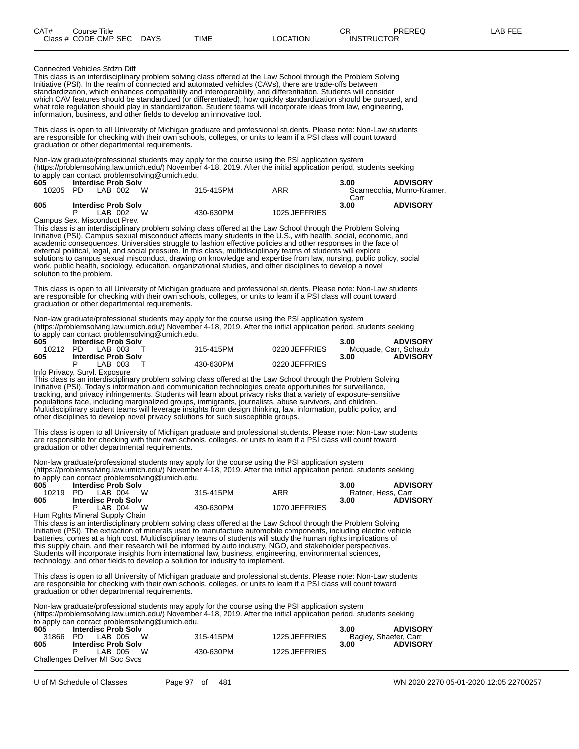#### Connected Vehicles Stdzn Diff

This class is an interdisciplinary problem solving class offered at the Law School through the Problem Solving Initiative (PSI). In the realm of connected and automated vehicles (CAVs), there are trade-offs between standardization, which enhances compatibility and interoperability, and differentiation. Students will consider which CAV features should be standardized (or differentiated), how quickly standardization should be pursued, and what role regulation should play in standardization. Student teams will incorporate ideas from law, engineering, information, business, and other fields to develop an innovative tool.

This class is open to all University of Michigan graduate and professional students. Please note: Non-Law students are responsible for checking with their own schools, colleges, or units to learn if a PSI class will count toward graduation or other departmental requirements.

Non-law graduate/professional students may apply for the course using the PSI application system (https://problemsolving.law.umich.edu/) November 4-18, 2019. After the initial application period, students seeking to apply can contact problemsolving@umich.edu.

| 605<br>10205 | <b>Interdisc Prob Solv</b><br>LAB 002<br>PD. | 315-415PM | ARR           | 3.00         | <b>ADVISORY</b><br>Scarnecchia, Munro-Kramer, |
|--------------|----------------------------------------------|-----------|---------------|--------------|-----------------------------------------------|
| 605          | <b>Interdisc Prob Solv</b><br>∟AB 002        | 430-630PM | 1025 JEFFRIES | Carr<br>3.00 | <b>ADVISORY</b>                               |

Campus Sex. Misconduct Prev.

This class is an interdisciplinary problem solving class offered at the Law School through the Problem Solving Initiative (PSI). Campus sexual misconduct affects many students in the U.S., with health, social, economic, and academic consequences. Universities struggle to fashion effective policies and other responses in the face of external political, legal, and social pressure. In this class, multidisciplinary teams of students will explore solutions to campus sexual misconduct, drawing on knowledge and expertise from law, nursing, public policy, social work, public health, sociology, education, organizational studies, and other disciplines to develop a novel solution to the problem.

This class is open to all University of Michigan graduate and professional students. Please note: Non-Law students are responsible for checking with their own schools, colleges, or units to learn if a PSI class will count toward graduation or other departmental requirements.

Non-law graduate/professional students may apply for the course using the PSI application system (https://problemsolving.law.umich.edu/) November 4-18, 2019. After the initial application period, students seeking to apply can contact problemsolving@umich.edu.

| 605 | <b>Interdisc Prob Solv</b> |           |               | <b>ADVISORY</b><br>3.00 |
|-----|----------------------------|-----------|---------------|-------------------------|
|     | 10212 PD LAB 003           | 315-415PM | 0220 JEFFRIES | Mcquade, Carr, Schaub   |
| 605 | <b>Interdisc Prob Solv</b> |           |               | <b>ADVISORY</b><br>3.00 |
|     | LAB 003                    | 430-630PM | 0220 JEFFRIES |                         |

Info Privacy, Survl. Exposure

This class is an interdisciplinary problem solving class offered at the Law School through the Problem Solving Initiative (PSI). Today's information and communication technologies create opportunities for surveillance, tracking, and privacy infringements. Students will learn about privacy risks that a variety of exposure-sensitive populations face, including marginalized groups, immigrants, journalists, abuse survivors, and children. Multidisciplinary student teams will leverage insights from design thinking, law, information, public policy, and other disciplines to develop novel privacy solutions for such susceptible groups.

This class is open to all University of Michigan graduate and professional students. Please note: Non-Law students are responsible for checking with their own schools, colleges, or units to learn if a PSI class will count toward graduation or other departmental requirements.

Non-law graduate/professional students may apply for the course using the PSI application system (https://problemsolving.law.umich.edu/) November 4-18, 2019. After the initial application period, students seeking to apply can contact problemsolving@umich.edu.

| 605 | <b>Interdisc Prob Solv</b>                                                                                                                                                                                                                                                                                                         |           |               | <b>ADVISORY</b><br>3.00 |
|-----|------------------------------------------------------------------------------------------------------------------------------------------------------------------------------------------------------------------------------------------------------------------------------------------------------------------------------------|-----------|---------------|-------------------------|
|     | 10219 PD LAB 004 W                                                                                                                                                                                                                                                                                                                 | 315-415PM | ARR           | Ratner, Hess, Carr      |
| 605 | <b>Interdisc Prob Solv</b>                                                                                                                                                                                                                                                                                                         |           |               | <b>ADVISORY</b><br>3.00 |
|     | LAB 004<br><b>W</b>                                                                                                                                                                                                                                                                                                                | 430-630PM | 1070 JEFFRIES |                         |
|     | $\mathbf{r}$ $\mathbf{r}$ $\mathbf{r}$ $\mathbf{r}$ $\mathbf{r}$ $\mathbf{r}$ $\mathbf{r}$ $\mathbf{r}$ $\mathbf{r}$ $\mathbf{r}$ $\mathbf{r}$ $\mathbf{r}$ $\mathbf{r}$ $\mathbf{r}$ $\mathbf{r}$ $\mathbf{r}$ $\mathbf{r}$ $\mathbf{r}$ $\mathbf{r}$ $\mathbf{r}$ $\mathbf{r}$ $\mathbf{r}$ $\mathbf{r}$ $\mathbf{r}$ $\mathbf{$ |           |               |                         |

Hum Rghts Mineral Supply Chain

This class is an interdisciplinary problem solving class offered at the Law School through the Problem Solving Initiative (PSI). The extraction of minerals used to manufacture automobile components, including electric vehicle batteries, comes at a high cost. Multidisciplinary teams of students will study the human rights implications of this supply chain, and their research will be informed by auto industry, NGO, and stakeholder perspectives. Students will incorporate insights from international law, business, engineering, environmental sciences, technology, and other fields to develop a solution for industry to implement.

This class is open to all University of Michigan graduate and professional students. Please note: Non-Law students are responsible for checking with their own schools, colleges, or units to learn if a PSI class will count toward graduation or other departmental requirements.

Non-law graduate/professional students may apply for the course using the PSI application system (https://problemsolving.law.umich.edu/) November 4-18, 2019. After the initial application period, students seeking  $\overrightarrow{a}$  apply can contact problemsolving@umich.edu

|       | to apply can contact problems origing curriculated. |           |                         |                         |  |  |  |  |  |  |  |  |
|-------|-----------------------------------------------------|-----------|-------------------------|-------------------------|--|--|--|--|--|--|--|--|
| 605   | <b>Interdisc Prob Solv</b>                          |           |                         | <b>ADVISORY</b><br>3.00 |  |  |  |  |  |  |  |  |
| 31866 | PD.<br>LAB 005<br><b>W</b>                          | 315-415PM | 1225 JEFFRIES           | Bagley, Shaefer, Carr   |  |  |  |  |  |  |  |  |
| 605   | <b>Interdisc Prob Solv</b>                          |           | <b>ADVISORY</b><br>3.00 |                         |  |  |  |  |  |  |  |  |
|       | LAB 005 W                                           | 430-630PM | 1225 JEFFRIES           |                         |  |  |  |  |  |  |  |  |
|       | Challenges Deliver MI Soc Svcs                      |           |                         |                         |  |  |  |  |  |  |  |  |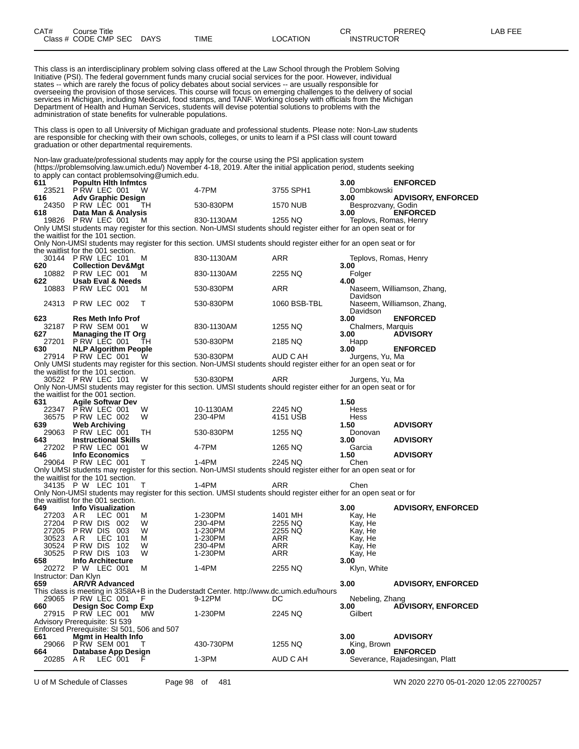This class is an interdisciplinary problem solving class offered at the Law School through the Problem Solving Initiative (PSI). The federal government funds many crucial social services for the poor. However, individual states -- which are rarely the focus of policy debates about social services -- are usually responsible for overseeing the provision of those services. This course will focus on emerging challenges to the delivery of social services in Michigan, including Medicaid, food stamps, and TANF. Working closely with officials from the Michigan Department of Health and Human Services, students will devise potential solutions to problems with the administration of state benefits for vulnerable populations.

This class is open to all University of Michigan graduate and professional students. Please note: Non-Law students are responsible for checking with their own schools, colleges, or units to learn if a PSI class will count toward graduation or other departmental requirements.

|                      | to apply can contact problemsolving@umich.edu.                              |        | Non-law graduate/professional students may apply for the course using the PSI application system<br>(https://problemsolving.law.umich.edu/) November 4-18, 2019. After the initial application period, students seeking |                    |                               |                                                   |
|----------------------|-----------------------------------------------------------------------------|--------|-------------------------------------------------------------------------------------------------------------------------------------------------------------------------------------------------------------------------|--------------------|-------------------------------|---------------------------------------------------|
| 611                  | <b>Popultn Hith Infmtcs</b><br>PRW LEC 001                                  |        | 4-7PM                                                                                                                                                                                                                   |                    | 3.00                          | <b>ENFORCED</b>                                   |
| 23521<br>616         | <b>Adv Graphic Design</b>                                                   | W      |                                                                                                                                                                                                                         | 3755 SPH1          | Dombkowski<br>3.00            | <b>ADVISORY, ENFORCED</b>                         |
| 618                  | 24350 P RW LEC 001<br>Data Man & Analysis                                   | TH     | 530-830PM                                                                                                                                                                                                               | <b>1570 NUB</b>    | Besprozvany, Godin<br>3.00    | <b>ENFORCED</b>                                   |
|                      | 19826 P RW LEC 001                                                          | м      | 830-1130AM                                                                                                                                                                                                              | 1255 NQ            | Teplovs, Romas, Henry         |                                                   |
|                      | the waitlist for the 101 section.                                           |        | Only UMSI students may register for this section. Non-UMSI students should register either for an open seat or for                                                                                                      |                    |                               |                                                   |
|                      | the waitlist for the 001 section.                                           |        | Only Non-UMSI students may register for this section. UMSI students should register either for an open seat or for                                                                                                      |                    |                               |                                                   |
| 620                  | 30144 P RW LEC 101<br><b>Collection Dev&amp;Mgt</b>                         | м      | 830-1130AM                                                                                                                                                                                                              | ARR                | Teplovs, Romas, Henry<br>3.00 |                                                   |
|                      | 10882 P RW LEC 001                                                          | м      | 830-1130AM                                                                                                                                                                                                              | 2255 NQ            | Folger                        |                                                   |
| 622                  | <b>Usab Eval &amp; Needs</b><br>10883 PRW LEC 001                           |        |                                                                                                                                                                                                                         |                    | 4.00                          |                                                   |
|                      |                                                                             | м      | 530-830PM                                                                                                                                                                                                               | ARR                | Davidson                      | Naseem, Williamson, Zhang,                        |
| 24313                | PRW LEC 002                                                                 | Т      | 530-830PM                                                                                                                                                                                                               | 1060 BSB-TBL       | Davidson                      | Naseem, Williamson, Zhang,                        |
| 623                  | <b>Res Meth Info Prof</b>                                                   |        |                                                                                                                                                                                                                         |                    | 3.00                          | <b>ENFORCED</b>                                   |
| 32187<br>627         | <b>P RW SEM 001</b><br><b>Managing the IT Org</b>                           | W      | 830-1130AM                                                                                                                                                                                                              | 1255 NQ            | Chalmers, Marquis<br>3.00     | <b>ADVISORY</b>                                   |
| 27201                | PRW LEC 001                                                                 | TН     | 530-830PM                                                                                                                                                                                                               | 2185 NQ            | Happ                          |                                                   |
| 630                  | <b>NLP Algorithm People</b>                                                 |        |                                                                                                                                                                                                                         |                    | 3.00                          | <b>ENFORCED</b>                                   |
|                      | 27914 PRW LEC 001                                                           | W      | 530-830PM<br>Only UMSI students may register for this section. Non-UMSI students should register either for an open seat or for                                                                                         | AUD C AH           | Jurgens, Yu, Ma               |                                                   |
|                      | the waitlist for the 101 section.                                           |        |                                                                                                                                                                                                                         |                    |                               |                                                   |
|                      | 30522 PRW LEC 101                                                           | W      | 530-830PM                                                                                                                                                                                                               | ARR                | Jurgens, Yu, Ma               |                                                   |
|                      | the waitlist for the 001 section.                                           |        | Only Non-UMSI students may register for this section. UMSI students should register either for an open seat or for                                                                                                      |                    |                               |                                                   |
| 631                  | <b>Agile Softwar Dev</b>                                                    |        |                                                                                                                                                                                                                         |                    | 1.50                          |                                                   |
| 22347                | PRW LEC 001                                                                 | W      | 10-1130AM                                                                                                                                                                                                               | 2245 NQ            | Hess                          |                                                   |
| 36575<br>639         | PRW LEC 002                                                                 | W      | 230-4PM                                                                                                                                                                                                                 | 4151 USB           | Hess<br>1.50                  | <b>ADVISORY</b>                                   |
| 29063                | <b>Web Archiving</b><br>PRW LEC 001                                         | TН     | 530-830PM                                                                                                                                                                                                               | 1255 NQ            | Donovan                       |                                                   |
| 643                  | <b>Instructional Skills</b>                                                 |        |                                                                                                                                                                                                                         |                    | 3.00                          | <b>ADVISORY</b>                                   |
|                      | 27202 PRW LEC 001                                                           | W      | 4-7PM                                                                                                                                                                                                                   | 1265 NQ            | Garcia                        |                                                   |
| 646                  | <b>Info Economics</b><br>29064 P RW LEC 001                                 | т      | $1-4PM$                                                                                                                                                                                                                 | 2245 NQ            | 1.50<br>Chen                  | <b>ADVISORY</b>                                   |
|                      |                                                                             |        | Only UMSI students may register for this section. Non-UMSI students should register either for an open seat or for                                                                                                      |                    |                               |                                                   |
|                      | the waitlist for the 101 section.                                           |        |                                                                                                                                                                                                                         |                    |                               |                                                   |
|                      | 34135 P W LEC 101                                                           | т      | $1-4PM$<br>Only Non-UMSI students may register for this section. UMSI students should register either for an open seat or for                                                                                           | ARR                | Chen                          |                                                   |
|                      | the waitlist for the 001 section.                                           |        |                                                                                                                                                                                                                         |                    |                               |                                                   |
| 649                  | <b>Info Visualization</b>                                                   |        |                                                                                                                                                                                                                         |                    | 3.00                          | <b>ADVISORY, ENFORCED</b>                         |
| 27203                | A R<br>LEC 001                                                              | м<br>W | 1-230PM                                                                                                                                                                                                                 | 1401 MH            | Kay, He                       |                                                   |
| 27204<br>27205       | PRW DIS 002<br>P RW DIS<br>003                                              | W      | 230-4PM<br>1-230PM                                                                                                                                                                                                      | 2255 NQ<br>2255 NQ | Kay, He<br>Kay, He            |                                                   |
| 30523                | AR.<br>LEC 101                                                              | м      | 1-230PM                                                                                                                                                                                                                 | ARR                | Kay, He                       |                                                   |
| 30524                | P RW DIS<br>-102                                                            | W      | 230-4PM                                                                                                                                                                                                                 | <b>ARR</b>         | Kay, He                       |                                                   |
| 30525<br>658         | PRW DIS 103<br><b>Info Architecture</b>                                     | W      | 1-230PM                                                                                                                                                                                                                 | ARR                | Kay, He<br>3.00               |                                                   |
|                      | 20272 P W LEC 001                                                           | М      | 1-4PM                                                                                                                                                                                                                   | 2255 NQ            | Klyn, White                   |                                                   |
| Instructor: Dan Klyn |                                                                             |        |                                                                                                                                                                                                                         |                    |                               |                                                   |
| 659                  | <b>AR/VR Advanced</b>                                                       |        | This class is meeting in 3358A+B in the Duderstadt Center. http://www.dc.umich.edu/hours                                                                                                                                |                    | 3.00                          | <b>ADVISORY, ENFORCED</b>                         |
| 29065                | PRW LEC 001                                                                 | F      | 9-12PM                                                                                                                                                                                                                  | DC                 | Nebeling, Zhang               |                                                   |
| 660                  | <b>Design Soc Comp Exp</b>                                                  |        |                                                                                                                                                                                                                         |                    | 3.00                          | <b>ADVISORY, ENFORCED</b>                         |
| 27915                | PRW LEC 001                                                                 | MW     | 1-230PM                                                                                                                                                                                                                 | 2245 NQ            | Gilbert                       |                                                   |
|                      | Advisory Prerequisite: SI 539<br>Enforced Prerequisite: SI 501, 506 and 507 |        |                                                                                                                                                                                                                         |                    |                               |                                                   |
| 661                  | Mgmt in Health Info                                                         |        |                                                                                                                                                                                                                         |                    | 3.00                          | <b>ADVISORY</b>                                   |
| 29066                | <b>P RW SEM 001</b>                                                         | т      | 430-730PM                                                                                                                                                                                                               | 1255 NQ            | King, Brown                   |                                                   |
| 664<br>20285 AR      | Database App Design<br>LEC 001                                              | F      | 1-3PM                                                                                                                                                                                                                   | AUD C AH           | 3.00                          | <b>ENFORCED</b><br>Severance, Rajadesingan, Platt |

U of M Schedule of Classes Page 98 of 481 WN 2020 2270 05-01-2020 12:05 22700257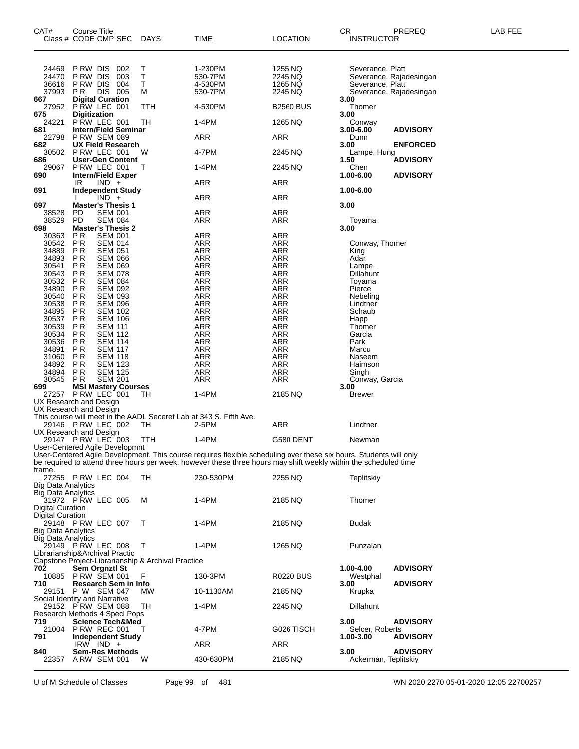| CAT#                                                       | Course Title<br>Class # CODE CMP SEC                                          |                                  | DAYS                                                    | TIME                                                                                                                                                                                                                                   | <b>LOCATION</b>                          | CR<br>INSTRUCTOR                     | PREREQ                                             | LAB FEE |
|------------------------------------------------------------|-------------------------------------------------------------------------------|----------------------------------|---------------------------------------------------------|----------------------------------------------------------------------------------------------------------------------------------------------------------------------------------------------------------------------------------------|------------------------------------------|--------------------------------------|----------------------------------------------------|---------|
| 24469<br>24470<br>36616<br>37993                           | P RW DIS<br>P RW DIS<br>P RW DIS<br>P R                                       | 002<br>003<br>004<br>DIS 005     | Т<br>T<br>Ť<br>м                                        | 1-230PM<br>530-7PM<br>4-530PM<br>530-7PM                                                                                                                                                                                               | 1255 NQ<br>2245 NQ<br>1265 NQ<br>2245 NQ | Severance, Platt<br>Severance, Platt | Severance, Rajadesingan<br>Severance, Rajadesingan |         |
| 667<br>27952                                               | Digital Curation<br>P RW LEC 001                                              |                                  | TTH                                                     | 4-530PM                                                                                                                                                                                                                                | <b>B2560 BUS</b>                         | 3.00<br>Thomer                       |                                                    |         |
| 675<br>24221<br>681                                        | <b>Digitization</b><br><b>P RW LEC 001</b><br><b>Intern/Field Seminar</b>     |                                  | TН                                                      | 1-4PM                                                                                                                                                                                                                                  | 1265 NQ                                  | 3.00<br>Conway<br>3.00-6.00          |                                                    |         |
| 22798<br>682                                               | <b>P RW SEM 089</b><br>UX Field Research                                      |                                  |                                                         | ARR                                                                                                                                                                                                                                    | ARR                                      | Dunn<br>3.00                         | <b>ADVISORY</b><br><b>ENFORCED</b>                 |         |
| 30502<br>686                                               | P RW LEC 001<br><b>User-Gen Content</b>                                       |                                  | W                                                       | 4-7PM                                                                                                                                                                                                                                  | 2245 NQ                                  | Lampe, Hung<br>1.50                  | <b>ADVISORY</b>                                    |         |
| 29067<br>690                                               | P RW LEC 001<br><b>Intern/Field Exper</b>                                     |                                  | Т                                                       | 1-4PM                                                                                                                                                                                                                                  | 2245 NQ                                  | Chen<br>1.00-6.00                    | <b>ADVISORY</b>                                    |         |
| 691                                                        | IR<br>$IND +$<br><b>Independent Study</b>                                     |                                  |                                                         | ARR                                                                                                                                                                                                                                    | ARR                                      | 1.00-6.00                            |                                                    |         |
| 697                                                        | $IND +$<br><b>Master's Thesis 1</b>                                           |                                  |                                                         | ARR                                                                                                                                                                                                                                    | ARR                                      | 3.00                                 |                                                    |         |
| 38528<br>38529<br>698                                      | PD<br><b>PD</b><br><b>Master's Thesis 2</b>                                   | <b>SEM 001</b><br><b>SEM 084</b> |                                                         | ARR<br><b>ARR</b>                                                                                                                                                                                                                      | ARR<br>ARR                               | Toyama<br>3.00                       |                                                    |         |
| 30363<br>30542                                             | ΡR<br><b>PR</b>                                                               | <b>SEM 001</b><br><b>SEM 014</b> |                                                         | <b>ARR</b><br><b>ARR</b>                                                                                                                                                                                                               | ARR<br>ARR                               | Conway, Thomer                       |                                                    |         |
| 34889<br>34893                                             | P <sub>R</sub><br>ΡR                                                          | <b>SEM 051</b><br><b>SEM 066</b> |                                                         | <b>ARR</b><br><b>ARR</b>                                                                                                                                                                                                               | <b>ARR</b><br><b>ARR</b>                 | King<br>Adar                         |                                                    |         |
| 30541<br>30543                                             | P <sub>R</sub><br>P R                                                         | <b>SEM 069</b><br><b>SEM 078</b> |                                                         | <b>ARR</b><br><b>ARR</b>                                                                                                                                                                                                               | <b>ARR</b><br><b>ARR</b>                 | Lampe<br>Dillahunt                   |                                                    |         |
| 30532<br>34890                                             | ΡR<br>PR                                                                      | <b>SEM 084</b><br><b>SEM 092</b> |                                                         | <b>ARR</b><br><b>ARR</b>                                                                                                                                                                                                               | <b>ARR</b><br><b>ARR</b>                 | Toyama<br>Pierce                     |                                                    |         |
| 30540<br>30538                                             | P R<br>ΡR                                                                     | <b>SEM 093</b><br><b>SEM 096</b> |                                                         | ARR<br><b>ARR</b>                                                                                                                                                                                                                      | <b>ARR</b><br><b>ARR</b>                 | Nebeling<br>Lindtner                 |                                                    |         |
| 34895                                                      | PR                                                                            | <b>SEM 102</b><br><b>SEM 106</b> |                                                         | <b>ARR</b><br><b>ARR</b>                                                                                                                                                                                                               | <b>ARR</b><br><b>ARR</b>                 | Schaub                               |                                                    |         |
| 30537<br>30539                                             | ΡR<br>ΡR                                                                      | <b>SEM 111</b>                   |                                                         | <b>ARR</b>                                                                                                                                                                                                                             | <b>ARR</b>                               | Happ<br>Thomer                       |                                                    |         |
| 30534<br>30536                                             | PR<br>P R                                                                     | <b>SEM 112</b><br><b>SEM 114</b> |                                                         | <b>ARR</b><br><b>ARR</b>                                                                                                                                                                                                               | ARR<br><b>ARR</b>                        | Garcia<br>Park                       |                                                    |         |
| 34891<br>31060                                             | ΡR<br>PR                                                                      | <b>SEM 117</b><br><b>SEM 118</b> |                                                         | <b>ARR</b><br><b>ARR</b>                                                                                                                                                                                                               | <b>ARR</b><br><b>ARR</b>                 | Marcu<br>Naseem                      |                                                    |         |
| 34892<br>34894                                             | P R<br>P <sub>R</sub>                                                         | <b>SEM 123</b><br><b>SEM 125</b> |                                                         | <b>ARR</b><br>ARR                                                                                                                                                                                                                      | <b>ARR</b><br><b>ARR</b>                 | Haimson<br>Singh                     |                                                    |         |
| 30545<br>699                                               | <b>PR</b><br><b>MSI Mastery Courses</b>                                       | <b>SEM 201</b>                   |                                                         | <b>ARR</b>                                                                                                                                                                                                                             | <b>ARR</b>                               | Conway, Garcia<br>3.00               |                                                    |         |
|                                                            | 27257 P RW LEC 001<br>UX Research and Design                                  |                                  | TН                                                      | 1-4PM                                                                                                                                                                                                                                  | 2185 NQ                                  | Brewer                               |                                                    |         |
|                                                            | UX Research and Design<br>29146 PRW LEC 002                                   |                                  | TH                                                      | This course will meet in the AADL Seceret Lab at 343 S. Fifth Ave.<br>2-5PM                                                                                                                                                            | ARR                                      | Lindtner                             |                                                    |         |
|                                                            | UX Research and Design<br>29147 P RW LEC 003                                  |                                  | TTH                                                     | 1-4PM                                                                                                                                                                                                                                  | G580 DENT                                | Newman                               |                                                    |         |
|                                                            | User-Centered Agile Developmnt                                                |                                  |                                                         | User-Centered Agile Development. This course requires flexible scheduling over these six hours. Students will only<br>be required to attend three hours per week, however these three hours may shift weekly within the scheduled time |                                          |                                      |                                                    |         |
| frame.<br><b>Big Data Analytics</b>                        | 27255 PRW LEC 004                                                             |                                  | TН                                                      | 230-530PM                                                                                                                                                                                                                              | 2255 NQ                                  | Teplitskiy                           |                                                    |         |
| Big Data Analytics<br>Digital Curation<br>Digital Curation | 31972 P RW LEC 005                                                            |                                  | м                                                       | 1-4PM                                                                                                                                                                                                                                  | 2185 NQ                                  | Thomer                               |                                                    |         |
| <b>Big Data Analytics</b><br><b>Big Data Analytics</b>     | 29148 PRW LEC 007                                                             |                                  | Т                                                       | 1-4PM                                                                                                                                                                                                                                  | 2185 NQ                                  | Budak                                |                                                    |         |
|                                                            | 29149 P RW LEC 008<br>Librarianship&Archival Practic                          |                                  | Т<br>Capstone Project-Librarianship & Archival Practice | 1-4PM                                                                                                                                                                                                                                  | 1265 NQ                                  | Punzalan                             |                                                    |         |
| 702<br>710                                                 | Sem Orgnztl St<br>10885 P RW SEM 001<br>Research Sem in Info                  |                                  | F                                                       | 130-3PM                                                                                                                                                                                                                                | <b>R0220 BUS</b>                         | 1.00-4.00<br>Westphal<br>3.00        | <b>ADVISORY</b><br><b>ADVISORY</b>                 |         |
| 29151                                                      | P W SEM 047<br>Social Identity and Narrative                                  |                                  | <b>MW</b>                                               | 10-1130AM                                                                                                                                                                                                                              | 2185 NQ                                  | Krupka                               |                                                    |         |
|                                                            | 29152 PRW SEM 088<br>Research Methods 4 Specl Pops                            |                                  | TH                                                      | 1-4PM                                                                                                                                                                                                                                  | 2245 NQ                                  | Dillahunt                            |                                                    |         |
| 719<br>791                                                 | <b>Science Tech&amp;Med</b><br>21004 P RW REC 001<br><b>Independent Study</b> |                                  | T                                                       | 4-7PM                                                                                                                                                                                                                                  | G026 TISCH                               | 3.00<br>Selcer, Roberts<br>1.00-3.00 | <b>ADVISORY</b><br><b>ADVISORY</b>                 |         |
| 840                                                        | $IRW$ IND $+$<br><b>Sem-Res Methods</b>                                       |                                  |                                                         | ARR                                                                                                                                                                                                                                    | ARR                                      | 3.00                                 | <b>ADVISORY</b>                                    |         |
|                                                            | 22357 A RW SEM 001                                                            |                                  | W                                                       | 430-630PM                                                                                                                                                                                                                              | 2185 NQ                                  | Ackerman, Teplitskiy                 |                                                    |         |

U of M Schedule of Classes Page 99 of 481 WN 2020 2270 05-01-2020 12:05 22700257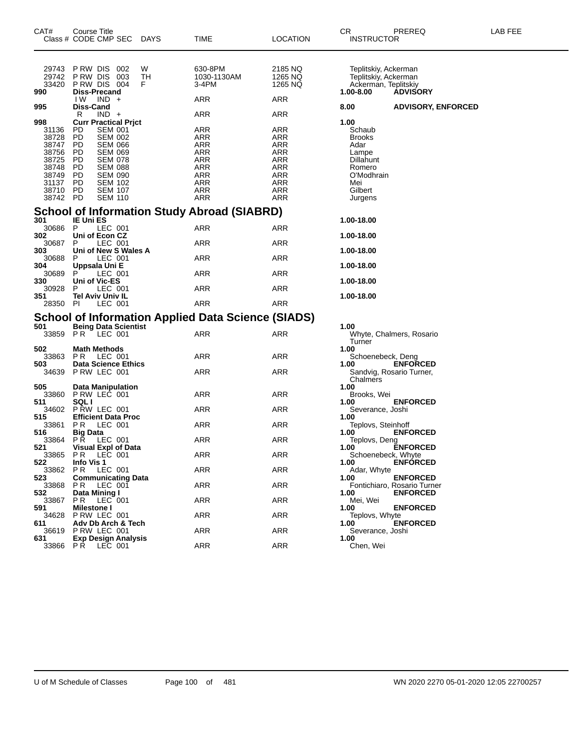| CAT#                                                                                          | Course Title<br>Class # CODE CMP SEC                                                                                                                                                                                                                                           | <b>DAYS</b>   | TIME                                                                                                         | LOCATION                                                                                                            | CR<br><b>INSTRUCTOR</b>                                                                                            | PREREQ                                         | LAB FEE |
|-----------------------------------------------------------------------------------------------|--------------------------------------------------------------------------------------------------------------------------------------------------------------------------------------------------------------------------------------------------------------------------------|---------------|--------------------------------------------------------------------------------------------------------------|---------------------------------------------------------------------------------------------------------------------|--------------------------------------------------------------------------------------------------------------------|------------------------------------------------|---------|
| 29743<br>29742<br>33420<br>990<br>995                                                         | PRW DIS 002<br>P RW DIS<br>003<br>PRW DIS 004<br>Diss-Precand<br>IW.<br>$IND +$<br>Diss-Cand                                                                                                                                                                                   | W<br>TH<br>F. | 630-8PM<br>1030-1130AM<br>3-4PM<br>ARR                                                                       | 2185 NQ<br>1265 NQ<br>1265 NQ<br>ARR                                                                                | Teplitskiy, Ackerman<br>Teplitskiy, Ackerman<br>Ackerman, Teplitskiy<br>1.00-8.00<br>8.00                          | <b>ADVISORY</b><br><b>ADVISORY, ENFORCED</b>   |         |
| 998<br>31136<br>38728<br>38747<br>38756<br>38725<br>38748<br>38749<br>31137<br>38710<br>38742 | R<br>$IND +$<br><b>Curr Practical Prict</b><br>PD<br><b>SEM 001</b><br><b>PD</b><br>SEM 002<br>PD.<br><b>SEM 066</b><br>PD<br><b>SEM 069</b><br>PD<br><b>SEM 078</b><br>PD<br>SEM 088<br>PD<br><b>SEM 090</b><br>PD<br><b>SEM 102</b><br>PD<br>SEM 107<br>PD<br><b>SEM 110</b> |               | ARR<br>ARR<br><b>ARR</b><br><b>ARR</b><br>ARR<br><b>ARR</b><br><b>ARR</b><br>ARR<br><b>ARR</b><br>ARR<br>ARR | ARR<br>ARR<br>ARR<br><b>ARR</b><br><b>ARR</b><br>ARR<br><b>ARR</b><br><b>ARR</b><br>ARR<br><b>ARR</b><br><b>ARR</b> | 1.00<br>Schaub<br><b>Brooks</b><br>Adar<br>Lampe<br>Dillahunt<br>Romero<br>O'Modhrain<br>Mei<br>Gilbert<br>Jurgens |                                                |         |
|                                                                                               |                                                                                                                                                                                                                                                                                |               | <b>School of Information Study Abroad (SIABRD)</b>                                                           |                                                                                                                     |                                                                                                                    |                                                |         |
| 301<br>30686 P                                                                                | <b>IE Uni ES</b><br>LEC 001                                                                                                                                                                                                                                                    |               | ARR                                                                                                          | ARR                                                                                                                 | 1.00-18.00                                                                                                         |                                                |         |
| 302<br>30687                                                                                  | Uni of Econ CZ<br>P<br>LEC 001                                                                                                                                                                                                                                                 |               | ARR                                                                                                          | ARR                                                                                                                 | 1.00-18.00                                                                                                         |                                                |         |
| 303<br>30688                                                                                  | Uni of New S Wales A<br>LEC 001<br>P                                                                                                                                                                                                                                           |               | ARR                                                                                                          | ARR                                                                                                                 | 1.00-18.00                                                                                                         |                                                |         |
| 304<br>30689                                                                                  | Uppsala Uni E<br>LEC 001<br>P                                                                                                                                                                                                                                                  |               | ARR                                                                                                          | ARR                                                                                                                 | 1.00-18.00                                                                                                         |                                                |         |
| 330<br>30928                                                                                  | Uni of Vic-ES<br>P<br>LEC 001                                                                                                                                                                                                                                                  |               | ARR                                                                                                          | ARR                                                                                                                 | 1.00-18.00                                                                                                         |                                                |         |
| 351<br>28350 PI                                                                               | Tel Aviv Univ IL<br>LEC 001                                                                                                                                                                                                                                                    |               | <b>ARR</b>                                                                                                   | <b>ARR</b>                                                                                                          | 1.00-18.00                                                                                                         |                                                |         |
|                                                                                               |                                                                                                                                                                                                                                                                                |               |                                                                                                              |                                                                                                                     |                                                                                                                    |                                                |         |
| 501                                                                                           | <b>Being Data Scientist</b>                                                                                                                                                                                                                                                    |               | School of Information Applied Data Science (SIADS)                                                           |                                                                                                                     | 1.00                                                                                                               |                                                |         |
| 33859 PR                                                                                      | LEC 001                                                                                                                                                                                                                                                                        |               | ARR                                                                                                          | ARR                                                                                                                 | Turner                                                                                                             | Whyte, Chalmers, Rosario                       |         |
| 502<br>33863                                                                                  | <b>Math Methods</b><br>LEC 001<br>PR.                                                                                                                                                                                                                                          |               | ARR                                                                                                          | ARR                                                                                                                 | 1.00<br>Schoenebeck, Deng                                                                                          |                                                |         |
| 503                                                                                           | <b>Data Science Ethics</b><br>34639 PRW LEC 001                                                                                                                                                                                                                                |               | ARR                                                                                                          | ARR                                                                                                                 | 1.00                                                                                                               | <b>ENFORCED</b><br>Sandvig, Rosario Turner,    |         |
| 505                                                                                           | Data Manipulation                                                                                                                                                                                                                                                              |               |                                                                                                              |                                                                                                                     | Chalmers<br>1.00                                                                                                   |                                                |         |
| 33860<br>511                                                                                  | PRW LEC 001<br><b>SQLI</b>                                                                                                                                                                                                                                                     |               | ARR                                                                                                          | ARR                                                                                                                 | Brooks, Wei<br>1.00                                                                                                | <b>ENFORCED</b>                                |         |
|                                                                                               | 34602 P RW LEC 001                                                                                                                                                                                                                                                             |               | ARR                                                                                                          | ARR                                                                                                                 | Severance, Joshi                                                                                                   |                                                |         |
| 515<br>33861                                                                                  | <b>Efficient Data Proc</b><br>LEC 001<br>P R                                                                                                                                                                                                                                   |               | ARR                                                                                                          | ARR                                                                                                                 | 1.00<br>Teplovs, Steinhoff                                                                                         |                                                |         |
| 516<br>33864                                                                                  | <b>Big Data</b><br>РŘ<br>LEC 001                                                                                                                                                                                                                                               |               | ARR                                                                                                          | ARR                                                                                                                 | 1.00<br>Teplovs, Deng                                                                                              | <b>ENFORCED</b>                                |         |
| 521                                                                                           | Visual Expl of Data<br>33865 PR LEC 001                                                                                                                                                                                                                                        |               | <b>ARR</b>                                                                                                   | ARR                                                                                                                 | 1.00<br>Schoenebeck, Whyte                                                                                         | <b>ENFORCED</b>                                |         |
| 522<br>33862                                                                                  | Info Vis 1<br>LEC 001<br>PR.                                                                                                                                                                                                                                                   |               | ARR                                                                                                          | ARR                                                                                                                 | 1.00<br>Adar, Whyte                                                                                                | <b>ENFÓRCED</b>                                |         |
| 523<br>33868                                                                                  | <b>Communicating Data</b><br>LEC 001<br>PR.                                                                                                                                                                                                                                    |               | <b>ARR</b>                                                                                                   | ARR                                                                                                                 | 1.00                                                                                                               | <b>ENFORCED</b><br>Fontichiaro, Rosario Turner |         |
| 532<br>33867                                                                                  | Data Mining I<br>LEC 001<br>PR.                                                                                                                                                                                                                                                |               | ARR                                                                                                          | ARR                                                                                                                 | 1.00<br>Mei, Wei                                                                                                   | <b>ENFORCED</b>                                |         |
| 591<br>34628                                                                                  | <b>Milestone I</b><br>P RW LEC 001                                                                                                                                                                                                                                             |               | ARR                                                                                                          | ARR                                                                                                                 | 1.00<br>Teplovs, Whyte                                                                                             | <b>ENFORCED</b>                                |         |
| 611<br>36619                                                                                  | Adv Db Arch & Tech<br>PRW LEC 001                                                                                                                                                                                                                                              |               | <b>ARR</b>                                                                                                   | ARR                                                                                                                 | 1.00<br>Severance, Joshi                                                                                           | <b>ENFORCED</b>                                |         |
| 631                                                                                           | <b>Exp Design Analysis</b><br>33866 PR LEC 001                                                                                                                                                                                                                                 |               | <b>ARR</b>                                                                                                   | ARR                                                                                                                 | 1.00<br>Chen, Wei                                                                                                  |                                                |         |
|                                                                                               |                                                                                                                                                                                                                                                                                |               |                                                                                                              |                                                                                                                     |                                                                                                                    |                                                |         |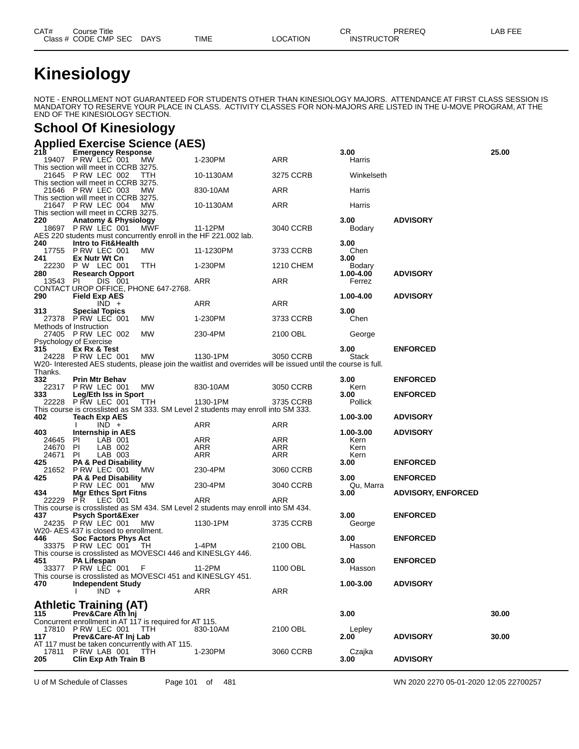# **Kinesiology**

NOTE - ENROLLMENT NOT GUARANTEED FOR STUDENTS OTHER THAN KINESIOLOGY MAJORS. ATTENDANCE AT FIRST CLASS SESSION IS MANDATORY TO RESERVE YOUR PLACE IN CLASS. ACTIVITY CLASSES FOR NON-MAJORS ARE LISTED IN THE U-MOVE PROGRAM, AT THE END OF THE KINESIOLOGY SECTION.

#### **School Of Kinesiology**

|              | <b>Applied Exercise Science (AES)</b>                                                             |           |                                                                                                               |           |                     |                           |       |
|--------------|---------------------------------------------------------------------------------------------------|-----------|---------------------------------------------------------------------------------------------------------------|-----------|---------------------|---------------------------|-------|
|              | <b>Emergency Response</b><br>19407 P RW LEC 001                                                   |           |                                                                                                               |           | 3.00                |                           | 25.00 |
|              | This section will meet in CCRB 3275.                                                              | <b>MW</b> | 1-230PM                                                                                                       | ARR       | Harris              |                           |       |
|              | 21645 P RW LEC 002                                                                                | TTH       | 10-1130AM                                                                                                     | 3275 CCRB | Winkelseth          |                           |       |
|              | This section will meet in CCRB 3275.<br>21646 P RW LEC 003                                        | МW        | 830-10AM                                                                                                      | ARR       | Harris              |                           |       |
|              | This section will meet in CCRB 3275.<br>21647 PRW LEC 004<br>This section will meet in CCRB 3275. | МW        | 10-1130AM                                                                                                     | ARR       | Harris              |                           |       |
| 220          | <b>Anatomy &amp; Physiology</b>                                                                   |           |                                                                                                               |           | 3.00                | <b>ADVISORY</b>           |       |
|              | 18697 P RW LEC 001                                                                                | MWF       | 11-12PM                                                                                                       | 3040 CCRB | Bodary              |                           |       |
| 240          | AES 220 students must concurrently enroll in the HF 221.002 lab.<br>Intro to Fit&Health           |           |                                                                                                               |           | 3.00                |                           |       |
|              | 17755 P RW LEC 001                                                                                | MW.       | 11-1230PM                                                                                                     | 3733 CCRB | Chen                |                           |       |
| 241          | Ex Nutr Wt Cn                                                                                     |           |                                                                                                               |           | 3.00                |                           |       |
| 280          | 22230 P W LEC 001<br><b>Research Opport</b>                                                       | TTH       | 1-230PM                                                                                                       | 1210 CHEM | Bodary<br>1.00-4.00 | <b>ADVISORY</b>           |       |
| 13543 PI     | DIS 001                                                                                           |           | ARR                                                                                                           | ARR       | Ferrez              |                           |       |
|              | CONTACT UROP OFFICE, PHONE 647-2768.                                                              |           |                                                                                                               |           |                     |                           |       |
| 290          | <b>Field Exp AES</b><br>$IND +$                                                                   |           | ARR                                                                                                           | ARR       | 1.00-4.00           | <b>ADVISORY</b>           |       |
| 313.         | <b>Special Topics</b>                                                                             |           |                                                                                                               |           | 3.00                |                           |       |
|              | 27378 PRW LEC 001                                                                                 | МW        | 1-230PM                                                                                                       | 3733 CCRB | Chen                |                           |       |
|              | Methods of Instruction<br>27405 P RW LEC 002                                                      | МW        | 230-4PM                                                                                                       | 2100 OBL  | George              |                           |       |
|              | Psychology of Exercise                                                                            |           |                                                                                                               |           |                     |                           |       |
| 315          | Ex Rx & Test                                                                                      |           |                                                                                                               |           | 3.00                | <b>ENFORCED</b>           |       |
|              | 24228 P RW LEC 001                                                                                | МW        | 1130-1PM                                                                                                      | 3050 CCRB | Stack               |                           |       |
| Thanks.      |                                                                                                   |           | W20- Interested AES students, please join the waitlist and overrides will be issued until the course is full. |           |                     |                           |       |
| 332          | <b>Prin Mtr Behav</b>                                                                             |           |                                                                                                               |           | 3.00                | <b>ENFORCED</b>           |       |
| 22317        | <b>P RW LEC 001</b>                                                                               | MW.       | 830-10AM                                                                                                      | 3050 CCRB | Kern                |                           |       |
| 333          | Leg/Eth Iss in Sport<br>22228 P RW LEC 001                                                        | TTH       | 1130-1PM                                                                                                      | 3735 CCRB | 3.00<br>Pollick     | <b>ENFORCED</b>           |       |
|              |                                                                                                   |           | This course is crosslisted as SM 333. SM Level 2 students may enroll into SM 333.                             |           |                     |                           |       |
| 402          | <b>Teach Exp AES</b>                                                                              |           |                                                                                                               |           | 1.00-3.00           | <b>ADVISORY</b>           |       |
| 403          | $IND +$<br>Internship in AES                                                                      |           | ARR                                                                                                           | ARR       | 1.00-3.00           | <b>ADVISORY</b>           |       |
| 24645 PI     | LAB 001                                                                                           |           | ARR                                                                                                           | ARR       | Kern                |                           |       |
| 24670        | PI<br>LAB 002                                                                                     |           | ARR                                                                                                           | ARR       | Kern                |                           |       |
| 24671<br>425 | PI<br>LAB 003<br><b>PA &amp; Ped Disability</b>                                                   |           | ARR                                                                                                           | ARR       | Kern<br>3.00        | <b>ENFORCED</b>           |       |
| 21652        | PRW LEC 001                                                                                       | <b>MW</b> | 230-4PM                                                                                                       | 3060 CCRB |                     |                           |       |
| 425          | <b>PA &amp; Ped Disability</b>                                                                    |           |                                                                                                               |           | 3.00                | <b>ENFORCED</b>           |       |
| 434          | PRW LEC 001<br><b>Mgr Ethcs Sprt Fitns</b>                                                        | МW        | 230-4PM                                                                                                       | 3040 CCRB | Qu, Marra<br>3.00   | <b>ADVISORY, ENFORCED</b> |       |
| 22229 PR     | LEC 001                                                                                           |           | ARR                                                                                                           | ARR       |                     |                           |       |
|              |                                                                                                   |           | This course is crosslisted as SM 434. SM Level 2 students may enroll into SM 434.                             |           |                     |                           |       |
| 437          | <b>Psych Sport&amp;Exer</b><br>24235 PRW LEC 001                                                  | <b>MW</b> | 1130-1PM                                                                                                      | 3735 CCRB | 3.00<br>George      | <b>ENFORCED</b>           |       |
|              | W20- AES 437 is closed to enrollment.                                                             |           |                                                                                                               |           |                     |                           |       |
| 446          | <b>Soc Factors Phys Act</b>                                                                       |           |                                                                                                               |           | 3.00                | <b>ENFORCED</b>           |       |
|              | 33375 PRW LEC 001 TH<br>This course is crosslisted as MOVESCI 446 and KINESLGY 446.               |           | 1-4PM                                                                                                         | 2100 OBL  | Hasson              |                           |       |
| 451          | <b>PA Lifespan</b>                                                                                |           |                                                                                                               |           | 3.00                | <b>ENFORCED</b>           |       |
|              | 33377 PRW LEC 001 F                                                                               |           | 11-2PM                                                                                                        | 1100 OBL  | Hasson              |                           |       |
| 470          | This course is crosslisted as MOVESCI 451 and KINESLGY 451.<br><b>Independent Study</b>           |           |                                                                                                               |           | $1.00 - 3.00$       | <b>ADVISORY</b>           |       |
|              | $IND +$                                                                                           |           | ARR                                                                                                           | ARR       |                     |                           |       |
|              |                                                                                                   |           |                                                                                                               |           |                     |                           |       |
| 115          | <b>Athletic Training (AT)</b><br>Prev&Care Ath Inj                                                |           |                                                                                                               |           | 3.00                |                           | 30.00 |
|              | Concurrent enrollment in AT 117 is required for AT 115.                                           |           |                                                                                                               |           |                     |                           |       |
|              | 17810 PRW LEC 001 TTH                                                                             |           | 830-10AM                                                                                                      | 2100 OBL  | Lepley              |                           |       |
| 117          | Prev&Care-AT Inj Lab<br>AT 117 must be taken concurrently with AT 115.                            |           |                                                                                                               |           | 2.00                | <b>ADVISORY</b>           | 30.00 |
|              | 17811 PRW LAB 001 TTH                                                                             |           | 1-230PM                                                                                                       | 3060 CCRB | Czajka              |                           |       |
| 205          | <b>Clin Exp Ath Train B</b>                                                                       |           |                                                                                                               |           | 3.00                | <b>ADVISORY</b>           |       |
|              |                                                                                                   |           |                                                                                                               |           |                     |                           |       |

U of M Schedule of Classes Page 101 of 481 WN 2020 2270 05-01-2020 12:05 22700257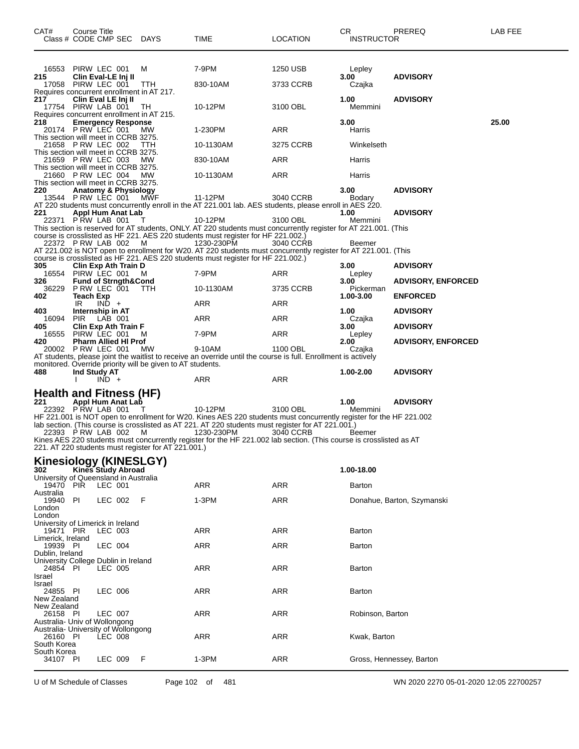| CAT#<br>Class # CODE CMP SEC DAYS                                                                  | Course Title                                                |         |                                                                                              | TIME                                                                                                                                                                                                                                   | <b>LOCATION</b>       | CR<br><b>INSTRUCTOR</b>        | PREREQ                                       | LAB FEE |
|----------------------------------------------------------------------------------------------------|-------------------------------------------------------------|---------|----------------------------------------------------------------------------------------------|----------------------------------------------------------------------------------------------------------------------------------------------------------------------------------------------------------------------------------------|-----------------------|--------------------------------|----------------------------------------------|---------|
| 16553<br>215<br>17058 PIRW LEC 001                                                                 | PIRW LEC 001<br>Clin Eval-LE Inj II                         |         | м<br><b>TTH</b>                                                                              | 7-9PM<br>830-10AM                                                                                                                                                                                                                      | 1250 USB<br>3733 CCRB | Lepley<br>3.00<br>Czajka       | <b>ADVISORY</b>                              |         |
| 217<br>17754 PIRW LAB 001                                                                          | Clin Eval LE Inj II                                         |         | Requires concurrent enrollment in AT 217.<br>TH<br>Requires concurrent enrollment in AT 215. | 10-12PM                                                                                                                                                                                                                                | 3100 OBL              | 1.00<br>Memmini                | <b>ADVISORY</b>                              |         |
| 218<br>20174 P RW LEC 001<br>This section will meet in CCRB 3275.                                  | <b>Emergency Response</b>                                   |         | МW                                                                                           | 1-230PM                                                                                                                                                                                                                                | <b>ARR</b>            | 3.00<br>Harris                 |                                              | 25.00   |
| 21658 P RW LEC 002                                                                                 |                                                             |         | ттн                                                                                          | 10-1130AM                                                                                                                                                                                                                              | 3275 CCRB             | Winkelseth                     |                                              |         |
| This section will meet in CCRB 3275.<br>21659 P RW LEC 003                                         |                                                             |         | MW                                                                                           | 830-10AM                                                                                                                                                                                                                               | ARR                   | Harris                         |                                              |         |
| This section will meet in CCRB 3275.<br>21660 P RW LEC 004<br>This section will meet in CCRB 3275. |                                                             |         | МW                                                                                           | 10-1130AM                                                                                                                                                                                                                              | ARR                   | Harris                         |                                              |         |
| 220<br>13544 PRW LEC 001                                                                           | <b>Anatomy &amp; Physiology</b>                             |         | MŴF                                                                                          | 11-12PM<br>AT 220 students must concurrently enroll in the AT 221.001 lab. AES students, please enroll in AES 220.                                                                                                                     | 3040 CCRB             | 3.00<br>Bodary                 | <b>ADVISORY</b>                              |         |
| 221<br>22371 PRW LAB 001                                                                           | Appl Hum Anat Lab                                           |         | т                                                                                            | 10-12PM                                                                                                                                                                                                                                | 3100 OBL              | 1.00<br>Memmini                | <b>ADVISORY</b>                              |         |
|                                                                                                    |                                                             |         |                                                                                              | This section is reserved for AT students, ONLY. AT 220 students must concurrently register for AT 221.001. (This<br>course is crosslisted as HF 221. AES 220 students must register for HF 221.002.)                                   |                       |                                |                                              |         |
| 22372 PRW LAB 002 M                                                                                |                                                             |         |                                                                                              | 1230-230PM<br>AT 221.002 is NOT open to enrollment for W20. AT 220 students must concurrently register for AT 221.001. (This<br>course is crosslisted as HF 221. AES 220 students must register for HF 221.002.)                       | 3040 CCRB             | Beemer                         |                                              |         |
| 305<br>16554                                                                                       | Clin Exp Ath Train D<br>PIRW LEC 001                        |         | M                                                                                            | 7-9PM                                                                                                                                                                                                                                  | ARR                   | 3.00<br>Lepley                 | <b>ADVISORY</b>                              |         |
| 326<br>36229<br>402                                                                                | <b>Fund of Strngth&amp;Cond</b><br>PRW LEC 001<br>Teach Exp |         | TTH                                                                                          | 10-1130AM                                                                                                                                                                                                                              | 3735 CCRB             | 3.00<br>Pickerman<br>1.00-3.00 | <b>ADVISORY, ENFORCED</b><br><b>ENFORCED</b> |         |
| 403                                                                                                | IR                                                          | $IND +$ |                                                                                              | ARR                                                                                                                                                                                                                                    | ARR                   | 1.00                           | <b>ADVISORY</b>                              |         |
| 16094                                                                                              | Internship in AT<br>PIR                                     | LAB 001 |                                                                                              | ARR                                                                                                                                                                                                                                    | ARR                   | Czajka                         |                                              |         |
| 405<br>16555                                                                                       | Clin Exp Ath Train F<br>PIRW LEC 001                        |         | м                                                                                            | 7-9PM                                                                                                                                                                                                                                  | ARR                   | 3.00<br>Lepley                 | <b>ADVISORY</b>                              |         |
| 420<br>20002 PRW LEC 001                                                                           | <b>Pharm Allied HI Prof</b>                                 |         | МW                                                                                           | 9-10AM                                                                                                                                                                                                                                 | 1100 OBL              | 2.00<br>Czajka                 | <b>ADVISORY, ENFORCED</b>                    |         |
|                                                                                                    |                                                             |         |                                                                                              | AT students, please joint the waitlist to receive an override until the course is full. Enrollment is actively                                                                                                                         |                       |                                |                                              |         |
| 488                                                                                                | Ind Study AT                                                | $IND +$ | monitored. Override priority will be given to AT students.                                   | ARR                                                                                                                                                                                                                                    | ARR                   | 1.00-2.00                      | <b>ADVISORY</b>                              |         |
| <b>Health and Fitness (HF)</b>                                                                     |                                                             |         |                                                                                              |                                                                                                                                                                                                                                        |                       |                                |                                              |         |
| 221<br>22392 PRW LAB 001                                                                           | Appl Hum Anat Lab                                           |         | T                                                                                            | 10-12PM                                                                                                                                                                                                                                | 3100 OBL              | 1.00<br>Memmini                | <b>ADVISORY</b>                              |         |
| 22393 PRW LAB 002                                                                                  |                                                             |         | M                                                                                            | HF 221.001 is NOT open to enrollment for W20. Kines AES 220 students must concurrently register for the HF 221.002<br>lab section. (This course is crosslisted as AT 221. AT 220 students must register for AT 221.001.)<br>1230-230PM | 3040 CCRB             | Beemer                         |                                              |         |
|                                                                                                    |                                                             |         | 221. AT 220 students must register for AT 221.001.)                                          | Kines AES 220 students must concurrently register for the HF 221.002 lab section. (This course is crosslisted as AT                                                                                                                    |                       |                                |                                              |         |
| <b>Kinesiology (KINESLGY)</b><br>302<br>University of Queensland in Australia                      | <b>Kines Study Abroad</b>                                   |         |                                                                                              |                                                                                                                                                                                                                                        |                       | 1.00-18.00                     |                                              |         |
| 19470 PIR<br>Australia                                                                             |                                                             | LEC 001 |                                                                                              | ARR                                                                                                                                                                                                                                    | <b>ARR</b>            | Barton                         |                                              |         |
| 19940<br>London<br>London                                                                          | PI                                                          | LEC 002 | F                                                                                            | 1-3PM                                                                                                                                                                                                                                  | ARR                   |                                | Donahue, Barton, Szymanski                   |         |
| University of Limerick in Ireland<br>19471 PIR                                                     |                                                             | LEC 003 |                                                                                              | ARR                                                                                                                                                                                                                                    | ARR                   | Barton                         |                                              |         |
| Limerick, Ireland<br>19939 PI                                                                      |                                                             | LEC 004 |                                                                                              | ARR                                                                                                                                                                                                                                    | ARR                   | Barton                         |                                              |         |
| Dublin, Ireland<br>University College Dublin in Ireland<br>24854 PI<br>Israel                      |                                                             | LEC 005 |                                                                                              | ARR                                                                                                                                                                                                                                    | ARR                   | Barton                         |                                              |         |
| Israel<br>24855 PI<br>New Zealand                                                                  |                                                             | LEC 006 |                                                                                              | ARR                                                                                                                                                                                                                                    | ARR                   | Barton                         |                                              |         |
| New Zealand<br>26158 PI<br>Australia- Univ of Wollongong                                           |                                                             | LEC 007 |                                                                                              | ARR                                                                                                                                                                                                                                    | ARR                   | Robinson, Barton               |                                              |         |
| Australia- University of Wollongong<br>26160 PI<br>South Korea                                     |                                                             | LEC 008 |                                                                                              | ARR                                                                                                                                                                                                                                    | ARR                   | Kwak, Barton                   |                                              |         |
| South Korea<br>34107 PI                                                                            |                                                             | LEC 009 | F                                                                                            | 1-3PM                                                                                                                                                                                                                                  | ARR                   |                                | Gross, Hennessey, Barton                     |         |
|                                                                                                    |                                                             |         |                                                                                              |                                                                                                                                                                                                                                        |                       |                                |                                              |         |

U of M Schedule of Classes Page 102 of 481 WN 2020 2270 05-01-2020 12:05 22700257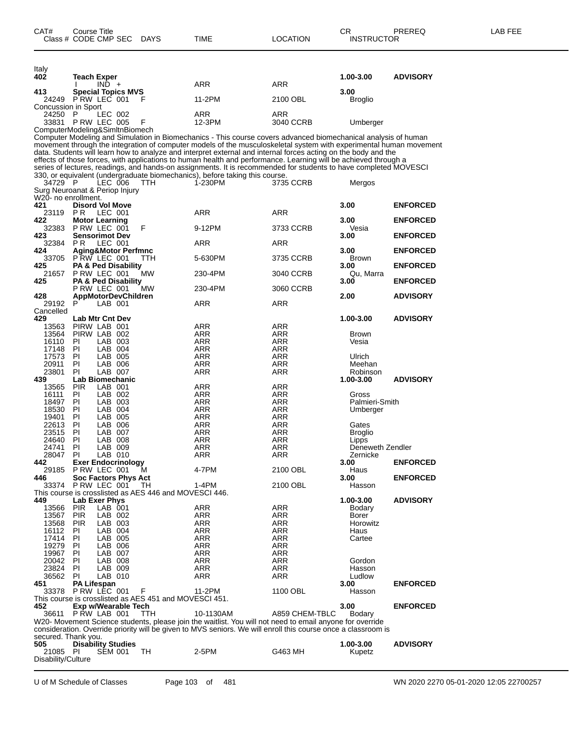| Italy<br>402                              | <b>Teach Exper</b>                               |                    |                                                        |                                                                                                                                                                                                                                     |                | 1.00-3.00                 | <b>ADVISORY</b> |
|-------------------------------------------|--------------------------------------------------|--------------------|--------------------------------------------------------|-------------------------------------------------------------------------------------------------------------------------------------------------------------------------------------------------------------------------------------|----------------|---------------------------|-----------------|
| 413                                       | <b>Special Topics MVS</b>                        | $IND +$            |                                                        | ARR                                                                                                                                                                                                                                 | ARR            | 3.00                      |                 |
| 24249<br>Concussion in Sport              | PRW LEC 001                                      |                    | F                                                      | 11-2PM                                                                                                                                                                                                                              | 2100 OBL       | <b>Broglio</b>            |                 |
| 24250                                     | - P                                              | LEC 002            |                                                        | ARR                                                                                                                                                                                                                                 | ARR            |                           |                 |
| 33831 P RW LEC 005                        |                                                  |                    | F                                                      | 12-3PM                                                                                                                                                                                                                              | 3040 CCRB      | Umberger                  |                 |
| ComputerModeling&SimItnBiomech            |                                                  |                    |                                                        | Computer Modeling and Simulation in Biomechanics - This course covers advanced biomechanical analysis of human                                                                                                                      |                |                           |                 |
|                                           |                                                  |                    |                                                        | movement through the integration of computer models of the musculoskeletal system with experimental human movement                                                                                                                  |                |                           |                 |
|                                           |                                                  |                    |                                                        | data. Students will learn how to analyze and interpret external and internal forces acting on the body and the                                                                                                                      |                |                           |                 |
|                                           |                                                  |                    |                                                        | effects of those forces, with applications to human health and performance. Learning will be achieved through a<br>series of lectures, readings, and hands-on assignments. It is recommended for students to have completed MOVESCI |                |                           |                 |
|                                           |                                                  |                    |                                                        | 330, or equivalent (undergraduate biomechanics), before taking this course.                                                                                                                                                         |                |                           |                 |
| 34729 P<br>Surg Neuroanat & Periop Injury |                                                  | LEC 006            | TTH                                                    | 1-230PM                                                                                                                                                                                                                             | 3735 CCRB      | Mergos                    |                 |
| W20- no enrollment.                       |                                                  |                    |                                                        |                                                                                                                                                                                                                                     |                |                           |                 |
| 421                                       | <b>Disord Vol Move</b>                           |                    |                                                        |                                                                                                                                                                                                                                     |                | 3.00                      | <b>ENFORCED</b> |
| 23119<br>422                              | P <sub>R</sub><br><b>Motor Learning</b>          | LEC 001            |                                                        | ARR                                                                                                                                                                                                                                 | <b>ARR</b>     | 3.00                      | <b>ENFORCED</b> |
| 32383                                     | P RW LEC 001                                     |                    | F                                                      | 9-12PM                                                                                                                                                                                                                              | 3733 CCRB      | Vesia                     |                 |
| 423                                       | <b>Sensorimot Dev</b>                            |                    |                                                        |                                                                                                                                                                                                                                     |                | 3.00                      | <b>ENFORCED</b> |
| 32384<br>424                              | P <sub>R</sub><br><b>Aging&amp;Motor Perfmnc</b> | LEC 001            |                                                        | ARR                                                                                                                                                                                                                                 | ARR            | 3.00                      | <b>ENFORCED</b> |
| 33705                                     | PRW LEC 001                                      |                    | ттн                                                    | 5-630PM                                                                                                                                                                                                                             | 3735 CCRB      | <b>Brown</b>              |                 |
| 425                                       | <b>PA &amp; Ped Disability</b>                   |                    |                                                        |                                                                                                                                                                                                                                     |                | 3.00                      | <b>ENFORCED</b> |
| 21657<br>425                              | P RW LEC 001<br><b>PA &amp; Ped Disability</b>   |                    | MW                                                     | 230-4PM                                                                                                                                                                                                                             | 3040 CCRB      | Qu, Marra<br>3.00         | <b>ENFORCED</b> |
|                                           | PRW LEC 001                                      |                    | МW                                                     | 230-4PM                                                                                                                                                                                                                             | 3060 CCRB      |                           |                 |
| 428<br>29192                              | <b>AppMotorDevChildren</b><br>P                  | LAB 001            |                                                        | ARR                                                                                                                                                                                                                                 | ARR            | 2.00                      | <b>ADVISORY</b> |
| Cancelled                                 |                                                  |                    |                                                        |                                                                                                                                                                                                                                     |                |                           |                 |
| 429                                       | <b>Lab Mtr Cnt Dev</b>                           |                    |                                                        |                                                                                                                                                                                                                                     |                | 1.00-3.00                 | <b>ADVISORY</b> |
| 13563<br>13564                            | PIRW LAB 001<br>PIRW LAB 002                     |                    |                                                        | ARR<br>ARR                                                                                                                                                                                                                          | ARR<br>ARR     | <b>Brown</b>              |                 |
| 16110                                     | <b>PI</b>                                        | LAB 003            |                                                        | ARR                                                                                                                                                                                                                                 | ARR            | Vesia                     |                 |
| 17148                                     | <b>PI</b>                                        | LAB 004            |                                                        | ARR                                                                                                                                                                                                                                 | ARR            |                           |                 |
| 17573<br>20911                            | <b>PI</b><br>PI                                  | LAB 005<br>LAB 006 |                                                        | ARR<br>ARR                                                                                                                                                                                                                          | ARR<br>ARR     | Ulrich<br>Meehan          |                 |
| 23801                                     | PI                                               | LAB 007            |                                                        | ARR                                                                                                                                                                                                                                 | ARR            | Robinson                  |                 |
| 439                                       | Lab Biomechanic                                  |                    |                                                        |                                                                                                                                                                                                                                     |                | 1.00-3.00                 | <b>ADVISORY</b> |
| 13565<br>16111                            | <b>PIR</b><br>PI                                 | LAB 001<br>LAB 002 |                                                        | ARR<br>ARR                                                                                                                                                                                                                          | ARR<br>ARR     | Gross                     |                 |
| 18497                                     | PI                                               | LAB 003            |                                                        | ARR                                                                                                                                                                                                                                 | ARR            | Palmieri-Smith            |                 |
| 18530<br>19401                            | PI<br>PI                                         | LAB 004<br>LAB 005 |                                                        | ARR<br>ARR                                                                                                                                                                                                                          | ARR<br>ARR     | Umberger                  |                 |
| 22613                                     | PI                                               | LAB 006            |                                                        | ARR                                                                                                                                                                                                                                 | ARR            | Gates                     |                 |
| 23515                                     | PI                                               | LAB 007            |                                                        | ARR                                                                                                                                                                                                                                 | ARR            | <b>Broglio</b>            |                 |
| 24640<br>24741                            | PI<br>PI                                         | LAB 008<br>LAB 009 |                                                        | ARR<br>ARR                                                                                                                                                                                                                          | ARR<br>ARR     | Lipps<br>Deneweth Zendler |                 |
| 28047                                     | PI                                               | LAB 010            |                                                        | ARR                                                                                                                                                                                                                                 | ARR            | Zernicke                  |                 |
| 442                                       | <b>Exer Endocrinology</b><br>P RW LEC 001        |                    |                                                        |                                                                                                                                                                                                                                     |                | 3.00                      | <b>ENFORCED</b> |
| 29185<br>446                              | <b>Soc Factors Phys Act</b>                      |                    | м                                                      | 4-7PM                                                                                                                                                                                                                               | 2100 OBL       | Haus<br>3.00              | <b>ENFORCED</b> |
| 33374                                     | PRW LEC 001 TH                                   |                    |                                                        | $1-4PM$                                                                                                                                                                                                                             | 2100 OBL       | Hasson                    |                 |
| 449                                       | Lab Exer Phys                                    |                    | This course is crosslisted as AES 446 and MOVESCI 446. |                                                                                                                                                                                                                                     |                | 1.00-3.00                 | <b>ADVISORY</b> |
| 13566                                     | <b>PIR</b>                                       | LAB 001            |                                                        | ARR                                                                                                                                                                                                                                 | <b>ARR</b>     | Bodary                    |                 |
| 13567                                     | <b>PIR</b>                                       | LAB 002            |                                                        | ARR                                                                                                                                                                                                                                 | ARR            | Borer                     |                 |
| 13568<br>16112                            | <b>PIR</b><br><b>PI</b>                          | LAB 003<br>LAB 004 |                                                        | ARR<br>ARR                                                                                                                                                                                                                          | ARR<br>ARR     | Horowitz<br>Haus          |                 |
| 17414                                     | <b>PI</b>                                        | LAB 005            |                                                        | ARR                                                                                                                                                                                                                                 | ARR            | Cartee                    |                 |
| 19279                                     | <b>PI</b>                                        | LAB 006            |                                                        | <b>ARR</b>                                                                                                                                                                                                                          | ARR            |                           |                 |
| 19967<br>20042                            | PI<br>PI                                         | LAB 007<br>LAB 008 |                                                        | ARR<br>ARR                                                                                                                                                                                                                          | ARR<br>ARR     | Gordon                    |                 |
| 23824                                     | - PI                                             | LAB 009            |                                                        | <b>ARR</b>                                                                                                                                                                                                                          | <b>ARR</b>     | Hasson                    |                 |
| 36562<br>451                              | <b>PI</b><br>PA Lifespan                         | LAB 010            |                                                        | ARR                                                                                                                                                                                                                                 | ARR            | Ludlow<br>3.00            | <b>ENFORCED</b> |
| 33378 P RW LEC 001                        |                                                  |                    | F                                                      | 11-2PM                                                                                                                                                                                                                              | 1100 OBL       | Hasson                    |                 |
|                                           |                                                  |                    | This course is crosslisted as AES 451 and MOVESCI 451. |                                                                                                                                                                                                                                     |                |                           |                 |
| 452<br>36611                              | Exp w/Wearable Tech<br>PRW LAB 001               |                    | TTH.                                                   | 10-1130AM                                                                                                                                                                                                                           | A859 CHEM-TBLC | 3.00<br>Bodary            | <b>ENFORCED</b> |
|                                           |                                                  |                    |                                                        | W20- Movement Science students, please join the waitlist. You will not need to email anyone for override                                                                                                                            |                |                           |                 |
|                                           |                                                  |                    |                                                        | consideration. Override priority will be given to MVS seniors. We will enroll this course once a classroom is                                                                                                                       |                |                           |                 |
| secured. Thank you.<br>505                | <b>Disability Studies</b>                        |                    |                                                        |                                                                                                                                                                                                                                     |                | 1.00-3.00                 | <b>ADVISORY</b> |
| 21085                                     | <b>PI</b>                                        | <b>SEM 001</b>     | TH                                                     | 2-5PM                                                                                                                                                                                                                               | G463 MH        | Kupetz                    |                 |
| Disability/Culture                        |                                                  |                    |                                                        |                                                                                                                                                                                                                                     |                |                           |                 |

U of M Schedule of Classes Page 103 of 481 WN 2020 2270 05-01-2020 12:05 22700257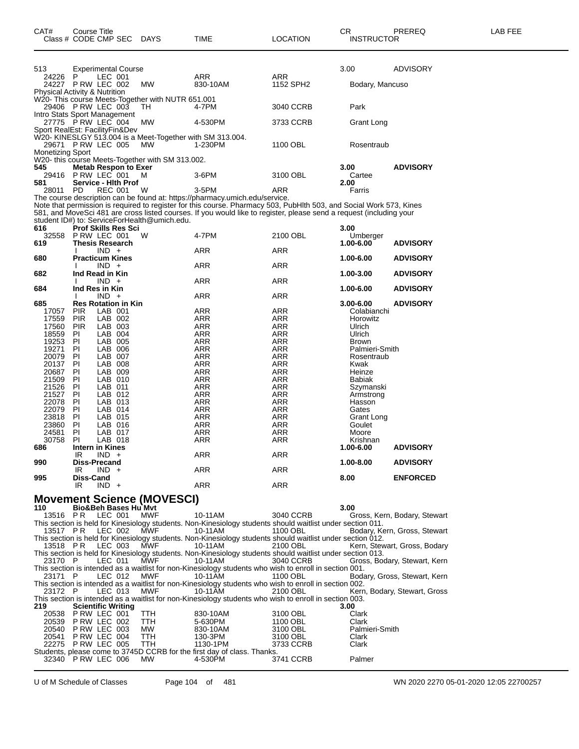| 513                            |                           |                    | <b>Experimental Course</b>  |                                                   |                                                                                                                       |            | 3.00                 | ADVISORY                     |
|--------------------------------|---------------------------|--------------------|-----------------------------|---------------------------------------------------|-----------------------------------------------------------------------------------------------------------------------|------------|----------------------|------------------------------|
| 24226                          | P                         | LEC 001            |                             |                                                   | ARR                                                                                                                   | ARR        |                      |                              |
| 24227 PRW LEC 002              |                           |                    |                             | MW                                                | 830-10AM                                                                                                              | 1152 SPH2  | Bodary, Mancuso      |                              |
| Physical Activity & Nutrition  |                           |                    |                             | W20- This course Meets-Together with NUTR 651.001 |                                                                                                                       |            |                      |                              |
| 29406 PRW LEC 003              |                           |                    |                             | TH                                                | 4-7PM                                                                                                                 | 3040 CCRB  | Park                 |                              |
| Intro Stats Sport Management   |                           |                    |                             |                                                   |                                                                                                                       |            |                      |                              |
| 27775 PRW LEC 004              |                           |                    |                             | MW                                                | 4-530PM                                                                                                               | 3733 CCRB  | Grant Long           |                              |
| Sport RealEst: FacilityFin&Dev |                           |                    |                             |                                                   |                                                                                                                       |            |                      |                              |
|                                |                           |                    |                             |                                                   | W20- KINESLGY 513.004 is a Meet-Together with SM 313.004.                                                             |            |                      |                              |
| 29671 PRW LEC 005              |                           |                    |                             | MW.                                               | 1-230PM                                                                                                               | 1100 OBL   | Rosentraub           |                              |
| <b>Monetizing Sport</b>        |                           |                    |                             |                                                   |                                                                                                                       |            |                      |                              |
|                                |                           |                    |                             | W20- this course Meets-Together with SM 313.002.  |                                                                                                                       |            |                      |                              |
| 545<br>29416                   | PRW LEC 001               |                    | <b>Metab Respon to Exer</b> | м                                                 | 3-6PM                                                                                                                 | 3100 OBL   | 3.00<br>Cartee       | <b>ADVISORY</b>              |
| 581                            |                           |                    | <b>Service - Hith Prof</b>  |                                                   |                                                                                                                       |            | 2.00                 |                              |
| 28011                          | <b>PD</b>                 | <b>REC 001</b>     |                             | W                                                 | 3-5PM                                                                                                                 | ARR        | Farris               |                              |
|                                |                           |                    |                             |                                                   | The course description can be found at: https://pharmacy.umich.edu/service.                                           |            |                      |                              |
|                                |                           |                    |                             |                                                   | Note that permission is required to register for this course. Pharmacy 503, PubHlth 503, and Social Work 573, Kines   |            |                      |                              |
|                                |                           |                    |                             |                                                   | 581, and MoveSci 481 are cross listed courses. If you would like to register, please send a request (including your   |            |                      |                              |
|                                |                           |                    |                             | student ID#) to: ServiceForHealth@umich.edu.      |                                                                                                                       |            |                      |                              |
| 616                            |                           |                    | <b>Prof Skills Res Sci</b>  |                                                   |                                                                                                                       |            | 3.00                 |                              |
| 32558                          | PRW LEC 001               |                    |                             | W                                                 | 4-7PM                                                                                                                 | 2100 OBL   | Umberger             |                              |
| 619                            | <b>Thesis Research</b>    | $IND +$            |                             |                                                   | ARR                                                                                                                   | ARR        | 1.00-6.00            | <b>ADVISORY</b>              |
| 680                            | <b>Practicum Kines</b>    |                    |                             |                                                   |                                                                                                                       |            | 1.00-6.00            | <b>ADVISORY</b>              |
|                                |                           | $IND +$            |                             |                                                   | ARR                                                                                                                   | <b>ARR</b> |                      |                              |
| 682                            | Ind Read in Kin           |                    |                             |                                                   |                                                                                                                       |            | 1.00-3.00            | <b>ADVISORY</b>              |
|                                | <sup>1</sup>              | $IND +$            |                             |                                                   | ARR                                                                                                                   | ARR        |                      |                              |
| 684                            | Ind Res in Kin            |                    |                             |                                                   |                                                                                                                       |            | 1.00-6.00            | <b>ADVISORY</b>              |
|                                | $\mathbf{I}$              | $IND +$            |                             |                                                   | ARR                                                                                                                   | ARR        |                      |                              |
| 685                            |                           |                    | <b>Res Rotation in Kin</b>  |                                                   |                                                                                                                       |            | 3.00-6.00            | <b>ADVISORY</b>              |
| 17057                          | <b>PIR</b>                | LAB 001            |                             |                                                   | ARR                                                                                                                   | ARR        | Colabianchi          |                              |
| 17559                          | <b>PIR</b>                | LAB 002<br>LAB 003 |                             |                                                   | ARR                                                                                                                   | <b>ARR</b> | Horowitz             |                              |
| 17560<br>18559                 | <b>PIR</b><br>PI          | LAB 004            |                             |                                                   | ARR<br>ARR                                                                                                            | ARR<br>ARR | Ulrich<br>Ulrich     |                              |
| 19253                          | ΡI                        | LAB 005            |                             |                                                   | ARR                                                                                                                   | ARR        | <b>Brown</b>         |                              |
| 19271                          | PI                        | LAB 006            |                             |                                                   | ARR                                                                                                                   | ARR        | Palmieri-Smith       |                              |
| 20079                          | PI                        | LAB 007            |                             |                                                   | ARR                                                                                                                   | ARR        | Rosentraub           |                              |
| 20137                          | ΡI                        | LAB 008            |                             |                                                   | ARR                                                                                                                   | ARR        | Kwak                 |                              |
| 20687                          | ΡI                        | LAB 009            |                             |                                                   | ARR                                                                                                                   | ARR        | Heinze               |                              |
| 21509                          | ΡI                        | LAB 010            |                             |                                                   | ARR                                                                                                                   | ARR        | <b>Babiak</b>        |                              |
| 21526                          | ΡI                        | LAB 011            |                             |                                                   | ARR                                                                                                                   | ARR        | Szymanski            |                              |
| 21527                          | ΡI                        | LAB 012            |                             |                                                   | ARR                                                                                                                   | ARR        | Armstrong            |                              |
| 22078                          | PI                        | LAB 013            |                             |                                                   | ARR                                                                                                                   | ARR        | Hasson               |                              |
| 22079<br>23818                 | ΡI<br>PI                  | LAB 014<br>LAB 015 |                             |                                                   | ARR<br>ARR                                                                                                            | ARR<br>ARR | Gates                |                              |
| 23860                          | PI                        | LAB 016            |                             |                                                   | ARR                                                                                                                   | ARR        | Grant Long<br>Goulet |                              |
| 24581                          | ΡI                        | LAB 017            |                             |                                                   | ARR                                                                                                                   | ARR        | Moore                |                              |
| 30758                          | <b>PI</b>                 | LAB 018            |                             |                                                   | ARR                                                                                                                   | ARR        | Krishnan             |                              |
| 686                            | Intern in Kines           |                    |                             |                                                   |                                                                                                                       |            | 1.00-6.00            | <b>ADVISORY</b>              |
|                                | IR                        | $IND +$            |                             |                                                   | ARR                                                                                                                   | ARR        |                      |                              |
| 990                            | Diss-Precand              |                    |                             |                                                   |                                                                                                                       |            | 1.00-8.00            | <b>ADVISORY</b>              |
|                                | IR                        | $IND +$            |                             |                                                   | ARR                                                                                                                   | ARR        |                      |                              |
| 995                            | Diss-Cand                 |                    |                             |                                                   |                                                                                                                       |            |                      |                              |
|                                |                           |                    |                             |                                                   |                                                                                                                       |            | 8.00                 | <b>ENFORCED</b>              |
|                                | IR                        | $IND +$            |                             |                                                   | ARR                                                                                                                   | ARR        |                      |                              |
|                                |                           |                    |                             |                                                   |                                                                                                                       |            |                      |                              |
|                                |                           |                    |                             | <b>Movement Science (MOVESCI)</b>                 |                                                                                                                       |            |                      |                              |
| 110                            |                           |                    | Bio&Beh Bases Hu Mvt        |                                                   |                                                                                                                       | 3040 CCRB  | 3.00                 |                              |
| 13516 PR                       |                           | LEC 001            |                             | <b>MWF</b>                                        | 10-11AM                                                                                                               |            |                      | Gross, Kern, Bodary, Stewart |
| 13517 PR                       |                           | LEC 002            |                             | MWF                                               | This section is held for Kinesiology students. Non-Kinesiology students should waitlist under section 011.<br>10-11AM | 1100 OBL   |                      | Bodary, Kern, Gross, Stewart |
|                                |                           |                    |                             |                                                   | This section is held for Kinesiology students. Non-Kinesiology students should waitlist under section 012.            |            |                      |                              |
| 13518 PR                       |                           | LEC 003            |                             | MWF                                               | 10-11AM                                                                                                               | 2100 OBL   |                      | Kern, Stewart, Gross, Bodary |
|                                |                           |                    |                             |                                                   | This section is held for Kinesiology students. Non-Kinesiology students should waitlist under section 013.            |            |                      |                              |
| 23170 P                        |                           | LEC 011            |                             | MWF                                               | 10-11AM                                                                                                               | 3040 CCRB  |                      | Gross, Bodary, Stewart, Kern |
|                                |                           |                    |                             |                                                   | This section is intended as a waitlist for non-Kinesiology students who wish to enroll in section 001.                |            |                      |                              |
| 23171                          | - P                       | LEC 012            |                             | MWF                                               | 10-11AM                                                                                                               | 1100 OBL   |                      | Bodary, Gross, Stewart, Kern |
|                                |                           |                    |                             |                                                   | This section is intended as a waitlist for non-Kinesiology students who wish to enroll in section 002.                |            |                      |                              |
| 23172 P                        |                           | LEC 013            |                             | MWF                                               | 10-11AM                                                                                                               | 2100 OBL   |                      | Kern, Bodary, Stewart, Gross |
| 219                            | <b>Scientific Writing</b> |                    |                             |                                                   | This section is intended as a waitlist for non-Kinesiology students who wish to enroll in section 003.                |            | 3.00                 |                              |
| 20538                          | PRW LEC 001               |                    |                             | ттн                                               | 830-10AM                                                                                                              | 3100 OBL   | Clark                |                              |
| 20539                          | PRW LEC 002               |                    |                             | TTH                                               | 5-630PM                                                                                                               | 1100 OBL   | Clark                |                              |
| 20540                          | PRW LEC 003               |                    |                             | MW                                                | 830-10AM                                                                                                              | 3100 OBL   | Palmieri-Smith       |                              |
| 20541                          | PRW LEC 004               |                    |                             | TTH                                               | 130-3PM                                                                                                               | 3100 OBL   | Clark                |                              |
| 22275 PRW LEC 005              |                           |                    |                             | TTH                                               | 1130-1PM                                                                                                              | 3733 CCRB  | Clark                |                              |
| 32340                          | PRW LEC 006               |                    |                             | <b>MW</b>                                         | Students, please come to 3745D CCRB for the first day of class. Thanks.<br>4-530PM                                    | 3741 CCRB  | Palmer               |                              |

Class # CODE CMP SEC DAYS TIME LOCATION INSTRUCTOR

U of M Schedule of Classes Page 104 of 481 WN 2020 2270 05-01-2020 12:05 22700257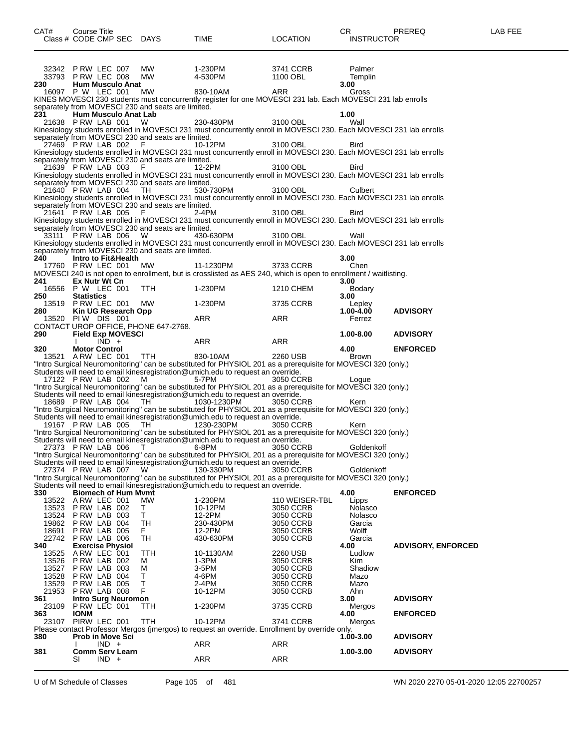| CAT#           | Course Title<br>Class # CODE CMP SEC DAYS          |            | TIME                                                                                                                                                                                             | LOCATION                    | CR<br><b>INSTRUCTOR</b> | PREREQ                    | LAB FEE |
|----------------|----------------------------------------------------|------------|--------------------------------------------------------------------------------------------------------------------------------------------------------------------------------------------------|-----------------------------|-------------------------|---------------------------|---------|
|                | 32342 PRW LEC 007                                  | MW.        | 1-230PM                                                                                                                                                                                          | 3741 CCRB                   | Palmer                  |                           |         |
| 230            | 33793 PRW LEC 008<br><b>Hum Musculo Anat</b>       | MW.        | 4-530PM                                                                                                                                                                                          | 1100 OBL                    | Templin<br>3.00         |                           |         |
|                | 16097 P W LEC 001                                  | МW         | 830-10AM                                                                                                                                                                                         | ARR                         | Gross                   |                           |         |
|                | separately from MOVESCI 230 and seats are limited. |            | KINES MOVESCI 230 students must concurrently register for one MOVESCI 231 lab. Each MOVESCI 231 lab enrolls                                                                                      |                             |                         |                           |         |
| 231            | Hum Musculo Anat Lab                               |            |                                                                                                                                                                                                  |                             | 1.00                    |                           |         |
|                | 21638 PRW LAB 001                                  | W          | 230-430PM<br>Kinesiology students enrolled in MOVESCI 231 must concurrently enroll in MOVESCI 230. Each MOVESCI 231 lab enrolls                                                                  | 3100 OBL                    | Wall                    |                           |         |
|                | separately from MOVESCI 230 and seats are limited. |            |                                                                                                                                                                                                  |                             |                         |                           |         |
|                | 27469 PRW LAB 002                                  | - F        | 10-12PM<br>Kinesiology students enrolled in MOVESCI 231 must concurrently enroll in MOVESCI 230. Each MOVESCI 231 lab enrolls                                                                    | 3100 OBL                    | Bird                    |                           |         |
|                | separately from MOVESCI 230 and seats are limited. |            |                                                                                                                                                                                                  |                             |                         |                           |         |
|                | 21639 PRW LAB 003                                  | - F        | 12-2PM<br>Kinesiology students enrolled in MOVESCI 231 must concurrently enroll in MOVESCI 230. Each MOVESCI 231 lab enrolls                                                                     | 3100 OBL                    | Bird                    |                           |         |
|                | separately from MOVESCI 230 and seats are limited. |            |                                                                                                                                                                                                  |                             |                         |                           |         |
|                | 21640 PRW LAB 004                                  | TH         | 530-730PM<br>Kinesiology students enrolled in MOVESCI 231 must concurrently enroll in MOVESCI 230. Each MOVESCI 231 lab enrolls                                                                  | 3100 OBL                    | Culbert                 |                           |         |
|                | separately from MOVESCI 230 and seats are limited. |            |                                                                                                                                                                                                  |                             |                         |                           |         |
|                | 21641 PRW LAB 005                                  | - F        | 2-4PM<br>Kinesiology students enrolled in MOVESCI 231 must concurrently enroll in MOVESCI 230. Each MOVESCI 231 lab enrolls                                                                      | 3100 OBL                    | Bird                    |                           |         |
|                | separately from MOVESCI 230 and seats are limited. |            |                                                                                                                                                                                                  |                             |                         |                           |         |
|                | 33111 PRW LAB 006                                  | - W        | 430-630PM<br>Kinesiology students enrolled in MOVESCI 231 must concurrently enroll in MOVESCI 230. Each MOVESCI 231 lab enrolls                                                                  | 3100 OBL                    | Wall                    |                           |         |
|                | separately from MOVESCI 230 and seats are limited. |            |                                                                                                                                                                                                  |                             |                         |                           |         |
| 240            | Intro to Fit&Health<br>17760 P RW LEC 001          | МW         | 11-1230PM                                                                                                                                                                                        | 3733 CCRB                   | 3.00<br>Chen            |                           |         |
|                |                                                    |            | MOVESCI 240 is not open to enrollment, but is crosslisted as AES 240, which is open to enrollment / waitlisting.                                                                                 |                             |                         |                           |         |
| 241            | Ex Nutr Wt Cn<br>16556 P W LEC 001                 | <b>TTH</b> | 1-230PM                                                                                                                                                                                          |                             | 3.00                    |                           |         |
| 250            | <b>Statistics</b>                                  |            |                                                                                                                                                                                                  | 1210 CHEM                   | Bodary<br>3.00          |                           |         |
|                | 13519 P RW LEC 001                                 | <b>MW</b>  | 1-230PM                                                                                                                                                                                          | 3735 CCRB                   | Lepley                  |                           |         |
| 280            | Kin UG Research Opp<br>13520 PIW DIS 001           |            | ARR                                                                                                                                                                                              | ARR                         | 1.00-4.00<br>Ferrez     | <b>ADVISORY</b>           |         |
|                | CONTACT UROP OFFICE, PHONE 647-2768.               |            |                                                                                                                                                                                                  |                             |                         |                           |         |
| 290            | <b>Field Exp MOVESCI</b><br>$IND +$                |            | ARR                                                                                                                                                                                              | ARR                         | 1.00-8.00               | <b>ADVISORY</b>           |         |
| 320            | <b>Motor Control</b>                               |            |                                                                                                                                                                                                  |                             | 4.00                    | <b>ENFORCED</b>           |         |
|                | 13521 A RW LEC 001                                 | <b>TTH</b> | 830-10AM<br>"Intro Surgical Neuromonitoring" can be substituted for PHYSIOL 201 as a prerequisite for MOVESCI 320 (only.)                                                                        | 2260 USB                    | Brown                   |                           |         |
|                |                                                    |            | Students will need to email kinesregistration@umich.edu to request an override.                                                                                                                  |                             |                         |                           |         |
|                | 17122 PRW LAB 002                                  | M          | 5-7PM<br>"Intro Surgical Neuromonitoring" can be substituted for PHYSIOL 201 as a prerequisite for MOVESCI 320 (only.)                                                                           | 3050 CCRB                   | Loque                   |                           |         |
|                |                                                    |            | Students will need to email kinesregistration@umich.edu to request an override.                                                                                                                  |                             |                         |                           |         |
|                | 18689 PRW LAB 004                                  | TH         | 1030-1230PM                                                                                                                                                                                      | 3050 CCRB                   | Kern                    |                           |         |
|                |                                                    |            | "Intro Surgical Neuromonitoring" can be substituted for PHYSIOL 201 as a prerequisite for MOVESCI 320 (only.)<br>Students will need to email kinesregistration@umich.edu to request an override. |                             |                         |                           |         |
|                | 19167 PRW LAB 005                                  | TH         | 1230-230PM                                                                                                                                                                                       | 3050 CCRB                   | Kern                    |                           |         |
|                |                                                    |            | "Intro Surgical Neuromonitoring" can be substituted for PHYSIOL 201 as a prerequisite for MOVESCI 320 (only.)<br>Students will need to email kinesregistration@umich.edu to request an override. |                             |                         |                           |         |
|                | 27373 PRW LAB 006                                  | $\top$     | 6-8PM                                                                                                                                                                                            | 3050 CCRB                   | Goldenkoff              |                           |         |
|                |                                                    |            | "Intro Surgical Neuromonitoring" can be substituted for PHYSIOL 201 as a prerequisite for MOVESCI 320 (only.)<br>Students will need to email kinesregistration@umich.edu to request an override. |                             |                         |                           |         |
|                | 27374 PRW LAB 007                                  | W          | 130-330PM                                                                                                                                                                                        | 3050 CCRB                   | Goldenkoff              |                           |         |
|                |                                                    |            | "Intro Surgical Neuromonitoring" can be substituted for PHYSIOL 201 as a prerequisite for MOVESCI 320 (only.)<br>Students will need to email kinesregistration@umich.edu to request an override. |                             |                         |                           |         |
| 330            | <b>Biomech of Hum Mymt</b>                         |            |                                                                                                                                                                                                  |                             | 4.00                    | <b>ENFORCED</b>           |         |
| 13523          | 13522 A RW LEC 001<br>P RW LAB 002                 | МW<br>Τ    | 1-230PM<br>10-12PM                                                                                                                                                                               | 110 WEISER-TBL<br>3050 CCRB | Lipps<br>Nolasco        |                           |         |
| 13524          | PRW LAB 003                                        | T          | 12-2PM                                                                                                                                                                                           | 3050 CCRB                   | Nolasco                 |                           |         |
| 19862<br>18691 | PRW LAB 004<br>P RW LAB 005                        | TH         | 230-430PM<br>12-2PM                                                                                                                                                                              | 3050 CCRB<br>3050 CCRB      | Garcia<br>Wolff         |                           |         |
|                | 22742 P RW LAB 006                                 | F.<br>TН   | 430-630PM                                                                                                                                                                                        | 3050 CCRB                   | Garcia                  |                           |         |
| 340            | <b>Exercise Physiol</b>                            |            |                                                                                                                                                                                                  |                             | 4.00                    | <b>ADVISORY, ENFORCED</b> |         |
| 13525<br>13526 | ARW LEC 001<br>PRW LAB 002                         | TTH<br>м   | 10-1130AM<br>1-3PM                                                                                                                                                                               | 2260 USB<br>3050 CCRB       | Ludlow<br>Kim           |                           |         |
| 13527          | PRW LAB 003                                        | M          | 3-5PM                                                                                                                                                                                            | 3050 CCRB                   | Shadiow                 |                           |         |
| 13528<br>13529 | P RW LAB 004<br>P RW LAB 005                       | т<br>T     | 4-6PM<br>2-4PM                                                                                                                                                                                   | 3050 CCRB<br>3050 CCRB      | Mazo<br>Mazo            |                           |         |
| 21953          | PRW LAB 008                                        | F          | 10-12PM                                                                                                                                                                                          | 3050 CCRB                   | Ahn                     |                           |         |
| 361<br>23109   | <b>Intro Surg Neuromon</b><br>PRW LEC 001          | TTH        | 1-230PM                                                                                                                                                                                          | 3735 CCRB                   | 3.00<br>Mergos          | <b>ADVISORY</b>           |         |
| 363            | <b>IONM</b>                                        |            |                                                                                                                                                                                                  |                             | 4.00                    | <b>ENFORCED</b>           |         |
| 23107          | PIRW LEC 001                                       | <b>TTH</b> | 10-12PM<br>Please contact Professor Mergos (jmergos) to request an override. Enrollment by override only.                                                                                        | 3741 CCRB                   | Mergos                  |                           |         |
| 380            | <b>Prob in Move Sci</b>                            |            |                                                                                                                                                                                                  |                             | 1.00-3.00               | <b>ADVISORY</b>           |         |
| 381            | $IND +$<br><b>Comm Serv Learn</b>                  |            | <b>ARR</b>                                                                                                                                                                                       | ARR                         | 1.00-3.00               | <b>ADVISORY</b>           |         |
|                | $IND +$<br>SI                                      |            | ARR                                                                                                                                                                                              | ARR                         |                         |                           |         |
|                |                                                    |            |                                                                                                                                                                                                  |                             |                         |                           |         |

U of M Schedule of Classes Page 105 of 481 WN 2020 2270 05-01-2020 12:05 22700257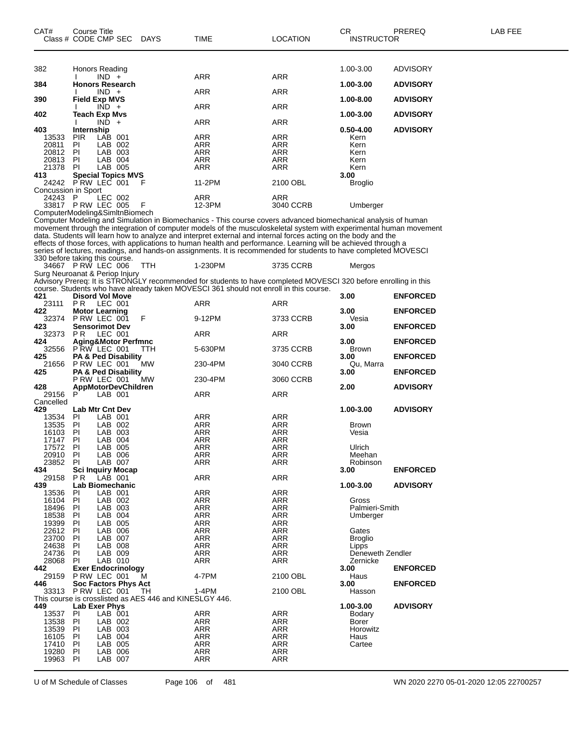| CAT#                | Course Title<br>Class # CODE CMP SEC           | <b>DAYS</b> | TIME                                                                                                                                                                                                                              | <b>LOCATION</b>          | CR<br><b>INSTRUCTOR</b> | PREREQ          | LAB FEE |
|---------------------|------------------------------------------------|-------------|-----------------------------------------------------------------------------------------------------------------------------------------------------------------------------------------------------------------------------------|--------------------------|-------------------------|-----------------|---------|
|                     |                                                |             |                                                                                                                                                                                                                                   |                          |                         |                 |         |
|                     |                                                |             |                                                                                                                                                                                                                                   |                          |                         |                 |         |
| 382                 | Honors Reading                                 |             |                                                                                                                                                                                                                                   |                          | 1.00-3.00               | <b>ADVISORY</b> |         |
| 384                 | $IND +$<br><b>Honors Research</b>              |             | ARR                                                                                                                                                                                                                               | <b>ARR</b>               | 1.00-3.00               | <b>ADVISORY</b> |         |
|                     | $IND +$                                        |             | ARR                                                                                                                                                                                                                               | ARR                      |                         |                 |         |
| 390                 | <b>Field Exp MVS</b>                           |             |                                                                                                                                                                                                                                   |                          | 1.00-8.00               | <b>ADVISORY</b> |         |
|                     | $\overline{IND}$ +                             |             | <b>ARR</b>                                                                                                                                                                                                                        | <b>ARR</b>               |                         |                 |         |
| 402                 | <b>Teach Exp Mvs</b>                           |             |                                                                                                                                                                                                                                   |                          | 1.00-3.00               | <b>ADVISORY</b> |         |
| 403                 | $IND +$<br>Internship                          |             | ARR                                                                                                                                                                                                                               | ARR                      | $0.50 - 4.00$           | <b>ADVISORY</b> |         |
| 13533               | <b>PIR</b><br>LAB 001                          |             | ARR                                                                                                                                                                                                                               | ARR                      | Kern                    |                 |         |
| 20811               | ΡI<br>LAB 002                                  |             | ARR                                                                                                                                                                                                                               | ARR                      | Kern                    |                 |         |
| 20812               | LAB 003<br>PI                                  |             | <b>ARR</b>                                                                                                                                                                                                                        | ARR                      | Kern                    |                 |         |
| 20813               | LAB 004<br>ΡI                                  |             | ARR                                                                                                                                                                                                                               | ARR                      | Kern                    |                 |         |
| 21378               | LAB 005<br><b>PI</b>                           |             | ARR                                                                                                                                                                                                                               | ARR                      | Kern                    |                 |         |
| 413                 | <b>Special Topics MVS</b><br>24242 PRW LEC 001 | F           | 11-2PM                                                                                                                                                                                                                            | 2100 OBL                 | 3.00                    |                 |         |
| Concussion in Sport |                                                |             |                                                                                                                                                                                                                                   |                          | <b>Broglio</b>          |                 |         |
| 24243 P             | LEC 002                                        |             | ARR                                                                                                                                                                                                                               | ARR                      |                         |                 |         |
|                     | 33817 P RW LEC 005                             | F           | 12-3PM                                                                                                                                                                                                                            | 3040 CCRB                | Umberger                |                 |         |
|                     | ComputerModeling&SimItnBiomech                 |             |                                                                                                                                                                                                                                   |                          |                         |                 |         |
|                     |                                                |             | Computer Modeling and Simulation in Biomechanics - This course covers advanced biomechanical analysis of human                                                                                                                    |                          |                         |                 |         |
|                     |                                                |             | movement through the integration of computer models of the musculoskeletal system with experimental human movement                                                                                                                |                          |                         |                 |         |
|                     |                                                |             | data. Students will learn how to analyze and interpret external and internal forces acting on the body and the<br>effects of those forces, with applications to human health and performance. Learning will be achieved through a |                          |                         |                 |         |
|                     |                                                |             | series of lectures, readings, and hands-on assignments. It is recommended for students to have completed MOVESCI                                                                                                                  |                          |                         |                 |         |
|                     | 330 before taking this course.                 |             |                                                                                                                                                                                                                                   |                          |                         |                 |         |
|                     | 34667 PRW LEC 006                              | <b>TTH</b>  | 1-230PM                                                                                                                                                                                                                           | 3735 CCRB                | Mergos                  |                 |         |
|                     | Surg Neuroanat & Periop Injury                 |             |                                                                                                                                                                                                                                   |                          |                         |                 |         |
|                     |                                                |             | Advisory Prereq: It is STRONGLY recommended for students to have completed MOVESCI 320 before enrolling in this                                                                                                                   |                          |                         |                 |         |
| 421                 | <b>Disord Vol Move</b>                         |             | course. Students who have already taken MOVESCI 361 should not enroll in this course.                                                                                                                                             |                          | 3.00                    | <b>ENFORCED</b> |         |
| 23111               | PR.<br>LEC 001                                 |             | ARR                                                                                                                                                                                                                               | ARR                      |                         |                 |         |
| 422                 | <b>Motor Learning</b>                          |             |                                                                                                                                                                                                                                   |                          | 3.00                    | <b>ENFORCED</b> |         |
| 32374               | P RW LEC 001                                   | F           | 9-12PM                                                                                                                                                                                                                            | 3733 CCRB                | Vesia                   |                 |         |
| 423                 | <b>Sensorimot Dev</b>                          |             |                                                                                                                                                                                                                                   |                          | 3.00                    | <b>ENFORCED</b> |         |
| 32373               | PR.<br>LEC 001                                 |             | ARR                                                                                                                                                                                                                               | ARR                      |                         |                 |         |
| 424<br>32556        | Aging&Motor Perfmnc<br>PRW LEC 001             | ттн         | 5-630PM                                                                                                                                                                                                                           | 3735 CCRB                | 3.00<br>Brown           | <b>ENFORCED</b> |         |
| 425                 | <b>PA &amp; Ped Disability</b>                 |             |                                                                                                                                                                                                                                   |                          | 3.00                    | <b>ENFORCED</b> |         |
| 21656               | P RW LEC 001                                   | MW          | 230-4PM                                                                                                                                                                                                                           | 3040 CCRB                | Qu, Marra               |                 |         |
| 425                 | PA & Ped Disability                            |             |                                                                                                                                                                                                                                   |                          | 3.00                    | <b>ENFORCED</b> |         |
|                     | P RW LEC 001                                   | MW          | 230-4PM                                                                                                                                                                                                                           | 3060 CCRB                |                         |                 |         |
| 428<br>29156        | <b>AppMotorDevChildren</b><br>P<br>LAB 001     |             | ARR                                                                                                                                                                                                                               | ARR                      | 2.00                    | <b>ADVISORY</b> |         |
| Cancelled           |                                                |             |                                                                                                                                                                                                                                   |                          |                         |                 |         |
| 429                 | <b>Lab Mtr Cnt Dev</b>                         |             |                                                                                                                                                                                                                                   |                          | 1.00-3.00               | <b>ADVISORY</b> |         |
| 13534               | PI<br>LAB 001                                  |             | ARR                                                                                                                                                                                                                               | ARR                      |                         |                 |         |
| 13535               | LAB 002<br>ΡI                                  |             | ARR                                                                                                                                                                                                                               | ARR                      | <b>Brown</b>            |                 |         |
| 16103               | PI<br>LAB 003                                  |             | ARR                                                                                                                                                                                                                               | ARR                      | Vesia                   |                 |         |
| 17147               | PI<br>LAB 004<br>LAB 005                       |             | ARR                                                                                                                                                                                                                               | ARR                      |                         |                 |         |
| 17572<br>20910 PI   | P <sub>l</sub><br>LAB 006                      |             | <b>ARR</b><br>ARR                                                                                                                                                                                                                 | <b>ARR</b><br>ARR        | Ulrich<br>Meehan        |                 |         |
| 23852               | PI<br>LAB 007                                  |             | ARR                                                                                                                                                                                                                               | ARR                      | Robinson                |                 |         |
| 434                 | <b>Sci Inquiry Mocap</b>                       |             |                                                                                                                                                                                                                                   |                          | 3.00                    | <b>ENFORCED</b> |         |
| 29158               | LAB 001<br>P R                                 |             | ARR                                                                                                                                                                                                                               | ARR                      |                         |                 |         |
| 439                 | Lab Biomechanic                                |             |                                                                                                                                                                                                                                   |                          | 1.00-3.00               | <b>ADVISORY</b> |         |
| 13536               | LAB 001<br>ΡI<br>LAB 002                       |             | <b>ARR</b>                                                                                                                                                                                                                        | <b>ARR</b>               |                         |                 |         |
| 16104<br>18496      | PI<br>LAB 003<br>ΡI                            |             | <b>ARR</b><br><b>ARR</b>                                                                                                                                                                                                          | ARR<br><b>ARR</b>        | Gross<br>Palmieri-Smith |                 |         |
| 18538               | LAB 004<br>ΡI                                  |             | ARR                                                                                                                                                                                                                               | ARR                      | Umberger                |                 |         |
| 19399               | LAB 005<br>PI                                  |             | <b>ARR</b>                                                                                                                                                                                                                        | <b>ARR</b>               |                         |                 |         |
| 22612               | LAB 006<br>ΡI                                  |             | <b>ARR</b>                                                                                                                                                                                                                        | <b>ARR</b>               | Gates                   |                 |         |
| 23700               | PI<br>LAB 007                                  |             | <b>ARR</b>                                                                                                                                                                                                                        | ARR                      | Broglio                 |                 |         |
| 24638               | LAB 008<br>PI                                  |             | ARR                                                                                                                                                                                                                               | <b>ARR</b>               | Lipps                   |                 |         |
| 24736<br>28068      | PI<br>LAB 009<br>LAB 010<br>PI                 |             | <b>ARR</b><br>ARR                                                                                                                                                                                                                 | <b>ARR</b><br><b>ARR</b> | Deneweth Zendler        |                 |         |
|                     |                                                |             |                                                                                                                                                                                                                                   |                          | Zernicke                |                 |         |

 PI LAB 006 ARR ARR PI LAB 007 ARR ARR

This course is crosslisted as AES 446 and KINESLGY 446.

**Exer Endocrinology 3.00 ENFORCED**

**Soc Factors Phys Act 3.00 ENFORCED**

**Lab Exer Phys 1.00-3.00 ADVISORY**

P RW LEC 001 M 4-7PM 2100 OBL Haus

P RW LEC 001 TH 1-4PM 2100 OBL Hasson

 PI LAB 001 ARR ARR Bodary PI LAB 002 ARR ARR Borer PI LAB 003 ARR ARR Horowitz PI LAB 004 ARR ARR Haus PI LAB 005 ARR ARR Cartee

U of M Schedule of Classes Page 106 of 481 WN 2020 2270 05-01-2020 12:05 22700257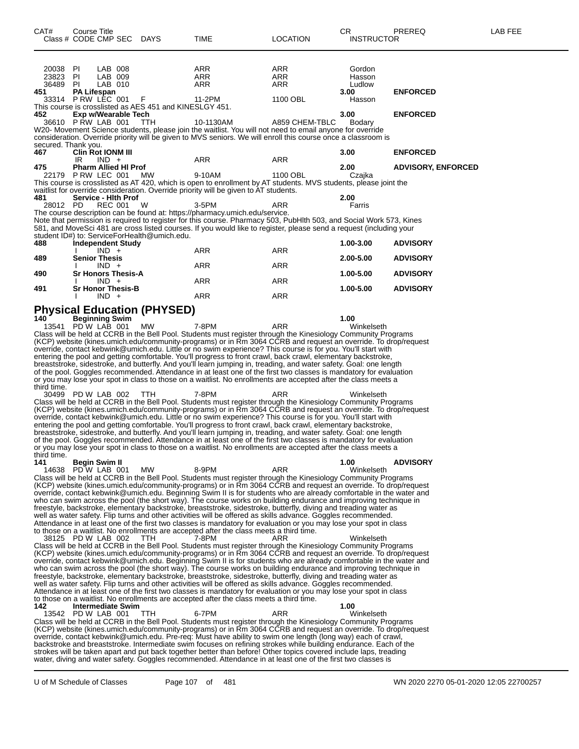| CAT#                 | Course Title                       |                    |                                                         |                                                                                                                                                                                                                                     |                 | CR                | PREREQ                    | LAB FEE |
|----------------------|------------------------------------|--------------------|---------------------------------------------------------|-------------------------------------------------------------------------------------------------------------------------------------------------------------------------------------------------------------------------------------|-----------------|-------------------|---------------------------|---------|
|                      | Class # CODE CMP SEC DAYS          |                    |                                                         | TIME                                                                                                                                                                                                                                | <b>LOCATION</b> | <b>INSTRUCTOR</b> |                           |         |
|                      |                                    |                    |                                                         |                                                                                                                                                                                                                                     |                 |                   |                           |         |
|                      |                                    |                    |                                                         |                                                                                                                                                                                                                                     |                 |                   |                           |         |
|                      |                                    |                    |                                                         |                                                                                                                                                                                                                                     |                 |                   |                           |         |
| 20038 PI<br>23823 PI |                                    | LAB 008<br>LAB 009 |                                                         | ARR<br>ARR                                                                                                                                                                                                                          | ARR<br>ARR      | Gordon<br>Hasson  |                           |         |
| 36489                | -PI                                | LAB 010            |                                                         | ARR                                                                                                                                                                                                                                 | ARR             | Ludlow            |                           |         |
| 451                  | <b>PA Lifespan</b>                 |                    |                                                         |                                                                                                                                                                                                                                     |                 | 3.00              | <b>ENFORCED</b>           |         |
|                      | 33314 PRW LEC 001 F                |                    |                                                         | 11-2PM                                                                                                                                                                                                                              | 1100 OBL        | Hasson            |                           |         |
|                      |                                    |                    | This course is crosslisted as AES 451 and KINESLGY 451. |                                                                                                                                                                                                                                     |                 |                   |                           |         |
| 452.                 | Exp w/Wearable Tech                |                    |                                                         |                                                                                                                                                                                                                                     |                 | 3.00              | <b>ENFORCED</b>           |         |
|                      | 36610 PRW LAB 001                  |                    | TTH                                                     | 10-1130AM                                                                                                                                                                                                                           | A859 CHEM-TBLC  | Bodary            |                           |         |
|                      |                                    |                    |                                                         | W20- Movement Science students, please join the waitlist. You will not need to email anyone for override                                                                                                                            |                 |                   |                           |         |
|                      |                                    |                    |                                                         | consideration. Override priority will be given to MVS seniors. We will enroll this course once a classroom is                                                                                                                       |                 |                   |                           |         |
| secured. Thank you.  |                                    |                    |                                                         |                                                                                                                                                                                                                                     |                 |                   |                           |         |
| 467                  | <b>Clin Rot IONM III</b>           |                    |                                                         |                                                                                                                                                                                                                                     |                 | 3.00              | <b>ENFORCED</b>           |         |
| 475                  | IR.<br><b>Pharm Allied HI Prof</b> | $IND +$            |                                                         | ARR                                                                                                                                                                                                                                 | ARR             |                   |                           |         |
|                      | 22179 P RW LEC 001                 |                    | MW                                                      | 9-10AM                                                                                                                                                                                                                              | 1100 OBL        | 2.00<br>Czajka    | <b>ADVISORY, ENFORCED</b> |         |
|                      |                                    |                    |                                                         | This course is crosslisted as AT 420, which is open to enrollment by AT students. MVS students, please joint the                                                                                                                    |                 |                   |                           |         |
|                      |                                    |                    |                                                         | waitlist for override consideration. Override priority will be given to AT students.                                                                                                                                                |                 |                   |                           |         |
| 481                  | Service - Hith Prof                |                    |                                                         |                                                                                                                                                                                                                                     |                 | 2.00              |                           |         |
| 28012 PD             |                                    | <b>REC 001</b>     | <b>W</b>                                                | 3-5PM                                                                                                                                                                                                                               | ARR             | Farris            |                           |         |
|                      |                                    |                    |                                                         | The course description can be found at: https://pharmacy.umich.edu/service.                                                                                                                                                         |                 |                   |                           |         |
|                      |                                    |                    |                                                         | Note that permission is required to register for this course. Pharmacy 503, PubHlth 503, and Social Work 573, Kines                                                                                                                 |                 |                   |                           |         |
|                      |                                    |                    |                                                         | 581, and MoveSci 481 are cross listed courses. If you would like to register, please send a request (including your                                                                                                                 |                 |                   |                           |         |
|                      |                                    |                    | student ID#) to: ServiceForHealth@umich.edu.            |                                                                                                                                                                                                                                     |                 |                   |                           |         |
| 488                  | <b>Independent Study</b>           |                    |                                                         |                                                                                                                                                                                                                                     |                 | 1.00-3.00         | <b>ADVISORY</b>           |         |
|                      |                                    | $IND +$            |                                                         | ARR                                                                                                                                                                                                                                 | ARR             |                   |                           |         |
| 489                  | <b>Senior Thesis</b>               |                    |                                                         |                                                                                                                                                                                                                                     |                 | 2.00-5.00         | <b>ADVISORY</b>           |         |
|                      |                                    | $IND +$            |                                                         | ARR                                                                                                                                                                                                                                 | ARR             |                   |                           |         |
| 490                  | <b>Sr Honors Thesis-A</b>          |                    |                                                         |                                                                                                                                                                                                                                     |                 | 1.00-5.00         | <b>ADVISORY</b>           |         |
|                      |                                    | $IND +$            |                                                         | ARR                                                                                                                                                                                                                                 | ARR             |                   |                           |         |
| 491                  | <b>Sr Honor Thesis-B</b>           |                    |                                                         |                                                                                                                                                                                                                                     |                 | 1.00-5.00         | <b>ADVISORY</b>           |         |
|                      |                                    | $IND +$            |                                                         | ARR                                                                                                                                                                                                                                 | ARR             |                   |                           |         |
|                      |                                    |                    |                                                         |                                                                                                                                                                                                                                     |                 |                   |                           |         |
|                      |                                    |                    | <b>Physical Education (PHYSED)</b>                      |                                                                                                                                                                                                                                     |                 |                   |                           |         |
| 140                  | <b>Beginning Swim</b>              |                    |                                                         |                                                                                                                                                                                                                                     |                 | 1.00              |                           |         |
|                      | 13541 PD W LAB 001                 |                    | МW                                                      | 7-8PM                                                                                                                                                                                                                               | ARR             | Winkelseth        |                           |         |
|                      |                                    |                    |                                                         | Class will be held at CCRB in the Bell Pool. Students must register through the Kinesiology Community Programs                                                                                                                      |                 |                   |                           |         |
|                      |                                    |                    |                                                         | (KCP) website (kines.umich.edu/community-programs) or in Rm 3064 CCRB and request an override. To drop/request                                                                                                                      |                 |                   |                           |         |
|                      |                                    |                    |                                                         | override, contact kebwink@umich.edu. Little or no swim experience? This course is for you. You'll start with                                                                                                                        |                 |                   |                           |         |
|                      |                                    |                    |                                                         | entering the pool and getting comfortable. You'll progress to front crawl, back crawl, elementary backstroke,<br>breaststroke, sidestroke, and butterfly. And you'll learn jumping in, treading, and water safety. Goal: one length |                 |                   |                           |         |
|                      |                                    |                    |                                                         | of the pool. Goggles recommended. Attendance in at least one of the first two classes is mandatory for evaluation                                                                                                                   |                 |                   |                           |         |
|                      |                                    |                    |                                                         | or you may lose your spot in class to those on a waitlist. No enrollments are accepted after the class meets a                                                                                                                      |                 |                   |                           |         |
| third time.          |                                    |                    |                                                         |                                                                                                                                                                                                                                     |                 |                   |                           |         |
|                      | 30499 PD W LAB 002 TTH             |                    |                                                         | 7-8PM                                                                                                                                                                                                                               | ARR             | Winkelseth        |                           |         |
|                      |                                    |                    |                                                         | Class will be held at CCRB in the Bell Pool. Students must register through the Kinesiology Community Programs                                                                                                                      |                 |                   |                           |         |
|                      |                                    |                    |                                                         | (KCP) website (kines.umich.edu/community-programs) or in Rm 3064 CCRB and request an override. To drop/request                                                                                                                      |                 |                   |                           |         |
|                      |                                    |                    |                                                         | override, contact kebwink@umich.edu. Little or no swim experience? This course is for you. You'll start with                                                                                                                        |                 |                   |                           |         |
|                      |                                    |                    |                                                         | entering the pool and getting comfortable. You'll progress to front crawl, back crawl, elementary backstroke,                                                                                                                       |                 |                   |                           |         |
|                      |                                    |                    |                                                         | breaststroke, sidestroke, and butterfly. And you'll learn jumping in, treading, and water safety. Goal: one length                                                                                                                  |                 |                   |                           |         |
|                      |                                    |                    |                                                         | of the pool. Goggles recommended. Attendance in at least one of the first two classes is mandatory for evaluation                                                                                                                   |                 |                   |                           |         |
|                      |                                    |                    |                                                         | or you may lose your spot in class to those on a waitlist. No enrollments are accepted after the class meets a                                                                                                                      |                 |                   |                           |         |
| third time.          |                                    |                    |                                                         |                                                                                                                                                                                                                                     |                 |                   |                           |         |
| 141                  | <b>Begin Swim II</b>               |                    |                                                         |                                                                                                                                                                                                                                     |                 | 1.00              | <b>ADVISORY</b>           |         |
|                      | 14638 PD W LAB 001                 |                    | MW.                                                     | 8-9PM                                                                                                                                                                                                                               | ARR             | Winkelseth        |                           |         |
|                      |                                    |                    |                                                         | Class will be held at CCRB in the Bell Pool. Students must register through the Kinesiology Community Programs                                                                                                                      |                 |                   |                           |         |
|                      |                                    |                    |                                                         | (KCP) website (kines.umich.edu/community-programs) or in Rm 3064 CCRB and request an override. To drop/request                                                                                                                      |                 |                   |                           |         |
|                      |                                    |                    |                                                         | override, contact kebwink@umich.edu. Beginning Swim II is for students who are already comfortable in the water and                                                                                                                 |                 |                   |                           |         |
|                      |                                    |                    |                                                         | who can swim across the pool (the short way). The course works on building endurance and improving technique in                                                                                                                     |                 |                   |                           |         |
|                      |                                    |                    |                                                         | freestyle, backstroke, elementary backstroke, breaststroke, sidestroke, butterfly, diving and treading water as                                                                                                                     |                 |                   |                           |         |
|                      |                                    |                    |                                                         | well as water safety. Flip turns and other activities will be offered as skills advance. Goggles recommended.                                                                                                                       |                 |                   |                           |         |
|                      |                                    |                    |                                                         | Attendance in at least one of the first two classes is mandatory for evaluation or you may lose your spot in class                                                                                                                  |                 |                   |                           |         |
|                      | 38125 PD W LAB 002                 |                    | <b>TTH</b>                                              | to those on a waitlist. No enrollments are accepted after the class meets a third time.<br>7-8PM                                                                                                                                    | ARR             | Winkelseth        |                           |         |
|                      |                                    |                    |                                                         | Class will be held at CCRB in the Bell Pool. Students must register through the Kinesiology Community Programs                                                                                                                      |                 |                   |                           |         |
|                      |                                    |                    |                                                         | (KCP) website (kines.umich.edu/community-programs) or in Rm 3064 CCRB and request an override. To drop/request                                                                                                                      |                 |                   |                           |         |
|                      |                                    |                    |                                                         | override, contact kebwink@umich.edu. Beginning Swim II is for students who are already comfortable in the water and                                                                                                                 |                 |                   |                           |         |
|                      |                                    |                    |                                                         | who can swim across the pool (the short way). The course works on building endurance and improving technique in                                                                                                                     |                 |                   |                           |         |
|                      |                                    |                    |                                                         | freestyle, backstroke, elementary backstroke, breaststroke, sidestroke, butterfly, diving and treading water as                                                                                                                     |                 |                   |                           |         |
|                      |                                    |                    |                                                         | well as water safety. Flip turns and other activities will be offered as skills advance. Goggles recommended.                                                                                                                       |                 |                   |                           |         |
|                      |                                    |                    |                                                         | Attendance in at least one of the first two classes is mandatory for evaluation or you may lose your spot in class                                                                                                                  |                 |                   |                           |         |
|                      |                                    |                    |                                                         | to those on a waitlist. No enrollments are accepted after the class meets a third time.                                                                                                                                             |                 |                   |                           |         |
| 142                  | <b>Intermediate Swim</b>           |                    |                                                         |                                                                                                                                                                                                                                     |                 | 1.00              |                           |         |
|                      | 13542 PD W LAB 001                 |                    | TTH                                                     | 6-7PM                                                                                                                                                                                                                               | ARR             | Winkelseth        |                           |         |
|                      |                                    |                    |                                                         | Class will be held at CCRB in the Bell Pool. Students must register through the Kinesiology Community Programs                                                                                                                      |                 |                   |                           |         |
|                      |                                    |                    |                                                         | (KCP) website (kines.umich.edu/community-programs) or in Rm 3064 CCRB and request an override. To drop/request                                                                                                                      |                 |                   |                           |         |
|                      |                                    |                    |                                                         | override, contact kebwink@umich.edu. Pre-req: Must have ability to swim one length (long way) each of crawl,                                                                                                                        |                 |                   |                           |         |
|                      |                                    |                    |                                                         | backstroke and breaststroke. Intermediate swim focuses on refining strokes while building endurance. Each of the                                                                                                                    |                 |                   |                           |         |
|                      |                                    |                    |                                                         | strokes will be taken apart and put back together better than before! Other topics covered include laps, treading                                                                                                                   |                 |                   |                           |         |
|                      |                                    |                    |                                                         | water, diving and water safety. Goggles recommended. Attendance in at least one of the first two classes is                                                                                                                         |                 |                   |                           |         |
|                      |                                    |                    |                                                         |                                                                                                                                                                                                                                     |                 |                   |                           |         |

U of M Schedule of Classes Page 107 of 481 WN 2020 2270 05-01-2020 12:05 22700257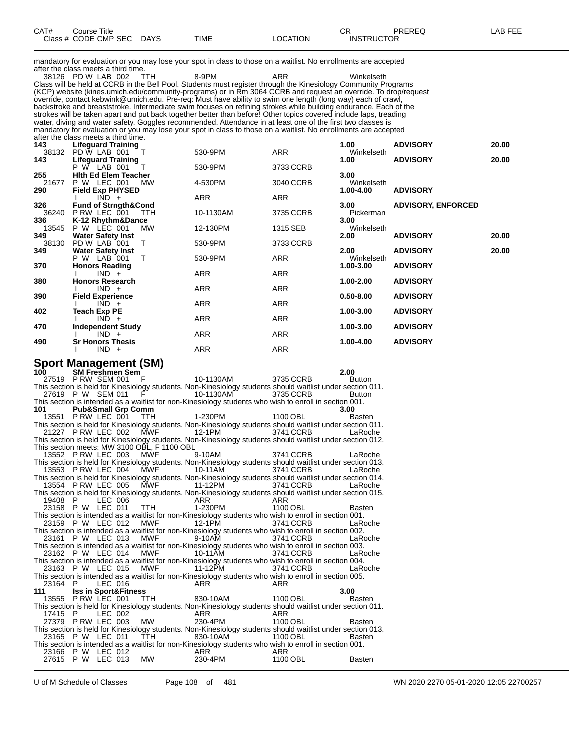| CAT# | Title<br>Course      |             |             |         | ⌒冖<br><br>◡ጙ      | PREREC | ----<br>ΔR.<br>--- |
|------|----------------------|-------------|-------------|---------|-------------------|--------|--------------------|
|      | Class # CODE CMP SEC | <b>DAYS</b> | <b>TIME</b> | OCATION | <b>INSTRUCTOR</b> |        |                    |

mandatory for evaluation or you may lose your spot in class to those on a waitlist. No enrollments are accepted after the class meets a third time.

38126 PD W LAB 002 TTH 8-9PM ARR Winkelseth Class will be held at CCRB in the Bell Pool. Students must register through the Kinesiology Community Programs (KCP) website (kines.umich.edu/community-programs) or in Rm 3064 CCRB and request an override. To drop/request override, contact kebwink@umich.edu. Pre-req: Must have ability to swim one length (long way) each of crawl, backstroke and breaststroke. Intermediate swim focuses on refining strokes while building endurance. Each of the strokes will be taken apart and put back together better than before! Other topics covered include laps, treading water, diving and water safety. Goggles recommended. Attendance in at least one of the first two classes is mandatory for evaluation or you may lose your spot in class to those on a waitlist. No enrollments are accepted after the class meets a third time.

| 143   | <b>Lifeguard Training</b>       |            |            | 1.00          | <b>ADVISORY</b>           | 20.00 |
|-------|---------------------------------|------------|------------|---------------|---------------------------|-------|
| 38132 | PD W LAB 001<br>$-\tau$         | 530-9PM    | <b>ARR</b> | Winkelseth    |                           |       |
| 143   | <b>Lifeguard Training</b>       |            |            | 1.00          | <b>ADVISORY</b>           | 20.00 |
|       | P W LAB 001                     | 530-9PM    | 3733 CCRB  |               |                           |       |
| 255   | <b>Hith Ed Elem Teacher</b>     |            |            | 3.00          |                           |       |
| 21677 | P W LEC 001<br><b>MW</b>        | 4-530PM    | 3040 CCRB  | Winkelseth    |                           |       |
| 290   | <b>Field Exp PHYSED</b>         |            |            | 1.00-4.00     | <b>ADVISORY</b>           |       |
|       | $IND +$                         | <b>ARR</b> | <b>ARR</b> |               |                           |       |
| 326   | <b>Fund of Strngth&amp;Cond</b> |            |            | 3.00          | <b>ADVISORY, ENFORCED</b> |       |
| 36240 | P RW LEC 001<br><b>TTH</b>      | 10-1130AM  | 3735 CCRB  | Pickerman     |                           |       |
| 336   | K-12 Rhythm&Dance               |            |            | 3.00          |                           |       |
| 13545 | <b>P W LEC 001</b><br><b>MW</b> | 12-130PM   | 1315 SEB   | Winkelseth    |                           |       |
| 349   | <b>Water Safety Inst</b>        |            |            | 2.00          | <b>ADVISORY</b>           | 20.00 |
| 38130 | PD W LAB 001<br>т               | 530-9PM    | 3733 CCRB  |               |                           |       |
| 349   | <b>Water Safety Inst</b>        |            |            | 2.00          | <b>ADVISORY</b>           | 20.00 |
|       | P W LAB 001<br>т                | 530-9PM    | ARR        | Winkelseth    |                           |       |
| 370   | <b>Honors Reading</b>           |            |            | 1.00-3.00     | <b>ADVISORY</b>           |       |
|       | $IND +$                         | <b>ARR</b> | ARR        |               |                           |       |
| 380   | <b>Honors Research</b>          |            |            | 1.00-2.00     | <b>ADVISORY</b>           |       |
|       | $IND +$                         | ARR        | ARR        |               |                           |       |
| 390   | <b>Field Experience</b>         |            |            | $0.50 - 8.00$ | <b>ADVISORY</b>           |       |
|       | $IND +$                         | ARR        | ARR        |               |                           |       |
| 402   | <b>Teach Exp PE</b>             |            |            | 1.00-3.00     | <b>ADVISORY</b>           |       |
|       | $IND +$                         | <b>ARR</b> | ARR        |               |                           |       |
| 470   | <b>Independent Study</b>        |            |            | 1.00-3.00     | <b>ADVISORY</b>           |       |
|       | $IND +$                         | ARR        | ARR        |               |                           |       |
| 490   | <b>Sr Honors Thesis</b>         |            |            | 1.00-4.00     | <b>ADVISORY</b>           |       |
|       | $IND +$                         | ARR        | ARR        |               |                           |       |
|       |                                 |            |            |               |                           |       |

## **Sport Management (SM)**<br>100 SM Freshmen Sem

**100 SM Freshmen Sem 2.00** P RW SEM 001 F 10-1130AM 3735 CCRB Button<br>211. on is held for Kinesiology students. Non-Kinesiology students should waitlist under section 011 This section is held for Kinesiology students. Non-Kinesiology students should waitlist under section 0<br>27619 P W SEM 011 F 10-1130AM 3735 CCRB Button 27619 P W SEM 011 This section is intended as a waitlist for non-Kinesiology students who wish to enroll in section 001.<br>101 **Pub&Small Grp Comm 101 Pub&Small Grp Comm 3.00** 13551 P RW LEC 001 TTH 1-230PM 1100 OBL Basten This section is held for Kinesiology students. Non-Kinesiology students should waitlist under section 011. 21227 P RW LEC 002 MWF 12-1PM 3741 CCRB LaRoche This section is held for Kinesiology students. Non-Kinesiology students should waitlist under section 012. This section meets: MW 3100 OBL, F 1100 OBL 13552 P RW LEC 003 MWF 9-10AM 3741 CCRB LaRoche This section is held for Kinesiology students. Non-Kinesiology students should waitlist under section 013. 13553 P RW LEC 004 MWF 10-11AM 3741 CCRB LaRoche This section is held for Kinesiology students. Non-Kinesiology students should waitlist under section 014. 13554 P RW LEC 005 MWF 11-12PM 3741 CCRB LaRoche This section is held for Kinesiology students. Non-Kinesiology students should waitlist under section 015. 19408 P LEC 006 ARR ARR ARR 23158 P W LEC 011 TTH 1-230PM 1100 OBL Basten This section is intended as a waitlist for non-Kinesiology students who wish to enroll in section 001. 23159 P W LEC 012 MWF 12-1PM 3741 CCRB LaRoche This section is intended as a waitlist for non-Kinesiology students who wish to enroll in section 002. 23161 P W LEC 013 This section is intended as a waitlist for non-Kinesiology students who wish to enroll in section 003.<br>23162 P W LEC 014 MWF 10-11AM 3741 CCRB LaRoche 23162 P W LEC 014 MWF 10-11AM 3741 CCRB LaRoche This section is intended as a waitlist for non-Kinesiology students who wish to enroll in section 004. 23163 P W LEC 015 MWF 11-12PM 3741 CCRB LaRoche This section is intended as a waitlist for non-Kinesiology students who wish to enroll in section 005.<br>23164 P LEC 016 ARR ARR  $23164$  P LEC 016 **111 Iss in Sport&Fitness 3.00** 13555 P RW LEC 001 This section is held for Kinesiology students. Non-Kinesiology students should waitlist under section 011. 17415 P LEC 002 MW 230-4PM 1100 OBL<br>27379 PRW LEC 003 MW 230-4PM 1100 OBL 27379 P RW LEC 003 MW 230-4PM 1100 OBL Basten This section is held for Kinesiology students. Non-Kinesiology students should waitlist under section 013. 23165 P W LEC 011 TTH 830-10AM 1100 OBL Basten This section is intended as a waitlist for non-Kinesiology students who wish to enroll in section 001.<br>23166 P W LEC 012 ARR ARR ARR 27615 P W LEC 013 MW 230-4PM 1100 OBL Bast 23166 P W LEC 012 ARR ARR 27615 P W LEC 013 MW 230-4PM 1100 OBL Basten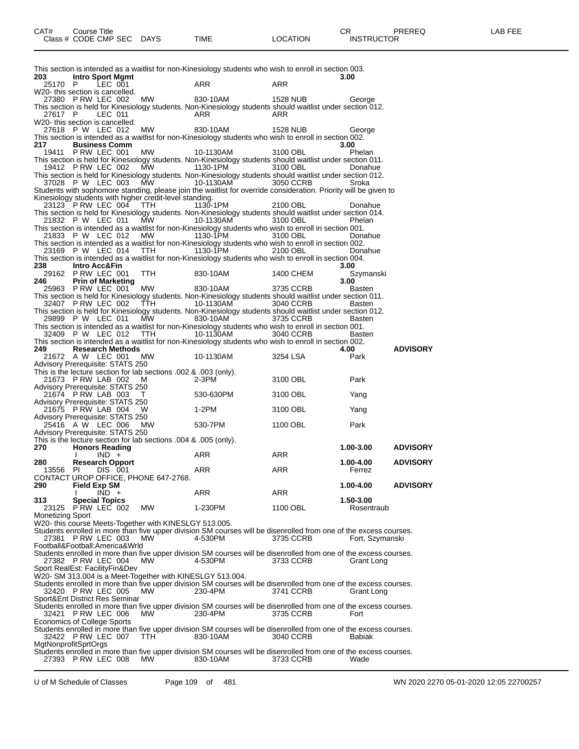| This section is intended as a waitlist for non-Kinesiology students who wish to enroll in section 003.<br><b>Intro Sport Mgmt</b><br>203<br>3.00<br>ARR<br>ARR<br>25170 P<br>LEC 001<br>27380 PRW LEC 002<br>MW<br>830-10AM<br>1528 NUB<br>George<br>27617 P<br>LEC 011<br>ARR<br>ARR<br>27618 P W LEC 012 MW<br>830-10AM<br><b>1528 NUB</b><br>George<br><b>Business Comm</b><br>3.00<br>19411 P RW LEC 001<br>MW<br>3100 OBL<br>10-1130AM<br>Phelan<br>19412 PRW LEC 002 MW<br>$1130-1PM$<br>3100 OBL<br>Donahue<br>MW<br>3050 CCRB<br>37028 P W LEC 003<br>10-1130AM<br>Sroka<br>23123 P RW LEC 004<br>TTH<br>1130-1PM<br>2100 OBL<br>Donahue<br>21832 P W LEC 011<br>$\text{MW}$ 10-1130AM<br>3100 OBL<br>Phelan<br>21833 P W LEC 012 MW<br>$1130 - \bar{1}$ PM<br>3100 OBL<br>Donahue<br>23169 P W LEC 014 TTH<br>1130-1PM<br>2100 OBL<br>Donahue<br>Intro Acc&Fin<br>3.00<br>29162 P RW LEC 001<br>TTH<br>830-10AM<br>1400 CHEM<br>Szymanski<br><b>Prin of Marketing</b><br>3.00<br>25963 P RW LEC 001<br>MW<br>830-10AM<br>3735 CCRB<br>Basten<br>32407 PRW LEC 002 TTH<br>10-1130AM 3040 CCRB<br>Basten<br>29899 P W LEC 011 MW<br>830-10AM<br>3735 CCRB<br>Basten<br>32409 P W LEC 012 TTH 10-1130AM<br>3040 CCRB<br><b>Basten</b><br><b>Research Methods</b><br><b>ADVISORY</b><br>4.00<br><b>MW</b><br>21672 A W LEC 001<br>10-1130AM<br>3254 LSA<br>Park<br>21673 P RW LAB 002<br>$2-3PM$<br>Park<br>M<br>3100 OBL<br>lvisory Prerequisite: STATS 250<br>21674 P RW  LAB  003     T<br>lvisory Prerequisite: STATS 250<br>530-630PM<br>3100 OBL<br>Yang<br>21675 PRW LAB 004 W<br>1-2PM<br>3100 OBL<br>Yang<br>25416 A W LEC 006<br>MW<br>530-7PM<br>1100 OBL<br>Park<br>1.00-3.00<br><b>ADVISORY</b><br><b>Honors Reading</b><br>ARR<br>$IND +$<br>ARR<br>$\mathbf{I}$<br><b>Research Opport</b><br>1.00-4.00<br><b>ADVISORY</b><br>ARR<br><b>ARR</b><br>Ferrez<br>13556 PI DIS 001<br>1.00-4.00<br><b>ADVISORY</b><br>ARR<br>ARR<br>$IND +$<br>I.<br><b>Special Topics</b><br>1.50-3.00<br>23125 P RW LEC 002<br>МW<br>1-230PM<br>1100 OBL<br>Rosentraub<br>PRW LEC 003<br>MW<br>4-530PM<br>27381<br>3735 CCRB<br>Fort, Szymanski<br>MW.<br>27382 PRW LEC 004<br>4-530PM<br>3733 CCRB<br>Grant Long |  |  |  |  |  |
|-------------------------------------------------------------------------------------------------------------------------------------------------------------------------------------------------------------------------------------------------------------------------------------------------------------------------------------------------------------------------------------------------------------------------------------------------------------------------------------------------------------------------------------------------------------------------------------------------------------------------------------------------------------------------------------------------------------------------------------------------------------------------------------------------------------------------------------------------------------------------------------------------------------------------------------------------------------------------------------------------------------------------------------------------------------------------------------------------------------------------------------------------------------------------------------------------------------------------------------------------------------------------------------------------------------------------------------------------------------------------------------------------------------------------------------------------------------------------------------------------------------------------------------------------------------------------------------------------------------------------------------------------------------------------------------------------------------------------------------------------------------------------------------------------------------------------------------------------------------------------------------------------------------------------------------------------------------------------------------------------------------------------------------------------------------------------------------------------------------------------------------------------------------------------------------------------------------------|--|--|--|--|--|
|                                                                                                                                                                                                                                                                                                                                                                                                                                                                                                                                                                                                                                                                                                                                                                                                                                                                                                                                                                                                                                                                                                                                                                                                                                                                                                                                                                                                                                                                                                                                                                                                                                                                                                                                                                                                                                                                                                                                                                                                                                                                                                                                                                                                                   |  |  |  |  |  |
| W20- this section is cancelled.                                                                                                                                                                                                                                                                                                                                                                                                                                                                                                                                                                                                                                                                                                                                                                                                                                                                                                                                                                                                                                                                                                                                                                                                                                                                                                                                                                                                                                                                                                                                                                                                                                                                                                                                                                                                                                                                                                                                                                                                                                                                                                                                                                                   |  |  |  |  |  |
| This section is held for Kinesiology students. Non-Kinesiology students should waitlist under section 012.<br>W20- this section is cancelled.<br>This section is intended as a waitlist for non-Kinesiology students who wish to enroll in section 002.<br>217.<br>This section is held for Kinesiology students. Non-Kinesiology students should waitlist under section 011.<br>This section is held for Kinesiology students. Non-Kinesiology students should waitlist under section 012.<br>Students with sophomore standing, please join the waitlist for override consideration. Priority will be given to<br>Kinesiology students with higher credit-level standing.<br>This section is held for Kinesiology students. Non-Kinesiology students should waitlist under section 014.<br>This section is intended as a waitlist for non-Kinesiology students who wish to enroll in section 001.<br>This section is intended as a waitlist for non-Kinesiology students who wish to enroll in section 002.<br>This section is intended as a waitlist for non-Kinesiology students who wish to enroll in section 004.<br>238.<br>246<br>This section is held for Kinesiology students. Non-Kinesiology students should waitlist under section 011.<br>This section is held for Kinesiology students. Non-Kinesiology students should waitlist under section 012.<br>This section is intended as a waitlist for non-Kinesiology students who wish to enroll in section 001.<br>This section is intended as a waitlist for non-Kinesiology students who wish to enroll in section 002.<br>249.                                                                                                                                                                                                                                                                                                                                                                                                                                                                                                                                                                                                                     |  |  |  |  |  |
|                                                                                                                                                                                                                                                                                                                                                                                                                                                                                                                                                                                                                                                                                                                                                                                                                                                                                                                                                                                                                                                                                                                                                                                                                                                                                                                                                                                                                                                                                                                                                                                                                                                                                                                                                                                                                                                                                                                                                                                                                                                                                                                                                                                                                   |  |  |  |  |  |
|                                                                                                                                                                                                                                                                                                                                                                                                                                                                                                                                                                                                                                                                                                                                                                                                                                                                                                                                                                                                                                                                                                                                                                                                                                                                                                                                                                                                                                                                                                                                                                                                                                                                                                                                                                                                                                                                                                                                                                                                                                                                                                                                                                                                                   |  |  |  |  |  |
|                                                                                                                                                                                                                                                                                                                                                                                                                                                                                                                                                                                                                                                                                                                                                                                                                                                                                                                                                                                                                                                                                                                                                                                                                                                                                                                                                                                                                                                                                                                                                                                                                                                                                                                                                                                                                                                                                                                                                                                                                                                                                                                                                                                                                   |  |  |  |  |  |
|                                                                                                                                                                                                                                                                                                                                                                                                                                                                                                                                                                                                                                                                                                                                                                                                                                                                                                                                                                                                                                                                                                                                                                                                                                                                                                                                                                                                                                                                                                                                                                                                                                                                                                                                                                                                                                                                                                                                                                                                                                                                                                                                                                                                                   |  |  |  |  |  |
|                                                                                                                                                                                                                                                                                                                                                                                                                                                                                                                                                                                                                                                                                                                                                                                                                                                                                                                                                                                                                                                                                                                                                                                                                                                                                                                                                                                                                                                                                                                                                                                                                                                                                                                                                                                                                                                                                                                                                                                                                                                                                                                                                                                                                   |  |  |  |  |  |
|                                                                                                                                                                                                                                                                                                                                                                                                                                                                                                                                                                                                                                                                                                                                                                                                                                                                                                                                                                                                                                                                                                                                                                                                                                                                                                                                                                                                                                                                                                                                                                                                                                                                                                                                                                                                                                                                                                                                                                                                                                                                                                                                                                                                                   |  |  |  |  |  |
|                                                                                                                                                                                                                                                                                                                                                                                                                                                                                                                                                                                                                                                                                                                                                                                                                                                                                                                                                                                                                                                                                                                                                                                                                                                                                                                                                                                                                                                                                                                                                                                                                                                                                                                                                                                                                                                                                                                                                                                                                                                                                                                                                                                                                   |  |  |  |  |  |
|                                                                                                                                                                                                                                                                                                                                                                                                                                                                                                                                                                                                                                                                                                                                                                                                                                                                                                                                                                                                                                                                                                                                                                                                                                                                                                                                                                                                                                                                                                                                                                                                                                                                                                                                                                                                                                                                                                                                                                                                                                                                                                                                                                                                                   |  |  |  |  |  |
|                                                                                                                                                                                                                                                                                                                                                                                                                                                                                                                                                                                                                                                                                                                                                                                                                                                                                                                                                                                                                                                                                                                                                                                                                                                                                                                                                                                                                                                                                                                                                                                                                                                                                                                                                                                                                                                                                                                                                                                                                                                                                                                                                                                                                   |  |  |  |  |  |
|                                                                                                                                                                                                                                                                                                                                                                                                                                                                                                                                                                                                                                                                                                                                                                                                                                                                                                                                                                                                                                                                                                                                                                                                                                                                                                                                                                                                                                                                                                                                                                                                                                                                                                                                                                                                                                                                                                                                                                                                                                                                                                                                                                                                                   |  |  |  |  |  |
|                                                                                                                                                                                                                                                                                                                                                                                                                                                                                                                                                                                                                                                                                                                                                                                                                                                                                                                                                                                                                                                                                                                                                                                                                                                                                                                                                                                                                                                                                                                                                                                                                                                                                                                                                                                                                                                                                                                                                                                                                                                                                                                                                                                                                   |  |  |  |  |  |
|                                                                                                                                                                                                                                                                                                                                                                                                                                                                                                                                                                                                                                                                                                                                                                                                                                                                                                                                                                                                                                                                                                                                                                                                                                                                                                                                                                                                                                                                                                                                                                                                                                                                                                                                                                                                                                                                                                                                                                                                                                                                                                                                                                                                                   |  |  |  |  |  |
|                                                                                                                                                                                                                                                                                                                                                                                                                                                                                                                                                                                                                                                                                                                                                                                                                                                                                                                                                                                                                                                                                                                                                                                                                                                                                                                                                                                                                                                                                                                                                                                                                                                                                                                                                                                                                                                                                                                                                                                                                                                                                                                                                                                                                   |  |  |  |  |  |
|                                                                                                                                                                                                                                                                                                                                                                                                                                                                                                                                                                                                                                                                                                                                                                                                                                                                                                                                                                                                                                                                                                                                                                                                                                                                                                                                                                                                                                                                                                                                                                                                                                                                                                                                                                                                                                                                                                                                                                                                                                                                                                                                                                                                                   |  |  |  |  |  |
|                                                                                                                                                                                                                                                                                                                                                                                                                                                                                                                                                                                                                                                                                                                                                                                                                                                                                                                                                                                                                                                                                                                                                                                                                                                                                                                                                                                                                                                                                                                                                                                                                                                                                                                                                                                                                                                                                                                                                                                                                                                                                                                                                                                                                   |  |  |  |  |  |
|                                                                                                                                                                                                                                                                                                                                                                                                                                                                                                                                                                                                                                                                                                                                                                                                                                                                                                                                                                                                                                                                                                                                                                                                                                                                                                                                                                                                                                                                                                                                                                                                                                                                                                                                                                                                                                                                                                                                                                                                                                                                                                                                                                                                                   |  |  |  |  |  |
|                                                                                                                                                                                                                                                                                                                                                                                                                                                                                                                                                                                                                                                                                                                                                                                                                                                                                                                                                                                                                                                                                                                                                                                                                                                                                                                                                                                                                                                                                                                                                                                                                                                                                                                                                                                                                                                                                                                                                                                                                                                                                                                                                                                                                   |  |  |  |  |  |
|                                                                                                                                                                                                                                                                                                                                                                                                                                                                                                                                                                                                                                                                                                                                                                                                                                                                                                                                                                                                                                                                                                                                                                                                                                                                                                                                                                                                                                                                                                                                                                                                                                                                                                                                                                                                                                                                                                                                                                                                                                                                                                                                                                                                                   |  |  |  |  |  |
|                                                                                                                                                                                                                                                                                                                                                                                                                                                                                                                                                                                                                                                                                                                                                                                                                                                                                                                                                                                                                                                                                                                                                                                                                                                                                                                                                                                                                                                                                                                                                                                                                                                                                                                                                                                                                                                                                                                                                                                                                                                                                                                                                                                                                   |  |  |  |  |  |
|                                                                                                                                                                                                                                                                                                                                                                                                                                                                                                                                                                                                                                                                                                                                                                                                                                                                                                                                                                                                                                                                                                                                                                                                                                                                                                                                                                                                                                                                                                                                                                                                                                                                                                                                                                                                                                                                                                                                                                                                                                                                                                                                                                                                                   |  |  |  |  |  |
|                                                                                                                                                                                                                                                                                                                                                                                                                                                                                                                                                                                                                                                                                                                                                                                                                                                                                                                                                                                                                                                                                                                                                                                                                                                                                                                                                                                                                                                                                                                                                                                                                                                                                                                                                                                                                                                                                                                                                                                                                                                                                                                                                                                                                   |  |  |  |  |  |
| Advisory Prerequisite: STATS 250<br>This is the lecture section for lab sections .002 & .003 (only).<br>Advisory Prerequisite: STATS 250<br>Advisory Prerequisite: STATS 250<br>Advisory Prerequisite: STATS 250<br>Advisory Prerequisite: STATS 250<br>This is the lecture section for lab sections .004 & .005 (only).<br>270 -<br>280<br>CONTACT UROP OFFICE, PHONE 647-2768.<br>290 Field Exp SM<br>313.<br>Monetizing Sport<br>W20- this course Meets-Together with KINESLGY 513.005.<br>Students enrolled in more than five upper division SM courses will be disenrolled from one of the excess courses.<br>Football&Football:America&Wrld<br>Students enrolled in more than five upper division SM courses will be disenrolled from one of the excess courses.<br>Sport RealEst: FacilityFin&Dev<br>W20-SM 313.004 is a Meet-Together with KINESLGY 513.004.                                                                                                                                                                                                                                                                                                                                                                                                                                                                                                                                                                                                                                                                                                                                                                                                                                                                                                                                                                                                                                                                                                                                                                                                                                                                                                                                              |  |  |  |  |  |
|                                                                                                                                                                                                                                                                                                                                                                                                                                                                                                                                                                                                                                                                                                                                                                                                                                                                                                                                                                                                                                                                                                                                                                                                                                                                                                                                                                                                                                                                                                                                                                                                                                                                                                                                                                                                                                                                                                                                                                                                                                                                                                                                                                                                                   |  |  |  |  |  |
|                                                                                                                                                                                                                                                                                                                                                                                                                                                                                                                                                                                                                                                                                                                                                                                                                                                                                                                                                                                                                                                                                                                                                                                                                                                                                                                                                                                                                                                                                                                                                                                                                                                                                                                                                                                                                                                                                                                                                                                                                                                                                                                                                                                                                   |  |  |  |  |  |
|                                                                                                                                                                                                                                                                                                                                                                                                                                                                                                                                                                                                                                                                                                                                                                                                                                                                                                                                                                                                                                                                                                                                                                                                                                                                                                                                                                                                                                                                                                                                                                                                                                                                                                                                                                                                                                                                                                                                                                                                                                                                                                                                                                                                                   |  |  |  |  |  |
|                                                                                                                                                                                                                                                                                                                                                                                                                                                                                                                                                                                                                                                                                                                                                                                                                                                                                                                                                                                                                                                                                                                                                                                                                                                                                                                                                                                                                                                                                                                                                                                                                                                                                                                                                                                                                                                                                                                                                                                                                                                                                                                                                                                                                   |  |  |  |  |  |
|                                                                                                                                                                                                                                                                                                                                                                                                                                                                                                                                                                                                                                                                                                                                                                                                                                                                                                                                                                                                                                                                                                                                                                                                                                                                                                                                                                                                                                                                                                                                                                                                                                                                                                                                                                                                                                                                                                                                                                                                                                                                                                                                                                                                                   |  |  |  |  |  |
|                                                                                                                                                                                                                                                                                                                                                                                                                                                                                                                                                                                                                                                                                                                                                                                                                                                                                                                                                                                                                                                                                                                                                                                                                                                                                                                                                                                                                                                                                                                                                                                                                                                                                                                                                                                                                                                                                                                                                                                                                                                                                                                                                                                                                   |  |  |  |  |  |
|                                                                                                                                                                                                                                                                                                                                                                                                                                                                                                                                                                                                                                                                                                                                                                                                                                                                                                                                                                                                                                                                                                                                                                                                                                                                                                                                                                                                                                                                                                                                                                                                                                                                                                                                                                                                                                                                                                                                                                                                                                                                                                                                                                                                                   |  |  |  |  |  |
|                                                                                                                                                                                                                                                                                                                                                                                                                                                                                                                                                                                                                                                                                                                                                                                                                                                                                                                                                                                                                                                                                                                                                                                                                                                                                                                                                                                                                                                                                                                                                                                                                                                                                                                                                                                                                                                                                                                                                                                                                                                                                                                                                                                                                   |  |  |  |  |  |
|                                                                                                                                                                                                                                                                                                                                                                                                                                                                                                                                                                                                                                                                                                                                                                                                                                                                                                                                                                                                                                                                                                                                                                                                                                                                                                                                                                                                                                                                                                                                                                                                                                                                                                                                                                                                                                                                                                                                                                                                                                                                                                                                                                                                                   |  |  |  |  |  |
|                                                                                                                                                                                                                                                                                                                                                                                                                                                                                                                                                                                                                                                                                                                                                                                                                                                                                                                                                                                                                                                                                                                                                                                                                                                                                                                                                                                                                                                                                                                                                                                                                                                                                                                                                                                                                                                                                                                                                                                                                                                                                                                                                                                                                   |  |  |  |  |  |
|                                                                                                                                                                                                                                                                                                                                                                                                                                                                                                                                                                                                                                                                                                                                                                                                                                                                                                                                                                                                                                                                                                                                                                                                                                                                                                                                                                                                                                                                                                                                                                                                                                                                                                                                                                                                                                                                                                                                                                                                                                                                                                                                                                                                                   |  |  |  |  |  |
|                                                                                                                                                                                                                                                                                                                                                                                                                                                                                                                                                                                                                                                                                                                                                                                                                                                                                                                                                                                                                                                                                                                                                                                                                                                                                                                                                                                                                                                                                                                                                                                                                                                                                                                                                                                                                                                                                                                                                                                                                                                                                                                                                                                                                   |  |  |  |  |  |
|                                                                                                                                                                                                                                                                                                                                                                                                                                                                                                                                                                                                                                                                                                                                                                                                                                                                                                                                                                                                                                                                                                                                                                                                                                                                                                                                                                                                                                                                                                                                                                                                                                                                                                                                                                                                                                                                                                                                                                                                                                                                                                                                                                                                                   |  |  |  |  |  |
|                                                                                                                                                                                                                                                                                                                                                                                                                                                                                                                                                                                                                                                                                                                                                                                                                                                                                                                                                                                                                                                                                                                                                                                                                                                                                                                                                                                                                                                                                                                                                                                                                                                                                                                                                                                                                                                                                                                                                                                                                                                                                                                                                                                                                   |  |  |  |  |  |
|                                                                                                                                                                                                                                                                                                                                                                                                                                                                                                                                                                                                                                                                                                                                                                                                                                                                                                                                                                                                                                                                                                                                                                                                                                                                                                                                                                                                                                                                                                                                                                                                                                                                                                                                                                                                                                                                                                                                                                                                                                                                                                                                                                                                                   |  |  |  |  |  |
|                                                                                                                                                                                                                                                                                                                                                                                                                                                                                                                                                                                                                                                                                                                                                                                                                                                                                                                                                                                                                                                                                                                                                                                                                                                                                                                                                                                                                                                                                                                                                                                                                                                                                                                                                                                                                                                                                                                                                                                                                                                                                                                                                                                                                   |  |  |  |  |  |
|                                                                                                                                                                                                                                                                                                                                                                                                                                                                                                                                                                                                                                                                                                                                                                                                                                                                                                                                                                                                                                                                                                                                                                                                                                                                                                                                                                                                                                                                                                                                                                                                                                                                                                                                                                                                                                                                                                                                                                                                                                                                                                                                                                                                                   |  |  |  |  |  |
|                                                                                                                                                                                                                                                                                                                                                                                                                                                                                                                                                                                                                                                                                                                                                                                                                                                                                                                                                                                                                                                                                                                                                                                                                                                                                                                                                                                                                                                                                                                                                                                                                                                                                                                                                                                                                                                                                                                                                                                                                                                                                                                                                                                                                   |  |  |  |  |  |
|                                                                                                                                                                                                                                                                                                                                                                                                                                                                                                                                                                                                                                                                                                                                                                                                                                                                                                                                                                                                                                                                                                                                                                                                                                                                                                                                                                                                                                                                                                                                                                                                                                                                                                                                                                                                                                                                                                                                                                                                                                                                                                                                                                                                                   |  |  |  |  |  |
|                                                                                                                                                                                                                                                                                                                                                                                                                                                                                                                                                                                                                                                                                                                                                                                                                                                                                                                                                                                                                                                                                                                                                                                                                                                                                                                                                                                                                                                                                                                                                                                                                                                                                                                                                                                                                                                                                                                                                                                                                                                                                                                                                                                                                   |  |  |  |  |  |

Students enrolled in more than five upper division SM courses will be disenrolled from one of the excess courses. 32420 P RW LEC 005 MW 230-4PM 3741 CCRB Grant Long Sport&Ent District Res Seminar

Students enrolled in more than five upper division SM courses will be disenrolled from one of the excess courses. 32421 P RW LEC 006 MW 230-4PM 3735 CCRB Fort Economics of College Sports

Students enrolled in more than five upper division SM courses will be disenrolled from one of the excess courses. 32422 P RW LEC 007 TTH 830-10AM 3040 CCRB Babiak MgtNonprofitSprtOrgs

Students enrolled in more than five upper division SM courses will be disenrolled from one of the excess courses. 27393 P RW LEC 008 MW 830-10AM 3733 CCRB Wade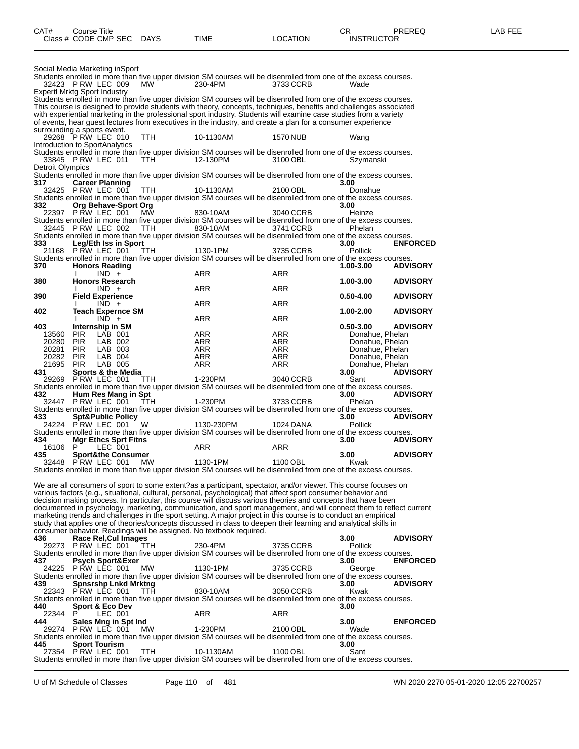| 32423 PRW LEC 009              |              | Social Media Marketing inSport                     |           |                                                                     |                                                                                                                                |                         |                 |
|--------------------------------|--------------|----------------------------------------------------|-----------|---------------------------------------------------------------------|--------------------------------------------------------------------------------------------------------------------------------|-------------------------|-----------------|
|                                |              |                                                    | MW        | 230-4PM                                                             | Students enrolled in more than five upper division SM courses will be disenrolled from one of the excess courses.<br>3733 CCRB | Wade                    |                 |
|                                |              | Expertl Mrktg Sport Industry                       |           |                                                                     |                                                                                                                                |                         |                 |
|                                |              |                                                    |           |                                                                     | Students enrolled in more than five upper division SM courses will be disenrolled from one of the excess courses.              |                         |                 |
|                                |              |                                                    |           |                                                                     | This course is designed to provide students with theory, concepts, techniques, benefits and challenges associated              |                         |                 |
|                                |              |                                                    |           |                                                                     | with experiential marketing in the professional sport industry. Students will examine case studies from a variety              |                         |                 |
|                                |              |                                                    |           |                                                                     | of events, hear guest lectures from executives in the industry, and create a plan for a consumer experience                    |                         |                 |
| surrounding a sports event.    |              |                                                    |           |                                                                     |                                                                                                                                |                         |                 |
|                                |              | 29268 PRW LEC 010                                  | TTH.      | 10-1130AM                                                           | 1570 NUB                                                                                                                       | Wang                    |                 |
| Introduction to SportAnalytics |              |                                                    |           |                                                                     | Students enrolled in more than five upper division SM courses will be disenrolled from one of the excess courses.              |                         |                 |
|                                |              | 33845 PRW LEC 011                                  | TTH.      | 12-130PM                                                            | 3100 OBL                                                                                                                       | Szvmanski               |                 |
| Detroit Olympics               |              |                                                    |           |                                                                     |                                                                                                                                |                         |                 |
|                                |              |                                                    |           |                                                                     | Students enrolled in more than five upper division SM courses will be disenrolled from one of the excess courses.              |                         |                 |
| 317                            |              | <b>Career Planning</b>                             |           |                                                                     |                                                                                                                                | 3.00                    |                 |
|                                |              | 32425 PRW LEC 001                                  | TTH.      | 10-1130AM                                                           | 2100 OBL                                                                                                                       | Donahue                 |                 |
|                                |              |                                                    |           |                                                                     | Students enrolled in more than five upper division SM courses will be disenrolled from one of the excess courses.              |                         |                 |
| 332                            |              | Org Behave-Sport Org                               |           |                                                                     |                                                                                                                                | 3.00                    |                 |
|                                |              | 22397 PRW LEC 001                                  | MW        | 830-10AM                                                            | 3040 CCRB<br>Students enrolled in more than five upper division SM courses will be disenrolled from one of the excess courses. | Heinze                  |                 |
|                                |              | 32445 PRW LEC 002                                  | TTH.      | 830-10AM                                                            | 3741 CCRB                                                                                                                      | Phelan                  |                 |
|                                |              |                                                    |           |                                                                     | Students enrolled in more than five upper division SM courses will be disenrolled from one of the excess courses.              |                         |                 |
| 333                            |              | Leg/Eth Iss in Sport                               |           |                                                                     |                                                                                                                                | 3.00                    | <b>ENFORCED</b> |
| 21168                          |              | P RW LEC 001                                       | TTH.      | 1130-1PM                                                            | 3735 CCRB                                                                                                                      | <b>Pollick</b>          |                 |
|                                |              |                                                    |           |                                                                     | Students enrolled in more than five upper division SM courses will be disenrolled from one of the excess courses.              |                         |                 |
| 370                            |              | <b>Honors Reading</b>                              |           |                                                                     |                                                                                                                                | 1.00-3.00               | <b>ADVISORY</b> |
|                                | $\mathbf{I}$ | $IND +$                                            |           | ARR                                                                 | ARR                                                                                                                            |                         |                 |
| 380                            |              | <b>Honors Research</b><br>$IND +$                  |           | <b>ARR</b>                                                          | <b>ARR</b>                                                                                                                     | 1.00-3.00               | <b>ADVISORY</b> |
| 390                            |              | <b>Field Experience</b>                            |           |                                                                     |                                                                                                                                | $0.50 - 4.00$           | <b>ADVISORY</b> |
|                                |              | $IND +$                                            |           | <b>ARR</b>                                                          | ARR                                                                                                                            |                         |                 |
| 402                            |              | <b>Teach Expernce SM</b>                           |           |                                                                     |                                                                                                                                | 1.00-2.00               | <b>ADVISORY</b> |
|                                | Ι.           | $IND +$                                            |           | ARR                                                                 | ARR                                                                                                                            |                         |                 |
| 403                            |              | Internship in SM                                   |           |                                                                     |                                                                                                                                | $0.50 - 3.00$           | <b>ADVISORY</b> |
| 13560                          | <b>PIR</b>   | LAB 001                                            |           | <b>ARR</b>                                                          | ARR                                                                                                                            | Donahue, Phelan         |                 |
| 20280 PIR                      |              | LAB 002                                            |           | ARR                                                                 | ARR                                                                                                                            | Donahue, Phelan         |                 |
| 20281 PIR                      |              | LAB 003                                            |           | ARR                                                                 | ARR                                                                                                                            | Donahue, Phelan         |                 |
| 20282 PIR                      |              | LAB 004                                            |           | <b>ARR</b>                                                          | ARR                                                                                                                            | Donahue, Phelan         |                 |
| 21695<br>431                   | PIR.         | LAB 005<br>Sports & the Media                      |           | ARR                                                                 | ARR                                                                                                                            | Donahue, Phelan<br>3.00 | <b>ADVISORY</b> |
| 29269                          |              | PRW LEC 001                                        | TTH.      | 1-230PM                                                             | 3040 CCRB                                                                                                                      | Sant                    |                 |
|                                |              |                                                    |           |                                                                     | Students enrolled in more than five upper division SM courses will be disenrolled from one of the excess courses.              |                         |                 |
| 432                            |              | Hum Res Mang in Spt                                |           |                                                                     |                                                                                                                                | 3.00                    | <b>ADVISORY</b> |
|                                |              |                                                    | - TTH     | 1-230PM                                                             | 3733 CCRB                                                                                                                      | Phelan                  |                 |
|                                |              | 32447 P RW LEC 001                                 |           |                                                                     |                                                                                                                                |                         |                 |
|                                |              |                                                    |           |                                                                     | Students enrolled in more than five upper division SM courses will be disenrolled from one of the excess courses.              |                         |                 |
| 433                            |              | <b>Spt&amp;Public Policy</b>                       |           |                                                                     |                                                                                                                                | 3.00                    | <b>ADVISORY</b> |
|                                |              | 24224 PRW LEC 001                                  | W         | 1130-230PM                                                          | 1024 DANA                                                                                                                      | <b>Pollick</b>          |                 |
|                                |              |                                                    |           |                                                                     | Students enrolled in more than five upper division SM courses will be disenrolled from one of the excess courses.              |                         |                 |
| 434                            |              | <b>Mgr Ethcs Sprt Fitns</b>                        |           |                                                                     |                                                                                                                                | 3.00                    | <b>ADVISORY</b> |
| 16106 P                        |              | LEC 001                                            |           | <b>ARR</b>                                                          | ARR                                                                                                                            |                         |                 |
| 435                            |              | <b>Sport&amp;the Consumer</b><br>32448 PRW LEC 001 |           |                                                                     | 1100 OBL                                                                                                                       | 3.00<br>Kwak            | <b>ADVISORY</b> |
|                                |              |                                                    | <b>MW</b> | 1130-1PM                                                            | Students enrolled in more than five upper division SM courses will be disenrolled from one of the excess courses.              |                         |                 |
|                                |              |                                                    |           |                                                                     |                                                                                                                                |                         |                 |
|                                |              |                                                    |           |                                                                     | We are all consumers of sport to some extent?as a participant, spectator, and/or viewer. This course focuses on                |                         |                 |
|                                |              |                                                    |           |                                                                     | various factors (e.g., situational, cultural, personal, psychological) that affect sport consumer behavior and                 |                         |                 |
|                                |              |                                                    |           |                                                                     | decision making process. In particular, this course will discuss various theories and concepts that have been                  |                         |                 |
|                                |              |                                                    |           |                                                                     | documented in psychology, marketing, communication, and sport management, and will connect them to reflect current             |                         |                 |
|                                |              |                                                    |           |                                                                     | marketing trends and challenges in the sport setting. A major project in this course is to conduct an empirical                |                         |                 |
|                                |              |                                                    |           |                                                                     | study that applies one of theories/concepts discussed in class to deepen their learning and analytical skills in               |                         |                 |
| 436                            |              | Race Rel, Cul Images                               |           | consumer behavior. Readings will be assigned. No textbook required. |                                                                                                                                | 3.00                    | <b>ADVISORY</b> |
| 29273                          |              | P RW LEC 001                                       | TTH.      | 230-4PM                                                             | 3735 CCRB                                                                                                                      | <b>Pollick</b>          |                 |
|                                |              |                                                    |           |                                                                     | Students enrolled in more than five upper division SM courses will be disenrolled from one of the excess courses.              |                         |                 |
| 437                            |              | Psych Sport&Exer                                   |           |                                                                     |                                                                                                                                | 3.00                    | <b>ENFORCED</b> |
| 24225                          |              | P RW LEC 001                                       | MW        | 1130-1PM                                                            | 3735 CCRB                                                                                                                      | George                  |                 |
|                                |              |                                                    |           |                                                                     | Students enrolled in more than five upper division SM courses will be disenrolled from one of the excess courses.              |                         |                 |
| 439                            |              | Spnsrshp Lnkd Mrktng                               |           |                                                                     |                                                                                                                                | 3.00                    | <b>ADVISORY</b> |
| 22343                          |              | PRW LEC 001                                        | TTH       | 830-10AM                                                            | 3050 CCRB<br>Students enrolled in more than five upper division SM courses will be disenrolled from one of the excess courses. | Kwak                    |                 |
| 440                            |              | <b>Sport &amp; Eco Dev</b>                         |           |                                                                     |                                                                                                                                | 3.00                    |                 |
| 22344                          | P            | LEC 001                                            |           | ARR                                                                 | ARR                                                                                                                            |                         |                 |
| 444                            |              | Sales Mng in Spt Ind                               |           |                                                                     |                                                                                                                                | 3.00                    | <b>ENFORCED</b> |
|                                |              | 29274 PRW LEC 001                                  | MW        | 1-230PM                                                             | 2100 OBL                                                                                                                       | Wade                    |                 |
|                                |              |                                                    |           |                                                                     | Students enrolled in more than five upper division SM courses will be disenrolled from one of the excess courses.              |                         |                 |
| 445                            |              | <b>Sport Tourism</b>                               |           |                                                                     |                                                                                                                                | 3.00                    |                 |
|                                |              | 27354 PRW LEC 001                                  | ттн       | 10-1130AM                                                           | 1100 OBL<br>Students enrolled in more than five upper division SM courses will be disenrolled from one of the excess courses.  | Sant                    |                 |

U of M Schedule of Classes Page 110 of 481 WN 2020 2270 05-01-2020 12:05 22700257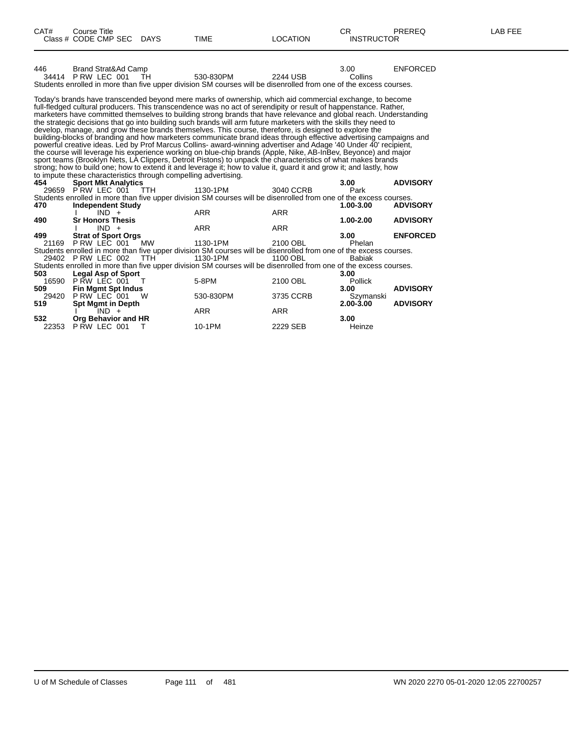| 446                                                                                                                                                                                                                                                                                                                                                                                                                                                                                                                                                                                                                                                                                                                                                                                                                                                                                                                                                                                                                                                                                                                                                                                                                                                | Brand Strat&Ad Camp<br>34414 P RW LEC 001<br>TH.<br>Students enrolled in more than five upper division SM courses will be disenrolled from one of the excess courses. | 530-830PM  | 2244 USB   | 3.00<br>Collins | <b>ENFORCED</b> |  |  |  |  |
|----------------------------------------------------------------------------------------------------------------------------------------------------------------------------------------------------------------------------------------------------------------------------------------------------------------------------------------------------------------------------------------------------------------------------------------------------------------------------------------------------------------------------------------------------------------------------------------------------------------------------------------------------------------------------------------------------------------------------------------------------------------------------------------------------------------------------------------------------------------------------------------------------------------------------------------------------------------------------------------------------------------------------------------------------------------------------------------------------------------------------------------------------------------------------------------------------------------------------------------------------|-----------------------------------------------------------------------------------------------------------------------------------------------------------------------|------------|------------|-----------------|-----------------|--|--|--|--|
| Today's brands have transcended beyond mere marks of ownership, which aid commercial exchange, to become<br>full-fledged cultural producers. This transcendence was no act of serendipity or result of happenstance. Rather,<br>marketers have committed themselves to building strong brands that have relevance and global reach. Understanding<br>the strategic decisions that go into building such brands will arm future marketers with the skills they need to<br>develop, manage, and grow these brands themselves. This course, therefore, is designed to explore the<br>building-blocks of branding and how marketers communicate brand ideas through effective advertising campaigns and<br>powerful creative ideas. Led by Prof Marcus Collins- award-winning advertiser and Adage '40 Under 40' recipient,<br>the course will leverage his experience working on blue-chip brands (Apple, Nike, AB-InBev, Beyonce) and major<br>sport teams (Brooklyn Nets, LA Clippers, Detroit Pistons) to unpack the characteristics of what makes brands<br>strong; how to build one; how to extend it and leverage it; how to value it, guard it and grow it; and lastly, how<br>to impute these characteristics through compelling advertising. |                                                                                                                                                                       |            |            |                 |                 |  |  |  |  |
| 454                                                                                                                                                                                                                                                                                                                                                                                                                                                                                                                                                                                                                                                                                                                                                                                                                                                                                                                                                                                                                                                                                                                                                                                                                                                | <b>Sport Mkt Analytics</b>                                                                                                                                            |            |            | 3.00            | <b>ADVISORY</b> |  |  |  |  |
|                                                                                                                                                                                                                                                                                                                                                                                                                                                                                                                                                                                                                                                                                                                                                                                                                                                                                                                                                                                                                                                                                                                                                                                                                                                    | 29659 PRW LEC 001 TTH                                                                                                                                                 | 1130-1PM   | 3040 CCRB  | Park            |                 |  |  |  |  |
|                                                                                                                                                                                                                                                                                                                                                                                                                                                                                                                                                                                                                                                                                                                                                                                                                                                                                                                                                                                                                                                                                                                                                                                                                                                    | Students enrolled in more than five upper division SM courses will be disenrolled from one of the excess courses.                                                     |            |            |                 |                 |  |  |  |  |
| 470                                                                                                                                                                                                                                                                                                                                                                                                                                                                                                                                                                                                                                                                                                                                                                                                                                                                                                                                                                                                                                                                                                                                                                                                                                                | <b>Independent Study</b>                                                                                                                                              |            |            | 1.00-3.00       | <b>ADVISORY</b> |  |  |  |  |
|                                                                                                                                                                                                                                                                                                                                                                                                                                                                                                                                                                                                                                                                                                                                                                                                                                                                                                                                                                                                                                                                                                                                                                                                                                                    | $IND +$                                                                                                                                                               | <b>ARR</b> | <b>ARR</b> |                 |                 |  |  |  |  |
| 490                                                                                                                                                                                                                                                                                                                                                                                                                                                                                                                                                                                                                                                                                                                                                                                                                                                                                                                                                                                                                                                                                                                                                                                                                                                | <b>Sr Honors Thesis</b>                                                                                                                                               |            |            | 1.00-2.00       | <b>ADVISORY</b> |  |  |  |  |
|                                                                                                                                                                                                                                                                                                                                                                                                                                                                                                                                                                                                                                                                                                                                                                                                                                                                                                                                                                                                                                                                                                                                                                                                                                                    | $IND +$                                                                                                                                                               | <b>ARR</b> | <b>ARR</b> |                 |                 |  |  |  |  |
| 499                                                                                                                                                                                                                                                                                                                                                                                                                                                                                                                                                                                                                                                                                                                                                                                                                                                                                                                                                                                                                                                                                                                                                                                                                                                | <b>Strat of Sport Orgs</b>                                                                                                                                            |            |            | 3.00            | <b>ENFORCED</b> |  |  |  |  |
|                                                                                                                                                                                                                                                                                                                                                                                                                                                                                                                                                                                                                                                                                                                                                                                                                                                                                                                                                                                                                                                                                                                                                                                                                                                    | 21169 P RW LEC 001<br><b>MW</b>                                                                                                                                       | 1130-1PM   | 2100 OBL   | Phelan          |                 |  |  |  |  |
|                                                                                                                                                                                                                                                                                                                                                                                                                                                                                                                                                                                                                                                                                                                                                                                                                                                                                                                                                                                                                                                                                                                                                                                                                                                    | Students enrolled in more than five upper division SM courses will be disenrolled from one of the excess courses.                                                     |            |            |                 |                 |  |  |  |  |
|                                                                                                                                                                                                                                                                                                                                                                                                                                                                                                                                                                                                                                                                                                                                                                                                                                                                                                                                                                                                                                                                                                                                                                                                                                                    | 29402 P RW LEC 002<br><b>TTH</b>                                                                                                                                      | 1130-1PM   |            |                 |                 |  |  |  |  |
|                                                                                                                                                                                                                                                                                                                                                                                                                                                                                                                                                                                                                                                                                                                                                                                                                                                                                                                                                                                                                                                                                                                                                                                                                                                    |                                                                                                                                                                       |            | 1100 OBL   | <b>Babiak</b>   |                 |  |  |  |  |
| 503                                                                                                                                                                                                                                                                                                                                                                                                                                                                                                                                                                                                                                                                                                                                                                                                                                                                                                                                                                                                                                                                                                                                                                                                                                                | Students enrolled in more than five upper division SM courses will be disenrolled from one of the excess courses.                                                     |            |            |                 |                 |  |  |  |  |
|                                                                                                                                                                                                                                                                                                                                                                                                                                                                                                                                                                                                                                                                                                                                                                                                                                                                                                                                                                                                                                                                                                                                                                                                                                                    | <b>Legal Asp of Sport</b>                                                                                                                                             |            |            | 3.00            |                 |  |  |  |  |
|                                                                                                                                                                                                                                                                                                                                                                                                                                                                                                                                                                                                                                                                                                                                                                                                                                                                                                                                                                                                                                                                                                                                                                                                                                                    | 16590 P RW LEC 001<br>$\top$                                                                                                                                          | 5-8PM      | 2100 OBL   | Pollick         |                 |  |  |  |  |
| 509                                                                                                                                                                                                                                                                                                                                                                                                                                                                                                                                                                                                                                                                                                                                                                                                                                                                                                                                                                                                                                                                                                                                                                                                                                                | <b>Fin Mgmt Spt Indus</b>                                                                                                                                             |            |            | 3.00            | <b>ADVISORY</b> |  |  |  |  |
| 29420                                                                                                                                                                                                                                                                                                                                                                                                                                                                                                                                                                                                                                                                                                                                                                                                                                                                                                                                                                                                                                                                                                                                                                                                                                              | P RW LEC 001<br>- W                                                                                                                                                   | 530-830PM  | 3735 CCRB  | Szymanski       |                 |  |  |  |  |
| 519                                                                                                                                                                                                                                                                                                                                                                                                                                                                                                                                                                                                                                                                                                                                                                                                                                                                                                                                                                                                                                                                                                                                                                                                                                                | <b>Spt Mgmt in Depth</b>                                                                                                                                              |            |            | 2.00-3.00       | <b>ADVISORY</b> |  |  |  |  |
|                                                                                                                                                                                                                                                                                                                                                                                                                                                                                                                                                                                                                                                                                                                                                                                                                                                                                                                                                                                                                                                                                                                                                                                                                                                    | $IND +$                                                                                                                                                               | <b>ARR</b> | <b>ARR</b> |                 |                 |  |  |  |  |
| 532<br>22353                                                                                                                                                                                                                                                                                                                                                                                                                                                                                                                                                                                                                                                                                                                                                                                                                                                                                                                                                                                                                                                                                                                                                                                                                                       | Org Behavior and HR<br>P RW LEC 001<br>Т                                                                                                                              | 10-1PM     | 2229 SEB   | 3.00<br>Heinze  |                 |  |  |  |  |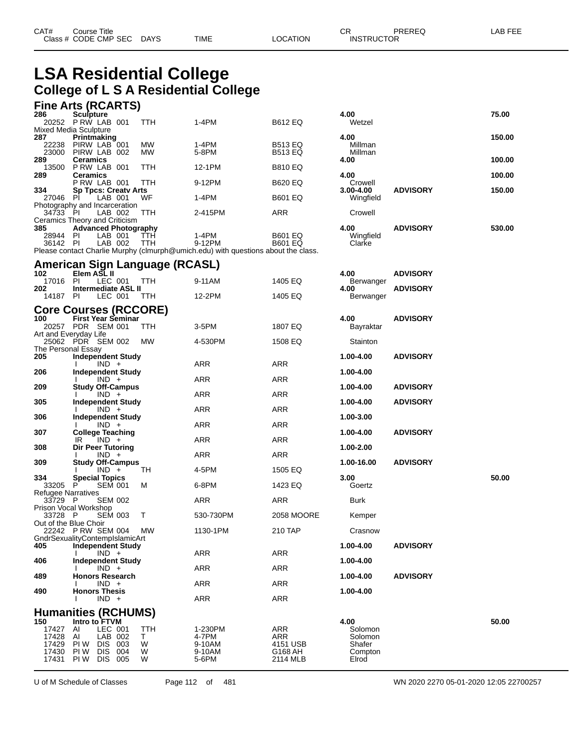## **LSA Residential College College of L S A Residential College**

#### **Fine Arts (RCARTS)**

| 286                                              | Sculpture<br>20252 P RW LAB 001                                                                                    | TTH                      | 1-4PM                                                                             | <b>B612 EQ</b>                                       | 4.00<br>Wetzel                                           |                 | 75.00  |
|--------------------------------------------------|--------------------------------------------------------------------------------------------------------------------|--------------------------|-----------------------------------------------------------------------------------|------------------------------------------------------|----------------------------------------------------------|-----------------|--------|
|                                                  | Mixed Media Sculpture                                                                                              |                          |                                                                                   |                                                      |                                                          |                 | 150.00 |
| 287<br>22238                                     | Printmaking<br>PIRW LAB 001                                                                                        | МW                       | 1-4PM                                                                             | <b>B513 EQ</b>                                       | 4.00<br>Millman                                          |                 |        |
| 23000<br>289                                     | PIRW LAB 002<br>Ceramics                                                                                           | МW                       | 5-8PM                                                                             | <b>B513 EQ</b>                                       | Millman<br>4.00                                          |                 | 100.00 |
| 13500<br>289                                     | PRW LAB 001<br>Ceramics                                                                                            | TTH                      | 12-1PM                                                                            | <b>B810 EQ</b>                                       | 4.00                                                     |                 | 100.00 |
| 334                                              | PRW LAB 001<br><b>Sp Tpcs: Creatv Arts</b>                                                                         | TTH                      | 9-12PM                                                                            | <b>B620 EQ</b>                                       | Crowell<br>3.00-4.00                                     | <b>ADVISORY</b> | 150.00 |
| 27046                                            | -PI<br>LAB 001<br>Photography and Incarceration                                                                    | WF                       | 1-4PM                                                                             | <b>B601 EQ</b>                                       | Wingfield                                                |                 |        |
| 34733 PI                                         | LAB 002                                                                                                            | TTH                      | 2-415PM                                                                           | ARR                                                  | Crowell                                                  |                 |        |
| 385                                              | Ceramics Theory and Criticism<br><b>Advanced Photography</b>                                                       |                          |                                                                                   |                                                      | 4.00                                                     | <b>ADVISORY</b> | 530.00 |
| 28944 PI<br>36142 PI                             | LAB 001<br>LAB 002                                                                                                 | TTH<br><b>TTH</b>        | 1-4PM<br>9-12PM                                                                   | <b>B601 EQ</b><br><b>B601 EQ</b>                     | Wingfield<br>Clarke                                      |                 |        |
|                                                  |                                                                                                                    |                          | Please contact Charlie Murphy (clmurph@umich.edu) with questions about the class. |                                                      |                                                          |                 |        |
|                                                  | <b>American Sign Language (RCASL)</b>                                                                              |                          |                                                                                   |                                                      |                                                          |                 |        |
| 102<br>17016 PI                                  | Elem ASL II<br>LEC 001                                                                                             | <b>TTH</b>               | 9-11AM                                                                            | 1405 EQ                                              | 4.00<br>Berwanger                                        | <b>ADVISORY</b> |        |
| 202<br>14187 PI                                  | Intermediate ASL II<br>LEC 001                                                                                     | TTH                      | 12-2PM                                                                            | 1405 EQ                                              | 4.00<br>Berwanger                                        | <b>ADVISORY</b> |        |
|                                                  | <b>Core Courses (RCCORE)</b>                                                                                       |                          |                                                                                   |                                                      |                                                          |                 |        |
| 100                                              | <b>First Year Seminar</b>                                                                                          |                          |                                                                                   |                                                      | 4.00                                                     | <b>ADVISORY</b> |        |
|                                                  | 20257 PDR SEM 001<br>Art and Everyday Life                                                                         | TTH                      | 3-5PM                                                                             | 1807 EQ                                              | Bayraktar                                                |                 |        |
| The Personal Essay                               | 25062 PDR SEM 002                                                                                                  | МW                       | 4-530PM                                                                           | 1508 EQ                                              | Stainton                                                 |                 |        |
| 205                                              | <b>Independent Study</b><br>$IND +$                                                                                |                          | ARR                                                                               | ARR                                                  | 1.00-4.00                                                | <b>ADVISORY</b> |        |
| 206                                              | <b>Independent Study</b><br>$IND +$                                                                                |                          | <b>ARR</b>                                                                        | <b>ARR</b>                                           | 1.00-4.00                                                |                 |        |
| 209                                              | <b>Study Off-Campus</b>                                                                                            |                          |                                                                                   | ARR                                                  | 1.00-4.00                                                | <b>ADVISORY</b> |        |
| 305                                              | $IND +$<br>Independent Study                                                                                       |                          | ARR                                                                               |                                                      | 1.00-4.00                                                | <b>ADVISORY</b> |        |
| 306                                              | $IND +$<br><b>Independent Study</b>                                                                                |                          | ARR                                                                               | ARR                                                  | 1.00-3.00                                                |                 |        |
| 307                                              | $IND +$<br><b>College Teaching</b>                                                                                 |                          | ARR                                                                               | <b>ARR</b>                                           | 1.00-4.00                                                | <b>ADVISORY</b> |        |
| 308                                              | $IND +$<br>IR<br>Dir Peer Tutoring                                                                                 |                          | ARR                                                                               | ARR                                                  | 1.00-2.00                                                |                 |        |
| 309                                              | $IND +$<br><b>Study Off-Campus</b>                                                                                 |                          | ARR                                                                               | ARR                                                  | 1.00-16.00                                               | <b>ADVISORY</b> |        |
|                                                  | $IND +$                                                                                                            | TН                       | 4-5PM                                                                             | 1505 EQ                                              |                                                          |                 |        |
| 334<br>33205                                     | <b>Special Topics</b><br>P<br><b>SEM 001</b>                                                                       | м                        | 6-8PM                                                                             | 1423 EQ                                              | 3.00<br>Goertz                                           |                 | 50.00  |
| Refugee Narratives<br>33729 P                    | <b>SEM 002</b>                                                                                                     |                          | ARR                                                                               | ARR                                                  | Burk                                                     |                 |        |
| 33728 P                                          | Prison Vocal Workshop<br><b>SEM 003</b>                                                                            | T                        | 530-730PM                                                                         | 2058 MOORE                                           | Kemper                                                   |                 |        |
| Out of the Blue Choir                            | 22242 PRW SEM 004                                                                                                  | МW                       | 1130-1PM                                                                          | 210 TAP                                              | Crasnow                                                  |                 |        |
| 405                                              | GndrSexualityContempIslamicArt<br><b>Independent Study</b>                                                         |                          |                                                                                   |                                                      | 1.00-4.00                                                | <b>ADVISORY</b> |        |
|                                                  | $IND +$                                                                                                            |                          | ARR                                                                               | ARR                                                  |                                                          |                 |        |
| 406                                              | <b>Independent Study</b><br>$IND +$                                                                                |                          | ARR                                                                               | ARR                                                  | 1.00-4.00                                                |                 |        |
| 489                                              | <b>Honors Research</b><br>$IND +$                                                                                  |                          | <b>ARR</b>                                                                        | <b>ARR</b>                                           | 1.00-4.00                                                | <b>ADVISORY</b> |        |
| 490                                              | <b>Honors Thesis</b><br>$IND +$                                                                                    |                          | ARR                                                                               | ARR                                                  | 1.00-4.00                                                |                 |        |
|                                                  | <b>Humanities (RCHUMS)</b>                                                                                         |                          |                                                                                   |                                                      |                                                          |                 |        |
| 150<br>17427<br>17428<br>17429<br>17430<br>17431 | Intro to FTVM<br>LEC 001<br>Al<br>AI<br>LAB 002<br>PI W<br>DIS 003<br><b>DIS</b><br>PI W<br>004<br>DIS 005<br>PI W | TTH<br>T.<br>W<br>W<br>W | 1-230PM<br>4-7PM<br>9-10AM<br>9-10AM<br>5-6PM                                     | <b>ARR</b><br>ARR<br>4151 USB<br>G168 AH<br>2114 MLB | 4.00<br>Solomon<br>Solomon<br>Shafer<br>Compton<br>Elrod |                 | 50.00  |

U of M Schedule of Classes Page 112 of 481 WN 2020 2270 05-01-2020 12:05 22700257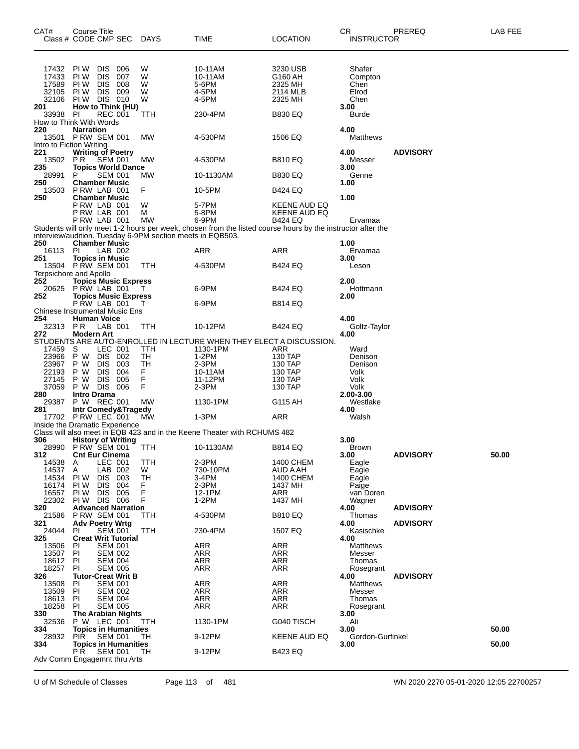| CAT#              | <b>Course Title</b><br>Class # CODE CMP SEC                | DAYS      | TIME                                                                                                        | LOCATION                     | CR<br><b>INSTRUCTOR</b> | PREREQ          | LAB FEE |
|-------------------|------------------------------------------------------------|-----------|-------------------------------------------------------------------------------------------------------------|------------------------------|-------------------------|-----------------|---------|
|                   |                                                            |           |                                                                                                             |                              |                         |                 |         |
|                   |                                                            |           |                                                                                                             |                              |                         |                 |         |
| 17432<br>17433    | PI W<br>DIS.<br>006<br>PI W<br><b>DIS</b><br>007           | W<br>W    | 10-11AM<br>10-11AM                                                                                          | 3230 USB<br>G160 AH          | Shafer<br>Compton       |                 |         |
| 17589             | PI W<br><b>DIS</b><br>008                                  | W         | 5-6PM                                                                                                       | 2325 MH                      | Chen                    |                 |         |
| 32105             | PI W<br>DIS.<br>009                                        | W         | 4-5PM                                                                                                       | 2114 MLB                     | Elrod                   |                 |         |
| 32106<br>201      | DIS 010<br>PI W<br>How to Think (HU)                       | W         | 4-5PM                                                                                                       | 2325 MH                      | Chen<br>3.00            |                 |         |
| 33938             | <b>PI</b><br><b>REC 001</b>                                | TTH       | 230-4PM                                                                                                     | <b>B830 EQ</b>               | <b>Burde</b>            |                 |         |
|                   | How to Think With Words                                    |           |                                                                                                             |                              |                         |                 |         |
| 220               | <b>Narration</b><br><b>P RW SEM 001</b>                    | MW        | 4-530PM                                                                                                     |                              | 4.00<br><b>Matthews</b> |                 |         |
| 13501             | Intro to Fiction Writing                                   |           |                                                                                                             | 1506 EQ                      |                         |                 |         |
| 221               | <b>Writing of Poetry</b>                                   |           |                                                                                                             |                              | 4.00                    | <b>ADVISORY</b> |         |
| 13502<br>235      | PR.<br><b>SEM 001</b>                                      | MW        | 4-530PM                                                                                                     | <b>B810 EQ</b>               | Messer                  |                 |         |
| 28991             | <b>Topics World Dance</b><br>P<br><b>SEM 001</b>           | MW        | 10-1130AM                                                                                                   | <b>B830 EQ</b>               | 3.00<br>Genne           |                 |         |
| 250               | <b>Chamber Music</b>                                       |           |                                                                                                             |                              | 1.00                    |                 |         |
| 13503<br>250      | PRW LAB 001<br><b>Chamber Music</b>                        | F         | 10-5PM                                                                                                      | <b>B424 EQ</b>               | 1.00                    |                 |         |
|                   | PRW LAB 001                                                | W         | 5-7PM                                                                                                       | KEENE AUD EQ                 |                         |                 |         |
|                   | PRW LAB 001                                                | м         | 5-8PM                                                                                                       | KEENE AUD EQ                 |                         |                 |         |
|                   | PRW LAB 001                                                | <b>MW</b> | 6-9PM                                                                                                       | <b>B424 EQ</b>               | Ervamaa                 |                 |         |
|                   | interview/audition. Tuesday 6-9PM section meets in EQB503. |           | Students will only meet 1-2 hours per week, chosen from the listed course hours by the instructor after the |                              |                         |                 |         |
| 250               | <b>Chamber Music</b>                                       |           |                                                                                                             |                              | 1.00                    |                 |         |
| 16113             | PI<br>LAB 002                                              |           | ARR                                                                                                         | ARR                          | Ervamaa                 |                 |         |
| 251               | <b>Topics in Music</b><br>13504 PRW SEM 001                | TTH       | 4-530PM                                                                                                     | <b>B424 EQ</b>               | 3.00<br>Leson           |                 |         |
|                   | Terpsichore and Apollo                                     |           |                                                                                                             |                              |                         |                 |         |
| 252               | <b>Topics Music Express</b>                                |           |                                                                                                             |                              | 2.00                    |                 |         |
| 252               | 20625 PRW LAB 001<br><b>Topics Music Express</b>           | т         | 6-9PM                                                                                                       | <b>B424 EQ</b>               | Hottmann<br>2.00        |                 |         |
|                   | PRW LAB 001                                                | Τ         | 6-9PM                                                                                                       | B814 EQ                      |                         |                 |         |
|                   | <b>Chinese Instrumental Music Ens</b>                      |           |                                                                                                             |                              |                         |                 |         |
| 254<br>32313      | <b>Human Voice</b><br>PR.<br>LAB 001                       | TTH       | 10-12PM                                                                                                     | <b>B424 EQ</b>               | 4.00<br>Goltz-Taylor    |                 |         |
| 272               | Modern Art                                                 |           |                                                                                                             |                              | 4.00                    |                 |         |
|                   |                                                            |           | STUDENTS ARE AUTO-ENROLLED IN LECTURE WHEN THEY ELECT A DISCUSSION.                                         |                              |                         |                 |         |
| 17459<br>23966    | S<br>LEC 001<br>P W<br>DIS 002                             | TTH<br>TH | 1130-1PM<br>$1-2PM$                                                                                         | ARR<br>130 TAP               | Ward<br>Denison         |                 |         |
| 23967             | P W<br>DIS.<br>003                                         | TH        | 2-3PM                                                                                                       | 130 TAP                      | Denison                 |                 |         |
| 22193             | P W<br><b>DIS</b><br>004                                   | F         | 10-11AM                                                                                                     | 130 TAP                      | Volk                    |                 |         |
| 27145<br>37059    | P W<br><b>DIS</b><br>005<br>DIS 006<br>P W                 | F<br>F    | 11-12PM<br>2-3PM                                                                                            | 130 TAP<br>130 TAP           | Volk<br>Volk            |                 |         |
| 280               | <b>Intro Drama</b>                                         |           |                                                                                                             |                              | 2.00-3.00               |                 |         |
| 29387             | P W REC 001                                                | MW        | 1130-1PM                                                                                                    | G115 AH                      | Westlake                |                 |         |
| 281<br>17702      | Intr Comedy&Tragedy<br>PRW LEC 001                         | <b>MW</b> | 1-3PM                                                                                                       | ARR                          | 4.00<br>Walsh           |                 |         |
|                   | Inside the Dramatic Experience                             |           |                                                                                                             |                              |                         |                 |         |
|                   |                                                            |           | Class will also meet in EQB 423 and in the Keene Theater with RCHUMS 482                                    |                              |                         |                 |         |
| 306               | <b>History of Writing</b><br>28990 PRW SEM 001             | TTH       | 10-1130AM                                                                                                   | <b>B814 EQ</b>               | 3.00<br>Brown           |                 |         |
| 312               | <b>Cnt Eur Cinema</b>                                      |           |                                                                                                             |                              | 3.00                    | <b>ADVISORY</b> | 50.00   |
| 14538             | LEC 001<br>A                                               | TTH       | 2-3PM                                                                                                       | 1400 CHEM                    | Eagle                   |                 |         |
| 14537<br>14534    | LAB 002<br>Α<br>PI W<br>DIS 003                            | W<br>TН   | 730-10PM<br>3-4PM                                                                                           | AUD A AH<br><b>1400 CHEM</b> | Eagle<br>Eagle          |                 |         |
| 16174             | 004<br>PI W<br><b>DIS</b>                                  | F         | 2-3PM                                                                                                       | 1437 MH                      | Paige                   |                 |         |
| 16557             | PI W<br>DIS 005                                            | F         | 12-1PM                                                                                                      | <b>ARR</b>                   | van Doren               |                 |         |
| 22302<br>320      | DIS 006<br>PI W<br><b>Advanced Narration</b>               | F         | $1-2PM$                                                                                                     | 1437 MH                      | Wagner<br>4.00          | <b>ADVISORY</b> |         |
| 21586             | <b>P RW SEM 001</b>                                        | TTH       | 4-530PM                                                                                                     | <b>B810 EQ</b>               | Thomas                  |                 |         |
| 321               | <b>Adv Poetry Wrtg</b>                                     |           |                                                                                                             |                              | 4.00                    | <b>ADVISORY</b> |         |
| 24044<br>325      | <b>SEM 001</b><br>PI.<br><b>Creat Writ Tutorial</b>        | TTH       | 230-4PM                                                                                                     | 1507 EQ                      | Kasischke<br>4.00       |                 |         |
| 13506             | <b>SEM 001</b><br>PI.                                      |           | ARR                                                                                                         | <b>ARR</b>                   | Matthews                |                 |         |
| 13507             | PI<br><b>SEM 002</b>                                       |           | <b>ARR</b>                                                                                                  | ARR                          | Messer                  |                 |         |
| 18612 PI<br>18257 | <b>SEM 004</b><br>-PI<br><b>SEM 005</b>                    |           | ARR<br>ARR                                                                                                  | ARR<br>ARR                   | Thomas<br>Rosegrant     |                 |         |
| 326               | <b>Tutor-Creat Writ B</b>                                  |           |                                                                                                             |                              | 4.00                    | <b>ADVISORY</b> |         |
| 13508             | PI<br><b>SEM 001</b>                                       |           | <b>ARR</b>                                                                                                  | <b>ARR</b>                   | Matthews                |                 |         |
| 13509<br>18613    | PI<br><b>SEM 002</b><br><b>SEM 004</b><br>PI               |           | <b>ARR</b><br>ARR                                                                                           | <b>ARR</b><br><b>ARR</b>     | Messer<br>Thomas        |                 |         |
| 18258             | PI<br><b>SEM 005</b>                                       |           | ARR                                                                                                         | <b>ARR</b>                   | Rosegrant               |                 |         |
| 330               | <b>The Arabian Nights</b>                                  |           |                                                                                                             |                              | 3.00                    |                 |         |
| 32536<br>334      | P W LEC 001<br><b>Topics in Humanities</b>                 | TTH       | 1130-1PM                                                                                                    | G040 TISCH                   | Ali<br>3.00             |                 | 50.00   |
| 28932             | PIR.<br><b>SEM 001</b>                                     | ТH        | 9-12PM                                                                                                      | KEENE AUD EQ                 | Gordon-Gurfinkel        |                 |         |
| 334               | <b>Topics in Humanities</b>                                |           |                                                                                                             |                              | 3.00                    |                 | 50.00   |
|                   | P R<br><b>SEM 001</b><br>Adv Comm Engagemnt thru Arts      | TH        | 9-12PM                                                                                                      | <b>B423 EQ</b>               |                         |                 |         |
|                   |                                                            |           |                                                                                                             |                              |                         |                 |         |

U of M Schedule of Classes Page 113 of 481 WN 2020 2270 05-01-2020 12:05 22700257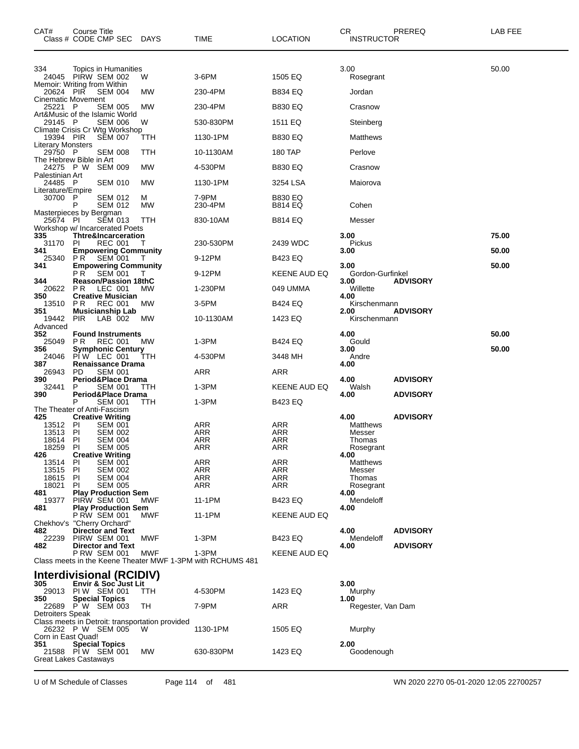| CAT#                                   | Course Title<br>Class # CODE CMP SEC DAYS                            |                                                 | TIME                                                                | <b>LOCATION</b>                  | CR<br>PREREQ<br><b>INSTRUCTOR</b>                       | LAB FEE |
|----------------------------------------|----------------------------------------------------------------------|-------------------------------------------------|---------------------------------------------------------------------|----------------------------------|---------------------------------------------------------|---------|
| 334                                    | Topics in Humanities<br>24045 PIRW SEM 002                           | W                                               | 3-6PM                                                               | 1505 EQ                          | 3.00                                                    | 50.00   |
|                                        | Memoir: Writing from Within                                          |                                                 |                                                                     |                                  | Rosegrant                                               |         |
| 20624 PIR<br><b>Cinematic Movement</b> | <b>SEM 004</b>                                                       | МW                                              | 230-4PM                                                             | <b>B834 EQ</b>                   | Jordan                                                  |         |
| 25221 P                                | <b>SEM 005</b><br>Art&Music of the Islamic World                     | МW                                              | 230-4PM                                                             | <b>B830 EQ</b>                   | Crasnow                                                 |         |
| 29145 P                                | <b>SEM 006</b><br>Climate Crisis Cr Wtg Workshop                     | W                                               | 530-830PM                                                           | 1511 EQ                          | Steinberg                                               |         |
| 19394 PIR<br><b>Literary Monsters</b>  | <b>SEM 007</b>                                                       | ттн                                             | 1130-1PM                                                            | <b>B830 EQ</b>                   | Matthews                                                |         |
| 29750 P                                | <b>SEM 008</b>                                                       | TTH                                             | 10-1130AM                                                           | 180 TAP                          | Perlove                                                 |         |
| 24275 P W                              | The Hebrew Bible in Art<br><b>SEM 009</b>                            | МW                                              | 4-530PM                                                             | <b>B830 EQ</b>                   | Crasnow                                                 |         |
| Palestinian Art<br>24485 P             | <b>SEM 010</b>                                                       | МW                                              | 1130-1PM                                                            | 3254 LSA                         | Maiorova                                                |         |
| Literature/Empire<br>30700 P           | <b>SEM 012</b><br>P<br><b>SEM 012</b>                                | М<br>МW                                         | 7-9PM<br>230-4PM                                                    | <b>B830 EQ</b><br><b>B814 EQ</b> | Cohen                                                   |         |
| 25674 PI                               | Masterpieces by Bergman<br><b>SEM 013</b>                            | TTH                                             | 830-10AM                                                            | B814 EQ                          | Messer                                                  |         |
| 335                                    | Workshop w/ Incarcerated Poets<br><b>Thtre&amp;Incarceration</b>     |                                                 |                                                                     |                                  | 3.00                                                    | 75.00   |
| 31170                                  | <b>REC 001</b><br>-PI                                                | Т                                               | 230-530PM                                                           | 2439 WDC                         | Pickus                                                  |         |
| 341<br>25340                           | <b>Empowering Community</b><br>PR.<br><b>SEM 001</b>                 | $\mathbf{L}$                                    | 9-12PM                                                              | <b>B423 EQ</b>                   | 3.00                                                    | 50.00   |
| 341                                    | <b>Empowering Community</b><br>P R<br><b>SEM 001</b>                 |                                                 | 9-12PM                                                              | KEENE AUD EQ                     | 3.00<br>Gordon-Gurfinkel                                | 50.00   |
| 344<br>20622 PR                        | <b>Reason/Passion 18thC</b><br>LEC 001                               | МW                                              | 1-230PM                                                             | 049 UMMA                         | <b>ADVISORY</b><br>3.00<br>Willette                     |         |
| 350<br>13510                           | <b>Creative Musician</b><br><b>REC 001</b><br>P R                    | МW                                              | 3-5PM                                                               | <b>B424 EQ</b>                   | 4.00<br>Kirschenmann                                    |         |
| 351                                    | <b>Musicianship Lab</b>                                              |                                                 |                                                                     |                                  | 2.00<br><b>ADVISORY</b>                                 |         |
| 19442<br>Advanced                      | <b>PIR</b><br>LAB 002                                                | МW                                              | 10-1130AM                                                           | 1423 EQ                          | Kirschenmann                                            |         |
| 352<br>25049                           | <b>Found Instruments</b><br>PR.<br><b>REC 001</b>                    | MW                                              | 1-3PM                                                               | B424 EQ                          | 4.00<br>Gould                                           | 50.00   |
| 356<br>24046                           | <b>Symphonic Century</b><br>PIW LEC 001                              | TТH                                             | 4-530PM                                                             | 3448 MH                          | 3.00<br>Andre                                           | 50.00   |
| 387<br>26943                           | <b>Renaissance Drama</b><br><b>SEM 001</b><br>PD.                    |                                                 | ARR                                                                 | ARR                              | 4.00                                                    |         |
| 390                                    | Period&Place Drama<br>P                                              |                                                 |                                                                     |                                  | <b>ADVISORY</b><br>4.00                                 |         |
| 32441<br>390                           | <b>SEM 001</b><br>Period&Place Drama                                 | ттн                                             | 1-3PM                                                               | KEENE AUD EQ                     | Walsh<br><b>ADVISORY</b><br>4.00                        |         |
|                                        | P<br><b>SEM 001</b><br>The Theater of Anti-Fascism                   | TТH                                             | 1-3PM                                                               | B423 EQ                          |                                                         |         |
| 425<br>13512 PI                        | <b>Creative Writing</b><br><b>SEM 001</b>                            |                                                 | ARR                                                                 | ARR                              | 4.00<br><b>ADVISORY</b><br>Matthews                     |         |
| 13513<br>18614                         | PI<br><b>SEM 002</b><br>PI<br><b>SEM 004</b>                         |                                                 | ARR<br><b>ARR</b>                                                   | ARR<br>ARR                       | Messer<br>Thomas                                        |         |
| 18259<br>426                           | PI<br><b>SEM 005</b><br><b>Creative Writing</b>                      |                                                 | ARR                                                                 | ARR                              | Rosegrant<br>4.00                                       |         |
| 13514                                  | <b>SEM 001</b><br>-PI                                                |                                                 | ARR                                                                 | ARR                              | Matthews                                                |         |
| 13515<br>18615                         | -PI<br><b>SEM 002</b><br>-PI<br><b>SEM 004</b>                       |                                                 | ARR<br>ARR                                                          | ARR<br>ARR                       | Messer<br>Thomas                                        |         |
| 18021<br>481                           | PI<br><b>SEM 005</b><br><b>Play Production Sem</b>                   |                                                 | ARR                                                                 | ARR                              | Rosegrant<br>4.00                                       |         |
| 19377<br>481                           | PIRW SEM 001<br><b>Play Production Sem</b>                           | MWF                                             | 11-1PM                                                              | B423 EQ                          | Mendeloff<br>4.00                                       |         |
|                                        | P RW SEM 001<br>Chekhov's "Cherry Orchard"                           | <b>MWF</b>                                      | 11-1PM                                                              | KEENE AUD EQ                     |                                                         |         |
| 482<br>22239                           | <b>Director and Text</b><br>PIRW SEM 001<br><b>Director and Text</b> | MWF                                             | 1-3PM                                                               | B423 EQ                          | 4.00<br><b>ADVISORY</b><br>Mendeloff<br><b>ADVISORY</b> |         |
| 482                                    | <b>P RW SEM 001</b>                                                  | MWF                                             | 1-3PM<br>Class meets in the Keene Theater MWF 1-3PM with RCHUMS 481 | KEENE AUD EQ                     | 4.00                                                    |         |
|                                        | Interdivisional (RCIDIV)                                             |                                                 |                                                                     |                                  |                                                         |         |
| 305                                    | Envir & Soc Just Lit<br>29013 PIW SEM 001                            | TTH                                             | 4-530PM                                                             | 1423 EQ                          | 3.00<br>Murphy                                          |         |
| 350                                    | <b>Special Topics</b><br>22689 PW SEM 003                            | TH                                              | 7-9PM                                                               | ARR                              | 1.00<br>Regester, Van Dam                               |         |
| Detroiters Speak                       |                                                                      | Class meets in Detroit: transportation provided |                                                                     |                                  |                                                         |         |
| Corn in East Quad!                     | 26232 P W SEM 005                                                    | w                                               | 1130-1PM                                                            | 1505 EQ                          | Murphy                                                  |         |
| 351                                    | <b>Special Topics</b>                                                |                                                 |                                                                     |                                  | 2.00                                                    |         |
|                                        | 21588 PIW SEM 001<br>Great Lakes Castaways                           | МW                                              | 630-830PM                                                           | 1423 EQ                          | Goodenough                                              |         |
|                                        |                                                                      |                                                 |                                                                     |                                  |                                                         |         |

U of M Schedule of Classes Page 114 of 481 WN 2020 2270 05-01-2020 12:05 22700257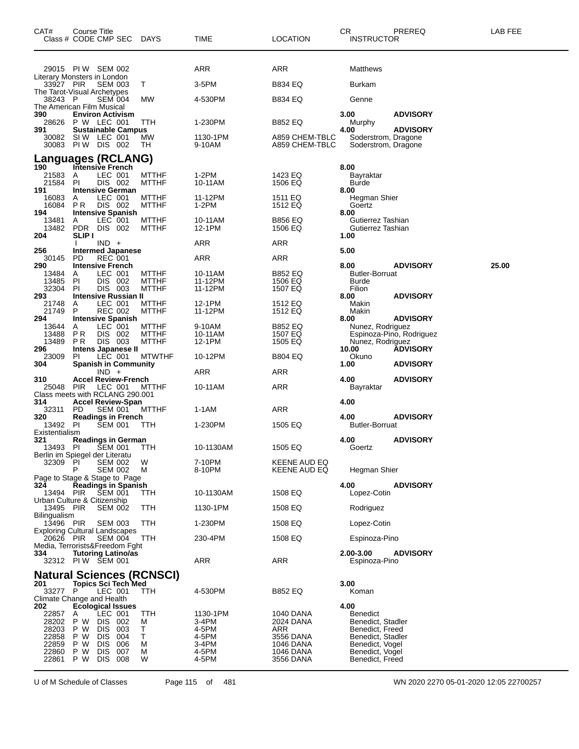| CAT#                                       | <b>Course Title</b> | Class # CODE CMP SEC                                           | DAYS                             | TIME               | <b>LOCATION</b>                  | CR<br><b>INSTRUCTOR</b>                        | PREREQ                   | LAB FEE |
|--------------------------------------------|---------------------|----------------------------------------------------------------|----------------------------------|--------------------|----------------------------------|------------------------------------------------|--------------------------|---------|
|                                            |                     | 29015 PIW SEM 002                                              |                                  | ARR                | ARR                              | Matthews                                       |                          |         |
| Literary Monsters in London<br>33927 PIR   |                     | <b>SEM 003</b>                                                 | Т                                | $3-5$ PM           | B834 EQ                          | <b>Burkam</b>                                  |                          |         |
| The Tarot-Visual Archetypes<br>38243 P     |                     | <b>SEM 004</b>                                                 | МW                               | 4-530PM            | B834 EQ                          | Genne                                          |                          |         |
| The American Film Musical<br>390           |                     | <b>Environ Activism</b>                                        |                                  |                    |                                  | 3.00                                           | <b>ADVISORY</b>          |         |
| 28626<br>391                               |                     | P W LEC 001                                                    | ттн                              | 1-230PM            | <b>B852 EQ</b>                   | Murphy<br>4.00                                 |                          |         |
| 30082<br>30083                             |                     | <b>Sustainable Campus</b><br>SIW LEC 001<br><b>PIW DIS 002</b> | МW<br>TH                         | 1130-1PM<br>9-10AM | A859 CHEM-TBLC<br>A859 CHEM-TBLC | Soderstrom, Dragone<br>Soderstrom, Dragone     | <b>ADVISORY</b>          |         |
|                                            |                     | <b>Languages (RCLANG)</b>                                      |                                  |                    |                                  |                                                |                          |         |
| 190<br>21583                               | A                   | Intensive French<br>LEC 001                                    | <b>MTTHF</b>                     | 1-2PM              | 1423 EQ                          | 8.00<br>Bayraktar                              |                          |         |
| 21584<br>191                               | <b>PI</b>           | DIS 002<br><b>Intensive German</b>                             | <b>MTTHF</b>                     | 10-11AM            | 1506 EQ                          | Burde<br>8.00                                  |                          |         |
| 16083<br>16084                             | A<br>PR.            | LEC 001<br>DIS 002                                             | <b>MTTHF</b><br><b>MTTHF</b>     | 11-12PM<br>$1-2PM$ | 1511 EQ<br>1512 EQ               | Hegman Shier<br>Goertz                         |                          |         |
| 194<br>13481<br>13482                      | A<br>PDR            | <b>Intensive Spanish</b><br>LEC 001<br>DIS 002                 | <b>MTTHF</b><br><b>MTTHF</b>     | 10-11AM<br>12-1PM  | <b>B856 EQ</b><br>1506 EQ        | 8.00<br>Gutierrez Tashian<br>Gutierrez Tashian |                          |         |
| 204                                        | <b>SLIP I</b>       | $IND +$                                                        |                                  | ARR                | ARR                              | 1.00                                           |                          |         |
| 256<br>30145                               | <b>PD</b>           | <b>Intermed Japanese</b><br><b>REC 001</b>                     |                                  | ARR                | ARR                              | 5.00                                           |                          |         |
| 290<br>13484                               | A                   | <b>Intensive French</b><br>LEC 001                             | <b>MTTHF</b>                     | 10-11AM            | B852 EQ                          | 8.00<br><b>Butler-Borruat</b>                  | <b>ADVISORY</b>          | 25.00   |
| 13485                                      | PI                  | DIS 002                                                        | <b>MTTHF</b>                     | 11-12PM            | 1506 EQ                          | <b>Burde</b>                                   |                          |         |
| 32304<br>293                               | PI                  | DIS 003<br>Intensive Russian II                                | <b>MTTHF</b>                     | 11-12PM            | 1507 EQ                          | Filion<br>8.00                                 | <b>ADVISORY</b>          |         |
| 21748<br>21749                             | A<br>P              | LEC 001<br><b>REC 002</b>                                      | <b>MTTHF</b><br><b>MTTHF</b>     | 12-1PM<br>11-12PM  | 1512 EQ<br>1512 EQ               | Makin<br>Makin                                 |                          |         |
| 294<br>13644                               | A                   | Intensive Spanish<br>LEC 001                                   | <b>MTTHF</b>                     | 9-10AM             | <b>B852 EQ</b>                   | 8.00<br>Nunez, Rodriguez                       | <b>ADVISORY</b>          |         |
| 13488<br>13489                             | P R<br>P R          | DIS 002<br>DIS 003                                             | <b>MTTHF</b><br><b>MTTHF</b>     | 10-11AM<br>12-1PM  | 1507 EQ<br>1505 EQ               | Nunez, Rodriguez                               | Espinoza-Pino, Rodriguez |         |
| 296<br>23009                               | PI                  | Intens Japanese II<br>LEC 001                                  | <b>MTWTHF</b>                    | 10-12PM            | B804 EQ                          | 10.00<br>Okuno                                 | <b>ADVISORY</b>          |         |
| 304                                        |                     | <b>Spanish in Community</b>                                    |                                  |                    |                                  | 1.00                                           | <b>ADVISORY</b>          |         |
| 310                                        |                     | $IND +$<br><b>Accel Review-French</b>                          |                                  | ARR                | ARR                              | 4.00                                           | <b>ADVISORY</b>          |         |
| 25048 PIR                                  |                     | LEC 001<br>Class meets with RCLANG 290.001                     | <b>MTTHF</b>                     | 10-11AM            | <b>ARR</b>                       | Bayraktar                                      |                          |         |
| 314<br>32311                               | PD.                 | <b>Accel Review-Span</b><br><b>SEM 001</b>                     | <b>MTTHF</b>                     | 1-1AM              | <b>ARR</b>                       | 4.00                                           |                          |         |
| 320<br>13492 PI                            |                     | <b>Readings in French</b><br><b>SEM 001</b>                    | TTH                              | 1-230PM            | 1505 EQ                          | 4.00<br><b>Butler-Borruat</b>                  | <b>ADVISORY</b>          |         |
| Existentialism                             |                     |                                                                |                                  |                    |                                  |                                                |                          |         |
| 321<br>13493 PI                            |                     | <b>Readings in German</b><br><b>SEM 001</b>                    | TТH                              | 10-1130AM          | 1505 EQ                          | 4.00<br>Goertz                                 | <b>ADVISORY</b>          |         |
| Berlin im Spiegel der Literatu<br>32309 PI |                     | <b>SEM 002</b>                                                 | W                                | 7-10PM             | KEENE AUD EQ                     |                                                |                          |         |
|                                            |                     | <b>SEM 002</b><br>Page to Stage & Stage to Page                | м                                | 8-10PM             | KEENE AUD EQ                     | Hegman Shier                                   |                          |         |
| 324<br>13494 PIR                           |                     | <b>Readings in Spanish</b><br><b>SEM 001</b>                   | TTH                              | 10-1130AM          | 1508 EQ                          | 4.00<br>Lopez-Cotin                            | <b>ADVISORY</b>          |         |
| Urban Culture & Citizenship                |                     |                                                                |                                  |                    |                                  |                                                |                          |         |
| 13495 PIR<br>Bilingualism                  |                     | <b>SEM 002</b>                                                 | TTH                              | 1130-1PM           | 1508 EQ                          | Rodriguez                                      |                          |         |
| 13496 PIR                                  |                     | <b>SEM 003</b><br><b>Exploring Cultural Landscapes</b>         | TTH                              | 1-230PM            | 1508 EQ                          | Lopez-Cotin                                    |                          |         |
| 20626 PIR                                  |                     | <b>SEM 004</b><br>Media, Terrorists&Freedom Fght               | TTH.                             | 230-4PM            | 1508 EQ                          | Espinoza-Pino                                  |                          |         |
| 334                                        |                     | <b>Tutoring Latino/as</b><br>32312 PIW SEM 001                 |                                  | ARR                | ARR                              | 2.00-3.00<br>Espinoza-Pino                     | <b>ADVISORY</b>          |         |
|                                            |                     |                                                                | <b>Natural Sciences (RCNSCI)</b> |                    |                                  |                                                |                          |         |
| 201<br>33277 P                             |                     | <b>Topics Sci Tech Med</b><br>LEC 001                          | <b>TTH</b>                       | 4-530PM            | <b>B852 EQ</b>                   | 3.00<br>Koman                                  |                          |         |
| Climate Change and Health<br>202           |                     | <b>Ecological Issues</b>                                       |                                  |                    |                                  | 4.00                                           |                          |         |
| 22857                                      | A                   | LEC 001                                                        | <b>TTH</b>                       | 1130-1PM           | 1040 DANA                        | <b>Benedict</b>                                |                          |         |
| 28202<br>28203                             | P W<br>P W          | DIS 002<br>DIS 003                                             | M<br>т                           | 3-4PM<br>4-5PM     | 2024 DANA<br>ARR                 | Benedict, Stadler<br>Benedict, Freed           |                          |         |
| 22858<br>22859                             | P W<br>P W          | DIS.<br>004<br>DIS.<br>006                                     | Τ<br>М                           | 4-5PM<br>3-4PM     | 3556 DANA<br>1046 DANA           | Benedict, Stadler<br>Benedict, Vogel           |                          |         |
| 22860<br>22861                             | P W<br>P W          | DIS .<br>007<br><b>DIS 008</b>                                 | М<br>W                           | 4-5PM<br>4-5PM     | 1046 DANA<br>3556 DANA           | Benedict, Vogel<br>Benedict, Freed             |                          |         |

U of M Schedule of Classes Page 115 of 481 WN 2020 2270 05-01-2020 12:05 22700257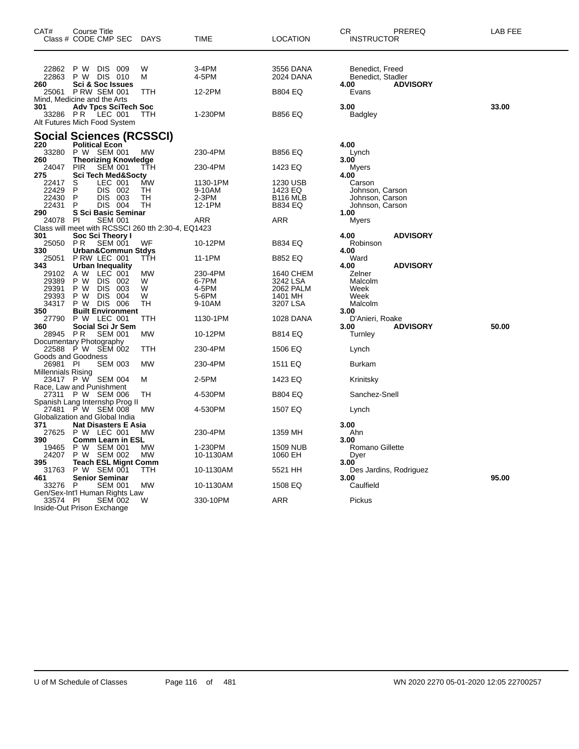| CAT#                      | Course Title<br>Class # CODE CMP SEC                                   | DAYS            | TIME               | <b>LOCATION</b>        | CR.<br>PREREQ<br><b>INSTRUCTOR</b>                              | LAB FEE |
|---------------------------|------------------------------------------------------------------------|-----------------|--------------------|------------------------|-----------------------------------------------------------------|---------|
| 22862<br>22863<br>260     | P W DIS 009<br>P W DIS 010<br><b>Sci &amp; Soc Issues</b>              | W<br>м          | 3-4PM<br>4-5PM     | 3556 DANA<br>2024 DANA | Benedict, Freed<br>Benedict, Stadler<br><b>ADVISORY</b><br>4.00 |         |
| 25061                     | <b>P RW SEM 001</b><br>Mind, Medicine and the Arts                     | TTH             | 12-2PM             | <b>B804 EQ</b>         | Evans                                                           |         |
| 301<br>33286 PR           | <b>Adv Tpcs SciTech Soc</b><br>LEC 001<br>Alt Futures Mich Food System | <b>TTH</b>      | 1-230PM            | <b>B856 EQ</b>         | 3.00<br><b>Badgley</b>                                          | 33.00   |
|                           | <b>Social Sciences (RCSSCI)</b>                                        |                 |                    |                        |                                                                 |         |
| 220<br>33280<br>260       | <b>Political Econ</b><br>P W SEM 001<br><b>Theorizing Knowledge</b>    | MW              | 230-4PM            | B856 EQ                | 4.00<br>Lynch<br>3.00                                           |         |
| 24047<br>275              | <b>PIR</b><br><b>SEM 001</b><br><b>Sci Tech Med&amp;Socty</b>          | TTH             | 230-4PM            | 1423 EQ                | Myers<br>4.00                                                   |         |
| 22417<br>22429            | LEC 001<br>S<br>P<br>DIS 002                                           | <b>MW</b><br>TH | 1130-1PM<br>9-10AM | 1230 USB<br>1423 EQ    | Carson<br>Johnson, Carson                                       |         |
| 22430                     | P<br>DIS 003                                                           | TН              | 2-3PM              | B <sub>116</sub> MLB   | Johnson, Carson                                                 |         |
| 22431<br>290              | P<br>DIS 004<br>S Sci Basic Seminar                                    | TН              | 12-1PM             | B834 EQ                | Johnson, Carson<br>1.00                                         |         |
| 24078                     | <b>SEM 001</b><br>PI                                                   |                 | ARR                | ARR                    | Myers                                                           |         |
|                           | Class will meet with RCSSCI 260 tth 2:30-4, EQ1423                     |                 |                    |                        |                                                                 |         |
| 301<br>25050              | Soc Sci Theory I<br><b>PR</b><br><b>SEM 001</b>                        | WF              | 10-12PM            | <b>B834 EQ</b>         | 4.00<br><b>ADVISORY</b><br>Robinson                             |         |
| 330<br>25051              | <b>Urban&amp;Commun Stdys</b><br>PRW LEC 001                           | ттн             | 11-1PM             | <b>B852 EQ</b>         | 4.00<br>Ward                                                    |         |
| 343                       | <b>Urban Inequality</b>                                                |                 |                    |                        | <b>ADVISORY</b><br>4.00                                         |         |
| 29102<br>29389            | A W<br>LEC 001<br>P W<br>DIS 002                                       | MW<br>W         | 230-4PM<br>6-7PM   | 1640 CHEM<br>3242 LSA  | Zelner<br>Malcolm                                               |         |
| 29391                     | P W<br>DIS 003                                                         | W               | 4-5PM              | 2062 PALM              | Week                                                            |         |
| 29393                     | P W<br><b>DIS</b><br>004                                               | W               | 5-6PM              | 1401 MH                | Week                                                            |         |
| 34317<br>350              | DIS 006<br>P W<br><b>Built Environment</b>                             | TН              | 9-10AM             | 3207 LSA               | Malcolm<br>3.00                                                 |         |
| 27790                     | P W LEC 001                                                            | TTH             | 1130-1PM           | 1028 DANA              | D'Anieri, Roake                                                 |         |
| 360                       | Social Sci Jr Sem                                                      |                 |                    |                        | <b>ADVISORY</b><br>3.00                                         | 50.00   |
| 28945 PR                  | <b>SEM 001</b><br>Documentary Photography                              | MW              | 10-12PM            | <b>B814 EQ</b>         | Turnley                                                         |         |
|                           | 22588 P W SEM 002                                                      | ттн             | 230-4PM            | 1506 EQ                | Lynch                                                           |         |
|                           | Goods and Goodness                                                     |                 |                    |                        |                                                                 |         |
| 26981 PI                  | <b>SEM 003</b>                                                         | <b>MW</b>       | 230-4PM            | 1511 EQ                | <b>Burkam</b>                                                   |         |
| <b>Millennials Rising</b> | 23417 P W SEM 004                                                      | м               | 2-5PM              | 1423 EQ                | Krinitsky                                                       |         |
|                           | Race, Law and Punishment                                               |                 |                    |                        |                                                                 |         |
|                           | 27311 P W SEM 006                                                      | TН              | 4-530PM            | <b>B804 EQ</b>         | Sanchez-Snell                                                   |         |
| 27481                     | Spanish Lang Internshp Prog II<br>P W SEM 008                          | МW              | 4-530PM            | 1507 EQ                | Lynch                                                           |         |
|                           | Globalization and Global India                                         |                 |                    |                        |                                                                 |         |
| 371                       | <b>Nat Disasters E Asia</b>                                            |                 |                    |                        | 3.00                                                            |         |
| 27625<br>390              | P W LEC 001                                                            | MW              | 230-4PM            | 1359 MH                | Ahn<br>3.00                                                     |         |
| 19465                     | <b>Comm Learn in ESL</b><br>P W SEM 001                                | MW              | 1-230PM            | <b>1509 NUB</b>        | Romano Gillette                                                 |         |
| 24207                     | P W SEM 002                                                            | МW              | 10-1130AM          | 1060 EH                | Dyer                                                            |         |
| 395                       | <b>Teach ESL Mignt Comm</b>                                            |                 |                    |                        | 3.00                                                            |         |
| 31763<br>461              | P W SEM 001<br><b>Senior Seminar</b>                                   | TTH             | 10-1130AM          | 5521 HH                | Des Jardins, Rodriguez<br>3.00                                  | 95.00   |
| 33276 P                   | <b>SEM 001</b>                                                         | <b>MW</b>       | 10-1130AM          | 1508 EQ                | Caulfield                                                       |         |
|                           | Gen/Sex-Int'l Human Rights Law                                         |                 |                    |                        |                                                                 |         |
| 33574 PI                  | <b>SEM 002</b><br>Inside-Out Prison Exchange                           | W               | 330-10PM           | ARR                    | Pickus                                                          |         |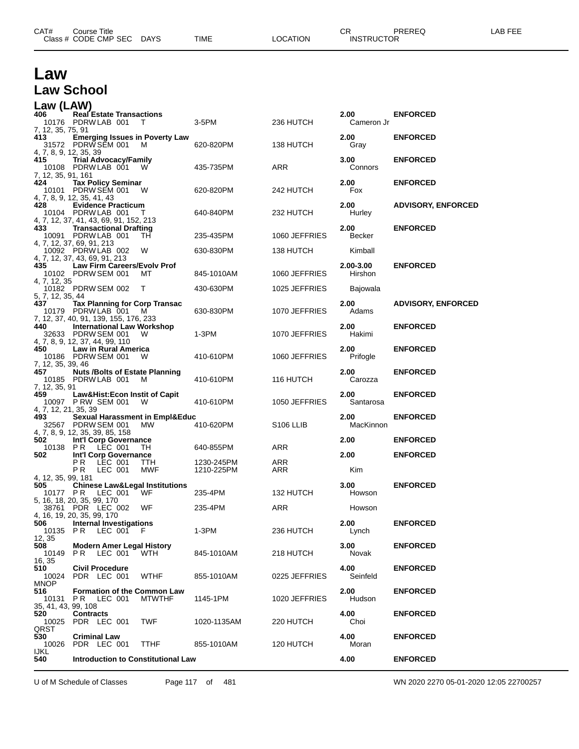|                           | Class # CODE CMP SEC                                                    | DAYS          | TIME        | LOCATION              | <b>INSTRUCTOR</b> |                           |
|---------------------------|-------------------------------------------------------------------------|---------------|-------------|-----------------------|-------------------|---------------------------|
|                           |                                                                         |               |             |                       |                   |                           |
| Law                       |                                                                         |               |             |                       |                   |                           |
| <b>Law School</b>         |                                                                         |               |             |                       |                   |                           |
| Law (LAW)                 |                                                                         |               |             |                       |                   |                           |
| 406                       | <b>Real Estate Transactions</b>                                         |               |             |                       | 2.00              | <b>ENFORCED</b>           |
|                           | 10176 PDRW LAB 001                                                      | T             | 3-5PM       | 236 HUTCH             | Cameron Jr        |                           |
| 7, 12, 35, 75, 91<br>413  | <b>Emerging Issues in Poverty Law</b>                                   |               |             |                       | 2.00              | <b>ENFORCED</b>           |
|                           | 31572 PDRW SEM 001                                                      | M             | 620-820PM   | 138 HUTCH             | Gray              |                           |
| 4, 7, 8, 9, 12, 35, 39    |                                                                         |               |             |                       |                   |                           |
| 415                       | <b>Trial Advocacy/Family</b><br>10108 PDRW LAB 001                      |               | 435-735PM   | ARR                   | 3.00<br>Connors   | <b>ENFORCED</b>           |
| 7, 12, 35, 91, 161        |                                                                         |               |             |                       |                   |                           |
| 424                       | <b>Tax Policy Seminar</b>                                               |               |             |                       | 2.00              | <b>ENFORCED</b>           |
|                           | 10101 PDRW SEM 001<br>4, 7, 8, 9, 12, 35, 41, 43                        | W             | 620-820PM   | 242 HUTCH             | Fox               |                           |
| 428                       | <b>Evidence Practicum</b>                                               |               |             |                       | 2.00              | <b>ADVISORY, ENFORCED</b> |
|                           | 10104 PDRW LAB 001                                                      |               | 640-840PM   | 232 HUTCH             | Hurley            |                           |
| 433.                      | 4, 7, 12, 37, 41, 43, 69, 91, 152, 213<br><b>Transactional Drafting</b> |               |             |                       | 2.00              | <b>ENFORCED</b>           |
|                           | 10091 PDRW LAB 001                                                      | TН            | 235-435PM   | 1060 JEFFRIES         | Becker            |                           |
|                           | 4, 7, 12, 37, 69, 91, 213                                               | W             | 630-830PM   | 138 HUTCH             | Kimball           |                           |
|                           | 10092 PDRW LAB 002<br>4, 7, 12, 37, 43, 69, 91, 213                     |               |             |                       |                   |                           |
| 435                       | Law Firm Careers/Evolv Prof                                             |               |             |                       | 2.00-3.00         | <b>ENFORCED</b>           |
| 4, 7, 12, 35              | 10102 PDRW SEM 001                                                      | мт            | 845-1010AM  | 1060 JEFFRIES         | Hirshon           |                           |
|                           | 10182 PDRW SEM 002                                                      | T             | 430-630PM   | 1025 JEFFRIES         | Bajowala          |                           |
| 5, 7, 12, 35, 44          |                                                                         |               |             |                       |                   |                           |
| 437                       | <b>Tax Planning for Corp Transac</b><br>10179 PDRW LAB 001              | м             | 630-830PM   | 1070 JEFFRIES         | 2.00<br>Adams     | <b>ADVISORY, ENFORCED</b> |
|                           | 7, 12, 37, 40, 91, 139, 155, 176, 233                                   |               |             |                       |                   |                           |
| 440                       | <b>International Law Workshop</b>                                       |               |             |                       | 2.00              | <b>ENFORCED</b>           |
|                           | 32633 PDRW SEM 001<br>4, 7, 8, 9, 12, 37, 44, 99, 110                   | W             | $1-3PM$     | 1070 JEFFRIES         | Hakimi            |                           |
| 450                       | <b>Law in Rural America</b>                                             |               |             |                       | 2.00              | <b>ENFORCED</b>           |
|                           | 10186 PDRW SEM 001                                                      | w             | 410-610PM   | 1060 JEFFRIES         | Prifogle          |                           |
| 7, 12, 35, 39, 46<br>457  | <b>Nuts /Bolts of Estate Planning</b>                                   |               |             |                       | 2.00              | <b>ENFORCED</b>           |
|                           | 10185 PDRW LAB 001                                                      | M             | 410-610PM   | 116 HUTCH             | Carozza           |                           |
| 7, 12, 35, 91<br>459.     |                                                                         |               |             |                       | 2.00              |                           |
|                           | Law&Hist:Econ Instit of Capit<br>10097 PRW SEM 001                      | W             | 410-610PM   | 1050 JEFFRIES         | Santarosa         | <b>ENFORCED</b>           |
| 4, 7, 12, 21, 35, 39      |                                                                         |               |             |                       |                   |                           |
| 493.                      | Sexual Harassment in Empl&Educ<br>32567 PDRW SEM 001                    | <b>MW</b>     | 410-620PM   | S <sub>106</sub> LLIB | 2.00<br>MacKinnon | <b>ENFORCED</b>           |
|                           | 4, 7, 8, 9, 12, 35, 39, 85, 158                                         |               |             |                       |                   |                           |
| 502                       | Int'l Corp Governance                                                   |               |             |                       | 2.00              | <b>ENFORCED</b>           |
| 10138 PR<br>502           | LEC 001<br>Int'l Corp Governance                                        | TH            | 640-855PM   | ARR                   | 2.00              | <b>ENFORCED</b>           |
|                           | PR LEC 001                                                              | TTH.          | 1230-245PM  | ARR                   |                   |                           |
|                           | LEC 001<br>P R                                                          | MWF           | 1210-225PM  | ARR                   | Kim               |                           |
| 4, 12, 35, 99, 181<br>505 | <b>Chinese Law&amp;Legal Institutions</b>                               |               |             |                       | 3.00              | <b>ENFORCED</b>           |
| 10177 PR                  | LEC 001                                                                 | WF            | 235-4PM     | 132 HUTCH             | Howson            |                           |
|                           | 5, 16, 18, 20, 35, 99, 170<br>38761 PDR LEC 002                         | WF            | 235-4PM     | ARR                   | Howson            |                           |
|                           | 4, 16, 19, 20, 35, 99, 170                                              |               |             |                       |                   |                           |
| 506                       | <b>Internal Investigations</b>                                          |               |             |                       | 2.00              | <b>ENFORCED</b>           |
| 10135 PR<br>12, 35        | LEC 001 F                                                               |               | 1-3PM       | 236 HUTCH             | Lynch             |                           |
| 508                       | <b>Modern Amer Legal History</b>                                        |               |             |                       | 3.00              | <b>ENFORCED</b>           |
| 10149 PR<br>16, 35        | LEC 001                                                                 | <b>WTH</b>    | 845-1010AM  | 218 HUTCH             | Novak             |                           |
| 510                       | <b>Civil Procedure</b>                                                  |               |             |                       | 4.00              | <b>ENFORCED</b>           |
| 10024                     | PDR LEC 001                                                             | <b>WTHF</b>   | 855-1010AM  | 0225 JEFFRIES         | Seinfeld          |                           |
| <b>MNOP</b><br>516        | <b>Formation of the Common Law</b>                                      |               |             |                       | 2.00              | <b>ENFORCED</b>           |
| 10131 PR                  | LEC 001                                                                 | <b>MTWTHF</b> | 1145-1PM    | 1020 JEFFRIES         | Hudson            |                           |
| 35, 41, 43, 99, 108       |                                                                         |               |             |                       |                   |                           |
| 520                       | <b>Contracts</b><br>10025 PDR LEC 001                                   | <b>TWF</b>    | 1020-1135AM | 220 HUTCH             | 4.00<br>Choi      | <b>ENFORCED</b>           |
| QRST                      |                                                                         |               |             |                       |                   |                           |
| 530                       | <b>Criminal Law</b>                                                     |               |             |                       | 4.00              | <b>ENFORCED</b>           |
| 10026<br><b>IJKL</b>      | PDR LEC 001                                                             | <b>TTHF</b>   | 855-1010AM  | 120 HUTCH             | Moran             |                           |
| 540                       | <b>Introduction to Constitutional Law</b>                               |               |             |                       | 4.00              | <b>ENFORCED</b>           |
|                           |                                                                         |               |             |                       |                   |                           |

CAT# Course Title Case CR PREREQ LAB FEE

U of M Schedule of Classes Page 117 of 481 WN 2020 2270 05-01-2020 12:05 22700257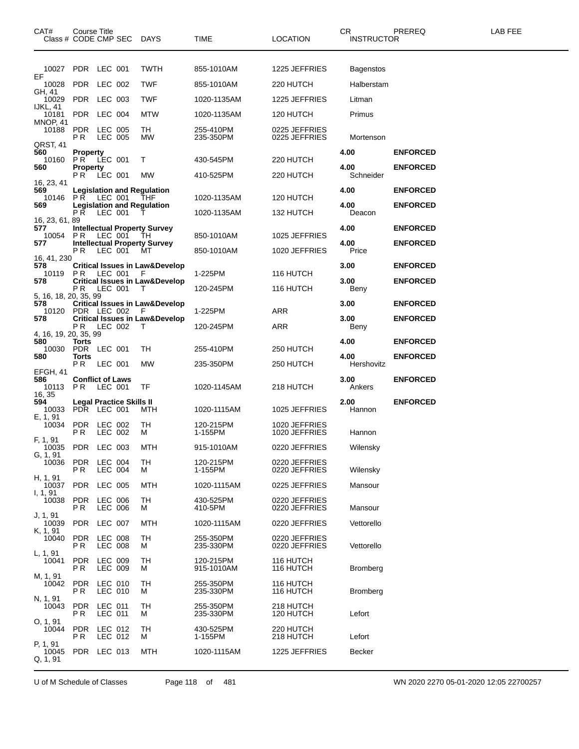| CAT#<br>Class # CODE CMP SEC DAYS | Course Title                                |                                  |                          |                                                                               | TIME                    | LOCATION                       | CR<br><b>INSTRUCTOR</b> | PREREQ          | LAB FEE |
|-----------------------------------|---------------------------------------------|----------------------------------|--------------------------|-------------------------------------------------------------------------------|-------------------------|--------------------------------|-------------------------|-----------------|---------|
| 10027 PDR LEC 001                 |                                             |                                  |                          | <b>TWTH</b>                                                                   | 855-1010AM              | 1225 JEFFRIES                  | <b>Bagenstos</b>        |                 |         |
| EF<br>10028                       | PDR                                         | LEC 002                          |                          | <b>TWF</b>                                                                    | 855-1010AM              | 220 HUTCH                      | Halberstam              |                 |         |
| GH, 41<br>10029                   | PDR LEC 003                                 |                                  |                          | <b>TWF</b>                                                                    | 1020-1135AM             | 1225 JEFFRIES                  | Litman                  |                 |         |
| IJKL, 41<br>10181                 | PDR LEC 004                                 |                                  |                          | MTW                                                                           | 1020-1135AM             | 120 HUTCH                      | Primus                  |                 |         |
| <b>MNOP, 41</b><br>10188          | <b>PDR</b><br>P R                           | LEC 005<br>LEC 005               |                          | TH<br>MW                                                                      | 255-410PM<br>235-350PM  | 0225 JEFFRIES<br>0225 JEFFRIES | Mortenson               |                 |         |
| QRST, 41<br>560                   | <b>Property</b>                             |                                  |                          |                                                                               |                         |                                | 4.00                    | <b>ENFORCED</b> |         |
| 10160<br>560                      | PR.<br><b>Property</b><br><b>PR LEC 001</b> | LEC 001                          |                          | Τ                                                                             | 430-545PM<br>410-525PM  | 220 HUTCH                      | 4.00<br>Schneider       | <b>ENFORCED</b> |         |
| 16, 23, 41<br>569                 |                                             |                                  |                          | <b>MW</b>                                                                     |                         | 220 HUTCH                      | 4.00                    | <b>ENFORCED</b> |         |
| 10146 PR LEC 001<br>569           |                                             |                                  |                          | <b>Legislation and Regulation</b><br>THF<br><b>Legislation and Regulation</b> | 1020-1135AM             | 120 HUTCH                      | 4.00                    | <b>ENFORCED</b> |         |
| 16, 23, 61, 89                    | <b>PR LEC 001</b>                           |                                  |                          |                                                                               | 1020-1135AM             | 132 HUTCH                      | Deacon                  |                 |         |
| 577<br>10054                      | PR                                          | LEC 001                          |                          | <b>Intellectual Property Survey</b><br>TH                                     | 850-1010AM              | 1025 JEFFRIES                  | 4.00                    | <b>ENFORCED</b> |         |
| 577                               | P R                                         | LEC 001                          |                          | <b>Intellectual Property Survey</b><br>мт                                     | 850-1010AM              | 1020 JEFFRIES                  | 4.00<br>Price           | <b>ENFORCED</b> |         |
| 16, 41, 230<br>578                |                                             |                                  |                          | <b>Critical Issues in Law&amp;Develop</b>                                     |                         |                                | 3.00                    | <b>ENFORCED</b> |         |
| 10119<br>578                      | P R                                         | LEC 001                          |                          | F<br><b>Critical Issues in Law&amp;Develop</b>                                | 1-225PM                 | 116 HUTCH                      | 3.00                    | <b>ENFORCED</b> |         |
| 5, 16, 18, 20, 35, 99             | P R                                         | LEC 001                          |                          | - T                                                                           | 120-245PM               | 116 HUTCH                      | Beny                    |                 |         |
| 578<br>10120 PDR LEC 002          |                                             |                                  |                          | <b>Critical Issues in Law&amp;Develop</b><br>E                                | 1-225PM                 | ARR                            | 3.00                    | <b>ENFORCED</b> |         |
| 578                               | P R                                         | LEC 002                          |                          | <b>Critical Issues in Law&amp;Develop</b>                                     | 120-245PM               | ARR                            | 3.00<br>Beny            | <b>ENFORCED</b> |         |
| 4, 16, 19, 20, 35, 99<br>580      | Torts                                       |                                  |                          |                                                                               |                         |                                | 4.00                    | <b>ENFORCED</b> |         |
| 10030<br>580                      | PDR LEC 001<br>Torts                        |                                  |                          | TH                                                                            | 255-410PM               | 250 HUTCH                      | 4.00                    | <b>ENFORCED</b> |         |
| EFGH, 41                          | P R                                         | LEC 001                          |                          | MW                                                                            | 235-350PM               | 250 HUTCH                      | Hershovitz              |                 |         |
| 586<br>10113<br>16, 35            | <b>Conflict of Laws</b><br>PR.              | LEC 001                          |                          | TF                                                                            | 1020-1145AM             | 218 HUTCH                      | 3.00<br>Ankers          | <b>ENFORCED</b> |         |
| 594<br>10033<br>E, 1, 91          | PDR LEC 001                                 |                                  | Legal Practice Skills II | MTH                                                                           | 1020-1115AM             | 1025 JEFFRIES                  | 2.00<br>Hannon          | <b>ENFORCED</b> |         |
| 10034                             | PDR<br>P R                                  | LEC 002<br>LEC 002               |                          | TH<br>м                                                                       | 120-215PM<br>1-155PM    | 1020 JEFFRIES<br>1020 JEFFRIES | Hannon                  |                 |         |
| F, 1, 91<br>10035 PDR             |                                             | LEC 003                          |                          | MTH                                                                           | 915-1010AM              | 0220 JEFFRIES                  | Wilensky                |                 |         |
| G, 1, 91<br>10036                 | <b>PDR</b><br>P R                           | LEC 004<br>LEC 004               |                          | TH<br>м                                                                       | 120-215PM<br>1-155PM    | 0220 JEFFRIES<br>0220 JEFFRIES | Wilensky                |                 |         |
| H, 1, 91<br>10037                 | <b>PDR</b>                                  | LEC 005                          |                          | MTH                                                                           | 1020-1115AM             | 0225 JEFFRIES                  | Mansour                 |                 |         |
| I, 1, 91<br>10038                 | <b>PDR</b><br>P R                           | LEC 006<br>LEC 006               |                          | TН<br>м                                                                       | 430-525PM<br>410-5PM    | 0220 JEFFRIES<br>0220 JEFFRIES | Mansour                 |                 |         |
| J, 1, 91<br>10039                 | <b>PDR</b>                                  | LEC 007                          |                          | MTH                                                                           | 1020-1115AM             | 0220 JEFFRIES                  | Vettorello              |                 |         |
| K, 1, 91<br>10040                 | <b>PDR</b><br>P R                           | <b>LEC 008</b><br><b>LEC 008</b> |                          | TH<br>м                                                                       | 255-350PM<br>235-330PM  | 0220 JEFFRIES<br>0220 JEFFRIES | Vettorello              |                 |         |
| L, 1, 91<br>10041                 | <b>PDR</b><br>P R                           | LEC 009<br>LEC 009               |                          | TH<br>м                                                                       | 120-215PM<br>915-1010AM | 116 HUTCH<br>116 HUTCH         | <b>Bromberg</b>         |                 |         |
| M, 1, 91<br>10042                 | <b>PDR</b><br>P R                           | LEC 010<br>LEC 010               |                          | TH<br>м                                                                       | 255-350PM<br>235-330PM  | 116 HUTCH<br>116 HUTCH         | <b>Bromberg</b>         |                 |         |
| N, 1, 91<br>10043                 | <b>PDR</b><br>P R                           | LEC 011<br>LEC 011               |                          | TH<br>м                                                                       | 255-350PM<br>235-330PM  | 218 HUTCH<br>120 HUTCH         | Lefort                  |                 |         |
| O, 1, 91<br>10044                 | <b>PDR</b><br>P R                           | LEC 012<br>LEC 012               |                          | TH<br>м                                                                       | 430-525PM<br>1-155PM    | 220 HUTCH<br>218 HUTCH         | Lefort                  |                 |         |
| P, 1, 91<br>10045<br>Q, 1, 91     | PDR LEC 013                                 |                                  |                          | MTH                                                                           | 1020-1115AM             | 1225 JEFFRIES                  | Becker                  |                 |         |

U of M Schedule of Classes Page 118 of 481 WN 2020 2270 05-01-2020 12:05 22700257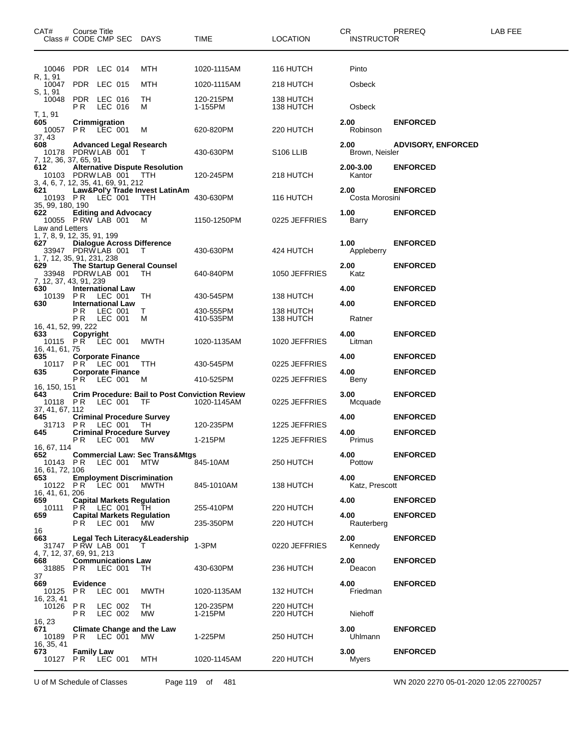| CAT#<br>Class # CODE CMP SEC DAYS                                                        | Course Title                                  |                    |                                                             | TIME                   | <b>LOCATION</b>        | CR<br><b>INSTRUCTOR</b> | PREREQ                    | LAB FEE |
|------------------------------------------------------------------------------------------|-----------------------------------------------|--------------------|-------------------------------------------------------------|------------------------|------------------------|-------------------------|---------------------------|---------|
| 10046 PDR LEC 014                                                                        |                                               |                    | MTH                                                         | 1020-1115AM            | 116 HUTCH              | Pinto                   |                           |         |
| R. 1, 91<br>10047                                                                        | PDR LEC 015                                   |                    | MTH                                                         | 1020-1115AM            | 218 HUTCH              | Osbeck                  |                           |         |
| S, 1, 91<br>10048                                                                        | PDR LEC 016<br>PR.                            | LEC 016            | TН<br>м                                                     | 120-215PM<br>1-155PM   | 138 HUTCH<br>138 HUTCH | Osbeck                  |                           |         |
| T, 1, 91<br>605<br>10057 PR LEC 001                                                      | Crimmigration                                 |                    | М                                                           | 620-820PM              | 220 HUTCH              | 2.00<br>Robinson        | <b>ENFORCED</b>           |         |
| 37, 43<br>608<br>10178 PDRW LAB 001                                                      |                                               |                    | <b>Advanced Legal Research</b><br>T                         | 430-630PM              | S <sub>106</sub> LLIB  | 2.00<br>Brown, Neisler  | <b>ADVISORY, ENFORCED</b> |         |
| 7, 12, 36, 37, 65, 91<br>612<br>10103 PDRWLAB 001<br>3, 4, 6, 7, 12, 35, 41, 69, 91, 212 |                                               |                    | <b>Alternative Dispute Resolution</b><br>TTH                | 120-245PM              | 218 HUTCH              | 2.00-3.00<br>Kantor     | <b>ENFORCED</b>           |         |
| 621<br>10193 PR LEC 001<br>35, 99, 180, 190                                              |                                               |                    | Law&Pol'y Trade Invest LatinAm<br><b>TTH</b>                | 430-630PM              | 116 HUTCH              | 2.00<br>Costa Morosini  | <b>ENFORCED</b>           |         |
| 622<br>10055 P RW LAB 001<br>Law and Letters                                             | <b>Editing and Advocacy</b>                   |                    | M                                                           | 1150-1250PM            | 0225 JEFFRIES          | 1.00<br>Barry           | <b>ENFORCED</b>           |         |
| 1, 7, 8, 9, 12, 35, 91, 199<br>627<br>33947 PDRW LAB 001<br>1, 7, 12, 35, 91, 231, 238   |                                               |                    | <b>Dialogue Across Difference</b><br>T                      | 430-630PM              | 424 HUTCH              | 1.00<br>Appleberry      | <b>ENFORCED</b>           |         |
| 629<br>33948 PDRW LAB 001<br>7, 12, 37, 43, 91, 239                                      |                                               |                    | The Startup General Counsel<br>TH                           | 640-840PM              | 1050 JEFFRIES          | 2.00<br>Katz            | <b>ENFORCED</b>           |         |
| 630<br>10139                                                                             | <b>International Law</b><br>PR.               | LEC 001            | TH                                                          | 430-545PM              | 138 HUTCH              | 4.00                    | <b>ENFORCED</b>           |         |
| 630                                                                                      | <b>International Law</b><br>P R<br>P R        | LEC 001<br>LEC 001 | T.<br>м                                                     | 430-555PM<br>410-535PM | 138 HUTCH<br>138 HUTCH | 4.00<br>Ratner          | <b>ENFORCED</b>           |         |
| 16, 41, 52, 99, 222<br>633<br>10115 PR LEC 001<br>16, 41, 61, 75                         | Copyright                                     |                    | <b>MWTH</b>                                                 | 1020-1135AM            | 1020 JEFFRIES          | 4.00<br>Litman          | <b>ENFORCED</b>           |         |
| 635<br>10117                                                                             | <b>Corporate Finance</b><br>PR.               | LEC 001            | TTH                                                         | 430-545PM              | 0225 JEFFRIES          | 4.00                    | <b>ENFORCED</b>           |         |
| 635                                                                                      | <b>Corporate Finance</b><br><b>PR LEC 001</b> |                    | M                                                           | 410-525PM              | 0225 JEFFRIES          | 4.00<br>Beny            | <b>ENFORCED</b>           |         |
| 16, 150, 151<br>643<br>10118 PR LEC 001                                                  |                                               |                    | <b>Crim Procedure: Bail to Post Conviction Review</b><br>TF | 1020-1145AM            | 0225 JEFFRIES          | 3.00<br>Mcquade         | <b>ENFORCED</b>           |         |
| 37, 41, 67, 112<br>645<br>31713 PR                                                       |                                               | LEC 001            | <b>Criminal Procedure Survey</b><br>TH                      | 120-235PM              | 1225 JEFFRIES          | 4.00                    | <b>ENFORCED</b>           |         |
| 645                                                                                      | P R                                           | LEC 001            | <b>Criminal Procedure Survey</b><br>MW.                     | 1-215PM                | 1225 JEFFRIES          | 4.00<br>Primus          | <b>ENFORCED</b>           |         |
| 16, 67, 114<br>652<br>10143 PR<br>16, 61, 72, 106                                        |                                               | LEC 001            | <b>Commercial Law: Sec Trans&amp;Mtgs</b><br>MTW            | 845-10AM               | 250 HUTCH              | 4.00<br>Pottow          | <b>ENFORCED</b>           |         |
| 653<br>10122 PR LEC 001<br>16, 41, 61, 206                                               |                                               |                    | <b>Employment Discrimination</b><br>MWTH                    | 845-1010AM             | 138 HUTCH              | 4.00<br>Katz, Prescott  | <b>ENFORCED</b>           |         |
| 659<br>10111                                                                             | PR LEC 001                                    |                    | <b>Capital Markets Regulation</b><br>TH.                    | 255-410PM              | 220 HUTCH              | 4.00                    | <b>ENFORCED</b>           |         |
| 659                                                                                      | <b>PR LEC 001</b>                             |                    | <b>Capital Markets Regulation</b><br>MW.                    | 235-350PM              | 220 HUTCH              | 4.00<br>Rauterberg      | <b>ENFORCED</b>           |         |
| 16<br>663<br>31747 PRW LAB 001<br>4, 7, 12, 37, 69, 91, 213                              |                                               |                    | Legal Tech Literacy&Leadership<br>T                         | $1-3PM$                | 0220 JEFFRIES          | 2.00<br>Kennedy         | <b>ENFORCED</b>           |         |
| 668<br>31885 PR<br>37                                                                    | <b>Communications Law</b>                     | LEC 001            | TH                                                          | 430-630PM              | 236 HUTCH              | 2.00<br>Deacon          | <b>ENFORCED</b>           |         |
| 669<br>10125<br>16, 23, 41                                                               | <b>Evidence</b><br>PR.                        | LEC 001            | <b>MWTH</b>                                                 | 1020-1135AM            | 132 HUTCH              | 4.00<br>Friedman        | <b>ENFORCED</b>           |         |
| 10126                                                                                    | PR.<br>PR.                                    | LEC 002<br>LEC 002 | TH<br><b>MW</b>                                             | 120-235PM<br>1-215PM   | 220 HUTCH<br>220 HUTCH | Niehoff                 |                           |         |
| 16, 23<br>671<br>10189<br>16, 35, 41                                                     | PR.                                           | LEC 001            | <b>Climate Change and the Law</b><br>MW.                    | 1-225PM                | 250 HUTCH              | 3.00<br>Uhlmann         | <b>ENFORCED</b>           |         |
| 673<br>10127                                                                             | <b>Family Law</b><br><b>PR LEC 001</b>        |                    | MTH                                                         | 1020-1145AM            | 220 HUTCH              | 3.00<br>Myers           | <b>ENFORCED</b>           |         |

U of M Schedule of Classes Page 119 of 481 WN 2020 2270 05-01-2020 12:05 22700257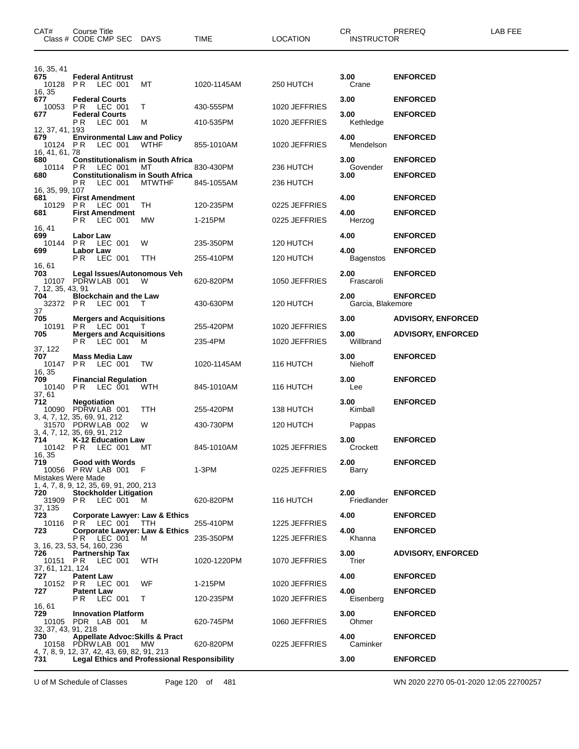| CAT#                                       | <b>Course Title</b><br>Class # CODE CMP SEC DAYS                                                   |               | TIME                   | LOCATION               | CR.<br><b>INSTRUCTOR</b>  | PREREQ                    | LAB FEE |
|--------------------------------------------|----------------------------------------------------------------------------------------------------|---------------|------------------------|------------------------|---------------------------|---------------------------|---------|
| 16, 35, 41                                 |                                                                                                    |               |                        |                        |                           |                           |         |
| 675<br>16, 35                              | <b>Federal Antitrust</b><br>10128 PR LEC 001                                                       | МT            | 1020-1145AM            | 250 HUTCH              | 3.00<br>Crane             | <b>ENFORCED</b>           |         |
| 677<br>10053                               | <b>Federal Courts</b><br><b>PR LEC 001</b>                                                         | T.            | 430-555PM              | 1020 JEFFRIES          | 3.00                      | <b>ENFORCED</b>           |         |
| 677                                        | <b>Federal Courts</b><br>P R<br>LEC 001                                                            | м             | 410-535PM              | 1020 JEFFRIES          | 3.00<br>Kethledge         | <b>ENFORCED</b>           |         |
| 12, 37, 41, 193<br>679<br>10124 PR         | <b>Environmental Law and Policy</b><br>LEC 001                                                     | <b>WTHF</b>   | 855-1010AM             | 1020 JEFFRIES          | 4.00<br>Mendelson         | <b>ENFORCED</b>           |         |
| 16, 41, 61, 78<br>680<br>10114 PR          | <b>Constitutionalism in South Africa</b><br>LEC 001                                                | МT            | 830-430PM              | 236 HUTCH              | 3.00<br>Govender          | <b>ENFORCED</b>           |         |
| 680                                        | <b>Constitutionalism in South Africa</b><br>РR<br>LEC 001                                          | <b>MTWTHF</b> | 845-1055AM             | 236 HUTCH              | 3.00                      | <b>ENFORCED</b>           |         |
| 16, 35, 99, 107<br>681<br>10129            | <b>First Amendment</b><br>PR.<br>LEC 001                                                           | TH            | 120-235PM              | 0225 JEFFRIES          | 4.00                      | <b>ENFORCED</b>           |         |
| 681                                        | <b>First Amendment</b><br>PR.<br>LEC 001                                                           | MW            | 1-215PM                | 0225 JEFFRIES          | 4.00<br>Herzog            | <b>ENFORCED</b>           |         |
| 16, 41<br>699                              | Labor Law                                                                                          |               |                        |                        | 4.00                      | <b>ENFORCED</b>           |         |
| 10144<br>699                               | <b>PR LEC 001</b><br><b>Labor Law</b><br>LEC 001<br>PR.                                            | W<br>TTH      | 235-350PM<br>255-410PM | 120 HUTCH<br>120 HUTCH | 4.00<br>Bagenstos         | <b>ENFORCED</b>           |         |
| 16, 61<br>703                              | Legal Issues/Autonomous Veh<br>10107 PDRW LAB 001                                                  | W             | 620-820PM              | 1050 JEFFRIES          | 2.00<br>Frascaroli        | <b>ENFORCED</b>           |         |
| 7, 12, 35, 43, 91<br>704<br>32372 PR<br>37 | <b>Blockchain and the Law</b><br>LEC 001                                                           | $\top$        | 430-630PM              | 120 HUTCH              | 2.00<br>Garcia, Blakemore | <b>ENFORCED</b>           |         |
| 705                                        | <b>Mergers and Acquisitions</b><br>10191 PR LEC 001                                                | $\top$        | 255-420PM              | 1020 JEFFRIES          | 3.00                      | <b>ADVISORY, ENFORCED</b> |         |
| 705                                        | <b>Mergers and Acquisitions</b><br><b>PR LEC 001</b>                                               | м             | 235-4PM                | 1020 JEFFRIES          | 3.00<br>Willbrand         | <b>ADVISORY, ENFORCED</b> |         |
| 37, 122<br>707<br>10147                    | <b>Mass Media Law</b><br>P R<br>LEC 001                                                            | TW            | 1020-1145AM            | 116 HUTCH              | 3.00<br>Niehoff           | <b>ENFORCED</b>           |         |
| 16, 35<br>709<br>10140<br>37.61            | <b>Financial Regulation</b><br>PR<br>LEC 001                                                       | WTH           | 845-1010AM             | 116 HUTCH              | 3.00<br>Lee               | <b>ENFORCED</b>           |         |
| 712                                        | <b>Negotiation</b><br>10090 PDRW LAB 001<br>3, 4, 7, 12, 35, 69, 91, 212                           | TTH           | 255-420PM              | 138 HUTCH              | 3.00<br>Kimball           | <b>ENFORCED</b>           |         |
|                                            | 31570 PDRW LAB 002<br>3, 4, 7, 12, 35, 69, 91, 212                                                 | W             | 430-730PM              | 120 HUTCH              | Pappas                    |                           |         |
| 714<br>16, 35                              | K-12 Education Law<br>10142 PR LEC 001                                                             | МT            | 845-1010AM             | 1025 JEFFRIES          | 3.00<br>Crockett          | <b>ENFORCED</b>           |         |
| 719<br>Mistakes Were Made                  | Good with Words<br>10056 P RW LAB 001                                                              | F             | 1-3PM                  | 0225 JEFFRIES          | 2.00<br>Barry             | <b>ENFORCED</b>           |         |
| 720<br>31909 PR                            | 1, 4, 7, 8, 9, 12, 35, 69, 91, 200, 213<br><b>Stockholder Litigation</b><br>LEC 001                | м             | 620-820PM              | 116 HUTCH              | 2.00<br>Friedlander       | <b>ENFORCED</b>           |         |
| 37, 135<br>723                             | <b>Corporate Lawyer: Law &amp; Ethics</b><br>10116 PR LEC 001                                      | - ттн         | 255-410PM              | 1225 JEFFRIES          | 4.00                      | <b>ENFORCED</b>           |         |
| 723                                        | <b>Corporate Lawyer: Law &amp; Ethics</b><br>PR LEC 001                                            | м             | 235-350PM              | 1225 JEFFRIES          | 4.00<br>Khanna            | <b>ENFORCED</b>           |         |
| 726<br>10151 PR                            | 3, 16, 23, 53, 54, 160, 236<br><b>Partnership Tax</b><br>LEC 001                                   | <b>WTH</b>    | 1020-1220PM            | 1070 JEFFRIES          | 3.00<br>Trier             | <b>ADVISORY, ENFORCED</b> |         |
| 37, 61, 121, 124<br>727<br>10152 PR        | Patent Law<br>LEC 001                                                                              | WF            | 1-215PM                | 1020 JEFFRIES          | 4.00                      | <b>ENFORCED</b>           |         |
| 727                                        | <b>Patent Law</b><br>P R<br>LEC 001                                                                | T.            | 120-235PM              | 1020 JEFFRIES          | 4.00<br>Eisenberg         | <b>ENFORCED</b>           |         |
| 16, 61<br>729<br>10105                     | <b>Innovation Platform</b><br>PDR LAB 001                                                          | М             | 620-745PM              | 1060 JEFFRIES          | 3.00<br>Ohmer             | <b>ENFORCED</b>           |         |
| 32, 37, 43, 91, 218<br>730                 | <b>Appellate Advoc: Skills &amp; Pract</b><br>10158 PDRW LAB 001                                   | МW            | 620-820PM              | 0225 JEFFRIES          | 4.00<br>Caminker          | <b>ENFORCED</b>           |         |
| 731                                        | 4, 7, 8, 9, 12, 37, 42, 43, 69, 82, 91, 213<br><b>Legal Ethics and Professional Responsibility</b> |               |                        |                        | 3.00                      | <b>ENFORCED</b>           |         |

U of M Schedule of Classes Page 120 of 481 WN 2020 2270 05-01-2020 12:05 22700257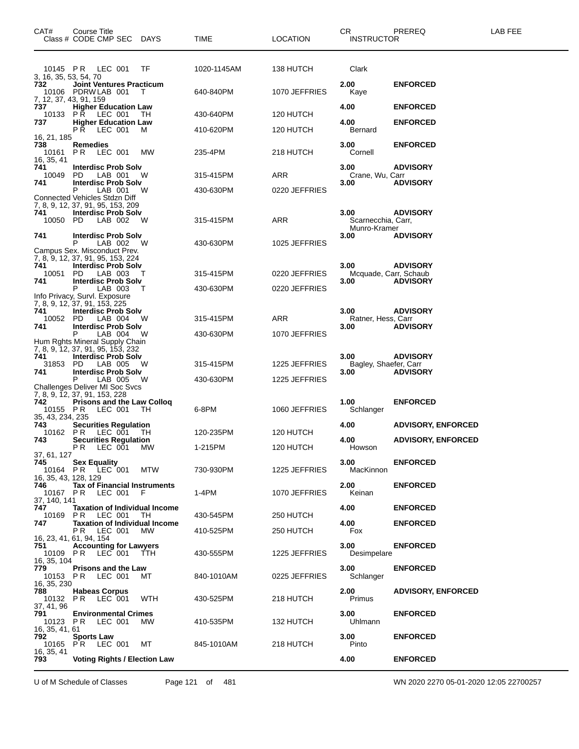| CAT#                                      | Course Title<br>Class # CODE CMP SEC DAYS                                                        |     | <b>TIME</b> | <b>LOCATION</b> | CR.<br><b>INSTRUCTOR</b>           | PREREQ                    | LAB FEE |
|-------------------------------------------|--------------------------------------------------------------------------------------------------|-----|-------------|-----------------|------------------------------------|---------------------------|---------|
| 10145 PR<br>3, 16, 35, 53, 54, 70         | LEC 001                                                                                          | TF  | 1020-1145AM | 138 HUTCH       | Clark                              |                           |         |
| 732<br>10106<br>7, 12, 37, 43, 91, 159    | <b>Joint Ventures Practicum</b><br>PDRW LAB 001                                                  | т   | 640-840PM   | 1070 JEFFRIES   | 2.00<br>Kaye                       | <b>ENFORCED</b>           |         |
| 737<br>10133                              | <b>Higher Education Law</b><br>PR<br>LEC 001                                                     | тн  | 430-640PM   | 120 HUTCH       | 4.00                               | <b>ENFORCED</b>           |         |
| 737                                       | <b>Higher Education Law</b><br>LEC 001<br>PR.                                                    | м   | 410-620PM   | 120 HUTCH       | 4.00<br>Bernard                    | <b>ENFORCED</b>           |         |
| 16, 21, 185<br>738<br>10161<br>16, 35, 41 | Remedies<br>PR.<br>LEC 001                                                                       | МW  | 235-4PM     | 218 HUTCH       | 3.00<br>Cornell                    | <b>ENFORCED</b>           |         |
| 741<br>10049                              | <b>Interdisc Prob Solv</b><br>PD.<br>LAB 001                                                     | W   | 315-415PM   | ARR             | 3.00<br>Crane, Wu, Carr            | <b>ADVISORY</b>           |         |
| 741                                       | <b>Interdisc Prob Solv</b><br>P<br>LAB 001                                                       | W   | 430-630PM   | 0220 JEFFRIES   | 3.00                               | <b>ADVISORY</b>           |         |
| 741                                       | Connected Vehicles Stdzn Diff<br>7, 8, 9, 12, 37, 91, 95, 153, 209<br><b>Interdisc Prob Solv</b> |     |             |                 | 3.00                               | <b>ADVISORY</b>           |         |
| 10050 PD                                  | LAB 002                                                                                          | W   | 315-415PM   | ARR             | Scarnecchia, Carr,<br>Munro-Kramer |                           |         |
| 741                                       | <b>Interdisc Prob Solv</b><br>P<br>LAB 002<br>Campus Sex. Misconduct Prev.                       | W   | 430-630PM   | 1025 JEFFRIES   | 3.00                               | <b>ADVISORY</b>           |         |
| 741                                       | 7, 8, 9, 12, 37, 91, 95, 153, 224<br><b>Interdisc Prob Solv</b>                                  |     |             |                 | 3.00                               | <b>ADVISORY</b>           |         |
| 10051<br>741                              | PD.<br>LAB 003<br><b>Interdisc Prob Solv</b>                                                     | т   | 315-415PM   | 0220 JEFFRIES   | Mcquade, Carr, Schaub<br>3.00      | <b>ADVISORY</b>           |         |
|                                           | P<br>LAB 003<br>Info Privacy, Survl. Exposure<br>7, 8, 9, 12, 37, 91, 153, 225                   | т   | 430-630PM   | 0220 JEFFRIES   |                                    |                           |         |
| 741<br>10052 PD                           | <b>Interdisc Prob Solv</b><br>LAB 004                                                            | W   | 315-415PM   | ARR             | 3.00<br>Ratner, Hess, Carr         | <b>ADVISORY</b>           |         |
| 741                                       | <b>Interdisc Prob Solv</b><br>P<br>LAB 004<br>Hum Rghts Mineral Supply Chain                     | - W | 430-630PM   | 1070 JEFFRIES   | 3.00                               | <b>ADVISORY</b>           |         |
| 741<br>31853                              | 7, 8, 9, 12, 37, 91, 95, 153, 232<br><b>Interdisc Prob Solv</b><br>- PD<br>LAB 005               | W   | 315-415PM   | 1225 JEFFRIES   | 3.00<br>Bagley, Shaefer, Carr      | <b>ADVISORY</b>           |         |
| 741                                       | <b>Interdisc Prob Solv</b><br>P<br>LAB 005                                                       | W   | 430-630PM   | 1225 JEFFRIES   | 3.00                               | <b>ADVISORY</b>           |         |
|                                           | Challenges Deliver MI Soc Svcs<br>7, 8, 9, 12, 37, 91, 153, 228                                  |     |             |                 |                                    |                           |         |
| 742<br>10155 PR<br>35, 43, 234, 235       | <b>Prisons and the Law Collog</b><br>LEC 001                                                     | TH  | 6-8PM       | 1060 JEFFRIES   | 1.00<br>Schlanger                  | <b>ENFORCED</b>           |         |
| 743<br>10162 PR                           | <b>Securities Regulation</b><br>LEC 001                                                          | TH  | 120-235PM   | 120 HUTCH       | 4.00                               | <b>ADVISORY, ENFORCED</b> |         |
| 743                                       | <b>Securities Regulation</b><br>PR LEC 001 MW                                                    |     | 1-215PM     | 120 HUTCH       | 4.00<br>Howson                     | <b>ADVISORY, ENFORCED</b> |         |
| 37, 61, 127<br>745                        | <b>Sex Equality</b><br>10164 PR LEC 001                                                          | MTW | 730-930PM   | 1225 JEFFRIES   | 3.00<br>MacKinnon                  | <b>ENFORCED</b>           |         |
| 16, 35, 43, 128, 129<br>746<br>10167 PR   | Tax of Financial Instruments<br>LEC 001 F                                                        |     | $1-4PM$     | 1070 JEFFRIES   | 2.00<br>Keinan                     | <b>ENFORCED</b>           |         |
| 37, 140, 141<br>747                       | <b>Taxation of Individual Income</b>                                                             |     |             |                 | 4.00                               | <b>ENFORCED</b>           |         |
| 10169 PR<br>747                           | LEC 001<br><b>Taxation of Individual Income</b>                                                  | TH. | 430-545PM   | 250 HUTCH       | 4.00                               | <b>ENFORCED</b>           |         |
|                                           | LEC 001<br>PR.<br>16, 23, 41, 61, 94, 154                                                        | MW. | 410-525PM   | 250 HUTCH       | Fox                                |                           |         |
| 751<br>16.35.104                          | <b>Accounting for Lawyers</b><br>10109 PR LEC 001 TTH                                            |     | 430-555PM   | 1225 JEFFRIES   | 3.00<br>Desimpelare                | <b>ENFORCED</b>           |         |
| 779<br>10153 PR<br>16, 35, 230            | <b>Prisons and the Law</b><br>LEC 001                                                            | МT  | 840-1010AM  | 0225 JEFFRIES   | 3.00<br>Schlanger                  | <b>ENFORCED</b>           |         |
| 788<br>10132 PR<br>37, 41, 96             | <b>Habeas Corpus</b><br>LEC 001                                                                  | WTH | 430-525PM   | 218 HUTCH       | 2.00<br>Primus                     | <b>ADVISORY, ENFORCED</b> |         |
| 791<br>10123 PR                           | <b>Environmental Crimes</b><br>LEC 001                                                           | МW  | 410-535PM   | 132 HUTCH       | 3.00<br>Uhlmann                    | <b>ENFORCED</b>           |         |
| 16, 35, 41, 61<br>792                     | <b>Sports Law</b><br>10165 PR LEC 001                                                            | МT  | 845-1010AM  | 218 HUTCH       | 3.00<br>Pinto                      | <b>ENFORCED</b>           |         |
| 16, 35, 41<br>793                         | <b>Voting Rights / Election Law</b>                                                              |     |             |                 | 4.00                               | <b>ENFORCED</b>           |         |

U of M Schedule of Classes Page 121 of 481 WN 2020 2270 05-01-2020 12:05 22700257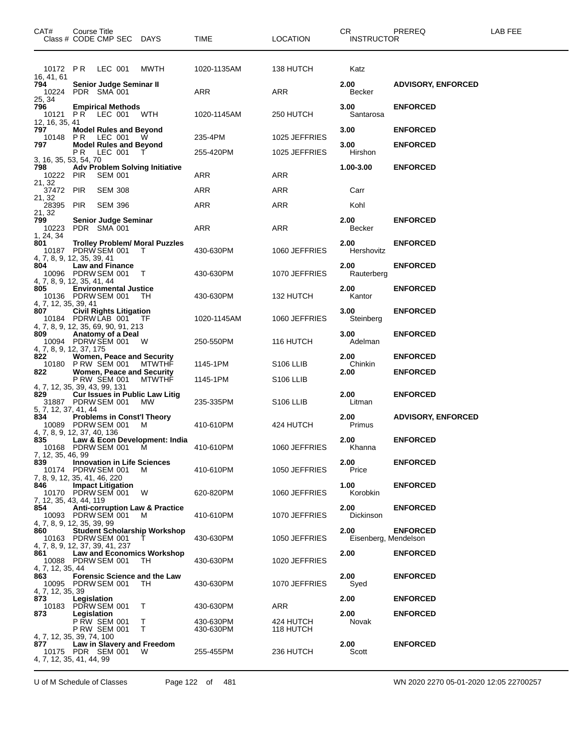| CAT#                                           | Course Title               | Class # CODE CMP SEC DAYS                                                                     |                                                | <b>TIME</b>            | <b>LOCATION</b>        | CR.<br><b>INSTRUCTOR</b>     | PREREQ                             | LAB FEE |
|------------------------------------------------|----------------------------|-----------------------------------------------------------------------------------------------|------------------------------------------------|------------------------|------------------------|------------------------------|------------------------------------|---------|
|                                                |                            | 10172 PR LEC 001                                                                              | MWTH                                           | 1020-1135AM            | 138 HUTCH              | Katz                         |                                    |         |
| 16, 41, 61<br>794                              |                            | Senior Judge Seminar II<br>10224 PDR SMA 001                                                  |                                                | ARR                    | ARR                    | 2.00<br>Becker               | <b>ADVISORY, ENFORCED</b>          |         |
| 25, 34<br>796                                  |                            | <b>Empirical Methods</b><br>10121 PR LEC 001                                                  | WTH                                            | 1020-1145AM            | 250 HUTCH              | 3.00<br>Santarosa            | <b>ENFORCED</b>                    |         |
| 12, 16, 35, 41<br>797                          |                            | <b>Model Rules and Beyond</b>                                                                 |                                                |                        |                        | 3.00                         | <b>ENFORCED</b>                    |         |
| 797                                            |                            | 10148 PR LEC 001 W<br><b>Model Rules and Beyond</b>                                           |                                                | 235-4PM                | 1025 JEFFRIES          | 3.00                         | <b>ENFORCED</b>                    |         |
| 3, 16, 35, 53, 54, 70                          | PR.                        | LEC 001                                                                                       |                                                | 255-420PM              | 1025 JEFFRIES          | Hirshon                      |                                    |         |
| 798<br>10222 PIR<br>21, 32                     |                            | SEM 001                                                                                       | <b>Adv Problem Solving Initiative</b>          | ARR                    | ARR                    | 1.00-3.00                    | <b>ENFORCED</b>                    |         |
| 37472 PIR                                      |                            | <b>SEM 308</b>                                                                                |                                                | <b>ARR</b>             | ARR                    | Carr                         |                                    |         |
| 21, 32<br>28395 PIR                            |                            | <b>SEM 396</b>                                                                                |                                                | <b>ARR</b>             | ARR                    | Kohl                         |                                    |         |
| 21, 32<br>799                                  |                            | <b>Senior Judge Seminar</b><br>10223 PDR SMA 001                                              |                                                | <b>ARR</b>             | <b>ARR</b>             | 2.00<br>Becker               | <b>ENFORCED</b>                    |         |
| 1, 24, 34<br>801<br>4, 7, 8, 9, 12, 35, 39, 41 |                            | 10187 PDRW SEM 001                                                                            | <b>Trolley Problem/ Moral Puzzles</b><br>T     | 430-630PM              | 1060 JEFFRIES          | 2.00<br>Hershovitz           | <b>ENFORCED</b>                    |         |
| 804<br>4, 7, 8, 9, 12, 35, 41, 44              |                            | <b>Law and Finance</b><br>10096 PDRW SEM 001                                                  | $\top$                                         | 430-630PM              | 1070 JEFFRIES          | 2.00<br>Rauterberg           | <b>ENFORCED</b>                    |         |
| 805<br>4, 7, 12, 35, 39, 41                    |                            | <b>Environmental Justice</b><br>10136 PDRW SEM 001                                            | TH                                             | 430-630PM              | 132 HUTCH              | 2.00<br>Kantor               | <b>ENFORCED</b>                    |         |
| 807                                            |                            | <b>Civil Rights Litigation</b><br>10184 PDRWLAB 001 TF<br>4, 7, 8, 9, 12, 35, 69, 90, 91, 213 |                                                | 1020-1145AM            | 1060 JEFFRIES          | 3.00<br>Steinberg            | <b>ENFORCED</b>                    |         |
| 809<br>4, 7, 8, 9, 12, 37, 175                 |                            | Anatomy of a Deal<br>10094 PDRW SEM 001                                                       | <b>W</b>                                       | 250-550PM              | 116 HUTCH              | 3.00<br>Adelman              | <b>ENFORCED</b>                    |         |
| 822                                            |                            | Women, Peace and Security<br>10180 PRW SEM 001 MTWTHF                                         |                                                | 1145-1PM               | S <sub>106</sub> LLIB  | 2.00<br>Chinkin              | <b>ENFORCED</b>                    |         |
| 822                                            |                            | Women, Peace and Security<br>PRW SEM 001                                                      | MTWTHF                                         | 1145-1PM               | S106 LLIB              | 2.00                         | <b>ENFORCED</b>                    |         |
| 4, 7, 12, 35, 39, 43, 99, 131                  |                            |                                                                                               |                                                |                        |                        |                              |                                    |         |
| 829<br>5, 7, 12, 37, 41, 44                    |                            | <b>Cur Issues in Public Law Litig</b><br>31887 PDRW SEM 001                                   | MW.                                            | 235-335PM              | S <sub>106</sub> LLIB  | 2.00<br>Litman               | <b>ENFORCED</b>                    |         |
| 834<br>4, 7, 8, 9, 12, 37, 40, 136             |                            | <b>Problems in Const'l Theory</b><br>10089 PDRW SEM 001                                       | M                                              | 410-610PM              | 424 HUTCH              | 2.00<br>Primus               | <b>ADVISORY, ENFORCED</b>          |         |
| 835<br>7, 12, 35, 46, 99                       |                            | 10168 PDRW SEM 001 M                                                                          | Law & Econ Development: India                  | 410-610PM              | 1060 JEFFRIES          | 2.00<br>Khanna               | <b>ENFORCED</b>                    |         |
| 839<br>7, 8, 9, 12, 35, 41, 46, 220            |                            | <b>Innovation in Life Sciences</b><br>10174 PDRW SEM 001                                      | M                                              | 410-610PM              | 1050 JEFFRIES          | 2.00<br>Price                | <b>ENFORCED</b>                    |         |
| 846<br>7, 12, 35, 43, 44, 119                  |                            | <b>Impact Litigation</b><br>10170 PDRW SEM 001                                                | W                                              | 620-820PM              | 1060 JEFFRIES          | 1.00<br>Korobkin             | <b>ENFORCED</b>                    |         |
| 854<br>4, 7, 8, 9, 12, 35, 39, 99              |                            | 10093 PDRW SEM 001                                                                            | <b>Anti-corruption Law &amp; Practice</b><br>M | 410-610PM              | 1070 JEFFRIES          | 2.00<br>Dickinson            | <b>ENFORCED</b>                    |         |
| 860<br>4, 7, 8, 9, 12, 37, 39, 41, 237         |                            | 10163 PDRW SEM 001                                                                            | <b>Student Scholarship Workshop</b>            | 430-630PM              | 1050 JEFFRIES          | 2.00<br>Eisenberg, Mendelson | <b>ENFORCED</b>                    |         |
| 861<br>4, 7, 12, 35, 44                        |                            | 10088 PDRW SEM 001                                                                            | <b>Law and Economics Workshop</b><br>- TH      | 430-630PM              | 1020 JEFFRIES          | 2.00                         | <b>ENFORCED</b>                    |         |
| 863<br>4, 7, 12, 35, 39                        |                            | 10095 PDRW SEM 001                                                                            | <b>Forensic Science and the Law</b><br>TH.     | 430-630PM              | 1070 JEFFRIES          | 2.00<br>Syed                 | <b>ENFORCED</b>                    |         |
| 873<br>873                                     | Legislation<br>Legislation | 10183 PDRW SEM 001                                                                            | Т                                              | 430-630PM              | ARR                    | 2.00<br>2.00                 | <b>ENFORCED</b><br><b>ENFORCED</b> |         |
| 4, 7, 12, 35, 39, 74, 100                      |                            | <b>P RW SEM 001</b><br><b>P RW SEM 001</b>                                                    | Т<br>Т                                         | 430-630PM<br>430-630PM | 424 HUTCH<br>118 HUTCH | Novak                        |                                    |         |
| 877.<br>4, 7, 12, 35, 41, 44, 99               |                            | Law in Slavery and Freedom<br>10175 PDR SEM 001                                               | <b>W</b>                                       | 255-455PM              | 236 HUTCH              | 2.00<br>Scott                | <b>ENFORCED</b>                    |         |

U of M Schedule of Classes Page 122 of 481 WN 2020 2270 05-01-2020 12:05 22700257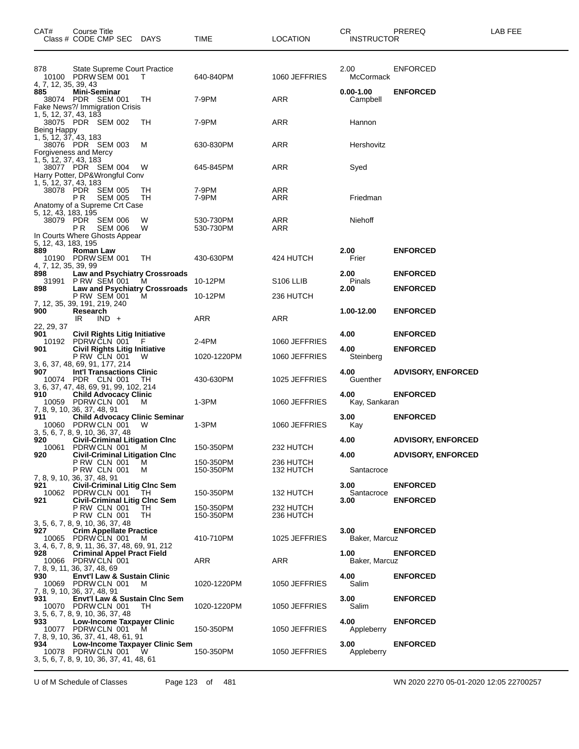| CAT#                                               | Course Title<br>Class # CODE CMP SEC                                                                                          | DAYS     | TIME                   | <b>LOCATION</b>        | CR<br><b>INSTRUCTOR</b>   | PREREQ                    | LAB FEE |
|----------------------------------------------------|-------------------------------------------------------------------------------------------------------------------------------|----------|------------------------|------------------------|---------------------------|---------------------------|---------|
| 878<br>4, 7, 12, 35, 39, 43                        | State Supreme Court Practice<br>10100 PDRW SEM 001                                                                            | т        | 640-840PM              | 1060 JEFFRIES          | 2.00<br>McCormack         | <b>ENFORCED</b>           |         |
| 885                                                | Mini-Seminar<br>38074 PDR SEM 001<br>Fake News?/ Immigration Crisis                                                           | TН       | 7-9PM                  | ARR                    | $0.00 - 1.00$<br>Campbell | <b>ENFORCED</b>           |         |
| 1, 5, 12, 37, 43, 183<br>Being Happy               | 38075 PDR SEM 002                                                                                                             | TН       | 7-9PM                  | <b>ARR</b>             | Hannon                    |                           |         |
| 1, 5, 12, 37, 43, 183                              | 38076 PDR SEM 003<br>Forgiveness and Mercy                                                                                    | м        | 630-830PM              | <b>ARR</b>             | Hershovitz                |                           |         |
| 1, 5, 12, 37, 43, 183<br>1, 5, 12, 37, 43, 183     | 38077 PDR SEM 004<br>Harry Potter, DP&Wrongful Conv                                                                           | W        | 645-845PM              | ARR                    | Syed                      |                           |         |
|                                                    | 38078 PDR SEM 005<br>P R<br><b>SEM 005</b><br>Anatomy of a Supreme Crt Case                                                   | ТH<br>TН | 7-9PM<br>7-9PM         | ARR<br>ARR             | Friedman                  |                           |         |
| 5, 12, 43, 183, 195                                | 38079 PDR SEM 006<br><b>SEM 006</b><br>P R<br>In Courts Where Ghosts Appear                                                   | W<br>W   | 530-730PM<br>530-730PM | ARR<br>ARR             | Niehoff                   |                           |         |
| 5, 12, 43, 183, 195<br>889<br>4, 7, 12, 35, 39, 99 | Roman Law<br>10190 PDRW SEM 001                                                                                               | TН       | 430-630PM              | 424 HUTCH              | 2.00<br>Frier             | <b>ENFORCED</b>           |         |
| 898                                                | <b>Law and Psychiatry Crossroads</b><br>31991 P RW SEM 001                                                                    | M        | 10-12PM                | S <sub>106</sub> LLIB  | 2.00<br>Pinals            | <b>ENFORCED</b>           |         |
| 898                                                | <b>Law and Psychiatry Crossroads</b><br>PRW SEM 001                                                                           | м        | 10-12PM                | 236 HUTCH              | 2.00                      | <b>ENFORCED</b>           |         |
| 900                                                | 7, 12, 35, 39, 191, 219, 240<br>Research<br>$IND +$<br>IR.                                                                    |          | <b>ARR</b>             | ARR                    | 1.00-12.00                | <b>ENFORCED</b>           |         |
| 22, 29, 37<br>901<br>10192                         | <b>Civil Rights Litig Initiative</b><br>PDRW CLN 001                                                                          | F        | 2-4PM                  | 1060 JEFFRIES          | 4.00                      | <b>ENFORCED</b>           |         |
| 901                                                | Civil Rights Litig Initiative<br>P RW CLN 001                                                                                 | W        | 1020-1220PM            | 1060 JEFFRIES          | 4.00<br>Steinberg         | <b>ENFORCED</b>           |         |
| 907.                                               | 3, 6, 37, 48, 69, 91, 177, 214<br><b>Int'l Transactions Clinic</b><br>10074 PDR CLN 001                                       | TН       | 430-630PM              | 1025 JEFFRIES          | 4.00<br>Guenther          | <b>ADVISORY, ENFORCED</b> |         |
| 910                                                | 3, 6, 37, 47, 48, 69, 91, 99, 102, 214<br><b>Child Advocacy Clinic</b><br>10059 PDRW CLN 001                                  | M        | 1-3PM                  | 1060 JEFFRIES          | 4.00<br>Kay, Sankaran     | <b>ENFORCED</b>           |         |
| 911                                                | 7, 8, 9, 10, 36, 37, 48, 91<br><b>Child Advocacy Clinic Seminar</b><br>10060 PDRW CLN 001<br>3, 5, 6, 7, 8, 9, 10, 36, 37, 48 | W        | 1-3PM                  | 1060 JEFFRIES          | 3.00<br>Kay               | <b>ENFORCED</b>           |         |
| 920                                                | <b>Civil-Criminal Litigation Cinc</b><br>10061 PDRW CLN 001                                                                   | м        | 150-350PM              | 232 HUTCH              | 4.00                      | <b>ADVISORY, ENFORCED</b> |         |
| 920                                                | <b>Civil-Criminal Litigation Clnc</b><br>PRW CLN 001<br><b>P RW CLN 001</b>                                                   | M<br>м   | 150-350PM<br>150-350PM | 236 HUTCH<br>132 HUTCH | 4.00<br>Santacroce        | <b>ADVISORY, ENFORCED</b> |         |
| 921<br>10062                                       | 7, 8, 9, 10, 36, 37, 48, 91<br><b>Civil-Criminal Litig Clnc Sem</b><br>PDRWCLN 001                                            | TH       | 150-350PM              | 132 HUTCH              | 3.00<br>Santacroce        | <b>ENFORCED</b>           |         |
| 921                                                | <b>Civil-Criminal Litig Clnc Sem</b><br><b>P RW CLN 001</b>                                                                   | TН       | 150-350PM              | 232 HUTCH              | 3.00                      | <b>ENFORCED</b>           |         |
|                                                    | <b>P RW CLN 001</b><br>3, 5, 6, 7, 8, 9, 10, 36, 37, 48                                                                       | TН       | 150-350PM              | 236 HUTCH              |                           |                           |         |
| 927                                                | <b>Crim Appellate Practice</b><br>10065 PDRW CLN 001<br>3, 4, 6, 7, 8, 9, 11, 36, 37, 48, 69, 91, 212                         | м        | 410-710PM              | 1025 JEFFRIES          | 3.00<br>Baker, Marcuz     | <b>ENFORCED</b>           |         |
| 928<br>10066                                       | <b>Criminal Appel Pract Field</b><br>PDRW CLN 001                                                                             |          | ARR                    | ARR                    | 1.00<br>Baker, Marcuz     | <b>ENFORCED</b>           |         |
| 930                                                | 7, 8, 9, 11, 36, 37, 48, 69<br><b>Envt'l Law &amp; Sustain Clinic</b><br>10069 PDRW CLN 001<br>7, 8, 9, 10, 36, 37, 48, 91    | M        | 1020-1220PM            | 1050 JEFFRIES          | 4.00<br>Salim             | <b>ENFORCED</b>           |         |
| 931                                                | <b>Envt'l Law &amp; Sustain Cinc Sem</b><br>10070 PDRW CLN 001<br>3, 5, 6, 7, 8, 9, 10, 36, 37, 48                            | TH.      | 1020-1220PM            | 1050 JEFFRIES          | 3.00<br>Salim             | <b>ENFORCED</b>           |         |
| 933                                                | <b>Low-Income Taxpayer Clinic</b><br>10077 PDRW CLN 001<br>7, 8, 9, 10, 36, 37, 41, 48, 61, 91                                | M        | 150-350PM              | 1050 JEFFRIES          | 4.00<br>Appleberry        | <b>ENFORCED</b>           |         |
| 934                                                | Low-Income Taxpayer Clinic Sem<br>10078 PDRW CLN 001<br>3, 5, 6, 7, 8, 9, 10, 36, 37, 41, 48, 61                              | W        | 150-350PM              | 1050 JEFFRIES          | 3.00<br>Appleberry        | <b>ENFORCED</b>           |         |

U of M Schedule of Classes Page 123 of 481 WN 2020 2270 05-01-2020 12:05 22700257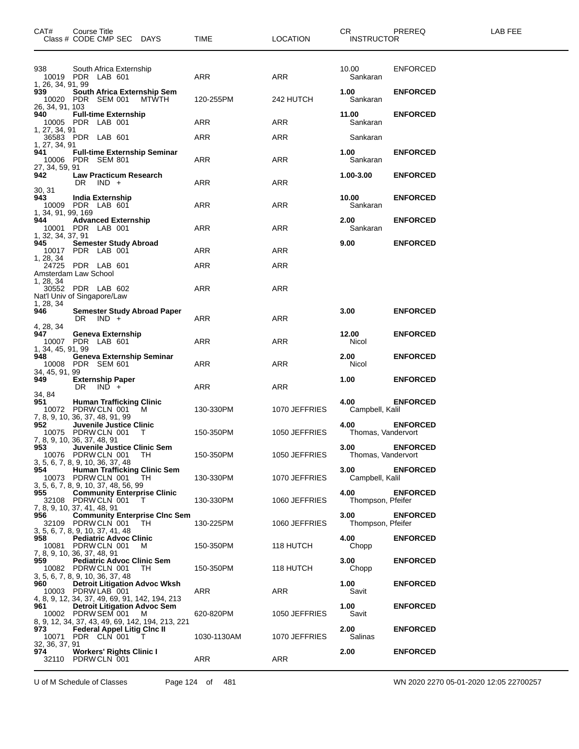| CAT#                                                              | Course Title     |         | Class # CODE CMP SEC DAYS       |                                                                                              | TIME        | LOCATION      | CR.<br><b>INSTRUCTOR</b>   | PREREQ          | LAB FEE |
|-------------------------------------------------------------------|------------------|---------|---------------------------------|----------------------------------------------------------------------------------------------|-------------|---------------|----------------------------|-----------------|---------|
| 938<br>10019 PDR LAB 601                                          |                  |         | South Africa Externship         |                                                                                              | ARR         | ARR           | 10.00<br>Sankaran          | ENFORCED        |         |
| 1, 26, 34, 91, 99<br>939<br>10020 PDR SEM 001                     |                  |         |                                 | South Africa Externship Sem<br><b>MTWTH</b>                                                  | 120-255PM   | 242 HUTCH     | 1.00<br>Sankaran           | <b>ENFORCED</b> |         |
| 26, 34, 91, 103<br>940<br>10005 PDR LAB 001                       |                  |         | <b>Full-time Externship</b>     |                                                                                              | ARR         | ARR           | 11.00<br>Sankaran          | <b>ENFORCED</b> |         |
| 1, 27, 34, 91<br>36583 PDR LAB 601                                |                  |         |                                 |                                                                                              | ARR         | ARR           | Sankaran                   |                 |         |
| 1, 27, 34, 91<br>941<br>10006 PDR SEM 801<br>27, 34, 59, 91       |                  |         |                                 | <b>Full-time Externship Seminar</b>                                                          | ARR         | ARR           | 1.00<br>Sankaran           | <b>ENFORCED</b> |         |
| 942<br>30, 31                                                     | DR.              | $IND +$ | <b>Law Practicum Research</b>   |                                                                                              | ARR         | ARR           | 1.00-3.00                  | <b>ENFORCED</b> |         |
| 943.<br>10009 PDR LAB 601<br>1, 34, 91, 99, 169                   | India Externship |         |                                 |                                                                                              | ARR         | ARR           | 10.00<br>Sankaran          | <b>ENFORCED</b> |         |
| 944<br>10001 PDR LAB 001<br>1, 32, 34, 37, 91                     |                  |         | <b>Advanced Externship</b>      |                                                                                              | ARR         | ARR           | 2.00<br>Sankaran           | <b>ENFORCED</b> |         |
| 945<br>10017 PDR LAB 001<br>1, 28, 34                             |                  |         | <b>Semester Study Abroad</b>    |                                                                                              | ARR         | ARR           | 9.00                       | <b>ENFORCED</b> |         |
| 24725 PDR LAB 601<br>Amsterdam Law School                         |                  |         |                                 |                                                                                              | ARR         | ARR           |                            |                 |         |
| 1, 28, 34<br>30552 PDR LAB 602<br>Nat'l Univ of Singapore/Law     |                  |         |                                 |                                                                                              | ARR         | ARR           |                            |                 |         |
| 1, 28, 34<br>946                                                  | DR $\vert$ IND + |         |                                 | Semester Study Abroad Paper                                                                  | ARR         | ARR           | 3.00                       | <b>ENFORCED</b> |         |
| 4, 28, 34<br>947<br>10007 PDR LAB 601<br>1, 34, 45, 91, 99        |                  |         | Geneva Externship               |                                                                                              | ARR         | ARR           | 12.00<br>Nicol             | <b>ENFORCED</b> |         |
| 948<br>10008 PDR SEM 601<br>34, 45, 91, 99                        |                  |         |                                 | <b>Geneva Externship Seminar</b>                                                             | ARR         | ARR           | 2.00<br>Nicol              | <b>ENFORCED</b> |         |
| 949<br>34, 84                                                     | DR $\vert$ IND + |         | <b>Externship Paper</b>         |                                                                                              | ARR         | ARR           | 1.00                       | <b>ENFORCED</b> |         |
| 951<br>10072 PDRW CLN 001<br>7, 8, 9, 10, 36, 37, 48, 91, 99      |                  |         | <b>Human Trafficking Clinic</b> | M                                                                                            | 130-330PM   | 1070 JEFFRIES | 4.00<br>Campbell, Kalil    | <b>ENFORCED</b> |         |
| 952<br>10075 PDRW CLN 001<br>7, 8, 9, 10, 36, 37, 48, 91          |                  |         | Juvenile Justice Clinic         | Т                                                                                            | 150-350PM   | 1050 JEFFRIES | 4.00<br>Thomas, Vandervort | <b>ENFORCED</b> |         |
| 953<br>10076 PDRW CLN 001<br>3, 5, 6, 7, 8, 9, 10, 36, 37, 48     |                  |         |                                 | Juvenile Justice Clinic Sem<br>TH                                                            | 150-350PM   | 1050 JEFFRIES | 3.00<br>Thomas, Vandervort | <b>ENFORCED</b> |         |
| 954<br>10073 PDRW CLN 001<br>3, 5, 6, 7, 8, 9, 10, 37, 48, 56, 99 |                  |         |                                 | <b>Human Trafficking Clinic Sem</b><br>TH.                                                   | 130-330PM   | 1070 JEFFRIES | 3.00<br>Campbell, Kalil    | <b>ENFORCED</b> |         |
| 955<br>32108 PDRW CLN 001<br>7, 8, 9, 10, 37, 41, 48, 91          |                  |         |                                 | <b>Community Enterprise Clinic</b><br>T                                                      | 130-330PM   | 1060 JEFFRIES | 4.00<br>Thompson, Pfeifer  | <b>ENFORCED</b> |         |
| 956<br>32109 PDRW CLN 001<br>3, 5, 6, 7, 8, 9, 10, 37, 41, 48     |                  |         |                                 | <b>Community Enterprise Cinc Sem</b><br>TH.                                                  | 130-225PM   | 1060 JEFFRIES | 3.00<br>Thompson, Pfeifer  | <b>ENFORCED</b> |         |
| 958<br>10081<br>7, 8, 9, 10, 36, 37, 48, 91                       | PDRW CLN 001     |         | <b>Pediatric Advoc Clinic</b>   | м                                                                                            | 150-350PM   | 118 HUTCH     | 4.00<br>Chopp              | <b>ENFORCED</b> |         |
| 959<br>10082 PDRW CLN 001<br>3, 5, 6, 7, 8, 9, 10, 36, 37, 48     |                  |         |                                 | <b>Pediatric Advoc Clinic Sem</b><br>TH.                                                     | 150-350PM   | 118 HUTCH     | 3.00<br>Chopp              | <b>ENFORCED</b> |         |
| 960<br>10003 PDRW LAB 001                                         |                  |         |                                 | <b>Detroit Litigation Advoc Wksh</b><br>4, 8, 9, 12, 34, 37, 49, 69, 91, 142, 194, 213       | ARR         | ARR           | 1.00<br>Savit              | <b>ENFORCED</b> |         |
| 961<br>10002 PDRW SEM 001                                         |                  |         |                                 | <b>Detroit Litigation Advoc Sem</b><br>м<br>8, 9, 12, 34, 37, 43, 49, 69, 142, 194, 213, 221 | 620-820PM   | 1050 JEFFRIES | 1.00<br>Savit              | <b>ENFORCED</b> |         |
| 973.<br>10071<br>32, 36, 37, 91                                   | PDR CLN 001      |         |                                 | <b>Federal Appel Litig Cinc II</b><br>T                                                      | 1030-1130AM | 1070 JEFFRIES | 2.00<br>Salinas            | <b>ENFORCED</b> |         |
| 974<br>32110 PDRW CLN 001                                         |                  |         | <b>Workers' Rights Clinic I</b> |                                                                                              | ARR         | ARR           | 2.00                       | <b>ENFORCED</b> |         |

U of M Schedule of Classes Page 124 of 481 WN 2020 2270 05-01-2020 12:05 22700257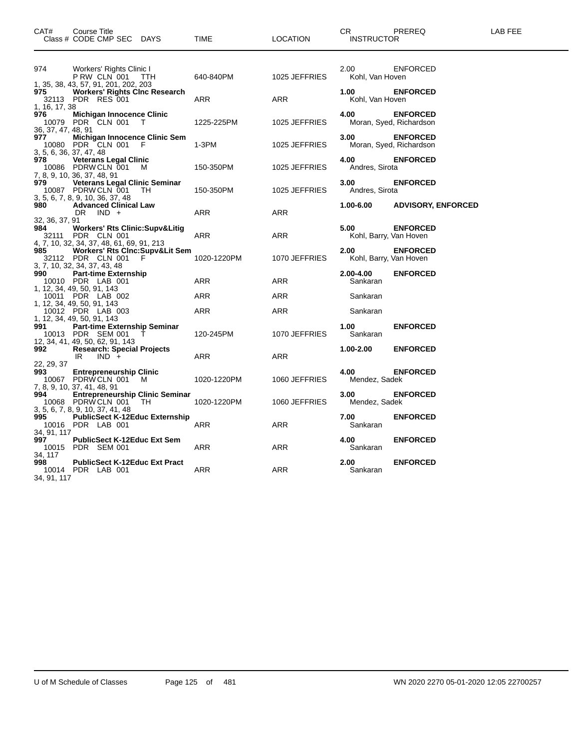| CAT#                      | Course Title<br>Class # CODE CMP SEC DAYS                                                              | TIME              | <b>LOCATION</b>          | CR.<br>PREREQ<br><b>INSTRUCTOR</b>                   | LAB FEE |
|---------------------------|--------------------------------------------------------------------------------------------------------|-------------------|--------------------------|------------------------------------------------------|---------|
| 974                       | Workers' Rights Clinic I<br>PRW CLN 001<br><b>TTH</b>                                                  | 640-840PM         | 1025 JEFFRIES            | 2.00<br><b>ENFORCED</b><br>Kohl, Van Hoven           |         |
| 975<br>1, 16, 17, 38      | 1, 35, 38, 43, 57, 91, 201, 202, 203<br><b>Workers' Rights Cinc Research</b><br>32113 PDR RES 001      | ARR               | ARR                      | 1.00<br><b>ENFORCED</b><br>Kohl, Van Hoven           |         |
| 976<br>36, 37, 47, 48, 91 | <b>Michigan Innocence Clinic</b><br>10079 PDR CLN 001<br>T                                             | 1225-225PM        | 1025 JEFFRIES            | 4.00<br><b>ENFORCED</b><br>Moran, Syed, Richardson   |         |
| 977                       | Michigan Innocence Clinic Sem<br>10080 PDR CLN 001<br>- F<br>3, 5, 6, 36, 37, 47, 48                   | $1-3PM$           | 1025 JEFFRIES            | 3.00<br><b>ENFORCED</b><br>Moran, Syed, Richardson   |         |
| 978                       | <b>Veterans Legal Clinic</b><br>10086 PDRW CLN 001 M<br>7, 8, 9, 10, 36, 37, 48, 91                    | 150-350PM         | 1025 JEFFRIES            | 4.00<br><b>ENFORCED</b><br>Andres, Sirota            |         |
| 979                       | <b>Veterans Legal Clinic Seminar</b><br>10087 PDRW CLN 001<br>TH.<br>3, 5, 6, 7, 8, 9, 10, 36, 37, 48  | 150-350PM         | 1025 JEFFRIES            | 3.00<br><b>ENFORCED</b><br>Andres, Sirota            |         |
| 980<br>32, 36, 37, 91     | <b>Advanced Clinical Law</b><br>$IND +$<br>DR                                                          | ARR               | ARR                      | 1.00-6.00<br><b>ADVISORY, ENFORCED</b>               |         |
| 984<br>32111              | <b>Workers' Rts Clinic: Supv&amp;Litig</b><br>PDR CLN 001<br>4, 7, 10, 32, 34, 37, 48, 61, 69, 91, 213 | ARR               | ARR                      | 5.00<br><b>ENFORCED</b><br>Kohl, Barry, Van Hoven    |         |
| 985                       | Workers' Rts Clnc:Supv&Lit Sem<br>32112 PDR CLN 001<br>- F<br>3, 7, 10, 32, 34, 37, 43, 48             | 1020-1220PM       | 1070 JEFFRIES            | 2.00<br><b>ENFORCED</b><br>Kohl, Barry, Van Hoven    |         |
| 990<br>10011              | <b>Part-time Externship</b><br>10010 PDR LAB 001<br>1, 12, 34, 49, 50, 91, 143<br>PDR LAB 002          | <b>ARR</b><br>ARR | <b>ARR</b><br><b>ARR</b> | 2.00-4.00<br><b>ENFORCED</b><br>Sankaran<br>Sankaran |         |
|                           | 1, 12, 34, 49, 50, 91, 143<br>10012 PDR LAB 003<br>1, 12, 34, 49, 50, 91, 143                          | ARR               | ARR                      | Sankaran                                             |         |
| 991                       | Part-time Externship Seminar<br>10013 PDR SEM 001<br>Τ<br>12, 34, 41, 49, 50, 62, 91, 143              | 120-245PM         | 1070 JEFFRIES            | 1.00<br><b>ENFORCED</b><br>Sankaran                  |         |
| 992<br>22, 29, 37         | <b>Research: Special Projects</b><br>$IND +$<br>IR.                                                    | ARR               | <b>ARR</b>               | 1.00-2.00<br><b>ENFORCED</b>                         |         |
| 993                       | <b>Entrepreneurship Clinic</b><br>10067 PDRW CLN 001 M<br>7, 8, 9, 10, 37, 41, 48, 91                  | 1020-1220PM       | 1060 JEFFRIES            | 4.00<br><b>ENFORCED</b><br>Mendez, Sadek             |         |
| 994                       | <b>Entrepreneurship Clinic Seminar</b><br>10068 PDRW CLN 001<br>TH<br>3, 5, 6, 7, 8, 9, 10, 37, 41, 48 | 1020-1220PM       | 1060 JEFFRIES            | 3.00<br><b>ENFORCED</b><br>Mendez, Sadek             |         |
| 995<br>34, 91, 117        | <b>PublicSect K-12Educ Externship</b><br>10016 PDR LAB 001                                             | ARR               | <b>ARR</b>               | 7.00<br><b>ENFORCED</b><br>Sankaran                  |         |
| 997<br>34, 117            | <b>PublicSect K-12Educ Ext Sem</b><br>10015 PDR SEM 001                                                | ARR               | ARR                      | 4.00<br><b>ENFORCED</b><br>Sankaran                  |         |
| 998<br>34, 91, 117        | <b>PublicSect K-12Educ Ext Pract</b><br>10014 PDR LAB 001                                              | ARR               | ARR                      | 2.00<br><b>ENFORCED</b><br>Sankaran                  |         |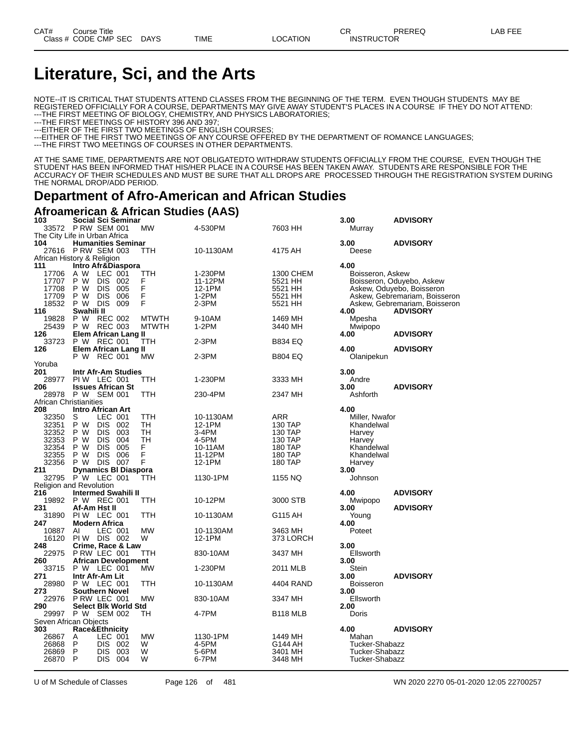## **Literature, Sci, and the Arts**

NOTE--IT IS CRITICAL THAT STUDENTS ATTEND CLASSES FROM THE BEGINNING OF THE TERM. EVEN THOUGH STUDENTS MAY BE REGISTERED OFFICIALLY FOR A COURSE, DEPARTMENTS MAY GIVE AWAY STUDENT'S PLACES IN A COURSE IF THEY DO NOT ATTEND: ---THE FIRST MEETING OF BIOLOGY, CHEMISTRY, AND PHYSICS LABORATORIES;

---THE FIRST MEETINGS OF HISTORY 396 AND 397;

---EITHER OF THE FIRST TWO MEETINGS OF ENGLISH COURSES;

---EITHER OF THE FIRST TWO MEETINGS OF ANY COURSE OFFERED BY THE DEPARTMENT OF ROMANCE LANGUAGES;

---THE FIRST TWO MEETINGS OF COURSES IN OTHER DEPARTMENTS.

AT THE SAME TIME, DEPARTMENTS ARE NOT OBLIGATEDTO WITHDRAW STUDENTS OFFICIALLY FROM THE COURSE, EVEN THOUGH THE STUDENT HAS BEEN INFORMED THAT HIS/HER PLACE IN A COURSE HAS BEEN TAKEN AWAY. STUDENTS ARE RESPONSIBLE FOR THE ACCURACY OF THEIR SCHEDULES AND MUST BE SURE THAT ALL DROPS ARE PROCESSED THROUGH THE REGISTRATION SYSTEM DURING THE NORMAL DROP/ADD PERIOD.

#### **Department of Afro-American and African Studies**

#### **Afroamerican & African Studies (AAS)**

| 103                            | Social Sci Seminar          |            |     |                              |           |                      | 3.00             | ADVISORY                      |
|--------------------------------|-----------------------------|------------|-----|------------------------------|-----------|----------------------|------------------|-------------------------------|
|                                | 33572 PRW SEM 001           |            |     | МW                           | 4-530PM   | 7603 HH              | Murray           |                               |
| The City Life in Urban Africa  |                             |            |     |                              |           |                      |                  |                               |
| 104                            | <b>Humanities Seminar</b>   |            |     |                              |           |                      | 3.00             | <b>ADVISORY</b>               |
| 27616                          | <b>PRW SEM 003</b>          |            |     | TTH                          | 10-1130AM | 4175 AH              | Deese            |                               |
| African History & Religion     |                             |            |     |                              |           |                      |                  |                               |
| 111                            | Intro Afr&Diaspora          |            |     |                              |           |                      | 4.00             |                               |
| 17706                          | A W                         | LEC 001    |     | TTH                          | 1-230PM   | <b>1300 CHEM</b>     | Boisseron, Askew |                               |
| 17707                          | P W                         | <b>DIS</b> | 002 |                              | 11-12PM   | 5521 HH              |                  | Boisseron, Oduyebo, Askew     |
| 17708                          | P W                         | <b>DIS</b> | 005 | $_{\mathsf{F}}^{\mathsf{F}}$ | 12-1PM    | 5521 HH              |                  | Askew, Oduyebo, Boisseron     |
| 17709                          | P W                         | <b>DIS</b> | 006 | F                            | 1-2PM     | 5521 HH              |                  | Askew, Gebremariam, Boisseron |
| 18532                          | P W DIS                     |            | 009 | F                            | 2-3PM     | 5521 HH              |                  | Askew, Gebremariam, Boisseron |
| 116                            | Swahili II                  |            |     |                              |           |                      | 4.00             | <b>ADVISORY</b>               |
| 19828                          | P W REC 002                 |            |     | <b>MTWTH</b>                 | 9-10AM    | 1469 MH              | Mpesha           |                               |
| 25439                          | P W REC 003                 |            |     | <b>MTWTH</b>                 | $1-2PM$   | 3440 MH              | Mwipopo          |                               |
| 126                            | <b>Elem African Lang II</b> |            |     |                              |           |                      | 4.00             | <b>ADVISORY</b>               |
|                                |                             |            |     |                              |           |                      |                  |                               |
| 33723                          | P W REC 001                 |            |     | ттн                          | $2-3PM$   | <b>B834 EQ</b>       |                  |                               |
| 126                            | Elem African Lang II        |            |     |                              |           |                      | 4.00             | <b>ADVISORY</b>               |
|                                | P W REC 001                 |            |     | МW                           | 2-3PM     | <b>B804 EQ</b>       | Olanipekun       |                               |
| Yoruba                         |                             |            |     |                              |           |                      |                  |                               |
| 201                            | Intr Afr-Am Studies         |            |     |                              |           |                      | 3.00             |                               |
| 28977                          | PIW LEC 001                 |            |     | TTH                          | 1-230PM   | 3333 MH              | Andre            |                               |
| 206                            | <b>Issues African St</b>    |            |     |                              |           |                      | 3.00             | <b>ADVISORY</b>               |
| 28978                          | P W SEM 001                 |            |     | TTH                          | 230-4PM   | 2347 MH              | Ashforth         |                               |
| African Christianities         |                             |            |     |                              |           |                      |                  |                               |
| 208                            | <b>Intro African Art</b>    |            |     |                              |           |                      | 4.00             |                               |
| 32350                          | S                           | LEC 001    |     | TTH                          | 10-1130AM | ARR                  | Miller, Nwafor   |                               |
| 32351                          | P W                         | <b>DIS</b> | 002 | TН                           | 12-1PM    | 130 TAP              | Khandelwal       |                               |
| 32352                          | P W                         | <b>DIS</b> | 003 | <b>TH</b>                    | 3-4PM     | 130 TAP              | Harvey           |                               |
| 32353                          | P W                         | <b>DIS</b> | 004 | <b>TH</b>                    | 4-5PM     | 130 TAP              | Harvey           |                               |
| 32354                          | P W                         | <b>DIS</b> | 005 | F                            | 10-11AM   | <b>180 TAP</b>       | Khandelwal       |                               |
| 32355                          | P W                         | <b>DIS</b> | 006 | F                            | 11-12PM   | 180 TAP              | Khandelwal       |                               |
| 32356                          | P W                         | DIS.       | 007 | F                            | 12-1PM    | 180 TAP              | Harvey           |                               |
| 211                            | <b>Dynamics BI Diaspora</b> |            |     |                              |           |                      | 3.00             |                               |
|                                | <b>P</b> W LEC 001          |            |     | TTH                          |           |                      |                  |                               |
| 32795                          |                             |            |     |                              | 1130-1PM  | 1155 NQ              | Johnson          |                               |
| <b>Religion and Revolution</b> |                             |            |     |                              |           |                      |                  |                               |
| 216                            | <b>Intermed Swahili II</b>  |            |     |                              |           |                      | 4.00             | <b>ADVISORY</b>               |
| 19892                          | <b>P W REC 001</b>          |            |     | TTH                          | 10-12PM   | 3000 STB             | Mwipopo          |                               |
| 231                            | Af-Am Hst II                |            |     |                              |           |                      | 3.00             | <b>ADVISORY</b>               |
| 31890                          | PIW LEC 001                 |            |     | TTH                          | 10-1130AM | G115 AH              | Young            |                               |
| 247                            | <b>Modern Africa</b>        |            |     |                              |           |                      | 4.00             |                               |
| 10887                          | AI                          | LEC 001    |     | MW                           | 10-1130AM | 3463 MH              | Poteet           |                               |
| 16120                          | PIW DIS 002                 |            |     | W                            | 12-1PM    | 373 LORCH            |                  |                               |
| 248                            | Crime, Race & Law           |            |     |                              |           |                      | 3.00             |                               |
| 22975                          | PRW LEC 001                 |            |     | TTH                          | 830-10AM  | 3437 MH              | Ellsworth        |                               |
| 260                            | <b>African Development</b>  |            |     |                              |           |                      | 3.00             |                               |
| 33715                          | P W LEC 001                 |            |     | <b>MW</b>                    | 1-230PM   | 2011 MLB             | Stein            |                               |
| 271                            | Intr Afr-Am Lit             |            |     |                              |           |                      | 3.00             | <b>ADVISORY</b>               |
| 28980                          | P W LEC 001                 |            |     | TTH                          | 10-1130AM | 4404 RAND            | <b>Boisseron</b> |                               |
| 273                            | <b>Southern Novel</b>       |            |     |                              |           |                      | 3.00             |                               |
| 22976                          | P RW LEC 001                |            |     | <b>MW</b>                    | 830-10AM  | 3347 MH              | Ellsworth        |                               |
| 290                            | <b>Select Blk World Std</b> |            |     |                              |           |                      | 2.00             |                               |
| 29997                          | P W SEM 002                 |            |     | TН                           | 4-7PM     | B <sub>118</sub> MLB | Doris            |                               |
| Seven African Objects          |                             |            |     |                              |           |                      |                  |                               |
| 303                            | <b>Race&amp;Ethnicity</b>   |            |     |                              |           |                      | 4.00             | <b>ADVISORY</b>               |
|                                | A                           | LEC 001    |     | <b>MW</b>                    |           | 1449 MH              | Mahan            |                               |
| 26867                          | P                           |            |     |                              | 1130-1PM  |                      |                  |                               |
| 26868                          | P                           | <b>DIS</b> | 002 | W                            | 4-5PM     | G144 AH              | Tucker-Shabazz   |                               |
| 26869                          |                             | DIS        | 003 | W                            | 5-6PM     | 3401 MH              | Tucker-Shabazz   |                               |
| 26870                          | P                           | DIS.       | 004 | W                            | 6-7PM     | 3448 MH              | Tucker-Shabazz   |                               |

U of M Schedule of Classes Page 126 of 481 WN 2020 2270 05-01-2020 12:05 22700257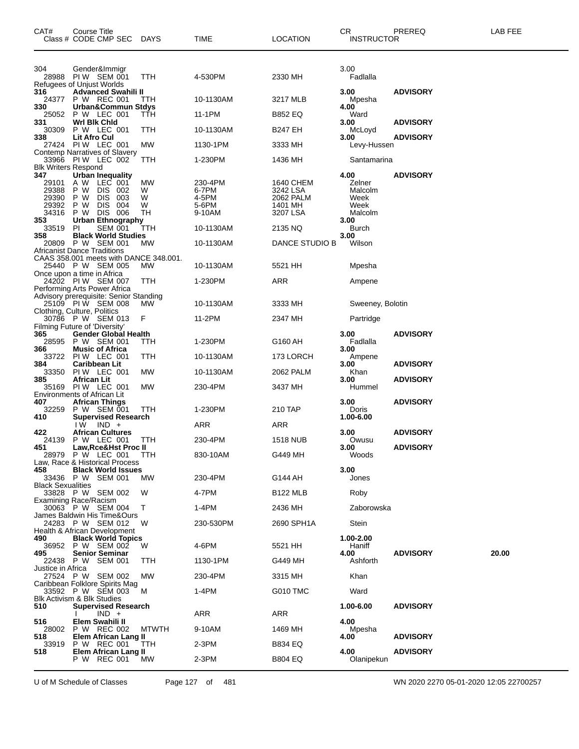| CAT#                              | Course Title<br>Class # CODE CMP SEC                                                       | <b>DAYS</b>  | TIME           | LOCATION              | <b>CR</b><br><b>INSTRUCTOR</b> | PREREQ          | LAB FEE |
|-----------------------------------|--------------------------------------------------------------------------------------------|--------------|----------------|-----------------------|--------------------------------|-----------------|---------|
| 304                               | Gender&Immigr<br>28988 PIW SEM 001                                                         | TTH          | 4-530PM        | 2330 MH               | 3.00<br>Fadlalla               |                 |         |
|                                   | Refugees of Unjust Worlds                                                                  |              |                |                       |                                |                 |         |
| 316<br>24377                      | <b>Advanced Swahili II</b><br>P W REC 001                                                  | TTH          | 10-1130AM      | 3217 MLB              | 3.00<br>Mpesha                 | <b>ADVISORY</b> |         |
| 330                               | Urban&Commun Stdys                                                                         |              |                |                       | 4.00                           |                 |         |
| 25052<br>331                      | P W LEC 001<br>Wrl Bik Chid                                                                | TTH          | 11-1PM         | <b>B852 EQ</b>        | Ward<br>3.00                   | <b>ADVISORY</b> |         |
| 30309<br>338                      | P W LEC 001<br><b>Lit Afro Cul</b>                                                         | TTH          | 10-1130AM      | <b>B247 EH</b>        | McLoyd<br>3.00                 | <b>ADVISORY</b> |         |
|                                   | 27424 PIW LEC 001                                                                          | MW           | 1130-1PM       | 3333 MH               | Levy-Hussen                    |                 |         |
|                                   | Contemp Narratives of Slavery<br>33966 PIW LEC 002                                         | TTH          | 1-230PM        | 1436 MH               | Santamarina                    |                 |         |
| <b>Blk Writers Respond</b><br>347 | <b>Urban Inequality</b>                                                                    |              |                |                       | 4.00                           | <b>ADVISORY</b> |         |
| 29101                             | A W LEC 001                                                                                | MW           | 230-4PM        | 1640 CHEM             | Zelner                         |                 |         |
| 29388<br>29390                    | P W<br>DIS 002<br>P W<br><b>DIS</b><br>003                                                 | W<br>W       | 6-7PM<br>4-5PM | 3242 LSA<br>2062 PALM | Malcolm<br>Week                |                 |         |
| 29392                             | <b>DIS</b><br>P W<br>004                                                                   | W            | 5-6PM          | 1401 MH               | Week                           |                 |         |
| 34316                             | P W DIS 006                                                                                | TН           | 9-10AM         | 3207 LSA              | Malcolm                        |                 |         |
| 353<br>33519                      | <b>Urban Ethnography</b><br><b>SEM 001</b><br>PI                                           | TTH          | 10-1130AM      | 2135 NQ               | 3.00<br>Burch                  |                 |         |
| 358                               | <b>Black World Studies</b><br>20809 P W SEM 001                                            | МW           | 10-1130AM      | DANCE STUDIO B        | 3.00<br>Wilson                 |                 |         |
|                                   | <b>Africanist Dance Traditions</b>                                                         |              |                |                       |                                |                 |         |
|                                   | CAAS 358.001 meets with DANCE 348.001.<br>25440 P W SEM 005<br>Once upon a time in Africa  | MW.          | 10-1130AM      | 5521 HH               | Mpesha                         |                 |         |
|                                   | 24202 PIW SEM 007<br>Performing Arts Power Africa                                          | ттн          | 1-230PM        | ARR                   | Ampene                         |                 |         |
|                                   | Advisory prerequisite: Senior Standing<br>25109 PIW SEM 008<br>Clothing, Culture, Politics | MW.          | 10-1130AM      | 3333 MH               | Sweeney, Bolotin               |                 |         |
|                                   | 30786 P W SEM 013                                                                          | F            | 11-2PM         | 2347 MH               | Partridge                      |                 |         |
| 365                               | Filming Future of 'Diversity'<br><b>Gender Global Health</b>                               |              |                |                       | 3.00                           | <b>ADVISORY</b> |         |
| 28595                             | P W SEM 001                                                                                | ттн          | 1-230PM        | G160 AH               | Fadlalla                       |                 |         |
| 366<br>33722                      | <b>Music of Africa</b><br>PIW LEC 001                                                      | TTH          | 10-1130AM      | 173 LORCH             | 3.00<br>Ampene                 |                 |         |
| 384<br>33350                      | Caribbean Lit<br>PIW LEC 001                                                               | MW           | 10-1130AM      | 2062 PALM             | 3.00<br>Khan                   | <b>ADVISORY</b> |         |
| 385                               | African Lit<br>35169 PIW LEC 001<br>Environments of African Lit                            | MW           | 230-4PM        | 3437 MH               | 3.00<br>Hummel                 | <b>ADVISORY</b> |         |
| 407                               | <b>African Things</b>                                                                      |              |                |                       | 3.00                           | <b>ADVISORY</b> |         |
| 32259<br>410                      | P W SEM 001<br><b>Supervised Research</b>                                                  | TTH          | 1-230PM        | 210 TAP               | Doris<br>1.00-6.00             |                 |         |
| 422                               | $IW$ $IND +$<br><b>African Cultures</b>                                                    |              | ARR            | ARR                   | 3.00                           | <b>ADVISORY</b> |         |
| 24139<br>451                      | P W LEC 001<br>Law,Rce&Hst Proc II                                                         | TTH          | 230-4PM        | 1518 NUB              | Owusu<br>3.00                  | <b>ADVISORY</b> |         |
|                                   | 28979 P W LEC 001<br>Law, Race & Historical Process                                        | <b>TTH</b>   | 830-10AM       | G449 MH               | Woods                          |                 |         |
| 458                               | <b>Black World Issues</b>                                                                  |              |                |                       | 3.00                           |                 |         |
| <b>Black Sexualities</b>          | 33436 P W SEM 001                                                                          | MW           | 230-4PM        | G144 AH               | Jones                          |                 |         |
|                                   | 33828 P W SEM 002<br><b>Examining Race/Racism</b>                                          | W            | 4-7PM          | <b>B122 MLB</b>       | Roby                           |                 |         |
|                                   | 30063 P W SEM 004                                                                          | Т            | 1-4PM          | 2436 MH               | Zaborowska                     |                 |         |
|                                   | James Baldwin His Time&Ours<br>24283 P W SEM 012                                           | W            | 230-530PM      | 2690 SPH1A            | Stein                          |                 |         |
| 490                               | Health & African Development<br><b>Black World Topics</b>                                  |              |                |                       | 1.00-2.00                      |                 |         |
| 495                               | 36952 P W SEM 002<br><b>Senior Seminar</b>                                                 | W            | 4-6PM          | 5521 HH               | Haniff<br>4.00                 | <b>ADVISORY</b> | 20.00   |
| Justice in Africa                 | 22438 P W SEM 001                                                                          | ттн          | 1130-1PM       | G449 MH               | Ashforth                       |                 |         |
|                                   | 27524 P W SEM 002<br>Caribbean Folklore Spirits Mag                                        | MW           | 230-4PM        | 3315 MH               | Khan                           |                 |         |
|                                   | 33592 P W SEM 003<br>Blk Activism & Blk Studies                                            | M            | 1-4PM          | G010 TMC              | Ward                           |                 |         |
| 510                               | <b>Supervised Research</b><br>$IND +$                                                      |              | <b>ARR</b>     | ARR                   | 1.00-6.00                      | <b>ADVISORY</b> |         |
| 516<br>28002                      | Elem Swahili II<br>P W REC 002                                                             | <b>MTWTH</b> | 9-10AM         | 1469 MH               | 4.00<br>Mpesha                 |                 |         |
| 518<br>33919                      | Elem African Lang II<br>P W REC 001                                                        | ттн          | 2-3PM          | B834 EQ               | 4.00                           | <b>ADVISORY</b> |         |
| 518                               | Elem African Lang II                                                                       |              |                |                       | 4.00                           | <b>ADVISORY</b> |         |
|                                   | P W REC 001                                                                                | МW           | 2-3PM          | B804 EQ               | Olanipekun                     |                 |         |

U of M Schedule of Classes Page 127 of 481 WN 2020 2270 05-01-2020 12:05 22700257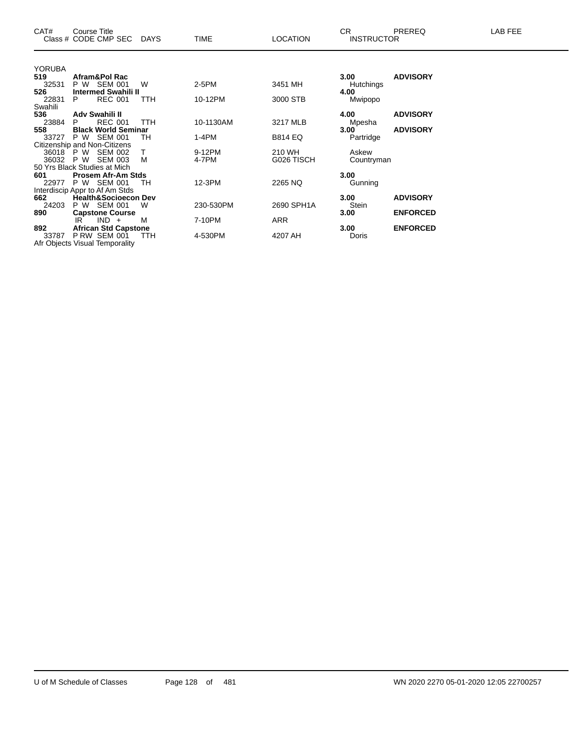| CR.<br>CAT#<br>PREREQ<br>Course Title<br>Class # CODE CMP SEC DAYS<br><b>LOCATION</b><br><b>INSTRUCTOR</b><br><b>TIME</b> | LAB FEE |
|---------------------------------------------------------------------------------------------------------------------------|---------|
|                                                                                                                           |         |
| <b>YORUBA</b><br>Afram&Pol Rac<br><b>ADVISORY</b><br>519<br>3.00 <sub>1</sub>                                             |         |
| 32531<br>SEM 001<br>3451 MH<br>P W<br>W<br>2-5PM<br>Hutchings                                                             |         |
| 526<br><b>Intermed Swahili II</b><br>4.00                                                                                 |         |
| <b>REC 001</b><br>10-12PM<br>22831<br>P.<br><b>TTH</b><br>3000 STB<br>Mwipopo                                             |         |
| Swahili                                                                                                                   |         |
| <b>ADVISORY</b><br>536<br>Adv Swahili II<br>4.00                                                                          |         |
| 23884<br><b>REC 001</b><br><b>TTH</b><br>10-1130AM<br>3217 MLB<br>P<br>Mpesha                                             |         |
| <b>ADVISORY</b><br>558<br><b>Black World Seminar</b><br>3.00                                                              |         |
| P W SEM 001<br>1-4PM<br><b>B814 EQ</b><br>Partridge<br>33727<br>TН                                                        |         |
| Citizenship and Non-Citizens                                                                                              |         |
| 9-12PM<br>210 WH<br>36018 PW<br>SEM 002<br>Askew                                                                          |         |
| P W<br><b>SEM 003</b><br>м<br>G026 TISCH<br>4-7PM<br>36032<br>Countryman                                                  |         |
| 50 Yrs Black Studies at Mich                                                                                              |         |
| 3.00<br>601<br><b>Prosem Afr-Am Stds</b>                                                                                  |         |
| P W SEM 001<br>12-3PM<br>22977<br>2265 NQ<br>Gunning<br>TН                                                                |         |
| Interdiscip Appr to Af Am Stds                                                                                            |         |
| 3.00<br><b>ADVISORY</b><br>662<br><b>Health&amp;Socioecon Dev</b>                                                         |         |
| P W SEM 001<br>24203<br>230-530PM<br>2690 SPH1A<br>Stein<br>W                                                             |         |
| <b>ENFORCED</b><br>890<br><b>Capstone Course</b><br>3.00<br>$IND +$<br>7-10PM<br>ARR<br>M<br>IR.                          |         |
| <b>African Std Capstone</b><br>3.00<br><b>ENFORCED</b><br>892                                                             |         |
| 33787<br>PRW SEM 001<br>4-530PM<br>4207 AH<br>Doris<br><b>TTH</b>                                                         |         |
| Afr Objects Visual Temporality                                                                                            |         |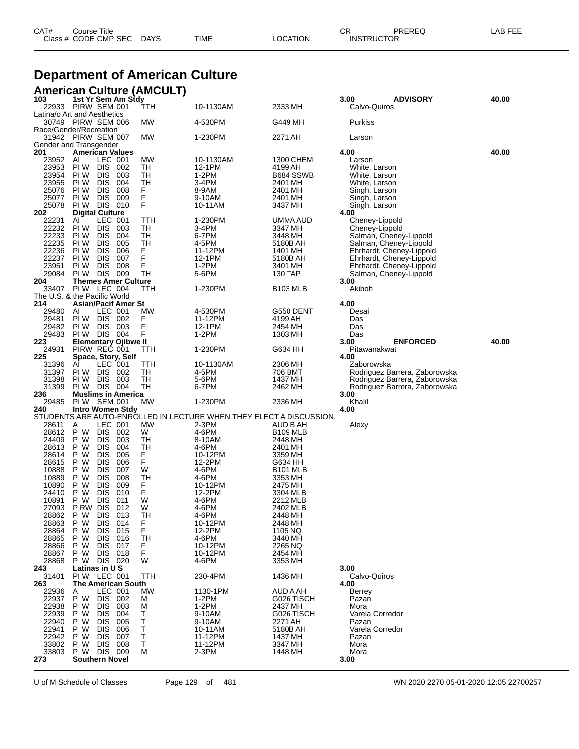| CAT# | Course Title         |             |      |          | $\cap$<br>◡       | PREREQ | -AB FEE |
|------|----------------------|-------------|------|----------|-------------------|--------|---------|
|      | Class # CODE CMP SEC | <b>DAYS</b> | TIME | LOCATION | <b>INSTRUCTOR</b> |        |         |
|      |                      |             |      |          |                   |        |         |

# **Department of American Culture**

## **American Culture (AMCULT)**

| 103<br>22933 PIRW SEM 001     |                                             | 1st Yr Sem Am Stdy                    |            |           | 10-1130AM                                                           | 2333 MH                | 3.00<br><b>ADVISORY</b>                            | 40.00 |
|-------------------------------|---------------------------------------------|---------------------------------------|------------|-----------|---------------------------------------------------------------------|------------------------|----------------------------------------------------|-------|
| Latina/o Art and Aesthetics   |                                             |                                       |            | TTH       |                                                                     |                        | Calvo-Quiros                                       |       |
| 30749 PIRW SEM 006            |                                             |                                       |            | МW        | 4-530PM                                                             | G449 MH                | Purkiss                                            |       |
| Race/Gender/Recreation        |                                             |                                       |            |           |                                                                     |                        |                                                    |       |
| 31942 PIRW SEM 007            |                                             |                                       |            | МW        | 1-230PM                                                             | 2271 AH                | Larson                                             |       |
| Gender and Transgender<br>201 | <b>American Values</b>                      |                                       |            |           |                                                                     |                        | 4.00                                               | 40.00 |
| 23952                         | AI                                          | LEC 001                               |            | МW        | 10-1130AM                                                           | 1300 CHEM              | Larson                                             |       |
| 23953                         | PI W                                        | <b>DIS</b>                            | 002        | TН        | 12-1PM                                                              | 4199 AH                | White, Larson                                      |       |
| 23954                         | PI W                                        | <b>DIS</b>                            | 003        | TН        | 1-2PM                                                               | B684 SSWB              | White, Larson                                      |       |
| 23955<br>25076                | PI W<br>PI W                                | <b>DIS</b><br><b>DIS</b>              | 004<br>008 | TH<br>F.  | 3-4PM<br>8-9AM                                                      | 2401 MH<br>2401 MH     | White, Larson<br>Singh, Larson                     |       |
| 25077                         | PI W                                        | <b>DIS</b>                            | 009        | F         | 9-10AM                                                              | 2401 MH                | Singh, Larson                                      |       |
| 25078                         | PIW DIS 010                                 |                                       |            | F         | 10-11AM                                                             | 3437 MH                | Singh, Larson                                      |       |
| 202                           | <b>Digital Culture</b>                      |                                       |            |           |                                                                     |                        | 4.00                                               |       |
| 22231<br>22232                | Al<br>PI W                                  | LEC 001<br><b>DIS</b>                 | 003        | TTH<br>TН | 1-230PM<br>3-4PM                                                    | UMMA AUD<br>3347 MH    | Cheney-Lippold<br>Cheney-Lippold                   |       |
| 22233                         | PI W                                        | <b>DIS</b>                            | 004        | TН        | 6-7PM                                                               | 3448 MH                | Salman, Cheney-Lippold                             |       |
| 22235                         | PI W                                        | <b>DIS</b>                            | 005        | TH        | 4-5PM                                                               | 5180B AH               | Salman, Cheney-Lippold                             |       |
| 22236                         | PI W                                        | <b>DIS</b>                            | 006        | F         | 11-12PM                                                             | 1401 MH                | Ehrhardt, Cheney-Lippold                           |       |
| 22237<br>23951                | PI W<br>PI W                                | <b>DIS</b><br><b>DIS</b>              | 007<br>008 | F<br>F    | 12-1PM<br>1-2PM                                                     | 5180B AH<br>3401 MH    | Ehrhardt, Cheney-Lippold                           |       |
| 29084                         | PIW DIS 009                                 |                                       |            | TН        | 5-6PM                                                               | 130 TAP                | Ehrhardt, Cheney-Lippold<br>Salman, Cheney-Lippold |       |
| 204                           |                                             | <b>Themes Amer Culture</b>            |            |           |                                                                     |                        | 3.00                                               |       |
| 33407 PIW LEC 004             |                                             |                                       |            | TTH       | 1-230PM                                                             | <b>B103 MLB</b>        | Akiboh                                             |       |
| The U.S. & the Pacific World  |                                             |                                       |            |           |                                                                     |                        |                                                    |       |
| 214<br>29480                  | AI                                          | <b>Asian/Pacif Amer St</b><br>LEC 001 |            | MW        | 4-530PM                                                             | G550 DENT              | 4.00<br>Desai                                      |       |
| 29481                         | PI W                                        | DIS 002                               |            | F         | 11-12PM                                                             | 4199 AH                | Das                                                |       |
| 29482                         | PI W                                        | <b>DIS</b>                            | 003        | F         | 12-1PM                                                              | 2454 MH                | Das                                                |       |
| 29483                         | PI W                                        | DIS 004                               |            | F         | 1-2PM                                                               | 1303 MH                | Das                                                |       |
| 223<br>24931                  | <b>Elementary Ojibwe II</b><br>PIRW REC 001 |                                       |            | TTH       | 1-230PM                                                             | G634 HH                | <b>ENFORCED</b><br>3.00<br>Pitawanakwat            | 40.00 |
| 225                           | Space, Story, Self                          |                                       |            |           |                                                                     |                        | 4.00                                               |       |
| 31396                         | AI                                          | LEC 001                               |            | TTH       | 10-1130AM                                                           | 2306 MH                | Zaborowska                                         |       |
| 31397                         | PI W                                        | <b>DIS</b>                            | 002        | TН        | 4-5PM                                                               | 706 BMT                | Rodriguez Barrera, Zaborowska                      |       |
|                               |                                             |                                       |            |           |                                                                     |                        |                                                    |       |
| 31398                         | PI W                                        | DIS.                                  | 003        | TН        | 5-6PM                                                               | 1437 MH                | Rodriguez Barrera, Zaborowska                      |       |
| 31399                         | PIW DIS 004                                 |                                       |            | TН        | 6-7PM                                                               | 2462 MH                | Rodriguez Barrera, Zaborowska                      |       |
| 236<br>29485                  | PIW SEM 001                                 | <b>Muslims in America</b>             |            | МW        |                                                                     | 2336 MH                | 3.00<br>Khalil                                     |       |
| 240                           | <b>Intro Women Stdy</b>                     |                                       |            |           | 1-230PM                                                             |                        | 4.00                                               |       |
|                               |                                             |                                       |            |           | STUDENTS ARE AUTO-ENROLLED IN LECTURE WHEN THEY ELECT A DISCUSSION. |                        |                                                    |       |
| 28611                         | A                                           | LEC 001                               |            | MW        | 2-3PM                                                               | AUD B AH               | Alexy                                              |       |
| 28612                         | P W                                         | DIS 002                               |            | W         | 4-6PM                                                               | B109 MLB               |                                                    |       |
| 24409<br>28613                | P W<br>P W                                  | <b>DIS</b><br><b>DIS</b>              | 003<br>004 | TН<br>TН  | 8-10AM<br>4-6PM                                                     | 2448 MH<br>2401 MH     |                                                    |       |
| 28614                         | P W                                         | <b>DIS</b>                            | 005        | F         | 10-12PM                                                             | 3359 MH                |                                                    |       |
| 28615                         | P W                                         | <b>DIS</b>                            | 006        | F         | 12-2PM                                                              | G634 HH                |                                                    |       |
| 10888                         | P W                                         | <b>DIS</b>                            | 007        | W         | 4-6PM                                                               | B <sub>101</sub> MLB   |                                                    |       |
| 10889<br>10890                | P W<br>P W                                  | <b>DIS</b><br><b>DIS</b>              | 008<br>009 | TН<br>F   | 4-6PM<br>10-12PM                                                    | 3353 MH<br>2475 MH     |                                                    |       |
| 24410                         | P W                                         | <b>DIS</b>                            | 010        | F         | 12-2PM                                                              | 3304 MLB               |                                                    |       |
| 10891                         | P W                                         | <b>DIS</b>                            | 011        | W         | 4-6PM                                                               | 2212 MLB               |                                                    |       |
| 27093                         | P RW                                        | <b>DIS</b>                            | 012        | W         | 4-6PM                                                               | 2402 MLB               |                                                    |       |
| 28862                         | P W<br>P W                                  | <b>DIS</b><br><b>DIS</b>              | 013<br>014 | TН<br>F   | 4-6PM<br>10-12PM                                                    | 2448 MH<br>2448 MH     |                                                    |       |
| 28863<br>28864                | P W                                         | <b>DIS</b>                            | 015        | F         | 12-2PM                                                              | 1105 NQ                |                                                    |       |
| 28865                         | P W                                         | <b>DIS</b>                            | 016        | TН        | 4-6PM                                                               | 3440 MH                |                                                    |       |
| 28866                         | P W                                         | <b>DIS</b>                            | 017        | F         | 10-12PM                                                             | 2265 NQ                |                                                    |       |
| 28867<br>28868                | P W<br>P W                                  | <b>DIS</b><br>DIS 020                 | 018        | F<br>W    | 10-12PM<br>4-6PM                                                    | 2454 MH<br>3353 MH     |                                                    |       |
| 243                           |                                             | Latinas in U S                        |            |           |                                                                     |                        | 3.00                                               |       |
| 31401                         | PIW LEC 001                                 |                                       |            | TTH       | 230-4PM                                                             | 1436 MH                | Calvo-Quiros                                       |       |
| 263                           |                                             | <b>The American South</b>             |            |           |                                                                     |                        | 4.00                                               |       |
| 22936<br>22937                | Α<br>P W                                    | LEC 001<br><b>DIS</b>                 | 002        | МW<br>М   | 1130-1PM<br>1-2PM                                                   | AUD A AH<br>G026 TISCH | Berrey<br>Pazan                                    |       |
| 22938                         | P W                                         | <b>DIS</b>                            | 003        | M         | $1-2PM$                                                             | 2437 MH                | Mora                                               |       |
| 22939                         | P W                                         | <b>DIS</b>                            | 004        | т         | 9-10AM                                                              | G026 TISCH             | Varela Corredor                                    |       |
| 22940                         | P W                                         | <b>DIS</b>                            | 005        | т         | 9-10AM                                                              | 2271 AH                | Pazan                                              |       |
| 22941<br>22942                | P W<br>P W                                  | <b>DIS</b><br><b>DIS</b>              | 006<br>007 | Τ<br>т    | 10-11AM<br>11-12PM                                                  | 5180B AH<br>1437 MH    | Varela Corredor<br>Pazan                           |       |
| 33802                         | P W                                         | <b>DIS</b>                            | 008        | т         | 11-12PM                                                             | 3347 MH                | Mora                                               |       |
| 33803<br>273                  | P W                                         | DIS.<br><b>Southern Novel</b>         | 009        | М         | 2-3PM                                                               | 1448 MH                | Mora<br>3.00                                       |       |

U of M Schedule of Classes Page 129 of 481 WN 2020 2270 05-01-2020 12:05 22700257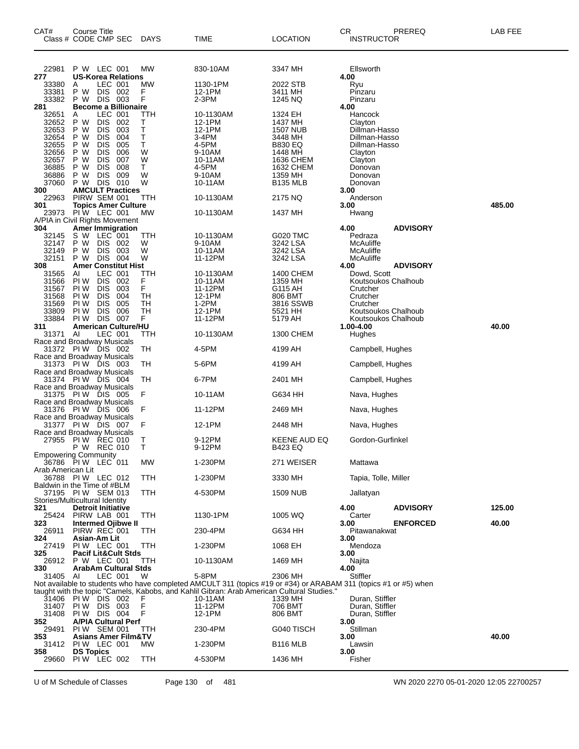| CAT#<br>Class # CODE CMP SEC                                      | Course Title               |                              |                                | <b>DAYS</b> | TIME                                                                                                                                                                                                           | LOCATION               | CR<br><b>INSTRUCTOR</b>                    | PREREQ          | LAB FEE |
|-------------------------------------------------------------------|----------------------------|------------------------------|--------------------------------|-------------|----------------------------------------------------------------------------------------------------------------------------------------------------------------------------------------------------------------|------------------------|--------------------------------------------|-----------------|---------|
| 22981                                                             |                            | P W LEC 001                  |                                | MW          | 830-10AM                                                                                                                                                                                                       | 3347 MH                | Ellsworth                                  |                 |         |
| 277<br>33380                                                      | Α                          | LEC 001                      | <b>US-Korea Relations</b>      | MW          | 1130-1PM                                                                                                                                                                                                       | 2022 STB               | 4.00<br>Ryu                                |                 |         |
| 33381                                                             | P W                        | DIS 002                      |                                | F           | 12-1PM                                                                                                                                                                                                         | 3411 MH                | Pinzaru                                    |                 |         |
| 33382                                                             | P W                        | DIS 003                      |                                | F           | 2-3PM                                                                                                                                                                                                          | 1245 NQ                | Pinzaru                                    |                 |         |
| 281<br>32651                                                      | Α                          | LEC 001                      | <b>Become a Billionaire</b>    | TTH         | 10-1130AM                                                                                                                                                                                                      | 1324 EH                | 4.00<br>Hancock                            |                 |         |
| 32652                                                             | P W                        | <b>DIS</b>                   | 002                            | Τ           | 12-1PM                                                                                                                                                                                                         | 1437 MH                | Clayton                                    |                 |         |
| 32653<br>32654                                                    | P W<br>P W                 | <b>DIS</b><br><b>DIS</b>     | 003<br>004                     | Т<br>т      | 12-1PM<br>3-4PM                                                                                                                                                                                                | 1507 NUB<br>3448 MH    | Dillman-Hasso<br>Dillman-Hasso             |                 |         |
| 32655                                                             | P W                        | <b>DIS</b>                   | 005                            | т           | 4-5PM                                                                                                                                                                                                          | B830 EQ                | Dillman-Hasso                              |                 |         |
| 32656                                                             | P W                        | <b>DIS</b>                   | 006                            | W           | 9-10AM                                                                                                                                                                                                         | 1448 MH                | Clayton                                    |                 |         |
| 32657<br>36885                                                    | РW<br>P W                  | <b>DIS</b><br><b>DIS</b>     | 007<br>008                     | W<br>т      | 10-11AM<br>4-5PM                                                                                                                                                                                               | 1636 CHEM<br>1632 CHEM | Clayton<br>Donovan                         |                 |         |
| 36886                                                             | P W                        | <b>DIS</b>                   | 009                            | W           | 9-10AM                                                                                                                                                                                                         | 1359 MH                | Donovan                                    |                 |         |
| 37060<br>300                                                      | P W                        | DIS 010                      | <b>AMCULT Practices</b>        | W           | 10-11AM                                                                                                                                                                                                        | <b>B135 MLB</b>        | Donovan<br>3.00                            |                 |         |
| 22963                                                             |                            | PIRW SEM 001                 |                                | ттн         | 10-1130AM                                                                                                                                                                                                      | 2175 NQ                | Anderson                                   |                 |         |
| 301<br>23973                                                      | PIW LEC 001                |                              | <b>Topics Amer Culture</b>     | MW          | 10-1130AM                                                                                                                                                                                                      | 1437 MH                | 3.00<br>Hwang                              |                 | 485.00  |
| A/PIA in Civil Rights Movement                                    |                            |                              |                                |             |                                                                                                                                                                                                                |                        |                                            |                 |         |
| 304                                                               |                            |                              | Amer Immigration               |             |                                                                                                                                                                                                                |                        | 4.00                                       | <b>ADVISORY</b> |         |
| 32145<br>32147                                                    | s w<br>P W                 | LEC 001<br><b>DIS</b>        | -002                           | TTH<br>W    | 10-1130AM<br>9-10AM                                                                                                                                                                                            | G020 TMC<br>3242 LSA   | Pedraza<br>McAuliffe                       |                 |         |
| 32149                                                             | РW                         | <b>DIS</b>                   | 003                            | W           | 10-11AM                                                                                                                                                                                                        | 3242 LSA               | McAuliffe                                  |                 |         |
| 32151<br>308                                                      | P W                        | <b>DIS 004</b>               | <b>Amer Constitut Hist</b>     | W           | 11-12PM                                                                                                                                                                                                        | 3242 LSA               | McAuliffe<br>4.00                          | <b>ADVISORY</b> |         |
| 31565                                                             | AI                         | LEC 001                      |                                | TTH         | 10-1130AM                                                                                                                                                                                                      | 1400 CHEM              | Dowd, Scott                                |                 |         |
| 31566<br>31567                                                    | PI W<br>PI W               | <b>DIS</b><br><b>DIS</b>     | 002<br>003                     | F<br>F      | 10-11AM<br>11-12PM                                                                                                                                                                                             | 1359 MH<br>G115 AH     | Koutsoukos Chalhoub<br>Crutcher            |                 |         |
| 31568                                                             | PI W                       | <b>DIS</b>                   | 004                            | TН          | 12-1PM                                                                                                                                                                                                         | 806 BMT                | Crutcher                                   |                 |         |
| 31569<br>33809                                                    | PI W<br>PI W               | <b>DIS</b>                   | 005<br>006                     | TН<br>TН    | $1-2PM$<br>12-1PM                                                                                                                                                                                              | 3816 SSWB              | Crutcher                                   |                 |         |
| 33884                                                             | PI W                       | <b>DIS</b><br><b>DIS 007</b> |                                | F           | 11-12PM                                                                                                                                                                                                        | 5521 HH<br>5179 AH     | Koutsoukos Chalhoub<br>Koutsoukos Chalhoub |                 |         |
| 311                                                               |                            |                              | <b>American Culture/HU</b>     |             |                                                                                                                                                                                                                |                        | 1.00-4.00                                  |                 | 40.00   |
| 31371<br>Race and Broadway Musicals                               | AI                         | LEC 001                      |                                | TTH         | 10-1130AM                                                                                                                                                                                                      | 1300 CHEM              | Hughes                                     |                 |         |
| 31372                                                             | <b>PIW DIS 002</b>         |                              |                                | TН          | 4-5PM                                                                                                                                                                                                          | 4199 AH                | Campbell, Hughes                           |                 |         |
| Race and Broadway Musicals<br>31373<br>Race and Broadway Musicals | PIW DIS 003                |                              |                                | TН          | 5-6PM                                                                                                                                                                                                          | 4199 AH                | Campbell, Hughes                           |                 |         |
| 31374                                                             | PIW DIS 004                |                              |                                | TН          | 6-7PM                                                                                                                                                                                                          | 2401 MH                | Campbell, Hughes                           |                 |         |
| Race and Broadway Musicals<br>31375                               | <b>PIW DIS 005</b>         |                              |                                | F           | 10-11AM                                                                                                                                                                                                        | G634 HH                | Nava, Hughes                               |                 |         |
| Race and Broadway Musicals<br>31376                               | <b>PIW DIS 006</b>         |                              |                                | F           | 11-12PM                                                                                                                                                                                                        | 2469 MH                | Nava, Hughes                               |                 |         |
| Race and Broadway Musicals<br>31377                               | PIW DIS 007                |                              |                                | F           | 12-1PM                                                                                                                                                                                                         | 2448 MH                | Nava, Hughes                               |                 |         |
| Race and Broadway Musicals<br>27955                               | <b>PIW REC 010</b>         |                              |                                | Т           | 9-12PM                                                                                                                                                                                                         | <b>KEENE AUD EQ</b>    | Gordon-Gurfinkel                           |                 |         |
| <b>Empowering Community</b>                                       | P W REC 010                |                              |                                | т           | 9-12PM                                                                                                                                                                                                         | B423 EQ                |                                            |                 |         |
| 36786 PIW LEC 011                                                 |                            |                              |                                | МW          | 1-230PM                                                                                                                                                                                                        | 271 WEISER             | Mattawa                                    |                 |         |
| Arab American Lit<br>36788 PIW LEC 012                            |                            |                              |                                | TTH         | 1-230PM                                                                                                                                                                                                        | 3330 MH                | Tapia, Tolle, Miller                       |                 |         |
| Baldwin in the Time of #BLM<br>37195 PIW SEM 013                  |                            |                              |                                | TTH         | 4-530PM                                                                                                                                                                                                        | 1509 NUB               | Jallatyan                                  |                 |         |
| Stories/Multicultural Identity                                    |                            |                              |                                |             |                                                                                                                                                                                                                |                        |                                            |                 |         |
| 321<br>25424                                                      | PIRW LAB 001               | <b>Detroit Initiative</b>    |                                | TTH         | 1130-1PM                                                                                                                                                                                                       | 1005 WQ                | 4.00<br>Carter                             | <b>ADVISORY</b> | 125.00  |
| 323<br>26911                                                      | PIRW REC 001               |                              | Intermed Ojibwe II             |             | 230-4PM                                                                                                                                                                                                        | G634 HH                | 3.00                                       | <b>ENFORCED</b> | 40.00   |
| 324                                                               |                            | Asian-Am Lit                 |                                | TTH         |                                                                                                                                                                                                                |                        | Pitawanakwat<br>3.00                       |                 |         |
| 27419<br>325                                                      | PIW LEC 001                |                              | <b>Pacif Lit&amp;Cult Stds</b> | TTH         | 1-230PM                                                                                                                                                                                                        | 1068 EH                | Mendoza<br>3.00                            |                 |         |
| 26912<br>330                                                      | P W LEC 001                |                              | ArabAm Cultural Stds           | TTH         | 10-1130AM                                                                                                                                                                                                      | 1469 MH                | Najita<br>4.00                             |                 |         |
| 31405 AI                                                          |                            | LEC 001                      |                                | W           | 5-8PM                                                                                                                                                                                                          | 2306 MH                | Stiffler                                   |                 |         |
|                                                                   |                            |                              |                                |             | Not available to students who have completed AMCULT 311 (topics #19 or #34) or ARABAM 311 (topics #1 or #5) when<br>taught with the topic "Camels, Kabobs, and Kahlil Gibran: Arab American Cultural Studies." |                        |                                            |                 |         |
| 31406 PIW DIS 002                                                 |                            |                              |                                |             | 10-11AM                                                                                                                                                                                                        | 1339 MH                | Duran, Stiffler                            |                 |         |
| 31407<br>31408                                                    | PIW DIS 003<br>PIW DIS 004 |                              |                                | F<br>F      | 11-12PM<br>12-1PM                                                                                                                                                                                              | 706 BMT<br>806 BMT     | Duran, Stiffler<br>Duran, Stiffler         |                 |         |
| 352                                                               |                            |                              | <b>A/PIA Cultural Perf</b>     |             |                                                                                                                                                                                                                |                        | 3.00                                       |                 |         |
| 29491<br>353                                                      |                            | PIW SEM 001                  | <b>Asians Amer Film&amp;TV</b> | TTH         | 230-4PM                                                                                                                                                                                                        | G040 TISCH             | Stillman<br>3.00                           |                 | 40.00   |
| 31412 PIW LEC 001<br>358                                          | <b>DS Topics</b>           |                              |                                | МW          | 1-230PM                                                                                                                                                                                                        | <b>B116 MLB</b>        | Lawsin<br>3.00                             |                 |         |
| 29660                                                             | PIW LEC 002                |                              |                                | TTH         | 4-530PM                                                                                                                                                                                                        | 1436 MH                | Fisher                                     |                 |         |

U of M Schedule of Classes Page 130 of 481 WN 2020 2270 05-01-2020 12:05 22700257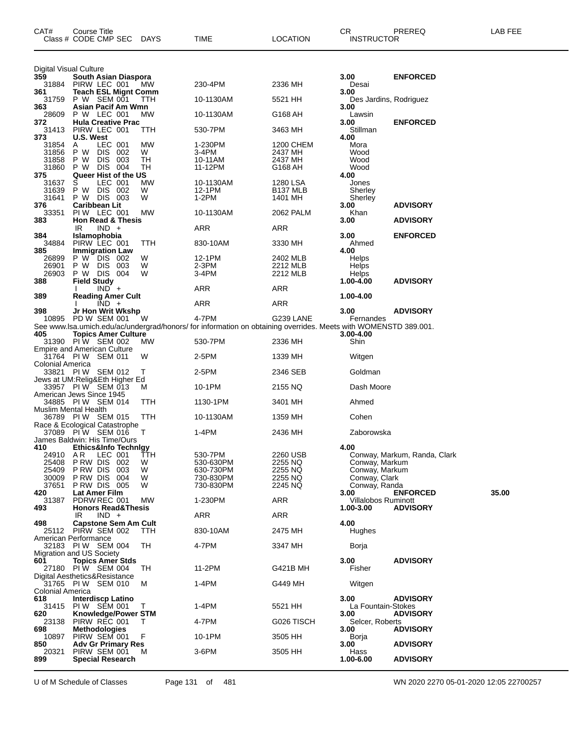| CAT#                          | Course Title<br>Class # CODE CMP SEC                            | <b>DAYS</b> | TIME                                                                                                            | LOCATION                         | CR<br><b>INSTRUCTOR</b>            | PREREQ                       | LAB FEE |
|-------------------------------|-----------------------------------------------------------------|-------------|-----------------------------------------------------------------------------------------------------------------|----------------------------------|------------------------------------|------------------------------|---------|
| <b>Digital Visual Culture</b> |                                                                 |             |                                                                                                                 |                                  |                                    |                              |         |
| 359<br>31884                  | South Asian Diaspora<br>PIRW LEC 001                            | <b>MW</b>   | 230-4PM                                                                                                         | 2336 MH                          | 3.00<br>Desai                      | <b>ENFORCED</b>              |         |
| 361<br>31759                  | <b>Teach ESL Mignt Comm</b><br>P W SEM 001                      | TTH         | 10-1130AM                                                                                                       | 5521 HH                          | 3.00<br>Des Jardins, Rodriguez     |                              |         |
| 363                           | Asian Pacif Am Wmn                                              |             |                                                                                                                 |                                  | 3.00                               |                              |         |
| 28609<br>372                  | P W LEC 001<br><b>Hula Creative Prac</b>                        | <b>MW</b>   | 10-1130AM                                                                                                       | G168 AH                          | Lawsin<br>3.00                     | <b>ENFORCED</b>              |         |
| 31413<br>373                  | PIRW LEC 001<br>U.S. West                                       | TТH         | 530-7PM                                                                                                         | 3463 MH                          | Stillman<br>4.00                   |                              |         |
| 31854                         | LEC 001<br>A                                                    | МW          | 1-230PM                                                                                                         | 1200 CHEM                        | Mora                               |                              |         |
| 31856<br>31858                | DIS 002<br>P W<br>P W<br>DIS 003                                | W<br>TН     | 3-4PM<br>10-11AM                                                                                                | 2437 MH<br>2437 MH               | Wood<br>Wood                       |                              |         |
| 31860<br>375                  | P W DIS 004<br>Queer Hist of the US                             | TН          | 11-12PM                                                                                                         | G168 AH                          | Wood<br>4.00                       |                              |         |
| 31637                         | LEC 001<br>S<br>P W DIS 002                                     | MW<br>W     | 10-1130AM<br>12-1PM                                                                                             | 1280 LSA<br>B <sub>137</sub> MLB | Jones                              |                              |         |
| 31639<br>31641                | P W DIS 003                                                     | W           | $1-2PM$                                                                                                         | 1401 MH                          | Sherley<br>Sherley                 |                              |         |
| 376<br>33351                  | <b>Caribbean Lit</b><br>PIW LEC 001                             | МW          | 10-1130AM                                                                                                       | 2062 PALM                        | 3.00<br>Khan                       | <b>ADVISORY</b>              |         |
| 383                           | <b>Hon Read &amp; Thesis</b><br>IR<br>$IND +$                   |             | ARR                                                                                                             | ARR                              | 3.00                               | <b>ADVISORY</b>              |         |
| 384                           | Islamophobia                                                    |             |                                                                                                                 |                                  | 3.00                               | <b>ENFORCED</b>              |         |
| 34884<br>385                  | PIRW LEC 001<br><b>Immigration Law</b>                          | TTH         | 830-10AM                                                                                                        | 3330 MH                          | Ahmed<br>4.00                      |                              |         |
| 26899<br>26901                | P W DIS 002<br>P W DIS 003                                      | W<br>W      | 12-1PM<br>$2-3PM$                                                                                               | 2402 MLB<br>2212 MLB             | <b>Helps</b><br>Helps              |                              |         |
| 26903                         | P W DIS 004                                                     | W           | 3-4PM                                                                                                           | 2212 MLB                         | <b>Helps</b>                       |                              |         |
| 388                           | <b>Field Study</b><br>$IND +$                                   |             | ARR                                                                                                             | ARR                              | $1.00 - 4.00$                      | <b>ADVISORY</b>              |         |
| 389                           | <b>Reading Amer Cult</b><br>$\overline{IND}$ +                  |             | <b>ARR</b>                                                                                                      | ARR                              | 1.00-4.00                          |                              |         |
| 398                           | Jr Hon Writ Wkshp<br>10895 PD W SEM 001                         |             | 4-7PM                                                                                                           | G239 LANE                        | 3.00                               | <b>ADVISORY</b>              |         |
|                               |                                                                 | W           | See www.lsa.umich.edu/ac/undergrad/honors/ for information on obtaining overrides. Meets with WOMENSTD 389.001. |                                  | Fernandes                          |                              |         |
| 405                           | <b>Topics Amer Culture</b><br>31390 PIW SEM 002                 | МW          | 530-7PM                                                                                                         | 2336 MH                          | 3.00-4.00<br>Shin                  |                              |         |
|                               | <b>Empire and American Culture</b><br>31764 PIW SEM 011         | W           | 2-5PM                                                                                                           | 1339 MH                          | Witgen                             |                              |         |
| <b>Colonial America</b>       | 33821 PIW SEM 012                                               | Т           | 2-5PM                                                                                                           | 2346 SEB                         | Goldman                            |                              |         |
|                               | Jews at UM: Relig& Eth Higher Ed                                |             |                                                                                                                 |                                  |                                    |                              |         |
|                               | 33957 PIW SEM 013<br>American Jews Since 1945                   | м           | 10-1PM                                                                                                          | 2155 NQ                          | Dash Moore                         |                              |         |
|                               | 34885 PIW SEM 014<br><b>Muslim Mental Health</b>                | ттн         | 1130-1PM                                                                                                        | 3401 MH                          | Ahmed                              |                              |         |
|                               | 36789 PIW SEM 015<br>Race & Ecological Catastrophe              | TTH         | 10-1130AM                                                                                                       | 1359 MH                          | Cohen                              |                              |         |
|                               | 37089 PIW SEM 016                                               | т           | 1-4PM                                                                                                           | 2436 MH                          | Zaborowska                         |                              |         |
| 410                           | James Baldwin: His Time/Ours<br><b>Ethics&amp;Info Technigy</b> |             |                                                                                                                 |                                  | 4.00                               |                              |         |
| 24910<br>25408                | AR.<br>LEC 001<br>P RW DIS<br>002                               | TTH<br>W    | 530-7PM<br>530-630PM                                                                                            | 2260 USB<br>2255 NQ              | Conway, Markum                     | Conway, Markum, Randa, Clark |         |
| 25409                         | P RW DIS<br>003                                                 | W           | 630-730PM                                                                                                       | 2255 NQ                          | Conway, Markum                     |                              |         |
| 30009<br>37651                | PRW DIS 004<br><b>P RW DIS 005</b>                              | W<br>W      | 730-830PM<br>730-830PM                                                                                          | 2255 NQ<br>2245 NQ               | Conway, Clark<br>Conway, Randa     |                              |         |
| 420<br>31387                  | Lat Amer Film<br>PDRW REC 001                                   | MW          | 1-230PM                                                                                                         | ARR                              | 3.00<br><b>Villalobos Ruminott</b> | <b>ENFORCED</b>              | 35.00   |
| 493                           | <b>Honors Read&amp;Thesis</b><br>$IND +$                        |             | ARR                                                                                                             | ARR                              | 1.00-3.00                          | <b>ADVISORY</b>              |         |
| 498                           | IR<br><b>Capstone Sem Am Cult</b>                               |             |                                                                                                                 |                                  | 4.00                               |                              |         |
| 25112                         | PIRW SEM 002<br>American Performance                            | TTH         | 830-10AM                                                                                                        | 2475 MH                          | Hughes                             |                              |         |
|                               | 32183 PIW SEM 004<br>Migration and US Society                   | TН          | 4-7PM                                                                                                           | 3347 MH                          | Borja                              |                              |         |
| 601                           | <b>Topics Amer Stds</b>                                         |             |                                                                                                                 |                                  | 3.00                               | <b>ADVISORY</b>              |         |
|                               | 27180 PIW SEM 004<br>Digital Aesthetics&Resistance              | TH          | 11-2PM                                                                                                          | <b>G421B MH</b>                  | Fisher                             |                              |         |
| Colonial America              | 31765 PIW SEM 010                                               | м           | 1-4PM                                                                                                           | G449 MH                          | Witgen                             |                              |         |
| 618                           | <b>Interdiscp Latino</b>                                        |             |                                                                                                                 |                                  | 3.00                               | <b>ADVISORY</b>              |         |
| 31415<br>620                  | PIW SEM 001<br>Knowledge/Power STM                              | т           | 1-4PM                                                                                                           | 5521 HH                          | La Fountain-Stokes<br>3.00         | <b>ADVISORY</b>              |         |
| 23138<br>698                  | PIRW REC 001<br><b>Methodologies</b>                            | Τ           | 4-7PM                                                                                                           | G026 TISCH                       | Selcer, Roberts<br>3.00            | <b>ADVISORY</b>              |         |
| 10897                         | PIRW SEM 001                                                    | F           | 10-1PM                                                                                                          | 3505 HH                          | Borja                              |                              |         |
| 850<br>20321                  | <b>Adv Gr Primary Res</b><br>PIRW SEM 001                       | M           | 3-6PM                                                                                                           | 3505 HH                          | 3.00<br>Hass                       | <b>ADVISORY</b>              |         |
| 899                           | <b>Special Research</b>                                         |             |                                                                                                                 |                                  | 1.00-6.00                          | <b>ADVISORY</b>              |         |

U of M Schedule of Classes Page 131 of 481 WN 2020 2270 05-01-2020 12:05 22700257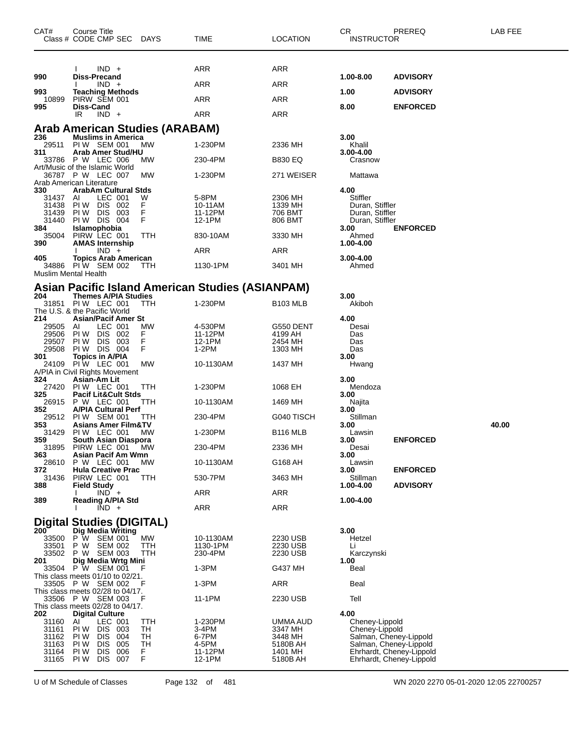| CAT#              | Course Title<br>Class # CODE CMP SEC DAYS                  |            | TIME                                             | <b>LOCATION</b>     | СR<br><b>INSTRUCTOR</b>          | PREREQ                                             | LAB FEE |
|-------------------|------------------------------------------------------------|------------|--------------------------------------------------|---------------------|----------------------------------|----------------------------------------------------|---------|
|                   | $IND +$                                                    |            | ARR                                              | ARR                 |                                  |                                                    |         |
| 990               | Diss-Precand<br>$IND +$                                    |            | <b>ARR</b>                                       | <b>ARR</b>          | 1.00-8.00                        | <b>ADVISORY</b>                                    |         |
| 993<br>10899      | <b>Teaching Methods</b><br>PIRW SEM 001                    |            | ARR                                              | <b>ARR</b>          | 1.00                             | <b>ADVISORY</b>                                    |         |
| 995               | <b>Diss-Cand</b><br>IR<br>$IND +$                          |            | <b>ARR</b>                                       | <b>ARR</b>          | 8.00                             | <b>ENFORCED</b>                                    |         |
|                   | <b>Arab American Studies (ARABAM)</b>                      |            |                                                  |                     |                                  |                                                    |         |
| 236<br>29511      | <b>Muslims in America</b><br>PIW SEM 001                   | <b>MW</b>  | 1-230PM                                          | 2336 MH             | 3.00<br>Khalil                   |                                                    |         |
| 311               | Arab Amer Stud/HU<br>33786 P W LEC 006                     | МW         | 230-4PM                                          | <b>B830 EQ</b>      | 3.00-4.00<br>Crasnow             |                                                    |         |
|                   | Art/Music of the Islamic World<br>36787 P W LEC 007        | MW         | 1-230PM                                          | 271 WEISER          | Mattawa                          |                                                    |         |
| 330               | Arab American Literature<br><b>ArabAm Cultural Stds</b>    |            |                                                  |                     | 4.00                             |                                                    |         |
| 31437 AI<br>31438 | LEC 001<br>PIW DIS 002                                     | W<br>F     | 5-8PM<br>10-11AM                                 | 2306 MH<br>1339 MH  | Stiffler<br>Duran, Stiffler      |                                                    |         |
| 31439             | PIW DIS 003                                                | F          | 11-12PM                                          | 706 BMT             | Duran, Stiffler                  |                                                    |         |
| 31440<br>384      | <b>PIW DIS 004</b>                                         | F          | 12-1PM                                           | 806 BMT             | Duran, Stiffler<br>3.00          | <b>ENFORCED</b>                                    |         |
| 35004<br>390      | Islamophobia<br>PIRW LEC 001<br><b>AMAS Internship</b>     | TTH        | 830-10AM                                         | 3330 MH             | Ahmed<br>1.00-4.00               |                                                    |         |
| 405               | $IND +$<br><b>Topics Arab American</b>                     |            | ARR                                              | ARR                 | 3.00-4.00                        |                                                    |         |
|                   | 34886 PIW SEM 002<br>Muslim Mental Health                  | TTH        | 1130-1PM                                         | 3401 MH             | Ahmed                            |                                                    |         |
|                   |                                                            |            | Asian Pacific Island American Studies (ASIANPAM) |                     |                                  |                                                    |         |
| 204<br>31851      | <b>Themes A/PIA Studies</b><br><b>PIW LEC 001</b>          | <b>TTH</b> | 1-230PM                                          | <b>B103 MLB</b>     | 3.00<br>Akiboh                   |                                                    |         |
|                   | The U.S. & the Pacific World                               |            |                                                  |                     |                                  |                                                    |         |
| 214<br>29505      | <b>Asian/Pacif Amer St</b><br>LEC 001<br>AI                | MW         | 4-530PM                                          | G550 DENT           | 4.00<br>Desai                    |                                                    |         |
| 29506             | PIW DIS 002                                                | F          | 11-12PM                                          | 4199 AH             | Das                              |                                                    |         |
| 29507<br>29508    | PI W<br>DIS 003<br>PIW DIS 004                             | F<br>F     | 12-1PM<br>$1-2PM$                                | 2454 MH<br>1303 MH  | Das<br>Das                       |                                                    |         |
| 301               | <b>Topics in A/PIA</b><br>24109 PIW LEC 001                | MW         | 10-1130AM                                        | 1437 MH             | 3.00<br>Hwang                    |                                                    |         |
| 324               | A/PIA in Civil Rights Movement<br>Asian-Am Lit             |            |                                                  |                     | 3.00                             |                                                    |         |
| 27420<br>325      | PIW LEC 001<br><b>Pacif Lit&amp;Cult Stds</b>              | TTH        | 1-230PM                                          | 1068 EH             | Mendoza<br>3.00                  |                                                    |         |
| 352               | 26915 P W LEC 001<br><b>A/PIA Cultural Perf</b>            | TTH        | 10-1130AM                                        | 1469 MH             | Najita<br>3.00                   |                                                    |         |
| 29512<br>353      | PIW SEM 001<br><b>Asians Amer Film&amp;TV</b>              | TTH        | 230-4PM                                          | G040 TISCH          | Stillman<br>3.00                 |                                                    | 40.00   |
| 31429<br>359      | PIW LEC 001<br>South Asian Diaspora                        | <b>MW</b>  | 1-230PM                                          | <b>B116 MLB</b>     | Lawsin<br>3.00                   | <b>ENFORCED</b>                                    |         |
| 31895<br>363      | PIRW LEC 001<br>Asian Pacif Am Wmn                         | <b>MW</b>  | 230-4PM                                          | 2336 MH             | Desai<br>3.00                    |                                                    |         |
| 28610<br>372      | P W LEC 001<br><b>Hula Creative Prac</b>                   | МW         | 10-1130AM                                        | G168 AH             | Lawsin<br>3.00                   | <b>ENFORCED</b>                                    |         |
| 31436<br>388      | PIRW LEC 001<br><b>Field Study</b>                         | TTH        | 530-7PM                                          | 3463 MH             | Stillman<br>1.00-4.00            | <b>ADVISORY</b>                                    |         |
| 389               | $IND +$<br><b>Reading A/PIA Std</b>                        |            | <b>ARR</b>                                       | <b>ARR</b>          | 1.00-4.00                        |                                                    |         |
|                   | $IND +$                                                    |            | <b>ARR</b>                                       | <b>ARR</b>          |                                  |                                                    |         |
|                   | <b>Digital Studies (DIGITAL)</b>                           |            |                                                  |                     |                                  |                                                    |         |
| 200               | Dig Media Writing<br>33500 P W SEM 001                     | <b>MW</b>  | 10-1130AM                                        | 2230 USB            | 3.00<br>Hetzel                   |                                                    |         |
| 33501             | P W SEM 002                                                | TTH        | 1130-1PM                                         | 2230 USB            | Li                               |                                                    |         |
| 33502<br>201      | P W SEM 003<br>Dig Media Wrtg Mini                         | TTH        | 230-4PM                                          | 2230 USB            | Karczynski<br>1.00               |                                                    |         |
| 33504             | P W SEM 001<br>This class meets $01/10$ to $02/21$ .       | F          | 1-3PM                                            | G437 MH             | Beal                             |                                                    |         |
|                   | 33505 P W SEM 002<br>This class meets $02/28$ to $04/17$ . | F          | 1-3PM                                            | <b>ARR</b>          | Beal                             |                                                    |         |
|                   | 33506 P W SEM 003                                          | F          | 11-1PM                                           | 2230 USB            | Tell                             |                                                    |         |
| 202               | This class meets 02/28 to 04/17.<br><b>Digital Culture</b> |            |                                                  |                     | 4.00                             |                                                    |         |
| 31160<br>31161    | LEC 001<br>ΑI<br>PIW DIS 003                               | TTH<br>TН  | 1-230PM<br>3-4PM                                 | UMMA AUD            | Cheney-Lippold<br>Cheney-Lippold |                                                    |         |
| 31162             | PI W<br>DIS 004                                            | TH         | 6-7PM                                            | 3347 MH<br>3448 MH  |                                  | Salman, Cheney-Lippold                             |         |
| 31163<br>31164    | DIS 005<br>PI W<br>PI W<br>DIS<br>006                      | TH<br>F.   | 4-5PM<br>11-12PM                                 | 5180B AH<br>1401 MH |                                  | Salman, Cheney-Lippold<br>Ehrhardt, Cheney-Lippold |         |
| 31165             | PI W<br>DIS 007                                            | F          | 12-1PM                                           | 5180B AH            |                                  | Ehrhardt, Cheney-Lippold                           |         |

U of M Schedule of Classes Page 132 of 481 WN 2020 2270 05-01-2020 12:05 22700257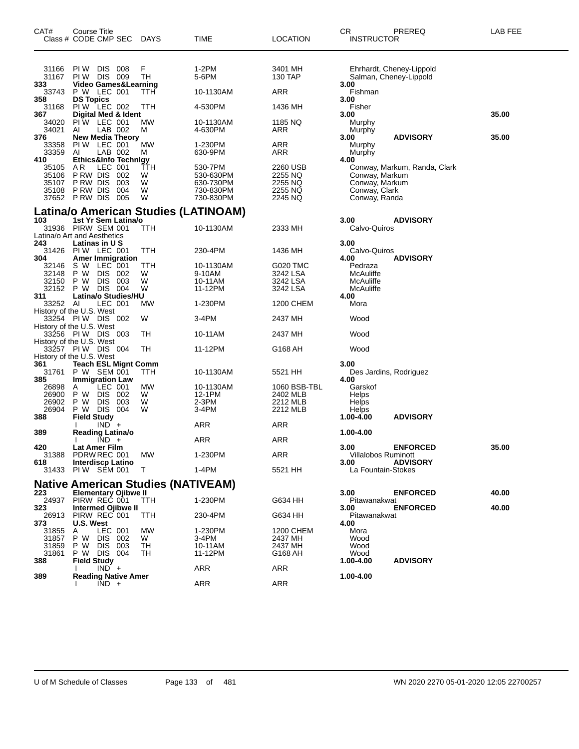| CAT#                                        | Course Title                        | Class # CODE CMP SEC                                      | DAYS     | TIME                                      | LOCATION                 | СR<br><b>INSTRUCTOR</b>             | PREREQ                                             | LAB FEE |
|---------------------------------------------|-------------------------------------|-----------------------------------------------------------|----------|-------------------------------------------|--------------------------|-------------------------------------|----------------------------------------------------|---------|
| 31166<br>31167                              | PI W                                | DIS 008<br><b>PIW DIS 009</b>                             | F<br>TН  | $1-2PM$<br>5-6PM                          | 3401 MH<br>130 TAP       |                                     | Ehrhardt, Cheney-Lippold<br>Salman, Cheney-Lippold |         |
| 333<br>33743                                | P W LEC 001                         | <b>Video Games&amp;Learning</b>                           | TTH      | 10-1130AM                                 | ARR                      | 3.00<br>Fishman                     |                                                    |         |
| 358<br>31168                                | <b>DS Topics</b>                    | PIW LEC 002                                               | ттн      | 4-530PM                                   | 1436 MH                  | 3.00<br>Fisher                      |                                                    |         |
| 367<br>34020                                |                                     | Digital Med & Ident<br>PIW LEC 001                        | МW       | 10-1130AM                                 | 1185 NQ                  | 3.00<br>Murphy                      |                                                    | 35.00   |
| 34021<br>376                                | AI                                  | LAB 002<br><b>New Media Theory</b>                        | м        | 4-630PM                                   | ARR                      | Murphy<br>3.00                      | <b>ADVISORY</b>                                    | 35.00   |
| 33358<br>33359<br>410                       | AI                                  | PIW LEC 001<br>LAB 002<br><b>Ethics&amp;Info Technigy</b> | МW<br>м  | 1-230PM<br>630-9PM                        | ARR<br>ARR               | Murphy<br>Murphy<br>4.00            |                                                    |         |
| 35105                                       | A R                                 | LEC 001                                                   | ттн      | 530-7PM                                   | 2260 USB                 |                                     | Conway, Markum, Randa, Clark                       |         |
| 35106<br>35107                              | P RW DIS                            | PRW DIS 002<br>003                                        | W<br>W   | 530-630PM<br>630-730PM                    | 2255 NQ<br>2255 NQ       | Conway, Markum<br>Conway, Markum    |                                                    |         |
| 35108                                       | P RW DIS<br>37652 PRW DIS           | 004<br>005                                                | W<br>W   | 730-830PM<br>730-830PM                    | 2255 NQ<br>2245 NQ       | Conway, Clark<br>Conway, Randa      |                                                    |         |
|                                             |                                     |                                                           |          | Latina/o American Studies (LATINOAM)      |                          |                                     |                                                    |         |
| 103                                         | 31936 PIRW SEM 001                  | 1st Yr Sem Latina/o                                       | TTH      | 10-1130AM                                 | 2333 MH                  | 3.00<br>Calvo-Quiros                | <b>ADVISORY</b>                                    |         |
| Latina/o Art and Aesthetics                 |                                     |                                                           |          |                                           |                          |                                     |                                                    |         |
| 243<br>304                                  | Latinas in U S<br>31426 PIW LEC 001 | <b>Amer Immigration</b>                                   | TTH      | 230-4PM                                   | 1436 MH                  | 3.00<br>Calvo-Quiros<br>4.00        | <b>ADVISORY</b>                                    |         |
| 32146                                       | S W LEC 001                         |                                                           | TTH      | 10-1130AM                                 | G020 TMC                 | Pedraza                             |                                                    |         |
| 32148<br>32150                              | P W<br>P W                          | DIS 002<br><b>DIS</b><br>003                              | w<br>W   | 9-10AM<br>10-11AM                         | 3242 LSA<br>3242 LSA     | McAuliffe<br>McAuliffe              |                                                    |         |
| 32152                                       |                                     | P W DIS 004                                               | W        | 11-12PM                                   | 3242 LSA                 | McAuliffe                           |                                                    |         |
| 311<br>33252 AI<br>History of the U.S. West |                                     | Latina/o Studies/HU<br>LEC 001                            | МW       | 1-230PM                                   | 1200 CHEM                | 4.00<br>Mora                        |                                                    |         |
| History of the U.S. West                    | 33254 PIW DIS 002                   |                                                           | W        | 3-4PM                                     | 2437 MH                  | Wood                                |                                                    |         |
| History of the U.S. West                    | 33256 PIW DIS 003                   |                                                           | ТH       | 10-11AM                                   | 2437 MH                  | Wood                                |                                                    |         |
| History of the U.S. West                    | 33257 PIW DIS 004                   |                                                           | TН       | 11-12PM                                   | G168 AH                  | Wood                                |                                                    |         |
| 361                                         |                                     | <b>Teach ESL Mignt Comm</b>                               |          |                                           |                          | 3.00                                |                                                    |         |
| 31761                                       |                                     | P W SEM 001                                               | TTH      | 10-1130AM                                 | 5521 HH                  |                                     | Des Jardins, Rodriguez                             |         |
| 385<br>26898<br>26900                       | Α<br>P W                            | <b>Immigration Law</b><br>LEC 001<br>DIS.<br>002          | MW<br>W  | 10-1130AM<br>12-1PM                       | 1060 BSB-TBL<br>2402 MLB | 4.00<br>Garskof<br>Helps            |                                                    |         |
| 26902<br>26904                              | P W<br>P W                          | DIS 003<br>DIS 004                                        | W<br>W   | 2-3PM<br>3-4PM                            | 2212 MLB<br>2212 MLB     | Helps<br><b>Helps</b>               |                                                    |         |
| 388                                         | <b>Field Study</b>                  |                                                           |          |                                           |                          | 1.00-4.00                           | <b>ADVISORY</b>                                    |         |
| 389                                         |                                     | $IND +$<br><b>Reading Latina/o</b>                        |          | ARR                                       | ARR                      | 1.00-4.00                           |                                                    |         |
|                                             |                                     | $IND +$                                                   |          | ARR                                       | ARR                      |                                     |                                                    |         |
| 420<br>31388<br>618                         | Lat Amer Film<br>PDRW REC 001       | Interdiscp Latino                                         | МW       | 1-230PM                                   | <b>ARR</b>               | 3.00<br>Villalobos Ruminott<br>3.00 | <b>ENFORCED</b><br><b>ADVISORY</b>                 | 35.00   |
| 31433                                       | PIW SEM 001                         |                                                           | т        | 1-4PM                                     | 5521 HH                  | La Fountain-Stokes                  |                                                    |         |
|                                             |                                     |                                                           |          | <b>Native American Studies (NATIVEAM)</b> |                          |                                     |                                                    |         |
| 223                                         |                                     | <b>Elementary Ojibwe II</b>                               |          |                                           |                          | 3.00                                | <b>ENFORCED</b>                                    | 40.00   |
| 323                                         | 24937 PIRW REC 001                  | <b>Intermed Ojibwe II</b>                                 | TTH      | 1-230PM                                   | G634 HH                  | Pitawanakwat<br>3.00                | <b>ENFORCED</b>                                    | 40.00   |
| 26913                                       | PIRW REC 001<br>U.S. West           |                                                           | TTH      | 230-4PM                                   | G634 HH                  | Pitawanakwat<br>4.00                |                                                    |         |
| 373<br>31855                                | A                                   | LEC 001                                                   | МW       | 1-230PM                                   | 1200 CHEM                | Mora                                |                                                    |         |
| 31857                                       |                                     | P W DIS 002                                               | W        | 3-4PM                                     | 2437 MH                  | Wood                                |                                                    |         |
| 31859<br>31861<br>388                       | P W<br><b>Field Study</b>           | DIS 003<br>P W DIS 004                                    | TН<br>TН | 10-11AM<br>11-12PM                        | 2437 MH<br>G168 AH       | Wood<br>Wood<br>1.00-4.00           | <b>ADVISORY</b>                                    |         |
|                                             |                                     | $IND +$                                                   |          | <b>ARR</b>                                | <b>ARR</b>               |                                     |                                                    |         |
| 389                                         |                                     | <b>Reading Native Amer</b><br>$IND +$                     |          | ARR                                       | ARR                      | 1.00-4.00                           |                                                    |         |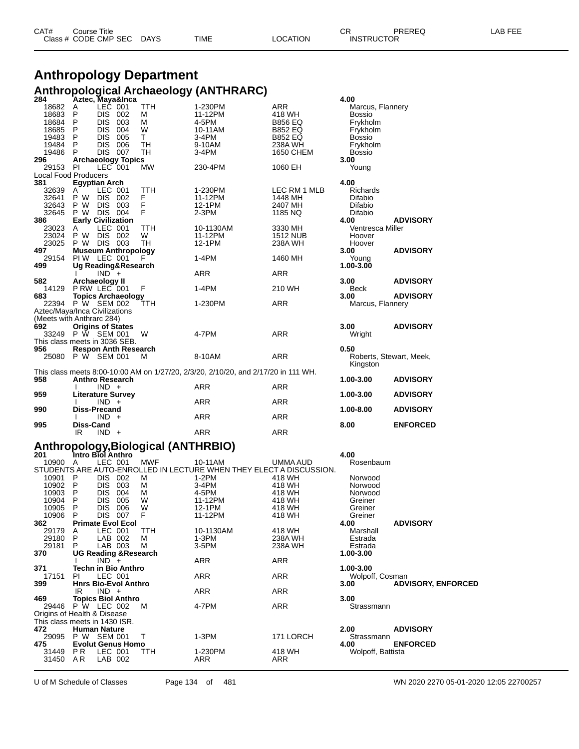| CAT# | Title<br>Course      |      |      |          | Ωn<br>◡∩          | PREREQ | . EEF<br>AR. |
|------|----------------------|------|------|----------|-------------------|--------|--------------|
|      | Class # CODE CMP SEC | DAYS | TIME | LOCATION | <b>INSTRUCTOR</b> |        |              |

# **Anthropology Department Anthropological Archaeology (ANTHRARC) 284 Aztec, Maya&Inca 4.00**

| 18683                                | 18682<br>A<br>P                           | LEC 001<br><b>DIS</b>     | 002          | TTH<br>м                            | 1-230PM<br>11-12PM                                                                 | ARR<br>418 WH              | Marcus, Flannery<br><b>Bossio</b> |                           |
|--------------------------------------|-------------------------------------------|---------------------------|--------------|-------------------------------------|------------------------------------------------------------------------------------|----------------------------|-----------------------------------|---------------------------|
| 18684                                | P                                         | <b>DIS</b>                | 003          | М                                   | 4-5PM                                                                              | <b>B856 EQ</b>             | Frykholm                          |                           |
| 18685                                | P                                         | <b>DIS</b>                | 004          | W                                   | 10-11AM                                                                            | <b>B852 EQ</b>             | Frykholm                          |                           |
| 19483<br>19484                       | P<br>P                                    | <b>DIS</b><br><b>DIS</b>  | 005<br>006   | T.<br>TН                            | 3-4PM<br>9-10AM                                                                    | <b>B852 EQ</b><br>238A WH  | <b>Bossio</b><br>Frykholm         |                           |
| 19486                                | P                                         | DIS 007                   |              | TН                                  | 3-4PM                                                                              | 1650 CHEM                  | <b>Bossio</b>                     |                           |
| 296                                  | <b>Archaeology Topics</b>                 |                           |              |                                     |                                                                                    |                            | 3.00                              |                           |
| 29153<br>Local Food Producers        | - PI                                      | LEC 001                   |              | МW                                  | 230-4PM                                                                            | 1060 EH                    | Young                             |                           |
| 381                                  | Egyptian Arch                             |                           |              |                                     |                                                                                    |                            | 4.00                              |                           |
| 32639                                | A                                         | LEC 001                   |              | TTH                                 | 1-230PM                                                                            | LEC RM 1 MLB               | Richards                          |                           |
| 32641<br>32643                       | P W<br>P W                                | DIS.<br><b>DIS</b>        | - 002<br>003 | F<br>F                              | 11-12PM<br>12-1PM                                                                  | 1448 MH<br>2407 MH         | Difabio<br>Difabio                |                           |
| 32645                                | P W DIS 004                               |                           |              | F                                   | 2-3PM                                                                              | 1185 NQ                    | Difabio                           |                           |
| 386                                  | <b>Early Civilization</b>                 |                           |              |                                     |                                                                                    |                            | 4.00                              | <b>ADVISORY</b>           |
| 23023<br>23024                       | A<br>P W                                  | LEC 001<br><b>DIS 002</b> |              | TTH<br>W                            | 10-1130AM<br>11-12PM                                                               | 3330 MH<br><b>1512 NUB</b> | Ventresca Miller<br>Hoover        |                           |
| 23025                                | P W DIS 003                               |                           |              | TН                                  | 12-1PM                                                                             | 238A WH                    | Hoover                            |                           |
| 497                                  | <b>Museum Anthropology</b>                |                           |              |                                     |                                                                                    |                            | 3.00                              | <b>ADVISORY</b>           |
| 29154<br>499                         | PIW LEC 001<br>Ug Reading&Research        |                           |              |                                     | 1-4PM                                                                              | 1460 MH                    | Young<br>1.00-3.00                |                           |
|                                      |                                           | $IND +$                   |              |                                     | ARR                                                                                | ARR                        |                                   |                           |
| 582                                  | Archaeology II                            |                           |              |                                     |                                                                                    |                            | 3.00                              | <b>ADVISORY</b>           |
| 14129<br>683                         | P RW LEC 001<br><b>Topics Archaeology</b> |                           |              | F                                   | 1-4PM                                                                              | 210 WH                     | Beck<br>3.00                      | <b>ADVISORY</b>           |
| 22394                                | P W SEM 002                               |                           |              | TTH                                 | 1-230PM                                                                            | ARR                        | Marcus, Flannery                  |                           |
| Aztec/Maya/Inca Civilizations        |                                           |                           |              |                                     |                                                                                    |                            |                                   |                           |
| (Meets with Anthrarc 284)<br>692     | <b>Origins of States</b>                  |                           |              |                                     |                                                                                    |                            | 3.00                              | <b>ADVISORY</b>           |
|                                      | 33249 P W SEM 001                         |                           |              | W                                   | 4-7PM                                                                              | ARR                        | Wright                            |                           |
| This class meets in 3036 SEB.        |                                           |                           |              |                                     |                                                                                    |                            |                                   |                           |
| 956<br>25080 P W SEM 001             | <b>Respon Anth Research</b>               |                           |              | м                                   | 8-10AM                                                                             | ARR                        | 0.50<br>Roberts, Stewart, Meek,   |                           |
|                                      |                                           |                           |              |                                     |                                                                                    |                            | Kingston                          |                           |
|                                      |                                           |                           |              |                                     | This class meets 8:00-10:00 AM on 1/27/20, 2/3/20, 2/10/20, and 2/17/20 in 111 WH. |                            |                                   |                           |
| 958                                  | Anthro Research                           | $IND +$                   |              |                                     | ARR                                                                                | ARR                        | 1.00-3.00                         | <b>ADVISORY</b>           |
| 959                                  | <b>Literature Survey</b>                  |                           |              |                                     |                                                                                    |                            | 1.00-3.00                         | <b>ADVISORY</b>           |
|                                      |                                           |                           |              |                                     | ARR                                                                                | ARR                        |                                   |                           |
|                                      |                                           | $IND +$                   |              |                                     |                                                                                    |                            |                                   |                           |
| 990                                  | <b>Diss-Precand</b>                       |                           |              |                                     |                                                                                    |                            | 1.00-8.00                         | <b>ADVISORY</b>           |
| 995                                  | Diss-Cand                                 | $IND +$                   |              |                                     | ARR                                                                                | ARR                        | 8.00                              | <b>ENFORCED</b>           |
|                                      | IR.                                       | $IND +$                   |              |                                     | ARR                                                                                | <b>ARR</b>                 |                                   |                           |
|                                      |                                           |                           |              |                                     |                                                                                    |                            |                                   |                           |
| 201                                  | Intro Biol Anthro                         |                           |              | Anthropology, Biological (ANTHRBIO) |                                                                                    |                            | 4.00                              |                           |
| 10900                                | A                                         | LEC 001                   |              | <b>MWF</b>                          | 10-11AM                                                                            | UMMA AUD                   | Rosenbaum                         |                           |
|                                      |                                           |                           |              |                                     | STUDENTS ARE AUTO-ENROLLED IN LECTURE WHEN THEY ELECT A DISCUSSION.                |                            |                                   |                           |
| 10901<br>10902                       | - P<br>P                                  | DIS 002<br><b>DIS</b>     | 003          | м<br>M                              | 1-2PM<br>3-4PM                                                                     | 418 WH<br>418 WH           | Norwood<br>Norwood                |                           |
| 10903                                | P                                         | <b>DIS</b>                | 004          | м                                   | 4-5PM                                                                              | 418 WH                     | Norwood                           |                           |
| 10904                                | P                                         | <b>DIS</b>                | 005          | W                                   | 11-12PM                                                                            | 418 WH                     | Greiner                           |                           |
| 10905<br>10906                       | P<br>P                                    | <b>DIS</b><br>DIS 007     | 006          | W<br>F                              | 12-1PM<br>11-12PM                                                                  | 418 WH<br>418 WH           | Greiner<br>Greiner                |                           |
| 362                                  | <b>Primate Evol Ecol</b>                  |                           |              |                                     |                                                                                    |                            | 4.00                              | <b>ADVISORY</b>           |
| 29179 A                              |                                           | LEC 001                   |              | <b>TTH</b>                          | 10-1130AM                                                                          | 418 WH                     | Marshall                          |                           |
| 29180<br>29181                       | P<br>P                                    | LAB 002<br>LAB 003        |              | M<br>м                              | 1-3PM<br>3-5PM                                                                     | 238A WH<br>238A WH         | Estrada<br>Estrada                |                           |
| 370                                  | <b>UG Reading &amp; Research</b>          |                           |              |                                     |                                                                                    |                            | 1.00-3.00                         |                           |
|                                      | <b>Techn in Bio Anthro</b>                | $IND +$                   |              |                                     | ARR                                                                                | ARR                        |                                   |                           |
| 371<br>17151                         | PI.                                       | LEC 001                   |              |                                     | ARR                                                                                | ARR                        | 1.00-3.00<br>Wolpoff, Cosman      |                           |
| 399                                  | <b>Hnrs Bio-Evol Anthro</b>               |                           |              |                                     |                                                                                    |                            | 3.00                              | <b>ADVISORY, ENFORCED</b> |
| 469                                  | IR.<br><b>Topics Biol Anthro</b>          | $IND +$                   |              |                                     | ARR                                                                                | ARR                        | 3.00                              |                           |
| 29446                                | P W LEC 002                               |                           |              | M                                   | 4-7PM                                                                              | <b>ARR</b>                 | Strassmann                        |                           |
| Origins of Health & Disease          |                                           |                           |              |                                     |                                                                                    |                            |                                   |                           |
| This class meets in 1430 ISR.<br>472 |                                           |                           |              |                                     |                                                                                    |                            | 2.00                              | <b>ADVISORY</b>           |
| 29095 P W SEM 001                    | <b>Human Nature</b>                       |                           |              | Т                                   | 1-3PM                                                                              | 171 LORCH                  | Strassmann                        |                           |
| 475                                  | <b>Evolut Genus Homo</b>                  |                           |              |                                     |                                                                                    |                            | 4.00                              | <b>ENFORCED</b>           |
| 31449<br>31450 AR                    | P R                                       | LEC 001<br>LAB 002        |              | TTH                                 | 1-230PM<br>ARR                                                                     | 418 WH<br>ARR              | Wolpoff, Battista                 |                           |

U of M Schedule of Classes Page 134 of 481 WN 2020 2270 05-01-2020 12:05 22700257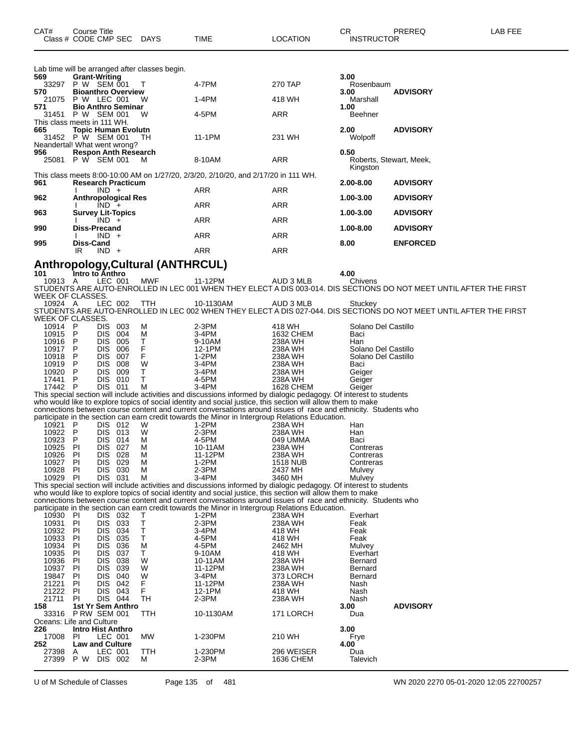Lab time will be arranged after classes begin.<br>569 **Grant-Writing Grant-Writing 3.00** P W SEM 001 T 4-7PM 270 TAP Rosenbaum **Bioanthro Overview 3.00 ADVISORY** 21075 P W LEC 001 W 1-4PM 418 WH M.<br>**571 Bio Anthro Seminar** 1.00 **Bio Anthro Seminar 1.00** P W SEM 001 W 4-5PM ARR Beehner This class meets in 111 WH.<br>665 Topic Human Ev **Topic Human Evolutn 2.00 ADVISORY** 31452 P W SEM 001 TH 11-1PM 231 WH Wolpoff Neandertal! What went wrong?<br>956 Respon Anth Rese **Respon Anth Research 0.50** 25081 P W SEM 001 M 8-10AM ARR Roberts, Stewart, Meek, **Kingston** This class meets 8:00-10:00 AM on 1/27/20, 2/3/20, 2/10/20, and 2/17/20 in 111 WH. **Research Practicum 2.00-8.00 ADVISORY** I IND + ARR ARR ARR **Anthropological Res 1.00-3.00 ADVISORY**

| 962 | Anthropological Res      |            |     | 1.00-3.00     | <b>ADVISORY</b> |
|-----|--------------------------|------------|-----|---------------|-----------------|
|     | $IND +$                  | <b>ARR</b> | ARR |               |                 |
| 963 | <b>Survey Lit-Topics</b> |            |     | 1.00-3.00     | <b>ADVISORY</b> |
| 990 | $IND +$<br>Diss-Precand  | <b>ARR</b> | ARR | $1.00 - 8.00$ | <b>ADVISORY</b> |
|     | $IND +$                  | <b>ARR</b> | ARR |               |                 |
| 995 | Diss-Cand                |            |     | 8.00          | <b>ENFORCED</b> |
|     | $IND +$<br>IR            | ARR        | ARR |               |                 |
|     |                          |            |     |               |                 |

## **Anthropology,Cultural (ANTHRCUL) 101 Intro to Anthro 4.00**

 A LEC 001 MWF 11-12PM AUD 3 MLB Chivens STUDENTS ARE AUTO-ENROLLED IN LEC 001 WHEN THEY ELECT A DIS 003-014. DIS SECTIONS DO NOT MEET UNTIL AFTER THE FIRST WEEK OF CLASSES.<br>10924 A LEC 002

 A LEC 002 TTH 10-1130AM AUD 3 MLB Stuckey STUDENTS ARE AUTO-ENROLLED IN LEC 002 WHEN THEY ELECT A DIS 027-044. DIS SECTIONS DO NOT MEET UNTIL AFTER THE FIRST WEEK OF CLASSES.

| WEEK OF CLASSES.         |                          |                |     |            |                                                                                                                     |                 |                         |  |
|--------------------------|--------------------------|----------------|-----|------------|---------------------------------------------------------------------------------------------------------------------|-----------------|-------------------------|--|
| 10914 P                  |                          | DIS.           | 003 | М          | $2-3PM$                                                                                                             | 418 WH          | Solano Del Castillo     |  |
| 10915                    | - P                      | <b>DIS</b>     | 004 | M          | $3-4PM$                                                                                                             | 1632 CHEM       | Baci                    |  |
| 10916                    | P                        | <b>DIS</b>     | 005 | T          | 9-10AM                                                                                                              | 238A WH         | Han                     |  |
| 10917                    | $\mathsf{P}$             | <b>DIS</b>     | 006 | F          | 12-1PM                                                                                                              | 238A WH         | Solano Del Castillo     |  |
| 10918                    | P                        | <b>DIS</b>     | 007 | F          | $1-2PM$                                                                                                             | 238A WH         | Solano Del Castillo     |  |
| 10919                    | P                        | <b>DIS</b>     | 008 | W          | $3-4PM$                                                                                                             | 238A WH         | Baci                    |  |
| 10920                    | $\mathsf{P}$             | <b>DIS</b>     | 009 | T.         | 3-4PM                                                                                                               | 238A WH         | Geiger                  |  |
| 17441                    | $\mathsf{P}$             | <b>DIS</b>     | 010 | T.         | 4-5PM                                                                                                               | 238A WH         | Geiger                  |  |
| 17442                    | $\mathsf{P}$             | DIS 011        |     | M          | 3-4PM                                                                                                               | 1628 CHEM       | Geiger                  |  |
|                          |                          |                |     |            | This special section will include activities and discussions informed by dialogic pedagogy. Of interest to students |                 |                         |  |
|                          |                          |                |     |            | who would like to explore topics of social identity and social justice, this section will allow them to make        |                 |                         |  |
|                          |                          |                |     |            | connections between course content and current conversations around issues of race and ethnicity. Students who      |                 |                         |  |
|                          |                          |                |     |            | participate in the section can earn credit towards the Minor in Intergroup Relations Education.                     |                 |                         |  |
| 10921                    | P                        | DIS 012        |     | W          | 1-2PM                                                                                                               | 238A WH         | Han                     |  |
| 10922                    | - P                      | <b>DIS</b>     | 013 | W          | $2-3PM$                                                                                                             | 238A WH         | Han                     |  |
| 10923                    | P                        | <b>DIS</b>     | 014 | M          | 4-5PM                                                                                                               | 049 UMMA        | Baci                    |  |
| 10925                    | PI                       | <b>DIS</b>     | 027 | м          | 10-11AM                                                                                                             | 238A WH         | Contreras               |  |
| 10926                    | PI                       | <b>DIS</b>     | 028 | M          | 11-12PM                                                                                                             | 238A WH         | Contreras               |  |
| 10927                    | PI                       | <b>DIS</b>     | 029 | м          | $1-2PM$                                                                                                             | <b>1518 NUB</b> | Contreras               |  |
| 10928                    | PI                       | <b>DIS</b>     | 030 | M          | $2-3PM$                                                                                                             | 2437 MH         | Mulvey                  |  |
| 10929 PI                 |                          | DIS 031        |     | M          | $3-4PM$                                                                                                             | 3460 MH         |                         |  |
|                          |                          |                |     |            |                                                                                                                     |                 | Mulvey                  |  |
|                          |                          |                |     |            | This special section will include activities and discussions informed by dialogic pedagogy. Of interest to students |                 |                         |  |
|                          |                          |                |     |            | who would like to explore topics of social identity and social justice, this section will allow them to make        |                 |                         |  |
|                          |                          |                |     |            | connections between course content and current conversations around issues of race and ethnicity. Students who      |                 |                         |  |
|                          |                          |                |     |            | participate in the section can earn credit towards the Minor in Intergroup Relations Education.                     |                 |                         |  |
| 10930 PI                 |                          | DIS 032        |     | Τ          | $1-2PM$                                                                                                             | 238A WH         | Everhart                |  |
| 10931                    | PI                       | <b>DIS</b>     | 033 | T          | $2-3PM$                                                                                                             | 238A WH         | Feak                    |  |
| 10932                    | PI                       | <b>DIS</b>     | 034 | T          | $3-4PM$                                                                                                             | 418 WH          | Feak                    |  |
| 10933                    | PI                       | <b>DIS</b>     | 035 | Τ          | 4-5PM                                                                                                               | 418 WH          | Feak                    |  |
| 10934                    | PI                       | <b>DIS</b>     | 036 | M          | 4-5PM                                                                                                               | 2462 MH         | Mulvey                  |  |
| 10935                    | -PI                      | <b>DIS</b>     | 037 | T.         | 9-10AM                                                                                                              | 418 WH          | Everhart                |  |
| 10936                    | -PI                      | <b>DIS</b>     | 038 | W          | 10-11AM                                                                                                             | 238A WH         | Bernard                 |  |
| 10937                    | PI                       | <b>DIS</b>     | 039 | W          | 11-12PM                                                                                                             | 238A WH         | <b>Bernard</b>          |  |
| 19847                    | PI                       | <b>DIS</b>     | 040 | W          | 3-4PM                                                                                                               | 373 LORCH       | <b>Bernard</b>          |  |
| 21221                    | PI                       | <b>DIS</b>     | 042 | F          | 11-12PM                                                                                                             | 238A WH         | Nash                    |  |
| 21222                    | PI                       | <b>DIS</b>     | 043 | F          | 12-1PM                                                                                                              | 418 WH          | Nash                    |  |
| 21711                    | <b>PI</b>                | <b>DIS 044</b> |     | <b>TH</b>  | $2-3PM$                                                                                                             | 238A WH         | Nash                    |  |
| 158                      | 1st Yr Sem Anthro        |                |     |            |                                                                                                                     |                 | <b>ADVISORY</b><br>3.00 |  |
| 33316                    | <b>P RW SEM 001</b>      |                |     | TTH        | 10-1130AM                                                                                                           | 171 LORCH       | Dua                     |  |
| Oceans: Life and Culture |                          |                |     |            |                                                                                                                     |                 |                         |  |
| 226                      | <b>Intro Hist Anthro</b> |                |     |            |                                                                                                                     |                 | 3.00                    |  |
| 17008                    | PI.                      | LEC 001        |     | <b>MW</b>  | 1-230PM                                                                                                             | 210 WH          | Frye                    |  |
| 252                      | <b>Law and Culture</b>   |                |     |            |                                                                                                                     |                 | 4.00                    |  |
| 27398                    | A                        | LEC 001        |     | <b>TTH</b> | 1-230PM                                                                                                             | 296 WEISER      | Dua                     |  |
| 27399                    | P W                      | DIS 002        |     | М          | 2-3PM                                                                                                               | 1636 CHEM       | Talevich                |  |
|                          |                          |                |     |            |                                                                                                                     |                 |                         |  |

U of M Schedule of Classes Page 135 of 481 WN 2020 2270 05-01-2020 12:05 22700257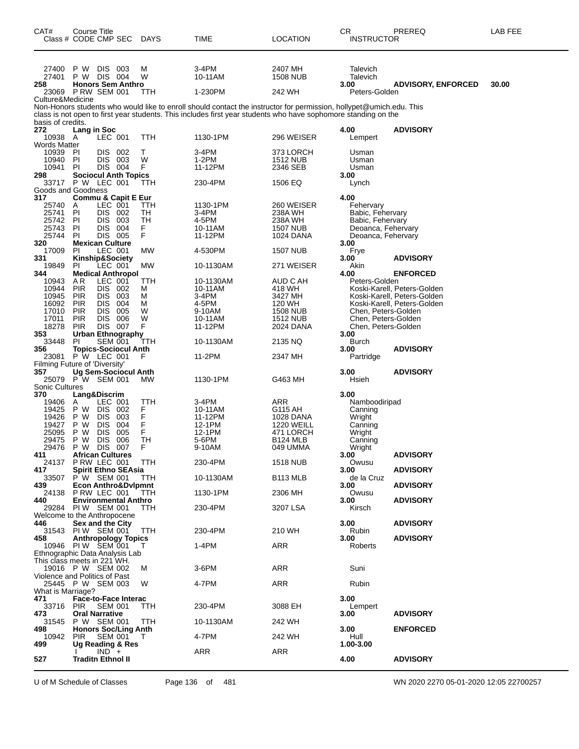| CAT#<br>Class # CODE CMP SEC                     | <b>Course Title</b>                           |                              |              | <b>DAYS</b>    | TIME                                                                                                                | <b>LOCATION</b>              | CR<br><b>INSTRUCTOR</b>                    | PREREQ                                                     | LAB FEE |
|--------------------------------------------------|-----------------------------------------------|------------------------------|--------------|----------------|---------------------------------------------------------------------------------------------------------------------|------------------------------|--------------------------------------------|------------------------------------------------------------|---------|
| 27400<br>27401<br>258                            | P W<br>P W<br><b>Honors Sem Anthro</b>        | DIS 003<br>DIS 004           |              | М<br>W         | 3-4PM<br>10-11AM                                                                                                    | 2407 MH<br><b>1508 NUB</b>   | Talevich<br>Talevich<br>3.00               | <b>ADVISORY, ENFORCED</b>                                  | 30.00   |
| 23069 P RW SEM 001                               |                                               |                              |              | TTH            | 1-230PM                                                                                                             | 242 WH                       | Peters-Golden                              |                                                            |         |
| Culture&Medicine                                 |                                               |                              |              |                | Non-Honors students who would like to enroll should contact the instructor for permission, hollypet@umich.edu. This |                              |                                            |                                                            |         |
|                                                  |                                               |                              |              |                | class is not open to first year students. This includes first year students who have sophomore standing on the      |                              |                                            |                                                            |         |
| basis of credits.<br>272                         | Lang in Soc                                   |                              |              |                |                                                                                                                     |                              | 4.00                                       | <b>ADVISORY</b>                                            |         |
| 10938                                            | A                                             | LEC 001                      |              | TTH            | 1130-1PM                                                                                                            | 296 WEISER                   | Lempert                                    |                                                            |         |
| <b>Words Matter</b><br>10939                     | PI                                            | DIS 002                      |              | т              | 3-4PM                                                                                                               | 373 LORCH                    | Usman                                      |                                                            |         |
| 10940                                            | <b>PI</b>                                     | DIS.                         | 003          | W              | 1-2PM                                                                                                               | <b>1512 NUB</b>              | Usman                                      |                                                            |         |
| 10941<br>298                                     | PI.<br><b>Sociocul Anth Topics</b>            | DIS 004                      |              | F              | 11-12PM                                                                                                             | 2346 SEB                     | Usman<br>3.00                              |                                                            |         |
| 33717 P W LEC 001                                |                                               |                              |              | TTH            | 230-4PM                                                                                                             | 1506 EQ                      | Lynch                                      |                                                            |         |
| Goods and Goodness<br>317                        | <b>Commu &amp; Capit E Eur</b>                |                              |              |                |                                                                                                                     |                              | 4.00                                       |                                                            |         |
| 25740<br>25741                                   | A                                             | LEC 001<br>DIS.              | 002          | TTH            | 1130-1PM<br>3-4PM                                                                                                   | 260 WEISER<br>238A WH        | Fehervary                                  |                                                            |         |
| 25742                                            | PI<br><b>PI</b>                               | <b>DIS</b>                   | 003          | TH<br>TН       | 4-5PM                                                                                                               | 238A WH                      | Babic, Fehervary<br>Babic, Fehervary       |                                                            |         |
| 25743<br>25744                                   | PI<br>PI.                                     | <b>DIS</b><br>DIS 005        | 004          | F<br>F         | 10-11AM<br>11-12PM                                                                                                  | <b>1507 NUB</b>              | Deoanca, Fehervary                         |                                                            |         |
| 320                                              | <b>Mexican Culture</b>                        |                              |              |                |                                                                                                                     | 1024 DANA                    | Deoanca, Fehervary<br>3.00                 |                                                            |         |
| 17009<br>331                                     | PI.<br>Kinship&Society                        | LEC 001                      |              | МW             | 4-530PM                                                                                                             | <b>1507 NUB</b>              | Frye<br>3.00                               | <b>ADVISORY</b>                                            |         |
| 19849                                            | PI.                                           | LEC 001                      |              | MW             | 10-1130AM                                                                                                           | 271 WEISER                   | Akin                                       |                                                            |         |
| 344<br>10943                                     | <b>Medical Anthropol</b><br>AR                | LEC 001                      |              | TTH            | 10-1130AM                                                                                                           | AUD C AH                     | 4.00<br>Peters-Golden                      | <b>ENFORCED</b>                                            |         |
| 10944                                            | <b>PIR</b>                                    | <b>DIS</b>                   | 002          | Μ              | 10-11AM                                                                                                             | 418 WH                       |                                            | Koski-Karell, Peters-Golden                                |         |
| 10945<br>16092                                   | <b>PIR</b><br><b>PIR</b>                      | <b>DIS</b><br><b>DIS</b>     | 003<br>004   | М<br>м         | 3-4PM<br>4-5PM                                                                                                      | 3427 MH<br>120 WH            |                                            | Koski-Karell, Peters-Golden<br>Koski-Karell, Peters-Golden |         |
| 17010                                            | <b>PIR</b>                                    | <b>DIS</b>                   | 005          | W              | 9-10AM                                                                                                              | 1508 NUB                     | Chen, Peters-Golden                        |                                                            |         |
| 17011<br>18278                                   | <b>PIR</b><br><b>PIR</b>                      | <b>DIS</b><br><b>DIS 007</b> | 006          | W<br>F         | 10-11AM<br>11-12PM                                                                                                  | <b>1512 NUB</b><br>2024 DANA | Chen, Peters-Golden<br>Chen, Peters-Golden |                                                            |         |
| 353                                              | <b>Urban Ethnography</b>                      |                              |              |                |                                                                                                                     |                              | 3.00                                       |                                                            |         |
| 33448<br>356                                     | PI.<br><b>Topics-Sociocul Anth</b>            | <b>SEM 001</b>               |              | ттн            | 10-1130AM                                                                                                           | 2135 NQ                      | Burch<br>3.00                              | <b>ADVISORY</b>                                            |         |
| 23081                                            | P W LEC 001                                   |                              |              | F              | 11-2PM                                                                                                              | 2347 MH                      | Partridge                                  |                                                            |         |
| Filming Future of 'Diversity'<br>357             | <b>Ug Sem-Sociocul Anth</b>                   |                              |              |                |                                                                                                                     |                              | 3.00                                       | <b>ADVISORY</b>                                            |         |
| 25079 P W SEM 001                                |                                               |                              |              | MW             | 1130-1PM                                                                                                            | G463 MH                      | Hsieh                                      |                                                            |         |
| <b>Sonic Cultures</b><br>370                     | Lang&Discrim                                  |                              |              |                |                                                                                                                     |                              | 3.00                                       |                                                            |         |
| 19406                                            | A                                             | LEC 001                      |              | <b>TTH</b>     | 3-4PM                                                                                                               | <b>ARR</b>                   | Namboodiripad                              |                                                            |         |
| 19425<br>19426                                   | P W<br>P W                                    | DIS.<br><b>DIS</b>           | - 002<br>003 | F<br>F<br>F    | 10-11AM<br>11-12PM                                                                                                  | G115 AH<br>1028 DANA         | Canning<br>Wright                          |                                                            |         |
| 19427                                            | P W                                           | <b>DIS</b>                   | 004          |                | 12-1PM                                                                                                              | <b>1220 WEILL</b>            | Canning                                    |                                                            |         |
| 25095<br>29475                                   | P W<br>P W                                    | <b>DIS</b><br><b>DIS</b>     | 005<br>006   | F<br><b>TH</b> | 12-1PM<br>5-6PM                                                                                                     | 471 LORCH<br><b>B124 MLB</b> | Wright<br>Canning                          |                                                            |         |
| 29476                                            | P W                                           | <b>DIS</b>                   | 007          | F              | 9-10AM                                                                                                              | 049 UMMA                     | Wright                                     |                                                            |         |
| 411<br>24137                                     | <b>African Cultures</b><br>PRW LEC 001        |                              |              | TTH            | 230-4PM                                                                                                             | <b>1518 NUB</b>              | 3.00<br>Owusu                              | <b>ADVISORY</b>                                            |         |
| 417                                              | <b>Spirit Ethno SEAsia</b>                    |                              |              |                |                                                                                                                     |                              | 3.00                                       | <b>ADVISORY</b>                                            |         |
| 33507<br>439                                     | P W SEM 001<br><b>Econ Anthro&amp;Dvlpmnt</b> |                              |              | TTH            | 10-1130AM                                                                                                           | B <sub>113</sub> MLB         | de la Cruz<br>3.00                         | <b>ADVISORY</b>                                            |         |
| 24138                                            | PRW LEC 001                                   |                              |              | TTH            | 1130-1PM                                                                                                            | 2306 MH                      | Owusu                                      |                                                            |         |
| 440<br>29284                                     | <b>Environmental Anthro</b><br>PIW SEM 001    |                              |              | TTH.           | 230-4PM                                                                                                             | 3207 LSA                     | 3.00<br>Kirsch                             | <b>ADVISORY</b>                                            |         |
| Welcome to the Anthropocene                      | <b>Sex and the City</b>                       |                              |              |                |                                                                                                                     |                              |                                            |                                                            |         |
| 446<br>31543                                     | PIW SEM 001                                   |                              |              | TTH            | 230-4PM                                                                                                             | 210 WH                       | 3.00<br>Rubin                              | <b>ADVISORY</b>                                            |         |
| 458<br>10946 PIW SEM 001                         | <b>Anthropology Topics</b>                    |                              |              |                | $1-4PM$                                                                                                             | <b>ARR</b>                   | 3.00<br>Roberts                            | <b>ADVISORY</b>                                            |         |
| Ethnographic Data Analysis Lab                   |                                               |                              |              | Τ              |                                                                                                                     |                              |                                            |                                                            |         |
| This class meets in 221 WH.<br>19016 P W SEM 002 |                                               |                              |              | м              | 3-6PM                                                                                                               | ARR                          | Suni                                       |                                                            |         |
| Violence and Politics of Past                    |                                               |                              |              |                |                                                                                                                     |                              |                                            |                                                            |         |
| 25445 P W SEM 003<br>What is Marriage?           |                                               |                              |              | W              | 4-7PM                                                                                                               | ARR                          | Rubin                                      |                                                            |         |
| 471                                              | <b>Face-to-Face Interac</b>                   |                              |              |                |                                                                                                                     |                              | 3.00                                       |                                                            |         |
| 33716 PIR<br>473                                 | <b>Oral Narrative</b>                         | <b>SEM 001</b>               |              | TTH            | 230-4PM                                                                                                             | 3088 EH                      | Lempert<br>3.00                            | <b>ADVISORY</b>                                            |         |
| 31545                                            | P W SEM 001                                   |                              |              | TTH            | 10-1130AM                                                                                                           | 242 WH                       |                                            |                                                            |         |
| 498<br>10942                                     | <b>Honors Soc/Ling Anth</b><br>PIR            | <b>SEM 001</b>               |              | T              | 4-7PM                                                                                                               | 242 WH                       | 3.00<br>Hull                               | <b>ENFORCED</b>                                            |         |
| 499                                              | <b>Ug Reading &amp; Res</b>                   |                              |              |                |                                                                                                                     |                              | 1.00-3.00                                  |                                                            |         |
| 527                                              | <b>Traditn Ethnol II</b>                      | $IND +$                      |              |                | ARR                                                                                                                 | ARR                          | 4.00                                       | <b>ADVISORY</b>                                            |         |
|                                                  |                                               |                              |              |                |                                                                                                                     |                              |                                            |                                                            |         |

U of M Schedule of Classes Page 136 of 481 WN 2020 2270 05-01-2020 12:05 22700257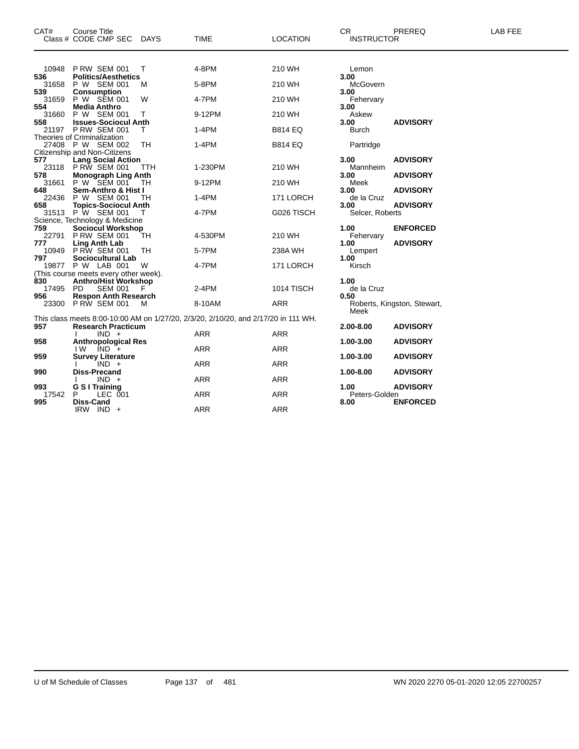| CAT#         | Course Title                                        |     |                                                                                    |                 | <b>CR</b>             | PREREQ                      | <b>LAB FEE</b> |
|--------------|-----------------------------------------------------|-----|------------------------------------------------------------------------------------|-----------------|-----------------------|-----------------------------|----------------|
|              | Class # CODE CMP SEC DAYS                           |     | <b>TIME</b>                                                                        | <b>LOCATION</b> | <b>INSTRUCTOR</b>     |                             |                |
| 10948        | <b>P RW SEM 001</b>                                 | т   | 4-8PM                                                                              | 210 WH          | Lemon                 |                             |                |
| 536          | <b>Politics/Aesthetics</b>                          |     |                                                                                    |                 | 3.00                  |                             |                |
| 31658<br>539 | P W SEM 001<br><b>Consumption</b>                   | м   | 5-8PM                                                                              | 210 WH          | McGovern<br>3.00      |                             |                |
| 31659        | P W SEM 001                                         | W   | 4-7PM                                                                              | 210 WH          | Fehervary             |                             |                |
| 554          | <b>Media Anthro</b>                                 |     |                                                                                    |                 | 3.00                  |                             |                |
| 31660<br>558 | P W SEM 001<br><b>Issues-Sociocul Anth</b>          | т   | 9-12PM                                                                             | 210 WH          | Askew<br>3.00         | <b>ADVISORY</b>             |                |
|              | 21197 PRW SEM 001                                   | т   | 1-4PM                                                                              | <b>B814 EQ</b>  | <b>Burch</b>          |                             |                |
|              | Theories of Criminalization                         |     |                                                                                    |                 |                       |                             |                |
|              | 27408 P W SEM 002<br>Citizenship and Non-Citizens   | TН  | 1-4PM                                                                              | <b>B814 EQ</b>  | Partridge             |                             |                |
| 577          | <b>Lang Social Action</b>                           |     |                                                                                    |                 | 3.00                  | <b>ADVISORY</b>             |                |
|              | 23118 PRW SEM 001                                   | ттн | 1-230PM                                                                            | 210 WH          | Mannheim              |                             |                |
| 578          | <b>Monograph Ling Anth</b><br>31661 P W SEM 001     |     | 9-12PM                                                                             |                 | 3.00                  | <b>ADVISORY</b>             |                |
| 648          | Sem-Anthro & Hist I                                 | TH  |                                                                                    | 210 WH          | Meek<br>3.00          | <b>ADVISORY</b>             |                |
| 22436        | P W SEM 001                                         | тн  | $1-4PM$                                                                            | 171 LORCH       | de la Cruz            |                             |                |
| 658          | <b>Topics-Sociocul Anth</b>                         |     |                                                                                    |                 | 3.00                  | <b>ADVISORY</b>             |                |
|              | 31513 P W SEM 001<br>Science, Technology & Medicine |     | 4-7PM                                                                              | G026 TISCH      | Selcer, Roberts       |                             |                |
| 759          | <b>Sociocul Workshop</b>                            |     |                                                                                    |                 | 1.00                  | <b>ENFORCED</b>             |                |
| 22791        | <b>P RW SEM 001</b>                                 | ТH  | 4-530PM                                                                            | 210 WH          | Fehervary             |                             |                |
| 777<br>10949 | <b>Ling Anth Lab</b><br>PRW SEM 001                 |     |                                                                                    |                 | 1.00                  | <b>ADVISORY</b>             |                |
| 797          | Sociocultural Lab                                   | TН  | 5-7PM                                                                              | 238A WH         | Lempert<br>1.00       |                             |                |
|              | 19877 P W LAB 001                                   | W   | 4-7PM                                                                              | 171 LORCH       | Kirsch                |                             |                |
|              | (This course meets every other week).               |     |                                                                                    |                 |                       |                             |                |
| 830<br>17495 | <b>Anthro/Hist Workshop</b><br>PD.<br>SEM 001       | F   | $2-4PM$                                                                            | 1014 TISCH      | 1.00<br>de la Cruz    |                             |                |
| 956          | <b>Respon Anth Research</b>                         |     |                                                                                    |                 | 0.50                  |                             |                |
|              | 23300 P RW SEM 001                                  | м   | 8-10AM                                                                             | <b>ARR</b>      |                       | Roberts, Kingston, Stewart, |                |
|              |                                                     |     |                                                                                    |                 | Meek                  |                             |                |
| 957          | <b>Research Practicum</b>                           |     | This class meets 8:00-10:00 AM on 1/27/20, 2/3/20, 2/10/20, and 2/17/20 in 111 WH. |                 | 2.00-8.00             | <b>ADVISORY</b>             |                |
|              | $IND +$                                             |     | ARR                                                                                | ARR             |                       |                             |                |
| 958          | <b>Anthropological Res</b>                          |     |                                                                                    |                 | 1.00-3.00             | <b>ADVISORY</b>             |                |
| 959          | $IND +$<br>IW.<br><b>Survey Literature</b>          |     | ARR                                                                                | <b>ARR</b>      | 1.00-3.00             | <b>ADVISORY</b>             |                |
|              | $IND +$                                             |     | <b>ARR</b>                                                                         | <b>ARR</b>      |                       |                             |                |
| 990          | <b>Diss-Precand</b>                                 |     |                                                                                    |                 | 1.00-8.00             | <b>ADVISORY</b>             |                |
|              | $IND +$                                             |     | <b>ARR</b>                                                                         | <b>ARR</b>      |                       |                             |                |
| 993<br>17542 | <b>G S I Training</b><br>Р<br>LEC 001               |     | <b>ARR</b>                                                                         | <b>ARR</b>      | 1.00<br>Peters-Golden | <b>ADVISORY</b>             |                |
| 995          | Diss-Cand                                           |     |                                                                                    |                 | 8.00                  | <b>ENFORCED</b>             |                |
|              | IRW IND +                                           |     | <b>ARR</b>                                                                         | <b>ARR</b>      |                       |                             |                |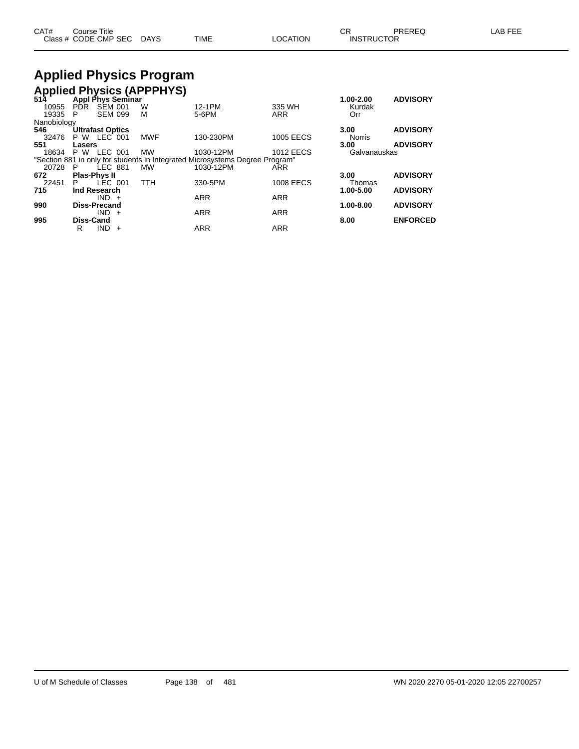| CAT# | Title<br>Course.     |      |      |          | Ωn<br>- UN        | PREREC | ---<br>AR<br>--- |
|------|----------------------|------|------|----------|-------------------|--------|------------------|
|      | Class # CODE CMP SEC | DAYS | TIME | LOCATION | <b>INSTRUCTOR</b> |        |                  |

### **Applied Physics Program Applied Physics (APPPHYS)**

| $514$ <sup>r</sup> |                         |                |     | Appl Phys Seminar |                                                                              |                  | 1.00-2.00     | <b>ADVISORY</b> |
|--------------------|-------------------------|----------------|-----|-------------------|------------------------------------------------------------------------------|------------------|---------------|-----------------|
| 10955              | PDR.                    | <b>SEM 001</b> |     | W                 | 12-1PM                                                                       | 335 WH           | Kurdak        |                 |
| 19335              | P                       | <b>SEM 099</b> |     | М                 | 5-6PM                                                                        | <b>ARR</b>       | Orr           |                 |
| Nanobiology        |                         |                |     |                   |                                                                              |                  |               |                 |
| 546                | <b>Ultrafast Optics</b> |                |     |                   |                                                                              |                  | 3.00          | <b>ADVISORY</b> |
| 32476              | <b>P W LEC 001</b>      |                |     | <b>MWF</b>        | 130-230PM                                                                    | <b>1005 EECS</b> | <b>Norris</b> |                 |
| 551                | Lasers                  |                |     |                   |                                                                              |                  | 3.00          | <b>ADVISORY</b> |
| 18634              | P W                     | LEC 001        |     | MW                | 1030-12PM                                                                    | <b>1012 EECS</b> | Galvanauskas  |                 |
|                    |                         |                |     |                   | "Section 881 in only for students in Integrated Microsystems Degree Program" |                  |               |                 |
| 20728              | P.                      | <b>LEC 881</b> |     | <b>MW</b>         | 1030-12PM                                                                    | ARR              |               |                 |
| 672                | <b>Plas-Phys II</b>     |                |     |                   |                                                                              |                  | 3.00          | <b>ADVISORY</b> |
| 22451              | P.                      | LEC 001        |     | TTH               | 330-5PM                                                                      | <b>1008 EECS</b> | Thomas        |                 |
| 715                | Ind Research            |                |     |                   |                                                                              |                  | 1.00-5.00     | <b>ADVISORY</b> |
|                    |                         | $IND +$        |     |                   | <b>ARR</b>                                                                   | <b>ARR</b>       |               |                 |
| 990                | Diss-Precand            |                |     |                   |                                                                              |                  | $1.00 - 8.00$ | <b>ADVISORY</b> |
|                    |                         | $IND +$        |     |                   | <b>ARR</b>                                                                   | <b>ARR</b>       |               |                 |
| 995                | Diss-Cand               |                |     |                   |                                                                              |                  | 8.00          | <b>ENFORCED</b> |
|                    | R                       | IND.           | $+$ |                   | <b>ARR</b>                                                                   | <b>ARR</b>       |               |                 |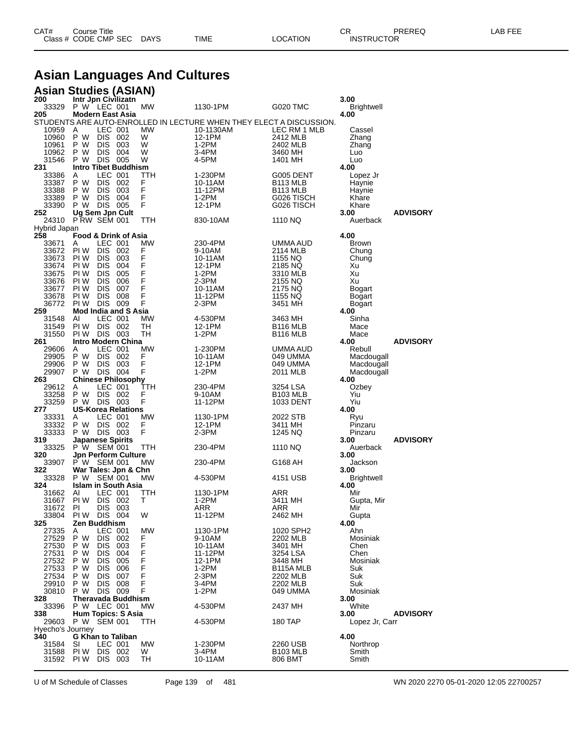| CAT# | Title<br>Course      |      |      |                | ⌒冖<br>◡ጙ          | PREREQ | _AB FEE |
|------|----------------------|------|------|----------------|-------------------|--------|---------|
|      | Class # CODE CMP SEC | DAYS | TIME | <b>OCATION</b> | <b>INSTRUCTOR</b> |        |         |

# **Asian Languages And Cultures**

|  | <b>Asian Studies (ASIAN)</b> |
|--|------------------------------|
|  |                              |

| 200              | Intr Jpn Civilizatn                       |            |           |                                                                     |                          | 3.00                 |                 |
|------------------|-------------------------------------------|------------|-----------|---------------------------------------------------------------------|--------------------------|----------------------|-----------------|
| 33329            | P W LEC 001                               |            | MW        | 1130-1PM                                                            | G020 TMC                 | Brightwell<br>4.00   |                 |
| 205              | <b>Modern East Asia</b>                   |            |           | STUDENTS ARE AUTO-ENROLLED IN LECTURE WHEN THEY ELECT A DISCUSSION. |                          |                      |                 |
| 10959            | LEC 001<br>A                              |            | MW        | 10-1130AM                                                           | LEC RM 1 MLB             | Cassel               |                 |
| 10960            | P W<br>DIS                                | 002        | W         | 12-1PM                                                              | 2412 MLB                 | Zhang                |                 |
| 10961            | <b>DIS</b><br>P W                         | 003        | W         | 1-2PM                                                               | 2402 MLB                 | Zhang                |                 |
| 10962            | P W<br>DIS -                              | 004        | W         | 3-4PM                                                               | 3460 MH                  | Luo                  |                 |
| 31546            | DIS 005<br>P W                            |            | W         | 4-5PM                                                               | 1401 MH                  | Luo                  |                 |
| 231              | <b>Intro Tibet Buddhism</b>               |            |           |                                                                     |                          | 4.00                 |                 |
| 33386            | LEC 001<br>A                              |            | TTH       | 1-230PM                                                             | G005 DENT                | Lopez Jr             |                 |
| 33387            | P W<br>DIS                                | 002        | F         | 10-11AM                                                             | B113 MLB                 | Haynie               |                 |
| 33388<br>33389   | <b>DIS</b><br>P W<br>P W<br>DIS.          | 003<br>004 | F<br>F    | 11-12PM<br>1-2PM                                                    | B113 MLB                 | Haynie<br>Khare      |                 |
| 33390            | P W<br><b>DIS 005</b>                     |            | F         | 12-1PM                                                              | G026 TISCH<br>G026 TISCH | Khare                |                 |
| 252              | Ug Sem Jpn Cult                           |            |           |                                                                     |                          | 3.00                 | <b>ADVISORY</b> |
| 24310            | PRW SEM 001                               |            | TTH       | 830-10AM                                                            | 1110 NQ                  | Auerback             |                 |
| Hybrid Japan     |                                           |            |           |                                                                     |                          |                      |                 |
| 258              | <b>Food &amp; Drink of Asia</b>           |            |           |                                                                     |                          | 4.00                 |                 |
| 33671            | LEC 001<br>A                              |            | MW        | 230-4PM                                                             | UMMA AUD                 | <b>Brown</b>         |                 |
| 33672            | PI W<br>DIS                               | 002        | F         | 9-10AM                                                              | 2114 MLB                 | Chung                |                 |
| 33673            | <b>DIS</b><br>PI W                        | 003        | F         | 10-11AM                                                             | 1155 NQ                  | Chung                |                 |
| 33674            | PI W<br>DIS.                              | 004        | F         | 12-1PM                                                              | 2185 NQ                  | Xu                   |                 |
| 33675<br>33676   | PI W<br>DIS.<br>PI W<br><b>DIS</b>        | 005<br>006 | F<br>F    | 1-2PM<br>2-3PM                                                      | 3310 MLB<br>2155 NQ      | Xu<br>Xu             |                 |
| 33677            | PI W<br>DIS.                              | 007        | F         | 10-11AM                                                             | 2175 NQ                  | Bogart               |                 |
| 33678            | PI W<br><b>DIS</b>                        | 008        | F         | 11-12PM                                                             | 1155 NQ                  | Bogart               |                 |
| 36772            | DIS 009<br>PI W                           |            | F         | 2-3PM                                                               | 3451 MH                  | Bogart               |                 |
| 259              | <b>Mod India and S Asia</b>               |            |           |                                                                     |                          | 4.00                 |                 |
| 31548            | LEC 001<br>ΑI                             |            | МW        | 4-530PM                                                             | 3463 MH                  | Sinha                |                 |
| 31549            | DIS<br>PI W                               | 002        | TН        | 12-1PM                                                              | B116 MLB                 | Mace                 |                 |
| 31550            | <b>PIW DIS 003</b>                        |            | TН        | 1-2PM                                                               | B <sub>116</sub> MLB     | Mace                 |                 |
| 261              | <b>Intro Modern China</b>                 |            |           |                                                                     |                          | 4.00                 | <b>ADVISORY</b> |
| 29606<br>29905   | Α<br>LEC 001<br>P W<br>DIS 002            |            | МW<br>F   | 1-230PM<br>10-11AM                                                  | UMMA AUD<br>049 UMMA     | Rebull<br>Macdougall |                 |
| 29906            | P W<br>DIS                                | 003        | F         | 12-1PM                                                              | 049 UMMA                 | Macdougall           |                 |
| 29907            | DIS 004<br>P W                            |            | F         | 1-2PM                                                               | 2011 MLB                 | Macdougall           |                 |
| 263              | <b>Chinese Philosophy</b>                 |            |           |                                                                     |                          | 4.00                 |                 |
| 29612            | LEC 001<br>A                              |            | ттн       | 230-4PM                                                             | 3254 LSA                 | Ozbey                |                 |
| 33258            | P W<br>DIS -                              | 002        | F         | 9-10AM                                                              | <b>B103 MLB</b>          | Yiu                  |                 |
| 33259            | P W<br>DIS 003                            |            | F         | 11-12PM                                                             | 1033 DENT                | Yiu                  |                 |
| 277              | <b>US-Korea Relations</b>                 |            |           |                                                                     |                          | 4.00                 |                 |
| 33331<br>33332   | Α<br>LEC 001<br>P W<br>DIS 002            |            | МW<br>F   | 1130-1PM<br>12-1PM                                                  | 2022 STB<br>3411 MH      | Ryu<br>Pinzaru       |                 |
| 33333            | P W<br>DIS 003                            |            | F         | 2-3PM                                                               | 1245 NQ                  | Pinzaru              |                 |
| 319              | <b>Japanese Spirits</b>                   |            |           |                                                                     |                          | 3.00                 | <b>ADVISORY</b> |
| 33325            | P W<br><b>SEM 001</b>                     |            | TTH       | 230-4PM                                                             | 1110 NQ                  | Auerback             |                 |
| 320              | Jpn Perform Culture                       |            |           |                                                                     |                          | 3.00                 |                 |
| 33907            | P W SEM 001                               |            | МW        | 230-4PM                                                             | G168 AH                  | Jackson              |                 |
| 322              | War Tales: Jpn & Chn                      |            |           |                                                                     |                          |                      |                 |
| 33328            | P W<br><b>SEM 001</b>                     |            |           |                                                                     |                          | 3.00                 |                 |
| 324<br>31662     |                                           |            | МW        | 4-530PM                                                             | 4151 USB                 | <b>Brightwell</b>    |                 |
|                  | <b>Islam in South Asia</b>                |            |           |                                                                     |                          | 4.00                 |                 |
|                  | LEC 001<br>ΑI                             |            | TTH       | 1130-1PM                                                            | ARR                      | Mir                  |                 |
| 31667<br>31672   | PI W<br>DIS .<br>DIS<br>PI                | 002<br>003 | т         | 1-2PM<br>ARR                                                        | 3411 MH<br>ARR           | Gupta, Mir<br>Mir    |                 |
| 33804            | PI W<br>DIS.                              | 004        | W         | 11-12PM                                                             | 2462 MH                  | Gupta                |                 |
| 325              | Zen Buddhism                              |            |           |                                                                     |                          | 4.00                 |                 |
| 27335            | Α<br>LEC 001                              |            | <b>MW</b> | 1130-1PM                                                            | 1020 SPH2                | Ahn                  |                 |
| 27529            | P W<br>DIS.                               | 002        | F         | 9-10AM                                                              | 2202 MLB                 | Mosiniak             |                 |
| 27530            | P W<br>DIS -                              | 003        | F         | 10-11AM                                                             | 3401 MH                  | Chen                 |                 |
| 27531            | P W<br>DIS.                               | 004        | F         | 11-12PM                                                             | 3254 LSA                 | Chen                 |                 |
| 27532            | P W<br>DIS                                | 005        | F         | 12-1PM                                                              | 3448 MH                  | Mosiniak             |                 |
| 27533            | P W<br>DIS.                               | 006        | F         | $1-2PM$                                                             | B <sub>115</sub> A MLB   | Suk                  |                 |
| 27534            | P W<br><b>DIS</b>                         | 007<br>008 | F         | 2-3PM<br>3-4PM                                                      | 2202 MLB<br>2202 MLB     | Suk<br>Suk           |                 |
| 29910<br>30810   | P W<br>DIS<br>P W<br>DIS 009              |            | F<br>F    | 1-2PM                                                               | 049 UMMA                 |                      |                 |
| 328              | Theravada Buddhism                        |            |           |                                                                     |                          | Mosiniak<br>3.00     |                 |
| 33396            | P W LEC 001                               |            | MW        | 4-530PM                                                             | 2437 MH                  | White                |                 |
| 338              | <b>Hum Topics: S Asia</b>                 |            |           |                                                                     |                          | 3.00                 | <b>ADVISORY</b> |
| 29603            | P W SEM 001                               |            | TTH       | 4-530PM                                                             | 180 TAP                  | Lopez Jr, Carr       |                 |
| Hyecho's Journey |                                           |            |           |                                                                     |                          |                      |                 |
| 340<br>31584     | <b>G Khan to Taliban</b><br>SI<br>LEC 001 |            | <b>MW</b> | 1-230PM                                                             | 2260 USB                 | 4.00<br>Northrop     |                 |
| 31588            | PI W<br>DIS 002                           |            | W         | 3-4PM                                                               | <b>B103 MLB</b>          | Smith                |                 |
| 31592            | PI W<br>DIS                               | 003        | TН        | 10-11AM                                                             | 806 BMT                  | Smith                |                 |

U of M Schedule of Classes Page 139 of 481 WN 2020 2270 05-01-2020 12:05 22700257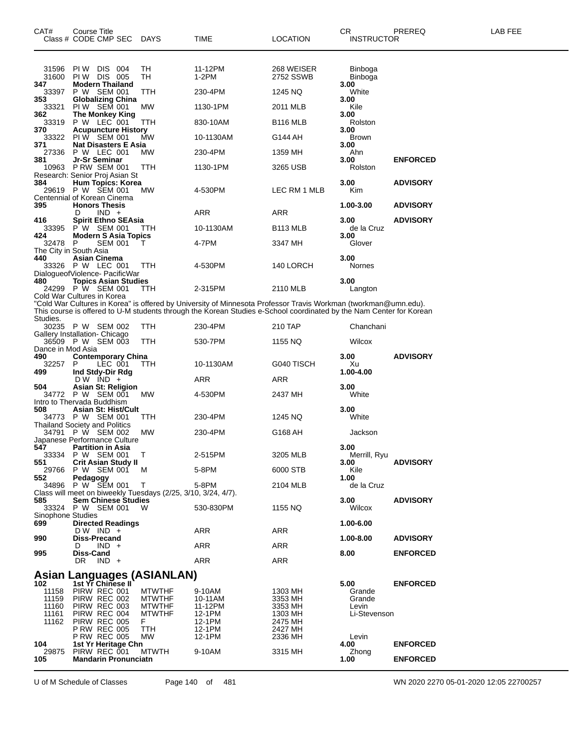| CAT#                     | Course Title<br>Class # CODE CMP SEC                                                        | <b>DAYS</b>                    | TIME                                                                                                                                                                                                                                   | <b>LOCATION</b>         | СR<br><b>INSTRUCTOR</b>   | PREREQ          | LAB FEE |
|--------------------------|---------------------------------------------------------------------------------------------|--------------------------------|----------------------------------------------------------------------------------------------------------------------------------------------------------------------------------------------------------------------------------------|-------------------------|---------------------------|-----------------|---------|
|                          |                                                                                             |                                |                                                                                                                                                                                                                                        |                         |                           |                 |         |
| 31596<br>31600           | DIS 004<br>PI W<br><b>PIW DIS 005</b>                                                       | TН<br>TН                       | 11-12PM<br>1-2PM                                                                                                                                                                                                                       | 268 WEISER<br>2752 SSWB | <b>Binboga</b><br>Binboga |                 |         |
| 347<br>33397             | <b>Modern Thailand</b><br>P W SEM 001                                                       | TTH                            | 230-4PM                                                                                                                                                                                                                                | 1245 NQ                 | 3.00<br>White             |                 |         |
| 353<br>33321             | <b>Globalizing China</b><br>PIW SEM 001                                                     | МW                             | 1130-1PM                                                                                                                                                                                                                               | 2011 MLB                | 3.00<br>Kile              |                 |         |
| 362<br>33319             | The Monkey King<br>P W LEC 001                                                              | TTH                            | 830-10AM                                                                                                                                                                                                                               | B <sub>116</sub> MLB    | 3.00<br>Rolston           |                 |         |
| 370<br>33322             | <b>Acupuncture History</b><br>PI W SEM 001                                                  | MW                             | 10-1130AM                                                                                                                                                                                                                              | G144 AH                 | 3.00<br><b>Brown</b>      |                 |         |
| 371<br>27336             | <b>Nat Disasters E Asia</b><br>P W LEC 001                                                  | МW                             | 230-4PM                                                                                                                                                                                                                                | 1359 MH                 | 3.00<br>Ahn               |                 |         |
| 381                      | Jr-Sr Seminar<br><b>P RW SEM 001</b>                                                        |                                |                                                                                                                                                                                                                                        |                         | 3.00                      | <b>ENFORCED</b> |         |
| 10963                    | Research: Senior Proj Asian St                                                              | TTH                            | 1130-1PM                                                                                                                                                                                                                               | 3265 USB                | Rolston                   |                 |         |
| 384<br>29619             | Hum Topics: Korea<br>P W SEM 001<br>Centennial of Korean Cinema                             | <b>MW</b>                      | 4-530PM                                                                                                                                                                                                                                | LEC RM 1 MLB            | 3.00<br>Kim               | <b>ADVISORY</b> |         |
| 395                      | <b>Honors Thesis</b><br>$IND +$<br>D                                                        |                                | ARR                                                                                                                                                                                                                                    | ARR                     | 1.00-3.00                 | <b>ADVISORY</b> |         |
| 416<br>33395             | <b>Spirit Ethno SEAsia</b><br>P W SEM 001                                                   | TTH                            | 10-1130AM                                                                                                                                                                                                                              | B <sub>113</sub> MLB    | 3.00<br>de la Cruz        | <b>ADVISORY</b> |         |
| 424<br>32478             | <b>Modern S Asia Topics</b><br>P<br><b>SEM 001</b>                                          | т                              | 4-7PM                                                                                                                                                                                                                                  | 3347 MH                 | 3.00<br>Glover            |                 |         |
| 440                      | The City in South Asia<br>Asian Cinema                                                      |                                |                                                                                                                                                                                                                                        |                         | 3.00                      |                 |         |
|                          | 33326 P W LEC 001<br>DialoqueofViolence- PacificWar                                         | TTH                            | 4-530PM                                                                                                                                                                                                                                | 140 LORCH               | <b>Nornes</b>             |                 |         |
| 480                      | <b>Topics Asian Studies</b>                                                                 |                                |                                                                                                                                                                                                                                        |                         | 3.00                      |                 |         |
|                          | 24299 P W SEM 001<br>Cold War Cultures in Korea                                             | TTH                            | 2-315PM                                                                                                                                                                                                                                | 2110 MLB                | Langton                   |                 |         |
|                          |                                                                                             |                                | "Cold War Cultures in Korea" is offered by University of Minnesota Professor Travis Workman (tworkman@umn.edu).<br>This course is offered to U-M students through the Korean Studies e-School coordinated by the Nam Center for Korean |                         |                           |                 |         |
| Studies.                 | 30235 P W SEM 002                                                                           | TTH                            | 230-4PM                                                                                                                                                                                                                                | 210 TAP                 | Chanchani                 |                 |         |
|                          | Gallery Installation- Chicago<br>36509 P W SEM 003                                          | ттн                            | 530-7PM                                                                                                                                                                                                                                | 1155 NQ                 | Wilcox                    |                 |         |
| Dance in Mod Asia<br>490 | <b>Contemporary China</b>                                                                   |                                |                                                                                                                                                                                                                                        |                         | 3.00                      | <b>ADVISORY</b> |         |
| 32257<br>499             | P<br>LEC 001<br>Ind Stdy-Dir Rdg                                                            | ттн                            | 10-1130AM                                                                                                                                                                                                                              | G040 TISCH              | Xu<br>1.00-4.00           |                 |         |
| 504                      | $DW$ IND $+$<br>Asian St: Religion                                                          |                                | ARR                                                                                                                                                                                                                                    | ARR                     | 3.00                      |                 |         |
| 34772                    | P W SEM 001<br>Intro to Thervada Buddhism                                                   | МW                             | 4-530PM                                                                                                                                                                                                                                | 2437 MH                 | White                     |                 |         |
| 508                      | Asian St: Hist/Cult                                                                         |                                |                                                                                                                                                                                                                                        |                         | 3.00                      |                 |         |
|                          | 34773 P W SEM 001<br><b>Thailand Society and Politics</b>                                   | ттн                            | 230-4PM                                                                                                                                                                                                                                | 1245 NQ                 | White                     |                 |         |
| 34791                    | P W SEM 002<br>Japanese Performance Culture                                                 | МW                             | 230-4PM                                                                                                                                                                                                                                | G168 AH                 | Jackson                   |                 |         |
| 547                      | <b>Partition in Asia</b><br>33334 P W SEM 001 T                                             |                                | 2-515PM                                                                                                                                                                                                                                | 3205 MLB                | 3.00<br>Merrill, Ryu      |                 |         |
| 551<br>29766             | <b>Crit Asian Study II</b><br>P W SEM 001                                                   | M                              | 5-8PM                                                                                                                                                                                                                                  | 6000 STB                | 3.00<br>Kile              | <b>ADVISORY</b> |         |
| 552                      | Pedagogy<br>34896 P W SEM 001                                                               | $\top$                         | 5-8PM                                                                                                                                                                                                                                  | 2104 MLB                | 1.00<br>de la Cruz        |                 |         |
| 585                      | Class will meet on biweekly Tuesdays (2/25, 3/10, 3/24, 4/7).<br><b>Sem Chinese Studies</b> |                                |                                                                                                                                                                                                                                        |                         | 3.00                      | <b>ADVISORY</b> |         |
|                          | 33324 P W SEM 001 W                                                                         |                                | 530-830PM                                                                                                                                                                                                                              | 1155 NQ                 | Wilcox                    |                 |         |
| Sinophone Studies<br>699 | <b>Directed Readings</b>                                                                    |                                |                                                                                                                                                                                                                                        |                         | 1.00-6.00                 |                 |         |
| 990                      | $DW$ IND +<br>Diss-Precand                                                                  |                                | ARR                                                                                                                                                                                                                                    | ARR                     | 1.00-8.00                 | <b>ADVISORY</b> |         |
| 995                      | $IND +$<br>D<br>Diss-Cand                                                                   |                                | ARR                                                                                                                                                                                                                                    | <b>ARR</b>              | 8.00                      | <b>ENFORCED</b> |         |
|                          | $IND +$<br>DR.                                                                              |                                | ARR                                                                                                                                                                                                                                    | <b>ARR</b>              |                           |                 |         |
| 102                      | <b>Asian Languages (ASIANLAN)</b><br>1st Yr Chinese II                                      |                                |                                                                                                                                                                                                                                        |                         | 5.00                      | <b>ENFORCED</b> |         |
| 11158<br>11159           | PIRW REC 001<br>PIRW REC 002                                                                | <b>MTWTHF</b><br><b>MTWTHF</b> | 9-10AM<br>10-11AM                                                                                                                                                                                                                      | 1303 MH<br>3353 MH      | Grande<br>Grande          |                 |         |
| 11160                    | PIRW REC 003                                                                                | <b>MTWTHF</b>                  | 11-12PM                                                                                                                                                                                                                                | 3353 MH                 | Levin                     |                 |         |
| 11161<br>11162           | PIRW REC 004<br>PIRW REC 005                                                                | <b>MTWTHF</b><br>F.            | 12-1PM<br>12-1PM                                                                                                                                                                                                                       | 1303 MH<br>2475 MH      | Li-Stevenson              |                 |         |
|                          | <b>P RW REC 005</b><br><b>P RW REC 005</b>                                                  | TTH<br>MW                      | 12-1PM<br>12-1PM                                                                                                                                                                                                                       | 2427 MH<br>2336 MH      | Levin                     |                 |         |
| 104<br>29875             | 1st Yr Heritage Chn<br>PIRW REC 001                                                         | <b>MTWTH</b>                   | 9-10AM                                                                                                                                                                                                                                 | 3315 MH                 | 4.00<br>Zhong             | <b>ENFORCED</b> |         |
| 105                      | <b>Mandarin Pronunciatn</b>                                                                 |                                |                                                                                                                                                                                                                                        |                         | 1.00                      | <b>ENFORCED</b> |         |

U of M Schedule of Classes Page 140 of 481 WN 2020 2270 05-01-2020 12:05 22700257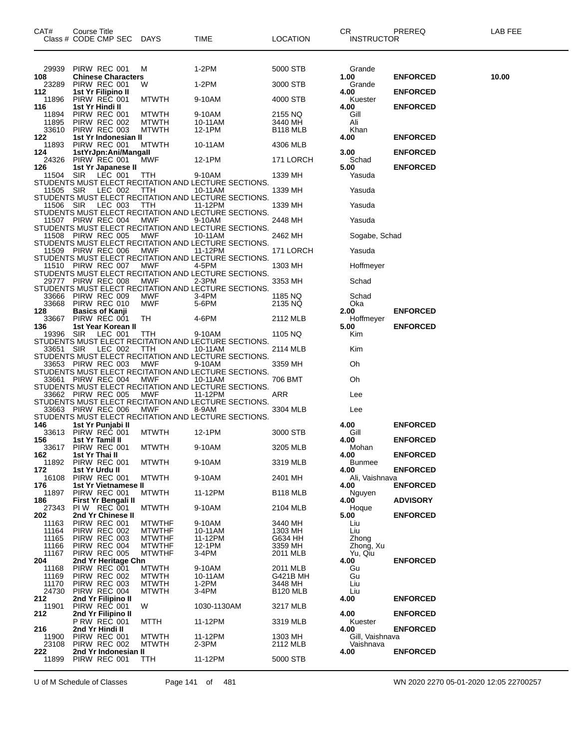| CAT# |                | Course Title   | Class # CODE CMP SEC                      | <b>DAYS</b>                    | TIME                                                            | LOCATION             | CR<br><b>INSTRUCTOR</b>      | PREREQ          | LAB FEE |
|------|----------------|----------------|-------------------------------------------|--------------------------------|-----------------------------------------------------------------|----------------------|------------------------------|-----------------|---------|
|      | 29939          |                | PIRW REC 001                              | M                              | 1-2PM                                                           | 5000 STB             | Grande                       |                 |         |
| 108  | 23289          |                | <b>Chinese Characters</b><br>PIRW REC 001 | W                              | 1-2PM                                                           | 3000 STB             | 1.00<br>Grande               | <b>ENFORCED</b> | 10.00   |
| 112  | 11896          |                | 1st Yr Filipino II<br>PIRW REC 001        | <b>MTWTH</b>                   | 9-10AM                                                          | 4000 STB             | 4.00<br>Kuester              | <b>ENFORCED</b> |         |
| 116  |                |                | 1st Yr Hindi II                           |                                |                                                                 |                      | 4.00                         | <b>ENFORCED</b> |         |
|      | 11894<br>11895 |                | PIRW REC 001<br>PIRW REC 002              | <b>MTWTH</b><br><b>MTWTH</b>   | 9-10AM<br>10-11AM                                               | 2155 NQ<br>3440 MH   | Gill<br>Ali                  |                 |         |
| 122  | 33610          |                | PIRW REC 003<br>1st Yr Indonesian II      | <b>MTWTH</b>                   | 12-1PM                                                          | B <sub>118</sub> MLB | Khan<br>4.00                 | <b>ENFORCED</b> |         |
| 124  | 11893          |                | PIRW REC 001<br>1stYrJpn:Ani/Mangall      | <b>MTWTH</b>                   | 10-11AM                                                         | 4306 MLB             | 3.00                         | <b>ENFORCED</b> |         |
|      | 24326          |                | PIRW REC 001                              | <b>MWF</b>                     | 12-1PM                                                          | 171 LORCH            | Schad                        |                 |         |
| 126  | 11504          | SIR            | 1st Yr Japanese II<br>LEC 001             | <b>TTH</b>                     | 9-10AM                                                          | 1339 MH              | 5.00<br>Yasuda               | <b>ENFORCED</b> |         |
|      | 11505 SIR      |                | LEC 002                                   | TTH                            | STUDENTS MUST ELECT RECITATION AND LECTURE SECTIONS.<br>10-11AM | 1339 MH              | Yasuda                       |                 |         |
|      | 11506 SIR      |                | LEC 003                                   | ттн                            | STUDENTS MUST ELECT RECITATION AND LECTURE SECTIONS.<br>11-12PM | 1339 MH              | Yasuda                       |                 |         |
|      |                |                |                                           |                                | STUDENTS MUST ELECT RECITATION AND LECTURE SECTIONS.            |                      |                              |                 |         |
|      |                |                | 11507 PIRW REC 004                        | MWF                            | 9-10AM<br>STUDENTS MUST ELECT RECITATION AND LECTURE SECTIONS.  | 2448 MH              | Yasuda                       |                 |         |
|      |                |                | 11508 PIRW REC 005                        | MWF                            | 10-11AM<br>STUDENTS MUST ELECT RECITATION AND LECTURE SECTIONS. | 2462 MH              | Sogabe, Schad                |                 |         |
|      |                |                | 11509 PIRW REC 006                        | MWF                            | 11-12PM                                                         | 171 LORCH            | Yasuda                       |                 |         |
|      |                |                | 11510 PIRW REC 007                        | MWF                            | STUDENTS MUST ELECT RECITATION AND LECTURE SECTIONS.<br>4-5PM   | 1303 MH              | Hoffmeyer                    |                 |         |
|      |                |                | 29777 PIRW REC 008                        | MWF                            | STUDENTS MUST ELECT RECITATION AND LECTURE SECTIONS.<br>2-3PM   | 3353 MH              | Schad                        |                 |         |
|      | 33666          |                | PIRW REC 009                              | MWF                            | STUDENTS MUST ELECT RECITATION AND LECTURE SECTIONS.<br>3-4PM   | 1185 NQ              | Schad                        |                 |         |
|      | 33668          |                | PIRW REC 010                              | MWF                            | 5-6PM                                                           | 2135 NQ              | Oka                          |                 |         |
| 128  | 33667          |                | <b>Basics of Kanji</b><br>PIRW REC 001    | TH                             | 4-6PM                                                           | 2112 MLB             | 2.00<br>Hoffmeyer            | <b>ENFORCED</b> |         |
| 136  |                |                | 1st Year Korean II<br>19396 SIR LEC 001   | TTH                            | 9-10AM                                                          | 1105 NQ              | 5.00<br>Kim                  | <b>ENFORCED</b> |         |
|      | 33651 SIR      |                | LEC 002                                   | TTH                            | STUDENTS MUST ELECT RECITATION AND LECTURE SECTIONS.<br>10-11AM | 2114 MLB             | Kim                          |                 |         |
|      |                |                | 33653 PIRW REC 003                        | MWF                            | STUDENTS MUST ELECT RECITATION AND LECTURE SECTIONS.<br>9-10AM  | 3359 MH              | Oh                           |                 |         |
|      |                |                |                                           |                                | STUDENTS MUST ELECT RECITATION AND LECTURE SECTIONS.            |                      |                              |                 |         |
|      |                |                | 33661 PIRW REC 004                        | MWF                            | 10-11AM<br>STUDENTS MUST ELECT RECITATION AND LECTURE SECTIONS. | 706 BMT              | Oh                           |                 |         |
|      |                |                | 33662 PIRW REC 005                        | MWF                            | 11-12PM<br>STUDENTS MUST ELECT RECITATION AND LECTURE SECTIONS. | ARR                  | Lee                          |                 |         |
|      |                |                | 33663 PIRW REC 006                        | MWF                            | 8-9AM<br>STUDENTS MUST ELECT RECITATION AND LECTURE SECTIONS.   | 3304 MLB             | Lee                          |                 |         |
| 146  | 33613          |                | 1st Yr Punjabi II<br>PIRW REC 001         |                                |                                                                 | 3000 STB             | 4.00                         | <b>ENFORCED</b> |         |
| 156  |                |                | 1st Yr Tamil II                           | <b>MTWTH</b>                   | 12-1PM                                                          |                      | Gill<br>4.00                 | <b>ENFORCED</b> |         |
| 162  | 33617          | 1st Yr Thai II | PIRW REC 001                              | <b>MTWTH</b>                   | 9-10AM                                                          | 3205 MLB             | Mohan<br>4.00                | <b>ENFORCED</b> |         |
| 172  | 11892          |                | PIRW REC 001<br>1st Yr Urdu II            | <b>MTWTH</b>                   | 9-10AM                                                          | 3319 MLB             | <b>Bunmee</b><br>4.00        | <b>ENFORCED</b> |         |
| 176  | 16108          |                | PIRW REC 001<br>1st Yr Vietnamese II      | <b>MTWTH</b>                   | 9-10AM                                                          | 2401 MH              | Ali, Vaishnava<br>4.00       | <b>ENFORCED</b> |         |
|      | 11897          |                | PIRW REC 001                              | <b>MTWTH</b>                   | 11-12PM                                                         | B <sub>118</sub> MLB | Nguyen                       |                 |         |
| 186  | 27343          |                | First Yr Bengali II<br>PIW REC 001        | <b>MTWTH</b>                   | 9-10AM                                                          | 2104 MLB             | 4.00<br>Hoque                | <b>ADVISORY</b> |         |
| 202  | 11163          |                | 2nd Yr Chinese II<br>PIRW REC 001         | <b>MTWTHF</b>                  | 9-10AM                                                          | 3440 MH              | 5.00<br>Liu                  | <b>ENFORCED</b> |         |
|      | 11164<br>11165 |                | PIRW REC 002<br>PIRW REC 003              | <b>MTWTHF</b><br><b>MTWTHF</b> | 10-11AM<br>11-12PM                                              | 1303 MH<br>G634 HH   | Liu<br>Zhong                 |                 |         |
|      | 11166          |                | PIRW REC 004                              | <b>MTWTHF</b>                  | 12-1PM                                                          | 3359 MH              | Zhong, Xu                    |                 |         |
| 204  | 11167          |                | PIRW REC 005<br>2nd Yr Heritage Chn       | <b>MTWTHF</b>                  | 3-4PM                                                           | 2011 MLB             | Yu, Qiu<br>4.00              | <b>ENFORCED</b> |         |
|      | 11168<br>11169 |                | PIRW REC 001<br>PIRW REC 002              | <b>MTWTH</b><br><b>MTWTH</b>   | 9-10AM<br>10-11AM                                               | 2011 MLB<br>G421B MH | Gu<br>Gu                     |                 |         |
|      | 11170          |                | PIRW REC 003                              | <b>MTWTH</b>                   | $1-2PM$<br>$3-4PM$                                              | 3448 MH              | Liu<br>Liu                   |                 |         |
| 212  | 24730          |                | PIRW REC 004<br>2nd Yr Filipino II        | <b>MTWTH</b>                   |                                                                 | B <sub>120</sub> MLB | 4.00                         | <b>ENFORCED</b> |         |
| 212  | 11901          |                | PIRW REC 001<br>2nd Yr Filipino II        | W                              | 1030-1130AM                                                     | 3217 MLB             | 4.00                         | <b>ENFORCED</b> |         |
| 216  |                |                | <b>P RW REC 001</b><br>2nd Yr Hindi II    | MTTH                           | 11-12PM                                                         | 3319 MLB             | Kuester<br>4.00              | <b>ENFORCED</b> |         |
|      | 11900<br>23108 |                | PIRW REC 001<br>PIRW REC 002              | <b>MTWTH</b><br><b>MTWTH</b>   | 11-12PM<br>2-3PM                                                | 1303 MH<br>2112 MLB  | Gill, Vaishnava<br>Vaishnava |                 |         |
| 222  |                |                | 2nd Yr Indonesian II                      |                                |                                                                 |                      | 4.00                         | <b>ENFORCED</b> |         |
|      | 11899          |                | PIRW REC 001                              | TTH                            | 11-12PM                                                         | 5000 STB             |                              |                 |         |

U of M Schedule of Classes Page 141 of 481 WN 2020 2270 05-01-2020 12:05 22700257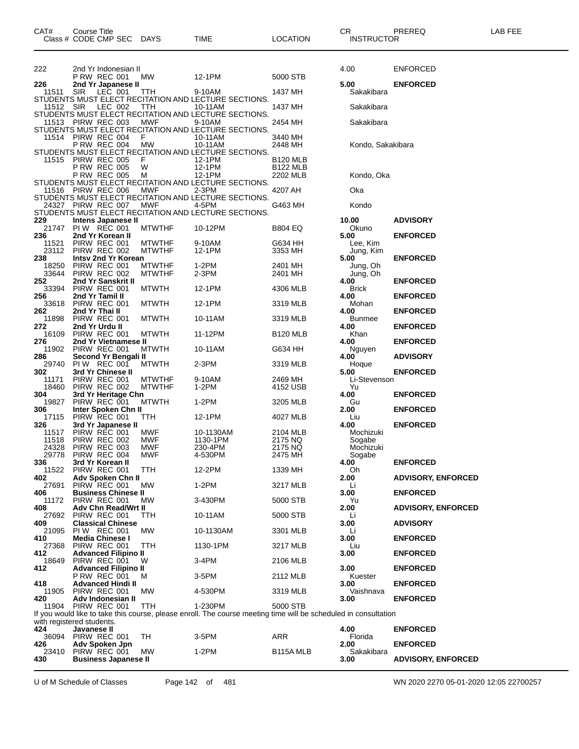| 222            | 2nd Yr Indonesian II                           |                                |                                                                                                                 |                             | 4.00                  | <b>ENFORCED</b>           |
|----------------|------------------------------------------------|--------------------------------|-----------------------------------------------------------------------------------------------------------------|-----------------------------|-----------------------|---------------------------|
| 226            | P RW REC 001<br>2nd Yr Japanese II             | МW                             | 12-1PM                                                                                                          | 5000 STB                    | 5.00                  | <b>ENFORCED</b>           |
| 11511          | <b>SIR</b><br>LEC 001                          | TTH                            | 9-10AM<br>STUDENTS MUST ELECT RECITATION AND LECTURE SECTIONS.                                                  | 1437 MH                     | Sakakibara            |                           |
| 11512 SIR      | LEC 002                                        | TTH                            | 10-11AM                                                                                                         | 1437 MH                     | Sakakibara            |                           |
|                | PIRW REC 003                                   | <b>MWF</b>                     | STUDENTS MUST ELECT RECITATION AND LECTURE SECTIONS.                                                            |                             |                       |                           |
| 11513          |                                                |                                | 9-10AM<br>STUDENTS MUST ELECT RECITATION AND LECTURE SECTIONS.                                                  | 2454 MH                     | Sakakibara            |                           |
|                | 11514 PIRW REC 004                             | F                              | 10-11AM                                                                                                         | 3440 MH                     |                       |                           |
|                | <b>P RW REC 004</b>                            | MW                             | 10-11AM<br>STUDENTS MUST ELECT RECITATION AND LECTURE SECTIONS.                                                 | 2448 MH                     | Kondo, Sakakibara     |                           |
| 11515          | PIRW REC 005                                   | F                              | 12-1PM                                                                                                          | <b>B120 MLB</b>             |                       |                           |
|                | <b>P RW REC 005</b><br><b>P RW REC 005</b>     | W<br>м                         | 12-1PM<br>12-1PM                                                                                                | <b>B122 MLB</b><br>2202 MLB | Kondo, Oka            |                           |
|                |                                                |                                | STUDENTS MUST ELECT RECITATION AND LECTURE SECTIONS.                                                            |                             |                       |                           |
|                | 11516 PIRW REC 006                             | <b>MWF</b>                     | 2-3PM<br>STUDENTS MUST ELECT RECITATION AND LECTURE SECTIONS.                                                   | 4207 AH                     | Oka                   |                           |
|                | 24327 PIRW REC 007                             | <b>MWF</b>                     | 4-5PM                                                                                                           | G463 MH                     | Kondo                 |                           |
| 229            | Intens Japanese II                             |                                | STUDENTS MUST ELECT RECITATION AND LECTURE SECTIONS.                                                            |                             | 10.00                 | <b>ADVISORY</b>           |
| 21747          | <b>PIW REC 001</b>                             | <b>MTWTHF</b>                  | 10-12PM                                                                                                         | <b>B804 EQ</b>              | Okuno                 |                           |
| 236<br>11521   | 2nd Yr Korean II<br>PIRW REC 001               | <b>MTWTHF</b>                  | 9-10AM                                                                                                          | G634 HH                     | 5.00<br>Lee, Kim      | <b>ENFORCED</b>           |
| 23112          | PIRW REC 002                                   | <b>MTWTHF</b>                  | 12-1PM                                                                                                          | 3353 MH                     | Jung, Kim             |                           |
| 238<br>18250   | Intsv 2nd Yr Korean<br>PIRW REC 001            | <b>MTWTHF</b>                  | 1-2PM                                                                                                           | 2401 MH                     | 5.00<br>Jung, Oh      | <b>ENFORCED</b>           |
| 33644          | PIRW REC 002                                   | <b>MTWTHF</b>                  | $2-3PM$                                                                                                         | 2401 MH                     | Jung, Oh              |                           |
| 252<br>33394   | 2nd Yr Sanskrit II<br>PIRW REC 001             | <b>MTWTH</b>                   | 12-1PM                                                                                                          | 4306 MLB                    | 4.00<br><b>Brick</b>  | <b>ENFORCED</b>           |
| 256            | 2nd Yr Tamil II                                |                                |                                                                                                                 |                             | 4.00                  | <b>ENFORCED</b>           |
| 33618          | PIRW REC 001                                   | <b>MTWTH</b>                   | 12-1PM                                                                                                          | 3319 MLB                    | Mohan                 |                           |
| 262<br>11898   | 2nd Yr Thai II<br>PIRW REC 001                 | <b>MTWTH</b>                   | 10-11AM                                                                                                         | 3319 MLB                    | 4.00<br><b>Bunmee</b> | <b>ENFORCED</b>           |
| 272            | 2nd Yr Urdu II                                 |                                |                                                                                                                 |                             | 4.00                  | <b>ENFORCED</b>           |
| 16109<br>276   | PIRW REC 001<br>2nd Yr Vietnamese II           | <b>MTWTH</b>                   | 11-12PM                                                                                                         | B <sub>120</sub> MLB        | Khan<br>4.00          | <b>ENFORCED</b>           |
| 11902          | PIRW REC 001                                   | <b>MTWTH</b>                   | 10-11AM                                                                                                         | G634 HH                     | Nguyen                |                           |
| 286<br>29740   | Second Yr Bengali II<br>PIW REC 001            | <b>MTWTH</b>                   | 2-3PM                                                                                                           | 3319 MLB                    | 4.00<br>Hoque         | <b>ADVISORY</b>           |
| 302            | 3rd Yr Chinese II                              |                                |                                                                                                                 |                             | 5.00                  | <b>ENFORCED</b>           |
| 11171<br>18460 | PIRW REC 001<br>PIRW REC 002                   | <b>MTWTHF</b><br><b>MTWTHF</b> | 9-10AM<br>1-2PM                                                                                                 | 2469 MH<br>4152 USB         | Li-Stevenson<br>Yu    |                           |
| 304            | 3rd Yr Heritage Chn                            |                                |                                                                                                                 |                             | 4.00                  | <b>ENFORCED</b>           |
| 19827<br>306   | PIRW REC 001<br>Inter Spoken Chn II            | <b>MTWTH</b>                   | $1-2PM$                                                                                                         | 3205 MLB                    | Gu<br>2.00            | <b>ENFORCED</b>           |
| 17115          | PIRW REC 001                                   | TTH                            | 12-1PM                                                                                                          | 4027 MLB                    | Liu                   |                           |
| 326<br>11517   | 3rd Yr Japanese II<br>PIRW REC 001             | MWF                            | 10-1130AM                                                                                                       | 2104 MLB                    | 4.00<br>Mochizuki     | <b>ENFORCED</b>           |
| 11518          | PIRW REC 002                                   | <b>MWF</b>                     | 1130-1PM                                                                                                        | 2175 NQ                     | Sogabe                |                           |
| 24328<br>29778 | PIRW REC 003<br>PIRW REC 004                   | MWF<br><b>MWF</b>              | 230-4PM<br>4-530PM                                                                                              | 2175 NQ<br>2475 MH          | Mochizuki<br>Sogabe   |                           |
| 336            | 3rd Yr Korean II                               |                                |                                                                                                                 |                             | 4.00                  | <b>ENFORCED</b>           |
| 11522<br>402   | PIRW REC 001<br>Adv Spoken Chn II              | TTH                            | 12-2PM                                                                                                          | 1339 MH                     | Oh<br>2.00            | <b>ADVISORY, ENFORCED</b> |
| 27691          | PIRW REC 001                                   | MW                             | $1-2PM$                                                                                                         | 3217 MLB                    | Li                    |                           |
| 406<br>11172   | <b>Business Chinese II</b><br>PIRW REC 001     | МW                             | 3-430PM                                                                                                         | 5000 STB                    | 3.00<br>Yu            | <b>ENFORCED</b>           |
| 408            | Adv Chn Read/Wrt II                            |                                |                                                                                                                 |                             | 2.00                  | <b>ADVISORY, ENFORCED</b> |
| 27692<br>409   | PIRW REC 001                                   | <b>TTH</b>                     | 10-11AM                                                                                                         | 5000 STB                    | Li                    |                           |
| 21095          | <b>Classical Chinese</b><br><b>PIW REC 001</b> | МW                             | 10-1130AM                                                                                                       | 3301 MLB                    | 3.00<br>Li            | <b>ADVISORY</b>           |
| 410            | <b>Media Chinese I</b><br>PIRW REC 001         |                                |                                                                                                                 |                             | 3.00                  | <b>ENFORCED</b>           |
| 27368<br>412   | <b>Advanced Filipino II</b>                    | TTH                            | 1130-1PM                                                                                                        | 3217 MLB                    | Liu<br>3.00           | <b>ENFORCED</b>           |
| 18649          | PIRW REC 001                                   | W                              | 3-4PM                                                                                                           | 2106 MLB                    |                       |                           |
| 412            | <b>Advanced Filipino II</b><br>P RW REC 001    | м                              | 3-5PM                                                                                                           | 2112 MLB                    | 3.00<br>Kuester       | <b>ENFORCED</b>           |
| 418            | <b>Advanced Hindi II</b>                       |                                |                                                                                                                 |                             | 3.00                  | <b>ENFORCED</b>           |
| 11905<br>420   | PIRW REC 001<br>Adv Indonesian II              | МW                             | 4-530PM                                                                                                         | 3319 MLB                    | Vaishnava<br>3.00     | <b>ENFORCED</b>           |
| 11904          | PIRW REC 001                                   | <b>TTH</b>                     | 1-230PM                                                                                                         | 5000 STB                    |                       |                           |
|                | with registered students.                      |                                | If you would like to take this course, please enroll. The course meeting time will be scheduled in consultation |                             |                       |                           |
| 424            | Javanese II                                    |                                |                                                                                                                 |                             | 4.00                  | <b>ENFORCED</b>           |
| 36094<br>426   | PIRW REC 001<br>Adv Spoken Jpn                 | TH                             | 3-5PM                                                                                                           | ARR                         | Florida<br>2.00       | <b>ENFORCED</b>           |
| 23410          | PIRW REC 001                                   | MW                             | $1-2PM$                                                                                                         | B115A MLB                   | Sakakibara            |                           |

Class # CODE CMP SEC DAYS TIME LOCATION INSTRUCTOR

**Business Japanese II 3.00 ADVISORY, ENFORCED**

U of M Schedule of Classes Page 142 of 481 WN 2020 2270 05-01-2020 12:05 22700257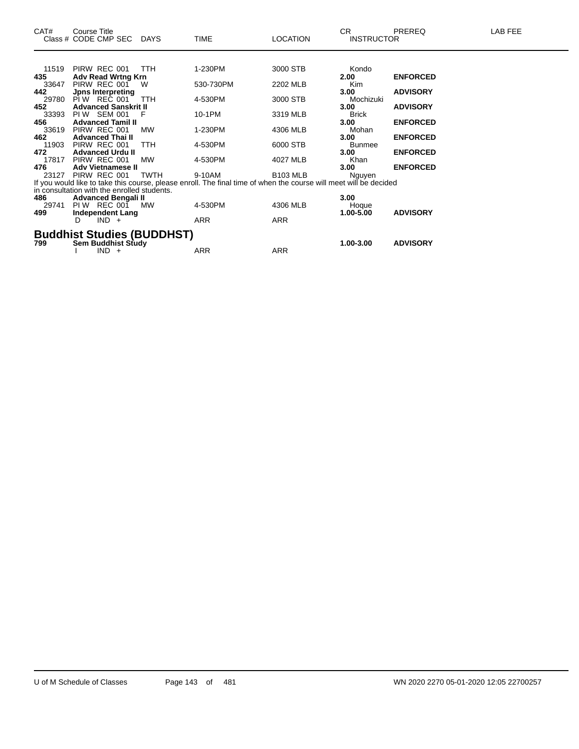| CAT#         | Course Title<br>Class # CODE CMP SEC DAYS   |            | TIME                                                                                                              | <b>LOCATION</b> | <b>CR</b><br><b>INSTRUCTOR</b> | PREREQ          | <b>LAB FEE</b> |
|--------------|---------------------------------------------|------------|-------------------------------------------------------------------------------------------------------------------|-----------------|--------------------------------|-----------------|----------------|
|              |                                             |            |                                                                                                                   |                 |                                |                 |                |
| 11519        | PIRW REC 001                                | <b>TTH</b> | 1-230PM                                                                                                           | 3000 STB        | Kondo                          |                 |                |
| 435          | <b>Adv Read Wrtng Krn</b>                   |            |                                                                                                                   |                 | 2.00                           | <b>ENFORCED</b> |                |
| 33647        | PIRW REC 001                                | W          | 530-730PM                                                                                                         | 2202 MLB        | Kim                            |                 |                |
| 442          | <b>Jpns Interpreting</b>                    |            |                                                                                                                   |                 | 3.00                           | <b>ADVISORY</b> |                |
| 29780        | PIW REC 001                                 | <b>TTH</b> | 4-530PM                                                                                                           | 3000 STB        | Mochizuki                      |                 |                |
| 452          | <b>Advanced Sanskrit II</b><br>PIW SEM 001  | F          |                                                                                                                   |                 | 3.00                           | <b>ADVISORY</b> |                |
| 33393<br>456 | <b>Advanced Tamil II</b>                    |            | 10-1PM                                                                                                            | 3319 MLB        | <b>Brick</b><br>3.00           | <b>ENFORCED</b> |                |
| 33619        | PIRW REC 001                                | <b>MW</b>  | 1-230PM                                                                                                           | 4306 MLB        | Mohan                          |                 |                |
| 462          | <b>Advanced Thai II</b>                     |            |                                                                                                                   |                 | 3.00                           | <b>ENFORCED</b> |                |
| 11903        | PIRW REC 001                                | <b>TTH</b> | 4-530PM                                                                                                           | 6000 STB        | <b>Bunmee</b>                  |                 |                |
| 472          | <b>Advanced Urdu II</b>                     |            |                                                                                                                   |                 | 3.00                           | <b>ENFORCED</b> |                |
|              | 17817 PIRW REC 001                          | <b>MW</b>  | 4-530PM                                                                                                           | 4027 MLB        | Khan                           |                 |                |
| 476          | <b>Adv Vietnamese II</b>                    |            |                                                                                                                   |                 | 3.00                           | <b>ENFORCED</b> |                |
|              | 23127 PIRW REC 001                          | TWTH       | 9-10AM                                                                                                            | <b>B103 MLB</b> | Nguyen                         |                 |                |
|              |                                             |            | If you would like to take this course, please enroll. The final time of when the course will meet will be decided |                 |                                |                 |                |
|              | in consultation with the enrolled students. |            |                                                                                                                   |                 |                                |                 |                |
| 486          | Advanced Bengali II                         |            |                                                                                                                   |                 | 3.00                           |                 |                |
| 29741        | PIW REC 001                                 | <b>MW</b>  | 4-530PM                                                                                                           | 4306 MLB        | Hoque                          |                 |                |
| 499          | Independent Lang                            |            |                                                                                                                   |                 | 1.00-5.00                      | <b>ADVISORY</b> |                |
|              | $IND +$<br>D                                |            | ARR                                                                                                               | ARR             |                                |                 |                |
|              | <b>Buddhist Studies (BUDDHST)</b>           |            |                                                                                                                   |                 |                                |                 |                |
| 799          | Sem Buddhist Study                          |            |                                                                                                                   |                 | 1.00-3.00                      | <b>ADVISORY</b> |                |
|              | $IND +$                                     |            | ARR                                                                                                               | ARR             |                                |                 |                |
|              |                                             |            |                                                                                                                   |                 |                                |                 |                |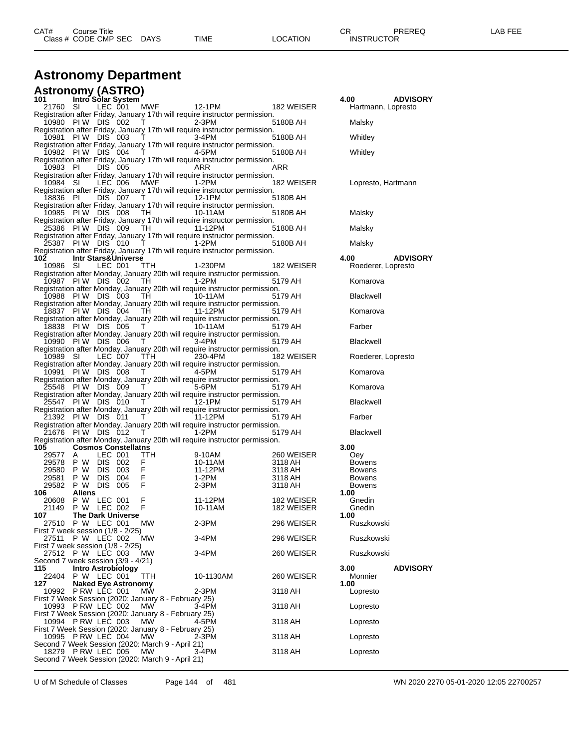| CAT#<br>Course Title      |      |          | rπ<br>◡⊓ | <b>PREREQ</b>     | LAB FEE |
|---------------------------|------|----------|----------|-------------------|---------|
| Class # CODE CMP SEC DAYS | TIME | LOCATION |          | <b>INSTRUCTOR</b> |         |

## **Astronomy Department**

|                        | <b>Astronomy (ASTRO)</b>                                                   |                    |                                                                                                                                                                                                                                                                                                                                 |                                                                                        |                               |                               |                 |
|------------------------|----------------------------------------------------------------------------|--------------------|---------------------------------------------------------------------------------------------------------------------------------------------------------------------------------------------------------------------------------------------------------------------------------------------------------------------------------|----------------------------------------------------------------------------------------|-------------------------------|-------------------------------|-----------------|
| 101<br>21760 SI        | Intro Solar System                                                         | LEC 001            |                                                                                                                                                                                                                                                                                                                                 | MWF 12-1PM                                                                             | 182 WEISER                    | 4.00<br>Hartmann, Lopresto    | <b>ADVISORY</b> |
|                        | 10980 PIW DIS 002                                                          |                    | <b>T</b> 2-3PM                                                                                                                                                                                                                                                                                                                  | Registration after Friday, January 17th will require instructor permission.            | 5180B AH                      | Malsky                        |                 |
|                        | 10981 PIW DIS 003                                                          |                    | $\mathsf{T}$ and $\mathsf{T}$                                                                                                                                                                                                                                                                                                   | Registration after Friday, January 17th will require instructor permission.<br>3-4PM   | 5180B AH                      | Whitley                       |                 |
|                        |                                                                            |                    |                                                                                                                                                                                                                                                                                                                                 | Registration after Friday, January 17th will require instructor permission.            |                               |                               |                 |
|                        | 10982 PIW DIS 004 T                                                        |                    |                                                                                                                                                                                                                                                                                                                                 | 4-5PM<br>Registration after Friday, January 17th will require instructor permission.   | 5180B AH                      | Whitley                       |                 |
| 10983 PI               |                                                                            | DIS 005            |                                                                                                                                                                                                                                                                                                                                 | ARR<br>Registration after Friday, January 17th will require instructor permission.     | ARR                           |                               |                 |
| 10984 SI               |                                                                            | LEC 006            | <b>MWF</b>                                                                                                                                                                                                                                                                                                                      | 1-2PM<br>Registration after Friday, January 17th will require instructor permission.   |                               | 182 WEISER Lopresto, Hartmann |                 |
| 18836 PI               |                                                                            | DIS 007 T          |                                                                                                                                                                                                                                                                                                                                 | Registration after Friday, January 17th will require instructor permission.            | 5180B AH                      |                               |                 |
|                        | 10985 PIW DIS 008                                                          |                    |                                                                                                                                                                                                                                                                                                                                 | TH 10-11AM                                                                             | 5180B AH                      | Malsky                        |                 |
|                        | 25386 PIW DIS 009                                                          |                    | TH                                                                                                                                                                                                                                                                                                                              | Registration after Friday, January 17th will require instructor permission.<br>11-12PM | 5180B AH                      | Malsky                        |                 |
|                        | 25387 PIW DIS 010 T 1-2PM                                                  |                    |                                                                                                                                                                                                                                                                                                                                 | Registration after Friday, January 17th will require instructor permission.            | 5180B AH                      | Malsky                        |                 |
| 102                    | <b>Intr Stars&amp;Universe</b>                                             |                    |                                                                                                                                                                                                                                                                                                                                 | Registration after Friday, January 17th will require instructor permission.            |                               | 4.00                          | <b>ADVISORY</b> |
| 10986 SI               |                                                                            | LEC 001            | TTH                                                                                                                                                                                                                                                                                                                             | 1-230PM<br>Registration after Monday, January 20th will require instructor permission. | 182 WEISER                    | Roederer, Lopresto            |                 |
|                        | 10987 PIW DIS 002                                                          |                    | TH 1-2PM                                                                                                                                                                                                                                                                                                                        |                                                                                        | 5179 AH                       | Komarova                      |                 |
|                        | 10988 PIW DIS 003                                                          |                    | TH                                                                                                                                                                                                                                                                                                                              | Registration after Monday, January 20th will require instructor permission.<br>10-11AM | 5179 AH                       | Blackwell                     |                 |
|                        | 18837 PIW DIS 004 TH 11-12PM                                               |                    |                                                                                                                                                                                                                                                                                                                                 | Registration after Monday, January 20th will require instructor permission.            | 5179 AH                       | Komarova                      |                 |
|                        | 18838 PIW DIS 005                                                          |                    | $T$ 10-11AM                                                                                                                                                                                                                                                                                                                     | Registration after Monday, January 20th will require instructor permission.            | 5179 AH                       | Farber                        |                 |
|                        | 10990 PIW DIS 006                                                          |                    | $\top$                                                                                                                                                                                                                                                                                                                          | Registration after Monday, January 20th will require instructor permission.<br>3-4PM   | 5179 AH                       | <b>Blackwell</b>              |                 |
| 10989 SI               |                                                                            |                    | LEC 007 TTH 230-4PM                                                                                                                                                                                                                                                                                                             | Registration after Monday, January 20th will require instructor permission.            | 182 WEISER                    | Roederer, Lopresto            |                 |
|                        | 10991 PIW DIS 008                                                          |                    | $\mathbf{T}$ and $\mathbf{T}$ and $\mathbf{r}$                                                                                                                                                                                                                                                                                  | Registration after Monday, January 20th will require instructor permission.<br>4-5PM   | 5179 AH                       | Komarova                      |                 |
|                        | 25548 PIW DIS 009                                                          |                    | T                                                                                                                                                                                                                                                                                                                               | Registration after Monday, January 20th will require instructor permission.<br>5-6PM   | 5179 AH                       | Komarova                      |                 |
|                        | 25547 PIW DIS 010 T 12-1PM                                                 |                    |                                                                                                                                                                                                                                                                                                                                 | Registration after Monday, January 20th will require instructor permission.            | 5179 AH                       | <b>Blackwell</b>              |                 |
|                        |                                                                            |                    |                                                                                                                                                                                                                                                                                                                                 | Registration after Monday, January 20th will require instructor permission.            |                               |                               |                 |
|                        | 21392 PIW DIS 011 T 11-12PM                                                |                    |                                                                                                                                                                                                                                                                                                                                 | Registration after Monday, January 20th will require instructor permission.            | 5179 AH                       | Farber                        |                 |
|                        | 21676 PIW DIS 012                                                          |                    | $\mathsf T$ and $\mathsf T$ and $\mathsf T$ are $\mathsf T$ and $\mathsf T$ are $\mathsf T$ and $\mathsf T$ are $\mathsf T$ and $\mathsf T$ are $\mathsf T$ and $\mathsf T$ are $\mathsf T$ and $\mathsf T$ are $\mathsf T$ and $\mathsf T$ are $\mathsf T$ and $\mathsf T$ are $\mathsf T$ and $\mathsf T$ are $\mathsf T$ and | 1-2PM<br>Registration after Monday, January 20th will require instructor permission.   | 5179 AH                       | <b>Blackwell</b>              |                 |
| 105<br>29577 A         | <b>Cosmos Constellatns</b>                                                 | LEC 001            | TTH.                                                                                                                                                                                                                                                                                                                            |                                                                                        | 260 WEISER                    | 3.00<br>Oey                   |                 |
|                        | 29578 P W DIS 002                                                          |                    | F.                                                                                                                                                                                                                                                                                                                              | J-TUAIVI<br>10-11AM<br>11-12PM                                                         | 3118 AH                       | <b>Bowens</b>                 |                 |
| 29580 P W<br>29581 P W |                                                                            | DIS 003<br>DIS 004 | F<br>F                                                                                                                                                                                                                                                                                                                          | 1-2PM                                                                                  | 3118 AH<br>3118 AH<br>3118 AH | Bowens<br><b>Bowens</b>       |                 |
|                        | 29582 P W DIS 005                                                          |                    | $F = 1$                                                                                                                                                                                                                                                                                                                         | 2-3PM                                                                                  |                               | <b>Bowens</b>                 |                 |
| 106                    | Aliens                                                                     |                    |                                                                                                                                                                                                                                                                                                                                 |                                                                                        |                               | 1.00                          |                 |
|                        | 20608 P W LEC 001<br>21149 PW LEC 002                                      |                    | F.<br>F                                                                                                                                                                                                                                                                                                                         | 11-12PM<br>10-11AM                                                                     | 182 WEISER<br>182 WEISER      | Gnedin<br>Gnedin              |                 |
| 107                    | <b>The Dark Universe</b><br>27510 P W LEC 001                              |                    | МW                                                                                                                                                                                                                                                                                                                              | $2-3PM$                                                                                | 296 WEISER                    | 1.00<br>Ruszkowski            |                 |
|                        | First 7 week session (1/8 - 2/25)<br>27511 P W LEC 002                     |                    | <b>MW</b>                                                                                                                                                                                                                                                                                                                       | 3-4PM                                                                                  | 296 WEISER                    | Ruszkowski                    |                 |
|                        | First 7 week session $(1/8 - 2/25)$<br>27512 P W LEC 003                   |                    | MW.                                                                                                                                                                                                                                                                                                                             | 3-4PM                                                                                  | 260 WEISER                    | Ruszkowski                    |                 |
| 115                    | Second 7 week session (3/9 - 4/21)                                         |                    |                                                                                                                                                                                                                                                                                                                                 |                                                                                        |                               | 3.00                          | <b>ADVISORY</b> |
|                        | Intro Astrobiology<br>22404 P W LEC 001                                    |                    | TTH                                                                                                                                                                                                                                                                                                                             | 10-1130AM                                                                              | 260 WEISER                    | Monnier                       |                 |
| 127                    | <b>Naked Eye Astronomy</b><br>10992 P RW LEC 001                           |                    | МW                                                                                                                                                                                                                                                                                                                              | $2-3PM$                                                                                | 3118 AH                       | 1.00<br>Lopresto              |                 |
|                        | First 7 Week Session (2020: January 8 - February 25)<br>10993 PRW LEC 002  |                    | <b>MW</b>                                                                                                                                                                                                                                                                                                                       | 3-4PM                                                                                  | 3118 AH                       | Lopresto                      |                 |
|                        | First 7 Week Session (2020: January 8 - February 25)<br>10994 PRW LEC 003  |                    | МW                                                                                                                                                                                                                                                                                                                              | 4-5PM                                                                                  | 3118 AH                       | Lopresto                      |                 |
|                        | First 7 Week Session (2020: January 8 - February 25)<br>10995 P RW LEC 004 |                    | MW                                                                                                                                                                                                                                                                                                                              | 2-3PM                                                                                  | 3118 AH                       | Lopresto                      |                 |
|                        | Second 7 Week Session (2020: March 9 - April 21)<br>18279 P RW LEC 005     |                    | <b>MW</b>                                                                                                                                                                                                                                                                                                                       | 3-4PM                                                                                  | 3118 AH                       | Lopresto                      |                 |
|                        | Second 7 Week Session (2020: March 9 - April 21)                           |                    |                                                                                                                                                                                                                                                                                                                                 |                                                                                        |                               |                               |                 |

U of M Schedule of Classes Page 144 of 481 WN 2020 2270 05-01-2020 12:05 22700257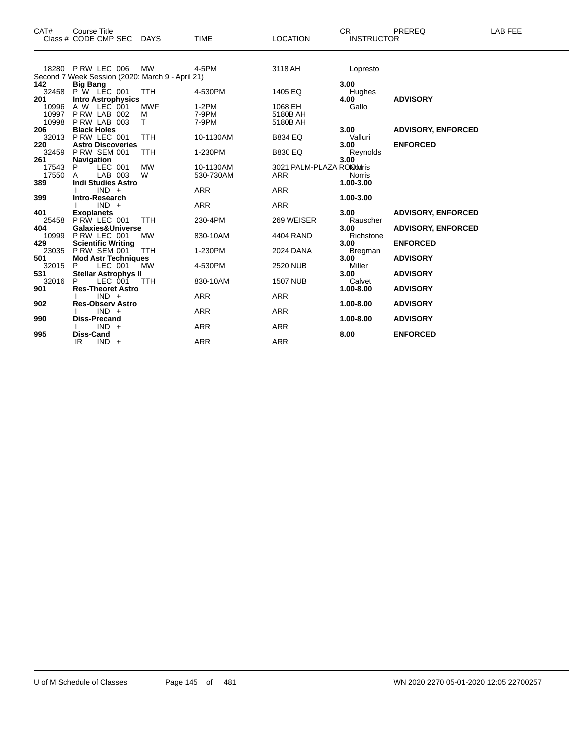| CAT#  | <b>Course Title</b><br>Class # CODE CMP SEC      | DAYS       | <b>TIME</b> | <b>LOCATION</b>            | CR.<br><b>INSTRUCTOR</b> | PREREQ                    | LAB FEE |
|-------|--------------------------------------------------|------------|-------------|----------------------------|--------------------------|---------------------------|---------|
|       |                                                  |            |             |                            |                          |                           |         |
|       | 18280 P RW LEC 006                               | <b>MW</b>  | 4-5PM       | 3118 AH                    | Lopresto                 |                           |         |
|       | Second 7 Week Session (2020: March 9 - April 21) |            |             |                            |                          |                           |         |
| 142   | <b>Big Bang</b>                                  |            |             |                            | 3.00                     |                           |         |
| 32458 | <b>P</b> W LEC 001                               | <b>TTH</b> | 4-530PM     | 1405 EQ                    | Hughes                   |                           |         |
| 201   | <b>Intro Astrophysics</b>                        |            |             |                            | 4.00                     | <b>ADVISORY</b>           |         |
| 10996 | A W LEC 001                                      | <b>MWF</b> | $1-2PM$     | 1068 EH                    | Gallo                    |                           |         |
| 10997 | PRW LAB 002                                      | М          | 7-9PM       | 5180B AH                   |                          |                           |         |
| 10998 | P RW LAB 003                                     | т          | 7-9PM       | 5180B AH                   |                          |                           |         |
| 206   | <b>Black Holes</b>                               |            |             |                            | 3.00                     | <b>ADVISORY, ENFORCED</b> |         |
| 32013 | PRW LEC 001                                      | <b>TTH</b> | 10-1130AM   | <b>B834 EQ</b>             | Valluri                  |                           |         |
| 220   | <b>Astro Discoveries</b>                         |            |             |                            | 3.00                     | <b>ENFORCED</b>           |         |
| 32459 | <b>P RW SEM 001</b>                              | TTH        | 1-230PM     | <b>B830 EQ</b>             | Reynolds                 |                           |         |
| 261   | Navigation                                       |            |             |                            | 3.00                     |                           |         |
| 17543 | LEC 001<br>P                                     | <b>MW</b>  | 10-1130AM   | 3021 PALM-PLAZA RONDOMIris |                          |                           |         |
| 17550 | LAB 003<br>A                                     | W          | 530-730AM   | <b>ARR</b>                 | <b>Norris</b>            |                           |         |
| 389   | <b>Indi Studies Astro</b>                        |            |             |                            | 1.00-3.00                |                           |         |
|       | $IND +$                                          |            | <b>ARR</b>  | <b>ARR</b>                 |                          |                           |         |
| 399   | Intro-Research                                   |            |             |                            | 1.00-3.00                |                           |         |
|       | $IND +$                                          |            | <b>ARR</b>  | <b>ARR</b>                 |                          |                           |         |
| 401   | <b>Exoplanets</b>                                |            |             |                            | 3.00                     | <b>ADVISORY, ENFORCED</b> |         |
| 25458 | PRW LEC 001                                      | <b>TTH</b> | 230-4PM     | 269 WEISER                 | Rauscher                 |                           |         |
| 404   | Galaxies&Universe                                |            |             |                            | 3.00                     | <b>ADVISORY, ENFORCED</b> |         |
| 10999 | P RW LEC 001                                     | MW         | 830-10AM    | 4404 RAND                  | Richstone                |                           |         |
| 429   | <b>Scientific Writing</b>                        |            |             |                            | 3.00                     | <b>ENFORCED</b>           |         |
| 23035 | <b>P RW SEM 001</b>                              | <b>TTH</b> | 1-230PM     | 2024 DANA                  | Bregman                  |                           |         |
| 501   | <b>Mod Astr Techniques</b>                       |            |             |                            | 3.00                     | <b>ADVISORY</b>           |         |
| 32015 | LEC 001<br>P.                                    | <b>MW</b>  | 4-530PM     | 2520 NUB                   | Miller                   |                           |         |
| 531   | <b>Stellar Astrophys II</b>                      |            |             |                            | 3.00                     | <b>ADVISORY</b>           |         |
| 32016 | LEC 001<br>P                                     | <b>TTH</b> | 830-10AM    | <b>1507 NUB</b>            | Calvet                   |                           |         |
| 901   | <b>Res-Theoret Astro</b>                         |            |             |                            | 1.00-8.00                | <b>ADVISORY</b>           |         |
|       | $IND +$                                          |            | ARR         | ARR                        |                          |                           |         |
| 902   | <b>Res-Observ Astro</b>                          |            |             |                            | 1.00-8.00                | <b>ADVISORY</b>           |         |
|       | $IND +$                                          |            | <b>ARR</b>  | <b>ARR</b>                 |                          |                           |         |
| 990   | <b>Diss-Precand</b>                              |            |             |                            | 1.00-8.00                | <b>ADVISORY</b>           |         |
|       | $IND +$                                          |            | <b>ARR</b>  | <b>ARR</b>                 |                          |                           |         |
| 995   | <b>Diss-Cand</b>                                 |            |             |                            | 8.00                     | <b>ENFORCED</b>           |         |
|       | IR<br>$IND +$                                    |            | <b>ARR</b>  | <b>ARR</b>                 |                          |                           |         |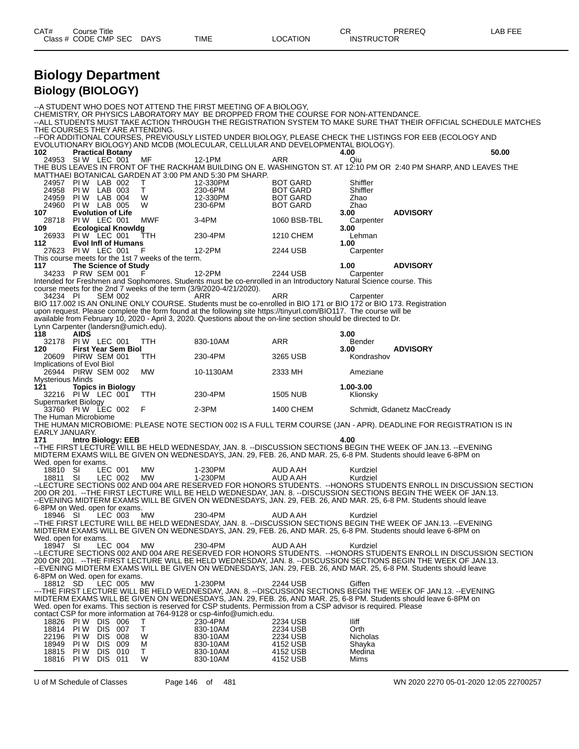| CAT# | Title<br>Course      |             |      |                 | <b>CR</b>         | PREREQ | LAB FEE |
|------|----------------------|-------------|------|-----------------|-------------------|--------|---------|
|      | Class # CODE CMP SEC | <b>DAYS</b> | TIME | <b>LOCATION</b> | <b>INSTRUCTOR</b> |        |         |

# **Biology Department Biology (BIOLOGY)**

|                                             |             |                                                  |                                                    | --A STUDENT WHO DOES NOT ATTEND THE FIRST MEETING OF A BIOLOGY.                                                                                                                                                                        |     |                                    |                      |                                                                                                                                                                                                                                        |
|---------------------------------------------|-------------|--------------------------------------------------|----------------------------------------------------|----------------------------------------------------------------------------------------------------------------------------------------------------------------------------------------------------------------------------------------|-----|------------------------------------|----------------------|----------------------------------------------------------------------------------------------------------------------------------------------------------------------------------------------------------------------------------------|
|                                             |             |                                                  |                                                    | CHEMISTRY, OR PHYSICS LABORATORY MAY BE DROPPED FROM THE COURSE FOR NON-ATTENDANCE.                                                                                                                                                    |     |                                    |                      | --ALL STUDENTS MUST TAKE ACTION THROUGH THE REGISTRATION SYSTEM TO MAKE SURE THAT THEIR OFFICIAL SCHEDULE MATCHES                                                                                                                      |
|                                             |             |                                                  | THE COURSES THEY ARE ATTENDING.                    |                                                                                                                                                                                                                                        |     |                                    |                      |                                                                                                                                                                                                                                        |
|                                             |             |                                                  |                                                    | EVOLUTIONARY BIOLOGY) AND MCDB (MOLECULAR, CELLULAR AND DEVELOPMENTAL BIOLOGY).                                                                                                                                                        |     |                                    |                      | --FOR ADDITIONAL COURSES, PREVIOUSLY LISTED UNDER BIOLOGY, PLEASE CHECK THE LISTINGS FOR EEB (ECOLOGY AND                                                                                                                              |
| 102.                                        |             | <b>Practical Botany</b>                          |                                                    |                                                                                                                                                                                                                                        |     |                                    | 4.00                 | 50.00                                                                                                                                                                                                                                  |
|                                             |             | 24953 SIW LEC 001                                | МF                                                 | 12-1PM                                                                                                                                                                                                                                 | ARR |                                    | Qiu                  | THE BUS LEAVES IN FRONT OF THE RACKHAM BUILDING ON E. WASHINGTON ST. AT 12:10 PM OR 2:40 PM SHARP, AND LEAVES THE                                                                                                                      |
|                                             |             |                                                  |                                                    | MATTHAEI BOTANICAL GARDEN AT 3:00 PM AND 5:30 PM SHARP.                                                                                                                                                                                |     |                                    |                      |                                                                                                                                                                                                                                        |
| 24958                                       |             | 24957 PIW LAB 002<br>PIW LAB 003                 | T.<br>$\top$                                       | 12-330PM<br>230-6PM                                                                                                                                                                                                                    |     | <b>BOT GARD</b><br><b>BOT GARD</b> | Shiffler<br>Shiffler |                                                                                                                                                                                                                                        |
| 24959                                       |             | PIW LAB 004                                      | W                                                  | 12-330PM                                                                                                                                                                                                                               |     | BOT GARD                           | Zhao                 |                                                                                                                                                                                                                                        |
| 24960<br>107                                |             | <b>PIW LAB 005</b><br><b>Evolution of Life</b>   | W                                                  | 230-6PM                                                                                                                                                                                                                                |     | <b>BOT GARD</b>                    | Zhao<br>3.00         | <b>ADVISORY</b>                                                                                                                                                                                                                        |
|                                             |             | 28718 PIW LEC 001                                | MWF                                                | 3-4PM                                                                                                                                                                                                                                  |     | 1060 BSB-TBL                       | Carpenter            |                                                                                                                                                                                                                                        |
| 109                                         |             | <b>Ecological Knowldg</b><br>26933 PIW LEC 001   | TTH                                                | 230-4PM                                                                                                                                                                                                                                |     | 1210 CHEM                          | 3.00<br>Lehman       |                                                                                                                                                                                                                                        |
| 112                                         |             | <b>Evol Infl of Humans</b>                       |                                                    |                                                                                                                                                                                                                                        |     |                                    | 1.00                 |                                                                                                                                                                                                                                        |
|                                             |             | 27623 PIW LEC 001                                | - F                                                | 12-2PM                                                                                                                                                                                                                                 |     | 2244 USB                           | Carpenter            |                                                                                                                                                                                                                                        |
| 117                                         |             | The Science of Study                             | This course meets for the 1st 7 weeks of the term. |                                                                                                                                                                                                                                        |     |                                    | 1.00                 | <b>ADVISORY</b>                                                                                                                                                                                                                        |
|                                             |             | 34233 P RW SEM 001                               |                                                    | 12-2PM                                                                                                                                                                                                                                 |     | 2244 USB                           | Carpenter            |                                                                                                                                                                                                                                        |
|                                             |             |                                                  |                                                    | Intended for Freshmen and Sophomores. Students must be co-enrolled in an Introductory Natural Science course. This<br>course meets for the 2nd 7 weeks of the term (3/9/2020-4/21/2020).                                               |     |                                    |                      |                                                                                                                                                                                                                                        |
| 34234 PI                                    |             | <b>SEM 002</b>                                   |                                                    | ARR                                                                                                                                                                                                                                    | ARR |                                    | Carpenter            |                                                                                                                                                                                                                                        |
|                                             |             |                                                  |                                                    | BIO 117.002 IS AN ONLINE ONLY COURSE. Students must be co-enrolled in BIO 171 or BIO 172 or BIO 173. Registration<br>upon request. Please complete the form found at the following site https://tinyurl.com/BIO117. The course will be |     |                                    |                      |                                                                                                                                                                                                                                        |
|                                             |             |                                                  |                                                    | available from February 10, 2020 - April 3, 2020. Questions about the on-line section should be directed to Dr.                                                                                                                        |     |                                    |                      |                                                                                                                                                                                                                                        |
| Lynn Carpenter (landersn@umich.edu).<br>118 | <b>AIDS</b> |                                                  |                                                    |                                                                                                                                                                                                                                        |     |                                    | 3.00                 |                                                                                                                                                                                                                                        |
|                                             |             | 32178 PIW LEC 001                                | TTH T                                              | 830-10AM                                                                                                                                                                                                                               | ARR |                                    | Bender               |                                                                                                                                                                                                                                        |
| 120                                         |             | <b>First Year Sem Biol</b><br>20609 PIRW SEM 001 | TTH                                                | 230-4PM                                                                                                                                                                                                                                |     | 3265 USB                           | 3.00<br>Kondrashov   | <b>ADVISORY</b>                                                                                                                                                                                                                        |
| Implications of Evol Biol                   |             |                                                  |                                                    |                                                                                                                                                                                                                                        |     |                                    |                      |                                                                                                                                                                                                                                        |
| <b>Mysterious Minds</b>                     |             | 26944 PIRW SEM 002                               | MW                                                 | 10-1130AM                                                                                                                                                                                                                              |     | 2333 MH                            | Ameziane             |                                                                                                                                                                                                                                        |
| 121                                         |             | <b>Topics in Biology</b>                         |                                                    |                                                                                                                                                                                                                                        |     |                                    | 1.00-3.00            |                                                                                                                                                                                                                                        |
| Supermarket Biology                         |             | 32216 PIW LEC 001 TTH                            |                                                    | 230-4PM                                                                                                                                                                                                                                |     | 1505 NUB                           | Klionsky             |                                                                                                                                                                                                                                        |
|                                             |             | 33760 PIW LEC 002 F                              |                                                    | $2-3PM$                                                                                                                                                                                                                                |     | 1400 CHEM                          |                      | Schmidt, Gdanetz MacCready                                                                                                                                                                                                             |
| The Human Microbiome                        |             |                                                  |                                                    |                                                                                                                                                                                                                                        |     |                                    |                      | THE HUMAN MICROBIOME: PLEASE NOTE SECTION 002 IS A FULL TERM COURSE (JAN - APR). DEADLINE FOR REGISTRATION IS IN                                                                                                                       |
| EARLY JANUARY.                              |             |                                                  |                                                    |                                                                                                                                                                                                                                        |     |                                    |                      |                                                                                                                                                                                                                                        |
| 171                                         |             | <b>Intro Biology: EEB</b>                        |                                                    |                                                                                                                                                                                                                                        |     |                                    | 4.00                 | --THE FIRST LECTURE WILL BE HELD WEDNESDAY, JAN. 8. --DISCUSSION SECTIONS BEGIN THE WEEK OF JAN.13. --EVENING                                                                                                                          |
|                                             |             |                                                  |                                                    |                                                                                                                                                                                                                                        |     |                                    |                      | MIDTERM EXAMS WILL BE GIVEN ON WEDNESDAYS, JAN. 29, FEB. 26, AND MAR. 25, 6-8 PM. Students should leave 6-8PM on                                                                                                                       |
| Wed. open for exams.                        |             |                                                  |                                                    |                                                                                                                                                                                                                                        |     |                                    |                      |                                                                                                                                                                                                                                        |
| 18810 SI<br>18811 SI                        |             | LEC 001<br>LEC 002                               | MW<br>MW                                           | 1-230PM<br>1-230PM                                                                                                                                                                                                                     |     | AUD A AH<br>AUD A AH               | Kurdziel<br>Kurdziel |                                                                                                                                                                                                                                        |
|                                             |             |                                                  |                                                    |                                                                                                                                                                                                                                        |     |                                    |                      | --LECTURE SECTIONS 002 AND 004 ARE RESERVED FOR HONORS STUDENTS. -- HONORS STUDENTS ENROLL IN DISCUSSION SECTION                                                                                                                       |
|                                             |             |                                                  |                                                    |                                                                                                                                                                                                                                        |     |                                    |                      | 200 OR 201. -- THE FIRST LECTURE WILL BE HELD WEDNESDAY, JAN. 8. -- DISCUSSION SECTIONS BEGIN THE WEEK OF JAN.13.<br>--EVENING MIDTERM EXAMS WILL BE GIVEN ON WEDNESDAYS, JAN. 29, FEB. 26, AND MAR. 25, 6-8 PM. Students should leave |
| 6-8PM on Wed. open for exams.               |             |                                                  |                                                    |                                                                                                                                                                                                                                        |     |                                    |                      |                                                                                                                                                                                                                                        |
| 18946 SI                                    |             | LEC 003 MW                                       |                                                    | 230-4PM                                                                                                                                                                                                                                |     | AUD A AH                           | Kurdziel             | -- THE FIRST LECTURE WILL BE HELD WEDNESDAY, JAN. 8. -- DISCUSSION SECTIONS BEGIN THE WEEK OF JAN.13. -- EVENING                                                                                                                       |
|                                             |             |                                                  |                                                    |                                                                                                                                                                                                                                        |     |                                    |                      | MIDTERM EXAMS WILL BE GIVEN ON WEDNESDAYS, JAN. 29, FEB. 26, AND MAR. 25, 6-8 PM. Students should leave 6-8PM on                                                                                                                       |
| Wed. open for exams.<br>18947 SI            |             | LEC 004                                          | MW                                                 | 230-4PM                                                                                                                                                                                                                                |     | AUD A AH                           | Kurdziel             |                                                                                                                                                                                                                                        |
|                                             |             |                                                  |                                                    |                                                                                                                                                                                                                                        |     |                                    |                      | --LECTURE SECTIONS 002 AND 004 ARE RESERVED FOR HONORS STUDENTS. --HONORS STUDENTS ENROLL IN DISCUSSION SECTION                                                                                                                        |
|                                             |             |                                                  |                                                    |                                                                                                                                                                                                                                        |     |                                    |                      | 200 OR 201. -- THE FIRST LECTURE WILL BE HELD WEDNESDAY. JAN. 8. -- DISCUSSION SECTIONS BEGIN THE WEEK OF JAN.13.<br>--EVENING MIDTERM EXAMS WILL BE GIVEN ON WEDNESDAYS, JAN. 29, FEB. 26, AND MAR. 25, 6-8 PM. Students should leave |
| 6-8PM on Wed. open for exams.               |             |                                                  |                                                    |                                                                                                                                                                                                                                        |     |                                    |                      |                                                                                                                                                                                                                                        |
| 18812 SD                                    |             | LEC 005                                          | MW                                                 | 1-230PM                                                                                                                                                                                                                                |     | 2244 USB                           | Giffen               | ---THE FIRST LECTURE WILL BE HELD WEDNESDAY, JAN. 8. --DISCUSSION SECTIONS BEGIN THE WEEK OF JAN.13. --EVENING                                                                                                                         |
|                                             |             |                                                  |                                                    |                                                                                                                                                                                                                                        |     |                                    |                      | MIDTERM EXAMS WILL BE GIVEN ON WEDNESDAYS, JAN. 29, FEB. 26, AND MAR. 25, 6-8 PM. Students should leave 6-8PM on                                                                                                                       |
|                                             |             |                                                  |                                                    | Wed. open for exams. This section is reserved for CSP students. Permission from a CSP advisor is required. Please                                                                                                                      |     |                                    |                      |                                                                                                                                                                                                                                        |
|                                             |             | 18826 PIW DIS 006                                | Τ                                                  | contact CSP for more information at 764-9128 or csp-4info@umich.edu.<br>230-4PM                                                                                                                                                        |     | 2234 USB                           | lliff                |                                                                                                                                                                                                                                        |
| 18814                                       |             | PIW DIS 007                                      | Τ                                                  | 830-10AM                                                                                                                                                                                                                               |     | 2234 USB                           | Orth                 |                                                                                                                                                                                                                                        |
| 22196<br>18949                              | PI W        | <b>DIS 008</b><br>PIW DIS 009                    | W<br>м                                             | 830-10AM<br>830-10AM                                                                                                                                                                                                                   |     | 2234 USB<br>4152 USB               | Nicholas<br>Shayka   |                                                                                                                                                                                                                                        |
| 18815                                       |             | <b>PIW DIS 010</b>                               | Τ                                                  | 830-10AM                                                                                                                                                                                                                               |     | 4152 USB                           | Medina               |                                                                                                                                                                                                                                        |
| 18816                                       |             | <b>PIW DIS 011</b>                               | W                                                  | 830-10AM                                                                                                                                                                                                                               |     | 4152 USB                           | Mims                 |                                                                                                                                                                                                                                        |

U of M Schedule of Classes Page 146 of 481 WN 2020 2270 05-01-2020 12:05 22700257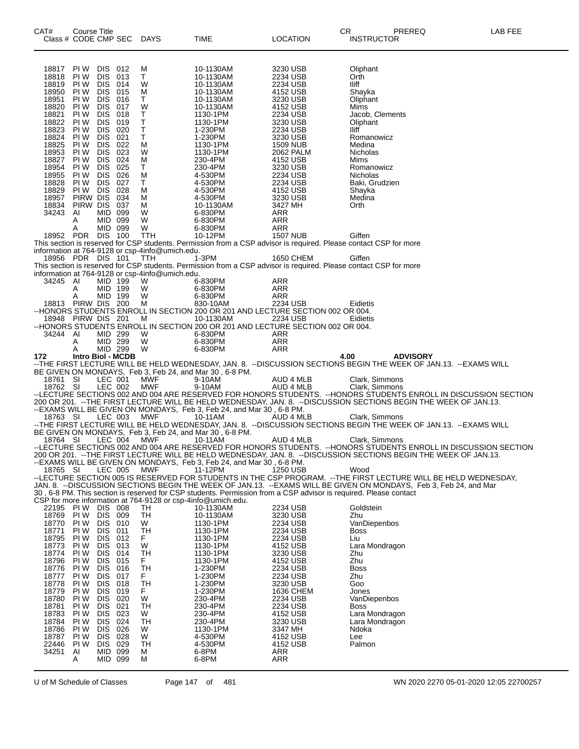| CAT#           | Course Title            |                          |                                     | Class # CODE CMP SEC DAYS                            | TIME                                                                                                                               | LOCATION                    | PREREQ<br>LAB FEE<br>CR<br><b>INSTRUCTOR</b>                                                                                                                            |  |
|----------------|-------------------------|--------------------------|-------------------------------------|------------------------------------------------------|------------------------------------------------------------------------------------------------------------------------------------|-----------------------------|-------------------------------------------------------------------------------------------------------------------------------------------------------------------------|--|
| 18817          | PI W                    | DIS 012                  |                                     | м                                                    | 10-1130AM                                                                                                                          | 3230 USB                    | Oliphant                                                                                                                                                                |  |
| 18818          | PI W                    | DIS 013                  |                                     | T.                                                   | 10-1130AM                                                                                                                          | 2234 USB                    | Orth                                                                                                                                                                    |  |
| 18819<br>18950 | PI W<br>PI W            | DIS.<br><b>DIS</b>       | 014<br>015                          | W<br>м                                               | 10-1130AM<br>10-1130AM                                                                                                             | 2234 USB<br>4152 USB        | lliff<br>Shayka                                                                                                                                                         |  |
| 18951          | PI W                    | <b>DIS</b>               | 016                                 | Τ                                                    | 10-1130AM                                                                                                                          | 3230 USB                    | Oliphant                                                                                                                                                                |  |
| 18820          | PI W                    | DIS.                     | 017                                 | W                                                    | 10-1130AM                                                                                                                          | 4152 USB                    | Mims                                                                                                                                                                    |  |
| 18821<br>18822 | PI W<br>PI W            | <b>DIS</b><br><b>DIS</b> | 018<br>019                          | т<br>т                                               | 1130-1PM<br>1130-1PM                                                                                                               | 2234 USB<br>3230 USB        | Jacob, Clements<br>Oliphant                                                                                                                                             |  |
| 18823          | PI W                    | DIS.                     | 020                                 | т                                                    | 1-230PM                                                                                                                            | 2234 USB                    | lliff                                                                                                                                                                   |  |
| 18824<br>18825 | PI W<br>PI W            | <b>DIS</b><br><b>DIS</b> | 021<br>022                          | T.<br>м                                              | 1-230PM<br>1130-1PM                                                                                                                | 3230 USB<br><b>1509 NUB</b> | Romanowicz<br>Medina                                                                                                                                                    |  |
| 18953          | PI W                    | DIS.                     | 023                                 | W                                                    | 1130-1PM                                                                                                                           | 2062 PALM                   | Nicholas                                                                                                                                                                |  |
| 18827<br>18954 | PI W<br>PI W            | <b>DIS</b><br><b>DIS</b> | 024<br>025                          | М<br>Τ                                               | 230-4PM<br>230-4PM                                                                                                                 | 4152 USB<br>3230 USB        | Mims<br>Romanowicz                                                                                                                                                      |  |
| 18955          | PI W                    | <b>DIS</b>               | 026                                 | м                                                    | 4-530PM                                                                                                                            | 2234 USB                    | Nicholas                                                                                                                                                                |  |
| 18828          | PI W                    | <b>DIS</b>               | 027                                 | T.                                                   | 4-530PM                                                                                                                            | 2234 USB                    | Baki, Grudzien                                                                                                                                                          |  |
| 18829<br>18957 | PIW DIS<br>PIRW DIS     |                          | 028<br>034                          | м<br>м                                               | 4-530PM<br>4-530PM                                                                                                                 | 4152 USB<br>3230 USB        | Shayka<br>Medina                                                                                                                                                        |  |
| 18834          | PIRW DIS 037            |                          |                                     | м                                                    | 10-1130AM                                                                                                                          | 3427 MH                     | Orth                                                                                                                                                                    |  |
| 34243          | Al<br>A                 | MID 099<br>MID 099       |                                     | W<br>W                                               | 6-830PM<br>6-830PM                                                                                                                 | ARR<br><b>ARR</b>           |                                                                                                                                                                         |  |
|                | Α                       |                          | MID 099                             | W                                                    | 6-830PM                                                                                                                            | ARR                         |                                                                                                                                                                         |  |
|                | 18952 PDR DIS 100       |                          |                                     | TTH                                                  | 10-12PM                                                                                                                            | <b>1507 NUB</b>             | Giffen                                                                                                                                                                  |  |
|                |                         |                          |                                     | information at 764-9128 or csp-4info@umich.edu.      | This section is reserved for CSP students. Permission from a CSP advisor is required. Please contact CSP for more                  |                             |                                                                                                                                                                         |  |
|                | 18956 PDR DIS 101       |                          |                                     | TTH                                                  | $1-3PM$                                                                                                                            | 1650 CHEM                   | Giffen                                                                                                                                                                  |  |
|                |                         |                          |                                     |                                                      | This section is reserved for CSP students. Permission from a CSP advisor is required. Please contact CSP for more                  |                             |                                                                                                                                                                         |  |
| 34245 AI       |                         |                          | MID 199                             | information at 764-9128 or csp-4info@umich.edu.<br>W | 6-830PM                                                                                                                            | ARR                         |                                                                                                                                                                         |  |
|                | A                       |                          | MID 199                             | W                                                    | 6-830PM                                                                                                                            | <b>ARR</b>                  |                                                                                                                                                                         |  |
|                | Α<br>18813 PIRW DIS 200 |                          | MID 199                             | W<br>M                                               | 6-830PM<br>830-10AM                                                                                                                | ARR<br>2234 USB             | Eidietis                                                                                                                                                                |  |
|                |                         |                          |                                     |                                                      | --HONORS STUDENTS ENROLL IN SECTION 200 OR 201 AND LECTURE SECTION 002 OR 004.                                                     |                             |                                                                                                                                                                         |  |
|                |                         |                          |                                     |                                                      | 18948 PIRW DIS 201 M 10-1130AM 2234 USB Eidietis<br>--HONORS STUDENTS ENROLL IN SECTION 200 OR 201 AND LECTURE SECTION 002 OR 004. |                             | Eidietis                                                                                                                                                                |  |
| 34244 AI       |                         |                          | MID 299                             | W                                                    | 6-830PM                                                                                                                            | <b>ARR</b>                  |                                                                                                                                                                         |  |
|                | A                       |                          | MID 299                             | W                                                    | 6-830PM                                                                                                                            | ARR                         |                                                                                                                                                                         |  |
| 172            | A                       |                          | MID 299<br><b>Intro Biol - MCDB</b> | W                                                    | 6-830PM                                                                                                                            | ARR                         | 4.00<br><b>ADVISORY</b>                                                                                                                                                 |  |
|                |                         |                          |                                     |                                                      |                                                                                                                                    |                             | --THE FIRST LECTURE WILL BE HELD WEDNESDAY, JAN. 8. --DISCUSSION SECTIONS BEGIN THE WEEK OF JAN.13. --EXAMS WILL                                                        |  |
|                |                         |                          |                                     |                                                      | BE GIVEN ON MONDAYS, Feb 3, Feb 24, and Mar 30, 6-8 PM.                                                                            |                             |                                                                                                                                                                         |  |
| 18761 SI       |                         | LEC 001                  |                                     | MWF                                                  | 9-10AM                                                                                                                             | AUD 4 MLB                   | Clark, Simmons                                                                                                                                                          |  |
|                |                         |                          |                                     |                                                      |                                                                                                                                    |                             | 18762 SI LEC 002 MWF 9-10AM AUD 4 MLB Clark, Simmons<br>--LECTURE SECTIONS 002 AND 004 ARE RESERVED FOR HONORS STUDENTS. --HONORS STUDENTS ENROLL IN DISCUSSION SECTION |  |
|                |                         |                          |                                     |                                                      | --EXAMS WILL BE GIVEN ON MONDAYS, Feb 3, Feb 24, and Mar 30, 6-8 PM.                                                               |                             | 200 OR 201. -- THE FIRST LECTURE WILL BE HELD WEDNESDAY, JAN. 8. -- DISCUSSION SECTIONS BEGIN THE WEEK OF JAN.13.                                                       |  |
| 18763 SI       |                         |                          |                                     | LEC 003 MWF                                          | 10-11AM                                                                                                                            | AUD 4 MLB                   | Clark, Simmons                                                                                                                                                          |  |
|                |                         |                          |                                     |                                                      |                                                                                                                                    |                             | --THE FIRST LECTURE WILL BE HELD WEDNESDAY, JAN. 8. -- DISCUSSION SECTIONS BEGIN THE WEEK OF JAN.13. -- EXAMS WILL                                                      |  |
| 18764 SI       |                         |                          |                                     | LEC 004 MWF                                          | BE GIVEN ON MONDAYS, Feb 3, Feb 24, and Mar 30, 6-8 PM.<br>10-11AM                                                                 | AUD 4 MLB                   | Clark, Simmons                                                                                                                                                          |  |
|                |                         |                          |                                     |                                                      |                                                                                                                                    |                             | --LECTURE SECTIONS 002 AND 004 ARE RESERVED FOR HONORS STUDENTS. --HONORS STUDENTS ENROLL IN DISCUSSION SECTION                                                         |  |
|                |                         |                          |                                     |                                                      | --EXAMS WILL BE GIVEN ON MONDAYS, Feb 3, Feb 24, and Mar 30, 6-8 PM.                                                               |                             | 200 OR 201. --THE FIRST LECTURE WILL BE HELD WEDNESDAY, JAN. 8. --DISCUSSION SECTIONS BEGIN THE WEEK OF JAN.13.                                                         |  |
| 18765 SI       |                         |                          | LEC 005                             | MWF                                                  | 11-12PM                                                                                                                            | 1250 USB                    | Wood                                                                                                                                                                    |  |
|                |                         |                          |                                     |                                                      |                                                                                                                                    |                             | --LECTURE SECTION 005 IS RESERVED FOR STUDENTS IN THE CSP PROGRAM. --THE FIRST LECTURE WILL BE HELD WEDNESDAY,                                                          |  |
|                |                         |                          |                                     |                                                      | 30, 6-8 PM. This section is reserved for CSP students. Permission from a CSP advisor is required. Please contact                   |                             | JAN. 8. -- DISCUSSION SECTIONS BEGIN THE WEEK OF JAN.13. -- EXAMS WILL BE GIVEN ON MONDAYS, Feb 3, Feb 24, and Mar                                                      |  |
|                |                         |                          |                                     |                                                      | CSP for more information at 764-9128 or csp-4info@umich.edu.                                                                       |                             |                                                                                                                                                                         |  |
| 18769          | 22195 PI W<br>PI W      | DIS 008<br>DIS 009       |                                     | TН<br>TH                                             | 10-1130AM<br>10-1130AM                                                                                                             | 2234 USB<br>3230 USB        | Goldstein<br>Zhu                                                                                                                                                        |  |
| 18770          | PI W                    | DIS.                     | 010                                 | W                                                    | 1130-1PM                                                                                                                           | 2234 USB                    | VanDiepenbos                                                                                                                                                            |  |
| 18771          | PI W                    | <b>DIS</b>               | 011                                 | TН                                                   | 1130-1PM                                                                                                                           | 2234 USB                    | <b>Boss</b>                                                                                                                                                             |  |
| 18795<br>18773 | PI W<br>PI W            | <b>DIS</b><br>DIS.       | 012<br>013                          | F.<br>W                                              | 1130-1PM<br>1130-1PM                                                                                                               | 2234 USB<br>4152 USB        | Liu<br>Lara Mondragon                                                                                                                                                   |  |
| 18774          | PI W                    | <b>DIS</b>               | 014                                 | TН                                                   | 1130-1PM                                                                                                                           | 3230 USB                    | Zhu                                                                                                                                                                     |  |
| 18796          | PI W                    | <b>DIS</b>               | 015                                 | F.                                                   | 1130-1PM                                                                                                                           | 4152 USB                    | Zhu                                                                                                                                                                     |  |
| 18776<br>18777 | PI W<br>PI W            | <b>DIS</b><br><b>DIS</b> | 016<br>017                          | TН<br>F.                                             | 1-230PM<br>1-230PM                                                                                                                 | 2234 USB<br>2234 USB        | <b>Boss</b><br>Zhu                                                                                                                                                      |  |
| 18778          | PI W                    | DIS.                     | 018                                 | TН                                                   | 1-230PM                                                                                                                            | 3230 USB                    | Goo                                                                                                                                                                     |  |
| 18779<br>18780 | PI W<br>PI W            | <b>DIS</b><br><b>DIS</b> | 019<br>020                          | F.<br>W                                              | 1-230PM<br>230-4PM                                                                                                                 | 1636 CHEM<br>2234 USB       | Jones<br>VanDiepenbos                                                                                                                                                   |  |
| 18781          | PI W                    | DIS.                     | 021                                 | TН                                                   | 230-4PM                                                                                                                            | 2234 USB                    | <b>Boss</b>                                                                                                                                                             |  |
| 18783          | PI W                    | <b>DIS</b>               | 023                                 | W                                                    | 230-4PM                                                                                                                            | 4152 USB                    | Lara Mondragon                                                                                                                                                          |  |
| 18784<br>18786 | PI W<br>PI W            | DIS.<br>DIS.             | 024<br>026                          | TН<br>W                                              | 230-4PM<br>1130-1PM                                                                                                                | 3230 USB<br>3347 MH         | Lara Mondragon<br>Ndoka                                                                                                                                                 |  |
| 18787          | PI W                    | DIS.                     | 028                                 | W                                                    | 4-530PM                                                                                                                            | 4152 USB                    | Lee                                                                                                                                                                     |  |
| 22446<br>34251 | PI W<br>Al              | DIS 029<br>MID 099       |                                     | TН<br>м                                              | 4-530PM<br>6-8PM                                                                                                                   | 4152 USB<br>ARR             | Palmon                                                                                                                                                                  |  |
|                | Α                       |                          | MID 099                             | м                                                    | 6-8PM                                                                                                                              | ARR                         |                                                                                                                                                                         |  |
|                |                         |                          |                                     |                                                      |                                                                                                                                    |                             |                                                                                                                                                                         |  |

U of M Schedule of Classes Page 147 of 481 WN 2020 2270 05-01-2020 12:05 22700257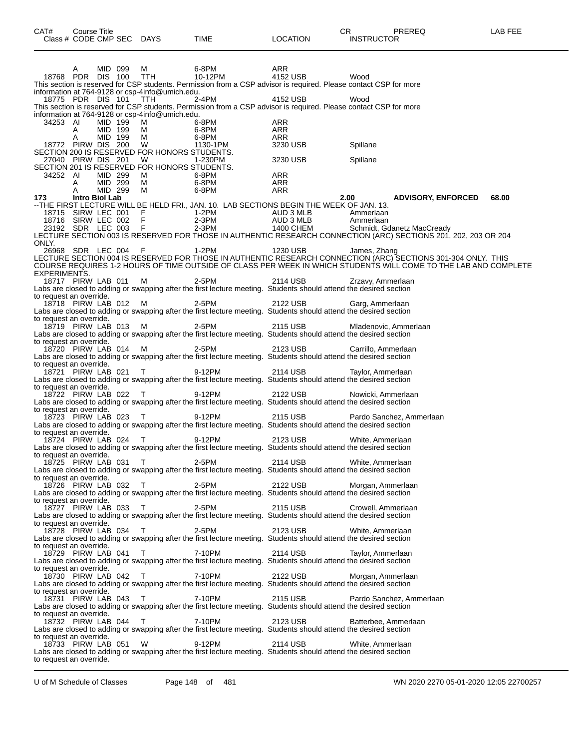| CAT#                                                                       | Course Title<br>Class # CODE CMP SEC DAYS |                    |                                                      | TIME                       | <b>LOCATION</b>                                                                                                                      | CR<br>PREREQ<br><b>INSTRUCTOR</b>                                                                                                                                                                                                                                                                                                                                                 | LAB FEE |
|----------------------------------------------------------------------------|-------------------------------------------|--------------------|------------------------------------------------------|----------------------------|--------------------------------------------------------------------------------------------------------------------------------------|-----------------------------------------------------------------------------------------------------------------------------------------------------------------------------------------------------------------------------------------------------------------------------------------------------------------------------------------------------------------------------------|---------|
|                                                                            | A<br>18768 PDR DIS 100 TTH                | MID 099            | М<br>information at 764-9128 or csp-4info@umich.edu. | 6-8PM<br>10-12PM           | ARR<br>4152 USB<br>This section is reserved for CSP students. Permission from a CSP advisor is required. Please contact CSP for more | Wood                                                                                                                                                                                                                                                                                                                                                                              |         |
|                                                                            | 18775 PDR DIS 101 TTH                     |                    |                                                      | 2-4PM                      | 4152 USB<br>This section is reserved for CSP students. Permission from a CSP advisor is required. Please contact CSP for more        | Wood                                                                                                                                                                                                                                                                                                                                                                              |         |
| 34253 AI                                                                   |                                           | MID 199            | information at 764-9128 or csp-4info@umich.edu.<br>м | 6-8PM                      | ARR                                                                                                                                  |                                                                                                                                                                                                                                                                                                                                                                                   |         |
|                                                                            | A<br>Α<br>18772 PIRW DIS 200              | MID 199<br>MID 199 | м<br>М<br><b>W</b>                                   | 6-8PM<br>6-8PM<br>1130-1PM | ARR<br>ARR<br>3230 USB                                                                                                               | Spillane                                                                                                                                                                                                                                                                                                                                                                          |         |
|                                                                            | 27040 PIRW DIS 201                        |                    | SECTION 200 IS RESERVED FOR HONORS STUDENTS.<br>W    | 1-230PM                    | 3230 USB                                                                                                                             | Spillane                                                                                                                                                                                                                                                                                                                                                                          |         |
| 34252 AI                                                                   |                                           | MID 299            | SECTION 201 IS RESERVED FOR HONORS STUDENTS.<br>M    | 6-8PM                      | ARR                                                                                                                                  |                                                                                                                                                                                                                                                                                                                                                                                   |         |
| 173                                                                        | A<br>A<br>Intro Biol Lab                  | MID 299<br>MID 299 | M<br>M                                               | 6-8PM<br>6-8PM             | ARR<br>ARR                                                                                                                           | 2.00<br><b>ADVISORY, ENFORCED</b>                                                                                                                                                                                                                                                                                                                                                 | 68.00   |
| 18715                                                                      | SIRW LEC 001                              |                    | $\frac{F}{F}$                                        | 1-2PM                      | --THE FIRST LECTURE WILL BE HELD FRI., JAN. 10. LAB SECTIONS BEGIN THE WEEK OF JAN. 13.                                              | 1-2PM<br>2-3PM<br>2-3PM<br>2-3PM<br>2-3PM<br>2-3PM<br>2-490 CHEM<br>2-400 CHEM<br>2-400 CHEM<br>2-400 CHEM<br>2-400 CHEM<br>2-400 CHEM<br>18715 SIRW LEC 001 F 1-2PM AUD 3 MLB Ammeriaan<br>18716 SIRW LEC 002 F 2-3PM AUD 3 MLB Ammeriaan<br>23192 SDR LEC 003 F 2-3PM 1400 CHEM Schmidt, Gdanetz MacCready<br>LECTURE SECTION 003 IS RESERVED FOR THOSE IN AUTHENTIC RESEARCH C |         |
| ONLY.                                                                      |                                           |                    |                                                      |                            |                                                                                                                                      | 26968 SDR LEC 004 F 1-2PM 1230 USB James, Zhang<br>LECTURE SECTION 004 IS RESERVED FOR THOSE IN AUTHENTIC RESEARCH CONNECTION (ARC) SECTIONS 301-304 ONLY. THIS<br>COURSE REQUIRES 1-2 HOURS OF TIME OUTSIDE OF CLASS PER WEEK IN WH                                                                                                                                              |         |
| EXPERIMENTS.<br>to request an override.                                    | 18717 PIRW LAB 011                        |                    | м                                                    | 2-5PM                      | 2114 USB<br>Labs are closed to adding or swapping after the first lecture meeting. Students should attend the desired section        | Zrzavy, Ammerlaan                                                                                                                                                                                                                                                                                                                                                                 |         |
| 18718 PIRW LAB 012 M<br>to request an override.                            |                                           |                    |                                                      | 2-5PM                      | 2122 USB<br>Labs are closed to adding or swapping after the first lecture meeting. Students should attend the desired section        | Garg, Ammerlaan                                                                                                                                                                                                                                                                                                                                                                   |         |
| 18719 PIRW LAB 013 M                                                       |                                           |                    |                                                      | 2-5PM                      | 2115 USB<br>Labs are closed to adding or swapping after the first lecture meeting. Students should attend the desired section        | Mladenovic, Ammerlaan                                                                                                                                                                                                                                                                                                                                                             |         |
| to request an override.<br>18720 PIRW LAB 014 M                            |                                           |                    |                                                      | 2-5PM                      | 2123 USB<br>Labs are closed to adding or swapping after the first lecture meeting. Students should attend the desired section        | Carrillo, Ammerlaan                                                                                                                                                                                                                                                                                                                                                               |         |
| to request an override.<br>18721 PIRW LAB 021 T                            |                                           |                    |                                                      | 9-12PM                     | 2114 USB<br>Labs are closed to adding or swapping after the first lecture meeting. Students should attend the desired section        | Taylor, Ammerlaan                                                                                                                                                                                                                                                                                                                                                                 |         |
| to request an override.<br>18722 PIRW LAB 022 T<br>to request an override. |                                           |                    |                                                      | 9-12PM                     | 2122 USB<br>Labs are closed to adding or swapping after the first lecture meeting. Students should attend the desired section        | Nowicki, Ammerlaan                                                                                                                                                                                                                                                                                                                                                                |         |
| 18723 PIRW LAB 023 T                                                       |                                           |                    |                                                      | 9-12PM                     | 2115 USB<br>Labs are closed to adding or swapping after the first lecture meeting. Students should attend the desired section        | Pardo Sanchez, Ammerlaan                                                                                                                                                                                                                                                                                                                                                          |         |
| to request an override.<br>18724 PIRW LAB 024 T                            |                                           |                    |                                                      | 9-12PM                     | 2123 USB<br>Labs are closed to adding or swapping after the first lecture meeting. Students should attend the desired section        | White, Ammerlaan                                                                                                                                                                                                                                                                                                                                                                  |         |
| to request an override.<br>to request an override.                         | 18725 PIRW LAB 031 T                      |                    |                                                      | 2-5PM                      | 2114 USB<br>Labs are closed to adding or swapping after the first lecture meeting. Students should attend the desired section        | White, Ammerlaan                                                                                                                                                                                                                                                                                                                                                                  |         |
| to request an override.                                                    | 18726 PIRW LAB 032 T                      |                    |                                                      | 2-5PM                      | 2122 USB<br>Labs are closed to adding or swapping after the first lecture meeting. Students should attend the desired section        | Morgan, Ammerlaan                                                                                                                                                                                                                                                                                                                                                                 |         |
| to request an override.                                                    | 18727 PIRW LAB 033                        |                    | $\top$                                               | 2-5PM                      | 2115 USB<br>Labs are closed to adding or swapping after the first lecture meeting. Students should attend the desired section        | Crowell, Ammerlaan                                                                                                                                                                                                                                                                                                                                                                |         |
| to request an override.                                                    | 18728 PIRW LAB 034 T                      |                    |                                                      | 2-5PM                      | 2123 USB<br>Labs are closed to adding or swapping after the first lecture meeting. Students should attend the desired section        | White, Ammerlaan                                                                                                                                                                                                                                                                                                                                                                  |         |
| to request an override.                                                    | 18729 PIRW LAB 041                        |                    | $\top$                                               | 7-10PM                     | 2114 USB<br>Labs are closed to adding or swapping after the first lecture meeting. Students should attend the desired section        | Taylor, Ammerlaan                                                                                                                                                                                                                                                                                                                                                                 |         |
|                                                                            | 18730 PIRW LAB 042                        |                    | $\top$                                               | 7-10PM                     | 2122 USB<br>Labs are closed to adding or swapping after the first lecture meeting. Students should attend the desired section        | Morgan, Ammerlaan                                                                                                                                                                                                                                                                                                                                                                 |         |
| to request an override.<br>to request an override.                         | 18731 PIRW LAB 043                        |                    | $\top$                                               | 7-10PM                     | 2115 USB<br>Labs are closed to adding or swapping after the first lecture meeting. Students should attend the desired section        | Pardo Sanchez, Ammerlaan                                                                                                                                                                                                                                                                                                                                                          |         |
| to request an override.                                                    | 18732 PIRW LAB 044                        |                    | T                                                    | 7-10PM                     | 2123 USB<br>Labs are closed to adding or swapping after the first lecture meeting. Students should attend the desired section        | Batterbee, Ammerlaan                                                                                                                                                                                                                                                                                                                                                              |         |
| to request an override.                                                    | 18733 PIRW LAB 051                        |                    | W                                                    | 9-12PM                     | 2114 USB<br>Labs are closed to adding or swapping after the first lecture meeting. Students should attend the desired section        | White, Ammerlaan                                                                                                                                                                                                                                                                                                                                                                  |         |

U of M Schedule of Classes Page 148 of 481 WN 2020 2270 05-01-2020 12:05 22700257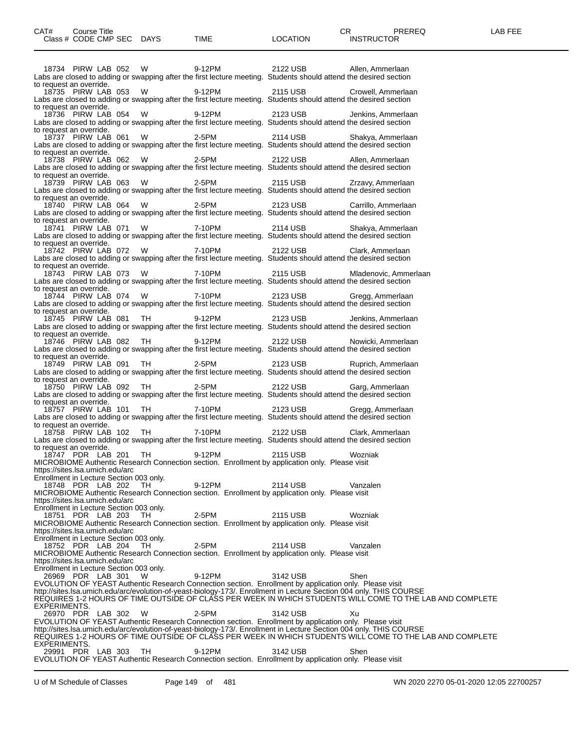|                                                                            | 18734 PIRW LAB 052 |  | W                                             | 9-12PM | 2122 USB                                                                                                   | Allen, Ammerlaan<br>Labs are closed to adding or swapping after the first lecture meeting. Students should attend the desired section                                                                                               |                                                                                                          |
|----------------------------------------------------------------------------|--------------------|--|-----------------------------------------------|--------|------------------------------------------------------------------------------------------------------------|-------------------------------------------------------------------------------------------------------------------------------------------------------------------------------------------------------------------------------------|----------------------------------------------------------------------------------------------------------|
| to request an override.                                                    | 18735 PIRW LAB 053 |  | W                                             | 9-12PM | 2115 USB                                                                                                   | Crowell, Ammerlaan<br>Labs are closed to adding or swapping after the first lecture meeting. Students should attend the desired section                                                                                             |                                                                                                          |
| to request an override.                                                    | 18736 PIRW LAB 054 |  | W                                             | 9-12PM | 2123 USB                                                                                                   | Jenkins, Ammerlaan<br>Labs are closed to adding or swapping after the first lecture meeting. Students should attend the desired section                                                                                             |                                                                                                          |
| to request an override.                                                    | 18737 PIRW LAB 061 |  | W                                             | 2-5PM  | 2114 USB                                                                                                   | Shakya, Ammerlaan<br>Labs are closed to adding or swapping after the first lecture meeting. Students should attend the desired section                                                                                              |                                                                                                          |
| to request an override.                                                    | 18738 PIRW LAB 062 |  | W                                             | 2-5PM  | 2122 USB                                                                                                   | Allen, Ammerlaan<br>Labs are closed to adding or swapping after the first lecture meeting. Students should attend the desired section                                                                                               |                                                                                                          |
| to request an override.                                                    | 18739 PIRW LAB 063 |  | W                                             | 2-5PM  | 2115 USB                                                                                                   | Zrzavy, Ammerlaan<br>Labs are closed to adding or swapping after the first lecture meeting. Students should attend the desired section                                                                                              |                                                                                                          |
| to request an override.<br>to request an override.                         | 18740 PIRW LAB 064 |  | W                                             | 2-5PM  | 2123 USB                                                                                                   | Carrillo, Ammerlaan<br>Labs are closed to adding or swapping after the first lecture meeting. Students should attend the desired section                                                                                            |                                                                                                          |
| to request an override.                                                    | 18741 PIRW LAB 071 |  | W                                             | 7-10PM | 2114 USB                                                                                                   | Shakya, Ammerlaan<br>Labs are closed to adding or swapping after the first lecture meeting. Students should attend the desired section                                                                                              |                                                                                                          |
| to request an override.                                                    | 18742 PIRW LAB 072 |  | W                                             | 7-10PM | 2122 USB                                                                                                   | Clark, Ammerlaan<br>Labs are closed to adding or swapping after the first lecture meeting. Students should attend the desired section                                                                                               |                                                                                                          |
| to request an override.                                                    | 18743 PIRW LAB 073 |  | W                                             | 7-10PM | 2115 USB                                                                                                   | Mladenovic, Ammerlaan<br>Labs are closed to adding or swapping after the first lecture meeting. Students should attend the desired section                                                                                          |                                                                                                          |
| to request an override.                                                    | 18744 PIRW LAB 074 |  | W                                             | 7-10PM | 2123 USB                                                                                                   | Gregg, Ammerlaan<br>Labs are closed to adding or swapping after the first lecture meeting. Students should attend the desired section                                                                                               |                                                                                                          |
| to request an override.                                                    | 18745 PIRW LAB 081 |  | TH                                            | 9-12PM | 2123 USB                                                                                                   | Jenkins, Ammerlaan<br>Labs are closed to adding or swapping after the first lecture meeting. Students should attend the desired section                                                                                             |                                                                                                          |
|                                                                            | 18746 PIRW LAB 082 |  | TH                                            | 9-12PM | 2122 USB                                                                                                   | Nowicki, Ammerlaan<br>Labs are closed to adding or swapping after the first lecture meeting. Students should attend the desired section                                                                                             |                                                                                                          |
| to request an override.<br>to request an override.                         | 18749 PIRW LAB 091 |  | TH                                            | 2-5PM  | 2123 USB                                                                                                   | Ruprich, Ammerlaan<br>Labs are closed to adding or swapping after the first lecture meeting. Students should attend the desired section                                                                                             |                                                                                                          |
| to request an override.                                                    | 18750 PIRW LAB 092 |  | TH                                            | 2-5PM  | 2122 USB                                                                                                   | Garg, Ammerlaan<br>Labs are closed to adding or swapping after the first lecture meeting. Students should attend the desired section                                                                                                |                                                                                                          |
| to request an override.                                                    | 18757 PIRW LAB 101 |  | TH                                            | 7-10PM | 2123 USB                                                                                                   | Gregg, Ammerlaan<br>Labs are closed to adding or swapping after the first lecture meeting. Students should attend the desired section                                                                                               |                                                                                                          |
| to request an override.                                                    | 18758 PIRW LAB 102 |  | TH                                            | 7-10PM | 2122 USB                                                                                                   | Clark, Ammerlaan<br>Labs are closed to adding or swapping after the first lecture meeting. Students should attend the desired section                                                                                               |                                                                                                          |
| https://sites.lsa.umich.edu/arc                                            | 18747 PDR LAB 201  |  | TH                                            | 9-12PM | 2115 USB<br>MICROBIOME Authentic Research Connection section. Enrollment by application only. Please visit | Wozniak                                                                                                                                                                                                                             |                                                                                                          |
| 18748 PDR LAB 202 TH                                                       |                    |  | Enrollment in Lecture Section 003 only.       | 9-12PM | 2114 USB<br>MICROBIOME Authentic Research Connection section. Enrollment by application only. Please visit | Vanzalen                                                                                                                                                                                                                            |                                                                                                          |
| https://sites.lsa.umich.edu/arc                                            | 18751 PDR LAB 203  |  | Enrollment in Lecture Section 003 only.<br>TH | 2-5PM  | 2115 USB                                                                                                   | Wozniak                                                                                                                                                                                                                             |                                                                                                          |
| https://sites.lsa.umich.edu/arc<br>Enrollment in Lecture Section 003 only. |                    |  |                                               |        | MICROBIOME Authentic Research Connection section. Enrollment by application only. Please visit             |                                                                                                                                                                                                                                     |                                                                                                          |
| https://sites.lsa.umich.edu/arc                                            | 18752 PDR LAB 204  |  | TH.                                           | 2-5PM  | 2114 USB<br>MICROBIOME Authentic Research Connection section. Enrollment by application only. Please visit | Vanzalen                                                                                                                                                                                                                            |                                                                                                          |
|                                                                            | 26969 PDR LAB 301  |  | Enrollment in Lecture Section 003 only.<br>W  | 9-12PM | 3142 USB                                                                                                   | Shen<br>EVOLUTION OF YEAST Authentic Research Connection section. Enrollment by application only. Please visit                                                                                                                      |                                                                                                          |
| EXPERIMENTS.                                                               |                    |  |                                               |        |                                                                                                            | http://sites.lsa.umich.edu/arc/evolution-of-yeast-biology-173/. Enrollment in Lecture Section 004 only. THIS COURSE                                                                                                                 | REQUIRES 1-2 HOURS OF TIME OUTSIDE OF CLASS PER WEEK IN WHICH STUDENTS WILL COME TO THE LAB AND COMPLETE |
|                                                                            | 26970 PDR LAB 302  |  | W                                             | 2-5PM  | 3142 USB                                                                                                   | Xu<br>EVOLUTION OF YEAST Authentic Research Connection section. Enrollment by application only. Please visit<br>http://sites.lsa.umich.edu/arc/evolution-of-yeast-biology-173/. Enrollment in Lecture Section 004 only. THIS COURSE |                                                                                                          |
| EXPERIMENTS.                                                               | 29991 PDR LAB 303  |  | - TH                                          | 9-12PM | 3142 USB                                                                                                   | Shen                                                                                                                                                                                                                                | REQUIRES 1-2 HOURS OF TIME OUTSIDE OF CLASS PER WEEK IN WHICH STUDENTS WILL COME TO THE LAB AND COMPLETE |
|                                                                            |                    |  |                                               |        |                                                                                                            | EVOLUTION OF YEAST Authentic Research Connection section. Enrollment by application only. Please visit                                                                                                                              |                                                                                                          |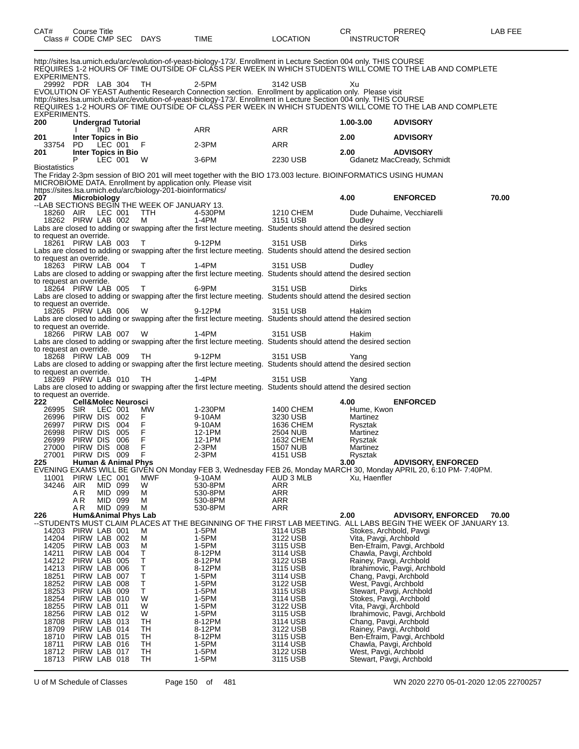| CAT#                    |                              | Course Title        |                                | Class # CODE CMP SEC DAYS                                   | TIME                                                                                                                                                                                                                                     | <b>LOCATION</b>              | СR<br><b>INSTRUCTOR</b>                           | <b>PREREQ</b>                                                                                                                                 | LAB FEE |
|-------------------------|------------------------------|---------------------|--------------------------------|-------------------------------------------------------------|------------------------------------------------------------------------------------------------------------------------------------------------------------------------------------------------------------------------------------------|------------------------------|---------------------------------------------------|-----------------------------------------------------------------------------------------------------------------------------------------------|---------|
| EXPERIMENTS.            |                              |                     |                                |                                                             | http://sites.lsa.umich.edu/arc/evolution-of-yeast-biology-173/. Enrollment in Lecture Section 004 only. THIS COURSE                                                                                                                      |                              |                                                   | RÉQUIRES 1-2 HOURS OF TIME OUTSIDE OF CLASS PER WEEK IN WHICH STUDENTS WILL COME TO THE LAB AND COMPLETE                                      |         |
|                         | 29992 PDR LAB 304            |                     |                                | TH                                                          | $2-5PM$<br>EVOLUTION OF YEAST Authentic Research Connection section. Enrollment by application only. Please visit<br>http://sites.lsa.umich.edu/arc/evolution-of-yeast-biology-173/. Enrollment in Lecture Section 004 only. THIS COURSE | 3142 USB                     | Xu                                                |                                                                                                                                               |         |
| EXPERIMENTS.            |                              |                     |                                |                                                             |                                                                                                                                                                                                                                          |                              |                                                   | RÉQUIRES 1-2 HOURS OF TIME OUTSIDE OF CLĂŠS PER WEEK IN WHICH STUDENTS WILL COME TO THE LAB AND COMPLETE                                      |         |
| 200                     |                              | $IND +$             | <b>Undergrad Tutorial</b>      |                                                             | ARR                                                                                                                                                                                                                                      | ARR                          | 1.00-3.00                                         | <b>ADVISORY</b>                                                                                                                               |         |
| 201<br>33754            | PD                           | LEC 001             | Inter Topics in Bio            | F                                                           | 2-3PM                                                                                                                                                                                                                                    | ARR                          | 2.00                                              | <b>ADVISORY</b>                                                                                                                               |         |
| 201                     | P                            | LEC 001             | Inter Topics in Bio            | - W                                                         | 3-6PM                                                                                                                                                                                                                                    | 2230 USB                     | 2.00                                              | <b>ADVISORY</b><br>Gdanetz MacCready, Schmidt                                                                                                 |         |
| Biostatistics           |                              |                     |                                |                                                             | The Friday 2-3pm session of BIO 201 will meet together with the BIO 173.003 lecture. BIOINFORMATICS USING HUMAN<br>MICROBIOME DATA. Enrollment by application only. Please visit                                                         |                              |                                                   |                                                                                                                                               |         |
| 207                     |                              | <b>Microbiology</b> |                                | https://sites.lsa.umich.edu/arc/biology-201-bioinformatics/ |                                                                                                                                                                                                                                          |                              | 4.00                                              | <b>ENFORCED</b>                                                                                                                               | 70.00   |
| 18260 AIR               |                              | LEC 001             |                                | --LAB SECTIONS BEGIN THE WEEK OF JANUARY 13.<br>TTH.        | 4-530PM                                                                                                                                                                                                                                  | 1210 CHEM                    |                                                   | Dude Duhaime, Vecchiarelli                                                                                                                    |         |
|                         | 18262 PIRW LAB 002           |                     |                                | M                                                           | 1-4PM<br>Labs are closed to adding or swapping after the first lecture meeting. Students should attend the desired section                                                                                                               | 3151 USB                     | Dudley                                            |                                                                                                                                               |         |
| to request an override. | 18261 PIRW LAB 003           |                     |                                | $\top$                                                      | 9-12PM                                                                                                                                                                                                                                   | 3151 USB                     | Dirks                                             |                                                                                                                                               |         |
| to request an override. |                              |                     |                                |                                                             | Labs are closed to adding or swapping after the first lecture meeting. Students should attend the desired section                                                                                                                        |                              |                                                   |                                                                                                                                               |         |
|                         | 18263 PIRW LAB 004           |                     |                                | $\top$                                                      | 1-4PM<br>Labs are closed to adding or swapping after the first lecture meeting. Students should attend the desired section                                                                                                               | 3151 USB                     | Dudley                                            |                                                                                                                                               |         |
| to request an override. | 18264 PIRW LAB 005           |                     |                                | T                                                           | 6-9PM                                                                                                                                                                                                                                    | 3151 USB                     | Dirks                                             |                                                                                                                                               |         |
| to request an override. |                              |                     |                                |                                                             | Labs are closed to adding or swapping after the first lecture meeting. Students should attend the desired section                                                                                                                        |                              |                                                   |                                                                                                                                               |         |
|                         | 18265 PIRW LAB 006           |                     |                                | W                                                           | 9-12PM<br>Labs are closed to adding or swapping after the first lecture meeting. Students should attend the desired section                                                                                                              | 3151 USB                     | Hakim                                             |                                                                                                                                               |         |
| to request an override. | 18266 PIRW LAB 007           |                     |                                | W                                                           | 1-4PM                                                                                                                                                                                                                                    | 3151 USB                     | Hakim                                             |                                                                                                                                               |         |
| to request an override. |                              |                     |                                |                                                             | Labs are closed to adding or swapping after the first lecture meeting. Students should attend the desired section                                                                                                                        |                              |                                                   |                                                                                                                                               |         |
|                         | 18268 PIRW LAB 009           |                     |                                | TH                                                          | 9-12PM<br>Labs are closed to adding or swapping after the first lecture meeting. Students should attend the desired section                                                                                                              | 3151 USB                     | Yang                                              |                                                                                                                                               |         |
| to request an override. | 18269 PIRW LAB 010           |                     |                                | TH                                                          | 1-4PM                                                                                                                                                                                                                                    | 3151 USB                     | Yang                                              |                                                                                                                                               |         |
| to request an override. |                              |                     |                                |                                                             | Labs are closed to adding or swapping after the first lecture meeting. Students should attend the desired section                                                                                                                        |                              |                                                   |                                                                                                                                               |         |
| 222<br>26995            | SIR                          | LEC 001             | <b>Cell&amp;Molec Neurosci</b> | MW.                                                         | 1-230PM                                                                                                                                                                                                                                  | 1400 CHEM                    | 4.00<br>Hume, Kwon                                | <b>ENFORCED</b>                                                                                                                               |         |
| 26996<br>26997          | PIRW DIS 002<br>PIRW DIS     |                     | 004                            | F.<br>F.                                                    | 9-10AM<br>9-10AM                                                                                                                                                                                                                         | 3230 USB<br>1636 CHEM        | Martinez<br>Rysztak                               |                                                                                                                                               |         |
| 26998<br>26999          | PIRW DIS 005<br>PIRW DIS     |                     | 006                            | F<br>F                                                      | 12-1PM<br>12-1PM                                                                                                                                                                                                                         | <b>2504 NUB</b><br>1632 CHEM | Martinez<br>Rysztak                               |                                                                                                                                               |         |
| 27000<br>27001          | PIRW DIS 008<br>PIRW DIS 009 |                     |                                | F<br>F                                                      | 2-3PM<br>2-3PM                                                                                                                                                                                                                           | 1507 NUB<br>4151 USB         | Martinez<br>Rysztak                               |                                                                                                                                               |         |
| 225                     |                              |                     | <b>Human &amp; Animal Phys</b> |                                                             |                                                                                                                                                                                                                                          |                              | 3.00                                              | <b>ADVISORY, ENFORCED</b><br>EVENING EXAMS WILL BE GIVEN ON Monday FEB 3, Wednesday FEB 26, Monday MARCH 30, Monday APRIL 20, 6:10 PM-7:40PM. |         |
| 11001<br>34246          | PIRW LEC 001<br>AIR<br>A R   | MID 099<br>MID 099  |                                | MWF<br>W<br>M                                               | 9-10AM<br>530-8PM<br>530-8PM                                                                                                                                                                                                             | AUD 3 MLB<br>ARR<br>ARR      | Xu, Haenfler                                      |                                                                                                                                               |         |
|                         | A R<br>A R                   | MID 099<br>MID 099  |                                | м<br>M                                                      | 530-8PM<br>530-8PM                                                                                                                                                                                                                       | ARR<br>ARR                   |                                                   |                                                                                                                                               |         |
| 226                     |                              |                     |                                | <b>Hum&amp;Animal Phys Lab</b>                              |                                                                                                                                                                                                                                          |                              | 2.00                                              | <b>ADVISORY, ENFORCED</b><br>--STUDENTS MUST CLAIM PLACES AT THE BEGINNING OF THE FIRST LAB MEETING.  ALL LABS BEGIN THE WEEK OF JANUARY 13.  | 70.00   |
| 14203<br>14204          | PIRW LAB 001<br>PIRW LAB 002 |                     |                                | M<br>M                                                      | 1-5PM<br>1-5PM                                                                                                                                                                                                                           | 3114 USB<br>3122 USB         | Vita, Pavgi, Archbold                             | Stokes, Archbold, Pavgi                                                                                                                       |         |
| 14205<br>14211          | PIRW LAB 003                 | PIRW LAB            | 004                            | M<br>т                                                      | 1-5PM<br>8-12PM                                                                                                                                                                                                                          | 3115 USB<br>3114 USB         |                                                   | Ben-Efraim, Pavgi, Archbold<br>Chawla, Pavgi, Archbold                                                                                        |         |
| 14212<br>14213          | PIRW LAB 005<br>PIRW LAB     |                     | 006                            | Τ<br>Τ                                                      | 8-12PM<br>8-12PM                                                                                                                                                                                                                         | 3122 USB<br>3115 USB         | Rainey, Pavgi, Archbold                           | Ibrahimovic, Pavgi, Archbold                                                                                                                  |         |
| 18251<br>18252          | PIRW LAB<br>PIRW LAB 008     |                     | 007                            | Т<br>T                                                      | 1-5PM<br>1-5PM                                                                                                                                                                                                                           | 3114 USB<br>3122 USB         | Chang, Pavgi, Archbold<br>West, Pavgi, Archbold   |                                                                                                                                               |         |
| 18253<br>18254          | PIRW LAB 009<br>PIRW LAB     |                     | 010                            | Τ<br>W                                                      | 1-5PM<br>1-5PM                                                                                                                                                                                                                           | 3115 USB<br>3114 USB         |                                                   | Stewart, Pavgi, Archbold<br>Stokes, Pavgi, Archbold                                                                                           |         |
| 18255<br>18256          | PIRW LAB 011<br>PIRW LAB 012 |                     |                                | W<br>W                                                      | 1-5PM<br>1-5PM                                                                                                                                                                                                                           | 3122 USB<br>3115 USB         | Vita, Pavgi, Archbold                             | Ibrahimovic, Pavgi, Archbold                                                                                                                  |         |
| 18708<br>18709          | PIRW LAB 013<br>PIRW LAB 014 |                     |                                | TН<br>ТH                                                    | 8-12PM<br>8-12PM                                                                                                                                                                                                                         | 3114 USB<br>3122 USB         | Chang, Pavgi, Archbold<br>Rainey, Pavgi, Archbold |                                                                                                                                               |         |
| 18710<br>18711          | PIRW LAB 015                 | PIRW LAB 016        |                                | TН<br>TН                                                    | 8-12PM<br>1-5PM                                                                                                                                                                                                                          | 3115 USB<br>3114 USB         |                                                   | Ben-Efraim, Pavgi, Archbold<br>Chawla, Pavgi, Archbold                                                                                        |         |
| 18712<br>18713          | PIRW LAB 017<br>PIRW LAB 018 |                     |                                | TН<br>TН                                                    | 1-5PM<br>1-5PM                                                                                                                                                                                                                           | 3122 USB<br>3115 USB         | West, Pavgi, Archbold                             | Stewart, Pavgi, Archbold                                                                                                                      |         |
|                         |                              |                     |                                |                                                             |                                                                                                                                                                                                                                          |                              |                                                   |                                                                                                                                               |         |

U of M Schedule of Classes Page 150 of 481 WN 2020 2270 05-01-2020 12:05 22700257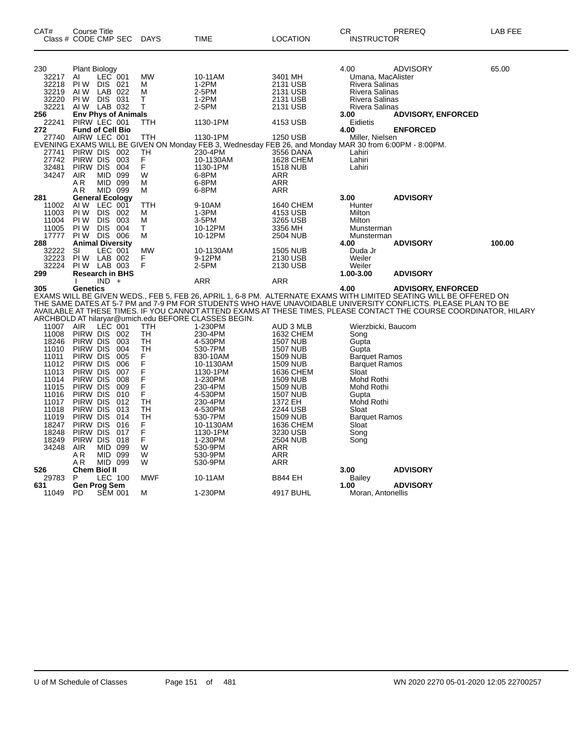| CAT#           | <b>Course Title</b><br>Class # CODE CMP SEC                                   | <b>DAYS</b> | <b>TIME</b>                                                                                                                                                        | <b>LOCATION</b>                     | CR<br><b>INSTRUCTOR</b>                        | PREREQ                                                                                                                                                                                                                           | LAB FEE |
|----------------|-------------------------------------------------------------------------------|-------------|--------------------------------------------------------------------------------------------------------------------------------------------------------------------|-------------------------------------|------------------------------------------------|----------------------------------------------------------------------------------------------------------------------------------------------------------------------------------------------------------------------------------|---------|
| 230            | <b>Plant Biology</b>                                                          |             |                                                                                                                                                                    |                                     | 4.00                                           | <b>ADVISORY</b>                                                                                                                                                                                                                  | 65.00   |
| 32217          | LEC 001<br>AI                                                                 | <b>MW</b>   | 10-11AM                                                                                                                                                            | 3401 MH                             | Umana, MacAlister                              |                                                                                                                                                                                                                                  |         |
| 32218          | PI W<br>DIS 021<br>LAB 022                                                    | м           | 1-2PM<br>2-5PM                                                                                                                                                     | 2131 USB<br>2131 USB                | <b>Rivera Salinas</b><br><b>Rivera Salinas</b> |                                                                                                                                                                                                                                  |         |
| 32219<br>32220 | AI W<br>DIS 031<br>PI W                                                       | M<br>т      | $1-2PM$                                                                                                                                                            | 2131 USB                            | <b>Rivera Salinas</b>                          |                                                                                                                                                                                                                                  |         |
| 32221          | AIW LAB 032                                                                   | т           | 2-5PM                                                                                                                                                              | 2131 USB                            | <b>Rivera Salinas</b>                          |                                                                                                                                                                                                                                  |         |
| 256            | Env Phys of Animals<br>PIRW LEC 001 TT                                        |             |                                                                                                                                                                    |                                     | 3.00                                           | <b>ADVISORY, ENFORCED</b>                                                                                                                                                                                                        |         |
| 22241          |                                                                               | TTH         | 1130-1PM                                                                                                                                                           | 4153 USB                            | Eidietis                                       |                                                                                                                                                                                                                                  |         |
| 272            | <b>Fund of Cell Bio</b><br>AIRW LEC 001                                       |             |                                                                                                                                                                    |                                     | 4.00                                           | <b>ENFORCED</b>                                                                                                                                                                                                                  |         |
|                |                                                                               |             | 27740 AIRW LEC 001 TTH 1130-1PM 1250 USB Miller, Nielsen<br>EVENING EXAMS WILL BE GIVEN ON Monday FEB 3, Wednesday FEB 26, and Monday MAR 30 from 6:00PM - 8:00PM. |                                     |                                                |                                                                                                                                                                                                                                  |         |
| 27741          | PIRW DIS<br>002                                                               | TH          | 230-4PM                                                                                                                                                            | 3556 DANA                           | Lahiri                                         |                                                                                                                                                                                                                                  |         |
| 27742          | PIRW DIS<br>003                                                               | F<br>F      | 10-1130AM                                                                                                                                                          | 1628 CHEM<br><b>1518 NUB</b>        | Lahiri                                         |                                                                                                                                                                                                                                  |         |
| 32481<br>34247 | PIRW DIS 004<br>MID 099<br><b>AIR</b>                                         | W           | 1130-1PM<br>6-8PM                                                                                                                                                  | <b>ARR</b>                          | Lahiri                                         |                                                                                                                                                                                                                                  |         |
|                | AR<br>MID 099                                                                 | M           | 6-8PM                                                                                                                                                              | ARR                                 |                                                |                                                                                                                                                                                                                                  |         |
|                | ΑR<br>MID 099                                                                 | М           | 6-8PM                                                                                                                                                              | ARR                                 |                                                |                                                                                                                                                                                                                                  |         |
| 281            | <b>General Ecology</b>                                                        |             |                                                                                                                                                                    |                                     | 3.00                                           | <b>ADVISORY</b>                                                                                                                                                                                                                  |         |
| 11002<br>11003 | LEC 001<br>AI W<br>PI W<br><b>DIS</b><br>002                                  | TTH<br>м    | 9-10AM<br>1-3PM                                                                                                                                                    | 1640 CHEM<br>4153 USB               | Hunter<br>Milton                               |                                                                                                                                                                                                                                  |         |
| 11004          | <b>DIS</b><br>PI W<br>003                                                     | М           | 3-5PM                                                                                                                                                              | 3265 USB                            | Milton                                         |                                                                                                                                                                                                                                  |         |
| 11005          | DIS 004<br>PI W                                                               | T.          | 10-12PM                                                                                                                                                            | 3356 MH                             | Munsterman                                     |                                                                                                                                                                                                                                  |         |
| 17777          | <b>DIS</b> 006<br>PI W                                                        | м           | 10-12PM                                                                                                                                                            | <b>2504 NUB</b>                     | Munsterman                                     |                                                                                                                                                                                                                                  |         |
| 288            | <b>Animal Diversity</b><br>SI<br>LEC 001                                      | <b>MW</b>   |                                                                                                                                                                    |                                     | 4.00                                           | <b>ADVISORY</b>                                                                                                                                                                                                                  | 100.00  |
| 32222<br>32223 | PIW LAB 002                                                                   | F           | 10-1130AM<br>9-12PM                                                                                                                                                | <b>1505 NUB</b><br>2130 USB         | Duda Jr<br>Weiler                              |                                                                                                                                                                                                                                  |         |
| 32224          | PIW LAB 003                                                                   | F           | $2-5PM$                                                                                                                                                            | 2130 USB                            | Weiler                                         |                                                                                                                                                                                                                                  |         |
| 299            | <b>Research in BHS</b>                                                        |             |                                                                                                                                                                    |                                     | 1.00-3.00                                      | <b>ADVISORY</b>                                                                                                                                                                                                                  |         |
| 305            | $IND +$                                                                       |             | <b>ARR</b>                                                                                                                                                         | <b>ARR</b>                          |                                                |                                                                                                                                                                                                                                  |         |
|                | Genetics                                                                      |             |                                                                                                                                                                    |                                     | 4.00                                           | <b>ADVISORY, ENFORCED</b>                                                                                                                                                                                                        |         |
|                |                                                                               |             |                                                                                                                                                                    |                                     |                                                |                                                                                                                                                                                                                                  |         |
|                |                                                                               |             |                                                                                                                                                                    |                                     |                                                | EXAMS WILL BE GIVEN WEDS., FEB 5, FEB 26, APRIL 1, 6-8 PM. ALTERNATE EXAMS WITH LIMITED SEATING WILL BE OFFERED ON<br>THE SAME DATES AT 5-7 PM and 7-9 PM FOR STUDENTS WHO HAVE UNAVOIDABLE UNIVERSITY CONFLICTS. PLEASE PLAN TO |         |
| 11007          | ARCHBOLD AT hilaryar@umich.edu BEFORE CLASSES BEGIN.<br>LÉC 001<br><b>AIR</b> | <b>TTH</b>  | 1-230PM                                                                                                                                                            | AUD 3 MLB                           |                                                |                                                                                                                                                                                                                                  |         |
| 11008          | PIRW DIS<br>002                                                               | TH          | 230-4PM                                                                                                                                                            | 1632 CHEM                           | Wierzbicki, Baucom<br>Song                     |                                                                                                                                                                                                                                  |         |
| 18246          | PIRW DIS<br>003                                                               | <b>TH</b>   | 4-530PM                                                                                                                                                            | <b>1507 NUB</b>                     | Gupta                                          |                                                                                                                                                                                                                                  |         |
| 11010          | PIRW DIS<br>004                                                               | TН          | 530-7PM                                                                                                                                                            | <b>1507 NUB</b>                     | Gupta                                          |                                                                                                                                                                                                                                  |         |
| 11011          | PIRW DIS<br>005                                                               | F           | 830-10AM                                                                                                                                                           | 1509 NUB                            | <b>Barquet Ramos</b>                           |                                                                                                                                                                                                                                  |         |
| 11012<br>11013 | PIRW DIS<br>006<br>PIRW DIS<br>007                                            |             | 10-1130AM<br>1130-1PM                                                                                                                                              | <b>1509 NUB</b><br><b>1636 CHEM</b> | <b>Barquet Ramos</b><br>Sloat                  |                                                                                                                                                                                                                                  |         |
| 11014          | PIRW DIS<br>008                                                               | FFFFFF      | 1-230PM                                                                                                                                                            | <b>1509 NUB</b>                     | Mohd Rothi                                     |                                                                                                                                                                                                                                  |         |
| 11015          | PIRW DIS<br>009                                                               |             | 230-4PM                                                                                                                                                            | <b>1509 NUB</b>                     | Mohd Rothi                                     |                                                                                                                                                                                                                                  |         |
| 11016          | PIRW DIS<br>010                                                               |             | 4-530PM                                                                                                                                                            | <b>1507 NUB</b>                     | Gupta                                          |                                                                                                                                                                                                                                  |         |
| 11017<br>11018 | PIRW DIS<br>012<br>PIRW DIS<br>013                                            | TH<br>TН    | 230-4PM<br>4-530PM                                                                                                                                                 | 1372 EH<br>2244 USB                 | Mohd Rothi<br>Sloat                            |                                                                                                                                                                                                                                  |         |
| 11019          | PIRW DIS<br>014                                                               | TН          | 530-7PM                                                                                                                                                            | <b>1509 NUB</b>                     | <b>Barquet Ramos</b>                           |                                                                                                                                                                                                                                  |         |
| 18247          | PIRW DIS<br>016                                                               | F           | 10-1130AM                                                                                                                                                          | <b>1636 CHEM</b>                    | Sloat                                          |                                                                                                                                                                                                                                  |         |
| 18248          | PIRW DIS<br>017                                                               | F<br>F      | 1130-1PM                                                                                                                                                           | 3230 USB                            | Song                                           |                                                                                                                                                                                                                                  |         |
| 18249          | PIRW DIS 018                                                                  |             | 1-230PM                                                                                                                                                            | <b>2504 NUB</b>                     | Song                                           |                                                                                                                                                                                                                                  |         |
| 34248          | MID 099<br><b>AIR</b><br>MID 099<br>AR                                        | W<br>W      | 530-9PM<br>530-9PM                                                                                                                                                 | ARR<br>ARR                          |                                                |                                                                                                                                                                                                                                  |         |
|                | MID 099<br>A R                                                                | W           | 530-9PM                                                                                                                                                            | ARR                                 |                                                |                                                                                                                                                                                                                                  |         |
| 526            | <b>Chem Biol II</b>                                                           |             |                                                                                                                                                                    |                                     | 3.00                                           | <b>ADVISORY</b>                                                                                                                                                                                                                  |         |
| 29783          | <b>LEC 100</b><br>P                                                           | <b>MWF</b>  | 10-11AM                                                                                                                                                            | <b>B844 EH</b>                      | Bailey                                         |                                                                                                                                                                                                                                  |         |
| 631<br>11049   | Gen Prog Sem<br><b>SEM 001</b><br><b>PD</b>                                   | м           | 1-230PM                                                                                                                                                            | 4917 BUHL                           | 1.00<br>Moran, Antonellis                      | <b>ADVISORY</b>                                                                                                                                                                                                                  |         |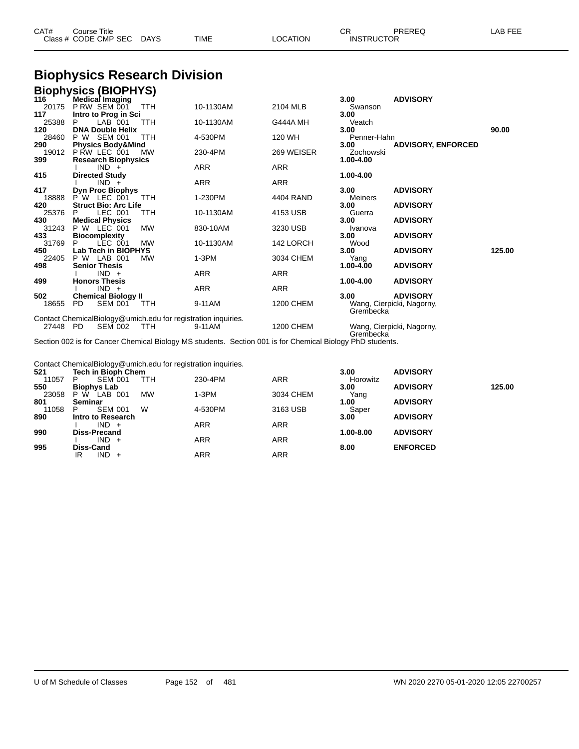| CAT# | Course Title              |      |          | חה<br>UΚ          | PREREQ | LAB FEE |
|------|---------------------------|------|----------|-------------------|--------|---------|
|      | Class # CODE CMP SEC DAYS | TIME | LOCATION | <b>INSTRUCTOR</b> |        |         |

# **Biophysics Research Division**

|       | <b>Biophysics (BIOPHYS)</b>                                   |            |           |                 |             |                           |        |
|-------|---------------------------------------------------------------|------------|-----------|-----------------|-------------|---------------------------|--------|
| 116   | <b>Medical Imaging</b>                                        |            |           |                 | 3.00        | <b>ADVISORY</b>           |        |
| 20175 | PRW SEM 001                                                   | TTH        | 10-1130AM | 2104 MLB        | Swanson     |                           |        |
| 117   | Intro to Prog in Sci                                          |            |           |                 | 3.00        |                           |        |
| 25388 | $LAB$ 001<br>P                                                | TTH        | 10-1130AM | <b>G444A MH</b> | Veatch      |                           |        |
| 120   | <b>DNA Double Helix</b>                                       |            |           |                 | 3.00        |                           | 90.00  |
| 28460 | <b>SEM 001</b><br>P W                                         | <b>TTH</b> | 4-530PM   | 120 WH          | Penner-Hahn |                           |        |
| 290   | <b>Physics Body&amp;Mind</b>                                  |            |           |                 | 3.00        | <b>ADVISORY, ENFORCED</b> |        |
| 19012 | P RW LEC 001                                                  | <b>MW</b>  | 230-4PM   | 269 WEISER      | Zochowski   |                           |        |
| 399   | <b>Research Biophysics</b>                                    |            |           |                 | 1.00-4.00   |                           |        |
|       | $IND +$                                                       |            | ARR       | ARR             |             |                           |        |
| 415   | <b>Directed Study</b>                                         |            |           |                 | 1.00-4.00   |                           |        |
|       | $IND +$                                                       |            | ARR       | ARR             |             |                           |        |
| 417   | <b>Dyn Proc Biophys</b>                                       |            |           |                 | 3.00        | <b>ADVISORY</b>           |        |
| 18888 | P W<br>LEC 001                                                | TTH        | 1-230PM   | 4404 RAND       | Meiners     |                           |        |
| 420   | <b>Struct Bio: Arc Life</b>                                   |            |           |                 | 3.00        | <b>ADVISORY</b>           |        |
| 25376 | LEC 001<br>P                                                  | TTH        | 10-1130AM | 4153 USB        | Guerra      |                           |        |
| 430   | <b>Medical Physics</b>                                        |            |           |                 | 3.00        | <b>ADVISORY</b>           |        |
| 31243 | <b>P W LEC 001</b>                                            | <b>MW</b>  | 830-10AM  | 3230 USB        | Ivanova     |                           |        |
| 433   | <b>Biocomplexity</b>                                          |            |           |                 | 3.00        | <b>ADVISORY</b>           |        |
| 31769 | P<br>LEC 001                                                  | <b>MW</b>  | 10-1130AM | 142 LORCH       | Wood        |                           |        |
| 450   | Lab Tech in BIOPHYS                                           |            |           |                 | 3.00        | <b>ADVISORY</b>           | 125.00 |
| 22405 | P W LAB 001                                                   | <b>MW</b>  | $1-3PM$   | 3034 CHEM       | Yang        |                           |        |
| 498   | <b>Senior Thesis</b>                                          |            |           |                 | 1.00-4.00   | <b>ADVISORY</b>           |        |
|       | $IND +$                                                       |            | ARR       | ARR             |             |                           |        |
| 499   | <b>Honors Thesis</b>                                          |            |           |                 | 1.00-4.00   | <b>ADVISORY</b>           |        |
|       | $IND +$                                                       |            | ARR       | ARR             |             |                           |        |
| 502   | <b>Chemical Biology II</b>                                    |            |           |                 | 3.00        | <b>ADVISORY</b>           |        |
| 18655 | <b>PD</b><br><b>SEM 001</b>                                   | TTH        | 9-11AM    | 1200 CHEM       |             | Wang, Cierpicki, Nagorny, |        |
|       |                                                               |            |           |                 | Grembecka   |                           |        |
|       |                                                               |            |           |                 |             |                           |        |
|       | Contact ChemicalBiology@umich.edu for registration inquiries. |            |           |                 |             |                           |        |

Grembecka Section 002 is for Cancer Chemical Biology MS students. Section 001 is for Chemical Biology PhD students.

Contact ChemicalBiology@umich.edu for registration inquiries.

| 521   | <b>Tech in Bioph Chem</b>                   |         |            | 3.00      | <b>ADVISORY</b> |        |
|-------|---------------------------------------------|---------|------------|-----------|-----------------|--------|
| 11057 | <b>SEM 001</b><br>P<br>TTH                  | 230-4PM | <b>ARR</b> | Horowitz  |                 |        |
| 550   | <b>Biophys Lab</b>                          |         |            | 3.00      | <b>ADVISORY</b> | 125.00 |
| 23058 | P W<br><b>MW</b><br>LAB <sup>1</sup><br>001 | 1-3PM   | 3034 CHEM  | Yang      |                 |        |
| 801   | Seminar                                     |         |            | 1.00      | <b>ADVISORY</b> |        |
| 11058 | W<br><b>SEM 001</b><br>P                    | 4-530PM | 3163 USB   | Saper     |                 |        |
| 890   | Intro to Research                           |         |            | 3.00      | <b>ADVISORY</b> |        |
|       | $IND +$                                     | ARR     | <b>ARR</b> |           |                 |        |
| 990   | <b>Diss-Precand</b>                         |         |            | 1.00-8.00 | <b>ADVISORY</b> |        |
|       | $IND +$                                     | ARR     | <b>ARR</b> |           |                 |        |
| 995   | Diss-Cand                                   |         |            | 8.00      | <b>ENFORCED</b> |        |
|       | IND.<br>IR                                  | ARR     | <b>ARR</b> |           |                 |        |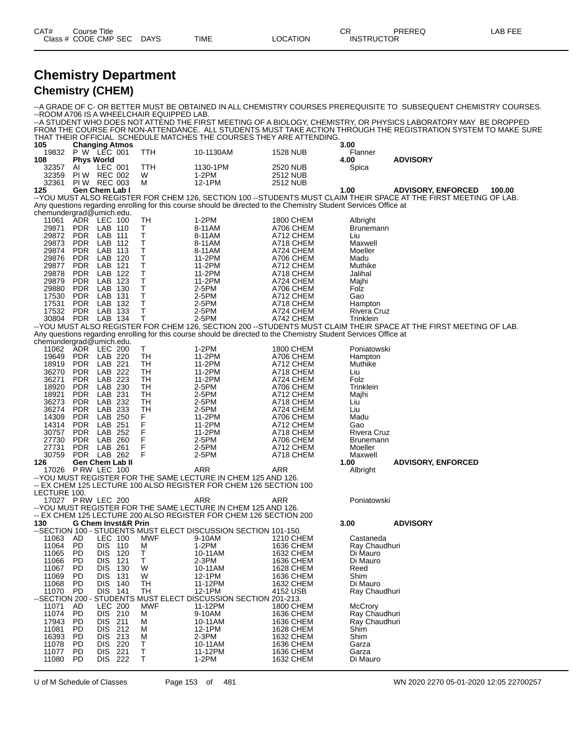| CAT# | Title<br>Course                                                      |      |      |                | СR                | PREREC | $\Delta$ $\Box$<br>_AB |
|------|----------------------------------------------------------------------|------|------|----------------|-------------------|--------|------------------------|
|      | Class # CODE CMP SEC<br>the control of the control of the control of | DAYS | TIME | CATION<br>_OC. | <b>INSTRUCTOR</b> |        |                        |

## **Chemistry Department Chemistry (CHEM)**

--A GRADE OF C- OR BETTER MUST BE OBTAINED IN ALL CHEMISTRY COURSES PREREQUISITE TO SUBSEQUENT CHEMISTRY COURSES. --ROOM A706 IS A WHEELCHAIR EQUIPPED LAB. --A STUDENT WHO DOES NOT ATTEND THE FIRST MEETING OF A BIOLOGY, CHEMISTRY, OR PHYSICS LABORATORY MAY BE DROPPED FROM THE COURSE FOR NON-ATTENDANCE. ALL STUDENTS MUST TAKE ACTION THROUGH THE REGISTRATION SYSTEM TO MAKE SURE THAT THEIR OFFICIAL SCHEDULE MATCHES THE COURSES THEY ARE ATTENDING. **Changing Atmos 3.00**

| 105            |                          | <b>Changing Atmos</b>               |              |                                                                                                                  |                        | 3.00                        |                                                                                                                     |
|----------------|--------------------------|-------------------------------------|--------------|------------------------------------------------------------------------------------------------------------------|------------------------|-----------------------------|---------------------------------------------------------------------------------------------------------------------|
| 19832<br>108   |                          | P W LEC 001<br><b>Phys World</b>    | TTH          | 10-1130AM                                                                                                        | <b>1528 NUB</b>        | Flanner<br>4.00             | <b>ADVISORY</b>                                                                                                     |
| 32357          | AL                       | LEC 001                             | TTH          | 1130-1PM                                                                                                         | 2520 NUB               | Spica                       |                                                                                                                     |
| 32359          |                          | <b>PIW REC 002</b>                  | W            | 1-2PM                                                                                                            | 2512 NUB               |                             |                                                                                                                     |
| 32361          |                          | <b>PIW REC 003</b>                  | м            | 12-1PM                                                                                                           | 2512 NUB               |                             |                                                                                                                     |
| 125            |                          | Gen Chem Lab I                      |              |                                                                                                                  |                        | 1.00                        | <b>ADVISORY, ENFORCED</b><br>100.00                                                                                 |
|                |                          |                                     |              |                                                                                                                  |                        |                             | -- YOU MUST ALSO REGISTER FOR CHEM 126, SECTION 100 -- STUDENTS MUST CLAIM THEIR SPACE AT THE FIRST MEETING OF LAB. |
|                |                          | chemundergrad@umich.edu.            |              | Any questions regarding enrolling for this course should be directed to the Chemistry Student Services Office at |                        |                             |                                                                                                                     |
| 11061          | ADR                      | LEC 100                             | TН           | 1-2PM                                                                                                            | 1800 CHEM              | Albright                    |                                                                                                                     |
| 29871          | <b>PDR</b>               | LAB 110                             | Τ            | 8-11AM                                                                                                           | A706 CHEM              | <b>Brunemann</b>            |                                                                                                                     |
| 29872          | PDR                      | LAB 111                             | T            | 8-11AM                                                                                                           | A712 CHEM              | Liu                         |                                                                                                                     |
| 29873          | <b>PDR</b>               | LAB 112                             | T            | 8-11AM                                                                                                           | A718 CHEM              | Maxwell                     |                                                                                                                     |
| 29874          | <b>PDR</b>               | LAB 113                             | $\sf T$      | 8-11AM                                                                                                           | A724 CHEM              | Moeller                     |                                                                                                                     |
| 29876          | <b>PDR</b>               | LAB 120                             | T            | 11-2PM                                                                                                           | A706 CHEM              | Madu                        |                                                                                                                     |
| 29877          | <b>PDR</b>               | LAB 121                             | $\sf T$      | 11-2PM                                                                                                           | A712 CHEM              | Muthike                     |                                                                                                                     |
| 29878<br>29879 | <b>PDR</b><br><b>PDR</b> | LAB 122<br>LAB 123                  | $\sf T$<br>Τ | 11-2PM<br>11-2PM                                                                                                 | A718 CHEM<br>A724 CHEM | Jalihal<br>Majhi            |                                                                                                                     |
| 29880          | PDR                      | LAB 130                             | $\sf T$      | 2-5PM                                                                                                            | A706 CHEM              | Folz                        |                                                                                                                     |
| 17530          | <b>PDR</b>               | LAB 131                             | $\sf T$      | 2-5PM                                                                                                            | A712 CHEM              | Gao                         |                                                                                                                     |
| 17531          | <b>PDR</b>               | LAB 132                             | T            | 2-5PM                                                                                                            | A718 CHEM              | Hampton                     |                                                                                                                     |
| 17532          | PDR                      | LAB 133                             | $\sf T$      | 2-5PM                                                                                                            | A724 CHEM              | Rivera Cruz                 |                                                                                                                     |
| 30804 PDR      |                          | LAB 134                             | T            | 2-5PM                                                                                                            | A742 CHEM              | Trinklein                   |                                                                                                                     |
|                |                          |                                     |              | Any questions regarding enrolling for this course should be directed to the Chemistry Student Services Office at |                        |                             | -- YOU MUST ALSO REGISTER FOR CHEM 126, SECTION 200 -- STUDENTS MUST CLAIM THEIR SPACE AT THE FIRST MEETING OF LAB. |
|                |                          | chemundergrad@umich.edu.            |              |                                                                                                                  |                        |                             |                                                                                                                     |
| 11062          |                          | ADR LEC 200                         | т            | $1-2PM$                                                                                                          | 1800 CHEM              | Poniatowski                 |                                                                                                                     |
| 19649          | PDR                      | LAB 220                             | TH           | 11-2PM                                                                                                           | A706 CHEM              | Hampton                     |                                                                                                                     |
| 18919          | <b>PDR</b>               | LAB 221                             | TН           | 11-2PM                                                                                                           | A712 CHEM              | Muthike                     |                                                                                                                     |
| 36270          | <b>PDR</b>               | LAB 222                             | TН           | 11-2PM                                                                                                           | A718 CHEM              | Liu                         |                                                                                                                     |
| 36271<br>18920 | <b>PDR</b><br><b>PDR</b> | LAB 223<br>LAB 230                  | TН<br>TH     | 11-2PM<br>$2-5PM$                                                                                                | A724 CHEM<br>A706 CHEM | Folz<br>Trinklein           |                                                                                                                     |
| 18921          | <b>PDR</b>               | LAB 231                             | TН           | 2-5PM                                                                                                            | A712 CHEM              | Majhi                       |                                                                                                                     |
| 36273          | PDR                      | LAB 232                             | TН           | 2-5PM                                                                                                            | A718 CHEM              | Liu                         |                                                                                                                     |
| 36274          | <b>PDR</b>               | LAB 233                             | TН           | 2-5PM                                                                                                            | A724 CHEM              | Liu                         |                                                                                                                     |
| 14309          | <b>PDR</b>               | LAB 250                             | F            | 11-2PM                                                                                                           | A706 CHEM              | Madu                        |                                                                                                                     |
| 14314          | PDR                      | LAB 251                             | F            | 11-2PM                                                                                                           | A712 CHEM              | Gao                         |                                                                                                                     |
| 30757<br>27730 | <b>PDR</b>               | LAB 252<br>LAB 260                  | F<br>F       | 11-2PM<br>2-5PM                                                                                                  | A718 CHEM<br>A706 CHEM | <b>Rivera Cruz</b>          |                                                                                                                     |
| 27731          | <b>PDR</b><br><b>PDR</b> | LAB 261                             | F            | 2-5PM                                                                                                            | A712 CHEM              | <b>Brunemann</b><br>Moeller |                                                                                                                     |
| 30759          | <b>PDR</b>               | LAB 262                             | F            | 2-5PM                                                                                                            | A718 CHEM              | Maxwell                     |                                                                                                                     |
| 126            |                          | Gen Chem Lab II                     |              |                                                                                                                  |                        | 1.00                        | <b>ADVISORY, ENFORCED</b>                                                                                           |
|                |                          | 17026 PRW LEC 100                   |              | ARR                                                                                                              | ARR                    | Albright                    |                                                                                                                     |
|                |                          |                                     |              | -- YOU MUST REGISTER FOR THE SAME LECTURE IN CHEM 125 AND 126.                                                   |                        |                             |                                                                                                                     |
| LECTURE 100.   |                          |                                     |              | -- EX CHEM 125 LECTURE 100 ALSO REGISTER FOR CHEM 126 SECTION 100                                                |                        |                             |                                                                                                                     |
|                |                          | 17027 PRW LEC 200                   |              | ARR                                                                                                              | ARR                    | Poniatowski                 |                                                                                                                     |
|                |                          |                                     |              | -- YOU MUST REGISTER FOR THE SAME LECTURE IN CHEM 125 AND 126.                                                   |                        |                             |                                                                                                                     |
|                |                          |                                     |              | -- EX CHEM 125 LECTURE 200 ALSO REGISTER FOR CHEM 126 SECTION 200                                                |                        |                             |                                                                                                                     |
| 130            |                          | <b>G Chem Invst&amp;R Prin</b>      |              |                                                                                                                  |                        | 3.00                        | <b>ADVISORY</b>                                                                                                     |
| 11063          |                          | <b>LEC 100</b>                      | MWF          | --SECTION 100 - STUDENTS MUST ELECT DISCUSSION SECTION 101-150.<br>9-10AM                                        | 1210 CHEM              | Castaneda                   |                                                                                                                     |
| 11064          | - AD<br><b>PD</b>        | <b>DIS 110</b>                      | м            | $1-2PM$                                                                                                          | 1636 CHEM              | Ray Chaudhuri               |                                                                                                                     |
| 11065          | PD                       | DIS.<br>120                         | Т            | 10-11AM                                                                                                          | 1632 CHEM              | Di Mauro                    |                                                                                                                     |
| 11066          | PD                       | DIS 121                             | T            | 2-3PM                                                                                                            | 1636 CHEM              | Di Mauro                    |                                                                                                                     |
| 11067          | PD.                      | DIS.<br>130                         | W            | 10-11AM                                                                                                          | 1628 CHEM              | Reed                        |                                                                                                                     |
| 11069          | PD                       | <b>DIS</b><br>- 131                 | W            | 12-1PM                                                                                                           | 1636 CHEM              | Shim                        |                                                                                                                     |
| 11068          | PD                       | <b>DIS</b><br>140<br><b>DIS 141</b> | TH           | 11-12PM                                                                                                          | 1632 CHEM              | Di Mauro                    |                                                                                                                     |
| 11070          | <b>PD</b>                |                                     | TН           | 12-1PM<br>--SECTION 200 - STUDENTS MUST ELECT DISCUSSION SECTION 201-213.                                        | 4152 USB               | Ray Chaudhuri               |                                                                                                                     |
| 11071          | AD.                      | <b>LEC 200</b>                      | MWF          | 11-12PM                                                                                                          | <b>1800 CHEM</b>       | McCrory                     |                                                                                                                     |
| 11074          | <b>PD</b>                | DIS 210                             | м            | 9-10AM                                                                                                           | 1636 CHEM              | Ray Chaudhuri               |                                                                                                                     |
| 17943          | PD                       | <b>DIS</b><br>211                   | м            | 10-11AM                                                                                                          | 1636 CHEM              | Ray Chaudhuri               |                                                                                                                     |
| 11081          | PD                       | DIS 212                             | м            | 12-1PM                                                                                                           | 1628 CHEM              | Shim                        |                                                                                                                     |
| 16393          | PD                       | DIS.<br>213                         | М            | 2-3PM                                                                                                            | 1632 CHEM<br>1636 CHEM | Shim                        |                                                                                                                     |
| 11078<br>11077 | PD<br>PD.                | <b>DIS</b><br>220<br>DIS<br>221     | Т<br>T       | 10-11AM<br>11-12PM                                                                                               | 1636 CHEM              | Garza<br>Garza              |                                                                                                                     |
| 11080          | PD                       | DIS 222                             | т            | $1-2PM$                                                                                                          | 1632 CHEM              | Di Mauro                    |                                                                                                                     |

U of M Schedule of Classes Page 153 of 481 WN 2020 2270 05-01-2020 12:05 22700257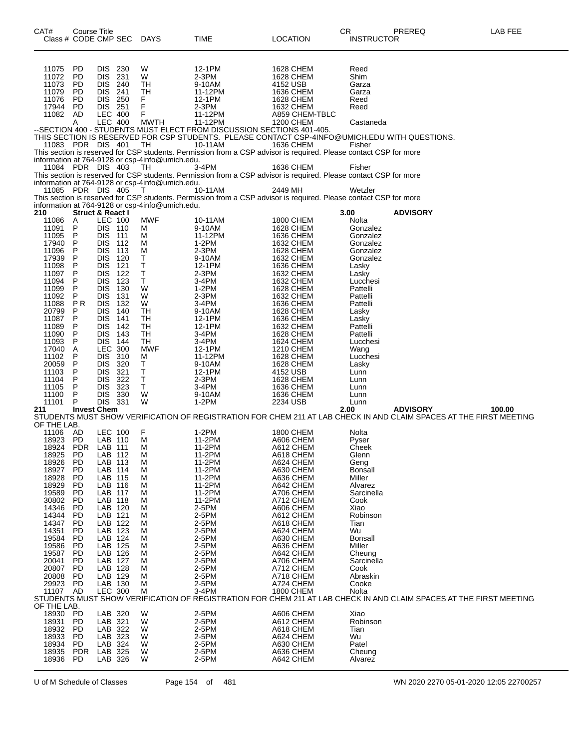| CAT#                                                                                                              | <b>Course Title</b><br>Class # CODE CMP SEC                                                |                                                                                                                                                                                     |                                                                           | DAYS                                                                                                                | TIME                                                                                                                                                                                                                                                                                                                                                                 | <b>LOCATION</b>                                                                                                                                                                          | CR<br><b>INSTRUCTOR</b>                                                                                                             | PREREQ          | LAB FEE                                                                                                                      |
|-------------------------------------------------------------------------------------------------------------------|--------------------------------------------------------------------------------------------|-------------------------------------------------------------------------------------------------------------------------------------------------------------------------------------|---------------------------------------------------------------------------|---------------------------------------------------------------------------------------------------------------------|----------------------------------------------------------------------------------------------------------------------------------------------------------------------------------------------------------------------------------------------------------------------------------------------------------------------------------------------------------------------|------------------------------------------------------------------------------------------------------------------------------------------------------------------------------------------|-------------------------------------------------------------------------------------------------------------------------------------|-----------------|------------------------------------------------------------------------------------------------------------------------------|
| 11075<br>11072<br>11073<br>11079<br>11076<br>17944                                                                | <b>PD</b><br>PD<br><b>PD</b><br>PD<br><b>PD</b><br><b>PD</b>                               | <b>DIS</b><br>DIS.<br>DIS.<br><b>DIS</b><br>DIS 250<br>DIS 251                                                                                                                      | 230<br>231<br>240<br>241                                                  | W<br>W<br>TH<br>TН<br>F<br>F                                                                                        | 12-1PM<br>$2-3PM$<br>9-10AM<br>11-12PM<br>12-1PM<br>$2-3PM$                                                                                                                                                                                                                                                                                                          | 1628 CHEM<br>1628 CHEM<br>4152 USB<br>1636 CHEM<br>1628 CHEM<br><b>1632 CHEM</b>                                                                                                         | Reed<br>Shim<br>Garza<br>Garza<br>Reed<br>Reed                                                                                      |                 |                                                                                                                              |
|                                                                                                                   | 11083 PDR DIS 401 TH                                                                       |                                                                                                                                                                                     |                                                                           |                                                                                                                     | 11082 AD LEC 400 F<br>A LEC 400 MWTH 11-12PM A859 CHEM-TBLC<br>-SECTION 400 - STUDENTS MUST ELECT FROM DISCUSSION SECTIONS 401-405.<br>THIS SECTION IS RESERVED FOR CSP STUDENTS, PLEASE CONTACT CSP-4INFO@UMICH.EDU WITH QUESTIONS.<br>10-11AM<br>This section is reserved for CSP students. Permission from a CSP advisor is required. Please contact CSP for more | 1636 CHEM                                                                                                                                                                                | Fisher                                                                                                                              |                 |                                                                                                                              |
|                                                                                                                   | 11084 PDR DIS 403<br>11085 PDR DIS 405                                                     |                                                                                                                                                                                     |                                                                           | information at 764-9128 or csp-4info@umich.edu.<br>TH.<br>information at 764-9128 or csp-4info@umich.edu.<br>$\top$ | 3-4PM<br>This section is reserved for CSP students. Permission from a CSP advisor is required. Please contact CSP for more<br>10-11AM                                                                                                                                                                                                                                | 1636 CHEM<br>2449 MH                                                                                                                                                                     | Fisher<br>Wetzler                                                                                                                   |                 |                                                                                                                              |
| 210                                                                                                               | <b>Struct &amp; React I</b>                                                                |                                                                                                                                                                                     |                                                                           | information at 764-9128 or csp-4info@umich.edu.                                                                     | This section is reserved for CSP students. Permission from a CSP advisor is required. Please contact CSP for more                                                                                                                                                                                                                                                    |                                                                                                                                                                                          | 3.00                                                                                                                                | <b>ADVISORY</b> |                                                                                                                              |
| 11086<br>11091<br>11095<br>17940<br>11096<br>17939<br>11098<br>11097<br>11094<br>11099<br>11092<br>11088          | A<br>P<br>P<br>P<br>P<br>P<br>P<br>P<br>P<br>P<br>P<br>P <sub>R</sub>                      | LEC 100<br>DIS 110<br><b>DIS</b><br><b>DIS</b><br><b>DIS</b><br><b>DIS</b><br><b>DIS</b><br><b>DIS</b><br><b>DIS</b><br><b>DIS</b><br><b>DIS</b><br><b>DIS</b>                      | 111<br>112<br>113<br>120<br>121<br>122<br>123<br>130<br>131<br>132        | <b>MWF</b><br>м<br>м<br>м<br>M<br>Т<br>т<br>Τ<br>Τ<br>W<br>W<br>W                                                   | 10-11AM<br>9-10AM<br>11-12PM<br>$1-2PM$<br>$2-3PM$<br>9-10AM<br>12-1PM<br>$2-3PM$<br>3-4PM<br>$1-2PM$<br>$2-3PM$<br>3-4PM                                                                                                                                                                                                                                            | 1800 CHEM<br><b>1628 CHEM</b><br>1636 CHEM<br>1632 CHEM<br>1628 CHEM<br>1632 CHEM<br>1636 CHEM<br>1632 CHEM<br>1632 CHEM<br><b>1628 CHEM</b><br>1632 CHEM<br>1636 CHEM                   | Nolta<br>Gonzalez<br>Gonzalez<br>Gonzalez<br>Gonzalez<br>Gonzalez<br>Lasky<br>Lasky<br>Lucchesi<br>Pattelli<br>Pattelli<br>Pattelli |                 |                                                                                                                              |
| 20799<br>11087<br>11089<br>11090<br>11093<br>17040<br>11102<br>20059<br>11103<br>11104<br>11105<br>11100<br>11101 | P<br>P<br>P<br>P<br>P<br>Α<br>P<br>P<br>P<br>P<br>P<br>P<br>P                              | <b>DIS</b><br><b>DIS</b><br><b>DIS</b><br><b>DIS</b><br><b>DIS</b><br><b>LEC 300</b><br><b>DIS</b><br><b>DIS</b><br><b>DIS</b><br><b>DIS</b><br><b>DIS</b><br><b>DIS</b><br>DIS 331 | 140<br>141<br>142<br>143<br>144<br>310<br>320<br>321<br>322<br>323<br>330 | <b>TH</b><br>TН<br>TН<br>TН<br>TН<br><b>MWF</b><br>M<br>Т<br>т<br>T<br>$\mathsf T$<br>W<br>W                        | 9-10AM<br>12-1PM<br>12-1PM<br>3-4PM<br>3-4PM<br>12-1PM<br>11-12PM<br>9-10AM<br>12-1PM<br>$2-3PM$<br>3-4PM<br>9-10AM<br>$1-2PM$                                                                                                                                                                                                                                       | <b>1628 CHEM</b><br>1636 CHEM<br>1632 CHEM<br><b>1628 CHEM</b><br>1624 CHEM<br>1210 CHEM<br><b>1628 CHEM</b><br>1628 CHEM<br>4152 USB<br>1628 CHEM<br>1636 CHEM<br>1636 CHEM<br>2234 USB | Lasky<br>Lasky<br>Pattelli<br>Pattelli<br>Lucchesi<br>Wang<br>Lucchesi<br>Lasky<br>Lunn<br>Lunn<br>Lunn<br>Lunn<br>Lunn             |                 |                                                                                                                              |
| 211<br>OF THE LAB.                                                                                                | <b>Invest Chem</b>                                                                         |                                                                                                                                                                                     |                                                                           |                                                                                                                     |                                                                                                                                                                                                                                                                                                                                                                      |                                                                                                                                                                                          | 2.00                                                                                                                                | <b>ADVISORY</b> | 100.00<br>STUDENTS MUST SHOW VERIFICATION OF REGISTRATION FOR CHEM 211 AT LAB CHECK IN AND CLAIM SPACES AT THE FIRST MEETING |
| 11106<br>18923<br>18924<br>18925<br>18926<br>18927<br>18928<br>18929<br>19589<br>30802<br>14346<br>14344<br>14347 | AD<br>PD.<br><b>PDR</b><br>PD<br>PD<br><b>PD</b><br>PD<br>PD<br>PD<br>PD<br>PD<br>PD<br>PD | LEC 100<br>LAB 110<br>LAB 111<br>LAB 112<br>LAB 113<br>LAB<br>LAB 115<br>LAB 116<br>LAB<br>LAB 118<br>LAB 120<br>LAB<br>LAB 122                                                     | 114<br>117<br>121                                                         | F<br>м<br>M<br>M<br>М<br>M<br>М<br>М<br>M<br>М<br>M<br>M<br>М                                                       | 1-2PM<br>11-2PM<br>11-2PM<br>11-2PM<br>11-2PM<br>11-2PM<br>11-2PM<br>11-2PM<br>11-2PM<br>11-2PM<br>2-5PM<br>2-5PM<br>2-5PM                                                                                                                                                                                                                                           | 1800 CHEM<br>A606 CHEM<br>A612 CHEM<br>A618 CHEM<br>A624 CHEM<br>A630 CHEM<br>A636 CHEM<br>A642 CHEM<br>A706 CHEM<br>A712 CHEM<br>A606 CHEM<br>A612 CHEM<br>A618 CHEM                    | Nolta<br>Pyser<br>Cheek<br>Glenn<br>Geng<br>Bonsall<br>Miller<br>Alvarez<br>Sarcinella<br>Cook<br>Xiao<br>Robinson<br>Tian          |                 |                                                                                                                              |
| 14351<br>19584<br>19586<br>19587<br>20041<br>20807<br>20808<br>29923<br>11107<br>OF THE LAB.                      | PD<br>PD<br>PD<br>PD<br>PD<br>PD<br>PD<br><b>PD</b><br>AD                                  | LAB 123<br>LAB<br>LAB 125<br>LAB 126<br>LAB<br>LAB 128<br>LAB 129<br>LAB 130<br>LEC 300                                                                                             | 124<br>127                                                                | M<br>M<br>M<br>M<br>M<br>M<br>M<br>M<br>M                                                                           | 2-5PM<br>2-5PM<br>2-5PM<br>$2-5PM$<br>2-5PM<br>2-5PM<br>$2-5PM$<br>2-5PM<br>3-4PM                                                                                                                                                                                                                                                                                    | A624 CHEM<br>A630 CHEM<br>A636 CHEM<br>A642 CHEM<br>A706 CHEM<br>A712 CHEM<br>A718 CHEM<br>A724 CHEM<br>1800 CHEM                                                                        | Wu<br><b>Bonsall</b><br>Miller<br>Cheung<br>Sarcinella<br>Cook<br>Abraskin<br>Cooke<br>Nolta                                        |                 | STUDENTS MUST SHOW VERIFICATION OF REGISTRATION FOR CHEM 211 AT LAB CHECK IN AND CLAIM SPACES AT THE FIRST MEETING           |
| 18930<br>18931<br>18932<br>18933<br>18934<br>18935<br>18936                                                       | <b>PD</b><br>PD<br><b>PD</b><br><b>PD</b><br>PD.<br><b>PDR</b><br><b>PD</b>                | LAB 320<br>LAB 321<br>LAB 322<br>LAB 323<br>LAB 324<br>LAB 325<br>LAB 326                                                                                                           |                                                                           | W<br>W<br>W<br>W<br>W<br>W<br>W                                                                                     | $2-5PM$<br>2-5PM<br>2-5PM<br>2-5PM<br>2-5PM<br>2-5PM<br>2-5PM                                                                                                                                                                                                                                                                                                        | A606 CHEM<br>A612 CHEM<br>A618 CHEM<br>A624 CHEM<br>A630 CHEM<br>A636 CHEM<br>A642 CHEM                                                                                                  | Xiao<br>Robinson<br>Tian<br>Wu<br>Patel<br>Cheung<br>Alvarez                                                                        |                 |                                                                                                                              |

U of M Schedule of Classes Page 154 of 481 WN 2020 2270 05-01-2020 12:05 22700257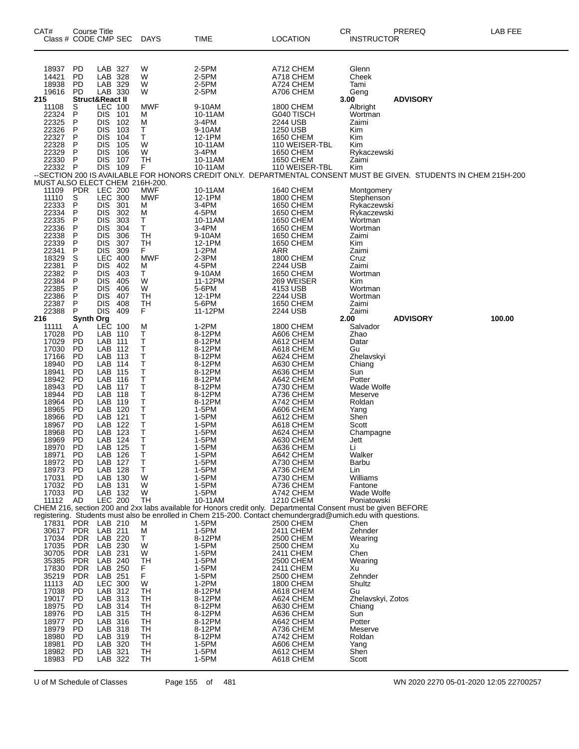| CAT#                                                                                                                                                                                                                 | Course Title<br>Class # CODE CMP SEC                                                                                                                                            |                                                                                                                                                                                                                                     |                                                                                                | <b>DAYS</b>                                                                                                                  | TIME                                                                                                                                                                                                                                                                                                                                                                                                                                                                 | LOCATION                                                                                                                                                                                                                                                                                                                           | <b>CR</b><br>INSTRUCTOR                                                                                                                                                                                                                       | PREREQ          | LAB FEE |
|----------------------------------------------------------------------------------------------------------------------------------------------------------------------------------------------------------------------|---------------------------------------------------------------------------------------------------------------------------------------------------------------------------------|-------------------------------------------------------------------------------------------------------------------------------------------------------------------------------------------------------------------------------------|------------------------------------------------------------------------------------------------|------------------------------------------------------------------------------------------------------------------------------|----------------------------------------------------------------------------------------------------------------------------------------------------------------------------------------------------------------------------------------------------------------------------------------------------------------------------------------------------------------------------------------------------------------------------------------------------------------------|------------------------------------------------------------------------------------------------------------------------------------------------------------------------------------------------------------------------------------------------------------------------------------------------------------------------------------|-----------------------------------------------------------------------------------------------------------------------------------------------------------------------------------------------------------------------------------------------|-----------------|---------|
| 18937<br>14421<br>18938<br>19616                                                                                                                                                                                     | <b>PD</b><br>PD<br>PD<br><b>PD</b>                                                                                                                                              | LAB 327<br>LAB<br>LAB 329<br>LAB 330                                                                                                                                                                                                | 328                                                                                            | W<br>W<br>W<br>W                                                                                                             | 2-5PM<br>2-5PM<br>2-5PM<br>2-5PM                                                                                                                                                                                                                                                                                                                                                                                                                                     | A712 CHEM<br>A718 CHEM<br>A724 CHEM<br>A706 CHEM                                                                                                                                                                                                                                                                                   | Glenn<br>Cheek<br>Tami<br>Geng                                                                                                                                                                                                                |                 |         |
| 215<br>11108<br>22324<br>22325<br>22326<br>22327<br>22328<br>22329                                                                                                                                                   | Struct&React II<br>S<br>P<br>P<br>P<br>P<br>P<br>P                                                                                                                              | <b>LEC 100</b><br>DIS.<br><b>DIS</b><br><b>DIS</b><br>DIS<br><b>DIS</b><br><b>DIS</b>                                                                                                                                               | 101<br>102<br>103<br>104<br>105<br>106                                                         | <b>MWF</b><br>М<br>М<br>Τ<br>T.<br>W<br>W                                                                                    | 9-10AM<br>10-11AM<br>3-4PM<br>9-10AM<br>12-1PM<br>10-11AM<br>3-4PM                                                                                                                                                                                                                                                                                                                                                                                                   | 1800 CHEM<br>G040 TISCH<br>2244 USB<br>1250 USB<br>1650 CHEM<br>110 WEISER-TBL<br>1650 CHEM                                                                                                                                                                                                                                        | 3.00<br>Albright<br>Wortman<br>Zaimi<br>Kim<br>Kim<br>Kim<br>Rykaczewski                                                                                                                                                                      | <b>ADVISORY</b> |         |
| 22330<br>22332<br>MUST ALSO ELECT CHEM 216H-200.                                                                                                                                                                     | P<br>P                                                                                                                                                                          | <b>DIS</b><br><b>DIS</b>                                                                                                                                                                                                            | 107<br>109                                                                                     | <b>TH</b><br>F                                                                                                               | 10-11AM<br>10-11AM<br>--SECTION 200 IS AVAILABLE FOR HONORS CREDIT ONLY. DEPARTMENTAL CONSENT MUST BE GIVEN. STUDENTS IN CHEM 215H-200                                                                                                                                                                                                                                                                                                                               | 1650 CHEM<br>110 WEISER-TBL                                                                                                                                                                                                                                                                                                        | Zaimi<br>Kim                                                                                                                                                                                                                                  |                 |         |
| 11109<br>11110<br>22333<br>22334<br>22335<br>22336<br>22338<br>22339<br>22341<br>18329<br>22381<br>22382<br>22384<br>22385<br>22386<br>22387                                                                         | <b>PDR</b><br>S<br>P<br>P<br>P<br>P<br>P<br>P<br>P<br>S<br>P<br>P<br>P<br>P<br>P<br>P                                                                                           | LEC 200<br><b>LEC 300</b><br>DIS<br><b>DIS</b><br><b>DIS</b><br>DIS<br><b>DIS</b><br><b>DIS</b><br>DIS<br><b>LEC</b><br><b>DIS</b><br>DIS<br><b>DIS</b><br>DIS<br>DIS<br><b>DIS</b>                                                 | 301<br>302<br>303<br>304<br>306<br>307<br>309<br>400<br>402<br>403<br>405<br>406<br>407<br>408 | MWF<br><b>MWF</b><br>м<br>М<br>Τ<br>T<br>TH<br>TН<br>F.<br><b>MWF</b><br>М<br>T.<br>W<br>W<br>TН<br>TН                       | 10-11AM<br>12-1PM<br>3-4PM<br>4-5PM<br>10-11AM<br>3-4PM<br>9-10AM<br>12-1PM<br>$1-2PM$<br>$2-3PM$<br>4-5PM<br>9-10AM<br>11-12PM<br>5-6PM<br>12-1PM<br>5-6PM                                                                                                                                                                                                                                                                                                          | <b>1640 CHEM</b><br>1800 CHEM<br>1650 CHEM<br>1650 CHEM<br>1650 CHEM<br><b>1650 CHEM</b><br><b>1650 CHEM</b><br><b>1650 CHEM</b><br>ARR<br><b>1800 CHEM</b><br>2244 USB<br><b>1650 CHEM</b><br>269 WEISER<br>4153 USB<br>2244 USB<br><b>1650 CHEM</b>                                                                              | Montgomery<br>Stephenson<br>Rykaczewski<br>Rykaczewski<br>Wortman<br>Wortman<br>Zaimi<br>Kim<br>Zaimi<br>Cruz<br>Zaimi<br>Wortman<br>Kim<br>Wortman<br>Wortman<br>Zaimi                                                                       |                 |         |
| 22388<br>216                                                                                                                                                                                                         | P<br><b>Synth Org</b>                                                                                                                                                           | <b>DIS</b>                                                                                                                                                                                                                          | 409                                                                                            | F                                                                                                                            | 11-12PM                                                                                                                                                                                                                                                                                                                                                                                                                                                              | 2244 USB                                                                                                                                                                                                                                                                                                                           | Zaimi<br>2.00                                                                                                                                                                                                                                 | <b>ADVISORY</b> | 100.00  |
| 11111<br>17028<br>17029<br>17030<br>17166<br>18940<br>18941<br>18942<br>18943<br>18944<br>18964<br>18965<br>18966<br>18967<br>18968<br>18969<br>18970<br>18971<br>18972<br>18973<br>17031<br>17032<br>17033<br>11112 | Α<br><b>PD</b><br>PD<br>PD<br>PD<br>PD<br>PD<br>PD<br>PD<br>PD<br>PD<br>PD<br>PD<br>PD<br><b>PD</b><br>PD<br>PD<br><b>PD</b><br><b>PD</b><br>PD<br>PD<br>PD<br>PD<br>AD         | LEC<br>LAB<br>LAB<br>LAB<br>LAB 113<br>LAB<br>LAB<br>LAB<br>LAB 117<br>LAB<br>LAB 119<br>LAB 120<br>LAB<br>LAB 122<br>LAB 123<br>LAB 124<br>LAB 125<br>LAB 126<br>LAB<br>LAB 128<br>LAB 130<br>LAB 131<br>LAB 132<br><b>LEC 200</b> | 100<br>110<br>111<br>112<br>114<br>115<br>116<br>118<br>121<br>127                             | М<br>т<br>T<br>T<br>Τ<br>Т<br>Τ<br>Τ<br>Τ<br>Τ<br>Τ<br>Τ<br>T<br>Т<br>T<br>T<br>Т<br>T<br>T<br>Τ<br>W<br>W<br>W<br><b>TH</b> | $1-2PM$<br>8-12PM<br>8-12PM<br>8-12PM<br>8-12PM<br>8-12PM<br>8-12PM<br>8-12PM<br>8-12PM<br>8-12PM<br>8-12PM<br>1-5PM<br>1-5PM<br>1-5PM<br>1-5PM<br>1-5PM<br>1-5PM<br>1-5PM<br>1-5PM<br>1-5PM<br>1-5PM<br>1-5PM<br>1-5PM<br>10-11AM<br>CHEM 216, section 200 and 2xx labs available for Honors credit only. Departmental Consent must be given BEFORE<br>registering. Students must also be enrolled in Chem 215-200. Contact chemundergrad@umich.edu with questions. | <b>1800 CHEM</b><br>A606 CHEM<br>A612 CHEM<br>A618 CHEM<br>A624 CHEM<br>A630 CHEM<br>A636 CHEM<br>A642 CHEM<br>A730 CHEM<br>A736 CHEM<br>A742 CHEM<br>A606 CHEM<br>A612 CHEM<br>A618 CHEM<br>A624 CHEM<br>A630 CHEM<br>A636 CHEM<br>A642 CHEM<br>A730 CHEM<br>A736 CHEM<br>A730 CHEM<br>A736 CHEM<br>A742 CHEM<br><b>1210 CHEM</b> | Salvador<br>Zhao<br>Datar<br>Gu<br>Zhelavskyi<br>Chiang<br>Sun<br>Potter<br>Wade Wolfe<br>Meserve<br>Roldan<br>Yang<br>Shen<br>Scott<br>Champagne<br>Jett<br>Li<br>Walker<br>Barbu<br>Lin<br>Williams<br>Fantone<br>Wade Wolfe<br>Poniatowski |                 |         |
| 17831<br>30617<br>17034<br>17035<br>30705<br>35385<br>17830<br>35219<br>11113<br>17038<br>19017<br>18975<br>18976<br>18977<br>18979<br>18980<br>18981<br>18982<br>18983                                              | PDR.<br><b>PDR</b><br><b>PDR</b><br><b>PDR</b><br><b>PDR</b><br><b>PDR</b><br><b>PDR</b><br><b>PDR</b><br>AD<br>PD<br>PD<br>PD<br>PD<br>PD<br>PD<br>PD<br>PD<br>PD<br><b>PD</b> | LAB 210<br>LAB 211<br>LAB 220<br>LAB 230<br>LAB<br>LAB 240<br>LAB 250<br>LAB<br><b>LEC 300</b><br>LAB<br>LAB<br>LAB 314<br>LAB 315<br>LAB<br>LAB 318<br>LAB 319<br>LAB<br>LAB 321<br>LAB 322                                        | 231<br>251<br>312<br>313<br>316<br>320                                                         | м<br>M<br>Τ<br>W<br>W<br>TН<br>F<br>F<br>W<br>TH<br>TН<br>TН<br>TН<br>TН<br>TН<br>TН<br>TН<br>TН<br>TН                       | 1-5PM<br>1-5PM<br>8-12PM<br>1-5PM<br>1-5PM<br>1-5PM<br>1-5PM<br>1-5PM<br>$1-2PM$<br>8-12PM<br>8-12PM<br>8-12PM<br>8-12PM<br>8-12PM<br>8-12PM<br>8-12PM<br>1-5PM<br>1-5PM<br>1-5PM                                                                                                                                                                                                                                                                                    | 2500 CHEM<br>2411 CHEM<br><b>2500 CHEM</b><br>2500 CHEM<br>2411 CHEM<br><b>2500 CHEM</b><br>2411 CHEM<br>2500 CHEM<br><b>1800 CHEM</b><br>A618 CHEM<br>A624 CHEM<br>A630 CHEM<br>A636 CHEM<br>A642 CHEM<br>A736 CHEM<br>A742 CHEM<br>A606 CHEM<br>A612 CHEM<br>A618 CHEM                                                           | Chen<br>Zehnder<br>Wearing<br>Xu<br>Chen<br>Wearing<br>Xu<br>Zehnder<br>Shultz<br>Gu<br>Zhelavskyi, Zotos<br>Chiang<br>Sun<br>Potter<br>Meserve<br>Roldan<br>Yang<br>Shen<br>Scott                                                            |                 |         |

U of M Schedule of Classes Page 155 of 481 WN 2020 2270 05-01-2020 12:05 22700257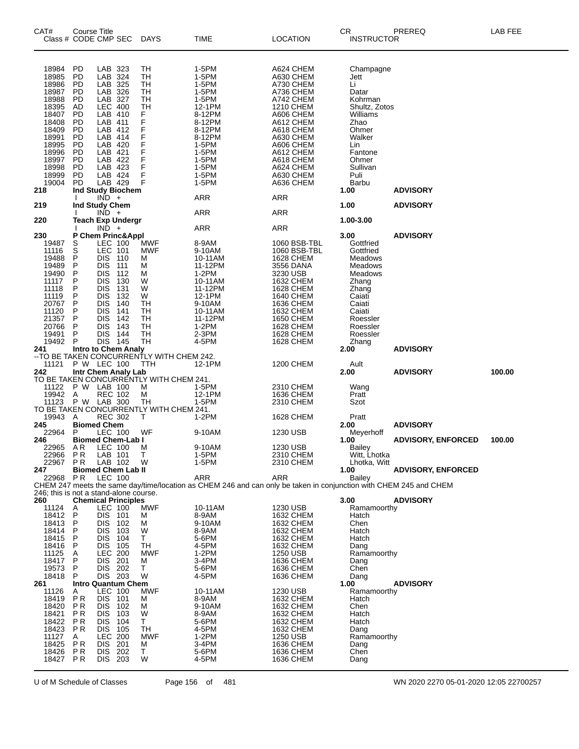| CAT# | Class # CODE CMP SEC                                                                                                                         | Course Title                                                                                                                                  |                                                                                                                                                                                     |                                                                                    | DAYS                                                                                                          | TIME                                                                                                                                                 | <b>LOCATION</b>                                                                                                                                                                                                     | CR<br><b>INSTRUCTOR</b>                                                                                                                                             | PREREQ                    | LAB FEE |
|------|----------------------------------------------------------------------------------------------------------------------------------------------|-----------------------------------------------------------------------------------------------------------------------------------------------|-------------------------------------------------------------------------------------------------------------------------------------------------------------------------------------|------------------------------------------------------------------------------------|---------------------------------------------------------------------------------------------------------------|------------------------------------------------------------------------------------------------------------------------------------------------------|---------------------------------------------------------------------------------------------------------------------------------------------------------------------------------------------------------------------|---------------------------------------------------------------------------------------------------------------------------------------------------------------------|---------------------------|---------|
| 218  | 18984<br>18985<br>18986<br>18987<br>18988<br>18395<br>18407<br>18408<br>18409<br>18991<br>18995<br>18996<br>18997<br>18998<br>18999<br>19004 | <b>PD</b><br>PD<br><b>PD</b><br>PD<br>PD<br>AD<br>PD<br>PD<br><b>PD</b><br>PD<br>PD<br><b>PD</b><br>PD<br>PD<br>PD<br>PD<br>Ind Study Biochem | LAB 323<br>LAB 324<br>LAB 325<br>LAB 326<br>LAB 327<br><b>LEC 400</b><br>LAB 410<br>LAB 411<br>LAB 412<br>LAB 414<br>LAB 420<br>LAB 421<br>LAB 422<br>LAB 423<br>LAB 424<br>LAB 429 |                                                                                    | TН<br>TН<br>TН<br>TH<br>TН<br>TН<br>F<br>F<br>F<br>F<br>F<br>F<br>F<br>F<br>F<br>F                            | 1-5PM<br>1-5PM<br>1-5PM<br>1-5PM<br>1-5PM<br>12-1PM<br>8-12PM<br>8-12PM<br>8-12PM<br>8-12PM<br>1-5PM<br>1-5PM<br>1-5PM<br>1-5PM<br>1-5PM<br>1-5PM    | A624 CHEM<br>A630 CHEM<br>A730 CHEM<br>A736 CHEM<br>A742 CHEM<br><b>1210 CHEM</b><br>A606 CHEM<br>A612 CHEM<br>A618 CHEM<br>A630 CHEM<br>A606 CHEM<br>A612 CHEM<br>A618 CHEM<br>A624 CHEM<br>A630 CHEM<br>A636 CHEM | Champagne<br>Jett<br>Li<br>Datar<br>Kohrman<br>Shultz, Zotos<br>Williams<br>Zhao<br>Ohmer<br>Walker<br>Lin<br>Fantone<br>Ohmer<br>Sullivan<br>Puli<br>Barbu<br>1.00 | <b>ADVISORY</b>           |         |
| 219  |                                                                                                                                              | Ind Study Chem                                                                                                                                | $IND +$                                                                                                                                                                             |                                                                                    |                                                                                                               | <b>ARR</b>                                                                                                                                           | ARR                                                                                                                                                                                                                 | 1.00                                                                                                                                                                | <b>ADVISORY</b>           |         |
| 220  |                                                                                                                                              |                                                                                                                                               | $IND +$                                                                                                                                                                             | <b>Teach Exp Undergr</b>                                                           |                                                                                                               | <b>ARR</b>                                                                                                                                           | ARR                                                                                                                                                                                                                 | 1.00-3.00                                                                                                                                                           |                           |         |
|      |                                                                                                                                              |                                                                                                                                               | $IND +$                                                                                                                                                                             |                                                                                    |                                                                                                               | <b>ARR</b>                                                                                                                                           | ARR                                                                                                                                                                                                                 |                                                                                                                                                                     |                           |         |
| 230  | 19487<br>11116<br>19488<br>19489<br>19490<br>11117<br>11118<br>11119<br>20767<br>11120<br>21357<br>20766<br>19491<br>19492                   | P Chem Princ&Appl<br>S<br>S<br>P<br>P<br>P<br>P<br>P<br>P<br>P<br>P<br>P<br>P<br>P<br>P                                                       | LEC 100<br>LEC 101<br><b>DIS</b><br><b>DIS</b><br><b>DIS</b><br><b>DIS</b><br><b>DIS</b><br>DIS<br><b>DIS</b><br><b>DIS</b><br>DIS<br>DIS<br>DIS<br><b>DIS</b>                      | - 110<br>111<br>112<br>130<br>131<br>132<br>140<br>141<br>142<br>143<br>144<br>145 | MWF<br><b>MWF</b><br>М<br>м<br>м<br>W<br>W<br>W<br>TН<br>TН<br>TН<br>TН<br>TН<br>TН                           | 8-9AM<br>9-10AM<br>10-11AM<br>11-12PM<br>1-2PM<br>10-11AM<br>11-12PM<br>12-1PM<br>9-10AM<br>10-11AM<br>11-12PM<br>1-2PM<br>2-3PM<br>4-5PM            | 1060 BSB-TBL<br>1060 BSB-TBL<br>1628 CHEM<br>3556 DANA<br>3230 USB<br>1632 CHEM<br><b>1628 CHEM</b><br>1640 CHEM<br>1636 CHEM<br>1632 CHEM<br>1650 CHEM<br>1628 CHEM<br><b>1628 CHEM</b><br>1628 CHEM               | 3.00<br>Gottfried<br>Gottfried<br>Meadows<br>Meadows<br>Meadows<br>Zhang<br>Zhang<br>Caiati<br>Caiati<br>Caiati<br>Roessler<br>Roessler<br>Roessler<br>Zhang        | <b>ADVISORY</b>           |         |
|      |                                                                                                                                              |                                                                                                                                               |                                                                                                                                                                                     |                                                                                    | 241 Intro to Chem Analy<br>--TO BE TAKEN CONCURRENTLY WITH CHEM 242.                                          |                                                                                                                                                      |                                                                                                                                                                                                                     | 2.00                                                                                                                                                                | <b>ADVISORY</b>           |         |
| 242  | 11121                                                                                                                                        | P W LEC 100<br>Intr Chem Analy Lab                                                                                                            |                                                                                                                                                                                     |                                                                                    | TTH                                                                                                           | 12-1PM                                                                                                                                               | 1200 CHEM                                                                                                                                                                                                           | Ault<br>2.00                                                                                                                                                        | <b>ADVISORY</b>           | 100.00  |
| 245  | 11122<br>19942 A<br>11123<br>19943                                                                                                           | P W LAB 100<br>P W LAB 300<br>Α<br><b>Biomed Chem</b>                                                                                         | <b>REC 102</b><br><b>REC 302</b>                                                                                                                                                    |                                                                                    | TO BE TAKEN CONCURRENTLY WITH CHEM 241.<br>м<br>М<br>TН<br>TO BE TAKEN CONCURRENTLY WITH CHEM 241.<br>т<br>WF | 1-5PM<br>12-1PM<br>1-5PM<br>1-2PM                                                                                                                    | 2310 CHEM<br>1636 CHEM<br>2310 CHEM<br>1628 CHEM                                                                                                                                                                    | Wang<br>Pratt<br>Szot<br>Pratt<br>2.00                                                                                                                              | <b>ADVISORY</b>           |         |
| 246  | 22964                                                                                                                                        | P                                                                                                                                             | LEC 100                                                                                                                                                                             | <b>Biomed Chem-Lab I</b>                                                           |                                                                                                               | 9-10AM                                                                                                                                               | 1230 USB                                                                                                                                                                                                            | Meyerhoff<br>1.00                                                                                                                                                   | <b>ADVISORY, ENFORCED</b> | 100.00  |
| 247  | 22965<br>22966<br>22967<br>22968                                                                                                             | AR<br><b>PR</b><br>P R<br><b>Biomed Chem Lab II</b><br>P R                                                                                    | LEC 100<br>LAB 101<br>LAB 102<br><b>LEC 100</b>                                                                                                                                     |                                                                                    | - M<br>$\top$<br>W                                                                                            | 9-10AM<br>1-5PM<br>1-5PM<br>ARR<br>CHEM 247 meets the same day/time/location as CHEM 246 and can only be taken in conjunction with CHEM 245 and CHEM | 1230 USB<br>2310 CHEM<br>2310 CHEM<br>ARR                                                                                                                                                                           | Bailey<br>Witt, Lhotka<br>Lhotka, Witt<br>1.00<br>Bailey                                                                                                            | <b>ADVISORY, ENFORCED</b> |         |
| 260  | 246; this is not a stand-alone course.                                                                                                       | <b>Chemical Principles</b>                                                                                                                    |                                                                                                                                                                                     |                                                                                    |                                                                                                               |                                                                                                                                                      |                                                                                                                                                                                                                     | 3.00                                                                                                                                                                | <b>ADVISORY</b>           |         |
| 261  | 11124<br>18412<br>18413<br>18414<br>18415<br>18416<br>11125<br>18417<br>19573<br>18418                                                       | $\mathsf{A}_{\mathsf{P}}$<br>P<br>P<br>P<br>P<br>Α<br>P<br>P<br>P<br><b>Intro Quantum Chem</b>                                                | LEC 100<br>DIS 101<br><b>DIS</b><br>DIS.<br><b>DIS</b><br>DIS.<br>LEC 200<br><b>DIS</b><br><b>DIS</b><br>DIS 203                                                                    | 102<br>103<br>104<br>105<br>201<br>202                                             | MWF<br>м<br>м<br>W<br>T.<br>TH<br><b>MWF</b><br>м<br>Τ<br>W                                                   | 10-11AM<br>8-9AM<br>9-10AM<br>8-9AM<br>5-6PM<br>4-5PM<br>$1-2PM$<br>3-4PM<br>5-6PM<br>4-5PM                                                          | 1230 USB<br>1632 CHEM<br>1632 CHEM<br>1632 CHEM<br>1632 CHEM<br>1632 CHEM<br>1250 USB<br>1636 CHEM<br>1636 CHEM<br>1636 CHEM                                                                                        | Ramamoorthy<br>Hatch<br>Chen<br>Hatch<br>Hatch<br>Dang<br>Ramamoorthy<br>Dang<br>Chen<br>Dang<br>1.00                                                               | <b>ADVISORY</b>           |         |
|      | 11126<br>18419<br>18420<br>18421<br>18422<br>18423<br>11127<br>18425<br>18426<br>18427                                                       | A<br><b>PR</b><br>P R<br>P R<br>P R<br>P R<br>A<br><b>PR</b><br><b>PR</b><br>P R                                                              | <b>LEC 100</b><br>DIS 101<br><b>DIS</b><br><b>DIS</b><br>DIS.<br><b>DIS</b><br><b>LEC 200</b><br>DIS 201<br><b>DIS</b><br>DIS 203                                                   | 102<br>103<br>104<br>105<br>202                                                    | <b>MWF</b><br>М<br>м<br>W<br>Τ<br>TH<br><b>MWF</b><br>м<br>Τ<br>W                                             | 10-11AM<br>8-9AM<br>9-10AM<br>8-9AM<br>5-6PM<br>4-5PM<br>$1-2PM$<br>3-4PM<br>5-6PM<br>4-5PM                                                          | 1230 USB<br>1632 CHEM<br>1632 CHEM<br>1632 CHEM<br>1632 CHEM<br>1632 CHEM<br>1250 USB<br>1636 CHEM<br><b>1636 CHEM</b><br>1636 CHEM                                                                                 | Ramamoorthy<br>Hatch<br>Chen<br>Hatch<br>Hatch<br>Dang<br>Ramamoorthy<br>Dang<br>Chen<br>Dang                                                                       |                           |         |

U of M Schedule of Classes Page 156 of 481 WN 2020 2270 05-01-2020 12:05 22700257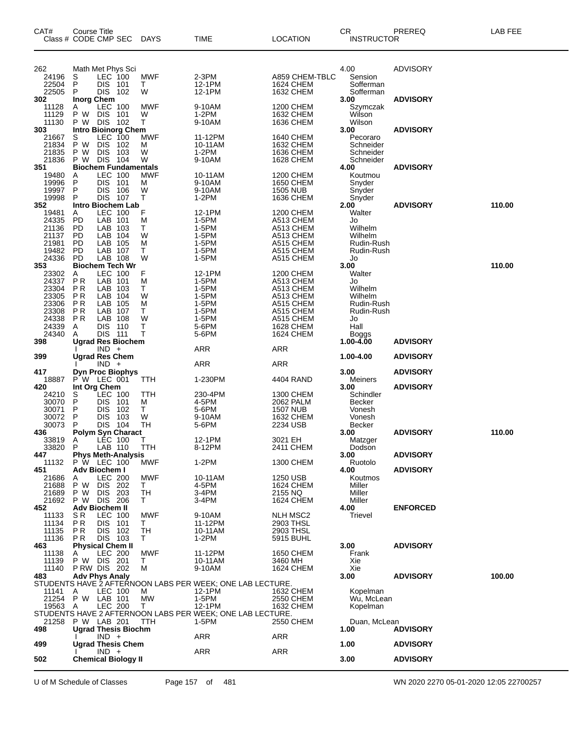| CAT#<br>Class # CODE CMP SEC              | Course Title                             |                                                                                      | DAYS                                   | TIME                                                                                   | <b>LOCATION</b>                                                    | CR<br><b>INSTRUCTOR</b>                                         | PREREQ                             | LAB FEE |
|-------------------------------------------|------------------------------------------|--------------------------------------------------------------------------------------|----------------------------------------|----------------------------------------------------------------------------------------|--------------------------------------------------------------------|-----------------------------------------------------------------|------------------------------------|---------|
| 262<br>24196<br>22504<br>22505            | S<br>P<br>P                              | Math Met Phys Sci<br>LEC 100<br>DIS 101<br>DIS 102                                   | <b>MWF</b><br>Τ<br>W                   | $2-3PM$<br>12-1PM<br>12-1PM                                                            | A859 CHEM-TBLC<br><b>1624 CHEM</b><br>1632 CHEM                    | 4.00<br>Sension<br>Sofferman<br>Sofferman                       | <b>ADVISORY</b>                    |         |
| 302<br>11128<br>11129<br>11130            | <b>Inorg Chem</b><br>A                   | <b>LEC 100</b><br>P W DIS 101<br>P W DIS 102                                         | <b>MWF</b><br>W<br>т                   | 9-10AM<br>1-2PM<br>9-10AM                                                              | 1200 CHEM<br>1632 CHEM<br>1636 CHEM                                | 3.00<br>Szymczak<br>Wilson<br>Wilson                            | <b>ADVISORY</b>                    |         |
| 303<br>21667<br>21834<br>21835<br>21836   | S<br>P W<br>P W                          | <b>Intro Bioinorg Chem</b><br>LEC 100<br><b>DIS</b><br>102<br>DIS 103<br>P W DIS 104 | <b>MWF</b><br>м<br>W<br>W              | 11-12PM<br>10-11AM<br>$1-2PM$<br>9-10AM                                                | 1640 CHEM<br>1632 CHEM<br>1636 CHEM<br><b>1628 CHEM</b>            | 3.00<br>Pecoraro<br>Schneider<br>Schneider<br>Schneider         | <b>ADVISORY</b>                    |         |
| 351<br>19480<br>19996<br>19997            | A<br>P<br>P                              | <b>Biochem Fundamentals</b><br><b>LEC 100</b><br>DIS 101<br><b>DIS</b><br>106        | <b>MWF</b><br>М<br>W                   | 10-11AM<br>9-10AM<br>9-10AM                                                            | 1200 CHEM<br>1650 CHEM<br><b>1505 NUB</b>                          | 4.00<br>Koutmou<br>Snyder<br>Snyder                             | <b>ADVISORY</b>                    |         |
| 19998<br>352<br>19481<br>24335            | P<br>A<br><b>PD</b>                      | <b>DIS 107</b><br>Intro Biochem Lab<br>LEC 100<br>LAB 101                            | т<br>F<br>M                            | $1-2PM$<br>12-1PM<br>1-5PM                                                             | 1636 CHEM<br>1200 CHEM<br>A513 CHEM                                | Snyder<br>2.00<br>Walter<br>Jo                                  | <b>ADVISORY</b>                    | 110.00  |
| 21136<br>21137<br>21981<br>19482          | PD.<br><b>PD</b><br>PD.<br>PD.           | LAB 103<br>LAB 104<br>LAB 105<br>LAB 107                                             | т<br>W<br>M<br>т                       | 1-5PM<br>1-5PM<br>1-5PM<br>1-5PM                                                       | A513 CHEM<br>A513 CHEM<br>A515 CHEM<br>A515 CHEM                   | Wilhelm<br>Wilhelm<br>Rudin-Rush<br>Rudin-Rush                  |                                    |         |
| 24336<br>353<br>23302<br>24337<br>23304   | <b>PD</b><br>Α<br><b>PR</b><br><b>PR</b> | LAB 108<br><b>Biochem Tech Wr</b><br><b>LEC 100</b><br>LAB 101<br>LAB 103            | W<br>F<br>M<br>Т                       | 1-5PM<br>12-1PM<br>1-5PM<br>1-5PM                                                      | A515 CHEM<br>1200 CHEM<br>A513 CHEM<br>A513 CHEM                   | Jo<br>3.00<br>Walter<br>Jo<br>Wilhelm                           |                                    | 110.00  |
| 23305<br>23306<br>23308<br>24338          | P R<br>ΡR<br><b>PR</b><br>P <sub>R</sub> | LAB 104<br>LAB 105<br>LAB 107<br>LAB 108                                             | W<br>M<br>т<br>W                       | 1-5PM<br>1-5PM<br>1-5PM<br>1-5PM                                                       | A513 CHEM<br>A515 CHEM<br>A515 CHEM<br>A515 CHEM                   | Wilhelm<br>Rudin-Rush<br>Rudin-Rush<br>Jo                       |                                    |         |
| 24339<br>24340<br>398                     | Α<br>A                                   | <b>DIS 110</b><br>DIS 111<br><b>Ugrad Res Biochem</b><br>$IND +$                     | т<br>Т                                 | 5-6PM<br>5-6PM<br><b>ARR</b>                                                           | <b>1628 CHEM</b><br><b>1624 CHEM</b><br>ARR                        | Hall<br>Boggs<br>1.00-4.00                                      | <b>ADVISORY</b>                    |         |
| 399                                       |                                          | <b>Ugrad Res Chem</b><br>$IND +$                                                     |                                        | <b>ARR</b>                                                                             | ARR                                                                | 1.00-4.00                                                       | <b>ADVISORY</b>                    |         |
| 417<br>18887<br>420                       |                                          | <b>Dyn Proc Biophys</b><br>P W LEC 001<br>Int Org Chem                               | TTH                                    | 1-230PM                                                                                | 4404 RAND                                                          | 3.00<br>Meiners<br>3.00                                         | <b>ADVISORY</b><br><b>ADVISORY</b> |         |
| 24210<br>30070<br>30071<br>30072<br>30073 | S<br>P<br>P<br>P<br>P                    | LEC 100<br><b>DIS</b><br>101<br>DIS 102<br><b>DIS</b><br>- 103<br>DIS 104            | <b>TTH</b><br>м<br>Τ<br>W<br><b>TH</b> | 230-4PM<br>4-5PM<br>5-6PM<br>9-10AM<br>5-6PM                                           | 1300 CHEM<br>2062 PALM<br><b>1507 NUB</b><br>1632 CHEM<br>2234 USB | Schindler<br><b>Becker</b><br>Vonesh<br>Vonesh<br><b>Becker</b> |                                    |         |
| 436<br>33819<br>33820 P<br>447            | A                                        | <b>Polym Syn Charact</b><br><b>LEC 100</b><br>LAB 110<br><b>Phys Meth-Analysis</b>   | Т<br><b>TTH</b>                        | 12-1PM<br>8-12PM                                                                       | 3021 EH<br>2411 CHEM                                               | 3.00<br>Matzger<br>Dodson<br>3.00                               | <b>ADVISORY</b><br><b>ADVISORY</b> | 110.00  |
| 11132<br>451<br>21686<br>21688            | A<br>P W                                 | P W LEC 100<br>Adv Biochem I<br>LEC 200<br>DIS 202                                   | MWF<br>MWF<br>T.                       | $1-2PM$<br>10-11AM<br>4-5PM                                                            | 1300 CHEM<br>1250 USB<br>1624 CHEM                                 | Ruotolo<br>4.00<br>Koutmos<br>Miller                            | <b>ADVISORY</b>                    |         |
| 21689<br>21692<br>452<br>11133<br>11134   | P W<br>S R<br>P R                        | DIS 203<br>P W DIS 206<br>Adv Biochem II<br>LEC 100<br>DIS 101                       | TH<br>T.<br><b>MWF</b><br>T.           | 3-4PM<br>3-4PM<br>9-10AM<br>11-12PM                                                    | 2155 NQ<br>1624 CHEM<br><b>NLH MSC2</b><br>2903 THSL               | Miller<br>Miller<br>4.00<br>Trievel                             | <b>ENFORCED</b>                    |         |
| 11135<br>11136<br>463<br>11138            | P R<br>PR.<br>A                          | DIS 102<br>DIS 103<br><b>Physical Chem II</b><br><b>LEC 200</b>                      | TH<br>T.<br><b>MWF</b>                 | 10-11AM<br>$1-2PM$<br>11-12PM                                                          | 2903 THSL<br>5915 BUHL<br>1650 CHEM                                | 3.00<br>Frank                                                   | <b>ADVISORY</b>                    |         |
| 11139<br>11140<br>483                     |                                          | P W DIS 201<br>PRW DIS 202<br><b>Adv Phys Analy</b>                                  | T.<br>м                                | 10-11AM<br>9-10AM<br>STUDENTS HAVE 2 AFTERNOON LABS PER WEEK; ONE LAB LECTURE.         | 3460 MH<br>1624 CHEM                                               | Xie<br>Xie<br>3.00                                              | <b>ADVISORY</b>                    | 100.00  |
| 11141<br>21254 P W LAB 101<br>19563 A     | A                                        | LEC 100<br>LEC 200                                                                   | м<br><b>MW</b><br>T.                   | 12-1PM<br>1-5PM<br>12-1PM<br>STUDENTS HAVE 2 AFTERNOON LABS PER WEEK; ONE LAB LECTURE. | 1632 CHEM<br>2550 CHEM<br>1632 CHEM                                | Kopelman<br>Wu, McLean<br>Kopelman                              |                                    |         |
| 21258<br>498                              |                                          | P W LAB 201<br><b>Ugrad Thesis Biochm</b><br>$IND +$                                 | TTH                                    | 1-5PM<br>ARR                                                                           | 2550 CHEM<br>ARR                                                   | Duan, McLean<br>1.00                                            | <b>ADVISORY</b>                    |         |
| 499                                       |                                          | <b>Ugrad Thesis Chem</b><br>$IND +$                                                  |                                        | ARR                                                                                    | ARR                                                                | 1.00                                                            | <b>ADVISORY</b>                    |         |
| 502                                       |                                          | <b>Chemical Biology II</b>                                                           |                                        |                                                                                        |                                                                    | 3.00                                                            | <b>ADVISORY</b>                    |         |

U of M Schedule of Classes Page 157 of 481 WN 2020 2270 05-01-2020 12:05 22700257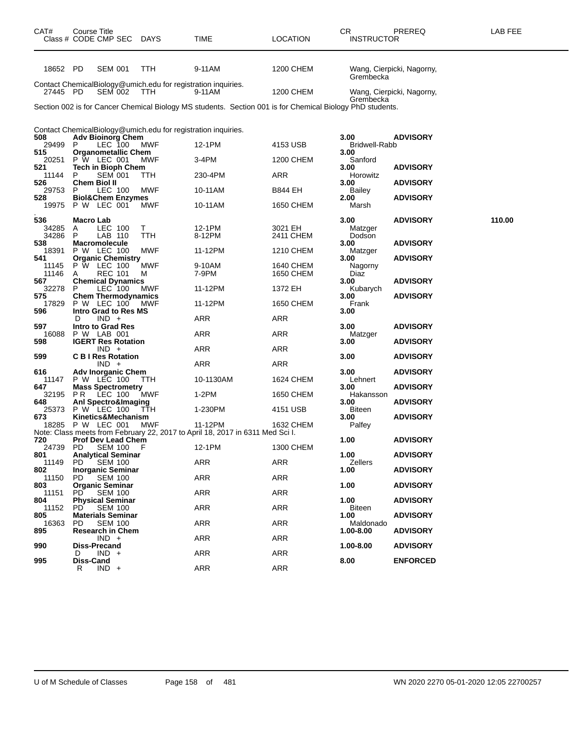| CAT#            | Course Title<br>Class # CODE CMP SEC DAYS                                       |          | TIME                                                                                                      | <b>LOCATION</b>        | CR<br><b>INSTRUCTOR</b> | PREREQ                    | LAB FEE |
|-----------------|---------------------------------------------------------------------------------|----------|-----------------------------------------------------------------------------------------------------------|------------------------|-------------------------|---------------------------|---------|
| 18652 PD        | <b>SEM 001</b>                                                                  | TTH      | 9-11AM                                                                                                    | 1200 CHEM              | Grembecka               | Wang, Cierpicki, Nagorny, |         |
| 27445 PD        | Contact ChemicalBiology@umich.edu for registration inquiries.<br><b>SEM 002</b> | TTH      | 9-11AM                                                                                                    | 1200 CHEM              | Grembecka               | Wang, Cierpicki, Nagorny, |         |
|                 |                                                                                 |          | Section 002 is for Cancer Chemical Biology MS students. Section 001 is for Chemical Biology PhD students. |                        |                         |                           |         |
|                 | Contact ChemicalBiology@umich.edu for registration inquiries.                   |          |                                                                                                           |                        |                         |                           |         |
| 508<br>29499 P  | <b>Adv Bioinorg Chem</b><br>LEC 100                                             | MWF      | 12-1PM                                                                                                    | 4153 USB               | 3.00<br>Bridwell-Rabb   | <b>ADVISORY</b>           |         |
| 515<br>20251    | <b>Organometallic Chem</b><br>P W LEC 001                                       | MWF      | 3-4PM                                                                                                     | 1200 CHEM              | 3.00<br>Sanford         |                           |         |
| 521<br>11144    | Tech in Bioph Chem<br>P<br><b>SEM 001</b>                                       | ттн      | 230-4PM                                                                                                   | ARR                    | 3.00<br>Horowitz        | <b>ADVISORY</b>           |         |
| 526<br>29753 P  | Chem Biol II<br>LEC 100                                                         | MWF      | 10-11AM                                                                                                   | B844 EH                | 3.00<br>Bailey          | <b>ADVISORY</b>           |         |
| 528<br>19975    | <b>Biol&amp;Chem Enzymes</b><br><b>P W LEC 001</b>                              | MWF      | 10-11AM                                                                                                   | 1650 CHEM              | 2.00<br>Marsh           | <b>ADVISORY</b>           |         |
| 536             | Macro Lab                                                                       |          |                                                                                                           |                        | 3.00                    | <b>ADVISORY</b>           | 110.00  |
| 34285<br>34286  | LEC 100<br>A<br>P<br>LAB 110                                                    | Τ<br>TTH | 12-1PM<br>8-12PM                                                                                          | 3021 EH<br>2411 CHEM   | Matzger<br>Dodson       |                           |         |
| 538             | <b>Macromolecule</b><br>P W LEC 100                                             | MWF      | 11-12PM                                                                                                   |                        | 3.00                    | <b>ADVISORY</b>           |         |
| 18391<br>541    | <b>Organic Chemistry</b>                                                        |          |                                                                                                           | 1210 CHEM              | Matzger<br>3.00         | <b>ADVISORY</b>           |         |
| 11145<br>11146  | P W LEC 100<br>A<br>REC 101                                                     | MWF<br>м | 9-10AM<br>7-9PM                                                                                           | 1640 CHEM<br>1650 CHEM | Nagorny<br>Diaz         |                           |         |
| 567<br>32278    | <b>Chemical Dynamics</b><br>LEC 100<br>P                                        | MWF      | 11-12PM                                                                                                   | 1372 EH                | 3.00<br>Kubarych        | <b>ADVISORY</b>           |         |
| 575<br>17829    | <b>Chem Thermodynamics</b><br>P W LEC 100                                       | MWF      | 11-12PM                                                                                                   | 1650 CHEM              | 3.00<br>Frank           | <b>ADVISORY</b>           |         |
| 596             | <b>Intro Grad to Res MS</b><br>D<br>$IND +$                                     |          | <b>ARR</b>                                                                                                | ARR                    | 3.00                    |                           |         |
| 597<br>16088    | <b>Intro to Grad Res</b><br>P W LAB 001                                         |          | ARR                                                                                                       | ARR                    | 3.00<br>Matzger         | <b>ADVISORY</b>           |         |
| 598             | <b>IGERT Res Rotation</b><br>$IND +$                                            |          | ARR                                                                                                       | ARR                    | 3.00                    | <b>ADVISORY</b>           |         |
| 599             | <b>C B I Res Rotation</b><br>IND +                                              |          | <b>ARR</b>                                                                                                | ARR                    | 3.00                    | <b>ADVISORY</b>           |         |
| 616<br>11147    | Adv Inorganic Chem<br>P W LEC 100                                               | ттн      | 10-1130AM                                                                                                 | 1624 CHEM              | 3.00<br>Lehnert         | <b>ADVISORY</b>           |         |
| 647<br>32195    | <b>Mass Spectrometry</b><br>PR<br>LEC 100                                       | MWF      | 1-2PM                                                                                                     | 1650 CHEM              | 3.00<br>Hakansson       | <b>ADVISORY</b>           |         |
| 648             | <b>Anl Spectro&amp;Imaging</b>                                                  |          |                                                                                                           |                        | 3.00                    | <b>ADVISORY</b>           |         |
| 25373<br>673    | P W LEC 100<br>Kinetics&Mechanism                                               | TTH      | 1-230PM                                                                                                   | 4151 USB               | Biteen<br>3.00          | <b>ADVISORY</b>           |         |
| 18285           | P W LEC 001                                                                     | MWF      | 11-12PM<br>Note: Class meets from February 22, 2017 to April 18, 2017 in 6311 Med Sci I.                  | 1632 CHEM              | Palfey                  |                           |         |
| 720<br>24739 PD | <b>Prof Dev Lead Chem</b><br><b>SEM 100</b>                                     | F        | 12-1PM                                                                                                    | 1300 CHEM              | 1.00                    | <b>ADVISORY</b>           |         |
| 801<br>11149    | <b>Analytical Seminar</b><br><b>SEM 100</b><br>PD.                              |          | <b>ARR</b>                                                                                                | ARR                    | 1.00<br>Zellers         | <b>ADVISORY</b>           |         |
| 802<br>11150    | <b>Inorganic Seminar</b><br>PD.<br><b>SEM 100</b>                               |          | ARR                                                                                                       | <b>ARR</b>             | 1.00                    | <b>ADVISORY</b>           |         |
| 803<br>11151    | <b>Organic Seminar</b><br>PD.<br><b>SEM 100</b>                                 |          | ARR                                                                                                       | ARR                    | 1.00                    | <b>ADVISORY</b>           |         |
| 804<br>11152    | <b>Physical Seminar</b><br>PD.<br><b>SEM 100</b>                                |          | <b>ARR</b>                                                                                                | ARR                    | 1.00<br><b>Biteen</b>   | <b>ADVISORY</b>           |         |
| 805<br>16363    | <b>Materials Seminar</b><br><b>PD</b><br><b>SEM 100</b>                         |          | ARR                                                                                                       | <b>ARR</b>             | 1.00<br>Maldonado       | <b>ADVISORY</b>           |         |
| 895             | <b>Research in Chem</b><br>$IND +$                                              |          | ARR                                                                                                       | ARR                    | 1.00-8.00               | <b>ADVISORY</b>           |         |
| 990             | <b>Diss-Precand</b>                                                             |          |                                                                                                           |                        | 1.00-8.00               | <b>ADVISORY</b>           |         |
| 995             | $IND +$<br>D<br>Diss-Cand                                                       |          | <b>ARR</b>                                                                                                | <b>ARR</b>             | 8.00                    | <b>ENFORCED</b>           |         |
|                 | R<br>$IND +$                                                                    |          | ARR                                                                                                       | ARR                    |                         |                           |         |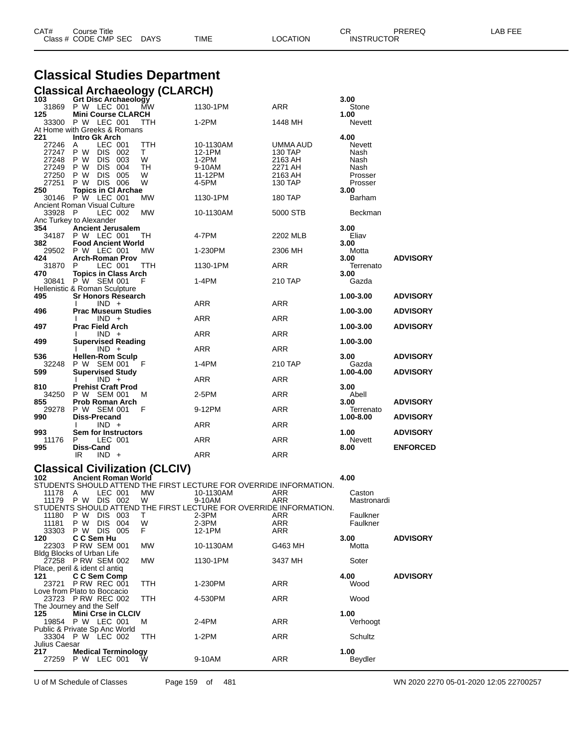| CAT# | Title<br>Courseٽ     |      |      |          | Ωm<br><b>UN</b>   | PREREQ | ----<br>ΔR.<br>--- |
|------|----------------------|------|------|----------|-------------------|--------|--------------------|
|      | Class # CODE CMP SEC | DAYS | TIME | LOCATION | <b>INSTRUCTOR</b> |        |                    |

# **Classical Studies Department**

#### **Classical Archaeology (CLARCH)**

| 103       | <b>Grt Disc Archaeology</b>    |            |                | 3.00          |                 |
|-----------|--------------------------------|------------|----------------|---------------|-----------------|
|           | 31869 P W LEC 001<br>MW        | 1130-1PM   | <b>ARR</b>     | Stone         |                 |
| 125       | <b>Mini Course CLARCH</b>      |            |                | 1.00          |                 |
| 33300     | P W LEC 001<br>TTH             | $1-2PM$    | 1448 MH        | <b>Nevett</b> |                 |
|           | At Home with Greeks & Romans   |            |                |               |                 |
| 221       | Intro Gk Arch                  |            |                | 4.00          |                 |
| 27246     | LEC 001<br><b>TTH</b><br>Α     | 10-1130AM  | UMMA AUD       | <b>Nevett</b> |                 |
| 27247 P W | DIS 002<br>T.                  | 12-1PM     | <b>130 TAP</b> | Nash          |                 |
| 27248     | <b>DIS</b><br>W<br>P W<br>003  | $1-2PM$    | 2163 AH        | Nash          |                 |
| 27249 P W | <b>DIS</b><br>004<br><b>TH</b> | 9-10AM     | 2271 AH        | Nash          |                 |
| 27250     | DIS 005<br>P W<br>W            | 11-12PM    | 2163 AH        | Prosser       |                 |
| 27251     | <b>DIS 006</b><br>W<br>P W     | 4-5PM      | 130 TAP        | Prosser       |                 |
| 250       | <b>Topics in CI Archae</b>     |            |                | 3.00          |                 |
|           | 30146 P W LEC 001<br><b>MW</b> | 1130-1PM   | <b>180 TAP</b> | Barham        |                 |
|           |                                |            |                |               |                 |
|           | Ancient Roman Visual Culture   |            |                |               |                 |
| 33928 P   | LEC 002<br><b>MW</b>           | 10-1130AM  | 5000 STB       | Beckman       |                 |
|           | Anc Turkey to Alexander        |            |                |               |                 |
| 354       | <b>Ancient Jerusalem</b>       |            |                | 3.00          |                 |
|           | 34187 P W LEC 001<br>TH        | 4-7PM      | 2202 MLB       | Eliav         |                 |
| 382       | <b>Food Ancient World</b>      |            |                | 3.00          |                 |
| 29502     | P W LEC 001<br><b>MW</b>       | 1-230PM    | 2306 MH        | Motta         |                 |
| 424       | <b>Arch-Roman Prov</b>         |            |                | 3.00          | <b>ADVISORY</b> |
| 31870     | LEC 001<br>P.<br><b>TTH</b>    | 1130-1PM   | <b>ARR</b>     | Terrenato     |                 |
| 470       | <b>Topics in Class Arch</b>    |            |                | 3.00          |                 |
| 30841     | P W SEM 001<br>F               | 1-4PM      | 210 TAP        | Gazda         |                 |
|           | Hellenistic & Roman Sculpture  |            |                |               |                 |
| 495       | <b>Sr Honors Research</b>      |            |                | 1.00-3.00     | <b>ADVISORY</b> |
|           | $IND +$<br>I.                  | <b>ARR</b> | <b>ARR</b>     |               |                 |
| 496       | <b>Prac Museum Studies</b>     |            |                | 1.00-3.00     | <b>ADVISORY</b> |
|           | $IND +$                        | <b>ARR</b> | <b>ARR</b>     |               |                 |
| 497       | <b>Prac Field Arch</b>         |            |                | 1.00-3.00     | <b>ADVISORY</b> |
|           | $IND +$                        | <b>ARR</b> | <b>ARR</b>     |               |                 |
| 499       | <b>Supervised Reading</b>      |            |                | 1.00-3.00     |                 |
|           | $IND +$                        | <b>ARR</b> | <b>ARR</b>     |               |                 |
| 536       | <b>Hellen-Rom Sculp</b>        |            |                | 3.00          | <b>ADVISORY</b> |
| 32248     | P W SEM 001<br>- F             | $1-4PM$    | 210 TAP        | Gazda         |                 |
| 599       | <b>Supervised Study</b>        |            |                | 1.00-4.00     | <b>ADVISORY</b> |
|           | $IND +$                        | <b>ARR</b> | <b>ARR</b>     |               |                 |
| 810       | <b>Prehist Craft Prod</b>      |            |                | 3.00          |                 |
| 34250     | P W SEM 001                    | 2-5PM      | <b>ARR</b>     | Abell         |                 |
|           | M                              |            |                |               |                 |
| 855       | Prob Roman Arch                |            |                | 3.00          | <b>ADVISORY</b> |
| 29278     | P W SEM 001<br>F               | 9-12PM     | <b>ARR</b>     | Terrenato     |                 |
| 990       | <b>Diss-Precand</b>            |            |                | 1.00-8.00     | <b>ADVISORY</b> |
|           | $IND +$                        | <b>ARR</b> | <b>ARR</b>     |               |                 |
| 993       | Sem for Instructors            |            |                | 1.00          | <b>ADVISORY</b> |
| 11176     | LEC 001<br>P.                  | <b>ARR</b> | <b>ARR</b>     | Nevett        |                 |
| 995       | <b>Diss-Cand</b>               |            |                | 8.00          | <b>ENFORCED</b> |
|           | $IND +$<br>IR.                 | <b>ARR</b> | <b>ARR</b>     |               |                 |
|           |                                |            |                |               |                 |

**Classical Civilization (CLCIV) 102 Ancient Roman World 4.00** STUDENTS SHOULD ATTEND THE FIRST LECTURE FOR OVERRIDE INFORMATION.<br>11178 A LEC 001 MW 10-1130AM ARR<br>11179 P W DIS 002 W 9-10AM ARR 10-1130AM ARR CAST ARR CASTO ARR CASTO CASTO ARR CASTO AND ARR MASTRONATION ARR 11179 P W DIS 002 W 9-10AM ARR ARR Mastronardi<br>STUDENTS SHOULD ATTEND THE FIRST LECTURE FOR OVERRIDE INFORMATION. P W DIS 003 T 2-3PM ARR Faulkner P W DIS 004 W 2-3PM ARR Faulkner 33303 P W DIS 005 F 12-1PM ARR<br>120 C C Sem Hu **C C Sem Hu 3.00 ADVISORY** P RW SEM 001 MW 10-1130AM G463 MH Motta Bldg Blocks of Urban Life P RW SEM 002 MW 1130-1PM 3437 MH Soter Place, peril & ident cl antiq<br>121 C C Sem Comp **C C Sem Comp 4.00 ADVISORY** P RW REC 001 TTH 1-230PM ARR Wood Love from Plato to Boccacio P RW REC 002 TTH 4-530PM ARR Wood The Journey and the Self **Mini Crse in CLCIV 1.00** 19854 P W LEC 001 M 2-4PM ARR ARR Verhoogt Public & Private Sp Anc World P W LEC 002 TTH 1-2PM ARR Schultz Julius Caesar<br>217 Me **Medical Terminology 1.00** P W LEC 001 W 9-10AM ARR Beydler

U of M Schedule of Classes Page 159 of 481 WN 2020 2270 05-01-2020 12:05 22700257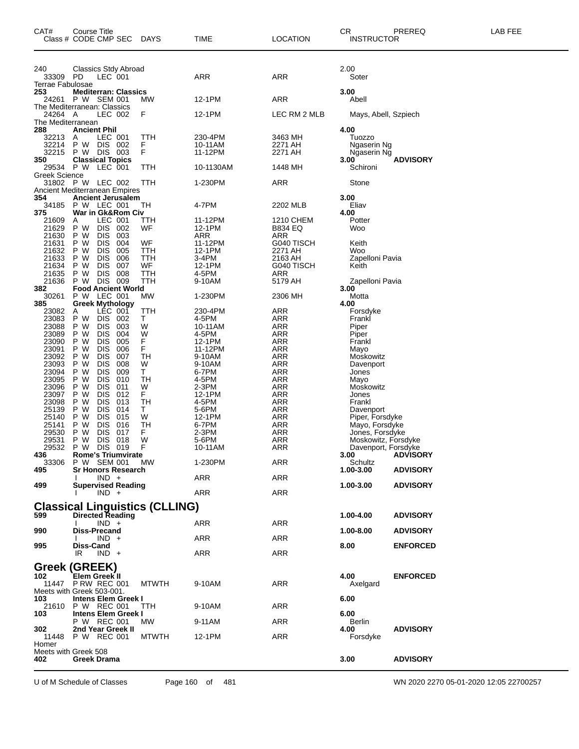| CAT#                      | Course Title<br>Class # CODE CMP SEC                  | DAYS         | TIME              | LOCATION              | CR.<br><b>INSTRUCTOR</b>          | PREREQ          | LAB FEE |
|---------------------------|-------------------------------------------------------|--------------|-------------------|-----------------------|-----------------------------------|-----------------|---------|
| 240                       | Classics Stdy Abroad<br><b>PD</b>                     |              | <b>ARR</b>        | <b>ARR</b>            | 2.00                              |                 |         |
| 33309<br>Terrae Fabulosae | LEC 001                                               |              |                   |                       | Soter                             |                 |         |
| 253                       | <b>Mediterran: Classics</b>                           |              |                   |                       | 3.00                              |                 |         |
| 24261                     | P W SEM 001<br>The Mediterranean: Classics            | МW           | 12-1PM            | <b>ARR</b>            | Abell                             |                 |         |
| 24264 A                   | LEC 002                                               | F            | 12-1PM            | LEC RM 2 MLB          | Mays, Abell, Szpiech              |                 |         |
| The Mediterranean         |                                                       |              |                   |                       |                                   |                 |         |
| 288<br>32213              | <b>Ancient Phil</b>                                   |              | 230-4PM           |                       | 4.00                              |                 |         |
| 32214                     | LEC 001<br>A<br><b>DIS</b><br>P W<br>002              | TTH<br>F     | 10-11AM           | 3463 MH<br>2271 AH    | Tuozzo<br>Ngaserin Ng             |                 |         |
| 32215                     | P W DIS 003                                           | F            | 11-12PM           | 2271 AH               | Ngaserin Ng                       |                 |         |
| 350<br>29534              | <b>Classical Topics</b><br>P W<br>LEC 001             | TTH          | 10-1130AM         | 1448 MH               | 3.00<br>Schironi                  | <b>ADVISORY</b> |         |
| Greek Science             |                                                       |              |                   |                       |                                   |                 |         |
|                           | 31802 P W LEC 002<br>Ancient Mediterranean Empires    | TTH          | 1-230PM           | ARR                   | Stone                             |                 |         |
| 354                       | <b>Ancient Jerusalem</b>                              |              |                   |                       | 3.00                              |                 |         |
| 34185                     | P W LEC 001                                           | TН           | 4-7PM             | 2202 MLB              | Eliav                             |                 |         |
| 375<br>21609              | War in Gk&Rom Civ<br>LEC 001<br>Α                     | ттн          | 11-12PM           | 1210 CHEM             | 4.00<br>Potter                    |                 |         |
| 21629                     | P W<br><b>DIS</b><br>002                              | WF           | 12-1PM            | <b>B834 EQ</b>        | Woo                               |                 |         |
| 21630                     | P W<br><b>DIS</b><br>003                              |              | <b>ARR</b>        | ARR                   |                                   |                 |         |
| 21631<br>21632            | <b>DIS</b><br>004<br>P W<br>P W<br><b>DIS</b><br>005  | WF<br>TTH    | 11-12PM<br>12-1PM | G040 TISCH<br>2271 AH | Keith<br>Woo                      |                 |         |
| 21633                     | P W<br><b>DIS</b><br>006                              | TTH          | 3-4PM             | 2163 AH               | Zapelloni Pavia                   |                 |         |
| 21634                     | <b>DIS</b><br>007<br>P W                              | WF           | 12-1PM            | G040 TISCH            | Keith                             |                 |         |
| 21635<br>21636            | <b>DIS</b><br>008<br>P W<br><b>DIS</b><br>009<br>P W  | TTH<br>TTH   | 4-5PM<br>9-10AM   | ARR<br>5179 AH        | Zapelloni Pavia                   |                 |         |
| 382<br>30261              | <b>Food Ancient World</b><br>P W LEC 001              | MW           | 1-230PM           | 2306 MH               | 3.00                              |                 |         |
| 385                       | <b>Greek Mythology</b>                                |              |                   |                       | Motta<br>4.00                     |                 |         |
| 23082                     | LEC 001<br>Α                                          | TTH          | 230-4PM           | <b>ARR</b>            | Forsdyke                          |                 |         |
| 23083<br>23088            | P W<br><b>DIS</b><br>002<br>P W<br><b>DIS</b><br>003  | Τ<br>W       | 4-5PM<br>10-11AM  | ARR<br><b>ARR</b>     | Frankl<br>Piper                   |                 |         |
| 23089                     | <b>DIS</b><br>P W<br>004                              | W            | 4-5PM             | ARR                   | Piper                             |                 |         |
| 23090                     | P W<br><b>DIS</b><br>005                              | F.           | 12-1PM            | ARR                   | Frankl                            |                 |         |
| 23091<br>23092            | P W<br><b>DIS</b><br>006<br><b>DIS</b><br>P W<br>007  | F<br>TН      | 11-12PM<br>9-10AM | <b>ARR</b><br>ARR     | Mayo<br>Moskowitz                 |                 |         |
| 23093                     | P W<br><b>DIS</b><br>008                              | W            | 9-10AM            | ARR                   | Davenport                         |                 |         |
| 23094                     | P W<br><b>DIS</b><br>009                              | Τ            | 6-7PM             | <b>ARR</b>            | Jones                             |                 |         |
| 23095                     | <b>DIS</b><br>P W<br>010<br><b>DIS</b><br>011         | TН<br>W      | 4-5PM             | ARR                   | Mayo                              |                 |         |
| 23096<br>23097            | P W<br>P W<br><b>DIS</b><br>012                       | F.           | $2-3PM$<br>12-1PM | ARR<br><b>ARR</b>     | Moskowitz<br>Jones                |                 |         |
| 23098                     | <b>DIS</b><br>013<br>P W                              | TН           | 4-5PM             | ARR                   | Frankl                            |                 |         |
| 25139                     | <b>DIS</b><br>014<br>P W                              | T.           | 5-6PM             | ARR                   | Davenport                         |                 |         |
| 25140<br>25141            | P W<br><b>DIS</b><br>015<br><b>DIS</b><br>016<br>P W  | W<br>TН      | 12-1PM<br>6-7PM   | <b>ARR</b><br>ARR     | Piper, Forsdyke<br>Mayo, Forsdyke |                 |         |
| 29530                     | DIS<br>017<br>P W                                     | F            | 2-3PM             | <b>ARR</b>            | Jones, Forsdyke                   |                 |         |
| 29531                     | <b>DIS</b><br>018<br>P W                              | W            | 5-6PM             | <b>ARR</b>            | Moskowitz, Forsdyke               |                 |         |
| 29532<br>436              | P W<br><b>DIS</b><br>019<br><b>Rome's Triumvirate</b> | F            | 10-11AM           | ARR                   | Davenport, Forsdyke<br>3.00       | <b>ADVISORY</b> |         |
| 33306                     | P W SEM 001                                           | <b>MW</b>    | 1-230PM           | ARR                   | Schultz                           |                 |         |
| 495                       | <b>Sr Honors Research</b><br>$IND +$                  |              | ARR               | ARR                   | 1.00-3.00                         | <b>ADVISORY</b> |         |
| 499                       | <b>Supervised Reading</b><br>$IND +$                  |              | ARR               | <b>ARR</b>            | 1.00-3.00                         | <b>ADVISORY</b> |         |
|                           | <b>Classical Linguistics (CLLING)</b>                 |              |                   |                       |                                   |                 |         |
| 599                       | <b>Directed Reading</b>                               |              |                   |                       | 1.00-4.00                         | <b>ADVISORY</b> |         |
| 990                       | $IND +$<br>Diss-Precand                               |              | ARR               | ARR                   | 1.00-8.00                         | <b>ADVISORY</b> |         |
|                           | $IND +$                                               |              | ARR               | <b>ARR</b>            |                                   |                 |         |
| 995                       | Diss-Cand<br>$IND +$<br>IR                            |              | ARR               | <b>ARR</b>            | 8.00                              | <b>ENFORCED</b> |         |
|                           | Greek (GREEK)                                         |              |                   |                       |                                   |                 |         |
| 102                       | <b>Elem Greek II</b>                                  |              |                   |                       | 4.00                              | <b>ENFORCED</b> |         |
|                           | 11447 P RW REC 001                                    | <b>MTWTH</b> | 9-10AM            | <b>ARR</b>            | Axelgard                          |                 |         |
| 103                       | Meets with Greek 503-001.<br>Intens Elem Greek I      |              |                   |                       | 6.00                              |                 |         |
| 21610                     | P W REC 001                                           | TTH          | 9-10AM            | <b>ARR</b>            |                                   |                 |         |
| 103.                      | Intens Elem Greek I<br>P W REC 001                    |              |                   | <b>ARR</b>            | 6.00                              |                 |         |
| 302                       | 2nd Year Greek II                                     | MW           | 9-11AM            |                       | Berlin<br>4.00                    | <b>ADVISORY</b> |         |
| Homer                     | 11448 P W REC 001                                     | <b>MTWTH</b> | 12-1PM            | <b>ARR</b>            | Forsdyke                          |                 |         |
|                           | Meets with Greek 508                                  |              |                   |                       |                                   |                 |         |
| 402                       | Greek Drama                                           |              |                   |                       | 3.00                              | <b>ADVISORY</b> |         |

U of M Schedule of Classes Page 160 of 481 WN 2020 2270 05-01-2020 12:05 22700257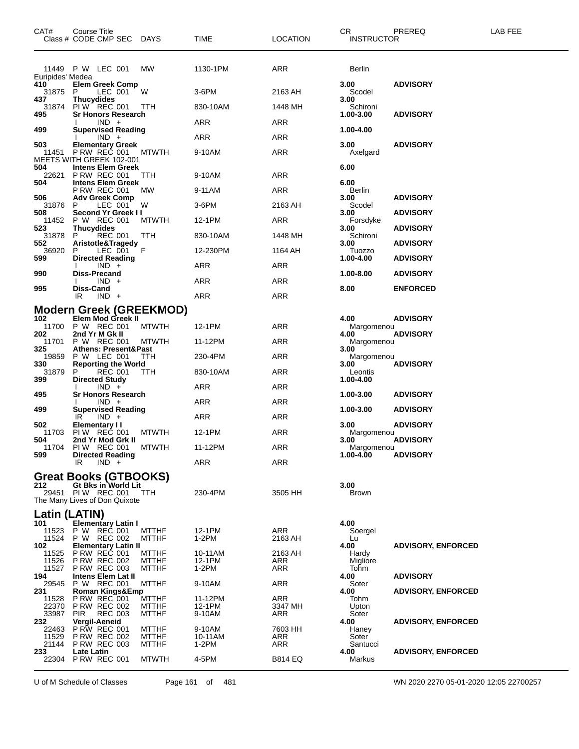| CAT#                             | Course Title<br>Class # CODE CMP SEC DAYS                                                          |                |                                | TIME              | <b>LOCATION</b> | CR.<br><b>INSTRUCTOR</b> | PREREQ                    | LAB FEE |
|----------------------------------|----------------------------------------------------------------------------------------------------|----------------|--------------------------------|-------------------|-----------------|--------------------------|---------------------------|---------|
|                                  | 11449 P W LEC 001                                                                                  |                | МW                             | 1130-1PM          | ARR             | Berlin                   |                           |         |
| Euripides' Medea<br>410<br>31875 | <b>Elem Greek Comp</b><br>P                                                                        | LEC 001        | W                              | $3-6$ PM          | 2163 AH         | 3.00<br>Scodel           | <b>ADVISORY</b>           |         |
| 437<br>31874                     | <b>Thucydides</b><br>PIW REC 001 TTH                                                               |                |                                | 830-10AM          | 1448 MH         | 3.00<br>Schironi         |                           |         |
| 495                              | <b>Sr Honors Research</b><br>$IND +$                                                               |                |                                | ARR               | ARR             | 1.00-3.00                | <b>ADVISORY</b>           |         |
| 499                              | <b>Supervised Reading</b>                                                                          |                |                                |                   |                 | 1.00-4.00                |                           |         |
| 503                              | $IND +$<br><b>Elementary Greek</b>                                                                 |                |                                | ARR               | ARR             | 3.00                     | <b>ADVISORY</b>           |         |
|                                  | 11451 PRW REC 001<br>MEETS WITH GREEK 102-001                                                      |                | <b>MTWTH</b>                   | 9-10AM            | ARR             | Axelgard                 |                           |         |
| 504<br>22621                     | <b>Intens Elem Greek</b><br><b>P RW REC 001</b>                                                    |                | TTH                            | 9-10AM            | <b>ARR</b>      | 6.00                     |                           |         |
| 504                              | <b>Intens Elem Greek</b><br><b>P RW REC 001</b>                                                    |                | <b>MW</b>                      | 9-11AM            | ARR             | 6.00<br>Berlin           |                           |         |
| 506                              | <b>Adv Greek Comp</b>                                                                              |                |                                |                   |                 | 3.00                     | <b>ADVISORY</b>           |         |
| 31876<br>508                     | P<br>Second Yr Greek II                                                                            | LEC 001        | W                              | $3-6$ PM          | 2163 AH         | Scodel<br>3.00           | <b>ADVISORY</b>           |         |
| 11452<br>523                     | P W REC 001<br><b>Thucydides</b>                                                                   |                | <b>MTWTH</b>                   | 12-1PM            | ARR             | Forsdyke<br>3.00         | <b>ADVISORY</b>           |         |
| 31878                            | P                                                                                                  | REC 001        | TTH                            | 830-10AM          | 1448 MH         | Schironi                 |                           |         |
| 552<br>36920                     | Aristotle&Tragedy<br>P                                                                             | LEC 001 F      |                                | 12-230PM          | 1164 AH         | 3.00<br>Tuozzo           | <b>ADVISORY</b>           |         |
| 599                              | <b>Directed Reading</b><br>$IND +$                                                                 |                |                                | ARR               | ARR             | 1.00-4.00                | <b>ADVISORY</b>           |         |
| 990                              | <b>Diss-Precand</b><br>$IND +$                                                                     |                |                                | ARR               | ARR             | 1.00-8.00                | <b>ADVISORY</b>           |         |
| 995                              | <b>Diss-Cand</b><br>$IND +$<br>IR                                                                  |                |                                | <b>ARR</b>        | ARR             | 8.00                     | <b>ENFORCED</b>           |         |
|                                  |                                                                                                    |                | <b>Modern Greek (GREEKMOD)</b> |                   |                 |                          |                           |         |
| 102                              | Elem Mod Greek II                                                                                  |                |                                |                   |                 | 4.00                     | <b>ADVISORY</b>           |         |
| 202                              | 11700 P W REC 001<br>2nd Yr M Gk II                                                                |                | <b>MTWTH</b>                   | 12-1PM            | ARR             | Margomenou<br>4.00       | <b>ADVISORY</b>           |         |
| 11701<br>325                     | P W REC 001<br><b>Athens: Present&amp;Past</b>                                                     |                | <b>MTWTH</b>                   | 11-12PM           | ARR             | Margomenou<br>3.00       |                           |         |
| 19859<br>330                     | P W LEC 001<br><b>Reporting the World</b>                                                          |                | TTH                            | 230-4PM           | ARR             | Margomenou<br>3.00       | <b>ADVISORY</b>           |         |
| 31879                            | P                                                                                                  | <b>REC 001</b> | TТH                            | 830-10AM          | ARR             | Leontis                  |                           |         |
| 399                              | <b>Directed Study</b><br>$IND +$                                                                   |                |                                | ARR               | ARR             | 1.00-4.00                |                           |         |
| 495                              | Sr Honors Research<br>$IND +$                                                                      |                |                                | ARR               | ARR             | 1.00-3.00                | <b>ADVISORY</b>           |         |
| 499                              | <b>Supervised Reading</b><br>IR<br>$IND +$                                                         |                |                                | ARR               | ARR             | 1.00-3.00                | <b>ADVISORY</b>           |         |
| 502                              | Elementary II                                                                                      |                |                                |                   |                 | 3.00                     | <b>ADVISORY</b>           |         |
| 11703<br>504                     | PIW REC 001<br>2nd Yr Mod Grk II                                                                   |                | <b>MTWTH</b>                   | 12-1PM            | ARR             | Margomenou<br>3.00       | <b>ADVISORY</b>           |         |
| 11704<br>599                     | <b>PIW REC 001</b><br><b>Directed Reading</b>                                                      |                | <b>MTWTH</b>                   | 11-12PM           | <b>ARR</b>      | Margomenou<br>1.00-4.00  | <b>ADVISORY</b>           |         |
|                                  | IR<br>$IND +$                                                                                      |                |                                | ARR               | ARR             |                          |                           |         |
| 212                              | Great Books (GTBOOKS)<br>Gt Bks in World Lit<br>29451 PIW REC 001<br>The Many Lives of Don Quixote |                | TTH                            | 230-4PM           | 3505 HH         | 3.00<br><b>Brown</b>     |                           |         |
| Latin (LATIN)<br>101             | <b>Elementary Latin I</b>                                                                          |                |                                |                   |                 | 4.00                     |                           |         |
| 11524                            | 11523 P W REC 001<br>P W REC 002                                                                   |                | <b>MTTHF</b>                   | 12-1PM<br>1-2PM   | ARR             | Soergel                  |                           |         |
| 102                              | <b>Elementary Latin II</b>                                                                         |                | <b>MTTHF</b>                   |                   | 2163 AH         | Lu<br>4.00               | <b>ADVISORY, ENFORCED</b> |         |
| 11525<br>11526                   | P RW REC 001<br><b>P RW REC 002</b>                                                                |                | <b>MTTHF</b><br><b>MTTHF</b>   | 10-11AM<br>12-1PM | 2163 AH<br>ARR  | Hardy<br>Migliore        |                           |         |
| 11527<br>194                     | <b>P RW REC 003</b><br><b>Intens Elem Lat II</b>                                                   |                | <b>MTTHF</b>                   | $1-2PM$           | ARR             | Tohm<br>4.00             | <b>ADVISORY</b>           |         |
| 29545                            | P W REC 001                                                                                        |                | <b>MTTHF</b>                   | 9-10AM            | ARR             | Soter                    |                           |         |
| 231<br>11528                     | <b>Roman Kings&amp;Emp</b><br>P RW REC 001                                                         |                | MTTHF                          | 11-12PM           | ARR             | 4.00<br>Tohm             | <b>ADVISORY, ENFORCED</b> |         |
| 22370<br>33987                   | <b>P RW REC 002</b><br>PIR                                                                         | <b>REC 003</b> | <b>MTTHF</b><br><b>MTTHF</b>   | 12-1PM<br>9-10AM  | 3347 MH<br>ARR  | Upton<br>Soter           |                           |         |
| 232                              | Vergil-Aeneid                                                                                      |                |                                |                   |                 | 4.00                     | <b>ADVISORY, ENFORCED</b> |         |
| 22463<br>11529                   | <b>P RW REC 001</b><br><b>P RW REC 002</b>                                                         |                | <b>MTTHF</b><br><b>MTTHF</b>   | 9-10AM<br>10-11AM | 7603 HH<br>ARR  | Haney<br>Soter           |                           |         |
| 21144<br>233                     | <b>P RW REC 003</b><br>Late Latin                                                                  |                | <b>MTTHF</b>                   | 1-2PM             | ARR             | Santucci<br>4.00         | <b>ADVISORY, ENFORCED</b> |         |
| 22304                            | <b>P RW REC 001</b>                                                                                |                | <b>MTWTH</b>                   | 4-5PM             | <b>B814 EQ</b>  | Markus                   |                           |         |

U of M Schedule of Classes Page 161 of 481 WN 2020 2270 05-01-2020 12:05 22700257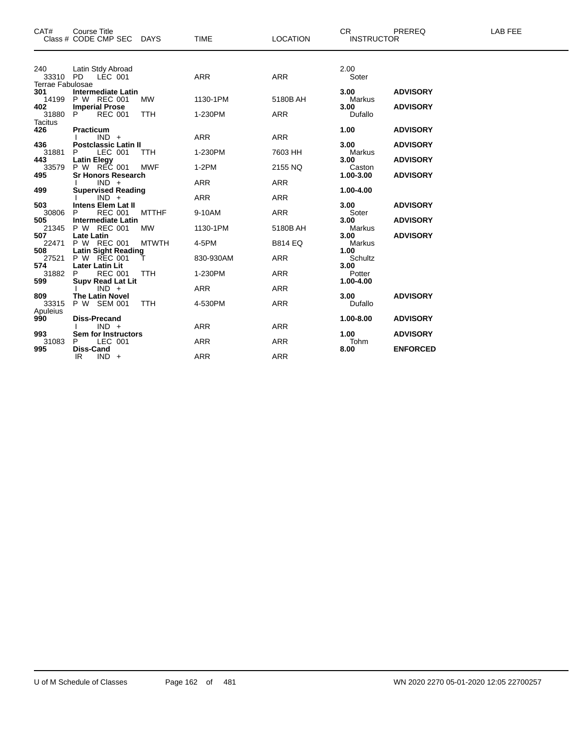| CAT#                                       | <b>Course Title</b><br>Class # CODE CMP SEC DAYS                    |              | <b>TIME</b>              | <b>LOCATION</b>          | <b>CR</b><br><b>INSTRUCTOR</b> | PREREQ                             | <b>LAB FEE</b> |
|--------------------------------------------|---------------------------------------------------------------------|--------------|--------------------------|--------------------------|--------------------------------|------------------------------------|----------------|
|                                            |                                                                     |              |                          |                          |                                |                                    |                |
| 240<br>33310 PD<br><b>Terrae Fabulosae</b> | Latin Stdy Abroad<br>LÉC 001                                        |              | <b>ARR</b>               | <b>ARR</b>               | 2.00<br>Soter                  |                                    |                |
| 301<br>14199<br>402                        | <b>Intermediate Latin</b><br>P W REC 001<br><b>Imperial Prose</b>   | MW           | 1130-1PM                 | 5180B AH                 | 3.00<br>Markus<br>3.00         | <b>ADVISORY</b><br><b>ADVISORY</b> |                |
| 31880<br><b>Tacitus</b>                    | P<br><b>REC 001</b>                                                 | <b>TTH</b>   | 1-230PM                  | <b>ARR</b>               | Dufallo                        |                                    |                |
| 426                                        | Practicum<br>$IND +$                                                |              | ARR                      | ARR                      | 1.00                           | <b>ADVISORY</b>                    |                |
| 436<br>31881                               | <b>Postclassic Latin II</b><br>LEC 001<br>P.                        | <b>TTH</b>   | 1-230PM                  | 7603 HH                  | 3.00<br>Markus                 | <b>ADVISORY</b>                    |                |
| 443<br>33579<br>495                        | <b>Latin Elegy</b><br>P W REC 001<br><b>Sr Honors Research</b>      | <b>MWF</b>   | $1-2PM$                  | 2155 NQ                  | 3.00<br>Caston<br>1.00-3.00    | <b>ADVISORY</b><br><b>ADVISORY</b> |                |
| 499                                        | $IND +$<br><b>Supervised Reading</b>                                |              | <b>ARR</b>               | <b>ARR</b>               | 1.00-4.00                      |                                    |                |
| 503                                        | $IND +$<br><b>Intens Elem Lat II</b><br><b>REC 001</b>              | <b>MTTHF</b> | <b>ARR</b><br>9-10AM     | <b>ARR</b><br><b>ARR</b> | 3.00                           | <b>ADVISORY</b>                    |                |
| 30806<br>505<br>21345                      | P.<br><b>Intermediate Latin</b><br>P W REC 001                      | <b>MW</b>    | 1130-1PM                 | 5180B AH                 | Soter<br>3.00<br>Markus        | <b>ADVISORY</b>                    |                |
| 507<br>22471                               | <b>Late Latin</b><br>P W REC 001                                    | <b>MTWTH</b> | 4-5PM                    | <b>B814 EQ</b>           | 3.00<br>Markus                 | <b>ADVISORY</b>                    |                |
| 508<br>27521<br>574                        | <b>Latin Sight Reading</b><br>P W REC 001<br><b>Later Latin Lit</b> |              | 830-930AM                | <b>ARR</b>               | 1.00<br>Schultz<br>3.00        |                                    |                |
| 31882<br>599                               | <b>REC 001</b><br>P.<br>Supv Read Lat Lit<br>  IND +                | <b>TTH</b>   | 1-230PM                  | <b>ARR</b>               | Potter<br>1.00-4.00            |                                    |                |
| 809<br>33315                               | <b>The Latin Novel</b><br>P W SEM 001                               | <b>TTH</b>   | <b>ARR</b><br>4-530PM    | <b>ARR</b><br><b>ARR</b> | 3.00 <sub>1</sub><br>Dufallo   | <b>ADVISORY</b>                    |                |
| Apuleius<br>990                            | Diss-Precand                                                        |              |                          |                          | 1.00-8.00                      | <b>ADVISORY</b>                    |                |
| 993                                        | $IND +$<br>Sem for Instructors                                      |              | <b>ARR</b>               | <b>ARR</b>               | 1.00                           | <b>ADVISORY</b>                    |                |
| 31083<br>995                               | LEC 001<br>P.<br>Diss-Cand<br>IR<br>$IND +$                         |              | <b>ARR</b><br><b>ARR</b> | <b>ARR</b><br><b>ARR</b> | Tohm<br>8.00                   | <b>ENFORCED</b>                    |                |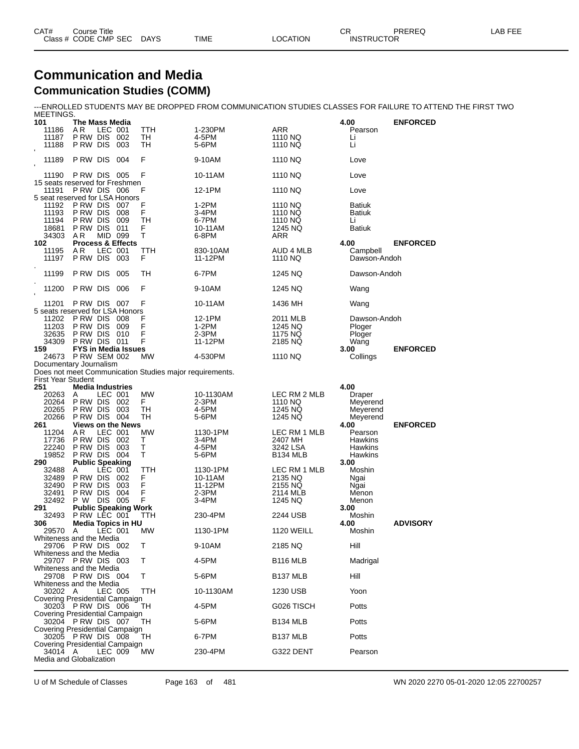| CAT# | Course Title         |             |             |                 | ⌒冖<br>◡◠          | PREREQ | LAB FEE |
|------|----------------------|-------------|-------------|-----------------|-------------------|--------|---------|
|      | Class # CODE CMP SEC | <b>DAYS</b> | <b>TIME</b> | <b>LOCATION</b> | <b>INSTRUCTOR</b> |        |         |

#### **Communication and Media Communication Studies (COMM)**

---ENROLLED STUDENTS MAY BE DROPPED FROM COMMUNICATION STUDIES CLASSES FOR FAILURE TO ATTEND THE FIRST TWO

| MEETINGS.                 |                                                     |            |                                                         |                    |                         |                     |                 |
|---------------------------|-----------------------------------------------------|------------|---------------------------------------------------------|--------------------|-------------------------|---------------------|-----------------|
| 101<br>11186              | The Mass Media<br>A R                               | LEC 001    | TTH                                                     | 1-230PM            | ARR                     | 4.00<br>Pearson     | <b>ENFORCED</b> |
| 11187                     | P RW DIS                                            | 002        | TН                                                      | 4-5PM              | 1110 NQ                 | Li                  |                 |
| 11188                     | P RW DIS                                            | 003        | TН                                                      | 5-6PM              | 1110 NQ                 | Li                  |                 |
| $\mathbf{I}$<br>11189     | P RW DIS                                            | 004        | F                                                       | 9-10AM             | 1110 NQ                 | Love                |                 |
| $\mathbf{I}$              |                                                     |            |                                                         |                    |                         |                     |                 |
| 11190                     | PRW DIS 005                                         |            | F                                                       | 10-11AM            | 1110 NQ                 | Love                |                 |
| 11191                     | 15 seats reserved for Freshmen<br>P RW DIS          | - 006      | F                                                       | 12-1PM             | 1110 NQ                 | Love                |                 |
|                           | 5 seat reserved for LSA Honors                      |            |                                                         |                    |                         |                     |                 |
| 11192                     | P RW DIS                                            | -007       | F                                                       | $1-2PM$            | 1110 NQ                 | <b>Batiuk</b>       |                 |
| 11193                     | P RW DIS                                            | 008        | F                                                       | 3-4PM              | 1110 NQ                 | <b>Batiuk</b>       |                 |
| 11194<br>18681            | P RW DIS<br>P RW DIS                                | 009<br>011 | TН<br>F                                                 | 6-7PM<br>10-11AM   | 1110 NQ<br>1245 NQ      | Li<br><b>Batiuk</b> |                 |
| 34303                     | A R                                                 | MID 099    | т                                                       | 6-8PM              | ARR                     |                     |                 |
| 102                       | <b>Process &amp; Effects</b>                        |            |                                                         |                    |                         | 4.00                | <b>ENFORCED</b> |
| 11195                     | ΑR                                                  | LEC 001    | TTH                                                     | 830-10AM           | AUD 4 MLB               | Campbell            |                 |
| 11197                     | P RW DIS                                            | 003        | F                                                       | 11-12PM            | 1110 NQ                 | Dawson-Andoh        |                 |
| 11199                     | P RW DIS                                            | 005        | TН                                                      | 6-7PM              | 1245 NQ                 | Dawson-Andoh        |                 |
| 11200                     | P RW DIS                                            | 006        | F                                                       | 9-10AM             | 1245 NQ                 | Wang                |                 |
| 11201                     | PRW DIS 007                                         |            | F                                                       | 10-11AM            | 1436 MH                 | Wang                |                 |
|                           | 5 seats reserved for LSA Honors                     |            |                                                         |                    |                         |                     |                 |
| 11202                     | P RW DIS                                            | 008        | F                                                       | 12-1PM             | 2011 MLB                | Dawson-Andoh        |                 |
| 11203<br>32635            | P RW DIS<br>P RW DIS                                | 009<br>010 | F<br>F                                                  | $1-2PM$<br>$2-3PM$ | 1245 NQ<br>1175 NQ      | Ploger              |                 |
| 34309                     | PRW DIS 011                                         |            | F                                                       | 11-12PM            | 2185 NQ                 | Ploger<br>Wang      |                 |
| 159                       | <b>FYS in Media Issues</b>                          |            |                                                         |                    |                         | 3.00                | <b>ENFORCED</b> |
| 24673                     | <b>P RW SEM 002</b>                                 |            | МW                                                      | 4-530PM            | 1110 NQ                 | Collings            |                 |
|                           | Documentary Journalism                              |            |                                                         |                    |                         |                     |                 |
| <b>First Year Student</b> |                                                     |            | Does not meet Communication Studies major requirements. |                    |                         |                     |                 |
| 251                       | <b>Media Industries</b>                             |            |                                                         |                    |                         | 4.00                |                 |
| 20263                     | A                                                   | LEC 001    | <b>MW</b>                                               | 10-1130AM          | LEC RM 2 MLB            | Draper              |                 |
| 20264                     | P RW DIS                                            | - 002      | F.                                                      | 2-3PM              | 1110 NQ                 | Meyerend            |                 |
| 20265                     | P RW DIS                                            | 003        | TН                                                      | 4-5PM              | 1245 NQ                 | Meyerend            |                 |
| 20266                     | P RW DIS                                            | -004       | TН                                                      | 5-6PM              | 1245 NQ                 | Meyerend            |                 |
| 261<br>11204              | <b>Views on the News</b><br>A R                     | LEC 001    | МW                                                      | 1130-1PM           | LEC RM 1 MLB            | 4.00<br>Pearson     | <b>ENFORCED</b> |
| 17736                     | P RW DIS                                            | 002        | т                                                       | 3-4PM              | 2407 MH                 | Hawkins             |                 |
| 22240                     | P RW DIS                                            | 003        | Т                                                       | 4-5PM              | 3242 LSA                | Hawkins             |                 |
| 19852                     | PRW DIS 004                                         |            | Τ                                                       | 5-6PM              | B134 MLB                | Hawkins             |                 |
| 290                       | <b>Public Speaking</b>                              |            |                                                         |                    |                         | 3.00                |                 |
| 32488                     | Α                                                   | LEC 001    | TTH                                                     | 1130-1PM           | LEC RM 1 MLB<br>2135 NQ | Moshin              |                 |
| 32489<br>32490            | P RW DIS<br>P RW DIS                                | 002<br>003 | F<br>F                                                  | 10-11AM<br>11-12PM | 2155 NQ                 | Ngai<br>Ngai        |                 |
| 32491                     | P RW DIS                                            | 004        | F                                                       | 2-3PM              | 2114 MLB                | Menon               |                 |
| 32492                     | P W                                                 | DIS 005    | F                                                       | 3-4PM              | 1245 NQ                 | Menon               |                 |
| 291                       | <b>Public Speaking Work</b>                         |            |                                                         |                    |                         | 3.00                |                 |
| 32493<br>306              | PRW LEC 001<br><b>Media Topics in HU</b>            |            | TTH                                                     | 230-4PM            | 2244 USB                | Moshin<br>4.00      | <b>ADVISORY</b> |
| 29570                     | A                                                   | LEC 001    | МW                                                      | 1130-1PM           | <b>1120 WEILL</b>       | Moshin              |                 |
|                           | Whiteness and the Media                             |            |                                                         |                    |                         |                     |                 |
|                           | 29706 PRW DIS 002                                   |            | Τ                                                       | 9-10AM             | 2185 NQ                 | Hill                |                 |
|                           | Whiteness and the Media<br>29707 PRW DIS 003        |            | т                                                       | 4-5PM              | <b>B116 MLB</b>         | Madrigal            |                 |
|                           | Whiteness and the Media                             |            |                                                         |                    |                         |                     |                 |
|                           | 29708 PRW DIS 004                                   |            | т                                                       | 5-6PM              | B137 MLB                | Hill                |                 |
|                           | Whiteness and the Media                             |            |                                                         |                    |                         |                     |                 |
| 30202 A                   | Covering Presidential Campaign                      | LEC 005    | ттн                                                     | 10-1130AM          | 1230 USB                | Yoon                |                 |
|                           | 30203 PRW DIS 006                                   |            | TH                                                      | 4-5PM              | G026 TISCH              | Potts               |                 |
|                           | Covering Presidential Campaign<br>30204 PRW DIS 007 |            | ТH                                                      | 5-6PM              | B134 MLB                | Potts               |                 |
|                           | Covering Presidential Campaign<br>30205 PRW DIS 008 |            | ТH                                                      | 6-7PM              | B137 MLB                | Potts               |                 |
| 34014 A                   | Covering Presidential Campaign                      | LEC 009    | МW                                                      | 230-4PM            | G322 DENT               | Pearson             |                 |
|                           | Media and Globalization                             |            |                                                         |                    |                         |                     |                 |
|                           |                                                     |            |                                                         |                    |                         |                     |                 |

U of M Schedule of Classes Page 163 of 481 WN 2020 2270 05-01-2020 12:05 22700257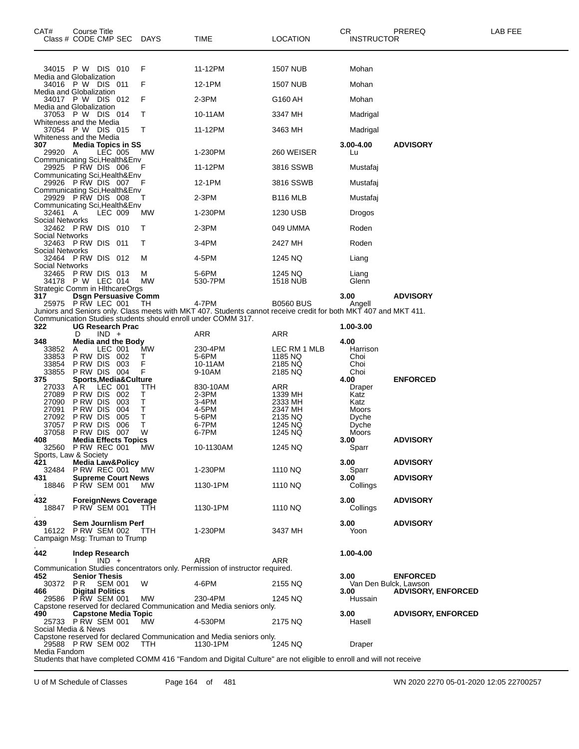| CAT#                                     | Course Title<br>Class # CODE CMP SEC   |                                      | DAYS       | TIME                                                                                                               | <b>LOCATION</b>         | CR.<br><b>INSTRUCTOR</b>      | PREREQ                    | LAB FEE |
|------------------------------------------|----------------------------------------|--------------------------------------|------------|--------------------------------------------------------------------------------------------------------------------|-------------------------|-------------------------------|---------------------------|---------|
|                                          | 34015 PW DIS 010                       |                                      | F          | 11-12PM                                                                                                            | <b>1507 NUB</b>         | Mohan                         |                           |         |
| Media and Globalization                  | 34016 P W DIS 011                      |                                      | F          | 12-1PM                                                                                                             | 1507 NUB                | Mohan                         |                           |         |
| Media and Globalization                  |                                        |                                      |            |                                                                                                                    |                         |                               |                           |         |
| Media and Globalization                  | 34017 PW DIS 012                       |                                      | F          | 2-3PM                                                                                                              | G160 AH                 | Mohan                         |                           |         |
| Whiteness and the Media                  | 37053 P W DIS 014                      |                                      | т          | 10-11AM                                                                                                            | 3347 MH                 | Madrigal                      |                           |         |
| Whiteness and the Media                  | 37054 P W DIS 015                      |                                      | т          | 11-12PM                                                                                                            | 3463 MH                 | Madrigal                      |                           |         |
| 307<br>29920 A                           |                                        | <b>Media Topics in SS</b><br>LEC 005 | МW         | 1-230PM                                                                                                            | 260 WEISER              | 3.00-4.00<br>Lu               | <b>ADVISORY</b>           |         |
| Communicating Sci, Health&Env            | 29925 PRW DIS 006                      |                                      |            | 11-12PM                                                                                                            | 3816 SSWB               | Mustafaj                      |                           |         |
| Communicating Sci, Health&Env            | 29926 PRW DIS 007                      |                                      | F          | 12-1PM                                                                                                             | 3816 SSWB               | Mustafaj                      |                           |         |
| Communicating Sci, Health&Env            | 29929 PRW DIS 008                      |                                      | т          | 2-3PM                                                                                                              | B116 MLB                | Mustafaj                      |                           |         |
| Communicating Sci, Health&Env<br>32461 A |                                        | LEC 009                              | MW         | 1-230PM                                                                                                            | 1230 USB                | Drogos                        |                           |         |
| Social Networks                          | 32462 PRW DIS 010                      |                                      | т          | 2-3PM                                                                                                              | 049 UMMA                | Roden                         |                           |         |
| Social Networks                          | 32463 PRW DIS 011                      |                                      | т          | 3-4PM                                                                                                              | 2427 MH                 | Roden                         |                           |         |
| <b>Social Networks</b>                   | 32464 PRW DIS 012                      |                                      | M          | 4-5PM                                                                                                              | 1245 NQ                 | Liang                         |                           |         |
| Social Networks                          | 32465 PRW DIS 013<br>34178 P W LEC 014 |                                      | м<br>MW    | 5-6PM<br>530-7PM                                                                                                   | 1245 NQ<br>1518 NUB     | Liang<br>Glenn                |                           |         |
| Strategic Comm in HithcareOrgs<br>317    |                                        | <b>Dsgn Persuasive Comm</b>          |            | 4-7PM                                                                                                              | <b>B0560 BUS</b>        | 3.00                          | <b>ADVISORY</b>           |         |
|                                          | 25975 P RW LEC 001                     |                                      | ТH         | Juniors and Seniors only. Class meets with MKT 407. Students cannot receive credit for both MKT 407 and MKT 411.   |                         | Angell                        |                           |         |
| 322                                      |                                        | <b>UG Research Prac</b>              |            | Communication Studies students should enroll under COMM 317.                                                       |                         | 1.00-3.00                     |                           |         |
| 348                                      | D                                      | $IND +$<br><b>Media and the Body</b> |            | ARR                                                                                                                | ARR                     | 4.00                          |                           |         |
| 33852<br>33853                           | Α<br>PRW DIS 002                       | LEC 001                              | MW<br>Т    | 230-4PM<br>5-6PM                                                                                                   | LEC RM 1 MLB<br>1185 NQ | Harrison<br>Choi              |                           |         |
| 33854                                    | P RW DIS                               | 003                                  | F          | 10-11AM                                                                                                            | 2185 NQ                 | Choi                          |                           |         |
| 33855<br>375                             | PRW DIS 004                            | <b>Sports, Media&amp; Culture</b>    | F          | 9-10AM                                                                                                             | 2185 NQ                 | Choi<br>4.00                  | <b>ENFORCED</b>           |         |
| 27033<br>27089                           | A <sub>R</sub><br>P RW DIS             | LEC 001<br>002                       | TTH<br>т   | 830-10AM<br>2-3PM                                                                                                  | ARR<br>1339 MH          | Draper<br>Katz                |                           |         |
| 27090                                    | P RW DIS                               | 003                                  | т          | 3-4PM                                                                                                              | 2333 MH                 | Katz                          |                           |         |
| 27091                                    | P RW DIS                               | 004                                  | Т          | 4-5PM                                                                                                              | 2347 MH                 | Moors                         |                           |         |
| 27092                                    | P RW DIS                               | 005                                  | Т          | 5-6PM                                                                                                              | 2135 NQ                 | Dyche                         |                           |         |
| 37057<br>37058                           | P RW DIS<br>P RW DIS                   | 006<br>007                           | т<br>W     | 6-7PM<br>6-7PM                                                                                                     | 1245 NQ<br>1245 NQ      | Dyche<br>Moors                |                           |         |
| 408                                      |                                        | <b>Media Effects Topics</b>          |            |                                                                                                                    |                         | 3.00                          | <b>ADVISORY</b>           |         |
| 32560<br>Sports, Law & Society           |                                        | PRW REC 001                          | <b>MW</b>  | 10-1130AM                                                                                                          | 1245 NQ                 | Sparr                         |                           |         |
| 421<br>32484                             | <b>P RW REC 001</b>                    | <b>Media Law&amp;Policy</b>          | MW.        | 1-230PM                                                                                                            | 1110 NQ                 | 3.00<br>Sparr                 | <b>ADVISORY</b>           |         |
| 431                                      | 18846 PRW SEM 001                      | <b>Supreme Court News</b>            | МW         | 1130-1PM                                                                                                           | 1110 NQ                 | 3.00<br>Collings              | <b>ADVISORY</b>           |         |
| 432                                      |                                        | <b>ForeignNews Coverage</b>          |            |                                                                                                                    |                         | 3.00                          | <b>ADVISORY</b>           |         |
|                                          | 18847 P RW SEM 001                     |                                      | <b>TTH</b> | 1130-1PM                                                                                                           | 1110 NQ                 | Collings                      |                           |         |
| 439<br>Campaign Msg: Truman to Trump     | 16122 P RW SEM 002                     | <b>Sem Journlism Perf</b>            | TTH        | 1-230PM                                                                                                            | 3437 MH                 | 3.00<br>Yoon                  | <b>ADVISORY</b>           |         |
| 442                                      | <b>Indep Research</b>                  |                                      |            |                                                                                                                    |                         | 1.00-4.00                     |                           |         |
|                                          |                                        | $IND +$                              |            | ARR<br>Communication Studies concentrators only. Permission of instructor required.                                | ARR                     |                               |                           |         |
| 452                                      | <b>Senior Thesis</b>                   |                                      |            |                                                                                                                    |                         | 3.00                          | <b>ENFORCED</b>           |         |
| 30372 PR<br>466                          | <b>Digital Politics</b>                | <b>SEM 001</b>                       | W          | 4-6PM                                                                                                              | 2155 NQ                 | Van Den Bulck, Lawson<br>3.00 | <b>ADVISORY, ENFORCED</b> |         |
|                                          | 29586 P RW SEM 001                     |                                      | MW         | 230-4PM<br>Capstone reserved for declared Communication and Media seniors only.                                    | 1245 NQ                 | Hussain                       |                           |         |
| 490                                      |                                        | <b>Capstone Media Topic</b>          |            | 4-530PM                                                                                                            |                         | 3.00                          | <b>ADVISORY, ENFORCED</b> |         |
| Social Media & News                      | 25733 PRW SEM 001                      |                                      | МW         | Capstone reserved for declared Communication and Media seniors only.                                               | 2175 NQ                 | Hasell                        |                           |         |
| Media Fandom                             | 29588 PRW SEM 002                      |                                      | <b>TTH</b> | 1130-1PM                                                                                                           | 1245 NQ                 | Draper                        |                           |         |
|                                          |                                        |                                      |            | Students that have completed COMM 416 "Fandom and Digital Culture" are not eligible to enroll and will not receive |                         |                               |                           |         |

U of M Schedule of Classes Page 164 of 481 WN 2020 2270 05-01-2020 12:05 22700257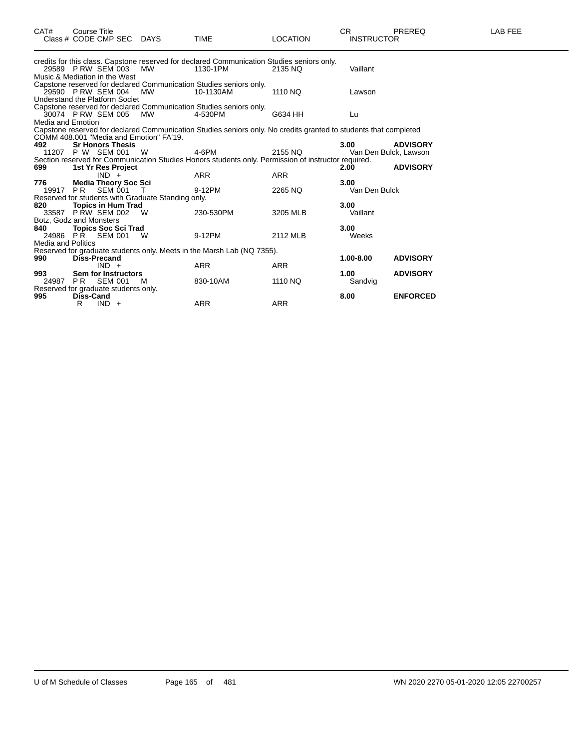| CAT#                      | Course Title<br>Class # CODE CMP SEC DAYS           |     | <b>TIME</b>                                                                                                      | <b>LOCATION</b> | CR.<br><b>INSTRUCTOR</b> | <b>PREREQ</b>   | <b>LAB FEE</b> |
|---------------------------|-----------------------------------------------------|-----|------------------------------------------------------------------------------------------------------------------|-----------------|--------------------------|-----------------|----------------|
|                           |                                                     |     | credits for this class. Capstone reserved for declared Communication Studies seniors only.                       |                 |                          |                 |                |
|                           | 29589 P RW SEM 003<br>Music & Mediation in the West | MW  | 1130-1PM                                                                                                         | 2135 NQ         | Vaillant                 |                 |                |
|                           |                                                     |     | Capstone reserved for declared Communication Studies seniors only.                                               |                 |                          |                 |                |
|                           | 29590 P RW SEM 004                                  | MW  | 10-1130AM                                                                                                        | 1110 NQ         | Lawson                   |                 |                |
|                           | Understand the Platform Societ                      |     |                                                                                                                  |                 |                          |                 |                |
|                           |                                                     |     | Capstone reserved for declared Communication Studies seniors only.                                               |                 |                          |                 |                |
|                           | 30074 P RW SEM 005                                  | MW  | 4-530PM                                                                                                          | G634 HH         | Lu                       |                 |                |
| Media and Emotion         |                                                     |     |                                                                                                                  |                 |                          |                 |                |
|                           |                                                     |     | Capstone reserved for declared Communication Studies seniors only. No credits granted to students that completed |                 |                          |                 |                |
|                           | COMM 408.001 "Media and Emotion" FA'19.             |     |                                                                                                                  |                 |                          |                 |                |
| 492                       | <b>Sr Honors Thesis</b>                             |     |                                                                                                                  |                 | 3.00                     | <b>ADVISORY</b> |                |
|                           | 11207 P W SEM 001                                   | - W | 4-6PM                                                                                                            | 2155 NQ         | Van Den Bulck, Lawson    |                 |                |
|                           |                                                     |     | Section reserved for Communication Studies Honors students only. Permission of instructor required.              |                 |                          |                 |                |
| 699                       | 1st Yr Res Project                                  |     |                                                                                                                  |                 | 2.00                     | <b>ADVISORY</b> |                |
|                           | $IND +$                                             |     | <b>ARR</b>                                                                                                       | <b>ARR</b>      |                          |                 |                |
| 776                       | <b>Media Theory Soc Sci</b>                         |     |                                                                                                                  |                 | 3.00                     |                 |                |
| 19917 PR                  | SEM 001                                             |     | 9-12PM                                                                                                           | 2265 NQ         | Van Den Bulck            |                 |                |
|                           | Reserved for students with Graduate Standing only.  |     |                                                                                                                  |                 |                          |                 |                |
| 820                       | <b>Topics in Hum Trad</b>                           |     |                                                                                                                  |                 | 3.00                     |                 |                |
|                           | 33587 P RW SEM 002                                  | W   | 230-530PM                                                                                                        | 3205 MLB        | Vaillant                 |                 |                |
|                           | Botz, Godz and Monsters                             |     |                                                                                                                  |                 |                          |                 |                |
| 840                       | <b>Topics Soc Sci Trad</b>                          |     |                                                                                                                  |                 | 3.00                     |                 |                |
| 24986 PR                  | SEM 001                                             | - W | 9-12PM                                                                                                           | 2112 MLB        | Weeks                    |                 |                |
| <b>Media and Politics</b> |                                                     |     |                                                                                                                  |                 |                          |                 |                |
|                           |                                                     |     | Reserved for graduate students only. Meets in the Marsh Lab (NQ 7355).                                           |                 |                          |                 |                |
| 990                       | <b>Diss-Precand</b>                                 |     |                                                                                                                  |                 | 1.00-8.00                | <b>ADVISORY</b> |                |
|                           | $IND +$                                             |     | <b>ARR</b>                                                                                                       | <b>ARR</b>      |                          |                 |                |
| 993                       | Sem for Instructors                                 |     |                                                                                                                  |                 | 1.00                     | <b>ADVISORY</b> |                |
| 24987 PR                  | <b>SEM 001</b>                                      | M   | 830-10AM                                                                                                         | 1110 NQ         | Sandvig                  |                 |                |
|                           | Reserved for graduate students only.                |     |                                                                                                                  |                 |                          |                 |                |
| 995                       | <b>Diss-Cand</b>                                    |     |                                                                                                                  |                 | 8.00                     | <b>ENFORCED</b> |                |
|                           | R<br>$IND +$                                        |     | ARR                                                                                                              | <b>ARR</b>      |                          |                 |                |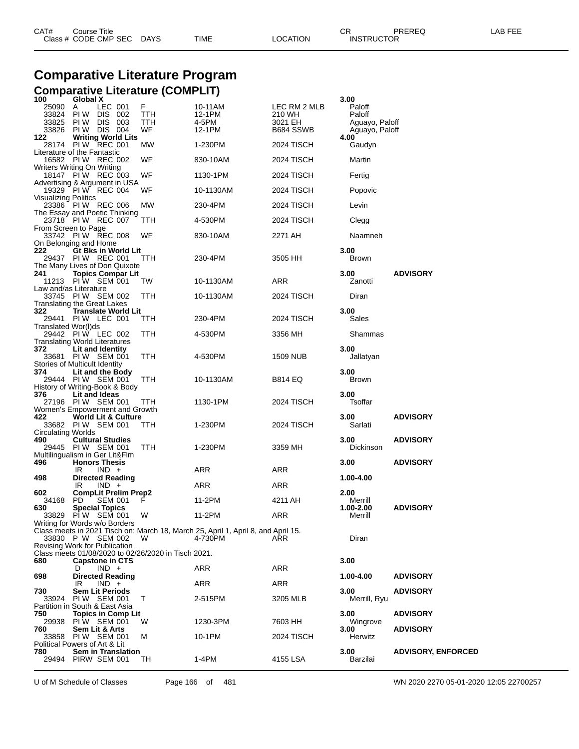| CAT# | Title<br>∴ourse      |      |      |          | Ωm<br>- UN        | PREREQ | . EEF<br>A <sub>R</sub> |
|------|----------------------|------|------|----------|-------------------|--------|-------------------------|
|      | Class # CODE CMP SEC | DAYS | TIME | LOCATION | <b>INSTRUCTOR</b> |        |                         |

# **Comparative Literature Program Comparative Literature (COMPLIT) 100 Global X 3.00**

| 100                              | Global X                                                                                                       |                       |                                                                                              |                                                | 3.00                                                 |                                    |
|----------------------------------|----------------------------------------------------------------------------------------------------------------|-----------------------|----------------------------------------------------------------------------------------------|------------------------------------------------|------------------------------------------------------|------------------------------------|
| 25090<br>33824<br>33825<br>33826 | A<br>LEC 001<br>DIS 002<br>PI W<br>DIS 003<br>PI W<br>PIW DIS 004                                              | F<br>TTH<br>TTH<br>WF | 10-11AM<br>12-1PM<br>4-5PM<br>12-1PM                                                         | LEC RM 2 MLB<br>210 WH<br>3021 EH<br>B684 SSWB | Paloff<br>Paloff<br>Aguayo, Paloff<br>Aguayo, Paloff |                                    |
| 122                              | <b>Writing World Lits</b><br>28174 PIW REC 001                                                                 | МW                    | 1-230PM                                                                                      | 2024 TISCH                                     | 4.00<br>Gaudyn                                       |                                    |
|                                  | Literature of the Fantastic<br>16582 PIW REC 002                                                               | WF                    | 830-10AM                                                                                     | 2024 TISCH                                     | Martin                                               |                                    |
|                                  | Writers Writing On Writing<br>18147 PIW REC 003                                                                | WF                    | 1130-1PM                                                                                     | 2024 TISCH                                     | Fertig                                               |                                    |
|                                  | Advertising & Argument in USA<br>19329 PIW REC 004                                                             | WF                    | 10-1130AM                                                                                    | 2024 TISCH                                     | Popovic                                              |                                    |
| Visualizing Politics             | 23386 PIW REC 006                                                                                              | МW                    | 230-4PM                                                                                      | 2024 TISCH                                     | Levin                                                |                                    |
|                                  | The Essay and Poetic Thinking<br>23718 PIW REC 007                                                             | TТH                   | 4-530PM                                                                                      | 2024 TISCH                                     | Clegg                                                |                                    |
|                                  | From Screen to Page<br>33742 PIW REC 008                                                                       | WF                    | 830-10AM                                                                                     | 2271 AH                                        | Naamneh                                              |                                    |
| 222                              | On Belonging and Home<br>Gt Bks in World Lit<br>29437 PIW REC 001<br>The Many Lives of Don Quixote             | TTH                   | 230-4PM                                                                                      | 3505 HH                                        | 3.00<br>Brown                                        |                                    |
| 241                              | <b>Topics Compar Lit</b><br>11213 PIW SEM 001                                                                  | TW                    | 10-1130AM                                                                                    | ARR                                            | 3.00<br>Zanotti                                      | <b>ADVISORY</b>                    |
|                                  | Law and/as Literature<br>33745 PIW SEM 002                                                                     | ттн                   | 10-1130AM                                                                                    | 2024 TISCH                                     | Diran                                                |                                    |
| 322.                             | Translating the Great Lakes<br><b>Translate World Lit</b><br>29441 PIW LEC 001                                 | TTH                   | 230-4PM                                                                                      | 2024 TISCH                                     | 3.00<br>Sales                                        |                                    |
| Translated Wor(I)ds              | 29442 PIW LEC 002                                                                                              | TTH                   | 4-530PM                                                                                      | 3356 MH                                        | Shammas                                              |                                    |
| 372                              | <b>Translating World Literatures</b><br>Lit and Identity<br>33681 PIW SEM 001<br>Stories of Multicult Identity | ттн                   | 4-530PM                                                                                      | 1509 NUB                                       | 3.00<br>Jallatyan                                    |                                    |
| 374                              | Lit and the Body<br>29444 PIW SEM 001<br>History of Writing-Book & Body                                        | TTH                   | 10-1130AM                                                                                    | <b>B814 EQ</b>                                 | 3.00<br><b>Brown</b>                                 |                                    |
| 376                              | Lit and Ideas<br>27196 PIW SEM 001<br>Women's Empowerment and Growth                                           | TTH                   | 1130-1PM                                                                                     | 2024 TISCH                                     | 3.00<br>Tsoffar                                      |                                    |
| 422                              | World Lit & Culture<br>33682 PIW SEM 001                                                                       | TTH                   | 1-230PM                                                                                      | 2024 TISCH                                     | 3.00<br>Sarlati                                      | <b>ADVISORY</b>                    |
| <b>Circulating Worlds</b><br>490 | <b>Cultural Studies</b><br>29445 PIW SEM 001                                                                   | TTH                   | 1-230PM                                                                                      | 3359 MH                                        | 3.00<br>Dickinson                                    | <b>ADVISORY</b>                    |
| 496                              | Multilingualism in Ger Lit&Flm<br><b>Honors Thesis</b><br>IR<br>$IND +$                                        |                       | ARR                                                                                          | ARR                                            | 3.00                                                 | <b>ADVISORY</b>                    |
| 498                              | <b>Directed Reading</b><br>IR<br>$IND +$                                                                       |                       | ARR                                                                                          | ARR                                            | 1.00-4.00                                            |                                    |
| 602<br>34168                     | <b>CompLit Prelim Prep2</b><br><b>SEM 001</b><br>PD.                                                           |                       | 11-2PM                                                                                       | 4211 AH                                        | 2.00<br>Merrill                                      |                                    |
| 630                              | <b>Special Topics</b><br>33829 PIW SEM 001                                                                     | W                     | 11-2PM                                                                                       | ARR                                            | 1.00-2.00<br>Merrill                                 | <b>ADVISORY</b>                    |
|                                  | Writing for Words w/o Borders<br>33830 P W SEM 002<br>Revising Work for Publication                            | W                     | Class meets in 2021 Tisch on: March 18, March 25, April 1, April 8, and April 15.<br>4-730PM | ARR                                            | Diran                                                |                                    |
| 680                              | Class meets 01/08/2020 to 02/26/2020 in Tisch 2021.<br><b>Capstone in CTS</b>                                  |                       |                                                                                              |                                                | 3.00                                                 |                                    |
| 698                              | $IND +$<br>D<br><b>Directed Reading</b>                                                                        |                       | ARR                                                                                          | ARR                                            | 1.00-4.00                                            | <b>ADVISORY</b>                    |
| 730                              | $IND +$<br>IR<br><b>Sem Lit Periods</b>                                                                        |                       | ARR                                                                                          | ARR                                            | 3.00                                                 | <b>ADVISORY</b>                    |
| 33924                            | PIW SEM 001<br>Partition in South & East Asia                                                                  | т                     | 2-515PM                                                                                      | 3205 MLB                                       | Merrill, Ryu                                         |                                    |
| 750<br>29938<br>760              | <b>Topics in Comp Lit</b><br>PIW SEM 001<br>Sem Lit & Arts                                                     | w                     | 1230-3PM                                                                                     | 7603 HH                                        | 3.00<br>Wingrove<br>3.00                             | <b>ADVISORY</b><br><b>ADVISORY</b> |
| 33858                            | PIW SEM 001<br>Political Powers of Art & Lit                                                                   | м                     | 10-1PM                                                                                       | 2024 TISCH                                     | Herwitz                                              |                                    |
| 780                              | <b>Sem in Translation</b><br>29494 PIRW SEM 001                                                                | TH                    | 1-4PM                                                                                        | 4155 LSA                                       | 3.00<br>Barzilai                                     | <b>ADVISORY, ENFORCED</b>          |

U of M Schedule of Classes Page 166 of 481 WN 2020 2270 05-01-2020 12:05 22700257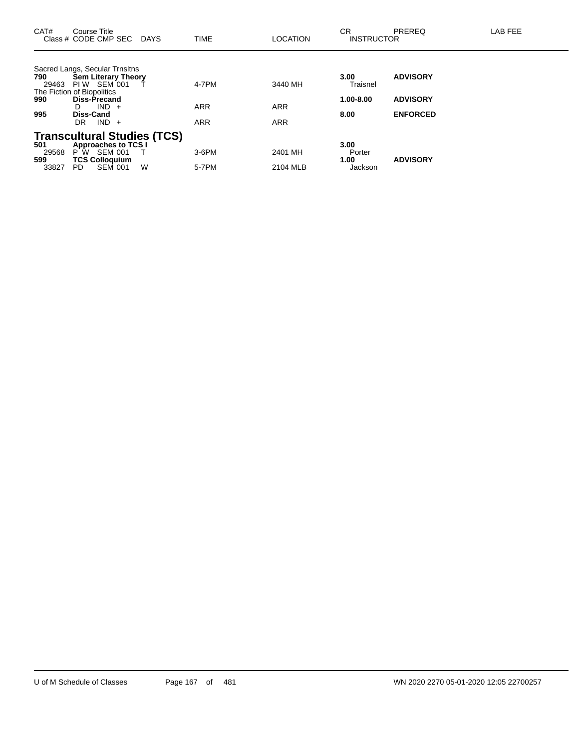| CAT#                         | Course Title<br>Class # CODE CMP SEC                                                                                                                                                   | DAYS | TIME                              | <b>LOCATION</b>                     | <b>CR</b><br><b>INSTRUCTOR</b>        | <b>PREREQ</b>                                         | LAB FEE |
|------------------------------|----------------------------------------------------------------------------------------------------------------------------------------------------------------------------------------|------|-----------------------------------|-------------------------------------|---------------------------------------|-------------------------------------------------------|---------|
| 790<br>29463<br>990<br>995   | Sacred Langs, Secular Trnsltns<br><b>Sem Literary Theory</b><br>PIW SEM 001<br>The Fiction of Biopolitics<br><b>Diss-Precand</b><br>$IND +$<br>D<br><b>Diss-Cand</b><br>$IND +$<br>DR. |      | 4-7PM<br><b>ARR</b><br><b>ARR</b> | 3440 MH<br><b>ARR</b><br><b>ARR</b> | 3.00<br>Traisnel<br>1.00-8.00<br>8.00 | <b>ADVISORY</b><br><b>ADVISORY</b><br><b>ENFORCED</b> |         |
| 501<br>29568<br>599<br>33827 | <b>Transcultural Studies (TCS)</b><br><b>Approaches to TCS I</b><br>$P W$ SEM 001<br><b>TCS Colloquium</b><br><b>SEM 001</b><br>PD.                                                    | W    | $3-6$ PM<br>5-7PM                 | 2401 MH<br>2104 MLB                 | 3.00<br>Porter<br>1.00<br>Jackson     | <b>ADVISORY</b>                                       |         |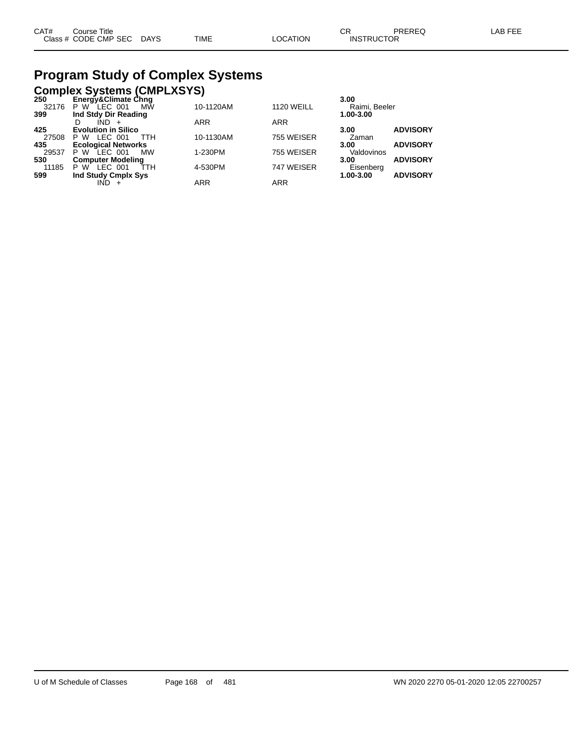# **Program Study of Complex Systems**

# **Complex Systems (CMPLXSYS) 250 Energy&Climate Chng 3.00**

| LIIGI YYAOIIIIIALG OIIIIY   |            |                   | J.VV                         |
|-----------------------------|------------|-------------------|------------------------------|
| P W LEC 001<br><b>MW</b>    | 10-1120AM  | <b>1120 WEILL</b> | Raimi, Beeler                |
| Ind Stdy Dir Reading        |            |                   | 1.00-3.00                    |
| IND +<br>D                  | <b>ARR</b> | <b>ARR</b>        |                              |
| <b>Evolution in Silico</b>  |            |                   | <b>ADVISORY</b><br>3.00      |
| LEC 001<br>P W<br>ттн       | 10-1130AM  | 755 WEISER        | Zaman                        |
| <b>Ecological Networks</b>  |            |                   | <b>ADVISORY</b><br>3.00      |
| P W<br>LEC 001<br><b>MW</b> | 1-230PM    | 755 WEISER        | Valdovinos                   |
| <b>Computer Modeling</b>    |            |                   | <b>ADVISORY</b><br>3.00      |
| ŤТH<br>LEC 001<br>P W       | 4-530PM    | 747 WEISER        | Eisenberg                    |
| Ind Study Cmplx Sys         |            |                   | <b>ADVISORY</b><br>1.00-3.00 |
| IND                         | ARR        | ARR               |                              |
|                             |            |                   |                              |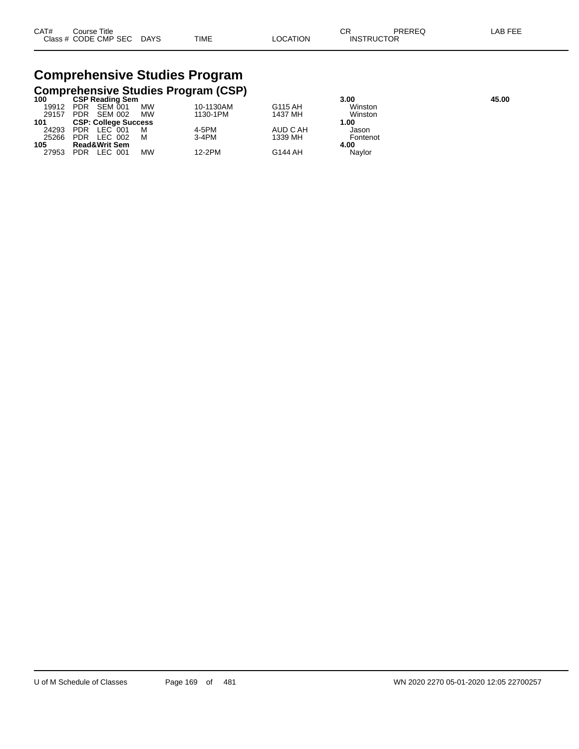| CAT# | ourse Titleٽ              |      |          | ∩⊓<br>◡ጙ          | PREREQ | LAB FEE |
|------|---------------------------|------|----------|-------------------|--------|---------|
|      | Class # CODE CMP SEC DAYS | TIME | LOCATION | <b>INSTRUCTOR</b> |        |         |

# **Comprehensive Studies Program**

|                              |    |                                                       | 3.00     | 45.00                                      |  |
|------------------------------|----|-------------------------------------------------------|----------|--------------------------------------------|--|
| SEM 001<br><b>PDR</b>        | MW | 10-1130AM                                             | G115 AH  | Winston                                    |  |
| <b>PDR</b><br><b>SEM 002</b> | MW | 1130-1PM                                              | 1437 MH  | Winston                                    |  |
|                              |    |                                                       |          | 1.00                                       |  |
| PDR LEC 001                  |    | 4-5PM                                                 | AUD C AH | Jason                                      |  |
| <b>PDR</b><br>LEC 002        | м  | 3-4PM                                                 | 1339 MH  | Fontenot                                   |  |
| <b>Read&amp;Writ Sem</b>     |    |                                                       |          | 4.00                                       |  |
| LEC 001<br><b>PDR</b>        | МW | 12-2PM                                                | G144 AH  | Navlor                                     |  |
|                              |    | <b>CSP Reading Sem</b><br><b>CSP: College Success</b> |          | <b>Comprehensive Studies Program (CSP)</b> |  |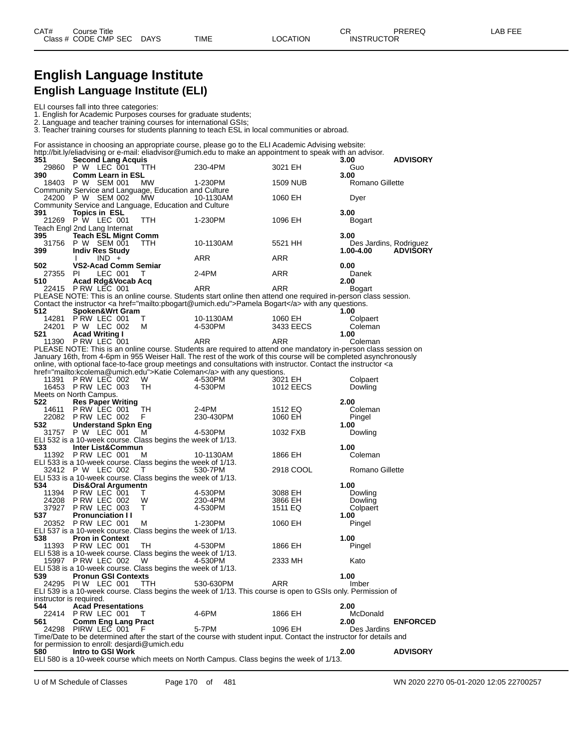# **English Language Institute English Language Institute (ELI)**

1. English for Academic Purposes courses for graduate students;

2. Language and teacher training courses for international GSIs;

3. Teacher training courses for students planning to teach ESL in local communities or abroad.

| 351          | <b>Second Lang Acquis</b>                                                        |        | For assistance in choosing an appropriate course, please go to the ELI Academic Advising website:<br>http://bit.ly/eliadvising or e-mail: eliadvisor@umich.edu to make an appointment to speak with an advisor.                                                             |           | 3.00             | <b>ADVISORY</b>        |
|--------------|----------------------------------------------------------------------------------|--------|-----------------------------------------------------------------------------------------------------------------------------------------------------------------------------------------------------------------------------------------------------------------------------|-----------|------------------|------------------------|
| 29860<br>390 | P W LEC 001<br><b>Comm Learn in ESL</b>                                          | ттн    | 230-4PM                                                                                                                                                                                                                                                                     | 3021 EH   | Guo<br>3.00      |                        |
|              | 18403 P W SEM 001                                                                | MW     | 1-230PM                                                                                                                                                                                                                                                                     | 1509 NUB  | Romano Gillette  |                        |
|              | Community Service and Language, Education and Culture<br>24200 P W SEM 002       | МW     | 10-1130AM                                                                                                                                                                                                                                                                   | 1060 EH   | Dyer             |                        |
| 391          | Community Service and Language, Education and Culture<br>Topics in ESL           |        |                                                                                                                                                                                                                                                                             |           | 3.00             |                        |
|              | 21269 P W LEC 001<br>Teach Engl 2nd Lang Internat                                | TTH    | 1-230PM                                                                                                                                                                                                                                                                     | 1096 EH   | Bogart           |                        |
| 395<br>31756 | <b>Teach ESL Mignt Comm</b><br>P W SEM 001                                       | TTH.   | 10-1130AM                                                                                                                                                                                                                                                                   | 5521 HH   | 3.00             | Des Jardins, Rodriguez |
| 399          | <b>Indiv Res Study</b><br>$IND +$<br>л.                                          |        | ARR                                                                                                                                                                                                                                                                         | ARR       | 1.00-4.00        | <b>ADVISORY</b>        |
| 502          | VS2-Acad Comm Semiar                                                             |        |                                                                                                                                                                                                                                                                             |           | 0.00             |                        |
| 27355<br>510 | LEC 001<br>PI.<br>Acad Rdg&Vocab Acq                                             | т      | 2-4PM                                                                                                                                                                                                                                                                       | ARR       | Danek<br>2.00    |                        |
|              | 22415 PRW LEC 001                                                                |        | ARR                                                                                                                                                                                                                                                                         | ARR       | Bogart           |                        |
|              |                                                                                  |        | PLEASE NOTE: This is an online course. Students start online then attend one required in-person class session.                                                                                                                                                              |           |                  |                        |
|              |                                                                                  |        | Contact the instructor <a href="mailto:pbogart@umich.edu">Pamela Bogart</a> with any questions.                                                                                                                                                                             |           |                  |                        |
| 512          | Spoken&Wrt Gram                                                                  |        |                                                                                                                                                                                                                                                                             |           | 1.00             |                        |
|              | 14281 P RW LEC 001                                                               | т      | 10-1130AM                                                                                                                                                                                                                                                                   | 1060 EH   | Colpaert         |                        |
|              | 24201 P W LEC 002                                                                | М      | 4-530PM                                                                                                                                                                                                                                                                     | 3433 EECS | Coleman          |                        |
| 521          | <b>Acad Writing I</b>                                                            |        |                                                                                                                                                                                                                                                                             |           | 1.00             |                        |
|              | 11390 P RW LEC 001                                                               |        | ARR                                                                                                                                                                                                                                                                         | ARR       | Coleman          |                        |
|              |                                                                                  |        | PLEASE NOTE: This is an online course. Students are required to attend one mandatory in-person class session on                                                                                                                                                             |           |                  |                        |
|              |                                                                                  |        | January 16th, from 4-6pm in 955 Weiser Hall. The rest of the work of this course will be completed asynchronously<br>online, with optional face-to-face group meetings and consultations with instructor. Contact the instructor <a< td=""><td></td><td></td><td></td></a<> |           |                  |                        |
|              |                                                                                  |        | href="mailto:kcolema@umich.edu">Katie Coleman with any questions.                                                                                                                                                                                                           |           |                  |                        |
|              | 11391 P RW LEC 002                                                               | W      | 4-530PM                                                                                                                                                                                                                                                                     | 3021 EH   | Colpaert         |                        |
|              | 16453 P RW LEC 003                                                               | TH.    | 4-530PM                                                                                                                                                                                                                                                                     | 1012 EECS | Dowling          |                        |
|              | Meets on North Campus.                                                           |        |                                                                                                                                                                                                                                                                             |           |                  |                        |
| 522          | <b>Res Paper Writing</b>                                                         |        |                                                                                                                                                                                                                                                                             |           | 2.00             |                        |
| 14611        | P RW LEC 001                                                                     | TH     | 2-4PM                                                                                                                                                                                                                                                                       | 1512 EQ   | Coleman          |                        |
|              | 22082 P RW LEC 002                                                               | F.     | 230-430PM                                                                                                                                                                                                                                                                   | 1060 EH   | Pingel           |                        |
| 532          | <b>Understand Spkn Eng</b>                                                       |        |                                                                                                                                                                                                                                                                             |           | 1.00             |                        |
|              | 31757 P W LEC 001<br>ELI 532 is a 10-week course. Class begins the week of 1/13. | м      | 4-530PM                                                                                                                                                                                                                                                                     | 1032 FXB  | Dowling          |                        |
| 533          | Inter List&Commun                                                                |        |                                                                                                                                                                                                                                                                             |           | 1.00             |                        |
|              | 11392 P RW LEC 001                                                               | м      | 10-1130AM                                                                                                                                                                                                                                                                   | 1866 EH   | Coleman          |                        |
|              | ELI 533 is a 10-week course. Class begins the week of 1/13.                      |        |                                                                                                                                                                                                                                                                             |           |                  |                        |
|              | 32412 P W LEC 002                                                                | т      | 530-7PM                                                                                                                                                                                                                                                                     | 2918 COOL | Romano Gillette  |                        |
|              | ELI 533 is a 10-week course. Class begins the week of 1/13.                      |        |                                                                                                                                                                                                                                                                             |           |                  |                        |
| 534          | Dis&Oral Argumentn                                                               |        |                                                                                                                                                                                                                                                                             |           | 1.00             |                        |
|              | 11394 P RW LEC 001                                                               | Τ      | 4-530PM                                                                                                                                                                                                                                                                     | 3088 EH   | Dowling          |                        |
| 24208        | PRW LEC 002                                                                      | W<br>т | 230-4PM                                                                                                                                                                                                                                                                     | 3866 EH   | Dowling          |                        |
| 37927<br>537 | PRW LEC 003<br><b>Pronunciation II</b>                                           |        | 4-530PM                                                                                                                                                                                                                                                                     | 1511 EQ   | Colpaert<br>1.00 |                        |
|              | 20352 P RW LEC 001                                                               | м      | 1-230PM                                                                                                                                                                                                                                                                     | 1060 EH   | Pingel           |                        |
|              | ELI 537 is a 10-week course. Class begins the week of 1/13.                      |        |                                                                                                                                                                                                                                                                             |           |                  |                        |
| 538          | <b>Pron in Context</b>                                                           |        |                                                                                                                                                                                                                                                                             |           | 1.00             |                        |
|              | 11393 P RW LEC 001                                                               | TH     | 4-530PM                                                                                                                                                                                                                                                                     | 1866 EH   | Pingel           |                        |
|              | ELI 538 is a 10-week course. Class begins the week of 1/13.                      |        |                                                                                                                                                                                                                                                                             |           |                  |                        |
|              | 15997 PRW LEC 002 W                                                              |        | 4-530PM                                                                                                                                                                                                                                                                     | 2333 MH   | Kato             |                        |
|              | ELI 538 is a 10-week course. Class begins the week of 1/13.                      |        |                                                                                                                                                                                                                                                                             |           |                  |                        |
| 539          | <b>Pronun GSI Contexts</b>                                                       |        |                                                                                                                                                                                                                                                                             |           | 1.00             |                        |
| 24295        | PIW LEC 001                                                                      | TTH    | 530-630PM                                                                                                                                                                                                                                                                   | ARR       | Imber            |                        |
|              | instructor is required.                                                          |        | ELI 539 is a 10-week course. Class begins the week of 1/13. This course is open to GSIs only. Permission of                                                                                                                                                                 |           |                  |                        |
| 544          | <b>Acad Presentations</b>                                                        |        |                                                                                                                                                                                                                                                                             |           | 2.00             |                        |
|              | 22414 PRW LEC 001                                                                | т      | 4-6PM                                                                                                                                                                                                                                                                       | 1866 EH   | McDonald         |                        |
| 561          | <b>Comm Eng Lang Pract</b>                                                       |        |                                                                                                                                                                                                                                                                             |           | 2.00             | <b>ENFORCED</b>        |
|              | 24298 PIRW LEC 001                                                               |        | 5-7PM                                                                                                                                                                                                                                                                       | 1096 EH   | Des Jardins      |                        |
|              |                                                                                  |        | Time/Date to be determined after the start of the course with student input. Contact the instructor for details and                                                                                                                                                         |           |                  |                        |
|              | for permission to enroll: desjardi@umich.edu                                     |        |                                                                                                                                                                                                                                                                             |           |                  |                        |
| 580          | Intro to GSI Work                                                                |        |                                                                                                                                                                                                                                                                             |           | 2.00             | <b>ADVISORY</b>        |
|              |                                                                                  |        | ELI 580 is a 10-week course which meets on North Campus. Class begins the week of 1/13.                                                                                                                                                                                     |           |                  |                        |

U of M Schedule of Classes Page 170 of 481 WN 2020 2270 05-01-2020 12:05 22700257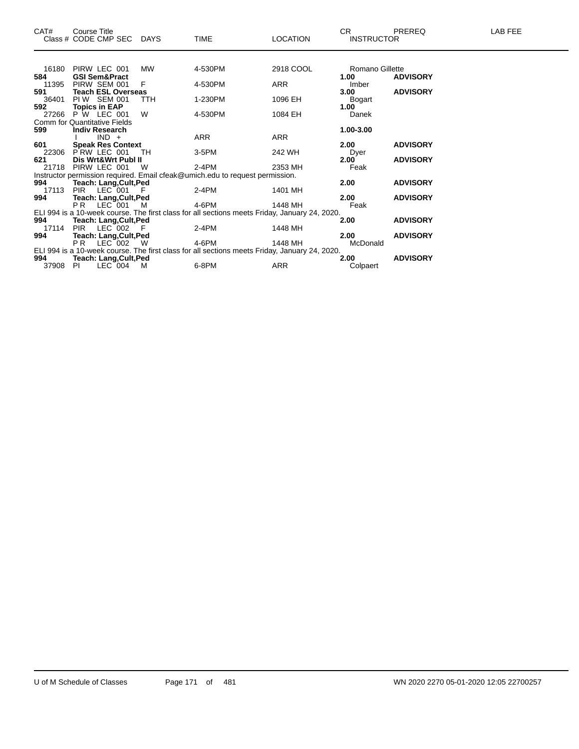| CAT#  | Course Title<br>Class # CODE CMP SEC DAYS                                    |            | <b>TIME</b> | <b>LOCATION</b>                                                                               | CR.<br><b>INSTRUCTOR</b> | <b>PREREQ</b>   | LAB FEE |
|-------|------------------------------------------------------------------------------|------------|-------------|-----------------------------------------------------------------------------------------------|--------------------------|-----------------|---------|
|       |                                                                              |            |             |                                                                                               |                          |                 |         |
| 16180 | PIRW LEC 001                                                                 | MW         | 4-530PM     | 2918 COOL                                                                                     | Romano Gillette          |                 |         |
| 584   | <b>GSI Sem&amp;Pract</b>                                                     |            |             |                                                                                               | 1.00                     | <b>ADVISORY</b> |         |
| 11395 | PIRW SEM 001                                                                 | F          | 4-530PM     | ARR                                                                                           | Imber                    |                 |         |
| 591   | <b>Teach ESL Overseas</b>                                                    |            |             |                                                                                               | 3.00                     | <b>ADVISORY</b> |         |
| 36401 | PIW SEM 001                                                                  | <b>TTH</b> | 1-230PM     | 1096 EH                                                                                       | Bogart                   |                 |         |
| 592   | <b>Topics in EAP</b>                                                         |            |             |                                                                                               | 1.00                     |                 |         |
| 27266 | <b>P W LEC 001</b>                                                           | W          | 4-530PM     | 1084 EH                                                                                       | Danek                    |                 |         |
|       | Comm for Quantitative Fields                                                 |            |             |                                                                                               |                          |                 |         |
| 599   | <b>Indiv Research</b>                                                        |            |             |                                                                                               | 1.00-3.00                |                 |         |
|       | $IND +$                                                                      |            | ARR         | ARR                                                                                           |                          |                 |         |
| 601   | <b>Speak Res Context</b>                                                     |            |             |                                                                                               | 2.00                     | <b>ADVISORY</b> |         |
| 22306 | PRW LEC 001                                                                  | TH         | 3-5PM       | 242 WH                                                                                        | Dyer                     |                 |         |
| 621   | Dis Wrt&Wrt Publ II                                                          |            |             |                                                                                               | 2.00                     | <b>ADVISORY</b> |         |
| 21718 | PIRW LEC 001                                                                 | W          | $2-4PM$     | 2353 MH                                                                                       | Feak                     |                 |         |
|       | Instructor permission required. Email cfeak@umich.edu to request permission. |            |             |                                                                                               |                          |                 |         |
| 994   | Teach: Lang, Cult, Ped                                                       |            |             |                                                                                               | 2.00                     | <b>ADVISORY</b> |         |
| 17113 | PIR<br>$LEC$ 001                                                             | -F         | 2-4PM       | 1401 MH                                                                                       |                          |                 |         |
| 994   | <b>Teach: Lang, Cult, Ped</b>                                                |            |             |                                                                                               | 2.00                     | <b>ADVISORY</b> |         |
|       | P <sub>R</sub><br>LEC 001                                                    | м          | 4-6PM       | 1448 MH                                                                                       | Feak                     |                 |         |
| 994   |                                                                              |            |             | ELI 994 is a 10-week course. The first class for all sections meets Friday, January 24, 2020. | 2.00                     | <b>ADVISORY</b> |         |
| 17114 | <b>Teach: Lang, Cult, Ped</b><br>$LEC$ 002<br><b>PIR</b>                     | - F        | 2-4PM       | 1448 MH                                                                                       |                          |                 |         |
| 994   | <b>Teach: Lang, Cult, Ped</b>                                                |            |             |                                                                                               | 2.00                     | <b>ADVISORY</b> |         |
|       | PR.<br>$LEC$ 002                                                             | - W        | 4-6PM       | 1448 MH                                                                                       | McDonald                 |                 |         |
|       |                                                                              |            |             | ELI 994 is a 10-week course. The first class for all sections meets Friday, January 24, 2020. |                          |                 |         |
| 994   | <b>Teach: Lang, Cult, Ped</b>                                                |            |             |                                                                                               | 2.00                     | <b>ADVISORY</b> |         |
| 37908 | $LEC$ 004<br>-PI                                                             | M          | 6-8PM       | ARR                                                                                           | Colpaert                 |                 |         |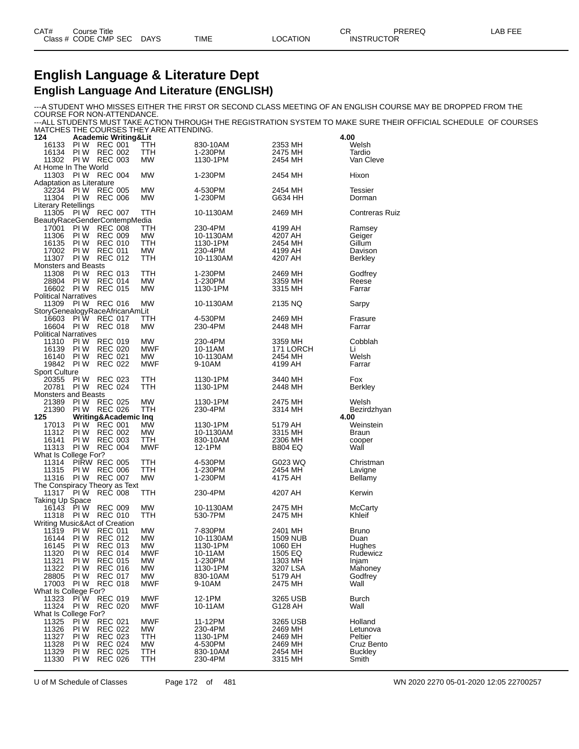## **English Language & Literature Dept English Language And Literature (ENGLISH)**

---A STUDENT WHO MISSES EITHER THE FIRST OR SECOND CLASS MEETING OF AN ENGLISH COURSE MAY BE DROPPED FROM THE COURSE FOR NON-ATTENDANCE. ---ALL STUDENTS MUST TAKE ACTION THROUGH THE REGISTRATION SYSTEM TO MAKE SURE THEIR OFFICIAL SCHEDULE OF COURSES

MATCHES THE COURSES THEY ARE ATTENDING.

| 124                                 |              | <b>Academic Writing&amp;Lit</b>               |                  |                       |                            | 4.00                  |
|-------------------------------------|--------------|-----------------------------------------------|------------------|-----------------------|----------------------------|-----------------------|
| 16133                               | PI W         | <b>REC 001</b>                                | ттн              | 830-10AM              | 2353 MH                    | Welsh                 |
| 16134                               | PI W         | <b>REC 002</b>                                | TTH              | 1-230PM               | 2475 MH                    | Tardio                |
| 11302                               |              | <b>PIW REC 003</b>                            | <b>MW</b>        | 1130-1PM              | 2454 MH                    | Van Cleve             |
| At Home In The World<br>11303       |              | PIW REC 004                                   | <b>MW</b>        | 1-230PM               | 2454 MH                    | Hixon                 |
| Adaptation as Literature            |              |                                               |                  |                       |                            |                       |
| 32234                               | PI W         | <b>REC 005</b>                                | <b>MW</b>        | 4-530PM               | 2454 MH                    | <b>Tessier</b>        |
| 11304                               | PI W         | <b>REC 006</b>                                | МW               | 1-230PM               | G634 HH                    | Dorman                |
| Literary Retellings                 |              |                                               |                  |                       |                            |                       |
| 11305                               |              | PIW REC 007                                   | TTH              | 10-1130AM             | 2469 MH                    | <b>Contreras Ruiz</b> |
|                                     |              | BeautyRaceGenderContempMedia                  |                  |                       |                            |                       |
| 17001                               | PI W         | <b>REC 008</b>                                | TTH              | 230-4PM               | 4199 AH                    | Ramsey                |
| 11306<br>16135                      | PI W<br>PI W | <b>REC 009</b><br><b>REC 010</b>              | МW<br>TTH        | 10-1130AM<br>1130-1PM | 4207 AH<br>2454 MH         | Geiger<br>Gillum      |
| 17002                               | PI W         | <b>REC 011</b>                                | <b>MW</b>        | 230-4PM               | 4199 AH                    | Davison               |
| 11307                               |              | <b>PIW REC 012</b>                            | TTH              | 10-1130AM             | 4207 AH                    | Berkley               |
| <b>Monsters and Beasts</b>          |              |                                               |                  |                       |                            |                       |
| 11308                               | PI W         | <b>REC 013</b>                                | TTH              | 1-230PM               | 2469 MH                    | Godfrey               |
| 28804                               | PI W         | <b>REC 014</b>                                | MW               | 1-230PM               | 3359 MH                    | Reese                 |
| 16602                               |              | <b>PIW REC 015</b>                            | МW               | 1130-1PM              | 3315 MH                    | Farrar                |
| <b>Political Narratives</b>         |              |                                               |                  |                       |                            |                       |
| 11309                               |              | <b>PIW REC 016</b>                            | <b>MW</b>        | 10-1130AM             | 2135 NQ                    | Sarpy                 |
| 16603                               |              | StoryGenealogyRaceAfricanAmLit<br>PIW REC 017 | TTH              | 4-530PM               | 2469 MH                    | Frasure               |
| 16604                               |              | PIW REC 018                                   | МW               | 230-4PM               | 2448 MH                    | Farrar                |
| <b>Political Narratives</b>         |              |                                               |                  |                       |                            |                       |
| 11310                               | PI W         | REC 019                                       | <b>MW</b>        | 230-4PM               | 3359 MH                    | Cobblah               |
| 16139                               | PI W         | <b>REC 020</b>                                | MWF              | 10-11AM               | 171 LORCH                  | Li                    |
| 16140                               | PI W         | <b>REC 021</b>                                | <b>MW</b>        | 10-1130AM             | 2454 MH                    | Welsh                 |
| 19842                               | PI W         | <b>REC 022</b>                                | <b>MWF</b>       | 9-10AM                | 4199 AH                    | Farrar                |
| <b>Sport Culture</b>                |              |                                               |                  |                       |                            |                       |
| 20355                               | PI W         | <b>REC 023</b>                                | TTH              | 1130-1PM              | 3440 MH                    | Fox                   |
| 20781<br><b>Monsters and Beasts</b> |              | PIW REC 024                                   | TTH              | 1130-1PM              | 2448 MH                    | <b>Berkley</b>        |
| 21389                               | PI W         | <b>REC 025</b>                                | <b>MW</b>        | 1130-1PM              | 2475 MH                    | Welsh                 |
| 21390                               |              | <b>PIW REC 026</b>                            | TTH              | 230-4PM               | 3314 MH                    | Bezirdzhyan           |
| 125                                 |              | Writing&Academic Inq                          |                  |                       |                            | 4.00                  |
| 17013                               | PI W         | REC 001                                       | MW               | 1130-1PM              | 5179 AH                    | Weinstein             |
| 11312                               | PI W         | <b>REC 002</b>                                | <b>MW</b>        | 10-1130AM             | 3315 MH                    | <b>Braun</b>          |
| 16141                               | PI W         | <b>REC 003</b>                                | ттн              | 830-10AM              | 2306 MH                    | cooper                |
| 11313                               |              | PIW REC 004                                   | MWF              | 12-1PM                | <b>B804 EQ</b>             | Wall                  |
| What Is College For?                |              |                                               |                  |                       |                            |                       |
| 11314                               |              | PIRW REC 005<br><b>PIW REC 006</b>            | TTH              | 4-530PM               | G023 WQ                    | Christman             |
| 11315<br>11316                      |              | PIW REC 007                                   | TTH<br><b>MW</b> | 1-230PM<br>1-230PM    | 2454 MH<br>4175 AH         | Lavigne<br>Bellamy    |
|                                     |              | The Conspiracy Theory as Text                 |                  |                       |                            |                       |
| 11317                               | PI W         | REC 008                                       | TTH              | 230-4PM               | 4207 AH                    | Kerwin                |
| Taking Up Space                     |              |                                               |                  |                       |                            |                       |
| 16143                               | PI W         | <b>REC 009</b>                                | <b>MW</b>        | 10-1130AM             | 2475 MH                    | <b>McCarty</b>        |
| 11318                               | PI W         | <b>REC 010</b>                                | TTH              | 530-7PM               | 2475 MH                    | Khleif                |
|                                     |              | Writing Music&Act of Creation                 |                  |                       |                            |                       |
| 11319                               | PI W<br>PI W | <b>REC 011</b>                                | MW               | 7-830PM               | 2401 MH                    | <b>Bruno</b>          |
| 16144<br>16145                      | PI W         | <b>REC 012</b><br><b>REC 013</b>              | МW<br><b>MW</b>  | 10-1130AM<br>1130-1PM | <b>1509 NUB</b><br>1060 EH | Duan                  |
| 11320                               | PI W         | <b>REC 014</b>                                | <b>MWF</b>       | 10-11AM               | 1505 EQ                    | Hughes<br>Rudewicz    |
| 11321                               | PI W         | <b>REC 015</b>                                | MW               | 1-230PM               | 1303 MH                    | Injam                 |
| 11322                               | PI W         | <b>REC 016</b>                                | MW               | 1130-1PM              | 3207 LSA                   | Mahoney               |
| 28805                               | PI W         | <b>REC 017</b>                                | МW               | 830-10AM              | 5179 AH                    | Godfrey               |
| 17003                               | PI W         | <b>REC 018</b>                                | MWF              | 9-10AM                | 2475 MH                    | Wall                  |
| What Is College For?                |              |                                               |                  |                       |                            |                       |
| 11323                               | PI W         | <b>REC 019</b>                                | <b>MWF</b>       | 12-1PM                | 3265 USB                   | Burch                 |
| 11324                               | PI W         | <b>REC 020</b>                                | <b>MWF</b>       | 10-11AM               | G128 AH                    | Wall                  |
| What Is College For?                | PI W         | <b>REC 021</b>                                | <b>MWF</b>       | 11-12PM               | 3265 USB                   | Holland               |
| 11325<br>11326                      | PI W         | <b>REC 022</b>                                | MW               | 230-4PM               | 2469 MH                    | Letunova              |
| 11327                               | PI W         | <b>REC 023</b>                                | TTH              | 1130-1PM              | 2469 MH                    | Peltier               |
| 11328                               | PI W         | <b>REC 024</b>                                | МW               | 4-530PM               | 2469 MH                    | Cruz Bento            |
| 11329                               | PI W         | <b>REC 025</b>                                | TTH              | 830-10AM              | 2454 MH                    | <b>Buckley</b>        |
| 11330                               | PI W         | <b>REC 026</b>                                | TTH              | 230-4PM               | 3315 MH                    | Smith                 |
|                                     |              |                                               |                  |                       |                            |                       |

U of M Schedule of Classes Page 172 of 481 WN 2020 2270 05-01-2020 12:05 22700257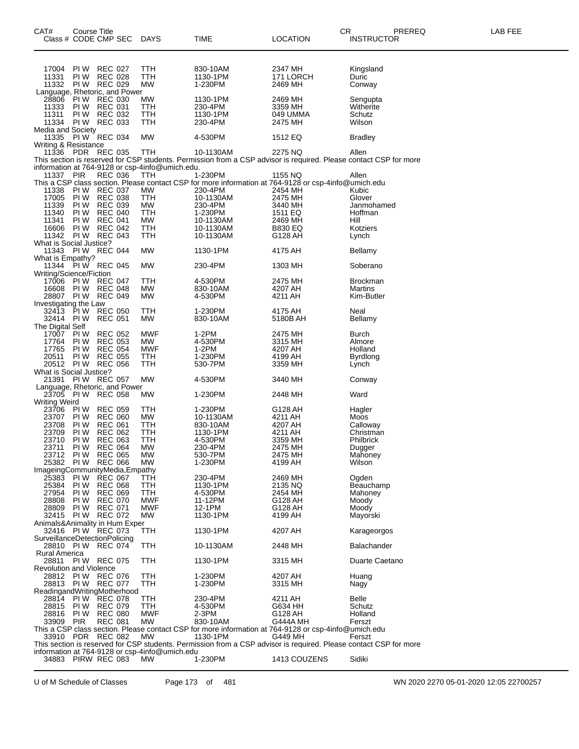| CAT#                                   |                           | <b>Course Title</b>              |                                                 |                        | CR.                                                                                                                          | PREREQ                 | LAB FEE |
|----------------------------------------|---------------------------|----------------------------------|-------------------------------------------------|------------------------|------------------------------------------------------------------------------------------------------------------------------|------------------------|---------|
|                                        | Class # CODE CMP SEC      |                                  | DAYS                                            | TIME                   | <b>LOCATION</b>                                                                                                              | <b>INSTRUCTOR</b>      |         |
|                                        |                           |                                  |                                                 |                        |                                                                                                                              |                        |         |
| 17004                                  | PI W                      | <b>REC 027</b>                   | TTH                                             | 830-10AM               | 2347 MH                                                                                                                      | Kingsland              |         |
| 11331                                  | PI W                      | <b>REC 028</b>                   | TTH                                             | 1130-1PM               | 171 LORCH                                                                                                                    | Duric                  |         |
| 11332                                  | PI W                      | <b>REC 029</b>                   | <b>MW</b>                                       | 1-230PM                | 2469 MH                                                                                                                      | Conway                 |         |
| Language, Rhetoric, and Power<br>28806 | PIW REC 030               |                                  | <b>MW</b>                                       | 1130-1PM               | 2469 MH                                                                                                                      | Sengupta               |         |
| 11333                                  | PI W                      | <b>REC 031</b>                   | <b>TTH</b>                                      | 230-4PM                | 3359 MH                                                                                                                      | Witherite              |         |
| 11311                                  | PI W                      | <b>REC 032</b>                   | TTH                                             | 1130-1PM               | 049 UMMA                                                                                                                     | Schutz                 |         |
| Media and Society                      | 11334 PIW                 | <b>REC 033</b>                   | TTH                                             | 230-4PM                | 2475 MH                                                                                                                      | Wilson                 |         |
| 11335                                  | <b>PIW REC 034</b>        |                                  | <b>MW</b>                                       | 4-530PM                | 1512 EQ                                                                                                                      | Bradley                |         |
| Writing & Resistance                   |                           |                                  |                                                 |                        |                                                                                                                              |                        |         |
| 11336 PDR REC 035                      |                           |                                  | <b>TTH</b>                                      | 10-1130AM              | 2275 NQ                                                                                                                      | Allen                  |         |
|                                        |                           |                                  | information at 764-9128 or csp-4info@umich.edu. |                        | This section is reserved for CSP students. Permission from a CSP advisor is required. Please contact CSP for more            |                        |         |
| 11337 PIR                              |                           | <b>REC 036</b>                   | TTH                                             | 1-230PM                | 1155 NQ                                                                                                                      | Allen                  |         |
|                                        |                           |                                  |                                                 |                        | This a CSP class section. Please contact CSP for more information at 764-9128 or csp-4info@umich.edu                         |                        |         |
| 11338<br>17005                         | PI W                      | PIW REC 037<br><b>REC 038</b>    | МW<br>TTH                                       | 230-4PM<br>10-1130AM   | 2454 MH<br>2475 MH                                                                                                           | Kubic<br>Glover        |         |
| 11339                                  | PI W                      | <b>REC 039</b>                   | <b>MW</b>                                       | 230-4PM                | 3440 MH                                                                                                                      | Janmohamed             |         |
| 11340                                  | PI W                      | <b>REC 040</b>                   | TTH                                             | 1-230PM                | 1511 EQ                                                                                                                      | Hoffman                |         |
| 11341                                  | PI W                      | <b>REC 041</b>                   | MW                                              | 10-1130AM              | 2469 MH                                                                                                                      | Hill                   |         |
| 16606                                  | PI W<br>11342 PIW REC 043 | <b>REC 042</b>                   | <b>TTH</b><br>TTH                               | 10-1130AM<br>10-1130AM | <b>B830 EQ</b><br>G128 AH                                                                                                    | Kotziers<br>Lynch      |         |
| What is Social Justice?                |                           |                                  |                                                 |                        |                                                                                                                              |                        |         |
|                                        | 11343 PIW REC 044         |                                  | МW                                              | 1130-1PM               | 4175 AH                                                                                                                      | Bellamy                |         |
| What is Empathy?                       | 11344 PIW REC 045         |                                  |                                                 |                        |                                                                                                                              |                        |         |
| Writing/Science/Fiction                |                           |                                  | МW                                              | 230-4PM                | 1303 MH                                                                                                                      | Soberano               |         |
| 17006                                  | <b>PIW REC 047</b>        |                                  | TTH                                             | 4-530PM                | 2475 MH                                                                                                                      | <b>Brockman</b>        |         |
| 16608                                  | <b>PIW REC 048</b>        |                                  | МW                                              | 830-10AM               | 4207 AH                                                                                                                      | Martins                |         |
|                                        | 28807 PIW REC 049         |                                  | <b>MW</b>                                       | 4-530PM                | 4211 AH                                                                                                                      | Kim-Butler             |         |
| Investigating the Law                  | 32413 PIW REC 050         |                                  | TTH                                             | 1-230PM                | 4175 AH                                                                                                                      | Neal                   |         |
|                                        | 32414 PIW                 | REC 051                          | МW                                              | 830-10AM               | 5180B AH                                                                                                                     | Bellamy                |         |
| The Digital Self                       |                           |                                  |                                                 |                        |                                                                                                                              |                        |         |
| 17007 PIW<br>17764                     | PI W                      | <b>REC 052</b><br><b>REC 053</b> | <b>MWF</b><br>MW                                | 1-2PM<br>4-530PM       | 2475 MH<br>3315 MH                                                                                                           | Burch<br>Almore        |         |
| 17765                                  | PI W                      | <b>REC 054</b>                   | <b>MWF</b>                                      | $1-2PM$                | 4207 AH                                                                                                                      | Holland                |         |
| 20511                                  | PI W                      | <b>REC 055</b>                   | TTH                                             | 1-230PM                | 4199 AH                                                                                                                      | <b>Byrdlong</b>        |         |
| What is Social Justice?                | 20512 PIW REC 056         |                                  | TTH                                             | 530-7PM                | 3359 MH                                                                                                                      | Lynch                  |         |
|                                        | 21391 PIW REC 057         |                                  | <b>MW</b>                                       | 4-530PM                | 3440 MH                                                                                                                      | Conway                 |         |
| Language, Rhetoric, and Power          |                           |                                  |                                                 |                        |                                                                                                                              |                        |         |
|                                        | 23705 PIW REC 058         |                                  | МW                                              | 1-230PM                | 2448 MH                                                                                                                      | Ward                   |         |
| <b>Writing Weird</b><br>23706          | PI W                      | <b>REC 059</b>                   | TTH                                             | 1-230PM                | G128 AH                                                                                                                      | Hagler                 |         |
| 23707                                  | PI W                      | <b>REC 060</b>                   | МW                                              | 10-1130AM              | 4211 AH                                                                                                                      | Moos                   |         |
| 23708                                  | PI W                      | <b>REC 061</b>                   | <b>TTH</b>                                      | 830-10AM               | 4207 AH                                                                                                                      | Calloway               |         |
| 23709<br>23710                         | PI W<br>PI W              | <b>REC 062</b><br><b>REC 063</b> | <b>TTH</b><br>TTH                               | 1130-1PM<br>4-530PM    | 4211 AH<br>3359 MH                                                                                                           | Christman<br>Philbrick |         |
| 23711                                  | PI W                      | <b>REC 064</b>                   | MW                                              | 230-4PM                | 2475 MH                                                                                                                      | Dugger                 |         |
|                                        | 23712 PIW REC 065         |                                  | <b>MW</b>                                       | 530-7PM                | 2475 MH                                                                                                                      | Mahoney                |         |
| ImageingCommunityMedia,Empathy         | 25382 PIW REC 066         |                                  | МW                                              | 1-230PM                | 4199 AH                                                                                                                      | Wilson                 |         |
| 25383                                  | PI W                      | <b>REC 067</b>                   | TTH                                             | 230-4PM                | 2469 MH                                                                                                                      | Ogden                  |         |
| 25384                                  | PI W                      | <b>REC 068</b>                   | TTH                                             | 1130-1PM               | 2135 NQ                                                                                                                      | Beauchamp              |         |
| 27954                                  | PI W                      | <b>REC 069</b>                   | TTH                                             | 4-530PM                | 2454 MH                                                                                                                      | Mahoney                |         |
| 28808<br>28809                         | PI W<br>PI W              | <b>REC 070</b><br><b>REC 071</b> | MWF<br><b>MWF</b>                               | 11-12PM<br>12-1PM      | G128 AH<br>G128 AH                                                                                                           | Moody<br>Moody         |         |
|                                        | 32415 PIW                 | <b>REC 072</b>                   | МW                                              | 1130-1PM               | 4199 AH                                                                                                                      | Mayorski               |         |
| Animals&Animality in Hum Exper         |                           |                                  |                                                 |                        |                                                                                                                              |                        |         |
| SurveillanceDetectionPolicing          | 32416 PIW REC 073         |                                  | TTH                                             | 1130-1PM               | 4207 AH                                                                                                                      | Karageorgos            |         |
|                                        | 28810 PIW REC 074         |                                  | TTH                                             | 10-1130AM              | 2448 MH                                                                                                                      | Balachander            |         |
| <b>Rural America</b>                   |                           |                                  |                                                 |                        |                                                                                                                              |                        |         |
|                                        | 28811 PIW REC 075         |                                  | TTH                                             | 1130-1PM               | 3315 MH                                                                                                                      | Duarte Caetano         |         |
| <b>Revolution and Violence</b>         | 28812 PIW REC 076         |                                  | TTH                                             | 1-230PM                | 4207 AH                                                                                                                      | Huang                  |         |
|                                        | 28813 PIW REC 077         |                                  | TTH                                             | 1-230PM                | 3315 MH                                                                                                                      | Nagy                   |         |
| ReadingandWritingMotherhood            |                           |                                  |                                                 |                        |                                                                                                                              |                        |         |
| 28814 PIW                              |                           | <b>REC 078</b>                   | TTH                                             | 230-4PM                | 4211 AH                                                                                                                      | Belle                  |         |
| 28815                                  | PI W<br>28816 PIW         | <b>REC 079</b><br><b>REC 080</b> | TTH<br><b>MWF</b>                               | 4-530PM<br>2-3PM       | G634 HH<br>G128 AH                                                                                                           | Schutz<br>Holland      |         |
| 33909                                  | PIR                       | <b>REC 081</b>                   | МW                                              | 830-10AM               | G444A MH                                                                                                                     | Ferszt                 |         |
|                                        |                           |                                  |                                                 |                        | This a CSP class section. Please contact CSP for more information at 764-9128 or csp-4info@umich.edu                         |                        |         |
|                                        | 33910 PDR REC 082         |                                  | МW                                              | 1130-1PM               | G449 MH<br>This section is reserved for CSP students. Permission from a CSP advisor is required. Please contact CSP for more | Ferszt                 |         |
|                                        |                           |                                  | information at 764-9128 or csp-4info@umich.edu  |                        |                                                                                                                              |                        |         |
|                                        | 34883 PIRW REC 083        |                                  | MW.                                             | 1-230PM                | 1413 COUZENS                                                                                                                 | Sidiki                 |         |

U of M Schedule of Classes Page 173 of 481 WN 2020 2270 05-01-2020 12:05 22700257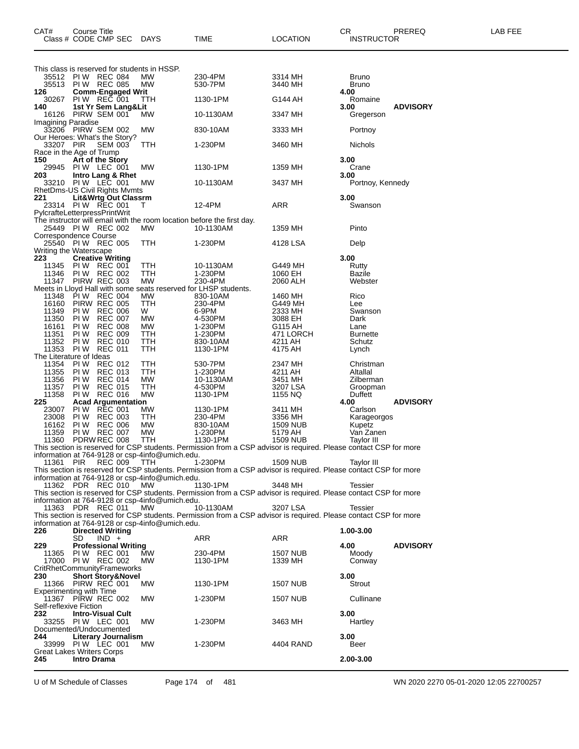| CAT#                          | Course Title<br>Class # CODE CMP SEC                                     | DAYS             | TIME                                                                                                                           | <b>LOCATION</b>            | CR.<br><b>INSTRUCTOR</b>     | PREREQ          | LAB FEE |
|-------------------------------|--------------------------------------------------------------------------|------------------|--------------------------------------------------------------------------------------------------------------------------------|----------------------------|------------------------------|-----------------|---------|
|                               | This class is reserved for students in HSSP.                             |                  |                                                                                                                                |                            |                              |                 |         |
|                               | 35512 PIW REC 084<br>35513 PIW REC 085                                   | МW<br>МW         | 230-4PM<br>530-7PM                                                                                                             | 3314 MH<br>3440 MH         | <b>Bruno</b><br><b>Bruno</b> |                 |         |
| 126                           | <b>Comm-Engaged Writ</b>                                                 |                  |                                                                                                                                |                            | 4.00                         |                 |         |
| 30267                         | PIW REC 001                                                              | TTH              | 1130-1PM                                                                                                                       | G144 AH                    | Romaine                      |                 |         |
| 140                           | 1st Yr Sem Lang&Lit<br>16126 PIRW SEM 001                                | MW               | 10-1130AM                                                                                                                      | 3347 MH                    | 3.00<br>Gregerson            | <b>ADVISORY</b> |         |
| <b>Imagining Paradise</b>     |                                                                          |                  |                                                                                                                                |                            |                              |                 |         |
|                               | 33206 PIRW SEM 002<br>Our Heroes: What's the Story?                      | МW               | 830-10AM                                                                                                                       | 3333 MH                    | Portnoy                      |                 |         |
| 33207 PIR                     | SEM 003                                                                  | TTH              | 1-230PM                                                                                                                        | 3460 MH                    | Nichols                      |                 |         |
| 150                           | Race in the Age of Trump<br>Art of the Story                             |                  |                                                                                                                                |                            | 3.00                         |                 |         |
| 29945                         | PIW LEC 001                                                              | МW               | 1130-1PM                                                                                                                       | 1359 MH                    | Crane                        |                 |         |
| 203                           | Intro Lang & Rhet<br>33210 PIW LEC 001                                   | МW               | 10-1130AM                                                                                                                      | 3437 MH                    | 3.00<br>Portnoy, Kennedy     |                 |         |
|                               | RhetDms-US Civil Rights Mymts                                            |                  |                                                                                                                                |                            |                              |                 |         |
| 221                           | <b>Lit&amp;Wrtg Out Classrm</b>                                          |                  |                                                                                                                                |                            | 3.00                         |                 |         |
|                               | 23314 PIW REC 001<br>PylcrafteLetterpressPrintWrit                       | T                | 12-4PM                                                                                                                         | <b>ARR</b>                 | Swanson                      |                 |         |
|                               | The instructor will email with the room location before the first day.   |                  |                                                                                                                                |                            |                              |                 |         |
|                               | 25449 PIW REC 002<br>Correspondence Course                               | MW.              | 10-1130AM                                                                                                                      | 1359 MH                    | Pinto                        |                 |         |
|                               | 25540 PIW REC 005                                                        | TTH              | 1-230PM                                                                                                                        | 4128 LSA                   | Delp                         |                 |         |
| 223                           | Writing the Waterscape<br><b>Creative Writing</b>                        |                  |                                                                                                                                |                            | 3.00                         |                 |         |
| 11345                         | PIW REC 001                                                              | TTH              | 10-1130AM                                                                                                                      | G449 MH                    | Rutty                        |                 |         |
| 11346<br>11347                | <b>PIW REC 002</b><br>PIRW REC 003                                       | TTH<br>MW        | 1-230PM<br>230-4PM                                                                                                             | 1060 EH                    | Bazile                       |                 |         |
|                               | Meets in Lloyd Hall with some seats reserved for LHSP students.          |                  |                                                                                                                                | 2060 ALH                   | Webster                      |                 |         |
| 11348                         | PIW REC 004                                                              | MW               | 830-10AM                                                                                                                       | 1460 MH                    | Rico                         |                 |         |
| 16160<br>11349                | PIRW REC 005<br><b>PIW REC 006</b>                                       | TTH<br>W         | 230-4PM<br>6-9PM                                                                                                               | G449 MH<br>2333 MH         | Lee<br>Swanson               |                 |         |
| 11350                         | <b>REC 007</b><br>PI W                                                   | MW               | 4-530PM                                                                                                                        | 3088 EH                    | Dark                         |                 |         |
| 16161<br>11351                | <b>REC 008</b><br>PI W<br><b>REC 009</b><br>PI W                         | MW<br>TTH        | 1-230PM<br>1-230PM                                                                                                             | G115 AH<br>471 LORCH       | Lane<br><b>Burnette</b>      |                 |         |
| 11352                         | <b>REC 010</b><br>PI W                                                   | TTH              | 830-10AM                                                                                                                       | 4211 AH                    | Schutz                       |                 |         |
| 11353                         | <b>REC 011</b><br>PI W                                                   | TTH              | 1130-1PM                                                                                                                       | 4175 AH                    | Lynch                        |                 |         |
| 11354                         | The Literature of Ideas<br><b>REC 012</b><br>PI W                        | TTH              | 530-7PM                                                                                                                        | 2347 MH                    | Christman                    |                 |         |
| 11355                         | <b>REC 013</b><br>PI W                                                   | <b>TTH</b>       | 1-230PM                                                                                                                        | 4211 AH                    | Altallal                     |                 |         |
| 11356<br>11357                | <b>REC 014</b><br>PI W<br><b>REC 015</b><br>PI W                         | MW<br><b>TTH</b> | 10-1130AM<br>4-530PM                                                                                                           | 3451 MH<br>3207 LSA        | Zilberman<br>Groopman        |                 |         |
| 11358                         | <b>REC 016</b><br>PI W                                                   | <b>MW</b>        | 1130-1PM                                                                                                                       | 1155 NQ                    | Duffett                      |                 |         |
| 225                           | <b>Acad Argumentation</b><br><b>REC 001</b><br>PI W                      |                  |                                                                                                                                | 3411 MH                    | 4.00                         | <b>ADVISORY</b> |         |
| 23007<br>23008                | <b>REC 003</b><br>PI W                                                   | MW<br>TTH        | 1130-1PM<br>230-4PM                                                                                                            | 3356 MH                    | Carlson<br>Karageorgos       |                 |         |
| 16162                         | <b>PIW REC 006</b>                                                       | MW               | 830-10AM                                                                                                                       | 1509 NUB                   | Kupetz                       |                 |         |
| 11359<br>11360                | PIW REC 007<br>PDRW REC 008                                              | MW<br>TTH        | 1-230PM<br>1130-1PM                                                                                                            | 5179 AH<br><b>1509 NUB</b> | Van Zanen<br>Taylor III      |                 |         |
|                               |                                                                          |                  | This section is reserved for CSP students. Permission from a CSP advisor is required. Please contact CSP for more              |                            |                              |                 |         |
| 11361                         | information at 764-9128 or csp-4info@umich.edu.<br>REC 009<br><b>PIR</b> | TTH              | 1-230PM                                                                                                                        | 1509 NUB                   | Tavlor III                   |                 |         |
|                               |                                                                          |                  | This section is reserved for CSP students. Permission from a CSP advisor is required. Please contact CSP for more              |                            |                              |                 |         |
|                               | information at 764-9128 or csp-4info@umich.edu.<br>11362 PDR REC 010     | MW               | 1130-1PM                                                                                                                       | 3448 MH                    | Tessier                      |                 |         |
|                               |                                                                          |                  | This section is reserved for CSP students. Permission from a CSP advisor is required. Please contact CSP for more              |                            |                              |                 |         |
|                               | information at 764-9128 or csp-4info@umich.edu.                          |                  |                                                                                                                                |                            |                              |                 |         |
|                               | 11363 PDR REC 011                                                        | MW               | 10-1130AM<br>This section is reserved for CSP students. Permission from a CSP advisor is required. Please contact CSP for more | 3207 LSA                   | Tessier                      |                 |         |
|                               | information at 764-9128 or csp-4info@umich.edu.                          |                  |                                                                                                                                |                            |                              |                 |         |
| 226                           | <b>Directed Writing</b><br>SD<br>$IND +$                                 |                  | ARR                                                                                                                            | ARR                        | 1.00-3.00                    |                 |         |
| 229                           | <b>Professional Writing</b>                                              |                  |                                                                                                                                |                            | 4.00                         | <b>ADVISORY</b> |         |
| 11365                         | <b>PIW REC 001</b>                                                       | MW               | 230-4PM                                                                                                                        | 1507 NUB                   | Moody                        |                 |         |
|                               | 17000 PIW REC 002<br>CritRhetCommunityFrameworks                         | MW.              | 1130-1PM                                                                                                                       | 1339 MH                    | Conway                       |                 |         |
| 230                           | <b>Short Story&amp;Novel</b>                                             |                  |                                                                                                                                |                            | 3.00                         |                 |         |
| 11366                         | PIRW REC 001<br><b>Experimenting with Time</b>                           | MW.              | 1130-1PM                                                                                                                       | <b>1507 NUB</b>            | Strout                       |                 |         |
|                               | 11367 PIRW REC 002                                                       | MW.              | 1-230PM                                                                                                                        | <b>1507 NUB</b>            | Cullinane                    |                 |         |
| Self-reflexive Fiction<br>232 |                                                                          |                  |                                                                                                                                |                            |                              |                 |         |
|                               | <b>Intro-Visual Cult</b><br>33255 PIW LEC 001                            | МW               | 1-230PM                                                                                                                        | 3463 MH                    | 3.00<br>Hartley              |                 |         |
|                               | Documented/Undocumented                                                  |                  |                                                                                                                                |                            |                              |                 |         |
| 244                           | Literary Journalism<br>33999 PIW LEC 001                                 | MW.              | 1-230PM                                                                                                                        | 4404 RAND                  | 3.00<br>Beer                 |                 |         |
|                               | <b>Great Lakes Writers Corps</b>                                         |                  |                                                                                                                                |                            |                              |                 |         |
| 245                           | <b>Intro Drama</b>                                                       |                  |                                                                                                                                |                            | 2.00-3.00                    |                 |         |
|                               |                                                                          |                  |                                                                                                                                |                            |                              |                 |         |

U of M Schedule of Classes Page 174 of 481 WN 2020 2270 05-01-2020 12:05 22700257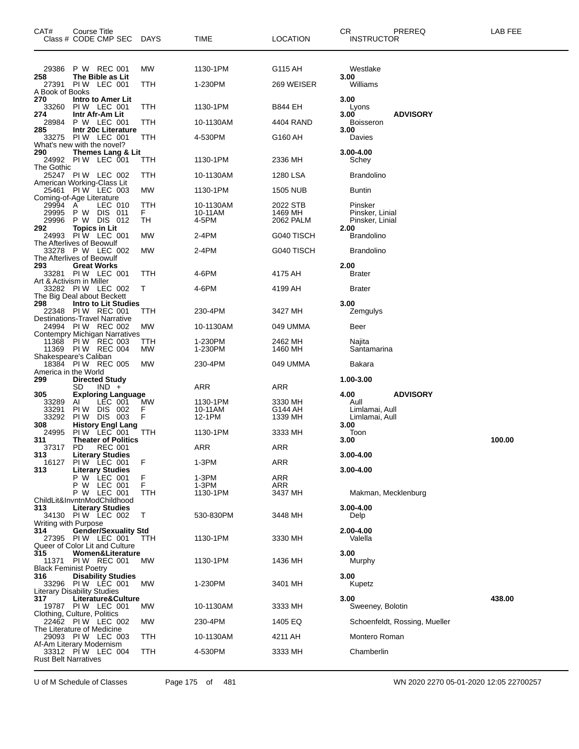| CAT#                                   | Course Title<br>Class # CODE CMP SEC DAYS                                                            |                 | <b>TIME</b>                   | <b>LOCATION</b>                  | CR.<br>PREREQ<br><b>INSTRUCTOR</b>                                          | LAB FEE |
|----------------------------------------|------------------------------------------------------------------------------------------------------|-----------------|-------------------------------|----------------------------------|-----------------------------------------------------------------------------|---------|
| 29386<br>258<br>27391                  | P W REC 001<br>The Bible as Lit<br>PIW LEC 001                                                       | МW<br>TTH       | 1130-1PM<br>1-230PM           | G115 AH<br>269 WEISER            | Westlake<br>3.00<br>Williams                                                |         |
| A Book of Books<br>270<br>33260<br>274 | Intro to Amer Lit<br>PIW LEC 001<br>Intr Afr-Am Lit                                                  | TTH             | 1130-1PM                      | B844 EH                          | 3.00<br>Lyons<br><b>ADVISORY</b><br>3.00                                    |         |
| 28984<br>285                           | P W LEC 001<br>Intr 20c Literature                                                                   | ттн             | 10-1130AM                     | 4404 RAND                        | <b>Boisseron</b><br>3.00                                                    |         |
| 33275<br>290                           | PIW LEC 001<br>What's new with the novel?                                                            | TTH             | 4-530PM                       | G160 AH                          | Davies                                                                      |         |
| The Gothic                             | Themes Lang & Lit<br>24992 PIW LEC 001                                                               | TTH             | 1130-1PM                      | 2336 MH                          | 3.00-4.00<br>Schey                                                          |         |
|                                        | 25247 PIW LEC 002<br>American Working-Class Lit                                                      | TTH             | 10-1130AM                     | 1280 LSA                         | <b>Brandolino</b>                                                           |         |
|                                        | 25461 PIW LEC 003<br>Coming-of-Age Literature                                                        | МW              | 1130-1PM                      | 1505 NUB                         | Buntin                                                                      |         |
| 29994<br>29995<br>29996<br>292         | A<br>LEC 010<br>P W DIS 011<br>P W DIS 012<br><b>Topics in Lit</b>                                   | TTH<br>F.<br>TН | 10-1130AM<br>10-11AM<br>4-5PM | 2022 STB<br>1469 MH<br>2062 PALM | Pinsker<br>Pinsker, Linial<br>Pinsker, Linial<br>2.00                       |         |
| 24993                                  | PIW LEC 001<br>The Afterlives of Beowulf                                                             | МW              | 2-4PM                         | G040 TISCH                       | <b>Brandolino</b>                                                           |         |
| 293                                    | 33278 P W LEC 002<br>The Afterlives of Beowulf<br><b>Great Works</b>                                 | МW              | 2-4PM                         | G040 TISCH                       | <b>Brandolino</b><br>2.00                                                   |         |
|                                        | 33281 PIW LEC 001<br>Art & Activism in Miller                                                        | TTH             | 4-6PM                         | 4175 AH                          | <b>Brater</b>                                                               |         |
|                                        | 33282 PIW LEC 002<br>The Big Deal about Beckett                                                      | Т               | 4-6PM                         | 4199 AH                          | <b>Brater</b>                                                               |         |
| 298                                    | Intro to Lit Studies<br>22348 PIW REC 001                                                            | ттн             | 230-4PM                       | 3427 MH                          | 3.00<br>Zemgulys                                                            |         |
|                                        | Destinations-Travel Narrative<br>24994 PIW REC 002<br>Contempry Michigan Narratives                  | МW              | 10-1130AM                     | 049 UMMA                         | Beer                                                                        |         |
|                                        | 11368 PIW REC 003<br>11369 PIW REC 004<br>Shakespeare's Caliban                                      | TTH<br>МW       | 1-230PM<br>1-230PM            | 2462 MH<br>1460 MH               | Najita<br>Santamarina                                                       |         |
| America in the World                   | 18384 PIW REC 005                                                                                    | МW              | 230-4PM                       | 049 UMMA                         | Bakara                                                                      |         |
| 299                                    | <b>Directed Study</b><br>SD<br>$IND +$                                                               |                 | ARR                           | ARR                              | 1.00-3.00                                                                   |         |
| 305<br>33289<br>33291<br>33292<br>308  | <b>Exploring Language</b><br>AI<br>LEC 001<br>PIW DIS 002<br>PIW DIS 003<br><b>History Engl Lang</b> | МW<br>F.<br>F   | 1130-1PM<br>10-11AM<br>12-1PM | 3330 MH<br>G144 AH<br>1339 MH    | <b>ADVISORY</b><br>4.00<br>Aull<br>Limlamai, Aull<br>Limlamai, Aull<br>3.00 |         |
| 24995<br>311                           | PIW LEC 001<br><b>Theater of Politics</b>                                                            | TTH             | 1130-1PM                      | 3333 MH                          | Toon<br>3.00                                                                | 100.00  |
| 313                                    | 37317 PD REC 001<br><b>Literary Studies</b>                                                          |                 | <b>ARR</b>                    | ARR                              | 3.00-4.00                                                                   |         |
| 313                                    | 16127 PIW LEC 001<br><b>Literary Studies</b>                                                         | F               | 1-3PM                         | ARR                              | 3.00-4.00                                                                   |         |
|                                        | P W LEC 001<br>P W LEC 001<br>P W LEC 001<br>ChildLit&InvntnModChildhood                             | F<br>F<br>ттн   | 1-3PM<br>1-3PM<br>1130-1PM    | ARR<br>ARR<br>3437 MH            | Makman, Mecklenburg                                                         |         |
| 313<br>Writing with Purpose            | <b>Literary Studies</b><br>34130 PIW LEC 002                                                         | Τ               | 530-830PM                     | 3448 MH                          | 3.00-4.00<br>Delp                                                           |         |
| 314                                    | <b>Gender/Sexuality Std</b><br>27395 PIW LEC 001<br>Queer of Color Lit and Culture                   | TТH             | 1130-1PM                      | 3330 MH                          | 2.00-4.00<br>Valella                                                        |         |
| 315<br>11371                           | Women&Literature<br>PIW REC 001<br>Black Feminist Poetry                                             | МW              | 1130-1PM                      | 1436 MH                          | 3.00<br>Murphy                                                              |         |
| 316                                    | <b>Disability Studies</b><br>33296 PIW LEC 001<br>Literary Disability Studies                        | МW              | 1-230PM                       | 3401 MH                          | 3.00<br>Kupetz                                                              |         |
| 317                                    | Literature&Culture<br>19787 PIW LEC 001                                                              | МW              | 10-1130AM                     | 3333 MH                          | 3.00<br>Sweeney, Bolotin                                                    | 438.00  |
|                                        | Clothing, Culture, Politics<br>22462 PIW LEC 002                                                     | МW              | 230-4PM                       | 1405 EQ                          | Schoenfeldt, Rossing, Mueller                                               |         |
|                                        | The Literature of Medicine<br>29093 PIW LEC 003<br>Af-Am Literary Modernism                          | ттн             | 10-1130AM                     | 4211 AH                          | Montero Roman                                                               |         |
| <b>Rust Belt Narratives</b>            | 33312 PIW LEC 004                                                                                    | ттн             | 4-530PM                       | 3333 MH                          | Chamberlin                                                                  |         |

U of M Schedule of Classes Page 175 of 481 WN 2020 2270 05-01-2020 12:05 22700257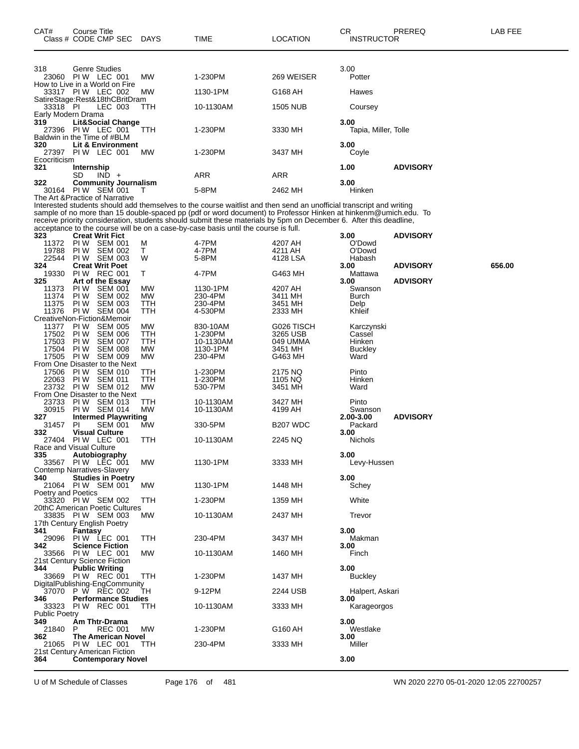| CAT#                          | Course Title<br>Class # CODE CMP SEC                          | <b>DAYS</b> | TIME                                                                                                                                                                                                                                | LOCATION             | CR<br><b>INSTRUCTOR</b> | <b>PREREQ</b>   | LAB FEE |
|-------------------------------|---------------------------------------------------------------|-------------|-------------------------------------------------------------------------------------------------------------------------------------------------------------------------------------------------------------------------------------|----------------------|-------------------------|-----------------|---------|
|                               |                                                               |             |                                                                                                                                                                                                                                     |                      |                         |                 |         |
| 318                           | Genre Studies<br>23060 PIW LEC 001                            | MW          | 1-230PM                                                                                                                                                                                                                             | 269 WEISER           | 3.00<br>Potter          |                 |         |
|                               | How to Live in a World on Fire<br>33317 PIW LEC 002           | MW          | 1130-1PM                                                                                                                                                                                                                            | G168 AH              | Hawes                   |                 |         |
| 33318 PI                      | SatireStage:Rest&18thCBritDram<br>LEC 003                     | TTH         | 10-1130AM                                                                                                                                                                                                                           | <b>1505 NUB</b>      | Coursey                 |                 |         |
| 319                           | Early Modern Drama<br>Lit&Social Change                       |             |                                                                                                                                                                                                                                     |                      | 3.00                    |                 |         |
| 27396                         | PIW LEC 001<br>Baldwin in the Time of #BLM                    | TTH         | 1-230PM                                                                                                                                                                                                                             | 3330 MH              | Tapia, Miller, Tolle    |                 |         |
| 320<br>27397                  | Lit & Environment<br>PIW LEC 001                              | MW          | 1-230PM                                                                                                                                                                                                                             | 3437 MH              | 3.00<br>Coyle           |                 |         |
| Ecocriticism<br>321           | <b>Internship</b>                                             |             |                                                                                                                                                                                                                                     |                      | 1.00                    | <b>ADVISORY</b> |         |
|                               | SD<br>$IND +$                                                 |             | ARR                                                                                                                                                                                                                                 | ARR                  |                         |                 |         |
| 322                           | <b>Community Journalism</b><br>30164 PIW SEM 001              | т           | 5-8PM                                                                                                                                                                                                                               | 2462 MH              | 3.00<br>Hinken          |                 |         |
|                               | The Art & Practice of Narrative                               |             | Interested students should add themselves to the course waitlist and then send an unofficial transcript and writing                                                                                                                 |                      |                         |                 |         |
|                               |                                                               |             | sample of no more than 15 double-spaced pp (pdf or word document) to Professor Hinken at hinkenm@umich.edu. To<br>receive priority consideration, students should submit these materials by 5pm on December 6. After this deadline, |                      |                         |                 |         |
| 323                           | <b>Creat Writ Fict</b>                                        |             | acceptance to the course will be on a case-by-case basis until the course is full.                                                                                                                                                  |                      | 3.00                    | <b>ADVISORY</b> |         |
| 11372                         | PIW SEM 001                                                   | м           | 4-7PM                                                                                                                                                                                                                               | 4207 AH              | O'Dowd                  |                 |         |
| 19788<br>22544                | PIW SEM 002<br>PIW SEM 003                                    | т<br>W      | 4-7PM<br>5-8PM                                                                                                                                                                                                                      | 4211 AH<br>4128 LSA  | O'Dowd<br>Habash        |                 |         |
| 324                           | <b>Creat Writ Poet</b>                                        |             |                                                                                                                                                                                                                                     |                      | 3.00                    | <b>ADVISORY</b> | 656.00  |
| 19330                         | PIW REC 001<br><b>Art of the Essay</b>                        | Τ           | 4-7PM                                                                                                                                                                                                                               | G463 MH              | Mattawa                 |                 |         |
| 325<br>11373                  | PI W<br><b>SEM 001</b>                                        | MW          | 1130-1PM                                                                                                                                                                                                                            | 4207 AH              | 3.00<br>Swanson         | <b>ADVISORY</b> |         |
| 11374                         | PI W<br><b>SEM 002</b>                                        | MW          | 230-4PM                                                                                                                                                                                                                             | 3411 MH              | Burch                   |                 |         |
| 11375<br>11376                | PI W<br><b>SEM 003</b><br><b>SEM 004</b><br>PI W              | TTH<br>TTH  | 230-4PM<br>4-530PM                                                                                                                                                                                                                  | 3451 MH<br>2333 MH   | Delp<br>Khleif          |                 |         |
|                               | CreativeNon-Fiction&Memoir                                    |             |                                                                                                                                                                                                                                     |                      |                         |                 |         |
| 11377                         | PI W<br><b>SEM 005</b>                                        | MW          | 830-10AM                                                                                                                                                                                                                            | G026 TISCH           | Karczynski              |                 |         |
| 17502<br>17503                | PI W<br><b>SEM 006</b><br>PI W<br><b>SEM 007</b>              | TTH<br>TTH  | 1-230PM<br>10-1130AM                                                                                                                                                                                                                | 3265 USB<br>049 UMMA | Cassel<br>Hinken        |                 |         |
| 17504                         | <b>SEM 008</b><br>PI W                                        | MW          | 1130-1PM                                                                                                                                                                                                                            | 3451 MH              | <b>Buckley</b>          |                 |         |
| 17505                         | PI W<br><b>SEM 009</b>                                        | <b>MW</b>   | 230-4PM                                                                                                                                                                                                                             | G463 MH              | Ward                    |                 |         |
| 17506                         | From One Disaster to the Next<br>PI W<br><b>SEM 010</b>       | TTH         | 1-230PM                                                                                                                                                                                                                             | 2175 NQ              | Pinto                   |                 |         |
| 22063                         | PI W<br><b>SEM 011</b>                                        | TTH         | 1-230PM                                                                                                                                                                                                                             | 1105 NQ              | Hinken                  |                 |         |
| 23732                         | <b>PIW SEM 012</b>                                            | MW          | 530-7PM                                                                                                                                                                                                                             | 3451 MH              | Ward                    |                 |         |
| 23733                         | From One Disaster to the Next<br><b>PIW SEM 013</b>           | TTH         | 10-1130AM                                                                                                                                                                                                                           | 3427 MH              | Pinto                   |                 |         |
| 30915                         | PIW SEM 014                                                   | MW          | 10-1130AM                                                                                                                                                                                                                           | 4199 AH              | Swanson                 |                 |         |
| 327                           | <b>Intermed Playwriting</b>                                   |             |                                                                                                                                                                                                                                     |                      | 2.00-3.00               | <b>ADVISORY</b> |         |
| 31457<br>332                  | PI.<br><b>SEM 001</b><br><b>Visual Culture</b>                | MW          | 330-5PM                                                                                                                                                                                                                             | B <sub>207</sub> WDC | Packard<br>3.00         |                 |         |
|                               | 27404 PIW LEC 001                                             | ттн         | 10-1130AM                                                                                                                                                                                                                           | 2245 NQ              | Nichols                 |                 |         |
| 335                           | Race and Visual Culture<br>Autobiography                      |             |                                                                                                                                                                                                                                     |                      | 3.00                    |                 |         |
|                               | 33567 PIW LEC 001                                             | MW          | 1130-1PM                                                                                                                                                                                                                            | 3333 MH              | Levy-Hussen             |                 |         |
| 340                           | <b>Contemp Narratives-Slavery</b><br><b>Studies in Poetry</b> |             |                                                                                                                                                                                                                                     |                      | 3.00                    |                 |         |
|                               | 21064 PIW SEM 001                                             | MW          | 1130-1PM                                                                                                                                                                                                                            | 1448 MH              | Schey                   |                 |         |
| Poetry and Poetics            |                                                               |             |                                                                                                                                                                                                                                     |                      |                         |                 |         |
|                               | 33320 PIW SEM 002<br>20thC American Poetic Cultures           | ттн         | 1-230PM                                                                                                                                                                                                                             | 1359 MH              | White                   |                 |         |
|                               | 33835 PIW SEM 003                                             | MW.         | 10-1130AM                                                                                                                                                                                                                           | 2437 MH              | Trevor                  |                 |         |
|                               | 17th Century English Poetry                                   |             |                                                                                                                                                                                                                                     |                      |                         |                 |         |
| 341<br>29096                  | Fantasy<br>PIW LEC 001                                        | ттн         | 230-4PM                                                                                                                                                                                                                             | 3437 MH              | 3.00<br>Makman          |                 |         |
| 342                           | <b>Science Fiction</b>                                        |             |                                                                                                                                                                                                                                     |                      | 3.00                    |                 |         |
| 33566                         | PIW LEC 001                                                   | MW          | 10-1130AM                                                                                                                                                                                                                           | 1460 MH              | Finch                   |                 |         |
| 344                           | 21st Century Science Fiction<br><b>Public Writing</b>         |             |                                                                                                                                                                                                                                     |                      | 3.00                    |                 |         |
|                               | 33669 PIW REC 001                                             | ттн         | 1-230PM                                                                                                                                                                                                                             | 1437 MH              | <b>Buckley</b>          |                 |         |
|                               | DigitalPublishing-EngCommunity                                |             | 9-12PM                                                                                                                                                                                                                              |                      |                         |                 |         |
| 346                           | 37070 P W REC 002<br><b>Performance Studies</b>               | TН          |                                                                                                                                                                                                                                     | 2244 USB             | Halpert, Askari<br>3.00 |                 |         |
| 33323<br><b>Public Poetry</b> | PIW REC 001                                                   | ттн         | 10-1130AM                                                                                                                                                                                                                           | 3333 MH              | Karageorgos             |                 |         |
| 349                           | Am Thtr-Drama                                                 |             |                                                                                                                                                                                                                                     |                      | 3.00                    |                 |         |
| 21840                         | <b>REC 001</b><br>P                                           | MW          | 1-230PM                                                                                                                                                                                                                             | G160 AH              | Westlake                |                 |         |
| 362<br>21065                  | <b>The American Novel</b><br>PIW LEC 001                      | ттн         | 230-4PM                                                                                                                                                                                                                             | 3333 MH              | 3.00<br>Miller          |                 |         |
|                               | 21st Century American Fiction                                 |             |                                                                                                                                                                                                                                     |                      |                         |                 |         |
| 364                           | <b>Contemporary Novel</b>                                     |             |                                                                                                                                                                                                                                     |                      | 3.00                    |                 |         |

U of M Schedule of Classes Page 176 of 481 WN 2020 2270 05-01-2020 12:05 22700257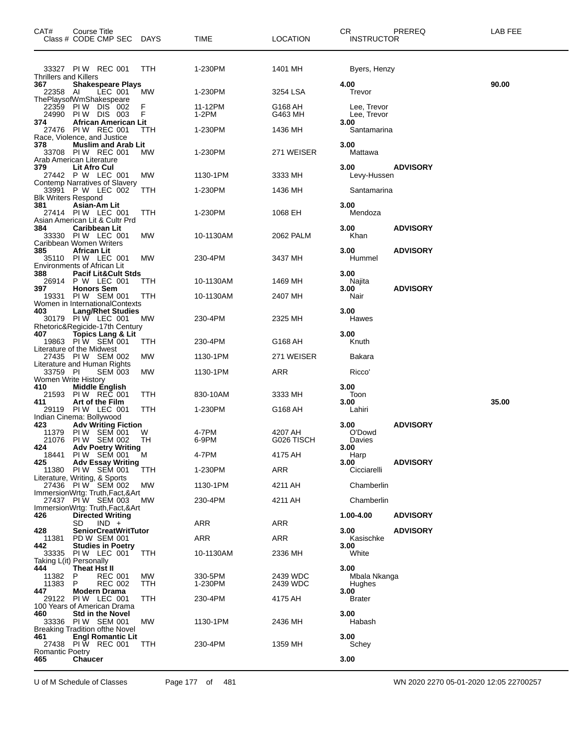| CAT#                            | <b>Course Title</b><br>Class # CODE CMP SEC                                     | DAYS       | TIME               | <b>LOCATION</b>       | <b>CR</b><br>PREREQ<br><b>INSTRUCTOR</b>  | LAB FEE |
|---------------------------------|---------------------------------------------------------------------------------|------------|--------------------|-----------------------|-------------------------------------------|---------|
| <b>Thrillers and Killers</b>    | 33327 PIW REC 001                                                               | TTH        | 1-230PM            | 1401 MH               | Byers, Henzy                              |         |
| 367<br>22358 AI                 | <b>Shakespeare Plays</b><br>LEC 001<br>ThePlaysofWmShakespeare                  | МW         | 1-230PM            | 3254 LSA              | 4.00<br>Trevor                            | 90.00   |
| 22359<br>24990                  | PIW DIS 002<br>PIW DIS 003                                                      | F<br>F     | 11-12PM<br>1-2PM   | G168 AH<br>G463 MH    | Lee, Trevor<br>Lee, Trevor                |         |
| 374                             | <b>African American Lit</b><br>27476 PIW REC 001<br>Race, Violence, and Justice | ттн        | 1-230PM            | 1436 MH               | 3.00<br>Santamarina                       |         |
| 378                             | <b>Muslim and Arab Lit</b><br>33708 PIW REC 001<br>Arab American Literature     | МW         | 1-230PM            | 271 WEISER            | 3.00<br>Mattawa                           |         |
| 379                             | Lit Afro Cul<br>27442 P W LEC 001                                               | MW         | 1130-1PM           | 3333 MH               | <b>ADVISORY</b><br>3.00<br>Levy-Hussen    |         |
| <b>Blk Writers Respond</b>      | Contemp Narratives of Slavery<br>33991 P W LEC 002                              | ттн        | 1-230PM            | 1436 MH               | Santamarina                               |         |
| 381                             | Asian-Am Lit<br>27414 PIW LEC 001<br>Asian American Lit & Cultr Prd             | TTH        | 1-230PM            | 1068 EH               | 3.00<br>Mendoza                           |         |
| 384                             | <b>Caribbean Lit</b><br>33330 PIW LEC 001<br>Caribbean Women Writers            | MW         | 10-1130AM          | 2062 PALM             | 3.00<br><b>ADVISORY</b><br>Khan           |         |
| 385                             | African Lit<br>35110 PIW LEC 001<br>Environments of African Lit                 | MW         | 230-4PM            | 3437 MH               | 3.00<br><b>ADVISORY</b><br>Hummel         |         |
| 388<br>26914<br>397             | <b>Pacif Lit&amp;Cult Stds</b><br>P W LEC 001<br><b>Honors Sem</b>              | ттн        | 10-1130AM          | 1469 MH               | 3.00<br>Najita<br><b>ADVISORY</b><br>3.00 |         |
| 19331                           | PIW SEM 001<br>Women in InternationalContexts                                   | TTH        | 10-1130AM          | 2407 MH               | Nair                                      |         |
| 403                             | <b>Lang/Rhet Studies</b><br>30179 PIW LEC 001<br>Rhetoric&Regicide-17th Century | МW         | 230-4PM            | 2325 MH               | 3.00<br>Hawes                             |         |
| 407                             | <b>Topics Lang &amp; Lit</b><br>19863 PIW SEM 001                               | ттн        | 230-4PM            | G168 AH               | 3.00<br>Knuth                             |         |
|                                 | Literature of the Midwest<br>27435 PIW SEM 002                                  | MW         | 1130-1PM           | 271 WEISER            | Bakara                                    |         |
| 33759 PI<br>Women Write History | Literature and Human Rights<br><b>SEM 003</b>                                   | MW         | 1130-1PM           | ARR                   | Ricco'                                    |         |
| 410<br>21593                    | <b>Middle English</b><br>PIW REC 001                                            | TTH        | 830-10AM           | 3333 MH               | 3.00<br>Toon                              |         |
| 411<br>29119                    | Art of the Film<br>PIW LEC 001                                                  | TTH        | 1-230PM            | G168 AH               | 3.00<br>Lahiri                            | 35.00   |
| 423                             | Indian Cinema: Bollywood<br><b>Adv Writing Fiction</b>                          |            |                    |                       | <b>ADVISORY</b><br>3.00                   |         |
| 11379<br>21076<br>424           | PIW SEM 001<br>PIW SEM 002<br><b>Adv Poetry Writing</b>                         | W<br>TН    | 4-7PM<br>6-9PM     | 4207 AH<br>G026 TISCH | O'Dowd<br>Davies<br>3.00                  |         |
| 18441<br>425                    | PIW SEM 001<br><b>Adv Essay Writing</b>                                         | M          | 4-7PM              | 4175 AH               | Harp<br>3.00<br><b>ADVISORY</b>           |         |
| 11380                           | PIW SEM 001<br>Literature, Writing, & Sports                                    | TTH        | 1-230PM            | ARR                   | Cicciarelli                               |         |
|                                 | 27436 PIW SEM 002<br>ImmersionWrtg: Truth, Fact, & Art                          | МW         | 1130-1PM           | 4211 AH               | Chamberlin                                |         |
|                                 | 27437 PIW SEM 003<br>ImmersionWrtg: Truth, Fact, & Art                          | <b>MW</b>  | 230-4PM            | 4211 AH               | Chamberlin                                |         |
| 426                             | <b>Directed Writing</b><br>SD<br>$IND +$                                        |            | ARR                | <b>ARR</b>            | 1.00-4.00<br><b>ADVISORY</b>              |         |
| 428<br>11381                    | <b>SeniorCreatWritTutor</b><br>PD W SEM 001                                     |            | ARR                | ARR                   | 3.00<br><b>ADVISORY</b><br>Kasischke      |         |
| 442<br>33335                    | <b>Studies in Poetry</b><br>PIW LEC 001<br>Taking L(it) Personally              | TTH        | 10-1130AM          | 2336 MH               | 3.00<br>White                             |         |
| 444<br>11382<br>11383           | Theat Hst II<br>P<br><b>REC 001</b><br>P<br>REC 002                             | MW.<br>TTH | 330-5PM<br>1-230PM | 2439 WDC<br>2439 WDC  | 3.00<br>Mbala Nkanga<br>Hughes            |         |
| 447                             | <b>Modern Drama</b><br>29122 PIW LEC 001<br>100 Years of American Drama         | TTH        | 230-4PM            | 4175 AH               | 3.00<br>Brater                            |         |
| 460                             | <b>Std in the Novel</b><br>33336 PIW SEM 001                                    | МW         | 1130-1PM           | 2436 MH               | 3.00<br>Habash                            |         |
| 461                             | Breaking Tradition ofthe Novel<br><b>Engl Romantic Lit</b><br>27438 PIW REC 001 | TTH        | 230-4PM            | 1359 MH               | 3.00<br>Schey                             |         |
| <b>Romantic Poetry</b><br>465   | <b>Chaucer</b>                                                                  |            |                    |                       | 3.00                                      |         |

U of M Schedule of Classes Page 177 of 481 WN 2020 2270 05-01-2020 12:05 22700257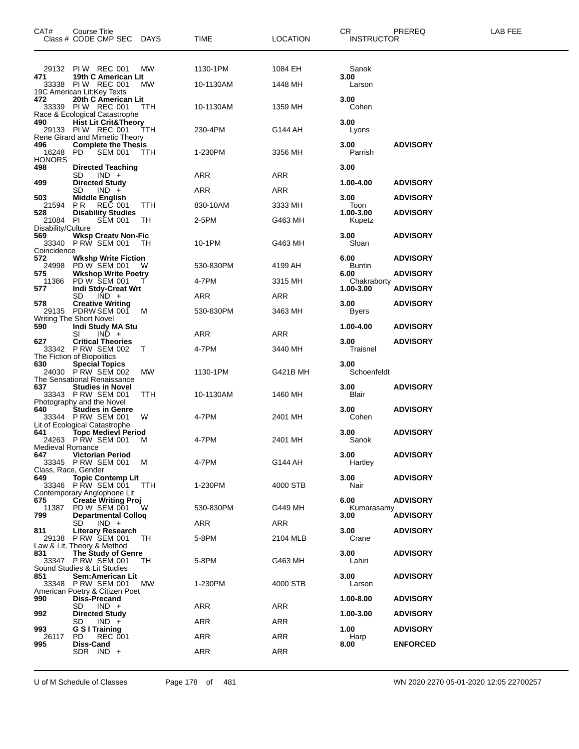| CAT#                           | Course Title<br>Class # CODE CMP SEC                        | <b>DAYS</b> | TIME       | <b>LOCATION</b> | CR.<br><b>INSTRUCTOR</b> | PREREQ          | <b>LAB FEE</b> |
|--------------------------------|-------------------------------------------------------------|-------------|------------|-----------------|--------------------------|-----------------|----------------|
|                                | 29132 PIW REC 001                                           | MW          | 1130-1PM   | 1084 EH         | Sanok                    |                 |                |
| 471                            | 19th C American Lit                                         |             |            |                 | 3.00                     |                 |                |
|                                | 33338 PIW REC 001<br>19C American Lit: Key Texts            | MW          | 10-1130AM  | 1448 MH         | Larson                   |                 |                |
| 472                            | 20th C American Lit                                         |             |            |                 | 3.00                     |                 |                |
|                                | 33339 PIW REC 001<br>Race & Ecological Catastrophe          | ттн         | 10-1130AM  | 1359 MH         | Cohen                    |                 |                |
| 490                            | <b>Hist Lit Crit&amp;Theory</b>                             |             |            |                 | 3.00                     |                 |                |
|                                | 29133 PIW REC 001<br>Rene Girard and Mimetic Theory         | ттн         | 230-4PM    | G144 AH         | Lyons                    |                 |                |
| 496                            | <b>Complete the Thesis</b>                                  |             |            |                 | 3.00                     | <b>ADVISORY</b> |                |
| 16248 PD<br><b>HONORS</b>      | <b>SEM 001</b>                                              | TTH         | 1-230PM    | 3356 MH         | Parrish                  |                 |                |
| 498                            | <b>Directed Teaching</b>                                    |             |            |                 | 3.00                     |                 |                |
| 499                            | SD<br>$IND +$<br><b>Directed Study</b>                      |             | ARR        | ARR             | 1.00-4.00                | <b>ADVISORY</b> |                |
|                                | SD<br>$IND +$                                               |             | <b>ARR</b> | <b>ARR</b>      |                          |                 |                |
| 503<br>21594                   | <b>Middle English</b><br>P R<br><b>REC 001</b>              | TTH         | 830-10AM   | 3333 MH         | 3.00<br>Toon             | <b>ADVISORY</b> |                |
| 528                            | <b>Disability Studies</b>                                   |             |            |                 | 1.00-3.00                | <b>ADVISORY</b> |                |
| 21084 PI<br>Disability/Culture | <b>SEM 001</b>                                              | TН          | 2-5PM      | G463 MH         | Kupetz                   |                 |                |
| 569                            | <b>Wksp Creatv Non-Fic</b>                                  |             |            |                 | 3.00                     | <b>ADVISORY</b> |                |
| Coincidence                    | 33340 PRW SEM 001                                           | ТH          | 10-1PM     | G463 MH         | Sloan                    |                 |                |
| 572                            | <b>Wkshp Write Fiction</b>                                  |             |            |                 | 6.00                     | <b>ADVISORY</b> |                |
| 575                            | 24998 PD W SEM 001<br><b>Wkshop Write Poetry</b>            |             | 530-830PM  | 4199 AH         | Buntin<br>6.00           | <b>ADVISORY</b> |                |
| 11386                          | PD W SEM 001                                                |             | 4-7PM      | 3315 MH         | Chakraborty              |                 |                |
| 577                            | Indi Stdy-Creat Wrt<br>SD<br>$IND +$                        |             | ARR        | ARR             | 1.00-3.00                | <b>ADVISORY</b> |                |
| 578                            | <b>Creative Writing</b>                                     |             |            |                 | 3.00                     | <b>ADVISORY</b> |                |
|                                | 29135 PDRW SEM 001<br>Writing The Short Novel               | M           | 530-830PM  | 3463 MH         | Byers                    |                 |                |
| 590                            | Indi Study MA Stu                                           |             |            |                 | 1.00-4.00                | <b>ADVISORY</b> |                |
| 627                            | $IND +$<br>SI<br><b>Critical Theories</b>                   |             | ARR        | ARR             | 3.00                     | <b>ADVISORY</b> |                |
|                                | 33342 P RW SEM 002                                          | т           | 4-7PM      | 3440 MH         | Traisnel                 |                 |                |
| 630                            | The Fiction of Biopolitics<br><b>Special Topics</b>         |             |            |                 | 3.00                     |                 |                |
|                                | 24030 PRW SEM 002                                           | MW          | 1130-1PM   | G421B MH        | Schoenfeldt              |                 |                |
| 637                            | The Sensational Renaissance<br><b>Studies in Novel</b>      |             |            |                 | 3.00                     | <b>ADVISORY</b> |                |
|                                | 33343 P RW SEM 001                                          | TTH         | 10-1130AM  | 1460 MH         | Blair                    |                 |                |
| 640                            | Photography and the Novel<br><b>Studies in Genre</b>        |             |            |                 | 3.00                     | <b>ADVISORY</b> |                |
|                                | 33344 PRW SEM 001                                           | W           | 4-7PM      | 2401 MH         | Cohen                    |                 |                |
| 641                            | Lit of Ecological Catastrophe<br><b>Topc Medievl Period</b> |             |            |                 | 3.00                     | <b>ADVISORY</b> |                |
|                                | 24263 P RW SEM 001                                          | м           | 4-7PM      | 2401 MH         | Sanok                    |                 |                |
| Medieval Romance<br>647        | <b>Victorian Period</b>                                     |             |            |                 | 3.00                     | <b>ADVISORY</b> |                |
|                                | 33345 P RW SEM 001<br>Class, Race, Gender                   | м           | 4-7PM      | G144 AH         | Hartley                  |                 |                |
| 649                            | <b>Topic Contemp Lit</b>                                    |             |            |                 | 3.00                     | <b>ADVISORY</b> |                |
|                                | 33346 PRW SEM 001<br>Contemporary Anglophone Lit            | TTH         | 1-230PM    | 4000 STB        | Nair                     |                 |                |
| 675                            | <b>Create Writing Proj</b>                                  |             |            |                 | 6.00                     | <b>ADVISORY</b> |                |
| 11387<br>799                   | PD W SEM 001<br><b>Departmental Collog</b>                  | W           | 530-830PM  | G449 MH         | Kumarasamy<br>3.00       | <b>ADVISORY</b> |                |
|                                | SD<br>$IND +$                                               |             | ARR        | ARR             |                          |                 |                |
| 811                            | <b>Literary Research</b><br>29138 P RW SEM 001              | TH          | 5-8PM      | 2104 MLB        | 3.00<br>Crane            | <b>ADVISORY</b> |                |
|                                | Law & Lit, Theory & Method                                  |             |            |                 |                          |                 |                |
| 831                            | The Study of Genre<br>33347 P RW SEM 001                    | TH.         | 5-8PM      | G463 MH         | 3.00<br>Lahiri           | <b>ADVISORY</b> |                |
|                                | Sound Studies & Lit Studies                                 |             |            |                 |                          |                 |                |
| 851                            | Sem:American Lit<br>33348 PRW SEM 001                       | <b>MW</b>   | 1-230PM    | 4000 STB        | 3.00<br>Larson           | <b>ADVISORY</b> |                |
|                                | American Poetry & Citizen Poet                              |             |            |                 |                          |                 |                |
| 990                            | Diss-Precand<br>SD<br>$IND +$                               |             | ARR        | ARR             | 1.00-8.00                | <b>ADVISORY</b> |                |
| 992                            | <b>Directed Study</b>                                       |             |            |                 | 1.00-3.00                | <b>ADVISORY</b> |                |
| 993                            | $IND +$<br>SD<br><b>G S I Training</b>                      |             | ARR        | ARR             | 1.00                     | <b>ADVISORY</b> |                |
| 26117                          | PD.<br><b>REC 001</b>                                       |             | ARR        | ARR             | Harp                     |                 |                |
| 995                            | Diss-Cand<br>$SDR$ IND $+$                                  |             | ARR        | ARR             | 8.00                     | <b>ENFORCED</b> |                |
|                                |                                                             |             |            |                 |                          |                 |                |

U of M Schedule of Classes Page 178 of 481 WN 2020 2270 05-01-2020 12:05 22700257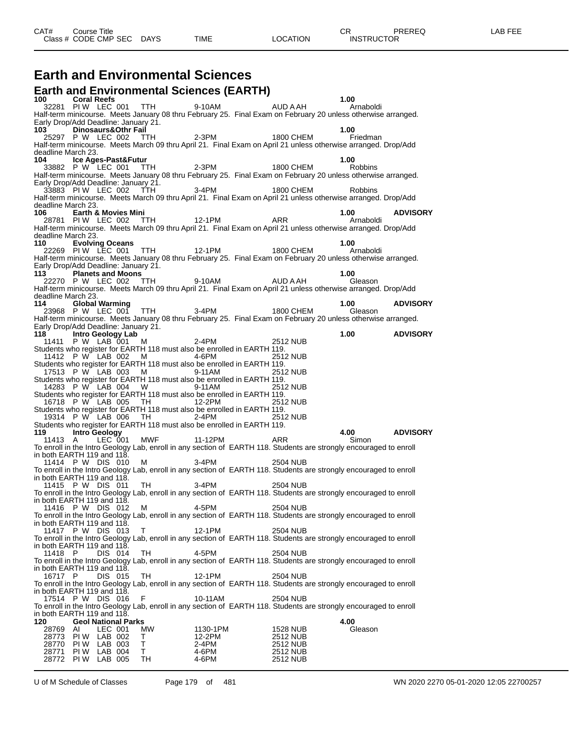## **Earth and Environmental Sciences**

|                           |                                                             |         | <b>Earth and Environmental Sciences (EARTH)</b>                                                       |                    |                      |                                                                                                                                              |                 |
|---------------------------|-------------------------------------------------------------|---------|-------------------------------------------------------------------------------------------------------|--------------------|----------------------|----------------------------------------------------------------------------------------------------------------------------------------------|-----------------|
| 100 —                     | <b>Coral Reefs</b>                                          |         | 32281 PIW LEC 001 TTH                                                                                 | 9-10AM             | <b>AUD A AH</b>      | 1.00<br>Arnaboldi                                                                                                                            |                 |
|                           |                                                             |         |                                                                                                       |                    |                      | Half-term minicourse. Meets January 08 thru February 25. Final Exam on February 20 unless otherwise arranged.                                |                 |
| 103 —                     | Early Drop/Add Deadline: January 21.<br>Dinosaurs&Othr Fail |         |                                                                                                       |                    |                      | 1.00                                                                                                                                         |                 |
|                           | 25297 P W LEC 002 TTH                                       |         |                                                                                                       | $2-3PM$            | 1800 CHEM            | Friedman                                                                                                                                     |                 |
| deadline March 23.        |                                                             |         |                                                                                                       |                    |                      | Half-term minicourse. Meets March 09 thru April 21. Final Exam on April 21 unless otherwise arranged. Drop/Add                               |                 |
| 104                       | Ice Ages-Past&Futur                                         |         |                                                                                                       |                    |                      | 1.00                                                                                                                                         |                 |
|                           |                                                             |         |                                                                                                       |                    |                      | 33882 P W LEC 001 TTH 2-3PM<br>Half-term minicourse. Meets January 08 thru February 25. Final Exam on February 20 unless otherwise arranged. |                 |
|                           | Early Drop/Add Deadline: January 21.                        |         |                                                                                                       | $3-4PM$            |                      |                                                                                                                                              |                 |
|                           | 33883 PIW LEC 002 TTH                                       |         |                                                                                                       |                    |                      | 1800 CHEM Robbins<br>Half-term minicourse. Meets March 09 thru April 21. Final Exam on April 21 unless otherwise arranged. Drop/Add          |                 |
| deadline March 23.<br>106 | <b>Earth &amp; Movies Mini</b>                              |         |                                                                                                       |                    |                      |                                                                                                                                              | 1.00 ADVISORY   |
|                           |                                                             |         | o Earlin & Movies Milli<br>28781 PIW LEC 002 TTH 12-1PM ARR                                           |                    |                      | Arnaboldi                                                                                                                                    |                 |
| deadline March 23.        |                                                             |         |                                                                                                       |                    |                      | Half-term minicourse. Meets March 09 thru April 21. Final Exam on April 21 unless otherwise arranged. Drop/Add                               |                 |
| 110                       | <b>Evolving Oceans</b>                                      |         |                                                                                                       |                    |                      | 1.00                                                                                                                                         |                 |
|                           |                                                             |         | 22269 PIW LEC 001 TTH 12-1PM                                                                          |                    | 1800 CHEM            | Arnaboldi<br>Half-term minicourse. Meets January 08 thru February 25. Final Exam on February 20 unless otherwise arranged.                   |                 |
|                           | Early Drop/Add Deadline: January 21.                        |         |                                                                                                       |                    |                      |                                                                                                                                              |                 |
| 113                       | <b>Planets and Moons</b>                                    |         | 22270 P W LEC 002 TTH 9-10AM                                                                          |                    | AUD A AH             | 1.00<br>Gleason                                                                                                                              |                 |
|                           |                                                             |         |                                                                                                       |                    |                      | Half-term minicourse. Meets March 09 thru April 21. Final Exam on April 21 unless otherwise arranged. Drop/Add                               |                 |
| deadline March 23.<br>114 | <b>Global Warming</b>                                       |         |                                                                                                       |                    |                      | 1.00                                                                                                                                         | ADVISORY        |
|                           |                                                             |         |                                                                                                       |                    |                      | 23968 P W LEC 001 TTH 3-4PM 3 1800 CHEM Gleason                                                                                              |                 |
|                           | Early Drop/Add Deadline: January 21.                        |         |                                                                                                       |                    |                      | Half-term minicourse. Meets January 08 thru February 25. Final Exam on February 20 unless otherwise arranged.                                |                 |
| 118 —                     | Intro Geology Lab                                           |         |                                                                                                       |                    |                      | 1.00                                                                                                                                         | <b>ADVISORY</b> |
|                           | 11411 P W LAB 001 M                                         |         | Students who register for EARTH 118 must also be enrolled in EARTH 119.                               | 2-4PM              | 2512 NUB             |                                                                                                                                              |                 |
|                           |                                                             |         | 11412 P W LAB 002 M 4-6PM                                                                             |                    | 2512 NUB             |                                                                                                                                              |                 |
|                           |                                                             |         | Students who register for EARTH 118 must also be enrolled in EARTH 119.<br>17513 P W LAB 003 M 9-11AM |                    | 2512 NUB             |                                                                                                                                              |                 |
|                           |                                                             |         | Students who register for EARTH 118 must also be enrolled in EARTH 119.                               |                    |                      |                                                                                                                                              |                 |
|                           |                                                             |         | 14283 P W LAB 004 W<br>Students who register for EARTH 118 must also be enrolled in EARTH 119.        | 9-11AM             | 2512 NUB             |                                                                                                                                              |                 |
|                           |                                                             |         | 16718 P W LAB 005 TH 12-2PM                                                                           |                    | 2512 NUB             |                                                                                                                                              |                 |
|                           |                                                             |         | Students who register for EARTH 118 must also be enrolled in EARTH 119.<br>19314 P W LAB 006 TH 2-4PM |                    | 2512 NUB             |                                                                                                                                              |                 |
|                           |                                                             |         | Students who register for EARTH 118 must also be enrolled in EARTH 119.                               |                    |                      |                                                                                                                                              |                 |
| 119<br>11413 A            | <b>Intro Geology</b>                                        | LEC 001 | MWF 11-12PM ARR                                                                                       |                    |                      | 4.00<br>Simon                                                                                                                                | <b>ADVISORY</b> |
|                           | in both EARTH 119 and 118.                                  |         |                                                                                                       |                    |                      | To enroll in the Intro Geology Lab, enroll in any section of EARTH 118. Students are strongly encouraged to enroll                           |                 |
|                           | 11414 P W DIS 010 M                                         |         |                                                                                                       | $3-4PM$            | 2504 NUB             |                                                                                                                                              |                 |
|                           |                                                             |         |                                                                                                       |                    |                      | To enroll in the Intro Geology Lab, enroll in any section of EARTH 118. Students are strongly encouraged to enroll                           |                 |
|                           | in both EARTH 119 and 118.<br>11415 P W DIS 011 TH          |         |                                                                                                       | 3-4PM              | 2504 NUB             |                                                                                                                                              |                 |
|                           | in both EARTH 119 and 118.                                  |         |                                                                                                       |                    |                      | To enroll in the Intro Geology Lab, enroll in any section of EARTH 118. Students are strongly encouraged to enroll                           |                 |
|                           |                                                             |         | 11416 P W DIS 012 M 4-5PM                                                                             |                    | 2504 NUB             |                                                                                                                                              |                 |
|                           | in both EARTH 119 and 118.                                  |         |                                                                                                       |                    |                      | To enroll in the Intro Geology Lab, enroll in any section of EARTH 118. Students are strongly encouraged to enroll                           |                 |
|                           | 11417 P W DIS 013                                           |         | T.                                                                                                    | 12-1PM             | 2504 NUB             |                                                                                                                                              |                 |
|                           | in both EARTH 119 and 118.                                  |         |                                                                                                       |                    |                      | To enroll in the Intro Geology Lab, enroll in any section of EARTH 118. Students are strongly encouraged to enroll                           |                 |
| 11418 P                   |                                                             | DIS 014 | TH                                                                                                    | 4-5PM              | 2504 NUB             |                                                                                                                                              |                 |
|                           | in both EARTH 119 and 118.                                  |         |                                                                                                       |                    |                      | To enroll in the Intro Geology Lab, enroll in any section of EARTH 118. Students are strongly encouraged to enroll                           |                 |
| 16717 P                   |                                                             | DIS 015 | TH                                                                                                    | 12-1PM             | 2504 NUB             |                                                                                                                                              |                 |
|                           | in both EARTH 119 and 118.                                  |         |                                                                                                       |                    |                      | To enroll in the Intro Geology Lab, enroll in any section of EARTH 118. Students are strongly encouraged to enroll                           |                 |
|                           | 17514 P W DIS 016                                           |         | F                                                                                                     | 10-11AM            | 2504 NUB             |                                                                                                                                              |                 |
|                           | in both EARTH 119 and 118.                                  |         |                                                                                                       |                    |                      | To enroll in the Intro Geology Lab, enroll in any section of EARTH 118. Students are strongly encouraged to enroll                           |                 |
| 120                       | <b>Geol National Parks</b>                                  |         |                                                                                                       |                    |                      | 4.00                                                                                                                                         |                 |
| 28769                     | AI<br>28773 PIW LAB 002                                     | LEC 001 | МW<br>т                                                                                               | 1130-1PM<br>12-2PM | 1528 NUB<br>2512 NUB | Gleason                                                                                                                                      |                 |
|                           | 28770 PIW LAB 003                                           |         | т                                                                                                     | 2-4PM              | 2512 NUB             |                                                                                                                                              |                 |
|                           | 28771 PIW LAB 004<br>28772 PIW LAB 005                      |         | Τ<br>TH                                                                                               | 4-6PM<br>4-6PM     | 2512 NUB<br>2512 NUB |                                                                                                                                              |                 |

U of M Schedule of Classes Page 179 of 481 WN 2020 2270 05-01-2020 12:05 22700257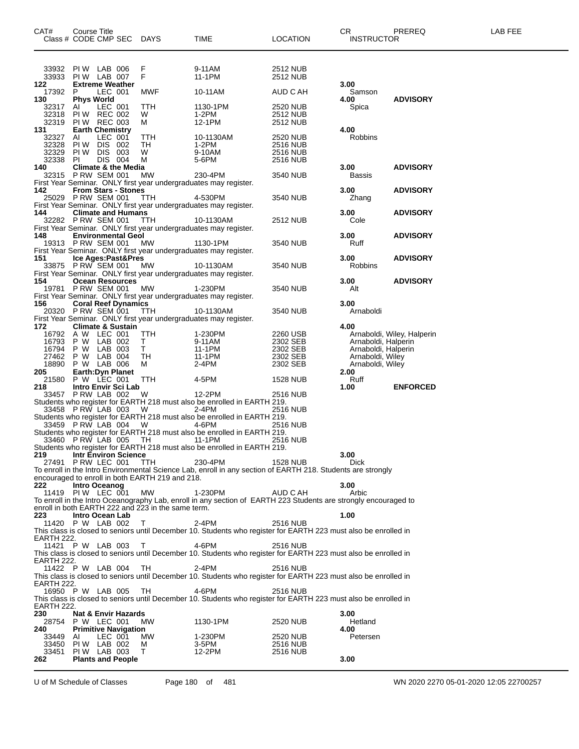| CAT#<br>Course Title<br>Class # CODE CMP SEC DAYS |                            | TIME    |                                | <b>LOCATION</b>                                    | CR.<br>PREREQ<br><b>INSTRUCTOR</b>                                                                                         |                      | LAB FEE                                    |                            |  |
|---------------------------------------------------|----------------------------|---------|--------------------------------|----------------------------------------------------|----------------------------------------------------------------------------------------------------------------------------|----------------------|--------------------------------------------|----------------------------|--|
| 33932 PIW LAB 006                                 |                            |         |                                | F                                                  | 9-11AM                                                                                                                     | 2512 NUB             |                                            |                            |  |
| 33933 PIW LAB 007<br>122.                         |                            |         | <b>Extreme Weather</b>         | F                                                  | 11-1PM                                                                                                                     | 2512 NUB             | 3.00                                       |                            |  |
| 17392 P<br>130                                    | <b>Phys World</b>          | LEC 001 |                                | <b>MWF</b>                                         | 10-11AM                                                                                                                    | AUD C AH             | Samson<br>4.00                             | <b>ADVISORY</b>            |  |
| 32317 AI<br>32318 PIW REC 002                     |                            | LEC 001 |                                | TTH                                                | 1130-1PM                                                                                                                   | 2520 NUB             | Spica                                      |                            |  |
| 32319 PIW REC 003                                 |                            |         |                                | W<br>М                                             | 1-2PM<br>12-1PM                                                                                                            | 2512 NUB<br>2512 NUB |                                            |                            |  |
| 131<br>32327 AI                                   | <b>Earth Chemistry</b>     | LEC 001 |                                | TTH                                                | 10-1130AM                                                                                                                  | 2520 NUB             | 4.00<br>Robbins                            |                            |  |
| 32328 PIW DIS 002                                 |                            |         |                                | TH                                                 | 1-2PM                                                                                                                      | <b>2516 NUB</b>      |                                            |                            |  |
| 32329 PIW DIS 003<br>32338 PI                     |                            | DIS 004 |                                | W<br>М                                             | 9-10AM<br>5-6PM                                                                                                            | 2516 NUB<br>2516 NUB |                                            |                            |  |
| 140<br>32315 P RW SEM 001                         |                            |         | <b>Climate &amp; the Media</b> | MW                                                 | 230-4PM                                                                                                                    | 3540 NUB             | 3.00<br><b>Bassis</b>                      | <b>ADVISORY</b>            |  |
|                                                   |                            |         |                                |                                                    | First Year Seminar. ONLY first year undergraduates may register.                                                           |                      |                                            |                            |  |
| 142<br>25029 PRW SEM 001 TTH                      |                            |         | <b>From Stars - Stones</b>     |                                                    | 4-530PM                                                                                                                    | 3540 NUB             | 3.00<br>Zhang                              | <b>ADVISORY</b>            |  |
| 144                                               |                            |         | <b>Climate and Humans</b>      |                                                    | First Year Seminar. ONLY first year undergraduates may register.                                                           |                      | 3.00                                       | <b>ADVISORY</b>            |  |
| 32282 PRW SEM 001 TTH                             |                            |         |                                |                                                    | 10-1130AM                                                                                                                  | 2512 NUB             | Cole                                       |                            |  |
| 148                                               |                            |         | <b>Environmental Geol</b>      |                                                    | First Year Seminar. ONLY first year undergraduates may register.                                                           |                      | 3.00                                       | <b>ADVISORY</b>            |  |
| 19313 PRW SEM 001 MW                              |                            |         |                                |                                                    | 1130-1PM<br>First Year Seminar. ONLY first year undergraduates may register.                                               | 3540 NUB             | Ruff                                       |                            |  |
| 151                                               |                            |         | Ice Ages:Past&Pres             |                                                    |                                                                                                                            |                      | 3.00                                       | <b>ADVISORY</b>            |  |
| 33875 PRW SEM 001 MW                              |                            |         |                                |                                                    | 10-1130AM<br>First Year Seminar. ONLY first year undergraduates may register.                                              | 3540 NUB             | <b>Robbins</b>                             |                            |  |
| 154<br>19781 PRW SEM 001 MW                       |                            |         | <b>Ocean Resources</b>         |                                                    | 1-230PM                                                                                                                    | 3540 NUB             | 3.00<br>Alt                                | <b>ADVISORY</b>            |  |
|                                                   |                            |         |                                |                                                    | First Year Seminar. ONLY first year undergraduates may register.                                                           |                      |                                            |                            |  |
| 156<br>20320 PRW SEM 001 TTH                      |                            |         | <b>Coral Reef Dynamics</b>     |                                                    | 10-1130AM                                                                                                                  | 3540 NUB             | 3.00<br>Arnaboldi                          |                            |  |
|                                                   |                            |         |                                |                                                    | First Year Seminar. ONLY first year undergraduates may register.                                                           |                      |                                            |                            |  |
| 172<br>16792 A W LEC 001                          |                            |         | <b>Climate &amp; Sustain</b>   | TTH                                                | 1-230PM                                                                                                                    | 2260 USB             | 4.00                                       | Arnaboldi, Wiley, Halperin |  |
| 16793 P W LAB 002<br>16794 P W LAB 003            |                            |         |                                | T.<br>$\mathsf T$                                  | 9-11AM<br>11-1PM                                                                                                           | 2302 SEB<br>2302 SEB | Arnaboldi, Halperin<br>Arnaboldi, Halperin |                            |  |
| 27462                                             | P W LAB 004                |         |                                | TH.                                                | 11-1PM                                                                                                                     | 2302 SEB             | Arnaboldi, Wiley                           |                            |  |
| 18890<br>205                                      | P W LAB 006                |         | <b>Earth: Dyn Planet</b>       | M                                                  | 2-4PM                                                                                                                      | 2302 SEB             | Arnaboldi, Wiley<br>2.00                   |                            |  |
| 21580<br>218                                      | P W LEC 001                |         | Intro Envir Sci Lab            | <b>TTH</b>                                         | 4-5PM                                                                                                                      | 1528 NUB             | Ruff<br>1.00                               | <b>ENFORCED</b>            |  |
| 33457 PRW LAB 002 W                               |                            |         |                                |                                                    | 12-2PM                                                                                                                     | 2516 NUB             |                                            |                            |  |
| 33458 P RW LAB 003                                |                            |         |                                | W                                                  | Students who register for EARTH 218 must also be enrolled in EARTH 219.<br>2-4PM                                           | 2516 NUB             |                                            |                            |  |
| 33459 PRW LAB 004 W                               |                            |         |                                | 4-6PM                                              | Students who register for EARTH 218 must also be enrolled in EARTH 219.                                                    | 2516 NUB             |                                            |                            |  |
|                                                   |                            |         |                                |                                                    | Students who register for EARTH 218 must also be enrolled in EARTH 219.                                                    |                      |                                            |                            |  |
| 33460 PRW LAB 005                                 |                            |         |                                | TH                                                 | 11-1 PM<br>Students who register for EARTH 218 must also be enrolled in EARTH 219.                                         | 2516 NUB             |                                            |                            |  |
| 219                                               |                            |         | <b>Intr Environ Science</b>    |                                                    |                                                                                                                            |                      | 3.00                                       |                            |  |
| 27491                                             | PRW LEC 001                |         |                                | TTH                                                | 230-4PM<br>To enroll in the Intro Environmental Science Lab, enroll in any section of EARTH 218. Students are strongly     | 1528 NUB             | <b>Dick</b>                                |                            |  |
| 222                                               | Intro Oceanog              |         |                                | encouraged to enroll in both EARTH 219 and 218.    |                                                                                                                            |                      | 3.00                                       |                            |  |
| 11419 PIW LEC 001                                 |                            |         |                                | MW                                                 | 1-230PM                                                                                                                    | AUD C AH             | Arbic                                      |                            |  |
|                                                   |                            |         |                                | enroll in both EARTH 222 and 223 in the same term. | To enroll in the Intro Oceanography Lab, enroll in any section of EARTH 223 Students are strongly encouraged to            |                      |                                            |                            |  |
| 223<br>11420 P W LAB 002                          | Intro Ocean Lab            |         |                                | T                                                  | $2-4PM$                                                                                                                    | <b>2516 NUB</b>      | 1.00                                       |                            |  |
|                                                   |                            |         |                                |                                                    | This class is closed to seniors until December 10. Students who register for EARTH 223 must also be enrolled in            |                      |                                            |                            |  |
| EARTH 222.<br>11421 P W LAB 003                   |                            |         |                                | т                                                  | 4-6PM                                                                                                                      | 2516 NUB             |                                            |                            |  |
| EARTH 222.                                        |                            |         |                                |                                                    | This class is closed to seniors until December 10. Students who register for EARTH 223 must also be enrolled in            |                      |                                            |                            |  |
| 11422 P W LAB 004                                 |                            |         |                                | TН                                                 | $2-4PM$<br>This class is closed to seniors until December 10. Students who register for EARTH 223 must also be enrolled in | 2516 NUB             |                                            |                            |  |
| EARTH 222.<br>16950 P W LAB 005                   |                            |         |                                | TН                                                 | 4-6PM                                                                                                                      | 2516 NUB             |                                            |                            |  |
| EARTH 222.                                        |                            |         |                                |                                                    | This class is closed to seniors until December 10. Students who register for EARTH 223 must also be enrolled in            |                      |                                            |                            |  |
| 230                                               |                            |         | <b>Nat &amp; Envir Hazards</b> |                                                    |                                                                                                                            |                      | 3.00                                       |                            |  |
| 28754<br>240                                      | P W LEC 001                |         | <b>Primitive Navigation</b>    | MW.                                                | 1130-1PM                                                                                                                   | 2520 NUB             | Hetland<br>4.00                            |                            |  |
| 33449                                             | AI                         | LEC 001 |                                | MW.                                                | 1-230PM                                                                                                                    | 2520 NUB             | Petersen                                   |                            |  |
| 33450<br>33451                                    | PIW LAB 002<br>PIW LAB 003 |         |                                | м<br>Τ                                             | 3-5PM<br>12-2PM                                                                                                            | 2516 NUB<br>2516 NUB |                                            |                            |  |
| 262                                               |                            |         | <b>Plants and People</b>       |                                                    |                                                                                                                            |                      | 3.00                                       |                            |  |

U of M Schedule of Classes Page 180 of 481 WN 2020 2270 05-01-2020 12:05 22700257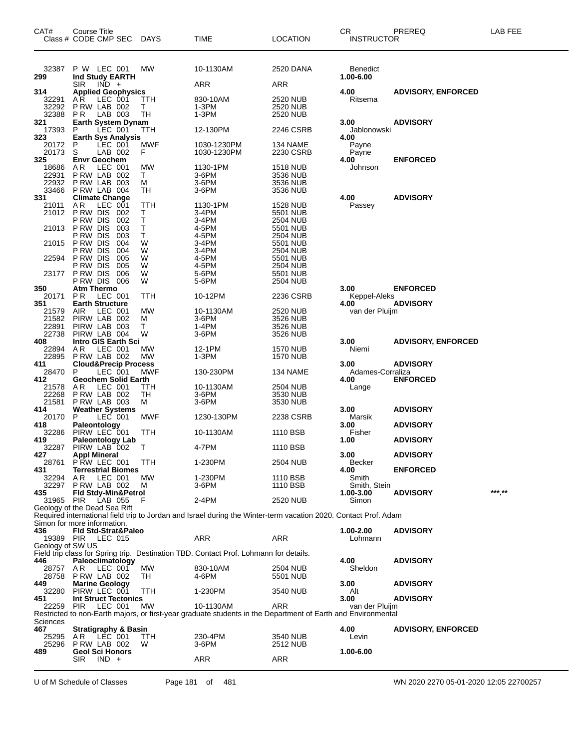| CAT#             | Course Title<br>Class # CODE CMP SEC DAYS              |            | <b>TIME</b>                                                                                                     | <b>LOCATION</b>                    | CR<br><b>INSTRUCTOR</b>  | PREREQ                    | LAB FEE |
|------------------|--------------------------------------------------------|------------|-----------------------------------------------------------------------------------------------------------------|------------------------------------|--------------------------|---------------------------|---------|
| 32387            | P W LEC 001                                            | MW         | 10-1130AM                                                                                                       | 2520 DANA                          | <b>Benedict</b>          |                           |         |
| 299              | Ind Study EARTH<br>$IND +$<br><b>SIR</b>               |            | ARR                                                                                                             | ARR                                | 1.00-6.00                |                           |         |
| 314              | <b>Applied Geophysics</b>                              |            |                                                                                                                 |                                    | 4.00                     | <b>ADVISORY, ENFORCED</b> |         |
| 32291<br>32292   | A R<br>LEC 001<br>P RW LAB 002                         | TTH<br>т   | 830-10AM<br>1-3PM                                                                                               | 2520 NUB<br><b>2520 NUB</b>        | Ritsema                  |                           |         |
| 32388<br>321     | P <sub>R</sub><br>LAB 003<br><b>Earth System Dynam</b> | TH         | 1-3PM                                                                                                           | 2520 NUB                           | 3.00                     | <b>ADVISORY</b>           |         |
| 17393            | $LEC$ 001<br>P                                         | <b>TTH</b> | 12-130PM                                                                                                        | 2246 CSRB                          | Jablonowski              |                           |         |
| 323<br>20172     | <b>Earth Sys Analysis</b><br>P<br>LEC 001              | MWF        | 1030-1230PM                                                                                                     | 134 NAME                           | 4.00<br>Payne            |                           |         |
| 20173            | LAB 002<br>S                                           | F          | 1030-1230PM                                                                                                     | 2230 CSRB                          | Payne                    |                           |         |
| 325<br>18686     | <b>Envr Geochem</b><br>A R<br>LEC 001                  | МW         | 1130-1PM                                                                                                        | <b>1518 NUB</b>                    | 4.00<br>Johnson          | <b>ENFORCED</b>           |         |
| 22931            | PRW LAB 002                                            | T.         | 3-6PM                                                                                                           | 3536 NUB                           |                          |                           |         |
| 22932<br>33466   | P RW LAB 003<br>PRW LAB 004                            | м<br>TН    | 3-6PM<br>3-6PM                                                                                                  | 3536 NUB<br>3536 NUB               |                          |                           |         |
| 331<br>21011     | <b>Climate Change</b><br>AR<br>LEC 001                 | TTH        | 1130-1PM                                                                                                        |                                    | 4.00                     | <b>ADVISORY</b>           |         |
| 21012            | P RW DIS<br>002                                        | Т          | 3-4PM                                                                                                           | 1528 NUB<br>5501 NUB               | Passey                   |                           |         |
| 21013            | P RW DIS<br>002<br>P RW DIS<br>003                     | Τ<br>Т     | 3-4PM<br>4-5PM                                                                                                  | 2504 NUB<br>5501 NUB               |                          |                           |         |
|                  | P RW DIS<br>003                                        | т          | 4-5PM                                                                                                           | 2504 NUB                           |                          |                           |         |
| 21015            | P RW DIS<br>004<br>P RW DIS<br>004                     | W<br>W     | 3-4PM<br>3-4PM                                                                                                  | 5501 NUB<br>2504 NUB               |                          |                           |         |
| 22594            | P RW DIS<br>005                                        | W          | 4-5PM                                                                                                           | 5501 NUB                           |                          |                           |         |
| 23177            | P RW DIS<br>005<br>PRW DIS<br>006                      | W<br>W     | 4-5PM<br>5-6PM                                                                                                  | <b>2504 NUB</b><br>5501 NUB        |                          |                           |         |
| 350              | P RW DIS 006<br><b>Atm Thermo</b>                      | W          | 5-6PM                                                                                                           | 2504 NUB                           | 3.00                     | <b>ENFORCED</b>           |         |
| 20171            | LEC 001<br>P R                                         | TTH        | 10-12PM                                                                                                         | 2236 CSRB                          | Keppel-Aleks             |                           |         |
| 351<br>21579     | <b>Earth Structure</b><br>AIR<br>LEC 001               | МW         | 10-1130AM                                                                                                       | 2520 NUB                           | 4.00<br>van der Pluijm   | <b>ADVISORY</b>           |         |
| 21582            | PIRW LAB 002                                           | м          | 3-6PM                                                                                                           | 3526 NUB                           |                          |                           |         |
| 22891<br>22738   | PIRW LAB 003<br>PIRW LAB 004                           | т<br>W     | 1-4PM<br>3-6PM                                                                                                  | 3526 NUB<br>3526 NUB               |                          |                           |         |
| 408              | <b>Intro GIS Earth Sci</b>                             |            |                                                                                                                 |                                    | 3.00                     | <b>ADVISORY, ENFORCED</b> |         |
| 22894<br>22895   | AR LEC 001<br>PRW LAB 002                              | МW<br>MW   | 12-1PM<br>1-3PM                                                                                                 | <b>1570 NUB</b><br><b>1570 NUB</b> | Niemi                    |                           |         |
| 411<br>28470     | <b>Cloud&amp;Precip Process</b><br>P<br>LEC 001        | MWF        | 130-230PM                                                                                                       | 134 NAME                           | 3.00<br>Adames-Corraliza | <b>ADVISORY</b>           |         |
| 412              | <b>Geochem Solid Earth</b>                             |            |                                                                                                                 |                                    | 4.00                     | <b>ENFORCED</b>           |         |
| 21578<br>22268   | LEC 001<br>AR.                                         | TTH<br>TH  | 10-1130AM<br>3-6PM                                                                                              | 2504 NUB<br>3530 NUB               | Lange                    |                           |         |
| 21581            | PRW LAB 002<br>PRW LAB 003                             | М          | 3-6PM                                                                                                           | 3530 NUB                           |                          |                           |         |
| 414<br>20170     | <b>Weather Systems</b><br>P<br>LEC 001                 | MWF        | 1230-130PM                                                                                                      | 2238 CSRB                          | 3.00<br>Marsik           | <b>ADVISORY</b>           |         |
| 418              | Paleontology                                           |            |                                                                                                                 |                                    | 3.00                     | <b>ADVISORY</b>           |         |
| 32286<br>419     | PIRW LEC 001<br><b>Paleontology Lab</b>                | TTH        | 10-1130AM                                                                                                       | 1110 BSB                           | Fisher<br>1.00           | <b>ADVISORY</b>           |         |
| 32287<br>427     | PIRW LAB 002 T<br><b>Appl Mineral</b>                  |            | 4-7PM                                                                                                           | 1110 BSB                           | 3.00                     | <b>ADVISORY</b>           |         |
| 28761            | PRW LEC 001                                            | <b>TTH</b> | 1-230PM                                                                                                         | 2504 NUB                           | <b>Becker</b>            |                           |         |
| 431<br>32294     | <b>Terrestrial Biomes</b><br>AR.<br>LEC 001            | МW         | 1-230PM                                                                                                         | 1110 BSB                           | 4.00<br>Smith            | <b>ENFORCED</b>           |         |
| 32297            | PRW LAB 002                                            | м          | 3-6PM                                                                                                           | 1110 BSB                           | Smith, Stein             |                           | ***_**  |
| 435<br>31965 PIR | Fld Stdy-Min&Petrol<br>LAB 055                         |            | 2-4PM                                                                                                           | <b>2520 NUB</b>                    | 1.00-3.00<br>Simon       | <b>ADVISORY</b>           |         |
|                  | Geology of the Dead Sea Rift                           |            | Required international field trip to Jordan and Israel during the Winter-term vacation 2020. Contact Prof. Adam |                                    |                          |                           |         |
|                  | Simon for more information.                            |            |                                                                                                                 |                                    |                          |                           |         |
| 436<br>19389 PIR | Fld Std-Strat&Paleo<br>LEC 015                         |            | ARR                                                                                                             | ARR                                | 1.00-2.00<br>Lohmann     | <b>ADVISORY</b>           |         |
| Geology of SW US |                                                        |            |                                                                                                                 |                                    |                          |                           |         |
| 446              | Paleoclimatology                                       |            | Field trip class for Spring trip. Destination TBD. Contact Prof. Lohmann for details.                           |                                    | 4.00                     | <b>ADVISORY</b>           |         |
| 28757            | A R<br>LEC 001                                         | MW         | 830-10AM                                                                                                        | 2504 NUB                           | Sheldon                  |                           |         |
| 28758<br>449     | PRW LAB 002<br><b>Marine Geology</b>                   | TH         | 4-6PM                                                                                                           | 5501 NUB                           | 3.00                     | <b>ADVISORY</b>           |         |
| 32280<br>451     | PIRW LEC 001<br><b>Int Struct Tectonics</b>            | TTH        | 1-230PM                                                                                                         | 3540 NUB                           | Alt<br>3.00              | <b>ADVISORY</b>           |         |
| 22259            | PIR<br>LEC 001                                         | МW         | 10-1130AM                                                                                                       | ARR                                | van der Pluijm           |                           |         |
| Sciences         |                                                        |            | Restricted to non-Earth majors, or first-year graduate students in the Department of Earth and Environmental    |                                    |                          |                           |         |
| 467              | <b>Stratigraphy &amp; Basin</b>                        |            |                                                                                                                 |                                    | 4.00                     | <b>ADVISORY, ENFORCED</b> |         |
| 25295<br>25296   | AR LEC 001<br>PRW LAB 002                              | TTH.<br>W  | 230-4PM<br>3-6PM                                                                                                | 3540 NUB<br>2512 NUB               | Levin                    |                           |         |
| 489              | <b>Geol Sci Honors</b>                                 |            |                                                                                                                 |                                    | 1.00-6.00                |                           |         |
|                  | $IND +$<br>SIR.                                        |            | ARR                                                                                                             | ARR                                |                          |                           |         |

U of M Schedule of Classes Page 181 of 481 WN 2020 2270 05-01-2020 12:05 22700257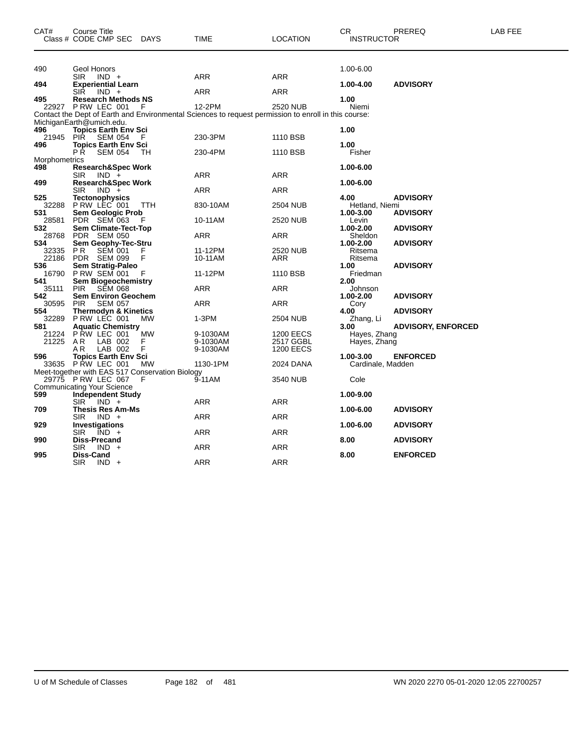| CAT#                 | Course Title<br>Class # CODE CMP SEC                                                     | <b>DAYS</b><br>TIME                                                                                            | <b>LOCATION</b>               | CR<br><b>INSTRUCTOR</b> | PREREQ                    | LAB FEE |
|----------------------|------------------------------------------------------------------------------------------|----------------------------------------------------------------------------------------------------------------|-------------------------------|-------------------------|---------------------------|---------|
| 490                  | Geol Honors<br>SIR<br>$IND +$                                                            | ARR                                                                                                            | ARR                           | 1.00-6.00               |                           |         |
| 494                  | <b>Experiential Learn</b>                                                                |                                                                                                                |                               | 1.00-4.00               | <b>ADVISORY</b>           |         |
| 495                  | <b>SIR</b><br>$IND +$<br><b>Research Methods NS</b>                                      | <b>ARR</b>                                                                                                     | ARR                           | 1.00                    |                           |         |
|                      | 22927 PRW LEC 001 F                                                                      | 12-2PM<br>Contact the Dept of Earth and Environmental Sciences to request permission to enroll in this course: | 2520 NUB                      | Niemi                   |                           |         |
|                      | MichiganEarth@umich.edu.                                                                 |                                                                                                                |                               |                         |                           |         |
| 496<br>21945<br>496  | <b>Topics Earth Env Sci</b><br><b>PIR</b><br>SEM 054<br>F<br><b>Topics Earth Env Sci</b> | 230-3PM                                                                                                        | 1110 BSB                      | 1.00<br>1.00            |                           |         |
|                      | РŔ<br><b>SEM 054</b><br>TН                                                               | 230-4PM                                                                                                        | 1110 BSB                      | Fisher                  |                           |         |
| Morphometrics<br>498 | <b>Research&amp;Spec Work</b>                                                            |                                                                                                                |                               | 1.00-6.00               |                           |         |
| 499                  | SIR<br>$IND +$<br><b>Research&amp;Spec Work</b>                                          | ARR                                                                                                            | ARR                           | 1.00-6.00               |                           |         |
|                      | SIR.<br>$IND +$                                                                          | ARR                                                                                                            | <b>ARR</b>                    |                         |                           |         |
| 525<br>32288         | <b>Tectonophysics</b><br>P RW LEC 001                                                    | TTH<br>830-10AM                                                                                                | <b>2504 NUB</b>               | 4.00<br>Hetland, Niemi  | <b>ADVISORY</b>           |         |
| 531<br>28581         | <b>Sem Geologic Prob</b><br>PDR SEM 063<br>F                                             | 10-11AM                                                                                                        | <b>2520 NUB</b>               | 1.00-3.00<br>Levin      | <b>ADVISORY</b>           |         |
| 532<br>28768         | <b>Sem Climate-Tect-Top</b><br>PDR SEM 050                                               | ARR                                                                                                            | ARR                           | 1.00-2.00<br>Sheldon    | <b>ADVISORY</b>           |         |
| 534<br>32335         | Sem Geophy-Tec-Stru<br>PR.<br><b>SEM 001</b><br>F                                        | 11-12PM                                                                                                        | 2520 NUB                      | 1.00-2.00<br>Ritsema    | <b>ADVISORY</b>           |         |
| 22186                | PDR SEM 099<br>F                                                                         | 10-11AM                                                                                                        | <b>ARR</b>                    | Ritsema                 |                           |         |
| 536<br>16790         | Sem Stratig-Paleo<br><b>P RW SEM 001</b><br>F                                            | 11-12PM                                                                                                        | 1110 BSB                      | 1.00<br>Friedman        | <b>ADVISORY</b>           |         |
| 541<br>35111         | <b>Sem Biogeochemistry</b><br><b>SEM 068</b><br><b>PIR</b>                               | ARR                                                                                                            | ARR                           | 2.00<br>Johnson         |                           |         |
| 542<br>30595         | <b>Sem Environ Geochem</b><br><b>PIR</b><br><b>SEM 057</b>                               | ARR                                                                                                            | <b>ARR</b>                    | 1.00-2.00<br>Cory       | <b>ADVISORY</b>           |         |
| 554                  | <b>Thermodyn &amp; Kinetics</b>                                                          |                                                                                                                |                               | 4.00                    | <b>ADVISORY</b>           |         |
| 32289<br>581         | PRW LEC 001<br><b>Aquatic Chemistry</b>                                                  | 1-3PM<br><b>MW</b>                                                                                             | 2504 NUB                      | Zhang, Li<br>3.00       | <b>ADVISORY, ENFORCED</b> |         |
| 21224                | <b>P RW LEC 001</b>                                                                      | MW<br>9-1030AM                                                                                                 | <b>1200 EECS</b>              | Hayes, Zhang            |                           |         |
| 21225                | LAB 002<br>F<br>AR.<br>LAB 002<br>F<br>A R                                               | 9-1030AM<br>9-1030AM                                                                                           | 2517 GGBL<br><b>1200 EECS</b> | Hayes, Zhang            |                           |         |
| 596                  | <b>Topics Earth Env Sci</b>                                                              |                                                                                                                |                               | 1.00-3.00               | <b>ENFORCED</b>           |         |
|                      | 33635 P RW LEC 001                                                                       | <b>MW</b><br>1130-1PM                                                                                          | 2024 DANA                     | Cardinale, Madden       |                           |         |
|                      | Meet-together with EAS 517 Conservation Biology<br>29775 PRW LEC 067<br>F                | 9-11AM                                                                                                         | 3540 NUB                      | Cole                    |                           |         |
|                      | <b>Communicating Your Science</b>                                                        |                                                                                                                |                               |                         |                           |         |
| 599                  | <b>Independent Study</b><br><b>SIR</b><br>$IND +$                                        | <b>ARR</b>                                                                                                     | <b>ARR</b>                    | 1.00-9.00               |                           |         |
| 709                  | <b>Thesis Res Am-Ms</b>                                                                  |                                                                                                                |                               | 1.00-6.00               | <b>ADVISORY</b>           |         |
| 929                  | <b>SIR</b><br>$IND +$<br>Investigations                                                  | ARR                                                                                                            | <b>ARR</b>                    | 1.00-6.00               | <b>ADVISORY</b>           |         |
|                      | $\overline{IND}$ +<br>SIR.                                                               | ARR                                                                                                            | ARR                           |                         |                           |         |
| 990                  | <b>Diss-Precand</b><br>$IND +$<br><b>SIR</b>                                             | ARR                                                                                                            | ARR                           | 8.00                    | <b>ADVISORY</b>           |         |
| 995                  | Diss-Cand                                                                                |                                                                                                                |                               | 8.00                    | <b>ENFORCED</b>           |         |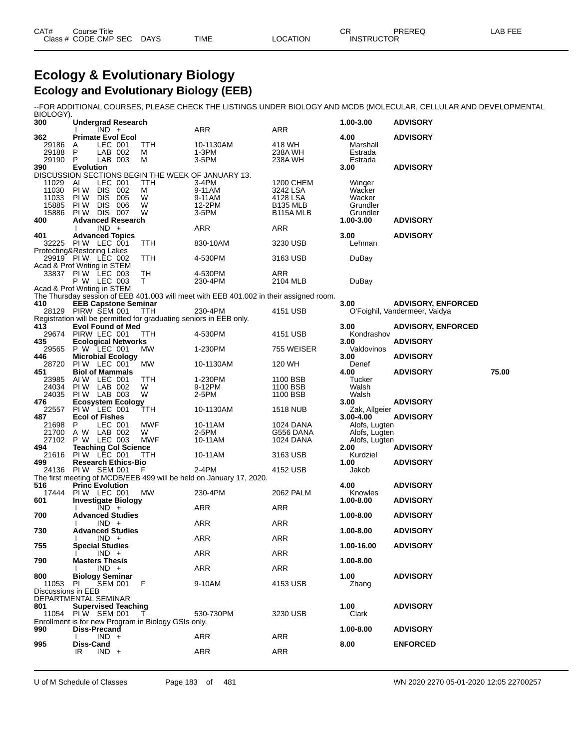### **Ecology & Evolutionary Biology Ecology and Evolutionary Biology (EEB)**

--FOR ADDITIONAL COURSES, PLEASE CHECK THE LISTINGS UNDER BIOLOGY AND MCDB (MOLECULAR, CELLULAR AND DEVELOPMENTAL

| BIOLOGY).<br>300   | <b>Undergrad Research</b>                                                                |            |                                                                                        |                        | 1.00-3.00                      | <b>ADVISORY</b>               |       |
|--------------------|------------------------------------------------------------------------------------------|------------|----------------------------------------------------------------------------------------|------------------------|--------------------------------|-------------------------------|-------|
|                    | $IND +$                                                                                  |            | <b>ARR</b>                                                                             | ARR                    |                                |                               |       |
| 362                | <b>Primate Evol Ecol</b>                                                                 |            |                                                                                        |                        | 4.00                           | <b>ADVISORY</b>               |       |
| 29186<br>29188     | LEC 001<br>A<br>$\mathsf{P}$<br>LAB 002                                                  | TTH<br>м   | 10-1130AM<br>$1-3PM$                                                                   | 418 WH<br>238A WH      | Marshall<br>Estrada            |                               |       |
| 29190 P            | LAB 003                                                                                  | м          | 3-5PM                                                                                  | 238A WH                | Estrada                        |                               |       |
| 390                | <b>Evolution</b>                                                                         |            |                                                                                        |                        | 3.00                           | <b>ADVISORY</b>               |       |
| 11029              | DISCUSSION SECTIONS BEGIN THE WEEK OF JANUARY 13.<br>AI<br>LEC 001                       | TTH        | 3-4PM                                                                                  | 1200 CHEM              | Winger                         |                               |       |
| 11030              | <b>PIW DIS 002</b>                                                                       | м          | 9-11AM                                                                                 | 3242 LSA               | Wacker                         |                               |       |
| 11033              | DIS 005<br>PI W                                                                          | W          | 9-11AM                                                                                 | 4128 LSA               | Wacker                         |                               |       |
| 15885              | DIS 006<br>PI W                                                                          | W          | 12-2PM                                                                                 | <b>B135 MLB</b>        | Grundler                       |                               |       |
| 15886<br>400       | DIS 007<br>PI W<br><b>Advanced Research</b>                                              | W          | 3-5PM                                                                                  | B <sub>115</sub> A MLB | Grundler<br>1.00-3.00          | <b>ADVISORY</b>               |       |
|                    | $IND +$                                                                                  |            | ARR                                                                                    | ARR                    |                                |                               |       |
| 401                | <b>Advanced Topics</b>                                                                   |            |                                                                                        |                        | 3.00                           | <b>ADVISORY</b>               |       |
|                    | 32225 PIW LEC 001<br>Protecting&Restoring Lakes                                          | TTH        | 830-10AM                                                                               | 3230 USB               | Lehman                         |                               |       |
|                    | 29919 PIW LEC 002                                                                        | TTH        | 4-530PM                                                                                | 3163 USB               | DuBay                          |                               |       |
|                    | Acad & Prof Writing in STEM                                                              |            |                                                                                        |                        |                                |                               |       |
|                    | 33837 PIW LEC 003                                                                        | TН<br>T.   | 4-530PM                                                                                | ARR<br>2104 MLB        |                                |                               |       |
|                    | P W LEC 003<br>Acad & Prof Writing in STEM                                               |            | 230-4PM                                                                                |                        | DuBay                          |                               |       |
|                    |                                                                                          |            | The Thursday session of EEB 401.003 will meet with EEB 401.002 in their assigned room. |                        |                                |                               |       |
| 410                | <b>EEB Capstone Seminar</b>                                                              |            | 230-4PM                                                                                |                        | 3.00                           | <b>ADVISORY, ENFORCED</b>     |       |
|                    | 28129 PIRW SEM 001<br>Registration will be permitted for graduating seniors in EEB only. | <b>TTH</b> |                                                                                        | 4151 USB               |                                | O'Foighil, Vandermeer, Vaidya |       |
| 413                | <b>Evol Found of Med</b>                                                                 |            |                                                                                        |                        | 3.00                           | <b>ADVISORY, ENFORCED</b>     |       |
|                    | 29674 PIRW LEC 001                                                                       | TTH        | 4-530PM                                                                                | 4151 USB               | Kondrashov                     |                               |       |
| 435                | <b>Ecological Networks</b><br>29565 P W LEC 001                                          | MW         | 1-230PM                                                                                | 755 WEISER             | 3.00<br>Valdovinos             | <b>ADVISORY</b>               |       |
| 446                | <b>Microbial Ecology</b>                                                                 |            |                                                                                        |                        | 3.00                           | <b>ADVISORY</b>               |       |
|                    | 28720 PIW LEC 001                                                                        | МW         | 10-1130AM                                                                              | 120 WH                 | Denef                          |                               |       |
| 451                | <b>Biol of Mammals</b><br>23985 AIW LEC 001                                              | TTH        | 1-230PM                                                                                | 1100 BSB               | 4.00<br>Tucker                 | <b>ADVISORY</b>               | 75.00 |
| 24034              | PIW LAB 002                                                                              | W          | 9-12PM                                                                                 | 1100 BSB               | Walsh                          |                               |       |
| 24035              | PIW LAB 003                                                                              | W          | 2-5PM                                                                                  | 1100 BSB               | Walsh                          |                               |       |
| 476<br>22557       | <b>Ecosystem Ecology</b><br>PIW LEC 001                                                  |            |                                                                                        |                        | 3.00                           | <b>ADVISORY</b>               |       |
| 487                | <b>Ecol of Fishes</b>                                                                    | ттн        | 10-1130AM                                                                              | 1518 NUB               | Zak, Allgeier<br>$3.00 - 4.00$ | <b>ADVISORY</b>               |       |
| 21698              | LEC 001<br>P                                                                             | MWF        | 10-11AM                                                                                | 1024 DANA              | Alofs, Lugten                  |                               |       |
| 21700              | A W LAB 002                                                                              | W          | 2-5PM                                                                                  | G556 DANA              | Alofs, Lugten                  |                               |       |
| 494                | 27102 P W LEC 003<br><b>Teaching Col Science</b>                                         | MWF        | 10-11AM                                                                                | 1024 DANA              | Alofs, Lugten<br>2.00          | <b>ADVISORY</b>               |       |
| 21616              | PIW LEC 001                                                                              | TTH        | 10-11AM                                                                                | 3163 USB               | Kurdziel                       |                               |       |
| 499                | <b>Research Ethics-Bio</b>                                                               |            |                                                                                        |                        | 1.00                           | <b>ADVISORY</b>               |       |
|                    | 24136 PIW SEM 001                                                                        | F          | 2-4PM<br>The first meeting of MCDB/EEB 499 will be held on January 17, 2020.           | 4152 USB               | Jakob                          |                               |       |
| 516                | <b>Princ Evolution</b>                                                                   |            |                                                                                        |                        | 4.00                           | <b>ADVISORY</b>               |       |
| 17444              | PIW LEC 001                                                                              | MW         | 230-4PM                                                                                | 2062 PALM              | Knowles                        |                               |       |
| 601                | <b>Investigate Biology</b><br>$IND +$                                                    |            | ARR                                                                                    | ARR                    | 1.00-8.00                      | <b>ADVISORY</b>               |       |
| 700                | <b>Advanced Studies</b>                                                                  |            |                                                                                        |                        | 1.00-8.00                      | <b>ADVISORY</b>               |       |
|                    | $IND +$                                                                                  |            | ARR                                                                                    | ARR                    |                                |                               |       |
| 730                | <b>Advanced Studies</b><br>IND +                                                         |            | ARR                                                                                    | ARR                    | 1.00-8.00                      | <b>ADVISORY</b>               |       |
| 755                | <b>Special Studies</b>                                                                   |            |                                                                                        |                        | 1.00-16.00                     | <b>ADVISORY</b>               |       |
|                    | $IND +$                                                                                  |            | ARR                                                                                    | ARR                    |                                |                               |       |
| 790                | <b>Masters Thesis</b><br>$IND +$                                                         |            | ARR                                                                                    | ARR                    | 1.00-8.00                      |                               |       |
| 800                | <b>Biology Seminar</b>                                                                   |            |                                                                                        |                        | 1.00                           | <b>ADVISORY</b>               |       |
| 11053              | <b>SEM 001</b><br>PI.                                                                    | F          | 9-10AM                                                                                 | 4153 USB               | Zhang                          |                               |       |
| Discussions in EEB | DEPARTMENTAL SEMINAR                                                                     |            |                                                                                        |                        |                                |                               |       |
| 801                | <b>Supervised Teaching</b>                                                               |            |                                                                                        |                        | 1.00                           | <b>ADVISORY</b>               |       |
|                    | 11054 PIW SEM 001                                                                        |            | 530-730PM                                                                              | 3230 USB               | Clark                          |                               |       |
|                    | Enrollment is for new Program in Biology GSIs only.                                      |            |                                                                                        |                        |                                |                               |       |
| 990                | Diss-Precand<br>$IND +$                                                                  |            | ARR                                                                                    | ARR                    | 1.00-8.00                      | <b>ADVISORY</b>               |       |
| 995                | Diss-Cand                                                                                |            |                                                                                        |                        | 8.00                           | <b>ENFORCED</b>               |       |
|                    | IR<br>$IND +$                                                                            |            | <b>ARR</b>                                                                             | ARR                    |                                |                               |       |
|                    |                                                                                          |            |                                                                                        |                        |                                |                               |       |

U of M Schedule of Classes Page 183 of 481 WN 2020 2270 05-01-2020 12:05 22700257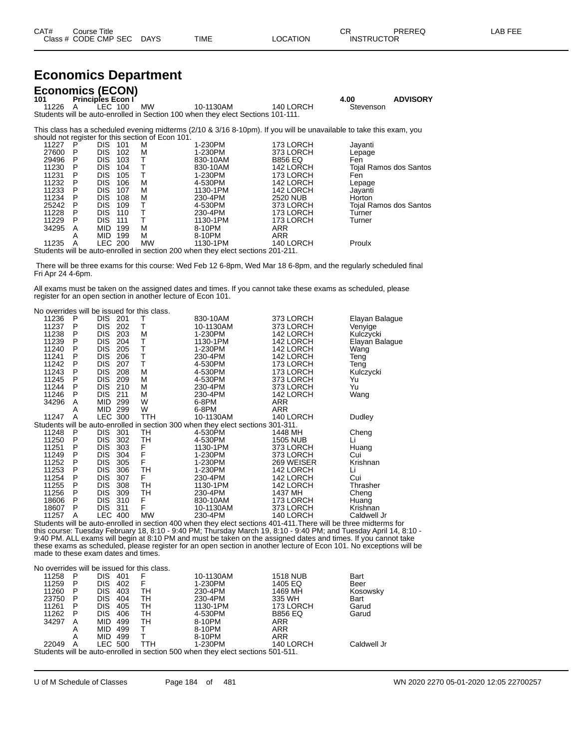| CAT# | ourse Titleٽ         |             |      |          | $\cap$<br>- UN    | PREREQ | LAB FEE |
|------|----------------------|-------------|------|----------|-------------------|--------|---------|
|      | Class # CODE CMP SEC | <b>DAYS</b> | TIME | LOCATION | <b>INSTRUCTOR</b> |        |         |

### **Economics Department**

| <b>Economics (ECON)</b><br><b>Principles Econ I</b><br>101<br>MW<br>11226 A IFC 100<br>Students will be auto-enrolled in Section 100 when they elect Sections 101-111.   | 10-1130AM | 140 LORCH             | 4.00<br>Stevenson | <b>ADVISORY</b> |
|--------------------------------------------------------------------------------------------------------------------------------------------------------------------------|-----------|-----------------------|-------------------|-----------------|
| This class has a scheduled evening midterms (2/10 & 3/16 8-10pm). If you will be unavailable to take this exam, you<br>should not register for this section of Econ 101. |           | $1 - 2 - 1 - 2 - 211$ |                   |                 |

| 11227 | P | <b>DIS</b> | 101 | M         | 1-230PM                                                                         | 173 LORCH       | Jayanti                |
|-------|---|------------|-----|-----------|---------------------------------------------------------------------------------|-----------------|------------------------|
| 27600 | Р | <b>DIS</b> | 102 | M         | 1-230PM                                                                         | 373 LORCH       | Lepage                 |
| 29496 | Р | DIS        | 103 |           | 830-10AM                                                                        | <b>B856 EQ</b>  | Fen                    |
| 11230 | Р | <b>DIS</b> | 104 |           | 830-10AM                                                                        | 142 LORCH       | Tojal Ramos dos Santos |
| 11231 | Р | DIS        | 105 |           | 1-230PM                                                                         | 173 LORCH       | Fen                    |
| 11232 | P | <b>DIS</b> | 106 | М         | 4-530PM                                                                         | 142 LORCH       | Lepage                 |
| 11233 | P | DIS        | 107 | м         | 1130-1PM                                                                        | 142 LORCH       | Javanti                |
| 11234 | P | <b>DIS</b> | 108 | М         | 230-4PM                                                                         | <b>2520 NUB</b> | Horton                 |
| 25242 | P | DIS        | 109 |           | 4-530PM                                                                         | 373 LORCH       | Tojal Ramos dos Santos |
| 11228 | Р | <b>DIS</b> | 110 |           | 230-4PM                                                                         | 173 LORCH       | Turner                 |
| 11229 | P | DIS        | 111 |           | 1130-1PM                                                                        | 173 LORCH       | Turner                 |
| 34295 | A | MID        | 199 | м         | 8-10PM                                                                          | ARR             |                        |
|       | А | MID        | 199 | м         | 8-10PM                                                                          | ARR             |                        |
| 11235 | A | LEC 200    |     | <b>MW</b> | 1130-1PM                                                                        | 140 LORCH       | Proulx                 |
|       |   |            |     |           | Students will be auto-enrolled in section 200 when they elect sections 201-211. |                 |                        |

 There will be three exams for this course: Wed Feb 12 6-8pm, Wed Mar 18 6-8pm, and the regularly scheduled final Fri Apr 24 4-6pm.

All exams must be taken on the assigned dates and times. If you cannot take these exams as scheduled, please register for an open section in another lecture of Econ 101.

| No overrides will be issued for this class. |  |
|---------------------------------------------|--|
|---------------------------------------------|--|

| 11236 | P | DIS.           | 201 | Т         | 830-10AM                                                                                                         | 373 LORCH  | Elayan Balague |
|-------|---|----------------|-----|-----------|------------------------------------------------------------------------------------------------------------------|------------|----------------|
| 11237 | P | DIS            | 202 | т         | 10-1130AM                                                                                                        | 373 LORCH  | Venyige        |
| 11238 | P | <b>DIS</b>     | 203 | М         | 1-230PM                                                                                                          | 142 LORCH  | Kulczycki      |
| 11239 | P | DIS            | 204 | Τ         | 1130-1PM                                                                                                         | 142 LORCH  | Elayan Balague |
| 11240 | P | <b>DIS</b>     | 205 | т         | 1-230PM                                                                                                          | 142 LORCH  | Wang           |
| 11241 | P | DIS            | 206 | Т         | 230-4PM                                                                                                          | 142 LORCH  | Teng           |
| 11242 | P | <b>DIS</b>     | 207 | Т         | 4-530PM                                                                                                          | 173 LORCH  | Teng           |
| 11243 | P | DIS            | 208 | М         | 4-530PM                                                                                                          | 173 LORCH  | Kulczycki      |
| 11245 | P | <b>DIS</b>     | 209 | М         | 4-530PM                                                                                                          | 373 LORCH  | Yu             |
| 11244 | P | <b>DIS</b>     | 210 | М         | 230-4PM                                                                                                          | 373 LORCH  | Yu             |
| 11246 | P | <b>DIS</b>     | 211 | М         | 230-4PM                                                                                                          | 142 LORCH  | Wang           |
| 34296 | A | MID            | 299 | W         | 6-8PM                                                                                                            | <b>ARR</b> |                |
|       | Α | <b>MID</b>     | 299 | W         | 6-8PM                                                                                                            | <b>ARR</b> |                |
| 11247 | A | <b>LEC 300</b> |     | TTH       | 10-1130AM                                                                                                        | 140 LORCH  | Dudley         |
|       |   |                |     |           | Students will be auto-enrolled in section 300 when they elect sections 301-311.                                  |            |                |
| 11248 | P | DIS 301        |     | TH        | 4-530PM                                                                                                          | 1448 MH    | Cheng          |
| 11250 | P | DIS.           | 302 | тн        | 4-530PM                                                                                                          | 1505 NUB   | Li             |
| 11251 | P | <b>DIS</b>     | 303 | F         | 1130-1PM                                                                                                         | 373 LORCH  | Huang          |
| 11249 | P | <b>DIS</b>     | 304 | F         | 1-230PM                                                                                                          | 373 LORCH  | Cui            |
| 11252 | P | DIS            | 305 | F         | 1-230PM                                                                                                          | 269 WEISER | Krishnan       |
| 11253 | P | <b>DIS</b>     | 306 | TН        | 1-230PM                                                                                                          | 142 LORCH  | Li             |
| 11254 | P | DIS            | 307 | F         | 230-4PM                                                                                                          | 142 LORCH  | Cui            |
| 11255 | P | DIS            | 308 | TН        | 1130-1PM                                                                                                         | 142 LORCH  | Thrasher       |
| 11256 | P | <b>DIS</b>     | 309 | TН        | 230-4PM                                                                                                          | 1437 MH    | Cheng          |
| 18606 | P | DIS            | 310 | F         | 830-10AM                                                                                                         | 173 LORCH  | Huang          |
| 18607 | P | DIS            | 311 | F         | 10-1130AM                                                                                                        | 373 LORCH  | Krishnan       |
| 11257 | A | <b>LEC 400</b> |     | <b>MW</b> | 230-4PM                                                                                                          | 140 LORCH  | Caldwell Jr    |
|       |   |                |     |           | Students will be auto-enrolled in section 400 when they elect sections 401-411. There will be three midterms for |            |                |

this course: Tuesday February 18, 8:10 - 9:40 PM; Thursday March 19, 8:10 - 9:40 PM; and Tuesday April 14, 8:10 - 9:40 PM. ALL exams will begin at 8:10 PM and must be taken on the assigned dates and times. If you cannot take these exams as scheduled, please register for an open section in another lecture of Econ 101. No exceptions will be made to these exam dates and times.

|       | No overrides will be issued for this class.                                     |                |     |            |           |                 |             |  |  |  |  |  |
|-------|---------------------------------------------------------------------------------|----------------|-----|------------|-----------|-----------------|-------------|--|--|--|--|--|
| 11258 | P                                                                               | <b>DIS</b>     | 401 | F          | 10-1130AM | <b>1518 NUB</b> | Bart        |  |  |  |  |  |
| 11259 | P                                                                               | DIS            | 402 | F          | 1-230PM   | 1405 EQ         | Beer        |  |  |  |  |  |
| 11260 | Р                                                                               | DIS            | 403 | TН         | 230-4PM   | 1469 MH         | Kosowsky    |  |  |  |  |  |
| 23750 | Р                                                                               | DIS            | 404 | TН         | 230-4PM   | 335 WH          | Bart        |  |  |  |  |  |
| 11261 | P                                                                               | DIS            | 405 | тн         | 1130-1PM  | 173 LORCH       | Garud       |  |  |  |  |  |
| 11262 | P                                                                               | DIS            | 406 | TН         | 4-530PM   | <b>B856 EQ</b>  | Garud       |  |  |  |  |  |
| 34297 | A                                                                               | MID.           | 499 | TН         | 8-10PM    | ARR             |             |  |  |  |  |  |
|       | А                                                                               | MID.           | 499 |            | 8-10PM    | ARR             |             |  |  |  |  |  |
|       | Α                                                                               | MID.           | 499 |            | 8-10PM    | <b>ARR</b>      |             |  |  |  |  |  |
| 22049 | A                                                                               | <b>LEC 500</b> |     | <b>TTH</b> | 1-230PM   | 140 LORCH       | Caldwell Jr |  |  |  |  |  |
|       | Students will be auto-enrolled in section 500 when they elect sections 501-511. |                |     |            |           |                 |             |  |  |  |  |  |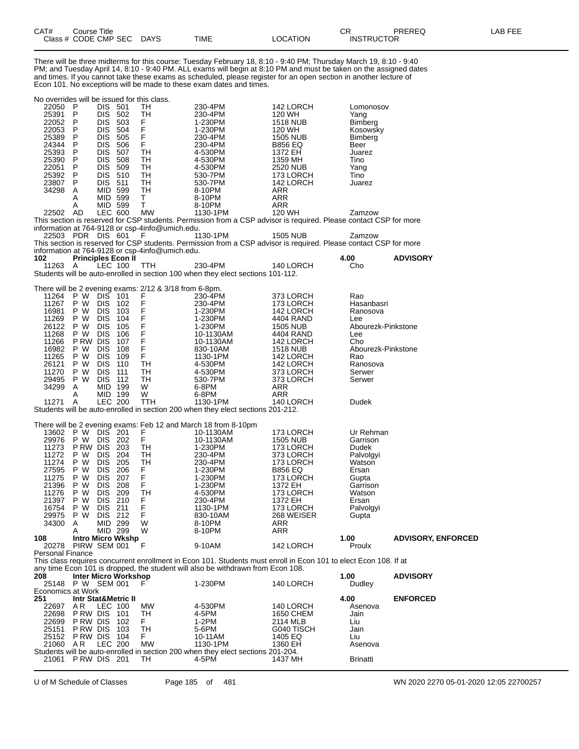| CAT#             | Title<br>Course |                  |      |        | ⌒冖<br>◡◠ | <b>PREREC</b><br>◝└      | $- -$<br>ΔP<br>-- |
|------------------|-----------------|------------------|------|--------|----------|--------------------------|-------------------|
| <b>.</b><br>assٽ | CODE CMP<br>SEC | DAYS<br>________ | TIME | ∩ATION |          | <b>INSTRUCTOR</b><br>___ |                   |

There will be three midterms for this course: Tuesday February 18, 8:10 - 9:40 PM; Thursday March 19, 8:10 - 9:40 PM; and Tuesday April 14, 8:10 - 9:40 PM. ALL exams will begin at 8:10 PM and must be taken on the assigned dates and times. If you cannot take these exams as scheduled, please register for an open section in another lecture of Econ 101. No exceptions will be made to these exam dates and times.

| No overrides will be issued for this class. |                                |                          |                           |                                                        |                                                                                                                   |                              |                           |                           |
|---------------------------------------------|--------------------------------|--------------------------|---------------------------|--------------------------------------------------------|-------------------------------------------------------------------------------------------------------------------|------------------------------|---------------------------|---------------------------|
| 22050                                       | - P                            | DIS -                    | 501                       | ТH                                                     | 230-4PM                                                                                                           | 142 LORCH                    | Lomonosov                 |                           |
| 25391                                       | P                              | DIS.                     | 502                       | TН                                                     | 230-4PM                                                                                                           | 120 WH                       | Yang                      |                           |
| 22052                                       | P                              | <b>DIS</b>               | 503                       | F                                                      | 1-230PM                                                                                                           | <b>1518 NUB</b>              | <b>Bimberg</b>            |                           |
| 22053                                       | P                              | <b>DIS</b>               | 504                       | F                                                      | 1-230PM                                                                                                           | 120 WH                       | Kosowsky                  |                           |
| 25389                                       | P<br>P                         | DIS.                     | 505                       | F<br>Ë.                                                | 230-4PM                                                                                                           | <b>1505 NUB</b>              | Bimberg                   |                           |
| 24344<br>25393                              | P                              | <b>DIS</b><br><b>DIS</b> | 506<br>507                |                                                        | 230-4PM                                                                                                           | <b>B856 EQ</b><br>1372 EH    | Beer                      |                           |
| 25390                                       | P                              | DIS.                     | 508                       | TН<br>TН                                               | 4-530PM<br>4-530PM                                                                                                | 1359 MH                      | Juarez<br>Tino            |                           |
| 22051                                       | P                              | DIS.                     | 509                       | TН                                                     | 4-530PM                                                                                                           | 2520 NUB                     | Yang                      |                           |
| 25392                                       | - P                            | <b>DIS</b>               | 510                       | TН                                                     | 530-7PM                                                                                                           | 173 LORCH                    | Tino                      |                           |
| 23807                                       | P                              | DIS 511                  |                           | TН                                                     | 530-7PM                                                                                                           | 142 LORCH                    | Juarez                    |                           |
| 34298                                       | Α                              | MID 599                  |                           | TН                                                     | 8-10PM                                                                                                            | ARR                          |                           |                           |
|                                             | Α                              | MID 599                  |                           | T.                                                     | 8-10PM                                                                                                            | ARR                          |                           |                           |
|                                             | Α                              | MID 599                  |                           | T.                                                     | 8-10PM                                                                                                            | ARR                          |                           |                           |
| 22502 AD                                    |                                | LEC 600                  |                           | MW                                                     | 1130-1PM                                                                                                          | 120 WH                       | Zamzow                    |                           |
|                                             |                                |                          |                           |                                                        | This section is reserved for CSP students. Permission from a CSP advisor is required. Please contact CSP for more |                              |                           |                           |
|                                             |                                |                          |                           | information at 764-9128 or csp-4info@umich.edu.        |                                                                                                                   |                              |                           |                           |
| 22503 PDR DIS 601                           |                                |                          |                           | F                                                      | 1130-1PM                                                                                                          | <b>1505 NUB</b>              | Zamzow                    |                           |
|                                             |                                |                          |                           | information at 764-9128 or csp-4info@umich.edu.        | This section is reserved for CSP students. Permission from a CSP advisor is required. Please contact CSP for more |                              |                           |                           |
| 102                                         |                                |                          | <b>Principles Econ II</b> |                                                        |                                                                                                                   |                              | 4.00                      | <b>ADVISORY</b>           |
| 11263 A                                     |                                | LEC 100                  |                           | TTH                                                    | 230-4PM                                                                                                           | 140 LORCH                    | Cho                       |                           |
|                                             |                                |                          |                           |                                                        | Students will be auto-enrolled in section 100 when they elect sections 101-112.                                   |                              |                           |                           |
|                                             |                                |                          |                           |                                                        |                                                                                                                   |                              |                           |                           |
|                                             |                                |                          |                           | There will be 2 evening exams: 2/12 & 3/18 from 6-8pm. |                                                                                                                   |                              |                           |                           |
| 11264                                       | P W                            | DIS.                     | 101                       |                                                        | 230-4PM                                                                                                           | 373 LORCH                    | Rao                       |                           |
| 11267                                       | P W                            | <b>DIS</b>               | 102                       | $\frac{F}{F}$                                          | 230-4PM                                                                                                           | 173 LORCH                    | Hasanbasri                |                           |
| 16981                                       | P W                            | <b>DIS</b>               | 103                       | F                                                      | 1-230PM                                                                                                           | 142 LORCH                    | Ranosova                  |                           |
| 11269                                       | P W                            | <b>DIS</b>               | 104                       |                                                        | 1-230PM                                                                                                           | 4404 RAND                    | Lee                       |                           |
| 26122                                       | P W                            | <b>DIS</b>               | 105                       |                                                        | 1-230PM                                                                                                           | 1505 NUB                     | Abourezk-Pinkstone        |                           |
| 11268                                       | P W                            | <b>DIS</b>               | 106                       |                                                        | 10-1130AM                                                                                                         | 4404 RAND                    | Lee                       |                           |
| 11266                                       | P RW                           | <b>DIS</b>               | 107                       | FFFFFF                                                 | 10-1130AM                                                                                                         | 142 LORCH                    | Cho                       |                           |
| 16982<br>11265                              | P W<br>P W                     | <b>DIS</b><br><b>DIS</b> | 108<br>109                | F                                                      | 830-10AM<br>1130-1PM                                                                                              | <b>1518 NUB</b><br>142 LORCH | Abourezk-Pinkstone<br>Rao |                           |
| 26121                                       | P W                            | <b>DIS</b>               | 110                       | TН                                                     | 4-530PM                                                                                                           | 142 LORCH                    | Ranosova                  |                           |
| 11270                                       | P W                            | <b>DIS</b>               | 111                       | TН                                                     | 4-530PM                                                                                                           | 373 LORCH                    | Serwer                    |                           |
| 29495                                       | P W                            | <b>DIS</b>               | 112                       | TН                                                     | 530-7PM                                                                                                           | 373 LORCH                    | Serwer                    |                           |
| 34299                                       | A                              | MID 199                  |                           | W                                                      | 6-8PM                                                                                                             | ARR                          |                           |                           |
|                                             | A                              | MID 199                  |                           | W                                                      | 6-8PM                                                                                                             | ARR                          |                           |                           |
| 11271                                       | A                              | <b>LEC 200</b>           |                           | <b>TTH</b>                                             | 1130-1PM                                                                                                          | 140 LORCH                    | Dudek                     |                           |
|                                             |                                |                          |                           |                                                        | Students will be auto-enrolled in section 200 when they elect sections 201-212.                                   |                              |                           |                           |
|                                             |                                |                          |                           |                                                        |                                                                                                                   |                              |                           |                           |
|                                             |                                |                          |                           |                                                        | There will be 2 evening exams: Feb 12 and March 18 from 8-10pm                                                    |                              |                           |                           |
| 13602                                       | P W                            | DIS                      | 201                       | $_{\rm F}^{\rm F}$                                     | 10-1130AM                                                                                                         | 173 LORCH                    | Ur Rehman                 |                           |
| 29976                                       | P W                            | <b>DIS</b>               | 202                       |                                                        | 10-1130AM                                                                                                         | <b>1505 NUB</b>              | Garrison                  |                           |
| 11273<br>11272                              | P RW DIS<br>P W                | <b>DIS</b>               | 203<br>204                | ТH<br>TН                                               | 1-230PM<br>230-4PM                                                                                                | 173 LORCH<br>373 LORCH       | Dudek<br>Palvolgyi        |                           |
| 11274                                       | P W                            | <b>DIS</b>               | 205                       | TН                                                     | 230-4PM                                                                                                           | 173 LORCH                    | Watson                    |                           |
| 27595                                       | P W                            | <b>DIS</b>               | 206                       | F.                                                     | 1-230PM                                                                                                           | <b>B856 EQ</b>               | Ersan                     |                           |
| 11275                                       | P W                            | <b>DIS</b>               | 207                       | F                                                      | 1-230PM                                                                                                           | 173 LORCH                    | Gupta                     |                           |
| 21396                                       | P W                            | <b>DIS</b>               | 208                       | F                                                      | 1-230PM                                                                                                           | 1372 EH                      | Garrison                  |                           |
| 11276                                       | P W                            | <b>DIS</b>               | 209                       | TH                                                     | 4-530PM                                                                                                           | 173 LORCH                    | Watson                    |                           |
| 21397                                       | P W                            | <b>DIS</b>               | 210                       | F                                                      | 230-4PM                                                                                                           | 1372 EH                      | Ersan                     |                           |
| 16754                                       | P W                            | <b>DIS</b>               | 211                       | F                                                      | 1130-1PM                                                                                                          | 173 LORCH                    | Palvolgyi                 |                           |
| 29975                                       | P W                            | DIS 212                  |                           | F                                                      | 830-10AM                                                                                                          | 268 WEISER                   | Gupta                     |                           |
| 34300                                       | A                              | MID 299                  |                           | W                                                      | 8-10PM                                                                                                            | ARR                          |                           |                           |
|                                             | A                              | MID 299                  |                           | W                                                      | 8-10PM                                                                                                            | ARR                          |                           |                           |
| 108                                         |                                |                          | <b>Intro Micro Wkshp</b>  |                                                        |                                                                                                                   |                              | 1.00                      | <b>ADVISORY, ENFORCED</b> |
| 20278<br><b>Personal Finance</b>            | PIRW SEM 001                   |                          |                           | F                                                      | 9-10AM                                                                                                            | 142 LORCH                    | Proulx                    |                           |
|                                             |                                |                          |                           |                                                        | This class requires concurrent enrollment in Econ 101. Students must enroll in Econ 101 to elect Econ 108. If at  |                              |                           |                           |
|                                             |                                |                          |                           |                                                        | any time Econ 101 is dropped, the student will also be withdrawn from Econ 108.                                   |                              |                           |                           |
| 208                                         |                                |                          | Inter Micro Workshop      |                                                        |                                                                                                                   |                              | 1.00                      | <b>ADVISORY</b>           |
| 25148 P W SEM 001                           |                                |                          |                           | F                                                      | 1-230PM                                                                                                           | 140 LORCH                    | Dudley                    |                           |
| Economics at Work                           |                                |                          |                           |                                                        |                                                                                                                   |                              |                           |                           |
| 251                                         | <b>Intr Stat&amp;Metric II</b> |                          |                           |                                                        |                                                                                                                   |                              | 4.00                      | <b>ENFORCED</b>           |
| 22697                                       | AR                             | LEC 100                  |                           | MW                                                     | 4-530PM                                                                                                           | 140 LORCH                    | Asenova                   |                           |
| 22698                                       | P RW DIS                       |                          | 101                       | TH                                                     | 4-5PM                                                                                                             | 1650 CHEM                    | Jain                      |                           |
| 22699                                       | P RW DIS                       |                          | 102                       | F.                                                     | $1-2PM$                                                                                                           | 2114 MLB                     | Liu                       |                           |
| 25151                                       | P RW DIS                       |                          | 103                       | TН                                                     | 5-6PM                                                                                                             | G040 TISCH                   | Jain                      |                           |
| 25152                                       | <b>PRWDIS</b>                  |                          | 104                       | F.                                                     | 10-11AM                                                                                                           | 1405 EQ                      | Liu                       |                           |
| 21060 AR                                    |                                | <b>LEC 200</b>           |                           | MW                                                     | 1130-1PM                                                                                                          | 1360 EH                      | Asenova                   |                           |
|                                             |                                |                          |                           |                                                        | Students will be auto-enrolled in section 200 when they elect sections 201-204.                                   |                              |                           |                           |
| 21061 PRW DIS 201                           |                                |                          |                           | TH                                                     | 4-5PM                                                                                                             | 1437 MH                      | <b>Brinatti</b>           |                           |

U of M Schedule of Classes Page 185 of 481 WN 2020 2270 05-01-2020 12:05 22700257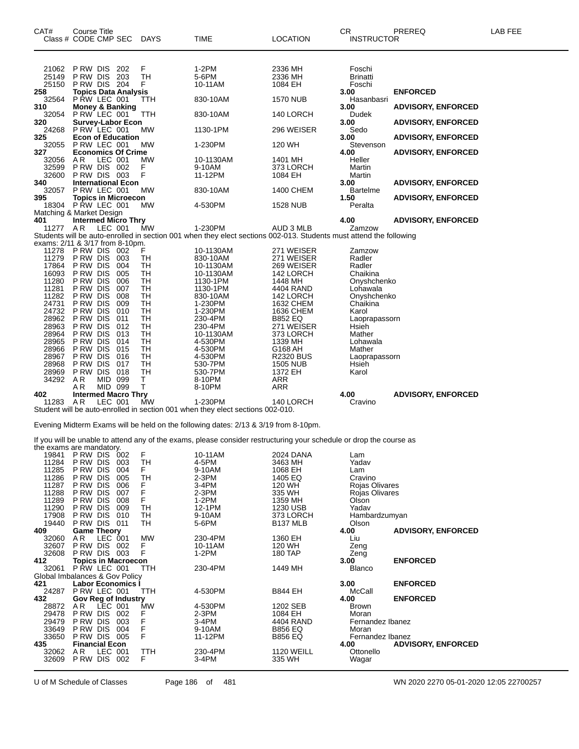| CAT#<br>Class # CODE CMP SEC    | Course Title                 |                    |                             | <b>DAYS</b> | TIME                                                                                                                          | LOCATION                     | <b>CR</b><br><b>INSTRUCTOR</b>   | PREREQ                    | LAB FEE |
|---------------------------------|------------------------------|--------------------|-----------------------------|-------------|-------------------------------------------------------------------------------------------------------------------------------|------------------------------|----------------------------------|---------------------------|---------|
| 21062                           | P RW DIS                     |                    | 202                         | F           | 1-2PM                                                                                                                         | 2336 MH                      | Foschi                           |                           |         |
| 25149<br>25150                  | P RW DIS<br>PRW DIS 204      |                    | 203                         | TН<br>F.    | 5-6PM<br>10-11AM                                                                                                              | 2336 MH<br>1084 EH           | <b>Brinatti</b><br>Foschi        |                           |         |
| 258                             |                              |                    | <b>Topics Data Analysis</b> |             |                                                                                                                               |                              | 3.00                             | <b>ENFORCED</b>           |         |
| 32564                           | P RW LEC 001                 |                    |                             | ттн         | 830-10AM                                                                                                                      | <b>1570 NUB</b>              | Hasanbasri                       |                           |         |
| 310<br>32054                    | P RW LEC 001                 |                    | <b>Money &amp; Banking</b>  | ттн         | 830-10AM                                                                                                                      | 140 LORCH                    | 3.00<br>Dudek                    | <b>ADVISORY, ENFORCED</b> |         |
| 320                             |                              |                    | <b>Survey-Labor Econ</b>    |             |                                                                                                                               |                              | 3.00                             | <b>ADVISORY, ENFORCED</b> |         |
| 24268                           | P RW LEC 001                 |                    |                             | MW          | 1130-1PM                                                                                                                      | 296 WEISER                   | Sedo                             |                           |         |
| 325<br>32055                    | P RW LEC 001                 |                    | <b>Econ of Education</b>    | MW          | 1-230PM                                                                                                                       | 120 WH                       | 3.00<br>Stevenson                | <b>ADVISORY, ENFORCED</b> |         |
| 327                             |                              |                    | <b>Economics Of Crime</b>   |             |                                                                                                                               |                              | 4.00                             | <b>ADVISORY, ENFORCED</b> |         |
| 32056                           | AR                           | LEC 001            |                             | МW          | 10-1130AM                                                                                                                     | 1401 MH                      | Heller                           |                           |         |
| 32599<br>32600                  | PRW DIS 002<br>PRW DIS 003   |                    |                             | F<br>F      | 9-10AM<br>11-12PM                                                                                                             | 373 LORCH<br>1084 EH         | Martin<br>Martin                 |                           |         |
| 340                             |                              |                    | <b>International Econ</b>   |             |                                                                                                                               |                              | 3.00                             | <b>ADVISORY, ENFORCED</b> |         |
| 32057                           | PRW LEC 001                  |                    |                             | MW          | 830-10AM                                                                                                                      | 1400 CHEM                    | <b>Bartelme</b>                  |                           |         |
| 395<br>18304 P RW LEC 001       |                              |                    | <b>Topics in Microecon</b>  | МW          |                                                                                                                               |                              | 1.50                             | <b>ADVISORY, ENFORCED</b> |         |
| Matching & Market Design        |                              |                    |                             |             | 4-530PM                                                                                                                       | <b>1528 NUB</b>              | Peralta                          |                           |         |
| 401                             |                              |                    | <b>Intermed Micro Thry</b>  |             |                                                                                                                               |                              | 4.00                             | <b>ADVISORY, ENFORCED</b> |         |
| 11277 AR                        |                              | LEC 001            |                             | МW          | 1-230PM<br>Students will be auto-enrolled in section 001 when they elect sections 002-013. Students must attend the following | AUD 3 MLB                    | Zamzow                           |                           |         |
| exams: 2/11 & 3/17 from 8-10pm. |                              |                    |                             |             |                                                                                                                               |                              |                                  |                           |         |
| 11278                           | PRW DIS 002                  |                    |                             | F           | 10-1130AM                                                                                                                     | 271 WEISER                   | Zamzow                           |                           |         |
| 11279<br>17864                  | P RW DIS<br>P RW DIS         |                    | 003<br>004                  | TН<br>TН    | 830-10AM<br>10-1130AM                                                                                                         | 271 WEISER<br>269 WEISER     | Radler<br>Radler                 |                           |         |
| 16093                           | P RW DIS                     |                    | 005                         | TН          | 10-1130AM                                                                                                                     | 142 LORCH                    | Chaikina                         |                           |         |
| 11280                           | P RW DIS                     |                    | 006                         | TН          | 1130-1PM                                                                                                                      | 1448 MH                      | Onyshchenko                      |                           |         |
| 11281<br>11282                  | P RW DIS<br>P RW DIS         |                    | 007<br>008                  | TH<br>TН    | 1130-1PM<br>830-10AM                                                                                                          | 4404 RAND<br>142 LORCH       | Lohawala<br>Onyshchenko          |                           |         |
| 24731                           | P RW DIS                     |                    | 009                         | TН          | 1-230PM                                                                                                                       | 1632 CHEM                    | Chaikina                         |                           |         |
| 24732                           | P RW DIS                     |                    | 010                         | TН          | 1-230PM                                                                                                                       | 1636 CHEM                    | Karol                            |                           |         |
| 28962<br>28963                  | P RW DIS<br>P RW DIS         |                    | 011<br>012                  | TН<br>TН    | 230-4PM<br>230-4PM                                                                                                            | <b>B852 EQ</b><br>271 WEISER | Laoprapassorn<br>Hsieh           |                           |         |
| 28964                           | P RW DIS                     |                    | 013                         | TН          | 10-1130AM                                                                                                                     | 373 LORCH                    | Mather                           |                           |         |
| 28965                           | P RW DIS                     |                    | 014                         | TН          | 4-530PM                                                                                                                       | 1339 MH                      | Lohawala                         |                           |         |
| 28966<br>28967                  | P RW DIS<br>P RW DIS         |                    | 015<br>016                  | TН<br>TH    | 4-530PM<br>4-530PM                                                                                                            | G168 AH<br>R2320 BUS         | Mather<br>Laoprapassorn          |                           |         |
| 28968                           | P RW DIS                     |                    | 017                         | TН          | 530-7PM                                                                                                                       | <b>1505 NUB</b>              | Hsieh                            |                           |         |
| 28969                           | P RW DIS                     |                    | 018                         | TH          | 530-7PM                                                                                                                       | 1372 EH                      | Karol                            |                           |         |
| 34292                           | AR.<br>A R                   | MID 099<br>MID 099 |                             | Τ<br>т      | 8-10PM<br>8-10PM                                                                                                              | ARR<br>ARR                   |                                  |                           |         |
| 402                             |                              |                    | <b>Intermed Macro Thry</b>  |             |                                                                                                                               |                              | 4.00                             | <b>ADVISORY, ENFORCED</b> |         |
| 11283                           | AR                           | LEC 001            |                             | <b>MW</b>   | 1-230PM                                                                                                                       | 140 LORCH                    | Cravino                          |                           |         |
|                                 |                              |                    |                             |             | Student will be auto-enrolled in section 001 when they elect sections 002-010.                                                |                              |                                  |                           |         |
|                                 |                              |                    |                             |             | Evening Midterm Exams will be held on the following dates: 2/13 & 3/19 from 8-10pm.                                           |                              |                                  |                           |         |
|                                 |                              |                    |                             |             | If you will be unable to attend any of the exams, please consider restructuring your schedule or drop the course as           |                              |                                  |                           |         |
| the exams are mandatory.        |                              |                    |                             |             |                                                                                                                               |                              |                                  |                           |         |
| 19841<br>11284                  | P RW DIS<br>P RW DIS         |                    | 002                         | F<br>TН     | 10-11AM<br>4-5PM                                                                                                              | 2024 DANA<br>3463 MH         | Lam                              |                           |         |
| 11285                           | P RW DIS                     |                    | 003<br>004                  | F.          | 9-10AM                                                                                                                        | 1068 EH                      | Yadav<br>Lam                     |                           |         |
| 11286                           | P RW DIS                     |                    | 005                         | TН          | $2-3PM$                                                                                                                       | 1405 EQ                      | Cravino                          |                           |         |
| 11287<br>11288                  | P RW DIS<br>P RW DIS         |                    | 006<br>007                  | F<br>F      | 3-4PM<br>$2-3PM$                                                                                                              | 120 WH<br>335 WH             | Rojas Olivares<br>Rojas Olivares |                           |         |
| 11289                           | P RW DIS                     |                    | 008                         | F           | $1-2PM$                                                                                                                       | 1359 MH                      | Olson                            |                           |         |
| 11290                           | P RW DIS                     |                    | 009                         | TН          | 12-1PM                                                                                                                        | 1230 USB                     | Yadav                            |                           |         |
| 17908<br>19440                  | PRW DIS 010<br>PRW DIS 011   |                    |                             | TН<br>TН    | 9-10AM<br>5-6PM                                                                                                               | 373 LORCH<br>B137 MLB        | Hambardzumyan<br>Olson           |                           |         |
| 409                             | <b>Game Theory</b>           |                    |                             |             |                                                                                                                               |                              | 4.00                             | <b>ADVISORY, ENFORCED</b> |         |
| 32060                           | AR.                          | LEC 001            |                             | MW          | 230-4PM                                                                                                                       | 1360 EH                      | Liu                              |                           |         |
| 32607<br>32608                  | P RW DIS 002<br>PRW DIS 003  |                    |                             | F<br>F      | 10-11AM                                                                                                                       | 120 WH                       | Zeng                             |                           |         |
| 412                             |                              |                    | <b>Topics in Macroecon</b>  |             | $1-2PM$                                                                                                                       | 180 TAP                      | Zeng<br>3.00                     | <b>ENFORCED</b>           |         |
| 32061                           | PRW LEC 001                  |                    |                             | TTH         | 230-4PM                                                                                                                       | 1449 MH                      | <b>Blanco</b>                    |                           |         |
| Global Imbalances & Gov Policy  |                              |                    |                             |             |                                                                                                                               |                              |                                  |                           |         |
| 421<br>24287                    | PRW LEC 001                  |                    | <b>Labor Economics I</b>    | TTH         | 4-530PM                                                                                                                       | B844 EH                      | 3.00<br>McCall                   | <b>ENFORCED</b>           |         |
| 432                             |                              |                    | Gov Reg of Industry         |             |                                                                                                                               |                              | 4.00                             | <b>ENFORCED</b>           |         |
| 28872                           | AR.                          | LEC 001            |                             | MW          | 4-530PM                                                                                                                       | 1202 SEB                     | <b>Brown</b>                     |                           |         |
| 29478<br>29479                  | PRW DIS 002<br>PRW DIS 003   |                    |                             | F<br>F      | $2-3PM$<br>3-4PM                                                                                                              | 1084 EH<br>4404 RAND         | Moran<br>Fernandez Ibanez        |                           |         |
| 33649                           | PRW DIS 004                  |                    |                             | F           | 9-10AM                                                                                                                        | <b>B856 EQ</b>               | Moran                            |                           |         |
| 33650                           | PRW DIS 005                  |                    |                             | F           | 11-12PM                                                                                                                       | <b>B856 EQ</b>               | Fernandez Ibanez                 |                           |         |
| 435<br>32062                    | <b>Financial Econ</b><br>AR. | LEC 001            |                             | TTH         | 230-4PM                                                                                                                       | <b>1120 WEILL</b>            | 4.00<br>Ottonello                | <b>ADVISORY, ENFORCED</b> |         |
| 32609 PRW DIS 002               |                              |                    |                             | F           | 3-4PM                                                                                                                         | 335 WH                       | Wagar                            |                           |         |
|                                 |                              |                    |                             |             |                                                                                                                               |                              |                                  |                           |         |

U of M Schedule of Classes Page 186 of 481 WN 2020 2270 05-01-2020 12:05 22700257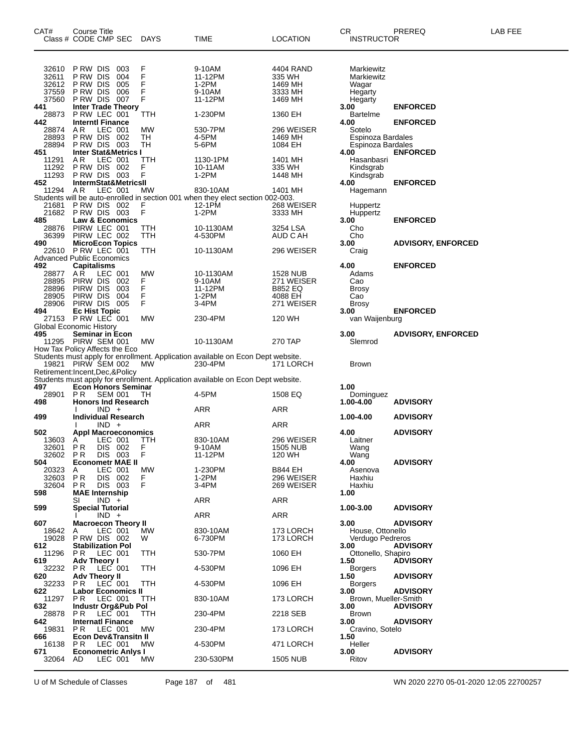| CAT#                                      | Course Title<br>Class # CODE CMP SEC                                 |                               |                          | <b>DAYS</b>      | TIME                                                                                       | <b>LOCATION</b>                           | CR<br><b>INSTRUCTOR</b>                        | PREREQ                    | LAB FEE |
|-------------------------------------------|----------------------------------------------------------------------|-------------------------------|--------------------------|------------------|--------------------------------------------------------------------------------------------|-------------------------------------------|------------------------------------------------|---------------------------|---------|
| 32610<br>32611<br>32612<br>37559          | P RW DIS<br>P RW DIS<br>P RW DIS<br>P RW DIS                         |                               | 003<br>004<br>005<br>006 | F<br>F<br>F<br>F | 9-10AM<br>11-12PM<br>1-2PM<br>9-10AM                                                       | 4404 RAND<br>335 WH<br>1469 MH<br>3333 MH | Markiewitz<br>Markiewitz<br>Wagar<br>Hegarty   |                           |         |
| 37560<br>441                              | P RW DIS 007<br><b>Inter Trade Theory</b>                            |                               |                          | F                | 11-12PM                                                                                    | 1469 MH                                   | Hegarty<br>3.00                                | <b>ENFORCED</b>           |         |
| 28873<br>442                              | P RW LEC 001<br><b>Interntl Finance</b>                              |                               |                          | TTH              | 1-230PM                                                                                    | 1360 EH                                   | Bartelme<br>4.00                               | <b>ENFORCED</b>           |         |
| 28874<br>28893                            | AR.<br>PRW DIS 002                                                   | LEC 001                       |                          | <b>MW</b><br>TH  | 530-7PM<br>4-5PM                                                                           | 296 WEISER<br>1469 MH                     | Sotelo<br>Espinoza Bardales                    |                           |         |
| 28894<br>451                              | PRW DIS 003<br><b>Inter Stat&amp;Metrics I</b>                       |                               |                          | TН               | 5-6PM                                                                                      | 1084 EH                                   | Espinoza Bardales<br>4.00                      | <b>ENFORCED</b>           |         |
| 11291<br>11292                            | AR<br>PRW DIS 002                                                    | LEC 001                       |                          | TTH<br>F         | 1130-1PM<br>10-11AM                                                                        | 1401 MH<br>335 WH                         | Hasanbasri<br>Kindsgrab                        |                           |         |
| 11293<br>452                              | PRW DIS 003<br><b>IntermStat&amp;MetricsII</b>                       |                               |                          | F                | $1-2PM$                                                                                    | 1448 MH                                   | Kindsgrab<br>4.00                              | <b>ENFORCED</b>           |         |
| 11294 AR                                  |                                                                      | LEC 001                       |                          | МW               | 830-10AM<br>Students will be auto-enrolled in section 001 when they elect section 002-003. | 1401 MH                                   | Hagemann                                       |                           |         |
| 485                                       | 21681 PRW DIS 002<br>21682 PRW DIS 003<br><b>Law &amp; Economics</b> |                               |                          | F<br>F           | 12-1PM<br>1-2PM                                                                            | 268 WEISER<br>3333 MH                     | Huppertz<br>Huppertz<br>3.00                   | <b>ENFORCED</b>           |         |
| 28876<br>36399<br>490                     | PIRW LEC 001<br>PIRW LEC 002<br><b>MicroEcon Topics</b>              |                               |                          | TTH<br>TTH       | 10-1130AM<br>4-530PM                                                                       | 3254 LSA<br>AUD C AH                      | Cho<br>Cho<br>3.00                             | <b>ADVISORY, ENFORCED</b> |         |
| 22610<br><b>Advanced Public Economics</b> | PRW LEC 001                                                          |                               |                          | TTH              | 10-1130AM                                                                                  | 296 WEISER                                | Craig                                          |                           |         |
| 492<br>28877<br>28895                     | <b>Capitalisms</b><br>AR.<br>PIRW DIS                                | LEC 001                       | 002                      | МW<br>F<br>F     | 10-1130AM<br>9-10AM                                                                        | 1528 NUB<br>271 WEISER                    | 4.00<br>Adams<br>Cao                           | <b>ENFORCED</b>           |         |
| 28896<br>28905                            | PIRW DIS<br>PIRW DIS 004                                             |                               | 003                      | F                | 11-12PM<br>1-2PM                                                                           | <b>B852 EQ</b><br>4088 EH                 | <b>Brosy</b><br>Cao                            |                           |         |
| 28906<br>494<br>27153                     | PIRW DIS 005<br><b>Ec Hist Topic</b><br>PRW LEC 001                  |                               |                          | F<br><b>MW</b>   | 3-4PM<br>230-4PM                                                                           | 271 WEISER<br>120 WH                      | Brosy<br>3.00<br>van Waijenburg                | <b>ENFORCED</b>           |         |
| <b>Global Economic History</b><br>495     | Seminar in Econ                                                      |                               |                          |                  |                                                                                            |                                           | 3.00                                           | <b>ADVISORY, ENFORCED</b> |         |
| How Tax Policy Affects the Eco            | 11295 PIRW SEM 001                                                   |                               |                          | <b>MW</b>        | 10-1130AM                                                                                  | 270 TAP                                   | Slemrod                                        |                           |         |
| Retirement:Incent,Dec,&Policy             | 19821 PIRW SEM 002                                                   |                               |                          | МW               | Students must apply for enrollment. Application available on Econ Dept website.<br>230-4PM | 171 LORCH                                 | Brown                                          |                           |         |
| 497                                       | <b>Econ Honors Seminar</b>                                           |                               |                          |                  | Students must apply for enrollment. Application available on Econ Dept website.            |                                           | 1.00                                           |                           |         |
| 28901 PR<br>498                           | <b>Honors Ind Research</b>                                           | <b>SEM 001</b>                |                          | TН               | 4-5PM                                                                                      | 1508 EQ                                   | Dominguez<br>1.00-4.00                         | <b>ADVISORY</b>           |         |
| 499                                       | <b>Individual Research</b>                                           | $IND +$                       |                          |                  | ARR                                                                                        | ARR                                       | 1.00-4.00                                      | <b>ADVISORY</b>           |         |
| 502                                       | <b>Appl Macroeconomics</b>                                           | $IND +$                       |                          |                  | ARR                                                                                        | ARR                                       | 4.00                                           | <b>ADVISORY</b>           |         |
| 13603<br>32601<br>32602                   | A<br>P R<br>P R                                                      | LEC 001<br>DIS 002<br>DIS 003 |                          | ттн<br>F<br>F    | 830-10AM<br>9-10AM<br>11-12PM                                                              | 296 WEISER<br><b>1505 NUB</b><br>120 WH   | Laitner<br>Wang<br>Wang                        |                           |         |
| 504<br>20323<br>32603                     | <b>Econometr MAE II</b><br>A<br>PR                                   | LEC 001<br>DIS 002            |                          | МW<br>F.         | 1-230PM<br>$1-2PM$                                                                         | <b>B844 EH</b><br>296 WEISER              | 4.00<br>Asenova<br>Haxhiu                      | <b>ADVISORY</b>           |         |
| 32604<br>598                              | P R<br><b>MAE</b> Internship                                         | DIS 003                       |                          | F                | 3-4PM                                                                                      | 269 WEISER<br><b>ARR</b>                  | Haxhiu<br>1.00                                 |                           |         |
| 599                                       | SI<br><b>Special Tutorial</b>                                        | $IND +$                       |                          |                  | ARR<br>ARR                                                                                 | ARR                                       | 1.00-3.00                                      | <b>ADVISORY</b>           |         |
| 607<br>18642                              | <b>Macroecon Theory II</b><br>A                                      | $IND +$<br>LEC 001            |                          | MW               | 830-10AM                                                                                   | 173 LORCH                                 | 3.00<br>House, Ottonello                       | <b>ADVISORY</b>           |         |
| 19028<br>612                              | PRW DIS 002<br><b>Stabilization Pol</b>                              |                               |                          | W                | 6-730PM                                                                                    | 173 LORCH<br>1060 EH                      | Verdugo Pedreros<br>3.00                       | <b>ADVISORY</b>           |         |
| 11296<br>619                              | PR.<br><b>Adv Theory I</b>                                           | LEC 001                       |                          | TTH              | 530-7PM                                                                                    |                                           | Ottonello, Shapiro<br>1.50                     | <b>ADVISORY</b>           |         |
| 32232<br>620<br>32233                     | PR.<br><b>Adv Theory II</b>                                          | LEC 001<br>LEC 001            |                          | TTH<br>TTH       | 4-530PM<br>4-530PM                                                                         | 1096 EH<br>1096 EH                        | <b>Borgers</b><br>1.50                         | <b>ADVISORY</b>           |         |
| 622<br>11297                              | PR.<br><b>Labor Economics II</b><br>P R                              | LEC 001                       |                          | TTH              | 830-10AM                                                                                   | 173 LORCH                                 | <b>Borgers</b><br>3.00<br>Brown, Mueller-Smith | <b>ADVISORY</b>           |         |
| 632<br>28878                              | <b>Industr Org&amp;Pub Pol</b><br>PR.                                | LEC 001                       |                          | TTH              | 230-4PM                                                                                    | 2218 SEB                                  | 3.00<br>Brown                                  | <b>ADVISORY</b>           |         |
| 642<br>19831                              | <b>Internati Finance</b><br>PR.                                      | LEC 001                       |                          | МW               | 230-4PM                                                                                    | 173 LORCH                                 | 3.00<br>Cravino, Sotelo                        | <b>ADVISORY</b>           |         |
| 666<br>16138                              | <b>Econ Dev&amp;Transitn II</b><br>PR.                               | LEC 001                       |                          | MW.              | 4-530PM                                                                                    | 471 LORCH                                 | 1.50<br>Heller                                 |                           |         |
| 671<br>32064                              | <b>Econometric Anlys I</b><br>AD                                     | LEC 001                       |                          | MW.              | 230-530PM                                                                                  | <b>1505 NUB</b>                           | 3.00<br>Ritov                                  | <b>ADVISORY</b>           |         |
|                                           |                                                                      |                               |                          |                  |                                                                                            |                                           |                                                |                           |         |

U of M Schedule of Classes Page 187 of 481 WN 2020 2270 05-01-2020 12:05 22700257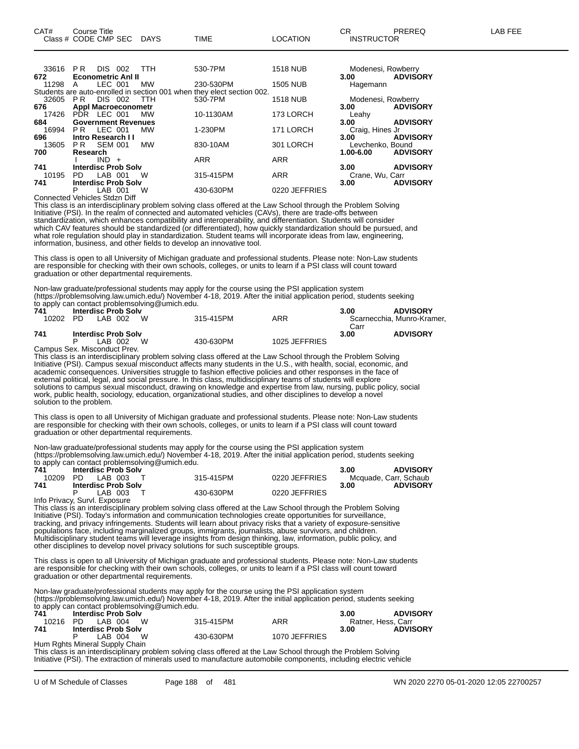|       |                            | ----    | .          |                                                                        |                 |                    |                 |
|-------|----------------------------|---------|------------|------------------------------------------------------------------------|-----------------|--------------------|-----------------|
|       |                            |         |            | Students are auto-enrolled in section 001 when they elect section 002. |                 |                    |                 |
| 32605 | DIS 002<br>PR              |         | <b>TTH</b> | 530-7PM                                                                | <b>1518 NUB</b> | Modenesi, Rowberry |                 |
| 676   | <b>Appl Macroeconometr</b> |         |            |                                                                        |                 | 3.00               | <b>ADVISORY</b> |
|       | 17426 PDR LEC 001          |         | МW         | 10-1130AM                                                              | 173 LORCH       | Leahy              |                 |
| 684   | <b>Government Revenues</b> |         |            |                                                                        |                 | 3.00               | <b>ADVISORY</b> |
| 16994 | <b>PR LEC 001</b>          |         | МW         | 1-230PM                                                                | 171 LORCH       | Craig, Hines Jr    |                 |
| 696   | Intro Research II          |         |            |                                                                        |                 | 3.00               | <b>ADVISORY</b> |
| 13605 | PR SEM 001                 |         | МW         | 830-10AM                                                               | 301 LORCH       | Levchenko, Bound   |                 |
| 700   | Research                   |         |            |                                                                        |                 | 1.00-6.00          | <b>ADVISORY</b> |
|       | $IND +$                    |         |            | <b>ARR</b>                                                             | <b>ARR</b>      |                    |                 |
| 741   | <b>Interdisc Prob Solv</b> |         |            |                                                                        |                 | 3.00               | <b>ADVISORY</b> |
| 10195 | PD.                        | LAB 001 | W          | 315-415PM                                                              | <b>ARR</b>      | Crane, Wu, Carr    |                 |
| 741   | <b>Interdisc Prob Solv</b> |         |            |                                                                        |                 | 3.00               | <b>ADVISORY</b> |
|       | Р                          | LAB 001 | W          | 430-630PM                                                              | 0220 JEFFRIES   |                    |                 |
|       |                            |         |            |                                                                        |                 |                    |                 |

Connected Vehicles Stdzn Diff

This class is an interdisciplinary problem solving class offered at the Law School through the Problem Solving Initiative (PSI). In the realm of connected and automated vehicles (CAVs), there are trade-offs between standardization, which enhances compatibility and interoperability, and differentiation. Students will consider which CAV features should be standardized (or differentiated), how quickly standardization should be pursued, and what role regulation should play in standardization. Student teams will incorporate ideas from law, engineering, information, business, and other fields to develop an innovative tool.

This class is open to all University of Michigan graduate and professional students. Please note: Non-Law students are responsible for checking with their own schools, colleges, or units to learn if a PSI class will count toward graduation or other departmental requirements.

Non-law graduate/professional students may apply for the course using the PSI application system (https://problemsolving.law.umich.edu/) November 4-18, 2019. After the initial application period, students seeking to apply can contact problemsolving@umich.edu.

| 741   | <b>Interdisc Prob Solv</b> |           |               | 3.00 | <b>ADVISORY</b>            |
|-------|----------------------------|-----------|---------------|------|----------------------------|
| 10202 | W<br>LAB 002<br>PD.        | 315-415PM | ARR           |      | Scarnecchia, Munro-Kramer, |
|       |                            |           |               | Carr |                            |
| 741   | <b>Interdisc Prob Solv</b> |           |               | 3.00 | <b>ADVISORY</b>            |
|       | W<br>LAB 002               | 430-630PM | 1025 JEFFRIES |      |                            |
|       |                            |           |               |      |                            |

Campus Sex. Misconduct Prev.

This class is an interdisciplinary problem solving class offered at the Law School through the Problem Solving Initiative (PSI). Campus sexual misconduct affects many students in the U.S., with health, social, economic, and academic consequences. Universities struggle to fashion effective policies and other responses in the face of external political, legal, and social pressure. In this class, multidisciplinary teams of students will explore solutions to campus sexual misconduct, drawing on knowledge and expertise from law, nursing, public policy, social work, public health, sociology, education, organizational studies, and other disciplines to develop a novel solution to the problem.

This class is open to all University of Michigan graduate and professional students. Please note: Non-Law students are responsible for checking with their own schools, colleges, or units to learn if a PSI class will count toward graduation or other departmental requirements.

Non-law graduate/professional students may apply for the course using the PSI application system (https://problemsolving.law.umich.edu/) November 4-18, 2019. After the initial application period, students seeking to apply can contact problemsolving@umich.edu.

| 741   | <b>Interdisc Prob Solv</b>    |           |               | <b>ADVISORY</b><br>3.00 |
|-------|-------------------------------|-----------|---------------|-------------------------|
| 10209 | PD LAB 003 T                  | 315-415PM | 0220 JEFFRIES | Mcquade, Carr, Schaub   |
| 741   | <b>Interdisc Prob Solv</b>    |           |               | <b>ADVISORY</b><br>3.00 |
|       | LAB 003 T                     | 430-630PM | 0220 JEFFRIES |                         |
|       | Info Privacy, Survl. Exposure |           |               |                         |

This class is an interdisciplinary problem solving class offered at the Law School through the Problem Solving Initiative (PSI). Today's information and communication technologies create opportunities for surveillance, tracking, and privacy infringements. Students will learn about privacy risks that a variety of exposure-sensitive populations face, including marginalized groups, immigrants, journalists, abuse survivors, and children. Multidisciplinary student teams will leverage insights from design thinking, law, information, public policy, and other disciplines to develop novel privacy solutions for such susceptible groups.

This class is open to all University of Michigan graduate and professional students. Please note: Non-Law students are responsible for checking with their own schools, colleges, or units to learn if a PSI class will count toward graduation or other departmental requirements.

Non-law graduate/professional students may apply for the course using the PSI application system (https://problemsolving.law.umich.edu/) November 4-18, 2019. After the initial application period, students seeking to apply can contact problemsolving@umich.edu.

| 741   | <b>Interdisc Prob Solv</b>     |           |               | <b>ADVISORY</b><br>3.00 |
|-------|--------------------------------|-----------|---------------|-------------------------|
| 10216 | W.<br>LAB 004<br>PD.           | 315-415PM | ARR           | Ratner, Hess, Carr      |
| 741   | <b>Interdisc Prob Solv</b>     |           |               | <b>ADVISORY</b><br>3.00 |
|       | - W<br>LAB 004                 | 430-630PM | 1070 JEFFRIES |                         |
|       | Hum Rghts Mineral Supply Chain |           |               |                         |

This class is an interdisciplinary problem solving class offered at the Law School through the Problem Solving Initiative (PSI). The extraction of minerals used to manufacture automobile components, including electric vehicle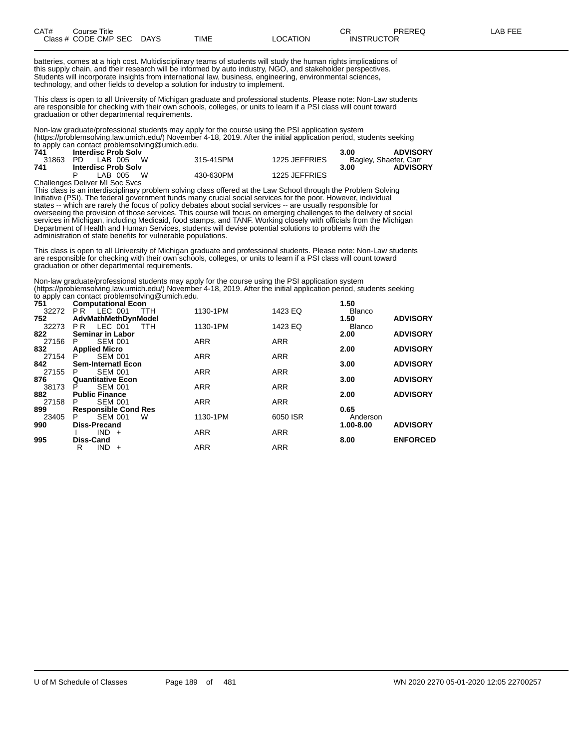| CAT# | Title<br>Course      |             |      |                 | ⌒冖<br>◡◠ | PREREQ            | ≀ FFF<br>ΔR. |
|------|----------------------|-------------|------|-----------------|----------|-------------------|--------------|
|      | Class # CODE CMP SEC | <b>DAYS</b> | TIME | <b>_OCATION</b> |          | <b>INSTRUCTOR</b> |              |

batteries, comes at a high cost. Multidisciplinary teams of students will study the human rights implications of this supply chain, and their research will be informed by auto industry, NGO, and stakeholder perspectives. Students will incorporate insights from international law, business, engineering, environmental sciences, technology, and other fields to develop a solution for industry to implement.

This class is open to all University of Michigan graduate and professional students. Please note: Non-Law students are responsible for checking with their own schools, colleges, or units to learn if a PSI class will count toward graduation or other departmental requirements.

Non-law graduate/professional students may apply for the course using the PSI application system (https://problemsolving.law.umich.edu/) November 4-18, 2019. After the initial application period, students seeking to apply can contact problemsolving@umich.edu.

| 741 | <b>Interdisc Prob Solv</b>     |           |               | <b>ADVISORY</b><br>3.00 |
|-----|--------------------------------|-----------|---------------|-------------------------|
|     | 31863 PD LAB 005 W             | 315-415PM | 1225 JEFFRIES | Bagley, Shaefer, Carr   |
| 741 | <b>Interdisc Prob Solv</b>     |           |               | <b>ADVISORY</b><br>3.00 |
|     | LAB 005 W                      | 430-630PM | 1225 JEFFRIES |                         |
|     | Challenges Deliver MI Soc Svcs |           |               |                         |

This class is an interdisciplinary problem solving class offered at the Law School through the Problem Solving Initiative (PSI). The federal government funds many crucial social services for the poor. However, individual states -- which are rarely the focus of policy debates about social services -- are usually responsible for overseeing the provision of those services. This course will focus on emerging challenges to the delivery of social services in Michigan, including Medicaid, food stamps, and TANF. Working closely with officials from the Michigan Department of Health and Human Services, students will devise potential solutions to problems with the administration of state benefits for vulnerable populations.

This class is open to all University of Michigan graduate and professional students. Please note: Non-Law students are responsible for checking with their own schools, colleges, or units to learn if a PSI class will count toward graduation or other departmental requirements.

Non-law graduate/professional students may apply for the course using the PSI application system (https://problemsolving.law.umich.edu/) November 4-18, 2019. After the initial application period, students seeking to apply can contact problemsolving@umich.edu.

| 751 <sup>11</sup> | <b>Computational Econ</b>        |            |            | 1.50          |                 |
|-------------------|----------------------------------|------------|------------|---------------|-----------------|
|                   | 32272 PR LEC 001<br>TTH          | 1130-1PM   | 1423 EQ    | <b>Blanco</b> |                 |
| 752               | AdvMathMethDynModel              |            |            | 1.50          | <b>ADVISORY</b> |
|                   | 32273 PR LEC 001 TTH             | 1130-1PM   | 1423 EQ    | <b>Blanco</b> |                 |
| 822               | <b>Seminar in Labor</b>          |            |            | 2.00          | <b>ADVISORY</b> |
| 27156             | <b>SEM 001</b><br>P <sub>2</sub> | <b>ARR</b> | <b>ARR</b> |               |                 |
| 832               | <b>Applied Micro</b>             |            |            | 2.00          | <b>ADVISORY</b> |
| 27154             | SEM 001<br>P.                    | <b>ARR</b> | <b>ARR</b> |               |                 |
| 842               | <b>Sem-Internatl Econ</b>        |            |            | 3.00          | <b>ADVISORY</b> |
| 27155             | <b>SEM 001</b><br>P.             | <b>ARR</b> | <b>ARR</b> |               |                 |
| 876               | <b>Quantitative Econ</b>         |            |            | 3.00          | <b>ADVISORY</b> |
| 38173             | <b>SEM 001</b><br>P.             | <b>ARR</b> | <b>ARR</b> |               |                 |
| 882               | <b>Public Finance</b>            |            |            | 2.00          | <b>ADVISORY</b> |
| 27158             | <b>SEM 001</b><br>P.             | <b>ARR</b> | <b>ARR</b> |               |                 |
| 899               | <b>Responsible Cond Res</b>      |            |            | 0.65          |                 |
| 23405             | <b>SEM 001</b><br>W<br>P.        | 1130-1PM   | 6050 ISR   | Anderson      |                 |
| 990               | <b>Diss-Precand</b>              |            |            | 1.00-8.00     | <b>ADVISORY</b> |
|                   | $IND +$                          | <b>ARR</b> | <b>ARR</b> |               |                 |
| 995               | <b>Diss-Cand</b>                 |            |            | 8.00          | <b>ENFORCED</b> |
|                   | $IND +$<br>R                     | <b>ARR</b> | <b>ARR</b> |               |                 |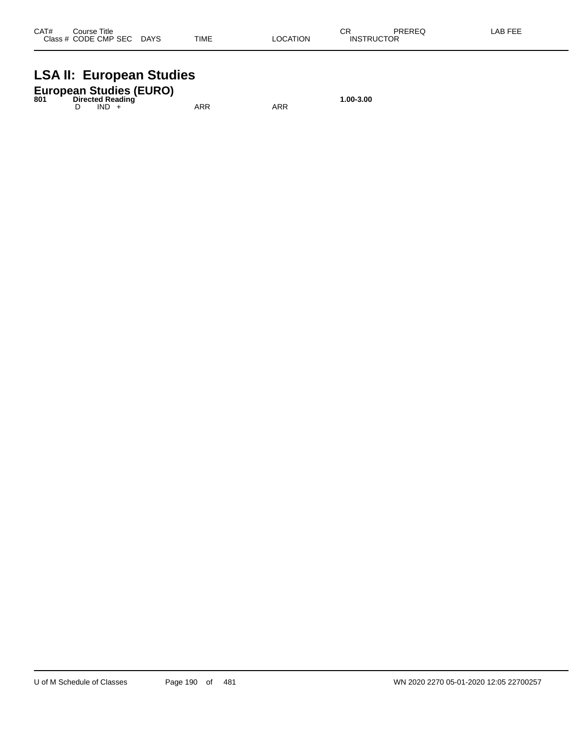## **LSA II: European Studies**

|     | <b>European Studies (EURO)</b> |           |
|-----|--------------------------------|-----------|
| 801 | <b>Directed Reading</b>        | 1.00-3.00 |

D IND + ARR ARR ARR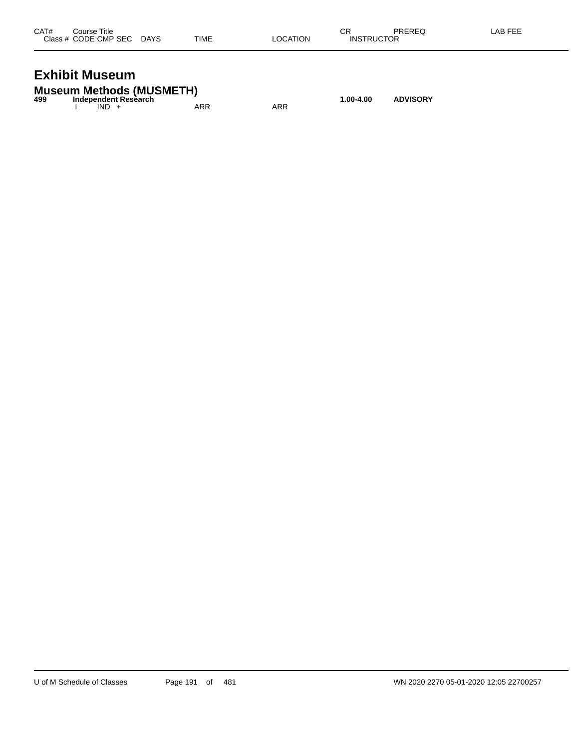| CAT# | Course Title              |             |          | СF                | PREREQ | LAB FEE |
|------|---------------------------|-------------|----------|-------------------|--------|---------|
|      | Class # CODE CMP SEC DAYS | <b>TIME</b> | LOCATION | <b>INSTRUCTOR</b> |        |         |
|      |                           |             |          |                   |        |         |

## **Exhibit Museum**

**Museum Methods (MUSMETH) 499 Independent Research 1.00-4.00 ADVISORY** I IND + ARR ARR ARR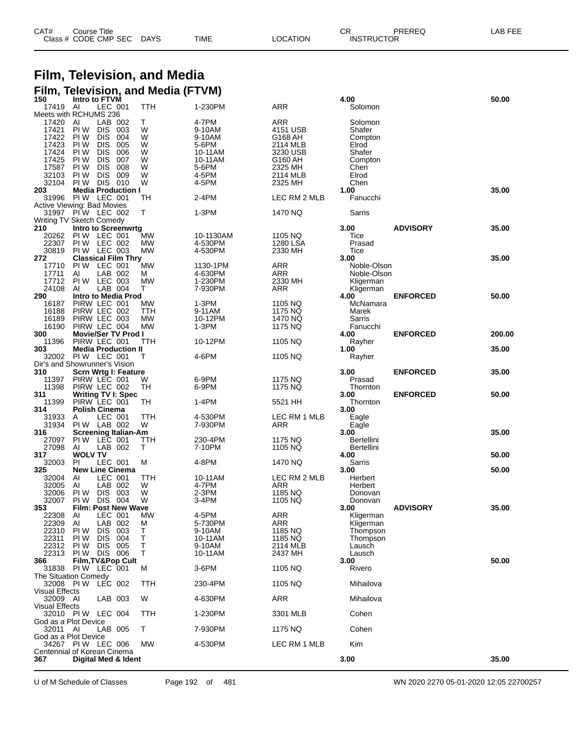| CAT# | Course Title              |             |                 | ◠г<br>◡⊓          | PREREQ | LAB FEE |
|------|---------------------------|-------------|-----------------|-------------------|--------|---------|
|      | Class # CODE CMP SEC DAYS | <b>TIME</b> | <b>LOCATION</b> | <b>INSTRUCTOR</b> |        |         |

#### **Film, Television, and Media Film, Television, and Media (FTVM)**

| .<br>150                         | ,,,,,,,,<br>Intro to FTVM                              | $1110$ $111$ $111$ |                    |                    | 4.00                   |                 | 50.00  |
|----------------------------------|--------------------------------------------------------|--------------------|--------------------|--------------------|------------------------|-----------------|--------|
| 17419                            | LEC 001<br>AI                                          | TTH                | 1-230PM            | ARR                | Solomon                |                 |        |
| 17420                            | Meets with RCHUMS 236<br>AI<br>LAB 002                 | Т                  | 4-7PM              | <b>ARR</b>         | Solomon                |                 |        |
| 17421                            | PI W<br><b>DIS</b><br>003                              | W                  | 9-10AM             | 4151 USB           | Shafer                 |                 |        |
| 17422                            | PI W<br><b>DIS</b><br>004                              | W                  | 9-10AM             | G168 AH            | Compton                |                 |        |
| 17423                            | PI W<br><b>DIS</b><br>005                              | W                  | 5-6PM              | 2114 MLB           | Elrod                  |                 |        |
| 17424                            | PI W<br><b>DIS</b><br>006                              | W                  | 10-11AM            | 3230 USB           | Shafer                 |                 |        |
| 17425<br>17587                   | PI W<br><b>DIS</b><br>007<br>008<br>PI W<br><b>DIS</b> | W<br>W             | 10-11AM<br>5-6PM   | G160 AH<br>2325 MH | Compton                |                 |        |
| 32103                            | PI W<br><b>DIS</b><br>009                              | W                  | 4-5PM              | 2114 MLB           | Chen<br>Elrod          |                 |        |
| 32104                            | PI W<br>DIS 010                                        | W                  | 4-5PM              | 2325 MH            | Chen                   |                 |        |
| 203                              | <b>Media Production I</b>                              |                    |                    |                    | 1.00                   |                 | 35.00  |
|                                  | 31996 PIW LEC 001                                      | TН                 | 2-4PM              | LEC RM 2 MLB       | Fanucchi               |                 |        |
|                                  | Active Viewing: Bad Movies                             |                    |                    |                    |                        |                 |        |
|                                  | 31997 PIW LEC 002                                      | T.                 | 1-3PM              | 1470 NQ            | Sarris                 |                 |        |
| 210                              | Writing TV Sketch Comedy<br><b>Intro to Screenwrtg</b> |                    |                    |                    | 3.00                   | <b>ADVISORY</b> | 35.00  |
| 20262                            | PI W<br>LEC 001                                        | MW                 | 10-1130AM          | 1105 NQ            | Tice                   |                 |        |
| 22307                            | PIW LEC 002                                            | MW                 | 4-530PM            | 1280 LSA           | Prasad                 |                 |        |
| 30819                            | PIW LEC 003                                            | MW                 | 4-530PM            | 2330 MH            | Tice                   |                 |        |
| 272                              | <b>Classical Film Thry</b>                             |                    |                    |                    | 3.00                   |                 | 35.00  |
| 17710                            | PI W<br>LEC 001                                        | <b>MW</b>          | 1130-1PM           | <b>ARR</b>         | Noble-Olson            |                 |        |
| 17711<br>17712                   | Al<br>LAB 002<br>LEC 003<br>PI W                       | м<br><b>MW</b>     | 4-630PM            | ARR<br>2330 MH     | Noble-Olson            |                 |        |
| 24108                            | LAB 004<br>AI                                          | т                  | 1-230PM<br>7-930PM | <b>ARR</b>         | Kligerman<br>Kligerman |                 |        |
| 290                              | Intro to Media Prod                                    |                    |                    |                    | 4.00                   | <b>ENFORCED</b> | 50.00  |
| 16187                            | PIRW LEC 001                                           | MW                 | 1-3PM              | 1105 NQ            | McNamara               |                 |        |
| 16188                            | PIRW LEC 002                                           | ттн                | 9-11AM             | 1175 NQ            | Marek                  |                 |        |
| 16189                            | PIRW LEC 003                                           | MW                 | 10-12PM            | 1470 NQ            | Sarris                 |                 |        |
| 16190                            | PIRW LEC 004                                           | <b>MW</b>          | 1-3PM              | 1175 NQ            | Fanucchi               |                 |        |
| 300                              | <b>Movie/Ser TV Prod I</b>                             |                    |                    |                    | 4.00                   | <b>ENFORCED</b> | 200.00 |
| 11396<br>303                     | PIRW LEC 001<br><b>Media Production II</b>             | TTH                | 10-12PM            | 1105 NQ            | Rayher<br>1.00         |                 | 35.00  |
|                                  | 32002 PIW LEC 001                                      | т                  | 4-6PM              | 1105 NQ            | Rayher                 |                 |        |
|                                  | Dir's and Showrunner's Vision                          |                    |                    |                    |                        |                 |        |
| 310                              | Scrn Wrtg I: Feature                                   |                    |                    |                    | 3.00                   | <b>ENFORCED</b> | 35.00  |
| 11397                            | PIRW LEC 001                                           | w                  | 6-9PM              | 1175 NQ            | Prasad                 |                 |        |
| 11398                            | PIRW LEC 002                                           | TH                 | 6-9PM              | 1175 NQ            | Thornton               |                 |        |
| 311<br>11399                     | <b>Writing TV I: Spec</b><br>PIRW LEC 001              | ТH                 | 1-4PM              | 5521 HH            | 3.00<br>Thornton       | <b>ENFORCED</b> | 50.00  |
| 314                              | <b>Polish Cinema</b>                                   |                    |                    |                    | 3.00                   |                 |        |
| 31933                            | LEC 001<br>Α                                           | TTH                | 4-530PM            | LEC RM 1 MLB       | Eagle                  |                 |        |
| 31934                            | PIW LAB 002                                            | W                  | 7-930PM            | ARR                | Eagle                  |                 |        |
| 316                              | <b>Screening Italian-Am</b>                            |                    |                    |                    | 3.00                   |                 | 35.00  |
| 27097                            | PIW LEC 001                                            | ттн                | 230-4PM            | 1175 NQ            | Bertellini             |                 |        |
| 27098                            | LAB 002<br>AI                                          | т                  | 7-10PM             | 1105 NQ            | Bertellini             |                 |        |
| 317<br>32003                     | <b>WOLV TV</b><br>LEC 001<br>PI                        | м                  | 4-8PM              | 1470 NQ            | 4.00<br>Sarris         |                 | 50.00  |
| 325                              | <b>New Line Cinema</b>                                 |                    |                    |                    | 3.00                   |                 | 50.00  |
| 32004                            | AI<br>LEC 001                                          | TTH                | 10-11AM            | LEC RM 2 MLB       | Herbert                |                 |        |
| 32005                            | AI<br>LAB 002                                          | W                  | 4-7PM              | ARR                | Herbert                |                 |        |
| 32006                            | <b>DIS</b><br>PI W<br>003                              | W                  | $2-3PM$            | 1185 NQ            | Donovan                |                 |        |
| 32007                            | <b>DIS 004</b><br>PI W                                 | W                  | 3-4PM              | 1105 NQ            | Donovan                |                 |        |
| 353                              | <b>Film: Post New Wave</b><br>LEC 001                  |                    | 4-5PM              | <b>ARR</b>         | 3.00                   | <b>ADVISORY</b> | 35.00  |
| 22308<br>22309                   | AI<br>LAB 002<br>Al                                    | <b>MW</b><br>M     | 5-730PM            | <b>ARR</b>         | Kligerman<br>Kligerman |                 |        |
| 22310                            | PI W<br><b>DIS</b><br>003                              | т                  | 9-10AM             | 1185 NQ            | Thompson               |                 |        |
| 22311                            | PI W<br><b>DIS</b><br>004                              | Т                  | 10-11AM            | 1185 NQ            | Thompson               |                 |        |
| 22312                            | PI W<br><b>DIS</b><br>005                              | т                  | 9-10AM             | 2114 MLB           | Lausch                 |                 |        |
| 22313                            | DIS 006<br>PI W                                        | т                  | 10-11AM            | 2437 MH            | Lausch                 |                 |        |
| 366                              | Film, TV&Pop Cult                                      |                    |                    |                    | 3.00                   |                 | 50.00  |
| 31838                            | PIW LEC 001<br>The Situation Comedy                    | м                  | 3-6PM              | 1105 NQ            | Rivero                 |                 |        |
|                                  | 32008 PIW LEC 002                                      | TTH                | 230-4PM            | 1105 NQ            | Mihailova              |                 |        |
| <b>Visual Effects</b>            |                                                        |                    |                    |                    |                        |                 |        |
| 32009 AI                         | LAB 003                                                | W                  | 4-630PM            | <b>ARR</b>         | Mihailova              |                 |        |
| <b>Visual Effects</b>            |                                                        |                    |                    |                    |                        |                 |        |
|                                  | 32010 PIW LEC 004                                      | TTH                | 1-230PM            | 3301 MLB           | Cohen                  |                 |        |
| God as a Plot Device             |                                                        |                    |                    |                    |                        |                 |        |
| 32011 AI<br>God as a Plot Device | LAB 005                                                | Т                  | 7-930PM            | 1175 NQ            | Cohen                  |                 |        |
|                                  | 34267 PIW LEC 006                                      | MW                 | 4-530PM            | LEC RM 1 MLB       | Kim                    |                 |        |
|                                  | Centennial of Korean Cinema                            |                    |                    |                    |                        |                 |        |
| 367                              | Digital Med & Ident                                    |                    |                    |                    | 3.00                   |                 | 35.00  |
|                                  |                                                        |                    |                    |                    |                        |                 |        |

U of M Schedule of Classes Page 192 of 481 WN 2020 2270 05-01-2020 12:05 22700257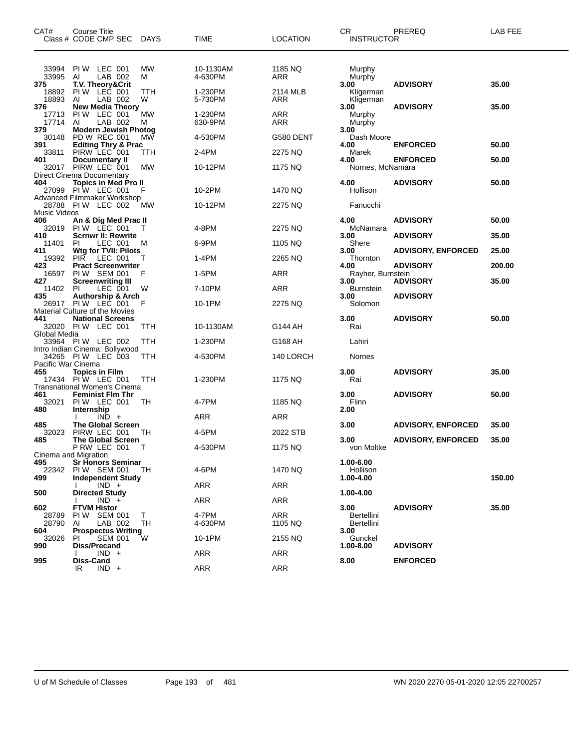| CAT#                  | Course Title<br>Class # CODE CMP SEC                                                | <b>DAYS</b> | TIME                 | <b>LOCATION</b>       | CR<br><b>INSTRUCTOR</b>          | PREREQ                                       | LAB FEE        |
|-----------------------|-------------------------------------------------------------------------------------|-------------|----------------------|-----------------------|----------------------------------|----------------------------------------------|----------------|
| 33994<br>33995<br>375 | PIW LEC 001<br>LAB 002<br>AI<br><b>T.V. Theory&amp;Crit</b>                         | MW<br>м     | 10-1130AM<br>4-630PM | 1185 NQ<br>ARR        | Murphy<br>Murphy<br>3.00         | <b>ADVISORY</b>                              | 35.00          |
| 18892<br>18893<br>376 | PIW LEC 001<br>LAB 002<br>AI<br><b>New Media Theory</b>                             | TTH<br>W    | 1-230PM<br>5-730PM   | 2114 MLB<br>ARR       | Kligerman<br>Kligerman<br>3.00   | <b>ADVISORY</b>                              | 35.00          |
| 17713<br>17714        | PIW LEC 001<br>LAB 002<br>AI                                                        | МW<br>м     | 1-230PM<br>630-9PM   | ARR<br>ARR            | Murphy<br>Murphy                 |                                              |                |
| 379<br>30148<br>391   | <b>Modern Jewish Photog</b><br>PD W REC 001<br><b>Editing Thry &amp; Prac</b>       | <b>MW</b>   | 4-530PM              | G580 DENT             | 3.00<br>Dash Moore<br>4.00       | <b>ENFORCED</b>                              | 50.00          |
| 33811<br>401          | PIRW LEC 001<br>Documentary II                                                      | ттн         | 2-4PM                | 2275 NQ               | Marek<br>4.00                    | <b>ENFORCED</b>                              | 50.00          |
| 32017                 | PIRW LEC 001<br>Direct Cinema Documentary                                           | МW          | 10-12PM              | 1175 NQ               | Nornes, McNamara                 |                                              |                |
| 404                   | <b>Topics in Med Pro II</b><br>27099 PIW LEC 001<br>Advanced Filmmaker Workshop     | F           | 10-2PM               | 1470 NQ               | 4.00<br>Hollison                 | <b>ADVISORY</b>                              | 50.00          |
| <b>Music Videos</b>   | 28788 PIW LEC 002                                                                   | <b>MW</b>   | 10-12PM              | 2275 NQ               | Fanucchi                         |                                              |                |
| 406<br>32019          | An & Dig Med Prac II<br>PIW LEC 001                                                 | т           | 4-8PM                | 2275 NO               | 4.00<br>McNamara                 | <b>ADVISORY</b>                              | 50.00          |
| 410<br>11401<br>411   | <b>Scrnwr II: Rewrite</b><br>PL<br>LEC 001<br>Wtg for TVII: Pilots                  | м           | 6-9PM                | 1105 NQ               | 3.00<br>Shere<br>3.00            | <b>ADVISORY</b><br><b>ADVISORY, ENFORCED</b> | 35.00<br>25.00 |
| 19392<br>423          | <b>PIR</b><br>LEC 001<br><b>Pract Screenwriter</b>                                  | т           | 1-4PM                | 2265 NQ               | Thornton<br>4.00                 | <b>ADVISORY</b>                              | 200.00         |
| 16597                 | PIW SEM 001                                                                         | F           | 1-5PM                | <b>ARR</b>            | Rayher, Burnstein                |                                              |                |
| 427<br>11402<br>435   | <b>Screenwriting III</b><br>LEC 001<br>PL                                           | W           | 7-10PM               | ARR                   | 3.00<br><b>Burnstein</b><br>3.00 | <b>ADVISORY</b><br><b>ADVISORY</b>           | 35.00          |
|                       | <b>Authorship &amp; Arch</b><br>26917 PIW LEC 001<br>Material Culture of the Movies | F           | 10-1PM               | 2275 NQ               | Solomon                          |                                              |                |
| 441                   | <b>National Screens</b><br>32020 PIW LEC 001                                        | TTH         | 10-1130AM            | G144 AH               | 3.00<br>Rai                      | <b>ADVISORY</b>                              | 50.00          |
| Global Media          | 33964 PIW LEC 002                                                                   | TTH         | 1-230PM              | G168 AH               | Lahiri                           |                                              |                |
| Pacific War Cinema    | Intro Indian Cinema: Bollywood<br>34265 PIW LEC 003                                 | TTH         | 4-530PM              | 140 LORCH             | Nornes                           |                                              |                |
| 455                   | <b>Topics in Film</b><br>17434 PIW LEC 001<br>Transnational Women's Cinema          | TTH         | 1-230PM              | 1175 NQ               | 3.00<br>Rai                      | <b>ADVISORY</b>                              | 35.00          |
| 461<br>32021          | <b>Feminist Flm Thr</b><br>PIW LEC 001                                              | TH          | 4-7PM                | 1185 NQ               | 3.00<br>Flinn                    | <b>ADVISORY</b>                              | 50.00          |
| 480                   | Internship<br>$IND +$                                                               |             | ARR                  | ARR                   | 2.00                             |                                              |                |
| 485<br>32023          | <b>The Global Screen</b><br>PIRW LEC 001                                            | TН          | 4-5PM                | 2022 STB              | 3.00                             | <b>ADVISORY, ENFORCED</b>                    | 35.00          |
| 485                   | <b>The Global Screen</b><br>P RW LEC 001                                            |             | 4-530PM              | 1175 NQ               | 3.00<br>von Moltke               | <b>ADVISORY, ENFORCED</b>                    | 35.00          |
| 495<br>22342          | Cinema and Migration<br><b>Sr Honors Seminar</b><br>PIW SEM 001                     | TH          | 4-6PM                | 1470 NQ               | 1.00-6.00<br>Hollison            |                                              |                |
| 499                   | <b>Independent Study</b><br>$IND +$                                                 |             | ARR                  | ARR                   | 1.00-4.00                        |                                              | 150.00         |
| 500                   | <b>Directed Study</b><br>$IND +$                                                    |             | ARR                  | ARR                   | 1.00-4.00                        |                                              |                |
| 602<br>28789<br>28790 | <b>FTVM Histor</b><br>PIW SEM 001<br>LAB 002<br>AI                                  | T.<br>TH    | 4-7PM<br>4-630PM     | <b>ARR</b><br>1105 NQ | 3.00<br>Bertellini<br>Bertellini | <b>ADVISORY</b>                              | 35.00          |
| 604<br>32026          | <b>Prospectus Writing</b><br><b>SEM 001</b><br>PI.                                  | W           | 10-1PM               | 2155 NQ               | 3.00<br>Gunckel                  |                                              |                |
| 990                   | Diss/Precand<br>$IND +$                                                             |             | ARR                  | ARR                   | 1.00-8.00                        | <b>ADVISORY</b>                              |                |
| 995                   | Diss-Cand<br>$IND +$<br>IR.                                                         |             | <b>ARR</b>           | ARR                   | 8.00                             | <b>ENFORCED</b>                              |                |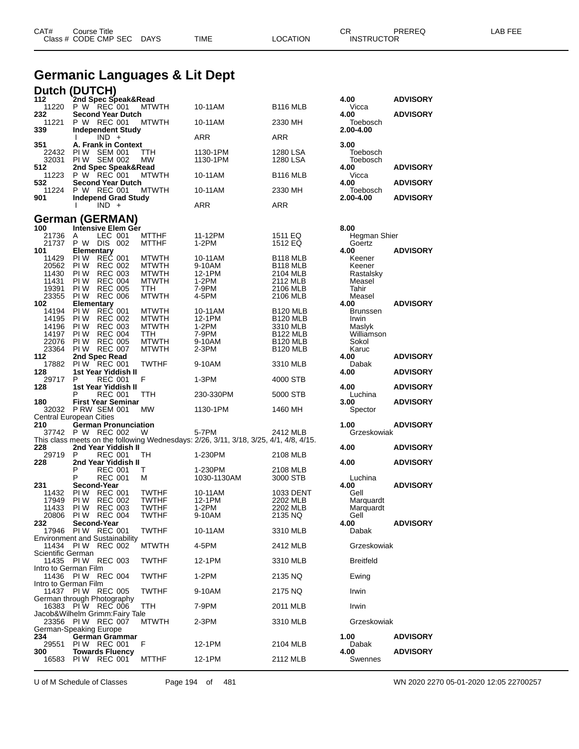|                | Germanic Languages & Lit Dept<br><b>Dutch (DUTCH)</b>                                                          |                              |                      |                      |                                |                                    |
|----------------|----------------------------------------------------------------------------------------------------------------|------------------------------|----------------------|----------------------|--------------------------------|------------------------------------|
| 112            | 2nd Spec Speak&Read                                                                                            |                              |                      |                      | 4.00                           | <b>ADVISORY</b>                    |
| 232            | 11220 P W REC 001<br><b>Second Year Dutch</b>                                                                  | <b>MTWTH</b>                 | 10-11AM              | B <sub>116</sub> MLB | Vicca<br>4.00                  | <b>ADVISORY</b>                    |
| 11221<br>339   | P W REC 001<br><b>Independent Study</b>                                                                        | <b>MTWTH</b>                 | 10-11AM              | 2330 MH              | Toebosch<br>2.00-4.00          |                                    |
| 351            | $IND +$<br>A. Frank in Context                                                                                 |                              | <b>ARR</b>           | <b>ARR</b>           | 3.00                           |                                    |
| 32031          | 22432 PIW SEM 001<br>PIW SEM 002                                                                               | TTH<br><b>MW</b>             | 1130-1PM<br>1130-1PM | 1280 LSA<br>1280 LSA | Toebosch<br>Toebosch           |                                    |
| 512<br>532     | 2nd Spec Speak&Read<br>11223 P W REC 001                                                                       | <b>MTWTH</b>                 | 10-11AM              | <b>B116 MLB</b>      | 4.00<br>Vicca                  | <b>ADVISORY</b>                    |
| 901            | <b>Second Year Dutch</b><br>11224 P W REC 001<br><b>Independ Grad Study</b>                                    | MTWTH                        | 10-11AM              | 2330 MH              | 4.00<br>Toebosch<br>2.00-4.00  | <b>ADVISORY</b><br><b>ADVISORY</b> |
|                | $IND +$                                                                                                        |                              | <b>ARR</b>           | ARR                  |                                |                                    |
|                | <b>German (GERMAN)</b>                                                                                         |                              |                      |                      |                                |                                    |
| 100<br>21736   | Intensive Elem Ger<br>A<br>LEC 001<br>21737 P W DIS 002                                                        | <b>MTTHF</b><br><b>MTTHF</b> | 11-12PM<br>$1-2PM$   | 1511 EQ<br>1512 EQ   | 8.00<br>Hegman Shier<br>Goertz |                                    |
| 101            | Elementary                                                                                                     |                              |                      |                      | 4.00                           | <b>ADVISORY</b>                    |
| 11429          | PIW REC 001                                                                                                    | <b>MTWTH</b>                 | 10-11AM              | <b>B118 MLB</b>      | Keener                         |                                    |
| 20562          | PI W<br><b>REC 002</b>                                                                                         | <b>MTWTH</b>                 | 9-10AM               | B <sub>118</sub> MLB | Keener                         |                                    |
| 11430<br>11431 | <b>PIW REC 003</b><br>PI W                                                                                     | <b>MTWTH</b>                 | 12-1PM               | 2104 MLB             | Rastalsky                      |                                    |
| 19391          | <b>REC 004</b><br>PI W<br><b>REC 005</b>                                                                       | <b>MTWTH</b><br><b>TTH</b>   | $1-2PM$<br>7-9PM     | 2112 MLB<br>2106 MLB | Measel<br>Tahir                |                                    |
| 23355          | <b>PIW REC 006</b>                                                                                             | <b>MTWTH</b>                 | 4-5PM                | 2106 MLB             | Measel                         |                                    |
| 102            | Elementary                                                                                                     |                              |                      |                      | 4.00                           | <b>ADVISORY</b>                    |
| 14194          | PIW REC 001                                                                                                    | <b>MTWTH</b>                 | 10-11AM              | <b>B120 MLB</b>      | <b>Brunssen</b>                |                                    |
| 14195          | PI W<br>REC 002                                                                                                | <b>MTWTH</b>                 | 12-1PM               | B <sub>120</sub> MLB | Irwin                          |                                    |
| 14196          | PI W<br><b>REC 003</b>                                                                                         | <b>MTWTH</b>                 | $1-2PM$              | 3310 MLB             | Maslyk                         |                                    |
|                | 14197 PIW REC 004                                                                                              | <b>TTH</b>                   | 7-9PM                | <b>B122 MLB</b>      | Williamson                     |                                    |
| 22076          | <b>PIW REC 005</b>                                                                                             | <b>MTWTH</b>                 | 9-10AM               | <b>B120 MLB</b>      | Sokol                          |                                    |
|                | 23364 PIW REC 007                                                                                              | <b>MTWTH</b>                 | $2-3PM$              | <b>B120 MLB</b>      | Karuc                          |                                    |
| 112            | 2nd Spec Read                                                                                                  |                              |                      |                      | 4.00                           | <b>ADVISORY</b>                    |
| 17882<br>128   | <b>PIW REC 001</b><br>1st Year Yiddish II                                                                      | <b>TWTHF</b>                 | 9-10AM               | 3310 MLB             | Dabak<br>4.00                  | <b>ADVISORY</b>                    |
| 29717          | P<br><b>REC 001</b>                                                                                            | F                            | $1-3PM$              | 4000 STB             |                                |                                    |
| 128            | 1st Year Yiddish II<br>REC 001                                                                                 | TTH                          | 230-330PM            | 5000 STB             | 4.00<br>Luchina                | <b>ADVISORY</b>                    |
| 180            | <b>First Year Seminar</b>                                                                                      |                              |                      |                      | 3.00                           | <b>ADVISORY</b>                    |
|                | 32032 P RW SEM 001                                                                                             | MW                           | 1130-1PM             | 1460 MH              | Spector                        |                                    |
|                | <b>Central European Cities</b>                                                                                 |                              |                      |                      |                                |                                    |
| 210            | <b>German Pronunciation</b>                                                                                    |                              |                      |                      | 1.00                           | <b>ADVISORY</b>                    |
|                | 37742 P W REC 002 W                                                                                            |                              | 5-7PM                | 2412 MLB             | Grzeskowiak                    |                                    |
| 22.R           | This class meets on the following Wednesdays: 2/26, 3/11, 3/18, 3/25, 4/1, 4/8, 4/15.<br>2nd Year Yiddish II T |                              |                      |                      | 4 በበ                           | <b>ADVISORY</b>                    |

CAT# Course Title Case CR PREREQ LAB FEE

Class # CODE CMP SEC DAYS TIME LOCATION INSTRUCTOR

| Central European Cities |   |                                       |              |                                                                                       |           |                  |                 |
|-------------------------|---|---------------------------------------|--------------|---------------------------------------------------------------------------------------|-----------|------------------|-----------------|
| 210                     |   | <b>German Pronunciation</b>           |              |                                                                                       |           | 1.00             | <b>ADVISORY</b> |
|                         |   | 37742 P W REC 002                     | <b>W</b>     | 5-7PM 2001                                                                            | 2412 MLB  | Grzeskowiak      |                 |
|                         |   |                                       |              | This class meets on the following Wednesdays: 2/26, 3/11, 3/18, 3/25, 4/1, 4/8, 4/15. |           |                  |                 |
| 228                     |   | 2nd Year Yiddish II                   |              |                                                                                       |           | 4.00             | <b>ADVISORY</b> |
| 29719 P                 |   | <b>REC 001</b>                        | <b>TH</b>    | 1-230PM                                                                               | 2108 MLB  |                  |                 |
| 228                     |   | 2nd Year Yiddish II                   |              |                                                                                       |           | 4.00             | <b>ADVISORY</b> |
|                         | P | <b>REC 001</b>                        | $\mathsf{T}$ | 1-230PM                                                                               | 2108 MLB  |                  |                 |
|                         | P | <b>REC 001</b>                        | м            | 1030-1130AM                                                                           | 3000 STB  | Luchina          |                 |
| 231                     |   | Second-Year                           |              |                                                                                       |           | 4.00             | <b>ADVISORY</b> |
|                         |   | 11432 PIW REC 001                     | <b>TWTHF</b> | 10-11AM                                                                               | 1033 DENT | Gell             |                 |
| 17949 PIW               |   | <b>REC 002</b>                        | <b>TWTHF</b> | 12-1PM                                                                                | 2202 MLB  | Marquardt        |                 |
| 11433 PIW               |   | <b>REC 003</b>                        | <b>TWTHF</b> | 1-2PM                                                                                 | 2202 MLB  | Marquardt        |                 |
|                         |   | 20806 PIW REC 004                     | <b>TWTHF</b> | 9-10AM                                                                                | 2135 NQ   | Gell             |                 |
| 232.                    |   | Second-Year                           |              |                                                                                       |           | 4.00             | <b>ADVISORY</b> |
|                         |   | 17946 PIW REC 001                     | <b>TWTHF</b> | 10-11AM                                                                               | 3310 MLB  | Dabak            |                 |
|                         |   | <b>Environment and Sustainability</b> |              |                                                                                       |           |                  |                 |
|                         |   | 11434 PIW REC 002                     | <b>MTWTH</b> | 4-5PM                                                                                 | 2412 MLB  | Grzeskowiak      |                 |
| Scientific German       |   |                                       |              |                                                                                       |           |                  |                 |
|                         |   | 11435 PIW REC 003                     | <b>TWTHF</b> | 12-1PM                                                                                | 3310 MLB  | <b>Breitfeld</b> |                 |
| Intro to German Film    |   |                                       |              |                                                                                       |           |                  |                 |
|                         |   | 11436 PIW REC 004                     | <b>TWTHF</b> | $1-2PM$                                                                               | 2135 NQ   | Ewing            |                 |
| Intro to German Film    |   |                                       |              |                                                                                       |           |                  |                 |
|                         |   | 11437 PIW REC 005                     | <b>TWTHF</b> | 9-10AM                                                                                | 2175 NQ   | Irwin            |                 |
|                         |   | German through Photography            |              |                                                                                       |           |                  |                 |
|                         |   | 16383 PIW REC 006                     | <b>TTH</b>   | 7-9PM                                                                                 | 2011 MLB  | Irwin            |                 |
|                         |   | Jacob&Wilhelm Grimm:Fairy Tale        |              |                                                                                       |           |                  |                 |
|                         |   | 23356 PIW REC 007                     | <b>MTWTH</b> | $2-3PM$                                                                               | 3310 MLB  | Grzeskowiak      |                 |
| German-Speaking Europe  |   |                                       |              |                                                                                       |           |                  |                 |
| 234                     |   | <b>German Grammar</b>                 |              |                                                                                       |           | 1.00             | <b>ADVISORY</b> |
| 29551                   |   | <b>PIW REC 001</b>                    | F            | 12-1PM                                                                                | 2104 MLB  | Dabak            |                 |
| 300 -                   |   | <b>Towards Fluency</b>                |              |                                                                                       |           | 4.00             | <b>ADVISORY</b> |
|                         |   | 16583 PIW REC 001                     | <b>MTTHF</b> | 12-1PM                                                                                | 2112 MLB  | Swennes          |                 |

U of M Schedule of Classes Page 194 of 481 WN 2020 2270 05-01-2020 12:05 22700257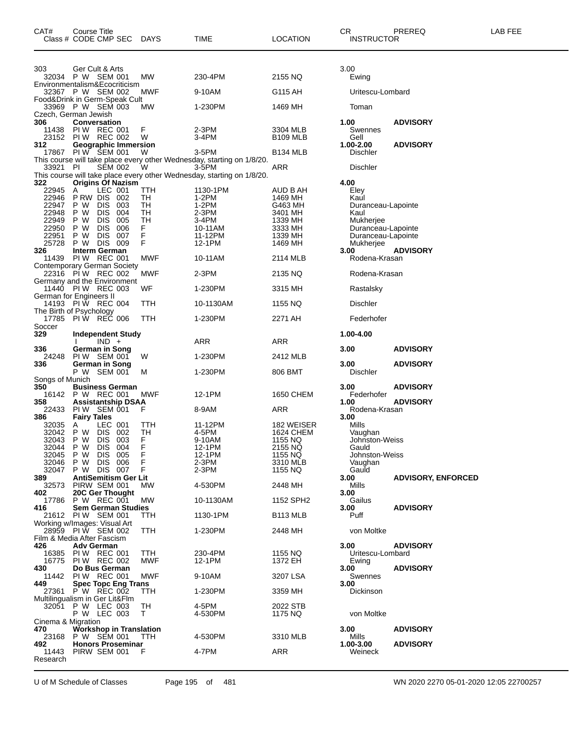| CAT#              | Course Title<br>Class # CODE CMP SEC                                  | DAYS        | TIME                                                                            | <b>LOCATION</b>                  | CR.<br><b>INSTRUCTOR</b>        | PREREQ                    | LAB FEE |
|-------------------|-----------------------------------------------------------------------|-------------|---------------------------------------------------------------------------------|----------------------------------|---------------------------------|---------------------------|---------|
| 303               | Ger Cult & Arts                                                       |             |                                                                                 |                                  | 3.00                            |                           |         |
|                   | 32034 PW SEM 001<br>Environmentalism&Ecocriticism                     | МW          | 230-4PM                                                                         | 2155 NQ                          | Ewing                           |                           |         |
|                   | 32367 P W SEM 002                                                     | MWF         | 9-10AM                                                                          | G115 AH                          | Uritescu-Lombard                |                           |         |
|                   | Food&Drink in Germ-Speak Cult<br>33969 P W SEM 003                    | МW          | 1-230PM                                                                         | 1469 MH                          | Toman                           |                           |         |
| 306               | Czech, German Jewish<br>Conversation                                  |             |                                                                                 |                                  | 1.00                            | <b>ADVISORY</b>           |         |
| 11438             | PIW REC 001<br>23152 PIW REC 002                                      | F<br>W      | 2-3PM<br>$3-4PM$                                                                | 3304 MLB<br>B <sub>109</sub> MLB | Swennes<br>Gell                 |                           |         |
| 312               | <b>Geographic Immersion</b>                                           |             |                                                                                 |                                  | 1.00-2.00                       | <b>ADVISORY</b>           |         |
|                   | 17867 PIW SEM 001                                                     | W           | 3-5PM<br>This course will take place every other Wednesday, starting on 1/8/20. | <b>B134 MLB</b>                  | <b>Dischler</b>                 |                           |         |
| 33921 PI          | <b>SEM 002</b>                                                        | W           | 3-5PM<br>This course will take place every other Wednesday, starting on 1/8/20. | ARR                              | <b>Dischler</b>                 |                           |         |
| 322               | <b>Origins Of Nazism</b>                                              |             |                                                                                 |                                  | 4.00                            |                           |         |
| 22945 A           | LEC 001<br>22946 PRW DIS 002                                          | TTH<br>TH   | 1130-1PM<br>1-2PM                                                               | AUD B AH<br>1469 MH              | Eley<br>Kaul                    |                           |         |
|                   | 22947 P W DIS 003                                                     | TH          | $1-2PM$                                                                         | G463 MH                          | Duranceau-Lapointe              |                           |         |
| 22948<br>22949    | P W<br>DIS 004<br>P W<br>DIS 005                                      | TН<br>TН    | 2-3PM<br>3-4PM                                                                  | 3401 MH<br>1339 MH               | Kaul<br>Mukherjee               |                           |         |
| 22950             | P W<br><b>DIS</b><br>006                                              | F.          | 10-11AM                                                                         | 3333 MH                          | Duranceau-Lapointe              |                           |         |
| 22951<br>25728    | DIS 007<br>P W<br>P W<br>DIS 009                                      | F<br>F      | 11-12PM<br>12-1PM                                                               | 1339 MH<br>1469 MH               | Duranceau-Lapointe<br>Mukherjee |                           |         |
| 326               | Interm German                                                         |             |                                                                                 |                                  | 3.00                            | <b>ADVISORY</b>           |         |
|                   | 11439 PIW REC 001<br>Contemporary German Society<br>22316 PIW REC 002 | MWF         | 10-11AM                                                                         | 2114 MLB                         | Rodena-Krasan                   |                           |         |
|                   | Germany and the Environment                                           | MWF         | $2-3PM$                                                                         | 2135 NQ                          | Rodena-Krasan                   |                           |         |
|                   | 11440 PIW REC 003<br>German for Engineers II                          | WF          | 1-230PM                                                                         | 3315 MH                          | Rastalsky                       |                           |         |
|                   | 14193 PIW REC 004<br>The Birth of Psychology                          | TTH         | 10-1130AM                                                                       | 1155 NQ                          | <b>Dischler</b>                 |                           |         |
| 17785<br>Soccer   | PIW REC 006                                                           | TTH         | 1-230PM                                                                         | 2271 AH                          | Federhofer                      |                           |         |
| 329               | <b>Independent Study</b>                                              |             |                                                                                 |                                  | 1.00-4.00                       |                           |         |
| 336               | $IND +$<br>German in Song                                             |             | ARR                                                                             | ARR                              | 3.00                            | <b>ADVISORY</b>           |         |
| 336               | 24248 PIW SEM 001<br>German in Song                                   | W           | 1-230PM                                                                         | 2412 MLB                         | 3.00                            | <b>ADVISORY</b>           |         |
| Songs of Munich   | P W SEM 001                                                           | м           | 1-230PM                                                                         | 806 BMT                          | Dischler                        |                           |         |
| 350               | <b>Business German</b><br>16142 P W REC 001                           | MWF         | 12-1PM                                                                          | 1650 CHEM                        | 3.00<br>Federhofer              | <b>ADVISORY</b>           |         |
| 358               | <b>Assistantship DSAA</b>                                             |             |                                                                                 |                                  | 1.00                            | <b>ADVISORY</b>           |         |
| 22433<br>386      | PIW SEM 001<br><b>Fairy Tales</b>                                     | F           | 8-9AM                                                                           | ARR                              | Rodena-Krasan<br>3.00           |                           |         |
| 32035<br>32042    | LEC 001<br>A<br>P W DIS 002                                           | TTH<br>TН   | 11-12PM<br>4-5PM                                                                | 182 WEISER<br>1624 CHEM          | Mills<br>Vaughan                |                           |         |
| 32043             | DIS 003<br>P W                                                        | F.          | 9-10AM                                                                          | 1155 NQ                          | Johnston-Weiss                  |                           |         |
| 32044             | P W<br><b>DIS</b><br>004                                              | F           | 12-1PM                                                                          | 2155 NQ                          | Gauld                           |                           |         |
| 32045<br>32046    | P W<br>DIS 005<br>P W DIS 006                                         | F<br>F      | 12-1PM<br>$2-3PM$                                                               | 1155 NQ<br>3310 MLB              | Johnston-Weiss<br>Vaughan       |                           |         |
| 32047             | P W DIS<br>007                                                        | $\mathsf F$ | 2-3PM                                                                           | 1155 NQ                          | Gauld                           |                           |         |
| 389<br>32573      | <b>AntiSemitism Ger Lit</b><br>PIRW SEM 001                           | MW          | 4-530PM                                                                         | 2448 MH                          | 3.00<br>Mills                   | <b>ADVISORY, ENFORCED</b> |         |
| 402               | 20C Ger Thought<br>17786 P W REC 001                                  | MW          | 10-1130AM                                                                       | 1152 SPH2                        | 3.00<br>Gailus                  |                           |         |
| 416               | <b>Sem German Studies</b><br>21612 PIW SEM 001                        | TTH.        | 1130-1PM                                                                        | B <sub>113</sub> MLB             | 3.00<br>Puff                    | <b>ADVISORY</b>           |         |
|                   | Working w/Images: Visual Art<br>28959 PIW SEM 002                     | TTH         | 1-230PM                                                                         | 2448 MH                          | von Moltke                      |                           |         |
|                   | Film & Media After Fascism<br><b>Adv German</b>                       |             |                                                                                 |                                  |                                 |                           |         |
| 426<br>16385      | PIW REC 001                                                           | ттн         | 230-4PM                                                                         | 1155 NQ                          | 3.00<br>Uritescu-Lombard        | <b>ADVISORY</b>           |         |
| 16775<br>430      | <b>PIW REC 002</b><br>Do Bus German                                   | <b>MWF</b>  | 12-1PM                                                                          | 1372 EH                          | Ewing<br>3.00                   | <b>ADVISORY</b>           |         |
| 11442<br>449      | PIW REC 001<br><b>Spec Topc Eng Trans</b>                             | <b>MWF</b>  | 9-10AM                                                                          | 3207 LSA                         | Swennes<br>3.00                 |                           |         |
| 27361             | P W REC 002                                                           | ттн         | 1-230PM                                                                         | 3359 MH                          | Dickinson                       |                           |         |
| 32051             | Multilingualism in Ger Lit&Flm<br>P W LEC 003                         | TH          | 4-5PM                                                                           | 2022 STB                         |                                 |                           |         |
|                   | P W LEC 003<br>Cinema & Migration                                     | T.          | 4-530PM                                                                         | 1175 NQ                          | von Moltke                      |                           |         |
| 470               | <b>Workshop in Translation</b><br>23168 P W SEM 001                   | TTH         | 4-530PM                                                                         | 3310 MLB                         | 3.00<br>Mills                   | <b>ADVISORY</b>           |         |
| 492.              | <b>Honors Proseminar</b>                                              |             |                                                                                 |                                  | 1.00-3.00                       | <b>ADVISORY</b>           |         |
| 11443<br>Research | PIRW SEM 001                                                          | F           | 4-7PM                                                                           | ARR                              | Weineck                         |                           |         |

U of M Schedule of Classes Page 195 of 481 WN 2020 2270 05-01-2020 12:05 22700257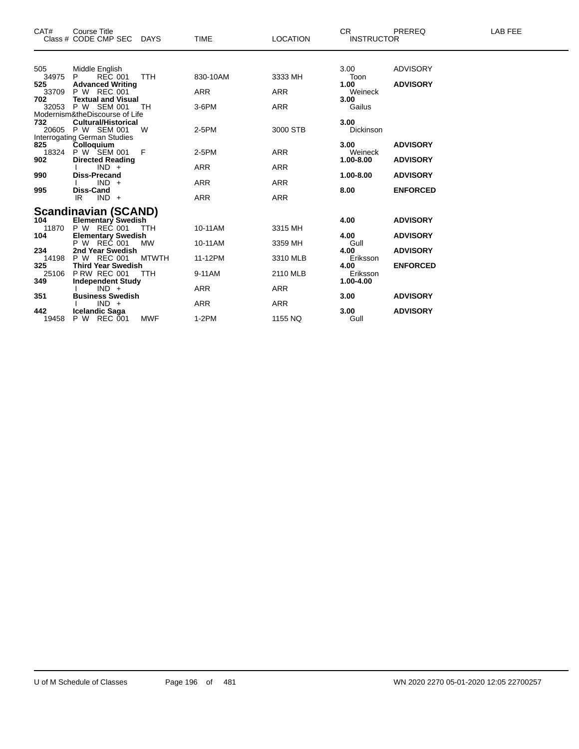| CAT#         | <b>Course Title</b>                               |              |             |                 | CR.               | <b>PREREQ</b>   | <b>LAB FEE</b> |
|--------------|---------------------------------------------------|--------------|-------------|-----------------|-------------------|-----------------|----------------|
|              | Class # CODE CMP SEC DAYS                         |              | <b>TIME</b> | <b>LOCATION</b> | <b>INSTRUCTOR</b> |                 |                |
|              |                                                   |              |             |                 |                   |                 |                |
| 505          | Middle English                                    |              |             |                 | 3.00              | <b>ADVISORY</b> |                |
| 34975<br>525 | <b>REC 001</b><br>P.<br><b>Advanced Writing</b>   | TTH          | 830-10AM    | 3333 MH         | Toon<br>1.00      | <b>ADVISORY</b> |                |
| 33709        | P W REC 001                                       |              | <b>ARR</b>  | <b>ARR</b>      | Weineck           |                 |                |
| 702          | <b>Textual and Visual</b>                         |              |             |                 | 3.00              |                 |                |
|              | 32053 P W SEM 001                                 | TH           | 3-6PM       | <b>ARR</b>      | Gailus            |                 |                |
|              | Modernism&theDiscourse of Life                    |              |             |                 |                   |                 |                |
| 732          | <b>Cultural/Historical</b>                        |              |             |                 | 3.00              |                 |                |
|              | 20605 P W SEM 001                                 | W            | $2-5PM$     | 3000 STB        | Dickinson         |                 |                |
| 825          | <b>Interrogating German Studies</b><br>Colloquium |              |             |                 | 3.00              | <b>ADVISORY</b> |                |
| 18324        | P W SEM 001                                       | - F          | $2-5PM$     | <b>ARR</b>      | Weineck           |                 |                |
| 902          | <b>Directed Reading</b>                           |              |             |                 | 1.00-8.00         | <b>ADVISORY</b> |                |
|              | $IND +$                                           |              | <b>ARR</b>  | <b>ARR</b>      |                   |                 |                |
| 990          | <b>Diss-Precand</b>                               |              |             |                 | 1.00-8.00         | <b>ADVISORY</b> |                |
|              | $IND +$                                           |              | <b>ARR</b>  | <b>ARR</b>      |                   |                 |                |
| 995          | <b>Diss-Cand</b><br>$IND +$<br>IR                 |              | <b>ARR</b>  | <b>ARR</b>      | 8.00              | <b>ENFORCED</b> |                |
|              |                                                   |              |             |                 |                   |                 |                |
|              | <b>Scandinavian (SCAND)</b>                       |              |             |                 |                   |                 |                |
| 104          | <b>Elementary Swedish</b>                         |              |             |                 | 4.00              | <b>ADVISORY</b> |                |
| 11870        | P W REC 001                                       | TTH          | 10-11AM     | 3315 MH         |                   |                 |                |
| 104          | <b>Elementary Swedish</b>                         |              |             |                 | 4.00              | <b>ADVISORY</b> |                |
|              | P W REC 001                                       | MW           | 10-11AM     | 3359 MH         | Gull              |                 |                |
| 234<br>14198 | 2nd Year Swedish<br><b>P W REC 001</b>            | <b>MTWTH</b> | 11-12PM     | 3310 MLB        | 4.00<br>Eriksson  | <b>ADVISORY</b> |                |
| 325          | <b>Third Year Swedish</b>                         |              |             |                 | 4.00              | <b>ENFORCED</b> |                |
| 25106        | <b>P RW REC 001</b>                               | <b>TTH</b>   | 9-11AM      | 2110 MLB        | Eriksson          |                 |                |
| 349          | <b>Independent Study</b>                          |              |             |                 | 1.00-4.00         |                 |                |
|              | $IND +$                                           |              | <b>ARR</b>  | ARR             |                   |                 |                |
| 351          | <b>Business Swedish</b>                           |              |             |                 | 3.00              | <b>ADVISORY</b> |                |
|              | $IND +$                                           |              | <b>ARR</b>  | <b>ARR</b>      |                   |                 |                |
| 442          | <b>Icelandic Saga</b>                             |              |             |                 | 3.00              | <b>ADVISORY</b> |                |
| 19458        | P W REC 001                                       | MWF          | $1-2PM$     | 1155 NQ         | Gull              |                 |                |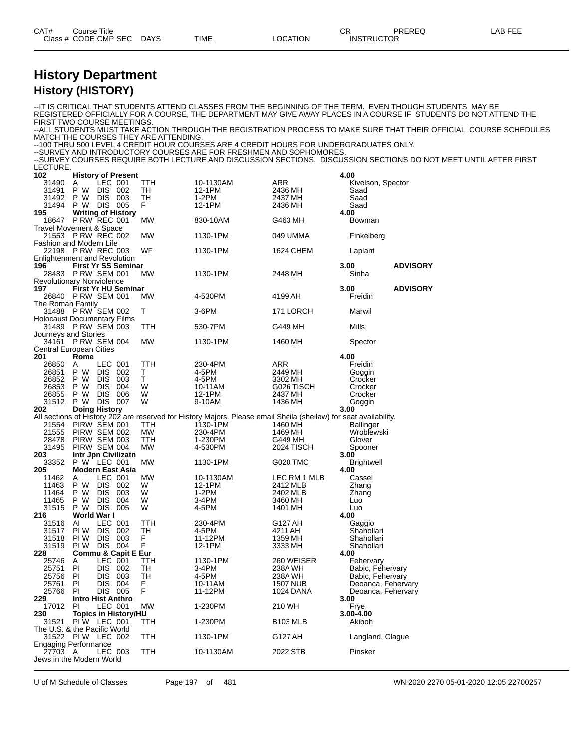| CAT# | Course Title              |      |          | Ωn<br>◡           | PREREQ | LAB FEE |
|------|---------------------------|------|----------|-------------------|--------|---------|
|      | Class # CODE CMP SEC DAYS | TIME | LOCATION | <b>INSTRUCTOR</b> |        |         |
|      |                           |      |          |                   |        |         |

#### **History Department History (HISTORY)**

--IT IS CRITICAL THAT STUDENTS ATTEND CLASSES FROM THE BEGINNING OF THE TERM. EVEN THOUGH STUDENTS MAY BE REGISTERED OFFICIALLY FOR A COURSE, THE DEPARTMENT MAY GIVE AWAY PLACES IN A COURSE IF STUDENTS DO NOT ATTEND THE FIRST TWO COURSE MEETINGS --ALL STUDENTS MUST TAKE ACTION THROUGH THE REGISTRATION PROCESS TO MAKE SURE THAT THEIR OFFICIAL COURSE SCHEDULES MATCH THE COURSES THEY ARE ATTENDING. --100 THRU 500 LEVEL 4 CREDIT HOUR COURSES ARE 4 CREDIT HOURS FOR UNDERGRADUATES ONLY. --SURVEY AND INTRODUCTORY COURSES ARE FOR FRESHMEN AND SOPHOMORES. --SURVEY COURSES REQUIRE BOTH LECTURE AND DISCUSSION SECTIONS. DISCUSSION SECTIONS DO NOT MEET UNTIL AFTER FIRST LECTURE. **History of Present 4.00** A LEC 001 TTH 10-1130AM ARR Kivelson, Spector P W DIS 002 TH 12-1PM 2436 MH Saad P W DIS 003 TH 1-2PM 2437 MH Saad P W DIS 005 F 12-1PM 2436 MH Saad **12-1PM** 2436 MH 31494 P W DIS 005 F 31494 P W DIS 005 F 31494 2436 MH 31494 P W DIS 005 F 312-1PM<br>195 **Writing of History** 830-10AM 320-10AM 326463 MH 3260 Bown P RW REC 001 MW 830-10AM G463 MH Bowman Travel Movement & Space P RW REC 002 MW 1130-1PM 049 UMMA Finkelberg Fashion and Modern Life P RW REC 003 WF 1130-1PM 1624 CHEM Laplant Enlightenment and Revolution<br>196 First Yr SS Semin **First Yr SS Seminar 3.00 ADVISORY** P RW SEM 001 MW 1130-1PM 2448 MH Sinha Revolutionary Nonviolence<br>197 **First Yr HU Ser First Yr HU Seminar 3.00 ADVISORY** P RW SEM 001 MW 4-530PM 4199 AH Freidin The Roman Family P RW SEM 002 T 3-6PM 171 LORCH Marwil Holocaust Documentary Films P RW SEM 003 TTH 530-7PM G449 MH Mills Journeys and Stories P RW SEM 004 MW 1130-1PM 1460 MH Spector Central European Cities<br>201 Rome **Rome 4.00** A LEC 001 TTH 230-4PM ARR Freidin P W DIS 002 T 4-5PM 2449 MH Goggin P W DIS 003 T 4-5PM 3302 MH Crocker P W DIS 004 W 10-11AM G026 TISCH Crocker P W DIS 006 W 12-1PM 2437 MH Crocker P W DIS 007 W 9-10AM 1436 MH Goggin 201512 P W DIS 007 W 9-10AM 1436 MH Goggin<br>202 **Doing History 3.00**<br>All sections of History 202 are reserved for History Majors. Please email Sheila (sheilaw) for seat avail sections of History 202 are reserved for History Majors. Please email Sheila (sheilaw) for seat availability.<br>21554 PIRW SEM 001 TTH 1130-1PM 1460 MH Ballinger PIRW SEM 001 TTH 1130-1PM 1460 MH Ballinger PIRW SEM 002 MW 230-4PM 1469 MH Wroblewski 28478 PIRW SEM 003 TTH 1-230PM G449 MH Glover<br>31495 PIRW SEM 004 MW 4-530PM 2024 TISCH Spoon PIRW SEM 004 MW 4-530PM 2024 TISCH Spooner **Intr Jpn Civilizatn 3.00** P W LEC 001 MW 1130-1PM G020 TMC Brightwell **Modern East Asia 4.00** A LEC 001 MW 10-1130AM LEC RM 1 MLB Cassel P W DIS 002 W 12-1PM 2412 MLB Zhang P W DIS 003 W 1-2PM 2402 MLB Zhang P W DIS 004 W 3-4PM 3460 MH Luo P W DIS 005 W 4-5PM 1401 MH Luo **World War I 4.00** AI LEC 001 TTH 230-4PM G127 AH Gaggio PI W DIS 002 TH 4-5PM 4211 AH Shahollari PI W DIS 003 F 11-12PM 1359 MH Shahollari PI W DIS 004 F 12-1PM 3333 MH Shahollari **Commu & Capit E Eur 4.00** A LEC 001 TTH 1130-1PM 260 WEISER Fehervary 25746 A LEC 001 TTH 1130-1PM 260 WEISER Fehervary<br>25751 PI DIS 002 TH 3-4PM 238A WH 25756 PI DIS 003 TH 4-5PM 238A WH Babic, Fehervary<br>25761 PI DIS 004 F 10-11AM 1507 NUB Deoanca, Feherv<br>25766 PI DIS 005 F 11-12PM PI DIS 004 F 10-11AM 1507 NUB Deoanca, Fehervary PI DIS 005 F 11-12PM 1024 DANA Deoanca, Fehervary **Intro Hist Anthro 3.00** PI LEC 001 MW 1-230PM 210 WH Frye **Topics in History/HU 3.00-4.00 PIW LEC 001** The U.S. & the Pacific World 31522 PIW LEC 002 TTH 1130-1PM G127 AH Langland, Clague Engaging Performance<br>27703 A LEC 003 TTH 10-1130AM 2022 STB Pinsker Jews in the Modern World

U of M Schedule of Classes Page 197 of 481 WN 2020 2270 05-01-2020 12:05 22700257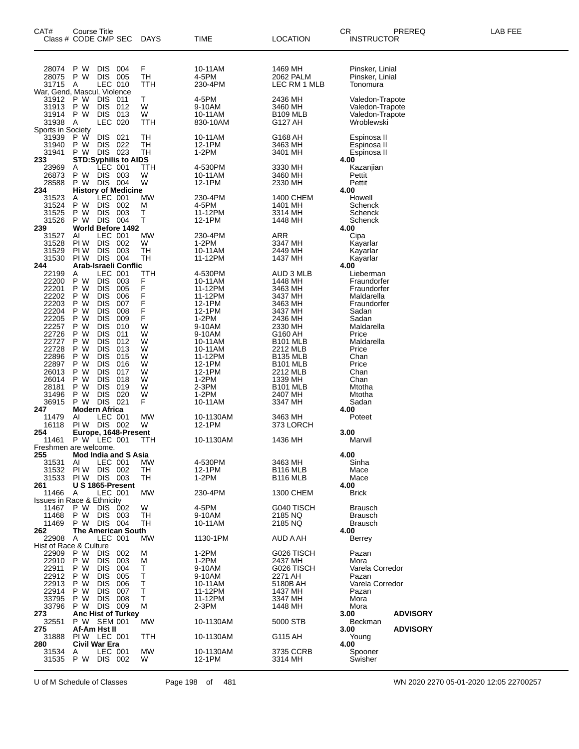| CAT#                                                                                                                                                           | Course Title<br>Class # CODE CMP SEC                                                                                     |                                                                                                                                                                                                                                                    |                                                                                                              | <b>DAYS</b>                                                              | <b>TIME</b>                                                                                                                                                                                | <b>LOCATION</b>                                                                                                                                                                                                                             | PREREQ<br>CR<br><b>INSTRUCTOR</b>                                                                                                                                                                  | LAB FEE |
|----------------------------------------------------------------------------------------------------------------------------------------------------------------|--------------------------------------------------------------------------------------------------------------------------|----------------------------------------------------------------------------------------------------------------------------------------------------------------------------------------------------------------------------------------------------|--------------------------------------------------------------------------------------------------------------|--------------------------------------------------------------------------|--------------------------------------------------------------------------------------------------------------------------------------------------------------------------------------------|---------------------------------------------------------------------------------------------------------------------------------------------------------------------------------------------------------------------------------------------|----------------------------------------------------------------------------------------------------------------------------------------------------------------------------------------------------|---------|
| 28074<br>28075<br>31715<br>War, Gend, Mascul, Violence                                                                                                         | P W<br>P W<br>Α                                                                                                          | <b>DIS</b><br>DIS 005<br>LEC 010                                                                                                                                                                                                                   | 004                                                                                                          | F<br>TH<br>TTH                                                           | 10-11AM<br>4-5PM<br>230-4PM                                                                                                                                                                | 1469 MH<br>2062 PALM<br>LEC RM 1 MLB                                                                                                                                                                                                        | Pinsker, Linial<br>Pinsker, Linial<br>Tonomura                                                                                                                                                     |         |
| 31912<br>31913<br>31914<br>31938                                                                                                                               | P W<br>P W<br>P W<br>A                                                                                                   | DIS 011<br>DIS 012<br>DIS 013<br>LEC 020                                                                                                                                                                                                           |                                                                                                              | T.<br>W<br>W<br>TTH                                                      | 4-5PM<br>9-10AM<br>10-11AM<br>830-10AM                                                                                                                                                     | 2436 MH<br>3460 MH<br><b>B109 MLB</b><br>G127 AH                                                                                                                                                                                            | Valedon-Trapote<br>Valedon-Trapote<br>Valedon-Trapote<br>Wroblewski                                                                                                                                |         |
| Sports in Society<br>31939<br>31940<br>31941<br>233                                                                                                            | P W<br>P W<br>P W                                                                                                        | <b>DIS</b><br>DIS 022<br>DIS 023                                                                                                                                                                                                                   | 021<br><b>STD:Syphilis to AIDS</b>                                                                           | TН<br>TН<br>TН                                                           | 10-11AM<br>12-1PM<br>$1-2PM$                                                                                                                                                               | G168 AH<br>3463 MH<br>3401 MH                                                                                                                                                                                                               | Espinosa II<br>Espinosa II<br>Espinosa II<br>4.00                                                                                                                                                  |         |
| 23969<br>26873<br>28588<br>234                                                                                                                                 | Α<br>P W<br>P W DIS 004                                                                                                  | LEC 001<br>DIS 003                                                                                                                                                                                                                                 | <b>History of Medicine</b>                                                                                   | TTH<br>W<br>W                                                            | 4-530PM<br>10-11AM<br>12-1PM                                                                                                                                                               | 3330 MH<br>3460 MH<br>2330 MH                                                                                                                                                                                                               | Kazanjian<br>Pettit<br>Pettit<br>4.00                                                                                                                                                              |         |
| 31523<br>31524<br>31525<br>31526<br>239                                                                                                                        | A<br>P W<br>P W<br>P W DIS 004                                                                                           | LEC 001<br><b>DIS</b><br><b>DIS</b>                                                                                                                                                                                                                | 002<br>003<br>World Before 1492                                                                              | МW<br>M<br>т<br>т                                                        | 230-4PM<br>4-5PM<br>11-12PM<br>12-1PM                                                                                                                                                      | 1400 CHEM<br>1401 MH<br>3314 MH<br>1448 MH                                                                                                                                                                                                  | Howell<br>Schenck<br>Schenck<br>Schenck<br>4.00                                                                                                                                                    |         |
| 31527<br>31528<br>31529<br>31530<br>244                                                                                                                        | ΑI<br>PI W<br>PI W<br>PIW DIS 004                                                                                        | LEC 001<br>DIS 002<br><b>DIS</b>                                                                                                                                                                                                                   | - 003<br>Arab-Israeli Conflic                                                                                | МW<br>W<br>TН<br>TН                                                      | 230-4PM<br>1-2PM<br>10-11AM<br>11-12PM                                                                                                                                                     | ARR<br>3347 MH<br>2449 MH<br>1437 MH                                                                                                                                                                                                        | Cipa<br>Kayarlar<br>Kayarlar<br>Kayarlar<br>4.00                                                                                                                                                   |         |
| 22199<br>22200<br>22201<br>22202<br>22203<br>22204<br>22205<br>22257<br>22726<br>22727<br>22728<br>22896<br>22897<br>26013<br>26014<br>28181<br>31496<br>36915 | A<br>P W<br>P W<br>P W<br>P W<br>P W<br>P W<br>P W<br>P W<br>P W<br>P W<br>P W<br>P W<br>P W<br>P W<br>P W<br>P W<br>P W | LEC 001<br><b>DIS</b><br><b>DIS</b><br><b>DIS</b><br><b>DIS</b><br><b>DIS</b><br><b>DIS</b><br><b>DIS</b><br><b>DIS</b><br><b>DIS</b><br><b>DIS</b><br><b>DIS</b><br><b>DIS</b><br><b>DIS</b><br><b>DIS</b><br><b>DIS</b><br><b>DIS</b><br>DIS 021 | 003<br>005<br>006<br>007<br>008<br>009<br>010<br>011<br>012<br>013<br>015<br>016<br>017<br>018<br>019<br>020 | TTH<br>FFFFF<br>F<br>W<br>W<br>W<br>W<br>W<br>W<br>W<br>W<br>W<br>W<br>F | 4-530PM<br>10-11AM<br>11-12PM<br>11-12PM<br>12-1PM<br>12-1PM<br>$1-2PM$<br>9-10AM<br>9-10AM<br>10-11AM<br>10-11AM<br>11-12PM<br>12-1PM<br>12-1PM<br>$1-2PM$<br>2-3PM<br>$1-2PM$<br>10-11AM | AUD 3 MLB<br>1448 MH<br>3463 MH<br>3437 MH<br>3463 MH<br>3437 MH<br>2436 MH<br>2330 MH<br>G160 AH<br><b>B101 MLB</b><br>2212 MLB<br><b>B135 MLB</b><br><b>B101 MLB</b><br>2212 MLB<br>1339 MH<br>B <sub>101</sub> MLB<br>2407 MH<br>3347 MH | Lieberman<br>Fraundorfer<br>Fraundorfer<br>Maldarella<br>Fraundorfer<br>Sadan<br>Sadan<br>Maldarella<br>Price<br>Maldarella<br>Price<br>Chan<br>Price<br>Chan<br>Chan<br>Mtotha<br>Mtotha<br>Sadan |         |
| 247<br>11479<br>16118<br>254<br>11461                                                                                                                          | <b>Modern Africa</b><br>AI<br>PIW DIS 002<br>P W LEC 001                                                                 | LEC 001                                                                                                                                                                                                                                            | Europe, 1648-Present                                                                                         | МW<br>W<br>TTH                                                           | 10-1130AM<br>12-1PM<br>10-1130AM                                                                                                                                                           | 3463 MH<br>373 LORCH<br>1436 MH                                                                                                                                                                                                             | 4.00<br>Poteet<br>3.00<br>Marwil                                                                                                                                                                   |         |
| Freshmen are welcome.<br>255                                                                                                                                   |                                                                                                                          |                                                                                                                                                                                                                                                    | <b>Mod India and S Asia</b>                                                                                  |                                                                          |                                                                                                                                                                                            |                                                                                                                                                                                                                                             | 4.00                                                                                                                                                                                               |         |
| 31531<br>31532<br>31533<br>261                                                                                                                                 | AI<br>PI W<br>PIW DIS 003                                                                                                | LEC 001<br>DIS 002                                                                                                                                                                                                                                 | U S 1865-Present                                                                                             | МW<br>TН<br>TH                                                           | 4-530PM<br>12-1PM<br>$1-2PM$                                                                                                                                                               | 3463 MH<br><b>B116 MLB</b><br>B116 MLB                                                                                                                                                                                                      | Sinha<br>Mace<br>Mace<br>4.00                                                                                                                                                                      |         |
| 11466<br><b>Issues in Race &amp; Ethnicity</b>                                                                                                                 | A                                                                                                                        | LEC 001                                                                                                                                                                                                                                            |                                                                                                              | МW                                                                       | 230-4PM                                                                                                                                                                                    | 1300 CHEM                                                                                                                                                                                                                                   | <b>Brick</b>                                                                                                                                                                                       |         |
| 11467<br>11468<br>11469<br>262                                                                                                                                 | P W<br>P W<br>P W DIS 004                                                                                                | DIS 002<br>DIS 003                                                                                                                                                                                                                                 | <b>The American South</b>                                                                                    | W<br>TH<br>TH                                                            | 4-5PM<br>9-10AM<br>10-11AM                                                                                                                                                                 | G040 TISCH<br>2185 NQ<br>2185 NQ                                                                                                                                                                                                            | <b>Brausch</b><br><b>Brausch</b><br><b>Brausch</b><br>4.00                                                                                                                                         |         |
| 22908<br>Hist of Race & Culture                                                                                                                                | A                                                                                                                        | LEC 001                                                                                                                                                                                                                                            |                                                                                                              | МW                                                                       | 1130-1PM                                                                                                                                                                                   | AUD A AH                                                                                                                                                                                                                                    | <b>Berrey</b>                                                                                                                                                                                      |         |
| 22909<br>22910<br>22911<br>22912<br>22913<br>22914<br>33795<br>33796                                                                                           | P W<br>P W<br>P W<br>P W<br>P W<br>P W<br>P W<br>P W                                                                     | <b>DIS</b><br><b>DIS</b><br><b>DIS</b><br><b>DIS</b><br><b>DIS</b><br><b>DIS</b><br><b>DIS 008</b><br>DIS 009                                                                                                                                      | 002<br>003<br>004<br>005<br>006<br>007                                                                       | M<br>M<br>т<br>т<br>Τ<br>т<br>т<br>М                                     | $1-2PM$<br>$1-2PM$<br>9-10AM<br>9-10AM<br>10-11AM<br>11-12PM<br>11-12PM<br>$2-3PM$                                                                                                         | G026 TISCH<br>2437 MH<br>G026 TISCH<br>2271 AH<br>5180B AH<br>1437 MH<br>3347 MH<br>1448 MH                                                                                                                                                 | Pazan<br>Mora<br>Varela Corredor<br>Pazan<br>Varela Corredor<br>Pazan<br>Mora<br>Mora                                                                                                              |         |
| 273<br>32551<br>275                                                                                                                                            | P W SEM 001<br>Af-Am Hst II                                                                                              |                                                                                                                                                                                                                                                    | <b>Anc Hist of Turkey</b>                                                                                    | MW                                                                       | 10-1130AM                                                                                                                                                                                  | 5000 STB                                                                                                                                                                                                                                    | 3.00<br><b>ADVISORY</b><br>Beckman<br><b>ADVISORY</b><br>3.00                                                                                                                                      |         |
| 31888<br>280                                                                                                                                                   | PIW LEC 001<br>Civil War Era                                                                                             |                                                                                                                                                                                                                                                    |                                                                                                              | TTH                                                                      | 10-1130AM                                                                                                                                                                                  | G115 AH                                                                                                                                                                                                                                     | Young<br>4.00                                                                                                                                                                                      |         |
| 31534<br>31535                                                                                                                                                 | A<br>P W DIS 002                                                                                                         | LEC 001                                                                                                                                                                                                                                            |                                                                                                              | МW<br>W                                                                  | 10-1130AM<br>12-1PM                                                                                                                                                                        | 3735 CCRB<br>3314 MH                                                                                                                                                                                                                        | Spooner<br>Swisher                                                                                                                                                                                 |         |

U of M Schedule of Classes Page 198 of 481 WN 2020 2270 05-01-2020 12:05 22700257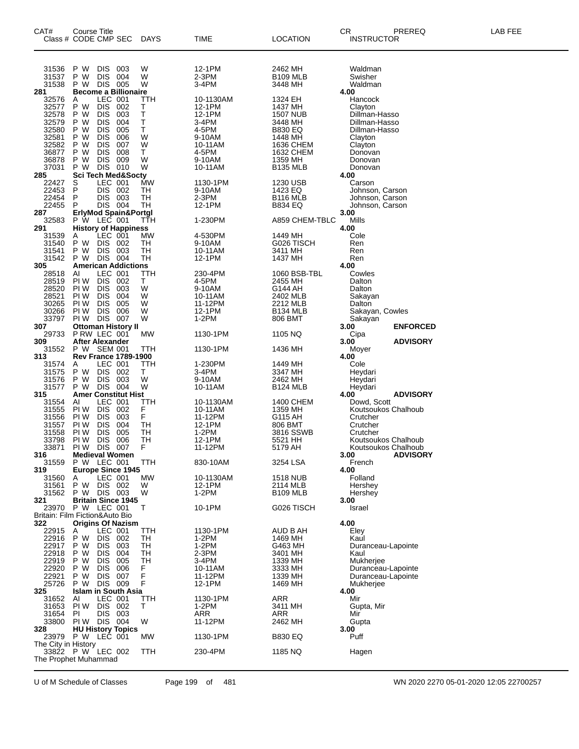| CAT#                                    | Course Title                          |                          |                               |             |                     |                            | CR<br>PREREQ                           | LAB FEE |
|-----------------------------------------|---------------------------------------|--------------------------|-------------------------------|-------------|---------------------|----------------------------|----------------------------------------|---------|
| Class # CODE CMP SEC                    |                                       |                          |                               | <b>DAYS</b> | TIME                | <b>LOCATION</b>            | <b>INSTRUCTOR</b>                      |         |
|                                         |                                       |                          |                               |             |                     |                            |                                        |         |
|                                         |                                       |                          |                               |             |                     |                            |                                        |         |
| 31536                                   | P W                                   | <b>DIS</b>               | 003                           | W           | 12-1PM              | 2462 MH                    | Waldman                                |         |
| 31537                                   | P W                                   | <b>DIS</b>               | 004                           | W           | 2-3PM               | <b>B109 MLB</b>            | Swisher                                |         |
| 31538                                   | P W                                   | DIS 005                  |                               | W           | 3-4PM               | 3448 MH                    | Waldman                                |         |
| 281                                     |                                       | LEC 001                  | <b>Become a Billionaire</b>   |             |                     |                            | 4.00                                   |         |
| 32576<br>32577                          | Ą<br>P W                              | <b>DIS</b>               | 002                           | TTH<br>т    | 10-1130AM<br>12-1PM | 1324 EH<br>1437 MH         | Hancock<br>Clayton                     |         |
| 32578                                   | P W                                   | <b>DIS</b>               | 003                           | Т           | 12-1PM              | 1507 NUB                   | Dillman-Hasso                          |         |
| 32579                                   | P W                                   | <b>DIS</b>               | 004                           | Ť           | 3-4PM               | 3448 MH                    | Dillman-Hasso                          |         |
| 32580                                   | P W                                   | <b>DIS</b>               | 005                           | T           | 4-5PM               | <b>B830 EQ</b>             | Dillman-Hasso                          |         |
| 32581                                   | P W                                   | <b>DIS</b>               | 006                           | W           | 9-10AM              | 1448 MH                    | Clayton                                |         |
| 32582                                   | P W                                   | <b>DIS</b>               | 007                           | W           | 10-11AM             | 1636 CHEM                  | Clayton                                |         |
| 36877                                   | P W<br>P W                            | <b>DIS</b><br><b>DIS</b> | 008                           | т<br>W      | 4-5PM               | 1632 CHEM                  | Donovan                                |         |
| 36878<br>37031                          | P W                                   | DIS 010                  | 009                           | W           | 9-10AM<br>10-11AM   | 1359 MH<br><b>B135 MLB</b> | Donovan<br>Donovan                     |         |
| 285                                     |                                       |                          | <b>Sci Tech Med&amp;Socty</b> |             |                     |                            | 4.00                                   |         |
| 22427                                   | S                                     | LEC 001                  |                               | <b>MW</b>   | 1130-1PM            | 1230 USB                   | Carson                                 |         |
| 22453                                   | P                                     |                          | DIS 002                       | TН          | 9-10AM              | 1423 EQ                    | Johnson, Carson                        |         |
| 22454                                   | P                                     | <b>DIS</b>               | 003                           | TН          | 2-3PM               | <b>B116 MLB</b>            | Johnson, Carson                        |         |
| 22455                                   | P                                     |                          | DIS 004                       | <b>TH</b>   | 12-1PM              | <b>B834 EQ</b>             | Johnson, Carson                        |         |
| 287<br>32583                            | P W LEC 001                           |                          | ErlyMod Spain&Portgl          | TTH         | 1-230PM             | A859 CHEM-TBLC             | 3.00<br>Mills                          |         |
| 291                                     |                                       |                          | <b>History of Happiness</b>   |             |                     |                            | 4.00                                   |         |
| 31539                                   | A                                     | LEC 001                  |                               | MW          | 4-530PM             | 1449 MH                    | Cole                                   |         |
| 31540                                   | P W                                   | <b>DIS</b>               | 002                           | TН          | 9-10AM              | G026 TISCH                 | Ren                                    |         |
| 31541                                   | P W                                   | DIS.                     | 003                           | <b>TH</b>   | 10-11AM             | 3411 MH                    | Ren                                    |         |
| 31542                                   | P W DIS 004                           |                          |                               | TН          | 12-1PM              | 1437 MH                    | Ren                                    |         |
| 305                                     |                                       |                          | <b>American Addictions</b>    |             |                     |                            | 4.00                                   |         |
| 28518                                   | AI                                    | LEC 001                  |                               | TTH         | 230-4PM             | 1060 BSB-TBL               | Cowles                                 |         |
| 28519<br>28520                          | PI W<br>PI W                          | <b>DIS</b><br><b>DIS</b> | 002<br>003                    | т<br>W      | 4-5PM<br>9-10AM     | 2455 MH<br>G144 AH         | Dalton<br>Dalton                       |         |
| 28521                                   | PI W                                  | <b>DIS</b>               | 004                           | W           | 10-11AM             | 2402 MLB                   | Sakayan                                |         |
| 30265                                   | PI W                                  | <b>DIS</b>               | 005                           | W           | 11-12PM             | 2212 MLB                   | Dalton                                 |         |
| 30266                                   | PI W                                  | <b>DIS</b>               | 006                           | W           | 12-1PM              | B <sub>134</sub> MLB       | Sakayan, Cowles                        |         |
| 33797                                   | PIW DIS 007                           |                          |                               | W           | 1-2PM               | 806 BMT                    | Sakayan                                |         |
| 307                                     |                                       |                          | <b>Ottoman History II</b>     |             |                     |                            | 3.00<br><b>ENFORCED</b>                |         |
| 29733                                   | P RW LEC 001                          |                          |                               | MW          | 1130-1PM            | 1105 NQ                    | Cipa                                   |         |
| 309<br>31552                            | <b>After Alexander</b><br>P W SEM 001 |                          |                               | TTH         | 1130-1PM            | 1436 MH                    | 3.00<br><b>ADVISORY</b><br>Moyer       |         |
| 313                                     |                                       |                          | <b>Rev France 1789-1900</b>   |             |                     |                            | 4.00                                   |         |
| 31574                                   | A                                     | LEC 001                  |                               | TTH         | 1-230PM             | 1449 MH                    | Cole                                   |         |
| 31575                                   | P W                                   | DIS                      | 002                           | т           | 3-4PM               | 3347 MH                    | Heydari                                |         |
| 31576                                   | P W                                   | <b>DIS</b>               | 003                           | W           | 9-10AM              | 2462 MH                    | Heydari                                |         |
| 31577                                   | P W DIS 004                           |                          |                               | W           | 10-11AM             | B <sub>124</sub> MLB       | Heydari                                |         |
| 315<br>31554                            | Al                                    | LEC 001                  | <b>Amer Constitut Hist</b>    | TTH         | 10-1130AM           | 1400 CHEM                  | <b>ADVISORY</b><br>4.00<br>Dowd, Scott |         |
| 31555                                   | PI W                                  | DIS.                     | 002                           | F           | 10-11AM             | 1359 MH                    | Koutsoukos Chalhoub                    |         |
| 31556                                   | PI W                                  | <b>DIS</b>               | 003                           | F           | 11-12PM             | G115 AH                    | Crutcher                               |         |
| 31557                                   | PI W                                  | <b>DIS</b>               | 004                           | <b>TH</b>   | 12-1PM              | 806 BMT                    | Crutcher                               |         |
| 31558                                   | PI W                                  | <b>DIS</b>               | 005                           | TH          | 1-2PM               | 3816 SSWB                  | Crutcher                               |         |
| 33798                                   | PI W                                  | <b>DIS</b>               | 006                           | <b>TH</b>   | 12-1PM              | 5521 HH                    | Koutsoukos Chalhoub                    |         |
| 33871                                   | PI W                                  | <b>DIS</b>               | 007                           | F           | 11-12PM             | 5179 AH                    | Koutsoukos Chalhoub                    |         |
| 316<br>31559                            | P W LEC 001                           |                          | <b>Medieval Women</b>         | TTH         | 830-10AM            | 3254 LSA                   | 3.00<br><b>ADVISORY</b><br>French      |         |
| 319                                     |                                       |                          | <b>Europe Since 1945</b>      |             |                     |                            | 4.00                                   |         |
| 31560                                   | A                                     | LEC 001                  |                               | <b>MW</b>   | 10-1130AM           | 1518 NUB                   | Folland                                |         |
| 31561                                   | P W                                   | DIS 002                  |                               | W           | 12-1PM              | 2114 MLB                   | Hershey                                |         |
| 31562                                   | P W DIS 003                           |                          |                               | W           | 1-2PM               | <b>B109 MLB</b>            | Hershey                                |         |
| 321                                     |                                       |                          | <b>Britain Since 1945</b>     |             |                     |                            | 3.00                                   |         |
| 23970<br>Britain: Film Fiction&Auto Bio | P W LEC 001                           |                          |                               | Т           | 10-1PM              | G026 TISCH                 | Israel                                 |         |
| 322                                     |                                       |                          | <b>Origins Of Nazism</b>      |             |                     |                            | 4.00                                   |         |
| 22915                                   | Α                                     | LEC 001                  |                               | TTH         | 1130-1PM            | AUD B AH                   | Eley                                   |         |
| 22916                                   | P W                                   | DIS.                     | 002                           | TН          | 1-2PM               | 1469 MH                    | Kaul                                   |         |
| 22917                                   | P W                                   | <b>DIS</b>               | 003                           | TН          | $1-2PM$             | G463 MH                    | Duranceau-Lapointe                     |         |
| 22918                                   | P W                                   | <b>DIS</b>               | 004                           | TН          | 2-3PM               | 3401 MH                    | Kaul                                   |         |
| 22919                                   | P W                                   | <b>DIS</b>               | 005                           | TН          | 3-4PM               | 1339 MH                    | Mukherjee                              |         |
| 22920<br>22921                          | P W<br>P W                            | <b>DIS</b><br><b>DIS</b> | 006<br>007                    |             | 10-11AM             | 3333 MH                    | Duranceau-Lapointe                     |         |
| 25726                                   | P W DIS 009                           |                          |                               | F<br>F<br>F | 11-12PM<br>12-1PM   | 1339 MH<br>1469 MH         | Duranceau-Lapointe<br>Mukherjee        |         |
| 325                                     |                                       |                          | Islam in South Asia           |             |                     |                            | 4.00                                   |         |
| 31652                                   | Al                                    | LEC 001                  |                               | TTH         | 1130-1PM            | ARR                        | Mir                                    |         |
| 31653                                   | PI W                                  | DIS 002                  |                               | Т           | $1-2PM$             | 3411 MH                    | Gupta, Mir                             |         |
| 31654                                   | PI                                    | DIS.                     | 003                           |             | ARR                 | ARR                        | Mir                                    |         |
| 33800                                   | PIW DIS 004                           |                          |                               | W           | 11-12PM             | 2462 MH                    | Gupta                                  |         |
| 328<br>23979 P W LEC 001                |                                       |                          | <b>HU History Topics</b>      | <b>MW</b>   |                     |                            | 3.00<br>Puff                           |         |
| The City in History                     |                                       |                          |                               |             | 1130-1PM            | <b>B830 EQ</b>             |                                        |         |
| 33822 P W LEC 002                       |                                       |                          |                               | TTH         | 230-4PM             | 1185 NQ                    | Hagen                                  |         |
| The Prophet Muhammad                    |                                       |                          |                               |             |                     |                            |                                        |         |
|                                         |                                       |                          |                               |             |                     |                            |                                        |         |

U of M Schedule of Classes Page 199 of 481 WN 2020 2270 05-01-2020 12:05 22700257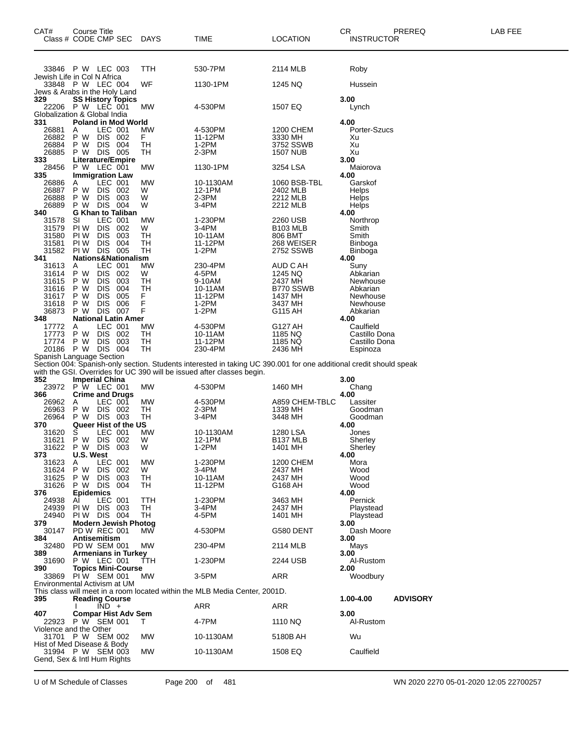| CAT#                    | <b>Course Title</b><br>Class # CODE CMP SEC                                    | <b>DAYS</b>   | <b>TIME</b>                                                                                                                                                                                  | <b>LOCATION</b>                          | CR.<br><b>INSTRUCTOR</b>   | PREREQ          | LAB FEE |
|-------------------------|--------------------------------------------------------------------------------|---------------|----------------------------------------------------------------------------------------------------------------------------------------------------------------------------------------------|------------------------------------------|----------------------------|-----------------|---------|
|                         | 33846 P W LEC 003<br>Jewish Life in Col N Africa                               | TTH           | 530-7PM                                                                                                                                                                                      | 2114 MLB                                 | Roby                       |                 |         |
|                         | 33848 P W LEC 004                                                              | WF            | 1130-1PM                                                                                                                                                                                     | 1245 NQ                                  | Hussein                    |                 |         |
| 329                     | Jews & Arabs in the Holy Land<br><b>SS History Topics</b><br>22206 P W LEC 001 | MW            | 4-530PM                                                                                                                                                                                      | 1507 EQ                                  | 3.00<br>Lynch              |                 |         |
| 331                     | Globalization & Global India<br><b>Poland in Mod World</b>                     |               |                                                                                                                                                                                              |                                          | 4.00                       |                 |         |
| 26881<br>26882<br>26884 | LEC 001<br>A<br>P W<br>DIS 002<br>P W<br><b>DIS</b><br>004                     | МW<br>F<br>TH | 4-530PM<br>11-12PM<br>$1-2PM$                                                                                                                                                                | <b>1200 CHEM</b><br>3330 MH<br>3752 SSWB | Porter-Szucs<br>Xu<br>Xu   |                 |         |
| 26885                   | DIS 005<br>P W                                                                 | TН            | $2-3PM$                                                                                                                                                                                      | <b>1507 NUB</b>                          | Xu                         |                 |         |
| 333<br>28456            | Literature/Empire<br>P W LEC 001                                               | МW            | 1130-1PM                                                                                                                                                                                     | 3254 LSA                                 | 3.00<br>Maiorova           |                 |         |
| 335<br>26886            | <b>Immigration Law</b><br>LEC 001<br>A                                         | МW            | 10-1130AM                                                                                                                                                                                    | 1060 BSB-TBL                             | 4.00<br>Garskof            |                 |         |
| 26887                   | DIS 002<br>P W                                                                 | W             | 12-1PM                                                                                                                                                                                       | 2402 MLB                                 | Helps                      |                 |         |
| 26888<br>26889          | DIS 003<br>P W<br>DIS 004<br>P W                                               | W<br>W        | 2-3PM<br>3-4PM                                                                                                                                                                               | 2212 MLB<br>2212 MLB                     | Helps<br>Helps             |                 |         |
| 340<br>31578            | <b>G Khan to Taliban</b><br>LEC 001<br>SI                                      | MW            | 1-230PM                                                                                                                                                                                      | 2260 USB                                 | 4.00<br>Northrop           |                 |         |
| 31579                   | <b>DIS</b><br>PI W<br>002                                                      | W             | $3-4PM$                                                                                                                                                                                      | <b>B103 MLB</b>                          | Smith                      |                 |         |
| 31580<br>31581          | <b>DIS</b><br>003<br>PI W<br><b>DIS</b><br>004<br>PI W                         | TН<br>TН      | 10-11AM<br>11-12PM                                                                                                                                                                           | 806 BMT<br>268 WEISER                    | Smith<br>Binboga           |                 |         |
| 31582<br>341            | DIS 005<br>PI W<br>Nations&Nationalism                                         | TН            | $1-2PM$                                                                                                                                                                                      | 2752 SSWB                                | Binboga<br>4.00            |                 |         |
| 31613                   | LEC 001<br>A                                                                   | MW            | 230-4PM                                                                                                                                                                                      | AUD C AH                                 | Suny                       |                 |         |
| 31614<br>31615          | P W<br><b>DIS</b><br>002<br><b>DIS</b><br>P W<br>003                           | W<br>TН       | 4-5PM<br>9-10AM                                                                                                                                                                              | 1245 NQ<br>2437 MH                       | Abkarian<br>Newhouse       |                 |         |
| 31616<br>31617          | <b>DIS</b><br>004<br>P W<br><b>DIS</b><br>005<br>P W                           | TН<br>F       | 10-11AM<br>11-12PM                                                                                                                                                                           | B770 SSWB<br>1437 MH                     | Abkarian<br>Newhouse       |                 |         |
| 31618                   | <b>DIS</b><br>P W<br>006                                                       | F             | $1-2PM$                                                                                                                                                                                      | 3437 MH                                  | Newhouse                   |                 |         |
| 36873<br>348            | DIS 007<br>P W<br><b>National Latin Amer</b>                                   | F             | $1-2PM$                                                                                                                                                                                      | G115 AH                                  | Abkarian<br>4.00           |                 |         |
| 17772<br>17773          | LEC 001<br>A<br>P W<br>DIS 002                                                 | MW<br>TН      | 4-530PM<br>10-11AM                                                                                                                                                                           | G127 AH<br>1185 NQ                       | Caulfield<br>Castillo Dona |                 |         |
| 17774                   | P W<br><b>DIS</b><br>003                                                       | TН            | 11-12PM                                                                                                                                                                                      | 1185 NQ                                  | Castillo Dona              |                 |         |
| 20186                   | P W DIS 004<br>Spanish Language Section                                        | TH            | 230-4PM                                                                                                                                                                                      | 2436 MH                                  | Espinoza                   |                 |         |
|                         |                                                                                |               | Section 004: Spanish-only section. Students interested in taking UC 390.001 for one additional credit should speak<br>with the GSI. Overrides for UC 390 will be issued after classes begin. |                                          |                            |                 |         |
| 352                     | <b>Imperial China</b>                                                          |               |                                                                                                                                                                                              |                                          | 3.00                       |                 |         |
| 23972<br>366            | P W LEC 001<br><b>Crime and Drugs</b>                                          | МW            | 4-530PM                                                                                                                                                                                      | 1460 MH                                  | Chang<br>4.00              |                 |         |
| 26962<br>26963          | LEC 001<br>A<br>P W<br>DIS 002                                                 | МW<br>TН      | 4-530PM<br>2-3PM                                                                                                                                                                             | A859 CHEM-TBLC<br>1339 MH                | Lassiter<br>Goodman        |                 |         |
| 26964                   | DIS 003<br>P W                                                                 | TH            | 3-4PM                                                                                                                                                                                        | 3448 MH                                  | Goodman                    |                 |         |
| 370<br>31620            | Queer Hist of the US<br>LEC 001<br>S                                           | МW            | 10-1130AM                                                                                                                                                                                    | 1280 LSA                                 | 4.00<br>Jones              |                 |         |
| 31621<br>31622          | P W<br>DIS 002<br>P W<br>DIS 003                                               | W<br>W        | 12-1PM<br>$1-2PM$                                                                                                                                                                            | B <sub>137</sub> MLB<br>1401 MH          | Sherley<br>Sherley         |                 |         |
| 373                     | U.S. West                                                                      |               |                                                                                                                                                                                              |                                          | 4.00                       |                 |         |
| 31623<br>31624          | LEC 001<br>A<br>P W<br>DIS.<br>002                                             | MW<br>W       | 1-230PM<br>3-4PM                                                                                                                                                                             | <b>1200 CHEM</b><br>2437 MH              | Mora<br>Wood               |                 |         |
| 31625<br>31626          | P W<br><b>DIS</b><br>003<br><b>DIS</b><br>004<br>P W                           | TН<br>TH      | 10-11AM<br>11-12PM                                                                                                                                                                           | 2437 MH<br>G168 AH                       | Wood<br>Wood               |                 |         |
| 376                     | <b>Epidemics</b>                                                               |               |                                                                                                                                                                                              |                                          | 4.00                       |                 |         |
| 24938<br>24939          | LEC 001<br>AI<br>DIS 003<br>PI W                                               | TTH<br>TH     | 1-230PM<br>3-4PM                                                                                                                                                                             | 3463 MH<br>2437 MH                       | Pernick<br>Playstead       |                 |         |
| 24940<br>379            | PIW DIS 004<br><b>Modern Jewish Photog</b>                                     | TН            | 4-5PM                                                                                                                                                                                        | 1401 MH                                  | Playstead<br>3.00          |                 |         |
| 30147                   | PD W REC 001                                                                   | MW            | 4-530PM                                                                                                                                                                                      | G580 DENT                                | Dash Moore                 |                 |         |
| 384<br>32480            | Antisemitism<br>PD W SEM 001                                                   | MW            | 230-4PM                                                                                                                                                                                      | 2114 MLB                                 | 3.00<br>Mays               |                 |         |
| 389<br>31690            | <b>Armenians in Turkey</b><br>P W LEC 001                                      | TTH           | 1-230PM                                                                                                                                                                                      | 2244 USB                                 | 3.00<br>Al-Rustom          |                 |         |
| 390                     | <b>Topics Mini-Course</b>                                                      |               |                                                                                                                                                                                              |                                          | 2.00                       |                 |         |
| 33869                   | PIW SEM 001<br>Environmental Activism at UM                                    | <b>MW</b>     | 3-5PM                                                                                                                                                                                        | ARR                                      | Woodbury                   |                 |         |
| 395                     | <b>Reading Course</b>                                                          |               | This class will meet in a room located within the MLB Media Center, 2001D.                                                                                                                   |                                          | 1.00-4.00                  | <b>ADVISORY</b> |         |
|                         | $\overline{IND}$ +                                                             |               | ARR                                                                                                                                                                                          | ARR                                      |                            |                 |         |
| 407<br>22923            | <b>Compar Hist Adv Sem</b><br>P W SEM 001                                      | T             | 4-7PM                                                                                                                                                                                        | 1110 NQ                                  | 3.00<br>Al-Rustom          |                 |         |
|                         | Violence and the Other<br>31701 P W SEM 002                                    | MW            | 10-1130AM                                                                                                                                                                                    | 5180B AH                                 | Wu                         |                 |         |
|                         | Hist of Med Disease & Body<br>31994 P W SEM 003                                | МW            | 10-1130AM                                                                                                                                                                                    | 1508 EQ                                  | Caulfield                  |                 |         |
|                         | Gend, Sex & Intl Hum Rights                                                    |               |                                                                                                                                                                                              |                                          |                            |                 |         |

U of M Schedule of Classes Page 200 of 481 WN 2020 2270 05-01-2020 12:05 22700257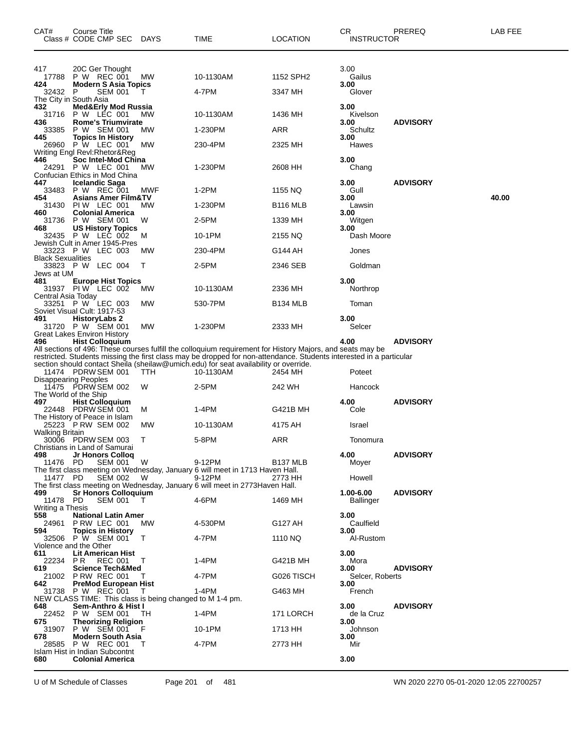| CAT#                                | Course Title<br>Class # CODE CMP SEC                                                                         | DAYS      | TIME                                                                                                                                                                                                                                                                                                                                            | LOCATION                        | СR<br>INSTRUCTOR          | PREREQ          | LAB FEE |
|-------------------------------------|--------------------------------------------------------------------------------------------------------------|-----------|-------------------------------------------------------------------------------------------------------------------------------------------------------------------------------------------------------------------------------------------------------------------------------------------------------------------------------------------------|---------------------------------|---------------------------|-----------------|---------|
| 417<br>17788                        | 20C Ger Thought<br>P W REC 001                                                                               | МW        | 10-1130AM                                                                                                                                                                                                                                                                                                                                       | 1152 SPH2                       | 3.00<br>Gailus<br>3.00    |                 |         |
| 424<br>32432                        | <b>Modern S Asia Topics</b><br>P<br><b>SEM 001</b><br>The City in South Asia                                 | т         | 4-7PM                                                                                                                                                                                                                                                                                                                                           | 3347 MH                         | Glover                    |                 |         |
| 432<br>31716                        | Med&Erly Mod Russia<br>P W LEC 001                                                                           | <b>MW</b> | 10-1130AM                                                                                                                                                                                                                                                                                                                                       | 1436 MH                         | 3.00<br>Kivelson          |                 |         |
| 436<br>33385                        | <b>Rome's Triumvirate</b><br>P W SEM 001                                                                     | МW        | 1-230PM                                                                                                                                                                                                                                                                                                                                         | ARR                             | 3.00<br>Schultz           | <b>ADVISORY</b> |         |
| 445<br>26960                        | <b>Topics In History</b><br>P W LEC 001<br>Writing Engl Revl:Rhetor&Reg                                      | МW        | 230-4PM                                                                                                                                                                                                                                                                                                                                         | 2325 MH                         | 3.00<br>Hawes             |                 |         |
| 446                                 | Soc Intel-Mod China<br>24291 P W LEC 001<br>Confucian Ethics in Mod China                                    | МW        | 1-230PM                                                                                                                                                                                                                                                                                                                                         | 2608 HH                         | 3.00<br>Chang             |                 |         |
| 447<br>33483                        | <b>Icelandic Saga</b><br>P W REC 001                                                                         | MWF       | 1-2PM                                                                                                                                                                                                                                                                                                                                           | 1155 NQ                         | 3.00<br>Gull              | <b>ADVISORY</b> |         |
| 454<br>31430                        | <b>Asians Amer Film&amp;TV</b><br>PIW LEC 001                                                                | МW        | 1-230PM                                                                                                                                                                                                                                                                                                                                         | <b>B116 MLB</b>                 | 3.00<br>Lawsin            |                 | 40.00   |
| 460                                 | <b>Colonial America</b><br>31736 P W SEM 001                                                                 | W         | 2-5PM                                                                                                                                                                                                                                                                                                                                           | 1339 MH                         | 3.00<br>Witgen            |                 |         |
| 468<br>32435                        | <b>US History Topics</b><br><b>P W LEC 002</b>                                                               | м         | 10-1PM                                                                                                                                                                                                                                                                                                                                          | 2155 NQ                         | 3.00<br>Dash Moore        |                 |         |
| <b>Black Sexualities</b>            | Jewish Cult in Amer 1945-Pres<br>33223 P W LEC 003                                                           | <b>MW</b> | 230-4PM                                                                                                                                                                                                                                                                                                                                         | G144 AH                         | Jones                     |                 |         |
| Jews at UM                          | 33823 P W LEC 004                                                                                            | т         | 2-5PM                                                                                                                                                                                                                                                                                                                                           | 2346 SEB                        | Goldman                   |                 |         |
| 481<br>Central Asia Today           | <b>Europe Hist Topics</b><br>31937 PIW LEC 002                                                               | МW        | 10-1130AM                                                                                                                                                                                                                                                                                                                                       | 2336 MH                         | 3.00<br>Northrop          |                 |         |
|                                     | 33251 P W LEC 003<br>Soviet Visual Cult: 1917-53                                                             | МW        | 530-7PM                                                                                                                                                                                                                                                                                                                                         | B134 MLB                        | Toman                     |                 |         |
| 491                                 | <b>HistoryLabs 2</b><br>31720 P W SEM 001<br>Great Lakes Environ History                                     | МW        | 1-230PM                                                                                                                                                                                                                                                                                                                                         | 2333 MH                         | 3.00<br>Selcer            |                 |         |
| 496                                 | <b>Hist Colloquium</b><br>11474 PDRW SEM 001<br><b>Disappearing Peoples</b><br>11475 PDRW SEM 002            | ттн<br>W  | All sections of 496: These courses fulfill the colloquium requirement for History Majors, and seats may be<br>restricted. Students missing the first class may be dropped for non-attendance. Students interested in a particular<br>section should contact Sheila (sheilaw@umich.edu) for seat availability or override.<br>10-1130AM<br>2-5PM | 2454 MH<br>242 WH               | 4.00<br>Poteet<br>Hancock | <b>ADVISORY</b> |         |
| The World of the Ship<br>497        | <b>Hist Colloguium</b><br>22448 PDRW SEM_001                                                                 | м         | 1-4PM                                                                                                                                                                                                                                                                                                                                           | G421B MH                        | 4.00<br>Cole              | <b>ADVISORY</b> |         |
|                                     | The History of Peace in Islam<br>25223 P RW SEM 002                                                          | МW        | 10-1130AM                                                                                                                                                                                                                                                                                                                                       | 4175 AH                         | Israel                    |                 |         |
| Walking Britain                     | 30006 PDRW SEM 003                                                                                           | Т         | 5-8PM                                                                                                                                                                                                                                                                                                                                           | ARR                             | Tonomura                  |                 |         |
| 498<br>11476 PD<br>11477 PD         | Christians in Land of Samurai<br>Jr Honors Colloq<br>SEM 001<br><b>SEM 002</b>                               | W<br>- W  | 9-12PM<br>The first class meeting on Wednesday, January 6 will meet in 1713 Haven Hall.<br>9-12PM                                                                                                                                                                                                                                               | B <sub>137</sub> MLB<br>2773 HH | 4.00<br>Moyer<br>Howell   | <b>ADVISORY</b> |         |
| 499                                 | <b>Sr Honors Colloquium</b>                                                                                  |           | The first class meeting on Wednesday, January 6 will meet in 2773 Haven Hall.                                                                                                                                                                                                                                                                   |                                 | 1.00-6.00                 | <b>ADVISORY</b> |         |
| 11478 PD<br>Writing a Thesis<br>558 | <b>SEM 001</b>                                                                                               | T         | 4-6PM                                                                                                                                                                                                                                                                                                                                           | 1469 MH                         | <b>Ballinger</b><br>3.00  |                 |         |
| 24961<br>594                        | <b>National Latin Amer</b><br>PRW LEC 001<br><b>Topics in History</b>                                        | <b>MW</b> | 4-530PM                                                                                                                                                                                                                                                                                                                                         | G127 AH                         | Caulfield<br>3.00         |                 |         |
|                                     | 32506 P W SEM 001<br>Violence and the Other                                                                  | $\top$    | 4-7PM                                                                                                                                                                                                                                                                                                                                           | 1110 NQ                         | Al-Rustom                 |                 |         |
| 611<br>22234 PR                     | Lit American Hist<br><b>REC 001</b>                                                                          | T         | 1-4PM                                                                                                                                                                                                                                                                                                                                           | G421B MH                        | 3.00<br>Mora              |                 |         |
| 619                                 | <b>Science Tech&amp;Med</b><br>21002 P RW REC 001                                                            | T         | 4-7PM                                                                                                                                                                                                                                                                                                                                           | G026 TISCH                      | 3.00<br>Selcer, Roberts   | <b>ADVISORY</b> |         |
| 642                                 | <b>PreMod European Hist</b><br>31738 P W REC 001<br>NEW CLASS TIME: This class is being changed to M 1-4 pm. | $\top$    | $1-4PM$                                                                                                                                                                                                                                                                                                                                         | G463 MH                         | 3.00<br>French            |                 |         |
| 648                                 | Sem-Anthro & Hist I<br>22452 P W SEM 001                                                                     | TH.       | 1-4PM                                                                                                                                                                                                                                                                                                                                           | 171 LORCH                       | 3.00<br>de la Cruz        | <b>ADVISORY</b> |         |
| 675<br>31907                        | <b>Theorizing Religion</b><br>P W SEM 001                                                                    |           | 10-1PM                                                                                                                                                                                                                                                                                                                                          | 1713 HH                         | 3.00<br>Johnson           |                 |         |
| 678                                 | <b>Modern South Asia</b><br>28585 P W REC 001                                                                | T         | 4-7PM                                                                                                                                                                                                                                                                                                                                           | 2773 HH                         | 3.00<br>Mir               |                 |         |
| 680                                 | Islam Hist in Indian Subcontnt<br><b>Colonial America</b>                                                    |           |                                                                                                                                                                                                                                                                                                                                                 |                                 | 3.00                      |                 |         |

U of M Schedule of Classes Page 201 of 481 WN 2020 2270 05-01-2020 12:05 22700257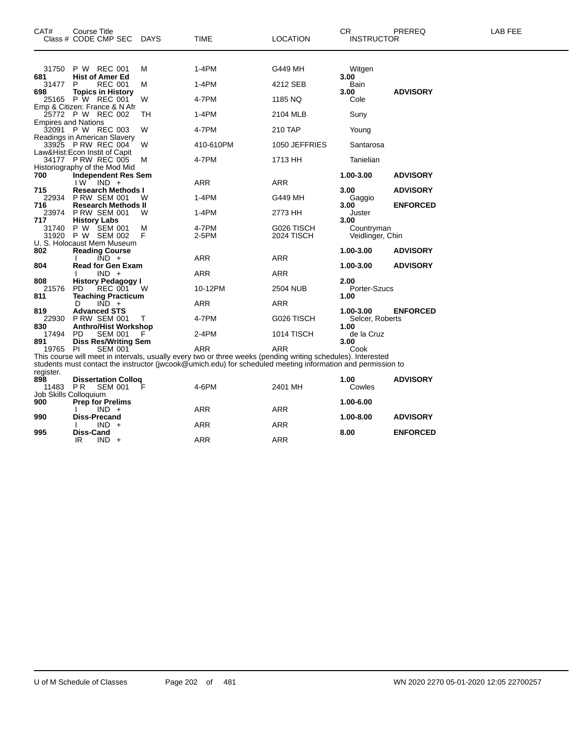| CAT#           | <b>Course Title</b><br>Class # CODE CMP SEC          | <b>DAYS</b> | TIME                                                                                                         | <b>LOCATION</b>                 | <b>CR</b><br><b>INSTRUCTOR</b> | PREREQ          | LAB FEE |
|----------------|------------------------------------------------------|-------------|--------------------------------------------------------------------------------------------------------------|---------------------------------|--------------------------------|-----------------|---------|
|                |                                                      |             |                                                                                                              |                                 |                                |                 |         |
| 31750<br>681   | P W REC 001<br><b>Hist of Amer Ed</b>                | M           | 1-4PM                                                                                                        | G449 MH                         | Witgen<br>3.00                 |                 |         |
| 31477          | P<br><b>REC 001</b>                                  | М           | $1-4PM$                                                                                                      | 4212 SEB                        | Bain                           |                 |         |
| 698            | <b>Topics in History</b>                             |             |                                                                                                              |                                 | 3.00                           | <b>ADVISORY</b> |         |
| 25165          | P W REC 001                                          | W           | 4-7PM                                                                                                        | 1185 NQ                         | Cole                           |                 |         |
|                | Emp & Citizen: France & N Afr                        |             |                                                                                                              |                                 |                                |                 |         |
|                | 25772 P W REC 002<br><b>Empires and Nations</b>      | TН          | 1-4PM                                                                                                        | 2104 MLB                        | Suny                           |                 |         |
|                | 32091 P W REC 003                                    | W           | 4-7PM                                                                                                        | 210 TAP                         | Young                          |                 |         |
|                | Readings in American Slavery                         |             |                                                                                                              |                                 |                                |                 |         |
|                | 33925 PRW REC 004                                    | W           | 410-610PM                                                                                                    | 1050 JEFFRIES                   | Santarosa                      |                 |         |
|                | Law&Hist:Econ Instit of Capit                        |             |                                                                                                              |                                 |                                |                 |         |
|                | 34177 P RW REC 005                                   | м           | 4-7PM                                                                                                        | 1713 HH                         | Tanielian                      |                 |         |
| 700            | Historiography of the Mod Mid<br>Independent Res Sem |             |                                                                                                              |                                 | 1.00-3.00                      | <b>ADVISORY</b> |         |
|                | I W<br>$IND +$                                       |             | ARR                                                                                                          | <b>ARR</b>                      |                                |                 |         |
| 715            | <b>Research Methods I</b>                            |             |                                                                                                              |                                 | 3.00                           | <b>ADVISORY</b> |         |
| 22934          | <b>P RW SEM 001</b>                                  | W           | $1-4PM$                                                                                                      | G449 MH                         | Gaggio                         |                 |         |
| 716            | Research Methods II                                  |             |                                                                                                              |                                 | 3.00                           | <b>ENFORCED</b> |         |
| 23974          | <b>P RW SEM 001</b>                                  | W           | 1-4PM                                                                                                        | 2773 HH                         | Juster                         |                 |         |
| 717            | <b>History Labs</b>                                  |             |                                                                                                              |                                 | 3.00                           |                 |         |
| 31740<br>31920 | P W SEM 001<br>P W SEM 002                           | м<br>F      | 4-7PM<br>2-5PM                                                                                               | G026 TISCH<br><b>2024 TISCH</b> | Countryman<br>Veidlinger, Chin |                 |         |
|                | U. S. Holocaust Mem Museum                           |             |                                                                                                              |                                 |                                |                 |         |
| 802            | <b>Reading Course</b>                                |             |                                                                                                              |                                 | 1.00-3.00                      | <b>ADVISORY</b> |         |
|                | $\overline{IND}$ +                                   |             | ARR                                                                                                          | <b>ARR</b>                      |                                |                 |         |
| 804            | <b>Read for Gen Exam</b>                             |             |                                                                                                              |                                 | 1.00-3.00                      | <b>ADVISORY</b> |         |
|                | $IND +$                                              |             | ARR                                                                                                          | ARR                             | 2.00                           |                 |         |
| 808<br>21576   | <b>History Pedagogy I</b><br>PD.<br><b>REC 001</b>   | - W         | 10-12PM                                                                                                      | 2504 NUB                        | Porter-Szucs                   |                 |         |
| 811            | <b>Teaching Practicum</b>                            |             |                                                                                                              |                                 | 1.00                           |                 |         |
|                | $\overline{IND}$ +<br>D                              |             | ARR                                                                                                          | <b>ARR</b>                      |                                |                 |         |
| 819            | <b>Advanced STS</b>                                  |             |                                                                                                              |                                 | 1.00-3.00                      | <b>ENFORCED</b> |         |
| 22930          | <b>P RW SEM 001</b>                                  | т           | 4-7PM                                                                                                        | G026 TISCH                      | Selcer, Roberts                |                 |         |
| 830            | <b>Anthro/Hist Workshop</b>                          |             |                                                                                                              |                                 | 1.00                           |                 |         |
| 17494<br>891   | PD<br><b>SEM 001</b><br><b>Diss Res/Writing Sem</b>  |             | 2-4PM                                                                                                        | 1014 TISCH                      | de la Cruz<br>3.00             |                 |         |
| 19765          | <b>SEM 001</b><br>PI.                                |             | <b>ARR</b>                                                                                                   | ARR                             | Cook                           |                 |         |
|                |                                                      |             | This course will meet in intervals, usually every two or three weeks (pending writing schedules). Interested |                                 |                                |                 |         |
|                |                                                      |             | students must contact the instructor (jwcook@umich.edu) for scheduled meeting information and permission to  |                                 |                                |                 |         |
| register.      |                                                      |             |                                                                                                              |                                 |                                |                 |         |
| 898            | <b>Dissertation Collog</b>                           |             |                                                                                                              |                                 | 1.00                           | <b>ADVISORY</b> |         |
| 11483          | PR.<br><b>SEM 001</b>                                |             | 4-6PM                                                                                                        | 2401 MH                         | Cowles                         |                 |         |
| 900            | Job Skills Colloquium<br><b>Prep for Prelims</b>     |             |                                                                                                              |                                 | 1.00-6.00                      |                 |         |
|                | $IND +$                                              |             | <b>ARR</b>                                                                                                   | ARR                             |                                |                 |         |
| 990            | <b>Diss-Precand</b>                                  |             |                                                                                                              |                                 | 1.00-8.00                      | <b>ADVISORY</b> |         |
|                | $IND +$                                              |             | ARR                                                                                                          | ARR                             |                                |                 |         |
| 995            | Diss-Cand                                            |             |                                                                                                              |                                 | 8.00                           | <b>ENFORCED</b> |         |
|                | IR<br>$IND +$                                        |             | <b>ARR</b>                                                                                                   | <b>ARR</b>                      |                                |                 |         |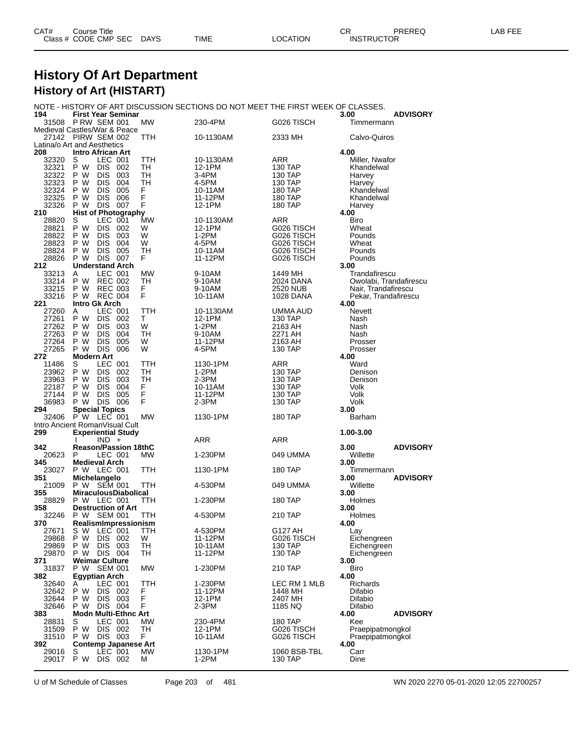| CAT# | Title<br>Courseٽ     |      |      |          | Ωm<br>ັບເ         | PREREQ | ----<br>AR<br>--- |
|------|----------------------|------|------|----------|-------------------|--------|-------------------|
|      | Class # CODE CMP SEC | DAYS | TIME | LOCATION | <b>INSTRUCTOR</b> |        |                   |

### **History Of Art Department History of Art (HISTART)**

#### NOTE - HISTORY OF ART DISCUSSION SECTIONS DO NOT MEET THE FIRST WEEK OF CLASSES.

| 194            | <b>First Year Seminar</b>                         |           |                   |                         | 3.00<br><b>ADVISORY</b> |
|----------------|---------------------------------------------------|-----------|-------------------|-------------------------|-------------------------|
| 31508          | PRW SEM 001<br>Medieval Castles/War & Peace       | MW.       | 230-4PM           | G026 TISCH              | Timmermann              |
|                | 27142 PIRW SEM 002                                | TTH       | 10-1130AM         | 2333 MH                 | Calvo-Quiros            |
|                | Latina/o Art and Aesthetics                       |           |                   |                         |                         |
| 208            | <b>Intro African Art</b>                          |           |                   |                         | 4.00                    |
| 32320          | LEC 001<br>S                                      | TTH       | 10-1130AM         | ARR                     | Miller. Nwafor          |
| 32321          | P W<br>DIS 002                                    | TH        | 12-1PM            | 130 TAP                 | Khandelwal              |
| 32322          | P W<br><b>DIS 003</b>                             | TН        | 3-4PM             | 130 TAP                 | Harvey                  |
| 32323          | 004<br>P W<br>DIS -                               | TН        | 4-5PM             | 130 TAP                 | Harvey                  |
| 32324          | P W<br>DIS -<br>005                               | F<br>F    | 10-11AM           | 180 TAP                 | Khandelwal              |
| 32325<br>32326 | <b>DIS</b><br>P W<br>006<br><b>DIS 007</b><br>P W | F         | 11-12PM<br>12-1PM | 180 TAP<br>180 TAP      | Khandelwal              |
| 210            | <b>Hist of Photography</b>                        |           |                   |                         | Harvey<br>4.00          |
| 28820          | S<br>LEC 001                                      | <b>MW</b> | 10-1130AM         | ARR                     | Biro                    |
| 28821          | P W<br>DIS<br>002                                 | W         | 12-1PM            | G026 TISCH              | Wheat                   |
| 28822          | P W<br>DIS<br>003                                 | W         | 1-2PM             | G026 TISCH              | Pounds                  |
| 28823          | P W<br>DIS 004                                    | W         | 4-5PM             | G026 TISCH              | Wheat                   |
| 28824          | P W<br><b>DIS</b><br>005                          | TН        | 10-11AM           | G026 TISCH              | Pounds                  |
| 28826          | <b>DIS 007</b><br>P W                             | F         | 11-12PM           | G026 TISCH              | Pounds                  |
| 212<br>33213   | <b>Understand Arch</b><br>LEC 001<br>Α            | MW        | 9-10AM            | 1449 MH                 | 3.00<br>Trandafirescu   |
| 33214          | P W<br><b>REC 002</b>                             | TН        | 9-10AM            | 2024 DANA               | Owolabi, Trandafirescu  |
| 33215          | P W<br><b>REC 003</b>                             | F         | 9-10AM            | 2520 NUB                | Nair, Trandafirescu     |
| 33216          | <b>REC 004</b><br>P W                             | F         | 10-11AM           | 1028 DANA               | Pekar, Trandafirescu    |
| 221            | <b>Intro Gk Arch</b>                              |           |                   |                         | 4.00                    |
| 27260          | LEC 001<br>A                                      | TTH       | 10-1130AM         | UMMA AUD                | <b>Nevett</b>           |
| 27261          | P W<br>DIS<br>002                                 | т         | 12-1PM            | 130 TAP                 | Nash                    |
| 27262          | P W<br>DIS -<br>003                               | W         | 1-2PM             | 2163 AH                 | Nash                    |
| 27263          | P W<br>DIS<br>004                                 | TН        | 9-10AM            | 2271 AH                 | Nash                    |
| 27264<br>27265 | P W<br><b>DIS</b><br>005<br>DIS -<br>P W<br>006   | W<br>W    | 11-12PM<br>4-5PM  | 2163 AH                 | Prosser                 |
| 272            | <b>Modern Art</b>                                 |           |                   | 130 TAP                 | Prosser<br>4.00         |
| 11486          | LEC 001<br>S                                      | TTH       | 1130-1PM          | ARR                     | Ward                    |
| 23962          | P W<br>DIS 002                                    | TH        | 1-2PM             | 130 TAP                 | Denison                 |
| 23963          | P W<br><b>DIS 003</b>                             | TH        | 2-3PM             | 130 TAP                 | Denison                 |
| 22187          | <b>DIS</b><br>004<br>P W                          | F         | 10-11AM           | 130 TAP                 | Volk                    |
| 27144          | P W<br>DIS.<br>005                                | F         | 11-12PM           | 130 TAP                 | Volk                    |
|                |                                                   |           |                   |                         |                         |
| 36983          | P W<br>DIS 006                                    | F         | 2-3PM             | 130 TAP                 | Volk                    |
| 294            | <b>Special Topics</b>                             |           |                   |                         | 3.00                    |
| 32406          | P W LEC 001                                       | МW        | 1130-1PM          | 180 TAP                 | Barham                  |
|                | Intro Ancient RomanVisual Cult                    |           |                   |                         |                         |
| 299            | <b>Experiential Study</b>                         |           |                   |                         | 1.00-3.00               |
| 342            | $IND +$<br><b>Reason/Passion 18thC</b>            |           | ARR               | ARR                     | <b>ADVISORY</b><br>3.00 |
| 20623          | P<br>LEC 001                                      | <b>MW</b> | 1-230PM           | 049 UMMA                | Willette                |
| 345            | <b>Medieval Arch</b>                              |           |                   |                         | 3.00                    |
| 23027          | P W LEC 001                                       | TTH       | 1130-1PM          | 180 TAP                 | Timmermann              |
| 351            | Michelangelo                                      |           |                   |                         | 3.00<br><b>ADVISORY</b> |
| 21009          | P W SEM 001                                       | TTH       | 4-530PM           | 049 UMMA                | Willette                |
| 355            | <b>MiraculousDiabolical</b>                       |           |                   |                         | 3.00                    |
| 28829          | <b>P W LEC 001</b>                                | TTH       | 1-230PM           | 180 TAP                 | Holmes                  |
| 358            | <b>Destruction of Art</b>                         |           |                   |                         | 3.00                    |
| 32246<br>370   | P W<br>SEM 001<br>RealismImpressionism            | TTH       | 4-530PM           | 210 TAP                 | Holmes<br>4.00          |
| 27671          | s w<br>LEC 001                                    | TTH       | 4-530PM           | G127 AH                 | Lay                     |
| 29868          | P W<br>DIS 002                                    | w         | 11-12PM           | G026 TISCH              | Eichengreen             |
| 29869          | P W<br>DIS 003                                    | TН        | 10-11AM           | 130 TAP                 | Eichengreen             |
| 29870          | DIS 004<br>P W                                    | TH        | 11-12PM           | 130 TAP                 | Eichengreen             |
| 371            | <b>Weimar Culture</b>                             |           |                   |                         | 3.00                    |
| 31837          | <b>SEM 001</b><br>P W                             | <b>MW</b> | 1-230PM           | 210 TAP                 | Biro                    |
| 382<br>32640   | <b>Egyptian Arch</b><br>LEC 001<br>A              | TTH       | 1-230PM           | LEC RM 1 MLB            | 4.00<br>Richards        |
| 32642          | P W<br>DIS -<br>002                               | F         | 11-12PM           | 1448 MH                 | Difabio                 |
| 32644          | P W<br>DIS.<br>003                                | Ë         | 12-1PM            | 2407 MH                 | Difabio                 |
| 32646          | P W<br>DIS 004                                    | F         | 2-3PM             | 1185 NQ                 | Difabio                 |
| 383            | <b>Modn Multi-Ethnc Art</b>                       |           |                   |                         | 4.00<br><b>ADVISORY</b> |
| 28831          | S<br>LEC 001                                      | MW        | 230-4PM           | <b>180 TAP</b>          | Kee                     |
| 31509          | P W<br>DIS 002                                    | TH        | 12-1PM            | G026 TISCH              | Praepipatmongkol        |
| 31510          | DIS 003<br>P W                                    | F         | 10-11AM           | G026 TISCH              | Praepipatmongkol        |
| 392            | <b>Contemp Japanese Art</b>                       |           |                   |                         | 4.00                    |
| 29016<br>29017 | S<br>LEC 001<br>P W<br>DIS 002                    | MW<br>М   | 1130-1PM<br>1-2PM | 1060 BSB-TBL<br>130 TAP | Carr<br>Dine            |

U of M Schedule of Classes Page 203 of 481 WN 2020 2270 05-01-2020 12:05 22700257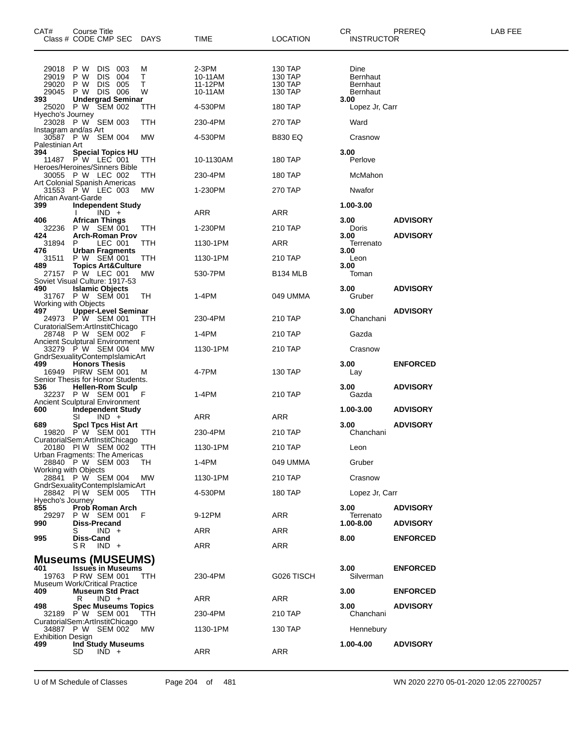| CAT#<br>Class # CODE CMP SEC DAYS                          | Course Title             |                                                |                               |                  | TIME                                   | <b>LOCATION</b>                          | CR<br><b>INSTRUCTOR</b>                                | PREREQ          | LAB FEE |
|------------------------------------------------------------|--------------------------|------------------------------------------------|-------------------------------|------------------|----------------------------------------|------------------------------------------|--------------------------------------------------------|-----------------|---------|
| 29018<br>29019<br>29020<br>29045<br>393                    | P W<br>P W<br>P W<br>P W | DIS 003<br><b>DIS</b><br><b>DIS</b><br>DIS 006 | 004<br>005                    | м<br>Т<br>т<br>W | 2-3PM<br>10-11AM<br>11-12PM<br>10-11AM | 130 TAP<br>130 TAP<br>130 TAP<br>130 TAP | Dine<br><b>Bernhaut</b><br><b>Bernhaut</b><br>Bernhaut |                 |         |
| 25020 P W SEM 002                                          |                          |                                                | <b>Undergrad Seminar</b>      | TTH              | 4-530PM                                | 180 TAP                                  | 3.00<br>Lopez Jr, Carr                                 |                 |         |
| Hyecho's Journey<br>23028 P W SEM 003                      |                          |                                                |                               | ттн              | 230-4PM                                | 270 TAP                                  | Ward                                                   |                 |         |
| Instagram and/as Art<br>30587 P W SEM 004                  |                          |                                                |                               | MW               | 4-530PM                                | <b>B830 EQ</b>                           | Crasnow                                                |                 |         |
| Palestinian Art<br>394                                     |                          |                                                | <b>Special Topics HU</b>      |                  |                                        |                                          | 3.00                                                   |                 |         |
| 11487 PW LEC 001<br>Heroes/Heroines/Sinners Bible          |                          |                                                |                               | TTH              | 10-1130AM                              | 180 TAP                                  | Perlove                                                |                 |         |
| 30055 P W LEC 002<br>Art Colonial Spanish Americas         |                          |                                                |                               | TTH              | 230-4PM                                | 180 TAP                                  | McMahon                                                |                 |         |
| 31553 P W LEC 003                                          |                          |                                                |                               | МW               | 1-230PM                                | 270 TAP                                  | Nwafor                                                 |                 |         |
| African Avant-Garde<br>399                                 |                          |                                                | <b>Independent Study</b>      |                  |                                        |                                          | 1.00-3.00                                              |                 |         |
| 406                                                        |                          | $IND +$<br><b>African Things</b>               |                               |                  | ARR                                    | ARR                                      | 3.00                                                   | <b>ADVISORY</b> |         |
| 32236<br>424                                               |                          | P W SEM 001                                    | <b>Arch-Roman Prov</b>        | TTH              | 1-230PM                                | 210 TAP                                  | Doris<br>3.00                                          | <b>ADVISORY</b> |         |
| 31894<br>476                                               | P                        | LEC 001<br><b>Urban Fragments</b>              |                               | TTH              | 1130-1PM                               | ARR                                      | Terrenato<br>3.00                                      |                 |         |
| 31511<br>489                                               |                          | P W SEM 001                                    |                               | TTH              | 1130-1PM                               | 210 TAP                                  | Leon<br>3.00                                           |                 |         |
| 27157                                                      | P W LEC 001              |                                                | <b>Topics Art&amp;Culture</b> | МW               | 530-7PM                                | B134 MLB                                 | Toman                                                  |                 |         |
| Soviet Visual Culture: 1917-53<br>490<br>31767 P W SEM 001 |                          | <b>Islamic Objects</b>                         |                               | TH.              | 1-4PM                                  | 049 UMMA                                 | 3.00<br>Gruber                                         | <b>ADVISORY</b> |         |
| Working with Objects                                       |                          |                                                |                               |                  |                                        |                                          |                                                        |                 |         |
| 497<br>24973 P W SEM 001                                   |                          |                                                | <b>Upper-Level Seminar</b>    | ттн              | 230-4PM                                | 210 TAP                                  | 3.00<br>Chanchani                                      | <b>ADVISORY</b> |         |
| CuratorialSem:ArtInstitChicago<br>28748 P W SEM 002        |                          |                                                |                               | F                | 1-4PM                                  | 210 TAP                                  | Gazda                                                  |                 |         |
| <b>Ancient Sculptural Environment</b><br>33279 P W SEM 004 |                          |                                                |                               | МW               | 1130-1PM                               | 210 TAP                                  | Crasnow                                                |                 |         |
| GndrSexualityContempIslamicArt<br>499                      |                          | <b>Honors Thesis</b>                           |                               |                  |                                        |                                          | 3.00                                                   | <b>ENFORCED</b> |         |
| 16949 PIRW SEM 001<br>Senior Thesis for Honor Students.    |                          |                                                |                               | м                | 4-7PM                                  | 130 TAP                                  | Lay                                                    |                 |         |
| 536<br>32237 P W SEM 001                                   |                          |                                                | <b>Hellen-Rom Sculp</b>       |                  | 1-4PM                                  | 210 TAP                                  | 3.00<br>Gazda                                          | <b>ADVISORY</b> |         |
| Ancient Sculptural Environment                             |                          |                                                |                               |                  |                                        |                                          |                                                        |                 |         |
| 600                                                        | SI                       | $IND +$                                        | <b>Independent Study</b>      |                  | ARR                                    | ARR                                      | 1.00-3.00                                              | <b>ADVISORY</b> |         |
| 689<br>19820 P W SEM 001                                   |                          |                                                | <b>SpcI Tpcs Hist Art</b>     | TTH              | 230-4PM                                | 210 TAP                                  | 3.00<br>Chanchani                                      | <b>ADVISORY</b> |         |
| CuratorialSem:ArtInstitChicago<br>20180 PIW SEM 002 TTH    |                          |                                                |                               |                  | 1130-1PM                               | 210 TAP                                  | Leon                                                   |                 |         |
| Urban Fragments: The Americas<br>28840 P W SEM 003         |                          |                                                |                               | TH.              | 1-4PM                                  | 049 UMMA                                 | Gruber                                                 |                 |         |
| Working with Objects<br>28841 P W SEM 004 MW               |                          |                                                |                               |                  |                                        | 210 TAP                                  |                                                        |                 |         |
| GndrSexualityContempIslamicArt                             |                          |                                                |                               |                  | 1130-1PM                               |                                          | Crasnow                                                |                 |         |
| 28842 PIW SEM 005<br>Hyecho's Journey                      |                          |                                                |                               | TTH              | 4-530PM                                | 180 TAP                                  | Lopez Jr, Carr                                         |                 |         |
| 855<br>29297                                               | P W SEM 001              |                                                | Prob Roman Arch               | - F              | 9-12PM                                 | ARR                                      | 3.00<br>Terrenato                                      | <b>ADVISORY</b> |         |
| 990                                                        | S .                      | <b>Diss-Precand</b><br>$IND +$                 |                               |                  | ARR                                    | ARR                                      | $1.00 - 8.00$                                          | <b>ADVISORY</b> |         |
| 995                                                        | Diss-Cand<br>S R         | $IND +$                                        |                               |                  | ARR                                    | ARR                                      | 8.00                                                   | <b>ENFORCED</b> |         |
|                                                            |                          |                                                |                               |                  |                                        |                                          |                                                        |                 |         |
| <b>Museums (MUSEUMS)</b><br>401<br>19763 P RW SEM 001      |                          |                                                | <b>Issues in Museums</b>      | TTH              | 230-4PM                                | G026 TISCH                               | 3.00<br>Silverman                                      | <b>ENFORCED</b> |         |
| Museum Work/Critical Practice<br>409                       |                          |                                                | <b>Museum Std Pract</b>       |                  |                                        |                                          | 3.00                                                   | <b>ENFORCED</b> |         |
|                                                            | R                        | $IND +$                                        |                               |                  | ARR                                    | ARR                                      |                                                        |                 |         |
| 498<br>32189 PW SEM 001                                    |                          |                                                | <b>Spec Museums Topics</b>    | <b>TTH</b>       | 230-4PM                                | 210 TAP                                  | 3.00<br>Chanchani                                      | <b>ADVISORY</b> |         |
| CuratorialSem:ArtInstitChicago<br>34887 P W SEM 002 MW     |                          |                                                |                               |                  | 1130-1PM                               | 130 TAP                                  | Hennebury                                              |                 |         |
| <b>Exhibition Design</b><br>499                            | SD                       | $IND +$                                        | <b>Ind Study Museums</b>      |                  | ARR                                    | ARR                                      | 1.00-4.00                                              | <b>ADVISORY</b> |         |
|                                                            |                          |                                                |                               |                  |                                        |                                          |                                                        |                 |         |

U of M Schedule of Classes Page 204 of 481 WN 2020 2270 05-01-2020 12:05 22700257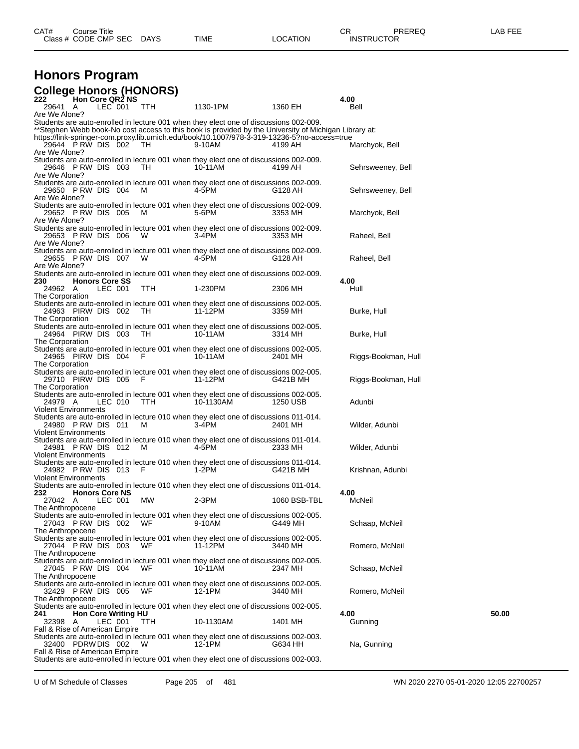### **Honors Program College Honors (HONORS)**

| 222<br><b>Hon Core QR2 NS</b>                                                                                           |            |           |              | 4.00                |       |
|-------------------------------------------------------------------------------------------------------------------------|------------|-----------|--------------|---------------------|-------|
| 29641 A<br>LEC 001                                                                                                      | TTH        | 1130-1PM  | 1360 EH      | Bell                |       |
| Are We Alone?                                                                                                           |            |           |              |                     |       |
| Students are auto-enrolled in lecture 001 when they elect one of discussions 002-009.                                   |            |           |              |                     |       |
| **Stephen Webb book-No cost access to this book is provided by the University of Michigan Library at:                   |            |           |              |                     |       |
| https://link-springer-com.proxy.lib.umich.edu/book/10.1007/978-3-319-13236-5?no-access=true                             |            |           |              |                     |       |
| 29644 PRW DIS 002 TH                                                                                                    |            | 9-10AM    | 4199 AH      | Marchyok, Bell      |       |
| Are We Alone?                                                                                                           |            |           |              |                     |       |
| Students are auto-enrolled in lecture 001 when they elect one of discussions 002-009.                                   |            |           |              |                     |       |
| 29646 PRW DIS 003                                                                                                       | TH.        | 10-11AM   | 4199 AH      | Sehrsweeney, Bell   |       |
| Are We Alone?                                                                                                           |            |           |              |                     |       |
| Students are auto-enrolled in lecture 001 when they elect one of discussions 002-009.                                   |            |           |              |                     |       |
| 29650 PRW DIS 004                                                                                                       | M          | 4-5PM     | G128 AH      | Sehrsweeney, Bell   |       |
| Are We Alone?                                                                                                           |            |           |              |                     |       |
| Students are auto-enrolled in lecture 001 when they elect one of discussions 002-009.                                   |            |           |              |                     |       |
| 29652 PRW DIS 005                                                                                                       | M          | 5-6PM     | 3353 MH      | Marchyok, Bell      |       |
| Are We Alone?                                                                                                           |            |           |              |                     |       |
|                                                                                                                         |            |           |              |                     |       |
| Students are auto-enrolled in lecture 001 when they elect one of discussions 002-009.                                   |            |           |              |                     |       |
| 29653 PRW DIS 006                                                                                                       | W          | 3-4PM     | 3353 MH      | Raheel, Bell        |       |
| Are We Alone?                                                                                                           |            |           |              |                     |       |
| Students are auto-enrolled in lecture 001 when they elect one of discussions 002-009.                                   |            |           |              |                     |       |
| 29655 PRW DIS 007                                                                                                       | W          | 4-5PM     | G128 AH      | Raheel, Bell        |       |
| Are We Alone?                                                                                                           |            |           |              |                     |       |
| Students are auto-enrolled in lecture 001 when they elect one of discussions 002-009.                                   |            |           |              |                     |       |
| 230<br><b>Honors Core SS</b>                                                                                            |            |           |              | 4.00                |       |
| LEC 001<br>24962 A                                                                                                      | TTH        | 1-230PM   | 2306 MH      | Hull                |       |
| The Corporation                                                                                                         |            |           |              |                     |       |
| Students are auto-enrolled in lecture 001 when they elect one of discussions 002-005.                                   |            |           |              |                     |       |
| 24963 PIRW DIS 002                                                                                                      | - TH       | 11-12PM   | 3359 MH      | Burke, Hull         |       |
| The Corporation                                                                                                         |            |           |              |                     |       |
| Students are auto-enrolled in lecture 001 when they elect one of discussions 002-005.                                   |            |           |              |                     |       |
| 24964 PIRW DIS 003                                                                                                      | TH         | 10-11AM   | 3314 MH      | Burke, Hull         |       |
| The Corporation                                                                                                         |            |           |              |                     |       |
| Students are auto-enrolled in lecture 001 when they elect one of discussions 002-005.                                   |            |           |              |                     |       |
| 24965 PIRW DIS 004                                                                                                      | - F        | 10-11AM   | 2401 MH      | Riggs-Bookman, Hull |       |
| The Corporation                                                                                                         |            |           |              |                     |       |
| Students are auto-enrolled in lecture 001 when they elect one of discussions 002-005.                                   |            |           |              |                     |       |
| 29710 PIRW DIS 005                                                                                                      | - F        | 11-12PM   | G421B MH     | Riggs-Bookman, Hull |       |
| The Corporation                                                                                                         |            |           |              |                     |       |
| Students are auto-enrolled in lecture 001 when they elect one of discussions 002-005.                                   |            |           |              |                     |       |
| 24979 A<br>LEC 010                                                                                                      | TTH        | 10-1130AM | 1250 USB     | Adunbi              |       |
| Violent Environments                                                                                                    |            |           |              |                     |       |
| Students are auto-enrolled in lecture 010 when they elect one of discussions 011-014.                                   |            |           |              |                     |       |
|                                                                                                                         |            |           |              |                     |       |
| 24980 PRW DIS 011                                                                                                       | м          | 3-4PM     | 2401 MH      | Wilder, Adunbi      |       |
| Violent Environments                                                                                                    |            |           |              |                     |       |
| Students are auto-enrolled in lecture 010 when they elect one of discussions 011-014.                                   |            |           |              |                     |       |
| 24981 PRW DIS 012                                                                                                       | M          | 4-5PM     | 2333 MH      | Wilder, Adunbi      |       |
| Violent Environments                                                                                                    |            |           |              |                     |       |
| Students are auto-enrolled in lecture 010 when they elect one of discussions 011-014.                                   |            |           |              |                     |       |
| 24982 PRW DIS 013                                                                                                       | - F        | 1-2PM     | G421B MH     | Krishnan, Adunbi    |       |
| <b>Violent Environments</b>                                                                                             |            |           |              |                     |       |
| Students are auto-enrolled in lecture 010 when they elect one of discussions 011-014.                                   |            |           |              |                     |       |
| <b>Honors Core NS</b><br>232                                                                                            |            |           |              | 4.00                |       |
| LEC 001<br>27042 A                                                                                                      | МW         | 2-3PM     | 1060 BSB-TBL | McNeil              |       |
| The Anthropocene                                                                                                        |            |           |              |                     |       |
| Students are auto-enrolled in lecture 001 when they elect one of discussions 002-005.                                   |            |           |              |                     |       |
| 27043 PRW DIS 002                                                                                                       | WF         | 9-10AM    | G449 MH      | Schaap, McNeil      |       |
| The Anthropocene                                                                                                        |            |           |              |                     |       |
| Students are auto-enrolled in lecture 001 when they elect one of discussions 002-005.                                   |            |           |              |                     |       |
| 27044 PRW DIS 003                                                                                                       | WF.        | 11-12PM   | 3440 MH      | Romero, McNeil      |       |
| The Anthropocene                                                                                                        |            |           |              |                     |       |
| Students are auto-enrolled in lecture 001 when they elect one of discussions 002-005.                                   |            |           |              |                     |       |
| 27045 PRW DIS 004                                                                                                       | WF         | 10-11AM   | 2347 MH      | Schaap, McNeil      |       |
| The Anthropocene                                                                                                        |            |           |              |                     |       |
| Students are auto-enrolled in lecture 001 when they elect one of discussions 002-005.                                   |            |           |              |                     |       |
| 32429 PRW DIS 005                                                                                                       | WF         | 12-1PM    | 3440 MH      | Romero, McNeil      |       |
|                                                                                                                         |            |           |              |                     |       |
| The Anthropocene                                                                                                        |            |           |              |                     |       |
| Students are auto-enrolled in lecture 001 when they elect one of discussions 002-005.                                   |            |           |              |                     |       |
| <b>Hon Core Writing HU</b><br>241                                                                                       |            |           |              | 4.00                | 50.00 |
| 32398<br>LEC 001<br>A                                                                                                   | <b>TTH</b> | 10-1130AM | 1401 MH      | Gunning             |       |
| Fall & Rise of American Empire                                                                                          |            |           |              |                     |       |
|                                                                                                                         |            |           |              |                     |       |
| Students are auto-enrolled in lecture 001 when they elect one of discussions 002-003.                                   |            |           |              |                     |       |
| 32400 PDRW DIS 002                                                                                                      | W          | 12-1PM    | G634 HH      | Na, Gunning         |       |
| Fall & Rise of American Empire<br>Students are auto-enrolled in lecture 001 when they elect one of discussions 002-003. |            |           |              |                     |       |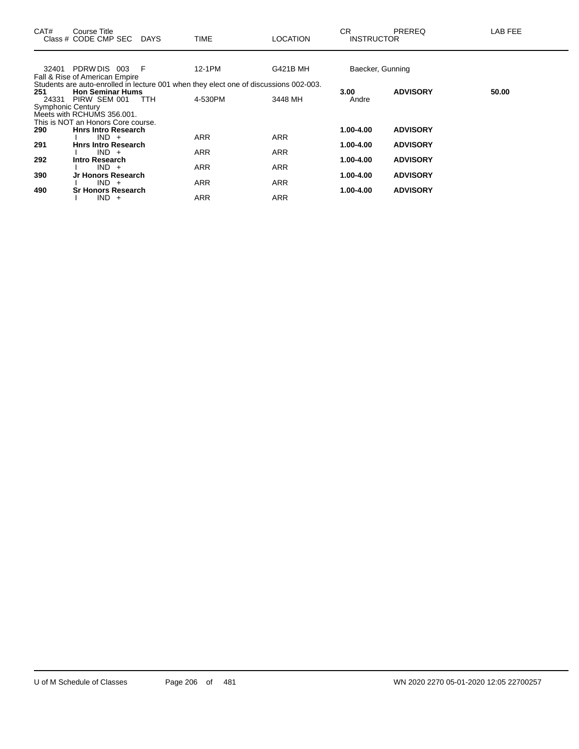| CAT#                     | Course Title<br>Class # CODE CMP SEC  | DAYS | <b>TIME</b> | LOCATION                                                                              | CR.<br><b>INSTRUCTOR</b> | <b>PREREQ</b>   | LAB FEE |
|--------------------------|---------------------------------------|------|-------------|---------------------------------------------------------------------------------------|--------------------------|-----------------|---------|
| 32401                    | PDRW DIS 003                          | - F  | 12-1PM      | G421B MH                                                                              | Baecker, Gunning         |                 |         |
|                          | Fall & Rise of American Empire        |      |             |                                                                                       |                          |                 |         |
|                          |                                       |      |             | Students are auto-enrolled in lecture 001 when they elect one of discussions 002-003. |                          |                 |         |
| 251                      | <b>Hon Seminar Hums</b>               |      |             |                                                                                       | 3.00                     | <b>ADVISORY</b> | 50.00   |
|                          | 24331 PIRW SEM 001                    | TTH  | 4-530PM     | 3448 MH                                                                               | Andre                    |                 |         |
| <b>Symphonic Century</b> |                                       |      |             |                                                                                       |                          |                 |         |
|                          | Meets with RCHUMS 356.001.            |      |             |                                                                                       |                          |                 |         |
|                          | This is NOT an Honors Core course.    |      |             |                                                                                       |                          |                 |         |
| 290                      | <b>Hnrs Intro Research</b>            |      |             |                                                                                       | 1.00-4.00                | <b>ADVISORY</b> |         |
| 291                      | $IND +$<br><b>Hnrs Intro Research</b> |      | <b>ARR</b>  | <b>ARR</b>                                                                            | 1.00-4.00                | <b>ADVISORY</b> |         |
|                          | $IND +$                               |      | <b>ARR</b>  | <b>ARR</b>                                                                            |                          |                 |         |
| 292                      | Intro Research                        |      |             |                                                                                       | 1.00-4.00                | <b>ADVISORY</b> |         |
|                          | $IND +$                               |      | <b>ARR</b>  | <b>ARR</b>                                                                            |                          |                 |         |
| 390                      | Jr Honors Research                    |      |             |                                                                                       | 1.00-4.00                | <b>ADVISORY</b> |         |
|                          | $IND +$                               |      | <b>ARR</b>  | <b>ARR</b>                                                                            |                          |                 |         |
| 490                      | <b>Sr Honors Research</b>             |      |             |                                                                                       | 1.00-4.00                | <b>ADVISORY</b> |         |
|                          | $IND +$                               |      | <b>ARR</b>  | <b>ARR</b>                                                                            |                          |                 |         |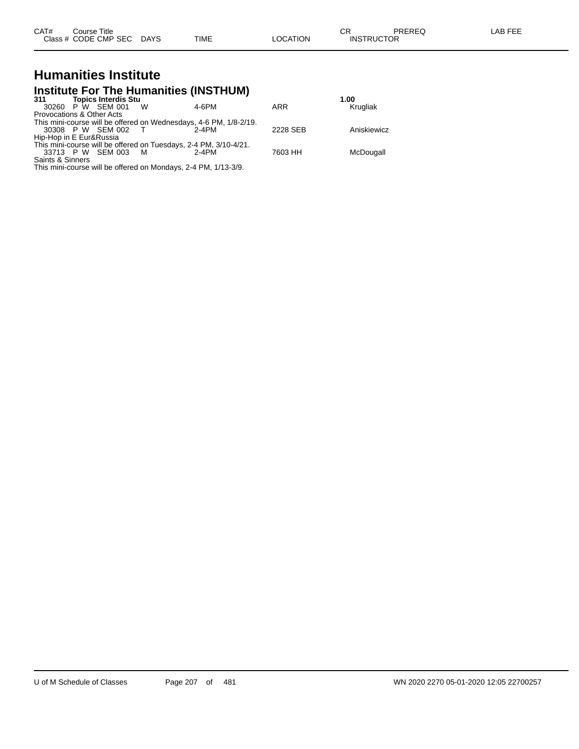| CAT# | Course Title         |      |      |          | ∼⊏<br>◡           | PREREQ | LAB FEE |
|------|----------------------|------|------|----------|-------------------|--------|---------|
|      | Class # CODE CMP SEC | DAYS | TIME | _OCATION | <b>INSTRUCTOR</b> |        |         |

## **Humanities Institute**

## **Institute For The Humanities (INSTHUM) 311 Topics Interdis Stu 1.00**

| 311                       | TODICS INTERGIS STU |   |                                                                   |          | 1.UU        |
|---------------------------|---------------------|---|-------------------------------------------------------------------|----------|-------------|
|                           | 30260 P W SEM 001   | W | $4 - 6$ PM                                                        | ARR      | Krugliak    |
| Provocations & Other Acts |                     |   |                                                                   |          |             |
|                           |                     |   | This mini-course will be offered on Wednesdays, 4-6 PM, 1/8-2/19. |          |             |
|                           | 30308 P W SEM 002 T |   | 2-4PM                                                             | 2228 SEB | Aniskiewicz |
| Hip-Hop in E Eur&Russia   |                     |   |                                                                   |          |             |
|                           |                     |   | This mini-course will be offered on Tuesdays, 2-4 PM, 3/10-4/21.  |          |             |
|                           | 33713 P W SEM 003   | M | 2-4PM                                                             | 7603 HH  | McDougall   |
| Saints & Sinners          |                     |   |                                                                   |          |             |
|                           |                     |   | This mini-course will be offered on Mondays, 2-4 PM, 1/13-3/9.    |          |             |
|                           |                     |   |                                                                   |          |             |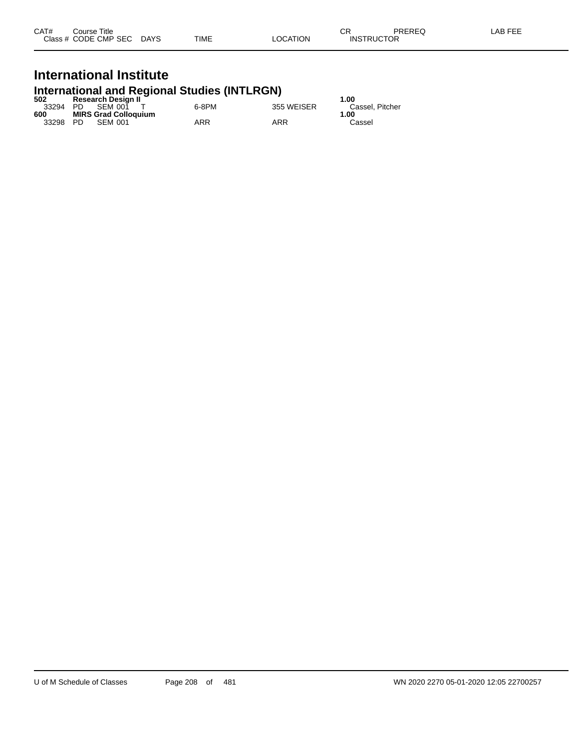| CAT# | Course Title              |      |                 | СR                | PREREQ | LAB FEE |
|------|---------------------------|------|-----------------|-------------------|--------|---------|
|      | Class # CODE CMP SEC DAYS | TIME | <b>LOCATION</b> | <b>INSTRUCTOR</b> |        |         |

## **International Institute**

## **International and Regional Studies (INTLRGN) 502 Research Design II 1.00**

| ວບ∠   |      | Research Design in          |       |            | 1.UU            |
|-------|------|-----------------------------|-------|------------|-----------------|
| 33294 | PD - | SEM 001                     | 6-8PM | 355 WEISER | Cassel, Pitcher |
| 600   |      | <b>MIRS Grad Colloquium</b> |       |            | 1.00            |
| 33298 | - PD | SEM 001                     | ARR   | ARR        | Cassel          |
|       |      |                             |       |            |                 |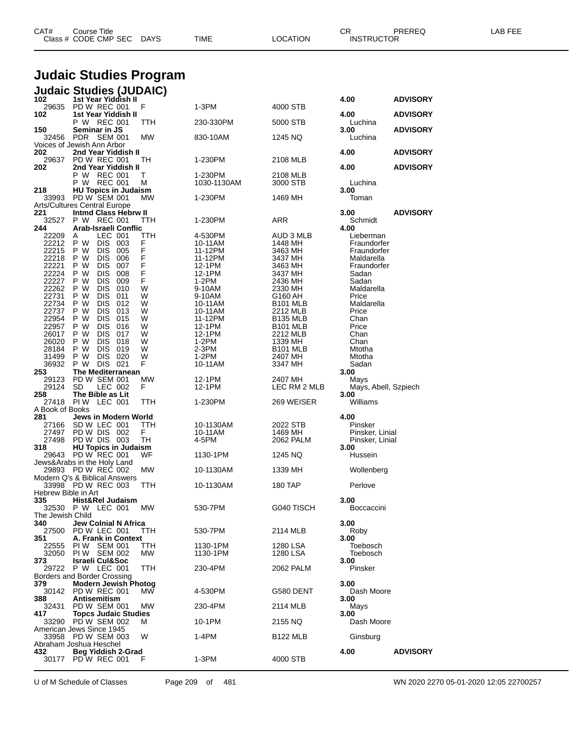|                            | <b>Judaic Studies Program</b>                             |             |                      |                                    |                                    |                 |  |  |  |
|----------------------------|-----------------------------------------------------------|-------------|----------------------|------------------------------------|------------------------------------|-----------------|--|--|--|
| 102                        | <b>Judaic Studies (JUDAIC)</b><br>1st Year Yiddish II     |             |                      |                                    |                                    |                 |  |  |  |
|                            | 29635 PD W REC 001                                        | F           | 1-3PM                | 4000 STB                           | 4.00                               | <b>ADVISORY</b> |  |  |  |
| 102                        | 1st Year Yiddish II<br>P W REC 001                        | TTH         | 230-330PM            | 5000 STB                           | 4.00<br>Luchina                    | <b>ADVISORY</b> |  |  |  |
| 150<br>32456               | Seminar in JS<br>PDR SEM 001                              | MW          | 830-10AM             | 1245 NQ                            | 3.00<br>Luchina                    | <b>ADVISORY</b> |  |  |  |
| 202                        | Voices of Jewish Ann Arbor                                |             |                      |                                    | 4.00                               |                 |  |  |  |
| 29637                      | 2nd Year Yiddish II<br><b>PD W REC 001</b>                | TН          | 1-230PM              | 2108 MLB                           |                                    | <b>ADVISORY</b> |  |  |  |
| 202                        | 2nd Year Yiddish II<br>P W REC 001                        | т           | 1-230PM              | 2108 MLB                           | 4.00                               | <b>ADVISORY</b> |  |  |  |
| 218                        | P W REC 001<br><b>HU Topics in Judaism</b>                | Μ           | 1030-1130AM          | 3000 STB                           | Luchina<br>3.00                    |                 |  |  |  |
|                            | 33993 PD W SEM 001<br><b>Arts/Cultures Central Europe</b> | МW          | 1-230PM              | 1469 MH                            | Toman                              |                 |  |  |  |
| 221                        | <b>Intmd Class Hebrw II</b>                               |             |                      |                                    | 3.00                               | <b>ADVISORY</b> |  |  |  |
| 32527<br>244               | P W REC 001<br>Arab-Israeli Conflic                       | TTH         | 1-230PM              | ARR                                | Schmidt<br>4.00                    |                 |  |  |  |
| 22209<br>22212             | LEC 001<br>Α<br>P W<br>DIS 003                            | TTH<br>F    | 4-530PM<br>10-11AM   | AUD 3 MLB<br>1448 MH               | Lieberman<br>Fraundorfer           |                 |  |  |  |
| 22215                      | <b>DIS</b><br>005<br>P W                                  |             | 11-12PM              | 3463 MH                            | Fraundorfer                        |                 |  |  |  |
| 22218<br>22221             | P W<br><b>DIS</b><br>006<br>P W<br><b>DIS</b><br>007      | F<br>F<br>F | 11-12PM<br>12-1PM    | 3437 MH<br>3463 MH                 | Maldarella<br>Fraundorfer          |                 |  |  |  |
| 22224<br>22227             | <b>DIS</b><br>008<br>P W<br>P W<br><b>DIS</b><br>009      | F<br>F      | 12-1PM<br>1-2PM      | 3437 MH<br>2436 MH                 | Sadan<br>Sadan                     |                 |  |  |  |
| 22262                      | <b>DIS</b><br>010<br>P W                                  | W           | 9-10AM               | 2330 MH                            | Maldarella                         |                 |  |  |  |
| 22731<br>22734             | P W<br><b>DIS</b><br>011<br>P W<br><b>DIS</b><br>012      | W<br>W      | 9-10AM<br>10-11AM    | G160 AH<br><b>B101 MLB</b>         | Price<br>Maldarella                |                 |  |  |  |
| 22737                      | P W<br><b>DIS</b><br>013                                  | W           | 10-11AM              | 2212 MLB                           | Price                              |                 |  |  |  |
| 22954<br>22957             | <b>DIS</b><br>P W<br>015<br>P W<br><b>DIS</b><br>016      | W<br>W      | 11-12PM<br>12-1PM    | <b>B135 MLB</b><br><b>B101 MLB</b> | Chan<br>Price                      |                 |  |  |  |
| 26017                      | P W<br><b>DIS</b><br>017                                  | W           | 12-1PM               | 2212 MLB                           | Chan                               |                 |  |  |  |
| 26020<br>28184             | <b>DIS</b><br>018<br>P W<br>P W<br><b>DIS</b><br>019      | W<br>W      | $1-2PM$<br>2-3PM     | 1339 MH<br><b>B101 MLB</b>         | Chan<br>Mtotha                     |                 |  |  |  |
| 31499<br>36932             | P W<br><b>DIS</b><br>020<br>DIS 021<br>P W                | W<br>F      | $1-2PM$<br>10-11AM   | 2407 MH<br>3347 MH                 | Mtotha<br>Sadan                    |                 |  |  |  |
| 253                        | <b>The Mediterranean</b>                                  |             |                      |                                    | 3.00                               |                 |  |  |  |
| 29123<br>29124             | PD W SEM 001<br>LEC 002<br>SD.                            | MW<br>F     | 12-1PM<br>12-1PM     | 2407 MH<br>LEC RM 2 MLB            | Mays<br>Mays, Abell, Szpiech       |                 |  |  |  |
| 258<br>27418               | The Bible as Lit<br><b>PIW LEC 001</b>                    | TTH         | 1-230PM              | 269 WEISER                         | 3.00<br>Williams                   |                 |  |  |  |
| A Book of Books            |                                                           |             |                      |                                    |                                    |                 |  |  |  |
| 281<br>27166               | Jews in Modern World<br>SD W LEC 001                      | TTH         | 10-1130AM            | 2022 STB                           | 4.00<br>Pinsker                    |                 |  |  |  |
| 27497<br>27498             | PD W DIS 002<br>PD W DIS 003                              | F.<br>TН    | 10-11AM<br>4-5PM     | 1469 MH                            | Pinsker, Linial<br>Pinsker, Linial |                 |  |  |  |
| 318                        | <b>HU Topics in Judaism</b>                               |             |                      | 2062 PALM                          | 3.00                               |                 |  |  |  |
| 29643                      | PD W REC 001<br>Jews&Arabs in the Holy Land               | WF          | 1130-1PM             | 1245 NQ                            | Hussein                            |                 |  |  |  |
|                            | 29893 PD W REC 002<br>Modern Q's & Biblical Answers       | <b>MW</b>   | 10-1130AM            | 1339 MH                            | Wollenberg                         |                 |  |  |  |
|                            | 33998 PD W REC 003                                        | TTH         | 10-1130AM            | 180 TAP                            | Perlove                            |                 |  |  |  |
| Hebrew Bible in Art<br>335 | Hist&Rel Judaism                                          |             |                      |                                    | 3.00                               |                 |  |  |  |
| The Jewish Child           | 32530 P W LEC 001                                         | МW          | 530-7PM              | G040 TISCH                         | Boccaccini                         |                 |  |  |  |
| 340                        | Jew Colnial N Africa                                      |             |                      |                                    | 3.00                               |                 |  |  |  |
| 27500<br>351               | PD W LEC 001<br>A. Frank in Context                       | TTH         | 530-7PM              | 2114 MLB                           | Roby<br>3.00                       |                 |  |  |  |
| 22555<br>32050             | PIW SEM 001<br>PIW SEM 002                                | TTH<br>МW   | 1130-1PM<br>1130-1PM | 1280 LSA<br>1280 LSA               | Toebosch<br>Toebosch               |                 |  |  |  |
| 373                        | <b>Israeli Cul&amp;Soc</b>                                |             |                      |                                    | 3.00                               |                 |  |  |  |
| 29722                      | P W LEC 001<br>Borders and Border Crossing                | TTH         | 230-4PM              | 2062 PALM                          | Pinsker                            |                 |  |  |  |
| 379<br>30142               | <b>Modern Jewish Photog</b><br>PD W REC 001               | МW          | 4-530PM              | G580 DENT                          | 3.00<br>Dash Moore                 |                 |  |  |  |
| 388<br>32431               | Antisemitism<br>PD W SEM 001                              | МW          | 230-4PM              | 2114 MLB                           | 3.00<br>Mays                       |                 |  |  |  |
| 417                        | <b>Topcs Judaic Studies</b>                               |             |                      |                                    | 3.00                               |                 |  |  |  |
| 33290                      | PD W SEM 002<br>American Jews Since 1945                  | м           | 10-1PM               | 2155 NQ                            | Dash Moore                         |                 |  |  |  |
| 33958                      | PD W SEM 003<br>Abraham Joshua Heschel                    | W           | 1-4PM                | <b>B122 MLB</b>                    | Ginsburg                           |                 |  |  |  |
| 432                        | Beg Yiddish 2-Grad                                        |             |                      |                                    | 4.00                               | <b>ADVISORY</b> |  |  |  |
| 30177                      | PD W REC 001                                              | F           | $1-3PM$              | 4000 STB                           |                                    |                 |  |  |  |

Class # CODE CMP SEC DAYS TIME LOCATION INSTRUCTOR

U of M Schedule of Classes Page 209 of 481 WN 2020 2270 05-01-2020 12:05 22700257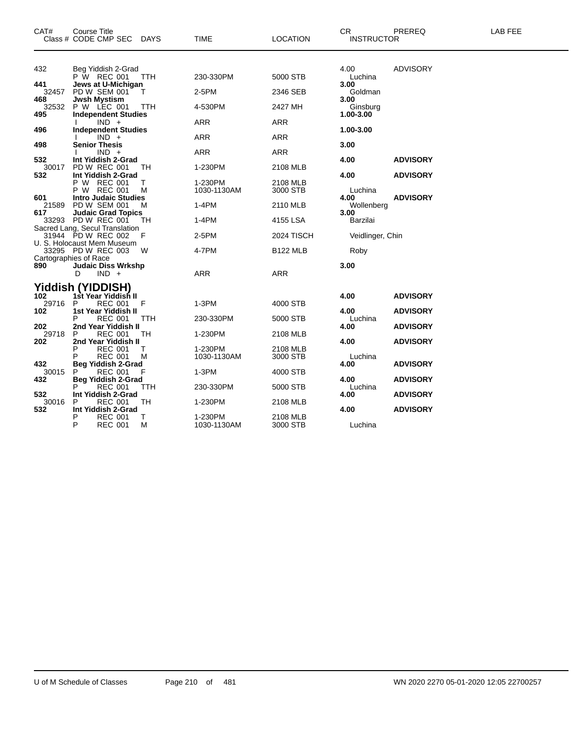| CAT#                | <b>Course Title</b><br>Class # CODE CMP SEC<br><b>DAYS</b>                    | <b>TIME</b>            | <b>LOCATION</b>      | <b>CR</b><br><b>INSTRUCTOR</b> | PREREQ          | <b>LAB FEE</b> |
|---------------------|-------------------------------------------------------------------------------|------------------------|----------------------|--------------------------------|-----------------|----------------|
|                     |                                                                               |                        |                      |                                |                 |                |
| 432                 | Beg Yiddish 2-Grad<br>P W REC 001<br>TTH                                      | 230-330PM              | 5000 STB             | 4.00<br>Luchina                | <b>ADVISORY</b> |                |
| 441<br>32457        | Jews at U-Michigan<br>PD W SEM 001<br>$\top$                                  | 2-5PM                  | 2346 SEB             | 3.00<br>Goldman                |                 |                |
| 468<br>32532        | <b>Jwsh Mystism</b><br>P W LEC 001<br>TTH                                     | 4-530PM                | 2427 MH              | 3.00<br>Ginsburg               |                 |                |
| 495<br>496          | <b>Independent Studies</b><br>$IND +$<br><b>Independent Studies</b>           | <b>ARR</b>             | <b>ARR</b>           | 1.00-3.00<br>1.00-3.00         |                 |                |
| 498                 | $IND +$<br><b>Senior Thesis</b>                                               | ARR                    | ARR                  | 3.00                           |                 |                |
| 532                 | $IND +$<br>Int Yiddish 2-Grad                                                 | <b>ARR</b>             | <b>ARR</b>           | 4.00                           | <b>ADVISORY</b> |                |
| 30017<br>532        | <b>PD W REC 001</b><br>TH<br>Int Yiddish 2-Grad                               | 1-230PM                | 2108 MLB             | 4.00                           | <b>ADVISORY</b> |                |
|                     | P W REC 001<br>т<br>P W REC 001<br>м                                          | 1-230PM<br>1030-1130AM | 2108 MLB<br>3000 STB | Luchina                        |                 |                |
| 601<br>21589<br>617 | <b>Intro Judaic Studies</b><br>PD W SEM 001<br>м<br><b>Judaic Grad Topics</b> | $1-4PM$                | 2110 MLB             | 4.00<br>Wollenberg<br>3.00     | <b>ADVISORY</b> |                |
|                     | 33293 PD W REC 001<br>TH.<br>Sacred Lang, Secul Translation                   | 1-4PM                  | 4155 LSA             | Barzilai                       |                 |                |
|                     | 31944 PD W REC 002<br>F<br>U. S. Holocaust Mem Museum                         | 2-5PM                  | 2024 TISCH           | Veidlinger, Chin               |                 |                |
|                     | 33295 PD W REC 003<br>w<br>Cartographies of Race                              | 4-7PM                  | <b>B122 MLB</b>      | Roby                           |                 |                |
| 890                 | <b>Judaic Diss Wrkshp</b><br>$IND +$<br>D                                     | <b>ARR</b>             | <b>ARR</b>           | 3.00                           |                 |                |
| 102                 | <b>Yiddish (YIDDISH)</b><br>1st Year Yiddish II                               |                        |                      | 4.00                           | <b>ADVISORY</b> |                |
| 29716<br>102        | P<br><b>REC 001</b><br>F<br>1st Year Yiddish II                               | 1-3PM                  | 4000 STB             | 4.00                           | <b>ADVISORY</b> |                |
| 202                 | <b>REC 001</b><br><b>TTH</b><br>2nd Year Yiddish II                           | 230-330PM              | 5000 STB             | Luchina<br>4.00                | <b>ADVISORY</b> |                |
| 29718<br>202        | <b>REC 001</b><br>TН<br>Р<br>2nd Year Yiddish II<br><b>REC 001</b><br>T.      | 1-230PM<br>1-230PM     | 2108 MLB<br>2108 MLB | 4.00                           | <b>ADVISORY</b> |                |
| 432                 | <b>REC 001</b><br>М<br><b>Beg Yiddish 2-Grad</b>                              | 1030-1130AM            | 3000 STB             | Luchina<br>4.00                | <b>ADVISORY</b> |                |
| 30015<br>432        | <b>REC 001</b><br>F<br><b>Beg Yiddish 2-Grad</b>                              | $1-3PM$                | 4000 STB             | 4.00                           | <b>ADVISORY</b> |                |
| 532                 | <b>REC 001</b><br>TTH<br>Int Yiddish 2-Grad                                   | 230-330PM              | 5000 STB             | Luchina<br>4.00                | <b>ADVISORY</b> |                |
| 30016<br>532        | <b>REC 001</b><br>TH<br>P<br>Int Yiddish 2-Grad                               | 1-230PM                | 2108 MLB             | 4.00                           | <b>ADVISORY</b> |                |
|                     | P<br><b>REC 001</b><br>T.<br>P<br><b>REC 001</b><br>М                         | 1-230PM<br>1030-1130AM | 2108 MLB<br>3000 STB | Luchina                        |                 |                |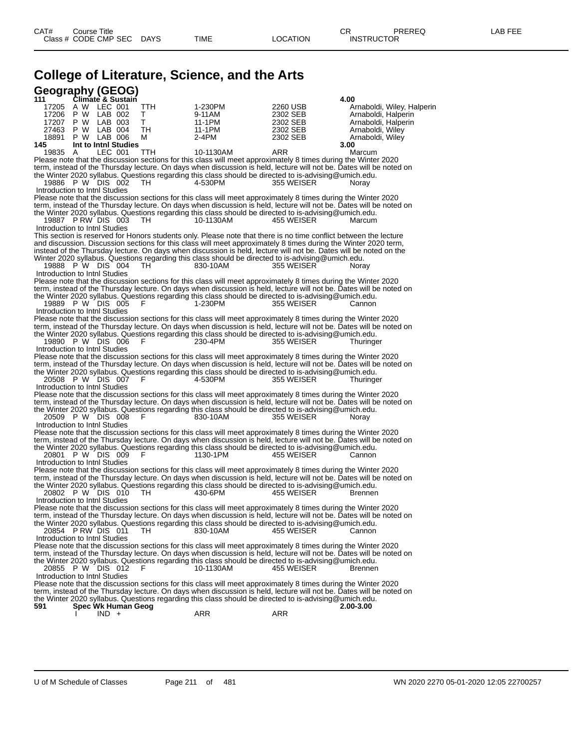# **College of Literature, Science, and the Arts**

| Geography (GEOG)                                                                                                                                                                                                                      |                  |                      |                                            |
|---------------------------------------------------------------------------------------------------------------------------------------------------------------------------------------------------------------------------------------|------------------|----------------------|--------------------------------------------|
| Climate & Sustain<br>111                                                                                                                                                                                                              |                  |                      | 4.00                                       |
| 17205 A W LEC 001<br>TTH                                                                                                                                                                                                              | 1-230PM          | 2260 USB             | Arnaboldi, Wiley, Halperin                 |
| 17206 P W LAB 002<br>T.<br>17207 P W LAB 003<br>Τ                                                                                                                                                                                     | 9-11AM<br>11-1PM | 2302 SEB<br>2302 SEB | Arnaboldi, Halperin<br>Arnaboldi, Halperin |
| 27463 P W LAB 004<br>TH                                                                                                                                                                                                               | 11-1 PM          | 2302 SEB             | Arnaboldi, Wiley                           |
| 18891 P W LAB 006<br>м                                                                                                                                                                                                                | 2-4PM            | 2302 SEB             | Arnaboldi, Wiley                           |
| 145<br>Int to Intnl Studies                                                                                                                                                                                                           |                  |                      | 3.00                                       |
| LEC 001<br>TTH.<br>19835 A                                                                                                                                                                                                            | 10-1130AM        | ARR                  | Marcum                                     |
| Please note that the discussion sections for this class will meet approximately 8 times during the Winter 2020                                                                                                                        |                  |                      |                                            |
| term, instead of the Thursday lecture. On days when discussion is held, lecture will not be. Dates will be noted on                                                                                                                   |                  |                      |                                            |
| the Winter 2020 syllabus. Questions regarding this class should be directed to is-advising@umich.edu.                                                                                                                                 |                  |                      |                                            |
| 19886 P W DIS 002<br>TH.                                                                                                                                                                                                              | 4-530PM          | 355 WEISER           | Noray                                      |
| Introduction to Inthl Studies                                                                                                                                                                                                         |                  |                      |                                            |
| Please note that the discussion sections for this class will meet approximately 8 times during the Winter 2020                                                                                                                        |                  |                      |                                            |
| term, instead of the Thursday lecture. On days when discussion is held, lecture will not be. Dates will be noted on                                                                                                                   |                  |                      |                                            |
| the Winter 2020 syllabus. Questions regarding this class should be directed to is-advising@umich.edu.<br>19887 P RW DIS 003<br>TH.                                                                                                    | 10-1130AM        | 455 WEISER           | Marcum                                     |
| Introduction to Inthl Studies                                                                                                                                                                                                         |                  |                      |                                            |
| This section is reserved for Honors students only. Please note that there is no time conflict between the lecture                                                                                                                     |                  |                      |                                            |
| and discussion. Discussion sections for this class will meet approximately 8 times during the Winter 2020 term,                                                                                                                       |                  |                      |                                            |
| instead of the Thursday lecture. On days when discussion is held, lecture will not be. Dates will be noted on the                                                                                                                     |                  |                      |                                            |
| Winter 2020 syllabus. Questions regarding this class should be directed to is-advising@umich.edu.                                                                                                                                     |                  |                      |                                            |
| 19888 P W DIS 004<br>TH.                                                                                                                                                                                                              | 830-10AM         | 355 WEISER           | Noray                                      |
| Introduction to Inthl Studies                                                                                                                                                                                                         |                  |                      |                                            |
| Please note that the discussion sections for this class will meet approximately 8 times during the Winter 2020                                                                                                                        |                  |                      |                                            |
| term, instead of the Thursday lecture. On days when discussion is held, lecture will not be. Dates will be noted on                                                                                                                   |                  |                      |                                            |
| the Winter 2020 syllabus. Questions regarding this class should be directed to is-advising@umich.edu.                                                                                                                                 |                  |                      |                                            |
| 19889 P W DIS 005<br>E                                                                                                                                                                                                                | 1-230PM          | 355 WEISER           | Cannon                                     |
| Introduction to Inthl Studies                                                                                                                                                                                                         |                  |                      |                                            |
| Please note that the discussion sections for this class will meet approximately 8 times during the Winter 2020<br>term, instead of the Thursday lecture. On days when discussion is held, lecture will not be. Dates will be noted on |                  |                      |                                            |
| the Winter 2020 syllabus. Questions regarding this class should be directed to is-advising@umich.edu.                                                                                                                                 |                  |                      |                                            |
| 19890 P W DIS 006<br>F                                                                                                                                                                                                                | 230-4PM          | 355 WEISER           | Thuringer                                  |
| Introduction to Inthl Studies                                                                                                                                                                                                         |                  |                      |                                            |
| Please note that the discussion sections for this class will meet approximately 8 times during the Winter 2020                                                                                                                        |                  |                      |                                            |
| term, instead of the Thursday lecture. On days when discussion is held, lecture will not be. Dates will be noted on                                                                                                                   |                  |                      |                                            |
| the Winter 2020 syllabus. Questions regarding this class should be directed to is-advising@umich.edu.                                                                                                                                 |                  |                      |                                            |
| 20508 P W DIS 007<br>F                                                                                                                                                                                                                | 4-530PM          | 355 WEISER           | Thuringer                                  |
| Introduction to Inthl Studies                                                                                                                                                                                                         |                  |                      |                                            |
| Please note that the discussion sections for this class will meet approximately 8 times during the Winter 2020                                                                                                                        |                  |                      |                                            |
| term, instead of the Thursday lecture. On days when discussion is held, lecture will not be. Dates will be noted on                                                                                                                   |                  |                      |                                            |
| the Winter 2020 syllabus. Questions regarding this class should be directed to is-advising@umich.edu.<br>20509 P W DIS 008<br>E                                                                                                       | 830-10AM         | 355 WEISER           | Noray                                      |
| Introduction to Inthl Studies                                                                                                                                                                                                         |                  |                      |                                            |
| Please note that the discussion sections for this class will meet approximately 8 times during the Winter 2020                                                                                                                        |                  |                      |                                            |
| term, instead of the Thursday lecture. On days when discussion is held, lecture will not be. Dates will be noted on                                                                                                                   |                  |                      |                                            |
| the Winter 2020 syllabus. Questions regarding this class should be directed to is-advising@umich.edu.                                                                                                                                 |                  |                      |                                            |
| 20801 P W DIS 009<br>F                                                                                                                                                                                                                | 1130-1PM         | 455 WEISER           | Cannon                                     |
| Introduction to Inthl Studies                                                                                                                                                                                                         |                  |                      |                                            |
| Please note that the discussion sections for this class will meet approximately 8 times during the Winter 2020                                                                                                                        |                  |                      |                                            |
| term, instead of the Thursday lecture. On days when discussion is held, lecture will not be. Dates will be noted on                                                                                                                   |                  |                      |                                            |
| the Winter 2020 syllabus. Questions regarding this class should be directed to is-advising@umich.edu.                                                                                                                                 |                  |                      |                                            |
| 20802 P W DIS 010<br>TH.<br>Introduction to Inthl Studies                                                                                                                                                                             | 430-6PM          | 455 WEISER           | <b>Brennen</b>                             |
| Please note that the discussion sections for this class will meet approximately 8 times during the Winter 2020                                                                                                                        |                  |                      |                                            |
| term, instead of the Thursday lecture. On days when discussion is held, lecture will not be. Dates will be noted on                                                                                                                   |                  |                      |                                            |
| the Winter 2020 syllabus. Questions regarding this class should be directed to is-advising @umich.edu.                                                                                                                                |                  |                      |                                            |
| 20854 PRW DIS 011<br>TH.                                                                                                                                                                                                              | 830-10AM         | 455 WEISER           | Cannon                                     |
| Introduction to Intnl Studies                                                                                                                                                                                                         |                  |                      |                                            |
| Please note that the discussion sections for this class will meet approximately 8 times during the Winter 2020                                                                                                                        |                  |                      |                                            |
| term, instead of the Thursday lecture. On days when discussion is held, lecture will not be. Dates will be noted on                                                                                                                   |                  |                      |                                            |
| the Winter 2020 syllabus. Questions regarding this class should be directed to is-advising@umich.edu.                                                                                                                                 |                  |                      |                                            |
| 20855 P W DIS 012<br>F                                                                                                                                                                                                                | 10-1130AM        | 455 WEISER           | <b>Brennen</b>                             |
| Introduction to Inthl Studies                                                                                                                                                                                                         |                  |                      |                                            |
| Please note that the discussion sections for this class will meet approximately 8 times during the Winter 2020                                                                                                                        |                  |                      |                                            |
| term, instead of the Thursday lecture. On days when discussion is held, lecture will not be. Dates will be noted on<br>the Winter 2020 syllabus. Questions regarding this class should be directed to is-advising @umich.edu.         |                  |                      |                                            |
| 591<br>Spec Wk Human Geog                                                                                                                                                                                                             |                  |                      | 2.00-3.00                                  |
| $IND +$                                                                                                                                                                                                                               | <b>ARR</b>       | <b>ARR</b>           |                                            |

U of M Schedule of Classes Page 211 of 481 WN 2020 2270 05-01-2020 12:05 22700257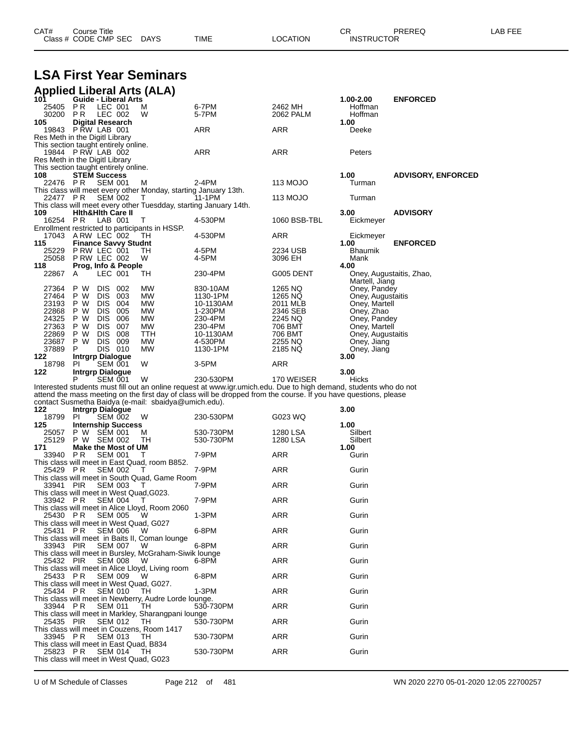| CAT# | Title<br>Course      |             |             |          | ~~<br>- UN        | <b>PREREC</b> | ----<br>ΔR<br>--- |
|------|----------------------|-------------|-------------|----------|-------------------|---------------|-------------------|
|      | Class # CODE CMP SEC | <b>DAYS</b> | <b>TIME</b> | ∟OCATION | <b>INSTRUCTOR</b> |               |                   |

# **LSA First Year Seminars**

| <b>Applied Liberal Arts (ALA)</b> |  |  |
|-----------------------------------|--|--|
|                                   |  |  |

|                 | <b>Guide - Liberal Arts</b>                                            | ,                  |                                                                      |                                                                                                                   |                      | 1.00-2.00                          | <b>ENFORCED</b>           |
|-----------------|------------------------------------------------------------------------|--------------------|----------------------------------------------------------------------|-------------------------------------------------------------------------------------------------------------------|----------------------|------------------------------------|---------------------------|
| 25405<br>30200  | P R<br>P R                                                             | LEC 001<br>LEC 002 | м<br>W                                                               | 6-7PM<br>5-7PM                                                                                                    | 2462 MH<br>2062 PALM | Hoffman<br>Hoffman                 |                           |
| 105             | <b>Digital Research</b>                                                |                    |                                                                      |                                                                                                                   |                      | 1.00                               |                           |
|                 | 19843 P RW LAB 001                                                     |                    |                                                                      | <b>ARR</b>                                                                                                        | ARR                  | Deeke                              |                           |
|                 | Res Meth in the Digitl Library<br>This section taught entirely online. |                    |                                                                      |                                                                                                                   |                      |                                    |                           |
|                 | 19844 PRW LAB 002                                                      |                    |                                                                      | ARR                                                                                                               | ARR                  | Peters                             |                           |
|                 | Res Meth in the Digitl Library                                         |                    |                                                                      |                                                                                                                   |                      |                                    |                           |
| 108             | This section taught entirely online.<br><b>STEM Success</b>            |                    |                                                                      |                                                                                                                   |                      | 1.00                               | <b>ADVISORY, ENFORCED</b> |
| 22476 PR        |                                                                        | <b>SEM 001</b>     | M                                                                    | 2-4PM                                                                                                             | 113 MOJO             | Turman                             |                           |
| 22477 PR        |                                                                        | <b>SEM 002</b>     | This class will meet every other Monday, starting January 13th.<br>т | 11-1PM                                                                                                            | 113 MOJO             | Turman                             |                           |
|                 |                                                                        |                    |                                                                      | This class will meet every other Tuesdday, starting January 14th.                                                 |                      |                                    |                           |
| 109<br>16254 PR | <b>Hith&amp;Hith Care II</b>                                           | LAB 001            | т                                                                    | 4-530PM                                                                                                           | 1060 BSB-TBL         | 3.00<br>Eickmeyer                  | <b>ADVISORY</b>           |
|                 |                                                                        |                    | Enrollment restricted to participants in HSSP.                       |                                                                                                                   |                      |                                    |                           |
| 17043           | ARW LEC 002                                                            |                    | TН                                                                   | 4-530PM                                                                                                           | ARR                  | Eickmeyer                          |                           |
| 115<br>25229    | <b>Finance Savvy Studnt</b><br>PRW LEC 001                             |                    | TН                                                                   | 4-5PM                                                                                                             | 2234 USB             | 1.00<br>Bhaumik                    | <b>ENFORCED</b>           |
| 25058           | PRW LEC 002                                                            |                    | W                                                                    | 4-5PM                                                                                                             | 3096 EH              | Mank                               |                           |
| 118             | Prog, Info & People                                                    | LEC 001            |                                                                      |                                                                                                                   |                      | 4.00                               |                           |
| 22867           | A                                                                      |                    | TН                                                                   | 230-4PM                                                                                                           | G005 DENT            | Martell, Jiang                     | Oney, Augustaitis, Zhao,  |
| 27364           | P W<br><b>DIS</b>                                                      | 002                | MW                                                                   | 830-10AM                                                                                                          | 1265 NQ              | Oney, Pandey                       |                           |
| 27464<br>23193  | P W<br><b>DIS</b><br><b>DIS</b><br>P W                                 | 003<br>004         | MW<br><b>MW</b>                                                      | 1130-1PM<br>10-1130AM                                                                                             | 1265 NQ<br>2011 MLB  | Oney, Augustaitis<br>Oney, Martell |                           |
| 22868           | P W<br><b>DIS</b>                                                      | 005                | MW                                                                   | 1-230PM                                                                                                           | 2346 SEB             | Oney, Zhao                         |                           |
| 24325<br>27363  | P W<br><b>DIS</b><br>DIS<br>P W                                        | 006<br>007         | MW<br>MW                                                             | 230-4PM<br>230-4PM                                                                                                | 2245 NQ<br>706 BMT   | Oney, Pandey<br>Oney, Martell      |                           |
| 22869           | <b>DIS</b><br>P W                                                      | 008                | TTH                                                                  | 10-1130AM                                                                                                         | 706 BMT              | Oney, Augustaitis                  |                           |
| 23687           | P W<br><b>DIS</b>                                                      | 009                | МW                                                                   | 4-530PM                                                                                                           | 2255 NQ              | Oney, Jiang                        |                           |
| 37889<br>122    | P<br><b>Intrgrp Dialogue</b>                                           | DIS 010            | МW                                                                   | 1130-1PM                                                                                                          | 2185 NQ              | Oney, Jiang<br>3.00                |                           |
| 18798           | <b>PI</b>                                                              | SEM 001            | W                                                                    | 3-5PM                                                                                                             | ARR                  |                                    |                           |
| 122             | <b>Intrgrp Dialogue</b><br>Р                                           | <b>SEM 001</b>     | W                                                                    | 230-530PM                                                                                                         | 170 WEISER           | 3.00<br>Hicks                      |                           |
|                 |                                                                        |                    |                                                                      | Interested students must fill out an online request at www.igr.umich.edu. Due to high demand, students who do not |                      |                                    |                           |
|                 |                                                                        |                    | contact Susmetha Baidya (e-mail: sbaidya@umich.edu).                 | attend the mass meeting on the first day of class will be dropped from the course. If you have questions, please  |                      |                                    |                           |
| 122             | Intrgrp Dialogue                                                       |                    |                                                                      |                                                                                                                   |                      | 3.00                               |                           |
| 18799<br>125    | <b>PI</b>                                                              | <b>SEM 002</b>     | W                                                                    | 230-530PM                                                                                                         | G023 WQ              |                                    |                           |
|                 |                                                                        |                    |                                                                      |                                                                                                                   |                      |                                    |                           |
| 25057           | <b>Internship Success</b><br>P W SEM 001                               |                    | М                                                                    | 530-730PM                                                                                                         | 1280 LSA             | 1.00<br>Silbert                    |                           |
| 25129           | P W SEM 002                                                            |                    | TН                                                                   | 530-730PM                                                                                                         | 1280 LSA             | Silbert                            |                           |
| 171             | <b>Make the Most of UM</b>                                             |                    | т                                                                    |                                                                                                                   |                      | 1.00                               |                           |
| 33940           | P R                                                                    | <b>SEM 001</b>     | This class will meet in East Quad, room B852.                        | 7-9PM                                                                                                             | ARR                  | Gurin                              |                           |
| 25429           | P R                                                                    | <b>SEM 002</b>     | Т                                                                    | 7-9PM                                                                                                             | ARR                  | Gurin                              |                           |
| 33941           | <b>PIR</b>                                                             | <b>SEM 003</b>     | This class will meet in South Quad, Game Room<br>Τ                   | 7-9PM                                                                                                             | ARR                  | Gurin                              |                           |
|                 | This class will meet in West Quad, G023.                               |                    |                                                                      |                                                                                                                   |                      |                                    |                           |
| 33942 PR        |                                                                        | <b>SEM 004</b>     | Т<br>This class will meet in Alice Lloyd, Room 2060                  | 7-9PM                                                                                                             | ARR                  | Gurin                              |                           |
| 25430 PR        |                                                                        | SEM 005            | W                                                                    | $1-3PM$                                                                                                           | <b>ARR</b>           | Gurin                              |                           |
| 25431           | This class will meet in West Quad, G027<br>P R                         | <b>SEM 006</b>     | W                                                                    | 6-8PM                                                                                                             | ARR                  | Gurin                              |                           |
|                 |                                                                        |                    | This class will meet in Baits II, Coman lounge                       |                                                                                                                   |                      |                                    |                           |
| 33943 PIR       |                                                                        | <b>SEM 007</b>     | W<br>This class will meet in Bursley, McGraham-Siwik lounge          | 6-8PM                                                                                                             | <b>ARR</b>           | Gurin                              |                           |
| 25432           | PIR                                                                    | <b>SEM 008</b>     | w                                                                    | 6-8PM                                                                                                             | <b>ARR</b>           | Gurin                              |                           |
| 25433 PR        |                                                                        | <b>SEM 009</b>     | This class will meet in Alice Lloyd, Living room<br>W                | 6-8PM                                                                                                             | ARR                  | Gurin                              |                           |
|                 | This class will meet in West Quad. G027.                               |                    |                                                                      |                                                                                                                   |                      |                                    |                           |
| 25434 PR        |                                                                        | <b>SEM 010</b>     | TН<br>This class will meet in Newberry, Audre Lorde lounge.          | 1-3PM                                                                                                             | <b>ARR</b>           | Gurin                              |                           |
| 33944           | - P R                                                                  | <b>SEM 011</b>     | TН                                                                   | 530-730PM                                                                                                         | <b>ARR</b>           | Gurin                              |                           |
| 25435 PIR       |                                                                        | <b>SEM 012</b>     | This class will meet in Markley, Sharangpani lounge<br>TH            | 530-730PM                                                                                                         | ARR                  | Gurin                              |                           |
|                 |                                                                        |                    | This class will meet in Couzens, Room 1417                           |                                                                                                                   |                      |                                    |                           |
| 33945 PR        | This class will meet in East Quad, B834                                | <b>SEM 013</b>     | TН                                                                   | 530-730PM                                                                                                         | ARR                  | Gurin                              |                           |
| 25823           | P R<br>This class will meet in West Quad, G023                         | <b>SEM 014</b>     | ТH                                                                   | 530-730PM                                                                                                         | <b>ARR</b>           | Gurin                              |                           |

U of M Schedule of Classes Page 212 of 481 WN 2020 2270 05-01-2020 12:05 22700257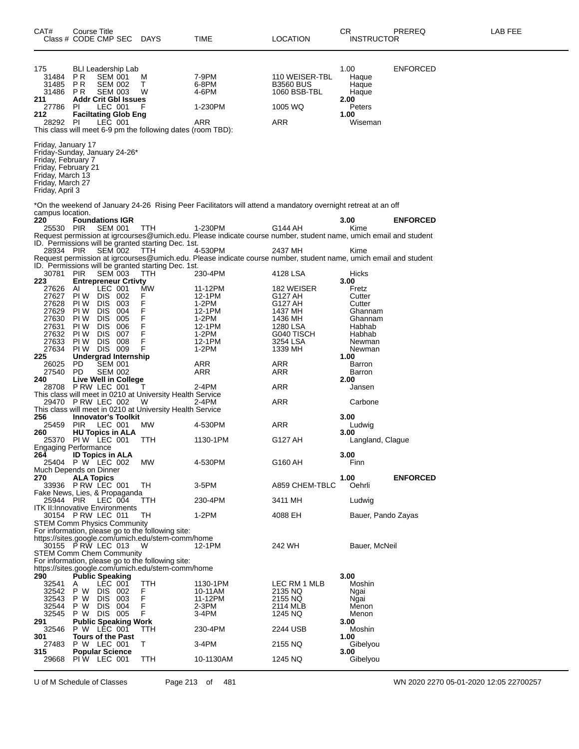| CAT#<br>Class # CODE CMP SEC                                                                                                                                | Course Title                        |                                                                          |                                                                                  | DAYS                                                                            | TIME                                                                                                                        | <b>LOCATION</b>                                                      | CR<br><b>INSTRUCTOR</b>                                              | PREREQ             | LAB FEE |
|-------------------------------------------------------------------------------------------------------------------------------------------------------------|-------------------------------------|--------------------------------------------------------------------------|----------------------------------------------------------------------------------|---------------------------------------------------------------------------------|-----------------------------------------------------------------------------------------------------------------------------|----------------------------------------------------------------------|----------------------------------------------------------------------|--------------------|---------|
| 175<br>31484<br>31485<br>31486<br>211<br>27786<br>212<br>28292                                                                                              | P R<br>P R<br><b>PR</b><br>PI<br>PI | <b>SEM 001</b><br><b>SEM 002</b><br><b>SEM 003</b><br>LEC 001<br>LEC 001 | BLI Leadership Lab<br><b>Addr Crit Gbl Issues</b><br><b>Faciltating Glob Eng</b> | M<br>т<br>W<br>F<br>This class will meet 6-9 pm the following dates (room TBD): | 7-9PM<br>6-8PM<br>4-6PM<br>1-230PM<br>ARR                                                                                   | 110 WEISER-TBL<br><b>B3560 BUS</b><br>1060 BSB-TBL<br>1005 WQ<br>ARR | 1.00<br>Haque<br>Haque<br>Haque<br>2.00<br>Peters<br>1.00<br>Wiseman | <b>ENFORCED</b>    |         |
| Friday, January 17<br>Friday-Sunday, January 24-26*<br>Friday, February 7<br>Friday, February 21<br>Friday, March 13<br>Friday, March 27<br>Friday, April 3 |                                     |                                                                          |                                                                                  |                                                                                 |                                                                                                                             |                                                                      |                                                                      |                    |         |
|                                                                                                                                                             |                                     |                                                                          |                                                                                  |                                                                                 | *On the weekend of January 24-26  Rising Peer Facilitators will attend a mandatory overnight retreat at an off              |                                                                      |                                                                      |                    |         |
| campus location.<br>220<br>25530 PIR                                                                                                                        | <b>Foundations IGR</b>              | <b>SEM 001</b>                                                           |                                                                                  | <b>TTH</b><br>ID. Permissions will be granted starting Dec. 1st.                | 1-230PM<br>Request permission at igrcourses@umich.edu. Please indicate course number, student name, umich email and student | G144 AH                                                              | 3.00<br>Kime                                                         | <b>ENFORCED</b>    |         |
| 28934 PIR                                                                                                                                                   |                                     | <b>SEM 002</b>                                                           |                                                                                  | ттн<br>ID. Permissions will be granted starting Dec. 1st.                       | 4-530PM<br>Request permission at igrcourses@umich.edu. Please indicate course number, student name, umich email and student | 2437 MH                                                              | Kime                                                                 |                    |         |
| 30781                                                                                                                                                       | <b>PIR</b>                          | <b>SEM 003</b>                                                           |                                                                                  | TTH                                                                             | 230-4PM                                                                                                                     | 4128 LSA                                                             | Hicks                                                                |                    |         |
| 223<br>27626                                                                                                                                                | AI                                  | LEC 001                                                                  | <b>Entrepreneur Crtivty</b>                                                      | МW                                                                              | 11-12PM                                                                                                                     | 182 WEISER                                                           | 3.00<br>Fretz                                                        |                    |         |
| 27627                                                                                                                                                       | PI W                                | <b>DIS</b>                                                               | -002                                                                             | F                                                                               | 12-1PM                                                                                                                      | G127 AH                                                              | Cutter                                                               |                    |         |
| 27628                                                                                                                                                       | PI W                                | <b>DIS</b>                                                               | 003                                                                              | F                                                                               | 1-2PM                                                                                                                       | G127 AH                                                              | Cutter                                                               |                    |         |
| 27629<br>27630                                                                                                                                              | PI W<br>PI W                        | <b>DIS</b><br><b>DIS</b>                                                 | 004<br>005                                                                       | F<br>F                                                                          | 12-1PM<br>1-2PM                                                                                                             | 1437 MH<br>1436 MH                                                   | Ghannam<br>Ghannam                                                   |                    |         |
| 27631                                                                                                                                                       | PI W                                | <b>DIS</b>                                                               | 006                                                                              | F                                                                               | 12-1PM                                                                                                                      | 1280 LSA                                                             | Habhab                                                               |                    |         |
| 27632                                                                                                                                                       | PI W                                | <b>DIS</b>                                                               | 007                                                                              | F                                                                               | 1-2PM                                                                                                                       | G040 TISCH                                                           | Habhab                                                               |                    |         |
| 27633                                                                                                                                                       | PI W                                | <b>DIS</b>                                                               | 008                                                                              | F                                                                               | 12-1PM                                                                                                                      | 3254 LSA                                                             | Newman                                                               |                    |         |
| 27634                                                                                                                                                       | PIW DIS                             |                                                                          | 009                                                                              | F                                                                               | 1-2PM                                                                                                                       | 1339 MH                                                              | Newman                                                               |                    |         |
| 225                                                                                                                                                         |                                     |                                                                          | <b>Undergrad Internship</b>                                                      |                                                                                 |                                                                                                                             |                                                                      | 1.00                                                                 |                    |         |
| 26025                                                                                                                                                       | PD                                  | SEM 001                                                                  |                                                                                  |                                                                                 | ARR                                                                                                                         | ARR                                                                  | Barron                                                               |                    |         |
| 27540                                                                                                                                                       | PD                                  |                                                                          | SEM 002                                                                          |                                                                                 | ARR                                                                                                                         | ARR                                                                  | <b>Barron</b>                                                        |                    |         |
| 240<br>28708 PRW LEC 001                                                                                                                                    |                                     |                                                                          | <b>Live Well in College</b>                                                      |                                                                                 |                                                                                                                             |                                                                      | 2.00                                                                 |                    |         |
|                                                                                                                                                             |                                     |                                                                          |                                                                                  | Τ<br>This class will meet in 0210 at University Health Service                  | 2-4PM                                                                                                                       | ARR                                                                  | Jansen                                                               |                    |         |
| 29470 PRW LEC 002                                                                                                                                           |                                     |                                                                          |                                                                                  | W                                                                               | 2-4PM                                                                                                                       | ARR                                                                  | Carbone                                                              |                    |         |
|                                                                                                                                                             |                                     |                                                                          |                                                                                  | This class will meet in 0210 at University Health Service                       |                                                                                                                             |                                                                      |                                                                      |                    |         |
| 256                                                                                                                                                         |                                     |                                                                          | <b>Innovator's Toolkit</b>                                                       |                                                                                 |                                                                                                                             |                                                                      | 3.00                                                                 |                    |         |
| 25459                                                                                                                                                       | <b>PIR</b>                          | LEC 001                                                                  |                                                                                  | МW                                                                              | 4-530PM                                                                                                                     | ARR                                                                  | Ludwig                                                               |                    |         |
| 260                                                                                                                                                         | <b>HU Topics in ALA</b>             |                                                                          |                                                                                  |                                                                                 |                                                                                                                             |                                                                      | 3.00                                                                 |                    |         |
| 25370<br><b>Engaging Performance</b>                                                                                                                        | PIW LEC 001                         |                                                                          |                                                                                  | TTH                                                                             | 1130-1PM                                                                                                                    | G127 AH                                                              | Langland, Claque                                                     |                    |         |
| 264                                                                                                                                                         | <b>ID Topics in ALA</b>             |                                                                          |                                                                                  |                                                                                 |                                                                                                                             |                                                                      | 3.00                                                                 |                    |         |
| 25404 P W LEC 002                                                                                                                                           |                                     |                                                                          |                                                                                  | МW                                                                              | 4-530PM                                                                                                                     | G160 AH                                                              | Finn                                                                 |                    |         |
| Much Depends on Dinner                                                                                                                                      |                                     |                                                                          |                                                                                  |                                                                                 |                                                                                                                             |                                                                      |                                                                      |                    |         |
| 270                                                                                                                                                         | <b>ALA Topics</b>                   |                                                                          |                                                                                  |                                                                                 |                                                                                                                             |                                                                      | 1.00                                                                 | <b>ENFORCED</b>    |         |
| 33936 PRW LEC 001                                                                                                                                           |                                     |                                                                          |                                                                                  | TH                                                                              | 3-5PM                                                                                                                       | A859 CHEM-TBLC                                                       | Oehrli                                                               |                    |         |
| Fake News, Lies, & Propaganda<br>25944 PIR                                                                                                                  |                                     | $LEC$ 004                                                                |                                                                                  |                                                                                 | 230-4PM                                                                                                                     | 3411 MH                                                              |                                                                      |                    |         |
| <b>ITK II: Innovative Environments</b>                                                                                                                      |                                     |                                                                          |                                                                                  | TTH                                                                             |                                                                                                                             |                                                                      | Ludwig                                                               |                    |         |
| 30154 PRW LEC 011                                                                                                                                           |                                     |                                                                          |                                                                                  | TН                                                                              | 1-2PM                                                                                                                       | 4088 EH                                                              |                                                                      | Bauer, Pando Zayas |         |
| <b>STEM Comm Physics Community</b>                                                                                                                          |                                     |                                                                          |                                                                                  |                                                                                 |                                                                                                                             |                                                                      |                                                                      |                    |         |
|                                                                                                                                                             |                                     |                                                                          |                                                                                  | For information, please go to the following site:                               |                                                                                                                             |                                                                      |                                                                      |                    |         |
|                                                                                                                                                             |                                     |                                                                          |                                                                                  | https://sites.google.com/umich.edu/stem-comm/home                               |                                                                                                                             |                                                                      |                                                                      |                    |         |
| 30155 PRW LEC 013<br><b>STEM Comm Chem Community</b>                                                                                                        |                                     |                                                                          |                                                                                  | W                                                                               | 12-1PM                                                                                                                      | 242 WH                                                               | Bauer, McNeil                                                        |                    |         |
|                                                                                                                                                             |                                     |                                                                          |                                                                                  | For information, please go to the following site:                               |                                                                                                                             |                                                                      |                                                                      |                    |         |
|                                                                                                                                                             |                                     |                                                                          |                                                                                  | https://sites.google.com/umich.edu/stem-comm/home                               |                                                                                                                             |                                                                      |                                                                      |                    |         |
| 290                                                                                                                                                         | <b>Public Speaking</b>              |                                                                          |                                                                                  |                                                                                 |                                                                                                                             |                                                                      | 3.00                                                                 |                    |         |
| 32541                                                                                                                                                       | A                                   | LEC 001                                                                  |                                                                                  | TTH                                                                             | 1130-1PM                                                                                                                    | LEC RM 1 MLB                                                         | Moshin                                                               |                    |         |
| 32542                                                                                                                                                       | P W                                 | DIS 002                                                                  |                                                                                  | F                                                                               | 10-11AM                                                                                                                     | 2135 NQ                                                              | Ngai                                                                 |                    |         |
| 32543                                                                                                                                                       | P W                                 | <b>DIS</b>                                                               | 003                                                                              | F                                                                               | 11-12PM                                                                                                                     | 2155 NQ                                                              | Ngai                                                                 |                    |         |
| 32544<br>32545                                                                                                                                              | P W<br>P W DIS 005                  | DIS 004                                                                  |                                                                                  | F<br>F                                                                          | 2-3PM<br>3-4PM                                                                                                              | 2114 MLB                                                             | Menon<br>Menon                                                       |                    |         |
| 291                                                                                                                                                         |                                     |                                                                          | <b>Public Speaking Work</b>                                                      |                                                                                 |                                                                                                                             | 1245 NQ                                                              | 3.00                                                                 |                    |         |
| 32546                                                                                                                                                       | P W LEC 001                         |                                                                          |                                                                                  | ттн                                                                             | 230-4PM                                                                                                                     | 2244 USB                                                             | Moshin                                                               |                    |         |
| 301                                                                                                                                                         | <b>Tours of the Past</b>            |                                                                          |                                                                                  |                                                                                 |                                                                                                                             |                                                                      | 1.00                                                                 |                    |         |
| 27483                                                                                                                                                       | P W LEC 001                         |                                                                          |                                                                                  | Т                                                                               | 3-4PM                                                                                                                       | 2155 NQ                                                              | Gibelyou                                                             |                    |         |
| 315                                                                                                                                                         | <b>Popular Science</b>              |                                                                          |                                                                                  |                                                                                 |                                                                                                                             |                                                                      | 3.00                                                                 |                    |         |
| 29668                                                                                                                                                       | PIW LEC 001                         |                                                                          |                                                                                  | TTH                                                                             | 10-1130AM                                                                                                                   | 1245 NQ                                                              | Gibelyou                                                             |                    |         |
|                                                                                                                                                             |                                     |                                                                          |                                                                                  |                                                                                 |                                                                                                                             |                                                                      |                                                                      |                    |         |

U of M Schedule of Classes Page 213 of 481 WN 2020 2270 05-01-2020 12:05 22700257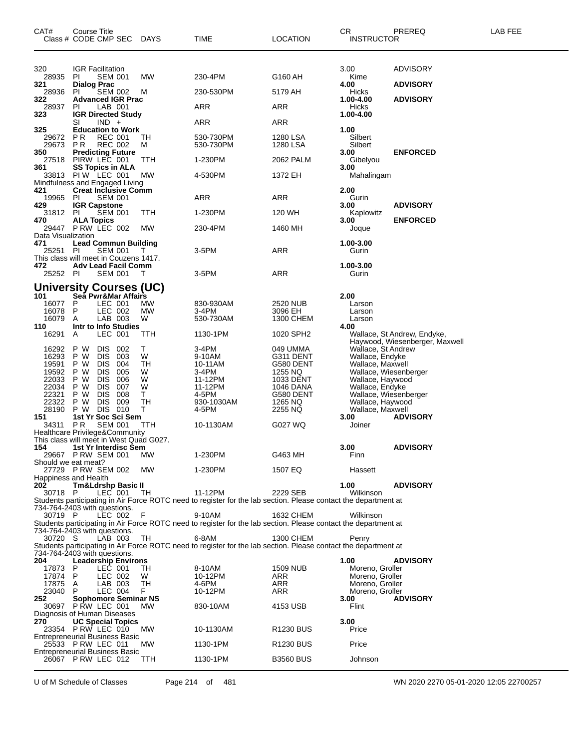| CAT#                                                                          | Course Title<br>Class # CODE CMP SEC DAYS                                                                                                                                                                                                                            |                                               | TIME                                                                                                                                                                                                                                                  | LOCATION                                                                                                   | CR<br><b>INSTRUCTOR</b>                                                                                                                                                                            | PREREQ                                                        | LAB FEE |
|-------------------------------------------------------------------------------|----------------------------------------------------------------------------------------------------------------------------------------------------------------------------------------------------------------------------------------------------------------------|-----------------------------------------------|-------------------------------------------------------------------------------------------------------------------------------------------------------------------------------------------------------------------------------------------------------|------------------------------------------------------------------------------------------------------------|----------------------------------------------------------------------------------------------------------------------------------------------------------------------------------------------------|---------------------------------------------------------------|---------|
| 320<br>28935<br>321<br>28936<br>322<br>28937                                  | <b>IGR Facilitation</b><br><b>SEM 001</b><br><b>PI</b><br><b>Dialog Prac</b><br>PI.<br>SEM 002<br><b>Advanced IGR Prac</b><br>LAB 001<br>PI.                                                                                                                         | MW<br>M                                       | 230-4PM<br>230-530PM<br>ARR                                                                                                                                                                                                                           | G160 AH<br>5179 AH<br>ARR                                                                                  | 3.00<br>Kime<br>4.00<br>Hicks<br>1.00-4.00<br>Hicks                                                                                                                                                | <b>ADVISORY</b><br><b>ADVISORY</b><br><b>ADVISORY</b>         |         |
| 323<br>325<br>29672<br>29673<br>350<br>27518<br>361                           | <b>IGR Directed Study</b><br>$IND +$<br>SI<br><b>Education to Work</b><br>P R<br><b>REC 001</b><br>P R<br><b>REC 002</b><br><b>Predicting Future</b><br>PIRW LEC 001<br><b>SS Topics in ALA</b>                                                                      | TH<br>м<br>ттн<br>МW                          | ARR<br>530-730PM<br>530-730PM<br>1-230PM<br>4-530PM                                                                                                                                                                                                   | ARR<br>1280 LSA<br>1280 LSA<br>2062 PALM<br>1372 EH                                                        | 1.00-4.00<br>1.00<br>Silbert<br>Silbert<br>3.00<br>Gibelyou<br>3.00                                                                                                                                | <b>ENFORCED</b>                                               |         |
| 421<br>19965<br>429<br>31812 PI<br>470                                        | 33813 PIW LEC 001<br>Mindfulness and Engaged Living<br><b>Creat Inclusive Comm</b><br>- PI<br><b>SEM 001</b><br><b>IGR Capstone</b><br><b>SEM 001</b><br><b>ALA Topics</b><br>29447 P RW LEC 002                                                                     | ттн<br>МW                                     | ARR<br>1-230PM<br>230-4PM                                                                                                                                                                                                                             | ARR<br>120 WH<br>1460 MH                                                                                   | Mahalingam<br>2.00<br>Gurin<br>3.00<br>Kaplowitz<br>3.00<br>Joque                                                                                                                                  | <b>ADVISORY</b><br><b>ENFORCED</b>                            |         |
| Data Visualization<br>471<br>25251 PI<br>472<br>25252 PI                      | <b>Lead Commun Building</b><br><b>SEM 001</b><br>This class will meet in Couzens 1417.<br><b>Adv Lead Facil Comm</b><br><b>SEM 001</b><br><b>University Courses (UC)</b>                                                                                             | $\top$<br>T                                   | 3-5PM<br>3-5PM                                                                                                                                                                                                                                        | ARR<br>ARR                                                                                                 | 1.00-3.00<br>Gurin<br>1.00-3.00<br>Gurin                                                                                                                                                           |                                                               |         |
| 101<br>16077<br>16078<br>16079<br>110<br>16291                                | Sea Pwr&Mar Affairs<br>P<br>LEC 001<br>LEC 002<br>P<br>LAB 003<br>A<br>Intr to Info Studies<br>LEC 001<br>A                                                                                                                                                          | МW<br>MW<br>W<br>ттн                          | 830-930AM<br>3-4PM<br>530-730AM<br>1130-1PM                                                                                                                                                                                                           | 2520 NUB<br>3096 EH<br>1300 CHEM<br>1020 SPH2                                                              | 2.00<br>Larson<br>Larson<br>Larson<br>4.00                                                                                                                                                         | Wallace, St Andrew, Endyke,<br>Haywood, Wiesenberger, Maxwell |         |
| 16292<br>16293<br>19591<br>19592<br>22033<br>22034<br>22321<br>22322<br>28190 | P W<br><b>DIS</b><br>002<br>P W<br><b>DIS</b><br>003<br><b>DIS</b><br>P W<br>004<br><b>DIS</b><br>005<br>P W<br><b>DIS</b><br>P W<br>006<br><b>DIS</b><br>007<br>P W<br><b>DIS</b><br>P W<br>008<br><b>DIS</b><br>009<br>P W<br>DIS 010<br>P W<br>1st Yr Soc Sci Sem | Τ<br>W<br>TН<br>W<br>W<br>W<br>T.<br>TН<br>T. | 3-4PM<br>9-10AM<br>10-11AM<br>3-4PM<br>11-12PM<br>11-12PM<br>4-5PM<br>930-1030AM<br>4-5PM                                                                                                                                                             | 049 UMMA<br>G311 DENT<br>G580 DENT<br>1255 NQ<br>1033 DENT<br>1046 DANA<br>G580 DENT<br>1265 NQ<br>2255 NQ | Wallace, St Andrew<br>Wallace, Endyke<br>Wallace, Maxwell<br>Wallace, Wiesenberger<br>Wallace, Haywood<br>Wallace, Endyke<br>Wallace, Wiesenberger<br>Wallace, Haywood<br>Wallace, Maxwell<br>3.00 |                                                               |         |
| 151<br>34311<br>154                                                           | P R<br><b>SEM 001</b><br>Healthcare Privilege&Community<br>This class will meet in West Quad G027.<br>1st Yr Interdisc Sem<br>29667 P RW SEM 001                                                                                                                     | TTH<br><b>MW</b>                              | 10-1130AM<br>1-230PM                                                                                                                                                                                                                                  | G027 WQ<br>G463 MH                                                                                         | Joiner<br>3.00<br>Finn                                                                                                                                                                             | <b>ADVISORY</b><br><b>ADVISORY</b>                            |         |
| Should we eat meat?<br>202<br>30718 P                                         | 27729 P RW SEM 002<br>Happiness and Health<br><b>Tm&amp;Ldrshp Basic II</b><br>LEC 001 TH                                                                                                                                                                            | <b>MW</b>                                     | 1-230PM<br>11-12PM<br>Students participating in Air Force ROTC need to register for the lab section. Please contact the department at                                                                                                                 | 1507 EQ<br>2229 SEB                                                                                        | Hassett<br>1.00<br>Wilkinson                                                                                                                                                                       | <b>ADVISORY</b>                                               |         |
| 30719 P<br>30720 S                                                            | 734-764-2403 with questions.<br>LEC 002<br>734-764-2403 with questions.<br>LAB 003<br>734-764-2403 with questions.                                                                                                                                                   | -F<br>TH                                      | 9-10AM<br>Students participating in Air Force ROTC need to register for the lab section. Please contact the department at<br>6-8AM<br>Students participating in Air Force ROTC need to register for the lab section. Please contact the department at | 1632 CHEM<br>1300 CHEM                                                                                     | Wilkinson<br>Penry                                                                                                                                                                                 |                                                               |         |
| 204<br>17873 P<br>17874 P<br>17875 A<br>23040 P<br>252                        | <b>Leadership Environs</b><br>LEC 001<br>LEC 002<br>LAB 003<br>LEC 004<br>Sophomore Seminar NS<br>30697 P RW LEC 001                                                                                                                                                 | TH<br>W<br>TH<br>F.<br><b>MW</b>              | 8-10AM<br>10-12PM<br>4-6PM<br>10-12PM<br>830-10AM                                                                                                                                                                                                     | <b>1509 NUB</b><br>ARR<br>ARR<br>ARR<br>4153 USB                                                           | 1.00<br>Moreno, Groller<br>Moreno, Groller<br>Moreno, Groller<br>Moreno, Groller<br>3.00<br>Flint                                                                                                  | <b>ADVISORY</b><br><b>ADVISORY</b>                            |         |
| 270                                                                           | Diagnosis of Human Diseases<br><b>UC Special Topics</b><br>23354 P RW LEC 010<br>Entrepreneurial Business Basic<br>25533 P RW LEC 011<br><b>Entrepreneurial Business Basic</b><br>26067 P RW LEC 012                                                                 | МW<br><b>MW</b><br>TTH                        | 10-1130AM<br>1130-1PM<br>1130-1PM                                                                                                                                                                                                                     | R <sub>1230</sub> BUS<br>R <sub>1230</sub> BUS<br><b>B3560 BUS</b>                                         | 3.00<br>Price<br>Price<br>Johnson                                                                                                                                                                  |                                                               |         |

U of M Schedule of Classes Page 214 of 481 WN 2020 2270 05-01-2020 12:05 22700257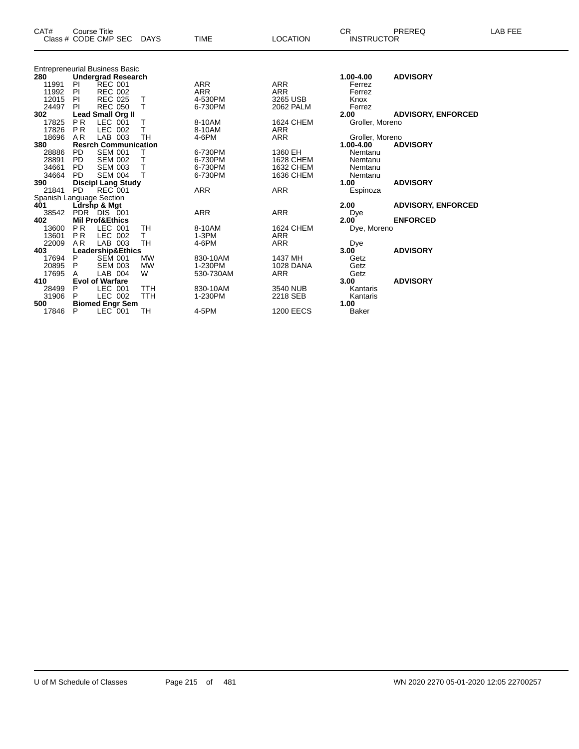| CAT#                     | <b>Course Title</b> |                                       |                 |             |                  | <b>CR</b>         | PREREQ                    | LAB FEE |
|--------------------------|---------------------|---------------------------------------|-----------------|-------------|------------------|-------------------|---------------------------|---------|
|                          |                     | Class # CODE CMP SEC DAYS             |                 | <b>TIME</b> | <b>LOCATION</b>  | <b>INSTRUCTOR</b> |                           |         |
|                          |                     |                                       |                 |             |                  |                   |                           |         |
|                          |                     | <b>Entrepreneurial Business Basic</b> |                 |             |                  |                   |                           |         |
| 280                      |                     | <b>Undergrad Research</b>             |                 |             |                  | 1.00-4.00         | <b>ADVISORY</b>           |         |
| 11991                    | PI                  | <b>REC 001</b>                        |                 | ARR         | <b>ARR</b>       | Ferrez            |                           |         |
| 11992                    | <b>PI</b>           | <b>REC 002</b>                        |                 | <b>ARR</b>  | <b>ARR</b>       | Ferrez            |                           |         |
| 12015                    | -PI                 | <b>REC 025</b>                        | $\top$          | 4-530PM     | 3265 USB         | Knox              |                           |         |
| 24497                    | PI                  | <b>REC 050</b>                        | T               | 6-730PM     | 2062 PALM        | Ferrez            |                           |         |
| 302                      |                     | <b>Lead Small Org II</b>              |                 |             |                  | 2.00              | <b>ADVISORY, ENFORCED</b> |         |
| 17825                    | <b>PR</b>           | LEC 001                               | Т               | 8-10AM      | <b>1624 CHEM</b> | Groller, Moreno   |                           |         |
| 17826                    | PR                  | LEC 002                               | т               | 8-10AM      | <b>ARR</b>       |                   |                           |         |
| 18696                    | A <sub>R</sub>      | LAB 003                               | TH              | 4-6PM       | <b>ARR</b>       | Groller, Moreno   |                           |         |
| 380                      |                     | <b>Resrch Communication</b>           |                 |             |                  | 1.00-4.00         | <b>ADVISORY</b>           |         |
| 28886                    | <b>PD</b>           | <b>SEM 001</b>                        |                 | 6-730PM     | 1360 EH          | Nemtanu           |                           |         |
| 28891                    | <b>PD</b>           | <b>SEM 002</b>                        | т               | 6-730PM     | <b>1628 CHEM</b> | Nemtanu           |                           |         |
| 34661                    | <b>PD</b>           | <b>SEM 003</b>                        | Τ               | 6-730PM     | <b>1632 CHEM</b> | Nemtanu           |                           |         |
| 34664                    | <b>PD</b>           | <b>SEM 004</b>                        | т               | 6-730PM     | 1636 CHEM        | Nemtanu           |                           |         |
| 390                      |                     | <b>Discipl Lang Study</b>             |                 |             |                  | 1.00              | <b>ADVISORY</b>           |         |
| 21841                    | <b>PD</b>           | REC 001                               |                 | <b>ARR</b>  | <b>ARR</b>       | Espinoza          |                           |         |
| Spanish Language Section |                     |                                       |                 |             |                  |                   |                           |         |
| 401                      |                     | Ldrshp & Mgt                          |                 |             |                  | 2.00              | <b>ADVISORY, ENFORCED</b> |         |
| 38542                    |                     | PDR DIS 001                           |                 | <b>ARR</b>  | <b>ARR</b>       | Dye               |                           |         |
| 402                      |                     | <b>Mil Prof&amp;Ethics</b>            |                 |             |                  | 2.00              | <b>ENFORCED</b>           |         |
| 13600                    | P <sub>R</sub>      | LEC 001                               | TH              | 8-10AM      | <b>1624 CHEM</b> | Dye, Moreno       |                           |         |
| 13601                    | <b>PR</b>           | LEC 002                               | T.<br><b>TH</b> | 1-3PM       | <b>ARR</b>       |                   |                           |         |
| 22009                    | AR                  | LAB 003                               |                 | 4-6PM       | <b>ARR</b>       | Dye               | <b>ADVISORY</b>           |         |
| 403                      | P                   | Leadership&Ethics<br><b>SEM 001</b>   | <b>MW</b>       | 830-10AM    | 1437 MH          | 3.00              |                           |         |
| 17694<br>20895           |                     | <b>SEM 003</b>                        |                 | 1-230PM     | 1028 DANA        | Getz              |                           |         |
| 17695                    | P                   | LAB 004                               | <b>MW</b><br>W  |             |                  | Getz              |                           |         |
|                          | Α                   | <b>Evol of Warfare</b>                |                 | 530-730AM   | <b>ARR</b>       | Getz<br>3.00      | <b>ADVISORY</b>           |         |
| 410<br>28499             | P                   | LEC 001                               | <b>TTH</b>      | 830-10AM    | 3540 NUB         | Kantaris          |                           |         |
| 31906                    | P                   | LEC 002                               | <b>TTH</b>      | 1-230PM     | 2218 SEB         |                   |                           |         |
| 500                      |                     |                                       |                 |             |                  | Kantaris<br>1.00  |                           |         |
| 17846                    | P                   | <b>Biomed Engr Sem</b><br>$LEC$ 001   | тн              | 4-5PM       | <b>1200 EECS</b> | <b>Baker</b>      |                           |         |
|                          |                     |                                       |                 |             |                  |                   |                           |         |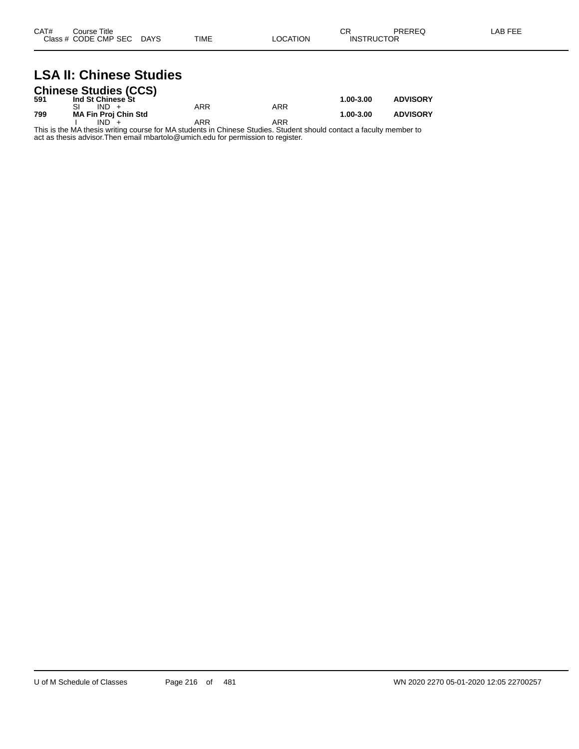## **LSA II: Chinese Studies**

|     | <b>Chinese Studies (CCS)</b> |     |     |               |                 |
|-----|------------------------------|-----|-----|---------------|-----------------|
| 591 | Ind St Chinese St            |     |     | $1.00 - 3.00$ | <b>ADVISORY</b> |
|     | $IND +$                      | ARR | ARR |               |                 |
| 799 | <b>MA Fin Proj Chin Std</b>  |     |     | 1.00-3.00     | <b>ADVISORY</b> |
|     | $IND +$                      | ARR | ARR |               |                 |

This is the MA thesis writing course for MA students in Chinese Studies. Student should contact a faculty member to act as thesis advisor.Then email mbartolo@umich.edu for permission to register.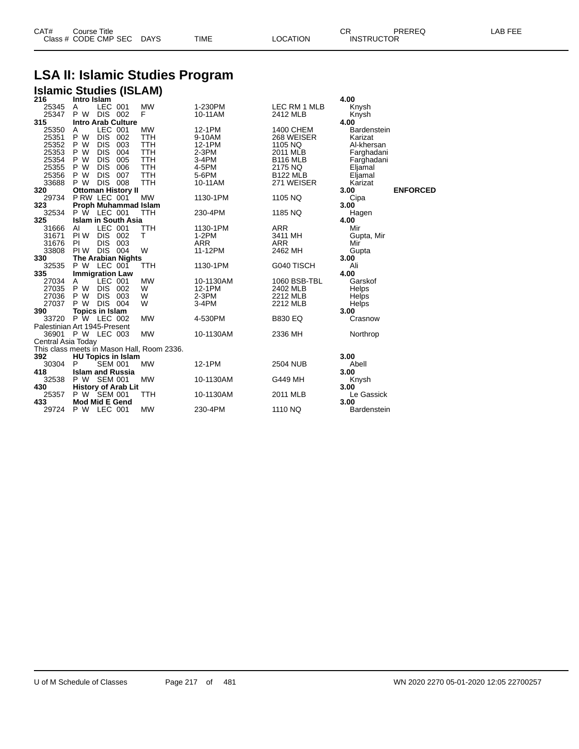| CAT# | Title<br>Course      |      |      |          | ⌒冖<br>- UN        | PREREQ | . EEF<br>A <sub>R</sub> |
|------|----------------------|------|------|----------|-------------------|--------|-------------------------|
|      | Class # CODE CMP SEC | DAYS | TIME | LOCATION | <b>INSTRUCTOR</b> |        |                         |

## **LSA II: Islamic Studies Program**

| <b>Islamic Studies (ISLAM)</b> |                               |                |                            |                                            |            |                  |                    |                 |
|--------------------------------|-------------------------------|----------------|----------------------------|--------------------------------------------|------------|------------------|--------------------|-----------------|
| 216                            | Intro Islam                   |                |                            |                                            |            |                  | 4.00               |                 |
| 25345                          | A                             | LEC 001        |                            | <b>MW</b>                                  | 1-230PM    | LEC RM 1 MLB     | Knysh              |                 |
| 25347                          | P W                           | DIS 002        |                            | F                                          | 10-11AM    | 2412 MLB         | Knysh              |                 |
| 315                            |                               |                | <b>Intro Arab Culture</b>  |                                            |            |                  | 4.00               |                 |
| 25350                          | Α                             | LEC 001        |                            | <b>MW</b>                                  | 12-1PM     | <b>1400 CHEM</b> | <b>Bardenstein</b> |                 |
| 25351                          | P W                           | <b>DIS</b>     | 002                        | <b>TTH</b>                                 | 9-10AM     | 268 WEISER       | Karizat            |                 |
| 25352                          | P W                           | <b>DIS</b>     | 003                        | <b>TTH</b>                                 | 12-1PM     | 1105 NQ          | Al-khersan         |                 |
| 25353                          | P W                           | <b>DIS</b>     | 004                        | <b>TTH</b>                                 | 2-3PM      | 2011 MLB         | Farghadani         |                 |
| 25354                          | P W                           | <b>DIS</b>     | 005                        | <b>TTH</b>                                 | 3-4PM      | <b>B116 MLB</b>  | Farghadani         |                 |
| 25355                          | P W                           | <b>DIS</b>     | 006                        | <b>TTH</b>                                 | 4-5PM      | 2175 NQ          | Eljamal            |                 |
| 25356                          | P W                           | <b>DIS</b>     | 007                        | <b>TTH</b>                                 | 5-6PM      | <b>B122 MLB</b>  | Eljamal            |                 |
| 33688                          | P W                           | DIS 008        |                            | <b>TTH</b>                                 | 10-11AM    | 271 WEISER       | Karizat            |                 |
| 320                            |                               |                | <b>Ottoman History II</b>  |                                            |            |                  | 3.00               | <b>ENFORCED</b> |
| 29734                          | PRW LEC 001                   |                |                            | <b>MW</b>                                  | 1130-1PM   | 1105 NQ          | Cipa               |                 |
| 323                            |                               |                | Proph Muhammad Islam       |                                            |            |                  | 3.00               |                 |
| 32534                          | P W LEC 001                   |                |                            | <b>TTH</b>                                 | 230-4PM    | 1185 NQ          | Hagen              |                 |
| 325                            |                               |                | <b>Islam in South Asia</b> |                                            |            |                  | 4.00               |                 |
| 31666                          | Al                            | LEC 001        |                            | <b>TTH</b>                                 | 1130-1PM   | ARR              | Mir                |                 |
| 31671                          | PI W                          | DIS 002        |                            | T                                          | $1-2PM$    | 3411 MH          | Gupta, Mir         |                 |
| 31676                          | <b>PI</b>                     | DIS.           | 003                        |                                            | <b>ARR</b> | <b>ARR</b>       | Mir                |                 |
| 33808                          | PI W                          | <b>DIS 004</b> |                            | W                                          | 11-12PM    | 2462 MH          | Gupta              |                 |
| 330                            |                               |                | <b>The Arabian Nights</b>  |                                            |            |                  | 3.00               |                 |
| 32535                          | P W LEC 001                   |                |                            | TTH                                        | 1130-1PM   | G040 TISCH       | Ali                |                 |
| 335                            | <b>Immigration Law</b>        |                |                            |                                            |            |                  | 4.00               |                 |
| 27034                          | A                             | LEC 001        |                            | <b>MW</b>                                  | 10-1130AM  | 1060 BSB-TBL     | Garskof            |                 |
| 27035 P W                      |                               | DIS 002        |                            | W                                          | 12-1PM     | 2402 MLB         | Helps              |                 |
| 27036                          | P W                           | DIS 003        |                            | W                                          | $2-3PM$    | 2212 MLB         | <b>Helps</b>       |                 |
| 27037                          | P W                           | DIS 004        |                            | W                                          | 3-4PM      | 2212 MLB         | <b>Helps</b>       |                 |
| 390                            | Topics in Islam               |                |                            |                                            |            |                  | 3.00               |                 |
| 33720 P W LEC 002              |                               |                |                            | <b>MW</b>                                  | 4-530PM    | <b>B830 EQ</b>   | Crasnow            |                 |
| Palestinian Art 1945-Present   |                               |                |                            |                                            |            |                  |                    |                 |
| 36901 P W LEC 003              |                               |                |                            | <b>MW</b>                                  | 10-1130AM  | 2336 MH          | Northrop           |                 |
| Central Asia Today             |                               |                |                            |                                            |            |                  |                    |                 |
|                                |                               |                |                            | This class meets in Mason Hall, Room 2336. |            |                  |                    |                 |
| 392                            |                               |                | <b>HU Topics in Islam</b>  |                                            |            |                  | 3.00               |                 |
| 30304                          | P                             | <b>SEM 001</b> |                            | <b>MW</b>                                  | 12-1PM     | <b>2504 NUB</b>  | Abell              |                 |
| 418                            | <b>Islam and Russia</b>       |                |                            |                                            |            |                  | 3.00               |                 |
| 32538                          | P W SEM 001                   |                |                            | <b>MW</b>                                  | 10-1130AM  | G449 MH          | Knysh              |                 |
| 430                            | P W SEM 001                   |                | <b>History of Arab Lit</b> |                                            |            |                  | 3.00               |                 |
| 25357<br>433                   |                               |                |                            | TTH                                        | 10-1130AM  | 2011 MLB         | Le Gassick<br>3.00 |                 |
| 29724                          | Mod Mid E Gend<br>P W LEC 001 |                |                            | <b>MW</b>                                  | 230-4PM    | 1110 NQ          |                    |                 |
|                                |                               |                |                            |                                            |            |                  | <b>Bardenstein</b> |                 |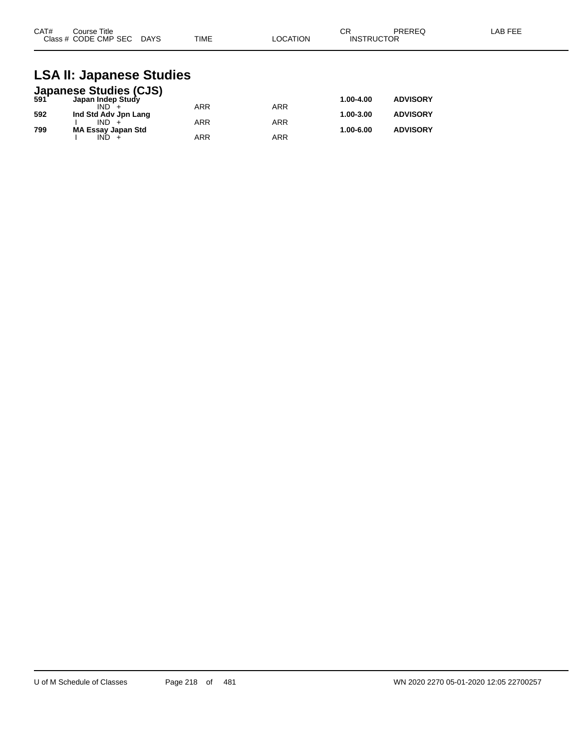| CAT#<br>Course Title |             |             |          | ⌒冖<br>◡ | PREREQ            | LAB FEE |
|----------------------|-------------|-------------|----------|---------|-------------------|---------|
| Class # CODE CMP SEC | <b>DAYS</b> | <b>TIME</b> | LOCATION |         | <b>INSTRUCTOR</b> |         |

## **LSA II: Japanese Studies**

|     | <b>Japanese Studies (CJS)</b> |            |            |               |                 |
|-----|-------------------------------|------------|------------|---------------|-----------------|
| 591 | Japan Indep Study             |            |            | 1.00-4.00     | <b>ADVISORY</b> |
|     |                               | ARR        | ARR        |               |                 |
| 592 | Ind Std Adv Jpn Lang          |            |            | 1.00-3.00     | <b>ADVISORY</b> |
|     | $IND +$                       | <b>ARR</b> | ARR        |               |                 |
| 799 | MA Essay Japan Std            |            |            | $1.00 - 6.00$ | <b>ADVISORY</b> |
|     | $IND +$                       | ARR        | <b>ARR</b> |               |                 |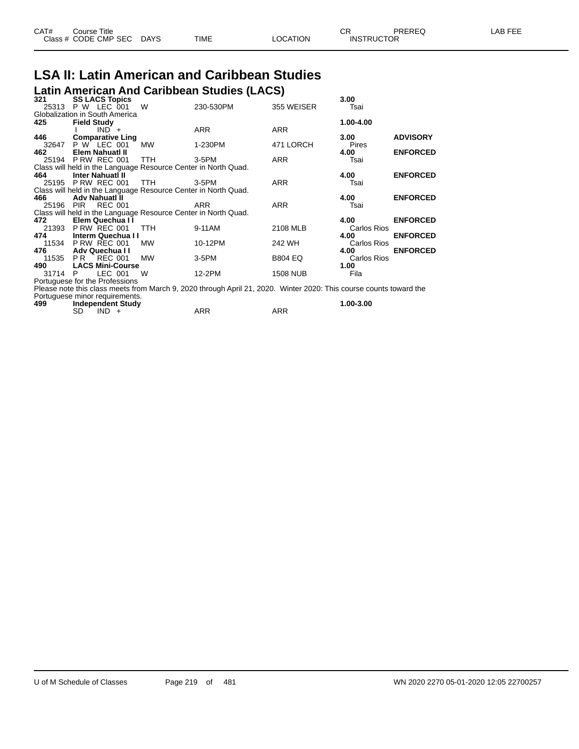| CAT# | ourse Titleٽ         |             |      |          | n.<br>◡⊓          | PREREQ | _AB FEE |
|------|----------------------|-------------|------|----------|-------------------|--------|---------|
|      | Class # CODE CMP SEC | <b>DAYS</b> | TIME | LOCATION | <b>INSTRUCTOR</b> |        |         |

### **LSA II: Latin American and Caribbean Studies Latin American And Caribbean Studies (LACS)**

|           |               |          |                                                                                                                                                                                                                                                                                                                                                                                                        |                                                                                                                                                                                                       |                                                                                                                                                                                                                                                                                                    | 3.00                                                                                                           |                                                                                                                                                                                                                                                                    |
|-----------|---------------|----------|--------------------------------------------------------------------------------------------------------------------------------------------------------------------------------------------------------------------------------------------------------------------------------------------------------------------------------------------------------------------------------------------------------|-------------------------------------------------------------------------------------------------------------------------------------------------------------------------------------------------------|----------------------------------------------------------------------------------------------------------------------------------------------------------------------------------------------------------------------------------------------------------------------------------------------------|----------------------------------------------------------------------------------------------------------------|--------------------------------------------------------------------------------------------------------------------------------------------------------------------------------------------------------------------------------------------------------------------|
|           |               |          |                                                                                                                                                                                                                                                                                                                                                                                                        |                                                                                                                                                                                                       |                                                                                                                                                                                                                                                                                                    |                                                                                                                |                                                                                                                                                                                                                                                                    |
|           |               |          |                                                                                                                                                                                                                                                                                                                                                                                                        |                                                                                                                                                                                                       |                                                                                                                                                                                                                                                                                                    |                                                                                                                |                                                                                                                                                                                                                                                                    |
|           |               |          |                                                                                                                                                                                                                                                                                                                                                                                                        |                                                                                                                                                                                                       |                                                                                                                                                                                                                                                                                                    |                                                                                                                |                                                                                                                                                                                                                                                                    |
|           |               |          |                                                                                                                                                                                                                                                                                                                                                                                                        |                                                                                                                                                                                                       |                                                                                                                                                                                                                                                                                                    |                                                                                                                |                                                                                                                                                                                                                                                                    |
|           |               |          |                                                                                                                                                                                                                                                                                                                                                                                                        |                                                                                                                                                                                                       |                                                                                                                                                                                                                                                                                                    |                                                                                                                | <b>ADVISORY</b>                                                                                                                                                                                                                                                    |
|           |               |          |                                                                                                                                                                                                                                                                                                                                                                                                        |                                                                                                                                                                                                       |                                                                                                                                                                                                                                                                                                    |                                                                                                                |                                                                                                                                                                                                                                                                    |
|           |               |          |                                                                                                                                                                                                                                                                                                                                                                                                        |                                                                                                                                                                                                       |                                                                                                                                                                                                                                                                                                    |                                                                                                                | <b>ENFORCED</b>                                                                                                                                                                                                                                                    |
|           |               |          | TTH.                                                                                                                                                                                                                                                                                                                                                                                                   |                                                                                                                                                                                                       | ARR                                                                                                                                                                                                                                                                                                | Tsai                                                                                                           |                                                                                                                                                                                                                                                                    |
|           |               |          |                                                                                                                                                                                                                                                                                                                                                                                                        |                                                                                                                                                                                                       |                                                                                                                                                                                                                                                                                                    |                                                                                                                |                                                                                                                                                                                                                                                                    |
|           |               |          |                                                                                                                                                                                                                                                                                                                                                                                                        |                                                                                                                                                                                                       |                                                                                                                                                                                                                                                                                                    | 4.00                                                                                                           | <b>ENFORCED</b>                                                                                                                                                                                                                                                    |
|           |               |          | TTH                                                                                                                                                                                                                                                                                                                                                                                                    |                                                                                                                                                                                                       | <b>ARR</b>                                                                                                                                                                                                                                                                                         | Tsai                                                                                                           |                                                                                                                                                                                                                                                                    |
|           |               |          |                                                                                                                                                                                                                                                                                                                                                                                                        |                                                                                                                                                                                                       |                                                                                                                                                                                                                                                                                                    |                                                                                                                |                                                                                                                                                                                                                                                                    |
|           |               |          |                                                                                                                                                                                                                                                                                                                                                                                                        |                                                                                                                                                                                                       |                                                                                                                                                                                                                                                                                                    | 4.00                                                                                                           | <b>ENFORCED</b>                                                                                                                                                                                                                                                    |
| 25196 PIR |               |          |                                                                                                                                                                                                                                                                                                                                                                                                        | ARR                                                                                                                                                                                                   |                                                                                                                                                                                                                                                                                                    | Tsai                                                                                                           |                                                                                                                                                                                                                                                                    |
|           |               |          |                                                                                                                                                                                                                                                                                                                                                                                                        |                                                                                                                                                                                                       |                                                                                                                                                                                                                                                                                                    |                                                                                                                |                                                                                                                                                                                                                                                                    |
|           |               |          |                                                                                                                                                                                                                                                                                                                                                                                                        |                                                                                                                                                                                                       |                                                                                                                                                                                                                                                                                                    |                                                                                                                | <b>ENFORCED</b>                                                                                                                                                                                                                                                    |
|           |               |          |                                                                                                                                                                                                                                                                                                                                                                                                        |                                                                                                                                                                                                       |                                                                                                                                                                                                                                                                                                    |                                                                                                                |                                                                                                                                                                                                                                                                    |
|           |               |          |                                                                                                                                                                                                                                                                                                                                                                                                        |                                                                                                                                                                                                       |                                                                                                                                                                                                                                                                                                    |                                                                                                                | <b>ENFORCED</b>                                                                                                                                                                                                                                                    |
|           |               |          |                                                                                                                                                                                                                                                                                                                                                                                                        |                                                                                                                                                                                                       |                                                                                                                                                                                                                                                                                                    |                                                                                                                |                                                                                                                                                                                                                                                                    |
|           |               |          |                                                                                                                                                                                                                                                                                                                                                                                                        |                                                                                                                                                                                                       |                                                                                                                                                                                                                                                                                                    |                                                                                                                | <b>ENFORCED</b>                                                                                                                                                                                                                                                    |
|           |               |          |                                                                                                                                                                                                                                                                                                                                                                                                        |                                                                                                                                                                                                       |                                                                                                                                                                                                                                                                                                    |                                                                                                                |                                                                                                                                                                                                                                                                    |
|           |               |          |                                                                                                                                                                                                                                                                                                                                                                                                        |                                                                                                                                                                                                       |                                                                                                                                                                                                                                                                                                    |                                                                                                                |                                                                                                                                                                                                                                                                    |
|           |               |          |                                                                                                                                                                                                                                                                                                                                                                                                        |                                                                                                                                                                                                       |                                                                                                                                                                                                                                                                                                    |                                                                                                                |                                                                                                                                                                                                                                                                    |
|           |               |          |                                                                                                                                                                                                                                                                                                                                                                                                        |                                                                                                                                                                                                       |                                                                                                                                                                                                                                                                                                    |                                                                                                                |                                                                                                                                                                                                                                                                    |
|           |               |          |                                                                                                                                                                                                                                                                                                                                                                                                        |                                                                                                                                                                                                       |                                                                                                                                                                                                                                                                                                    |                                                                                                                |                                                                                                                                                                                                                                                                    |
|           |               |          |                                                                                                                                                                                                                                                                                                                                                                                                        |                                                                                                                                                                                                       |                                                                                                                                                                                                                                                                                                    |                                                                                                                |                                                                                                                                                                                                                                                                    |
|           |               |          |                                                                                                                                                                                                                                                                                                                                                                                                        |                                                                                                                                                                                                       |                                                                                                                                                                                                                                                                                                    |                                                                                                                |                                                                                                                                                                                                                                                                    |
|           |               |          |                                                                                                                                                                                                                                                                                                                                                                                                        |                                                                                                                                                                                                       |                                                                                                                                                                                                                                                                                                    |                                                                                                                |                                                                                                                                                                                                                                                                    |
|           |               |          |                                                                                                                                                                                                                                                                                                                                                                                                        |                                                                                                                                                                                                       |                                                                                                                                                                                                                                                                                                    |                                                                                                                |                                                                                                                                                                                                                                                                    |
| 21393     | 31714 P<br>SD | 11535 PR | <b>SS LACS Topics</b><br>25313 P W LEC 001<br>Globalization in South America<br><b>Field Study</b><br>$IND +$<br><b>Comparative Ling</b><br>32647 P W LEC 001<br>Elem Nahuati II<br>25194 P RW REC 001<br><b>Inter Nahuati II</b><br>25195 P RW REC 001<br>Adv Nahuatl II<br><b>REC 001</b><br>Elem Quechua II<br>PRW REC 001<br>11534 P RW REC 001<br>Adv Quechua II<br>REC 001<br>LEC 001<br>$IND +$ | W<br><b>MW</b><br><b>TTH</b><br>Interm Quechua I I<br><b>MW</b><br>MW<br><b>LACS Mini-Course</b><br>W<br>Portuguese for the Professions<br>Portuguese minor requirements.<br><b>Independent Study</b> | 230-530PM<br>ARR<br>1-230PM<br>3-5PM<br>Class will held in the Language Resource Center in North Quad.<br>3-5PM<br>Class will held in the Language Resource Center in North Quad.<br>Class will held in the Language Resource Center in North Quad.<br>9-11AM<br>10-12PM<br>3-5PM<br>12-2PM<br>ARR | 355 WEISER<br>ARR<br>471 LORCH<br>ARR<br>2108 MLB<br>242 WH<br><b>B804 EQ</b><br><b>1508 NUB</b><br><b>ARR</b> | Tsai<br>1.00-4.00<br>3.00<br>Pires<br>4.00<br>4.00<br>Carlos Rios<br>4.00<br>Carlos Rios<br>4.00<br>Carlos Rios<br>1.00<br>Fila<br>Please note this class meets from March 9, 2020 through April 21, 2020. Winter 2020: This course counts toward the<br>1.00-3.00 |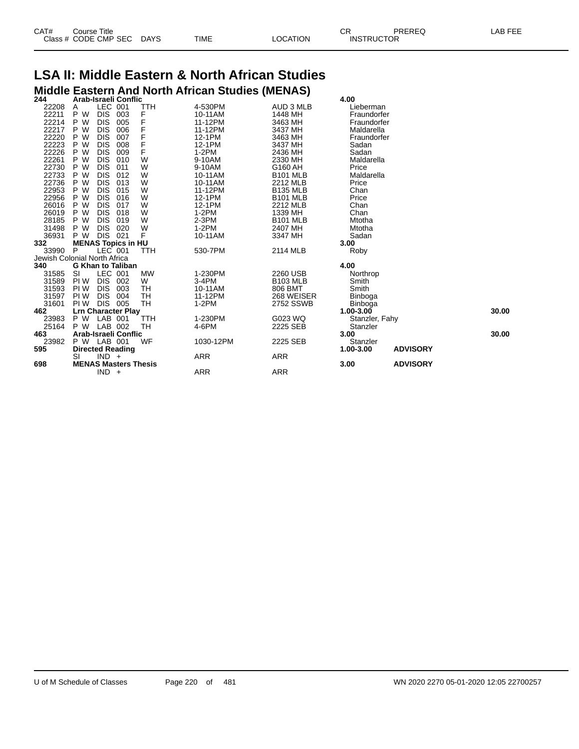| CAT# | Course Title         |             |      |          | Ωn<br>- UN        | PREREQ | _AB FEE |
|------|----------------------|-------------|------|----------|-------------------|--------|---------|
|      | Class # CODE CMP SEC | <b>DAYS</b> | TIME | LOCATION | <b>INSTRUCTOR</b> |        |         |

## **LSA II: Middle Eastern & North African Studies Middle Eastern And North African Studies (MENAS) 244 Arab-Israeli Conflic 4.00**

|      |            |            |                                                                                                                                                                                                      |                                                                                                                                            |                    | 4.vv                             |                                     |                |
|------|------------|------------|------------------------------------------------------------------------------------------------------------------------------------------------------------------------------------------------------|--------------------------------------------------------------------------------------------------------------------------------------------|--------------------|----------------------------------|-------------------------------------|----------------|
| A    |            |            | TTH                                                                                                                                                                                                  |                                                                                                                                            |                    | Lieberman                        |                                     |                |
| P W  | <b>DIS</b> | 003        | F                                                                                                                                                                                                    | 10-11AM                                                                                                                                    | 1448 MH            | Fraundorfer                      |                                     |                |
| P W  | <b>DIS</b> | 005        | F                                                                                                                                                                                                    | 11-12PM                                                                                                                                    | 3463 MH            | Fraundorfer                      |                                     |                |
| P W  | <b>DIS</b> | 006        | F                                                                                                                                                                                                    | 11-12PM                                                                                                                                    | 3437 MH            | Maldarella                       |                                     |                |
| P W  | <b>DIS</b> | 007        | F                                                                                                                                                                                                    | 12-1PM                                                                                                                                     | 3463 MH            | Fraundorfer                      |                                     |                |
| P W  | <b>DIS</b> | 008        | F                                                                                                                                                                                                    | 12-1PM                                                                                                                                     | 3437 MH            | Sadan                            |                                     |                |
| P W  | <b>DIS</b> | 009        | F                                                                                                                                                                                                    | $1-2PM$                                                                                                                                    | 2436 MH            | Sadan                            |                                     |                |
| P W  | <b>DIS</b> | 010        | W                                                                                                                                                                                                    | 9-10AM                                                                                                                                     | 2330 MH            | Maldarella                       |                                     |                |
| P W  | <b>DIS</b> | 011        | W                                                                                                                                                                                                    | 9-10AM                                                                                                                                     | G160 AH            | Price                            |                                     |                |
| P W  | <b>DIS</b> | 012        | W                                                                                                                                                                                                    | 10-11AM                                                                                                                                    | <b>B101 MLB</b>    | Maldarella                       |                                     |                |
|      | <b>DIS</b> | 013        | W                                                                                                                                                                                                    |                                                                                                                                            |                    | Price                            |                                     |                |
| P W  | <b>DIS</b> | 015        | W                                                                                                                                                                                                    | 11-12PM                                                                                                                                    | <b>B135 MLB</b>    | Chan                             |                                     |                |
| P W  | <b>DIS</b> | 016        | W                                                                                                                                                                                                    | 12-1PM                                                                                                                                     | <b>B101 MLB</b>    | Price                            |                                     |                |
| P W  | <b>DIS</b> | 017        | W                                                                                                                                                                                                    | 12-1PM                                                                                                                                     | 2212 MLB           |                                  |                                     |                |
| P W  | <b>DIS</b> | 018        | W                                                                                                                                                                                                    | $1-2PM$                                                                                                                                    | 1339 MH            | Chan                             |                                     |                |
| P W  | <b>DIS</b> | 019        | W                                                                                                                                                                                                    | 2-3PM                                                                                                                                      | <b>B101 MLB</b>    | Mtotha                           |                                     |                |
|      |            | 020        |                                                                                                                                                                                                      | $1-2PM$                                                                                                                                    |                    | Mtotha                           |                                     |                |
| P W  | <b>DIS</b> |            | F                                                                                                                                                                                                    | 10-11AM                                                                                                                                    | 3347 MH            | Sadan                            |                                     |                |
|      |            |            |                                                                                                                                                                                                      |                                                                                                                                            |                    | 3.00                             |                                     |                |
| P    |            |            | TTH                                                                                                                                                                                                  | 530-7PM                                                                                                                                    | 2114 MLB           |                                  |                                     |                |
|      |            |            |                                                                                                                                                                                                      |                                                                                                                                            |                    |                                  |                                     |                |
|      |            |            |                                                                                                                                                                                                      |                                                                                                                                            |                    | 4.00                             |                                     |                |
| SI   |            |            | <b>MW</b>                                                                                                                                                                                            | 1-230PM                                                                                                                                    | 2260 USB           |                                  |                                     |                |
| PI W | <b>DIS</b> |            | W                                                                                                                                                                                                    | 3-4PM                                                                                                                                      | <b>B103 MLB</b>    | Smith                            |                                     |                |
| PI W | <b>DIS</b> | 003        | TH                                                                                                                                                                                                   | 10-11AM                                                                                                                                    | 806 BMT            | Smith                            |                                     |                |
| PI W | <b>DIS</b> | 004        | TН                                                                                                                                                                                                   | 11-12PM                                                                                                                                    | 268 WEISER         |                                  |                                     |                |
| PI W | <b>DIS</b> |            | <b>TH</b>                                                                                                                                                                                            | $1-2PM$                                                                                                                                    | 2752 SSWB          | <b>Binboga</b>                   |                                     |                |
|      |            |            |                                                                                                                                                                                                      |                                                                                                                                            |                    | $1.00 - 3.00$                    |                                     | 30.00          |
| P W  |            |            | TTH                                                                                                                                                                                                  | 1-230PM                                                                                                                                    | G023 WQ            |                                  |                                     |                |
| P W  |            |            | TН                                                                                                                                                                                                   | 4-6PM                                                                                                                                      | 2225 SEB           | Stanzler                         |                                     |                |
|      |            |            |                                                                                                                                                                                                      |                                                                                                                                            |                    | 3.00                             |                                     | 30.00          |
|      |            |            | WF                                                                                                                                                                                                   | 1030-12PM                                                                                                                                  | 2225 SEB           | Stanzler                         |                                     |                |
|      |            |            |                                                                                                                                                                                                      |                                                                                                                                            |                    | 1.00-3.00                        | <b>ADVISORY</b>                     |                |
| SI   |            |            |                                                                                                                                                                                                      | <b>ARR</b>                                                                                                                                 | ARR                |                                  |                                     |                |
|      |            |            |                                                                                                                                                                                                      |                                                                                                                                            |                    | 3.00                             | <b>ADVISORY</b>                     |                |
|      |            |            |                                                                                                                                                                                                      | <b>ARR</b>                                                                                                                                 | ARR                |                                  |                                     |                |
|      | P W<br>P W | <b>DIS</b> | LEC 001<br>021<br>LEC 001<br>Jewish Colonial North Africa<br><b>G Khan to Taliban</b><br>LEC 001<br>002<br>005<br>LAB 001<br>LAB 002<br>P W LAB 001<br><b>Directed Reading</b><br>$IND +$<br>$IND +$ | ATAU-ISTACII UUITIIU<br>W<br><b>MENAS Topics in HU</b><br><b>Lrn Character Play</b><br>Arab-Israeli Conflic<br><b>MENAS Masters Thesis</b> | 4-530PM<br>10-11AM | AUD 3 MLB<br>2212 MLB<br>2407 MH | Chan<br>Roby<br>Northrop<br>Binboga | Stanzler, Fahy |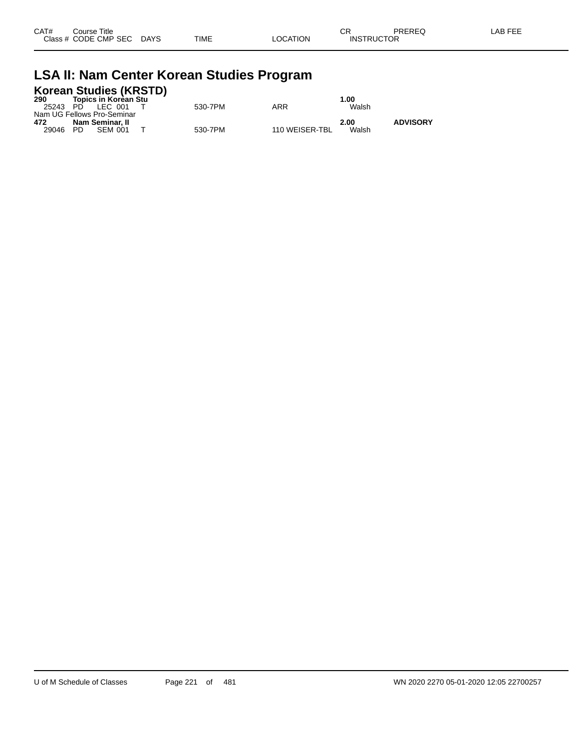| CAT# | ourse Titleٽ              |      |          | ∩⊓<br>◡ጙ          | PREREQ | LAB FEE |
|------|---------------------------|------|----------|-------------------|--------|---------|
|      | Class # CODE CMP SEC DAYS | TIME | LOCATION | <b>INSTRUCTOR</b> |        |         |

## **LSA II: Nam Center Korean Studies Program**

| 290   | Topics in Korèan Stu                          | <b>Korean Studies (KRSTD)</b> |         |                | 1.00  |                 |
|-------|-----------------------------------------------|-------------------------------|---------|----------------|-------|-----------------|
|       | 25243 PD LEC 001                              |                               | 530-7PM | ARR            | Walsh |                 |
| 472   | Nam UG Fellows Pro-Seminar<br>Nam Seminar. II |                               |         |                | 2.00  | <b>ADVISORY</b> |
| 29046 | PD.<br>SFM 001                                |                               | 530-7PM | 110 WEISER-TBL | Walsh |                 |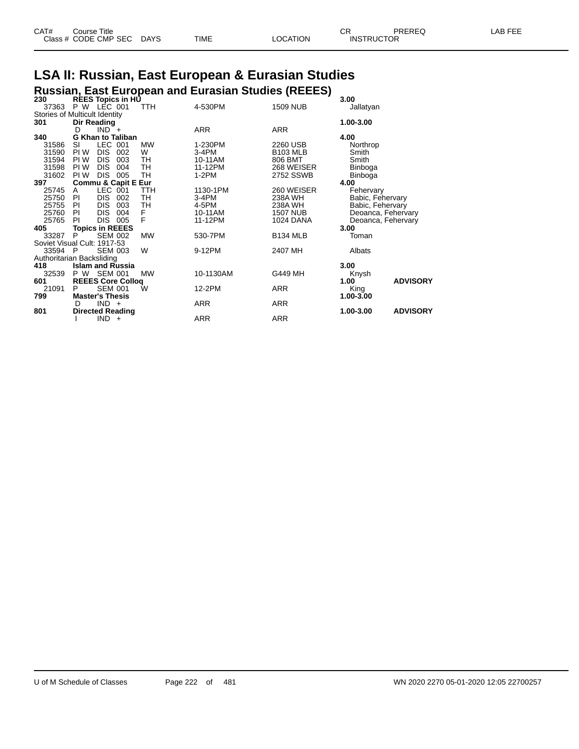| CAT# | Course Title         |             |      |          | ∩⊓<br>◡           | PREREQ | LAB FEE |
|------|----------------------|-------------|------|----------|-------------------|--------|---------|
|      | Class # CODE CMP SEC | <b>DAYS</b> | TIME | ∟OCATION | <b>INSTRUCTOR</b> |        |         |
|      |                      |             |      |          |                   |        |         |

## **LSA II: Russian, East European & Eurasian Studies**

|                               | <b>Russian, East European and Eurasian Studies (REEES)</b> |                                            |            |            |                 |                    |                 |  |  |  |
|-------------------------------|------------------------------------------------------------|--------------------------------------------|------------|------------|-----------------|--------------------|-----------------|--|--|--|
| 230                           |                                                            | <b>REES Topics in HU</b>                   |            |            |                 | 3.00               |                 |  |  |  |
| 37363                         |                                                            | P W LEC 001                                | TTH        | 4-530PM    | <b>1509 NUB</b> | Jallatyan          |                 |  |  |  |
| Stories of Multicult Identity |                                                            |                                            |            |            |                 |                    |                 |  |  |  |
| 301                           |                                                            | Dir Reading                                |            |            |                 | 1.00-3.00          |                 |  |  |  |
|                               | D                                                          | $IND^-$ +                                  |            | <b>ARR</b> | ARR             |                    |                 |  |  |  |
| 340                           |                                                            | <b>G Khan to Taliban</b>                   |            |            |                 | 4.00               |                 |  |  |  |
| 31586                         | SI                                                         | LEC 001                                    | <b>MW</b>  | 1-230PM    | 2260 USB        | Northrop           |                 |  |  |  |
| 31590                         | PI W                                                       | <b>DIS</b><br>002                          | W          | $3-4PM$    | <b>B103 MLB</b> | Smith              |                 |  |  |  |
| 31594                         | PI W                                                       | <b>DIS</b><br>003                          | TH         | 10-11AM    | 806 BMT         | Smith              |                 |  |  |  |
| 31598                         | PI W                                                       | <b>DIS</b><br>004                          | TH         | 11-12PM    | 268 WEISER      | Binboga            |                 |  |  |  |
| 31602                         | PI W                                                       | <b>DIS</b><br>005                          | TH         | $1-2PM$    | 2752 SSWB       | Binboga            |                 |  |  |  |
| 397                           |                                                            | <b>Commu &amp; Capit E Eur</b>             |            |            |                 | 4.00               |                 |  |  |  |
| 25745                         | A                                                          | LEC 001                                    | <b>TTH</b> | 1130-1PM   | 260 WEISER      | Fehervary          |                 |  |  |  |
| 25750                         | PI                                                         | <b>DIS</b><br>002                          | TH         | $3-4PM$    | 238A WH         | Babic, Fehervary   |                 |  |  |  |
| 25755                         | PI                                                         | <b>DIS</b><br>003                          | TH         | 4-5PM      | 238A WH         | Babic, Fehervary   |                 |  |  |  |
| 25760                         | PI                                                         | <b>DIS</b><br>004                          | F          | 10-11AM    | <b>1507 NUB</b> | Deoanca, Fehervary |                 |  |  |  |
| 25765                         | PI                                                         | DIS.<br>005                                | F          | 11-12PM    | 1024 DANA       | Deoanca, Fehervary |                 |  |  |  |
| 405                           |                                                            | <b>Topics in REEES</b>                     |            |            |                 | 3.00               |                 |  |  |  |
| 33287                         | P                                                          | <b>SEM 002</b>                             | <b>MW</b>  | 530-7PM    | <b>B134 MLB</b> | Toman              |                 |  |  |  |
| Soviet Visual Cult: 1917-53   |                                                            |                                            |            |            |                 |                    |                 |  |  |  |
| 33594                         | $\mathsf{P}$                                               | <b>SEM 003</b>                             | W          | 9-12PM     | 2407 MH         | Albats             |                 |  |  |  |
| Authoritarian Backsliding     |                                                            |                                            |            |            |                 |                    |                 |  |  |  |
| 418                           |                                                            | <b>Islam and Russia</b>                    |            |            |                 | 3.00               |                 |  |  |  |
| 32539                         | P W                                                        | <b>SEM 001</b>                             | <b>MW</b>  | 10-1130AM  | G449 MH         |                    |                 |  |  |  |
|                               |                                                            |                                            |            |            |                 | Knysh              | <b>ADVISORY</b> |  |  |  |
| 601<br>21091                  | P                                                          | <b>REEES Core Collog</b><br><b>SEM 001</b> | Ŵ          | 12-2PM     | <b>ARR</b>      | 1.00               |                 |  |  |  |
|                               |                                                            |                                            |            |            |                 | King               |                 |  |  |  |
| 799                           |                                                            | <b>Master's Thesis</b>                     |            |            |                 | 1.00-3.00          |                 |  |  |  |
|                               | D                                                          | $IND +$                                    |            | <b>ARR</b> | ARR             |                    |                 |  |  |  |
| 801                           |                                                            | <b>Directed Reading</b>                    |            |            |                 | 1.00-3.00          | <b>ADVISORY</b> |  |  |  |
|                               |                                                            | IND.<br>$+$                                |            | ARR        | <b>ARR</b>      |                    |                 |  |  |  |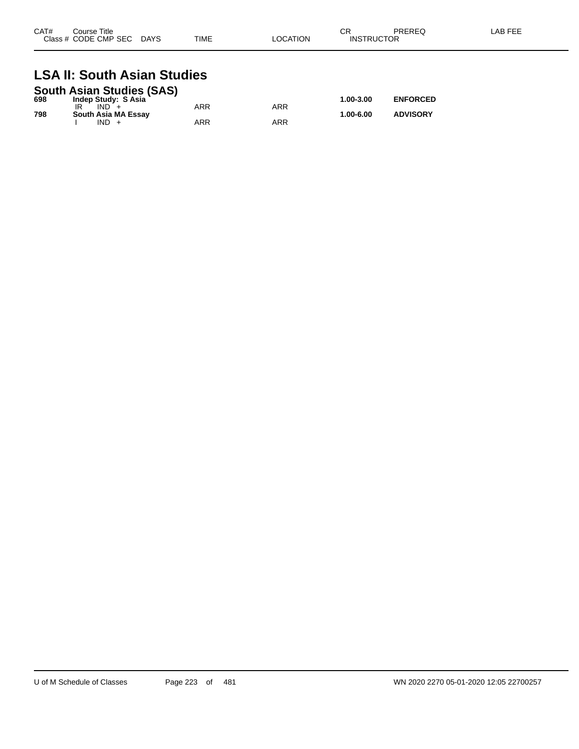| CAT# | Course Title<br>Class # CODE CMP SEC | <b>DAYS</b> | <b>TIME</b> | LOCATION | СF<br><b>INSTRUCTOR</b> | PREREQ | LAB FEE |
|------|--------------------------------------|-------------|-------------|----------|-------------------------|--------|---------|
|      |                                      |             |             |          |                         |        |         |

#### **LSA II: South Asian Studies South Asian Studies (SAS)**

|     | South Asian Studies (SAS) |     |     |           |                 |
|-----|---------------------------|-----|-----|-----------|-----------------|
| 698 | Indep Study: S Asia       |     |     | 1.00-3.00 | <b>ENFORCED</b> |
|     | $IND +$                   | ARR | ARR |           |                 |
| 798 | South Asia MA Essay       |     |     | 1.00-6.00 | <b>ADVISORY</b> |
|     | IND.                      | ARR | ARR |           |                 |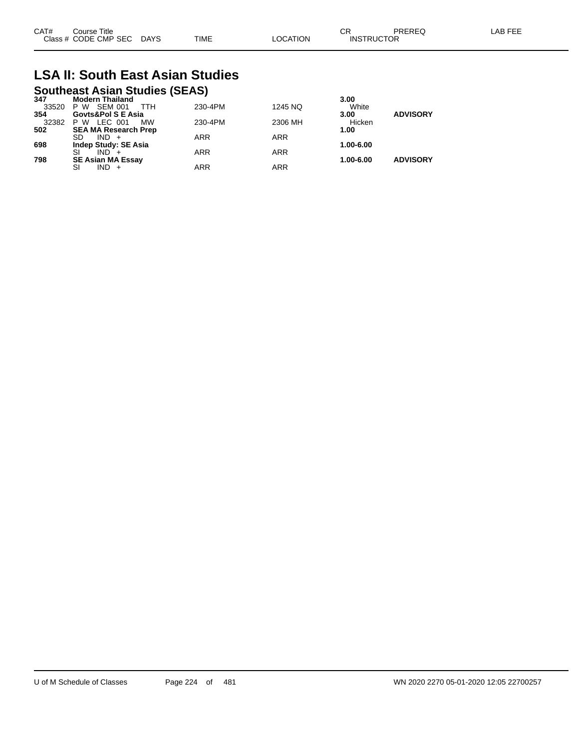| CAT# | Title<br>Course      |             |             |                | ~~                | PREREQ | AB FFF |
|------|----------------------|-------------|-------------|----------------|-------------------|--------|--------|
|      | Class # CODE CMP SEC | <b>DAYS</b> | <b>TIME</b> | <b>OCATION</b> | <b>INSTRUCTOR</b> |        |        |

## **LSA II: South East Asian Studies**

## **Southeast Asian Studies (SEAS) 347 Modern Thailand 3.00**

| -347  | MUUUTII HII MII AMU         |            |            | ง.บบ      |                 |
|-------|-----------------------------|------------|------------|-----------|-----------------|
| 33520 | SEM 001<br>P W<br>TTH       | 230-4PM    | 1245 NQ    | White     |                 |
| 354   | Govts&Pol S E Asia          |            |            | 3.00      | <b>ADVISORY</b> |
| 32382 | P W LEC 001<br>МW           | 230-4PM    | 2306 MH    | Hicken    |                 |
| 502   | <b>SEA MA Research Prep</b> |            |            | 1.00      |                 |
|       | SD.<br>$IND +$              | <b>ARR</b> | <b>ARR</b> |           |                 |
| 698   | <b>Indep Study: SE Asia</b> |            |            | 1.00-6.00 |                 |
|       | $IND +$                     | <b>ARR</b> | <b>ARR</b> |           |                 |
| 798   | <b>SE Asian MA Essay</b>    |            |            | 1.00-6.00 | <b>ADVISORY</b> |
|       | $IND +$<br>SI               | ARR        | <b>ARR</b> |           |                 |
|       |                             |            |            |           |                 |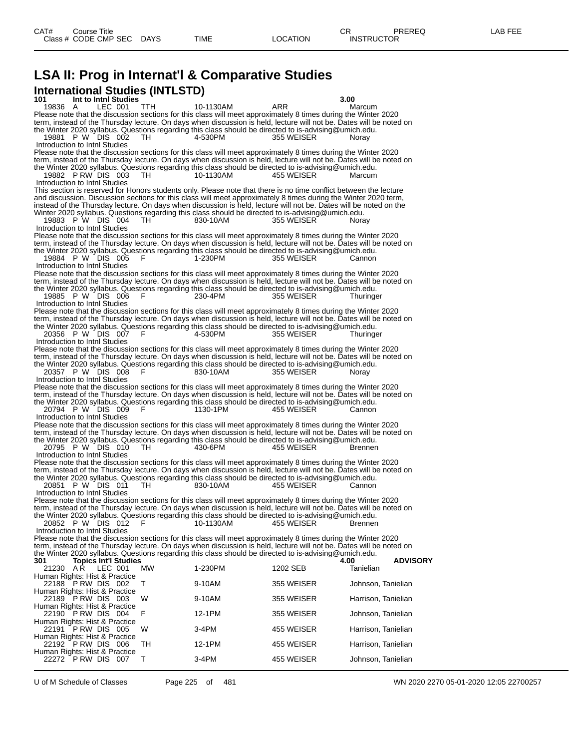## **LSA II: Prog in Internat'l & Comparative Studies International Studies (INTLSTD)**

**101 Int to Intnl Studies 3.00** 19836 A LEC 001 TTH 10-1130AM ARR Marcum Please note that the discussion sections for this class will meet approximately 8 times during the Winter 2020 term, instead of the Thursday lecture. On days when discussion is held, lecture will not be. Dates will be noted on the Winter 2020 syllabus. Questions regarding this class should be directed to is-advising@umich.edu. 19881 P W DIS 002 TH 4-530PM 355 WEISER Noray Introduction to Intnl Studies Please note that the discussion sections for this class will meet approximately 8 times during the Winter 2020 term, instead of the Thursday lecture. On days when discussion is held, lecture will not be. Dates will be noted on the Winter 2020 syllabus. Questions regarding this class should be directed to is-advising@umich.edu.<br>19882 P RW DIS 003 TH 10-1130AM 455 WEISER Marcum 19882 P RW DIS 003 Introduction to Intnl Studies This section is reserved for Honors students only. Please note that there is no time conflict between the lecture and discussion. Discussion sections for this class will meet approximately 8 times during the Winter 2020 term, instead of the Thursday lecture. On days when discussion is held, lecture will not be. Dates will be noted on the Winter 2020 syllabus. Questions regarding this class should be directed to is-advising@umich.edu. 19883 P W DIS 004 TH 830-10AM 355 WEISER Noray Introduction to Intnl Studies Please note that the discussion sections for this class will meet approximately 8 times during the Winter 2020 term, instead of the Thursday lecture. On days when discussion is held, lecture will not be. Dates will be noted on the Winter 2020 syllabus. Questions regarding this class should be directed to is-advising@umich.edu. 19884 P W DIS 005 F 1-230PM 355 WEISER Cannon Introduction to Intnl Studies Please note that the discussion sections for this class will meet approximately 8 times during the Winter 2020 term, instead of the Thursday lecture. On days when discussion is held, lecture will not be. Dates will be noted on the Winter 2020 syllabus. Questions regarding this class should be directed to is-advising@umich.edu. 19885 P W DIS 006 F 230-4PM 355 WEISER Thuringer Introduction to Intnl Studies Please note that the discussion sections for this class will meet approximately 8 times during the Winter 2020 term, instead of the Thursday lecture. On days when discussion is held, lecture will not be. Dates will be noted on the Winter 2020 syllabus. Questions regarding this class should be directed to is-advising@umich.edu. 20356 P W DIS 007 F 4-530PM 355 WEISER Thuringer Introduction to Intnl Studies Please note that the discussion sections for this class will meet approximately 8 times during the Winter 2020 term, instead of the Thursday lecture. On days when discussion is held, lecture will not be. Dates will be noted on the Winter 2020 syllabus. Questions regarding this class should be directed to is-advising@umich.edu. 20357 P W DIS 008 F 830-10AM 355 WEISER Noray Introduction to Intnl Studies Please note that the discussion sections for this class will meet approximately 8 times during the Winter 2020 term, instead of the Thursday lecture. On days when discussion is held, lecture will not be. Dates will be noted on the Winter 2020 syllabus. Questions regarding this class should be directed to is-advising@umich.edu. 20794 P W DIS 009 F 1130-1PM 455 WEISER Cannon Introduction to Intnl Studies Please note that the discussion sections for this class will meet approximately 8 times during the Winter 2020 term, instead of the Thursday lecture. On days when discussion is held, lecture will not be. Dates will be noted on the Winter 2020 syllabus. Questions regarding this class should be directed to is-advising@umich.edu. 20795 P W DIS 010 TH 430-6PM 455 WEISER Brennen Introduction to Intnl Studies Please note that the discussion sections for this class will meet approximately 8 times during the Winter 2020 term, instead of the Thursday lecture. On days when discussion is held, lecture will not be. Dates will be noted on the Winter 2020 syllabus. Questions regarding this class should be directed to is-advising@umich.edu. 20851 P W DIS 011 TH 830-10AM 455 WEISER Cannon Introduction to Intnl Studies Please note that the discussion sections for this class will meet approximately 8 times during the Winter 2020 term, instead of the Thursday lecture. On days when discussion is held, lecture will not be. Dates will be noted on the Winter 2020 syllabus. Questions regarding this class should be directed to is-advising@umich.edu. 20852 P W DIS 012 F 10-1130AM 455 WEISER Brennen Introduction to Intnl Studies Please note that the discussion sections for this class will meet approximately 8 times during the Winter 2020 term, instead of the Thursday lecture. On days when discussion is held, lecture will not be. Dates will be noted on the Winter 2020 syllabus. Questions regarding this class should be directed to is-advising@umich.edu.<br>301 Topics Int'l Studies **301 Topics Int'l Studies 4.00 ADVISORY** 21230 A R LEC 001 MW 1-230PM 1202 SEB Tanielian Human Rights: Hist & Practice 22188 P RW DIS 002 T 9-10AM 355 WEISER Johnson, Tanielian Human Rights: Hist & Practice 22189 P RW DIS 003 W 9-10AM 355 WEISER Harrison, Tanielian Human Rights: Hist & Practice 22190 P RW DIS 004 F 12-1PM 355 WEISER Johnson, Tanielian Human Rights: Hist & Practice 22191 P RW DIS 005 W 3-4PM 455 WEISER Harrison, Tanielian Human Rights: Hist & Practice 22192 P RW DIS 006 TH 12-1PM 455 WEISER Harrison, Tanielian Human Rights: Hist & Practice 22272 P RW DIS 007 T 3-4PM 455 WEISER Johnson, Tanielian

U of M Schedule of Classes Page 225 of 481 WN 2020 2270 05-01-2020 12:05 22700257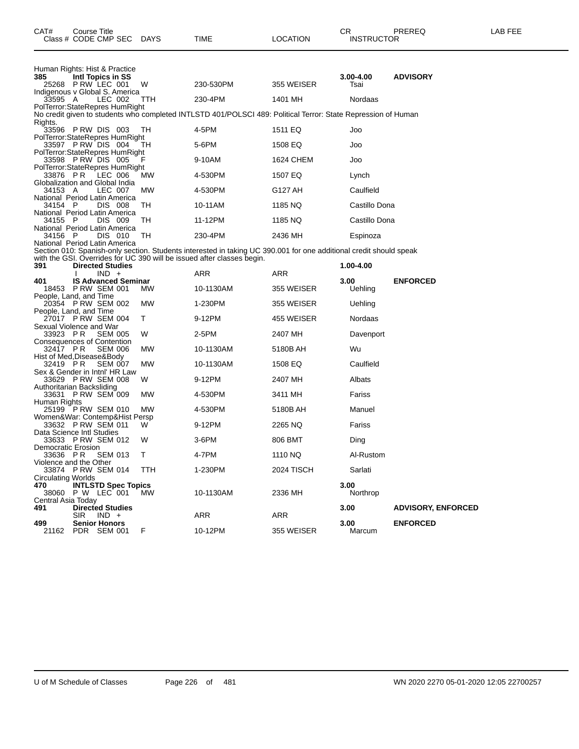| Human Rights: Hist & Practice<br>385<br>Intl Topics in SS<br>3.00-4.00<br><b>ADVISORY</b><br>25268 PRW LEC 001<br>230-530PM<br>W<br>355 WEISER<br>Tsai<br>Indigenous v Global S. America<br>33595 A<br>LEC 002<br>230-4PM<br>1401 MH<br>Nordaas<br>TTH<br>PolTerror: StateRepres HumRight |                           |
|-------------------------------------------------------------------------------------------------------------------------------------------------------------------------------------------------------------------------------------------------------------------------------------------|---------------------------|
|                                                                                                                                                                                                                                                                                           |                           |
|                                                                                                                                                                                                                                                                                           |                           |
|                                                                                                                                                                                                                                                                                           |                           |
| No credit given to students who completed INTLSTD 401/POLSCI 489: Political Terror: State Repression of Human                                                                                                                                                                             |                           |
| Rights.<br>4-5PM<br>33596 PRW DIS 003<br>TH.<br>1511 EQ<br>Joo                                                                                                                                                                                                                            |                           |
| PolTerror:StateRepres HumRight<br>33597 P RW DIS 004<br>5-6PM<br>1508 EQ<br>TH.<br>Joo                                                                                                                                                                                                    |                           |
| PolTerror: StateRepres HumRight<br>33598 P RW DIS 005<br>9-10AM<br>1624 CHEM<br>Joo                                                                                                                                                                                                       |                           |
| PolTerror:StateRepres HumRight<br>33876 PR<br>LEC 006<br>4-530PM<br>1507 EQ<br><b>MW</b><br>Lynch                                                                                                                                                                                         |                           |
| Globalization and Global India<br>34153 A<br>LEC 007<br>4-530PM<br>G127 AH<br>Caulfield<br><b>MW</b>                                                                                                                                                                                      |                           |
| National Period Latin America<br>34154 P<br>DIS 008<br>TH<br>1185 NQ<br>Castillo Dona<br>10-11AM                                                                                                                                                                                          |                           |
| National Period Latin America<br>34155 P<br><b>DIS 009</b><br>TH<br>11-12PM<br>1185 NQ<br>Castillo Dona                                                                                                                                                                                   |                           |
| National Period Latin America<br>34156 P<br>DIS 010<br>TH<br>230-4PM<br>2436 MH<br>Espinoza                                                                                                                                                                                               |                           |
| National Period Latin America<br>Section 010: Spanish-only section. Students interested in taking UC 390.001 for one additional credit should speak                                                                                                                                       |                           |
| with the GSI. Overrides for UC 390 will be issued after classes begin.<br><b>Directed Studies</b><br>391<br>1.00-4.00                                                                                                                                                                     |                           |
| $IND +$<br>ARR<br>ARR                                                                                                                                                                                                                                                                     |                           |
| <b>IS Advanced Seminar</b><br>3.00<br><b>ENFORCED</b><br>401<br>18453 P RW SEM 001<br>MW<br>10-1130AM<br>355 WEISER<br>Uehling                                                                                                                                                            |                           |
| People, Land, and Time<br>20354 P RW SEM 002<br>1-230PM<br>355 WEISER<br>MW<br>Uehling                                                                                                                                                                                                    |                           |
| People, Land, and Time<br>27017 PRW SEM 004<br>9-12PM<br>455 WEISER<br>Nordaas<br>T.                                                                                                                                                                                                      |                           |
| Sexual Violence and War<br>33923 PR<br>SEM 005<br>W<br>2-5PM<br>2407 MH<br>Davenport                                                                                                                                                                                                      |                           |
| <b>Consequences of Contention</b><br>32417 PR<br><b>SEM 006</b><br>МW<br>10-1130AM<br>5180B AH<br>Wu                                                                                                                                                                                      |                           |
| Hist of Med, Disease& Body<br>32419 PR<br><b>SEM 007</b><br>MW<br>10-1130AM<br>1508 EQ<br>Caulfield                                                                                                                                                                                       |                           |
| Sex & Gender in Intnl' HR Law<br>33629 P RW SEM 008<br>9-12PM<br>2407 MH<br>Albats<br>W.                                                                                                                                                                                                  |                           |
| Authoritarian Backsliding<br>33631 P RW SEM 009<br>4-530PM<br>3411 MH<br>Fariss<br>MW                                                                                                                                                                                                     |                           |
| Human Rights<br>25199 PRW SEM 010<br>MW<br>4-530PM<br>5180B AH<br>Manuel                                                                                                                                                                                                                  |                           |
| Women&War: Contemp&Hist Persp<br>33632 PRW SEM 011<br>W<br>9-12PM<br>Fariss<br>2265 NQ                                                                                                                                                                                                    |                           |
| Data Science Intl Studies<br>33633 P RW SEM 012<br>$3-6$ PM<br>806 BMT<br>W                                                                                                                                                                                                               |                           |
| Ding<br>Democratic Erosion                                                                                                                                                                                                                                                                |                           |
| Т<br>4-7PM<br>1110 NQ<br>Al-Rustom<br>33636 PR SEM 013<br>Violence and the Other                                                                                                                                                                                                          |                           |
| 33874 P RW SEM 014<br>1-230PM<br><b>2024 TISCH</b><br>Sarlati<br><b>TTH</b><br><b>Circulating Worlds</b>                                                                                                                                                                                  |                           |
| <b>INTLSTD Spec Topics</b><br>3.00<br>470<br>10-1130AM<br>2336 MH<br>Northrop<br>38060 P W LEC 001<br>MW.                                                                                                                                                                                 |                           |
| Central Asia Today<br><b>Directed Studies</b><br>3.00<br>491<br>ARR<br>ARR<br><b>SIR</b><br>$IND +$                                                                                                                                                                                       | <b>ADVISORY, ENFORCED</b> |
| 499<br><b>Senior Honors</b><br>3.00<br><b>ENFORCED</b><br>PDR SEM 001<br>F<br>10-12PM<br>355 WEISER<br>Marcum<br>21162                                                                                                                                                                    |                           |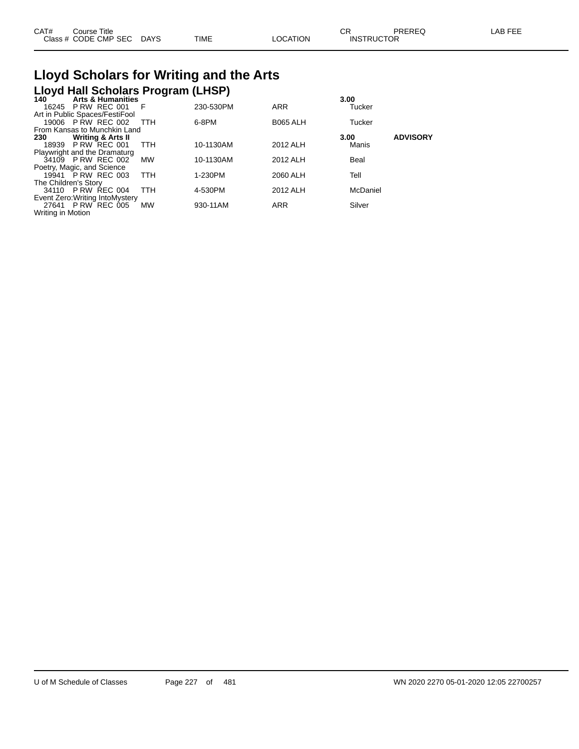| CAT# | Course Title              |             |          | ◠⊏                | PREREQ | LAB FEE |
|------|---------------------------|-------------|----------|-------------------|--------|---------|
|      | Class # CODE CMP SEC DAYS | <b>TIME</b> | LOCATION | <b>INSTRUCTOR</b> |        |         |

# **Lloyd Scholars for Writing and the Arts**

|                      | Lloyd Hall Scholars Program (LHSP) |            |           |                 |               |                 |
|----------------------|------------------------------------|------------|-----------|-----------------|---------------|-----------------|
| 140                  | <b>Arts &amp; Humanities</b>       |            |           |                 | 3.00          |                 |
|                      | 16245 P RW REC 001                 | - F        | 230-530PM | <b>ARR</b>      | Tucker        |                 |
|                      | Art in Public Spaces/FestiFool     |            |           |                 |               |                 |
|                      | 19006 P RW REC 002                 | TTH        | 6-8PM     | <b>B065 ALH</b> | <b>Tucker</b> |                 |
|                      | From Kansas to Munchkin Land       |            |           |                 |               |                 |
| 230                  | <b>Writing &amp; Arts II</b>       |            |           |                 | 3.00          | <b>ADVISORY</b> |
|                      | 18939 P RW REC 001                 | <b>TTH</b> | 10-1130AM | 2012 ALH        | Manis         |                 |
|                      | Playwright and the Dramaturg       |            |           |                 |               |                 |
|                      | 34109 P RW REC 002                 | MW         | 10-1130AM | 2012 ALH        | Beal          |                 |
|                      | Poetry, Magic, and Science         |            |           |                 |               |                 |
|                      | 19941 P RW REC 003                 | <b>TTH</b> | 1-230PM   | 2060 ALH        | Tell          |                 |
| The Children's Story |                                    |            |           |                 |               |                 |
|                      | 34110 P RW REC 004                 | <b>TTH</b> | 4-530PM   | 2012 ALH        | McDaniel      |                 |
|                      | Event Zero: Writing Into Mystery   |            |           |                 |               |                 |
|                      | 27641 P RW REC 005                 | <b>MW</b>  | 930-11AM  | <b>ARR</b>      | Silver        |                 |
| Writing in Motion    |                                    |            |           |                 |               |                 |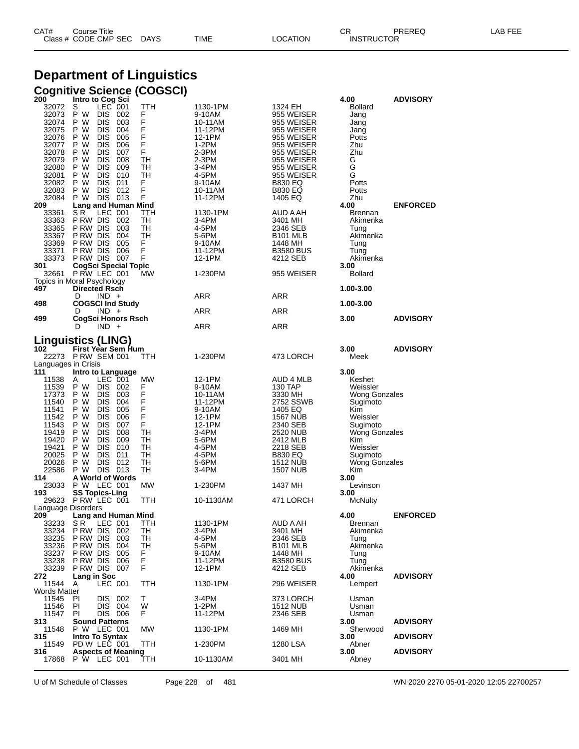| CAT# | ourse Titleٽ         |             |      |          | $\cap$<br>- UN    | PREREQ | LAB FEE |
|------|----------------------|-------------|------|----------|-------------------|--------|---------|
|      | Class # CODE CMP SEC | <b>DAYS</b> | TIME | LOCATION | <b>INSTRUCTOR</b> |        |         |

### **Department of Linguistics Cognitive Science (COGSCI)**

| 200                        | Intro to Cog Sci                         |           |                    |                             | 4.00                        | <b>ADVISORY</b> |
|----------------------------|------------------------------------------|-----------|--------------------|-----------------------------|-----------------------------|-----------------|
| 32072                      | LEC 001<br>S                             | TTH       | 1130-1PM           | 1324 EH                     | <b>Bollard</b>              |                 |
| 32073                      | P W<br>DIS -<br>002<br>P W               | F<br>F    | 9-10AM             | 955 WEISER                  | Jang                        |                 |
| 32074                      | DIS -<br>003<br>004<br>P W<br>DIS        | F         | 10-11AM<br>11-12PM | 955 WEISER                  | Jang                        |                 |
| 32075<br>32076             | P W<br>DIS<br>005                        | F         | 12-1PM             | 955 WEISER<br>955 WEISER    | Jang<br>Potts               |                 |
| 32077                      | DIS -<br>006<br>P W                      | F         | 1-2PM              | 955 WEISER                  | Zhu                         |                 |
| 32078                      | <b>DIS 007</b><br>P W                    | F         | 2-3PM              | 955 WEISER                  | Zhu                         |                 |
| 32079                      | P W<br>DIS 008                           | TН        | 2-3PM              | 955 WEISER                  | G                           |                 |
| 32080                      | P W<br>DIS 009                           | TН        | 3-4PM              | 955 WEISER                  | G                           |                 |
| 32081                      | P W<br>DIS 010                           | TН        | 4-5PM              | 955 WEISER                  | G                           |                 |
| 32082                      | P W<br>DIS 011                           | F         | 9-10AM             | <b>B830 EQ</b>              | Potts                       |                 |
| 32083                      | P W<br>DIS 012                           | F         | 10-11AM            | <b>B830 EQ</b>              | Potts                       |                 |
| 32084                      | P W<br>DIS 013                           | F         | 11-12PM            | 1405 EQ                     | Zhu                         |                 |
| 209                        | Lang and Human Mind                      |           |                    |                             | 4.00                        | <b>ENFORCED</b> |
| 33361<br>33363             | LEC 001<br>S R<br>PRW DIS 002            | TTH<br>TH | 1130-1PM<br>3-4PM  | AUD A AH<br>3401 MH         | Brennan<br>Akimenka         |                 |
| 33365                      | PRW DIS 003                              | TН        | 4-5PM              | 2346 SEB                    | Tung                        |                 |
| 33367                      | P RW DIS 004                             | TН        | 5-6PM              | B101 MLB                    | Akimenka                    |                 |
| 33369                      | P RW DIS<br>005                          | F         | 9-10AM             | 1448 MH                     | Tung                        |                 |
| 33371                      | P RW DIS<br>006                          | F         | 11-12PM            | <b>B3580 BUS</b>            | Tung                        |                 |
| 33373                      | PRW DIS 007                              | F         | 12-1PM             | 4212 SEB                    | Akimenka                    |                 |
| 301                        | <b>CogSci Special Topic</b>              |           |                    |                             | 3.00                        |                 |
| 32661                      | P RW LEC 001                             | <b>MW</b> | 1-230PM            | 955 WEISER                  | <b>Bollard</b>              |                 |
|                            | Topics in Moral Psychology               |           |                    |                             |                             |                 |
| 497                        | <b>Directed Rsch</b>                     |           |                    |                             | 1.00-3.00                   |                 |
| 498                        | D<br>$IND +$<br><b>COGSCI Ind Study</b>  |           | ARR                | ARR                         | 1.00-3.00                   |                 |
|                            | $IND +$<br>D                             |           | ARR                | ARR                         |                             |                 |
| 499                        | CogSci Honors Rsch                       |           |                    |                             | 3.00                        | <b>ADVISORY</b> |
|                            | D<br>$IND +$                             |           | ARR                | ARR                         |                             |                 |
|                            |                                          |           |                    |                             |                             |                 |
|                            | <b>Linguistics (LING)</b>                |           |                    |                             |                             |                 |
| 102                        | First Year Sem Hum                       |           |                    |                             | 3.00                        | <b>ADVISORY</b> |
| 22273                      | PRW SEM 001                              | TTH       | 1-230PM            | 473 LORCH                   | Meek                        |                 |
| Languages in Crisis<br>111 |                                          |           |                    |                             | 3.00                        |                 |
| 11538                      | Intro to Language<br>LEC 001<br>A        | <b>MW</b> | 12-1PM             | AUD 4 MLB                   | Keshet                      |                 |
| 11539                      | P W<br>DIS 002                           | F         | 9-10AM             | 130 TAP                     | Weissler                    |                 |
| 17373                      | 003<br>P W<br>DIS -                      | F         | 10-11AM            | 3330 MH                     | Wong Gonzales               |                 |
| 11540                      | DIS 004<br>P W                           | F         | 11-12PM            | 2752 SSWB                   | Sugimoto                    |                 |
| 11541                      | P W<br>DIS 005                           | F         | 9-10AM             | 1405 EQ                     | Kim                         |                 |
| 11542                      | P W<br>DIS<br>006                        | Ë         | 12-1PM             | 1567 NUB                    | Weissler                    |                 |
| 11543                      | P W<br>DIS 007                           | F         | 12-1PM             | 2340 SEB                    | Sugimoto                    |                 |
| 19419                      | P W<br>DIS 008                           | TН        | 3-4PM              | 2520 NUB                    | Wong Gonzales               |                 |
| 19420                      | P W<br>DIS 009                           | TН        | 5-6PM              | 2412 MLB                    | Kim                         |                 |
| 19421                      | P W<br>DIS 010                           | TH        | 4-5PM              | 2218 SEB                    | Weissler                    |                 |
| 20025<br>20026             | P W<br>DIS<br>011<br>P W<br>DIS 012      | TН<br>TН  | 4-5PM<br>5-6PM     | B830 EQ<br><b>1512 NUB</b>  | Sugimoto                    |                 |
| 22586                      | P W<br>DIS 013                           | TН        | 3-4PM              | 1507 NUB                    | <b>Wong Gonzales</b><br>Kim |                 |
| 114                        | A World of Words                         |           |                    |                             |                             |                 |
| 23033                      | P W LEC 001                              |           |                    |                             |                             |                 |
| 193                        |                                          |           |                    |                             | 3.00                        |                 |
| 29623                      | <b>SS Topics-Ling</b>                    | MW        | 1-230PM            | 1437 MH                     | Levinson<br>3.00            |                 |
|                            | PRW LEC 001                              | ттн       | 10-1130AM          | 471 LORCH                   | McNulty                     |                 |
|                            | Language Disorders                       |           |                    |                             |                             |                 |
| 209                        | <b>Lang and Human Mind</b>               |           |                    |                             | 4.00                        | <b>ENFORCED</b> |
| 33233                      | S R<br>LEC 001                           | TTH       | 1130-1PM           | AUD A AH                    | Brennan                     |                 |
| 33234                      | P RW DIS<br>002                          | TН        | 3-4PM              | 3401 MH                     | Akimenka                    |                 |
| 33235                      | P RW DIS<br>003                          | TН        | 4-5PM              | 2346 SEB                    | Tung                        |                 |
| 33236                      | P RW DIS<br>004<br>005                   | TН        | 5-6PM              | <b>B101 MLB</b>             | Akimenka                    |                 |
| 33237<br>33238             | P RW DIS<br>006<br>P RW DIS              | F.        | 9-10AM<br>11-12PM  | 1448 MH<br><b>B3580 BUS</b> | Tung<br>Tung                |                 |
| 33239                      | PRW DIS 007                              | F<br>F    | 12-1PM             | 4212 SEB                    | Akimenka                    |                 |
| 272                        | <b>Lang in Soc</b>                       |           |                    |                             | 4.00                        | <b>ADVISORY</b> |
| 11544                      | LEC 001<br>A                             | TTH       | 1130-1PM           | 296 WEISER                  | Lempert                     |                 |
| <b>Words Matter</b>        |                                          |           |                    |                             |                             |                 |
| 11545                      | 002<br><b>PI</b><br><b>DIS</b>           | т         | 3-4PM              | 373 LORCH                   | Usman                       |                 |
| 11546                      | <b>DIS</b><br>004<br>ΡI                  | W         | 1-2PM              | <b>1512 NUB</b>             | Usman                       |                 |
| 11547<br>313               | PI.<br>DIS 006                           | F         | 11-12PM            | 2346 SEB                    | Usman<br>3.00               |                 |
| 11548                      | <b>Sound Patterns</b><br>P W LEC 001     | <b>MW</b> | 1130-1PM           | 1469 MH                     | Sherwood                    | <b>ADVISORY</b> |
| 315                        | <b>Intro To Syntax</b>                   |           |                    |                             | 3.00                        | <b>ADVISORY</b> |
| 11549                      | PD W LEC 001                             | TTH       | 1-230PM            | 1280 LSA                    | Abner                       |                 |
| 316<br>17868               | <b>Aspects of Meaning</b><br>P W LEC 001 | TTH       | 10-1130AM          | 3401 MH                     | 3.00<br>Abney               | <b>ADVISORY</b> |

U of M Schedule of Classes Page 228 of 481 WN 2020 2270 05-01-2020 12:05 22700257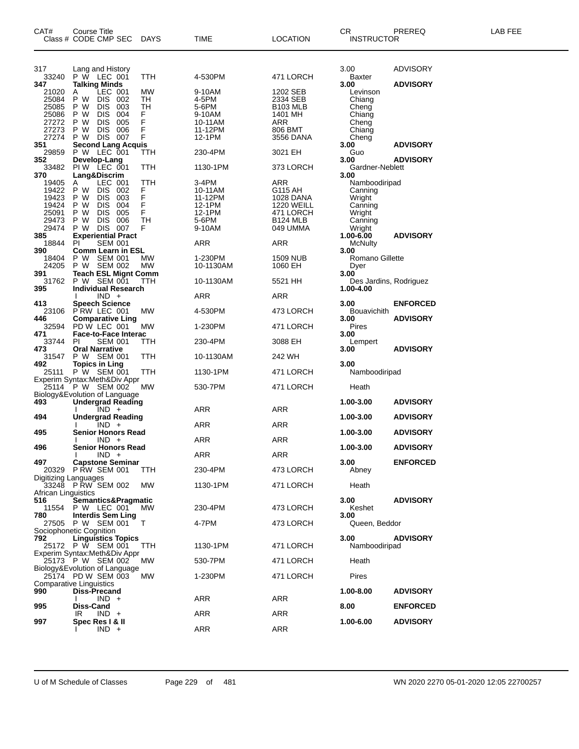| CAT#                                                               | Course Title<br>Class # CODE CMP SEC                                                                                                                                                    | DAYS                               | TIME                                                               | <b>LOCATION</b>                                                                              | CR<br><b>INSTRUCTOR</b>                                                              | PREREQ          | LAB FEE |
|--------------------------------------------------------------------|-----------------------------------------------------------------------------------------------------------------------------------------------------------------------------------------|------------------------------------|--------------------------------------------------------------------|----------------------------------------------------------------------------------------------|--------------------------------------------------------------------------------------|-----------------|---------|
| 317<br>33240                                                       | Lang and History<br>P W LEC 001                                                                                                                                                         | TTH                                | 4-530PM                                                            | 471 LORCH                                                                                    | 3.00<br>Baxter                                                                       | ADVISORY        |         |
| 347<br>21020<br>25084<br>25085<br>25086<br>27272                   | <b>Talking Minds</b><br>LEC 001<br>Α<br>P W<br><b>DIS</b><br>002<br><b>DIS</b><br>003<br>P W<br>004<br>P W<br><b>DIS</b><br><b>DIS</b><br>005<br>P W                                    | MW<br>TН<br>TH<br>F<br>F           | 9-10AM<br>4-5PM<br>5-6PM<br>9-10AM<br>10-11AM                      | 1202 SEB<br>2334 SEB<br><b>B103 MLB</b><br>1401 MH<br>ARR                                    | 3.00<br>Levinson<br>Chiang<br>Cheng<br>Chiang<br>Cheng                               | <b>ADVISORY</b> |         |
| 27273<br>27274<br>351<br>29859                                     | DIS 006<br>P W<br>DIS 007<br>P W<br><b>Second Lang Acquis</b><br>P W LEC 001                                                                                                            | F<br>F<br>TTH                      | 11-12PM<br>12-1PM<br>230-4PM                                       | 806 BMT<br>3556 DANA<br>3021 EH                                                              | Chiang<br>Cheng<br>3.00<br>Guo                                                       | <b>ADVISORY</b> |         |
| 352<br>33482                                                       | Develop-Lang<br>PIW LEC 001                                                                                                                                                             | TTH                                | 1130-1PM                                                           | 373 LORCH                                                                                    | 3.00<br>Gardner-Neblett                                                              | <b>ADVISORY</b> |         |
| 370<br>19405<br>19422<br>19423<br>19424<br>25091<br>29473<br>29474 | Lang&Discrim<br>LEC 001<br>A<br>P W<br><b>DIS</b><br>002<br><b>DIS</b><br>P W<br>003<br>004<br>P W<br><b>DIS</b><br><b>DIS</b><br>005<br>P W<br>DIS 006<br>P W<br><b>DIS 007</b><br>P W | TTH<br>F<br>F<br>F<br>F<br>TН<br>F | 3-4PM<br>10-11AM<br>11-12PM<br>12-1PM<br>12-1PM<br>5-6PM<br>9-10AM | ARR<br>G115 AH<br>1028 DANA<br><b>1220 WEILL</b><br>471 LORCH<br><b>B124 MLB</b><br>049 UMMA | 3.00<br>Namboodiripad<br>Canning<br>Wright<br>Canning<br>Wright<br>Canning<br>Wright |                 |         |
| 385<br>18844<br>390                                                | <b>Experiential Pract</b><br><b>SEM 001</b><br>PI.<br><b>Comm Learn in ESL</b>                                                                                                          |                                    | ARR                                                                | ARR                                                                                          | 1.00-6.00<br>McNulty<br>3.00                                                         | <b>ADVISORY</b> |         |
| 18404<br>24205<br>391                                              | P W SEM 001<br>P W SEM 002<br><b>Teach ESL Mignt Comm</b>                                                                                                                               | МW<br>MW                           | 1-230PM<br>10-1130AM                                               | <b>1509 NUB</b><br>1060 EH                                                                   | Romano Gillette<br>Dyer<br>3.00                                                      |                 |         |
| 31762<br>395                                                       | P W SEM 001<br><b>Individual Research</b>                                                                                                                                               | TTH                                | 10-1130AM                                                          | 5521 HH                                                                                      | Des Jardins, Rodriguez<br>1.00-4.00                                                  |                 |         |
| 413                                                                | $IND +$<br><b>Speech Science</b>                                                                                                                                                        |                                    | ARR                                                                | ARR                                                                                          | 3.00                                                                                 | <b>ENFORCED</b> |         |
| 446<br>32594                                                       | 23106 PRW LEC 001<br><b>Comparative Ling</b><br>PD W LEC 001                                                                                                                            | MW<br>MW                           | 4-530PM<br>1-230PM                                                 | 473 LORCH<br>471 LORCH                                                                       | <b>Bouavichith</b><br>3.00<br>Pires                                                  | <b>ADVISORY</b> |         |
| 471<br>33744                                                       | <b>Face-to-Face Interac</b><br><b>SEM 001</b><br>PI                                                                                                                                     | ттн                                | 230-4PM                                                            | 3088 EH                                                                                      | 3.00<br>Lempert                                                                      |                 |         |
| 473<br>31547                                                       | <b>Oral Narrative</b><br>P W SEM 001                                                                                                                                                    | TTH                                | 10-1130AM                                                          | 242 WH                                                                                       | 3.00                                                                                 | <b>ADVISORY</b> |         |
| 492                                                                | <b>Topics in Ling</b><br>25111 P W SEM 001<br>Experim Syntax: Meth&Div Appr                                                                                                             | TTH                                | 1130-1PM                                                           | 471 LORCH                                                                                    | 3.00<br>Namboodiripad                                                                |                 |         |
|                                                                    | 25114 P W SEM 002<br>Biology&Evolution of Language                                                                                                                                      | МW                                 | 530-7PM                                                            | 471 LORCH                                                                                    | Heath                                                                                |                 |         |
| 493                                                                | <b>Undergrad Reading</b><br>$IND +$                                                                                                                                                     |                                    | ARR                                                                | ARR                                                                                          | 1.00-3.00                                                                            | <b>ADVISORY</b> |         |
| 494                                                                | <b>Undergrad Reading</b><br>$IND +$                                                                                                                                                     |                                    | ARR                                                                | ARR                                                                                          | 1.00-3.00                                                                            | <b>ADVISORY</b> |         |
| 495                                                                | <b>Senior Honors Read</b><br>$IND +$                                                                                                                                                    |                                    | ARR                                                                | ARR                                                                                          | 1.00-3.00                                                                            | <b>ADVISORY</b> |         |
| 496                                                                | <b>Senior Honors Read</b><br>$IND +$                                                                                                                                                    |                                    | ARR                                                                | <b>ARR</b>                                                                                   | 1.00-3.00                                                                            | <b>ADVISORY</b> |         |
| 497                                                                | <b>Capstone Seminar</b><br>20329 P RW SEM 001                                                                                                                                           | TTH                                | 230-4PM                                                            | 473 LORCH                                                                                    | 3.00<br>Abney                                                                        | <b>ENFORCED</b> |         |
| Digitizing Languages<br>African Linguistics                        | 33248 PŘW SEM 002                                                                                                                                                                       | MW                                 | 1130-1PM                                                           | 471 LORCH                                                                                    | Heath                                                                                |                 |         |
| 516<br>780                                                         | Semantics&Pragmatic<br>11554 P W LEC 001<br><b>Interdis Sem Ling</b>                                                                                                                    | MW.                                | 230-4PM                                                            | 473 LORCH                                                                                    | 3.00<br>Keshet<br>3.00                                                               | <b>ADVISORY</b> |         |
|                                                                    | 27505 P W SEM 001<br>Sociophonetic Cognition                                                                                                                                            | $\mathsf{T}$                       | 4-7PM                                                              | 473 LORCH                                                                                    | Queen, Beddor                                                                        |                 |         |
| 792                                                                | <b>Linguistics Topics</b><br>25172 P W SEM 001<br>Experim Syntax: Meth&Div Appr                                                                                                         | <b>TTH</b>                         | 1130-1PM                                                           | 471 LORCH                                                                                    | 3.00<br>Namboodiripad                                                                | <b>ADVISORY</b> |         |
|                                                                    | 25173 P W SEM 002<br>Biology&Evolution of Language                                                                                                                                      | MW.                                | 530-7PM                                                            | 471 LORCH                                                                                    | Heath                                                                                |                 |         |
|                                                                    | 25174 PD W SEM 003<br><b>Comparative Linguistics</b>                                                                                                                                    | MW.                                | 1-230PM                                                            | 471 LORCH                                                                                    | Pires                                                                                |                 |         |
| 990                                                                | <b>Diss-Precand</b><br>$IND +$                                                                                                                                                          |                                    | ARR                                                                | ARR                                                                                          | 1.00-8.00                                                                            | <b>ADVISORY</b> |         |
| 995                                                                | Diss-Cand<br>IR<br>$IND +$                                                                                                                                                              |                                    | ARR                                                                | ARR                                                                                          | 8.00                                                                                 | <b>ENFORCED</b> |         |
| 997                                                                | Spec Res I & II<br>$IND +$                                                                                                                                                              |                                    | ARR                                                                | ARR                                                                                          | 1.00-6.00                                                                            | <b>ADVISORY</b> |         |

U of M Schedule of Classes Page 229 of 481 WN 2020 2270 05-01-2020 12:05 22700257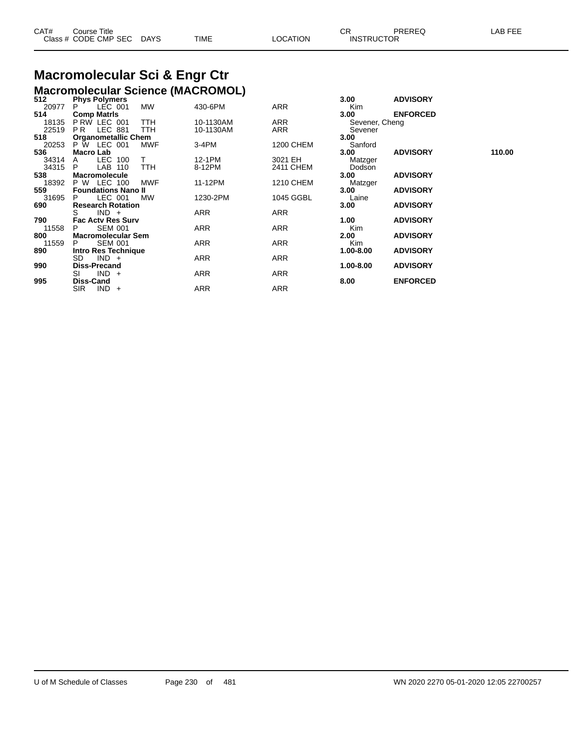| CAT# | Course Title              |      |          | $\cap$<br>◡◚      | PREREQ | LAB FEE |
|------|---------------------------|------|----------|-------------------|--------|---------|
|      | Class # CODE CMP SEC DAYS | TIME | ∟OCATION | <b>INSTRUCTOR</b> |        |         |

# **Macromolecular Sci & Engr Ctr**

|       | <b>Macromolecular Science (MACROMOL)</b> |            |            |                  |                |                 |        |
|-------|------------------------------------------|------------|------------|------------------|----------------|-----------------|--------|
| 512   | <b>Phys Polymers</b>                     |            |            |                  | 3.00           | <b>ADVISORY</b> |        |
| 20977 | LEC 001                                  | MW         | 430-6PM    | ARR              | Kim            |                 |        |
| 514   | <b>Comp Matris</b>                       |            |            |                  | 3.00           | <b>ENFORCED</b> |        |
| 18135 | PRW LEC 001                              | <b>TTH</b> | 10-1130AM  | ARR              | Sevener, Cheng |                 |        |
| 22519 | <b>LEC 881</b><br>PR.                    | <b>TTH</b> | 10-1130AM  | ARR              | Sevener        |                 |        |
| 518   | <b>Organometallic Chem</b>               |            |            |                  | 3.00           |                 |        |
| 20253 | P W LEC 001                              | <b>MWF</b> | $3-4PM$    | 1200 CHEM        | Sanford        |                 |        |
| 536   | <b>Macro Lab</b>                         |            |            |                  | 3.00           | <b>ADVISORY</b> | 110.00 |
| 34314 | LEC 100<br>A                             | T.         | 12-1PM     | 3021 EH          | Matzger        |                 |        |
| 34315 | LAB 110<br>P                             | <b>TTH</b> | 8-12PM     | 2411 CHEM        | Dodson         |                 |        |
| 538   | <b>Macromolecule</b>                     |            |            |                  | 3.00           | <b>ADVISORY</b> |        |
| 18392 | P W<br>LEC 100                           | <b>MWF</b> | 11-12PM    | <b>1210 CHEM</b> | Matzger        |                 |        |
| 559   | <b>Foundations Nano II</b>               |            |            |                  | 3.00           | <b>ADVISORY</b> |        |
| 31695 | LEC 001<br>P                             | MW         | 1230-2PM   | 1045 GGBL        | Laine          |                 |        |
| 690   | <b>Research Rotation</b>                 |            |            |                  | 3.00           | <b>ADVISORY</b> |        |
|       | $IND +$<br>S                             |            | ARR        | ARR              |                |                 |        |
| 790   | <b>Fac Acty Res Surv</b>                 |            |            |                  | 1.00           | <b>ADVISORY</b> |        |
| 11558 | <b>SEM 001</b><br>P                      |            | ARR        | ARR              | Kim            |                 |        |
| 800   | <b>Macromolecular Sem</b>                |            |            |                  | 2.00           | <b>ADVISORY</b> |        |
| 11559 | <b>SEM 001</b><br>P                      |            | <b>ARR</b> | <b>ARR</b>       | <b>Kim</b>     |                 |        |
| 890   | Intro Res Technique                      |            |            |                  | 1.00-8.00      | <b>ADVISORY</b> |        |
|       | SD<br>$IND +$                            |            | ARR        | <b>ARR</b>       |                |                 |        |
| 990   | <b>Diss-Precand</b>                      |            |            |                  | 1.00-8.00      | <b>ADVISORY</b> |        |
|       | $IND +$<br>SI                            |            | ARR        | ARR              |                |                 |        |
| 995   | Diss-Cand                                |            |            |                  | 8.00           | <b>ENFORCED</b> |        |
|       | SIR.<br>$IND +$                          |            | ARR        | ARR              |                |                 |        |
|       |                                          |            |            |                  |                |                 |        |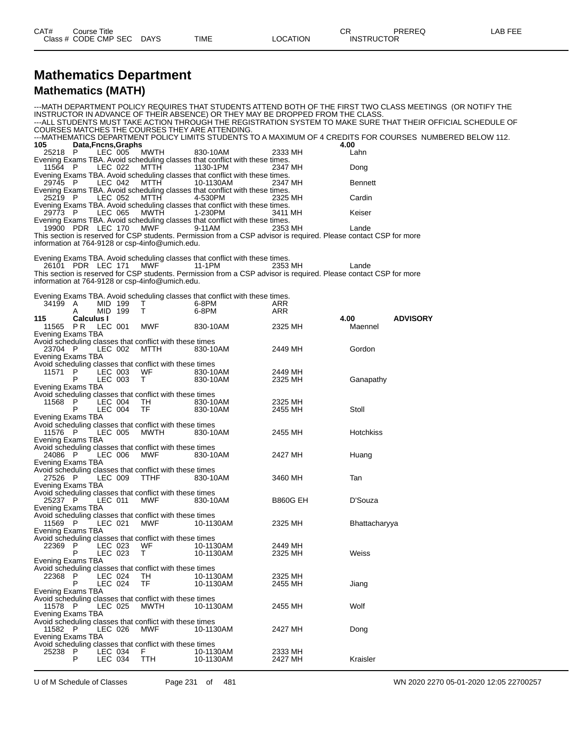| CAT#<br>Title<br>Course |             |      |          | ∼⊏<br>◡ | PREREQ            | LAB FEE |
|-------------------------|-------------|------|----------|---------|-------------------|---------|
| Class # CODE CMP SEC    | <b>DAYS</b> | TIME | LOCATION |         | <b>INSTRUCTOR</b> |         |

## **Mathematics Department**

## **Mathematics (MATH)**

|                                      |                                |                                                                        |                                                                                                     | INSTRUCTOR IN ADVANCE OF THEIR ABSENCE) OR THEY MAY BE DROPPED FROM THE CLASS.                                               |                 | ---MATH DEPARTMENT POLICY REQUIRES THAT STUDENTS ATTEND BOTH OF THE FIRST TWO CLASS MEETINGS (OR NOTIFY THE<br>---ALL STUDENTS MUST TAKE ACTION THROUGH THE REGISTRATION SYSTEM TO MAKE SURE THAT THEIR OFFICIAL SCHEDULE OF |
|--------------------------------------|--------------------------------|------------------------------------------------------------------------|-----------------------------------------------------------------------------------------------------|------------------------------------------------------------------------------------------------------------------------------|-----------------|------------------------------------------------------------------------------------------------------------------------------------------------------------------------------------------------------------------------------|
|                                      |                                | COURSES MATCHES THE COURSES THEY ARE ATTENDING.                        |                                                                                                     |                                                                                                                              |                 | ---MATHEMATICS DEPARTMENT POLICY LIMITS STUDENTS TO A MAXIMUM OF 4 CREDITS FOR COURSES NUMBERED BELOW 112.                                                                                                                   |
| 105<br>25218 P                       | Data, Fncns, Graphs<br>LEC 005 | MWTH                                                                   | 830-10AM                                                                                            | 2333 MH                                                                                                                      | 4.00<br>Lahn    |                                                                                                                                                                                                                              |
| 11564 P                              | LEC 022                        | MTTH                                                                   | Evening Exams TBA. Avoid scheduling classes that conflict with these times.<br>1130-1PM             | 2347 MH                                                                                                                      | Dong            |                                                                                                                                                                                                                              |
| 29745 P                              |                                |                                                                        | Evening Exams TBA. Avoid scheduling classes that conflict with these times.                         |                                                                                                                              |                 |                                                                                                                                                                                                                              |
|                                      | LEC 042                        | MTTH                                                                   | 10-1130AM<br>Evening Exams TBA. Avoid scheduling classes that conflict with these times.<br>4-530PM | 2347 MH                                                                                                                      | <b>Bennett</b>  |                                                                                                                                                                                                                              |
| 25219 P                              | LEC 052                        | MTTH                                                                   | Evening Exams TBA. Avoid scheduling classes that conflict with these times.                         | 2325 MH                                                                                                                      | Cardin          |                                                                                                                                                                                                                              |
| 29773 P                              | LEC 065                        | MWTH                                                                   | 1-230PM<br>Evening Exams TBA. Avoid scheduling classes that conflict with these times.              | 3411 MH                                                                                                                      | Keiser          |                                                                                                                                                                                                                              |
| 19900 PDR LEC 170                    |                                | <b>MWF</b><br>information at 764-9128 or csp-4info@umich.edu.          | 9-11AM                                                                                              | 2353 MH<br>This section is reserved for CSP students. Permission from a CSP advisor is required. Please contact CSP for more | Lande           |                                                                                                                                                                                                                              |
| 26101 PDR LEC 171                    |                                | MWF 1                                                                  | Evening Exams TBA. Avoid scheduling classes that conflict with these times.<br>11-1PM               | 2353 MH                                                                                                                      | Lande           |                                                                                                                                                                                                                              |
|                                      |                                | information at 764-9128 or csp-4info@umich.edu.                        |                                                                                                     | This section is reserved for CSP students. Permission from a CSP advisor is required. Please contact CSP for more            |                 |                                                                                                                                                                                                                              |
|                                      |                                |                                                                        | Evening Exams TBA. Avoid scheduling classes that conflict with these times.                         |                                                                                                                              |                 |                                                                                                                                                                                                                              |
| 34199 A<br>A                         | MID 199<br>MID 199             | T<br>T.                                                                | 6-8PM<br>6-8PM                                                                                      | ARR<br>ARR                                                                                                                   |                 |                                                                                                                                                                                                                              |
| 115<br>11565 PR<br>Evening Exams TBA | <b>Calculus I</b><br>LEC 001   | MWF                                                                    | 830-10AM                                                                                            | 2325 MH                                                                                                                      | 4.00<br>Maennel | <b>ADVISORY</b>                                                                                                                                                                                                              |
| 23704 P                              | LEC 002                        | Avoid scheduling classes that conflict with these times<br>MTTH        | 830-10AM                                                                                            | 2449 MH                                                                                                                      | Gordon          |                                                                                                                                                                                                                              |
| Evening Exams TBA                    |                                | Avoid scheduling classes that conflict with these times                |                                                                                                     |                                                                                                                              |                 |                                                                                                                                                                                                                              |
| 11571 P<br>P                         | LEC 003<br>LEC 003             | WF<br>T.                                                               | 830-10AM<br>830-10AM                                                                                | 2449 MH<br>2325 MH                                                                                                           | Ganapathy       |                                                                                                                                                                                                                              |
| Evening Exams TBA                    |                                |                                                                        |                                                                                                     |                                                                                                                              |                 |                                                                                                                                                                                                                              |
| 11568<br>- P                         | LEC 004                        | Avoid scheduling classes that conflict with these times<br>TН          | 830-10AM                                                                                            | 2325 MH                                                                                                                      |                 |                                                                                                                                                                                                                              |
| Evening Exams TBA                    | LEC 004                        | TF                                                                     | 830-10AM                                                                                            | 2455 MH                                                                                                                      | Stoll           |                                                                                                                                                                                                                              |
| 11576 P                              | LEC 005                        | Avoid scheduling classes that conflict with these times<br>MWTH        | 830-10AM                                                                                            | 2455 MH                                                                                                                      | Hotchkiss       |                                                                                                                                                                                                                              |
| Evening Exams TBA                    |                                | Avoid scheduling classes that conflict with these times                |                                                                                                     |                                                                                                                              |                 |                                                                                                                                                                                                                              |
| 24086 P<br>Evening Exams TBA         | LEC 006                        | MWF                                                                    | 830-10AM                                                                                            | 2427 MH                                                                                                                      | Huang           |                                                                                                                                                                                                                              |
| 27526 P                              | LEC 009                        | Avoid scheduling classes that conflict with these times<br><b>TTHF</b> | 830-10AM                                                                                            | 3460 MH                                                                                                                      | Tan             |                                                                                                                                                                                                                              |
| Evening Exams TBA                    |                                | Avoid scheduling classes that conflict with these times                |                                                                                                     |                                                                                                                              |                 |                                                                                                                                                                                                                              |
| 25237 P<br>Evening Exams TBA         | LEC 011                        | MWF                                                                    | 830-10AM                                                                                            | <b>B860G EH</b>                                                                                                              | D'Souza         |                                                                                                                                                                                                                              |
| 11569 P                              | LEC 021                        | Avoid scheduling classes that conflict with these times<br>MWF         | 10-1130AM                                                                                           | 2325 MH                                                                                                                      | Bhattacharyya   |                                                                                                                                                                                                                              |
| Evening Exams TBA                    |                                | Avoid scheduling classes that conflict with these times                |                                                                                                     |                                                                                                                              |                 |                                                                                                                                                                                                                              |
| 22369<br>P<br>P                      | LEC 023<br>LEC 023             | WF<br>T.                                                               | 10-1130AM<br>10-1130AM                                                                              | 2449 MH<br>2325 MH                                                                                                           | Weiss           |                                                                                                                                                                                                                              |
| Evening Exams TBA                    |                                | Avoid scheduling classes that conflict with these times                |                                                                                                     |                                                                                                                              |                 |                                                                                                                                                                                                                              |
| 22368 P<br>P                         | LEC 024<br>LEC 024             | TH<br>TF                                                               | 10-1130AM<br>10-1130AM                                                                              | 2325 MH<br>2455 MH                                                                                                           | Jiang           |                                                                                                                                                                                                                              |
| Evening Exams TBA                    |                                |                                                                        |                                                                                                     |                                                                                                                              |                 |                                                                                                                                                                                                                              |
| 11578 P<br>Evening Exams TBA         | LEC 025                        | Avoid scheduling classes that conflict with these times<br>MWTH        | 10-1130AM                                                                                           | 2455 MH                                                                                                                      | Wolf            |                                                                                                                                                                                                                              |
| 11582 P                              | LEC 026                        | Avoid scheduling classes that conflict with these times<br>MWF         | 10-1130AM                                                                                           | 2427 MH                                                                                                                      | Dong            |                                                                                                                                                                                                                              |
| Evening Exams TBA                    |                                | Avoid scheduling classes that conflict with these times                |                                                                                                     |                                                                                                                              |                 |                                                                                                                                                                                                                              |
| 25238 P<br>P                         | LEC 034<br>LEC 034             | F.<br>TTH                                                              | 10-1130AM<br>10-1130AM                                                                              | 2333 MH<br>2427 MH                                                                                                           | Kraisler        |                                                                                                                                                                                                                              |

U of M Schedule of Classes Page 231 of 481 WN 2020 2270 05-01-2020 12:05 22700257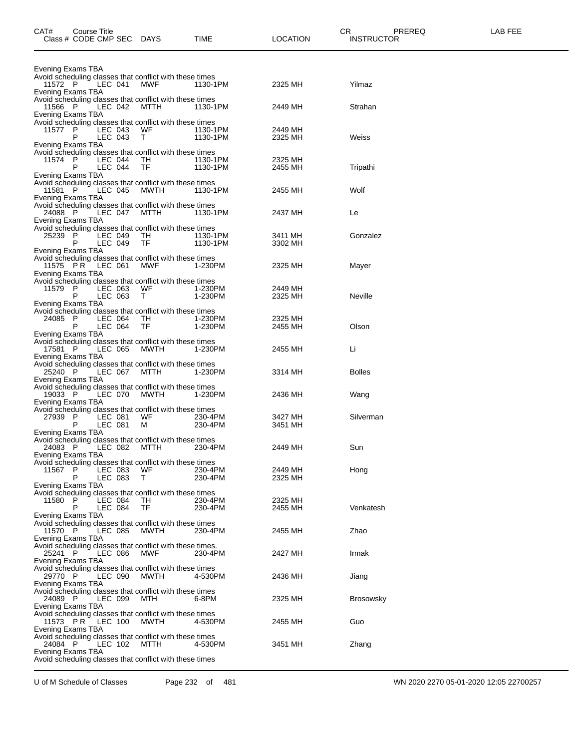| CAT#    | Course Title<br>Class # CODE CMP SEC              | <b>DAYS</b>                                                            | TIME                 | LOCATION           | CR<br>PREREQ<br><b>INSTRUCTOR</b> | LAB FEE |
|---------|---------------------------------------------------|------------------------------------------------------------------------|----------------------|--------------------|-----------------------------------|---------|
|         | Evening Exams TBA                                 |                                                                        |                      |                    |                                   |         |
| 11572 P | LEC 041                                           | Avoid scheduling classes that conflict with these times<br>MWF         | 1130-1PM             | 2325 MH            | Yilmaz                            |         |
| 11566 P | Evening Exams TBA<br>LEC 042                      | Avoid scheduling classes that conflict with these times<br>MTTH        | 1130-1PM             | 2449 MH            | Strahan                           |         |
|         | Evening Exams TBA                                 | Avoid scheduling classes that conflict with these times                |                      |                    |                                   |         |
| 11577 P | LEC 043<br>P<br>LEC 043<br>Evening Exams TBA      | WF.<br>T.                                                              | 1130-1PM<br>1130-1PM | 2449 MH<br>2325 MH | Weiss                             |         |
| 11574 P | LEC 044<br>P<br>LEC 044<br>Evening Exams TBA      | Avoid scheduling classes that conflict with these times<br>TH<br>TF    | 1130-1PM<br>1130-1PM | 2325 MH<br>2455 MH | Tripathi                          |         |
| 11581 P | LEC 045<br>Evening Exams TBA                      | Avoid scheduling classes that conflict with these times<br>MWTH        | 1130-1PM             | 2455 MH            | Wolf                              |         |
| 24088 P | LEC 047<br>Evening Exams TBA                      | Avoid scheduling classes that conflict with these times<br>мттн        | 1130-1PM             | 2437 MH            | Le                                |         |
| 25239   | P<br>LEC 049<br>LEC 049<br>Р<br>Evening Exams TBA | Avoid scheduling classes that conflict with these times<br>TH.<br>TF   | 1130-1PM<br>1130-1PM | 3411 MH<br>3302 MH | Gonzalez                          |         |
|         | LEC 061<br>11575 PR<br>Evening Exams TBA          | Avoid scheduling classes that conflict with these times<br>MWF         | 1-230PM              | 2325 MH            | Mayer                             |         |
| 11579 P | LEC 063<br>LEC 063<br>Evening Exams TBA           | Avoid scheduling classes that conflict with these times<br>WF<br>T.    | 1-230PM<br>1-230PM   | 2449 MH<br>2325 MH | <b>Neville</b>                    |         |
| 24085 P | LEC 064<br>P<br>LEC 064<br>Evening Exams TBA      | Avoid scheduling classes that conflict with these times<br>TH<br>TF    | 1-230PM<br>1-230PM   | 2325 MH<br>2455 MH | Olson                             |         |
| 17581 P | LEC 065<br>Evening Exams TBA                      | Avoid scheduling classes that conflict with these times<br>MWTH        | 1-230PM              | 2455 MH            | Li                                |         |
| 25240 P | LEC 067<br>Evening Exams TBA                      | Avoid scheduling classes that conflict with these times<br>мттн        | 1-230PM              | 3314 MH            | <b>Bolles</b>                     |         |
| 19033 P | LEC 070<br>Evening Exams TBA                      | Avoid scheduling classes that conflict with these times<br>MWTH        | 1-230PM              | 2436 MH            | Wang                              |         |
| 27939   | P<br>LEC 081<br>P<br>LEC 081<br>Evening Exams TBA | Avoid scheduling classes that conflict with these times<br>WF.<br>м    | 230-4PM<br>230-4PM   | 3427 MH<br>3451 MH | Silverman                         |         |
| 24083 P | LEC 082<br>Evening Exams TBA                      | Avoid scheduling classes that conflict with these times<br>MTTH        | 230-4PM              | 2449 MH            | Sun                               |         |
| 11567   | P<br>LEC 083<br>P<br>LEC 083<br>Evening Exams TBA | Avoid scheduling classes that conflict with these times<br>WF.<br>T.   | 230-4PM<br>230-4PM   | 2449 MH<br>2325 MH | Hong                              |         |
| 11580 P | LEC 084<br>P<br>LEC 084                           | Avoid scheduling classes that conflict with these times<br>TН<br>TF    | 230-4PM<br>230-4PM   | 2325 MH<br>2455 MH | Venkatesh                         |         |
| 11570 P | Evening Exams TBA<br>LEC 085                      | Avoid scheduling classes that conflict with these times<br>MWTH        | 230-4PM              | 2455 MH            | Zhao                              |         |
| 25241 P | Evening Exams TBA<br>LEC 086<br>Evening Exams TBA | Avoid scheduling classes that conflict with these times.<br><b>MWF</b> | 230-4PM              | 2427 MH            | Irmak                             |         |
| 29770 P | LEC 090<br>Evening Exams TBA                      | Avoid scheduling classes that conflict with these times<br>MWTH        | 4-530PM              | 2436 MH            | Jiang                             |         |
| 24089 P | LEC 099<br>Evening Exams TBA                      | Avoid scheduling classes that conflict with these times<br>MTH         | 6-8PM                | 2325 MH            | <b>Brosowsky</b>                  |         |
|         | 11573 PR<br><b>LEC 100</b><br>Evening Exams TBA   | Avoid scheduling classes that conflict with these times<br>MWTH        | 4-530PM              | 2455 MH            | Guo                               |         |
| 24084 P | LEC 102<br>Evening Exams TBA                      | Avoid scheduling classes that conflict with these times<br>мттн        | 4-530PM              | 3451 MH            | Zhang                             |         |
|         |                                                   | Avoid scheduling classes that conflict with these times                |                      |                    |                                   |         |

U of M Schedule of Classes Page 232 of 481 WN 2020 2270 05-01-2020 12:05 22700257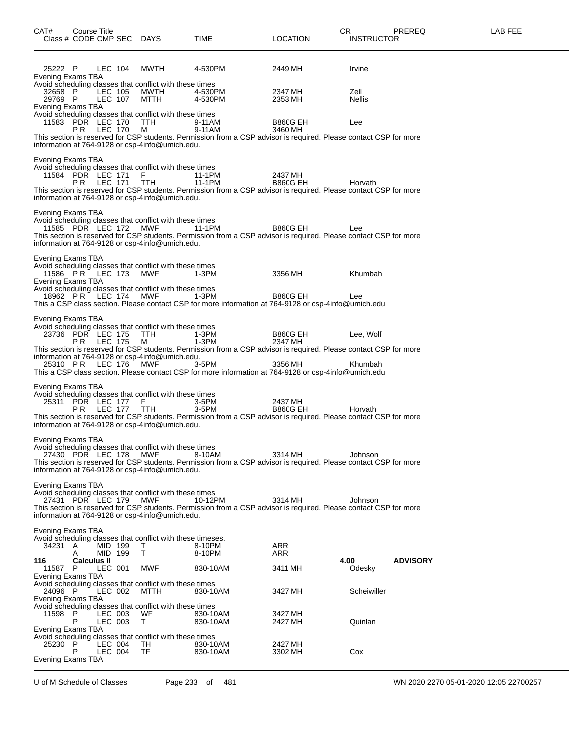| CAT#                                                     | Course Title<br>Class # CODE CMP SEC DAYS |                    |                                                                                                                                            | <b>TIME</b>                                                                                                                                                                                                                        | <b>LOCATION</b>            | CR<br><b>INSTRUCTOR</b> | PREREQ          | LAB FEE |
|----------------------------------------------------------|-------------------------------------------|--------------------|--------------------------------------------------------------------------------------------------------------------------------------------|------------------------------------------------------------------------------------------------------------------------------------------------------------------------------------------------------------------------------------|----------------------------|-------------------------|-----------------|---------|
| 25222 P<br>Evening Exams TBA                             |                                           | LEC 104            | MWTH                                                                                                                                       | 4-530PM                                                                                                                                                                                                                            | 2449 MH                    | Irvine                  |                 |         |
| 32658 P<br>29769 P<br>Evening Exams TBA                  |                                           | LEC 105<br>LEC 107 | Avoid scheduling classes that conflict with these times<br>MWTH<br>MTTH                                                                    | 4-530PM<br>4-530PM                                                                                                                                                                                                                 | 2347 MH<br>2353 MH         | Zell<br><b>Nellis</b>   |                 |         |
|                                                          | 11583 PDR LEC 170<br><b>PR LEC 170</b>    |                    | Avoid scheduling classes that conflict with these times<br>TTH<br>M                                                                        | 9-11AM<br>9-11AM<br>This section is reserved for CSP students. Permission from a CSP advisor is required. Please contact CSP for more                                                                                              | <b>B860G EH</b><br>3460 MH | Lee                     |                 |         |
| Evening Exams TBA                                        |                                           |                    | information at 764-9128 or csp-4info@umich.edu.                                                                                            |                                                                                                                                                                                                                                    |                            |                         |                 |         |
|                                                          | 11584 PDR LEC 171 F<br>PR LEC 171 TTH     |                    | Avoid scheduling classes that conflict with these times<br>information at 764-9128 or csp-4info@umich.edu.                                 | 11-1PM<br>11-1PM<br>This section is reserved for CSP students. Permission from a CSP advisor is required. Please contact CSP for more                                                                                              | 2437 MH<br><b>B860G EH</b> | Horvath                 |                 |         |
| Evening Exams TBA                                        | 11585 PDR LEC 172                         |                    | Avoid scheduling classes that conflict with these times<br>MWF<br>information at 764-9128 or csp-4info@umich.edu.                          | 11-1PM<br>This section is reserved for CSP students. Permission from a CSP advisor is required. Please contact CSP for more                                                                                                        | <b>B860G EH</b>            | Lee                     |                 |         |
| Evening Exams TBA<br>Evening Exams TBA                   | 11586 PR LEC 173                          |                    | Avoid scheduling classes that conflict with these times<br>MWF                                                                             | 1-3PM                                                                                                                                                                                                                              | 3356 MH                    | Khumbah                 |                 |         |
|                                                          | 18962 PR LEC 174                          |                    | Avoid scheduling classes that conflict with these times<br>MWF                                                                             | 1-3PM<br>This a CSP class section. Please contact CSP for more information at 764-9128 or csp-4info@umich.edu                                                                                                                      | <b>B860G EH</b>            | Lee                     |                 |         |
| Evening Exams TBA                                        | 23736 PDR LEC 175<br><b>PR LEC 175</b>    |                    | Avoid scheduling classes that conflict with these times<br>TTH<br>M                                                                        | 1-3PM<br>$1-3PM$                                                                                                                                                                                                                   | <b>B860G EH</b><br>2347 MH | Lee, Wolf               |                 |         |
|                                                          | 25310 PR LEC 176 MWF                      |                    | information at 764-9128 or csp-4info@umich.edu.                                                                                            | This section is reserved for CSP students. Permission from a CSP advisor is required. Please contact CSP for more<br>3-5PM<br>This a CSP class section. Please contact CSP for more information at 764-9128 or csp-4info@umich.edu | 3356 MH                    | Khumbah                 |                 |         |
| Evening Exams TBA                                        | 25311 PDR LEC 177<br>PR LEC 177 TTH       |                    | Avoid scheduling classes that conflict with these times<br>F.<br>information at 764-9128 or csp-4info@umich.edu.                           | 3-5PM<br>3-5PM<br>This section is reserved for CSP students. Permission from a CSP advisor is required. Please contact CSP for more                                                                                                | 2437 MH<br><b>B860G EH</b> | Horvath                 |                 |         |
| Evening Exams TBA                                        |                                           |                    | Avoid scheduling classes that conflict with these times<br>27430 PDR LEC 178 MWF 8-10AM<br>information at 764-9128 or csp-4info@umich.edu. | This section is reserved for CSP students. Permission from a CSP advisor is required. Please contact CSP for more                                                                                                                  | 3314 MH                    | Johnson                 |                 |         |
| Evening Exams TBA                                        | 27431 PDR LEC 179                         |                    | Avoid scheduling classes that conflict with these times<br>MWF<br>information at 764-9128 or csp-4info@umich.edu.                          | 10-12PM<br>This section is reserved for CSP students. Permission from a CSP advisor is required. Please contact CSP for more                                                                                                       | 3314 MH                    | Johnson                 |                 |         |
| Evening Exams TBA<br>34231 A                             | Α                                         | MID 199<br>MID 199 | Avoid scheduling classes that conflict with these timeses.<br>Τ<br>T.                                                                      | 8-10PM<br>8-10PM                                                                                                                                                                                                                   | ARR<br>ARR                 |                         |                 |         |
| 116<br>11587 P                                           | <b>Calculus II</b>                        | LEC 001            | MWF                                                                                                                                        | 830-10AM                                                                                                                                                                                                                           | 3411 MH                    | 4.00<br>Odesky          | <b>ADVISORY</b> |         |
| Evening Exams TBA<br>24096 P<br><b>Evening Exams TBA</b> |                                           | LEC 002            | Avoid scheduling classes that conflict with these times<br>MTTH                                                                            | 830-10AM                                                                                                                                                                                                                           | 3427 MH                    | Scheiwiller             |                 |         |
| 11598 P<br>Evening Exams TBA                             | P                                         | LEC 003<br>LEC 003 | Avoid scheduling classes that conflict with these times<br>WF.<br>T.                                                                       | 830-10AM<br>830-10AM                                                                                                                                                                                                               | 3427 MH<br>2427 MH         | Quinlan                 |                 |         |
| 25230 P<br>Evening Exams TBA                             | P                                         | LEC 004<br>LEC 004 | Avoid scheduling classes that conflict with these times<br>ТH<br>TF                                                                        | 830-10AM<br>830-10AM                                                                                                                                                                                                               | 2427 MH<br>3302 MH         | Cox                     |                 |         |

U of M Schedule of Classes Page 233 of 481 WN 2020 2270 05-01-2020 12:05 22700257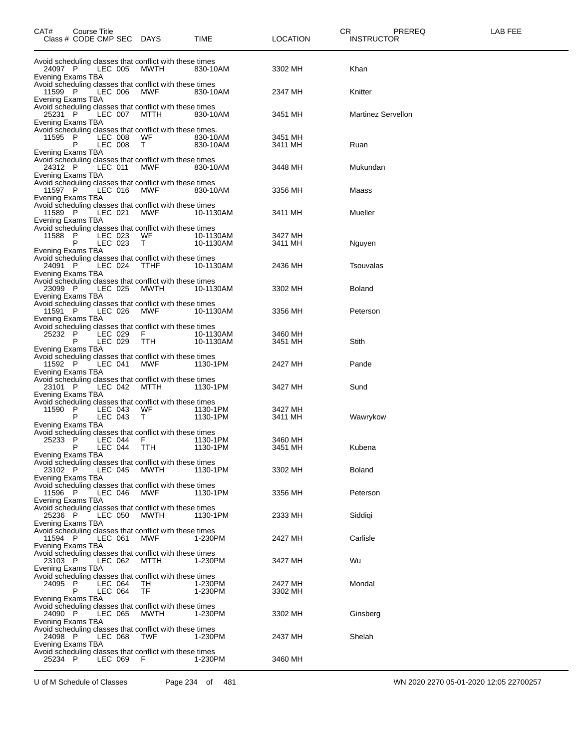| CAT#                                              | <b>Course Title</b><br>Class # CODE CMP SEC DAYS |                    |                                                                                                                            | TIME                   | CR<br><b>LOCATION</b> | PREREQ<br><b>INSTRUCTOR</b> | LAB FEE |
|---------------------------------------------------|--------------------------------------------------|--------------------|----------------------------------------------------------------------------------------------------------------------------|------------------------|-----------------------|-----------------------------|---------|
| 24097 P<br>Evening Exams TBA                      |                                                  | LEC 005            | Avoid scheduling classes that conflict with these times<br>MWTH                                                            | 830-10AM               | 3302 MH               | Khan                        |         |
| 11599 P<br>Evening Exams TBA                      |                                                  | LEC 006            | Avoid scheduling classes that conflict with these times<br>MWF                                                             | 830-10AM               | 2347 MH               | Knitter                     |         |
| 25231 P<br>Evening Exams TBA                      |                                                  | LEC 007            | Avoid scheduling classes that conflict with these times<br>MTTH                                                            | 830-10AM               | 3451 MH               | <b>Martinez Servellon</b>   |         |
| 11595                                             | - P<br>P                                         | LEC 008<br>LEC 008 | Avoid scheduling classes that conflict with these times.<br>WF<br>T.                                                       | 830-10AM<br>830-10AM   | 3451 MH<br>3411 MH    | Ruan                        |         |
| Evening Exams TBA<br>24312 P<br>Evening Exams TBA |                                                  | LEC 011            | Avoid scheduling classes that conflict with these times<br>MWF                                                             | 830-10AM               | 3448 MH               | Mukundan                    |         |
| 11597 P<br>Evening Exams TBA                      |                                                  | LEC 016            | Avoid scheduling classes that conflict with these times<br>MWF                                                             | 830-10AM               | 3356 MH               | Maass                       |         |
| 11589 P<br>Evening Exams TBA                      |                                                  | LEC 021            | Avoid scheduling classes that conflict with these times<br>MWF                                                             | 10-1130AM              | 3411 MH               | Mueller                     |         |
| 11588<br>Evening Exams TBA                        | P<br>P                                           | LEC 023<br>LEC 023 | Avoid scheduling classes that conflict with these times<br>WF<br>T.                                                        | 10-1130AM<br>10-1130AM | 3427 MH<br>3411 MH    | Nguyen                      |         |
| 24091 P<br>Evening Exams TBA                      |                                                  | LEC 024            | Avoid scheduling classes that conflict with these times<br><b>TTHF</b>                                                     | 10-1130AM              | 2436 MH               | Tsouvalas                   |         |
| 23099 P<br>Evening Exams TBA                      |                                                  | LEC 025            | Avoid scheduling classes that conflict with these times<br>MWTH                                                            | 10-1130AM              | 3302 MH               | <b>Boland</b>               |         |
| 11591 P<br>Evening Exams TBA                      |                                                  | LEC 026            | Avoid scheduling classes that conflict with these times<br>MWF                                                             | 10-1130AM              | 3356 MH               | Peterson                    |         |
| 25232 P<br>Evening Exams TBA                      | P                                                | LEC 029<br>LEC 029 | Avoid scheduling classes that conflict with these times<br>F.<br>TTH                                                       | 10-1130AM<br>10-1130AM | 3460 MH<br>3451 MH    | Stith                       |         |
| 11592 P<br>Evening Exams TBA                      |                                                  | LEC 041            | Avoid scheduling classes that conflict with these times<br>MWF                                                             | 1130-1PM               | 2427 MH               | Pande                       |         |
| 23101 P<br>Evening Exams TBA                      |                                                  | LEC 042            | Avoid scheduling classes that conflict with these times<br>мттн                                                            | 1130-1PM               | 3427 MH               | Sund                        |         |
| 11590<br><b>Evening Exams TBA</b>                 | P<br>P                                           | LEC 043<br>LEC 043 | Avoid scheduling classes that conflict with these times<br>WF<br>T.                                                        | 1130-1PM<br>1130-1PM   | 3427 MH<br>3411 MH    | Wawrykow                    |         |
| 25233                                             | -P<br>P                                          | LEC 044<br>LEC 044 | Avoid scheduling classes that conflict with these times<br>F.<br><b>TTH</b>                                                | 1130-1PM<br>1130-1PM   | 3460 MH<br>3451 MH    | Kubena                      |         |
| Evening Exams TBA<br>23102 P<br>Evening Exams TBA |                                                  | LEC 045            | Avoid scheduling classes that conflict with these times<br>MWTH                                                            | 1130-1PM               | 3302 MH               | Boland                      |         |
| 11596 P<br>Evening Exams TBA                      |                                                  | LEC 046            | Avoid scheduling classes that conflict with these times<br>MWF                                                             | 1130-1PM               | 3356 MH               | Peterson                    |         |
| 25236 P<br>Evening Exams TBA                      |                                                  | LEC 050            | Avoid scheduling classes that conflict with these times<br>MWTH                                                            | 1130-1PM               | 2333 MH               | Siddigi                     |         |
| 11594 P<br>Evening Exams TBA                      |                                                  | LEC 061            | Avoid scheduling classes that conflict with these times<br>MWF                                                             | 1-230PM                | 2427 MH               | Carlisle                    |         |
| 23103 P<br>Evening Exams TBA                      |                                                  | LEC 062            | Avoid scheduling classes that conflict with these times<br>MTTH<br>Avoid scheduling classes that conflict with these times | 1-230PM                | 3427 MH               | Wu                          |         |
| 24095 P<br><b>Evening Exams TBA</b>               | P                                                | LEC 064<br>LEC 064 | TH<br>TF                                                                                                                   | 1-230PM<br>1-230PM     | 2427 MH<br>3302 MH    | Mondal                      |         |
| 24090 P<br>Evening Exams TBA                      |                                                  | LEC 065            | Avoid scheduling classes that conflict with these times<br>MWTH                                                            | 1-230PM                | 3302 MH               | Ginsberg                    |         |
| 24098 P<br>Evening Exams TBA                      |                                                  | LEC 068            | Avoid scheduling classes that conflict with these times<br><b>TWF</b>                                                      | 1-230PM                | 2437 MH               | Shelah                      |         |
| 25234 P                                           |                                                  | LEC 069            | Avoid scheduling classes that conflict with these times<br>-F                                                              | 1-230PM                | 3460 MH               |                             |         |

U of M Schedule of Classes Page 234 of 481 WN 2020 2270 05-01-2020 12:05 22700257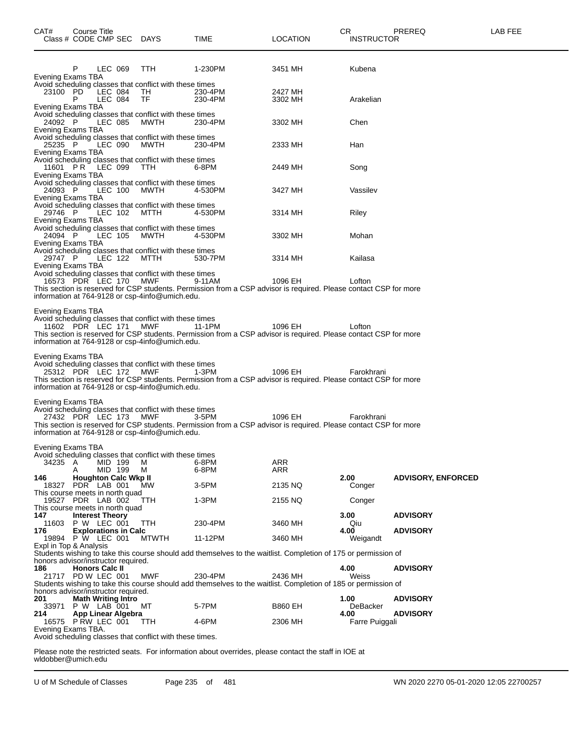| CAT#<br>Class # CODE CMP SEC DAYS                                   |   | Course Title                          |                             |                                                                                                            | TIME                                                                                                                                 | <b>LOCATION</b>    | CR. | <b>INSTRUCTOR</b>       | PREREQ                    | LAB FEE |
|---------------------------------------------------------------------|---|---------------------------------------|-----------------------------|------------------------------------------------------------------------------------------------------------|--------------------------------------------------------------------------------------------------------------------------------------|--------------------|-----|-------------------------|---------------------------|---------|
| Evening Exams TBA                                                   | P | LEC 069                               |                             | TTH                                                                                                        | 1-230PM                                                                                                                              | 3451 MH            |     | Kubena                  |                           |         |
|                                                                     |   |                                       |                             | Avoid scheduling classes that conflict with these times                                                    |                                                                                                                                      |                    |     |                         |                           |         |
| 23100 PD                                                            |   | LEC 084                               |                             | TH.                                                                                                        | 230-4PM                                                                                                                              | 2427 MH            |     |                         |                           |         |
| Evening Exams TBA                                                   | P | LEC 084                               |                             | TF                                                                                                         | 230-4PM                                                                                                                              | 3302 MH            |     | Arakelian               |                           |         |
| 24092 P                                                             |   | LEC 085                               |                             | Avoid scheduling classes that conflict with these times<br>MWTH                                            | 230-4PM                                                                                                                              | 3302 MH            |     | Chen                    |                           |         |
| Evening Exams TBA<br>25235 P                                        |   | LEC 090                               |                             | Avoid scheduling classes that conflict with these times<br>MWTH                                            | 230-4PM                                                                                                                              | 2333 MH            |     | Han                     |                           |         |
| Evening Exams TBA<br>11601 PR LEC 099                               |   |                                       |                             | Avoid scheduling classes that conflict with these times<br>TTH.                                            | 6-8PM                                                                                                                                | 2449 MH            |     | Song                    |                           |         |
| Evening Exams TBA<br>24093 P                                        |   | LEC 100                               |                             | Avoid scheduling classes that conflict with these times<br>MWTH                                            | 4-530PM                                                                                                                              | 3427 MH            |     | Vassilev                |                           |         |
| Evening Exams TBA<br>29746 P                                        |   | LEC 102                               |                             | Avoid scheduling classes that conflict with these times<br>MTTH                                            | 4-530PM                                                                                                                              | 3314 MH            |     | Riley                   |                           |         |
| Evening Exams TBA<br>24094 P                                        |   | LEC 105                               |                             | Avoid scheduling classes that conflict with these times<br>MWTH                                            | 4-530PM                                                                                                                              | 3302 MH            |     | Mohan                   |                           |         |
| Evening Exams TBA<br>29747 P                                        |   | LEC 122                               |                             | Avoid scheduling classes that conflict with these times<br>MTTH                                            | 530-7PM                                                                                                                              | 3314 MH            |     | Kailasa                 |                           |         |
| Evening Exams TBA                                                   |   |                                       |                             | Avoid scheduling classes that conflict with these times                                                    |                                                                                                                                      |                    |     |                         |                           |         |
| 16573 PDR LEC 170 MWF                                               |   |                                       |                             |                                                                                                            | 9-11AM                                                                                                                               | 1096 EH            |     | Lofton                  |                           |         |
|                                                                     |   |                                       |                             | information at 764-9128 or csp-4info@umich.edu.                                                            | This section is reserved for CSP students. Permission from a CSP advisor is required. Please contact CSP for more                    |                    |     |                         |                           |         |
| 11602 PDR LEC 171 MWF<br>Evening Exams TBA<br>25312 PDR LEC 172 MWF |   |                                       |                             | information at 764-9128 or csp-4info@umich.edu.<br>Avoid scheduling classes that conflict with these times | 11-1PM<br>This section is reserved for CSP students. Permission from a CSP advisor is required. Please contact CSP for more<br>1-3PM | 1096 EH<br>1096 EH |     | Lofton<br>Farokhrani    |                           |         |
|                                                                     |   |                                       |                             | information at 764-9128 or csp-4info@umich.edu.                                                            | This section is reserved for CSP students. Permission from a CSP advisor is required. Please contact CSP for more                    |                    |     |                         |                           |         |
| Evening Exams TBA<br>27432 PDR LEC 173 MWF                          |   |                                       |                             | Avoid scheduling classes that conflict with these times<br>information at 764-9128 or csp-4info@umich.edu. | 3-5PM<br>This section is reserved for CSP students. Permission from a CSP advisor is required. Please contact CSP for more           | 1096 EH            |     | Farokhrani              |                           |         |
|                                                                     |   |                                       |                             |                                                                                                            |                                                                                                                                      |                    |     |                         |                           |         |
| Evening Exams TBA<br>34235                                          | A | MID 199                               |                             | Avoid scheduling classes that conflict with these times<br>M                                               | 6-8PM                                                                                                                                | ARR                |     |                         |                           |         |
| 146<br>18327                                                        | Α | MID 199<br>PDR LAB 001                | <b>Houghton Calc Wkp II</b> | м<br><b>MW</b>                                                                                             | 6-8PM<br>3-5PM                                                                                                                       | ARR<br>2135 NQ     |     | 2.00<br>Conger          | <b>ADVISORY, ENFORCED</b> |         |
| This course meets in north quad<br>19527 PDR LAB 002                |   |                                       |                             | TTH                                                                                                        | 1-3PM                                                                                                                                | 2155 NQ            |     | Conger                  |                           |         |
| This course meets in north quad<br>147<br>11603                     |   | <b>Interest Theory</b><br>P W LEC 001 |                             |                                                                                                            |                                                                                                                                      |                    |     | 3.00                    | <b>ADVISORY</b>           |         |
| 176<br>19894 P W LEC 001                                            |   |                                       | <b>Explorations in Calc</b> | TTH<br><b>MTWTH</b>                                                                                        | 230-4PM<br>11-12PM                                                                                                                   | 3460 MH<br>3460 MH |     | Qiu<br>4.00<br>Weigandt | <b>ADVISORY</b>           |         |
| Expl in Top & Analysis<br>honors advisor/instructor required.       |   |                                       |                             |                                                                                                            | Students wishing to take this course should add themselves to the waitlist. Completion of 175 or permission of                       |                    |     |                         |                           |         |
| 186<br>21717 PD W LEC 001                                           |   | <b>Honors Calc II</b>                 |                             | MWF                                                                                                        | 230-4PM<br>Students wishing to take this course should add themselves to the waitlist. Completion of 185 or permission of            | 2436 MH            |     | 4.00<br>Weiss           | <b>ADVISORY</b>           |         |
| honors advisor/instructor required.                                 |   |                                       |                             |                                                                                                            |                                                                                                                                      |                    |     |                         |                           |         |
| 201<br>33971                                                        |   | P W LAB 001                           | <b>Math Writing Intro</b>   | мт                                                                                                         | 5-7PM                                                                                                                                | <b>B860 EH</b>     |     | 1.00<br>DeBacker        | <b>ADVISORY</b>           |         |
| 214<br>16575 P RW LEC 001<br>Evening Exams TBA.                     |   |                                       | App Linear Algebra          | TTH.                                                                                                       | 4-6PM                                                                                                                                | 2306 MH            |     | 4.00<br>Farre Puiggali  | <b>ADVISORY</b>           |         |
|                                                                     |   |                                       |                             | Avoid scheduling classes that conflict with these times.                                                   |                                                                                                                                      |                    |     |                         |                           |         |
|                                                                     |   |                                       |                             |                                                                                                            | Please note the restricted seats. For information about overrides, please contact the staff in IOE at                                |                    |     |                         |                           |         |

Please note the restric<br>wldobber@umich.edu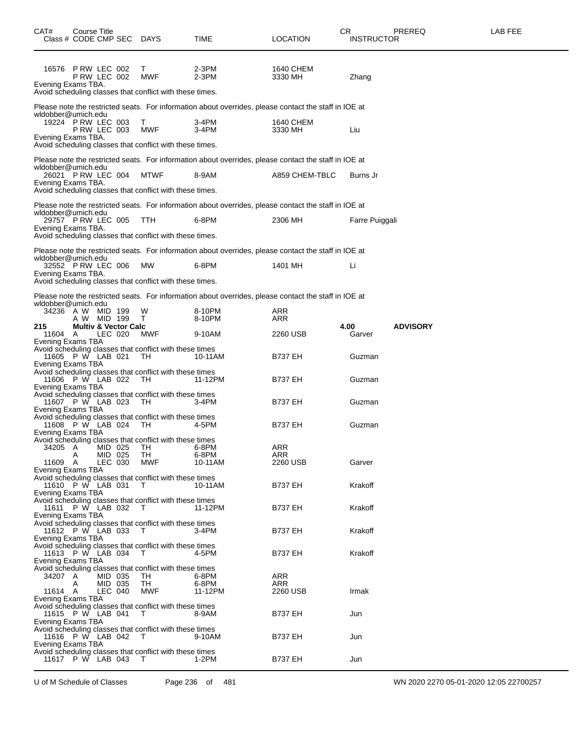| CAT#                     | Course Title<br>Class # CODE CMP SEC DAYS                       |                    |                                                                                        | TIME                                                                                                  | <b>LOCATION</b>      | CR<br><b>INSTRUCTOR</b> | PREREQ                                 | LAB FEE |
|--------------------------|-----------------------------------------------------------------|--------------------|----------------------------------------------------------------------------------------|-------------------------------------------------------------------------------------------------------|----------------------|-------------------------|----------------------------------------|---------|
|                          | 16576 P RW LEC 002<br><b>P RW LEC 002</b><br>Evening Exams TBA. |                    | T.<br>MWF<br>Avoid scheduling classes that conflict with these times.                  | $2-3PM$<br>2-3PM                                                                                      | 1640 CHEM<br>3330 MH | Zhang                   |                                        |         |
|                          | wldobber@umich.edu                                              |                    |                                                                                        | Please note the restricted seats. For information about overrides, please contact the staff in IOE at |                      |                         |                                        |         |
|                          | 19224 P RW LEC 003<br><b>P RW LEC 003</b><br>Evening Exams TBA. |                    | T.<br>MWF                                                                              | 3-4PM<br>3-4PM                                                                                        | 1640 CHEM<br>3330 MH | Liu                     |                                        |         |
|                          |                                                                 |                    | Avoid scheduling classes that conflict with these times.                               |                                                                                                       |                      |                         |                                        |         |
|                          | wldobber@umich.edu                                              |                    |                                                                                        | Please note the restricted seats. For information about overrides, please contact the staff in IOE at |                      |                         |                                        |         |
|                          | 26021 PRW LEC 004<br>Evening Exams TBA.                         |                    | MTWF<br>Avoid scheduling classes that conflict with these times.                       | 8-9AM                                                                                                 | A859 CHEM-TBLC       | Burns Jr                |                                        |         |
|                          |                                                                 |                    |                                                                                        | Please note the restricted seats. For information about overrides, please contact the staff in IOE at |                      |                         |                                        |         |
|                          | wldobber@umich.edu<br>29757 P RW LEC 005                        |                    | TTH.                                                                                   | 6-8PM                                                                                                 | 2306 MH              | Farre Puiggali          |                                        |         |
|                          | Evening Exams TBA.                                              |                    | Avoid scheduling classes that conflict with these times.                               |                                                                                                       |                      |                         |                                        |         |
|                          |                                                                 |                    |                                                                                        | Please note the restricted seats. For information about overrides, please contact the staff in IOE at |                      |                         |                                        |         |
|                          | wldobber@umich.edu<br>32552 P RW LEC 006                        |                    | MW                                                                                     | 6-8PM                                                                                                 | 1401 MH              | Li                      |                                        |         |
|                          | Evening Exams TBA.                                              |                    | Avoid scheduling classes that conflict with these times.                               |                                                                                                       |                      |                         |                                        |         |
|                          |                                                                 |                    |                                                                                        |                                                                                                       |                      |                         |                                        |         |
|                          | wldobber@umich.edu                                              |                    |                                                                                        | Please note the restricted seats. For information about overrides, please contact the staff in IOE at |                      |                         |                                        |         |
|                          | 34236 A W MID 199<br>A W MID 199                                |                    | W<br>т                                                                                 | 8-10PM<br>8-10PM                                                                                      | ARR<br>ARR           |                         |                                        |         |
| 215<br>11604 A           | <b>Multiv &amp; Vector Calc</b>                                 | LEC 020            | MWF                                                                                    | 9-10AM                                                                                                | 2260 USB             | 4.00<br>Garver          | <b>ADVISORY</b>                        |         |
| <b>Evening Exams TBA</b> |                                                                 |                    | Avoid scheduling classes that conflict with these times<br>11605 P W LAB 021 TH 10-11A | 10-11AM                                                                                               | <b>B737 EH</b>       | Guzman                  |                                        |         |
|                          | Evening Exams TBA                                               |                    | Avoid scheduling classes that conflict with these times<br>11606 P W LAB 022 TH 11-12F | 11-12PM                                                                                               | <b>B737 EH</b>       | Guzman                  |                                        |         |
|                          | Evening Exams TBA                                               |                    | Avoid scheduling classes that conflict with these times<br>11607 P W LAB 023 TH 3-4PM  | $3-4PM$                                                                                               | <b>B737 EH</b>       | Guzman                  |                                        |         |
|                          | Evening Exams TBA                                               |                    | Avoid scheduling classes that conflict with these times<br>11608 P W LAB 024 TH 4-5PM  | 4-5PM                                                                                                 | <b>B737 EH</b>       | Guzman                  |                                        |         |
| 34205 A                  | Evening Exams TBA                                               | MID 025            | Avoid scheduling classes that conflict with these times<br>TH                          | 6-8PM                                                                                                 | <b>ARR</b>           |                         |                                        |         |
| 11609 A                  | Α                                                               | MID 025<br>LEC 030 | TH.<br>MWF                                                                             | 6-8PM<br>10-11AM                                                                                      | ARR<br>2260 USB      | Garver                  |                                        |         |
|                          | Evening Exams TBA<br>11610 P W LAB 031                          |                    | Avoid scheduling classes that conflict with these times<br>$\top$                      | 10-11AM                                                                                               | <b>B737 EH</b>       | Krakoff                 |                                        |         |
|                          | Evening Exams TBA<br>11611 P W LAB 032                          |                    | Avoid scheduling classes that conflict with these times<br>$\top$                      | 11-12PM                                                                                               | <b>B737 EH</b>       | Krakoff                 |                                        |         |
|                          | Evening Exams TBA<br>11612 P W LAB 033                          |                    | Avoid scheduling classes that conflict with these times<br>$\top$                      | 3-4PM                                                                                                 | <b>B737 EH</b>       | Krakoff                 |                                        |         |
|                          | Evening Exams TBA<br>11613 P W LAB 034<br>Evening Exams TBA     |                    | Avoid scheduling classes that conflict with these times<br>$\top$                      | 4-5PM                                                                                                 | <b>B737 EH</b>       | Krakoff                 |                                        |         |
| 34207 A                  |                                                                 |                    | Avoid scheduling classes that conflict with these times                                |                                                                                                       | ARR                  |                         |                                        |         |
|                          | A                                                               | MID 035<br>MID 035 | TH<br>TН                                                                               | 6-8PM<br>6-8PM                                                                                        | ARR                  |                         |                                        |         |
| 11614 A                  | <b>Evening Exams TBA</b>                                        | LEC 040            | MWF                                                                                    | 11-12PM                                                                                               | 2260 USB             | Irmak                   |                                        |         |
|                          | 11615 P W LAB 041<br>Evening Exams TBA                          |                    | Avoid scheduling classes that conflict with these times<br>$\top$                      | 8-9AM                                                                                                 | <b>B737 EH</b>       | Jun                     |                                        |         |
|                          | 11616 P W LAB 042<br>Evening Exams TBA                          |                    | Avoid scheduling classes that conflict with these times<br>T                           | 9-10AM                                                                                                | <b>B737 EH</b>       | Jun                     |                                        |         |
|                          | 11617 P W LAB 043                                               |                    | Avoid scheduling classes that conflict with these times<br>T                           | $1-2PM$                                                                                               | <b>B737 EH</b>       | Jun                     |                                        |         |
|                          | U of M Schedule of Classes                                      |                    |                                                                                        | 481<br>Page 236 of                                                                                    |                      |                         | WN 2020 2270 05-01-2020 12:05 22700257 |         |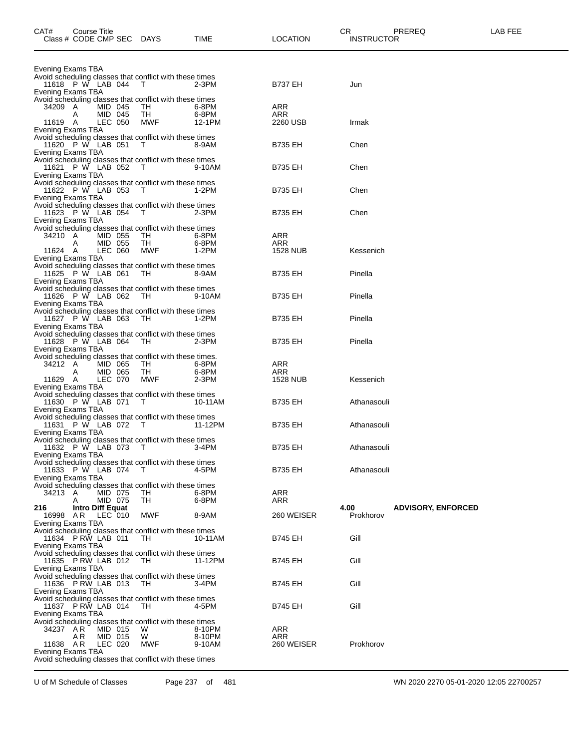| CAT#                                     |     | Course Title                | Class # CODE CMP SEC DAYS                                            | TIME             | <b>LOCATION</b>        | CR. | <b>INSTRUCTOR</b> | PREREQ                    | LAB FEE |
|------------------------------------------|-----|-----------------------------|----------------------------------------------------------------------|------------------|------------------------|-----|-------------------|---------------------------|---------|
| Evening Exams TBA                        |     |                             |                                                                      |                  |                        |     |                   |                           |         |
| 11618 P W LAB 044 T<br>Evening Exams TBA |     |                             | Avoid scheduling classes that conflict with these times              | $2-3PM$          | <b>B737 EH</b>         |     | Jun               |                           |         |
| 34209 A                                  |     | MID 045                     | Avoid scheduling classes that conflict with these times<br>TH.       | 6-8PM            | ARR                    |     |                   |                           |         |
| 11619 A<br>Evening Exams TBA             | Α   | MID 045<br>LEC 050          | TH<br>MWF                                                            | 6-8PM<br>12-1PM  | ARR<br>2260 USB        |     | Irmak             |                           |         |
| 11620 P W LAB 051<br>Evening Exams TBA   |     |                             | Avoid scheduling classes that conflict with these times<br>$\top$    | 8-9AM            | <b>B735 EH</b>         |     | Chen              |                           |         |
| 11621 P W LAB 052<br>Evening Exams TBA   |     |                             | Avoid scheduling classes that conflict with these times<br>$\top$    | 9-10AM           | <b>B735 EH</b>         |     | Chen              |                           |         |
| 11622 P W LAB 053<br>Evening Exams TBA   |     |                             | Avoid scheduling classes that conflict with these times<br>$\top$    | $1-2PM$          | <b>B735 EH</b>         |     | Chen              |                           |         |
| 11623 P W LAB 054<br>Evening Exams TBA   |     |                             | Avoid scheduling classes that conflict with these times<br>$\top$    | 2-3PM            | <b>B735 EH</b>         |     | Chen              |                           |         |
| 34210 A                                  |     | MID 055                     | Avoid scheduling classes that conflict with these times<br>TH        | 6-8PM            | ARR                    |     |                   |                           |         |
| 11624 A<br>Evening Exams TBA             | A   | MID 055<br>LEC 060          | TH<br>MWF                                                            | 6-8PM<br>1-2PM   | ARR<br><b>1528 NUB</b> |     | Kessenich         |                           |         |
| 11625 P W LAB 061<br>Evening Exams TBA   |     |                             | Avoid scheduling classes that conflict with these times<br>TH        | 8-9AM            | B735 EH                |     | Pinella           |                           |         |
| 11626 P W LAB 062<br>Evening Exams TBA   |     |                             | Avoid scheduling classes that conflict with these times<br>TH.       | 9-10AM           | B735 EH                |     | Pinella           |                           |         |
| 11627 P W LAB 063<br>Evening Exams TBA   |     |                             | Avoid scheduling classes that conflict with these times<br>TН        | 1-2PM            | B735 EH                |     | Pinella           |                           |         |
| 11628 P W LAB 064<br>Evening Exams TBA   |     |                             | Avoid scheduling classes that conflict with these times<br>TН        | 2-3PM            | B735 EH                |     | Pinella           |                           |         |
| 34212 A                                  | Α   | MID 065<br>MID 065          | Avoid scheduling classes that conflict with these times.<br>TH<br>TН | 6-8PM<br>6-8PM   | ARR<br>ARR             |     |                   |                           |         |
| 11629 A<br>Evening Exams TBA             |     | LEC 070                     | <b>MWF</b>                                                           | 2-3PM            | <b>1528 NUB</b>        |     | Kessenich         |                           |         |
| 11630 P W LAB 071 T<br>Evening Exams TBA |     |                             | Avoid scheduling classes that conflict with these times              | 10-11AM          | <b>B735 EH</b>         |     | Athanasouli       |                           |         |
| 11631 P W LAB 072<br>Evening Exams TBA   |     |                             | Avoid scheduling classes that conflict with these times<br>$\top$    | 11-12PM          | <b>B735 EH</b>         |     | Athanasouli       |                           |         |
| 11632 P W LAB 073 T<br>Evening Exams TBA |     |                             | Avoid scheduling classes that conflict with these times              | $3-4PM$          | <b>B735 EH</b>         |     | Athanasouli       |                           |         |
| 11633 P W LAB 074<br>Evening Exams TBA   |     |                             | Avoid scheduling classes that conflict with these times<br>$\top$    | 4-5PM            | <b>B735 EH</b>         |     | Athanasouli       |                           |         |
| 34213 A                                  | A   | MID 075<br>MID 075          | Avoid scheduling classes that conflict with these times<br>TH<br>TH  | 6-8PM<br>6-8PM   | ARR<br>ARR             |     |                   |                           |         |
| 216<br>16998 AR<br>Evening Exams TBA     |     | Intro Diff Equat<br>LEC 010 | MWF                                                                  | 8-9AM            | 260 WEISER             |     | 4.00<br>Prokhorov | <b>ADVISORY, ENFORCED</b> |         |
| 11634 P RW LAB 011<br>Evening Exams TBA  |     |                             | Avoid scheduling classes that conflict with these times<br>TH.       | 10-11AM          | <b>B745 EH</b>         |     | Gill              |                           |         |
| 11635 P RW LAB 012<br>Evening Exams TBA  |     |                             | Avoid scheduling classes that conflict with these times<br>- TH      | 11-12PM          | <b>B745 EH</b>         |     | Gill              |                           |         |
| 11636 P RW LAB 013                       |     |                             | Avoid scheduling classes that conflict with these times<br>- TH      | 3-4PM            | <b>B745 EH</b>         |     | Gill              |                           |         |
| Evening Exams TBA<br>11637 P RW LAB 014  |     |                             | Avoid scheduling classes that conflict with these times<br>TH.       | 4-5PM            | <b>B745 EH</b>         |     | Gill              |                           |         |
| Evening Exams TBA<br>34237 A R           | A R | MID 015<br>MID 015          | Avoid scheduling classes that conflict with these times<br>W<br>W    | 8-10PM<br>8-10PM | ARR<br>ARR             |     |                   |                           |         |
| 11638 AR<br>Evening Exams TBA            |     | LEC 020                     | MWF<br>Avoid scheduling classes that conflict with these times       | 9-10AM           | 260 WEISER             |     | Prokhorov         |                           |         |

U of M Schedule of Classes Page 237 of 481 WN 2020 2270 05-01-2020 12:05 22700257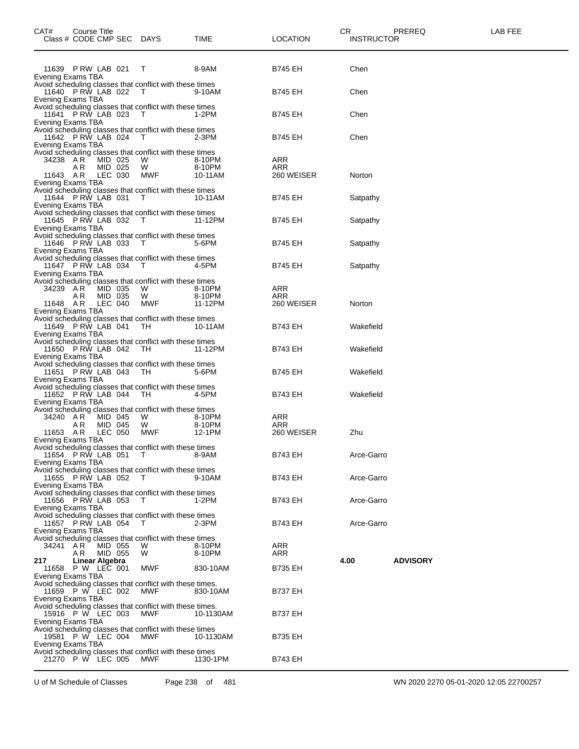| CAT#                                      | Course Title<br>Class # CODE CMP SEC DAYS |                               |                                                                                                                              | TIME                        | <b>LOCATION</b>                 | CR<br><b>INSTRUCTOR</b> | PREREQ          | LAB FEE |
|-------------------------------------------|-------------------------------------------|-------------------------------|------------------------------------------------------------------------------------------------------------------------------|-----------------------------|---------------------------------|-------------------------|-----------------|---------|
| Evening Exams TBA                         | 11639 P RW LAB 021                        |                               | Т                                                                                                                            | 8-9AM                       | <b>B745 EH</b>                  | Chen                    |                 |         |
| Evening Exams TBA                         | 11640 P RW LAB 022                        |                               | Avoid scheduling classes that conflict with these times<br>$\top$                                                            | 9-10AM                      | <b>B745 EH</b>                  | Chen                    |                 |         |
| Evening Exams TBA                         | 11641 P RW LAB 023                        |                               | Avoid scheduling classes that conflict with these times<br>$\top$                                                            | $1-2PM$                     | <b>B745 EH</b>                  | Chen                    |                 |         |
| Evening Exams TBA                         | 11642 P RW LAB 024                        |                               | Avoid scheduling classes that conflict with these times<br>$\top$                                                            | $2-3PM$                     | <b>B745 EH</b>                  | Chen                    |                 |         |
| 34238 AR<br>11643 AR<br>Evening Exams TBA | A R                                       | MID 025<br>MID 025<br>LEC 030 | Avoid scheduling classes that conflict with these times<br>W<br>W<br>MWF                                                     | 8-10PM<br>8-10PM<br>10-11AM | ARR<br>ARR<br>260 WEISER        | Norton                  |                 |         |
| Evening Exams TBA                         | 11644 PRW LAB 031                         |                               | Avoid scheduling classes that conflict with these times<br>$\top$                                                            | 10-11AM                     | <b>B745 EH</b>                  | Satpathy                |                 |         |
| Evening Exams TBA                         | 11645 P RW LAB 032                        |                               | Avoid scheduling classes that conflict with these times<br>$\top$                                                            | 11-12PM                     | <b>B745 EH</b>                  | Satpathy                |                 |         |
| Evening Exams TBA                         | 11646 P RW LAB 033                        |                               | Avoid scheduling classes that conflict with these times<br>$\top$<br>Avoid scheduling classes that conflict with these times | 5-6PM                       | <b>B745 EH</b>                  | Satpathy                |                 |         |
| Evening Exams TBA                         | 11647 P RW LAB 034                        |                               | $\top$<br>Avoid scheduling classes that conflict with these times                                                            | 4-5PM                       | <b>B745 EH</b>                  | Satpathy                |                 |         |
| 34239 AR<br>11648 AR<br>Evening Exams TBA | A R                                       | MID 035<br>MID 035<br>LEC 040 | W<br>W<br>MWF                                                                                                                | 8-10PM<br>8-10PM<br>11-12PM | ARR<br><b>ARR</b><br>260 WEISER | Norton                  |                 |         |
| Evening Exams TBA                         | 11649 PRW LAB 041                         |                               | Avoid scheduling classes that conflict with these times<br>TН                                                                | 10-11AM                     | <b>B743 EH</b>                  | Wakefield               |                 |         |
| Evening Exams TBA                         | 11650 P RW LAB 042                        |                               | Avoid scheduling classes that conflict with these times<br>TH                                                                | 11-12PM                     | B743 EH                         | Wakefield               |                 |         |
| Evening Exams TBA                         | 11651 P RW LAB 043                        |                               | Avoid scheduling classes that conflict with these times<br>TH                                                                | 5-6PM                       | <b>B745 EH</b>                  | Wakefield               |                 |         |
| Evening Exams TBA                         | 11652 P RW LAB 044                        |                               | Avoid scheduling classes that conflict with these times<br>TН<br>Avoid scheduling classes that conflict with these times     | 4-5PM                       | B743 EH                         | Wakefield               |                 |         |
| 34240 AR<br>11653 AR<br>Evening Exams TBA | ΑR                                        | MID 045<br>MID 045<br>LEC 050 | W<br>W<br>MWF                                                                                                                | 8-10PM<br>8-10PM<br>12-1PM  | ARR<br>ARR<br>260 WEISER        | Zhu                     |                 |         |
| Evening Exams TBA                         | 11654 P RW LAB 051                        |                               | Avoid scheduling classes that conflict with these times<br>T                                                                 | 8-9AM                       | B743 EH                         | Arce-Garro              |                 |         |
| Evening Exams TBA                         | 11655 P RW LAB 052                        |                               | Avoid scheduling classes that conflict with these times<br>T                                                                 | 9-10AM                      | <b>B743 EH</b>                  | Arce-Garro              |                 |         |
| Evening Exams TBA                         | 11656 P RW LAB 053                        |                               | Avoid scheduling classes that conflict with these times<br>$\top$<br>Avoid scheduling classes that conflict with these times | 1-2PM                       | <b>B743 EH</b>                  | Arce-Garro              |                 |         |
| Evening Exams TBA                         | 11657 P RW LAB 054                        |                               | T<br>Avoid scheduling classes that conflict with these times                                                                 | 2-3PM                       | <b>B743 EH</b>                  | Arce-Garro              |                 |         |
| 34241 AR<br>217                           | A R<br>Linear Algebra                     | MID 055<br>MID 055            | W<br>W                                                                                                                       | 8-10PM<br>8-10PM            | ARR<br>ARR                      | 4.00                    | <b>ADVISORY</b> |         |
| Evening Exams TBA                         | 11658 P W LEC 001                         |                               | MWF<br>Avoid scheduling classes that conflict with these times.                                                              | 830-10AM                    | <b>B735 EH</b>                  |                         |                 |         |
| Evening Exams TBA                         | 11659 P W LEC 002                         |                               | MWF<br>Avoid scheduling classes that conflict with these times.                                                              | 830-10AM                    | <b>B737 EH</b>                  |                         |                 |         |
| Evening Exams TBA                         | 15916 P W LEC 003                         |                               | MWF<br>Avoid scheduling classes that conflict with these times                                                               | 10-1130AM                   | <b>B737 EH</b>                  |                         |                 |         |
| Evening Exams TBA                         | 19581 P W LEC 004                         |                               | MWF<br>Avoid scheduling classes that conflict with these times                                                               | 10-1130AM                   | <b>B735 EH</b>                  |                         |                 |         |
|                                           | 21270 P W LEC 005                         |                               | MWF                                                                                                                          | 1130-1PM                    | B743 EH                         |                         |                 |         |

U of M Schedule of Classes Page 238 of 481 WN 2020 2270 05-01-2020 12:05 22700257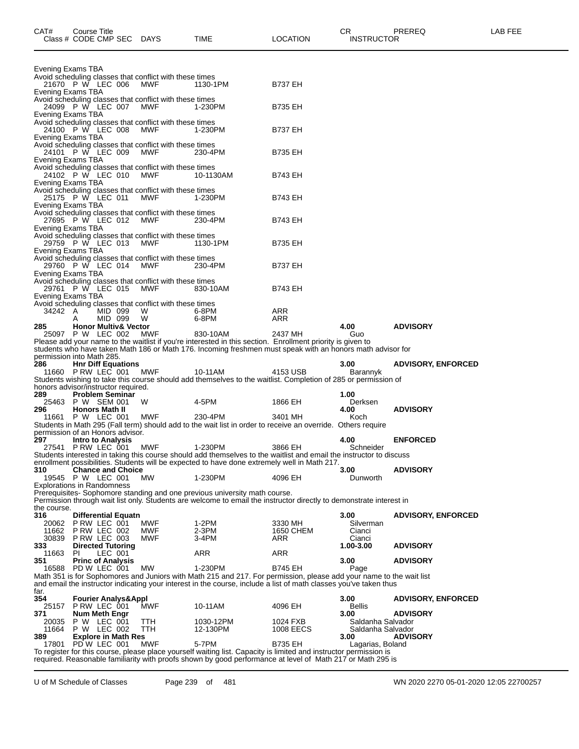| Evening Exams TBA |                                                      |                                                                       |                                                                                                                                                                                                                                          |                  |                       |                           |
|-------------------|------------------------------------------------------|-----------------------------------------------------------------------|------------------------------------------------------------------------------------------------------------------------------------------------------------------------------------------------------------------------------------------|------------------|-----------------------|---------------------------|
|                   |                                                      | Avoid scheduling classes that conflict with these times               |                                                                                                                                                                                                                                          |                  |                       |                           |
|                   | 21670 P W LEC 006                                    | <b>MWF</b>                                                            | 1130-1PM                                                                                                                                                                                                                                 | <b>B737 EH</b>   |                       |                           |
| Evening Exams TBA |                                                      |                                                                       |                                                                                                                                                                                                                                          |                  |                       |                           |
|                   | 24099 P W LEC 007                                    | Avoid scheduling classes that conflict with these times<br><b>MWF</b> | 1-230PM                                                                                                                                                                                                                                  | <b>B735 EH</b>   |                       |                           |
| Evening Exams TBA |                                                      |                                                                       |                                                                                                                                                                                                                                          |                  |                       |                           |
|                   |                                                      | Avoid scheduling classes that conflict with these times               |                                                                                                                                                                                                                                          |                  |                       |                           |
|                   | 24100 P W LEC 008                                    | <b>MWF</b>                                                            | 1-230PM                                                                                                                                                                                                                                  | <b>B737 EH</b>   |                       |                           |
| Evening Exams TBA |                                                      | Avoid scheduling classes that conflict with these times               |                                                                                                                                                                                                                                          |                  |                       |                           |
|                   | 24101 P W LEC 009                                    | <b>MWF</b>                                                            | 230-4PM                                                                                                                                                                                                                                  | <b>B735 EH</b>   |                       |                           |
| Evening Exams TBA |                                                      |                                                                       |                                                                                                                                                                                                                                          |                  |                       |                           |
|                   | 24102 P W LEC 010                                    | Avoid scheduling classes that conflict with these times               |                                                                                                                                                                                                                                          |                  |                       |                           |
| Evening Exams TBA |                                                      | <b>MWF</b>                                                            | 10-1130AM                                                                                                                                                                                                                                | <b>B743 EH</b>   |                       |                           |
|                   |                                                      | Avoid scheduling classes that conflict with these times               |                                                                                                                                                                                                                                          |                  |                       |                           |
|                   | 25175 P W LEC 011                                    | <b>MWF</b>                                                            | 1-230PM                                                                                                                                                                                                                                  | <b>B743 EH</b>   |                       |                           |
| Evening Exams TBA |                                                      |                                                                       |                                                                                                                                                                                                                                          |                  |                       |                           |
|                   | 27695 P W LEC 012                                    | Avoid scheduling classes that conflict with these times<br><b>MWF</b> | 230-4PM                                                                                                                                                                                                                                  | <b>B743 EH</b>   |                       |                           |
| Evening Exams TBA |                                                      |                                                                       |                                                                                                                                                                                                                                          |                  |                       |                           |
|                   |                                                      | Avoid scheduling classes that conflict with these times               |                                                                                                                                                                                                                                          |                  |                       |                           |
|                   | 29759 P W LEC 013                                    | <b>MWF</b>                                                            | 1130-1PM                                                                                                                                                                                                                                 | <b>B735 EH</b>   |                       |                           |
| Evening Exams TBA |                                                      | Avoid scheduling classes that conflict with these times               |                                                                                                                                                                                                                                          |                  |                       |                           |
|                   | 29760 P W LEC 014                                    | <b>MWF</b>                                                            | 230-4PM                                                                                                                                                                                                                                  | <b>B737 EH</b>   |                       |                           |
| Evening Exams TBA |                                                      |                                                                       |                                                                                                                                                                                                                                          |                  |                       |                           |
|                   | 29761 P W LEC 015                                    | Avoid scheduling classes that conflict with these times               |                                                                                                                                                                                                                                          |                  |                       |                           |
| Evening Exams TBA |                                                      | <b>MWF</b>                                                            | 830-10AM                                                                                                                                                                                                                                 | <b>B743 EH</b>   |                       |                           |
|                   |                                                      | Avoid scheduling classes that conflict with these times               |                                                                                                                                                                                                                                          |                  |                       |                           |
| 34242             | A<br>MID 099                                         | W                                                                     | 6-8PM                                                                                                                                                                                                                                    | ARR              |                       |                           |
|                   | MID 099                                              | W                                                                     | 6-8PM                                                                                                                                                                                                                                    | ARR              |                       |                           |
| 285               | <b>Honor Multiv&amp; Vector</b><br>25097 P W LEC 002 | <b>MWF</b>                                                            | 830-10AM                                                                                                                                                                                                                                 | 2437 MH          | 4.00<br>Guo           | <b>ADVISORY</b>           |
|                   |                                                      |                                                                       | Please add your name to the waitlist if you're interested in this section. Enrollment priority is given to                                                                                                                               |                  |                       |                           |
|                   |                                                      |                                                                       | students who have taken Math 186 or Math 176. Incoming freshmen must speak with an honors math advisor for                                                                                                                               |                  |                       |                           |
|                   | permission into Math 285.                            |                                                                       |                                                                                                                                                                                                                                          |                  |                       |                           |
| 286               | <b>Hnr Diff Equations</b><br>11660 P RW LEC 001      | MWF                                                                   | 10-11AM                                                                                                                                                                                                                                  | 4153 USB         | 3.00<br>Barannyk      | <b>ADVISORY, ENFORCED</b> |
|                   |                                                      |                                                                       |                                                                                                                                                                                                                                          |                  |                       |                           |
|                   |                                                      |                                                                       |                                                                                                                                                                                                                                          |                  |                       |                           |
|                   | honors advisor/instructor required.                  |                                                                       | Students wishing to take this course should add themselves to the waitlist. Completion of 285 or permission of                                                                                                                           |                  |                       |                           |
| 289               | <b>Problem Seminar</b>                               |                                                                       |                                                                                                                                                                                                                                          |                  | 1.00                  |                           |
|                   | 25463 P W SEM 001                                    | W                                                                     | 4-5PM                                                                                                                                                                                                                                    | 1866 EH          | Derksen               |                           |
| 296               | <b>Honors Math II</b>                                |                                                                       |                                                                                                                                                                                                                                          |                  | 4.00                  | <b>ADVISORY</b>           |
|                   | 11661 P W LEC 001                                    | MWF                                                                   | 230-4PM<br>Students in Math 295 (Fall term) should add to the wait list in order to receive an override. Others require                                                                                                                  | 3401 MH          | Koch                  |                           |
|                   | permission of an Honors advisor.                     |                                                                       |                                                                                                                                                                                                                                          |                  |                       |                           |
| 297.              | <b>Intro to Analysis</b>                             |                                                                       |                                                                                                                                                                                                                                          |                  | 4.00                  | <b>ENFORCED</b>           |
|                   | 27541 PRW LEC 001                                    | <b>MWF</b>                                                            | 1-230PM                                                                                                                                                                                                                                  | 3866 EH          | Schneider             |                           |
|                   |                                                      |                                                                       | Students interested in taking this course should add themselves to the waitlist and email the instructor to discuss<br>enrollment possibilities. Students will be expected to have done extremely well in Math 217.                      |                  |                       |                           |
| 310               | <b>Chance and Choice</b>                             |                                                                       |                                                                                                                                                                                                                                          |                  | 3.00                  | <b>ADVISORY</b>           |
|                   | 19545 P W LEC 001                                    | MW.                                                                   | 1-230PM                                                                                                                                                                                                                                  | 4096 EH          | Dunworth              |                           |
|                   | <b>Explorations in Randomness</b>                    |                                                                       |                                                                                                                                                                                                                                          |                  |                       |                           |
|                   |                                                      |                                                                       | Prerequisites- Sophomore standing and one previous university math course.<br>Permission through wait list only. Students are welcome to email the instructor directly to demonstrate interest in                                        |                  |                       |                           |
| the course.       |                                                      |                                                                       |                                                                                                                                                                                                                                          |                  |                       |                           |
| 316               | <b>Differential Equatn</b>                           |                                                                       |                                                                                                                                                                                                                                          |                  | 3.00                  | <b>ADVISORY, ENFORCED</b> |
|                   | 20062 P RW LEC 001                                   | MWF                                                                   | 1-2PM                                                                                                                                                                                                                                    | 3330 MH          | Silverman             |                           |
| 11662<br>30839    | P RW LEC 002<br>PRW LEC 003                          | <b>MWF</b><br>MWF                                                     | 2-3PM<br>3-4PM                                                                                                                                                                                                                           | 1650 CHEM<br>ARR | Cianci<br>Cianci      |                           |
| 333               | <b>Directed Tutoring</b>                             |                                                                       |                                                                                                                                                                                                                                          |                  | 1.00-3.00             | <b>ADVISORY</b>           |
| 11663             | LEC 001<br>PI.                                       |                                                                       | ARR                                                                                                                                                                                                                                      | <b>ARR</b>       |                       |                           |
| 351               | <b>Princ of Analysis</b>                             |                                                                       |                                                                                                                                                                                                                                          |                  | 3.00                  | <b>ADVISORY</b>           |
|                   | 16588 PD W LEC 001                                   | MW                                                                    | 1-230PM<br>Math 351 is for Sophomores and Juniors with Math 215 and 217. For permission, please add your name to the wait list                                                                                                           | <b>B745 EH</b>   | Page                  |                           |
|                   |                                                      |                                                                       | and email the instructor indicating your interest in the course, include a list of math classes you've taken thus                                                                                                                        |                  |                       |                           |
| far.              |                                                      |                                                                       |                                                                                                                                                                                                                                          |                  |                       |                           |
| 354               | <b>Fourier Analys&amp;Appl</b>                       |                                                                       |                                                                                                                                                                                                                                          |                  | 3.00                  | <b>ADVISORY, ENFORCED</b> |
| 25157<br>371      | PRW LEC 001<br><b>Num Meth Engr</b>                  | MWF                                                                   | 10-11AM                                                                                                                                                                                                                                  | 4096 EH          | <b>Bellis</b><br>3.00 | <b>ADVISORY</b>           |
| 20035             | P W LEC 001                                          | ттн                                                                   | 1030-12PM                                                                                                                                                                                                                                | 1024 FXB         | Saldanha Salvador     |                           |
| 11664             | P W LEC 002                                          | TTH                                                                   | 12-130PM                                                                                                                                                                                                                                 | <b>1008 EECS</b> | Saldanha Salvador     |                           |
| 389               | <b>Explore in Math Res</b>                           |                                                                       |                                                                                                                                                                                                                                          |                  | 3.00                  | <b>ADVISORY</b>           |
| 17801             | PD W LEC 001                                         | <b>MWF</b>                                                            | 5-7PM<br>To register for this course, please place yourself waiting list. Capacity is limited and instructor permission is<br>required. Reasonable familiarity with proofs shown by good performance at level of Math 217 or Math 295 is | <b>B735 EH</b>   | Lagarias, Boland      |                           |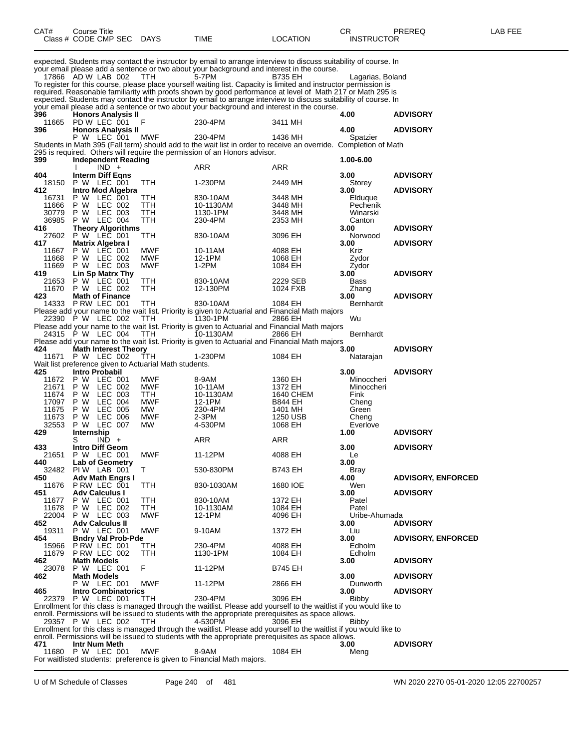| CAT#           | <b>Course Title</b><br>Class # CODE CMP SEC DAYS       |            | TIME                                                                                                                                                                                                                                                                                                                                        | LOCATION                  | CR<br><b>INSTRUCTOR</b> | PREREQ                    | LAB FEE |
|----------------|--------------------------------------------------------|------------|---------------------------------------------------------------------------------------------------------------------------------------------------------------------------------------------------------------------------------------------------------------------------------------------------------------------------------------------|---------------------------|-------------------------|---------------------------|---------|
|                | 17866 AD W LAB 002                                     | TTH        | expected. Students may contact the instructor by email to arrange interview to discuss suitability of course. In<br>your email please add a sentence or two about your background and interest in the course.<br>5-7PM<br>To register for this course, please place yourself waiting list. Capacity is limited and instructor permission is | B735 EH                   | Lagarias, Boland        |                           |         |
|                |                                                        |            | required. Reasonable familiarity with proofs shown by good performance at level of Math 217 or Math 295 is<br>expected. Students may contact the instructor by email to arrange interview to discuss suitability of course. In<br>your email please add a sentence or two about your background and interest in the course.                 |                           |                         |                           |         |
| 396            | <b>Honors Analysis II</b>                              |            |                                                                                                                                                                                                                                                                                                                                             |                           | 4.00                    | <b>ADVISORY</b>           |         |
| 11665<br>396   | PD W LEC 001<br><b>Honors Analysis II</b>              | F          | 230-4PM                                                                                                                                                                                                                                                                                                                                     | 3411 MH                   | 4.00                    | <b>ADVISORY</b>           |         |
|                | P W LEC 001                                            | MWF        | 230-4PM<br>Students in Math 395 (Fall term) should add to the wait list in order to receive an override. Completion of Math                                                                                                                                                                                                                 | 1436 MH                   | Spatzier                |                           |         |
|                |                                                        |            | 295 is required. Others will require the permission of an Honors advisor.                                                                                                                                                                                                                                                                   |                           |                         |                           |         |
| 399            | <b>Independent Reading</b><br>$IND +$                  |            | ARR                                                                                                                                                                                                                                                                                                                                         | ARR                       | 1.00-6.00               |                           |         |
| 404            | <b>Interm Diff Eqns</b>                                |            |                                                                                                                                                                                                                                                                                                                                             |                           | 3.00                    | <b>ADVISORY</b>           |         |
| 18150<br>412   | P W LEC 001<br><b>Intro Mod Algebra</b>                | TTH        | 1-230PM                                                                                                                                                                                                                                                                                                                                     | 2449 MH                   | Storey<br>3.00          | <b>ADVISORY</b>           |         |
| 16731          | P W LEC 001                                            | TTH        | 830-10AM                                                                                                                                                                                                                                                                                                                                    | 3448 MH                   | Elduque                 |                           |         |
| 11666          | P W LEC 002                                            | TTH        | 10-1130AM                                                                                                                                                                                                                                                                                                                                   | 3448 MH                   | Pechenik                |                           |         |
| 30779<br>36985 | LEC 003<br>P W<br>P W LEC 004                          | TTH<br>TTH | 1130-1PM<br>230-4PM                                                                                                                                                                                                                                                                                                                         | 3448 MH<br>2353 MH        | Winarski<br>Canton      |                           |         |
| 416            | <b>Theory Algorithms</b>                               |            |                                                                                                                                                                                                                                                                                                                                             |                           | 3.00                    | <b>ADVISORY</b>           |         |
| 27602          | P W LEC 001                                            | TTH        | 830-10AM                                                                                                                                                                                                                                                                                                                                    | 3096 EH                   | Norwood                 |                           |         |
| 417<br>11667   | Matrix Algebra I<br>P W LEC 001                        | MWF        | 10-11AM                                                                                                                                                                                                                                                                                                                                     | 4088 EH                   | 3.00<br>Kriz            | <b>ADVISORY</b>           |         |
| 11668          | P W LEC 002                                            | <b>MWF</b> | 12-1PM                                                                                                                                                                                                                                                                                                                                      | 1068 EH                   | Zydor                   |                           |         |
| 11669<br>419   | P W LEC 003<br>Lin Sp Matrx Thy                        | <b>MWF</b> | 1-2PM                                                                                                                                                                                                                                                                                                                                       | 1084 EH                   | Zydor<br>3.00           | <b>ADVISORY</b>           |         |
| 21653          | P W LEC 001                                            | TTH        | 830-10AM                                                                                                                                                                                                                                                                                                                                    | 2229 SEB                  | Bass                    |                           |         |
| 11670          | P W LEC 002                                            | TTH        | 12-130PM                                                                                                                                                                                                                                                                                                                                    | 1024 FXB                  | Zhang                   |                           |         |
| 423            | <b>Math of Finance</b><br>14333 P RW LEC 001           | TTH        | 830-10AM                                                                                                                                                                                                                                                                                                                                    | 1084 EH                   | 3.00<br>Bernhardt       | <b>ADVISORY</b>           |         |
|                |                                                        |            | Please add your name to the wait list. Priority is given to Actuarial and Financial Math majors                                                                                                                                                                                                                                             |                           |                         |                           |         |
|                | 22390 P W LEC 002                                      | TTH        | 1130-1PM<br>Please add your name to the wait list. Priority is given to Actuarial and Financial Math majors                                                                                                                                                                                                                                 | 2866 EH                   | Wu                      |                           |         |
|                | 24315 P W LEC 004                                      | TTH        | 10-1130AM                                                                                                                                                                                                                                                                                                                                   | 2866 EH                   | Bernhardt               |                           |         |
|                |                                                        |            | Please add your name to the wait list. Priority is given to Actuarial and Financial Math majors                                                                                                                                                                                                                                             |                           |                         |                           |         |
| 424<br>11671   | <b>Math Interest Theory</b><br>P W LEC 002             | TTH        | 1-230PM                                                                                                                                                                                                                                                                                                                                     | 1084 EH                   | 3.00<br>Natarajan       | <b>ADVISORY</b>           |         |
|                | Wait list preference given to Actuarial Math students. |            |                                                                                                                                                                                                                                                                                                                                             |                           |                         |                           |         |
| 425<br>11672   | Intro Probabil<br>P W LEC 001                          | MWF        | 8-9AM                                                                                                                                                                                                                                                                                                                                       | 1360 EH                   | 3.00<br>Minoccheri      | <b>ADVISORY</b>           |         |
| 21671          | P W<br>LEC 002                                         | MWF        | 10-11AM                                                                                                                                                                                                                                                                                                                                     | 1372 EH                   | Minoccheri              |                           |         |
| 11674          | LEC 003<br>P W                                         | TTH        | 10-1130AM                                                                                                                                                                                                                                                                                                                                   | 1640 CHEM                 | Fink                    |                           |         |
| 17097<br>11675 | LEC 004<br>P W<br><b>LEC 005</b><br>P W                | MWF<br>МW  | 12-1PM<br>230-4PM                                                                                                                                                                                                                                                                                                                           | <b>B844 EH</b><br>1401 MH | Cheng<br>Green          |                           |         |
| 11673          | <b>LEC 006</b><br>P W                                  | <b>MWF</b> | $2-3PM$                                                                                                                                                                                                                                                                                                                                     | 1250 USB                  | Chena                   |                           |         |
| 32553          | LEC 007<br>P W                                         | MW         | 4-530PM                                                                                                                                                                                                                                                                                                                                     | 1068 EH                   | Everlove                |                           |         |
| 429            | <b>Internship</b><br>S<br>$IND +$                      |            | ARR                                                                                                                                                                                                                                                                                                                                         | ARR                       | 1.00                    | <b>ADVISORY</b>           |         |
| 433            | <b>Intro Diff Geom</b>                                 |            |                                                                                                                                                                                                                                                                                                                                             |                           | 3.00                    | <b>ADVISORY</b>           |         |
| 21651<br>440   | P W LEC 001<br>Lab of Geometry                         | MWF        | 11-12PM                                                                                                                                                                                                                                                                                                                                     | 4088 EH                   | Le<br>3.00              |                           |         |
| 32482          | PIW LAB 001                                            | T          | 530-830PM                                                                                                                                                                                                                                                                                                                                   | B743 EH                   | Bray                    |                           |         |
| 450            | Adv Math Engrs I<br>P RW LEC 001                       |            |                                                                                                                                                                                                                                                                                                                                             |                           | 4.00                    | <b>ADVISORY, ENFORCED</b> |         |
| 11676<br>451   | <b>Adv Calculus I</b>                                  | TTH        | 830-1030AM                                                                                                                                                                                                                                                                                                                                  | 1680 IOE                  | Wen<br>3.00             | <b>ADVISORY</b>           |         |
| 11677          | P W LEC 001                                            | TTH        | 830-10AM                                                                                                                                                                                                                                                                                                                                    | 1372 EH                   | Patel                   |                           |         |
| 11678<br>22004 | P W LEC 002<br>P W LEC 003                             | TTH<br>MWF | 10-1130AM<br>12-1PM                                                                                                                                                                                                                                                                                                                         | 1084 EH<br>4096 EH        | Patel<br>Uribe-Ahumada  |                           |         |
| 452            | <b>Adv Calculus II</b>                                 |            |                                                                                                                                                                                                                                                                                                                                             |                           | 3.00                    | <b>ADVISORY</b>           |         |
| 19311<br>454   | P W LEC 001<br><b>Bndry Val Prob-Pde</b>               | <b>MWF</b> | 9-10AM                                                                                                                                                                                                                                                                                                                                      | 1372 EH                   | Liu<br>3.00             | <b>ADVISORY, ENFORCED</b> |         |
| 15966          | PRW LEC 001                                            | TTH        | 230-4PM                                                                                                                                                                                                                                                                                                                                     | 4088 EH                   | Edholm                  |                           |         |
| 11679          | P RW LEC 002                                           | TTH        | 1130-1PM                                                                                                                                                                                                                                                                                                                                    | 1084 EH                   | Edholm                  |                           |         |
| 462<br>23078   | <b>Math Models</b><br>P W LEC 001                      | F          | 11-12PM                                                                                                                                                                                                                                                                                                                                     | B745 EH                   | 3.00                    | <b>ADVISORY</b>           |         |
| 462            | <b>Math Models</b>                                     |            |                                                                                                                                                                                                                                                                                                                                             |                           | 3.00                    | <b>ADVISORY</b>           |         |
| 465            | P W LEC 001<br><b>Intro Combinatorics</b>              | MWF        | 11-12PM                                                                                                                                                                                                                                                                                                                                     | 2866 EH                   | Dunworth<br>3.00        | <b>ADVISORY</b>           |         |
|                | 22379 P W LEC 001                                      | TTH        | 230-4PM                                                                                                                                                                                                                                                                                                                                     | 3096 EH                   | Bibby                   |                           |         |
|                |                                                        |            | Enrollment for this class is managed through the waitlist. Please add yourself to the waitlist if you would like to                                                                                                                                                                                                                         |                           |                         |                           |         |
|                | 29357 P W LEC 002                                      | <b>TTH</b> | enroll. Permissions will be issued to students with the appropriate prerequisites as space allows.<br>4-530PM                                                                                                                                                                                                                               | 3096 EH                   | Bibby                   |                           |         |
|                |                                                        |            | Enrollment for this class is managed through the waitlist. Please add yourself to the waitlist if you would like to                                                                                                                                                                                                                         |                           |                         |                           |         |
| 471            | Intr Num Meth                                          |            | enroll. Permissions will be issued to students with the appropriate prerequisites as space allows.                                                                                                                                                                                                                                          |                           |                         | <b>ADVISORY</b>           |         |
|                | 11680 P W LEC 001                                      | <b>MWF</b> | 8-9AM                                                                                                                                                                                                                                                                                                                                       | 1084 EH                   | 3.00<br>Meng            |                           |         |
|                |                                                        |            | For waitlisted students: preference is given to Financial Math majors.                                                                                                                                                                                                                                                                      |                           |                         |                           |         |

U of M Schedule of Classes Page 240 of 481 WN 2020 2270 05-01-2020 12:05 22700257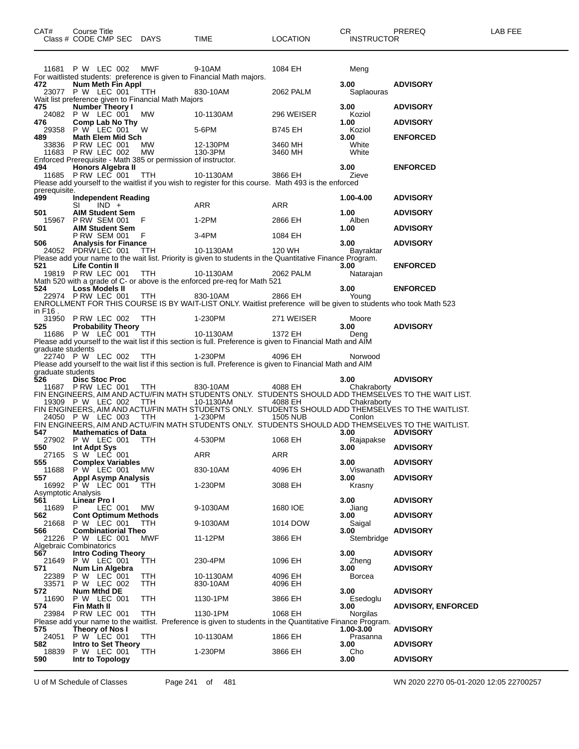|                                   | 11681 P W LEC 002                                                                   | MWF               | 9-10AM                                                                                                                       | 1084 EH             | Meng               |                                                                                                      |
|-----------------------------------|-------------------------------------------------------------------------------------|-------------------|------------------------------------------------------------------------------------------------------------------------------|---------------------|--------------------|------------------------------------------------------------------------------------------------------|
| 472                               | Num Meth Fin Appl                                                                   |                   | For waitlisted students: preference is given to Financial Math majors.                                                       |                     | 3.00               | <b>ADVISORY</b>                                                                                      |
|                                   | 23077 P W LEC 001 TTH<br>Wait list preference given to Financial Math Majors        |                   | 830-10AM                                                                                                                     | 2062 PALM           | Saplaouras         |                                                                                                      |
| 475                               | <b>Number Theory I</b><br>24082 P W LEC 001                                         | MW                | 10-1130AM                                                                                                                    | 296 WEISER          | 3.00<br>Koziol     | <b>ADVISORY</b>                                                                                      |
| 476                               | Comp Lab No Thy<br>29358 P W LEC 001                                                | <b>W</b>          | 5-6PM                                                                                                                        | <b>B745 EH</b>      | 1.00<br>Koziol     | <b>ADVISORY</b>                                                                                      |
| 489                               | Math Elem Mid Sch<br>33836 P RW LEC 001                                             | MW                | 12-130PM                                                                                                                     | 3460 MH             | 3.00<br>White      | <b>ENFORCED</b>                                                                                      |
|                                   | 11683 P RW LEC 002<br>Enforced Prerequisite - Math 385 or permission of instructor. | MW                | 130-3PM                                                                                                                      | 3460 MH             | White              |                                                                                                      |
| 494                               | Honors Algebra II<br>11685 P RW LEC 001                                             | TTH               | 10-1130AM                                                                                                                    | 3866 EH             | 3.00<br>Zieve      | <b>ENFORCED</b>                                                                                      |
| prerequisite.<br>499              | <b>Independent Reading</b>                                                          |                   | Please add yourself to the waitlist if you wish to register for this course. Math 493 is the enforced                        |                     | 1.00-4.00          | <b>ADVISORY</b>                                                                                      |
| 501                               | $SI$ $IND +$<br><b>AIM Student Sem</b>                                              |                   | ARR                                                                                                                          | ARR                 | 1.00               | <b>ADVISORY</b>                                                                                      |
| 501                               | 15967 PRW SEM 001 F<br><b>AIM Student Sem</b>                                       |                   | 1-2PM                                                                                                                        | 2866 EH             | Alben<br>1.00      | <b>ADVISORY</b>                                                                                      |
| 506                               | <b>P RW SEM 001</b><br><b>Analysis for Finance</b>                                  | F.                | 3-4PM                                                                                                                        | 1084 EH             | 3.00               | <b>ADVISORY</b>                                                                                      |
|                                   | 24052 PDRW LEC 001                                                                  | TTH               | 10-1130AM<br>Please add your name to the wait list. Priority is given to students in the Quantitative Finance Program.       | 120 WH              | Bayraktar          |                                                                                                      |
| 521                               | Life Contin II<br>19819 PRW LEC 001                                                 | TTH               | 10-1130AM                                                                                                                    | 2062 PALM           | 3.00<br>Natarajan  | <b>ENFORCED</b>                                                                                      |
| 524                               | Loss Models II                                                                      |                   | Math 520 with a grade of C- or above is the enforced pre-req for Math 521                                                    |                     | 3.00               | <b>ENFORCED</b>                                                                                      |
|                                   | 22974 PRW LEC 001                                                                   | TTH               | 830-10AM<br>ENROLLMENT FOR THIS COURSE IS BY WAIT-LIST ONLY. Waitlist preference will be given to students who took Math 523 |                     |                    |                                                                                                      |
| in F16.                           | 31950 PRW LEC 002 TTH                                                               |                   | 1-230PM                                                                                                                      | 271 WEISER          | Moore              |                                                                                                      |
| 525                               | <b>Probability Theory</b><br>11686 P W LEC 001 TTH                                  |                   | 10-1130AM                                                                                                                    | 1372 EH             | 3.00<br>Deng       | <b>ADVISORY</b>                                                                                      |
| graduate students                 |                                                                                     |                   | Please add yourself to the wait list if this section is full. Preference is given to Financial Math and AIM                  |                     |                    |                                                                                                      |
|                                   | 22740 P W LEC 002 TTH                                                               |                   | 1-230PM<br>Please add yourself to the wait list if this section is full. Preference is given to Financial Math and AIM       | 4096 EH             | Norwood            |                                                                                                      |
| graduate students<br>526          | <b>Disc Stoc Proc</b>                                                               |                   |                                                                                                                              |                     | 3.00               | <b>ADVISORY</b>                                                                                      |
|                                   | 11687 PRW LEC 001 TTH                                                               |                   | 830-10AM                                                                                                                     | 4088 EH             | Chakraborty        | FIN ENGINEERS, AIM AND ACTU/FIN MATH STUDENTS ONLY. STUDENTS SHOULD ADD THEMSELVES TO THE WAIT LIST. |
|                                   | 19309 P W LEC 002 TTH                                                               |                   | 10-1130AM                                                                                                                    | 4088 EH             | Chakraborty        | FIN ENGINEERS, AIM AND ACTU/FIN MATH STUDENTS ONLY. STUDENTS SHOULD ADD THEMSELVES TO THE WAITLIST.  |
|                                   | 24050 P W LEC 003                                                                   | $T$ TTH           | $1-230$ PM                                                                                                                   | <b>1505 NUB</b>     | Conlon             | FIN ENGINEERS, AIM AND ACTU/FIN MATH STUDENTS ONLY. STUDENTS SHOULD ADD THEMSELVES TO THE WAITLIST.  |
| 547                               | <b>Mathematics of Data</b><br>27902 P W LEC 001                                     | <b>TTH</b>        | 4-530PM                                                                                                                      | 1068 EH             | 3.00<br>Rajapakse  | <b>ADVISORY</b>                                                                                      |
| 550                               | Int Adpt Sys<br>27165 S W LEC 001                                                   |                   | ARR                                                                                                                          | ARR                 | 3.00               | <b>ADVISORY</b>                                                                                      |
| 555                               | <b>Complex Variables</b><br>11688 P W LEC 001                                       | МW                | 830-10AM                                                                                                                     | 4096 EH             | 3.00<br>Viswanath  | <b>ADVISORY</b>                                                                                      |
| 557                               | <b>Appl Asymp Analysis</b><br>16992 P W LEC 001                                     | TTH               | 1-230PM                                                                                                                      | 3088 EH             | 3.00<br>Krasny     | <b>ADVISORY</b>                                                                                      |
| <b>Asymptotic Analysis</b><br>561 | Linear Pro I                                                                        |                   |                                                                                                                              |                     | 3.00               | <b>ADVISORY</b>                                                                                      |
| 11689<br>562                      | P<br>LEC 001<br><b>Cont Optimum Methods</b>                                         | MW.               | 9-1030AM                                                                                                                     | 1680 IOE            | Jiang<br>3.00      | <b>ADVISORY</b>                                                                                      |
| 21668<br>566<br>21226             | P W LEC 001<br><b>Combinatiorial Theo</b><br>P W LEC 001                            | ттн<br><b>MWF</b> | 9-1030AM<br>11-12PM                                                                                                          | 1014 DOW<br>3866 EH | Saigal<br>3.00     | <b>ADVISORY</b>                                                                                      |
| 567                               | Algebraic Combinatorics<br><b>Intro Coding Theory</b>                               |                   |                                                                                                                              |                     | Stembridge<br>3.00 | <b>ADVISORY</b>                                                                                      |
| 21649<br>571                      | P W LEC 001<br>Num Lin Algebra                                                      | TTH               | 230-4PM                                                                                                                      | 1096 EH             | Zheng<br>3.00      | <b>ADVISORY</b>                                                                                      |
| 22389<br>33571                    | P W LEC 001<br>P W LEC 002                                                          | TTH<br>TTH        | 10-1130AM<br>830-10AM                                                                                                        | 4096 EH<br>4096 EH  | Borcea             |                                                                                                      |
| 572<br>11690                      | Num Mthd DE<br>P W LEC 001                                                          | TTH               | 1130-1PM                                                                                                                     | 3866 EH             | 3.00<br>Esedoglu   | <b>ADVISORY</b>                                                                                      |
| 574<br>23984                      | Fin Math II<br>P RW LEC 001                                                         | TTH               | 1130-1PM                                                                                                                     | 1068 EH             | 3.00<br>Norgilas   | <b>ADVISORY, ENFORCED</b>                                                                            |
| 575                               | Theory of Nos I                                                                     |                   | Please add your name to the waitlist. Preference is given to students in the Quantitative Finance Program.                   |                     | 1.00-3.00          | <b>ADVISORY</b>                                                                                      |
| 24051<br>582                      | P W LEC 001<br><b>Intro to Set Theory</b>                                           | TTH               | 10-1130AM                                                                                                                    | 1866 EH             | Prasanna<br>3.00   | <b>ADVISORY</b>                                                                                      |
| 18839<br>590                      | P W LEC 001<br>Intr to Topology                                                     | TTH               | 1-230PM                                                                                                                      | 3866 EH             | Cho<br>3.00        | <b>ADVISORY</b>                                                                                      |
|                                   |                                                                                     |                   |                                                                                                                              |                     |                    |                                                                                                      |

U of M Schedule of Classes Page 241 of 481 WN 2020 2270 05-01-2020 12:05 22700257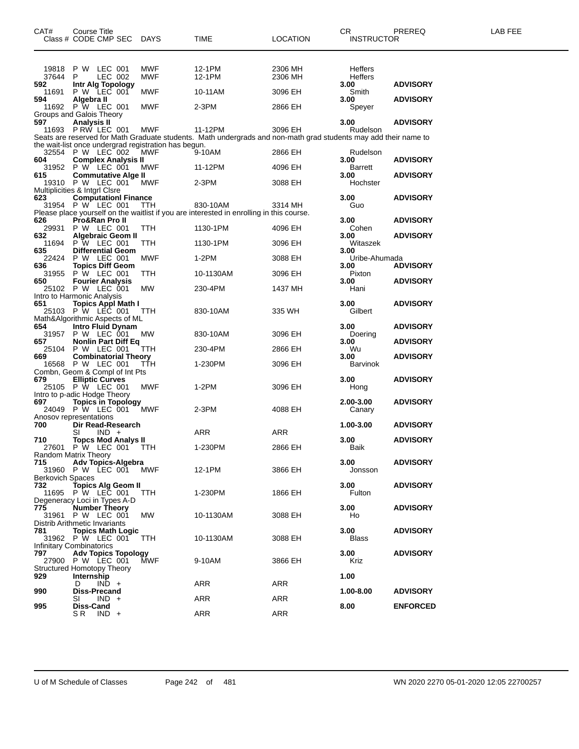| CAT#                             | <b>Course Title</b><br>Class # CODE CMP SEC DAYS                              |                          | TIME                                                                                                            | <b>LOCATION</b>    | CR.<br><b>INSTRUCTOR</b>          | PREREQ          | LAB FEE |
|----------------------------------|-------------------------------------------------------------------------------|--------------------------|-----------------------------------------------------------------------------------------------------------------|--------------------|-----------------------------------|-----------------|---------|
| 19818<br>37644<br>592            | P W LEC 001<br>LEC 002<br>P.<br>Intr Alg Topology                             | <b>MWF</b><br><b>MWF</b> | 12-1PM<br>12-1PM                                                                                                | 2306 MH<br>2306 MH | Heffers<br><b>Heffers</b><br>3.00 | <b>ADVISORY</b> |         |
| 11691<br>594                     | P W LEC 001                                                                   | MWF                      | 10-11AM                                                                                                         | 3096 EH            | Smith<br>3.00                     | <b>ADVISORY</b> |         |
|                                  | 4 <b>Algebra II</b><br>11692 P W LEC 001<br>Groups and Galois Theory          | <b>MWF</b>               | 2-3PM                                                                                                           | 2866 EH            | Speyer                            |                 |         |
| 597                              | <b>Analysis II</b><br>11693 PRW LEC 001                                       | <b>MWF</b>               | 11-12PM                                                                                                         | 3096 EH            | 3.00<br>Rudelson                  | <b>ADVISORY</b> |         |
|                                  |                                                                               |                          | Seats are reserved for Math Graduate students. Math undergrads and non-math grad students may add their name to |                    |                                   |                 |         |
|                                  | the wait-list once undergrad registration has begun.                          |                          |                                                                                                                 |                    |                                   |                 |         |
| 604                              | 32554 P W LEC 002<br><b>Complex Analysis II</b>                               | MWF                      | 9-10AM                                                                                                          | 2866 EH            | Rudelson<br>3.00                  | <b>ADVISORY</b> |         |
| 615                              | 31952 P W LEC 001<br><b>Commutative Alge II</b>                               | MWF                      | 11-12PM                                                                                                         | 4096 EH            | Barrett<br>3.00                   | <b>ADVISORY</b> |         |
|                                  | 19310 P W LEC 001<br>Multiplicities & Intgrl Clsre                            | MWF                      | 2-3PM                                                                                                           | 3088 EH            | Hochster                          |                 |         |
| 623                              | <b>ComputationI Finance</b>                                                   |                          |                                                                                                                 |                    | 3.00                              | <b>ADVISORY</b> |         |
|                                  | 31954 P W LEC 001                                                             | <b>TTH</b>               | 830-10AM<br>Please place yourself on the waitlist if you are interested in enrolling in this course.            | 3314 MH            | Guo                               |                 |         |
| 626<br>29931                     | Pro&Ran Pro II<br>P W LEC 001                                                 | TTH                      | 1130-1PM                                                                                                        | 4096 EH            | 3.00<br>Cohen                     | <b>ADVISORY</b> |         |
| 632                              | <b>Algebraic Geom II</b><br>11694 P W LEC 001                                 | TTH                      | 1130-1PM                                                                                                        | 3096 EH            | 3.00<br>Witaszek                  | <b>ADVISORY</b> |         |
| 635                              | <b>Differential Geom</b><br>22424 P W LEC 001                                 | MWF                      | $1-2PM$                                                                                                         | 3088 EH            | 3.00<br>Uribe-Ahumada             |                 |         |
| 636                              | <b>Topics Diff Geom</b>                                                       |                          |                                                                                                                 |                    | 3.00                              | <b>ADVISORY</b> |         |
| 650                              | 31955 P W LEC 001<br><b>Fourier Analysis</b>                                  | TTH                      | 10-1130AM                                                                                                       | 3096 EH            | Pixton<br>3.00                    | <b>ADVISORY</b> |         |
|                                  | 25102 P W LEC 001<br>Intro to Harmonic Analysis                               | <b>MW</b>                | 230-4PM                                                                                                         | 1437 MH            | Hani                              |                 |         |
| 651                              | 1 Topics Appl Math I<br>25103 P W LEC 001                                     | <b>TTH</b>               | 830-10AM                                                                                                        | 335 WH             | 3.00<br>Gilbert                   | <b>ADVISORY</b> |         |
| 654                              | Math&Algorithmic Aspects of ML<br>Intro Fluid Dynam<br>31957 P W LEC 001      | MW                       | 830-10AM                                                                                                        | 3096 EH            | 3.00<br>Doering                   | <b>ADVISORY</b> |         |
| 657                              | <b>Nonlin Part Diff Eq</b><br>25104 P W LEC 001                               | TTH                      | 230-4PM                                                                                                         | 2866 EH            | 3.00<br>Wu                        | <b>ADVISORY</b> |         |
| 669                              | <b>Combinatorial Theory</b><br>16568 P W LEC 001                              | TTH                      | 1-230PM                                                                                                         | 3096 EH            | 3.00<br>Barvinok                  | <b>ADVISORY</b> |         |
| 679                              | Combn, Geom & Compl of Int Pts<br><b>Elliptic Curves</b><br>25105 P W LEC 001 | <b>MWF</b>               | $1-2PM$                                                                                                         | 3096 EH            | 3.00<br>Hong                      | <b>ADVISORY</b> |         |
| 697                              | Intro to p-adic Hodge Theory                                                  |                          |                                                                                                                 |                    | 2.00-3.00                         |                 |         |
|                                  | <b>Topics in Topology</b><br>24049 P W LEC 001<br>Anosov representations      | MWF                      | 2-3PM                                                                                                           | 4088 EH            | Canary                            | <b>ADVISORY</b> |         |
| 700                              | Dir Read-Research<br>SI<br>$IND +$                                            |                          | ARR                                                                                                             | ARR                | 1.00-3.00                         | <b>ADVISORY</b> |         |
| 710<br>27601                     | <b>Topcs Mod Analys II</b><br>P W LEC 001                                     | <b>TTH</b>               | 1-230PM                                                                                                         | 2866 EH            | 3.00<br>Baik                      | <b>ADVISORY</b> |         |
| 715                              | Random Matrix Theory<br><b>Adv Topics-Algebra</b>                             |                          |                                                                                                                 |                    | 3.00                              | <b>ADVISORY</b> |         |
| 31960<br><b>Berkovich Spaces</b> | P W LEC 001                                                                   | MWF                      | 12-1PM                                                                                                          | 3866 EH            | Jonsson                           |                 |         |
| 732                              | Topics Alg Geom II                                                            |                          |                                                                                                                 |                    | 3.00                              | <b>ADVISORY</b> |         |
|                                  | 11695 P W LEC 001<br>Degeneracy Loci in Types A-D                             | TTH.                     | 1-230PM                                                                                                         | 1866 EH            | Fulton                            |                 |         |
| 775<br>31961                     | Number Theory<br>P W LEC 001                                                  | <b>MW</b>                | 10-1130AM                                                                                                       | 3088 EH            | 3.00<br>Ho                        | <b>ADVISORY</b> |         |
| 781                              | Distrib Arithmetic Invariants<br><b>Topics Math Logic</b>                     |                          |                                                                                                                 |                    | 3.00                              | <b>ADVISORY</b> |         |
|                                  | 31962 P W LEC 001                                                             | TTH                      | 10-1130AM                                                                                                       | 3088 EH            | Blass                             |                 |         |
| 797                              | Infinitary Combinatorics<br><b>Adv Topics Topology</b>                        |                          |                                                                                                                 |                    | 3.00                              | <b>ADVISORY</b> |         |
|                                  | 27900 P W LEC 001<br><b>Structured Homotopy Theory</b>                        | <b>MWF</b>               | 9-10AM                                                                                                          | 3866 EH            | Kriz                              |                 |         |
| 929                              | Internship<br>$IND +$<br>D                                                    |                          | ARR                                                                                                             | ARR                | 1.00                              |                 |         |
| 990                              | Diss-Precand<br>$IND +$<br>SI                                                 |                          | ARR                                                                                                             | ARR                | 1.00-8.00                         | <b>ADVISORY</b> |         |
| 995                              | Diss-Cand<br>S R<br>$IND +$                                                   |                          | ARR                                                                                                             | ARR                | 8.00                              | <b>ENFORCED</b> |         |
|                                  |                                                                               |                          |                                                                                                                 |                    |                                   |                 |         |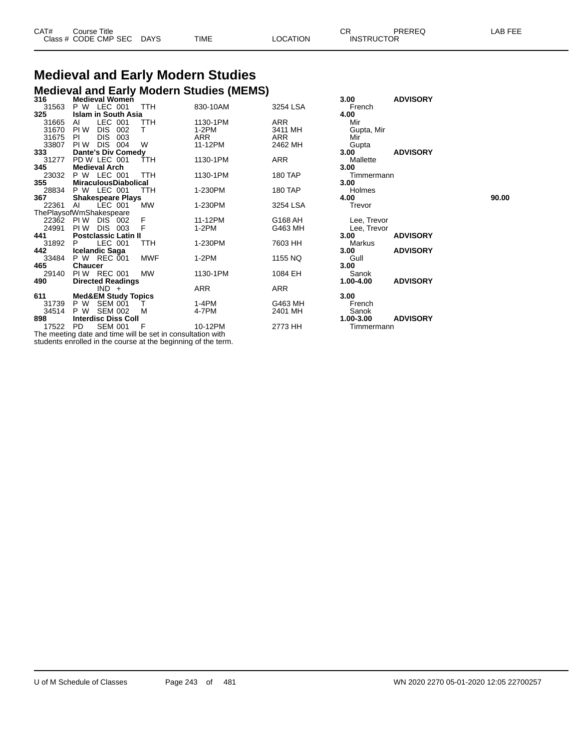| CAT# | Course Title              |      |          | СR                | PREREQ | LAB FEE |
|------|---------------------------|------|----------|-------------------|--------|---------|
|      | Class # CODE CMP SEC DAYS | TIME | LOCATION | <b>INSTRUCTOR</b> |        |         |

## **Medieval and Early Modern Studies Medieval and Early Modern Studies (MEMS) 316 Medieval Women 3.00 ADVISORY**

| JIV      | <b>INGUIGVAL INVILIGII</b>                                 |              |          |          | J.VV        | <b>ADVIJUNI</b> |       |
|----------|------------------------------------------------------------|--------------|----------|----------|-------------|-----------------|-------|
| 31563    | LEC 001<br>P W                                             | TTH          | 830-10AM | 3254 LSA | French      |                 |       |
| 325      | Islam in South Asia                                        |              |          |          | 4.00        |                 |       |
| 31665    | LEC 001<br>AL                                              | TTH          | 1130-1PM | ARR      | Mir         |                 |       |
| 31670    | PI W<br>DIS.<br>002                                        | т            | $1-2PM$  | 3411 MH  | Gupta, Mir  |                 |       |
| 31675    | DIS 003<br>PL                                              |              | ARR      | ARR      | Mir         |                 |       |
| 33807    | DIS 004<br>PI W                                            | W            | 11-12PM  | 2462 MH  | Gupta       |                 |       |
| 333      | <b>Dante's Div Comedy</b>                                  |              |          |          | 3.00        | <b>ADVISORY</b> |       |
| 31277    | PD W LEC 001                                               | TTH          | 1130-1PM | ARR      | Mallette    |                 |       |
| 345      | <b>Medieval Arch</b>                                       |              |          |          | 3.00        |                 |       |
| 23032    | P W LEC 001                                                | TTH          | 1130-1PM | 180 TAP  | Timmermann  |                 |       |
| 355      | <b>MiraculousDiabolical</b>                                |              |          |          | 3.00        |                 |       |
| 28834    | P W LEC 001                                                | TTH          | 1-230PM  | 180 TAP  | Holmes      |                 |       |
| 367      | <b>Shakespeare Plays</b>                                   |              |          |          | 4.00        |                 | 90.00 |
| 22361    | LEC 001<br>AL                                              | МW           | 1-230PM  | 3254 LSA | Trevor      |                 |       |
|          | ThePlaysofWmShakespeare                                    |              |          |          |             |                 |       |
|          | 22362 PIW DIS 002                                          | F            | 11-12PM  | G168 AH  | Lee, Trevor |                 |       |
| 24991    | PI W<br>DIS<br>003                                         |              | 1-2PM    | G463 MH  | Lee, Trevor |                 |       |
| 441      | <b>Postclassic Latin II</b>                                |              |          |          | 3.00        | <b>ADVISORY</b> |       |
| 31892    | LEC 001<br>P.                                              | <b>TTH</b>   | 1-230PM  | 7603 HH  | Markus      |                 |       |
| 442      | <b>Icelandic Saga</b>                                      |              |          |          | 3.00        | <b>ADVISORY</b> |       |
| 33484    | P W REC 001                                                | <b>MWF</b>   | $1-2PM$  | 1155 NQ  | Gull        |                 |       |
| 465      | <b>Chaucer</b>                                             |              |          |          | 3.00        |                 |       |
| 29140    | PIW REC 001                                                | MW           | 1130-1PM | 1084 EH  | Sanok       |                 |       |
| 490      | <b>Directed Readings</b>                                   |              |          |          | 1.00-4.00   | <b>ADVISORY</b> |       |
|          | $IND +$                                                    |              | ARR      | ARR      |             |                 |       |
| 611      | <b>Med&amp;EM Study Topics</b>                             |              |          |          | 3.00        |                 |       |
| 31739    | P W<br><b>SEM 001</b>                                      | $\mathbf{L}$ | 1-4PM    | G463 MH  | French      |                 |       |
| 34514    | P W<br><b>SEM 002</b>                                      | M            | 4-7PM    | 2401 MH  | Sanok       |                 |       |
| 898      | <b>Interdisc Diss Coll</b>                                 |              |          |          | 1.00-3.00   | <b>ADVISORY</b> |       |
| 17522 PD | <b>SEM 001</b>                                             | - F          | 10-12PM  | 2773 HH  | Timmermann  |                 |       |
|          | The meeting date and time will be set in consultation with |              |          |          |             |                 |       |

students enrolled in the course at the beginning of the term.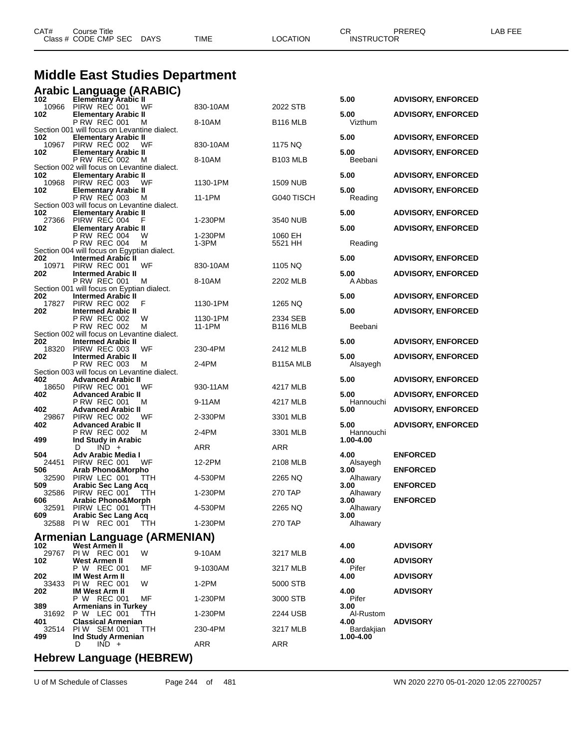|              | <b>Middle East Studies Department</b>                                       |                  |                        |                         |                           |  |
|--------------|-----------------------------------------------------------------------------|------------------|------------------------|-------------------------|---------------------------|--|
| 102          | <b>Arabic Language (ARABIC)</b><br><b>Elementary Arabic II</b>              |                  |                        | 5.00                    | <b>ADVISORY, ENFORCED</b> |  |
|              | 10966 PIRW REC 001<br>WF                                                    | 830-10AM         | 2022 STB               |                         |                           |  |
| 102          | <b>Elementary Arabic II</b><br>P RW REC 001<br>м                            | 8-10AM           | B <sub>116</sub> MLB   | 5.00<br>Vizthum         | <b>ADVISORY, ENFORCED</b> |  |
| 102          | Section 001 will focus on Levantine dialect.<br><b>Elementary Arabic II</b> |                  |                        | 5.00                    | <b>ADVISORY, ENFORCED</b> |  |
| 10967<br>102 | PIRW REC 002<br>WF                                                          | 830-10AM         | 1175 NQ                | 5.00                    | <b>ADVISORY, ENFORCED</b> |  |
|              | <b>Elementary Arabic II</b><br><b>P RW REC 002</b><br>M                     | 8-10AM           | B <sub>103</sub> MLB   | Beebani                 |                           |  |
| 102          | Section 002 will focus on Levantine dialect.<br><b>Elementary Arabic II</b> |                  |                        | 5.00                    | <b>ADVISORY, ENFORCED</b> |  |
| 10968<br>102 | PIRW REC 003<br>WF<br><b>Elementary Arabic II</b>                           | 1130-1PM         | 1509 NUB               | 5.00                    | <b>ADVISORY, ENFORCED</b> |  |
|              | <b>P RW REC 003</b><br>M                                                    | 11-1PM           | G040 TISCH             | Reading                 |                           |  |
| 102          | Section 003 will focus on Levantine dialect.<br><b>Elementary Arabic II</b> |                  |                        | 5.00                    | <b>ADVISORY, ENFORCED</b> |  |
| 27366<br>102 | PIRW REC 004<br>F<br><b>Elementary Arabic II</b>                            | 1-230PM          | 3540 NUB               | 5.00                    | <b>ADVISORY, ENFORCED</b> |  |
|              | P RW REC 004<br>w<br><b>P RW REC 004</b><br>M                               | 1-230PM<br>1-3PM | 1060 EH<br>5521 HH     | Reading                 |                           |  |
|              | Section 004 will focus on Egyptian dialect.                                 |                  |                        |                         |                           |  |
| 202<br>10971 | <b>Intermed Arabic II</b><br>PIRW REC 001<br>WF                             | 830-10AM         | 1105 NQ                | 5.00                    | <b>ADVISORY, ENFORCED</b> |  |
| 202          | <b>Intermed Arabic II</b><br><b>P RW REC 001</b><br>м                       | 8-10AM           | 2202 MLB               | 5.00<br>A Abbas         | <b>ADVISORY, ENFORCED</b> |  |
| 202          | Section 001 will focus on Eyptian dialect.<br><b>Intermed Arabic II</b>     |                  |                        | 5.00                    | <b>ADVISORY, ENFORCED</b> |  |
| 17827        | PIRW REC 002<br>F                                                           | 1130-1PM         | 1265 NQ                |                         |                           |  |
| 202          | <b>Intermed Arabic II</b><br><b>P RW REC 002</b><br>W                       | 1130-1PM         | 2334 SEB               | 5.00                    | <b>ADVISORY, ENFORCED</b> |  |
|              | <b>P RW REC 002</b><br>м<br>Section 002 will focus on Levantine dialect.    | 11-1PM           | B <sub>116</sub> MLB   | Beebani                 |                           |  |
| 202<br>18320 | <b>Intermed Arabic II</b><br>PIRW REC 003<br>WF                             | 230-4PM          | 2412 MLB               | 5.00                    | <b>ADVISORY, ENFORCED</b> |  |
| 202          | <b>Intermed Arabic II</b>                                                   |                  |                        | 5.00                    | <b>ADVISORY, ENFORCED</b> |  |
|              | <b>P RW REC 003</b><br>M<br>Section 003 will focus on Levantine dialect.    | 2-4PM            | B <sub>115</sub> A MLB | Alsayegh                |                           |  |
| 402<br>18650 | <b>Advanced Arabic II</b><br>PIRW REC 001<br>WF                             | 930-11AM         | 4217 MLB               | 5.00                    | <b>ADVISORY, ENFORCED</b> |  |
| 402          | <b>Advanced Arabic II</b><br>P RW REC 001<br>м                              | 9-11AM           | 4217 MLB               | 5.00<br>Hannouchi       | <b>ADVISORY, ENFORCED</b> |  |
| 402          | <b>Advanced Arabic II</b>                                                   |                  |                        | 5.00                    | <b>ADVISORY, ENFORCED</b> |  |
| 29867<br>402 | PIRW REC 002<br>WF<br><b>Advanced Arabic II</b>                             | 2-330PM          | 3301 MLB               | 5.00                    | <b>ADVISORY, ENFORCED</b> |  |
| 499          | <b>P RW REC 002</b><br>M<br>Ind Study in Arabic                             | 2-4PM            | 3301 MLB               | Hannouchi<br>1.00-4.00  |                           |  |
| 504          | $IND +$<br>D<br>Adv Arabic Media I                                          | ARR              | ARR                    | 4.00                    | <b>ENFORCED</b>           |  |
| 24451        | PIRW REC 001<br>WF                                                          | 12-2PM           | 2108 MLB               | Alsayegh                |                           |  |
| 506<br>32590 | <b>Arab Phono&amp;Morpho</b><br>PIRW LEC 001 TTH                            | 4-530PM          | 2265 NQ                | 3.00<br>Alhawary        | <b>ENFORCED</b>           |  |
| 509<br>32586 | <b>Arabic Sec Lang Acq</b><br>PIRW REC 001<br>TTH                           | 1-230PM          | 270 TAP                | 3.00<br>Alhawary        | <b>ENFORCED</b>           |  |
| 606<br>32591 | <b>Arabic Phono&amp;Morph</b><br>PIRW LEC 001<br>ттн                        | 4-530PM          | 2265 NQ                | 3.00<br>Alhawary        | <b>ENFORCED</b>           |  |
| 609          | <b>Arabic Sec Lang Acq</b>                                                  |                  |                        | 3.00                    |                           |  |
|              | 32588 PIW REC 001 TTH                                                       | 1-230PM          | 270 TAP                | Alhawary                |                           |  |
| 102          | Armenian Language (ARMENIAN)<br>West Armen II                               |                  |                        | 4.00                    | <b>ADVISORY</b>           |  |
| 29767<br>102 | PIW REC 001<br>W<br>West Armen II                                           | 9-10AM           | 3217 MLB               | 4.00                    | <b>ADVISORY</b>           |  |
|              | P W REC 001<br>МF                                                           | 9-1030AM         | 3217 MLB               | Pifer                   |                           |  |
| 202<br>33433 | <b>IM West Arm II</b><br>PIW REC 001<br>W                                   | 1-2PM            | 5000 STB               | 4.00                    | <b>ADVISORY</b>           |  |
| 202          | <b>IM West Arm II</b><br>P W REC 001<br>МF                                  | 1-230PM          | 3000 STB               | 4.00<br>Pifer           | <b>ADVISORY</b>           |  |
| 389<br>31692 | <b>Armenians in Turkey</b><br>P W LEC 001<br>TTH                            | 1-230PM          | 2244 USB               | 3.00<br>Al-Rustom       |                           |  |
| 401          | <b>Classical Armenian</b>                                                   |                  |                        | 4.00                    | <b>ADVISORY</b>           |  |
| 32514<br>499 | PIW SEM 001<br>TТH<br>Ind Study Armenian                                    | 230-4PM          | 3217 MLB               | Bardakjian<br>1.00-4.00 |                           |  |
|              | $IND +$<br>D<br>/1 IFRRF14/1                                                | ARR              | ARR                    |                         |                           |  |

CAT# Course Title Case CR PREREQ LAB FEE

Class # CODE CMP SEC DAYS TIME LOCATION INSTRUCTOR

## **Hebrew Language (HEBREW)**

U of M Schedule of Classes Page 244 of 481 WN 2020 2270 05-01-2020 12:05 22700257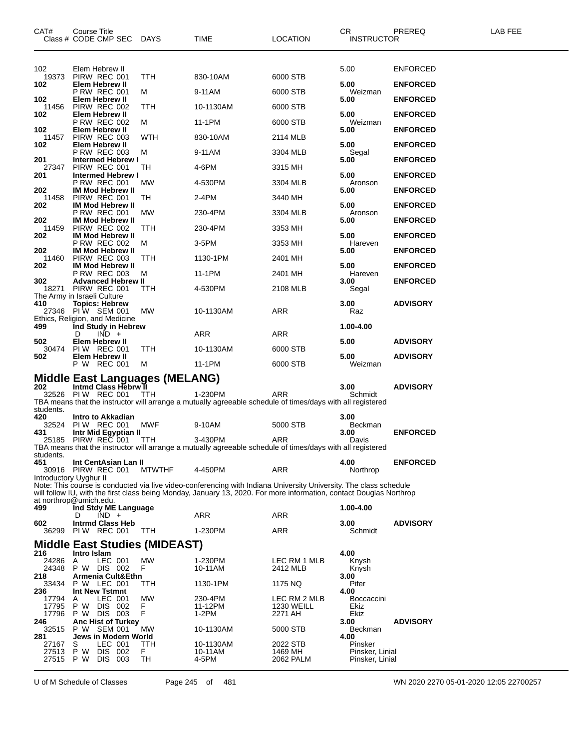| CAT#                   | <b>Course Title</b><br>Class # CODE CMP SEC            | <b>DAYS</b>   | TIME                                                                                                                  | LOCATION                     | <b>CR</b><br><b>INSTRUCTOR</b> | PREREQ          | <b>LAB FEE</b> |
|------------------------|--------------------------------------------------------|---------------|-----------------------------------------------------------------------------------------------------------------------|------------------------------|--------------------------------|-----------------|----------------|
|                        |                                                        |               |                                                                                                                       |                              |                                |                 |                |
| 102<br>19373           | Elem Hebrew II<br>PIRW REC 001                         | TTH           | 830-10AM                                                                                                              | 6000 STB                     | 5.00                           | <b>ENFORCED</b> |                |
| 102                    | Elem Hebrew II<br><b>P RW REC 001</b>                  | м             | 9-11AM                                                                                                                | 6000 STB                     | 5.00<br>Weizman                | <b>ENFORCED</b> |                |
| 102                    | Elem Hebrew II<br>PIRW REC 002                         |               |                                                                                                                       |                              | 5.00                           | <b>ENFORCED</b> |                |
| 11456<br>102           | Elem Hebrew II                                         | TTH           | 10-1130AM                                                                                                             | 6000 STB                     | 5.00                           | <b>ENFORCED</b> |                |
| 102                    | <b>P RW REC 002</b><br>Elem Hebrew II                  | м             | 11-1PM                                                                                                                | 6000 STB                     | Weizman<br>5.00                | <b>ENFORCED</b> |                |
| 11457<br>102           | PIRW REC 003<br>Elem Hebrew II                         | WTH           | 830-10AM                                                                                                              | 2114 MLB                     | 5.00                           | <b>ENFORCED</b> |                |
| 201                    | <b>P RW REC 003</b><br><b>Intermed Hebrew I</b>        | м             | 9-11AM                                                                                                                | 3304 MLB                     | Segal<br>5.00                  | <b>ENFORCED</b> |                |
| 27347<br>201           | PIRW REC 001<br><b>Intermed Hebrew I</b>               | TН            | 4-6PM                                                                                                                 | 3315 MH                      | 5.00                           | <b>ENFORCED</b> |                |
| 202                    | P RW REC 001<br><b>IM Mod Hebrew II</b>                | МW            | 4-530PM                                                                                                               | 3304 MLB                     | Aronson<br>5.00                | <b>ENFORCED</b> |                |
| 11458<br>202           | PIRW REC 001<br><b>IM Mod Hebrew II</b>                | TH            | 2-4PM                                                                                                                 | 3440 MH                      | 5.00                           | <b>ENFORCED</b> |                |
| 202                    | <b>P RW REC 001</b><br><b>IM Mod Hebrew II</b>         | МW            | 230-4PM                                                                                                               | 3304 MLB                     | Aronson<br>5.00                | <b>ENFORCED</b> |                |
| 11459                  | PIRW REC 002                                           | TTH           | 230-4PM                                                                                                               | 3353 MH                      |                                |                 |                |
| 202                    | <b>IM Mod Hebrew II</b><br><b>P RW REC 002</b>         | м             | 3-5PM                                                                                                                 | 3353 MH                      | 5.00<br>Hareven                | <b>ENFORCED</b> |                |
| 202<br>11460           | <b>IM Mod Hebrew II</b><br>PIRW REC 003                | ттн           | 1130-1PM                                                                                                              | 2401 MH                      | 5.00                           | <b>ENFORCED</b> |                |
| 202                    | <b>IM Mod Hebrew II</b><br><b>P RW REC 003</b>         | м             | 11-1PM                                                                                                                | 2401 MH                      | 5.00<br>Hareven                | <b>ENFORCED</b> |                |
| 302                    | <b>Advanced Hebrew II</b><br>18271 PIRW REC 001        | TTH           | 4-530PM                                                                                                               | 2108 MLB                     | 3.00<br>Segal                  | <b>ENFORCED</b> |                |
| 410                    | The Army in Israeli Culture<br><b>Topics: Hebrew</b>   |               |                                                                                                                       |                              | 3.00                           | <b>ADVISORY</b> |                |
|                        | 27346 PIW SEM 001<br>Ethics, Religion, and Medicine    | МW            | 10-1130AM                                                                                                             | ARR                          | Raz                            |                 |                |
| 499                    | Ind Study in Hebrew                                    |               |                                                                                                                       |                              | 1.00-4.00                      |                 |                |
| 502                    | $IND +$<br>D<br>Elem Hebrew II                         |               | ARR                                                                                                                   | ARR                          | 5.00                           | <b>ADVISORY</b> |                |
| 30474<br>502           | <b>PIW REC 001</b><br>Elem Hebrew II                   | TTH           | 10-1130AM                                                                                                             | 6000 STB                     | 5.00                           | <b>ADVISORY</b> |                |
|                        | P W REC 001                                            | м             | 11-1PM                                                                                                                | 6000 STB                     | Weizman                        |                 |                |
| 202                    | Middle East Languages (MELANG)<br>Intmd Class Hebrw II |               |                                                                                                                       |                              | 3.00                           | <b>ADVISORY</b> |                |
|                        | 32526 PIW REC 001                                      | TTH           | 1-230PM<br>TBA means that the instructor will arrange a mutually agreeable schedule of times/days with all registered | ARR                          | Schmidt                        |                 |                |
| students.<br>420       | Intro to Akkadian                                      |               |                                                                                                                       |                              | 3.00                           |                 |                |
| 32524                  | <b>PIW REC 001</b>                                     | MWF           | 9-10AM                                                                                                                | 5000 STB                     | Beckman                        |                 |                |
| 431                    | Intr Mid Egyptian II<br>25185 PIRW REC 001             | TTH.          | 3-430PM                                                                                                               | ARR                          | 3.00<br>Davis                  | <b>ENFORCED</b> |                |
| students.              |                                                        |               | TBA means that the instructor will arrange a mutually agreeable schedule of times/days with all registered            |                              |                                |                 |                |
| 451<br>30916           | Int CentAsian Lan II<br>PIRW REC 001                   | <b>MTWTHF</b> | 4-450PM                                                                                                               | ARR                          | 4.00<br>Northrop               | <b>ENFORCED</b> |                |
| Introductory Uyghur II |                                                        |               | Note: This course is conducted via live video-conferencing with Indiana University University. The class schedule     |                              |                                |                 |                |
|                        | at northrop@umich.edu.                                 |               | will follow IU, with the first class being Monday, January 13, 2020. For more information, contact Douglas Northrop   |                              |                                |                 |                |
| 499                    | Ind Stdy ME Language<br>$IND +$<br>D                   |               | ARR                                                                                                                   | ARR                          | 1.00-4.00                      |                 |                |
| 602                    | <b>Intrmd Class Heb</b>                                |               |                                                                                                                       |                              | 3.00                           | <b>ADVISORY</b> |                |
| 36299                  | PIW REC 001                                            | TTH           | 1-230PM                                                                                                               | ARR                          | Schmidt                        |                 |                |
| 216                    | Middle East Studies (MIDEAST)<br>Intro Islam           |               |                                                                                                                       |                              | 4.00                           |                 |                |
| 24286<br>24348         | LEC 001<br>A<br>P W DIS 002                            | MW<br>F       | 1-230PM<br>10-11AM                                                                                                    | LEC RM 1 MLB<br>2412 MLB     | Knysh<br>Knysh                 |                 |                |
| 218<br>33434           | Armenia Cult&Ethn<br>P W LEC 001                       | TTH           | 1130-1PM                                                                                                              | 1175 NQ                      | 3.00<br>Pifer                  |                 |                |
| 236<br>17794           | Int New Tstmnt<br>LEC 001<br>A                         | <b>MW</b>     | 230-4PM                                                                                                               | LEC RM 2 MLB                 | 4.00<br><b>Boccaccini</b>      |                 |                |
| 17795<br>17796         | DIS 002<br>P W<br>P W DIS 003                          | F<br>F        | 11-12PM<br>$1-2PM$                                                                                                    | <b>1230 WEILL</b><br>2271 AH | Ekiz<br>Ekiz                   |                 |                |
| 246                    | <b>Anc Hist of Turkey</b>                              |               |                                                                                                                       |                              | 3.00                           | <b>ADVISORY</b> |                |
| 32515<br>281           | P W SEM 001<br>Jews in Modern World                    | МW            | 10-1130AM                                                                                                             | 5000 STB                     | Beckman<br>4.00                |                 |                |
| 27167<br>27513         | S<br>LEC 001<br>P W<br>DIS 002                         | TTH<br>F.     | 10-1130AM<br>10-11AM                                                                                                  | 2022 STB<br>1469 MH          | Pinsker<br>Pinsker, Linial     |                 |                |
| 27515 PW               | DIS 003                                                | TН            | 4-5PM                                                                                                                 | 2062 PALM                    | Pinsker, Linial                |                 |                |

U of M Schedule of Classes Page 245 of 481 WN 2020 2270 05-01-2020 12:05 22700257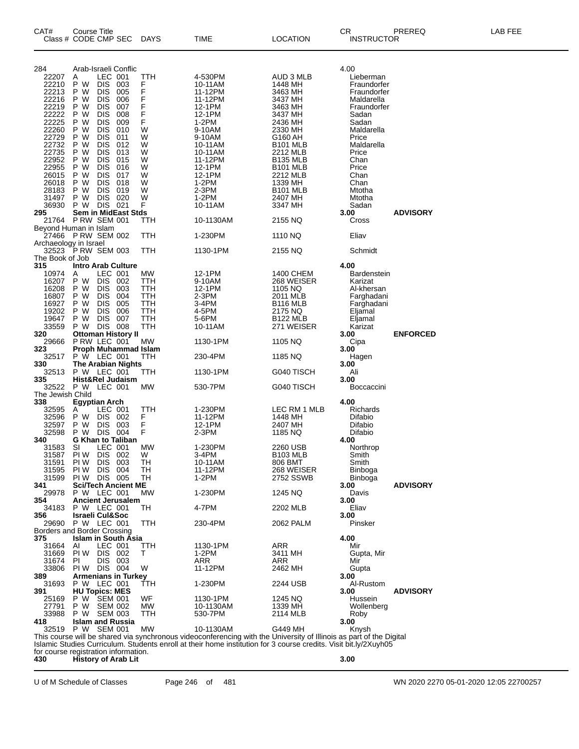| CAT#                   | <b>Course Title</b><br>Class # CODE CMP SEC                        |            | <b>DAYS</b> | TIME                                                                                                                | LOCATION                    | CR<br><b>INSTRUCTOR</b>   | PREREQ          | LAB FEE |
|------------------------|--------------------------------------------------------------------|------------|-------------|---------------------------------------------------------------------------------------------------------------------|-----------------------------|---------------------------|-----------------|---------|
| 284                    | Arab-Israeli Conflic                                               |            |             |                                                                                                                     |                             | 4.00                      |                 |         |
| 22207                  | LEC 001<br>A                                                       |            | ттн         | 4-530PM                                                                                                             | AUD 3 MLB                   | Lieberman                 |                 |         |
| 22210                  | P W<br>DIS 003<br><b>DIS</b>                                       |            | F<br>F      | 10-11AM<br>11-12PM                                                                                                  | 1448 MH                     | Fraundorfer               |                 |         |
| 22213<br>22216         | P W<br><b>DIS</b><br>P W                                           | 005<br>006 | F           | 11-12PM                                                                                                             | 3463 MH<br>3437 MH          | Fraundorfer<br>Maldarella |                 |         |
| 22219                  | P W<br><b>DIS</b>                                                  | 007        | F           | 12-1PM                                                                                                              | 3463 MH                     | Fraundorfer               |                 |         |
| 22222                  | <b>DIS</b><br>P W                                                  | 008        | F           | 12-1PM                                                                                                              | 3437 MH                     | Sadan                     |                 |         |
| 22225<br>22260         | <b>DIS</b><br>P W<br>P W<br><b>DIS</b>                             | 009<br>010 | F<br>W      | $1-2PM$<br>9-10AM                                                                                                   | 2436 MH<br>2330 MH          | Sadan<br>Maldarella       |                 |         |
| 22729                  | <b>DIS</b><br>P W                                                  | 011        | W           | 9-10AM                                                                                                              | G160 AH                     | Price                     |                 |         |
| 22732                  | <b>DIS</b><br>P W                                                  | 012        | W           | 10-11AM                                                                                                             | <b>B101 MLB</b>             | Maldarella                |                 |         |
| 22735<br>22952         | P W<br>DIS.<br><b>DIS</b><br>P W                                   | 013<br>015 | W<br>W      | 10-11AM<br>11-12PM                                                                                                  | 2212 MLB<br><b>B135 MLB</b> | Price<br>Chan             |                 |         |
| 22955                  | <b>DIS</b><br>P W                                                  | 016        | W           | 12-1PM                                                                                                              | <b>B101 MLB</b>             | Price                     |                 |         |
| 26015                  | P W<br>DIS.                                                        | 017        | W           | 12-1PM                                                                                                              | 2212 MLB                    | Chan                      |                 |         |
| 26018<br>28183         | <b>DIS</b><br>P W<br>DIS.<br>P W                                   | 018<br>019 | W<br>W      | 1-2PM<br>$2-3PM$                                                                                                    | 1339 MH<br><b>B101 MLB</b>  | Chan<br>Mtotha            |                 |         |
| 31497                  | DIS 020<br>P W                                                     |            | W           | $1-2PM$                                                                                                             | 2407 MH                     | Mtotha                    |                 |         |
| 36930                  | DIS 021<br>P W                                                     |            | F           | 10-11AM                                                                                                             | 3347 MH                     | Sadan                     |                 |         |
| 295<br>21764           | Sem in MidEast Stds<br><b>PRW SEM 001</b><br>Beyond Human in Islam |            | TTH         | 10-1130AM                                                                                                           | 2155 NQ                     | 3.00<br>Cross             | <b>ADVISORY</b> |         |
| Archaeology in Israel  | 27466 P RW SEM 002                                                 |            | TTH         | 1-230PM                                                                                                             | 1110 NQ                     | Eliav                     |                 |         |
|                        | 32523 P RW SEM 003                                                 |            | TTH         | 1130-1PM                                                                                                            | 2155 NQ                     | Schmidt                   |                 |         |
| The Book of Job<br>315 | <b>Intro Arab Culture</b>                                          |            |             |                                                                                                                     |                             | 4.00                      |                 |         |
| 10974                  | A<br>LEC 001                                                       |            | MW          | 12-1PM                                                                                                              | 1400 CHEM                   | <b>Bardenstein</b>        |                 |         |
| 16207<br>16208         | P W<br>DIS 002<br>P W<br>DIS 003                                   |            | TTH         | 9-10AM<br>12-1PM                                                                                                    | 268 WEISER                  | Karizat                   |                 |         |
| 16807                  | <b>DIS</b><br>P W                                                  | 004        | TTH<br>TTH  | 2-3PM                                                                                                               | 1105 NQ<br>2011 MLB         | Al-khersan<br>Farghadani  |                 |         |
| 16927                  | <b>DIS</b><br>P W                                                  | 005        | TTH         | 3-4PM                                                                                                               | <b>B116 MLB</b>             | Farghadani                |                 |         |
| 19202<br>19647         | DIS.<br>P W<br><b>DIS</b><br>P W                                   | 006<br>007 | TTH         | 4-5PM<br>5-6PM                                                                                                      | 2175 NQ<br><b>B122 MLB</b>  | Eljamal                   |                 |         |
| 33559                  | <b>DIS</b> 008<br>P W                                              |            | TTH<br>TTH  | 10-11AM                                                                                                             | 271 WEISER                  | Eljamal<br>Karizat        |                 |         |
| 320                    | <b>Ottoman History II</b>                                          |            |             |                                                                                                                     |                             | 3.00                      | <b>ENFORCED</b> |         |
| 29666                  | PRW LEC 001                                                        |            | MW          | 1130-1PM                                                                                                            | 1105 NQ                     | Cipa                      |                 |         |
| 323<br>32517           | Proph Muhammad Islam<br>P W LEC 001                                |            | TTH         | 230-4PM                                                                                                             | 1185 NQ                     | 3.00<br>Hagen             |                 |         |
| 330                    | <b>The Arabian Nights</b>                                          |            |             |                                                                                                                     |                             | 3.00                      |                 |         |
| 32513<br>335           | P W LEC 001<br>Hist&Rel Judaism                                    |            | TTH         | 1130-1PM                                                                                                            | G040 TISCH                  | Ali<br>3.00               |                 |         |
| 32522                  | P W LEC 001                                                        |            | MW          | 530-7PM                                                                                                             | G040 TISCH                  | Boccaccini                |                 |         |
| The Jewish Child       |                                                                    |            |             |                                                                                                                     |                             |                           |                 |         |
| 338                    | <b>Egyptian Arch</b>                                               |            |             |                                                                                                                     | LEC RM 1 MLB                | 4.00                      |                 |         |
| 32595<br>32596         | LEC 001<br>A<br>P W<br>DIS 002                                     |            | TTH<br>F    | 1-230PM<br>11-12PM                                                                                                  | 1448 MH                     | Richards<br>Difabio       |                 |         |
| 32597                  | P W<br>DIS 003                                                     |            | F           | 12-1PM                                                                                                              | 2407 MH                     | Difabio                   |                 |         |
| 32598                  | DIS 004<br>P W                                                     |            | F           | 2-3PM                                                                                                               | 1185 NQ                     | Difabio                   |                 |         |
| 340<br>31583           | <b>G Khan to Taliban</b><br>SI<br>LEC 001                          |            | MW          | 1-230PM                                                                                                             | 2260 USB                    | 4.00<br>Northrop          |                 |         |
| 31587                  | PI W<br>DIS.                                                       | 002        | w           | 3-4PM                                                                                                               | B <sub>103</sub> MLB        | Smith                     |                 |         |
| 31591                  | PI W<br>DIS 003<br>DIS 004                                         |            | TH          | 10-11AM                                                                                                             | 806 BMT                     | Smith                     |                 |         |
| 31595<br>31599         | PI W<br><b>PIW DIS 005</b>                                         |            | TН<br>TH    | 11-12PM<br>$1-2PM$                                                                                                  | 268 WEISER<br>2752 SSWB     | Binboga<br><b>Binboga</b> |                 |         |
| 341                    | <b>Sci/Tech Ancient ME</b>                                         |            |             |                                                                                                                     |                             | 3.00                      | <b>ADVISORY</b> |         |
| 29978                  | P W LEC 001                                                        |            | MW          | 1-230PM                                                                                                             | 1245 NQ                     | Davis                     |                 |         |
| 354<br>34183           | <b>Ancient Jerusalem</b><br>P W LEC 001                            |            | TH          | 4-7PM                                                                                                               | 2202 MLB                    | 3.00<br>Eliav             |                 |         |
| 356                    | <b>Israeli Cul&amp;Soc</b>                                         |            |             |                                                                                                                     |                             | 3.00                      |                 |         |
| 29690                  | P W LEC 001                                                        |            | TTH         | 230-4PM                                                                                                             | 2062 PALM                   | Pinsker                   |                 |         |
| 375                    | Borders and Border Crossing<br>Islam in South Asia                 |            |             |                                                                                                                     |                             | 4.00                      |                 |         |
| 31664                  | LEC 001<br>AI                                                      |            | TTH         | 1130-1PM                                                                                                            | ARR                         | Mir                       |                 |         |
| 31669                  | PIW DIS 002                                                        |            | т           | 1-2PM                                                                                                               | 3411 MH                     | Gupta, Mir                |                 |         |
| 31674<br>33806         | PI<br>PIW DIS 004                                                  | DIS 003    | W           | ARR<br>11-12PM                                                                                                      | ARR<br>2462 MH              | Mir<br>Gupta              |                 |         |
| 389                    | <b>Armenians in Turkey</b>                                         |            |             |                                                                                                                     |                             | 3.00                      |                 |         |
| 31693                  | P W LEC 001                                                        |            | TTH         | 1-230PM                                                                                                             | 2244 USB                    | Al-Rustom                 |                 |         |
| 391<br>25169           | <b>HU Topics: MES</b><br>P W SEM 001                               |            | WF          | 1130-1PM                                                                                                            | 1245 NQ                     | 3.00<br>Hussein           | <b>ADVISORY</b> |         |
| 27791                  | P W<br><b>SEM 002</b>                                              |            | MW          | 10-1130AM                                                                                                           | 1339 MH                     | Wollenberg                |                 |         |
| 33988                  | P W SEM 003                                                        |            | TTH         | 530-7PM                                                                                                             | 2114 MLB                    | Roby                      |                 |         |
| 418<br>32519           | <b>Islam and Russia</b><br>P W SEM 001                             |            | MW          | 10-1130AM                                                                                                           | G449 MH                     | 3.00<br>Knysh             |                 |         |
|                        |                                                                    |            |             | This course will be shared via synchronous videoconferencing with the University of Illinois as part of the Digital |                             |                           |                 |         |
|                        |                                                                    |            |             | Islamic Studies Curriculum. Students enroll at their home institution for 3 course credits. Visit bit.ly/2Xuyh05    |                             |                           |                 |         |
| 430                    | for course registration information.<br><b>History of Arab Lit</b> |            |             |                                                                                                                     |                             | 3.00                      |                 |         |
|                        |                                                                    |            |             |                                                                                                                     |                             |                           |                 |         |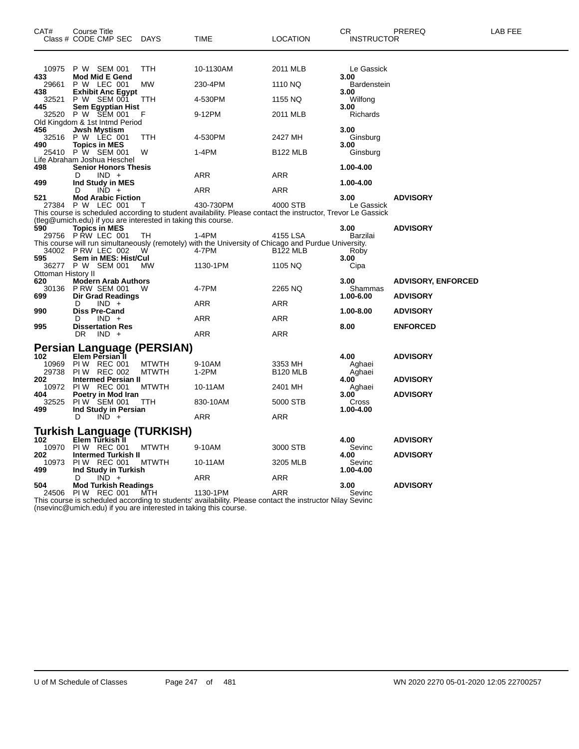| CAT#                  | Course Title<br>Class # CODE CMP SEC                                          | DAYS                         | TIME                                                                                                                      | <b>LOCATION</b>            | CR<br><b>INSTRUCTOR</b>      | PREREQ                                       | LAB FEE |
|-----------------------|-------------------------------------------------------------------------------|------------------------------|---------------------------------------------------------------------------------------------------------------------------|----------------------------|------------------------------|----------------------------------------------|---------|
| 10975<br>433          | P W SEM 001<br><b>Mod Mid E Gend</b>                                          | <b>TTH</b>                   | 10-1130AM                                                                                                                 | 2011 MLB                   | Le Gassick<br>3.00           |                                              |         |
| 29661                 | P W LEC 001                                                                   | МW                           | 230-4PM                                                                                                                   | 1110 NQ                    | <b>Bardenstein</b>           |                                              |         |
| 438<br>32521<br>445   | <b>Exhibit Anc Egypt</b><br>P W SEM 001<br>Sem Egyptian Hist                  | <b>TTH</b>                   | 4-530PM                                                                                                                   | 1155 NQ                    | 3.00<br>Wilfong<br>3.00      |                                              |         |
| 32520                 | P W SEM 001<br>Old Kingdom & 1st Intmd Period                                 | F                            | 9-12PM                                                                                                                    | 2011 MLB                   | Richards                     |                                              |         |
| 456<br>32516<br>490   | <b>Jwsh Mystism</b><br>P W LEC 001<br><b>Topics in MES</b>                    | TTH                          | 4-530PM                                                                                                                   | 2427 MH                    | 3.00<br>Ginsburg<br>3.00     |                                              |         |
| 25410                 | P W SEM 001<br>Life Abraham Joshua Heschel                                    | W                            | 1-4PM                                                                                                                     | <b>B122 MLB</b>            | Ginsburg                     |                                              |         |
| 498<br>499            | <b>Senior Honors Thesis</b><br>$IND +$<br>D<br>Ind Study in MES               |                              | ARR                                                                                                                       | ARR                        | 1.00-4.00<br>1.00-4.00       |                                              |         |
| 521                   | $IND +$<br>D<br><b>Mod Arabic Fiction</b>                                     |                              | ARR                                                                                                                       | ARR                        | 3.00                         | <b>ADVISORY</b>                              |         |
| 27384                 | P W LEC 001<br>(tleg@umich.edu) if you are interested in taking this course.  | Т                            | 430-730PM<br>This course is scheduled according to student availability. Please contact the instructor, Trevor Le Gassick | 4000 STB                   | Le Gassick                   |                                              |         |
| 590                   | <b>Topics in MES</b><br>29756 PRW LEC 001                                     | TH                           | 1-4PM<br>This course will run simultaneously (remotely) with the University of Chicago and Purdue University.             | 4155 LSA                   | 3.00<br>Barzilai             | <b>ADVISORY</b>                              |         |
| 595                   | 34002 P RW LEC 002<br>Sem in MES: Hist/Cul                                    | W                            | 4-7PM                                                                                                                     | <b>B122 MLB</b>            | Roby<br>3.00                 |                                              |         |
| Ottoman History II    | 36277 P W SEM 001                                                             | MW                           | 1130-1PM                                                                                                                  | 1105 NQ                    | Cipa                         |                                              |         |
| 620<br>30136<br>699   | <b>Modern Arab Authors</b><br><b>P RW SEM 001</b><br><b>Dir Grad Readings</b> | w                            | 4-7PM                                                                                                                     | 2265 NQ                    | 3.00<br>Shammas<br>1.00-6.00 | <b>ADVISORY, ENFORCED</b><br><b>ADVISORY</b> |         |
| 990                   | $IND +$<br>D<br><b>Diss Pre-Cand</b>                                          |                              | ARR                                                                                                                       | ARR                        | 1.00-8.00                    | <b>ADVISORY</b>                              |         |
| 995                   | $IND +$<br>D<br><b>Dissertation Res</b>                                       |                              | ARR                                                                                                                       | ARR                        | 8.00                         | <b>ENFORCED</b>                              |         |
|                       | DR<br>$IND +$                                                                 |                              | ARR                                                                                                                       | ARR                        |                              |                                              |         |
| 102                   | Persian Language (PERSIAN)<br>Elem Persian 1                                  |                              |                                                                                                                           |                            | 4.00                         | <b>ADVISORY</b>                              |         |
| 10969<br>29738<br>202 | PIW REC 001<br><b>PIW REC 002</b><br><b>Intermed Persian II</b>               | <b>MTWTH</b><br><b>MTWTH</b> | 9-10AM<br>$1-2PM$                                                                                                         | 3353 MH<br><b>B120 MLB</b> | Aghaei<br>Aghaei<br>4.00     |                                              |         |
| 10972                 | <b>PIW REC 001</b>                                                            | <b>MTWTH</b>                 | 10-11AM                                                                                                                   | 2401 MH                    | Aghaei                       | <b>ADVISORY</b>                              |         |
| 404<br>32525<br>499   | Poetry in Mod Iran<br>PIW SEM 001<br>Ind Study in Persian                     | TTH                          | 830-10AM                                                                                                                  | 5000 STB                   | 3.00<br>Cross<br>1.00-4.00   | <b>ADVISORY</b>                              |         |
|                       | $IND +$<br>D                                                                  |                              | ARR                                                                                                                       | ARR                        |                              |                                              |         |
|                       | Turkish Language (TURKISH)                                                    |                              |                                                                                                                           |                            |                              |                                              |         |
| 102<br>10970<br>202   | Elem Turkish 1<br>PIW REC 001<br><b>Intermed Turkish II</b>                   | <b>MTWTH</b>                 | 9-10AM                                                                                                                    | 3000 STB                   | 4.00<br>Sevinc<br>4.00       | <b>ADVISORY</b><br><b>ADVISORY</b>           |         |
| 10973<br>499          | PIW REC 001<br>Ind Study in Turkish                                           | <b>MTWTH</b>                 | 10-11AM                                                                                                                   | 3205 MLB                   | Sevinc<br>1.00-4.00          |                                              |         |
| 504                   | $IND +$<br>D<br><b>Mod Turkish Readings</b>                                   |                              | ARR                                                                                                                       | ARR                        | 3.00                         | <b>ADVISORY</b>                              |         |
| 24506                 | PIW REC 001                                                                   | MTH                          | 1130-1PM                                                                                                                  | ARR                        | Sevinc                       |                                              |         |

This course is scheduled according to students' availability. Please contact the instructor Nilay Sevinc (nsevinc@umich.edu) if you are interested in taking this course.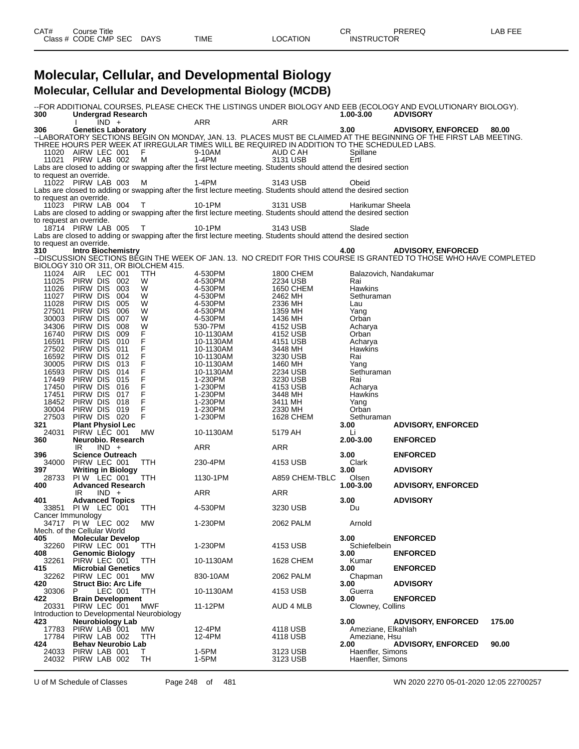## **Molecular, Cellular, and Developmental Biology Molecular, Cellular and Developmental Biology (MCDB)**

| 300               | <b>Undergrad Research</b><br>$IND +$       |                | <b>ARR</b>                                                                                                        | ARR              | 1.00-3.00          | --FOR ADDITIONAL COURSES, PLEASE CHECK THE LISTINGS UNDER BIOLOGY AND EEB (ECOLOGY AND EVOLUTIONARY BIOLOGY).<br><b>ADVISORY</b> |        |
|-------------------|--------------------------------------------|----------------|-------------------------------------------------------------------------------------------------------------------|------------------|--------------------|----------------------------------------------------------------------------------------------------------------------------------|--------|
| 306               | <b>Genetics Laboratory</b>                 |                |                                                                                                                   |                  | 3.00               | <b>ADVISORY, ENFORCED</b>                                                                                                        | 80.00  |
|                   |                                            |                |                                                                                                                   |                  |                    | --LABORATORY SECTIONS BEGIN ON MONDAY, JAN. 13. PLACES MUST BE CLAIMED AT THE BEGINNING OF THE FIRST LAB MEETING.                |        |
|                   |                                            |                | THREE HOURS PER WEEK AT IRREGULAR TIMES WILL BE REQUIRED IN ADDITION TO THE SCHEDULED LABS.                       |                  |                    |                                                                                                                                  |        |
|                   |                                            |                |                                                                                                                   |                  |                    |                                                                                                                                  |        |
|                   | 11020 AIRW LEC 001 F                       |                | 9-10AM                                                                                                            | AUD C AH         | Spillane           |                                                                                                                                  |        |
|                   | 11021 PIRW LAB 002 M                       |                | $1-4PM$                                                                                                           | 3131 USB         | Ertl               |                                                                                                                                  |        |
|                   |                                            |                | Labs are closed to adding or swapping after the first lecture meeting. Students should attend the desired section |                  |                    |                                                                                                                                  |        |
|                   | to request an override.                    |                |                                                                                                                   |                  |                    |                                                                                                                                  |        |
|                   | 11022 PIRW LAB 003 M                       |                | 1-4PM                                                                                                             | 3143 USB         | Obeid              |                                                                                                                                  |        |
|                   |                                            |                | Labs are closed to adding or swapping after the first lecture meeting. Students should attend the desired section |                  |                    |                                                                                                                                  |        |
|                   |                                            |                |                                                                                                                   |                  |                    |                                                                                                                                  |        |
|                   | to request an override.                    |                |                                                                                                                   |                  |                    |                                                                                                                                  |        |
|                   | 11023 PIRW LAB 004 T                       |                | 10-1PM                                                                                                            | 3131 USB         | Harikumar Sheela   |                                                                                                                                  |        |
|                   |                                            |                | Labs are closed to adding or swapping after the first lecture meeting. Students should attend the desired section |                  |                    |                                                                                                                                  |        |
|                   | to request an override.                    |                |                                                                                                                   |                  |                    |                                                                                                                                  |        |
|                   | 18714 PIRW LAB 005 T                       |                | 10-1PM                                                                                                            | 3143 USB         | Slade              |                                                                                                                                  |        |
|                   |                                            |                | Labs are closed to adding or swapping after the first lecture meeting. Students should attend the desired section |                  |                    |                                                                                                                                  |        |
|                   | to request an override.                    |                |                                                                                                                   |                  |                    |                                                                                                                                  |        |
| 310               | <b>Intro Biochemistry</b>                  |                |                                                                                                                   |                  | 4.00               | <b>ADVISORY, ENFORCED</b>                                                                                                        |        |
|                   |                                            |                |                                                                                                                   |                  |                    | --DISCUSSION SECTIONS BÉGIN THE WEEK OF JAN. 13. NO CREDIT FOR THIS COURSE IS GRANTED TO THOSE WHO HAVE COMPLETED                |        |
|                   |                                            |                |                                                                                                                   |                  |                    |                                                                                                                                  |        |
|                   | BIOLOGY 310 OR 311, OR BIOLCHEM 415.       |                |                                                                                                                   |                  |                    |                                                                                                                                  |        |
|                   | 11024 AIR LEC 001                          | TTH            | 4-530PM                                                                                                           | 1800 CHEM        |                    | Balazovich, Nandakumar                                                                                                           |        |
| 11025             | PIRW DIS 002                               | W              | 4-530PM                                                                                                           | 2234 USB         | Rai                |                                                                                                                                  |        |
| 11026             | PIRW DIS 003                               | W              | 4-530PM                                                                                                           | <b>1650 CHEM</b> | Hawkins            |                                                                                                                                  |        |
| 11027             | PIRW DIS<br>004                            | W              | 4-530PM                                                                                                           | 2462 MH          | Sethuraman         |                                                                                                                                  |        |
| 11028             | PIRW DIS<br>005                            | W              | 4-530PM                                                                                                           | 2336 MH          | Lau                |                                                                                                                                  |        |
| 27501             | PIRW DIS 006                               | W              | 4-530PM                                                                                                           | 1359 MH          | Yang               |                                                                                                                                  |        |
| 30003             | PIRW DIS<br>007                            | W              | 4-530PM                                                                                                           | 1436 MH          | Orban              |                                                                                                                                  |        |
|                   |                                            |                |                                                                                                                   |                  |                    |                                                                                                                                  |        |
| 34306             | PIRW DIS<br>008                            | W              | 530-7PM                                                                                                           | 4152 USB         | Acharya            |                                                                                                                                  |        |
| 16740             | PIRW DIS 009                               | F.             | 10-1130AM                                                                                                         | 4152 USB         | Orban              |                                                                                                                                  |        |
| 16591             | PIRW DIS<br>010                            | F              | 10-1130AM                                                                                                         | 4151 USB         | Acharya            |                                                                                                                                  |        |
| 27502             | PIRW DIS<br>011                            | F              | 10-1130AM                                                                                                         | 3448 MH          | Hawkins            |                                                                                                                                  |        |
|                   | 16592 PIRW DIS 012                         | F              | 10-1130AM                                                                                                         | 3230 USB         | Rai                |                                                                                                                                  |        |
| 30005             | PIRW DIS 013                               | $\overline{F}$ | 10-1130AM                                                                                                         | 1460 MH          | Yang               |                                                                                                                                  |        |
| 16593             | PIRW DIS 014                               | F              | 10-1130AM                                                                                                         | 2234 USB         | Sethuraman         |                                                                                                                                  |        |
| 17449             | PIRW DIS 015                               | F              | 1-230PM                                                                                                           | 3230 USB         | Rai                |                                                                                                                                  |        |
|                   | PIRW DIS 016                               | F              | 1-230PM                                                                                                           |                  |                    |                                                                                                                                  |        |
| 17450             |                                            |                |                                                                                                                   | 4153 USB         | Acharya            |                                                                                                                                  |        |
| 17451             | PIRW DIS 017                               | F              | 1-230PM                                                                                                           | 3448 MH          | Hawkins            |                                                                                                                                  |        |
|                   | 18452 PIRW DIS 018                         | F              | 1-230PM                                                                                                           | 3411 MH          | Yang               |                                                                                                                                  |        |
| 30004             | PIRW DIS 019                               | F              | 1-230PM                                                                                                           | 2330 MH          | Orban              |                                                                                                                                  |        |
| 27503             | PIRW DIS 020                               | F              | 1-230PM                                                                                                           | 1628 CHEM        | Sethuraman         |                                                                                                                                  |        |
| 321               | Plant Physiol Lec<br>PIRW LEC 001          |                |                                                                                                                   |                  | 3.00               | <b>ADVISORY, ENFORCED</b>                                                                                                        |        |
| 24031             |                                            | MW             | 10-1130AM                                                                                                         | 5179 AH          | Li                 |                                                                                                                                  |        |
| 360               | Neurobio. Research                         |                |                                                                                                                   |                  | 2.00-3.00          | <b>ENFORCED</b>                                                                                                                  |        |
|                   | IR<br>$IND +$                              |                | ARR                                                                                                               | ARR              |                    |                                                                                                                                  |        |
|                   |                                            |                |                                                                                                                   |                  |                    |                                                                                                                                  |        |
| 396               | <b>Science Outreach</b>                    |                |                                                                                                                   |                  | 3.00               | <b>ENFORCED</b>                                                                                                                  |        |
|                   | 34000 PIRW LEC 001                         | TTH            | 230-4PM                                                                                                           | 4153 USB         | Clark              |                                                                                                                                  |        |
| 397               | <b>Writing in Biology</b>                  |                |                                                                                                                   |                  | 3.00               | <b>ADVISORY</b>                                                                                                                  |        |
| 28733             | PIW LEC 001 TTH                            |                | 1130-1PM                                                                                                          | A859 CHEM-TBLC   | Olsen              |                                                                                                                                  |        |
| 400               | <b>Advanced Research</b>                   |                |                                                                                                                   |                  | 1.00-3.00          | <b>ADVISORY, ENFORCED</b>                                                                                                        |        |
|                   | $IND +$<br>IR                              |                | ARR                                                                                                               | ARR              |                    |                                                                                                                                  |        |
| 401               | <b>Advanced Topics</b>                     |                |                                                                                                                   |                  | 3.00               | <b>ADVISORY</b>                                                                                                                  |        |
|                   | 33851 PIW LEC 001                          | TTH            | 4-530PM                                                                                                           | 3230 USB         | Du                 |                                                                                                                                  |        |
| Cancer Immunology |                                            |                |                                                                                                                   |                  |                    |                                                                                                                                  |        |
|                   |                                            |                |                                                                                                                   |                  |                    |                                                                                                                                  |        |
|                   | 34717 PIW LEC 002 MW                       |                | 1-230PM                                                                                                           | 2062 PALM        | Arnold             |                                                                                                                                  |        |
|                   | Mech. of the Cellular World                |                |                                                                                                                   |                  |                    |                                                                                                                                  |        |
| 405               | <b>Molecular Develop</b>                   |                |                                                                                                                   |                  | 3.00               | <b>ENFORCED</b>                                                                                                                  |        |
| 32260             | PIRW LEC 001                               | <b>TTH</b>     | 1-230PM                                                                                                           | 4153 USB         | Schiefelbein       |                                                                                                                                  |        |
| 408               | <b>Genomic Biology</b>                     |                |                                                                                                                   |                  | 3.00               | <b>ENFORCED</b>                                                                                                                  |        |
| 32261             | PIRW LEC 001                               | TTH            | 10-1130AM                                                                                                         | <b>1628 CHEM</b> | Kumar              |                                                                                                                                  |        |
| 415               | <b>Microbial Genetics</b>                  |                |                                                                                                                   |                  | 3.00               | <b>ENFORCED</b>                                                                                                                  |        |
|                   |                                            |                |                                                                                                                   |                  |                    |                                                                                                                                  |        |
| 32262             | PIRW LEC 001                               | <b>MW</b>      | 830-10AM                                                                                                          | 2062 PALM        | Chapman            |                                                                                                                                  |        |
| 420               | <b>Struct Bio: Arc Life</b>                |                |                                                                                                                   |                  | 3.00               | <b>ADVISORY</b>                                                                                                                  |        |
| 30306             | LEC 001<br>P                               | TTH            | 10-1130AM                                                                                                         | 4153 USB         | Guerra             |                                                                                                                                  |        |
| 422               | <b>Brain Development</b>                   |                |                                                                                                                   |                  | 3.00               | <b>ENFORCED</b>                                                                                                                  |        |
| 20331             | PIRW LEC 001                               | MWF            | 11-12PM                                                                                                           | AUD 4 MLB        | Clowney, Collins   |                                                                                                                                  |        |
|                   | Introduction to Developmental Neurobiology |                |                                                                                                                   |                  |                    |                                                                                                                                  |        |
| 423               | Neurobiology Lab                           |                |                                                                                                                   |                  | 3.00               | <b>ADVISORY, ENFORCED</b>                                                                                                        | 175.00 |
| 17783             | PIRW LAB 001                               | МW             | 12-4PM                                                                                                            | 4118 USB         | Ameziane, Elkahlah |                                                                                                                                  |        |
| 17784             | PIRW LAB 002                               | TTH            | 12-4PM                                                                                                            | 4118 USB         | Ameziane, Hsu      |                                                                                                                                  |        |
|                   |                                            |                |                                                                                                                   |                  |                    |                                                                                                                                  |        |
| 424               | <b>Behav Neurobio Lab</b>                  |                |                                                                                                                   |                  | 2.00               | <b>ADVISORY, ENFORCED</b>                                                                                                        | 90.00  |
| 24033             | PIRW LAB 001                               | Τ              | 1-5PM                                                                                                             | 3123 USB         | Haenfler, Simons   |                                                                                                                                  |        |
| 24032             | PIRW LAB 002                               | TH             | 1-5PM                                                                                                             | 3123 USB         | Haenfler, Simons   |                                                                                                                                  |        |

U of M Schedule of Classes Page 248 of 481 WN 2020 2270 05-01-2020 12:05 22700257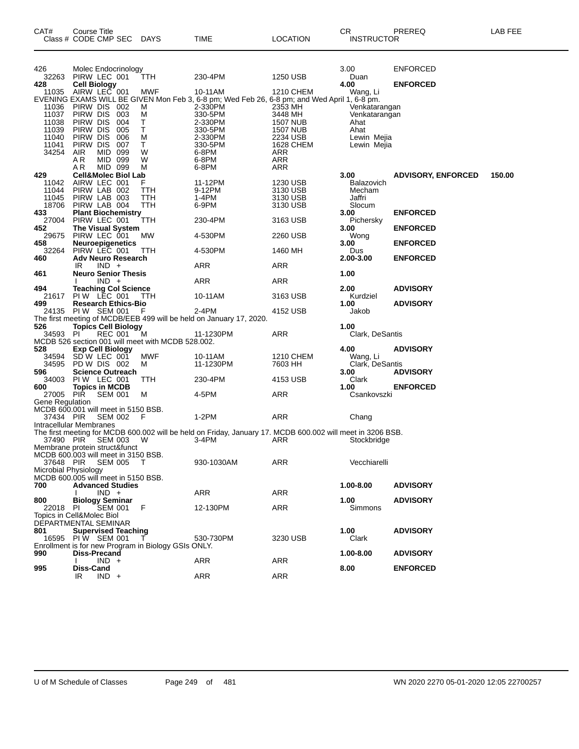| CAT#                                             | Course Title<br>Class # CODE CMP SEC            |                | <b>DAYS</b>                                         | TIME                                                                                                       | <b>LOCATION</b>       | CR<br><b>INSTRUCTOR</b>    | PREREQ                    | LAB FEE |
|--------------------------------------------------|-------------------------------------------------|----------------|-----------------------------------------------------|------------------------------------------------------------------------------------------------------------|-----------------------|----------------------------|---------------------------|---------|
|                                                  |                                                 |                |                                                     |                                                                                                            |                       |                            |                           |         |
| 426                                              |                                                 |                |                                                     |                                                                                                            |                       | 3.00                       | <b>ENFORCED</b>           |         |
| 32263                                            | Molec Endocrinology<br>PIRW LEC 001             |                | TTH                                                 | 230-4PM                                                                                                    | 1250 USB              | Duan                       |                           |         |
| 428                                              | <b>Cell Biology</b>                             |                |                                                     |                                                                                                            |                       | 4.00                       | <b>ENFORCED</b>           |         |
| 11035                                            | AIRW LEC 001                                    |                | MWF                                                 | 10-11AM                                                                                                    | 1210 CHEM             | Wang, Li                   |                           |         |
| 11036                                            | PIRW DIS 002                                    |                | м                                                   | EVENING EXAMS WILL BE GIVEN Mon Feb 3, 6-8 pm; Wed Feb 26, 6-8 pm; and Wed April 1, 6-8 pm.<br>2-330PM     | 2353 MH               | Venkatarangan              |                           |         |
| 11037                                            | PIRW DIS 003                                    |                | M                                                   | 330-5PM                                                                                                    | 3448 MH               | Venkatarangan              |                           |         |
| 11038                                            | PIRW DIS                                        | 004            | Τ                                                   | 2-330PM                                                                                                    | <b>1507 NUB</b>       | Ahat                       |                           |         |
| 11039                                            | PIRW DIS                                        | 005            | T.                                                  | 330-5PM                                                                                                    | <b>1507 NUB</b>       | Ahat                       |                           |         |
| 11040<br>11041                                   | PIRW DIS<br>PIRW DIS                            | 006<br>007     | м<br>T.                                             | 2-330PM<br>330-5PM                                                                                         | 2234 USB<br>1628 CHEM | Lewin Mejia<br>Lewin Mejia |                           |         |
| 34254                                            | AIR                                             | MID 099        | W                                                   | 6-8PM                                                                                                      | ARR                   |                            |                           |         |
|                                                  | AR                                              | MID 099        | W                                                   | 6-8PM                                                                                                      | <b>ARR</b>            |                            |                           |         |
| 429                                              | AR.<br><b>Cell&amp;Molec Biol Lab</b>           | MID 099        | М                                                   | 6-8PM                                                                                                      | <b>ARR</b>            | 3.00                       | <b>ADVISORY, ENFORCED</b> | 150.00  |
| 11042                                            | AIRW LEC 001                                    |                | F                                                   | 11-12PM                                                                                                    | 1230 USB              | Balazovich                 |                           |         |
| 11044                                            | PIRW LAB 002                                    |                | ттн                                                 | 9-12PM                                                                                                     | 3130 USB              | Mecham                     |                           |         |
| 11045                                            | PIRW LAB 003                                    |                | TTH                                                 | 1-4PM                                                                                                      | 3130 USB              | Jaffri                     |                           |         |
| 18706<br>433                                     | PIRW LAB 004<br><b>Plant Biochemistry</b>       |                | TTH                                                 | 6-9PM                                                                                                      | 3130 USB              | Slocum<br>3.00             | <b>ENFORCED</b>           |         |
| 27004                                            | PIRW LEC 001                                    |                | TTH                                                 | 230-4PM                                                                                                    | 3163 USB              | Pichersky                  |                           |         |
| 452                                              | The Visual System                               |                |                                                     |                                                                                                            |                       | 3.00                       | <b>ENFORCED</b>           |         |
| 29675                                            | PIRW LEC 001                                    |                | <b>MW</b>                                           | 4-530PM                                                                                                    | 2260 USB              | Wong                       |                           |         |
| 458<br>32264                                     | <b>Neuroepigenetics</b><br>PIRW LEC 001         |                | <b>TTH</b>                                          | 4-530PM                                                                                                    | 1460 MH               | 3.00<br>Dus                | <b>ENFORCED</b>           |         |
| 460                                              | <b>Adv Neuro Research</b>                       |                |                                                     |                                                                                                            |                       | 2.00-3.00                  | <b>ENFORCED</b>           |         |
|                                                  | IR                                              | $IND +$        |                                                     | ARR                                                                                                        | ARR                   |                            |                           |         |
| 461                                              | <b>Neuro Senior Thesis</b>                      |                |                                                     |                                                                                                            |                       | 1.00                       |                           |         |
| 494                                              | <b>Teaching Col Science</b>                     | $IND +$        |                                                     | <b>ARR</b>                                                                                                 | ARR                   | 2.00                       | <b>ADVISORY</b>           |         |
| 21617                                            | PIW LEC 001                                     |                | TTH                                                 | 10-11AM                                                                                                    | 3163 USB              | Kurdziel                   |                           |         |
| 499                                              | <b>Research Ethics-Bio</b>                      |                |                                                     |                                                                                                            |                       | 1.00                       | <b>ADVISORY</b>           |         |
|                                                  | 24135 PIW SEM 001                               |                | F                                                   | 2-4PM                                                                                                      | 4152 USB              | Jakob                      |                           |         |
| 526                                              | <b>Topics Cell Biology</b>                      |                |                                                     | The first meeting of MCDB/EEB 499 will be held on January 17, 2020.                                        |                       | 1.00                       |                           |         |
| 34593 PI                                         |                                                 | REC 001        | M                                                   | 11-1230PM                                                                                                  | ARR                   | Clark, DeSantis            |                           |         |
|                                                  |                                                 |                | MCDB 526 section 001 will meet with MCDB 528.002.   |                                                                                                            |                       |                            |                           |         |
| 528<br>34594                                     | <b>Exp Cell Biology</b><br>SD W LEC 001         |                | MWF                                                 | 10-11AM                                                                                                    | 1210 CHEM             | 4.00<br>Wang, Li           | <b>ADVISORY</b>           |         |
| 34595                                            | PD W DIS 002                                    |                | M                                                   | 11-1230PM                                                                                                  | 7603 HH               | Clark, DeSantis            |                           |         |
| 596                                              | <b>Science Outreach</b>                         |                |                                                     |                                                                                                            |                       | 3.00                       | <b>ADVISORY</b>           |         |
| 34003                                            | PIW LEC 001                                     |                | TTH                                                 | 230-4PM                                                                                                    | 4153 USB              | Clark                      |                           |         |
| 600<br>27005 PIR                                 | <b>Topics in MCDB</b>                           | <b>SEM 001</b> | M                                                   | 4-5PM                                                                                                      | ARR                   | 1.00<br>Csankovszki        | <b>ENFORCED</b>           |         |
| Gene Regulation                                  |                                                 |                |                                                     |                                                                                                            |                       |                            |                           |         |
| MCDB 600.001 will meet in 5150 BSB.              |                                                 |                |                                                     |                                                                                                            |                       |                            |                           |         |
| 37434 PIR                                        |                                                 | <b>SEM 002</b> | F                                                   | $1-2PM$                                                                                                    | ARR                   | Chang                      |                           |         |
| Intracellular Membranes                          |                                                 |                |                                                     | The first meeting for MCDB 600.002 will be held on Friday, January 17. MCDB 600.002 will meet in 3206 BSB. |                       |                            |                           |         |
| 37490 PIR                                        |                                                 | SEM 003        | - W                                                 | 3-4PM                                                                                                      | ARR                   | Stockbridge                |                           |         |
| Membrane protein struct&funct                    |                                                 |                |                                                     |                                                                                                            |                       |                            |                           |         |
| MCDB 600.003 will meet in 3150 BSB.<br>37648 PIR |                                                 | <b>SEM 005</b> | $\top$                                              | 930-1030AM                                                                                                 | ARR                   | Vecchiarelli               |                           |         |
| Microbial Physiology                             |                                                 |                |                                                     |                                                                                                            |                       |                            |                           |         |
| MCDB 600.005 will meet in 5150 BSB.              |                                                 |                |                                                     |                                                                                                            |                       |                            |                           |         |
| 700                                              | <b>Advanced Studies</b>                         |                |                                                     |                                                                                                            |                       | 1.00-8.00                  | <b>ADVISORY</b>           |         |
| 800                                              | <b>Biology Seminar</b>                          | $IND +$        |                                                     | ARR                                                                                                        | ARR                   | 1.00                       | <b>ADVISORY</b>           |         |
| 22018 PI                                         |                                                 | <b>SEM 001</b> | F                                                   | 12-130PM                                                                                                   | <b>ARR</b>            | Simmons                    |                           |         |
| Topics in Cell&Molec Biol                        |                                                 |                |                                                     |                                                                                                            |                       |                            |                           |         |
| DEPARTMENTAL SEMINAR                             |                                                 |                |                                                     |                                                                                                            |                       |                            |                           |         |
| 801                                              | <b>Supervised Teaching</b><br>16595 PIW SEM 001 |                |                                                     | 530-730PM                                                                                                  | 3230 USB              | 1.00<br>Clark              | <b>ADVISORY</b>           |         |
|                                                  |                                                 |                | Enrollment is for new Program in Biology GSIs ONLY. |                                                                                                            |                       |                            |                           |         |
| 990                                              | Diss-Precand                                    |                |                                                     |                                                                                                            |                       | 1.00-8.00                  | <b>ADVISORY</b>           |         |
|                                                  | Diss-Cand                                       | $IND +$        |                                                     | ARR                                                                                                        | ARR                   | 8.00                       |                           |         |
| 995                                              | IR                                              | $IND +$        |                                                     | <b>ARR</b>                                                                                                 | <b>ARR</b>            |                            | <b>ENFORCED</b>           |         |
|                                                  |                                                 |                |                                                     |                                                                                                            |                       |                            |                           |         |

U of M Schedule of Classes Page 249 of 481 WN 2020 2270 05-01-2020 12:05 22700257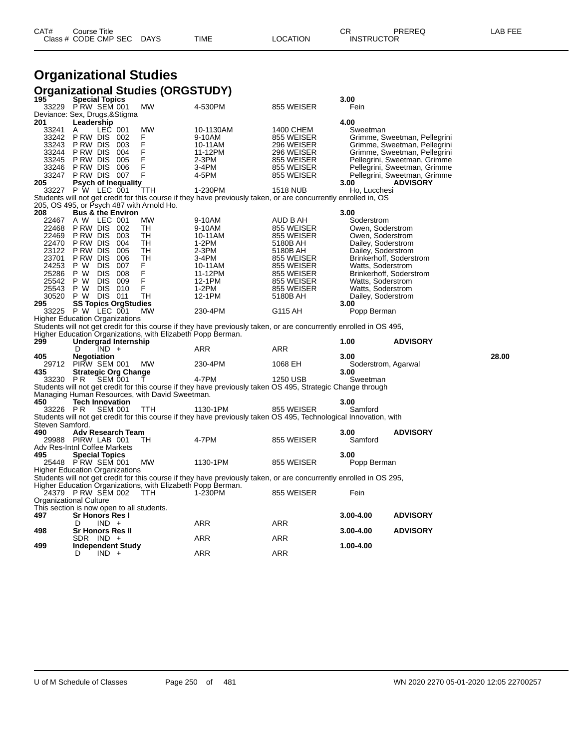# **Organizational Studies**

|                 | <b>Organizational Studies (ORGSTUDY)</b>                            |            |                                                                                                                      |                      |                                          |                                                 |       |
|-----------------|---------------------------------------------------------------------|------------|----------------------------------------------------------------------------------------------------------------------|----------------------|------------------------------------------|-------------------------------------------------|-------|
| 195             | <b>Special Topics</b><br>PRW SEM 001                                | <b>MW</b>  | 4-530PM                                                                                                              |                      | 3.00<br>Fein                             |                                                 |       |
| 33229           | Deviance: Sex, Drugs, & Stigma                                      |            |                                                                                                                      | 855 WEISER           |                                          |                                                 |       |
| 201             | Leadership                                                          |            |                                                                                                                      |                      | 4.00                                     |                                                 |       |
| 33241           | LEC 001<br>A                                                        | MW         | 10-1130AM                                                                                                            | 1400 CHEM            | Sweetman                                 |                                                 |       |
| 33242           | PRW DIS 002                                                         | F          | 9-10AM                                                                                                               | 855 WEISER           |                                          | Grimme, Sweetman, Pellegrini                    |       |
| 33243           | P RW DIS<br>003                                                     | F          | 10-11AM                                                                                                              | 296 WEISER           |                                          | Grimme, Sweetman, Pellegrini                    |       |
| 33244           | P RW DIS<br>004                                                     | F          | 11-12PM                                                                                                              | 296 WEISER           |                                          | Grimme, Sweetman, Pellegrini                    |       |
| 33245           | 005<br>P RW DIS                                                     | F          | $2-3PM$                                                                                                              | 855 WEISER           |                                          | Pellegrini, Sweetman, Grimme                    |       |
| 33246<br>33247  | P RW DIS<br>006<br>P RW DIS<br>007                                  | F<br>F     | 3-4PM<br>4-5PM                                                                                                       | 855 WEISER           |                                          | Pellegrini, Sweetman, Grimme                    |       |
| 205             | <b>Psych of Inequality</b>                                          |            |                                                                                                                      | 855 WEISER           | 3.00                                     | Pellegrini, Sweetman, Grimme<br><b>ADVISORY</b> |       |
|                 | 33227 P W LEC 001                                                   | TTH        | 1-230PM                                                                                                              | <b>1518 NUB</b>      | Ho, Lucchesi                             |                                                 |       |
|                 |                                                                     |            | Students will not get credit for this course if they have previously taken, or are concurrently enrolled in, OS      |                      |                                          |                                                 |       |
|                 | 205, OS 495, or Psych 487 with Arnold Ho.                           |            |                                                                                                                      |                      |                                          |                                                 |       |
| 208             | <b>Bus &amp; the Environ</b>                                        |            |                                                                                                                      |                      | 3.00                                     |                                                 |       |
| 22467           | A W LEC 001                                                         | MW         | 9-10AM                                                                                                               | AUD B AH             | Soderstrom                               |                                                 |       |
| 22468           | PRW DIS 002                                                         | TН         | 9-10AM                                                                                                               | 855 WEISER           | Owen, Soderstrom                         |                                                 |       |
| 22469           | P RW DIS<br>003                                                     | TН         | 10-11AM                                                                                                              | 855 WEISER           | Owen, Soderstrom                         |                                                 |       |
| 22470<br>23122  | P RW DIS<br>004<br>P RW<br><b>DIS</b><br>005                        | TН<br>TН   | $1-2PM$<br>2-3PM                                                                                                     | 5180B AH<br>5180B AH | Dailey, Soderstrom<br>Dailey, Soderstrom |                                                 |       |
| 23701           | P RW<br><b>DIS</b><br>006                                           | TН         | 3-4PM                                                                                                                | 855 WEISER           | Brinkerhoff, Soderstrom                  |                                                 |       |
| 24253           | P W<br><b>DIS</b><br>007                                            | F          | 10-11AM                                                                                                              | 855 WEISER           | Watts, Soderstrom                        |                                                 |       |
| 25286           | P W<br><b>DIS</b><br>008                                            | F          | 11-12PM                                                                                                              | 855 WEISER           | Brinkerhoff, Soderstrom                  |                                                 |       |
| 25542           | P W<br>DIS.<br>- 009                                                | F          | 12-1PM                                                                                                               | 855 WEISER           | Watts, Soderstrom                        |                                                 |       |
| 25543           | DIS.<br>010<br>P W                                                  | F          | $1-2PM$                                                                                                              | 855 WEISER           | Watts, Soderstrom                        |                                                 |       |
| 30520           | P W<br>DIS 011                                                      | TН         | 12-1PM                                                                                                               | 5180B AH             | Dailey, Soderstrom                       |                                                 |       |
| 295             | <b>SS Topics OrgStudies</b>                                         |            |                                                                                                                      |                      | 3.00                                     |                                                 |       |
| 33225           | P W LEC 001<br>Higher Education Organizations                       | <b>MW</b>  | 230-4PM                                                                                                              | G115 AH              | Popp Berman                              |                                                 |       |
|                 |                                                                     |            | Students will not get credit for this course if they have previously taken, or are concurrently enrolled in OS 495,  |                      |                                          |                                                 |       |
|                 | Higher Education Organizations, with Elizabeth Popp Berman.         |            |                                                                                                                      |                      |                                          |                                                 |       |
| 299             | Undergrad Internship                                                |            |                                                                                                                      |                      | 1.00                                     | <b>ADVISORY</b>                                 |       |
|                 | D<br>$IND +$                                                        |            | ARR                                                                                                                  | ARR                  |                                          |                                                 |       |
| 405             | <b>Negotiation</b>                                                  |            |                                                                                                                      |                      | 3.00                                     |                                                 | 28.00 |
| 29712           | PIRW SEM 001                                                        | MW         | 230-4PM                                                                                                              | 1068 EH              | Soderstrom, Agarwal                      |                                                 |       |
| 435             | <b>Strategic Org Change</b>                                         |            |                                                                                                                      |                      | 3.00                                     |                                                 |       |
| 33230           | P R<br><b>SEM 001</b>                                               |            | 4-7PM<br>Students will not get credit for this course if they have previously taken OS 495, Strategic Change through | 1250 USB             | Sweetman                                 |                                                 |       |
|                 | Managing Human Resources, with David Sweetman.                      |            |                                                                                                                      |                      |                                          |                                                 |       |
| 450             | <b>Tech Innovation</b>                                              |            |                                                                                                                      |                      | 3.00                                     |                                                 |       |
| 33226           | P R<br><b>SEM 001</b>                                               | <b>TTH</b> | 1130-1PM                                                                                                             | 855 WEISER           | Samford                                  |                                                 |       |
|                 |                                                                     |            | Students will not get credit for this course if they have previously taken OS 495, Technological Innovation, with    |                      |                                          |                                                 |       |
| Steven Samford. |                                                                     |            |                                                                                                                      |                      |                                          |                                                 |       |
| 490             | <b>Adv Research Team</b>                                            |            |                                                                                                                      |                      | 3.00                                     | <b>ADVISORY</b>                                 |       |
|                 | 29988 PIRW LAB 001<br>Adv Res-Intnl Coffee Markets                  | TH         | 4-7PM                                                                                                                | 855 WEISER           | Samford                                  |                                                 |       |
| 495             | <b>Special Topics</b>                                               |            |                                                                                                                      |                      | 3.00                                     |                                                 |       |
|                 | 25448 PRW SEM 001                                                   | <b>MW</b>  | 1130-1PM                                                                                                             | 855 WEISER           | Popp Berman                              |                                                 |       |
|                 | Higher Education Organizations                                      |            |                                                                                                                      |                      |                                          |                                                 |       |
|                 |                                                                     |            | Students will not get credit for this course if they have previously taken, or are concurrently enrolled in OS 295,  |                      |                                          |                                                 |       |
|                 | Higher Education Organizations, with Elizabeth Popp Berman.         |            |                                                                                                                      |                      |                                          |                                                 |       |
|                 | 24379 PRW SĒM 002                                                   | <b>TTH</b> | 1-230PM                                                                                                              | 855 WEISER           | Fein                                     |                                                 |       |
|                 | Organizational Culture                                              |            |                                                                                                                      |                      |                                          |                                                 |       |
| 497             | This section is now open to all students.<br><b>Sr Honors Res I</b> |            |                                                                                                                      |                      | 3.00-4.00                                | <b>ADVISORY</b>                                 |       |
|                 | D<br>$IND +$                                                        |            | <b>ARR</b>                                                                                                           | ARR                  |                                          |                                                 |       |
| 498             | <b>Sr Honors Res II</b>                                             |            |                                                                                                                      |                      | $3.00 - 4.00$                            | <b>ADVISORY</b>                                 |       |
|                 | SDR IND +                                                           |            | ARR                                                                                                                  | ARR                  |                                          |                                                 |       |
| 499             | <b>Independent Study</b>                                            |            |                                                                                                                      |                      | 1.00-4.00                                |                                                 |       |
|                 | $IND +$<br>D                                                        |            | <b>ARR</b>                                                                                                           | <b>ARR</b>           |                                          |                                                 |       |
|                 |                                                                     |            |                                                                                                                      |                      |                                          |                                                 |       |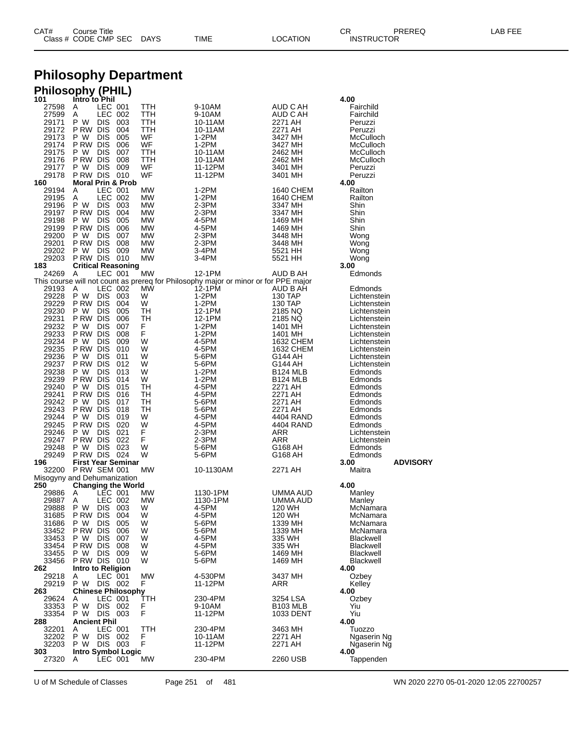| CAT# | Title<br>∴ourse            |             |      |          | Ωm<br>، اب                    | PREREC | $- - -$<br>ΔP<br>--- |
|------|----------------------------|-------------|------|----------|-------------------------------|--------|----------------------|
|      | Class # CODE CMP SEC<br>__ | <b>DAYS</b> | TIME | LOCATION | <b>INSTRUCTOR</b><br>________ |        |                      |

## **Philosophy Department**

## **Philosophy (PHIL)**

| 101            | Intro to Phil                               |            |                                                                                     |                             | 4.00                         |
|----------------|---------------------------------------------|------------|-------------------------------------------------------------------------------------|-----------------------------|------------------------------|
| 27598          | LEC 001<br>A                                | TTH        | 9-10AM                                                                              | AUD C AH                    | Fairchild                    |
| 27599          | Α<br>LEC 002<br>P W<br><b>DIS</b>           | TTH        | 9-10AM                                                                              | AUD C AH                    | Fairchild                    |
| 29171<br>29172 | 003<br>P RW DIS<br>004                      | TTH<br>TTH | 10-11AM<br>10-11AM                                                                  | 2271 AH<br>2271 AH          | Peruzzi<br>Peruzzi           |
| 29173          | P W<br><b>DIS</b><br>005                    | WF         | 1-2PM                                                                               | 3427 MH                     | McCulloch                    |
| 29174          | PRW DIS<br>006                              | WF         | 1-2PM                                                                               | 3427 MH                     | McCulloch                    |
| 29175          | <b>DIS</b><br>P W<br>007                    | TTH        | 10-11AM                                                                             | 2462 MH                     | McCulloch                    |
| 29176          | P RW DIS<br>008                             | TTH        | 10-11AM                                                                             | 2462 MH                     | McCulloch                    |
| 29177          | P W<br><b>DIS</b><br>009                    | WF         | 11-12PM                                                                             | 3401 MH                     | Peruzzi                      |
| 29178          | P RW DIS<br>010                             | WF         | 11-12PM                                                                             | 3401 MH                     | Peruzzi                      |
| 160            | <b>Moral Prin &amp; Prob</b>                |            |                                                                                     |                             | 4.00                         |
| 29194          | Α<br>LEC 001                                | <b>MW</b>  | 1-2PM                                                                               | 1640 CHEM                   | Railton                      |
| 29195          | Α<br>LEC 002                                | MW         | 1-2PM                                                                               | 1640 CHEM                   | Railton                      |
| 29196          | P W<br>DIS 003                              | MW         | 2-3PM                                                                               | 3347 MH                     | Shin                         |
| 29197<br>29198 | P RW DIS<br>004<br>P W<br><b>DIS</b><br>005 | MW<br>MW   | 2-3PM<br>4-5PM                                                                      | 3347 MH<br>1469 MH          | Shin<br>Shin                 |
| 29199          | P RW DIS<br>006                             | MW         | 4-5PM                                                                               | 1469 MH                     | Shin                         |
| 29200          | <b>DIS</b><br>P W<br>007                    | MW         | 2-3PM                                                                               | 3448 MH                     | Wong                         |
| 29201          | P RW DIS<br>008                             | MW         | 2-3PM                                                                               | 3448 MH                     | Wong                         |
| 29202          | P W<br><b>DIS</b><br>009                    | MW         | 3-4PM                                                                               | 5521 HH                     | Wong                         |
| 29203          | PRW DIS 010                                 | MW         | 3-4PM                                                                               | 5521 HH                     | Wong                         |
| 183            | <b>Critical Reasoning</b>                   |            |                                                                                     |                             | 3.00                         |
| 24269          | Α<br>LEC 001                                | MW         | 12-1PM                                                                              | AUD B AH                    | Edmonds                      |
|                |                                             |            | This course will not count as prereq for Philosophy major or minor or for PPE major |                             |                              |
| 29193          | LEC 002<br>A                                | <b>MW</b>  | 12-1PM                                                                              | AUD B AH                    | Edmonds                      |
| 29228          | P W<br>DIS 003                              | W          | 1-2PM                                                                               | 130 TAP                     | Lichtenstein                 |
| 29229          | P RW DIS<br>004                             | W          | 1-2PM                                                                               | 130 TAP                     | Lichtenstein                 |
| 29230          | P W<br>DIS<br>005                           | TН         | 12-1PM                                                                              | 2185 NQ                     | Lichtenstein                 |
| 29231<br>29232 | P RW DIS<br>006<br>P W<br><b>DIS</b>        | TН<br>F    | 12-1PM                                                                              | 2185 NQ                     | Lichtenstein                 |
| 29233          | 007<br>P RW DIS<br>008                      | F          | 1-2PM<br>1-2PM                                                                      | 1401 MH<br>1401 MH          | Lichtenstein<br>Lichtenstein |
| 29234          | P W<br><b>DIS</b><br>009                    | W          | 4-5PM                                                                               | 1632 CHEM                   | Lichtenstein                 |
| 29235          | PRW DIS<br>010                              | W          | 4-5PM                                                                               | 1632 CHEM                   | Lichtenstein                 |
| 29236          | <b>DIS</b><br>P W<br>011                    | W          | 5-6PM                                                                               | G144 AH                     | Lichtenstein                 |
| 29237          | P RW DIS<br>012                             | W          | 5-6PM                                                                               | G144 AH                     | Lichtenstein                 |
| 29238          | <b>DIS</b><br>P W<br>013                    | W          | 1-2PM                                                                               | <b>B124 MLB</b>             | Edmonds                      |
| 29239          | P RW DIS<br>014                             | W          | 1-2PM                                                                               | B <sub>124</sub> MLB        | Edmonds                      |
| 29240          | <b>DIS</b><br>P W<br>015                    | TН         | 4-5PM                                                                               | 2271 AH                     | Edmonds                      |
| 29241          | PRW DIS<br>016                              | TН         | 4-5PM                                                                               | 2271 AH                     | Edmonds                      |
| 29242          | <b>DIS</b><br>P W<br>017                    | TH         | 5-6PM                                                                               | 2271 AH                     | Edmonds                      |
| 29243          | P RW DIS<br>018                             | TН         | 5-6PM                                                                               | 2271 AH                     | Edmonds                      |
| 29244<br>29245 | <b>DIS</b><br>P W<br>019<br>P RW DIS<br>020 | W<br>W     | 4-5PM                                                                               | 4404 RAND                   | Edmonds<br>Edmonds           |
| 29246          | P W<br><b>DIS</b><br>021                    | F          | 4-5PM<br>2-3PM                                                                      | 4404 RAND<br>ARR            | Lichtenstein                 |
| 29247          | P RW DIS<br>022                             | F          | 2-3PM                                                                               | ARR                         | Lichtenstein                 |
| 29248          | <b>DIS</b><br>P W<br>023                    | W          | 5-6PM                                                                               | G168 AH                     | Edmonds                      |
| 29249          | PRW DIS 024                                 | W          | 5-6PM                                                                               | G168 AH                     | Edmonds                      |
| 196            | <b>First Year Seminar</b>                   |            |                                                                                     |                             | <b>ADVISORY</b><br>3.00      |
| 32200          | <b>P RW SEM 001</b>                         | МW         | 10-1130AM                                                                           | 2271 AH                     | Maitra                       |
|                | Misogyny and Dehumanization                 |            |                                                                                     |                             |                              |
| 250            | <b>Changing the World</b>                   |            |                                                                                     |                             | 4.00                         |
| 29886          | LEC 001<br>A                                | МW         | 1130-1PM                                                                            | UMMA AUD                    | Manley                       |
| 29887          | Α<br>LEC 002                                | МW<br>W    | 1130-1PM                                                                            | UMMA AUD                    | Manley                       |
| 29888<br>31685 | P W<br><b>DIS</b><br>003<br>P RW DIS<br>004 | W          | 4-5PM<br>4-5PM                                                                      | 120 WH<br>120 WH            | McNamara<br>McNamara         |
| 31686          | P W<br><b>DIS</b><br>005                    | w          | 5-6PM                                                                               | 1339 MH                     | McNamara                     |
| 33452          | P RW DIS<br>006                             | W          | 5-6PM                                                                               | 1339 MH                     | McNamara                     |
| 33453          | P W<br><b>DIS</b><br>007                    | W          | 4-5PM                                                                               | 335 WH                      | Blackwell                    |
| 33454          | P RW DIS<br>008                             | W          | 4-5PM                                                                               | 335 WH                      | Blackwell                    |
| 33455          | P W DIS<br>009                              | W          | 5-6PM                                                                               | 1469 MH                     | Blackwell                    |
| 33456          | PRW DIS 010                                 | W          | 5-6PM                                                                               | 1469 MH                     | Blackwell                    |
| 262            | Intro to Religion                           |            |                                                                                     |                             | 4.00                         |
| 29218          | Α<br>LEC 001                                | <b>MW</b>  | 4-530PM                                                                             | 3437 MH                     | Ozbey                        |
| 29219          | P W<br>DIS 002                              | F          | 11-12PM                                                                             | <b>ARR</b>                  | Kelley                       |
| 263            | <b>Chinese Philosophy</b>                   |            |                                                                                     |                             | 4.00                         |
| 29624<br>33353 | LEC 001<br>Α<br>P W<br>DIS 002              | TTH<br>F   | 230-4PM<br>9-10AM                                                                   | 3254 LSA<br><b>B103 MLB</b> | Ozbey<br>Yiu                 |
| 33354          | P W DIS 003                                 | F          | 11-12PM                                                                             | 1033 DENT                   | Yiu                          |
| 288            | <b>Ancient Phil</b>                         |            |                                                                                     |                             | 4.00                         |
| 32201          | LEC 001<br>Α                                | TTH        | 230-4PM                                                                             | 3463 MH                     | Tuozzo                       |
| 32202          | P W<br>DIS 002                              | F          | 10-11AM                                                                             | 2271 AH                     | Ngaserin Ng                  |
| 32203          | P W DIS 003                                 | F          | 11-12PM                                                                             | 2271 AH                     | Ngaserin Ng                  |
| 303            | <b>Intro Symbol Logic</b>                   |            |                                                                                     |                             | 4.00                         |
| 27320          | A<br>LEC 001                                | МW         | 230-4PM                                                                             | 2260 USB                    | Tappenden                    |
|                |                                             |            |                                                                                     |                             |                              |

U of M Schedule of Classes Page 251 of 481 WN 2020 2270 05-01-2020 12:05 22700257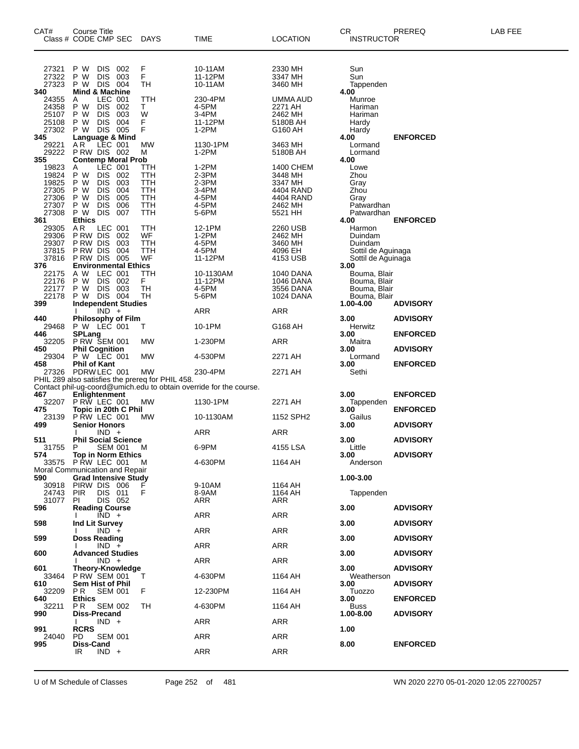| CAT#                                                        | Course Title<br>Class # CODE CMP SEC                                                                                                                                       | DAYS                                          | TIME                                                               | <b>LOCATION</b>                                                                 | CR<br><b>INSTRUCTOR</b>                                                                  | PREREQ          | LAB FEE |
|-------------------------------------------------------------|----------------------------------------------------------------------------------------------------------------------------------------------------------------------------|-----------------------------------------------|--------------------------------------------------------------------|---------------------------------------------------------------------------------|------------------------------------------------------------------------------------------|-----------------|---------|
| 27321<br>27322<br>27323                                     | P W<br><b>DIS</b><br>002<br><b>DIS</b><br>P W<br>003<br>DIS 004<br>P W                                                                                                     | F<br>F<br>TН                                  | 10-11AM<br>11-12PM<br>10-11AM                                      | 2330 MH<br>3347 MH<br>3460 MH                                                   | Sun<br>Sun<br>Tappenden                                                                  |                 |         |
| 340<br>24355<br>24358<br>25107<br>25108<br>27302            | <b>Mind &amp; Machine</b><br>LEC 001<br>Α<br>DIS 002<br>P W<br>003<br>P W<br><b>DIS</b><br><b>DIS</b><br>004<br>P W<br>DIS 005<br>P W                                      | TTH<br>T.<br>W<br>F<br>F                      | 230-4PM<br>4-5PM<br>3-4PM<br>11-12PM<br>1-2PM                      | UMMA AUD<br>2271 AH<br>2462 MH<br>5180B AH<br>G160 AH                           | 4.00<br>Munroe<br>Hariman<br>Hariman<br>Hardy<br>Hardy                                   |                 |         |
| 345<br>29221<br>29222<br>355                                | Language & Mind<br>LEC 001<br>AR<br>PRW DIS 002<br><b>Contemp Moral Prob</b>                                                                                               | MW<br>м                                       | 1130-1PM<br>1-2PM                                                  | 3463 MH<br>5180B AH                                                             | 4.00<br>Lormand<br>Lormand<br>4.00                                                       | <b>ENFORCED</b> |         |
| 19823<br>19824<br>19825<br>27305<br>27306<br>27307<br>27308 | LEC 001<br>A<br>DIS 002<br>P W<br><b>DIS</b><br>P W<br>003<br><b>DIS</b><br>P W<br>004<br><b>DIS</b><br>P W<br>005<br><b>DIS</b><br>006<br>P W<br><b>DIS</b><br>P W<br>007 | ттн<br>TTH<br>TTH<br>TTH<br>TTH<br>TTH<br>TTH | $1-2PM$<br>2-3PM<br>2-3PM<br>3-4PM<br>4-5PM<br>4-5PM<br>5-6PM      | 1400 CHEM<br>3448 MH<br>3347 MH<br>4404 RAND<br>4404 RAND<br>2462 MH<br>5521 HH | Lowe<br>Zhou<br>Gray<br>Zhou<br>Gray<br>Patwardhan<br>Patwardhan                         |                 |         |
| 361<br>29305<br>29306<br>29307<br>37815<br>37816<br>376     | <b>Ethics</b><br>LEC 001<br>AR.<br>P RW DIS<br>002<br>P RW DIS<br>003<br>P RW DIS<br>004<br>PRW DIS 005<br><b>Environmental Ethics</b>                                     | TTH<br>WF<br>TTH<br>ттн<br>WF                 | 12-1PM<br>$1-2PM$<br>4-5PM<br>4-5PM<br>11-12PM                     | 2260 USB<br>2462 MH<br>3460 MH<br>4096 EH<br>4153 USB                           | 4.00<br>Harmon<br>Duindam<br>Duindam<br>Sottil de Aguinaga<br>Sottil de Aguinaga<br>3.00 | <b>ENFORCED</b> |         |
| 22175<br>22176<br>22177<br>22178<br>399                     | A W<br>LEC 001<br>DIS 002<br>P W<br>DIS 003<br>P W<br>DIS 004<br>P W<br><b>Independent Studies</b>                                                                         | TTH<br>F.<br>TН<br>TН                         | 10-1130AM<br>11-12PM<br>4-5PM<br>5-6PM                             | 1040 DANA<br>1046 DANA<br>3556 DANA<br>1024 DANA                                | Bouma, Blair<br>Bouma, Blair<br>Bouma, Blair<br>Bouma, Blair<br>1.00-4.00                | <b>ADVISORY</b> |         |
| 440                                                         | $IND +$<br><b>Philosophy of Film</b>                                                                                                                                       |                                               | ARR                                                                | ARR                                                                             | 3.00                                                                                     | <b>ADVISORY</b> |         |
| 29468<br>446                                                | P W LEC 001<br><b>SPLang</b>                                                                                                                                               | Т                                             | 10-1PM                                                             | G168 AH                                                                         | Herwitz<br>3.00                                                                          | <b>ENFORCED</b> |         |
| 32205                                                       | <b>P RW SEM 001</b><br><b>Phil Cognition</b>                                                                                                                               | MW                                            | 1-230PM                                                            | ARR                                                                             | Maitra                                                                                   |                 |         |
| 450<br>29304                                                | P W LEC 001                                                                                                                                                                | MW                                            | 4-530PM                                                            | 2271 AH                                                                         | 3.00<br>Lormand                                                                          | <b>ADVISORY</b> |         |
| 458                                                         | <b>Phil of Kant</b><br>27326 PDRW LEC 001                                                                                                                                  | МW                                            | 230-4PM                                                            | 2271 AH                                                                         | 3.00<br>Sethi                                                                            | <b>ENFORCED</b> |         |
|                                                             | PHIL 289 also satisfies the prereq for PHIL 458.                                                                                                                           |                                               | Contact phil-ug-coord@umich.edu to obtain override for the course. |                                                                                 |                                                                                          |                 |         |
| 467<br>32207                                                | Enlightenment<br>PRW LEC 001                                                                                                                                               | МW                                            | 1130-1PM                                                           | 2271 AH                                                                         | 3.00<br>Tappenden                                                                        | <b>ENFORCED</b> |         |
| 475<br>23139                                                | Topic in 20th C Phil<br>PRW LEC 001                                                                                                                                        | <b>MW</b>                                     | 10-1130AM                                                          | 1152 SPH2                                                                       | 3.00<br>Gailus                                                                           | <b>ENFORCED</b> |         |
| 499                                                         | <b>Senior Honors</b><br>$IND +$                                                                                                                                            |                                               | ARR                                                                | ARR                                                                             | 3.00                                                                                     | <b>ADVISORY</b> |         |
| 511<br>31755                                                | <b>Phil Social Science</b><br>-P<br>SEM 001                                                                                                                                | M                                             | 6-9PM                                                              | 4155 LSA                                                                        | 3.00<br>Little                                                                           | <b>ADVISORY</b> |         |
| 574                                                         | <b>Top in Norm Ethics</b><br>33575 PRW LEC 001                                                                                                                             | M                                             | 4-630PM                                                            | 1164 AH                                                                         | 3.00<br>Anderson                                                                         | <b>ADVISORY</b> |         |
|                                                             | Moral Communication and Repair                                                                                                                                             |                                               |                                                                    |                                                                                 |                                                                                          |                 |         |
| 590<br>30918<br>24743<br>31077                              | <b>Grad Intensive Study</b><br>PIRW DIS 006<br><b>PIR</b><br>DIS 011<br>DIS 052<br>PI                                                                                      | F                                             | 9-10AM<br>8-9AM<br>ARR                                             | 1164 AH<br>1164 AH<br>ARR                                                       | 1.00-3.00<br>Tappenden                                                                   |                 |         |
| 596                                                         | <b>Reading Course</b><br>$\overline{IND}$ +                                                                                                                                |                                               | ARR                                                                | ARR                                                                             | 3.00                                                                                     | <b>ADVISORY</b> |         |
| 598                                                         | Ind Lit Survey<br>$IND +$                                                                                                                                                  |                                               | ARR                                                                | ARR                                                                             | 3.00                                                                                     | <b>ADVISORY</b> |         |
| 599                                                         | <b>Doss Reading</b><br>$IND +$                                                                                                                                             |                                               | ARR                                                                | ARR                                                                             | 3.00                                                                                     | <b>ADVISORY</b> |         |
| 600                                                         | <b>Advanced Studies</b><br>$IND +$                                                                                                                                         |                                               | ARR                                                                | ARR                                                                             | 3.00                                                                                     | <b>ADVISORY</b> |         |
| 601<br>33464                                                | <b>Theory-Knowledge</b><br>P RW SEM 001                                                                                                                                    | Τ                                             |                                                                    | 1164 AH                                                                         | 3.00<br>Weatherson                                                                       | <b>ADVISORY</b> |         |
| 610                                                         | <b>Sem Hist of Phil</b>                                                                                                                                                    |                                               | 4-630PM                                                            |                                                                                 | 3.00                                                                                     | <b>ADVISORY</b> |         |
| 32209<br>640                                                | PR.<br><b>SEM 001</b><br><b>Ethics</b>                                                                                                                                     | F                                             | 12-230PM                                                           | 1164 AH                                                                         | Tuozzo<br>3.00                                                                           | <b>ENFORCED</b> |         |
| 32211<br>990                                                | <b>SEM 002</b><br>PR.<br><b>Diss-Precand</b>                                                                                                                               | TH                                            | 4-630PM                                                            | 1164 AH                                                                         | <b>Buss</b><br>1.00-8.00                                                                 | <b>ADVISORY</b> |         |
| 991                                                         | $IND +$<br>Ι.<br><b>RCRS</b>                                                                                                                                               |                                               | ARR                                                                | ARR                                                                             | 1.00                                                                                     |                 |         |
| 24040<br>995                                                | <b>SEM 001</b><br>PD<br>Diss-Cand                                                                                                                                          |                                               | ARR                                                                | ARR                                                                             | 8.00                                                                                     | <b>ENFORCED</b> |         |
|                                                             | $IND +$<br>IR                                                                                                                                                              |                                               | ARR                                                                | ARR                                                                             |                                                                                          |                 |         |

U of M Schedule of Classes Page 252 of 481 WN 2020 2270 05-01-2020 12:05 22700257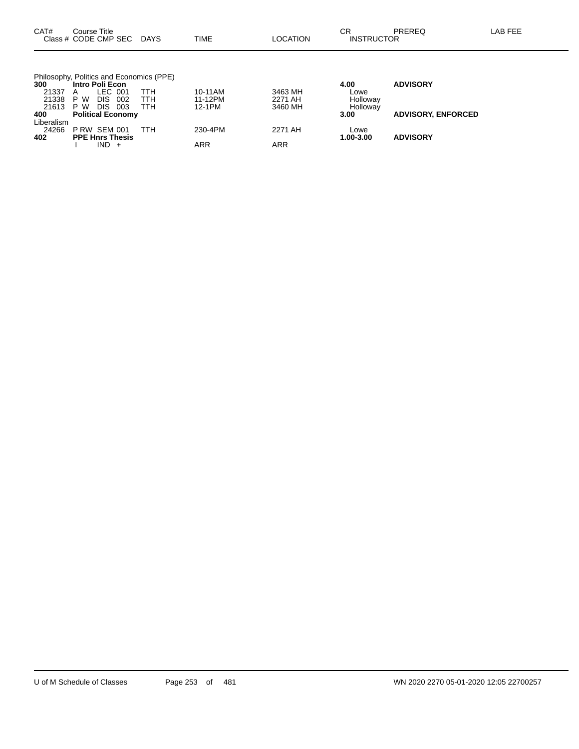| CAT#         | Course Title<br>Class # CODE CMP SEC DAYS      |     | TIME    | LOCATION   | CR<br><b>INSTRUCTOR</b> | <b>PREREQ</b>             | LAB FEE |
|--------------|------------------------------------------------|-----|---------|------------|-------------------------|---------------------------|---------|
|              | Philosophy, Politics and Economics (PPE)       |     |         |            |                         |                           |         |
| 300          | Intro Poli Econ                                |     |         |            | 4.00                    | <b>ADVISORY</b>           |         |
| 21337        | LEC 001<br>A                                   | ттн | 10-11AM | 3463 MH    | Lowe                    |                           |         |
| 21338        | P W<br>002<br>DIS.                             | TTH | 11-12PM | 2271 AH    | Holloway                |                           |         |
| 21613<br>400 | P W<br>DIS.<br>003<br><b>Political Economy</b> | TTH | 12-1PM  | 3460 MH    | Holloway<br>3.00        | <b>ADVISORY, ENFORCED</b> |         |
| Liberalism   |                                                |     |         |            |                         |                           |         |
| 24266        | <b>P RW SEM 001</b>                            | TTH | 230-4PM | 2271 AH    | Lowe                    |                           |         |
| 402          | <b>PPE Hnrs Thesis</b>                         |     |         |            | 1.00-3.00               | <b>ADVISORY</b>           |         |
|              | $IND +$                                        |     | ARR     | <b>ARR</b> |                         |                           |         |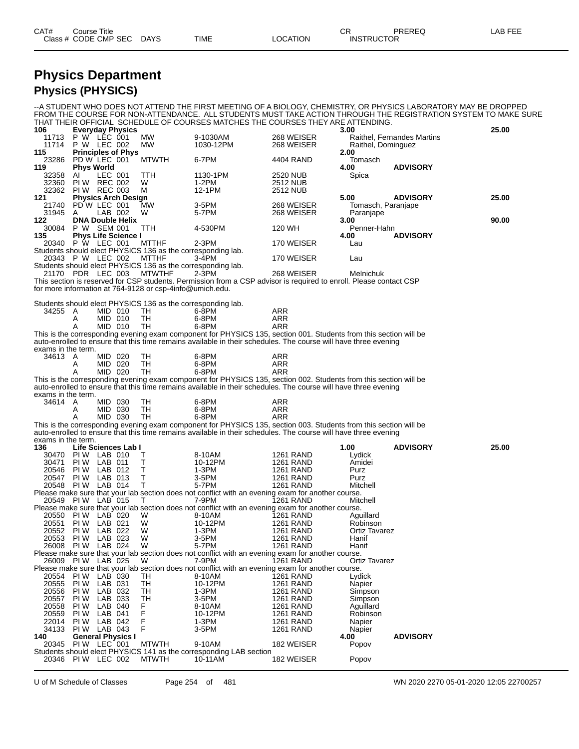| CAT# | Title<br>Course      |      |      |          | Ωm<br>- UN        | PREREQ | ----<br>AR<br>--- |
|------|----------------------|------|------|----------|-------------------|--------|-------------------|
|      | Class # CODE CMP SEC | DAYS | TIME | LOCATION | <b>INSTRUCTOR</b> |        |                   |

--A STUDENT WHO DOES NOT ATTEND THE FIRST MEETING OF A BIOLOGY, CHEMISTRY, OR PHYSICS LABORATORY MAY BE DROPPED

### **Physics Department Physics (PHYSICS)**

FROM THE COURSE FOR NON-ATTENDANCE. ALL STUDENTS MUST TAKE ACTION THROUGH THE REGISTRATION SYSTEM TO MAKE SURE THAT THEIR OFFICIAL SCHEDULE OF COURSES MATCHES THE COURSES THEY ARE ATTENDING. **106 Everyday Physics 3.00 25.00** 11713 P W LEC 001 MW 9-1030AM 268 WEISER Raithel, Fernandes Martins 11714 P W LEC 002 MW 1030-12PM 268 WEISER Raithel, Dominguez **115 Principles of Phys 2.00** 23286 PD W LEC 001 MTWTH 6-7PM 4404 RAND Tomasch **119 Phys World 4.00 ADVISORY** 32358 AI LEC 001 TTH 1130-1PM 2520 NUB Spica 32360 PI W REC 002 W 1-2PM 2512 NUB 32362 PIW REC 003 M 12-1PM 2512 NUB<br>121 Physics Arch Design **121 Physics Arch Design 5.00 ADVISORY 25.00** 21740 PD W LEC 001 MW 3-5PM 268 WEISER Tomasch, Paranjape 31945 A LAB 002 W 5-7PM 268 WEISER P<br>122 DNA Double Helix 3.00 **122 DNA Double Helix 3.00 90.00** 30084 P W SEM 001 TTH 4-530PM 120 WH Penner-Hahn **135 Phys Life Science I 135 Phys Life Science I 135 4.00 4.00 4.00 4.00 ADVISORY 4.00 4.00 4.00 4.00 4.00 4.00 4.00 4.00 4.00 4.00 4.00 4.00 4.00 4.00 4.00 4.00 4.00 4** 20340 P W LEC 001 MTTHF 2-3PM 170 WEISER Lau Students should elect PHYSICS 136 as the corresponding lab. 20343 P W LEC 002 MTTHF 3-4PM 170 WEISER Lau Students should elect PHYSICS 136 as the corresponding lab. 21170 PDR LEC 003 MTWTHF 2-3PM 268 WEISER Melnichuk This section is reserved for CSP students. Permission from a CSP advisor is required to enroll. Please contact CSP for more information at 764-9128 or csp-4info@umich.edu. Students should elect PHYSICS 136 as the corresponding lab. 34255 A MID 010 TH 6-8PM ARR A MID 010 TH 6-8PM ARR A MID 010 TH 6-8PM ARR This is the corresponding evening exam component for PHYSICS 135, section 001. Students from this section will be auto-enrolled to ensure that this time remains available in their schedules. The course will have three evening exams in the term.<br>34613 A 34613 A MID 020 TH 6-8PM ARR A MID 020 TH 6-8PM ARR A MID 020 TH 6-8PM ARR This is the corresponding evening exam component for PHYSICS 135, section 002. Students from this section will be auto-enrolled to ensure that this time remains available in their schedules. The course will have three evening exams in the term.<br>34614 A 34614 A MID 030 TH 6-8PM ARR A MID 030 TH 6-8PM ARR A MID 030 TH 6-8PM ARR This is the corresponding evening exam component for PHYSICS 135, section 003. Students from this section will be auto-enrolled to ensure that this time remains available in their schedules. The course will have three evening exams in the term. **136 Life Sciences Lab I 1.00 ADVISORY 25.00** 30470 PI W LAB 010 T 8-10AM 1261 RAND Lydick 30471 PI W LAB 011 T 10-12PM 1261 RAND Amidei 20546 PI W LAB 012 T 1-3PM 1261 RAND Purz 20547 PI W LAB 013 T 3-5PM 1261 RAND Purz 20548 PI W LAB 014 T 5-7PM 1261 RAND Mitchell Please make sure that your lab section does not conflict with an evening exam for another course. 20549 PI W LAB 015 T 7-9PM 1261 RAND Mitchell Please make sure that your lab section does not conflict with an evening exam for another course.<br>20550 PI W LAB 020 W 8-10AM 1261 RAND Aguillard<br>20551 PI W LAB 021 W 10-12PM 1261 RAND Robinsor 20550 PI W LAB 020 W 8-10AM 1261 RAND Aguillard 20551 PIW LAB 021 W 10-12PM 1261 RAND Robinson<br>20552 PI W LAB 022 W 1-3PM 1261 RAND Ortiz Tavarez 20552 PIW LAB 022 W 1-3PM 1261 RAND Ortiz<br>20553 PIW LAB 023 W 3-5PM 1261 RAND Hanif<br>26008 PIW LAB 024 W 5-7PM 1261 RAND Hanif 20553 PIW LAB 023 W 3-5PM 1261 RAND Hanif<br>26008 PIW LAB 024 W 5-7PM 1261 RAND Hanif 1261 RAND Please make sure that your lab section does not conflict with an evening exam for another course.<br>26009 PI W LAB 025 W 7-9PM 1261 RAND Ort Ortiz Tavarez Please make sure that your lab section does not conflict with an evening exam for another course.<br>20554 PI W LAB 030 TH 8-10AM 1261 RAND Lydick 20554 PI W LAB 030 TH 8-10AM 1261 RAND Lydick 20555 PI W LAB 031 TH 10-12PM 1261 RAND Napier 20556 PI W LAB 032 TH 1-3PM 1261 RAND Simpson 20557 PI W LAB 033 TH 3-5PM 1261 RAND Simpson 20558 PI W LAB 040 F 8-10AM 1261 RAND Aguillard .<br>20559 PIW LAB 041 F 10-12PM 1261 RAND Robins<br>22014 PIW LAB 042 F 1-3PM 1261 RAND Napier 22014 PI W LAB 042 F 1-3PM 1261 RAND Napier 34133 PI W LAB 043 F 3-5PM 1261 RAND Napier

**140 General Physics I 4.00 ADVISORY**

Students should elect PHYSICS 141 as the corresponding LAB section

20345 PI W LEC 001 MTWTH 9-10AM 182 WEISER Popov

20346 PIW LEC 002 MTWTH 10-11AM 182 WEISER Popov

U of M Schedule of Classes Page 254 of 481 WN 2020 2270 05-01-2020 12:05 22700257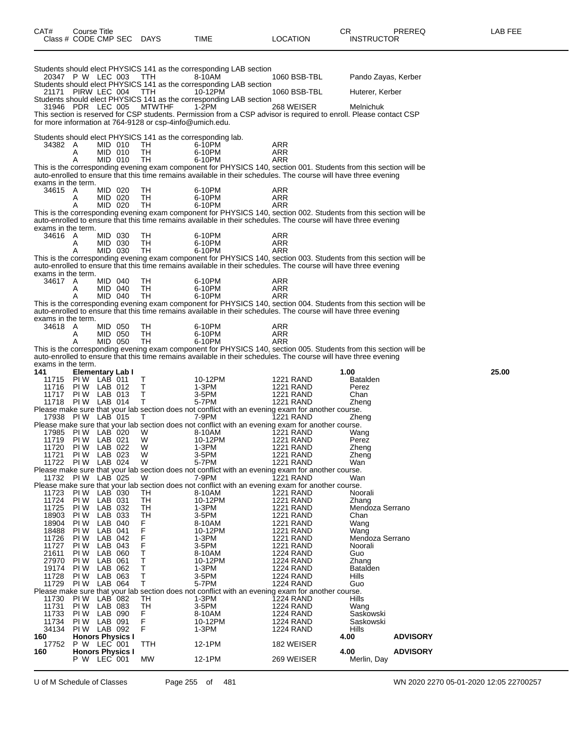| CAT#                          | Course Title                     |                    |                         | Class # CODE CMP SEC DAYS | TIME                                                                                                            | <b>LOCATION</b>                      | CR.<br>PREREQ<br><b>INSTRUCTOR</b>                                                                                              | LAB FEE |
|-------------------------------|----------------------------------|--------------------|-------------------------|---------------------------|-----------------------------------------------------------------------------------------------------------------|--------------------------------------|---------------------------------------------------------------------------------------------------------------------------------|---------|
|                               | 20347 P W LEC 003                |                    |                         | TTH                       | Students should elect PHYSICS 141 as the corresponding LAB section<br>8-10AM                                    | 1060 BSB-TBL                         | Pando Zayas, Kerber                                                                                                             |         |
| 21171                         | PIRW LEC 004                     |                    |                         | <b>TTH</b>                | Students should elect PHYSICS 141 as the corresponding LAB section<br>10-12PM                                   | 1060 BSB-TBL                         | Huterer, Kerber                                                                                                                 |         |
|                               |                                  |                    |                         |                           | Students should elect PHYSICS 141 as the corresponding LAB section                                              |                                      |                                                                                                                                 |         |
|                               |                                  |                    |                         | 31946 PDR LEC 005 MTWTHF  | 1-2PM                                                                                                           | 268 WEISER                           | Melnichuk<br>This section is reserved for CSP students. Permission from a CSP advisor is required to enroll. Please contact CSP |         |
|                               |                                  |                    |                         |                           | for more information at 764-9128 or csp-4info@umich.edu.                                                        |                                      |                                                                                                                                 |         |
| 34382 A                       |                                  |                    |                         |                           | Students should elect PHYSICS 141 as the corresponding lab.<br>6-10PM                                           |                                      |                                                                                                                                 |         |
|                               | A                                |                    | MID 010<br>MID 010      | TH<br>TH                  | 6-10PM                                                                                                          | ARR<br>ARR                           |                                                                                                                                 |         |
|                               | Α                                |                    | MID 010                 | TH                        | 6-10PM                                                                                                          | <b>ARR</b>                           | This is the corresponding evening exam component for PHYSICS 140, section 001. Students from this section will be               |         |
|                               |                                  |                    |                         |                           | auto-enrolled to ensure that this time remains available in their schedules. The course will have three evening |                                      |                                                                                                                                 |         |
| exams in the term.<br>34615 A |                                  |                    | MID 020                 | TH                        | 6-10PM                                                                                                          | ARR                                  |                                                                                                                                 |         |
|                               | A<br>A                           |                    | MID 020<br>MID 020      | TH<br>TH                  | 6-10PM<br>6-10PM                                                                                                | ARR<br><b>ARR</b>                    |                                                                                                                                 |         |
|                               |                                  |                    |                         |                           |                                                                                                                 |                                      | This is the corresponding evening exam component for PHYSICS 140, section 002. Students from this section will be               |         |
| exams in the term.            |                                  |                    |                         |                           | auto-enrolled to ensure that this time remains available in their schedules. The course will have three evening |                                      |                                                                                                                                 |         |
| 34616 A                       | A                                |                    | MID 030<br>MID 030      | TH<br>TH                  | 6-10PM<br>6-10PM                                                                                                | ARR<br>ARR                           |                                                                                                                                 |         |
|                               | A                                |                    | MID 030                 | TH                        | 6-10PM                                                                                                          | <b>ARR</b>                           |                                                                                                                                 |         |
|                               |                                  |                    |                         |                           | auto-enrolled to ensure that this time remains available in their schedules. The course will have three evening |                                      | This is the corresponding evening exam component for PHYSICS 140, section 003. Students from this section will be               |         |
| exams in the term.<br>34617 A |                                  |                    | MID 040                 | TH.                       | 6-10PM                                                                                                          | ARR                                  |                                                                                                                                 |         |
|                               | A                                |                    | MID 040                 | TH                        | 6-10PM                                                                                                          | ARR                                  |                                                                                                                                 |         |
|                               | A                                |                    | MID 040                 | TH                        | 6-10PM                                                                                                          | <b>ARR</b>                           | This is the corresponding evening exam component for PHYSICS 140, section 004. Students from this section will be               |         |
| exams in the term.            |                                  |                    |                         |                           | auto-enrolled to ensure that this time remains available in their schedules. The course will have three evening |                                      |                                                                                                                                 |         |
| 34618 A                       |                                  |                    | MID 050                 | TH.                       | 6-10PM                                                                                                          | ARR                                  |                                                                                                                                 |         |
|                               | A<br>A                           |                    | MID 050<br>MID 050      | TH<br><b>TH</b>           | 6-10PM<br>6-10PM                                                                                                | ARR<br><b>ARR</b>                    |                                                                                                                                 |         |
|                               |                                  |                    |                         |                           | auto-enrolled to ensure that this time remains available in their schedules. The course will have three evening |                                      | This is the corresponding evening exam component for PHYSICS 140, section 005. Students from this section will be               |         |
| exams in the term.<br>141     |                                  |                    | <b>Elementary Lab I</b> |                           |                                                                                                                 |                                      | 1.00                                                                                                                            | 25.00   |
| 11715<br>11716                | PIW LAB 011<br>PIW LAB 012       |                    |                         | Т<br>Т                    | 10-12PM<br>1-3PM                                                                                                | 1221 RAND<br><b>1221 RAND</b>        | <b>Batalden</b><br>Perez                                                                                                        |         |
| 11717                         | PI W<br>PIW LAB 014              | LAB 013            |                         | Т                         | 3-5PM                                                                                                           | <b>1221 RAND</b>                     | Chan                                                                                                                            |         |
| 11718                         |                                  |                    |                         | Т                         | 5-7PM<br>Please make sure that your lab section does not conflict with an evening exam for another course.      | <b>1221 RAND</b>                     | Zheng                                                                                                                           |         |
|                               | 17938 PIW LAB 015                |                    |                         | T.                        | 7-9PM<br>Please make sure that your lab section does not conflict with an evening exam for another course.      | <b>1221 RAND</b>                     | Zheng                                                                                                                           |         |
| 17985                         | PI W                             | LAB 020            |                         | W                         | 8-10AM                                                                                                          | 1221 RAND                            | Wang                                                                                                                            |         |
| 11719<br>11720                | PI W<br>PIW LAB 022              | LAB 021            |                         | W<br>W                    | 10-12PM<br>1-3PM                                                                                                | <b>1221 RAND</b><br>1221 RAND        | Perez<br>Zheng                                                                                                                  |         |
| 11721                         | PIW LAB 023<br>11722 PIW LAB 024 |                    |                         | w<br>W                    | 3-5PM<br>5-7PM                                                                                                  | 1221 RAND<br><b>1221 RAND</b>        | Zheng<br>Wan                                                                                                                    |         |
|                               |                                  |                    |                         |                           | Please make sure that your lab section does not conflict with an evening exam for another course.               |                                      |                                                                                                                                 |         |
| 11732                         | PIW LAB 025                      |                    |                         | W                         | 7-9PM<br>Please make sure that your lab section does not conflict with an evening exam for another course.      | <b>1221 RAND</b>                     | Wan                                                                                                                             |         |
| 11723<br>11724                | PI W<br>PI W                     | LAB 030<br>LAB 031 |                         | TН<br>TН                  | 8-10AM<br>10-12PM                                                                                               | 1221 RAND<br><b>1221 RAND</b>        | Noorali<br>Zhang                                                                                                                |         |
| 11725                         | PI W                             |                    | LAB 032                 | TН                        | 1-3PM                                                                                                           | <b>1221 RAND</b>                     | Mendoza Serrano                                                                                                                 |         |
| 18903<br>18904                | PI W<br>PI W                     |                    | LAB 033<br>LAB 040      | TH<br>F                   | 3-5PM<br>8-10AM                                                                                                 | <b>1221 RAND</b><br><b>1221 RAND</b> | Chan<br>Wang                                                                                                                    |         |
| 18488<br>11726                | PI W<br>PI W                     |                    | LAB 041<br>LAB 042      | F<br>F                    | 10-12PM<br>1-3PM                                                                                                | <b>1221 RAND</b><br><b>1221 RAND</b> | Wang<br>Mendoza Serrano                                                                                                         |         |
| 11727                         | PI W                             |                    | LAB 043                 | F                         | 3-5PM                                                                                                           | <b>1221 RAND</b>                     | Noorali                                                                                                                         |         |
| 21611<br>27970                | PI W<br>PI W                     |                    | LAB 060<br>LAB 061      | т<br>Τ                    | 8-10AM<br>10-12PM                                                                                               | <b>1224 RAND</b><br><b>1224 RAND</b> | Guo<br>Zhang                                                                                                                    |         |
| 19174                         | PI W                             |                    | LAB 062                 | Т                         | 1-3PM                                                                                                           | <b>1224 RAND</b>                     | Batalden                                                                                                                        |         |
| 11728<br>11729                | PI W<br>PI W                     | LAB 063            | LAB 064                 | Τ<br>т                    | 3-5PM<br>5-7PM                                                                                                  | <b>1224 RAND</b><br><b>1224 RAND</b> | Hills<br>Guo                                                                                                                    |         |
| 11730                         | PI W                             | LAB 082            |                         | TН                        | Please make sure that your lab section does not conflict with an evening exam for another course.<br>1-3PM      | <b>1224 RAND</b>                     | Hills                                                                                                                           |         |
| 11731                         | PI W                             |                    | LAB 083                 | TH                        | 3-5PM                                                                                                           | <b>1224 RAND</b>                     | Wang                                                                                                                            |         |
| 11733<br>11734                | PI W<br>PI W                     | LAB 091            | LAB 090                 | F<br>F                    | 8-10AM<br>10-12PM                                                                                               | <b>1224 RAND</b><br><b>1224 RAND</b> | Saskowski<br>Saskowski                                                                                                          |         |
| 34134<br>160                  | PI W                             | LAB 092            | <b>Honors Physics I</b> | F                         | 1-3PM                                                                                                           | <b>1224 RAND</b>                     | <b>Hills</b><br><b>ADVISORY</b><br>4.00                                                                                         |         |
| 17752                         | P W LEC 001                      |                    |                         | TTH                       | 12-1PM                                                                                                          | 182 WEISER                           |                                                                                                                                 |         |

**160 Honors Physics I 4.00 ADVISORY** P W LEC 001 MW 12-1PM 269 WEISER Merlin, Day

U of M Schedule of Classes Page 255 of 481 WN 2020 2270 05-01-2020 12:05 22700257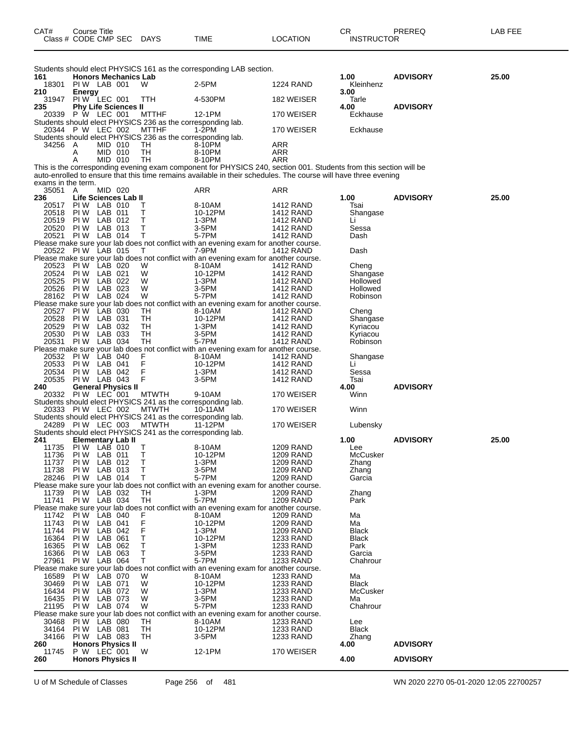| CAT#               | Course Title<br>Class # CODE CMP SEC |                    |                             | <b>DAYS</b>                                                                 | TIME                                                                                                              | LOCATION                             | CR<br><b>INSTRUCTOR</b>      | PREREQ          | LAB FEE |
|--------------------|--------------------------------------|--------------------|-----------------------------|-----------------------------------------------------------------------------|-------------------------------------------------------------------------------------------------------------------|--------------------------------------|------------------------------|-----------------|---------|
|                    |                                      |                    |                             |                                                                             | Students should elect PHYSICS 161 as the corresponding LAB section.                                               |                                      |                              |                 |         |
| 161<br>18301       | PIW LAB 001                          |                    | <b>Honors Mechanics Lab</b> | W                                                                           | 2-5PM                                                                                                             | <b>1224 RAND</b>                     | 1.00<br>Kleinhenz            | <b>ADVISORY</b> | 25.00   |
| 210                | <b>Energy</b>                        |                    |                             |                                                                             |                                                                                                                   |                                      | 3.00                         |                 |         |
| 31947              | PIW LEC 001                          |                    |                             | TTH                                                                         | 4-530PM                                                                                                           | 182 WEISER                           | Tarle                        |                 |         |
| 235                |                                      |                    | <b>Phy Life Sciences II</b> |                                                                             |                                                                                                                   |                                      | 4.00                         | <b>ADVISORY</b> |         |
| 20339              | P W LEC 001                          |                    |                             | <b>MTTHF</b><br>Students should elect PHYSICS 236 as the corresponding lab. | 12-1PM                                                                                                            | 170 WEISER                           | Eckhause                     |                 |         |
|                    | 20344 P W LEC 002                    |                    |                             | <b>MTTHF</b>                                                                | 1-2PM                                                                                                             | 170 WEISER                           | Eckhause                     |                 |         |
|                    |                                      |                    |                             | Students should elect PHYSICS 236 as the corresponding lab.                 |                                                                                                                   |                                      |                              |                 |         |
| 34256              | A                                    | MID 010            |                             | TН                                                                          | 8-10PM                                                                                                            | ARR                                  |                              |                 |         |
|                    | A<br>Α                               | MID 010<br>MID 010 |                             | TН<br>TH                                                                    | 8-10PM<br>8-10PM                                                                                                  | ARR<br>ARR                           |                              |                 |         |
|                    |                                      |                    |                             |                                                                             | This is the corresponding evening exam component for PHYSICS 240, section 001. Students from this section will be |                                      |                              |                 |         |
|                    |                                      |                    |                             |                                                                             | auto-enrolled to ensure that this time remains available in their schedules. The course will have three evening   |                                      |                              |                 |         |
| exams in the term. |                                      |                    |                             |                                                                             |                                                                                                                   |                                      |                              |                 |         |
| 35051 A<br>236     |                                      | MID 020            | Life Sciences Lab II        |                                                                             | ARR                                                                                                               | ARR                                  | 1.00                         | <b>ADVISORY</b> | 25.00   |
| 20517              | PIW LAB 010                          |                    |                             | т                                                                           | 8-10AM                                                                                                            | <b>1412 RAND</b>                     | Tsai                         |                 |         |
| 20518              | PI W                                 | LAB 011            |                             | т                                                                           | 10-12PM                                                                                                           | <b>1412 RAND</b>                     | Shangase                     |                 |         |
| 20519              | PIW LAB 012                          |                    |                             | т<br>Τ                                                                      | 1-3PM                                                                                                             | <b>1412 RAND</b>                     | Li                           |                 |         |
| 20520<br>20521     | <b>PIW LAB 013</b><br>PIW LAB 014    |                    |                             | т                                                                           | 3-5PM<br>5-7PM                                                                                                    | <b>1412 RAND</b><br><b>1412 RAND</b> | Sessa<br>Dash                |                 |         |
|                    |                                      |                    |                             |                                                                             | Please make sure your lab does not conflict with an evening exam for another course.                              |                                      |                              |                 |         |
|                    | 20522 PIW LAB 015                    |                    |                             | Т                                                                           | 7-9PM                                                                                                             | 1412 RAND                            | Dash                         |                 |         |
|                    |                                      |                    |                             |                                                                             | Please make sure your lab does not conflict with an evening exam for another course.                              |                                      |                              |                 |         |
| 20523<br>20524     | PI W<br>PIW LAB 021                  | LAB 020            |                             | W<br>W                                                                      | 8-10AM<br>10-12PM                                                                                                 | 1412 RAND<br>1412 RAND               | Cheng<br>Shangase            |                 |         |
| 20525              | PI W                                 | LAB 022            |                             | W                                                                           | 1-3PM                                                                                                             | 1412 RAND                            | Hollowed                     |                 |         |
| 20526              | PIW LAB 023                          |                    |                             | W                                                                           | 3-5PM                                                                                                             | 1412 RAND                            | Hollowed                     |                 |         |
|                    | 28162 PIW LAB 024                    |                    |                             | W                                                                           | 5-7PM                                                                                                             | 1412 RAND                            | Robinson                     |                 |         |
| 20527              | PI W                                 | LAB 030            |                             | TН                                                                          | Please make sure your lab does not conflict with an evening exam for another course.<br>8-10AM                    | 1412 RAND                            | Cheng                        |                 |         |
| 20528              | PIW LAB 031                          |                    |                             | <b>TH</b>                                                                   | 10-12PM                                                                                                           | 1412 RAND                            | Shangase                     |                 |         |
| 20529              | PI W                                 | LAB 032            |                             | TН                                                                          | 1-3PM                                                                                                             | 1412 RAND                            | Kyriacou                     |                 |         |
| 20530              | <b>PIW LAB 033</b>                   |                    |                             | TН                                                                          | 3-5PM                                                                                                             | 1412 RAND                            | Kyriacou                     |                 |         |
| 20531              | PIW LAB 034                          |                    |                             | <b>TH</b>                                                                   | 5-7PM<br>Please make sure your lab does not conflict with an evening exam for another course.                     | 1412 RAND                            | Robinson                     |                 |         |
| 20532              | PI W                                 | LAB 040            |                             | F                                                                           | 8-10AM                                                                                                            | 1412 RAND                            | Shangase                     |                 |         |
| 20533              | PIW LAB 041                          |                    |                             | F                                                                           | 10-12PM                                                                                                           | 1412 RAND                            | Li                           |                 |         |
| 20534              | PIW LAB 042                          |                    |                             | F                                                                           | 1-3PM                                                                                                             | <b>1412 RAND</b>                     | Sessa                        |                 |         |
| 20535<br>240       | PIW LAB 043                          |                    | General Physics II          | F                                                                           | 3-5PM                                                                                                             | <b>1412 RAND</b>                     | Tsai<br>4.00                 | <b>ADVISORY</b> |         |
|                    | 20332 PIW LEC 001                    |                    |                             | <b>MTWTH</b>                                                                | 9-10AM                                                                                                            | 170 WEISER                           | Winn                         |                 |         |
|                    |                                      |                    |                             | Students should elect PHYSICS 241 as the corresponding lab.                 |                                                                                                                   |                                      |                              |                 |         |
|                    | 20333 PIW LEC 002                    |                    |                             | <b>MTWTH</b>                                                                | 10-11AM                                                                                                           | 170 WEISER                           | Winn                         |                 |         |
|                    | 24289 PIW LEC 003                    |                    |                             | Students should elect PHYSICS 241 as the corresponding lab.<br><b>MTWTH</b> | 11-12PM                                                                                                           | 170 WEISER                           | Lubensky                     |                 |         |
|                    |                                      |                    |                             | Students should elect PHYSICS 241 as the corresponding lab.                 |                                                                                                                   |                                      |                              |                 |         |
| 241                |                                      |                    | Elementary Lab II           |                                                                             |                                                                                                                   |                                      | 1.00                         | <b>ADVISORY</b> | 25.00   |
| 11735              | <b>PIW LAB 010</b>                   |                    |                             | Т                                                                           | 8-10AM                                                                                                            | <b>1209 RAND</b>                     | Lee                          |                 |         |
| 11736<br>11737     | PI W<br>PI W                         | LAB 011<br>LAB 012 |                             | T<br>Т                                                                      | 10-12PM<br>1-3PM                                                                                                  | 1209 RAND<br>1209 RAND               | McCusker<br>Zhang            |                 |         |
| 11738              | PIW LAB 013                          |                    |                             | Τ                                                                           | 3-5PM                                                                                                             | <b>1209 RAND</b>                     | Zhang                        |                 |         |
|                    | 28246 PIW LAB 014                    |                    |                             | Τ                                                                           | 5-7PM                                                                                                             | <b>1209 RAND</b>                     | Garcia                       |                 |         |
| 11739              |                                      |                    |                             | TH                                                                          | Please make sure your lab does not conflict with an evening exam for another course.<br>1-3PM                     | <b>1209 RAND</b>                     |                              |                 |         |
|                    | PIW LAB 032<br>11741 PIW LAB 034     |                    |                             | TH                                                                          | 5-7PM                                                                                                             | <b>1209 RAND</b>                     | Zhang<br>Park                |                 |         |
|                    |                                      |                    |                             |                                                                             | Please make sure your lab does not conflict with an evening exam for another course.                              |                                      |                              |                 |         |
| 11742              | PI W                                 | LAB 040            |                             | F                                                                           | 8-10AM                                                                                                            | <b>1209 RAND</b>                     | Ma                           |                 |         |
| 11743              | PIW LAB 041                          |                    |                             | F<br>F                                                                      | 10-12PM                                                                                                           | <b>1209 RAND</b>                     | Ma                           |                 |         |
| 11744<br>16364     | PIW LAB 042<br>PI W                  | LAB 061            |                             | Τ                                                                           | 1-3PM<br>10-12PM                                                                                                  | <b>1209 RAND</b><br>1233 RAND        | <b>Black</b><br><b>Black</b> |                 |         |
| 16365              | PI W                                 | LAB 062            |                             | т                                                                           | 1-3PM                                                                                                             | <b>1233 RAND</b>                     | Park                         |                 |         |
| 16366              | PIW LAB 063                          |                    |                             | т                                                                           | 3-5PM                                                                                                             | 1233 RAND                            | Garcia                       |                 |         |
|                    | 27961 PIW LAB 064                    |                    |                             | т                                                                           | 5-7PM                                                                                                             | 1233 RAND                            | Chahrour                     |                 |         |
| 16589              | <b>PIW LAB 070</b>                   |                    |                             | W                                                                           | Please make sure your lab does not conflict with an evening exam for another course.<br>8-10AM                    | 1233 RAND                            | Ma                           |                 |         |
| 30469              | PIW LAB 071                          |                    |                             | W                                                                           | 10-12PM                                                                                                           | 1233 RAND                            | <b>Black</b>                 |                 |         |
| 16434              | <b>PIW LAB 072</b>                   |                    |                             | W                                                                           | 1-3PM                                                                                                             | <b>1233 RAND</b>                     | McCusker                     |                 |         |
| 16435              | PIW LAB 073                          |                    |                             | W                                                                           | 3-5PM                                                                                                             | 1233 RAND                            | Ma                           |                 |         |
| 21195              | PIW LAB 074                          |                    |                             | W                                                                           | 5-7PM<br>Please make sure your lab does not conflict with an evening exam for another course.                     | <b>1233 RAND</b>                     | Chahrour                     |                 |         |
| 30468              | PIW LAB 080                          |                    |                             | TН                                                                          | 8-10AM                                                                                                            | 1233 RAND                            | Lee                          |                 |         |
| 34164              | PIW LAB 081                          |                    |                             | TН                                                                          | 10-12PM                                                                                                           | <b>1233 RAND</b>                     | <b>Black</b>                 |                 |         |
| 34166              | PIW LAB 083                          |                    |                             | TН                                                                          | $3-5$ PM                                                                                                          | 1233 RAND                            | Zhang                        |                 |         |
| 260<br>11745       | P W LEC 001                          |                    | <b>Honors Physics II</b>    | W                                                                           | 12-1PM                                                                                                            | 170 WEISER                           | 4.00                         | <b>ADVISORY</b> |         |
| 260                |                                      |                    | <b>Honors Physics II</b>    |                                                                             |                                                                                                                   |                                      | 4.00                         | <b>ADVISORY</b> |         |
|                    |                                      |                    |                             |                                                                             |                                                                                                                   |                                      |                              |                 |         |

U of M Schedule of Classes Page 256 of 481 WN 2020 2270 05-01-2020 12:05 22700257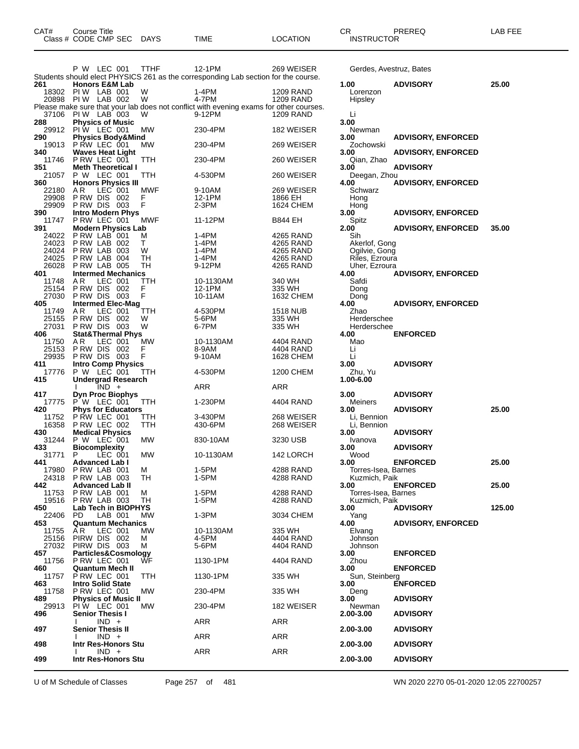| CAT#           | Course Title<br>Class # CODE CMP SEC         | <b>DAYS</b> | TIME                                                                                             | <b>LOCATION</b>        | CR.<br><b>INSTRUCTOR</b>             | PREREQ                    | LAB FEE |
|----------------|----------------------------------------------|-------------|--------------------------------------------------------------------------------------------------|------------------------|--------------------------------------|---------------------------|---------|
|                | P W LEC 001                                  | <b>TTHF</b> | 12-1PM                                                                                           | 269 WEISER             | Gerdes, Avestruz, Bates              |                           |         |
|                |                                              |             | Students should elect PHYSICS 261 as the corresponding Lab section for the course.               |                        |                                      |                           |         |
| 261<br>18302   | <b>Honors E&amp;M Lab</b><br>PIW LAB 001     | W           | 1-4PM                                                                                            | 1209 RAND              | 1.00<br>Lorenzon                     | <b>ADVISORY</b>           | 25.00   |
| 20898          | PIW LAB 002                                  | W           | 4-7PM                                                                                            | <b>1209 RAND</b>       | Hipsley                              |                           |         |
| 37106          |                                              | W           | Please make sure that your lab does not conflict with evening exams for other courses.<br>9-12PM |                        |                                      |                           |         |
| 288            | PIW LAB 003<br><b>Physics of Music</b>       |             |                                                                                                  | 1209 RAND              | Li<br>3.00                           |                           |         |
| 29912          | PIW LEC 001                                  | МW          | 230-4PM                                                                                          | 182 WEISER             | Newman                               |                           |         |
| 290<br>19013   | <b>Physics Body&amp;Mind</b><br>P RW LEC 001 | МW          | 230-4PM                                                                                          | 269 WEISER             | 3.00<br>Zochowski                    | <b>ADVISORY, ENFORCED</b> |         |
| 340<br>11746   | <b>Waves Heat Light</b><br>PRW LEC 001       | TTH         | 230-4PM                                                                                          | 260 WEISER             | 3.00<br>Qian, Zhao                   | <b>ADVISORY, ENFORCED</b> |         |
| 351            | <b>Meth Theoretical I</b>                    |             |                                                                                                  |                        | 3.00                                 | <b>ADVISORY</b>           |         |
| 21057<br>360   | P W LEC 001<br><b>Honors Physics III</b>     | TTH         | 4-530PM                                                                                          | 260 WEISER             | Deegan, Zhou<br>4.00                 | <b>ADVISORY, ENFORCED</b> |         |
| 22180          | A R<br>LEC 001                               | MWF         | 9-10AM                                                                                           | 269 WEISER             | Schwarz                              |                           |         |
| 29908<br>29909 | PRW DIS 002<br>PRW DIS 003                   | F<br>F      | 12-1PM<br>$2-3PM$                                                                                | 1866 EH<br>1624 CHEM   | Hong<br>Hong                         |                           |         |
| 390            | <b>Intro Modern Phys</b>                     |             |                                                                                                  |                        | 3.00                                 | <b>ADVISORY, ENFORCED</b> |         |
| 11747<br>391   | P RW LEC 001<br><b>Modern Physics Lab</b>    | <b>MWF</b>  | 11-12PM                                                                                          | <b>B844 EH</b>         | Spitz<br>2.00                        | <b>ADVISORY, ENFORCED</b> | 35.00   |
| 24022          | PRW LAB 001                                  | M           | 1-4PM                                                                                            | 4265 RAND              | Sih                                  |                           |         |
| 24023<br>24024 | PRW LAB 002<br>PRW LAB 003                   | Т<br>W      | 1-4PM<br>1-4PM                                                                                   | 4265 RAND<br>4265 RAND | Akerlof, Gong<br>Ogilvie, Gong       |                           |         |
| 24025          | P RW LAB 004                                 | TН          | 1-4PM                                                                                            | 4265 RAND              | Riles, Ezroura                       |                           |         |
| 26028<br>401   | PRW LAB 005<br><b>Intermed Mechanics</b>     | TН          | 9-12PM                                                                                           | 4265 RAND              | Uher, Ezroura<br>4.00                | <b>ADVISORY, ENFORCED</b> |         |
| 11748          | A R<br>LEC 001                               | ттн         | 10-1130AM                                                                                        | 340 WH                 | Safdi                                |                           |         |
| 25154          | PRW DIS 002<br>PRW DIS 003                   | F<br>F      | 12-1PM                                                                                           | 335 WH                 | Dong                                 |                           |         |
| 27030<br>405   | <b>Intermed Elec-Mag</b>                     |             | 10-11AM                                                                                          | 1632 CHEM              | Dong<br>4.00                         | <b>ADVISORY, ENFORCED</b> |         |
| 11749          | AR<br>LEC 001                                | TTH         | 4-530PM                                                                                          | <b>1518 NUB</b>        | Zhao                                 |                           |         |
| 25155<br>27031 | PRW DIS 002<br>PRW DIS 003                   | W<br>W      | 5-6PM<br>6-7PM                                                                                   | 335 WH<br>335 WH       | Herderschee<br>Herderschee           |                           |         |
| 406            | <b>Stat&amp;Thermal Phys</b>                 |             |                                                                                                  |                        | 4.00                                 | <b>ENFORCED</b>           |         |
| 11750<br>25153 | A R<br>LEC 001<br>P RW DIS 002               | MW<br>F     | 10-1130AM<br>8-9AM                                                                               | 4404 RAND<br>4404 RAND | Mao<br>Li                            |                           |         |
| 29935          | PRW DIS 003                                  | F           | 9-10AM                                                                                           | 1628 CHEM              | Li                                   |                           |         |
| 411<br>17776   | <b>Intro Comp Physics</b><br>P W LEC 001     | TTH         | 4-530PM                                                                                          | 1200 CHEM              | 3.00<br>Zhu, Yu                      | <b>ADVISORY</b>           |         |
| 415            | <b>Undergrad Research</b><br>$IND +$         |             | ARR                                                                                              | ARR                    | 1.00-6.00                            |                           |         |
| 417            | <b>Dyn Proc Biophys</b>                      |             |                                                                                                  |                        | 3.00                                 | <b>ADVISORY</b>           |         |
| 17775<br>420   | P W LEC 001<br><b>Phys for Educators</b>     | TTH         | 1-230PM                                                                                          | 4404 RAND              | <b>Meiners</b><br>3.00               | <b>ADVISORY</b>           | 25.00   |
| 11752          | PRW LEC 001                                  | ттн         | 3-430PM                                                                                          | 268 WEISER             | Li, Bennion                          |                           |         |
| 16358<br>430   | PRW LEC 002<br><b>Medical Physics</b>        | TTH         | 430-6PM                                                                                          | 268 WEISER             | Li. Bennion<br>3.00                  | <b>ADVISORY</b>           |         |
| 31244          | P W LEC 001                                  | МW          | 830-10AM                                                                                         | 3230 USB               | Ivanova                              |                           |         |
| 433<br>31771 P | <b>Biocomplexity</b><br>LEC 001              | <b>MW</b>   | 10-1130AM                                                                                        | 142 LORCH              | 3.00<br>Wood                         | <b>ADVISORY</b>           |         |
| 441            | <b>Advanced Lab I</b>                        |             |                                                                                                  |                        | 3.00                                 | <b>ENFORCED</b>           | 25.00   |
| 17980<br>24318 | PRW LAB 001<br>PRW LAB 003                   | м<br>TH     | 1-5PM<br>1-5PM                                                                                   | 4288 RAND<br>4288 RAND | Torres-Isea, Barnes<br>Kuzmich, Paik |                           |         |
| 442            | <b>Advanced Lab II</b>                       |             |                                                                                                  |                        | 3.00                                 | <b>ENFORCED</b>           | 25.00   |
| 11753<br>19516 | PRW LAB 001<br>PRW LAB 003                   | м<br>TН     | 1-5PM<br>1-5PM                                                                                   | 4288 RAND<br>4288 RAND | Torres-Isea, Barnes<br>Kuzmich, Paik |                           |         |
| 450            | Lab Tech in BIOPHYS                          |             |                                                                                                  |                        | 3.00                                 | <b>ADVISORY</b>           | 125.00  |
| 22406<br>453   | PD.<br>LAB 001<br><b>Quantum Mechanics</b>   | MW          | $1-3PM$                                                                                          | 3034 CHEM              | Yang<br>4.00                         | <b>ADVISORY, ENFORCED</b> |         |
| 11755          | A R<br>LEC 001                               | MW          | 10-1130AM                                                                                        | 335 WH                 | Elvang                               |                           |         |
| 25156<br>27032 | PIRW DIS 002<br>PIRW DIS 003                 | м<br>м      | 4-5PM<br>5-6PM                                                                                   | 4404 RAND<br>4404 RAND | Johnson<br>Johnson                   |                           |         |
| 457            | Particles&Cosmology                          |             |                                                                                                  |                        | 3.00                                 | <b>ENFORCED</b>           |         |
| 11756<br>460   | P RW LEC 001<br>Quantum Mech II              | ŴF          | 1130-1PM                                                                                         | 4404 RAND              | Zhou<br>3.00                         | <b>ENFORCED</b>           |         |
| 11757          | P RW LEC 001                                 | TTH         | 1130-1PM                                                                                         | 335 WH                 | Sun, Steinberg                       |                           |         |
| 463<br>11758   | <b>Intro Solid State</b><br>PRW LEC 001      | МW          | 230-4PM                                                                                          | 335 WH                 | 3.00<br>Deng                         | <b>ENFORCED</b>           |         |
| 489<br>29913   | <b>Physics of Music II</b>                   | MW          | 230-4PM                                                                                          | 182 WEISER             | 3.00<br>Newman                       | <b>ADVISORY</b>           |         |
| 496            | PIW LEC 001<br><b>Senior Thesis I</b>        |             |                                                                                                  |                        | 2.00-3.00                            | <b>ADVISORY</b>           |         |
| 497            | $IND +$<br><b>Senior Thesis II</b>           |             | <b>ARR</b>                                                                                       | ARR                    | 2.00-3.00                            | <b>ADVISORY</b>           |         |
|                | $IND +$                                      |             | <b>ARR</b>                                                                                       | <b>ARR</b>             |                                      |                           |         |
| 498            | Intr Res-Honors Stu<br>$IND +$               |             | ARR                                                                                              | ARR                    | 2.00-3.00                            | <b>ADVISORY</b>           |         |
| 499            | Intr Res-Honors Stu                          |             |                                                                                                  |                        | 2.00-3.00                            | <b>ADVISORY</b>           |         |

U of M Schedule of Classes Page 257 of 481 WN 2020 2270 05-01-2020 12:05 22700257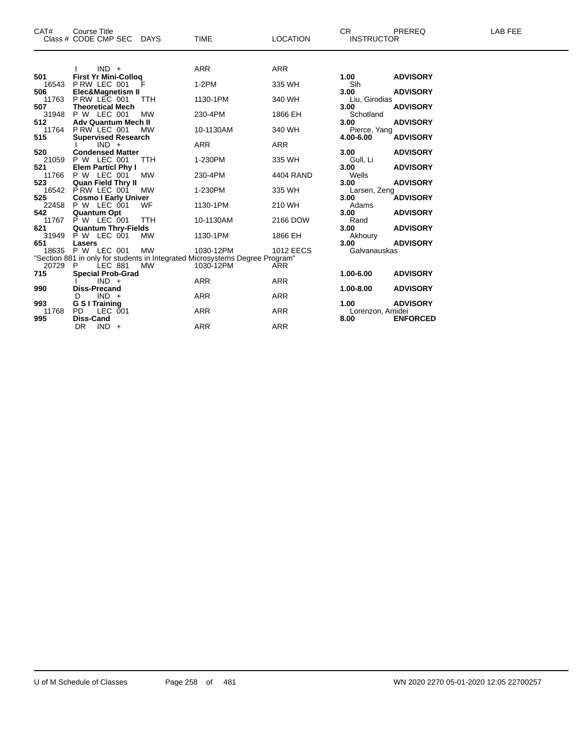| CAT#  | <b>Course Title</b><br>Class # CODE CMP SEC DAYS |            | <b>TIME</b>                                                                  | <b>LOCATION</b>  | CR.<br><b>INSTRUCTOR</b> | <b>PREREQ</b>   | LAB FEE |
|-------|--------------------------------------------------|------------|------------------------------------------------------------------------------|------------------|--------------------------|-----------------|---------|
|       |                                                  |            |                                                                              |                  |                          |                 |         |
|       | $IND +$                                          |            | <b>ARR</b>                                                                   | <b>ARR</b>       |                          |                 |         |
| 501   | <b>First Yr Mini-Collog</b>                      |            |                                                                              |                  | 1.00                     | <b>ADVISORY</b> |         |
| 16543 | PRW LEC 001                                      |            | $1-2PM$                                                                      | 335 WH           | Sih                      |                 |         |
| 506   | Elec&Magnetism II                                |            |                                                                              |                  | 3.00                     | <b>ADVISORY</b> |         |
| 11763 | P RW LEC 001                                     | <b>TTH</b> | 1130-1PM                                                                     | 340 WH           | Liu, Girodias            |                 |         |
| 507   | <b>Theoretical Mech</b>                          |            |                                                                              |                  | 3.00                     | <b>ADVISORY</b> |         |
| 31948 | P W LEC 001                                      | <b>MW</b>  | 230-4PM                                                                      | 1866 EH          | Schotland                |                 |         |
| 512   | <b>Adv Quantum Mech II</b>                       |            |                                                                              |                  | 3.00                     | <b>ADVISORY</b> |         |
| 11764 | PRW LEC 001                                      | MW         | 10-1130AM                                                                    | 340 WH           | Pierce, Yang             |                 |         |
| 515   | <b>Supervised Research</b>                       |            |                                                                              |                  | 4.00-6.00                | <b>ADVISORY</b> |         |
| 520   | $IND +$                                          |            | ARR                                                                          | ARR              |                          |                 |         |
|       | <b>Condensed Matter</b>                          |            |                                                                              |                  | 3.00                     | <b>ADVISORY</b> |         |
| 521   | 21059 P W LEC 001                                | TTH        | 1-230PM                                                                      | 335 WH           | Gull, Li<br>3.00         | <b>ADVISORY</b> |         |
|       | <b>Elem Particl Phy I</b><br>11766 P W LEC 001   | <b>MW</b>  | 230-4PM                                                                      | 4404 RAND        | Wells                    |                 |         |
| 523   | <b>Quan Field Thry II</b>                        |            |                                                                              |                  | 3.00                     | <b>ADVISORY</b> |         |
|       | 16542 P RW LEC 001                               | <b>MW</b>  | 1-230PM                                                                      | 335 WH           | Larsen, Zeng             |                 |         |
| 525   | <b>Cosmo I Early Univer</b>                      |            |                                                                              |                  | 3.00                     | <b>ADVISORY</b> |         |
| 22458 | P W LEC 001                                      | WF         | 1130-1PM                                                                     | 210 WH           | Adams                    |                 |         |
| 542   | <b>Quantum Opt</b>                               |            |                                                                              |                  | 3.00                     | <b>ADVISORY</b> |         |
| 11767 | P W LEC 001                                      | <b>TTH</b> | 10-1130AM                                                                    | 2166 DOW         | Rand                     |                 |         |
| 621   | <b>Quantum Thry-Fields</b>                       |            |                                                                              |                  | 3.00                     | <b>ADVISORY</b> |         |
| 31949 | <b>P W LEC 001</b>                               | <b>MW</b>  | 1130-1PM                                                                     | 1866 EH          | Akhoury                  |                 |         |
| 651   | Lasers                                           |            |                                                                              |                  | 3.00                     | <b>ADVISORY</b> |         |
| 18635 | <b>P W LEC 001</b>                               | <b>MW</b>  | 1030-12PM                                                                    | <b>1012 EECS</b> | Galvanauskas             |                 |         |
|       |                                                  |            | "Section 881 in only for students in Integrated Microsystems Degree Program" |                  |                          |                 |         |
| 20729 | LEC 881<br><b>P</b>                              | <b>MW</b>  | 1030-12PM                                                                    | <b>ARR</b>       |                          |                 |         |
| 715   | <b>Special Prob-Grad</b>                         |            |                                                                              |                  | 1.00-6.00                | <b>ADVISORY</b> |         |
|       | $IND +$                                          |            | <b>ARR</b>                                                                   | <b>ARR</b>       |                          |                 |         |
| 990   | <b>Diss-Precand</b>                              |            |                                                                              |                  | 1.00-8.00                | <b>ADVISORY</b> |         |
|       | $IND +$<br>D                                     |            | <b>ARR</b>                                                                   | ARR              |                          |                 |         |
| 993   | G S I Training                                   |            |                                                                              |                  | 1.00                     | <b>ADVISORY</b> |         |
| 11768 | PD.<br>LEC 001                                   |            | <b>ARR</b>                                                                   | ARR              | Lorenzon, Amidei         |                 |         |
| 995   | <b>Diss-Cand</b>                                 |            |                                                                              |                  | 8.00                     | <b>ENFORCED</b> |         |
|       | DR<br>$IND +$                                    |            | <b>ARR</b>                                                                   | <b>ARR</b>       |                          |                 |         |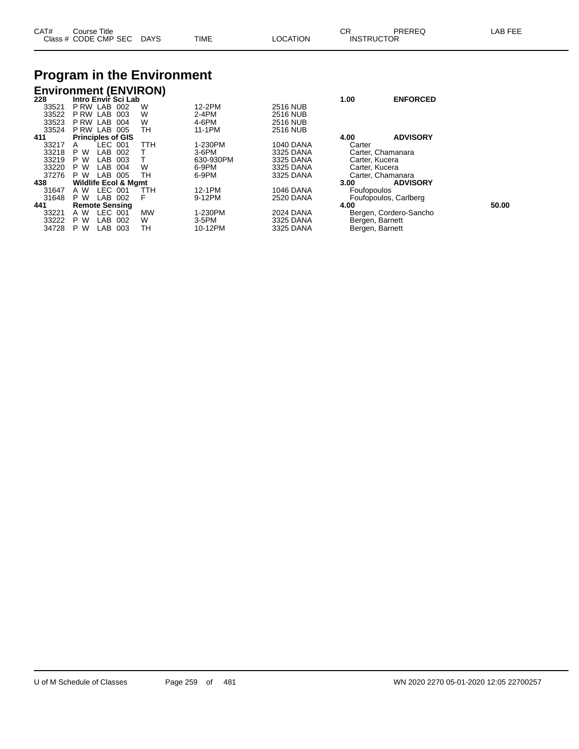| CAT# | Title<br>Course      |             |             |          | ∩⊓<br>◡г          | PREREQ | LAB FEF |
|------|----------------------|-------------|-------------|----------|-------------------|--------|---------|
|      | Class # CODE CMP SEC | <b>DAYS</b> | <b>TIME</b> | LOCATION | <b>INSTRUCTOR</b> |        |         |

# **Program in the Environment**

|       | <b>Environment (ENVIRON)</b>    |            |           |                  |                       |                        |       |
|-------|---------------------------------|------------|-----------|------------------|-----------------------|------------------------|-------|
| 228   | Intro Envir Sci Lab             |            |           |                  | 1.00                  | <b>ENFORCED</b>        |       |
| 33521 | P RW LAB<br>002                 | W          | 12-2PM    | <b>2516 NUB</b>  |                       |                        |       |
| 33522 | LAB<br>P RW<br>003              | W          | $2-4PM$   | <b>2516 NUB</b>  |                       |                        |       |
| 33523 | P RW LAB<br>004                 | W          | 4-6PM     | <b>2516 NUB</b>  |                       |                        |       |
| 33524 | P RW LAB<br>005                 | TН         | 11-1PM    | <b>2516 NUB</b>  |                       |                        |       |
| 411   | <b>Principles of GIS</b>        |            |           |                  | 4.00                  | <b>ADVISORY</b>        |       |
| 33217 | LEC 001<br>A                    | <b>TTH</b> | 1-230PM   | <b>1040 DANA</b> | Carter                |                        |       |
| 33218 | W<br>P.<br>LAB<br>002           |            | $3-6$ PM  | 3325 DANA        | Carter, Chamanara     |                        |       |
| 33219 | LAB<br>W<br>P<br>003            |            | 630-930PM | 3325 DANA        | Carter, Kucera        |                        |       |
| 33220 | LAB<br>P.<br>W<br>004           | W          | 6-9PM     | 3325 DANA        | Carter, Kucera        |                        |       |
| 37276 | P W<br>LAB<br>005               | TН         | 6-9PM     | 3325 DANA        | Carter, Chamanara     |                        |       |
| 438   | <b>Wildlife Ecol &amp; Mgmt</b> |            |           |                  | 3.00                  | <b>ADVISORY</b>        |       |
| 31647 | LEC 001<br>A W                  | TTH        | 12-1PM    | <b>1046 DANA</b> | Foufopoulos           |                        |       |
| 31648 | P W<br>LAB<br>002               | F          | 9-12PM    | 2520 DANA        | Foufopoulos, Carlberg |                        |       |
| 441   | <b>Remote Sensing</b>           |            |           |                  | 4.00                  |                        | 50.00 |
| 33221 | LEC.<br>A W<br>001              | <b>MW</b>  | 1-230PM   | 2024 DANA        |                       | Bergen, Cordero-Sancho |       |
| 33222 | P.<br><b>LAB</b><br>W<br>002    | W          | 3-5PM     | 3325 DANA        | Bergen, Barnett       |                        |       |
| 34728 | W<br>LAB<br>P<br>003            | тн         | 10-12PM   | 3325 DANA        | Bergen, Barnett       |                        |       |
|       |                                 |            |           |                  |                       |                        |       |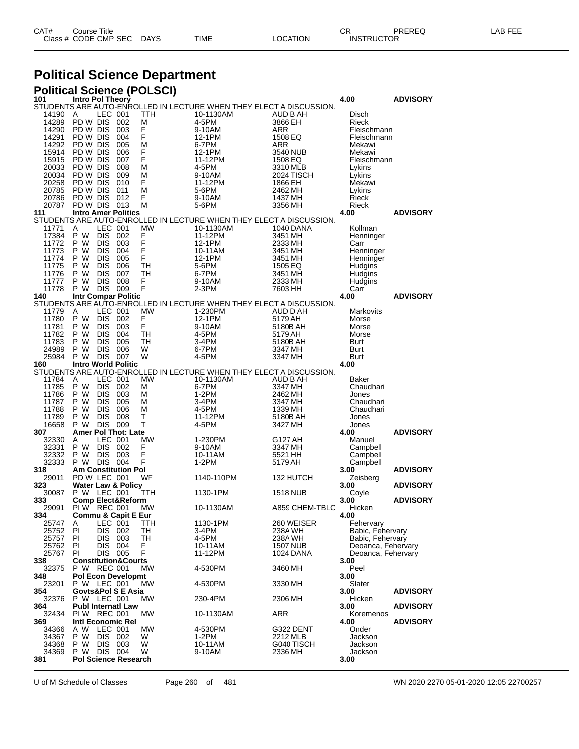| CAT# | Title<br>Courseٽ     |      |      |          | Ωm<br><b>UN</b>   | PREREQ | ----<br>ΔR.<br>--- |
|------|----------------------|------|------|----------|-------------------|--------|--------------------|
|      | Class # CODE CMP SEC | DAYS | TIME | LOCATION | <b>INSTRUCTOR</b> |        |                    |

# **Political Science Department**

| <b>Political Science (POLSCI)</b> |                                      |                          |             |           |                                                                     |                     |                            |                 |
|-----------------------------------|--------------------------------------|--------------------------|-------------|-----------|---------------------------------------------------------------------|---------------------|----------------------------|-----------------|
| 101                               | Intro Pol Theory                     |                          |             |           | STUDENTS ARE AUTO-ENROLLED IN LECTURE WHEN THEY ELECT A DISCUSSION. |                     | 4.00                       | <b>ADVISORY</b> |
| 14190                             | A                                    | LEC 001                  |             | TTH       | 10-1130AM                                                           | AUD B AH            | Disch                      |                 |
| 14289                             | PD W DIS 002                         |                          |             | М         | 4-5PM                                                               | 3866 EH             | Rieck                      |                 |
| 14290                             | PD W DIS                             |                          | - 003       | F         | 9-10AM                                                              | ARR                 | Fleischmann                |                 |
| 14291                             | PD W DIS<br>PD W DIS                 |                          | 004<br>005  | F<br>М    | 12-1PM                                                              | 1508 EQ             | Fleischmann                |                 |
| 14292<br>15914                    | PD W DIS                             |                          | - 006       | F         | 6-7PM<br>12-1PM                                                     | ARR<br>3540 NUB     | Mekawi<br>Mekawi           |                 |
| 15915                             | PD W DIS                             |                          | 007         | F         | 11-12PM                                                             | 1508 EQ             | Fleischmann                |                 |
| 20033                             | PD W DIS                             |                          | 008         | М         | 4-5PM                                                               | 3310 MLB            | Lykins                     |                 |
| 20034                             | PD W DIS                             |                          | - 009       | M         | 9-10AM                                                              | 2024 TISCH          | Lykins                     |                 |
| 20258                             | PD W DIS                             |                          | 010         | F         | 11-12PM                                                             | 1866 EH             | Mekawi                     |                 |
| 20785                             | PD W DIS                             |                          | 011         | М         | 5-6PM                                                               | 2462 MH             | Lykins                     |                 |
| 20786<br>20787                    | PD W DIS<br>PD W DIS 013             |                          | - 012       | F<br>М    | 9-10AM<br>5-6PM                                                     | 1437 MH<br>3356 MH  | Rieck<br>Rieck             |                 |
| 111                               | <b>Intro Amer Politics</b>           |                          |             |           |                                                                     |                     | 4.00                       | <b>ADVISORY</b> |
|                                   |                                      |                          |             |           | STUDENTS ARE AUTO-ENROLLED IN LECTURE WHEN THEY ELECT A DISCUSSION. |                     |                            |                 |
| 11771                             | Α                                    | LEC 001                  |             | МW        | 10-1130AM                                                           | 1040 DANA           | Kollman                    |                 |
| 17384                             | P W                                  | DIS 002                  |             | F<br>F    | 11-12PM                                                             | 3451 MH             | Henninger                  |                 |
| 11772                             | P W                                  | <b>DIS</b>               | 003         |           | 12-1PM                                                              | 2333 MH             | Carr                       |                 |
| 11773<br>11774                    | P W<br>P W                           | <b>DIS</b><br><b>DIS</b> | 004<br>005  | F<br>F    | 10-11AM                                                             | 3451 MH             | Henninger                  |                 |
| 11775                             | P W                                  | <b>DIS</b>               | - 006       | TН        | 12-1PM<br>5-6PM                                                     | 3451 MH<br>1505 EQ  | Henninger<br>Hudgins       |                 |
| 11776                             | P W                                  | <b>DIS</b>               | 007         | TН        | 6-7PM                                                               | 3451 MH             | Hudgins                    |                 |
| 11777                             | P W                                  | <b>DIS</b>               | 008         | F         | 9-10AM                                                              | 2333 MH             | Hudgins                    |                 |
| 11778                             | P W                                  | DIS 009                  |             | F         | $2-3PM$                                                             | 7603 HH             | Carr                       |                 |
| 140                               | <b>Intr Compar Politic</b>           |                          |             |           |                                                                     |                     | 4.00                       | <b>ADVISORY</b> |
|                                   |                                      |                          |             |           | STUDENTS ARE AUTO-ENROLLED IN LECTURE WHEN THEY ELECT A DISCUSSION. |                     |                            |                 |
| 11779                             | A                                    | LEC 001                  |             | <b>MW</b> | 1-230PM                                                             | AUD D AH            | Markovits                  |                 |
| 11780<br>11781                    | P W<br>P W                           | DIS.<br><b>DIS</b>       | -002<br>003 | F<br>F    | 12-1PM<br>9-10AM                                                    | 5179 AH<br>5180B AH | Morse<br>Morse             |                 |
| 11782                             | P W                                  | <b>DIS</b>               | 004         | TН        | 4-5PM                                                               | 5179 AH             | Morse                      |                 |
| 11783                             | P W                                  | <b>DIS</b>               | 005         | TН        | 3-4PM                                                               | 5180B AH            | Burt                       |                 |
| 24989                             | P W                                  | <b>DIS</b>               | 006         | W         | 6-7PM                                                               | 3347 MH             | Burt                       |                 |
| 25984                             | P W                                  | <b>DIS 007</b>           |             | W         | 4-5PM                                                               | 3347 MH             | Burt                       |                 |
| 160                               | <b>Intro World Politic</b>           |                          |             |           |                                                                     |                     | 4.00                       |                 |
|                                   |                                      |                          |             |           | STUDENTS ARE AUTO-ENROLLED IN LECTURE WHEN THEY ELECT A DISCUSSION. |                     |                            |                 |
| 11784<br>11785                    | A<br>P W                             | LEC 001<br>DIS 002       |             | MW<br>М   | 10-1130AM<br>6-7PM                                                  | AUD B AH<br>3347 MH | Baker<br>Chaudhari         |                 |
| 11786                             | P W                                  | DIS.                     | 003         | М         | 1-2PM                                                               | 2462 MH             | Jones                      |                 |
| 11787                             | P W                                  | <b>DIS</b>               | - 005       | М         | 3-4PM                                                               | 3347 MH             | Chaudhari                  |                 |
| 11788                             | P W                                  | <b>DIS</b>               | 006         | М         | 4-5PM                                                               | 1339 MH             | Chaudhari                  |                 |
| 11789                             | P W                                  | <b>DIS</b>               | 008         | Т         | 11-12PM                                                             | 5180B AH            | Jones                      |                 |
| 16658                             | P W                                  | DIS 009                  |             | Т         | 4-5PM                                                               | 3427 MH             | Jones                      |                 |
| 307                               | <b>Amer Pol Thot: Late</b>           |                          |             | МW        |                                                                     |                     | 4.00                       | <b>ADVISORY</b> |
| 32330<br>32331                    | A<br>P W                             | LEC 001<br>DIS 002       |             | F         | 1-230PM<br>9-10AM                                                   | G127 AH<br>3347 MH  | Manuel<br>Campbell         |                 |
| 32332                             | P W                                  | <b>DIS</b>               | 003         | F         | 10-11AM                                                             | 5521 HH             | Campbell                   |                 |
| 32333                             | P W                                  | DIS 004                  |             | F         | 1-2PM                                                               | 5179 AH             | Campbell                   |                 |
| 318                               | Am Constitution Pol                  |                          |             |           |                                                                     |                     | 3.00                       | <b>ADVISORY</b> |
| 29011                             | PD W LEC 001                         |                          |             | WF        | 1140-110PM                                                          | 132 HUTCH           | Zeisberg                   |                 |
| 323                               | <b>Water Law &amp; Policy</b>        |                          |             |           |                                                                     |                     | 3.00                       | <b>ADVISORY</b> |
| 30087<br>333                      | P W LEC 001                          |                          |             | TTH       | 1130-1PM                                                            | <b>1518 NUB</b>     | Coyle<br>3.00              | <b>ADVISORY</b> |
| 29091                             | Comp Elect&Reform<br>PI W            | REC 001                  |             | МW        | 10-1130AM                                                           | A859 CHEM-TBLC      | Hicken                     |                 |
| 334                               | <b>Commu &amp; Capit E Eur</b>       |                          |             |           |                                                                     |                     | 4.00                       |                 |
| 25747                             | A                                    | LEC 001                  |             | TTH       | 1130-1PM                                                            | 260 WEISER          | Fehervary                  |                 |
| 25752                             | PI                                   | DIS 002                  |             | TН        | 3-4PM                                                               | 238A WH             | Babic, Fehervary           |                 |
| 25757                             | ΡI                                   | DIS 003                  |             | TH        | 4-5PM                                                               | 238A WH             | Babic, Fehervary           |                 |
| 25762                             | ΡI                                   | DIS .                    | 004         | F         | 10-11AM                                                             | <b>1507 NUB</b>     | Deoanca, Fehervary         |                 |
| 25767<br>338                      | ΡI<br><b>Constitution&amp;Courts</b> | DIS 005                  |             | F         | 11-12PM                                                             | <b>1024 DANA</b>    | Deoanca, Fehervary<br>3.00 |                 |
| 32375                             | P W REC 001                          |                          |             | <b>MW</b> | 4-530PM                                                             | 3460 MH             | Peel                       |                 |
| 348                               | <b>Pol Econ Developmt</b>            |                          |             |           |                                                                     |                     | 3.00                       |                 |
| 23201                             | P W LEC 001                          |                          |             | MW        | 4-530PM                                                             | 3330 MH             | Slater                     |                 |
| 354                               | Govts&Pol S E Asia                   |                          |             |           |                                                                     |                     | 3.00                       | <b>ADVISORY</b> |
| 32376                             | P W LEC 001                          |                          |             | <b>MW</b> | 230-4PM                                                             | 2306 MH             | Hicken                     |                 |
| 364                               | <b>Publ Internati Law</b>            |                          |             |           |                                                                     |                     | 3.00                       | <b>ADVISORY</b> |
| 32434<br>369                      | PIW REC 001<br>Intl Economic Rel     |                          |             | <b>MW</b> | 10-1130AM                                                           | ARR                 | Koremenos<br>4.00          | <b>ADVISORY</b> |
| 34366                             | A W                                  | LEC 001                  |             | <b>MW</b> | 4-530PM                                                             | G322 DENT           | Onder                      |                 |
| 34367                             | P W                                  | DIS 002                  |             | W         | 1-2PM                                                               | 2212 MLB            | Jackson                    |                 |
| 34368                             | P W                                  | DIS 003                  |             | W         | 10-11AM                                                             | G040 TISCH          | Jackson                    |                 |
| 34369                             | P W                                  | DIS 004                  |             | W         | 9-10AM                                                              | 2336 MH             | Jackson                    |                 |
| 381                               | <b>Pol Science Research</b>          |                          |             |           |                                                                     |                     | 3.00                       |                 |

U of M Schedule of Classes Page 260 of 481 WN 2020 2270 05-01-2020 12:05 22700257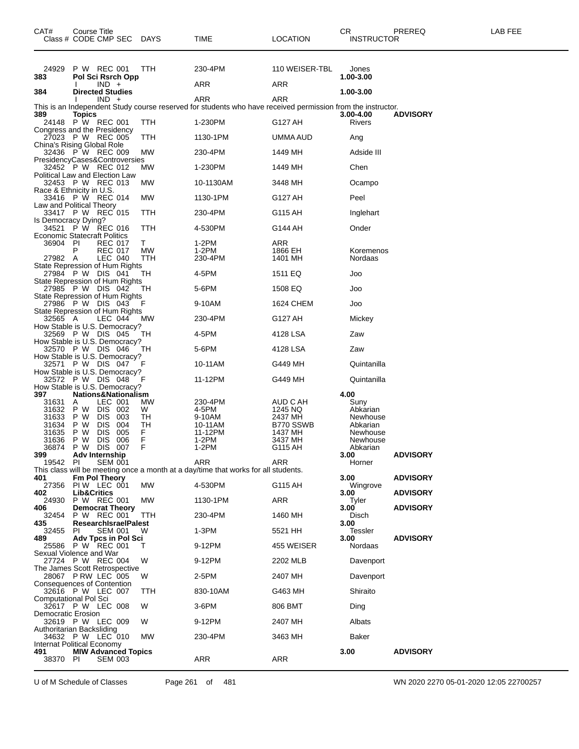| CAT#<br>Class # CODE CMP SEC DAYS                                               | Course Title                          |                                               |            |           | TIME                                                                                      | LOCATION                                                                                                           | CR.<br><b>INSTRUCTOR</b> | PREREQ          | LAB FEE |
|---------------------------------------------------------------------------------|---------------------------------------|-----------------------------------------------|------------|-----------|-------------------------------------------------------------------------------------------|--------------------------------------------------------------------------------------------------------------------|--------------------------|-----------------|---------|
| 24929<br>383                                                                    | P W REC 001                           | Pol Sci Rsrch Opp<br>$IND +$                  |            | TTH       | 230-4PM<br>ARR                                                                            | 110 WEISER-TBL<br>ARR                                                                                              | Jones<br>1.00-3.00       |                 |         |
| 384                                                                             |                                       | <b>Directed Studies</b>                       |            |           |                                                                                           |                                                                                                                    | 1.00-3.00                |                 |         |
|                                                                                 |                                       | $IND +$                                       |            |           | ARR                                                                                       | ARR<br>This is an Independent Study course reserved for students who have received permission from the instructor. |                          |                 |         |
| 389<br>24148                                                                    | <b>Topics</b><br>P W REC 001          |                                               |            | TTH       | 1-230PM                                                                                   | G127 AH                                                                                                            | 3.00-4.00<br>Rivers      | <b>ADVISORY</b> |         |
| Congress and the Presidency<br>27023 P W REC 005                                |                                       |                                               |            | TTH       | 1130-1PM                                                                                  | UMMA AUD                                                                                                           | Ang                      |                 |         |
| China's Rising Global Role<br>32436 P W REC 009                                 |                                       |                                               |            | МW        | 230-4PM                                                                                   | 1449 MH                                                                                                            | Adside III               |                 |         |
| PresidencyCases&Controversies                                                   |                                       |                                               |            |           |                                                                                           |                                                                                                                    |                          |                 |         |
| 32452 P W REC 012<br>Political Law and Election Law                             |                                       |                                               |            | MW.       | 1-230PM                                                                                   | 1449 MH                                                                                                            | Chen                     |                 |         |
| 32453 P W REC 013<br>Race & Ethnicity in U.S.                                   |                                       |                                               |            | МW        | 10-1130AM                                                                                 | 3448 MH                                                                                                            | Ocampo                   |                 |         |
| 33416 P W REC 014<br>Law and Political Theory                                   |                                       |                                               |            | MW        | 1130-1PM                                                                                  | G127 AH                                                                                                            | Peel                     |                 |         |
| 33417 P W REC 015                                                               |                                       |                                               |            | ттн       | 230-4PM                                                                                   | G115 AH                                                                                                            | Inglehart                |                 |         |
| Is Democracy Dying?<br>34521 P W REC 016<br><b>Economic Statecraft Politics</b> |                                       |                                               |            | TTH       | 4-530PM                                                                                   | G144 AH                                                                                                            | Onder                    |                 |         |
| 36904 PI                                                                        |                                       | <b>REC 017</b>                                |            | T.        | 1-2PM                                                                                     | ARR                                                                                                                |                          |                 |         |
| 27982 A                                                                         | P                                     | <b>REC 017</b><br>LEC 040                     |            | МW<br>TTH | $1-2PM$<br>230-4PM                                                                        | 1866 EH<br>1401 MH                                                                                                 | Koremenos<br>Nordaas     |                 |         |
| State Repression of Hum Rights<br>27984 P W DIS 041                             |                                       |                                               |            | TН        | 4-5PM                                                                                     | 1511 EQ                                                                                                            | Joo                      |                 |         |
| State Repression of Hum Rights                                                  |                                       |                                               |            |           |                                                                                           |                                                                                                                    |                          |                 |         |
| 27985 P W DIS 042<br>State Repression of Hum Rights                             |                                       |                                               |            | TH        | 5-6PM                                                                                     | 1508 EQ                                                                                                            | Joo                      |                 |         |
| 27986 PW DIS 043<br>State Repression of Hum Rights                              |                                       |                                               |            | F         | 9-10AM                                                                                    | 1624 CHEM                                                                                                          | Joo                      |                 |         |
| 32565 A                                                                         |                                       | LEC 044                                       |            | MW.       | 230-4PM                                                                                   | G127 AH                                                                                                            | Mickey                   |                 |         |
| How Stable is U.S. Democracy?<br>32569 P W DIS 045                              |                                       |                                               |            | TН        | 4-5PM                                                                                     | 4128 LSA                                                                                                           | Zaw                      |                 |         |
| How Stable is U.S. Democracy?<br>32570 P W DIS 046                              |                                       |                                               |            | TН        | 5-6PM                                                                                     | 4128 LSA                                                                                                           | Zaw                      |                 |         |
| How Stable is U.S. Democracy?<br>32571 P W DIS 047                              |                                       |                                               |            | F         | 10-11AM                                                                                   | G449 MH                                                                                                            | Quintanilla              |                 |         |
| How Stable is U.S. Democracy?<br>32572 P W DIS 048                              |                                       |                                               |            |           |                                                                                           |                                                                                                                    |                          |                 |         |
| How Stable is U.S. Democracy?                                                   |                                       |                                               |            | F         | 11-12PM                                                                                   | G449 MH                                                                                                            | Quintanilla              |                 |         |
| 397<br>31631                                                                    | Nations&Nationalism<br>A              | LEC 001                                       |            | MW.       | 230-4PM                                                                                   | AUD C AH                                                                                                           | 4.00<br>Suny             |                 |         |
| 31632                                                                           | P W                                   | DIS 002                                       |            | W         | 4-5PM                                                                                     | 1245 NQ                                                                                                            | Abkarian                 |                 |         |
| 31633<br>31634                                                                  | P W<br>P W                            | <b>DIS</b><br><b>DIS</b>                      | 003<br>004 | TН<br>TН  | 9-10AM<br>10-11AM                                                                         | 2437 MH<br>B770 SSWB                                                                                               | Newhouse<br>Abkarian     |                 |         |
| 31635                                                                           | P W                                   | <b>DIS</b>                                    | 005        | F         | 11-12PM                                                                                   | 1437 MH                                                                                                            | Newhouse                 |                 |         |
| 31636<br>36874                                                                  | P W<br>P W                            | <b>DIS</b><br><b>DIS</b>                      | 006<br>007 | F<br>F    | $1-2PM$<br>1-2PM                                                                          | 3437 MH<br>G115 AH                                                                                                 | Newhouse<br>Abkarian     |                 |         |
| 399                                                                             | Adv Internship                        |                                               |            |           |                                                                                           |                                                                                                                    | 3.00                     | <b>ADVISORY</b> |         |
| 19542 PI                                                                        |                                       | <b>SEM 001</b>                                |            |           | ARR<br>This class will be meeting once a month at a day/time that works for all students. | ARR                                                                                                                | Horner                   |                 |         |
| 401                                                                             |                                       | <b>Fm Pol Theory</b>                          |            |           |                                                                                           |                                                                                                                    | 3.00                     | <b>ADVISORY</b> |         |
| 27356<br>402                                                                    | PIW LEC 001<br><b>Lib&amp;Critics</b> |                                               |            | MW        | 4-530PM                                                                                   | G115 AH                                                                                                            | Wingrove<br>3.00         | <b>ADVISORY</b> |         |
| 24930                                                                           | P W REC 001                           |                                               |            | MW        | 1130-1PM                                                                                  | ARR                                                                                                                | Tyler                    |                 |         |
| 406<br>32454                                                                    | P W REC 001                           | <b>Democrat Theory</b>                        |            | TTH       | 230-4PM                                                                                   | 1460 MH                                                                                                            | 3.00<br>Disch            | <b>ADVISORY</b> |         |
| 435<br>32455                                                                    | PL                                    | <b>ResearchisraelPalest</b><br><b>SEM 001</b> |            | W         | $1-3PM$                                                                                   | 5521 HH                                                                                                            | 3.00<br><b>Tessler</b>   |                 |         |
| 489<br>25586 P W REC 001                                                        |                                       | Adv Tpcs in Pol Sci                           |            | T.        | 9-12PM                                                                                    | 455 WEISER                                                                                                         | 3.00<br>Nordaas          | <b>ADVISORY</b> |         |
| Sexual Violence and War                                                         |                                       |                                               |            |           |                                                                                           |                                                                                                                    |                          |                 |         |
| 27724 P W REC 004<br>The James Scott Retrospective                              |                                       |                                               |            | W         | 9-12PM                                                                                    | 2202 MLB                                                                                                           | Davenport                |                 |         |
| 28067 PRW LEC 005<br>Consequences of Contention                                 |                                       |                                               |            | W         | 2-5PM                                                                                     | 2407 MH                                                                                                            | Davenport                |                 |         |
| 32616 P W LEC 007<br>Computational Pol Sci                                      |                                       |                                               |            | TTH       | 830-10AM                                                                                  | G463 MH                                                                                                            | Shiraito                 |                 |         |
| 32617 P W LEC 008                                                               |                                       |                                               |            | W         | 3-6PM                                                                                     | 806 BMT                                                                                                            | Ding                     |                 |         |
| Democratic Erosion<br>32619 P W LEC 009                                         |                                       |                                               |            | W         | 9-12PM                                                                                    | 2407 MH                                                                                                            | Albats                   |                 |         |
| Authoritarian Backsliding<br>34632 P W LEC 010                                  |                                       |                                               |            | MW        | 230-4PM                                                                                   | 3463 MH                                                                                                            | Baker                    |                 |         |
| Internat Political Economy                                                      |                                       |                                               |            |           |                                                                                           |                                                                                                                    |                          |                 |         |
| 491<br>38370 PI                                                                 | <b>MIW Advanced Topics</b>            | <b>SEM 003</b>                                |            |           | ARR                                                                                       | ARR                                                                                                                | 3.00                     | <b>ADVISORY</b> |         |

U of M Schedule of Classes Page 261 of 481 WN 2020 2270 05-01-2020 12:05 22700257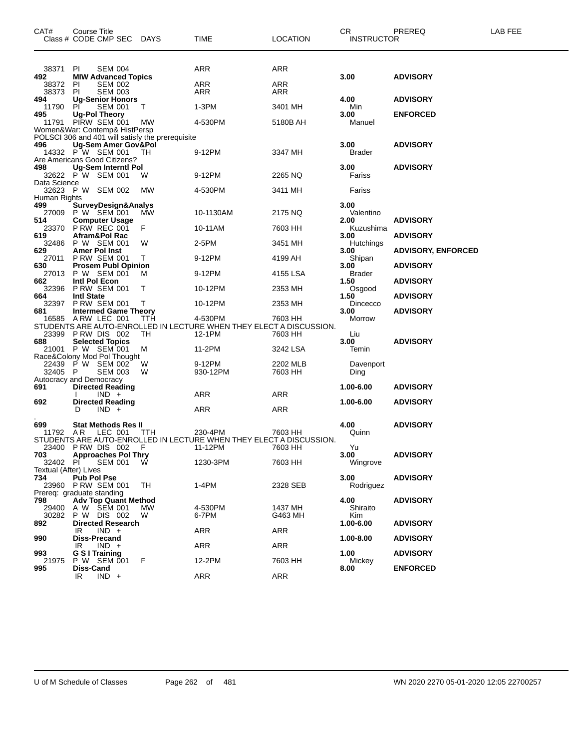| CAT#                                     | Course Title<br>Class # CODE CMP SEC DAYS                                                                                    |           | <b>TIME</b>                                                                               | LOCATION                 | CR.<br><b>INSTRUCTOR</b> | PREREQ                    | LAB FEE |
|------------------------------------------|------------------------------------------------------------------------------------------------------------------------------|-----------|-------------------------------------------------------------------------------------------|--------------------------|--------------------------|---------------------------|---------|
| 38371<br>492<br>38372<br>38373           | PI<br><b>SEM 004</b><br><b>MIW Advanced Topics</b><br><b>PI</b><br><b>SEM 002</b><br>PI.<br><b>SEM 003</b>                   |           | ARR<br><b>ARR</b><br>ARR                                                                  | ARR<br><b>ARR</b><br>ARR | 3.00                     | <b>ADVISORY</b>           |         |
| 494                                      | <b>Ug-Senior Honors</b>                                                                                                      |           |                                                                                           |                          | 4.00                     | <b>ADVISORY</b>           |         |
| 11790<br>495                             | <b>SEM 001</b><br>PI.<br><b>Ug-Pol Theory</b>                                                                                | Т         | 1-3PM                                                                                     | 3401 MH                  | Min<br>3.00              | <b>ENFORCED</b>           |         |
| 11791                                    | PIRW SEM 001<br>Women&War: Contemp& HistPersp                                                                                | МW        | 4-530PM                                                                                   | 5180B AH                 | Manuel                   |                           |         |
| 496                                      | POLSCI 306 and 401 will satisfy the prerequisite<br>Ug-Sem Amer Gov&Pol<br>14332 P W SEM 001<br>Are Americans Good Citizens? | TН        | 9-12PM                                                                                    | 3347 MH                  | 3.00<br><b>Brader</b>    | <b>ADVISORY</b>           |         |
| 498                                      | Ug-Sem Interntl Pol<br>32622 P W SEM 001                                                                                     | W         | 9-12PM                                                                                    | 2265 NQ                  | 3.00<br>Fariss           | <b>ADVISORY</b>           |         |
| Data Science                             | 32623 P W SEM 002                                                                                                            | MW        | 4-530PM                                                                                   | 3411 MH                  | Fariss                   |                           |         |
| Human Rights<br>499<br>27009             | <b>SurveyDesign&amp;Analys</b><br>P W SEM 001                                                                                | МW        | 10-1130AM                                                                                 | 2175 NQ                  | 3.00<br>Valentino        |                           |         |
| 514<br>23370                             | <b>Computer Usage</b><br>P RW REC 001                                                                                        | F         | 10-11AM                                                                                   | 7603 HH                  | 2.00<br>Kuzushima        | <b>ADVISORY</b>           |         |
| 619<br>32486                             | Afram&Pol Rac<br>P W SEM 001                                                                                                 | W         | 2-5PM                                                                                     | 3451 MH                  | 3.00<br>Hutchings        | <b>ADVISORY</b>           |         |
| 629<br>27011                             | <b>Amer Pol Inst</b><br><b>P RW SEM 001</b>                                                                                  | Τ         | 9-12PM                                                                                    | 4199 AH                  | 3.00<br>Shipan           | <b>ADVISORY, ENFORCED</b> |         |
| 630<br>27013                             | <b>Prosem Publ Opinion</b><br>P W SEM 001                                                                                    | м         | 9-12PM                                                                                    | 4155 LSA                 | 3.00<br><b>Brader</b>    | ADVISORY                  |         |
| 662<br>32396                             | Intl Pol Econ<br><b>P RW SEM 001</b>                                                                                         | т         | 10-12PM                                                                                   | 2353 MH                  | 1.50<br>Osgood           | <b>ADVISORY</b>           |         |
| 664<br>32397                             | <b>Intl State</b><br><b>P RW SEM 001</b>                                                                                     | Т         | 10-12PM                                                                                   | 2353 MH                  | 1.50<br>Dincecco         | <b>ADVISORY</b>           |         |
| 681<br>16585                             | <b>Intermed Game Theory</b><br>ARW LEC 001<br>23399 PRW DIS 002                                                              | TTH<br>TН | 4-530PM<br>STUDENTS ARE AUTO-ENROLLED IN LECTURE WHEN THEY ELECT A DISCUSSION.<br>12-1PM  | 7603 HH<br>7603 HH       | 3.00<br>Morrow<br>Liu    | <b>ADVISORY</b>           |         |
| 688                                      | <b>Selected Topics</b><br>21001 P W SEM 001<br>Race&Colony Mod Pol Thought                                                   | М         | 11-2PM                                                                                    | 3242 LSA                 | 3.00<br>Temin            | <b>ADVISORY</b>           |         |
| 32405                                    | 22439 P W SEM 002<br>- P<br><b>SEM 003</b><br>Autocracy and Democracy                                                        | W<br>W    | 9-12PM<br>930-12PM                                                                        | 2202 MLB<br>7603 HH      | Davenport<br>Ding        |                           |         |
| 691                                      | <b>Directed Reading</b><br>$IND +$                                                                                           |           | ARR                                                                                       | ARR                      | 1.00-6.00                | <b>ADVISORY</b>           |         |
| 692                                      | <b>Directed Reading</b><br>$IND +$<br>D                                                                                      |           | ARR                                                                                       | ARR                      | 1.00-6.00                | <b>ADVISORY</b>           |         |
| 699<br>11792 AR                          | <b>Stat Methods Res II</b><br>LEC 001<br>23400 PRW DIS 002                                                                   | ттн<br>F  | 230-4PM<br>STUDENTS ARE AUTO-ENROLLED IN LECTURE WHEN THEY ELECT A DISCUSSION.<br>11-12PM | 7603 HH<br>7603 HH       | 4.00<br>Quinn<br>Yu      | <b>ADVISORY</b>           |         |
| 703<br>32402 PI<br>Textual (After) Lives | <b>Approaches Pol Thry</b><br><b>SEM 001</b>                                                                                 | w         | 1230-3PM                                                                                  | 7603 HH                  | 3.00<br>Wingrove         | <b>ADVISORY</b>           |         |
| 734                                      | Pub Pol Pse<br>23960 PRW SEM 001<br>Prereg: graduate standing                                                                | TH        | 1-4PM                                                                                     | 2328 SEB                 | 3.00<br>Rodriguez        | <b>ADVISORY</b>           |         |
| 798<br>29400<br>30282                    | <b>Adv Top Quant Method</b><br>A W SEM 001<br>P W DIS 002                                                                    | MW<br>W   | 4-530PM<br>6-7PM                                                                          | 1437 MH<br>G463 MH       | 4.00<br>Shiraito<br>Kim  | <b>ADVISORY</b>           |         |
| 892                                      | <b>Directed Research</b><br>$IND +$<br>IR                                                                                    |           | ARR                                                                                       | ARR                      | 1.00-6.00                | <b>ADVISORY</b>           |         |
| 990                                      | Diss-Precand<br>$IND +$<br>IR                                                                                                |           | ARR                                                                                       | ARR                      | 1.00-8.00                | <b>ADVISORY</b>           |         |
| 993<br>21975                             | G S I Training<br>P W SEM 001                                                                                                | F         | 12-2PM                                                                                    | 7603 HH                  | 1.00<br>Mickey           | <b>ADVISORY</b>           |         |
| 995                                      | Diss-Cand<br>$IND +$<br>IR.                                                                                                  |           | ARR                                                                                       | ARR                      | 8.00                     | <b>ENFORCED</b>           |         |

U of M Schedule of Classes Page 262 of 481 WN 2020 2270 05-01-2020 12:05 22700257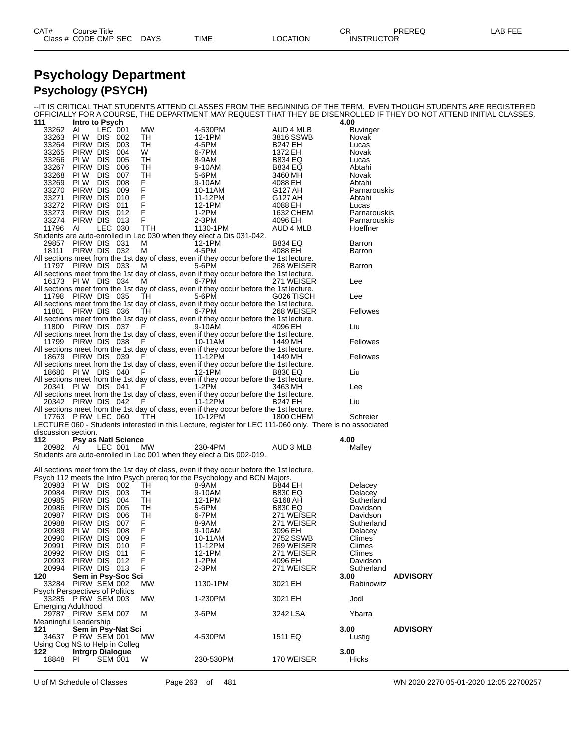### **Psychology Department Psychology (PSYCH)**

--IT IS CRITICAL THAT STUDENTS ATTEND CLASSES FROM THE BEGINNING OF THE TERM. EVEN THOUGH STUDENTS ARE REGISTERED OFFICIALLY FOR A COURSE, THE DEPARTMENT MAY REQUEST THAT THEY BE DISENROLLED IF THEY DO NOT ATTEND INITIAL CLASSES.

| 111                                                        | Intro to Psych             |                |            |           |                                                                                                          |                           | 4.00            |                 |
|------------------------------------------------------------|----------------------------|----------------|------------|-----------|----------------------------------------------------------------------------------------------------------|---------------------------|-----------------|-----------------|
| 33262                                                      | Al                         | LEC 001        |            | МW        | 4-530PM                                                                                                  | AUD 4 MLB                 | <b>Buvinger</b> |                 |
| 33263 PIW DIS 002                                          |                            |                |            | TH        | 12-1PM                                                                                                   | 3816 SSWB                 | Novak           |                 |
| 33264 PIRW DIS<br>33265                                    | Pirw Dis                   |                | 003<br>004 | TH<br>W   | 4-5PM<br>6-7PM                                                                                           | <b>B247 EH</b><br>1372 EH | Lucas<br>Novak  |                 |
| 33266 PIW DIS 005                                          |                            |                |            | TH        | 8-9AM                                                                                                    | B834 EQ                   | Lucas           |                 |
| 33267                                                      | Pirw dis                   |                | 006        | TH        | 9-10AM                                                                                                   | <b>B834 EQ</b>            | Abtahi          |                 |
| 33268 PIW DIS                                              |                            |                | 007        | TH        | 5-6PM                                                                                                    | 3460 MH                   | Novak           |                 |
| 33269 PIW DIS                                              |                            |                | 008        | F         | 9-10AM                                                                                                   | 4088 EH                   | Abtahi          |                 |
| 33270 PIRW DIS                                             |                            |                | 009        | F         | 10-11AM                                                                                                  | G127 AH                   | Parnarouskis    |                 |
| 33271                                                      | Pirw dis                   |                | 010        | F         | 11-12PM                                                                                                  | G127 AH                   | Abtahi          |                 |
| 33272 PIRW DIS 011                                         |                            |                |            | F         | 12-1PM                                                                                                   | 4088 EH                   | Lucas           |                 |
| 33273 PIRW DIS 012                                         |                            |                |            | F         | 1-2PM                                                                                                    | 1632 CHEM                 | Parnarouskis    |                 |
| 33274 PIRW DIS 013                                         |                            |                |            | F         | 2-3PM                                                                                                    | 4096 EH                   | Parnarouskis    |                 |
| 11796 AI                                                   |                            | LEC 030        |            | TTH       | 1130-1PM                                                                                                 | AUD 4 MLB                 | Hoeffner        |                 |
|                                                            |                            |                |            |           | Students are auto-enrolled in Lec 030 when they elect a Dis 031-042.                                     |                           |                 |                 |
| 29857 PIRW DIS 031                                         |                            |                |            | м         | $12 - 1$ PM                                                                                              | <b>B834 EQ</b>            | Barron          |                 |
| 18111 PIRW DIS 032                                         |                            |                |            | M         | 4-5PM<br>All sections meet from the 1st day of class, even if they occur before the 1st lecture.         | 4088 EH                   | Barron          |                 |
| 11797 PIRW DIS 033                                         |                            |                |            | - M       | 5-6PM                                                                                                    | 268 WEISER                | Barron          |                 |
|                                                            |                            |                |            |           | All sections meet from the 1st day of class, even if they occur before the 1st lecture.                  |                           |                 |                 |
| 16173 PIW DIS 034                                          |                            |                |            | M         | 6-7PM                                                                                                    | 271 WEISER                | Lee             |                 |
|                                                            |                            |                |            |           | All sections meet from the 1st day of class, even if they occur before the 1st lecture.                  |                           |                 |                 |
| 11798 PIRW DIS 035                                         |                            |                |            | TH.       | 5-6PM                                                                                                    | G026 TISCH                | Lee             |                 |
|                                                            |                            |                |            |           | All sections meet from the 1st day of class, even if they occur before the 1st lecture.                  |                           |                 |                 |
| 11801 PIRW DIS 036                                         |                            |                |            | TH        | 6-7PM                                                                                                    | 268 WEISER                | Fellowes        |                 |
|                                                            |                            |                |            |           | All sections meet from the 1st day of class, even if they occur before the 1st lecture.                  |                           |                 |                 |
| 11800 PIRW DIS 037                                         |                            |                |            | - F       | 9-10AM                                                                                                   | 4096 EH                   | Liu             |                 |
|                                                            |                            |                |            |           | All sections meet from the 1st day of class, even if they occur before the 1st lecture.                  |                           |                 |                 |
| 11799 PIRW DIS 038                                         |                            |                |            | F         | 10-11AM                                                                                                  | 1449 MH                   | Fellowes        |                 |
|                                                            |                            |                |            |           | All sections meet from the 1st day of class, even if they occur before the 1st lecture.                  |                           |                 |                 |
| 18679 PIRW DIS 039                                         |                            |                |            | - F       | 11-12PM                                                                                                  | 1449 MH                   | Fellowes        |                 |
| 18680 PIW DIS 040                                          |                            |                |            | - F       | All sections meet from the 1st day of class, even if they occur before the 1st lecture.<br>12-1PM        |                           |                 |                 |
|                                                            |                            |                |            |           | All sections meet from the 1st day of class, even if they occur before the 1st lecture.                  | <b>B830 EQ</b>            | Liu             |                 |
| 20341 PIW DIS 041                                          |                            |                |            | F         | 1-2PM                                                                                                    | 3463 MH                   | Lee             |                 |
|                                                            |                            |                |            |           | All sections meet from the 1st day of class, even if they occur before the 1st lecture.                  |                           |                 |                 |
| 20342 PIRW DIS 042                                         |                            |                |            | - F       | 11-12PM                                                                                                  | <b>B247 EH</b>            | Liu             |                 |
|                                                            |                            |                |            |           | All sections meet from the 1st day of class, even if they occur before the 1st lecture.                  |                           |                 |                 |
| 17763 PRW LEC 060                                          |                            |                |            | TTH       | 10-12PM                                                                                                  | 1800 CHEM                 | Schreier        |                 |
|                                                            |                            |                |            |           | LECTURE 060 - Students interested in this Lecture, register for LEC 111-060 only. There is no associated |                           |                 |                 |
| discussion section.                                        |                            |                |            |           |                                                                                                          |                           |                 |                 |
| 112                                                        | <b>Psy as Natl Science</b> |                |            |           |                                                                                                          |                           | 4.00            |                 |
| 20982 AI                                                   |                            | LEC 001        |            | MW        | 230-4PM                                                                                                  | AUD 3 MLB                 | Malley          |                 |
|                                                            |                            |                |            |           | Students are auto-enrolled in Lec 001 when they elect a Dis 002-019.                                     |                           |                 |                 |
|                                                            |                            |                |            |           |                                                                                                          |                           |                 |                 |
|                                                            |                            |                |            |           | All sections meet from the 1st day of class, even if they occur before the 1st lecture.                  |                           |                 |                 |
| 20983 PIW DIS 002                                          |                            |                |            | TH        | Psych 112 meets the Intro Psych prereq for the Psychology and BCN Majors.<br>8-9AM                       | <b>B844 EH</b>            | Delacey         |                 |
| 20984 PIRW DIS 003                                         |                            |                |            | TH        | 9-10AM                                                                                                   | <b>B830 EQ</b>            | Delacey         |                 |
| 20985 PIRW DIS 004                                         |                            |                |            | TH        | 12-1PM                                                                                                   | G168 AH                   | Sutherland      |                 |
| 20986                                                      | PIRW DIS 005               |                |            | TH        | 5-6PM                                                                                                    | <b>B830 EQ</b>            | Davidson        |                 |
| 20987                                                      | PIRW DIS 006               |                |            | TH        | 6-7PM                                                                                                    | 271 WEISER                | Davidson        |                 |
| 20988                                                      | Pirw dis                   |                | 007        | F         | 8-9AM                                                                                                    | 271 WEISER                | Sutherland      |                 |
| 20989                                                      | PIW DIS                    |                | 008        | F         | 9-10AM                                                                                                   | 3096 EH                   | Delacey         |                 |
| 20990                                                      | Pirw dis                   |                | 009        | F         | 10-11AM                                                                                                  | 2752 SSWB                 | Climes          |                 |
| 20991                                                      | PIRW DIS 010               |                |            | F         | 11-12PM                                                                                                  | 269 WEISER                | Climes          |                 |
| 20992                                                      | PIRW DIS 011               |                |            | F         | 12-1PM                                                                                                   | 271 WEISER                | Climes          |                 |
| 20993                                                      | Pirw Dis                   |                | 012        | F         | 1-2PM                                                                                                    | 4096 EH                   | Davidson        |                 |
| 20994                                                      | PIRW DIS 013               |                |            | F         | 2-3PM                                                                                                    | 271 WEISER                | Sutherland      |                 |
| 120                                                        | Sem in Psy-Soc Sci         |                |            |           |                                                                                                          |                           | 3.00            | <b>ADVISORY</b> |
| 33284 PIRW SEM 002                                         |                            |                |            | MW        | 1130-1PM                                                                                                 | 3021 EH                   | Rabinowitz      |                 |
| <b>Psych Perspectives of Politics</b><br>33285 PRW SEM 003 |                            |                |            | <b>MW</b> |                                                                                                          |                           |                 |                 |
| Emeraina Adulthood                                         |                            |                |            |           | 1-230PM                                                                                                  | 3021 EH                   | Jodl            |                 |
| 29787 PIRW SEM 007                                         |                            |                |            | м         | 3-6PM                                                                                                    | 3242 LSA                  | Ybarra          |                 |
| Meaningful Leadership                                      |                            |                |            |           |                                                                                                          |                           |                 |                 |
| 121                                                        | Sem in Psy-Nat Sci         |                |            |           |                                                                                                          |                           | 3.00            | <b>ADVISORY</b> |
| 34637 P RW SEM 001                                         |                            |                |            | <b>MW</b> | 4-530PM                                                                                                  | 1511 EQ                   | Lustig          |                 |
| Using Cog NS to Help in Colleg                             |                            |                |            |           |                                                                                                          |                           |                 |                 |
| 122                                                        | <b>Intrgrp Dialogue</b>    |                |            |           |                                                                                                          |                           | 3.00            |                 |
| 18848 PI                                                   |                            | <b>SEM 001</b> |            | W         | 230-530PM                                                                                                | 170 WEISER                | Hicks           |                 |
|                                                            |                            |                |            |           |                                                                                                          |                           |                 |                 |

U of M Schedule of Classes Page 263 of 481 WN 2020 2270 05-01-2020 12:05 22700257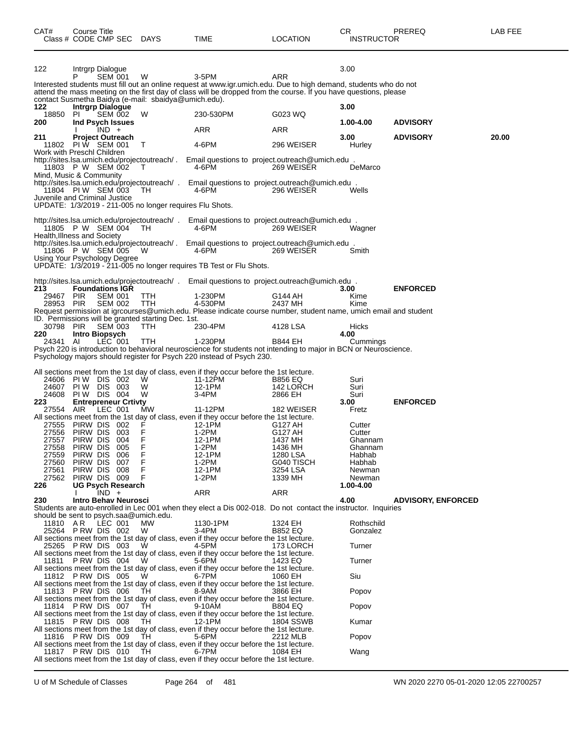| CAT#                   | Course Title<br>Class # CODE CMP SEC                                          |                                  | <b>DAYS</b>                                               | TIME                                                                                                                                                                                                                                           | <b>LOCATION</b>                        | CR<br><b>INSTRUCTOR</b> | PREREQ                    | LAB FEE |
|------------------------|-------------------------------------------------------------------------------|----------------------------------|-----------------------------------------------------------|------------------------------------------------------------------------------------------------------------------------------------------------------------------------------------------------------------------------------------------------|----------------------------------------|-------------------------|---------------------------|---------|
| 122                    | Intrgrp Dialogue<br>P                                                         | <b>SEM 001</b>                   | W                                                         | 3-5PM<br>Interested students must fill out an online request at www.igr.umich.edu. Due to high demand, students who do not<br>attend the mass meeting on the first day of class will be dropped from the course. If you have questions, please | <b>ARR</b>                             | 3.00                    |                           |         |
| 122<br>18850           | <b>Intrgrp Dialogue</b><br>PL                                                 | SEM 002                          | contact Susmetha Baidya (e-mail: sbaidya@umich.edu).<br>W | 230-530PM                                                                                                                                                                                                                                      | G023 WQ                                | 3.00                    |                           |         |
| 200                    | Ind Psych Issues<br>$IND +$                                                   |                                  |                                                           | ARR                                                                                                                                                                                                                                            | ARR                                    | 1.00-4.00               | <b>ADVISORY</b>           |         |
| 211                    | <b>Project Outreach</b><br>11802 PIW SEM 001                                  |                                  | T                                                         | 4-6PM                                                                                                                                                                                                                                          | 296 WEISER                             | 3.00<br>Hurley          | <b>ADVISORY</b>           | 20.00   |
|                        | Work with Preschl Children<br>11803 P W SEM 002                               |                                  | $\top$                                                    | http://sites.lsa.umich.edu/projectoutreach/. Email questions to project.outreach@umich.edu.<br>4-6PM                                                                                                                                           | 269 WEISER                             | DeMarco                 |                           |         |
|                        | Mind, Music & Community<br>11804 PIW SEM 003<br>Juvenile and Criminal Justice |                                  | TH.                                                       | http://sites.lsa.umich.edu/projectoutreach/ . Email questions to project.outreach@umich.edu .<br>4-6PM                                                                                                                                         | 296 WEISER                             | Wells                   |                           |         |
|                        |                                                                               |                                  | UPDATE: 1/3/2019 - 211-005 no longer requires Flu Shots.  |                                                                                                                                                                                                                                                |                                        |                         |                           |         |
|                        | 11805 P W SEM 004<br>Health, Illness and Society                              |                                  | TH.                                                       | http://sites.lsa.umich.edu/projectoutreach/ . Email questions to project.outreach@umich.edu.<br>4-6PM                                                                                                                                          | 269 WEISER                             | Wagner                  |                           |         |
|                        | 11806 P W SEM 005<br>Using Your Psychology Degree                             |                                  | W                                                         | http://sites.lsa.umich.edu/projectoutreach/. Email questions to project.outreach@umich.edu.<br>4-6PM                                                                                                                                           | 269 WEISER                             | Smith                   |                           |         |
|                        |                                                                               |                                  |                                                           | UPDATE: 1/3/2019 - 211-005 no longer requires TB Test or Flu Shots.                                                                                                                                                                            |                                        |                         |                           |         |
| 213                    | <b>Foundations IGR</b>                                                        |                                  |                                                           | http://sites.lsa.umich.edu/projectoutreach/ . Email questions to project.outreach@umich.edu.                                                                                                                                                   |                                        | 3.00                    | <b>ENFORCED</b>           |         |
| 29467 PIR<br>28953 PIR |                                                                               | <b>SEM 001</b><br><b>SEM 002</b> | TTH<br>TTH                                                | 1-230PM<br>4-530PM<br>Request permission at igrcourses@umich.edu. Please indicate course number, student name, umich email and student                                                                                                         | G144 AH<br>2437 MH                     | Kime<br>Kime            |                           |         |
| 30798 PIR              |                                                                               | <b>SEM 003</b>                   | ID. Permissions will be granted starting Dec. 1st.<br>TTH | 230-4PM                                                                                                                                                                                                                                        | 4128 LSA                               | Hicks                   |                           |         |
| 220<br>24341 AI        | <b>Intro Biopsych</b>                                                         | LEC 001                          | TTH                                                       | 1-230PM                                                                                                                                                                                                                                        | <b>B844 EH</b>                         | 4.00<br>Cummings        |                           |         |
|                        |                                                                               |                                  |                                                           | Psych 220 is introduction to behavioral neuroscience for students not intending to major in BCN or Neuroscience.<br>Psychology majors should register for Psych 220 instead of Psych 230.                                                      |                                        |                         |                           |         |
|                        |                                                                               |                                  |                                                           | All sections meet from the 1st day of class, even if they occur before the 1st lecture.                                                                                                                                                        |                                        |                         |                           |         |
| 24607<br>24608         | 24606 PIW DIS 002<br>PIW DIS 003<br>PIW DIS 004                               |                                  | W<br>W                                                    | 11-12PM<br>12-1PM                                                                                                                                                                                                                              | <b>B856 EQ</b><br>142 LORCH<br>2866 EH | Suri<br>Suri            |                           |         |
| 223                    | <b>Entrepreneur Crtivty</b>                                                   |                                  | W                                                         | 3-4PM                                                                                                                                                                                                                                          |                                        | Suri<br>3.00            | <b>ENFORCED</b>           |         |
| 27554                  | AIR.                                                                          | LEC 001                          | МW                                                        | 11-12PM<br>All sections meet from the 1st day of class, even if they occur before the 1st lecture.                                                                                                                                             | 182 WEISER                             | Fretz                   |                           |         |
| 27555<br>27556         | PIRW DIS 002<br>PIRW DIS 003                                                  |                                  | F<br>F                                                    | 12-1PM<br>1-2PM                                                                                                                                                                                                                                | G127 AH<br>G127 AH                     | Cutter<br>Cutter        |                           |         |
| 27557<br>27558         | PIRW DIS 004<br>PIRW DIS 005                                                  |                                  | F<br>F                                                    | 12-1PM<br>1-2PM                                                                                                                                                                                                                                | 1437 MH<br>1436 MH                     | Ghannam<br>Ghannam      |                           |         |
| 27559                  | PIRW DIS                                                                      | 006                              | F                                                         | 12-1PM                                                                                                                                                                                                                                         | 1280 LSA                               | Habhab                  |                           |         |
| 27560<br>27561         | PIRW DIS 007<br>PIRW DIS 008                                                  |                                  | F<br>F                                                    | $1-2PM$<br>12-1PM                                                                                                                                                                                                                              | G040 TISCH<br>3254 LSA                 | Habhab<br>Newman        |                           |         |
| 27562                  | PIRW DIS 009                                                                  |                                  | F                                                         | $1-2PM$                                                                                                                                                                                                                                        | 1339 MH                                | Newman                  |                           |         |
| 226                    | <b>UG Psych Research</b><br>$IND +$                                           |                                  |                                                           | ARR                                                                                                                                                                                                                                            | ARR                                    | 1.00-4.00               |                           |         |
| 230                    | Intro Behav Neurosci<br>should be sent to psych.saa@umich.edu.                |                                  |                                                           | Students are auto-enrolled in Lec 001 when they elect a Dis 002-018. Do not contact the instructor. Inquiries                                                                                                                                  |                                        | 4.00                    | <b>ADVISORY, ENFORCED</b> |         |
| 11810 AR               | LEC 001<br>25264 PRW DIS 002                                                  |                                  | MW<br>W                                                   | 1130-1PM<br>$3-4PM$                                                                                                                                                                                                                            | 1324 EH<br><b>B852 EQ</b>              | Rothschild<br>Gonzalez  |                           |         |
|                        | 25265 PRW DIS 003                                                             |                                  | W                                                         | All sections meet from the 1st day of class, even if they occur before the 1st lecture.<br>4-5PM                                                                                                                                               | 173 LORCH                              | Turner                  |                           |         |
| 11811                  | PRW DIS 004                                                                   |                                  | W                                                         | All sections meet from the 1st day of class, even if they occur before the 1st lecture.<br>5-6PM                                                                                                                                               | 1423 EQ                                | Turner                  |                           |         |
|                        | 11812 PRW DIS 005                                                             |                                  | W                                                         | All sections meet from the 1st day of class, even if they occur before the 1st lecture.<br>6-7PM                                                                                                                                               | 1060 EH                                | Siu                     |                           |         |
|                        | 11813 PRW DIS 006                                                             |                                  | TH                                                        | All sections meet from the 1st day of class, even if they occur before the 1st lecture.<br>8-9AM                                                                                                                                               | 3866 EH                                | Popov                   |                           |         |
|                        | 11814 PRW DIS 007                                                             |                                  | TH.                                                       | All sections meet from the 1st day of class, even if they occur before the 1st lecture.<br>9-10AM                                                                                                                                              | <b>B804 EQ</b>                         | Popov                   |                           |         |
|                        | 11815 PRW DIS 008                                                             |                                  | TH.                                                       | All sections meet from the 1st day of class, even if they occur before the 1st lecture.<br>12-1PM                                                                                                                                              | 1804 SSWB                              | Kumar                   |                           |         |
|                        | 11816 PRW DIS 009                                                             |                                  | TH                                                        | All sections meet from the 1st day of class, even if they occur before the 1st lecture.<br>5-6PM<br>All sections meet from the 1st day of class, even if they occur before the 1st lecture.                                                    | 2212 MLB                               | Popov                   |                           |         |
|                        | 11817 PRW DIS 010                                                             |                                  | TH.                                                       | 6-7PM<br>All sections meet from the 1st day of class, even if they occur before the 1st lecture.                                                                                                                                               | 1084 EH                                | Wang                    |                           |         |

U of M Schedule of Classes Page 264 of 481 WN 2020 2270 05-01-2020 12:05 22700257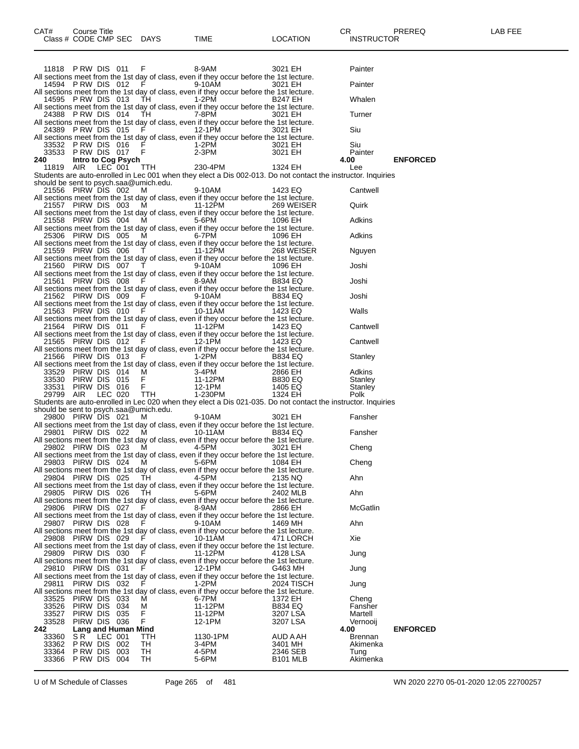|                                        | 11818 PRW DIS 011     |           |                     | F           |                                | 8-9AM    |                                                                                         | 3021 EH        |                 | Painter                                                                                                       |                 |  |
|----------------------------------------|-----------------------|-----------|---------------------|-------------|--------------------------------|----------|-----------------------------------------------------------------------------------------|----------------|-----------------|---------------------------------------------------------------------------------------------------------------|-----------------|--|
|                                        |                       |           |                     |             |                                |          | All sections meet from the 1st day of class, even if they occur before the 1st lecture. |                |                 |                                                                                                               |                 |  |
|                                        | 14594 PRW DIS 012     |           |                     |             | in Fig. 1999. The state of the | 9-10AM   |                                                                                         | 3021 EH        |                 | Painter                                                                                                       |                 |  |
|                                        | 14595 PRW DIS 013     |           |                     | TH          |                                | 1-2PM    | All sections meet from the 1st day of class, even if they occur before the 1st lecture. | <b>B247 EH</b> |                 | Whalen                                                                                                        |                 |  |
|                                        |                       |           |                     |             |                                |          | All sections meet from the 1st day of class, even if they occur before the 1st lecture. |                |                 |                                                                                                               |                 |  |
|                                        | 24388 PRW DIS 014     |           |                     | TH          |                                | 7-8PM    |                                                                                         | 3021 EH        |                 | Turner                                                                                                        |                 |  |
|                                        |                       |           |                     |             |                                |          | All sections meet from the 1st day of class, even if they occur before the 1st lecture. |                |                 |                                                                                                               |                 |  |
|                                        | 24389 PRW DIS 015     |           |                     | F.          |                                | 12-1PM   |                                                                                         | 3021 EH        |                 | Siu                                                                                                           |                 |  |
|                                        |                       |           |                     |             |                                |          | All sections meet from the 1st day of class, even if they occur before the 1st lecture. |                |                 |                                                                                                               |                 |  |
|                                        | 33532 PRW DIS 016     |           |                     | F           |                                | 1-2PM    |                                                                                         | 3021 EH        |                 | Siu                                                                                                           |                 |  |
|                                        | 33533 PRW DIS 017     |           |                     | $\mathsf F$ |                                | 2-3PM    |                                                                                         | 3021 EH        |                 | Painter                                                                                                       |                 |  |
| 240                                    |                       |           | Intro to Cog Psych  |             |                                |          |                                                                                         |                |                 | 4.00                                                                                                          | <b>ENFORCED</b> |  |
| 11819                                  | AIR                   | $LEC$ 001 |                     | TTH.        |                                | 230-4PM  |                                                                                         | 1324 EH        |                 | Lee                                                                                                           |                 |  |
|                                        |                       |           |                     |             |                                |          |                                                                                         |                |                 | Students are auto-enrolled in Lec 001 when they elect a Dis 002-013. Do not contact the instructor. Inquiries |                 |  |
| should be sent to psych.saa@umich.edu. |                       |           |                     |             |                                |          |                                                                                         |                |                 |                                                                                                               |                 |  |
|                                        | 21556 PIRW DIS 002    |           |                     | M           |                                | 9-10AM   |                                                                                         | 1423 EQ        |                 | Cantwell                                                                                                      |                 |  |
|                                        |                       |           |                     |             |                                |          | All sections meet from the 1st day of class, even if they occur before the 1st lecture. |                |                 |                                                                                                               |                 |  |
|                                        | 21557 PIRW DIS 003    |           |                     | M           |                                | 11-12PM  |                                                                                         |                | 269 WEISER      | Quirk                                                                                                         |                 |  |
|                                        |                       |           |                     |             |                                |          | All sections meet from the 1st day of class, even if they occur before the 1st lecture. |                |                 |                                                                                                               |                 |  |
|                                        | 21558 PIRW DIS 004    |           |                     | M           |                                | 5-6PM    |                                                                                         | 1096 EH        |                 | Adkins                                                                                                        |                 |  |
|                                        |                       |           |                     |             |                                |          | All sections meet from the 1st day of class, even if they occur before the 1st lecture. |                |                 |                                                                                                               |                 |  |
|                                        | 25306 PIRW DIS 005    |           |                     | M           |                                | 6-7PM    |                                                                                         | 1096 EH        |                 | Adkins                                                                                                        |                 |  |
|                                        | 21559 PIRW DIS 006    |           |                     | T           |                                | 11-12PM  | All sections meet from the 1st day of class, even if they occur before the 1st lecture. |                | 268 WEISER      | Nguyen                                                                                                        |                 |  |
|                                        |                       |           |                     |             |                                |          | All sections meet from the 1st day of class, even if they occur before the 1st lecture. |                |                 |                                                                                                               |                 |  |
|                                        | 21560 PIRW DIS 007    |           |                     |             | $\top$ and $\top$              | 9-10AM   |                                                                                         | 1096 EH        |                 | Joshi                                                                                                         |                 |  |
|                                        |                       |           |                     |             |                                |          | All sections meet from the 1st day of class, even if they occur before the 1st lecture. |                |                 |                                                                                                               |                 |  |
|                                        | 21561 PIRW DIS 008    |           |                     | F           |                                | 8-9AM    |                                                                                         | <b>B834 EQ</b> |                 | Joshi                                                                                                         |                 |  |
|                                        |                       |           |                     |             |                                |          | All sections meet from the 1st day of class, even if they occur before the 1st lecture. |                |                 |                                                                                                               |                 |  |
|                                        | 21562 PIRW DIS 009    |           |                     | - F         |                                | 9-10AM   |                                                                                         | <b>B834 EQ</b> |                 | Joshi                                                                                                         |                 |  |
|                                        |                       |           |                     |             |                                |          | All sections meet from the 1st day of class, even if they occur before the 1st lecture. |                |                 |                                                                                                               |                 |  |
|                                        | 21563 PIRW DIS 010    |           |                     |             | F. Grant                       | 10-11AM  |                                                                                         | 1423 EQ        |                 | Walls                                                                                                         |                 |  |
|                                        |                       |           |                     |             |                                |          | All sections meet from the 1st day of class, even if they occur before the 1st lecture. |                |                 |                                                                                                               |                 |  |
|                                        | 21564 PIRW DIS 011    |           |                     | F           |                                | 11-12PM  |                                                                                         | 1423 EQ        |                 | Cantwell                                                                                                      |                 |  |
|                                        |                       |           |                     |             |                                |          | All sections meet from the 1st day of class, even if they occur before the 1st lecture. |                |                 |                                                                                                               |                 |  |
|                                        | 21565 PIRW DIS 012    |           |                     | - F         |                                | 12-1PM   |                                                                                         | 1423 EQ        |                 | Cantwell                                                                                                      |                 |  |
|                                        |                       |           |                     |             |                                |          | All sections meet from the 1st day of class, even if they occur before the 1st lecture. |                |                 |                                                                                                               |                 |  |
|                                        | 21566 PIRW DIS 013    |           |                     | F           |                                | $1-2PM$  |                                                                                         | <b>B834 EQ</b> |                 | Stanley                                                                                                       |                 |  |
|                                        |                       |           |                     |             |                                |          | All sections meet from the 1st day of class, even if they occur before the 1st lecture. |                |                 |                                                                                                               |                 |  |
| 33529                                  | PIRW DIS 014          |           |                     | M           |                                | 3-4PM    |                                                                                         | 2866 EH        |                 | Adkins                                                                                                        |                 |  |
|                                        | 33530 PIRW DIS 015    |           |                     | F           |                                | 11-12PM  |                                                                                         | <b>B830 EQ</b> |                 | Stanley                                                                                                       |                 |  |
| 33531                                  | PIRW DIS 016          |           |                     | F           |                                | 12-1PM   |                                                                                         | 1405 EQ        |                 | Stanley                                                                                                       |                 |  |
| 29799 AIR                              |                       | LEC 020   |                     | TTH         |                                | 1-230PM  |                                                                                         | 1324 EH        |                 | Polk                                                                                                          |                 |  |
|                                        |                       |           |                     |             |                                |          |                                                                                         |                |                 | Students are auto-enrolled in Lec 020 when they elect a Dis 021-035. Do not contact the instructor. Inquiries |                 |  |
| should be sent to psych.saa@umich.edu. | 29800 PIRW DIS 021    |           |                     |             |                                | 9-10AM   |                                                                                         |                |                 | Fansher                                                                                                       |                 |  |
|                                        |                       |           |                     | M           |                                |          | All sections meet from the 1st day of class, even if they occur before the 1st lecture. | 3021 EH        |                 |                                                                                                               |                 |  |
|                                        | 29801 PIRW DIS 022    |           |                     | M           |                                | 10-11AM  |                                                                                         | <b>B834 EQ</b> |                 | Fansher                                                                                                       |                 |  |
|                                        |                       |           |                     |             |                                |          | All sections meet from the 1st day of class, even if they occur before the 1st lecture. |                |                 |                                                                                                               |                 |  |
|                                        | 29802 PIRW DIS 023    |           |                     | M           |                                | 4-5PM    |                                                                                         | 3021 EH        |                 | Cheng                                                                                                         |                 |  |
|                                        |                       |           |                     |             |                                |          | All sections meet from the 1st day of class, even if they occur before the 1st lecture. |                |                 |                                                                                                               |                 |  |
|                                        | 29803 PIRW DIS 024 M  |           |                     |             |                                | 5-6PM    |                                                                                         | 1084 EH        |                 | Cheng                                                                                                         |                 |  |
|                                        |                       |           |                     |             |                                |          | All sections meet from the 1st day of class, even if they occur before the 1st lecture  |                |                 |                                                                                                               |                 |  |
|                                        | 29804 PIRW DIS 025 TH |           |                     |             |                                | 4-5PM    |                                                                                         | 2135 NQ        |                 | Ahn                                                                                                           |                 |  |
|                                        |                       |           |                     |             |                                |          | All sections meet from the 1st day of class, even if they occur before the 1st lecture. |                |                 |                                                                                                               |                 |  |
|                                        | 29805 PIRW DIS 026    |           |                     | TH.         |                                | 5-6PM    |                                                                                         |                | 2402 MLB        | Ahn                                                                                                           |                 |  |
|                                        |                       |           |                     |             |                                |          | All sections meet from the 1st day of class, even if they occur before the 1st lecture. |                |                 |                                                                                                               |                 |  |
|                                        | 29806 PIRW DIS 027    |           |                     | - F         |                                | 8-9AM    |                                                                                         | 2866 EH        |                 | <b>McGatlin</b>                                                                                               |                 |  |
|                                        |                       |           |                     |             |                                |          | All sections meet from the 1st day of class, even if they occur before the 1st lecture. |                |                 |                                                                                                               |                 |  |
|                                        | 29807 PIRW DIS 028    |           |                     | -F          |                                | 9-10AM   |                                                                                         | 1469 MH        |                 | Ahn                                                                                                           |                 |  |
|                                        |                       |           |                     |             |                                |          | All sections meet from the 1st day of class, even if they occur before the 1st lecture. |                |                 |                                                                                                               |                 |  |
|                                        | 29808 PIRW DIS 029    |           |                     |             |                                | 10-11AM  |                                                                                         |                | 471 LORCH       | Xie                                                                                                           |                 |  |
|                                        |                       |           |                     |             |                                |          | All sections meet from the 1st day of class, even if they occur before the 1st lecture. |                |                 |                                                                                                               |                 |  |
|                                        | 29809 PIRW DIS 030    |           |                     |             | $F \sim 1$                     | 11-12PM  |                                                                                         | 4128 LSA       |                 | Jung                                                                                                          |                 |  |
|                                        |                       |           |                     |             |                                |          | All sections meet from the 1st day of class, even if they occur before the 1st lecture. |                |                 |                                                                                                               |                 |  |
|                                        | 29810 PIRW DIS 031    |           |                     | F           |                                | 12-1PM   | All sections meet from the 1st day of class, even if they occur before the 1st lecture. | G463 MH        |                 | Jung                                                                                                          |                 |  |
| 29811                                  | PIRW DIS 032          |           |                     |             |                                | 1-2PM    |                                                                                         |                | 2024 TISCH      | Jung                                                                                                          |                 |  |
|                                        |                       |           |                     |             |                                |          | All sections meet from the 1st day of class, even if they occur before the 1st lecture. |                |                 |                                                                                                               |                 |  |
| 33525                                  | PIRW DIS 033          |           |                     | м           |                                | 6-7PM    |                                                                                         | 1372 EH        |                 | Cheng                                                                                                         |                 |  |
| 33526                                  | PIRW DIS 034          |           |                     | М           |                                | 11-12PM  |                                                                                         | <b>B834 EQ</b> |                 | Fansher                                                                                                       |                 |  |
| 33527                                  | PIRW DIS 035          |           |                     | F           |                                | 11-12PM  |                                                                                         | 3207 LSA       |                 | Martell                                                                                                       |                 |  |
| 33528                                  | PIRW DIS 036          |           |                     | F           |                                | 12-1PM   |                                                                                         | 3207 LSA       |                 | Vernooij                                                                                                      |                 |  |
| 242                                    |                       |           | Lang and Human Mind |             |                                |          |                                                                                         |                |                 | 4.00                                                                                                          | <b>ENFORCED</b> |  |
| 33360                                  | SR.                   | LEC 001   |                     | TTH         |                                | 1130-1PM |                                                                                         |                | AUD A AH        | <b>Brennan</b>                                                                                                |                 |  |
| 33362                                  | PRW DIS 002           |           |                     | TH          |                                | 3-4PM    |                                                                                         | 3401 MH        |                 | Akimenka                                                                                                      |                 |  |
| 33364                                  | PRW DIS 003           |           |                     | TH          |                                | 4-5PM    |                                                                                         |                | 2346 SEB        | Tung                                                                                                          |                 |  |
| 33366                                  | PRW DIS 004           |           |                     | TН          |                                | 5-6PM    |                                                                                         |                | <b>B101 MLB</b> | Akimenka                                                                                                      |                 |  |

Class # CODE CMP SEC DAYS TIME LOCATION INSTRUCTOR

U of M Schedule of Classes Page 265 of 481 WN 2020 2270 05-01-2020 12:05 22700257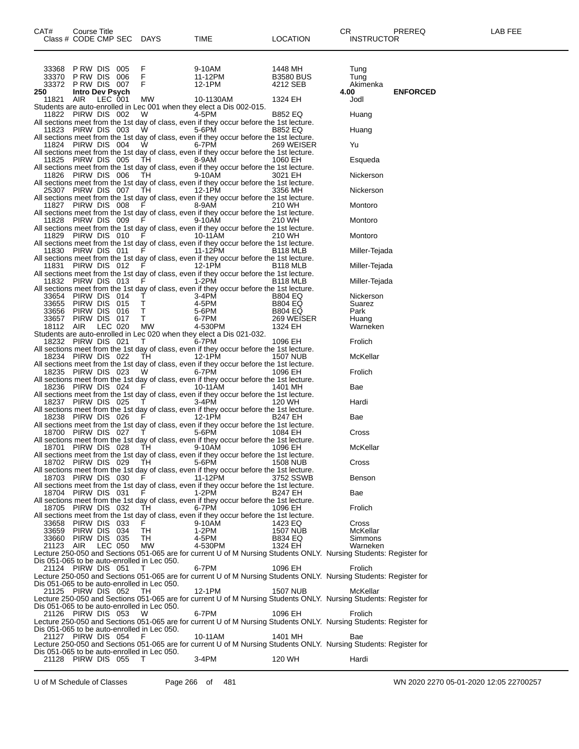| CAT#<br>Class # CODE CMP SEC DAYS                                 | Course Title                 |         |         |                                                                                                                                                                                                                                           | <b>TIME</b>                                                                                          | <b>LOCATION</b>                         | CR<br>PREREQ<br><b>INSTRUCTOR</b>                                                                                            | LAB FEE |
|-------------------------------------------------------------------|------------------------------|---------|---------|-------------------------------------------------------------------------------------------------------------------------------------------------------------------------------------------------------------------------------------------|------------------------------------------------------------------------------------------------------|-----------------------------------------|------------------------------------------------------------------------------------------------------------------------------|---------|
| 33368<br>33370 PRW DIS 006<br>33372 PRW DIS 007                   | PRW DIS 005                  |         |         | $\frac{F}{F}$<br>$-F$                                                                                                                                                                                                                     | 9-10AM<br>11-12PM<br>12-1PM                                                                          | 1448 MH<br><b>B3580 BUS</b><br>4212 SEB | Tung<br>Tung<br>Akimenka                                                                                                     |         |
| 250<br>11821 AIR                                                  | <b>Intro Dev Psych</b>       | LEC 001 |         | MW                                                                                                                                                                                                                                        | 10-1130AM<br>Students are auto-enrolled in Lec 001 when they elect a Dis 002-015.                    | 1324 EH                                 | <b>ENFORCED</b><br>4.00<br>Jodl                                                                                              |         |
| 11822 PIRW DIS 002                                                |                              |         |         | W                                                                                                                                                                                                                                         | 4-5PM<br>All sections meet from the 1st day of class, even if they occur before the 1st lecture.     | <b>B852 EQ</b>                          | Huang                                                                                                                        |         |
| 11823 PIRW DIS 003                                                |                              |         |         | W.                                                                                                                                                                                                                                        | 5-6PM                                                                                                | <b>B852 EQ</b>                          | Huang                                                                                                                        |         |
| 11824 PIRW DIS 004                                                |                              |         |         | W                                                                                                                                                                                                                                         | All sections meet from the 1st day of class, even if they occur before the 1st lecture.<br>6-7PM     | 269 WEISER                              | Yu                                                                                                                           |         |
| 11825 PIRW DIS 005                                                |                              |         |         | TH                                                                                                                                                                                                                                        | All sections meet from the 1st day of class, even if they occur before the 1st lecture.<br>8-9AM     | 1060 EH                                 | Esqueda                                                                                                                      |         |
|                                                                   |                              |         |         | TH                                                                                                                                                                                                                                        | All sections meet from the 1st day of class, even if they occur before the 1st lecture.<br>9-10AM    |                                         | Nickerson                                                                                                                    |         |
| 11826 PIRW DIS 006                                                |                              |         |         |                                                                                                                                                                                                                                           | All sections meet from the 1st day of class, even if they occur before the 1st lecture.              | 3021 EH                                 |                                                                                                                              |         |
| 25307 PIRW DIS 007                                                |                              |         |         | TH                                                                                                                                                                                                                                        | 12-1PM<br>All sections meet from the 1st day of class, even if they occur before the 1st lecture.    | 3356 MH                                 | Nickerson                                                                                                                    |         |
| 11827 PIRW DIS 008                                                |                              |         |         | F.                                                                                                                                                                                                                                        | 8-9AM<br>All sections meet from the 1st day of class, even if they occur before the 1st lecture.     | 210 WH                                  | Montoro                                                                                                                      |         |
|                                                                   |                              |         |         | 11828 PIRW DIS 009 F                                                                                                                                                                                                                      | 9-10AM                                                                                               | 210 WH                                  | Montoro                                                                                                                      |         |
| 11829                                                             | PIRW DIS 010                 |         |         | $F = 1$                                                                                                                                                                                                                                   | All sections meet from the 1st day of class, even if they occur before the 1st lecture.<br>10-11AM   | 210 WH                                  | Montoro                                                                                                                      |         |
| 11830 PIRW DIS 011                                                |                              |         |         | <b>F</b> P                                                                                                                                                                                                                                | All sections meet from the 1st day of class, even if they occur before the 1st lecture.<br>11-12PM   | B <sub>118</sub> MLB                    | Miller-Tejada                                                                                                                |         |
|                                                                   |                              |         |         |                                                                                                                                                                                                                                           | All sections meet from the 1st day of class, even if they occur before the 1st lecture.              |                                         |                                                                                                                              |         |
|                                                                   |                              |         |         | 11831 PIRW DIS 012 F                                                                                                                                                                                                                      | 12-1PM<br>All sections meet from the 1st day of class, even if they occur before the 1st lecture.    | B <sub>118</sub> MLB                    | Miller-Tejada                                                                                                                |         |
| 11832 PIRW DIS 013                                                |                              |         |         | $F = 1$                                                                                                                                                                                                                                   | 1-2PM<br>All sections meet from the 1st day of class, even if they occur before the 1st lecture.     | B <sub>118</sub> MLB                    | Miller-Tejada                                                                                                                |         |
| 33654 PIRW DIS 014                                                |                              |         |         | $\top$                                                                                                                                                                                                                                    | 3-4PM                                                                                                | <b>B804 EQ</b>                          | Nickerson                                                                                                                    |         |
| 33655 PIRW DIS 015<br>33656                                       | PIRW DIS 016                 |         |         | T<br>T                                                                                                                                                                                                                                    | 4-5PM<br>5-6PM<br>5-6PM                                                                              | <b>B804 EQ</b><br><b>B804 EQ</b>        | Suarez<br>Park                                                                                                               |         |
| 33657<br>18112 AIR                                                | PIRW DIS 017                 |         | LEC 020 | T<br><b>MW</b>                                                                                                                                                                                                                            | 6-7PM<br>4-530PM                                                                                     | 269 WEISER<br>1324 EH                   | Huang<br>Warneken                                                                                                            |         |
|                                                                   |                              |         |         |                                                                                                                                                                                                                                           | Students are auto-enrolled in Lec 020 when they elect a Dis 021-032.                                 |                                         |                                                                                                                              |         |
| 18232 PIRW DIS 021                                                |                              |         |         | T                                                                                                                                                                                                                                         | 6-7PM<br>All sections meet from the 1st day of class, even if they occur before the 1st lecture.     | 1096 EH                                 | Frolich                                                                                                                      |         |
| 18234 PIRW DIS 022                                                |                              |         |         |                                                                                                                                                                                                                                           | TH 12-1PM<br>All sections meet from the 1st day of class, even if they occur before the 1st lecture. | 1507 NUB                                | McKellar                                                                                                                     |         |
| 18235 PIRW DIS 023                                                |                              |         |         | W                                                                                                                                                                                                                                         | 6-7PM<br>All sections meet from the 1st day of class, even if they occur before the 1st lecture.     | 1096 EH                                 | Frolich                                                                                                                      |         |
| 18236 PIRW DIS 024                                                |                              |         |         | F.                                                                                                                                                                                                                                        | 10-11AM                                                                                              | 1401 MH                                 | Bae                                                                                                                          |         |
| 18237 PIRW DIS 025                                                |                              |         |         | $\mathbf{T}$ and $\mathbf{r}$                                                                                                                                                                                                             | All sections meet from the 1st day of class, even if they occur before the 1st lecture.<br>3-4PM     | 120 WH                                  | Hardi                                                                                                                        |         |
| 18238 PIRW DIS 026                                                |                              |         |         | F <sub>ranc</sub> e de la propincia de la propincia de la propincia de la propincia de la propincia de la propincia de la propincia de la propincia de la propincia de la propincia de la propincia de la propincia de la propincia de la | All sections meet from the 1st day of class, even if they occur before the 1st lecture.<br>12-1PM    | B247 EH                                 | Bae                                                                                                                          |         |
|                                                                   |                              |         |         |                                                                                                                                                                                                                                           | All sections meet from the 1st day of class, even if they occur before the 1st lecture.              |                                         |                                                                                                                              |         |
| 18700 PIRW DIS 027                                                |                              |         |         | T                                                                                                                                                                                                                                         | 5-6PM<br>All sections meet from the 1st day of class, even if they occur before the 1st lecture.     | 1084 EH                                 | Cross                                                                                                                        |         |
| 18701 PIRW DIS 028                                                |                              |         |         | TH TH                                                                                                                                                                                                                                     | 9-10AM<br>All sections meet from the 1st day of class, even if they occur before the 1st lecture.    | 1096 EH                                 | McKellar                                                                                                                     |         |
| 18702 PIRW DIS 029                                                |                              |         |         | TH                                                                                                                                                                                                                                        | 5-6PM<br>All sections meet from the 1st day of class, even if they occur before the 1st lecture.     | <b>1508 NUB</b>                         | Cross                                                                                                                        |         |
| 18703 PIRW DIS 030                                                |                              |         |         | E and the state of the state of the state of the state of the state of the state of the state of the state of the state of the state of the state of the state of the state of the state of the state of the state of the stat            | 11-12PM                                                                                              | 3752 SSWB                               | Benson                                                                                                                       |         |
| 18704 PIRW DIS 031                                                |                              |         |         | F                                                                                                                                                                                                                                         | All sections meet from the 1st day of class, even if they occur before the 1st lecture.<br>1-2PM     | B247 EH                                 | Bae                                                                                                                          |         |
| 18705 PIRW DIS 032                                                |                              |         |         | TH.                                                                                                                                                                                                                                       | All sections meet from the 1st day of class, even if they occur before the 1st lecture.<br>6-7PM     | 1096 EH                                 | Frolich                                                                                                                      |         |
|                                                                   |                              |         |         |                                                                                                                                                                                                                                           | All sections meet from the 1st day of class, even if they occur before the 1st lecture.              |                                         |                                                                                                                              |         |
| 33658<br>33659                                                    | PIRW DIS 033<br>PIRW DIS 034 |         |         | F.<br>TH                                                                                                                                                                                                                                  | 9-10AM<br>1-2PM                                                                                      | 1423 EQ<br><b>1507 NUB</b>              | Cross<br>McKellar                                                                                                            |         |
| 33660<br>21123 AIR                                                | PIRW DIS 035                 |         | LEC 050 | TH<br>МW                                                                                                                                                                                                                                  | 4-5PM<br>4-530PM                                                                                     | <b>B834 EQ</b><br>1324 EH               | Simmons<br>Warneken                                                                                                          |         |
|                                                                   |                              |         |         |                                                                                                                                                                                                                                           |                                                                                                      |                                         | Lecture 250-050 and Sections 051-065 are for current U of M Nursing Students ONLY. Nursing Students: Register for            |         |
| Dis 051-065 to be auto-enrolled in Lec 050.<br>21124 PIRW DIS 051 |                              |         |         | Τ                                                                                                                                                                                                                                         | 6-7PM                                                                                                | 1096 EH                                 | Frolich                                                                                                                      |         |
| Dis 051-065 to be auto-enrolled in Lec 050.                       |                              |         |         |                                                                                                                                                                                                                                           |                                                                                                      |                                         | Lecture 250-050 and Sections 051-065 are for current U of M Nursing Students ONLY. Nursing Students: Register for            |         |
| 21125 PIRW DIS 052                                                |                              |         |         | TН                                                                                                                                                                                                                                        | 12-1PM                                                                                               | <b>1507 NUB</b>                         | McKellar                                                                                                                     |         |
| Dis 051-065 to be auto-enrolled in Lec 050.                       |                              |         |         |                                                                                                                                                                                                                                           |                                                                                                      |                                         | Lecture 250-050 and Sections 051-065 are for current U of M Nursing Students ONLY. Nursing Students: Register for            |         |
| 21126 PIRW DIS 053                                                |                              |         |         | W                                                                                                                                                                                                                                         | 6-7PM                                                                                                | 1096 EH                                 | Frolich<br>Lecture 250-050 and Sections 051-065 are for current U of M Nursing Students ONLY. Nursing Students: Register for |         |
| Dis 051-065 to be auto-enrolled in Lec 050.<br>21127 PIRW DIS 054 |                              |         |         | F                                                                                                                                                                                                                                         | 10-11AM                                                                                              | 1401 MH                                 | Bae                                                                                                                          |         |
|                                                                   |                              |         |         |                                                                                                                                                                                                                                           |                                                                                                      |                                         | Lecture 250-050 and Sections 051-065 are for current U of M Nursing Students ONLY. Nursing Students: Register for            |         |
| Dis 051-065 to be auto-enrolled in Lec 050.<br>21128 PIRW DIS 055 |                              |         |         | T                                                                                                                                                                                                                                         | $3-4PM$                                                                                              | 120 WH                                  | Hardi                                                                                                                        |         |
|                                                                   |                              |         |         |                                                                                                                                                                                                                                           |                                                                                                      |                                         |                                                                                                                              |         |

U of M Schedule of Classes Page 266 of 481 WN 2020 2270 05-01-2020 12:05 22700257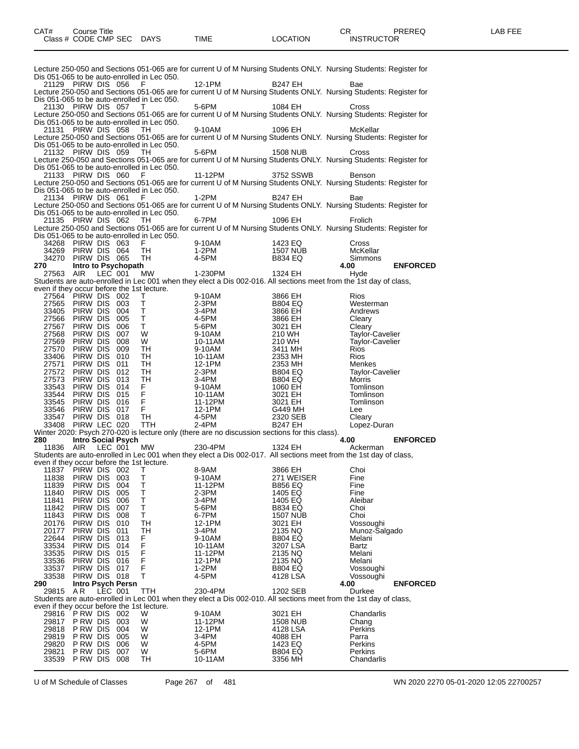|                                                     |                                          |         |            |                                                                                                     |                                                                                                                                                                                                                                                                                        |                                                                                                                                                                                                                                      | Lecture 250-050 and Sections 051-065 are for current U of M Nursing Students ONLY. Nursing Students: Register for |                 |
|-----------------------------------------------------|------------------------------------------|---------|------------|-----------------------------------------------------------------------------------------------------|----------------------------------------------------------------------------------------------------------------------------------------------------------------------------------------------------------------------------------------------------------------------------------------|--------------------------------------------------------------------------------------------------------------------------------------------------------------------------------------------------------------------------------------|-------------------------------------------------------------------------------------------------------------------|-----------------|
|                                                     | 21129 PIRW DIS 056 F                     |         |            | Dis 051-065 to be auto-enrolled in Lec 050.                                                         | 12-1PM                                                                                                                                                                                                                                                                                 | <b>B247 EH</b>                                                                                                                                                                                                                       | Bae                                                                                                               |                 |
|                                                     |                                          |         |            |                                                                                                     |                                                                                                                                                                                                                                                                                        |                                                                                                                                                                                                                                      | Lecture 250-050 and Sections 051-065 are for current U of M Nursing Students ONLY. Nursing Students: Register for |                 |
|                                                     | 21130 PIRW DIS 057 T                     |         |            | Dis 051-065 to be auto-enrolled in Lec 050.                                                         | 5-6PM                                                                                                                                                                                                                                                                                  | 1084 EH                                                                                                                                                                                                                              | Cross                                                                                                             |                 |
|                                                     |                                          |         |            |                                                                                                     |                                                                                                                                                                                                                                                                                        |                                                                                                                                                                                                                                      | Lecture 250-050 and Sections 051-065 are for current U of M Nursing Students ONLY. Nursing Students: Register for |                 |
|                                                     | 21131 PIRW DIS 058 TH                    |         |            | Dis 051-065 to be auto-enrolled in Lec 050.                                                         | 9-10AM                                                                                                                                                                                                                                                                                 | 1096 EH                                                                                                                                                                                                                              | McKellar                                                                                                          |                 |
|                                                     |                                          |         |            |                                                                                                     |                                                                                                                                                                                                                                                                                        |                                                                                                                                                                                                                                      | Lecture 250-050 and Sections 051-065 are for current U of M Nursing Students ONLY. Nursing Students: Register for |                 |
|                                                     | 21132 PIRW DIS 059 TH                    |         |            | Dis 051-065 to be auto-enrolled in Lec 050.                                                         | 5-6PM                                                                                                                                                                                                                                                                                  | <b>1508 NUB</b>                                                                                                                                                                                                                      | Cross                                                                                                             |                 |
|                                                     |                                          |         |            |                                                                                                     |                                                                                                                                                                                                                                                                                        |                                                                                                                                                                                                                                      | Lecture 250-050 and Sections 051-065 are for current U of M Nursing Students ONLY. Nursing Students: Register for |                 |
|                                                     | 21133 PIRW DIS 060 F                     |         |            | Dis 051-065 to be auto-enrolled in Lec 050.                                                         | 11-12PM                                                                                                                                                                                                                                                                                | 3752 SSWB                                                                                                                                                                                                                            | Benson                                                                                                            |                 |
|                                                     |                                          |         |            |                                                                                                     |                                                                                                                                                                                                                                                                                        |                                                                                                                                                                                                                                      | Lecture 250-050 and Sections 051-065 are for current U of M Nursing Students ONLY. Nursing Students: Register for |                 |
|                                                     | 21134 PIRW DIS 061 F                     |         |            | Dis 051-065 to be auto-enrolled in Lec 050.                                                         | $1-2PM$                                                                                                                                                                                                                                                                                | B247 EH                                                                                                                                                                                                                              | Bae                                                                                                               |                 |
|                                                     |                                          |         |            |                                                                                                     |                                                                                                                                                                                                                                                                                        |                                                                                                                                                                                                                                      | Lecture 250-050 and Sections 051-065 are for current U of M Nursing Students ONLY. Nursing Students: Register for |                 |
|                                                     | 21135 PIRW DIS 062 TH                    |         |            | Dis 051-065 to be auto-enrolled in Lec 050.                                                         | 6-7PM                                                                                                                                                                                                                                                                                  | 1096 EH                                                                                                                                                                                                                              | Frolich                                                                                                           |                 |
|                                                     |                                          |         |            |                                                                                                     |                                                                                                                                                                                                                                                                                        |                                                                                                                                                                                                                                      | Lecture 250-050 and Sections 051-065 are for current U of M Nursing Students ONLY. Nursing Students: Register for |                 |
|                                                     |                                          |         |            | Dis 051-065 to be auto-enrolled in Lec 050.                                                         |                                                                                                                                                                                                                                                                                        |                                                                                                                                                                                                                                      | Cross                                                                                                             |                 |
|                                                     |                                          |         |            |                                                                                                     |                                                                                                                                                                                                                                                                                        |                                                                                                                                                                                                                                      | McKellar                                                                                                          |                 |
|                                                     |                                          |         |            |                                                                                                     |                                                                                                                                                                                                                                                                                        | 1423 EQ Cr<br>1507 NUB M<br>B834 EQ Sii<br><b>4.00</b>                                                                                                                                                                               | Simmons                                                                                                           |                 |
|                                                     |                                          |         |            |                                                                                                     |                                                                                                                                                                                                                                                                                        | 34268 PIRW DIS 063 F<br>34268 PIRW DIS 063 F<br>34269 PIRW DIS 064 TH<br>34270 PIRW DIS 065 TH<br>34270 PIRW DIS 065 TH<br>34270 PIRW DIS 065 TH<br>4-5PM B834 EQ<br>270 Intro to Psychopath<br>27563 AIR LEC 001 MW 1-230PM 1324 EH | Hyde                                                                                                              | <b>ENFORCED</b> |
|                                                     |                                          |         |            |                                                                                                     |                                                                                                                                                                                                                                                                                        |                                                                                                                                                                                                                                      | Students are auto-enrolled in Lec 001 when they elect a Dis 002-016. All sections meet from the 1st day of class, |                 |
|                                                     |                                          |         |            | even if they occur before the 1st lecture.                                                          |                                                                                                                                                                                                                                                                                        |                                                                                                                                                                                                                                      |                                                                                                                   |                 |
|                                                     | 27564 PIRW DIS 002<br>27565 PIRW DIS 003 |         |            | T                                                                                                   |                                                                                                                                                                                                                                                                                        |                                                                                                                                                                                                                                      | <b>Rios</b><br>Westerman                                                                                          |                 |
|                                                     | 33405 PIRW DIS 004                       |         |            |                                                                                                     |                                                                                                                                                                                                                                                                                        |                                                                                                                                                                                                                                      | Andrews                                                                                                           |                 |
|                                                     | 27566 PIRW DIS 005                       |         |            | $\begin{array}{c}\n\mathsf{I} \\ \mathsf{I} \\ \mathsf{I} \\ \mathsf{V} \\ \mathsf{W}\n\end{array}$ | 9-10AM<br>2-3PM<br>2-3PM<br>4-5PM<br>5-6PM<br>5-6PM<br>9-10AM<br>10-11AM<br>10-11AM<br>12-1PM<br>2-3PM<br>3-4PM<br>11-12PM<br>10-11AM<br>10-11AM<br>10-11AM<br>12-1PM<br>2-3PM<br>3-4PM<br>10-11AM<br>12-1PM<br>12-1PM<br>12-1PM<br>12-1PM<br>12-1PM<br>12-1PM<br>12-1PM<br>12-1PM<br> |                                                                                                                                                                                                                                      | Cleary                                                                                                            |                 |
|                                                     | 27567 PIRW DIS 006                       |         |            |                                                                                                     |                                                                                                                                                                                                                                                                                        |                                                                                                                                                                                                                                      | Cleary                                                                                                            |                 |
|                                                     | 27568 PIRW DIS 007<br>27569 PIRW DIS 008 |         |            | W                                                                                                   |                                                                                                                                                                                                                                                                                        |                                                                                                                                                                                                                                      | Taylor-Cavelier<br><b>Taylor-Cavelier</b>                                                                         |                 |
|                                                     | 27570 PIRW DIS 009                       |         |            | TH                                                                                                  |                                                                                                                                                                                                                                                                                        |                                                                                                                                                                                                                                      | <b>Rios</b>                                                                                                       |                 |
|                                                     | 33406 PIRW DIS 010                       |         |            | TH                                                                                                  |                                                                                                                                                                                                                                                                                        |                                                                                                                                                                                                                                      | Rios                                                                                                              |                 |
| 27571                                               | PIRW DIS 011<br>27572 PIRW DIS 012       |         |            | TH<br>TH                                                                                            |                                                                                                                                                                                                                                                                                        |                                                                                                                                                                                                                                      | Menkes<br>Taylor-Cavelier                                                                                         |                 |
|                                                     | 27573 PIRW DIS 013                       |         |            | TH                                                                                                  |                                                                                                                                                                                                                                                                                        |                                                                                                                                                                                                                                      | Morris                                                                                                            |                 |
|                                                     | 33543 PIRW DIS 014                       |         |            |                                                                                                     |                                                                                                                                                                                                                                                                                        |                                                                                                                                                                                                                                      | Tomlinson                                                                                                         |                 |
|                                                     | 33544 PIRW DIS 015                       |         |            |                                                                                                     |                                                                                                                                                                                                                                                                                        |                                                                                                                                                                                                                                      | Tomlinson                                                                                                         |                 |
|                                                     | 33545 PIRW DIS 016<br>33546 PIRW DIS 017 |         |            |                                                                                                     |                                                                                                                                                                                                                                                                                        |                                                                                                                                                                                                                                      | Tomlinson<br>Lee                                                                                                  |                 |
|                                                     | 33547 PIRW DIS 018                       |         |            | ᅚ<br>ᅚ<br>ᄁᄔ                                                                                        |                                                                                                                                                                                                                                                                                        |                                                                                                                                                                                                                                      | Cleary                                                                                                            |                 |
|                                                     | 33408 PIRW LEC 020                       |         |            |                                                                                                     |                                                                                                                                                                                                                                                                                        |                                                                                                                                                                                                                                      | Lopez-Duran                                                                                                       |                 |
| 280 — 1                                             | Intro Social Psych                       |         |            |                                                                                                     |                                                                                                                                                                                                                                                                                        | Winter 2020: Psych 270-020 is lecture only (there are no discussion sections for this class).                                                                                                                                        | 4.00                                                                                                              | <b>ENFORCED</b> |
|                                                     | 11836 AIR LEC 001 MW                     |         |            |                                                                                                     | 230-4PM                                                                                                                                                                                                                                                                                | 1324 EH                                                                                                                                                                                                                              | Ackerman                                                                                                          |                 |
|                                                     |                                          |         |            |                                                                                                     |                                                                                                                                                                                                                                                                                        |                                                                                                                                                                                                                                      | Students are auto-enrolled in Lec 001 when they elect a Dis 002-017. All sections meet from the 1st day of class, |                 |
| even if they occur before the 1st lecture.          |                                          |         |            |                                                                                                     |                                                                                                                                                                                                                                                                                        |                                                                                                                                                                                                                                      |                                                                                                                   |                 |
| 11838                                               | 11837 PIRW DIS 002<br>PIRW DIS 003       |         |            | T.<br>Τ                                                                                             | 8-9AM<br>9-10AM                                                                                                                                                                                                                                                                        | 3866 EH<br>271 WEISER                                                                                                                                                                                                                | Choi<br>Fine                                                                                                      |                 |
| 11839                                               | PIRW DIS 004                             |         |            | Т                                                                                                   | 11-12PM                                                                                                                                                                                                                                                                                | <b>B856 EQ</b>                                                                                                                                                                                                                       | Fine                                                                                                              |                 |
| 11840                                               | PIRW DIS                                 |         | 005        | Т                                                                                                   | 2-3PM                                                                                                                                                                                                                                                                                  | 1405 EQ                                                                                                                                                                                                                              | Fine                                                                                                              |                 |
| 11841<br>11842                                      | PIRW DIS<br>PIRW DIS                     |         | 006<br>007 | т<br>т                                                                                              | 3-4PM<br>5-6PM                                                                                                                                                                                                                                                                         | 1405 EQ<br><b>B834 EQ</b>                                                                                                                                                                                                            | Aleibar<br>Choi                                                                                                   |                 |
| 11843                                               | Pirw Dis                                 |         | 008        | т                                                                                                   | 6-7PM                                                                                                                                                                                                                                                                                  | 1507 NUB                                                                                                                                                                                                                             | Choi                                                                                                              |                 |
| 20176                                               | Pirw Dis                                 |         | 010        | TН                                                                                                  | 12-1PM                                                                                                                                                                                                                                                                                 | 3021 EH                                                                                                                                                                                                                              | Vossoughi                                                                                                         |                 |
| 20177                                               | PIRW DIS                                 |         | 011        | TH                                                                                                  | 3-4PM                                                                                                                                                                                                                                                                                  | 2135 NQ                                                                                                                                                                                                                              | Munoz-Salgado                                                                                                     |                 |
| 22644<br>33534                                      | Pirw Dis<br>PIRW DIS 014                 |         | 013        | F<br>F                                                                                              | 9-10AM<br>10-11AM                                                                                                                                                                                                                                                                      | <b>B804 EQ</b><br>3207 LSA                                                                                                                                                                                                           | Melani<br>Bartz                                                                                                   |                 |
| 33535                                               | PIRW DIS                                 |         | 015        | F<br>F                                                                                              | 11-12PM                                                                                                                                                                                                                                                                                | 2135 NQ                                                                                                                                                                                                                              | Melani                                                                                                            |                 |
| 33536                                               | PIRW DIS 016                             |         |            |                                                                                                     | 12-1PM                                                                                                                                                                                                                                                                                 | 2135 NQ                                                                                                                                                                                                                              | Melani                                                                                                            |                 |
| 33537<br>33538                                      | PIRW DIS 017<br>PIRW DIS 018             |         |            | F<br>т                                                                                              | 1-2PM<br>4-5PM                                                                                                                                                                                                                                                                         | <b>B804 EQ</b><br>4128 LSA                                                                                                                                                                                                           | Vossoughi<br>Vossoughi                                                                                            |                 |
| 290                                                 | <b>Intro Psych Persn</b>                 |         |            |                                                                                                     |                                                                                                                                                                                                                                                                                        |                                                                                                                                                                                                                                      | 4.00                                                                                                              | <b>ENFORCED</b> |
| 29815                                               | A R                                      | LEC 001 |            | TTH                                                                                                 | 230-4PM                                                                                                                                                                                                                                                                                | 1202 SEB                                                                                                                                                                                                                             | Durkee                                                                                                            |                 |
|                                                     |                                          |         |            |                                                                                                     |                                                                                                                                                                                                                                                                                        |                                                                                                                                                                                                                                      | Students are auto-enrolled in Lec 001 when they elect a Dis 002-010. All sections meet from the 1st day of class, |                 |
| even if they occur before the 1st lecture.<br>29816 | <b>P RW DIS 002</b>                      |         |            | W                                                                                                   | 9-10AM                                                                                                                                                                                                                                                                                 | 3021 EH                                                                                                                                                                                                                              | Chandarlis                                                                                                        |                 |
| 29817                                               | P RW DIS                                 |         | 003        | W                                                                                                   | 11-12PM                                                                                                                                                                                                                                                                                | 1508 NUB                                                                                                                                                                                                                             | Chang                                                                                                             |                 |
| 29818                                               | P RW DIS                                 |         | 004        | W                                                                                                   | 12-1PM                                                                                                                                                                                                                                                                                 | 4128 LSA                                                                                                                                                                                                                             | Perkins                                                                                                           |                 |
| 29819<br>29820                                      | P RW DIS<br>P RW DIS                     |         | 005<br>006 | W<br>W                                                                                              | 3-4PM<br>4-5PM                                                                                                                                                                                                                                                                         | 4088 EH<br>1423 EQ                                                                                                                                                                                                                   | Parra<br>Perkins                                                                                                  |                 |
| 29821                                               | P RW DIS                                 |         | 007        | W                                                                                                   | 5-6PM                                                                                                                                                                                                                                                                                  | B804 EQ                                                                                                                                                                                                                              | Perkins                                                                                                           |                 |
| 33539                                               | PRW DIS 008                              |         |            | TН                                                                                                  | 10-11AM                                                                                                                                                                                                                                                                                | 3356 MH                                                                                                                                                                                                                              | Chandarlis                                                                                                        |                 |

U of M Schedule of Classes Page 267 of 481 WN 2020 2270 05-01-2020 12:05 22700257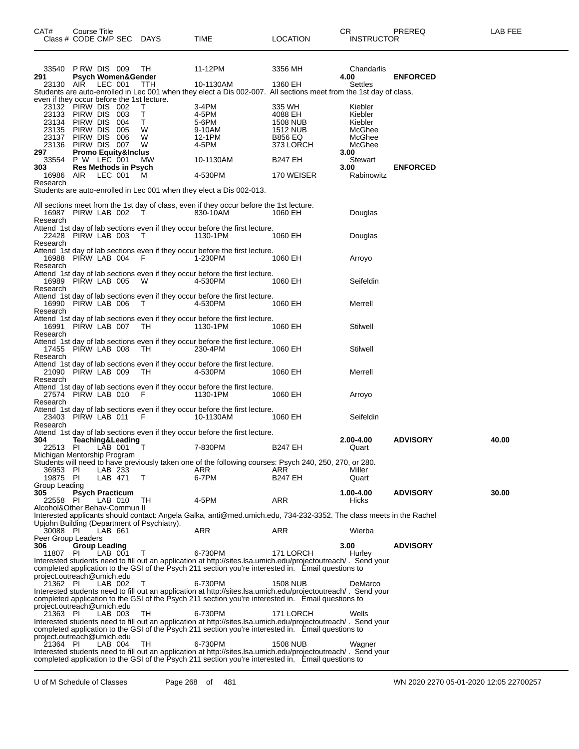| 33540                                               | PRW DIS 009                  |         |                                                 | TH.                                         | 11-12PM                                                                                                                                                                                                             | 3356 MH                     | Chandarlis         |                 |       |
|-----------------------------------------------------|------------------------------|---------|-------------------------------------------------|---------------------------------------------|---------------------------------------------------------------------------------------------------------------------------------------------------------------------------------------------------------------------|-----------------------------|--------------------|-----------------|-------|
| 291<br>23130                                        | AIR                          | LEC 001 |                                                 | <b>Psych Women&amp;Gender</b><br>TTH        | 10-1130AM                                                                                                                                                                                                           | 1360 EH                     | 4.00<br>Settles    | <b>ENFORCED</b> |       |
|                                                     |                              |         |                                                 |                                             | Students are auto-enrolled in Lec 001 when they elect a Dis 002-007. All sections meet from the 1st day of class,                                                                                                   |                             |                    |                 |       |
| even if they occur before the 1st lecture.<br>23132 | PIRW DIS 002                 |         |                                                 | Τ                                           | 3-4PM                                                                                                                                                                                                               | 335 WH                      | Kiebler            |                 |       |
| 23133                                               | PIRW DIS 003                 |         |                                                 | Т                                           | 4-5PM                                                                                                                                                                                                               | 4088 EH                     | Kiebler            |                 |       |
| 23134<br>23135                                      | PIRW DIS 004<br>PIRW DIS 005 |         |                                                 | Т<br>W                                      | 5-6PM<br>9-10AM                                                                                                                                                                                                     | <b>1508 NUB</b><br>1512 NUB | Kiebler<br>McGhee  |                 |       |
| 23137                                               | PIRW DIS 006                 |         |                                                 | W                                           | 12-1PM                                                                                                                                                                                                              | <b>B856 EQ</b>              | McGhee             |                 |       |
| 23136 PIRW DIS 007<br>297                           |                              |         | <b>Promo Equity&amp;Inclus</b>                  | W                                           | 4-5PM                                                                                                                                                                                                               | 373 LORCH                   | McGhee<br>3.00     |                 |       |
| 33554                                               | P W LEC 001                  |         |                                                 | МW                                          | 10-1130AM                                                                                                                                                                                                           | <b>B247 EH</b>              | Stewart            |                 |       |
| 303<br>16986                                        | AIR                          |         | <b>Res Methods in Psych</b><br>LEC 001          | м                                           | 4-530PM                                                                                                                                                                                                             | 170 WEISER                  | 3.00<br>Rabinowitz | <b>ENFORCED</b> |       |
| Research                                            |                              |         |                                                 |                                             |                                                                                                                                                                                                                     |                             |                    |                 |       |
|                                                     |                              |         |                                                 |                                             | Students are auto-enrolled in Lec 001 when they elect a Dis 002-013.                                                                                                                                                |                             |                    |                 |       |
|                                                     |                              |         |                                                 |                                             | All sections meet from the 1st day of class, even if they occur before the 1st lecture.                                                                                                                             |                             |                    |                 |       |
| 16987 PIRW LAB 002<br>Research                      |                              |         |                                                 | T                                           | 830-10AM                                                                                                                                                                                                            | 1060 EH                     | Douglas            |                 |       |
|                                                     |                              |         |                                                 |                                             | Attend 1st day of lab sections even if they occur before the first lecture.                                                                                                                                         |                             |                    |                 |       |
| 22428 PIRW LAB 003<br>Research                      |                              |         |                                                 | $\top$                                      | 1130-1PM                                                                                                                                                                                                            | 1060 EH                     | Douglas            |                 |       |
|                                                     |                              |         |                                                 |                                             | Attend 1st day of lab sections even if they occur before the first lecture.                                                                                                                                         |                             |                    |                 |       |
| 16988 PIRW LAB 004                                  |                              |         |                                                 | - F                                         | 1-230PM                                                                                                                                                                                                             | 1060 EH                     | Arroyo             |                 |       |
| Research                                            |                              |         |                                                 |                                             | Attend 1st day of lab sections even if they occur before the first lecture.                                                                                                                                         |                             |                    |                 |       |
| 16989 PIRW LAB 005                                  |                              |         |                                                 | - W                                         | 4-530PM                                                                                                                                                                                                             | 1060 EH                     | Seifeldin          |                 |       |
| Research                                            |                              |         |                                                 |                                             | Attend 1st day of lab sections even if they occur before the first lecture.                                                                                                                                         |                             |                    |                 |       |
| 16990 PIRW LAB 006                                  |                              |         |                                                 | T                                           | 4-530PM                                                                                                                                                                                                             | 1060 EH                     | Merrell            |                 |       |
| Research                                            |                              |         |                                                 |                                             | Attend 1st day of lab sections even if they occur before the first lecture.                                                                                                                                         |                             |                    |                 |       |
| 16991 PIRW LAB 007                                  |                              |         |                                                 | TH                                          | 1130-1PM                                                                                                                                                                                                            | 1060 EH                     | Stilwell           |                 |       |
| Research                                            |                              |         |                                                 |                                             | Attend 1st day of lab sections even if they occur before the first lecture.                                                                                                                                         |                             |                    |                 |       |
| 17455 PIRW LAB 008                                  |                              |         |                                                 | TH.                                         | 230-4PM                                                                                                                                                                                                             | 1060 EH                     | Stilwell           |                 |       |
| Research                                            |                              |         |                                                 |                                             | Attend 1st day of lab sections even if they occur before the first lecture.                                                                                                                                         |                             |                    |                 |       |
| 21090 PIRW LAB 009                                  |                              |         |                                                 | TH.                                         | 4-530PM                                                                                                                                                                                                             | 1060 EH                     | Merrell            |                 |       |
| Research                                            |                              |         |                                                 |                                             | Attend 1st day of lab sections even if they occur before the first lecture.                                                                                                                                         |                             |                    |                 |       |
| 27574 PIRW LAB 010                                  |                              |         |                                                 | - F                                         | 1130-1PM                                                                                                                                                                                                            | 1060 EH                     | Arroyo             |                 |       |
| Research                                            |                              |         |                                                 |                                             | Attend 1st day of lab sections even if they occur before the first lecture.                                                                                                                                         |                             |                    |                 |       |
| 23403 PIRW LAB 011                                  |                              |         |                                                 | - F                                         | 10-1130AM                                                                                                                                                                                                           | 1060 EH                     | Seifeldin          |                 |       |
| Research                                            |                              |         |                                                 |                                             | Attend 1st day of lab sections even if they occur before the first lecture.                                                                                                                                         |                             |                    |                 |       |
| 304                                                 |                              |         | day or rap USS.<br>Teaching&Leading<br>AR 001 T |                                             |                                                                                                                                                                                                                     |                             | 2.00-4.00          | <b>ADVISORY</b> | 40.00 |
| 22513 PI<br>Michigan Mentorship Program             |                              |         |                                                 |                                             | 7-830PM                                                                                                                                                                                                             | <b>B247 EH</b>              | Quart              |                 |       |
|                                                     |                              |         |                                                 |                                             | Students will need to have previously taken one of the following courses: Psych 240, 250, 270, or 280.                                                                                                              |                             |                    |                 |       |
| 36953 PI                                            |                              |         | LAB 233                                         |                                             | ARR<br>6-7PM                                                                                                                                                                                                        | ARR                         | Miller             |                 |       |
| 19875 PI<br>Group Leading                           |                              |         | LAB 471                                         | Т                                           |                                                                                                                                                                                                                     | B247 EH                     | Quart              |                 |       |
| 305                                                 |                              |         | <b>Psych Practicum</b><br>LAB 010               |                                             |                                                                                                                                                                                                                     |                             | 1.00-4.00          | <b>ADVISORY</b> | 30.00 |
| 22558 PI<br>Alcohol&Other Behav-Commun II           |                              |         |                                                 | TH                                          | 4-5PM                                                                                                                                                                                                               | ARR                         | Hicks              |                 |       |
|                                                     |                              |         |                                                 |                                             | Interested applicants should contact: Angela Galka, anti@med.umich.edu, 734-232-3352. The class meets in the Rachel                                                                                                 |                             |                    |                 |       |
| 30088 PI                                            |                              | LAB 661 |                                                 | Upjohn Building (Department of Psychiatry). | ARR                                                                                                                                                                                                                 | ARR                         | Wierba             |                 |       |
| Peer Group Leaders                                  |                              |         |                                                 |                                             |                                                                                                                                                                                                                     |                             |                    |                 |       |
| 306<br>11807                                        | <b>Group Leading</b><br>-PL  |         | LAB 001                                         | Т                                           | 6-730PM                                                                                                                                                                                                             | 171 LORCH                   | 3.00<br>Hurley     | <b>ADVISORY</b> |       |
|                                                     |                              |         |                                                 |                                             | Interested students need to fill out an application at http://sites.lsa.umich.edu/projectoutreach/. Send your                                                                                                       |                             |                    |                 |       |
| project.outreach@umich.edu                          |                              |         |                                                 |                                             | completed application to the GSI of the Psych 211 section you're interested in. Email questions to                                                                                                                  |                             |                    |                 |       |
| 21362 PI                                            |                              |         | LAB 002                                         | Т                                           | 6-730PM                                                                                                                                                                                                             | <b>1508 NUB</b>             | DeMarco            |                 |       |
|                                                     |                              |         |                                                 |                                             | Interested students need to fill out an application at http://sites.lsa.umich.edu/projectoutreach/. Send your<br>completed application to the GSI of the Psych 211 section you're interested in. Email questions to |                             |                    |                 |       |
| project.outreach@umich.edu                          |                              |         |                                                 |                                             |                                                                                                                                                                                                                     |                             |                    |                 |       |
| 21363 PI                                            |                              |         | LAB 003                                         | TH                                          | 6-730PM<br>Interested students need to fill out an application at http://sites.lsa.umich.edu/projectoutreach/. Send your                                                                                            | 171 LORCH                   | Wells              |                 |       |
|                                                     |                              |         |                                                 |                                             | completed application to the GSI of the Psych 211 section you're interested in. Email questions to                                                                                                                  |                             |                    |                 |       |
| project.outreach@umich.edu<br>21364 PI              |                              |         | LAB 004                                         | TH                                          | 6-730PM                                                                                                                                                                                                             | <b>1508 NUB</b>             | Wagner             |                 |       |
|                                                     |                              |         |                                                 |                                             | Interested students need to fill out an application at http://sites.lsa.umich.edu/projectoutreach/. Send your                                                                                                       |                             |                    |                 |       |
|                                                     |                              |         |                                                 |                                             | completed application to the GSI of the Psych 211 section you're interested in. Email questions to                                                                                                                  |                             |                    |                 |       |

U of M Schedule of Classes Page 268 of 481 WN 2020 2270 05-01-2020 12:05 22700257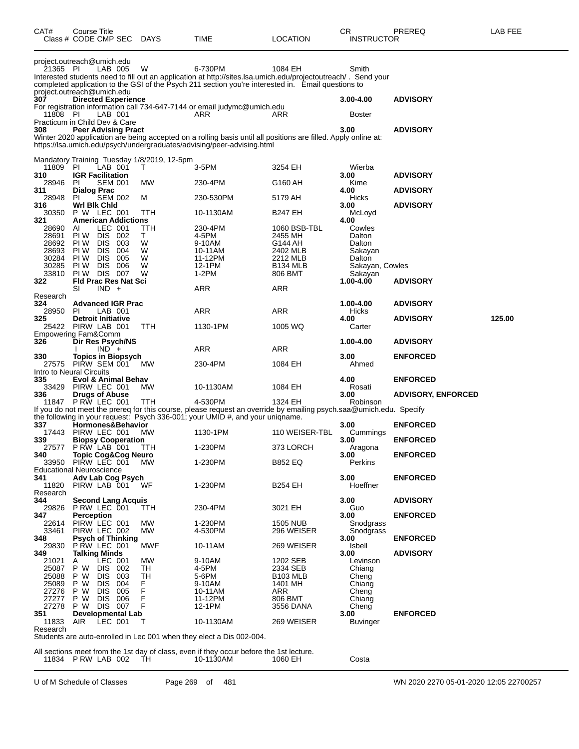| CAT#                                   | <b>Course Title</b>  | Class # CODE CMP SEC                           | <b>DAYS</b>                                      | TIME                                                                                                                                                                                                                           | LOCATION                    | СR<br><b>INSTRUCTOR</b>   | PREREQ                    | LAB FEE |
|----------------------------------------|----------------------|------------------------------------------------|--------------------------------------------------|--------------------------------------------------------------------------------------------------------------------------------------------------------------------------------------------------------------------------------|-----------------------------|---------------------------|---------------------------|---------|
| project.outreach@umich.edu<br>21365 PI |                      | LAB 005                                        | W                                                | 6-730PM<br>Interested students need to fill out an application at http://sites.lsa.umich.edu/projectoutreach/. Send your<br>completed application to the GSI of the Psych 211 section you're interested in. Email questions to | 1084 EH                     | Smith                     |                           |         |
| project.outreach@umich.edu<br>307      |                      | <b>Directed Experience</b>                     |                                                  |                                                                                                                                                                                                                                |                             | 3.00-4.00                 | <b>ADVISORY</b>           |         |
|                                        |                      |                                                |                                                  | For registration information call 734-647-7144 or email judymc@umich.edu                                                                                                                                                       |                             |                           |                           |         |
| 11808 PI                               |                      | LAB 001                                        |                                                  | ARR                                                                                                                                                                                                                            | ARR                         | <b>Boster</b>             |                           |         |
| Practicum in Child Dev & Care          |                      | <b>Peer Advising Pract</b>                     |                                                  |                                                                                                                                                                                                                                |                             | 3.00                      |                           |         |
| 308                                    |                      |                                                |                                                  | Winter 2020 application are being accepted on a rolling basis until all positions are filled. Apply online at:                                                                                                                 |                             |                           | <b>ADVISORY</b>           |         |
|                                        |                      |                                                |                                                  | https://lsa.umich.edu/psych/undergraduates/advising/peer-advising.html                                                                                                                                                         |                             |                           |                           |         |
|                                        |                      |                                                |                                                  |                                                                                                                                                                                                                                |                             |                           |                           |         |
| 11809                                  | PI.                  | LAB 001                                        | Mandatory Training Tuesday 1/8/2019, 12-5pm<br>Τ | 3-5PM                                                                                                                                                                                                                          | 3254 EH                     | Wierba                    |                           |         |
| 310                                    |                      | <b>IGR Facilitation</b>                        |                                                  |                                                                                                                                                                                                                                |                             | 3.00                      | <b>ADVISORY</b>           |         |
| 28946                                  | <b>PI</b>            | <b>SEM 001</b>                                 | МW                                               | 230-4PM                                                                                                                                                                                                                        | G160 AH                     | Kime                      |                           |         |
| 311<br>28948                           | Dialog Prac<br>PI.   | <b>SEM 002</b>                                 | М                                                | 230-530PM                                                                                                                                                                                                                      | 5179 AH                     | 4.00<br>Hicks             | <b>ADVISORY</b>           |         |
| 316                                    | Wrl Blk Chid         |                                                |                                                  |                                                                                                                                                                                                                                |                             | 3.00                      | <b>ADVISORY</b>           |         |
| 30350                                  |                      | P W LEC 001                                    | ттн                                              | 10-1130AM                                                                                                                                                                                                                      | B247 EH                     | McLoyd                    |                           |         |
| 321<br>28690                           | AI                   | <b>American Addictions</b><br>LEC 001          | ттн                                              | 230-4PM                                                                                                                                                                                                                        | 1060 BSB-TBL                | 4.00<br>Cowles            |                           |         |
| 28691                                  | PI W                 | DIS 002                                        | T.                                               | 4-5PM                                                                                                                                                                                                                          | 2455 MH                     | Dalton                    |                           |         |
| 28692                                  | PI W                 | <b>DIS</b><br>- 003                            | W                                                | 9-10AM                                                                                                                                                                                                                         | G144 AH                     | Dalton                    |                           |         |
| 28693                                  | PI W                 | <b>DIS</b><br>004                              | W<br>W                                           | 10-11AM                                                                                                                                                                                                                        | 2402 MLB                    | Sakayan                   |                           |         |
| 30284<br>30285                         | PI W<br>PI W         | <b>DIS</b><br>- 005<br>DIS 006                 | W                                                | 11-12PM<br>12-1PM                                                                                                                                                                                                              | 2212 MLB<br><b>B134 MLB</b> | Dalton<br>Sakayan, Cowles |                           |         |
| 33810                                  |                      | PIW DIS 007                                    | w                                                | $1-2PM$                                                                                                                                                                                                                        | 806 BMT                     | Sakayan                   |                           |         |
| 322                                    |                      | <b>Fld Prac Res Nat Sci</b>                    |                                                  |                                                                                                                                                                                                                                |                             | 1.00-4.00                 | <b>ADVISORY</b>           |         |
| Research                               | SI                   | $IND +$                                        |                                                  | ARR                                                                                                                                                                                                                            | ARR                         |                           |                           |         |
| 324                                    |                      | <b>Advanced IGR Prac</b>                       |                                                  |                                                                                                                                                                                                                                |                             | 1.00-4.00                 | <b>ADVISORY</b>           |         |
| 28950                                  | PL                   | LAB 001                                        |                                                  | ARR                                                                                                                                                                                                                            | ARR                         | Hicks                     |                           |         |
| 325<br>25422                           |                      | <b>Detroit Initiative</b><br>PIRW LAB 001      | ттн                                              | 1130-1PM                                                                                                                                                                                                                       | 1005 WQ                     | 4.00<br>Carter            | <b>ADVISORY</b>           | 125.00  |
| Empowering Fam&Comm                    |                      |                                                |                                                  |                                                                                                                                                                                                                                |                             |                           |                           |         |
| 326                                    |                      | Dir Res Psych/NS                               |                                                  |                                                                                                                                                                                                                                |                             | 1.00-4.00                 | <b>ADVISORY</b>           |         |
| 330                                    |                      | $IND +$                                        |                                                  | ARR                                                                                                                                                                                                                            | ARR                         | 3.00                      | <b>ENFORCED</b>           |         |
| 27575                                  |                      | <b>Topics in Biopsych</b><br>PIRW SEM 001      | MW                                               | 230-4PM                                                                                                                                                                                                                        | 1084 EH                     | Ahmed                     |                           |         |
| Intro to Neural Circuits               |                      |                                                |                                                  |                                                                                                                                                                                                                                |                             |                           |                           |         |
| 335                                    |                      | Evol & Animal Behav                            |                                                  |                                                                                                                                                                                                                                |                             | 4.00                      | <b>ENFORCED</b>           |         |
| 33429<br>336                           |                      | PIRW LEC 001<br><b>Drugs of Abuse</b>          | МW                                               | 10-1130AM                                                                                                                                                                                                                      | 1084 EH                     | Rosati<br>3.00            | <b>ADVISORY, ENFORCED</b> |         |
| 11847                                  |                      | PRW LEC 001                                    | ттн                                              | 4-530PM                                                                                                                                                                                                                        | 1324 EH                     | Robinson                  |                           |         |
|                                        |                      |                                                |                                                  | If you do not meet the prereq for this course, please request an override by emailing psych.saa@umich.edu. Specify                                                                                                             |                             |                           |                           |         |
| 337                                    |                      | Hormones&Behavior                              |                                                  | the following in your request: Psych 336-001; your UMID #, and your uniqname.                                                                                                                                                  |                             | 3.00                      | <b>ENFORCED</b>           |         |
| 17443                                  |                      | PIRW LEC 001                                   | МW                                               | 1130-1PM                                                                                                                                                                                                                       | 110 WEISER-TBL              | Cummings                  |                           |         |
| 339                                    |                      | <b>Biopsy Cooperation</b>                      |                                                  |                                                                                                                                                                                                                                |                             | 3.00                      | <b>ENFORCED</b>           |         |
| 27577<br>340                           |                      | P RW LAB 001<br><b>Topic Cog&amp;Cog Neuro</b> | TTH                                              | 1-230PM                                                                                                                                                                                                                        | 373 LORCH                   | Aragona<br>3.00           | <b>ENFORCED</b>           |         |
| 33950                                  |                      | PIRW LEC 001                                   | MW                                               | 1-230PM                                                                                                                                                                                                                        | B852 EQ                     | Perkins                   |                           |         |
| <b>Educational Neuroscience</b>        |                      |                                                |                                                  |                                                                                                                                                                                                                                |                             |                           |                           |         |
| 341<br>11820                           |                      | Adv Lab Cog Psych<br>PIRW LAB 001              | WF                                               | 1-230PM                                                                                                                                                                                                                        | B254 EH                     | 3.00<br>Hoeffner          | <b>ENFORCED</b>           |         |
| Research                               |                      |                                                |                                                  |                                                                                                                                                                                                                                |                             |                           |                           |         |
| 344                                    |                      | <b>Second Lang Acquis</b>                      |                                                  |                                                                                                                                                                                                                                |                             | 3.00                      | <b>ADVISORY</b>           |         |
| 29826<br>347                           | <b>Perception</b>    | PRW LEC 001                                    | TTH                                              | 230-4PM                                                                                                                                                                                                                        | 3021 EH                     | Guo<br>3.00               | <b>ENFORCED</b>           |         |
| 22614                                  |                      | PIRW LEC 001                                   | MW                                               | 1-230PM                                                                                                                                                                                                                        | <b>1505 NUB</b>             | Snodgrass                 |                           |         |
| 33461                                  |                      | PIRW LEC 002                                   | MW                                               | 4-530PM                                                                                                                                                                                                                        | 296 WEISER                  | Snodgrass                 |                           |         |
| 348<br>29830                           |                      | <b>Psych of Thinking</b><br>P RW LEC 001       | <b>MWF</b>                                       | 10-11AM                                                                                                                                                                                                                        | 269 WEISER                  | 3.00<br>Isbell            | <b>ENFORCED</b>           |         |
| 349                                    | <b>Talking Minds</b> |                                                |                                                  |                                                                                                                                                                                                                                |                             | 3.00                      | <b>ADVISORY</b>           |         |
| 21021                                  | A                    | LEC 001                                        | MW                                               | 9-10AM                                                                                                                                                                                                                         | 1202 SEB                    | Levinson                  |                           |         |
| 25087                                  | P W                  | DIS.<br>002                                    | TH                                               | 4-5PM                                                                                                                                                                                                                          | 2334 SEB                    | Chiang                    |                           |         |
| 25088<br>25089                         | P W<br>P W           | <b>DIS</b><br>003<br><b>DIS</b><br>004         | TН<br>F.                                         | 5-6PM<br>9-10AM                                                                                                                                                                                                                | <b>B103 MLB</b><br>1401 MH  | Cheng<br>Chiang           |                           |         |
| 27276                                  | P W                  | DIS.<br>005                                    | F                                                | 10-11AM                                                                                                                                                                                                                        | ARR                         | Cheng                     |                           |         |
| 27277                                  | P W                  | DIS 006                                        | F                                                | 11-12PM                                                                                                                                                                                                                        | 806 BMT                     | Chiang                    |                           |         |
| 27278<br>351                           |                      | P W DIS 007<br>Developmental Lab               | F                                                | 12-1PM                                                                                                                                                                                                                         | 3556 DANA                   | Cheng<br>3.00             | <b>ENFORCED</b>           |         |
| 11833                                  | AIR.                 | LEC 001                                        | Т                                                | 10-1130AM                                                                                                                                                                                                                      | 269 WEISER                  | <b>Buvinger</b>           |                           |         |
| Research                               |                      |                                                |                                                  |                                                                                                                                                                                                                                |                             |                           |                           |         |
|                                        |                      |                                                |                                                  | Students are auto-enrolled in Lec 001 when they elect a Dis 002-004.                                                                                                                                                           |                             |                           |                           |         |

All sections meet from the 1st day of class, even if they occur before the 1st lecture.

P RW LAB 002 TH 10-1130AM 1060 EH Costa

U of M Schedule of Classes Page 269 of 481 WN 2020 2270 05-01-2020 12:05 22700257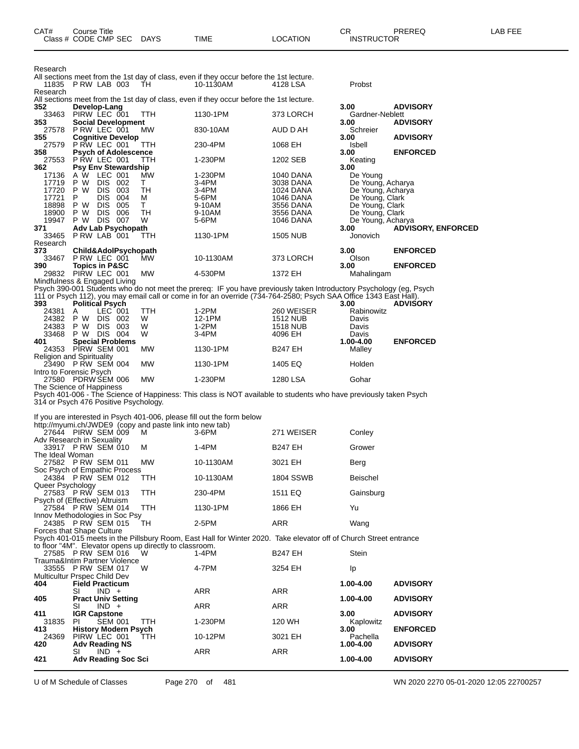|                   | Class # CODE CMP SEC                                                           | <b>DAYS</b> | TIME                                                                                                                                                                                                                                    | LOCATION                      | INSTRUCTOR                         |                           |
|-------------------|--------------------------------------------------------------------------------|-------------|-----------------------------------------------------------------------------------------------------------------------------------------------------------------------------------------------------------------------------------------|-------------------------------|------------------------------------|---------------------------|
|                   |                                                                                |             |                                                                                                                                                                                                                                         |                               |                                    |                           |
| Research          |                                                                                |             |                                                                                                                                                                                                                                         |                               |                                    |                           |
|                   |                                                                                |             | All sections meet from the 1st day of class, even if they occur before the 1st lecture.                                                                                                                                                 |                               |                                    |                           |
| 11835<br>Research | PRW LAB 003                                                                    | TH          | 10-1130AM                                                                                                                                                                                                                               | 4128 LSA                      | Probst                             |                           |
|                   |                                                                                |             | All sections meet from the 1st day of class, even if they occur before the 1st lecture.                                                                                                                                                 |                               |                                    |                           |
| 352<br>33463      | Develop-Lang<br>PIRW LEC 001                                                   | TTH.        | 1130-1PM                                                                                                                                                                                                                                | 373 LORCH                     | 3.00<br>Gardner-Neblett            | <b>ADVISORY</b>           |
| 353               | <b>Social Development</b>                                                      |             |                                                                                                                                                                                                                                         |                               | 3.00                               | <b>ADVISORY</b>           |
| 355               | 27578 PRW LEC 001<br><b>Cognitive Develop</b>                                  | MW          | 830-10AM                                                                                                                                                                                                                                | AUD D AH                      | Schreier<br>3.00                   | <b>ADVISORY</b>           |
| 27579             | PRW LEC 001<br><b>Psych of Adolescence</b>                                     | TTH         | 230-4PM                                                                                                                                                                                                                                 | 1068 EH                       | Isbell                             |                           |
| 358               | 27553 P RW LEC 001                                                             | TTH.        | 1-230PM                                                                                                                                                                                                                                 | 1202 SEB                      | 3.00<br>Keating                    | <b>ENFORCED</b>           |
| 362               | <b>Psy Env Stewardship</b><br>A W LEC 001                                      | MW          | 1-230PM                                                                                                                                                                                                                                 |                               | 3.00                               |                           |
| 17136<br>17719    | P W DIS 002                                                                    | T.          | 3-4PM                                                                                                                                                                                                                                   | 1040 DANA<br>3038 DANA        | De Young<br>De Young, Acharya      |                           |
| 17720             | P W<br>DIS 003                                                                 | TН          | 3-4PM                                                                                                                                                                                                                                   | 1024 DANA                     | De Young, Acharya                  |                           |
| 17721<br>18898    | <b>DIS</b><br>004<br>P<br>DIS.<br>005<br>P W                                   | М<br>T.     | 5-6PM<br>9-10AM                                                                                                                                                                                                                         | <b>1046 DANA</b><br>3556 DANA | De Young, Clark<br>De Young, Clark |                           |
| 18900             | <b>DIS</b><br>006<br>P W                                                       | TН          | 9-10AM                                                                                                                                                                                                                                  | 3556 DANA                     | De Young, Clark                    |                           |
| 19947<br>371      | P W DIS 007<br>Adv Lab Psychopath                                              | W           | 5-6PM                                                                                                                                                                                                                                   | 1046 DANA                     | De Young, Acharya<br>3.00          | <b>ADVISORY, ENFORCED</b> |
| 33465             | P RW LAB 001                                                                   | ттн         | 1130-1PM                                                                                                                                                                                                                                | 1505 NUB                      | Jonovich                           |                           |
| Research<br>373   | Child&AdolPsychopath                                                           |             |                                                                                                                                                                                                                                         |                               | 3.00                               | <b>ENFORCED</b>           |
| 33467             | P RW LEC 001                                                                   | MW.         | 10-1130AM                                                                                                                                                                                                                               | 373 LORCH                     | Olson                              |                           |
| 390               | <b>Topics in P&amp;SC</b><br>29832 PIRW LEC 001                                | <b>MW</b>   | 4-530PM                                                                                                                                                                                                                                 | 1372 EH                       | 3.00<br>Mahalingam                 | <b>ENFORCED</b>           |
|                   | Mindfulness & Engaged Living                                                   |             |                                                                                                                                                                                                                                         |                               |                                    |                           |
|                   |                                                                                |             | Psych 390-001 Students who do not meet the prereq: IF you have previously taken Introductory Psychology (eg, Psych<br>111 or Psych 112), you may email call or come in for an override (734-764-2580; Psych SAA Office 1343 East Hall). |                               |                                    |                           |
| 393               | <b>Political Psych</b>                                                         |             |                                                                                                                                                                                                                                         |                               | 3.00                               | <b>ADVISORY</b>           |
| 24381             | LEC 001<br>A<br>24382 P W DIS 002                                              | TTH<br>W    | 1-2PM<br>12-1PM                                                                                                                                                                                                                         | 260 WEISER<br>1512 NUB        | Rabinowitz<br>Davis                |                           |
| 24383             | DIS 003<br>P W                                                                 | W           | 1-2PM                                                                                                                                                                                                                                   | 1518 NUB                      | Davis                              |                           |
| 33468<br>401      | P W DIS 004<br><b>Special Problems</b>                                         | W           | 3-4PM                                                                                                                                                                                                                                   | 4096 EH                       | Davis<br>1.00-4.00                 | <b>ENFORCED</b>           |
|                   | 24353 PIRW SEM 001                                                             | МW          | 1130-1PM                                                                                                                                                                                                                                | <b>B247 EH</b>                | Malley                             |                           |
|                   | <b>Religion and Spirituality</b><br>23490 P RW SEM 004                         | <b>MW</b>   | 1130-1PM                                                                                                                                                                                                                                | 1405 EQ                       | Holden                             |                           |
|                   | Intro to Forensic Psych                                                        |             |                                                                                                                                                                                                                                         |                               |                                    |                           |
|                   | 27580 PDRW SEM 006<br>The Science of Happiness                                 | <b>MW</b>   | 1-230PM                                                                                                                                                                                                                                 | 1280 LSA                      | Gohar                              |                           |
|                   |                                                                                |             | Psych 401-006 - The Science of Happiness: This class is NOT available to students who have previously taken Psych                                                                                                                       |                               |                                    |                           |
|                   | 314 or Psych 476 Positive Psychology.                                          |             |                                                                                                                                                                                                                                         |                               |                                    |                           |
|                   |                                                                                |             | If you are interested in Psych 401-006, please fill out the form below                                                                                                                                                                  |                               |                                    |                           |
|                   | http://myumi.ch/JWDE9 (copy and paste link into new tab)<br>27644 PIRW SEM 009 | м           | $3-6$ PM                                                                                                                                                                                                                                | 271 WEISER                    | Conley                             |                           |
|                   | Adv Research in Sexuality<br>33917 P RW SEM 010                                | м           | 1-4PM                                                                                                                                                                                                                                   | <b>B247 EH</b>                | Grower                             |                           |
| The Ideal Woman   |                                                                                |             |                                                                                                                                                                                                                                         |                               |                                    |                           |
|                   | 27582 PRW SEM 011<br>Soc Psych of Empathic Process                             | MW          | 10-1130AM                                                                                                                                                                                                                               | 3021 EH                       | Berg                               |                           |
|                   | 24384 P RW SEM 012                                                             | TTH         | 10-1130AM                                                                                                                                                                                                                               | <b>1804 SSWB</b>              | Beischel                           |                           |
| Queer Psychology  | 27583 PRW SEM 013                                                              | TTH         | 230-4PM                                                                                                                                                                                                                                 | 1511 EQ                       | Gainsburg                          |                           |
|                   | Psych of (Effective) Altruism                                                  |             |                                                                                                                                                                                                                                         |                               |                                    |                           |
|                   | 27584 P RW SEM 014<br>Innov Methodologies in Soc Psy                           | TTH         | 1130-1PM                                                                                                                                                                                                                                | 1866 EH                       | Yu                                 |                           |
|                   | 24385 P RW SEM 015                                                             | TH          | 2-5PM                                                                                                                                                                                                                                   | ARR                           | Wang                               |                           |
|                   | Forces that Shape Culture                                                      |             | Psych 401-015 meets in the Pillsbury Room, East Hall for Winter 2020. Take elevator off of Church Street entrance                                                                                                                       |                               |                                    |                           |
|                   | to floor "4M". Elevator opens up directly to classroom.                        |             |                                                                                                                                                                                                                                         |                               |                                    |                           |
|                   | 27585 P RW SEM 016<br>Trauma&Intim Partner Violence                            | W           | 1-4PM                                                                                                                                                                                                                                   | <b>B247 EH</b>                | Stein                              |                           |
|                   | 33555 P RW SEM 017                                                             | W           | 4-7PM                                                                                                                                                                                                                                   | 3254 EH                       | Ip                                 |                           |
| 404               | Multicultur Prspec Child Dev<br><b>Field Practicum</b>                         |             |                                                                                                                                                                                                                                         |                               | 1.00-4.00                          | <b>ADVISORY</b>           |
|                   | $IND +$<br>SI                                                                  |             | ARR                                                                                                                                                                                                                                     | ARR                           |                                    |                           |
| 405               | <b>Pract Univ Setting</b><br>$IND +$<br>SI                                     |             | <b>ARR</b>                                                                                                                                                                                                                              | ARR                           | 1.00-4.00                          | <b>ADVISORY</b>           |
| 411               | <b>IGR Capstone</b>                                                            |             |                                                                                                                                                                                                                                         |                               | 3.00                               | <b>ADVISORY</b>           |
| 31835<br>413      | SEM 001<br>PI.<br><b>History Modern Psych</b>                                  | <b>TTH</b>  | 1-230PM                                                                                                                                                                                                                                 | 120 WH                        | Kaplowitz<br>3.00                  | <b>ENFORCED</b>           |
| 24369             | PIRW LEC 001                                                                   | <b>TTH</b>  | 10-12PM                                                                                                                                                                                                                                 | 3021 EH                       | Pachella                           |                           |
| 420               | <b>Adv Reading NS</b><br>$IND +$<br>SI                                         |             | ARR                                                                                                                                                                                                                                     | ARR                           | 1.00-4.00                          | <b>ADVISORY</b>           |
| 421               | <b>Adv Reading Soc Sci</b>                                                     |             |                                                                                                                                                                                                                                         |                               | 1.00-4.00                          | <b>ADVISORY</b>           |

CAT# Course Title Case CR PREREQ LAB FEE

U of M Schedule of Classes Page 270 of 481 WN 2020 2270 05-01-2020 12:05 22700257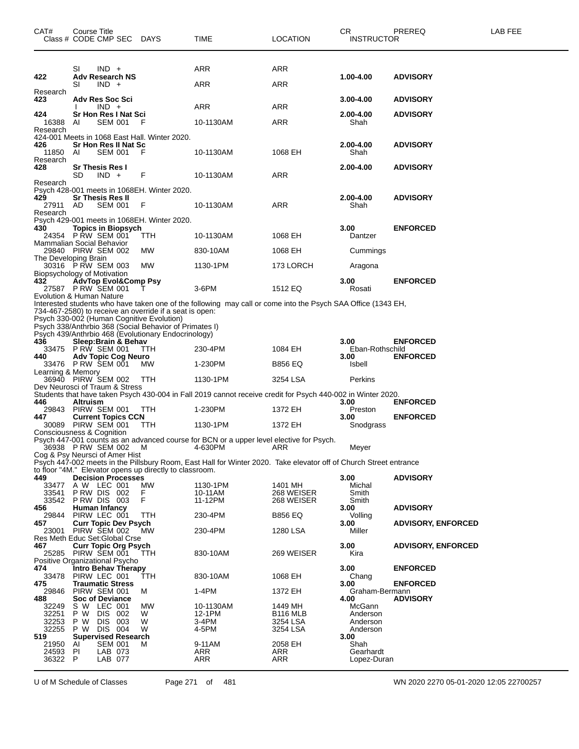| CAT#                                    | Course Title<br>Class # CODE CMP SEC DAYS                                                                                                                                                                             |              | TIME                                                                                                              | <b>LOCATION</b>                          | СR<br><b>INSTRUCTOR</b>                              | PREREQ                    | LAB FEE |
|-----------------------------------------|-----------------------------------------------------------------------------------------------------------------------------------------------------------------------------------------------------------------------|--------------|-------------------------------------------------------------------------------------------------------------------|------------------------------------------|------------------------------------------------------|---------------------------|---------|
| 422                                     | SI<br>$IND +$<br><b>Adv Research NS</b><br>SI<br>$IND +$                                                                                                                                                              |              | ARR<br>ARR                                                                                                        | ARR<br>ARR                               | 1.00-4.00                                            | <b>ADVISORY</b>           |         |
| Research<br>423                         | Adv Res Soc Sci<br>$IND +$                                                                                                                                                                                            |              | ARR                                                                                                               | ARR                                      | 3.00-4.00                                            | <b>ADVISORY</b>           |         |
| 424<br>16388<br>Research                | Sr Hon Res I Nat Sci<br>AI<br><b>SEM 001</b>                                                                                                                                                                          | -F           | 10-1130AM                                                                                                         | ARR                                      | 2.00-4.00<br>Shah                                    | <b>ADVISORY</b>           |         |
| 426<br>11850                            | 424-001 Meets in 1068 East Hall. Winter 2020.<br>Sr Hon Res II Nat Sc<br><b>SEM 001</b><br>AI                                                                                                                         | F            | 10-1130AM                                                                                                         | 1068 EH                                  | 2.00-4.00<br>Shah                                    | <b>ADVISORY</b>           |         |
| Research<br>428                         | <b>Sr Thesis Res I</b><br>$IND +$<br>SD                                                                                                                                                                               | F            | 10-1130AM                                                                                                         | ARR                                      | 2.00-4.00                                            | <b>ADVISORY</b>           |         |
| Research                                | Psych 428-001 meets in 1068EH. Winter 2020.                                                                                                                                                                           |              |                                                                                                                   |                                          |                                                      |                           |         |
| 429<br>27911 AD<br>Research             | <b>Sr Thesis Res II</b><br><b>SEM 001</b>                                                                                                                                                                             | F            | 10-1130AM                                                                                                         | <b>ARR</b>                               | 2.00-4.00<br>Shah                                    | <b>ADVISORY</b>           |         |
| 430                                     | Psych 429-001 meets in 1068EH. Winter 2020.<br><b>Topics in Biopsych</b><br>24354 P RW SEM 001<br>Mammalian Social Behavior                                                                                           | <b>TTH</b>   | 10-1130AM                                                                                                         | 1068 EH                                  | 3.00<br>Dantzer                                      | <b>ENFORCED</b>           |         |
|                                         | 29840 PIRW SEM 002<br>The Developing Brain                                                                                                                                                                            | MW           | 830-10AM                                                                                                          | 1068 EH                                  | Cummings                                             |                           |         |
|                                         | 30316 PRW SEM 003<br>Biopsychology of Motivation                                                                                                                                                                      | МW           | 1130-1PM                                                                                                          | 173 LORCH                                | Aragona                                              |                           |         |
| 432                                     | AdvTop Evol&Comp Psy<br>27587 P RW SEM 001<br>Evolution & Human Nature                                                                                                                                                | Τ            | 3-6PM                                                                                                             | 1512 EQ                                  | 3.00<br>Rosati                                       | <b>ENFORCED</b>           |         |
|                                         | 734-467-2580) to receive an override if a seat is open:<br>Psych 330-002 (Human Cognitive Evolution)<br>Psych 338/Anthrbio 368 (Social Behavior of Primates I)<br>Psych 439/Anthrbio 468 (Evolutionary Endocrinology) |              | Interested students who have taken one of the following may call or come into the Psych SAA Office (1343 EH,      |                                          |                                                      |                           |         |
| 436                                     | Sleep: Brain & Behav<br>33475 PRW SEM 001                                                                                                                                                                             | <b>TTH</b>   | 230-4PM                                                                                                           | 1084 EH                                  | 3.00<br>Eban-Rothschild                              | <b>ENFORCED</b>           |         |
| 440                                     | <b>Adv Topic Cog Neuro</b><br>33476 P RW SEM 001                                                                                                                                                                      | <b>MW</b>    | 1-230PM                                                                                                           | <b>B856 EQ</b>                           | 3.00<br>Isbell                                       | <b>ENFORCED</b>           |         |
| Learning & Memory                       | 36940 PIRW SEM 002                                                                                                                                                                                                    | <b>TTH</b>   | 1130-1PM                                                                                                          | 3254 LSA                                 | Perkins                                              |                           |         |
|                                         | Dev Neurosci of Traum & Stress                                                                                                                                                                                        |              | Students that have taken Psych 430-004 in Fall 2019 cannot receive credit for Psych 440-002 in Winter 2020.       |                                          |                                                      |                           |         |
| 446                                     | Altruism<br>29843 PIRW SEM 001                                                                                                                                                                                        | <b>TTH</b>   | 1-230PM                                                                                                           | 1372 EH                                  | 3.00<br>Preston                                      | <b>ENFORCED</b>           |         |
| 447                                     | <b>Current Topics CCN</b><br>30089 PIRW SEM 001                                                                                                                                                                       | TTH          | 1130-1PM                                                                                                          | 1372 EH                                  | 3.00<br>Snodgrass                                    | <b>ENFORCED</b>           |         |
|                                         | Consciousness & Cognition<br>36938 PRW SEM 002                                                                                                                                                                        | M            | Psych 447-001 counts as an advanced course for BCN or a upper level elective for Psych.<br>4-630PM                | ARR                                      | Meyer                                                |                           |         |
|                                         | Cog & Psy Neursci of Amer Hist<br>to floor "4M." Elevator opens up directly to classroom.                                                                                                                             |              | Psych 447-002 meets in the Pillsbury Room, East Hall for Winter 2020. Take elevator off of Church Street entrance |                                          |                                                      |                           |         |
| 449<br>33477                            | <b>Decision Processes</b><br>A W LEC 001                                                                                                                                                                              | MW           | 1130-1PM                                                                                                          | 1401 MH                                  | 3.00<br>Michal                                       | <b>ADVISORY</b>           |         |
| 33541<br>33542                          | PRW DIS 002<br>PRW DIS 003                                                                                                                                                                                            | F<br>F       | 10-11AM<br>11-12PM                                                                                                | 268 WEISER<br>268 WEISER                 | Smith<br>Smith                                       |                           |         |
| 456<br>29844                            | Human Infancy<br>PIRW LEC 001                                                                                                                                                                                         | TTH          | 230-4PM                                                                                                           | <b>B856 EQ</b>                           | 3.00<br>Volling                                      | <b>ADVISORY</b>           |         |
| 457                                     | <b>Curr Topic Dev Psych</b><br>23001 PIRW SEM 002                                                                                                                                                                     | <b>MW</b>    | 230-4PM                                                                                                           | 1280 LSA                                 | 3.00<br>Miller                                       | <b>ADVISORY, ENFORCED</b> |         |
| 467                                     | Res Meth Educ Set: Global Crse<br><b>Curr Topic Org Psych</b><br>25285 PIRW SEM 001                                                                                                                                   | TTH          | 830-10AM                                                                                                          | 269 WEISER                               | 3.00<br>Kira                                         | <b>ADVISORY, ENFORCED</b> |         |
| 474<br>33478                            | Positive Organizational Psycho<br><b>Intro Behav Therapy</b><br>PIRW LEC 001                                                                                                                                          | TTH          | 830-10AM                                                                                                          | 1068 EH                                  | 3.00<br>Chang                                        | <b>ENFORCED</b>           |         |
| 475<br>29846                            | <b>Traumatic Stress</b><br>PIRW SEM 001                                                                                                                                                                               | м            | 1-4PM                                                                                                             | 1372 EH                                  | 3.00<br>Graham-Bermann                               | <b>ENFORCED</b>           |         |
| 488<br>32249<br>32251<br>32253          | <b>Soc of Deviance</b><br>S W LEC 001<br>P W<br>DIS 002<br>003<br>P W<br>DIS.                                                                                                                                         | МW<br>W<br>W | 10-1130AM<br>12-1PM<br>$3-4PM$                                                                                    | 1449 MH<br><b>B116 MLB</b><br>3254 LSA   | 4.00<br>McGann<br>Anderson<br>Anderson               | <b>ADVISORY</b>           |         |
| 32255<br>519<br>21950<br>24593<br>36322 | P W<br>DIS 004<br><b>Supervised Research</b><br><b>SEM 001</b><br>AI<br>PI<br>LAB 073<br>LAB 077<br>P.                                                                                                                | W<br>м       | 4-5PM<br>9-11AM<br>ARR<br><b>ARR</b>                                                                              | 3254 LSA<br>2058 EH<br>ARR<br><b>ARR</b> | Anderson<br>3.00<br>Shah<br>Gearhardt<br>Lopez-Duran |                           |         |

U of M Schedule of Classes Page 271 of 481 WN 2020 2270 05-01-2020 12:05 22700257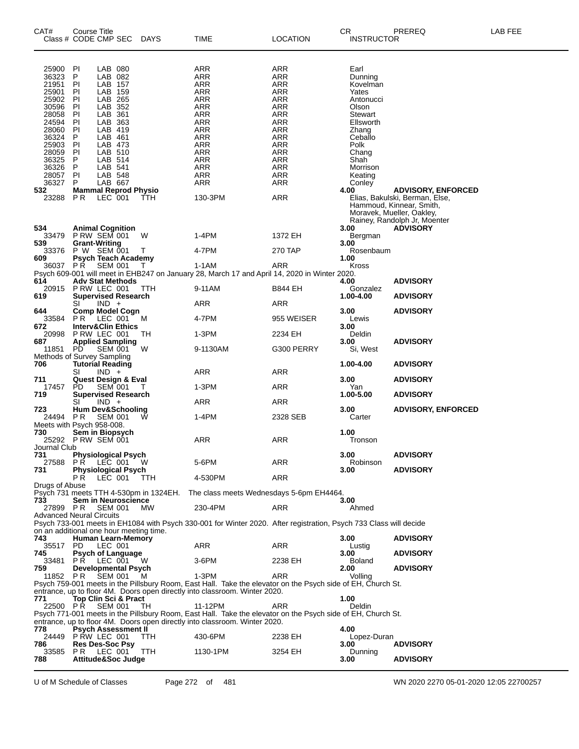| CAT#<br>Class # CODE CMP SEC                                                                                                                 | Course Title                                                                           |                                                                                                                                                                              |                                                            | DAYS         | TIME                                                                                                                                                                | LOCATION                                                                                                                          | CR.<br><b>INSTRUCTOR</b>                                                                                                                                         | PREREQ                                                                                                                                               | <b>LAB FEE</b> |
|----------------------------------------------------------------------------------------------------------------------------------------------|----------------------------------------------------------------------------------------|------------------------------------------------------------------------------------------------------------------------------------------------------------------------------|------------------------------------------------------------|--------------|---------------------------------------------------------------------------------------------------------------------------------------------------------------------|-----------------------------------------------------------------------------------------------------------------------------------|------------------------------------------------------------------------------------------------------------------------------------------------------------------|------------------------------------------------------------------------------------------------------------------------------------------------------|----------------|
| 25900<br>36323<br>21951<br>25901<br>25902<br>30596<br>28058<br>24594<br>28060<br>36324<br>25903<br>28059<br>36325<br>36326<br>28057<br>36327 | PI<br>P<br>PI<br>PI<br>PI<br>PI<br>PI<br>P<br>PI<br>P<br>PI<br>PI<br>P<br>P<br>PI<br>P | LAB 080<br>LAB 082<br>LAB 157<br>LAB 159<br>LAB 265<br>LAB 352<br>LAB 361<br>LAB 363<br>LAB 419<br>LAB 461<br>LAB 473<br>LAB 510<br>LAB 514<br>LAB 541<br>LAB 548<br>LAB 667 |                                                            |              | ARR<br><b>ARR</b><br>ARR<br>ARR<br><b>ARR</b><br>ARR<br><b>ARR</b><br><b>ARR</b><br>ARR<br>ARR<br><b>ARR</b><br>ARR<br>ARR<br><b>ARR</b><br>ARR<br>ARR              | ARR<br><b>ARR</b><br>ARR<br>ARR<br><b>ARR</b><br>ARR<br>ARR<br>ARR<br>ARR<br>ARR<br>ARR<br>ARR<br>ARR<br><b>ARR</b><br>ARR<br>ARR | Earl<br>Dunning<br>Kovelman<br>Yates<br>Antonucci<br>Olson<br>Stewart<br>Ellsworth<br>Zhang<br>Ceballo<br>Polk<br>Chang<br>Shah<br>Morrison<br>Keating<br>Conley |                                                                                                                                                      |                |
| 532<br>23288                                                                                                                                 | P R                                                                                    | LEC 001                                                                                                                                                                      | <b>Mammal Reprod Physio</b>                                | ттн          | 130-3PM                                                                                                                                                             | <b>ARR</b>                                                                                                                        | 4.00                                                                                                                                                             | <b>ADVISORY, ENFORCED</b><br>Elias, Bakulski, Berman, Else,<br>Hammoud, Kinnear, Smith,<br>Moravek, Mueller, Oakley,<br>Rainey, Randolph Jr, Moenter |                |
| 534<br>33479<br>539<br>33376<br>609<br>36037 PŘ                                                                                              | <b>Animal Cognition</b><br><b>P RW SEM 001</b><br><b>Grant-Writing</b><br>P W SEM 001  | <b>SEM 001</b>                                                                                                                                                               | <b>Psych Teach Academy</b>                                 | W<br>Τ<br>T  | 1-4PM<br>4-7PM<br>1-1AM                                                                                                                                             | 1372 EH<br>270 TAP<br>ARR                                                                                                         | 3.00<br>Bergman<br>3.00<br>Rosenbaum<br>1.00<br>Kross                                                                                                            | <b>ADVISORY</b>                                                                                                                                      |                |
| 614<br>20915<br>619                                                                                                                          | P RW LEC 001<br>SI                                                                     | $IND +$                                                                                                                                                                      | <b>Adv Stat Methods</b><br><b>Supervised Research</b>      | - ттн        | 9-11AM<br>ARR                                                                                                                                                       | Psych 609-001 will meet in EHB247 on January 28, March 17 and April 14, 2020 in Winter 2020.<br>B844 EH<br>ARR                    | 4.00<br>Gonzalez<br>1.00-4.00                                                                                                                                    | <b>ADVISORY</b><br><b>ADVISORY</b>                                                                                                                   |                |
| 644<br>33584<br>672<br>20998<br>687<br>11851                                                                                                 | PR.<br>P RW LEC 001<br><b>Applied Sampling</b><br>PD.                                  | LEC 001<br>SEM 001                                                                                                                                                           | Comp Model Cogn<br><b>Interv&amp;Clin Ethics</b>           | М<br>TН<br>W | 4-7PM<br>$1-3PM$<br>9-1130AM                                                                                                                                        | 955 WEISER<br>2234 EH<br>G300 PERRY                                                                                               | 3.00<br>Lewis<br>3.00<br>Deldin<br>3.00<br>Si, West                                                                                                              | <b>ADVISORY</b><br><b>ADVISORY</b>                                                                                                                   |                |
| Methods of Survey Sampling<br>706<br>711                                                                                                     | <b>Tutorial Reading</b><br>SI                                                          | $IND +$                                                                                                                                                                      | <b>Quest Design &amp; Eval</b>                             |              | ARR                                                                                                                                                                 | ARR                                                                                                                               | 1.00-4.00<br>3.00                                                                                                                                                | <b>ADVISORY</b><br><b>ADVISORY</b>                                                                                                                   |                |
| 17457<br>719<br>723                                                                                                                          | PD<br>SI                                                                               | <b>SEM 001</b><br>$IND +$                                                                                                                                                    | <b>Supervised Research</b><br><b>Hum Dev&amp;Schooling</b> | Т            | 1-3PM<br>ARR                                                                                                                                                        | ARR<br>ARR                                                                                                                        | Yan<br>1.00-5.00<br>3.00                                                                                                                                         | <b>ADVISORY</b><br><b>ADVISORY, ENFORCED</b>                                                                                                         |                |
| 24494<br>Meets with Psych 958-008.<br>730<br>25292 PRW SEM 001                                                                               | P R<br>Sem in Biopsych                                                                 | <b>SEM 001</b>                                                                                                                                                               |                                                            |              | 1-4PM<br>ARR                                                                                                                                                        | 2328 SEB<br>ARR                                                                                                                   | Carter<br>1.00<br>Tronson                                                                                                                                        |                                                                                                                                                      |                |
| Journal Club<br>731<br>27588<br>731                                                                                                          | PR LEC 001<br>P R                                                                      | LEC 001                                                                                                                                                                      | <b>Physiological Psych</b><br><b>Physiological Psych</b>   | - W<br>TTH   | 5-6PM<br>4-530PM                                                                                                                                                    | ARR<br>ARR                                                                                                                        | 3.00<br>Robinson<br>3.00                                                                                                                                         | <b>ADVISORY</b><br><b>ADVISORY</b>                                                                                                                   |                |
| Drugs of Abuse<br>733<br>27899 PR<br><b>Advanced Neural Circuits</b>                                                                         |                                                                                        | <b>SEM 001</b>                                                                                                                                                               | Sem in Neuroscience                                        | <b>MW</b>    | 230-4PM                                                                                                                                                             | Psych 731 meets TTH 4-530pm in 1324EH. The class meets Wednesdays 5-6pm EH4464.<br>ARR                                            | 3.00<br>Ahmed                                                                                                                                                    |                                                                                                                                                      |                |
| on an additional one hour meeting time.<br>743<br>35517                                                                                      | PD.                                                                                    | LEC 001                                                                                                                                                                      | Human Learn-Memory                                         |              | ARR                                                                                                                                                                 | Psych 733-001 meets in EH1084 with Psych 330-001 for Winter 2020. After registration, Psych 733 Class will decide<br>ARR          | 3.00<br>Lustig                                                                                                                                                   | <b>ADVISORY</b>                                                                                                                                      |                |
| 745<br>33481<br>759<br>11852                                                                                                                 | PR.<br>PR.                                                                             | LEC 001<br>SEM 001                                                                                                                                                           | <b>Psych of Language</b><br><b>Developmental Psych</b>     | w<br>м       | 3-6PM<br>1-3PM                                                                                                                                                      | 2238 EH<br>ARR<br>Psych 759-001 meets in the Pillsbury Room, East Hall. Take the elevator on the Psych side of EH, Church St.     | 3.00<br><b>Boland</b><br>2.00<br>Volling                                                                                                                         | <b>ADVISORY</b><br><b>ADVISORY</b>                                                                                                                   |                |
| 771<br>22500 PR                                                                                                                              |                                                                                        | <b>SEM 001</b>                                                                                                                                                               | Top Clin Sci & Pract                                       | TН           | entrance, up to floor 4M. Doors open directly into classroom. Winter 2020.<br>11-12PM<br>entrance, up to floor 4M. Doors open directly into classroom. Winter 2020. | ARR<br>Psych 771-001 meets in the Pillsbury Room, East Hall. Take the elevator on the Psych side of EH, Church St.                | 1.00<br>Deldin                                                                                                                                                   |                                                                                                                                                      |                |
| 778<br>24449<br>786<br>33585<br>788                                                                                                          | P RW LEC 001<br><b>Res Des-Soc Psy</b><br>PR.                                          | LEC 001                                                                                                                                                                      | <b>Psych Assessment II</b><br>Attitude&Soc Judge           | TTH<br>TTH   | 430-6PM<br>1130-1PM                                                                                                                                                 | 2238 EH<br>3254 EH                                                                                                                | 4.00<br>Lopez-Duran<br>3.00<br>Dunning<br>3.00                                                                                                                   | <b>ADVISORY</b><br><b>ADVISORY</b>                                                                                                                   |                |

U of M Schedule of Classes Page 272 of 481 WN 2020 2270 05-01-2020 12:05 22700257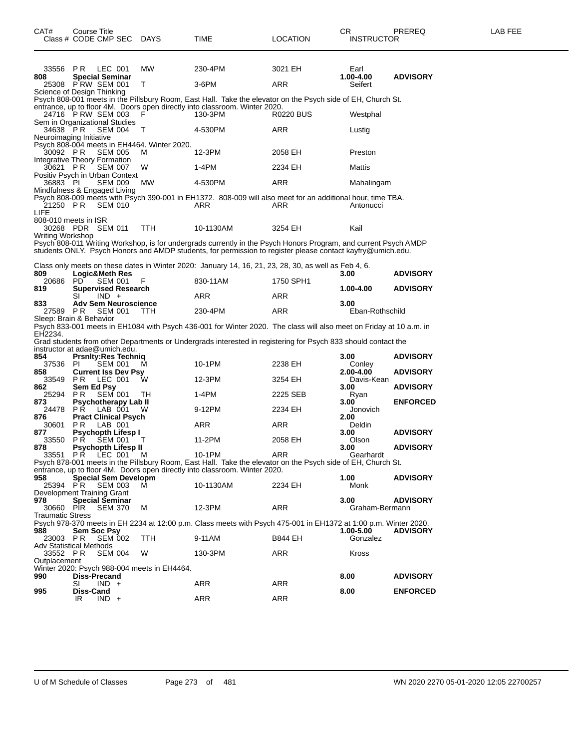| 33556<br>808            | PR.<br>LEC 001<br><b>Special Seminar</b>      |                | <b>MW</b>                                   | 230-4PM                                                                                                                                                                                                                       | 3021 EH    | Earl<br>1.00-4.00       | <b>ADVISORY</b> |
|-------------------------|-----------------------------------------------|----------------|---------------------------------------------|-------------------------------------------------------------------------------------------------------------------------------------------------------------------------------------------------------------------------------|------------|-------------------------|-----------------|
|                         | 25308 PRW SEM 001                             |                | т                                           | $3-6$ PM                                                                                                                                                                                                                      | ARR        | Seifert                 |                 |
|                         | Science of Design Thinking                    |                |                                             | Psych 808-001 meets in the Pillsbury Room, East Hall. Take the elevator on the Psych side of EH, Church St.                                                                                                                   |            |                         |                 |
|                         | 24716 PRW SEM 003                             |                | F                                           | entrance, up to floor 4M. Doors open directly into classroom. Winter 2020.<br>130-3PM                                                                                                                                         | R0220 BUS  | Westphal                |                 |
| 34638 PR                | Sem in Organizational Studies                 | <b>SEM 004</b> | т                                           | 4-530PM                                                                                                                                                                                                                       | ARR        | Lustig                  |                 |
|                         | Neuroimaging Initiative                       |                | Psych 808-004 meets in EH4464. Winter 2020. |                                                                                                                                                                                                                               |            |                         |                 |
| 30092 PR                | Integrative Theory Formation                  | <b>SEM 005</b> | м                                           | 12-3PM                                                                                                                                                                                                                        | 2058 EH    | Preston                 |                 |
| 30621                   | P R<br>Positiv Psych in Urban Context         | <b>SEM 007</b> | W                                           | 1-4PM                                                                                                                                                                                                                         | 2234 EH    | Mattis                  |                 |
| 36883 PI                |                                               | <b>SEM 009</b> | MW                                          | 4-530PM                                                                                                                                                                                                                       | ARR        | Mahalingam              |                 |
| 21250 PR                | Mindfulness & Engaged Living                  | <b>SEM 010</b> |                                             | Psych 808-009 meets with Psych 390-001 in EH1372. 808-009 will also meet for an additional hour, time TBA.<br>ARR                                                                                                             | ARR        | Antonucci               |                 |
| LIFE                    | 808-010 meets in ISR<br>30268 PDR SEM 011     |                | TTH                                         | 10-1130AM                                                                                                                                                                                                                     | 3254 EH    | Kail                    |                 |
| Writing Workshop        |                                               |                |                                             |                                                                                                                                                                                                                               |            |                         |                 |
|                         |                                               |                |                                             | Psych 808-011 Writing Workshop, is for undergrads currently in the Psych Honors Program, and current Psych AMDP<br>students ONLY. Psych Honors and AMDP students, for permission to register please contact kayfry@umich.edu. |            |                         |                 |
| 809                     | Logic&Meth Res                                |                |                                             | Class only meets on these dates in Winter 2020: January 14, 16, 21, 23, 28, 30, as well as Feb 4, 6.                                                                                                                          |            | 3.00                    | <b>ADVISORY</b> |
| 20686<br>819            | PD.<br><b>Supervised Research</b>             | <b>SEM 001</b> | F                                           | 830-11AM                                                                                                                                                                                                                      | 1750 SPH1  | 1.00-4.00               | <b>ADVISORY</b> |
|                         | $IND +$<br>SI<br><b>Adv Sem Neuroscience</b>  |                |                                             | ARR                                                                                                                                                                                                                           | ARR        |                         |                 |
| 833<br>27589 PR         |                                               | <b>SEM 001</b> | TTH.                                        | 230-4PM                                                                                                                                                                                                                       | ARR        | 3.00<br>Eban-Rothschild |                 |
| EH2234.                 | Sleep: Brain & Behavior                       |                |                                             | Psych 833-001 meets in EH1084 with Psych 436-001 for Winter 2020. The class will also meet on Friday at 10 a.m. in                                                                                                            |            |                         |                 |
|                         | instructor at adae@umich.edu.                 |                |                                             | Grad students from other Departments or Undergrads interested in registering for Psych 833 should contact the                                                                                                                 |            |                         |                 |
| 854                     | <b>Prsnity:Res Techniq</b>                    |                |                                             |                                                                                                                                                                                                                               |            | 3.00                    | <b>ADVISORY</b> |
| 37536<br>858            | ΡI<br><b>Current Iss Dev Psy</b>              | <b>SEM 001</b> |                                             | 10-1PM                                                                                                                                                                                                                        | 2238 EH    | Conley<br>2.00-4.00     | <b>ADVISORY</b> |
| 33549<br>862            | PR.<br>LEC 001<br>Sem Ed Psy                  |                | W                                           | 12-3PM                                                                                                                                                                                                                        | 3254 EH    | Davis-Kean<br>3.00      | <b>ADVISORY</b> |
| 25294<br>873            | P R<br><b>Psychotherapy Lab II</b>            | <b>SEM 001</b> | TH.                                         | 1-4PM                                                                                                                                                                                                                         | 2225 SEB   | Ryan<br>3.00            | <b>ENFORCED</b> |
| 24478                   | P R<br>LAB 001                                |                | W                                           | 9-12PM                                                                                                                                                                                                                        | 2234 EH    | Jonovich                |                 |
| 876<br>30601            | <b>Pract Clinical Psych</b><br>P R<br>LAB 001 |                |                                             | ARR                                                                                                                                                                                                                           | ARR        | 2.00<br>Deldin          |                 |
| 877<br>33550            | <b>Psychopth Lifesp I</b><br>РŔ               | <b>SEM 001</b> | Τ                                           | 11-2PM                                                                                                                                                                                                                        | 2058 EH    | 3.00<br>Olson           | <b>ADVISORY</b> |
| 878<br>33551            | <b>Psychopth Lifesp II</b><br>P R             | LEC 001        | M                                           | 10-1PM                                                                                                                                                                                                                        | ARR        | 3.00<br>Gearhardt       | <b>ADVISORY</b> |
|                         |                                               |                |                                             | Psych 878-001 meets in the Pillsbury Room, East Hall. Take the elevator on the Psych side of EH, Church St.                                                                                                                   |            |                         |                 |
| 958                     |                                               |                |                                             | entrance, up to floor 4M. Doors open directly into classroom. Winter 2020.                                                                                                                                                    |            |                         |                 |
| 25394 PR                | Special Sem Developm<br><b>SEM 003</b>        |                | м                                           | 10-1130AM                                                                                                                                                                                                                     | 2234 EH    | 1.00<br>Monk            | <b>ADVISORY</b> |
|                         |                                               |                |                                             |                                                                                                                                                                                                                               |            |                         |                 |
|                         | Development Training Grant                    |                |                                             |                                                                                                                                                                                                                               |            |                         |                 |
| 978<br>30660 PIR        | <b>Special Seminar</b>                        | <b>SEM 370</b> | М                                           | 12-3PM                                                                                                                                                                                                                        | ARR        | 3.00<br>Graham-Bermann  | <b>ADVISORY</b> |
| <b>Traumatic Stress</b> |                                               |                |                                             | Psych 978-370 meets in EH 2234 at 12:00 p.m. Class meets with Psych 475-001 in EH1372 at 1:00 p.m. Winter 2020.                                                                                                               |            |                         |                 |
| 988<br>23003 PR         | Sem Soc Psy                                   | <b>SEM 002</b> | TTH                                         | 9-11AM                                                                                                                                                                                                                        | B844 EH    | 1.00-5.00<br>Gonzalez   | <b>ADVISORY</b> |
| 33552 PR                | <b>Adv Statistical Methods</b>                | <b>SEM 004</b> | W                                           | 130-3PM                                                                                                                                                                                                                       | ARR        | Kross                   |                 |
| Outplacement            |                                               |                | Winter 2020: Psych 988-004 meets in EH4464. |                                                                                                                                                                                                                               |            |                         |                 |
| 990                     | Diss-Precand                                  |                |                                             |                                                                                                                                                                                                                               |            | 8.00                    | <b>ADVISORY</b> |
| 995                     | SI<br>$IND +$<br>Diss-Cand<br>$IND +$<br>IR   |                |                                             | ARR<br>ARR                                                                                                                                                                                                                    | ARR<br>ARR | 8.00                    | <b>ENFORCED</b> |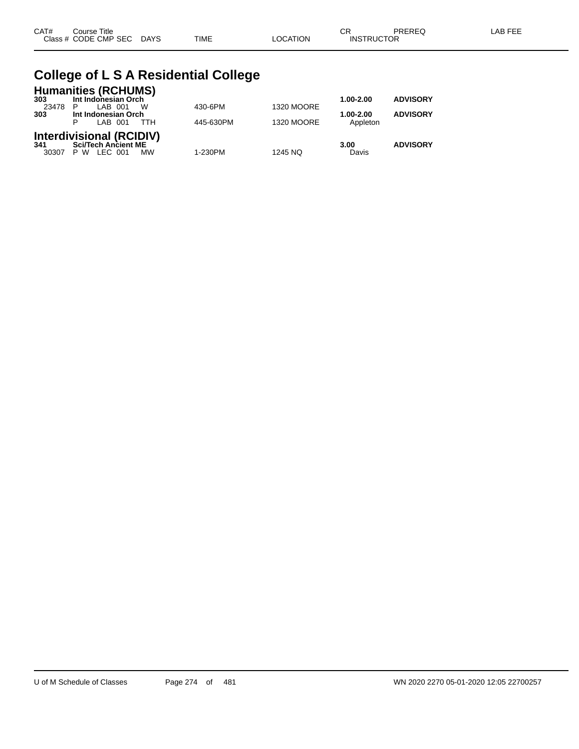| CAT# | Title<br>Course      |             |      |         | rг<br>◡           | PREREQ | AR EEI |
|------|----------------------|-------------|------|---------|-------------------|--------|--------|
|      | Class # CODE CMP SEC | <b>DAYS</b> | TIME | OCATION | <b>INSTRUCTOR</b> |        |        |

### **College of L S A Residential College**

|         | <b>Humanities (RCHUMS)</b>                 |           |                   |                       |                 |
|---------|--------------------------------------------|-----------|-------------------|-----------------------|-----------------|
| 303     | Int Indonesian Orch                        |           |                   | $1.00 - 2.00$         | <b>ADVISORY</b> |
| 23478 P | W<br>LAB 001                               | 430-6PM   | <b>1320 MOORE</b> |                       |                 |
| 303     | Int Indonesian Orch<br>LAB 001<br>D<br>ттн | 445-630PM | <b>1320 MOORE</b> | 1.00-2.00<br>Appleton | <b>ADVISORY</b> |
|         | <b>Interdivisional (RCIDIV)</b>            |           |                   |                       |                 |
| 341     | <b>Sci/Tech Ancient ME</b>                 |           |                   | 3.00                  | <b>ADVISORY</b> |
| 30307   | LEC 001<br>P W<br><b>MW</b>                | 1-230PM   | 1245 NQ           | Davis                 |                 |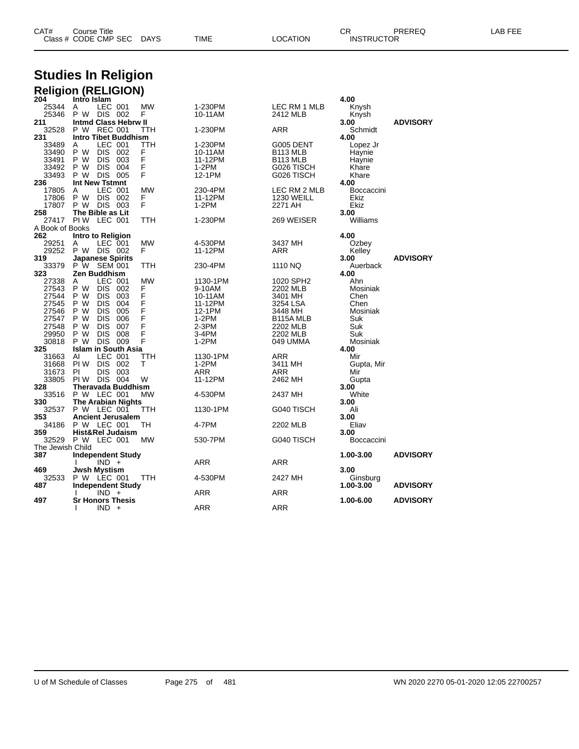| CAT# | Course Title              |      |          | СR                | PREREQ | LAB FEE |
|------|---------------------------|------|----------|-------------------|--------|---------|
|      | Class # CODE CMP SEC DAYS | TIME | LOCATION | <b>INSTRUCTOR</b> |        |         |

# **Studies In Religion**

|                          | <b>Religion (RELIGION)</b>                     |           |                |                       |                   |                 |
|--------------------------|------------------------------------------------|-----------|----------------|-----------------------|-------------------|-----------------|
| 204                      | Intro Islam                                    |           |                |                       | 4.00              |                 |
| 25344                    | LEC 001<br>A                                   | <b>MW</b> | 1-230PM        | LEC RM 1 MLB          | Knysh             |                 |
| 25346<br>211             | P W DIS 002                                    | F         | 10-11AM        | 2412 MLB              | Knysh             |                 |
| 32528                    | <b>Intmd Class Hebrw II</b><br>P W REC 001     | ттн       | 1-230PM        | ARR                   | 3.00<br>Schmidt   | <b>ADVISORY</b> |
| 231                      | <b>Intro Tibet Buddhism</b>                    |           |                |                       | 4.00              |                 |
| 33489                    | LEC 001<br>A                                   | TTH       | 1-230PM        | G005 DENT             | Lopez Jr          |                 |
| 33490                    | DIS 002<br>P W                                 | F         | 10-11AM        | B <sub>113</sub> MLB  | Haynie            |                 |
| 33491                    | DIS 003<br>P W                                 | F         | 11-12PM        | B <sub>113</sub> MLB  | Haynie            |                 |
| 33492                    | P W<br>DIS 004                                 | F         | 1-2PM          | G026 TISCH            | Khare             |                 |
| 33493                    | <b>DIS 005</b><br>P W                          | F         | 12-1PM         | G026 TISCH            | Khare             |                 |
| 236                      | <b>Int New Tstmnt</b>                          |           |                |                       | 4.00              |                 |
| 17805                    | LEC 001<br>A                                   | <b>MW</b> | 230-4PM        | LEC RM 2 MLB          | <b>Boccaccini</b> |                 |
| 17806                    | P W<br>DIS 002                                 | F         | 11-12PM        | <b>1230 WEILL</b>     | Ekiz              |                 |
| 17807                    | P W<br>DIS 003                                 | F         | 1-2PM          | 2271 AH               | Ekiz              |                 |
| 258                      | The Bible as Lit<br>PIW LEC 001                |           |                |                       | 3.00              |                 |
| 27417<br>A Book of Books |                                                | TTH       | 1-230PM        | 269 WEISER            | Williams          |                 |
| 262                      | Intro to Religion                              |           |                |                       | 4.00              |                 |
| 29251                    | LEC 001<br>A                                   | <b>MW</b> | 4-530PM        | 3437 MH               | Ozbey             |                 |
| 29252                    | P W DIS 002                                    | F         | 11-12PM        | ARR                   | Kelley            |                 |
| 319                      | <b>Japanese Spirits</b>                        |           |                |                       | 3.00              | <b>ADVISORY</b> |
| 33379                    | P W SEM 001                                    | TTH       | 230-4PM        | 1110 NQ               | Auerback          |                 |
| 323                      | <b>Zen Buddhism</b>                            |           |                |                       | 4.00              |                 |
| 27338                    | LEC 001<br>A                                   | <b>MW</b> | 1130-1PM       | 1020 SPH2             | Ahn               |                 |
| 27543                    | P W<br>DIS 002                                 | F         | 9-10AM         | 2202 MLB              | Mosiniak          |                 |
| 27544                    | P W<br>DIS.<br>003                             | F         | 10-11AM        | 3401 MH               | Chen              |                 |
| 27545                    | DIS.<br>004<br>P W                             | F         | 11-12PM        | 3254 LSA              | Chen              |                 |
| 27546                    | P W<br>DIS 005                                 | F<br>F    | 12-1PM         | 3448 MH               | Mosiniak          |                 |
| 27547<br>27548           | <b>DIS</b><br>P W<br>006<br>007<br>P W<br>DIS. | F         | 1-2PM<br>2-3PM | B115A MLB<br>2202 MLB | Suk<br>Suk        |                 |
| 29950                    | P W<br>DIS 008                                 | F         | 3-4PM          | 2202 MLB              | Suk               |                 |
| 30818                    | P W<br><b>DIS 009</b>                          | F         | 1-2PM          | 049 UMMA              | Mosiniak          |                 |
| 325                      | <b>Islam in South Asia</b>                     |           |                |                       | 4.00              |                 |
| 31663                    | LEC 001<br>AI                                  | TTH       | 1130-1PM       | ARR                   | Mir               |                 |
| 31668                    | DIS 002<br>PI W                                | т         | $1-2PM$        | 3411 MH               | Gupta, Mir        |                 |
| 31673                    | DIS 003<br>PI                                  |           | ARR            | ARR                   | Mir               |                 |
| 33805                    | PIW DIS 004                                    | W         | 11-12PM        | 2462 MH               | Gupta             |                 |
| 328                      | Theravada Buddhism                             |           |                |                       | 3.00              |                 |
| 33516                    | P W LEC 001                                    | MW        | 4-530PM        | 2437 MH               | White             |                 |
| 330                      | <b>The Arabian Nights</b>                      |           |                |                       | 3.00              |                 |
| 32537                    | P W LEC 001                                    | TTH       | 1130-1PM       | G040 TISCH            | Ali<br>3.00       |                 |
| 353<br>34186             | <b>Ancient Jerusalem</b><br>P W LEC 001        | тн        | 4-7PM          | 2202 MLB              | Eliav             |                 |
| 359                      | Hist&Rel Judaism                               |           |                |                       | 3.00              |                 |
| 32529                    | P W LEC 001                                    | <b>MW</b> | 530-7PM        | G040 TISCH            | Boccaccini        |                 |
| The Jewish Child         |                                                |           |                |                       |                   |                 |
| 387                      | <b>Independent Study</b>                       |           |                |                       | 1.00-3.00         | <b>ADVISORY</b> |
|                          | $IND +$                                        |           | ARR            | ARR                   |                   |                 |
| 469                      | <b>Jwsh Mystism</b>                            |           |                |                       | 3.00              |                 |
| 32533                    | P W LEC 001                                    | TTH       | 4-530PM        | 2427 MH               | Ginsburg          |                 |
| 487                      | <b>Independent Study</b>                       |           |                |                       | 1.00-3.00         | <b>ADVISORY</b> |
|                          | $IND +$                                        |           | ARR            | ARR                   |                   |                 |
| 497                      | <b>Sr Honors Thesis</b>                        |           |                |                       | 1.00-6.00         | <b>ADVISORY</b> |
|                          | $IND +$<br>I.                                  |           | ARR            | <b>ARR</b>            |                   |                 |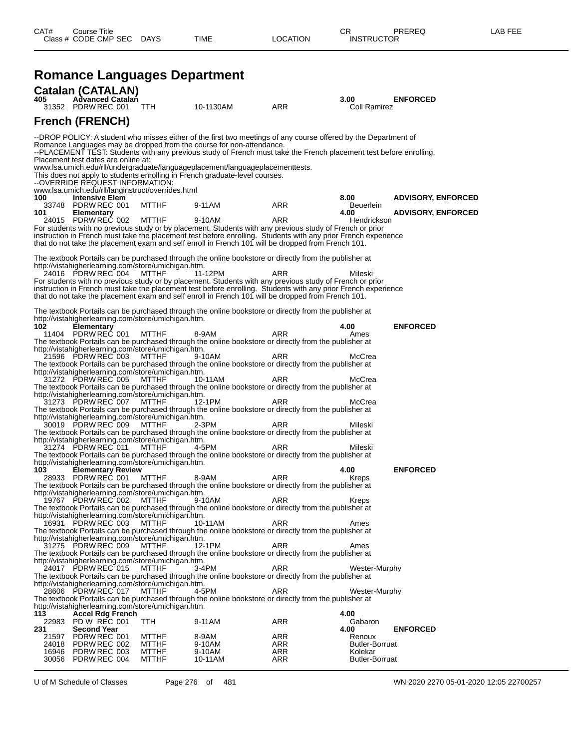### **Romance Languages Department**

| 405            | <b>Catalan (CATALAN)</b><br><b>Advanced Catalan</b>                    |                                                                                                                            |                                                                                                                                                                                                                                                                                                                                                                                                                                                                               |                                 | 3.00                                       | <b>ENFORCED</b>           |
|----------------|------------------------------------------------------------------------|----------------------------------------------------------------------------------------------------------------------------|-------------------------------------------------------------------------------------------------------------------------------------------------------------------------------------------------------------------------------------------------------------------------------------------------------------------------------------------------------------------------------------------------------------------------------------------------------------------------------|---------------------------------|--------------------------------------------|---------------------------|
|                | 31352 PDRW REC 001                                                     | TTH                                                                                                                        | 10-1130AM                                                                                                                                                                                                                                                                                                                                                                                                                                                                     | <b>ARR</b>                      | Coll Ramirez                               |                           |
|                | <b>French (FRENCH)</b>                                                 |                                                                                                                            |                                                                                                                                                                                                                                                                                                                                                                                                                                                                               |                                 |                                            |                           |
|                | Placement test dates are online at:<br>--OVERRIDE REQUEST INFORMATION: |                                                                                                                            | --DROP POLICY: A student who misses either of the first two meetings of any course offered by the Department of<br>Romance Languages may be dropped from the course for non-attendance.<br>--PLACEMENT TEST. Students with any previous study of French must take the French placement test before enrolling.<br>www.lsa.umich.edu/rll/undergraduate/languageplacement/languageplacementtests.<br>This does not apply to students enrolling in French graduate-level courses. |                                 |                                            |                           |
| 100            | <b>Intensive Elem</b>                                                  | www.lsa.umich.edu/rll/langinstruct/overrides.html                                                                          |                                                                                                                                                                                                                                                                                                                                                                                                                                                                               |                                 | 8.00                                       | <b>ADVISORY, ENFORCED</b> |
|                | 33748 PDRW REC 001                                                     | <b>MTTHF</b>                                                                                                               | 9-11AM                                                                                                                                                                                                                                                                                                                                                                                                                                                                        | ARR                             | <b>Beuerlein</b>                           |                           |
| 101            | <b>Elementary</b><br>24015 PDRW REC 002                                | <b>MTTHF</b>                                                                                                               | 9-10AM<br>For students with no previous study or by placement. Students with any previous study of French or prior<br>instruction in French must take the placement test before enrolling. Students with any prior French experience<br>that do not take the placement exam and self enroll in French 101 will be dropped from French 101.                                                                                                                                    | ARR                             | 4.00<br>Hendrickson                        | <b>ADVISORY, ENFORCED</b> |
|                |                                                                        |                                                                                                                            | The textbook Portails can be purchased through the online bookstore or directly from the publisher at                                                                                                                                                                                                                                                                                                                                                                         |                                 |                                            |                           |
|                | 24016 PDRW REC 004                                                     | http://vistahigherlearning.com/store/umichigan.htm.<br><b>MTTHF</b>                                                        | 11-12PM<br>For students with no previous study or by placement. Students with any previous study of French or prior<br>instruction in French must take the placement test before enrolling. Students with any prior French experience<br>that do not take the placement exam and self enroll in French 101 will be dropped from French 101.<br>The textbook Portails can be purchased through the online bookstore or directly from the publisher at                          | ARR                             | Mileski                                    |                           |
| 102            | <b>Elementary</b>                                                      | http://vistahigherlearning.com/store/umichigan.htm.                                                                        |                                                                                                                                                                                                                                                                                                                                                                                                                                                                               |                                 | 4.00                                       | <b>ENFORCED</b>           |
|                | 11404 PDRW REC 001<br>21596 PDRW REC 003                               | <b>MTTHF</b><br>http://vistahigherlearning.com/store/umichigan.htm.<br><b>MTTHF</b>                                        | 8-9AM<br>The textbook Portails can be purchased through the online bookstore or directly from the publisher at<br>9-10AM                                                                                                                                                                                                                                                                                                                                                      | <b>ARR</b><br>ARR               | Ames<br>McCrea                             |                           |
|                | 31272 PDRW REC 005                                                     | http://vistahigherlearning.com/store/umichigan.htm.<br><b>MTTHF</b>                                                        | The textbook Portails can be purchased through the online bookstore or directly from the publisher at<br>10-11AM<br>The textbook Portails can be purchased through the online bookstore or directly from the publisher at                                                                                                                                                                                                                                                     | ARR                             | McCrea                                     |                           |
|                | 31273 PDRW REC 007                                                     | http://vistahigherlearning.com/store/umichigan.htm.<br><b>MTTHF</b><br>http://vistahigherlearning.com/store/umichigan.htm. | 12-1PM<br>The textbook Portails can be purchased through the online bookstore or directly from the publisher at                                                                                                                                                                                                                                                                                                                                                               | <b>ARR</b>                      | McCrea                                     |                           |
|                | 30019 PDRW REC 009                                                     | <b>MTTHF</b><br>http://vistahigherlearning.com/store/umichigan.htm.                                                        | 2-3PM<br>The textbook Portails can be purchased through the online bookstore or directly from the publisher at                                                                                                                                                                                                                                                                                                                                                                | <b>ARR</b>                      | Mileski                                    |                           |
|                | 31274 PDRW REC 011                                                     | <b>MTTHF</b><br>http://vistahigherlearning.com/store/umichigan.htm.                                                        | 4-5PM<br>The textbook Portails can be purchased through the online bookstore or directly from the publisher at                                                                                                                                                                                                                                                                                                                                                                | <b>ARR</b>                      | Mileski                                    |                           |
| 103            | <b>Elementary Review</b><br>28933 PDRW REC 001                         | <b>MTTHF</b>                                                                                                               | 8-9AM                                                                                                                                                                                                                                                                                                                                                                                                                                                                         | ARR                             | 4.00<br>Kreps                              | <b>ENFORCED</b>           |
|                |                                                                        | http://vistahigherlearning.com/store/umichigan.htm.                                                                        | The textbook Portails can be purchased through the online bookstore or directly from the publisher at                                                                                                                                                                                                                                                                                                                                                                         |                                 |                                            |                           |
|                | 19767 PDRW REC 002                                                     | <b>MTTHF</b><br>http://vistahigherlearning.com/store/umichigan.htm.                                                        | 9-10AM<br>The textbook Portails can be purchased through the online bookstore or directly from the publisher at                                                                                                                                                                                                                                                                                                                                                               | ARR                             | Kreps                                      |                           |
|                | 16931 PDRW REC 003                                                     | <b>MTTHF</b><br>http://vistahigherlearning.com/store/umichigan.htm.                                                        | 10-11AM<br>The textbook Portails can be purchased through the online bookstore or directly from the publisher at                                                                                                                                                                                                                                                                                                                                                              | ARR                             | Ames                                       |                           |
|                | 31275 PDRW REC 009                                                     | MTTHF<br>http://vistahigherlearning.com/store/umichigan.htm.                                                               | 12-1PM<br>The textbook Portails can be purchased through the online bookstore or directly from the publisher at                                                                                                                                                                                                                                                                                                                                                               | ARR                             | Ames                                       |                           |
|                | 24017 PDRW REC 015                                                     | <b>MTTHF</b><br>http://vistahigherlearning.com/store/umichigan.htm.                                                        | 3-4PM<br>The textbook Portails can be purchased through the online bookstore or directly from the publisher at                                                                                                                                                                                                                                                                                                                                                                | ARR                             | Wester-Murphy                              |                           |
|                | 28606 PDRW REC 017                                                     | MTTHF<br>http://vistahigherlearning.com/store/umichigan.htm.                                                               | 4-5PM<br>The textbook Portails can be purchased through the online bookstore or directly from the publisher at                                                                                                                                                                                                                                                                                                                                                                | ARR                             | Wester-Murphy                              |                           |
| 113            | <b>Accel Rdg French</b><br>22983 PD W REC 001                          | TTH                                                                                                                        | 9-11AM                                                                                                                                                                                                                                                                                                                                                                                                                                                                        | <b>ARR</b>                      | 4.00<br>Gabaron                            |                           |
| 231            | <b>Second Year</b>                                                     |                                                                                                                            |                                                                                                                                                                                                                                                                                                                                                                                                                                                                               |                                 | 4.00                                       | <b>ENFORCED</b>           |
| 21597<br>24018 | PDRW REC 001<br>PDRW REC 002<br>16946 PDRW REC 003                     | <b>MTTHF</b><br><b>MTTHF</b><br><b>MTTHF</b>                                                                               | 8-9AM<br>9-10AM<br>9-10AM                                                                                                                                                                                                                                                                                                                                                                                                                                                     | ARR<br><b>ARR</b><br><b>ARR</b> | Renoux<br><b>Butler-Borruat</b><br>Kolekar |                           |

30056 PDRW REC 004 MTTHF 10-11AM ARR Butler-Borruat

U of M Schedule of Classes Page 276 of 481 WN 2020 2270 05-01-2020 12:05 22700257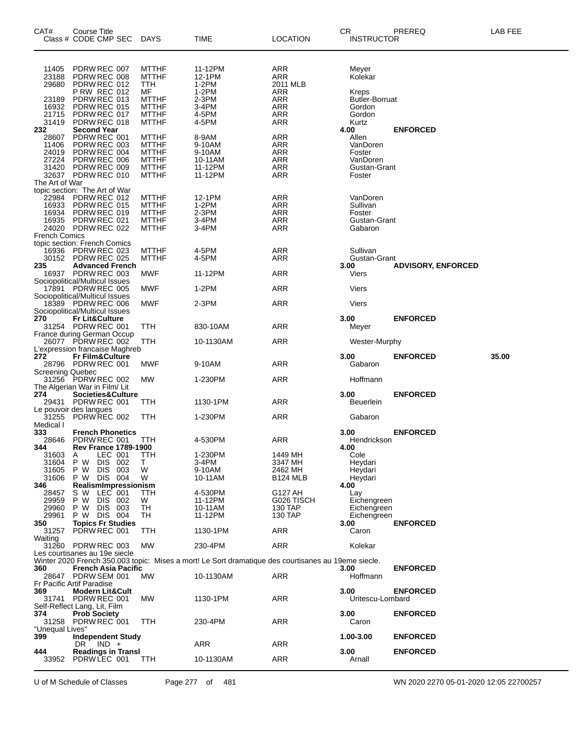| 11405<br>PDRW REC 007<br><b>MTTHF</b><br>11-12PM<br>ARR<br>Meyer<br>23188<br>PDRW REC 008<br>12-1PM<br>Kolekar<br><b>MTTHF</b><br>ARR<br>$1-2PM$<br>29680<br>PDRW REC 012<br>TTH<br>2011 MLB<br><b>P RW REC 012</b><br>MF<br>1-2PM<br>ARR<br>Kreps<br>PDRW REC 013<br>$2-3PM$<br><b>ARR</b><br>23189<br><b>MTTHF</b><br>Butler-Borruat<br>3-4PM<br>16932<br>PDRW REC 015<br>ARR<br><b>MTTHF</b><br>Gordon<br>21715<br>PDRW REC 017<br><b>MTTHF</b><br>4-5PM<br>ARR<br>Gordon<br>31419<br>PDRW REC 018<br>4-5PM<br>ARR<br><b>MTTHF</b><br>Kurtz<br><b>Second Year</b><br>232<br><b>ENFORCED</b><br>4.00<br>PDRW REC 001<br><b>ARR</b><br>28607<br>8-9AM<br>Allen<br><b>MTTHF</b><br>11406<br>PDRW REC 003<br><b>MTTHF</b><br>ARR<br>9-10AM<br>VanDoren<br>24019<br>PDRW REC 004<br><b>MTTHF</b><br>9-10AM<br>ARR<br>Foster<br>27224<br>PDRW REC 006<br>ARR<br>VanDoren<br><b>MTTHF</b><br>10-11AM<br>PDRW REC 009<br><b>ARR</b><br>31420<br><b>MTTHF</b><br>11-12PM<br>Gustan-Grant<br>32637 PDRW REC 010<br><b>MTTHF</b><br>11-12PM<br>ARR<br>Foster<br>The Art of War<br>topic section: The Art of War<br>22984<br>PDRW REC 012<br>12-1PM<br>ARR<br>VanDoren<br><b>MTTHF</b><br>16933<br>PDRW REC 015<br><b>MTTHF</b><br>1-2PM<br>ARR<br>Sullivan<br>16934<br>PDRW REC 019<br>$2-3PM$<br><b>ARR</b><br><b>MTTHF</b><br>Foster<br>3-4PM<br>16935<br>PDRW REC 021<br><b>MTTHF</b><br>ARR<br>Gustan-Grant<br>24020 PDRW REC 022<br><b>MTTHF</b><br>ARR<br>3-4PM<br>Gabaron<br><b>French Comics</b><br>topic section: French Comics<br>PDRW REC 023<br>16936<br>4-5PM<br>ARR<br>Sullivan<br><b>MTTHF</b><br>4-5PM<br>30152<br>PDRW REC 025<br>ARR<br>Gustan-Grant<br><b>MTTHF</b><br>235<br><b>Advanced French</b><br>3.00<br><b>ADVISORY, ENFORCED</b><br>16937 PDRW REC 003<br>MWF<br>11-12PM<br>ARR<br>Viers<br>Sociopolitical/Multicul Issues<br>ARR<br>17891 PDRW REC 005<br>1-2PM<br>Viers<br>MWF<br>Sociopolitical/Multicul Issues<br>$2-3PM$<br>18389 PDRW REC 006<br>MWF<br>ARR<br>Viers<br>Sociopolitical/Multicul Issues<br>270<br><b>Fr Lit&amp;Culture</b><br>3.00<br><b>ENFORCED</b><br>31254 PDRW REC 001<br>ARR<br>TTH<br>830-10AM<br>Meyer<br>France during German Occup<br>26077 PDRW REC 002<br>ARR<br>TTH<br>10-1130AM<br>Wester-Murphy<br>L'expression francaise Maghreb<br>272<br>35.00<br><b>Fr Film&amp;Culture</b><br>3.00<br><b>ENFORCED</b><br>28796 PDRW REC 001<br>MWF<br>9-10AM<br>ARR<br>Gabaron<br><b>Screening Quebec</b><br>31256 PDRW REC 002<br>MW<br>ARR<br>Hoffmann<br>1-230PM<br>The Algerian War in Film/ Lit<br>274<br>3.00<br><b>ENFORCED</b><br>Societies&Culture<br>29431 PDRW REC 001<br>1130-1PM<br>ARR<br>ттн<br><b>Beuerlein</b><br>Le pouvoir des langues<br>PDRW REC 002<br>31255<br>TTH<br>1-230PM<br>ARR<br>Gabaron<br>Medical I<br>333<br><b>French Phonetics</b><br>3.00<br><b>ENFORCED</b><br>4-530PM<br><b>ARR</b><br>28646<br>PDRW REC 001<br>Hendrickson<br>TTH<br>344<br><b>Rev France 1789-1900</b><br>4.00<br>31603<br>Α<br>LEC 001<br>TTH<br>1-230PM<br>1449 MH<br>Cole<br>3-4PM<br>31604<br>P W<br>DIS 002<br>3347 MH<br>Heydari<br>T.<br>P W<br>DIS 003<br>9-10AM<br>31605<br>W<br>2462 MH<br>Heydari<br>P W<br>DIS 004<br>10-11AM<br><b>B124 MLB</b><br>31606<br>W<br>Heydari<br>RealismImpressionism<br>346<br>4.00<br>s w<br>LEC 001<br>4-530PM<br>G127 AH<br>28457<br>ттн<br>Lay<br>29959<br>P W<br>DIS 002<br>11-12PM<br>W<br>G026 TISCH<br>Eichengreen<br>P W<br>DIS 003<br>TН<br>29960<br>10-11AM<br>130 TAP<br>Eichengreen<br>P W DIS 004<br>130 TAP<br>29961<br>TН<br>11-12PM<br>Eichengreen<br>350<br><b>Topics Fr Studies</b><br>3.00<br><b>ENFORCED</b><br>PDRW REC 001<br>1130-1PM<br>ARR<br>31257<br>TTH<br>Caron<br>Waiting<br>31260 PDRW REC 003<br>ARR<br>MW<br>230-4PM<br>Kolekar<br>Les courtisanes au 19e siecle<br>Winter 2020 French 350.003 topic: Mises a mort! Le Sort dramatique des courtisanes au 19eme siecle.<br>360<br>French Asia Pacific<br>3.00<br><b>ENFORCED</b><br>ARR<br>Hoffmann<br>28647 PDRW SEM 001<br>МW<br>10-1130AM<br>Fr Pacific Artif Paradise<br>369<br>Modern Lit&Cult<br>3.00<br><b>ENFORCED</b><br>PDRW REC 001<br>1130-1PM<br>ARR<br>31741<br>МW<br>Uritescu-Lombard<br>Self-Reflect Lang, Lit, Film<br><b>Prob Society</b><br>3.00<br>374<br><b>ENFORCED</b><br>31258 PDRW REC 001<br>ARR<br>TTH<br>230-4PM<br>Caron<br>"Unequal Lives"<br>399<br><b>Independent Study</b><br>1.00-3.00<br><b>ENFORCED</b><br>ARR<br>ARR<br>DR.<br>IND +<br>3.00<br><b>Readings in Transl</b><br><b>ENFORCED</b><br>444<br>33952 PDRW LEC 001<br>ARR<br>10-1130AM<br>Arnall<br>TTH | CAT# | Course Title<br>Class # CODE CMP SEC | <b>DAYS</b> | TIME | <b>LOCATION</b> | <b>CR</b><br><b>INSTRUCTOR</b> | PREREQ | <b>LAB FEE</b> |
|--------------------------------------------------------------------------------------------------------------------------------------------------------------------------------------------------------------------------------------------------------------------------------------------------------------------------------------------------------------------------------------------------------------------------------------------------------------------------------------------------------------------------------------------------------------------------------------------------------------------------------------------------------------------------------------------------------------------------------------------------------------------------------------------------------------------------------------------------------------------------------------------------------------------------------------------------------------------------------------------------------------------------------------------------------------------------------------------------------------------------------------------------------------------------------------------------------------------------------------------------------------------------------------------------------------------------------------------------------------------------------------------------------------------------------------------------------------------------------------------------------------------------------------------------------------------------------------------------------------------------------------------------------------------------------------------------------------------------------------------------------------------------------------------------------------------------------------------------------------------------------------------------------------------------------------------------------------------------------------------------------------------------------------------------------------------------------------------------------------------------------------------------------------------------------------------------------------------------------------------------------------------------------------------------------------------------------------------------------------------------------------------------------------------------------------------------------------------------------------------------------------------------------------------------------------------------------------------------------------------------------------------------------------------------------------------------------------------------------------------------------------------------------------------------------------------------------------------------------------------------------------------------------------------------------------------------------------------------------------------------------------------------------------------------------------------------------------------------------------------------------------------------------------------------------------------------------------------------------------------------------------------------------------------------------------------------------------------------------------------------------------------------------------------------------------------------------------------------------------------------------------------------------------------------------------------------------------------------------------------------------------------------------------------------------------------------------------------------------------------------------------------------------------------------------------------------------------------------------------------------------------------------------------------------------------------------------------------------------------------------------------------------------------------------------------------------------------------------------------------------------------------------------------------------------------------------------------------------------------------------------------------------------------------------------------------------------------------------------------------------------------------------------------------------------------------------------------------------------------------------------------------------------------------------------------------------------------|------|--------------------------------------|-------------|------|-----------------|--------------------------------|--------|----------------|
|                                                                                                                                                                                                                                                                                                                                                                                                                                                                                                                                                                                                                                                                                                                                                                                                                                                                                                                                                                                                                                                                                                                                                                                                                                                                                                                                                                                                                                                                                                                                                                                                                                                                                                                                                                                                                                                                                                                                                                                                                                                                                                                                                                                                                                                                                                                                                                                                                                                                                                                                                                                                                                                                                                                                                                                                                                                                                                                                                                                                                                                                                                                                                                                                                                                                                                                                                                                                                                                                                                                                                                                                                                                                                                                                                                                                                                                                                                                                                                                                                                                                                                                                                                                                                                                                                                                                                                                                                                                                                                                                                                                      |      |                                      |             |      |                 |                                |        |                |
|                                                                                                                                                                                                                                                                                                                                                                                                                                                                                                                                                                                                                                                                                                                                                                                                                                                                                                                                                                                                                                                                                                                                                                                                                                                                                                                                                                                                                                                                                                                                                                                                                                                                                                                                                                                                                                                                                                                                                                                                                                                                                                                                                                                                                                                                                                                                                                                                                                                                                                                                                                                                                                                                                                                                                                                                                                                                                                                                                                                                                                                                                                                                                                                                                                                                                                                                                                                                                                                                                                                                                                                                                                                                                                                                                                                                                                                                                                                                                                                                                                                                                                                                                                                                                                                                                                                                                                                                                                                                                                                                                                                      |      |                                      |             |      |                 |                                |        |                |
|                                                                                                                                                                                                                                                                                                                                                                                                                                                                                                                                                                                                                                                                                                                                                                                                                                                                                                                                                                                                                                                                                                                                                                                                                                                                                                                                                                                                                                                                                                                                                                                                                                                                                                                                                                                                                                                                                                                                                                                                                                                                                                                                                                                                                                                                                                                                                                                                                                                                                                                                                                                                                                                                                                                                                                                                                                                                                                                                                                                                                                                                                                                                                                                                                                                                                                                                                                                                                                                                                                                                                                                                                                                                                                                                                                                                                                                                                                                                                                                                                                                                                                                                                                                                                                                                                                                                                                                                                                                                                                                                                                                      |      |                                      |             |      |                 |                                |        |                |
|                                                                                                                                                                                                                                                                                                                                                                                                                                                                                                                                                                                                                                                                                                                                                                                                                                                                                                                                                                                                                                                                                                                                                                                                                                                                                                                                                                                                                                                                                                                                                                                                                                                                                                                                                                                                                                                                                                                                                                                                                                                                                                                                                                                                                                                                                                                                                                                                                                                                                                                                                                                                                                                                                                                                                                                                                                                                                                                                                                                                                                                                                                                                                                                                                                                                                                                                                                                                                                                                                                                                                                                                                                                                                                                                                                                                                                                                                                                                                                                                                                                                                                                                                                                                                                                                                                                                                                                                                                                                                                                                                                                      |      |                                      |             |      |                 |                                |        |                |
|                                                                                                                                                                                                                                                                                                                                                                                                                                                                                                                                                                                                                                                                                                                                                                                                                                                                                                                                                                                                                                                                                                                                                                                                                                                                                                                                                                                                                                                                                                                                                                                                                                                                                                                                                                                                                                                                                                                                                                                                                                                                                                                                                                                                                                                                                                                                                                                                                                                                                                                                                                                                                                                                                                                                                                                                                                                                                                                                                                                                                                                                                                                                                                                                                                                                                                                                                                                                                                                                                                                                                                                                                                                                                                                                                                                                                                                                                                                                                                                                                                                                                                                                                                                                                                                                                                                                                                                                                                                                                                                                                                                      |      |                                      |             |      |                 |                                |        |                |
|                                                                                                                                                                                                                                                                                                                                                                                                                                                                                                                                                                                                                                                                                                                                                                                                                                                                                                                                                                                                                                                                                                                                                                                                                                                                                                                                                                                                                                                                                                                                                                                                                                                                                                                                                                                                                                                                                                                                                                                                                                                                                                                                                                                                                                                                                                                                                                                                                                                                                                                                                                                                                                                                                                                                                                                                                                                                                                                                                                                                                                                                                                                                                                                                                                                                                                                                                                                                                                                                                                                                                                                                                                                                                                                                                                                                                                                                                                                                                                                                                                                                                                                                                                                                                                                                                                                                                                                                                                                                                                                                                                                      |      |                                      |             |      |                 |                                |        |                |
|                                                                                                                                                                                                                                                                                                                                                                                                                                                                                                                                                                                                                                                                                                                                                                                                                                                                                                                                                                                                                                                                                                                                                                                                                                                                                                                                                                                                                                                                                                                                                                                                                                                                                                                                                                                                                                                                                                                                                                                                                                                                                                                                                                                                                                                                                                                                                                                                                                                                                                                                                                                                                                                                                                                                                                                                                                                                                                                                                                                                                                                                                                                                                                                                                                                                                                                                                                                                                                                                                                                                                                                                                                                                                                                                                                                                                                                                                                                                                                                                                                                                                                                                                                                                                                                                                                                                                                                                                                                                                                                                                                                      |      |                                      |             |      |                 |                                |        |                |
|                                                                                                                                                                                                                                                                                                                                                                                                                                                                                                                                                                                                                                                                                                                                                                                                                                                                                                                                                                                                                                                                                                                                                                                                                                                                                                                                                                                                                                                                                                                                                                                                                                                                                                                                                                                                                                                                                                                                                                                                                                                                                                                                                                                                                                                                                                                                                                                                                                                                                                                                                                                                                                                                                                                                                                                                                                                                                                                                                                                                                                                                                                                                                                                                                                                                                                                                                                                                                                                                                                                                                                                                                                                                                                                                                                                                                                                                                                                                                                                                                                                                                                                                                                                                                                                                                                                                                                                                                                                                                                                                                                                      |      |                                      |             |      |                 |                                |        |                |
|                                                                                                                                                                                                                                                                                                                                                                                                                                                                                                                                                                                                                                                                                                                                                                                                                                                                                                                                                                                                                                                                                                                                                                                                                                                                                                                                                                                                                                                                                                                                                                                                                                                                                                                                                                                                                                                                                                                                                                                                                                                                                                                                                                                                                                                                                                                                                                                                                                                                                                                                                                                                                                                                                                                                                                                                                                                                                                                                                                                                                                                                                                                                                                                                                                                                                                                                                                                                                                                                                                                                                                                                                                                                                                                                                                                                                                                                                                                                                                                                                                                                                                                                                                                                                                                                                                                                                                                                                                                                                                                                                                                      |      |                                      |             |      |                 |                                |        |                |
|                                                                                                                                                                                                                                                                                                                                                                                                                                                                                                                                                                                                                                                                                                                                                                                                                                                                                                                                                                                                                                                                                                                                                                                                                                                                                                                                                                                                                                                                                                                                                                                                                                                                                                                                                                                                                                                                                                                                                                                                                                                                                                                                                                                                                                                                                                                                                                                                                                                                                                                                                                                                                                                                                                                                                                                                                                                                                                                                                                                                                                                                                                                                                                                                                                                                                                                                                                                                                                                                                                                                                                                                                                                                                                                                                                                                                                                                                                                                                                                                                                                                                                                                                                                                                                                                                                                                                                                                                                                                                                                                                                                      |      |                                      |             |      |                 |                                |        |                |
|                                                                                                                                                                                                                                                                                                                                                                                                                                                                                                                                                                                                                                                                                                                                                                                                                                                                                                                                                                                                                                                                                                                                                                                                                                                                                                                                                                                                                                                                                                                                                                                                                                                                                                                                                                                                                                                                                                                                                                                                                                                                                                                                                                                                                                                                                                                                                                                                                                                                                                                                                                                                                                                                                                                                                                                                                                                                                                                                                                                                                                                                                                                                                                                                                                                                                                                                                                                                                                                                                                                                                                                                                                                                                                                                                                                                                                                                                                                                                                                                                                                                                                                                                                                                                                                                                                                                                                                                                                                                                                                                                                                      |      |                                      |             |      |                 |                                |        |                |
|                                                                                                                                                                                                                                                                                                                                                                                                                                                                                                                                                                                                                                                                                                                                                                                                                                                                                                                                                                                                                                                                                                                                                                                                                                                                                                                                                                                                                                                                                                                                                                                                                                                                                                                                                                                                                                                                                                                                                                                                                                                                                                                                                                                                                                                                                                                                                                                                                                                                                                                                                                                                                                                                                                                                                                                                                                                                                                                                                                                                                                                                                                                                                                                                                                                                                                                                                                                                                                                                                                                                                                                                                                                                                                                                                                                                                                                                                                                                                                                                                                                                                                                                                                                                                                                                                                                                                                                                                                                                                                                                                                                      |      |                                      |             |      |                 |                                |        |                |
|                                                                                                                                                                                                                                                                                                                                                                                                                                                                                                                                                                                                                                                                                                                                                                                                                                                                                                                                                                                                                                                                                                                                                                                                                                                                                                                                                                                                                                                                                                                                                                                                                                                                                                                                                                                                                                                                                                                                                                                                                                                                                                                                                                                                                                                                                                                                                                                                                                                                                                                                                                                                                                                                                                                                                                                                                                                                                                                                                                                                                                                                                                                                                                                                                                                                                                                                                                                                                                                                                                                                                                                                                                                                                                                                                                                                                                                                                                                                                                                                                                                                                                                                                                                                                                                                                                                                                                                                                                                                                                                                                                                      |      |                                      |             |      |                 |                                |        |                |
|                                                                                                                                                                                                                                                                                                                                                                                                                                                                                                                                                                                                                                                                                                                                                                                                                                                                                                                                                                                                                                                                                                                                                                                                                                                                                                                                                                                                                                                                                                                                                                                                                                                                                                                                                                                                                                                                                                                                                                                                                                                                                                                                                                                                                                                                                                                                                                                                                                                                                                                                                                                                                                                                                                                                                                                                                                                                                                                                                                                                                                                                                                                                                                                                                                                                                                                                                                                                                                                                                                                                                                                                                                                                                                                                                                                                                                                                                                                                                                                                                                                                                                                                                                                                                                                                                                                                                                                                                                                                                                                                                                                      |      |                                      |             |      |                 |                                |        |                |
|                                                                                                                                                                                                                                                                                                                                                                                                                                                                                                                                                                                                                                                                                                                                                                                                                                                                                                                                                                                                                                                                                                                                                                                                                                                                                                                                                                                                                                                                                                                                                                                                                                                                                                                                                                                                                                                                                                                                                                                                                                                                                                                                                                                                                                                                                                                                                                                                                                                                                                                                                                                                                                                                                                                                                                                                                                                                                                                                                                                                                                                                                                                                                                                                                                                                                                                                                                                                                                                                                                                                                                                                                                                                                                                                                                                                                                                                                                                                                                                                                                                                                                                                                                                                                                                                                                                                                                                                                                                                                                                                                                                      |      |                                      |             |      |                 |                                |        |                |
|                                                                                                                                                                                                                                                                                                                                                                                                                                                                                                                                                                                                                                                                                                                                                                                                                                                                                                                                                                                                                                                                                                                                                                                                                                                                                                                                                                                                                                                                                                                                                                                                                                                                                                                                                                                                                                                                                                                                                                                                                                                                                                                                                                                                                                                                                                                                                                                                                                                                                                                                                                                                                                                                                                                                                                                                                                                                                                                                                                                                                                                                                                                                                                                                                                                                                                                                                                                                                                                                                                                                                                                                                                                                                                                                                                                                                                                                                                                                                                                                                                                                                                                                                                                                                                                                                                                                                                                                                                                                                                                                                                                      |      |                                      |             |      |                 |                                |        |                |
|                                                                                                                                                                                                                                                                                                                                                                                                                                                                                                                                                                                                                                                                                                                                                                                                                                                                                                                                                                                                                                                                                                                                                                                                                                                                                                                                                                                                                                                                                                                                                                                                                                                                                                                                                                                                                                                                                                                                                                                                                                                                                                                                                                                                                                                                                                                                                                                                                                                                                                                                                                                                                                                                                                                                                                                                                                                                                                                                                                                                                                                                                                                                                                                                                                                                                                                                                                                                                                                                                                                                                                                                                                                                                                                                                                                                                                                                                                                                                                                                                                                                                                                                                                                                                                                                                                                                                                                                                                                                                                                                                                                      |      |                                      |             |      |                 |                                |        |                |
|                                                                                                                                                                                                                                                                                                                                                                                                                                                                                                                                                                                                                                                                                                                                                                                                                                                                                                                                                                                                                                                                                                                                                                                                                                                                                                                                                                                                                                                                                                                                                                                                                                                                                                                                                                                                                                                                                                                                                                                                                                                                                                                                                                                                                                                                                                                                                                                                                                                                                                                                                                                                                                                                                                                                                                                                                                                                                                                                                                                                                                                                                                                                                                                                                                                                                                                                                                                                                                                                                                                                                                                                                                                                                                                                                                                                                                                                                                                                                                                                                                                                                                                                                                                                                                                                                                                                                                                                                                                                                                                                                                                      |      |                                      |             |      |                 |                                |        |                |
|                                                                                                                                                                                                                                                                                                                                                                                                                                                                                                                                                                                                                                                                                                                                                                                                                                                                                                                                                                                                                                                                                                                                                                                                                                                                                                                                                                                                                                                                                                                                                                                                                                                                                                                                                                                                                                                                                                                                                                                                                                                                                                                                                                                                                                                                                                                                                                                                                                                                                                                                                                                                                                                                                                                                                                                                                                                                                                                                                                                                                                                                                                                                                                                                                                                                                                                                                                                                                                                                                                                                                                                                                                                                                                                                                                                                                                                                                                                                                                                                                                                                                                                                                                                                                                                                                                                                                                                                                                                                                                                                                                                      |      |                                      |             |      |                 |                                |        |                |
|                                                                                                                                                                                                                                                                                                                                                                                                                                                                                                                                                                                                                                                                                                                                                                                                                                                                                                                                                                                                                                                                                                                                                                                                                                                                                                                                                                                                                                                                                                                                                                                                                                                                                                                                                                                                                                                                                                                                                                                                                                                                                                                                                                                                                                                                                                                                                                                                                                                                                                                                                                                                                                                                                                                                                                                                                                                                                                                                                                                                                                                                                                                                                                                                                                                                                                                                                                                                                                                                                                                                                                                                                                                                                                                                                                                                                                                                                                                                                                                                                                                                                                                                                                                                                                                                                                                                                                                                                                                                                                                                                                                      |      |                                      |             |      |                 |                                |        |                |
|                                                                                                                                                                                                                                                                                                                                                                                                                                                                                                                                                                                                                                                                                                                                                                                                                                                                                                                                                                                                                                                                                                                                                                                                                                                                                                                                                                                                                                                                                                                                                                                                                                                                                                                                                                                                                                                                                                                                                                                                                                                                                                                                                                                                                                                                                                                                                                                                                                                                                                                                                                                                                                                                                                                                                                                                                                                                                                                                                                                                                                                                                                                                                                                                                                                                                                                                                                                                                                                                                                                                                                                                                                                                                                                                                                                                                                                                                                                                                                                                                                                                                                                                                                                                                                                                                                                                                                                                                                                                                                                                                                                      |      |                                      |             |      |                 |                                |        |                |
|                                                                                                                                                                                                                                                                                                                                                                                                                                                                                                                                                                                                                                                                                                                                                                                                                                                                                                                                                                                                                                                                                                                                                                                                                                                                                                                                                                                                                                                                                                                                                                                                                                                                                                                                                                                                                                                                                                                                                                                                                                                                                                                                                                                                                                                                                                                                                                                                                                                                                                                                                                                                                                                                                                                                                                                                                                                                                                                                                                                                                                                                                                                                                                                                                                                                                                                                                                                                                                                                                                                                                                                                                                                                                                                                                                                                                                                                                                                                                                                                                                                                                                                                                                                                                                                                                                                                                                                                                                                                                                                                                                                      |      |                                      |             |      |                 |                                |        |                |
|                                                                                                                                                                                                                                                                                                                                                                                                                                                                                                                                                                                                                                                                                                                                                                                                                                                                                                                                                                                                                                                                                                                                                                                                                                                                                                                                                                                                                                                                                                                                                                                                                                                                                                                                                                                                                                                                                                                                                                                                                                                                                                                                                                                                                                                                                                                                                                                                                                                                                                                                                                                                                                                                                                                                                                                                                                                                                                                                                                                                                                                                                                                                                                                                                                                                                                                                                                                                                                                                                                                                                                                                                                                                                                                                                                                                                                                                                                                                                                                                                                                                                                                                                                                                                                                                                                                                                                                                                                                                                                                                                                                      |      |                                      |             |      |                 |                                |        |                |
|                                                                                                                                                                                                                                                                                                                                                                                                                                                                                                                                                                                                                                                                                                                                                                                                                                                                                                                                                                                                                                                                                                                                                                                                                                                                                                                                                                                                                                                                                                                                                                                                                                                                                                                                                                                                                                                                                                                                                                                                                                                                                                                                                                                                                                                                                                                                                                                                                                                                                                                                                                                                                                                                                                                                                                                                                                                                                                                                                                                                                                                                                                                                                                                                                                                                                                                                                                                                                                                                                                                                                                                                                                                                                                                                                                                                                                                                                                                                                                                                                                                                                                                                                                                                                                                                                                                                                                                                                                                                                                                                                                                      |      |                                      |             |      |                 |                                |        |                |
|                                                                                                                                                                                                                                                                                                                                                                                                                                                                                                                                                                                                                                                                                                                                                                                                                                                                                                                                                                                                                                                                                                                                                                                                                                                                                                                                                                                                                                                                                                                                                                                                                                                                                                                                                                                                                                                                                                                                                                                                                                                                                                                                                                                                                                                                                                                                                                                                                                                                                                                                                                                                                                                                                                                                                                                                                                                                                                                                                                                                                                                                                                                                                                                                                                                                                                                                                                                                                                                                                                                                                                                                                                                                                                                                                                                                                                                                                                                                                                                                                                                                                                                                                                                                                                                                                                                                                                                                                                                                                                                                                                                      |      |                                      |             |      |                 |                                |        |                |
|                                                                                                                                                                                                                                                                                                                                                                                                                                                                                                                                                                                                                                                                                                                                                                                                                                                                                                                                                                                                                                                                                                                                                                                                                                                                                                                                                                                                                                                                                                                                                                                                                                                                                                                                                                                                                                                                                                                                                                                                                                                                                                                                                                                                                                                                                                                                                                                                                                                                                                                                                                                                                                                                                                                                                                                                                                                                                                                                                                                                                                                                                                                                                                                                                                                                                                                                                                                                                                                                                                                                                                                                                                                                                                                                                                                                                                                                                                                                                                                                                                                                                                                                                                                                                                                                                                                                                                                                                                                                                                                                                                                      |      |                                      |             |      |                 |                                |        |                |
|                                                                                                                                                                                                                                                                                                                                                                                                                                                                                                                                                                                                                                                                                                                                                                                                                                                                                                                                                                                                                                                                                                                                                                                                                                                                                                                                                                                                                                                                                                                                                                                                                                                                                                                                                                                                                                                                                                                                                                                                                                                                                                                                                                                                                                                                                                                                                                                                                                                                                                                                                                                                                                                                                                                                                                                                                                                                                                                                                                                                                                                                                                                                                                                                                                                                                                                                                                                                                                                                                                                                                                                                                                                                                                                                                                                                                                                                                                                                                                                                                                                                                                                                                                                                                                                                                                                                                                                                                                                                                                                                                                                      |      |                                      |             |      |                 |                                |        |                |
|                                                                                                                                                                                                                                                                                                                                                                                                                                                                                                                                                                                                                                                                                                                                                                                                                                                                                                                                                                                                                                                                                                                                                                                                                                                                                                                                                                                                                                                                                                                                                                                                                                                                                                                                                                                                                                                                                                                                                                                                                                                                                                                                                                                                                                                                                                                                                                                                                                                                                                                                                                                                                                                                                                                                                                                                                                                                                                                                                                                                                                                                                                                                                                                                                                                                                                                                                                                                                                                                                                                                                                                                                                                                                                                                                                                                                                                                                                                                                                                                                                                                                                                                                                                                                                                                                                                                                                                                                                                                                                                                                                                      |      |                                      |             |      |                 |                                |        |                |
|                                                                                                                                                                                                                                                                                                                                                                                                                                                                                                                                                                                                                                                                                                                                                                                                                                                                                                                                                                                                                                                                                                                                                                                                                                                                                                                                                                                                                                                                                                                                                                                                                                                                                                                                                                                                                                                                                                                                                                                                                                                                                                                                                                                                                                                                                                                                                                                                                                                                                                                                                                                                                                                                                                                                                                                                                                                                                                                                                                                                                                                                                                                                                                                                                                                                                                                                                                                                                                                                                                                                                                                                                                                                                                                                                                                                                                                                                                                                                                                                                                                                                                                                                                                                                                                                                                                                                                                                                                                                                                                                                                                      |      |                                      |             |      |                 |                                |        |                |
|                                                                                                                                                                                                                                                                                                                                                                                                                                                                                                                                                                                                                                                                                                                                                                                                                                                                                                                                                                                                                                                                                                                                                                                                                                                                                                                                                                                                                                                                                                                                                                                                                                                                                                                                                                                                                                                                                                                                                                                                                                                                                                                                                                                                                                                                                                                                                                                                                                                                                                                                                                                                                                                                                                                                                                                                                                                                                                                                                                                                                                                                                                                                                                                                                                                                                                                                                                                                                                                                                                                                                                                                                                                                                                                                                                                                                                                                                                                                                                                                                                                                                                                                                                                                                                                                                                                                                                                                                                                                                                                                                                                      |      |                                      |             |      |                 |                                |        |                |
|                                                                                                                                                                                                                                                                                                                                                                                                                                                                                                                                                                                                                                                                                                                                                                                                                                                                                                                                                                                                                                                                                                                                                                                                                                                                                                                                                                                                                                                                                                                                                                                                                                                                                                                                                                                                                                                                                                                                                                                                                                                                                                                                                                                                                                                                                                                                                                                                                                                                                                                                                                                                                                                                                                                                                                                                                                                                                                                                                                                                                                                                                                                                                                                                                                                                                                                                                                                                                                                                                                                                                                                                                                                                                                                                                                                                                                                                                                                                                                                                                                                                                                                                                                                                                                                                                                                                                                                                                                                                                                                                                                                      |      |                                      |             |      |                 |                                |        |                |
|                                                                                                                                                                                                                                                                                                                                                                                                                                                                                                                                                                                                                                                                                                                                                                                                                                                                                                                                                                                                                                                                                                                                                                                                                                                                                                                                                                                                                                                                                                                                                                                                                                                                                                                                                                                                                                                                                                                                                                                                                                                                                                                                                                                                                                                                                                                                                                                                                                                                                                                                                                                                                                                                                                                                                                                                                                                                                                                                                                                                                                                                                                                                                                                                                                                                                                                                                                                                                                                                                                                                                                                                                                                                                                                                                                                                                                                                                                                                                                                                                                                                                                                                                                                                                                                                                                                                                                                                                                                                                                                                                                                      |      |                                      |             |      |                 |                                |        |                |
|                                                                                                                                                                                                                                                                                                                                                                                                                                                                                                                                                                                                                                                                                                                                                                                                                                                                                                                                                                                                                                                                                                                                                                                                                                                                                                                                                                                                                                                                                                                                                                                                                                                                                                                                                                                                                                                                                                                                                                                                                                                                                                                                                                                                                                                                                                                                                                                                                                                                                                                                                                                                                                                                                                                                                                                                                                                                                                                                                                                                                                                                                                                                                                                                                                                                                                                                                                                                                                                                                                                                                                                                                                                                                                                                                                                                                                                                                                                                                                                                                                                                                                                                                                                                                                                                                                                                                                                                                                                                                                                                                                                      |      |                                      |             |      |                 |                                |        |                |
|                                                                                                                                                                                                                                                                                                                                                                                                                                                                                                                                                                                                                                                                                                                                                                                                                                                                                                                                                                                                                                                                                                                                                                                                                                                                                                                                                                                                                                                                                                                                                                                                                                                                                                                                                                                                                                                                                                                                                                                                                                                                                                                                                                                                                                                                                                                                                                                                                                                                                                                                                                                                                                                                                                                                                                                                                                                                                                                                                                                                                                                                                                                                                                                                                                                                                                                                                                                                                                                                                                                                                                                                                                                                                                                                                                                                                                                                                                                                                                                                                                                                                                                                                                                                                                                                                                                                                                                                                                                                                                                                                                                      |      |                                      |             |      |                 |                                |        |                |
|                                                                                                                                                                                                                                                                                                                                                                                                                                                                                                                                                                                                                                                                                                                                                                                                                                                                                                                                                                                                                                                                                                                                                                                                                                                                                                                                                                                                                                                                                                                                                                                                                                                                                                                                                                                                                                                                                                                                                                                                                                                                                                                                                                                                                                                                                                                                                                                                                                                                                                                                                                                                                                                                                                                                                                                                                                                                                                                                                                                                                                                                                                                                                                                                                                                                                                                                                                                                                                                                                                                                                                                                                                                                                                                                                                                                                                                                                                                                                                                                                                                                                                                                                                                                                                                                                                                                                                                                                                                                                                                                                                                      |      |                                      |             |      |                 |                                |        |                |
|                                                                                                                                                                                                                                                                                                                                                                                                                                                                                                                                                                                                                                                                                                                                                                                                                                                                                                                                                                                                                                                                                                                                                                                                                                                                                                                                                                                                                                                                                                                                                                                                                                                                                                                                                                                                                                                                                                                                                                                                                                                                                                                                                                                                                                                                                                                                                                                                                                                                                                                                                                                                                                                                                                                                                                                                                                                                                                                                                                                                                                                                                                                                                                                                                                                                                                                                                                                                                                                                                                                                                                                                                                                                                                                                                                                                                                                                                                                                                                                                                                                                                                                                                                                                                                                                                                                                                                                                                                                                                                                                                                                      |      |                                      |             |      |                 |                                |        |                |
|                                                                                                                                                                                                                                                                                                                                                                                                                                                                                                                                                                                                                                                                                                                                                                                                                                                                                                                                                                                                                                                                                                                                                                                                                                                                                                                                                                                                                                                                                                                                                                                                                                                                                                                                                                                                                                                                                                                                                                                                                                                                                                                                                                                                                                                                                                                                                                                                                                                                                                                                                                                                                                                                                                                                                                                                                                                                                                                                                                                                                                                                                                                                                                                                                                                                                                                                                                                                                                                                                                                                                                                                                                                                                                                                                                                                                                                                                                                                                                                                                                                                                                                                                                                                                                                                                                                                                                                                                                                                                                                                                                                      |      |                                      |             |      |                 |                                |        |                |
|                                                                                                                                                                                                                                                                                                                                                                                                                                                                                                                                                                                                                                                                                                                                                                                                                                                                                                                                                                                                                                                                                                                                                                                                                                                                                                                                                                                                                                                                                                                                                                                                                                                                                                                                                                                                                                                                                                                                                                                                                                                                                                                                                                                                                                                                                                                                                                                                                                                                                                                                                                                                                                                                                                                                                                                                                                                                                                                                                                                                                                                                                                                                                                                                                                                                                                                                                                                                                                                                                                                                                                                                                                                                                                                                                                                                                                                                                                                                                                                                                                                                                                                                                                                                                                                                                                                                                                                                                                                                                                                                                                                      |      |                                      |             |      |                 |                                |        |                |
|                                                                                                                                                                                                                                                                                                                                                                                                                                                                                                                                                                                                                                                                                                                                                                                                                                                                                                                                                                                                                                                                                                                                                                                                                                                                                                                                                                                                                                                                                                                                                                                                                                                                                                                                                                                                                                                                                                                                                                                                                                                                                                                                                                                                                                                                                                                                                                                                                                                                                                                                                                                                                                                                                                                                                                                                                                                                                                                                                                                                                                                                                                                                                                                                                                                                                                                                                                                                                                                                                                                                                                                                                                                                                                                                                                                                                                                                                                                                                                                                                                                                                                                                                                                                                                                                                                                                                                                                                                                                                                                                                                                      |      |                                      |             |      |                 |                                |        |                |
|                                                                                                                                                                                                                                                                                                                                                                                                                                                                                                                                                                                                                                                                                                                                                                                                                                                                                                                                                                                                                                                                                                                                                                                                                                                                                                                                                                                                                                                                                                                                                                                                                                                                                                                                                                                                                                                                                                                                                                                                                                                                                                                                                                                                                                                                                                                                                                                                                                                                                                                                                                                                                                                                                                                                                                                                                                                                                                                                                                                                                                                                                                                                                                                                                                                                                                                                                                                                                                                                                                                                                                                                                                                                                                                                                                                                                                                                                                                                                                                                                                                                                                                                                                                                                                                                                                                                                                                                                                                                                                                                                                                      |      |                                      |             |      |                 |                                |        |                |
|                                                                                                                                                                                                                                                                                                                                                                                                                                                                                                                                                                                                                                                                                                                                                                                                                                                                                                                                                                                                                                                                                                                                                                                                                                                                                                                                                                                                                                                                                                                                                                                                                                                                                                                                                                                                                                                                                                                                                                                                                                                                                                                                                                                                                                                                                                                                                                                                                                                                                                                                                                                                                                                                                                                                                                                                                                                                                                                                                                                                                                                                                                                                                                                                                                                                                                                                                                                                                                                                                                                                                                                                                                                                                                                                                                                                                                                                                                                                                                                                                                                                                                                                                                                                                                                                                                                                                                                                                                                                                                                                                                                      |      |                                      |             |      |                 |                                |        |                |
|                                                                                                                                                                                                                                                                                                                                                                                                                                                                                                                                                                                                                                                                                                                                                                                                                                                                                                                                                                                                                                                                                                                                                                                                                                                                                                                                                                                                                                                                                                                                                                                                                                                                                                                                                                                                                                                                                                                                                                                                                                                                                                                                                                                                                                                                                                                                                                                                                                                                                                                                                                                                                                                                                                                                                                                                                                                                                                                                                                                                                                                                                                                                                                                                                                                                                                                                                                                                                                                                                                                                                                                                                                                                                                                                                                                                                                                                                                                                                                                                                                                                                                                                                                                                                                                                                                                                                                                                                                                                                                                                                                                      |      |                                      |             |      |                 |                                |        |                |
|                                                                                                                                                                                                                                                                                                                                                                                                                                                                                                                                                                                                                                                                                                                                                                                                                                                                                                                                                                                                                                                                                                                                                                                                                                                                                                                                                                                                                                                                                                                                                                                                                                                                                                                                                                                                                                                                                                                                                                                                                                                                                                                                                                                                                                                                                                                                                                                                                                                                                                                                                                                                                                                                                                                                                                                                                                                                                                                                                                                                                                                                                                                                                                                                                                                                                                                                                                                                                                                                                                                                                                                                                                                                                                                                                                                                                                                                                                                                                                                                                                                                                                                                                                                                                                                                                                                                                                                                                                                                                                                                                                                      |      |                                      |             |      |                 |                                |        |                |
|                                                                                                                                                                                                                                                                                                                                                                                                                                                                                                                                                                                                                                                                                                                                                                                                                                                                                                                                                                                                                                                                                                                                                                                                                                                                                                                                                                                                                                                                                                                                                                                                                                                                                                                                                                                                                                                                                                                                                                                                                                                                                                                                                                                                                                                                                                                                                                                                                                                                                                                                                                                                                                                                                                                                                                                                                                                                                                                                                                                                                                                                                                                                                                                                                                                                                                                                                                                                                                                                                                                                                                                                                                                                                                                                                                                                                                                                                                                                                                                                                                                                                                                                                                                                                                                                                                                                                                                                                                                                                                                                                                                      |      |                                      |             |      |                 |                                |        |                |
|                                                                                                                                                                                                                                                                                                                                                                                                                                                                                                                                                                                                                                                                                                                                                                                                                                                                                                                                                                                                                                                                                                                                                                                                                                                                                                                                                                                                                                                                                                                                                                                                                                                                                                                                                                                                                                                                                                                                                                                                                                                                                                                                                                                                                                                                                                                                                                                                                                                                                                                                                                                                                                                                                                                                                                                                                                                                                                                                                                                                                                                                                                                                                                                                                                                                                                                                                                                                                                                                                                                                                                                                                                                                                                                                                                                                                                                                                                                                                                                                                                                                                                                                                                                                                                                                                                                                                                                                                                                                                                                                                                                      |      |                                      |             |      |                 |                                |        |                |
|                                                                                                                                                                                                                                                                                                                                                                                                                                                                                                                                                                                                                                                                                                                                                                                                                                                                                                                                                                                                                                                                                                                                                                                                                                                                                                                                                                                                                                                                                                                                                                                                                                                                                                                                                                                                                                                                                                                                                                                                                                                                                                                                                                                                                                                                                                                                                                                                                                                                                                                                                                                                                                                                                                                                                                                                                                                                                                                                                                                                                                                                                                                                                                                                                                                                                                                                                                                                                                                                                                                                                                                                                                                                                                                                                                                                                                                                                                                                                                                                                                                                                                                                                                                                                                                                                                                                                                                                                                                                                                                                                                                      |      |                                      |             |      |                 |                                |        |                |
|                                                                                                                                                                                                                                                                                                                                                                                                                                                                                                                                                                                                                                                                                                                                                                                                                                                                                                                                                                                                                                                                                                                                                                                                                                                                                                                                                                                                                                                                                                                                                                                                                                                                                                                                                                                                                                                                                                                                                                                                                                                                                                                                                                                                                                                                                                                                                                                                                                                                                                                                                                                                                                                                                                                                                                                                                                                                                                                                                                                                                                                                                                                                                                                                                                                                                                                                                                                                                                                                                                                                                                                                                                                                                                                                                                                                                                                                                                                                                                                                                                                                                                                                                                                                                                                                                                                                                                                                                                                                                                                                                                                      |      |                                      |             |      |                 |                                |        |                |
|                                                                                                                                                                                                                                                                                                                                                                                                                                                                                                                                                                                                                                                                                                                                                                                                                                                                                                                                                                                                                                                                                                                                                                                                                                                                                                                                                                                                                                                                                                                                                                                                                                                                                                                                                                                                                                                                                                                                                                                                                                                                                                                                                                                                                                                                                                                                                                                                                                                                                                                                                                                                                                                                                                                                                                                                                                                                                                                                                                                                                                                                                                                                                                                                                                                                                                                                                                                                                                                                                                                                                                                                                                                                                                                                                                                                                                                                                                                                                                                                                                                                                                                                                                                                                                                                                                                                                                                                                                                                                                                                                                                      |      |                                      |             |      |                 |                                |        |                |
|                                                                                                                                                                                                                                                                                                                                                                                                                                                                                                                                                                                                                                                                                                                                                                                                                                                                                                                                                                                                                                                                                                                                                                                                                                                                                                                                                                                                                                                                                                                                                                                                                                                                                                                                                                                                                                                                                                                                                                                                                                                                                                                                                                                                                                                                                                                                                                                                                                                                                                                                                                                                                                                                                                                                                                                                                                                                                                                                                                                                                                                                                                                                                                                                                                                                                                                                                                                                                                                                                                                                                                                                                                                                                                                                                                                                                                                                                                                                                                                                                                                                                                                                                                                                                                                                                                                                                                                                                                                                                                                                                                                      |      |                                      |             |      |                 |                                |        |                |
|                                                                                                                                                                                                                                                                                                                                                                                                                                                                                                                                                                                                                                                                                                                                                                                                                                                                                                                                                                                                                                                                                                                                                                                                                                                                                                                                                                                                                                                                                                                                                                                                                                                                                                                                                                                                                                                                                                                                                                                                                                                                                                                                                                                                                                                                                                                                                                                                                                                                                                                                                                                                                                                                                                                                                                                                                                                                                                                                                                                                                                                                                                                                                                                                                                                                                                                                                                                                                                                                                                                                                                                                                                                                                                                                                                                                                                                                                                                                                                                                                                                                                                                                                                                                                                                                                                                                                                                                                                                                                                                                                                                      |      |                                      |             |      |                 |                                |        |                |
|                                                                                                                                                                                                                                                                                                                                                                                                                                                                                                                                                                                                                                                                                                                                                                                                                                                                                                                                                                                                                                                                                                                                                                                                                                                                                                                                                                                                                                                                                                                                                                                                                                                                                                                                                                                                                                                                                                                                                                                                                                                                                                                                                                                                                                                                                                                                                                                                                                                                                                                                                                                                                                                                                                                                                                                                                                                                                                                                                                                                                                                                                                                                                                                                                                                                                                                                                                                                                                                                                                                                                                                                                                                                                                                                                                                                                                                                                                                                                                                                                                                                                                                                                                                                                                                                                                                                                                                                                                                                                                                                                                                      |      |                                      |             |      |                 |                                |        |                |
|                                                                                                                                                                                                                                                                                                                                                                                                                                                                                                                                                                                                                                                                                                                                                                                                                                                                                                                                                                                                                                                                                                                                                                                                                                                                                                                                                                                                                                                                                                                                                                                                                                                                                                                                                                                                                                                                                                                                                                                                                                                                                                                                                                                                                                                                                                                                                                                                                                                                                                                                                                                                                                                                                                                                                                                                                                                                                                                                                                                                                                                                                                                                                                                                                                                                                                                                                                                                                                                                                                                                                                                                                                                                                                                                                                                                                                                                                                                                                                                                                                                                                                                                                                                                                                                                                                                                                                                                                                                                                                                                                                                      |      |                                      |             |      |                 |                                |        |                |
|                                                                                                                                                                                                                                                                                                                                                                                                                                                                                                                                                                                                                                                                                                                                                                                                                                                                                                                                                                                                                                                                                                                                                                                                                                                                                                                                                                                                                                                                                                                                                                                                                                                                                                                                                                                                                                                                                                                                                                                                                                                                                                                                                                                                                                                                                                                                                                                                                                                                                                                                                                                                                                                                                                                                                                                                                                                                                                                                                                                                                                                                                                                                                                                                                                                                                                                                                                                                                                                                                                                                                                                                                                                                                                                                                                                                                                                                                                                                                                                                                                                                                                                                                                                                                                                                                                                                                                                                                                                                                                                                                                                      |      |                                      |             |      |                 |                                |        |                |
|                                                                                                                                                                                                                                                                                                                                                                                                                                                                                                                                                                                                                                                                                                                                                                                                                                                                                                                                                                                                                                                                                                                                                                                                                                                                                                                                                                                                                                                                                                                                                                                                                                                                                                                                                                                                                                                                                                                                                                                                                                                                                                                                                                                                                                                                                                                                                                                                                                                                                                                                                                                                                                                                                                                                                                                                                                                                                                                                                                                                                                                                                                                                                                                                                                                                                                                                                                                                                                                                                                                                                                                                                                                                                                                                                                                                                                                                                                                                                                                                                                                                                                                                                                                                                                                                                                                                                                                                                                                                                                                                                                                      |      |                                      |             |      |                 |                                |        |                |
|                                                                                                                                                                                                                                                                                                                                                                                                                                                                                                                                                                                                                                                                                                                                                                                                                                                                                                                                                                                                                                                                                                                                                                                                                                                                                                                                                                                                                                                                                                                                                                                                                                                                                                                                                                                                                                                                                                                                                                                                                                                                                                                                                                                                                                                                                                                                                                                                                                                                                                                                                                                                                                                                                                                                                                                                                                                                                                                                                                                                                                                                                                                                                                                                                                                                                                                                                                                                                                                                                                                                                                                                                                                                                                                                                                                                                                                                                                                                                                                                                                                                                                                                                                                                                                                                                                                                                                                                                                                                                                                                                                                      |      |                                      |             |      |                 |                                |        |                |
|                                                                                                                                                                                                                                                                                                                                                                                                                                                                                                                                                                                                                                                                                                                                                                                                                                                                                                                                                                                                                                                                                                                                                                                                                                                                                                                                                                                                                                                                                                                                                                                                                                                                                                                                                                                                                                                                                                                                                                                                                                                                                                                                                                                                                                                                                                                                                                                                                                                                                                                                                                                                                                                                                                                                                                                                                                                                                                                                                                                                                                                                                                                                                                                                                                                                                                                                                                                                                                                                                                                                                                                                                                                                                                                                                                                                                                                                                                                                                                                                                                                                                                                                                                                                                                                                                                                                                                                                                                                                                                                                                                                      |      |                                      |             |      |                 |                                |        |                |
|                                                                                                                                                                                                                                                                                                                                                                                                                                                                                                                                                                                                                                                                                                                                                                                                                                                                                                                                                                                                                                                                                                                                                                                                                                                                                                                                                                                                                                                                                                                                                                                                                                                                                                                                                                                                                                                                                                                                                                                                                                                                                                                                                                                                                                                                                                                                                                                                                                                                                                                                                                                                                                                                                                                                                                                                                                                                                                                                                                                                                                                                                                                                                                                                                                                                                                                                                                                                                                                                                                                                                                                                                                                                                                                                                                                                                                                                                                                                                                                                                                                                                                                                                                                                                                                                                                                                                                                                                                                                                                                                                                                      |      |                                      |             |      |                 |                                |        |                |
|                                                                                                                                                                                                                                                                                                                                                                                                                                                                                                                                                                                                                                                                                                                                                                                                                                                                                                                                                                                                                                                                                                                                                                                                                                                                                                                                                                                                                                                                                                                                                                                                                                                                                                                                                                                                                                                                                                                                                                                                                                                                                                                                                                                                                                                                                                                                                                                                                                                                                                                                                                                                                                                                                                                                                                                                                                                                                                                                                                                                                                                                                                                                                                                                                                                                                                                                                                                                                                                                                                                                                                                                                                                                                                                                                                                                                                                                                                                                                                                                                                                                                                                                                                                                                                                                                                                                                                                                                                                                                                                                                                                      |      |                                      |             |      |                 |                                |        |                |
|                                                                                                                                                                                                                                                                                                                                                                                                                                                                                                                                                                                                                                                                                                                                                                                                                                                                                                                                                                                                                                                                                                                                                                                                                                                                                                                                                                                                                                                                                                                                                                                                                                                                                                                                                                                                                                                                                                                                                                                                                                                                                                                                                                                                                                                                                                                                                                                                                                                                                                                                                                                                                                                                                                                                                                                                                                                                                                                                                                                                                                                                                                                                                                                                                                                                                                                                                                                                                                                                                                                                                                                                                                                                                                                                                                                                                                                                                                                                                                                                                                                                                                                                                                                                                                                                                                                                                                                                                                                                                                                                                                                      |      |                                      |             |      |                 |                                |        |                |
|                                                                                                                                                                                                                                                                                                                                                                                                                                                                                                                                                                                                                                                                                                                                                                                                                                                                                                                                                                                                                                                                                                                                                                                                                                                                                                                                                                                                                                                                                                                                                                                                                                                                                                                                                                                                                                                                                                                                                                                                                                                                                                                                                                                                                                                                                                                                                                                                                                                                                                                                                                                                                                                                                                                                                                                                                                                                                                                                                                                                                                                                                                                                                                                                                                                                                                                                                                                                                                                                                                                                                                                                                                                                                                                                                                                                                                                                                                                                                                                                                                                                                                                                                                                                                                                                                                                                                                                                                                                                                                                                                                                      |      |                                      |             |      |                 |                                |        |                |
|                                                                                                                                                                                                                                                                                                                                                                                                                                                                                                                                                                                                                                                                                                                                                                                                                                                                                                                                                                                                                                                                                                                                                                                                                                                                                                                                                                                                                                                                                                                                                                                                                                                                                                                                                                                                                                                                                                                                                                                                                                                                                                                                                                                                                                                                                                                                                                                                                                                                                                                                                                                                                                                                                                                                                                                                                                                                                                                                                                                                                                                                                                                                                                                                                                                                                                                                                                                                                                                                                                                                                                                                                                                                                                                                                                                                                                                                                                                                                                                                                                                                                                                                                                                                                                                                                                                                                                                                                                                                                                                                                                                      |      |                                      |             |      |                 |                                |        |                |
|                                                                                                                                                                                                                                                                                                                                                                                                                                                                                                                                                                                                                                                                                                                                                                                                                                                                                                                                                                                                                                                                                                                                                                                                                                                                                                                                                                                                                                                                                                                                                                                                                                                                                                                                                                                                                                                                                                                                                                                                                                                                                                                                                                                                                                                                                                                                                                                                                                                                                                                                                                                                                                                                                                                                                                                                                                                                                                                                                                                                                                                                                                                                                                                                                                                                                                                                                                                                                                                                                                                                                                                                                                                                                                                                                                                                                                                                                                                                                                                                                                                                                                                                                                                                                                                                                                                                                                                                                                                                                                                                                                                      |      |                                      |             |      |                 |                                |        |                |
|                                                                                                                                                                                                                                                                                                                                                                                                                                                                                                                                                                                                                                                                                                                                                                                                                                                                                                                                                                                                                                                                                                                                                                                                                                                                                                                                                                                                                                                                                                                                                                                                                                                                                                                                                                                                                                                                                                                                                                                                                                                                                                                                                                                                                                                                                                                                                                                                                                                                                                                                                                                                                                                                                                                                                                                                                                                                                                                                                                                                                                                                                                                                                                                                                                                                                                                                                                                                                                                                                                                                                                                                                                                                                                                                                                                                                                                                                                                                                                                                                                                                                                                                                                                                                                                                                                                                                                                                                                                                                                                                                                                      |      |                                      |             |      |                 |                                |        |                |
|                                                                                                                                                                                                                                                                                                                                                                                                                                                                                                                                                                                                                                                                                                                                                                                                                                                                                                                                                                                                                                                                                                                                                                                                                                                                                                                                                                                                                                                                                                                                                                                                                                                                                                                                                                                                                                                                                                                                                                                                                                                                                                                                                                                                                                                                                                                                                                                                                                                                                                                                                                                                                                                                                                                                                                                                                                                                                                                                                                                                                                                                                                                                                                                                                                                                                                                                                                                                                                                                                                                                                                                                                                                                                                                                                                                                                                                                                                                                                                                                                                                                                                                                                                                                                                                                                                                                                                                                                                                                                                                                                                                      |      |                                      |             |      |                 |                                |        |                |
|                                                                                                                                                                                                                                                                                                                                                                                                                                                                                                                                                                                                                                                                                                                                                                                                                                                                                                                                                                                                                                                                                                                                                                                                                                                                                                                                                                                                                                                                                                                                                                                                                                                                                                                                                                                                                                                                                                                                                                                                                                                                                                                                                                                                                                                                                                                                                                                                                                                                                                                                                                                                                                                                                                                                                                                                                                                                                                                                                                                                                                                                                                                                                                                                                                                                                                                                                                                                                                                                                                                                                                                                                                                                                                                                                                                                                                                                                                                                                                                                                                                                                                                                                                                                                                                                                                                                                                                                                                                                                                                                                                                      |      |                                      |             |      |                 |                                |        |                |

U of M Schedule of Classes Page 277 of 481 WN 2020 2270 05-01-2020 12:05 22700257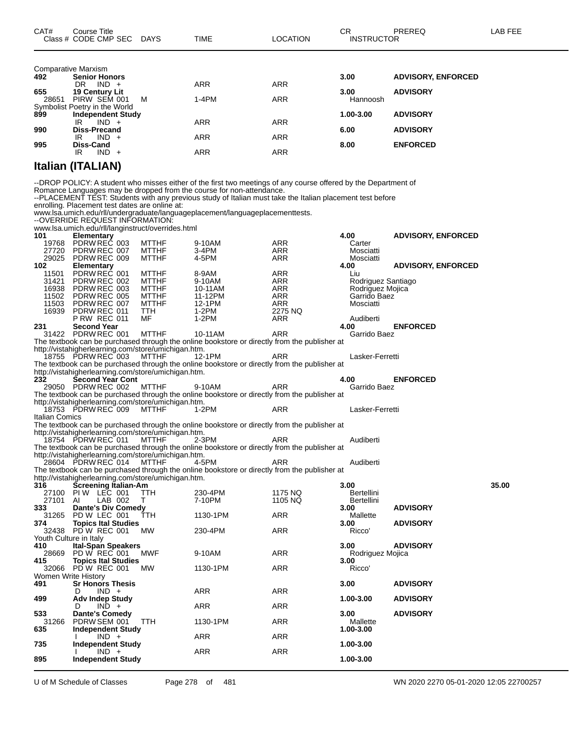|       | <b>Comparative Marxism</b>    |            |            |           |                           |
|-------|-------------------------------|------------|------------|-----------|---------------------------|
| 492   | <b>Senior Honors</b>          |            |            | 3.00      | <b>ADVISORY, ENFORCED</b> |
|       | $IND +$<br>DR                 | <b>ARR</b> | <b>ARR</b> |           |                           |
| 655   | 19 Century Lit                |            |            | 3.00      | <b>ADVISORY</b>           |
| 28651 | PIRW SEM 001<br>м             | 1-4PM      | <b>ARR</b> | Hannoosh  |                           |
|       | Symbolist Poetry in the World |            |            |           |                           |
| 899   | <b>Independent Study</b>      |            |            | 1.00-3.00 | <b>ADVISORY</b>           |
|       | IR<br>$IND +$                 | <b>ARR</b> | <b>ARR</b> |           |                           |
| 990   | <b>Diss-Precand</b>           |            |            | 6.00      | <b>ADVISORY</b>           |
|       | $IND +$<br>IR                 | <b>ARR</b> | <b>ARR</b> |           |                           |
| 995   | Diss-Cand                     |            |            | 8.00      | <b>ENFORCED</b>           |
|       | $IND +$<br>IR                 | <b>ARR</b> | <b>ARR</b> |           |                           |
|       |                               |            |            |           |                           |

### **Italian (ITALIAN)**

--DROP POLICY: A student who misses either of the first two meetings of any course offered by the Department of Romance Languages may be dropped from the course for non-attendance.

--PLACEMENT TEST: Students with any previous study of Italian must take the Italian placement test before

enrolling. Placement test dates are online at: www.lsa.umich.edu/rll/undergraduate/languageplacement/languageplacementtests.

--OVERRIDE REQUEST INFORMATION:

|                        | www.lsa.umich.edu/rll/langinstruct/overrides.html   |              |                                                                                              |            |                    |                           |       |
|------------------------|-----------------------------------------------------|--------------|----------------------------------------------------------------------------------------------|------------|--------------------|---------------------------|-------|
| 101                    | <b>Elementary</b>                                   |              |                                                                                              |            | 4.00               | <b>ADVISORY, ENFORCED</b> |       |
| 19768                  | PDRW REC 003                                        | <b>MTTHF</b> | 9-10AM                                                                                       | ARR        | Carter             |                           |       |
| 27720                  | PDRW REC 007                                        | <b>MTTHF</b> | $3-4PM$                                                                                      | ARR        | Mosciatti          |                           |       |
| 29025                  | PDRW REC 009                                        | <b>MTTHF</b> | 4-5PM                                                                                        | ARR        | Mosciatti          |                           |       |
| 102                    | <b>Elementary</b>                                   |              |                                                                                              |            | 4.00               | <b>ADVISORY, ENFORCED</b> |       |
| 11501                  | PDRW REC 001                                        | <b>MTTHF</b> | 8-9AM                                                                                        | ARR        | Liu                |                           |       |
| 31421                  | PDRW REC 002                                        | <b>MTTHF</b> | 9-10AM                                                                                       | ARR        | Rodriguez Santiago |                           |       |
| 16938                  | PDRW REC 003                                        | <b>MTTHF</b> | 10-11AM                                                                                      | ARR        | Rodriguez Mojica   |                           |       |
| 11502                  | PDRW REC 005                                        | <b>MTTHF</b> | 11-12PM                                                                                      | ARR        | Garrido Baez       |                           |       |
| 11503                  | PDRW REC 007                                        | <b>MTTHF</b> | 12-1PM                                                                                       | ARR        | Mosciatti          |                           |       |
| 16939                  | PDRW REC 011                                        | <b>TTH</b>   | $1-2PM$                                                                                      | 2275 NQ    |                    |                           |       |
|                        |                                                     |              |                                                                                              |            |                    |                           |       |
|                        | <b>P RW REC 011</b>                                 | MF           | $1-2PM$                                                                                      | ARR        | Audiberti          |                           |       |
| 231                    | <b>Second Year</b>                                  |              |                                                                                              |            | 4.00               | <b>ENFORCED</b>           |       |
|                        | 31422 PDRW REC 001                                  | MTTHF        | 10-11AM                                                                                      | ARR        | Garrido Baez       |                           |       |
|                        |                                                     |              | The textbook can be purchased through the online bookstore or directly from the publisher at |            |                    |                           |       |
|                        | http://vistahigherlearning.com/store/umichigan.htm. |              |                                                                                              |            |                    |                           |       |
|                        | 18755 PDRW REC 003                                  | <b>MTTHF</b> | 12-1PM                                                                                       | ARR        | Lasker-Ferretti    |                           |       |
|                        |                                                     |              | The textbook can be purchased through the online bookstore or directly from the publisher at |            |                    |                           |       |
|                        | http://vistahigherlearning.com/store/umichigan.htm. |              |                                                                                              |            |                    |                           |       |
| 232                    | <b>Second Year Cont</b>                             |              |                                                                                              |            | 4.00               | <b>ENFORCED</b>           |       |
|                        | 29050 PDRW REC 002                                  | <b>MTTHF</b> | 9-10AM                                                                                       | <b>ARR</b> | Garrido Baez       |                           |       |
|                        |                                                     |              | The textbook can be purchased through the online bookstore or directly from the publisher at |            |                    |                           |       |
|                        | http://vistahigherlearning.com/store/umichigan.htm. |              |                                                                                              |            |                    |                           |       |
|                        | 18753 PDRW REC 009                                  | MTTHF        | 1-2PM                                                                                        | ARR        | Lasker-Ferretti    |                           |       |
| Italian Comics         |                                                     |              |                                                                                              |            |                    |                           |       |
|                        |                                                     |              |                                                                                              |            |                    |                           |       |
|                        |                                                     |              | The textbook can be purchased through the online bookstore or directly from the publisher at |            |                    |                           |       |
|                        | http://vistahigherlearning.com/store/umichigan.htm. |              |                                                                                              |            |                    |                           |       |
|                        | 18754 PDRW REC 011                                  | <b>MTTHF</b> | 2-3PM                                                                                        | ARR        | Audiberti          |                           |       |
|                        |                                                     |              | The textbook can be purchased through the online bookstore or directly from the publisher at |            |                    |                           |       |
|                        | http://vistahigherlearning.com/store/umichigan.htm. |              |                                                                                              |            |                    |                           |       |
|                        | 28604 PDRW REC 014                                  | <b>MTTHF</b> | 4-5PM                                                                                        | ARR        | Audiberti          |                           |       |
|                        |                                                     |              | The textbook can be purchased through the online bookstore or directly from the publisher at |            |                    |                           |       |
|                        | http://vistahigherlearning.com/store/umichigan.htm. |              |                                                                                              |            |                    |                           |       |
| 316                    | <b>Screening Italian-Am</b>                         |              |                                                                                              |            | 3.00               |                           | 35.00 |
|                        | 27100 PIW LEC 001                                   | <b>TTH</b>   | 230-4PM                                                                                      | 1175 NQ    | Bertellini         |                           |       |
| 27101                  | LAB 002<br>AI                                       | т            | 7-10PM                                                                                       | 1105 NQ    | Bertellini         |                           |       |
| 333                    | <b>Dante's Div Comedy</b>                           |              |                                                                                              |            | 3.00               | <b>ADVISORY</b>           |       |
|                        | 31265 PD W LEC 001                                  | TTH          | 1130-1PM                                                                                     | ARR        | Mallette           |                           |       |
| 374                    | <b>Topics Ital Studies</b>                          |              |                                                                                              |            | 3.00               | <b>ADVISORY</b>           |       |
|                        | 32438 PD W REC 001                                  | MW           | 230-4PM                                                                                      | ARR        | Ricco'             |                           |       |
| Youth Culture in Italy |                                                     |              |                                                                                              |            |                    |                           |       |
|                        |                                                     |              |                                                                                              |            | 3.00               |                           |       |
| 410                    | <b>Ital-Span Speakers</b>                           |              |                                                                                              |            |                    | <b>ADVISORY</b>           |       |
| 28669                  | PD W REC 001                                        | <b>MWF</b>   | 9-10AM                                                                                       | <b>ARR</b> | Rodriguez Mojica   |                           |       |
| 415                    | <b>Topics Ital Studies</b>                          |              |                                                                                              |            | 3.00               |                           |       |
|                        | 32066 PD W REC 001                                  | MW           | 1130-1PM                                                                                     | <b>ARR</b> | Ricco'             |                           |       |
| Women Write History    |                                                     |              |                                                                                              |            |                    |                           |       |
| 491                    | <b>Sr Honors Thesis</b>                             |              |                                                                                              |            | 3.00               | <b>ADVISORY</b>           |       |
|                        | $IND +$<br>D                                        |              | <b>ARR</b>                                                                                   | <b>ARR</b> |                    |                           |       |
| 499                    | <b>Adv Indep Study</b>                              |              |                                                                                              |            | 1.00-3.00          | <b>ADVISORY</b>           |       |
|                        | $IND +$<br>D                                        |              | ARR                                                                                          | <b>ARR</b> |                    |                           |       |
| 533                    | <b>Dante's Comedy</b>                               |              |                                                                                              |            | 3.00               | <b>ADVISORY</b>           |       |
| 31266                  | PDRW SEM 001                                        | TTH          | 1130-1PM                                                                                     | ARR        | Mallette           |                           |       |
| 635                    | <b>Independent Study</b>                            |              |                                                                                              |            | 1.00-3.00          |                           |       |
|                        | $IND +$                                             |              | ARR                                                                                          | ARR        |                    |                           |       |
| 735                    | <b>Independent Study</b>                            |              |                                                                                              |            | 1.00-3.00          |                           |       |
|                        | $IND +$                                             |              | ARR                                                                                          | <b>ARR</b> |                    |                           |       |
| 895                    | <b>Independent Study</b>                            |              |                                                                                              |            | 1.00-3.00          |                           |       |
|                        |                                                     |              |                                                                                              |            |                    |                           |       |

U of M Schedule of Classes Page 278 of 481 WN 2020 2270 05-01-2020 12:05 22700257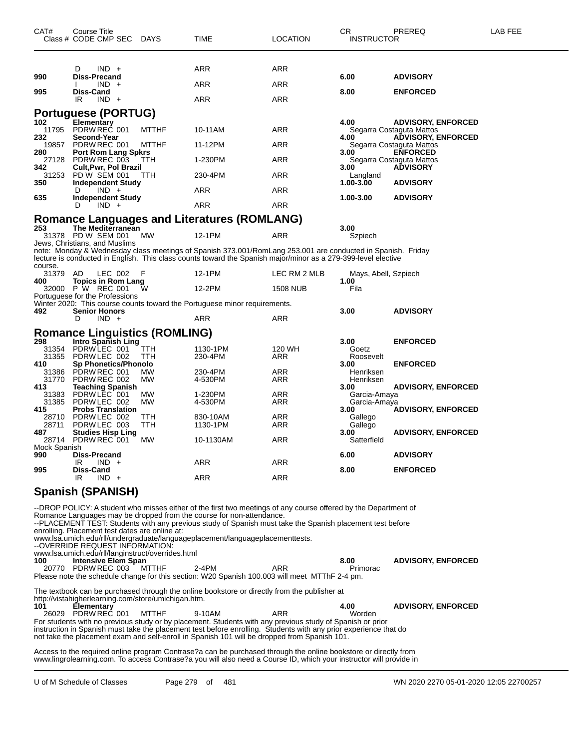| CAT#                  | Course Title<br>Class # CODE CMP SEC                                                                                                   | DAYS                | TIME                                                                                                                                                                                                                                                                                                                                                                                  | LOCATION        | СR<br><b>INSTRUCTOR</b>        | PREREQ                                                                  | LAB FEE |
|-----------------------|----------------------------------------------------------------------------------------------------------------------------------------|---------------------|---------------------------------------------------------------------------------------------------------------------------------------------------------------------------------------------------------------------------------------------------------------------------------------------------------------------------------------------------------------------------------------|-----------------|--------------------------------|-------------------------------------------------------------------------|---------|
| 990<br>995            | $IND +$<br>D<br>Diss-Precand<br>$IND +$<br>Diss-Cand                                                                                   |                     | ARR<br>ARR                                                                                                                                                                                                                                                                                                                                                                            | ARR<br>ARR      | 6.00<br>8.00                   | <b>ADVISORY</b><br><b>ENFORCED</b>                                      |         |
| 102                   | IR<br>$IND +$<br><b>Portuguese (PORTUG)</b><br><b>Elementary</b>                                                                       |                     | ARR                                                                                                                                                                                                                                                                                                                                                                                   | ARR             | 4.00                           | <b>ADVISORY, ENFORCED</b>                                               |         |
| 11795<br>232          | PDRW REC 001<br>Second-Year                                                                                                            | <b>MTTHF</b>        | 10-11AM                                                                                                                                                                                                                                                                                                                                                                               | ARR             | 4.00                           | Segarra Costaguta Mattos<br><b>ADVISORY, ENFORCED</b>                   |         |
| 19857<br>280<br>27128 | PDRW REC 001<br><b>Port Rom Lang Spkrs</b><br>PDRW REC 003                                                                             | <b>MTTHF</b><br>TTH | 11-12PM<br>1-230PM                                                                                                                                                                                                                                                                                                                                                                    | ARR<br>ARR      | 3.00                           | Segarra Costaguta Mattos<br><b>ENFORCED</b><br>Segarra Costaguta Mattos |         |
| 342<br>31253          | Cult, Pwr, Pol Brazil<br>PD W SEM 001                                                                                                  | TTH                 | 230-4PM                                                                                                                                                                                                                                                                                                                                                                               | ARR             | 3.00<br>Langland               | <b>ADVISORY</b>                                                         |         |
| 350                   | <b>Independent Study</b><br>$IND +$<br>D                                                                                               |                     | ARR                                                                                                                                                                                                                                                                                                                                                                                   | ARR             | 1.00-3.00                      | <b>ADVISORY</b>                                                         |         |
| 635                   | <b>Independent Study</b><br>$IND +$<br>D                                                                                               |                     | ARR                                                                                                                                                                                                                                                                                                                                                                                   | ARR             | 1.00-3.00                      | <b>ADVISORY</b>                                                         |         |
| 253                   | The Mediterranean                                                                                                                      |                     | <b>Romance Languages and Literatures (ROMLANG)</b>                                                                                                                                                                                                                                                                                                                                    |                 | 3.00                           |                                                                         |         |
|                       | 31378 PD W SEM 001<br>Jews, Christians, and Muslims                                                                                    | МW                  | 12-1PM                                                                                                                                                                                                                                                                                                                                                                                | ARR             | Szpiech                        |                                                                         |         |
| course.               |                                                                                                                                        |                     | note: Monday & Wednesday class meetings of Spanish 373.001/RomLang 253.001 are conducted in Spanish. Friday<br>lecture is conducted in English. This class counts toward the Spanish major/minor as a 279-399-level elective                                                                                                                                                          |                 |                                |                                                                         |         |
| 31379<br>400          | LEC 002<br>AD<br><b>Topics in Rom Lang</b>                                                                                             | F                   | 12-1PM                                                                                                                                                                                                                                                                                                                                                                                | LEC RM 2 MLB    | Mays, Abell, Szpiech<br>1.00   |                                                                         |         |
|                       | 32000 P W REC 001<br>Portuguese for the Professions                                                                                    | w                   | 12-2PM                                                                                                                                                                                                                                                                                                                                                                                | <b>1508 NUB</b> | Fila                           |                                                                         |         |
| 492                   | <b>Senior Honors</b><br>$IND +$<br>D                                                                                                   |                     | Winter 2020: This course counts toward the Portuguese minor requirements.<br>ARR                                                                                                                                                                                                                                                                                                      | ARR             | 3.00                           | <b>ADVISORY</b>                                                         |         |
|                       | <b>Romance Linguistics (ROMLING)</b>                                                                                                   |                     |                                                                                                                                                                                                                                                                                                                                                                                       |                 |                                |                                                                         |         |
| 298<br>31354          | Intro Spanish Ling<br>PDRW LEC 001                                                                                                     | TTH                 | 1130-1PM                                                                                                                                                                                                                                                                                                                                                                              | 120 WH          | 3.00<br>Goetz                  | <b>ENFORCED</b>                                                         |         |
| 31355<br>410          | PDRW LEC 002<br>Sp Phonetics/Phonolo                                                                                                   | <b>TTH</b>          | 230-4PM                                                                                                                                                                                                                                                                                                                                                                               | ARR             | Roosevelt<br>3.00              | <b>ENFORCED</b>                                                         |         |
| 31386<br>31770<br>413 | PDRW REC 001<br>PDRW REC 002                                                                                                           | МW<br>MW            | 230-4PM<br>4-530PM                                                                                                                                                                                                                                                                                                                                                                    | ARR<br>ARR      | Henriksen<br>Henriksen<br>3.00 |                                                                         |         |
| 31383<br>31385        | <b>Teaching Spanish</b><br>PDRW LEC 001<br>PDRW LEC 002                                                                                | MW<br>MW            | 1-230PM<br>4-530PM                                                                                                                                                                                                                                                                                                                                                                    | ARR<br>ARR      | Garcia-Amaya<br>Garcia-Amaya   | <b>ADVISORY, ENFORCED</b>                                               |         |
| 415<br>28710<br>28711 | <b>Probs Translation</b><br>PDRW LEC 002<br>PDRW LEC 003                                                                               | ттн<br>TTH          | 830-10AM<br>1130-1PM                                                                                                                                                                                                                                                                                                                                                                  | ARR             | 3.00<br>Gallego                | <b>ADVISORY, ENFORCED</b>                                               |         |
| 487                   | <b>Studies Hisp Ling</b><br>28714 PDRW REC 001                                                                                         | МW                  | 10-1130AM                                                                                                                                                                                                                                                                                                                                                                             | ARR<br>ARR      | Gallego<br>3.00<br>Satterfield | <b>ADVISORY, ENFORCED</b>                                               |         |
| Mock Spanish<br>990   | Diss-Precand                                                                                                                           |                     |                                                                                                                                                                                                                                                                                                                                                                                       |                 | 6.00                           | <b>ADVISORY</b>                                                         |         |
| 995                   | IR<br>$IND +$<br>Diss-Cand<br>IR.<br>$IND +$                                                                                           |                     | ARR<br>ARR                                                                                                                                                                                                                                                                                                                                                                            | ARR<br>ARR      | 8.00                           | <b>ENFORCED</b>                                                         |         |
|                       | <b>Spanish (SPANISH)</b>                                                                                                               |                     |                                                                                                                                                                                                                                                                                                                                                                                       |                 |                                |                                                                         |         |
|                       | enrolling. Placement test dates are online at:<br>--OVERRIDE REQUEST INFORMATION:<br>www.lsa.umich.edu/rll/langinstruct/overrides.html |                     | --DROP POLICY: A student who misses either of the first two meetings of any course offered by the Department of<br>Romance Languages may be dropped from the course for non-attendance.<br>--PLACEMENT TEST: Students with any previous study of Spanish must take the Spanish placement test before<br>www.lsa.umich.edu/rll/undergraduate/languageplacement/languageplacementtests. |                 |                                |                                                                         |         |
| 100                   | <b>Intensive Elem Span</b><br>20770 PDRW REC 003                                                                                       | MTTHF               | $2-4PM$<br>Please note the schedule change for this section: W20 Spanish 100.003 will meet MTThF 2-4 pm.                                                                                                                                                                                                                                                                              | ARR             | 8.00<br>Primorac               | <b>ADVISORY, ENFORCED</b>                                               |         |
|                       | http://vistahigherlearning.com/store/umichigan.htm.                                                                                    |                     | The textbook can be purchased through the online bookstore or directly from the publisher at                                                                                                                                                                                                                                                                                          |                 |                                |                                                                         |         |
| 101                   | <b>Elementary</b><br>26029 PDRW REC 001                                                                                                | MTTHF               | 9-10AM<br>For students with no previous study or by placement. Students with any previous study of Spanish or prior<br>instruction in Spanish must take the placement test before enrolling. Students with any prior experience that do<br>not take the placement exam and self-enroll in Spanish 101 will be dropped from Spanish 101.                                               | ARR             | 4.00<br>Worden                 | <b>ADVISORY, ENFORCED</b>                                               |         |
|                       |                                                                                                                                        |                     | Access to the required online program Contrase?a can be purchased through the online bookstore or directly from                                                                                                                                                                                                                                                                       |                 |                                |                                                                         |         |

www.lingrolearning.com. To access Contrase?a you will also need a Course ID, which your instructor will provide in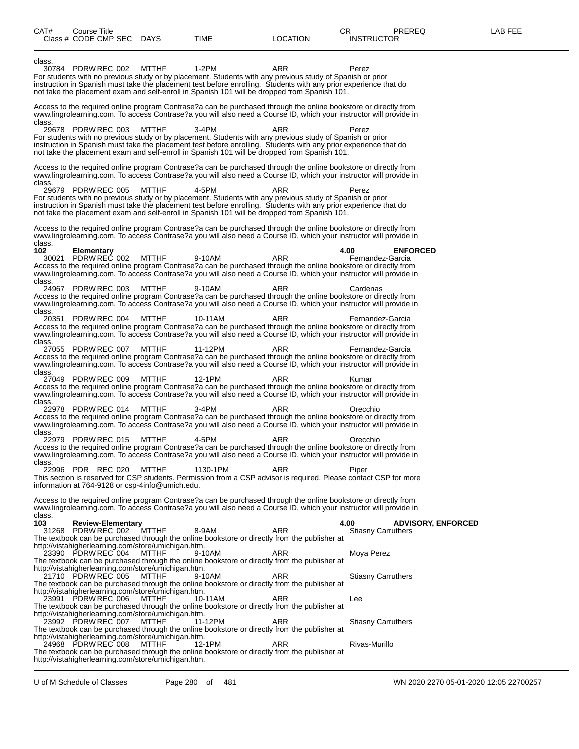| CAT#                    | Course Title<br>Class # CODE CMP SEC           |  | DAYS                                                                                                                | TIME                                                                                                                                                                                                                                                                                                                                     | <b>LOCATION</b> | CR.<br><b>INSTRUCTOR</b>          | PREREQ                    | LAB FEE |
|-------------------------|------------------------------------------------|--|---------------------------------------------------------------------------------------------------------------------|------------------------------------------------------------------------------------------------------------------------------------------------------------------------------------------------------------------------------------------------------------------------------------------------------------------------------------------|-----------------|-----------------------------------|---------------------------|---------|
| class.                  | 30784 PDRW REC 002                             |  | <b>MTTHF</b>                                                                                                        | $1-2PM$<br>For students with no previous study or by placement. Students with any previous study of Spanish or prior<br>instruction in Spanish must take the placement test before enrolling. Students with any prior experience that do<br>not take the placement exam and self-enroll in Spanish 101 will be dropped from Spanish 101. | <b>ARR</b>      | Perez                             |                           |         |
| class.                  |                                                |  |                                                                                                                     | Access to the required online program Contrase?a can be purchased through the online bookstore or directly from<br>www.lingrolearning.com. To access Contrase?a you will also need a Course ID, which your instructor will provide in                                                                                                    |                 |                                   |                           |         |
|                         | 29678 PDRW REC 003                             |  | <b>MTTHF</b>                                                                                                        | $3-4PM$<br>For students with no previous study or by placement. Students with any previous study of Spanish or prior<br>instruction in Spanish must take the placement test before enrolling. Students with any prior experience that do<br>not take the placement exam and self-enroll in Spanish 101 will be dropped from Spanish 101. | ARR             | Perez                             |                           |         |
| class.                  |                                                |  |                                                                                                                     | Access to the required online program Contrase?a can be purchased through the online bookstore or directly from<br>www.lingrolearning.com. To access Contrase?a you will also need a Course ID, which your instructor will provide in                                                                                                    |                 |                                   |                           |         |
|                         | 29679 PDRW REC 005                             |  | <b>MTTHF</b>                                                                                                        | 4-5PM<br>For students with no previous study or by placement. Students with any previous study of Spanish or prior<br>instruction in Spanish must take the placement test before enrolling. Students with any prior experience that do<br>not take the placement exam and self-enroll in Spanish 101 will be dropped from Spanish 101.   | ARR             | Perez                             |                           |         |
|                         |                                                |  |                                                                                                                     | Access to the required online program Contrase?a can be purchased through the online bookstore or directly from<br>www.lingrolearning.com. To access Contrase?a you will also need a Course ID, which your instructor will provide in                                                                                                    |                 |                                   |                           |         |
| class.<br>102<br>class. | <b>Elementary</b><br>30021 PDRW REC 002        |  | MTTHF                                                                                                               | 9-10AM<br>Access to the required online program Contrase?a can be purchased through the online bookstore or directly from<br>www.lingrolearning.com. To access Contrase?a you will also need a Course ID, which your instructor will provide in                                                                                          | ARR             | 4.00<br>Fernandez-Garcia          | <b>ENFORCED</b>           |         |
| class.                  | 24967 PDRW REC 003                             |  | <b>MTTHF</b>                                                                                                        | 9-10AM<br>Access to the required online program Contrase?a can be purchased through the online bookstore or directly from<br>www.lingrolearning.com. To access Contrase?a you will also need a Course ID, which your instructor will provide in                                                                                          | ARR             | Cardenas                          |                           |         |
| class.                  | 20351 PDRW REC 004                             |  | <b>MTTHF</b>                                                                                                        | 10-11AM<br>Access to the required online program Contrase?a can be purchased through the online bookstore or directly from<br>www.lingrolearning.com. To access Contrase?a you will also need a Course ID, which your instructor will provide in                                                                                         | ARR             | Fernandez-Garcia                  |                           |         |
| class.                  | 27055 PDRW REC 007                             |  | <b>MTTHF</b>                                                                                                        | 11-12PM<br>Access to the required online program Contrase?a can be purchased through the online bookstore or directly from<br>www.lingrolearning.com. To access Contrase?a you will also need a Course ID, which your instructor will provide in                                                                                         | ARR             | Fernandez-Garcia                  |                           |         |
|                         | 27049 PDRW REC 009                             |  | <b>MTTHF</b>                                                                                                        | 12-1PM<br>Access to the required online program Contrase?a can be purchased through the online bookstore or directly from<br>www.lingrolearning.com. To access Contrase?a you will also need a Course ID, which your instructor will provide in                                                                                          | ARR             | Kumar                             |                           |         |
| class.<br>class.        | 22978 PDRW REC 014                             |  | <b>MTTHF</b>                                                                                                        | $3-4PM$<br>Access to the required online program Contrase?a can be purchased through the online bookstore or directly from<br>www.lingrolearning.com. To access Contrase?a you will also need a Course ID, which your instructor will provide in                                                                                         | ARR             | Orecchio                          |                           |         |
| class.                  | 22979 PDRW REC 015                             |  | MTTHF                                                                                                               | 4-5PM<br>Access to the required online program Contrase?a can be purchased through the online bookstore or directly from<br>www.lingrolearning.com. To access Contrase?a you will also need a Course ID, which your instructor will provide in                                                                                           | ARR             | Orecchio                          |                           |         |
| 22996                   | PDR REC 020                                    |  | <b>MTTHF</b><br>information at 764-9128 or csp-4info@umich.edu.                                                     | 1130-1PM<br>This section is reserved for CSP students. Permission from a CSP advisor is required. Please contact CSP for more                                                                                                                                                                                                            | ARR             | Piper                             |                           |         |
| class.                  |                                                |  |                                                                                                                     | Access to the required online program Contrase?a can be purchased through the online bookstore or directly from<br>www.lingrolearning.com. To access Contrase?a you will also need a Course ID, which your instructor will provide in                                                                                                    |                 |                                   |                           |         |
| 103                     | <b>Review-Elementary</b><br>31268 PDRW REC 002 |  | <b>MTTHF</b>                                                                                                        | 8-9AM<br>The textbook can be purchased through the online bookstore or directly from the publisher at                                                                                                                                                                                                                                    | ARR             | 4.00<br><b>Stiasny Carruthers</b> | <b>ADVISORY, ENFORCED</b> |         |
|                         | 23390 PDRW REC 004                             |  | http://vistahigherlearning.com/store/umichigan.htm.<br>MTTHF                                                        | 9-10AM<br>The textbook can be purchased through the online bookstore or directly from the publisher at                                                                                                                                                                                                                                   | <b>ARR</b>      | Moya Perez                        |                           |         |
|                         | 21710 PDRW REC 005                             |  | http://vistahigherlearning.com/store/umichigan.htm.<br>MTTHF                                                        | 9-10AM<br>The textbook can be purchased through the online bookstore or directly from the publisher at                                                                                                                                                                                                                                   | ARR             | <b>Stiasny Carruthers</b>         |                           |         |
|                         | 23991 PDRW REC 006                             |  | http://vistahigherlearning.com/store/umichigan.htm.<br>MTTHF                                                        | 10-11AM<br>The textbook can be purchased through the online bookstore or directly from the publisher at                                                                                                                                                                                                                                  | <b>ARR</b>      | Lee                               |                           |         |
|                         | 23992 PDRW REC 007                             |  | http://vistahigherlearning.com/store/umichigan.htm.<br>MTTHF                                                        | 11-12PM<br>The textbook can be purchased through the online bookstore or directly from the publisher at                                                                                                                                                                                                                                  | <b>ARR</b>      | <b>Stiasny Carruthers</b>         |                           |         |
|                         | 24968 PDRW REC 008                             |  | http://vistahigherlearning.com/store/umichigan.htm.<br>MTTHF<br>http://vistahigherlearning.com/store/umichigan.htm. | 12-1PM<br>The textbook can be purchased through the online bookstore or directly from the publisher at                                                                                                                                                                                                                                   | <b>ARR</b>      | Rivas-Murillo                     |                           |         |

U of M Schedule of Classes Page 280 of 481 WN 2020 2270 05-01-2020 12:05 22700257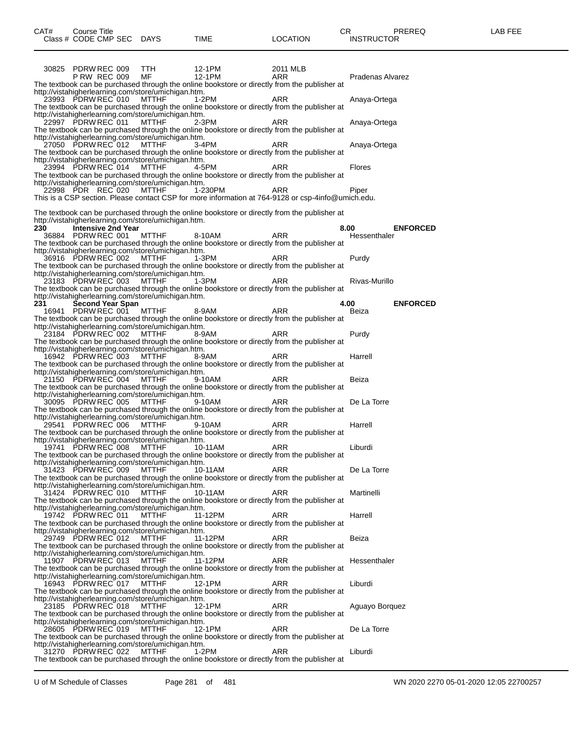| CAT#<br>Course Title<br>Class # CODE CMP SEC | <b>DAYS</b> | <b>TIME</b> | _OCATION | ∼⊏<br>◡ጙ<br><b>INSTRUCTOR</b> | <b>PREREQ</b> | . EEF<br>ΔR |
|----------------------------------------------|-------------|-------------|----------|-------------------------------|---------------|-------------|
|                                              |             |             |          |                               |               |             |

| 30825 PDRW REC 009        |                     |                           | TTH.                                                                | 12-1PM  | 2011 MLB                                                                                                  |                      |                 |
|---------------------------|---------------------|---------------------------|---------------------------------------------------------------------|---------|-----------------------------------------------------------------------------------------------------------|----------------------|-----------------|
|                           | <b>P RW REC 009</b> |                           | MF                                                                  | 12-1PM  | ARR<br>The textbook can be purchased through the online bookstore or directly from the publisher at       | Pradenas Alvarez     |                 |
|                           |                     |                           | http://vistahigherlearning.com/store/umichigan.htm.                 |         |                                                                                                           |                      |                 |
| 23993 PDRW REC 010        |                     |                           | MTTHF                                                               | 1-2PM   | ARR                                                                                                       | Anaya-Ortega         |                 |
|                           |                     |                           |                                                                     |         | The textbook can be purchased through the online bookstore or directly from the publisher at              |                      |                 |
| 22997 PDRW REC 011        |                     |                           | http://vistahigherlearning.com/store/umichigan.htm.<br>MTTHF        | 2-3PM   | ARR                                                                                                       | Anaya-Ortega         |                 |
|                           |                     |                           |                                                                     |         | The textbook can be purchased through the online bookstore or directly from the publisher at              |                      |                 |
|                           |                     |                           | http://vistahigherlearning.com/store/umichigan.htm.                 |         |                                                                                                           |                      |                 |
| 27050 PDRW REC 012        |                     |                           | MTTHF                                                               | 3-4PM   | ARR                                                                                                       | Anaya-Ortega         |                 |
|                           |                     |                           | http://vistahigherlearning.com/store/umichigan.htm.                 |         | The textbook can be purchased through the online bookstore or directly from the publisher at              |                      |                 |
| 23994 PDRW REC 014        |                     |                           | MTTHF                                                               | 4-5PM   | ARR                                                                                                       | Flores               |                 |
|                           |                     |                           |                                                                     |         | The textbook can be purchased through the online bookstore or directly from the publisher at              |                      |                 |
|                           |                     |                           | http://vistahigherlearning.com/store/umichigan.htm.                 |         |                                                                                                           |                      |                 |
| 22998 PDR REC 020         |                     |                           | MTTHF                                                               | 1-230PM | ARR<br>This is a CSP section. Please contact CSP for more information at 764-9128 or csp-4info@umich.edu. | Piper                |                 |
|                           |                     |                           |                                                                     |         |                                                                                                           |                      |                 |
|                           |                     |                           |                                                                     |         | The textbook can be purchased through the online bookstore or directly from the publisher at              |                      |                 |
|                           |                     |                           | http://vistahigherlearning.com/store/umichigan.htm.                 |         |                                                                                                           |                      |                 |
| 230<br>36884 PDRW REC 001 |                     | <b>Intensive 2nd Year</b> | <b>MTTHF</b>                                                        | 8-10AM  | ARR                                                                                                       | 8.00<br>Hessenthaler | <b>ENFORCED</b> |
|                           |                     |                           |                                                                     |         | The textbook can be purchased through the online bookstore or directly from the publisher at              |                      |                 |
|                           |                     |                           | http://vistahigherlearning.com/store/umichigan.htm.                 |         |                                                                                                           |                      |                 |
| 36916 PDRW REC 002        |                     |                           | MTTHF                                                               | 1-3PM   | ARR                                                                                                       | Purdy                |                 |
|                           |                     |                           |                                                                     |         | The textbook can be purchased through the online bookstore or directly from the publisher at              |                      |                 |
| 23183 PDRW REC 003        |                     |                           | http://vistahigherlearning.com/store/umichigan.htm.<br>MTTHF 1-3PM  |         | ARR                                                                                                       | Rivas-Murillo        |                 |
|                           |                     |                           |                                                                     |         | The textbook can be purchased through the online bookstore or directly from the publisher at              |                      |                 |
|                           |                     |                           | http://vistahigherlearning.com/store/umichigan.htm.                 |         |                                                                                                           |                      |                 |
| 231 — 1                   |                     | <b>Second Year Span</b>   |                                                                     |         |                                                                                                           | 4.00                 | <b>ENFORCED</b> |
| 16941 PDRW REC 001        |                     |                           | MTTHF                                                               | 8-9AM   | ARR                                                                                                       | Beiza                |                 |
|                           |                     |                           | http://vistahigherlearning.com/store/umichigan.htm.                 |         | The textbook can be purchased through the online bookstore or directly from the publisher at              |                      |                 |
| 23184 PDRW REC 002        |                     |                           | MTTHF                                                               | 8-9AM   | ARR                                                                                                       | Purdy                |                 |
|                           |                     |                           |                                                                     |         | The textbook can be purchased through the online bookstore or directly from the publisher at              |                      |                 |
|                           |                     |                           | http://vistahigherlearning.com/store/umichigan.htm.                 |         |                                                                                                           |                      |                 |
| 16942 PDRW REC 003        |                     |                           | MTTHF                                                               | 8-9AM   | ARR                                                                                                       | Harrell              |                 |
|                           |                     |                           | http://vistahigherlearning.com/store/umichigan.htm.                 |         | The textbook can be purchased through the online bookstore or directly from the publisher at              |                      |                 |
| 21150 PDRW REC 004        |                     |                           | MTTHF                                                               | 9-10AM  | ARR                                                                                                       | Beiza                |                 |
|                           |                     |                           |                                                                     |         | The textbook can be purchased through the online bookstore or directly from the publisher at              |                      |                 |
|                           |                     |                           | http://vistahigherlearning.com/store/umichigan.htm.                 |         |                                                                                                           |                      |                 |
| 30095 PDRW REC 005        |                     |                           | MTTHF                                                               | 9-10AM  | ARR<br>The textbook can be purchased through the online bookstore or directly from the publisher at       | De La Torre          |                 |
|                           |                     |                           | http://vistahigherlearning.com/store/umichigan.htm.                 |         |                                                                                                           |                      |                 |
| 29541 PDRW REC 006        |                     |                           | MTTHF                                                               | 9-10AM  | ARR                                                                                                       | Harrell              |                 |
|                           |                     |                           |                                                                     |         | The textbook can be purchased through the online bookstore or directly from the publisher at              |                      |                 |
|                           |                     |                           | http://vistahigherlearning.com/store/umichigan.htm.                 |         |                                                                                                           |                      |                 |
| 19741 PDRW REC 008        |                     |                           | MTTHF                                                               | 10-11AM | ARR<br>The textbook can be purchased through the online bookstore or directly from the publisher at       | Liburdi              |                 |
|                           |                     |                           | http://vistahigherlearning.com/store/umichigan.htm.                 |         |                                                                                                           |                      |                 |
| 31423 PDRW REC 009        |                     |                           | MTTHF                                                               |         |                                                                                                           |                      |                 |
|                           |                     |                           |                                                                     | 10-11AM | ARR                                                                                                       | De La Torre          |                 |
|                           |                     |                           |                                                                     |         | The textbook can be purchased through the online bookstore or directly from the publisher at              |                      |                 |
|                           |                     |                           | http://vistahigherlearning.com/store/umichigan.htm.                 |         |                                                                                                           |                      |                 |
|                           | 31424 PDRW REC 010  |                           | <b>MTTHF</b>                                                        | 10-11AM | ARR                                                                                                       | Martinelli           |                 |
|                           |                     |                           |                                                                     |         | The textbook can be purchased through the online bookstore or directly from the publisher at              |                      |                 |
| 19742 PDRW REC 011        |                     |                           | http://vistahigherlearning.com/store/umichigan.htm.<br><b>MTTHF</b> | 11-12PM | ARR                                                                                                       | Harrell              |                 |
|                           |                     |                           |                                                                     |         | The textbook can be purchased through the online bookstore or directly from the publisher at              |                      |                 |
|                           |                     |                           | http://vistahigherlearning.com/store/umichigan.htm.                 |         |                                                                                                           |                      |                 |
| 29749 PDRW REC 012        |                     |                           | <b>MTTHF</b>                                                        | 11-12PM | ARR                                                                                                       | Beiza                |                 |
|                           |                     |                           |                                                                     |         | The textbook can be purchased through the online bookstore or directly from the publisher at              |                      |                 |
| 11907                     | PDRW REC 013        |                           | http://vistahigherlearning.com/store/umichigan.htm.<br><b>MTTHF</b> | 11-12PM | ARR                                                                                                       | Hessenthaler         |                 |
|                           |                     |                           |                                                                     |         | The textbook can be purchased through the online bookstore or directly from the publisher at              |                      |                 |
|                           |                     |                           | http://vistahigherlearning.com/store/umichigan.htm.                 |         |                                                                                                           |                      |                 |
| 16943 PDRW REC 017        |                     |                           | <b>MTTHF</b>                                                        | 12-1PM  | ARR                                                                                                       | Liburdi              |                 |
|                           |                     |                           |                                                                     |         | The textbook can be purchased through the online bookstore or directly from the publisher at              |                      |                 |
| 23185 PDRW REC 018        |                     |                           | http://vistahigherlearning.com/store/umichigan.htm.<br><b>MTTHF</b> | 12-1PM  | ARR                                                                                                       | Aguayo Borquez       |                 |
|                           |                     |                           |                                                                     |         | The textbook can be purchased through the online bookstore or directly from the publisher at              |                      |                 |
|                           |                     |                           | http://vistahigherlearning.com/store/umichigan.htm.                 |         |                                                                                                           |                      |                 |
| 28605                     | PDRW REC 019        |                           | <b>MTTHF</b>                                                        | 12-1PM  | ARR                                                                                                       | De La Torre          |                 |
|                           |                     |                           |                                                                     |         | The textbook can be purchased through the online bookstore or directly from the publisher at              |                      |                 |
| 31270 PDRW REC 022        |                     |                           | http://vistahigherlearning.com/store/umichigan.htm.<br><b>MTTHF</b> | 1-2PM   | ARR                                                                                                       | Liburdi              |                 |

U of M Schedule of Classes Page 281 of 481 WN 2020 2270 05-01-2020 12:05 22700257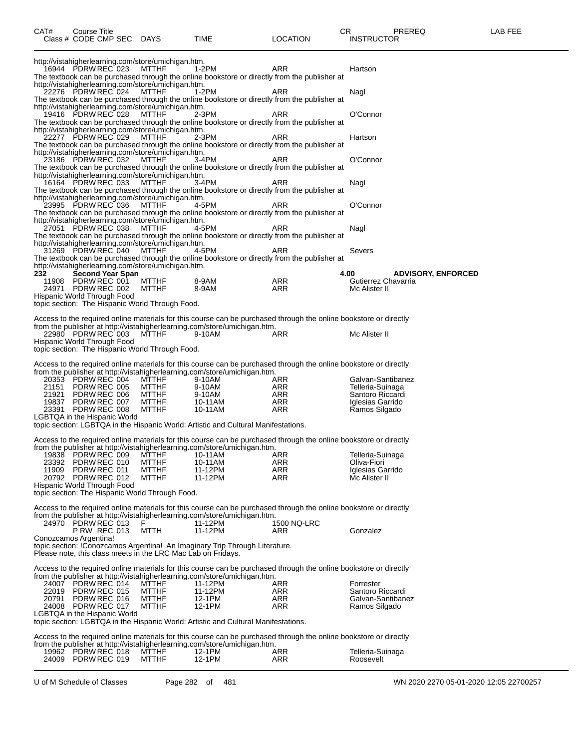| CAT#                        | Course Title       | Class # CODE CMP SEC DAYS                |                                                              | TIME                                                                                                                                                                                           | <b>LOCATION</b> | CR.<br>PREREQ<br><b>INSTRUCTOR</b>    | LAB FEE |
|-----------------------------|--------------------|------------------------------------------|--------------------------------------------------------------|------------------------------------------------------------------------------------------------------------------------------------------------------------------------------------------------|-----------------|---------------------------------------|---------|
|                             |                    |                                          | http://vistahigherlearning.com/store/umichigan.htm.          |                                                                                                                                                                                                |                 |                                       |         |
|                             |                    | 16944 PDRW REC 023                       | MTTHF<br>http://vistahigherlearning.com/store/umichigan.htm. | 1-2PM<br>The textbook can be purchased through the online bookstore or directly from the publisher at                                                                                          | ARR             | Hartson                               |         |
|                             |                    | 22276 PDRW REC 024                       | MTTHF<br>http://vistahigherlearning.com/store/umichigan.htm. | 1-2PM<br>The textbook can be purchased through the online bookstore or directly from the publisher at                                                                                          | ARR             | Nagl                                  |         |
|                             |                    | 19416 PDRW REC 028                       | MTTHF<br>http://vistahigherlearning.com/store/umichigan.htm. | 2-3PM<br>The textbook can be purchased through the online bookstore or directly from the publisher at                                                                                          | ARR             | O'Connor                              |         |
|                             |                    | 22277 PDRW REC 029                       | MTTHF<br>http://vistahigherlearning.com/store/umichigan.htm. | 2-3PM<br>The textbook can be purchased through the online bookstore or directly from the publisher at                                                                                          | ARR             | Hartson                               |         |
|                             |                    | 23186 PDRW REC 032                       | MTTHF                                                        | 3-4PM<br>The textbook can be purchased through the online bookstore or directly from the publisher at                                                                                          | ARR             | O'Connor                              |         |
|                             |                    | 16164 PDRW REC 033                       | http://vistahigherlearning.com/store/umichigan.htm.<br>MTTHF | 3-4PM<br>The textbook can be purchased through the online bookstore or directly from the publisher at                                                                                          | ARR             | Nagl                                  |         |
|                             |                    | 23995 PDRW REC 036                       | http://vistahigherlearning.com/store/umichigan.htm.<br>MTTHF | 4-5PM<br>The textbook can be purchased through the online bookstore or directly from the publisher at                                                                                          | ARR             | O'Connor                              |         |
|                             |                    | 27051 PDRW REC 038                       | http://vistahigherlearning.com/store/umichigan.htm.<br>MTTHF | 4-5PM<br>The textbook can be purchased through the online bookstore or directly from the publisher at                                                                                          | ARR             | Nagl                                  |         |
|                             |                    | 31269 PDRW REC 040                       | http://vistahigherlearning.com/store/umichigan.htm.<br>MTTHF | 4-5PM<br>The textbook can be purchased through the online bookstore or directly from the publisher at                                                                                          | ARR             | Severs                                |         |
| 232                         |                    | <b>Second Year Span</b>                  | http://vistahigherlearning.com/store/umichigan.htm.          |                                                                                                                                                                                                |                 | 4.00<br><b>ADVISORY, ENFORCED</b>     |         |
|                             | 11908 PDRW REC 001 |                                          | MTTHF                                                        | 8-9AM                                                                                                                                                                                          | ARR             | Gutierrez Chavarria                   |         |
|                             |                    | 24971 PDRW REC 002                       | MTTHF                                                        | 8-9AM                                                                                                                                                                                          | <b>ARR</b>      | Mc Alister II                         |         |
|                             |                    | Hispanic World Through Food              | topic section: The Hispanic World Through Food.              |                                                                                                                                                                                                |                 |                                       |         |
|                             |                    |                                          |                                                              | Access to the required online materials for this course can be purchased through the online bookstore or directly                                                                              |                 |                                       |         |
|                             |                    |                                          |                                                              | from the publisher at http://vistahigherlearning.com/store/umichigan.htm.                                                                                                                      |                 |                                       |         |
| Hispanic World Through Food |                    | 22980 PDRW REC 003                       | MTTHF                                                        | 9-10AM                                                                                                                                                                                         | ARR             | Mc Alister II                         |         |
|                             |                    |                                          | topic section: The Hispanic World Through Food.              |                                                                                                                                                                                                |                 |                                       |         |
|                             |                    |                                          |                                                              | Access to the required online materials for this course can be purchased through the online bookstore or directly                                                                              |                 |                                       |         |
|                             |                    |                                          |                                                              | from the publisher at http://vistahigherlearning.com/store/umichigan.htm.                                                                                                                      |                 |                                       |         |
|                             |                    | 20353 PDRW REC 004<br>21151 PDRW REC 005 | MTTHF<br>MTTHF                                               | 9-10AM<br>9-10AM                                                                                                                                                                               | ARR<br>ARR      | Galvan-Santibanez<br>Telleria-Suinaga |         |
|                             |                    | 21921 PDRW REC 006                       | MTTHF                                                        | 9-10AM                                                                                                                                                                                         | ARR             | Santoro Riccardi                      |         |
|                             |                    | 19837 PDRW REC 007                       | MTTHF                                                        | 10-11AM                                                                                                                                                                                        | ARR             | Iglesias Garrido                      |         |
|                             |                    | 23391 PDRW REC 008                       | MTTHF                                                        | 10-11AM                                                                                                                                                                                        | ARR             | Ramos Silgado                         |         |
|                             |                    | LGBTQA in the Hispanic World             |                                                              | topic section: LGBTQA in the Hispanic World: Artistic and Cultural Manifestations.                                                                                                             |                 |                                       |         |
|                             |                    |                                          |                                                              |                                                                                                                                                                                                |                 |                                       |         |
|                             |                    |                                          |                                                              | Access to the required online materials for this course can be purchased through the online bookstore or directly<br>from the publisher at http://vistahigherlearning.com/store/umichigan.htm. |                 |                                       |         |
| 19838                       |                    | PDRW REC 009                             | <b>MTTHF</b>                                                 | 10-11AM                                                                                                                                                                                        | ARR             | Telleria-Suinaga                      |         |
| 23392                       |                    | PDRW REC 010                             | <b>MTTHF</b>                                                 | 10-11AM                                                                                                                                                                                        | ARR             | Oliva-Fiori                           |         |
| 11909                       |                    | PDRW REC 011                             | <b>MTTHF</b>                                                 | 11-12PM                                                                                                                                                                                        | ARR             | Iglesias Garrido                      |         |
| Hispanic World Through Food |                    | 20792 PDRW REC 012                       | <b>MTTHF</b>                                                 | 11-12PM                                                                                                                                                                                        | ARR             | Mc Alister II                         |         |
|                             |                    |                                          | topic section: The Hispanic World Through Food.              |                                                                                                                                                                                                |                 |                                       |         |
|                             |                    |                                          |                                                              | Access to the required online materials for this course can be purchased through the online bookstore or directly                                                                              |                 |                                       |         |
|                             |                    |                                          |                                                              | from the publisher at http://vistahigherlearning.com/store/umichigan.htm.                                                                                                                      |                 |                                       |         |
|                             |                    | 24970 PDRW REC 013                       | F                                                            | 11-12PM                                                                                                                                                                                        | 1500 NQ-LRC     |                                       |         |
| Conozcamos Argentina!       |                    | <b>P RW REC 013</b>                      | MTTH                                                         | 11-12PM                                                                                                                                                                                        | ARR             | Gonzalez                              |         |
|                             |                    |                                          | Please note, this class meets in the LRC Mac Lab on Fridays. | topic section: !Conozcamos Argentina! An Imaginary Trip Through Literature.                                                                                                                    |                 |                                       |         |
|                             |                    |                                          |                                                              | Access to the required online materials for this course can be purchased through the online bookstore or directly                                                                              |                 |                                       |         |
|                             |                    | 24007 PDRW REC 014                       | MTTHF                                                        | from the publisher at http://vistahigherlearning.com/store/umichigan.htm.<br>11-12PM                                                                                                           | ARR             | Forrester                             |         |
|                             |                    | 22019 PDRW REC 015                       | MTTHF                                                        | 11-12PM                                                                                                                                                                                        | ARR             | Santoro Riccardi                      |         |
|                             |                    | 20791 PDRW REC 016                       | MTTHF                                                        | 12-1PM                                                                                                                                                                                         | ARR             | Galvan-Santibanez                     |         |
|                             |                    | 24008 PDRW REC 017                       | <b>MTTHF</b>                                                 | 12-1PM                                                                                                                                                                                         | ARR             | Ramos Silgado                         |         |
|                             |                    | LGBTQA in the Hispanic World             |                                                              | topic section: LGBTQA in the Hispanic World: Artistic and Cultural Manifestations.                                                                                                             |                 |                                       |         |
|                             |                    |                                          |                                                              | Access to the required online materials for this course can be purchased through the online bookstore or directly                                                                              |                 |                                       |         |
|                             |                    |                                          |                                                              | from the publisher at http://vistahigherlearning.com/store/umichigan.htm.                                                                                                                      |                 |                                       |         |
|                             |                    | 19962 PDRW REC 018                       | <b>MTTHF</b>                                                 | 12-1PM                                                                                                                                                                                         | ARR             | Telleria-Suinaga                      |         |
|                             |                    | 24009 PDRW REC 019                       | <b>MTTHF</b>                                                 | 12-1PM                                                                                                                                                                                         | ARR             | Roosevelt                             |         |
|                             |                    |                                          |                                                              |                                                                                                                                                                                                |                 |                                       |         |

U of M Schedule of Classes Page 282 of 481 WN 2020 2270 05-01-2020 12:05 22700257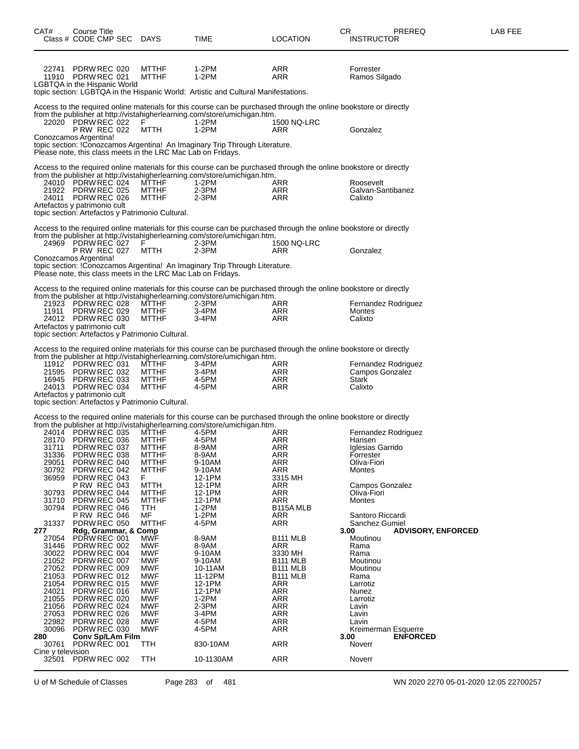| CAT#              | Course Title                                                 |                              |                                                                                                                                                                                                |                               | CR<br>PREREQ                                   | LAB FEE |
|-------------------|--------------------------------------------------------------|------------------------------|------------------------------------------------------------------------------------------------------------------------------------------------------------------------------------------------|-------------------------------|------------------------------------------------|---------|
|                   | Class # CODE CMP SEC                                         | DAYS                         | TIME                                                                                                                                                                                           | <b>LOCATION</b>               | <b>INSTRUCTOR</b>                              |         |
|                   |                                                              |                              |                                                                                                                                                                                                |                               |                                                |         |
|                   |                                                              |                              |                                                                                                                                                                                                |                               |                                                |         |
| 22741             | PDRW REC 020<br>11910 PDRW REC 021                           | <b>MTTHF</b><br><b>MTTHF</b> | 1-2PM<br>1-2PM                                                                                                                                                                                 | ARR<br>ARR                    | Forrester<br>Ramos Silgado                     |         |
|                   | <b>LGBTQA</b> in the Hispanic World                          |                              |                                                                                                                                                                                                |                               |                                                |         |
|                   |                                                              |                              | topic section: LGBTQA in the Hispanic World: Artistic and Cultural Manifestations.                                                                                                             |                               |                                                |         |
|                   |                                                              |                              | Access to the required online materials for this course can be purchased through the online bookstore or directly                                                                              |                               |                                                |         |
|                   | 22020 PDRW REC 022                                           | F                            | from the publisher at http://vistahigherlearning.com/store/umichigan.htm.<br>1-2PM                                                                                                             | 1500 NQ-LRC                   |                                                |         |
|                   | <b>P RW REC 022</b>                                          | MTTH                         | $1-2PM$                                                                                                                                                                                        | ARR                           | Gonzalez                                       |         |
|                   | Conozcamos Argentina!                                        |                              |                                                                                                                                                                                                |                               |                                                |         |
|                   | Please note, this class meets in the LRC Mac Lab on Fridays. |                              | topic section: !Conozcamos Argentina! An Imaginary Trip Through Literature.                                                                                                                    |                               |                                                |         |
|                   |                                                              |                              |                                                                                                                                                                                                |                               |                                                |         |
|                   |                                                              |                              | Access to the required online materials for this course can be purchased through the online bookstore or directly<br>from the publisher at http://vistahigherlearning.com/store/umichigan.htm. |                               |                                                |         |
|                   | 24010 PDRW REC 024                                           | MTTHF                        | 1-2PM                                                                                                                                                                                          | ARR                           | Roosevelt                                      |         |
|                   | 21922 PDRW REC 025<br>24011 PDRW REC 026                     | <b>MTTHF</b><br><b>MTTHF</b> | $2-3PM$<br>$2-3PM$                                                                                                                                                                             | ARR<br><b>ARR</b>             | Galvan-Santibanez<br>Calixto                   |         |
|                   | Artefactos y patrimonio cult                                 |                              |                                                                                                                                                                                                |                               |                                                |         |
|                   | topic section: Artefactos y Patrimonio Cultural.             |                              |                                                                                                                                                                                                |                               |                                                |         |
|                   |                                                              |                              | Access to the required online materials for this course can be purchased through the online bookstore or directly                                                                              |                               |                                                |         |
|                   | 24969 PDRW REC 027                                           | F                            | from the publisher at http://vistahigherlearning.com/store/umichigan.htm.<br>2-3PM                                                                                                             | 1500 NQ-LRC                   |                                                |         |
|                   | <b>P RW REC 027</b>                                          | MTTH                         | $2-3PM$                                                                                                                                                                                        | ARR                           | Gonzalez                                       |         |
|                   | Conozcamos Argentina!                                        |                              |                                                                                                                                                                                                |                               |                                                |         |
|                   | Please note, this class meets in the LRC Mac Lab on Fridays. |                              | topic section: !Conozcamos Argentina! An Imaginary Trip Through Literature.                                                                                                                    |                               |                                                |         |
|                   |                                                              |                              |                                                                                                                                                                                                |                               |                                                |         |
|                   |                                                              |                              | Access to the required online materials for this course can be purchased through the online bookstore or directly<br>from the publisher at http://vistahigherlearning.com/store/umichigan.htm. |                               |                                                |         |
|                   | 21923 PDRW REC 028                                           | <b>MTTHF</b>                 | 2-3PM                                                                                                                                                                                          | ARR                           | Fernandez Rodriguez                            |         |
|                   | 11911 PDRW REC 029<br>24012 PDRW REC 030                     | <b>MTTHF</b><br>MTTHF        | 3-4PM<br>3-4PM                                                                                                                                                                                 | <b>ARR</b><br>ARR             | Montes<br>Calixto                              |         |
|                   | Artefactos y patrimonio cult                                 |                              |                                                                                                                                                                                                |                               |                                                |         |
|                   | topic section: Artefactos y Patrimonio Cultural.             |                              |                                                                                                                                                                                                |                               |                                                |         |
|                   |                                                              |                              | Access to the required online materials for this course can be purchased through the online bookstore or directly                                                                              |                               |                                                |         |
|                   |                                                              |                              | from the publisher at http://vistahigherlearning.com/store/umichigan.htm.                                                                                                                      |                               |                                                |         |
|                   | 11912 PDRW REC 031<br>21595 PDRW REC 032                     | <b>MTTHF</b><br><b>MTTHF</b> | 3-4PM<br>3-4PM                                                                                                                                                                                 | ARR<br><b>ARR</b>             | Fernandez Rodriguez<br>Campos Gonzalez         |         |
|                   | 16945 PDRW REC 033                                           | MTTHF                        | 4-5PM                                                                                                                                                                                          | ARR                           | Stark                                          |         |
|                   | 24013 PDRW REC 034<br>Artefactos y patrimonio cult           | <b>MTTHF</b>                 | 4-5PM                                                                                                                                                                                          | ARR                           | Calixto                                        |         |
|                   | topic section: Artefactos y Patrimonio Cultural.             |                              |                                                                                                                                                                                                |                               |                                                |         |
|                   |                                                              |                              | Access to the required online materials for this course can be purchased through the online bookstore or directly                                                                              |                               |                                                |         |
|                   |                                                              |                              | from the publisher at http://vistahigherlearning.com/store/umichigan.htm.                                                                                                                      |                               |                                                |         |
|                   | 24014 PDRW REC 035<br>28170 PDRW REC 036                     | <b>MTTHF</b><br><b>MTTHF</b> | 4-5PM<br>4-5PM                                                                                                                                                                                 | ARR<br>ARR                    | Fernandez Rodriguez<br>Hansen                  |         |
| 31711             | PDRW REC 037                                                 | <b>MTTHF</b>                 | 8-9AM                                                                                                                                                                                          | <b>ARR</b>                    | Iglesias Garrido                               |         |
| 31336             | PDRW REC 038                                                 | <b>MTTHF</b>                 | 8-9AM                                                                                                                                                                                          | ARR                           | Forrester                                      |         |
| 29051<br>30792    | PDRW REC 040<br>PDRW REC 042                                 | <b>MTTHF</b><br><b>MTTHF</b> | 9-10AM<br>9-10AM                                                                                                                                                                               | ARR<br><b>ARR</b>             | Oliva-Fiori<br>Montes                          |         |
| 36959             | PDRW REC 043                                                 | F.                           | 12-1PM                                                                                                                                                                                         | 3315 MH                       |                                                |         |
| 30793             | <b>P RW REC 043</b><br>PDRW REC 044                          | <b>MTTH</b><br><b>MTTHF</b>  | 12-1PM<br>12-1PM                                                                                                                                                                               | ARR<br><b>ARR</b>             | Campos Gonzalez<br>Oliva-Fiori                 |         |
| 31710             | PDRW REC 045                                                 | <b>MTTHF</b>                 | 12-1PM                                                                                                                                                                                         | <b>ARR</b>                    | Montes                                         |         |
| 30794             | PDRW REC 046<br><b>P RW REC 046</b>                          | TTH<br>MF                    | $1-2PM$<br>$1-2PM$                                                                                                                                                                             | B <sub>115</sub> A MLB<br>ARR | Santoro Riccardi                               |         |
| 31337             | PDRW REC 050                                                 | <b>MTTHF</b>                 | 4-5PM                                                                                                                                                                                          | <b>ARR</b>                    | Sanchez Gumiel                                 |         |
| 277<br>27054      | Rdg, Grammar, & Comp<br>PDRW REC 001                         | <b>MWF</b>                   | 8-9AM                                                                                                                                                                                          | B111 MLB                      | <b>ADVISORY, ENFORCED</b><br>3.00<br>Moutinou  |         |
| 31446             | PDRW REC 002                                                 | MWF                          | 8-9AM                                                                                                                                                                                          | ARR                           | Rama                                           |         |
| 30022<br>21052    | PDRW REC 004<br>PDRW REC 007                                 | <b>MWF</b><br>MWF            | 9-10AM<br>9-10AM                                                                                                                                                                               | 3330 MH<br><b>B111 MLB</b>    | Rama<br>Moutinou                               |         |
| 27052             | PDRW REC 009                                                 | <b>MWF</b>                   | 10-11AM                                                                                                                                                                                        | B <sub>111</sub> MLB          | Moutinou                                       |         |
| 21053             | PDRW REC 012                                                 | <b>MWF</b>                   | 11-12PM                                                                                                                                                                                        | B <sub>111</sub> MLB          | Rama                                           |         |
| 21054<br>24021    | PDRW REC 015<br>PDRW REC 016                                 | MWF<br><b>MWF</b>            | 12-1PM<br>12-1PM                                                                                                                                                                               | <b>ARR</b><br><b>ARR</b>      | Larrotiz<br>Nunez                              |         |
| 21055             | PDRW REC 020                                                 | <b>MWF</b>                   | $1-2PM$                                                                                                                                                                                        | <b>ARR</b>                    | Larrotiz                                       |         |
| 21056<br>27053    | PDRW REC 024<br>PDRW REC 026                                 | MWF<br><b>MWF</b>            | $2-3PM$<br>3-4PM                                                                                                                                                                               | <b>ARR</b><br><b>ARR</b>      | Lavin<br>Lavin                                 |         |
| 22982             | PDRW REC 028                                                 | MWF                          | 4-5PM                                                                                                                                                                                          | <b>ARR</b>                    | Lavin                                          |         |
| 30096<br>280      | PDRW REC 030<br><b>Conv Sp/LAm Film</b>                      | MWF                          | 4-5PM                                                                                                                                                                                          | <b>ARR</b>                    | Kreimerman Esquerre<br>3.00<br><b>ENFORCED</b> |         |
| 30761             | PDRW REC 001                                                 | TTH                          | 830-10AM                                                                                                                                                                                       | <b>ARR</b>                    | Noverr                                         |         |
| Cine y television |                                                              |                              |                                                                                                                                                                                                |                               |                                                |         |
| 32501             | PDRW REC 002                                                 | TTH                          | 10-1130AM                                                                                                                                                                                      | <b>ARR</b>                    | Noverr                                         |         |

U of M Schedule of Classes Page 283 of 481 WN 2020 2270 05-01-2020 12:05 22700257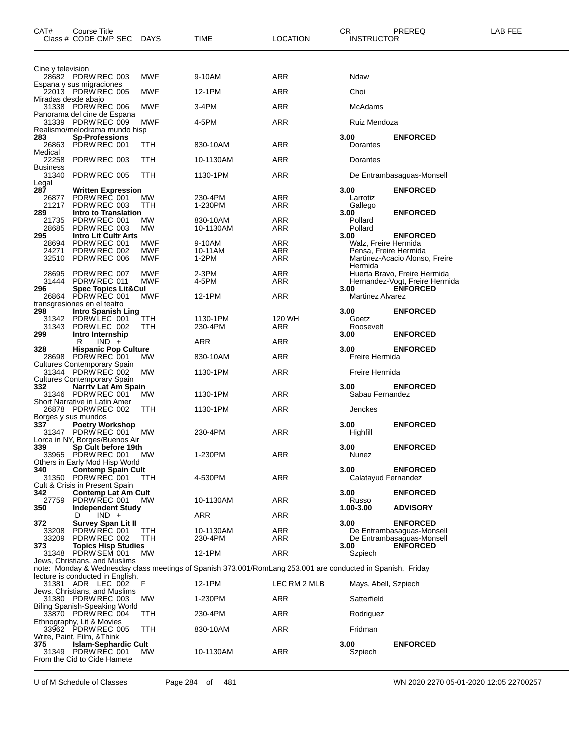| CAT#                              | Course Title<br>Class # CODE CMP SEC                                                     | <b>DAYS</b>       | TIME                                                                                                        | <b>LOCATION</b> | CR<br><b>INSTRUCTOR</b>                       | PREREQ                                                                            | LAB FEE |
|-----------------------------------|------------------------------------------------------------------------------------------|-------------------|-------------------------------------------------------------------------------------------------------------|-----------------|-----------------------------------------------|-----------------------------------------------------------------------------------|---------|
| Cine y television                 | 28682 PDRW REC 003                                                                       | MWF               | 9-10AM                                                                                                      | ARR             | Ndaw                                          |                                                                                   |         |
|                                   | Espana y sus migraciones                                                                 |                   |                                                                                                             |                 |                                               |                                                                                   |         |
| Miradas desde abajo               | 22013 PDRW REC 005                                                                       | MWF               | 12-1PM                                                                                                      | ARR             | Choi                                          |                                                                                   |         |
|                                   | 31338 PDRW REC 006<br>Panorama del cine de Espana                                        | MWF               | 3-4PM                                                                                                       | ARR             | McAdams                                       |                                                                                   |         |
|                                   | 31339 PDRW REC 009<br>Realismo/melodrama mundo hisp                                      | MWF               | 4-5PM                                                                                                       | ARR             | Ruiz Mendoza                                  |                                                                                   |         |
| 283<br>26863<br>Medical           | <b>Sp-Professions</b><br>PDRW REC 001                                                    | TTH               | 830-10AM                                                                                                    | ARR             | 3.00<br>Dorantes                              | <b>ENFORCED</b>                                                                   |         |
| 22258                             | PDRW REC 003                                                                             | TTH               | 10-1130AM                                                                                                   | ARR             | Dorantes                                      |                                                                                   |         |
| <b>Business</b><br>31340<br>Legal | PDRW REC 005                                                                             | TTH               | 1130-1PM                                                                                                    | ARR             |                                               | De Entrambasaguas-Monsell                                                         |         |
| 287<br>26877<br>21217<br>289      | Written Expression<br>PDRW REC 001<br>PDRW REC 003<br>Intro to Translation               | МW<br>ттн         | 230-4PM<br>1-230PM                                                                                          | ARR<br>ARR      | 3.00<br>Larrotiz<br>Gallego<br>3.00           | <b>ENFORCED</b><br><b>ENFORCED</b>                                                |         |
| 21735<br>28685                    | PDRW REC 001<br>PDRW REC 003                                                             | MW<br>MW          | 830-10AM<br>10-1130AM                                                                                       | ARR<br>ARR      | Pollard<br>Pollard                            |                                                                                   |         |
| 295                               | <b>Intro Lit Cultr Arts</b>                                                              |                   |                                                                                                             |                 | 3.00                                          | <b>ENFORCED</b>                                                                   |         |
| 28694<br>24271                    | PDRW REC 001<br>PDRW REC 002                                                             | MWF<br>MWF        | 9-10AM<br>10-11AM                                                                                           | ARR<br>ARR      | Walz, Freire Hermida<br>Pensa, Freire Hermida |                                                                                   |         |
| 32510                             | PDRW REC 006                                                                             | <b>MWF</b>        | $1-2PM$                                                                                                     | ARR             | Hermida                                       | Martinez-Acacio Alonso, Freire                                                    |         |
| 28695<br>31444<br>296             | PDRW REC 007<br>PDRW REC 011<br><b>Spec Topics Lit&amp;Cul</b>                           | MWF<br><b>MWF</b> | $2-3PM$<br>4-5PM                                                                                            | ARR<br>ARR      | 3.00                                          | Huerta Bravo, Freire Hermida<br>Hernandez-Vogt, Freire Hermida<br><b>ENFORCED</b> |         |
| 26864                             | PDRW REC 001                                                                             | MWF               | 12-1PM                                                                                                      | <b>ARR</b>      | <b>Martinez Alvarez</b>                       |                                                                                   |         |
| 298<br>31342<br>31343             | transgresiones en el teatro<br><b>Intro Spanish Ling</b><br>PDRW LEC 001<br>PDRW LEC 002 | TTH<br>TTH        | 1130-1PM<br>230-4PM                                                                                         | 120 WH<br>ARR   | 3.00<br>Goetz<br>Roosevelt                    | <b>ENFORCED</b>                                                                   |         |
| 299                               | Intro Internship                                                                         |                   |                                                                                                             |                 | 3.00                                          | <b>ENFORCED</b>                                                                   |         |
| 328                               | R<br>$IND +$<br><b>Hispanic Pop Culture</b>                                              |                   | ARR                                                                                                         | ARR             | 3.00                                          | <b>ENFORCED</b>                                                                   |         |
|                                   | 28698 PDRW REC 001<br><b>Cultures Contemporary Spain</b>                                 | MW                | 830-10AM                                                                                                    | ARR             | Freire Hermida                                |                                                                                   |         |
|                                   | 31344 PDRW REC 002<br><b>Cultures Contemporary Spain</b>                                 | МW                | 1130-1PM                                                                                                    | ARR             | Freire Hermida                                |                                                                                   |         |
| 332                               | Narrty Lat Am Spain<br>31346 PDRW REC 001                                                | <b>MW</b>         | 1130-1PM                                                                                                    | ARR             | 3.00<br>Sabau Fernandez                       | <b>ENFORCED</b>                                                                   |         |
|                                   | Short Narrative in Latin Amer                                                            |                   |                                                                                                             |                 |                                               |                                                                                   |         |
|                                   | 26878 PDRW REC 002<br>Borges y sus mundos                                                | TTH               | 1130-1PM                                                                                                    | ARR             | Jenckes                                       |                                                                                   |         |
| 337                               | <b>Poetry Workshop</b><br>31347 PDRW REC 001                                             | MW                | 230-4PM                                                                                                     | ARR             | 3.00<br>Highfill                              | <b>ENFORCED</b>                                                                   |         |
|                                   | Lorca in NY, Borges/Buenos Air                                                           |                   |                                                                                                             |                 |                                               |                                                                                   |         |
| 339                               | Sp Cult before 19th<br>33965 PDRW REC 001 MW                                             |                   | 1-230PM                                                                                                     | ARR             | 3.00<br>Nunez                                 | <b>ENFORCED</b>                                                                   |         |
| 340                               | Others in Early Mod Hisp World<br><b>Contemp Spain Cult</b>                              |                   |                                                                                                             |                 | 3.00                                          | <b>ENFORCED</b>                                                                   |         |
|                                   | 31350 PDRW REC 001<br>Cult & Crisis in Present Spain                                     | TTH               | 4-530PM                                                                                                     | <b>ARR</b>      | Calatayud Fernandez                           |                                                                                   |         |
| 342                               | <b>Contemp Lat Am Cult</b>                                                               |                   |                                                                                                             |                 | 3.00                                          | <b>ENFORCED</b>                                                                   |         |
| 27759<br>350                      | PDRW REC 001<br>Independent Study                                                        | MW.               | 10-1130AM                                                                                                   | <b>ARR</b>      | Russo<br>1.00-3.00                            | <b>ADVISORY</b>                                                                   |         |
| 372                               | $IND +$<br>D<br>Survey Span Lit II                                                       |                   | ARR                                                                                                         | ARR             | 3.00                                          | <b>ENFORCED</b>                                                                   |         |
| 33208<br>33209<br>373             | PDRW REC 001<br>PDRW REC 002<br><b>Topics Hisp Studies</b>                               | TTH<br>TTH        | 10-1130AM<br>230-4PM                                                                                        | ARR<br>ARR      | 3.00                                          | De Entrambasaguas-Monsell<br>De Entrambasaguas-Monsell<br><b>ENFORCED</b>         |         |
|                                   | 31348 PDRW SEM 001                                                                       | MW                | 12-1PM                                                                                                      | <b>ARR</b>      | Szpiech                                       |                                                                                   |         |
|                                   | Jews, Christians, and Muslims                                                            |                   | note: Monday & Wednesday class meetings of Spanish 373.001/RomLang 253.001 are conducted in Spanish. Friday |                 |                                               |                                                                                   |         |
|                                   | lecture is conducted in English.<br>31381 ADR LEC 002                                    | F                 | 12-1PM                                                                                                      | LEC RM 2 MLB    | Mays, Abell, Szpiech                          |                                                                                   |         |
|                                   | Jews, Christians, and Muslims<br>31380 PDRW REC 003                                      | МW                | 1-230PM                                                                                                     | ARR             | Satterfield                                   |                                                                                   |         |
|                                   | Biling Spanish-Speaking World                                                            |                   |                                                                                                             |                 |                                               |                                                                                   |         |
|                                   | 33870 PDRW REC 004<br>Ethnography, Lit & Movies                                          | TTH               | 230-4PM                                                                                                     | ARR             | Rodriguez                                     |                                                                                   |         |
|                                   | 33962 PDRW REC 005<br>Write, Paint, Film, &Think                                         | TTH               | 830-10AM                                                                                                    | ARR             | Fridman                                       |                                                                                   |         |
| 375                               | <b>Islam-Sephardic Cult</b><br>31349 PDRW REC 001<br>From the Cid to Cide Hamete         | MW.               | 10-1130AM                                                                                                   | ARR             | 3.00<br>Szpiech                               | <b>ENFORCED</b>                                                                   |         |

U of M Schedule of Classes Page 284 of 481 WN 2020 2270 05-01-2020 12:05 22700257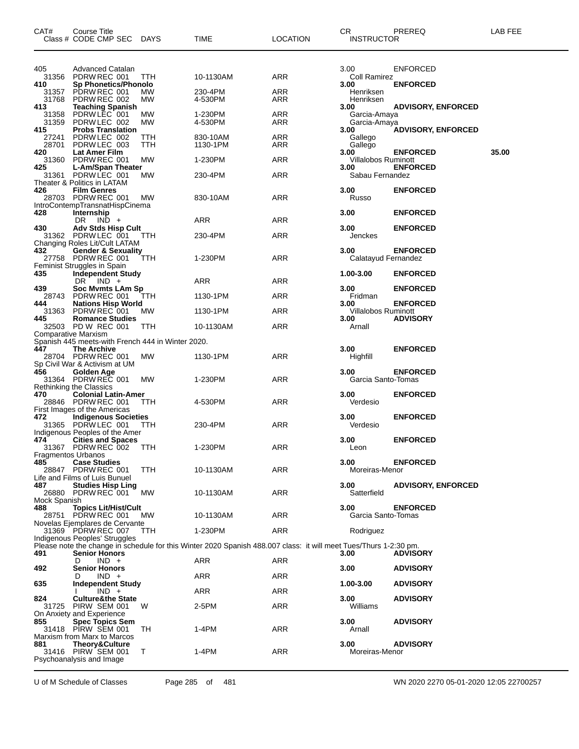| CAT#                       | Course Title<br>Class # CODE CMP SEC                                                            | <b>DAYS</b> | TIME                                                                                                              | <b>LOCATION</b>   | CR.<br><b>INSTRUCTOR</b>             | PREREQ                             | LAB FEE |
|----------------------------|-------------------------------------------------------------------------------------------------|-------------|-------------------------------------------------------------------------------------------------------------------|-------------------|--------------------------------------|------------------------------------|---------|
| 405<br>31356<br>410        | Advanced Catalan<br>PDRW REC 001<br><b>Sp Phonetics/Phonolo</b>                                 | TTH         | 10-1130AM                                                                                                         | ARR               | 3.00<br>Coll Ramirez<br>3.00         | <b>ENFORCED</b><br><b>ENFORCED</b> |         |
| 31357<br>31768             | PDRW REC 001<br>PDRW REC 002                                                                    | MW<br>МW    | 230-4PM<br>4-530PM                                                                                                | ARR<br>ARR        | Henriksen<br>Henriksen               |                                    |         |
| 413<br>31358<br>31359      | <b>Teaching Spanish</b><br>PDRW LEC 001<br>PDRW LEC 002                                         | MW<br>МW    | 1-230PM<br>4-530PM                                                                                                | ARR<br>ARR        | 3.00<br>Garcia-Amaya<br>Garcia-Amaya | <b>ADVISORY, ENFORCED</b>          |         |
| 415<br>27241<br>28701      | <b>Probs Translation</b><br>PDRW LEC 002<br>PDRW LEC 003                                        | ттн<br>TTH  | 830-10AM<br>1130-1PM                                                                                              | ARR<br>ARR        | 3.00<br>Gallego<br>Gallego           | <b>ADVISORY, ENFORCED</b>          |         |
| 420<br>31360<br>425        | Lat Amer Film<br>PDRW REC 001<br>L-Am/Span Theater                                              | MW          | 1-230PM                                                                                                           | ARR               | 3.00<br>Villalobos Ruminott<br>3.00  | <b>ENFORCED</b><br><b>ENFORCED</b> | 35.00   |
| 31361                      | PDRW LEC 001<br>Theater & Politics in LATAM                                                     | МW          | 230-4PM                                                                                                           | ARR               | Sabau Fernandez                      |                                    |         |
| 426                        | <b>Film Genres</b><br>28703 PDRW REC 001<br>IntroContempTransnatHispCinema                      | МW          | 830-10AM                                                                                                          | ARR               | 3.00<br>Russo                        | <b>ENFORCED</b>                    |         |
| 428                        | Internship<br>DR<br>$IND +$                                                                     |             | ARR                                                                                                               | ARR               | 3.00                                 | <b>ENFORCED</b>                    |         |
| 430                        | <b>Adv Stds Hisp Cult</b><br>31362 PDRW LEC 001<br>Changing Roles Lit/Cult LATAM                | TTH         | 230-4PM                                                                                                           | ARR               | 3.00<br>Jenckes                      | <b>ENFORCED</b>                    |         |
| 432                        | <b>Gender &amp; Sexuality</b><br>27758 PDRW REC 001                                             | TTH         | 1-230PM                                                                                                           | ARR               | 3.00<br>Calatayud Fernandez          | <b>ENFORCED</b>                    |         |
| 435                        | Feminist Struggles in Spain<br><b>Independent Study</b><br>DR<br>$IND +$                        |             | ARR                                                                                                               | ARR               | 1.00-3.00                            | <b>ENFORCED</b>                    |         |
| 439<br>28743               | Soc Mvmts LAm Sp<br>PDRW REC 001                                                                | TTH         | 1130-1PM                                                                                                          | ARR               | 3.00<br>Fridman                      | <b>ENFORCED</b>                    |         |
| 444<br>31363<br>445        | <b>Nations Hisp World</b><br>PDRW REC 001<br><b>Romance Studies</b>                             | МW          | 1130-1PM                                                                                                          | ARR               | 3.00<br>Villalobos Ruminott<br>3.00  | <b>ENFORCED</b><br><b>ADVISORY</b> |         |
| <b>Comparative Marxism</b> | 32503 PD W REC 001                                                                              | TTH         | 10-1130AM                                                                                                         | <b>ARR</b>        | Arnall                               |                                    |         |
| 447                        | Spanish 445 meets-with French 444 in Winter 2020.<br><b>The Archive</b><br>28704 PDRW REC 001   | МW          | 1130-1PM                                                                                                          | ARR               | 3.00<br>Highfill                     | <b>ENFORCED</b>                    |         |
| 456                        | Sp Civil War & Activism at UM<br>Golden Age<br>31364 PDRW REC 001                               | МW          | 1-230PM                                                                                                           | ARR               | 3.00<br>Garcia Santo-Tomas           | <b>ENFORCED</b>                    |         |
| 470                        | Rethinking the Classics<br><b>Colonial Latin-Amer</b>                                           |             |                                                                                                                   |                   | 3.00                                 | <b>ENFORCED</b>                    |         |
| 472                        | 28846 PDRW REC 001<br>First Images of the Americas<br><b>Indigenous Societies</b>               | TTH         | 4-530PM                                                                                                           | ARR               | Verdesio<br>3.00                     | <b>ENFORCED</b>                    |         |
|                            | 31365 PDRW LEC 001<br>Indigenous Peoples of the Amer                                            | TТH         | 230-4PM                                                                                                           | ARR               | Verdesio                             |                                    |         |
| 474<br>Fragmentos Urbanos  | <b>Cities and Spaces</b><br>31367 PDRW REC 002 TTH                                              |             | 1-230PM                                                                                                           | <b>ARR</b>        | 3.00<br>Leon                         | <b>ENFORCED</b>                    |         |
| 485                        | <b>Case Studies</b><br>28847 PDRW REC 001<br>Life and Films of Luis Bunuel                      | TTH         | 10-1130AM                                                                                                         | ARR               | 3.00<br>Moreiras-Menor               | <b>ENFORCED</b>                    |         |
| 487<br>Mock Spanish        | <b>Studies Hisp Ling</b><br>26880 PDRW REC 001                                                  | MW.         | 10-1130AM                                                                                                         | ARR               | 3.00<br>Satterfield                  | <b>ADVISORY, ENFORCED</b>          |         |
| 488                        | <b>Topics Lit/Hist/Cult</b><br>28751 PDRW REC 001<br>Novelas Ejemplares de Cervante             | MW.         | 10-1130AM                                                                                                         | ARR               | 3.00<br>Garcia Santo-Tomas           | <b>ENFORCED</b>                    |         |
|                            | 31369 PDRW REC 007<br>Indigenous Peoples' Struggles                                             | <b>TTH</b>  | 1-230PM                                                                                                           | <b>ARR</b>        | Rodriguez                            |                                    |         |
| 491                        | <b>Senior Honors</b>                                                                            |             | Please note the change in schedule for this Winter 2020 Spanish 488.007 class: it will meet Tues/Thurs 1-2:30 pm. |                   | 3.00                                 | <b>ADVISORY</b>                    |         |
| 492                        | D<br>$IND +$<br><b>Senior Honors</b><br>$IND +$<br>D                                            |             | ARR<br>ARR                                                                                                        | ARR<br><b>ARR</b> | 3.00                                 | <b>ADVISORY</b>                    |         |
| 635                        | <b>Independent Study</b><br>$IND +$                                                             |             | ARR                                                                                                               | ARR               | 1.00-3.00                            | <b>ADVISORY</b>                    |         |
| 824<br>31725               | <b>Culture&amp;the State</b><br>PIRW SEM 001                                                    | W           | 2-5PM                                                                                                             | ARR               | 3.00<br>Williams                     | <b>ADVISORY</b>                    |         |
| 855                        | On Anxiety and Experience<br><b>Spec Topics Sem</b><br>31418 PIRW SEM 001                       | TН          | 1-4PM                                                                                                             | ARR               | 3.00<br>Arnall                       | <b>ADVISORY</b>                    |         |
| 881                        | Marxism from Marx to Marcos<br>Theory&Culture<br>31416 PIRW SEM 001<br>Psychoanalysis and Image | T.          | 1-4PM                                                                                                             | ARR               | 3.00<br>Moreiras-Menor               | <b>ADVISORY</b>                    |         |

U of M Schedule of Classes Page 285 of 481 WN 2020 2270 05-01-2020 12:05 22700257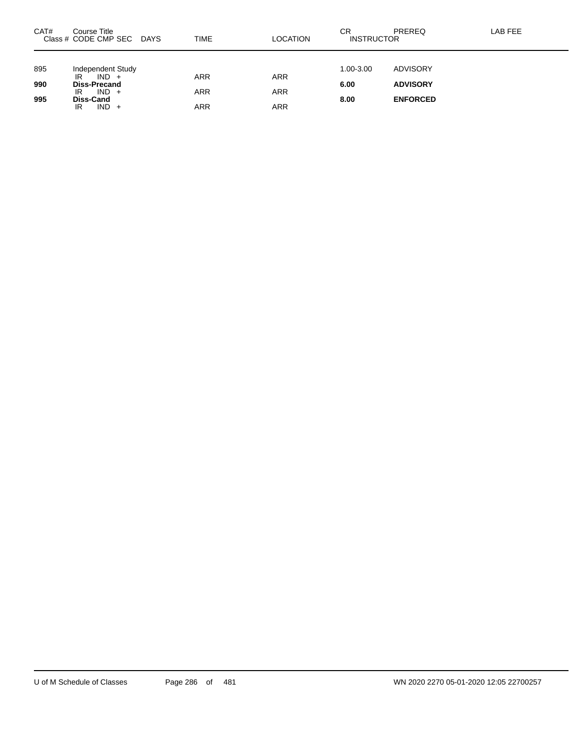| CAT# | Course Title<br>Class # CODE CMP SEC DAYS             | TIME              | LOCATION                 | СR<br><b>INSTRUCTOR</b> | PREREQ          | LAB FEE |
|------|-------------------------------------------------------|-------------------|--------------------------|-------------------------|-----------------|---------|
| 895  | Independent Study                                     |                   |                          | 1.00-3.00               | ADVISORY        |         |
| 990  | $IND +$<br>IR<br><b>Diss-Precand</b><br>$IND +$<br>IR | ARR<br><b>ARR</b> | <b>ARR</b><br><b>ARR</b> | 6.00                    | <b>ADVISORY</b> |         |
| 995  | Diss-Cand<br>$IND +$<br>IR                            | ARR               | <b>ARR</b>               | 8.00                    | <b>ENFORCED</b> |         |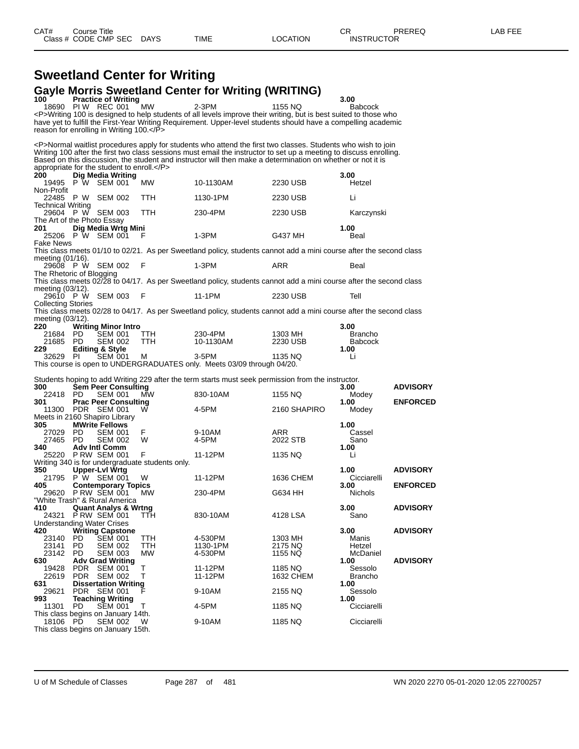### **Sweetland Center for Writing Gayle Morris Sweetland Center for Writing (WRITING)**

| 100                        |            | <b>Practice of Writing</b>                                         |                                                 | יין פיייייי יש ישוושש שווי                                                                                           |                    | 3.00            |                 |
|----------------------------|------------|--------------------------------------------------------------------|-------------------------------------------------|----------------------------------------------------------------------------------------------------------------------|--------------------|-----------------|-----------------|
|                            |            | 18690 PIW REC 001                                                  | <b>MW</b>                                       | $2-3PM$                                                                                                              | 1155 NQ            | <b>Babcock</b>  |                 |
|                            |            |                                                                    |                                                 | <p>Writing 100 is designed to help students of all levels improve their writing, but is best suited to those who</p> |                    |                 |                 |
|                            |            | reason for enrolling in Writing 100.                               |                                                 | have yet to fulfill the First-Year Writing Requirement. Upper-level students should have a compelling academic       |                    |                 |                 |
|                            |            |                                                                    |                                                 |                                                                                                                      |                    |                 |                 |
|                            |            |                                                                    |                                                 | <p>Normal waitlist procedures apply for students who attend the first two classes. Students who wish to join</p>     |                    |                 |                 |
|                            |            |                                                                    |                                                 | Writing 100 after the first two class sessions must email the instructor to set up a meeting to discuss enrolling.   |                    |                 |                 |
|                            |            |                                                                    |                                                 | Based on this discussion, the student and instructor will then make a determination on whether or not it is          |                    |                 |                 |
| 200                        |            | appropriate for the student to enroll.<br><b>Dig Media Writing</b> |                                                 |                                                                                                                      |                    | 3.00            |                 |
| 19495                      |            | P W SEM 001                                                        | MW.                                             | 10-1130AM                                                                                                            | 2230 USB           | Hetzel          |                 |
| Non-Profit                 |            |                                                                    |                                                 |                                                                                                                      |                    |                 |                 |
|                            |            | 22485 P W SEM 002                                                  | TTH                                             | 1130-1PM                                                                                                             | 2230 USB           | Li              |                 |
| Technical Writing          |            |                                                                    |                                                 |                                                                                                                      |                    |                 |                 |
| The Art of the Photo Essay |            | 29604 PW SEM 003                                                   | TTH.                                            | 230-4PM                                                                                                              | 2230 USB           | Karczynski      |                 |
| 201                        |            | Dig Media Wrtg Mini                                                |                                                 |                                                                                                                      |                    | 1.00            |                 |
|                            |            | 25206 P W SEM 001                                                  | F                                               | $1-3PM$                                                                                                              | G437 MH            | Beal            |                 |
| <b>Fake News</b>           |            |                                                                    |                                                 |                                                                                                                      |                    |                 |                 |
|                            |            |                                                                    |                                                 | This class meets 01/10 to 02/21. As per Sweetland policy, students cannot add a mini course after the second class   |                    |                 |                 |
| meeting (01/16).           |            | 29608 PW SEM 002                                                   | F                                               | $1-3PM$                                                                                                              | ARR                | Beal            |                 |
| The Rhetoric of Blogging   |            |                                                                    |                                                 |                                                                                                                      |                    |                 |                 |
|                            |            |                                                                    |                                                 | This class meets 02/28 to 04/17. As per Sweetland policy, students cannot add a mini course after the second class   |                    |                 |                 |
| meeting (03/12).           |            |                                                                    |                                                 |                                                                                                                      |                    |                 |                 |
|                            |            | 29610 PW SEM 003                                                   | F                                               | 11-1PM                                                                                                               | 2230 USB           | Tell            |                 |
| <b>Collecting Stories</b>  |            |                                                                    |                                                 |                                                                                                                      |                    |                 |                 |
| meeting (03/12).           |            |                                                                    |                                                 | This class meets 02/28 to 04/17. As per Sweetland policy, students cannot add a mini course after the second class   |                    |                 |                 |
| 220                        |            | <b>Writing Minor Intro</b>                                         |                                                 |                                                                                                                      |                    | 3.00            |                 |
| 21684                      | PD.        | SEM 001                                                            | TTH.                                            | 230-4PM                                                                                                              | 1303 MH            | <b>Brancho</b>  |                 |
| 21685 PD                   |            | <b>SEM 002</b>                                                     | <b>TTH</b>                                      | 10-1130AM                                                                                                            | 2230 USB           | <b>Babcock</b>  |                 |
| 229                        |            | <b>Editing &amp; Style</b>                                         |                                                 |                                                                                                                      |                    | 1.00            |                 |
| 32629 PI                   |            | <b>SEM 001</b>                                                     | м                                               | $3-5$ PM<br>This course is open to UNDERGRADUATES only. Meets 03/09 through 04/20.                                   | 1135 NQ            | Li              |                 |
|                            |            |                                                                    |                                                 |                                                                                                                      |                    |                 |                 |
|                            |            |                                                                    |                                                 | Students hoping to add Writing 229 after the term starts must seek permission from the instructor.                   |                    |                 |                 |
| 300                        |            | <b>Sem Peer Consulting</b>                                         |                                                 |                                                                                                                      |                    | 3.00            | <b>ADVISORY</b> |
| 22418 PD<br>301            |            | <b>SEM 001</b><br><b>Prac Peer Consulting</b>                      | MW                                              | 830-10AM                                                                                                             | 1155 NQ            | Modey<br>1.00   | <b>ENFORCED</b> |
|                            |            | 11300 PDR SEM 001                                                  | W                                               | 4-5PM                                                                                                                | 2160 SHAPIRO       | Modey           |                 |
|                            |            | Meets in 2160 Shapiro Library                                      |                                                 |                                                                                                                      |                    |                 |                 |
| 305                        |            | <b>MWrite Fellows</b>                                              |                                                 |                                                                                                                      |                    | 1.00            |                 |
| 27029                      | PD.        | <b>SEM 001</b>                                                     | F                                               | 9-10AM                                                                                                               | ARR                | Cassel          |                 |
| 27465 PD<br>340            |            | <b>SEM 002</b>                                                     | W                                               | 4-5PM                                                                                                                | 2022 STB           | Sano            |                 |
|                            |            | <b>Adv Intl Comm</b><br>25220 PRW SEM 001                          | F                                               | 11-12PM                                                                                                              | 1135 NQ            | 1.00<br>Li      |                 |
|                            |            |                                                                    | Writing 340 is for undergraduate students only. |                                                                                                                      |                    |                 |                 |
| 350                        |            | <b>Upper-Lvl Wrtg</b>                                              |                                                 |                                                                                                                      |                    | 1.00            | <b>ADVISORY</b> |
|                            |            | 21795 P W SEM 001                                                  | W                                               | 11-12PM                                                                                                              | 1636 CHEM          | Cicciarelli     |                 |
| 405                        |            | <b>Contemporary Topics</b><br>29620 PRW SEM 001                    | MW                                              | 230-4PM                                                                                                              | G634 HH            | 3.00<br>Nichols | <b>ENFORCED</b> |
|                            |            | "White Trash" & Rural America                                      |                                                 |                                                                                                                      |                    |                 |                 |
| 410                        |            | <b>Quant Analys &amp; Wrtng</b>                                    |                                                 |                                                                                                                      |                    | 3.00            | <b>ADVISORY</b> |
| 24321                      |            | PRW SEM 001 TTH                                                    |                                                 | 830-10AM                                                                                                             | 4128 LSA           | Sano            |                 |
|                            |            | <b>Understanding Water Crises</b>                                  |                                                 |                                                                                                                      |                    |                 |                 |
| 420                        |            | <b>Writing Capstone</b>                                            |                                                 |                                                                                                                      |                    | 3.00            | <b>ADVISORY</b> |
| 23140<br>23141             | PD.<br>PD. | <b>SEM 001</b><br><b>SEM 002</b>                                   | TTH<br>TTH                                      | 4-530PM<br>1130-1PM                                                                                                  | 1303 MH<br>2175 NQ | Manis<br>Hetzel |                 |
| 23142                      | <b>PD</b>  | <b>SEM 003</b>                                                     | <b>MW</b>                                       | 4-530PM                                                                                                              | 1155 NQ            | McDaniel        |                 |
| 630                        |            | <b>Adv Grad Writing</b>                                            |                                                 |                                                                                                                      |                    | 1.00            | <b>ADVISORY</b> |
| 19428                      | <b>PDR</b> | <b>SEM 001</b>                                                     | т                                               | 11-12PM                                                                                                              | 1185 NQ            | Sessolo         |                 |
| 22619                      | <b>PDR</b> | <b>SEM 002</b>                                                     | т                                               | 11-12PM                                                                                                              | 1632 CHEM          | <b>Brancho</b>  |                 |
| 631<br>29621               | PDR        | <b>Dissertation Writing</b><br>SEM 001                             |                                                 | 9-10AM                                                                                                               | 2155 NQ            | 1.00<br>Sessolo |                 |
| 993                        |            | <b>Teaching Writing</b>                                            |                                                 |                                                                                                                      |                    | 1.00            |                 |
| 11301                      | PD         | <b>SEM 001</b>                                                     | т                                               | 4-5PM                                                                                                                | 1185 NQ            | Cicciarelli     |                 |
|                            |            | This class begins on January 14th.                                 |                                                 |                                                                                                                      |                    |                 |                 |

18106 PD SEM 002 W 9-10AM 1185 NQ Cicciarelli This class begins on January 15th.

U of M Schedule of Classes Page 287 of 481 WN 2020 2270 05-01-2020 12:05 22700257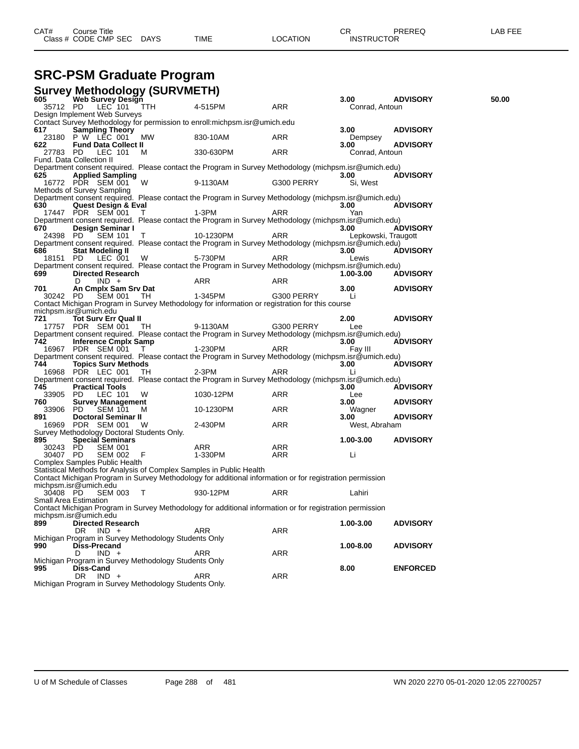| CAT# | Title<br>Course      |      |      |          | Ωn<br>◡∩          | PREREQ | . EEF<br>AR. |
|------|----------------------|------|------|----------|-------------------|--------|--------------|
|      | Class # CODE CMP SEC | DAYS | TIME | LOCATION | <b>INSTRUCTOR</b> |        |              |

## **SRC-PSM Graduate Program**

|                      | <b>Survey Methodology (SURVMETH)</b>                                    |                              |                                                                                                                |            |                     |                 |       |
|----------------------|-------------------------------------------------------------------------|------------------------------|----------------------------------------------------------------------------------------------------------------|------------|---------------------|-----------------|-------|
| 605                  | <b>Web Survey Design</b>                                                |                              |                                                                                                                |            | 3.00                | <b>ADVISORY</b> | 50.00 |
| 35712 PD             | LEC <sup>-</sup> 101<br>Design Implement Web Surveys                    | $\overline{\phantom{a}}$ TTH | 4-515PM                                                                                                        | <b>ARR</b> | Conrad, Antoun      |                 |       |
|                      |                                                                         |                              | Contact Survey Methodology for permission to enroll: michpsm. isr@umich.edu                                    |            |                     |                 |       |
| 617                  | <b>Sampling Theory</b>                                                  |                              |                                                                                                                |            | 3.00                | <b>ADVISORY</b> |       |
|                      | 23180 P W LEC 001                                                       | МW                           | 830-10AM                                                                                                       | ARR        | Dempsey             |                 |       |
| 622                  | <b>Fund Data Collect II</b>                                             |                              |                                                                                                                |            | 3.00                | <b>ADVISORY</b> |       |
| 27783 PD             | LEC 101                                                                 | M                            | 330-630PM                                                                                                      | ARR        | Conrad, Antoun      |                 |       |
|                      | Fund. Data Collection II                                                |                              | Department consent required. Please contact the Program in Survey Methodology (michpsm.isr@umich.edu)          |            |                     |                 |       |
| 625                  | <b>Applied Sampling</b>                                                 |                              |                                                                                                                |            | 3.00                | <b>ADVISORY</b> |       |
|                      | 16772 PDR SEM 001                                                       | W                            | 9-1130AM                                                                                                       | G300 PERRY | Si, West            |                 |       |
|                      | Methods of Survey Sampling                                              |                              |                                                                                                                |            |                     |                 |       |
|                      |                                                                         |                              | Department consent required. Please contact the Program in Survey Methodology (michpsm.isr@umich.edu)          |            |                     |                 |       |
| 630                  | <b>Quest Design &amp; Eval</b>                                          |                              |                                                                                                                |            | 3.00                | <b>ADVISORY</b> |       |
|                      | 17447 PDR SEM 001                                                       | T                            | 1-3PM<br>Department consent required. Please contact the Program in Survey Methodology (michpsm.isr@umich.edu) | ARR        | Yan                 |                 |       |
| 670                  | Design Seminar I                                                        |                              |                                                                                                                |            | 3.00                | <b>ADVISORY</b> |       |
| 24398 PD             | <b>SEM 101</b>                                                          | T.                           | 10-1230PM                                                                                                      | <b>ARR</b> | Lepkowski, Traugott |                 |       |
|                      |                                                                         |                              | Department consent required. Please contact the Program in Survey Methodology (michpsm.isr@umich.edu)          |            |                     |                 |       |
| 686                  | <b>Stat Modeling II</b>                                                 |                              |                                                                                                                |            | 3.00                | <b>ADVISORY</b> |       |
| 18151 PD             | LEC 001                                                                 | W                            | 5-730PM                                                                                                        | <b>ARR</b> | Lewis               |                 |       |
| 699                  | <b>Directed Research</b>                                                |                              | Department consent required. Please contact the Program in Survey Methodology (michpsm.isr@umich.edu)          |            | 1.00-3.00           | <b>ADVISORY</b> |       |
|                      | $IND +$<br>D                                                            |                              | ARR                                                                                                            | ARR        |                     |                 |       |
| 701                  | An Cmplx Sam Srv Dat                                                    |                              |                                                                                                                |            | 3.00                | <b>ADVISORY</b> |       |
| 30242 PD             | SEM 001                                                                 | TH                           | 1-345PM                                                                                                        | G300 PERRY | Li                  |                 |       |
|                      |                                                                         |                              | Contact Michigan Program in Survey Methodology for information or registration for this course                 |            |                     |                 |       |
|                      | michpsm.isr@umich.edu                                                   |                              |                                                                                                                |            |                     |                 |       |
| 721                  | <b>Tot Surv Err Qual II</b>                                             |                              | 9-1130AM                                                                                                       |            | 2.00                | <b>ADVISORY</b> |       |
|                      | 17757 PDR SEM 001                                                       | TH.                          | Department consent required. Please contact the Program in Survey Methodology (michpsm.isr@umich.edu)          | G300 PERRY | Lee                 |                 |       |
| 742                  | <b>Inference Cmplx Samp</b>                                             |                              |                                                                                                                |            | 3.00                | <b>ADVISORY</b> |       |
|                      | 16967 PDR SEM 001                                                       | T                            | 1-230PM                                                                                                        | ARR        | Fay III             |                 |       |
|                      |                                                                         |                              | Department consent required. Please contact the Program in Survey Methodology (michpsm.isr@umich.edu)          |            |                     |                 |       |
| 744                  | <b>Topics Surv Methods</b>                                              |                              |                                                                                                                |            | 3.00                | <b>ADVISORY</b> |       |
|                      | 16968 PDR LEC 001                                                       | TН                           | 2-3PM                                                                                                          | <b>ARR</b> | Li                  |                 |       |
|                      |                                                                         |                              | Department consent required. Please contact the Program in Survey Methodology (michpsm.isr@umich.edu)          |            |                     |                 |       |
| 745<br>33905 PD      | <b>Practical Tools</b><br>LEC 101                                       | W                            | 1030-12PM                                                                                                      | ARR        | 3.00<br>Lee         | <b>ADVISORY</b> |       |
| 760                  | <b>Survey Management</b>                                                |                              |                                                                                                                |            | 3.00                | <b>ADVISORY</b> |       |
| 33906                | PD.<br><b>SEM 101</b>                                                   | M                            | 10-1230PM                                                                                                      | ARR        | Wagner              |                 |       |
| 891                  | <b>Doctoral Seminar II</b>                                              |                              |                                                                                                                |            | 3.00                | <b>ADVISORY</b> |       |
|                      | 16969 PDR SEM 001                                                       | <b>W</b>                     | 2-430PM                                                                                                        | ARR        | West, Abraham       |                 |       |
|                      | Survey Methodology Doctoral Students Only.                              |                              |                                                                                                                |            |                     |                 |       |
| 895                  | <b>Special Seminars</b>                                                 |                              |                                                                                                                |            | 1.00-3.00           | <b>ADVISORY</b> |       |
| 30243 PD<br>30407 PD | <b>SEM 001</b><br><b>SEM 002</b>                                        | - F                          | ARR<br>1-330PM                                                                                                 | ARR<br>ARR | Li                  |                 |       |
|                      | Complex Samples Public Health                                           |                              |                                                                                                                |            |                     |                 |       |
|                      |                                                                         |                              | Statistical Methods for Analysis of Complex Samples in Public Health                                           |            |                     |                 |       |
|                      |                                                                         |                              | Contact Michigan Program in Survey Methodology for additional information or for registration permission       |            |                     |                 |       |
|                      | michpsm.isr@umich.edu                                                   |                              |                                                                                                                |            |                     |                 |       |
| 30408 PD             | SEM 003 T                                                               |                              | 930-12PM                                                                                                       | ARR        | Lahiri              |                 |       |
|                      | Small Area Estimation                                                   |                              |                                                                                                                |            |                     |                 |       |
|                      | michpsm.isr@umich.edu                                                   |                              | Contact Michigan Program in Survey Methodology for additional information or for registration permission       |            |                     |                 |       |
| 899                  | <b>Directed Research</b>                                                |                              |                                                                                                                |            | 1.00-3.00           | <b>ADVISORY</b> |       |
|                      | $IND +$<br>DR.                                                          |                              | <b>ARR</b>                                                                                                     | ARR        |                     |                 |       |
|                      | Michigan Program in Survey Methodology Students Only                    |                              |                                                                                                                |            |                     |                 |       |
| 990                  | Diss-Precand                                                            |                              |                                                                                                                |            | 1.00-8.00           | <b>ADVISORY</b> |       |
|                      | $IND +$<br>D                                                            |                              | <b>ARR</b>                                                                                                     | <b>ARR</b> |                     |                 |       |
|                      | Michigan Program in Survey Methodology Students Only                    |                              |                                                                                                                |            |                     |                 |       |
| 995                  | Diss-Cand                                                               |                              |                                                                                                                |            | 8.00                | <b>ENFORCED</b> |       |
|                      | DR.<br>$IND +$<br>Michigan Program in Survey Methodology Students Only. |                              | ARR                                                                                                            | ARR        |                     |                 |       |
|                      |                                                                         |                              |                                                                                                                |            |                     |                 |       |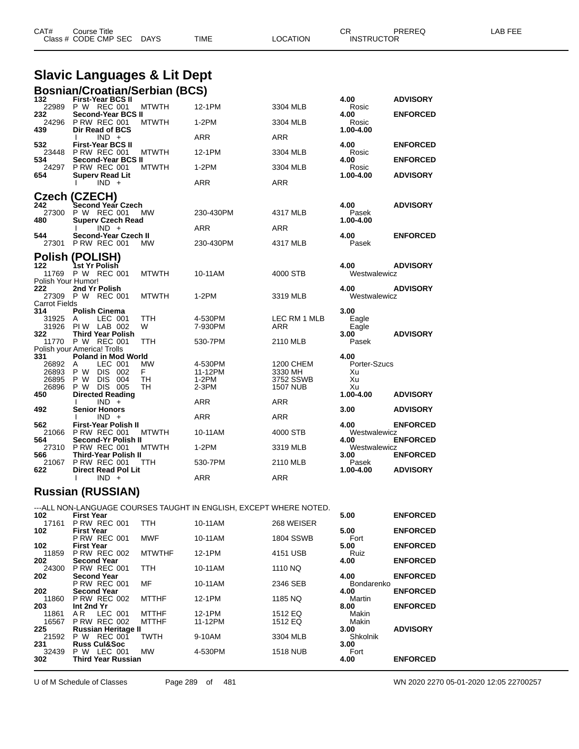|                           | <b>Slavic Languages &amp; Lit Dept</b>                                              |                             |                                   |                            |                                    |
|---------------------------|-------------------------------------------------------------------------------------|-----------------------------|-----------------------------------|----------------------------|------------------------------------|
| 132                       | <b>Bosnian/Croatian/Serbian (BCS)</b><br><b>First-Year BCS II</b>                   |                             |                                   | 4.00                       | <b>ADVISORY</b>                    |
| 22989                     | P W REC 001<br><b>MTWTH</b>                                                         | 12-1PM                      | 3304 MLB                          | Rosic                      |                                    |
| 232<br>24296              | Second-Year BCS II<br><b>P RW REC 001</b><br><b>MTWTH</b>                           | $1-2PM$                     | 3304 MLB                          | 4.00<br>Rosic              | <b>ENFORCED</b>                    |
| 439                       | Dir Read of BCS<br>$IND +$                                                          | <b>ARR</b>                  | ARR                               | 1.00-4.00                  |                                    |
| 532                       | <b>First-Year BCS II</b><br>23448 P RW REC 001<br>MTWTH                             | 12-1PM                      | 3304 MLB                          | 4.00<br>Rosic              | <b>ENFORCED</b>                    |
| 534<br>24297<br>654       | Second-Year BCS II<br><b>P RW REC 001</b><br><b>MTWTH</b><br><b>Superv Read Lit</b> | $1-2PM$                     | 3304 MLB                          | 4.00<br>Rosic<br>1.00-4.00 | <b>ENFORCED</b><br><b>ADVISORY</b> |
|                           | $IND +$                                                                             | ARR                         | ARR                               |                            |                                    |
|                           | Czech (CZECH)                                                                       |                             |                                   |                            |                                    |
| 242<br>27300              | Second Year Czech<br>P W REC 001<br><b>MW</b>                                       | 230-430PM                   | 4317 MLB                          | 4.00<br>Pasek              | <b>ADVISORY</b>                    |
| 480                       | <b>Superv Czech Read</b><br>$IND +$                                                 | ARR                         | <b>ARR</b>                        | 1.00-4.00                  |                                    |
| 544<br>27301              | Second-Year Czech II<br><b>P RW REC 001</b><br>MW                                   | 230-430PM                   | 4317 MLB                          | 4.00<br>Pasek              | <b>ENFORCED</b>                    |
|                           | <b>Polish (POLISH)</b>                                                              |                             |                                   |                            |                                    |
| 122                       | 1st Yr Polish<br>11769 P W REC 001<br><b>MTWTH</b>                                  | 10-11AM                     | 4000 STB                          | 4.00<br>Westwalewicz       | <b>ADVISORY</b>                    |
| Polish Your Humor!<br>222 | 2nd Yr Polish                                                                       |                             |                                   | 4.00                       | <b>ADVISORY</b>                    |
| <b>Carrot Fields</b>      | 27309 P W REC 001<br><b>MTWTH</b>                                                   | 1-2PM                       | 3319 MLB                          | Westwalewicz               |                                    |
| 314<br>31925              | <b>Polish Cinema</b><br>LEC 001<br>TTH<br>A                                         | 4-530PM                     | LEC RM 1 MLB                      | 3.00<br>Eagle              |                                    |
| 31926<br>322              | <b>PIW LAB 002</b><br>W<br><b>Third Year Polish</b>                                 | 7-930PM                     | ARR                               | Eagle<br>3.00              | <b>ADVISORY</b>                    |
|                           | 11770 P W REC 001<br>TTH<br>Polish your America! Trolls                             | 530-7PM                     | 2110 MLB                          | Pasek                      |                                    |
| 331                       | <b>Poland in Mod World</b>                                                          |                             |                                   | 4.00                       |                                    |
| 26892<br>26893<br>26895   | LEC 001<br>MW<br>A<br>P W DIS 002<br>F.<br>P W DIS 004<br>TH                        | 4-530PM<br>11-12PM<br>1-2PM | 1200 CHEM<br>3330 MH<br>3752 SSWB | Porter-Szucs<br>Xu<br>Xu   |                                    |
| 26896                     | P W DIS 005<br>TН                                                                   | 2-3PM                       | <b>1507 NUB</b>                   | Xu                         |                                    |
| 450                       | <b>Directed Reading</b>                                                             |                             |                                   | 1.00-4.00                  | <b>ADVISORY</b>                    |
| 492                       | $IND +$<br><b>Senior Honors</b>                                                     | ARR                         | <b>ARR</b>                        | 3.00                       | <b>ADVISORY</b>                    |
|                           | $IND +$                                                                             | ARR                         | ARR                               |                            |                                    |
| 562.<br>21066             | <b>First-Year Polish II</b><br><b>P RW REC 001</b><br>MTWTH                         | 10-11AM                     | 4000 STB                          | 4.00<br>Westwalewicz       | <b>ENFORCED</b>                    |
| 564                       | Second-Yr Polish II                                                                 |                             |                                   | 4.00                       | <b>ENFORCED</b>                    |
| 27310<br>566              | <b>P RW REC 001</b><br><b>MTWTH</b><br><b>Third-Year Polish II</b>                  | 1-2PM                       | 3319 MLB                          | Westwalewicz<br>3.00       | <b>ENFORCED</b>                    |
|                           | 21067 P RW REC 001<br>ттн                                                           | 530-7PM                     | 2110 MLB                          | Pasek                      |                                    |

CAT# Course Title Case CR PREREQ LAB FEE

Class # CODE CMP SEC DAYS TIME LOCATION INSTRUCTOR

#### **Russian (RUSSIAN)**

| 102          | <b>First Year</b>                         |               | ---ALL NON-LANGUAGE COURSES TAUGHT IN ENGLISH, EXCEPT WHERE NOTED. |                  | 5.00               | <b>ENFORCED</b> |
|--------------|-------------------------------------------|---------------|--------------------------------------------------------------------|------------------|--------------------|-----------------|
| 17161        | <b>P RW REC 001</b>                       | TTH.          | 10-11AM                                                            | 268 WEISER       |                    |                 |
| 102          | <b>First Year</b>                         |               |                                                                    |                  | 5.00               | <b>ENFORCED</b> |
| 102          | <b>P RW REC 001</b><br><b>First Year</b>  | <b>MWF</b>    | 10-11AM                                                            | <b>1804 SSWB</b> | Fort<br>5.00       | <b>ENFORCED</b> |
| 11859        | <b>P RW REC 002</b>                       | <b>MTWTHF</b> | 12-1PM                                                             | 4151 USB         | Ruiz               |                 |
| 202          | <b>Second Year</b>                        |               |                                                                    |                  | 4.00               | <b>ENFORCED</b> |
| 24300        | <b>P RW REC 001</b>                       | <b>TTH</b>    | 10-11AM                                                            | 1110 NQ          |                    |                 |
| 202          | <b>Second Year</b><br><b>P RW REC 001</b> | MF            | 10-11AM                                                            | 2346 SEB         | 4.00<br>Bondarenko | <b>ENFORCED</b> |
| 202          | <b>Second Year</b>                        |               |                                                                    |                  | 4.00               | <b>ENFORCED</b> |
| 11860        | <b>P RW REC 002</b>                       | <b>MTTHF</b>  | 12-1PM                                                             | 1185 NQ          | Martin             |                 |
| 203          | Int 2nd Yr                                |               |                                                                    |                  | 8.00               | <b>ENFORCED</b> |
| 11861        | LEC 001<br>AR.<br><b>P RW REC 002</b>     | MTTHF         | 12-1PM                                                             | 1512 EQ          | Makin              |                 |
| 16567<br>225 | <b>Russian Heritage II</b>                | <b>MTTHF</b>  | 11-12PM                                                            | 1512 EQ          | Makin<br>3.00      | <b>ADVISORY</b> |
| 21592        | <b>P W REC 001</b>                        | <b>TWTH</b>   | 9-10AM                                                             | 3304 MLB         | Shkolnik           |                 |
| 231          | <b>Russ Cul&amp;Soc</b>                   |               |                                                                    |                  | 3.00               |                 |
| 32439        | <b>P W LEC 001</b>                        | МW            | 4-530PM                                                            | <b>1518 NUB</b>  | Fort               |                 |
| 302          | <b>Third Year Russian</b>                 |               |                                                                    |                  | 4.00               | <b>ENFORCED</b> |
|              |                                           |               |                                                                    |                  |                    |                 |

**Direct Read Pol Lit 1.00-4.00 ADVISORY**

I IND + ARR ARR ARR

U of M Schedule of Classes Page 289 of 481 WN 2020 2270 05-01-2020 12:05 22700257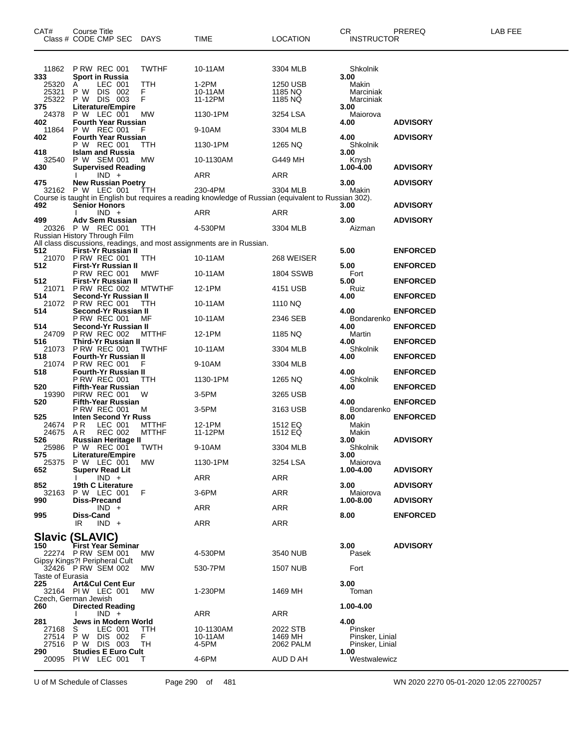| CAT#                    | Course Title<br>Class # CODE CMP SEC DAYS                |                 | <b>TIME</b>                                                                                          | <b>LOCATION</b>      | CR.<br><b>INSTRUCTOR</b>           | PREREQ          | LAB FEE |
|-------------------------|----------------------------------------------------------|-----------------|------------------------------------------------------------------------------------------------------|----------------------|------------------------------------|-----------------|---------|
| 11862<br>333            | PRW REC 001<br><b>Sport in Russia</b>                    | <b>TWTHF</b>    | 10-11AM                                                                                              | 3304 MLB             | Shkolnik<br>3.00                   |                 |         |
| 25320                   | LEC 001<br>A                                             | <b>TTH</b>      | 1-2PM                                                                                                | 1250 USB             | Makin                              |                 |         |
| 25321<br>25322          | P W<br>DIS 002<br>P W DIS 003                            | F.<br>F         | 10-11AM<br>11-12PM                                                                                   | 1185 NQ<br>1185 NQ   | Marciniak<br>Marciniak             |                 |         |
| 375<br>24378            | <b>Literature/Empire</b><br>P W LEC 001                  | <b>MW</b>       | 1130-1PM                                                                                             | 3254 LSA             | 3.00<br>Maiorova                   |                 |         |
| 402                     | <b>Fourth Year Russian</b>                               |                 |                                                                                                      |                      | 4.00                               | <b>ADVISORY</b> |         |
| 11864<br>402            | P W REC 001<br><b>Fourth Year Russian</b>                | F               | 9-10AM                                                                                               | 3304 MLB             | 4.00                               | <b>ADVISORY</b> |         |
| 418                     | P W REC 001<br><b>Islam and Russia</b>                   | TTH             | 1130-1PM                                                                                             | 1265 NQ              | Shkolnik<br>3.00                   |                 |         |
| 32540<br>430            | P W SEM 001<br><b>Supervised Reading</b>                 | МW              | 10-1130AM                                                                                            | G449 MH              | Knysh<br>1.00-4.00                 | <b>ADVISORY</b> |         |
|                         | $IND +$                                                  |                 | ARR                                                                                                  | ARR                  |                                    |                 |         |
| 475                     | <b>New Russian Poetry</b><br>32162 P W LEC 001           | ŤTH             | 230-4PM                                                                                              | 3304 MLB             | 3.00<br>Makin                      | <b>ADVISORY</b> |         |
| 492                     | <b>Senior Honors</b>                                     |                 | Course is taught in English but requires a reading knowledge of Russian (equivalent to Russian 302). |                      | 3.00                               | <b>ADVISORY</b> |         |
|                         | $IND +$                                                  |                 | ARR                                                                                                  | ARR                  |                                    |                 |         |
| 499                     | <b>Adv Sem Russian</b><br>20326 P W REC 001              | TTH             | 4-530PM                                                                                              | 3304 MLB             | 3.00<br>Aizman                     | <b>ADVISORY</b> |         |
|                         | Russian History Through Film                             |                 |                                                                                                      |                      |                                    |                 |         |
| 512                     | First-Yr Russian II                                      |                 | All class discussions, readings, and most assignments are in Russian.                                |                      | 5.00                               | <b>ENFORCED</b> |         |
| 21070<br>512            | PRW REC 001<br>First-Yr Russian II                       | TTH             | 10-11AM                                                                                              | 268 WEISER           | 5.00                               | <b>ENFORCED</b> |         |
|                         | <b>P RW REC 001</b>                                      | MWF             | 10-11AM                                                                                              | 1804 SSWB            | Fort                               |                 |         |
| 512                     | First-Yr Russian II<br>21071 PRW REC 002                 | <b>MTWTHF</b>   | 12-1PM                                                                                               | 4151 USB             | 5.00<br>Ruiz                       | <b>ENFORCED</b> |         |
| 514                     | Second-Yr Russian II                                     |                 |                                                                                                      |                      | 4.00                               | <b>ENFORCED</b> |         |
| 21072<br>514            | PRW REC 001<br>Second-Yr Russian II                      | TTH             | 10-11AM                                                                                              | 1110 NQ              | 4.00                               | <b>ENFORCED</b> |         |
| 514                     | <b>P RW REC 001</b><br>Second-Yr Russian II              | МF              | 10-11AM                                                                                              | 2346 SEB             | Bondarenko<br>4.00                 | <b>ENFORCED</b> |         |
|                         | 24709 PRW REC 002                                        | <b>MTTHF</b>    | 12-1PM                                                                                               | 1185 NQ              | Martin                             |                 |         |
| 516<br>21073            | Third-Yr Russian II<br><b>P RW REC 001</b>               | TWTHF           | 10-11AM                                                                                              | 3304 MLB             | 4.00<br>Shkolnik                   | <b>ENFORCED</b> |         |
| 518                     | <b>Fourth-Yr Russian II</b><br>21074 PRW REC 001         | F               | 9-10AM                                                                                               | 3304 MLB             | 4.00                               | <b>ENFORCED</b> |         |
| 518                     | <b>Fourth-Yr Russian II</b>                              |                 |                                                                                                      |                      | 4.00                               | <b>ENFORCED</b> |         |
| 520                     | <b>P RW REC 001</b><br>Fifth-Year Russian                | TTH             | 1130-1PM                                                                                             | 1265 NQ              | Shkolnik<br>4.00                   | <b>ENFORCED</b> |         |
| 19390<br>520            | PIRW REC 001<br><b>Fifth-Year Russian</b>                | W               | 3-5PM                                                                                                | 3265 USB             | 4.00                               | <b>ENFORCED</b> |         |
|                         | <b>P RW REC 001</b>                                      | M               | 3-5PM                                                                                                | 3163 USB             | Bondarenko                         |                 |         |
| 525<br>24674            | <b>Inten Second Yr Russ</b><br>P <sub>R</sub><br>LEC 001 | MTTHF           | 12-1PM                                                                                               | 1512 EQ              | 8.00<br>Makin                      | <b>ENFORCED</b> |         |
| 24675                   | <b>REC 002</b><br>AR.<br><b>Russian Heritage II</b>      | <b>MTTHF</b>    | 11-12PM                                                                                              | 1512 EQ              | Makin                              | <b>ADVISORY</b> |         |
| 526<br>25986            | P W REC 001                                              | <b>TWTH</b>     | 9-10AM                                                                                               | 3304 MLB             | 3.00<br>Shkolnik                   |                 |         |
| 575<br>25375            | Literature/Empire<br>P W LEC 001                         | МW              | 1130-1PM                                                                                             | 3254 LSA             | 3.00<br>Maiorova                   |                 |         |
| 652                     | Superv Read Lit                                          |                 |                                                                                                      |                      | 1.00-4.00                          | <b>ADVISORY</b> |         |
| 852                     | $IND +$<br>I.<br>19th C Literature                       |                 | ARR                                                                                                  | ARR                  | 3.00                               | <b>ADVISORY</b> |         |
| 32163<br>990            | P W LEC 001<br><b>Diss-Precand</b>                       | - F             | 3-6PM                                                                                                | ARR                  | Maiorova<br>1.00-8.00              | <b>ADVISORY</b> |         |
|                         | $IND +$                                                  |                 | ARR                                                                                                  | ARR                  |                                    |                 |         |
| 995                     | Diss-Cand<br>IR<br>$IND +$                               |                 | ARR                                                                                                  | ARR                  | 8.00                               | <b>ENFORCED</b> |         |
|                         | <b>Slavic (SLAVIC)</b>                                   |                 |                                                                                                      |                      |                                    |                 |         |
| 150                     | First Year Seminar                                       |                 |                                                                                                      |                      | 3.00                               | <b>ADVISORY</b> |         |
|                         | 22274 P RW SEM 001<br>Gipsy Kings?! Peripheral Cult      | <b>MW</b>       | 4-530PM                                                                                              | 3540 NUB             | Pasek                              |                 |         |
|                         | 32426 P RW SEM 002                                       | МW              | 530-7PM                                                                                              | <b>1507 NUB</b>      | Fort                               |                 |         |
| Taste of Eurasia<br>225 | <b>Art&amp;Cul Cent Eur</b>                              |                 |                                                                                                      |                      | 3.00                               |                 |         |
|                         | 32164 PIW LEC 001<br>Czech, German Jewish                | МW              | 1-230PM                                                                                              | 1469 MH              | Toman                              |                 |         |
| 260                     | <b>Directed Reading</b>                                  |                 |                                                                                                      |                      | 1.00-4.00                          |                 |         |
| 281                     | $IND +$<br>Jews in Modern World                          |                 | ARR                                                                                                  | ARR                  | 4.00                               |                 |         |
| 27168                   | S<br>LEC 001                                             | TTH             | 10-1130AM                                                                                            | 2022 STB             | Pinsker                            |                 |         |
| 27514<br>27516          | P W DIS 002<br>P W DIS 003                               | F.<br><b>TH</b> | 10-11AM<br>4-5PM                                                                                     | 1469 MH<br>2062 PALM | Pinsker, Linial<br>Pinsker, Linial |                 |         |
| 290<br>20095            | <b>Studies E Euro Cult</b><br>PIW LEC 001                | T               | 4-6PM                                                                                                | AUD D AH             | 1.00<br>Westwalewicz               |                 |         |
|                         |                                                          |                 |                                                                                                      |                      |                                    |                 |         |

U of M Schedule of Classes Page 290 of 481 WN 2020 2270 05-01-2020 12:05 22700257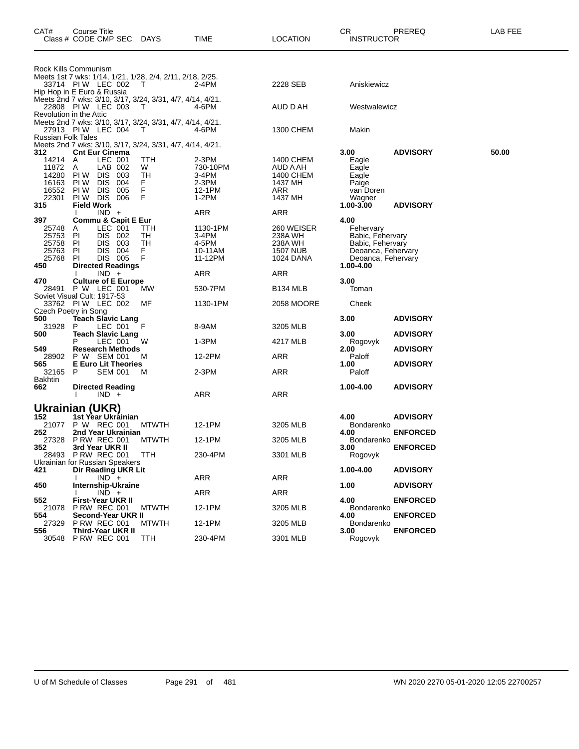| CAT#                                                    | Course Title<br>Class # CODE CMP SEC DAYS                                                                                                       |                                | <b>TIME</b>                                                  | <b>LOCATION</b>                                                  | CR<br><b>INSTRUCTOR</b>                                                                                            | PREREQ          | LAB FEE |
|---------------------------------------------------------|-------------------------------------------------------------------------------------------------------------------------------------------------|--------------------------------|--------------------------------------------------------------|------------------------------------------------------------------|--------------------------------------------------------------------------------------------------------------------|-----------------|---------|
|                                                         | Rock Kills Communism                                                                                                                            |                                |                                                              |                                                                  |                                                                                                                    |                 |         |
|                                                         | Meets 1st 7 wks: 1/14, 1/21, 1/28, 2/4, 2/11, 2/18, 2/25.<br>33714 PIW LEC 002<br>Hip Hop in E Euro & Russia                                    | T.                             | 2-4PM                                                        | 2228 SEB                                                         | Aniskiewicz                                                                                                        |                 |         |
|                                                         | Meets 2nd 7 wks: 3/10, 3/17, 3/24, 3/31, 4/7, 4/14, 4/21.<br>22808 PIW LEC 003<br>Revolution in the Attic                                       | T.                             | 4-6PM                                                        | AUD D AH                                                         | Westwalewicz                                                                                                       |                 |         |
| <b>Russian Folk Tales</b>                               | Meets 2nd 7 wks: 3/10, 3/17, 3/24, 3/31, 4/7, 4/14, 4/21.<br>27913 PIW LEC 004                                                                  | T.                             | 4-6PM                                                        | 1300 CHEM                                                        | Makin                                                                                                              |                 |         |
| 312                                                     | Meets 2nd 7 wks: 3/10, 3/17, 3/24, 3/31, 4/7, 4/14, 4/21.<br><b>Cnt Eur Cinema</b>                                                              |                                |                                                              |                                                                  | 3.00                                                                                                               | <b>ADVISORY</b> | 50.00   |
| 14214<br>11872<br>14280<br>16163<br>16552<br>22301      | LEC 001<br>A<br>LAB 002<br>A<br>PI W<br><b>DIS</b><br>-003<br><b>DIS</b><br>004<br>PI W<br>PI W<br>DIS 005<br><b>PIW DIS 006</b>                | TTH<br>W<br>TН<br>F.<br>F<br>F | $2-3PM$<br>730-10PM<br>3-4PM<br>$2-3PM$<br>12-1PM<br>$1-2PM$ | 1400 CHEM<br>AUD A AH<br>1400 CHEM<br>1437 MH<br>ARR<br>1437 MH  | Eagle<br>Eagle<br>Eagle<br>Paige<br>van Doren<br>Wagner                                                            |                 |         |
| 315                                                     | <b>Field Work</b><br>$IND +$                                                                                                                    |                                | ARR                                                          | ARR                                                              | 1.00-3.00                                                                                                          | <b>ADVISORY</b> |         |
| 397<br>25748<br>25753<br>25758<br>25763<br>25768<br>450 | <b>Commu &amp; Capit E Eur</b><br>LEC 001<br>A<br>DIS 002<br>-PI<br>DIS 003<br>PI<br>DIS 004<br>ΡI<br>DIS 005<br>ΡI<br><b>Directed Readings</b> | TTH<br>TН<br>TН<br>F.<br>F     | 1130-1PM<br>3-4PM<br>4-5PM<br>10-11AM<br>11-12PM             | 260 WEISER<br>238A WH<br>238A WH<br><b>1507 NUB</b><br>1024 DANA | 4.00<br>Fehervary<br>Babic, Fehervary<br>Babic, Fehervary<br>Deoanca, Fehervary<br>Deoanca, Fehervary<br>1.00-4.00 |                 |         |
| 470                                                     | $IND +$<br><b>Culture of E Europe</b>                                                                                                           |                                | ARR                                                          | ARR                                                              | 3.00                                                                                                               |                 |         |
| 28491                                                   | P W LEC 001                                                                                                                                     | MW                             | 530-7PM                                                      | B <sub>134</sub> MLB                                             | Toman                                                                                                              |                 |         |
|                                                         | Soviet Visual Cult: 1917-53<br>33762 PIW LEC 002<br>Czech Poetry in Song                                                                        | МF                             | 1130-1PM                                                     | 2058 MOORE                                                       | Cheek                                                                                                              |                 |         |
| 500<br>31928                                            | <b>Teach Slavic Lang</b><br>P<br>LEC 001                                                                                                        | F                              | 8-9AM                                                        | 3205 MLB                                                         | 3.00                                                                                                               | <b>ADVISORY</b> |         |
| 500                                                     | <b>Teach Slavic Lang</b><br>LEC 001<br>P                                                                                                        | W                              | $1-3PM$                                                      | 4217 MLB                                                         | 3.00<br>Rogovyk                                                                                                    | <b>ADVISORY</b> |         |
| 549<br>28902                                            | <b>Research Methods</b><br>P W SEM 001                                                                                                          | м                              | 12-2PM                                                       | ARR                                                              | 2.00<br>Paloff                                                                                                     | <b>ADVISORY</b> |         |
| 565<br>32165<br>Bakhtin                                 | <b>E Euro Lit Theories</b><br><b>SEM 001</b><br>P                                                                                               | м                              | 2-3PM                                                        | <b>ARR</b>                                                       | 1.00<br>Paloff                                                                                                     | <b>ADVISORY</b> |         |
| 662                                                     | <b>Directed Reading</b><br>$IND +$                                                                                                              |                                | ARR                                                          | ARR                                                              | 1.00-4.00                                                                                                          | <b>ADVISORY</b> |         |
|                                                         | Ukrainian (UKR)                                                                                                                                 |                                |                                                              |                                                                  |                                                                                                                    |                 |         |
| 152<br>21077                                            | 1st Year Ukráinian<br>P W REC 001                                                                                                               | <b>MTWTH</b>                   | 12-1PM                                                       | 3205 MLB                                                         | 4.00<br>Bondarenko                                                                                                 | <b>ADVISORY</b> |         |
| 252                                                     | 2nd Year Ukrainian<br>27328 PRW REC 001                                                                                                         | <b>MTWTH</b>                   | 12-1PM                                                       | 3205 MLB                                                         | 4.00<br>Bondarenko                                                                                                 | <b>ENFORCED</b> |         |
| 352                                                     | 3rd Year UKR II<br>28493 PRW REC 001<br>Ukrainian for Russian Speakers                                                                          | TTH                            | 230-4PM                                                      | 3301 MLB                                                         | 3.00<br>Rogovyk                                                                                                    | <b>ENFORCED</b> |         |
| 421                                                     | Dir Reading UKR Lit<br>$IND^-$ +                                                                                                                |                                | ARR                                                          | ARR                                                              | 1.00-4.00                                                                                                          | <b>ADVISORY</b> |         |
| 450                                                     | Internship-Ukraine<br>$IND +$                                                                                                                   |                                | ARR                                                          | ARR                                                              | 1.00                                                                                                               | <b>ADVISORY</b> |         |
| 552<br>21078                                            | <b>First-Year UKR II</b><br><b>P RW REC 001</b>                                                                                                 | <b>MTWTH</b>                   | 12-1PM                                                       | 3205 MLB                                                         | 4.00<br>Bondarenko                                                                                                 | <b>ENFORCED</b> |         |
| 554<br>27329                                            | Second-Year UKR II<br><b>P RW REC 001</b>                                                                                                       | <b>MTWTH</b>                   | 12-1PM                                                       | 3205 MLB                                                         | 4.00<br>Bondarenko                                                                                                 | <b>ENFORCED</b> |         |
| 556<br>30548                                            | <b>Third-Year UKR II</b><br><b>P RW REC 001</b>                                                                                                 | <b>TTH</b>                     | 230-4PM                                                      | 3301 MLB                                                         | 3.00<br>Rogovyk                                                                                                    | <b>ENFORCED</b> |         |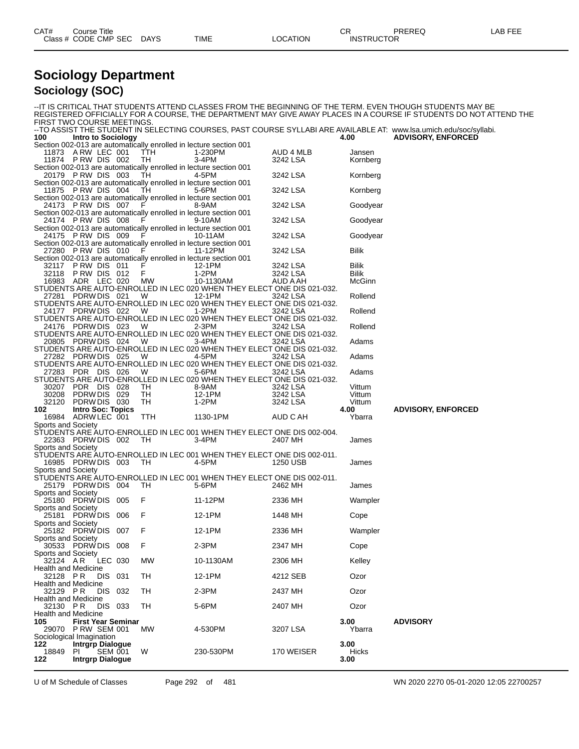| CAT# | Title<br>Course      |      |             |          | rг<br>◡           | PREREQ |  |
|------|----------------------|------|-------------|----------|-------------------|--------|--|
|      | Class # CODE CMP SEC | DAYS | <b>TIME</b> | LOCATION | <b>INSTRUCTOR</b> |        |  |

#### **Sociology Department Sociology (SOC)**

|                                                |                                |                |                           |                |                                                                                  |                      |                  | IT IS CRITICAL THAT STUDENTS ATTEND CLASSES FROM THE BEGINNING OF THE TERM. EVEN THOUGH STUDENTS MAY BE-<br>REGISTERED OFFICIALLY FOR A COURSE. THE DEPARTMENT MAY GIVE AWAY PLACES IN A COURSE IF STUDENTS DO NOT ATTEND THE |
|------------------------------------------------|--------------------------------|----------------|---------------------------|----------------|----------------------------------------------------------------------------------|----------------------|------------------|-------------------------------------------------------------------------------------------------------------------------------------------------------------------------------------------------------------------------------|
| FIRST TWO COURSE MEETINGS.                     |                                |                |                           |                |                                                                                  |                      |                  | --TO ASSIST THE STUDENT IN SELECTING COURSES, PAST COURSE SYLLABI ARE AVAILABLE AT: www.lsa.umich.edu/soc/syllabi.                                                                                                            |
| 100                                            | Intro to Sociology             |                |                           |                |                                                                                  |                      | 4.00             | <b>ADVISORY, ENFORCED</b>                                                                                                                                                                                                     |
| 11873 A RW LEC 001                             |                                |                |                           | TTH            | Section 002-013 are automatically enrolled in lecture section 001<br>1-230PM     | AUD 4 MLB            | Jansen           |                                                                                                                                                                                                                               |
| 11874 PRW DIS 002                              |                                |                |                           | TH             | 3-4PM                                                                            | 3242 LSA             | Kornberg         |                                                                                                                                                                                                                               |
| 20179 PRW DIS 003                              |                                |                |                           | TH.            | Section 002-013 are automatically enrolled in lecture section 001<br>4-5PM       | 3242 LSA             | Kornberg         |                                                                                                                                                                                                                               |
|                                                |                                |                |                           |                | Section 002-013 are automatically enrolled in lecture section 001                |                      |                  |                                                                                                                                                                                                                               |
| 11875 PRW DIS 004                              |                                |                |                           | TH.            | 5-6PM<br>Section 002-013 are automatically enrolled in lecture section 001       | 3242 LSA             | Kornberg         |                                                                                                                                                                                                                               |
| 24173 PRW DIS 007 F                            |                                |                |                           |                | 8-9AM                                                                            | 3242 LSA             | Goodyear         |                                                                                                                                                                                                                               |
| 24174 PRW DIS 008                              |                                |                |                           | F              | Section 002-013 are automatically enrolled in lecture section 001<br>9-10AM      | 3242 LSA             | Goodyear         |                                                                                                                                                                                                                               |
| 24175 PRW DIS 009                              |                                |                |                           | F              | Section 002-013 are automatically enrolled in lecture section 001<br>10-11AM     | 3242 LSA             | Goodyear         |                                                                                                                                                                                                                               |
|                                                |                                |                |                           |                | Section 002-013 are automatically enrolled in lecture section 001                |                      |                  |                                                                                                                                                                                                                               |
| 27280 PRW DIS 010                              |                                |                |                           | $-F$           | 11-12PM<br>Section 002-013 are automatically enrolled in lecture section 001     | 3242 LSA             | Bilik            |                                                                                                                                                                                                                               |
| 32117 PRW DIS 011                              |                                |                |                           | F              | 12-1PM                                                                           | 3242 LSA             | Bilik            |                                                                                                                                                                                                                               |
| 32118 PRW DIS 012<br>16983 ADR LEC 020         |                                |                |                           | F<br><b>MW</b> | 1-2PM<br>10-1130AM                                                               | 3242 LSA<br>AUD A AH | Bilik<br>McGinn  |                                                                                                                                                                                                                               |
| 27281 PDRWDIS 021                              |                                |                |                           | - W            | STUDENTS ARE AUTO-ENROLLED IN LEC 020 WHEN THEY ELECT ONE DIS 021-032.<br>12-1PM | 3242 LSA             | Rollend          |                                                                                                                                                                                                                               |
|                                                |                                |                |                           |                | STUDENTS ARE AUTO-ENROLLED IN LEC 020 WHEN THEY ELECT ONE DIS 021-032.           |                      |                  |                                                                                                                                                                                                                               |
| 24177 PDRWDIS 022                              |                                |                |                           | W.             | 1-2PM<br>STUDENTS ARE AUTO-ENROLLED IN LEC 020 WHEN THEY ELECT ONE DIS 021-032.  | 3242 LSA             | Rollend          |                                                                                                                                                                                                                               |
| 24176 PDRWDIS 023                              |                                |                |                           | w              | 2-3PM                                                                            | 3242 LSA             | Rollend          |                                                                                                                                                                                                                               |
| 20805 PDRW DIS 024                             |                                |                |                           | <b>W</b>       | STUDENTS ARE AUTO-ENROLLED IN LEC 020 WHEN THEY ELECT ONE DIS 021-032.<br>3-4PM  | 3242 LSA             | Adams            |                                                                                                                                                                                                                               |
|                                                |                                |                |                           |                | STUDENTS ARE AUTO-ENROLLED IN LEC 020 WHEN THEY ELECT ONE DIS 021-032.           |                      |                  |                                                                                                                                                                                                                               |
| 27282 PDRWDIS 025                              |                                |                |                           | W.             | 4-5PM<br>STUDENTS ARE AUTO-ENROLLED IN LEC 020 WHEN THEY ELECT ONE DIS 021-032.  | 3242 LSA             | Adams            |                                                                                                                                                                                                                               |
| 27283 PDR DIS 026                              |                                |                |                           | w              | 5-6PM<br>STUDENTS ARE AUTO-ENROLLED IN LEC 020 WHEN THEY ELECT ONE DIS 021-032.  | 3242 LSA             | Adams            |                                                                                                                                                                                                                               |
| 30207 PDR DIS 028                              |                                |                |                           | TH             | 8-9AM                                                                            | 3242 LSA             | Vittum           |                                                                                                                                                                                                                               |
| 30208 PDRW DIS 029<br>32120                    | PDRW DIS 030                   |                |                           | TH<br>TH       | 12-1PM<br>1-2PM                                                                  | 3242 LSA<br>3242 LSA | Vittum<br>Vittum |                                                                                                                                                                                                                               |
| 102<br>16984 ADRW LEC 001                      | <b>Intro Soc: Topics</b>       |                |                           |                |                                                                                  |                      | 4.00             | <b>ADVISORY, ENFORCED</b>                                                                                                                                                                                                     |
| Sports and Society                             |                                |                |                           | TTH            | 1130-1PM                                                                         | AUD C AH             | Ybarra           |                                                                                                                                                                                                                               |
| 22363 PDRW DIS 002                             |                                |                |                           | - TH           | STUDENTS ARE AUTO-ENROLLED IN LEC 001 WHEN THEY ELECT ONE DIS 002-004.<br>3-4PM  | 2407 MH              | James            |                                                                                                                                                                                                                               |
| Sports and Society                             |                                |                |                           |                |                                                                                  |                      |                  |                                                                                                                                                                                                                               |
| 16985 PDRW DIS 003                             |                                |                |                           | TH             | STUDENTS ARE AUTO-ENROLLED IN LEC 001 WHEN THEY ELECT ONE DIS 002-011.<br>4-5PM  | 1250 USB             | James            |                                                                                                                                                                                                                               |
| Sports and Society                             |                                |                |                           |                |                                                                                  |                      |                  |                                                                                                                                                                                                                               |
| 25179 PDRWDIS 004                              |                                |                |                           | TH             | STUDENTS ARE AUTO-ENROLLED IN LEC 001 WHEN THEY ELECT ONE DIS 002-011.<br>5-6PM  | 2462 MH              | James            |                                                                                                                                                                                                                               |
| Sports and Society<br>25180 PDRW DIS 005       |                                |                |                           | F              | 11-12PM                                                                          | 2336 MH              | Wampler          |                                                                                                                                                                                                                               |
| Sports and Society                             |                                |                |                           |                |                                                                                  |                      |                  |                                                                                                                                                                                                                               |
| 25181 PDRWDIS 006<br>Sports and Society        |                                |                |                           | - F            | 12-1PM                                                                           | 1448 MH              | Cope             |                                                                                                                                                                                                                               |
| 25182 PDRWDIS 007<br>Sports and Society        |                                |                |                           | F              | 12-1PM                                                                           | 2336 MH              | Wampler          |                                                                                                                                                                                                                               |
| 30533 PDRW DIS 008                             |                                |                |                           | F              | 2-3PM                                                                            | 2347 MH              | Cope             |                                                                                                                                                                                                                               |
| Sports and Society<br>32124 AR                 |                                | LEC 030        |                           | МW             | 10-1130AM                                                                        | 2306 MH              | Kelley           |                                                                                                                                                                                                                               |
| <b>Health and Medicine</b><br>32128 PR         |                                | DIS 031        |                           | TН             | 12-1PM                                                                           | 4212 SEB             | Ozor             |                                                                                                                                                                                                                               |
| <b>Health and Medicine</b>                     |                                |                |                           |                |                                                                                  |                      |                  |                                                                                                                                                                                                                               |
| 32129 PR<br><b>Health and Medicine</b>         |                                | DIS 032        |                           | TН             | $2-3PM$                                                                          | 2437 MH              | Ozor             |                                                                                                                                                                                                                               |
| 32130 PR                                       |                                | DIS 033        |                           | TН             | 5-6PM                                                                            | 2407 MH              | Ozor             |                                                                                                                                                                                                                               |
| <b>Health and Medicine</b><br>105              |                                |                | <b>First Year Seminar</b> |                |                                                                                  |                      | 3.00             | <b>ADVISORY</b>                                                                                                                                                                                                               |
| 29070 P RW SEM 001<br>Sociological Imagination |                                |                |                           | <b>MW</b>      | 4-530PM                                                                          | 3207 LSA             | Ybarra           |                                                                                                                                                                                                                               |
| 122                                            | <b>Intrgrp Dialogue</b>        |                |                           |                |                                                                                  |                      | 3.00             |                                                                                                                                                                                                                               |
| 18849<br>122                                   | PI.<br><b>Intrgrp Dialogue</b> | <b>SEM 001</b> |                           | W              | 230-530PM                                                                        | 170 WEISER           | Hicks<br>3.00    |                                                                                                                                                                                                                               |

U of M Schedule of Classes Page 292 of 481 WN 2020 2270 05-01-2020 12:05 22700257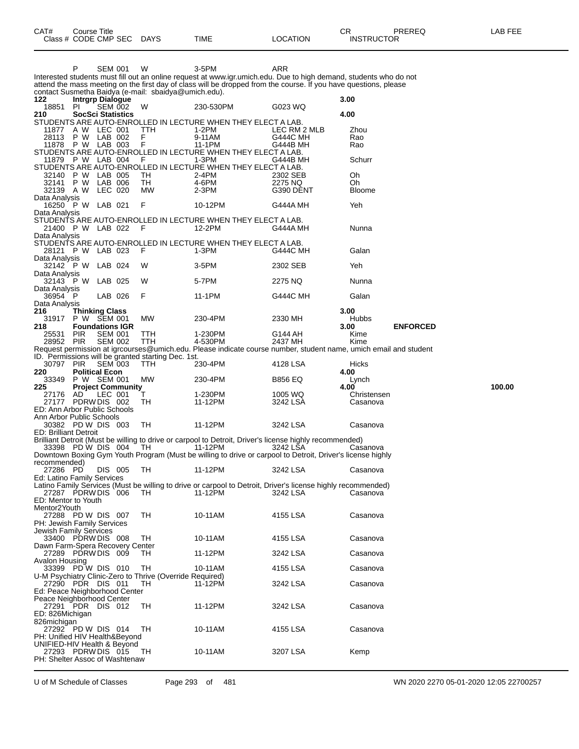|                                                              | P                                    | <b>SEM 001</b>                   |                          | W                                                        | 3-5PM<br>Interested students must fill out an online request at www.igr.umich.edu. Due to high demand, students who do not | ARR                             |                      |                 |        |
|--------------------------------------------------------------|--------------------------------------|----------------------------------|--------------------------|----------------------------------------------------------|----------------------------------------------------------------------------------------------------------------------------|---------------------------------|----------------------|-----------------|--------|
|                                                              |                                      |                                  |                          |                                                          | attend the mass meeting on the first day of class will be dropped from the course. If you have questions, please           |                                 |                      |                 |        |
| 122                                                          | <b>Intrgrp Dialogue</b>              |                                  |                          | contact Susmetha Baidya (e-mail: sbaidya@umich.edu).     |                                                                                                                            |                                 | 3.00                 |                 |        |
| 18851<br>210                                                 | PI.<br><b>SocSci Statistics</b>      | <b>SEM 002</b>                   |                          | W                                                        | 230-530PM                                                                                                                  | G023 WQ                         | 4.00                 |                 |        |
|                                                              |                                      |                                  |                          |                                                          | STUDENTS ARE AUTO-ENROLLED IN LECTURE WHEN THEY ELECT A LAB.                                                               |                                 |                      |                 |        |
| 11877 A W LEC 001<br>28113                                   | P W LAB 002                          |                                  |                          | TTH<br>F                                                 | 1-2PM<br>9-11AM                                                                                                            | LEC RM 2 MLB<br><b>G444C MH</b> | Zhou<br>Rao          |                 |        |
| 11878 P W LAB 003                                            |                                      |                                  |                          | $\mathsf F$                                              | 11-1PM                                                                                                                     | G444B MH                        | Rao                  |                 |        |
|                                                              |                                      |                                  |                          |                                                          | STUDENTS ARE AUTO-ENROLLED IN LECTURE WHEN THEY ELECT A LAB.                                                               |                                 | Schurr               |                 |        |
| 11879                                                        | P W LAB 004                          |                                  |                          | F                                                        | 1-3PM<br>STUDENTS ARE AUTO-ENROLLED IN LECTURE WHEN THEY ELECT A LAB.                                                      | G444B MH                        |                      |                 |        |
| 32140                                                        | P W                                  | LAB 005                          |                          | TH                                                       | 2-4PM                                                                                                                      | 2302 SEB                        | Oh                   |                 |        |
| 32141<br>32139 A W                                           | P W                                  | LAB 006<br>LEC 020               |                          | TH<br><b>MW</b>                                          | 4-6PM<br>2-3PM                                                                                                             | 2275 NQ<br>G390 DENT            | Oh<br><b>Bloome</b>  |                 |        |
| Data Analysis                                                |                                      |                                  |                          |                                                          |                                                                                                                            |                                 |                      |                 |        |
| 16250 P W LAB 021<br>Data Analysis                           |                                      |                                  |                          | F                                                        | 10-12PM                                                                                                                    | G444A MH                        | Yeh                  |                 |        |
|                                                              |                                      |                                  |                          |                                                          | STUDENTS ARE AUTO-ENROLLED IN LECTURE WHEN THEY ELECT A LAB.                                                               |                                 |                      |                 |        |
| 21400 P W LAB 022                                            |                                      |                                  |                          | - F                                                      | 12-2PM                                                                                                                     | G444A MH                        | Nunna                |                 |        |
| Data Analysis                                                |                                      |                                  |                          |                                                          | STUDENTS ARE AUTO-ENROLLED IN LECTURE WHEN THEY ELECT A LAB.                                                               |                                 |                      |                 |        |
| 28121 P W LAB 023                                            |                                      |                                  |                          | F                                                        | 1-3PM                                                                                                                      | G444C MH                        | Galan                |                 |        |
| Data Analysis<br>32142 PW                                    |                                      | LAB 024                          |                          | W                                                        | $3-5$ PM                                                                                                                   | 2302 SEB                        | Yeh                  |                 |        |
| Data Analysis                                                |                                      |                                  |                          |                                                          |                                                                                                                            |                                 |                      |                 |        |
| 32143 PW                                                     |                                      | LAB 025                          |                          | W                                                        | 5-7PM                                                                                                                      | 2275 NQ                         | Nunna                |                 |        |
| Data Analysis<br>36954 P                                     |                                      | LAB 026                          |                          | F                                                        | 11-1PM                                                                                                                     | <b>G444C MH</b>                 | Galan                |                 |        |
| Data Analysis                                                |                                      |                                  |                          |                                                          |                                                                                                                            |                                 |                      |                 |        |
| 216<br>31917                                                 | <b>Thinking Class</b><br>P W SEM 001 |                                  |                          | MW                                                       | 230-4PM                                                                                                                    | 2330 MH                         | 3.00<br><b>Hubbs</b> |                 |        |
| 218                                                          | <b>Foundations IGR</b>               |                                  |                          |                                                          |                                                                                                                            |                                 | 3.00                 | <b>ENFORCED</b> |        |
| 25531<br>28952 PIR                                           | <b>PIR</b>                           | <b>SEM 001</b><br><b>SEM 002</b> |                          | TTH<br><b>TTH</b>                                        | 1-230PM<br>4-530PM                                                                                                         | G144 AH<br>2437 MH              | Kime<br>Kime         |                 |        |
|                                                              |                                      |                                  |                          |                                                          | Request permission at igrcourses@umich.edu. Please indicate course number, student name, umich email and student           |                                 |                      |                 |        |
|                                                              |                                      |                                  |                          | ID. Permissions will be granted starting Dec. 1st.       |                                                                                                                            |                                 |                      |                 |        |
| 30797 PIR<br>220                                             | <b>Political Econ</b>                | <b>SEM 003</b>                   |                          | TTH                                                      | 230-4PM                                                                                                                    | 4128 LSA                        | Hicks<br>4.00        |                 |        |
| 33349                                                        | P W SEM 001                          |                                  |                          | МW                                                       | 230-4PM                                                                                                                    | <b>B856 EQ</b>                  | Lynch                |                 |        |
| 225<br>27176                                                 | AD.                                  | LEC 001                          | <b>Project Community</b> | т                                                        | 1-230PM                                                                                                                    | 1005 WQ                         | 4.00<br>Christensen  |                 | 100.00 |
| 27177 PDRW DIS 002                                           |                                      |                                  |                          | TH                                                       | 11-12PM                                                                                                                    | 3242 LSA                        | Casanova             |                 |        |
| ED: Ann Arbor Public Schools<br>Ann Arbor Public Schools     |                                      |                                  |                          |                                                          |                                                                                                                            |                                 |                      |                 |        |
| 30382 PD W DIS 003                                           |                                      |                                  |                          | TH                                                       | 11-12PM                                                                                                                    | 3242 LSA                        | Casanova             |                 |        |
| <b>ED: Brilliant Detroit</b>                                 |                                      |                                  |                          |                                                          | Brilliant Detroit (Must be willing to drive or carpool to Detroit, Driver's license highly recommended)                    |                                 |                      |                 |        |
| 33398 PD W DIS 004                                           |                                      |                                  |                          | TH                                                       | 11-12PM                                                                                                                    | 3242 LSA                        | Casanova             |                 |        |
|                                                              |                                      |                                  |                          |                                                          | Downtown Boxing Gym Youth Program (Must be willing to drive or carpool to Detroit, Driver's license highly                 |                                 |                      |                 |        |
| recommended)<br>27286 PD                                     |                                      | DIS 005                          |                          | TH                                                       | 11-12PM                                                                                                                    | 3242 LSA                        | Casanova             |                 |        |
| Ed: Latino Family Services                                   |                                      |                                  |                          |                                                          |                                                                                                                            |                                 |                      |                 |        |
| 27287 PDRW DIS 006                                           |                                      |                                  |                          | TH.                                                      | Latino Family Services (Must be willing to drive or carpool to Detroit, Driver's license highly recommended)<br>11-12PM    | 3242 LSA                        | Casanova             |                 |        |
| ED: Mentor to Youth                                          |                                      |                                  |                          |                                                          |                                                                                                                            |                                 |                      |                 |        |
| Mentor <sub>2Youth</sub><br>27288 PD W DIS 007               |                                      |                                  |                          | TH                                                       | 10-11AM                                                                                                                    | 4155 LSA                        | Casanova             |                 |        |
| PH: Jewish Family Services                                   |                                      |                                  |                          |                                                          |                                                                                                                            |                                 |                      |                 |        |
| Jewish Family Services                                       |                                      |                                  |                          |                                                          |                                                                                                                            |                                 |                      |                 |        |
| 33400 PDRW DIS 008<br>Dawn Farm-Spera Recovery Center        |                                      |                                  |                          | TH                                                       | 10-11AM                                                                                                                    | 4155 LSA                        | Casanova             |                 |        |
| 27289 PDRW DIS 009                                           |                                      |                                  |                          | TH.                                                      | 11-12PM                                                                                                                    | 3242 LSA                        | Casanova             |                 |        |
| Avalon Housing<br>33399 PD W DIS 010                         |                                      |                                  |                          | TН                                                       | 10-11AM                                                                                                                    | 4155 LSA                        | Casanova             |                 |        |
|                                                              |                                      |                                  |                          | U-M Psychiatry Clinic-Zero to Thrive (Override Required) |                                                                                                                            |                                 |                      |                 |        |
| 27290 PDR DIS 011                                            |                                      |                                  |                          | TH                                                       | 11-12PM                                                                                                                    | 3242 LSA                        | Casanova             |                 |        |
| Ed: Peace Neighborhood Center<br>Peace Neighborhood Center   |                                      |                                  |                          |                                                          |                                                                                                                            |                                 |                      |                 |        |
| 27291 PDR DIS 012                                            |                                      |                                  |                          | TН                                                       | 11-12PM                                                                                                                    | 3242 LSA                        | Casanova             |                 |        |
| ED: 826Michigan<br>826michigan                               |                                      |                                  |                          |                                                          |                                                                                                                            |                                 |                      |                 |        |
| 27292 PD W DIS 014                                           |                                      |                                  |                          | TH.                                                      | 10-11AM                                                                                                                    | 4155 LSA                        | Casanova             |                 |        |
| PH: Unified HIV Health&Beyond<br>UNIFIED-HIV Health & Beyond |                                      |                                  |                          |                                                          |                                                                                                                            |                                 |                      |                 |        |
| 27293 PDRW DIS 015                                           |                                      |                                  |                          | TН                                                       | 10-11AM                                                                                                                    | 3207 LSA                        | Kemp                 |                 |        |
| PH: Shelter Assoc of Washtenaw                               |                                      |                                  |                          |                                                          |                                                                                                                            |                                 |                      |                 |        |

U of M Schedule of Classes Page 293 of 481 WN 2020 2270 05-01-2020 12:05 22700257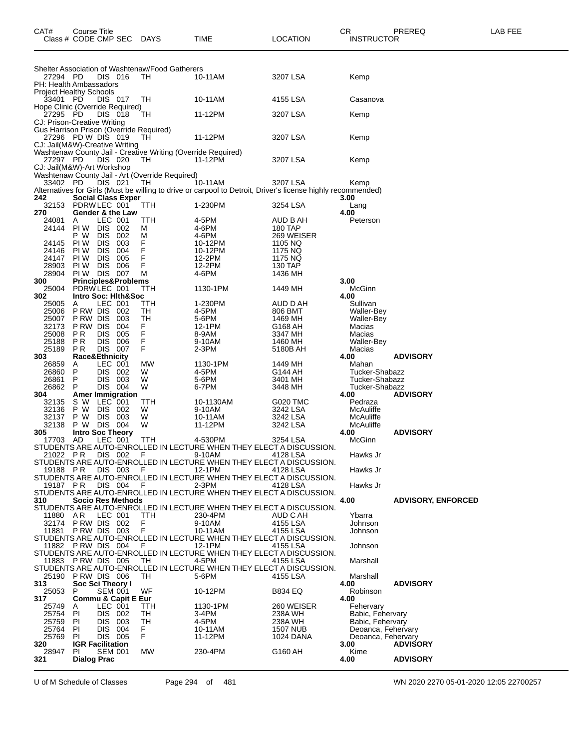| CAT#                                       | Course Title<br>Class # CODE CMP SEC          |                       |            | DAYS                                            | TIME                                                                           | <b>LOCATION</b>                                                                                              | CR<br><b>INSTRUCTOR</b>                  | PREREQ                    | LAB FEE |
|--------------------------------------------|-----------------------------------------------|-----------------------|------------|-------------------------------------------------|--------------------------------------------------------------------------------|--------------------------------------------------------------------------------------------------------------|------------------------------------------|---------------------------|---------|
|                                            |                                               |                       |            |                                                 |                                                                                |                                                                                                              |                                          |                           |         |
|                                            |                                               |                       |            | Shelter Association of Washtenaw/Food Gatherers |                                                                                |                                                                                                              |                                          |                           |         |
| 27294 PD<br>PH: Health Ambassadors         |                                               | DIS 016               |            | TH.                                             | 10-11AM                                                                        | 3207 LSA                                                                                                     | Kemp                                     |                           |         |
| <b>Project Healthy Schools</b><br>33401 PD |                                               | DIS 017               |            | TH                                              | 10-11AM                                                                        | 4155 LSA                                                                                                     | Casanova                                 |                           |         |
| Hope Clinic (Override Required)            |                                               |                       |            |                                                 |                                                                                |                                                                                                              |                                          |                           |         |
| 27295 PD<br>CJ: Prison-Creative Writing    |                                               | DIS 018               |            | TH                                              | 11-12PM                                                                        | 3207 LSA                                                                                                     | Kemp                                     |                           |         |
| Gus Harrison Prison (Override Required)    |                                               |                       |            |                                                 |                                                                                |                                                                                                              |                                          |                           |         |
| CJ: Jail(M&W)-Creative Writing             | 27296 PD W DIS 019                            |                       |            | - TH                                            | 11-12PM                                                                        | 3207 LSA                                                                                                     | Kemp                                     |                           |         |
| 27297 PD                                   |                                               | DIS 020               |            | TH                                              | Washtenaw County Jail - Creative Writing (Override Required)<br>11-12PM        | 3207 LSA                                                                                                     | Kemp                                     |                           |         |
| CJ: Jail(M&W)-Art Workshop                 |                                               |                       |            | Washtenaw County Jail - Art (Override Required) |                                                                                |                                                                                                              |                                          |                           |         |
| 33402 PD                                   |                                               | DIS 021               |            | TH                                              | 10-11AM                                                                        | 3207 LSA                                                                                                     | Kemp                                     |                           |         |
| 242                                        | <b>Social Class Exper</b>                     |                       |            |                                                 |                                                                                | Alternatives for Girls (Must be willing to drive or carpool to Detroit, Driver's license highly recommended) | 3.00                                     |                           |         |
| 270                                        | 32153 PDRWLEC 001<br>Gender & the Law         |                       |            | TTH                                             | 1-230PM                                                                        | 3254 LSA                                                                                                     | Lang<br>4.00                             |                           |         |
| 24081                                      | A                                             | LEC 001               |            | <b>TTH</b>                                      | 4-5PM                                                                          | AUD B AH                                                                                                     | Peterson                                 |                           |         |
| 24144                                      | PIW DIS 002<br>P W                            | <b>DIS</b>            | 002        | м<br>м                                          | 4-6PM<br>4-6PM                                                                 | 180 TAP<br>269 WEISER                                                                                        |                                          |                           |         |
| 24145                                      | PI W                                          | DIS 003               |            | F<br>F                                          | 10-12PM                                                                        | 1105 NQ                                                                                                      |                                          |                           |         |
| 24146<br>24147                             | PI W<br>PI W                                  | DIS 004<br><b>DIS</b> | 005        | F                                               | 10-12PM<br>12-2PM                                                              | 1175 NQ<br>1175 NQ                                                                                           |                                          |                           |         |
| 28903<br>28904                             | PI W<br><b>PIW DIS 007</b>                    | <b>DIS 006</b>        |            | F<br>M                                          | 12-2PM<br>4-6PM                                                                | 130 TAP<br>1436 MH                                                                                           |                                          |                           |         |
| 300                                        | <b>Principles&amp;Problems</b><br>PDRWLEC 001 |                       |            |                                                 |                                                                                |                                                                                                              | 3.00                                     |                           |         |
| 25004<br>302                               | Intro Soc: Hith&Soc                           |                       |            | ттн                                             | 1130-1PM                                                                       | 1449 MH                                                                                                      | McGinn<br>4.00                           |                           |         |
| 25005<br>25006                             | A<br>PRW DIS 002                              | LEC 001               |            | TTH<br>TH                                       | 1-230PM<br>4-5PM                                                               | AUD D AH<br>806 BMT                                                                                          | Sullivan<br><b>Waller-Bey</b>            |                           |         |
| 25007                                      | PRW DIS 003                                   |                       |            | TН                                              | 5-6PM                                                                          | 1469 MH                                                                                                      | <b>Waller-Bey</b>                        |                           |         |
| 32173<br>25008                             | P RW DIS<br>P R                               | <b>DIS</b>            | 004<br>005 | F.<br>F                                         | 12-1PM<br>8-9AM                                                                | G168 AH<br>3347 MH                                                                                           | Macias<br>Macias                         |                           |         |
| 25188<br>25189                             | P R<br><b>PR</b>                              | DIS 006<br>DIS 007    |            | F<br>F                                          | 9-10AM<br>$2-3PM$                                                              | 1460 MH<br>5180B AH                                                                                          | <b>Waller-Bey</b><br>Macias              |                           |         |
| 303                                        | Race&Ethnicity                                |                       |            |                                                 |                                                                                |                                                                                                              | 4.00                                     | <b>ADVISORY</b>           |         |
| 26859<br>26860                             | A<br>P                                        | LEC 001<br>DIS 002    |            | <b>MW</b><br>W                                  | 1130-1PM<br>4-5PM                                                              | 1449 MH<br>G144 AH                                                                                           | Mahan<br>Tucker-Shabazz                  |                           |         |
| 26861<br>26862                             | P<br>P                                        | <b>DIS</b><br>DIS 004 | 003        | W<br>W                                          | 5-6PM<br>6-7PM                                                                 | 3401 MH<br>3448 MH                                                                                           | Tucker-Shabazz<br>Tucker-Shabazz         |                           |         |
| 304                                        | <b>Amer Immigration</b>                       |                       |            |                                                 |                                                                                |                                                                                                              | 4.00                                     | <b>ADVISORY</b>           |         |
| 32135<br>32136                             | s w<br>P W                                    | LEC 001<br>DIS 002    |            | <b>TTH</b><br>W                                 | 10-1130AM<br>9-10AM                                                            | G020 TMC<br>3242 LSA                                                                                         | Pedraza<br>McAuliffe                     |                           |         |
| 32137<br>32138                             | P W<br>P W                                    | DIS 003<br>DIS 004    |            | W<br>W                                          | 10-11AM<br>11-12PM                                                             | 3242 LSA<br>3242 LSA                                                                                         | McAuliffe<br>McAuliffe                   |                           |         |
| 305                                        | <b>Intro Soc Theory</b>                       |                       |            |                                                 |                                                                                |                                                                                                              | 4.00                                     | <b>ADVISORY</b>           |         |
| 17703 AD                                   |                                               | LEC 001               |            | <b>TTH</b>                                      | 4-530PM<br>STUDENTS ARE AUTO-ENROLLED IN LECTURE WHEN THEY ELECT A DISCUSSION. | 3254 LSA                                                                                                     | McGinn                                   |                           |         |
| 21022 PR                                   |                                               |                       | DIS 002 F  |                                                 | 9-10AM<br>STUDENTS ARE AUTO-ENROLLED IN LECTURE WHEN THEY ELECT A DISCUSSION.  | 4128 LSA                                                                                                     | Hawks Jr                                 |                           |         |
| 19188 PR                                   |                                               | DIS 003               |            | - F                                             | 12-1PM<br>STUDENTS ARE AUTO-ENROLLED IN LECTURE WHEN THEY ELECT A DISCUSSION.  | 4128 LSA                                                                                                     | Hawks Jr                                 |                           |         |
| 19187 PR                                   |                                               | DIS 004               |            | - F                                             | $2-3PM$                                                                        | 4128 LSA                                                                                                     | Hawks Jr                                 |                           |         |
| 310                                        | <b>Socio Res Methods</b>                      |                       |            |                                                 | STUDENTS ARE AUTO-ENROLLED IN LECTURE WHEN THEY ELECT A DISCUSSION.            |                                                                                                              | 4.00                                     | <b>ADVISORY, ENFORCED</b> |         |
|                                            |                                               | LEC 001               |            | <b>TTH</b>                                      | STUDENTS ARE AUTO-ENROLLED IN LECTURE WHEN THEY ELECT A DISCUSSION.<br>230-4PM | AUD C AH                                                                                                     | Ybarra                                   |                           |         |
| 11880 AR                                   | 32174 PRW DIS 002                             |                       |            | F                                               | 9-10AM                                                                         | 4155 LSA                                                                                                     | Johnson                                  |                           |         |
|                                            | 11881 PRW DIS 003                             |                       |            | F                                               | 10-11AM<br>STUDENTS ARE AUTO-ENROLLED IN LECTURE WHEN THEY ELECT A DISCUSSION. | 4155 LSA                                                                                                     | Johnson                                  |                           |         |
|                                            | 11882 P RW DIS 004                            |                       |            | F                                               | 12-1PM                                                                         | 4155 LSA                                                                                                     | Johnson                                  |                           |         |
|                                            | 11883 PRW DIS 005                             |                       |            | TН                                              | STUDENTS ARE AUTO-ENROLLED IN LECTURE WHEN THEY ELECT A DISCUSSION.<br>4-5PM   | 4155 LSA                                                                                                     | Marshall                                 |                           |         |
|                                            | 25190 PRW DIS 006                             |                       |            | TH                                              | STUDENTS ARE AUTO-ENROLLED IN LECTURE WHEN THEY ELECT A DISCUSSION.<br>5-6PM   | 4155 LSA                                                                                                     | Marshall                                 |                           |         |
| 313                                        | Soc Sci Theory I                              |                       |            |                                                 |                                                                                |                                                                                                              | 4.00                                     | <b>ADVISORY</b>           |         |
| 25053<br>317                               | -P<br><b>Commu &amp; Capit E Eur</b>          | <b>SEM 001</b>        |            | WF                                              | 10-12PM                                                                        | <b>B834 EQ</b>                                                                                               | Robinson<br>4.00                         |                           |         |
| 25749<br>25754                             | A<br>PI                                       | LEC 001<br>DIS 002    |            | TTH<br>TH                                       | 1130-1PM<br>3-4PM                                                              | 260 WEISER<br>238A WH                                                                                        | Fehervary<br>Babic, Fehervary            |                           |         |
| 25759                                      | <b>PI</b>                                     | DIS.                  | 003        | TH                                              | 4-5PM                                                                          | 238A WH                                                                                                      | Babic, Fehervary                         |                           |         |
| 25764<br>25769                             | PI<br>PI                                      | DIS 004<br>DIS 005    |            | F.<br>F                                         | 10-11AM<br>11-12PM                                                             | <b>1507 NUB</b><br>1024 DANA                                                                                 | Deoanca, Fehervary<br>Deoanca, Fehervary |                           |         |
| 320<br>28947                               | <b>IGR Facilitation</b><br>PI                 | <b>SEM 001</b>        |            | MW                                              | 230-4PM                                                                        | G160 AH                                                                                                      | 3.00<br>Kime                             | <b>ADVISORY</b>           |         |
| 321                                        | <b>Dialog Prac</b>                            |                       |            |                                                 |                                                                                |                                                                                                              | 4.00                                     | <b>ADVISORY</b>           |         |
|                                            |                                               |                       |            |                                                 |                                                                                |                                                                                                              |                                          |                           |         |

U of M Schedule of Classes Page 294 of 481 WN 2020 2270 05-01-2020 12:05 22700257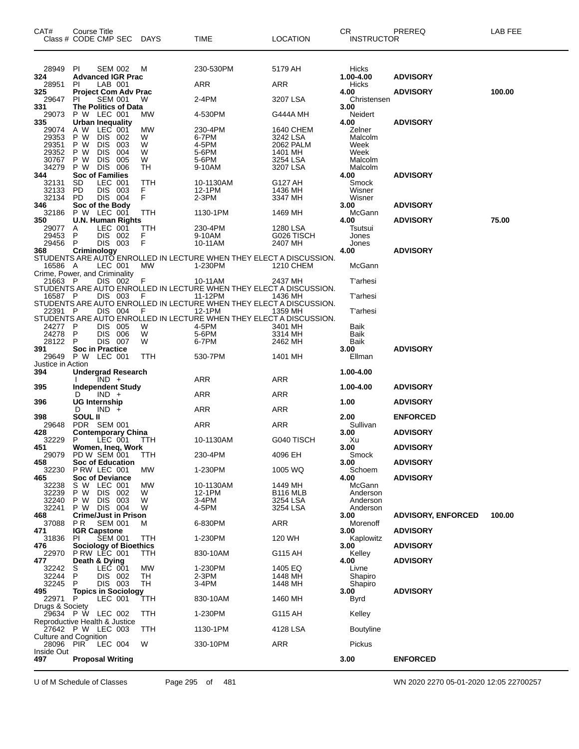| 28949<br>PI<br><b>SEM 002</b><br>230-530PM<br>5179 AH<br>Hicks<br>м<br>1.00-4.00<br>324<br><b>Advanced IGR Prac</b><br><b>ADVISORY</b><br>LAB 001<br>ARR<br>28951<br>PI.<br>ARR<br>Hicks<br>325<br><b>Project Com Adv Prac</b><br>4.00<br><b>ADVISORY</b><br>100.00<br>29647<br><b>SEM 001</b><br>2-4PM<br>3207 LSA<br>Christensen<br>PI<br>W<br>The Politics of Data<br>3.00<br>331<br>P W LEC 001<br>Neidert<br>29073<br>MW<br>4-530PM<br>G444A MH<br><b>Urban Inequality</b><br>335<br>4.00<br><b>ADVISORY</b><br>A W<br>LEC 001<br>MW<br>Zelner<br>29074<br>230-4PM<br>1640 CHEM<br>29353<br><b>DIS</b><br>P W<br>002<br>W<br>6-7PM<br>3242 LSA<br>Malcolm<br><b>DIS</b><br>29351<br>4-5PM<br>2062 PALM<br>P W<br>003<br>W<br>Week<br>29352<br><b>DIS</b><br>Week<br>P W<br>004<br>W<br>5-6PM<br>1401 MH<br>30767<br>P W<br><b>DIS</b><br>005<br>W<br>5-6PM<br>3254 LSA<br>Malcolm<br>P W DIS 006<br>34279<br>TH<br>3207 LSA<br>Malcolm<br>9-10AM<br><b>Soc of Families</b><br><b>ADVISORY</b><br>344<br>4.00<br>LEC 001<br>SD<br>TTH<br>10-1130AM<br>G127 AH<br>Smock<br>32131<br>DIS 003<br><b>PD</b><br>F<br>F<br>32133<br>12-1PM<br>1436 MH<br>Wisner<br>DIS 004<br>32134<br><b>PD</b><br>2-3PM<br>3347 MH<br>Wisner<br>346<br>Soc of the Body<br><b>ADVISORY</b><br>3.00<br>P W LEC 001<br>McGann<br>32186<br>TTH<br>1130-1PM<br>1469 MH<br>75.00<br><b>U.N. Human Rights</b><br>4.00<br><b>ADVISORY</b><br>350<br>LEC 001<br>TTH<br>230-4PM<br>29077<br>1280 LSA<br>Tsutsui<br>A<br>DIS 002<br>29453<br>F<br>P<br>9-10AM<br>G026 TISCH<br>Jones<br>F<br>DIS 003<br>29456<br>P<br>10-11AM<br>2407 MH<br>Jones<br>4.00<br><b>ADVISORY</b><br>368<br>Criminology<br>STUDENTS ARE AUTO ENROLLED IN LECTURE WHEN THEY ELECT A DISCUSSION.<br>16586 A<br>LEC 001<br>MW<br>1-230PM<br>McGann<br>1210 CHEM<br>Crime, Power, and Criminality<br>10-11AM<br>21663 P<br>DIS 002<br>F<br>2437 MH<br><b>T'arhesi</b><br>STUDENTS ARE AUTO ENROLLED IN LECTURE WHEN THEY ELECT A DISCUSSION.<br>DIS 003<br>11-12PM<br>16587 P<br>1436 MH<br><b>T'arhesi</b><br>F<br>STUDENTS ARE AUTO ENROLLED IN LECTURE WHEN THEY ELECT A DISCUSSION.<br>DIS 004<br>22391 P<br>- F<br>12-1PM<br>1359 MH<br><b>T'arhesi</b><br>STUDENTS ARE AUTO ENROLLED IN LECTURE WHEN THEY ELECT A DISCUSSION.<br>4-5PM<br>24277 P<br>DIS 005<br>W<br>3401 MH<br>Baik<br>24278<br>DIS 006<br>W<br>5-6PM<br>3314 MH<br>Baik<br>- P<br>28122<br>DIS 007<br>Baik<br>P<br>W<br>6-7PM<br>2462 MH<br>391<br><b>Soc in Practice</b><br>3.00<br><b>ADVISORY</b><br>29649<br>P W LEC 001<br>TTH<br>530-7PM<br>Ellman<br>1401 MH<br>Justice in Action<br>394<br><b>Undergrad Research</b><br>1.00-4.00<br>ARR<br>$IND +$<br>ARR<br>395<br><b>Independent Study</b><br>1.00-4.00<br><b>ADVISORY</b><br>ARR<br>ARR<br>$IND +$<br>D<br>396<br>UG Internship<br>1.00<br><b>ADVISORY</b><br>$IND +$<br>ARR<br><b>ARR</b><br>D<br><b>SOUL II</b><br>398<br>2.00<br><b>ENFORCED</b><br>ARR<br>29648<br>PDR SEM 001<br>ARR<br>Sullivan<br>428<br><b>ADVISORY</b><br><b>Contemporary China</b><br>3.00<br>32229<br>P.<br>LEC 001<br>10-1130AM<br>G040 TISCH<br>TTH<br>Xu<br>Women, Ineq, Work<br><b>ADVISORY</b><br>451<br>3.00<br>29079 PD W SEM 001<br>4096 EH<br>230-4PM<br>TTH<br>Smock<br>458<br><b>Soc of Education</b><br>3.00<br><b>ADVISORY</b><br>32230<br>PRW LEC 001<br>MW<br>1-230PM<br>1005 WQ<br>Schoem<br>465<br><b>Soc of Deviance</b><br>4.00<br><b>ADVISORY</b><br>S W LEC 001<br><b>MW</b><br>32238<br>McGann<br>10-1130AM<br>1449 MH<br>32239<br>P W<br>DIS 002<br>W<br>12-1PM<br>B <sub>116</sub> MLB<br>Anderson<br><b>DIS 003</b><br>3-4PM<br>32240<br>P W<br>W<br>Anderson<br>3254 LSA<br>32241<br>P W DIS 004<br>4-5PM<br>3254 LSA<br>Anderson<br>W<br><b>Crime/Just in Prison</b><br><b>ADVISORY, ENFORCED</b><br>100.00<br>468<br>3.00<br><b>SEM 001</b><br><b>ARR</b><br>37088<br>PR.<br>6-830PM<br>Morenoff<br>м<br><b>IGR Capstone</b><br>3.00<br><b>ADVISORY</b><br>471<br>31836<br>PI<br><b>SEM 001</b><br>1-230PM<br>120 WH<br>Kaplowitz<br>ттн<br>476<br><b>Sociology of Bioethics</b><br>3.00<br><b>ADVISORY</b><br><b>P RW LEC 001</b><br>Kelley<br>22970<br>TTH<br>830-10AM<br>G115 AH<br>Death & Dying<br>4.00<br><b>ADVISORY</b><br>477<br>LEC 001<br>MW<br>1-230PM<br>1405 EQ<br>32242<br>S<br>Livne<br>P<br>DIS 002<br>32244<br>$2-3PM$<br>1448 MH<br>Shapiro<br>TН<br>32245<br>P<br>DIS 003<br>TH<br>3-4PM<br>Shapiro<br>1448 MH<br>495<br><b>Topics in Sociology</b><br>3.00<br><b>ADVISORY</b><br>22971 P<br>LEC 001<br>830-10AM<br>ттн<br>1460 MH<br>Byrd<br>Drugs & Society<br>29634 P W LEC 002<br>TTH<br>1-230PM<br>G115 AH<br>Kelley<br>Reproductive Health & Justice<br>27642 P W LEC 003<br>1130-1PM<br>4128 LSA<br><b>Boutyline</b><br><b>TTH</b><br><b>Culture and Cognition</b><br>28096 PIR LEC 004<br>W<br>330-10PM<br>ARR<br>Pickus<br>Inside Out<br><b>ENFORCED</b><br>497<br><b>Proposal Writing</b><br>3.00 | CAT# | Course Title | Class # CODE CMP SEC DAYS | <b>TIME</b> | <b>LOCATION</b> | CR<br><b>INSTRUCTOR</b> | PREREQ | LAB FEE |
|------------------------------------------------------------------------------------------------------------------------------------------------------------------------------------------------------------------------------------------------------------------------------------------------------------------------------------------------------------------------------------------------------------------------------------------------------------------------------------------------------------------------------------------------------------------------------------------------------------------------------------------------------------------------------------------------------------------------------------------------------------------------------------------------------------------------------------------------------------------------------------------------------------------------------------------------------------------------------------------------------------------------------------------------------------------------------------------------------------------------------------------------------------------------------------------------------------------------------------------------------------------------------------------------------------------------------------------------------------------------------------------------------------------------------------------------------------------------------------------------------------------------------------------------------------------------------------------------------------------------------------------------------------------------------------------------------------------------------------------------------------------------------------------------------------------------------------------------------------------------------------------------------------------------------------------------------------------------------------------------------------------------------------------------------------------------------------------------------------------------------------------------------------------------------------------------------------------------------------------------------------------------------------------------------------------------------------------------------------------------------------------------------------------------------------------------------------------------------------------------------------------------------------------------------------------------------------------------------------------------------------------------------------------------------------------------------------------------------------------------------------------------------------------------------------------------------------------------------------------------------------------------------------------------------------------------------------------------------------------------------------------------------------------------------------------------------------------------------------------------------------------------------------------------------------------------------------------------------------------------------------------------------------------------------------------------------------------------------------------------------------------------------------------------------------------------------------------------------------------------------------------------------------------------------------------------------------------------------------------------------------------------------------------------------------------------------------------------------------------------------------------------------------------------------------------------------------------------------------------------------------------------------------------------------------------------------------------------------------------------------------------------------------------------------------------------------------------------------------------------------------------------------------------------------------------------------------------------------------------------------------------------------------------------------------------------------------------------------------------------------------------------------------------------------------------------------------------------------------------------------------------------------------------------------------------------------------------------------------------------------------------------------------------------------------------------------------------------------------------------------------------------------------------------------------------------------------------------------------------------------------------------------------------------|------|--------------|---------------------------|-------------|-----------------|-------------------------|--------|---------|
|                                                                                                                                                                                                                                                                                                                                                                                                                                                                                                                                                                                                                                                                                                                                                                                                                                                                                                                                                                                                                                                                                                                                                                                                                                                                                                                                                                                                                                                                                                                                                                                                                                                                                                                                                                                                                                                                                                                                                                                                                                                                                                                                                                                                                                                                                                                                                                                                                                                                                                                                                                                                                                                                                                                                                                                                                                                                                                                                                                                                                                                                                                                                                                                                                                                                                                                                                                                                                                                                                                                                                                                                                                                                                                                                                                                                                                                                                                                                                                                                                                                                                                                                                                                                                                                                                                                                                                                                                                                                                                                                                                                                                                                                                                                                                                                                                                                                                                                        |      |              |                           |             |                 |                         |        |         |
|                                                                                                                                                                                                                                                                                                                                                                                                                                                                                                                                                                                                                                                                                                                                                                                                                                                                                                                                                                                                                                                                                                                                                                                                                                                                                                                                                                                                                                                                                                                                                                                                                                                                                                                                                                                                                                                                                                                                                                                                                                                                                                                                                                                                                                                                                                                                                                                                                                                                                                                                                                                                                                                                                                                                                                                                                                                                                                                                                                                                                                                                                                                                                                                                                                                                                                                                                                                                                                                                                                                                                                                                                                                                                                                                                                                                                                                                                                                                                                                                                                                                                                                                                                                                                                                                                                                                                                                                                                                                                                                                                                                                                                                                                                                                                                                                                                                                                                                        |      |              |                           |             |                 |                         |        |         |
|                                                                                                                                                                                                                                                                                                                                                                                                                                                                                                                                                                                                                                                                                                                                                                                                                                                                                                                                                                                                                                                                                                                                                                                                                                                                                                                                                                                                                                                                                                                                                                                                                                                                                                                                                                                                                                                                                                                                                                                                                                                                                                                                                                                                                                                                                                                                                                                                                                                                                                                                                                                                                                                                                                                                                                                                                                                                                                                                                                                                                                                                                                                                                                                                                                                                                                                                                                                                                                                                                                                                                                                                                                                                                                                                                                                                                                                                                                                                                                                                                                                                                                                                                                                                                                                                                                                                                                                                                                                                                                                                                                                                                                                                                                                                                                                                                                                                                                                        |      |              |                           |             |                 |                         |        |         |
|                                                                                                                                                                                                                                                                                                                                                                                                                                                                                                                                                                                                                                                                                                                                                                                                                                                                                                                                                                                                                                                                                                                                                                                                                                                                                                                                                                                                                                                                                                                                                                                                                                                                                                                                                                                                                                                                                                                                                                                                                                                                                                                                                                                                                                                                                                                                                                                                                                                                                                                                                                                                                                                                                                                                                                                                                                                                                                                                                                                                                                                                                                                                                                                                                                                                                                                                                                                                                                                                                                                                                                                                                                                                                                                                                                                                                                                                                                                                                                                                                                                                                                                                                                                                                                                                                                                                                                                                                                                                                                                                                                                                                                                                                                                                                                                                                                                                                                                        |      |              |                           |             |                 |                         |        |         |
|                                                                                                                                                                                                                                                                                                                                                                                                                                                                                                                                                                                                                                                                                                                                                                                                                                                                                                                                                                                                                                                                                                                                                                                                                                                                                                                                                                                                                                                                                                                                                                                                                                                                                                                                                                                                                                                                                                                                                                                                                                                                                                                                                                                                                                                                                                                                                                                                                                                                                                                                                                                                                                                                                                                                                                                                                                                                                                                                                                                                                                                                                                                                                                                                                                                                                                                                                                                                                                                                                                                                                                                                                                                                                                                                                                                                                                                                                                                                                                                                                                                                                                                                                                                                                                                                                                                                                                                                                                                                                                                                                                                                                                                                                                                                                                                                                                                                                                                        |      |              |                           |             |                 |                         |        |         |
|                                                                                                                                                                                                                                                                                                                                                                                                                                                                                                                                                                                                                                                                                                                                                                                                                                                                                                                                                                                                                                                                                                                                                                                                                                                                                                                                                                                                                                                                                                                                                                                                                                                                                                                                                                                                                                                                                                                                                                                                                                                                                                                                                                                                                                                                                                                                                                                                                                                                                                                                                                                                                                                                                                                                                                                                                                                                                                                                                                                                                                                                                                                                                                                                                                                                                                                                                                                                                                                                                                                                                                                                                                                                                                                                                                                                                                                                                                                                                                                                                                                                                                                                                                                                                                                                                                                                                                                                                                                                                                                                                                                                                                                                                                                                                                                                                                                                                                                        |      |              |                           |             |                 |                         |        |         |
|                                                                                                                                                                                                                                                                                                                                                                                                                                                                                                                                                                                                                                                                                                                                                                                                                                                                                                                                                                                                                                                                                                                                                                                                                                                                                                                                                                                                                                                                                                                                                                                                                                                                                                                                                                                                                                                                                                                                                                                                                                                                                                                                                                                                                                                                                                                                                                                                                                                                                                                                                                                                                                                                                                                                                                                                                                                                                                                                                                                                                                                                                                                                                                                                                                                                                                                                                                                                                                                                                                                                                                                                                                                                                                                                                                                                                                                                                                                                                                                                                                                                                                                                                                                                                                                                                                                                                                                                                                                                                                                                                                                                                                                                                                                                                                                                                                                                                                                        |      |              |                           |             |                 |                         |        |         |
|                                                                                                                                                                                                                                                                                                                                                                                                                                                                                                                                                                                                                                                                                                                                                                                                                                                                                                                                                                                                                                                                                                                                                                                                                                                                                                                                                                                                                                                                                                                                                                                                                                                                                                                                                                                                                                                                                                                                                                                                                                                                                                                                                                                                                                                                                                                                                                                                                                                                                                                                                                                                                                                                                                                                                                                                                                                                                                                                                                                                                                                                                                                                                                                                                                                                                                                                                                                                                                                                                                                                                                                                                                                                                                                                                                                                                                                                                                                                                                                                                                                                                                                                                                                                                                                                                                                                                                                                                                                                                                                                                                                                                                                                                                                                                                                                                                                                                                                        |      |              |                           |             |                 |                         |        |         |
|                                                                                                                                                                                                                                                                                                                                                                                                                                                                                                                                                                                                                                                                                                                                                                                                                                                                                                                                                                                                                                                                                                                                                                                                                                                                                                                                                                                                                                                                                                                                                                                                                                                                                                                                                                                                                                                                                                                                                                                                                                                                                                                                                                                                                                                                                                                                                                                                                                                                                                                                                                                                                                                                                                                                                                                                                                                                                                                                                                                                                                                                                                                                                                                                                                                                                                                                                                                                                                                                                                                                                                                                                                                                                                                                                                                                                                                                                                                                                                                                                                                                                                                                                                                                                                                                                                                                                                                                                                                                                                                                                                                                                                                                                                                                                                                                                                                                                                                        |      |              |                           |             |                 |                         |        |         |
|                                                                                                                                                                                                                                                                                                                                                                                                                                                                                                                                                                                                                                                                                                                                                                                                                                                                                                                                                                                                                                                                                                                                                                                                                                                                                                                                                                                                                                                                                                                                                                                                                                                                                                                                                                                                                                                                                                                                                                                                                                                                                                                                                                                                                                                                                                                                                                                                                                                                                                                                                                                                                                                                                                                                                                                                                                                                                                                                                                                                                                                                                                                                                                                                                                                                                                                                                                                                                                                                                                                                                                                                                                                                                                                                                                                                                                                                                                                                                                                                                                                                                                                                                                                                                                                                                                                                                                                                                                                                                                                                                                                                                                                                                                                                                                                                                                                                                                                        |      |              |                           |             |                 |                         |        |         |
|                                                                                                                                                                                                                                                                                                                                                                                                                                                                                                                                                                                                                                                                                                                                                                                                                                                                                                                                                                                                                                                                                                                                                                                                                                                                                                                                                                                                                                                                                                                                                                                                                                                                                                                                                                                                                                                                                                                                                                                                                                                                                                                                                                                                                                                                                                                                                                                                                                                                                                                                                                                                                                                                                                                                                                                                                                                                                                                                                                                                                                                                                                                                                                                                                                                                                                                                                                                                                                                                                                                                                                                                                                                                                                                                                                                                                                                                                                                                                                                                                                                                                                                                                                                                                                                                                                                                                                                                                                                                                                                                                                                                                                                                                                                                                                                                                                                                                                                        |      |              |                           |             |                 |                         |        |         |
|                                                                                                                                                                                                                                                                                                                                                                                                                                                                                                                                                                                                                                                                                                                                                                                                                                                                                                                                                                                                                                                                                                                                                                                                                                                                                                                                                                                                                                                                                                                                                                                                                                                                                                                                                                                                                                                                                                                                                                                                                                                                                                                                                                                                                                                                                                                                                                                                                                                                                                                                                                                                                                                                                                                                                                                                                                                                                                                                                                                                                                                                                                                                                                                                                                                                                                                                                                                                                                                                                                                                                                                                                                                                                                                                                                                                                                                                                                                                                                                                                                                                                                                                                                                                                                                                                                                                                                                                                                                                                                                                                                                                                                                                                                                                                                                                                                                                                                                        |      |              |                           |             |                 |                         |        |         |
|                                                                                                                                                                                                                                                                                                                                                                                                                                                                                                                                                                                                                                                                                                                                                                                                                                                                                                                                                                                                                                                                                                                                                                                                                                                                                                                                                                                                                                                                                                                                                                                                                                                                                                                                                                                                                                                                                                                                                                                                                                                                                                                                                                                                                                                                                                                                                                                                                                                                                                                                                                                                                                                                                                                                                                                                                                                                                                                                                                                                                                                                                                                                                                                                                                                                                                                                                                                                                                                                                                                                                                                                                                                                                                                                                                                                                                                                                                                                                                                                                                                                                                                                                                                                                                                                                                                                                                                                                                                                                                                                                                                                                                                                                                                                                                                                                                                                                                                        |      |              |                           |             |                 |                         |        |         |
|                                                                                                                                                                                                                                                                                                                                                                                                                                                                                                                                                                                                                                                                                                                                                                                                                                                                                                                                                                                                                                                                                                                                                                                                                                                                                                                                                                                                                                                                                                                                                                                                                                                                                                                                                                                                                                                                                                                                                                                                                                                                                                                                                                                                                                                                                                                                                                                                                                                                                                                                                                                                                                                                                                                                                                                                                                                                                                                                                                                                                                                                                                                                                                                                                                                                                                                                                                                                                                                                                                                                                                                                                                                                                                                                                                                                                                                                                                                                                                                                                                                                                                                                                                                                                                                                                                                                                                                                                                                                                                                                                                                                                                                                                                                                                                                                                                                                                                                        |      |              |                           |             |                 |                         |        |         |
|                                                                                                                                                                                                                                                                                                                                                                                                                                                                                                                                                                                                                                                                                                                                                                                                                                                                                                                                                                                                                                                                                                                                                                                                                                                                                                                                                                                                                                                                                                                                                                                                                                                                                                                                                                                                                                                                                                                                                                                                                                                                                                                                                                                                                                                                                                                                                                                                                                                                                                                                                                                                                                                                                                                                                                                                                                                                                                                                                                                                                                                                                                                                                                                                                                                                                                                                                                                                                                                                                                                                                                                                                                                                                                                                                                                                                                                                                                                                                                                                                                                                                                                                                                                                                                                                                                                                                                                                                                                                                                                                                                                                                                                                                                                                                                                                                                                                                                                        |      |              |                           |             |                 |                         |        |         |
|                                                                                                                                                                                                                                                                                                                                                                                                                                                                                                                                                                                                                                                                                                                                                                                                                                                                                                                                                                                                                                                                                                                                                                                                                                                                                                                                                                                                                                                                                                                                                                                                                                                                                                                                                                                                                                                                                                                                                                                                                                                                                                                                                                                                                                                                                                                                                                                                                                                                                                                                                                                                                                                                                                                                                                                                                                                                                                                                                                                                                                                                                                                                                                                                                                                                                                                                                                                                                                                                                                                                                                                                                                                                                                                                                                                                                                                                                                                                                                                                                                                                                                                                                                                                                                                                                                                                                                                                                                                                                                                                                                                                                                                                                                                                                                                                                                                                                                                        |      |              |                           |             |                 |                         |        |         |
|                                                                                                                                                                                                                                                                                                                                                                                                                                                                                                                                                                                                                                                                                                                                                                                                                                                                                                                                                                                                                                                                                                                                                                                                                                                                                                                                                                                                                                                                                                                                                                                                                                                                                                                                                                                                                                                                                                                                                                                                                                                                                                                                                                                                                                                                                                                                                                                                                                                                                                                                                                                                                                                                                                                                                                                                                                                                                                                                                                                                                                                                                                                                                                                                                                                                                                                                                                                                                                                                                                                                                                                                                                                                                                                                                                                                                                                                                                                                                                                                                                                                                                                                                                                                                                                                                                                                                                                                                                                                                                                                                                                                                                                                                                                                                                                                                                                                                                                        |      |              |                           |             |                 |                         |        |         |
|                                                                                                                                                                                                                                                                                                                                                                                                                                                                                                                                                                                                                                                                                                                                                                                                                                                                                                                                                                                                                                                                                                                                                                                                                                                                                                                                                                                                                                                                                                                                                                                                                                                                                                                                                                                                                                                                                                                                                                                                                                                                                                                                                                                                                                                                                                                                                                                                                                                                                                                                                                                                                                                                                                                                                                                                                                                                                                                                                                                                                                                                                                                                                                                                                                                                                                                                                                                                                                                                                                                                                                                                                                                                                                                                                                                                                                                                                                                                                                                                                                                                                                                                                                                                                                                                                                                                                                                                                                                                                                                                                                                                                                                                                                                                                                                                                                                                                                                        |      |              |                           |             |                 |                         |        |         |
|                                                                                                                                                                                                                                                                                                                                                                                                                                                                                                                                                                                                                                                                                                                                                                                                                                                                                                                                                                                                                                                                                                                                                                                                                                                                                                                                                                                                                                                                                                                                                                                                                                                                                                                                                                                                                                                                                                                                                                                                                                                                                                                                                                                                                                                                                                                                                                                                                                                                                                                                                                                                                                                                                                                                                                                                                                                                                                                                                                                                                                                                                                                                                                                                                                                                                                                                                                                                                                                                                                                                                                                                                                                                                                                                                                                                                                                                                                                                                                                                                                                                                                                                                                                                                                                                                                                                                                                                                                                                                                                                                                                                                                                                                                                                                                                                                                                                                                                        |      |              |                           |             |                 |                         |        |         |
|                                                                                                                                                                                                                                                                                                                                                                                                                                                                                                                                                                                                                                                                                                                                                                                                                                                                                                                                                                                                                                                                                                                                                                                                                                                                                                                                                                                                                                                                                                                                                                                                                                                                                                                                                                                                                                                                                                                                                                                                                                                                                                                                                                                                                                                                                                                                                                                                                                                                                                                                                                                                                                                                                                                                                                                                                                                                                                                                                                                                                                                                                                                                                                                                                                                                                                                                                                                                                                                                                                                                                                                                                                                                                                                                                                                                                                                                                                                                                                                                                                                                                                                                                                                                                                                                                                                                                                                                                                                                                                                                                                                                                                                                                                                                                                                                                                                                                                                        |      |              |                           |             |                 |                         |        |         |
|                                                                                                                                                                                                                                                                                                                                                                                                                                                                                                                                                                                                                                                                                                                                                                                                                                                                                                                                                                                                                                                                                                                                                                                                                                                                                                                                                                                                                                                                                                                                                                                                                                                                                                                                                                                                                                                                                                                                                                                                                                                                                                                                                                                                                                                                                                                                                                                                                                                                                                                                                                                                                                                                                                                                                                                                                                                                                                                                                                                                                                                                                                                                                                                                                                                                                                                                                                                                                                                                                                                                                                                                                                                                                                                                                                                                                                                                                                                                                                                                                                                                                                                                                                                                                                                                                                                                                                                                                                                                                                                                                                                                                                                                                                                                                                                                                                                                                                                        |      |              |                           |             |                 |                         |        |         |
|                                                                                                                                                                                                                                                                                                                                                                                                                                                                                                                                                                                                                                                                                                                                                                                                                                                                                                                                                                                                                                                                                                                                                                                                                                                                                                                                                                                                                                                                                                                                                                                                                                                                                                                                                                                                                                                                                                                                                                                                                                                                                                                                                                                                                                                                                                                                                                                                                                                                                                                                                                                                                                                                                                                                                                                                                                                                                                                                                                                                                                                                                                                                                                                                                                                                                                                                                                                                                                                                                                                                                                                                                                                                                                                                                                                                                                                                                                                                                                                                                                                                                                                                                                                                                                                                                                                                                                                                                                                                                                                                                                                                                                                                                                                                                                                                                                                                                                                        |      |              |                           |             |                 |                         |        |         |
|                                                                                                                                                                                                                                                                                                                                                                                                                                                                                                                                                                                                                                                                                                                                                                                                                                                                                                                                                                                                                                                                                                                                                                                                                                                                                                                                                                                                                                                                                                                                                                                                                                                                                                                                                                                                                                                                                                                                                                                                                                                                                                                                                                                                                                                                                                                                                                                                                                                                                                                                                                                                                                                                                                                                                                                                                                                                                                                                                                                                                                                                                                                                                                                                                                                                                                                                                                                                                                                                                                                                                                                                                                                                                                                                                                                                                                                                                                                                                                                                                                                                                                                                                                                                                                                                                                                                                                                                                                                                                                                                                                                                                                                                                                                                                                                                                                                                                                                        |      |              |                           |             |                 |                         |        |         |
|                                                                                                                                                                                                                                                                                                                                                                                                                                                                                                                                                                                                                                                                                                                                                                                                                                                                                                                                                                                                                                                                                                                                                                                                                                                                                                                                                                                                                                                                                                                                                                                                                                                                                                                                                                                                                                                                                                                                                                                                                                                                                                                                                                                                                                                                                                                                                                                                                                                                                                                                                                                                                                                                                                                                                                                                                                                                                                                                                                                                                                                                                                                                                                                                                                                                                                                                                                                                                                                                                                                                                                                                                                                                                                                                                                                                                                                                                                                                                                                                                                                                                                                                                                                                                                                                                                                                                                                                                                                                                                                                                                                                                                                                                                                                                                                                                                                                                                                        |      |              |                           |             |                 |                         |        |         |
|                                                                                                                                                                                                                                                                                                                                                                                                                                                                                                                                                                                                                                                                                                                                                                                                                                                                                                                                                                                                                                                                                                                                                                                                                                                                                                                                                                                                                                                                                                                                                                                                                                                                                                                                                                                                                                                                                                                                                                                                                                                                                                                                                                                                                                                                                                                                                                                                                                                                                                                                                                                                                                                                                                                                                                                                                                                                                                                                                                                                                                                                                                                                                                                                                                                                                                                                                                                                                                                                                                                                                                                                                                                                                                                                                                                                                                                                                                                                                                                                                                                                                                                                                                                                                                                                                                                                                                                                                                                                                                                                                                                                                                                                                                                                                                                                                                                                                                                        |      |              |                           |             |                 |                         |        |         |
|                                                                                                                                                                                                                                                                                                                                                                                                                                                                                                                                                                                                                                                                                                                                                                                                                                                                                                                                                                                                                                                                                                                                                                                                                                                                                                                                                                                                                                                                                                                                                                                                                                                                                                                                                                                                                                                                                                                                                                                                                                                                                                                                                                                                                                                                                                                                                                                                                                                                                                                                                                                                                                                                                                                                                                                                                                                                                                                                                                                                                                                                                                                                                                                                                                                                                                                                                                                                                                                                                                                                                                                                                                                                                                                                                                                                                                                                                                                                                                                                                                                                                                                                                                                                                                                                                                                                                                                                                                                                                                                                                                                                                                                                                                                                                                                                                                                                                                                        |      |              |                           |             |                 |                         |        |         |
|                                                                                                                                                                                                                                                                                                                                                                                                                                                                                                                                                                                                                                                                                                                                                                                                                                                                                                                                                                                                                                                                                                                                                                                                                                                                                                                                                                                                                                                                                                                                                                                                                                                                                                                                                                                                                                                                                                                                                                                                                                                                                                                                                                                                                                                                                                                                                                                                                                                                                                                                                                                                                                                                                                                                                                                                                                                                                                                                                                                                                                                                                                                                                                                                                                                                                                                                                                                                                                                                                                                                                                                                                                                                                                                                                                                                                                                                                                                                                                                                                                                                                                                                                                                                                                                                                                                                                                                                                                                                                                                                                                                                                                                                                                                                                                                                                                                                                                                        |      |              |                           |             |                 |                         |        |         |
|                                                                                                                                                                                                                                                                                                                                                                                                                                                                                                                                                                                                                                                                                                                                                                                                                                                                                                                                                                                                                                                                                                                                                                                                                                                                                                                                                                                                                                                                                                                                                                                                                                                                                                                                                                                                                                                                                                                                                                                                                                                                                                                                                                                                                                                                                                                                                                                                                                                                                                                                                                                                                                                                                                                                                                                                                                                                                                                                                                                                                                                                                                                                                                                                                                                                                                                                                                                                                                                                                                                                                                                                                                                                                                                                                                                                                                                                                                                                                                                                                                                                                                                                                                                                                                                                                                                                                                                                                                                                                                                                                                                                                                                                                                                                                                                                                                                                                                                        |      |              |                           |             |                 |                         |        |         |
|                                                                                                                                                                                                                                                                                                                                                                                                                                                                                                                                                                                                                                                                                                                                                                                                                                                                                                                                                                                                                                                                                                                                                                                                                                                                                                                                                                                                                                                                                                                                                                                                                                                                                                                                                                                                                                                                                                                                                                                                                                                                                                                                                                                                                                                                                                                                                                                                                                                                                                                                                                                                                                                                                                                                                                                                                                                                                                                                                                                                                                                                                                                                                                                                                                                                                                                                                                                                                                                                                                                                                                                                                                                                                                                                                                                                                                                                                                                                                                                                                                                                                                                                                                                                                                                                                                                                                                                                                                                                                                                                                                                                                                                                                                                                                                                                                                                                                                                        |      |              |                           |             |                 |                         |        |         |
|                                                                                                                                                                                                                                                                                                                                                                                                                                                                                                                                                                                                                                                                                                                                                                                                                                                                                                                                                                                                                                                                                                                                                                                                                                                                                                                                                                                                                                                                                                                                                                                                                                                                                                                                                                                                                                                                                                                                                                                                                                                                                                                                                                                                                                                                                                                                                                                                                                                                                                                                                                                                                                                                                                                                                                                                                                                                                                                                                                                                                                                                                                                                                                                                                                                                                                                                                                                                                                                                                                                                                                                                                                                                                                                                                                                                                                                                                                                                                                                                                                                                                                                                                                                                                                                                                                                                                                                                                                                                                                                                                                                                                                                                                                                                                                                                                                                                                                                        |      |              |                           |             |                 |                         |        |         |
|                                                                                                                                                                                                                                                                                                                                                                                                                                                                                                                                                                                                                                                                                                                                                                                                                                                                                                                                                                                                                                                                                                                                                                                                                                                                                                                                                                                                                                                                                                                                                                                                                                                                                                                                                                                                                                                                                                                                                                                                                                                                                                                                                                                                                                                                                                                                                                                                                                                                                                                                                                                                                                                                                                                                                                                                                                                                                                                                                                                                                                                                                                                                                                                                                                                                                                                                                                                                                                                                                                                                                                                                                                                                                                                                                                                                                                                                                                                                                                                                                                                                                                                                                                                                                                                                                                                                                                                                                                                                                                                                                                                                                                                                                                                                                                                                                                                                                                                        |      |              |                           |             |                 |                         |        |         |
|                                                                                                                                                                                                                                                                                                                                                                                                                                                                                                                                                                                                                                                                                                                                                                                                                                                                                                                                                                                                                                                                                                                                                                                                                                                                                                                                                                                                                                                                                                                                                                                                                                                                                                                                                                                                                                                                                                                                                                                                                                                                                                                                                                                                                                                                                                                                                                                                                                                                                                                                                                                                                                                                                                                                                                                                                                                                                                                                                                                                                                                                                                                                                                                                                                                                                                                                                                                                                                                                                                                                                                                                                                                                                                                                                                                                                                                                                                                                                                                                                                                                                                                                                                                                                                                                                                                                                                                                                                                                                                                                                                                                                                                                                                                                                                                                                                                                                                                        |      |              |                           |             |                 |                         |        |         |
|                                                                                                                                                                                                                                                                                                                                                                                                                                                                                                                                                                                                                                                                                                                                                                                                                                                                                                                                                                                                                                                                                                                                                                                                                                                                                                                                                                                                                                                                                                                                                                                                                                                                                                                                                                                                                                                                                                                                                                                                                                                                                                                                                                                                                                                                                                                                                                                                                                                                                                                                                                                                                                                                                                                                                                                                                                                                                                                                                                                                                                                                                                                                                                                                                                                                                                                                                                                                                                                                                                                                                                                                                                                                                                                                                                                                                                                                                                                                                                                                                                                                                                                                                                                                                                                                                                                                                                                                                                                                                                                                                                                                                                                                                                                                                                                                                                                                                                                        |      |              |                           |             |                 |                         |        |         |
|                                                                                                                                                                                                                                                                                                                                                                                                                                                                                                                                                                                                                                                                                                                                                                                                                                                                                                                                                                                                                                                                                                                                                                                                                                                                                                                                                                                                                                                                                                                                                                                                                                                                                                                                                                                                                                                                                                                                                                                                                                                                                                                                                                                                                                                                                                                                                                                                                                                                                                                                                                                                                                                                                                                                                                                                                                                                                                                                                                                                                                                                                                                                                                                                                                                                                                                                                                                                                                                                                                                                                                                                                                                                                                                                                                                                                                                                                                                                                                                                                                                                                                                                                                                                                                                                                                                                                                                                                                                                                                                                                                                                                                                                                                                                                                                                                                                                                                                        |      |              |                           |             |                 |                         |        |         |
|                                                                                                                                                                                                                                                                                                                                                                                                                                                                                                                                                                                                                                                                                                                                                                                                                                                                                                                                                                                                                                                                                                                                                                                                                                                                                                                                                                                                                                                                                                                                                                                                                                                                                                                                                                                                                                                                                                                                                                                                                                                                                                                                                                                                                                                                                                                                                                                                                                                                                                                                                                                                                                                                                                                                                                                                                                                                                                                                                                                                                                                                                                                                                                                                                                                                                                                                                                                                                                                                                                                                                                                                                                                                                                                                                                                                                                                                                                                                                                                                                                                                                                                                                                                                                                                                                                                                                                                                                                                                                                                                                                                                                                                                                                                                                                                                                                                                                                                        |      |              |                           |             |                 |                         |        |         |
|                                                                                                                                                                                                                                                                                                                                                                                                                                                                                                                                                                                                                                                                                                                                                                                                                                                                                                                                                                                                                                                                                                                                                                                                                                                                                                                                                                                                                                                                                                                                                                                                                                                                                                                                                                                                                                                                                                                                                                                                                                                                                                                                                                                                                                                                                                                                                                                                                                                                                                                                                                                                                                                                                                                                                                                                                                                                                                                                                                                                                                                                                                                                                                                                                                                                                                                                                                                                                                                                                                                                                                                                                                                                                                                                                                                                                                                                                                                                                                                                                                                                                                                                                                                                                                                                                                                                                                                                                                                                                                                                                                                                                                                                                                                                                                                                                                                                                                                        |      |              |                           |             |                 |                         |        |         |
|                                                                                                                                                                                                                                                                                                                                                                                                                                                                                                                                                                                                                                                                                                                                                                                                                                                                                                                                                                                                                                                                                                                                                                                                                                                                                                                                                                                                                                                                                                                                                                                                                                                                                                                                                                                                                                                                                                                                                                                                                                                                                                                                                                                                                                                                                                                                                                                                                                                                                                                                                                                                                                                                                                                                                                                                                                                                                                                                                                                                                                                                                                                                                                                                                                                                                                                                                                                                                                                                                                                                                                                                                                                                                                                                                                                                                                                                                                                                                                                                                                                                                                                                                                                                                                                                                                                                                                                                                                                                                                                                                                                                                                                                                                                                                                                                                                                                                                                        |      |              |                           |             |                 |                         |        |         |
|                                                                                                                                                                                                                                                                                                                                                                                                                                                                                                                                                                                                                                                                                                                                                                                                                                                                                                                                                                                                                                                                                                                                                                                                                                                                                                                                                                                                                                                                                                                                                                                                                                                                                                                                                                                                                                                                                                                                                                                                                                                                                                                                                                                                                                                                                                                                                                                                                                                                                                                                                                                                                                                                                                                                                                                                                                                                                                                                                                                                                                                                                                                                                                                                                                                                                                                                                                                                                                                                                                                                                                                                                                                                                                                                                                                                                                                                                                                                                                                                                                                                                                                                                                                                                                                                                                                                                                                                                                                                                                                                                                                                                                                                                                                                                                                                                                                                                                                        |      |              |                           |             |                 |                         |        |         |
|                                                                                                                                                                                                                                                                                                                                                                                                                                                                                                                                                                                                                                                                                                                                                                                                                                                                                                                                                                                                                                                                                                                                                                                                                                                                                                                                                                                                                                                                                                                                                                                                                                                                                                                                                                                                                                                                                                                                                                                                                                                                                                                                                                                                                                                                                                                                                                                                                                                                                                                                                                                                                                                                                                                                                                                                                                                                                                                                                                                                                                                                                                                                                                                                                                                                                                                                                                                                                                                                                                                                                                                                                                                                                                                                                                                                                                                                                                                                                                                                                                                                                                                                                                                                                                                                                                                                                                                                                                                                                                                                                                                                                                                                                                                                                                                                                                                                                                                        |      |              |                           |             |                 |                         |        |         |
|                                                                                                                                                                                                                                                                                                                                                                                                                                                                                                                                                                                                                                                                                                                                                                                                                                                                                                                                                                                                                                                                                                                                                                                                                                                                                                                                                                                                                                                                                                                                                                                                                                                                                                                                                                                                                                                                                                                                                                                                                                                                                                                                                                                                                                                                                                                                                                                                                                                                                                                                                                                                                                                                                                                                                                                                                                                                                                                                                                                                                                                                                                                                                                                                                                                                                                                                                                                                                                                                                                                                                                                                                                                                                                                                                                                                                                                                                                                                                                                                                                                                                                                                                                                                                                                                                                                                                                                                                                                                                                                                                                                                                                                                                                                                                                                                                                                                                                                        |      |              |                           |             |                 |                         |        |         |
|                                                                                                                                                                                                                                                                                                                                                                                                                                                                                                                                                                                                                                                                                                                                                                                                                                                                                                                                                                                                                                                                                                                                                                                                                                                                                                                                                                                                                                                                                                                                                                                                                                                                                                                                                                                                                                                                                                                                                                                                                                                                                                                                                                                                                                                                                                                                                                                                                                                                                                                                                                                                                                                                                                                                                                                                                                                                                                                                                                                                                                                                                                                                                                                                                                                                                                                                                                                                                                                                                                                                                                                                                                                                                                                                                                                                                                                                                                                                                                                                                                                                                                                                                                                                                                                                                                                                                                                                                                                                                                                                                                                                                                                                                                                                                                                                                                                                                                                        |      |              |                           |             |                 |                         |        |         |
|                                                                                                                                                                                                                                                                                                                                                                                                                                                                                                                                                                                                                                                                                                                                                                                                                                                                                                                                                                                                                                                                                                                                                                                                                                                                                                                                                                                                                                                                                                                                                                                                                                                                                                                                                                                                                                                                                                                                                                                                                                                                                                                                                                                                                                                                                                                                                                                                                                                                                                                                                                                                                                                                                                                                                                                                                                                                                                                                                                                                                                                                                                                                                                                                                                                                                                                                                                                                                                                                                                                                                                                                                                                                                                                                                                                                                                                                                                                                                                                                                                                                                                                                                                                                                                                                                                                                                                                                                                                                                                                                                                                                                                                                                                                                                                                                                                                                                                                        |      |              |                           |             |                 |                         |        |         |
|                                                                                                                                                                                                                                                                                                                                                                                                                                                                                                                                                                                                                                                                                                                                                                                                                                                                                                                                                                                                                                                                                                                                                                                                                                                                                                                                                                                                                                                                                                                                                                                                                                                                                                                                                                                                                                                                                                                                                                                                                                                                                                                                                                                                                                                                                                                                                                                                                                                                                                                                                                                                                                                                                                                                                                                                                                                                                                                                                                                                                                                                                                                                                                                                                                                                                                                                                                                                                                                                                                                                                                                                                                                                                                                                                                                                                                                                                                                                                                                                                                                                                                                                                                                                                                                                                                                                                                                                                                                                                                                                                                                                                                                                                                                                                                                                                                                                                                                        |      |              |                           |             |                 |                         |        |         |
|                                                                                                                                                                                                                                                                                                                                                                                                                                                                                                                                                                                                                                                                                                                                                                                                                                                                                                                                                                                                                                                                                                                                                                                                                                                                                                                                                                                                                                                                                                                                                                                                                                                                                                                                                                                                                                                                                                                                                                                                                                                                                                                                                                                                                                                                                                                                                                                                                                                                                                                                                                                                                                                                                                                                                                                                                                                                                                                                                                                                                                                                                                                                                                                                                                                                                                                                                                                                                                                                                                                                                                                                                                                                                                                                                                                                                                                                                                                                                                                                                                                                                                                                                                                                                                                                                                                                                                                                                                                                                                                                                                                                                                                                                                                                                                                                                                                                                                                        |      |              |                           |             |                 |                         |        |         |
|                                                                                                                                                                                                                                                                                                                                                                                                                                                                                                                                                                                                                                                                                                                                                                                                                                                                                                                                                                                                                                                                                                                                                                                                                                                                                                                                                                                                                                                                                                                                                                                                                                                                                                                                                                                                                                                                                                                                                                                                                                                                                                                                                                                                                                                                                                                                                                                                                                                                                                                                                                                                                                                                                                                                                                                                                                                                                                                                                                                                                                                                                                                                                                                                                                                                                                                                                                                                                                                                                                                                                                                                                                                                                                                                                                                                                                                                                                                                                                                                                                                                                                                                                                                                                                                                                                                                                                                                                                                                                                                                                                                                                                                                                                                                                                                                                                                                                                                        |      |              |                           |             |                 |                         |        |         |
|                                                                                                                                                                                                                                                                                                                                                                                                                                                                                                                                                                                                                                                                                                                                                                                                                                                                                                                                                                                                                                                                                                                                                                                                                                                                                                                                                                                                                                                                                                                                                                                                                                                                                                                                                                                                                                                                                                                                                                                                                                                                                                                                                                                                                                                                                                                                                                                                                                                                                                                                                                                                                                                                                                                                                                                                                                                                                                                                                                                                                                                                                                                                                                                                                                                                                                                                                                                                                                                                                                                                                                                                                                                                                                                                                                                                                                                                                                                                                                                                                                                                                                                                                                                                                                                                                                                                                                                                                                                                                                                                                                                                                                                                                                                                                                                                                                                                                                                        |      |              |                           |             |                 |                         |        |         |
|                                                                                                                                                                                                                                                                                                                                                                                                                                                                                                                                                                                                                                                                                                                                                                                                                                                                                                                                                                                                                                                                                                                                                                                                                                                                                                                                                                                                                                                                                                                                                                                                                                                                                                                                                                                                                                                                                                                                                                                                                                                                                                                                                                                                                                                                                                                                                                                                                                                                                                                                                                                                                                                                                                                                                                                                                                                                                                                                                                                                                                                                                                                                                                                                                                                                                                                                                                                                                                                                                                                                                                                                                                                                                                                                                                                                                                                                                                                                                                                                                                                                                                                                                                                                                                                                                                                                                                                                                                                                                                                                                                                                                                                                                                                                                                                                                                                                                                                        |      |              |                           |             |                 |                         |        |         |
|                                                                                                                                                                                                                                                                                                                                                                                                                                                                                                                                                                                                                                                                                                                                                                                                                                                                                                                                                                                                                                                                                                                                                                                                                                                                                                                                                                                                                                                                                                                                                                                                                                                                                                                                                                                                                                                                                                                                                                                                                                                                                                                                                                                                                                                                                                                                                                                                                                                                                                                                                                                                                                                                                                                                                                                                                                                                                                                                                                                                                                                                                                                                                                                                                                                                                                                                                                                                                                                                                                                                                                                                                                                                                                                                                                                                                                                                                                                                                                                                                                                                                                                                                                                                                                                                                                                                                                                                                                                                                                                                                                                                                                                                                                                                                                                                                                                                                                                        |      |              |                           |             |                 |                         |        |         |
|                                                                                                                                                                                                                                                                                                                                                                                                                                                                                                                                                                                                                                                                                                                                                                                                                                                                                                                                                                                                                                                                                                                                                                                                                                                                                                                                                                                                                                                                                                                                                                                                                                                                                                                                                                                                                                                                                                                                                                                                                                                                                                                                                                                                                                                                                                                                                                                                                                                                                                                                                                                                                                                                                                                                                                                                                                                                                                                                                                                                                                                                                                                                                                                                                                                                                                                                                                                                                                                                                                                                                                                                                                                                                                                                                                                                                                                                                                                                                                                                                                                                                                                                                                                                                                                                                                                                                                                                                                                                                                                                                                                                                                                                                                                                                                                                                                                                                                                        |      |              |                           |             |                 |                         |        |         |
|                                                                                                                                                                                                                                                                                                                                                                                                                                                                                                                                                                                                                                                                                                                                                                                                                                                                                                                                                                                                                                                                                                                                                                                                                                                                                                                                                                                                                                                                                                                                                                                                                                                                                                                                                                                                                                                                                                                                                                                                                                                                                                                                                                                                                                                                                                                                                                                                                                                                                                                                                                                                                                                                                                                                                                                                                                                                                                                                                                                                                                                                                                                                                                                                                                                                                                                                                                                                                                                                                                                                                                                                                                                                                                                                                                                                                                                                                                                                                                                                                                                                                                                                                                                                                                                                                                                                                                                                                                                                                                                                                                                                                                                                                                                                                                                                                                                                                                                        |      |              |                           |             |                 |                         |        |         |
|                                                                                                                                                                                                                                                                                                                                                                                                                                                                                                                                                                                                                                                                                                                                                                                                                                                                                                                                                                                                                                                                                                                                                                                                                                                                                                                                                                                                                                                                                                                                                                                                                                                                                                                                                                                                                                                                                                                                                                                                                                                                                                                                                                                                                                                                                                                                                                                                                                                                                                                                                                                                                                                                                                                                                                                                                                                                                                                                                                                                                                                                                                                                                                                                                                                                                                                                                                                                                                                                                                                                                                                                                                                                                                                                                                                                                                                                                                                                                                                                                                                                                                                                                                                                                                                                                                                                                                                                                                                                                                                                                                                                                                                                                                                                                                                                                                                                                                                        |      |              |                           |             |                 |                         |        |         |
|                                                                                                                                                                                                                                                                                                                                                                                                                                                                                                                                                                                                                                                                                                                                                                                                                                                                                                                                                                                                                                                                                                                                                                                                                                                                                                                                                                                                                                                                                                                                                                                                                                                                                                                                                                                                                                                                                                                                                                                                                                                                                                                                                                                                                                                                                                                                                                                                                                                                                                                                                                                                                                                                                                                                                                                                                                                                                                                                                                                                                                                                                                                                                                                                                                                                                                                                                                                                                                                                                                                                                                                                                                                                                                                                                                                                                                                                                                                                                                                                                                                                                                                                                                                                                                                                                                                                                                                                                                                                                                                                                                                                                                                                                                                                                                                                                                                                                                                        |      |              |                           |             |                 |                         |        |         |

U of M Schedule of Classes Page 295 of 481 WN 2020 2270 05-01-2020 12:05 22700257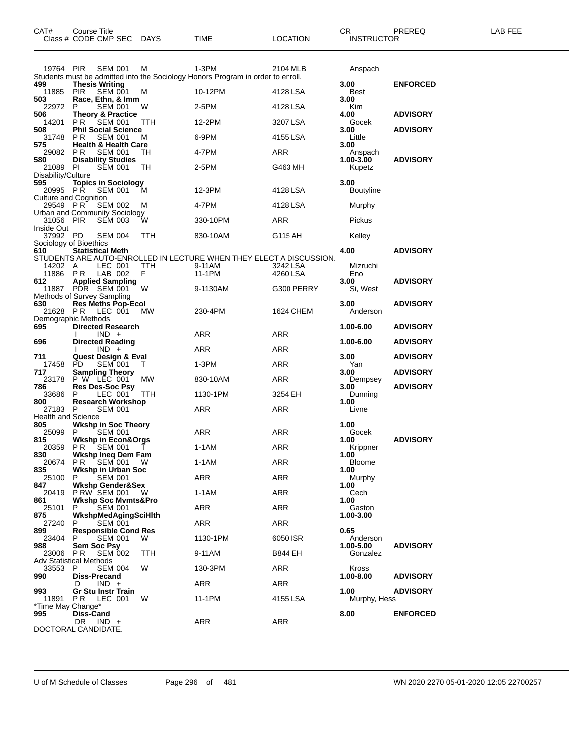| CAT#                                            | <b>Course Title</b> | Class # CODE CMP SEC DAYS                              |            | <b>TIME</b>                                                                              | <b>LOCATION</b>      | CR<br><b>INSTRUCTOR</b>  | PREREQ          | LAB FEE |
|-------------------------------------------------|---------------------|--------------------------------------------------------|------------|------------------------------------------------------------------------------------------|----------------------|--------------------------|-----------------|---------|
| 19764 PIR                                       |                     | <b>SEM 001</b>                                         | M          | 1-3PM<br>Students must be admitted into the Sociology Honors Program in order to enroll. | 2104 MLB             | Anspach                  |                 |         |
| 499<br>11885 PIR                                |                     | <b>Thesis Writing</b><br><b>SEM 001</b>                | м          | 10-12PM                                                                                  | 4128 LSA             | 3.00<br>Best             | <b>ENFORCED</b> |         |
| 503                                             |                     | Race, Ethn, & Imm                                      |            |                                                                                          |                      | 3.00                     |                 |         |
| 22972<br>506                                    | P                   | <b>SEM 001</b><br>Theory & Practice                    | W          | 2-5PM                                                                                    | 4128 LSA             | Kim<br>4.00              | <b>ADVISORY</b> |         |
| 14201 PR<br>508                                 |                     | <b>SEM 001</b><br><b>Phil Social Science</b>           | TTH        | 12-2PM                                                                                   | 3207 LSA             | Gocek<br>3.00            | <b>ADVISORY</b> |         |
| 31748<br>575                                    | PR.                 | <b>SEM 001</b><br><b>Health &amp; Health Care</b>      | м          | 6-9PM                                                                                    | 4155 LSA             | Little<br>3.00           |                 |         |
| 29082 PR                                        |                     | SEM 001                                                | TH         | 4-7PM                                                                                    | ARR                  | Anspach                  |                 |         |
| 580<br>21089 PI                                 |                     | <b>Disability Studies</b><br><b>SEM 001</b>            | TH         | 2-5PM                                                                                    | G463 MH              | 1.00-3.00<br>Kupetz      | <b>ADVISORY</b> |         |
| Disability/Culture<br>595<br>20995 PR           |                     | <b>Topics in Sociology</b><br><b>SEM 001</b>           | М          | 12-3PM                                                                                   | 4128 LSA             | 3.00<br><b>Boutyline</b> |                 |         |
| <b>Culture and Cognition</b><br>29549 PR        |                     | <b>SEM 002</b>                                         | м          | 4-7PM                                                                                    | 4128 LSA             | Murphy                   |                 |         |
| 31056 PIR                                       |                     | Urban and Community Sociology<br><b>SEM 003</b>        | W          | 330-10PM                                                                                 | ARR                  | Pickus                   |                 |         |
| Inside Out<br>37992 PD                          |                     | <b>SEM 004</b>                                         | TTH        | 830-10AM                                                                                 | G115 AH              | Kelley                   |                 |         |
| Sociology of Bioethics                          |                     |                                                        |            |                                                                                          |                      | 4.00                     |                 |         |
| 610<br>14202 A                                  |                     | <b>Statistical Meth</b><br>LEC 001<br>11886 PR LAB 002 | TTH<br>F.  | STUDENTS ARE AUTO-ENROLLED IN LECTURE WHEN THEY ELECT A DISCUSSION.<br>9-11AM<br>11-1PM  | 3242 LSA<br>4260 LSA | Mizruchi<br>Eno          | <b>ADVISORY</b> |         |
| 612                                             |                     | <b>Applied Sampling</b><br>11887 PDR SEM 001           | W          | 9-1130AM                                                                                 | G300 PERRY           | 3.00<br>Si, West         | <b>ADVISORY</b> |         |
| Methods of Survey Sampling                      |                     |                                                        |            |                                                                                          |                      |                          |                 |         |
| 630                                             |                     | Res Meths Pop-Ecol<br>21628 PR LEC 001                 | <b>MW</b>  | 230-4PM                                                                                  | 1624 CHEM            | 3.00<br>Anderson         | <b>ADVISORY</b> |         |
| Demographic Methods<br>695                      |                     | <b>Directed Research</b>                               |            |                                                                                          |                      | 1.00-6.00                | <b>ADVISORY</b> |         |
| 696                                             |                     | $IND +$<br><b>Directed Reading</b>                     |            | ARR                                                                                      | ARR                  | 1.00-6.00                | <b>ADVISORY</b> |         |
| 711                                             |                     | $IND +$<br><b>Quest Design &amp; Eval</b>              |            | ARR                                                                                      | ARR                  | 3.00                     | <b>ADVISORY</b> |         |
| 17458                                           | PD.                 | <b>SEM 001</b>                                         | $\top$     | 1-3PM                                                                                    | ARR                  | Yan                      |                 |         |
| 717<br>23178                                    |                     | <b>Sampling Theory</b><br>P W LEC 001                  | MW         | 830-10AM                                                                                 | ARR                  | 3.00<br>Dempsey          | <b>ADVISORY</b> |         |
| 786<br>33686 P                                  |                     | Res Des-Soc Psy<br>LEC 001                             | <b>TTH</b> | 1130-1PM                                                                                 | 3254 EH              | 3.00<br>Dunning          | <b>ADVISORY</b> |         |
| 800<br>27183 P                                  |                     | <b>Research Workshop</b><br><b>SEM 001</b>             |            | ARR                                                                                      | ARR                  | 1.00<br>Livne            |                 |         |
| Health and Science<br>805                       |                     | <b>Wkshp in Soc Theory</b>                             |            |                                                                                          |                      | 1.00                     |                 |         |
| 25099                                           | P.                  | <b>SEM 001</b>                                         |            | ARR                                                                                      | ARR                  | Gocek                    |                 |         |
| 815                                             |                     | <b>Wkshp in Econ&amp;Orgs</b><br>20359 PR SEM 001 T    |            | 1-1AM                                                                                    | ARR                  | 1.00<br>Krippner         | <b>ADVISORY</b> |         |
| 830<br>20674                                    | PR                  | Wkshp Ineq Dem Fam<br>SEM 001                          | W          | 1-1AM                                                                                    | ARR                  | 1.00<br><b>Bloome</b>    |                 |         |
| 835<br>25100                                    | P.                  | Wkshp in Urban Soc<br><b>SEM 001</b>                   |            | ARR                                                                                      | ARR                  | 1.00<br>Murphy           |                 |         |
| 847<br>20419                                    |                     | <b>Wkshp Gender&amp;Sex</b><br>P RW SEM 001            | - W        | $1-1AM$                                                                                  | ARR                  | 1.00<br>Cech             |                 |         |
| 861                                             | P.                  | <b>Wkshp Soc Mvmts&amp;Pro</b>                         |            |                                                                                          |                      | 1.00                     |                 |         |
| 25101<br>875                                    |                     | <b>SEM 001</b><br>WkshpMedAgingSciHlth                 |            | ARR                                                                                      | ARR                  | Gaston<br>1.00-3.00      |                 |         |
| 27240<br>899                                    | P                   | <b>SEM 001</b><br><b>Responsible Cond Res</b>          |            | ARR                                                                                      | ARR                  | 0.65                     |                 |         |
| 23404<br>988                                    | P                   | <b>SEM 001</b><br>Sem Soc Psy                          | W          | 1130-1PM                                                                                 | 6050 ISR             | Anderson<br>1.00-5.00    | <b>ADVISORY</b> |         |
| 23006<br><b>Adv Statistical Methods</b>         | PR                  | <b>SEM 002</b>                                         | TTH        | 9-11AM                                                                                   | B844 EH              | Gonzalez                 |                 |         |
| 33553                                           | P                   | <b>SEM 004</b>                                         | W          | 130-3PM                                                                                  | ARR                  | Kross                    |                 |         |
| 990                                             | D                   | Diss-Precand<br>$IND +$                                |            | ARR                                                                                      | ARR                  | 1.00-8.00                | <b>ADVISORY</b> |         |
| 993<br>11891                                    | PR.                 | <b>Gr Stu Instr Train</b><br>LEC 001                   | W          | 11-1PM                                                                                   | 4155 LSA             | 1.00<br>Murphy, Hess     | <b>ADVISORY</b> |         |
| *Time May Change*<br>995<br>DOCTORAL CANDIDATE. | Diss-Cand<br>DR.    | $IND +$                                                |            | ARR                                                                                      | ARR                  | 8.00                     | <b>ENFORCED</b> |         |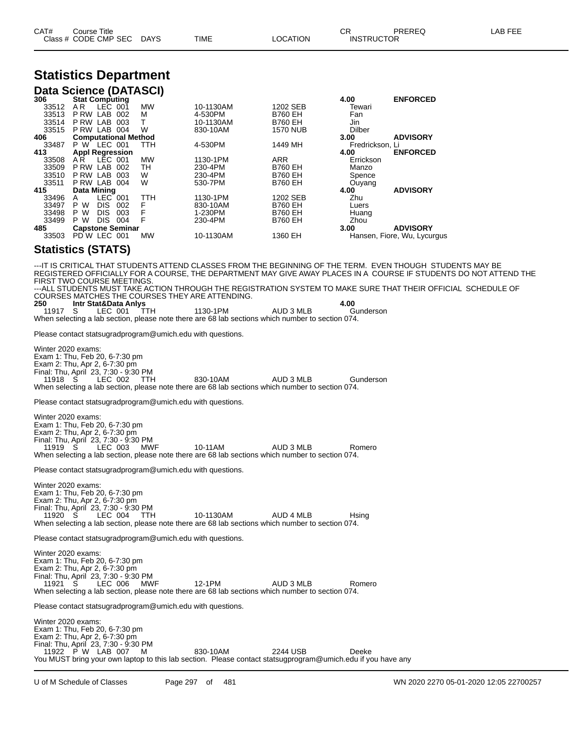| CAT# | Title<br>Course      |      |      |                 | CR | <b>PREREQ</b>     | <b>FFF</b><br>_AB |
|------|----------------------|------|------|-----------------|----|-------------------|-------------------|
|      | Class # CODE CMP SEC | DAYS | TIME | <b>LOCATION</b> |    | <b>INSTRUCTOR</b> |                   |

#### **Statistics Department Data Science (DATASCI)**

|       | <b>Pata Obionoo (DAMAOOI)</b> |            |           |                 |                 |                             |
|-------|-------------------------------|------------|-----------|-----------------|-----------------|-----------------------------|
| 306   | <b>Stat Computing</b>         |            |           |                 | 4.00            | <b>ENFORCED</b>             |
| 33512 | AR.<br>LEC.<br>001            | <b>MW</b>  | 10-1130AM | 1202 SEB        | Tewari          |                             |
| 33513 | LAB<br>P RW<br>002            | м          | 4-530PM   | <b>B760 EH</b>  | Fan             |                             |
| 33514 | P RW<br>LAB<br>003            |            | 10-1130AM | <b>B760 EH</b>  | Jin             |                             |
| 33515 | LAB<br>P RW<br>004            | W          | 830-10AM  | <b>1570 NUB</b> | <b>Dilber</b>   |                             |
| 406   | <b>Computational Method</b>   |            |           |                 | 3.00            | <b>ADVISORY</b>             |
| 33487 | LEC 001<br>P W                | <b>TTH</b> | 4-530PM   | 1449 MH         | Fredrickson, Li |                             |
| 413   | <b>Appl Regression</b>        |            |           |                 | 4.00            | <b>ENFORCED</b>             |
| 33508 | LEC 001<br>AR.                | <b>MW</b>  | 1130-1PM  | <b>ARR</b>      | Errickson       |                             |
| 33509 | P RW<br>LAB<br>002            | TН         | 230-4PM   | <b>B760 EH</b>  | Manzo           |                             |
| 33510 | P RW<br>LAB<br>003            | W          | 230-4PM   | <b>B760 EH</b>  | Spence          |                             |
| 33511 | P RW LAB<br>004               | W          | 530-7PM   | <b>B760 EH</b>  | Ouyang          |                             |
| 415   | Data Mining                   |            |           |                 | 4.00            | <b>ADVISORY</b>             |
| 33496 | $LEC$ 001<br>A                | TTH        | 1130-1PM  | 1202 SEB        | Zhu             |                             |
| 33497 | <b>DIS</b><br>P W<br>002      | F          | 830-10AM  | <b>B760 EH</b>  | Luers           |                             |
| 33498 | P W<br><b>DIS</b><br>003      | F          | 1-230PM   | <b>B760 EH</b>  | Huang           |                             |
| 33499 | P W<br><b>DIS</b><br>004      | F          | 230-4PM   | <b>B760 EH</b>  | Zhou            |                             |
| 485   | <b>Capstone Seminar</b>       |            |           |                 | 3.00            | <b>ADVISORY</b>             |
| 33503 | PD W LEC<br>001               | <b>MW</b>  | 10-1130AM | 1360 EH         |                 | Hansen, Fiore, Wu, Lycurgus |
|       |                               |            |           |                 |                 |                             |

#### **Statistics (STATS)**

---IT IS CRITICAL THAT STUDENTS ATTEND CLASSES FROM THE BEGINNING OF THE TERM. EVEN THOUGH STUDENTS MAY BE REGISTERED OFFICIALLY FOR A COURSE, THE DEPARTMENT MAY GIVE AWAY PLACES IN A COURSE IF STUDENTS DO NOT ATTEND THE FIRST TWO COURSE MEETINGS. ---ALL STUDENTS MUST TAKE ACTION THROUGH THE REGISTRATION SYSTEM TO MAKE SURE THAT THEIR OFFICIAL SCHEDULE OF COURSES MATCHES THE COURSES THEY ARE ATTENDING. **250 Intr Stat&Data Anlys 4.00** 11917 S LEC 001 TTH 1130-1PM AUD 3 MLB Gunderson When selecting a lab section, please note there are 68 lab sections which number to section 074. Please contact statsugradprogram@umich.edu with questions. Winter 2020 exams: Exam 1: Thu, Feb 20, 6-7:30 pm Exam 2: Thu, Apr 2, 6-7:30 pm Final: Thu, April 23, 7:30 - 9:30 PM 11918 S LEC 002 TTH 830-10AM AUD 3 MLB Gunderson When selecting a lab section, please note there are 68 lab sections which number to section 074. Please contact statsugradprogram@umich.edu with questions. Winter 2020 exams: Exam 1: Thu, Feb 20, 6-7:30 pm Exam 2: Thu, Apr 2, 6-7:30 pm Final: Thu, April 23, 7:30 - 9:30 PM 11919 S LEC 003 MWF 10-11AM AUD 3 MLB Romero When selecting a lab section, please note there are 68 lab sections which number to section 074. Please contact statsugradprogram@umich.edu with questions. Winter 2020 exams: Exam 1: Thu, Feb 20, 6-7:30 pm Exam 2: Thu, Apr 2, 6-7:30 pm Final: Thu, April 23, 7:30 - 9:30 PM LEC 004 TTH 10-1130AM AUD 4 MLB Hsing When selecting a lab section, please note there are 68 lab sections which number to section 074. Please contact statsugradprogram@umich.edu with questions. Winter 2020 exams: Exam 1: Thu, Feb 20, 6-7:30 pm Exam 2: Thu, Apr 2, 6-7:30 pm Final: Thu, April 23, 7:30 - 9:30 PM 11921 S LEC 006 MWF 12-1PM AUD 3 MLB Romero When selecting a lab section, please note there are 68 lab sections which number to section 074. Please contact statsugradprogram@umich.edu with questions. Winter 2020 exams: Exam 1: Thu, Feb 20, 6-7:30 pm Exam 2: Thu, Apr 2, 6-7:30 pm Final: Thu, April 23, 7:30 - 9:30 PM 11922 P W LAB 007 M 830-10AM 2244 USB Deeke

You MUST bring your own laptop to this lab section. Please contact statsugprogram@umich.edu if you have any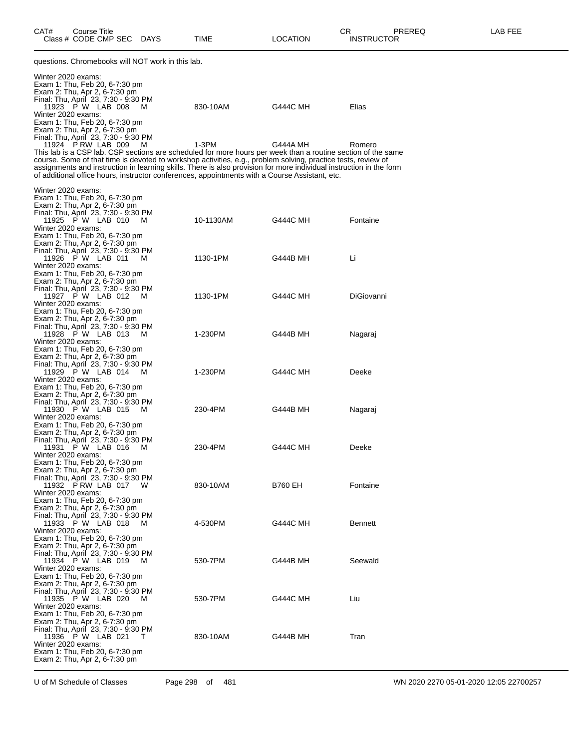| questions. Chromebooks will NOT work in this lab.                                                                                                                                                                                                                                                                                                                                                                                                                                                                                                       |           |                 |                   |
|---------------------------------------------------------------------------------------------------------------------------------------------------------------------------------------------------------------------------------------------------------------------------------------------------------------------------------------------------------------------------------------------------------------------------------------------------------------------------------------------------------------------------------------------------------|-----------|-----------------|-------------------|
| Winter 2020 exams:<br>Exam 1: Thu, Feb 20, 6-7:30 pm<br>Exam 2: Thu, Apr 2, 6-7:30 pm<br>Final: Thu, April 23, 7:30 - 9:30 PM<br>11923 P W LAB 008 M<br>Winter 2020 exams:<br>Exam 1: Thu, Feb 20, 6-7:30 pm                                                                                                                                                                                                                                                                                                                                            | 830-10AM  | G444C MH        | Elias             |
| Exam 2: Thu, Apr 2, 6-7:30 pm<br>Final: Thu, April 23, 7:30 - 9:30 PM<br>11924 P RW LAB 009<br>M<br>This lab is a CSP lab. CSP sections are scheduled for more hours per week than a routine section of the same<br>course. Some of that time is devoted to workshop activities, e.g., problem solving, practice tests, review of<br>assignments and instruction in learning skills. There is also provision for more individual instruction in the f<br>of additional office hours, instructor conferences, appointments with a Course Assistant, etc. | 1-3PM     | G444A MH        | Romero            |
| Winter 2020 exams:                                                                                                                                                                                                                                                                                                                                                                                                                                                                                                                                      |           |                 |                   |
| Exam 1: Thu, Feb 20, 6-7:30 pm<br>Exam 2: Thu, Apr 2, 6-7:30 pm<br>Final: Thu, April 23, 7:30 - 9:30 PM<br>11925 P W LAB 010 M<br>Winter 2020 exams:<br>Exam 1: Thu, Feb 20, 6-7:30 pm                                                                                                                                                                                                                                                                                                                                                                  | 10-1130AM | G444C MH        | Fontaine          |
| Exam 2: Thu, Apr 2, 6-7:30 pm<br>Final: Thu, April 23, 7:30 - 9:30 PM<br>11926 P W LAB 011<br>M<br>Winter 2020 exams:<br>Exam 1: Thu, Feb 20, 6-7:30 pm                                                                                                                                                                                                                                                                                                                                                                                                 | 1130-1PM  | G444B MH        | Li                |
| Exam 2: Thu, Apr 2, 6-7:30 pm<br>Final: Thu, April 23, 7:30 - 9:30 PM<br>11927 P W LAB 012<br>M<br>Winter 2020 exams:<br>Exam 1: Thu, Feb 20, 6-7:30 pm                                                                                                                                                                                                                                                                                                                                                                                                 | 1130-1PM  | G444C MH        | <b>DiGiovanni</b> |
| Exam 2: Thu, Apr 2, 6-7:30 pm<br>Final: Thu, April 23, 7:30 - 9:30 PM<br>11928 P W LAB 013<br>M<br>Winter 2020 exams:<br>Exam 1: Thu, Feb 20, 6-7:30 pm                                                                                                                                                                                                                                                                                                                                                                                                 | 1-230PM   | G444B MH        | Nagaraj           |
| Exam 2: Thu, Apr 2, 6-7:30 pm<br>Final: Thu, April 23, 7:30 - 9:30 PM<br>11929 PW LAB 014 M<br>Winter 2020 exams:<br>Exam 1: Thu, Feb 20, 6-7:30 pm                                                                                                                                                                                                                                                                                                                                                                                                     | 1-230PM   | G444C MH        | Deeke             |
| Exam 2: Thu, Apr 2, 6-7:30 pm<br>Final: Thu, April 23, 7:30 - 9:30 PM<br>11930 P W LAB 015<br>M<br>Winter 2020 exams:<br>Exam 1: Thu, Feb 20, 6-7:30 pm<br>Exam 2: Thu, Apr 2, 6-7:30 pm                                                                                                                                                                                                                                                                                                                                                                | 230-4PM   | G444B MH        | Nagaraj           |
| Final: Thu, April 23, 7:30 - 9:30 PM<br>11931 P W LAB 016<br>M<br>Winter 2020 exams:<br>Exam 1: Thu, Feb 20, 6-7:30 pm                                                                                                                                                                                                                                                                                                                                                                                                                                  | 230-4PM   | G444C MH        | Deeke             |
| Exam 2: Thu, Apr 2, 6-7:30 pm<br>Final: Thu, April 23, 7:30 - 9:30 PM<br>11932 PRW LAB 017<br>W<br>Winter 2020 exams:<br>Exam 1: Thu, Feb 20, 6-7:30 pm                                                                                                                                                                                                                                                                                                                                                                                                 | 830-10AM  | B760 EH         | Fontaine          |
| Exam 2: Thu, Apr 2, 6-7:30 pm<br>Final: Thu, April 23, 7:30 - 9:30 PM<br>11933 P W LAB 018<br>м<br>Winter 2020 exams:<br>Exam 1: Thu, Feb 20, 6-7:30 pm                                                                                                                                                                                                                                                                                                                                                                                                 | 4-530PM   | G444C MH        | <b>Bennett</b>    |
| Exam 2: Thu, Apr 2, 6-7:30 pm<br>Final: Thu, April 23, 7:30 - 9:30 PM<br>11934 P W LAB 019<br>M<br>Winter 2020 exams:<br>Exam 1: Thu, Feb 20, 6-7:30 pm                                                                                                                                                                                                                                                                                                                                                                                                 | 530-7PM   | G444B MH        | Seewald           |
| Exam 2: Thu, Apr 2, 6-7:30 pm<br>Final: Thu, April 23, 7:30 - 9:30 PM<br>11935 P W LAB 020<br>M<br>Winter 2020 exams:<br>Exam 1: Thu, Feb 20, 6-7:30 pm                                                                                                                                                                                                                                                                                                                                                                                                 | 530-7PM   | <b>G444C MH</b> | Liu               |
| Exam 2: Thu, Apr 2, 6-7:30 pm<br>Final: Thu, April 23, 7:30 - 9:30 PM<br>11936 P W LAB 021<br>т<br>Winter 2020 exams:<br>Exam 1: Thu, Feb 20, 6-7:30 pm<br>Exam 2: Thu, Apr 2, 6-7:30 pm                                                                                                                                                                                                                                                                                                                                                                | 830-10AM  | G444B MH        | Tran              |
|                                                                                                                                                                                                                                                                                                                                                                                                                                                                                                                                                         |           |                 |                   |

U of M Schedule of Classes Page 298 of 481 WN 2020 2270 05-01-2020 12:05 22700257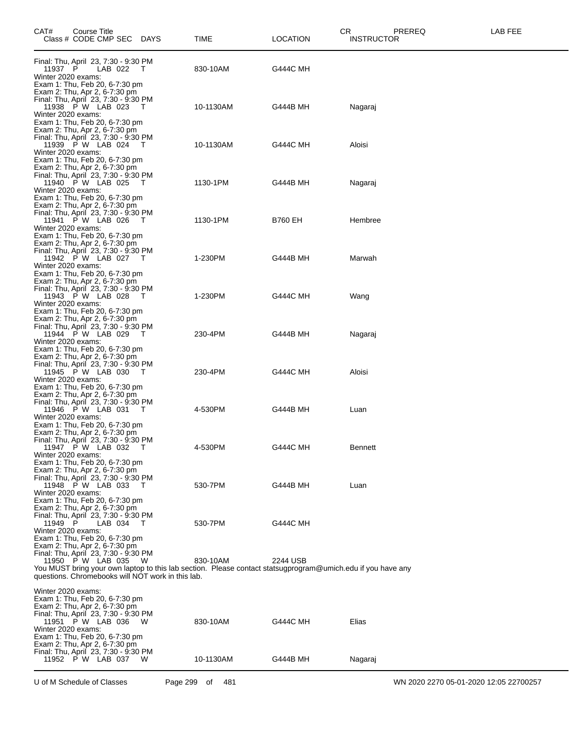| CAT#                                     | Course Title<br>Class # CODE CMP SEC DAYS                                                                                      |                                                          | TIME                                                                                                                    | CR<br><b>LOCATION</b> | PREREQ<br><b>INSTRUCTOR</b> | LAB FEE |
|------------------------------------------|--------------------------------------------------------------------------------------------------------------------------------|----------------------------------------------------------|-------------------------------------------------------------------------------------------------------------------------|-----------------------|-----------------------------|---------|
| 11937 P<br>Winter 2020 exams:            | Final: Thu, April 23, 7:30 - 9:30 PM<br>LAB 022<br>Exam 1: Thu, Feb 20, 6-7:30 pm                                              | $\top$                                                   | 830-10AM                                                                                                                | <b>G444C MH</b>       |                             |         |
| Winter 2020 exams:                       | Exam 2: Thu, Apr 2, 6-7:30 pm<br>Final: Thu, April 23, 7:30 - 9:30 PM<br>11938 P W LAB 023 T<br>Exam 1: Thu, Feb 20, 6-7:30 pm |                                                          | 10-1130AM                                                                                                               | G444B MH              | Nagaraj                     |         |
| Winter 2020 exams:                       | Exam 2: Thu, Apr 2, 6-7:30 pm<br>Final: Thu, April 23, 7:30 - 9:30 PM<br>11939 P W LAB 024 T<br>Exam 1: Thu, Feb 20, 6-7:30 pm |                                                          | 10-1130AM                                                                                                               | <b>G444C MH</b>       | Aloisi                      |         |
| Winter 2020 exams:                       | Exam 2: Thu, Apr 2, 6-7:30 pm<br>Final: Thu, April 23, 7:30 - 9:30 PM<br>11940 P W LAB 025<br>Exam 1: Thu, Feb 20, 6-7:30 pm   | T                                                        | 1130-1PM                                                                                                                | G444B MH              | Nagaraj                     |         |
| Winter 2020 exams:                       | Exam 2: Thu, Apr 2, 6-7:30 pm<br>Final: Thu, April 23, 7:30 - 9:30 PM<br>11941 P W LAB 026 T<br>Exam 1: Thu, Feb 20, 6-7:30 pm |                                                          | 1130-1PM                                                                                                                | <b>B760 EH</b>        | Hembree                     |         |
| Winter 2020 exams:                       | Exam 2: Thu, Apr 2, 6-7:30 pm<br>Final: Thu, April 23, 7:30 - 9:30 PM<br>11942 P W LAB 027 T<br>Exam 1: Thu, Feb 20, 6-7:30 pm |                                                          | 1-230PM                                                                                                                 | G444B MH              | Marwah                      |         |
| Winter 2020 exams:                       | Exam 2: Thu, Apr 2, 6-7:30 pm<br>Final: Thu, April 23, 7:30 - 9:30 PM<br>11943 P W LAB 028<br>Exam 1: Thu, Feb 20, 6-7:30 pm   | $\top$                                                   | 1-230PM                                                                                                                 | <b>G444C MH</b>       | Wang                        |         |
| Winter 2020 exams:                       | Exam 2: Thu, Apr 2, 6-7:30 pm<br>Final: Thu, April 23, 7:30 - 9:30 PM<br>11944 P W LAB 029 T<br>Exam 1: Thu, Feb 20, 6-7:30 pm |                                                          | 230-4PM                                                                                                                 | G444B MH              | Nagaraj                     |         |
| Winter 2020 exams:                       | Exam 2: Thu, Apr 2, 6-7:30 pm<br>Final: Thu, April 23, 7:30 - 9:30 PM<br>11945 P W LAB 030 T<br>Exam 1: Thu, Feb 20, 6-7:30 pm |                                                          | 230-4PM                                                                                                                 | <b>G444C MH</b>       | Aloisi                      |         |
| Winter 2020 exams:                       | Exam 2: Thu, Apr 2, 6-7:30 pm<br>Final: Thu, April 23, 7:30 - 9:30 PM<br>11946 P W LAB 031 T<br>Exam 1: Thu, Feb 20, 6-7:30 pm |                                                          | 4-530PM                                                                                                                 | G444B MH              | Luan                        |         |
| Winter 2020 exams:                       | Exam 2: Thu, Apr 2, 6-7:30 pm<br>Final: Thu, April 23, 7:30 - 9:30 PM<br>11947 P W LAB 032<br>Exam 1: Thu, Feb 20, 6-7:30 pm   | - T                                                      | 4-530PM                                                                                                                 | <b>G444C MH</b>       | <b>Bennett</b>              |         |
| Winter 2020 exams:                       | Exam 2: Thu, Apr 2, 6-7:30 pm<br>Final: Thu, April 23, 7:30 - 9:30 PM<br>11948 P W LAB 033 T<br>Exam 1: Thu, Feb 20, 6-7:30 pm |                                                          | 530-7PM                                                                                                                 | G444B MH              | Luan                        |         |
| 11949 P<br>Winter 2020 exams:            | Exam 2: Thu, Apr 2, 6-7:30 pm<br>Final: Thu, April 23, 7:30 - 9:30 PM<br>LAB 034                                               | $\top$                                                   | 530-7PM                                                                                                                 | <b>G444C MH</b>       |                             |         |
|                                          | Exam 1: Thu, Feb 20, 6-7:30 pm<br>Exam 2: Thu, Apr 2, 6-7:30 pm<br>Final: Thu, April 23, 7:30 - 9:30 PM<br>11950 P W LAB 035   | - W<br>questions. Chromebooks will NOT work in this lab. | 830-10AM<br>You MUST bring your own laptop to this lab section. Please contact statsugprogram@umich.edu if you have any | 2244 USB              |                             |         |
| Winter 2020 exams:<br>Winter 2020 exams: | Exam 1: Thu, Feb 20, 6-7:30 pm<br>Exam 2: Thu, Apr 2, 6-7:30 pm<br>Final: Thu, April 23, 7:30 - 9:30 PM<br>11951 P W LAB 036   | W                                                        | 830-10AM                                                                                                                | <b>G444C MH</b>       | Elias                       |         |
|                                          | Exam 1: Thu, Feb 20, 6-7:30 pm<br>Exam 2: Thu, Apr 2, 6-7:30 pm<br>Final: Thu, April 23, 7:30 - 9:30 PM<br>11952 P W LAB 037   | W                                                        | 10-1130AM                                                                                                               | G444B MH              | Nagaraj                     |         |

U of M Schedule of Classes Page 299 of 481 WN 2020 2270 05-01-2020 12:05 22700257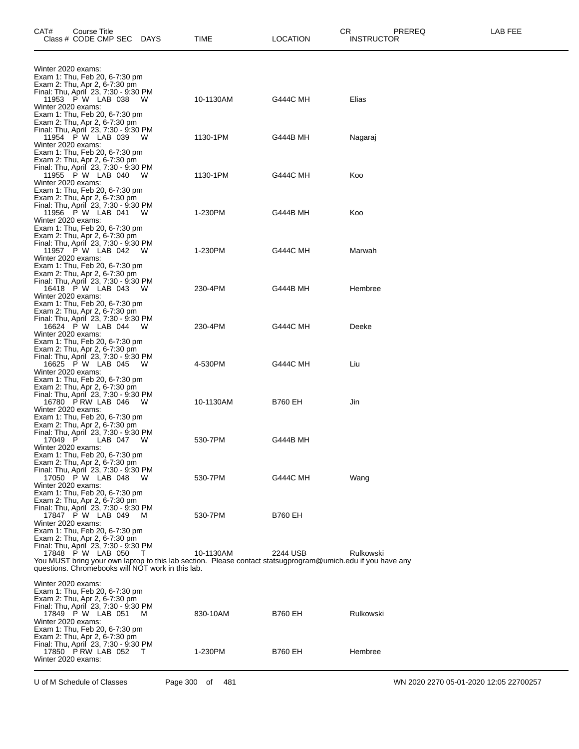| CAT#                          | Course Title<br>Class # CODE CMP SEC                                                                                                       |           | DAYS                                                        | TIME                                                                                                                     | СR<br><b>LOCATION</b> | PREREQ<br><b>INSTRUCTOR</b> | LAB FEE |
|-------------------------------|--------------------------------------------------------------------------------------------------------------------------------------------|-----------|-------------------------------------------------------------|--------------------------------------------------------------------------------------------------------------------------|-----------------------|-----------------------------|---------|
| Winter 2020 exams:            |                                                                                                                                            |           |                                                             |                                                                                                                          |                       |                             |         |
| Winter 2020 exams:            | Exam 1: Thu, Feb 20, 6-7:30 pm<br>Exam 2: Thu, Apr 2, 6-7:30 pm<br>Final: Thu, April 23, 7:30 - 9:30 PM<br>11953 P W LAB 038               |           | - W                                                         | 10-1130AM                                                                                                                | <b>G444C MH</b>       | Elias                       |         |
| Winter 2020 exams:            | Exam 1: Thu, Feb 20, 6-7:30 pm<br>Exam 2: Thu, Apr 2, 6-7:30 pm<br>Final: Thu, April 23, 7:30 - 9:30 PM<br>11954 P W LAB 039               |           | <b>W</b>                                                    | 1130-1PM                                                                                                                 | G444B MH              | Nagaraj                     |         |
| Winter 2020 exams:            | Exam 1: Thu, Feb 20, 6-7:30 pm<br>Exam 2: Thu, Apr 2, 6-7:30 pm<br>Final: Thu, April 23, 7:30 - 9:30 PM<br>11955 P W LAB 040 W             |           |                                                             | 1130-1PM                                                                                                                 | <b>G444C MH</b>       | Koo                         |         |
| Winter 2020 exams:            | Exam 1: Thu, Feb 20, 6-7:30 pm<br>Exam 2: Thu, Apr 2, 6-7:30 pm<br>Final: Thu, April 23, 7:30 - 9:30 PM<br>11956 P W LAB 041 W             |           |                                                             | 1-230PM                                                                                                                  | G444B MH              | Koo                         |         |
| Winter 2020 exams:            | Exam 1: Thu, Feb 20, 6-7:30 pm<br>Exam 2: Thu, Apr 2, 6-7:30 pm<br>Final: Thu, April 23, 7:30 - 9:30 PM<br>11957 P W LAB 042               |           | <b>W</b>                                                    | 1-230PM                                                                                                                  | <b>G444C MH</b>       | Marwah                      |         |
| Winter 2020 exams:            | Exam 1: Thu, Feb 20, 6-7:30 pm<br>Exam 2: Thu, Apr 2, 6-7:30 pm<br>Final: Thu, April 23, 7:30 - 9:30 PM<br>16418 P W LAB 043 W             |           |                                                             | 230-4PM                                                                                                                  | G444B MH              | Hembree                     |         |
| Winter 2020 exams:            | Exam 1: Thu, Feb 20, 6-7:30 pm<br>Exam 2: Thu, Apr 2, 6-7:30 pm<br>Final: Thu, April 23, 7:30 - 9:30 PM<br>16624 P W LAB 044 W             |           |                                                             | 230-4PM                                                                                                                  | <b>G444C MH</b>       | Deeke                       |         |
| Winter 2020 exams:            | Exam 1: Thu, Feb 20, 6-7:30 pm<br>Exam 2: Thu, Apr 2, 6-7:30 pm<br>Final: Thu, April 23, 7:30 - 9:30 PM<br>16625 P W LAB 045               |           | - W                                                         | 4-530PM                                                                                                                  | <b>G444C MH</b>       | Liu                         |         |
| Winter 2020 exams:            | Exam 1: Thu, Feb 20, 6-7:30 pm<br>Exam 2: Thu, Apr 2, 6-7:30 pm<br>Final: Thu, April 23, 7:30 - 9:30 PM<br>16780 PRW LAB 046 W             |           |                                                             | 10-1130AM                                                                                                                | <b>B760 EH</b>        | Jin                         |         |
| 17049 P<br>Winter 2020 exams: | Exam 1: Thu, Feb 20, 6-7:30 pm<br>Exam 2: Thu, Apr 2, 6-7:30 pm<br>Final: Thu, April  23, 7:30 - 9:30 PM<br>Exam 1: Thu, Feb 20, 6-7:30 pm | LAB 047 W |                                                             | 530-7PM                                                                                                                  | G444B MH              |                             |         |
| Winter 2020 exams:            | Exam 2: Thu, Apr 2, 6-7:30 pm<br>Final: Thu, April 23, 7:30 - 9:30 PM<br>17050 P W LAB 048<br>Exam 1: Thu, Feb 20, 6-7:30 pm               |           | - W                                                         | 530-7PM                                                                                                                  | <b>G444C MH</b>       | Wang                        |         |
| Winter 2020 exams:            | Exam 2: Thu, Apr 2, 6-7:30 pm<br>Final: Thu, April 23, 7:30 - 9:30 PM<br>17847 P W LAB 049<br>Exam 1: Thu, Feb 20, 6-7:30 pm               |           | M                                                           | 530-7PM                                                                                                                  | <b>B760 EH</b>        |                             |         |
|                               | Exam 2: Thu, Apr 2, 6-7:30 pm<br>Final: Thu, April 23, 7:30 - 9:30 PM<br>17848 P W LAB 050                                                 |           | $\top$<br>questions. Chromebooks will NOT work in this lab. | 10-1130AM<br>You MUST bring your own laptop to this lab section. Please contact statsugprogram@umich.edu if you have any | 2244 USB              | Rulkowski                   |         |
| Winter 2020 exams:            | Exam 1: Thu, Feb 20, 6-7:30 pm                                                                                                             |           |                                                             |                                                                                                                          |                       |                             |         |
| Winter 2020 exams:            | Exam 2: Thu, Apr 2, 6-7:30 pm<br>Final: Thu, April 23, 7:30 - 9:30 PM<br>17849 P W LAB 051<br>Exam 1: Thu, Feb 20, 6-7:30 pm               |           | M                                                           | 830-10AM                                                                                                                 | <b>B760 EH</b>        | Rulkowski                   |         |
| Winter 2020 exams:            | Exam 2: Thu, Apr 2, 6-7:30 pm<br>Final: Thu, April 23, 7:30 - 9:30 PM<br>17850 PRW LAB 052                                                 |           | $\top$                                                      | 1-230PM                                                                                                                  | <b>B760 EH</b>        | Hembree                     |         |

U of M Schedule of Classes Page 300 of 481 WN 2020 2270 05-01-2020 12:05 22700257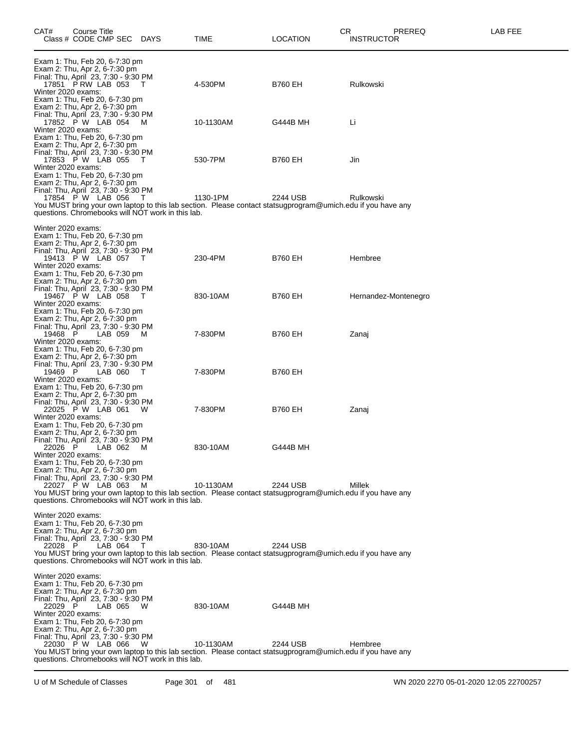| CAT#                                                | Course Title<br>Class # CODE CMP SEC                                                                                                                            |           | <b>DAYS</b>                                              | <b>TIME</b>                                                                                                              | CR<br>LOCATION | PREREQ<br><b>INSTRUCTOR</b> | LAB FEE |
|-----------------------------------------------------|-----------------------------------------------------------------------------------------------------------------------------------------------------------------|-----------|----------------------------------------------------------|--------------------------------------------------------------------------------------------------------------------------|----------------|-----------------------------|---------|
| Winter 2020 exams:                                  | Exam 1: Thu, Feb 20, 6-7:30 pm<br>Exam 2: Thu, Apr 2, 6-7:30 pm<br>Final: Thu, April 23, 7:30 - 9:30 PM<br>17851 P RW LAB 053<br>Exam 1: Thu, Feb 20, 6-7:30 pm |           | - T                                                      | 4-530PM                                                                                                                  | <b>B760 EH</b> | Rulkowski                   |         |
| Winter 2020 exams:                                  | Exam 2: Thu, Apr 2, 6-7:30 pm<br>Final: Thu, April 23, 7:30 - 9:30 PM<br>17852 P W LAB 054<br>Exam 1: Thu, Feb 20, 6-7:30 pm                                    |           | M                                                        | 10-1130AM                                                                                                                | G444B MH       | Li                          |         |
| Winter 2020 exams:                                  | Exam 2: Thu, Apr 2, 6-7:30 pm<br>Final: Thu, April 23, 7:30 - 9:30 PM<br>17853 P W LAB 055 T<br>Exam 1: Thu, Feb 20, 6-7:30 pm                                  |           |                                                          | 530-7PM                                                                                                                  | <b>B760 EH</b> | Jin                         |         |
|                                                     | Exam 2: Thu, Apr 2, 6-7:30 pm<br>Final: Thu, April 23, 7:30 - 9:30 PM<br>17854 P W LAB 056                                                                      |           | - T<br>questions. Chromebooks will NOT work in this lab. | 1130-1PM<br>You MUST bring your own laptop to this lab section. Please contact statsugprogram@umich.edu if you have any  | 2244 USB       | Rulkowski                   |         |
| Winter 2020 exams:                                  |                                                                                                                                                                 |           |                                                          |                                                                                                                          |                |                             |         |
| Winter 2020 exams:                                  | Exam 1: Thu, Feb 20, 6-7:30 pm<br>Exam 2: Thu, Apr 2, 6-7:30 pm<br>Final: Thu, April 23, 7:30 - 9:30 PM<br>19413 P W LAB 057 T                                  |           |                                                          | 230-4PM                                                                                                                  | <b>B760 EH</b> | Hembree                     |         |
| Winter 2020 exams:                                  | Exam 1: Thu, Feb 20, 6-7:30 pm<br>Exam 2: Thu, Apr 2, 6-7:30 pm<br>Final: Thu, April 23, 7:30 - 9:30 PM<br>19467 P W LAB 058 T                                  |           |                                                          | 830-10AM                                                                                                                 | B760 EH        | Hernandez-Montenegro        |         |
| 19468 P<br>Winter 2020 exams:                       | Exam 1: Thu, Feb 20, 6-7:30 pm<br>Exam 2: Thu, Apr 2, 6-7:30 pm<br>Final: Thu, April 23, 7:30 - 9:30 PM<br>LAB 059                                              |           | M                                                        | 7-830PM                                                                                                                  | B760 EH        | Zanaj                       |         |
| 19469 P<br>Winter 2020 exams:                       | Exam 1: Thu, Feb 20, 6-7:30 pm<br>Exam 2: Thu, Apr 2, 6-7:30 pm<br>Final: Thu, April 23, 7:30 - 9:30 PM<br>LAB 060<br>Exam 1: Thu, Feb 20, 6-7:30 pm            |           | $\top$                                                   | 7-830PM                                                                                                                  | <b>B760 EH</b> |                             |         |
| Winter 2020 exams:                                  | Exam 2: Thu, Apr 2, 6-7:30 pm<br>Final: Thu, April 23, 7:30 - 9:30 PM<br>22025 P W LAB 061 W<br>Exam 1: Thu, Feb 20, 6-7:30 pm                                  |           |                                                          | 7-830PM                                                                                                                  | B760 EH        | Zanaj                       |         |
| 22026 P<br>Winter 2020 exams:                       | Exam 2: Thu, Apr 2, 6-7:30 pm<br>Final: Thu, April 23, 7:30 - 9:30 PM<br>LAB 062                                                                                |           | M                                                        | 830-10AM                                                                                                                 | G444B MH       |                             |         |
|                                                     | Exam 1: Thu, Feb 20, 6-7:30 pm<br>Exam 2: Thu, Apr 2, 6-7:30 pm<br>Final: Thu, April 23, 7:30 - 9:30 PM<br>22027 P W LAB 063                                    |           | M<br>questions. Chromebooks will NOT work in this lab.   | 10-1130AM<br>You MUST bring your own laptop to this lab section. Please contact statsugprogram@umich.edu if you have any | 2244 USB       | Millek                      |         |
| Winter 2020 exams:<br>22028 P                       | Exam 1: Thu, Feb 20, 6-7:30 pm<br>Exam 2: Thu, Apr 2, 6-7:30 pm<br>Final: Thu, April 23, 7:30 - 9:30 PM                                                         | LAB 064 T | questions. Chromebooks will NOT work in this lab.        | 830-10AM<br>You MUST bring your own laptop to this lab section. Please contact statsugprogram@umich.edu if you have any  | 2244 USB       |                             |         |
| Winter 2020 exams:<br>22029 P<br>Winter 2020 exams: | Exam 1: Thu, Feb 20, 6-7:30 pm<br>Exam 2: Thu, Apr 2, 6-7:30 pm<br>Final: Thu, April 23, 7:30 - 9:30 PM                                                         | LAB 065 W |                                                          | 830-10AM                                                                                                                 | G444B MH       |                             |         |
|                                                     | Exam 1: Thu, Feb 20, 6-7:30 pm<br>Exam 2: Thu, Apr 2, 6-7:30 pm<br>Final: Thu, April 23, 7:30 - 9:30 PM<br>22030 P W LAB 066                                    |           | W<br>questions. Chromebooks will NOT work in this lab.   | 10-1130AM<br>You MUST bring your own laptop to this lab section. Please contact statsugprogram@umich.edu if you have any | 2244 USB       | Hembree                     |         |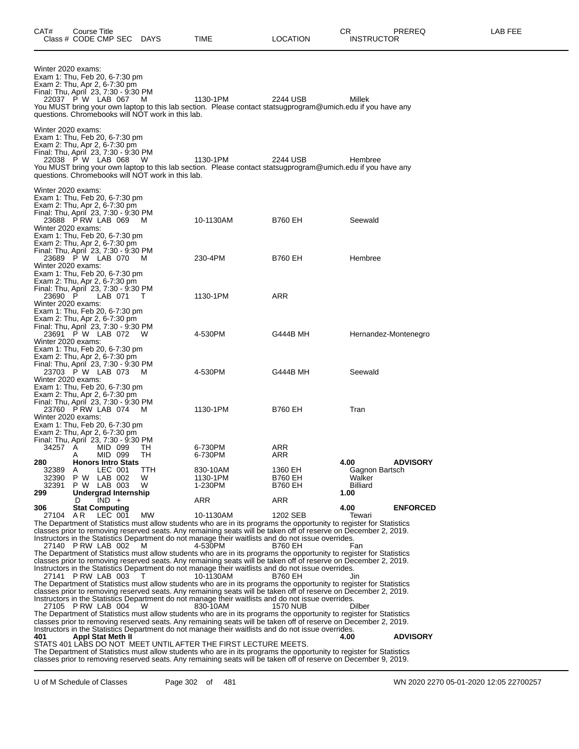| Winter 2020 exams:<br>Exam 1: Thu, Feb 20, 6-7:30 pm<br>Exam 2: Thu, Apr 2, 6-7:30 pm<br>Final: Thu, April 23, 7:30 - 9:30 PM<br>22037 P W LAB 067                                                                                          |                                      |         |                                                 | M<br>questions. Chromebooks will NOT work in this lab. | 1130-1PM<br>You MUST bring your own laptop to this lab section. Please contact statsugprogram@umich.edu if you have any                                                                                                                | 2244 USB                                    | Millek                                              |  |
|---------------------------------------------------------------------------------------------------------------------------------------------------------------------------------------------------------------------------------------------|--------------------------------------|---------|-------------------------------------------------|--------------------------------------------------------|----------------------------------------------------------------------------------------------------------------------------------------------------------------------------------------------------------------------------------------|---------------------------------------------|-----------------------------------------------------|--|
| Winter 2020 exams:<br>Exam 1: Thu, Feb 20, 6-7:30 pm<br>Exam 2: Thu, Apr 2, 6-7:30 pm<br>Final: Thu, April 23, 7:30 - 9:30 PM<br>22038 P W LAB 068                                                                                          |                                      |         |                                                 | W<br>questions. Chromebooks will NOT work in this lab. | 1130-1PM<br>You MUST bring your own laptop to this lab section. Please contact statsugprogram@umich.edu if you have any                                                                                                                | 2244 USB                                    | Hembree                                             |  |
| Winter 2020 exams:<br>Exam 1: Thu, Feb 20, 6-7:30 pm<br>Exam 2: Thu, Apr 2, 6-7:30 pm<br>Final: Thu, April 23, 7:30 - 9:30 PM<br>23688 PRW LAB 069<br>Winter 2020 exams:<br>Exam 1: Thu, Feb 20, 6-7:30 pm<br>Exam 2: Thu, Apr 2, 6-7:30 pm |                                      |         |                                                 | M                                                      | 10-1130AM                                                                                                                                                                                                                              | <b>B760 EH</b>                              | Seewald                                             |  |
| Final: Thu, April 23, 7:30 - 9:30 PM<br>23689 P W LAB 070<br>Winter 2020 exams:<br>Exam 1: Thu, Feb 20, 6-7:30 pm                                                                                                                           |                                      |         |                                                 | M                                                      | 230-4PM                                                                                                                                                                                                                                | <b>B760 EH</b>                              | Hembree                                             |  |
| Exam 2: Thu, Apr 2, 6-7:30 pm<br>Final: Thu, April 23, 7:30 - 9:30 PM<br>23690 P<br>Winter 2020 exams:<br>Exam 1: Thu, Feb 20, 6-7:30 pm                                                                                                    |                                      |         | LAB 071                                         | т                                                      | 1130-1PM                                                                                                                                                                                                                               | <b>ARR</b>                                  |                                                     |  |
| Exam 2: Thu, Apr 2, 6-7:30 pm<br>Final: Thu, April 23, 7:30 - 9:30 PM<br>23691 P W LAB 072<br>Winter 2020 exams:<br>Exam 1: Thu, Feb 20, 6-7:30 pm                                                                                          |                                      |         |                                                 | - W                                                    | 4-530PM                                                                                                                                                                                                                                | G444B MH                                    | Hernandez-Montenegro                                |  |
| Exam 2: Thu, Apr 2, 6-7:30 pm<br>Final: Thu, April 23, 7:30 - 9:30 PM<br>23703 P W LAB 073<br>Winter 2020 exams:<br>Exam 1: Thu, Feb 20, 6-7:30 pm                                                                                          |                                      |         |                                                 | M                                                      | 4-530PM                                                                                                                                                                                                                                | G444B MH                                    | Seewald                                             |  |
| Exam 2: Thu, Apr 2, 6-7:30 pm<br>Final: Thu, April 23, 7:30 - 9:30 PM<br>23760 P RW LAB 074<br>Winter 2020 exams:<br>Exam 1: Thu, Feb 20, 6-7:30 pm                                                                                         |                                      |         |                                                 | м                                                      | 1130-1PM                                                                                                                                                                                                                               | <b>B760 EH</b>                              | Tran                                                |  |
| Exam 2: Thu, Apr 2, 6-7:30 pm<br>Final: Thu, April 23, 7:30 - 9:30 PM<br>34257 A<br>280                                                                                                                                                     | A                                    |         | MID 099<br>MID 099<br><b>Honors Intro Stats</b> | TH.<br>TH                                              | 6-730PM<br>6-730PM                                                                                                                                                                                                                     | ARR<br>ARR                                  | 4.00<br><b>ADVISORY</b>                             |  |
| 32389<br>32390<br>32391<br>299                                                                                                                                                                                                              | A<br>P W LAB 002<br>P W LAB 003<br>D | $IND +$ | LEC 001<br>Undergrad Internship                 | TTH<br>W<br>W                                          | 830-10AM<br>1130-1PM<br>1-230PM<br>ARR                                                                                                                                                                                                 | 1360 EH<br><b>B760 EH</b><br>B760 EH<br>ARR | Gagnon Bartsch<br>Walker<br><b>Billiard</b><br>1.00 |  |
| 306                                                                                                                                                                                                                                         | <b>Stat Computing</b>                |         |                                                 |                                                        |                                                                                                                                                                                                                                        |                                             | 4.00<br><b>ENFORCED</b>                             |  |
| 27104 AR                                                                                                                                                                                                                                    |                                      |         | LEC 001                                         | <b>MW</b>                                              | 10-1130AM<br>The Department of Statistics must allow students who are in its programs the opportunity to register for Statistics                                                                                                       | 1202 SEB                                    | Tewari                                              |  |
| 27140 P RW LAB 002                                                                                                                                                                                                                          |                                      |         |                                                 | M                                                      | classes prior to removing reserved seats. Any remaining seats will be taken off of reserve on December 2, 2019.<br>Instructors in the Statistics Department do not manage their waitlists and do not issue overrides.<br>4-530PM       | B760 EH                                     | Fan                                                 |  |
|                                                                                                                                                                                                                                             |                                      |         |                                                 |                                                        | The Department of Statistics must allow students who are in its programs the opportunity to register for Statistics<br>classes prior to removing reserved seats. Any remaining seats will be taken off of reserve on December 2, 2019. |                                             |                                                     |  |
| 27141 PRW LAB 003                                                                                                                                                                                                                           |                                      |         |                                                 | Τ                                                      | Instructors in the Statistics Department do not manage their waitlists and do not issue overrides.<br>10-1130AM<br>The Department of Statistics must allow students who are in its programs the opportunity to register for Statistics | <b>B760 EH</b>                              | Jin                                                 |  |
| 27105 P RW LAB 004                                                                                                                                                                                                                          |                                      |         |                                                 | W                                                      | classes prior to removing reserved seats. Any remaining seats will be taken off of reserve on December 2, 2019.<br>Instructors in the Statistics Department do not manage their waitlists and do not issue overrides.<br>830-10AM      | 1570 NUB                                    | Dilber                                              |  |
|                                                                                                                                                                                                                                             |                                      |         |                                                 |                                                        | The Department of Statistics must allow students who are in its programs the opportunity to register for Statistics<br>classes prior to removing reserved seats. Any remaining seats will be taken off of reserve on December 2, 2019. |                                             |                                                     |  |
| 401                                                                                                                                                                                                                                         | Appl Stat Meth II                    |         |                                                 |                                                        | Instructors in the Statistics Department do not manage their waitlists and do not issue overrides.                                                                                                                                     |                                             | <b>ADVISORY</b><br>4.00                             |  |
|                                                                                                                                                                                                                                             |                                      |         |                                                 |                                                        | STATS 401 LABS DO NOT MEET UNTIL AFTER THE FIRST LECTURE MEETS.                                                                                                                                                                        |                                             |                                                     |  |
|                                                                                                                                                                                                                                             |                                      |         |                                                 |                                                        | The Department of Statistics must allow students who are in its programs the opportunity to register for Statistics<br>classes prior to removing reserved seats. Any remaining seats will be taken off of reserve on December 9, 2019. |                                             |                                                     |  |

U of M Schedule of Classes Page 302 of 481 WN 2020 2270 05-01-2020 12:05 22700257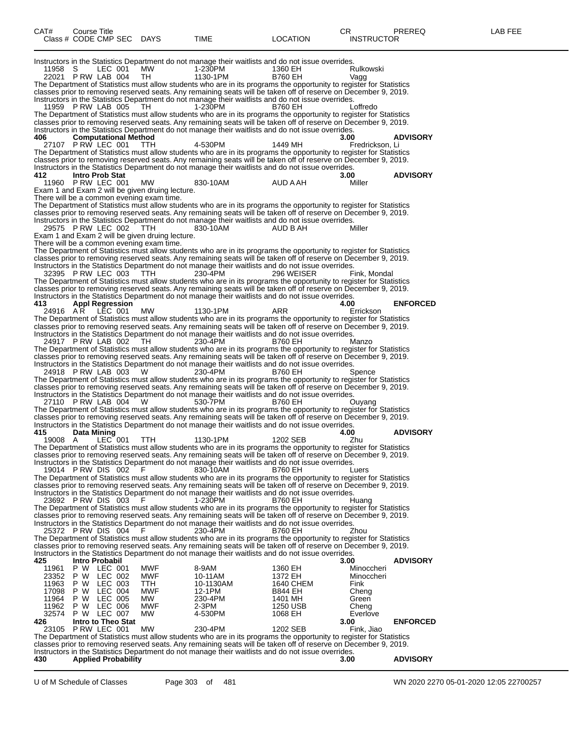| CAT#                             | Course Title<br>Class # CODE CMP SEC DAYS                             |                    |                                                                                              | TIME                                                                                                                                                                                                                                                                                                                                                                                                                                                                                                                                                                                                        | <b>LOCATION</b>                                   | CR<br><b>INSTRUCTOR</b>                 | PREREQ          | LAB FEE |
|----------------------------------|-----------------------------------------------------------------------|--------------------|----------------------------------------------------------------------------------------------|-------------------------------------------------------------------------------------------------------------------------------------------------------------------------------------------------------------------------------------------------------------------------------------------------------------------------------------------------------------------------------------------------------------------------------------------------------------------------------------------------------------------------------------------------------------------------------------------------------------|---------------------------------------------------|-----------------------------------------|-----------------|---------|
| 11958 S                          | 22021 P RW LAB 004<br>11959 P RW LAB 005                              | LEC 001            | MW<br>TH<br>TH.                                                                              | Instructors in the Statistics Department do not manage their waitlists and do not issue overrides.<br>1-230PM<br>1130-1PM<br>The Department of Statistics must allow students who are in its programs the opportunity to register for Statistics<br>classes prior to removing reserved seats. Any remaining seats will be taken off of reserve on December 9, 2019.<br>Instructors in the Statistics Department do not manage their waitlists and do not issue overrides.<br>1-230PM<br>The Department of Statistics must allow students who are in its programs the opportunity to register for Statistics | 1360 EH<br><b>B760 EH</b><br><b>B760 EH</b>       | Rulkowski<br>Vagg<br>Loffredo           |                 |         |
| 406                              | <b>Computational Method</b><br>27107 PRW LEC 001                      |                    | ттн                                                                                          | classes prior to removing reserved seats. Any remaining seats will be taken off of reserve on December 9, 2019.<br>Instructors in the Statistics Department do not manage their waitlists and do not issue overrides.<br>4-530PM                                                                                                                                                                                                                                                                                                                                                                            | 1449 MH                                           | 3.00<br>Fredrickson, Li                 | <b>ADVISORY</b> |         |
| 412                              | <b>Intro Prob Stat</b><br>11960 P RW LEC 001                          |                    | MW                                                                                           | The Department of Statistics must allow students who are in its programs the opportunity to register for Statistics<br>classes prior to removing reserved seats. Any remaining seats will be taken off of reserve on December 9, 2019.<br>Instructors in the Statistics Department do not manage their waitlists and do not issue overrides.<br>830-10AM                                                                                                                                                                                                                                                    | AUD A AH                                          | 3.00<br>Miller                          | <b>ADVISORY</b> |         |
|                                  |                                                                       |                    | Exam 1 and Exam 2 will be given druing lecture.<br>There will be a common evening exam time. | The Department of Statistics must allow students who are in its programs the opportunity to register for Statistics<br>classes prior to removing reserved seats. Any remaining seats will be taken off of reserve on December 9, 2019.                                                                                                                                                                                                                                                                                                                                                                      |                                                   |                                         |                 |         |
|                                  | 29575 PRW LEC 002 TTH                                                 |                    | Exam 1 and Exam 2 will be given druing lecture.<br>There will be a common evening exam time. | Instructors in the Statistics Department do not manage their waitlists and do not issue overrides.<br>830-10AM                                                                                                                                                                                                                                                                                                                                                                                                                                                                                              | AUD B AH                                          | Miller                                  |                 |         |
|                                  | 32395 PRW LEC 003                                                     |                    | TTH                                                                                          | The Department of Statistics must allow students who are in its programs the opportunity to register for Statistics<br>classes prior to removing reserved seats. Any remaining seats will be taken off of reserve on December 9, 2019.<br>Instructors in the Statistics Department do not manage their waitlists and do not issue overrides.<br>230-4PM<br>The Department of Statistics must allow students who are in its programs the opportunity to register for Statistics                                                                                                                              | 296 WEISER                                        | Fink, Mondal                            |                 |         |
| 413                              | <b>Appl Regression</b><br>24916 AR LEC 001                            |                    | MW.                                                                                          | classes prior to removing reserved seats. Any remaining seats will be taken off of reserve on December 9, 2019.<br>Instructors in the Statistics Department do not manage their waitlists and do not issue overrides.<br>1130-1PM                                                                                                                                                                                                                                                                                                                                                                           | ARR                                               | 4.00<br>Errickson                       | <b>ENFORCED</b> |         |
|                                  | 24917 PRW LAB 002                                                     |                    | TH                                                                                           | The Department of Statistics must allow students who are in its programs the opportunity to register for Statistics<br>classes prior to removing reserved seats. Any remaining seats will be taken off of reserve on December 9, 2019.<br>Instructors in the Statistics Department do not manage their waitlists and do not issue overrides.<br>230-4PM                                                                                                                                                                                                                                                     | <b>B760 EH</b>                                    | Manzo                                   |                 |         |
|                                  | 24918 P RW LAB 003                                                    |                    | W                                                                                            | The Department of Statistics must allow students who are in its programs the opportunity to register for Statistics<br>classes prior to removing reserved seats. Any remaining seats will be taken off of reserve on December 9, 2019.<br>Instructors in the Statistics Department do not manage their waitlists and do not issue overrides.<br>230-4PM<br>The Department of Statistics must allow students who are in its programs the opportunity to register for Statistics                                                                                                                              | <b>B760 EH</b>                                    | Spence                                  |                 |         |
|                                  | 27110 PRW LAB 004                                                     |                    | W.                                                                                           | classes prior to removing reserved seats. Any remaining seats will be taken off of reserve on December 9, 2019.<br>Instructors in the Statistics Department do not manage their waitlists and do not issue overrides.<br>530-7PM<br>The Department of Statistics must allow students who are in its programs the opportunity to register for Statistics                                                                                                                                                                                                                                                     | <b>B760 EH</b>                                    | Ouyang                                  |                 |         |
| 415<br>19008 A                   | Data Mining                                                           | LEC 001 TTH        |                                                                                              | classes prior to removing reserved seats. Any remaining seats will be taken off of reserve on December 9, 2019.<br>Instructors in the Statistics Department do not manage their waitlists and do not issue overrides.<br>1130-1PM                                                                                                                                                                                                                                                                                                                                                                           | 1202 SEB                                          | 4.00<br>Zhu                             | <b>ADVISORY</b> |         |
|                                  | 19014 PRW DIS 002                                                     |                    | - F                                                                                          | The Department of Statistics must allow students who are in its programs the opportunity to register for Statistics<br>classes prior to removing reserved seats. Any remaining seats will be taken off of reserve on December 9, 2019.<br>Instructors in the Statistics Department do not manage their waitlists and do not issue overrides.<br>830-10AM                                                                                                                                                                                                                                                    | <b>B760 EH</b>                                    | Luers                                   |                 |         |
|                                  | 23692 PRW DIS 003                                                     |                    | -F                                                                                           | The Department of Statistics must allow students who are in its programs the opportunity to register for Statistics<br>classes prior to removing reserved seats. Any remaining seats will be taken off of reserve on December 9, 2019.<br>Instructors in the Statistics Department do not manage their waitlists and do not issue overrides.<br>1-230PM<br>The Department of Statistics must allow students who are in its programs the opportunity to register for Statistics                                                                                                                              | B760 EH                                           | Huang                                   |                 |         |
|                                  | 25372 PRW DIS 004                                                     |                    | E                                                                                            | classes prior to removing reserved seats. Any remaining seats will be taken off of reserve on December 9, 2019.<br>Instructors in the Statistics Department do not manage their waitlists and do not issue overrides.<br>230-4PM<br>The Department of Statistics must allow students who are in its programs the opportunity to register for Statistics                                                                                                                                                                                                                                                     | B760 EH                                           | Zhou                                    |                 |         |
| 425<br>11961                     | Intro Probabil<br>P W LEC 001                                         |                    | MWF                                                                                          | classes prior to removing reserved seats. Any remaining seats will be taken off of reserve on December 9, 2019.<br>Instructors in the Statistics Department do not manage their waitlists and do not issue overrides.<br>8-9AM                                                                                                                                                                                                                                                                                                                                                                              | 1360 EH                                           | 3.00<br>Minoccheri                      | <b>ADVISORY</b> |         |
| 23352<br>11963<br>17098<br>11964 | P W LEC 002<br>P W<br>P W<br>P W LEC 005                              | LEC 003<br>LEC 004 | <b>MWF</b><br>TTH<br>MWF<br>MW                                                               | 10-11AM<br>10-1130AM<br>12-1PM<br>230-4PM                                                                                                                                                                                                                                                                                                                                                                                                                                                                                                                                                                   | 1372 EH<br>1640 CHEM<br><b>B844 EH</b><br>1401 MH | Minoccheri<br>Fink<br>Cheng<br>Green    |                 |         |
| 11962<br>32574<br>426            | P W LEC 006<br>P W LEC 007<br>Intro to Theo Stat<br>23105 PRW LEC 001 |                    | MWF<br>МW<br>МW                                                                              | $2-3PM$<br>4-530PM<br>230-4PM<br>The Department of Statistics must allow students who are in its programs the opportunity to register for Statistics                                                                                                                                                                                                                                                                                                                                                                                                                                                        | 1250 USB<br>1068 EH<br>1202 SEB                   | Cheng<br>Everlove<br>3.00<br>Fink, Jiao | <b>ENFORCED</b> |         |
| 430                              | <b>Applied Probability</b>                                            |                    |                                                                                              | classes prior to removing reserved seats. Any remaining seats will be taken off of reserve on December 9, 2019.<br>Instructors in the Statistics Department do not manage their waitlists and do not issue overrides.                                                                                                                                                                                                                                                                                                                                                                                       |                                                   | 3.00                                    | <b>ADVISORY</b> |         |

U of M Schedule of Classes Page 303 of 481 WN 2020 2270 05-01-2020 12:05 22700257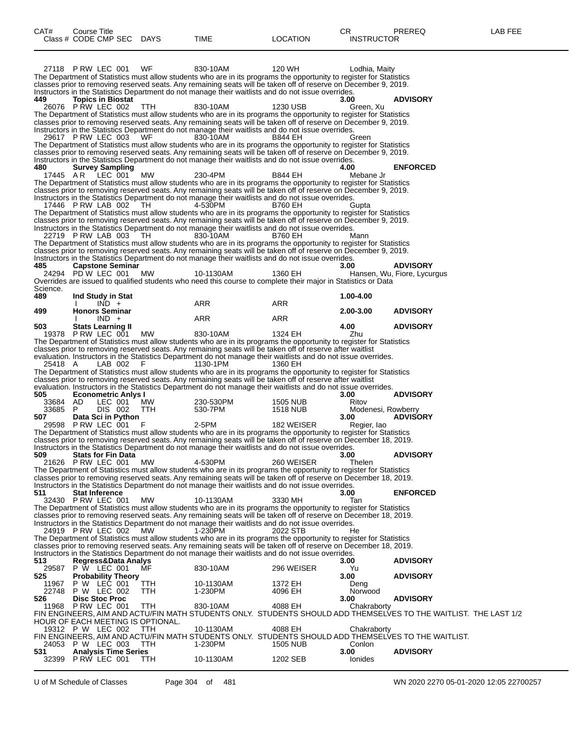|                       | 27118 P RW LEC 001                                    | WF               | 830-10AM<br>The Department of Statistics must allow students who are in its programs the opportunity to register for Statistics<br>classes prior to removing reserved seats. Any remaining seats will be taken off of reserve on December 9, 2019.                                                                                            | 120 WH                      | Lodhia, Maity               |                                                                                                                  |
|-----------------------|-------------------------------------------------------|------------------|-----------------------------------------------------------------------------------------------------------------------------------------------------------------------------------------------------------------------------------------------------------------------------------------------------------------------------------------------|-----------------------------|-----------------------------|------------------------------------------------------------------------------------------------------------------|
| 449.                  | <b>Topics in Biostat</b><br>26076 PRW LEC 002         | TTH              | Instructors in the Statistics Department do not manage their waitlists and do not issue overrides.<br>830-10AM                                                                                                                                                                                                                                | 1230 USB                    | 3.00<br>Green, Xu           | <b>ADVISORY</b>                                                                                                  |
|                       |                                                       |                  | The Department of Statistics must allow students who are in its programs the opportunity to register for Statistics<br>classes prior to removing reserved seats. Any remaining seats will be taken off of reserve on December 9, 2019.                                                                                                        |                             |                             |                                                                                                                  |
|                       | 29617 PRW LEC 003                                     | WF               | Instructors in the Statistics Department do not manage their waitlists and do not issue overrides.<br>830-10AM                                                                                                                                                                                                                                | B844 EH                     | Green                       |                                                                                                                  |
|                       |                                                       |                  | The Department of Statistics must allow students who are in its programs the opportunity to register for Statistics<br>classes prior to removing reserved seats. Any remaining seats will be taken off of reserve on December 9, 2019.                                                                                                        |                             |                             |                                                                                                                  |
| 480<br>17445 AR       | <b>Survey Sampling</b><br>LEC 001                     | <b>MW</b>        | Instructors in the Statistics Department do not manage their waitlists and do not issue overrides.<br>230-4PM                                                                                                                                                                                                                                 | <b>B844 EH</b>              | 4.00<br>Mebane Jr           | <b>ENFORCED</b>                                                                                                  |
|                       |                                                       |                  | The Department of Statistics must allow students who are in its programs the opportunity to register for Statistics<br>classes prior to removing reserved seats. Any remaining seats will be taken off of reserve on December 9, 2019.                                                                                                        |                             |                             |                                                                                                                  |
|                       | 17446 PRW LAB 002                                     | TH.              | Instructors in the Statistics Department do not manage their waitlists and do not issue overrides.<br>4-530PM                                                                                                                                                                                                                                 | B760 EH                     | Gupta                       |                                                                                                                  |
|                       |                                                       |                  | The Department of Statistics must allow students who are in its programs the opportunity to register for Statistics<br>classes prior to removing reserved seats. Any remaining seats will be taken off of reserve on December 9, 2019.                                                                                                        |                             |                             |                                                                                                                  |
|                       | 22719 PRW LAB 003                                     | TH.              | Instructors in the Statistics Department do not manage their waitlists and do not issue overrides.<br>830-10AM<br>The Department of Statistics must allow students who are in its programs the opportunity to register for Statistics                                                                                                         | <b>B760 EH</b>              | Mann                        |                                                                                                                  |
|                       |                                                       |                  | classes prior to removing reserved seats. Any remaining seats will be taken off of reserve on December 9, 2019.<br>Instructors in the Statistics Department do not manage their waitlists and do not issue overrides.                                                                                                                         |                             |                             |                                                                                                                  |
| 485                   | <b>Capstone Seminar</b><br>24294 PD W LEC 001 MW      |                  | 10-1130AM                                                                                                                                                                                                                                                                                                                                     | 1360 EH                     | 3.00                        | <b>ADVISORY</b><br>Hansen, Wu, Fiore, Lycurgus                                                                   |
| Science.              |                                                       |                  | Overrides are issued to qualified students who need this course to complete their major in Statistics or Data                                                                                                                                                                                                                                 |                             |                             |                                                                                                                  |
| 489<br>499            | Ind Study in Stat<br>$IND +$<br><b>Honors Seminar</b> |                  | ARR                                                                                                                                                                                                                                                                                                                                           | ARR                         | 1.00-4.00<br>2.00-3.00      | <b>ADVISORY</b>                                                                                                  |
| 503                   | $IND +$<br><b>Stats Learning II</b>                   |                  | ARR                                                                                                                                                                                                                                                                                                                                           | ARR                         | 4.00                        | <b>ADVISORY</b>                                                                                                  |
|                       | 19378 P RW LEC 001                                    | MW.              | 830-10AM<br>The Department of Statistics must allow students who are in its programs the opportunity to register for Statistics                                                                                                                                                                                                               | 1324 EH                     | Zhu                         |                                                                                                                  |
|                       |                                                       |                  | classes prior to removing reserved seats. Any remaining seats will be taken off of reserve after waitlist<br>evaluation. Instructors in the Statistics Department do not manage their waitlists and do not issue overrides.                                                                                                                   |                             |                             |                                                                                                                  |
| 25418 A               | LAB 002                                               | F                | 1130-1PM<br>The Department of Statistics must allow students who are in its programs the opportunity to register for Statistics<br>classes prior to removing reserved seats. Any remaining seats will be taken off of reserve after waitlist                                                                                                  | 1360 EH                     |                             |                                                                                                                  |
| 505                   | <b>Econometric Anlys I</b>                            |                  | evaluation. Instructors in the Statistics Department do not manage their waitlists and do not issue overrides.                                                                                                                                                                                                                                |                             | 3.00                        | <b>ADVISORY</b>                                                                                                  |
| 33684 AD<br>33685 P   | LEC 001<br>DIS 002                                    | <b>MW</b><br>TTH | 230-530PM<br>530-7PM                                                                                                                                                                                                                                                                                                                          | 1505 NUB<br><b>1518 NUB</b> | Ritov<br>Modenesi, Rowberry |                                                                                                                  |
| 507                   | Data Sci in Python<br>29598 P RW LEC 001              | - F              | 2-5PM<br>The Department of Statistics must allow students who are in its programs the opportunity to register for Statistics                                                                                                                                                                                                                  | 182 WEISER                  | 3.00<br>Regier, Iao         | <b>ADVISORY</b>                                                                                                  |
|                       |                                                       |                  | classes prior to removing reserved seats. Any remaining seats will be taken off of reserve on December 18, 2019.<br>Instructors in the Statistics Department do not manage their waitlists and do not issue overrides.                                                                                                                        |                             |                             |                                                                                                                  |
| 509                   | <b>Stats for Fin Data</b><br>21626 P RW LEC 001       | MW.              | 4-530PM                                                                                                                                                                                                                                                                                                                                       | 260 WEISER                  | 3.00<br>Thelen              | <b>ADVISORY</b>                                                                                                  |
|                       |                                                       |                  | The Department of Statistics must allow students who are in its programs the opportunity to register for Statistics<br>classes prior to removing reserved seats. Any remaining seats will be taken off of reserve on December 18, 2019.                                                                                                       |                             |                             |                                                                                                                  |
| 511                   | <b>Stat Inference</b><br>32430 P RW LEC 001           | МW               | Instructors in the Statistics Department do not manage their waitlists and do not issue overrides.<br>10-1130AM                                                                                                                                                                                                                               | 3330 MH                     | 3.00<br>Tan                 | <b>ENFORCED</b>                                                                                                  |
|                       |                                                       |                  | The Department of Statistics must allow students who are in its programs the opportunity to register for Statistics<br>classes prior to removing reserved seats. Any remaining seats will be taken off of reserve on December 18, 2019.                                                                                                       |                             |                             |                                                                                                                  |
|                       | 24919 P RW LEC 002                                    | MW               | Instructors in the Statistics Department do not manage their waitlists and do not issue overrides.<br>1-230PM                                                                                                                                                                                                                                 | 2022 STB                    | He                          |                                                                                                                  |
|                       |                                                       |                  | The Department of Statistics must allow students who are in its programs the opportunity to register for Statistics<br>classes prior to removing reserved seats. Any remaining seats will be taken off of reserve on December 18, 2019.<br>Instructors in the Statistics Department do not manage their waitlists and do not issue overrides. |                             |                             |                                                                                                                  |
| 513                   | <b>Regress&amp;Data Analys</b><br>29587 P W LEC 001   | MF               | 830-10AM                                                                                                                                                                                                                                                                                                                                      | 296 WEISER                  | 3.00<br>Yu                  | <b>ADVISORY</b>                                                                                                  |
| 525<br>11967          | <b>Probability Theory</b><br>P W LEC 001              | TTH              | 10-1130AM                                                                                                                                                                                                                                                                                                                                     | 1372 EH                     | 3.00<br>Deng                | <b>ADVISORY</b>                                                                                                  |
| 22748<br>526<br>11968 | P W LEC 002<br><b>Disc Stoc Proc</b><br>PRW LEC 001   | <b>TTH</b>       | 1-230PM                                                                                                                                                                                                                                                                                                                                       | 4096 EH                     | Norwood<br>3.00             | <b>ADVISORY</b>                                                                                                  |
|                       | HOUR OF EACH MEETING IS OPTIONAL.                     | <b>TTH</b>       | 830-10AM                                                                                                                                                                                                                                                                                                                                      | 4088 EH                     | Chakraborty                 | FIN ENGINEERS, AIM AND ACTU/FIN MATH STUDENTS ONLY. STUDENTS SHOULD ADD THEMSELVES TO THE WAITLIST. THE LAST 1/2 |
|                       | 19312 P W LEC 002                                     | TTH              | 10-1130AM                                                                                                                                                                                                                                                                                                                                     | 4088 EH                     | Chakraborty                 | FIN ENGINEERS, AIM AND ACTU/FIN MATH STUDENTS ONLY. STUDENTS SHOULD ADD THEMSELVES TO THE WAITLIST.              |
| 531                   | 24053 P W LEC 003<br><b>Analysis Time Series</b>      | TTH              | 1-230PM                                                                                                                                                                                                                                                                                                                                       | <b>1505 NUB</b>             | Conlon<br>3.00              | <b>ADVISORY</b>                                                                                                  |
|                       | 32399 P RW LEC 001                                    | TTH              | 10-1130AM                                                                                                                                                                                                                                                                                                                                     | 1202 SEB                    | Ionides                     |                                                                                                                  |
|                       | U of M Schedule of Classes                            |                  | Page 304 of<br>481                                                                                                                                                                                                                                                                                                                            |                             |                             | WN 2020 2270 05-01-2020 12:05 22700257                                                                           |

CAT# Course Title Case CR PREREQ LAB FEE

Class # CODE CMP SEC DAYS TIME LOCATION INSTRUCTOR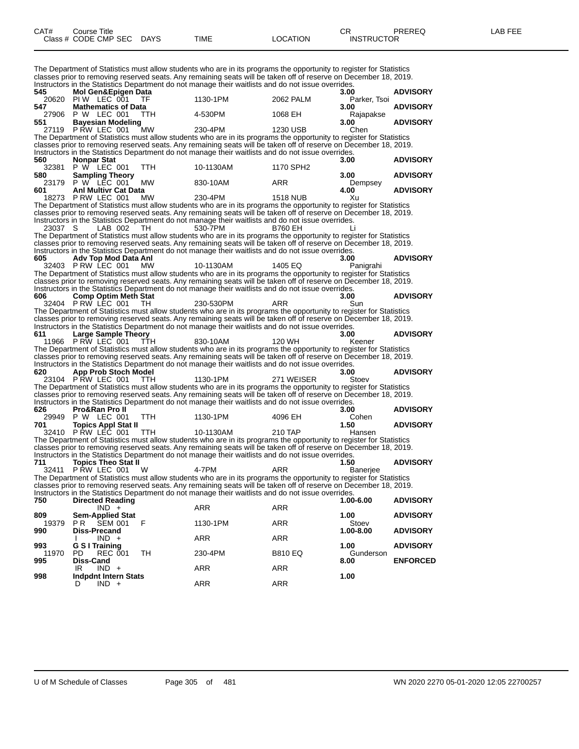The Department of Statistics must allow students who are in its programs the opportunity to register for Statistics classes prior to removing reserved seats. Any remaining seats will be taken off of reserve on December 18, 2019. Instructors in the Statistics Department do not manage their waitlists and do not issue overrides.

| 545          | Mol Gen&Epigen Data                              |            | monucions in the Glabolcs Department do not manage their wallists and do not issue overnues.                                                                                                                           |                | 3.00              | <b>ADVISORY</b> |
|--------------|--------------------------------------------------|------------|------------------------------------------------------------------------------------------------------------------------------------------------------------------------------------------------------------------------|----------------|-------------------|-----------------|
|              | 20620 PIW LEC 001                                | ΤF         | 1130-1PM                                                                                                                                                                                                               | 2062 PALM      | Parker, Tsoi      |                 |
| 547          | <b>Mathematics of Data</b>                       |            |                                                                                                                                                                                                                        |                | 3.00              | <b>ADVISORY</b> |
|              | 27906 P W LEC 001                                | ттн        | 4-530PM                                                                                                                                                                                                                | 1068 EH        | Rajapakse         |                 |
| 551          | <b>Bayesian Modeling</b>                         |            |                                                                                                                                                                                                                        |                | 3.00              | <b>ADVISORY</b> |
|              | 27119 P RW LEC 001                               | <b>MW</b>  | 230-4PM                                                                                                                                                                                                                | 1230 USB       | Chen              |                 |
|              |                                                  |            | The Department of Statistics must allow students who are in its programs the opportunity to register for Statistics                                                                                                    |                |                   |                 |
|              |                                                  |            | classes prior to removing reserved seats. Any remaining seats will be taken off of reserve on December 18, 2019.<br>Instructors in the Statistics Department do not manage their waitlists and do not issue overrides. |                |                   |                 |
| 560          | Nonpar Stat                                      |            |                                                                                                                                                                                                                        |                | 3.00              | <b>ADVISORY</b> |
|              | 32381 P W LEC 001                                | TTH        | 10-1130AM                                                                                                                                                                                                              | 1170 SPH2      |                   |                 |
| 580          | <b>Sampling Theory</b>                           |            |                                                                                                                                                                                                                        |                | 3.00              | <b>ADVISORY</b> |
|              | 23179 P W LEC 001                                | MW         | 830-10AM                                                                                                                                                                                                               | ARR            | Dempsey           |                 |
| 601          | <b>Anl Multivr Cat Data</b>                      |            |                                                                                                                                                                                                                        |                | 4.00              | <b>ADVISORY</b> |
|              | 18273 P RW LEC 001                               | <b>MW</b>  | 230-4PM                                                                                                                                                                                                                | 1518 NUB       | Xu                |                 |
|              |                                                  |            | The Department of Statistics must allow students who are in its programs the opportunity to register for Statistics                                                                                                    |                |                   |                 |
|              |                                                  |            | classes prior to removing reserved seats. Any remaining seats will be taken off of reserve on December 18, 2019.                                                                                                       |                |                   |                 |
|              |                                                  |            | Instructors in the Statistics Department do not manage their waitlists and do not issue overrides.                                                                                                                     |                |                   |                 |
| 23037 S      | LAB 002                                          | TH.        | 530-7PM                                                                                                                                                                                                                | B760 EH        |                   |                 |
|              |                                                  |            | The Department of Statistics must allow students who are in its programs the opportunity to register for Statistics                                                                                                    |                |                   |                 |
|              |                                                  |            | classes prior to removing reserved seats. Any remaining seats will be taken off of reserve on December 18, 2019.                                                                                                       |                |                   |                 |
|              |                                                  |            | Instructors in the Statistics Department do not manage their waitlists and do not issue overrides.                                                                                                                     |                |                   |                 |
| 605          | Adv Top Mod Data Anl                             |            |                                                                                                                                                                                                                        |                | 3.00              | <b>ADVISORY</b> |
|              | 32403 PRW LEC 001                                | <b>MW</b>  | 10-1130AM                                                                                                                                                                                                              | 1405 EQ        | Panigrahi         |                 |
|              |                                                  |            | The Department of Statistics must allow students who are in its programs the opportunity to register for Statistics                                                                                                    |                |                   |                 |
|              |                                                  |            | classes prior to removing reserved seats. Any remaining seats will be taken off of reserve on December 18, 2019.                                                                                                       |                |                   |                 |
| 606          |                                                  |            | Instructors in the Statistics Department do not manage their waitlists and do not issue overrides.                                                                                                                     |                | 3.00              | <b>ADVISORY</b> |
|              | <b>Comp Optim Meth Stat</b><br>32404 PRW LEC 001 | TH.        | 230-530PM                                                                                                                                                                                                              | ARR            | Sun               |                 |
|              |                                                  |            | The Department of Statistics must allow students who are in its programs the opportunity to register for Statistics                                                                                                    |                |                   |                 |
|              |                                                  |            | classes prior to removing reserved seats. Any remaining seats will be taken off of reserve on December 18, 2019.                                                                                                       |                |                   |                 |
|              |                                                  |            | Instructors in the Statistics Department do not manage their waitlists and do not issue overrides.                                                                                                                     |                |                   |                 |
| 611          | <b>Large Sample Theory</b>                       |            |                                                                                                                                                                                                                        |                | 3.00              | <b>ADVISORY</b> |
| 11966        | PRW LEC 001                                      | TTH        | 830-10AM                                                                                                                                                                                                               | 120 WH         | Keener            |                 |
|              |                                                  |            | The Department of Statistics must allow students who are in its programs the opportunity to register for Statistics                                                                                                    |                |                   |                 |
|              |                                                  |            | classes prior to removing reserved seats. Any remaining seats will be taken off of reserve on December 18, 2019.                                                                                                       |                |                   |                 |
|              |                                                  |            | Instructors in the Statistics Department do not manage their waitlists and do not issue overrides.                                                                                                                     |                |                   |                 |
| 620          | App Prob Stoch Model                             |            |                                                                                                                                                                                                                        |                | 3.00              | <b>ADVISORY</b> |
|              | 23104 PRW LEC 001                                | TTH        | 1130-1PM                                                                                                                                                                                                               | 271 WEISER     | Stoev             |                 |
|              |                                                  |            | The Department of Statistics must allow students who are in its programs the opportunity to register for Statistics                                                                                                    |                |                   |                 |
|              |                                                  |            | classes prior to removing reserved seats. Any remaining seats will be taken off of reserve on December 18, 2019.                                                                                                       |                |                   |                 |
|              |                                                  |            | Instructors in the Statistics Department do not manage their waitlists and do not issue overrides.                                                                                                                     |                |                   |                 |
| 626          | Pro&Ran Pro II                                   | <b>TTH</b> | 1130-1PM                                                                                                                                                                                                               |                | 3.00              | <b>ADVISORY</b> |
| 701          | 29949 P W LEC 001                                |            |                                                                                                                                                                                                                        | 4096 EH        | Cohen<br>1.50     | <b>ADVISORY</b> |
|              | <b>Topics Appl Stat II</b><br>32410 PRW LEC 001  | <b>TTH</b> | 10-1130AM                                                                                                                                                                                                              | 210 TAP        | Hansen            |                 |
|              |                                                  |            | The Department of Statistics must allow students who are in its programs the opportunity to register for Statistics                                                                                                    |                |                   |                 |
|              |                                                  |            | classes prior to removing reserved seats. Any remaining seats will be taken off of reserve on December 18, 2019.                                                                                                       |                |                   |                 |
|              |                                                  |            | Instructors in the Statistics Department do not manage their waitlists and do not issue overrides.                                                                                                                     |                |                   |                 |
| 711          | <b>Topics Theo Stat II</b>                       |            |                                                                                                                                                                                                                        |                | 1.50              | <b>ADVISORY</b> |
|              | 32411 PRW LEC 001                                | w          | 4-7PM                                                                                                                                                                                                                  | ARR            | <b>Baneriee</b>   |                 |
|              |                                                  |            | The Department of Statistics must allow students who are in its programs the opportunity to register for Statistics                                                                                                    |                |                   |                 |
|              |                                                  |            | classes prior to removing reserved seats. Any remaining seats will be taken off of reserve on December 18, 2019.                                                                                                       |                |                   |                 |
|              |                                                  |            | Instructors in the Statistics Department do not manage their waitlists and do not issue overrides.                                                                                                                     |                |                   |                 |
| 750          | <b>Directed Reading</b>                          |            |                                                                                                                                                                                                                        |                | 1.00-6.00         | <b>ADVISORY</b> |
|              | $IND +$                                          |            | ARR                                                                                                                                                                                                                    | ARR            |                   |                 |
| 809          | <b>Sem-Applied Stat</b>                          |            |                                                                                                                                                                                                                        |                | 1.00              | <b>ADVISORY</b> |
| 19379        | <b>PR SEM 001</b>                                | F          | 1130-1PM                                                                                                                                                                                                               | ARR            | Stoev             |                 |
| 990          | <b>Diss-Precand</b>                              |            |                                                                                                                                                                                                                        |                | 1.00-8.00         | <b>ADVISORY</b> |
|              | $IND +$<br>I.                                    |            | <b>ARR</b>                                                                                                                                                                                                             | <b>ARR</b>     |                   |                 |
| 993<br>11970 | <b>G S I Training</b><br>PD<br><b>REC 001</b>    | TH         | 230-4PM                                                                                                                                                                                                                | <b>B810 EQ</b> | 1.00<br>Gunderson | <b>ADVISORY</b> |
| 995          | Diss-Cand                                        |            |                                                                                                                                                                                                                        |                | 8.00              | <b>ENFORCED</b> |
|              | IR<br>$IND +$                                    |            | ARR                                                                                                                                                                                                                    | <b>ARR</b>     |                   |                 |
| 998          | <b>Indpdnt Intern Stats</b>                      |            |                                                                                                                                                                                                                        |                | 1.00              |                 |
|              | $IND +$                                          |            | <b>ARR</b>                                                                                                                                                                                                             | ARR            |                   |                 |
|              |                                                  |            |                                                                                                                                                                                                                        |                |                   |                 |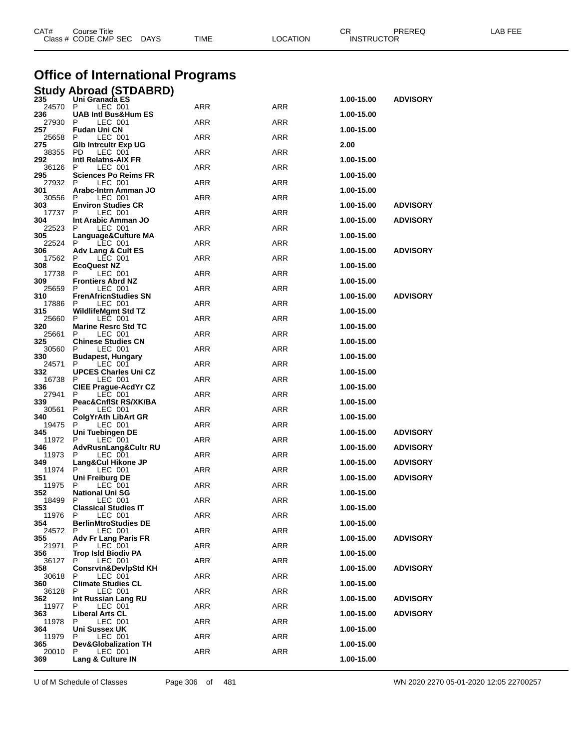|              | Class # CODE CMP SEC<br>DAYS                    | TIME       | LOCATION   | <b>INSTRUCTOR</b> |                 |  |
|--------------|-------------------------------------------------|------------|------------|-------------------|-----------------|--|
|              |                                                 |            |            |                   |                 |  |
|              | <b>Office of International Programs</b>         |            |            |                   |                 |  |
|              | <b>Study Abroad (STDABRD)</b>                   |            |            |                   |                 |  |
| 235<br>24570 | Uni Granada ES<br>P<br>LEC 001                  | ARR        | ARR        | 1.00-15.00        | <b>ADVISORY</b> |  |
| 236<br>27930 | <b>UAB Intl Bus&amp;Hum ES</b><br>P<br>LEC 001  | <b>ARR</b> | ARR        | 1.00-15.00        |                 |  |
| 257<br>25658 | Fudan Uni CN<br>LEC 001<br>P                    | ARR        | ARR        | 1.00-15.00        |                 |  |
| 275<br>38355 | <b>GIb Intrcultr Exp UG</b><br>PD<br>LEC 001    | ARR        | ARR        | 2.00              |                 |  |
| 292<br>36126 | Intl Relatns-AIX FR<br>P<br>LEC 001             | <b>ARR</b> | <b>ARR</b> | 1.00-15.00        |                 |  |
| 295          | Sciences Po Reims FR                            |            |            | 1.00-15.00        |                 |  |
| 27932<br>301 | P<br>LEC 001<br>Arabc-Intrn Amman JO            | ARR        | ARR        | 1.00-15.00        |                 |  |
| 30556<br>303 | P<br>LEC 001<br><b>Environ Studies CR</b>       | ARR        | ARR        | 1.00-15.00        | <b>ADVISORY</b> |  |
| 17737<br>304 | LEC 001<br>P<br>Int Arabic Amman JO             | ARR        | ARR        | 1.00-15.00        | <b>ADVISORY</b> |  |
| 22523<br>305 | LEC 001<br>P<br>Language&Culture MA             | ARR        | ARR        | 1.00-15.00        |                 |  |
| 22524<br>306 | P<br>LEC 001                                    | ARR        | ARR        | 1.00-15.00        | <b>ADVISORY</b> |  |
| 17562        | Adv Lang & Cult ES<br>P<br>LEC 001              | <b>ARR</b> | <b>ARR</b> |                   |                 |  |
| 308<br>17738 | EcoQuest NZ<br>LEC 001<br>P                     | ARR        | ARR        | 1.00-15.00        |                 |  |
| 309<br>25659 | <b>Frontiers Abrd NZ</b><br>LEC 001<br>P        | ARR        | ARR        | 1.00-15.00        |                 |  |
| 310<br>17886 | <b>FrenAfricnStudies SN</b><br>LEC 001<br>P     | ARR        | ARR        | 1.00-15.00        | <b>ADVISORY</b> |  |
| 315<br>25660 | WildlifeMgmt Std TZ<br>P<br>LEC 001             | ARR        | ARR        | 1.00-15.00        |                 |  |
| 320          | <b>Marine Resrc Std TC</b>                      |            |            | 1.00-15.00        |                 |  |
| 25661<br>325 | P<br>LEC 001<br><b>Chinese Studies CN</b>       | ARR        | ARR        | 1.00-15.00        |                 |  |
| 30560<br>330 | LEC 001<br>P<br>Budapest, Hungary               | <b>ARR</b> | <b>ARR</b> | 1.00-15.00        |                 |  |
| 24571<br>332 | LEC 001<br>P<br><b>UPCES Charles Uni CZ</b>     | ARR        | ARR        | 1.00-15.00        |                 |  |
| 16738<br>336 | LEC 001<br>P<br><b>CIEE Prague-AcdYr CZ</b>     | ARR        | ARR        | 1.00-15.00        |                 |  |
| 27941<br>339 | LEC 001<br>Р                                    | ARR        | ARR        |                   |                 |  |
| 30561        | Peac&CnflSt RS/XK/BA<br>LEC 001<br>P            | ARR        | ARR        | 1.00-15.00        |                 |  |
| 340<br>19475 | <b>ColgYrAth LibArt GR</b><br>P<br>LEC 001      | ARR        | ARR        | 1.00-15.00        |                 |  |
| 345<br>11972 | Uni Tuebingen DE<br>P<br>LEC 001                | ARR        | ARR        | 1.00-15.00        | <b>ADVISORY</b> |  |
| 346<br>11973 | AdvRusnLang&Cultr RU<br>LEC 001<br>P            | ARR        | ARR        | 1.00-15.00        | <b>ADVISORY</b> |  |
| 349<br>11974 | Lang&Cul Hikone JP<br>P.<br>LEC 001             | <b>ARR</b> | ARR        | 1.00-15.00        | <b>ADVISORY</b> |  |
| 351          | Uni Freiburg DE                                 |            |            | 1.00-15.00        | <b>ADVISORY</b> |  |
| 11975<br>352 | P<br>LEC 001<br><b>National Uni SG</b>          | <b>ARR</b> | ARR        | 1.00-15.00        |                 |  |
| 18499<br>353 | P<br>LEC 001<br><b>Classical Studies IT</b>     | ARR        | ARR        | 1.00-15.00        |                 |  |
| 11976<br>354 | P<br>LEC 001<br><b>BerlinMtroStudies DE</b>     | ARR        | ARR        | 1.00-15.00        |                 |  |
| 24572<br>355 | LEC 001<br>P<br>Adv Fr Lang Paris FR            | <b>ARR</b> | ARR        | 1.00-15.00        | <b>ADVISORY</b> |  |
| 21971<br>356 | LEC 001<br>P                                    | <b>ARR</b> | ARR        | 1.00-15.00        |                 |  |
| 36127        | <b>Trop Isld Biodiv PA</b><br>P<br>LEC 001      | ARR        | ARR        |                   |                 |  |
| 358<br>30618 | <b>Consrvtn&amp;DevIpStd KH</b><br>LEC 001<br>P | <b>ARR</b> | ARR        | 1.00-15.00        | <b>ADVISORY</b> |  |
| 360<br>36128 | <b>Climate Studies CL</b><br>P<br>LEC 001       | <b>ARR</b> | ARR        | 1.00-15.00        |                 |  |
| 362<br>11977 | Int Russian Lang RU<br>P<br>LEC 001             | ARR        | ARR        | 1.00-15.00        | <b>ADVISORY</b> |  |
| 363          | <b>Liberal Arts CL</b><br>P                     | <b>ARR</b> | ARR        | 1.00-15.00        | <b>ADVISORY</b> |  |
| 11978<br>364 | LEC 001<br>Uni Sussex UK                        |            |            | 1.00-15.00        |                 |  |
| 11979<br>365 | LEC 001<br>P<br><b>Dev&amp;Globalization TH</b> | ARR        | ARR        | 1.00-15.00        |                 |  |
| 20010<br>369 | P<br>LEC 001<br>Lang & Culture IN               | ARR        | ARR        | 1.00-15.00        |                 |  |
|              |                                                 |            |            |                   |                 |  |

CAT# Course Title Case CR PREREQ LAB FEE

U of M Schedule of Classes Page 306 of 481 WN 2020 2270 05-01-2020 12:05 22700257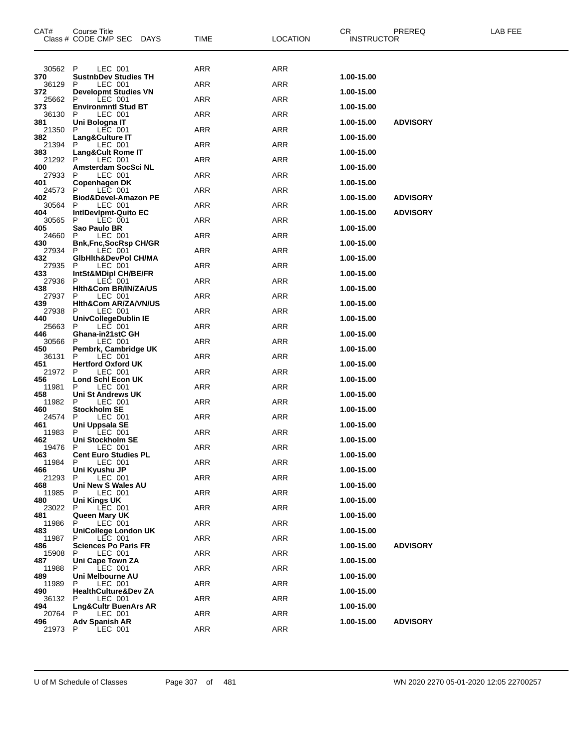| CAT#         | <b>Course Title</b><br>Class # CODE CMP SEC<br><b>DAYS</b> | TIME       | <b>LOCATION</b> | CR.<br><b>PREREQ</b><br><b>INSTRUCTOR</b> | LAB FEE |
|--------------|------------------------------------------------------------|------------|-----------------|-------------------------------------------|---------|
| 30562        | P<br>LEC 001                                               | ARR        | ARR             |                                           |         |
| 370<br>36129 | <b>SustnbDev Studies TH</b><br>LEC 001<br>P                | ARR        | ARR             | 1.00-15.00                                |         |
| 372<br>25662 | <b>Developmt Studies VN</b><br>P<br>LEC 001                | ARR        | ARR             | 1.00-15.00                                |         |
| 373<br>36130 | <b>Environmntl Stud BT</b><br>LEC 001<br>P                 | ARR        | ARR             | 1.00-15.00                                |         |
| 381<br>21350 | Uni Bologna IT<br>LEC 001<br>P                             | ARR        | ARR             | <b>ADVISORY</b><br>1.00-15.00             |         |
| 382<br>21394 | Lang&Culture IT<br>LEC 001<br>P                            | ARR        | ARR             | 1.00-15.00                                |         |
| 383<br>21292 | Lang&Cult Rome IT<br>P<br>LEC 001                          | ARR        | ARR             | 1.00-15.00                                |         |
| 400          | Amsterdam SocSci NL<br>P                                   |            |                 | 1.00-15.00                                |         |
| 27933<br>401 | LEC 001<br>Copenhagen DK                                   | ARR        | ARR             | 1.00-15.00                                |         |
| 24573<br>402 | P<br>LEC 001<br>Biod&Devel-Amazon PE                       | ARR        | ARR             | 1.00-15.00<br><b>ADVISORY</b>             |         |
| 30564<br>404 | LEC 001<br>P<br>IntiDevipmt-Quito EC                       | ARR        | ARR             | <b>ADVISORY</b><br>1.00-15.00             |         |
| 30565<br>405 | LEC 001<br>P<br>Sao Paulo BR                               | ARR        | ARR             | 1.00-15.00                                |         |
| 24660<br>430 | LEC 001<br>P<br><b>Bnk,Fnc,SocRsp CH/GR</b>                | ARR        | ARR             | 1.00-15.00                                |         |
| 27934<br>432 | LEC 001<br>P<br>GibHith&DevPol CH/MA                       | ARR        | ARR             | 1.00-15.00                                |         |
| 27935<br>433 | LEC 001<br>P<br><b>IntSt&amp;MDipl CH/BE/FR</b>            | ARR        | ARR             | 1.00-15.00                                |         |
| 27936<br>438 | P<br>LEC 001<br>Hith&Com BR/IN/ZA/US                       | ARR        | ARR             | 1.00-15.00                                |         |
| 27937<br>439 | P<br>LEC 001<br><b>Hith&amp;Com AR/ZA/VN/US</b>            | ARR        | ARR             | 1.00-15.00                                |         |
| 27938<br>440 | LEC 001<br>P<br>UnivCollegeDublin IE                       | ARR        | ARR             | 1.00-15.00                                |         |
| 25663<br>446 | P<br>LEC 001<br>Ghana-in21stC GH                           | ARR        | ARR             | 1.00-15.00                                |         |
| 30566<br>450 | LEC 001<br>P                                               | ARR        | ARR             | 1.00-15.00                                |         |
| 36131        | Pembrk, Cambridge UK<br>P<br>LEC 001                       | ARR        | ARR             |                                           |         |
| 451<br>21972 | <b>Hertford Oxford UK</b><br>P<br>LEC 001                  | ARR        | ARR             | 1.00-15.00                                |         |
| 456<br>11981 | Lond Schl Econ UK<br>P<br>LEC 001                          | ARR        | ARR             | 1.00-15.00                                |         |
| 458<br>11982 | Uni St Andrews UK<br>P<br>LEC 001                          | ARR        | ARR             | 1.00-15.00                                |         |
| 460<br>24574 | <b>Stockholm SE</b><br>LEC 001<br>P                        | ARR        | ARR             | 1.00-15.00                                |         |
| 461<br>11983 | Uni Uppsala SE<br>P<br>LEC 001                             | ARR        | ARR             | 1.00-15.00                                |         |
| 462<br>19476 | Uni Stockholm SE<br>P<br>LEC 001                           | ARR        | <b>ARR</b>      | 1.00-15.00                                |         |
| 463<br>11984 | <b>Cent Euro Studies PL</b><br>LEC 001<br>P                | ARR        | <b>ARR</b>      | 1.00-15.00                                |         |
| 466<br>21293 | Uni Kyushu JP<br>P<br>LEC 001                              | ARR        | ARR             | 1.00-15.00                                |         |
| 468<br>11985 | Uni New S Wales AU<br>LEC 001<br>P                         | <b>ARR</b> | ARR             | 1.00-15.00                                |         |
| 480<br>23022 | Uni Kings UK<br>LEC 001<br>P                               | <b>ARR</b> | ARR             | 1.00-15.00                                |         |
| 481<br>11986 | Queen Mary UK<br>P<br>LEC 001                              | <b>ARR</b> | ARR             | 1.00-15.00                                |         |
| 483          | UniCollege London UK<br>P                                  |            | ARR             | 1.00-15.00                                |         |
| 11987<br>486 | LEC 001<br><b>Sciences Po Paris FR</b>                     | ARR        |                 | <b>ADVISORY</b><br>1.00-15.00             |         |
| 15908<br>487 | LEC 001<br>P<br>Uni Cape Town ZA                           | <b>ARR</b> | ARR             | 1.00-15.00                                |         |
| 11988<br>489 | P<br>LEC 001<br>Uni Melbourne AU                           | ARR        | ARR             | 1.00-15.00                                |         |
| 11989<br>490 | LEC 001<br>P<br><b>HealthCulture&amp;Dev ZA</b>            | <b>ARR</b> | ARR             | 1.00-15.00                                |         |
| 36132<br>494 | LEC 001<br>P<br>Lng&Cultr BuenArs AR                       | <b>ARR</b> | ARR             | 1.00-15.00                                |         |
| 20764<br>496 | LEC 001<br>P<br><b>Adv Spanish AR</b>                      | ARR        | ARR             | <b>ADVISORY</b><br>1.00-15.00             |         |
| 21973        | P<br>LEC 001                                               | <b>ARR</b> | ARR             |                                           |         |

U of M Schedule of Classes Page 307 of 481 WN 2020 2270 05-01-2020 12:05 22700257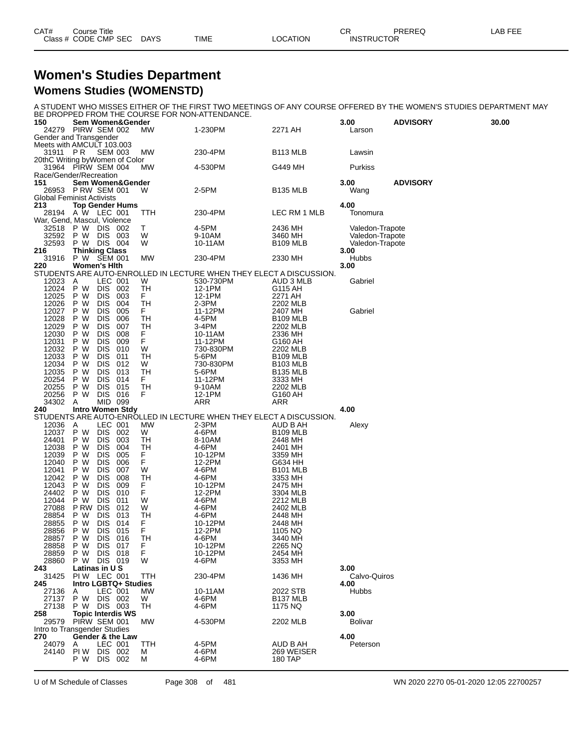| CAT# | Course Title              |             |          | СR                | PREREQ | <b>LAB FEE</b> |
|------|---------------------------|-------------|----------|-------------------|--------|----------------|
|      | Class # CODE CMP SEC DAYS | <b>TIME</b> | LOCATION | <b>INSTRUCTOR</b> |        |                |

#### **Women's Studies Department Womens Studies (WOMENSTD)**

A STUDENT WHO MISSES EITHER OF THE FIRST TWO MEETINGS OF ANY COURSE OFFERED BY THE WOMEN'S STUDIES DEPARTMENT MAY BE DROPPED FROM THE COURSE FOR NON-ATTENDANCE.

| 150            | DE DIVOIT LDT INOIN THE COUNSET ON NON-ALTENDANCE.<br>Sem Women&Gender |            |                                                                     |                      | 3.00            | <b>ADVISORY</b> | 30.00 |
|----------------|------------------------------------------------------------------------|------------|---------------------------------------------------------------------|----------------------|-----------------|-----------------|-------|
|                | 24279 PIRW SEM 002                                                     | MW.        | 1-230PM                                                             | 2271 AH              | Larson          |                 |       |
|                | Gender and Transgender                                                 |            |                                                                     |                      |                 |                 |       |
|                | Meets with AMCULT 103.003                                              |            |                                                                     |                      |                 |                 |       |
| 31911 PR       | <b>SEM 003</b>                                                         | МW         | 230-4PM                                                             | B <sub>113</sub> MLB | Lawsin          |                 |       |
|                | 20thC Writing byWomen of Color                                         |            |                                                                     |                      |                 |                 |       |
|                | 31964 PIRW SEM 004                                                     | <b>MW</b>  | 4-530PM                                                             | G449 MH              | Purkiss         |                 |       |
|                | Race/Gender/Recreation                                                 |            |                                                                     |                      |                 |                 |       |
| 151            | <b>Sem Women&amp;Gender</b>                                            |            |                                                                     |                      | 3.00            | <b>ADVISORY</b> |       |
| 26953          | PRW SEM 001                                                            | w          | 2-5PM                                                               | <b>B135 MLB</b>      | Wang            |                 |       |
| 213            | <b>Global Feminist Activists</b><br><b>Top Gender Hums</b>             |            |                                                                     |                      | 4.00            |                 |       |
|                | 28194 A W LEC 001                                                      | TTH        | 230-4PM                                                             | LEC RM 1 MLB         | Tonomura        |                 |       |
|                | War, Gend, Mascul, Violence                                            |            |                                                                     |                      |                 |                 |       |
| 32518          | P W<br>DIS 002                                                         | Т          | 4-5PM                                                               | 2436 MH              | Valedon-Trapote |                 |       |
| 32592          | P W DIS<br>- 003                                                       | W          | 9-10AM                                                              | 3460 MH              | Valedon-Trapote |                 |       |
| 32593          | P W DIS 004                                                            | W          | 10-11AM                                                             | <b>B109 MLB</b>      | Valedon-Trapote |                 |       |
| 216            | <b>Thinking Class</b>                                                  |            |                                                                     |                      | 3.00            |                 |       |
|                | 31916 P W SEM 001                                                      | MW         | 230-4PM                                                             | 2330 MH              | <b>Hubbs</b>    |                 |       |
| 220            | Women's Hith                                                           |            |                                                                     |                      | 3.00            |                 |       |
|                |                                                                        |            | STUDENTS ARE AUTO-ENROLLED IN LECTURE WHEN THEY ELECT A DISCUSSION. |                      |                 |                 |       |
| 12023          | LEC 001<br>A                                                           | W          | 530-730PM                                                           | AUD 3 MLB            | Gabriel         |                 |       |
| 12024          | <b>DIS</b><br>P W<br>002                                               | TН         | 12-1PM                                                              | G115 AH              |                 |                 |       |
| 12025          | <b>DIS</b><br>P W<br>003                                               | F.         | 12-1PM                                                              | 2271 AH              |                 |                 |       |
| 12026          | P W<br><b>DIS</b><br>004                                               | TН         | $2-3PM$                                                             | 2202 MLB             |                 |                 |       |
| 12027          | 005<br>P W<br><b>DIS</b>                                               | F.         | 11-12PM                                                             | 2407 MH              | Gabriel         |                 |       |
| 12028          | P W<br><b>DIS</b><br>006                                               | TН         | 4-5PM                                                               | <b>B109 MLB</b>      |                 |                 |       |
| 12029          | P W<br><b>DIS</b><br>007                                               | TН         | 3-4PM                                                               | 2202 MLB             |                 |                 |       |
| 12030          | 008<br>P W<br><b>DIS</b>                                               | F.         | 10-11AM                                                             | 2336 MH              |                 |                 |       |
| 12031          | <b>DIS</b><br>P W<br>009                                               | F          | 11-12PM                                                             | G160 AH              |                 |                 |       |
| 12032          | P W<br><b>DIS</b><br>010                                               | W          | 730-830PM                                                           | 2202 MLB             |                 |                 |       |
| 12033          | P W<br><b>DIS</b><br>011                                               | ТH         | 5-6PM                                                               | B <sub>109</sub> MLB |                 |                 |       |
| 12034          | <b>DIS</b><br>P W<br>012                                               | W          | 730-830PM                                                           | <b>B103 MLB</b>      |                 |                 |       |
| 12035<br>20254 | P W<br><b>DIS</b><br>013<br><b>DIS</b><br>014                          | TН<br>F.   | 5-6PM                                                               | <b>B135 MLB</b>      |                 |                 |       |
| 20255          | P W<br><b>DIS</b><br>P W<br>015                                        | TH         | 11-12PM<br>9-10AM                                                   | 3333 MH<br>2202 MLB  |                 |                 |       |
| 20256          | DIS 016<br>P W                                                         | F          | 12-1PM                                                              | G160 AH              |                 |                 |       |
| 34302          | MID 099<br>A                                                           |            | ARR                                                                 | ARR                  |                 |                 |       |
| 240            | <b>Intro Women Stdy</b>                                                |            |                                                                     |                      | 4.00            |                 |       |
|                |                                                                        |            | STUDENTS ARE AUTO-ENROLLED IN LECTURE WHEN THEY ELECT A DISCUSSION. |                      |                 |                 |       |
| 12036 A        | LEC 001                                                                | МW         | 2-3PM                                                               | AUD B AH             | Alexy           |                 |       |
| 12037          | <b>DIS</b><br>P W<br>002                                               | W          | 4-6PM                                                               | <b>B109 MLB</b>      |                 |                 |       |
| 24401          | P W<br><b>DIS</b><br>003                                               | TН         | 8-10AM                                                              | 2448 MH              |                 |                 |       |
| 12038          | P W<br><b>DIS</b><br>004                                               | ТH         | 4-6PM                                                               | 2401 MH              |                 |                 |       |
| 12039          | <b>DIS</b><br>P W<br>005                                               | F          | 10-12PM                                                             | 3359 MH              |                 |                 |       |
| 12040          | P W<br><b>DIS</b><br>006                                               | F          | 12-2PM                                                              | G634 HH              |                 |                 |       |
| 12041          | P W<br><b>DIS</b><br>007                                               | W          | 4-6PM                                                               | <b>B101 MLB</b>      |                 |                 |       |
| 12042          | P W<br><b>DIS</b><br>008                                               | TН         | 4-6PM                                                               | 3353 MH              |                 |                 |       |
| 12043          | P W<br><b>DIS</b><br>009                                               | F.         | 10-12PM                                                             | 2475 MH              |                 |                 |       |
| 24402          | P W<br><b>DIS</b><br>010                                               | F          | 12-2PM                                                              | 3304 MLB             |                 |                 |       |
| 12044          | <b>DIS</b><br>P W<br>011                                               | W          | 4-6PM                                                               | 2212 MLB             |                 |                 |       |
| 27088          | P RW DIS<br>012                                                        | W          | 4-6PM                                                               | 2402 MLB             |                 |                 |       |
| 28854          | P W<br><b>DIS</b><br>013                                               | ТH         | 4-6PM                                                               | 2448 MH              |                 |                 |       |
| 28855          | P W<br><b>DIS</b><br>014                                               | F<br>F     | 10-12PM                                                             | 2448 MH              |                 |                 |       |
| 28856<br>28857 | P W<br><b>DIS</b><br>015<br>P W<br>DIS 016                             | ТH         | 12-2PM<br>4-6PM                                                     | 1105 NQ<br>3440 MH   |                 |                 |       |
| 28858          | P W DIS<br>017                                                         | F          | 10-12PM                                                             | 2265 NQ              |                 |                 |       |
| 28859          | 018<br>P W<br><b>DIS</b>                                               | F          | 10-12PM                                                             | 2454 MH              |                 |                 |       |
| 28860          | P W DIS 019                                                            | W          | 4-6PM                                                               | 3353 MH              |                 |                 |       |
| 243            | Latinas in U S                                                         |            |                                                                     |                      | 3.00            |                 |       |
| 31425          | PIW LEC 001                                                            | TTH        | 230-4PM                                                             | 1436 MH              | Calvo-Quiros    |                 |       |
| 245            | Intro LGBTQ+ Studies                                                   |            |                                                                     |                      | 4.00            |                 |       |
| 27136          | LEC 001<br>A                                                           | MW         | 10-11AM                                                             | 2022 STB             | <b>Hubbs</b>    |                 |       |
| 27137          | P W<br>DIS 002                                                         | W          | 4-6PM                                                               | B <sub>137</sub> MLB |                 |                 |       |
| 27138          | P W DIS 003                                                            | TН         | 4-6PM                                                               | 1175 NQ              |                 |                 |       |
| 258            | <b>Topic Interdis WS</b>                                               |            |                                                                     |                      | 3.00            |                 |       |
|                | 29579 PIRW SEM 001                                                     | <b>MW</b>  | 4-530PM                                                             | 2202 MLB             | <b>Bolivar</b>  |                 |       |
|                | Intro to Transgender Studies                                           |            |                                                                     |                      |                 |                 |       |
| 270            | Gender & the Law                                                       |            |                                                                     |                      | 4.00            |                 |       |
| 24079          | LEC 001<br>A                                                           | <b>TTH</b> | 4-5PM                                                               | AUD B AH             | Peterson        |                 |       |
| 24140          | PIW DIS 002                                                            | м          | 4-6PM                                                               | 269 WEISER           |                 |                 |       |
|                | P W DIS 002                                                            | М          | 4-6PM                                                               | 180 TAP              |                 |                 |       |

U of M Schedule of Classes Page 308 of 481 WN 2020 2270 05-01-2020 12:05 22700257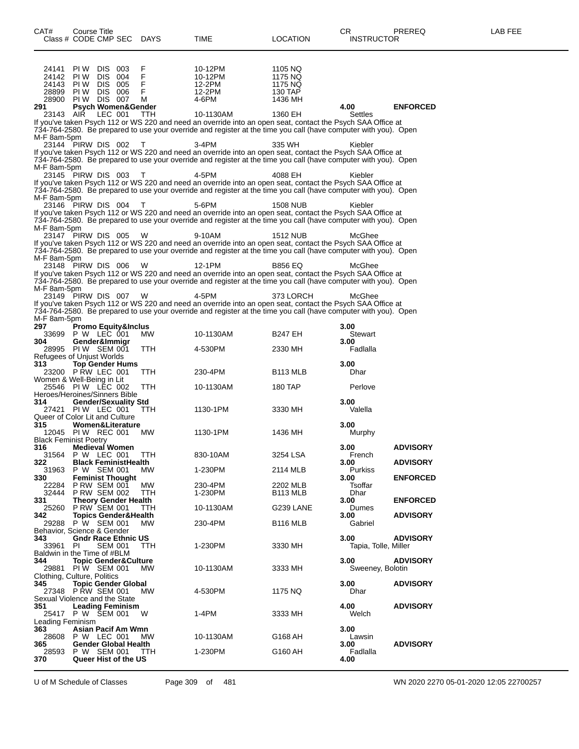24141 PIW DIS 003 F 10-12PM 1105 NQ<br>24142 PIW DIS 004 F 10-12PM 1175 NQ 24142 PI W DIS 004 F 10-12PM 1175 NQ 24143 PI W DIS 005 F 12-2PM 1175 NQ 28899 PI W DIS 006 F 12-2PM 130 TAP 28900 PI W DIS 007 M 4-6PM 1436 MH **291 Psych Women&Gender 4.00 ENFORCED** 23143 AIR LEC 001 TTH 10-1130AM 1360 EH Settles If you've taken Psych 112 or WS 220 and need an override into an open seat, contact the Psych SAA Office at 734-764-2580. Be prepared to use your override and register at the time you call (have computer with you). Open M-F 8am-5pm 23144 PIRW DIS 002 T 3-4PM 335 WH Kiebler If you've taken Psych 112 or WS 220 and need an override into an open seat, contact the Psych SAA Office at 734-764-2580. Be prepared to use your override and register at the time you call (have computer with you). Open M-F 8am-5pm 23145 PIRW DIS 003 T 4-5PM 4088 EH Kiebler If you've taken Psych 112 or WS 220 and need an override into an open seat, contact the Psych SAA Office at 734-764-2580. Be prepared to use your override and register at the time you call (have computer with you). Open M-F 8am-5pm 23146 PIRW DIS 004 T 5-6PM 1508 NUB Kiebler If you've taken Psych 112 or WS 220 and need an override into an open seat, contact the Psych SAA Office at 734-764-2580. Be prepared to use your override and register at the time you call (have computer with you). Open M-F 8am-5pm<br>23147 PIRW DIS 005 23147 PIRW DIS 005 W 9-10AM 1512 NUB McGhee If you've taken Psych 112 or WS 220 and need an override into an open seat, contact the Psych SAA Office at 734-764-2580. Be prepared to use your override and register at the time you call (have computer with you). Open M-F 8am-5pm<br>23148 PIRW DIS 006 23148 PIRW DIS 006 W 12-1PM B856 EQ McGhee If you've taken Psych 112 or WS 220 and need an override into an open seat, contact the Psych SAA Office at 734-764-2580. Be prepared to use your override and register at the time you call (have computer with you). Open M-F 8am-5pm<br>23149 PIRW DIS 007 23149 PIRW DIS 007 W 4-5PM 373 LORCH McGhee If you've taken Psych 112 or WS 220 and need an override into an open seat, contact the Psych SAA Office at 734-764-2580. Be prepared to use your override and register at the time you call (have computer with you). Open M-F 8am-5pm<br>297 Pro **297 Promo Equity&Inclus 3.00** 33699 P W LEC 001 MW 10-1130AM B247 EH Stewart **304 Gender&Immigr 3.00**  $PI W$  SEM  $001$ Refugees of Unjust Worlds<br>313 **Top Gender Hu 313 Top Gender Hums 3.00** 23200 P RW LEC 001 Women & Well-Being in Lit 25546 PI W LEC 002 TTH 10-1130AM 180 TAP Perlove Heroes/Heroines/Sinners Bible **314 Gender/Sexuality Std 3.00** 27421 PI W LEC 001 TTH 1130-1PM 3330 MH Valella Queer of Color Lit and Culture **315 Women&Literature 3.00** 12045 PIW REC 001 Black Feminist Poetry<br>316 **Medieval 316 Medieval Women 3.00 ADVISORY** 31564 P W LEC 001 TTH 830-10AM 3254 LSA French **322 Black FeministHealth 3.00 ADVISORY** 31963 P W SEM 001 MW 1-230PM 2114 MLB Purkiss **330 Feminist Thought 3.00 ENFORCED** 22284 P RW SEM 001 MW 230-4PM 2202 MLB Tsoffar 32444 P RW SEM 002 TTH 1-230PM B113 MLB Dhar **331 Theory Gender Health 3.00 ENFORCED** 25260 P RW SEM 001 TTH 10-1130AM G239 LANE Dumes **342 Topics Gender&Health 3.00 ADVISORY** 29288 P W SEM 001 MW 230-4PM B116 MLB Gabriel Behavior, Science & Gender<br>343 **Gndr Race Ethn 343 Gndr Race Ethnic US 3.00 ADVISORY** Tapia, Tolle, Miller Baldwin in the Time of #BLM<br>344 **Topic Gender&C 344 Topic Gender&Culture 3.00 ADVISORY** 29881 PI W SEM 001 MW 10-1130AM 3333 MH Sweeney, Bolotin Clothing, Culture, Politics<br>345 **Topic Gender 345 Topic Gender Global 3.00 ADVISORY** 27348 P RW SEM 001 MW 4-530PM 1175 NQ Dhar Sexual Violence and the State<br>351 Leading Feminism **351 Leading Feminism 4.00 ADVISORY** 25417 P W SEM 001 W 1-4PM 3333 MH Welch Leading Feminism<br>363 Asian I **363 Asian Pacif Am Wmn 3.00** 28608 P W LEC 001 MW 10-1130AM G168 AH Lawsin **365 Gender Global Health 1-230PM CONSIGNEY 3.00 ADVISORY 28593** P W SEM 001 TTH **1-230PM G160 AH Fadialia** 28593 P W SEM 001 TTH 1-230PM G160 AH Fade C160 AH Fade CHS CHS 4.00 **370 Queer Hist of the US 4.00**

Class # CODE CMP SEC DAYS TIME LOCATION INSTRUCTOR

U of M Schedule of Classes Page 309 of 481 WN 2020 2270 05-01-2020 12:05 22700257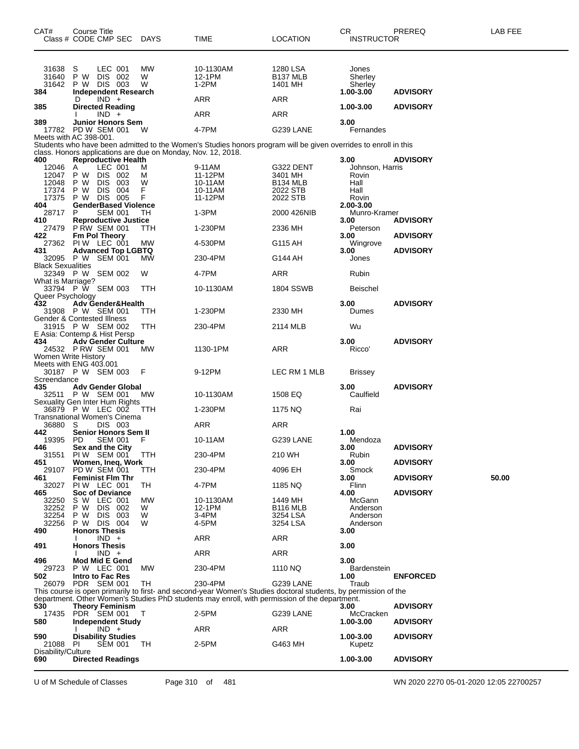| CAT#                      | Course Title<br>Class # CODE CMP SEC                         | <b>DAYS</b> | TIME                                                                                                                                                                                                             | <b>LOCATION</b>                  | CR<br><b>INSTRUCTOR</b>   | PREREQ          | LAB FEE |
|---------------------------|--------------------------------------------------------------|-------------|------------------------------------------------------------------------------------------------------------------------------------------------------------------------------------------------------------------|----------------------------------|---------------------------|-----------------|---------|
|                           |                                                              |             |                                                                                                                                                                                                                  |                                  |                           |                 |         |
| 31638                     | LEC 001<br>S                                                 | MW          | 10-1130AM                                                                                                                                                                                                        | 1280 LSA                         | Jones                     |                 |         |
| 31640<br>31642            | P W DIS 002<br>P W DIS 003                                   | W<br>W      | 12-1PM<br>$1-2PM$                                                                                                                                                                                                | B <sub>137</sub> MLB<br>1401 MH  | Sherley<br>Sherley        |                 |         |
| 384                       | <b>Independent Research</b>                                  |             |                                                                                                                                                                                                                  |                                  | $1.00 - 3.00$             | <b>ADVISORY</b> |         |
| 385                       | $IND +$<br>D<br><b>Directed Reading</b>                      |             | ARR                                                                                                                                                                                                              | ARR                              | 1.00-3.00                 | <b>ADVISORY</b> |         |
|                           | $IND +$                                                      |             | ARR                                                                                                                                                                                                              | ARR                              |                           |                 |         |
| 389                       | <b>Junior Honors Sem</b><br>17782 PD W SEM 001               | W           | 4-7PM                                                                                                                                                                                                            | G239 LANE                        | 3.00<br>Fernandes         |                 |         |
|                           | Meets with AC 398-001.                                       |             |                                                                                                                                                                                                                  |                                  |                           |                 |         |
|                           | class. Honors applications are due on Monday, Nov. 12, 2018. |             | Students who have been admitted to the Women's Studies honors program will be given overrides to enroll in this                                                                                                  |                                  |                           |                 |         |
| 400                       | <b>Reproductive Health</b><br>LEC 001                        |             |                                                                                                                                                                                                                  |                                  | 3.00                      | <b>ADVISORY</b> |         |
| 12046<br>12047            | A<br>DIS 002<br>P W                                          | м<br>M      | 9-11AM<br>11-12PM                                                                                                                                                                                                | G322 DENT<br>3401 MH             | Johnson, Harris<br>Rovin  |                 |         |
| 12048<br>17374            | <b>DIS</b><br>P W<br>003<br>DIS 004<br>P W                   | W<br>F      | 10-11AM<br>10-11AM                                                                                                                                                                                               | B <sub>134</sub> MLB<br>2022 STB | Hall<br>Hall              |                 |         |
| 17375                     | DIS 005<br>P W                                               | F           | 11-12PM                                                                                                                                                                                                          | 2022 STB                         | Rovin                     |                 |         |
| 404<br>28717              | <b>GenderBased Violence</b><br><b>SEM 001</b><br>P           | TH          | 1-3PM                                                                                                                                                                                                            | 2000 426NIB                      | 2.00-3.00<br>Munro-Kramer |                 |         |
| 410                       | <b>Reproductive Justice</b>                                  |             |                                                                                                                                                                                                                  |                                  | 3.00                      | <b>ADVISORY</b> |         |
| 27479<br>422              | P RW SEM 001<br>Fm Pol Theory                                | TTH         | 1-230PM                                                                                                                                                                                                          | 2336 MH                          | Peterson<br>3.00          | <b>ADVISORY</b> |         |
|                           | 27362 PIW LEC 001                                            | MW          | 4-530PM                                                                                                                                                                                                          | G115 AH                          | Wingrove                  |                 |         |
| 431                       | <b>Advanced Top LGBTQ</b><br>32095 P W SEM 001               | МW          | 230-4PM                                                                                                                                                                                                          | G144 AH                          | 3.00<br>Jones             | <b>ADVISORY</b> |         |
| <b>Black Sexualities</b>  |                                                              |             |                                                                                                                                                                                                                  |                                  |                           |                 |         |
| What is Marriage?         | 32349 P W SEM 002                                            | W           | 4-7PM                                                                                                                                                                                                            | ARR                              | Rubin                     |                 |         |
|                           | 33794 P W SEM 003                                            | TTH         | 10-1130AM                                                                                                                                                                                                        | <b>1804 SSWB</b>                 | <b>Beischel</b>           |                 |         |
| Queer Psychology<br>432   | <b>Adv Gender&amp;Health</b>                                 |             |                                                                                                                                                                                                                  |                                  | 3.00                      | <b>ADVISORY</b> |         |
|                           | 31908 P W SEM 001<br>Gender & Contested Illness              | ттн         | 1-230PM                                                                                                                                                                                                          | 2330 MH                          | Dumes                     |                 |         |
|                           | 31915 P W SEM 002                                            | TTH         | 230-4PM                                                                                                                                                                                                          | 2114 MLB                         | Wu                        |                 |         |
| 434                       | E Asia: Contemp & Hist Persp<br><b>Adv Gender Culture</b>    |             |                                                                                                                                                                                                                  |                                  | 3.00                      | <b>ADVISORY</b> |         |
|                           | 24532 PRW SEM 001                                            | MW.         | 1130-1PM                                                                                                                                                                                                         | ARR                              | Ricco'                    |                 |         |
| Women Write History       | Meets with ENG 403.001                                       |             |                                                                                                                                                                                                                  |                                  |                           |                 |         |
|                           | 30187 P W SEM 003                                            | F           | 9-12PM                                                                                                                                                                                                           | LEC RM 1 MLB                     | <b>Brissey</b>            |                 |         |
| Screendance<br>435        | <b>Adv Gender Global</b>                                     |             |                                                                                                                                                                                                                  |                                  | 3.00                      | <b>ADVISORY</b> |         |
|                           | 32511 P W SEM 001                                            | МW          | 10-1130AM                                                                                                                                                                                                        | 1508 EQ                          | Caulfield                 |                 |         |
|                           | Sexuality Gen Inter Hum Rights<br>36879 P W LEC 002          | TTH         | 1-230PM                                                                                                                                                                                                          | 1175 NQ                          | Rai                       |                 |         |
| 36880                     | Transnational Women's Cinema<br>DIS 003<br>S                 |             | ARR                                                                                                                                                                                                              | ARR                              |                           |                 |         |
| 442                       | Senior Honors Sem II                                         |             |                                                                                                                                                                                                                  |                                  | 1.00                      |                 |         |
| 19395<br>446              | PD.<br>SEM 001<br>Sex and the City                           | F           | 10-11AM                                                                                                                                                                                                          | G239 LANE                        | Mendoza<br>3.00           | <b>ADVISORY</b> |         |
| 31551                     | PIW SEM 001                                                  | <b>TTH</b>  | 230-4PM                                                                                                                                                                                                          | 210 WH                           | Rubin                     |                 |         |
| 451<br>29107              | Women, Ineq, Work<br>PD W SEM 001                            | TTH         | 230-4PM                                                                                                                                                                                                          | 4096 EH                          | 3.00<br>Smock             | <b>ADVISORY</b> |         |
| 461                       | <b>Feminist Flm Thr</b>                                      |             |                                                                                                                                                                                                                  |                                  | 3.00                      | <b>ADVISORY</b> | 50.00   |
| 32027<br>465              | PIW LEC 001<br><b>Soc of Deviance</b>                        | TH          | 4-7PM                                                                                                                                                                                                            | 1185 NQ                          | Flinn<br>4.00             | <b>ADVISORY</b> |         |
| 32250                     | S W LEC 001                                                  | MW<br>W     | 10-1130AM                                                                                                                                                                                                        | 1449 MH                          | McGann                    |                 |         |
| 32252<br>32254            | P W<br>DIS 002<br>P W<br>DIS 003                             | W           | 12-1PM<br>3-4PM                                                                                                                                                                                                  | <b>B116 MLB</b><br>3254 LSA      | Anderson<br>Anderson      |                 |         |
| 32256<br>490              | P W DIS 004<br><b>Honors Thesis</b>                          | W           | 4-5PM                                                                                                                                                                                                            | 3254 LSA                         | Anderson<br>3.00          |                 |         |
|                           | $IND +$                                                      |             | ARR                                                                                                                                                                                                              | ARR                              |                           |                 |         |
| 491                       | <b>Honors Thesis</b><br>$IND +$                              |             | ARR                                                                                                                                                                                                              | ARR                              | 3.00                      |                 |         |
| 496                       | <b>Mod Mid E Gend</b>                                        |             |                                                                                                                                                                                                                  |                                  | 3.00                      |                 |         |
| 29723<br>502              | P W LEC 001<br><b>Intro to Fac Res</b>                       | MW          | 230-4PM                                                                                                                                                                                                          | 1110 NQ                          | Bardenstein<br>1.00       | <b>ENFORCED</b> |         |
| 26079                     | PDR SEM 001                                                  | TH          | 230-4PM                                                                                                                                                                                                          | G239 LANE                        | Traub                     |                 |         |
|                           |                                                              |             | This course is open primarily to first- and second-year Women's Studies doctoral students, by permission of the<br>department. Other Women's Studies PhD students may enroll, with permission of the department. |                                  |                           |                 |         |
| 530                       | <b>Theory Feminism</b>                                       |             |                                                                                                                                                                                                                  |                                  | 3.00                      | <b>ADVISORY</b> |         |
| 580                       | 17435 PDR SEM 001<br><b>Independent Study</b>                | Т           | 2-5PM                                                                                                                                                                                                            | G239 LANE                        | McCracken<br>1.00-3.00    | <b>ADVISORY</b> |         |
| 590                       | $IND +$<br><b>Disability Studies</b>                         |             | ARR                                                                                                                                                                                                              | ARR                              | 1.00-3.00                 | <b>ADVISORY</b> |         |
| 21088                     | PI<br><b>SEM 001</b>                                         | TН          | 2-5PM                                                                                                                                                                                                            | G463 MH                          | Kupetz                    |                 |         |
| Disability/Culture<br>690 | <b>Directed Readings</b>                                     |             |                                                                                                                                                                                                                  |                                  | 1.00-3.00                 | <b>ADVISORY</b> |         |
|                           |                                                              |             |                                                                                                                                                                                                                  |                                  |                           |                 |         |

U of M Schedule of Classes Page 310 of 481 WN 2020 2270 05-01-2020 12:05 22700257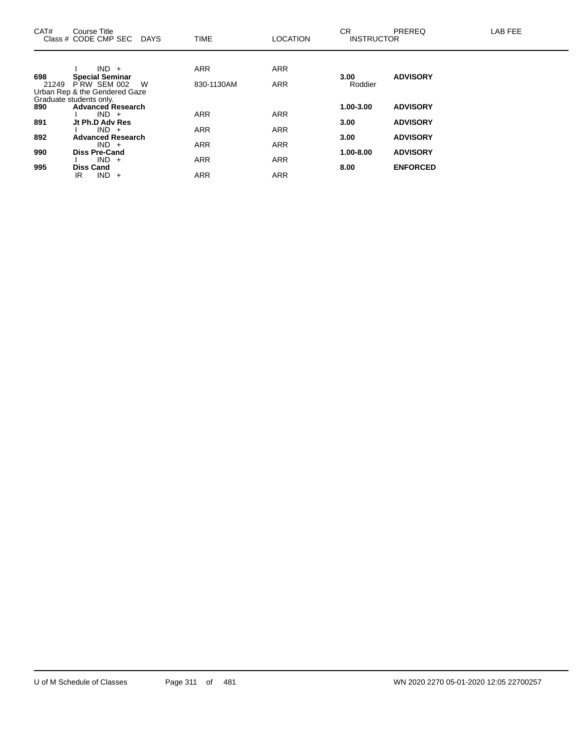| CAT#  | Course Title<br>Class # CODE CMP SEC DAYS                                                         |   | <b>TIME</b> | <b>LOCATION</b> | CR.<br><b>INSTRUCTOR</b> | <b>PREREQ</b>   | LAB FEE |
|-------|---------------------------------------------------------------------------------------------------|---|-------------|-----------------|--------------------------|-----------------|---------|
| 698   | $IND +$                                                                                           |   | <b>ARR</b>  | <b>ARR</b>      | 3.00                     | <b>ADVISORY</b> |         |
| 21249 | <b>Special Seminar</b><br>PRW SEM 002<br>Urban Rep & the Gendered Gaze<br>Graduate students only. | W | 830-1130AM  | <b>ARR</b>      | Roddier                  |                 |         |
| 890   | <b>Advanced Research</b>                                                                          |   |             |                 | 1.00-3.00                | <b>ADVISORY</b> |         |
| 891   | $IND +$<br>Jt Ph.D Adv Res                                                                        |   | <b>ARR</b>  | <b>ARR</b>      | 3.00                     | <b>ADVISORY</b> |         |
| 892   | $IND +$<br><b>Advanced Research</b>                                                               |   | <b>ARR</b>  | <b>ARR</b>      | 3.00                     | <b>ADVISORY</b> |         |
|       | $IND +$                                                                                           |   | <b>ARR</b>  | <b>ARR</b>      |                          |                 |         |
| 990   | <b>Diss Pre-Cand</b>                                                                              |   |             |                 | 1.00-8.00                | <b>ADVISORY</b> |         |
| 995   | $IND +$<br><b>Diss Cand</b>                                                                       |   | ARR         | <b>ARR</b>      | 8.00                     | <b>ENFORCED</b> |         |
|       | $IND +$<br>IR                                                                                     |   | <b>ARR</b>  | <b>ARR</b>      |                          |                 |         |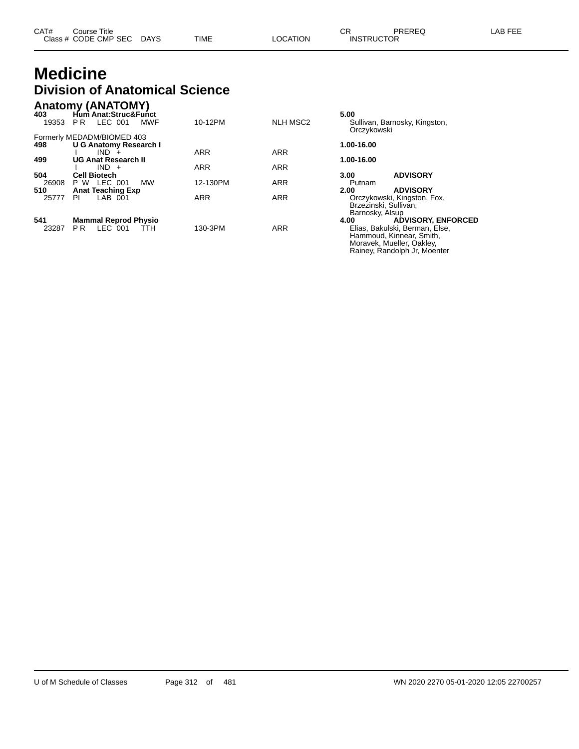### **Medicine Division of Anatomical Science**

| 403<br>19353 | <b>Anatomy (ANATOMY)</b><br>Hum Anat:Struc&Funct<br>LEC 001<br><b>MWF</b><br>PR. | 10-12PM    | <b>NLH MSC2</b> | 5.00<br>Sullivan, Barnosky, Kingston, |
|--------------|----------------------------------------------------------------------------------|------------|-----------------|---------------------------------------|
|              |                                                                                  |            |                 | Orczykowski                           |
|              | Formerly MEDADM/BIOMED 403                                                       |            |                 |                                       |
| 498          | <b>U G Anatomy Research I</b>                                                    |            |                 | 1.00-16.00                            |
|              | $IND +$                                                                          | <b>ARR</b> | <b>ARR</b>      |                                       |
| 499          | <b>UG Anat Research II</b>                                                       |            |                 | 1.00-16.00                            |
|              | $IND +$                                                                          | <b>ARR</b> | <b>ARR</b>      |                                       |
| 504          | <b>Cell Biotech</b>                                                              |            |                 | <b>ADVISORY</b><br>3.00               |
| 26908        | <b>P W LEC 001</b><br><b>MW</b>                                                  | 12-130PM   | <b>ARR</b>      | Putnam                                |
| 510          | <b>Anat Teaching Exp</b>                                                         |            |                 | <b>ADVISORY</b><br>2.00               |
| 25777        | $LAB$ $001$<br>PI                                                                | <b>ARR</b> | <b>ARR</b>      | Orczykowski, Kingston, Fox,           |
|              |                                                                                  |            |                 | Brzezinski, Sullivan,                 |
|              |                                                                                  |            |                 | Barnosky, Alsup                       |
| 541          | <b>Mammal Reprod Physio</b>                                                      |            |                 | <b>ADVISORY, ENFORCED</b><br>4.00     |
| 23287        | LEC 001<br>P <sub>R</sub><br>ттн                                                 | 130-3PM    | <b>ARR</b>      | Elias, Bakulski, Berman, Else,        |
|              |                                                                                  |            |                 | Hammoud, Kinnear, Smith,              |

Moravek, Mueller, Oakley, Rainey, Randolph Jr, Moenter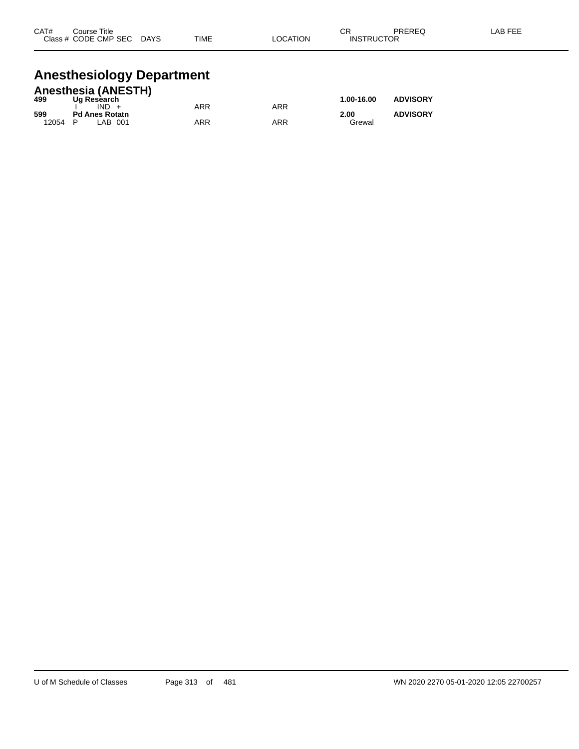| CAT#      | Title<br>Course |                        |             |             | ⌒г<br>◡                     | <b>DDEDEC</b><br>- - - | AR EEE |
|-----------|-----------------|------------------------|-------------|-------------|-----------------------------|------------------------|--------|
| Class $#$ | CODE CMP SEC    | <b>DAYS</b><br>_______ | <b>TIME</b> | ATION:<br>Œ | <b>UCTOR</b><br>INS.<br>RIK | ____                   |        |
|           |                 |                        |             |             |                             |                        |        |

## **Anesthesiology Department**

|       | <b>Anesthesia (ANESTH)</b> |     |     |            |                 |
|-------|----------------------------|-----|-----|------------|-----------------|
| 499   | Ug Research                |     |     | 1.00-16.00 | <b>ADVISORY</b> |
|       | $IND +$                    | ARR | ARR |            |                 |
| 599   | <b>Pd Anes Rotatn</b>      |     |     | 2.00       | <b>ADVISORY</b> |
| 12054 | P<br>LAB 001               | ARR | ARR | Grewal     |                 |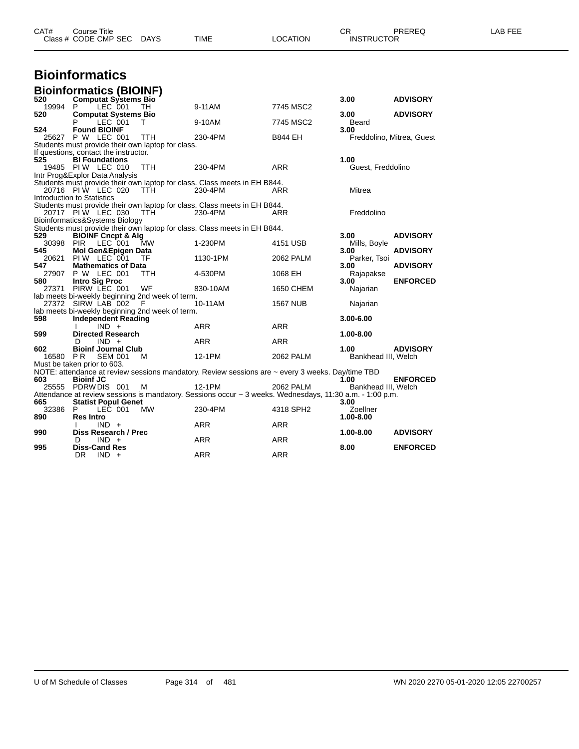| CAT#  | <b>Course Title</b><br>Class # CODE CMP SEC DAYS  |            | <b>TIME</b>                                                                                              | <b>LOCATION</b> | CR<br><b>INSTRUCTOR</b> | PREREQ                    | LAB FEE |
|-------|---------------------------------------------------|------------|----------------------------------------------------------------------------------------------------------|-----------------|-------------------------|---------------------------|---------|
|       | <b>Bioinformatics</b>                             |            |                                                                                                          |                 |                         |                           |         |
|       | <b>Bioinformatics (BIOINF)</b>                    |            |                                                                                                          |                 |                         |                           |         |
| 520   | <b>Computat Systems Bio</b>                       |            |                                                                                                          |                 | 3.00                    | <b>ADVISORY</b>           |         |
| 19994 | LEC 001<br>P                                      | TH.        | 9-11AM                                                                                                   | 7745 MSC2       |                         |                           |         |
| 520   | <b>Computat Systems Bio</b>                       |            |                                                                                                          |                 | 3.00                    | <b>ADVISORY</b>           |         |
| 524   | LEC 001<br><b>Found BIOINF</b>                    | T          | 9-10AM                                                                                                   | 7745 MSC2       | Beard<br>3.00           |                           |         |
|       | 25627 P W LEC 001                                 | TTH        | 230-4PM                                                                                                  | <b>B844 EH</b>  |                         | Freddolino, Mitrea, Guest |         |
|       | Students must provide their own laptop for class. |            |                                                                                                          |                 |                         |                           |         |
|       | If questions, contact the instructor.             |            |                                                                                                          |                 |                         |                           |         |
| 525   | <b>BI Foundations</b>                             |            |                                                                                                          |                 | 1.00                    |                           |         |
|       | 19485 PIW LEC 010                                 | TTH        | 230-4PM                                                                                                  | <b>ARR</b>      | Guest, Freddolino       |                           |         |
|       | Intr Prog&Explor Data Analysis                    |            |                                                                                                          |                 |                         |                           |         |
|       | 20716 PIW LEC 020                                 | - ттн      | Students must provide their own laptop for class. Class meets in EH B844.<br>230-4PM                     | ARR             | Mitrea                  |                           |         |
|       | Introduction to Statistics                        |            |                                                                                                          |                 |                         |                           |         |
|       |                                                   |            | Students must provide their own laptop for class. Class meets in EH B844.                                |                 |                         |                           |         |
|       | 20717 PIW LEC 030 TTH                             |            | 230-4PM                                                                                                  | ARR             | Freddolino              |                           |         |
|       | Bioinformatics&Systems Biology                    |            |                                                                                                          |                 |                         |                           |         |
| 529   | <b>BIOINF Cncpt &amp; Alg</b>                     |            | Students must provide their own laptop for class. Class meets in EH B844.                                |                 | 3.00                    | <b>ADVISORY</b>           |         |
|       | 30398 PIR<br>LEC 001                              | <b>MW</b>  | 1-230PM                                                                                                  | 4151 USB        | Mills, Boyle            |                           |         |
| 545   | Mol Gen&Epigen Data                               |            |                                                                                                          |                 | 3.00                    | <b>ADVISORY</b>           |         |
| 20621 | PIW LEC 001                                       | - TF       | 1130-1PM                                                                                                 | 2062 PALM       | Parker, Tsoi            |                           |         |
| 547   | <b>Mathematics of Data</b>                        |            |                                                                                                          |                 | 3.00                    | <b>ADVISORY</b>           |         |
|       | 27907 P W LEC 001                                 | <b>TTH</b> | 4-530PM                                                                                                  | 1068 EH         | Rajapakse               |                           |         |
| 580   | <b>Intro Sig Proc</b><br>27371 PIRW LEC 001       | WF         | 830-10AM                                                                                                 | 1650 CHEM       | 3.00<br>Najarian        | <b>ENFORCED</b>           |         |
|       | lab meets bi-weekly beginning 2nd week of term.   |            |                                                                                                          |                 |                         |                           |         |
|       | 27372 SIRW LAB 002 F                              |            | 10-11AM                                                                                                  | <b>1567 NUB</b> | Najarian                |                           |         |
|       | lab meets bi-weekly beginning 2nd week of term.   |            |                                                                                                          |                 |                         |                           |         |
| 598   | <b>Independent Reading</b>                        |            |                                                                                                          |                 | 3.00-6.00               |                           |         |
| 599   | $IND +$                                           |            | ARR                                                                                                      | ARR             | 1.00-8.00               |                           |         |
|       | <b>Directed Research</b><br>$IND +$<br>D          |            | ARR                                                                                                      | ARR             |                         |                           |         |
| 602   | <b>Bioinf Journal Club</b>                        |            |                                                                                                          |                 | 1.00                    | <b>ADVISORY</b>           |         |
|       | 16580 PR<br><b>SEM 001</b>                        | M          | 12-1PM                                                                                                   | 2062 PALM       | Bankhead III, Welch     |                           |         |
|       | Must be taken prior to 603.                       |            |                                                                                                          |                 |                         |                           |         |
|       |                                                   |            | NOTE: attendance at review sessions mandatory. Review sessions are ~ every 3 weeks. Day/time TBD         |                 |                         |                           |         |
| 603   | <b>Bioinf JC</b><br>25555 PDRW DIS 001            | м          | 12-1PM                                                                                                   | 2062 PALM       | 1.00                    | <b>ENFORCED</b>           |         |
|       |                                                   |            | Attendance at review sessions is mandatory. Sessions occur ~ 3 weeks. Wednesdays, 11:30 a.m. - 1:00 p.m. |                 | Bankhead III, Welch     |                           |         |
| 665   | <b>Statist Popul Genet</b>                        |            |                                                                                                          |                 | 3.00                    |                           |         |
| 32386 | P.<br>LEC 001                                     | MW         | 230-4PM                                                                                                  | 4318 SPH2       | Zoellner                |                           |         |
| 890   | <b>Res Intro</b>                                  |            |                                                                                                          |                 | 1.00-8.00               |                           |         |
|       | $IND +$                                           |            | ARR                                                                                                      | <b>ARR</b>      |                         |                           |         |
| 990   | Diss Research / Prec<br>$IND +$<br>D              |            | ARR                                                                                                      | <b>ARR</b>      | 1.00-8.00               | <b>ADVISORY</b>           |         |
|       |                                                   |            |                                                                                                          |                 |                         |                           |         |

**995 Diss-Cand Res 8.00 ENFORCED**

DR IND + ARR ARR ARR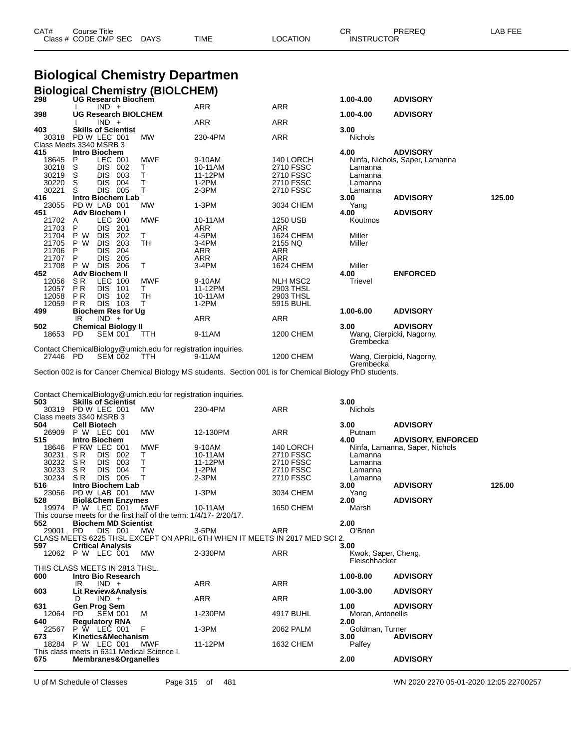| CAT# | Title<br>Course      |      |      |          | ∩n<br>◡ጙ | <b>PREREC</b>     | LAB FEF<br>--- |
|------|----------------------|------|------|----------|----------|-------------------|----------------|
|      | Class # CODE CMP SEC | DAYS | TIME | LOCATION |          | <b>INSTRUCTOR</b> |                |

## **Biological Chemistry Departmen**

|                                  |                |                                 |                            |                             | <b>Biological Chemistry (BIOLCHEM)</b>                                                                    |                                |                 |                                |        |
|----------------------------------|----------------|---------------------------------|----------------------------|-----------------------------|-----------------------------------------------------------------------------------------------------------|--------------------------------|-----------------|--------------------------------|--------|
| 298                              |                |                                 | <b>UG Research Biochem</b> |                             |                                                                                                           |                                | 1.00-4.00       | <b>ADVISORY</b>                |        |
|                                  |                | $IND +$                         |                            |                             | <b>ARR</b>                                                                                                | <b>ARR</b>                     |                 |                                |        |
| 398                              |                |                                 |                            | <b>UG Research BIOLCHEM</b> |                                                                                                           |                                | 1.00-4.00       | <b>ADVISORY</b>                |        |
|                                  |                | $IND +$                         |                            |                             | ARR                                                                                                       | <b>ARR</b>                     |                 |                                |        |
| 403                              |                |                                 | <b>Skills of Scientist</b> |                             |                                                                                                           |                                | 3.00            |                                |        |
| 30318<br>Class Meets 3340 MSRB 3 |                | PD W LEC 001                    |                            | <b>MW</b>                   | 230-4PM                                                                                                   | <b>ARR</b>                     | Nichols         |                                |        |
| 415                              |                | Intro Biochem                   |                            |                             |                                                                                                           |                                | 4.00            | <b>ADVISORY</b>                |        |
|                                  |                | LEC 001                         |                            | <b>MWF</b>                  |                                                                                                           |                                |                 |                                |        |
| 18645                            | P              |                                 |                            |                             | 9-10AM                                                                                                    | 140 LORCH<br>2710 FSSC         |                 | Ninfa, Nichols, Saper, Lamanna |        |
| 30218                            | S<br>-S        | <b>DIS</b>                      | DIS 002                    | $\frac{1}{T}$               | 10-11AM                                                                                                   |                                | Lamanna         |                                |        |
| 30219                            | - S            | <b>DIS</b>                      | 003                        |                             | 11-12PM<br>$1-2PM$                                                                                        | 2710 FSSC                      | Lamanna         |                                |        |
| 30220                            |                |                                 | 004                        | T<br>$\mathsf{T}$           |                                                                                                           | 2710 FSSC                      | Lamanna         |                                |        |
| 30221<br>416                     |                |                                 | DIS 005                    |                             | $2-3PM$                                                                                                   | 2710 FSSC                      | Lamanna         |                                | 125.00 |
| 23055                            |                | PD W LAB 001                    | Intro Biochem Lab          |                             | 1-3PM                                                                                                     |                                | 3.00            | <b>ADVISORY</b>                |        |
|                                  |                |                                 |                            | <b>MW</b>                   |                                                                                                           | 3034 CHEM                      | Yang            |                                |        |
| 451<br>21702                     |                | Adv Biochem I<br><b>LEC 200</b> |                            | <b>MWF</b>                  | 10-11AM                                                                                                   | 1250 USB                       | 4.00<br>Koutmos | <b>ADVISORY</b>                |        |
|                                  | A              | DIS 201                         |                            |                             |                                                                                                           |                                |                 |                                |        |
| 21703<br>21704                   | P.             | <b>DIS 202</b>                  |                            | T.                          | <b>ARR</b><br>4-5PM                                                                                       | <b>ARR</b>                     | Miller          |                                |        |
| 21705                            | P W<br>P W     | <b>DIS</b>                      | 203                        | <b>TH</b>                   | $3-4PM$                                                                                                   | <b>1624 CHEM</b><br>2155 NQ    | Miller          |                                |        |
|                                  |                |                                 |                            |                             |                                                                                                           |                                |                 |                                |        |
| 21706                            | P              | <b>DIS</b>                      | 204                        |                             | ARR                                                                                                       | <b>ARR</b>                     |                 |                                |        |
| 21707<br>21708                   | P.<br>P W      | <b>DIS</b><br><b>DIS 206</b>    | 205                        | $\mathsf{T}$                | <b>ARR</b>                                                                                                | <b>ARR</b><br><b>1624 CHEM</b> | Miller          |                                |        |
|                                  |                | <b>Adv Biochem II</b>           |                            |                             | 3-4PM                                                                                                     |                                |                 | <b>ENFORCED</b>                |        |
| 452<br>12056                     | SR.            | LEC 100                         |                            | <b>MWF</b>                  | 9-10AM                                                                                                    | <b>NLH MSC2</b>                | 4.00<br>Trievel |                                |        |
| 12057                            | PR.            | DIS .                           | 101                        | T.                          | 11-12PM                                                                                                   | 2903 THSL                      |                 |                                |        |
| 12058                            | P <sub>R</sub> | <b>DIS</b>                      | 102                        | <b>TH</b>                   |                                                                                                           | 2903 THSL                      |                 |                                |        |
| 12059                            | PR.            |                                 | DIS 103                    | T                           | 10-11AM<br>$1-2PM$                                                                                        |                                |                 |                                |        |
| 499                              |                |                                 | <b>Biochem Res for Ug</b>  |                             |                                                                                                           | 5915 BUHL                      | 1.00-6.00       | <b>ADVISORY</b>                |        |
|                                  | IR.            | $IND +$                         |                            |                             | ARR                                                                                                       | ARR                            |                 |                                |        |
| 502                              |                |                                 | <b>Chemical Biology II</b> |                             |                                                                                                           |                                | 3.00            | <b>ADVISORY</b>                |        |
| 18653                            | PD.            |                                 | <b>SEM 001</b>             | <b>TTH</b>                  | 9-11AM                                                                                                    | 1200 CHEM                      | Grembecka       | Wang, Cierpicki, Nagorny,      |        |
|                                  |                |                                 |                            |                             | Contact ChemicalBiology@umich.edu for registration inquiries.                                             |                                |                 |                                |        |
| 27446 PD                         |                |                                 | <b>SEM 002</b>             | TTH                         | 9-11AM                                                                                                    | <b>1200 CHEM</b>               |                 | Wang, Cierpicki, Nagorny,      |        |
|                                  |                |                                 |                            |                             | Section 002 is for Cancer Chemical Biology MS students. Section 001 is for Chemical Biology PhD students. |                                | Grembecka       |                                |        |

Contact ChemicalBiology@umich.edu for registration inquiries.

| 503          | Contact CriennicalBlorogy @unlichtedu for registration inquiries.<br><b>Skills of Scientist</b> |              |                                                                            |            | 3.00                |                                |        |
|--------------|-------------------------------------------------------------------------------------------------|--------------|----------------------------------------------------------------------------|------------|---------------------|--------------------------------|--------|
|              | 30319 PD W LEC 001                                                                              | <b>MW</b>    | 230-4PM                                                                    | <b>ARR</b> | <b>Nichols</b>      |                                |        |
|              | Class meets 3340 MSRB 3                                                                         |              |                                                                            |            |                     |                                |        |
| 504          | <b>Cell Biotech</b>                                                                             |              |                                                                            |            | 3.00                | <b>ADVISORY</b>                |        |
| 26909        | P W LEC 001                                                                                     | <b>MW</b>    | 12-130PM                                                                   | <b>ARR</b> | Putnam              |                                |        |
| 515          | Intro Biochem                                                                                   |              |                                                                            |            | 4.00                | <b>ADVISORY, ENFORCED</b>      |        |
| 18646        | PRW LEC 001                                                                                     | <b>MWF</b>   | 9-10AM                                                                     | 140 LORCH  |                     | Ninfa, Lamanna, Saper, Nichols |        |
| 30231        | SR.<br>DIS.<br>002                                                                              | Τ            | 10-11AM                                                                    | 2710 FSSC  | Lamanna             |                                |        |
| 30232        | SR<br><b>DIS</b><br>003                                                                         | т            | 11-12PM                                                                    | 2710 FSSC  | Lamanna             |                                |        |
| 30233        | <b>DIS</b><br>S R<br>004                                                                        | $\mathsf{T}$ | $1-2PM$                                                                    | 2710 FSSC  | Lamanna             |                                |        |
| 30234        | <b>SR</b><br>DIS 005                                                                            | T.           | $2-3PM$                                                                    | 2710 FSSC  | Lamanna             |                                |        |
| 516          | Intro Biochem Lab                                                                               |              |                                                                            |            | 3.00                | <b>ADVISORY</b>                | 125.00 |
| 23056        | PD W LAB 001                                                                                    | MW           | $1-3PM$                                                                    | 3034 CHEM  | Yang                |                                |        |
| 528          | <b>Biol&amp;Chem Enzymes</b>                                                                    |              |                                                                            |            | 2.00                | <b>ADVISORY</b>                |        |
|              | 19974 P W LEC 001                                                                               | MWF          | 10-11AM                                                                    | 1650 CHEM  | Marsh               |                                |        |
|              | This course meets for the first half of the term: 1/4/17-2/20/17.                               |              |                                                                            |            |                     |                                |        |
| 552          | <b>Biochem MD Scientist</b>                                                                     |              |                                                                            |            | 2.00                |                                |        |
| 29001        | - PD<br>DIS 001                                                                                 | MW           | 3-5PM                                                                      | <b>ARR</b> | O'Brien             |                                |        |
|              |                                                                                                 |              | CLASS MEETS 6225 THSL EXCEPT ON APRIL 6TH WHEN IT MEETS IN 2817 MED SCI 2. |            |                     |                                |        |
| 597          | <b>Critical Analysis</b>                                                                        |              |                                                                            |            | 3.00                |                                |        |
| 12062        | P W LEC 001                                                                                     | <b>MW</b>    | 2-330PM                                                                    | <b>ARR</b> | Kwok, Saper, Cheng, |                                |        |
|              |                                                                                                 |              |                                                                            |            | Fleischhacker       |                                |        |
|              | THIS CLASS MEETS IN 2813 THSL.                                                                  |              |                                                                            |            |                     |                                |        |
| 600          | Intro Bio Research                                                                              |              |                                                                            |            | $1.00 - 8.00$       | <b>ADVISORY</b>                |        |
|              | $IND +$<br>IR.                                                                                  |              | <b>ARR</b>                                                                 | <b>ARR</b> |                     |                                |        |
| 603          | <b>Lit Review&amp;Analysis</b>                                                                  |              |                                                                            |            | 1.00-3.00           | <b>ADVISORY</b>                |        |
|              | $IND +$<br>D                                                                                    |              | <b>ARR</b>                                                                 | <b>ARR</b> |                     |                                |        |
| 631          | <b>Gen Prog Sem</b>                                                                             |              |                                                                            |            | 1.00                | <b>ADVISORY</b>                |        |
| 12064        | <b>SEM 001</b><br>PD.                                                                           | M            | 1-230PM                                                                    | 4917 BUHL  | Moran, Antonellis   |                                |        |
| 640<br>22567 | <b>Regulatory RNA</b><br>P W<br>LEC 001                                                         | F            | $1-3PM$                                                                    | 2062 PALM  | 2.00                |                                |        |
|              | Kinetics&Mechanism                                                                              |              |                                                                            |            | Goldman, Turner     | <b>ADVISORY</b>                |        |
| 673<br>18284 | <b>P W LEC 001</b>                                                                              | <b>MWF</b>   | 11-12PM                                                                    | 1632 CHEM  | 3.00<br>Palfey      |                                |        |
|              | This class meets in 6311 Medical Science I.                                                     |              |                                                                            |            |                     |                                |        |
| 675          | <b>Membranes&amp;Organelles</b>                                                                 |              |                                                                            |            | 2.00                | <b>ADVISORY</b>                |        |
|              |                                                                                                 |              |                                                                            |            |                     |                                |        |

U of M Schedule of Classes Page 315 of 481 WN 2020 2270 05-01-2020 12:05 22700257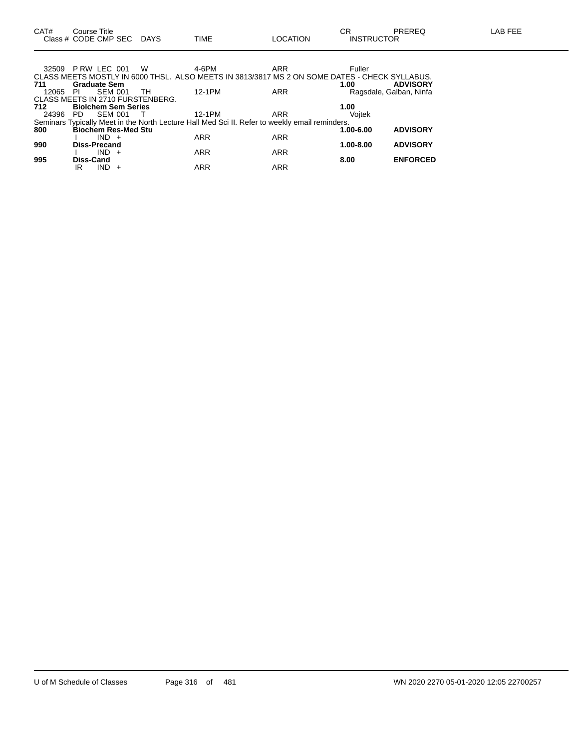| 32509 |                     | PRW LEC 001                | <b>W</b>                         | 4-6PM      | ARR                                                                                            | Fuller    |                         |
|-------|---------------------|----------------------------|----------------------------------|------------|------------------------------------------------------------------------------------------------|-----------|-------------------------|
| 711   |                     | <b>Graduate Sem</b>        |                                  |            | CLASS MEETS MOSTLY IN 6000 THSL. ALSO MEETS IN 3813/3817 MS 2 ON SOME DATES - CHECK SYLLABUS.  | 1.00      | <b>ADVISORY</b>         |
| 12065 | -PI                 | <b>SEM 001</b>             | TH                               | 12-1PM     | ARR                                                                                            |           | Ragsdale, Galban, Ninfa |
|       |                     |                            | CLASS MEETS IN 2710 FURSTENBERG. |            |                                                                                                |           |                         |
| 712   |                     | <b>Biolchem Sem Series</b> |                                  |            |                                                                                                | 1.00      |                         |
| 24396 | PD.                 | <b>SEM 001</b>             |                                  | 12-1PM     | ARR                                                                                            | Voitek    |                         |
|       |                     |                            |                                  |            | Seminars Typically Meet in the North Lecture Hall Med Sci II. Refer to weekly email reminders. |           |                         |
| 800   |                     | <b>Biochem Res-Med Stu</b> |                                  |            |                                                                                                | 1.00-6.00 | <b>ADVISORY</b>         |
|       |                     | $IND +$                    |                                  | <b>ARR</b> | <b>ARR</b>                                                                                     |           |                         |
| 990   | <b>Diss-Precand</b> |                            |                                  |            |                                                                                                | 1.00-8.00 | <b>ADVISORY</b>         |
|       |                     | $IND +$                    |                                  | <b>ARR</b> | <b>ARR</b>                                                                                     |           |                         |
| 995   | Diss-Cand           |                            |                                  |            |                                                                                                | 8.00      | <b>ENFORCED</b>         |
|       | IR                  | IND                        |                                  | <b>ARR</b> | <b>ARR</b>                                                                                     |           |                         |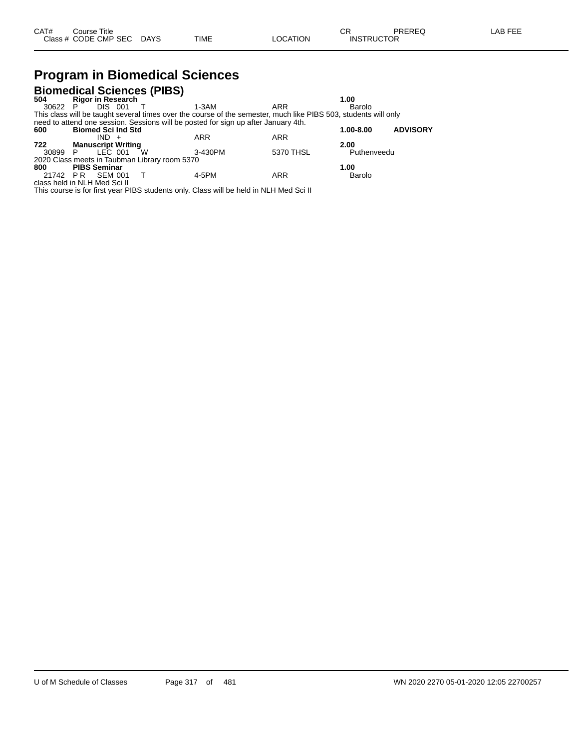### **Program in Biomedical Sciences**

|                              |                           |                | <b>Biomedical Sciences (PIBS)</b>             |                                                                                                                 |            |             |                 |
|------------------------------|---------------------------|----------------|-----------------------------------------------|-----------------------------------------------------------------------------------------------------------------|------------|-------------|-----------------|
| 504                          | <b>Rigor in Research</b>  |                |                                               |                                                                                                                 |            | 1.00        |                 |
| 30622 P                      |                           | DIS 001        |                                               | 1-3AM                                                                                                           | ARR        | Barolo      |                 |
|                              |                           |                |                                               | This class will be taught several times over the course of the semester, much like PIBS 503, students will only |            |             |                 |
|                              |                           |                |                                               | need to attend one session. Sessions will be posted for sign up after January 4th.                              |            |             |                 |
| 600                          | <b>Biomed Sci Ind Std</b> |                |                                               |                                                                                                                 |            | 1.00-8.00   | <b>ADVISORY</b> |
|                              |                           | $IND +$        |                                               | ARR                                                                                                             | <b>ARR</b> |             |                 |
| 722                          | <b>Manuscript Writing</b> |                |                                               |                                                                                                                 |            | 2.00        |                 |
| 30899                        | - P                       | LEC 001        | W                                             | 3-430PM                                                                                                         | 5370 THSL  | Puthenveedu |                 |
|                              |                           |                | 2020 Class meets in Taubman Library room 5370 |                                                                                                                 |            |             |                 |
| 800                          | <b>PIBS Seminar</b>       |                |                                               |                                                                                                                 |            | 1.00        |                 |
| 21742 PR                     |                           | <b>SEM 001</b> |                                               | 4-5PM                                                                                                           | <b>ARR</b> | Barolo      |                 |
| class held in NLH Med Sci II |                           |                |                                               |                                                                                                                 |            |             |                 |

This course is for first year PIBS students only. Class will be held in NLH Med Sci II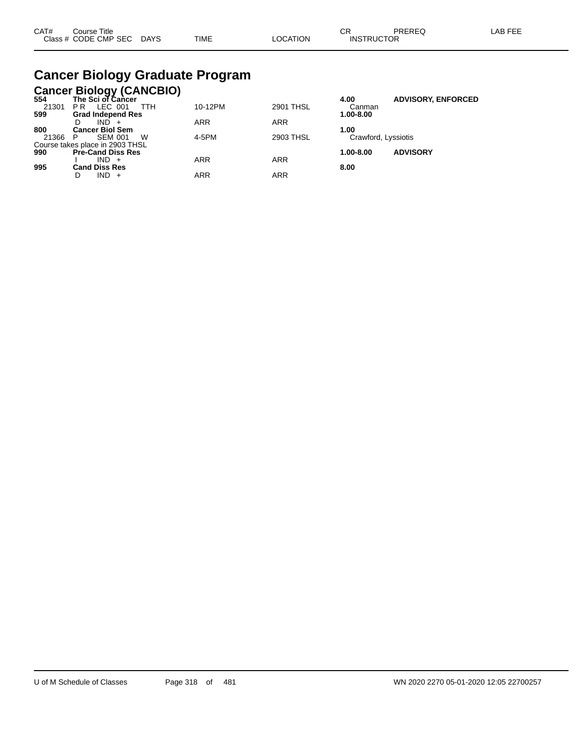| CAT# | Course Title              |      |          | ~~                | PREREQ | LAB FEE |
|------|---------------------------|------|----------|-------------------|--------|---------|
|      | Class # CODE CMP SEC DAYS | TIME | LOCATION | <b>INSTRUCTOR</b> |        |         |

## **Cancer Biology Graduate Program**

|         | <b>Cancer Biology (CANCBIO)</b><br>554 The Sci of Cancer |            |                  |                     |                           |
|---------|----------------------------------------------------------|------------|------------------|---------------------|---------------------------|
|         |                                                          |            |                  | 4.00                | <b>ADVISORY, ENFORCED</b> |
| 21301   | LEC 001<br>PR.<br>TTH                                    | 10-12PM    | <b>2901 THSL</b> | Canman              |                           |
| 599     | <b>Grad Independ Res</b>                                 |            |                  | 1.00-8.00           |                           |
|         | $IND +$                                                  | <b>ARR</b> | <b>ARR</b>       |                     |                           |
| 800     | <b>Cancer Biol Sem</b>                                   |            |                  | 1.00                |                           |
| 21366 P | <b>SEM 001</b><br>W                                      | 4-5PM      | 2903 THSL        | Crawford, Lyssiotis |                           |
|         | Course takes place in 2903 THSL                          |            |                  |                     |                           |
| 990     | <b>Pre-Cand Diss Res</b>                                 |            |                  | $1.00 - 8.00$       | <b>ADVISORY</b>           |
|         | $IND +$                                                  | <b>ARR</b> | <b>ARR</b>       |                     |                           |
| 995     | Cand Diss Res                                            |            |                  | 8.00                |                           |
|         | $IND +$                                                  | ARR        | <b>ARR</b>       |                     |                           |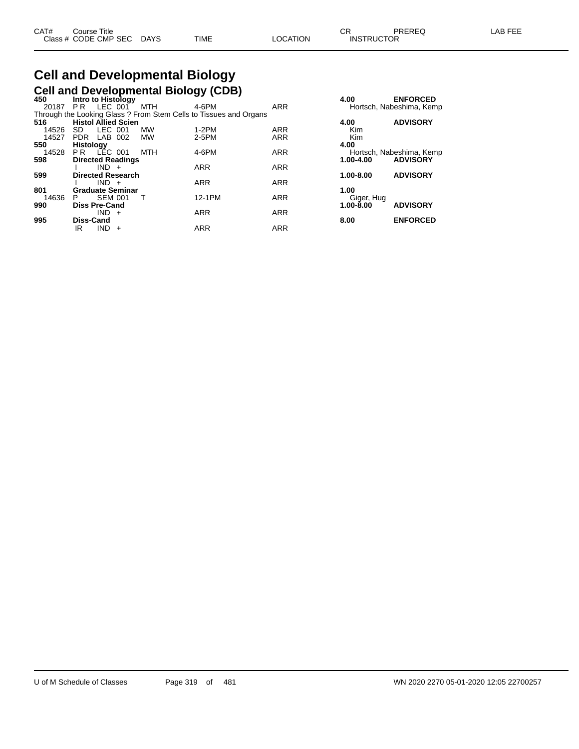# **Cell and Developmental Biology**

|       |                            |                |                          |           | <b>Cell and Developmental Biology (CDB)</b>                       |            |               |                          |
|-------|----------------------------|----------------|--------------------------|-----------|-------------------------------------------------------------------|------------|---------------|--------------------------|
| 450   | Intro to Histology         |                |                          |           |                                                                   |            | 4.00          | <b>ENFORCED</b>          |
| 20187 | PR                         | $LEC$ 001      |                          | MTH       | 4-6PM                                                             | <b>ARR</b> |               | Hortsch, Nabeshima, Kemp |
|       |                            |                |                          |           | Through the Looking Glass ? From Stem Cells to Tissues and Organs |            |               |                          |
| 516   | <b>Histol Allied Scien</b> |                |                          |           |                                                                   |            | 4.00          | <b>ADVISORY</b>          |
| 14526 | SD.                        | LEC 001        |                          | MW        | $1-2PM$                                                           | <b>ARR</b> | Kim           |                          |
| 14527 | PDR LAB 002                |                |                          | <b>MW</b> | 2-5PM                                                             | <b>ARR</b> | Kim           |                          |
| 550   | <b>Histology</b>           |                |                          |           |                                                                   |            | 4.00          |                          |
| 14528 | PR                         | LEC 001        |                          | MTH       | 4-6PM                                                             | <b>ARR</b> |               | Hortsch, Nabeshima, Kemp |
| 598   |                            |                | <b>Directed Readings</b> |           |                                                                   |            | $1.00 - 4.00$ | <b>ADVISORY</b>          |
|       |                            | $IND +$        |                          |           | <b>ARR</b>                                                        | <b>ARR</b> |               |                          |
| 599   |                            |                | <b>Directed Research</b> |           |                                                                   |            | $1.00 - 8.00$ | <b>ADVISORY</b>          |
|       |                            | $IND +$        |                          |           | <b>ARR</b>                                                        | <b>ARR</b> |               |                          |
| 801   |                            |                | <b>Graduate Seminar</b>  |           |                                                                   |            | 1.00          |                          |
| 14636 | P                          | <b>SEM 001</b> |                          |           | 12-1PM                                                            | <b>ARR</b> | Giger, Hug    |                          |
| 990   | <b>Diss Pre-Cand</b>       |                |                          |           |                                                                   |            | $1.00 - 8.00$ | <b>ADVISORY</b>          |
|       |                            | IND.           | $+$                      |           | <b>ARR</b>                                                        | <b>ARR</b> |               |                          |
| 995   | <b>Diss-Cand</b>           |                |                          |           |                                                                   |            | 8.00          | <b>ENFORCED</b>          |
|       | IR                         | <b>IND</b>     | $+$                      |           | <b>ARR</b>                                                        | <b>ARR</b> |               |                          |

| 4.00                       | <b>ENFORCED</b><br>Hortsch, Nabeshima, Kemp |
|----------------------------|---------------------------------------------|
| 4.00<br>Kim<br>Kim<br>4.00 | <b>ADVISORY</b>                             |
| $1.00 - 4.00$              | Hortsch, Nabeshima, Kemp<br><b>ADVISORY</b> |
| $1.00 - 8.00$              | <b>ADVISORY</b>                             |
| 1.00                       |                                             |
| Giger, Hug<br>1.00-8.00    | <b>ADVISORY</b>                             |
| 8.00                       | <b>ENFORCED</b>                             |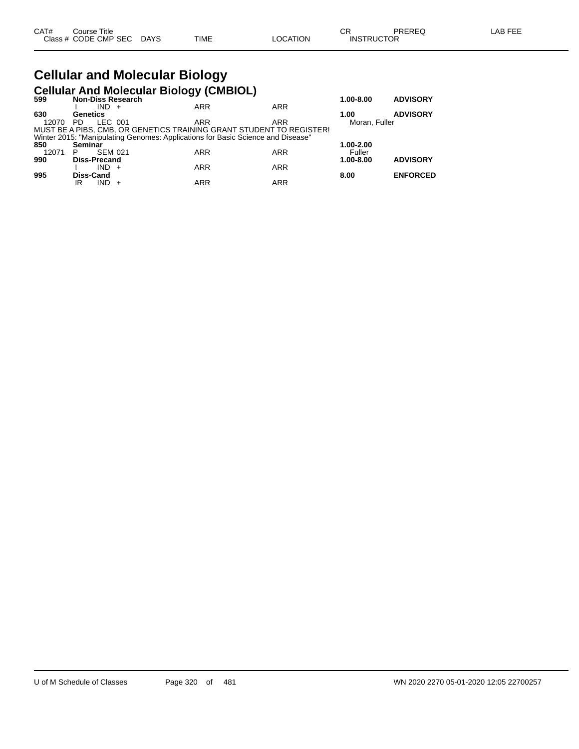#### **Cellular and Molecular Biology Cellular And Molecular Biology (CMBIOL)**

| 599   | <b>Non-Diss Research</b> |                                                                                 |            |            | $1.00 - 8.00$ | <b>ADVISORY</b> |
|-------|--------------------------|---------------------------------------------------------------------------------|------------|------------|---------------|-----------------|
|       | $IND +$                  |                                                                                 | <b>ARR</b> | <b>ARR</b> |               |                 |
| 630   | Genetics                 |                                                                                 |            |            | 1.00          | <b>ADVISORY</b> |
| 12070 | LEC 001<br>PD.           |                                                                                 | <b>ARR</b> | ARR        | Moran, Fuller |                 |
|       |                          | MUST BE A PIBS, CMB, OR GENETICS TRAINING GRANT STUDENT TO REGISTER!            |            |            |               |                 |
|       |                          | Winter 2015: "Manipulating Genomes: Applications for Basic Science and Disease" |            |            |               |                 |
| 850   | Seminar                  |                                                                                 |            |            | 1.00-2.00     |                 |
| 12071 | <b>SEM 021</b><br>P      |                                                                                 | <b>ARR</b> | ARR        | Fuller        |                 |
| 990   | <b>Diss-Precand</b>      |                                                                                 |            |            | 1.00-8.00     | <b>ADVISORY</b> |
|       | $IND +$                  |                                                                                 | <b>ARR</b> | <b>ARR</b> |               |                 |
| 995   | Diss-Cand                |                                                                                 |            |            | 8.00          | <b>ENFORCED</b> |
|       | IND<br>IR                |                                                                                 | <b>ARR</b> | <b>ARR</b> |               |                 |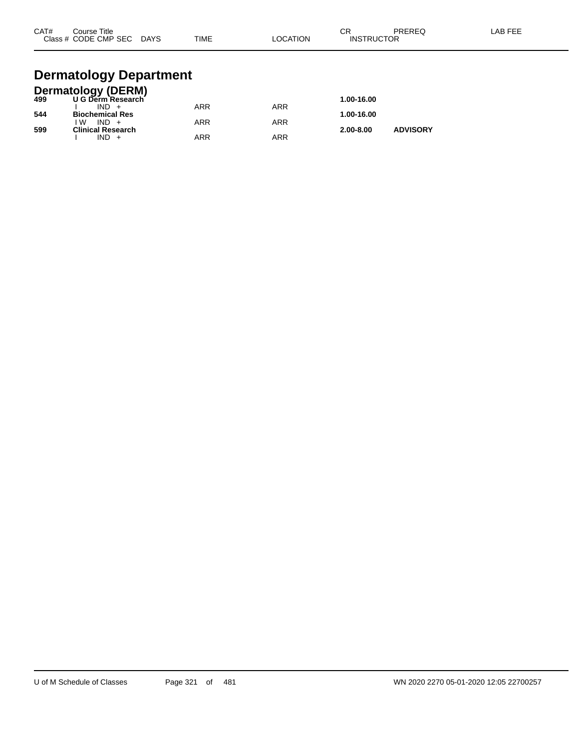| CAT#<br>Course Title<br>Class # CODE CMP SEC | <b>DAYS</b> | <b>TIME</b> | LOCATION | СR<br><b>INSTRUCTOR</b> | <b>PREREQ</b> | LAB FEE |
|----------------------------------------------|-------------|-------------|----------|-------------------------|---------------|---------|
|                                              |             |             |          |                         |               |         |

#### **Dermatology Department**

|     | <b>Dermatology (DERM)</b> |            |            |               |                 |
|-----|---------------------------|------------|------------|---------------|-----------------|
| 499 | U G Derm Research         |            |            | 1.00-16.00    |                 |
|     | $IND +$                   | ARR        | <b>ARR</b> |               |                 |
| 544 | <b>Biochemical Res</b>    |            |            | 1.00-16.00    |                 |
|     | ۱W<br>$IND +$             | <b>ARR</b> | <b>ARR</b> |               |                 |
| 599 | <b>Clinical Research</b>  |            |            | $2.00 - 8.00$ | <b>ADVISORY</b> |
|     | IND                       | ARR        | ARR        |               |                 |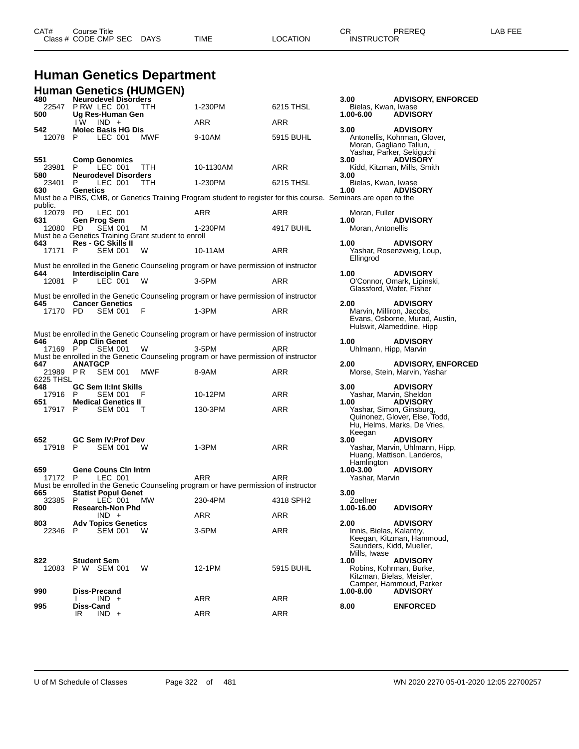#### **Human Genetics Department**

|                       | Human Genetics (HUMGEN)                                                       |            |                                                                                                                 |            |                                                                              |                                                                                          |
|-----------------------|-------------------------------------------------------------------------------|------------|-----------------------------------------------------------------------------------------------------------------|------------|------------------------------------------------------------------------------|------------------------------------------------------------------------------------------|
| 480<br>22547<br>500   | <b>Neurodevel Disorders</b><br>PRW LEC 001<br>Ug Res-Human Gen                | <b>TTH</b> | 1-230PM                                                                                                         | 6215 THSL  | 3.00<br>Bielas, Kwan, Iwase<br>1.00-6.00                                     | <b>ADVISORY, ENFC</b><br><b>ADVISORY</b>                                                 |
|                       | I W<br>$IND +$                                                                |            | <b>ARR</b>                                                                                                      | ARR        |                                                                              |                                                                                          |
| 542<br>12078          | <b>Molec Basis HG Dis</b><br>P<br>LEC 001                                     | <b>MWF</b> | 9-10AM                                                                                                          | 5915 BUHL  | 3.00<br>Moran, Gagliano Taliun,                                              | <b>ADVISORY</b><br>Antonellis, Kohrman, Glover,<br>Yashar, Parker, Sekiguchi             |
| 551<br>23981          | <b>Comp Genomics</b><br>P.<br>LEC 001                                         | TTH.       | 10-1130AM                                                                                                       | ARR        | 3.00                                                                         | <b>ADVISORY</b><br>Kidd, Kitzman, Mills, Smith                                           |
| 580<br>23401<br>630   | <b>Neurodevel Disorders</b><br>P<br>LEC 001<br>Genetics                       | TTH        | 1-230PM                                                                                                         | 6215 THSL  | 3.00<br>Bielas, Kwan, Iwase<br>1.00                                          | <b>ADVISORY</b>                                                                          |
| public.               |                                                                               |            | Must be a PIBS, CMB, or Genetics Training Program student to register for this course. Seminars are open to the |            |                                                                              |                                                                                          |
| 12079<br>631          | LEC 001<br>PD.<br><b>Gen Prog Sem</b>                                         |            | ARR                                                                                                             | ARR        | Moran, Fuller<br>1.00                                                        | <b>ADVISORY</b>                                                                          |
| 12080                 | - PD<br><b>SEM 001</b><br>Must be a Genetics Training Grant student to enroll | М          | 1-230PM                                                                                                         | 4917 BUHL  | Moran, Antonellis                                                            |                                                                                          |
| 643<br>17171          | <b>Res - GC Skills II</b><br><b>SEM 001</b><br>P                              | W          | 10-11AM                                                                                                         | ARR        | 1.00<br>Ellingrod                                                            | <b>ADVISORY</b><br>Yashar, Rosenzweig, Loup,                                             |
| 644                   | <b>Interdisciplin Care</b>                                                    |            | Must be enrolled in the Genetic Counseling program or have permission of instructor                             |            | 1.00                                                                         | <b>ADVISORY</b>                                                                          |
| 12081 P               | LEC 001                                                                       | W          | $3-5$ PM                                                                                                        | ARR        | Glassford, Wafer, Fisher                                                     | O'Connor, Omark, Lipinski,                                                               |
| 645                   | <b>Cancer Genetics</b>                                                        |            | Must be enrolled in the Genetic Counseling program or have permission of instructor                             |            | 2.00                                                                         | <b>ADVISORY</b>                                                                          |
| 17170 PD              | <b>SEM 001</b>                                                                | F          | $1-3PM$                                                                                                         | ARR        | Marvin, Milliron, Jacobs,                                                    | Evans, Osborne, Murad, Austin.<br>Hulswit, Alameddine, Hipp                              |
|                       |                                                                               |            | Must be enrolled in the Genetic Counseling program or have permission of instructor                             |            |                                                                              |                                                                                          |
| 646<br>17169 P        | <b>App Clin Genet</b><br>SEM 001                                              | W          | 3-5PM                                                                                                           | ARR        | 1.00<br>Uhlmann, Hipp, Marvin                                                | <b>ADVISORY</b>                                                                          |
| 647                   | <b>ANATGCP</b>                                                                |            | Must be enrolled in the Genetic Counseling program or have permission of instructor                             |            | 2.00                                                                         | <b>ADVISORY, ENFC</b>                                                                    |
| 21989 PR<br>6225 THSL | <b>SEM 001</b>                                                                | MWF        | 8-9AM                                                                                                           | ARR        |                                                                              | Morse, Stein, Marvin, Yashar                                                             |
| 648<br>17916 P<br>651 | <b>GC Sem II:Int Skills</b><br>SEM 001<br><b>Medical Genetics II</b>          | F          | 10-12PM                                                                                                         | ARR        | 3.00<br>Yashar, Marvin, Sheldon<br>1.00                                      | <b>ADVISORY</b><br><b>ADVISORY</b>                                                       |
| 17917                 | P.<br><b>SEM 001</b>                                                          | т          | 130-3PM                                                                                                         | ARR        |                                                                              | Yashar, Simon, Ginsburg,<br>Quinonez, Glover, Else, Todd,<br>Hu, Helms, Marks, De Vries, |
| 652<br>17918 P        | <b>GC Sem IV: Prof Dev</b><br><b>SEM 001</b>                                  | W          | $1-3PM$                                                                                                         | <b>ARR</b> | Keegan<br>3.00<br>Hamlington                                                 | <b>ADVISORY</b><br>Yashar, Marvin, Uhlmann, Hipp,<br>Huang, Mattison, Landeros,          |
| 659<br>17172 P        | <b>Gene Couns Cin Intrn</b><br>LEC 001                                        |            | <b>ARR</b>                                                                                                      | ARR        | $1.00 - 3.00$<br>Yashar, Marvin                                              | <b>ADVISORY</b>                                                                          |
| 665                   | <b>Statist Popul Genet</b>                                                    |            | Must be enrolled in the Genetic Counseling program or have permission of instructor                             |            | 3.00                                                                         |                                                                                          |
| 32385<br>800          | P<br>LEC 001<br><b>Research-Non Phd</b>                                       | <b>MW</b>  | 230-4PM                                                                                                         | 4318 SPH2  | Zoellner<br>1.00-16.00                                                       | <b>ADVISORY</b>                                                                          |
|                       | $IND +$                                                                       |            | ARR                                                                                                             | ARR        |                                                                              | <b>ADVISORY</b>                                                                          |
| 803<br>22346          | <b>Adv Topics Genetics</b><br>P<br>SEM 001                                    | w          | 3-5PM                                                                                                           | ARR        | 2.00<br>Innis, Bielas, Kalantry,<br>Saunders, Kidd, Mueller,<br>Mills, Iwase | Keegan, Kitzman, Hammoud,                                                                |
| 822<br>12083          | Student Sem<br>P W SEM 001                                                    | W          | 12-1PM                                                                                                          | 5915 BUHL  | 1.00<br>Kitzman, Bielas, Meisler,                                            | <b>ADVISORY</b><br>Robins, Kohrman, Burke,<br>Camper, Hammoud, Parker                    |
| 990                   | <b>Diss-Precand</b><br>$IND +$<br>I.                                          |            | ARR                                                                                                             | ARR        | 1.00-8.00                                                                    | <b>ADVISORY</b>                                                                          |
| 995                   | Diss-Cand<br>$IND +$<br>IR                                                    |            | <b>ARR</b>                                                                                                      | ARR        | 8.00                                                                         | <b>ENFORCED</b>                                                                          |

**ADVISORY, ENFORCED<br>, Iwase<br><b>ADVISORY** bhrman, Glover, Moran, Gagliano Taliun, ano ranan,<br>er, Sekiguchi<br>**ADVISORY** n, Mills, Smith nzweig, Loup, nark, Lipinski, afer, Fisher ns noon:<br>on, Jacobs,<br>rne, Murad, Austin, eddine, Hipp **647 ANATGCP 2.00 ADVISORY, ENFORCED** Marvin, Yashar nutroom:<br>
in, Sheldon<br> **ADVISORY** Quinonez, Glover, Else, Todd, Hu, Helms, Marks, De Vries, Huang, Mattison, Landeros, Keegan, Kitzman, Hammoud, Saunders, Kidd, Mueller, as, Meisler, $\dot{\ }$ as, *meises,*<br>nmoud, Parker<br>**ADVISORY**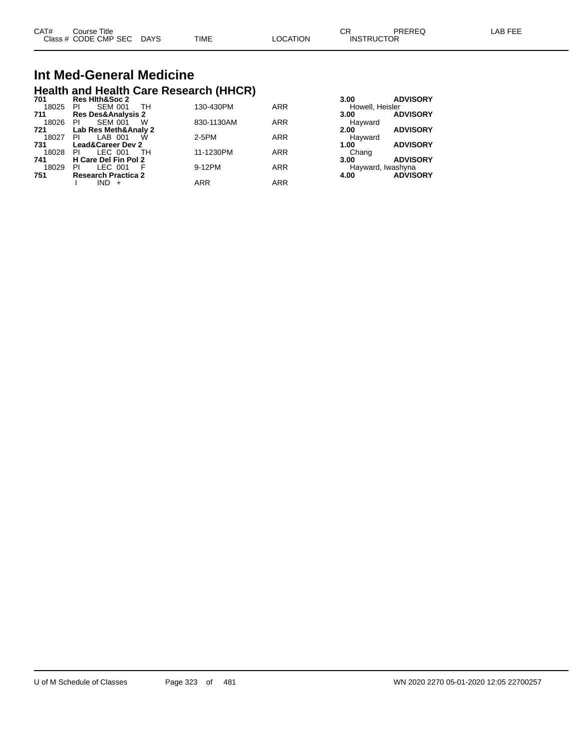| CAT# | Course Title              |      |          | Ωn<br>∪۲          | PREREQ | LAB FEE |
|------|---------------------------|------|----------|-------------------|--------|---------|
|      | Class # CODE CMP SEC DAYS | TIME | LOCATION | <b>INSTRUCTOR</b> |        |         |

## **Int Med-General Medicine Health and Health Care Research (HHCR) 701 Res Hlth&Soc 2 3.00 ADVISORY**

| , , , | was inductive L               |            |            | .<br><b>APTIVORT</b>    |
|-------|-------------------------------|------------|------------|-------------------------|
| 18025 | <b>SEM 001</b><br>TH<br>PI    | 130-430PM  | <b>ARR</b> | Howell, Heisler         |
| 711   | <b>Res Des&amp;Analysis 2</b> |            |            | <b>ADVISORY</b><br>3.00 |
| 18026 | <b>SEM 001</b><br>PI.<br>w    | 830-1130AM | <b>ARR</b> | Hayward                 |
| 721   | Lab Res Meth&Analy 2          |            |            | <b>ADVISORY</b><br>2.00 |
| 18027 | LAB 001<br><b>PI</b><br>W     | 2-5PM      | <b>ARR</b> | Havward                 |
| 731   | <b>Lead&amp;Career Dev 2</b>  |            |            | <b>ADVISORY</b><br>1.00 |
| 18028 | LEC 001<br>PI.<br>- тн        | 11-1230PM  | <b>ARR</b> | Chang                   |
| 741   | H Care Del Fin Pol 2          |            |            | <b>ADVISORY</b><br>3.00 |
| 18029 | LEC 001<br>PI                 | 9-12PM     | <b>ARR</b> | Hayward, Iwashyna       |
| 751   | <b>Research Practica 2</b>    |            |            | <b>ADVISORY</b><br>4.00 |
|       | $IND +$                       | ARR        | <b>ARR</b> |                         |
|       |                               |            |            |                         |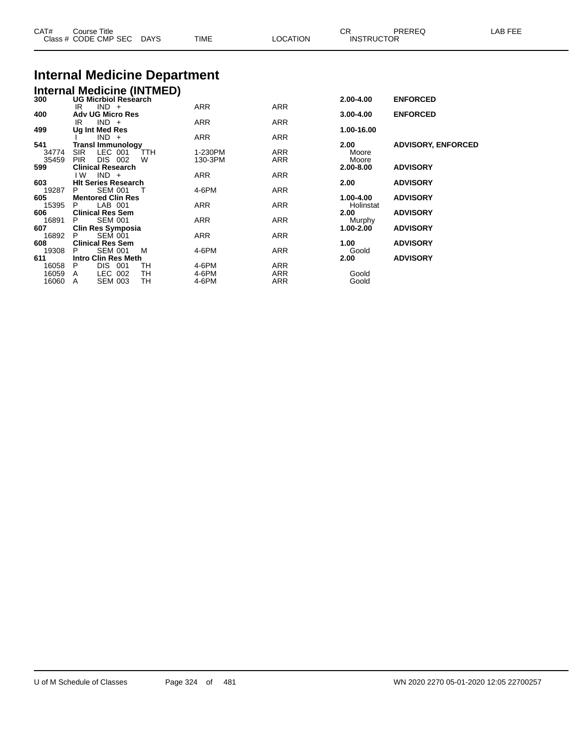| Class # CODE CMP SEC DAYS |                                                               | TIME    | LOCATION   |               | <b>INSTRUCTOR</b>         |  |  |
|---------------------------|---------------------------------------------------------------|---------|------------|---------------|---------------------------|--|--|
|                           | <b>Internal Medicine Department</b>                           |         |            |               |                           |  |  |
|                           |                                                               |         |            |               |                           |  |  |
|                           | <b>Internal Medicine (INTMED)</b><br>300 UG Micrbiol Research |         |            | 2.00-4.00     | <b>ENFORCED</b>           |  |  |
|                           | $IND +$<br>IR                                                 | ARR     | ARR        |               |                           |  |  |
| 400                       | <b>Adv UG Micro Res</b>                                       |         |            | 3.00-4.00     | <b>ENFORCED</b>           |  |  |
|                           | $IND +$<br>IR                                                 | ARR     | ARR        |               |                           |  |  |
| 499                       | Ug Int Med Res<br>$IND +$                                     | ARR     | <b>ARR</b> | 1.00-16.00    |                           |  |  |
| 541                       | <b>Transl Immunology</b>                                      |         |            | 2.00          | <b>ADVISORY, ENFORCED</b> |  |  |
| 34774                     | <b>SIR</b><br>LEC 001<br><b>TTH</b>                           | 1-230PM | ARR        | Moore         |                           |  |  |
| 35459                     | DIS 002<br><b>PIR</b><br>W                                    | 130-3PM | ARR        | Moore         |                           |  |  |
| 599                       | <b>Clinical Research</b>                                      |         |            | 2.00-8.00     | <b>ADVISORY</b>           |  |  |
|                           | $IND +$<br>I W                                                | ARR     | ARR        |               |                           |  |  |
| 603<br>19287              | <b>HIt Series Research</b><br><b>SEM 001</b><br>P             | 4-6PM   | ARR        | 2.00          | <b>ADVISORY</b>           |  |  |
| 605                       | <b>Mentored Clin Res</b>                                      |         |            | 1.00-4.00     | <b>ADVISORY</b>           |  |  |
| 15395                     | LAB 001<br>P.                                                 | ARR     | ARR        | Holinstat     |                           |  |  |
| 606                       | <b>Clinical Res Sem</b>                                       |         |            | 2.00          | <b>ADVISORY</b>           |  |  |
| 16891                     | <b>SEM 001</b>                                                | ARR     | ARR        | Murphy        |                           |  |  |
| 607                       | Clin Res Symposia                                             |         |            | 1.00-2.00     | <b>ADVISORY</b>           |  |  |
| 16892                     | <b>SEM 001</b>                                                | ARR     | ARR        |               |                           |  |  |
| 608<br>19308              | <b>Clinical Res Sem</b><br><b>SEM 001</b><br>м<br>P           | 4-6PM   | ARR        | 1.00          | <b>ADVISORY</b>           |  |  |
| 611                       | <b>Intro Clin Res Meth</b>                                    |         |            | Goold<br>2.00 | <b>ADVISORY</b>           |  |  |
| 16058                     | DIS 001<br>P<br>TН                                            | 4-6PM   | ARR        |               |                           |  |  |
| 16059                     | LEC 002<br>TН<br>Α                                            | 4-6PM   | ARR        | Goold         |                           |  |  |
| 16060                     | TН<br><b>SEM 003</b><br>A                                     | 4-6PM   | ARR        | Goold         |                           |  |  |

CAT# Course Title Case CR PREREQ LAB FEE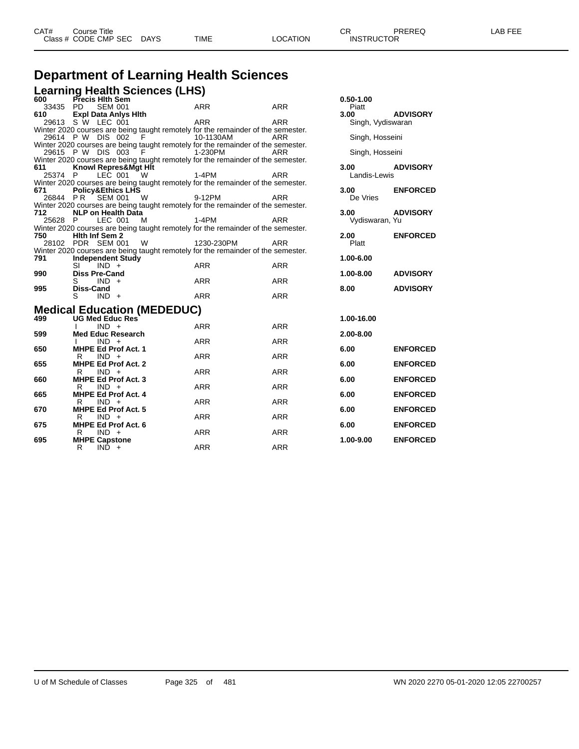## **Department of Learning Health Sciences**

**Learning Health Sciences (LHS) 600 Precis Hlth Sem 0.50-1.00**

|     | 33435 PD            |                  | <b>SEM 001</b>               |                                    | <b>ARR</b>                                                                       | <b>ARR</b> | Piatt             |                 |
|-----|---------------------|------------------|------------------------------|------------------------------------|----------------------------------------------------------------------------------|------------|-------------------|-----------------|
|     | 610                 |                  | <b>Expl Data Anlys Hith</b>  |                                    |                                                                                  |            | 3.00              | <b>ADVISORY</b> |
|     | 29613 S W LEC 001   |                  |                              |                                    | <b>ARR</b>                                                                       | ARR        | Singh, Vydiswaran |                 |
|     |                     |                  |                              |                                    | Winter 2020 courses are being taught remotely for the remainder of the semester. |            |                   |                 |
|     | 29614 P W DIS 002   |                  |                              | F                                  | 10-1130AM                                                                        | ARR        | Singh, Hosseini   |                 |
|     |                     |                  |                              |                                    | Winter 2020 courses are being taught remotely for the remainder of the semester. |            |                   |                 |
|     | 29615 P W DIS 003 F |                  |                              |                                    | 1-230PM                                                                          | ARR        | Singh, Hosseini   |                 |
|     |                     |                  |                              |                                    | Winter 2020 courses are being taught remotely for the remainder of the semester. |            |                   |                 |
|     | 611                 |                  | Knowl Repres&Mgt Hit         |                                    |                                                                                  |            | 3.00              | <b>ADVISORY</b> |
|     | 25374 P             |                  | LEC 001                      | W.                                 | $1-4PM$                                                                          | ARR        | Landis-Lewis      |                 |
|     |                     |                  |                              |                                    | Winter 2020 courses are being taught remotely for the remainder of the semester. |            |                   |                 |
|     | 671                 |                  | <b>Policy&amp;Ethics LHS</b> |                                    |                                                                                  |            | 3.00              | <b>ENFORCED</b> |
|     | 26844 PR SEM 001    |                  |                              | W                                  | 9-12PM                                                                           | <b>ARR</b> | De Vries          |                 |
|     |                     |                  |                              |                                    | Winter 2020 courses are being taught remotely for the remainder of the semester. |            |                   |                 |
|     | 712                 |                  | <b>NLP on Health Data</b>    |                                    |                                                                                  |            | 3.00              | <b>ADVISORY</b> |
|     | 25628 P             |                  | LEC 001                      | M                                  | 1-4PM                                                                            | <b>ARR</b> | Vydiswaran, Yu    |                 |
|     |                     |                  |                              |                                    | Winter 2020 courses are being taught remotely for the remainder of the semester. |            |                   |                 |
|     | 750                 |                  | <b>Hith Inf Sem 2</b>        |                                    |                                                                                  |            | 2.00              | <b>ENFORCED</b> |
|     | 28102 PDR SEM 001   |                  |                              | <b>W</b>                           | 1230-230PM                                                                       | <b>ARR</b> | Platt             |                 |
|     |                     |                  |                              |                                    | Winter 2020 courses are being taught remotely for the remainder of the semester. |            |                   |                 |
|     | 791                 |                  | <b>Independent Study</b>     |                                    |                                                                                  |            | 1.00-6.00         |                 |
|     |                     | SI               | $IND +$                      |                                    | <b>ARR</b>                                                                       | <b>ARR</b> |                   |                 |
|     | 990                 |                  | <b>Diss Pre-Cand</b>         |                                    |                                                                                  |            | 1.00-8.00         | <b>ADVISORY</b> |
|     |                     | S                | $IND +$                      |                                    | <b>ARR</b>                                                                       | <b>ARR</b> |                   |                 |
|     | 995                 | <b>Diss-Cand</b> |                              |                                    |                                                                                  |            | 8.00              | <b>ADVISORY</b> |
|     |                     | S                | $IND +$                      |                                    | <b>ARR</b>                                                                       | <b>ARR</b> |                   |                 |
|     |                     |                  |                              |                                    |                                                                                  |            |                   |                 |
|     |                     |                  |                              | <b>Medical Education (MEDEDUC)</b> |                                                                                  |            |                   |                 |
|     | 499                 |                  | <b>UG Med Educ Res</b>       |                                    |                                                                                  |            | 1.00-16.00        |                 |
|     |                     |                  | $IND +$                      |                                    | <b>ARR</b>                                                                       | <b>ARR</b> |                   |                 |
|     | 599                 |                  | <b>Med Educ Research</b>     |                                    |                                                                                  |            | 2.00-8.00         |                 |
|     |                     |                  | $IND +$                      |                                    | <b>ARR</b>                                                                       | <b>ARR</b> |                   |                 |
|     | 650                 |                  | <b>MHPE Ed Prof Act. 1</b>   |                                    |                                                                                  |            | 6.00              | <b>ENFORCED</b> |
|     |                     | R                | $IND +$                      |                                    | <b>ARR</b>                                                                       | <b>ARR</b> |                   |                 |
|     | 655                 |                  | <b>MHPE Ed Prof Act. 2</b>   |                                    |                                                                                  |            | 6.00              | <b>ENFORCED</b> |
|     |                     | R                | $IND +$                      |                                    | <b>ARR</b>                                                                       | <b>ARR</b> |                   |                 |
|     | 660                 |                  | <b>MHPE Ed Prof Act. 3</b>   |                                    |                                                                                  |            | 6.00              | <b>ENFORCED</b> |
|     |                     | R                | $IND +$                      |                                    | <b>ARR</b>                                                                       | <b>ARR</b> |                   |                 |
|     | 665                 |                  | <b>MHPE Ed Prof Act. 4</b>   |                                    |                                                                                  |            | 6.00              | <b>ENFORCED</b> |
|     |                     | R.               | $IND +$                      |                                    | <b>ARR</b>                                                                       | <b>ARR</b> |                   |                 |
|     | 670                 |                  | <b>MHPE Ed Prof Act. 5</b>   |                                    |                                                                                  |            | 6.00              | <b>ENFORCED</b> |
|     |                     | R                | $IND +$                      |                                    | <b>ARR</b>                                                                       | <b>ARR</b> |                   |                 |
| 675 |                     |                  | <b>MHPE Ed Prof Act. 6</b>   |                                    |                                                                                  |            | 6.00              | <b>ENFORCED</b> |
|     |                     | R                | $IND +$                      |                                    | <b>ARR</b>                                                                       | <b>ARR</b> |                   |                 |
| 695 |                     |                  | <b>MHPE Capstone</b>         |                                    |                                                                                  |            | 1.00-9.00         | <b>ENFORCED</b> |
|     |                     | R                | $IND +$                      |                                    | <b>ARR</b>                                                                       | <b>ARR</b> |                   |                 |
|     |                     |                  |                              |                                    |                                                                                  |            |                   |                 |

| 0.50-1.00<br>Piatt<br>3.00<br>Singh, Vydiswaran<br>Singh, Hosseini | <b>ADVISORY</b> |
|--------------------------------------------------------------------|-----------------|
| Singh, Hosseini                                                    |                 |
| 3.00<br>Landis-Lewis                                               | <b>ADVISORY</b> |
| 3.00<br>De Vries                                                   | <b>ENFORCED</b> |
| 3.00<br>Vydiswaran, Yu                                             | <b>ADVISORY</b> |
| 2.00<br>Platt                                                      | <b>ENFORCED</b> |
| 1.00-6.00                                                          |                 |
| 1.00-8.00                                                          | <b>ADVISORY</b> |
| 8.00                                                               | <b>ADVISORY</b> |
| 1.00-16.00<br>2.00-8.00                                            |                 |
| 6.00                                                               | <b>ENFORCED</b> |
| 6.00                                                               | <b>ENFORCED</b> |
| 6.00                                                               | <b>ENFORCED</b> |
| 6.00                                                               | <b>ENFORCED</b> |
| 6.00                                                               | <b>ENFORCED</b> |
| 6.00                                                               | <b>ENFORCED</b> |
| 1.00-9.00                                                          | <b>ENFORCED</b> |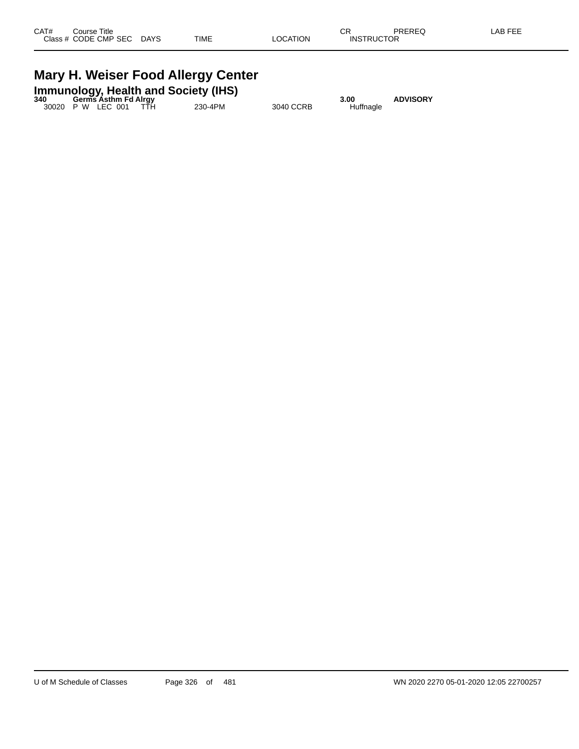## **Mary H. Weiser Food Allergy Center**

|     | <b>Immunology, Health and Society (IHS)</b> |  |         |           |           |                 |  |  |  |
|-----|---------------------------------------------|--|---------|-----------|-----------|-----------------|--|--|--|
| 340 | <b>Germs Asthm Fd Alray</b>                 |  |         |           | 3.00      | <b>ADVISORY</b> |  |  |  |
|     | 30020 P W LEC 001 TTH                       |  | 230-4PM | 3040 CCRB | Huffnagle |                 |  |  |  |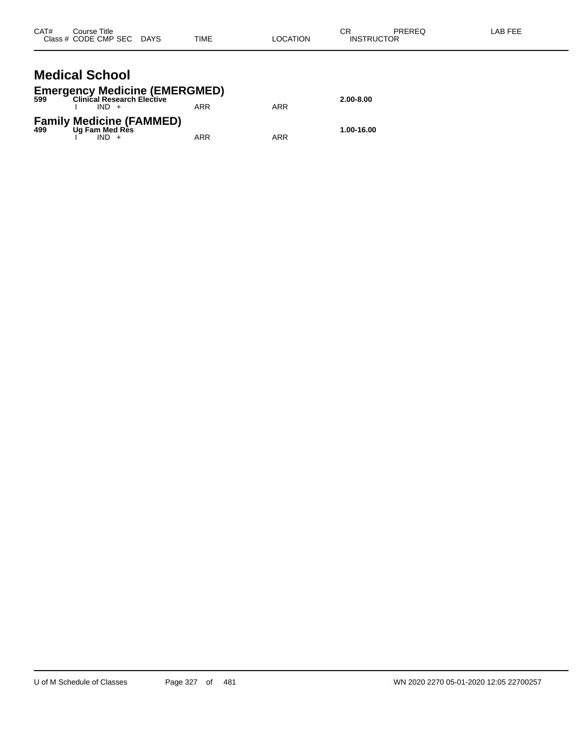| CAT#<br>Course Title  | Class # CODE CMP SEC DAYS                                              | <b>TIME</b> | <b>LOCATION</b> | СR<br><b>PREREQ</b><br><b>INSTRUCTOR</b> | LAB FEE |
|-----------------------|------------------------------------------------------------------------|-------------|-----------------|------------------------------------------|---------|
| <b>Medical School</b> | <b>Emergency Medicine (EMERGMED)</b><br>599 Clinical Research Elective |             |                 | 2.00-8.00                                |         |
|                       | $IND +$                                                                | <b>ARR</b>  | <b>ARR</b>      |                                          |         |
|                       | <b>Family Medicine (FAMMED)</b><br>499 Ug Fam Med Res                  |             |                 | 1.00-16.00                               |         |

I IND + ARR ARR ARR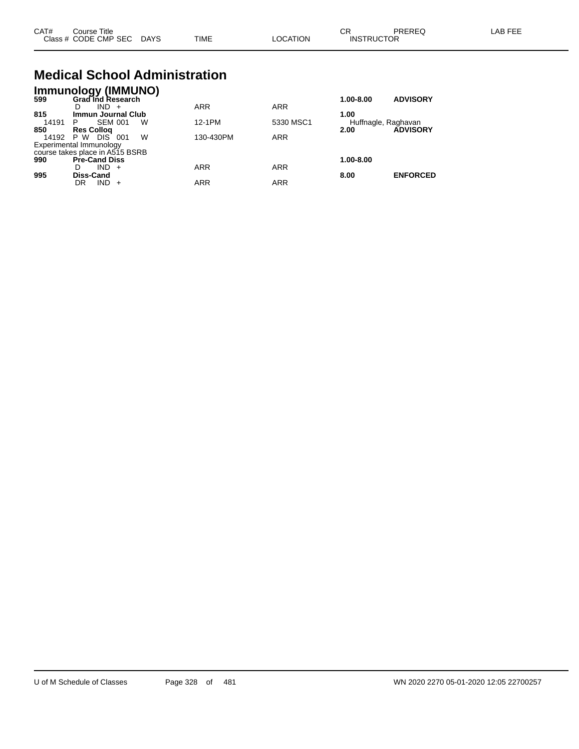| CAT# | Course Title         |             |             |          | СR                | PREREC | AB FFF |
|------|----------------------|-------------|-------------|----------|-------------------|--------|--------|
|      | Class # CODE CMP SEC | <b>DAYS</b> | <b>TIME</b> | ∟OCATION | <b>INSTRUCTOR</b> |        |        |

#### **Medical School Administration Immunology (IMMUNO)**

|       | IMMUNOIOGY (IMMUNO)             |            |            |                     |                 |
|-------|---------------------------------|------------|------------|---------------------|-----------------|
| 599   | Grad Ind Research               |            |            | 1.00-8.00           | <b>ADVISORY</b> |
|       | $IND +$<br>D                    | <b>ARR</b> | <b>ARR</b> |                     |                 |
| 815   | <b>Immun Journal Club</b>       |            |            | 1.00                |                 |
| 14191 | <b>SEM 001</b><br>w<br>P        | 12-1PM     | 5330 MSC1  | Huffnagle, Raghavan |                 |
| 850   | <b>Res Collog</b>               |            |            | 2.00                | <b>ADVISORY</b> |
| 14192 | W<br>DIS 1<br>P W<br>001        | 130-430PM  | <b>ARR</b> |                     |                 |
|       | Experimental Immunology         |            |            |                     |                 |
|       | course takes place in A515 BSRB |            |            |                     |                 |
| 990   | <b>Pre-Cand Diss</b>            |            |            | 1.00-8.00           |                 |
|       | $IND +$<br>D                    | ARR        | <b>ARR</b> |                     |                 |
| 995   | Diss-Cand                       |            |            | 8.00                | <b>ENFORCED</b> |
|       | <b>IND</b><br>DR<br>$+$         | ARR        | <b>ARR</b> |                     |                 |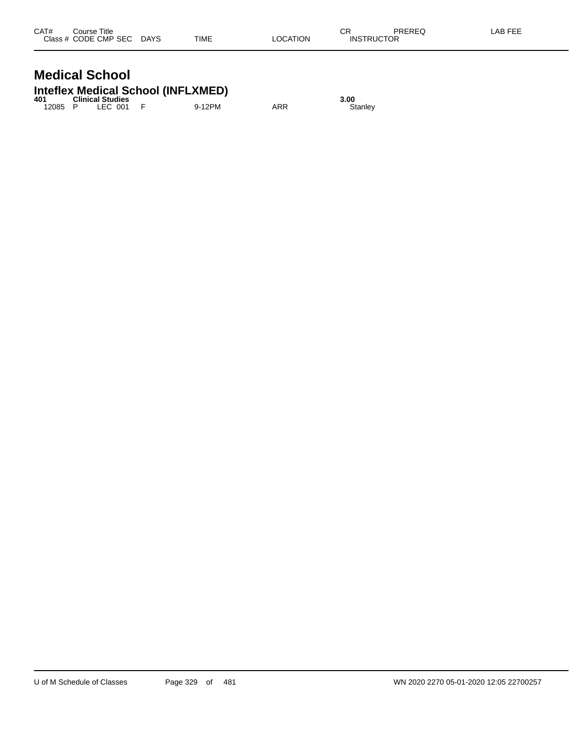# **Medical School**

## **Inteflex Medical School (INFLXMED) 401 Clinical Studies 3.00**

| 40 I  | <b>UIIIIU</b> di Studies |        |     | J.UU    |
|-------|--------------------------|--------|-----|---------|
| 12085 | LEC 001                  | 9-12PM | ARR | Stanlev |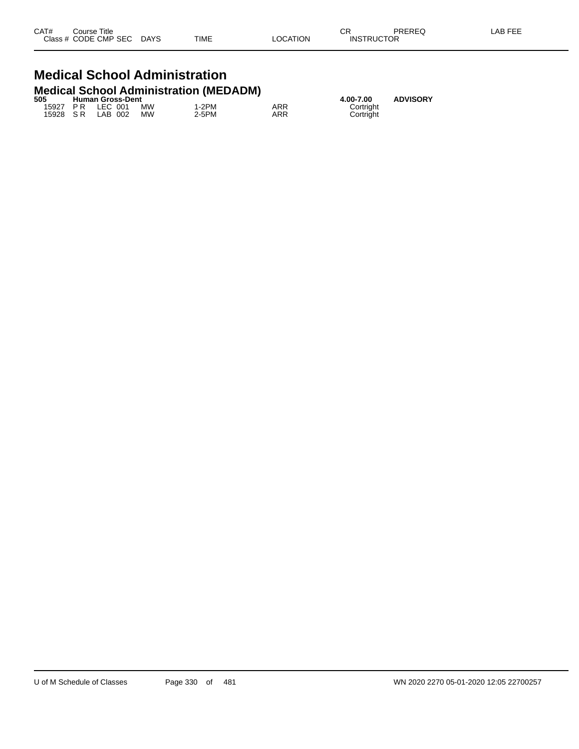| CAT# | Course Title              |      |          | СR                | PREREQ | LAB FEE |
|------|---------------------------|------|----------|-------------------|--------|---------|
|      | Class # CODE CMP SEC DAYS | TIME | LOCATION | <b>INSTRUCTOR</b> |        |         |

### **Medical School Administration Medical School Administration (MEDADM)**

| 505 | <b>Human Gross-Dent</b> |                     |    |       | 4.00-7.00 | <b>ADVISORY</b> |  |
|-----|-------------------------|---------------------|----|-------|-----------|-----------------|--|
|     |                         | 15927 PR LEC 001 MW |    | 1-2PM | ARR       | Cortright       |  |
|     |                         | 15928 SR LAB 002    | MW | 2-5PM | ARR       | Cortright       |  |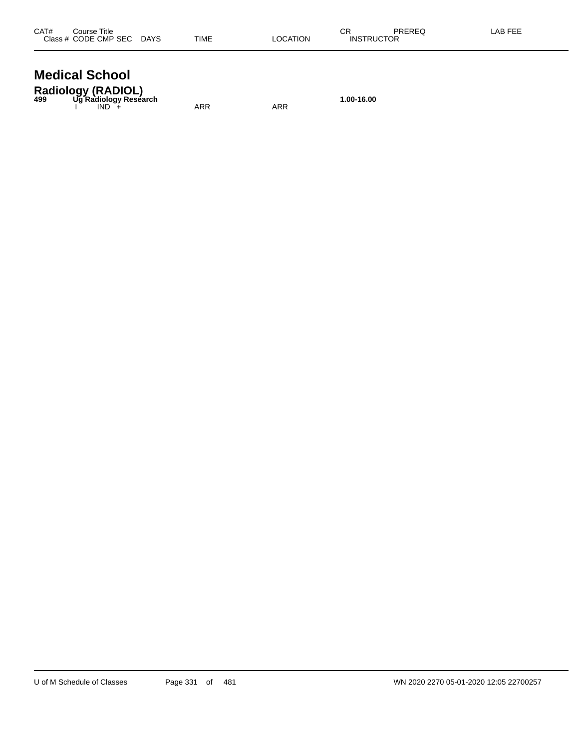| CAT# | Course Title              |             |          | ∩⊓<br>◡           | PREREQ | _AB FEE |
|------|---------------------------|-------------|----------|-------------------|--------|---------|
|      | Class # CODE CMP SEC DAYS | <b>TIME</b> | LOCATION | <b>INSTRUCTOR</b> |        |         |
|      |                           |             |          |                   |        |         |

#### **Medical School Radiology (RADIOL)**

| <b>Radiology (RADIOL)</b><br>499 Ug Radiology Research |     |     |
|--------------------------------------------------------|-----|-----|
|                                                        |     |     |
| IND.                                                   | ARR | ARR |

**499 Ug Radiology Research 1.00-16.00**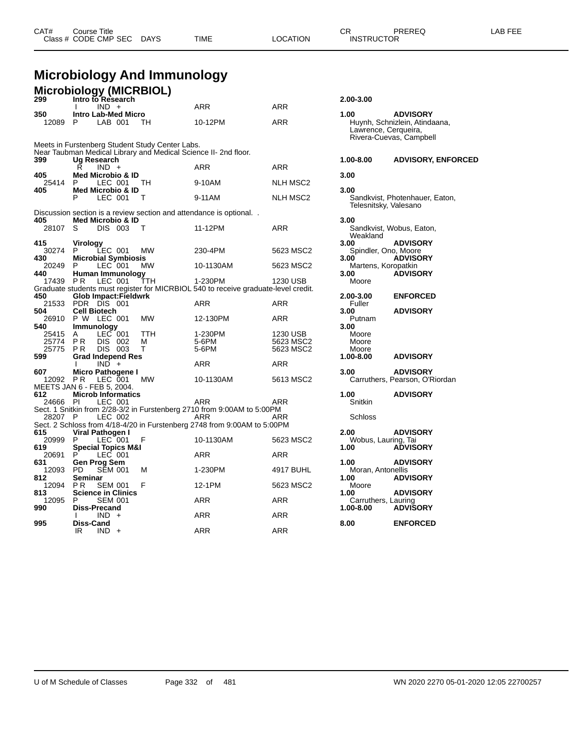**Microbiology And Immunology**

| 299             | Microbiology (MICRBIOL)<br>Intro to Research                                                                       |            |                 | 2.00-3.00                        |                                                                             |
|-----------------|--------------------------------------------------------------------------------------------------------------------|------------|-----------------|----------------------------------|-----------------------------------------------------------------------------|
|                 | $IND +$<br>I.                                                                                                      | <b>ARR</b> | <b>ARR</b>      |                                  |                                                                             |
| 350<br>12089    | <b>Intro Lab-Med Micro</b><br>P<br>LAB 001<br>тн                                                                   | 10-12PM    | ARR             | 1.00<br>Lawrence, Cerqueira,     | <b>ADVISORY</b><br>Huynh, Schnizlein, Atindaana,<br>Rivera-Cuevas, Campbell |
|                 | Meets in Furstenberg Student Study Center Labs.<br>Near Taubman Medical Library and Medical Science II- 2nd floor. |            |                 |                                  |                                                                             |
| 399             | Ug Research                                                                                                        |            |                 | 1.00-8.00                        | <b>ADVISORY, ENFORCED</b>                                                   |
| 405             | Ŕ<br>$IND +$<br><b>Med Microbio &amp; ID</b>                                                                       | <b>ARR</b> | ARR             | 3.00                             |                                                                             |
| 25414           | P<br>LEC 001<br>TН                                                                                                 | 9-10AM     | <b>NLH MSC2</b> |                                  |                                                                             |
| 405             | <b>Med Microbio &amp; ID</b><br>P<br>LEC 001<br>т                                                                  | 9-11AM     | NLH MSC2        | 3.00<br>Telesnitsky, Valesano    | Sandkvist, Photenhauer, Eaton,                                              |
|                 | Discussion section is a review section and attendance is optional                                                  |            |                 |                                  |                                                                             |
| 405<br>28107    | <b>Med Microbio &amp; ID</b><br>S<br>DIS 003<br>т                                                                  | 11-12PM    | <b>ARR</b>      | 3.00<br>Weakland                 | Sandkvist, Wobus, Eaton,                                                    |
| 415             | <b>Virology</b>                                                                                                    |            |                 | 3.00                             | <b>ADVISORY</b>                                                             |
| 30274<br>430    | LEC 001<br><b>MW</b><br>P                                                                                          | 230-4PM    | 5623 MSC2       | Spindler, Ono, Moore<br>3.00     | <b>ADVISORY</b>                                                             |
| 20249           | <b>Microbial Symbiosis</b><br>$LEC$ 001<br>P<br><b>MW</b>                                                          | 10-1130AM  | 5623 MSC2       | Martens, Koropatkin              |                                                                             |
| 440<br>17439 PR | Human Immunology<br>LEC 001<br>TTH                                                                                 | 1-230PM    | 1230 USB        | 3.00<br>Moore                    | <b>ADVISORY</b>                                                             |
|                 | Graduate students must register for MICRBIOL 540 to receive graduate-level credit.                                 |            |                 |                                  |                                                                             |
| 450             | <b>Glob Impact:Fieldwrk</b><br>21533 PDR DIS 001                                                                   | <b>ARR</b> | ARR             | 2.00-3.00<br>Fuller              | <b>ENFORCED</b>                                                             |
| 504             | <b>Cell Biotech</b>                                                                                                |            |                 | 3.00                             | <b>ADVISORY</b>                                                             |
| 26910<br>540    | P W LEC 001<br><b>MW</b><br><b>Immunology</b>                                                                      | 12-130PM   | ARR             | Putnam<br>3.00                   |                                                                             |
| 25415           | <b>TTH</b><br>LEC 001<br>A                                                                                         | 1-230PM    | 1230 USB        | Moore                            |                                                                             |
| 25774           | <b>PR</b><br>DIS<br>002<br>М                                                                                       | 5-6PM      | 5623 MSC2       | Moore                            |                                                                             |
| 25775<br>599    | P <sub>R</sub><br>DIS 003<br>т<br><b>Grad Independ Res</b>                                                         | 5-6PM      | 5623 MSC2       | Moore<br>1.00-8.00               | <b>ADVISORY</b>                                                             |
|                 | $IND +$<br>I.                                                                                                      | ARR        | ARR             |                                  |                                                                             |
| 607             | Micro Pathogene I                                                                                                  |            |                 | 3.00                             | <b>ADVISORY</b>                                                             |
| 12092 PR        | LEC 001<br><b>MW</b><br>MEETS JAN 6 - FEB 5, 2004.                                                                 | 10-1130AM  | 5613 MSC2       |                                  | Carruthers, Pearson, O'Riordan                                              |
| 612             | <b>Microb Informatics</b>                                                                                          |            |                 | 1.00                             | <b>ADVISORY</b>                                                             |
| 24666 PI        | LEC 001                                                                                                            | ARR        | ARR             | Snitkin                          |                                                                             |
| 28207 P         | Sect. 1 Snitkin from 2/28-3/2 in Furstenberg 2710 from 9:00AM to 5:00PM<br>LEC 002                                 | ARR        | ARR             | Schloss                          |                                                                             |
|                 | Sect. 2 Schloss from 4/18-4/20 in Furstenberg 2748 from 9:00AM to 5:00PM                                           |            |                 |                                  |                                                                             |
| 615             | Viral Pathogen I                                                                                                   |            |                 | 2.00                             | <b>ADVISORY</b>                                                             |
| 20999<br>619    | $LEC$ 001<br>F<br>P<br><b>Special Topics M&amp;I</b>                                                               | 10-1130AM  | 5623 MSC2       | Wobus, Lauring, Tai<br>1.00      | <b>ADVISORY</b>                                                             |
| 20691           | P<br>LEC 001                                                                                                       | <b>ARR</b> | ARR             |                                  |                                                                             |
| 631             | Gen Prog Sem                                                                                                       |            |                 | 1.00                             | <b>ADVISORY</b>                                                             |
| 12093<br>812    | <b>SEM 001</b><br><b>PD</b><br>м<br>Seminar                                                                        | 1-230PM    | 4917 BUHL       | Moran, Antonellis<br>1.00        | <b>ADVISORY</b>                                                             |
| 12094           | F<br>P <sub>R</sub><br><b>SEM 001</b>                                                                              | 12-1PM     | 5623 MSC2       | Moore                            |                                                                             |
| 813             | <b>Science in Clinics</b>                                                                                          |            |                 | 1.00                             | <b>ADVISORY</b>                                                             |
| 12095<br>990    | <b>SEM 001</b><br>P<br>Diss-Precand                                                                                | <b>ARR</b> | <b>ARR</b>      | Carruthers, Lauring<br>1.00-8.00 | <b>ADVISORY</b>                                                             |
|                 | $IND +$<br>I.                                                                                                      | ARR        | ARR             |                                  |                                                                             |
| 995             | Diss-Cand<br>IR<br>$IND +$                                                                                         | <b>ARR</b> | <b>ARR</b>      | 8.00                             | <b>ENFORCED</b>                                                             |

| 1.00<br>Lawrence, Cerqueira,     | <b>ADVISORY</b><br>Huynh, Schnizlein, Atindaana,<br>Rivera-Cuevas, Campbell |
|----------------------------------|-----------------------------------------------------------------------------|
| 1.00-8.00                        | <b>ADVISORY, ENFOR</b>                                                      |
| 3.00                             |                                                                             |
| 3.00<br>Telesnitsky, Valesano    | Sandkvist, Photenhauer, Eaton,                                              |
| 3.00                             |                                                                             |
| Weakland                         | Sandkvist, Wobus, Eaton,                                                    |
| 3.00<br>Spindler, Ono, Moore     | <b>ADVISORY</b>                                                             |
| 3.00                             | <b>ADVISORY</b>                                                             |
| Martens, Koropatkin<br>3.00      | <b>ADVISORY</b>                                                             |
| Moore                            |                                                                             |
| 2.00-3.00                        | <b>ENFORCED</b>                                                             |
| Fuller<br>3.00                   | <b>ADVISORY</b>                                                             |
| Putnam<br>3.00                   |                                                                             |
| Moore                            |                                                                             |
| Moore<br>Moore                   |                                                                             |
| 1.00-8.00                        | <b>ADVISORY</b>                                                             |
| 3.00                             | <b>ADVISORY</b><br>Carruthers, Pearson, O'Riordan                           |
| 1.00<br>Snitkin                  | <b>ADVISORY</b>                                                             |
| Schloss                          |                                                                             |
| 2.00                             | <b>ADVISORY</b>                                                             |
| Wobus, Lauring, Tai<br>1.00      | <b>ADVISORY</b>                                                             |
| 1.00                             | <b>ADVISORY</b>                                                             |
| Moran, Antonellis                |                                                                             |
| 1.00<br>Moore                    | <b>ADVISORY</b>                                                             |
| 1.00                             | <b>ADVISORY</b>                                                             |
| Carruthers, Lauring<br>1.00-8.00 | <b>ADVIŠORY</b>                                                             |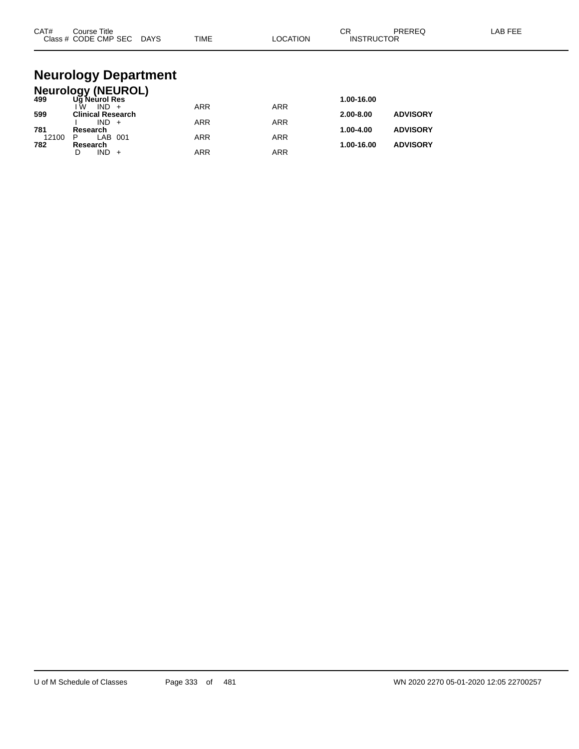| CAT#         | Course Title<br>Class # CODE CMP SEC DAYS                  | <b>TIME</b> | LOCATION   | CR<br><b>INSTRUCTOR</b> | <b>PREREQ</b>   | LAB FEE |
|--------------|------------------------------------------------------------|-------------|------------|-------------------------|-----------------|---------|
|              | <b>Neurology Department</b>                                |             |            |                         |                 |         |
| 499          | <b>Neurology (NEUROL)</b><br>Ug Neurol Res<br>$IND +$<br>Ŵ | <b>ARR</b>  | <b>ARR</b> | 1.00-16.00              |                 |         |
| 599          | <b>Clinical Research</b><br>$IND +$                        | <b>ARR</b>  | <b>ARR</b> | 2.00-8.00               | <b>ADVISORY</b> |         |
| 781<br>12100 | Research<br>LAB 001<br>P                                   | <b>ARR</b>  | <b>ARR</b> | 1.00-4.00               | <b>ADVISORY</b> |         |
| 782          | Research                                                   |             |            | 1.00-16.00              | <b>ADVISORY</b> |         |

D IND + ARR ARR ARR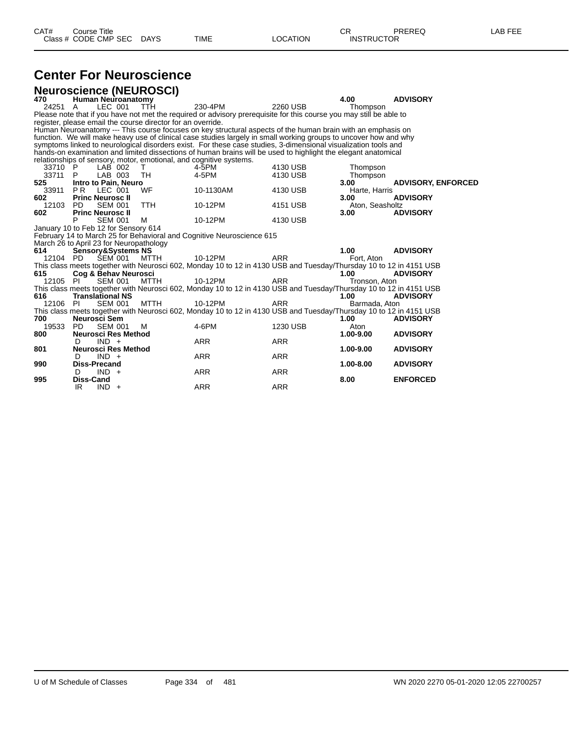# **Center For Neuroscience**

|          | <b>Neuroscience (NEUROSCI)</b>                                     |             |                                                                                                                     |            |                 |                           |
|----------|--------------------------------------------------------------------|-------------|---------------------------------------------------------------------------------------------------------------------|------------|-----------------|---------------------------|
| 470      | Human Neuroanatomy                                                 |             |                                                                                                                     |            | 4.00            | <b>ADVISORY</b>           |
| 24251 A  | LEC 001                                                            | <b>TTH</b>  | 230-4PM                                                                                                             | 2260 USB   | Thompson        |                           |
|          |                                                                    |             | Please note that if you have not met the required or advisory prerequisite for this course you may still be able to |            |                 |                           |
|          | register, please email the course director for an override.        |             |                                                                                                                     |            |                 |                           |
|          |                                                                    |             | Human Neuroanatomy --- This course focuses on key structural aspects of the human brain with an emphasis on         |            |                 |                           |
|          |                                                                    |             | function. We will make heavy use of clinical case studies largely in small working groups to uncover how and why    |            |                 |                           |
|          |                                                                    |             | symptoms linked to neurological disorders exist. For these case studies, 3-dimensional visualization tools and      |            |                 |                           |
|          |                                                                    |             | hands-on examination and limited dissections of human brains will be used to highlight the elegant anatomical       |            |                 |                           |
|          | relationships of sensory, motor, emotional, and cognitive systems. |             |                                                                                                                     |            |                 |                           |
| 33710 P  | LAB 002                                                            | т           | 4-5PM                                                                                                               | 4130 USB   | Thompson        |                           |
| 33711    | LAB 003<br>P.                                                      | <b>TH</b>   | 4-5PM                                                                                                               | 4130 USB   | Thompson        |                           |
| 525      | Intro to Pain, Neuro                                               |             |                                                                                                                     |            | 3.00            | <b>ADVISORY, ENFORCED</b> |
| 33911    | LEC 001<br>PR                                                      | WF          | 10-1130AM                                                                                                           | 4130 USB   | Harte, Harris   |                           |
| 602      | <b>Princ Neurosc II</b>                                            |             |                                                                                                                     |            | 3.00            | <b>ADVISORY</b>           |
| 12103    | <b>PD</b><br><b>SEM 001</b>                                        | <b>TTH</b>  | 10-12PM                                                                                                             | 4151 USB   | Aton, Seasholtz |                           |
| 602      | <b>Princ Neurosc II</b>                                            |             |                                                                                                                     |            | 3.00            | <b>ADVISORY</b>           |
|          | <b>SEM 001</b><br>P                                                | м           | 10-12PM                                                                                                             | 4130 USB   |                 |                           |
|          | January 10 to Feb 12 for Sensory 614                               |             |                                                                                                                     |            |                 |                           |
|          |                                                                    |             | February 14 to March 25 for Behavioral and Cognitive Neuroscience 615                                               |            |                 |                           |
| 614      | March 26 to April 23 for Neuropathology                            |             |                                                                                                                     |            | 1.00            | <b>ADVISORY</b>           |
| 12104 PD | <b>Sensory&amp;Systems NS</b><br><b>SEM 001</b>                    | MTTH        | 10-12PM                                                                                                             | <b>ARR</b> | Fort. Aton      |                           |
|          |                                                                    |             | This class meets together with Neurosci 602, Monday 10 to 12 in 4130 USB and Tuesday/Thursday 10 to 12 in 4151 USB  |            |                 |                           |
| 615      | Cog & Behav Neurosci                                               |             |                                                                                                                     |            | 1.00            | <b>ADVISORY</b>           |
| 12105 PI | <b>SEM 001</b>                                                     | MTTH        | 10-12PM                                                                                                             | <b>ARR</b> | Tronson, Aton   |                           |
|          |                                                                    |             | This class meets together with Neurosci 602, Monday 10 to 12 in 4130 USB and Tuesday/Thursday 10 to 12 in 4151 USB  |            |                 |                           |
| 616      | <b>Translational NS</b>                                            |             |                                                                                                                     |            | 1.00            | <b>ADVISORY</b>           |
| 12106 PI | <b>SEM 001</b>                                                     | <b>MTTH</b> | 10-12PM                                                                                                             | <b>ARR</b> | Barmada, Aton   |                           |
|          |                                                                    |             | This class meets together with Neurosci 602, Monday 10 to 12 in 4130 USB and Tuesday/Thursday 10 to 12 in 4151 USB  |            |                 |                           |
| 700      | Neurosci Sem                                                       |             |                                                                                                                     |            | 1.00            | <b>ADVISORY</b>           |
| 19533    | PD.<br><b>SEM 001</b>                                              | м           | 4-6PM                                                                                                               | 1230 USB   | Aton            |                           |
| 800      | <b>Neurosci Res Method</b>                                         |             |                                                                                                                     |            | 1.00-9.00       | <b>ADVISORY</b>           |
|          | $IND +$<br>D.                                                      |             | <b>ARR</b>                                                                                                          | <b>ARR</b> |                 |                           |
| 801      | <b>Neurosci Res Method</b>                                         |             |                                                                                                                     |            | 1.00-9.00       | <b>ADVISORY</b>           |
|          | $IND +$<br>D                                                       |             | <b>ARR</b>                                                                                                          | ARR        |                 |                           |
| 990      | <b>Diss-Precand</b>                                                |             |                                                                                                                     |            | 1.00-8.00       | <b>ADVISORY</b>           |
|          | $IND +$<br>D                                                       |             | <b>ARR</b>                                                                                                          | <b>ARR</b> |                 |                           |
| 995      | <b>Diss-Cand</b>                                                   |             |                                                                                                                     |            | 8.00            | <b>ENFORCED</b>           |
|          | IR<br>$IND +$                                                      |             | <b>ARR</b>                                                                                                          | <b>ARR</b> |                 |                           |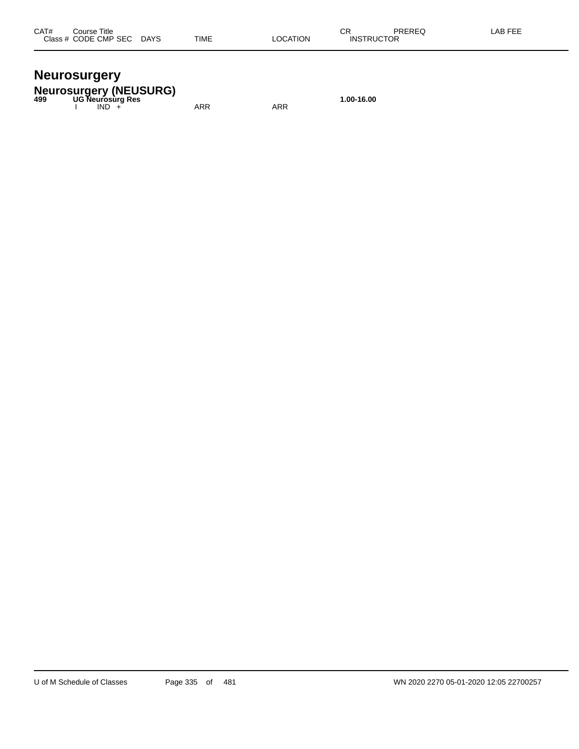## **Neurosurgery**

**Neurosurgery (NEUSURG) 499 UG Neurosurg Res 1.00-16.00**

I IND + ARR ARR ARR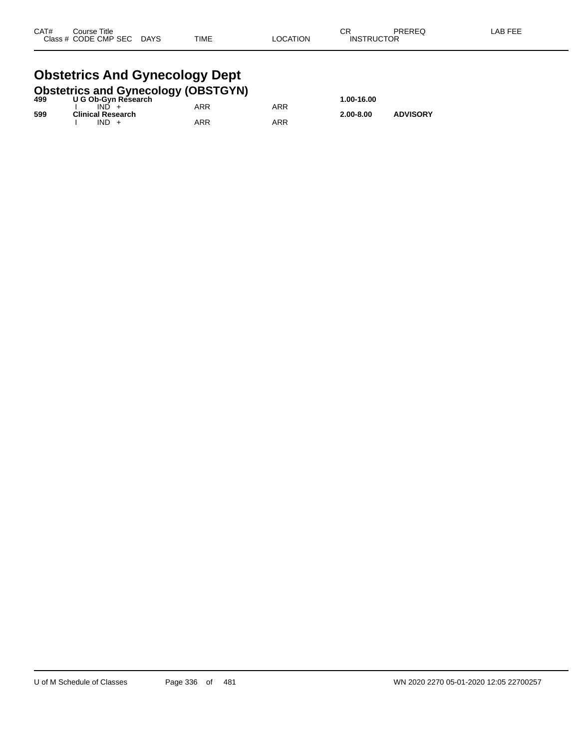#### **Obstetrics And Gynecology Dept**<br>Obstetrics and Gynecology (OBSTGYN **Obstetrics and Gynecology (OBSTGYN)**

| 499 | <b>ODSIGITIES AND OVERCOIOGY (ODSTOTIV)</b><br>U G Ob-Gyn Research |     |     | 1.00-16.00    |                 |
|-----|--------------------------------------------------------------------|-----|-----|---------------|-----------------|
|     | IND.                                                               | ARR | ARR |               |                 |
| 599 | <b>Clinical Research</b><br>$IND +$                                | ARR | ARR | $2.00 - 8.00$ | <b>ADVISORY</b> |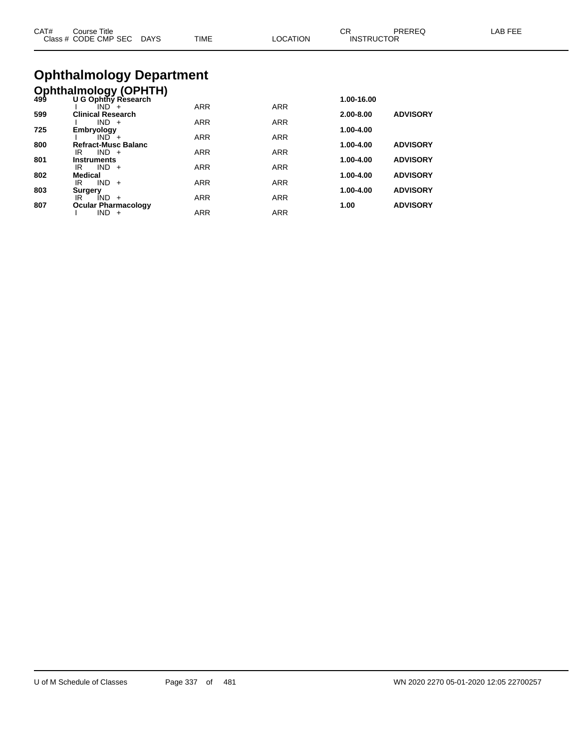| CAT# | ourse Titleٽ              |             |          | СR                | PREREQ | LAB FEE |
|------|---------------------------|-------------|----------|-------------------|--------|---------|
|      | Class # CODE CMP SEC DAYS | <b>TIME</b> | LOCATION | <b>INSTRUCTOR</b> |        |         |
|      |                           |             |          |                   |        |         |

# **Ophthalmology Department**

|     | <b>Ophthalmology (OPHTH)</b><br>499 U G Ophthy Research |            |            |               |                 |
|-----|---------------------------------------------------------|------------|------------|---------------|-----------------|
|     | U G Ophthy Research                                     |            |            | 1.00-16.00    |                 |
|     | $IND +$                                                 | <b>ARR</b> | <b>ARR</b> |               |                 |
| 599 | <b>Clinical Research</b>                                |            |            | $2.00 - 8.00$ | <b>ADVISORY</b> |
|     | $IND +$                                                 | <b>ARR</b> | <b>ARR</b> |               |                 |
| 725 | Embryology                                              |            |            | 1.00-4.00     |                 |
|     | $IND +$                                                 | <b>ARR</b> | <b>ARR</b> |               |                 |
| 800 | <b>Refract-Musc Balanc</b>                              |            |            | 1.00-4.00     | <b>ADVISORY</b> |
|     | $IND +$<br>IR                                           | <b>ARR</b> | <b>ARR</b> |               |                 |
| 801 | <b>Instruments</b><br>$IND +$<br>IR                     | <b>ARR</b> | <b>ARR</b> | 1.00-4.00     | <b>ADVISORY</b> |
| 802 | <b>Medical</b>                                          |            |            | 1.00-4.00     | <b>ADVISORY</b> |
|     | $IND +$<br>IR                                           | <b>ARR</b> | <b>ARR</b> |               |                 |
| 803 | <b>Surgery</b>                                          |            |            | 1.00-4.00     | <b>ADVISORY</b> |
|     | IND.<br>IR<br>$+$                                       | <b>ARR</b> | <b>ARR</b> |               |                 |
| 807 | <b>Ocular Pharmacology</b>                              |            |            | 1.00          | <b>ADVISORY</b> |
|     | IND.<br>$+$                                             | <b>ARR</b> | <b>ARR</b> |               |                 |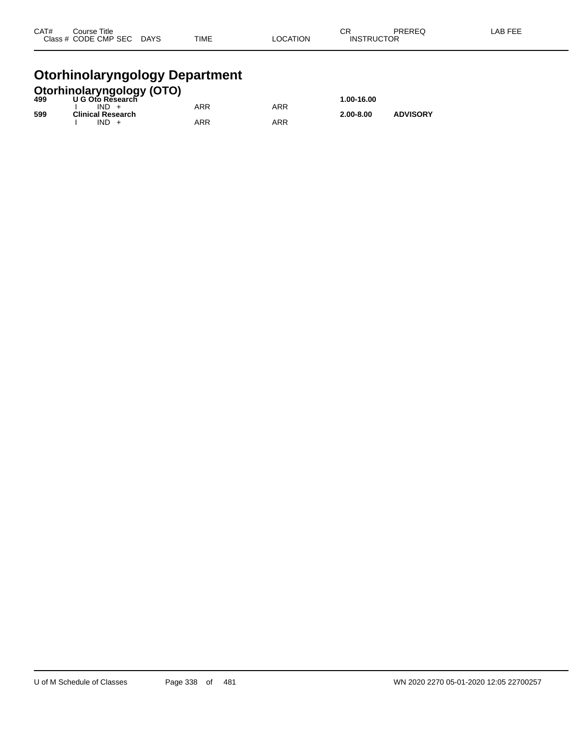| CAT# | Course Title              |             |          | ⌒冖                | PREREQ | LAB FEE |
|------|---------------------------|-------------|----------|-------------------|--------|---------|
|      | Class # CODE CMP SEC DAYS | <b>TIME</b> | LOCATION | <b>INSTRUCTOR</b> |        |         |
|      |                           |             |          |                   |        |         |

## **Otorhinolaryngology Department**

|     | <b>Otorhinolaryngology (OTO)</b><br>499 U G Oto Research |            |     |               |                 |
|-----|----------------------------------------------------------|------------|-----|---------------|-----------------|
|     |                                                          |            |     | 1.00-16.00    |                 |
|     | $IND +$                                                  | <b>ARR</b> | ARR |               |                 |
| 599 | <b>Clinical Research</b>                                 |            |     | $2.00 - 8.00$ | <b>ADVISORY</b> |
|     | $IND +$                                                  | ARR        | ARR |               |                 |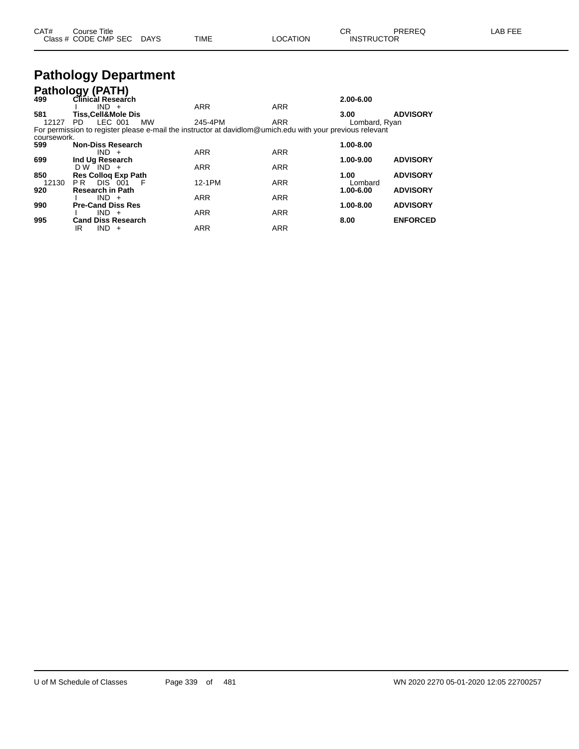| CAT# | Course Title              |      |          | ◡ॸ                | PREREQ | ∟AB FEE |
|------|---------------------------|------|----------|-------------------|--------|---------|
|      | Class # CODE CMP SEC DAYS | TIME | LOCATION | <b>INSTRUCTOR</b> |        |         |

## **Pathology Department**

|             | Pathology (PATH)                                                                                          |            |            |               |                 |
|-------------|-----------------------------------------------------------------------------------------------------------|------------|------------|---------------|-----------------|
| 499         | Clinical Research                                                                                         |            |            | 2.00-6.00     |                 |
|             | $IND +$                                                                                                   | <b>ARR</b> | <b>ARR</b> |               |                 |
| 581         | <b>Tiss.Cell&amp;Mole Dis</b>                                                                             |            |            | 3.00          | <b>ADVISORY</b> |
| 12127       | LEC 001<br><b>MW</b><br>PD.                                                                               | 245-4PM    | <b>ARR</b> | Lombard, Ryan |                 |
|             | For permission to register please e-mail the instructor at davidlom@umich.edu with your previous relevant |            |            |               |                 |
| coursework. |                                                                                                           |            |            |               |                 |
| 599         | <b>Non-Diss Research</b>                                                                                  |            |            | 1.00-8.00     |                 |
|             | $IND +$                                                                                                   | <b>ARR</b> | <b>ARR</b> |               |                 |
| 699         | Ind Ug Research                                                                                           |            |            | 1.00-9.00     | <b>ADVISORY</b> |
|             | $DW^TIND +$                                                                                               | <b>ARR</b> | <b>ARR</b> |               |                 |
| 850         | <b>Res Colloq Exp Path</b>                                                                                |            |            | 1.00          | <b>ADVISORY</b> |
| 12130       | <b>DIS 001</b><br>P <sub>R</sub><br>- F                                                                   | 12-1PM     | <b>ARR</b> | Lombard       |                 |
| 920         | <b>Research in Path</b>                                                                                   |            |            | 1.00-6.00     | <b>ADVISORY</b> |
|             | $IND +$                                                                                                   | <b>ARR</b> | <b>ARR</b> |               |                 |
| 990         | <b>Pre-Cand Diss Res</b>                                                                                  |            |            | 1.00-8.00     | <b>ADVISORY</b> |
|             | $IND +$                                                                                                   | <b>ARR</b> | <b>ARR</b> |               |                 |
| 995         | <b>Cand Diss Research</b>                                                                                 |            |            | 8.00          | <b>ENFORCED</b> |
|             | <b>IND</b><br>IR<br>$+$                                                                                   | <b>ARR</b> | <b>ARR</b> |               |                 |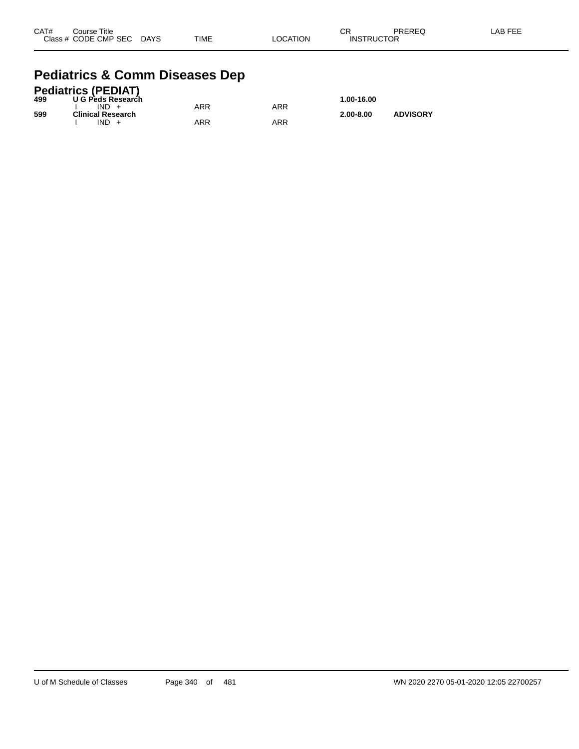| CAT# | Course Title              |             |          | CR                | PREREQ | -AB FEE |
|------|---------------------------|-------------|----------|-------------------|--------|---------|
|      | Class # CODE CMP SEC DAYS | <b>TIME</b> | LOCATION | <b>INSTRUCTOR</b> |        |         |

### **Pediatrics & Comm Diseases Dep**

|     | <b>Pediatrics (PEDIAT)</b> |     |     |               |                 |
|-----|----------------------------|-----|-----|---------------|-----------------|
| 499 | U G Peds Research          |     |     | 1.00-16.00    |                 |
|     | $IND +$                    | ARR | ARR |               |                 |
| 599 | <b>Clinical Research</b>   |     |     | $2.00 - 8.00$ | <b>ADVISORY</b> |
|     | $IND +$                    | ARR | ARR |               |                 |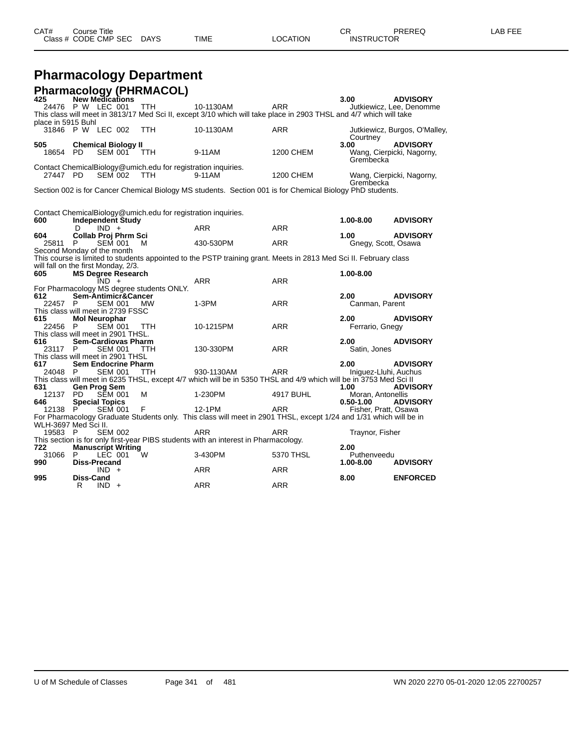| CAT# | Title<br>∴ourse      |             |      |          | ⌒冖<br>◡                     | PREREC | ---<br>ΔR<br>--- |
|------|----------------------|-------------|------|----------|-----------------------------|--------|------------------|
|      | Class # CODE CMP SEC | <b>DAYS</b> | TIME | _OCATION | TRUCTOR<br>INS <sup>-</sup> |        |                  |

# **Pharmacology Department**

|    |                                                                                                                       |                                                                                                             |                                                                                                                                                                                                                                                                                                                                                                |                                                                                                                                                                                                                                                                                                                                                                                                                                                                                                        |                                                                                                                                                                                                                    | 3.00                                                                                                                                                                                                    | <b>ADVISORY</b>                                                                                                                                                                                                                                                                                                                                                                                                                                                                                                                                                                                                                                                                                                                                                                                                                                                                                                |
|----|-----------------------------------------------------------------------------------------------------------------------|-------------------------------------------------------------------------------------------------------------|----------------------------------------------------------------------------------------------------------------------------------------------------------------------------------------------------------------------------------------------------------------------------------------------------------------------------------------------------------------|--------------------------------------------------------------------------------------------------------------------------------------------------------------------------------------------------------------------------------------------------------------------------------------------------------------------------------------------------------------------------------------------------------------------------------------------------------------------------------------------------------|--------------------------------------------------------------------------------------------------------------------------------------------------------------------------------------------------------------------|---------------------------------------------------------------------------------------------------------------------------------------------------------------------------------------------------------|----------------------------------------------------------------------------------------------------------------------------------------------------------------------------------------------------------------------------------------------------------------------------------------------------------------------------------------------------------------------------------------------------------------------------------------------------------------------------------------------------------------------------------------------------------------------------------------------------------------------------------------------------------------------------------------------------------------------------------------------------------------------------------------------------------------------------------------------------------------------------------------------------------------|
|    |                                                                                                                       |                                                                                                             | TTH.                                                                                                                                                                                                                                                                                                                                                           | 10-1130AM                                                                                                                                                                                                                                                                                                                                                                                                                                                                                              | ARR                                                                                                                                                                                                                |                                                                                                                                                                                                         | Jutkiewicz, Lee, Denomme                                                                                                                                                                                                                                                                                                                                                                                                                                                                                                                                                                                                                                                                                                                                                                                                                                                                                       |
|    |                                                                                                                       |                                                                                                             |                                                                                                                                                                                                                                                                                                                                                                |                                                                                                                                                                                                                                                                                                                                                                                                                                                                                                        |                                                                                                                                                                                                                    |                                                                                                                                                                                                         |                                                                                                                                                                                                                                                                                                                                                                                                                                                                                                                                                                                                                                                                                                                                                                                                                                                                                                                |
|    |                                                                                                                       |                                                                                                             | <b>TTH</b>                                                                                                                                                                                                                                                                                                                                                     | 10-1130AM                                                                                                                                                                                                                                                                                                                                                                                                                                                                                              | <b>ARR</b>                                                                                                                                                                                                         |                                                                                                                                                                                                         | Jutkiewicz, Burgos, O'Malley,                                                                                                                                                                                                                                                                                                                                                                                                                                                                                                                                                                                                                                                                                                                                                                                                                                                                                  |
|    |                                                                                                                       |                                                                                                             |                                                                                                                                                                                                                                                                                                                                                                |                                                                                                                                                                                                                                                                                                                                                                                                                                                                                                        |                                                                                                                                                                                                                    |                                                                                                                                                                                                         | <b>ADVISORY</b>                                                                                                                                                                                                                                                                                                                                                                                                                                                                                                                                                                                                                                                                                                                                                                                                                                                                                                |
|    |                                                                                                                       |                                                                                                             | TTH.                                                                                                                                                                                                                                                                                                                                                           | 9-11AM                                                                                                                                                                                                                                                                                                                                                                                                                                                                                                 | <b>1200 CHEM</b>                                                                                                                                                                                                   | Grembecka                                                                                                                                                                                               | Wang, Cierpicki, Nagorny,                                                                                                                                                                                                                                                                                                                                                                                                                                                                                                                                                                                                                                                                                                                                                                                                                                                                                      |
|    |                                                                                                                       |                                                                                                             |                                                                                                                                                                                                                                                                                                                                                                |                                                                                                                                                                                                                                                                                                                                                                                                                                                                                                        |                                                                                                                                                                                                                    |                                                                                                                                                                                                         |                                                                                                                                                                                                                                                                                                                                                                                                                                                                                                                                                                                                                                                                                                                                                                                                                                                                                                                |
|    |                                                                                                                       |                                                                                                             | TTH.                                                                                                                                                                                                                                                                                                                                                           | 9-11AM                                                                                                                                                                                                                                                                                                                                                                                                                                                                                                 |                                                                                                                                                                                                                    |                                                                                                                                                                                                         | Wang, Cierpicki, Nagorny,                                                                                                                                                                                                                                                                                                                                                                                                                                                                                                                                                                                                                                                                                                                                                                                                                                                                                      |
|    |                                                                                                                       |                                                                                                             |                                                                                                                                                                                                                                                                                                                                                                |                                                                                                                                                                                                                                                                                                                                                                                                                                                                                                        |                                                                                                                                                                                                                    |                                                                                                                                                                                                         |                                                                                                                                                                                                                                                                                                                                                                                                                                                                                                                                                                                                                                                                                                                                                                                                                                                                                                                |
|    |                                                                                                                       |                                                                                                             |                                                                                                                                                                                                                                                                                                                                                                |                                                                                                                                                                                                                                                                                                                                                                                                                                                                                                        |                                                                                                                                                                                                                    |                                                                                                                                                                                                         |                                                                                                                                                                                                                                                                                                                                                                                                                                                                                                                                                                                                                                                                                                                                                                                                                                                                                                                |
|    |                                                                                                                       |                                                                                                             |                                                                                                                                                                                                                                                                                                                                                                |                                                                                                                                                                                                                                                                                                                                                                                                                                                                                                        |                                                                                                                                                                                                                    |                                                                                                                                                                                                         |                                                                                                                                                                                                                                                                                                                                                                                                                                                                                                                                                                                                                                                                                                                                                                                                                                                                                                                |
|    |                                                                                                                       |                                                                                                             |                                                                                                                                                                                                                                                                                                                                                                |                                                                                                                                                                                                                                                                                                                                                                                                                                                                                                        |                                                                                                                                                                                                                    |                                                                                                                                                                                                         | <b>ADVISORY</b>                                                                                                                                                                                                                                                                                                                                                                                                                                                                                                                                                                                                                                                                                                                                                                                                                                                                                                |
| D  | $IND +$                                                                                                               |                                                                                                             |                                                                                                                                                                                                                                                                                                                                                                | <b>ARR</b>                                                                                                                                                                                                                                                                                                                                                                                                                                                                                             | <b>ARR</b>                                                                                                                                                                                                         |                                                                                                                                                                                                         |                                                                                                                                                                                                                                                                                                                                                                                                                                                                                                                                                                                                                                                                                                                                                                                                                                                                                                                |
|    |                                                                                                                       |                                                                                                             |                                                                                                                                                                                                                                                                                                                                                                |                                                                                                                                                                                                                                                                                                                                                                                                                                                                                                        |                                                                                                                                                                                                                    | 1.00                                                                                                                                                                                                    | <b>ADVISORY</b>                                                                                                                                                                                                                                                                                                                                                                                                                                                                                                                                                                                                                                                                                                                                                                                                                                                                                                |
| P. |                                                                                                                       |                                                                                                             | м                                                                                                                                                                                                                                                                                                                                                              | 430-530PM                                                                                                                                                                                                                                                                                                                                                                                                                                                                                              |                                                                                                                                                                                                                    |                                                                                                                                                                                                         |                                                                                                                                                                                                                                                                                                                                                                                                                                                                                                                                                                                                                                                                                                                                                                                                                                                                                                                |
|    |                                                                                                                       |                                                                                                             |                                                                                                                                                                                                                                                                                                                                                                |                                                                                                                                                                                                                                                                                                                                                                                                                                                                                                        |                                                                                                                                                                                                                    |                                                                                                                                                                                                         |                                                                                                                                                                                                                                                                                                                                                                                                                                                                                                                                                                                                                                                                                                                                                                                                                                                                                                                |
|    |                                                                                                                       |                                                                                                             |                                                                                                                                                                                                                                                                                                                                                                |                                                                                                                                                                                                                                                                                                                                                                                                                                                                                                        |                                                                                                                                                                                                                    |                                                                                                                                                                                                         |                                                                                                                                                                                                                                                                                                                                                                                                                                                                                                                                                                                                                                                                                                                                                                                                                                                                                                                |
|    |                                                                                                                       |                                                                                                             |                                                                                                                                                                                                                                                                                                                                                                |                                                                                                                                                                                                                                                                                                                                                                                                                                                                                                        |                                                                                                                                                                                                                    |                                                                                                                                                                                                         |                                                                                                                                                                                                                                                                                                                                                                                                                                                                                                                                                                                                                                                                                                                                                                                                                                                                                                                |
|    |                                                                                                                       |                                                                                                             |                                                                                                                                                                                                                                                                                                                                                                |                                                                                                                                                                                                                                                                                                                                                                                                                                                                                                        |                                                                                                                                                                                                                    |                                                                                                                                                                                                         |                                                                                                                                                                                                                                                                                                                                                                                                                                                                                                                                                                                                                                                                                                                                                                                                                                                                                                                |
|    |                                                                                                                       |                                                                                                             |                                                                                                                                                                                                                                                                                                                                                                |                                                                                                                                                                                                                                                                                                                                                                                                                                                                                                        |                                                                                                                                                                                                                    |                                                                                                                                                                                                         |                                                                                                                                                                                                                                                                                                                                                                                                                                                                                                                                                                                                                                                                                                                                                                                                                                                                                                                |
|    |                                                                                                                       |                                                                                                             |                                                                                                                                                                                                                                                                                                                                                                |                                                                                                                                                                                                                                                                                                                                                                                                                                                                                                        |                                                                                                                                                                                                                    |                                                                                                                                                                                                         | <b>ADVISORY</b>                                                                                                                                                                                                                                                                                                                                                                                                                                                                                                                                                                                                                                                                                                                                                                                                                                                                                                |
|    |                                                                                                                       |                                                                                                             |                                                                                                                                                                                                                                                                                                                                                                | $1-3PM$                                                                                                                                                                                                                                                                                                                                                                                                                                                                                                |                                                                                                                                                                                                                    |                                                                                                                                                                                                         |                                                                                                                                                                                                                                                                                                                                                                                                                                                                                                                                                                                                                                                                                                                                                                                                                                                                                                                |
|    |                                                                                                                       |                                                                                                             |                                                                                                                                                                                                                                                                                                                                                                |                                                                                                                                                                                                                                                                                                                                                                                                                                                                                                        |                                                                                                                                                                                                                    |                                                                                                                                                                                                         |                                                                                                                                                                                                                                                                                                                                                                                                                                                                                                                                                                                                                                                                                                                                                                                                                                                                                                                |
|    |                                                                                                                       |                                                                                                             |                                                                                                                                                                                                                                                                                                                                                                |                                                                                                                                                                                                                                                                                                                                                                                                                                                                                                        |                                                                                                                                                                                                                    | 2.00                                                                                                                                                                                                    | <b>ADVISORY</b>                                                                                                                                                                                                                                                                                                                                                                                                                                                                                                                                                                                                                                                                                                                                                                                                                                                                                                |
|    |                                                                                                                       |                                                                                                             | <b>TTH</b>                                                                                                                                                                                                                                                                                                                                                     | 10-1215PM                                                                                                                                                                                                                                                                                                                                                                                                                                                                                              | <b>ARR</b>                                                                                                                                                                                                         |                                                                                                                                                                                                         |                                                                                                                                                                                                                                                                                                                                                                                                                                                                                                                                                                                                                                                                                                                                                                                                                                                                                                                |
|    |                                                                                                                       |                                                                                                             |                                                                                                                                                                                                                                                                                                                                                                |                                                                                                                                                                                                                                                                                                                                                                                                                                                                                                        |                                                                                                                                                                                                                    |                                                                                                                                                                                                         |                                                                                                                                                                                                                                                                                                                                                                                                                                                                                                                                                                                                                                                                                                                                                                                                                                                                                                                |
|    |                                                                                                                       |                                                                                                             |                                                                                                                                                                                                                                                                                                                                                                |                                                                                                                                                                                                                                                                                                                                                                                                                                                                                                        |                                                                                                                                                                                                                    |                                                                                                                                                                                                         | <b>ADVISORY</b>                                                                                                                                                                                                                                                                                                                                                                                                                                                                                                                                                                                                                                                                                                                                                                                                                                                                                                |
|    |                                                                                                                       |                                                                                                             |                                                                                                                                                                                                                                                                                                                                                                |                                                                                                                                                                                                                                                                                                                                                                                                                                                                                                        |                                                                                                                                                                                                                    |                                                                                                                                                                                                         |                                                                                                                                                                                                                                                                                                                                                                                                                                                                                                                                                                                                                                                                                                                                                                                                                                                                                                                |
|    |                                                                                                                       |                                                                                                             |                                                                                                                                                                                                                                                                                                                                                                |                                                                                                                                                                                                                                                                                                                                                                                                                                                                                                        |                                                                                                                                                                                                                    |                                                                                                                                                                                                         |                                                                                                                                                                                                                                                                                                                                                                                                                                                                                                                                                                                                                                                                                                                                                                                                                                                                                                                |
|    |                                                                                                                       |                                                                                                             |                                                                                                                                                                                                                                                                                                                                                                |                                                                                                                                                                                                                                                                                                                                                                                                                                                                                                        |                                                                                                                                                                                                                    |                                                                                                                                                                                                         | <b>ADVISORY</b>                                                                                                                                                                                                                                                                                                                                                                                                                                                                                                                                                                                                                                                                                                                                                                                                                                                                                                |
|    |                                                                                                                       |                                                                                                             |                                                                                                                                                                                                                                                                                                                                                                |                                                                                                                                                                                                                                                                                                                                                                                                                                                                                                        |                                                                                                                                                                                                                    |                                                                                                                                                                                                         |                                                                                                                                                                                                                                                                                                                                                                                                                                                                                                                                                                                                                                                                                                                                                                                                                                                                                                                |
|    |                                                                                                                       |                                                                                                             |                                                                                                                                                                                                                                                                                                                                                                |                                                                                                                                                                                                                                                                                                                                                                                                                                                                                                        |                                                                                                                                                                                                                    |                                                                                                                                                                                                         | <b>ADVISORY</b>                                                                                                                                                                                                                                                                                                                                                                                                                                                                                                                                                                                                                                                                                                                                                                                                                                                                                                |
|    |                                                                                                                       |                                                                                                             |                                                                                                                                                                                                                                                                                                                                                                |                                                                                                                                                                                                                                                                                                                                                                                                                                                                                                        |                                                                                                                                                                                                                    |                                                                                                                                                                                                         |                                                                                                                                                                                                                                                                                                                                                                                                                                                                                                                                                                                                                                                                                                                                                                                                                                                                                                                |
|    |                                                                                                                       |                                                                                                             |                                                                                                                                                                                                                                                                                                                                                                |                                                                                                                                                                                                                                                                                                                                                                                                                                                                                                        |                                                                                                                                                                                                                    | $0.50 - 1.00$                                                                                                                                                                                           | <b>ADVISORY</b>                                                                                                                                                                                                                                                                                                                                                                                                                                                                                                                                                                                                                                                                                                                                                                                                                                                                                                |
|    |                                                                                                                       |                                                                                                             | F                                                                                                                                                                                                                                                                                                                                                              | 12-1PM                                                                                                                                                                                                                                                                                                                                                                                                                                                                                                 | ARR                                                                                                                                                                                                                |                                                                                                                                                                                                         |                                                                                                                                                                                                                                                                                                                                                                                                                                                                                                                                                                                                                                                                                                                                                                                                                                                                                                                |
|    |                                                                                                                       |                                                                                                             |                                                                                                                                                                                                                                                                                                                                                                |                                                                                                                                                                                                                                                                                                                                                                                                                                                                                                        |                                                                                                                                                                                                                    |                                                                                                                                                                                                         |                                                                                                                                                                                                                                                                                                                                                                                                                                                                                                                                                                                                                                                                                                                                                                                                                                                                                                                |
|    |                                                                                                                       |                                                                                                             |                                                                                                                                                                                                                                                                                                                                                                |                                                                                                                                                                                                                                                                                                                                                                                                                                                                                                        |                                                                                                                                                                                                                    |                                                                                                                                                                                                         |                                                                                                                                                                                                                                                                                                                                                                                                                                                                                                                                                                                                                                                                                                                                                                                                                                                                                                                |
|    |                                                                                                                       |                                                                                                             |                                                                                                                                                                                                                                                                                                                                                                |                                                                                                                                                                                                                                                                                                                                                                                                                                                                                                        |                                                                                                                                                                                                                    |                                                                                                                                                                                                         |                                                                                                                                                                                                                                                                                                                                                                                                                                                                                                                                                                                                                                                                                                                                                                                                                                                                                                                |
|    |                                                                                                                       |                                                                                                             |                                                                                                                                                                                                                                                                                                                                                                |                                                                                                                                                                                                                                                                                                                                                                                                                                                                                                        |                                                                                                                                                                                                                    |                                                                                                                                                                                                         |                                                                                                                                                                                                                                                                                                                                                                                                                                                                                                                                                                                                                                                                                                                                                                                                                                                                                                                |
|    |                                                                                                                       |                                                                                                             |                                                                                                                                                                                                                                                                                                                                                                |                                                                                                                                                                                                                                                                                                                                                                                                                                                                                                        |                                                                                                                                                                                                                    |                                                                                                                                                                                                         |                                                                                                                                                                                                                                                                                                                                                                                                                                                                                                                                                                                                                                                                                                                                                                                                                                                                                                                |
|    |                                                                                                                       |                                                                                                             |                                                                                                                                                                                                                                                                                                                                                                |                                                                                                                                                                                                                                                                                                                                                                                                                                                                                                        |                                                                                                                                                                                                                    |                                                                                                                                                                                                         | <b>ADVISORY</b>                                                                                                                                                                                                                                                                                                                                                                                                                                                                                                                                                                                                                                                                                                                                                                                                                                                                                                |
|    |                                                                                                                       |                                                                                                             |                                                                                                                                                                                                                                                                                                                                                                |                                                                                                                                                                                                                                                                                                                                                                                                                                                                                                        |                                                                                                                                                                                                                    |                                                                                                                                                                                                         |                                                                                                                                                                                                                                                                                                                                                                                                                                                                                                                                                                                                                                                                                                                                                                                                                                                                                                                |
|    |                                                                                                                       |                                                                                                             |                                                                                                                                                                                                                                                                                                                                                                |                                                                                                                                                                                                                                                                                                                                                                                                                                                                                                        |                                                                                                                                                                                                                    |                                                                                                                                                                                                         | <b>ENFORCED</b>                                                                                                                                                                                                                                                                                                                                                                                                                                                                                                                                                                                                                                                                                                                                                                                                                                                                                                |
| R  | IND.<br>$+$                                                                                                           |                                                                                                             |                                                                                                                                                                                                                                                                                                                                                                | ARR                                                                                                                                                                                                                                                                                                                                                                                                                                                                                                    | ARR                                                                                                                                                                                                                |                                                                                                                                                                                                         |                                                                                                                                                                                                                                                                                                                                                                                                                                                                                                                                                                                                                                                                                                                                                                                                                                                                                                                |
|    | 18654 PD<br>27447 PD<br>22457 P<br>22456 P<br>23117<br>P.<br>24048 P<br>12137<br><b>PD</b><br>12138 P<br>19583 P<br>P | place in 5915 Buhl<br>$IND +$<br>WLH-3697 Med Sci II.<br><b>Diss-Precand</b><br>$IND +$<br><b>Diss-Cand</b> | <b>New Medications</b><br>24476 P W LEC 001<br>31846 P W LEC 002<br><b>SEM 001</b><br><b>SEM 002</b><br><b>SEM 001</b><br>Second Monday of the month<br><b>SEM 001</b><br><b>Mol Neurophar</b><br><b>SEM 001</b><br>SEM 001<br><b>SEM 001</b><br><b>Gen Prog Sem</b><br><b>SEM 001</b><br><b>Special Topics</b><br><b>SEM 001</b><br><b>SEM 002</b><br>LEC 001 | <b>Pharmacology (PHRMACOL)</b><br><b>Chemical Biology II</b><br><b>Independent Study</b><br>Collab Proj Phrm Sci<br>will fall on the first Monday, 2/3.<br><b>MS Degree Research</b><br>For Pharmacology MS degree students ONLY.<br>Sem-Antimicr&Cancer<br><b>MW</b><br>This class will meet in 2739 FSSC<br>This class will meet in 2901 THSL.<br><b>Sem-Cardiovas Pharm</b><br>TTH<br>This class will meet in 2901 THSL<br><b>Sem Endocrine Pharm</b><br>TTH<br>М<br><b>Manuscript Writing</b><br>W | Contact ChemicalBiology@umich.edu for registration inquiries.<br>Contact ChemicalBiology@umich.edu for registration inquiries.<br><b>ARR</b><br>130-330PM<br>930-1130AM<br>1-230PM<br>ARR<br>3-430PM<br><b>ARR</b> | 1200 CHEM<br><b>ARR</b><br>ARR<br><b>ARR</b><br><b>ARR</b><br><b>ARR</b><br>4917 BUHL<br>ARR<br>This section is for only first-year PIBS students with an interest in Pharmacology.<br>5370 THSL<br>ARR | This class will meet in 3813/17 Med Sci II, except 3/10 which will take place in 2903 THSL and 4/7 which will take<br>Courtney<br>3.00<br>Grembecka<br>Section 002 is for Cancer Chemical Biology MS students. Section 001 is for Chemical Biology PhD students.<br>1.00-8.00<br>Gnegy, Scott, Osawa<br>This course is limited to students appointed to the PSTP training grant. Meets in 2813 Med Sci II. February class<br>1.00-8.00<br>2.00<br>Canman, Parent<br>Ferrario, Gnegy<br>2.00<br>Satin, Jones<br>2.00<br>Iniguez-Lluhi, Auchus<br>This class will meet in 6235 THSL, except 4/7 which will be in 5350 THSL and 4/9 which will be in 3753 Med Sci II<br>1.00<br>Moran, Antonellis<br>Fisher, Pratt, Osawa<br>For Pharmacology Graduate Students only. This class will meet in 2901 THSL, except 1/24 and 1/31 which will be in<br>Traynor, Fisher<br>2.00<br>Puthenveedu<br>$1.00 - 8.00$<br>8.00 |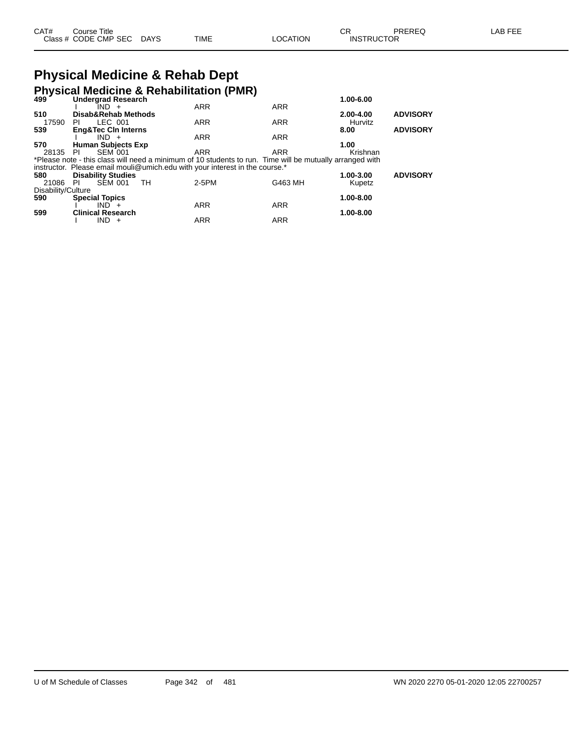## **Physical Medicine & Rehab Dept**

|                    |                           |                |                                |    | <b>Physical Medicine &amp; Rehabilitation (PMR)</b>                         |                                                                                                          |           |                 |
|--------------------|---------------------------|----------------|--------------------------------|----|-----------------------------------------------------------------------------|----------------------------------------------------------------------------------------------------------|-----------|-----------------|
| 499                |                           |                | <b>Undergrad Research</b>      |    |                                                                             |                                                                                                          | 1.00-6.00 |                 |
|                    |                           | IND +          |                                |    | <b>ARR</b>                                                                  | <b>ARR</b>                                                                                               |           |                 |
| 510                |                           |                | Disab&Rehab Methods            |    |                                                                             |                                                                                                          | 2.00-4.00 | <b>ADVISORY</b> |
| 17590              | PI.                       | LEC 001        |                                |    | <b>ARR</b>                                                                  | <b>ARR</b>                                                                                               | Hurvitz   |                 |
| 539                |                           |                | <b>Eng&amp;Tec CIn Interns</b> |    |                                                                             |                                                                                                          | 8.00      | <b>ADVISORY</b> |
|                    |                           | $IND +$        |                                |    | <b>ARR</b>                                                                  | <b>ARR</b>                                                                                               |           |                 |
| 570                |                           |                | <b>Human Subjects Exp</b>      |    |                                                                             |                                                                                                          | 1.00      |                 |
| 28135              | - PI                      | <b>SEM 001</b> |                                |    | <b>ARR</b>                                                                  | ARR                                                                                                      | Krishnan  |                 |
|                    |                           |                |                                |    |                                                                             | *Please note - this class will need a minimum of 10 students to run. Time will be mutually arranged with |           |                 |
|                    |                           |                |                                |    | instructor. Please email mouli@umich.edu with your interest in the course.* |                                                                                                          |           |                 |
| 580                | <b>Disability Studies</b> |                |                                |    |                                                                             |                                                                                                          | 1.00-3.00 | <b>ADVISORY</b> |
| 21086              | PI                        | <b>SEM 001</b> |                                | TH | 2-5PM                                                                       | G463 MH                                                                                                  | Kupetz    |                 |
| Disability/Culture |                           |                |                                |    |                                                                             |                                                                                                          |           |                 |
| 590                | <b>Special Topics</b>     |                |                                |    |                                                                             |                                                                                                          | 1.00-8.00 |                 |
|                    |                           | $IND +$        |                                |    | <b>ARR</b>                                                                  | <b>ARR</b>                                                                                               |           |                 |
| 599                | <b>Clinical Research</b>  |                |                                |    |                                                                             |                                                                                                          | 1.00-8.00 |                 |
|                    |                           | IND.           | $+$                            |    | <b>ARR</b>                                                                  | <b>ARR</b>                                                                                               |           |                 |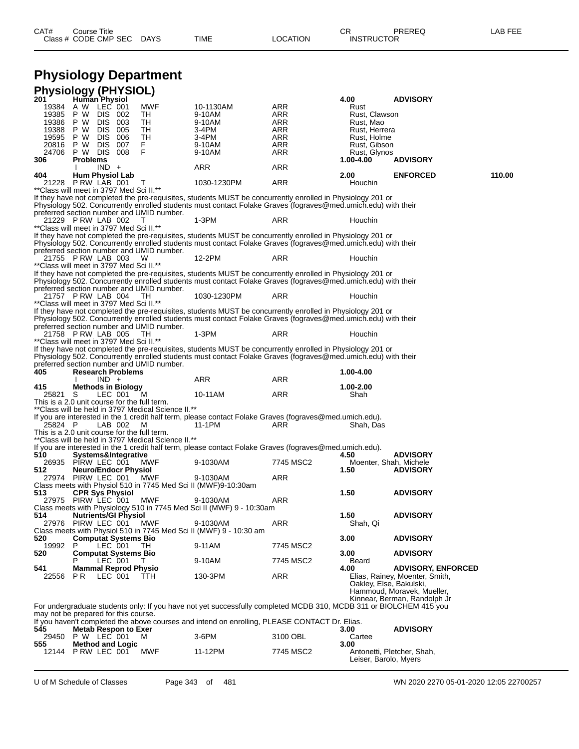## **Physiology Department**

|                | Physiology (PHYSIOL)                                    |                                                     |                                                                                                                    |                   |                             |                                                            |        |
|----------------|---------------------------------------------------------|-----------------------------------------------------|--------------------------------------------------------------------------------------------------------------------|-------------------|-----------------------------|------------------------------------------------------------|--------|
| 201            | Human Physiol<br>19384 A W LEC 001                      | MWF                                                 | 10-1130AM                                                                                                          | ARR               | 4.00<br>Rust                | <b>ADVISORY</b>                                            |        |
| 19385          | DIS 002<br>P W                                          | TH                                                  | 9-10AM                                                                                                             | ARR               | Rust, Clawson               |                                                            |        |
| 19386          | P W<br>DIS 003                                          | TН                                                  | 9-10AM                                                                                                             | ARR               | Rust, Mao                   |                                                            |        |
| 19388          | P W<br>DIS 005                                          | TH                                                  | 3-4PM                                                                                                              | ARR               | Rust, Herrera               |                                                            |        |
| 19595<br>20816 | DIS 006<br>P W<br>P W<br>DIS 007                        | TH<br>F.                                            | 3-4PM<br>9-10AM                                                                                                    | <b>ARR</b><br>ARR | Rust, Holme<br>Rust, Gibson |                                                            |        |
| 24706 PW       | DIS 008                                                 | F                                                   | 9-10AM                                                                                                             | ARR               | Rust, Glynos                |                                                            |        |
| 306            | <b>Problems</b>                                         |                                                     |                                                                                                                    |                   | 1.00-4.00                   | <b>ADVISORY</b>                                            |        |
|                | $IND +$                                                 |                                                     | ARR                                                                                                                | ARR               |                             |                                                            |        |
| 404            | <b>Hum Physiol Lab</b><br>21228 P RW LAB 001            | T                                                   | 1030-1230PM                                                                                                        | ARR               | 2.00<br>Houchin             | <b>ENFORCED</b>                                            | 110.00 |
|                | ** Class will meet in 3797 Med Sci II.**                |                                                     |                                                                                                                    |                   |                             |                                                            |        |
|                |                                                         |                                                     | If they have not completed the pre-requisites, students MUST be concurrently enrolled in Physiology 201 or         |                   |                             |                                                            |        |
|                |                                                         | preferred section number and UMID number.           | Physiology 502. Concurrently enrolled students must contact Folake Graves (fograves@med.umich.edu) with their      |                   |                             |                                                            |        |
|                | 21229 PRW LAB 002                                       |                                                     | 1-3PM                                                                                                              | ARR               | Houchin                     |                                                            |        |
|                | **Class will meet in 3797 Med Sci II.**                 |                                                     |                                                                                                                    |                   |                             |                                                            |        |
|                |                                                         |                                                     | If they have not completed the pre-requisites, students MUST be concurrently enrolled in Physiology 201 or         |                   |                             |                                                            |        |
|                |                                                         | preferred section number and UMID number.           | Physiology 502. Concurrently enrolled students must contact Folake Graves (fograves@med.umich.edu) with their      |                   |                             |                                                            |        |
|                | 21755 P RW LAB 003                                      | w                                                   | 12-2PM                                                                                                             | ARR               | Houchin                     |                                                            |        |
|                | ** Class will meet in 3797 Med Sci II.**                |                                                     |                                                                                                                    |                   |                             |                                                            |        |
|                |                                                         |                                                     | If they have not completed the pre-requisites, students MUST be concurrently enrolled in Physiology 201 or         |                   |                             |                                                            |        |
|                |                                                         | preferred section number and UMID number.           | Physiology 502. Concurrently enrolled students must contact Folake Graves (fograves@med.umich.edu) with their      |                   |                             |                                                            |        |
|                | 21757 P RW LAB 004                                      | TН                                                  | 1030-1230PM                                                                                                        | ARR               | Houchin                     |                                                            |        |
|                | ** Class will meet in 3797 Med Sci II.**                |                                                     |                                                                                                                    |                   |                             |                                                            |        |
|                |                                                         |                                                     | If they have not completed the pre-requisites, students MUST be concurrently enrolled in Physiology 201 or         |                   |                             |                                                            |        |
|                |                                                         | preferred section number and UMID number.           | Physiology 502. Concurrently enrolled students must contact Folake Graves (fograves@med.umich.edu) with their      |                   |                             |                                                            |        |
|                | 21758 P RW LAB 005                                      | TН                                                  | 1-3PM                                                                                                              | ARR               | Houchin                     |                                                            |        |
|                | **Class will meet in 3797 Med Sci II.**                 |                                                     |                                                                                                                    |                   |                             |                                                            |        |
|                |                                                         |                                                     | If they have not completed the pre-requisites, students MUST be concurrently enrolled in Physiology 201 or         |                   |                             |                                                            |        |
|                |                                                         | preferred section number and UMID number.           | Physiology 502. Concurrently enrolled students must contact Folake Graves (fograves@med.umich.edu) with their      |                   |                             |                                                            |        |
| 405            | <b>Research Problems</b>                                |                                                     |                                                                                                                    |                   | 1.00-4.00                   |                                                            |        |
|                | $IND +$                                                 |                                                     | ARR                                                                                                                | ARR               |                             |                                                            |        |
| 415<br>25821 S | <b>Methods in Biology</b><br>LEC 001                    | M                                                   | 10-11AM                                                                                                            | <b>ARR</b>        | 1.00-2.00<br>Shah           |                                                            |        |
|                | This is a 2.0 unit course for the full term.            |                                                     |                                                                                                                    |                   |                             |                                                            |        |
|                |                                                         | **Class will be held in 3797 Medical Science II.**  |                                                                                                                    |                   |                             |                                                            |        |
|                |                                                         |                                                     | If you are interested in the 1 credit half term, please contact Folake Graves (fograves@med.umich.edu).            | ARR               |                             |                                                            |        |
| 25824 P        | LAB 002<br>This is a 2.0 unit course for the full term. | M                                                   | 11-1PM                                                                                                             |                   | Shah, Das                   |                                                            |        |
|                |                                                         | ** Class will be held in 3797 Medical Science II.** |                                                                                                                    |                   |                             |                                                            |        |
|                |                                                         |                                                     | If you are interested in the 1 credit half term, please contact Folake Graves (fograves@med.umich.edu).            |                   |                             |                                                            |        |
| 510            | Systems&Integrative<br>26935 PIRW LEC 001               | MWF                                                 | 9-1030AM                                                                                                           | 7745 MSC2         | 4.50                        | <b>ADVISORY</b><br>Moenter, Shah, Michele                  |        |
| 512            | <b>Neuro/Endocr Physiol</b>                             |                                                     |                                                                                                                    |                   | 1.50                        | <b>ADVISORY</b>                                            |        |
|                | 27974 PIRW LEC 001                                      | MWF                                                 | 9-1030AM                                                                                                           | ARR               |                             |                                                            |        |
|                |                                                         |                                                     | Class meets with Physiol 510 in 7745 Med Sci II (MWF)9-10:30am                                                     |                   |                             |                                                            |        |
| 513            | <b>CPR Sys Physiol</b><br>27975 PIRW LEC 001            | MWF                                                 | 9-1030AM                                                                                                           | ARR               | 1.50                        | <b>ADVISORY</b>                                            |        |
|                |                                                         |                                                     | Class meets with Physiology 510 in 7745 Med Sci II (MWF) 9 - 10:30am                                               |                   |                             |                                                            |        |
| 514            | <b>Nutrients/GI Physiol</b>                             |                                                     |                                                                                                                    |                   | 1.50                        | <b>ADVISORY</b>                                            |        |
|                | 27976 PIRW LEC 001                                      | MWF                                                 | 9-1030AM<br>Class meets with Physiol 510 in 7745 Med Sci II (MWF) 9 - 10:30 am                                     | ARR               | Shah, Qi                    |                                                            |        |
| 520            | <b>Computat Systems Bio</b>                             |                                                     |                                                                                                                    |                   | 3.00                        | <b>ADVISORY</b>                                            |        |
| 19992 P        | LEC 001                                                 | TH.                                                 | 9-11AM                                                                                                             | 7745 MSC2         |                             |                                                            |        |
| 520            | <b>Computat Systems Bio</b>                             |                                                     |                                                                                                                    |                   | 3.00                        | <b>ADVISORY</b>                                            |        |
| 541            | LEC 001<br><b>Mammal Reprod Physio</b>                  |                                                     | 9-10AM                                                                                                             | 7745 MSC2         | Beard<br>4.00               | <b>ADVISORY, ENFORCED</b>                                  |        |
| 22556          | PR.<br>LEC 001                                          | TTH                                                 | 130-3PM                                                                                                            | ARR               |                             | Elias, Rainey, Moenter, Smith,                             |        |
|                |                                                         |                                                     |                                                                                                                    |                   |                             | Oakley, Else, Bakulski,                                    |        |
|                |                                                         |                                                     |                                                                                                                    |                   |                             | Hammoud, Moravek, Mueller,<br>Kinnear, Berman, Randolph Jr |        |
|                |                                                         |                                                     | For undergraduate students only: If you have not yet successfully completed MCDB 310, MCDB 311 or BIOLCHEM 415 you |                   |                             |                                                            |        |
|                | may not be prepared for this course.                    |                                                     |                                                                                                                    |                   |                             |                                                            |        |
|                |                                                         |                                                     | If you haven't completed the above courses and intend on enrolling, PLEASE CONTACT Dr. Elias.                      |                   |                             |                                                            |        |
| 545            | <b>Metab Respon to Exer</b><br>29450 P W LEC 001        | м                                                   | 3-6PM                                                                                                              | 3100 OBL          | 3.00<br>Cartee              | <b>ADVISORY</b>                                            |        |
| 555            | <b>Method and Logic</b>                                 |                                                     |                                                                                                                    |                   | 3.00                        |                                                            |        |
| 12144          | PRW LEC 001                                             | MWF                                                 | 11-12PM                                                                                                            | 7745 MSC2         |                             | Antonetti, Pletcher, Shah,                                 |        |
|                |                                                         |                                                     |                                                                                                                    |                   | Leiser, Barolo, Myers       |                                                            |        |

U of M Schedule of Classes Page 343 of 481 WN 2020 2270 05-01-2020 12:05 22700257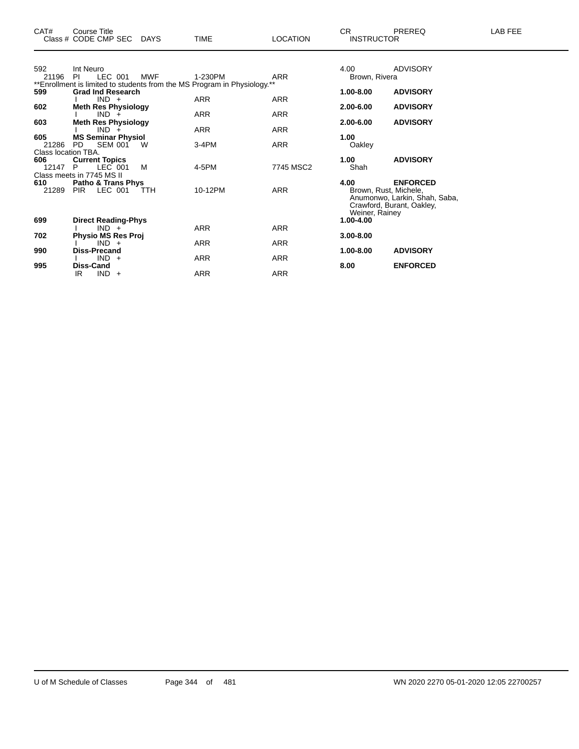|                                     | Class # CODE CMP SEC DAYS                                          |            | TIME                                                                                   | LOCATION   | <b>INSTRUCTOR</b>          |                                                                                                        |
|-------------------------------------|--------------------------------------------------------------------|------------|----------------------------------------------------------------------------------------|------------|----------------------------|--------------------------------------------------------------------------------------------------------|
| 592<br>21196                        | Int Neuro<br>LEC 001<br><b>PI</b>                                  | <b>MWF</b> | 1-230PM                                                                                | ARR        | 4.00<br>Brown, Rivera      | <b>ADVISORY</b>                                                                                        |
| 599                                 | <b>Grad Ind Research</b><br>$IND +$                                |            | **Enrollment is limited to students from the MS Program in Physiology.**<br><b>ARR</b> | <b>ARR</b> | $1.00 - 8.00$              | <b>ADVISORY</b>                                                                                        |
| 602<br>603                          | <b>Meth Res Physiology</b><br>$IND +$                              |            | <b>ARR</b>                                                                             | <b>ARR</b> | $2.00 - 6.00$<br>2.00-6.00 | <b>ADVISORY</b>                                                                                        |
| 605                                 | <b>Meth Res Physiology</b><br>$IND +$<br><b>MS Seminar Physiol</b> |            | <b>ARR</b>                                                                             | <b>ARR</b> | 1.00                       | <b>ADVISORY</b>                                                                                        |
| 21286<br>Class location TBA.<br>606 | <b>SEM 001</b><br>PD.<br><b>Current Topics</b>                     | W          | 3-4PM                                                                                  | <b>ARR</b> | Oakley<br>1.00             | <b>ADVISORY</b>                                                                                        |
| 12147 P                             | LEC 001<br>Class meets in 7745 MS II                               | м          | 4-5PM                                                                                  | 7745 MSC2  | Shah                       |                                                                                                        |
| 610                                 | <b>Patho &amp; Trans Phys</b><br>21289 PIR LEC 001                 | TTH        | 10-12PM                                                                                | <b>ARR</b> | 4.00<br>Weiner, Rainey     | <b>ENFORCED</b><br>Brown, Rust, Michele,<br>Anumonwo, Larkin, Shah, Saba,<br>Crawford, Burant, Oakley, |
| 699                                 | <b>Direct Reading-Phys</b><br>$IND +$                              |            | <b>ARR</b>                                                                             | <b>ARR</b> | 1.00-4.00                  |                                                                                                        |
| 702                                 | <b>Physio MS Res Proj</b><br>$IND +$                               |            | <b>ARR</b>                                                                             | ARR        | 3.00-8.00                  |                                                                                                        |
| 990<br>995                          | Diss-Precand<br>$IND +$<br>Diss-Cand                               |            | <b>ARR</b>                                                                             | <b>ARR</b> | 1.00-8.00<br>8.00          | <b>ADVISORY</b><br><b>ENFORCED</b>                                                                     |
|                                     | $IND +$<br>IR                                                      |            | ARR                                                                                    | <b>ARR</b> |                            |                                                                                                        |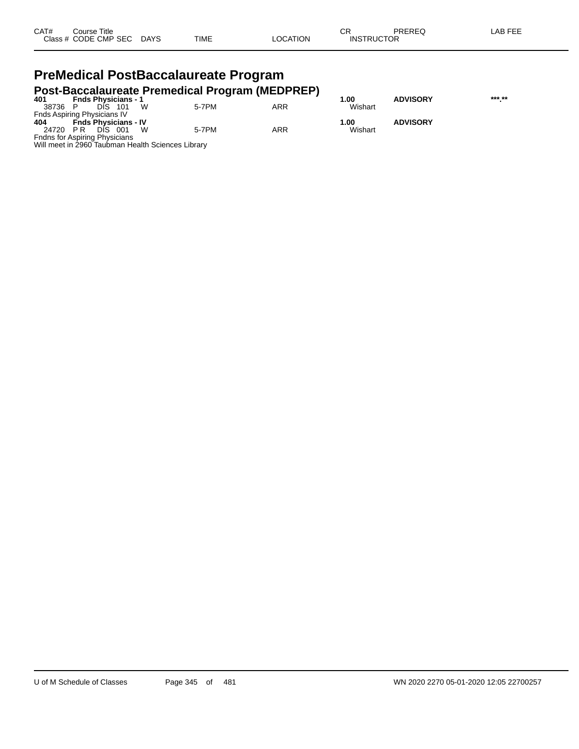| CAT# | Title<br>Course      |             |      |         | rг<br>◡           | PREREQ | AR EEI |
|------|----------------------|-------------|------|---------|-------------------|--------|--------|
|      | Class # CODE CMP SEC | <b>DAYS</b> | TIME | OCATION | <b>INSTRUCTOR</b> |        |        |

### **PreMedical PostBaccalaureate Program Post-Baccalaureate Premedical Program (MEDPREP)**

| 401                                  | <b>Fnds Physicians - 1</b>  |         |   |                                                   |            | 1.00    | <b>ADVISORY</b> | *** ** |
|--------------------------------------|-----------------------------|---------|---|---------------------------------------------------|------------|---------|-----------------|--------|
| 38736 P                              |                             | DIS 101 |   | 5-7PM                                             | ARR        | Wishart |                 |        |
| Fnds Aspiring Physicians IV          |                             |         |   |                                                   |            |         |                 |        |
| 404                                  | <b>Fnds Physicians - IV</b> |         |   |                                                   |            | 1.00    | <b>ADVISORY</b> |        |
| 24720 PR                             |                             | DIS 001 | w | 5-7PM                                             | <b>ARR</b> | Wishart |                 |        |
| <b>Fndns for Aspiring Physicians</b> |                             |         |   |                                                   |            |         |                 |        |
|                                      |                             |         |   | Will meet in 2960 Taubman Health Sciences Library |            |         |                 |        |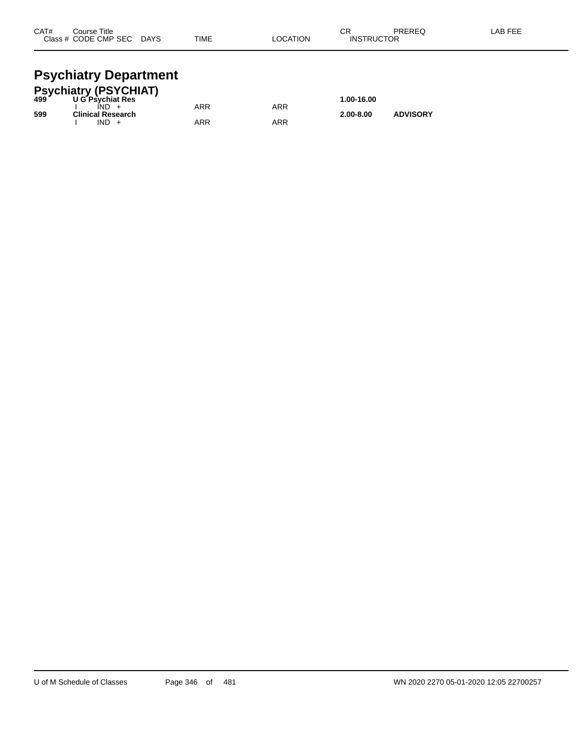| CAT# | Course Title         |             |             |          | ⌒г<br>◡∩          | PREREQ | .AB FEE |
|------|----------------------|-------------|-------------|----------|-------------------|--------|---------|
|      | Class # CODE CMP SEC | <b>DAYS</b> | <b>TIME</b> | LOCATION | <b>INSTRUCTOR</b> |        |         |
|      |                      |             |             |          |                   |        |         |

## **Psychiatry Department**

|     | <b>Psychiatry (PSYCHIAT)</b><br>499 U G Psychiat Res |     |     |               |                 |  |
|-----|------------------------------------------------------|-----|-----|---------------|-----------------|--|
|     |                                                      |     |     | 1.00-16.00    |                 |  |
|     | IND.                                                 | ARR | ARR |               |                 |  |
| 599 | <b>Clinical Research</b>                             |     |     | $2.00 - 8.00$ | <b>ADVISORY</b> |  |
|     | $IND +$                                              | ARR | ARR |               |                 |  |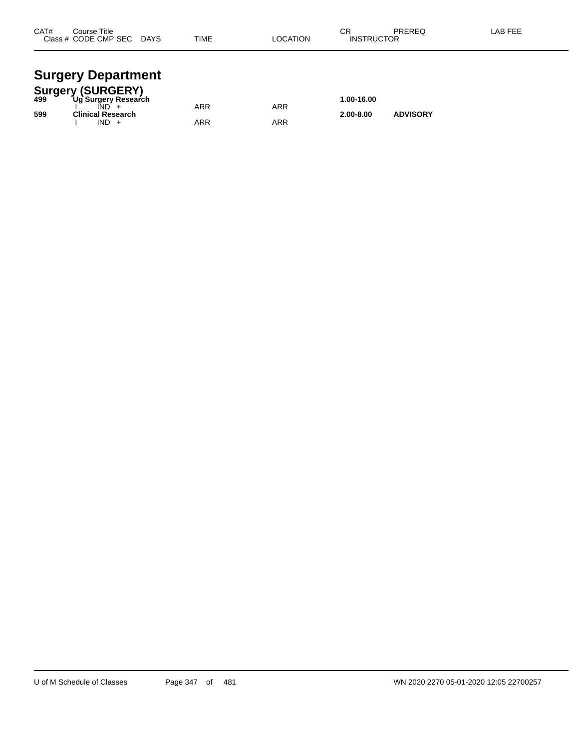| CAT# | Course Title<br>Class # CODE CMP SEC | <b>DAYS</b> | <b>TIME</b> | <b>LOCATION</b> | ◠◻<br>۱۷۱۰ -<br><b>INSTRUCTOR</b> | PREREQ | <b>AB FEF</b> |
|------|--------------------------------------|-------------|-------------|-----------------|-----------------------------------|--------|---------------|
|      |                                      |             |             |                 |                                   |        |               |

## **Surgery Department**

|     | <b>Surgery (SURGERY)</b> |     |     |               |                 |  |
|-----|--------------------------|-----|-----|---------------|-----------------|--|
| 499 | Ug Surgery Research      |     |     | 1.00-16.00    |                 |  |
|     |                          | ARR | ARR |               |                 |  |
| 599 | <b>Clinical Research</b> |     |     | $2.00 - 8.00$ | <b>ADVISORY</b> |  |
|     | $IND +$                  | ARR | ARR |               |                 |  |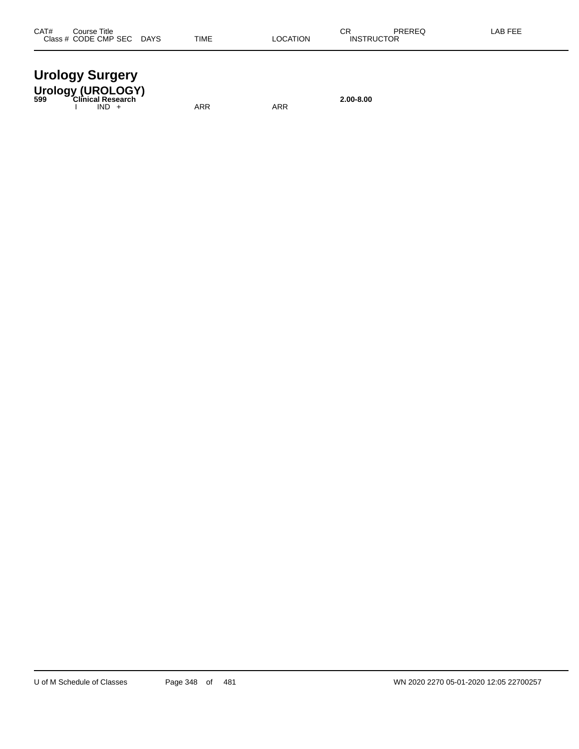| <b>Urology Surgery</b>                     |           |
|--------------------------------------------|-----------|
| Urology (UROLOGY)<br>599 Clinical Research |           |
|                                            | 2.00-8.00 |

I IND + ARR ARR ARR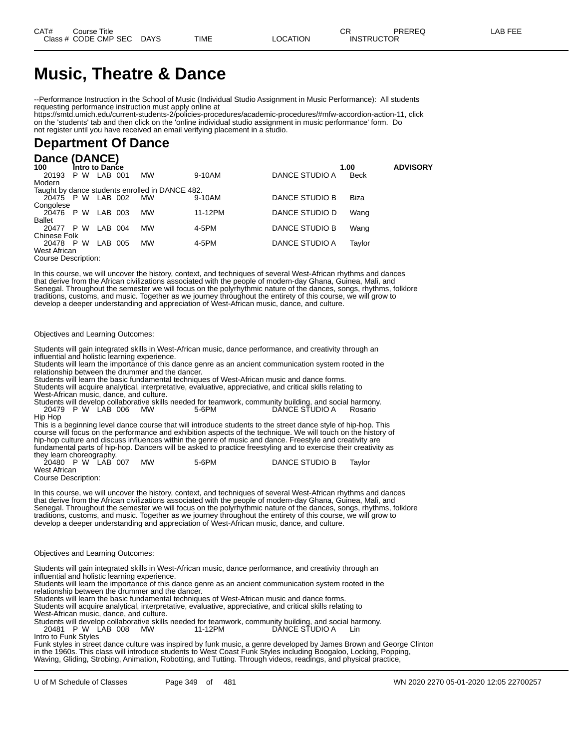## **Music, Theatre & Dance**

--Performance Instruction in the School of Music (Individual Studio Assignment in Music Performance): All students requesting performance instruction must apply online at

https://smtd.umich.edu/current-students-2/policies-procedures/academic-procedures/#mfw-accordion-action-11, click on the 'students' tab and then click on the 'online individual studio assignment in music performance' form. Do not register until you have received an email verifying placement in a studio.

## **Department Of Dance**

#### **Dance (DANCE)**

| 100                 |     | Intro to Dance |                                                 |         |                | 1.00   | <b>ADVISORY</b> |
|---------------------|-----|----------------|-------------------------------------------------|---------|----------------|--------|-----------------|
| 20193               | P W | LAB 001        | <b>MW</b>                                       | 9-10AM  | DANCE STUDIO A | Beck   |                 |
| Modern              |     |                |                                                 |         |                |        |                 |
|                     |     |                | Taught by dance students enrolled in DANCE 482. |         |                |        |                 |
| 20475 P W LAB 002   |     |                | <b>MW</b>                                       | 9-10AM  | DANCE STUDIO B | Biza   |                 |
| Congolese           |     |                |                                                 |         |                |        |                 |
| 20476 P W           |     | LAB 003        | <b>MW</b>                                       | 11-12PM | DANCE STUDIO D | Wang   |                 |
| <b>Ballet</b>       |     |                |                                                 |         |                |        |                 |
| 20477               | P W | LAB 004        | <b>MW</b>                                       | 4-5PM   | DANCE STUDIO B | Wang   |                 |
| Chinese Folk        |     |                |                                                 |         |                |        |                 |
| 20478 P W           |     | LAB 005        | <b>MW</b>                                       | 4-5PM   | DANCE STUDIO A | Taylor |                 |
| West African        |     |                |                                                 |         |                |        |                 |
| Course Description: |     |                |                                                 |         |                |        |                 |

In this course, we will uncover the history, context, and techniques of several West-African rhythms and dances that derive from the African civilizations associated with the people of modern-day Ghana, Guinea, Mali, and Senegal. Throughout the semester we will focus on the polyrhythmic nature of the dances, songs, rhythms, folklore traditions, customs, and music. Together as we journey throughout the entirety of this course, we will grow to develop a deeper understanding and appreciation of West-African music, dance, and culture.

#### Objectives and Learning Outcomes:

Students will gain integrated skills in West-African music, dance performance, and creativity through an influential and holistic learning experience.

Students will learn the importance of this dance genre as an ancient communication system rooted in the relationship between the drummer and the dancer.

Students will learn the basic fundamental techniques of West-African music and dance forms.

Students will acquire analytical, interpretative, evaluative, appreciative, and critical skills relating to West-African music, dance, and culture.

Students will develop collaborative skills needed for teamwork, community building, and social harmony. 20479 P W LAB 006 MW 5-6PM DANCE STUDIO A Rosario Hip Hop

This is a beginning level dance course that will introduce students to the street dance style of hip-hop. This course will focus on the performance and exhibition aspects of the technique. We will touch on the history of hip-hop culture and discuss influences within the genre of music and dance. Freestyle and creativity are fundamental parts of hip-hop. Dancers will be asked to practice freestyling and to exercise their creativity as

they learn choreography.<br>20480 P W LAB 007 MW 5-6PM DANCE STUDIO B Taylor West African

Course Description:

In this course, we will uncover the history, context, and techniques of several West-African rhythms and dances that derive from the African civilizations associated with the people of modern-day Ghana, Guinea, Mali, and Senegal. Throughout the semester we will focus on the polyrhythmic nature of the dances, songs, rhythms, folklore traditions, customs, and music. Together as we journey throughout the entirety of this course, we will grow to develop a deeper understanding and appreciation of West-African music, dance, and culture.

Objectives and Learning Outcomes:

Students will gain integrated skills in West-African music, dance performance, and creativity through an influential and holistic learning experience.

Students will learn the importance of this dance genre as an ancient communication system rooted in the relationship between the drummer and the dancer.

Students will learn the basic fundamental techniques of West-African music and dance forms.

Students will acquire analytical, interpretative, evaluative, appreciative, and critical skills relating to West-African music, dance, and culture.

Students will develop collaborative skills needed for teamwork, community building, and social harmony. 20481 P W LAB 008 MW 11-12PM DANCE STUDIO A Lin Intro to Funk Styles

Funk styles in street dance culture was inspired by funk music, a genre developed by James Brown and George Clinton in the 1960s. This class will introduce students to West Coast Funk Styles including Boogaloo, Locking, Popping, Waving, Gliding, Strobing, Animation, Robotting, and Tutting. Through videos, readings, and physical practice,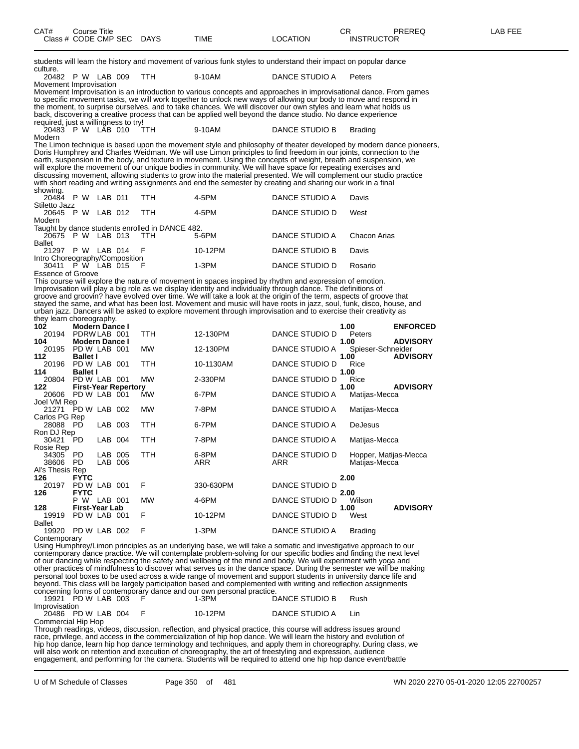| CAT#<br>ourse Titleٽ |             |      |                 | ∼⊡<br>◡ጙ          | PREREQ | AB FEE |
|----------------------|-------------|------|-----------------|-------------------|--------|--------|
| Class # CODE CMP SEC | <b>DAYS</b> | TIME | <b>LOCATION</b> | <b>INSTRUCTOR</b> |        |        |

| CAT#<br>Class # CODE CMP SEC                             | Course Title                          |         |                             | <b>DAYS</b>                                     | TIME                                                                                                                                                                                                                                | <b>LOCATION</b>       | СR<br><b>INSTRUCTOR</b>   | PREREQ          |
|----------------------------------------------------------|---------------------------------------|---------|-----------------------------|-------------------------------------------------|-------------------------------------------------------------------------------------------------------------------------------------------------------------------------------------------------------------------------------------|-----------------------|---------------------------|-----------------|
| culture.                                                 |                                       |         |                             |                                                 | students will learn the history and movement of various funk styles to understand their impact on popular dance                                                                                                                     |                       |                           |                 |
| 20482 P W LAB 009<br>Movement Improvisation              |                                       |         |                             | TTH                                             | 9-10AM                                                                                                                                                                                                                              | DANCE STUDIO A        | Peters                    |                 |
|                                                          |                                       |         |                             |                                                 | Movement Improvisation is an introduction to various concepts and approaches in improvisational dance. From games                                                                                                                   |                       |                           |                 |
|                                                          |                                       |         |                             |                                                 | to specific movement tasks, we will work together to unlock new ways of allowing our body to move and respond in<br>the moment, to surprise ourselves, and to take chances. We will discover our own styles and learn what holds us |                       |                           |                 |
|                                                          |                                       |         |                             |                                                 | back, discovering a creative process that can be applied well beyond the dance studio. No dance experience                                                                                                                          |                       |                           |                 |
| required, just a willingness to try!<br>20483 PW LAB 010 |                                       |         |                             | TTH                                             | 9-10AM                                                                                                                                                                                                                              | DANCE STUDIO B        | <b>Brading</b>            |                 |
| Modern                                                   |                                       |         |                             |                                                 | The Limon technique is based upon the movement style and philosophy of theater developed by modern dance pioneers,                                                                                                                  |                       |                           |                 |
|                                                          |                                       |         |                             |                                                 | Doris Humphrey and Charles Weidman. We will use Limon principles to find freedom in our joints, connection to the                                                                                                                   |                       |                           |                 |
|                                                          |                                       |         |                             |                                                 | earth, suspension in the body, and texture in movement. Using the concepts of weight, breath and suspension, we<br>will explore the movement of our unique bodies in community. We will have space for repeating exercises and      |                       |                           |                 |
|                                                          |                                       |         |                             |                                                 | discussing movement, allowing students to grow into the material presented. We will complement our studio practice                                                                                                                  |                       |                           |                 |
|                                                          |                                       |         |                             |                                                 | with short reading and writing assignments and end the semester by creating and sharing our work in a final                                                                                                                         |                       |                           |                 |
| showing.<br>20484                                        | P W                                   | LAB 011 |                             | TTH                                             | 4-5PM                                                                                                                                                                                                                               | DANCE STUDIO A        | Davis                     |                 |
| Stiletto Jazz                                            |                                       |         |                             |                                                 |                                                                                                                                                                                                                                     |                       |                           |                 |
| 20645 P W<br>Modern                                      |                                       | LAB 012 |                             | TTH                                             | 4-5PM                                                                                                                                                                                                                               | DANCE STUDIO D        | West                      |                 |
|                                                          |                                       |         |                             | Taught by dance students enrolled in DANCE 482. |                                                                                                                                                                                                                                     |                       |                           |                 |
| 20675<br>Ballet                                          | <b>P W LAB 013</b>                    |         |                             | TTH                                             | 5-6PM                                                                                                                                                                                                                               | DANCE STUDIO A        | Chacon Arias              |                 |
| 21297 P W LAB 014                                        |                                       |         |                             | F                                               | 10-12PM                                                                                                                                                                                                                             | DANCE STUDIO B        | Davis                     |                 |
| Intro Choreography/Composition<br>30411 PW LAB 015       |                                       |         |                             | F                                               | $1-3PM$                                                                                                                                                                                                                             | DANCE STUDIO D        | Rosario                   |                 |
| <b>Essence of Groove</b>                                 |                                       |         |                             |                                                 |                                                                                                                                                                                                                                     |                       |                           |                 |
|                                                          |                                       |         |                             |                                                 | This course will explore the nature of movement in spaces inspired by rhythm and expression of emotion.                                                                                                                             |                       |                           |                 |
|                                                          |                                       |         |                             |                                                 | Improvisation will play a big role as we display identity and individuality through dance. The definitions of<br>groove and groovin? have evolved over time. We will take a look at the origin of the term, aspects of groove that  |                       |                           |                 |
|                                                          |                                       |         |                             |                                                 | stayed the same, and what has been lost. Movement and music will have roots in jazz, soul, funk, disco, house, and                                                                                                                  |                       |                           |                 |
| they learn choreography.                                 |                                       |         |                             |                                                 | urban jazz. Dancers will be asked to explore movement through improvisation and to exercise their creativity as                                                                                                                     |                       |                           |                 |
| 102                                                      | <b>Modern Dance I</b>                 |         |                             |                                                 |                                                                                                                                                                                                                                     |                       | 1.00                      | <b>ENFORCED</b> |
| 20194                                                    | PDRWLAB 001                           |         |                             | TTH                                             | 12-130PM                                                                                                                                                                                                                            | DANCE STUDIO D        | Peters                    |                 |
| 104<br>20195                                             | <b>Modern Dance I</b><br>PD W LAB 001 |         |                             | MW                                              | 12-130PM                                                                                                                                                                                                                            | DANCE STUDIO A        | 1.00<br>Spieser-Schneider | <b>ADVISORY</b> |
| 112                                                      | <b>Ballet I</b>                       |         |                             |                                                 |                                                                                                                                                                                                                                     |                       | 1.00                      | <b>ADVISORY</b> |
| 20196<br>114                                             | PD W LAB 001<br><b>Ballet I</b>       |         |                             | TTH                                             | 10-1130AM                                                                                                                                                                                                                           | DANCE STUDIO D        | Rice<br>1.00              |                 |
| 20804                                                    | PD W LAB 001                          |         |                             | <b>MW</b>                                       | 2-330PM                                                                                                                                                                                                                             | DANCE STUDIO D        | Rice                      |                 |
| 122<br>20606                                             | PD W LAB 001                          |         | <b>First-Year Repertory</b> | MW                                              | 6-7PM                                                                                                                                                                                                                               | DANCE STUDIO A        | 1.00<br>Matijas-Mecca     | <b>ADVISORY</b> |
| Joel VM Rep                                              |                                       |         |                             |                                                 |                                                                                                                                                                                                                                     |                       |                           |                 |
| 21271                                                    | PD W LAB 002                          |         |                             | MW                                              | 7-8PM                                                                                                                                                                                                                               | DANCE STUDIO A        | Matijas-Mecca             |                 |
| Carlos PG Rep<br>28088                                   | -PD                                   | LAB 003 |                             | TTH                                             | 6-7PM                                                                                                                                                                                                                               | DANCE STUDIO A        | DeJesus                   |                 |
| Ron DJ Rep                                               |                                       |         |                             |                                                 |                                                                                                                                                                                                                                     |                       |                           |                 |
| 30421<br>Rosie Rep                                       | PD                                    | LAB 004 |                             | TTH                                             | 7-8PM                                                                                                                                                                                                                               | DANCE STUDIO A        | Matijas-Mecca             |                 |
| 34305                                                    | PD                                    | LAB 005 |                             | TTH                                             | 6-8PM                                                                                                                                                                                                                               | DANCE STUDIO D        | Hopper, Matijas-Mecca     |                 |
| 38606                                                    | PD                                    | LAB 006 |                             |                                                 | ARR                                                                                                                                                                                                                                 | ARR                   | Matijas-Mecca             |                 |
| Al's Thesis Rep<br>126                                   | <b>FYTC</b>                           |         |                             |                                                 |                                                                                                                                                                                                                                     |                       | 2.00                      |                 |
| 20197                                                    | PD W LAB 001                          |         |                             | F                                               | 330-630PM                                                                                                                                                                                                                           | DANCE STUDIO D        |                           |                 |
| 126                                                      | <b>FYTC</b><br>P W LAB 001            |         |                             | <b>MW</b>                                       | 4-6PM                                                                                                                                                                                                                               | DANCE STUDIO D        | 2.00<br>Wilson            |                 |
| 128<br>19919                                             | First-Year Lab<br>PD W LAB 001        |         |                             | F                                               | 10-12PM                                                                                                                                                                                                                             | DANCE STUDIO D        | 1.00<br>West              | <b>ADVISORY</b> |
| Ballet<br>19920                                          | PD W LAB 002                          |         |                             | F                                               | 1-3PM                                                                                                                                                                                                                               | <b>DANCE STUDIO A</b> | <b>Brading</b>            |                 |

Contemporary

Using Humphrey/Limon principles as an underlying base, we will take a somatic and investigative approach to our contemporary dance practice. We will contemplate problem-solving for our specific bodies and finding the next level of our dancing while respecting the safety and wellbeing of the mind and body. We will experiment with yoga and other practices of mindfulness to discover what serves us in the dance space. During the semester we will be making personal tool boxes to be used across a wide range of movement and support students in university dance life and beyond. This class will be largely participation based and complemented with writing and reflection assignments concerning forms of contemporary dance and our own personal practice.

| 19921 PD W LAB 003                   | 1-3PM   | DANCE STUDIO B | Rush |
|--------------------------------------|---------|----------------|------|
| Improvisation                        |         |                |      |
| 20486 PD W LAB 004                   | 10-12PM | DANCE STUDIO A | Lin  |
| <b>Constructed Lines and Service</b> |         |                |      |

Commercial Hip Hop

Through readings, videos, discussion, reflection, and physical practice, this course will address issues around race, privilege, and access in the commercialization of hip hop dance. We will learn the history and evolution of hip hop dance, learn hip hop dance terminology and techniques, and apply them in choreography. During class, we will also work on retention and execution of choreography, the art of freestyling and expression, audience engagement, and performing for the camera. Students will be required to attend one hip hop dance event/battle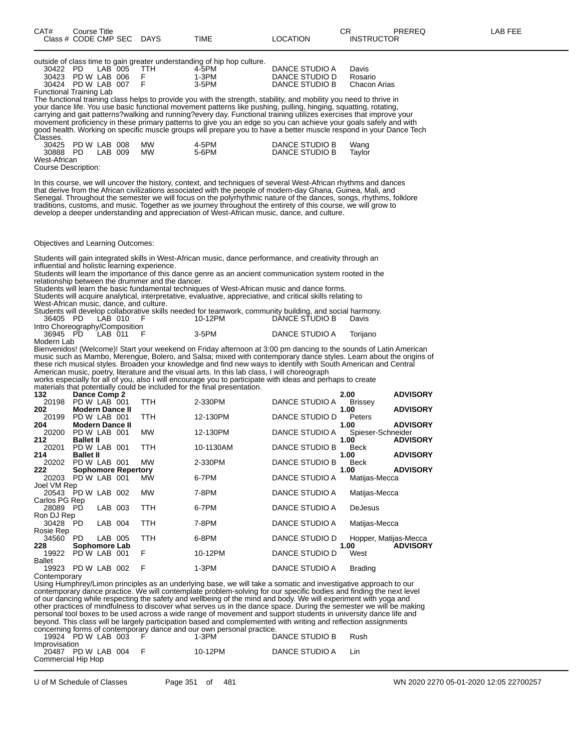| CAT# | Course Title<br>Class # CODE CMP SEC DAYS                                                          |            | TIME  | LOCATION       | СR<br><b>INSTRUCTOR</b> | PREREQ | LAB FEE |
|------|----------------------------------------------------------------------------------------------------|------------|-------|----------------|-------------------------|--------|---------|
|      | outside of class time to gain greater understanding of hip hop culture.<br>LAB 005<br>PD.<br>30422 | <b>TTH</b> | 4-5PM | DANCE STUDIO A | Davis                   |        |         |

30423 PD W LAB 006 F 1-3PM DANCE STUDIO D Rosario 30424 PD W LAB 007 Functional Training Lab The functional training class helps to provide you with the strength, stability, and mobility you need to thrive in your dance life. You use basic functional movement patterns like pushing, pulling, hinging, squatting, rotating, carrying and gait patterns?walking and running?every day. Functional training utilizes exercises that improve your movement proficiency in these primary patterns to give you an edge so you can achieve your goals safely and with good health. Working on specific muscle groups will prepare you to have a better muscle respond in your Dance Tech

| Classes.     |                    |         |           |       |                |        |
|--------------|--------------------|---------|-----------|-------|----------------|--------|
|              | 30425 PD W LAB 008 |         | <b>MW</b> | 4-5PM | DANCE STUDIO B | Wang   |
| 30888 PD     |                    | LAB 009 | МW        | 5-6PM | DANCE STUDIO B | Tavlor |
| West-African |                    |         |           |       |                |        |

Course Description:

In this course, we will uncover the history, context, and techniques of several West-African rhythms and dances that derive from the African civilizations associated with the people of modern-day Ghana, Guinea, Mali, and Senegal. Throughout the semester we will focus on the polyrhythmic nature of the dances, songs, rhythms, folklore traditions, customs, and music. Together as we journey throughout the entirety of this course, we will grow to develop a deeper understanding and appreciation of West-African music, dance, and culture.

Objectives and Learning Outcomes:

Students will gain integrated skills in West-African music, dance performance, and creativity through an influential and holistic learning experience.

Students will learn the importance of this dance genre as an ancient communication system rooted in the relationship between the drummer and the dancer.

Students will learn the basic fundamental techniques of West-African music and dance forms.

Students will acquire analytical, interpretative, evaluative, appreciative, and critical skills relating to West-African music, dance, and culture.

Students will develop collaborative skills needed for teamwork, community building, and social harmony. 36405 PD LAB 010 F 10-12PM DANCE STUDIO B Davis

Intro Choreography/Composition<br>36945 PD LAB 011 F 3-5PM DANCE STUDIO A Torijano

Modern Lab

Bienvenidos! (Welcome)! Start your weekend on Friday afternoon at 3:00 pm dancing to the sounds of Latin American music such as Mambo, Merengue, Bolero, and Salsa; mixed with contemporary dance styles. Learn about the origins of these rich musical styles. Broaden your knowledge and find new ways to identify with South American and Central American music, poetry, literature and the visual arts. In this lab class, I will choreograph

works especially for all of you, also I will encourage you to participate with ideas and perhaps to create materials that potentially could be included for the final presentation.

|                    |                        |         |                            |           | materials that potentially could be included for the illial presentation. |                |                       |                 |
|--------------------|------------------------|---------|----------------------------|-----------|---------------------------------------------------------------------------|----------------|-----------------------|-----------------|
| 132                | Dance Comp 2           |         |                            |           |                                                                           |                | 2.00                  | <b>ADVISORY</b> |
| 20198              | PD W LAB 001           |         |                            | TTH.      | 2-330PM                                                                   | DANCE STUDIO A | <b>Brissey</b>        |                 |
| 202                | <b>Modern Dance II</b> |         |                            |           |                                                                           |                | 1.00                  | <b>ADVISORY</b> |
| 20199              | PD W LAB 001           |         |                            | TTH       | 12-130PM                                                                  | DANCE STUDIO D | Peters                |                 |
| 204                | <b>Modern Dance II</b> |         |                            |           |                                                                           |                | 1.00                  | <b>ADVISORY</b> |
| 20200              | PD W LAB 001           |         |                            | MW        | 12-130PM                                                                  | DANCE STUDIO A | Spieser-Schneider     |                 |
| 212                | <b>Ballet II</b>       |         |                            |           |                                                                           |                | 1.00                  | <b>ADVISORY</b> |
| 20201              | PD W LAB 001           |         |                            | TTH       | 10-1130AM                                                                 | DANCE STUDIO B | <b>Beck</b>           |                 |
| 214                | <b>Ballet II</b>       |         |                            |           |                                                                           |                | 1.00                  | <b>ADVISORY</b> |
| 20202              | PD W LAB 001           |         |                            | <b>MW</b> | 2-330PM                                                                   | DANCE STUDIO B | <b>Beck</b>           |                 |
| 222                |                        |         | <b>Sophomore Repertory</b> |           |                                                                           |                | 1.00                  | <b>ADVISORY</b> |
| 20203              | PD W LAB 001           |         |                            | <b>MW</b> | 6-7PM                                                                     | DANCE STUDIO A | Matijas-Mecca         |                 |
| Joel VM Rep        |                        |         |                            |           |                                                                           |                |                       |                 |
| 20543 PD W LAB 002 |                        |         |                            | <b>MW</b> | 7-8PM                                                                     | DANCE STUDIO A | Matijas-Mecca         |                 |
| Carlos PG Rep      |                        |         |                            |           |                                                                           |                |                       |                 |
| 28089 PD           |                        | LAB 003 |                            | TTH       | 6-7PM                                                                     | DANCE STUDIO A | <b>DeJesus</b>        |                 |
| Ron DJ Rep         |                        |         |                            |           |                                                                           |                |                       |                 |
| 30428 PD           |                        | LAB 004 |                            | TTH       | 7-8PM                                                                     | DANCE STUDIO A | Matijas-Mecca         |                 |
| Rosie Rep          |                        |         |                            |           |                                                                           |                |                       |                 |
| 34560              | PD.                    | LAB 005 |                            | TTH       | 6-8PM                                                                     | DANCE STUDIO D | Hopper, Matijas-Mecca |                 |
| 228                | Sophomore Lab          |         |                            |           |                                                                           |                | 1.00                  | <b>ADVISORY</b> |
| 19922              | PD W LAB 001           |         |                            | F         | 10-12PM                                                                   | DANCE STUDIO D | West                  |                 |
| Ballet             |                        |         |                            |           |                                                                           |                |                       |                 |
| 19923              | PD W LAB               |         | 002                        | F         | $1-3PM$                                                                   | DANCE STUDIO A | <b>Brading</b>        |                 |

**Contemporary** 

Using Humphrey/Limon principles as an underlying base, we will take a somatic and investigative approach to our contemporary dance practice. We will contemplate problem-solving for our specific bodies and finding the next level of our dancing while respecting the safety and wellbeing of the mind and body. We will experiment with yoga and other practices of mindfulness to discover what serves us in the dance space. During the semester we will be making personal tool boxes to be used across a wide range of movement and support students in university dance life and beyond. This class will be largely participation based and complemented with writing and reflection assignments concerning forms of contemporary dance and our own personal practice.

19924 PD W LAB 003 F 1-3PM DANCE STUDIO B Rush Improvisation

20487 PD W LAB 004 F 10-12PM DANCE STUDIO A Lin Commercial Hip Hop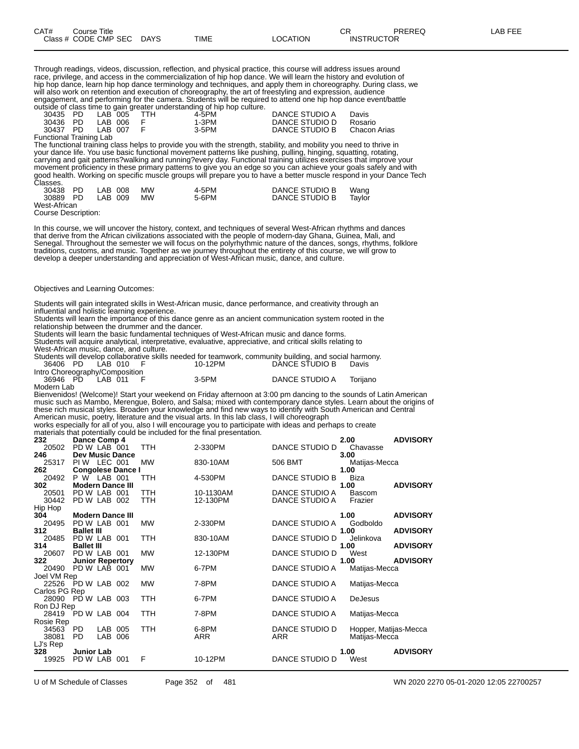Through readings, videos, discussion, reflection, and physical practice, this course will address issues around race, privilege, and access in the commercialization of hip hop dance. We will learn the history and evolution of hip hop dance, learn hip hop dance terminology and techniques, and apply them in choreography. During class, we will also work on retention and execution of choreography, the art of freestyling and expression, audience engagement, and performing for the camera. Students will be required to attend one hip hop dance event/battle outside of class time to gain greater understanding of hip hop culture.

|                         |                      |  | advanced at all and the same discussion all accountants of the the contents. |                |              |
|-------------------------|----------------------|--|------------------------------------------------------------------------------|----------------|--------------|
|                         | 30435 PD LAB 005 TTH |  | 4-5PM                                                                        | DANCE STUDIO A | Davis        |
| 30436 PD                | IAB 006 F            |  | 1-3PM                                                                        | DANCE STUDIO D | Rosario      |
|                         | 30437 PD LAB 007 F   |  | 3-5PM                                                                        | DANCE STUDIO B | Chacon Arias |
| Functional Training Lab |                      |  |                                                                              |                |              |

The functional training class helps to provide you with the strength, stability, and mobility you need to thrive in your dance life. You use basic functional movement patterns like pushing, pulling, hinging, squatting, rotating, carrying and gait patterns?walking and running?every day. Functional training utilizes exercises that improve your movement proficiency in these primary patterns to give you an edge so you can achieve your goals safely and with good health. Working on specific muscle groups will prepare you to have a better muscle respond in your Dance Tech Classes.

| 30438 PD     | LAB 008 | <b>MW</b> | 4-5PM | DANCE STUDIO B | Wang   |
|--------------|---------|-----------|-------|----------------|--------|
| 30889 PD     | LAB 009 | <b>MW</b> | 5-6PM | DANCE STUDIO B | Tavlor |
| West-African |         |           |       |                |        |

Course Description:

In this course, we will uncover the history, context, and techniques of several West-African rhythms and dances that derive from the African civilizations associated with the people of modern-day Ghana, Guinea, Mali, and Senegal. Throughout the semester we will focus on the polyrhythmic nature of the dances, songs, rhythms, folklore traditions, customs, and music. Together as we journey throughout the entirety of this course, we will grow to develop a deeper understanding and appreciation of West-African music, dance, and culture.

#### Objectives and Learning Outcomes:

Students will gain integrated skills in West-African music, dance performance, and creativity through an influential and holistic learning experience.

Students will learn the importance of this dance genre as an ancient communication system rooted in the relationship between the drummer and the dancer.

Students will learn the basic fundamental techniques of West-African music and dance forms. Students will acquire analytical, interpretative, evaluative, appreciative, and critical skills relating to

West-African music, dance, and culture

| <u>WESTANIYAN MUSIY, YANGE, ANG GUNUG, </u> |  |  |          |                                                                                                         |          |
|---------------------------------------------|--|--|----------|---------------------------------------------------------------------------------------------------------|----------|
|                                             |  |  |          | Students will develop collaborative skills needed for teamwork, community building, and social harmony. |          |
| 36406 PD LAB 010 F                          |  |  | 10-12PM  | DANCE STUDIO B                                                                                          | Davis    |
| Intro Choreography/Composition              |  |  |          |                                                                                                         |          |
| 36946 PD LAB 011 F                          |  |  | $3-5$ PM | DANCE STUDIO A                                                                                          | Toriiano |

Modern Lab Bienvenidos! (Welcome)! Start your weekend on Friday afternoon at 3:00 pm dancing to the sounds of Latin American music such as Mambo, Merengue, Bolero, and Salsa; mixed with contemporary dance styles. Learn about the origins of these rich musical styles. Broaden your knowledge and find new ways to identify with South American and Central American music, poetry, literature and the visual arts. In this lab class, I will choreograph works especially for all of you, also I will encourage you to participate with ideas and perhaps to create

materials that potentially could be included for the final presentation.

|                    |                         |         |                          |            | materials that potentially could be included for the illial presentation. |                |                       |                 |
|--------------------|-------------------------|---------|--------------------------|------------|---------------------------------------------------------------------------|----------------|-----------------------|-----------------|
| 232                | Dance Comp 4            |         |                          |            |                                                                           |                | 2.00                  | <b>ADVISORY</b> |
| 20502              | PD W LAB 001            |         |                          | TTH        | 2-330PM                                                                   | DANCE STUDIO D | Chavasse              |                 |
| 246                | <b>Dev Music Dance</b>  |         |                          |            |                                                                           |                | 3.00                  |                 |
| 25317              | PIW LEC 001             |         |                          | <b>MW</b>  | 830-10AM                                                                  | 506 BMT        | Matijas-Mecca         |                 |
| 262                |                         |         | <b>Congolese Dance I</b> |            |                                                                           |                | 1.00                  |                 |
| 20492              | P W LAB 001             |         |                          | TTH        | 4-530PM                                                                   | DANCE STUDIO B | Biza                  |                 |
| 302                | <b>Modern Dance III</b> |         |                          |            |                                                                           |                | 1.00                  | <b>ADVISORY</b> |
| 20501              | PD W LAB 001            |         |                          | <b>TTH</b> | 10-1130AM                                                                 | DANCE STUDIO A | <b>Bascom</b>         |                 |
| 30442              | PD W LAB 002            |         |                          | <b>TTH</b> | 12-130PM                                                                  | DANCE STUDIO A | Frazier               |                 |
| Hip Hop            |                         |         |                          |            |                                                                           |                |                       |                 |
| 304                | <b>Modern Dance III</b> |         |                          |            |                                                                           |                | 1.00                  | <b>ADVISORY</b> |
| 20495              | PD W LAB 001            |         |                          | <b>MW</b>  | 2-330PM                                                                   | DANCE STUDIO A | Godboldo              |                 |
| 312                | <b>Ballet III</b>       |         |                          |            |                                                                           |                | 1.00                  | <b>ADVISORY</b> |
| 20485              | PD W LAB 001            |         |                          | TTH        | 830-10AM                                                                  | DANCE STUDIO D | Jelinkova             |                 |
| 314                | <b>Ballet III</b>       |         |                          |            |                                                                           |                | 1.00                  | <b>ADVISORY</b> |
| 20607              | PD W LAB 001            |         |                          | <b>MW</b>  | 12-130PM                                                                  | DANCE STUDIO D | West                  |                 |
| 322                | <b>Junior Repertory</b> |         |                          |            |                                                                           |                | 1.00                  | <b>ADVISORY</b> |
| 20490              | PD W LAB 001            |         |                          | <b>MW</b>  | 6-7PM                                                                     | DANCE STUDIO A | Matijas-Mecca         |                 |
| Joel VM Rep        |                         |         |                          |            |                                                                           |                |                       |                 |
| 22526              | PD W LAB 002            |         |                          | <b>MW</b>  | 7-8PM                                                                     | DANCE STUDIO A | Matijas-Mecca         |                 |
| Carlos PG Rep      |                         |         |                          |            |                                                                           |                |                       |                 |
| 28090 PD W LAB 003 |                         |         |                          | <b>TTH</b> | 6-7PM                                                                     | DANCE STUDIO A | DeJesus               |                 |
| Ron DJ Rep         |                         |         |                          |            |                                                                           |                |                       |                 |
| 28419              | PD W LAB 004            |         |                          | TTH        | 7-8PM                                                                     | DANCE STUDIO A | Matijas-Mecca         |                 |
| Rosie Rep          |                         |         |                          |            |                                                                           |                |                       |                 |
| 34563 PD           |                         | LAB 005 |                          | TTH        | 6-8PM                                                                     | DANCE STUDIO D | Hopper, Matijas-Mecca |                 |
| 38081              | PD.                     | LAB     | 006                      |            | <b>ARR</b>                                                                | <b>ARR</b>     | Matijas-Mecca         |                 |
| LJ's Rep           |                         |         |                          |            |                                                                           |                |                       |                 |
| 328                | <b>Junior Lab</b>       |         |                          |            |                                                                           |                | 1.00                  | <b>ADVISORY</b> |
| 19925              | PD W LAB 001            |         |                          | F          | 10-12PM                                                                   | DANCE STUDIO D | West                  |                 |
|                    |                         |         |                          |            |                                                                           |                |                       |                 |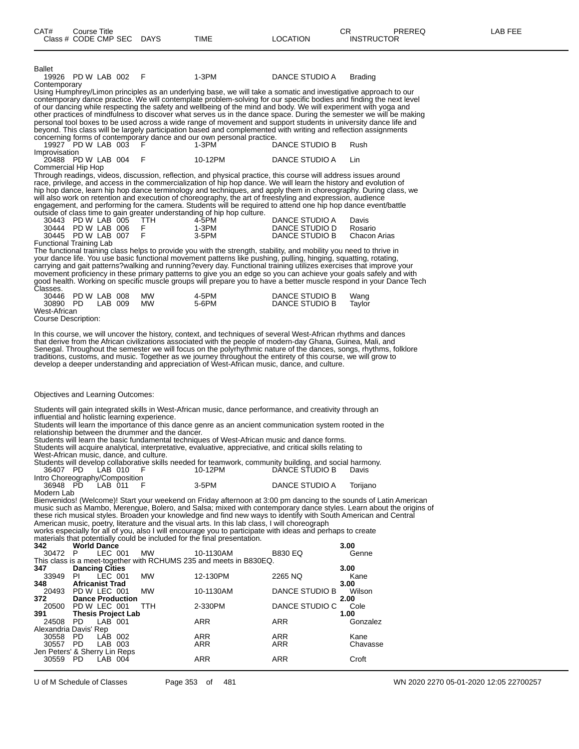| Ballet<br>19926 PD W LAB 002                  |         | F                                                | 1-3PM                                                                                                               | DANCE STUDIO A                   | <b>Brading</b>                                                                                                      |
|-----------------------------------------------|---------|--------------------------------------------------|---------------------------------------------------------------------------------------------------------------------|----------------------------------|---------------------------------------------------------------------------------------------------------------------|
| Contemporary                                  |         |                                                  |                                                                                                                     |                                  |                                                                                                                     |
|                                               |         |                                                  | Using Humphrey/Limon principles as an underlying base, we will take a somatic and investigative approach to our     |                                  |                                                                                                                     |
|                                               |         |                                                  |                                                                                                                     |                                  | contemporary dance practice. We will contemplate problem-solving for our specific bodies and finding the next level |
|                                               |         |                                                  | of our dancing while respecting the safety and wellbeing of the mind and body. We will experiment with yoga and     |                                  |                                                                                                                     |
|                                               |         |                                                  |                                                                                                                     |                                  | other practices of mindfulness to discover what serves us in the dance space. During the semester we will be making |
|                                               |         |                                                  |                                                                                                                     |                                  | personal tool boxes to be used across a wide range of movement and support students in university dance life and    |
|                                               |         |                                                  | beyond. This class will be largely participation based and complemented with writing and reflection assignments     |                                  |                                                                                                                     |
|                                               |         |                                                  | concerning forms of contemporary dance and our own personal practice.                                               |                                  |                                                                                                                     |
| 19927 PD W LAB 003                            |         | F.                                               | 1-3PM                                                                                                               | DANCE STUDIO B                   | Rush                                                                                                                |
| Improvisation                                 |         |                                                  |                                                                                                                     |                                  |                                                                                                                     |
| 20488 PD W LAB 004                            |         | F                                                | 10-12PM                                                                                                             | DANCE STUDIO A                   | Lin                                                                                                                 |
| Commercial Hip Hop                            |         |                                                  |                                                                                                                     |                                  |                                                                                                                     |
|                                               |         |                                                  | Through readings, videos, discussion, reflection, and physical practice, this course will address issues around     |                                  |                                                                                                                     |
|                                               |         |                                                  | race, privilege, and access in the commercialization of hip hop dance. We will learn the history and evolution of   |                                  |                                                                                                                     |
|                                               |         |                                                  |                                                                                                                     |                                  | hip hop dance, learn hip hop dance terminology and techniques, and apply them in choreography. During class, we     |
|                                               |         |                                                  | will also work on retention and execution of choreography, the art of freestyling and expression, audience          |                                  |                                                                                                                     |
|                                               |         |                                                  | engagement, and performing for the camera. Students will be required to attend one hip hop dance event/battle       |                                  |                                                                                                                     |
|                                               |         |                                                  | outside of class time to gain greater understanding of hip hop culture.                                             |                                  |                                                                                                                     |
| 30443 PD W LAB 005                            |         | <b>TTH</b>                                       | 4-5PM                                                                                                               | DANCE STUDIO A                   | Davis                                                                                                               |
| 30444 PD W LAB 006<br>30445 PD W LAB 007      |         | F<br>F                                           | 1-3PM<br>3-5PM                                                                                                      | DANCE STUDIO D<br>DANCE STUDIO B | Rosario<br>Chacon Arias                                                                                             |
| Functional Training Lab                       |         |                                                  |                                                                                                                     |                                  |                                                                                                                     |
|                                               |         |                                                  | The functional training class helps to provide you with the strength, stability, and mobility you need to thrive in |                                  |                                                                                                                     |
|                                               |         |                                                  | your dance life. You use basic functional movement patterns like pushing, pulling, hinging, squatting, rotating,    |                                  |                                                                                                                     |
|                                               |         |                                                  | carrying and gait patterns?walking and running?every day. Functional training utilizes exercises that improve your  |                                  |                                                                                                                     |
|                                               |         |                                                  |                                                                                                                     |                                  | movement proficiency in these primary patterns to give you an edge so you can achieve your goals safely and with    |
|                                               |         |                                                  |                                                                                                                     |                                  | good health. Working on specific muscle groups will prepare you to have a better muscle respond in your Dance Tech  |
| Classes.                                      |         |                                                  |                                                                                                                     |                                  |                                                                                                                     |
| 30446 PD W LAB 008                            |         | MW.                                              | 4-5PM                                                                                                               | DANCE STUDIO B                   | Wang                                                                                                                |
| 30890 PD                                      | LAB 009 | MW.                                              | 5-6PM                                                                                                               | DANCE STUDIO B                   | Taylor                                                                                                              |
| West-African                                  |         |                                                  |                                                                                                                     |                                  |                                                                                                                     |
| <b>Course Description:</b>                    |         |                                                  |                                                                                                                     |                                  |                                                                                                                     |
|                                               |         |                                                  | In this course, we will uncover the history, context, and techniques of several West-African rhythms and dances     |                                  |                                                                                                                     |
|                                               |         |                                                  | that derive from the African civilizations associated with the people of modern-day Ghana, Guinea, Mali, and        |                                  |                                                                                                                     |
|                                               |         |                                                  |                                                                                                                     |                                  | Senegal. Throughout the semester we will focus on the polyrhythmic nature of the dances, songs, rhythms, folklore   |
|                                               |         |                                                  | traditions, customs, and music. Together as we journey throughout the entirety of this course, we will grow to      |                                  |                                                                                                                     |
|                                               |         |                                                  | develop a deeper understanding and appreciation of West-African music, dance, and culture.                          |                                  |                                                                                                                     |
|                                               |         |                                                  |                                                                                                                     |                                  |                                                                                                                     |
|                                               |         |                                                  |                                                                                                                     |                                  |                                                                                                                     |
|                                               |         |                                                  |                                                                                                                     |                                  |                                                                                                                     |
| Objectives and Learning Outcomes:             |         |                                                  |                                                                                                                     |                                  |                                                                                                                     |
|                                               |         |                                                  | Students will gain integrated skills in West-African music, dance performance, and creativity through an            |                                  |                                                                                                                     |
| influential and holistic learning experience. |         |                                                  |                                                                                                                     |                                  |                                                                                                                     |
|                                               |         |                                                  | Students will learn the importance of this dance genre as an ancient communication system rooted in the             |                                  |                                                                                                                     |
|                                               |         | relationship between the drummer and the dancer. |                                                                                                                     |                                  |                                                                                                                     |
|                                               |         |                                                  | Students will learn the basic fundamental techniques of West-African music and dance forms.                         |                                  |                                                                                                                     |
|                                               |         |                                                  | Students will acquire analytical, interpretative, evaluative, appreciative, and critical skills relating to         |                                  |                                                                                                                     |
| West-African music, dance, and culture.       |         |                                                  |                                                                                                                     |                                  |                                                                                                                     |
|                                               |         |                                                  | Students will develop collaborative skills needed for teamwork, community building, and social harmony.             |                                  |                                                                                                                     |
| 36407 PD                                      | LAB 010 | F                                                | 10-12PM                                                                                                             | DANCE STUDIO B                   | Davis                                                                                                               |
| Intro Choreography/Composition                |         |                                                  |                                                                                                                     |                                  |                                                                                                                     |
| 36948 PD                                      | LAB 011 | F                                                | $3-5$ PM                                                                                                            | DANCE STUDIO A                   | Torijano                                                                                                            |
| Modern Lab                                    |         |                                                  |                                                                                                                     |                                  |                                                                                                                     |
|                                               |         |                                                  |                                                                                                                     |                                  | Bienvenidos! (Welcome)! Start your weekend on Friday afternoon at 3:00 pm dancing to the sounds of Latin American   |
|                                               |         |                                                  |                                                                                                                     |                                  | music such as Mambo, Merengue, Bolero, and Salsa; mixed with contemporary dance styles. Learn about the origins of  |
|                                               |         |                                                  | these rich musical styles. Broaden your knowledge and find new ways to identify with South American and Central     |                                  |                                                                                                                     |

American music, poetry, literature and the visual arts. In this lab class, I will choreograph works especially for all of you, also I will encourage you to participate with ideas and perhaps to create

materials that potentially could be included for the final presentation.

| 342                           | <b>World Dance</b>        |           |            |                                                                    |                | 3.00     |
|-------------------------------|---------------------------|-----------|------------|--------------------------------------------------------------------|----------------|----------|
| 30472 P                       |                           | LEC 001   | <b>MW</b>  | 10-1130AM                                                          | <b>B830 EQ</b> | Genne    |
|                               |                           |           |            | This class is a meet-together with RCHUMS 235 and meets in B830EQ. |                |          |
| 347                           | <b>Dancing Cities</b>     |           |            |                                                                    |                | 3.00     |
| 33949                         | PL                        | LEC 001   | <b>MW</b>  | 12-130PM                                                           | 2265 NQ        | Kane     |
| 348                           | <b>Africanist Trad</b>    |           |            |                                                                    |                | 3.00     |
| 20493 PD W LEC 001            |                           |           | MW         | 10-1130AM                                                          | DANCE STUDIO B | Wilson   |
| 372                           | <b>Dance Production</b>   |           |            |                                                                    |                | 2.00     |
| 20500 PD W LEC 001            |                           |           | <b>TTH</b> | 2-330PM                                                            | DANCE STUDIO C | Cole     |
| 391                           | <b>Thesis Project Lab</b> |           |            |                                                                    |                | 1.00     |
| 24508                         | - PD                      | $LAB$ 001 |            | <b>ARR</b>                                                         | <b>ARR</b>     | Gonzalez |
| Alexandria Davis' Rep         |                           |           |            |                                                                    |                |          |
| 30558                         | PD.                       | LAB 002   |            | <b>ARR</b>                                                         | <b>ARR</b>     | Kane     |
| 30557 PD                      |                           | LAB 003   |            | <b>ARR</b>                                                         | <b>ARR</b>     | Chavasse |
| Jen Peters' & Sherry Lin Reps |                           |           |            |                                                                    |                |          |
| 30559                         | - PD                      | LAB 004   |            | <b>ARR</b>                                                         | <b>ARR</b>     | Croft    |
|                               |                           |           |            |                                                                    |                |          |

U of M Schedule of Classes Page 353 of 481 WN 2020 2270 05-01-2020 12:05 22700257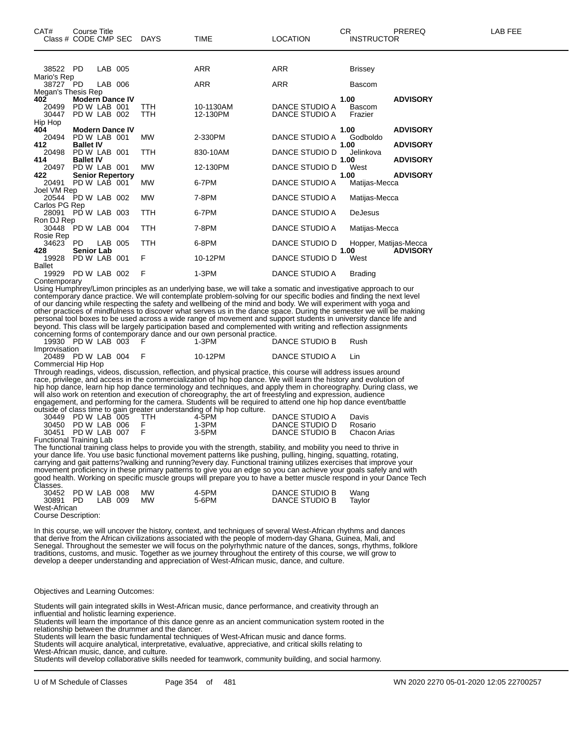| CAT#<br>Class # CODE CMP SEC DAYS | Course Title                           |         |            | <b>TIME</b> | <b>LOCATION</b> | <b>CR</b> | <b>INSTRUCTOR</b> | PREREQ                | LAB FEE |
|-----------------------------------|----------------------------------------|---------|------------|-------------|-----------------|-----------|-------------------|-----------------------|---------|
|                                   |                                        |         |            |             |                 |           |                   |                       |         |
| 38522 PD                          |                                        | LAB 005 |            | ARR         | ARR             |           | <b>Brissey</b>    |                       |         |
| Mario's Rep                       |                                        |         |            |             |                 |           |                   |                       |         |
| 38727 PD                          |                                        | LAB 006 |            | <b>ARR</b>  | ARR             |           | <b>Bascom</b>     |                       |         |
| Megan's Thesis Rep                |                                        |         |            |             |                 |           |                   |                       |         |
| 402<br>20499                      | <b>Modern Dance IV</b><br>PD W LAB 001 |         | <b>TTH</b> | 10-1130AM   | DANCE STUDIO A  | 1.00      | <b>Bascom</b>     | <b>ADVISORY</b>       |         |
| 30447                             | PD W LAB 002                           |         | <b>TTH</b> | 12-130PM    | DANCE STUDIO A  |           | Frazier           |                       |         |
| Hip Hop                           |                                        |         |            |             |                 |           |                   |                       |         |
| 404                               | <b>Modern Dance IV</b>                 |         |            |             |                 | 1.00      |                   | <b>ADVISORY</b>       |         |
| 20494                             | PD W LAB 001                           |         | <b>MW</b>  | 2-330PM     | DANCE STUDIO A  |           | Godboldo          |                       |         |
| 412                               | <b>Ballet IV</b>                       |         |            |             |                 | 1.00      |                   | <b>ADVISORY</b>       |         |
| 20498                             | PD W LAB 001                           |         | <b>TTH</b> | 830-10AM    | DANCE STUDIO D  |           | Jelinkova         |                       |         |
| 414                               | <b>Ballet IV</b>                       |         |            |             |                 | 1.00      |                   | <b>ADVISORY</b>       |         |
| 20497                             | PD W LAB 001                           |         | <b>MW</b>  | 12-130PM    | DANCE STUDIO D  | West      |                   |                       |         |
| 422                               | <b>Senior Repertory</b>                |         |            |             |                 | 1.00      |                   | <b>ADVISORY</b>       |         |
| 20491                             | PD W LAB 001                           |         | <b>MW</b>  | 6-7PM       | DANCE STUDIO A  |           | Matijas-Mecca     |                       |         |
| Joel VM Rep<br>20544 PD W LAB 002 |                                        |         | <b>MW</b>  | 7-8PM       | DANCE STUDIO A  |           | Matijas-Mecca     |                       |         |
| Carlos PG Rep                     |                                        |         |            |             |                 |           |                   |                       |         |
| 28091 PD W LAB 003                |                                        |         | TTH        | 6-7PM       | DANCE STUDIO A  |           | <b>DeJesus</b>    |                       |         |
| Ron DJ Rep                        |                                        |         |            |             |                 |           |                   |                       |         |
| 30448 PD W LAB 004                |                                        |         | <b>TTH</b> | 7-8PM       | DANCE STUDIO A  |           | Matijas-Mecca     |                       |         |
| Rosie Rep                         |                                        |         |            |             |                 |           |                   |                       |         |
| 34623                             | PD.                                    | LAB 005 | <b>TTH</b> | 6-8PM       | DANCE STUDIO D  |           |                   | Hopper, Matijas-Mecca |         |
| 428                               | <b>Senior Lab</b>                      |         |            |             |                 | 1.00      |                   | <b>ADVISORY</b>       |         |
| 19928                             | PD W LAB 001                           |         | F          | 10-12PM     | DANCE STUDIO D  | West      |                   |                       |         |
| Ballet                            |                                        |         |            |             |                 |           |                   |                       |         |
| 19929                             | PD W LAB 002                           |         | F          | $1-3PM$     | DANCE STUDIO A  |           | <b>Brading</b>    |                       |         |

Contemporary

Using Humphrey/Limon principles as an underlying base, we will take a somatic and investigative approach to our contemporary dance practice. We will contemplate problem-solving for our specific bodies and finding the next level of our dancing while respecting the safety and wellbeing of the mind and body. We will experiment with yoga and other practices of mindfulness to discover what serves us in the dance space. During the semester we will be making personal tool boxes to be used across a wide range of movement and support students in university dance life and beyond. This class will be largely participation based and complemented with writing and reflection assignments concerning forms of contemporary dance and our own personal practice.

19930 PD W LAB 003 F 1-3PM DANCE STUDIO B Rush Improvisation 20489 PD W LAB 004 F 10-12PM DANCE STUDIO A Lin Commercial Hip Hop

Through readings, videos, discussion, reflection, and physical practice, this course will address issues around race, privilege, and access in the commercialization of hip hop dance. We will learn the history and evolution of hip hop dance, learn hip hop dance terminology and techniques, and apply them in choreography. During class, we will also work on retention and execution of choreography, the art of freestyling and expression, audience engagement, and performing for the camera. Students will be required to attend one hip hop dance event/battle outside of class time to gain greater understanding of hip hop culture.

|                        |  | atonao or olaco timo to gain groator amaorotamang or mp mop caltarol |                |              |
|------------------------|--|----------------------------------------------------------------------|----------------|--------------|
| 30449 PD W LAB 005 TTH |  | 4-5PM                                                                | DANCE STUDIO A | Davis        |
| 30450 PD W LAB 006     |  | 1-3PM                                                                | DANCE STUDIO D | Rosario      |
| 30451 PD W LAB 007     |  | 3-5PM                                                                | DANCE STUDIO B | Chacon Arias |
|                        |  |                                                                      |                |              |

Functional Training Lab

The functional training class helps to provide you with the strength, stability, and mobility you need to thrive in your dance life. You use basic functional movement patterns like pushing, pulling, hinging, squatting, rotating, carrying and gait patterns?walking and running?every day. Functional training utilizes exercises that improve your movement proficiency in these primary patterns to give you an edge so you can achieve your goals safely and with good health. Working on specific muscle groups will prepare you to have a better muscle respond in your Dance Tech Classes.

| 30452 PD W LAB 008 MW |  |      | 4-5PM | DANCE STUDIO B | Wang   |  |
|-----------------------|--|------|-------|----------------|--------|--|
| 30891 PD LAB 009      |  | MW M | 5-6PM | DANCE STUDIO B | Taylor |  |
| Wast African          |  |      |       |                |        |  |

West-African Course Description:

In this course, we will uncover the history, context, and techniques of several West-African rhythms and dances that derive from the African civilizations associated with the people of modern-day Ghana, Guinea, Mali, and Senegal. Throughout the semester we will focus on the polyrhythmic nature of the dances, songs, rhythms, folklore traditions, customs, and music. Together as we journey throughout the entirety of this course, we will grow to develop a deeper understanding and appreciation of West-African music, dance, and culture.

Objectives and Learning Outcomes:

Students will gain integrated skills in West-African music, dance performance, and creativity through an influential and holistic learning experience.

Students will learn the importance of this dance genre as an ancient communication system rooted in the relationship between the drummer and the dancer.

Students will learn the basic fundamental techniques of West-African music and dance forms. Students will acquire analytical, interpretative, evaluative, appreciative, and critical skills relating to West-African music, dance, and culture.

Students will develop collaborative skills needed for teamwork, community building, and social harmony.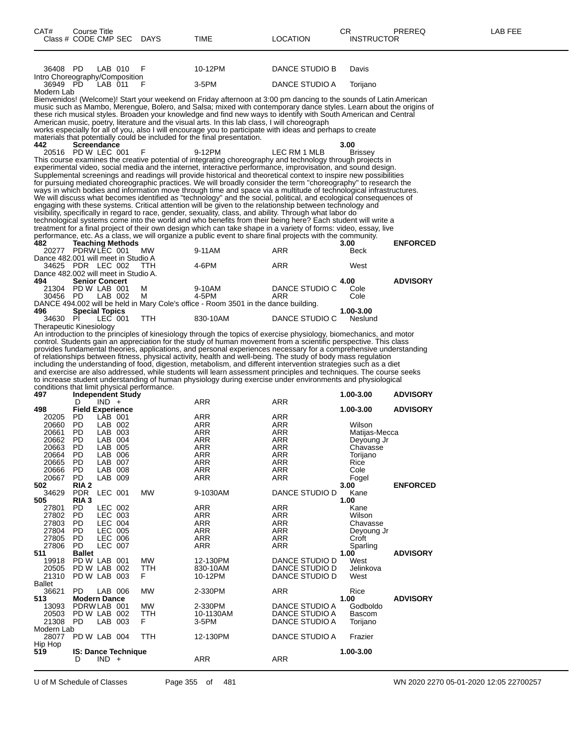| CAT#<br>Class # CODE CMP SEC DAYS                                                                                                               | Course Title                                                                                                                                                 |                                                                                                                                             |                        | TIME                                                                                                                                                                                                                                                                                                                                                                                                                                                                                                                                                                                                                                                                                                                                                                                                                                                                                                                                                                                                                                                                                                                                                                                                                                                                                  | <b>LOCATION</b>                                                                                                                | CR<br><b>INSTRUCTOR</b>                                                                                                                                                 | PREREQ                             | LAB FEE |
|-------------------------------------------------------------------------------------------------------------------------------------------------|--------------------------------------------------------------------------------------------------------------------------------------------------------------|---------------------------------------------------------------------------------------------------------------------------------------------|------------------------|---------------------------------------------------------------------------------------------------------------------------------------------------------------------------------------------------------------------------------------------------------------------------------------------------------------------------------------------------------------------------------------------------------------------------------------------------------------------------------------------------------------------------------------------------------------------------------------------------------------------------------------------------------------------------------------------------------------------------------------------------------------------------------------------------------------------------------------------------------------------------------------------------------------------------------------------------------------------------------------------------------------------------------------------------------------------------------------------------------------------------------------------------------------------------------------------------------------------------------------------------------------------------------------|--------------------------------------------------------------------------------------------------------------------------------|-------------------------------------------------------------------------------------------------------------------------------------------------------------------------|------------------------------------|---------|
| 36408 PD                                                                                                                                        |                                                                                                                                                              | LAB 010                                                                                                                                     | F                      | 10-12PM                                                                                                                                                                                                                                                                                                                                                                                                                                                                                                                                                                                                                                                                                                                                                                                                                                                                                                                                                                                                                                                                                                                                                                                                                                                                               | DANCE STUDIO B                                                                                                                 | Davis                                                                                                                                                                   |                                    |         |
| Intro Choreography/Composition<br>36949 PD                                                                                                      |                                                                                                                                                              | LAB 011                                                                                                                                     | - F                    | $3-5$ PM                                                                                                                                                                                                                                                                                                                                                                                                                                                                                                                                                                                                                                                                                                                                                                                                                                                                                                                                                                                                                                                                                                                                                                                                                                                                              | DANCE STUDIO A                                                                                                                 | Torijano                                                                                                                                                                |                                    |         |
| Modern Lab<br>442                                                                                                                               | Screendance                                                                                                                                                  |                                                                                                                                             |                        | Bienvenidos! (Welcome)! Start your weekend on Friday afternoon at 3:00 pm dancing to the sounds of Latin American<br>music such as Mambo, Merengue, Bolero, and Salsa; mixed with contemporary dance styles. Learn about the origins of<br>these rich musical styles. Broaden your knowledge and find new ways to identify with South American and Central<br>American music, poetry, literature and the visual arts. In this lab class, I will choreograph<br>works especially for all of you, also I will encourage you to participate with ideas and perhaps to create<br>materials that potentially could be included for the final presentation.                                                                                                                                                                                                                                                                                                                                                                                                                                                                                                                                                                                                                                 |                                                                                                                                | 3.00                                                                                                                                                                    |                                    |         |
| 20516 PD W LEC 001                                                                                                                              |                                                                                                                                                              |                                                                                                                                             | F                      | 9-12PM                                                                                                                                                                                                                                                                                                                                                                                                                                                                                                                                                                                                                                                                                                                                                                                                                                                                                                                                                                                                                                                                                                                                                                                                                                                                                | LEC RM 1 MLB                                                                                                                   | <b>Brissey</b>                                                                                                                                                          |                                    |         |
| 482                                                                                                                                             | <b>Teaching Methods</b>                                                                                                                                      |                                                                                                                                             |                        | This course examines the creative potential of integrating choreography and technology through projects in<br>experimental video, social media and the internet, interactive performance, improvisation, and sound design.<br>Supplemental screenings and readings will provide historical and theoretical context to inspire new possibilities<br>for pursuing mediated choreographic practices. We will broadly consider the term "choreography" to research the<br>ways in which bodies and information move through time and space via a multitude of technological infrastructures.<br>We will discuss what becomes identified as "technology" and the social, political, and ecological consequences of<br>engaging with these systems. Critical attention will be given to the relationship between technology and<br>visibility, specifically in regard to race, gender, sexuality, class, and ability. Through what labor do<br>technological systems come into the world and who benefits from their being here? Each student will write a<br>treatment for a final project of their own design which can take shape in a variety of forms: video, essay, live<br>performance, etc. As a class, we will organize a public event to share final projects with the community. |                                                                                                                                | 3.00                                                                                                                                                                    | <b>ENFORCED</b>                    |         |
| 20277 PDRW LEC 001<br>Dance 482.001 will meet in Studio A                                                                                       |                                                                                                                                                              |                                                                                                                                             | <b>MW</b>              | 9-11AM                                                                                                                                                                                                                                                                                                                                                                                                                                                                                                                                                                                                                                                                                                                                                                                                                                                                                                                                                                                                                                                                                                                                                                                                                                                                                | ARR                                                                                                                            | Beck                                                                                                                                                                    |                                    |         |
| 34625 PDR LEC 002                                                                                                                               |                                                                                                                                                              |                                                                                                                                             | <b>TTH</b>             | 4-6PM                                                                                                                                                                                                                                                                                                                                                                                                                                                                                                                                                                                                                                                                                                                                                                                                                                                                                                                                                                                                                                                                                                                                                                                                                                                                                 | ARR                                                                                                                            | West                                                                                                                                                                    |                                    |         |
| Dance 482.002 will meet in Studio A.<br>494                                                                                                     | <b>Senior Concert</b>                                                                                                                                        |                                                                                                                                             |                        |                                                                                                                                                                                                                                                                                                                                                                                                                                                                                                                                                                                                                                                                                                                                                                                                                                                                                                                                                                                                                                                                                                                                                                                                                                                                                       |                                                                                                                                | 4.00                                                                                                                                                                    | <b>ADVISORY</b>                    |         |
| 21304 PD W LAB 001<br>30456 PD                                                                                                                  |                                                                                                                                                              | LAB 002                                                                                                                                     | M<br>м                 | 9-10AM<br>4-5PM                                                                                                                                                                                                                                                                                                                                                                                                                                                                                                                                                                                                                                                                                                                                                                                                                                                                                                                                                                                                                                                                                                                                                                                                                                                                       | DANCE STUDIO C<br>ARR                                                                                                          | Cole<br>Cole                                                                                                                                                            |                                    |         |
| 496                                                                                                                                             | <b>Special Topics</b>                                                                                                                                        |                                                                                                                                             |                        | DANCE 494.002 will be held in Mary Cole's office - Room 3501 in the dance building.                                                                                                                                                                                                                                                                                                                                                                                                                                                                                                                                                                                                                                                                                                                                                                                                                                                                                                                                                                                                                                                                                                                                                                                                   |                                                                                                                                | 1.00-3.00                                                                                                                                                               |                                    |         |
| 34630 PI<br>Therapeutic Kinesiology                                                                                                             |                                                                                                                                                              | LEC 001                                                                                                                                     | <b>TTH</b>             | 830-10AM                                                                                                                                                                                                                                                                                                                                                                                                                                                                                                                                                                                                                                                                                                                                                                                                                                                                                                                                                                                                                                                                                                                                                                                                                                                                              | DANCE STUDIO C                                                                                                                 | Neslund                                                                                                                                                                 |                                    |         |
| conditions that limit physical performance.                                                                                                     |                                                                                                                                                              |                                                                                                                                             |                        | provides fundamental theories, applications, and personal experiences necessary for a comprehensive understanding<br>of relationships between fitness, physical activity, health and well-being. The study of body mass regulation<br>including the understanding of food, digestion, metabolism, and different intervention strategies such as a diet<br>and exercise are also addressed, while students will learn assessment principles and techniques. The course seeks<br>to increase student understanding of human physiology during exercise under environments and physiological                                                                                                                                                                                                                                                                                                                                                                                                                                                                                                                                                                                                                                                                                             |                                                                                                                                |                                                                                                                                                                         |                                    |         |
| 497                                                                                                                                             | <b>Independent Study</b><br>D                                                                                                                                | $IND +$                                                                                                                                     |                        | ARR                                                                                                                                                                                                                                                                                                                                                                                                                                                                                                                                                                                                                                                                                                                                                                                                                                                                                                                                                                                                                                                                                                                                                                                                                                                                                   | ARR                                                                                                                            | 1.00-3.00                                                                                                                                                               | <b>ADVISORY</b>                    |         |
| 498<br>20205<br>20660<br>20661<br>20662<br>20663<br>20664<br>20665<br>20666<br>20667<br>502<br>34629<br>505<br>27801<br>27802<br>27803<br>27804 | <b>Field Experience</b><br>PD.<br>PD<br>PD.<br>PD<br>PD<br><b>PD</b><br>PD<br>PD<br>PD.<br>RIA 2<br>PDR LEC 001<br>RIA <sub>3</sub><br>PD.<br>PD<br>PD<br>PD | LAB 001<br>LAB 002<br>LAB 003<br>LAB 004<br>LAB 005<br>LAB 006<br>LAB 007<br>LAB 008<br>LAB 009<br>LEC 002<br>LEC 003<br>LEC 004<br>LEC 005 | MW                     | ARR<br>ARR<br>ARR<br>ARR<br><b>ARR</b><br><b>ARR</b><br>ARR<br>ARR<br>ARR<br>9-1030AM<br>ARR<br><b>ARR</b><br><b>ARR</b><br><b>ARR</b>                                                                                                                                                                                                                                                                                                                                                                                                                                                                                                                                                                                                                                                                                                                                                                                                                                                                                                                                                                                                                                                                                                                                                | ARR<br>ARR<br>ARR<br>ARR<br><b>ARR</b><br><b>ARR</b><br>ARR<br>ARR<br>ARR<br>DANCE STUDIO D<br>ARR<br>ARR<br>ARR<br><b>ARR</b> | 1.00-3.00<br>Wilson<br>Matijas-Mecca<br>Deyoung Jr<br>Chavasse<br>Torijano<br>Rice<br>Cole<br>Fogel<br>3.00<br>Kane<br>1.00<br>Kane<br>Wilson<br>Chavasse<br>Deyoung Jr | <b>ADVISORY</b><br><b>ENFORCED</b> |         |
| 27805<br>27806<br>511<br>19918<br>20505<br>21310<br><b>Ballet</b>                                                                               | PD<br>PD.<br><b>Ballet</b><br>PD W LAB 001<br>PD W LAB 002<br>PD W LAB 003                                                                                   | LEC 006<br><b>LEC 007</b>                                                                                                                   | MW<br>TTH<br>F.        | <b>ARR</b><br>ARR<br>12-130PM<br>830-10AM<br>10-12PM                                                                                                                                                                                                                                                                                                                                                                                                                                                                                                                                                                                                                                                                                                                                                                                                                                                                                                                                                                                                                                                                                                                                                                                                                                  | ARR<br>ARR<br>DANCE STUDIO D<br>DANCE STUDIO D<br>DANCE STUDIO D                                                               | Croft<br>Sparling<br>1.00<br>West<br>Jelinkova<br>West                                                                                                                  | <b>ADVISORY</b>                    |         |
| 36621<br>513                                                                                                                                    | PD.<br><b>Modern Dance</b>                                                                                                                                   | LAB 006                                                                                                                                     | <b>MW</b>              | 2-330PM                                                                                                                                                                                                                                                                                                                                                                                                                                                                                                                                                                                                                                                                                                                                                                                                                                                                                                                                                                                                                                                                                                                                                                                                                                                                               | ARR                                                                                                                            | Rice<br>1.00                                                                                                                                                            | <b>ADVISORY</b>                    |         |
| 13093<br>20503<br>21308<br>Modern Lab                                                                                                           | PDRW LAB 001<br>PD W LAB 002<br>PD                                                                                                                           | LAB 003                                                                                                                                     | <b>MW</b><br>TTH<br>F. | 2-330PM<br>10-1130AM<br>3-5PM                                                                                                                                                                                                                                                                                                                                                                                                                                                                                                                                                                                                                                                                                                                                                                                                                                                                                                                                                                                                                                                                                                                                                                                                                                                         | DANCE STUDIO A<br>DANCE STUDIO A<br>DANCE STUDIO A                                                                             | Godboldo<br>Bascom<br>Torijano                                                                                                                                          |                                    |         |
| 28077<br>Hip Hop                                                                                                                                | PD W LAB 004                                                                                                                                                 |                                                                                                                                             | TTH                    | 12-130PM                                                                                                                                                                                                                                                                                                                                                                                                                                                                                                                                                                                                                                                                                                                                                                                                                                                                                                                                                                                                                                                                                                                                                                                                                                                                              | DANCE STUDIO A                                                                                                                 | Frazier                                                                                                                                                                 |                                    |         |
| 519                                                                                                                                             | <b>IS: Dance Technique</b><br>D                                                                                                                              | $IND +$                                                                                                                                     |                        | ARR                                                                                                                                                                                                                                                                                                                                                                                                                                                                                                                                                                                                                                                                                                                                                                                                                                                                                                                                                                                                                                                                                                                                                                                                                                                                                   | <b>ARR</b>                                                                                                                     | 1.00-3.00                                                                                                                                                               |                                    |         |

U of M Schedule of Classes Page 355 of 481 WN 2020 2270 05-01-2020 12:05 22700257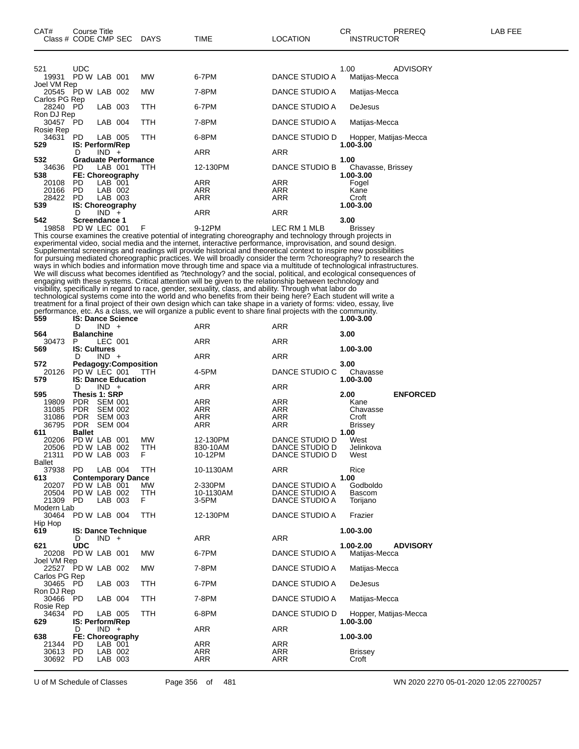| CAT#<br>Class # CODE CMP SEC                       | Course Title                  |                           |                             | DAYS       | <b>TIME</b>                                                                                                                                                                                                                   | LOCATION                         | СR<br>PREREQ<br>LAB FEE<br><b>INSTRUCTOR</b>                                                                       |  |
|----------------------------------------------------|-------------------------------|---------------------------|-----------------------------|------------|-------------------------------------------------------------------------------------------------------------------------------------------------------------------------------------------------------------------------------|----------------------------------|--------------------------------------------------------------------------------------------------------------------|--|
|                                                    |                               |                           |                             |            |                                                                                                                                                                                                                               |                                  |                                                                                                                    |  |
| 521<br>19931                                       | UDC<br>PD W LAB 001           |                           |                             | MW         | 6-7PM                                                                                                                                                                                                                         | DANCE STUDIO A                   | 1.00<br><b>ADVISORY</b><br>Matijas-Mecca                                                                           |  |
| Joel VM Rep<br>20545 PD W LAB 002<br>Carlos PG Rep |                               |                           |                             | MW         | 7-8PM                                                                                                                                                                                                                         | DANCE STUDIO A                   | Matijas-Mecca                                                                                                      |  |
| 28240 PD<br>Ron DJ Rep                             |                               | LAB 003                   |                             | TTH        | 6-7PM                                                                                                                                                                                                                         | DANCE STUDIO A                   | DeJesus                                                                                                            |  |
| 30457<br>Rosie Rep                                 | PD                            | LAB 004                   |                             | TTH        | 7-8PM                                                                                                                                                                                                                         | DANCE STUDIO A                   | Matijas-Mecca                                                                                                      |  |
| 34631<br>529                                       | PD<br>IS: Perform/Rep         | LAB 005                   |                             | ттн        | 6-8PM                                                                                                                                                                                                                         | DANCE STUDIO D                   | Hopper, Matijas-Mecca<br>1.00-3.00                                                                                 |  |
| 532                                                | D                             | $IND +$                   | <b>Graduate Performance</b> |            | ARR                                                                                                                                                                                                                           | ARR                              | 1.00                                                                                                               |  |
| 34636<br>538                                       | PD.                           | LAB 001                   | <b>FE: Choreography</b>     | ттн        | 12-130PM                                                                                                                                                                                                                      | DANCE STUDIO B                   | Chavasse, Brissey<br>1.00-3.00                                                                                     |  |
| 20108                                              | PD                            | LAB 001                   |                             |            | ARR                                                                                                                                                                                                                           | ARR                              | Fogel                                                                                                              |  |
| 20166<br>28422                                     | <b>PD</b><br>PD               | LAB 002<br>LAB 003        |                             |            | ARR<br>ARR                                                                                                                                                                                                                    | ARR<br>ARR                       | Kane<br>Croft                                                                                                      |  |
| 539                                                | IS: Choreography<br>D         | $IND +$                   |                             |            | ARR                                                                                                                                                                                                                           | ARR                              | 1.00-3.00                                                                                                          |  |
| 542<br>19858                                       | Screendance 1<br>PD W LEC 001 |                           |                             | F          | 9-12PM                                                                                                                                                                                                                        | LEC RM 1 MLB                     | 3.00<br><b>Brissey</b>                                                                                             |  |
|                                                    |                               |                           |                             |            | This course examines the creative potential of integrating choreography and technology through projects in<br>experimental video, social media and the internet, interactive performance, improvisation, and sound design.    |                                  |                                                                                                                    |  |
|                                                    |                               |                           |                             |            | Supplemental screenings and readings will provide historical and theoretical context to inspire new possibilities                                                                                                             |                                  |                                                                                                                    |  |
|                                                    |                               |                           |                             |            | for pursuing mediated choreographic practices. We will broadly consider the term ?choreography? to research the                                                                                                               |                                  | ways in which bodies and information move through time and space via a multitude of technological infrastructures. |  |
|                                                    |                               |                           |                             |            |                                                                                                                                                                                                                               |                                  | We will discuss what becomes identified as ?technology? and the social, political, and ecological consequences of  |  |
|                                                    |                               |                           |                             |            | engaging with these systems. Critical attention will be given to the relationship between technology and<br>visibility, specifically in regard to race, gender, sexuality, class, and ability. Through what labor do          |                                  |                                                                                                                    |  |
|                                                    |                               |                           |                             |            | technological systems come into the world and who benefits from their being here? Each student will write a                                                                                                                   |                                  |                                                                                                                    |  |
|                                                    |                               |                           |                             |            | treatment for a final project of their own design which can take shape in a variety of forms: video, essay, live<br>performance, etc. As a class, we will organize a public event to share final projects with the community. |                                  |                                                                                                                    |  |
| 559                                                | <b>IS: Dance Science</b><br>D | $IND +$                   |                             |            | ARR                                                                                                                                                                                                                           | ARR                              | 1.00-3.00                                                                                                          |  |
| 564<br>30473                                       | <b>Balanchine</b><br>P        | LEC 001                   |                             |            | ARR                                                                                                                                                                                                                           | ARR                              | 3.00                                                                                                               |  |
| 569                                                | <b>IS: Cultures</b><br>D      | $IND +$                   |                             |            | ARR                                                                                                                                                                                                                           | ARR                              | 1.00-3.00                                                                                                          |  |
| 572                                                | PD W LEC 001                  |                           | <b>Pedagogy:Composition</b> |            | 4-5PM                                                                                                                                                                                                                         | DANCE STUDIO C                   | 3.00                                                                                                               |  |
| 20126<br>579                                       |                               |                           | <b>IS: Dance Education</b>  | - ттн      |                                                                                                                                                                                                                               |                                  | Chavasse<br>1.00-3.00                                                                                              |  |
| 595                                                | D<br>Thesis 1: SRP            | $IND +$                   |                             |            | ARR                                                                                                                                                                                                                           | ARR                              | 2.00<br><b>ENFORCED</b>                                                                                            |  |
| 19809<br>31085                                     | PDR.<br>PDR.                  | SEM 001<br><b>SEM 002</b> |                             |            | ARR<br>ARR                                                                                                                                                                                                                    | ARR<br>ARR                       | Kane<br>Chavasse                                                                                                   |  |
| 31086                                              | <b>PDR</b>                    | SEM 003                   |                             |            | ARR                                                                                                                                                                                                                           | ARR                              | Croft                                                                                                              |  |
| 36795<br>611                                       | PDR SEM 004<br><b>Ballet</b>  |                           |                             |            | ARR                                                                                                                                                                                                                           | ARR                              | <b>Brissey</b><br>1.00                                                                                             |  |
| 20206                                              | PD W LAB 001                  |                           |                             | МW         | 12-130PM                                                                                                                                                                                                                      | DANCE STUDIO D                   | West                                                                                                               |  |
| 20506<br>21311                                     | PD W LAB 002<br>PD W LAB 003  |                           |                             | ттн<br>F   | 830-10AM<br>10-12PM                                                                                                                                                                                                           | DANCE STUDIO D<br>DANCE STUDIO D | Jelinkova<br>West                                                                                                  |  |
| Ballet<br>37938                                    | PD                            | LAB 004                   |                             | TTH        | 10-1130AM                                                                                                                                                                                                                     | <b>ARR</b>                       | Rice                                                                                                               |  |
| 613                                                |                               |                           | <b>Contemporary Dance</b>   |            |                                                                                                                                                                                                                               |                                  | 1.00<br>Godboldo                                                                                                   |  |
| 20207<br>20504                                     | PD W LAB 001<br>PD W LAB 002  |                           |                             | МW<br>TTH  | 2-330PM<br>10-1130AM                                                                                                                                                                                                          | DANCE STUDIO A<br>DANCE STUDIO A | <b>Bascom</b>                                                                                                      |  |
| 21309 PD<br>Modern Lab                             |                               | LAB 003                   |                             | F          | 3-5PM                                                                                                                                                                                                                         | DANCE STUDIO A                   | Torijano                                                                                                           |  |
| 30464                                              | PD W LAB 004                  |                           |                             | TTH        | 12-130PM                                                                                                                                                                                                                      | DANCE STUDIO A                   | Frazier                                                                                                            |  |
| Hip Hop<br>619                                     |                               |                           | <b>IS: Dance Technique</b>  |            |                                                                                                                                                                                                                               |                                  | 1.00-3.00                                                                                                          |  |
| 621                                                | D<br><b>UDC</b>               | $IND +$                   |                             |            | <b>ARR</b>                                                                                                                                                                                                                    | <b>ARR</b>                       | 1.00-2.00<br><b>ADVISORY</b>                                                                                       |  |
| 20208<br>Joel VM Rep                               | PD W LAB 001                  |                           |                             | MW         | 6-7PM                                                                                                                                                                                                                         | DANCE STUDIO A                   | Matijas-Mecca                                                                                                      |  |
| 22527<br>Carlos PG Rep                             | PD W LAB 002                  |                           |                             | <b>MW</b>  | 7-8PM                                                                                                                                                                                                                         | DANCE STUDIO A                   | Matijas-Mecca                                                                                                      |  |
| 30465 PD<br>Ron DJ Rep                             |                               | LAB 003                   |                             | <b>TTH</b> | 6-7PM                                                                                                                                                                                                                         | DANCE STUDIO A                   | <b>DeJesus</b>                                                                                                     |  |
| 30466<br>Rosie Rep                                 | PD                            | LAB 004                   |                             | TTH        | 7-8PM                                                                                                                                                                                                                         | DANCE STUDIO A                   | Matijas-Mecca                                                                                                      |  |
| 34634<br>629                                       | PD<br>IS: Perform/Rep         | LAB 005                   |                             | TTH        | 6-8PM                                                                                                                                                                                                                         | DANCE STUDIO D                   | Hopper, Matijas-Mecca<br>1.00-3.00                                                                                 |  |
| 638                                                | D                             | $IND +$                   | <b>FE: Choreography</b>     |            | <b>ARR</b>                                                                                                                                                                                                                    | ARR                              | 1.00-3.00                                                                                                          |  |
| 21344                                              | PD                            | LAB 001                   |                             |            | ARR                                                                                                                                                                                                                           | ARR                              |                                                                                                                    |  |
| 30613<br>30692                                     | PD<br>PD                      | LAB 002<br>LAB 003        |                             |            | ARR<br>ARR                                                                                                                                                                                                                    | ARR<br>ARR                       | <b>Brissey</b><br>Croft                                                                                            |  |
|                                                    |                               |                           |                             |            |                                                                                                                                                                                                                               |                                  |                                                                                                                    |  |

U of M Schedule of Classes Page 356 of 481 WN 2020 2270 05-01-2020 12:05 22700257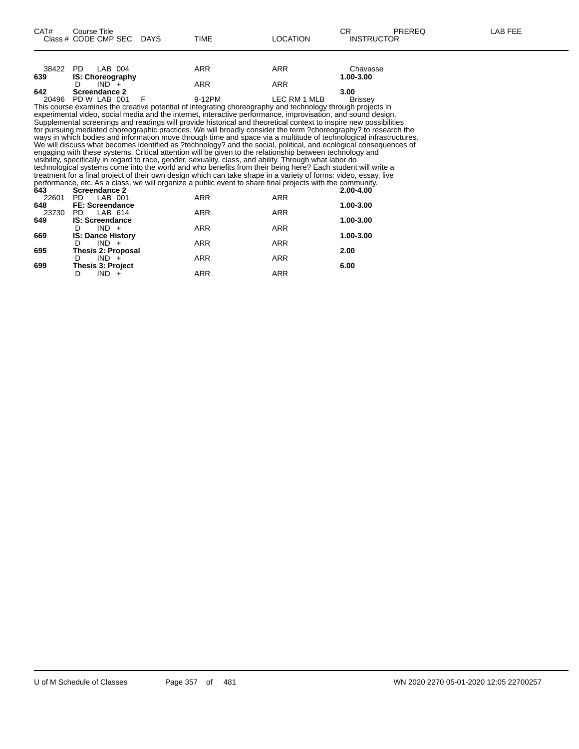| CAT#         | <b>Course Title</b><br>Class # CODE CMP SEC DAYS | <b>TIME</b>                                                                                                                                                                                                                           | <b>LOCATION</b> | CR.<br>PREREQ<br><b>INSTRUCTOR</b> | LAB FEE |
|--------------|--------------------------------------------------|---------------------------------------------------------------------------------------------------------------------------------------------------------------------------------------------------------------------------------------|-----------------|------------------------------------|---------|
|              |                                                  |                                                                                                                                                                                                                                       |                 |                                    |         |
| 38422<br>639 | PD.<br>LAB 004<br>IS: Choreography               | ARR                                                                                                                                                                                                                                   | ARR             | Chavasse<br>1.00-3.00              |         |
|              | $IND^-$ +<br>D                                   | <b>ARR</b>                                                                                                                                                                                                                            | <b>ARR</b>      |                                    |         |
| 642          | Screendance 2                                    |                                                                                                                                                                                                                                       |                 | 3.00                               |         |
| 20496        | PD W LAB 001                                     | 9-12PM<br>F                                                                                                                                                                                                                           | LEC RM 1 MLB    | <b>Brissey</b>                     |         |
|              |                                                  | This course examines the creative potential of integrating choreography and technology through projects in                                                                                                                            |                 |                                    |         |
|              |                                                  | experimental video, social media and the internet, interactive performance, improvisation, and sound design.                                                                                                                          |                 |                                    |         |
|              |                                                  | Supplemental screenings and readings will provide historical and theoretical context to inspire new possibilities                                                                                                                     |                 |                                    |         |
|              |                                                  | for pursuing mediated choreographic practices. We will broadly consider the term ?choreography? to research the<br>ways in which bodies and information move through time and space via a multitude of technological infrastructures. |                 |                                    |         |
|              |                                                  | We will discuss what becomes identified as ?technology? and the social, political, and ecological consequences of                                                                                                                     |                 |                                    |         |
|              |                                                  | engaging with these systems. Critical attention will be given to the relationship between technology and                                                                                                                              |                 |                                    |         |
|              |                                                  | visibility, specifically in regard to race, gender, sexuality, class, and ability. Through what labor do                                                                                                                              |                 |                                    |         |
|              |                                                  | technological systems come into the world and who benefits from their being here? Each student will write a                                                                                                                           |                 |                                    |         |
|              |                                                  | treatment for a final project of their own design which can take shape in a variety of forms: video, essay, live                                                                                                                      |                 |                                    |         |
|              |                                                  | performance, etc. As a class, we will organize a public event to share final projects with the community.                                                                                                                             |                 |                                    |         |
| 643<br>22601 | Screendance 2<br>LAB 001<br>PD.                  | ARR                                                                                                                                                                                                                                   | ARR             | 2.00-4.00                          |         |
| 648          | <b>FE: Screendance</b>                           |                                                                                                                                                                                                                                       |                 | 1.00-3.00                          |         |
| 23730        | PD.<br>LAB 614                                   | <b>ARR</b>                                                                                                                                                                                                                            | ARR             |                                    |         |
| 649          | <b>IS: Screendance</b>                           |                                                                                                                                                                                                                                       |                 | 1.00-3.00                          |         |
|              | $IND +$<br>D                                     | <b>ARR</b>                                                                                                                                                                                                                            | <b>ARR</b>      |                                    |         |
| 669          | <b>IS: Dance History</b>                         |                                                                                                                                                                                                                                       |                 | 1.00-3.00                          |         |
|              | $IND +$<br>D                                     | ARR                                                                                                                                                                                                                                   | ARR             |                                    |         |
| 695          | <b>Thesis 2: Proposal</b><br>D.                  |                                                                                                                                                                                                                                       |                 | 2.00                               |         |
| 699          | $IND +$<br>Thesis 3: Project                     | <b>ARR</b>                                                                                                                                                                                                                            | <b>ARR</b>      | 6.00                               |         |
|              | $IND +$<br>D                                     | <b>ARR</b>                                                                                                                                                                                                                            | <b>ARR</b>      |                                    |         |
|              |                                                  |                                                                                                                                                                                                                                       |                 |                                    |         |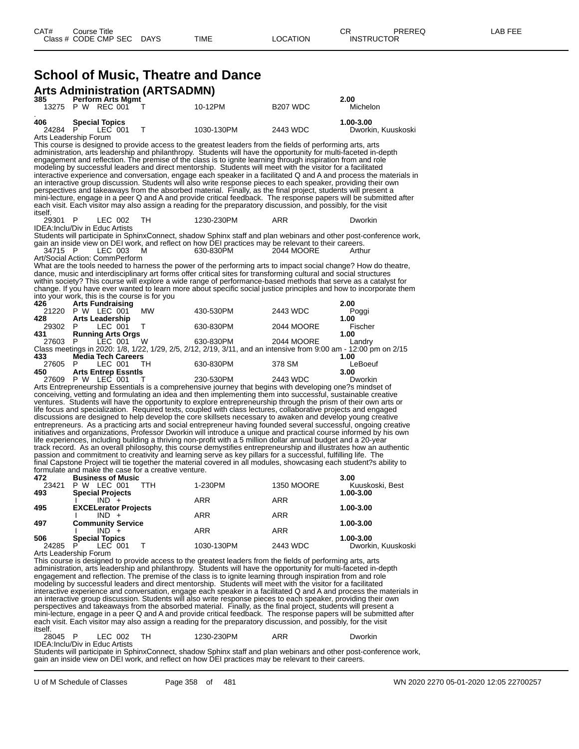### **School of Music, Theatre and Dance Arts Administration (ARTSADMN)**

| 385          | <b>Perform Arts Mgmt</b>                            |            |                                                                                                                                                                                                                                     |                      | 2.00                                                                                                               |
|--------------|-----------------------------------------------------|------------|-------------------------------------------------------------------------------------------------------------------------------------------------------------------------------------------------------------------------------------|----------------------|--------------------------------------------------------------------------------------------------------------------|
|              | 13275 P W REC 001                                   |            | 10-12PM                                                                                                                                                                                                                             | B <sub>207</sub> WDC | Michelon                                                                                                           |
| 406<br>24284 | <b>Special Topics</b><br>LEC 001<br>P.              | Т          | 1030-130PM                                                                                                                                                                                                                          | 2443 WDC             | 1.00-3.00<br>Dworkin, Kuuskoski                                                                                    |
|              | Arts Leadership Forum                               |            | This course is designed to provide access to the greatest leaders from the fields of performing arts, arts                                                                                                                          |                      |                                                                                                                    |
|              |                                                     |            | administration, arts leadership and philanthropy. Students will have the opportunity for multi-faceted in-depth                                                                                                                     |                      |                                                                                                                    |
|              |                                                     |            | engagement and reflection. The premise of the class is to ignite learning through inspiration from and role<br>modeling by successful leaders and direct mentorship. Students will meet with the visitor for a facilitated          |                      |                                                                                                                    |
|              |                                                     |            |                                                                                                                                                                                                                                     |                      | interactive experience and conversation, engage each speaker in a facilitated Q and A and process the materials in |
|              |                                                     |            | an interactive group discussion. Students will also write response pieces to each speaker, providing their own                                                                                                                      |                      |                                                                                                                    |
|              |                                                     |            | perspectives and takeaways from the absorbed material. Finally, as the final project, students will present a                                                                                                                       |                      | mini-lecture, engage in a peer Q and A and provide critical feedback. The response papers will be submitted after  |
|              |                                                     |            | each visit. Each visitor may also assign a reading for the preparatory discussion, and possibly, for the visit                                                                                                                      |                      |                                                                                                                    |
| itself.      |                                                     |            |                                                                                                                                                                                                                                     |                      |                                                                                                                    |
| 29301 P      | LEC 002<br>IDEA: Inclu/Div in Educ Artists          | TH         | 1230-230PM                                                                                                                                                                                                                          | ARR                  | Dworkin                                                                                                            |
|              |                                                     |            |                                                                                                                                                                                                                                     |                      | Students will participate in SphinxConnect, shadow Sphinx staff and plan webinars and other post-conference work,  |
|              |                                                     |            | gain an inside view on DEI work, and reflect on how DEI practices may be relevant to their careers.                                                                                                                                 |                      |                                                                                                                    |
| 34715 P      | LEC 003<br>Art/Social Action: CommPerform           | м          | 630-830PM                                                                                                                                                                                                                           | 2044 MOORE           | Arthur                                                                                                             |
|              |                                                     |            | What are the tools needed to harness the power of the performing arts to impact social change? How do theatre,                                                                                                                      |                      |                                                                                                                    |
|              |                                                     |            | dance, music and interdisciplinary art forms offer critical sites for transforming cultural and social structures                                                                                                                   |                      |                                                                                                                    |
|              |                                                     |            | within society? This course will explore a wide range of performance-based methods that serve as a catalyst for                                                                                                                     |                      | change. If you have ever wanted to learn more about specific social justice principles and how to incorporate them |
|              | into your work, this is the course is for you       |            |                                                                                                                                                                                                                                     |                      |                                                                                                                    |
| 426          | <b>Arts Fundraising</b>                             |            |                                                                                                                                                                                                                                     |                      | 2.00                                                                                                               |
| 428          | 21220 P W LEC 001<br><b>Arts Leadership</b>         | MW         | 430-530PM                                                                                                                                                                                                                           | 2443 WDC             | Poggi<br>1.00                                                                                                      |
| 29302 P      | LEC 001                                             | т          | 630-830PM                                                                                                                                                                                                                           | 2044 MOORE           | Fischer                                                                                                            |
| 431          | <b>Running Arts Orgs</b>                            |            |                                                                                                                                                                                                                                     |                      | 1.00                                                                                                               |
| 27603 P      | LEC 001                                             | W          | 630-830PM<br>Class meetings in 2020: 1/8, 1/22, 1/29, 2/5, 2/12, 2/19, 3/11, and an intensive from 9:00 am - 12:00 pm on 2/15                                                                                                       | 2044 MOORE           | Landry                                                                                                             |
| 433          | <b>Media Tech Careers</b>                           |            |                                                                                                                                                                                                                                     |                      | 1.00                                                                                                               |
| 27605        | LEC 001<br>P.                                       | TH.        | 630-830PM                                                                                                                                                                                                                           | 378 SM               | LeBoeuf                                                                                                            |
| 450          | <b>Arts Entrep Essntls</b><br>27609 P W LEC 001     | Т          | 230-530PM                                                                                                                                                                                                                           | 2443 WDC             | 3.00<br>Dworkin                                                                                                    |
|              |                                                     |            | Arts Entrepreneurship Essentials is a comprehensive journey that begins with developing one?s mindset of                                                                                                                            |                      |                                                                                                                    |
|              |                                                     |            | conceiving, vetting and formulating an idea and then implementing them into successful, sustainable creative                                                                                                                        |                      |                                                                                                                    |
|              |                                                     |            | ventures. Students will have the opportunity to explore entrepreneurship through the prism of their own arts or<br>life focus and specialization. Required texts, coupled with class lectures, collaborative projects and engaged   |                      |                                                                                                                    |
|              |                                                     |            | discussions are designed to help develop the core skillsets necessary to awaken and develop young creative                                                                                                                          |                      |                                                                                                                    |
|              |                                                     |            | entrepreneurs. As a practicing arts and social entrepreneur having founded several successful, ongoing creative                                                                                                                     |                      |                                                                                                                    |
|              |                                                     |            | initiatives and organizations, Professor Dworkin will introduce a unique and practical course informed by his own<br>life experiences, including building a thriving non-profit with a 5 million dollar annual budget and a 20-year |                      |                                                                                                                    |
|              |                                                     |            | track record. As an overall philosophy, this course demystifies entrepreneurship and illustrates how an authentic                                                                                                                   |                      |                                                                                                                    |
|              |                                                     |            | passion and commitment to creativity and learning serve as key pillars for a successful, fulfilling life. The                                                                                                                       |                      |                                                                                                                    |
|              | formulate and make the case for a creative venture. |            | final Capstone Project will tie together the material covered in all modules, showcasing each student?s ability to                                                                                                                  |                      |                                                                                                                    |
| 472          | <b>Business of Music</b>                            |            |                                                                                                                                                                                                                                     |                      | 3.00                                                                                                               |
| 23421<br>493 | P W LEC 001                                         | <b>TTH</b> | 1-230PM                                                                                                                                                                                                                             | <b>1350 MOORE</b>    | Kuuskoski, Best<br>1.00-3.00                                                                                       |
|              | <b>Special Projects</b><br>$IND +$                  |            | ARR                                                                                                                                                                                                                                 | ARR                  |                                                                                                                    |
| 495          | <b>EXCELerator Projects</b>                         |            |                                                                                                                                                                                                                                     |                      | 1.00-3.00                                                                                                          |
|              | Ι.<br>$IND +$                                       |            | ARR                                                                                                                                                                                                                                 | ARR                  |                                                                                                                    |
| 497          | <b>Community Service</b><br>$IND +$                 |            | ARR                                                                                                                                                                                                                                 | ARR                  | 1.00-3.00                                                                                                          |
| 506          | <b>Special Topics</b>                               |            |                                                                                                                                                                                                                                     |                      | 1.00-3.00                                                                                                          |
| 24285        | LEC 001<br>Р<br>Arts Leadership Forum               | Т          | 1030-130PM                                                                                                                                                                                                                          | 2443 WDC             | Dworkin, Kuuskoski                                                                                                 |
|              |                                                     |            | This course is designed to provide access to the greatest leaders from the fields of performing arts, arts                                                                                                                          |                      |                                                                                                                    |
|              |                                                     |            | administration, arts leadership and philanthropy. Students will have the opportunity for multi-faceted in-depth                                                                                                                     |                      |                                                                                                                    |
|              |                                                     |            | engagement and reflection. The premise of the class is to ignite learning through inspiration from and role<br>modeling by successful leaders and direct mentorship. Students will meet with the visitor for a facilitated          |                      |                                                                                                                    |
|              |                                                     |            |                                                                                                                                                                                                                                     |                      | interactive experience and conversation, engage each speaker in a facilitated Q and A and process the materials in |
|              |                                                     |            | an interactive group discussion. Students will also write response pieces to each speaker, providing their own                                                                                                                      |                      |                                                                                                                    |
|              |                                                     |            | perspectives and takeaways from the absorbed material. Finally, as the final project, students will present a                                                                                                                       |                      | mini-lecture, engage in a peer Q and A and provide critical feedback. The response papers will be submitted after  |
|              |                                                     |            | each visit. Each visitor may also assign a reading for the preparatory discussion, and possibly, for the visit                                                                                                                      |                      |                                                                                                                    |
|              |                                                     |            |                                                                                                                                                                                                                                     |                      |                                                                                                                    |

itself.<br>28045 P LEC 002 TH 1230-230PM ARR Dworkin

IDEA:Inclu/Div in Educ Artists

Students will participate in SphinxConnect, shadow Sphinx staff and plan webinars and other post-conference work, gain an inside view on DEI work, and reflect on how DEI practices may be relevant to their careers.

U of M Schedule of Classes Page 358 of 481 WN 2020 2270 05-01-2020 12:05 22700257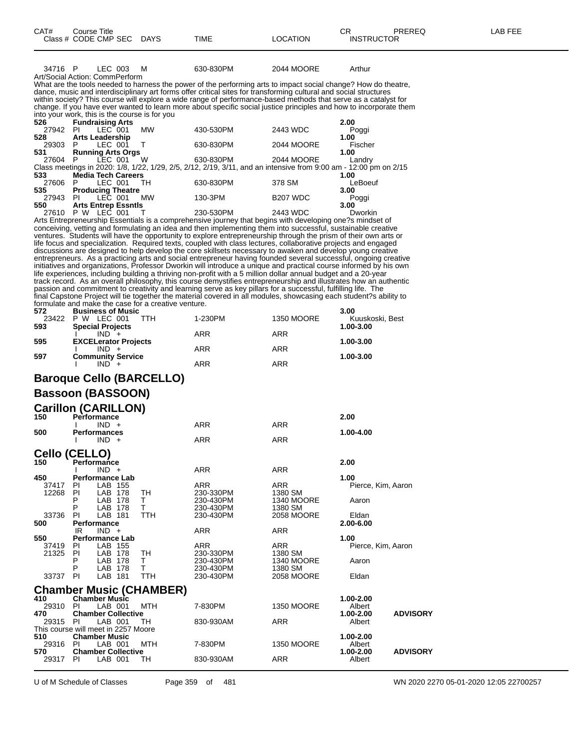| CAT# | Course Title                         |             |      |          | CD.<br>◡⊓         | PREREQ | -AB FEE |
|------|--------------------------------------|-------------|------|----------|-------------------|--------|---------|
|      | Class # $CODE$ CMP SEC $\rightarrow$ | <b>DAYS</b> | TIME | LOCATION | <b>INSTRUCTOR</b> |        |         |
|      |                                      |             |      |          |                   |        |         |

34716 P LEC 003 M 630-830PM 2044 MOORE Arthur Art/Social Action: CommPerform What are the tools needed to harness the power of the performing arts to impact social change? How do theatre, dance, music and interdisciplinary art forms offer critical sites for transforming cultural and social structures within society? This course will explore a wide range of performance-based methods that serve as a catalyst for

change. If you have ever wanted to learn more about specific social justice principles and how to incorporate them into your work, this is the course is for you<br>526 **Fundraising Arts 526 Fundraising Arts 2.00**

| 27942     | PI                         | LEC 001 | <b>MW</b> | 430-530PM                                                                                                        | 2443 WDC        | Poggi   |
|-----------|----------------------------|---------|-----------|------------------------------------------------------------------------------------------------------------------|-----------------|---------|
| 528       | <b>Arts Leadership</b>     |         |           |                                                                                                                  |                 | 1.00    |
| 29303     | P                          | LEC 001 |           | 630-830PM                                                                                                        | 2044 MOORE      | Fischer |
| 531       | <b>Running Arts Orgs</b>   |         |           |                                                                                                                  |                 | 1.00    |
| 27604 P   |                            | LEC 001 | W         | 630-830PM                                                                                                        | 2044 MOORE      | Landry  |
|           |                            |         |           | Class meetings in 2020: 1/8, 1/22, 1/29, 2/5, 2/12, 2/19, 3/11, and an intensive from 9:00 am - 12:00 pm on 2/15 |                 |         |
| 533       | <b>Media Tech Careers</b>  |         |           |                                                                                                                  |                 | 1.00    |
| 27606 P   |                            | LEC 001 | - TH      | 630-830PM                                                                                                        | 378 SM          | LeBoeuf |
| 535       | <b>Producing Theatre</b>   |         |           |                                                                                                                  |                 | 3.00    |
| 27943     | PI                         | LEC 001 | МW        | 130-3PM                                                                                                          | <b>B207 WDC</b> | Poggi   |
| 550       | <b>Arts Entrep Essntls</b> |         |           |                                                                                                                  |                 | 3.00    |
| 27610 P W |                            | LEC 001 |           | 230-530PM                                                                                                        | 2443 WDC        | Dworkin |

Arts Entrepreneurship Essentials is a comprehensive journey that begins with developing one?s mindset of conceiving, vetting and formulating an idea and then implementing them into successful, sustainable creative ventures. Students will have the opportunity to explore entrepreneurship through the prism of their own arts or life focus and specialization. Required texts, coupled with class lectures, collaborative projects and engaged discussions are designed to help develop the core skillsets necessary to awaken and develop young creative entrepreneurs. As a practicing arts and social entrepreneur having founded several successful, ongoing creative initiatives and organizations, Professor Dworkin will introduce a unique and practical course informed by his own life experiences, including building a thriving non-profit with a 5 million dollar annual budget and a 20-year track record. As an overall philosophy, this course demystifies entrepreneurship and illustrates how an authentic passion and commitment to creativity and learning serve as key pillars for a successful, fulfilling life. The final Capstone Project will tie together the material covered in all modules, showcasing each student?s ability to formulate and make the case for a creative venture.

| 572   | <b>Business of Music</b>    |            |                   | 3.00            |
|-------|-----------------------------|------------|-------------------|-----------------|
| 23422 | W<br>LEC 001<br>P<br>TTH    | 1-230PM    | <b>1350 MOORE</b> | Kuuskoski, Best |
| 593   | <b>Special Projects</b>     |            |                   | 1.00-3.00       |
|       |                             | <b>ARR</b> | ARR               |                 |
| 595   | <b>EXCELerator Projects</b> |            |                   | 1.00-3.00       |
|       | $IND +$                     | <b>ARR</b> | <b>ARR</b>        |                 |
| 597   | <b>Community Service</b>    |            |                   | 1.00-3.00       |
|       | $IND +$                     | ARR        | ARR               |                 |
|       |                             |            |                   |                 |

## **Baroque Cello (BARCELLO)**

### **Bassoon (BASSOON)**

### Carillon (CARILLON)

| 150                            |                                               | $\mathbf{v}$ u m $\mathbf{v}$ n messin<br><b>Performance</b> |        |                         |                              | 2.00                       |  |  |  |  |  |
|--------------------------------|-----------------------------------------------|--------------------------------------------------------------|--------|-------------------------|------------------------------|----------------------------|--|--|--|--|--|
|                                |                                               | $IND +$                                                      |        | ARR                     | <b>ARR</b>                   |                            |  |  |  |  |  |
| 500                            |                                               | <b>Performances</b><br>$IND +$                               |        | <b>ARR</b>              | <b>ARR</b>                   | 1.00-4.00                  |  |  |  |  |  |
| Cello (CELLO)                  |                                               |                                                              |        |                         |                              |                            |  |  |  |  |  |
| 150                            | Performance                                   |                                                              |        |                         |                              | 2.00                       |  |  |  |  |  |
|                                |                                               | IND.<br>$+$                                                  |        | <b>ARR</b>              | <b>ARR</b>                   |                            |  |  |  |  |  |
| 450<br>37417<br>12268          | ΡI<br>PI                                      | <b>Performance Lab</b><br>LAB 155<br>LAB<br>178              | TН     | <b>ARR</b><br>230-330PM | ARR<br>1380 SM               | 1.00<br>Pierce, Kim, Aaron |  |  |  |  |  |
|                                | P<br>P                                        | LAB<br>178<br>LAB<br>178                                     | т<br>т | 230-430PM<br>230-430PM  | <b>1340 MOORE</b><br>1380 SM | Aaron                      |  |  |  |  |  |
| 33736<br>500                   | PI<br>LAB<br>TTH<br>181<br><b>Performance</b> |                                                              |        | 230-430PM               | 2058 MOORE                   | Eldan<br>2.00-6.00         |  |  |  |  |  |
|                                | IR                                            | $IND +$                                                      |        | <b>ARR</b>              | <b>ARR</b>                   |                            |  |  |  |  |  |
| 550                            | <b>Performance Lab</b>                        |                                                              |        |                         |                              | 1.00                       |  |  |  |  |  |
| 37419<br>21325                 | PL<br>PI                                      | LAB 155<br>LAB.<br>178                                       | TН     | <b>ARR</b><br>230-330PM | ARR<br>1380 SM               | Pierce, Kim, Aaron         |  |  |  |  |  |
|                                | Ρ<br>P                                        | LAB<br>178<br>LAB<br>178                                     | т<br>т | 230-430PM<br>230-430PM  | <b>1340 MOORE</b><br>1380 SM | Aaron                      |  |  |  |  |  |
| 33737                          | PI                                            | LAB<br>181                                                   | TTH    | 230-430PM               | 2058 MOORE                   | Eldan                      |  |  |  |  |  |
| <b>Chamber Music (CHAMBER)</b> |                                               |                                                              |        |                         |                              |                            |  |  |  |  |  |

#### **410 Chamber Music 1.00-2.00** 29310 PI LAB 001 MTH 7-830PM 1350 MOORE Albert<br>470 Chamber Collective 1.00-2.00 **470 Chamber Collective 1.00-2.00 ADVISORY** 830-930AM This course will meet in 2257 Moore<br>510 **Chamber Music 510 Chamber Music 1.00-2.00** 29316 PI LAB 001 MTH 7-830PM 1350 MOORE Albert<br>570 Chamber Collective 1.00-2.00 **570 Chamber Collective 1.00-2.00 ADVISORY** 29317 PI LAB 001 TH 830-930AM ARR Albert

U of M Schedule of Classes Page 359 of 481 WN 2020 2270 05-01-2020 12:05 22700257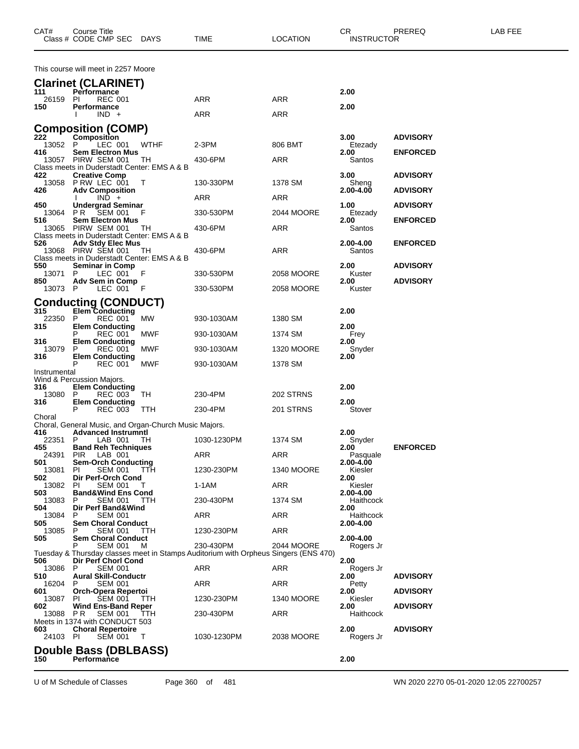| CAT#           | Course Title<br>Class # CODE CMP SEC                       | <b>DAYS</b>                                           | TIME                                                                                             | <b>LOCATION</b>   | CR<br><b>INSTRUCTOR</b> | PREREQ          | LAB FEE |
|----------------|------------------------------------------------------------|-------------------------------------------------------|--------------------------------------------------------------------------------------------------|-------------------|-------------------------|-----------------|---------|
|                | This course will meet in 2257 Moore                        |                                                       |                                                                                                  |                   |                         |                 |         |
|                | <b>Clarinet (CLARINET)</b>                                 |                                                       |                                                                                                  |                   |                         |                 |         |
| 111<br>26159   | <b>Performance</b><br><b>REC 001</b><br>PL                 |                                                       | ARR                                                                                              | ARR               | 2.00                    |                 |         |
| 150            | <b>Performance</b>                                         |                                                       |                                                                                                  |                   | 2.00                    |                 |         |
|                | $IND +$                                                    |                                                       | ARR                                                                                              | ARR               |                         |                 |         |
| 222            | <b>Composition (COMP)</b><br>Composition                   |                                                       |                                                                                                  |                   | 3.00                    | <b>ADVISORY</b> |         |
| 13052          | P<br>LEC 001                                               | <b>WTHF</b>                                           | $2-3PM$                                                                                          | 806 BMT           | Etezady                 |                 |         |
| 416<br>13057   | <b>Sem Electron Mus</b><br>PIRW SEM 001                    | TН                                                    | 430-6PM                                                                                          | ARR               | 2.00<br>Santos          | <b>ENFORCED</b> |         |
| 422            | <b>Creative Comp</b>                                       | Class meets in Duderstadt Center: EMS A & B           |                                                                                                  |                   | 3.00                    | <b>ADVISORY</b> |         |
| 13058          | PRW LEC 001                                                | $\top$                                                | 130-330PM                                                                                        | 1378 SM           | Sheng                   |                 |         |
| 426            | <b>Adv Composition</b><br>$IND +$                          |                                                       | ARR                                                                                              | ARR               | 2.00-4.00               | <b>ADVISORY</b> |         |
| 450<br>13064   | <b>Undergrad Seminar</b><br>PR -<br>SEM 001                | F                                                     | 330-530PM                                                                                        | 2044 MOORE        | 1.00<br>Etezady         | <b>ADVISORY</b> |         |
| 516            | <b>Sem Electron Mus</b>                                    |                                                       |                                                                                                  |                   | 2.00                    | <b>ENFORCED</b> |         |
| 13065          | PIRW SEM 001                                               | TH<br>Class meets in Duderstadt Center: EMS A & B     | 430-6PM                                                                                          | ARR               | Santos                  |                 |         |
| 526            | <b>Adv Stdy Elec Mus</b>                                   |                                                       |                                                                                                  |                   | 2.00-4.00               | <b>ENFORCED</b> |         |
|                | 13068 PIRW SEM 001                                         | - TH<br>Class meets in Duderstadt Center: EMS A & B   | 430-6PM                                                                                          | ARR               | Santos                  |                 |         |
| 550<br>13071   | <b>Seminar in Comp</b><br>P<br>LEC 001                     | F                                                     | 330-530PM                                                                                        | 2058 MOORE        | 2.00<br>Kuster          | <b>ADVISORY</b> |         |
| 850<br>13073 P | <b>Adv Sem in Comp</b><br>LEC 001                          | - F                                                   | 330-530PM                                                                                        | 2058 MOORE        | 2.00<br>Kuster          | <b>ADVISORY</b> |         |
|                |                                                            |                                                       |                                                                                                  |                   |                         |                 |         |
| 315            | <b>Conducting (CONDUCT)</b><br><b>Elem Conducting</b>      |                                                       |                                                                                                  |                   | 2.00                    |                 |         |
| 22350<br>315   | P<br>REC 001<br><b>Elem Conducting</b>                     | МW                                                    | 930-1030AM                                                                                       | 1380 SM           | 2.00                    |                 |         |
|                | <b>REC 001</b><br>P                                        | <b>MWF</b>                                            | 930-1030AM                                                                                       | 1374 SM           | Frey                    |                 |         |
| 316<br>13079   | <b>Elem Conducting</b><br>P<br>REC 001                     | <b>MWF</b>                                            | 930-1030AM                                                                                       | <b>1320 MOORE</b> | 2.00<br>Snyder          |                 |         |
| 316            | <b>Elem Conducting</b><br>P<br><b>REC 001</b>              | <b>MWF</b>                                            | 930-1030AM                                                                                       | 1378 SM           | 2.00                    |                 |         |
| Instrumental   |                                                            |                                                       |                                                                                                  |                   |                         |                 |         |
| 316            | Wind & Percussion Majors.<br><b>Elem Conducting</b>        |                                                       |                                                                                                  |                   | 2.00                    |                 |         |
| 13080<br>316   | P<br>REC 003<br><b>Elem Conducting</b>                     | TH                                                    | 230-4PM                                                                                          | 202 STRNS         | 2.00                    |                 |         |
|                | P<br><b>REC 003</b>                                        | <b>TTH</b>                                            | 230-4PM                                                                                          | 201 STRNS         | Stover                  |                 |         |
| Choral         |                                                            | Choral, General Music, and Organ-Church Music Majors. |                                                                                                  |                   |                         |                 |         |
| 416<br>22351   | <b>Advanced Instrumntl</b><br>LAB 001<br>P                 | - TH                                                  | 1030-1230PM                                                                                      | 1374 SM           | 2.00<br>Snyder          |                 |         |
| 455            | <b>Band Reh Techniques</b>                                 |                                                       |                                                                                                  |                   | 2.00                    | <b>ENFORCED</b> |         |
| 24391<br>501   | LAB 001<br><b>PIR</b><br><b>Sem-Orch Conducting</b>        |                                                       | ARR                                                                                              | ARR               | Pasquale<br>2.00-4.00   |                 |         |
| 13081<br>502   | ΡI<br><b>SEM 001</b><br>Dir Perf-Orch Cond                 | TTH                                                   | 1230-230PM                                                                                       | <b>1340 MOORE</b> | Kiesler<br>2.00         |                 |         |
| 13082          | SEM 001<br>PI                                              | T                                                     | 1-1AM                                                                                            | ARR               | Kiesler                 |                 |         |
| 503<br>13083   | <b>Band&amp;Wind Ens Cond</b><br>P<br><b>SEM 001</b>       | TTH                                                   | 230-430PM                                                                                        | 1374 SM           | 2.00-4.00<br>Haithcock  |                 |         |
| 504<br>13084   | Dir Perf Band&Wind<br><b>SEM 001</b><br>P                  |                                                       | ARR                                                                                              | ARR               | 2.00<br>Haithcock       |                 |         |
| 505            | <b>Sem Choral Conduct</b>                                  |                                                       |                                                                                                  |                   | 2.00-4.00               |                 |         |
| 13085<br>505   | P<br>SEM 001<br><b>Sem Choral Conduct</b>                  | TTH                                                   | 1230-230PM                                                                                       | ARR               | 2.00-4.00               |                 |         |
|                | <b>SEM 001</b><br>Р                                        | M                                                     | 230-430PM<br>Tuesday & Thursday classes meet in Stamps Auditorium with Orpheus Singers (ENS 470) | 2044 MOORE        | Rogers Jr               |                 |         |
| 506<br>13086   | Dir Perf Chorl Cond<br>P<br><b>SEM 001</b>                 |                                                       | ARR                                                                                              | ARR               | 2.00                    |                 |         |
| 510            | <b>Aural Skill-Conductr</b>                                |                                                       |                                                                                                  |                   | Rogers Jr<br>2.00       | <b>ADVISORY</b> |         |
| 16204<br>601   | <b>SEM 001</b><br>P<br>Orch-Opera Repertoi                 |                                                       | ARR                                                                                              | ARR               | Petty<br>2.00           | <b>ADVISORY</b> |         |
| 13087<br>602   | PI.<br>SEM 001<br><b>Wind Ens-Band Reper</b>               | <b>TTH</b>                                            | 1230-230PM                                                                                       | <b>1340 MOORE</b> | Kiesler<br>2.00         | <b>ADVISORY</b> |         |
| 13088          | <b>SEM 001</b><br>P R                                      | TТH                                                   | 230-430PM                                                                                        | ARR               | Haithcock               |                 |         |
| 603            | Meets in 1374 with CONDUCT 503<br><b>Choral Repertoire</b> |                                                       |                                                                                                  |                   | 2.00                    | <b>ADVISORY</b> |         |
| 24103 PI       | <b>SEM 001</b>                                             | - T                                                   | 1030-1230PM                                                                                      | 2038 MOORE        | Rogers Jr               |                 |         |
|                | Double Bass (DBLBASS)                                      |                                                       |                                                                                                  |                   |                         |                 |         |
| 150            | Performance                                                |                                                       |                                                                                                  |                   | 2.00                    |                 |         |

U of M Schedule of Classes Page 360 of 481 WN 2020 2270 05-01-2020 12:05 22700257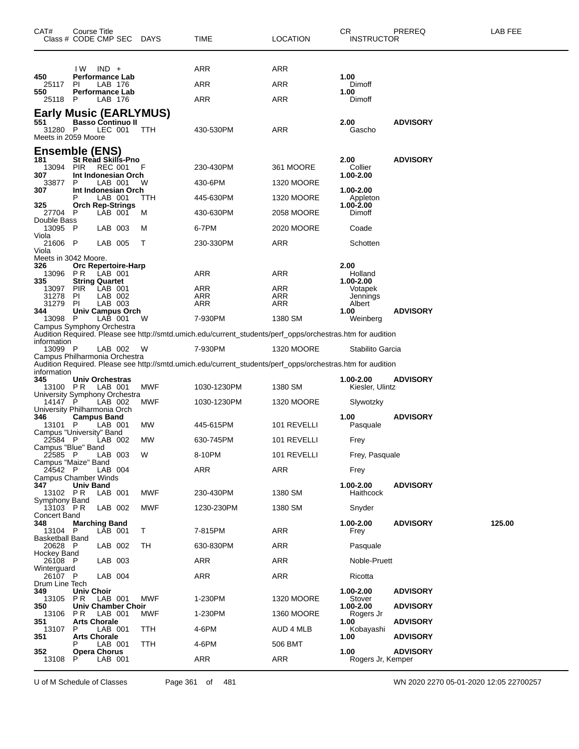| CAT#                                  | Course Title<br>Class # CODE CMP SEC DAYS                            |            | TIME                                                                                                       | <b>LOCATION</b>   | CR.<br><b>INSTRUCTOR</b>         | PREREQ                             | <b>LAB FEE</b> |
|---------------------------------------|----------------------------------------------------------------------|------------|------------------------------------------------------------------------------------------------------------|-------------------|----------------------------------|------------------------------------|----------------|
|                                       | $IND +$<br>IW.                                                       |            | ARR                                                                                                        | ARR               |                                  |                                    |                |
| 450<br>25117 PI                       | <b>Performance Lab</b><br>LAB 176                                    |            | ARR                                                                                                        | <b>ARR</b>        | 1.00<br>Dimoff                   |                                    |                |
| 550                                   | <b>Performance Lab</b>                                               |            |                                                                                                            |                   | 1.00                             |                                    |                |
| 25118                                 | LAB 176<br>P.                                                        |            | ARR                                                                                                        | ARR               | Dimoff                           |                                    |                |
| 551<br>31280 P<br>Meets in 2059 Moore | <b>Early Music (EARLYMUS)</b><br><b>Basso Continuo II</b><br>LEC 001 | TTH        | 430-530PM                                                                                                  | <b>ARR</b>        | 2.00<br>Gascho                   | <b>ADVISORY</b>                    |                |
|                                       | Ensemble (ENS)                                                       |            |                                                                                                            |                   |                                  |                                    |                |
| 181<br>13094                          | <b>St Read Skills-Pno</b><br><b>REC 001</b><br><b>PIR</b>            |            | 230-430PM                                                                                                  | 361 MOORE         | 2.00<br>Collier                  | <b>ADVISORY</b>                    |                |
| 307<br>33877                          | Int Indonesian Orch<br>P<br>LAB 001                                  | W          | 430-6PM                                                                                                    | <b>1320 MOORE</b> | 1.00-2.00                        |                                    |                |
| 307                                   | Int Indonesian Orch<br>LAB 001                                       | TTH        | 445-630PM                                                                                                  | <b>1320 MOORE</b> | 1.00-2.00<br>Appleton            |                                    |                |
| 325<br>27704                          | <b>Orch Rep-Strings</b><br>LAB 001<br>- P                            | м          | 430-630PM                                                                                                  | 2058 MOORE        | 1.00-2.00<br>Dimoff              |                                    |                |
| Double Bass<br>13095 P<br>Viola       | LAB 003                                                              | м          | 6-7PM                                                                                                      | 2020 MOORE        | Coade                            |                                    |                |
| 21606 P                               | LAB 005                                                              | Т          | 230-330PM                                                                                                  | <b>ARR</b>        | Schotten                         |                                    |                |
| Viola                                 | Meets in 3042 Moore.                                                 |            |                                                                                                            |                   |                                  |                                    |                |
| 326<br>13096                          | Orc Repertoire-Harp<br>P R<br>LAB 001                                |            | ARR                                                                                                        | ARR               | 2.00<br>Holland                  |                                    |                |
| 335                                   | <b>String Quartet</b>                                                |            |                                                                                                            |                   | 1.00-2.00                        |                                    |                |
| 13097 PIR<br>31278                    | LAB 001<br>LAB 002<br>PI                                             |            | ARR<br>ARR                                                                                                 | ARR<br>ARR        | Votapek<br>Jennings              |                                    |                |
| 31279                                 | PI<br>LAB 003                                                        |            | ARR                                                                                                        | <b>ARR</b>        | Albert                           |                                    |                |
| 344<br>13098 P                        | <b>Univ Campus Orch</b><br>LAB 001                                   | W          | 7-930PM                                                                                                    | 1380 SM           | 1.00<br>Weinberg                 | <b>ADVISORY</b>                    |                |
|                                       | Campus Symphony Orchestra                                            |            |                                                                                                            |                   |                                  |                                    |                |
| information                           |                                                                      |            | Audition Required. Please see http://smtd.umich.edu/current_students/perf_opps/orchestras.htm for audition |                   |                                  |                                    |                |
| 13099 P                               | LAB 002<br>Campus Philharmonia Orchestra                             | W          | 7-930PM                                                                                                    | 1320 MOORE        | Stabilito Garcia                 |                                    |                |
|                                       |                                                                      |            | Audition Required. Please see http://smtd.umich.edu/current_students/perf_opps/orchestras.htm for audition |                   |                                  |                                    |                |
| information<br>345<br>13100 PR        | Univ Orchestras<br>LAB 001                                           | MWF        | 1030-1230PM                                                                                                | 1380 SM           | $1.00 - 2.00$<br>Kiesler, Ulintz | <b>ADVISORY</b>                    |                |
| 14147 <sup>P</sup>                    | University Symphony Orchestra<br>LAB 002                             |            |                                                                                                            |                   |                                  |                                    |                |
|                                       | University Philharmonia Orch                                         | MWF        | 1030-1230PM                                                                                                | <b>1320 MOORE</b> | Slywotzky                        |                                    |                |
| 346<br>13101 P                        | <b>Campus Band</b><br>LAB 001<br>Campus "University" Band            | МW         | 445-615PM                                                                                                  | 101 REVELLI       | 1.00<br>Pasquale                 | <b>ADVISORY</b>                    |                |
| 22584 P                               | LAB 002                                                              | МW         | 630-745PM                                                                                                  | 101 REVELLI       | Frey                             |                                    |                |
| Campus "Blue" Band<br>22585 P         | LAB 003<br>Campus "Maize" Band                                       | W          | 8-10PM                                                                                                     | 101 REVELLI       | Frey, Pasquale                   |                                    |                |
| 24542 P                               | LAB 004                                                              |            | <b>ARR</b>                                                                                                 | <b>ARR</b>        | Frey                             |                                    |                |
| 347<br>13102 PR                       | Campus Chamber Winds<br>Univ Band<br>LAB 001                         | <b>MWF</b> | 230-430PM                                                                                                  | 1380 SM           | 1.00-2.00<br>Haithcock           | <b>ADVISORY</b>                    |                |
| Symphony Band<br>$13103$ PR           | LAB 002                                                              | MWF        | 1230-230PM                                                                                                 | 1380 SM           | Snyder                           |                                    |                |
| Concert Band<br>348<br>13104 P        | <b>Marching Band</b><br>LAB 001                                      | Τ          | 7-815PM                                                                                                    | <b>ARR</b>        | 1.00-2.00<br>Frey                | <b>ADVISORY</b>                    | 125.00         |
| Basketball Band<br>20628 P            | LAB 002                                                              | TH         | 630-830PM                                                                                                  | ARR               | Pasquale                         |                                    |                |
| Hockey Band                           |                                                                      |            |                                                                                                            |                   |                                  |                                    |                |
| 26108 P<br>Winterguard                | LAB 003                                                              |            | ARR                                                                                                        | <b>ARR</b>        | Noble-Pruett                     |                                    |                |
| 26107 P<br>Drum Line Tech             | LAB 004                                                              |            | ARR                                                                                                        | ARR               | Ricotta                          |                                    |                |
| 349<br>13105 PR<br>350                | <b>Univ Choir</b><br>LAB 001<br>Univ Chamber Choir                   | <b>MWF</b> | 1-230PM                                                                                                    | 1320 MOORE        | 1.00-2.00<br>Stover<br>1.00-2.00 | <b>ADVISORY</b><br><b>ADVISORY</b> |                |
| 13106                                 | PR.<br>LAB 001                                                       | MWF        | 1-230PM                                                                                                    | 1360 MOORE        | Rogers Jr                        |                                    |                |
| 351<br>13107<br>351                   | <b>Arts Chorale</b><br>LAB 001<br>P<br><b>Arts Chorale</b>           | TTH        | 4-6PM                                                                                                      | AUD 4 MLB         | 1.00<br>Kobayashi<br>1.00        | <b>ADVISORY</b><br><b>ADVISORY</b> |                |
| 352                                   | LAB 001                                                              | TTH        | 4-6PM                                                                                                      | 506 BMT           | 1.00                             | <b>ADVISORY</b>                    |                |
| 13108                                 | <b>Opera Chorus</b><br>LAB 001<br>P                                  |            | ARR                                                                                                        | ARR               | Rogers Jr, Kemper                |                                    |                |

U of M Schedule of Classes Page 361 of 481 WN 2020 2270 05-01-2020 12:05 22700257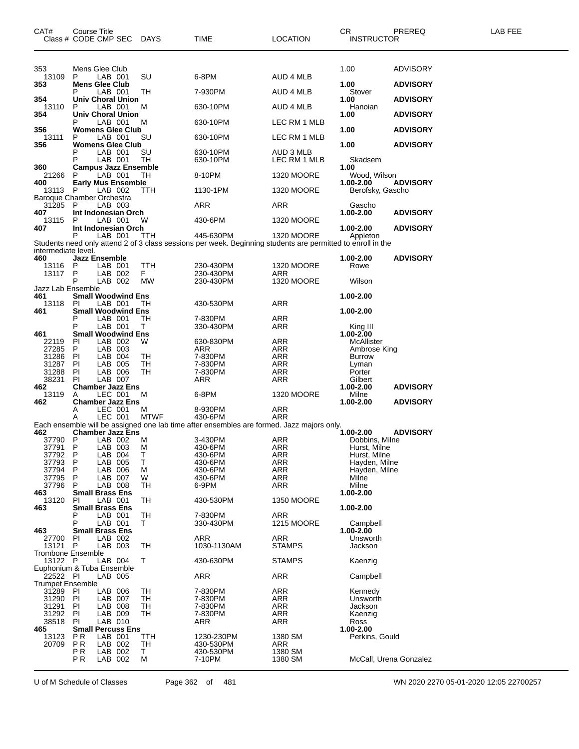| CAT#<br>Class # CODE CMP SEC          | Course Title                 |                    |                             | DAYS        | TIME                                                                                                        | <b>LOCATION</b>          | CR<br><b>INSTRUCTOR</b>        | <b>PREREQ</b>   | LAB FEE |
|---------------------------------------|------------------------------|--------------------|-----------------------------|-------------|-------------------------------------------------------------------------------------------------------------|--------------------------|--------------------------------|-----------------|---------|
| 353                                   | Mens Glee Club               |                    |                             |             |                                                                                                             |                          | 1.00                           | <b>ADVISORY</b> |         |
| 13109<br>353                          | P<br><b>Mens Glee Club</b>   | LAB 001            |                             | SU          | 6-8PM                                                                                                       | AUD 4 MLB                | 1.00                           | <b>ADVISORY</b> |         |
| 354                                   |                              | LAB 001            | Univ Choral Union           | TH          | 7-930PM                                                                                                     | AUD 4 MLB                | Stover<br>1.00                 | <b>ADVISORY</b> |         |
| 13110<br>354                          | P                            | LAB 001            | <b>Univ Choral Union</b>    | м           | 630-10PM                                                                                                    | AUD 4 MLB                | Hanoian<br>1.00                | <b>ADVISORY</b> |         |
|                                       |                              | LAB 001            |                             | м           | 630-10PM                                                                                                    | LEC RM 1 MLB             |                                |                 |         |
| 356<br>13111                          | P                            | LAB 001            | <b>Womens Glee Club</b>     | SU          | 630-10PM                                                                                                    | LEC RM 1 MLB             | 1.00                           | <b>ADVISORY</b> |         |
| 356                                   | Р                            | LAB 001            | <b>Womens Glee Club</b>     | SU          | 630-10PM                                                                                                    | AUD 3 MLB                | 1.00                           | <b>ADVISORY</b> |         |
| 360                                   | P                            | LAB 001            | <b>Campus Jazz Ensemble</b> | TH          | 630-10PM                                                                                                    | LEC RM 1 MLB             | Skadsem<br>1.00                |                 |         |
| 21266<br>400                          | P                            | LAB 001            | <b>Early Mus Ensemble</b>   | TH.         | 8-10PM                                                                                                      | 1320 MOORE               | Wood, Wilson<br>1.00-2.00      | <b>ADVISORY</b> |         |
| 13113 P<br>Baroque Chamber Orchestra  |                              | LAB 002            |                             | <b>TTH</b>  | 1130-1PM                                                                                                    | 1320 MOORE               | Berofsky, Gascho               |                 |         |
| 31285<br>407                          | P                            | LAB 003            | Int Indonesian Orch         |             | ARR                                                                                                         | ARR                      | Gascho<br>1.00-2.00            | <b>ADVISORY</b> |         |
| 13115                                 | P                            | LAB 001            |                             | W           | 430-6PM                                                                                                     | 1320 MOORE               |                                |                 |         |
| 407                                   | Ρ                            | LAB 001            | Int Indonesian Orch         | TTH         | 445-630PM                                                                                                   | 1320 MOORE               | 1.00-2.00<br>Appleton          | <b>ADVISORY</b> |         |
| intermediate level.                   |                              |                    |                             |             | Students need only attend 2 of 3 class sessions per week. Beginning students are permitted to enroll in the |                          |                                |                 |         |
| 460<br>13116                          | <b>Jazz Ensemble</b><br>P    | LAB 001            |                             | <b>TTH</b>  | 230-430PM                                                                                                   | <b>1320 MOORE</b>        | 1.00-2.00<br>Rowe              | <b>ADVISORY</b> |         |
| 13117                                 | P<br>P                       | LAB 002<br>LAB 002 |                             | F.<br>МW    | 230-430PM<br>230-430PM                                                                                      | ARR<br>1320 MOORE        | Wilson                         |                 |         |
| Jazz Lab Ensemble<br>461              |                              |                    | <b>Small Woodwind Ens</b>   |             |                                                                                                             |                          | 1.00-2.00                      |                 |         |
| 13118<br>461                          | <b>PI</b>                    | LAB 001            | <b>Small Woodwind Ens</b>   | ТH          | 430-530PM                                                                                                   | ARR                      |                                |                 |         |
|                                       | Р                            | LAB 001<br>LAB 001 |                             | TН          | 7-830PM                                                                                                     | ARR                      | 1.00-2.00                      |                 |         |
| 461                                   | P                            |                    | <b>Small Woodwind Ens</b>   | Τ           | 330-430PM                                                                                                   | ARR                      | King III<br>$1.00 - 2.00$      |                 |         |
| 22119<br>27285                        | PI<br>P.                     | LAB 002<br>LAB 003 |                             | W           | 630-830PM<br>ARR                                                                                            | ARR<br>ARR               | McAllister<br>Ambrose King     |                 |         |
| 31286                                 | PI                           | LAB 004            |                             | TH          | 7-830PM                                                                                                     | ARR                      | <b>Burrow</b>                  |                 |         |
| 31287<br>31288                        | PI<br>PI                     | LAB 005<br>LAB 006 |                             | TH<br>TН    | 7-830PM<br>7-830PM                                                                                          | ARR<br>ARR               | Lyman<br>Porter                |                 |         |
| 38231                                 | PI                           | LAB 007            |                             |             | ARR                                                                                                         | ARR                      | Gilbert                        |                 |         |
| 462<br>13119                          | A                            | LEC 001            | <b>Chamber Jazz Ens</b>     | м           | 6-8PM                                                                                                       | 1320 MOORE               | 1.00-2.00<br>Milne             | <b>ADVISORY</b> |         |
| 462                                   | Α                            | LEC 001            | <b>Chamber Jazz Ens</b>     | м           | 8-930PM                                                                                                     | ARR                      | 1.00-2.00                      | <b>ADVISORY</b> |         |
|                                       | Α                            | LEC 001            |                             | <b>MTWF</b> | 430-6PM<br>Each ensemble will be assigned one lab time after ensembles are formed. Jazz majors only.        | ARR                      |                                |                 |         |
| 462                                   | -P                           |                    | <b>Chamber Jazz Ens</b>     |             | 3-430PM                                                                                                     |                          | 1.00-2.00                      | <b>ADVISORY</b> |         |
| 37790<br>37791 P                      |                              | LAB 002<br>LAB 003 |                             | M<br>м      | 430-6PM                                                                                                     | ARR<br>ARR               | Dobbins, Milne<br>Hurst, Milne |                 |         |
| 37792                                 | P                            | LAB 004            |                             | Т           | 430-6PM                                                                                                     | ARR                      | Hurst, Milne                   |                 |         |
| 37793<br>37794                        | P<br>P                       | LAB 005<br>LAB 006 |                             | Т<br>M      | 430-6PM<br>430-6PM                                                                                          | <b>ARR</b><br><b>ARR</b> | Hayden, Milne<br>Hayden, Milne |                 |         |
| 37795                                 | P                            | LAB 007            |                             | W           | 430-6PM                                                                                                     | <b>ARR</b>               | Milne                          |                 |         |
| 37796                                 | P                            | LAB 008            |                             | TН          | 6-9PM                                                                                                       | ARR                      | Milne                          |                 |         |
| 463<br>13120                          | <b>Small Brass Ens</b><br>PI | LAB 001            |                             | TH          | 430-530PM                                                                                                   | 1350 MOORE               | 1.00-2.00                      |                 |         |
| 463                                   | <b>Small Brass Ens</b>       |                    |                             |             |                                                                                                             |                          | 1.00-2.00                      |                 |         |
|                                       |                              | LAB 001            |                             | TH          | 7-830PM                                                                                                     | ARR                      |                                |                 |         |
| 463                                   | P<br><b>Small Brass Ens</b>  | LAB 001            |                             | T.          | 330-430PM                                                                                                   | <b>1215 MOORE</b>        | Campbell<br>1.00-2.00          |                 |         |
| 27700                                 | PI                           | LAB 002            |                             |             | ARR                                                                                                         | <b>ARR</b>               | Unsworth                       |                 |         |
| 13121<br>Trombone Ensemble            | P                            | LAB 003            |                             | TH          | 1030-1130AM                                                                                                 | <b>STAMPS</b>            | Jackson                        |                 |         |
| 13122 P                               |                              | LAB 004            |                             | Т           | 430-630PM                                                                                                   | <b>STAMPS</b>            | Kaenzig                        |                 |         |
| Euphonium & Tuba Ensemble<br>22522 PI |                              | LAB 005            |                             |             | <b>ARR</b>                                                                                                  | <b>ARR</b>               | Campbell                       |                 |         |
| <b>Trumpet Ensemble</b>               |                              |                    |                             |             |                                                                                                             |                          |                                |                 |         |
| 31289                                 | PI<br>PI                     | LAB 006<br>LAB 007 |                             | TН<br>TН    | 7-830PM<br>7-830PM                                                                                          | ARR<br><b>ARR</b>        | Kennedy<br>Unsworth            |                 |         |
| 31290<br>31291                        | PI                           | LAB 008            |                             | TН          | 7-830PM                                                                                                     | <b>ARR</b>               | Jackson                        |                 |         |
| 31292                                 | PI                           | LAB 009            |                             | TН          | 7-830PM                                                                                                     | <b>ARR</b>               | Kaenzig                        |                 |         |
| 38518                                 | PI                           | LAB 010            |                             |             | ARR                                                                                                         | <b>ARR</b>               | Ross                           |                 |         |
| 465<br>13123                          | P R                          | LAB 001            | <b>Small Percuss Ens</b>    | TTH         | 1230-230PM                                                                                                  | 1380 SM                  | 1.00-2.00<br>Perkins, Gould    |                 |         |
| 20709                                 | P <sub>R</sub>               | LAB 002            |                             | TH          | 430-530PM                                                                                                   | ARR                      |                                |                 |         |
|                                       | ΡR<br>P R                    | LAB 002            |                             | Τ           | 430-530PM<br>7-10PM                                                                                         | 1380 SM                  |                                |                 |         |
|                                       |                              | LAB 002            |                             | M           |                                                                                                             | 1380 SM                  | McCall, Urena Gonzalez         |                 |         |

U of M Schedule of Classes Page 362 of 481 WN 2020 2270 05-01-2020 12:05 22700257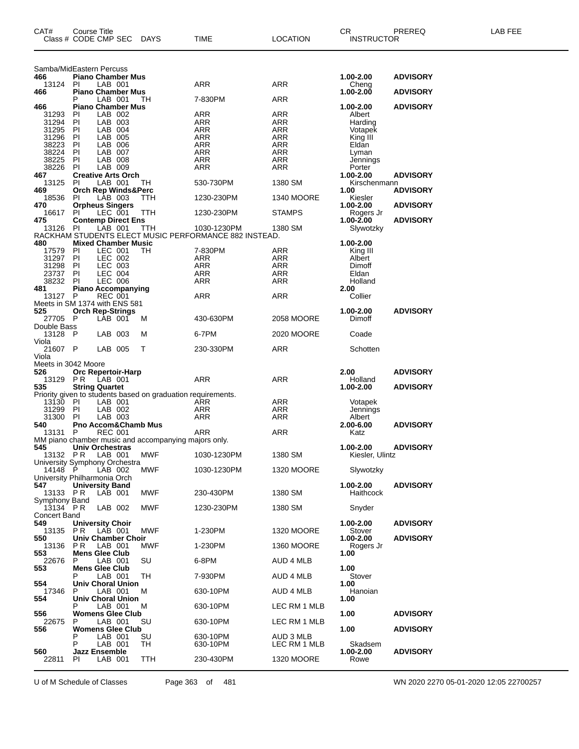| CAT#                                      | <b>Course Title</b><br>Class # CODE CMP SEC |                    | DAYS                                                         | TIME                                                  | <b>LOCATION</b>           | CR<br><b>INSTRUCTOR</b> | PREREQ          | LAB FEE |
|-------------------------------------------|---------------------------------------------|--------------------|--------------------------------------------------------------|-------------------------------------------------------|---------------------------|-------------------------|-----------------|---------|
| Samba/MidEastern Percuss                  | <b>Piano Chamber Mus</b>                    |                    |                                                              |                                                       |                           | 1.00-2.00               |                 |         |
| 466<br>13124 PI                           |                                             | LAB 001            |                                                              | ARR                                                   | ARR                       | Cheng                   | <b>ADVISORY</b> |         |
| 466                                       | <b>Piano Chamber Mus</b>                    |                    |                                                              |                                                       |                           | 1.00-2.00               | <b>ADVISORY</b> |         |
| 466                                       | <b>Piano Chamber Mus</b>                    | LAB 001            | TН                                                           | 7-830PM                                               | ARR                       | 1.00-2.00               | <b>ADVISORY</b> |         |
| 31293                                     | PI                                          | LAB 002            |                                                              | ARR                                                   | ARR                       | Albert                  |                 |         |
| 31294                                     | PI                                          | LAB 003            |                                                              | ARR                                                   | ARR                       | Harding                 |                 |         |
| 31295<br>31296                            | PI<br>PI                                    | LAB 004<br>LAB 005 |                                                              | <b>ARR</b><br><b>ARR</b>                              | <b>ARR</b><br><b>ARR</b>  | Votapek<br>King III     |                 |         |
| 38223                                     | PI                                          | LAB 006            |                                                              | <b>ARR</b>                                            | <b>ARR</b>                | Eldan                   |                 |         |
| 38224<br>38225                            | PI<br>PI                                    | LAB 007<br>LAB 008 |                                                              | <b>ARR</b><br><b>ARR</b>                              | <b>ARR</b><br><b>ARR</b>  | Lyman                   |                 |         |
| 38226                                     | <b>PI</b>                                   | LAB 009            |                                                              | ARR                                                   | ARR                       | Jennings<br>Porter      |                 |         |
| 467                                       | <b>Creative Arts Orch</b>                   |                    |                                                              |                                                       |                           | 1.00-2.00               | <b>ADVISORY</b> |         |
| 13125<br>469                              | <b>PI</b><br><b>Orch Rep Winds&amp;Perc</b> | LAB 001            | TH                                                           | 530-730PM                                             | 1380 SM                   | Kirschenmann<br>1.00    | <b>ADVISORY</b> |         |
| 18536                                     | <b>PI</b>                                   | LAB 003            | TTH                                                          | 1230-230PM                                            | 1340 MOORE                | Kiesler                 |                 |         |
| 470<br>16617                              | <b>Orpheus Singers</b>                      | LEC 001            |                                                              |                                                       | <b>STAMPS</b>             | 1.00-2.00               | <b>ADVISORY</b> |         |
| 475                                       | PI<br><b>Contemp Direct Ens</b>             |                    | TTH                                                          | 1230-230PM                                            |                           | Rogers Jr<br>1.00-2.00  | <b>ADVISORY</b> |         |
| 13126                                     | PI.                                         | LAB 001            | <b>TTH</b>                                                   | 1030-1230PM                                           | 1380 SM                   | Slywotzky               |                 |         |
| 480                                       | <b>Mixed Chamber Music</b>                  |                    |                                                              | RACKHAM STUDENTS ELECT MUSIC PERFORMANCE 882 INSTEAD. |                           | 1.00-2.00               |                 |         |
| 17579                                     | PI                                          | LEC 001            | TН                                                           | 7-830PM                                               | ARR                       | King III                |                 |         |
| 31297<br>31298                            | -PI<br>PI                                   | LEC 002<br>LEC 003 |                                                              | <b>ARR</b><br><b>ARR</b>                              | ARR<br><b>ARR</b>         | Albert<br>Dimoff        |                 |         |
| 23737                                     | PI                                          | <b>LEC 004</b>     |                                                              | <b>ARR</b>                                            | <b>ARR</b>                | Eldan                   |                 |         |
| 38232                                     | PI                                          | <b>LEC 006</b>     |                                                              | ARR                                                   | ARR                       | Holland                 |                 |         |
| 481<br>13127 P                            | <b>Piano Accompanying</b>                   | <b>REC 001</b>     |                                                              | ARR                                                   | ARR                       | 2.00<br>Collier         |                 |         |
| Meets in SM 1374 with ENS 581             |                                             |                    |                                                              |                                                       |                           |                         |                 |         |
| 525<br>27705 P                            | <b>Orch Rep-Strings</b>                     | LAB 001            | м                                                            | 430-630PM                                             | <b>2058 MOORE</b>         | 1.00-2.00<br>Dimoff     | <b>ADVISORY</b> |         |
| Double Bass                               |                                             |                    |                                                              |                                                       |                           |                         |                 |         |
| 13128 P<br>Viola                          |                                             | LAB 003            | м                                                            | 6-7PM                                                 | 2020 MOORE                | Coade                   |                 |         |
| 21607 P                                   |                                             | LAB 005            | Т                                                            | 230-330PM                                             | ARR                       | Schotten                |                 |         |
| Viola<br>Meets in 3042 Moore              |                                             |                    |                                                              |                                                       |                           |                         |                 |         |
| 526                                       | <b>Orc Repertoir-Harp</b>                   |                    |                                                              |                                                       |                           | 2.00                    | <b>ADVISORY</b> |         |
| 13129 PR<br>535                           |                                             | LAB 001            |                                                              | ARR                                                   | ARR                       | Holland<br>1.00-2.00    |                 |         |
|                                           | <b>String Quartet</b>                       |                    | Priority given to students based on graduation requirements. |                                                       |                           |                         | <b>ADVISORY</b> |         |
| 13130                                     | - PI                                        | LAB 001            |                                                              | ARR                                                   | ARR                       | Votapek                 |                 |         |
| 31299<br>31300                            | PI<br>PI                                    | LAB 002<br>LAB 003 |                                                              | ARR<br>ARR                                            | ARR<br>ARR                | Jennings<br>Albert      |                 |         |
| 540                                       | Pno Accom&Chamb Mus                         |                    |                                                              |                                                       |                           | 2.00-6.00               | <b>ADVISORY</b> |         |
| 13131                                     | P                                           | <b>REC 001</b>     | MM piano chamber music and accompanying majors only.         | ARR                                                   | ARR                       | Katz                    |                 |         |
| 545                                       | Univ Orchestras                             |                    |                                                              |                                                       |                           | 1.00-2.00               | <b>ADVISORY</b> |         |
| 13132 PR<br>University Symphony Orchestra |                                             | LAB 001            | <b>MWF</b>                                                   | 1030-1230PM                                           | 1380 SM                   | Kiesler, Ulintz         |                 |         |
| 14148                                     | - P                                         | LAB 002            | MWF                                                          | 1030-1230PM                                           | 1320 MOORE                | Slywotzky               |                 |         |
| University Philharmonia Orch<br>547       | <b>University Band</b>                      |                    |                                                              |                                                       |                           | 1.00-2.00               | <b>ADVISORY</b> |         |
| 13133 PR                                  |                                             | LAB 001            | MWF                                                          | 230-430PM                                             | 1380 SM                   | Haithcock               |                 |         |
| Symphony Band<br>$13134$ PR               |                                             | LAB 002            | MWF                                                          | 1230-230PM                                            | 1380 SM                   | Snyder                  |                 |         |
| <b>Concert Band</b>                       |                                             |                    |                                                              |                                                       |                           |                         |                 |         |
| 549                                       | <b>University Choir</b>                     |                    |                                                              |                                                       |                           | 1.00-2.00               | <b>ADVISORY</b> |         |
| 13135<br>550                              | P R<br>Univ Chamber Choir                   | LAB 001            | MWF                                                          | 1-230PM                                               | <b>1320 MOORE</b>         | Stover<br>1.00-2.00     | <b>ADVISORY</b> |         |
| 13136                                     | P R                                         | LAB 001            | MWF                                                          | 1-230PM                                               | 1360 MOORE                | Rogers Jr               |                 |         |
| 553<br>22676                              | <b>Mens Glee Club</b><br>P                  | LAB 001            | SU                                                           | 6-8PM                                                 | AUD 4 MLB                 | 1.00                    |                 |         |
| 553                                       | <b>Mens Glee Club</b>                       | LAB 001            | TН                                                           | 7-930PM                                               | AUD 4 MLB                 | 1.00<br>Stover          |                 |         |
| 554                                       | Univ Choral Union                           |                    |                                                              |                                                       |                           | 1.00                    |                 |         |
| 17346<br>554                              | P<br><b>Univ Choral Union</b>               | LAB 001            | M                                                            | 630-10PM                                              | AUD 4 MLB                 | Hanoian<br>1.00         |                 |         |
|                                           |                                             | LAB 001            | м                                                            | 630-10PM                                              | LEC RM 1 MLB              |                         |                 |         |
| 556<br>22675                              | <b>Womens Glee Club</b><br>P                | LAB 001            | SU                                                           | 630-10PM                                              | LEC RM 1 MLB              | 1.00                    | <b>ADVISORY</b> |         |
| 556                                       | <b>Womens Glee Club</b>                     |                    |                                                              |                                                       |                           | 1.00                    | <b>ADVISORY</b> |         |
|                                           | P<br>Р                                      | LAB 001<br>LAB 001 | SU<br>TН                                                     | 630-10PM<br>630-10PM                                  | AUD 3 MLB<br>LEC RM 1 MLB | Skadsem                 |                 |         |
| 560                                       | <b>Jazz Ensemble</b>                        |                    |                                                              |                                                       |                           | 1.00-2.00               | <b>ADVISORY</b> |         |
| 22811                                     | PI                                          | LAB 001            | TTH                                                          | 230-430PM                                             | 1320 MOORE                | Rowe                    |                 |         |

U of M Schedule of Classes Page 363 of 481 WN 2020 2270 05-01-2020 12:05 22700257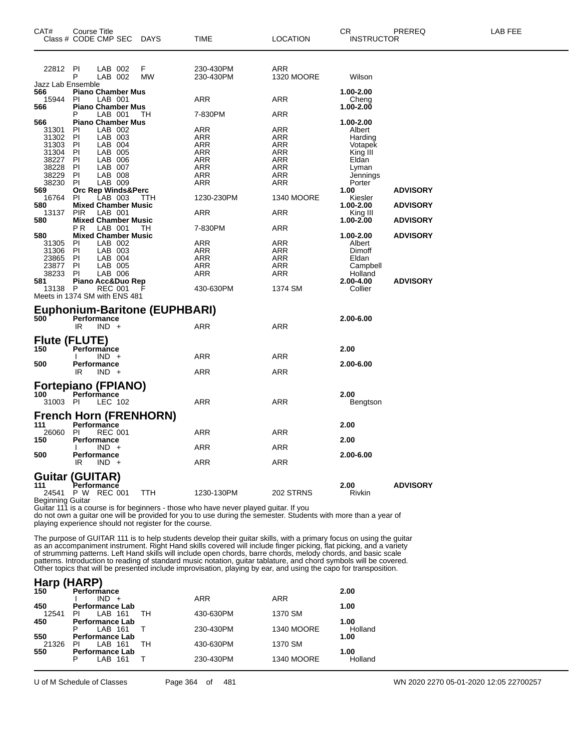| CAT#                     | <b>Course Title</b><br>Class # CODE CMP SEC DAYS |            | <b>TIME</b>                                                                                                    | <b>LOCATION</b>   | <b>CR</b><br><b>INSTRUCTOR</b> | PREREQ          | LAB FEE |
|--------------------------|--------------------------------------------------|------------|----------------------------------------------------------------------------------------------------------------|-------------------|--------------------------------|-----------------|---------|
| 22812                    | PI<br>LAB 002                                    | F          | 230-430PM                                                                                                      | ARR               |                                |                 |         |
|                          | P<br>LAB 002                                     | <b>MW</b>  | 230-430PM                                                                                                      | <b>1320 MOORE</b> | Wilson                         |                 |         |
| Jazz Lab Ensemble<br>566 | <b>Piano Chamber Mus</b>                         |            |                                                                                                                |                   | 1.00-2.00                      |                 |         |
| 15944                    | LAB 001<br><b>PI</b>                             |            | <b>ARR</b>                                                                                                     | <b>ARR</b>        | Cheng                          |                 |         |
| 566                      | <b>Piano Chamber Mus</b>                         |            |                                                                                                                |                   | 1.00-2.00                      |                 |         |
|                          | LAB 001<br>Р                                     | TH         | 7-830PM                                                                                                        | <b>ARR</b>        |                                |                 |         |
| 566                      | <b>Piano Chamber Mus</b>                         |            |                                                                                                                |                   | 1.00-2.00                      |                 |         |
| 31301                    | LAB 002<br>PI                                    |            | ARR                                                                                                            | ARR               | Albert                         |                 |         |
| 31302<br>31303           | P<br>LAB 003<br>PI<br>LAB 004                    |            | <b>ARR</b><br>ARR                                                                                              | <b>ARR</b><br>ARR | Harding                        |                 |         |
| 31304                    | PI<br>LAB 005                                    |            | ARR                                                                                                            | <b>ARR</b>        | Votapek<br>King III            |                 |         |
| 38227                    | PI<br>LAB 006                                    |            | <b>ARR</b>                                                                                                     | <b>ARR</b>        | Eldan                          |                 |         |
| 38228                    | PI<br>LAB 007                                    |            | ARR                                                                                                            | <b>ARR</b>        | Lyman                          |                 |         |
| 38229                    | PI<br>LAB 008                                    |            | <b>ARR</b>                                                                                                     | <b>ARR</b>        | Jennings                       |                 |         |
| 38230                    | PI<br>LAB 009                                    |            | ARR                                                                                                            | ARR               | Porter                         |                 |         |
| 569                      | Orc Rep Winds&Perc                               |            |                                                                                                                |                   | 1.00                           | <b>ADVISORY</b> |         |
| 16764                    | PI<br>LAB 003                                    | TTH        | 1230-230PM                                                                                                     | <b>1340 MOORE</b> | Kiesler                        |                 |         |
| 580                      | <b>Mixed Chamber Music</b>                       |            |                                                                                                                |                   | 1.00-2.00                      | <b>ADVISORY</b> |         |
| 13137                    | <b>PIR</b><br>LAB 001                            |            | <b>ARR</b>                                                                                                     | <b>ARR</b>        | King III                       |                 |         |
| 580                      | <b>Mixed Chamber Music</b><br>LAB 001<br>PR.     | TH         | 7-830PM                                                                                                        | ARR               | 1.00-2.00                      | <b>ADVISORY</b> |         |
| 580                      | <b>Mixed Chamber Music</b>                       |            |                                                                                                                |                   | 1.00-2.00                      | <b>ADVISORY</b> |         |
| 31305                    | LAB 002<br>PI                                    |            | ARR                                                                                                            | <b>ARR</b>        | Albert                         |                 |         |
| 31306                    | PI<br>LAB 003                                    |            | ARR                                                                                                            | ARR               | Dimoff                         |                 |         |
| 23865                    | LAB 004<br>PI                                    |            | ARR                                                                                                            | ARR               | Eldan                          |                 |         |
| 23877                    | PI<br>LAB 005                                    |            | ARR                                                                                                            | ARR               | Campbell                       |                 |         |
| 38233                    | PI<br>LAB 006                                    |            | ARR                                                                                                            | ARR               | Holland                        |                 |         |
| 581                      | Piano Acc&Duo Rep                                |            |                                                                                                                |                   | 2.00-4.00                      | <b>ADVISORY</b> |         |
| 13138                    | $\mathsf{P}$<br><b>REC 001</b>                   |            | 430-630PM                                                                                                      | 1374 SM           | Collier                        |                 |         |
|                          | Meets in 1374 SM with ENS 481                    |            |                                                                                                                |                   |                                |                 |         |
|                          | Euphonium-Baritone (EUPHBARI)                    |            |                                                                                                                |                   |                                |                 |         |
| 500                      | Performance                                      |            |                                                                                                                |                   | 2.00-6.00                      |                 |         |
|                          | IR.<br>$IND +$                                   |            | <b>ARR</b>                                                                                                     | <b>ARR</b>        |                                |                 |         |
|                          |                                                  |            |                                                                                                                |                   |                                |                 |         |
|                          | <b>Flute (FLUTE)</b>                             |            |                                                                                                                |                   |                                |                 |         |
| 150                      | Performance<br>$IND +$                           |            |                                                                                                                |                   | 2.00                           |                 |         |
| 500                      | Performance                                      |            | ARR                                                                                                            | ARR               | 2.00-6.00                      |                 |         |
|                          | IR.<br>$IND +$                                   |            | <b>ARR</b>                                                                                                     | ARR               |                                |                 |         |
|                          |                                                  |            |                                                                                                                |                   |                                |                 |         |
|                          | <b>Fortepiano (FPIANO)</b>                       |            |                                                                                                                |                   |                                |                 |         |
| 100                      | Performance                                      |            |                                                                                                                |                   | 2.00                           |                 |         |
| 31003 PI                 | LEC 102                                          |            | <b>ARR</b>                                                                                                     | <b>ARR</b>        | Bengtson                       |                 |         |
|                          | <b>French Horn (FRENHORN)</b>                    |            |                                                                                                                |                   |                                |                 |         |
| 111                      | Performance                                      |            |                                                                                                                |                   | 2.00                           |                 |         |
| 26060                    | PI.<br><b>REC 001</b>                            |            | <b>ARR</b>                                                                                                     | <b>ARR</b>        |                                |                 |         |
| 150                      | Performance                                      |            |                                                                                                                |                   | 2.00                           |                 |         |
|                          | $IND +$                                          |            | ARR                                                                                                            | <b>ARR</b>        |                                |                 |         |
| 500                      | Performance                                      |            |                                                                                                                |                   | 2.00-6.00                      |                 |         |
|                          | IR<br>$IND +$                                    |            | <b>ARR</b>                                                                                                     | <b>ARR</b>        |                                |                 |         |
|                          | (GUITAR)                                         |            |                                                                                                                |                   |                                |                 |         |
| Guıtar<br>111            | Performance                                      |            |                                                                                                                |                   | 2.00                           | <b>ADVISORY</b> |         |
|                          | 24541 P W REC 001                                | <b>TTH</b> | 1230-130PM                                                                                                     | 202 STRNS         | Rivkin                         |                 |         |
| <b>Beginning Guitar</b>  |                                                  |            |                                                                                                                |                   |                                |                 |         |
|                          |                                                  |            | Guitar 111 is a course is for beginners - those who have never played guitar. If you                           |                   |                                |                 |         |
|                          |                                                  |            | do not own a guitar one will be provided for you to use during the semester. Students with more than a year of |                   |                                |                 |         |

playing experience should not register for the course.

The purpose of GUITAR 111 is to help students develop their guitar skills, with a primary focus on using the guitar as an accompaniment instrument. Right Hand skills covered will include finger picking, flat picking, and a variety of strumming patterns. Left Hand skills will include open chords, barre chords, melody chords, and basic scale patterns. Introduction to reading of standard music notation, guitar tablature, and chord symbols will be covered. Other topics that will be presented include improvisation, playing by ear, and using the capo for transposition.

| Harp (HARP) |                        |    |            |                   |         |
|-------------|------------------------|----|------------|-------------------|---------|
| 150         | Performance            |    |            |                   | 2.00    |
|             | $IND +$                |    | <b>ARR</b> | <b>ARR</b>        |         |
| 450         | <b>Performance Lab</b> |    |            |                   | 1.00    |
| 12541       | LAB 161<br>ΡI          | TН | 430-630PM  | 1370 SM           |         |
| 450         | <b>Performance Lab</b> |    |            |                   | 1.00    |
|             | LAB 161<br>Р           |    | 230-430PM  | <b>1340 MOORE</b> | Holland |
| 550         | <b>Performance Lab</b> |    |            |                   | 1.00    |
| 21326       | LAB 161<br>ΡI          | TH | 430-630PM  | 1370 SM           |         |
| 550         | <b>Performance Lab</b> |    |            |                   | 1.00    |
|             | LAB 161<br>P           |    | 230-430PM  | <b>1340 MOORE</b> | Holland |
|             |                        |    |            |                   |         |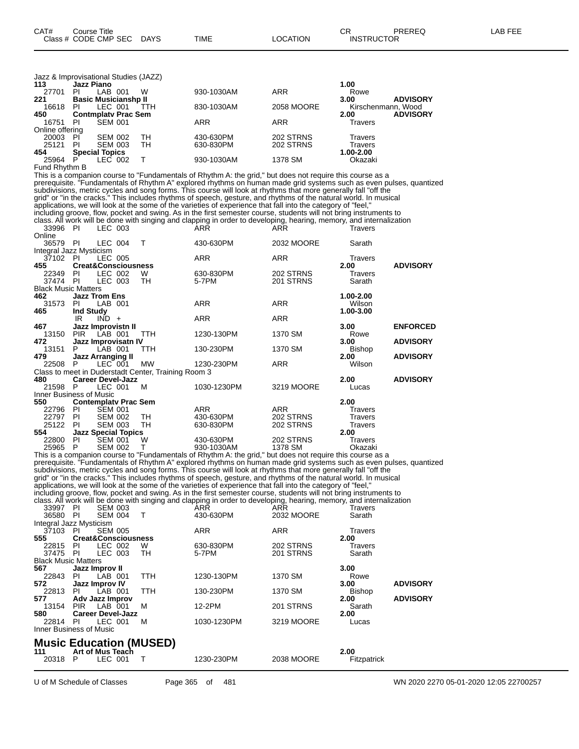| Jazz & Improvisational Studies (JAZZ) |                   |                             |     |            |            |           |                    |
|---------------------------------------|-------------------|-----------------------------|-----|------------|------------|-----------|--------------------|
| 113                                   | <b>Jazz Piano</b> |                             |     |            |            | 1.00      |                    |
| 27701                                 | PI                | LAB 001                     | w   | 930-1030AM | <b>ARR</b> | Rowe      |                    |
| 221                                   |                   | <b>Basic Musicianshp II</b> |     |            |            | 3.00      | <b>ADVISORY</b>    |
| 16618                                 | PI                | LEC 001                     | TTH | 830-1030AM | 2058 MOORE |           | Kirschenmann, Wood |
| 450                                   |                   | <b>Contmplaty Prac Sem</b>  |     |            |            | 2.00      | <b>ADVISORY</b>    |
| 16751                                 | PI                | <b>SEM 001</b>              |     | <b>ARR</b> | ARR        | Travers   |                    |
| Online offering                       |                   |                             |     |            |            |           |                    |
| 20003                                 | PI                | <b>SEM 002</b>              | TH  | 430-630PM  | 202 STRNS  | Travers   |                    |
| 25121                                 | PI                | <b>SEM 003</b>              | TН  | 630-830PM  | 202 STRNS  | Travers   |                    |
| 454                                   |                   | <b>Special Topics</b>       |     |            |            | 1.00-2.00 |                    |
| 25964                                 | Р                 | LEC 002                     |     | 930-1030AM | 1378 SM    | Okazaki   |                    |

Fund Rhythm B

This is a companion course to "Fundamentals of Rhythm A: the grid," but does not require this course as a prerequisite. "Fundamentals of Rhythm A" explored rhythms on human made grid systems such as even pulses, quantized subdivisions, metric cycles and song forms. This course will look at rhythms that more generally fall "off the grid" or "in the cracks." This includes rhythms of speech, gesture, and rhythms of the natural world. In musical applications, we will look at the some of the varieties of experience that fall into the category of "feel," including groove, flow, pocket and swing. As in the first semester course, students will not bring instruments to class. All work will be done with singing and clapping in order to developing, hearing, memory, and internalization 33996 PI LEC 003 ARR ARR Travers Online PI LEC 004 T 430-630PM 2032 MOORE Sarath Integral Jazz Mysticism

| Integral Jazz Mysticism    |                  |                                |                                                     |             |            |               |                 |
|----------------------------|------------------|--------------------------------|-----------------------------------------------------|-------------|------------|---------------|-----------------|
| 37102                      | PL               | LEC 005                        |                                                     | <b>ARR</b>  | <b>ARR</b> | Travers       |                 |
| 455                        |                  | <b>Creat&amp;Consciousness</b> |                                                     |             |            | 2.00          | <b>ADVISORY</b> |
| 22349                      | -PI              | LEC 002                        | W                                                   | 630-830PM   | 202 STRNS  | Travers       |                 |
| 37474                      | - PI             | LEC 003                        | TН                                                  | 5-7PM       | 201 STRNS  | Sarath        |                 |
| <b>Black Music Matters</b> |                  |                                |                                                     |             |            |               |                 |
| 462.                       |                  | <b>Jazz Trom Ens</b>           |                                                     |             |            | 1.00-2.00     |                 |
| 31573                      | PI.              | LAB 001                        |                                                     | <b>ARR</b>  | <b>ARR</b> | Wilson        |                 |
| 465                        | <b>Ind Study</b> |                                |                                                     |             |            | 1.00-3.00     |                 |
|                            | IR               | $IND +$                        |                                                     | <b>ARR</b>  | <b>ARR</b> |               |                 |
| 467                        |                  | Jazz Improvistn II             |                                                     |             |            | 3.00          | <b>ENFORCED</b> |
| 13150                      |                  | PIR LAB 001                    | <b>TTH</b>                                          | 1230-130PM  | 1370 SM    | Rowe          |                 |
| 472                        |                  | Jazz Improvisatn IV            |                                                     |             |            | 3.00          | <b>ADVISORY</b> |
| 13151                      | P.               | LAB 001                        | <b>TTH</b>                                          | 130-230PM   | 1370 SM    | <b>Bishop</b> |                 |
| 479.                       |                  | <b>Jazz Arranging II</b>       |                                                     |             |            | 2.00          | <b>ADVISORY</b> |
| 22508                      | P.               | LEC 001                        | <b>MW</b>                                           | 1230-230PM  | <b>ARR</b> | Wilson        |                 |
|                            |                  |                                | Class to meet in Duderstadt Center, Training Room 3 |             |            |               |                 |
| 480                        |                  | <b>Career Devel-Jazz</b>       |                                                     |             |            | 2.00          | <b>ADVISORY</b> |
| 21598                      | P                | LEC 001                        | м                                                   | 1030-1230PM | 3219 MOORE | Lucas         |                 |
| Inner Business of Music    |                  |                                |                                                     |             |            |               |                 |
| 550                        |                  | <b>Contemplaty Prac Sem</b>    |                                                     |             |            | 2.00          |                 |
| 22796                      | PI               | <b>SEM 001</b>                 |                                                     | <b>ARR</b>  | ARR        | Travers       |                 |
| 22797                      | <b>PI</b>        | <b>SEM 002</b>                 | TH                                                  | 430-630PM   | 202 STRNS  | Travers       |                 |
| 25122                      | <b>PI</b>        | <b>SEM 003</b>                 | TH                                                  | 630-830PM   | 202 STRNS  | Travers       |                 |
| 554                        |                  | <b>Jazz Special Topics</b>     |                                                     |             |            | 2.00          |                 |
| 22800                      | ΡI               | <b>SEM 001</b>                 | W                                                   | 430-630PM   | 202 STRNS  | Travers       |                 |

 P SEM 002 T 930-1030AM 1378 SM Okazaki This is a companion course to "Fundamentals of Rhythm A: the grid," but does not require this course as a prerequisite. "Fundamentals of Rhythm A" explored rhythms on human made grid systems such as even pulses, quantized subdivisions, metric cycles and song forms. This course will look at rhythms that more generally fall "off the grid" or "in the cracks." This includes rhythms of speech, gesture, and rhythms of the natural world. In musical applications, we will look at the some of the varieties of experience that fall into the category of "feel," including groove, flow, pocket and swing. As in the first semester course, students will not bring instruments to class. All work will be done with singing and clapping in order to developing, hearing, memory, and internalization 33997 PI SEM 003 ARR ARR Travers

| <b>00001</b><br>36580 PI   | . .            | טטט ויו∟ט<br>SEM 004 T         |            | , , , , ,<br>430-630PM | , , , , ,<br>2032 MOORE | <br>Sarath     |                 |
|----------------------------|----------------|--------------------------------|------------|------------------------|-------------------------|----------------|-----------------|
| Integral Jazz Mysticism    |                |                                |            |                        |                         |                |                 |
| 37103                      | - PI           | <b>SEM 005</b>                 |            | <b>ARR</b>             | <b>ARR</b>              | <b>Travers</b> |                 |
| 555                        |                | <b>Creat&amp;Consciousness</b> |            |                        |                         | 2.00           |                 |
| 22815                      | - PI           | LEC 002                        | W          | 630-830PM              | 202 STRNS               | Travers        |                 |
| 37475 PI                   |                | LEC 003                        | TН         | 5-7PM                  | 201 STRNS               | Sarath         |                 |
| <b>Black Music Matters</b> |                |                                |            |                        |                         |                |                 |
| 567                        | Jazz Improv II |                                |            |                        |                         | 3.00           |                 |
| 22843                      | PI             | LAB 001                        | <b>TTH</b> | 1230-130PM             | 1370 SM                 | Rowe           |                 |
| 572                        |                | Jazz Improv IV                 |            |                        |                         | 3.00           | <b>ADVISORY</b> |
| 22813                      | PL             | LAB 001                        | <b>TTH</b> | 130-230PM              | 1370 SM                 | <b>Bishop</b>  |                 |
| 577                        |                | Adv Jazz Improv                |            |                        |                         | 2.00           | <b>ADVISORY</b> |
| 13154                      | <b>PIR</b>     | LAB 001                        | м          | 12-2PM                 | 201 STRNS               | Sarath         |                 |
| 580                        |                | <b>Career Devel-Jazz</b>       |            |                        |                         | 2.00           |                 |
| 22814 PI                   |                | LEC 001                        | M          | 1030-1230PM            | 3219 MOORE              | Lucas          |                 |
| Inner Business of Music    |                |                                |            |                        |                         |                |                 |
|                            |                |                                |            |                        |                         |                |                 |

### **Music Education (MUSED)**

| 111   | __________<br>Art of Mus Teach | __ |           |            | 2.00        |  |
|-------|--------------------------------|----|-----------|------------|-------------|--|
| 20318 | ∟EC<br>001                     |    | 230-230PM | 2038 MOORE | Fitzpatrick |  |
|       |                                |    |           |            |             |  |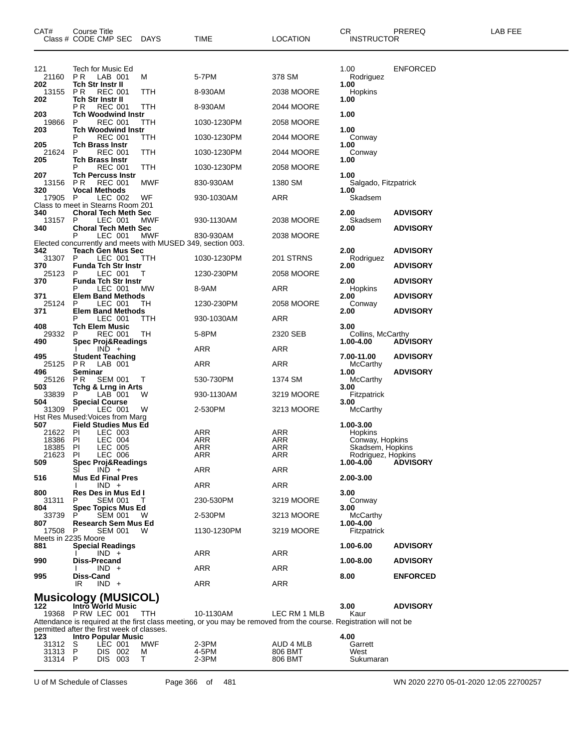| CAT#                                 | Course Title<br>Class # CODE CMP SEC DAYS                              |               | TIME                                                                                                               | <b>LOCATION</b>                 | CR.<br><b>INSTRUCTOR</b>             | PREREQ          | LAB FEE |
|--------------------------------------|------------------------------------------------------------------------|---------------|--------------------------------------------------------------------------------------------------------------------|---------------------------------|--------------------------------------|-----------------|---------|
| 121<br>21160<br>202                  | Tech for Music Ed<br>P R<br>LAB 001<br><b>Tch Str Instr II</b>         | м             | 5-7PM                                                                                                              | 378 SM                          | 1.00<br>Rodriguez<br>1.00            | ENFORCED        |         |
| 13155                                | P R<br><b>REC 001</b>                                                  | ттн           | 8-930AM                                                                                                            | 2038 MOORE                      | Hopkins                              |                 |         |
| 202                                  | <b>Tch Str Instr II</b><br><b>REC 001</b><br>P R                       | TTH           | 8-930AM                                                                                                            | 2044 MOORE                      | 1.00                                 |                 |         |
| 203<br>19866                         | <b>Tch Woodwind Instr</b><br><b>REC 001</b><br>P                       | ттн           | 1030-1230PM                                                                                                        | 2058 MOORE                      | 1.00                                 |                 |         |
| 203                                  | <b>Tch Woodwind Instr</b><br><b>REC 001</b><br>Р                       | ттн           | 1030-1230PM                                                                                                        | 2044 MOORE                      | 1.00<br>Conway                       |                 |         |
| 205<br>21624                         | <b>Tch Brass Instr</b><br><b>REC 001</b><br>P                          | TTH           | 1030-1230PM                                                                                                        | 2044 MOORE                      | 1.00<br>Conway                       |                 |         |
| 205                                  | <b>Tch Brass Instr</b><br><b>REC 001</b>                               | ттн           | 1030-1230PM                                                                                                        | 2058 MOORE                      | 1.00                                 |                 |         |
| 207<br>13156                         | <b>Tch Percuss Instr</b><br><b>REC 001</b><br>P R                      | MWF           | 830-930AM                                                                                                          | 1380 SM                         | 1.00<br>Salgado, Fitzpatrick         |                 |         |
| 320<br>17905                         | <b>Vocal Methods</b><br>LEC 002<br>P                                   | WF            |                                                                                                                    | ARR                             | 1.00<br>Skadsem                      |                 |         |
|                                      | Class to meet in Stearns Room 201                                      |               | 930-1030AM                                                                                                         |                                 |                                      |                 |         |
| 340<br>13157                         | <b>Choral Tech Meth Sec</b><br>P<br>LEC 001                            | MWF           | 930-1130AM                                                                                                         | 2038 MOORE                      | 2.00<br>Skadsem                      | <b>ADVISORY</b> |         |
| 340                                  | <b>Choral Tech Meth Sec</b><br>P<br>LEC 001                            | MWF           | 830-930AM                                                                                                          | 2038 MOORE                      | 2.00                                 | <b>ADVISORY</b> |         |
| 342                                  | <b>Teach Gen Mus Sec</b>                                               |               | Elected concurrently and meets with MUSED 349, section 003.                                                        |                                 | 2.00                                 | <b>ADVISORY</b> |         |
| 31307<br>370                         | P<br>LEC 001<br><b>Funda Tch Str Instr</b>                             | ттн           | 1030-1230PM                                                                                                        | 201 STRNS                       | Rodriguez<br>2.00                    | <b>ADVISORY</b> |         |
| 25123<br>370                         | Р<br>LEC 001<br><b>Funda Tch Str Instr</b>                             | т             | 1230-230PM                                                                                                         | 2058 MOORE                      | 2.00                                 | <b>ADVISORY</b> |         |
|                                      | LEC 001                                                                | МW            | 8-9AM                                                                                                              | ARR                             | Hopkins                              |                 |         |
| 371<br>25124                         | <b>Elem Band Methods</b><br>LEC 001<br>P                               | ТH            | 1230-230PM                                                                                                         | 2058 MOORE                      | 2.00<br>Conway                       | <b>ADVISORY</b> |         |
| 371                                  | <b>Elem Band Methods</b><br>LEC 001                                    | ттн           | 930-1030AM                                                                                                         | ARR                             | 2.00                                 | <b>ADVISORY</b> |         |
| 408<br>29332                         | <b>Tch Elem Music</b><br><b>REC 001</b><br>P                           | ТH            | 5-8PM                                                                                                              | 2320 SEB                        | 3.00<br>Collins, McCarthy            |                 |         |
| 490                                  | <b>Spec Proj&amp;Readings</b><br>$IND +$                               |               | ARR                                                                                                                | ARR                             | 1.00-4.00                            | <b>ADVISORY</b> |         |
| 495<br>25125                         | <b>Student Teaching</b><br>P R<br>LAB 001                              |               | ARR                                                                                                                | ARR                             | 7.00-11.00<br>McCarthy               | <b>ADVISORY</b> |         |
| 496<br>25126                         | Seminar<br>PR.<br><b>SEM 001</b>                                       | Т             | 530-730PM                                                                                                          | 1374 SM                         | 1.00<br>McCarthy                     | <b>ADVISORY</b> |         |
| 503<br>33839                         | Tchg & Lrng in Arts<br>LAB 001<br>P                                    | W             | 930-1130AM                                                                                                         | 3219 MOORE                      | 3.00                                 |                 |         |
| 504                                  | <b>Special Course</b>                                                  |               |                                                                                                                    |                                 | Fitzpatrick<br>3.00                  |                 |         |
| 31309                                | P<br>LEC 001<br>Hst Res Mused: Voices from Marg                        | W             | 2-530PM                                                                                                            | 3213 MOORE                      | McCarthy                             |                 |         |
| 507<br>21622                         | <b>Field Studies Mus Ed</b><br><b>PI</b><br>LEC 003                    |               | ARR                                                                                                                | ARR                             | 1.00-3.00<br>Hopkins                 |                 |         |
| 18386<br>18385 PI                    | <b>LEC 004</b><br>PI<br>LEC 005                                        |               | ARR<br>ARR                                                                                                         | ARR<br>ARR                      | Conway, Hopkins<br>Skadsem, Hopkins  |                 |         |
| 21623 PI<br>509                      | LEC 006<br><b>Spec Proj&amp;Readings</b>                               |               | ARR                                                                                                                | ARR                             | Rodriguez, Hopkins<br>1.00-4.00      | <b>ADVISORY</b> |         |
| 516                                  | $IND +$<br>SI<br><b>Mus Ed Final Pres</b>                              |               | ARR                                                                                                                | ARR                             | 2.00-3.00                            |                 |         |
| 800                                  | $IND +$<br>Res Des in Mus Ed I                                         |               | ARR                                                                                                                | ARR                             | 3.00                                 |                 |         |
| 31311                                | <b>SEM 001</b>                                                         |               | 230-530PM                                                                                                          | 3219 MOORE                      | Conway                               |                 |         |
| 804<br>33739                         | <b>Spec Topics Mus Ed</b><br><b>SEM 001</b>                            | W             | 2-530PM                                                                                                            | 3213 MOORE                      | 3.00<br>McCarthy                     |                 |         |
| 807<br>17508                         | <b>Research Sem Mus Ed</b><br>P.<br><b>SEM 001</b>                     | W             | 1130-1230PM                                                                                                        | 3219 MOORE                      | 1.00-4.00<br>Fitzpatrick             |                 |         |
| Meets in 2235 Moore<br>881           | <b>Special Readings</b>                                                |               |                                                                                                                    |                                 | 1.00-6.00                            | <b>ADVISORY</b> |         |
| 990                                  | $IND +$<br>Diss-Precand                                                |               | ARR                                                                                                                | ARR                             | 1.00-8.00                            | <b>ADVISORY</b> |         |
| 995                                  | $IND +$<br>Diss-Cand                                                   |               | ARR                                                                                                                | ARR                             | 8.00                                 | <b>ENFORCED</b> |         |
|                                      | $IND +$<br>IR                                                          |               | ARR                                                                                                                | <b>ARR</b>                      |                                      |                 |         |
| 122                                  | <b>Musicology (MUSICOL)</b><br>Intro World Music<br>19368 P RW LEC 001 | TTH           | 10-1130AM                                                                                                          | LEC RM 1 MLB                    | 3.00<br>Kaur                         | <b>ADVISORY</b> |         |
|                                      | permitted after the first week of classes.                             |               | Attendance is required at the first class meeting, or you may be removed from the course. Registration will not be |                                 |                                      |                 |         |
| 123<br>31312 S<br>31313 P<br>31314 P | <b>Intro Popular Music</b><br>LEC 001<br>DIS 002<br>DIS 003            | MWF<br>м<br>Т | 2-3PM<br>4-5PM<br>2-3PM                                                                                            | AUD 4 MLB<br>806 BMT<br>806 BMT | 4.00<br>Garrett<br>West<br>Sukumaran |                 |         |
|                                      |                                                                        |               |                                                                                                                    |                                 |                                      |                 |         |

U of M Schedule of Classes Page 366 of 481 WN 2020 2270 05-01-2020 12:05 22700257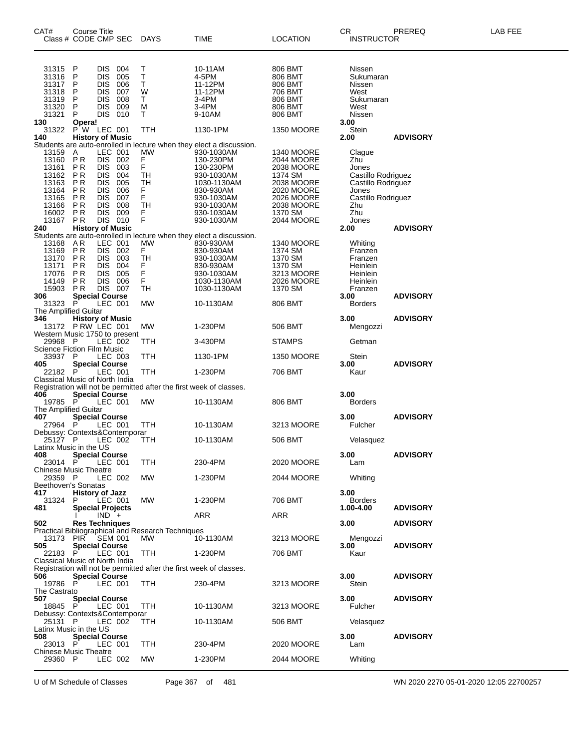| CAT#                                                               | Course Title                                                       | Class # CODE CMP SEC                                                                                                              | DAYS                                                     | TIME                                                                                                                                                                 | <b>LOCATION</b>                                                                                    | CR<br><b>INSTRUCTOR</b>                                                                           | PREREQ          | LAB FEE |
|--------------------------------------------------------------------|--------------------------------------------------------------------|-----------------------------------------------------------------------------------------------------------------------------------|----------------------------------------------------------|----------------------------------------------------------------------------------------------------------------------------------------------------------------------|----------------------------------------------------------------------------------------------------|---------------------------------------------------------------------------------------------------|-----------------|---------|
| 31315<br>31316<br>31317<br>31318<br>31319<br>31320<br>31321        | P<br>P<br>P<br>P<br>P<br>P<br>P                                    | <b>DIS</b><br>004<br>DIS.<br>005<br>DIS.<br>006<br>007<br><b>DIS</b><br><b>DIS</b><br>008<br>DIS.<br>009<br>DIS 010               | Т<br>$\sf T$<br>T<br>W<br>Τ<br>м<br>T.                   | 10-11AM<br>4-5PM<br>11-12PM<br>11-12PM<br>3-4PM<br>3-4PM<br>9-10AM                                                                                                   | 806 BMT<br>806 BMT<br>806 BMT<br>706 BMT<br>806 BMT<br>806 BMT<br>806 BMT                          | Nissen<br>Sukumaran<br>Nissen<br>West<br>Sukumaran<br>West<br>Nissen                              |                 |         |
| 130<br>31322<br>140                                                | Opera!                                                             | PW LEC 001<br><b>History of Music</b>                                                                                             | TTH                                                      | 1130-1PM                                                                                                                                                             | <b>1350 MOORE</b>                                                                                  | 3.00<br>Stein<br>2.00                                                                             | <b>ADVISORY</b> |         |
| 13159<br>13160<br>13161<br>13162<br>13163<br>13164<br>13165        | A<br>PR<br><b>PR</b><br><b>PR</b><br>PR.<br>PR<br>PR               | LEC 001<br>DIS 002<br><b>DIS</b><br>003<br>DIS 004<br><b>DIS</b><br>005<br><b>DIS</b><br>006<br>DIS.<br>007                       | <b>MW</b><br>F<br>F<br>TH<br>TH<br>F<br>F                | Students are auto-enrolled in lecture when they elect a discussion.<br>930-1030AM<br>130-230PM<br>130-230PM<br>930-1030AM<br>1030-1130AM<br>830-930AM<br>930-1030AM  | <b>1340 MOORE</b><br>2044 MOORE<br>2038 MOORE<br>1374 SM<br>2038 MOORE<br>2020 MOORE<br>2026 MOORE | Clague<br>Zhu<br>Jones<br>Castillo Rodriguez<br>Castillo Rodriguez<br>Jones<br>Castillo Rodriguez |                 |         |
| 13166<br>16002<br>13167<br>240                                     | PR.<br>PR<br>PR                                                    | <b>DIS</b><br>008<br><b>DIS</b><br>009<br>DIS 010<br><b>History of Music</b>                                                      | TH<br>$_{F}^{F}$                                         | 930-1030AM<br>930-1030AM<br>930-1030AM                                                                                                                               | 2038 MOORE<br>1370 SM<br>2044 MOORE                                                                | Zhu<br>Zhu<br>Jones<br>2.00                                                                       | <b>ADVISORY</b> |         |
| 13168<br>13169<br>13170<br>13171<br>17076<br>14149<br>15903<br>306 | AR<br>PR<br><b>PR</b><br><b>PR</b><br>PR.<br>PR.<br>P <sub>R</sub> | LEC 001<br>DIS 002<br>003<br>DIS.<br>DIS 004<br>005<br><b>DIS</b><br><b>DIS</b><br>006<br><b>DIS 007</b><br><b>Special Course</b> | <b>MW</b><br>F.<br>TH<br>F<br>F<br>F<br><b>TH</b>        | Students are auto-enrolled in lecture when they elect a discussion.<br>830-930AM<br>830-930AM<br>930-1030AM<br>830-930AM<br>930-1030AM<br>1030-1130AM<br>1030-1130AM | <b>1340 MOORE</b><br>1374 SM<br>1370 SM<br>1370 SM<br>3213 MOORE<br>2026 MOORE<br>1370 SM          | Whiting<br>Franzen<br>Franzen<br>Heinlein<br>Heinlein<br>Heinlein<br>Franzen<br>3.00              | <b>ADVISORY</b> |         |
| 31323<br>The Amplified Guitar                                      | P.                                                                 | LEC 001                                                                                                                           | МW                                                       | 10-1130AM                                                                                                                                                            | 806 BMT                                                                                            | <b>Borders</b>                                                                                    |                 |         |
| 346                                                                |                                                                    | 6 History of Music<br>13172 PRW LEC 001                                                                                           | <b>MW</b>                                                | 1-230PM                                                                                                                                                              | 506 BMT                                                                                            | 3.00<br>Mengozzi                                                                                  | <b>ADVISORY</b> |         |
| 29968 P<br><b>Science Fiction Film Music</b>                       |                                                                    | Western Music 1750 to present<br>LEC 002                                                                                          | TTH                                                      | 3-430PM                                                                                                                                                              | <b>STAMPS</b>                                                                                      | Getman                                                                                            |                 |         |
| 33937 P<br>405                                                     |                                                                    | LEC 003<br><b>Special Course</b>                                                                                                  | TTH                                                      | 1130-1PM                                                                                                                                                             | <b>1350 MOORE</b>                                                                                  | Stein<br>3.00                                                                                     | <b>ADVISORY</b> |         |
| 22182 P                                                            |                                                                    | LEC 001<br>Classical Music of North India                                                                                         | TTH                                                      | 1-230PM                                                                                                                                                              | 706 BMT                                                                                            | Kaur                                                                                              |                 |         |
| 406                                                                |                                                                    | <b>Special Course</b>                                                                                                             |                                                          | Registration will not be permitted after the first week of classes.                                                                                                  |                                                                                                    | 3.00                                                                                              |                 |         |
| 19785 P<br>The Amplified Guitar                                    |                                                                    | LEC 001                                                                                                                           | <b>MW</b>                                                | 10-1130AM                                                                                                                                                            | 806 BMT                                                                                            | <b>Borders</b>                                                                                    |                 |         |
| 407<br>27964 P                                                     |                                                                    | <b>Special Course</b><br>LEC 001                                                                                                  | TTH                                                      | 10-1130AM                                                                                                                                                            | 3213 MOORE                                                                                         | 3.00<br>Fulcher                                                                                   | <b>ADVISORY</b> |         |
| 25127 P<br>Latinx Music in the US                                  |                                                                    | Debussy: Contexts&Contemporar<br>LEC 002                                                                                          | <b>TTH</b>                                               | 10-1130AM                                                                                                                                                            | 506 BMT                                                                                            | Velasquez                                                                                         |                 |         |
| 408<br>23014 P                                                     |                                                                    | <b>Special Course</b><br>LEC 001                                                                                                  | <b>TTH</b>                                               | 230-4PM                                                                                                                                                              | 2020 MOORE                                                                                         | 3.00<br>Lam                                                                                       | <b>ADVISORY</b> |         |
| <b>Chinese Music Theatre</b><br>29359 P                            |                                                                    | LEC 002                                                                                                                           | МW                                                       | 1-230PM                                                                                                                                                              | 2044 MOORE                                                                                         | Whiting                                                                                           |                 |         |
| Beethoven's Sonatas<br>417<br>31324<br>481                         | P.                                                                 | <b>History of Jazz</b><br>LEC 001<br><b>Special Projects</b>                                                                      | МW                                                       | 1-230PM                                                                                                                                                              | 706 BMT                                                                                            | 3.00<br><b>Borders</b><br>1.00-4.00                                                               | <b>ADVISORY</b> |         |
| 502                                                                |                                                                    | $IND +$<br><b>Res Techniques</b>                                                                                                  |                                                          | ARR                                                                                                                                                                  | ARR                                                                                                | 3.00                                                                                              | <b>ADVISORY</b> |         |
| 13173 PIR<br>505                                                   |                                                                    | SEM 001<br><b>Special Course</b>                                                                                                  | Practical Bibliographical and Research Techniques<br>MW. | 10-1130AM                                                                                                                                                            | 3213 MOORE                                                                                         | Mengozzi<br>3.00                                                                                  | <b>ADVISORY</b> |         |
| 22183 P                                                            |                                                                    | LEC 001<br>Classical Music of North India                                                                                         | <b>TTH</b>                                               | 1-230PM                                                                                                                                                              | 706 BMT                                                                                            | Kaur                                                                                              |                 |         |
| 506<br>19786 P                                                     |                                                                    | <b>Special Course</b><br>LEC 001                                                                                                  | <b>TTH</b>                                               | Registration will not be permitted after the first week of classes.<br>230-4PM                                                                                       | 3213 MOORE                                                                                         | 3.00<br>Stein                                                                                     | <b>ADVISORY</b> |         |
| The Castrato<br>507<br>18845 P                                     |                                                                    | <b>Special Course</b><br>LEC 001                                                                                                  | TTH                                                      | 10-1130AM                                                                                                                                                            | 3213 MOORE                                                                                         | 3.00<br>Fulcher                                                                                   | <b>ADVISORY</b> |         |
| 25131 P                                                            |                                                                    | Debussy: Contexts&Contemporar<br>LEC 002                                                                                          | <b>TTH</b>                                               | 10-1130AM                                                                                                                                                            | 506 BMT                                                                                            | Velasquez                                                                                         |                 |         |
| Latinx Music in the US<br>508                                      |                                                                    | <b>Special Course</b>                                                                                                             |                                                          |                                                                                                                                                                      |                                                                                                    | 3.00                                                                                              | <b>ADVISORY</b> |         |
| 23013 P<br><b>Chinese Music Theatre</b>                            |                                                                    | LEC 001                                                                                                                           | TTH                                                      | 230-4PM                                                                                                                                                              | 2020 MOORE                                                                                         | Lam                                                                                               |                 |         |
| 29360 P                                                            |                                                                    | LEC 002                                                                                                                           | МW                                                       | 1-230PM                                                                                                                                                              | 2044 MOORE                                                                                         | Whiting                                                                                           |                 |         |

U of M Schedule of Classes Page 367 of 481 WN 2020 2270 05-01-2020 12:05 22700257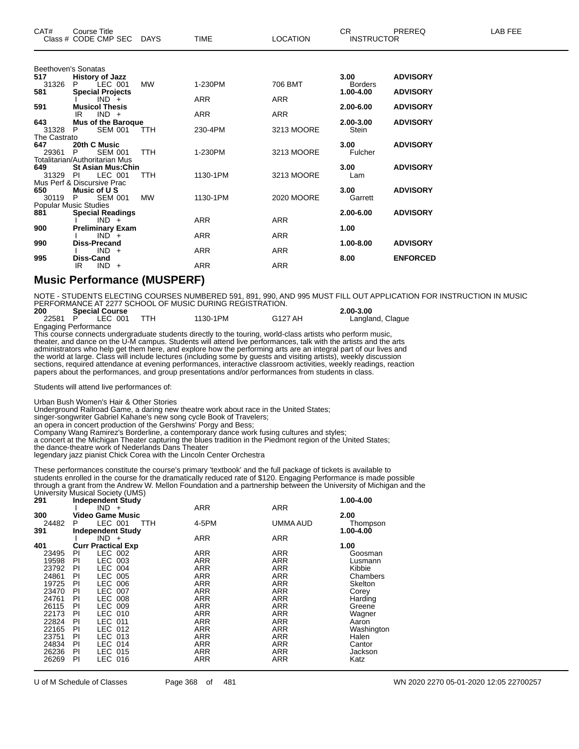| CAT# | Course Title<br>Class # CODE CMP SEC | <b>DAYS</b> | <b>TIME</b> | <b>_OCATION</b> | ⌒冖<br>- UN<br><b>INSTRUCTOR</b> | PREREQ | _AB FEF |
|------|--------------------------------------|-------------|-------------|-----------------|---------------------------------|--------|---------|
|------|--------------------------------------|-------------|-------------|-----------------|---------------------------------|--------|---------|

|              | Beethoven's Sonatas                        |           |            |            |                |                 |
|--------------|--------------------------------------------|-----------|------------|------------|----------------|-----------------|
| 517          | <b>History of Jazz</b>                     |           |            |            | 3.00           | <b>ADVISORY</b> |
| 31326        | LEC 001<br>P                               | <b>MW</b> | 1-230PM    | 706 BMT    | <b>Borders</b> |                 |
| 581          | <b>Special Projects</b>                    |           |            |            | 1.00-4.00      | <b>ADVISORY</b> |
|              | $IND +$                                    |           | <b>ARR</b> | <b>ARR</b> |                |                 |
| 591          | <b>Musicol Thesis</b>                      |           |            |            | 2.00-6.00      | <b>ADVISORY</b> |
| 643          | $IND +$<br>IR<br><b>Mus of the Baroque</b> |           | ARR        | ARR        | 2.00-3.00      | <b>ADVISORY</b> |
| 31328        | <b>SEM 001</b><br>P                        | TTH       | 230-4PM    | 3213 MOORE | <b>Stein</b>   |                 |
| The Castrato |                                            |           |            |            |                |                 |
| 647          | 20th C Music                               |           |            |            | 3.00           | <b>ADVISORY</b> |
| 29361        | P.<br><b>SEM 001</b>                       | TTH       | 1-230PM    | 3213 MOORE | Fulcher        |                 |
|              | Totalitarian/Authoritarian Mus             |           |            |            |                |                 |
| 649          | <b>St Asian Mus: Chin</b>                  |           |            |            | 3.00           | <b>ADVISORY</b> |
| 31329        | LEC 001<br>- PI                            | TTH       | 1130-1PM   | 3213 MOORE | Lam            |                 |
|              | Mus Perf & Discursive Prac                 |           |            |            |                |                 |
| 650<br>30119 | Music of U S<br><b>SEM 001</b><br>P.       | <b>MW</b> | 1130-1PM   | 2020 MOORE | 3.00           | <b>ADVISORY</b> |
|              | Popular Music Studies                      |           |            |            | Garrett        |                 |
| 881          | <b>Special Readings</b>                    |           |            |            | 2.00-6.00      | <b>ADVISORY</b> |
|              | $IND +$                                    |           | <b>ARR</b> | <b>ARR</b> |                |                 |
| 900          | <b>Preliminary Exam</b>                    |           |            |            | 1.00           |                 |
|              | $IND +$                                    |           | <b>ARR</b> | <b>ARR</b> |                |                 |
| 990          | <b>Diss-Precand</b>                        |           |            |            | 1.00-8.00      | <b>ADVISORY</b> |
|              | $IND +$                                    |           | <b>ARR</b> | <b>ARR</b> |                |                 |
| 995          | Diss-Cand                                  |           |            |            | 8.00           | <b>ENFORCED</b> |
|              | $IND +$<br>IR                              |           | ARR        | <b>ARR</b> |                |                 |
|              |                                            |           |            |            |                |                 |

### **Music Performance (MUSPERF)**

NOTE - STUDENTS ELECTING COURSES NUMBERED 591, 891, 990, AND 995 MUST FILL OUT APPLICATION FOR INSTRUCTION IN MUSIC PERFORMANCE AT 2277 SCHOOL OF MUSIC DURING REGISTRATION.

| 200                         | <b>Special Course</b> |          |         | $2.00 - 3.00$    |
|-----------------------------|-----------------------|----------|---------|------------------|
|                             | 22581 P LEC 001       | 1130-1PM | G127 AH | Langland, Clague |
| <b>Engaging Performance</b> |                       |          |         |                  |

This course connects undergraduate students directly to the touring, world-class artists who perform music, theater, and dance on the U-M campus. Students will attend live performances, talk with the artists and the arts administrators who help get them here, and explore how the performing arts are an integral part of our lives and the world at large. Class will include lectures (including some by guests and visiting artists), weekly discussion sections, required attendance at evening performances, interactive classroom activities, weekly readings, reaction papers about the performances, and group presentations and/or performances from students in class.

Students will attend live performances of:

Urban Bush Women's Hair & Other Stories

Underground Railroad Game, a daring new theatre work about race in the United States;

singer-songwriter Gabriel Kahane's new song cycle Book of Travelers;

an opera in concert production of the Gershwins' Porgy and Bess;

Company Wang Ramirez's Borderline, a contemporary dance work fusing cultures and styles;

a concert at the Michigan Theater capturing the blues tradition in the Piedmont region of the United States;

the dance-theatre work of Nederlands Dans Theater

legendary jazz pianist Chick Corea with the Lincoln Center Orchestra

These performances constitute the course's primary 'textbook' and the full package of tickets is available to students enrolled in the course for the dramatically reduced rate of \$120. Engaging Performance is made possible through a grant from the Andrew W. Mellon Foundation and a partnership between the University of Michigan and the University Musical Society (UMS)

| 291   | <b>Independent Study</b>  |                     |            | 1.00-4.00  |
|-------|---------------------------|---------------------|------------|------------|
|       | $IND +$                   | ARR                 | <b>ARR</b> |            |
| 300   | Video Game Music          |                     |            | 2.00       |
| 24482 | LEC 001<br>P.             | 4-5PM<br><b>TTH</b> | UMMA AUD   | Thompson   |
| 391   | <b>Independent Study</b>  |                     |            | 1.00-4.00  |
|       | $IND +$                   | <b>ARR</b>          | <b>ARR</b> |            |
| 401   | <b>Curr Practical Exp</b> |                     |            | 1.00       |
| 23495 | LEC 002<br>PI.            | <b>ARR</b>          | <b>ARR</b> | Goosman    |
| 19598 | LEC 003<br>PI             | ARR                 | <b>ARR</b> | Lusmann    |
| 23792 | LEC 004<br>PI             | <b>ARR</b>          | <b>ARR</b> | Kibbie     |
| 24861 | LEC 005<br>PI             | ARR                 | ARR        | Chambers   |
| 19725 | LEC 006<br>PI             | ARR                 | ARR        | Skelton    |
| 23470 | LEC 007<br>PI             | <b>ARR</b>          | <b>ARR</b> | Corey      |
| 24761 | LEC 008<br>PI             | ARR                 | ARR        | Harding    |
| 26115 | LEC 009<br>PI             | <b>ARR</b>          | ARR        | Greene     |
| 22173 | LEC 010<br>PI             | ARR                 | ARR        | Wagner     |
| 22824 | LEC 011<br>PI             | <b>ARR</b>          | <b>ARR</b> | Aaron      |
| 22165 | LEC 012<br>PI             | <b>ARR</b>          | <b>ARR</b> | Washington |
| 23751 | LEC 013<br>PI             | <b>ARR</b>          | <b>ARR</b> | Halen      |
| 24834 | <b>LEC 014</b><br>PI      | ARR                 | <b>ARR</b> | Cantor     |
| 26236 | LEC 015<br>ΡI             | <b>ARR</b>          | <b>ARR</b> | Jackson    |
| 26269 | LEC 016<br>PI             | <b>ARR</b>          | ARR        | Katz       |
|       |                           |                     |            |            |

U of M Schedule of Classes Page 368 of 481 WN 2020 2270 05-01-2020 12:05 22700257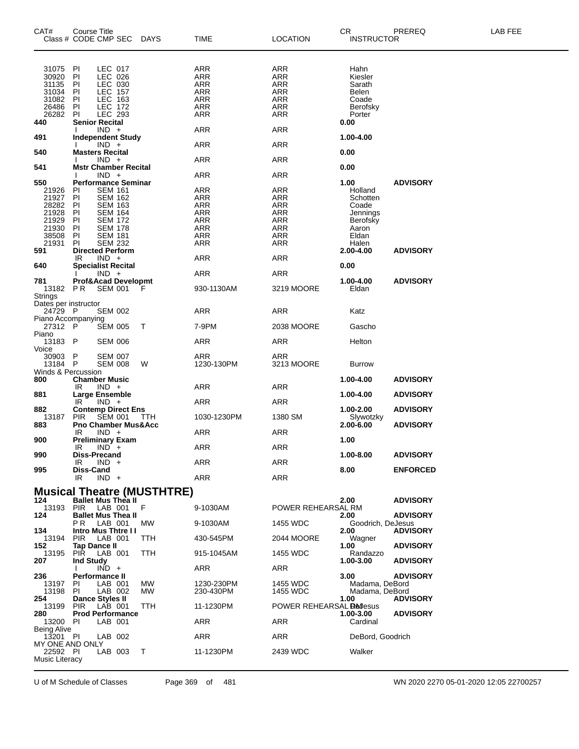| CAT#                                                               | <b>Course Title</b><br>Class # CODE CMP SEC DAYS                                                                                                                      |            | TIME                                                                      | <b>LOCATION</b>                                                    | CR<br><b>INSTRUCTOR</b>                                                   | PREREQ          | LAB FEE |
|--------------------------------------------------------------------|-----------------------------------------------------------------------------------------------------------------------------------------------------------------------|------------|---------------------------------------------------------------------------|--------------------------------------------------------------------|---------------------------------------------------------------------------|-----------------|---------|
| 31075<br>30920<br>31135<br>31034<br>31082<br>26486<br>26282<br>440 | LEC 017<br>PI<br>LEC 026<br>PI<br>PI<br>LEC 030<br>PI<br>LEC 157<br><b>LEC 163</b><br>ΡI<br>PI<br><b>LEC 172</b><br>PI<br>LEC 293<br><b>Senior Recital</b><br>$IND +$ |            | ARR<br>ARR<br>ARR<br><b>ARR</b><br><b>ARR</b><br><b>ARR</b><br><b>ARR</b> | ARR<br>ARR<br>ARR<br><b>ARR</b><br>ARR<br><b>ARR</b><br><b>ARR</b> | Hahn<br>Kiesler<br>Sarath<br>Belen<br>Coade<br>Berofsky<br>Porter<br>0.00 |                 |         |
| 491                                                                | <b>Independent Study</b>                                                                                                                                              |            | ARR                                                                       | ARR                                                                | 1.00-4.00                                                                 |                 |         |
| 540                                                                | $IND +$<br><b>Masters Recital</b>                                                                                                                                     |            | ARR                                                                       | ARR                                                                | 0.00                                                                      |                 |         |
| 541                                                                | $IND +$<br><b>Mstr Chamber Recital</b>                                                                                                                                |            | ARR                                                                       | ARR                                                                | 0.00                                                                      |                 |         |
| 550                                                                | $IND +$<br><b>Performance Seminar</b>                                                                                                                                 |            | ARR                                                                       | ARR                                                                | 1.00                                                                      | <b>ADVISORY</b> |         |
| 21926<br>21927<br>28282<br>21928<br>21929<br>21930<br>38508        | PI<br><b>SEM 161</b><br>PI<br><b>SEM 162</b><br>ΡI<br><b>SEM 163</b><br>ΡI<br><b>SEM 164</b><br>PI<br><b>SEM 172</b><br>ΡI<br><b>SEM 178</b><br>ΡI<br><b>SEM 181</b>  |            | ARR<br><b>ARR</b><br><b>ARR</b><br>ARR<br><b>ARR</b><br><b>ARR</b><br>ARR | ARR<br>ARR<br><b>ARR</b><br>ARR<br><b>ARR</b><br><b>ARR</b><br>ARR | Holland<br>Schotten<br>Coade<br>Jennings<br>Berofsky<br>Aaron<br>Eldan    |                 |         |
| 21931<br>591                                                       | <b>SEM 232</b><br>PI.<br><b>Directed Perform</b>                                                                                                                      |            | ARR                                                                       | ARR                                                                | Halen<br>2.00-4.00                                                        | <b>ADVISORY</b> |         |
| 640                                                                | $IND +$<br>IR<br><b>Specialist Recital</b>                                                                                                                            |            | ARR                                                                       | ARR                                                                | 0.00                                                                      |                 |         |
| 781<br>13182<br><b>Strings</b>                                     | $IND +$<br><b>Prof&amp;Acad Developmt</b><br>P R<br><b>SEM 001</b>                                                                                                    | F          | ARR<br>930-1130AM                                                         | ARR<br>3219 MOORE                                                  | 1.00-4.00<br>Eldan                                                        | <b>ADVISORY</b> |         |
| Dates per instructor                                               |                                                                                                                                                                       |            |                                                                           |                                                                    |                                                                           |                 |         |
| 24729 P<br>Piano Accompanying                                      | <b>SEM 002</b>                                                                                                                                                        |            | ARR                                                                       | ARR                                                                | Katz                                                                      |                 |         |
| 27312 P<br>Piano                                                   | <b>SEM 005</b>                                                                                                                                                        | Т          | 7-9PM                                                                     | 2038 MOORE                                                         | Gascho                                                                    |                 |         |
| 13183 P<br>Voice                                                   | <b>SEM 006</b>                                                                                                                                                        |            | ARR                                                                       | ARR                                                                | Helton                                                                    |                 |         |
| 30903<br>13184<br>Winds & Percussion                               | P<br><b>SEM 007</b><br>P<br><b>SEM 008</b>                                                                                                                            | W          | ARR<br>1230-130PM                                                         | ARR<br>3213 MOORE                                                  | <b>Burrow</b>                                                             |                 |         |
| 800                                                                | <b>Chamber Music</b><br>$IND +$<br>IR                                                                                                                                 |            | ARR                                                                       | ARR                                                                | 1.00-4.00                                                                 | <b>ADVISORY</b> |         |
| 881                                                                | <b>Large Ensemble</b>                                                                                                                                                 |            |                                                                           |                                                                    | 1.00-4.00                                                                 | <b>ADVISORY</b> |         |
| 882                                                                | $IND +$<br>IR<br><b>Contemp Direct Ens</b>                                                                                                                            |            | ARR                                                                       | ARR                                                                | 1.00-2.00                                                                 | <b>ADVISORY</b> |         |
| 13187<br>883                                                       | <b>SEM 001</b><br><b>PIR</b><br><b>Pno Chamber Mus&amp;Acc</b>                                                                                                        | TTH        | 1030-1230PM                                                               | 1380 SM                                                            | Slywotzky<br>2.00-6.00                                                    | <b>ADVISORY</b> |         |
| 900                                                                | $IND +$<br>IR<br><b>Preliminary Exam</b>                                                                                                                              |            | ARR                                                                       | ARR                                                                | 1.00                                                                      |                 |         |
|                                                                    | IR<br>$IND^+$                                                                                                                                                         |            | ARR                                                                       | ARR                                                                |                                                                           |                 |         |
| 990                                                                | Diss-Precand<br>$IND +$<br>IR                                                                                                                                         |            | ARR                                                                       | ARR                                                                | 1.00-8.00                                                                 | <b>ADVISORY</b> |         |
| 995                                                                | Diss-Cand<br>$IND +$<br>IR                                                                                                                                            |            | ARR                                                                       | <b>ARR</b>                                                         | 8.00                                                                      | <b>ENFORCED</b> |         |
|                                                                    | <b>Musical Theatre (MUSTHTRE)</b>                                                                                                                                     |            |                                                                           |                                                                    |                                                                           |                 |         |
| 124                                                                | <b>Ballet Mus Thea II</b><br>13193 PIR LAB 001 F                                                                                                                      |            | 9-1030AM                                                                  | POWER REHEARSAL RM                                                 | 2.00                                                                      | <b>ADVISORY</b> |         |
| 124                                                                | <b>Ballet Mus Thea II</b>                                                                                                                                             |            |                                                                           |                                                                    | 2.00                                                                      | <b>ADVISORY</b> |         |
| 134                                                                | P R<br>LAB 001<br><b>Intro Mus Thtre II</b>                                                                                                                           | МW         | 9-1030AM                                                                  | 1455 WDC                                                           | Goodrich, DeJesus<br>2.00                                                 | <b>ADVISORY</b> |         |
| 13194<br>152                                                       | PIR<br>LAB 001<br><b>Tap Dance II</b>                                                                                                                                 | <b>TTH</b> | 430-545PM                                                                 | 2044 MOORE                                                         | Wagner<br>1.00                                                            | <b>ADVISORY</b> |         |
| 13195                                                              | PIR<br>LAB 001<br><b>Ind Study</b>                                                                                                                                    | <b>TTH</b> | 915-1045AM                                                                | 1455 WDC                                                           | Randazzo                                                                  |                 |         |
| 207                                                                | $IND +$                                                                                                                                                               |            | ARR                                                                       | ARR                                                                | 1.00-3.00                                                                 | <b>ADVISORY</b> |         |
| 236<br>13197 PI<br>13198                                           | <b>Performance II</b><br>LAB 001<br>PI<br>LAB 002                                                                                                                     | МW<br>МW   | 1230-230PM<br>230-430PM                                                   | 1455 WDC<br>1455 WDC                                               | 3.00 <sub>1</sub><br>Madama, DeBord<br>Madama, DeBord                     | <b>ADVISORY</b> |         |
| 254<br>13199                                                       | Dance Styles II<br>PIR<br>LAB 001                                                                                                                                     | <b>TTH</b> | 11-1230PM                                                                 | POWER REHEARSAL <b>Redesus</b>                                     | 1.00                                                                      | <b>ADVISORY</b> |         |
| 280<br>13200 PI                                                    | <b>Prod Performance</b><br>LAB 001                                                                                                                                    |            | ARR                                                                       | ARR                                                                | 1.00-3.00<br>Cardinal                                                     | <b>ADVISORY</b> |         |
| <b>Being Alive</b><br>13201 PI                                     | LAB 002                                                                                                                                                               |            | ARR                                                                       | ARR                                                                | DeBord, Goodrich                                                          |                 |         |
| MY ONE AND ONLY                                                    |                                                                                                                                                                       |            |                                                                           |                                                                    |                                                                           |                 |         |
| 22592 PI<br>Music Literacy                                         | LAB 003                                                                                                                                                               | $\top$     | 11-1230PM                                                                 | 2439 WDC                                                           | Walker                                                                    |                 |         |

U of M Schedule of Classes Page 369 of 481 WN 2020 2270 05-01-2020 12:05 22700257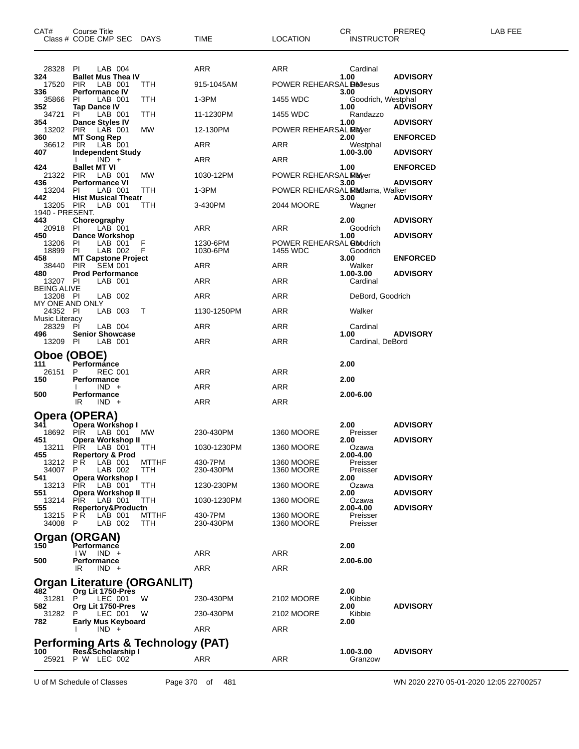| CAT#                           | Course Title<br>Class # CODE CMP SEC DAYS               |                     | <b>TIME</b>          | <b>LOCATION</b>                        | CR.<br><b>INSTRUCTOR</b>   | PREREQ          | LAB FEE |
|--------------------------------|---------------------------------------------------------|---------------------|----------------------|----------------------------------------|----------------------------|-----------------|---------|
| 28328                          | PI<br>LAB 004                                           |                     | ARR                  | ARR                                    | Cardinal                   |                 |         |
| 324<br>17520                   | <b>Ballet Mus Thea IV</b><br>PIR<br>LAB 001             | TTH                 | 915-1045AM           | POWER REHEARSAL <b>Redesus</b>         | 1.00                       | <b>ADVISORY</b> |         |
| 336<br>35866                   | <b>Performance IV</b><br>LAB 001<br>PI.                 | TTH                 | 1-3PM                | 1455 WDC                               | 3.00<br>Goodrich, Westphal | <b>ADVISORY</b> |         |
| 352<br>34721                   | <b>Tap Dance IV</b><br>LAB 001<br>PI.                   | TTH                 | 11-1230PM            | 1455 WDC                               | 1.00<br>Randazzo           | <b>ADVISORY</b> |         |
| 354<br>13202 PIR               | <b>Dance Styles IV</b><br>LAB 001                       | MW                  | 12-130PM             | POWER REHEARSAL Mayer                  | 1.00                       | <b>ADVISORY</b> |         |
| 360                            | <b>MT Song Rep</b>                                      |                     |                      |                                        | 2.00                       | <b>ENFORCED</b> |         |
| 36612<br>407                   | PIR LAB 001<br><b>Independent Study</b>                 |                     | <b>ARR</b>           | <b>ARR</b>                             | Westphal<br>1.00-3.00      | <b>ADVISORY</b> |         |
| 424                            | $IND +$<br><b>Ballet MT VI</b>                          |                     | ARR                  | ARR                                    | 1.00                       | <b>ENFORCED</b> |         |
| 21322 PIR<br>436               | LAB 001<br><b>Performance VI</b>                        | MW.                 | 1030-12PM            | POWER REHEARSAL MEMover                | 3.00                       | <b>ADVISORY</b> |         |
| 13204<br>442                   | <b>PI</b><br>LAB 001<br><b>Hist Musical Theatr</b>      | TTH                 | 1-3PM                | POWER REHEARSAL Modama, Walker         | 3.00                       | <b>ADVISORY</b> |         |
| 13205 PIR<br>1940 - PRESENT.   | LAB 001                                                 | ттн                 | 3-430PM              | 2044 MOORE                             | Wagner                     |                 |         |
| 443<br>20918                   | Choreography<br>LAB 001<br>-PI                          |                     | ARR                  | ARR                                    | 2.00<br>Goodrich           | <b>ADVISORY</b> |         |
| 450                            | <b>Dance Workshop</b>                                   |                     |                      |                                        | 1.00                       | <b>ADVISORY</b> |         |
| 13206 PI<br>18899              | LAB 001<br><b>PI</b><br>LAB 002                         | F<br>F              | 1230-6PM<br>1030-6PM | POWER REHEARSAL Boodrich<br>1455 WDC   | Goodrich                   |                 |         |
| 458<br>38440                   | <b>MT Capstone Project</b><br>SEM 001<br>PIR            |                     | ARR                  | ARR                                    | 3.00<br>Walker             | <b>ENFORCED</b> |         |
| 480<br>13207 PI                | <b>Prod Performance</b><br>LAB 001                      |                     | ARR                  | <b>ARR</b>                             | 1.00-3.00<br>Cardinal      | <b>ADVISORY</b> |         |
| <b>BEING ALIVE</b><br>13208 PI | LAB 002                                                 |                     | ARR                  | ARR                                    | DeBord, Goodrich           |                 |         |
| MY ONE AND ONLY<br>24352 PI    | LAB 003                                                 | Τ                   | 1130-1250PM          | ARR                                    | Walker                     |                 |         |
| <b>Music Literacy</b><br>28329 | <b>PI</b><br>LAB 004                                    |                     | ARR                  | ARR                                    | Cardinal                   |                 |         |
| 496<br>13209 PI                | <b>Senior Showcase</b><br>LAB 001                       |                     | ARR                  | ARR                                    | 1.00<br>Cardinal, DeBord   | <b>ADVISORY</b> |         |
|                                | Oboe (OBOE)                                             |                     |                      |                                        |                            |                 |         |
| 111                            | Performánce                                             |                     |                      |                                        | 2.00                       |                 |         |
| 26151<br>150                   | <b>REC 001</b><br>P<br>Performance                      |                     | ARR                  | <b>ARR</b>                             | 2.00                       |                 |         |
| 500                            | $IND +$<br>Performance                                  |                     | ARR                  | <b>ARR</b>                             | 2.00-6.00                  |                 |         |
|                                | $IND +$<br>IR                                           |                     | ARR                  | ARR                                    |                            |                 |         |
| Opera<br>341                   | (OPERA)<br>`Opera Workshop I                            |                     |                      |                                        | 2.00                       | <b>ADVISORY</b> |         |
| 18692<br>451                   | PIR<br>LAB 001<br>Opera Workshop II                     | <b>MW</b>           | 230-430PM            | <b>1360 MOORE</b>                      | Preisser<br>2.00           | <b>ADVISORY</b> |         |
| 13211<br>455                   | PIR LAB 001 TTH<br><b>Repertory &amp; Prod</b>          |                     | 1030-1230PM          | <b>1360 MOORE</b>                      | Ozawa<br>2.00-4.00         |                 |         |
| 13212 PR<br>34007 P            | LÁB 001<br>LAB 002                                      | <b>MTTHF</b><br>TTH | 430-7PM<br>230-430PM | <b>1360 MOORE</b><br><b>1360 MOORE</b> | Preisser<br>Preisser       |                 |         |
| 541                            | Opera Workshop I<br>LAB 001                             |                     |                      |                                        | 2.00                       | <b>ADVISORY</b> |         |
| 13213<br>551                   | PIR.<br>Opera Workshop II                               | <b>TTH</b>          | 1230-230PM           | <b>1360 MOORE</b>                      | Ozawa<br>2.00              | <b>ADVISORY</b> |         |
| 13214<br>555                   | LAB 001<br>PIR<br>Repertory&Productn                    | <b>TTH</b>          | 1030-1230PM          | <b>1360 MOORE</b>                      | Ozawa<br>2.00-4.00         | <b>ADVISORY</b> |         |
| 13215 PR<br>34008              | LAB 001<br>- P<br>LAB 002                               | <b>MTTHF</b><br>TTH | 430-7PM<br>230-430PM | 1360 MOORE<br><b>1360 MOORE</b>        | Preisser<br>Preisser       |                 |         |
|                                | Organ (ORGAN)                                           |                     |                      |                                        |                            |                 |         |
| 150                            | Performance<br>$IND +$<br>IW.                           |                     | ARR                  | ARR                                    | 2.00                       |                 |         |
| 500                            | Performance<br>$IND +$<br>IR                            |                     | ARR                  | ARR                                    | 2.00-6.00                  |                 |         |
|                                | <b>Organ Literature (ORGANLIT)</b>                      |                     |                      |                                        |                            |                 |         |
| 482<br>31281                   | Org Lit 1750-Pres<br>LEC 001 W<br>P.                    |                     | 230-430PM            | 2102 MOORE                             | 2.00<br>Kibbie             |                 |         |
| 582                            | Org Lit 1750-Pres<br>P.                                 |                     |                      |                                        | 2.00                       | <b>ADVISORY</b> |         |
| 31282<br>782                   | LEC 001<br>Early Mus Keyboard                           | - W                 | 230-430PM            | 2102 MOORE                             | Kibbie<br>2.00             |                 |         |
|                                | $IND +$                                                 |                     | ARR                  | ARR                                    |                            |                 |         |
| 100                            | Performing Arts & Technology (PAT)<br>Res&Scholarship I |                     |                      |                                        | 1.00-3.00                  | <b>ADVISORY</b> |         |
|                                | 25921 P W LEC 002                                       |                     | ARR                  | ARR                                    | Granzow                    |                 |         |

U of M Schedule of Classes Page 370 of 481 WN 2020 2270 05-01-2020 12:05 22700257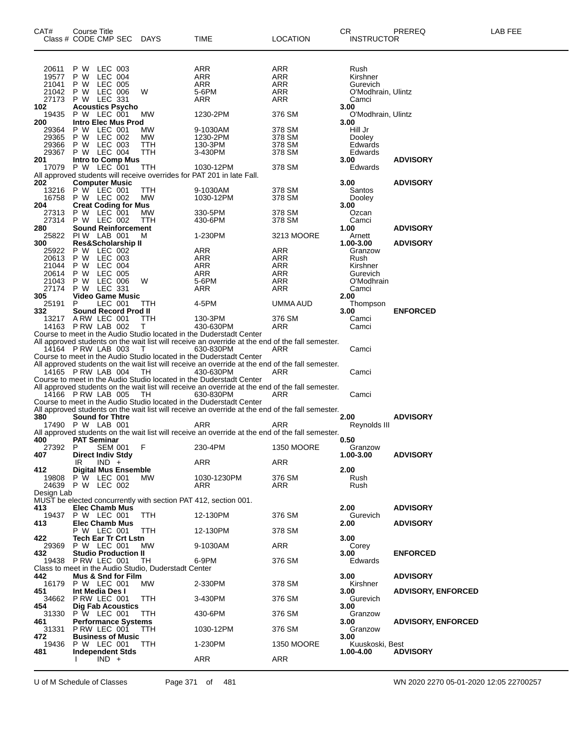| CAT#           | Course Title<br>Class # CODE CMP SEC              |                    | DAYS                                                 | TIME                                                                                                                                                                                 | <b>LOCATION</b>   | CR<br><b>INSTRUCTOR</b>     | PREREQ                    | LAB FEE |
|----------------|---------------------------------------------------|--------------------|------------------------------------------------------|--------------------------------------------------------------------------------------------------------------------------------------------------------------------------------------|-------------------|-----------------------------|---------------------------|---------|
| 20611          | P W                                               | LEC 003            |                                                      | ARR                                                                                                                                                                                  | ARR               | Rush                        |                           |         |
| 19577          | P W                                               | LEC 004            |                                                      | ARR                                                                                                                                                                                  | ARR               | Kirshner                    |                           |         |
| 21041          | P W                                               | LEC 005            |                                                      | ARR                                                                                                                                                                                  | <b>ARR</b>        | Gurevich                    |                           |         |
| 21042<br>27173 | P W<br>P W LEC 331                                | LEC 006            | W                                                    | 5-6PM<br>ARR                                                                                                                                                                         | ARR<br>ARR        | O'Modhrain, Ulintz<br>Camci |                           |         |
| 102            | <b>Acoustics Psycho</b>                           |                    |                                                      |                                                                                                                                                                                      |                   | 3.00                        |                           |         |
| 19435          | P W LEC 001                                       |                    | МW                                                   | 1230-2PM                                                                                                                                                                             | 376 SM            | O'Modhrain, Ulintz          |                           |         |
| 200            | Intro Elec Mus Prod                               |                    |                                                      |                                                                                                                                                                                      |                   | 3.00                        |                           |         |
| 29364<br>29365 | P W<br>P W                                        | LEC 001<br>LEC 002 | МW<br>МW                                             | 9-1030AM<br>1230-2PM                                                                                                                                                                 | 378 SM<br>378 SM  | Hill Jr<br>Dooley           |                           |         |
| 29366          | P W                                               | LEC 003            | ттн                                                  | 130-3PM                                                                                                                                                                              | 378 SM            | Edwards                     |                           |         |
| 29367          | P W LEC 004                                       |                    | TTH                                                  | 3-430PM                                                                                                                                                                              | 378 SM            | Edwards                     |                           |         |
| 201            | Intro to Comp Mus                                 |                    |                                                      |                                                                                                                                                                                      |                   | 3.00                        | <b>ADVISORY</b>           |         |
|                | 17079 P W LEC 001                                 |                    | ттн                                                  | 1030-12PM<br>All approved students will receive overrides for PAT 201 in late Fall.                                                                                                  | 378 SM            | Edwards                     |                           |         |
| 202            | <b>Computer Music</b>                             |                    |                                                      |                                                                                                                                                                                      |                   | 3.00                        | <b>ADVISORY</b>           |         |
| 13216          | P W LEC 001                                       |                    | TTH                                                  | 9-1030AM                                                                                                                                                                             | 378 SM            | Santos                      |                           |         |
| 16758          | P W LEC 002                                       |                    | MW                                                   | 1030-12PM                                                                                                                                                                            | 378 SM            | Dooley                      |                           |         |
| 204<br>27313   | <b>Creat Coding for Mus</b><br>P W LEC 001        |                    | МW                                                   | 330-5PM                                                                                                                                                                              | 378 SM            | 3.00<br>Ozcan               |                           |         |
| 27314          | P W LEC 002                                       |                    | <b>TTH</b>                                           | 430-6PM                                                                                                                                                                              | 378 SM            | Camci                       |                           |         |
| 280            | <b>Sound Reinforcement</b>                        |                    |                                                      |                                                                                                                                                                                      |                   | 1.00                        | <b>ADVISORY</b>           |         |
| 25822          | PIW LAB 001                                       |                    | м                                                    | 1-230PM                                                                                                                                                                              | 3213 MOORE        | Arnett                      |                           |         |
| 300            | <b>Res&amp;Scholarship II</b>                     |                    |                                                      |                                                                                                                                                                                      |                   | 1.00-3.00                   | <b>ADVISORY</b>           |         |
| 25922<br>20613 | P W<br>P W                                        | LEC 002<br>LEC 003 |                                                      | ARR<br>ARR                                                                                                                                                                           | ARR<br>ARR        | Granzow<br>Rush             |                           |         |
| 21044          | P W                                               | LEC 004            |                                                      | ARR                                                                                                                                                                                  | ARR               | Kirshner                    |                           |         |
| 20614          | P W                                               | LEC 005            |                                                      | ARR                                                                                                                                                                                  | ARR               | Gurevich                    |                           |         |
| 21043          | P W                                               | LEC 006            | W                                                    | 5-6PM                                                                                                                                                                                | ARR               | O'Modhrain                  |                           |         |
| 27174<br>305   | P W<br><b>Video Game Music</b>                    | LEC 331            |                                                      | ARR                                                                                                                                                                                  | <b>ARR</b>        | Camci<br>2.00               |                           |         |
| 25191          | P                                                 | LEC 001            | TTH                                                  | 4-5PM                                                                                                                                                                                | UMMA AUD          | Thompson                    |                           |         |
| 332            | Sound Record Prod II                              |                    |                                                      |                                                                                                                                                                                      |                   | 3.00                        | <b>ENFORCED</b>           |         |
|                | 13217 A RW LEC 001                                |                    | TTH                                                  | 130-3PM                                                                                                                                                                              | 376 SM            | Camci                       |                           |         |
|                | 14163 P RW LAB 002                                |                    | T.                                                   | 430-630PM<br>Course to meet in the Audio Studio located in the Duderstadt Center                                                                                                     | ARR               | Camci                       |                           |         |
|                |                                                   |                    |                                                      | All approved students on the wait list will receive an override at the end of the fall semester.                                                                                     |                   |                             |                           |         |
|                | 14164 P RW LAB 003                                |                    | T                                                    | 630-830PM                                                                                                                                                                            | ARR               | Camci                       |                           |         |
|                | 14165 P RW LAB 004                                |                    | TH                                                   | Course to meet in the Audio Studio located in the Duderstadt Center<br>All approved students on the wait list will receive an override at the end of the fall semester.<br>430-630PM | ARR               | Camci                       |                           |         |
|                |                                                   |                    |                                                      | Course to meet in the Audio Studio located in the Duderstadt Center                                                                                                                  |                   |                             |                           |         |
|                |                                                   |                    |                                                      | All approved students on the wait list will receive an override at the end of the fall semester.                                                                                     |                   |                             |                           |         |
|                | 14166 P RW LAB 005                                |                    | TH                                                   | 630-830PM                                                                                                                                                                            | ARR               | Camci                       |                           |         |
|                |                                                   |                    |                                                      | Course to meet in the Audio Studio located in the Duderstadt Center<br>All approved students on the wait list will receive an override at the end of the fall semester.              |                   |                             |                           |         |
| 380            | <b>Sound for Thtre</b>                            |                    |                                                      |                                                                                                                                                                                      |                   | 2.00                        | <b>ADVISORY</b>           |         |
|                | 17490 P W LAB 001                                 |                    |                                                      | ARR                                                                                                                                                                                  | ARR               | Reynolds III                |                           |         |
|                |                                                   |                    |                                                      | All approved students on the wait list will receive an override at the end of the fall semester.                                                                                     |                   |                             |                           |         |
| 400<br>27392 P | <b>PAT Seminar</b>                                | SEM 001            | F                                                    | 230-4PM                                                                                                                                                                              | <b>1350 MOORE</b> | 0.50<br>Granzow             |                           |         |
| 407            | <b>Direct Indiv Stdy</b>                          |                    |                                                      |                                                                                                                                                                                      |                   | 1.00-3.00                   | <b>ADVISORY</b>           |         |
|                | $IND +$<br>IR                                     |                    |                                                      | ARR                                                                                                                                                                                  | ARR               |                             |                           |         |
| 412            | <b>Digital Mus Ensemble</b>                       |                    |                                                      |                                                                                                                                                                                      |                   | 2.00                        |                           |         |
| 19808          | P W LEC 001<br>24639 P W LEC 002                  |                    | MW.                                                  | 1030-1230PM<br>ARR                                                                                                                                                                   | 376 SM<br>ARR     | Rush<br>Rush                |                           |         |
| Design Lab     |                                                   |                    |                                                      |                                                                                                                                                                                      |                   |                             |                           |         |
|                |                                                   |                    |                                                      | MUST be elected concurrently with section PAT 412, section 001.                                                                                                                      |                   |                             |                           |         |
| 413.           | <b>Elec Chamb Mus</b>                             |                    |                                                      |                                                                                                                                                                                      |                   | 2.00                        | <b>ADVISORY</b>           |         |
| 19437<br>413   | P W LEC 001<br><b>Elec Chamb Mus</b>              |                    | TTH                                                  | 12-130PM                                                                                                                                                                             | 376 SM            | Gurevich<br>2.00            | <b>ADVISORY</b>           |         |
|                | P W LEC 001                                       |                    | TTH                                                  | 12-130PM                                                                                                                                                                             | 378 SM            |                             |                           |         |
| 422            | <b>Tech Ear Tr Crt Lstn</b>                       |                    |                                                      |                                                                                                                                                                                      |                   | 3.00                        |                           |         |
| 29369          | P W LEC 001                                       |                    | МW                                                   | 9-1030AM                                                                                                                                                                             | ARR               | Corey                       |                           |         |
| 432            | <b>Studio Production II</b><br>19438 P RW LEC 001 |                    | TH                                                   | 6-9PM                                                                                                                                                                                | 376 SM            | 3.00<br>Edwards             | <b>ENFORCED</b>           |         |
|                |                                                   |                    | Class to meet in the Audio Studio, Duderstadt Center |                                                                                                                                                                                      |                   |                             |                           |         |
| 442            | Mus & Snd for Film                                |                    |                                                      |                                                                                                                                                                                      |                   | 3.00                        | <b>ADVISORY</b>           |         |
| 16179          | P W LEC 001                                       |                    | MW.                                                  | 2-330PM                                                                                                                                                                              | 378 SM            | Kirshner                    |                           |         |
| 451<br>34662   | Int Media Des I<br>P RW LEC 001                   |                    | TTH                                                  | 3-430PM                                                                                                                                                                              | 376 SM            | 3.00<br>Gurevich            | <b>ADVISORY, ENFORCED</b> |         |
| 454            | <b>Dig Fab Acoustics</b>                          |                    |                                                      |                                                                                                                                                                                      |                   | 3.00                        |                           |         |
|                | 31330 P W LEC 001                                 |                    | TTH                                                  | 430-6PM                                                                                                                                                                              | 376 SM            | Granzow                     |                           |         |
| 461            | <b>Performance Systems</b>                        |                    |                                                      |                                                                                                                                                                                      |                   | 3.00                        | <b>ADVISORY, ENFORCED</b> |         |
| 31331          | PRW LEC 001<br><b>Business of Music</b>           |                    | TTH                                                  | 1030-12PM                                                                                                                                                                            | 376 SM            | Granzow<br>3.00             |                           |         |
| 472<br>19436   | P W LEC 001                                       |                    | TTH                                                  | 1-230PM                                                                                                                                                                              | <b>1350 MOORE</b> | Kuuskoski, Best             |                           |         |
| 481            | <b>Independent Stds</b>                           |                    |                                                      |                                                                                                                                                                                      |                   | 1.00-4.00                   | <b>ADVISORY</b>           |         |
|                | $IND +$                                           |                    |                                                      | ARR                                                                                                                                                                                  | ARR               |                             |                           |         |

U of M Schedule of Classes Page 371 of 481 WN 2020 2270 05-01-2020 12:05 22700257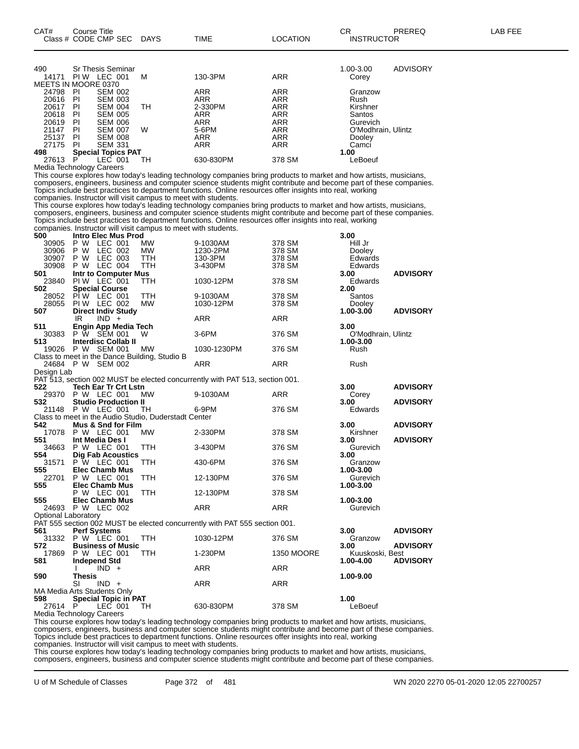| 490                 |      | Sr Thesis Seminar         |    |            |            | 1.00-3.00          | ADVISORY |
|---------------------|------|---------------------------|----|------------|------------|--------------------|----------|
| 14171               | PI W | LEC 001                   | м  | 130-3PM    | <b>ARR</b> | Corey              |          |
| MEETS IN MOORE 0370 |      |                           |    |            |            |                    |          |
| 24798               | PI   | <b>SEM 002</b>            |    | ARR        | <b>ARR</b> | Granzow            |          |
| 20616               | PI   | <b>SEM 003</b>            |    | <b>ARR</b> | <b>ARR</b> | Rush               |          |
| 20617               | PI   | <b>SEM 004</b>            | TH | 2-330PM    | <b>ARR</b> | Kirshner           |          |
| 20618               | PI   | <b>SEM 005</b>            |    | ARR        | <b>ARR</b> | Santos             |          |
| 20619               | PI   | <b>SEM 006</b>            |    | <b>ARR</b> | <b>ARR</b> | Gurevich           |          |
| 21147               | PI   | <b>SEM 007</b>            | W  | 5-6PM      | <b>ARR</b> | O'Modhrain, Ulintz |          |
| 25137               | PI   | <b>SEM 008</b>            |    | <b>ARR</b> | <b>ARR</b> | Dooley             |          |
| 27175               | PI   | <b>SEM 331</b>            |    | ARR        | ARR        | Camci              |          |
| 498                 |      | <b>Special Topics PAT</b> |    |            |            | 1.00               |          |
| 27613               | P    | _EC-<br>001               | тн | 630-830PM  | 378 SM     | _eBoeuf            |          |

Media Technology Careers

This course explores how today's leading technology companies bring products to market and how artists, musicians, composers, engineers, business and computer science students might contribute and become part of these companies. Topics include best practices to department functions. Online resources offer insights into real, working companies. Instructor will visit campus to meet with students.

This course explores how today's leading technology companies bring products to market and how artists, musicians, composers, engineers, business and computer science students might contribute and become part of these companies. Topics include best practices to department functions. Online resources offer insights into real, working companies. Instructor will visit campus to meet with students.

| 500                        | <b>Intro Elec Mus Prod</b>                                                                            |            |                                                                              |                   | 3.00                 |                 |  |  |
|----------------------------|-------------------------------------------------------------------------------------------------------|------------|------------------------------------------------------------------------------|-------------------|----------------------|-----------------|--|--|
| 30905                      | P W LEC 001                                                                                           | <b>MW</b>  | 9-1030AM                                                                     | 378 SM            | Hill Jr              |                 |  |  |
| 30906                      | P W<br>LEC 002                                                                                        | <b>MW</b>  | 1230-2PM                                                                     | 378 SM            | Dooley               |                 |  |  |
| 30907                      | P W<br>LEC 003                                                                                        | <b>TTH</b> | 130-3PM                                                                      | 378 SM            | Edwards              |                 |  |  |
| 30908                      | P W LEC 004                                                                                           | <b>TTH</b> | 3-430PM                                                                      | 378 SM            | Edwards              |                 |  |  |
| 501                        | Intr to Computer Mus                                                                                  |            |                                                                              |                   | 3.00                 | <b>ADVISORY</b> |  |  |
| 23840                      | PIW LEC 001                                                                                           | <b>TTH</b> | 1030-12PM                                                                    | 378 SM            | Edwards              |                 |  |  |
| 502                        | <b>Special Course</b>                                                                                 |            |                                                                              |                   | 2.00                 |                 |  |  |
|                            | 28052 PIW LEC 001                                                                                     | <b>TTH</b> | 9-1030AM                                                                     | 378 SM            | Santos               |                 |  |  |
|                            | 28055 PIW LEC 002                                                                                     | <b>MW</b>  | 1030-12PM                                                                    | 378 SM            | Dooley               |                 |  |  |
| 507                        | <b>Direct Indiv Study</b>                                                                             |            |                                                                              |                   | 1.00-3.00            | <b>ADVISORY</b> |  |  |
|                            | IR.<br>$IND +$                                                                                        |            | <b>ARR</b>                                                                   | ARR               |                      |                 |  |  |
| 511                        | Engin App Media Tech                                                                                  |            |                                                                              |                   | 3.00                 |                 |  |  |
|                            | 30383 P W SEM 001                                                                                     | W          | 3-6PM                                                                        | 376 SM            | O'Modhrain, Ulintz   |                 |  |  |
| 513                        | <b>Interdisc Collab II</b>                                                                            |            |                                                                              |                   | 1.00-3.00            |                 |  |  |
|                            | 19026 P W SEM 001                                                                                     | MW         | 1030-1230PM                                                                  | 376 SM            | Rush                 |                 |  |  |
|                            | Class to meet in the Dance Building, Studio B                                                         |            |                                                                              |                   |                      |                 |  |  |
|                            | 24684 P W SEM 002                                                                                     |            | ARR                                                                          | <b>ARR</b>        | Rush                 |                 |  |  |
| Design Lab                 |                                                                                                       |            |                                                                              |                   |                      |                 |  |  |
|                            |                                                                                                       |            | PAT 513, section 002 MUST be elected concurrently with PAT 513, section 001. |                   |                      |                 |  |  |
| 522                        | <b>Tech Ear Tr Crt Lstn</b>                                                                           |            |                                                                              |                   | 3.00                 | <b>ADVISORY</b> |  |  |
|                            | 29370 P W LEC 001                                                                                     | <b>MW</b>  | 9-1030AM                                                                     | ARR               | Corey                |                 |  |  |
| 532                        | <b>Studio Production II</b>                                                                           |            |                                                                              |                   | 3.00                 | <b>ADVISORY</b> |  |  |
|                            | 21148 P W LEC 001                                                                                     | <b>TH</b>  | 6-9PM                                                                        | 376 SM            | Edwards              |                 |  |  |
|                            |                                                                                                       |            |                                                                              |                   |                      |                 |  |  |
| 542                        | Class to meet in the Audio Studio, Duderstadt Center<br>3.00<br>Mus & Snd for Film<br><b>ADVISORY</b> |            |                                                                              |                   |                      |                 |  |  |
|                            | 17078 P W LEC 001                                                                                     | <b>MW</b>  | 2-330PM                                                                      | 378 SM            | Kirshner             |                 |  |  |
| 551                        | Int Media Des I                                                                                       |            |                                                                              |                   | 3.00                 | <b>ADVISORY</b> |  |  |
|                            | 34663 P W LEC 001                                                                                     | <b>TTH</b> | 3-430PM                                                                      | 376 SM            | Gurevich             |                 |  |  |
| 554                        |                                                                                                       |            |                                                                              |                   | 3.00                 |                 |  |  |
|                            | <b>Dig Fab Acoustics</b><br>P W LEC 001                                                               |            |                                                                              |                   |                      |                 |  |  |
| 31571<br>555               | <b>Elec Chamb Mus</b>                                                                                 | TTH.       | 430-6PM                                                                      | 376 SM            | Granzow<br>1.00-3.00 |                 |  |  |
|                            |                                                                                                       |            |                                                                              |                   |                      |                 |  |  |
| 22701                      | <b>P W LEC 001</b>                                                                                    | TTH.       | 12-130PM                                                                     | 376 SM            | Gurevich             |                 |  |  |
| 555                        | <b>Elec Chamb Mus</b>                                                                                 |            |                                                                              |                   | 1.00-3.00            |                 |  |  |
|                            | P W LEC 001                                                                                           | TTH        | 12-130PM                                                                     | 378 SM            |                      |                 |  |  |
| 555                        | <b>Elec Chamb Mus</b>                                                                                 |            |                                                                              |                   | 1.00-3.00            |                 |  |  |
|                            | 24693 P W LEC 002                                                                                     |            | <b>ARR</b>                                                                   | <b>ARR</b>        | Gurevich             |                 |  |  |
| <b>Optional Laboratory</b> |                                                                                                       |            |                                                                              |                   |                      |                 |  |  |
|                            |                                                                                                       |            | PAT 555 section 002 MUST be elected concurrently with PAT 555 section 001.   |                   |                      |                 |  |  |
| 561                        | <b>Perf Systems</b>                                                                                   |            |                                                                              |                   | 3.00                 | <b>ADVISORY</b> |  |  |
|                            | 31332 P W LEC 001                                                                                     | TTH        | 1030-12PM                                                                    | 376 SM            | Granzow              |                 |  |  |
| 572                        | <b>Business of Music</b>                                                                              |            |                                                                              |                   | 3.00                 | <b>ADVISORY</b> |  |  |
| 17869                      | P W LEC 001                                                                                           | <b>TTH</b> | 1-230PM                                                                      | <b>1350 MOORE</b> | Kuuskoski, Best      |                 |  |  |
| 581                        | Independ Std                                                                                          |            |                                                                              |                   | 1.00-4.00            | <b>ADVISORY</b> |  |  |
|                            | $IND +$<br>Ι.                                                                                         |            | <b>ARR</b>                                                                   | <b>ARR</b>        |                      |                 |  |  |
| 590                        | Thesis                                                                                                |            |                                                                              |                   | 1.00-9.00            |                 |  |  |
|                            | <b>SI</b><br>$IND +$                                                                                  |            | <b>ARR</b>                                                                   | <b>ARR</b>        |                      |                 |  |  |
|                            | MA Media Arts Students Only                                                                           |            |                                                                              |                   |                      |                 |  |  |
| 598                        | <b>Special Topic in PAT</b>                                                                           |            |                                                                              |                   | 1.00                 |                 |  |  |
| 27614 P                    | LEC 001                                                                                               | TH         | 630-830PM                                                                    | 378 SM            | LeBoeuf              |                 |  |  |
|                            |                                                                                                       |            |                                                                              |                   |                      |                 |  |  |

Media Technology Careers

This course explores how today's leading technology companies bring products to market and how artists, musicians, composers, engineers, business and computer science students might contribute and become part of these companies. Topics include best practices to department functions. Online resources offer insights into real, working

companies. Instructor will visit campus to meet with students.

This course explores how today's leading technology companies bring products to market and how artists, musicians,

composers, engineers, business and computer science students might contribute and become part of these companies.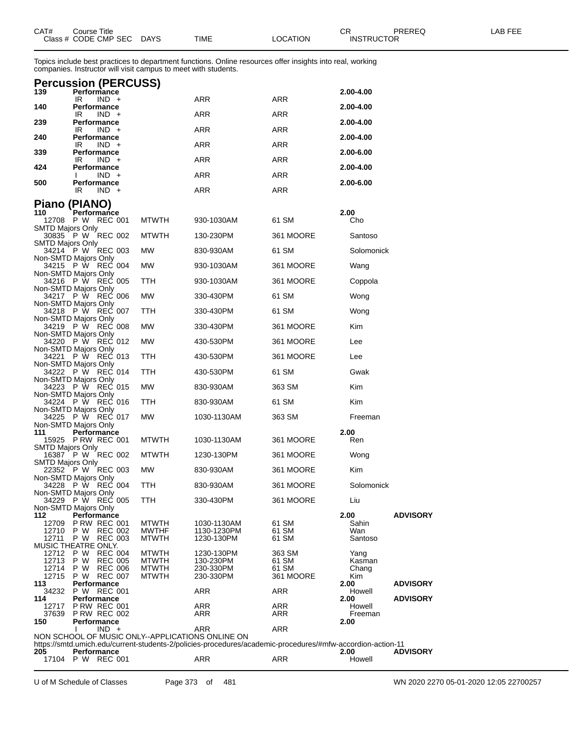| CAT# | Course Title         |             |      |          | Ωn<br>- UN        | PREREQ | _AB FEE |
|------|----------------------|-------------|------|----------|-------------------|--------|---------|
|      | Class # CODE CMP SEC | <b>DAYS</b> | TIME | LOCATION | <b>INSTRUCTOR</b> |        |         |

Topics include best practices to department functions. Online resources offer insights into real, working companies. Instructor will visit campus to meet with students.

| 139                     | $\cdots$<br>Performance                             |                              |                                                                                                            |                    | 2.00-4.00         |                 |
|-------------------------|-----------------------------------------------------|------------------------------|------------------------------------------------------------------------------------------------------------|--------------------|-------------------|-----------------|
| 140                     | IR<br>$IND +$<br>Performance                        |                              | ARR                                                                                                        | ARR                | 2.00-4.00         |                 |
| 239                     | IR<br>$IND +$<br><b>Performance</b>                 |                              | ARR                                                                                                        | ARR                | 2.00-4.00         |                 |
| 240                     | IR.<br>$IND +$<br>Performance                       |                              | ARR                                                                                                        | <b>ARR</b>         | 2.00-4.00         |                 |
|                         | IR<br>$IND +$                                       |                              | ARR                                                                                                        | ARR                |                   |                 |
| 339                     | Performance<br>$IND +$<br>IR                        |                              | ARR                                                                                                        | ARR                | 2.00-6.00         |                 |
| 424                     | Performance<br>$IND +$                              |                              | ARR                                                                                                        | <b>ARR</b>         | 2.00-4.00         |                 |
| 500                     | Performance<br>IR<br>$IND +$                        |                              | <b>ARR</b>                                                                                                 | <b>ARR</b>         | 2.00-6.00         |                 |
|                         |                                                     |                              |                                                                                                            |                    |                   |                 |
| 110                     | Piano (PIANO)<br>Performance                        |                              |                                                                                                            |                    | 2.00              |                 |
| SMTD Majors Only        | 12708 P W REC 001                                   | <b>MTWTH</b>                 | 930-1030AM                                                                                                 | 61 SM              | Cho               |                 |
|                         | 30835 P W REC 002                                   | <b>MTWTH</b>                 | 130-230PM                                                                                                  | 361 MOORE          | Santoso           |                 |
| <b>SMTD Majors Only</b> | 34214 P W REC 003                                   | MW                           | 830-930AM                                                                                                  | 61 SM              | Solomonick        |                 |
|                         | Non-SMTD Majors Only<br>34215 P W REC 004           | MW                           | 930-1030AM                                                                                                 | 361 MOORE          | Wang              |                 |
|                         | Non-SMTD Majors Only<br>34216 P W REC 005           | TTH                          | 930-1030AM                                                                                                 | 361 MOORE          | Coppola           |                 |
|                         | Non-SMTD Majors Only<br>34217 P W REC 006           | MW                           | 330-430PM                                                                                                  | 61 SM              | Wong              |                 |
|                         | Non-SMTD Majors Only                                |                              |                                                                                                            |                    |                   |                 |
|                         | 34218 P W REC 007<br>Non-SMTD Majors Only           | TTH                          | 330-430PM                                                                                                  | 61 SM              | Wong              |                 |
|                         | 34219 PW REC 008<br>Non-SMTD Majors Only            | MW                           | 330-430PM                                                                                                  | 361 MOORE          | Kim               |                 |
|                         | 34220 P W REC 012<br>Non-SMTD Majors Only           | МW                           | 430-530PM                                                                                                  | 361 MOORE          | Lee               |                 |
| 34221                   | P W REC 013                                         | TTH                          | 430-530PM                                                                                                  | 361 MOORE          | Lee               |                 |
|                         | Non-SMTD Majors Only<br>34222 P W REC 014           | TTH                          | 430-530PM                                                                                                  | 61 SM              | Gwak              |                 |
|                         | Non-SMTD Majors Only<br>34223 P W REC 015           | МW                           | 830-930AM                                                                                                  | 363 SM             | Kim               |                 |
|                         | Non-SMTD Majors Only<br>34224 P W REC 016           | TTH                          | 830-930AM                                                                                                  | 61 SM              | Kim               |                 |
|                         | Non-SMTD Majors Only                                |                              |                                                                                                            |                    |                   |                 |
|                         | 34225 P W REC 017<br>Non-SMTD Majors Only           | MW                           | 1030-1130AM                                                                                                | 363 SM             | Freeman           |                 |
| 111                     | Performance<br>15925 P RW REC 001                   | <b>MTWTH</b>                 | 1030-1130AM                                                                                                | 361 MOORE          | 2.00<br>Ren       |                 |
| <b>SMTD Majors Only</b> | 16387 P W REC 002                                   | <b>MTWTH</b>                 | 1230-130PM                                                                                                 | 361 MOORE          | Wong              |                 |
| <b>SMTD Majors Only</b> | 22352 P W REC 003                                   | MW                           | 830-930AM                                                                                                  | 361 MOORE          | Kim               |                 |
|                         | Non-SMTD Majors Only                                |                              |                                                                                                            |                    |                   |                 |
|                         | 34228 P W REC 004<br>Non-SMTD Majors Only           | TTH                          | 830-930AM                                                                                                  | 361 MOORE          | Solomonick        |                 |
|                         | 34229 P W REC 005<br>Non-SMTD Majors Only           | ттн                          | 330-430PM                                                                                                  | 361 MOORE          | Liu               |                 |
| 112<br>12709            | Performance<br><b>P RW REC 001</b>                  | <b>MTWTH</b>                 | 1030-1130AM                                                                                                | 61 SM              | 2.00<br>Sahin     | <b>ADVISORY</b> |
| 12710                   | P W<br><b>REC 002</b>                               | <b>MWTHF</b>                 | 1130-1230PM                                                                                                | 61 SM              | Wan               |                 |
| 12711                   | P W<br><b>REC 003</b><br><b>MUSIC THEATRE ONLY.</b> | <b>MTWTH</b>                 | 1230-130PM                                                                                                 | 61 SM              | Santoso           |                 |
| 12712<br>12713          | P W<br><b>REC 004</b><br>P W<br><b>REC 005</b>      | <b>MTWTH</b><br><b>MTWTH</b> | 1230-130PM<br>130-230PM                                                                                    | 363 SM<br>61 SM    | Yang<br>Kasman    |                 |
| 12714<br>12715          | P W<br><b>REC 006</b><br>P W<br><b>REC 007</b>      | <b>MTWTH</b><br><b>MTWTH</b> | 230-330PM<br>230-330PM                                                                                     | 61 SM<br>361 MOORE | Chang<br>Kim      |                 |
| 113                     | Performance                                         |                              |                                                                                                            |                    | 2.00              | <b>ADVISORY</b> |
| 34232<br>114            | P W REC 001<br>Performance                          |                              | ARR                                                                                                        | ARR                | Howell<br>2.00    | <b>ADVISORY</b> |
| 12717<br>37639          | <b>P RW REC 001</b><br><b>P RW REC 002</b>          |                              | ARR<br>ARR                                                                                                 | ARR<br>ARR         | Howell<br>Freeman |                 |
| 150                     | <b>Performance</b><br>$IND +$<br>L                  |                              | ARR                                                                                                        | ARR                | 2.00              |                 |
|                         | NON SCHOOL OF MUSIC ONLY--APPLICATIONS ONLINE ON    |                              | https://smtd.umich.edu/current-students-2/policies-procedures/academic-procedures/#mfw-accordion-action-11 |                    |                   |                 |
| 205                     | Performance                                         |                              |                                                                                                            |                    | 2.00              | <b>ADVISORY</b> |
| 17104                   | P W<br><b>REC 001</b>                               |                              | ARR                                                                                                        | ARR                | Howell            |                 |

U of M Schedule of Classes Page 373 of 481 WN 2020 2270 05-01-2020 12:05 22700257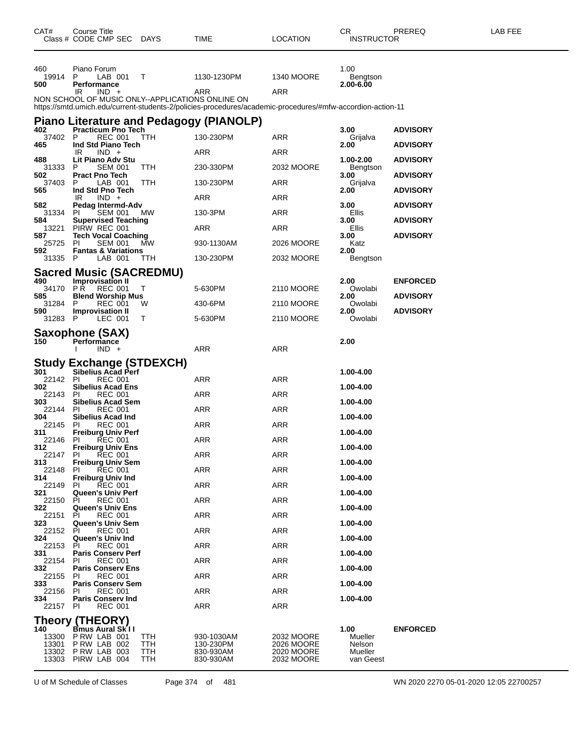| CAT#                             | Course Title<br>Class # CODE CMP SEC DAYS                         |                          | TIME                                                                                                       | <b>LOCATION</b>                                      | CR<br><b>INSTRUCTOR</b>                   | PREREQ          | LAB FEE |
|----------------------------------|-------------------------------------------------------------------|--------------------------|------------------------------------------------------------------------------------------------------------|------------------------------------------------------|-------------------------------------------|-----------------|---------|
| 460<br>19914 P<br>500            | Piano Forum<br>LAB 001<br>Performance                             | $\top$                   | 1130-1230PM                                                                                                | 1340 MOORE                                           | 1.00<br>Bengtson<br>2.00-6.00             |                 |         |
|                                  | $IND +$<br>IR<br>NON SCHOOL OF MUSIC ONLY--APPLICATIONS ONLINE ON |                          | ARR                                                                                                        | ARR                                                  |                                           |                 |         |
|                                  |                                                                   |                          | https://smtd.umich.edu/current-students-2/policies-procedures/academic-procedures/#mfw-accordion-action-11 |                                                      |                                           |                 |         |
| 402                              | <b>Practicum Pno Tech</b>                                         |                          | Piano Literature and Pedagogy (PIANOLP)                                                                    |                                                      | 3.00                                      | <b>ADVISORY</b> |         |
| 37402                            | REC 001<br>P                                                      | TTH.                     | 130-230PM                                                                                                  | ARR                                                  | Grijalva                                  |                 |         |
| 465                              | Ind Std Piano Tech<br>$IND +$<br>IR                               |                          | ARR                                                                                                        | ARR                                                  | 2.00                                      | <b>ADVISORY</b> |         |
| 488<br>31333                     | Lit Piano Adv Stu<br><b>SEM 001</b><br>P                          | <b>TTH</b>               | 230-330PM                                                                                                  | 2032 MOORE                                           | 1.00-2.00<br>Bengtson                     | <b>ADVISORY</b> |         |
| 502<br>37403                     | <b>Pract Pno Tech</b><br>LAB 001<br>P                             | <b>TTH</b>               | 130-230PM                                                                                                  | ARR                                                  | 3.00<br>Grijalva                          | <b>ADVISORY</b> |         |
| 565                              | Ind Std Pno Tech                                                  |                          |                                                                                                            |                                                      | 2.00                                      | <b>ADVISORY</b> |         |
| 582                              | $IND +$<br>IR<br>Pedag Intermd-Adv                                |                          | ARR                                                                                                        | ARR                                                  | 3.00                                      | <b>ADVISORY</b> |         |
| 31334 PI<br>584                  | <b>SEM 001</b><br><b>Supervised Teaching</b>                      | <b>MW</b>                | 130-3PM                                                                                                    | ARR                                                  | Ellis<br>3.00                             | <b>ADVISORY</b> |         |
| 13221<br>587                     | PIRW REC 001<br><b>Tech Vocal Coaching</b>                        |                          | ARR                                                                                                        | ARR                                                  | Ellis<br>3.00                             | <b>ADVISORY</b> |         |
| 25725                            | -PI<br><b>SEM 001</b>                                             | МW                       | 930-1130AM                                                                                                 | 2026 MOORE                                           | Katz                                      |                 |         |
| 592<br>31335 P                   | <b>Fantas &amp; Variations</b><br>LAB 001                         | <b>TTH</b>               | 130-230PM                                                                                                  | 2032 MOORE                                           | 2.00<br>Bengtson                          |                 |         |
|                                  | Sacred Music (SACREDMU)                                           |                          |                                                                                                            |                                                      |                                           |                 |         |
| 490<br>34170 PR                  | <b>Improvisation II</b><br><b>REC 001</b>                         | $\mathsf{T}$             | 5-630PM                                                                                                    | 2110 MOORE                                           | 2.00<br>Owolabi                           | <b>ENFORCED</b> |         |
| 585                              | <b>Blend Worship Mus</b>                                          |                          |                                                                                                            |                                                      | 2.00                                      | <b>ADVISORY</b> |         |
| 31284 P<br>590                   | <b>REC 001</b><br><b>Improvisation II</b>                         | W                        | 430-6PM                                                                                                    | 2110 MOORE                                           | Owolabi<br>2.00                           | <b>ADVISORY</b> |         |
| 31283 P                          | LEC 001                                                           | Τ                        | 5-630PM                                                                                                    | 2110 MOORE                                           | Owolabi                                   |                 |         |
| 150                              | Saxophone (SAX)<br><b>Performance</b>                             |                          |                                                                                                            |                                                      | 2.00                                      |                 |         |
|                                  | $IND +$                                                           |                          | ARR                                                                                                        | ARR                                                  |                                           |                 |         |
|                                  | <b>Study Exchange (STDEXCH)</b>                                   |                          |                                                                                                            |                                                      |                                           |                 |         |
| 301<br>22142 PI                  | <b>Sibelius Acad Perf</b><br><b>REC 001</b>                       |                          | ARR                                                                                                        | ARR                                                  | 1.00-4.00                                 |                 |         |
| 302<br>22143 PI                  | <b>Sibelius Acad Ens</b><br><b>REC 001</b>                        |                          | ARR                                                                                                        | ARR                                                  | 1.00-4.00                                 |                 |         |
| 303                              | <b>Sibelius Acad Sem</b>                                          |                          |                                                                                                            |                                                      | 1.00-4.00                                 |                 |         |
| 22144<br>304                     | <b>REC 001</b><br>PI<br><b>Sibelius Acad Ind</b>                  |                          | ARR                                                                                                        | ARR                                                  | 1.00-4.00                                 |                 |         |
| 22145<br>311                     | <b>REC 001</b><br>- PI<br><b>Freiburg Univ Perf</b>               |                          | ARR                                                                                                        | ARR                                                  | 1.00-4.00                                 |                 |         |
| 22146 PI<br>312                  | <b>REC 001</b><br><b>Freiburg Univ Ens</b>                        |                          | ARR                                                                                                        | ARR                                                  | 1.00-4.00                                 |                 |         |
| 22147                            | - PI<br><b>REC 001</b>                                            |                          | ARR                                                                                                        | ARR                                                  |                                           |                 |         |
| 313<br>22148                     | <b>Freiburg Univ Sem</b><br><b>REC 001</b><br>PI.                 |                          | ARR                                                                                                        | ARR                                                  | 1.00-4.00                                 |                 |         |
| 314<br>22149                     | <b>Freiburg Univ Ind</b><br><b>REC 001</b><br>PI.                 |                          | ARR                                                                                                        | ARR                                                  | 1.00-4.00                                 |                 |         |
| 321<br>22150                     | <b>Queen's Univ Perf</b><br><b>REC 001</b><br>PI.                 |                          | ARR                                                                                                        | ARR                                                  | 1.00-4.00                                 |                 |         |
| 322                              | <b>Queen's Univ Ens</b>                                           |                          |                                                                                                            |                                                      | 1.00-4.00                                 |                 |         |
| 22151<br>323                     | PI<br><b>REC 001</b><br>Queen's Univ Sem                          |                          | ARR                                                                                                        | ARR                                                  | 1.00-4.00                                 |                 |         |
| 22152<br>324                     | <b>REC 001</b><br>PI<br>Queen's Univ Ind                          |                          | ARR                                                                                                        | ARR                                                  | 1.00-4.00                                 |                 |         |
| 22153<br>331                     | <b>REC 001</b><br>PI.<br><b>Paris Conserv Perf</b>                |                          | ARR                                                                                                        | ARR                                                  | 1.00-4.00                                 |                 |         |
| 22154                            | <b>REC 001</b><br>PI.                                             |                          | ARR                                                                                                        | ARR                                                  |                                           |                 |         |
| 332<br>22155                     | <b>Paris Conserv Ens</b><br><b>REC 001</b><br>PI                  |                          | ARR                                                                                                        | ARR                                                  | 1.00-4.00                                 |                 |         |
| 333<br>22156                     | <b>Paris Conserv Sem</b><br><b>REC 001</b><br>PI.                 |                          | ARR                                                                                                        | ARR                                                  | 1.00-4.00                                 |                 |         |
| 334<br>22157                     | <b>Paris Conserv Ind</b><br>PI<br><b>REC 001</b>                  |                          | ARR                                                                                                        | ARR                                                  | 1.00-4.00                                 |                 |         |
|                                  |                                                                   |                          |                                                                                                            |                                                      |                                           |                 |         |
| 140                              | <b>Theory (THEORY)</b><br>Bmus Aural Sk II                        |                          |                                                                                                            |                                                      | 1.00                                      | <b>ENFORCED</b> |         |
| 13300<br>13301<br>13302<br>13303 | PRW LAB 001<br>PRW LAB 002<br>PRW LAB 003<br>PIRW LAB 004         | TTH<br>ттн<br>TTH<br>TTH | 930-1030AM<br>130-230PM<br>830-930AM<br>830-930AM                                                          | 2032 MOORE<br>2026 MOORE<br>2020 MOORE<br>2032 MOORE | Mueller<br>Nelson<br>Mueller<br>van Geest |                 |         |

U of M Schedule of Classes Page 374 of 481 WN 2020 2270 05-01-2020 12:05 22700257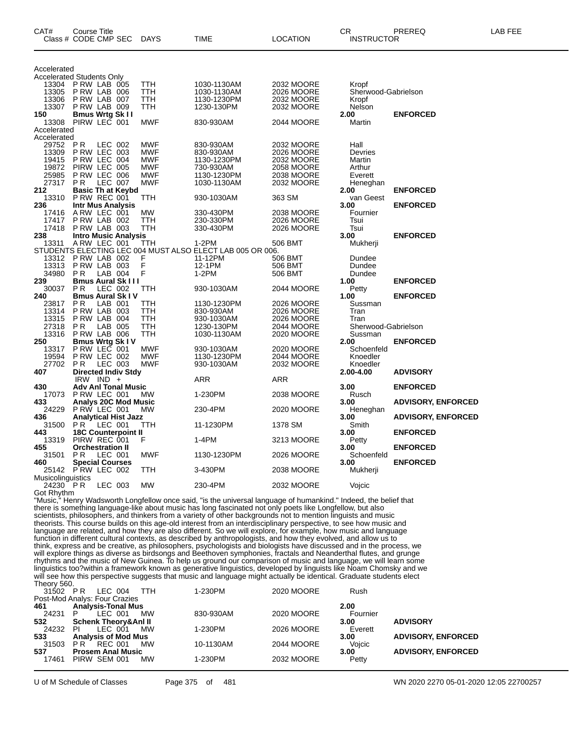| CAT#              | Course Title<br>Class # CODE CMP SEC | <b>DAYS</b>              | TIME                                                      | LOCATION                        | CR<br><b>INSTRUCTOR</b> | PREREQ                    | LAB FEE |
|-------------------|--------------------------------------|--------------------------|-----------------------------------------------------------|---------------------------------|-------------------------|---------------------------|---------|
| Accelerated       |                                      |                          |                                                           |                                 |                         |                           |         |
|                   | <b>Accelerated Students Only</b>     |                          |                                                           |                                 |                         |                           |         |
| 13304             | P RW LAB 005                         | <b>TTH</b>               | 1030-1130AM                                               | 2032 MOORE                      | Kropf                   |                           |         |
| 13305             | PRW LAB 006                          | TTH                      | 1030-1130AM                                               | 2026 MOORE                      | Sherwood-Gabrielson     |                           |         |
| 13306             | P RW LAB 007                         | TTH                      | 1130-1230PM                                               | 2032 MOORE                      | Kropf                   |                           |         |
| 13307             | PRW LAB 009                          | <b>TTH</b>               | 1230-130PM                                                | 2032 MOORE                      | Nelson                  |                           |         |
| 150               | <b>Bmus Wrtg Sk II</b>               |                          |                                                           |                                 | 2.00                    | <b>ENFORCED</b>           |         |
| 13308             | PIRW LEC 001                         | MWF                      | 830-930AM                                                 | 2044 MOORE                      | Martin                  |                           |         |
| Accelerated       |                                      |                          |                                                           |                                 |                         |                           |         |
| Accelerated       | <b>PR</b>                            | <b>MWF</b>               |                                                           |                                 | Hall                    |                           |         |
| 29752<br>13309    | LEC 002                              | <b>MWF</b>               | 830-930AM                                                 | 2032 MOORE                      |                         |                           |         |
|                   | <b>P RW LEC 003</b><br>P RW LEC 004  |                          | 830-930AM                                                 | 2026 MOORE                      | Devries                 |                           |         |
| 19415             |                                      | <b>MWF</b>               | 1130-1230PM                                               | 2032 MOORE                      | Martin                  |                           |         |
| 19872<br>25985    | PIRW LEC 005                         | <b>MWF</b><br><b>MWF</b> | 730-930AM                                                 | <b>2058 MOORE</b><br>2038 MOORE | Arthur                  |                           |         |
|                   | PRW LEC 006                          |                          | 1130-1230PM                                               |                                 | Everett                 |                           |         |
| 27317             | <b>LEC 007</b><br>P <sub>R</sub>     | <b>MWF</b>               | 1030-1130AM                                               | 2032 MOORE                      | Heneghan                |                           |         |
| 212               | <b>Basic Th at Keybd</b>             |                          |                                                           |                                 | 2.00                    | <b>ENFORCED</b>           |         |
| 13310             | P RW REC 001                         | TTH                      | 930-1030AM                                                | 363 SM                          | van Geest               |                           |         |
| 236               | <b>Intr Mus Analysis</b>             |                          |                                                           |                                 | 3.00                    | <b>ENFORCED</b>           |         |
| 17416             | ARW LEC 001                          | MW                       | 330-430PM                                                 | 2038 MOORE                      | Fournier                |                           |         |
| 17417             | PRW LAB 002                          | TTH                      | 230-330PM                                                 | 2026 MOORE                      | Tsui                    |                           |         |
| 17418             | PRW LAB 003                          | TTH                      | 330-430PM                                                 | 2026 MOORE                      | Tsui                    |                           |         |
| 238               | <b>Intro Music Analysis</b>          |                          |                                                           |                                 | 3.00                    | <b>ENFORCED</b>           |         |
| 13311             | ARW LEC 001                          | ттн                      | $1-2PM$                                                   | 506 BMT                         | Mukherji                |                           |         |
|                   |                                      |                          | STUDENTS ELECTING LEC 004 MUST ALSO ELECT LAB 005 OR 006. |                                 |                         |                           |         |
| 13312             | P RW LAB 002                         | F                        | 11-12PM                                                   | 506 BMT                         | Dundee                  |                           |         |
| 13313             | PRW LAB 003                          | F                        | 12-1PM                                                    | 506 BMT                         | Dundee                  |                           |         |
| 34980             | <b>PR</b><br>LAB 004                 | F                        | $1-2PM$                                                   | 506 BMT                         | Dundee                  |                           |         |
| 239               | <b>Bmus Aural Sk III</b>             |                          |                                                           |                                 | 1.00                    | <b>ENFORCED</b>           |         |
| 30037             | LEC 002<br>P R                       | TTH                      | 930-1030AM                                                | 2044 MOORE                      | Petty                   |                           |         |
| 240               | <b>Bmus Aural Sk IV</b>              |                          |                                                           |                                 | 1.00                    | <b>ENFORCED</b>           |         |
| 23817             | LAB 001<br>P R                       | TTH                      | 1130-1230PM                                               | 2026 MOORE                      | Sussman                 |                           |         |
| 13314             | PRW LAB 003                          | ттн                      | 830-930AM                                                 | 2026 MOORE                      | Tran                    |                           |         |
| 13315             | P RW LAB 004                         | <b>TTH</b>               | 930-1030AM                                                | 2026 MOORE                      | Tran                    |                           |         |
| 27318             | LAB 005<br>ΡR                        | TTH                      | 1230-130PM                                                | 2044 MOORE                      | Sherwood-Gabrielson     |                           |         |
| 13316             | PRW LAB 006                          | TTH                      | 1030-1130AM                                               | 2020 MOORE                      | Sussman                 |                           |         |
| 250               | <b>Bmus Wrtg Sk IV</b>               |                          |                                                           |                                 | 2.00                    | <b>ENFORCED</b>           |         |
| 13317             | P RW LEC 001                         | MWF                      | 930-1030AM                                                | 2020 MOORE                      | Schoenfeld              |                           |         |
| 19594             | P RW LEC 002                         | <b>MWF</b>               | 1130-1230PM                                               | <b>2044 MOORE</b>               | Knoedler                |                           |         |
| 27702             | ΡR<br>LEC 003                        | <b>MWF</b>               | 930-1030AM                                                | 2032 MOORE                      | Knoedler                |                           |         |
| 407               | <b>Directed Indiv Stdy</b>           |                          |                                                           |                                 | 2.00-4.00               | <b>ADVISORY</b>           |         |
|                   | IRW IND $+$                          |                          | ARR                                                       | ARR                             |                         |                           |         |
| 430               | <b>Adv Anl Tonal Music</b>           |                          |                                                           |                                 | 3.00                    | <b>ENFORCED</b>           |         |
| 17073             | P RW LEC 001                         | МW                       | 1-230PM                                                   | 2038 MOORE                      | Rusch                   |                           |         |
| 433               | <b>Analys 20C Mod Music</b>          |                          |                                                           |                                 | 3.00                    | <b>ADVISORY, ENFORCED</b> |         |
| 24229             | PRW LEC 001                          | <b>MW</b>                | 230-4PM                                                   | 2020 MOORE                      | Heneghan                |                           |         |
| 436               | <b>Analytical Hist Jazz</b>          |                          |                                                           |                                 | 3.00                    | <b>ADVISORY, ENFORCED</b> |         |
| 31500             | P R<br>LEC 001                       | TTH                      | 11-1230PM                                                 | 1378 SM                         | Smith                   |                           |         |
| 443               | <b>18C Counterpoint II</b>           |                          |                                                           |                                 | 3.00                    | <b>ENFORCED</b>           |         |
| 13319             | PIRW REC 001                         | F                        | 1-4PM                                                     | 3213 MOORE                      | Petty                   |                           |         |
| 455               | <b>Orchestration II</b>              |                          |                                                           |                                 | 3.00                    | <b>ENFORCED</b>           |         |
| 31501             | ΡR<br>LEC 001                        | <b>MWF</b>               | 1130-1230PM                                               | 2026 MOORE                      | Schoenfeld              |                           |         |
| 460               | <b>Special Courses</b>               |                          |                                                           |                                 | 3.00                    | <b>ENFORCED</b>           |         |
|                   | 25142 PRW LEC 002                    | TTH                      | 3-430PM                                                   | 2038 MOORE                      | Mukherji                |                           |         |
| Musicolinguistics |                                      |                          |                                                           |                                 |                         |                           |         |
| 24230 PR          | LEC 003                              | MW                       | 230-4PM                                                   | 2032 MOORE                      | Vojcic                  |                           |         |
| Got Rhythm        |                                      |                          |                                                           |                                 |                         |                           |         |

"Music," Henry Wadsworth Longfellow once said, "is the universal language of humankind." Indeed, the belief that there is something language-like about music has long fascinated not only poets like Longfellow, but also scientists, philosophers, and thinkers from a variety of other backgrounds not to mention linguists and music theorists. This course builds on this age-old interest from an interdisciplinary perspective, to see how music and language are related, and how they are also different. So we will explore, for example, how music and language function in different cultural contexts, as described by anthropologists, and how they evolved, and allow us to think, express and be creative, as philosophers, psychologists and biologists have discussed and in the process, we will explore things as diverse as birdsongs and Beethoven symphonies, fractals and Neanderthal flutes, and grunge rhythms and the music of New Guinea. To help us ground our comparison of music and language, we will learn some linguistics too?within a framework known as generative linguistics, developed by linguists like Noam Chomsky and we will see how this perspective suggests that music and language might actually be identical. Graduate students elect Theory 560.

| 31502 PR | LEC 004                         | TTH | 1-230PM   | 2020 MOORE | Rush     |                           |
|----------|---------------------------------|-----|-----------|------------|----------|---------------------------|
|          | Post-Mod Analys: Four Crazies   |     |           |            |          |                           |
| 461      | <b>Analysis-Tonal Mus</b>       |     |           |            | 2.00     |                           |
| 24231    | LEC 001                         | MW  | 830-930AM | 2020 MOORE | Fournier |                           |
| 532      | <b>Schenk Theory&amp;Anl II</b> |     |           |            | 3.00     | <b>ADVISORY</b>           |
| 24232 PI | LEC 001                         | МW  | 1-230PM   | 2026 MOORE | Everett  |                           |
| 533      | <b>Analysis of Mod Mus</b>      |     |           |            | 3.00     | <b>ADVISORY, ENFORCED</b> |
| 31503    | PR<br>REC 001                   | MW  | 10-1130AM | 2044 MOORE | Vojcic   |                           |
| 537      | <b>Prosem Anal Music</b>        |     |           |            | 3.00     | <b>ADVISORY, ENFORCED</b> |
| 17461    | PIRW SEM 001                    | мw  | 1-230PM   | 2032 MOORE | Petty    |                           |
|          |                                 |     |           |            |          |                           |

U of M Schedule of Classes Page 375 of 481 WN 2020 2270 05-01-2020 12:05 22700257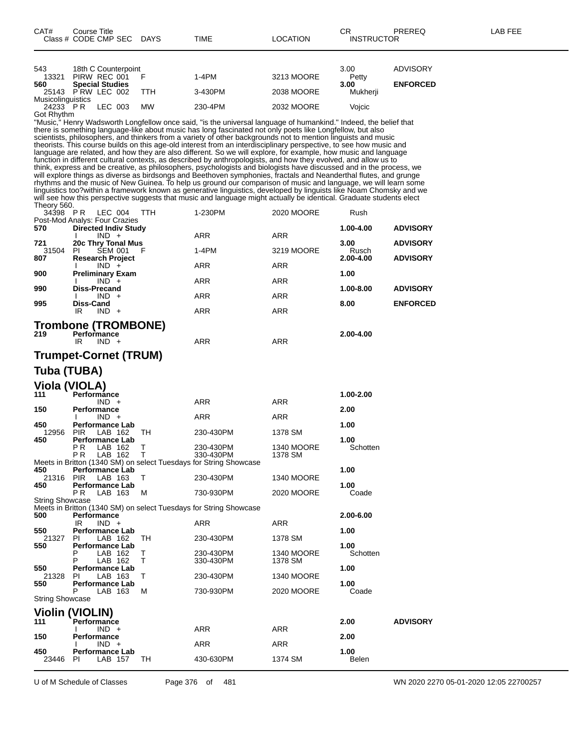| 543                      | 18th C Counterpoint    |         |           |         |                                                                                                                                                  | 3.00     | ADVISORY        |
|--------------------------|------------------------|---------|-----------|---------|--------------------------------------------------------------------------------------------------------------------------------------------------|----------|-----------------|
| 13321                    | PIRW REC 001           |         |           | 1-4PM   | 3213 MOORE                                                                                                                                       | Petty    |                 |
| 560                      | <b>Special Studies</b> |         |           |         |                                                                                                                                                  | 3.00     | <b>ENFORCED</b> |
| 25143 PRW LEC 002        |                        |         | TTH       | 3-430PM | 2038 MOORE                                                                                                                                       | Mukherji |                 |
| <b>Musicolinguistics</b> |                        |         |           |         |                                                                                                                                                  |          |                 |
| 24233 PR                 |                        | LEC 003 | <b>MW</b> | 230-4PM | 2032 MOORE                                                                                                                                       | Voicic   |                 |
| Got Rhythm               |                        |         |           |         |                                                                                                                                                  |          |                 |
|                          |                        |         |           |         | MA Accele Mille com AAL decoration of a fellence and a control of the company of the company of Milled and the above A delegated and the College |          |                 |

"Music," Henry Wadsworth Longfellow once said, "is the universal language of humankind." Indeed, the belief that there is something language-like about music has long fascinated not only poets like Longfellow, but also scientists, philosophers, and thinkers from a variety of other backgrounds not to mention linguists and music theorists. This course builds on this age-old interest from an interdisciplinary perspective, to see how music and language are related, and how they are also different. So we will explore, for example, how music and language function in different cultural contexts, as described by anthropologists, and how they evolved, and allow us to think, express and be creative, as philosophers, psychologists and biologists have discussed and in the process, we will explore things as diverse as birdsongs and Beethoven symphonies, fractals and Neanderthal flutes, and grunge rhythms and the music of New Guinea. To help us ground our comparison of music and language, we will learn some linguistics too?within a framework known as generative linguistics, developed by linguists like Noam Chomsky and we will see how this perspective suggests that music and language might actually be identical. Graduate students elect Theory 560.

| 34398 PR | LEC 004<br>TTH                | 1-230PM    | 2020 MOORE    | Rush            |                 |
|----------|-------------------------------|------------|---------------|-----------------|-----------------|
|          | Post-Mod Analys: Four Crazies |            |               |                 |                 |
| 570      | <b>Directed Indiv Study</b>   |            | $1.00 - 4.00$ | <b>ADVISORY</b> |                 |
|          | $IND +$                       | <b>ARR</b> | <b>ARR</b>    |                 |                 |
| 721      | 20c Thry Tonal Mus            |            |               | 3.00            | <b>ADVISORY</b> |
| 31504    | <b>SEM 001</b><br>PL<br>- F   | $1-4PM$    | 3219 MOORE    | Rusch           |                 |
| 807      | <b>Research Project</b>       |            |               | 2.00-4.00       | <b>ADVISORY</b> |
|          | $IND +$                       | <b>ARR</b> | <b>ARR</b>    |                 |                 |
| 900      | <b>Preliminary Exam</b>       |            |               | 1.00            |                 |
|          | $IND +$                       | <b>ARR</b> | <b>ARR</b>    |                 |                 |
| 990      | Diss-Precand                  |            |               | 1.00-8.00       | <b>ADVISORY</b> |
|          | $IND +$                       | <b>ARR</b> | <b>ARR</b>    |                 |                 |
| 995      | <b>Diss-Cand</b>              |            |               | 8.00            | <b>ENFORCED</b> |
|          | $IND +$<br>IR.                | <b>ARR</b> | <b>ARR</b>    |                 |                 |
|          |                               |            |               |                 |                 |
|          | <b>Trombone (TROMBONE)</b>    |            |               |                 |                 |
| 219      | Performance                   |            |               | 2.00-4.00       |                 |
|          | $IND +$<br>IR                 | <b>ARR</b> | <b>ARR</b>    |                 |                 |
|          |                               |            |               |                 |                 |
|          | <b>Trumpet-Cornet (TRUM)</b>  |            |               |                 |                 |

### **Tuba (TUBA)**

#### **Viola (VIOLA)**

|                        | $\mathbf{v}$                                    |              |                                                                   |                   |           |                 |
|------------------------|-------------------------------------------------|--------------|-------------------------------------------------------------------|-------------------|-----------|-----------------|
| 111                    | Performánce                                     |              |                                                                   |                   | 1.00-2.00 |                 |
|                        | $IND +$                                         |              | ARR                                                               | <b>ARR</b>        |           |                 |
| 150                    | <b>Performance</b>                              |              |                                                                   |                   | 2.00      |                 |
| 450                    | $IND +$                                         |              | ARR                                                               | <b>ARR</b>        | 1.00      |                 |
| 12956                  | <b>Performance Lab</b><br>LAB 162<br><b>PIR</b> | TH           | 230-430PM                                                         | 1378 SM           |           |                 |
| 450                    | Performance Lab                                 |              |                                                                   |                   | 1.00      |                 |
|                        | P <sub>R</sub><br>LAB 162                       | Τ            | 230-430PM                                                         | <b>1340 MOORE</b> | Schotten  |                 |
|                        | P <sub>R</sub><br>LAB 162                       | Т            | 330-430PM                                                         | 1378 SM           |           |                 |
|                        |                                                 |              | Meets in Britton (1340 SM) on select Tuesdays for String Showcase |                   |           |                 |
| 450                    | <b>Performance Lab</b>                          |              |                                                                   |                   | 1.00      |                 |
| 21316                  | <b>PIR</b><br>LAB 163                           | $\mathsf{T}$ | 230-430PM                                                         | <b>1340 MOORE</b> |           |                 |
| 450                    | <b>Performance Lab</b>                          |              |                                                                   |                   | 1.00      |                 |
|                        | P <sub>R</sub><br>LAB 163                       | м            | 730-930PM                                                         | 2020 MOORE        | Coade     |                 |
| <b>String Showcase</b> |                                                 |              |                                                                   |                   |           |                 |
|                        |                                                 |              | Meets in Britton (1340 SM) on select Tuesdays for String Showcase |                   |           |                 |
| 500                    | <b>Performance</b>                              |              |                                                                   |                   | 2.00-6.00 |                 |
|                        | IR<br>$IND +$                                   |              | ARR                                                               | <b>ARR</b>        |           |                 |
| 550                    | <b>Performance Lab</b>                          |              |                                                                   |                   | 1.00      |                 |
| 21327                  | LAB 162<br>PI                                   | TH           | 230-430PM                                                         | 1378 SM           |           |                 |
| 550                    | <b>Performance Lab</b>                          |              |                                                                   |                   | 1.00      |                 |
|                        | LAB 162<br>Ρ                                    | Τ            | 230-430PM                                                         | <b>1340 MOORE</b> | Schotten  |                 |
|                        | P<br>LAB 162                                    | T            | 330-430PM                                                         | 1378 SM           |           |                 |
| 550                    | <b>Performance Lab</b>                          |              |                                                                   |                   | 1.00      |                 |
| 21328<br>550           | LAB 163<br>PI                                   | $\mathsf{T}$ | 230-430PM                                                         | <b>1340 MOORE</b> | 1.00      |                 |
|                        | <b>Performance Lab</b><br>P<br>LAB 163          | м            | 730-930PM                                                         | 2020 MOORE        | Coade     |                 |
| <b>String Showcase</b> |                                                 |              |                                                                   |                   |           |                 |
|                        |                                                 |              |                                                                   |                   |           |                 |
|                        | <b>Violin (VIOLIN)</b>                          |              |                                                                   |                   |           |                 |
| 111                    | <b>Performance</b>                              |              |                                                                   |                   | 2.00      | <b>ADVISORY</b> |
|                        | $IND +$                                         |              | ARR                                                               | <b>ARR</b>        |           |                 |
| 150                    | Performance                                     |              |                                                                   |                   | 2.00      |                 |
|                        | $IND +$                                         |              | <b>ARR</b>                                                        | <b>ARR</b>        |           |                 |
| 450                    | <b>Performance Lab</b>                          |              |                                                                   |                   | 1.00      |                 |
| 23446                  | LAB 157<br>PI.                                  | TH           | 430-630PM                                                         | 1374 SM           | Belen     |                 |
|                        |                                                 |              |                                                                   |                   |           |                 |

U of M Schedule of Classes Page 376 of 481 WN 2020 2270 05-01-2020 12:05 22700257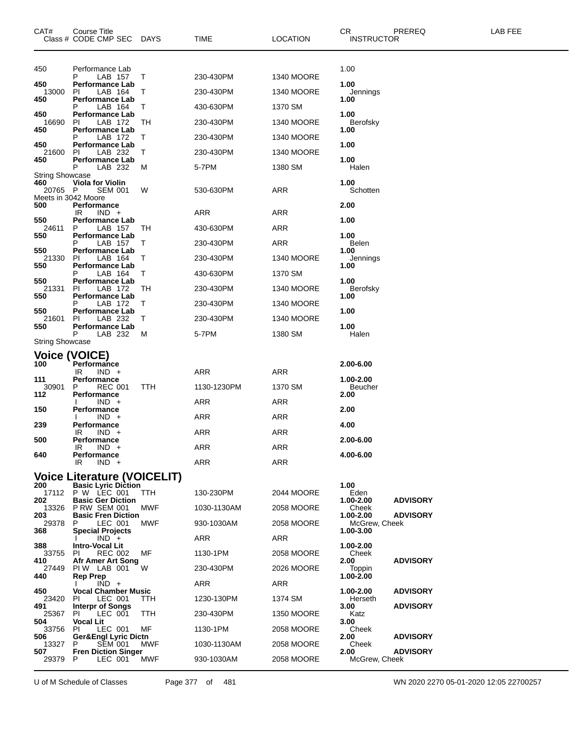| CAT#                       | Course Title<br>Class # CODE CMP SEC                   | <b>DAYS</b> | <b>TIME</b> | <b>LOCATION</b>   | <b>CR</b><br><b>INSTRUCTOR</b> | PREREQ          | LAB FEE |
|----------------------------|--------------------------------------------------------|-------------|-------------|-------------------|--------------------------------|-----------------|---------|
| 450                        | Performance Lab<br>LAB 157                             | Τ           | 230-430PM   | <b>1340 MOORE</b> | 1.00                           |                 |         |
| 450<br>13000               | Performance Lab<br>LAB 164<br>PI                       | Τ           | 230-430PM   | <b>1340 MOORE</b> | 1.00<br>Jennings               |                 |         |
| 450                        | Performance Lab<br>LAB 164                             | Τ           | 430-630PM   | 1370 SM           | 1.00                           |                 |         |
| 450<br>16690               | <b>Performance Lab</b><br>LAB 172<br>PI                | TН          | 230-430PM   | <b>1340 MOORE</b> | 1.00<br>Berofsky               |                 |         |
| 450                        | <b>Performance Lab</b><br>LAB 172<br>Р                 | Т           | 230-430PM   | <b>1340 MOORE</b> | 1.00                           |                 |         |
| 450                        | Performance Lab                                        |             |             |                   | 1.00                           |                 |         |
| 21600<br>450               | LAB 232<br>PI<br><b>Performance Lab</b>                | Τ           | 230-430PM   | <b>1340 MOORE</b> | 1.00                           |                 |         |
| String Showcase            | LAB 232<br>P                                           | M           | 5-7PM       | 1380 SM           | Halen                          |                 |         |
| 460<br>20765 P             | <b>Viola for Violin</b><br>SEM 001                     | W           | 530-630PM   | ARR               | 1.00<br>Schotten               |                 |         |
| Meets in 3042 Moore<br>500 | Performance                                            |             |             |                   | 2.00                           |                 |         |
| 550                        | IR<br>$IND +$<br><b>Performance Lab</b>                |             | ARR         | ARR               | 1.00                           |                 |         |
| 24611<br>550               | LAB 157<br>P<br>Performance Lab                        | TН          | 430-630PM   | <b>ARR</b>        | 1.00                           |                 |         |
| 550                        | LAB 157<br><b>Performance Lab</b>                      | Τ           | 230-430PM   | <b>ARR</b>        | Belen<br>1.00                  |                 |         |
| 21330                      | LAB 164<br>ΡI                                          | Т           | 230-430PM   | <b>1340 MOORE</b> | Jennings                       |                 |         |
| 550                        | <b>Performance Lab</b><br>LAB 164<br>Р                 | Τ           | 430-630PM   | 1370 SM           | 1.00                           |                 |         |
| 550<br>21331               | Performance Lab<br>LAB 172<br>ΡI                       | TН          | 230-430PM   | <b>1340 MOORE</b> | 1.00<br>Berofsky               |                 |         |
| 550                        | <b>Performance Lab</b><br>LAB 172                      | Τ           | 230-430PM   | <b>1340 MOORE</b> | 1.00                           |                 |         |
| 550<br>21601               | <b>Performance Lab</b><br>LAB 232<br>PI                | T           | 230-430PM   | <b>1340 MOORE</b> | 1.00                           |                 |         |
| 550                        | <b>Performance Lab</b><br>P<br>LAB 232                 | M           | 5-7PM       | 1380 SM           | 1.00<br>Halen                  |                 |         |
| <b>String Showcase</b>     |                                                        |             |             |                   |                                |                 |         |
| 100                        | <b>Voice (VOICE)</b><br>Performance                    |             |             |                   | 2.00-6.00                      |                 |         |
| 111                        | IR<br>$IND +$<br>Performance                           |             | ARR         | <b>ARR</b>        | 1.00-2.00                      |                 |         |
| 30901                      | <b>REC 001</b><br>P                                    | TTH         | 1130-1230PM | 1370 SM           | Beucher                        |                 |         |
| 112                        | Performance<br>$IND +$                                 |             | <b>ARR</b>  | <b>ARR</b>        | 2.00                           |                 |         |
| 150                        | Performance<br>$IND +$                                 |             | ARR         | ARR               | 2.00                           |                 |         |
| 239                        | <b>Performance</b><br>IR<br>$IND +$                    |             | ARR         | <b>ARR</b>        | 4.00                           |                 |         |
| 500                        | Performance<br>IR<br>$IND +$                           |             | ARR         | ARR               | 2.00-6.00                      |                 |         |
| 640                        | Performance<br>IR<br>$IND +$                           |             | ARR         | ARR               | 4.00-6.00                      |                 |         |
|                            | <b>Voice Literature (VOICELIT)</b>                     |             |             |                   |                                |                 |         |
| 200                        | <b>Basic Lyric Diction</b><br>17112 P W LEC 001        | TTH         | 130-230PM   | 2044 MOORE        | 1.00<br>Eden                   |                 |         |
| 202                        | <b>Basic Ger Diction</b>                               |             |             |                   | 1.00-2.00<br>Cheek             | <b>ADVISORY</b> |         |
| 203                        | 13326 P RW SEM 001<br><b>Basic Fren Diction</b>        | MWF         | 1030-1130AM | 2058 MOORE        | 1.00-2.00                      | <b>ADVISORY</b> |         |
| 29378<br>368               | LEC 001<br>P.<br><b>Special Projects</b>               | MWF         | 930-1030AM  | 2058 MOORE        | McGrew, Cheek<br>1.00-3.00     |                 |         |
| 388                        | $IND +$<br><b>Intro-Vocal Lit</b>                      |             | ARR         | ARR               | 1.00-2.00                      |                 |         |
| 33755<br>410               | <b>REC 002</b><br>PI<br>Afr Amer Art Song              | МF          | 1130-1PM    | 2058 MOORE        | Cheek<br>2.00                  | <b>ADVISORY</b> |         |
| 27449<br>440               | PIW LAB 001<br><b>Rep Prep</b>                         | W           | 230-430PM   | 2026 MOORE        | Toppin<br>1.00-2.00            |                 |         |
| 450                        | $IND +$<br><b>Vocal Chamber Music</b>                  |             | ARR         | ARR               | 1.00-2.00                      | <b>ADVISORY</b> |         |
| 23420<br>491               | LEC 001<br>PL<br><b>Interpr of Songs</b>               | <b>TTH</b>  | 1230-130PM  | 1374 SM           | Herseth<br>3.00                | <b>ADVISORY</b> |         |
| 25367                      | LEC 001<br>PL                                          | TTH         | 230-430PM   | 1350 MOORE        | Katz                           |                 |         |
| 504<br>33756               | <b>Vocal Lit</b><br>PI.<br>LEC 001                     | MF          | 1130-1PM    | 2058 MOORE        | 3.00<br>Cheek                  |                 |         |
| 506<br>13327               | <b>Ger&amp;Engl Lyric Dictn</b><br><b>SEM 001</b><br>P | MWF         | 1030-1130AM | 2058 MOORE        | 2.00<br>Cheek                  | <b>ADVISORY</b> |         |
| 507<br>29379               | <b>Fren Diction Singer</b><br>P<br>LEC 001             | MWF         | 930-1030AM  | 2058 MOORE        | 2.00<br>McGrew, Cheek          | <b>ADVISORY</b> |         |

U of M Schedule of Classes Page 377 of 481 WN 2020 2270 05-01-2020 12:05 22700257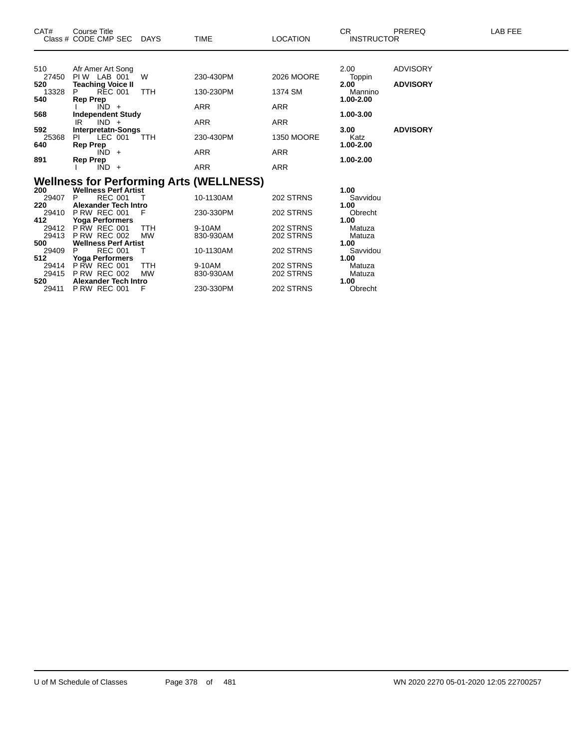| CAT#                                                                                                  | Course Title<br>Class # CODE CMP SEC                                                                                                                                                                                                                                                                                      | <b>DAYS</b>                                           | <b>TIME</b>                                                                                                                         | <b>LOCATION</b>                                                                         | <b>CR</b><br><b>INSTRUCTOR</b>                                                                                          | <b>PREREQ</b>                                         | LAB FEE |
|-------------------------------------------------------------------------------------------------------|---------------------------------------------------------------------------------------------------------------------------------------------------------------------------------------------------------------------------------------------------------------------------------------------------------------------------|-------------------------------------------------------|-------------------------------------------------------------------------------------------------------------------------------------|-----------------------------------------------------------------------------------------|-------------------------------------------------------------------------------------------------------------------------|-------------------------------------------------------|---------|
| 510<br>27450<br>520<br>13328<br>540<br>568<br>592<br>25368                                            | Afr Amer Art Song<br>PIW LAB 001<br><b>Teaching Voice II</b><br><b>REC 001</b><br><b>Rep Prep</b><br>$IND +$<br><b>Independent Study</b><br>$IND +$<br>IR<br><b>Interpretatn-Songs</b><br>LEC 001<br>PL                                                                                                                   | W<br><b>TTH</b><br><b>TTH</b>                         | 230-430PM<br>130-230PM<br><b>ARR</b><br><b>ARR</b><br>230-430PM                                                                     | 2026 MOORE<br>1374 SM<br><b>ARR</b><br><b>ARR</b><br><b>1350 MOORE</b>                  | 2.00<br>Toppin<br>2.00<br>Mannino<br>1.00-2.00<br>1.00-3.00<br>3.00<br>Katz                                             | <b>ADVISORY</b><br><b>ADVISORY</b><br><b>ADVISORY</b> |         |
| 640<br>891                                                                                            | <b>Rep Prep</b><br>$IND +$<br>Rep Prep<br>$IND +$                                                                                                                                                                                                                                                                         |                                                       | <b>ARR</b><br><b>ARR</b>                                                                                                            | <b>ARR</b><br><b>ARR</b>                                                                | 1.00-2.00<br>1.00-2.00                                                                                                  |                                                       |         |
| 200<br>29407<br>220<br>29410<br>412<br>29412<br>29413<br>500<br>29409<br>512<br>29414<br>29415<br>520 | <b>Wellness Perf Artist</b><br><b>REC 001</b><br>P<br><b>Alexander Tech Intro</b><br>PRW REC 001<br><b>Yoga Performers</b><br><b>P RW REC 001</b><br><b>P RW REC 002</b><br><b>Wellness Perf Artist</b><br><b>REC 001</b><br><b>Yoga Performers</b><br><b>P RW REC 001</b><br><b>P RW REC 002</b><br>Alexander Tech Intro | F<br><b>TTH</b><br><b>MW</b><br>т<br>TTH<br><b>MW</b> | <b>Wellness for Performing Arts (WELLNESS)</b><br>10-1130AM<br>230-330PM<br>9-10AM<br>830-930AM<br>10-1130AM<br>9-10AM<br>830-930AM | 202 STRNS<br>202 STRNS<br>202 STRNS<br>202 STRNS<br>202 STRNS<br>202 STRNS<br>202 STRNS | 1.00<br>Savvidou<br>1.00<br>Obrecht<br>1.00<br>Matuza<br>Matuza<br>1.00<br>Savvidou<br>1.00<br>Matuza<br>Matuza<br>1.00 |                                                       |         |

P RW REC 001 F 230-330PM 202 STRNS Obrecht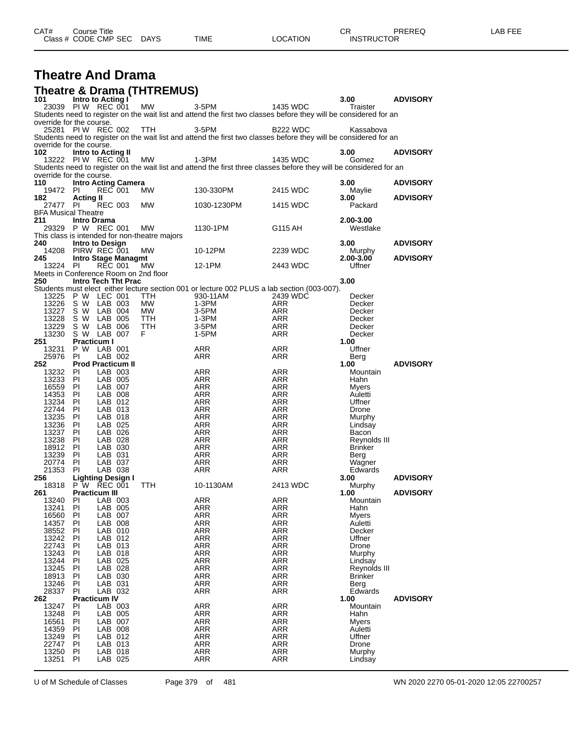| CAT# | Title<br>∴ourse      |                 |      |                  | Ωm<br><b>UN</b> | PREREQ            | ---<br>AR.<br>--- |
|------|----------------------|-----------------|------|------------------|-----------------|-------------------|-------------------|
|      | Class # CODE CMP SEC | DAYS<br>_______ | TIME | LOCATION<br>____ |                 | <b>INSTRUCTOR</b> |                   |

## **Theatre And Drama**

|                                       |                                  |                    | <b>Theatre &amp; Drama (THTREMUS)</b>         |                                                                                                                              |                          |                         |                 |
|---------------------------------------|----------------------------------|--------------------|-----------------------------------------------|------------------------------------------------------------------------------------------------------------------------------|--------------------------|-------------------------|-----------------|
| 101                                   | Intro to Acting I                |                    |                                               |                                                                                                                              |                          | 3.00                    | <b>ADVISORY</b> |
|                                       | 23039 PIW REC 001                |                    | MW                                            | $3-5PM$<br>Students need to register on the wait list and attend the first two classes before they will be considered for an | 1435 WDC                 | Traister                |                 |
| override for the course.              |                                  |                    |                                               |                                                                                                                              |                          |                         |                 |
|                                       | 25281 PIW REC 002                |                    | TTH                                           | $3-5PM$                                                                                                                      | <b>B222 WDC</b>          | Kassabova               |                 |
|                                       |                                  |                    |                                               | Students need to register on the wait list and attend the first two classes before they will be considered for an            |                          |                         |                 |
| override for the course.<br>102       | Intro to Acting II               |                    |                                               |                                                                                                                              |                          | 3.00                    | <b>ADVISORY</b> |
|                                       | 13222 PIW REC 001                |                    | <b>MW</b>                                     | 1-3PM                                                                                                                        | 1435 WDC                 | Gomez                   |                 |
| override for the course.              |                                  |                    |                                               | Students need to register on the wait list and attend the first three classes before they will be considered for an          |                          |                         |                 |
| 110                                   | <b>Intro Acting Camera</b>       |                    |                                               |                                                                                                                              |                          | 3.00                    | <b>ADVISORY</b> |
| 19472                                 | PI.                              | REC 001            | МW                                            | 130-330PM                                                                                                                    | 2415 WDC                 | Maylie                  |                 |
| 182<br>27477                          | <b>Acting II</b><br><b>PI</b>    | <b>REC 003</b>     | MW                                            |                                                                                                                              |                          | 3.00<br>Packard         | <b>ADVISORY</b> |
| <b>BFA Musical Theatre</b>            |                                  |                    |                                               | 1030-1230PM                                                                                                                  | 1415 WDC                 |                         |                 |
| 211                                   | <b>Intro Drama</b>               |                    |                                               |                                                                                                                              |                          | 2.00-3.00               |                 |
| 29329                                 | P W REC 001                      |                    | MW                                            | 1130-1PM                                                                                                                     | G115 AH                  | Westlake                |                 |
| 240                                   | Intro to Design                  |                    | This class is intended for non-theatre majors |                                                                                                                              |                          | 3.00                    | <b>ADVISORY</b> |
| 14208                                 | PIRW REC 001                     |                    | MW                                            | 10-12PM                                                                                                                      | 2239 WDC                 | Murphy                  |                 |
| 245<br>13224 PI                       | Intro Stage Managmt              | <b>REC 001</b>     | MW.                                           | 12-1PM                                                                                                                       | 2443 WDC                 | 2.00-3.00<br>Uffner     | <b>ADVISORY</b> |
| Meets in Conference Room on 2nd floor |                                  |                    |                                               |                                                                                                                              |                          |                         |                 |
| 250                                   | Intro Tech Tht Prac              |                    |                                               |                                                                                                                              |                          | 3.00                    |                 |
|                                       | P W LEC 001                      |                    |                                               | Students must elect either lecture section 001 or lecture 002 PLUS a lab section (003-007).                                  |                          |                         |                 |
| 13225<br>13226                        | S W LAB 003                      |                    | TTH<br>MW                                     | 930-11AM<br>$1-3PM$                                                                                                          | 2439 WDC<br><b>ARR</b>   | Decker<br>Decker        |                 |
| 13227                                 | S W                              | LAB 004            | MW                                            | $3-5$ PM                                                                                                                     | ARR                      | Decker                  |                 |
| 13228                                 | S W                              | LAB 005            | TTH                                           | 1-3PM                                                                                                                        | <b>ARR</b>               | Decker                  |                 |
| 13229<br>13230                        | S W<br>S W LAB 007               | LAB 006            | TTH<br>F                                      | 3-5PM<br>1-5PM                                                                                                               | ARR<br>ARR               | Decker<br>Decker        |                 |
| 251                                   | <b>Practicum I</b>               |                    |                                               |                                                                                                                              |                          | 1.00                    |                 |
| 13231                                 | P W LAB 001                      |                    |                                               | ARR                                                                                                                          | ARR                      | Uffner                  |                 |
| 25976<br>252                          | PI<br><b>Prod Practicum II</b>   | LAB 002            |                                               | ARR                                                                                                                          | ARR                      | Berg<br>1.00            | <b>ADVISORY</b> |
| 13232                                 | PI                               | LAB 003            |                                               | ARR                                                                                                                          | ARR                      | Mountain                |                 |
| 13233                                 | PI                               | LAB 005            |                                               | ARR                                                                                                                          | ARR                      | Hahn                    |                 |
| 16559<br>14353                        | - PI<br>-PI                      | LAB 007<br>LAB 008 |                                               | ARR<br>ARR                                                                                                                   | <b>ARR</b><br>ARR        | Myers<br>Auletti        |                 |
| 13234                                 | - Pl                             | LAB 012            |                                               | ARR                                                                                                                          | ARR                      | Uffner                  |                 |
| 22744                                 | PI                               | LAB 013            |                                               | ARR                                                                                                                          | ARR                      | Drone                   |                 |
| 13235<br>13236                        | PI<br>PI                         | LAB 018<br>LAB 025 |                                               | ARR<br>ARR                                                                                                                   | ARR<br>ARR               | Murphy<br>Lindsay       |                 |
| 13237                                 | PI                               | LAB 026            |                                               | ARR                                                                                                                          | ARR                      | Bacon                   |                 |
| 13238                                 | PI                               | LAB 028            |                                               | ARR                                                                                                                          | ARR                      | Reynolds III            |                 |
| 18912<br>13239                        | PI<br>PI                         | LAB 030<br>LAB 031 |                                               | ARR<br>ARR                                                                                                                   | ARR<br>ARR               | <b>Brinker</b><br>Berg  |                 |
| 20774                                 | PI                               | LAB 037            |                                               | ARR                                                                                                                          | ARR                      | Wagner                  |                 |
| 21353                                 | ΡI                               | LAB 038            |                                               | ARR                                                                                                                          | ARR                      | Edwards                 |                 |
| 256<br>18318                          | Lighting Design I<br>P W REC 001 |                    | ттн                                           | 10-1130AM                                                                                                                    | 2413 WDC                 | 3.00<br>Murphy          | <b>ADVISORY</b> |
| 261                                   | <b>Practicum III</b>             |                    |                                               |                                                                                                                              |                          | 1.00                    | <b>ADVISORY</b> |
| 13240                                 | PI                               | LAB 003            |                                               | ARR                                                                                                                          | ARR                      | Mountain                |                 |
| 13241<br>16560                        | - PI<br>PI                       | LAB 005<br>LAB 007 |                                               | ARR<br>ARR                                                                                                                   | ARR<br>ARR               | Hann<br>Myers           |                 |
| 14357                                 | PI                               | LAB 008            |                                               | ARR                                                                                                                          | ARR                      | Auletti                 |                 |
| 38552                                 | PI                               | LAB 010            |                                               | <b>ARR</b>                                                                                                                   | <b>ARR</b>               | Decker                  |                 |
| 13242<br>22743                        | PI<br>PI                         | LAB 012<br>LAB 013 |                                               | ARR<br>ARR                                                                                                                   | ARR<br><b>ARR</b>        | Uffner<br>Drone         |                 |
| 13243                                 | ΡI                               | LAB 018            |                                               | <b>ARR</b>                                                                                                                   | <b>ARR</b>               | Murphy                  |                 |
| 13244                                 | ΡI                               | LAB 025            |                                               | ARR                                                                                                                          | ARR                      | Lindsay                 |                 |
| 13245<br>18913                        | ΡI<br>ΡI                         | LAB 028<br>LAB 030 |                                               | ARR<br><b>ARR</b>                                                                                                            | <b>ARR</b><br><b>ARR</b> | Reynolds III<br>Brinker |                 |
| 13246                                 | ΡI                               | LAB 031            |                                               | ARR                                                                                                                          | ARR                      | Berg                    |                 |
| 28337                                 | PI                               | LAB 032            |                                               | ARR                                                                                                                          | <b>ARR</b>               | Edwards                 |                 |
| 262<br>13247                          | <b>Practicum IV</b><br>ΡI        | LAB 003            |                                               | <b>ARR</b>                                                                                                                   | <b>ARR</b>               | 1.00<br>Mountain        | <b>ADVISORY</b> |
| 13248                                 | ΡI                               | LAB 005            |                                               | ARR                                                                                                                          | <b>ARR</b>               | Hahn                    |                 |
| 16561                                 | ΡI                               | LAB 007            |                                               | ARR                                                                                                                          | ARR                      | Myers                   |                 |
| 14359<br>13249                        | <b>PI</b><br>ΡI                  | LAB 008<br>LAB 012 |                                               | ARR<br>ARR                                                                                                                   | ARR<br><b>ARR</b>        | Auletti<br>Uffner       |                 |
| 22747                                 | ΡI                               | LAB 013            |                                               | <b>ARR</b>                                                                                                                   | ARR                      | Drone                   |                 |
| 13250                                 | ΡI                               | LAB 018            |                                               | ARR                                                                                                                          | ARR                      | Murphy                  |                 |
| 13251                                 | PI                               | LAB 025            |                                               | <b>ARR</b>                                                                                                                   | <b>ARR</b>               | Lindsay                 |                 |

U of M Schedule of Classes Page 379 of 481 WN 2020 2270 05-01-2020 12:05 22700257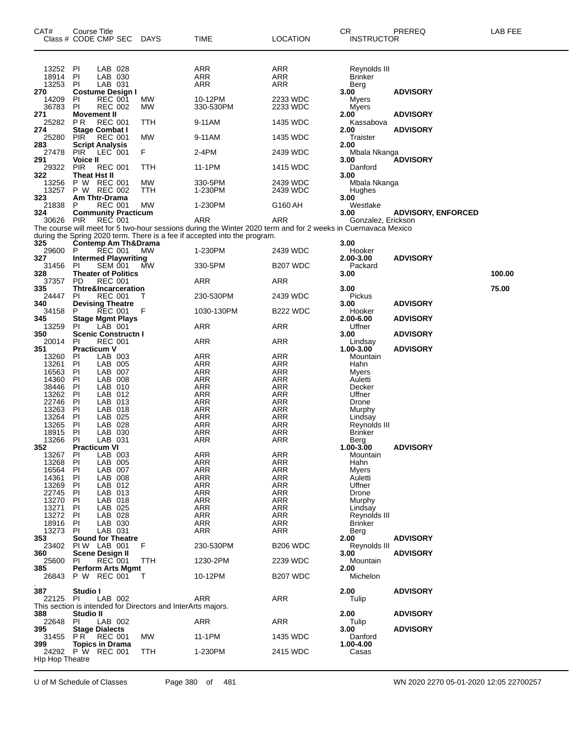| CAT#                   | Course Title<br>Class # CODE CMP SEC       |                    | <b>DAYS</b>                                                  | TIME                                                                                                          | <b>LOCATION</b>          | CR<br><b>INSTRUCTOR</b>        | PREREQ                    | LAB FEE |
|------------------------|--------------------------------------------|--------------------|--------------------------------------------------------------|---------------------------------------------------------------------------------------------------------------|--------------------------|--------------------------------|---------------------------|---------|
| 13252                  | PI                                         | LAB 028            |                                                              | ARR                                                                                                           | ARR                      | Reynolds III                   |                           |         |
| 18914<br>13253         | PI<br>PI                                   | LAB 030<br>LAB 031 |                                                              | <b>ARR</b><br>ARR                                                                                             | ARR<br>ARR               | <b>Brinker</b><br>Berg         |                           |         |
| 270<br>14209           | Costume Design I<br>PI                     | <b>REC 001</b>     | MW.                                                          | 10-12PM                                                                                                       | 2233 WDC                 | 3.00<br>Myers                  | <b>ADVISORY</b>           |         |
| 36783<br>271           | PI<br>Movement II                          | <b>REC 002</b>     | MW                                                           | 330-530PM                                                                                                     | 2233 WDC                 | Myers<br>2.00                  | <b>ADVISORY</b>           |         |
| 25282<br>274           | <b>PR</b><br><b>Stage Combat I</b>         | <b>REC 001</b>     | TTH                                                          | 9-11AM                                                                                                        | 1435 WDC                 | Kassabova<br>2.00              | <b>ADVISORY</b>           |         |
| 25280<br>283           | <b>PIR</b><br><b>Script Analysis</b>       | <b>REC 001</b>     | MW                                                           | 9-11AM                                                                                                        | 1435 WDC                 | Traister<br>2.00               |                           |         |
| 27478<br>291           | <b>PIR</b><br>Voice II                     | LEC 001            | F                                                            | 2-4PM                                                                                                         | 2439 WDC                 | Mbala Nkanga<br>3.00           | <b>ADVISORY</b>           |         |
| 29322<br>322           | <b>PIR</b><br><b>Theat Hst II</b>          | <b>REC 001</b>     | TTH                                                          | 11-1PM                                                                                                        | 1415 WDC                 | Danford<br>3.00                |                           |         |
| 13256<br>13257         | P W REC 001<br>P W REC 002                 |                    | MW<br>TTH                                                    | 330-5PM<br>1-230PM                                                                                            | 2439 WDC<br>2439 WDC     | Mbala Nkanga<br>Hughes         |                           |         |
| 323<br>21838           | Am Thtr-Drama<br>P                         | <b>REC 001</b>     | MW                                                           | 1-230PM                                                                                                       | G160 AH                  | 3.00<br>Westlake               |                           |         |
| 324                    | <b>Community Practicum</b><br>PIR          | <b>REC 001</b>     |                                                              | ARR                                                                                                           | ARR                      | 3.00                           | <b>ADVISORY, ENFORCED</b> |         |
| 30626                  |                                            |                    |                                                              | The course will meet for 5 two-hour sessions during the Winter 2020 term and for 2 weeks in Cuernavaca Mexico |                          | Gonzalez, Erickson             |                           |         |
| 325                    | <b>Contemp Am Th&amp;Drama</b>             |                    |                                                              | during the Spring 2020 term. There is a fee if accepted into the program.                                     |                          | 3.00                           |                           |         |
| 29600<br>327           | P<br><b>Intermed Playwriting</b>           | <b>REC 001</b>     | <b>MW</b>                                                    | 1-230PM                                                                                                       | 2439 WDC                 | Hooker<br>2.00-3.00            | <b>ADVISORY</b>           |         |
| 31456<br>328           | PI<br><b>Theater of Politics</b>           | <b>SEM 001</b>     | МW                                                           | 330-5PM                                                                                                       | B <sub>207</sub> WDC     | Packard<br>3.00                |                           | 100.00  |
| 37357<br>335           | PD.<br><b>Thtre&amp;Incarceration</b>      | <b>REC 001</b>     |                                                              | ARR                                                                                                           | <b>ARR</b>               | 3.00                           |                           | 75.00   |
| 24447<br>340           | PI<br><b>Devising Theatre</b>              | <b>REC 001</b>     | т                                                            | 230-530PM                                                                                                     | 2439 WDC                 | Pickus<br>3.00                 | <b>ADVISORY</b>           |         |
| 34158<br>345           | P<br><b>Stage Mgmt Plays</b>               | <b>REC 001</b>     | F                                                            | 1030-130PM                                                                                                    | B <sub>222</sub> WDC     | Hooker<br>2.00-6.00            | <b>ADVISORY</b>           |         |
| 13259<br>350           | PI.<br><b>Scenic Constructn I</b>          | LÀB 001            |                                                              | ARR                                                                                                           | ARR                      | Uffner<br>3.00                 | <b>ADVISORY</b>           |         |
| 20014<br>351           | <b>PI</b><br><b>Practicum V</b>            | <b>REC 001</b>     |                                                              | ARR                                                                                                           | ARR                      | Lindsay<br>1.00-3.00           | <b>ADVISORY</b>           |         |
| 13260<br>13261         | PI<br><b>PI</b>                            | LAB 003<br>LAB 005 |                                                              | ARR<br>ARR                                                                                                    | ARR<br>ARR               | Mountain<br>Hahn               |                           |         |
| 16563                  | PI                                         | LAB 007            |                                                              | <b>ARR</b>                                                                                                    | ARR                      | Myers                          |                           |         |
| 14360<br>38446         | PI<br><b>PI</b>                            | LAB 008<br>LAB 010 |                                                              | ARR<br><b>ARR</b>                                                                                             | <b>ARR</b><br><b>ARR</b> | Auletti<br>Decker              |                           |         |
| 13262                  | PI                                         | LAB 012            |                                                              | <b>ARR</b>                                                                                                    | ARR                      | Uffner                         |                           |         |
| 22746                  | PI                                         | LAB 013            |                                                              | ARR                                                                                                           | <b>ARR</b>               | Drone                          |                           |         |
| 13263<br>13264         | PI<br>PI                                   | LAB 018<br>LAB 025 |                                                              | ARR<br><b>ARR</b>                                                                                             | <b>ARR</b><br>ARR        | Murphy<br>Lindsay              |                           |         |
| 13265                  | PI                                         | LAB 028            |                                                              | ARR                                                                                                           | ARR                      | Reynolds III                   |                           |         |
| 18915                  | PI                                         | LAB 030            |                                                              | ARR                                                                                                           | ARR                      | <b>Brinker</b>                 |                           |         |
| 13266<br>352           | PI<br><b>Practicum VI</b>                  | LAB 031            |                                                              | ARR                                                                                                           | ARR                      | Berg<br>1.00-3.00              | <b>ADVISORY</b>           |         |
| 13267                  | PI                                         | LAB 003            |                                                              | ARR                                                                                                           | ARR                      | Mountain                       |                           |         |
| 13268                  | PI                                         | LAB 005            |                                                              | <b>ARR</b>                                                                                                    | ARR                      | Hahn                           |                           |         |
| 16564                  | PI                                         | LAB 007            |                                                              | ARR                                                                                                           | <b>ARR</b>               | <b>M</b> vers                  |                           |         |
| 14361<br>13269         | PI<br>PI                                   | LAB 008<br>LAB 012 |                                                              | ARR<br><b>ARR</b>                                                                                             | <b>ARR</b><br>ARR        | Auletti<br>Uffner              |                           |         |
| 22745                  | PI                                         | LAB 013            |                                                              | ARR                                                                                                           | <b>ARR</b>               | Drone                          |                           |         |
| 13270                  | PI                                         | LAB 018            |                                                              | <b>ARR</b>                                                                                                    | <b>ARR</b>               | Murphy                         |                           |         |
| 13271                  | PI                                         | LAB 025            |                                                              | <b>ARR</b>                                                                                                    | ARR                      | Lindsay                        |                           |         |
| 13272<br>18916         | -PI<br>-PI                                 | LAB 028<br>LAB 030 |                                                              | ARR<br>ARR                                                                                                    | <b>ARR</b><br><b>ARR</b> | Reynolds III<br><b>Brinker</b> |                           |         |
| 13273                  | -PI                                        | LAB 031            |                                                              | ARR                                                                                                           | ARR                      | Berg                           |                           |         |
| 353                    | <b>Sound for Theatre</b>                   |                    |                                                              |                                                                                                               |                          | 2.00                           | <b>ADVISORY</b>           |         |
|                        | 23402 PIW LAB 001                          |                    | F                                                            | 230-530PM                                                                                                     | <b>B206 WDC</b>          | Reynolds III                   |                           |         |
| 360                    | Scene Design II                            |                    |                                                              |                                                                                                               |                          | 3.00                           | <b>ADVISORY</b>           |         |
| 25600<br>385           | PI.<br><b>Perform Arts Mgmt</b>            | <b>REC 001</b>     | TTH                                                          | 1230-2PM                                                                                                      | 2239 WDC                 | Mountain<br>2.00               |                           |         |
| 26843                  | P W REC 001                                |                    | T                                                            | 10-12PM                                                                                                       | B <sub>207</sub> WDC     | Michelon                       |                           |         |
| 387<br>22125           | Studio I<br>-PI                            | LAB 002            |                                                              | ARR                                                                                                           | <b>ARR</b>               | 2.00<br>Tulip                  | <b>ADVISORY</b>           |         |
|                        |                                            |                    | This section is intended for Directors and InterArts majors. |                                                                                                               |                          |                                |                           |         |
| 388                    | Studio II                                  |                    |                                                              |                                                                                                               |                          | 2.00                           | <b>ADVISORY</b>           |         |
| 22648<br>395           | <b>PI</b><br><b>Stage Dialects</b>         | LAB 002            |                                                              | ARR                                                                                                           | <b>ARR</b>               | Tulip<br>3.00                  | <b>ADVISORY</b>           |         |
| 399                    | 31455 PR REC 001<br><b>Topics in Drama</b> |                    | MW.                                                          | 11-1PM                                                                                                        | 1435 WDC                 | Danford<br>1.00-4.00           |                           |         |
| <b>HIp Hop Theatre</b> | 24292 P W REC 001                          |                    | TTH                                                          | 1-230PM                                                                                                       | 2415 WDC                 | Casas                          |                           |         |
|                        |                                            |                    |                                                              |                                                                                                               |                          |                                |                           |         |

U of M Schedule of Classes Page 380 of 481 WN 2020 2270 05-01-2020 12:05 22700257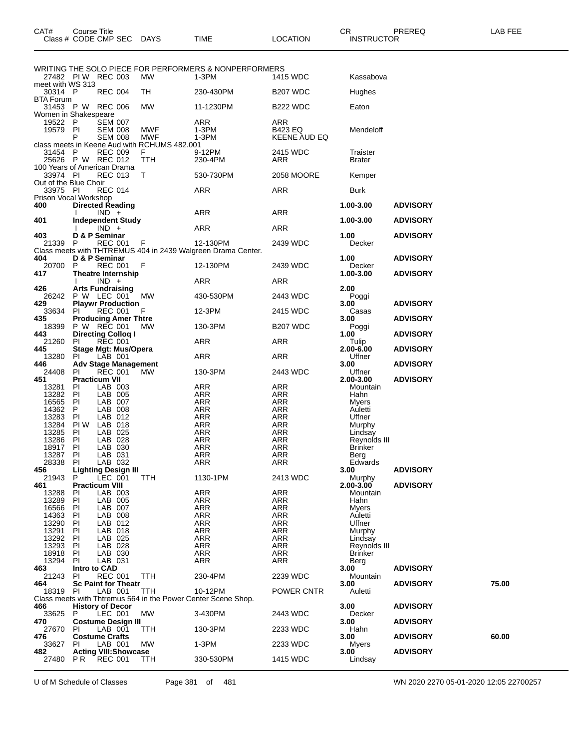|                                         |                            |                                                |                                              | WRITING THE SOLO PIECE FOR PERFORMERS & NONPERFORMERS                    |                                |                       |                 |       |
|-----------------------------------------|----------------------------|------------------------------------------------|----------------------------------------------|--------------------------------------------------------------------------|--------------------------------|-----------------------|-----------------|-------|
|                                         |                            | 27482 PIW REC 003                              | МW                                           | 1-3PM                                                                    | 1415 WDC                       | Kassabova             |                 |       |
| meet with WS 313                        |                            |                                                |                                              |                                                                          |                                |                       |                 |       |
| 30314 P<br><b>BTA Forum</b>             |                            | <b>REC 004</b>                                 | TH                                           | 230-430PM                                                                | B <sub>207</sub> WDC           | Hughes                |                 |       |
|                                         |                            | 31453 P W REC 006                              | <b>MW</b>                                    | 11-1230PM                                                                | <b>B222 WDC</b>                | Eaton                 |                 |       |
| Women in Shakespeare                    |                            |                                                |                                              |                                                                          |                                |                       |                 |       |
| 19522 P                                 |                            | <b>SEM 007</b>                                 |                                              | ARR                                                                      | ARR                            |                       |                 |       |
| 19579 PI                                | P                          | <b>SEM 008</b><br><b>SEM 008</b>               | <b>MWF</b><br><b>MWF</b>                     | 1-3PM<br>1-3PM                                                           | <b>B423 EQ</b><br>KEENE AUD EQ | Mendeloff             |                 |       |
|                                         |                            |                                                | class meets in Keene Aud with RCHUMS 482.001 |                                                                          |                                |                       |                 |       |
| 31454 P                                 |                            | <b>REC 009</b>                                 | F.                                           | 9-12PM                                                                   | 2415 WDC                       | Traister              |                 |       |
|                                         |                            | 25626 P W REC 012                              | TTH                                          | 230-4PM                                                                  | ARR                            | <b>Brater</b>         |                 |       |
| 100 Years of American Drama<br>33974 PI |                            | <b>REC 013</b>                                 | T.                                           | 530-730PM                                                                | 2058 MOORE                     | Kemper                |                 |       |
| Out of the Blue Choir                   |                            |                                                |                                              |                                                                          |                                |                       |                 |       |
| 33975 PI                                |                            | <b>REC 014</b>                                 |                                              | <b>ARR</b>                                                               | ARR                            | <b>Burk</b>           |                 |       |
| Prison Vocal Workshop                   |                            |                                                |                                              |                                                                          |                                |                       |                 |       |
| 400                                     |                            | <b>Directed Reading</b><br>$IND +$             |                                              | <b>ARR</b>                                                               | ARR                            | 1.00-3.00             | <b>ADVISORY</b> |       |
| 401                                     |                            | <b>Independent Study</b>                       |                                              |                                                                          |                                | 1.00-3.00             | <b>ADVISORY</b> |       |
|                                         |                            | $IND +$                                        |                                              | ARR                                                                      | <b>ARR</b>                     |                       |                 |       |
| 403                                     |                            | D & P Seminar                                  |                                              |                                                                          |                                | 1.00                  | <b>ADVISORY</b> |       |
| 21339 P                                 |                            | REC 001 F                                      |                                              | 12-130PM<br>Class meets with THTREMUS 404 in 2439 Walgreen Drama Center. | 2439 WDC                       | Decker                |                 |       |
| 404                                     |                            | D & P Seminar                                  |                                              |                                                                          |                                | 1.00                  | <b>ADVISORY</b> |       |
| 20700 P                                 |                            | <b>REC 001</b>                                 | - F                                          | 12-130PM                                                                 | 2439 WDC                       | Decker                |                 |       |
| 417                                     |                            | <b>Theatre Internship</b>                      |                                              |                                                                          |                                | 1.00-3.00             | <b>ADVISORY</b> |       |
|                                         |                            | $IND +$                                        |                                              | ARR                                                                      | ARR                            |                       |                 |       |
| 426                                     |                            | <b>Arts Fundraising</b><br>26242 P W LEC 001   | МW                                           | 430-530PM                                                                | 2443 WDC                       | 2.00<br>Poggi         |                 |       |
| 429                                     |                            | <b>Playwr Production</b>                       |                                              |                                                                          |                                | 3.00                  | <b>ADVISORY</b> |       |
| 33634 PI                                |                            | <b>REC 001</b>                                 | F.                                           | 12-3PM                                                                   | 2415 WDC                       | Casas                 |                 |       |
| 435                                     |                            | <b>Producing Amer Thtre</b>                    |                                              |                                                                          | <b>B207 WDC</b>                | 3.00                  | <b>ADVISORY</b> |       |
| 443                                     |                            | 18399 P W REC 001<br><b>Directing Colloq I</b> | <b>MW</b>                                    | 130-3PM                                                                  |                                | Poggi<br>1.00         | <b>ADVISORY</b> |       |
| 21260                                   | PI                         | <b>REC 001</b>                                 |                                              | ARR                                                                      | ARR                            | Tulip                 |                 |       |
| 445                                     |                            | <b>Stage Mgt: Mus/Opera</b>                    |                                              |                                                                          |                                | 2.00-6.00             | <b>ADVISORY</b> |       |
| 13280<br>446                            | -PI                        | LAB 001<br><b>Adv Stage Management</b>         |                                              | <b>ARR</b>                                                               | ARR                            | Uffner                |                 |       |
|                                         |                            |                                                |                                              |                                                                          |                                |                       |                 |       |
|                                         |                            |                                                |                                              |                                                                          |                                | 3.00                  | <b>ADVISORY</b> |       |
| 24408<br>451                            | PI<br><b>Practicum VII</b> | <b>REC 001</b>                                 | <b>MW</b>                                    | 130-3PM                                                                  | 2443 WDC                       | Uffner<br>2.00-3.00   | <b>ADVISORY</b> |       |
| 13281                                   | PI                         | LAB 003                                        |                                              | ARR                                                                      | <b>ARR</b>                     | Mountain              |                 |       |
| 13282 PI                                |                            | LAB 005                                        |                                              | ARR                                                                      | ARR                            | Hahn                  |                 |       |
| 16565 PI                                |                            | LAB 007                                        |                                              | ARR                                                                      | ARR                            | Myers                 |                 |       |
| 14362                                   | P.                         | LAB 008                                        |                                              | <b>ARR</b>                                                               | <b>ARR</b>                     | Auletti               |                 |       |
| 13283                                   | PI                         | LAB 012<br>13284 PIW LAB 018                   |                                              | <b>ARR</b><br>ARR                                                        | ARR<br>ARR                     | Uffner<br>Murphy      |                 |       |
| 13285                                   | PI                         | LAB 025                                        |                                              | <b>ARR</b>                                                               | <b>ARR</b>                     | Lindsay               |                 |       |
| 13286 PI                                |                            | LAB 028                                        |                                              | <b>ARR</b>                                                               | ARR                            | Reynolds III          |                 |       |
| 18917 PI<br>13287                       | -PI                        | LAB 030<br>LAB 031                             |                                              | ARR                                                                      | ARR                            | <b>Brinker</b>        |                 |       |
| 28338                                   | -PI                        | LAB 032                                        |                                              | <b>ARR</b><br><b>ARR</b>                                                 | ARR<br>ARR                     | Berg<br>Edwards       |                 |       |
| 456                                     |                            | <b>Lighting Design III</b>                     |                                              |                                                                          |                                | 3.00                  | <b>ADVISORY</b> |       |
| 21943                                   | P                          | LEC 001                                        | <b>TTH</b>                                   | 1130-1PM                                                                 | 2413 WDC                       | Murphy                |                 |       |
| 461<br>13288                            | PI                         | <b>Practicum VIII</b><br>LAB 003               |                                              | <b>ARR</b>                                                               | <b>ARR</b>                     | 2.00-3.00<br>Mountain | <b>ADVISORY</b> |       |
| 13289                                   | PI                         | LAB 005                                        |                                              | ARR                                                                      | <b>ARR</b>                     | Hahn                  |                 |       |
| 16566                                   | PI                         | LAB 007                                        |                                              | ARR                                                                      | ARR                            | <b>Myers</b>          |                 |       |
| 14363                                   | PI                         | LAB 008                                        |                                              | ARR                                                                      | ARR                            | Auletti               |                 |       |
| 13290                                   | PI<br>PI                   | LAB 012<br>LAB 018                             |                                              | ARR<br><b>ARR</b>                                                        | <b>ARR</b><br>ARR              | Uffner<br>Murphy      |                 |       |
| 13291<br>13292                          | PI                         | LAB 025                                        |                                              | ARR                                                                      | ARR                            | Lindsay               |                 |       |
| 13293                                   | PI                         | LAB 028                                        |                                              | ARR                                                                      | <b>ARR</b>                     | Reynolds III          |                 |       |
| 18918                                   | PI<br>-PI                  | LAB 030                                        |                                              | <b>ARR</b>                                                               | ARR                            | <b>Brinker</b>        |                 |       |
| 13294<br>463                            | Intro to CAD               | LAB 031                                        |                                              | ARR                                                                      | ARR                            | Berg<br>3.00          | <b>ADVISORY</b> |       |
| 21243                                   | PI                         | <b>REC 001</b>                                 | TTH                                          | 230-4PM                                                                  | 2239 WDC                       | Mountain              |                 |       |
| 464                                     |                            | <b>Sc Paint for Theatr</b>                     |                                              |                                                                          |                                | 3.00                  | <b>ADVISORY</b> | 75.00 |
| 18319 PI                                |                            | LAB 001                                        | ттн                                          | 10-12PM                                                                  | POWER CNTR                     | Auletti               |                 |       |
| 466                                     |                            | <b>History of Decor</b>                        |                                              | Class meets with Thtremus 564 in the Power Center Scene Shop.            |                                | 3.00                  | <b>ADVISORY</b> |       |
| 33625 P                                 |                            | LEC 001                                        | <b>MW</b>                                    | 3-430PM                                                                  | 2443 WDC                       | Decker                |                 |       |
| 470                                     |                            | <b>Costume Design III</b>                      |                                              |                                                                          |                                | 3.00                  | <b>ADVISORY</b> |       |
| 27670<br>476                            | PI.                        | LAB 001                                        | TTH                                          | 130-3PM                                                                  | 2233 WDC                       | Hahn                  |                 |       |
| 33627                                   | -PI                        | <b>Costume Crafts</b><br>LAB 001               | МW                                           | 1-3PM                                                                    | 2233 WDC                       | 3.00<br>Myers         | <b>ADVISORY</b> | 60.00 |
| 482<br>27480                            | P R                        | <b>Acting VIII: Showcase</b><br><b>REC 001</b> | TTH                                          | 330-530PM                                                                | 1415 WDC                       | 3.00<br>Lindsay       | <b>ADVISORY</b> |       |

U of M Schedule of Classes Page 381 of 481 WN 2020 2270 05-01-2020 12:05 22700257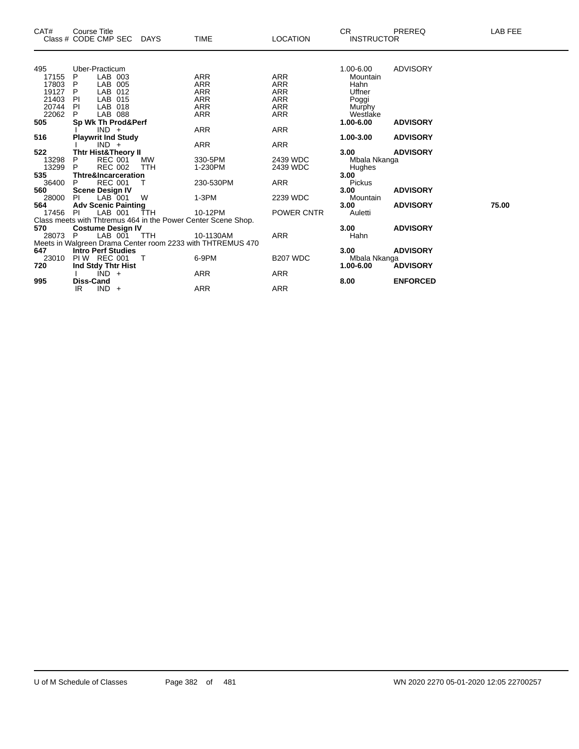| CAT#    | <b>Course Title</b>                                           |        |                                                            |                 | <b>CR</b>         | PREREQ          | LAB FEE |
|---------|---------------------------------------------------------------|--------|------------------------------------------------------------|-----------------|-------------------|-----------------|---------|
|         | Class # CODE CMP SEC DAYS                                     |        | <b>TIME</b>                                                | <b>LOCATION</b> | <b>INSTRUCTOR</b> |                 |         |
|         |                                                               |        |                                                            |                 |                   |                 |         |
| 495     | Uber-Practicum                                                |        |                                                            |                 | 1.00-6.00         | ADVISORY        |         |
| 17155   | LAB 003<br>P                                                  |        | ARR                                                        | ARR             | Mountain          |                 |         |
| 17803   | LAB 005<br>P                                                  |        | <b>ARR</b>                                                 | <b>ARR</b>      | Hahn              |                 |         |
| 19127   | LAB 012<br>P.                                                 |        | ARR                                                        | ARR             | Uffner            |                 |         |
| 21403   | PI<br>LAB 015                                                 |        | ARR                                                        | <b>ARR</b>      | Poggi             |                 |         |
| 20744   | PI<br>LAB 018                                                 |        | <b>ARR</b>                                                 | <b>ARR</b>      | Murphy            |                 |         |
| 22062   | LAB 088<br>P.                                                 |        | <b>ARR</b>                                                 | ARR             | Westlake          |                 |         |
| 505     | Sp Wk Th Prod&Perf                                            |        |                                                            |                 | 1.00-6.00         | <b>ADVISORY</b> |         |
|         | $IND +$                                                       |        | ARR                                                        | <b>ARR</b>      |                   |                 |         |
| 516     | <b>Playwrit Ind Study</b>                                     |        |                                                            |                 | 1.00-3.00         | <b>ADVISORY</b> |         |
|         | $IND +$                                                       |        | ARR                                                        | ARR             |                   |                 |         |
| 522     | <b>Thtr Hist&amp;Theory II</b>                                |        |                                                            |                 | 3.00              | <b>ADVISORY</b> |         |
| 13298   | <b>REC 001</b><br>P                                           | MW     | 330-5PM                                                    | 2439 WDC        | Mbala Nkanga      |                 |         |
| 13299   | <b>REC 002</b><br>P.                                          | TTH    | 1-230PM                                                    | 2439 WDC        | Hughes            |                 |         |
| 535     | <b>Thtre&amp;Incarceration</b>                                |        |                                                            |                 | 3.00              |                 |         |
| 36400   | <b>REC 001</b><br>P                                           | T      | 230-530PM                                                  | ARR             | Pickus            |                 |         |
| 560     | <b>Scene Design IV</b>                                        |        |                                                            |                 | 3.00              | <b>ADVISORY</b> |         |
| 28000   | LAB 001<br>PI                                                 | W      | $1-3PM$                                                    | 2239 WDC        | Mountain          |                 |         |
| 564     | <b>Adv Scenic Painting</b>                                    |        |                                                            |                 | 3.00              | <b>ADVISORY</b> | 75.00   |
| 17456   | PI<br>LAB 001                                                 | ŤTH    | 10-12PM                                                    | POWER CNTR      | Auletti           |                 |         |
|         | Class meets with Thtremus 464 in the Power Center Scene Shop. |        |                                                            |                 |                   |                 |         |
| 570     | <b>Costume Design IV</b>                                      |        |                                                            |                 | 3.00              | <b>ADVISORY</b> |         |
| 28073 P | LAB 001 TTH                                                   |        | 10-1130AM                                                  | <b>ARR</b>      | Hahn              |                 |         |
|         |                                                               |        | Meets in Walgreen Drama Center room 2233 with THTREMUS 470 |                 |                   |                 |         |
| 647     | <b>Intro Perf Studies</b>                                     |        |                                                            |                 | 3.00              | <b>ADVISORY</b> |         |
| 23010   | PIW REC 001                                                   | $\top$ | 6-9PM                                                      | <b>B207 WDC</b> | Mbala Nkanga      |                 |         |
| 720     | Ind Stdy Thtr Hist                                            |        |                                                            |                 | 1.00-6.00         | <b>ADVISORY</b> |         |
|         | $IND +$                                                       |        | ARR                                                        | ARR             |                   |                 |         |
| 995     | <b>Diss-Cand</b>                                              |        |                                                            |                 | 8.00              | <b>ENFORCED</b> |         |
|         | $IND +$<br>IR.                                                |        | <b>ARR</b>                                                 | <b>ARR</b>      |                   |                 |         |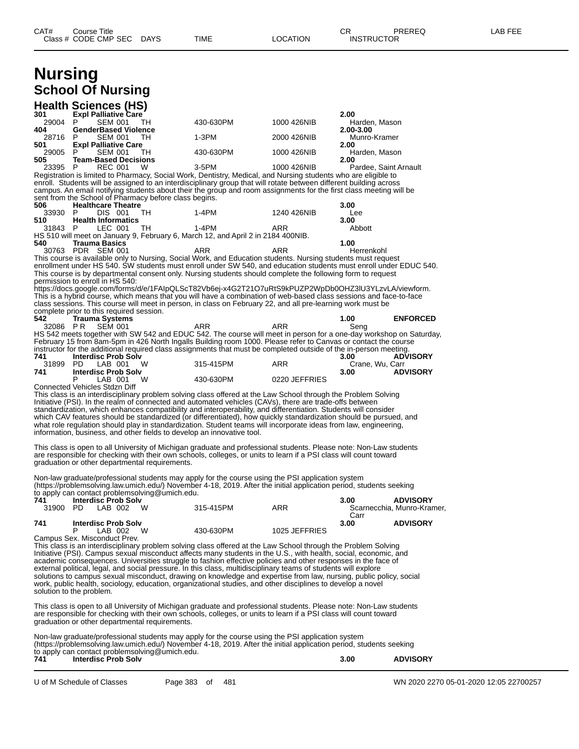| Class # CODE CMP SEC                                                                                                                                                                                                                     | <b>DAYS</b> | TIME                                                                                                                                                                                                                       | LOCATION      | INSTRUCTOR                 |                            |
|------------------------------------------------------------------------------------------------------------------------------------------------------------------------------------------------------------------------------------------|-------------|----------------------------------------------------------------------------------------------------------------------------------------------------------------------------------------------------------------------------|---------------|----------------------------|----------------------------|
|                                                                                                                                                                                                                                          |             |                                                                                                                                                                                                                            |               |                            |                            |
| <b>Nursing</b>                                                                                                                                                                                                                           |             |                                                                                                                                                                                                                            |               |                            |                            |
| <b>School Of Nursing</b>                                                                                                                                                                                                                 |             |                                                                                                                                                                                                                            |               |                            |                            |
| <b>Health Sciences (HS)</b>                                                                                                                                                                                                              |             |                                                                                                                                                                                                                            |               |                            |                            |
| Expl Palliative Care                                                                                                                                                                                                                     |             |                                                                                                                                                                                                                            |               | 2.00                       |                            |
| 29004<br>SEM 001<br>P<br><b>GenderBased Violence</b>                                                                                                                                                                                     | TH          | 430-630PM                                                                                                                                                                                                                  | 1000 426NIB   | Harden, Mason<br>2.00-3.00 |                            |
| 28716 P<br>SEM 001                                                                                                                                                                                                                       | TH          | 1-3PM                                                                                                                                                                                                                      | 2000 426NIB   | Munro-Kramer               |                            |
| <b>Expl Palliative Care</b><br>29005 P<br><b>SEM 001</b>                                                                                                                                                                                 | TH          | 430-630PM                                                                                                                                                                                                                  | 1000 426NIB   | 2.00<br>Harden, Mason      |                            |
| <b>Team-Based Decisions</b>                                                                                                                                                                                                              |             |                                                                                                                                                                                                                            |               | 2.00                       |                            |
| REC 001<br>23395<br>P<br>Registration is limited to Pharmacy, Social Work, Dentistry, Medical, and Nursing students who are eligible to                                                                                                  | W           | $3-5$ PM                                                                                                                                                                                                                   | 1000 426NIB   |                            | Pardee, Saint Arnault      |
| enroll. Students will be assigned to an interdisciplinary group that will rotate between different building across<br>campus. An email notifying students about their the group and room assignments for the first class meeting will be |             |                                                                                                                                                                                                                            |               |                            |                            |
| sent from the School of Pharmacy before class begins.                                                                                                                                                                                    |             |                                                                                                                                                                                                                            |               |                            |                            |
| <b>Healthcare Theatre</b><br>33930<br>P<br>DIS 001                                                                                                                                                                                       | TH          | $1-4PM$                                                                                                                                                                                                                    | 1240 426NIB   | 3.00<br>Lee                |                            |
| <b>Health Informatics</b>                                                                                                                                                                                                                |             |                                                                                                                                                                                                                            |               | 3.00                       |                            |
| LEC 001<br>31843 P<br>HS 510 will meet on January 9, February 6, March 12, and April 2 in 2184 400NIB.                                                                                                                                   | TH.         | $1-4PM$                                                                                                                                                                                                                    | ARR           | Abbott                     |                            |
| <b>Trauma Basics</b>                                                                                                                                                                                                                     |             |                                                                                                                                                                                                                            |               | 1.00                       |                            |
| 30763 PDR SEM 001                                                                                                                                                                                                                        |             | ARR<br>This course is available only to Nursing, Social Work, and Education students. Nursing students must request                                                                                                        | ARR           | Herrenkohl                 |                            |
|                                                                                                                                                                                                                                          |             | enrollment under HS 540. SW students must enroll under SW 540, and education students must enroll under EDUC 540.                                                                                                          |               |                            |                            |
| permission to enroll in HS 540:                                                                                                                                                                                                          |             | This course is by departmental consent only. Nursing students should complete the following form to request                                                                                                                |               |                            |                            |
|                                                                                                                                                                                                                                          |             | https://docs.google.com/forms/d/e/1FAIpQLScT82Vb6ej-x4G2T21O7uRtS9kPUZP2WpDb0OHZ3IU3YLzvLA/viewform.                                                                                                                       |               |                            |                            |
| This is a hybrid course, which means that you will have a combination of web-based class sessions and face-to-face<br>class sessions. This course will meet in person, in class on February 22, and all pre-learning work must be        |             |                                                                                                                                                                                                                            |               |                            |                            |
| complete prior to this required session.<br><b>Trauma Systems</b>                                                                                                                                                                        |             |                                                                                                                                                                                                                            |               | 1.00                       | <b>ENFORCED</b>            |
| 32086 PR<br><b>SEM 001</b>                                                                                                                                                                                                               |             | ARR                                                                                                                                                                                                                        | <b>ARR</b>    | Seng                       |                            |
| HS 542 meets together with SW 542 and EDUC 542. The course will meet in person for a one-day workshop on Saturday,<br>February 15 from 8am-5pm in 426 North Ingalls Building room 1000. Please refer to Canvas or contact the course     |             |                                                                                                                                                                                                                            |               |                            |                            |
| instructor for the additional required class assignments that must be completed outside of the in-person meeting.                                                                                                                        |             |                                                                                                                                                                                                                            |               |                            |                            |
| <b>Interdisc Prob Solv</b><br>LAB 001<br>31899 PD                                                                                                                                                                                        | W           | 315-415PM                                                                                                                                                                                                                  | ARR           | 3.00<br>Crane, Wu, Carr    | <b>ADVISORY</b>            |
| <b>Interdisc Prob Solv</b>                                                                                                                                                                                                               |             |                                                                                                                                                                                                                            |               | 3.00                       | <b>ADVISORY</b>            |
| P<br>LAB 001 W<br>Connected Vehicles Stdzn Diff                                                                                                                                                                                          |             | 430-630PM                                                                                                                                                                                                                  | 0220 JEFFRIES |                            |                            |
|                                                                                                                                                                                                                                          |             | This class is an interdisciplinary problem solving class offered at the Law School through the Problem Solving                                                                                                             |               |                            |                            |
|                                                                                                                                                                                                                                          |             | Initiative (PSI). In the realm of connected and automated vehicles (CAVs), there are trade-offs between<br>standardization, which enhances compatibility and interoperability, and differentiation. Students will consider |               |                            |                            |
| which CAV features should be standardized (or differentiated), how quickly standardization should be pursued, and                                                                                                                        |             |                                                                                                                                                                                                                            |               |                            |                            |
| what role regulation should play in standardization. Student teams will incorporate ideas from law, engineering,<br>information, business, and other fields to develop an innovative tool.                                               |             |                                                                                                                                                                                                                            |               |                            |                            |
|                                                                                                                                                                                                                                          |             |                                                                                                                                                                                                                            |               |                            |                            |
| This class is open to all University of Michigan graduate and professional students. Please note: Non-Law students<br>are responsible for checking with their own schools, colleges, or units to learn if a PSI class will count toward  |             |                                                                                                                                                                                                                            |               |                            |                            |
| graduation or other departmental requirements.                                                                                                                                                                                           |             |                                                                                                                                                                                                                            |               |                            |                            |
| Non-law graduate/professional students may apply for the course using the PSI application system                                                                                                                                         |             |                                                                                                                                                                                                                            |               |                            |                            |
| (https://problemsolving.law.umich.edu/) November 4-18, 2019. After the initial application period, students seeking<br>to apply can contact problemsolving@umich.edu.                                                                    |             |                                                                                                                                                                                                                            |               |                            |                            |
| <b>Interdisc Prob Solv</b>                                                                                                                                                                                                               |             |                                                                                                                                                                                                                            |               | 3.00                       | <b>ADVISORY</b>            |
| PD.<br>LAB 002<br>31900                                                                                                                                                                                                                  | <b>W</b>    | 315-415PM                                                                                                                                                                                                                  | <b>ARR</b>    | Carr                       | Scarnecchia, Munro-Kramer, |
| <b>Interdisc Prob Solv</b><br>P<br>LAB 002                                                                                                                                                                                               | W           | 430-630PM                                                                                                                                                                                                                  | 1025 JEFFRIES | 3.00                       | <b>ADVISORY</b>            |
| Campus Sex. Misconduct Prev.                                                                                                                                                                                                             |             |                                                                                                                                                                                                                            |               |                            |                            |
| This class is an interdisciplinary problem solving class offered at the Law School through the Problem Solving<br>Initiative (PSI). Campus sexual misconduct affects many students in the U.S., with health, social, economic, and       |             |                                                                                                                                                                                                                            |               |                            |                            |
| academic consequences. Universities struggle to fashion effective policies and other responses in the face of                                                                                                                            |             |                                                                                                                                                                                                                            |               |                            |                            |
| external political, legal, and social pressure. In this class, multidisciplinary teams of students will explore<br>solutions to campus sexual misconduct, drawing on knowledge and expertise from law, nursing, public policy, social    |             |                                                                                                                                                                                                                            |               |                            |                            |
| work, public health, sociology, education, organizational studies, and other disciplines to develop a novel                                                                                                                              |             |                                                                                                                                                                                                                            |               |                            |                            |
| solution to the problem.                                                                                                                                                                                                                 |             |                                                                                                                                                                                                                            |               |                            |                            |
| This class is open to all University of Michigan graduate and professional students. Please note: Non-Law students                                                                                                                       |             |                                                                                                                                                                                                                            |               |                            |                            |
| are responsible for checking with their own schools, colleges, or units to learn if a PSI class will count toward<br>graduation or other departmental requirements.                                                                      |             |                                                                                                                                                                                                                            |               |                            |                            |
|                                                                                                                                                                                                                                          |             |                                                                                                                                                                                                                            |               |                            |                            |
|                                                                                                                                                                                                                                          |             | Non-law graduate/professional students may apply for the course using the PSI application system                                                                                                                           |               |                            |                            |

(https://problemsolving.law.umich.edu/) November 4-18, 2019. After the initial application period, students seeking to apply can contact problemsolving@umich.edu. **741 Interdisc Prob Solv 3.00 ADVISORY**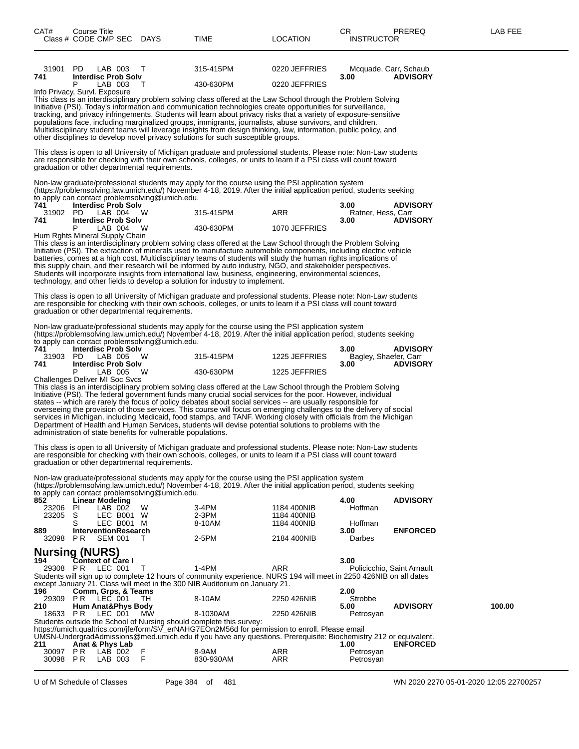| 31901 PD<br>741      | <b>Interdisc Prob Solv</b>                    | LAB 003 T                |                                                              | 315-415PM                                                                                                                                                                                                                                                                                                                                                                                                                                                                                                                                                                                                                                                                                            | 0220 JEFFRIES              | Mcquade, Carr, Schaub         |                            |        |
|----------------------|-----------------------------------------------|--------------------------|--------------------------------------------------------------|------------------------------------------------------------------------------------------------------------------------------------------------------------------------------------------------------------------------------------------------------------------------------------------------------------------------------------------------------------------------------------------------------------------------------------------------------------------------------------------------------------------------------------------------------------------------------------------------------------------------------------------------------------------------------------------------------|----------------------------|-------------------------------|----------------------------|--------|
|                      | LAB 003                                       |                          | $\top$                                                       | 430-630PM                                                                                                                                                                                                                                                                                                                                                                                                                                                                                                                                                                                                                                                                                            | 0220 JEFFRIES              | 3.00                          | <b>ADVISORY</b>            |        |
|                      | Info Privacy, Survl. Exposure                 |                          |                                                              | This class is an interdisciplinary problem solving class offered at the Law School through the Problem Solving<br>Initiative (PSI). Today's information and communication technologies create opportunities for surveillance,<br>tracking, and privacy infringements. Students will learn about privacy risks that a variety of exposure-sensitive<br>populations face, including marginalized groups, immigrants, journalists, abuse survivors, and children.<br>Multidisciplinary student teams will leverage insights from design thinking, law, information, public policy, and<br>other disciplines to develop novel privacy solutions for such susceptible groups.                             |                            |                               |                            |        |
|                      |                                               |                          | graduation or other departmental requirements.               | This class is open to all University of Michigan graduate and professional students. Please note: Non-Law students<br>are responsible for checking with their own schools, colleges, or units to learn if a PSI class will count toward                                                                                                                                                                                                                                                                                                                                                                                                                                                              |                            |                               |                            |        |
| 741                  | <b>Interdisc Prob Solv</b>                    |                          | to apply can contact problemsolving@umich.edu.               | Non-law graduate/professional students may apply for the course using the PSI application system<br>(https://problemsolving.law.umich.edu/) November 4-18, 2019. After the initial application period, students seeking                                                                                                                                                                                                                                                                                                                                                                                                                                                                              |                            | 3.00                          | <b>ADVISORY</b>            |        |
| 31902 PD<br>741      | LAB 004 W<br><b>Interdisc Prob Solv</b>       |                          |                                                              | 315-415PM                                                                                                                                                                                                                                                                                                                                                                                                                                                                                                                                                                                                                                                                                            | ARR                        | Ratner, Hess, Carr<br>3.00    | <b>ADVISORY</b>            |        |
|                      | P<br>Hum Rghts Mineral Supply Chain           | LAB 004 W                |                                                              | 430-630PM                                                                                                                                                                                                                                                                                                                                                                                                                                                                                                                                                                                                                                                                                            | 1070 JEFFRIES              |                               |                            |        |
|                      |                                               |                          |                                                              | This class is an interdisciplinary problem solving class offered at the Law School through the Problem Solving<br>Initiative (PSI). The extraction of minerals used to manufacture automobile components, including electric vehicle<br>batteries, comes at a high cost. Multidisciplinary teams of students will study the human rights implications of<br>this supply chain, and their research will be informed by auto industry, NGO, and stakeholder perspectives.<br>Students will incorporate insights from international law, business, engineering, environmental sciences,<br>technology, and other fields to develop a solution for industry to implement.                                |                            |                               |                            |        |
|                      |                                               |                          | graduation or other departmental requirements.               | This class is open to all University of Michigan graduate and professional students. Please note: Non-Law students<br>are responsible for checking with their own schools, colleges, or units to learn if a PSI class will count toward                                                                                                                                                                                                                                                                                                                                                                                                                                                              |                            |                               |                            |        |
|                      |                                               |                          | to apply can contact problemsolving@umich.edu.               | Non-law graduate/professional students may apply for the course using the PSI application system<br>(https://problemsolving.law.umich.edu/) November 4-18, 2019. After the initial application period, students seeking                                                                                                                                                                                                                                                                                                                                                                                                                                                                              |                            |                               |                            |        |
| 741<br>31903 PD      | <b>Interdisc Prob Solv</b>                    | LAB 005 W                |                                                              | 315-415PM 1225 JEFFRIES                                                                                                                                                                                                                                                                                                                                                                                                                                                                                                                                                                                                                                                                              |                            | 3.00<br>Bagley, Shaefer, Carr | <b>ADVISORY</b>            |        |
| 741                  | <b>Interdisc Prob Solv</b><br>P               | LAB 005 W                |                                                              | 430-630PM                                                                                                                                                                                                                                                                                                                                                                                                                                                                                                                                                                                                                                                                                            | 1225 JEFFRIES              | 3.00                          | <b>ADVISORY</b>            |        |
|                      | Challenges Deliver MI Soc Svcs                |                          | administration of state benefits for vulnerable populations. | This class is an interdisciplinary problem solving class offered at the Law School through the Problem Solving<br>Initiative (PSI). The federal government funds many crucial social services for the poor. However, individual<br>states -- which are rarely the focus of policy debates about social services -- are usually responsible for<br>overseeing the provision of those services. This course will focus on emerging challenges to the delivery of social<br>services in Michigan, including Medicaid, food stamps, and TANF. Working closely with officials from the Michigan<br>Department of Health and Human Services, students will devise potential solutions to problems with the |                            |                               |                            |        |
|                      |                                               |                          | graduation or other departmental requirements.               | This class is open to all University of Michigan graduate and professional students. Please note: Non-Law students<br>are responsible for checking with their own schools, colleges, or units to learn if a PSI class will count toward                                                                                                                                                                                                                                                                                                                                                                                                                                                              |                            |                               |                            |        |
|                      |                                               |                          | to apply can contact problemsolving@umich.edu.               | Non-law graduate/professional students may apply for the course using the PSI application system<br>(https://problemsolving.law.umich.edu/) November 4-18, 2019. After the initial application period, students seeking                                                                                                                                                                                                                                                                                                                                                                                                                                                                              |                            |                               |                            |        |
| 852<br>23206         | <b>Linear Modeling</b><br>$LAB$ 00 $2$<br>PI  |                          | W                                                            | 3-4PM                                                                                                                                                                                                                                                                                                                                                                                                                                                                                                                                                                                                                                                                                                | 1184 400NIB                | 4.00<br>Hoffman               | <b>ADVISORY</b>            |        |
| 23205                | S<br>S                                        | LEC B001 W<br>LEC B001 M |                                                              | $2-3PM$<br>8-10AM                                                                                                                                                                                                                                                                                                                                                                                                                                                                                                                                                                                                                                                                                    | 1184 400NIB<br>1184 400NIB | Hoffman                       |                            |        |
| 889<br>32098 PR      | <b>InterventionResearch</b><br><b>SEM 001</b> |                          | Τ                                                            | 2-5PM                                                                                                                                                                                                                                                                                                                                                                                                                                                                                                                                                                                                                                                                                                | 2184 400NIB                | 3.00<br>Darbes                | <b>ENFORCED</b>            |        |
|                      | <b>Nursing (NURS)</b>                         |                          |                                                              |                                                                                                                                                                                                                                                                                                                                                                                                                                                                                                                                                                                                                                                                                                      |                            |                               |                            |        |
| 194                  | <b>Context of Care I</b>                      |                          |                                                              |                                                                                                                                                                                                                                                                                                                                                                                                                                                                                                                                                                                                                                                                                                      |                            | 3.00                          |                            |        |
| 29308 PR<br>196      | LEC 001<br>Comm, Grps, & Teams                |                          | T                                                            | $1-4PM$<br>Students will sign up to complete 12 hours of community experience. NURS 194 will meet in 2250 426NIB on all dates<br>except January 21. Class will meet in the 300 NIB Auditorium on January 21.                                                                                                                                                                                                                                                                                                                                                                                                                                                                                         | <b>ARR</b>                 | 2.00                          | Policicchio. Saint Arnault |        |
| 29309                | PR.<br>LEC 001                                |                          | TH                                                           | 8-10AM                                                                                                                                                                                                                                                                                                                                                                                                                                                                                                                                                                                                                                                                                               | 2250 426NIB                | Strobbe                       | <b>ADVISORY</b>            | 100.00 |
| 210<br>18633 PR      | <b>Hum Anat&amp;Phys Body</b><br>LEC 001      |                          | МW                                                           | 8-1030AM                                                                                                                                                                                                                                                                                                                                                                                                                                                                                                                                                                                                                                                                                             | 2250 426NIB                | 5.00<br>Petrosyan             |                            |        |
| 211                  | Anat & Phys Lab                               |                          |                                                              | Students outside the School of Nursing should complete this survey:<br>https://umich.qualtrics.com/jfe/form/SV_erNAHG7EOn2M56d for permission to enroll. Please email<br>UMSN-UndergradAdmissions@med.umich.edu if you have any questions. Prerequisite: Biochemistry 212 or equivalent.                                                                                                                                                                                                                                                                                                                                                                                                             |                            | 1.00                          | <b>ENFORCED</b>            |        |
| 30097 PR<br>30098 PR | LAB 002<br>LAB 003                            |                          | F<br>$\overline{F}$                                          | 8-9AM<br>830-930AM                                                                                                                                                                                                                                                                                                                                                                                                                                                                                                                                                                                                                                                                                   | ARR<br>ARR                 | Petrosyan<br>Petrosyan        |                            |        |
|                      |                                               |                          |                                                              |                                                                                                                                                                                                                                                                                                                                                                                                                                                                                                                                                                                                                                                                                                      |                            |                               |                            |        |

U of M Schedule of Classes Page 384 of 481 WN 2020 2270 05-01-2020 12:05 22700257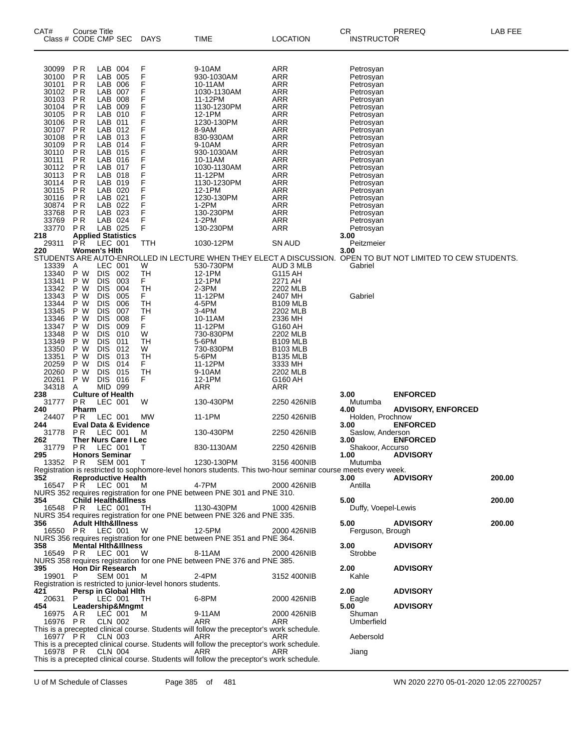| CAT#                                                                                                              | <b>Course Title</b><br>Class # CODE CMP SEC                                           |                                                                                                                                                                   |                                                                                  | <b>DAYS</b>                                                   | TIME                                                                                                                                 | <b>LOCATION</b>                                                                                                                                                            | СR<br><b>INSTRUCTOR</b>                                                                              | PREREQ                                                                                                       | LAB FEE |
|-------------------------------------------------------------------------------------------------------------------|---------------------------------------------------------------------------------------|-------------------------------------------------------------------------------------------------------------------------------------------------------------------|----------------------------------------------------------------------------------|---------------------------------------------------------------|--------------------------------------------------------------------------------------------------------------------------------------|----------------------------------------------------------------------------------------------------------------------------------------------------------------------------|------------------------------------------------------------------------------------------------------|--------------------------------------------------------------------------------------------------------------|---------|
| 30099<br>30100<br>30101<br>30102<br>30103<br>30104<br>30105<br>30106                                              | P <sub>R</sub><br>P <sub>R</sub><br>P R<br>P R<br>P R<br>P R<br>P R<br>P <sub>R</sub> | LAB 004<br>LAB<br>LAB<br>LAB<br>LAB<br>LAB<br>LAB<br>LAB                                                                                                          | 005<br>006<br>007<br>008<br>009<br>010<br>011                                    | F<br>F<br>F<br>F<br>F<br>F<br>F<br>F                          | 9-10AM<br>930-1030AM<br>10-11AM<br>1030-1130AM<br>11-12PM<br>1130-1230PM<br>12-1PM<br>1230-130PM                                     | ARR<br>ARR<br>ARR<br>ARR<br>ARR<br>ARR<br>ARR<br>ARR                                                                                                                       | Petrosyan<br>Petrosyan<br>Petrosyan<br>Petrosyan<br>Petrosyan<br>Petrosyan<br>Petrosyan<br>Petrosyan |                                                                                                              |         |
| 30107<br>30108<br>30109<br>30110<br>30111<br>30112<br>30113<br>30114                                              | P R<br>P R<br>P R<br>P R<br>P R<br>P <sub>R</sub><br>P R<br>P R                       | LAB 012<br>LAB<br>LAB<br>LAB 015<br>LAB<br>LAB<br>LAB 018<br>LAB 019                                                                                              | 013<br>014<br>016<br>017                                                         | F<br>F<br>F<br>F<br>F<br>F<br>F<br>F                          | 8-9AM<br>830-930AM<br>9-10AM<br>930-1030AM<br>10-11AM<br>1030-1130AM<br>11-12PM<br>1130-1230PM                                       | ARR<br>ARR<br>ARR<br>ARR<br>ARR<br>ARR<br>ARR<br>ARR                                                                                                                       | Petrosyan<br>Petrosyan<br>Petrosyan<br>Petrosyan<br>Petrosyan<br>Petrosyan<br>Petrosyan<br>Petrosyan |                                                                                                              |         |
| 30115<br>30116<br>30874<br>33768<br>33769<br>33770<br>218<br>29311                                                | P R<br>P R<br>P R<br>P <sub>R</sub><br>P R<br>P R<br><b>Applied Statistics</b><br>PR. | LAB 020<br>LAB 021<br>LAB 022<br>LAB 023<br>LAB 024<br>LAB 025<br>LEC 001                                                                                         |                                                                                  | F<br>F<br>F<br>F<br>F<br>F<br>TTH                             | 12-1PM<br>1230-130PM<br>1-2PM<br>130-230PM<br>$1-2PM$<br>130-230PM<br>1030-12PM                                                      | ARR<br>ARR<br>ARR<br>ARR<br>ARR<br>ARR<br>SN AUD                                                                                                                           | Petrosyan<br>Petrosyan<br>Petrosyan<br>Petrosyan<br>Petrosyan<br>Petrosyan<br>3.00<br>Peitzmeier     |                                                                                                              |         |
| 220<br>13339<br>13340<br>13341<br>13342                                                                           | <b>Women's Hith</b><br>A<br>P W<br>P W<br>P W                                         | LEC 001<br><b>DIS</b><br><b>DIS</b><br><b>DIS</b>                                                                                                                 | 002<br>003<br>004                                                                | W<br>TН<br>F<br>TH                                            | 530-730PM<br>12-1PM<br>12-1PM<br>2-3PM                                                                                               | AUD 3 MLB<br>G115 AH<br>2271 AH<br>2202 MLB                                                                                                                                | 3.00<br>Gabriel                                                                                      | STUDENTS ARE AUTO-ENROLLED IN LECTURE WHEN THEY ELECT A DISCUSSION. OPEN TO BUT NOT LIMITED TO CEW STUDENTS. |         |
| 13343<br>13344<br>13345<br>13346<br>13347<br>13348<br>13349<br>13350<br>13351<br>20259<br>20260<br>20261<br>34318 | P W<br>P W<br>P W<br>P W<br>P W<br>P W<br>P W<br>P W<br>P W<br>P W<br>P W<br>P W<br>A | <b>DIS</b><br><b>DIS</b><br><b>DIS</b><br><b>DIS</b><br><b>DIS</b><br><b>DIS</b><br><b>DIS</b><br><b>DIS</b><br><b>DIS</b><br>DIS<br>DIS<br><b>DIS</b><br>MID 099 | 005<br>006<br>007<br>008<br>009<br>010<br>011<br>012<br>013<br>014<br>015<br>016 | F<br>TН<br>TН<br>F<br>F<br>W<br>TН<br>W<br>TН<br>F<br>TН<br>F | 11-12PM<br>4-5PM<br>3-4PM<br>10-11AM<br>11-12PM<br>730-830PM<br>5-6PM<br>730-830PM<br>5-6PM<br>11-12PM<br>9-10AM<br>12-1PM<br>ARR    | 2407 MH<br><b>B109 MLB</b><br>2202 MLB<br>2336 MH<br>G160 AH<br>2202 MLB<br><b>B109 MLB</b><br><b>B103 MLB</b><br><b>B135 MLB</b><br>3333 MH<br>2202 MLB<br>G160 AH<br>ARR | Gabriel                                                                                              |                                                                                                              |         |
| 238<br>31777                                                                                                      | <b>Culture of Health</b><br><b>PR</b>                                                 | LEC 001                                                                                                                                                           |                                                                                  | W                                                             | 130-430PM                                                                                                                            | 2250 426NIB                                                                                                                                                                | 3.00<br>Mutumba                                                                                      | <b>ENFORCED</b>                                                                                              |         |
| 240                                                                                                               | Pharm                                                                                 |                                                                                                                                                                   |                                                                                  |                                                               |                                                                                                                                      |                                                                                                                                                                            | 4.00                                                                                                 | <b>ADVISORY, ENFORCED</b>                                                                                    |         |
| 24407<br>244                                                                                                      | P <sub>R</sub><br><b>Eval Data &amp; Evidence</b>                                     | LEC 001                                                                                                                                                           |                                                                                  | МW                                                            | 11-1PM                                                                                                                               | 2250 426NIB                                                                                                                                                                | Holden, Prochnow<br>3.00                                                                             | <b>ENFORCED</b>                                                                                              |         |
| 31778<br>262                                                                                                      | P R<br>Ther Nurs Care I Lec                                                           | LEC 001                                                                                                                                                           |                                                                                  | M                                                             | 130-430PM                                                                                                                            | 2250 426NIB                                                                                                                                                                | Saslow, Anderson<br>3.00                                                                             | <b>ENFORCED</b>                                                                                              |         |
| 31779<br>295 —                                                                                                    | P R<br><b>Honors Seminar</b>                                                          | LEC 001                                                                                                                                                           |                                                                                  | J.                                                            | 830-1130AM                                                                                                                           | 2250 426NIB                                                                                                                                                                | Shakoor, Accurso<br>1.00                                                                             | <b>ADVISORY</b>                                                                                              |         |
| 352                                                                                                               | 13352 PR SEM 001 T<br><b>Reproductive Health</b><br>16547 PR LEC 001                  |                                                                                                                                                                   |                                                                                  | M                                                             | 1230-130PM<br>Registration is restricted to sophomore-level honors students. This two-hour seminar course meets every week.<br>4-7PM | 3156 400NIB<br>2000 426NIB                                                                                                                                                 | Mutumba<br>3.00<br>Antilla                                                                           | <b>ADVISORY</b>                                                                                              | 200.00  |
| 354                                                                                                               | <b>Child Health&amp;Illness</b>                                                       |                                                                                                                                                                   |                                                                                  |                                                               | NURS 352 requires registration for one PNE between PNE 301 and PNE 310.                                                              |                                                                                                                                                                            | 5.00                                                                                                 |                                                                                                              | 200.00  |
| 356                                                                                                               | 16548 PR LEC 001 TH<br><b>Adult Hith&amp;Illness</b>                                  |                                                                                                                                                                   |                                                                                  |                                                               | 1130-430PM<br>NURS 354 requires registration for one PNE between PNE 326 and PNE 335.                                                | 1000 426NIB                                                                                                                                                                | Duffy, Voepel-Lewis<br>5.00                                                                          | ADVISORY                                                                                                     | 200.00  |
|                                                                                                                   | 16550 PR LEC 001 W                                                                    |                                                                                                                                                                   |                                                                                  |                                                               | 12-5PM<br>NURS 356 requires registration for one PNE between PNE 351 and PNE 364.                                                    | 2000 426NIB                                                                                                                                                                | Ferguson, Brough                                                                                     |                                                                                                              |         |
| 358                                                                                                               | <b>Mental Hith&amp;Illness</b><br>16549 PR LEC 001 W                                  |                                                                                                                                                                   |                                                                                  |                                                               | 8-11AM<br>NURS 358 requires registration for one PNE between PNE 376 and PNE 385.                                                    | 2000 426NIB                                                                                                                                                                | 3.00<br>Strobbe                                                                                      | <b>ADVISORY</b>                                                                                              |         |
| 395<br>19901 P<br>421                                                                                             | <b>Hon Dir Research</b>                                                               |                                                                                                                                                                   | SEM 001 M                                                                        | Registration is restricted to junior-level honors students.   | 2-4PM                                                                                                                                | 3152 400NIB                                                                                                                                                                | 2.00<br>Kahle<br>2.00                                                                                | <b>ADVISORY</b>                                                                                              |         |
| 20631 P                                                                                                           | Persp in Global Hith                                                                  |                                                                                                                                                                   | LEC 001 TH                                                                       |                                                               | 6-8PM                                                                                                                                | 2000 426NIB                                                                                                                                                                | Eagle                                                                                                | <b>ADVISORY</b>                                                                                              |         |
| 454<br>16975 AR                                                                                                   | Leadership&Mngmt<br>16976 PR CLN 002                                                  |                                                                                                                                                                   | LEC 001 M                                                                        |                                                               | 9-11AM<br>ARR<br>This is a precepted clinical course. Students will follow the preceptor's work schedule.                            | 2000 426NIB<br>ARR                                                                                                                                                         | 5.00<br>Shuman<br>Umberfield                                                                         | <b>ADVISORY</b>                                                                                              |         |
|                                                                                                                   | 16977 PR CLN 003                                                                      |                                                                                                                                                                   |                                                                                  | <b>Example 2</b> ARR                                          | This is a precepted clinical course. Students will follow the preceptor's work schedule.                                             | ARR                                                                                                                                                                        | Aebersold                                                                                            |                                                                                                              |         |
|                                                                                                                   | 16978 PR CLN 004                                                                      |                                                                                                                                                                   |                                                                                  |                                                               | ARR<br>This is a precepted clinical course. Students will follow the preceptor's work schedule.                                      | ARR                                                                                                                                                                        | Jiang                                                                                                |                                                                                                              |         |

U of M Schedule of Classes Page 385 of 481 WN 2020 2270 05-01-2020 12:05 22700257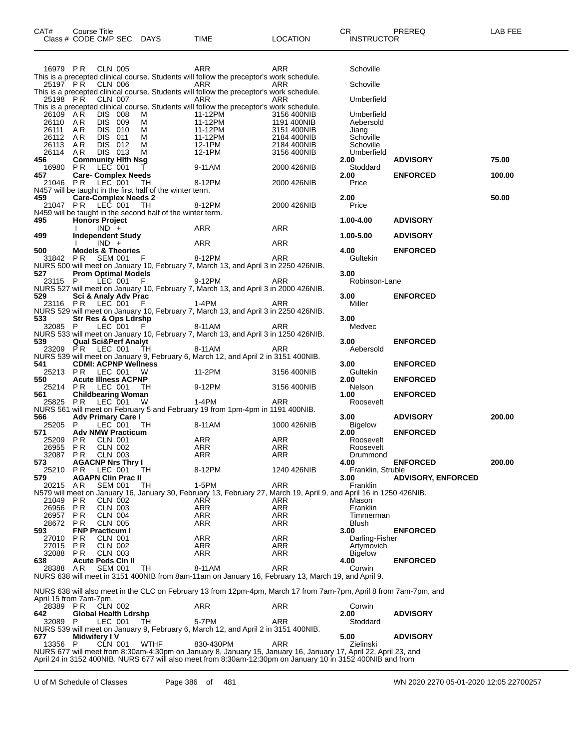| CAT# | Course Title         |             |      |                 | ⌒冖<br>◡           | <b>PREREQ</b> | AR FFF |
|------|----------------------|-------------|------|-----------------|-------------------|---------------|--------|
|      | Class # CODE CMP SEC | <b>DAYS</b> | TIME | <b>LOCATION</b> | <b>INSTRUCTOR</b> |               |        |
|      |                      |             |      |                 |                   |               |        |

| 16979 PR CLN 005                   |                    |                                            |                                       |                                                            | ARR                                                                                                                          | ARR                        | Schoville               |                           |        |
|------------------------------------|--------------------|--------------------------------------------|---------------------------------------|------------------------------------------------------------|------------------------------------------------------------------------------------------------------------------------------|----------------------------|-------------------------|---------------------------|--------|
| 25197 PR                           |                    | <b>CLN 006</b>                             |                                       |                                                            | This is a precepted clinical course. Students will follow the preceptor's work schedule.<br>ARR                              | ARR                        | Schoville               |                           |        |
|                                    |                    |                                            |                                       |                                                            | This is a precepted clinical course. Students will follow the preceptor's work schedule.                                     |                            |                         |                           |        |
| 25198 PR CLN 007                   |                    |                                            |                                       |                                                            | ARR                                                                                                                          | ARR                        | Umberfield              |                           |        |
|                                    |                    |                                            |                                       |                                                            | This is a precepted clinical course. Students will follow the preceptor's work schedule.                                     |                            |                         |                           |        |
| 26109 AR<br>26110 AR               |                    | <b>DIS 008</b><br>DIS 009                  | M<br>M                                | 11-12PM                                                    | ی ان دی دی دی دی است.<br>11-12PM<br>11-12PM                                                                                  | 3156 400NIB<br>1191 400NIB | Umberfield<br>Aebersold |                           |        |
| 26111 AR                           |                    | DIS 010                                    | M                                     |                                                            |                                                                                                                              | 3151 400NIB                | Jiang                   |                           |        |
| 26112 AR                           |                    | DIS 011                                    | M                                     |                                                            | 11-12PM<br>11-12PM<br>12-1PM<br>12-1PM                                                                                       | 2184 400NIB                | Schoville               |                           |        |
| 26113                              | AR                 | DIS 012                                    | M                                     |                                                            |                                                                                                                              | 2184 400NIB                | Schoville               |                           |        |
| 26114 AR<br>456                    |                    | DIS 013                                    | <b>M</b><br><b>Community Hith Nsg</b> |                                                            |                                                                                                                              | 3156 400NIB                | Umberfield<br>2.00      | <b>ADVISORY</b>           | 75.00  |
| 16980 PR                           |                    | LEC 001                                    | T                                     |                                                            | 9-11AM                                                                                                                       | 2000 426NIB                | Stoddard                |                           |        |
| 457                                |                    |                                            | <b>Care- Complex Needs</b>            |                                                            |                                                                                                                              |                            | 2.00                    | <b>ENFORCED</b>           | 100.00 |
| 21046 PR                           |                    |                                            | LEC 001 TH                            |                                                            | 8-12PM                                                                                                                       | 2000 426NIB                | Price                   |                           |        |
| 459                                |                    |                                            | <b>Care-Complex Needs 2</b>           | N457 will be taught in the first half of the winter term.  |                                                                                                                              |                            | 2.00                    |                           | 50.00  |
| 21047 PR LEC 001                   |                    |                                            | TH                                    |                                                            | 8-12PM 2000 426NIB                                                                                                           |                            | Price                   |                           |        |
|                                    |                    |                                            |                                       | N459 will be taught in the second half of the winter term. |                                                                                                                              |                            |                         |                           |        |
| 495                                |                    | <b>Honors Project</b>                      |                                       |                                                            |                                                                                                                              |                            | 1.00-4.00               | <b>ADVISORY</b>           |        |
| 499                                |                    | $1$ IND +<br><b>Independent Study</b>      |                                       |                                                            | ARR                                                                                                                          | ARR                        | 1.00-5.00               | <b>ADVISORY</b>           |        |
|                                    |                    | $IND +$                                    |                                       |                                                            | ARR                                                                                                                          | ARR                        |                         |                           |        |
| 500 000                            |                    | <b>Models &amp; Theories</b>               |                                       |                                                            |                                                                                                                              |                            | 4.00                    | <b>ENFORCED</b>           |        |
|                                    |                    |                                            |                                       | 31842 PR SEM 001 F 8-12PM                                  |                                                                                                                              | ARR                        | Gultekin                |                           |        |
| 527                                |                    |                                            | <b>Prom Optimal Models</b>            |                                                            | NURS 500 will meet on January 10, February 7, March 13, and April 3 in 2250 426NIB.                                          |                            | 3.00                    |                           |        |
| 23115 P LEC 001 F                  |                    |                                            |                                       |                                                            | 9-12PM                                                                                                                       | ARR                        | Robinson-Lane           |                           |        |
|                                    |                    |                                            |                                       |                                                            | NURS 527 will meet on January 10, February 7, March 13, and April 3 in 2000 426NIB.                                          |                            |                         |                           |        |
| 529                                |                    |                                            | Sci & Analy Adv Prac                  | $1-4PM$                                                    |                                                                                                                              |                            | 3.00                    | <b>ENFORCED</b>           |        |
| 23116 PR LEC 001 F                 |                    |                                            |                                       |                                                            | NURS 529 will meet on January 10, February 7, March 13, and April 3 in 2250 426NIB.                                          | ARR                        | Miller                  |                           |        |
| 533                                |                    |                                            | <b>Str Res &amp; Ops Ldrshp</b>       |                                                            |                                                                                                                              |                            | 3.00                    |                           |        |
|                                    |                    |                                            | 32085 P LEC 001 F                     |                                                            | 8-11AM                                                                                                                       | ARR                        | Medvec                  |                           |        |
|                                    |                    |                                            |                                       |                                                            | NURS 533 will meet on January 10, February 7, March 13, and April 3 in 1250 426NIB.                                          |                            |                         |                           |        |
| 539<br>23209 PR LEC 001 TH         |                    |                                            | <b>Qual Sci&amp;Perf Analyt</b>       |                                                            | 8-11AM                                                                                                                       | ARR                        | 3.00<br>Aebersold       | <b>ENFORCED</b>           |        |
|                                    |                    |                                            |                                       |                                                            | NURS 539 will meet on January 9, February 6, March 12, and April 2 in 3151 400NIB.                                           |                            |                         |                           |        |
| 541                                |                    |                                            | <b>CDMI: ACPNP Wellness</b>           |                                                            |                                                                                                                              |                            | 3.00                    | <b>ENFORCED</b>           |        |
| 25213 PR LEC 001 W<br>550          |                    |                                            |                                       |                                                            | $11-2PM$                                                                                                                     | 3156 400NIB                | Gultekin                |                           |        |
| 25214 PR LEC 001 TH                |                    |                                            | <b>Acute Illness ACPNP</b>            |                                                            | $9-12$ PM                                                                                                                    | 3156 400NIB                | 2.00<br>Nelson          | <b>ENFORCED</b>           |        |
| 561 — 1                            |                    |                                            | <b>Childbearing Woman</b>             |                                                            |                                                                                                                              |                            | 1.00                    | <b>ENFORCED</b>           |        |
| 25825 PR LEC 001 W                 |                    |                                            |                                       |                                                            | 1-4PM                                                                                                                        | ARR                        | Roosevelt               |                           |        |
| 566                                |                    | Adv Primary Care I                         |                                       |                                                            | NURS 561 will meet on February 5 and February 19 from 1pm-4pm in 1191 400NIB.                                                |                            | 3.00                    | <b>ADVISORY</b>           | 200.00 |
| 25205 P                            |                    | LEC 001                                    | TH                                    |                                                            | 8-11AM                                                                                                                       | 1000 426NIB                | Bigelow                 |                           |        |
| 571                                |                    |                                            | <b>Adv NMW Practicum</b>              |                                                            |                                                                                                                              |                            | 2.00                    | <b>ENFORCED</b>           |        |
| 25209 PR CLN 001                   |                    |                                            |                                       |                                                            | ARR                                                                                                                          | ARR                        | Roosevelt               |                           |        |
| 26955 PR<br>32087 PR               |                    | CLN 002<br><b>CLN 003</b>                  |                                       |                                                            | ARR<br>ARR                                                                                                                   | ARR<br>ARR                 | Roosevelt<br>Drummond   |                           |        |
| 573                                |                    |                                            | <b>AGACNP Nrs Thry I</b>              |                                                            |                                                                                                                              |                            | 4.00                    | <b>ENFORCED</b>           | 200.00 |
| 25210 PR                           |                    | LEC 001                                    | TH                                    | 8-12PM                                                     |                                                                                                                              | 1240 426NIB                | Franklin, Struble       |                           |        |
| 579                                |                    | <b>AGAPN Clin Prac II</b>                  |                                       |                                                            |                                                                                                                              |                            | 3.00                    | <b>ADVISORY, ENFORCED</b> |        |
| 20215 AR                           |                    | SEM 001                                    | TH.                                   |                                                            | 1-5PM<br>N579 will meet on January 16, January 30, February 13, February 27, March 19, April 9, and April 16 in 1250 426NIB. | ARR                        | Franklin                |                           |        |
| 21049                              | P R                | CLN 002                                    |                                       |                                                            | ARR                                                                                                                          | ARR                        | Mason                   |                           |        |
| 26956                              | ΡR                 | CLN 003                                    |                                       |                                                            | ARR                                                                                                                          | ARR                        | Franklin                |                           |        |
| 26957                              | P R                | <b>CLN 004</b>                             |                                       |                                                            | ARR                                                                                                                          | ARR                        | Timmerman               |                           |        |
| 28672<br>593                       | P R                | CLN 005<br><b>FNP Practicum I</b>          |                                       |                                                            | ARR                                                                                                                          | ARR                        | Blush<br>3.00           | <b>ENFORCED</b>           |        |
| 27010                              | P R                | CLN 001                                    |                                       |                                                            | ARR                                                                                                                          | ARR                        | Darling-Fisher          |                           |        |
| 27015                              | P R                | <b>CLN 002</b>                             |                                       |                                                            | <b>ARR</b>                                                                                                                   | <b>ARR</b>                 | Artymovich              |                           |        |
| 32088                              | P R                | <b>CLN 003</b>                             |                                       |                                                            | ARR                                                                                                                          | ARR                        | <b>Bigelow</b>          |                           |        |
| 638<br>28388                       | AR                 | <b>Acute Peds Cin II</b><br><b>SEM 001</b> | TH                                    |                                                            | 8-11AM                                                                                                                       | <b>ARR</b>                 | 4.00<br>Corwin          | <b>ENFORCED</b>           |        |
|                                    |                    |                                            |                                       |                                                            | NURS 638 will meet in 3151 400NIB from 8am-11am on January 16, February 13, March 19, and April 9.                           |                            |                         |                           |        |
|                                    |                    |                                            |                                       |                                                            |                                                                                                                              |                            |                         |                           |        |
|                                    |                    |                                            |                                       |                                                            | NURS 638 will also meet in the CLC on February 13 from 12pm-4pm, March 17 from 7am-7pm, April 8 from 7am-7pm, and            |                            |                         |                           |        |
| April 15 from 7am-7pm.<br>28389 PR |                    | CLN 002                                    |                                       |                                                            | ARR                                                                                                                          | ARR                        | Corwin                  |                           |        |
| 642                                |                    |                                            | Global Health Ldrshp                  |                                                            |                                                                                                                              |                            | 2.00                    | <b>ADVISORY</b>           |        |
| 32089                              | P                  | LEC 001                                    | TH                                    |                                                            | 5-7PM                                                                                                                        | <b>ARR</b>                 | Stoddard                |                           |        |
|                                    |                    |                                            |                                       |                                                            | NURS 539 will meet on January 9, February 6, March 12, and April 2 in 3151 400NIB.                                           |                            |                         |                           |        |
| 677<br>13356                       | Midwifery I V<br>P | CLN 001                                    |                                       | <b>WTHF</b>                                                | 830-430PM                                                                                                                    | <b>ARR</b>                 | 5.00<br>Zielinski       | <b>ADVISORY</b>           |        |
|                                    |                    |                                            |                                       |                                                            | NURS 677 will meet from 8:30am-4:30pm on January 8, January 15, January 16, January 17, April 22, April 23, and              |                            |                         |                           |        |
|                                    |                    |                                            |                                       |                                                            | April 24 in 3152 400NIB. NURS 677 will also meet from 8:30am-12:30pm on January 10 in 3152 400NIB and from                   |                            |                         |                           |        |

U of M Schedule of Classes Page 386 of 481 WN 2020 2270 05-01-2020 12:05 22700257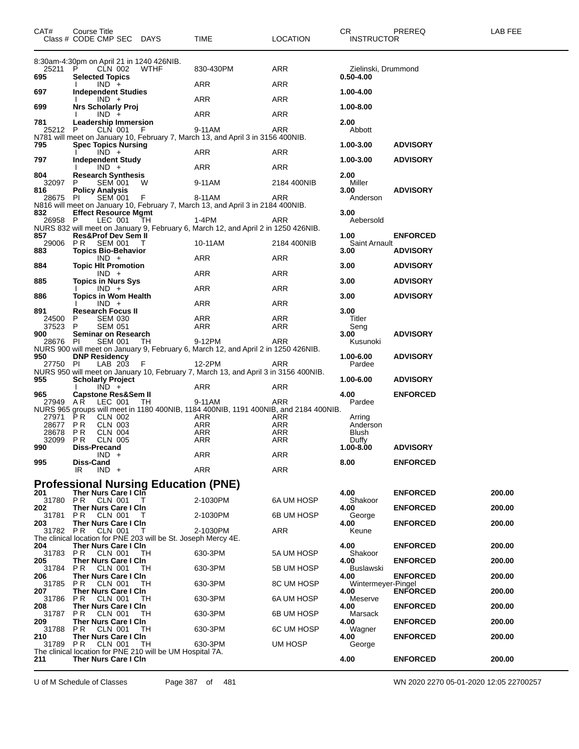| CAT#            | Course Title<br>Class # CODE CMP SEC DAYS          |                                  |                                                                | TIME                                                                                        | <b>LOCATION</b> | CR<br><b>INSTRUCTOR</b>      | PREREQ          | LAB FEE |
|-----------------|----------------------------------------------------|----------------------------------|----------------------------------------------------------------|---------------------------------------------------------------------------------------------|-----------------|------------------------------|-----------------|---------|
| 25211           | P                                                  | CLN 002                          | 8:30am-4:30pm on April 21 in 1240 426NIB.<br><b>WTHF</b>       | 830-430PM                                                                                   | ARR             | Zielinski, Drummond          |                 |         |
| 695             | <b>Selected Topics</b>                             |                                  |                                                                |                                                                                             |                 | $0.50 - 4.00$                |                 |         |
| 697             | <b>Independent Studies</b>                         | $IND +$                          |                                                                | ARR                                                                                         | <b>ARR</b>      | 1.00-4.00                    |                 |         |
|                 |                                                    | $IND +$                          |                                                                | ARR                                                                                         | ARR             |                              |                 |         |
| 699             | <b>Nrs Scholarly Proj</b>                          | $IND +$                          |                                                                | ARR                                                                                         | ARR             | 1.00-8.00                    |                 |         |
| 781<br>25212    | <b>Leadership Immersion</b><br>P                   | CLN 001                          | - F                                                            | 9-11AM                                                                                      | ARR             | 2.00<br>Abbott               |                 |         |
|                 |                                                    |                                  |                                                                | N781 will meet on January 10, February 7, March 13, and April 3 in 3156 400NIB.             |                 |                              |                 |         |
| 795             | <b>Spec Topics Nursing</b>                         | $IND +$                          |                                                                | ARR                                                                                         | ARR             | 1.00-3.00                    | <b>ADVISORY</b> |         |
| 797             | <b>Independent Study</b>                           | $IND +$                          |                                                                | ARR                                                                                         | ARR             | 1.00-3.00                    | <b>ADVISORY</b> |         |
| 804             | <b>Research Synthesis</b>                          |                                  |                                                                |                                                                                             |                 | 2.00                         |                 |         |
| 32097<br>816    | P<br><b>Policy Analysis</b>                        | <b>SEM 001</b>                   | W                                                              | 9-11AM                                                                                      | 2184 400NIB     | Miller<br>3.00               | <b>ADVISORY</b> |         |
| 28675           | PI.                                                | <b>SEM 001</b>                   | - F                                                            | 8-11AM<br>N816 will meet on January 10, February 7, March 13, and April 3 in 2184 400NIB.   | ARR             | Anderson                     |                 |         |
| 832             | <b>Effect Resource Mgmt</b>                        |                                  |                                                                |                                                                                             |                 | 3.00                         |                 |         |
| 26958 P         |                                                    | LEC 001                          | TH                                                             | 1-4PM<br>NURS 832 will meet on January 9, February 6, March 12, and April 2 in 1250 426NIB. | ARR             | Aebersold                    |                 |         |
| 857             | <b>Res&amp;Prof Dev Sem II</b><br>29006 PR SEM 001 |                                  |                                                                | 10-11AM                                                                                     | 2184 400NIB     | 1.00<br><b>Saint Arnault</b> | <b>ENFORCED</b> |         |
| 883             | <b>Topics Bio-Behavior</b>                         |                                  | $\top$                                                         |                                                                                             |                 | 3.00                         | <b>ADVISORY</b> |         |
| 884             | <b>Topic HIt Promotion</b>                         | $IND +$                          |                                                                | ARR                                                                                         | ARR             | 3.00                         | <b>ADVISORY</b> |         |
|                 |                                                    | $IND +$                          |                                                                | ARR                                                                                         | ARR             |                              |                 |         |
| 885             | <b>Topics in Nurs Sys</b>                          | $IND +$                          |                                                                | ARR                                                                                         | ARR             | 3.00                         | <b>ADVISORY</b> |         |
| 886             | <b>Topics in Wom Health</b>                        | $IND +$                          |                                                                | <b>ARR</b>                                                                                  | ARR             | 3.00                         | <b>ADVISORY</b> |         |
| 891             | <b>Research Focus II</b><br>P                      |                                  |                                                                |                                                                                             |                 | 3.00                         |                 |         |
| 24500<br>37523  | P                                                  | <b>SEM 030</b><br><b>SEM 051</b> |                                                                | ARR<br>ARR                                                                                  | ARR<br>ARR      | Titler<br>Seng               |                 |         |
| 900<br>28676    | Seminar on Research<br>PI.                         | <b>SEM 001</b>                   | TH                                                             | 9-12PM                                                                                      | ARR             | 3.00<br>Kusunoki             | <b>ADVISORY</b> |         |
|                 |                                                    |                                  |                                                                | NURS 900 will meet on January 9, February 6, March 12, and April 2 in 1250 426NIB.          |                 |                              |                 |         |
| 950<br>27750    | <b>DNP Residency</b><br>-PI                        | LAB 203                          | - F                                                            | 12-2PM                                                                                      | ARR             | 1.00-6.00<br>Pardee          | <b>ADVISORY</b> |         |
| 955             | <b>Scholarly Project</b>                           |                                  |                                                                | NURS 950 will meet on January 10, February 7, March 13, and April 3 in 3156 400NIB.         |                 | 1.00-6.00                    | <b>ADVISORY</b> |         |
|                 |                                                    | $IND +$                          |                                                                | ARR                                                                                         | ARR             |                              |                 |         |
| 965<br>27949    | <b>Capstone Res&amp;Sem II</b><br>A R              | LEC 001                          | TH                                                             | 9-11AM                                                                                      | ARR             | 4.00<br>Pardee               | <b>ENFORCED</b> |         |
| 27971           | PR                                                 | CLN 002                          |                                                                | NURS 965 groups will meet in 1180 400NIB, 1184 400NIB, 1191 400NIB, and 2184 400NIB.<br>ARR | ARR             | Arring                       |                 |         |
| 28677           | P R                                                | CLN 003                          |                                                                | ARR                                                                                         | ARR             | Anderson                     |                 |         |
| 28678<br>32099  | P R<br>P R                                         | <b>CLN 004</b><br><b>CLN 005</b> |                                                                | ARR<br>ARR                                                                                  | ARR<br>ARR      | Blush<br>Duffy               |                 |         |
| 990             | Diss-Precand                                       | $IND +$                          |                                                                | ARR                                                                                         | ARR             | 1.00-8.00                    | <b>ADVISORY</b> |         |
| 995             | Diss-Cand                                          |                                  |                                                                |                                                                                             |                 | 8.00                         | <b>ENFORCED</b> |         |
|                 | IR                                                 | $IND +$                          |                                                                | <b>ARR</b>                                                                                  | <b>ARR</b>      |                              |                 |         |
| 201             | Ther Nurs Care I CIn                               |                                  | <b>Professional Nursing Education (PNE)</b>                    |                                                                                             |                 | 4.00                         | <b>ENFORCED</b> | 200.00  |
| 31780           | <b>PR CLN 001</b>                                  |                                  |                                                                | 2-1030PM                                                                                    | 6A UM HOSP      | Shakoor                      |                 |         |
| 202<br>31781    | <b>Ther Nurs Care I Cin</b><br>P R                 | CLN 001                          |                                                                | 2-1030PM                                                                                    | 6B UM HOSP      | 4.00<br>George               | <b>ENFORCED</b> | 200.00  |
| 203<br>31782 PR | Ther Nurs Care I Cin                               | CLN 001                          | Т                                                              | 2-1030PM                                                                                    | ARR             | 4.00<br>Keune                | <b>ENFORCED</b> | 200.00  |
|                 |                                                    |                                  | The clinical location for PNE 203 will be St. Joseph Mercy 4E. |                                                                                             |                 |                              |                 |         |
| 204<br>31783    | Ther Nurs Care I Cln<br><b>PR CLN 001</b>          |                                  | - TH                                                           | 630-3PM                                                                                     | 5A UM HOSP      | 4.00<br>Shakoor              | <b>ENFORCED</b> | 200.00  |
| 205<br>31784    | Ther Nurs Care I Cln<br>P <sub>R</sub>             | <b>CLN 001</b>                   | TН                                                             | 630-3PM                                                                                     | 5B UM HOSP      | 4.00<br><b>Buslawski</b>     | <b>ENFORCED</b> | 200.00  |
| 206<br>31785    | Ther Nurs Care I Cin                               |                                  |                                                                |                                                                                             |                 | 4.00                         | <b>ENFORCED</b> | 200.00  |
| 207             | P R<br>Ther Nurs Care I Cln                        | CLN 001                          | TН                                                             | 630-3PM                                                                                     | 8C UM HOSP      | Wintermeyer-Pingel<br>4.00   | <b>ENFORCED</b> | 200.00  |
| 31786<br>208    | PR.<br>Ther Nurs Care I Cln                        | CLN 001                          | TН                                                             | 630-3PM                                                                                     | 6A UM HOSP      | Meserve<br>4.00              | <b>ENFORCED</b> | 200.00  |
| 31787           | P R                                                | <b>CLN 001</b>                   | TН                                                             | 630-3PM                                                                                     | 6B UM HOSP      | Marsack                      |                 |         |
| 209<br>31788    | Ther Nurs Care I CIn<br>P R                        | CLN 001                          | TН                                                             | 630-3PM                                                                                     | 6C UM HOSP      | 4.00<br>Wagner               | <b>ENFORCED</b> | 200.00  |
| 210<br>31789 PR | Ther Nurs Care I Cln                               | CLN 001                          | ТH                                                             | 630-3PM                                                                                     | UM HOSP         | 4.00<br>George               | <b>ENFORCED</b> | 200.00  |
|                 |                                                    |                                  | The clinical location for PNE 210 will be UM Hospital 7A.      |                                                                                             |                 |                              |                 |         |
| 211             | <b>Ther Nurs Care I Cin</b>                        |                                  |                                                                |                                                                                             |                 | 4.00                         | <b>ENFORCED</b> | 200.00  |

U of M Schedule of Classes Page 387 of 481 WN 2020 2270 05-01-2020 12:05 22700257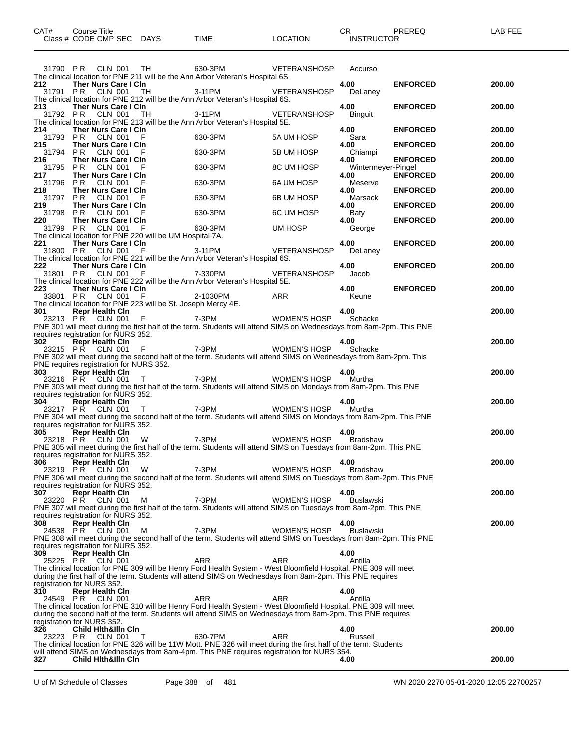| CAT# | Title<br>Course i         |      |          | ◠◻<br>◡ጙ          | PREREQ | LAB FEE |
|------|---------------------------|------|----------|-------------------|--------|---------|
|      | Class # CODE CMP SEC DAYS | TIME | LOCATION | <b>INSTRUCTOR</b> |        |         |
|      |                           |      |          |                   |        |         |

|                 | 31790 PR CLN 001 TH                                               |   | 630-3PM<br>The clinical location for PNE 211 will be the Ann Arbor Veteran's Hospital 6S.                                                                                                                                      | VETERANSHOSP         | Accurso                    |                 |        |
|-----------------|-------------------------------------------------------------------|---|--------------------------------------------------------------------------------------------------------------------------------------------------------------------------------------------------------------------------------|----------------------|----------------------------|-----------------|--------|
| 212             | Ther Nurs Care I CIn<br>31791 PR CLN 001 TH                       |   | 3-11PM                                                                                                                                                                                                                         | VETERANSHOSP DeLaney | 4.00                       | <b>ENFORCED</b> | 200.00 |
| 213             | Ther Nurs Care I CIn<br>31792 PR CLN 001 TH                       |   | The clinical location for PNE 212 will be the Ann Arbor Veteran's Hospital 6S.<br>3-11PM                                                                                                                                       | VETERANSHOSP Binguit | 4.00                       | <b>ENFORCED</b> | 200.00 |
| 214             | Ther Nurs Care I Cin                                              |   | The clinical location for PNE 213 will be the Ann Arbor Veteran's Hospital 5E.                                                                                                                                                 |                      | 4.00                       | <b>ENFORCED</b> | 200.00 |
| 215             | 31793 PR CLN 001 F<br>Ther Nurs Care I CIn<br>31794 PR CLN 001 F  |   | 630-3PM                                                                                                                                                                                                                        | 5A UM HOSP           | Sara<br>4.00               | <b>ENFORCED</b> | 200.00 |
| 216             | Ther Nurs Care I CIn                                              |   | 630-3PM                                                                                                                                                                                                                        | 5B UM HOSP           | Chiampi<br>4.00            | <b>ENFORCED</b> | 200.00 |
| 217             | 31795 PR CLN 001<br>Ther Nurs Care I CIn                          |   | 630-3PM                                                                                                                                                                                                                        | 8C UM HOSP           | Wintermeyer-Pingel<br>4.00 | <b>ENFORCED</b> | 200.00 |
| 218             | 31796 PR CLN 001 F<br>Ther Nurs Care I CIn                        |   | 630-3PM                                                                                                                                                                                                                        | 6A UM HOSP           | Meserve<br>4.00            | <b>ENFORCED</b> | 200.00 |
| 219             | 31797 PR CLN 001 F<br>Ther Nurs Care I CIn                        |   | 630-3PM<br>630-3PM                                                                                                                                                                                                             | 6B UM HOSP           | Marsack<br>4.00            | <b>ENFORCED</b> | 200.00 |
| 220 — 10        | 31798 PR CLN 001<br>Ther Nurs Care I CIn                          | F |                                                                                                                                                                                                                                | 6C UM HOSP           | Baty<br>4.00               | <b>ENFORCED</b> | 200.00 |
|                 |                                                                   |   | 220 Ther Nurs Care I Cin<br>31799 PR CLN 001 F 630-3PM UM HOSP<br>The clinical location for PNE 220 will be UM Hospital 7A.                                                                                                    |                      | George                     |                 |        |
| 221 —           | Ther Nurs Care I Cin<br>31800 PR CLN 001 F                        |   | 3-11PM VETERANSHOSP DeLaney<br>The clinical location for PNE 221 will be the Ann Arbor Veteran's Hospital 6S.                                                                                                                  |                      | 4.00                       | <b>ENFORCED</b> | 200.00 |
| 222             | Ther Nurs Care I Cin                                              |   |                                                                                                                                                                                                                                |                      | 4.00                       | <b>ENFORCED</b> | 200.00 |
|                 | 31801 PR CLN 001 F                                                |   | 7-330PM VETERANSHOSP Jacob                                                                                                                                                                                                     |                      |                            |                 |        |
|                 |                                                                   |   | The clinical location for PNE 222 will be the Ann Arbor Veteran's Hospital 5E.<br>223 Ther Nurs Care I Cln<br>33801 PR CLN 001 F 2-1030PM ARR Keune<br>The clinical location for PNE 223 will be St. Joseph Mercy 4E.          |                      |                            | <b>ENFORCED</b> | 200.00 |
| 301 —           | <b>Repr Health Cln</b>                                            |   |                                                                                                                                                                                                                                |                      | 4.00                       |                 | 200.00 |
|                 |                                                                   |   | 23213 PR CLN 001 F<br>PNE 301 will meet during the first half of the term. Students will attend SIMS on Wednesdays from 8am-2pm. This PNE                                                                                      |                      |                            |                 |        |
|                 | requires registration for NURS 352.<br>302 Repr Health Cln        |   |                                                                                                                                                                                                                                |                      | 4.00                       |                 | 200.00 |
|                 |                                                                   |   | PNE 302 will meet during the second half of the term. Students will attend SIMS on Wednesdays from 8am-2pm. This                                                                                                               |                      |                            |                 |        |
| 303 —           | PNE requires registration for NURS 352.<br><b>Repr Health Cin</b> |   |                                                                                                                                                                                                                                |                      | 4.00                       |                 | 200.00 |
|                 |                                                                   |   | 23216 PR CLN 001 T 7-3PM WOMEN'S HOSP<br>PNE 303 will meet during the first half of the term. Students will attend SIMS on Mondays from 8am-2pm. This PNE                                                                      |                      | Murtha                     |                 |        |
| 304             | requires registration for NURS 352.<br><b>Repr Health Cln</b>     |   |                                                                                                                                                                                                                                |                      | 4.00                       |                 | 200.00 |
|                 | 23217 PR CLN 001                                                  |   | T T T 7-3PM T A T 3-3PM T T T 5-3PM T 3-3PM T T 5-3PM T 3-3PM 5-10SP T 3-20<br>PNE 304 will meet during the second half of the term. Students will attend SIMS on Mondays from 8am-2pm. This PNE                               |                      | Murtha                     |                 |        |
|                 | requires registration for NURS 352.<br>305 Repr Health Cln        |   |                                                                                                                                                                                                                                |                      | 4.00                       |                 | 200.00 |
|                 | 23218 PR CLN 001                                                  | W | 7-3PM WOMEN'S HOSP Bradshaw<br>PNE 305 will meet during the first half of the term. Students will attend SIMS on Tuesdays from 8am-2pm. This PNE                                                                               |                      |                            |                 |        |
| 306             | requires registration for NURS 352.<br><b>Repr Health Cin</b>     |   |                                                                                                                                                                                                                                |                      | 4.00                       |                 | 200.00 |
|                 | 23219 PR CLN 001                                                  |   | W 7-3PM WOMEN'S HOSP Bradshaw<br>PNE 306 will meet during the second half of the term. Students will attend SIMS on Tuesdays from 8am-2pm. This PNE                                                                            |                      |                            |                 |        |
|                 | requires registration for NURS 352.                               |   |                                                                                                                                                                                                                                |                      |                            |                 |        |
| 307<br>23220    | Repr Health Cln<br>PR.<br>CLN 001                                 | м | 7-3PM                                                                                                                                                                                                                          | WOMEN'S HOSP         | 4.00<br><b>Buslawski</b>   |                 | 200.00 |
|                 | requires registration for NURS 352.                               |   | PNE 307 will meet during the first half of the term. Students will attend SIMS on Tuesdays from 8am-2pm. This PNE                                                                                                              |                      |                            |                 |        |
| 308<br>24538 PR | <b>Repr Health Cin</b><br>CLN 001                                 | м | 7-3PM                                                                                                                                                                                                                          | WOMEN'S HOSP         | 4.00<br>Buslawski          |                 | 200.00 |
|                 | requires registration for NURS 352.                               |   | PNE 308 will meet during the second half of the term. Students will attend SIMS on Tuesdays from 8am-2pm. This PNE                                                                                                             |                      |                            |                 |        |
| 309<br>25225 PR | Repr Health Cln<br>CLN 001                                        |   | ARR                                                                                                                                                                                                                            | ARR                  | 4.00<br>Antilla            |                 |        |
|                 |                                                                   |   | The clinical location for PNE 309 will be Henry Ford Health System - West Bloomfield Hospital. PNE 309 will meet<br>during the first half of the term. Students will attend SIMS on Wednesdays from 8am-2pm. This PNE requires |                      |                            |                 |        |
| 310             | registration for NURS 352.<br><b>Repr Health Cin</b>              |   |                                                                                                                                                                                                                                |                      | 4.00                       |                 |        |
| 24549 PR        | CLN 001                                                           |   | ARR<br>The clinical location for PNE 310 will be Henry Ford Health System - West Bloomfield Hospital. PNE 309 will meet                                                                                                        | ARR                  | Antilla                    |                 |        |
|                 | registration for NURS 352.                                        |   | during the second half of the term. Students will attend SIMS on Wednesdays from 8am-2pm. This PNE requires                                                                                                                    |                      |                            |                 |        |
| 326<br>23223 PR | <b>Child Hith&amp;Illn Cin</b><br>CLN 001                         | T | 630-7PM                                                                                                                                                                                                                        | <b>ARR</b>           | 4.00<br>Russell            |                 | 200.00 |
|                 |                                                                   |   | The clinical location for PNE 326 will be 11W Mott. PNE 326 will meet during the first half of the term. Students<br>will attend SIMS on Wednesdays from 8am-4pm. This PNE requires registration for NURS 354.                 |                      |                            |                 |        |
| 327             | <b>Child Hith&amp;Illn Cin</b>                                    |   |                                                                                                                                                                                                                                |                      | 4.00                       |                 | 200.00 |

U of M Schedule of Classes Page 388 of 481 WN 2020 2270 05-01-2020 12:05 22700257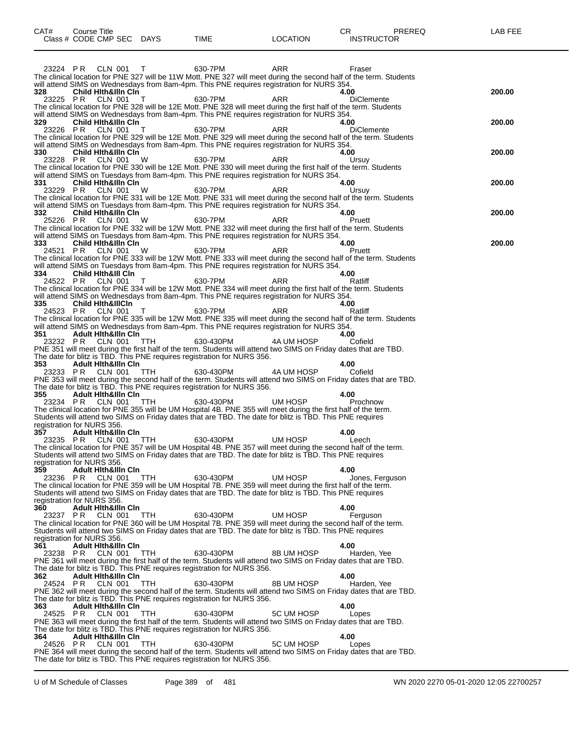| CAT#            | Course Title<br>Class # CODE CMP SEC DAYS                    |            | TIME                                                                                                                                                                                                                        | <b>LOCATION</b> | PREREQ<br>CR.<br><b>INSTRUCTOR</b> | LAB FEE |
|-----------------|--------------------------------------------------------------|------------|-----------------------------------------------------------------------------------------------------------------------------------------------------------------------------------------------------------------------------|-----------------|------------------------------------|---------|
|                 |                                                              |            |                                                                                                                                                                                                                             |                 |                                    |         |
| 23224 PR        | CLN 001                                                      | т          | 630-7PM                                                                                                                                                                                                                     | ARR             | Fraser                             |         |
|                 |                                                              |            | The clinical location for PNE 327 will be 11W Mott. PNE 327 will meet during the second half of the term. Students<br>will attend SIMS on Wednesdays from 8am-4pm. This PNE requires registration for NURS 354.             |                 |                                    |         |
| 328<br>23225 PR | <b>Child Hith&amp;illn Cin</b><br>CLN 001                    | Т          | 630-7PM                                                                                                                                                                                                                     | ARR             | 4.00<br><b>DiClemente</b>          | 200.00  |
|                 |                                                              |            | The clinical location for PNE 328 will be 12E Mott. PNE 328 will meet during the first half of the term. Students<br>will attend SIMS on Wednesdays from 8am-4pm. This PNE requires registration for NURS 354.              |                 |                                    |         |
| 329<br>23226 PR | <b>Child Hith&amp;illn Cin</b><br>CLN 001                    | т          | 630-7PM                                                                                                                                                                                                                     | <b>ARR</b>      | 4.00<br><b>DiClemente</b>          | 200.00  |
|                 |                                                              |            | The clinical location for PNE 329 will be 12E Mott. PNE 329 will meet during the second half of the term. Students                                                                                                          |                 |                                    |         |
| 330             | Child Hith&illn Cin                                          |            | will attend SIMS on Wednesdays from 8am-4pm. This PNE requires registration for NURS 354.                                                                                                                                   |                 | 4.00                               | 200.00  |
| 23228 PR        | CLN 001                                                      | W          | 630-7PM<br>The clinical location for PNE 330 will be 12E Mott. PNE 330 will meet during the first half of the term. Students                                                                                                | ARR             | Ursuy                              |         |
| 331             | Child Hith&illn Cin                                          |            | will attend SIMS on Tuesdays from 8am-4pm. This PNE requires registration for NURS 354.                                                                                                                                     |                 | 4.00                               | 200.00  |
| 23229 PR        | CLN 001                                                      | W          | 630-7PM<br>The clinical location for PNE 331 will be 12E Mott. PNE 331 will meet during the second half of the term. Students                                                                                               | ARR             | Ursuy                              |         |
| 332             | <b>Child Hith&amp;illn Cin</b>                               |            | will attend SIMS on Tuesdays from 8am-4pm. This PNE requires registration for NURS 354.                                                                                                                                     |                 | 4.00                               | 200.00  |
| 25226 PR        | CLN 001                                                      | W          | 630-7PM<br>The clinical location for PNE 332 will be 12W Mott. PNE 332 will meet during the first half of the term. Students                                                                                                | ARR             | Pruett                             |         |
| 333             | Child Hith&illn Cin                                          |            | will attend SIMS on Tuesdays from 8am-4pm. This PNE requires registration for NURS 354.                                                                                                                                     |                 | 4.00                               | 200.00  |
| 24521 PR        | CLN 001                                                      | W          | 630-7PM                                                                                                                                                                                                                     | ARR             | Pruett                             |         |
|                 |                                                              |            | The clinical location for PNE 333 will be 12W Mott. PNE 333 will meet during the second half of the term. Students<br>will attend SIMS on Tuesdays from 8am-4pm. This PNE requires registration for NURS 354.               |                 |                                    |         |
| 334<br>24522 PR | <b>Child Hith&amp;III Cin</b><br>CLN 001                     | T          | 630-7PM                                                                                                                                                                                                                     | ARR             | 4.00<br>Ratliff                    |         |
|                 |                                                              |            | The clinical location for PNE 334 will be 12W Mott. PNE 334 will meet during the first half of the term. Students<br>will attend SIMS on Wednesdays from 8am-4pm. This PNE requires registration for NURS 354.              |                 |                                    |         |
| 335<br>24523 PR | <b>Child Hith&amp;IllCin</b><br>CLN 001                      | T          | 630-7PM                                                                                                                                                                                                                     | ARR             | 4.00<br>Ratliff                    |         |
|                 |                                                              |            | The clinical location for PNE 335 will be 12W Mott. PNE 335 will meet during the second half of the term. Students<br>will attend SIMS on Wednesdays from 8am-4pm. This PNE requires registration for NURS 354.             |                 |                                    |         |
| 351<br>23232 PR | <b>Adult Hith&amp;illn Cin</b><br>CLN 001                    | <b>TTH</b> | 630-430PM                                                                                                                                                                                                                   | 4A UM HOSP      | 4.00<br>Cofield                    |         |
|                 |                                                              |            | PNE 351 will meet during the first half of the term. Students will attend two SIMS on Friday dates that are TBD.<br>The date for blitz is TBD. This PNE requires registration for NURS 356.                                 |                 |                                    |         |
| 353<br>23233 PR | <b>Adult Hith&amp;illn Cin</b><br>CLN 001                    | <b>TTH</b> | 630-430PM                                                                                                                                                                                                                   | 4A UM HOSP      | 4.00<br>Cofield                    |         |
|                 |                                                              |            | PNE 353 will meet during the second half of the term. Students will attend two SIMS on Friday dates that are TBD.                                                                                                           |                 |                                    |         |
| 355             | <b>Adult Hith&amp;illn Cin</b>                               |            | The date for blitz is TBD. This PNE requires registration for NURS 356.                                                                                                                                                     |                 | 4.00                               |         |
| 23234 PR        | CLN 001                                                      | TTH        | 630-430PM<br>The clinical location for PNE 355 will be UM Hospital 4B. PNE 355 will meet during the first half of the term.                                                                                                 | UM HOSP         | Prochnow                           |         |
|                 | registration for NURS 356.                                   |            | Students will attend two SIMS on Friday dates that are TBD. The date for blitz is TBD. This PNE requires                                                                                                                    |                 |                                    |         |
| 357<br>23235 PR | <b>Adult Hith&amp;illn Cin</b><br>CLN 001                    | <b>TTH</b> | 630-430PM                                                                                                                                                                                                                   | UM HOSP         | 4.00<br>Leech                      |         |
|                 |                                                              |            | The clinical location for PNE 357 will be UM Hospital 4B. PNE 357 will meet during the second half of the term.<br>Students will attend two SIMS on Friday dates that are TBD. The date for blitz is TBD. This PNE requires |                 |                                    |         |
| 359             | registration for NURS 356.<br><b>Adult Hith&amp;ilin Cin</b> |            |                                                                                                                                                                                                                             |                 | 4.00                               |         |
| 23236 PR        | <b>CLN 001</b>                                               | TTH        | 630-430PM<br>The clinical location for PNE 359 will be UM Hospital 7B. PNE 359 will meet during the first half of the term.                                                                                                 | UM HOSP         | Jones. Ferauson                    |         |
|                 | registration for NURS 356.                                   |            | Students will attend two SIMS on Friday dates that are TBD. The date for blitz is TBD. This PNE requires                                                                                                                    |                 |                                    |         |
| 360             | <b>Adult Hith&amp;IIIn Cin</b>                               |            | 630-430PM                                                                                                                                                                                                                   | UM HOSP         | 4.00                               |         |
| 23237 PR        | CLN 001                                                      | <b>TTH</b> | The clinical location for PNE 360 will be UM Hospital 7B. PNE 359 will meet during the second half of the term.                                                                                                             |                 | Ferguson                           |         |
|                 | registration for NURS 356.                                   |            | Students will attend two SIMS on Friday dates that are TBD. The date for blitz is TBD. This PNE requires                                                                                                                    |                 |                                    |         |
| 361<br>23238 PR | <b>Adult Hith&amp;illn Cin</b><br>CLN 001                    | <b>TTH</b> | 630-430PM                                                                                                                                                                                                                   | 8B UM HOSP      | 4.00<br>Harden, Yee                |         |
|                 |                                                              |            | PNE 361 will meet during the first half of the term. Students will attend two SIMS on Friday dates that are TBD.<br>The date for blitz is TBD. This PNE requires registration for NURS 356.                                 |                 |                                    |         |
| 362<br>24524 PR | <b>Adult Hith&amp;Illn Cin</b><br>CLN 001                    | TTH        | 630-430PM                                                                                                                                                                                                                   | 8B UM HOSP      | 4.00<br>Harden, Yee                |         |
|                 |                                                              |            | PNE 362 will meet during the second half of the term. Students will attend two SIMS on Friday dates that are TBD.<br>The date for blitz is TBD. This PNE requires registration for NURS 356.                                |                 |                                    |         |
| 363<br>24525 PR | <b>Adult Hith&amp;illn Cin</b><br>CLN 001                    | TTH        | 630-430PM                                                                                                                                                                                                                   | 5C UM HOSP      | 4.00<br>Lopes                      |         |
|                 |                                                              |            | PNE 363 will meet during the first half of the term. Students will attend two SIMS on Friday dates that are TBD.<br>The date for blitz is TBD. This PNE requires registration for NURS 356.                                 |                 |                                    |         |
| 364             | Adult Hith&Illn Cin                                          |            |                                                                                                                                                                                                                             |                 | 4.00                               |         |
| 24526 PR        | CLN 001                                                      | <b>TTH</b> | 630-430PM<br>PNE 364 will meet during the second half of the term. Students will attend two SIMS on Friday dates that are TBD.                                                                                              | 5C UM HOSP      | Lopes                              |         |
|                 |                                                              |            | The date for blitz is TBD. This PNE requires registration for NURS 356.                                                                                                                                                     |                 |                                    |         |

U of M Schedule of Classes Page 389 of 481 WN 2020 2270 05-01-2020 12:05 22700257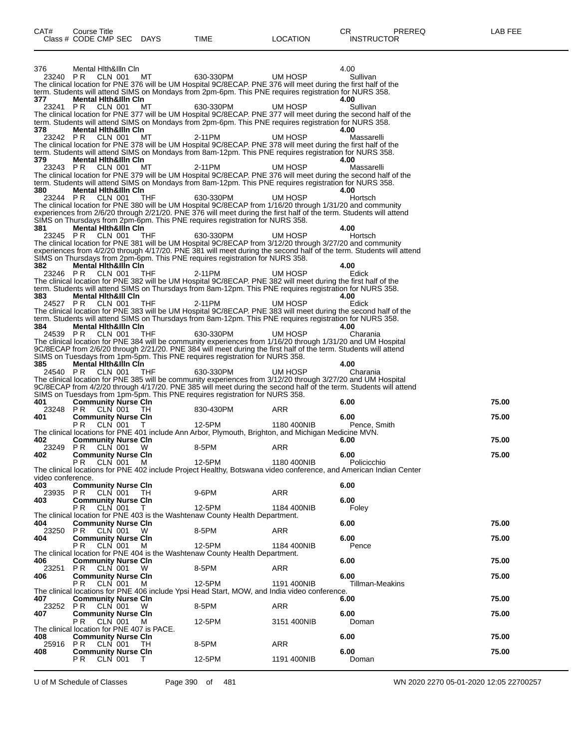376 Mental Hlth&Illn Cln 4.00 23240 P R CLN 001 MT 630-330PM UM HOSP Sullivan The clinical location for PNE 376 will be UM Hospital 9C/8ECAP. PNE 376 will meet during the first half of the term. Students will attend SIMS on Mondays from 2pm-6pm. This PNE requires registration for NURS 358.<br>377 **Mental Hith&IIIn Cin 377 Mental Hlth&Illn Cln 4.00** 23241 P R CLN 001 MT 630-330PM UM HOSP Sullivan The clinical location for PNE 377 will be UM Hospital 9C/8ECAP. PNE 377 will meet during the second half of the term. Students will attend SIMS on Mondays from 2pm-6pm. This PNE requires registration for NURS 358.<br>378 **Mental Hith&IIIn Cin 378 Mental Hlth&Illn Cln 4.00** 23242 P R CLN 001 MT 2-11PM UM HOSP Massarelli The clinical location for PNE 378 will be UM Hospital 9C/8ECAP. PNE 378 will meet during the first half of the term. Students will attend SIMS on Mondays from 8am-12pm. This PNE requires registration for NURS 358.<br>379 Mental Hith&IIIn Cin **379 Mental Hlth&Illn Cln 4.00** 23243 P R CLN 001 MT 2-11PM UM HOSP Massarelli The clinical location for PNE 379 will be UM Hospital 9C/8ECAP. PNE 376 will meet during the second half of the term. Students will attend SIMS on Mondays from 8am-12pm. This PNE requires registration for NURS 358. **380 Mental Hlth&Illn Cln 4.00** 23244 PR CLN 001 THF 630-330PM UM HOSP Hortsch The clinical location for PNE 380 will be UM Hospital 9C/8ECAP from 1/16/20 through 1/31/20 and community experiences from 2/6/20 through 2/21/20. PNE 376 will meet during the first half of the term. Students will attend SIMS on Thursdays from 2pm-6pm. This PNE requires registration for NURS 358. **381 Mental Hlth&Illn Cln 4.00** 23245 P R CLN 001 THF 630-330PM UM HOSP Hortsch The clinical location for PNE 381 will be UM Hospital 9C/8ECAP from 3/12/20 through 3/27/20 and community experiences from 4/2/20 through 4/17/20. PNE 381 will meet during the second half of the term. Students will attend SIMS on Thursdays from 2pm-6pm. This PNE requires registration for NURS 358. **382 Mental Hlth&Illn Cln 4.00** 23246 P R CLN 001 THF 2-11PM UM HOSP Edick The clinical location for PNE 382 will be UM Hospital 9C/8ECAP. PNE 382 will meet during the first half of the term. Students will attend SIMS on Thursdays from 8am-12pm. This PNE requires registration for NURS 358. **383 Mental Hlth&Ill Cln 4.00** 24527 P R CLN 001 THF 2-11PM UM HOSP Edick The clinical location for PNE 383 will be UM Hospital 9C/8ECAP. PNE 383 will meet during the second half of the term. Students will attend SIMS on Thursdays from 8am-12pm. This PNE requires registration for NURS 358. **384 Mental Hlth&Illn Cln 4.00** 24539 PR CLN 001 THF 630-330PM UM HOSP Charania The clinical location for PNE 384 will be community experiences from 1/16/20 through 1/31/20 and UM Hospital 9C/8ECAP from 2/6/20 through 2/21/20. PNE 384 will meet during the first half of the term. Students will attend SIMS on Tuesdays from 1pm-5pm. This PNE requires registration for NURS 358.<br>385 **Mental Hith&Illn Cin 5 Mental Hith&Illn Cin**<br>
24540 PR CLN 001 THF 630-330PM UM HOSP Charania 24540 P R CLN 001 THF 630-330PM UM HOSP Charania The clinical location for PNE 385 will be community experiences from 3/12/20 through 3/27/20 and UM Hospital 9C/8ECAP from 4/2/20 through 4/17/20. PNE 385 will meet during the second half of the term. Students will attend SIMS on Tuesdays from 1pm-5pm. This PNE requires registration for NURS 358.<br>401 **Community Nurse CIn 401 Community Nurse Cln 6.00 75.00** 23248 P.R CLN 001 TH 830-430PM ARR **401 Community Nurse Cln 6.00 75.00** P R CLN 001 T 12-5PM 1180 400NIB Pence, Smith The clinical locations for PNE 401 include Ann Arbor, Plymouth, Brighton, and Michigan Medicine MVN. **402 Community Nurse Cln 6.00 75.00** 23249 P.R CLN 001 W 8-5PM ARR **402 Community Nurse Cln 6.00 75.00** P R CLN 001 M 12-5PM 1180 400NIB Policicchio The clinical locations for PNE 402 include Project Healthy, Botswana video conference, and American Indian Center video conference.<br>403 **Comn 403 Community Nurse Cln 6.00** 23935 P.R CLN 001 TH 9-6PM ARR **403 Community Nurse Cln 6.00** P R CLN 001 T 12-5PM 1184 400NIB Foley The clinical location for PNE 403 is the Washtenaw County Health Department. **404 Community Nurse Cln 6.00 75.00** CLN 001 W **404 Community Nurse Cln 6.00 75.00** P R CLN 001 M 12-5PM 1184 400NIB Pence The clinical location for PNE 404 is the Washtenaw County Health Department. **406 Community Nurse Cln 6.00 75.00** 23251 P.R CLN 001 W 8-5PM ARR **406 Community Nurse Cln 6.00 75.00** P R CLN 001 M 12-5PM 1191 400NIB Tillman-Meakins The clinical locations for PNE 406 include Ypsi Head Start, MOW, and India video conference. **407 Community Nurse Cln 6.00 75.00** CLN 001 W **407 Community Nurse Cln 6.00 75.00** P R CLN 001 M 12-5PM 3151 400NIB Doman The clinical location for PNE 407 is PACE.<br>408 **Community Nurse CIn 408 Community Nurse Cln 6.00 75.00** 25916 P R CLN 001 TH<br>408 Community Nurse Cln **408 Community Nurse Cln 6.00 75.00** P R CLN 001 T 12-5PM 1191 400NIB Doman

U of M Schedule of Classes Page 390 of 481 WN 2020 2270 05-01-2020 12:05 22700257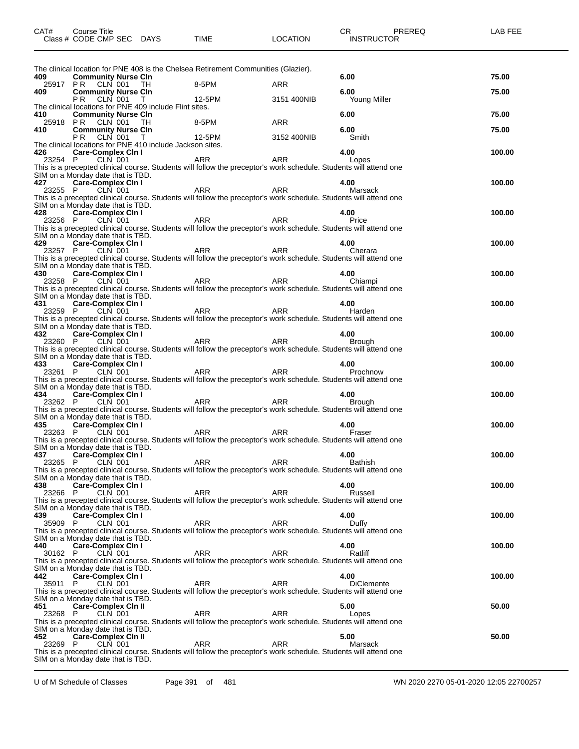| CAT#           | Course Title<br>Class # CODE CMP SEC DAYS                                              |      | <b>TIME</b>                                                                                                              | <b>LOCATION</b> | CR<br><b>INSTRUCTOR</b> | PREREQ | LAB FEE |
|----------------|----------------------------------------------------------------------------------------|------|--------------------------------------------------------------------------------------------------------------------------|-----------------|-------------------------|--------|---------|
|                |                                                                                        |      | The clinical location for PNE 408 is the Chelsea Retirement Communities (Glazier).                                       |                 |                         |        |         |
| 409            | <b>Community Nurse CIn</b><br>25917 PR CLN 001                                         | - TH | 8-5PM                                                                                                                    | ARR             | 6.00                    |        | 75.00   |
| 409            | <b>Community Nurse CIn</b>                                                             |      |                                                                                                                          |                 | 6.00                    |        | 75.00   |
|                | PR.<br>CLN 001 T                                                                       |      | 12-5PM                                                                                                                   | 3151 400NIB     | Young Miller            |        |         |
| 410            | The clinical locations for PNE 409 include Flint sites.<br><b>Community Nurse CIn</b>  |      |                                                                                                                          |                 | 6.00                    |        | 75.00   |
| 25918 PR       | CLN 001                                                                                | - TH | 8-5PM                                                                                                                    | <b>ARR</b>      |                         |        |         |
| 410            | <b>Community Nurse CIn</b>                                                             |      |                                                                                                                          |                 | 6.00                    |        | 75.00   |
|                | P <sub>R</sub><br>CLN 001<br>The clinical locations for PNE 410 include Jackson sites. | T    | 12-5PM                                                                                                                   | 3152 400NIB     | Smith                   |        |         |
| 426            | <b>Care-Complex Cin I</b>                                                              |      |                                                                                                                          |                 | 4.00                    |        | 100.00  |
| 23254 P        | <b>CLN 001</b>                                                                         |      | <b>ARR</b>                                                                                                               | <b>ARR</b>      | Lopes                   |        |         |
|                |                                                                                        |      | This is a precepted clinical course. Students will follow the preceptor's work schedule. Students will attend one        |                 |                         |        |         |
| 427            | SIM on a Monday date that is TBD.<br><b>Care-Complex Cin I</b>                         |      |                                                                                                                          |                 | 4.00                    |        | 100.00  |
| 23255 P        | CLN 001                                                                                |      | ARR                                                                                                                      | <b>ARR</b>      | Marsack                 |        |         |
|                |                                                                                        |      | This is a precepted clinical course. Students will follow the preceptor's work schedule. Students will attend one        |                 |                         |        |         |
|                | SIM on a Monday date that is TBD.                                                      |      |                                                                                                                          |                 |                         |        |         |
| 428<br>23256 P | Care-Complex Cin I<br>CLN 001                                                          |      | ARR                                                                                                                      | <b>ARR</b>      | 4.00<br>Price           |        | 100.00  |
|                |                                                                                        |      | This is a precepted clinical course. Students will follow the preceptor's work schedule. Students will attend one        |                 |                         |        |         |
|                | SIM on a Monday date that is TBD.                                                      |      |                                                                                                                          |                 |                         |        |         |
| 429            | Care-Complex Cin I                                                                     |      |                                                                                                                          |                 | 4.00                    |        | 100.00  |
| 23257 P        | CLN 001                                                                                |      | ARR<br>This is a precepted clinical course. Students will follow the preceptor's work schedule. Students will attend one | <b>ARR</b>      | Cherara                 |        |         |
|                | SIM on a Monday date that is TBD.                                                      |      |                                                                                                                          |                 |                         |        |         |
| 430            | <b>Care-Complex Cin I</b>                                                              |      |                                                                                                                          |                 | 4.00                    |        | 100.00  |
| 23258 P        | $CLN$ 001                                                                              |      | ARR                                                                                                                      | <b>ARR</b>      | Chiampi                 |        |         |
|                |                                                                                        |      | This is a precepted clinical course. Students will follow the preceptor's work schedule. Students will attend one        |                 |                         |        |         |
| 431            | SIM on a Monday date that is TBD.<br>Care-Complex Cin I                                |      |                                                                                                                          |                 | 4.00                    |        | 100.00  |
| 23259 P        | CLN 001                                                                                |      | ARR                                                                                                                      | <b>ARR</b>      | Harden                  |        |         |
|                |                                                                                        |      | This is a precepted clinical course. Students will follow the preceptor's work schedule. Students will attend one        |                 |                         |        |         |
|                | SIM on a Monday date that is TBD.                                                      |      |                                                                                                                          |                 |                         |        |         |
| 432<br>23260 P | Care-Complex Cin I<br>CLN 001                                                          |      | ARR                                                                                                                      | <b>ARR</b>      | 4.00<br><b>Brough</b>   |        | 100.00  |
|                |                                                                                        |      | This is a precepted clinical course. Students will follow the preceptor's work schedule. Students will attend one        |                 |                         |        |         |
|                | SIM on a Monday date that is TBD.                                                      |      |                                                                                                                          |                 |                         |        |         |
| 433            | <b>Care-Complex Cin I</b>                                                              |      |                                                                                                                          |                 | 4.00                    |        | 100.00  |
| 23261 P        | CLN 001                                                                                |      | ARR<br>This is a precepted clinical course. Students will follow the preceptor's work schedule. Students will attend one | <b>ARR</b>      | Prochnow                |        |         |
|                | SIM on a Monday date that is TBD.                                                      |      |                                                                                                                          |                 |                         |        |         |
| 434            | Care-Complex Cin I                                                                     |      |                                                                                                                          |                 | 4.00                    |        | 100.00  |
| 23262 P        | CLN 001                                                                                |      | ARR                                                                                                                      | ARR             | <b>Brough</b>           |        |         |
|                | SIM on a Monday date that is TBD.                                                      |      | This is a precepted clinical course. Students will follow the preceptor's work schedule. Students will attend one        |                 |                         |        |         |
| 435            | Care-Complex Cin I                                                                     |      |                                                                                                                          |                 | 4.00                    |        | 100.00  |
| 23263 P        | <b>CLN 001</b>                                                                         |      | ARR                                                                                                                      | <b>ARR</b>      | Fraser                  |        |         |
|                |                                                                                        |      | This is a precepted clinical course. Students will follow the preceptor's work schedule. Students will attend one        |                 |                         |        |         |
|                | SIM on a Monday date that is TBD.                                                      |      |                                                                                                                          |                 |                         |        |         |
| 437<br>23265 P | <b>Care-Complex Cin I</b><br>CLN 001                                                   |      | ARR                                                                                                                      | ARR             | 4.00<br>Bathish         |        | 100.00  |
|                |                                                                                        |      | This is a precepted clinical course. Students will follow the preceptor's work schedule. Students will attend one        |                 |                         |        |         |
|                | SIM on a Monday date that is TBD.                                                      |      |                                                                                                                          |                 |                         |        |         |
| 438<br>23266   | <b>Care-Complex Cin I</b><br>CLN 001<br>P                                              |      | ARR                                                                                                                      | ARR             | 4.00<br>Russell         |        | 100.00  |
|                |                                                                                        |      | This is a precepted clinical course. Students will follow the preceptor's work schedule. Students will attend one        |                 |                         |        |         |
|                | SIM on a Monday date that is TBD.                                                      |      |                                                                                                                          |                 |                         |        |         |
| 439            | <b>Care-Complex Cin I</b>                                                              |      |                                                                                                                          |                 | 4.00                    |        | 100.00  |
| 35909 P        | <b>CLN 001</b>                                                                         |      | ARR<br>This is a precepted clinical course. Students will follow the preceptor's work schedule. Students will attend one | ARR             | Duffy                   |        |         |
|                | SIM on a Monday date that is TBD.                                                      |      |                                                                                                                          |                 |                         |        |         |
| 440            | <b>Care-Complex Cin I</b>                                                              |      |                                                                                                                          |                 | 4.00                    |        | 100.00  |
| 30162 P        | CLN 001                                                                                |      | ARR                                                                                                                      | ARR             | Ratliff                 |        |         |
|                |                                                                                        |      | This is a precepted clinical course. Students will follow the preceptor's work schedule. Students will attend one        |                 |                         |        |         |
| 442            | SIM on a Monday date that is TBD.<br><b>Care-Complex Cin I</b>                         |      |                                                                                                                          |                 | 4.00                    |        | 100.00  |
| 35911          | <b>CLN 001</b><br>P                                                                    |      | ARR                                                                                                                      | ARR             | <b>DiClemente</b>       |        |         |
|                |                                                                                        |      | This is a precepted clinical course. Students will follow the preceptor's work schedule. Students will attend one        |                 |                         |        |         |
|                | SIM on a Monday date that is TBD.                                                      |      |                                                                                                                          |                 |                         |        |         |
| 451<br>23268 P | <b>Care-Complex Cin II</b><br><b>CLN 001</b>                                           |      | ARR                                                                                                                      | ARR             | 5.00<br>Lopes           |        | 50.00   |
|                |                                                                                        |      | This is a precepted clinical course. Students will follow the preceptor's work schedule. Students will attend one        |                 |                         |        |         |
|                | SIM on a Monday date that is TBD.                                                      |      |                                                                                                                          |                 |                         |        |         |
| 452            | <b>Care-Complex Cin II</b>                                                             |      |                                                                                                                          |                 | 5.00                    |        | 50.00   |
| 23269 P        | CLN 001                                                                                |      | ARR<br>This is a precepted clinical course. Students will follow the preceptor's work schedule. Students will attend one | ARR             | Marsack                 |        |         |
|                | SIM on a Monday date that is TBD.                                                      |      |                                                                                                                          |                 |                         |        |         |

U of M Schedule of Classes Page 391 of 481 WN 2020 2270 05-01-2020 12:05 22700257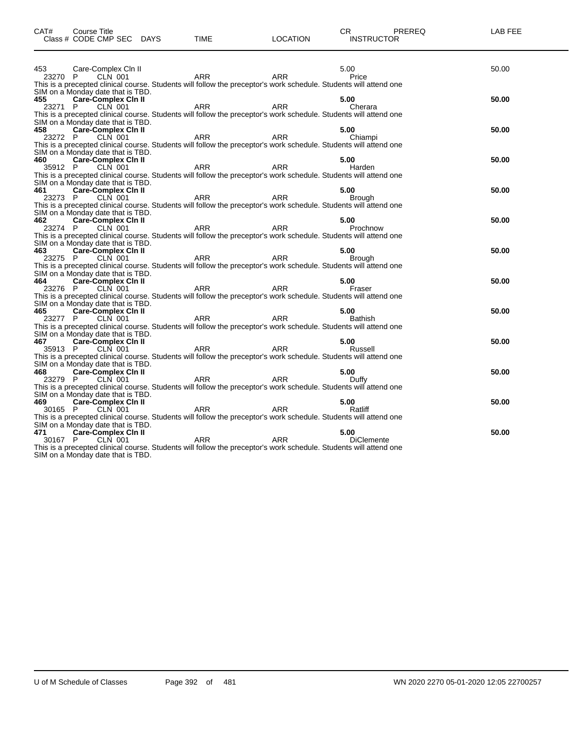| CAT#    | Course Title<br>Class # CODE CMP SEC DAYS                       | <b>TIME</b>                                                                                                                     | <b>LOCATION</b> | PREREQ<br>CR.<br><b>INSTRUCTOR</b> | LAB FEE |
|---------|-----------------------------------------------------------------|---------------------------------------------------------------------------------------------------------------------------------|-----------------|------------------------------------|---------|
| 453     | Care-Complex Cln II                                             |                                                                                                                                 |                 | 5.00                               | 50.00   |
| 23270 P | CLN 001                                                         | ARR                                                                                                                             | <b>ARR</b>      | Price                              |         |
|         |                                                                 | This is a precepted clinical course. Students will follow the preceptor's work schedule. Students will attend one               |                 |                                    |         |
|         | SIM on a Monday date that is TBD.                               |                                                                                                                                 |                 |                                    |         |
| 455     | Care-Complex Cin II                                             |                                                                                                                                 |                 | 5.00                               | 50.00   |
| 23271 P | $CLN$ 001                                                       | <b>ARR</b>                                                                                                                      | <b>ARR</b>      | Cherara                            |         |
|         |                                                                 | This is a precepted clinical course. Students will follow the preceptor's work schedule. Students will attend one               |                 |                                    |         |
| 458     | SIM on a Monday date that is TBD.                               |                                                                                                                                 |                 |                                    |         |
| 23272 P | <b>Care-Complex Cin II</b><br>CLN 001                           | ARR                                                                                                                             | <b>ARR</b>      | 5.00<br>Chiampi                    | 50.00   |
|         |                                                                 | This is a precepted clinical course. Students will follow the preceptor's work schedule. Students will attend one               |                 |                                    |         |
|         | SIM on a Monday date that is TBD.                               |                                                                                                                                 |                 |                                    |         |
| 460     | <b>Care-Complex Cin II</b>                                      |                                                                                                                                 |                 | 5.00                               | 50.00   |
| 35912 P | CLN 001                                                         | ARR                                                                                                                             | <b>ARR</b>      | Harden                             |         |
|         |                                                                 | This is a precepted clinical course. Students will follow the preceptor's work schedule. Students will attend one               |                 |                                    |         |
|         | SIM on a Monday date that is TBD.                               |                                                                                                                                 |                 |                                    |         |
| 461     | <b>Care-Complex Cin II</b>                                      |                                                                                                                                 |                 | 5.00                               | 50.00   |
| 23273 P | CLN 001                                                         | <b>ARR</b>                                                                                                                      | <b>ARR</b>      | <b>Brough</b>                      |         |
|         | SIM on a Monday date that is TBD.                               | This is a precepted clinical course. Students will follow the preceptor's work schedule. Students will attend one               |                 |                                    |         |
| 462     |                                                                 |                                                                                                                                 |                 | 5.00                               | 50.00   |
| 23274 P | Care-Complex Cin II<br>P CLN 001                                | ARR                                                                                                                             | ARR             | Prochnow                           |         |
|         |                                                                 | This is a precepted clinical course. Students will follow the preceptor's work schedule. Students will attend one               |                 |                                    |         |
|         | SIM on a Monday date that is TBD.                               |                                                                                                                                 |                 |                                    |         |
| 463     | Care-Complex Cin II                                             |                                                                                                                                 |                 | 5.00                               | 50.00   |
| 23275 P | CLN 001                                                         | <b>ARR</b>                                                                                                                      | <b>ARR</b>      | <b>Brough</b>                      |         |
|         |                                                                 | This is a precepted clinical course. Students will follow the preceptor's work schedule. Students will attend one               |                 |                                    |         |
|         | SIM on a Monday date that is TBD.                               |                                                                                                                                 |                 |                                    |         |
| 464     | Care-Complex Cin II<br>CLN 001                                  | ARR                                                                                                                             | <b>ARR</b>      | 5.00                               | 50.00   |
| 23276 P |                                                                 | This is a precepted clinical course. Students will follow the preceptor's work schedule. Students will attend one               |                 | Fraser                             |         |
|         | SIM on a Monday date that is TBD.                               |                                                                                                                                 |                 |                                    |         |
| 465     | <b>Care-Complex Cin II</b>                                      |                                                                                                                                 |                 | 5.00                               | 50.00   |
| 23277 P | CLN 001                                                         | ARR                                                                                                                             | <b>ARR</b>      | <b>Bathish</b>                     |         |
|         |                                                                 | This is a precepted clinical course. Students will follow the preceptor's work schedule. Students will attend one               |                 |                                    |         |
|         | SIM on a Monday date that is TBD.                               |                                                                                                                                 |                 |                                    |         |
| 467     | Care-Complex Cin II                                             |                                                                                                                                 |                 | 5.00                               | 50.00   |
| 35913 P | CLN 001                                                         | ARR                                                                                                                             | ARR             | Russell                            |         |
|         |                                                                 | This is a precepted clinical course. Students will follow the preceptor's work schedule. Students will attend one               |                 |                                    |         |
| 468     | SIM on a Monday date that is TBD.<br><b>Care-Complex Cin II</b> |                                                                                                                                 |                 | 5.00                               | 50.00   |
| 23279 P | CLN 001                                                         | ARR                                                                                                                             | ARR             | Duffy                              |         |
|         |                                                                 | This is a precepted clinical course. Students will follow the preceptor's work schedule. Students will attend one               |                 |                                    |         |
|         | SIM on a Monday date that is TBD.                               |                                                                                                                                 |                 |                                    |         |
| 469     | <b>Care-Complex Cin II</b>                                      |                                                                                                                                 |                 | 5.00                               | 50.00   |
| 30165 P | CLN 001                                                         | <b>ARR</b>                                                                                                                      | <b>ARR</b>      | Ratliff                            |         |
|         |                                                                 | This is a precepted clinical course. Students will follow the preceptor's work schedule. Students will attend one               |                 |                                    |         |
|         | SIM on a Monday date that is TBD.                               |                                                                                                                                 |                 |                                    |         |
| 471     | <b>Care-Complex Cin II</b>                                      |                                                                                                                                 |                 | 5.00                               | 50.00   |
| 30167 P | CLN 001                                                         | <b>ARR</b><br>This is a precepted clinical course. Students will follow the preceptor's work schedule. Students will attend one | <b>ARR</b>      | <b>DiClemente</b>                  |         |
|         | SIM on a Monday date that is TBD.                               |                                                                                                                                 |                 |                                    |         |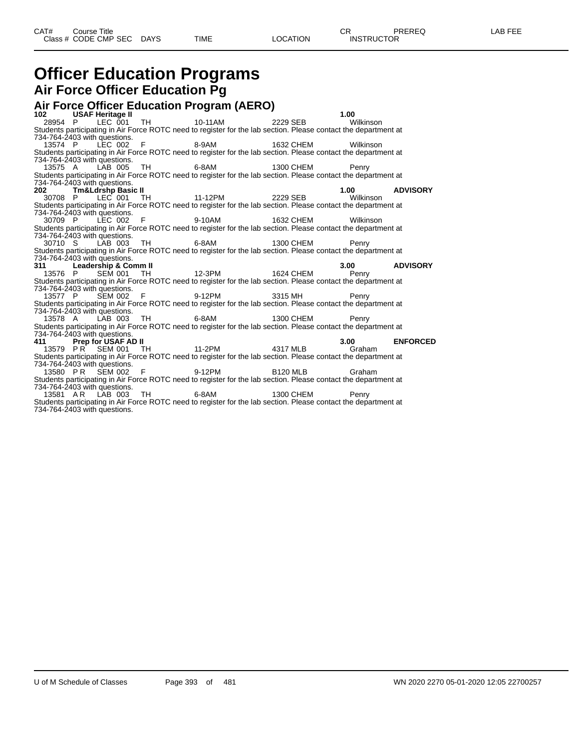## **Officer Education Programs Air Force Officer Education Pg**

#### **Air Force Officer Education Program (AERO) 102 USAF Heritage II 1.00** 28954 P LEC 001 TH 10-11AM 2229 SEB Wilkinson Students participating in Air Force ROTC need to register for the lab section. Please contact the department at 734-764-2403 with questions. 13574 P LEC 002 F 8-9AM 1632 CHEM Wilkinson Students participating in Air Force ROTC need to register for the lab section. Please contact the department at 734-764-2403 with questions. 13575 A LAB 005 TH 6-8AM 1300 CHEM Penry Students participating in Air Force ROTC need to register for the lab section. Please contact the department at 734-764-2403 with questions. **202 Tm&Ldrshp Basic II 1.00 ADVISORY** 30708 P LEC 001 TH 11-12PM 2229 SEB Wilkinson Students participating in Air Force ROTC need to register for the lab section. Please contact the department at 734-764-2403 with questions. 30709 P LEC 002 F 9-10AM 1632 CHEM Wilkinson Students participating in Air Force ROTC need to register for the lab section. Please contact the department at 734-764-2403 with questions.<br>30710 S LAB 003 30710 S LAB 003 TH 6-8AM 1300 CHEM Penry Students participating in Air Force ROTC need to register for the lab section. Please contact the department at 734-764-2403 with questions.<br>311 Leadership & Co **311 Leadership & Comm II 3.00 ADVISORY** 13576 P SEM 001 TH 12-3PM 1624 CHEM Penry Students participating in Air Force ROTC need to register for the lab section. Please contact the department at 734-764-2403 with questions. 13577 P SEM 002 F 9-12PM 3315 MH Penry Students participating in Air Force ROTC need to register for the lab section. Please contact the department at 734-764-2403 with questions. 13578 A LAB 003 TH 6-8AM 1300 CHEM Penry Students participating in Air Force ROTC need to register for the lab section. Please contact the department at 734-764-2403 with questions<br>**411 Prep for USAF** *A* **4317 MLB 3.00 <b>ENFORCED**<br>
PR SEM 001 TH 11-2PM 4317 MLB Graham 13579 P R SEM 001 Students participating in Air Force ROTC need to register for the lab section. Please contact the department at 734-764-2403 with questions. 13580 PR SEM 002 F 9-12PM B120 MLB Graham Students participating in Air Force ROTC need to register for the lab section. Please contact the department at 734-764-2403 with questions. 13581 A R LAB 003 TH 6-8AM 1300 CHEM Penry Students participating in Air Force ROTC need to register for the lab section. Please contact the department at 734-764-2403 with questions.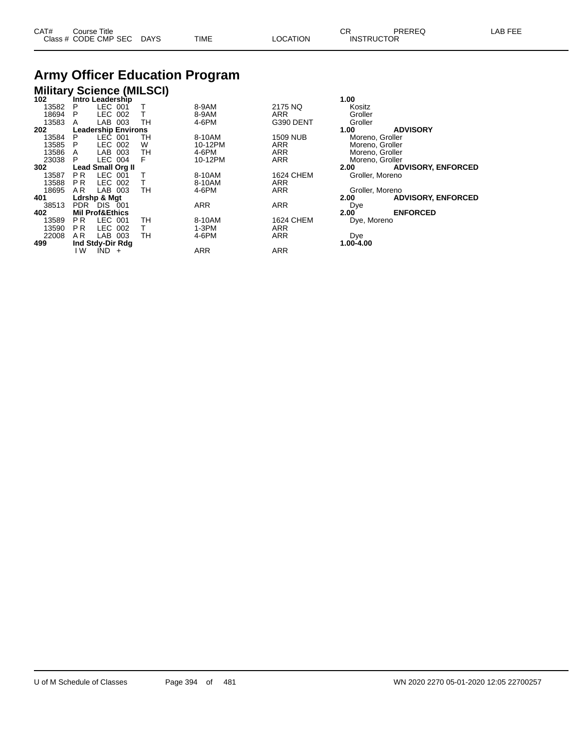| CAT# | Course Title         |             |      |          | ⌒冖                | PREREQ | _AB<br>. |
|------|----------------------|-------------|------|----------|-------------------|--------|----------|
|      | Class # CODE CMP SEC | <b>DAYS</b> | TIME | LOCATION | <b>INSTRUCTOR</b> |        |          |

## **Army Officer Education Program**

| <b>Military Science (MILSCI)</b> |                |                            |    |            |                  |                   |                           |  |  |
|----------------------------------|----------------|----------------------------|----|------------|------------------|-------------------|---------------------------|--|--|
| 102                              |                | Intro Leadership           |    |            |                  | 1.00              |                           |  |  |
| 13582                            | P              | $LEC$ 001                  |    | 8-9AM      | 2175 NQ          | Kositz            |                           |  |  |
| 18694                            | P              | LEC 002                    | Т  | 8-9AM      | ARR              | Groller           |                           |  |  |
| 13583                            | A              | LAB 003                    | TH | 4-6PM      | G390 DENT        | Groller           |                           |  |  |
| 202                              |                | <b>Leadership Environs</b> |    |            |                  | 1.00              | <b>ADVISORY</b>           |  |  |
| 13584                            | P              | LEC 001                    | TН | 8-10AM     | <b>1509 NUB</b>  | Moreno, Groller   |                           |  |  |
| 13585                            | P              | LEC 002                    | W  | 10-12PM    | <b>ARR</b>       | Moreno, Groller   |                           |  |  |
| 13586                            | A              | LAB 003                    | TН | 4-6PM      | ARR              | Moreno, Groller   |                           |  |  |
| 23038                            | P              | LEC 004                    | F  | 10-12PM    | <b>ARR</b>       | Moreno, Groller   |                           |  |  |
| 302                              |                | <b>Lead Small Org II</b>   |    |            |                  | 2.00              | <b>ADVISORY, ENFORCED</b> |  |  |
| 13587                            | P <sub>R</sub> | LEC 001                    |    | 8-10AM     | <b>1624 CHEM</b> | Groller, Moreno   |                           |  |  |
| 13588                            | P R            | LEC 002                    | т  | 8-10AM     | <b>ARR</b>       |                   |                           |  |  |
| 18695                            | AR.            | LAB 003                    | TН | 4-6PM      | <b>ARR</b>       | Groller, Moreno   |                           |  |  |
| 401                              |                | Ldrshp & Mgt               |    |            |                  | 2.00              | <b>ADVISORY, ENFORCED</b> |  |  |
| 38513                            |                | PDR DIS 001                |    | ARR        | <b>ARR</b>       | Dye               |                           |  |  |
| 402                              |                | <b>Mil Prof&amp;Ethics</b> |    |            |                  | 2.00 <sup>7</sup> | <b>ENFORCED</b>           |  |  |
| 13589                            | P <sub>R</sub> | LEC 001                    | TН | 8-10AM     | <b>1624 CHEM</b> | Dye, Moreno       |                           |  |  |
| 13590                            | P R            | LEC 002                    | T. | 1-3PM      | <b>ARR</b>       |                   |                           |  |  |
| 22008                            | AR.            | LAB 003                    | тн | 4-6PM      | <b>ARR</b>       | Dye               |                           |  |  |
| 499                              |                | Ind Stdy-Dir Rdg           |    |            |                  | 1.00-4.00         |                           |  |  |
|                                  | ١W             | $IND +$                    |    | <b>ARR</b> | <b>ARR</b>       |                   |                           |  |  |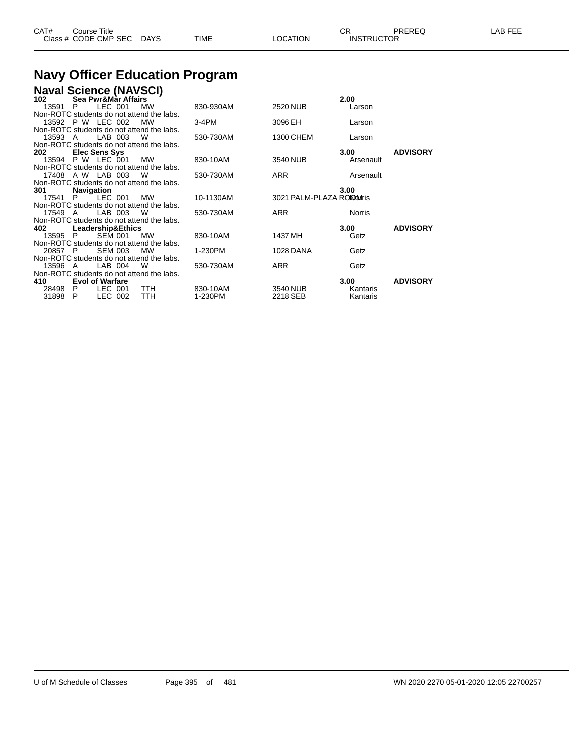| CAT# | Course Title<br>Class # CODE CMP SEC | <b>DAYS</b> | TIME | LOCATION | СR<br><b>INSTRUCTOR</b> | PREREQ | LAB FEF |
|------|--------------------------------------|-------------|------|----------|-------------------------|--------|---------|
|      |                                      |             |      |          |                         |        |         |

# **Navy Officer Education Program**

| <b>Naval Science (NAVSCI)</b>                                      |           |                            |                           |                 |
|--------------------------------------------------------------------|-----------|----------------------------|---------------------------|-----------------|
| Sea Pwr&Màr Affairs<br>102                                         |           |                            | 2.00                      |                 |
| LEC 001<br>13591<br>MW<br>P                                        | 830-930AM | <b>2520 NUB</b>            | Larson                    |                 |
| Non-ROTC students do not attend the labs.                          |           |                            |                           |                 |
| 13592 P W LEC 002<br>MW                                            | $3-4PM$   | 3096 EH                    | Larson                    |                 |
| Non-ROTC students do not attend the labs.                          |           |                            |                           |                 |
| LAB 003<br>W<br>13593 A                                            | 530-730AM | 1300 CHEM                  | Larson                    |                 |
| Non-ROTC students do not attend the labs.                          |           |                            |                           |                 |
| Elec Sens Sys<br>202                                               |           |                            | 3.00                      | <b>ADVISORY</b> |
| 13594 P W LEC 001<br><b>MW</b>                                     | 830-10AM  | 3540 NUB                   | Arsenault                 |                 |
| Non-ROTC students do not attend the labs.                          |           |                            |                           |                 |
| 17408 A W LAB 003 W                                                | 530-730AM | <b>ARR</b>                 | Arsenault                 |                 |
| Non-ROTC students do not attend the labs.                          |           |                            |                           |                 |
| <b>Navigation</b><br>301                                           |           |                            | 3.00                      |                 |
| LEC 001<br>17541<br>P.<br><b>MW</b>                                | 10-1130AM | 3021 PALM-PLAZA RONDOMITIS |                           |                 |
| Non-ROTC students do not attend the labs.                          |           |                            |                           |                 |
| LAB 003<br>W<br>17549 A                                            | 530-730AM | <b>ARR</b>                 | Norris                    |                 |
| Non-ROTC students do not attend the labs.                          |           |                            |                           |                 |
| 402<br>Leadership&Ethics<br><b>SEM 001</b><br>13595 P<br><b>MW</b> | 830-10AM  | 1437 MH                    | 3.00 <sub>1</sub><br>Getz | <b>ADVISORY</b> |
| Non-ROTC students do not attend the labs.                          |           |                            |                           |                 |
| <b>SEM 003</b><br><b>MW</b><br>20857 P                             | 1-230PM   | <b>1028 DANA</b>           | Getz                      |                 |
| Non-ROTC students do not attend the labs.                          |           |                            |                           |                 |
| LAB 004<br>W<br>13596<br>A                                         | 530-730AM | <b>ARR</b>                 | Getz                      |                 |
| Non-ROTC students do not attend the labs.                          |           |                            |                           |                 |
| <b>Evol of Warfare</b><br>410                                      |           |                            | 3.00                      | <b>ADVISORY</b> |
| LEC 001<br>28498<br>- P<br>TTH                                     | 830-10AM  | 3540 NUB                   | Kantaris                  |                 |
| LEC 002<br><b>TTH</b><br>31898 P                                   | 1-230PM   | 2218 SEB                   | Kantaris                  |                 |
|                                                                    |           |                            |                           |                 |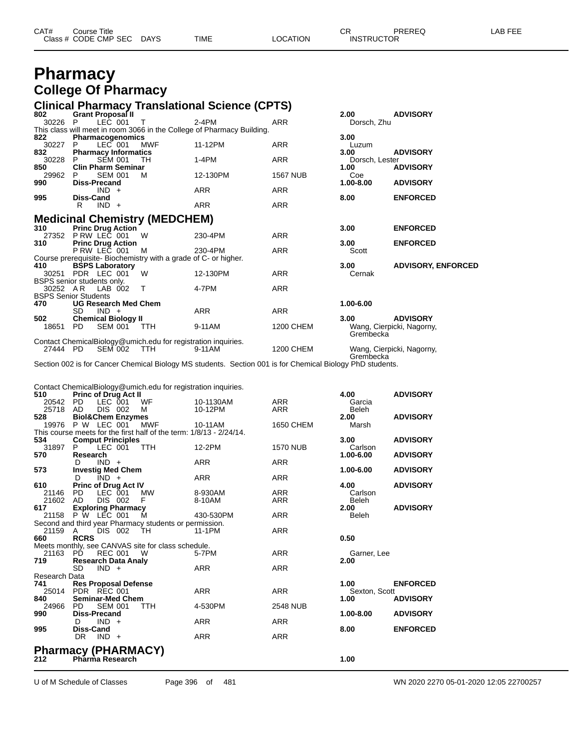| CAT# | Course Title              |      |          | ∩⊓<br>- UN        | PREREQ | -AB FEE |
|------|---------------------------|------|----------|-------------------|--------|---------|
|      | Class # CODE CMP SEC DAYS | TIME | LOCATION | <b>INSTRUCTOR</b> |        |         |

## **Pharmacy College Of Pharmacy**

## **Clinical Pharmacy Translational Science (CPTS) 802 Grant Proposal II 2.00 ADVISORY**

| 802                         |                     | Grant Proposal II           |                                                                 |                                                                        |                  | 2.00           | <b>ADVISORY</b>           |
|-----------------------------|---------------------|-----------------------------|-----------------------------------------------------------------|------------------------------------------------------------------------|------------------|----------------|---------------------------|
| 30226                       | P.                  | LEC 001 T                   |                                                                 | 2-4PM                                                                  | ARR              | Dorsch, Zhu    |                           |
|                             |                     |                             |                                                                 | This class will meet in room 3066 in the College of Pharmacy Building. |                  |                |                           |
| 822                         |                     | Pharmacogenomics            |                                                                 |                                                                        |                  | 3.00           |                           |
| 30227                       | P.                  | $LEC$ 001                   | <b>MWF</b>                                                      | 11-12PM                                                                | ARR              | Luzum          |                           |
| 832                         |                     | <b>Pharmacy Informatics</b> |                                                                 |                                                                        |                  | 3.00           | <b>ADVISORY</b>           |
| 30228                       | P.                  | <b>SEM 001</b>              | TН                                                              | 1-4PM                                                                  | ARR              | Dorsch, Lester |                           |
| 850                         |                     | <b>Clin Pharm Seminar</b>   |                                                                 |                                                                        |                  | 1.00           | <b>ADVISORY</b>           |
| 29962                       |                     | <b>SEM 001</b>              | м                                                               | 12-130PM                                                               | <b>1567 NUB</b>  | Coe            |                           |
| 990                         | <b>Diss-Precand</b> |                             |                                                                 |                                                                        |                  | $1.00 - 8.00$  | <b>ADVISORY</b>           |
|                             |                     | $IND +$                     |                                                                 | ARR                                                                    | ARR              |                |                           |
| 995                         | <b>Diss-Cand</b>    |                             |                                                                 |                                                                        |                  | 8.00           | <b>ENFORCED</b>           |
|                             | R                   | $IND +$                     |                                                                 | <b>ARR</b>                                                             | <b>ARR</b>       |                |                           |
|                             |                     |                             |                                                                 |                                                                        |                  |                |                           |
|                             |                     |                             | <b>Medicinal Chemistry (MEDCHEM)</b>                            |                                                                        |                  |                |                           |
| 310                         |                     | <b>Princ Drug Action</b>    |                                                                 |                                                                        |                  | 3.00           | <b>ENFORCED</b>           |
|                             | 27352 P RW LEC 001  |                             | W                                                               | 230-4PM                                                                | ARR              |                |                           |
| 310                         |                     | <b>Princ Drug Action</b>    |                                                                 |                                                                        |                  | 3.00           | <b>ENFORCED</b>           |
|                             |                     | P RW LEC 001                | м                                                               | 230-4PM                                                                | ARR              | Scott          |                           |
|                             |                     |                             | Course prerequisite- Biochemistry with a grade of C- or higher. |                                                                        |                  |                |                           |
| 410                         |                     | <b>BSPS Laboratory</b>      |                                                                 |                                                                        |                  | 3.00           | <b>ADVISORY, ENFORCED</b> |
| 30251                       | PDR LEC 001         |                             | W                                                               | 12-130PM                                                               | ARR              | Cernak         |                           |
| BSPS senior students only.  |                     |                             |                                                                 |                                                                        |                  |                |                           |
| 30252 AR                    |                     | LAB 002                     | $\top$                                                          | 4-7PM                                                                  | ARR              |                |                           |
| <b>BSPS Senior Students</b> |                     |                             |                                                                 |                                                                        |                  |                |                           |
| 470                         |                     | <b>UG Research Med Chem</b> |                                                                 |                                                                        |                  | 1.00-6.00      |                           |
|                             | SD                  | $IND +$                     |                                                                 | ARR                                                                    | ARR              |                |                           |
| 502                         |                     | <b>Chemical Biology II</b>  |                                                                 |                                                                        |                  | 3.00           | <b>ADVISORY</b>           |
| 18651                       | PD.                 | SEM 001                     | TTH                                                             | 9-11AM                                                                 | 1200 CHEM        |                | Wang, Cierpicki, Nagorny, |
|                             |                     |                             |                                                                 |                                                                        |                  | Grembecka      |                           |
|                             |                     |                             | Contact ChemicalBiology@umich.edu for registration inquiries.   |                                                                        |                  |                |                           |
| 27444 PD                    |                     | <b>SEM 002</b>              | TTH                                                             | 9-11AM                                                                 | <b>1200 CHEM</b> |                | Wang, Cierpicki, Nagorny, |

Grembecka Section 002 is for Cancer Chemical Biology MS students. Section 001 is for Chemical Biology PhD students.

Contact ChemicalBiology@umich.edu for registration inquiries.

| 510           | Princ of Drug Act II                                | ັ              |                                                        |                                                                     |                 | 4.00          | <b>ADVISORY</b> |  |
|---------------|-----------------------------------------------------|----------------|--------------------------------------------------------|---------------------------------------------------------------------|-----------------|---------------|-----------------|--|
| 20542         | PD.                                                 | LEC 001        | WF                                                     | 10-1130AM                                                           | <b>ARR</b>      | Garcia        |                 |  |
| 25718 AD      |                                                     | DIS 002        | м                                                      | 10-12PM                                                             | <b>ARR</b>      | Beleh         |                 |  |
| 528           | <b>Biol&amp;Chem Enzymes</b>                        |                |                                                        |                                                                     |                 | 2.00          | <b>ADVISORY</b> |  |
| 19976         | <b>P W LEC 001</b>                                  |                | <b>MWF</b>                                             | 10-11AM                                                             | 1650 CHEM       | Marsh         |                 |  |
|               |                                                     |                |                                                        | This course meets for the first half of the term: 1/8/13 - 2/24/14. |                 |               |                 |  |
| 534           | <b>Comput Principles</b>                            |                |                                                        |                                                                     |                 | 3.00          | <b>ADVISORY</b> |  |
| 31897         | P.                                                  | LEC 001 TTH    |                                                        | 12-2PM                                                              | <b>1570 NUB</b> | Carlson       |                 |  |
| 570           | Research                                            |                |                                                        |                                                                     |                 | 1.00-6.00     | <b>ADVISORY</b> |  |
|               | D.                                                  | $IND +$        |                                                        | <b>ARR</b>                                                          | <b>ARR</b>      |               |                 |  |
| 573           | <b>Investig Med Chem</b>                            |                |                                                        |                                                                     |                 | 1.00-6.00     | <b>ADVISORY</b> |  |
|               | D                                                   | $IND +$        |                                                        | <b>ARR</b>                                                          | <b>ARR</b>      |               |                 |  |
| 610           | <b>Princ of Drug Act IV</b>                         |                |                                                        |                                                                     |                 | 4.00          | <b>ADVISORY</b> |  |
| 21146         | PD.                                                 | LEC 001        | <b>MW</b>                                              | 8-930AM                                                             | <b>ARR</b>      | Carlson       |                 |  |
| 21602         | AD.                                                 | <b>DIS 002</b> | F                                                      | 8-10AM                                                              | <b>ARR</b>      | Beleh         |                 |  |
| 617           | <b>Exploring Pharmacy</b>                           |                |                                                        |                                                                     |                 | 2.00          | <b>ADVISORY</b> |  |
|               | 21158 P W LEC 001                                   |                | м                                                      | 430-530PM                                                           | <b>ARR</b>      | Beleh         |                 |  |
|               |                                                     |                | Second and third year Pharmacy students or permission. |                                                                     |                 |               |                 |  |
| 21159 A       |                                                     | DIS 002        | TH.                                                    | 11-1PM                                                              | <b>ARR</b>      |               |                 |  |
| 660           | <b>RCRS</b>                                         |                |                                                        |                                                                     |                 | 0.50          |                 |  |
|               |                                                     |                | Meets monthly, see CANVAS site for class schedule.     |                                                                     |                 |               |                 |  |
| 21163 PD      |                                                     | REC 001 W      |                                                        | 5-7PM                                                               | <b>ARR</b>      | Garner, Lee   |                 |  |
| 719           | <b>Research Data Analy</b>                          |                |                                                        |                                                                     |                 | 2.00          |                 |  |
|               | SD.                                                 | $IND +$        |                                                        | <b>ARR</b>                                                          | <b>ARR</b>      |               |                 |  |
| Research Data |                                                     |                |                                                        |                                                                     |                 |               |                 |  |
| 741           | <b>Res Proposal Defense</b>                         |                |                                                        |                                                                     |                 | 1.00          | <b>ENFORCED</b> |  |
| 25014         | PDR REC 001                                         |                |                                                        | <b>ARR</b>                                                          | <b>ARR</b>      | Sexton, Scott |                 |  |
| 840           | <b>Seminar-Med Chem</b>                             |                |                                                        |                                                                     |                 | 1.00          | <b>ADVISORY</b> |  |
| 24966         | <b>PD</b>                                           | <b>SEM 001</b> | <b>TTH</b>                                             | 4-530PM                                                             | <b>2548 NUB</b> |               |                 |  |
| 990           | <b>Diss-Precand</b><br>1.00-8.00<br><b>ADVISORY</b> |                |                                                        |                                                                     |                 |               |                 |  |
|               | D.                                                  | $IND +$        |                                                        | <b>ARR</b>                                                          | <b>ARR</b>      |               |                 |  |
| 995           | <b>Diss-Cand</b>                                    |                |                                                        |                                                                     |                 | 8.00          | <b>ENFORCED</b> |  |
|               | $DR$ $IND$ +                                        |                |                                                        | <b>ARR</b>                                                          | <b>ARR</b>      |               |                 |  |
|               |                                                     |                |                                                        |                                                                     |                 |               |                 |  |
|               | <b>Pharmacy (PHARMACY)</b>                          |                |                                                        |                                                                     |                 |               |                 |  |
| 212           | Pharma Research                                     |                |                                                        |                                                                     |                 | 1.00          |                 |  |

U of M Schedule of Classes Page 396 of 481 WN 2020 2270 05-01-2020 12:05 22700257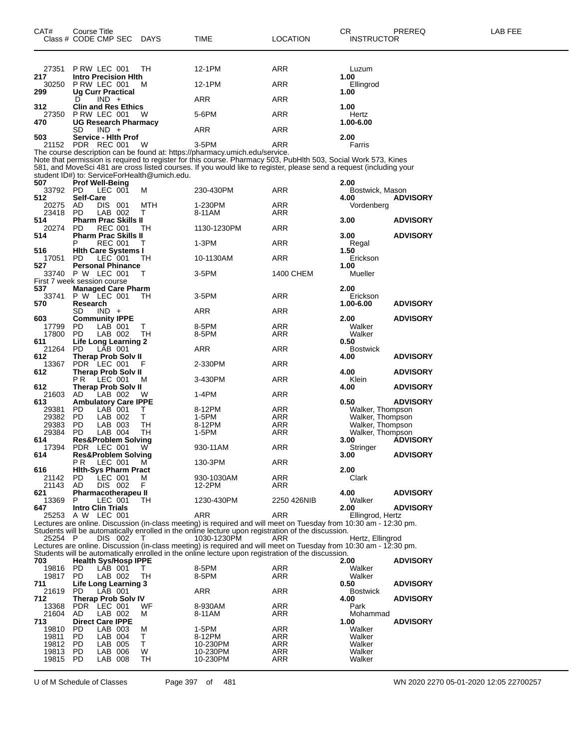| 27351           | PRW LEC 001                                        | TH.     | 12-1PM                                                                                                                   | ARR               | Luzum                   |                 |
|-----------------|----------------------------------------------------|---------|--------------------------------------------------------------------------------------------------------------------------|-------------------|-------------------------|-----------------|
| 217             | <b>Intro Precision Hith</b>                        |         |                                                                                                                          |                   | 1.00                    |                 |
| 30250           | PRW LEC 001                                        | м       | 12-1PM                                                                                                                   | ARR               | Ellingrod               |                 |
| 299             | <b>Ug Curr Practical</b><br>$IND +$<br>D           |         | ARR                                                                                                                      | ARR               | 1.00                    |                 |
| 312             | <b>Clin and Res Ethics</b>                         |         |                                                                                                                          |                   | 1.00                    |                 |
| 27350           | PRW LEC 001                                        | W       | 5-6PM                                                                                                                    | ARR               | Hertz                   |                 |
| 470             | <b>UG Research Pharmacy</b>                        |         |                                                                                                                          |                   | 1.00-6.00               |                 |
|                 | SD<br>$IND +$                                      |         | ARR                                                                                                                      | <b>ARR</b>        |                         |                 |
| 503             | <b>Service - Hith Prof</b>                         |         |                                                                                                                          |                   | 2.00                    |                 |
| 21152           | PDR REC 001                                        | W       | 3-5PM<br>The course description can be found at: https://pharmacy.umich.edu/service.                                     | ARR               | Farris                  |                 |
|                 |                                                    |         | Note that permission is required to register for this course. Pharmacy 503, PubHlth 503, Social Work 573, Kines          |                   |                         |                 |
|                 |                                                    |         | 581, and MoveSci 481 are cross listed courses. If you would like to register, please send a request (including your      |                   |                         |                 |
|                 | student ID#) to: ServiceForHealth@umich.edu.       |         |                                                                                                                          |                   |                         |                 |
| 507             | <b>Prof Well-Being</b>                             |         |                                                                                                                          |                   | 2.00                    |                 |
| 33792 PD<br>512 | LEC 001<br><b>Self-Care</b>                        | М       | 230-430PM                                                                                                                | ARR               | Bostwick, Mason<br>4.00 | <b>ADVISORY</b> |
| 20275           | AD<br>DIS 001                                      | MTH     | 1-230PM                                                                                                                  | ARR               | Vordenberg              |                 |
| 23418           | LAB 002<br><b>PD</b>                               | т       | 8-11AM                                                                                                                   | ARR               |                         |                 |
| 514             | <b>Pharm Prac Skills II</b>                        |         |                                                                                                                          |                   | 3.00                    | <b>ADVISORY</b> |
| 20274           | <b>PD</b><br><b>REC 001</b>                        | тн      | 1130-1230PM                                                                                                              | ARR               |                         |                 |
| 514             | <b>Pharm Prac Skills II</b><br><b>REC 001</b><br>P | т       | 1-3PM                                                                                                                    | ARR               | 3.00<br>Regal           | <b>ADVISORY</b> |
| 516             | <b>Hith Care Systems I</b>                         |         |                                                                                                                          |                   | 1.50                    |                 |
| 17051           | LEC 001<br><b>PD</b>                               | TН      | 10-1130AM                                                                                                                | ARR               | Erickson                |                 |
| 527             | <b>Personal Phinance</b>                           |         |                                                                                                                          |                   | 1.00                    |                 |
| 33740           | <b>P W LEC 001</b><br>First 7 week session course  | т       | 3-5PM                                                                                                                    | 1400 CHEM         | Mueller                 |                 |
| 537             | <b>Managed Care Pharm</b>                          |         |                                                                                                                          |                   | 2.00                    |                 |
| 33741           | P W LEC 001                                        | TН      | 3-5PM                                                                                                                    | ARR               | Erickson                |                 |
| 570             | Research                                           |         |                                                                                                                          |                   | 1.00-6.00               | <b>ADVISORY</b> |
|                 | SD<br>$IND +$                                      |         | ARR                                                                                                                      | ARR               |                         |                 |
| 603<br>17799    | <b>Community IPPE</b><br>LAB 001<br>PD.            | т       | 8-5PM                                                                                                                    | ARR               | 2.00<br>Walker          | <b>ADVISORY</b> |
| 17800           | PD.<br>LAB 002                                     | TH      | 8-5PM                                                                                                                    | ARR               | Walker                  |                 |
| 611             | <b>Life Long Learning 2</b>                        |         |                                                                                                                          |                   | 0.50                    |                 |
| 21264           | <b>PD</b><br>LAB 001                               |         | ARR                                                                                                                      | <b>ARR</b>        | <b>Bostwick</b>         |                 |
| 612<br>13367    | Therap Prob Solv II<br><b>PDR</b><br>LEC 001       | F       | 2-330PM                                                                                                                  | ARR               | 4.00                    | <b>ADVISORY</b> |
| 612             | <b>Therap Prob Solv II</b>                         |         |                                                                                                                          |                   | 4.00                    | <b>ADVISORY</b> |
|                 | P R<br>LEC 001                                     | м       | 3-430PM                                                                                                                  | ARR               | Klein                   |                 |
| 612             | <b>Therap Prob Solv II</b>                         |         |                                                                                                                          |                   | 4.00                    | <b>ADVISORY</b> |
| 21603<br>613    | LAB 002<br>AD<br><b>Ambulatory Care IPPE</b>       | W       | 1-4PM                                                                                                                    | ARR               | 0.50                    | <b>ADVISORY</b> |
| 29381           | PD.<br>LAB 001                                     | т       | 8-12PM                                                                                                                   | ARR               | Walker, Thompson        |                 |
| 29382           | <b>PD</b><br>LAB 002                               | т       | 1-5PM                                                                                                                    | ARR               | Walker, Thompson        |                 |
| 29383           | PD.<br>LAB 003                                     | TН      | 8-12PM                                                                                                                   | ARR               | Walker, Thompson        |                 |
| 29384           | <b>PD</b><br>LAB 004                               | TН      | 1-5PM                                                                                                                    | ARR               | Walker, Thompson        |                 |
| 614<br>17394    | <b>Res&amp;Problem Solving</b><br>PDR LEC 001      | W       | 930-11AM                                                                                                                 | ARR               | 3.00<br>Stringer        | <b>ADVISORY</b> |
| 614             | <b>Res&amp;Problem Solving</b>                     |         |                                                                                                                          |                   | 3.00                    | <b>ADVISORY</b> |
|                 | P R<br>LEC 001                                     | M       | 130-3PM                                                                                                                  | ARR               |                         |                 |
| 616             | <b>Hith-Sys Pharm Pract</b>                        |         |                                                                                                                          |                   | 2.00                    |                 |
| 21142<br>21143  | PD<br>LEC 001<br>AD<br>DIS 002                     | М<br>F. | 930-1030AM<br>12-2PM                                                                                                     | ARR<br>ARR        | Clark                   |                 |
| 621             | Pharmacotherapeu II                                |         |                                                                                                                          |                   | 4.00                    | <b>ADVISORY</b> |
| 13369           | P<br>LEC 001                                       | TH      | 1230-430PM                                                                                                               | 2250 426NIB       | Walker                  |                 |
| 647             | <b>Intro Clin Trials</b>                           |         |                                                                                                                          |                   | 2.00                    | <b>ADVISORY</b> |
| 25253           | A W LEC 001                                        |         | ARR<br>Lectures are online. Discussion (in-class meeting) is required and will meet on Tuesday from 10:30 am - 12:30 pm. | ARR               | Ellingrod, Hertz        |                 |
|                 |                                                    |         | Students will be automatically enrolled in the online lecture upon registration of the discussion.                       |                   |                         |                 |
| 25254 P         | DIS 002                                            |         | 1030-1230PM                                                                                                              | ARR               | Hertz, Ellingrod        |                 |
|                 |                                                    |         | Lectures are online. Discussion (in-class meeting) is required and will meet on Tuesday from 10:30 am - 12:30 pm.        |                   |                         |                 |
| 703             | <b>Health Sys/Hosp IPPE</b>                        |         | Students will be automatically enrolled in the online lecture upon registration of the discussion.                       |                   | 2.00                    | <b>ADVISORY</b> |
| 19816           | PD.<br>LAB 001                                     | т       | 8-5PM                                                                                                                    | ARR               | Walker                  |                 |
| 19817 PD        | LAB 002                                            | TН      | 8-5PM                                                                                                                    | ARR               | Walker                  |                 |
| 711<br>21619    | Life Long Learning 3                               |         |                                                                                                                          |                   | 0.50                    | <b>ADVISORY</b> |
| 712             | <b>PD</b><br>LAB 001<br><b>Therap Prob Solv IV</b> |         | ARR                                                                                                                      | ARR               | <b>Bostwick</b><br>4.00 | <b>ADVISORY</b> |
| 13368           | PDR LEC 001                                        | WF      | 8-930AM                                                                                                                  | ARR               | Park                    |                 |
| 21604 AD        | LAB 002                                            | м       | 8-11AM                                                                                                                   | ARR               | Mohammad                |                 |
| 713             | <b>Direct Care IPPE</b>                            |         |                                                                                                                          |                   | 1.00                    | <b>ADVISORY</b> |
| 19810<br>19811  | PD.<br>LAB 003<br><b>PD</b><br>LAB 004             | М<br>т  | 1-5PM<br>8-12PM                                                                                                          | ARR<br><b>ARR</b> | Walker<br>Walker        |                 |
| 19812           | <b>PD</b><br>LAB 005                               | т       | 10-230PM                                                                                                                 | ARR               | Walker                  |                 |
| 19813           | LAB 006<br>PD.                                     | W       | 10-230PM                                                                                                                 | <b>ARR</b>        | Walker                  |                 |
| 19815           | PD.<br>LAB 008                                     | TН      | 10-230PM                                                                                                                 | ARR               | Walker                  |                 |

U of M Schedule of Classes Page 397 of 481 WN 2020 2270 05-01-2020 12:05 22700257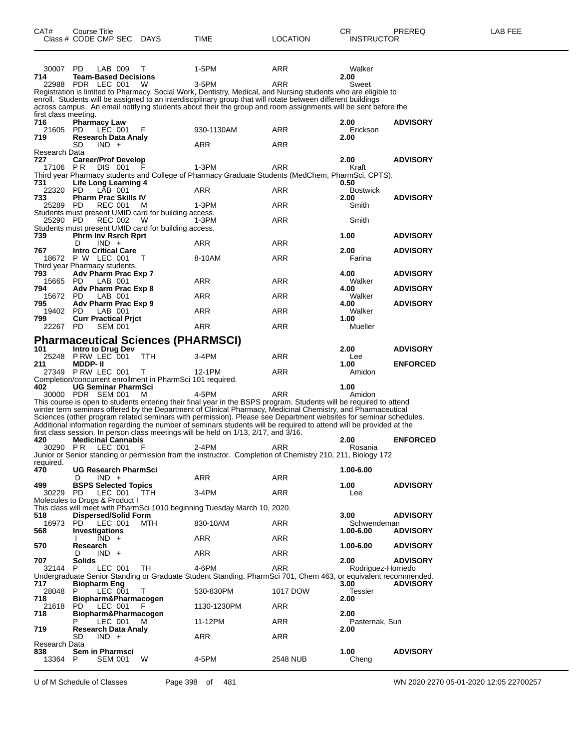| CAT#                 | Course Title<br>Class # CODE CMP SEC DAYS             |                                                                 | TIME                                                                                                                                                                                                                                    | <b>LOCATION</b> | CR<br><b>INSTRUCTOR</b> | PREREQ          | LAB FEE |
|----------------------|-------------------------------------------------------|-----------------------------------------------------------------|-----------------------------------------------------------------------------------------------------------------------------------------------------------------------------------------------------------------------------------------|-----------------|-------------------------|-----------------|---------|
|                      |                                                       |                                                                 |                                                                                                                                                                                                                                         |                 |                         |                 |         |
| 30007 PD<br>714      | LAB 009<br><b>Team-Based Decisions</b>                | T                                                               | 1-5PM                                                                                                                                                                                                                                   | ARR             | Walker<br>2.00          |                 |         |
|                      | 22988 PDR LEC 001                                     | W                                                               | 3-5PM                                                                                                                                                                                                                                   | ARR             | Sweet                   |                 |         |
|                      |                                                       |                                                                 | Registration is limited to Pharmacy, Social Work, Dentistry, Medical, and Nursing students who are eligible to                                                                                                                          |                 |                         |                 |         |
|                      |                                                       |                                                                 | enroll. Students will be assigned to an interdisciplinary group that will rotate between different buildings                                                                                                                            |                 |                         |                 |         |
|                      |                                                       |                                                                 | across campus. An email notifying students about their the group and room assignments will be sent before the                                                                                                                           |                 |                         |                 |         |
| first class meeting. |                                                       |                                                                 |                                                                                                                                                                                                                                         |                 |                         |                 |         |
| 716<br>21605         | <b>Pharmacy Law</b><br>PD.<br>LEC 001                 | F                                                               | 930-1130AM                                                                                                                                                                                                                              | ARR             | 2.00<br>Erickson        | <b>ADVISORY</b> |         |
| 719                  | Research Data Analy                                   |                                                                 |                                                                                                                                                                                                                                         |                 | 2.00                    |                 |         |
|                      | SD<br>$IND +$                                         |                                                                 | ARR                                                                                                                                                                                                                                     | ARR             |                         |                 |         |
| Research Data        |                                                       |                                                                 |                                                                                                                                                                                                                                         |                 |                         |                 |         |
| 727                  | <b>Career/Prof Develop</b>                            |                                                                 |                                                                                                                                                                                                                                         |                 | 2.00                    | <b>ADVISORY</b> |         |
| 17106 PR             | DIS 001                                               |                                                                 | 1-3PM<br>Third year Pharmacy students and College of Pharmacy Graduate Students (MedChem, PharmSci, CPTS).                                                                                                                              | ARR             | Kraft                   |                 |         |
| 731                  | Life Long Learning 4                                  |                                                                 |                                                                                                                                                                                                                                         |                 | 0.50                    |                 |         |
| 22320                | PD.<br>LAB 001                                        |                                                                 | ARR                                                                                                                                                                                                                                     | ARR             | <b>Bostwick</b>         |                 |         |
| 733                  | <b>Pharm Prac Skills IV</b>                           |                                                                 |                                                                                                                                                                                                                                         |                 | 2.00                    | <b>ADVISORY</b> |         |
| 25289                | PD.<br><b>REC 001</b>                                 | м                                                               | 1-3PM                                                                                                                                                                                                                                   | ARR             | Smith                   |                 |         |
| 25290 PD             | REC 002                                               | Students must present UMID card for building access.<br>- W     | $1-3PM$                                                                                                                                                                                                                                 | ARR             | Smith                   |                 |         |
|                      |                                                       | Students must present UMID card for building access.            |                                                                                                                                                                                                                                         |                 |                         |                 |         |
| 739                  | <b>Phrm Inv Rsrch Rprt</b>                            |                                                                 |                                                                                                                                                                                                                                         |                 | 1.00                    | <b>ADVISORY</b> |         |
|                      | $IND +$<br>D                                          |                                                                 | ARR                                                                                                                                                                                                                                     | ARR             |                         |                 |         |
| 767                  | <b>Intro Critical Care</b>                            |                                                                 |                                                                                                                                                                                                                                         |                 | 2.00                    | <b>ADVISORY</b> |         |
|                      | 18672 P W LEC 001                                     | $\top$                                                          | 8-10AM                                                                                                                                                                                                                                  | ARR             | Farina                  |                 |         |
| 793                  | Third year Pharmacy students.<br>Adv Pharm Prac Exp 7 |                                                                 |                                                                                                                                                                                                                                         |                 | 4.00                    | <b>ADVISORY</b> |         |
| 15665 PD             | LAB 001                                               |                                                                 | ARR                                                                                                                                                                                                                                     | ARR             | Walker                  |                 |         |
| 794                  | Adv Pharm Prac Exp 8                                  |                                                                 |                                                                                                                                                                                                                                         |                 | 4.00                    | <b>ADVISORY</b> |         |
| 15672 PD             | LAB 001                                               |                                                                 | ARR                                                                                                                                                                                                                                     | ARR             | Walker                  |                 |         |
| 795                  | Adv Pharm Prac Exp 9                                  |                                                                 |                                                                                                                                                                                                                                         |                 | 4.00                    | <b>ADVISORY</b> |         |
| 19402                | PD.<br>LAB 001                                        |                                                                 | ARR                                                                                                                                                                                                                                     | ARR             | Walker                  |                 |         |
| 799<br>22267 PD      | <b>Curr Practical Prict</b><br><b>SEM 001</b>         |                                                                 | ARR                                                                                                                                                                                                                                     | ARR             | 1.00<br>Mueller         |                 |         |
|                      |                                                       |                                                                 |                                                                                                                                                                                                                                         |                 |                         |                 |         |
|                      |                                                       | <b>Pharmaceutical Sciences (PHARMSCI)</b>                       |                                                                                                                                                                                                                                         |                 |                         |                 |         |
| 101                  | Intro to Drug Dev                                     |                                                                 |                                                                                                                                                                                                                                         |                 | 2.00                    | <b>ADVISORY</b> |         |
| 25248                | PRW LEC 001                                           | TTH                                                             | 3-4PM                                                                                                                                                                                                                                   | ARR             | Lee                     |                 |         |
| 211                  | <b>MDDP-II</b>                                        |                                                                 |                                                                                                                                                                                                                                         |                 | 1.00                    | <b>ENFORCED</b> |         |
|                      | 27349 PRW LEC 001                                     | T<br>Completion/concurrent enrollment in PharmSci 101 required. | 12-1PM                                                                                                                                                                                                                                  | ARR             | Amidon                  |                 |         |
| 402                  | <b>UG Seminar PharmSci</b>                            |                                                                 |                                                                                                                                                                                                                                         |                 | 1.00                    |                 |         |
|                      | 30000 PDR SEM 001                                     | M                                                               | 4-5PM                                                                                                                                                                                                                                   | ARR             | Amidon                  |                 |         |
|                      |                                                       |                                                                 | This course is open to students entering their final year in the BSPS program. Students will be required to attend                                                                                                                      |                 |                         |                 |         |
|                      |                                                       |                                                                 | winter term seminars offered by the Department of Clinical Pharmacy, Medicinal Chemistry, and Pharmaceutical                                                                                                                            |                 |                         |                 |         |
|                      |                                                       |                                                                 | Sciences (other program related seminars with permission). Please see Department websites for seminar schedules.<br>Additional information regarding the number of seminars students will be required to attend will be provided at the |                 |                         |                 |         |
|                      |                                                       |                                                                 | first class session. In person class meetings will be held on 1/13, 2/17, and 3/16.                                                                                                                                                     |                 |                         |                 |         |
| 420                  | <b>Medicinal Cannabis</b>                             |                                                                 |                                                                                                                                                                                                                                         |                 | 2.00                    | <b>ENFORCED</b> |         |
| 30290 PR             | LEC 001                                               | F                                                               | 2-4PM                                                                                                                                                                                                                                   | ARR             | Rosania                 |                 |         |
|                      |                                                       |                                                                 | Junior or Senior standing or permission from the instructor. Completion of Chemistry 210, 211, Biology 172                                                                                                                              |                 |                         |                 |         |
| required.<br>470     | <b>UG Research PharmSci</b>                           |                                                                 |                                                                                                                                                                                                                                         |                 | 1.00-6.00               |                 |         |
|                      | D<br>$IND +$                                          |                                                                 | <b>ARR</b>                                                                                                                                                                                                                              | ARR             |                         |                 |         |
| 499                  | <b>BSPS Selected Topics</b>                           |                                                                 |                                                                                                                                                                                                                                         |                 | 1.00                    | <b>ADVISORY</b> |         |
| 30229                | LEC 001<br>- PD                                       | <b>TTH</b>                                                      | 3-4PM                                                                                                                                                                                                                                   | ARR             | Lee                     |                 |         |
|                      | Molecules to Drugs & Product I                        |                                                                 |                                                                                                                                                                                                                                         |                 |                         |                 |         |
|                      |                                                       |                                                                 | This class will meet with PharmSci 1010 beginning Tuesday March 10, 2020.                                                                                                                                                               |                 |                         |                 |         |
| 518<br>16973         | <b>Dispersed/Solid Form</b><br>LEC 001<br>PD.         | MTH                                                             | 830-10AM                                                                                                                                                                                                                                | ARR             | 3.00<br>Schwendeman     | <b>ADVISORY</b> |         |
| 568                  | Investigations                                        |                                                                 |                                                                                                                                                                                                                                         |                 | 1.00-6.00               | <b>ADVISORY</b> |         |
|                      | $IND +$                                               |                                                                 | ARR                                                                                                                                                                                                                                     | ARR             |                         |                 |         |
| 570                  | Research                                              |                                                                 |                                                                                                                                                                                                                                         |                 | 1.00-6.00               | <b>ADVISORY</b> |         |
|                      | $IND +$<br>D                                          |                                                                 | ARR                                                                                                                                                                                                                                     | ARR             |                         |                 |         |
| 707                  | <b>Solids</b>                                         |                                                                 |                                                                                                                                                                                                                                         |                 | 2.00                    | <b>ADVISORY</b> |         |
| 32144                | LEC 001<br>P.                                         | TH.                                                             | 4-6PM<br>Undergraduate Senior Standing or Graduate Student Standing. PharmSci 701, Chem 463, or equivalent recommended.                                                                                                                 | <b>ARR</b>      | Rodriauez-Hornedo       |                 |         |
| 717                  | <b>Biopharm Eng</b>                                   |                                                                 |                                                                                                                                                                                                                                         |                 | 3.00                    | <b>ADVISORY</b> |         |
| 28048                | LEC 001<br>P.                                         | $\top$                                                          | 530-830PM                                                                                                                                                                                                                               | 1017 DOW        | Tessier                 |                 |         |
| 718                  | Biopharm&Pharmacogen                                  |                                                                 |                                                                                                                                                                                                                                         |                 | 2.00                    |                 |         |
| 21618                | LEC 001<br>PD.                                        | F                                                               | 1130-1230PM                                                                                                                                                                                                                             | ARR             |                         |                 |         |
| 718                  | Biopharm&Pharmacogen                                  |                                                                 |                                                                                                                                                                                                                                         |                 | 2.00                    |                 |         |
| 719                  | LEC 001<br><b>Research Data Analy</b>                 | м                                                               | 11-12PM                                                                                                                                                                                                                                 | ARR             | Pasternak, Sun<br>2.00  |                 |         |
|                      | SD<br>$IND +$                                         |                                                                 | <b>ARR</b>                                                                                                                                                                                                                              | ARR             |                         |                 |         |
| Research Data        |                                                       |                                                                 |                                                                                                                                                                                                                                         |                 |                         |                 |         |
| 838                  | Sem in Pharmsci                                       |                                                                 |                                                                                                                                                                                                                                         |                 | 1.00                    | <b>ADVISORY</b> |         |
| 13364                | <b>SEM 001</b><br>P.                                  | W                                                               | 4-5PM                                                                                                                                                                                                                                   | 2548 NUB        | Cheng                   |                 |         |
|                      |                                                       |                                                                 |                                                                                                                                                                                                                                         |                 |                         |                 |         |

U of M Schedule of Classes Page 398 of 481 WN 2020 2270 05-01-2020 12:05 22700257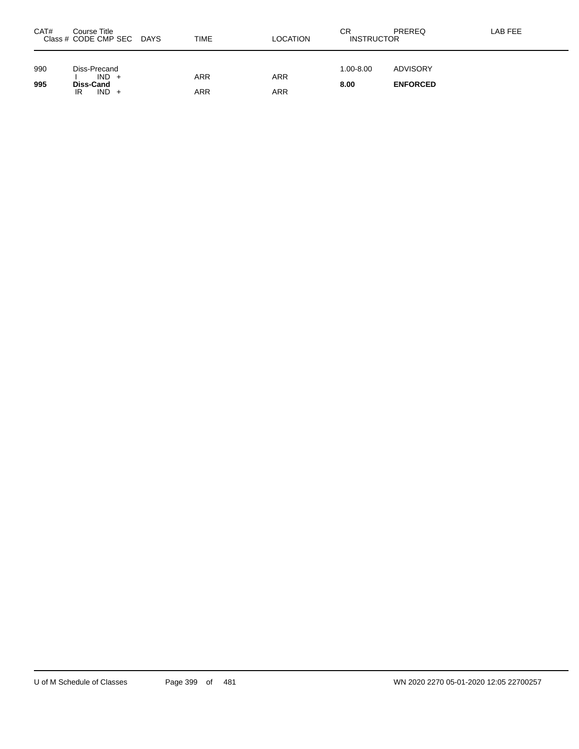| CAT#       | Course Title<br>Class # CODE CMP SEC DAYS                    | TIME       | LOCATION   | СR<br><b>INSTRUCTOR</b> | PREREQ                             | LAB FEE |
|------------|--------------------------------------------------------------|------------|------------|-------------------------|------------------------------------|---------|
| 990<br>995 | Diss-Precand<br>$IND +$<br><b>Diss-Cand</b><br>$IND +$<br>IR | ARR<br>ARR | ARR<br>ARR | $1.00 - 8.00$<br>8.00   | <b>ADVISORY</b><br><b>ENFORCED</b> |         |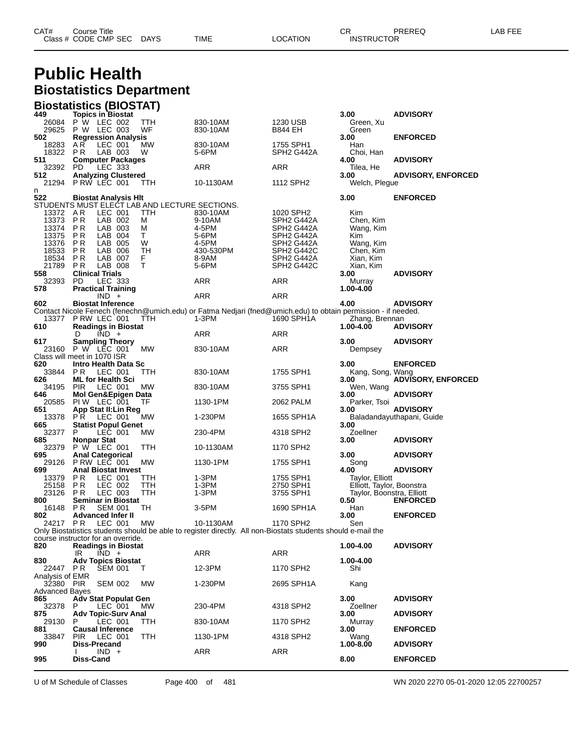| CAT# | Title<br>∴ourse      |      |      |          | Ωm<br><b>UN</b> | PREREC            | ---<br>ΔR<br>--- |
|------|----------------------|------|------|----------|-----------------|-------------------|------------------|
|      | Class # CODE CMP SEC | DAYS | TIME | LOCATION |                 | <b>INSTRUCTOR</b> |                  |

# **Public Health Biostatistics Department**

|                              | <b>Biostatistics (BIOSTAT)</b>                  |            |                                                                                                               |                                                  |                                                        |                           |
|------------------------------|-------------------------------------------------|------------|---------------------------------------------------------------------------------------------------------------|--------------------------------------------------|--------------------------------------------------------|---------------------------|
| 449                          | <b>Topics in Biostat</b>                        |            |                                                                                                               |                                                  | 3.00                                                   | <b>ADVISORY</b>           |
| 26084<br>29625               | P W LEC 002<br>P W LEC 003                      | TTH<br>WF  | 830-10AM<br>830-10AM                                                                                          | 1230 USB<br><b>B844 EH</b>                       | Green, Xu<br>Green                                     |                           |
| 502                          | <b>Regression Analysis</b>                      |            |                                                                                                               |                                                  | 3.00                                                   | <b>ENFORCED</b>           |
| 18283                        | A R<br>LEC 001                                  | МW         | 830-10AM                                                                                                      | 1755 SPH1                                        | Han                                                    |                           |
| 18322                        | P R<br>LAB 003                                  | W          | 5-6PM                                                                                                         | SPH <sub>2</sub> G <sub>442</sub> A              | Choi, Han                                              |                           |
| 511                          | <b>Computer Packages</b>                        |            |                                                                                                               |                                                  | 4.00                                                   | <b>ADVISORY</b>           |
| 32392                        | LEC 333<br>PD.                                  |            | <b>ARR</b>                                                                                                    | ARR                                              | Tilea, He                                              |                           |
| 512                          | <b>Analyzing Clustered</b><br>21294 PRW LEC 001 |            |                                                                                                               |                                                  | 3.00                                                   | <b>ADVISORY, ENFORCED</b> |
| n                            |                                                 | TTH        | 10-1130AM                                                                                                     | 1112 SPH2                                        | Welch, Plegue                                          |                           |
| 522                          | <b>Biostat Analysis HIt</b>                     |            |                                                                                                               |                                                  | 3.00                                                   | <b>ENFORCED</b>           |
|                              | STUDENTS MUST ELECT LAB AND LECTURE SECTIONS.   |            |                                                                                                               |                                                  |                                                        |                           |
| 13372 AR                     | LEC 001                                         | TTH        | 830-10AM                                                                                                      | 1020 SPH2                                        | Kim                                                    |                           |
| 13373                        | LAB 002<br>P R                                  | М          | 9-10AM                                                                                                        | SPH <sub>2</sub> G442A                           | Chen, Kim                                              |                           |
| 13374<br>13375               | PR<br>LAB 003<br>LAB 004<br>P R                 | м<br>T.    | 4-5PM<br>5-6PM                                                                                                | SPH <sub>2</sub> G442A<br>SPH <sub>2</sub> G442A | Wang, Kim<br>Kim                                       |                           |
| 13376                        | P R<br>LAB 005                                  | W          | 4-5PM                                                                                                         | SPH <sub>2</sub> G442A                           | Wang, Kim                                              |                           |
| 18533                        | PR<br>LAB 006                                   | TН         | 430-530PM                                                                                                     | SPH <sub>2</sub> G442C                           | Chen, Kim                                              |                           |
| 18534                        | P <sub>R</sub><br>LAB 007                       | F.         | 8-9AM                                                                                                         | SPH <sub>2</sub> G442A                           | Xian, Kim                                              |                           |
| 21789                        | P R<br>LAB 008                                  | т          | 5-6PM                                                                                                         | SPH <sub>2</sub> G442C                           | Xian, Kim                                              |                           |
| 558                          | <b>Clinical Trials</b>                          |            |                                                                                                               |                                                  | 3.00                                                   | <b>ADVISORY</b>           |
| 32393<br>578                 | PD<br>LEC 333<br><b>Practical Training</b>      |            | <b>ARR</b>                                                                                                    | ARR                                              | Murray<br>1.00-4.00                                    |                           |
|                              | $IND +$                                         |            | <b>ARR</b>                                                                                                    | <b>ARR</b>                                       |                                                        |                           |
| 602                          | <b>Biostat Inference</b>                        |            |                                                                                                               |                                                  | 4.00                                                   | <b>ADVISORY</b>           |
|                              |                                                 |            | Contact Nicole Fenech (fenechn@umich.edu) or Fatma Nedjari (fned@umich.edu) to obtain permission - if needed. |                                                  |                                                        |                           |
| 13377                        | P RW LEC 001                                    | ттн        | 1-3PM                                                                                                         | 1690 SPH1A                                       | Zhang, Brennan                                         |                           |
| 610                          | <b>Readings in Biostat</b>                      |            |                                                                                                               |                                                  | 1.00-4.00                                              | <b>ADVISORY</b>           |
| 617                          | $IND +$<br>D<br><b>Sampling Theory</b>          |            | ARR                                                                                                           | ARR                                              | 3.00                                                   | <b>ADVISORY</b>           |
|                              | 23160 P W LEC 001                               | МW         | 830-10AM                                                                                                      | ARR                                              | Dempsey                                                |                           |
|                              | Class will meet in 1070 ISR                     |            |                                                                                                               |                                                  |                                                        |                           |
| 620                          | Intro Health Data Sc                            |            |                                                                                                               |                                                  | 3.00                                                   | <b>ENFORCED</b>           |
| 33844                        | P R<br>LEC 001                                  | ттн        | 830-10AM                                                                                                      | 1755 SPH1                                        | Kang, Song, Wang                                       |                           |
| 626                          | <b>ML for Health Sci</b>                        |            |                                                                                                               |                                                  | 3.00                                                   | <b>ADVISORY, ENFORCED</b> |
| 34195<br>646                 | <b>PIR</b><br>LEC 001<br>Mol Gen&Epigen Data    | МW         | 830-10AM                                                                                                      | 3755 SPH1                                        | Wen, Wang<br>3.00                                      | <b>ADVISORY</b>           |
| 20585                        | PIW LEC 001                                     | TF         | 1130-1PM                                                                                                      | 2062 PALM                                        | Parker, Tsoi                                           |                           |
| 651                          | App Stat II: Lin Reg                            |            |                                                                                                               |                                                  | 3.00                                                   | <b>ADVISORY</b>           |
| 13378                        | P R<br>LEC 001                                  | MW         | 1-230PM                                                                                                       | 1655 SPH1A                                       |                                                        | Baladandayuthapani, Guide |
| 665                          | <b>Statist Popul Genet</b><br>LEC 001           |            |                                                                                                               |                                                  | 3.00                                                   |                           |
| 32377<br>685                 | P<br>Nonpar Stat                                | МW         | 230-4PM                                                                                                       | 4318 SPH2                                        | Zoellner<br>3.00                                       | <b>ADVISORY</b>           |
| 32379                        | P W LEC 001                                     | TTH        | 10-1130AM                                                                                                     | 1170 SPH2                                        |                                                        |                           |
| 695                          | <b>Anal Categorical</b>                         |            |                                                                                                               |                                                  | 3.00                                                   | <b>ADVISORY</b>           |
| 29126                        | PRW LEC 001                                     | МW         | 1130-1PM                                                                                                      | 1755 SPH1                                        | Song                                                   |                           |
| 699                          | <b>Anal Biostat Invest</b>                      |            |                                                                                                               |                                                  | 4.00                                                   | <b>ADVISORY</b>           |
| 13379                        | <b>PR</b><br>LEC 001<br>P <sub>R</sub>          | TТH<br>TTH | 1-3PM                                                                                                         | 1755 SPH1                                        | Taylor, Elliott                                        |                           |
| 25158<br>23126               | LEC 002<br>LEC 003<br>P R                       | TTH        | $1-3PM$<br>$1-3PM$                                                                                            | 2750 SPH1<br>3755 SPH1                           | Elliott, Taylor, Boonstra<br>Taylor, Boonstra, Elliott |                           |
| 800                          | <b>Seminar in Biostat</b>                       |            |                                                                                                               |                                                  | 0.50                                                   | <b>ENFORCED</b>           |
| 16148                        | P R<br><b>SEM 001</b>                           | TH         | 3-5PM                                                                                                         | 1690 SPH1A                                       | Han                                                    |                           |
| 802                          | <b>Advanced Infer II</b>                        |            |                                                                                                               |                                                  | 3.00                                                   | <b>ENFORCED</b>           |
|                              | 24217 PR LEC 001                                | MW         | 10-1130AM                                                                                                     | 1170 SPH2                                        | Sen                                                    |                           |
|                              | course instructor for an override.              |            | Only Biostatistics students should be able to register directly. All non-Biostats students should e-mail the  |                                                  |                                                        |                           |
| 820                          | <b>Readings in Biostat</b>                      |            |                                                                                                               |                                                  | 1.00-4.00                                              | <b>ADVISORY</b>           |
|                              | $\overline{IND}$ +<br>IR                        |            | <b>ARR</b>                                                                                                    | <b>ARR</b>                                       |                                                        |                           |
| 830                          | <b>Adv Topics Biostat</b>                       |            |                                                                                                               |                                                  | 1.00-4.00                                              |                           |
| 22447                        | <b>PR</b><br><b>SEM 001</b>                     | т          | 12-3PM                                                                                                        | 1170 SPH2                                        | Shi                                                    |                           |
| Analysis of EMR              |                                                 |            |                                                                                                               |                                                  |                                                        |                           |
| 32380 PIR                    | <b>SEM 002</b>                                  | MW         | 1-230PM                                                                                                       | 2695 SPH1A                                       | Kang                                                   |                           |
| <b>Advanced Bayes</b><br>865 | <b>Adv Stat Populat Gen</b>                     |            |                                                                                                               |                                                  | 3.00                                                   | <b>ADVISORY</b>           |
| 32378                        | LEC 001<br>P                                    | MW.        | 230-4PM                                                                                                       | 4318 SPH2                                        | Zoellner                                               |                           |
| 875                          | <b>Adv Topic-Surv Anal</b>                      |            |                                                                                                               |                                                  | 3.00                                                   | <b>ADVISORY</b>           |
| 29130                        | LEC 001<br>P                                    | TTH        | 830-10AM                                                                                                      | 1170 SPH2                                        | Murray                                                 |                           |
| 881                          | <b>Causal Inference</b>                         |            |                                                                                                               |                                                  | 3.00                                                   | <b>ENFORCED</b>           |
| 33847<br>990                 | <b>PIR</b><br>LEC 001<br>Diss-Precand           | TTH        | 1130-1PM                                                                                                      | 4318 SPH2                                        | Wang<br>1.00-8.00                                      | <b>ADVISORY</b>           |
|                              | $IND +$                                         |            | ARR                                                                                                           | ARR                                              |                                                        |                           |
| 995                          | Diss-Cand                                       |            |                                                                                                               |                                                  | 8.00                                                   | <b>ENFORCED</b>           |
|                              |                                                 |            |                                                                                                               |                                                  |                                                        |                           |

U of M Schedule of Classes Page 400 of 481 WN 2020 2270 05-01-2020 12:05 22700257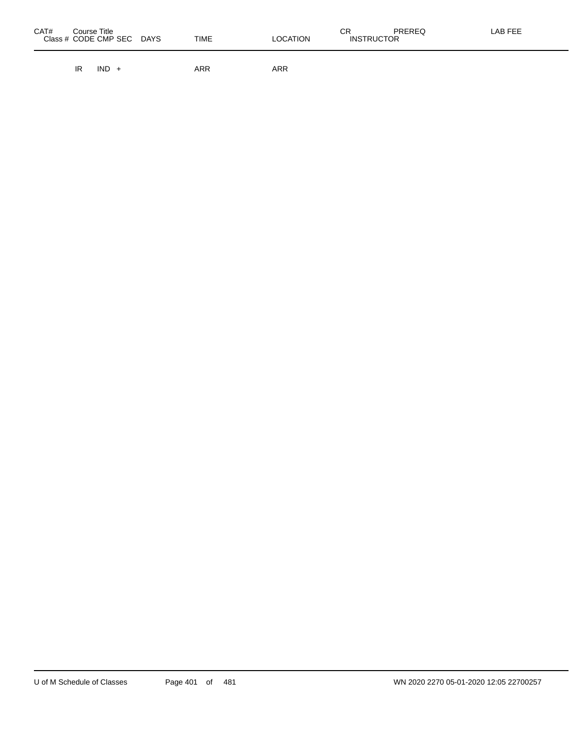| CAT# | Course Title<br>Class # CODE CMP SEC | <b>DAYS</b> | <b>TIME</b> | <b>LOCATION</b> | СR<br><b>INSTRUCTOR</b> | <b>PREREQ</b> | LAB FEE |
|------|--------------------------------------|-------------|-------------|-----------------|-------------------------|---------------|---------|
|      |                                      |             |             |                 |                         |               |         |

IR IND + ARR ARR ARR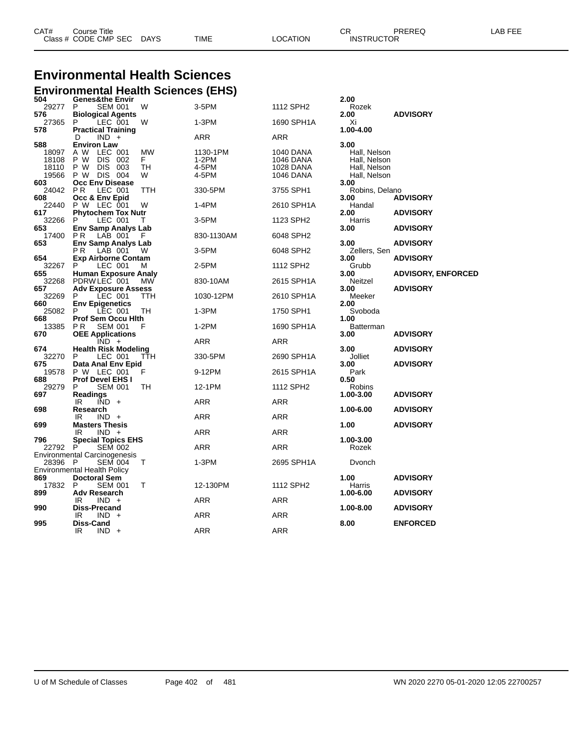| CAT# | Title<br>Course i    |             |      |          | ∩⊓<br>◡ጙ          | PREREQ | LAB FEE<br>. |
|------|----------------------|-------------|------|----------|-------------------|--------|--------------|
|      | Class # CODE CMP SEC | <b>DAYS</b> | TIME | LOCATION | <b>INSTRUCTOR</b> |        |              |

# **Environmental Health Sciences**

|              | <b>Environmental Health Sciences (EHS)</b> |            |            |                  |                  |                           |
|--------------|--------------------------------------------|------------|------------|------------------|------------------|---------------------------|
| 504          | <b>Genes&amp;the Envir</b>                 |            |            |                  | 2.00             |                           |
| 29277        | P<br><b>SEM 001</b>                        | W          | 3-5PM      | 1112 SPH2        | Rozek            |                           |
| 576          | <b>Biological Agents</b>                   |            |            |                  | 2.00             | <b>ADVISORY</b>           |
| 27365        | P<br>LEC 001                               | W          | 1-3PM      | 1690 SPH1A       | Xi               |                           |
| 578          | <b>Practical Training</b>                  |            |            |                  | 1.00-4.00        |                           |
|              | $IND +$<br>D                               |            | ARR        | ARR              |                  |                           |
| 588          | <b>Environ Law</b>                         |            |            |                  | 3.00             |                           |
| 18097        | A W<br>LEC 001                             | MW         | 1130-1PM   | 1040 DANA        | Hall, Nelson     |                           |
| 18108        | P W<br>DIS 002                             | F.         | $1-2PM$    | 1046 DANA        | Hall, Nelson     |                           |
| 18110        | P W<br><b>DIS</b><br>003                   | TН         | 4-5PM      | <b>1028 DANA</b> | Hall, Nelson     |                           |
| 19566        | P W DIS 004                                | W          | 4-5PM      | <b>1046 DANA</b> | Hall, Nelson     |                           |
| 603          | Occ Env Disease                            |            |            |                  | 3.00             |                           |
| 24042        | PR.<br>LEC 001                             | TTH        | 330-5PM    | 3755 SPH1        | Robins, Delano   |                           |
| 608          | Occ & Env Epid                             |            |            |                  | 3.00<br>Handal   | <b>ADVISORY</b>           |
| 22440<br>617 | P W LEC 001<br><b>Phytochem Tox Nutr</b>   | W          | 1-4PM      | 2610 SPH1A       | 2.00             | <b>ADVISORY</b>           |
| 32266        | P<br>LEC 001                               | т          | 3-5PM      | 1123 SPH2        | Harris           |                           |
| 653          | <b>Env Samp Analys Lab</b>                 |            |            |                  | 3.00             | <b>ADVISORY</b>           |
| 17400        | LAB 001<br>P R                             | - F        | 830-1130AM | 6048 SPH2        |                  |                           |
| 653          | <b>Env Samp Analys Lab</b>                 |            |            |                  | 3.00             | <b>ADVISORY</b>           |
|              | P <sub>R</sub><br>LAB 001                  | w          | 3-5PM      | 6048 SPH2        | Zellers, Sen     |                           |
| 654          | <b>Exp Airborne Contam</b>                 |            |            |                  | 3.00             | <b>ADVISORY</b>           |
| 32267        | P<br>LEC 001                               | м          | 2-5PM      | 1112 SPH2        | Grubb            |                           |
| 655          | <b>Human Exposure Analy</b>                |            |            |                  | 3.00             | <b>ADVISORY, ENFORCED</b> |
| 32268        | PDRWLEC 001                                | MW         | 830-10AM   | 2615 SPH1A       | Neitzel          |                           |
| 657          | <b>Adv Exposure Assess</b>                 |            |            |                  | 3.00             | <b>ADVISORY</b>           |
| 32269        | LEC 001<br>P                               | ттн        | 1030-12PM  | 2610 SPH1A       | Meeker           |                           |
| 660          | <b>Env Epigenetics</b>                     |            |            |                  | 2.00             |                           |
| 25082        | P<br>LEC 001                               | TH         | 1-3PM      | 1750 SPH1        | Svoboda          |                           |
| 668          | <b>Prof Sem Occu Hith</b>                  |            |            |                  | 1.00             |                           |
| 13385        | P R<br><b>SEM 001</b>                      | F          | $1-2PM$    | 1690 SPH1A       | <b>Batterman</b> |                           |
| 670          | <b>OEE Applications</b>                    |            |            |                  | 3.00             | <b>ADVISORY</b>           |
|              | $IND +$                                    |            | ARR        | ARR              |                  |                           |
| 674          | <b>Health Risk Modeling</b>                |            |            |                  | 3.00             | <b>ADVISORY</b>           |
| 32270        | P<br>LEC 001                               | <b>TTH</b> | 330-5PM    | 2690 SPH1A       | Jolliet          |                           |
| 675          | Data Anal Env Epid                         |            |            |                  | 3.00             | <b>ADVISORY</b>           |
| 19578<br>688 | P W LEC 001<br><b>Prof Devel EHS I</b>     | F          | 9-12PM     | 2615 SPH1A       | Park<br>0.50     |                           |
| 29279        | P<br><b>SEM 001</b>                        | TН         | 12-1PM     | 1112 SPH2        | Robins           |                           |
| 697          | <b>Readings</b>                            |            |            |                  | 1.00-3.00        | <b>ADVISORY</b>           |
|              | IR<br>$IND +$                              |            | ARR        | ARR              |                  |                           |
| 698          | Research                                   |            |            |                  | 1.00-6.00        | <b>ADVISORY</b>           |
|              | IR<br>$IND +$                              |            | ARR        | ARR              |                  |                           |
| 699          | <b>Masters Thesis</b>                      |            |            |                  | 1.00             | <b>ADVISORY</b>           |
|              | $IND +$<br>IR                              |            | ARR        | ARR              |                  |                           |
| 796          | <b>Special Topics EHS</b>                  |            |            |                  | 1.00-3.00        |                           |
| 22792        | P<br><b>SEM 002</b>                        |            | ARR        | ARR              | Rozek            |                           |
|              | Environmental Carcinogenesis               |            |            |                  |                  |                           |
| 28396 P      | <b>SEM 004</b>                             | т          | 1-3PM      | 2695 SPH1A       | Dvonch           |                           |
|              | Environmental Health Policy                |            |            |                  |                  |                           |
| 869          | <b>Doctoral Sem</b>                        |            |            |                  | 1.00             | <b>ADVISORY</b>           |
| 17832        | P<br><b>SEM 001</b>                        | т          | 12-130PM   | 1112 SPH2        | Harris           |                           |
| 899          | <b>Adv Research</b>                        |            |            |                  | 1.00-6.00        | <b>ADVISORY</b>           |
|              | IR<br>$IND +$                              |            | ARR        | ARR              |                  |                           |
| 990          | Diss-Precand                               |            |            |                  | 1.00-8.00        | <b>ADVISORY</b>           |
|              | IR<br>$IND +$                              |            | ARR        | ARR              |                  |                           |
| 995          | Diss-Cand                                  |            | ARR        | ARR              | 8.00             | <b>ENFORCED</b>           |
|              | IR<br>$IND +$                              |            |            |                  |                  |                           |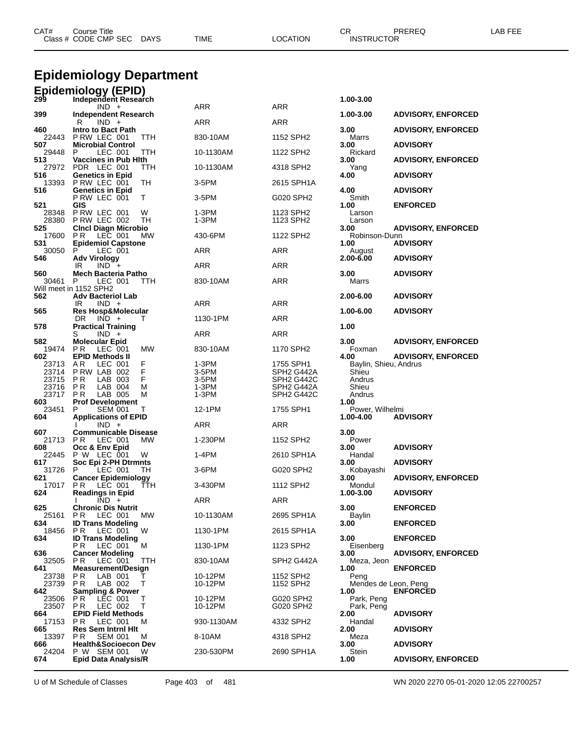|                       | <b>Epidemiology Department</b>                                |                |                          |                              |                           |  |  |  |  |  |
|-----------------------|---------------------------------------------------------------|----------------|--------------------------|------------------------------|---------------------------|--|--|--|--|--|
| 299                   | <b>Epidemiology (EPID)</b><br>Independent Research            |                |                          | 1.00-3.00                    |                           |  |  |  |  |  |
|                       | $IND +$                                                       | ARR            | ARR                      |                              |                           |  |  |  |  |  |
| 399                   | Independent Research<br>R<br>$IND +$                          | ARR            | <b>ARR</b>               | 1.00-3.00                    | <b>ADVISORY, ENFORCED</b> |  |  |  |  |  |
| 460<br>22443          | Intro to Bact Path<br>PRW LEC 001<br>TTH                      | 830-10AM       | 1152 SPH2                | 3.00<br>Marrs                | <b>ADVISORY, ENFORCED</b> |  |  |  |  |  |
| 507                   | <b>Microbial Control</b>                                      |                |                          | 3.00                         | <b>ADVISORY</b>           |  |  |  |  |  |
| 29448<br>513          | TTH<br>P.<br>LEC 001<br><b>Vaccines in Pub Hith</b>           | 10-1130AM      | 1122 SPH2                | Rickard<br>3.00              | <b>ADVISORY, ENFORCED</b> |  |  |  |  |  |
| 516                   | 27972 PDR LEC 001<br>ттн<br><b>Genetics in Epid</b>           | 10-1130AM      | 4318 SPH2                | Yang<br>4.00                 | <b>ADVISORY</b>           |  |  |  |  |  |
| 13393<br>516          | PRW LEC 001<br>TН<br><b>Genetics in Epid</b>                  | $3-5$ PM       | 2615 SPH1A               | 4.00                         | <b>ADVISORY</b>           |  |  |  |  |  |
|                       | PRW LEC 001<br>T.                                             | 3-5PM          | G020 SPH2                | Smith                        |                           |  |  |  |  |  |
| 521<br>28348<br>28380 | GIS<br>PRW LEC 001<br>W<br>TН<br>PRW LEC 002                  | 1-3PM<br>1-3PM | 1123 SPH2<br>1123 SPH2   | 1.00<br>Larson<br>Larson     | <b>ENFORCED</b>           |  |  |  |  |  |
| 525<br>17600          | <b>Cinci Diagn Microbio</b><br>P R<br>LEC 001<br>МW           | 430-6PM        | 1122 SPH2                | 3.00<br>Robinson-Dunn        | <b>ADVISORY, ENFORCED</b> |  |  |  |  |  |
| 531                   | <b>Epidemiol Capstone</b>                                     |                |                          | 1.00                         | <b>ADVISORY</b>           |  |  |  |  |  |
| 30050<br>546          | P<br>LEC 001<br><b>Adv Virology</b>                           | ARR            | ARR                      | August<br>2.00-6.00          | <b>ADVISORY</b>           |  |  |  |  |  |
| 560                   | IR<br>$IND +$<br>Mech Bacteria Patho                          | ARR            | ARR                      | 3.00                         | <b>ADVISORY</b>           |  |  |  |  |  |
| 30461                 | P<br>LEC 001<br>TTH<br>Will meet in 1152 SPH2                 | 830-10AM       | <b>ARR</b>               | Marrs                        |                           |  |  |  |  |  |
| 562                   | <b>Adv Bacteriol Lab</b>                                      |                |                          | 2.00-6.00                    | <b>ADVISORY</b>           |  |  |  |  |  |
| 565                   | IR<br>$IND +$<br><b>Res Hosp&amp;Molecular</b>                | ARR            | <b>ARR</b>               | 1.00-6.00                    | <b>ADVISORY</b>           |  |  |  |  |  |
| 578                   | DR<br>$IND +$<br><b>Practical Training</b>                    | 1130-1PM       | ARR                      | 1.00                         |                           |  |  |  |  |  |
| 582                   | S<br>$IND +$<br><b>Molecular Epid</b>                         | ARR            | ARR                      | 3.00                         | <b>ADVISORY, ENFORCED</b> |  |  |  |  |  |
| 19474<br>602          | P R<br>LEC 001<br>MW<br><b>EPID Methods II</b>                | 830-10AM       | 1170 SPH2                | Foxman<br>4.00               | <b>ADVISORY, ENFORCED</b> |  |  |  |  |  |
| 23713                 | AR.<br>LEC 001<br>F                                           | 1-3PM          | 1755 SPH1                | Baylin, Shieu, Andrus        |                           |  |  |  |  |  |
| 23714<br>23715        | F<br>PRW LAB 002<br>F<br>LAB 003<br>P R                       | 3-5PM<br>3-5PM | SPH2 G442A<br>SPH2 G442C | Shieu<br>Andrus              |                           |  |  |  |  |  |
| 23716                 | P R<br>LAB 004<br>M                                           | 1-3PM          | SPH2 G442A               | Shieu                        |                           |  |  |  |  |  |
| 23717<br>603          | P R<br>LAB 005<br>м<br><b>Prof Development</b>                | 1-3PM          | SPH <sub>2</sub> G442C   | Andrus<br>1.00               |                           |  |  |  |  |  |
| 23451<br>604          | <b>SEM 001</b><br>P<br>Τ<br><b>Applications of EPID</b>       | 12-1PM         | 1755 SPH1                | Power, Wilhelmi<br>1.00-4.00 | <b>ADVISORY</b>           |  |  |  |  |  |
|                       | $IND +$                                                       | ARR            | ARR                      |                              |                           |  |  |  |  |  |
| 607<br>21713          | <b>Communicable Disease</b><br>P R<br>LEC 001<br><b>MW</b>    | 1-230PM        | 1152 SPH2                | 3.00<br>Power                |                           |  |  |  |  |  |
| 608<br>22445          | Occ & Env Epid<br>P W LEC 001<br>W                            | 1-4PM          | 2610 SPH1A               | 3.00<br>Handal               | <b>ADVISORY</b>           |  |  |  |  |  |
| 617<br>31726          | Soc Epi 2-PH Dtrmnts<br>P<br>LEC 001<br>TН                    | 3-6PM          | G020 SPH2                | 3.00<br>Kobayashi            | <b>ADVISORY</b>           |  |  |  |  |  |
| 621                   | <b>Cancer Epidemiology</b>                                    | 3-430PM        | 1112 SPH2                | 3.00                         | <b>ADVISORY, ENFORCED</b> |  |  |  |  |  |
| 624                   | 17017 PR LEC 001<br>TTH<br><b>Readings in Epid</b>            |                |                          | Mondul<br>1.00-3.00          | <b>ADVISORY</b>           |  |  |  |  |  |
| 625                   | $IND +$<br><b>Chronic Dis Nutrit</b>                          | ARR            | ARR                      | 3.00                         | <b>ENFORCED</b>           |  |  |  |  |  |
| 25161<br>634          | P R<br>LEC 001<br>МW<br><b>ID Trans Modeling</b>              | 10-1130AM      | 2695 SPH1A               | Baylin<br>3.00               | <b>ENFORCED</b>           |  |  |  |  |  |
| 18456<br>634          | LEC 001<br>W<br>PR.<br><b>ID Trans Modeling</b>               | 1130-1PM       | 2615 SPH1A               | 3.00                         | <b>ENFORCED</b>           |  |  |  |  |  |
|                       | LEC 001<br>P R<br>M                                           | 1130-1PM       | 1123 SPH2                | Eisenberg                    |                           |  |  |  |  |  |
| 636<br>32505          | <b>Cancer Modeling</b><br>P R<br>LEC 001<br>TTH               | 830-10AM       | SPH2 G442A               | 3.00<br>Meza, Jeon           | <b>ADVISORY, ENFORCED</b> |  |  |  |  |  |
| 641<br>23738          | <b>Measurement/Design</b><br>P R<br>LAB 001                   | 10-12PM        | 1152 SPH2                | 1.00<br>Peng                 | <b>ENFORCED</b>           |  |  |  |  |  |
| 23739<br>642          | LAB 002<br>т<br>P R<br><b>Sampling &amp; Power</b>            | 10-12PM        | 1152 SPH2                | Mendes de Leon, Peng<br>1.00 | <b>ENFORCED</b>           |  |  |  |  |  |
| 23506                 | LEC 001<br>т<br>PR.                                           | 10-12PM        | G020 SPH2                | Park, Peng                   |                           |  |  |  |  |  |
| 23507<br>664          | т<br>PR.<br>LEC 002<br><b>EPID Field Methods</b>              | 10-12PM        | G020 SPH2                | Park, Peng<br>2.00           | <b>ADVISORY</b>           |  |  |  |  |  |
| 17153<br>665          | PR.<br>LEC 001<br>м<br><b>Res Sem Intrnl Hit</b>              | 930-1130AM     | 4332 SPH2                | Handal<br>2.00               | <b>ADVISORY</b>           |  |  |  |  |  |
| 13397<br>666          | PR.<br><b>SEM 001</b><br>м<br><b>Health&amp;Socioecon Dev</b> | 8-10AM         | 4318 SPH2                | Meza<br>3.00                 | <b>ADVISORY</b>           |  |  |  |  |  |
| 24204                 | P W SEM 001<br>W                                              | 230-530PM      | 2690 SPH1A               | Stein                        |                           |  |  |  |  |  |

Class # CODE CMP SEC DAYS TIME LOCATION INSTRUCTOR

**Epid Data Analysis/R 1.00 ADVISORY, ENFORCED**

U of M Schedule of Classes Page 403 of 481 WN 2020 2270 05-01-2020 12:05 22700257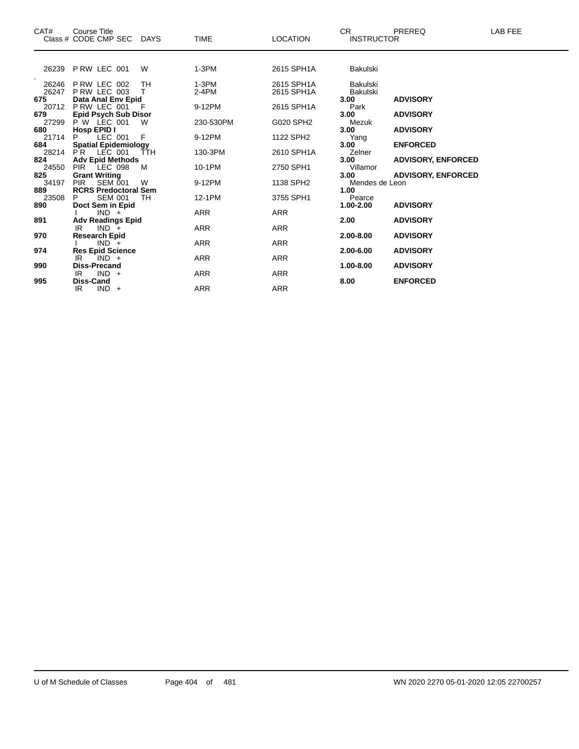| CAT#                     | Course Title<br>Class # CODE CMP SEC DAYS                              |          | <b>TIME</b>          | <b>LOCATION</b>          | CR.<br><b>INSTRUCTOR</b> | <b>PREREQ</b>                                          | LAB FEE |
|--------------------------|------------------------------------------------------------------------|----------|----------------------|--------------------------|--------------------------|--------------------------------------------------------|---------|
|                          | 26239 P RW LEC 001                                                     | W        | $1-3PM$              | 2615 SPH1A               | Bakulski                 |                                                        |         |
| 26246<br>26247           | PRW LEC 002<br><b>P RW LEC 003</b>                                     | TH<br>т  | $1-3PM$<br>$2-4PM$   | 2615 SPH1A<br>2615 SPH1A | Bakulski<br>Bakulski     |                                                        |         |
| 675<br>679               | Data Anal Env Epid<br>20712 PRW LEC 001<br><b>Epid Psych Sub Disor</b> | - F      | 9-12PM               | 2615 SPH1A               | 3.00<br>Park<br>3.00     | <b>ADVISORY</b><br><b>ADVISORY</b>                     |         |
| 27299<br>680             | $P W$ LEC 001<br>Hosp EPID I                                           | W        | 230-530PM            | G020 SPH2                | Mezuk<br>3.00            | <b>ADVISORY</b>                                        |         |
| 21714<br>684<br>28214 PR | LEC 001<br><b>Spatial Epidemiology</b><br>LEC 001                      | F<br>ŤŤH | 9-12PM<br>130-3PM    | 1122 SPH2<br>2610 SPH1A  | Yang<br>3.00<br>Zelner   | <b>ENFORCED</b>                                        |         |
| 824<br>24550 PIR<br>825  | <b>Adv Epid Methods</b><br>LEC 098<br><b>Grant Writing</b>             | M        | 10-1PM               | 2750 SPH1                | 3.00<br>Villamor<br>3.00 | <b>ADVISORY, ENFORCED</b><br><b>ADVISORY, ENFORCED</b> |         |
| 34197<br>889             | <b>SEM 001</b><br><b>PIR</b><br><b>RCRS Predoctoral Sem</b>            | W        | 9-12PM               | 1138 SPH2                | Mendes de Leon<br>1.00   |                                                        |         |
| 23508<br>890             | <b>SEM 001</b><br>P.<br>Doct Sem in Epid<br>$IND +$                    | TН       | 12-1PM<br><b>ARR</b> | 3755 SPH1<br><b>ARR</b>  | Pearce<br>$1.00 - 2.00$  | <b>ADVISORY</b>                                        |         |
| 891<br>970               | <b>Adv Readings Epid</b><br>IR.<br>$IND +$                             |          | <b>ARR</b>           | <b>ARR</b>               | 2.00<br>2.00-8.00        | <b>ADVISORY</b><br><b>ADVISORY</b>                     |         |
| 974                      | <b>Research Epid</b><br>$IND +$<br><b>Res Epid Science</b>             |          | <b>ARR</b>           | <b>ARR</b>               | 2.00-6.00                | <b>ADVISORY</b>                                        |         |
| 990                      | IR<br>$IND +$<br><b>Diss-Precand</b><br>$IND +$<br>IR.                 |          | <b>ARR</b><br>ARR    | <b>ARR</b><br><b>ARR</b> | 1.00-8.00                | <b>ADVISORY</b>                                        |         |
| 995                      | Diss-Cand<br>$IND +$<br>IR                                             |          | <b>ARR</b>           | <b>ARR</b>               | 8.00                     | <b>ENFORCED</b>                                        |         |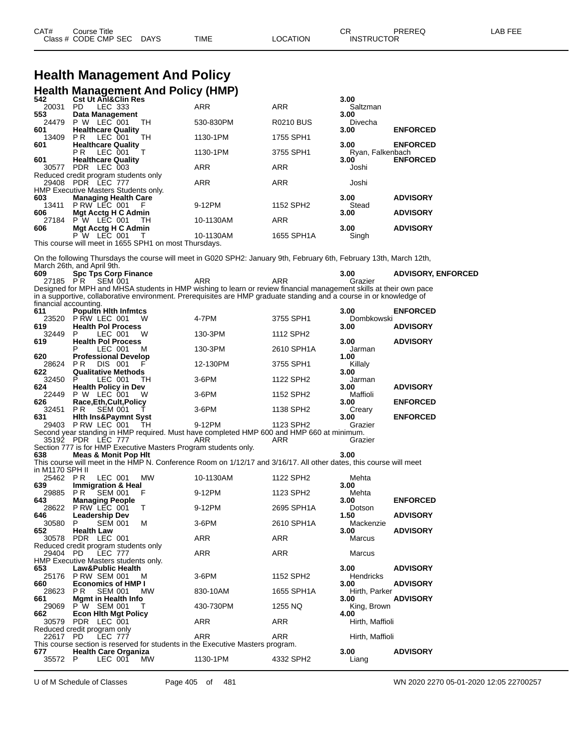### **Health Management And Policy Health Management And Policy (HMP)**

| 542                   | <b>Cst Ut AnI&amp;Clin Res</b>                                                                                                                    |            |                       | 3.00             |                           |
|-----------------------|---------------------------------------------------------------------------------------------------------------------------------------------------|------------|-----------------------|------------------|---------------------------|
| 20031                 | LEC 333<br>PD.                                                                                                                                    | <b>ARR</b> | <b>ARR</b>            | Saltzman         |                           |
| 553                   | Data Management                                                                                                                                   |            |                       | 3.00             |                           |
| 24479                 | P W LEC 001<br>TH                                                                                                                                 | 530-830PM  | <b>R0210 BUS</b>      | Divecha          |                           |
| 601                   | <b>Healthcare Quality</b>                                                                                                                         |            |                       | 3.00             | <b>ENFORCED</b>           |
| 13409                 | <b>TH</b><br><b>PR</b><br>LEC 001                                                                                                                 | 1130-1PM   | 1755 SPH1             |                  |                           |
| 601                   | <b>Healthcare Quality</b>                                                                                                                         |            |                       | 3.00             | <b>ENFORCED</b>           |
|                       | P <sub>R</sub><br>LEC 001<br>$\top$                                                                                                               | 1130-1PM   | 3755 SPH1             | Ryan, Falkenbach |                           |
| 601                   | <b>Healthcare Quality</b>                                                                                                                         |            |                       | 3.00             | <b>ENFORCED</b>           |
| 30577                 | PDR LEC 003                                                                                                                                       | <b>ARR</b> | <b>ARR</b>            | Joshi            |                           |
|                       | Reduced credit program students only                                                                                                              |            |                       |                  |                           |
|                       | 29408 PDR LEC 777                                                                                                                                 | <b>ARR</b> | <b>ARR</b>            | Joshi            |                           |
|                       | HMP Executive Masters Students only.                                                                                                              |            |                       |                  |                           |
| 603                   | <b>Managing Health Care</b>                                                                                                                       |            |                       | 3.00             | <b>ADVISORY</b>           |
| 13411                 | P RW LEC 001<br>- F                                                                                                                               | 9-12PM     | 1152 SPH2             | Stead            |                           |
| 606                   | Mgt Acctg H C Admin                                                                                                                               |            |                       | 3.00             | <b>ADVISORY</b>           |
| 27184                 | <b>P</b> W LEC 001<br>TН                                                                                                                          | 10-1130AM  | <b>ARR</b>            |                  |                           |
| 606                   | Mgt Acctg H C Admin                                                                                                                               |            |                       | 3.00             | <b>ADVISORY</b>           |
|                       | <b>P</b> W LEC 001<br>т                                                                                                                           | 10-1130AM  | 1655 SPH1A            | Singh            |                           |
|                       | This course will meet in 1655 SPH1 on most Thursdays.                                                                                             |            |                       |                  |                           |
|                       | On the following Thursdays the course will meet in G020 SPH2: January 9th, February 6th, February 13th, March 12th,<br>March 26th, and April 9th. |            |                       |                  |                           |
| 609                   | <b>Spc Tps Corp Finance</b>                                                                                                                       |            |                       | 3.00             | <b>ADVISORY, ENFORCED</b> |
|                       | 27185 PR SEM 001                                                                                                                                  | <b>ARR</b> | <b>ARR</b>            | Grazier          |                           |
|                       | Designed for MPH and MHSA students in HMP wishing to learn or review financial management skills at their own pace                                |            |                       |                  |                           |
|                       | in a supportive, collaborative environment. Prerequisites are HMP graduate standing and a course in or knowledge of                               |            |                       |                  |                           |
| financial accounting. |                                                                                                                                                   |            |                       |                  |                           |
| 611                   | <b>Popultn Hith Infmtcs</b>                                                                                                                       |            |                       | 3.00             | <b>ENFORCED</b>           |
| 23520                 | P RW LEC 001<br>W                                                                                                                                 | 4-7PM      | 3755 SPH1             | Dombkowski       |                           |
| 619                   | <b>Health Pol Process</b>                                                                                                                         |            |                       | 3.00             | <b>ADVISORY</b>           |
| 32449                 | LEC 001<br>P.<br>W                                                                                                                                | 130-3PM    | 1112 SPH <sub>2</sub> |                  |                           |
| 619                   | <b>Health Pol Process</b>                                                                                                                         |            |                       | 3.00             | <b>ADVISORY</b>           |
|                       | LEC 001<br>P<br>м                                                                                                                                 | 130-3PM    | 2610 SPH1A            | Jarman           |                           |
| 620                   | <b>Professional Develop</b>                                                                                                                       |            |                       | 1.00             |                           |
| 28624                 | <b>PR</b><br><b>DIS 001</b><br>F                                                                                                                  | 12-130PM   | 3755 SPH1             | Killaly          |                           |
| 622                   | <b>Qualitative Methods</b>                                                                                                                        |            |                       | 3.00             |                           |
| 32450                 | LEC 001<br>P<br>TН                                                                                                                                | 3-6PM      | 1122 SPH2             | Jarman           |                           |
| 624                   | <b>Health Policy in Dev</b>                                                                                                                       |            |                       | 3.00             | <b>ADVISORY</b>           |

22449 P W LEC 001 W 3-6PM 1152 SPH2 Maffioli<br>
626 Race,Eth,Cult,Policy 3.00 **Race,Eth,Cult,Policy 3.00 ENFORCED** 32451 P R SEM 001 T 3-6PM 1138 SPH2 Creary **Hlth Ins&Paymnt Syst 3.00 ENFORCED** P RW LEC 001 TH 9-12PM 1123 SPH2 Grazier

Second year standing in HMP required. Must have completed HMP 600 and HMP 660 at minimum. PDR LEC 777 ARR ARR Grazier

Section 777 is for HMP Executive Masters Program students only. **Meas & Monit Pop Hlt 3.00**

This course will meet in the HMP N. Conference Room on 1/12/17 and 3/16/17. All other dates, this course will meet

| in M1170 SPH II                      |                        |                |                               |        |                                                                                |            |                   |                 |
|--------------------------------------|------------------------|----------------|-------------------------------|--------|--------------------------------------------------------------------------------|------------|-------------------|-----------------|
| 25462                                | P <sub>R</sub>         | LEC 001        |                               | MW     | 10-1130AM                                                                      | 1122 SPH2  | Mehta             |                 |
| 639 —                                |                        |                | <b>Immigration &amp; Heal</b> |        |                                                                                |            | 3.00 <sub>1</sub> |                 |
| 29885                                | PR SEM 001             |                |                               | - F    | 9-12PM                                                                         | 1123 SPH2  | Mehta             |                 |
| 643                                  | <b>Managing People</b> |                |                               |        |                                                                                |            | 3.00              | <b>ENFORCED</b> |
| 28622 P RW LEC 001                   |                        |                |                               | $\top$ | 9-12PM                                                                         | 2695 SPH1A | Dotson            |                 |
| 646 —                                | <b>Leadership Dev</b>  |                |                               |        |                                                                                |            | 1.50              | <b>ADVISORY</b> |
| 30580 P                              |                        | <b>SEM 001</b> |                               | м      | $3-6$ PM                                                                       | 2610 SPH1A | Mackenzie         |                 |
| 652 —                                | <b>Health Law</b>      |                |                               |        |                                                                                |            | 3.00              | <b>ADVISORY</b> |
| 30578 PDR LEC 001                    |                        |                |                               |        | <b>ARR</b>                                                                     | ARR        | Marcus            |                 |
| Reduced credit program students only |                        |                |                               |        |                                                                                |            |                   |                 |
| 29404 PD LEC 777                     |                        |                |                               |        | <b>ARR</b>                                                                     | ARR        | Marcus            |                 |
| HMP Executive Masters students only. |                        |                |                               |        |                                                                                |            |                   |                 |
| 653                                  |                        |                | <b>Law&amp;Public Health</b>  |        |                                                                                |            | 3.00              | <b>ADVISORY</b> |
| 25176 P RW SEM 001                   |                        |                |                               | M      | 3-6PM                                                                          | 1152 SPH2  | <b>Hendricks</b>  |                 |
| 660 — 10                             |                        |                | <b>Economics of HMP I</b>     |        |                                                                                |            | 3.00              | <b>ADVISORY</b> |
| 28623 PR                             |                        | <b>SEM 001</b> |                               | MW     | 830-10AM                                                                       | 1655 SPH1A | Hirth, Parker     |                 |
| 661 Mgmt in Health Info              |                        |                |                               |        |                                                                                |            | 3.00              | <b>ADVISORY</b> |
| 29069 P W SEM 001                    |                        |                |                               | $\top$ | 430-730PM                                                                      | 1255 NQ    | King, Brown       |                 |
| 662 — 10                             |                        |                | <b>Econ Hith Mgt Policy</b>   |        |                                                                                |            | 4.00              |                 |
| 30579 PDR LEC 001                    |                        |                |                               |        | <b>ARR</b>                                                                     | ARR        | Hirth, Maffioli   |                 |
| Reduced credit program only          |                        |                |                               |        |                                                                                |            |                   |                 |
| 22617 PD LEC 777                     |                        |                |                               |        | ARR                                                                            | <b>ARR</b> | Hirth, Maffioli   |                 |
|                                      |                        |                |                               |        | This course section is reserved for students in the Executive Masters program. |            |                   |                 |
| 677                                  |                        |                | <b>Health Care Organiza</b>   |        |                                                                                |            | 3.00              | <b>ADVISORY</b> |
| 35572                                | P.                     | LEC 001        |                               | MW     | 1130-1PM                                                                       | 4332 SPH2  | Liang             |                 |

U of M Schedule of Classes Page 405 of 481 WN 2020 2270 05-01-2020 12:05 22700257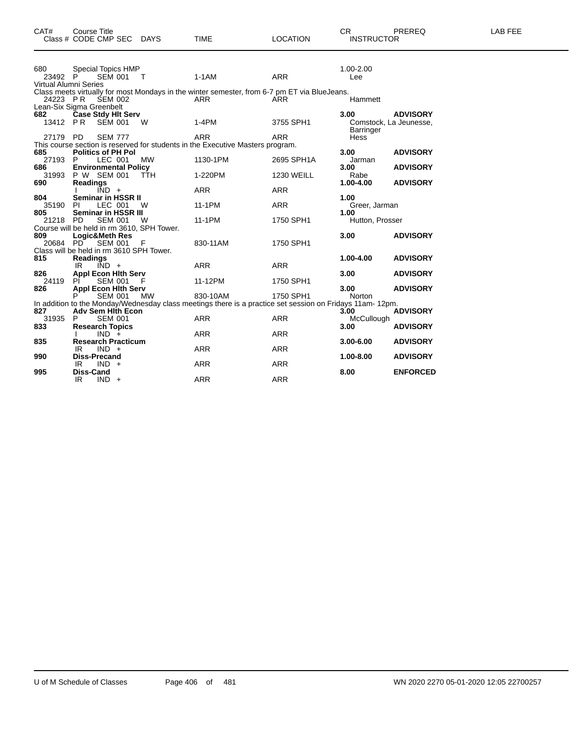| CAT#                  | <b>Course Title</b><br>Class # CODE CMP SEC DAYS                                        |           | <b>TIME</b>                                                                                                          | <b>LOCATION</b>                 | CR.<br><b>INSTRUCTOR</b>   | PREREQ                                    | LAB FEE |
|-----------------------|-----------------------------------------------------------------------------------------|-----------|----------------------------------------------------------------------------------------------------------------------|---------------------------------|----------------------------|-------------------------------------------|---------|
| 680<br>23492 P        | Special Topics HMP<br>SEM 001<br><b>Virtual Alumni Series</b>                           | $\top$    | $1-1AM$                                                                                                              | <b>ARR</b>                      | 1.00-2.00<br>Lee           |                                           |         |
|                       | 24223 PR SEM 002<br>Lean-Six Sigma Greenbelt                                            |           | Class meets virtually for most Mondays in the winter semester, from 6-7 pm ET via BlueJeans.<br><b>ARR</b>           | <b>ARR</b>                      | Hammett                    |                                           |         |
| 682<br>13412 PR       | Case Stdy Hit Serv<br><b>SEM 001</b>                                                    | W         | $1-4PM$                                                                                                              | 3755 SPH1                       | 3.00<br>Barringer          | <b>ADVISORY</b><br>Comstock, La Jeunesse, |         |
| 27179 PD              | <b>SEM 777</b>                                                                          |           | <b>ARR</b><br>This course section is reserved for students in the Executive Masters program.                         | <b>ARR</b>                      | Hess                       |                                           |         |
| 685<br>27193 P<br>686 | <b>Politics of PH Pol</b><br>LEC 001<br><b>Environmental Policy</b>                     | MW        | 1130-1PM                                                                                                             | 2695 SPH1A                      | 3.00<br>Jarman<br>3.00     | <b>ADVISORY</b><br><b>ADVISORY</b>        |         |
| 31993<br>690          | P W SEM 001<br><b>Readings</b><br>$\overline{IND}$ +                                    | TTH       | 1-220PM<br><b>ARR</b>                                                                                                | <b>1230 WEILL</b><br><b>ARR</b> | Rabe<br>1.00-4.00          | <b>ADVISORY</b>                           |         |
| 804<br>35190          | Seminar in HSSR II<br>LEC 001<br>PL                                                     | - W       | 11-1PM                                                                                                               | <b>ARR</b>                      | 1.00<br>Greer, Jarman      |                                           |         |
| 805<br>21218 PD       | Seminar in HSSR III<br><b>SEM 001</b><br>Course will be held in rm 3610, SPH Tower.     | W         | 11-1PM                                                                                                               | 1750 SPH1                       | 1.00<br>Hutton, Prosser    |                                           |         |
| 809                   | Logic&Meth Res<br>20684 PD SEM 001                                                      | - F       | 830-11AM                                                                                                             | 1750 SPH1                       | 3.00                       | <b>ADVISORY</b>                           |         |
| 815                   | Class will be held in rm 3610 SPH Tower.<br><b>Readings</b><br>$\overline{IND}$ +<br>IR |           | <b>ARR</b>                                                                                                           | <b>ARR</b>                      | 1.00-4.00                  | <b>ADVISORY</b>                           |         |
| 826<br>24119          | <b>Appl Econ Hith Serv</b><br><b>SEM 001</b><br>PI.                                     | - F       | 11-12PM                                                                                                              | 1750 SPH1                       | 3.00                       | <b>ADVISORY</b>                           |         |
| 826                   | <b>Appl Econ Hith Serv</b><br><b>SEM 001</b>                                            | <b>MW</b> | 830-10AM<br>In addition to the Monday/Wednesday class meetings there is a practice set session on Fridays 11am-12pm. | 1750 SPH1                       | 3.00<br>Norton             | <b>ADVISORY</b>                           |         |
| 827<br>31935<br>833   | <b>Adv Sem Hith Econ</b><br>P<br><b>SEM 001</b><br><b>Research Topics</b>               |           | <b>ARR</b>                                                                                                           | <b>ARR</b>                      | 3.00<br>McCullough<br>3.00 | <b>ADVISORY</b><br><b>ADVISORY</b>        |         |
| 835                   | $IND +$<br><b>Research Practicum</b>                                                    |           | <b>ARR</b>                                                                                                           | ARR                             | $3.00 - 6.00$              | <b>ADVISORY</b>                           |         |
| 990                   | $IND +$<br>IR<br><b>Diss-Precand</b><br>$IND +$<br>IR                                   |           | <b>ARR</b><br><b>ARR</b>                                                                                             | <b>ARR</b><br><b>ARR</b>        | 1.00-8.00                  | <b>ADVISORY</b>                           |         |
| 995                   | Diss-Cand<br>IR.<br>$IND +$                                                             |           | <b>ARR</b>                                                                                                           | <b>ARR</b>                      | 8.00                       | <b>ENFORCED</b>                           |         |
|                       |                                                                                         |           |                                                                                                                      |                                 |                            |                                           |         |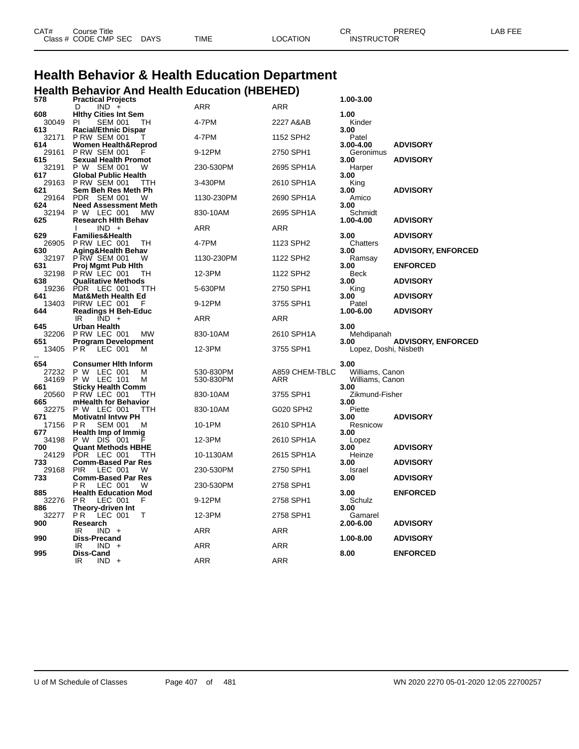| CAT# | Course Title         |             |      |          | ∩г                | PREREQ | LAB FEE |
|------|----------------------|-------------|------|----------|-------------------|--------|---------|
|      | Class # CODE CMP SEC | <b>DAYS</b> | TIME | LOCATION | <b>INSTRUCTOR</b> |        |         |

# **Health Behavior & Health Education Department Health Behavior And Health Education (HBEHED)**

| 578          | <b>Practical Projects</b>                               |            |                | 1.00-3.00               |                           |
|--------------|---------------------------------------------------------|------------|----------------|-------------------------|---------------------------|
|              | $IND +$<br>D                                            | ARR        | ARR            |                         |                           |
| 608          | <b>Hithy Cities Int Sem</b>                             |            |                | 1.00                    |                           |
| 30049<br>613 | <b>SEM 001</b><br>PI.<br>TН                             | 4-7PM      | 2227 A&AB      | Kinder<br>3.00          |                           |
| 32171        | <b>Racial/Ethnic Dispar</b><br><b>P RW SEM 001</b><br>T | 4-7PM      | 1152 SPH2      | Patel                   |                           |
| 614          | <b>Women Health&amp;Reprod</b>                          |            |                | 3.00-4.00               | <b>ADVISORY</b>           |
| 29161        | <b>P RW SEM 001</b>                                     | 9-12PM     | 2750 SPH1      | Geronimus               |                           |
| 615          | <b>Sexual Health Promot</b>                             |            |                | 3.00                    | <b>ADVISORY</b>           |
| 32191        | P W SEM 001<br>W                                        | 230-530PM  | 2695 SPH1A     | Harper                  |                           |
| 617          | <b>Global Public Health</b>                             |            |                | 3.00                    |                           |
| 29163<br>621 | <b>P RW SEM 001</b><br>TTH<br>Sem Beh Res Meth Ph       | 3-430PM    | 2610 SPH1A     | King<br>3.00            | <b>ADVISORY</b>           |
| 29164        | PDR SEM 001<br>W                                        | 1130-230PM | 2690 SPH1A     | Amico                   |                           |
| 624          | <b>Need Assessment Meth</b>                             |            |                | 3.00                    |                           |
| 32194        | P W LEC 001<br>мw                                       | 830-10AM   | 2695 SPH1A     | Schmidt                 |                           |
| 625          | <b>Research Hith Behav</b>                              |            |                | 1.00-4.00               | <b>ADVISORY</b>           |
|              | $IND +$                                                 | ARR        | ARR            |                         |                           |
| 629<br>26905 | <b>Families&amp;Health</b><br>PRW LEC 001<br>TН         | 4-7PM      | 1123 SPH2      | 3.00<br>Chatters        | <b>ADVISORY</b>           |
| 630          | Aging&Health Behav                                      |            |                | 3.00                    | <b>ADVISORY, ENFORCED</b> |
| 32197        | PRW SEM 001<br>W                                        | 1130-230PM | 1122 SPH2      | Ramsay                  |                           |
| 631          | Proj Mgmt Pub Hith                                      |            |                | 3.00                    | <b>ENFORCED</b>           |
| 32198        | PRW LEC 001<br>TH                                       | 12-3PM     | 1122 SPH2      | Beck                    |                           |
| 638<br>19236 | <b>Qualitative Methods</b><br>PDR LEC 001<br>ттн        | 5-630PM    | 2750 SPH1      | 3.00<br>King            | <b>ADVISORY</b>           |
| 641          | Mat&Meth Health Ed                                      |            |                | 3.00                    | <b>ADVISORY</b>           |
| 13403        | PIRW LEC 001                                            | 9-12PM     | 3755 SPH1      | Patel                   |                           |
| 644          | <b>Readings H Beh-Educ</b>                              |            |                | 1.00-6.00               | <b>ADVISORY</b>           |
|              | $IND +$<br>IR                                           | ARR        | <b>ARR</b>     |                         |                           |
| 645          | Urban Health                                            |            |                | 3.00                    |                           |
| 32206<br>651 | PRW LEC 001<br>МW<br><b>Program Development</b>         | 830-10AM   | 2610 SPH1A     | Mehdipanah<br>3.00      | <b>ADVISORY, ENFORCED</b> |
| 13405        | P R<br>LEC 001<br>м                                     | 12-3PM     | 3755 SPH1      | Lopez, Doshi, Nisbeth   |                           |
|              |                                                         |            |                |                         |                           |
| 654          | <b>Consumer Hith Inform</b>                             |            |                | 3.00                    |                           |
| 27232        | P W LEC 001<br>м                                        | 530-830PM  | A859 CHEM-TBLC | Williams, Canon         |                           |
| 34169<br>661 | P W LEC 101<br>M                                        | 530-830PM  | ARR            | Williams, Canon<br>3.00 |                           |
| 20560        | <b>Sticky Health Comm</b><br>PRW LEC 001<br>ттн         | 830-10AM   | 3755 SPH1      | Zikmund-Fisher          |                           |
| 665          | mHealth for Behavior                                    |            |                | 3.00                    |                           |
| 32275        | P W LEC 001<br>TTH                                      | 830-10AM   | G020 SPH2      | Piette                  |                           |
| 671          | <b>Motivatni Intvw PH</b>                               |            |                | 3.00                    | <b>ADVISORY</b>           |
| 17156        | P R<br><b>SEM 001</b><br>M                              | 10-1PM     | 2610 SPH1A     | Resnicow                |                           |
| 677<br>34198 | Health Imp of Immig<br>P W DIS 001                      | 12-3PM     | 2610 SPH1A     | 3.00<br>Lopez           |                           |
| 700          | <b>Quant Methods HBHE</b>                               |            |                | 3.00                    | <b>ADVISORY</b>           |
| 24129        | <b>PDR</b><br>LEC 001<br>TTH                            | 10-1130AM  | 2615 SPH1A     | Heinze                  |                           |
| 733          | <b>Comm-Based Par Res</b>                               |            |                | 3.00                    | <b>ADVISORY</b>           |
| 29168        | <b>PIR</b><br>LEC 001<br>W                              | 230-530PM  | 2750 SPH1      | Israel                  |                           |
| 733          | <b>Comm-Based Par Res</b><br>ΡR<br>LEC 001<br>W         | 230-530PM  | 2758 SPH1      | 3.00                    | <b>ADVISORY</b>           |
| 885          | <b>Health Education Mod</b>                             |            |                | 3.00                    | <b>ENFORCED</b>           |
| 32276        | <b>PR</b><br>LEC 001<br>F                               | 9-12PM     | 2758 SPH1      | Schulz                  |                           |
| 886          | Theory-driven Int                                       |            |                | 3.00                    |                           |
| 32277        | P R<br>LEC 001<br>т                                     | 12-3PM     | 2758 SPH1      | Gamarel                 |                           |
| 900          | Research                                                |            |                | 2.00-6.00               | <b>ADVISORY</b>           |
| 990          | IR<br>$IND +$<br>Diss-Precand                           | ARR        | ARR            | 1.00-8.00               | <b>ADVISORY</b>           |
|              | <b>IND</b><br>IR<br>$\ddot{}$                           | ARR        | ARR            |                         |                           |
| 995          | Diss-Cand                                               |            |                | 8.00                    | <b>ENFORCED</b>           |
|              | IR<br>$IND +$                                           | ARR        | ARR            |                         |                           |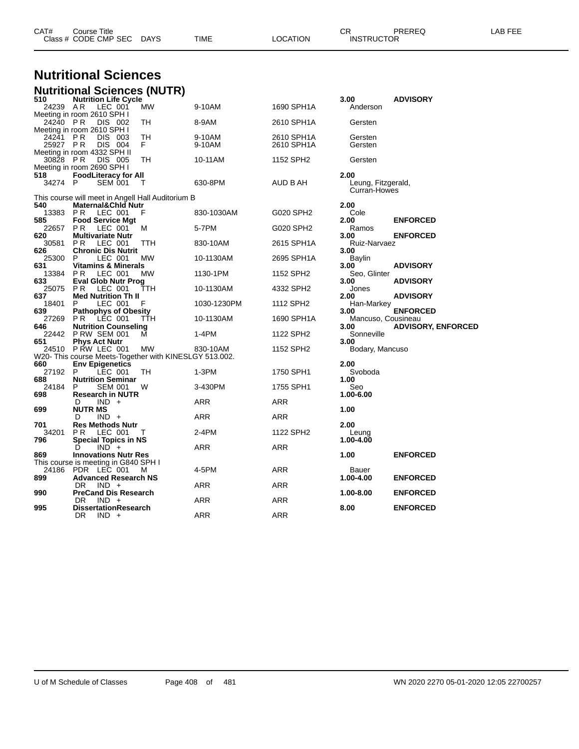| <b>Nutritional Sciences</b> |                                                                                  |           |                  |                          |                                            |                           |
|-----------------------------|----------------------------------------------------------------------------------|-----------|------------------|--------------------------|--------------------------------------------|---------------------------|
|                             |                                                                                  |           |                  |                          |                                            |                           |
| 510                         | <b>Nutritional Sciences (NUTR)</b><br><b>Nutrition Life Cycle</b>                |           |                  |                          | 3.00                                       | <b>ADVISORY</b>           |
| 24239 AR                    | LEC 001                                                                          | <b>MW</b> | 9-10AM           | 1690 SPH1A               | Anderson                                   |                           |
| 24240 PR                    | Meeting in room 2610 SPH I<br>DIS 002                                            | TН        | 8-9AM            | 2610 SPH1A               | Gersten                                    |                           |
| 24241<br>25927 PR           | Meeting in room 2610 SPH I<br><b>PR</b><br>DIS 003<br>DIS 004                    | TН<br>F.  | 9-10AM<br>9-10AM | 2610 SPH1A<br>2610 SPH1A | Gersten<br>Gersten                         |                           |
| 30828                       | Meeting in room 4332 SPH II<br>P R<br>DIS 005<br>Meeting in room 2690 SPH I      | TН        | 10-11AM          | 1152 SPH2                | Gersten                                    |                           |
| 518<br>34274                | <b>FoodLiteracy for All</b><br>P<br><b>SEM 001</b>                               | т         | 630-8PM          | AUD B AH                 | 2.00<br>Leung, Fitzgerald,<br>Curran-Howes |                           |
|                             | This course will meet in Angell Hall Auditorium B                                |           |                  |                          |                                            |                           |
| 540<br>13383                | <b>Maternal&amp;Chid Nutr</b><br>PR.<br>LEC 001                                  | F         | 830-1030AM       | G020 SPH2                | 2.00<br>Cole                               |                           |
| 585<br>22657                | <b>Food Service Mgt</b><br>P R<br>LEC 001                                        | м         | 5-7PM            | G020 SPH2                | 2.00<br>Ramos                              | <b>ENFORCED</b>           |
| 620<br>30581                | Multivariate Nutr<br>LEC 001<br>P R                                              | TTH       | 830-10AM         | 2615 SPH1A               | 3.00<br>Ruiz-Narvaez                       | <b>ENFORCED</b>           |
| 626<br>25300                | <b>Chronic Dis Nutrit</b><br>LEC 001<br>P                                        | МW        | 10-1130AM        | 2695 SPH1A               | 3.00<br>Baylin                             |                           |
| 631<br>13384                | <b>Vitamins &amp; Minerals</b><br>LEC 001<br>P R                                 | MW        | 1130-1PM         | 1152 SPH <sub>2</sub>    | 3.00<br>Seo, Glinter                       | <b>ADVISORY</b>           |
| 633<br>25075                | Eval Glob Nutr Prog<br>PR.<br>LEC 001                                            | TTH       | 10-1130AM        | 4332 SPH2                | 3.00<br>Jones                              | <b>ADVISORY</b>           |
| 637<br>18401                | <b>Med Nutrition Th II</b><br>LEC 001<br>P                                       | F         | 1030-1230PM      | 1112 SPH <sub>2</sub>    | 2.00<br>Han-Markey                         | <b>ADVISORY</b>           |
| 639<br>27269                | <b>Pathophys of Obesity</b><br>LEC 001<br>P R                                    | ттн       | 10-1130AM        | 1690 SPH1A               | 3.00<br>Mancuso, Cousineau                 | <b>ENFORCED</b>           |
| 646<br>22442                | <b>Nutrition Counseling</b><br><b>P RW SEM 001</b>                               | м         | 1-4PM            | 1122 SPH2                | 3.00<br>Sonneville                         | <b>ADVISORY, ENFORCED</b> |
| 651<br>24510                | <b>Phys Act Nutr</b><br>P RW LEC 001                                             | MW        | 830-10AM         | 1152 SPH2                | 3.00<br>Bodary, Mancuso                    |                           |
| 660                         | W20- This course Meets-Together with KINESLGY 513.002.<br><b>Env Epigenetics</b> |           |                  |                          | 2.00                                       |                           |
| 27192<br>688                | P<br>LEC 001<br><b>Nutrition Seminar</b>                                         | TН        | $1-3PM$          | 1750 SPH1                | Svoboda<br>1.00                            |                           |
| 24184<br>698                | P<br>SEM 001<br><b>Research in NUTR</b>                                          | w         | 3-430PM          | 1755 SPH1                | Seo<br>1.00-6.00                           |                           |
| 699                         | $IND +$<br>D<br><b>NUTR MS</b>                                                   |           | ARR              | ARR                      | 1.00                                       |                           |
| 701                         | $IND +$<br>D<br><b>Res Methods Nutr</b>                                          |           | ARR              | ARR                      | 2.00                                       |                           |
| 34201<br>796                | P R<br>LEC 001<br><b>Special Topics in NS</b>                                    | Т         | 2-4PM            | 1122 SPH2                | Leung<br>1.00-4.00                         |                           |
| 869                         | D<br>$IND +$<br><b>Innovations Nutr Res</b>                                      |           | ARR              | ARR                      | 1.00                                       | <b>ENFORCED</b>           |
| 24186                       | This course is meeting in G840 SPH I<br>PDR LEC 001                              | M         | 4-5PM            | ARR                      | Bauer                                      |                           |
| 899                         | <b>Advanced Research NS</b><br>DR<br>$IND +$                                     |           | ARR              | ARR                      | 1.00-4.00                                  | <b>ENFORCED</b>           |
| 990                         | <b>PreCand Dis Research</b><br>DR.<br>$IND +$                                    |           | ARR              | <b>ARR</b>               | 1.00-8.00                                  | <b>ENFORCED</b>           |
| 995                         | <b>DissertationResearch</b><br>DR<br>$IND +$                                     |           | ARR              | ARR                      | 8.00                                       | <b>ENFORCED</b>           |

Class # CODE CMP SEC DAYS TIME LOCATION INSTRUCTOR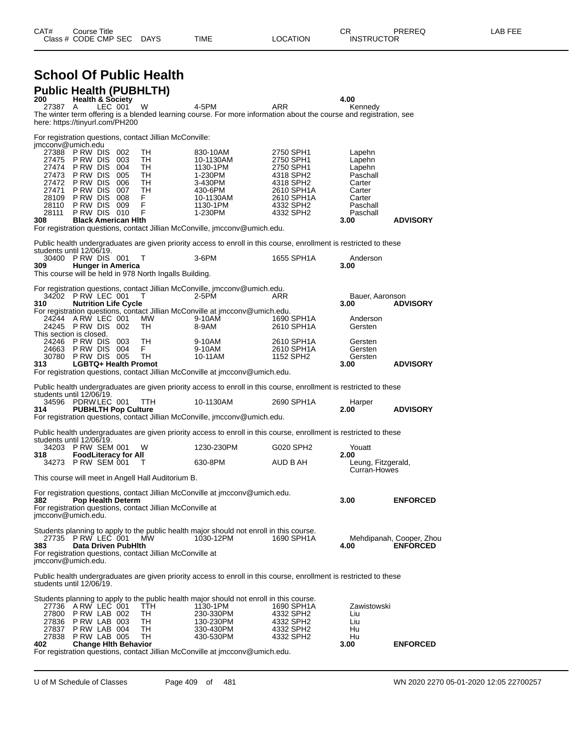| CAT# | Title<br>تourse      |             |             |          | ~~<br>- UN        | PREREQ | LAB FEF |
|------|----------------------|-------------|-------------|----------|-------------------|--------|---------|
|      | Class # CODE CMP SEC | <b>DAYS</b> | <b>TIME</b> | _OCATION | <b>INSTRUCTOR</b> |        |         |

## **School Of Public Health Public Health (PUBHLTH)**

| 200               | <b>Health &amp; Society</b>                       |         |                                                           |                                                                                                                                  |                          | 4.00                               |                                             |
|-------------------|---------------------------------------------------|---------|-----------------------------------------------------------|----------------------------------------------------------------------------------------------------------------------------------|--------------------------|------------------------------------|---------------------------------------------|
| 27387             | A<br>here: https://tinyurl.com/PH200              | LEC 001 | W                                                         | 4-5PM<br>The winter term offering is a blended learning course. For more information about the course and registration, see      | ARR                      | Kennedy                            |                                             |
|                   |                                                   |         | For registration questions, contact Jillian McConville:   |                                                                                                                                  |                          |                                    |                                             |
| imcconv@umich.edu | 27388 PRW DIS 002<br>27475 PRW DIS 003            |         | TH<br>TН                                                  | 830-10AM<br>10-1130AM                                                                                                            | 2750 SPH1<br>2750 SPH1   | Lapehn<br>Lapehn                   |                                             |
| 27473             | 27474 PRW DIS 004<br>PRW DIS 005                  |         | TH<br>TH                                                  | 1130-1PM<br>1-230PM                                                                                                              | 2750 SPH1<br>4318 SPH2   | Lapehn<br>Paschall                 |                                             |
| 27472             | PRW DIS 006                                       |         | TH                                                        | 3-430PM                                                                                                                          | 4318 SPH2                | Carter                             |                                             |
| 27471<br>28109    | PRW DIS 007<br>PRW DIS 008                        |         | TH<br>F.                                                  | 430-6PM<br>10-1130AM                                                                                                             | 2610 SPH1A<br>2610 SPH1A | Carter<br>Carter                   |                                             |
| 28110             | PRW DIS 009                                       |         | F                                                         | 1130-1PM                                                                                                                         | 4332 SPH2                | Paschall                           |                                             |
| 28111<br>308      | PRW DIS 010<br><b>Black American Hith</b>         |         | F                                                         | 1-230PM                                                                                                                          | 4332 SPH2                | Paschall<br>3.00                   | <b>ADVISORY</b>                             |
|                   |                                                   |         |                                                           | For registration questions, contact Jillian McConville, jmcconv@umich.edu.                                                       |                          |                                    |                                             |
|                   | students until 12/06/19.                          |         |                                                           | Public health undergraduates are given priority access to enroll in this course, enrollment is restricted to these               |                          |                                    |                                             |
|                   | 30400 PRW DIS 001                                 |         | т                                                         | $3-6$ PM                                                                                                                         | 1655 SPH1A               | Anderson                           |                                             |
| 309               | <b>Hunger in America</b>                          |         | This course will be held in 978 North Ingalls Building.   |                                                                                                                                  |                          | 3.00                               |                                             |
|                   |                                                   |         |                                                           | For registration questions, contact Jillian McConville, jmcconv@umich.edu.                                                       |                          |                                    |                                             |
| 310               | 34202 P RW LEC 001<br><b>Nutrition Life Cycle</b> |         | т                                                         | 2-5PM                                                                                                                            | ARR                      | Bauer, Aaronson<br>3.00            | <b>ADVISORY</b>                             |
|                   | 24244 ARW LEC 001                                 |         | МW                                                        | For registration questions, contact Jillian McConville at imcconv@umich.edu.<br>9-10AM                                           | 1690 SPH1A               | Anderson                           |                                             |
|                   | 24245 PRW DIS 002                                 |         | TH                                                        | 8-9AM                                                                                                                            | 2610 SPH1A               | Gersten                            |                                             |
|                   | This section is closed.<br>24246 PRW DIS 003      |         | TН                                                        | 9-10AM                                                                                                                           | 2610 SPH1A               | Gersten                            |                                             |
|                   | 24663 PRW DIS 004                                 |         | F.                                                        | 9-10AM                                                                                                                           | 2610 SPH1A               | Gersten                            |                                             |
| 313.              | 30780 P RW DIS 005<br>LGBTQ+ Health Promot        |         | TH                                                        | 10-11AM                                                                                                                          | 1152 SPH2                | Gersten<br>3.00                    | <b>ADVISORY</b>                             |
|                   |                                                   |         |                                                           | For registration questions, contact Jillian McConville at jmcconv@umich.edu.                                                     |                          |                                    |                                             |
|                   | students until 12/06/19.                          |         |                                                           | Public health undergraduates are given priority access to enroll in this course, enrollment is restricted to these               |                          |                                    |                                             |
|                   | 34596 PDRW LEC 001                                |         | TTH.                                                      | 10-1130AM                                                                                                                        | 2690 SPH1A               | Harper                             |                                             |
| 314.              | <b>PUBHLTH Pop Culture</b>                        |         |                                                           | For registration questions, contact Jillian McConville, imcconv@umich.edu.                                                       |                          | 2.00                               | <b>ADVISORY</b>                             |
|                   |                                                   |         |                                                           |                                                                                                                                  |                          |                                    |                                             |
|                   | students until 12/06/19.<br>34203 P RW SEM 001    |         | W                                                         | Public health undergraduates are given priority access to enroll in this course, enrollment is restricted to these<br>1230-230PM | G020 SPH2                | Youatt                             |                                             |
| 318               | <b>FoodLiteracy for All</b>                       |         |                                                           |                                                                                                                                  |                          | 2.00                               |                                             |
|                   | 34273 P RW SEM 001                                |         | т                                                         | 630-8PM                                                                                                                          | AUD B AH                 | Leung, Fitzgerald,<br>Curran-Howes |                                             |
|                   |                                                   |         | This course will meet in Angell Hall Auditorium B.        |                                                                                                                                  |                          |                                    |                                             |
| 382               | <b>Pop Health Determ</b>                          |         |                                                           | For registration questions, contact Jillian McConville at jmcconv@umich.edu.                                                     |                          | 3.00                               | <b>ENFORCED</b>                             |
|                   | jmcconv@umich.edu.                                |         | For registration questions, contact Jillian McConville at |                                                                                                                                  |                          |                                    |                                             |
|                   | 27735 P RW LEC 001                                |         |                                                           | Students planning to apply to the public health major should not enroll in this course.                                          |                          |                                    |                                             |
| 383               | Data Driven PubHlth                               |         | МW                                                        | 1030-12PM                                                                                                                        | 1690 SPH1A               | 4.00                               | Mehdipanah, Cooper, Zhou<br><b>ENFORCED</b> |
|                   | imcconv@umich.edu.                                |         | For registration questions, contact Jillian McConville at |                                                                                                                                  |                          |                                    |                                             |
|                   | students until 12/06/19.                          |         |                                                           | Public health undergraduates are given priority access to enroll in this course, enrollment is restricted to these               |                          |                                    |                                             |
|                   |                                                   |         |                                                           | Students planning to apply to the public health major should not enroll in this course.                                          |                          |                                    |                                             |
|                   | 27736 ARW LEC 001<br>27800 PRW LAB 002            |         | TTH<br>TH                                                 | 1130-1PM<br>230-330PM                                                                                                            | 1690 SPH1A<br>4332 SPH2  | Zawistowski<br>Liu                 |                                             |
| 27836             | PRW LAB 003                                       |         | TН                                                        | 130-230PM                                                                                                                        | 4332 SPH2                | Liu                                |                                             |
| 27837             | PRW LAB 004<br>27838 P RW LAB 005                 |         | TН<br>TH                                                  | 330-430PM<br>430-530PM                                                                                                           | 4332 SPH2<br>4332 SPH2   | Hu<br>Hu                           |                                             |
| 402               | <b>Change Hith Behavior</b>                       |         |                                                           |                                                                                                                                  |                          | 3.00                               | <b>ENFORCED</b>                             |
|                   |                                                   |         |                                                           | For registration questions, contact Jillian McConville at jmcconv@umich.edu.                                                     |                          |                                    |                                             |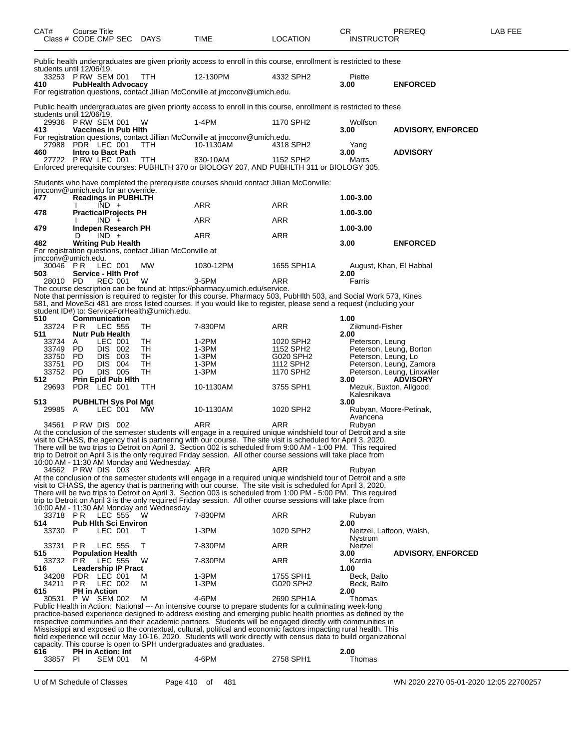| CAT#                                      | Course Title<br>Class # CODE CMP SEC DAYS |                    |                             |                                                           | TIME                                                                                                                                                                                                                            | <b>LOCATION</b>        | СR<br><b>INSTRUCTOR</b>  | PREREQ                                                | LAB FEE |
|-------------------------------------------|-------------------------------------------|--------------------|-----------------------------|-----------------------------------------------------------|---------------------------------------------------------------------------------------------------------------------------------------------------------------------------------------------------------------------------------|------------------------|--------------------------|-------------------------------------------------------|---------|
| students until 12/06/19.                  |                                           |                    |                             |                                                           | Public health undergraduates are given priority access to enroll in this course, enrollment is restricted to these                                                                                                              |                        |                          |                                                       |         |
|                                           | 33253 PRW SEM 001                         |                    |                             | ттн                                                       | 12-130PM                                                                                                                                                                                                                        | 4332 SPH2              | Piette                   |                                                       |         |
| 410                                       |                                           |                    | <b>PubHealth Advocacy</b>   |                                                           | For registration questions, contact Jillian McConville at jmcconv@umich.edu.                                                                                                                                                    |                        | 3.00                     | <b>ENFORCED</b>                                       |         |
|                                           |                                           |                    |                             |                                                           |                                                                                                                                                                                                                                 |                        |                          |                                                       |         |
|                                           |                                           |                    |                             |                                                           | Public health undergraduates are given priority access to enroll in this course, enrollment is restricted to these                                                                                                              |                        |                          |                                                       |         |
| students until 12/06/19.                  | 29936 P RW SEM 001                        |                    |                             | W                                                         | $1-4PM$                                                                                                                                                                                                                         | 1170 SPH2              | Wolfson                  |                                                       |         |
| 413                                       |                                           |                    | <b>Vaccines in Pub Hith</b> |                                                           |                                                                                                                                                                                                                                 |                        | 3.00                     | <b>ADVISORY, ENFORCED</b>                             |         |
| 27988                                     | PDR LEC 001                               |                    |                             | TTH                                                       | For registration questions, contact Jillian McConville at jmcconv@umich.edu.<br>10-1130AM                                                                                                                                       | 4318 SPH2              | Yang                     |                                                       |         |
| 460                                       |                                           |                    | Intro to Bact Path          |                                                           |                                                                                                                                                                                                                                 |                        | 3.00                     | <b>ADVISORY</b>                                       |         |
|                                           | 27722 PRW LEC 001                         |                    |                             | TTH                                                       | 830-10AM<br>Enforced prerequisite courses: PUBHLTH 370 or BIOLOGY 207, AND PUBHLTH 311 or BIOLOGY 305.                                                                                                                          | 1152 SPH2              | Marrs                    |                                                       |         |
|                                           |                                           |                    |                             |                                                           |                                                                                                                                                                                                                                 |                        |                          |                                                       |         |
|                                           |                                           |                    |                             |                                                           | Students who have completed the prerequisite courses should contact Jillian McConville:                                                                                                                                         |                        |                          |                                                       |         |
| jmcconv@umich.edu for an override.<br>477 |                                           |                    | <b>Readings in PUBHLTH</b>  |                                                           |                                                                                                                                                                                                                                 |                        | 1.00-3.00                |                                                       |         |
|                                           |                                           | $IND +$            |                             |                                                           | ARR                                                                                                                                                                                                                             | ARR                    |                          |                                                       |         |
| 478                                       |                                           | $IND +$            | <b>PracticalProjects PH</b> |                                                           | ARR                                                                                                                                                                                                                             | ARR                    | 1.00-3.00                |                                                       |         |
| 479                                       |                                           |                    | Indepen Research PH         |                                                           |                                                                                                                                                                                                                                 |                        | 1.00-3.00                |                                                       |         |
|                                           | D                                         | $IND +$            |                             |                                                           | ARR                                                                                                                                                                                                                             | ARR                    |                          |                                                       |         |
| 482                                       |                                           |                    | <b>Writing Pub Health</b>   | For registration questions, contact Jillian McConville at |                                                                                                                                                                                                                                 |                        | 3.00                     | <b>ENFORCED</b>                                       |         |
| imcconv@umich.edu.                        |                                           |                    |                             |                                                           |                                                                                                                                                                                                                                 |                        |                          |                                                       |         |
| 30046<br>503                              | P R                                       | LEC 001            | Service - Hith Prof         | MW                                                        | 1030-12PM                                                                                                                                                                                                                       | 1655 SPH1A             | 2.00                     | August, Khan, El Habbal                               |         |
| 28010                                     | PD.                                       |                    | <b>REC 001</b>              | W                                                         | 3-5PM                                                                                                                                                                                                                           | ARR                    | Farris                   |                                                       |         |
|                                           |                                           |                    |                             |                                                           | The course description can be found at: https://pharmacy.umich.edu/service.<br>Note that permission is required to register for this course. Pharmacy 503, PubHlth 503, and Social Work 573, Kines                              |                        |                          |                                                       |         |
|                                           |                                           |                    |                             |                                                           | 581, and MoveSci 481 are cross listed courses. If you would like to register, please send a request (including your                                                                                                             |                        |                          |                                                       |         |
|                                           |                                           |                    |                             | student ID#) to: ServiceForHealth@umich.edu.              |                                                                                                                                                                                                                                 |                        |                          |                                                       |         |
| 510<br>33724                              | Communication<br>PR.                      | <b>LEC 555</b>     |                             | TH                                                        | 7-830PM                                                                                                                                                                                                                         | ARR                    | 1.00<br>Zikmund-Fisher   |                                                       |         |
| 511                                       | <b>Nutr Pub Health</b>                    |                    |                             |                                                           |                                                                                                                                                                                                                                 |                        | 2.00                     |                                                       |         |
| 33734<br>33749                            | A<br>PD.                                  | LEC 001<br>DIS 002 |                             | TН<br>TH                                                  | 1-2PM<br>1-3PM                                                                                                                                                                                                                  | 1020 SPH2<br>1152 SPH2 | Peterson, Leung          | Peterson, Leung, Borton                               |         |
| 33750                                     | PD.                                       | DIS 003            |                             | TН                                                        | 1-3PM                                                                                                                                                                                                                           | G020 SPH2              | Peterson, Leung, Lo      |                                                       |         |
| 33751<br>33752                            | PD.<br>PD.                                | DIS.<br>DIS 005    | 004                         | TН<br>TH                                                  | 1-3PM<br>1-3PM                                                                                                                                                                                                                  | 1112 SPH2<br>1170 SPH2 |                          | Peterson, Leung, Zamora<br>Peterson, Leung, Linxwiler |         |
| 512                                       |                                           |                    | Prin Epid Pub Hith          |                                                           |                                                                                                                                                                                                                                 |                        | 3.00                     | <b>ADVISORY</b>                                       |         |
| 29693                                     | PDR LEC 001                               |                    |                             | TTH                                                       | 10-1130AM                                                                                                                                                                                                                       | 3755 SPH1              |                          | Mezuk, Buxton, Allgood,                               |         |
| 513                                       |                                           |                    | <b>PUBHLTH Sys Pol Mgt</b>  |                                                           |                                                                                                                                                                                                                                 |                        | Kalesnikava<br>3.00      |                                                       |         |
| 29985                                     | A                                         | LEC 001            |                             | МW                                                        | 10-1130AM                                                                                                                                                                                                                       | 1020 SPH2              | Rubyan, Moore-Petinak,   |                                                       |         |
|                                           | 34561 PRW DIS 002                         |                    |                             |                                                           | ARR                                                                                                                                                                                                                             | ARR                    | Avancena<br>Rubyan       |                                                       |         |
|                                           |                                           |                    |                             |                                                           | At the conclusion of the semester students will engage in a required unique windshield tour of Detroit and a site                                                                                                               |                        |                          |                                                       |         |
|                                           |                                           |                    |                             |                                                           | visit to CHASS, the agency that is partnering with our course. The site visit is scheduled for April 3, 2020.<br>There will be two trips to Detroit on April 3. Section 002 is scheduled from 9:00 AM - 1:00 PM. This required  |                        |                          |                                                       |         |
|                                           |                                           |                    |                             |                                                           | trip to Detroit on April 3 is the only required Friday session. All other course sessions will take place from                                                                                                                  |                        |                          |                                                       |         |
|                                           | 34562 PRW DIS 003                         |                    |                             | 10:00 AM - 11:30 AM Monday and Wednesday.                 | ARR                                                                                                                                                                                                                             | ARR                    | Rubyan                   |                                                       |         |
|                                           |                                           |                    |                             |                                                           | At the conclusion of the semester students will engage in a reguired unique windshield tour of Detroit and a site                                                                                                               |                        |                          |                                                       |         |
|                                           |                                           |                    |                             |                                                           | visit to CHASS, the agency that is partnering with our course. The site visit is scheduled for April 3, 2020.                                                                                                                   |                        |                          |                                                       |         |
|                                           |                                           |                    |                             |                                                           | There will be two trips to Detroit on April 3. Section 003 is scheduled from 1:00 PM - 5:00 PM. This required<br>trip to Detroit on April 3 is the only required Friday session. All other course sessions will take place from |                        |                          |                                                       |         |
|                                           |                                           |                    |                             | 10:00 AM - 11:30 AM Monday and Wednesday.                 |                                                                                                                                                                                                                                 |                        |                          |                                                       |         |
| 33718 PR<br>514                           |                                           | LEC 555            | <b>Pub Hith Sci Environ</b> | W                                                         | 7-830PM                                                                                                                                                                                                                         | ARR                    | Rubyan<br>2.00           |                                                       |         |
| 33730                                     | P                                         | LEC 001            |                             | т                                                         | $1-3PM$                                                                                                                                                                                                                         | 1020 SPH2              | Neitzel, Laffoon, Walsh, |                                                       |         |
| 33731                                     | P R                                       | <b>LEC 555</b>     |                             | T                                                         | 7-830PM                                                                                                                                                                                                                         | ARR                    | Nystrom<br>Neitzel       |                                                       |         |
| 515                                       |                                           |                    | <b>Population Health</b>    |                                                           |                                                                                                                                                                                                                                 |                        | 3.00                     | <b>ADVISORY, ENFORCED</b>                             |         |
| 33732                                     | P R                                       | <b>LEC 555</b>     |                             | W                                                         | 7-830PM                                                                                                                                                                                                                         | ARR                    | Kardia                   |                                                       |         |
| 516<br>34208                              | PDR LEC 001                               |                    | <b>Leadership IP Pract</b>  | м                                                         | 1-3PM                                                                                                                                                                                                                           | 1755 SPH1              | 1.00<br>Beck, Balto      |                                                       |         |
| 34211                                     | PR.                                       | LEC 002            |                             | м                                                         | 1-3PM                                                                                                                                                                                                                           | G020 SPH2              | Beck, Balto              |                                                       |         |
| 615<br>30531                              | <b>PH</b> in Action<br>P W SEM 002        |                    |                             | м                                                         | 4-6PM                                                                                                                                                                                                                           | 2690 SPH1A             | 2.00<br>Thomas           |                                                       |         |
|                                           |                                           |                    |                             |                                                           | Public Health in Action: National --- An intensive course to prepare students for a culminating week-long                                                                                                                       |                        |                          |                                                       |         |
|                                           |                                           |                    |                             |                                                           | practice-based experience designed to address existing and emerging public health priorities as defined by the<br>respective communities and their academic partners.  Študents will be engaged directly with communities in    |                        |                          |                                                       |         |
|                                           |                                           |                    |                             |                                                           | Mississippi and exposed to the contextual, cultural, political and economic factors impacting rural health. This                                                                                                                |                        |                          |                                                       |         |
|                                           |                                           |                    |                             |                                                           | field experience will occur May 10-16, 2020. Students will work directly with census data to build organizational                                                                                                               |                        |                          |                                                       |         |
| 616                                       | PH in Action: Int                         |                    |                             |                                                           | capacity. This course is open to SPH undergraduates and graduates.                                                                                                                                                              |                        | 2.00                     |                                                       |         |
| 33857                                     | PI                                        | <b>SEM 001</b>     |                             | M                                                         | 4-6PM                                                                                                                                                                                                                           | 2758 SPH1              | Thomas                   |                                                       |         |
|                                           |                                           |                    |                             |                                                           |                                                                                                                                                                                                                                 |                        |                          |                                                       |         |

U of M Schedule of Classes Page 410 of 481 WN 2020 2270 05-01-2020 12:05 22700257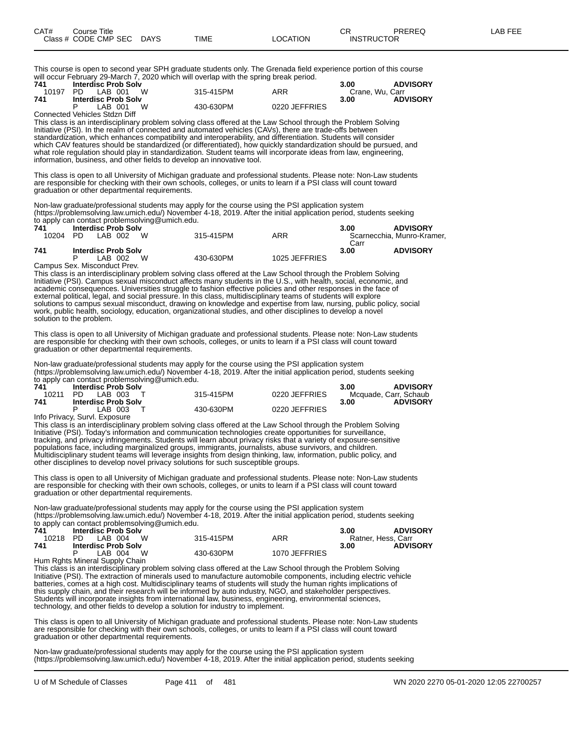This course is open to second year SPH graduate students only. The Grenada field experience portion of this course will occur February 29-March 7, 2020 which will overlap with the spring break period.

| 741   | <b>Interdisc Prob Solv</b>    |           |               | 3.00            | <b>ADVISORY</b> |
|-------|-------------------------------|-----------|---------------|-----------------|-----------------|
| 10197 | <b>W</b><br>LAB 001<br>PD.    | 315-415PM | ARR           | Crane, Wu. Carr |                 |
| 741   | <b>Interdisc Prob Solv</b>    |           |               | 3.00            | <b>ADVISORY</b> |
|       | W<br>LAB 001                  | 430-630PM | 0220 JEFFRIES |                 |                 |
|       | Connected Vehicles Stdzn Diff |           |               |                 |                 |

This class is an interdisciplinary problem solving class offered at the Law School through the Problem Solving Initiative (PSI). In the realm of connected and automated vehicles (CAVs), there are trade-offs between standardization, which enhances compatibility and interoperability, and differentiation. Students will consider which CAV features should be standardized (or differentiated), how quickly standardization should be pursued, and what role regulation should play in standardization. Student teams will incorporate ideas from law, engineering, information, business, and other fields to develop an innovative tool.

This class is open to all University of Michigan graduate and professional students. Please note: Non-Law students are responsible for checking with their own schools, colleges, or units to learn if a PSI class will count toward graduation or other departmental requirements.

Non-law graduate/professional students may apply for the course using the PSI application system (https://problemsolving.law.umich.edu/) November 4-18, 2019. After the initial application period, students seeking to apply can contact problemsolving@umich.edu.

| 741   | <b>Interdisc Prob Solv</b>   |           |               | 3.00 | <b>ADVISORY</b>            |
|-------|------------------------------|-----------|---------------|------|----------------------------|
| 10204 | W<br>PD.<br>LAB 002          | 315-415PM | ARR           |      | Scarnecchia, Munro-Kramer, |
|       |                              |           |               | Carr |                            |
| 741   | <b>Interdisc Prob Solv</b>   |           |               | 3.00 | <b>ADVISORY</b>            |
|       | W<br>IAB 002                 | 430-630PM | 1025 JEFFRIES |      |                            |
|       | Campus Sex. Misconduct Prev. |           |               |      |                            |

This class is an interdisciplinary problem solving class offered at the Law School through the Problem Solving Initiative (PSI). Campus sexual misconduct affects many students in the U.S., with health, social, economic, and academic consequences. Universities struggle to fashion effective policies and other responses in the face of external political, legal, and social pressure. In this class, multidisciplinary teams of students will explore solutions to campus sexual misconduct, drawing on knowledge and expertise from law, nursing, public policy, social work, public health, sociology, education, organizational studies, and other disciplines to develop a novel solution to the problem.

This class is open to all University of Michigan graduate and professional students. Please note: Non-Law students are responsible for checking with their own schools, colleges, or units to learn if a PSI class will count toward graduation or other departmental requirements.

Non-law graduate/professional students may apply for the course using the PSI application system (https://problemsolving.law.umich.edu/) November 4-18, 2019. After the initial application period, students seeking to apply can contact problemsolving@umich.edu.

|       | $10.9$ apply ball believed propressioning $\sim$ all normon over |           |               |                         |
|-------|------------------------------------------------------------------|-----------|---------------|-------------------------|
| 741   | <b>Interdisc Prob Solv</b>                                       |           |               | <b>ADVISORY</b><br>3.00 |
| 10211 | PD LAB 003                                                       | 315-415PM | 0220 JEFFRIES | Mcquade, Carr, Schaub   |
| 741   | <b>Interdisc Prob Solv</b>                                       |           |               | <b>ADVISORY</b><br>3.00 |
|       | LAB 003                                                          | 430-630PM | 0220 JEFFRIES |                         |
|       | Info Privacy, Survl. Exposure                                    |           |               |                         |

This class is an interdisciplinary problem solving class offered at the Law School through the Problem Solving Initiative (PSI). Today's information and communication technologies create opportunities for surveillance, tracking, and privacy infringements. Students will learn about privacy risks that a variety of exposure-sensitive populations face, including marginalized groups, immigrants, journalists, abuse survivors, and children. Multidisciplinary student teams will leverage insights from design thinking, law, information, public policy, and other disciplines to develop novel privacy solutions for such susceptible groups.

This class is open to all University of Michigan graduate and professional students. Please note: Non-Law students are responsible for checking with their own schools, colleges, or units to learn if a PSI class will count toward graduation or other departmental requirements.

Non-law graduate/professional students may apply for the course using the PSI application system (https://problemsolving.law.umich.edu/) November 4-18, 2019. After the initial application period, students seeking to apply can contact problemsolving@umich.edu.

| 741 | <b>Interdisc Prob Solv</b>                                                                                                                                                                                                                                                                                                         |           |               | <b>ADVISORY</b><br>3.00 |
|-----|------------------------------------------------------------------------------------------------------------------------------------------------------------------------------------------------------------------------------------------------------------------------------------------------------------------------------------|-----------|---------------|-------------------------|
|     | 10218 PD LAB 004 W                                                                                                                                                                                                                                                                                                                 | 315-415PM | ARR           | Ratner, Hess, Carr      |
| 741 | <b>Interdisc Prob Solv</b>                                                                                                                                                                                                                                                                                                         |           |               | <b>ADVISORY</b><br>3.00 |
|     | <b>W</b><br>LAB 004                                                                                                                                                                                                                                                                                                                | 430-630PM | 1070 JEFFRIES |                         |
|     | $\mathbf{r}$ $\mathbf{r}$ $\mathbf{r}$ $\mathbf{r}$ $\mathbf{r}$ $\mathbf{r}$ $\mathbf{r}$ $\mathbf{r}$ $\mathbf{r}$ $\mathbf{r}$ $\mathbf{r}$ $\mathbf{r}$ $\mathbf{r}$ $\mathbf{r}$ $\mathbf{r}$ $\mathbf{r}$ $\mathbf{r}$ $\mathbf{r}$ $\mathbf{r}$ $\mathbf{r}$ $\mathbf{r}$ $\mathbf{r}$ $\mathbf{r}$ $\mathbf{r}$ $\mathbf{$ |           |               |                         |

Hum Rghts Mineral Supply Chain

This class is an interdisciplinary problem solving class offered at the Law School through the Problem Solving Initiative (PSI). The extraction of minerals used to manufacture automobile components, including electric vehicle batteries, comes at a high cost. Multidisciplinary teams of students will study the human rights implications of this supply chain, and their research will be informed by auto industry, NGO, and stakeholder perspectives. Students will incorporate insights from international law, business, engineering, environmental sciences, technology, and other fields to develop a solution for industry to implement.

This class is open to all University of Michigan graduate and professional students. Please note: Non-Law students are responsible for checking with their own schools, colleges, or units to learn if a PSI class will count toward graduation or other departmental requirements.

Non-law graduate/professional students may apply for the course using the PSI application system (https://problemsolving.law.umich.edu/) November 4-18, 2019. After the initial application period, students seeking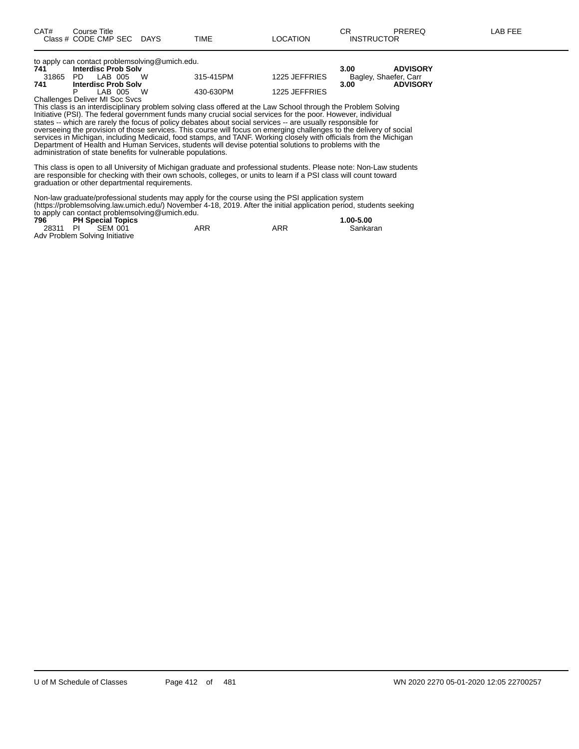| to apply can contact problemsolving@umich.edu. |                                |           |               |                         |  |  |  |  |
|------------------------------------------------|--------------------------------|-----------|---------------|-------------------------|--|--|--|--|
| 741                                            | <b>Interdisc Prob Solv</b>     |           |               | <b>ADVISORY</b><br>3.00 |  |  |  |  |
| 31865                                          | LAB 005 W<br>PD.               | 315-415PM | 1225 JEFFRIES | Bagley, Shaefer, Carr   |  |  |  |  |
| 741                                            | <b>Interdisc Prob Solv</b>     |           |               | <b>ADVISORY</b><br>3.00 |  |  |  |  |
|                                                | LAB 005 W                      | 430-630PM | 1225 JEFFRIES |                         |  |  |  |  |
|                                                | Challenges Deliver MI Soc Svcs |           |               |                         |  |  |  |  |

This class is an interdisciplinary problem solving class offered at the Law School through the Problem Solving Initiative (PSI). The federal government funds many crucial social services for the poor. However, individual states -- which are rarely the focus of policy debates about social services -- are usually responsible for overseeing the provision of those services. This course will focus on emerging challenges to the delivery of social services in Michigan, including Medicaid, food stamps, and TANF. Working closely with officials from the Michigan Department of Health and Human Services, students will devise potential solutions to problems with the administration of state benefits for vulnerable populations.

This class is open to all University of Michigan graduate and professional students. Please note: Non-Law students are responsible for checking with their own schools, colleges, or units to learn if a PSI class will count toward graduation or other departmental requirements.

Non-law graduate/professional students may apply for the course using the PSI application system (https://problemsolving.law.umich.edu/) November 4-18, 2019. After the initial application period, students seeking to apply can contact problemsolving@umich.edu.

| 796 | <b>PH Special Topics</b>       |     |     | 1.00-5.00 |
|-----|--------------------------------|-----|-----|-----------|
|     | 28311 PI SEM 001               | ARR | ARR | Sankaran  |
|     | Adv Problem Solving Initiative |     |     |           |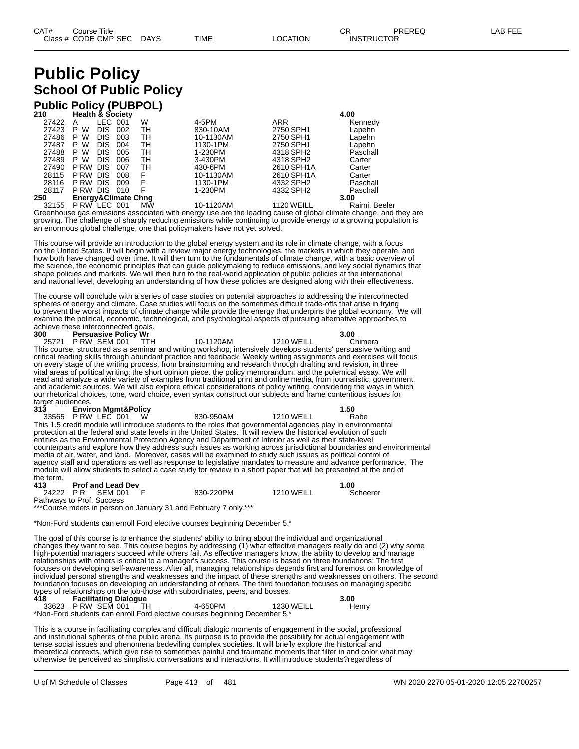# **Public Policy School Of Public Policy**

### **Public Policy (PUBPOL)**

| 210   | <b>Health &amp; Society</b>    |         |              |           |            | 4.00          |
|-------|--------------------------------|---------|--------------|-----------|------------|---------------|
| 27422 | Α                              | LEC 001 | W            | 4-5PM     | <b>ARR</b> | Kennedy       |
| 27423 | <b>DIS</b><br>W<br>P           | 002     | TН           | 830-10AM  | 2750 SPH1  | Lapehn        |
| 27486 | W<br><b>DIS</b><br>P           | 003     | тн           | 10-1130AM | 2750 SPH1  | Lapehn        |
| 27487 | W<br><b>DIS</b><br>P           | 004     | тн           | 1130-1PM  | 2750 SPH1  | Lapehn        |
| 27488 | P W<br><b>DIS</b>              | 005     | TН           | 1-230PM   | 4318 SPH2  | Paschall      |
| 27489 | W<br><b>DIS</b><br>P.          | 006     | TН           | 3-430PM   | 4318 SPH2  | Carter        |
| 27490 | <b>DIS</b><br>P RW             | 007     | TН           | 430-6PM   | 2610 SPH1A | Carter        |
| 28115 | <b>DIS</b><br>P RW             | 008     | F            | 10-1130AM | 2610 SPH1A | Carter        |
| 28116 | P RW<br><b>DIS</b>             | 009     | F            | 1130-1PM  | 4332 SPH2  | Paschall      |
| 28117 | PRW DIS 010                    |         | F            | 1-230PM   | 4332 SPH2  | Paschall      |
| 250   | <b>Energy&amp;Climate Chng</b> |         |              |           |            | 3.00          |
| 00155 | <b>D DIAL LEO 004</b>          |         | <b>BALAI</b> | 10.110011 | 1100111111 | Detail Dealer |

32155 P RW LEC 001 MW 10-1120AM 1120 WEILL Raimi, Beeler Greenhouse gas emissions associated with energy use are the leading cause of global climate change, and they are growing. The challenge of sharply reducing emissions while continuing to provide energy to a growing population is an enormous global challenge, one that policymakers have not yet solved.

This course will provide an introduction to the global energy system and its role in climate change, with a focus on the United States. It will begin with a review major energy technologies, the markets in which they operate, and how both have changed over time. It will then turn to the fundamentals of climate change, with a basic overview of the science, the economic principles that can guide policymaking to reduce emissions, and key social dynamics that shape policies and markets. We will then turn to the real-world application of public policies at the international and national level, developing an understanding of how these policies are designed along with their effectiveness.

The course will conclude with a series of case studies on potential approaches to addressing the interconnected spheres of energy and climate. Case studies will focus on the sometimes difficult trade-offs that arise in trying to prevent the worst impacts of climate change while provide the energy that underpins the global economy. We will examine the political, economic, technological, and psychological aspects of pursuing alternative approaches to

achieve these interconnected goals.<br>300 Persuasive Policy Wr **300 Persuasive Policy Wr 3.00** 25721 P RW SEM 001 TTH 10-1120AM 1210 WEILL Chimera This course, structured as a seminar and writing workshop, intensively develops students' persuasive writing and critical reading skills through abundant practice and feedback. Weekly writing assignments and exercises will focus on every stage of the writing process, from brainstorming and research through drafting and revision, in three vital areas of political writing: the short opinion piece, the policy memorandum, and the polemical essay. We will read and analyze a wide variety of examples from traditional print and online media, from journalistic, government, and academic sources. We will also explore ethical considerations of policy writing, considering the ways in which our rhetorical choices, tone, word choice, even syntax construct our subjects and frame contentious issues for target audiences.<br>313 Envir

**313 Environ Mgmt&Policy 1.50** 33565 P RW LEC 001 W 830-950AM 1210 WEILL Rabe This 1.5 credit module will introduce students to the roles that governmental agencies play in environmental protection at the federal and state levels in the United States. It will review the historical evolution of such entities as the Environmental Protection Agency and Department of Interior as well as their state-level counterparts and explore how they address such issues as working across jurisdictional boundaries and environmental media of air, water, and land. Moreover, cases will be examined to study such issues as political control of agency staff and operations as well as response to legislative mandates to measure and advance performance. The module will allow students to select a case study for review in a short paper that will be presented at the end of the term.

**413 Prof and Lead Dev 1.00** 24222 P R SEM 001 F 830-220PM 1210 WEILL Scheerer Pathways to Prof. Success

\*\*\*Course meets in person on January 31 and February 7 only.\*\*\*

\*Non-Ford students can enroll Ford elective courses beginning December 5.\*

The goal of this course is to enhance the students' ability to bring about the individual and organizational changes they want to see. This course begins by addressing (1) what effective managers really do and (2) why some high-potential managers succeed while others fail. As effective managers know, the ability to develop and manage relationships with others is critical to a manager's success. This course is based on three foundations: The first focuses on developing self-awareness. After all, managing relationships depends first and foremost on knowledge of individual personal strengths and weaknesses and the impact of these strengths and weaknesses on others. The second foundation focuses on developing an understanding of others. The third foundation focuses on managing specific types of relationships on the job-those with subordinates, peers, and bosses. **418 Facilitating Dialogue 3.00**

33623 P RW SEM 001 TH 4-650PM 1230 WEILL Henry \*Non-Ford students can enroll Ford elective courses beginning December 5.\*

This is a course in facilitating complex and difficult dialogic moments of engagement in the social, professional and institutional spheres of the public arena. Its purpose is to provide the possibility for actual engagement with tense social issues and phenomena bedeviling complex societies. It will briefly explore the historical and theoretical contexts, which give rise to sometimes painful and traumatic moments that filter in and color what may otherwise be perceived as simplistic conversations and interactions. It will introduce students?regardless of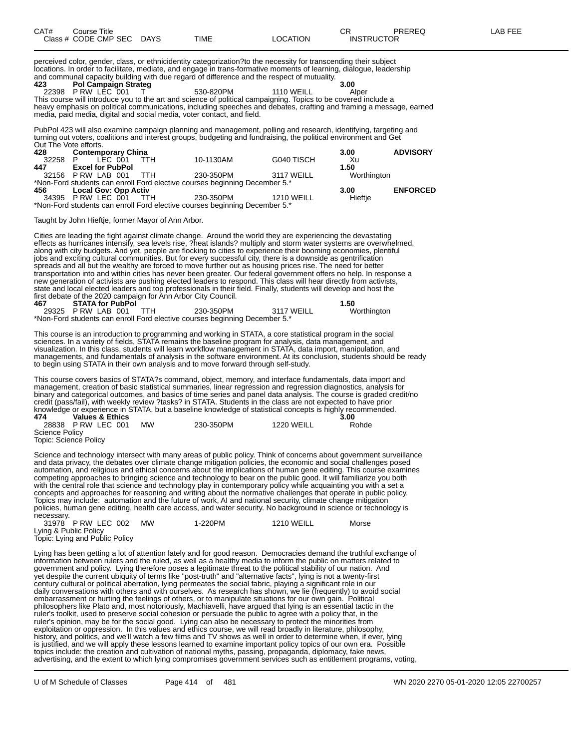| CAT# | Course Title         |             |      |          | ⌒冖<br>◡⊓          | PREREQ | AR FFF |
|------|----------------------|-------------|------|----------|-------------------|--------|--------|
|      | Class # CODE CMP SEC | <b>DAYS</b> | TIME | LOCATION | <b>INSTRUCTOR</b> |        |        |

perceived color, gender, class, or ethnicidentity categorization?to the necessity for transcending their subject locations. In order to facilitate, mediate, and engage in trans-formative moments of learning, dialogue, leadership and communal capacity building with due regard of difference and the respect of mutuality.<br>423 **Pol Campaign Strateg** 

**423 Pol Campaign Strateg 3.00** 22398 P RW LEC 001 T 530-820PM 1110 WEILL Alper This course will introduce you to the art and science of political campaigning. Topics to be covered include a heavy emphasis on political communications, including speeches and debates, crafting and framing a message, earned media, paid media, digital and social media, voter contact, and field.

PubPol 423 will also examine campaign planning and management, polling and research, identifying, targeting and turning out voters, coalitions and interest groups, budgeting and fundraising, the political environment and Get Out The Vote efforts.

| 428   | <b>Contemporary China</b>   |            |                                                                            |            | 3.00        | <b>ADVISORY</b> |
|-------|-----------------------------|------------|----------------------------------------------------------------------------|------------|-------------|-----------------|
| 32258 | LEC 001<br>P                | <b>TTH</b> | 10-1130AM                                                                  | G040 TISCH | Xu          |                 |
| 447   | <b>Excel for PubPol</b>     |            |                                                                            |            | 1.50        |                 |
|       | 32156 PRW LAB 001 TTH       |            | 230-350PM                                                                  | 3117 WEILL | Worthington |                 |
|       |                             |            | *Non-Ford students can enroll Ford elective courses beginning December 5.* |            |             |                 |
| 456 — | <b>Local Gov: Opp Activ</b> |            |                                                                            |            | 3.00        | <b>ENFORCED</b> |
|       | 34395 P RW LEC 001 TTH      |            | 230-350PM                                                                  | 1210 WEILL | Hieftie     |                 |
|       |                             |            | *Non-Ford students can enroll Ford elective courses beginning December 5.* |            |             |                 |

Taught by John Hieftje, former Mayor of Ann Arbor.

Cities are leading the fight against climate change. Around the world they are experiencing the devastating effects as hurricanes intensify, sea levels rise, ?heat islands? multiply and storm water systems are overwhelmed, along with city budgets. And yet, people are flocking to cities to experience their booming economies, plentiful jobs and exciting cultural communities. But for every successful city, there is a downside as gentrification spreads and all but the wealthy are forced to move further out as housing prices rise. The need for better transportation into and within cities has never been greater. Our federal government offers no help. In response a new generation of activists are pushing elected leaders to respond. This class will hear directly from activists, state and local elected leaders and top professionals in their field. Finally, students will develop and host the first debate of the 2020 campaign for Ann Arbor City Council.

**467 STATA for PubPol 1.50** 29325 P RW LAB 001 \*Non-Ford students can enroll Ford elective courses beginning December 5.\*

This course is an introduction to programming and working in STATA, a core statistical program in the social sciences. In a variety of fields, STATA remains the baseline program for analysis, data management, and visualization. In this class, students will learn workflow management in STATA, data import, manipulation, and managements, and fundamentals of analysis in the software environment. At its conclusion, students should be ready to begin using STATA in their own analysis and to move forward through self-study.

This course covers basics of STATA?s command, object, memory, and interface fundamentals, data import and management, creation of basic statistical summaries, linear regression and regression diagnostics, analysis for binary and categorical outcomes, and basics of time series and panel data analysis. The course is graded credit/no credit (pass/fail), with weekly review ?tasks? in STATA. Students in the class are not expected to have prior knowledge or experience in STATA, but a baseline knowledge of statistical concepts is highly recommended. **474 Values & Ethics 3.00**

| 28838 P RW LEC 001    | <b>MW</b> | 230-350PM | 1220 WEILL | Rohde |
|-----------------------|-----------|-----------|------------|-------|
| Science Policy        |           |           |            |       |
| Topic: Science Policy |           |           |            |       |

Science and technology intersect with many areas of public policy. Think of concerns about government surveillance and data privacy, the debates over climate change mitigation policies, the economic and social challenges posed automation, and religious and ethical concerns about the implications of human gene editing. This course examines competing approaches to bringing science and technology to bear on the public good. It will familiarize you both with the central role that science and technology play in contemporary policy while acquainting you with a set a concepts and approaches for reasoning and writing about the normative challenges that operate in public policy. Topics may include: automation and the future of work, AI and national security, climate change mitigation policies, human gene editing, health care access, and water security. No background in science or technology is necessary.

| 31978 P RW LEC 002                                      | <b>MW</b> | 1-220PM | 1210 WEILL | Morse |
|---------------------------------------------------------|-----------|---------|------------|-------|
| Lying & Public Policy<br>Topic: Lying and Public Policy |           |         |            |       |
|                                                         |           |         |            |       |

Topic: Lying and Public Policy

Lying has been getting a lot of attention lately and for good reason. Democracies demand the truthful exchange of information between rulers and the ruled, as well as a healthy media to inform the public on matters related to government and policy. Lying therefore poses a legitimate threat to the political stability of our nation. And yet despite the current ubiquity of terms like "post-truth" and "alternative facts", lying is not a twenty-first century cultural or political aberration, lying permeates the social fabric, playing a significant role in our daily conversations with others and with ourselves. As research has shown, we lie (frequently) to avoid social embarrassment or hurting the feelings of others, or to manipulate situations for our own gain. Political philosophers like Plato and, most notoriously, Machiavelli, have argued that lying is an essential tactic in the ruler's toolkit, used to preserve social cohesion or persuade the public to agree with a policy that, in the ruler's opinion, may be for the social good. Lying can also be necessary to protect the minorities from exploitation or oppression. In this values and ethics course, we will read broadly in literature, philosophy, history, and politics, and we'll watch a few films and TV shows as well in order to determine when, if ever, lying is justified, and we will apply these lessons learned to examine important policy topics of our own era. Possible topics include: the creation and cultivation of national myths, passing, propaganda, diplomacy, fake news, advertising, and the extent to which lying compromises government services such as entitlement programs, voting,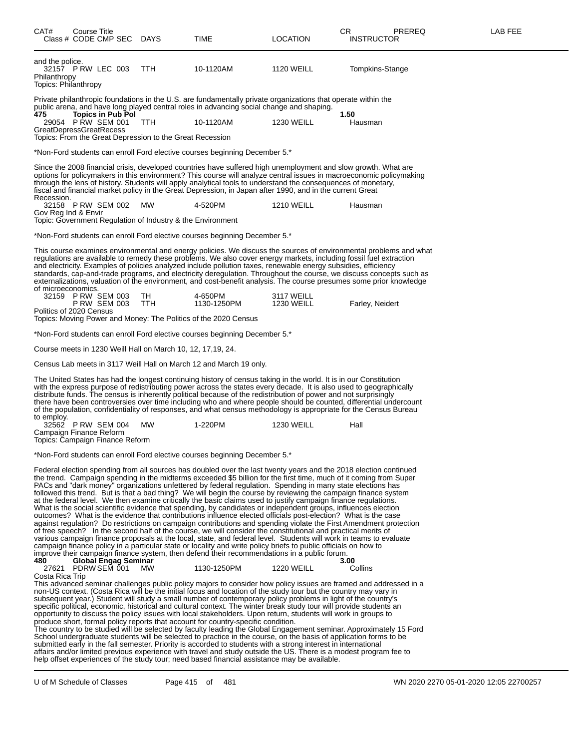| CAT#                                                    | Course Title |                                               | Class # CODE CMP SEC DAYS | TIME                                                                              | LOCATION                                                                                                                                                                                                                                                                                                                                                                                                                                                                                                                                                                                                                                                                                                                                                                                            | CR<br>PREREQ<br><b>INSTRUCTOR</b>                                                                                                                                                                                                                                                                                                                                                                                                                                                                                                                                                                             | LAB FEE |
|---------------------------------------------------------|--------------|-----------------------------------------------|---------------------------|-----------------------------------------------------------------------------------|-----------------------------------------------------------------------------------------------------------------------------------------------------------------------------------------------------------------------------------------------------------------------------------------------------------------------------------------------------------------------------------------------------------------------------------------------------------------------------------------------------------------------------------------------------------------------------------------------------------------------------------------------------------------------------------------------------------------------------------------------------------------------------------------------------|---------------------------------------------------------------------------------------------------------------------------------------------------------------------------------------------------------------------------------------------------------------------------------------------------------------------------------------------------------------------------------------------------------------------------------------------------------------------------------------------------------------------------------------------------------------------------------------------------------------|---------|
| and the police.<br>Philanthropy<br>Topics: Philanthropy |              | 32157 P RW LEC 003                            | <b>TTH</b>                | 10-1120AM                                                                         | <b>1120 WEILL</b>                                                                                                                                                                                                                                                                                                                                                                                                                                                                                                                                                                                                                                                                                                                                                                                   | Tompkins-Stange                                                                                                                                                                                                                                                                                                                                                                                                                                                                                                                                                                                               |         |
|                                                         |              |                                               |                           |                                                                                   | Private philanthropic foundations in the U.S. are fundamentally private organizations that operate within the<br>public arena, and have long played central roles in advancing social change and shaping.                                                                                                                                                                                                                                                                                                                                                                                                                                                                                                                                                                                           |                                                                                                                                                                                                                                                                                                                                                                                                                                                                                                                                                                                                               |         |
| 475<br>GreatDepressGreatRecess                          |              | <b>Topics in Pub Pol</b><br>29054 PRW SEM 001 | TTH.                      | 10-1120AM                                                                         | <b>1230 WEILL</b>                                                                                                                                                                                                                                                                                                                                                                                                                                                                                                                                                                                                                                                                                                                                                                                   | 1.50<br>Hausman                                                                                                                                                                                                                                                                                                                                                                                                                                                                                                                                                                                               |         |
|                                                         |              |                                               |                           | Topics: From the Great Depression to the Great Recession                          |                                                                                                                                                                                                                                                                                                                                                                                                                                                                                                                                                                                                                                                                                                                                                                                                     |                                                                                                                                                                                                                                                                                                                                                                                                                                                                                                                                                                                                               |         |
|                                                         |              |                                               |                           | *Non-Ford students can enroll Ford elective courses beginning December 5.*        |                                                                                                                                                                                                                                                                                                                                                                                                                                                                                                                                                                                                                                                                                                                                                                                                     |                                                                                                                                                                                                                                                                                                                                                                                                                                                                                                                                                                                                               |         |
| Recession.                                              |              |                                               |                           |                                                                                   | through the lens of history. Students will apply analytical tools to understand the consequences of monetary,<br>fiscal and financial market policy in the Great Depression, in Japan after 1990, and in the current Great                                                                                                                                                                                                                                                                                                                                                                                                                                                                                                                                                                          | Since the 2008 financial crisis, developed countries have suffered high unemployment and slow growth. What are<br>options for policymakers in this environment? This course will analyze central issues in macroeconomic policymaking                                                                                                                                                                                                                                                                                                                                                                         |         |
| Gov Reg Ind & Envir                                     |              | 32158 PRW SEM 002                             | MW                        | 4-520PM                                                                           | <b>1210 WEILL</b>                                                                                                                                                                                                                                                                                                                                                                                                                                                                                                                                                                                                                                                                                                                                                                                   | Hausman                                                                                                                                                                                                                                                                                                                                                                                                                                                                                                                                                                                                       |         |
|                                                         |              |                                               |                           | Topic: Government Regulation of Industry & the Environment                        |                                                                                                                                                                                                                                                                                                                                                                                                                                                                                                                                                                                                                                                                                                                                                                                                     |                                                                                                                                                                                                                                                                                                                                                                                                                                                                                                                                                                                                               |         |
|                                                         |              |                                               |                           | *Non-Ford students can enroll Ford elective courses beginning December 5.*        |                                                                                                                                                                                                                                                                                                                                                                                                                                                                                                                                                                                                                                                                                                                                                                                                     |                                                                                                                                                                                                                                                                                                                                                                                                                                                                                                                                                                                                               |         |
| of microeconomics.                                      |              |                                               |                           |                                                                                   | and electricity. Examples of policies analyzed include pollution taxes, renewable energy subsidies, efficiency                                                                                                                                                                                                                                                                                                                                                                                                                                                                                                                                                                                                                                                                                      | This course examines environmental and energy policies. We discuss the sources of environmental problems and what<br>regulations are available to remedy these problems. We also cover energy markets, including fossil fuel extraction<br>standards, cap-and-trade programs, and electricity deregulation. Throughout the course, we discuss concepts such as<br>externalizations, valuation of the environment, and cost-benefit analysis. The course presumes some prior knowledge                                                                                                                         |         |
|                                                         |              | 32159 PRW SEM 003<br><b>P RW SEM 003</b>      | TH.<br>TTH.               | 4-650PM<br>1130-1250PM                                                            | 3117 WEILL<br><b>1230 WEILL</b>                                                                                                                                                                                                                                                                                                                                                                                                                                                                                                                                                                                                                                                                                                                                                                     | Farley, Neidert                                                                                                                                                                                                                                                                                                                                                                                                                                                                                                                                                                                               |         |
| Politics of 2020 Census                                 |              |                                               |                           | Topics: Moving Power and Money: The Politics of the 2020 Census                   |                                                                                                                                                                                                                                                                                                                                                                                                                                                                                                                                                                                                                                                                                                                                                                                                     |                                                                                                                                                                                                                                                                                                                                                                                                                                                                                                                                                                                                               |         |
|                                                         |              |                                               |                           | *Non-Ford students can enroll Ford elective courses beginning December 5.*        |                                                                                                                                                                                                                                                                                                                                                                                                                                                                                                                                                                                                                                                                                                                                                                                                     |                                                                                                                                                                                                                                                                                                                                                                                                                                                                                                                                                                                                               |         |
|                                                         |              |                                               |                           | Course meets in 1230 Weill Hall on March 10, 12, 17,19, 24.                       |                                                                                                                                                                                                                                                                                                                                                                                                                                                                                                                                                                                                                                                                                                                                                                                                     |                                                                                                                                                                                                                                                                                                                                                                                                                                                                                                                                                                                                               |         |
|                                                         |              |                                               |                           | Census Lab meets in 3117 Weill Hall on March 12 and March 19 only.                |                                                                                                                                                                                                                                                                                                                                                                                                                                                                                                                                                                                                                                                                                                                                                                                                     |                                                                                                                                                                                                                                                                                                                                                                                                                                                                                                                                                                                                               |         |
| to employ.                                              |              |                                               |                           |                                                                                   | The United States has had the longest continuing history of census taking in the world. It is in our Constitution<br>distribute funds. The census is inherently political because of the redistribution of power and not surprisingly                                                                                                                                                                                                                                                                                                                                                                                                                                                                                                                                                               | with the express purpose of redistributing power across the states every decade. It is also used to geographically<br>there have been controversies over time including who and where people should be counted, differential undercount<br>of the population, confidentiality of responses, and what census methodology is appropriate for the Census Bureau                                                                                                                                                                                                                                                  |         |
| Campaign Finance Reform                                 |              | 32562 PRW SEM 004                             | <b>MW</b>                 | 1-220PM                                                                           | <b>1230 WEILL</b>                                                                                                                                                                                                                                                                                                                                                                                                                                                                                                                                                                                                                                                                                                                                                                                   | Hall                                                                                                                                                                                                                                                                                                                                                                                                                                                                                                                                                                                                          |         |
| Topics: Campaign Finance Reform                         |              |                                               |                           |                                                                                   |                                                                                                                                                                                                                                                                                                                                                                                                                                                                                                                                                                                                                                                                                                                                                                                                     |                                                                                                                                                                                                                                                                                                                                                                                                                                                                                                                                                                                                               |         |
|                                                         |              |                                               |                           | *Non-Ford students can enroll Ford elective courses beginning December 5.*        |                                                                                                                                                                                                                                                                                                                                                                                                                                                                                                                                                                                                                                                                                                                                                                                                     |                                                                                                                                                                                                                                                                                                                                                                                                                                                                                                                                                                                                               |         |
| 480                                                     |              |                                               | Global Engag Seminar      |                                                                                   | PACs and "dark money" organizations unfettered by federal regulation. Spending in many state elections has<br>at the federal level. We then examine critically the basic claims used to justify campaign finance regulations.<br>What is the social scientific evidence that spending, by candidates or independent groups, influences election<br>outcomes? What is the evidence that contributions influence elected officials post-election? What is the case<br>of free speech? In the second half of the course, we will consider the constitutional and practical merits of<br>campaign finance policy in a particular state or locality and write policy briefs to public officials on how to<br>improve their campaign finance system, then defend their recommendations in a public forum. | Federal election spending from all sources has doubled over the last twenty years and the 2018 election continued<br>the trend. Campaign spending in the midterms exceeded \$5 billion for the first time, much of it coming from Super<br>followed this trend. But is that a bad thing? We will begin the course by reviewing the campaign finance system<br>against regulation? Do restrictions on campaign contributions and spending violate the First Amendment protection<br>various campaign finance proposals at the local, state, and federal level. Students will work in teams to evaluate<br>3.00 |         |
| Costa Rica Trip                                         |              | 27621 PDRW SEM 001                            | MW                        | 1130-1250PM                                                                       | <b>1220 WEILL</b>                                                                                                                                                                                                                                                                                                                                                                                                                                                                                                                                                                                                                                                                                                                                                                                   | Collins                                                                                                                                                                                                                                                                                                                                                                                                                                                                                                                                                                                                       |         |
|                                                         |              |                                               |                           | produce short, formal policy reports that account for country-specific condition. | non-US context. (Costa Rica will be the initial focus and location of the study tour but the country may vary in<br>subsequent year.) Student will study a small number of contemporary policy problems in light of the country's<br>specific political, economic, historical and cultural context. The winter break study tour will provide students an<br>opportunity to discuss the policy issues with local stakeholders. Upon return, students will work in groups to                                                                                                                                                                                                                                                                                                                          | This advanced seminar challenges public policy majors to consider how policy issues are framed and addressed in a<br>The country to be studied will be selected by faculty leading the Global Engagement seminar. Approximately 15 Ford<br>School undergraduate students will be selected to practice in the course, on the basis of application forms to be                                                                                                                                                                                                                                                  |         |

submitted early in the fall semester. Priority is accorded to students with a strong interest in international affairs and/or limited previous experience with travel and study outside the US. There is a modest program fee to help offset experiences of the study tour; need based financial assistance may be available.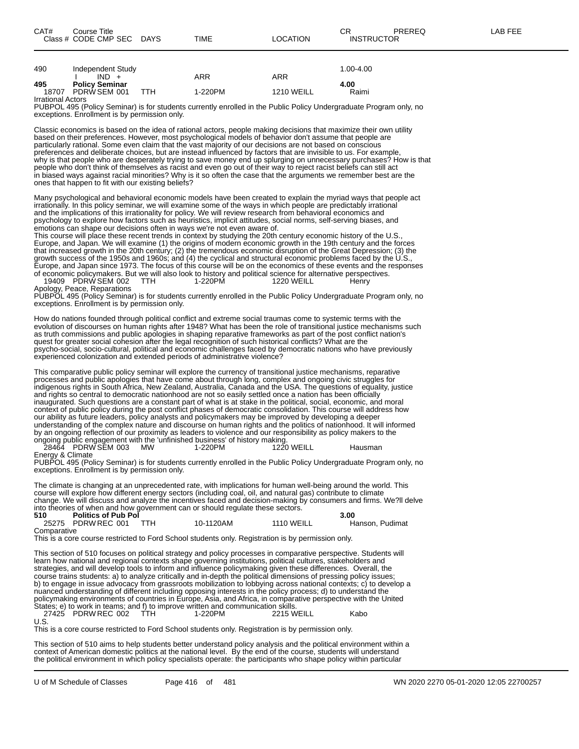|--|--|

| 490                      | Independent Study<br>$IND +$ |     | ARR     | ARR               | $1.00 - 4.00$ |
|--------------------------|------------------------------|-----|---------|-------------------|---------------|
| 495                      | <b>Policy Seminar</b>        |     |         |                   | 4.00          |
| 18707                    | PDRW SEM 001                 | ттн | 1-220PM | <b>1210 WEILL</b> | Raimi         |
| <b>Irrational Actors</b> |                              |     |         |                   |               |

PUBPOL 495 (Policy Seminar) is for students currently enrolled in the Public Policy Undergraduate Program only, no exceptions. Enrollment is by permission only.

Classic economics is based on the idea of rational actors, people making decisions that maximize their own utility based on their preferences. However, most psychological models of behavior don't assume that people are particularly rational. Some even claim that the vast majority of our decisions are not based on conscious preferences and deliberate choices, but are instead influenced by factors that are invisible to us. For example, why is that people who are desperately trying to save money end up splurging on unnecessary purchases? How is that people who don't think of themselves as racist and even go out of their way to reject racist beliefs can still act in biased ways against racial minorities? Why is it so often the case that the arguments we remember best are the ones that happen to fit with our existing beliefs?

Many psychological and behavioral economic models have been created to explain the myriad ways that people act irrationally. In this policy seminar, we will examine some of the ways in which people are predictably irrational and the implications of this irrationality for policy. We will review research from behavioral economics and psychology to explore how factors such as heuristics, implicit attitudes, social norms, self-serving biases, and emotions can shape our decisions often in ways we're not even aware of.

This course will place these recent trends in context by studying the 20th century economic history of the U.S., Europe, and Japan. We will examine (1) the origins of modern economic growth in the 19th century and the forces that increased growth in the 20th century; (2) the tremendous economic disruption of the Great Depression; (3) the growth success of the 1950s and 1960s; and (4) the cyclical and structural economic problems faced by the U.S., Europe, and Japan since 1973. The focus of this course will be on the economics of these events and the responses of economic policymakers. But we will also look to history and political science for alternative perspectives. 19409 PDRW SEM 002 TTH 1-220PM 1220 WEILL Henry

Apology, Peace, Reparations

PUBPOL 495 (Policy Seminar) is for students currently enrolled in the Public Policy Undergraduate Program only, no exceptions. Enrollment is by permission only.

How do nations founded through political conflict and extreme social traumas come to systemic terms with the evolution of discourses on human rights after 1948? What has been the role of transitional justice mechanisms such as truth commissions and public apologies in shaping reparative frameworks as part of the post conflict nation's quest for greater social cohesion after the legal recognition of such historical conflicts? What are the psycho-social, socio-cultural, political and economic challenges faced by democratic nations who have previously experienced colonization and extended periods of administrative violence?

This comparative public policy seminar will explore the currency of transitional justice mechanisms, reparative processes and public apologies that have come about through long, complex and ongoing civic struggles for indigenous rights in South Africa, New Zealand, Australia, Canada and the USA. The questions of equality, justice and rights so central to democratic nationhood are not so easily settled once a nation has been officially inaugurated. Such questions are a constant part of what is at stake in the political, social, economic, and moral context of public policy during the post conflict phases of democratic consolidation. This course will address how our ability as future leaders, policy analysts and policymakers may be improved by developing a deeper understanding of the complex nature and discourse on human rights and the politics of nationhood. It will informed by an ongoing reflection of our proximity as leaders to violence and our responsibility as policy makers to the ongoing public engagement with the 'unfinished business' of history making.

28464 PDRW SEM 003 MW 1-220PM 1220 WEILL Hausman Energy & Climate

PUBPOL 495 (Policy Seminar) is for students currently enrolled in the Public Policy Undergraduate Program only, no exceptions. Enrollment is by permission only.

The climate is changing at an unprecedented rate, with implications for human well-being around the world. This course will explore how different energy sectors (including coal, oil, and natural gas) contribute to climate change. We will discuss and analyze the incentives faced and decision-making by consumers and firms. We?ll delve into theories of when and how government can or should regulate these sectors.

| 510         | <b>Politics of Pub Pol</b> |           |                   | 3.00            |
|-------------|----------------------------|-----------|-------------------|-----------------|
|             | 25275 PDRW REC 001         | 10-1120AM | <b>1110 WEILL</b> | Hanson, Pudimat |
| Comparative |                            |           |                   |                 |

This is a core course restricted to Ford School students only. Registration is by permission only.

This section of 510 focuses on political strategy and policy processes in comparative perspective. Students will learn how national and regional contexts shape governing institutions, political cultures, stakeholders and strategies, and will develop tools to inform and influence policymaking given these differences. Overall, the course trains students: a) to analyze critically and in-depth the political dimensions of pressing policy issues; b) to engage in issue advocacy from grassroots mobilization to lobbying across national contexts; c) to develop a nuanced understanding of different including opposing interests in the policy process; d) to understand the policymaking environments of countries in Europe, Asia, and Africa, in comparative perspective with the United States; e) to work in teams; and f) to improve written and communication skills. 27425 PDRW REC 002 TTH 1-220PM 2215 WEILL Kabo U.S.

This is a core course restricted to Ford School students only. Registration is by permission only.

This section of 510 aims to help students better understand policy analysis and the political environment within a context of American domestic politics at the national level. By the end of the course, students will understand the political environment in which policy specialists operate: the participants who shape policy within particular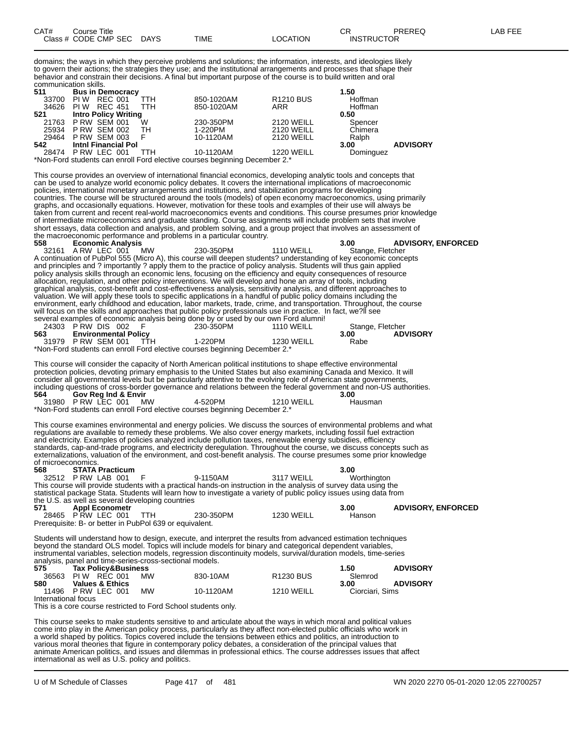| CAT# | .<br>Course Title<br>Class # CODE CMP SEC | <b>DAYS</b> | TIME | LOCATION | ⌒冖<br>◡<br><b>INSTRUCTOR</b> | PREREQ | , FEE<br>AR |
|------|-------------------------------------------|-------------|------|----------|------------------------------|--------|-------------|
|      |                                           |             |      |          |                              |        |             |

domains; the ways in which they perceive problems and solutions; the information, interests, and ideologies likely to govern their actions; the strategies they use; and the institutional arrangements and processes that shape their behavior and constrain their decisions. A final but important purpose of the course is to build written and oral communication skills.

| 511 | <b>Bus in Democracy</b>     |            |                                                                                     |                   | 1.50      |                 |
|-----|-----------------------------|------------|-------------------------------------------------------------------------------------|-------------------|-----------|-----------------|
|     | 33700 PIW REC 001           | <b>TTH</b> | 850-1020AM                                                                          | <b>R1210 BUS</b>  | Hoffman   |                 |
|     | 34626 PIW REC 451           | <b>TTH</b> | 850-1020AM                                                                          | ARR               | Hoffman   |                 |
| 521 | <b>Intro Policy Writing</b> |            |                                                                                     |                   | 0.50      |                 |
|     | 21763 PRW SEM 001           | w          | 230-350PM                                                                           | <b>2120 WEILL</b> | Spencer   |                 |
|     | 25934 P RW SEM 002 TH       |            | 1-220PM                                                                             | 2120 WEILL        | Chimera   |                 |
|     | 29464 P RW SEM 003          | - F        | 10-1120AM                                                                           | 2120 WEILL        | Ralph     |                 |
| 542 | <b>Intni Financial Pol</b>  |            |                                                                                     |                   | 3.00      | <b>ADVISORY</b> |
|     | 28474 PRW LEC 001           | <b>TTH</b> | 10-1120AM                                                                           | <b>1220 WEILL</b> | Dominguez |                 |
|     |                             |            | $*$ Nian Fand atu danta ana annall Fand alaatiya aayyaan kaniinatan Baaanakan O $*$ |                   |           |                 |

Non-Ford students can enroll Ford elective courses beginning December 2.

This course provides an overview of international financial economics, developing analytic tools and concepts that can be used to analyze world economic policy debates. It covers the international implications of macroeconomic policies, international monetary arrangements and institutions, and stabilization programs for developing countries. The course will be structured around the tools (models) of open economy macroeconomics, using primarily graphs, and occasionally equations. However, motivation for these tools and examples of their use will always be taken from current and recent real-world macroeconomics events and conditions. This course presumes prior knowledge of intermediate microeconomics and graduate standing. Course assignments will include problem sets that involve short essays, data collection and analysis, and problem solving, and a group project that involves an assessment of the macroeconomic performance and problems in a particular country.

| 558     | <b>Economic Analysis</b>    |            |                                                                                                                     |                   | 3.00 | <b>ADVISORY, ENFORCED</b> |  |
|---------|-----------------------------|------------|---------------------------------------------------------------------------------------------------------------------|-------------------|------|---------------------------|--|
|         | 32161 A RW LEC 001          | <b>MW</b>  | 230-350PM                                                                                                           | 1110 WEILL        |      | Stange, Fletcher          |  |
|         |                             |            | A continuation of PubPol 555 (Micro A), this course will deepen students? understanding of key economic concepts    |                   |      |                           |  |
|         |                             |            | and principles and ? importantly ? apply them to the practice of policy analysis. Students will thus gain applied   |                   |      |                           |  |
|         |                             |            | policy analysis skills through an economic lens, focusing on the efficiency and equity consequences of resource     |                   |      |                           |  |
|         |                             |            | allocation, regulation, and other policy interventions. We will develop and hone an array of tools, including       |                   |      |                           |  |
|         |                             |            | graphical analysis, cost-benefit and cost-effectiveness analysis, sensitivity analysis, and different approaches to |                   |      |                           |  |
|         |                             |            | valuation. We will apply these tools to specific applications in a handful of public policy domains including the   |                   |      |                           |  |
|         |                             |            | environment, early childhood and education, labor markets, trade, crime, and transportation. Throughout, the course |                   |      |                           |  |
|         |                             |            | will focus on the skills and approaches that public policy professionals use in practice. In fact, we?ll see        |                   |      |                           |  |
|         |                             |            | several examples of economic analysis being done by or used by our own Ford alumni!                                 |                   |      |                           |  |
| 24303   | PRW DIS 002 F               |            | 230-350PM                                                                                                           | <b>1110 WEILL</b> |      | Stange, Fletcher          |  |
| 563 — 1 | <b>Environmental Policy</b> |            |                                                                                                                     |                   | 3.00 | <b>ADVISORY</b>           |  |
|         | 31979 PRW SFM 001           | <b>TTH</b> | 1-220PM                                                                                                             | 1230 WFILL        | Rabe |                           |  |

\*Non-Ford students can enroll Ford elective courses beginning December 2.\*

This course will consider the capacity of North American political institutions to shape effective environmental protection policies, devoting primary emphasis to the United States but also examining Canada and Mexico. It will consider all governmental levels but be particularly attentive to the evolving role of American state governments, including questions of cross-border governance and relations between the federal government and non-US authorities. **564 Gov Reg Ind & Envir 3.00** 31980 P RW LEC 001

This course examines environmental and energy policies. We discuss the sources of environmental problems and what regulations are available to remedy these problems. We also cover energy markets, including fossil fuel extraction and electricity. Examples of policies analyzed include pollution taxes, renewable energy subsidies, efficiency standards, cap-and-trade programs, and electricity deregulation. Throughout the course, we discuss concepts such as externalizations, valuation of the environment, and cost-benefit analysis. The course presumes some prior knowledge of microeconomics.

| 568 | <b>STATA Practicum</b>                                  |            |                                                                                                                     |                   | 3.00        |                           |
|-----|---------------------------------------------------------|------------|---------------------------------------------------------------------------------------------------------------------|-------------------|-------------|---------------------------|
|     | 32512 PRW LAB 001 F                                     |            | 9-1150AM                                                                                                            | 3117 WEILL        | Worthington |                           |
|     |                                                         |            | This course will provide students with a practical hands-on instruction in the analysis of survey data using the    |                   |             |                           |
|     |                                                         |            | statistical package Stata. Students will learn how to investigate a variety of public policy issues using data from |                   |             |                           |
|     | the U.S. as well as several developing countries        |            |                                                                                                                     |                   |             |                           |
| 571 | <b>Appl Econometr</b>                                   |            |                                                                                                                     |                   | 3.00        | <b>ADVISORY, ENFORCED</b> |
|     | 28465 PRW LEC 001                                       | <b>TTH</b> | 230-350PM                                                                                                           | <b>1230 WEILL</b> | Hanson      |                           |
|     | Prerequisite: B- or better in PubPol 639 or equivalent. |            |                                                                                                                     |                   |             |                           |

Students will understand how to design, execute, and interpret the results from advanced estimation techniques beyond the standard OLS model. Topics will include models for binary and categorical dependent variables, instrumental variables, selection models, regression discontinuity models, survival/duration models, time-series analysis, panel and time-series-cross-sectional models.<br>575 Tax Policy&Business **575 Tax Policy&Business 1.50 ADVISORY** 36563 PI W REC 001 MW 830-10AM R1230 BUS Slemrod

|                     | 36563 PIW REC 001          | <b>MW</b> | 830-10AM  | R1230 BUS         | Slemrod         |                 |
|---------------------|----------------------------|-----------|-----------|-------------------|-----------------|-----------------|
| 580                 | <b>Values &amp; Ethics</b> |           |           |                   | 3.00            | <b>ADVISORY</b> |
|                     |                            |           |           |                   |                 |                 |
|                     | 11496 P RW LEC 001         | <b>MW</b> | 10-1120AM | <b>1210 WEILL</b> | Ciorciari, Sims |                 |
| International focus |                            |           |           |                   |                 |                 |

This is a core course restricted to Ford School students only.

This course seeks to make students sensitive to and articulate about the ways in which moral and political values come into play in the American policy process, particularly as they affect non-elected public officials who work in a world shaped by politics. Topics covered include the tensions between ethics and politics, an introduction to various moral theories that figure in contemporary policy debates, a consideration of the principal values that animate American politics, and issues and dilemmas in professional ethics. The course addresses issues that affect international as well as U.S. policy and politics.

<sup>\*</sup>Non-Ford students can enroll Ford elective courses beginning December 2.\*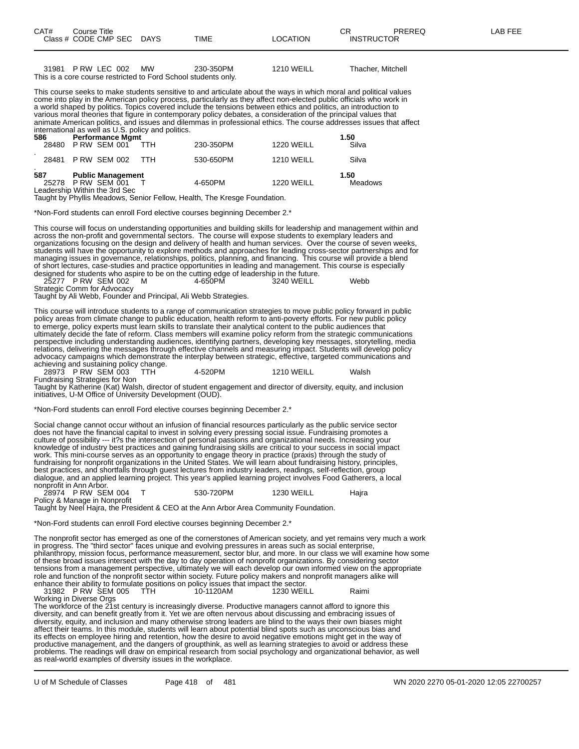| 31981 P RW LEC 002 MW |  | 230-350PM                                                      | 1210 WEILL | <b>Thacher, Mitchell</b> |
|-----------------------|--|----------------------------------------------------------------|------------|--------------------------|
|                       |  |                                                                |            |                          |
|                       |  | This is a core course restricted to Ford School students only. |            |                          |
|                       |  |                                                                |            |                          |

This course seeks to make students sensitive to and articulate about the ways in which moral and political values come into play in the American policy process, particularly as they affect non-elected public officials who work in a world shaped by politics. Topics covered include the tensions between ethics and politics, an introduction to various moral theories that figure in contemporary policy debates, a consideration of the principal values that animate American politics, and issues and dilemmas in professional ethics. The course addresses issues that affect international as well as U.S. policy and politics.

|     |     |                                                   | $m$ . $m$ . $m$ . $m$ . $m$ . $m$ . $m$ . $m$ . $m$ . $m$ . $m$ . $m$ . $m$ . $m$ . $m$ . $m$ . $m$ . $m$ . $m$ . $m$ . $m$ . $m$ . $m$ . $m$ . $m$ . $m$ . $m$ . $m$ . $m$ . $m$ . $m$ . $m$ . $m$ . $m$ . $m$ . $m$ . $m$ . |                                                                                                         |                   |               |
|-----|-----|---------------------------------------------------|-------------------------------------------------------------------------------------------------------------------------------------------------------------------------------------------------------------------------------|---------------------------------------------------------------------------------------------------------|-------------------|---------------|
|     | 586 | <b>Performance Mgmt</b><br>28480 P RW SEM 001 TTH |                                                                                                                                                                                                                               | 230-350PM                                                                                               | <b>1220 WEILL</b> | 1.50<br>Silva |
|     |     |                                                   |                                                                                                                                                                                                                               |                                                                                                         |                   |               |
|     |     | 28481 P RW SEM 002                                | - ттн                                                                                                                                                                                                                         | 530-650PM                                                                                               | <b>1210 WEILL</b> | Silva         |
| 587 |     | <b>Public Management</b>                          |                                                                                                                                                                                                                               |                                                                                                         |                   | 1.50          |
|     |     | 25278 PRW SEM 001                                 |                                                                                                                                                                                                                               | 4-650PM                                                                                                 | <b>1220 WEILL</b> | Meadows       |
|     |     | Leadership Within the 3rd Sec                     |                                                                                                                                                                                                                               | Terricha de l'Indentità Marcadella III (la Federal del dictato del Federal de La Federal del Caractería |                   |               |
|     |     |                                                   |                                                                                                                                                                                                                               |                                                                                                         |                   |               |

Taught by Phyllis Meadows, Senior Fellow, Health, The Kresge Foundation.

\*Non-Ford students can enroll Ford elective courses beginning December 2.\*

This course will focus on understanding opportunities and building skills for leadership and management within and across the non-profit and governmental sectors. The course will expose students to exemplary leaders and organizations focusing on the design and delivery of health and human services. Over the course of seven weeks, students will have the opportunity to explore methods and approaches for leading cross-sector partnerships and for managing issues in governance, relationships, politics, planning, and financing. This course will provide a blend of short lectures, case-studies and practice opportunities in leading and management. This course is especially designed for students who aspire to be on the cutting edge of leadership in the future.

25277 P RW SEM 002 M 4-650PM 3240 WEILL Webb Strategic Comm for Advocacy

Taught by Ali Webb, Founder and Principal, Ali Webb Strategies.

This course will introduce students to a range of communication strategies to move public policy forward in public policy areas from climate change to public education, health reform to anti-poverty efforts. For new public policy to emerge, policy experts must learn skills to translate their analytical content to the public audiences that ultimately decide the fate of reform. Class members will examine policy reform from the strategic communications perspective including understanding audiences, identifying partners, developing key messages, storytelling, media relations, delivering the messages through effective channels and measuring impact. Students will develop policy advocacy campaigns which demonstrate the interplay between strategic, effective, targeted communications and

achieving and sustaining policy change.<br>28973 P RW SEM 003 TTH

28973 P RW SEM 003 TTH 4-520PM 1210 WEILL Walsh

Fundraising Strategies for Non Taught by Katherine (Kat) Walsh, director of student engagement and director of diversity, equity, and inclusion initiatives, U-M Office of University Development (OUD).

\*Non-Ford students can enroll Ford elective courses beginning December 2.\*

Social change cannot occur without an infusion of financial resources particularly as the public service sector does not have the financial capital to invest in solving every pressing social issue. Fundraising promotes a culture of possibility --- it?s the intersection of personal passions and organizational needs. Increasing your knowledge of industry best practices and gaining fundraising skills are critical to your success in social impact work. This mini-course serves as an opportunity to engage theory in practice (praxis) through the study of fundraising for nonprofit organizations in the United States. We will learn about fundraising history, principles, best practices, and shortfalls through guest lectures from industry leaders, readings, self-reflection, group dialogue, and an applied learning project. This year's applied learning project involves Food Gatherers, a local nonprofit in Ann Arbor.

28974 P RW SEM 004 T 530-720PM 1230 WEILL Hajra Policy & Manage in Nonprofit

Taught by Neel Hajra, the President & CEO at the Ann Arbor Area Community Foundation.

\*Non-Ford students can enroll Ford elective courses beginning December 2.\*

The nonprofit sector has emerged as one of the cornerstones of American society, and yet remains very much a work in progress. The "third sector" faces unique and evolving pressures in areas such as social enterprise, philanthropy, mission focus, performance measurement, sector blur, and more. In our class we will examine how some of these broad issues intersect with the day to day operation of nonprofit organizations. By considering sector tensions from a management perspective, ultimately we will each develop our own informed view on the appropriate role and function of the nonprofit sector within society. Future policy makers and nonprofit managers alike will enhance their ability to formulate positions on policy issues that impact the sector. 31982 P RW SEM 005 TTH 10-1120AM 1230 WEILL Raimi

Working in Diverse Orgs

The workforce of the 21st century is increasingly diverse. Productive managers cannot afford to ignore this diversity, and can benefit greatly from it. Yet we are often nervous about discussing and embracing issues of diversity, equity, and inclusion and many otherwise strong leaders are blind to the ways their own biases might affect their teams. In this module, students will learn about potential blind spots such as unconscious bias and its effects on employee hiring and retention, how the desire to avoid negative emotions might get in the way of productive management, and the dangers of groupthink, as well as learning strategies to avoid or address these problems. The readings will draw on empirical research from social psychology and organizational behavior, as well as real-world examples of diversity issues in the workplace.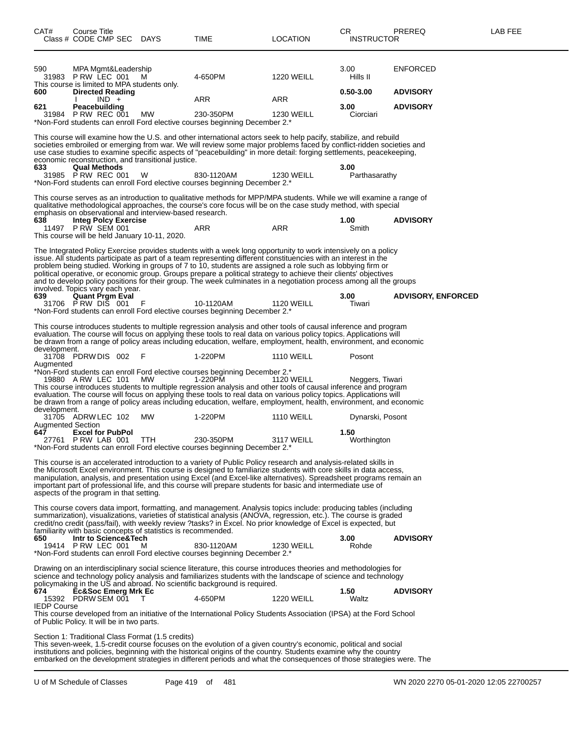| CAT#                            | Course Title<br>Class # CODE CMP SEC DAYS                                                 |                                                               | <b>TIME</b>                                                                                                                                                                                                                                                                                                                                                                                                                                                                                                                                                                              | LOCATION          | CR.<br><b>INSTRUCTOR</b> | PREREQ                    | LAB FEE |
|---------------------------------|-------------------------------------------------------------------------------------------|---------------------------------------------------------------|------------------------------------------------------------------------------------------------------------------------------------------------------------------------------------------------------------------------------------------------------------------------------------------------------------------------------------------------------------------------------------------------------------------------------------------------------------------------------------------------------------------------------------------------------------------------------------------|-------------------|--------------------------|---------------------------|---------|
| 590                             | MPA Mgmt&Leadership<br>31983 P RW LEC 001<br>This course is limited to MPA students only. | M                                                             | 4-650PM                                                                                                                                                                                                                                                                                                                                                                                                                                                                                                                                                                                  | <b>1220 WEILL</b> | 3.00<br>Hills II         | <b>ENFORCED</b>           |         |
| 600                             | <b>Directed Reading</b><br>$IND +$                                                        |                                                               | ARR                                                                                                                                                                                                                                                                                                                                                                                                                                                                                                                                                                                      | ARR               | 0.50-3.00                | <b>ADVISORY</b>           |         |
| 621                             | Peacebuilding<br>31984 P RW REC 001                                                       | МW                                                            | 230-350PM<br>*Non-Ford students can enroll Ford elective courses beginning December 2.*                                                                                                                                                                                                                                                                                                                                                                                                                                                                                                  | <b>1230 WEILL</b> | 3.00<br>Ciorciari        | <b>ADVISORY</b>           |         |
|                                 |                                                                                           | economic reconstruction, and transitional justice.            | This course will examine how the U.S. and other international actors seek to help pacify, stabilize, and rebuild<br>societies embroiled or emerging from war. We will review some major problems faced by conflict-ridden societies and<br>use case studies to examine specific aspects of "peacebuilding" in more detail: forging settlements, peacekeeping,                                                                                                                                                                                                                            |                   |                          |                           |         |
| 633                             | <b>Qual Methods</b><br>31985 P RW REC 001                                                 | W                                                             | 830-1120AM<br>*Non-Ford students can enroll Ford elective courses beginning December 2.*                                                                                                                                                                                                                                                                                                                                                                                                                                                                                                 | <b>1230 WEILL</b> | 3.00<br>Parthasarathy    |                           |         |
|                                 |                                                                                           | emphasis on observational and interview-based research.       | This course serves as an introduction to qualitative methods for MPP/MPA students. While we will examine a range of<br>qualitative methodological approaches, the course's core focus will be on the case study method, with special                                                                                                                                                                                                                                                                                                                                                     |                   |                          |                           |         |
| 638                             | <b>Integ Polcy Exercise</b><br>11497 P RW SEM 001                                         | This course will be held January 10-11, 2020.                 | ARR                                                                                                                                                                                                                                                                                                                                                                                                                                                                                                                                                                                      | ARR               | 1.00<br>Smith            | <b>ADVISORY</b>           |         |
|                                 | involved. Topics vary each year.                                                          |                                                               | The Integrated Policy Exercise provides students with a week long opportunity to work intensively on a policy<br>issue. All students participate as part of a team representing different constituencies with an interest in the<br>problem being studied. Working in groups of 7 to 10, students are assigned a role such as lobbying firm or<br>political operative, or economic group. Groups prepare a political strategy to achieve their clients' objectives<br>and to develop policy positions for their group. The week culminates in a negotiation process among all the groups |                   |                          |                           |         |
| 639                             | Quant Prgm Eval<br>31706 PRW DIS 001                                                      | - F                                                           | 10-1120AM<br>*Non-Ford students can enroll Ford elective courses beginning December 2.*                                                                                                                                                                                                                                                                                                                                                                                                                                                                                                  | <b>1120 WEILL</b> | 3.00<br>Tiwari           | <b>ADVISORY, ENFORCED</b> |         |
| development.                    |                                                                                           |                                                               | This course introduces students to multiple regression analysis and other tools of causal inference and program<br>evaluation. The course will focus on applying these tools to real data on various policy topics. Applications will<br>be drawn from a range of policy areas including education, welfare, employment, health, environment, and economic                                                                                                                                                                                                                               |                   |                          |                           |         |
| Augmented                       | 31708 PDRW DIS 002                                                                        | - F                                                           | 1-220PM                                                                                                                                                                                                                                                                                                                                                                                                                                                                                                                                                                                  | <b>1110 WEILL</b> | Posont                   |                           |         |
|                                 | 19880 A RW LEC 101                                                                        | MW                                                            | *Non-Ford students can enroll Ford elective courses beginning December 2.*<br>1-220PM<br>This course introduces students to multiple regression analysis and other tools of causal inference and program<br>evaluation. The course will focus on applying these tools to real data on various policy topics. Applications will<br>be drawn from a range of policy areas including education, welfare, employment, health, environment, and economic                                                                                                                                      | <b>1120 WEILL</b> | Neggers, Tiwari          |                           |         |
| development.                    | 31705 ADRW LEC 102                                                                        | MW                                                            | 1-220PM                                                                                                                                                                                                                                                                                                                                                                                                                                                                                                                                                                                  | <b>1110 WEILL</b> | Dynarski, Posont         |                           |         |
| <b>Augmented Section</b><br>647 | <b>Excel for PubPol</b><br>27761 PRW LAB 001                                              | <b>TTH</b>                                                    | 230-350PM<br>*Non-Ford students can enroll Ford elective courses beginning December 2.*                                                                                                                                                                                                                                                                                                                                                                                                                                                                                                  | 3117 WEILL        | 1.50<br>Worthington      |                           |         |
|                                 | aspects of the program in that setting.                                                   |                                                               | This course is an accelerated introduction to a variety of Public Policy research and analysis-related skills in<br>the Microsoft Excel environment. This course is designed to familiarize students with core skills in data access,<br>manipulation, analysis, and presentation using Excel (and Excel-like alternatives). Spreadsheet programs remain an<br>important part of professional life, and this course will prepare students for basic and intermediate use of                                                                                                              |                   |                          |                           |         |
|                                 |                                                                                           | familiarity with basic concepts of statistics is recommended. | This course covers data import, formatting, and management. Analysis topics include: producing tables (including<br>summarization), visualizations, varieties of statistical analysis (ANOVA, regression, etc.). The course is graded<br>credit/no credit (pass/fail), with weekly review ?tasks? in Excel. No prior knowledge of Excel is expected, but                                                                                                                                                                                                                                 |                   |                          |                           |         |
| 650                             | Intr to Science&Tech<br>19414 P RW LEC 001                                                | M                                                             | 830-1120AM<br>*Non-Ford students can enroll Ford elective courses beginning December 2.*                                                                                                                                                                                                                                                                                                                                                                                                                                                                                                 | <b>1230 WEILL</b> | 3.00<br>Rohde            | <b>ADVISORY</b>           |         |
|                                 |                                                                                           |                                                               | Drawing on an interdisciplinary social science literature, this course introduces theories and methodologies for<br>science and technology policy analysis and familiarizes students with the landscape of science and technology<br>policymaking in the US and abroad. No scientific background is required.                                                                                                                                                                                                                                                                            |                   |                          |                           |         |
| 674<br><b>IEDP Course</b>       | <b>Ec&amp;Soc Emerg Mrk Ec</b><br>15392 PDRW SEM 001                                      | T                                                             | 4-650PM                                                                                                                                                                                                                                                                                                                                                                                                                                                                                                                                                                                  | <b>1220 WEILL</b> | 1.50<br>Waltz            | <b>ADVISORY</b>           |         |
|                                 | of Public Policy. It will be in two parts.                                                |                                                               | This course developed from an initiative of the International Policy Students Association (IPSA) at the Ford School                                                                                                                                                                                                                                                                                                                                                                                                                                                                      |                   |                          |                           |         |
|                                 |                                                                                           | Section 1: Traditional Class Format (1.5 credits)             | This seven-week, 1.5-credit course focuses on the evolution of a given country's economic, political and social<br>institutions and policies, beginning with the historical origins of the country. Students examine why the country<br>embarked on the development strategies in different periods and what the consequences of those strategies were. The                                                                                                                                                                                                                              |                   |                          |                           |         |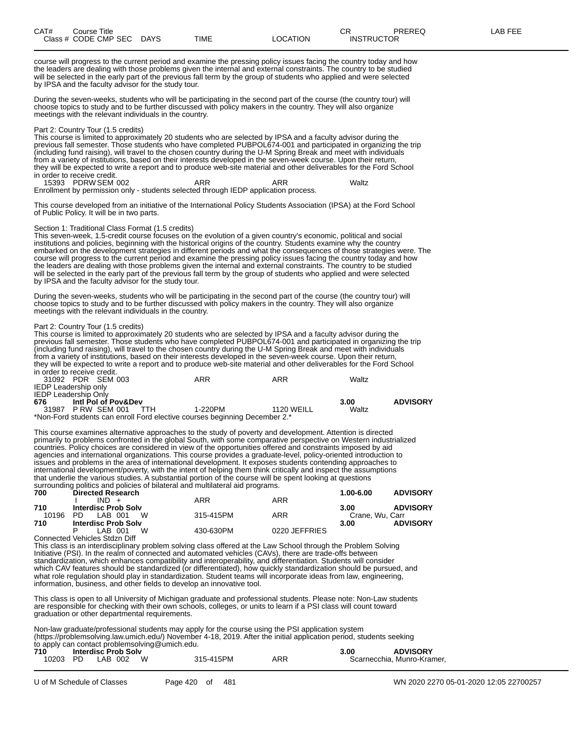| CAT# | Title<br>∴ourse            |                       |      |          | ⌒冖<br><b>UN</b>             | PREREC<br>ヽ∟◡ | ----<br>ΔR<br>--- |
|------|----------------------------|-----------------------|------|----------|-----------------------------|---------------|-------------------|
|      | Class # CODE CMP SEC<br>__ | <b>DAYS</b><br>$\sim$ | TIME | _OCATION | TRUCTOR<br>INS <sup>-</sup> |               |                   |

course will progress to the current period and examine the pressing policy issues facing the country today and how the leaders are dealing with those problems given the internal and external constraints. The country to be studied will be selected in the early part of the previous fall term by the group of students who applied and were selected by IPSA and the faculty advisor for the study tour.

During the seven-weeks, students who will be participating in the second part of the course (the country tour) will choose topics to study and to be further discussed with policy makers in the country. They will also organize meetings with the relevant individuals in the country.

#### Part 2: Country Tour (1.5 credits)

This course is limited to approximately 20 students who are selected by IPSA and a faculty advisor during the previous fall semester. Those students who have completed PUBPOL674-001 and participated in organizing the trip (including fund raising), will travel to the chosen country during the U-M Spring Break and meet with individuals from a variety of institutions, based on their interests developed in the seven-week course. Upon their return, they will be expected to write a report and to produce web-site material and other deliverables for the Ford School in order to receive credit. 15393 PDRW SEM 002 ARR ARR Waltz

Enrollment by permission only - students selected through IEDP application process.

This course developed from an initiative of the International Policy Students Association (IPSA) at the Ford School of Public Policy. It will be in two parts.

#### Section 1: Traditional Class Format (1.5 credits)

This seven-week, 1.5-credit course focuses on the evolution of a given country's economic, political and social institutions and policies, beginning with the historical origins of the country. Students examine why the country embarked on the development strategies in different periods and what the consequences of those strategies were. The course will progress to the current period and examine the pressing policy issues facing the country today and how the leaders are dealing with those problems given the internal and external constraints. The country to be studied will be selected in the early part of the previous fall term by the group of students who applied and were selected by IPSA and the faculty advisor for the study tour.

During the seven-weeks, students who will be participating in the second part of the course (the country tour) will choose topics to study and to be further discussed with policy makers in the country. They will also organize meetings with the relevant individuals in the country.

#### Part 2: Country Tour (1.5 credits)

This course is limited to approximately 20 students who are selected by IPSA and a faculty advisor during the previous fall semester. Those students who have completed PUBPOL674-001 and participated in organizing the trip (including fund raising), will travel to the chosen country during the U-M Spring Break and meet with individuals from a variety of institutions, based on their interests developed in the seven-week course. Upon their return, they will be expected to write a report and to produce web-site material and other deliverables for the Ford School in order to receive credit.

|     | 31092 PDR SEM 003                                                          | ARR     | ARR        | Waltz |                 |
|-----|----------------------------------------------------------------------------|---------|------------|-------|-----------------|
|     | <b>IEDP Leadership only</b>                                                |         |            |       |                 |
|     | <b>IEDP Leadership Only</b>                                                |         |            |       |                 |
| 676 | Intl Pol of Pov&Dev                                                        |         |            | 3.00  | <b>ADVISORY</b> |
|     | 31987 PRW SEM 001<br>- ттн                                                 | 1-220PM | 1120 WFILL | Waltz |                 |
|     | *Non-Ford students can enroll Ford elective courses beginning December 2.* |         |            |       |                 |

This course examines alternative approaches to the study of poverty and development. Attention is directed primarily to problems confronted in the global South, with some comparative perspective on Western industrialized countries. Policy choices are considered in view of the opportunities offered and constraints imposed by aid agencies and international organizations. This course provides a graduate-level, policy-oriented introduction to issues and problems in the area of international development. It exposes students contending approaches to international development/poverty, with the intent of helping them think critically and inspect the assumptions that underlie the various studies. A substantial portion of the course will be spent looking at questions surrounding politics and policies of bilateral and multilateral aid programs.

| 700   | <b>Directed Research</b>      |           |               | 1.00-6.00       | <b>ADVISORY</b> |
|-------|-------------------------------|-----------|---------------|-----------------|-----------------|
|       | $IND +$                       | ARR       | ARR           |                 |                 |
| 710   | <b>Interdisc Prob Solv</b>    |           |               | 3.00            | <b>ADVISORY</b> |
| 10196 | W<br>PD.<br>LAB 001           | 315-415PM | ARR           | Crane, Wu. Carr |                 |
| 710   | <b>Interdisc Prob Solv</b>    |           |               | 3.00            | <b>ADVISORY</b> |
|       | W<br>LAB 001                  | 430-630PM | 0220 JEFFRIES |                 |                 |
|       | Connected Vehicles Stdzn Diff |           |               |                 |                 |

This class is an interdisciplinary problem solving class offered at the Law School through the Problem Solving Initiative (PSI). In the realm of connected and automated vehicles (CAVs), there are trade-offs between standardization, which enhances compatibility and interoperability, and differentiation. Students will consider which CAV features should be standardized (or differentiated), how quickly standardization should be pursued, and what role regulation should play in standardization. Student teams will incorporate ideas from law, engineering, information, business, and other fields to develop an innovative tool.

This class is open to all University of Michigan graduate and professional students. Please note: Non-Law students are responsible for checking with their own schools, colleges, or units to learn if a PSI class will count toward graduation or other departmental requirements.

Non-law graduate/professional students may apply for the course using the PSI application system (https://problemsolving.law.umich.edu/) November 4-18, 2019. After the initial application period, students seeking to apply can contact problemsolving@umich.edu.

| 710 i | <b>Interdisc Prob Solv</b> |           |     | 3.00 | <b>ADVISORY</b>            |
|-------|----------------------------|-----------|-----|------|----------------------------|
| 10203 | <b>PD</b><br>.AB<br>002    | 315-415PM | ARR |      | Scarnecchia, Munro-Kramer. |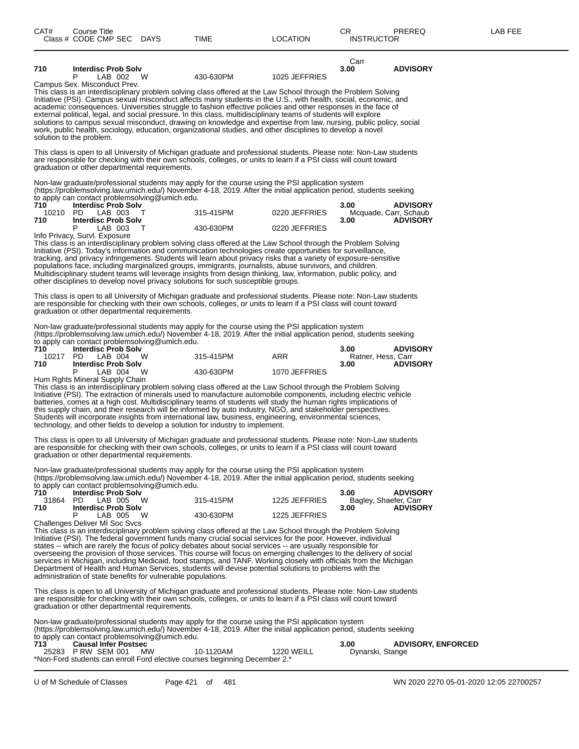| CAT#                   | Course Title<br>Class # CODE CMP SEC DAYS                                                 |     | <b>TIME</b>                                                                                                                                                                                                                                                                                                                                                                                                                                                                                                                                                                                                                                                                                                 | <b>LOCATION</b> | CR.<br><b>INSTRUCTOR</b>              | <b>PREREQ</b>                            | LAB FEE |
|------------------------|-------------------------------------------------------------------------------------------|-----|-------------------------------------------------------------------------------------------------------------------------------------------------------------------------------------------------------------------------------------------------------------------------------------------------------------------------------------------------------------------------------------------------------------------------------------------------------------------------------------------------------------------------------------------------------------------------------------------------------------------------------------------------------------------------------------------------------------|-----------------|---------------------------------------|------------------------------------------|---------|
| 710                    | <b>Interdisc Prob Solv</b><br>LAB 002 W<br>Р                                              |     | 430-630PM                                                                                                                                                                                                                                                                                                                                                                                                                                                                                                                                                                                                                                                                                                   | 1025 JEFFRIES   | Carr<br>3.00                          | <b>ADVISORY</b>                          |         |
|                        | Campus Sex. Misconduct Prev.<br>solution to the problem.                                  |     | This class is an interdisciplinary problem solving class offered at the Law School through the Problem Solving<br>Initiative (PSI). Campus sexual misconduct affects many students in the U.S., with health, social, economic, and<br>academic consequences. Universities struggle to fashion effective policies and other responses in the face of<br>external political, legal, and social pressure. In this class, multidisciplinary teams of students will explore<br>solutions to campus sexual misconduct, drawing on knowledge and expertise from law, nursing, public policy, social<br>work, public health, sociology, education, organizational studies, and other disciplines to develop a novel |                 |                                       |                                          |         |
|                        | graduation or other departmental requirements.                                            |     | This class is open to all University of Michigan graduate and professional students. Please note: Non-Law students<br>are responsible for checking with their own schools, colleges, or units to learn if a PSI class will count toward                                                                                                                                                                                                                                                                                                                                                                                                                                                                     |                 |                                       |                                          |         |
| 710<br>10210 PD        | to apply can contact problemsolving@umich.edu.<br><b>Interdisc Prob Solv</b><br>LAB 003 T |     | Non-law graduate/professional students may apply for the course using the PSI application system<br>(https://problemsolving.law.umich.edu/) November 4-18, 2019. After the initial application period, students seeking<br>315-415PM                                                                                                                                                                                                                                                                                                                                                                                                                                                                        | 0220 JEFFRIES   | 3.00                                  | <b>ADVISORY</b><br>Mcquade, Carr, Schaub |         |
| 710                    | <b>Interdisc Prob Solv</b><br>P<br>LAB 003                                                | T   | 430-630PM                                                                                                                                                                                                                                                                                                                                                                                                                                                                                                                                                                                                                                                                                                   | 0220 JEFFRIES   | 3.00                                  | <b>ADVISORY</b>                          |         |
|                        | Info Privacy, Survl. Exposure                                                             |     | This class is an interdisciplinary problem solving class offered at the Law School through the Problem Solving<br>Initiative (PSI). Today's information and communication technologies create opportunities for surveillance,<br>tracking, and privacy infringements. Students will learn about privacy risks that a variety of exposure-sensitive<br>populations face, including marginalized groups, immigrants, journalists, abuse survivors, and children.<br>Multidisciplinary student teams will leverage insights from design thinking, law, information, public policy, and<br>other disciplines to develop novel privacy solutions for such susceptible groups.                                    |                 |                                       |                                          |         |
|                        | graduation or other departmental requirements.                                            |     | This class is open to all University of Michigan graduate and professional students. Please note: Non-Law students<br>are responsible for checking with their own schools, colleges, or units to learn if a PSI class will count toward                                                                                                                                                                                                                                                                                                                                                                                                                                                                     |                 |                                       |                                          |         |
|                        | to apply can contact problemsolving@umich.edu.                                            |     | Non-law graduate/professional students may apply for the course using the PSI application system<br>(https://problemsolving.law.umich.edu/) November 4-18, 2019. After the initial application period, students seeking                                                                                                                                                                                                                                                                                                                                                                                                                                                                                     |                 |                                       |                                          |         |
| 710<br>10217 PD<br>710 | <b>Interdisc Prob Solv</b><br>LAB 004 W<br><b>Interdisc Prob Solv</b>                     |     | 315-415PM                                                                                                                                                                                                                                                                                                                                                                                                                                                                                                                                                                                                                                                                                                   | ARR             | 3.00<br>Ratner, Hess, Carr<br>3.00    | <b>ADVISORY</b><br><b>ADVISORY</b>       |         |
|                        | LAB 004 W<br>Hum Rghts Mineral Supply Chain                                               |     | 430-630PM                                                                                                                                                                                                                                                                                                                                                                                                                                                                                                                                                                                                                                                                                                   | 1070 JEFFRIES   |                                       |                                          |         |
|                        |                                                                                           |     | This class is an interdisciplinary problem solving class offered at the Law School through the Problem Solving<br>Initiative (PSI). The extraction of minerals used to manufacture automobile components, including electric vehicle<br>batteries, comes at a high cost. Multidisciplinary teams of students will study the human rights implications of<br>this supply chain, and their research will be informed by auto industry, NGO, and stakeholder perspectives.<br>Students will incorporate insights from international law, business, engineering, environmental sciences,<br>technology, and other fields to develop a solution for industry to implement.                                       |                 |                                       |                                          |         |
|                        | graduation or other departmental requirements.                                            |     | This class is open to all University of Michigan graduate and professional students. Please note: Non-Law students<br>are responsible for checking with their own schools, colleges, or units to learn if a PSI class will count toward                                                                                                                                                                                                                                                                                                                                                                                                                                                                     |                 |                                       |                                          |         |
|                        | to apply can contact problemsolving@umich.edu.                                            |     | Non-law graduate/professional students may apply for the course using the PSI application system<br>(https://problemsolving.law.umich.edu/) November 4-18, 2019. After the initial application period, students seeking                                                                                                                                                                                                                                                                                                                                                                                                                                                                                     |                 |                                       |                                          |         |
| 710<br>31864<br>710    | <b>Interdisc Prob Solv</b><br>PD.<br>LAB 005<br><b>Interdisc Prob Solv</b>                | w   | 315-415PM                                                                                                                                                                                                                                                                                                                                                                                                                                                                                                                                                                                                                                                                                                   | 1225 JEFFRIES   | 3.00<br>Bagley, Shaefer, Carr<br>3.00 | <b>ADVISORY</b><br><b>ADVISORY</b>       |         |
|                        | P<br>LAB 005<br>Challenges Deliver MI Soc Svcs                                            | - W | 430-630PM<br>This class is an interdisciplinary problem solving class offered at the Law School through the Problem Solving<br>Initiative (PSI). The federal government funds many crucial social services for the poor. However, individual                                                                                                                                                                                                                                                                                                                                                                                                                                                                | 1225 JEFFRIES   |                                       |                                          |         |
|                        |                                                                                           |     | states -- which are rarely the focus of policy debates about social services -- are usually responsible for<br>overseeing the provision of those services. This course will focus on emerging challenges to the delivery of social<br>services in Michigan, including Medicaid, food stamps, and TANE Working closely with officials from the Mi                                                                                                                                                                                                                                                                                                                                                            |                 |                                       |                                          |         |

services in Michigan, including Medicaid, food stamps, and TANF. Working closely with officials from the Michigan Department of Health and Human Services, students will devise potential solutions to problems with the administration of state benefits for vulnerable populations.

This class is open to all University of Michigan graduate and professional students. Please note: Non-Law students are responsible for checking with their own schools, colleges, or units to learn if a PSI class will count toward graduation or other departmental requirements.

Non-law graduate/professional students may apply for the course using the PSI application system (https://problemsolving.law.umich.edu/) November 4-18, 2019. After the initial application period, students seeking to apply can contact problemsolving@umich.edu.

| 713 | <b>Causal Infer Postsec</b> |           |                                                                            |                   | 3.00             | <b>ADVISORY, ENFORCED</b> |
|-----|-----------------------------|-----------|----------------------------------------------------------------------------|-------------------|------------------|---------------------------|
|     | 25283 P RW SEM 001          | <b>MW</b> | 10-1120AM                                                                  | <b>1220 WEILL</b> | Dynarski, Stange |                           |
|     |                             |           | *Non-Ford students can enroll Ford elective courses beginning December 2.* |                   |                  |                           |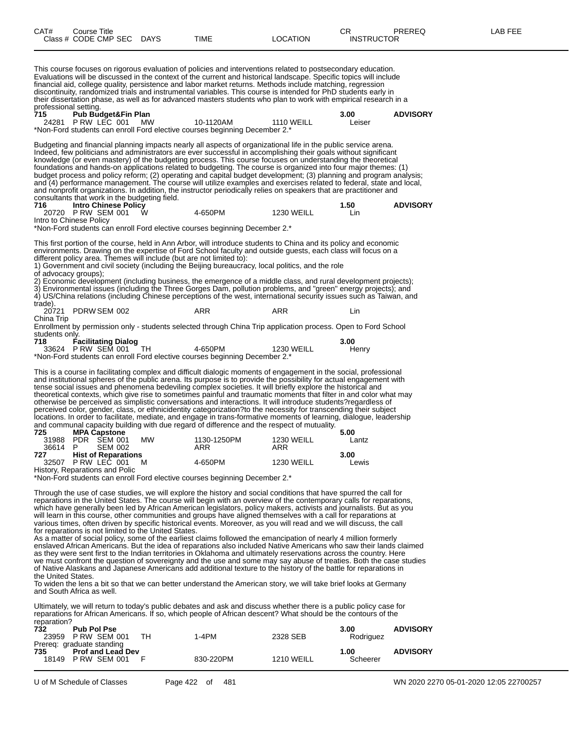| CAT# | Course Title<br>Class # CODE CMP SEC DAYS | TIME | LOCATION | PREREQ<br>$\cap$<br>◡<br><b>INSTRUCTOR</b> | -AB FEE |
|------|-------------------------------------------|------|----------|--------------------------------------------|---------|
|      |                                           |      |          |                                            |         |

This course focuses on rigorous evaluation of policies and interventions related to postsecondary education. Evaluations will be discussed in the context of the current and historical landscape. Specific topics will include financial aid, college quality, persistence and labor market returns. Methods include matching, regression discontinuity, randomized trials and instrumental variables. This course is intended for PhD students early in their dissertation phase, as well as for advanced masters students who plan to work with empirical research in a professional setting.<br>**715** Pub Bud **715 Pub Budget&Fin Plan 3.00 ADVISORY**  $P$  RW LEC 001 MW \*Non-Ford students can enroll Ford elective courses beginning December 2.\* Budgeting and financial planning impacts nearly all aspects of organizational life in the public service arena. Indeed, few politicians and administrators are ever successful in accomplishing their goals without significant knowledge (or even mastery) of the budgeting process. This course focuses on understanding the theoretical foundations and hands-on applications related to budgeting. The course is organized into four major themes: (1) budget process and policy reform; (2) operating and capital budget development; (3) planning and program analysis; and (4) performance management. The course will utilize examples and exercises related to federal, state and local, and nonprofit organizations. In addition, the instructor periodically relies on speakers that are practitioner and consultants that work in the budgeting field.<br>716 **Intro Chinese Policy 716 Intro Chinese Policy 1.50 ADVISORY** 20720 P RW SEM 001 W 4-650PM 1230 WEILL Lin Intro to Chinese Policy \*Non-Ford students can enroll Ford elective courses beginning December 2.\* This first portion of the course, held in Ann Arbor, will introduce students to China and its policy and economic environments. Drawing on the expertise of Ford School faculty and outside guests, each class will focus on a different policy area. Themes will include (but are not limited to): 1) Government and civil society (including the Beijing bureaucracy, local politics, and the role of advocacy groups); 2) Economic development (including business, the emergence of a middle class, and rural development projects); 3) Environmental issues (including the Three Gorges Dam, pollution problems, and "green" energy projects); and 4) US/China relations (including Chinese perceptions of the west, international security issues such as Taiwan, and trade).<br>20721 PDRW SEM 002 ARR ARR ARR Lin China Trip Enrollment by permission only - students selected through China Trip application process. Open to Ford School students only<br>718 F **718 Facilitating Dialog 3.00** 33624 P RW SEM 001 TH 4-650PM 1230 WEILL Henry \*Non-Ford students can enroll Ford elective courses beginning December 2.\* This is a course in facilitating complex and difficult dialogic moments of engagement in the social, professional and institutional spheres of the public arena. Its purpose is to provide the possibility for actual engagement with tense social issues and phenomena bedeviling complex societies. It will briefly explore the historical and theoretical contexts, which give rise to sometimes painful and traumatic moments that filter in and color what may otherwise be perceived as simplistic conversations and interactions. It will introduce students?regardless of perceived color, gender, class, or ethnicidentity categorization?to the necessity for transcending their subject locations. In order to facilitate, mediate, and engage in trans-formative moments of learning, dialogue, leadership and communal capacity building with due regard of difference and the respect of mutuality. **725 MPA Capstone 5.00** 31988 PDR SEM 001 MW 1130-1250PM 1230 WEILL Lantz 36614 P SEM 002 ARR ARR ARR **727 Hist of Reparations 127 <b>Hist of Reparations 3.00**<br> **32507** P RW LEC 001 M **4-650PM 1230** WEILL **Lewis** 32507 P RW LEC 001 M 4-650PM 1230 WEILL Lewis History, Reparations and Polic \*Non-Ford students can enroll Ford elective courses beginning December 2.\* Through the use of case studies, we will explore the history and social conditions that have spurred the call for reparations in the United States. The course will begin with an overview of the contemporary calls for reparations, which have generally been led by African American legislators, policy makers, activists and journalists. But as you will learn in this course, other communities and groups have aligned themselves with a call for reparations at various times, often driven by specific historical events. Moreover, as you will read and we will discuss, the call for reparations is not limited to the United States. As a matter of social policy, some of the earliest claims followed the emancipation of nearly 4 million formerly enslaved African Americans. But the idea of reparations also included Native Americans who saw their lands claimed as they were sent first to the Indian territories in Oklahoma and ultimately reservations across the country. Here

we must confront the question of sovereignty and the use and some may say abuse of treaties. Both the case studies of Native Alaskans and Japanese Americans add additional texture to the history of the battle for reparations in the United States.

To widen the lens a bit so that we can better understand the American story, we will take brief looks at Germany and South Africa as well.

Ultimately, we will return to today's public debates and ask and discuss whether there is a public policy case for reparations for African Americans. If so, which people of African descent? What should be the contours of the reparation?

| <b>Teparation!</b><br><b>Pub Pol Pse</b><br>732<br>23959 P RW SEM 001                | тн | 1-4PM     | 2328 SEB          | 3.00<br>Rodriguez | <b>ADVISORY</b> |
|--------------------------------------------------------------------------------------|----|-----------|-------------------|-------------------|-----------------|
| Prereg: graduate standing<br>735<br><b>Prof and Lead Dev</b><br>PRW SEM 001<br>18149 |    | 830-220PM | <b>1210 WEILL</b> | 1.00<br>Scheerer  | <b>ADVISORY</b> |

U of M Schedule of Classes Page 422 of 481 WN 2020 2270 05-01-2020 12:05 22700257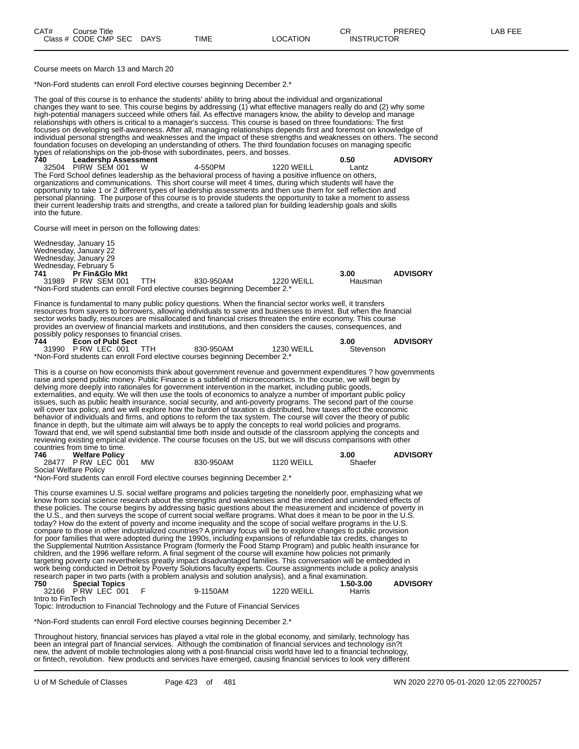Course meets on March 13 and March 20

\*Non-Ford students can enroll Ford elective courses beginning December 2.\*

The goal of this course is to enhance the students' ability to bring about the individual and organizational changes they want to see. This course begins by addressing (1) what effective managers really do and (2) why some high-potential managers succeed while others fail. As effective managers know, the ability to develop and manage relationships with others is critical to a manager's success. This course is based on three foundations: The first focuses on developing self-awareness. After all, managing relationships depends first and foremost on knowledge of<br>individual personal strengths and weaknesses and the impact of these strengths and weaknesses on others. Th individual personal strengths and weaknesses and the impact of these strengths and weaknesses on others. The second foundation focuses on developing an understanding of others. The third foundation focuses on managing specific types of relationships on the job-those with subordinates, peers, and bosses.

**740 Leadershp Assessment 0.50 ADVISORY** 32504 PIRW SEM 001 W 4-550PM 1220 WEILL Lantz The Ford School defines leadership as the behavioral process of having a positive influence on others, organizations and communications. This short course will meet 4 times, during which students will have the opportunity to take 1 or 2 different types of leadership assessments and then use them for self reflection and personal planning. The purpose of this course is to provide students the opportunity to take a moment to assess their current leadership traits and strengths, and create a tailored plan for building leadership goals and skills into the future.

Course will meet in person on the following dates:

Wednesday, January 15 Wednesday, January 22 Wednesday, January 29 Wednesday, February 5 **741 Pr Fin&Glo Mkt 3.00 ADVISORY** 31989 P RW SEM 001 TTH 830-950AM 1220 WEILL Hausman \*Non-Ford students can enroll Ford elective courses beginning December 2.\*

Finance is fundamental to many public policy questions. When the financial sector works well, it transfers resources from savers to borrowers, allowing individuals to save and businesses to invest. But when the financial sector works badly, resources are misallocated and financial crises threaten the entire economy. This course provides an overview of financial markets and institutions, and then considers the causes, consequences, and possibly policy responses to financial crises.

| 744 | <b>Econ of Publ Sect</b> |                                                                            |            | 3.00      | <b>ADVISORY</b> |
|-----|--------------------------|----------------------------------------------------------------------------|------------|-----------|-----------------|
|     | 31990 P RW LEC 001 TTH   | 830-950AM                                                                  | 1230 WEILL | Stevenson |                 |
|     |                          | *Non-Ford students can enroll Ford elective courses beginning December 2.* |            |           |                 |

This is a course on how economists think about government revenue and government expenditures ? how governments raise and spend public money. Public Finance is a subfield of microeconomics. In the course, we will begin by delving more deeply into rationales for government intervention in the market, including public goods, externalities, and equity. We will then use the tools of economics to analyze a number of important public policy issues, such as public health insurance, social security, and anti-poverty programs. The second part of the course will cover tax policy, and we will explore how the burden of taxation is distributed, how taxes affect the economic behavior of individuals and firms, and options to reform the tax system. The course will cover the theory of public finance in depth, but the ultimate aim will always be to apply the concepts to real world policies and programs. Toward that end, we will spend substantial time both inside and outside of the classroom applying the concepts and reviewing existing empirical evidence. The course focuses on the US, but we will discuss comparisons with other countries from time to time.

| 746 | <b>Welfare Policy</b> |           |           |                   | 3.00    | <b>ADVISORY</b> |
|-----|-----------------------|-----------|-----------|-------------------|---------|-----------------|
|     | 28477 P RW LEC 001    | <b>MW</b> | 830-950AM | <b>1120 WEILL</b> | Shaefer |                 |
|     | Social Welfare Policy |           |           |                   |         |                 |

\*Non-Ford students can enroll Ford elective courses beginning December 2.\*

This course examines U.S. social welfare programs and policies targeting the nonelderly poor, emphasizing what we know from social science research about the strengths and weaknesses and the intended and unintended effects of these policies. The course begins by addressing basic questions about the measurement and incidence of poverty in the U.S., and then surveys the scope of current social welfare programs. What does it mean to be poor in the U.S. today? How do the extent of poverty and income inequality and the scope of social welfare programs in the U.S. compare to those in other industrialized countries? A primary focus will be to explore changes to public provision for poor families that were adopted during the 1990s, including expansions of refundable tax credits, changes to the Supplemental Nutrition Assistance Program (formerly the Food Stamp Program) and public health insurance for children, and the 1996 welfare reform. A final segment of the course will examine how policies not primarily targeting poverty can nevertheless greatly impact disadvantaged families. This conversation will be embedded in work being conducted in Detroit by Poverty Solutions faculty experts. Course assignments include a policy analysis research paper in two parts (with a problem analysis and solution analysis), and a final examination.<br>1.50-3.00 1.50-3.00 **750 Special Topics 1.50-3.00 ADVISORY** 32166 P RW LEC 001 F 9-1150AM 1220 WEILL Harris

Intro to FinTech

Topic: Introduction to Financial Technology and the Future of Financial Services

\*Non-Ford students can enroll Ford elective courses beginning December 2.\*

Throughout history, financial services has played a vital role in the global economy, and similarly, technology has been an integral part of financial services. Although the combination of financial services and technology isn?t new, the advent of mobile technologies along with a post-financial crisis world have led to a financial technology, or fintech, revolution. New products and services have emerged, causing financial services to look very different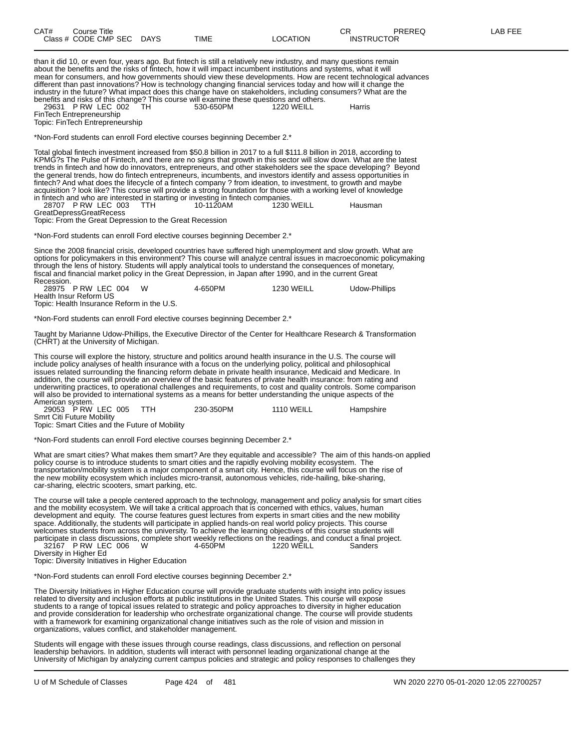| CAT#       | <b>Course Title</b><br>Class # CODE CMP SEC DAYS                                                               |            | <b>TIME</b>                                                                                                                                                                                                                                                                                                                                                                                                                                                                                                                                                                                                                                                                                                                                                                                                              | <b>LOCATION</b>   | <b>CR</b><br><b>INSTRUCTOR</b> | PREREQ | <b>LAB FEE</b> |
|------------|----------------------------------------------------------------------------------------------------------------|------------|--------------------------------------------------------------------------------------------------------------------------------------------------------------------------------------------------------------------------------------------------------------------------------------------------------------------------------------------------------------------------------------------------------------------------------------------------------------------------------------------------------------------------------------------------------------------------------------------------------------------------------------------------------------------------------------------------------------------------------------------------------------------------------------------------------------------------|-------------------|--------------------------------|--------|----------------|
|            | 29631 P RW LEC 002<br>FinTech Entrepreneurship<br>Topic: FinTech Entrepreneurship                              | TH.        | than it did 10, or even four, years ago. But fintech is still a relatively new industry, and many questions remain<br>about the benefits and the risks of fintech, how it will impact incumbent institutions and systems, what it will<br>mean for consumers, and how governments should view these developments. How are recent technological advances<br>different than past innovations? How is technology changing financial services today and how will it change the<br>industry in the future? What impact does this change have on stakeholders, including consumers? What are the<br>benefits and risks of this change? This course will examine these questions and others.<br>530-650PM                                                                                                                       | 1220 WEILL        | Harris                         |        |                |
|            |                                                                                                                |            | *Non-Ford students can enroll Ford elective courses beginning December 2.*                                                                                                                                                                                                                                                                                                                                                                                                                                                                                                                                                                                                                                                                                                                                               |                   |                                |        |                |
|            | 28707 PRW LEC 003<br><b>GreatDepressGreatRecess</b><br>Topic: From the Great Depression to the Great Recession | <b>TTH</b> | Total global fintech investment increased from \$50.8 billion in 2017 to a full \$111.8 billion in 2018, according to<br>KPMG?s The Pulse of Fintech, and there are no signs that growth in this sector will slow down. What are the latest<br>trends in fintech and how do innovators, entrepreneurs, and other stakeholders see the space developing? Beyond<br>the general trends, how do fintech entrepreneurs, incumbents, and investors identify and assess opportunities in<br>fintech? And what does the lifecycle of a fintech company? from ideation, to investment, to growth and maybe<br>acquisition ? look like? This course will provide a strong foundation for those with a working level of knowledge<br>in fintech and who are interested in starting or investing in fintech companies.<br>10-1120AM | <b>1230 WEILL</b> | Hausman                        |        |                |
|            |                                                                                                                |            | *Non-Ford students can enroll Ford elective courses beginning December 2.*                                                                                                                                                                                                                                                                                                                                                                                                                                                                                                                                                                                                                                                                                                                                               |                   |                                |        |                |
| Recession. |                                                                                                                |            | Since the 2008 financial crisis, developed countries have suffered high unemployment and slow growth. What are<br>options for policymakers in this environment? This course will analyze central issues in macroeconomic policymaking<br>through the lens of history. Students will apply analytical tools to understand the consequences of monetary,<br>fiscal and financial market policy in the Great Depression, in Japan after 1990, and in the current Great                                                                                                                                                                                                                                                                                                                                                      |                   |                                |        |                |
|            | 28975 P RW LEC 004<br>Health Insur Reform US<br>Topic: Health Insurance Reform in the U.S.                     | W          | 4-650PM                                                                                                                                                                                                                                                                                                                                                                                                                                                                                                                                                                                                                                                                                                                                                                                                                  | <b>1230 WEILL</b> | Udow-Phillips                  |        |                |
|            |                                                                                                                |            | *Non-Ford students can enroll Ford elective courses beginning December 2.*                                                                                                                                                                                                                                                                                                                                                                                                                                                                                                                                                                                                                                                                                                                                               |                   |                                |        |                |
|            |                                                                                                                |            |                                                                                                                                                                                                                                                                                                                                                                                                                                                                                                                                                                                                                                                                                                                                                                                                                          |                   |                                |        |                |

Taught by Marianne Udow-Phillips, the Executive Director of the Center for Healthcare Research & Transformation (CHRT) at the University of Michigan.

This course will explore the history, structure and politics around health insurance in the U.S. The course will include policy analyses of health insurance with a focus on the underlying policy, political and philosophical issues related surrounding the financing reform debate in private health insurance, Medicaid and Medicare. In addition, the course will provide an overview of the basic features of private health insurance: from rating and underwriting practices, to operational challenges and requirements, to cost and quality controls. Some comparison will also be provided to international systems as a means for better understanding the unique aspects of the American system.

| 29053 P RW LEC 005<br><b>TTH</b>               | 230-350PM | 1110 WEILL | Hampshire |
|------------------------------------------------|-----------|------------|-----------|
| Smrt Citi Future Mobility                      |           |            |           |
| Topic: Smart Cities and the Future of Mobility |           |            |           |

\*Non-Ford students can enroll Ford elective courses beginning December 2.\*

What are smart cities? What makes them smart? Are they equitable and accessible? The aim of this hands-on applied policy course is to introduce students to smart cities and the rapidly evolving mobility ecosystem. The transportation/mobility system is a major component of a smart city. Hence, this course will focus on the rise of the new mobility ecosystem which includes micro-transit, autonomous vehicles, ride-hailing, bike-sharing, car-sharing, electric scooters, smart parking, etc.

The course will take a people centered approach to the technology, management and policy analysis for smart cities and the mobility ecosystem. We will take a critical approach that is concerned with ethics, values, human development and equity. The course features guest lectures from experts in smart cities and the new mobility space. Additionally, the students will participate in applied hands-on real world policy projects. This course welcomes students from across the university. To achieve the learning objectives of this course students will participate in class discussions, complete short weekly reflections on the readings, and conduct a final project. 32167 P RW LEC 006 W 4-650PM 1220 WEILL Sanders

Diversity in Higher Ed

Topic: Diversity Initiatives in Higher Education

\*Non-Ford students can enroll Ford elective courses beginning December 2.\*

The Diversity Initiatives in Higher Education course will provide graduate students with insight into policy issues related to diversity and inclusion efforts at public institutions in the United States. This course will expose students to a range of topical issues related to strategic and policy approaches to diversity in higher education and provide consideration for leadership who orchestrate organizational change. The course will provide students with a framework for examining organizational change initiatives such as the role of vision and mission in organizations, values conflict, and stakeholder management.

Students will engage with these issues through course readings, class discussions, and reflection on personal leadership behaviors. In addition, students will interact with personnel leading organizational change at the University of Michigan by analyzing current campus policies and strategic and policy responses to challenges they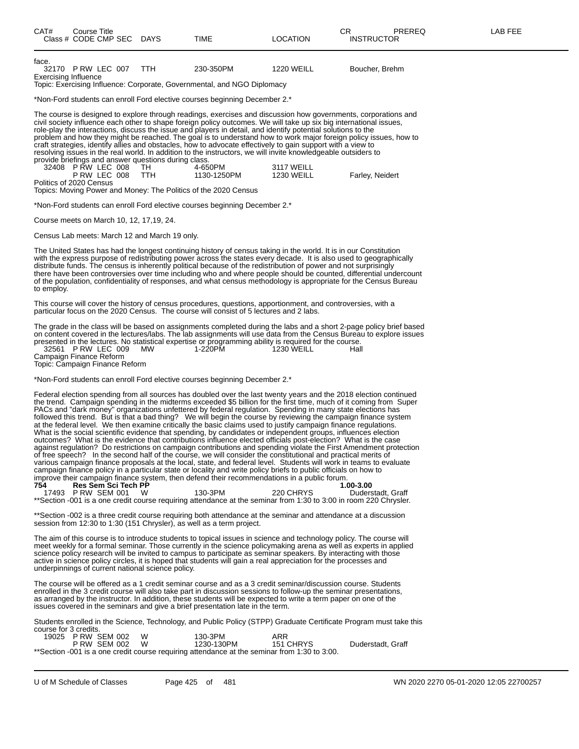| CAT#                                 | <b>Course Title</b><br>Class # CODE CMP SEC DAYS                                                                     |            | <b>TIME</b>                                                                                                                                                                                                                                                                                                                                                                                                                                                                                                                                                     | <b>LOCATION</b>                 | CR.<br><b>PREREQ</b><br><b>INSTRUCTOR</b>                                                                                                                                                                                                             | LAB FEE |
|--------------------------------------|----------------------------------------------------------------------------------------------------------------------|------------|-----------------------------------------------------------------------------------------------------------------------------------------------------------------------------------------------------------------------------------------------------------------------------------------------------------------------------------------------------------------------------------------------------------------------------------------------------------------------------------------------------------------------------------------------------------------|---------------------------------|-------------------------------------------------------------------------------------------------------------------------------------------------------------------------------------------------------------------------------------------------------|---------|
| face.<br><b>Exercising Influence</b> | 32170 PRW LEC 007                                                                                                    | TTH        | 230-350PM<br>Topic: Exercising Influence: Corporate, Governmental, and NGO Diplomacy                                                                                                                                                                                                                                                                                                                                                                                                                                                                            | <b>1220 WEILL</b>               | Boucher, Brehm                                                                                                                                                                                                                                        |         |
|                                      |                                                                                                                      |            | *Non-Ford students can enroll Ford elective courses beginning December 2.*                                                                                                                                                                                                                                                                                                                                                                                                                                                                                      |                                 |                                                                                                                                                                                                                                                       |         |
|                                      | provide briefings and answer questions during class.<br>32408 P RW LEC 008<br>PRW LEC 008<br>Politics of 2020 Census | TH.<br>TTH | civil society influence each other to shape foreign policy outcomes. We will take up six big international issues,<br>role-play the interactions, discuss the issue and players in detail, and identify potential solutions to the<br>craft strategies, identify allies and obstacles, how to advocate effectively to gain support with a view to<br>resolving issues in the real world. In addition to the instructors, we will invite knowledgeable outsiders to<br>4-650PM<br>1130-1250PM<br>Topics: Moving Power and Money: The Politics of the 2020 Census | 3117 WEILL<br><b>1230 WEILL</b> | The course is designed to explore through readings, exercises and discussion how governments, corporations and<br>problem and how they might be reached. The goal is to understand how to work major foreign policy issues, how to<br>Farley, Neidert |         |
|                                      |                                                                                                                      |            | *Non-Ford students can enroll Ford elective courses beginning December 2.*                                                                                                                                                                                                                                                                                                                                                                                                                                                                                      |                                 |                                                                                                                                                                                                                                                       |         |
|                                      | Course meets on March 10, 12, 17,19, 24.                                                                             |            |                                                                                                                                                                                                                                                                                                                                                                                                                                                                                                                                                                 |                                 |                                                                                                                                                                                                                                                       |         |
|                                      | Census Lab meets: March 12 and March 19 only.                                                                        |            |                                                                                                                                                                                                                                                                                                                                                                                                                                                                                                                                                                 |                                 |                                                                                                                                                                                                                                                       |         |
| to employ.                           |                                                                                                                      |            | The United States has had the longest continuing history of census taking in the world. It is in our Constitution<br>with the express purpose of redistributing power across the states every decade. It is also used to geographically<br>distribute funds. The census is inherently political because of the redistribution of power and not surprisingly                                                                                                                                                                                                     |                                 | there have been controversies over time including who and where people should be counted, differential undercount<br>of the population, confidentiality of responses, and what census methodology is appropriate for the Census Bureau                |         |
|                                      |                                                                                                                      |            | This course will cover the history of census procedures, questions, apportionment, and controversies, with a<br>particular focus on the 2020 Census. The course will consist of 5 lectures and 2 labs.                                                                                                                                                                                                                                                                                                                                                          |                                 |                                                                                                                                                                                                                                                       |         |
|                                      | 32561 P RW LEC 009<br>Campaign Finance Reform<br>Topic: Campaign Finance Reform                                      | MW.        | presented in the lectures. No statistical expertise or programming ability is required for the course.<br>1-220PM                                                                                                                                                                                                                                                                                                                                                                                                                                               | <b>1230 WEILL</b>               | The grade in the class will be based on assignments completed during the labs and a short 2-page policy brief based<br>on content covered in the lectures/labs. The lab assignments will use data from the Census Bureau to explore issues<br>Hall    |         |
|                                      |                                                                                                                      |            | *Non-Ford students can enroll Ford elective courses beginning December 2.*                                                                                                                                                                                                                                                                                                                                                                                                                                                                                      |                                 |                                                                                                                                                                                                                                                       |         |
|                                      |                                                                                                                      |            | RACs and "dark money" organizations unfettered by federal requision. Spending in many state elections has                                                                                                                                                                                                                                                                                                                                                                                                                                                       |                                 | Federal election spending from all sources has doubled over the last twenty years and the 2018 election continued<br>the trend. Campaign spending in the midterms exceeded \$5 billion for the first time, much of it coming from Super               |         |

PACs and "dark money" organizations unfettered by federal regulation. Spending in many state elections has followed this trend. But is that a bad thing? We will begin the course by reviewing the campaign finance system at the federal level. We then examine critically the basic claims used to justify campaign finance regulations. What is the social scientific evidence that spending, by candidates or independent groups, influences election outcomes? What is the evidence that contributions influence elected officials post-election? What is the case against regulation? Do restrictions on campaign contributions and spending violate the First Amendment protection of free speech? In the second half of the course, we will consider the constitutional and practical merits of various campaign finance proposals at the local, state, and federal level. Students will work in teams to evaluate campaign finance policy in a particular state or locality and write policy briefs to public officials on how to improve their campaign finance system, then defend their recommendations in a public forum.

**754 Res Sem Sci Tech PP 1.00-3.00** 17493 P RW SEM 001 W 130-3PM 220 CHRYS Duderstadt, Graff \*\*Section -001 is a one credit course requiring attendance at the seminar from 1:30 to 3:00 in room 220 Chrysler.

\*\*Section -002 is a three credit course requiring both attendance at the seminar and attendance at a discussion session from 12:30 to 1:30 (151 Chrysler), as well as a term project.

The aim of this course is to introduce students to topical issues in science and technology policy. The course will meet weekly for a formal seminar. Those currently in the science policymaking arena as well as experts in applied science policy research will be invited to campus to participate as seminar speakers. By interacting with those active in science policy circles, it is hoped that students will gain a real appreciation for the processes and underpinnings of current national science policy.

The course will be offered as a 1 credit seminar course and as a 3 credit seminar/discussion course. Students enrolled in the 3 credit course will also take part in discussion sessions to follow-up the seminar presentations, as arranged by the instructor. In addition, these students will be expected to write a term paper on one of the issues covered in the seminars and give a brief presentation late in the term.

Students enrolled in the Science, Technology, and Public Policy (STPP) Graduate Certificate Program must take this course for 3 credits. 19025 P RW SEM 002 W 130-3PM ARR

P RW SEM 002 W 1230-130PM 151 CHRYS Duderstadt, Graff \*\*Section -001 is a one credit course requiring attendance at the seminar from 1:30 to 3:00.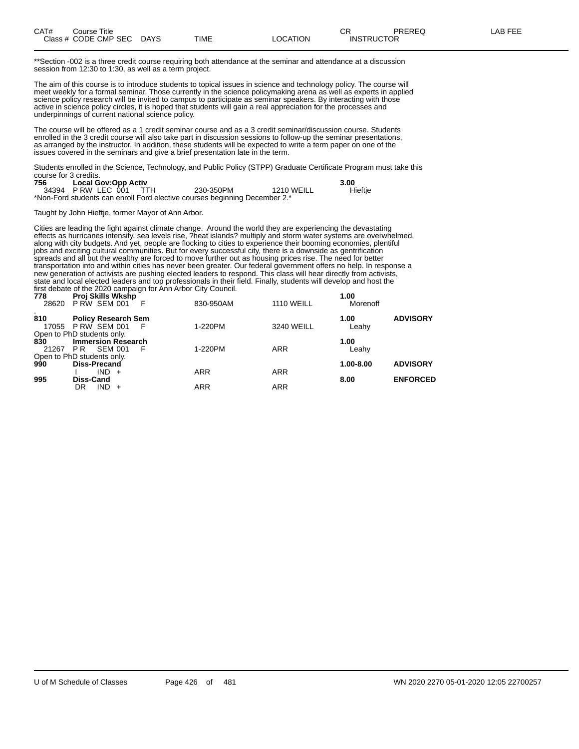| CAT# | Title<br>Course      |             |      |                | ⌒冖<br>◡◠          | <b>PREREQ</b> | ----<br>ΔR.<br>노니니 |
|------|----------------------|-------------|------|----------------|-------------------|---------------|--------------------|
|      | Class # CODE CMP SEC | <b>DAYS</b> | TIME | <b>OCATION</b> | <b>INSTRUCTOR</b> |               |                    |

\*\*Section -002 is a three credit course requiring both attendance at the seminar and attendance at a discussion session from 12:30 to 1:30, as well as a term project.

The aim of this course is to introduce students to topical issues in science and technology policy. The course will meet weekly for a formal seminar. Those currently in the science policymaking arena as well as experts in applied science policy research will be invited to campus to participate as seminar speakers. By interacting with those active in science policy circles, it is hoped that students will gain a real appreciation for the processes and underpinnings of current national science policy.

The course will be offered as a 1 credit seminar course and as a 3 credit seminar/discussion course. Students enrolled in the 3 credit course will also take part in discussion sessions to follow-up the seminar presentations, as arranged by the instructor. In addition, these students will be expected to write a term paper on one of the issues covered in the seminars and give a brief presentation late in the term.

Students enrolled in the Science, Technology, and Public Policy (STPP) Graduate Certificate Program must take this course for 3 credits.

| 756 | <b>Local Gov:Opp Activ</b> |                                                                            |            | 3.00    |
|-----|----------------------------|----------------------------------------------------------------------------|------------|---------|
|     | 34394 P RW LEC 001 TTH     | 230-350PM                                                                  | 1210 WEILL | Hieftje |
|     |                            | *Non-Ford students can enroll Ford elective courses beginning December 2.* |            |         |

Taught by John Hieftje, former Mayor of Ann Arbor.

Cities are leading the fight against climate change. Around the world they are experiencing the devastating effects as hurricanes intensify, sea levels rise, ?heat islands? multiply and storm water systems are overwhelmed, along with city budgets. And yet, people are flocking to cities to experience their booming economies, plentiful jobs and exciting cultural communities. But for every successful city, there is a downside as gentrification spreads and all but the wealthy are forced to move further out as housing prices rise. The need for better transportation into and within cities has never been greater. Our federal government offers no help. In response a new generation of activists are pushing elected leaders to respond. This class will hear directly from activists, state and local elected leaders and top professionals in their field. Finally, students will develop and host the first debate of the 2020 campaign for Ann Arbor City Council.

| 778<br>28620 | <b>Proj Skills Wkshp</b><br>PRW SEM 001                                              | 830-950AM  | <b>1110 WEILL</b> | 1.00<br>Morenoff |                 |
|--------------|--------------------------------------------------------------------------------------|------------|-------------------|------------------|-----------------|
| 810<br>17055 | <b>Policy Research Sem</b><br>PRW SEM 001                                            | 1-220PM    | 3240 WEILL        | 1.00<br>Leahy    | <b>ADVISORY</b> |
| 830<br>21267 | Open to PhD students only.<br><b>Immersion Research</b><br><b>SEM 001</b><br>PR<br>E | 1-220PM    | <b>ARR</b>        | 1.00<br>Leahy    |                 |
| 990          | Open to PhD students only.<br><b>Diss-Precand</b><br>$IND +$                         | <b>ARR</b> | <b>ARR</b>        | 1.00-8.00        | <b>ADVISORY</b> |
| 995          | Diss-Cand<br>$IND +$<br>DR                                                           | ARR        | <b>ARR</b>        | 8.00             | <b>ENFORCED</b> |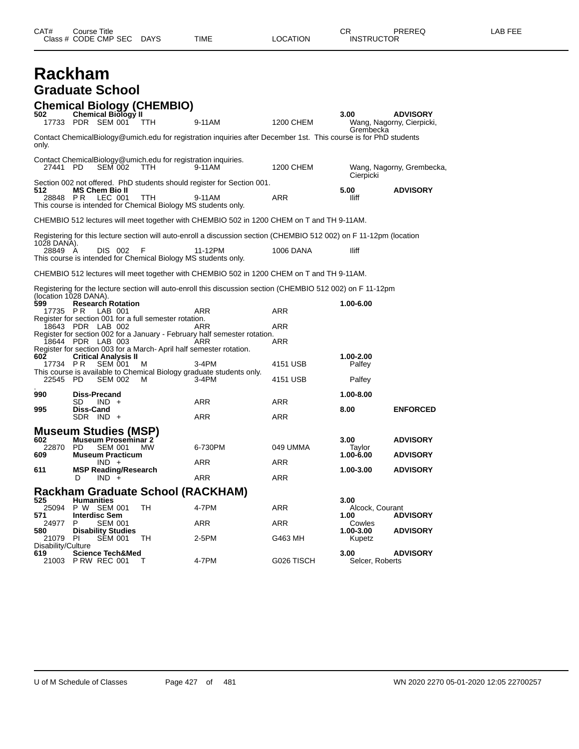| CAT#                                     | Course Title      | Class # CODE CMP SEC                                                                                                                                        | DAYS                                                                         | TIME                                                                                                                                                                                                                                             | LOCATION               | CR.<br><b>INSTRUCTOR</b>                 | PREREQ                                                | LAB FEE |
|------------------------------------------|-------------------|-------------------------------------------------------------------------------------------------------------------------------------------------------------|------------------------------------------------------------------------------|--------------------------------------------------------------------------------------------------------------------------------------------------------------------------------------------------------------------------------------------------|------------------------|------------------------------------------|-------------------------------------------------------|---------|
| <b>Rackham</b>                           |                   | <b>Graduate School</b>                                                                                                                                      |                                                                              |                                                                                                                                                                                                                                                  |                        |                                          |                                                       |         |
| 502                                      |                   | Chemical Biology II<br>17733 PDR SEM 001                                                                                                                    | <b>Chemical Biology (CHEMBIO)</b><br>TTH                                     | 9-11AM                                                                                                                                                                                                                                           | 1200 CHEM              | 3.00<br>Grembecka                        | <b>ADVISORY</b><br>Wang, Nagorny, Cierpicki,          |         |
| only.                                    |                   |                                                                                                                                                             |                                                                              | Contact ChemicalBiology@umich.edu for registration inquiries after December 1st. This course is for PhD students                                                                                                                                 |                        |                                          |                                                       |         |
| 27441 PD                                 |                   | <b>SEM 002</b>                                                                                                                                              | Contact ChemicalBiology@umich.edu for registration inquiries.<br><b>TTH</b>  | 9-11AM                                                                                                                                                                                                                                           | 1200 CHEM              | Cierpicki                                | Wang, Nagorny, Grembecka,                             |         |
| 512                                      |                   | <b>MS Chem Bio II</b><br>28848 PR LEC 001                                                                                                                   | <b>TTH</b><br>This course is intended for Chemical Biology MS students only. | Section 002 not offered. PhD students should register for Section 001.<br>9-11AM                                                                                                                                                                 | ARR                    | 5.00<br>lliff                            | <b>ADVISORY</b>                                       |         |
|                                          |                   |                                                                                                                                                             |                                                                              | CHEMBIO 512 lectures will meet together with CHEMBIO 502 in 1200 CHEM on T and TH 9-11AM.                                                                                                                                                        |                        |                                          |                                                       |         |
| 1028 DANA).<br>28849 A                   |                   | DIS 002                                                                                                                                                     | -F<br>This course is intended for Chemical Biology MS students only.         | Registering for this lecture section will auto-enroll a discussion section (CHEMBIO 512 002) on F 11-12pm (location<br>11-12PM                                                                                                                   | <b>1006 DANA</b>       | lliff                                    |                                                       |         |
|                                          |                   |                                                                                                                                                             |                                                                              | CHEMBIO 512 lectures will meet together with CHEMBIO 502 in 1200 CHEM on T and TH 9-11AM.                                                                                                                                                        |                        |                                          |                                                       |         |
| (location 1028 DANA).<br>599<br>17735 PR |                   | <b>Research Rotation</b><br>LAB 001                                                                                                                         |                                                                              | Registering for the lecture section will auto-enroll this discussion section (CHEMBIO 512 002) on F 11-12pm<br>ARR                                                                                                                               | ARR                    | 1.00-6.00                                |                                                       |         |
| 602<br>17734 PR                          |                   | 18643 PDR LAB 002<br>18644 PDR LAB 003<br><b>Critical Analysis II</b><br><b>SEM 001</b>                                                                     | Register for section 001 for a full semester rotation.<br>м                  | ARR<br>Register for section 002 for a January - February half semester rotation.<br>ARR<br>Register for section 003 for a March-April half semester rotation.<br>$3-4PM$<br>This course is available to Chemical Biology graduate students only. | ARR<br>ARR<br>4151 USB | 1.00-2.00<br>Palfey                      |                                                       |         |
| 22545                                    | PD                | <b>SEM 002</b>                                                                                                                                              | м                                                                            | 3-4PM                                                                                                                                                                                                                                            | 4151 USB               | Palfey                                   |                                                       |         |
| 990<br>995                               | SD.<br>Diss-Cand  | <b>Diss-Precand</b><br>$IND +$<br>SDR IND +                                                                                                                 |                                                                              | ARR<br>ARR                                                                                                                                                                                                                                       | ARR<br>ARR             | 1.00-8.00<br>8.00                        | <b>ENFORCED</b>                                       |         |
| 602.<br>22870 PD<br>609<br>611           | D                 | <b>Museum Studies (MSP)</b><br><b>Museum Proseminar 2</b><br><b>SEM 001</b><br><b>Museum Practicum</b><br>$IND +$<br><b>MSP Reading/Research</b><br>$IND +$ | <b>MW</b>                                                                    | 6-730PM<br>ARR<br><b>ARR</b>                                                                                                                                                                                                                     | 049 UMMA<br>ARR<br>ARR | 3.00<br>Taylor<br>1.00-6.00<br>1.00-3.00 | <b>ADVISORY</b><br><b>ADVISORY</b><br><b>ADVISORY</b> |         |
|                                          |                   |                                                                                                                                                             |                                                                              | <b>Rackham Graduate School (RACKHAM)</b>                                                                                                                                                                                                         |                        |                                          |                                                       |         |
| 525<br>25094<br>571                      | <b>Humanities</b> | P W SEM 001<br><b>Interdisc Sem</b>                                                                                                                         | TH                                                                           | 4-7PM                                                                                                                                                                                                                                            | ARR                    | 3.00<br>Alcock, Courant<br>1.00          | <b>ADVISORY</b>                                       |         |
| 24977<br>580<br>21079                    | P<br>PL           | <b>SEM 001</b><br><b>Disability Studies</b><br><b>SEM 001</b>                                                                                               | TН                                                                           | ARR<br>2-5PM                                                                                                                                                                                                                                     | <b>ARR</b><br>G463 MH  | Cowles<br>1.00-3.00<br>Kupetz            | <b>ADVISORY</b>                                       |         |
| Disability/Culture<br>619<br>21003       |                   | <b>Science Tech&amp;Med</b><br>PRW REC 001                                                                                                                  | т                                                                            | 4-7PM                                                                                                                                                                                                                                            | G026 TISCH             | 3.00<br>Selcer, Roberts                  | <b>ADVISORY</b>                                       |         |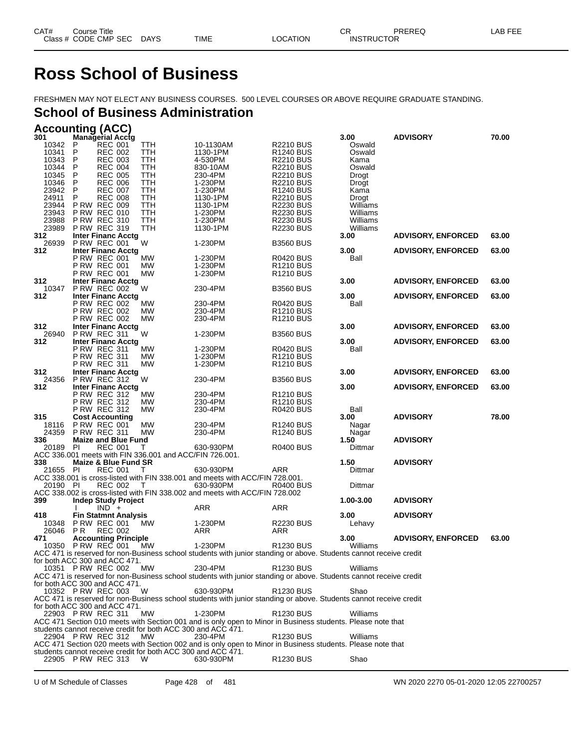# **Ross School of Business**

FRESHMEN MAY NOT ELECT ANY BUSINESS COURSES. 500 LEVEL COURSES OR ABOVE REQUIRE GRADUATE STANDING.

# **School of Business Administration**

| <b>Accounting (ACC)</b> |  |
|-------------------------|--|
|                         |  |

| 301            | <b>Managerial Acctg</b>                                                                    |            |                                                                                                                               |                                                | 3.00                 | <b>ADVISORY</b>           | 70.00 |
|----------------|--------------------------------------------------------------------------------------------|------------|-------------------------------------------------------------------------------------------------------------------------------|------------------------------------------------|----------------------|---------------------------|-------|
| 10342<br>10341 | P<br><b>REC 001</b><br>P<br><b>REC 002</b>                                                 | TTH<br>TTH | 10-1130AM<br>1130-1PM                                                                                                         | <b>R2210 BUS</b><br>R <sub>1240</sub> BUS      | Oswald<br>Oswald     |                           |       |
| 10343          | <b>REC 003</b><br>P                                                                        | TTH        | 4-530PM                                                                                                                       | <b>R2210 BUS</b>                               | Kama                 |                           |       |
| 10344          | P<br><b>REC 004</b>                                                                        | TTH        | 830-10AM                                                                                                                      | <b>R2210 BUS</b>                               | Oswald               |                           |       |
| 10345          | P<br><b>REC 005</b>                                                                        | TTH        | 230-4PM                                                                                                                       | <b>R2210 BUS</b>                               | Drogt                |                           |       |
| 10346          | <b>REC 006</b><br>P                                                                        | TTH        | 1-230PM                                                                                                                       | <b>R2210 BUS</b>                               | Drogt                |                           |       |
| 23942          | P<br><b>REC 007</b>                                                                        | TTH        | 1-230PM                                                                                                                       | R <sub>1240</sub> BUS                          | Kama                 |                           |       |
| 24911          | P<br><b>REC 008</b>                                                                        | TTH        | 1130-1PM                                                                                                                      | <b>R2210 BUS</b>                               | Drogt                |                           |       |
| 23944<br>23943 | <b>P RW REC 009</b><br><b>P RW REC 010</b>                                                 | TTH<br>TTH | 1130-1PM<br>1-230PM                                                                                                           | <b>R2230 BUS</b><br><b>R2230 BUS</b>           | Williams<br>Williams |                           |       |
| 23988          | <b>P RW REC 310</b>                                                                        | TTH        | 1-230PM                                                                                                                       | <b>R2230 BUS</b>                               | Williams             |                           |       |
| 23989          | <b>P RW REC 319</b>                                                                        | TTH        | 1130-1PM                                                                                                                      | <b>R2230 BUS</b>                               | Williams             |                           |       |
| 312            | <b>Inter Financ Acctg</b>                                                                  |            |                                                                                                                               |                                                | 3.00                 | <b>ADVISORY, ENFORCED</b> | 63.00 |
| 26939          | <b>P RW REC 001</b>                                                                        | W          | 1-230PM                                                                                                                       | <b>B3560 BUS</b>                               |                      |                           |       |
| 312            | <b>Inter Financ Acctg</b>                                                                  |            |                                                                                                                               |                                                | 3.00                 | <b>ADVISORY, ENFORCED</b> | 63.00 |
|                | P RW REC 001<br><b>P RW REC 001</b>                                                        | МW         | 1-230PM<br>1-230PM                                                                                                            | <b>R0420 BUS</b>                               | Ball                 |                           |       |
|                | <b>P RW REC 001</b>                                                                        | MW<br>MW   | 1-230PM                                                                                                                       | R <sub>1210</sub> BUS<br>R <sub>1210</sub> BUS |                      |                           |       |
| 312            | <b>Inter Financ Acctg</b>                                                                  |            |                                                                                                                               |                                                | 3.00                 | <b>ADVISORY, ENFORCED</b> | 63.00 |
| 10347          | <b>P RW REC 002</b>                                                                        | W          | 230-4PM                                                                                                                       | <b>B3560 BUS</b>                               |                      |                           |       |
| 312            | <b>Inter Financ Acctg</b>                                                                  |            |                                                                                                                               |                                                | 3.00                 | <b>ADVISORY, ENFORCED</b> | 63.00 |
|                | <b>P RW REC 002</b>                                                                        | МW         | 230-4PM                                                                                                                       | <b>R0420 BUS</b>                               | Ball                 |                           |       |
|                | <b>P RW REC 002</b>                                                                        | MW         | 230-4PM                                                                                                                       | R <sub>1210</sub> BUS                          |                      |                           |       |
| 312            | <b>P RW REC 002</b><br><b>Inter Financ Acctg</b>                                           | MW         | 230-4PM                                                                                                                       | R <sub>1210</sub> BUS                          | 3.00                 |                           | 63.00 |
| 26940          | <b>P RW REC 311</b>                                                                        | W          | 1-230PM                                                                                                                       | <b>B3560 BUS</b>                               |                      | <b>ADVISORY, ENFORCED</b> |       |
| 312            | <b>Inter Financ Acctg</b>                                                                  |            |                                                                                                                               |                                                | 3.00                 | <b>ADVISORY, ENFORCED</b> | 63.00 |
|                | P RW REC 311                                                                               | МW         | 1-230PM                                                                                                                       | <b>R0420 BUS</b>                               | Ball                 |                           |       |
|                | <b>P RW REC 311</b>                                                                        | МW         | 1-230PM                                                                                                                       | R <sub>1210</sub> BUS                          |                      |                           |       |
|                | <b>P RW REC 311</b>                                                                        | MW         | 1-230PM                                                                                                                       | R <sub>1210</sub> BUS                          |                      |                           |       |
| 312            | <b>Inter Financ Acctg</b>                                                                  |            |                                                                                                                               |                                                | 3.00                 | <b>ADVISORY, ENFORCED</b> | 63.00 |
| 24356<br>312   | <b>P RW REC 312</b><br><b>Inter Financ Acctg</b>                                           | W          | 230-4PM                                                                                                                       | <b>B3560 BUS</b>                               | 3.00                 | <b>ADVISORY, ENFORCED</b> | 63.00 |
|                | <b>P RW REC 312</b>                                                                        | MW         | 230-4PM                                                                                                                       | R <sub>1210</sub> BUS                          |                      |                           |       |
|                | <b>P RW REC 312</b>                                                                        | MW         | 230-4PM                                                                                                                       | R <sub>1210</sub> BUS                          |                      |                           |       |
|                | <b>P RW REC 312</b>                                                                        | MW         | 230-4PM                                                                                                                       | <b>R0420 BUS</b>                               | Ball                 |                           |       |
| 315            | <b>Cost Accounting</b>                                                                     |            |                                                                                                                               |                                                |                      |                           |       |
|                |                                                                                            |            |                                                                                                                               |                                                | 3.00                 | <b>ADVISORY</b>           | 78.00 |
| 18116          | <b>P RW REC 001</b>                                                                        | MW         | 230-4PM                                                                                                                       | R <sub>1240</sub> BUS                          | Nagar                |                           |       |
| 24359          | <b>P RW REC 311</b>                                                                        | МW         | 230-4PM                                                                                                                       | R <sub>1240</sub> BUS                          | Nagar                |                           |       |
| 336            | <b>Maize and Blue Fund</b>                                                                 |            |                                                                                                                               |                                                | 1.50                 | <b>ADVISORY</b>           |       |
| 20189          | PI<br><b>REC 001</b>                                                                       | Τ          | 630-930PM                                                                                                                     | <b>R0400 BUS</b>                               | Dittmar              |                           |       |
| 338            | ACC 336.001 meets with FIN 336.001 and ACC/FIN 726.001.<br><b>Maize &amp; Blue Fund SR</b> |            |                                                                                                                               |                                                | 1.50                 | <b>ADVISORY</b>           |       |
| 21655          | PI<br><b>REC 001</b>                                                                       | Т          | 630-930PM                                                                                                                     | ARR                                            | Dittmar              |                           |       |
|                |                                                                                            |            | ACC 338.001 is cross-listed with FIN 338.001 and meets with ACC/FIN 728.001.                                                  |                                                |                      |                           |       |
| 20190 PI       | <b>REC 002</b>                                                                             | $\top$     | 630-930PM                                                                                                                     | <b>R0400 BUS</b>                               | Dittmar              |                           |       |
|                |                                                                                            |            | ACC 338.002 is cross-listed with FIN 338.002 and meets with ACC/FIN 728.002                                                   |                                                |                      |                           |       |
| 399            | <b>Indep Study Project</b>                                                                 |            |                                                                                                                               |                                                | 1.00-3.00            | <b>ADVISORY</b>           |       |
| 418            | $IND +$                                                                                    |            | ARR                                                                                                                           | ARR                                            | 3.00                 |                           |       |
| 10348          | <b>Fin Statmnt Analysis</b><br><b>P RW REC 001</b>                                         | МW         | 1-230PM                                                                                                                       | <b>R2230 BUS</b>                               | Lehavy               | <b>ADVISORY</b>           |       |
| 26046          | P R<br><b>REC 002</b>                                                                      |            | ARR                                                                                                                           | ARR                                            |                      |                           |       |
| 471            | <b>Accounting Principle</b>                                                                |            |                                                                                                                               |                                                | 3.00                 | <b>ADVISORY, ENFORCED</b> | 63.00 |
|                | 10350 P RW REC 001                                                                         | МW         | 1-230PM                                                                                                                       | <b>R1230 BUS</b>                               | Williams             |                           |       |
|                |                                                                                            |            | ACC 471 is reserved for non-Business school students with junior standing or above. Students cannot receive credit            |                                                |                      |                           |       |
|                | for both ACC 300 and ACC 471.                                                              |            |                                                                                                                               |                                                |                      |                           |       |
|                | 10351 P RW REC 002                                                                         | МW         | 230-4PM<br>ACC 471 is reserved for non-Business school students with junior standing or above. Students cannot receive credit | R <sub>1230</sub> BUS                          | Williams             |                           |       |
|                | for both ACC 300 and ACC 471.                                                              |            |                                                                                                                               |                                                |                      |                           |       |
|                | 10352 P RW REC 003                                                                         | - W        | 630-930PM                                                                                                                     | <b>R1230 BUS</b>                               | Shao                 |                           |       |
|                |                                                                                            |            | ACC 471 is reserved for non-Business school students with junior standing or above. Students cannot receive credit            |                                                |                      |                           |       |
|                | for both ACC 300 and ACC 471.                                                              |            |                                                                                                                               |                                                |                      |                           |       |
|                | 22903 PRW REC 311                                                                          | MW         | 1-230PM                                                                                                                       | <b>R1230 BUS</b>                               | Williams             |                           |       |
|                | students cannot receive credit for both ACC 300 and ACC 471.                               |            | ACC 471 Section 010 meets with Section 001 and is only open to Minor in Business students. Please note that                   |                                                |                      |                           |       |
|                | 22904 PRW REC 312                                                                          | MW         | 230-4PM                                                                                                                       | R <sub>1230</sub> BUS                          | Williams             |                           |       |
|                |                                                                                            |            | ACC 471 Section 020 meets with Section 002 and is only open to Minor in Business students. Please note that                   |                                                |                      |                           |       |
|                | students cannot receive credit for both ACC 300 and ACC 471.<br>22905 P RW REC 313         | W          | 630-930PM                                                                                                                     | R <sub>1230</sub> BUS                          | Shao                 |                           |       |

U of M Schedule of Classes Page 428 of 481 WN 2020 2270 05-01-2020 12:05 22700257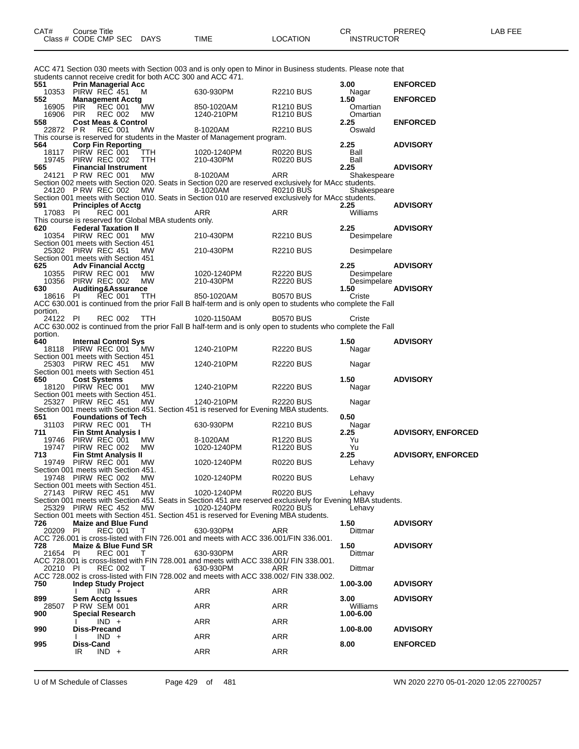|                 |                     |                                                           |                                                              | ACC 471 Section 030 meets with Section 003 and is only open to Minor in Business students. Please note that                |                                    |                     |                           |
|-----------------|---------------------|-----------------------------------------------------------|--------------------------------------------------------------|----------------------------------------------------------------------------------------------------------------------------|------------------------------------|---------------------|---------------------------|
| 551             |                     | <b>Prin Managerial Acc</b>                                | students cannot receive credit for both ACC 300 and ACC 471. |                                                                                                                            |                                    | 3.00                | <b>ENFORCED</b>           |
| 10353           |                     | PIRW REC 451                                              | м                                                            | 630-930PM                                                                                                                  | <b>R2210 BUS</b>                   | Nagar               |                           |
| 552<br>16905    | <b>PIR</b>          | <b>Management Acctg</b><br><b>REC 001</b>                 | МW                                                           | 850-1020AM                                                                                                                 | R <sub>1210</sub> BUS              | 1.50<br>Omartian    | <b>ENFORCED</b>           |
| 16906           | <b>PIR</b>          | <b>REC 002</b>                                            | МW                                                           | 1240-210PM                                                                                                                 | <b>R1210 BUS</b>                   | Omartian            |                           |
| 558<br>22872 PR |                     | <b>Cost Meas &amp; Control</b><br><b>REC 001</b>          | МW                                                           | 8-1020AM                                                                                                                   | <b>R2210 BUS</b>                   | 2.25<br>Oswald      | <b>ENFORCED</b>           |
|                 |                     |                                                           |                                                              | This course is reserved for students in the Master of Management program.                                                  |                                    |                     |                           |
| 564             |                     | <b>Corp Fin Reporting</b>                                 |                                                              |                                                                                                                            |                                    | 2.25                | <b>ADVISORY</b>           |
| 18117<br>19745  |                     | PIRW REC 001<br>PIRW REC 002                              | TTH<br>TTH                                                   | 1020-1240PM<br>210-430PM                                                                                                   | R0220 BUS<br><b>R0220 BUS</b>      | Ball<br>Ball        |                           |
| 565             |                     | <b>Financial Instrument</b>                               |                                                              |                                                                                                                            |                                    | 2.25                | <b>ADVISORY</b>           |
| 24121           |                     | <b>P RW REC 001</b>                                       | МW                                                           | 8-1020AM                                                                                                                   | ARR                                | Shakespeare         |                           |
|                 |                     | 24120 PRW REC 002                                         | MW                                                           | Section 002 meets with Section 020. Seats in Section 020 are reserved exclusively for MAcc students.<br>8-1020AM           | R0210 BUS                          | Shakespeare         |                           |
|                 |                     |                                                           |                                                              | Section 001 meets with Section 010. Seats in Section 010 are reserved exclusively for MAcc students.                       |                                    |                     |                           |
| 591<br>17083 PI |                     | <b>Principles of Acctg</b><br><b>REC 001</b>              |                                                              | ARR                                                                                                                        | ARR                                | 2.25<br>Williams    | <b>ADVISORY</b>           |
|                 |                     |                                                           | This course is reserved for Global MBA students only.        |                                                                                                                            |                                    |                     |                           |
| 620             |                     | <b>Federal Taxation II</b>                                |                                                              |                                                                                                                            |                                    | 2.25                | <b>ADVISORY</b>           |
|                 |                     | 10354 PIRW REC 001<br>Section 001 meets with Section 451  | MW                                                           | 210-430PM                                                                                                                  | <b>R2210 BUS</b>                   | Desimpelare         |                           |
|                 |                     | 25302 PIRW REC 451                                        | MW                                                           | 210-430PM                                                                                                                  | <b>R2210 BUS</b>                   | Desimpelare         |                           |
|                 |                     | Section 001 meets with Section 451                        |                                                              |                                                                                                                            |                                    |                     |                           |
| 625<br>10355    |                     | <b>Adv Financial Acctg</b><br>PIRW REC 001                | МW                                                           | 1020-1240PM                                                                                                                | <b>R2220 BUS</b>                   | 2.25<br>Desimpelare | <b>ADVISORY</b>           |
| 10356           |                     | PIRW REC 002                                              | <b>MW</b>                                                    | 210-430PM                                                                                                                  | <b>R2220 BUS</b>                   | Desimpelare         |                           |
| 630             |                     | Auditing&Assurance                                        |                                                              |                                                                                                                            |                                    | 1.50                | <b>ADVISORY</b>           |
| 18616 PI        |                     | <b>REC 001</b>                                            | TTH                                                          | 850-1020AM<br>ACC 630.001 is continued from the prior Fall B half-term and is only open to students who complete the Fall  | <b>B0570 BUS</b>                   | Criste              |                           |
| portion.        |                     |                                                           |                                                              |                                                                                                                            |                                    |                     |                           |
| 24122 PI        |                     | <b>REC 002</b>                                            | <b>TTH</b>                                                   | 1020-1150AM                                                                                                                | <b>B0570 BUS</b>                   | Criste              |                           |
| portion.        |                     |                                                           |                                                              | ACC 630.002 is continued from the prior Fall B half-term and is only open to students who complete the Fall                |                                    |                     |                           |
| 640             |                     | <b>Internal Control Sys</b>                               |                                                              |                                                                                                                            |                                    | 1.50                | <b>ADVISORY</b>           |
|                 |                     | 18118 PIRW REC 001                                        | MW.                                                          | 1240-210PM                                                                                                                 | <b>R2220 BUS</b>                   | Nagar               |                           |
|                 |                     | Section 001 meets with Section 451<br>25303 PIRW REC 451  | MW                                                           | 1240-210PM                                                                                                                 | <b>R2220 BUS</b>                   | Nagar               |                           |
|                 |                     | Section 001 meets with Section 451                        |                                                              |                                                                                                                            |                                    |                     |                           |
| 650             | <b>Cost Systems</b> |                                                           |                                                              |                                                                                                                            |                                    | 1.50                | <b>ADVISORY</b>           |
|                 |                     | 18120 PIRW REC 001<br>Section 001 meets with Section 451. | MW                                                           | 1240-210PM                                                                                                                 | <b>R2220 BUS</b>                   | Nagar               |                           |
|                 |                     | 25327 PIRW REC 451                                        | МW                                                           | 1240-210PM                                                                                                                 | <b>R2220 BUS</b>                   | Nagar               |                           |
| 651             |                     | <b>Foundations of Tech</b>                                |                                                              | Section 001 meets with Section 451. Section 451 is reserved for Evening MBA students.                                      |                                    | 0.50                |                           |
| 31103           |                     | PIRW REC 001                                              | TH                                                           | 630-930PM                                                                                                                  | <b>R2210 BUS</b>                   | Nagar               |                           |
| 711             |                     | <b>Fin Stmt Analysis I</b>                                |                                                              |                                                                                                                            |                                    | 2.25                | <b>ADVISORY, ENFORCED</b> |
| 19746<br>19747  |                     | PIRW REC 001<br>PIRW REC 002                              | MW.<br>MW                                                    | 8-1020AM<br>1020-1240PM                                                                                                    | R1220 BUS<br>R <sub>1220</sub> BUS | Yu<br>Yu            |                           |
| 713             |                     | <b>Fin Stmt Analysis II</b>                               |                                                              |                                                                                                                            |                                    | 2.25                | <b>ADVISORY, ENFORCED</b> |
|                 |                     | 19749 PIRW REC 001                                        | MW                                                           | 1020-1240PM                                                                                                                | R0220 BUS                          | Lehavy              |                           |
|                 |                     | Section 001 meets with Section 451.<br>19748 PIRW REC 002 | МW                                                           | 1020-1240PM                                                                                                                | <b>R0220 BUS</b>                   | Lehavy              |                           |
|                 |                     | Section 001 meets with Section 451.                       |                                                              |                                                                                                                            |                                    |                     |                           |
|                 |                     | 27143 PIRW REC 451                                        | MW                                                           | 1020-1240PM                                                                                                                | <b>R0220 BUS</b>                   | Lehavy              |                           |
|                 |                     | 25329 PIRW REC 452                                        | МW                                                           | Section 001 meets with Section 451. Seats in Section 451 are reserved exclusively for Evening MBA students.<br>1020-1240PM | <b>R0220 BUS</b>                   | Lehavy              |                           |
|                 |                     |                                                           |                                                              | Section 001 meets with Section 451. Section 451 is reserved for Evening MBA students.                                      |                                    |                     |                           |
| 726             | PI                  | <b>Maize and Blue Fund</b><br><b>REC 001</b>              |                                                              | 630-930PM                                                                                                                  | ARR                                | 1.50                | <b>ADVISORY</b>           |
| 20209           |                     |                                                           | T                                                            | ACC 726.001 is cross-listed with FIN 726.001 and meets with ACC 336.001/FIN 336.001.                                       |                                    | Dittmar             |                           |
| 728             |                     | Maize & Blue Fund SR                                      |                                                              |                                                                                                                            |                                    | 1.50                | <b>ADVISORY</b>           |
| 21654           | PI                  | <b>REC 001</b>                                            | - T                                                          | 630-930PM<br>ACC 728.001 is cross-listed with FIN 728.001 and meets with ACC 338.001/ FIN 338.001.                         | ARR                                | Dittmar             |                           |
| 20210 PI        |                     | <b>REC 002</b>                                            | т                                                            | 630-930PM                                                                                                                  | ARR                                | Dittmar             |                           |
|                 |                     |                                                           |                                                              | ACC 728.002 is cross-listed with FIN 728.002 and meets with ACC 338.002/ FIN 338.002.                                      |                                    |                     |                           |
| 750             |                     | <b>Indep Study Project</b><br>$IND +$                     |                                                              | ARR                                                                                                                        | ARR                                | 1.00-3.00           | <b>ADVISORY</b>           |
| 899             |                     | <b>Sem Acctg Issues</b>                                   |                                                              |                                                                                                                            |                                    | 3.00                | <b>ADVISORY</b>           |
| 28507           |                     | <b>P RW SEM 001</b>                                       |                                                              | ARR                                                                                                                        | ARR                                | Williams            |                           |
| 900             |                     | <b>Special Research</b><br>$IND +$                        |                                                              | ARR                                                                                                                        | <b>ARR</b>                         | 1.00-6.00           |                           |
| 990             | <b>Diss-Precand</b> |                                                           |                                                              |                                                                                                                            |                                    | 1.00-8.00           | <b>ADVISORY</b>           |
|                 |                     | $IND +$                                                   |                                                              | ARR                                                                                                                        | ARR                                |                     |                           |
| 995             | Diss-Cand<br>IR.    | $IND +$                                                   |                                                              | ARR                                                                                                                        | ARR                                | 8.00                | <b>ENFORCED</b>           |
|                 |                     |                                                           |                                                              |                                                                                                                            |                                    |                     |                           |

U of M Schedule of Classes Page 429 of 481 WN 2020 2270 05-01-2020 12:05 22700257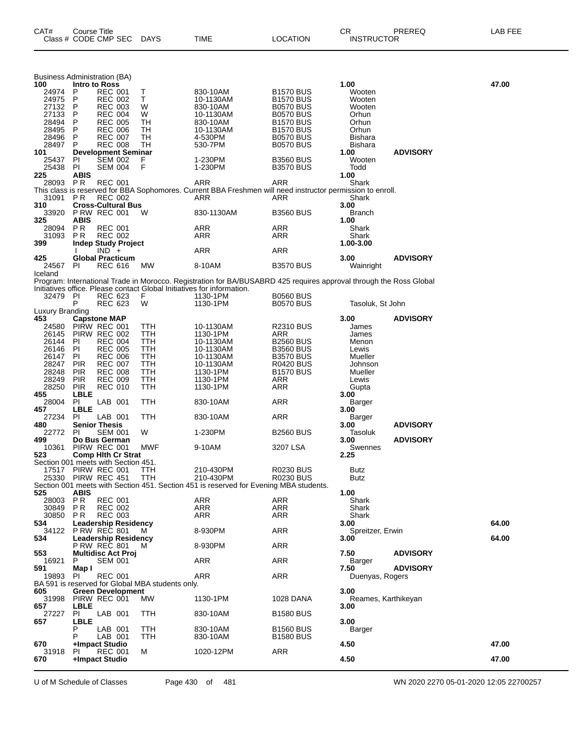| CAT# | Course Title              |      |                 | ∼⊏<br>◡⊓          | PREREQ | -AB FEE |
|------|---------------------------|------|-----------------|-------------------|--------|---------|
|      | Class # CODE CMP SEC DAYS | TIME | <b>LOCATION</b> | <b>INSTRUCTOR</b> |        |         |

| <b>Business Administration (BA)</b>        |                          |                                                    |                                                  |                                                                                                                                                                                              |                                      |                             |                 |       |
|--------------------------------------------|--------------------------|----------------------------------------------------|--------------------------------------------------|----------------------------------------------------------------------------------------------------------------------------------------------------------------------------------------------|--------------------------------------|-----------------------------|-----------------|-------|
| 100<br>24974                               | Intro to Ross<br>P       | <b>REC 001</b>                                     | Τ                                                | 830-10AM                                                                                                                                                                                     | <b>B1570 BUS</b>                     | 1.00<br>Wooten              |                 | 47.00 |
| 24975                                      | P                        | <b>REC 002</b>                                     | т                                                | 10-1130AM                                                                                                                                                                                    | <b>B1570 BUS</b>                     | Wooten                      |                 |       |
| 27132<br>27133                             | P<br>P                   | <b>REC 003</b><br><b>REC 004</b>                   | W<br>W                                           | 830-10AM<br>10-1130AM                                                                                                                                                                        | <b>B0570 BUS</b><br><b>B0570 BUS</b> | Wooten<br>Orhun             |                 |       |
| 28494                                      | P                        | <b>REC 005</b>                                     | TН                                               | 830-10AM                                                                                                                                                                                     | <b>B1570 BUS</b>                     | Orhun                       |                 |       |
| 28495                                      | P                        | <b>REC 006</b>                                     | TН                                               | 10-1130AM                                                                                                                                                                                    | <b>B1570 BUS</b>                     | Orhun                       |                 |       |
| 28496<br>28497                             | P<br>P                   | <b>REC 007</b><br><b>REC 008</b>                   | TH<br>TН                                         | 4-530PM<br>530-7PM                                                                                                                                                                           | <b>B0570 BUS</b><br><b>B0570 BUS</b> | Bishara<br>Bishara          |                 |       |
| 101                                        |                          | <b>Development Seminar</b>                         |                                                  |                                                                                                                                                                                              |                                      | 1.00                        | <b>ADVISORY</b> |       |
| 25437                                      | ΡI                       | SEM 002                                            | F.                                               | 1-230PM                                                                                                                                                                                      | <b>B3560 BUS</b>                     | Wooten                      |                 |       |
| 25438<br>225                               | PI<br><b>ABIS</b>        | <b>SEM 004</b>                                     | F                                                | 1-230PM                                                                                                                                                                                      | <b>B3570 BUS</b>                     | Todd<br>1.00                |                 |       |
| 28093                                      | P R                      | <b>REC 001</b>                                     |                                                  | ARR                                                                                                                                                                                          | ARR                                  | Shark                       |                 |       |
|                                            |                          |                                                    |                                                  | This class is reserved for BBA Sophomores. Current BBA Freshmen will need instructor permission to enroll.                                                                                   |                                      |                             |                 |       |
| 31091<br>310                               | PR.                      | <b>REC 002</b><br><b>Cross-Cultural Bus</b>        |                                                  | ARR                                                                                                                                                                                          | ARR                                  | Shark<br>3.00               |                 |       |
| 33920                                      |                          | <b>P RW REC 001</b>                                | w                                                | 830-1130AM                                                                                                                                                                                   | <b>B3560 BUS</b>                     | <b>Branch</b>               |                 |       |
| 325                                        | ABIS                     |                                                    |                                                  |                                                                                                                                                                                              |                                      | 1.00                        |                 |       |
| 28094<br>31093                             | <b>PR</b><br>P R         | <b>REC 001</b><br><b>REC 002</b>                   |                                                  | ARR<br>ARR                                                                                                                                                                                   | ARR<br>ARR                           | Shark<br>Shark              |                 |       |
| 399                                        |                          | <b>Indep Study Project</b>                         |                                                  |                                                                                                                                                                                              |                                      | 1.00-3.00                   |                 |       |
|                                            |                          | $IND +$                                            |                                                  | ARR                                                                                                                                                                                          | ARR                                  |                             |                 |       |
| 425<br>24567                               | PI                       | <b>Global Practicum</b><br>REC 616                 | <b>MW</b>                                        | 8-10AM                                                                                                                                                                                       | <b>B3570 BUS</b>                     | 3.00<br>Wainright           | <b>ADVISORY</b> |       |
| Iceland                                    |                          |                                                    |                                                  |                                                                                                                                                                                              |                                      |                             |                 |       |
|                                            |                          |                                                    |                                                  | Program: International Trade in Morocco. Registration for BA/BUSABRD 425 requires approval through the Ross Global<br>Initiatives office. Please contact Global Initiatives for information. |                                      |                             |                 |       |
| 32479 PI                                   |                          | REC 623                                            | F.                                               | 1130-1PM                                                                                                                                                                                     | <b>B0560 BUS</b>                     |                             |                 |       |
|                                            | P                        | <b>REC 623</b>                                     | W                                                | 1130-1PM                                                                                                                                                                                     | <b>B0570 BUS</b>                     | Tasoluk, St John            |                 |       |
| Luxury Branding<br>453                     |                          | <b>Capstone MAP</b>                                |                                                  |                                                                                                                                                                                              |                                      |                             | <b>ADVISORY</b> |       |
| 24580                                      |                          | PIRW REC 001                                       | TTH                                              | 10-1130AM                                                                                                                                                                                    | R2310 BUS                            | 3.00<br>James               |                 |       |
| 26145                                      |                          | PIRW REC 002                                       | TTH                                              | 1130-1PM                                                                                                                                                                                     | ARR                                  | James                       |                 |       |
| 26144<br>26146                             | PI<br>PI                 | <b>REC 004</b><br><b>REC 005</b>                   | TTH<br>TTH                                       | 10-1130AM<br>10-1130AM                                                                                                                                                                       | <b>B2560 BUS</b><br><b>B3560 BUS</b> | Menon<br>Lewis              |                 |       |
| 26147                                      | PI.                      | <b>REC 006</b>                                     | TTH                                              | 10-1130AM                                                                                                                                                                                    | <b>B3570 BUS</b>                     | Mueller                     |                 |       |
| 28247                                      | <b>PIR</b>               | <b>REC 007</b>                                     | TTH                                              | 10-1130AM                                                                                                                                                                                    | <b>R0420 BUS</b>                     | Johnson                     |                 |       |
| 28248<br>28249                             | <b>PIR</b><br><b>PIR</b> | <b>REC 008</b><br><b>REC 009</b>                   | TTH<br>TTH                                       | 1130-1PM<br>1130-1PM                                                                                                                                                                         | <b>B1570 BUS</b><br>ARR              | Mueller<br>Lewis            |                 |       |
| 28250                                      | <b>PIR</b>               | <b>REC 010</b>                                     | TTH                                              | 1130-1PM                                                                                                                                                                                     | ARR                                  | Gupta                       |                 |       |
| 455                                        | LBLE                     |                                                    |                                                  |                                                                                                                                                                                              |                                      | 3.00                        |                 |       |
| 28004<br>457                               | PI<br><b>LBLE</b>        | LAB 001                                            | ттн                                              | 830-10AM                                                                                                                                                                                     | ARR                                  | Barger<br>3.00              |                 |       |
| 27234                                      | <b>PI</b>                | LAB 001                                            | ттн                                              | 830-10AM                                                                                                                                                                                     | ARR                                  | Barger                      |                 |       |
| 480                                        |                          | <b>Senior Thesis</b>                               |                                                  |                                                                                                                                                                                              |                                      | 3.00                        | <b>ADVISORY</b> |       |
| 22772<br>499                               | <b>PI</b>                | <b>SEM 001</b><br>Do Bus German                    | W                                                | 1-230PM                                                                                                                                                                                      | <b>B2560 BUS</b>                     | Tasoluk<br>3.00             | <b>ADVISORY</b> |       |
| 10361                                      |                          | PIRW REC 001                                       | MWF                                              | 9-10AM                                                                                                                                                                                       | 3207 LSA                             | Swennes                     |                 |       |
| 523<br>Section 001 meets with Section 451. |                          | <b>Comp Hith Cr Strat</b>                          |                                                  |                                                                                                                                                                                              |                                      | 2.25                        |                 |       |
| 17517                                      |                          | PIRW REC 001                                       | ттн                                              | 210-430PM                                                                                                                                                                                    | <b>R0230 BUS</b>                     | Butz                        |                 |       |
|                                            |                          | 25330 PIRW REC 451                                 | TTH                                              | 210-430PM                                                                                                                                                                                    | <b>R0230 BUS</b>                     | Butz                        |                 |       |
| 525                                        | <b>ABIS</b>              |                                                    |                                                  | Section 001 meets with Section 451. Section 451 is reserved for Evening MBA students.                                                                                                        |                                      | 1.00                        |                 |       |
| 28003 PR                                   |                          | <b>REC 001</b>                                     |                                                  | <b>ARR</b>                                                                                                                                                                                   | <b>ARR</b>                           | Shark                       |                 |       |
| 30849                                      | PR                       | <b>REC 002</b>                                     |                                                  | <b>ARR</b>                                                                                                                                                                                   | ARR                                  | Shark                       |                 |       |
| 30850<br>534                               | PR.                      | <b>REC 003</b><br><b>Leadership Residency</b>      |                                                  | ARR                                                                                                                                                                                          | ARR                                  | Shark<br>3.00               |                 | 64.00 |
|                                            |                          | 34122 PRW REC 801                                  | M                                                | 8-930PM                                                                                                                                                                                      | <b>ARR</b>                           | Spreitzer, Erwin            |                 |       |
| 534                                        |                          | <b>Leadership Residency</b><br><b>P RW REC 801</b> |                                                  |                                                                                                                                                                                              | <b>ARR</b>                           | 3.00                        |                 | 64.00 |
| 553                                        |                          | <b>Multidisc Act Proj</b>                          | M                                                | 8-930PM                                                                                                                                                                                      |                                      | 7.50                        | <b>ADVISORY</b> |       |
| 16921                                      | P                        | <b>SEM 001</b>                                     |                                                  | ARR                                                                                                                                                                                          | <b>ARR</b>                           | Barger                      |                 |       |
| 591<br>19893                               | Map I<br>PI              | <b>REC 001</b>                                     |                                                  | ARR                                                                                                                                                                                          | <b>ARR</b>                           | 7.50<br>Duenyas, Rogers     | <b>ADVISORY</b> |       |
|                                            |                          |                                                    | BA 591 is reserved for Global MBA students only. |                                                                                                                                                                                              |                                      |                             |                 |       |
| 605                                        |                          | <b>Green Development</b>                           |                                                  |                                                                                                                                                                                              |                                      | 3.00                        |                 |       |
| 657                                        | <b>LBLE</b>              | 31998 PIRW REC 001                                 | МW                                               | 1130-1PM                                                                                                                                                                                     | 1028 DANA                            | Reames, Karthikeyan<br>3.00 |                 |       |
| 27227                                      | PI.                      | LAB 001                                            | <b>TTH</b>                                       | 830-10AM                                                                                                                                                                                     | <b>B1580 BUS</b>                     |                             |                 |       |
| 657                                        | LBLE                     |                                                    |                                                  |                                                                                                                                                                                              |                                      | 3.00                        |                 |       |
|                                            | Р<br>P                   | LAB 001<br>LAB 001                                 | ттн<br>TTH                                       | 830-10AM<br>830-10AM                                                                                                                                                                         | <b>B1560 BUS</b><br><b>B1580 BUS</b> | Barger                      |                 |       |
| 670                                        |                          | +Impact Studio                                     |                                                  |                                                                                                                                                                                              |                                      | 4.50                        |                 | 47.00 |
| 31918<br>670                               | PL                       | <b>REC 001</b><br>+Impact Studio                   | м                                                | 1020-12PM                                                                                                                                                                                    | ARR                                  | 4.50                        |                 | 47.00 |
|                                            |                          |                                                    |                                                  |                                                                                                                                                                                              |                                      |                             |                 |       |

U of M Schedule of Classes Page 430 of 481 WN 2020 2270 05-01-2020 12:05 22700257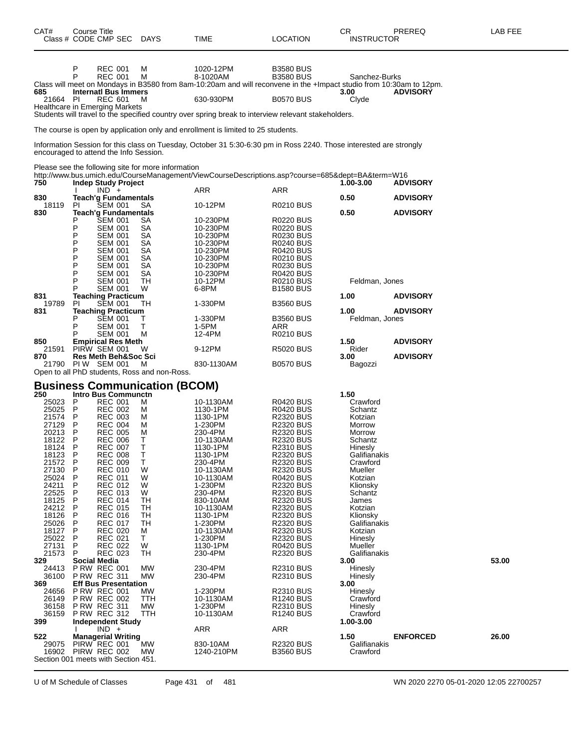| CAT#             | Course Title<br>Class # CODE CMP SEC                                                                                                                                                                                                       | <b>DAYS</b>                                        | TIME                                                                                                                                         | <b>LOCATION</b>                                                                                                                                                           | CR<br><b>INSTRUCTOR</b>  | PREREQ          | LAB FEE |
|------------------|--------------------------------------------------------------------------------------------------------------------------------------------------------------------------------------------------------------------------------------------|----------------------------------------------------|----------------------------------------------------------------------------------------------------------------------------------------------|---------------------------------------------------------------------------------------------------------------------------------------------------------------------------|--------------------------|-----------------|---------|
|                  | P<br><b>REC 001</b><br><b>REC 001</b><br>P                                                                                                                                                                                                 | м<br>м                                             | 1020-12PM<br>8-1020AM<br>Class will meet on Mondays in B3580 from 8am-10:20am and will reconvene in the +Impact studio from 10:30am to 12pm. | <b>B3580 BUS</b><br><b>B3580 BUS</b>                                                                                                                                      | Sanchez-Burks            |                 |         |
| 685<br>21664     | <b>Internati Bus Immers</b><br>PI<br><b>REC 601</b><br>Healthcare in Emerging Markets                                                                                                                                                      | м                                                  | 630-930PM                                                                                                                                    | <b>B0570 BUS</b>                                                                                                                                                          | 3.00<br>Clyde            | <b>ADVISORY</b> |         |
|                  |                                                                                                                                                                                                                                            |                                                    | Students will travel to the specified country over spring break to interview relevant stakeholders.                                          |                                                                                                                                                                           |                          |                 |         |
|                  |                                                                                                                                                                                                                                            |                                                    | The course is open by application only and enrollment is limited to 25 students.                                                             |                                                                                                                                                                           |                          |                 |         |
|                  | encouraged to attend the Info Session.                                                                                                                                                                                                     |                                                    | Information Session for this class on Tuesday, October 31 5:30-6:30 pm in Ross 2240. Those interested are strongly                           |                                                                                                                                                                           |                          |                 |         |
| 750              | Please see the following site for more information<br><b>Indep Study Project</b>                                                                                                                                                           |                                                    | http://www.bus.umich.edu/CourseManagement/ViewCourseDescriptions.asp?course=685&dept=BA&term=W16                                             |                                                                                                                                                                           | 1.00-3.00                | <b>ADVISORY</b> |         |
| 830              | $IND +$<br><b>Teach'g Fundamentals</b>                                                                                                                                                                                                     |                                                    | ARR                                                                                                                                          | ARR                                                                                                                                                                       | 0.50                     | <b>ADVISORY</b> |         |
| 18119            | <b>SEM 001</b><br>PI.                                                                                                                                                                                                                      | SA                                                 | 10-12PM                                                                                                                                      | R0210 BUS                                                                                                                                                                 |                          |                 |         |
| 830              | <b>Teach'g Fundamentals</b><br>Р<br><b>SEM 001</b><br>P<br><b>SEM 001</b><br>P<br><b>SEM 001</b><br>Ρ<br><b>SEM 001</b><br>P<br><b>SEM 001</b><br>P<br><b>SEM 001</b><br>Ρ<br><b>SEM 001</b><br>P<br><b>SEM 001</b><br>P<br><b>SEM 001</b> | SА<br>SА<br>SА<br>SА<br>SА<br>SА<br>SА<br>SА<br>TН | 10-230PM<br>10-230PM<br>10-230PM<br>10-230PM<br>10-230PM<br>10-230PM<br>10-230PM<br>10-230PM<br>10-12PM                                      | <b>R0220 BUS</b><br><b>R0220 BUS</b><br>R0230 BUS<br><b>R0240 BUS</b><br><b>R0420 BUS</b><br><b>R0210 BUS</b><br><b>R0230 BUS</b><br><b>R0420 BUS</b><br><b>R0210 BUS</b> | 0.50<br>Feldman, Jones   | <b>ADVISORY</b> |         |
| 831              | Р<br><b>SEM 001</b><br><b>Teaching Practicum</b>                                                                                                                                                                                           | W                                                  | 6-8PM                                                                                                                                        | <b>B1580 BUS</b>                                                                                                                                                          | 1.00                     | <b>ADVISORY</b> |         |
| 19789            | <b>SEM 001</b><br>ΡI                                                                                                                                                                                                                       | TН                                                 | 1-330PM                                                                                                                                      | <b>B3560 BUS</b>                                                                                                                                                          | 1.00                     | <b>ADVISORY</b> |         |
| 831              | <b>Teaching Practicum</b><br>P<br><b>SEM 001</b>                                                                                                                                                                                           | т                                                  | 1-330PM                                                                                                                                      | <b>B3560 BUS</b>                                                                                                                                                          | Feldman, Jones           |                 |         |
|                  | P<br><b>SEM 001</b><br><b>SEM 001</b>                                                                                                                                                                                                      | т<br>м                                             | 1-5PM<br>12-4PM                                                                                                                              | ARR<br><b>R0210 BUS</b>                                                                                                                                                   |                          |                 |         |
| 850<br>21591     | <b>Empirical Res Meth</b><br>PIRW SEM 001                                                                                                                                                                                                  | W                                                  | 9-12PM                                                                                                                                       | <b>R5020 BUS</b>                                                                                                                                                          | 1.50<br>Rider            | <b>ADVISORY</b> |         |
| 870              | <b>Res Meth Beh&amp;Soc Sci</b><br>21790 PIW SEM 001                                                                                                                                                                                       | м                                                  | 830-1130AM                                                                                                                                   | <b>B0570 BUS</b>                                                                                                                                                          | 3.00<br>Bagozzi          | <b>ADVISORY</b> |         |
|                  | Open to all PhD students, Ross and non-Ross.<br><b>Business Communication (BCOM)</b>                                                                                                                                                       |                                                    |                                                                                                                                              |                                                                                                                                                                           |                          |                 |         |
| 250              | <b>Intro Bus Communctn</b>                                                                                                                                                                                                                 |                                                    |                                                                                                                                              |                                                                                                                                                                           | 1.50                     |                 |         |
| 25023 P<br>25025 | REC 001<br><b>REC 002</b><br>$\mathsf{P}$                                                                                                                                                                                                  | м<br>м                                             | 10-1130AM<br>1130-1PM                                                                                                                        | <b>R0420 BUS</b><br><b>R0420 BUS</b>                                                                                                                                      | Crawford<br>Schantz      |                 |         |
| 21574 P          | <b>REC 003</b>                                                                                                                                                                                                                             | м                                                  | 1130-1PM                                                                                                                                     | <b>R2320 BUS</b>                                                                                                                                                          | Kotzian                  |                 |         |
| 27129<br>20213   | P<br><b>REC 004</b><br><b>REC 005</b><br>P                                                                                                                                                                                                 | м<br>м                                             | 1-230PM<br>230-4PM                                                                                                                           | <b>R2320 BUS</b><br>R2320 BUS                                                                                                                                             | Morrow<br>Morrow         |                 |         |
| 18122            | P<br><b>REC 006</b>                                                                                                                                                                                                                        | Т                                                  | 10-1130AM                                                                                                                                    | <b>R2320 BUS</b>                                                                                                                                                          | Schantz                  |                 |         |
| 18124<br>18123   | P<br><b>REC 007</b><br>P<br><b>REC 008</b>                                                                                                                                                                                                 | т<br>Т                                             | 1130-1PM<br>1130-1PM                                                                                                                         | R2310 BUS<br><b>R2320 BUS</b>                                                                                                                                             | Hinesly<br>Galifianakis  |                 |         |
| 21572            | P<br><b>REC 009</b>                                                                                                                                                                                                                        | Т                                                  | 230-4PM                                                                                                                                      | <b>R2320 BUS</b>                                                                                                                                                          | Crawford                 |                 |         |
| 27130<br>25024   | P<br><b>REC 010</b><br><b>REC 011</b><br>P                                                                                                                                                                                                 | W<br>W                                             | 10-1130AM<br>10-1130AM                                                                                                                       | <b>R2320 BUS</b><br><b>R0420 BUS</b>                                                                                                                                      | Mueller<br>Kotzian       |                 |         |
| 24211            | P<br><b>REC 012</b>                                                                                                                                                                                                                        | W                                                  | 1-230PM                                                                                                                                      | R2320 BUS                                                                                                                                                                 | Klionsky                 |                 |         |
| 22525<br>18125   | P<br><b>REC 013</b><br><b>REC 014</b><br>P                                                                                                                                                                                                 | W<br>TН                                            | 230-4PM<br>830-10AM                                                                                                                          | R2320 BUS<br><b>R2320 BUS</b>                                                                                                                                             | Schantz<br>James         |                 |         |
| 24212            | P<br><b>REC 015</b>                                                                                                                                                                                                                        | TН                                                 | 10-1130AM                                                                                                                                    | <b>R2320 BUS</b>                                                                                                                                                          | Kotzian                  |                 |         |
| 18126<br>25026   | P<br><b>REC 016</b><br><b>REC 017</b><br>P                                                                                                                                                                                                 | TН<br>TН                                           | 1130-1PM<br>1-230PM                                                                                                                          | <b>R2320 BUS</b><br><b>R2320 BUS</b>                                                                                                                                      | Klionsky<br>Galifianakis |                 |         |
| 18127            | P<br><b>REC 020</b>                                                                                                                                                                                                                        | м                                                  | 10-1130AM                                                                                                                                    | <b>R2320 BUS</b>                                                                                                                                                          | Kotzian                  |                 |         |
| 25022            | P<br>REC 021                                                                                                                                                                                                                               | Τ                                                  | 1-230PM                                                                                                                                      | R2320 BUS                                                                                                                                                                 | Hinesly                  |                 |         |
| 27131<br>21573   | <b>REC 022</b><br>P<br>P<br><b>REC 023</b>                                                                                                                                                                                                 | W<br>TН                                            | 1130-1PM<br>230-4PM                                                                                                                          | <b>R0420 BUS</b><br><b>R2320 BUS</b>                                                                                                                                      | Mueller<br>Galifianakis  |                 |         |
| 329              | <b>Social Media</b>                                                                                                                                                                                                                        |                                                    |                                                                                                                                              |                                                                                                                                                                           | 3.00                     |                 | 53.00   |
| 24413<br>36100   | <b>P RW REC 001</b><br><b>P RW REC 311</b>                                                                                                                                                                                                 | МW<br>MW                                           | 230-4PM<br>230-4PM                                                                                                                           | <b>R2310 BUS</b><br>R2310 BUS                                                                                                                                             | Hinesly<br>Hinesly       |                 |         |
| 369              | <b>Eff Bus Presentation</b>                                                                                                                                                                                                                |                                                    |                                                                                                                                              |                                                                                                                                                                           | 3.00                     |                 |         |
| 24656<br>26149   | <b>P RW REC 001</b><br><b>P RW REC 002</b>                                                                                                                                                                                                 | МW<br>TTH                                          | 1-230PM<br>10-1130AM                                                                                                                         | R2310 BUS<br>R1240 BUS                                                                                                                                                    | Hinesly<br>Crawford      |                 |         |
| 36158            | <b>P RW REC 311</b>                                                                                                                                                                                                                        | МW                                                 | 1-230PM                                                                                                                                      | R2310 BUS                                                                                                                                                                 | Hinesly                  |                 |         |
| 36159<br>399     | <b>P RW REC 312</b><br><b>Independent Study</b>                                                                                                                                                                                            | TTH                                                | 10-1130AM                                                                                                                                    | <b>R1240 BUS</b>                                                                                                                                                          | Crawford<br>1.00-3.00    |                 |         |
|                  | $IND +$                                                                                                                                                                                                                                    |                                                    | <b>ARR</b>                                                                                                                                   | ARR                                                                                                                                                                       |                          |                 |         |
| 522              | <b>Managerial Writing</b>                                                                                                                                                                                                                  | <b>MW</b>                                          |                                                                                                                                              |                                                                                                                                                                           | 1.50                     | <b>ENFORCED</b> | 26.00   |
| 29075            | PIRW REC 001<br>16902 PIRW REC 002<br>Section 001 meets with Section 451.                                                                                                                                                                  | МW                                                 | 830-10AM<br>1240-210PM                                                                                                                       | R2320 BUS<br><b>B3560 BUS</b>                                                                                                                                             | Galifianakis<br>Crawford |                 |         |

U of M Schedule of Classes Page 431 of 481 WN 2020 2270 05-01-2020 12:05 22700257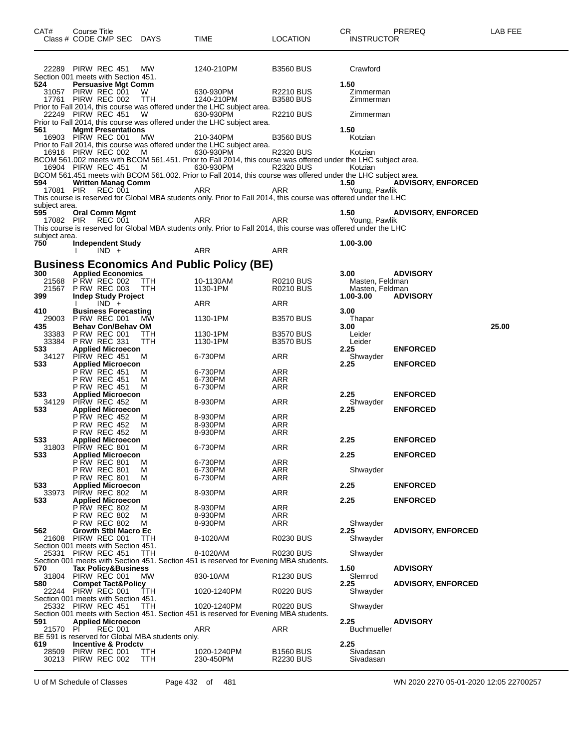| CAT#           | Course Title<br>Class # CODE CMP SEC DAYS                         |                |                                                  | TIME                                                                                                                       | <b>LOCATION</b>                      | CR<br><b>INSTRUCTOR</b> | PREREQ                    | LAB FEE |
|----------------|-------------------------------------------------------------------|----------------|--------------------------------------------------|----------------------------------------------------------------------------------------------------------------------------|--------------------------------------|-------------------------|---------------------------|---------|
|                | 22289 PIRW REC 451                                                |                | MW.                                              | 1240-210PM                                                                                                                 | <b>B3560 BUS</b>                     | Crawford                |                           |         |
| 524            | Section 001 meets with Section 451.<br><b>Persuasive Mgt Comm</b> |                |                                                  |                                                                                                                            |                                      | 1.50                    |                           |         |
|                | 31057 PIRW REC 001                                                |                | W                                                | 630-930PM                                                                                                                  | <b>R2210 BUS</b>                     | Zimmerman               |                           |         |
|                | 17761 PIRW REC 002                                                |                | TTH                                              | 1240-210PM                                                                                                                 | <b>B3580 BUS</b>                     | Zimmerman               |                           |         |
|                |                                                                   |                |                                                  | Prior to Fall 2014, this course was offered under the LHC subject area.                                                    |                                      |                         |                           |         |
|                | 22249 PIRW REC 451                                                |                | W                                                | 630-930PM<br>Prior to Fall 2014, this course was offered under the LHC subject area.                                       | <b>R2210 BUS</b>                     | Zimmerman               |                           |         |
| 561            | <b>Mgmt Presentations</b>                                         |                |                                                  |                                                                                                                            |                                      | 1.50                    |                           |         |
|                | 16903 PIRW REC 001                                                |                | МW                                               | 210-340PM                                                                                                                  | <b>B3560 BUS</b>                     | Kotzian                 |                           |         |
|                |                                                                   |                |                                                  | Prior to Fall 2014, this course was offered under the LHC subject area.                                                    |                                      |                         |                           |         |
|                | 16916 PIRW REC 002                                                |                | M                                                | 630-930PM                                                                                                                  | <b>R2320 BUS</b>                     | Kotzian                 |                           |         |
|                | 16904 PIRW REC 451                                                |                | <b>M</b>                                         | BCOM 561.002 meets with BCOM 561.451. Prior to Fall 2014, this course was offered under the LHC subject area.<br>630-930PM | <b>R2320 BUS</b>                     | Kotzian                 |                           |         |
|                |                                                                   |                |                                                  | BCOM 561.451 meets with BCOM 561.002. Prior to Fall 2014, this course was offered under the LHC subject area.              |                                      |                         |                           |         |
| 594            | <b>Written Manag Comm</b>                                         |                |                                                  |                                                                                                                            |                                      | 1.50                    | <b>ADVISORY, ENFORCED</b> |         |
| 17081 PIR      |                                                                   | REC 001        |                                                  | ARR                                                                                                                        | ARR                                  | Young, Pawlik           |                           |         |
| subject area.  |                                                                   |                |                                                  | This course is reserved for Global MBA students only. Prior to Fall 2014, this course was offered under the LHC            |                                      |                         |                           |         |
| 595            | <b>Oral Comm Mgmt</b>                                             |                |                                                  |                                                                                                                            |                                      | 1.50                    | <b>ADVISORY, ENFORCED</b> |         |
|                | 17082 PIR REC 001                                                 |                |                                                  | ARR                                                                                                                        | ARR                                  | Young, Pawlik           |                           |         |
| subject area.  |                                                                   |                |                                                  | This course is reserved for Global MBA students only. Prior to Fall 2014, this course was offered under the LHC            |                                      |                         |                           |         |
| 750            | Independent Study                                                 |                |                                                  |                                                                                                                            |                                      | 1.00-3.00               |                           |         |
|                |                                                                   | $IND +$        |                                                  | ARR                                                                                                                        | ARR                                  |                         |                           |         |
|                |                                                                   |                |                                                  | <b>Business Economics And Public Policy (BE)</b>                                                                           |                                      |                         |                           |         |
| 300            | <b>Applied Economics</b>                                          |                |                                                  |                                                                                                                            |                                      | 3.00                    | <b>ADVISORY</b>           |         |
|                | 21568 PRW REC 002                                                 |                | <b>TTH</b>                                       | 10-1130AM                                                                                                                  | R0210 BUS                            | Masten, Feldman         |                           |         |
|                | 21567 P RW REC 003                                                |                | <b>TTH</b>                                       | 1130-1PM                                                                                                                   | <b>R0210 BUS</b>                     | Masten, Feldman         |                           |         |
| 399            | <b>Indep Study Project</b>                                        | $IND +$        |                                                  |                                                                                                                            |                                      | 1.00-3.00               | <b>ADVISORY</b>           |         |
| 410            | <b>Business Forecasting</b>                                       |                |                                                  | ARR                                                                                                                        | ARR                                  | 3.00                    |                           |         |
| 29003          | <b>P RW REC 001</b>                                               |                | MW.                                              | 1130-1PM                                                                                                                   | <b>B3570 BUS</b>                     | Thapar                  |                           |         |
| 435            | <b>Behav Con/Behav OM</b>                                         |                |                                                  |                                                                                                                            |                                      | 3.00                    |                           | 25.00   |
| 33383<br>33384 | <b>P RW REC 001</b><br><b>P RW REC 331</b>                        |                | TTH<br><b>TTH</b>                                | 1130-1PM<br>1130-1PM                                                                                                       | <b>B3570 BUS</b><br><b>B3570 BUS</b> | Leider<br>Leider        |                           |         |
| 533            | <b>Applied Microecon</b>                                          |                |                                                  |                                                                                                                            |                                      | 2.25                    | <b>ENFORCED</b>           |         |
| 34127          | PIRW REC 451                                                      |                | м                                                | 6-730PM                                                                                                                    | ARR                                  | Shwayder                |                           |         |
| 533            | <b>Applied Microecon</b>                                          |                |                                                  |                                                                                                                            |                                      | 2.25                    | <b>ENFORCED</b>           |         |
|                | <b>P RW REC 451</b><br><b>P RW REC 451</b>                        |                | M<br>м                                           | 6-730PM<br>6-730PM                                                                                                         | ARR<br>ARR                           |                         |                           |         |
|                | <b>P RW REC 451</b>                                               |                | M                                                | 6-730PM                                                                                                                    | ARR                                  |                         |                           |         |
| 533            | <b>Applied Microecon</b>                                          |                |                                                  |                                                                                                                            |                                      | 2.25                    | <b>ENFORCED</b>           |         |
| 34129<br>533   | PIRW REC 452<br><b>Applied Microecon</b>                          |                | м                                                | 8-930PM                                                                                                                    | ARR                                  | Shwayder<br>2.25        | <b>ENFORCED</b>           |         |
|                | <b>PRW REC 452</b>                                                |                | M                                                | 8-930PM                                                                                                                    | ARR                                  |                         |                           |         |
|                | <b>P RW REC 452</b>                                               |                | M                                                | 8-930PM                                                                                                                    | ARR                                  |                         |                           |         |
| 533            | <b>P RW REC 452</b>                                               |                | M                                                | 8-930PM                                                                                                                    | ARR                                  | 2.25                    | <b>ENFORCED</b>           |         |
|                | <b>Applied Microecon</b><br>31803 PIRW REC 801                    |                | M                                                | 6-730PM                                                                                                                    | ARR                                  |                         |                           |         |
| 533            | <b>Applied Microecon</b>                                          |                |                                                  |                                                                                                                            |                                      | 2.25                    | <b>ENFORCED</b>           |         |
|                | P RW REC 801                                                      |                | м                                                | 6-730PM                                                                                                                    | <b>ARR</b>                           |                         |                           |         |
|                | <b>P RW REC 801</b><br><b>P RW REC 801</b>                        |                | м<br>м                                           | 6-730PM<br>6-730PM                                                                                                         | ARR<br><b>ARR</b>                    | Shwayder                |                           |         |
| 533            | <b>Applied Microecon</b>                                          |                |                                                  |                                                                                                                            |                                      | 2.25                    | <b>ENFORCED</b>           |         |
| 33973          | PIRW REC 802                                                      |                | м                                                | 8-930PM                                                                                                                    | <b>ARR</b>                           |                         |                           |         |
| 533            | <b>Applied Microecon</b><br><b>P RW REC 802</b>                   |                | м                                                | 8-930PM                                                                                                                    | <b>ARR</b>                           | 2.25                    | <b>ENFORCED</b>           |         |
|                | <b>P RW REC 802</b>                                               |                | м                                                | 8-930PM                                                                                                                    | ARR                                  |                         |                           |         |
|                | <b>P RW REC 802</b>                                               |                | м                                                | 8-930PM                                                                                                                    | <b>ARR</b>                           | Shwayder                |                           |         |
| 562            | <b>Growth Stbl Macro Ec</b>                                       |                |                                                  |                                                                                                                            | <b>R0230 BUS</b>                     | 2.25                    | <b>ADVISORY, ENFORCED</b> |         |
| 21608          | PIRW REC 001<br>Section 001 meets with Section 451.               |                | ттн                                              | 8-1020AM                                                                                                                   |                                      | Shwayder                |                           |         |
| 25331          | PIRW REC 451                                                      |                | TTH                                              | 8-1020AM                                                                                                                   | <b>R0230 BUS</b>                     | Shwayder                |                           |         |
|                |                                                                   |                |                                                  | Section 001 meets with Section 451. Section 451 is reserved for Evening MBA students.                                      |                                      |                         |                           |         |
| 570<br>31804   | <b>Tax Policy&amp;Business</b><br>PIRW REC 001                    |                | <b>MW</b>                                        | 830-10AM                                                                                                                   | R <sub>1230</sub> BUS                | 1.50<br>Slemrod         | <b>ADVISORY</b>           |         |
| 580            | <b>Compet Tact&amp;Policy</b>                                     |                |                                                  |                                                                                                                            |                                      | 2.25                    | <b>ADVISORY, ENFORCED</b> |         |
|                | 22244 PIRW REC 001                                                |                | TTH                                              | 1020-1240PM                                                                                                                | <b>R0220 BUS</b>                     | Shwayder                |                           |         |
|                | Section 001 meets with Section 451.<br>25332 PIRW REC 451         |                | TTH                                              | 1020-1240PM                                                                                                                | <b>R0220 BUS</b>                     | Shwayder                |                           |         |
|                |                                                                   |                |                                                  | Section 001 meets with Section 451. Section 451 is reserved for Evening MBA students.                                      |                                      |                         |                           |         |
| 591            | <b>Applied Microecon</b>                                          |                |                                                  |                                                                                                                            |                                      | 2.25                    | <b>ADVISORY</b>           |         |
| 21570          | PI                                                                | <b>REC 001</b> | BE 591 is reserved for Global MBA students only. | ARR                                                                                                                        | ARR                                  | Buchmueller             |                           |         |
| 619            | <b>Incentive &amp; Prodctv</b>                                    |                |                                                  |                                                                                                                            |                                      | 2.25                    |                           |         |
| 28509          | PIRW REC 001                                                      |                | <b>TTH</b>                                       | 1020-1240PM                                                                                                                | <b>B1560 BUS</b>                     | Sivadasan               |                           |         |
|                | 30213 PIRW REC 002                                                |                | TTH                                              | 230-450PM                                                                                                                  | <b>R2230 BUS</b>                     | Sivadasan               |                           |         |

U of M Schedule of Classes Page 432 of 481 WN 2020 2270 05-01-2020 12:05 22700257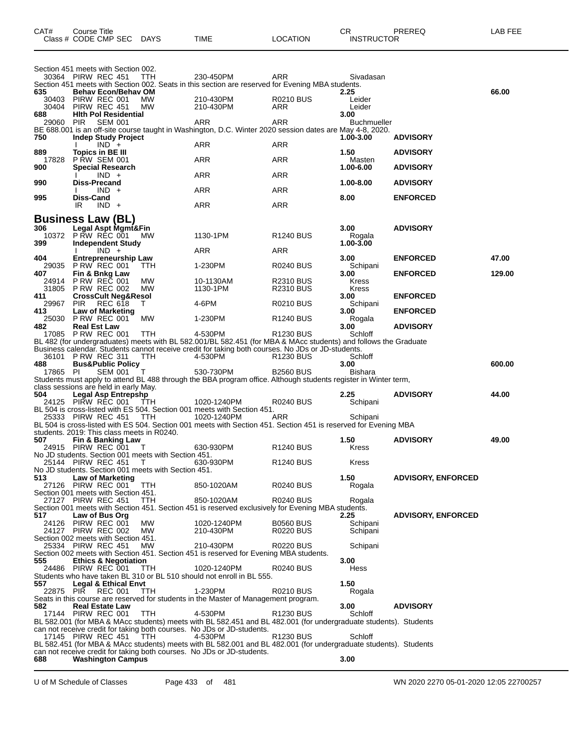|              | Class # CODE CMP SEC                                                        | DAYS       | TIME                                                                                                                                                                                                                 | <b>LOCATION</b>       | <b>INSTRUCTOR</b>  |                           |        |
|--------------|-----------------------------------------------------------------------------|------------|----------------------------------------------------------------------------------------------------------------------------------------------------------------------------------------------------------------------|-----------------------|--------------------|---------------------------|--------|
|              |                                                                             |            |                                                                                                                                                                                                                      |                       |                    |                           |        |
|              | Section 451 meets with Section 002.<br>30364 PIRW REC 451                   | TTH        | 230-450PM                                                                                                                                                                                                            | <b>ARR</b>            | Sivadasan          |                           |        |
|              |                                                                             |            | Section 451 meets with Section 002. Seats in this section are reserved for Evening MBA students.                                                                                                                     |                       |                    |                           |        |
| 635<br>30403 | <b>Behav Econ/Behav OM</b><br>PIRW REC 001                                  | МW         | 210-430PM                                                                                                                                                                                                            | <b>R0210 BUS</b>      | 2.25<br>Leider     |                           | 66.00  |
| 30404        | PIRW REC 451                                                                | MW         | 210-430PM                                                                                                                                                                                                            | ARR                   | Leider             |                           |        |
| 688          | <b>Hith Pol Residential</b>                                                 |            |                                                                                                                                                                                                                      |                       | 3.00               |                           |        |
| 29060        | <b>PIR</b><br><b>SEM 001</b>                                                |            | ARR<br>BE 688.001 is an off-site course taught in Washington, D.C. Winter 2020 session dates are May 4-8, 2020.                                                                                                      | ARR                   | <b>Buchmueller</b> |                           |        |
| 750          | <b>Indep Study Project</b>                                                  |            |                                                                                                                                                                                                                      |                       | 1.00-3.00          | <b>ADVISORY</b>           |        |
| 889          | $IND +$<br><b>Topics in BE III</b>                                          |            | ARR                                                                                                                                                                                                                  | ARR                   | 1.50               | <b>ADVISORY</b>           |        |
| 17828        | <b>P RW SEM 001</b>                                                         |            | ARR                                                                                                                                                                                                                  | ARR                   | Masten             |                           |        |
| 900          | <b>Special Research</b><br>$IND +$                                          |            | ARR                                                                                                                                                                                                                  | ARR                   | 1.00-6.00          | <b>ADVISORY</b>           |        |
| 990          | Diss-Precand                                                                |            |                                                                                                                                                                                                                      |                       | 1.00-8.00          | <b>ADVISORY</b>           |        |
|              | $IND +$                                                                     |            | ARR                                                                                                                                                                                                                  | ARR                   |                    |                           |        |
| 995          | Diss-Cand<br>IR<br>$IND +$                                                  |            | ARR                                                                                                                                                                                                                  | ARR                   | 8.00               | <b>ENFORCED</b>           |        |
|              |                                                                             |            |                                                                                                                                                                                                                      |                       |                    |                           |        |
| 306          | <b>Business Law (BL)</b><br>Legal Aspt Mgmt&Fin                             |            |                                                                                                                                                                                                                      |                       | 3.00               | <b>ADVISORY</b>           |        |
|              | 10372 PRW REC 001                                                           | МW         | 1130-1PM                                                                                                                                                                                                             | R <sub>1240</sub> BUS | Rogala             |                           |        |
| 399          | <b>Independent Study</b><br>$IND +$                                         |            | ARR                                                                                                                                                                                                                  | ARR                   | $1.00 - 3.00$      |                           |        |
| 404          | <b>Entrepreneurship Law</b>                                                 |            |                                                                                                                                                                                                                      |                       | 3.00               | <b>ENFORCED</b>           | 47.00  |
| 407          | 29035 PRW REC 001                                                           | TTH        | 1-230PM                                                                                                                                                                                                              | <b>R0240 BUS</b>      | Schipani<br>3.00   | <b>ENFORCED</b>           | 129.00 |
| 24914        | Fin & Bnkg Law<br><b>P RW REC 001</b>                                       | MW         | 10-1130AM                                                                                                                                                                                                            | <b>R2310 BUS</b>      | Kress              |                           |        |
| 31805        | <b>P RW REC 002</b>                                                         | MW         | 1130-1PM                                                                                                                                                                                                             | <b>R2310 BUS</b>      | <b>Kress</b>       |                           |        |
| 411<br>29967 | <b>CrossCult Neg&amp;Resol</b><br><b>REC 618</b><br><b>PIR</b>              | T.         | 4-6PM                                                                                                                                                                                                                | <b>R0210 BUS</b>      | 3.00<br>Schipani   | <b>ENFORCED</b>           |        |
| 413          | <b>Law of Marketing</b>                                                     |            |                                                                                                                                                                                                                      |                       | 3.00               | <b>ENFORCED</b>           |        |
| 25030<br>482 | PRW REC 001<br><b>Real Est Law</b>                                          | MW         | 1-230PM                                                                                                                                                                                                              | <b>R1240 BUS</b>      | Rogala<br>3.00     | <b>ADVISORY</b>           |        |
|              | 17085 P RW REC 001                                                          | TTH        | 4-530PM                                                                                                                                                                                                              | R1230 BUS             | Schloff            |                           |        |
|              |                                                                             |            | BL 482 (for undergraduates) meets with BL 582.001/BL 582.451 (for MBA & MAcc students) and follows the Graduate<br>Business calendar. Students cannot receive credit for taking both courses. No JDs or JD-students. |                       |                    |                           |        |
|              | 36101 PRW REC 311                                                           | TTH        | 4-530PM                                                                                                                                                                                                              | R1230 BUS             | Schloff            |                           |        |
| 488          | P RW RLU J.<br>Bus&Public Policy<br>PEM 001 T                               |            | 530-730PM                                                                                                                                                                                                            | <b>B2560 BUS</b>      | 3.00               |                           | 600.00 |
| 17865 PI     |                                                                             |            | Students must apply to attend BL 488 through the BBA program office. Although students register in Winter term,                                                                                                      |                       | Bishara            |                           |        |
|              | class sessions are held in early May.                                       |            |                                                                                                                                                                                                                      |                       |                    |                           |        |
| 504          | <b>Legal Asp Entrepshp</b><br>24125 PIRW REC 001                            | TTH        | 1020-1240PM                                                                                                                                                                                                          | <b>R0240 BUS</b>      | 2.25<br>Schipani   | <b>ADVISORY</b>           | 44.00  |
|              |                                                                             |            | BL 504 is cross-listed with ES 504. Section 001 meets with Section 451.                                                                                                                                              |                       |                    |                           |        |
|              | 25333 PIRW REC 451                                                          | TTH        | 1020-1240PM<br>BL 504 is cross-listed with ES 504. Section 001 meets with Section 451. Section 451 is reserved for Evening MBA                                                                                       | ARR                   | Schipani           |                           |        |
|              | students, 2019: This class meets in R0240.                                  |            |                                                                                                                                                                                                                      |                       |                    |                           |        |
| 507          | Fin & Banking Law<br>24915 PIRW REC 001 T                                   |            | 630-930PM                                                                                                                                                                                                            | <b>R1240 BUS</b>      | 1.50<br>Kress      | <b>ADVISORY</b>           | 49.00  |
|              | No JD students. Section 001 meets with Section 451.                         |            |                                                                                                                                                                                                                      |                       |                    |                           |        |
|              | 25144 PIRW REC 451 I<br>No JD students. Section 001 meets with Section 451. |            | 630-930PM                                                                                                                                                                                                            | <b>R1240 BUS</b>      | Kress              |                           |        |
| 513          | Law of Marketing                                                            |            |                                                                                                                                                                                                                      |                       | 1.50               | <b>ADVISORY, ENFORCED</b> |        |
|              | 27126 PIRW REC 001<br>Section 001 meets with Section 451.                   | TTH        | 850-1020AM                                                                                                                                                                                                           | <b>R0240 BUS</b>      | Rogala             |                           |        |
|              | 27127 PIRW REC 451                                                          | <b>TTH</b> | 850-1020AM                                                                                                                                                                                                           | <b>R0240 BUS</b>      | Rogala             |                           |        |
|              |                                                                             |            | Section 001 meets with Section 451. Section 451 is reserved exclusively for Evening MBA students.                                                                                                                    |                       |                    |                           |        |
| 517<br>24126 | Law of Bus Org<br>PIRW REC 001                                              | MW         | 1020-1240PM                                                                                                                                                                                                          | <b>B0560 BUS</b>      | 2.25<br>Schipani   | <b>ADVISORY, ENFORCED</b> |        |
|              | 24127 PIRW REC 002                                                          | MW         | 210-430PM                                                                                                                                                                                                            | <b>R0220 BUS</b>      | Schipani           |                           |        |
|              | Section 002 meets with Section 451.<br>25334 PIRW REC 451                   | MW         | 210-430PM                                                                                                                                                                                                            | <b>R0220 BUS</b>      | Schipani           |                           |        |
|              |                                                                             |            | Section 002 meets with Section 451. Section 451 is reserved for Evening MBA students.                                                                                                                                |                       |                    |                           |        |
| 555          | <b>Ethics &amp; Negotiation</b><br>24486 PIRW REC 001                       | TTH        | 1020-1240PM                                                                                                                                                                                                          | <b>R0240 BUS</b>      | 3.00<br>Hess       |                           |        |
|              |                                                                             |            | Students who have taken BL 310 or BL 510 should not enroll in BL 555.                                                                                                                                                |                       |                    |                           |        |
| 557          | Legal & Ethical Envt                                                        |            |                                                                                                                                                                                                                      |                       | 1.50               |                           |        |
| 22875        | PIR REC 001                                                                 | <b>TTH</b> | 1-230PM<br>Seats in this course are reserved for students in the Master of Management program.                                                                                                                       | <b>R0210 BUS</b>      | Rogala             |                           |        |
| 582          | <b>Real Estate Law</b>                                                      |            |                                                                                                                                                                                                                      |                       | 3.00               | <b>ADVISORY</b>           |        |
|              | 17144 PIRW REC 001                                                          | <b>TTH</b> | 4-530PM<br>BL 582.001 (for MBA & MAcc students) meets with BL 582.451 and BL 482.001 (for undergraduate students). Students                                                                                          | R <sub>1230</sub> BUS | Schloff            |                           |        |
|              |                                                                             |            | can not receive credit for taking both courses. No JDs or JD-students.                                                                                                                                               |                       |                    |                           |        |
|              | 17145 PIRW REC 451                                                          | TTH        | 4-530PM<br>BL 582.451 (for MBA & MAcc students) meets with BL 582.001 and BL 482.001 (for undergraduate students). Students                                                                                          | R <sub>1230</sub> BUS | Schloff            |                           |        |
|              |                                                                             |            | can not receive credit for taking both courses. No JDs or JD-students.                                                                                                                                               |                       |                    |                           |        |
| 688          | <b>Washington Campus</b>                                                    |            |                                                                                                                                                                                                                      |                       | 3.00               |                           |        |

CAT# Course Title Case CR PREREQ LAB FEE

U of M Schedule of Classes Page 433 of 481 WN 2020 2270 05-01-2020 12:05 22700257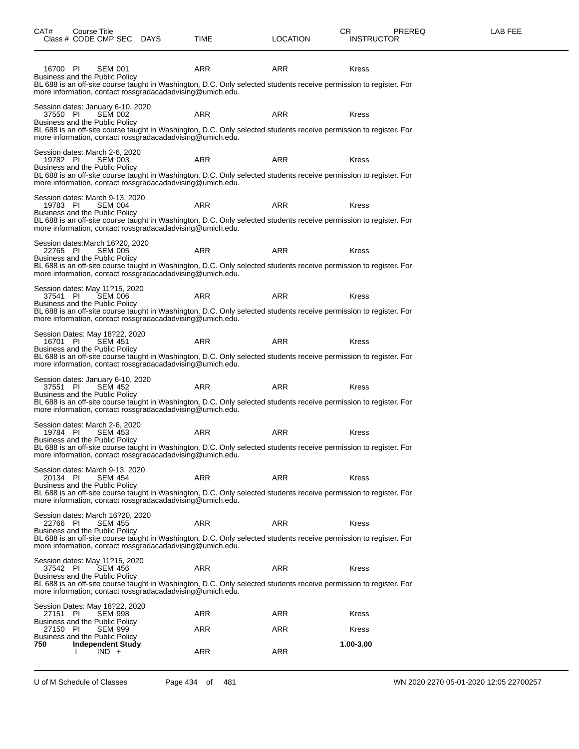16700 PI SEM 001 ARR ARR Kress

Business and the Public Policy

| BL 688 is an off-site course taught in Washington, D.C. Only selected students receive permission to register. For<br>more information, contact rossgradacadadvising@umich.edu.                                                                                                          |            |            |              |
|------------------------------------------------------------------------------------------------------------------------------------------------------------------------------------------------------------------------------------------------------------------------------------------|------------|------------|--------------|
| Session dates: January 6-10, 2020<br>37550 PI<br><b>SEM 002</b><br>Business and the Public Policy<br>BL 688 is an off-site course taught in Washington, D.C. Only selected students receive permission to register. For<br>more information, contact rossgradacadadvising@umich.edu.     | <b>ARR</b> | <b>ARR</b> | <b>Kress</b> |
| Session dates: March 2-6, 2020<br>19782 PI<br><b>SEM 003</b><br>Business and the Public Policy<br>BL 688 is an off-site course taught in Washington, D.C. Only selected students receive permission to register. For<br>more information, contact rossgradacadadvising@umich.edu.        | <b>ARR</b> | <b>ARR</b> | <b>Kress</b> |
| Session dates: March 9-13, 2020<br><b>SEM 004</b><br>19783 PI<br>Business and the Public Policy<br>BL 688 is an off-site course taught in Washington, D.C. Only selected students receive permission to register. For<br>more information, contact rossgradacadadvising@umich.edu.       | <b>ARR</b> | <b>ARR</b> | <b>Kress</b> |
| Session dates:March 16?20, 2020<br><b>SEM 005</b><br>22765 PI<br>Business and the Public Policy<br>BL 688 is an off-site course taught in Washington, D.C. Only selected students receive permission to register. For<br>more information, contact rossgradacadadvising@umich.edu.       | <b>ARR</b> | <b>ARR</b> | <b>Kress</b> |
| Session dates: May 11?15, 2020<br>37541 PI<br><b>SEM 006</b><br>Business and the Public Policy<br>BL 688 is an off-site course taught in Washington, D.C. Only selected students receive permission to register. For<br>more information, contact rossgradacadadvising@umich.edu.        | <b>ARR</b> | <b>ARR</b> | <b>Kress</b> |
| Session Dates: May 18?22, 2020<br><b>SEM 451</b><br>16701 PI<br>Business and the Public Policy<br>BL 688 is an off-site course taught in Washington, D.C. Only selected students receive permission to register. For<br>more information, contact rossgradacadadvising@umich.edu.        | <b>ARR</b> | <b>ARR</b> | <b>Kress</b> |
| Session dates: January 6-10, 2020<br><b>SEM 452</b><br>37551 PI<br>Business and the Public Policy<br>BL 688 is an off-site course taught in Washington, D.C. Only selected students receive permission to register. For<br>more information, contact rossgradacadadvising@umich.edu.     | <b>ARR</b> | <b>ARR</b> | <b>Kress</b> |
| Session dates: March 2-6, 2020<br><b>SEM 453</b><br>19784 PI<br>Business and the Public Policy<br>BL 688 is an off-site course taught in Washington, D.C. Only selected students receive permission to register. For<br>more information, contact rossgradacadadvising@umich.edu.        | <b>ARR</b> | <b>ARR</b> | <b>Kress</b> |
| Session dates: March 9-13, 2020<br><b>SEM 454</b><br>20134 PI<br>Business and the Public Policy<br>BL 688 is an off-site course taught in Washington, D.C. Only selected students receive permission to register. For<br>more information, contact rossgradacadadvising@umich.edu.       | <b>ARR</b> | <b>ARR</b> | <b>Kress</b> |
| Session dates: March 16?20, 2020<br>22766 PI<br><b>SEM 455</b><br>Business and the Public Policy<br>BL 688 is an off-site course taught in Washington, D.C. Only selected students receive permission to register. For<br>more information, contact rossgradacadadvising@umich.edu.      | ARR        | ARR        | Kress        |
| Session dates: May 11?15, 2020<br>37542 PI<br><b>SEM 456</b><br><b>Business and the Public Policy</b><br>BL 688 is an off-site course taught in Washington, D.C. Only selected students receive permission to register. For<br>more information, contact rossgradacadadvising@umich.edu. | <b>ARR</b> | <b>ARR</b> | <b>Kress</b> |
| Session Dates: May 18?22, 2020                                                                                                                                                                                                                                                           |            |            |              |

|          | Session Dates: May 18?22, 2020 |     |     |              |
|----------|--------------------------------|-----|-----|--------------|
| 27151 PI | SEM 998                        | ARR | ARR | <b>Kress</b> |
|          | Business and the Public Policy |     |     |              |
| 27150 PI | SEM 999                        | ARR | ARR | <b>Kress</b> |
|          | Business and the Public Policy |     |     |              |
| 750      | <b>Independent Study</b>       |     |     | 1.00-3.00    |
|          |                                | ARR | ARR |              |
|          |                                |     |     |              |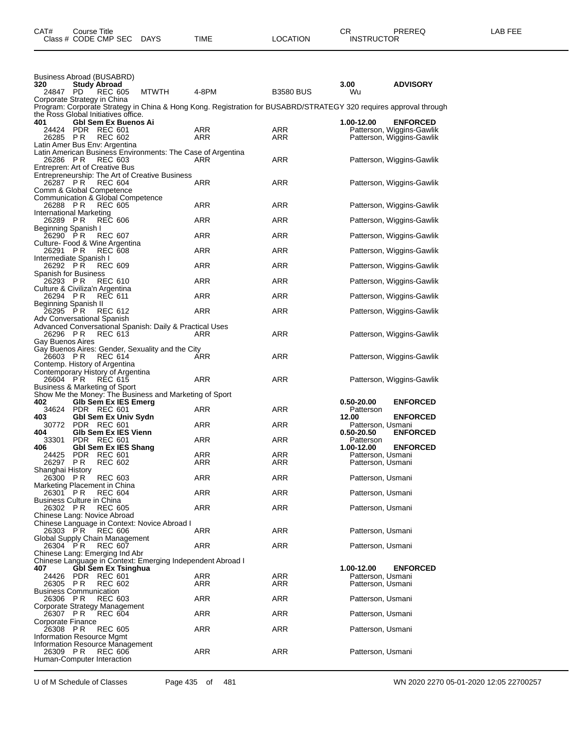| Business Abroad (BUSABRD)<br>320<br><b>Study Abroad</b>                  |                                                                                                                                              |            |                  | 3.00                                   | <b>ADVISORY</b>                                                           |
|--------------------------------------------------------------------------|----------------------------------------------------------------------------------------------------------------------------------------------|------------|------------------|----------------------------------------|---------------------------------------------------------------------------|
| 24847 PD<br>Corporate Strategy in China                                  | <b>MTWTH</b><br>REC 605<br>Program: Corporate Strategy in China & Hong Kong. Registration for BUSABRD/STRATEGY 320 requires approval through | 4-8PM      | <b>B3580 BUS</b> | Wu                                     |                                                                           |
| the Ross Global Initiatives office.                                      |                                                                                                                                              |            |                  |                                        |                                                                           |
| 401<br>24424 PDR REC 601<br>26285 PR<br>Latin Amer Bus Env: Argentina    | <b>Gbl Sem Ex Buenos Ai</b><br><b>REC 602</b>                                                                                                | ARR<br>ARR | ARR<br>ARR       | 1.00-12.00                             | <b>ENFORCED</b><br>Patterson, Wiggins-Gawlik<br>Patterson, Wiggins-Gawlik |
| 26286 PR<br>Entrepren: Art of Creative Bus                               | Latin American Business Environments: The Case of Argentina<br><b>REC 603</b>                                                                | ARR        | ARR              |                                        | Patterson, Wiggins-Gawlik                                                 |
| 26287 PR<br>Comm & Global Competence                                     | Entrepreneurship: The Art of Creative Business<br><b>REC 604</b>                                                                             | ARR        | ARR              |                                        | Patterson, Wiggins-Gawlik                                                 |
| Communication & Global Competence<br>26288 PR<br>International Marketing | <b>REC 605</b>                                                                                                                               | ARR        | ARR              |                                        | Patterson, Wiggins-Gawlik                                                 |
| 26289 PR<br>Beginning Spanish I                                          | <b>REC 606</b>                                                                                                                               | ARR        | ARR              |                                        | Patterson, Wiggins-Gawlik                                                 |
| 26290 PR<br>Culture- Food & Wine Argentina                               | <b>REC 607</b>                                                                                                                               | ARR        | ARR              |                                        | Patterson, Wiggins-Gawlik                                                 |
| 26291 PR<br>Intermediate Spanish I                                       | <b>REC 608</b>                                                                                                                               | ARR        | ARR              |                                        | Patterson, Wiggins-Gawlik                                                 |
| 26292 PR<br>Spanish for Business                                         | <b>REC 609</b>                                                                                                                               | ARR        | ARR              |                                        | Patterson, Wiggins-Gawlik                                                 |
| 26293 PR<br>Culture & Civiliza'n Argentina                               | <b>REC 610</b>                                                                                                                               | <b>ARR</b> | ARR              |                                        | Patterson, Wiggins-Gawlik                                                 |
| 26294 PR<br>Beginning Spanish II                                         | <b>REC 611</b>                                                                                                                               | ARR        | ARR              |                                        | Patterson, Wiggins-Gawlik                                                 |
| 26295 PR<br>Adv Conversational Spanish                                   | <b>REC 612</b>                                                                                                                               | ARR        | <b>ARR</b>       |                                        | Patterson, Wiggins-Gawlik                                                 |
| 26296 PR<br>Gay Buenos Aires                                             | Advanced Conversational Spanish: Daily & Practical Uses<br><b>REC 613</b>                                                                    | ARR        | ARR              |                                        | Patterson, Wiggins-Gawlik                                                 |
| 26603 PR<br>Contemp. History of Argentina                                | Gay Buenos Aires: Gender, Sexuality and the City<br><b>REC 614</b>                                                                           | ARR        | ARR              |                                        | Patterson, Wiggins-Gawlik                                                 |
| Contemporary History of Argentina<br>26604 PR                            | <b>REC 615</b>                                                                                                                               | ARR        | ARR              |                                        | Patterson, Wiggins-Gawlik                                                 |
| Business & Marketing of Sport<br>402                                     | Show Me the Money: The Business and Marketing of Sport<br>GIb Sem Ex IES Emerg                                                               |            |                  | 0.50-20.00                             | <b>ENFORCED</b>                                                           |
| 34624 PDR REC 601                                                        |                                                                                                                                              | ARR        | <b>ARR</b>       | Patterson                              |                                                                           |
| 403<br>30772 PDR REC 601                                                 | Gbl Sem Ex Univ Sydn                                                                                                                         | ARR        | ARR              | 12.00<br>Patterson, Usmani             | <b>ENFORCED</b>                                                           |
| 404<br>PDR REC 601<br>33301                                              | Glb Sem Ex IES Vienn                                                                                                                         | ARR        | ARR              | 0.50-20.50<br>Patterson                | <b>ENFORCED</b>                                                           |
| 406                                                                      | <b>Gbl Sem Ex IES Shang</b>                                                                                                                  |            |                  | 1.00-12.00                             | <b>ENFORCED</b>                                                           |
| PDR REC 601<br>24425                                                     |                                                                                                                                              | ARR        | ARR              | Patterson, Usmani                      |                                                                           |
| 26297 PR<br>Shanghai History                                             | <b>REC 602</b>                                                                                                                               | ARR        | ARR              | Patterson, Usmani                      |                                                                           |
| 26300<br>P R<br>Marketing Placement in China                             | <b>REC 603</b>                                                                                                                               | ARR        | ARR              | Patterson, Usmani                      |                                                                           |
| 26301 PR REC 604<br><b>Business Culture in China</b>                     |                                                                                                                                              | ARR        | ARR              | Patterson, Usmani                      |                                                                           |
| 26302 PR<br>Chinese Lang: Novice Abroad                                  | REC 605                                                                                                                                      | ARR        | ARR              | Patterson, Usmani                      |                                                                           |
| 26303 PR                                                                 | Chinese Language in Context: Novice Abroad I<br><b>REC 606</b>                                                                               | ARR        | ARR              | Patterson, Usmani                      |                                                                           |
| Global Supply Chain Management<br>26304 PR                               | <b>REC 607</b>                                                                                                                               | ARR        | ARR              | Patterson, Usmani                      |                                                                           |
| Chinese Lang: Emerging Ind Abr                                           | Chinese Language in Context: Emerging Independent Abroad I                                                                                   |            |                  |                                        |                                                                           |
| 407                                                                      | <b>Gbl Sem Ex Tsinghua</b>                                                                                                                   |            |                  | 1.00-12.00                             | <b>ENFORCED</b>                                                           |
| 24426 PDR REC 601<br>26305 PR                                            | <b>REC 602</b>                                                                                                                               | ARR<br>ARR | ARR<br>ARR       | Patterson, Usmani<br>Patterson, Usmani |                                                                           |
| <b>Business Communication</b><br>26306 PR                                | <b>REC 603</b>                                                                                                                               | ARR        | ARR              | Patterson, Usmani                      |                                                                           |
| Corporate Strategy Management<br>26307 PR                                | <b>REC 604</b>                                                                                                                               | ARR        | ARR              | Patterson, Usmani                      |                                                                           |
| Corporate Finance<br>26308 PR                                            | <b>REC 605</b>                                                                                                                               | ARR        | ARR              | Patterson, Usmani                      |                                                                           |
| Information Resource Mgmt<br>Information Resource Management<br>26309 PR | <b>REC 606</b>                                                                                                                               | ARR        | ARR              | Patterson, Usmani                      |                                                                           |
| Human-Computer Interaction                                               |                                                                                                                                              |            |                  |                                        |                                                                           |

U of M Schedule of Classes Page 435 of 481 WN 2020 2270 05-01-2020 12:05 22700257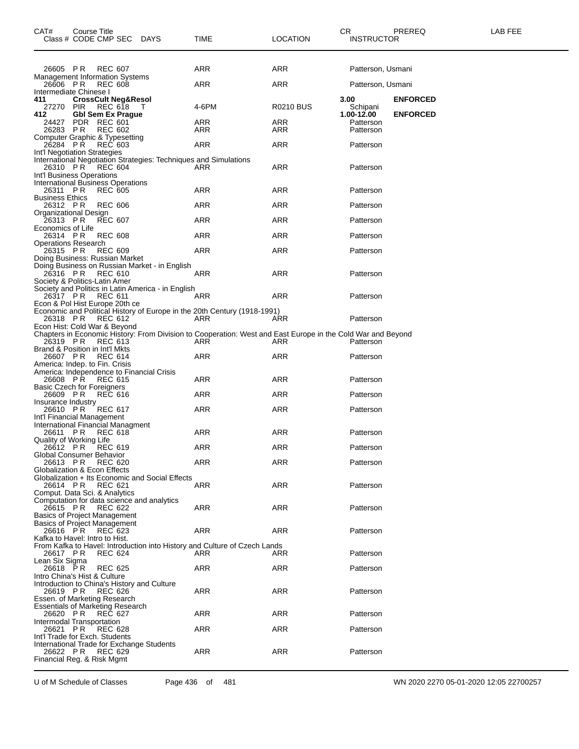| CAT#                                                                       | Course Title | Class # CODE CMP SEC                      | DAYS                                                             | TIME                                                                                                               | <b>LOCATION</b>  | CR.<br><b>INSTRUCTOR</b>       | PREREQ          | LAB FEE |
|----------------------------------------------------------------------------|--------------|-------------------------------------------|------------------------------------------------------------------|--------------------------------------------------------------------------------------------------------------------|------------------|--------------------------------|-----------------|---------|
| 26605 PR<br><b>Management Information Systems</b>                          |              | <b>REC 607</b>                            |                                                                  | ARR                                                                                                                | ARR              | Patterson, Usmani              |                 |         |
| 26606 PR                                                                   |              | <b>REC 608</b>                            |                                                                  | ARR                                                                                                                | <b>ARR</b>       | Patterson, Usmani              |                 |         |
| Intermediate Chinese I<br>411<br>27270 PIR                                 |              | <b>CrossCult Neg&amp;Resol</b><br>REC 618 | $\top$                                                           | 4-6PM                                                                                                              | <b>R0210 BUS</b> | 3.00<br>Schipani<br>1.00-12.00 | <b>ENFORCED</b> |         |
| 412<br>24427                                                               |              | <b>Gbl Sem Ex Prague</b><br>PDR REC 601   |                                                                  | ARR                                                                                                                | ARR              | Patterson                      | <b>ENFORCED</b> |         |
| 26283 PR<br>Computer Graphic & Typesetting                                 |              | <b>REC 602</b>                            |                                                                  | ARR                                                                                                                | ARR              | Patterson                      |                 |         |
| 26284 PR<br>Int'l Negotiation Strategies                                   |              | <b>REC 603</b>                            |                                                                  | ARR                                                                                                                | ARR              | Patterson                      |                 |         |
| Int'l Business Operations                                                  |              | 26310 PR REC 604                          | International Negotiation Strategies: Techniques and Simulations | ARR                                                                                                                | ARR              | Patterson                      |                 |         |
| International Business Operations<br>26311 PR<br><b>Business Ethics</b>    |              | <b>REC 605</b>                            |                                                                  | ARR                                                                                                                | ARR              | Patterson                      |                 |         |
| 26312 PR                                                                   |              | <b>REC 606</b>                            |                                                                  | ARR                                                                                                                | ARR              | Patterson                      |                 |         |
| Organizational Design<br>26313 PR                                          |              | <b>REC 607</b>                            |                                                                  | ARR                                                                                                                | <b>ARR</b>       | Patterson                      |                 |         |
| Economics of Life<br>26314 PR                                              |              | <b>REC 608</b>                            |                                                                  | ARR                                                                                                                | ARR              | Patterson                      |                 |         |
| <b>Operations Research</b><br>26315 PR                                     |              | <b>REC 609</b>                            |                                                                  | <b>ARR</b>                                                                                                         | ARR              | Patterson                      |                 |         |
| Doing Business: Russian Market                                             |              |                                           | Doing Business on Russian Market - in English                    |                                                                                                                    |                  |                                |                 |         |
| 26316 PR<br>Society & Politics-Latin Amer                                  |              | REC 610                                   |                                                                  | ARR                                                                                                                | ARR              | Patterson                      |                 |         |
| 26317 PR<br>Econ & Pol Hist Europe 20th ce                                 |              | <b>REC 611</b>                            | Society and Politics in Latin America - in English               | ARR                                                                                                                | ARR              | Patterson                      |                 |         |
| 26318 PR                                                                   |              | REC 612                                   |                                                                  | Economic and Political History of Europe in the 20th Century (1918-1991)<br>ARR                                    | ARR              | Patterson                      |                 |         |
| Econ Hist: Cold War & Beyond<br>26319 PR                                   |              | <b>REC 613</b>                            |                                                                  | Chapters in Economic History: From Division to Cooperation: West and East Europe in the Cold War and Beyond<br>ARR | ARR              | Patterson                      |                 |         |
| Brand & Position in Int'l Mkts<br>26607 PR                                 |              | <b>REC 614</b>                            |                                                                  | ARR                                                                                                                | ARR              | Patterson                      |                 |         |
| America: Indep. to Fin. Crisis<br>26608 PR                                 |              | REC 615                                   | America: Independence to Financial Crisis                        | ARR                                                                                                                | ARR              | Patterson                      |                 |         |
| <b>Basic Czech for Foreigners</b><br>26609 PR                              |              | REC 616                                   |                                                                  | ARR                                                                                                                | ARR              | Patterson                      |                 |         |
| Insurance Industry<br>26610 PR                                             |              | <b>REC 617</b>                            |                                                                  | ARR                                                                                                                | ARR              | Patterson                      |                 |         |
| Int'l Financial Management<br>International Financial Managment            |              |                                           |                                                                  |                                                                                                                    |                  |                                |                 |         |
| 26611 PR<br>Quality of Working Life                                        |              | REC 618                                   |                                                                  | ARR                                                                                                                | ARR              | Patterson                      |                 |         |
| 26612 PR<br>Global Consumer Behavior                                       |              | <b>REC 619</b>                            |                                                                  | ARR                                                                                                                | <b>ARR</b>       | Patterson                      |                 |         |
| 26613 PR<br>Globalization & Econ Effects                                   |              | <b>REC 620</b>                            |                                                                  | <b>ARR</b>                                                                                                         | <b>ARR</b>       | Patterson                      |                 |         |
| 26614 PR<br>Comput. Data Sci. & Analytics                                  |              | REC 621                                   | Globalization + Its Economic and Social Effects                  | ARR                                                                                                                | <b>ARR</b>       | Patterson                      |                 |         |
| 26615 PR<br><b>Basics of Project Management</b>                            |              | REC 622                                   | Computation for data science and analytics                       | ARR                                                                                                                | ARR              | Patterson                      |                 |         |
| Basics of Project Management<br>26616 PR<br>Kafka to Havel: Intro to Hist. |              | REC 623                                   |                                                                  | ARR                                                                                                                | ARR              | Patterson                      |                 |         |
| 26617 PR                                                                   |              | <b>REC 624</b>                            |                                                                  | From Kafka to Havel: Introduction into History and Culture of Czech Lands<br>ARR                                   | ARR              | Patterson                      |                 |         |
| Lean Six Sigma<br>26618 PR                                                 |              | <b>REC 625</b>                            |                                                                  | ARR                                                                                                                | ARR              | Patterson                      |                 |         |
| Intro China's Hist & Culture<br>26619 PR<br>Essen. of Marketing Research   |              | REC 626                                   | Introduction to China's History and Culture                      | ARR                                                                                                                | ARR              | Patterson                      |                 |         |
| <b>Essentials of Marketing Research</b><br>26620 PR                        |              | <b>REC 627</b>                            |                                                                  | ARR                                                                                                                | ARR              | Patterson                      |                 |         |
| Intermodal Transportation<br>26621 PR                                      |              | <b>REC 628</b>                            |                                                                  | ARR                                                                                                                | ARR              | Patterson                      |                 |         |
| Int'l Trade for Exch. Students                                             |              |                                           | International Trade for Exchange Students                        |                                                                                                                    |                  |                                |                 |         |
| 26622 PR<br>Financial Reg. & Risk Mgmt                                     |              | REC 629                                   |                                                                  | ARR                                                                                                                | ARR              | Patterson                      |                 |         |

U of M Schedule of Classes Page 436 of 481 WN 2020 2270 05-01-2020 12:05 22700257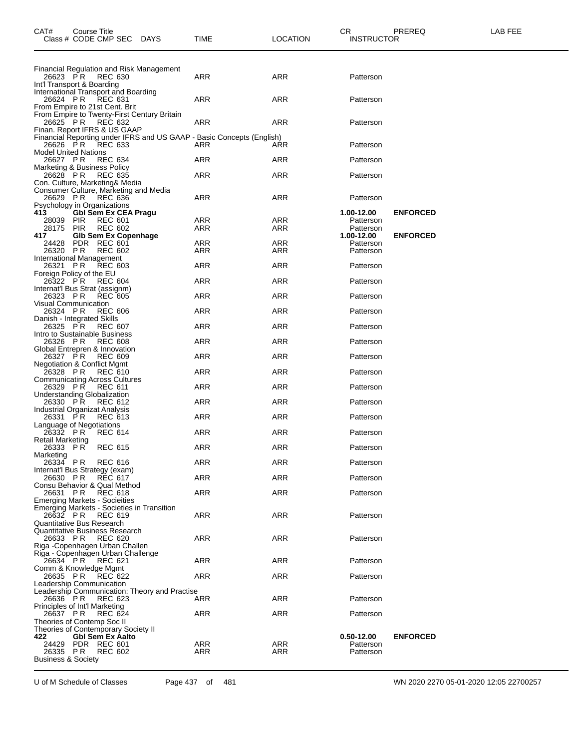| Class # CODE CMP SEC<br>DAYS                                                                 | TIME       | LOCATION   | <b>INSTRUCTOR</b>       |                 |  |
|----------------------------------------------------------------------------------------------|------------|------------|-------------------------|-----------------|--|
|                                                                                              |            |            |                         |                 |  |
| Financial Regulation and Risk Management                                                     |            |            |                         |                 |  |
| 26623 PR<br>REC 630<br>Int'l Transport & Boarding                                            | ARR        | ARR        | Patterson               |                 |  |
| International Transport and Boarding                                                         |            |            |                         |                 |  |
| 26624 PR<br>REC 631<br>From Empire to 21st Cent. Brit                                        | ARR        | ARR        | Patterson               |                 |  |
| From Empire to Twenty-First Century Britain                                                  |            |            |                         |                 |  |
| 26625 PR<br><b>REC 632</b><br>Finan. Report IFRS & US GAAP                                   | ARR        | ARR        | Patterson               |                 |  |
| Financial Reporting under IFRS and US GAAP - Basic Concepts (English)<br>26626 PR<br>REC 633 | ARR        | ARR        | Patterson               |                 |  |
| <b>Model United Nations</b>                                                                  |            |            |                         |                 |  |
| 26627 PR<br><b>REC 634</b><br>Marketing & Business Policy                                    | ARR        | ARR        | Patterson               |                 |  |
| <b>REC 635</b><br>26628 PR                                                                   | ARR        | ARR        | Patterson               |                 |  |
| Con. Culture, Marketing& Media<br>Consumer Culture, Marketing and Media                      |            |            |                         |                 |  |
| 26629 PR<br><b>REC 636</b><br>Psychology in Organizations                                    | ARR        | ARR        | Patterson               |                 |  |
| 413<br><b>Gbl Sem Ex CEA Pragu</b>                                                           |            |            | 1.00-12.00              | <b>ENFORCED</b> |  |
| 28039 PIR<br><b>REC 601</b><br><b>REC 602</b><br>28175<br>PIR                                | ARR<br>ARR | ARR<br>ARR | Patterson<br>Patterson  |                 |  |
| <b>Glb Sem Ex Copenhage</b><br>417                                                           |            |            | 1.00-12.00              | <b>ENFORCED</b> |  |
| PDR REC 601<br>24428<br>26320 PR<br><b>REC 602</b>                                           | ARR<br>ARR | ARR<br>ARR | Patterson<br>Patterson  |                 |  |
| International Management<br>26321 PR<br><b>REC 603</b>                                       | ARR        | ARR        | Patterson               |                 |  |
| Foreign Policy of the EU                                                                     |            |            |                         |                 |  |
| 26322 PR<br><b>REC 604</b><br>Internat'l Bus Strat (assignm)                                 | ARR        | ARR        | Patterson               |                 |  |
| 26323 PR<br><b>REC 605</b>                                                                   | ARR        | ARR        | Patterson               |                 |  |
| Visual Communication<br>26324 PR<br><b>REC 606</b>                                           | ARR        | ARR        | Patterson               |                 |  |
| Danish - Integrated Skills<br>26325 PR<br><b>REC 607</b>                                     | ARR        | ARR        | Patterson               |                 |  |
| Intro to Sustainable Business                                                                |            |            |                         |                 |  |
| 26326 PR<br>REC 608<br>Global Entrepren & Innovation                                         | ARR        | ARR        | Patterson               |                 |  |
| 26327 PR<br><b>REC 609</b><br><b>Negotiation &amp; Conflict Mgmt</b>                         | ARR        | ARR        | Patterson               |                 |  |
| 26328 PR<br><b>REC 610</b>                                                                   | ARR        | ARR        | Patterson               |                 |  |
| <b>Communicating Across Cultures</b><br>26329 PR<br><b>REC 611</b>                           | ARR        | ARR        | Patterson               |                 |  |
| <b>Understanding Globalization</b>                                                           |            |            |                         |                 |  |
| 26330 PR<br><b>REC 612</b><br><b>Industrial Organizat Analysis</b>                           | ARR        | ARR        | Patterson               |                 |  |
| 26331 PR<br>REC 613<br>Language of Negotiations                                              | ARR        | ARR        | Patterson               |                 |  |
| 26332 PR<br><b>REC 614</b>                                                                   | ARR        | ARR        | Patterson               |                 |  |
| Retail Marketing<br>26333 PR<br><b>REC 615</b>                                               | ARR        | ARR        | Patterson               |                 |  |
| Marketing<br>26334 PR REC 616                                                                | ARR        | ARR        | Patterson               |                 |  |
| Internat'l Bus Strategy (exam)                                                               |            |            |                         |                 |  |
| 26630 PR<br>REC 617<br>Consu Behavior & Qual Method                                          | ARR        | ARR        | Patterson               |                 |  |
| 26631 PR<br><b>REC 618</b>                                                                   | ARR        | ARR        | Patterson               |                 |  |
| <b>Emerging Markets - Socieities</b><br>Emerging Markets - Societies in Transition           |            |            |                         |                 |  |
| 26632 PR<br><b>REC 619</b><br>Quantitative Bus Research                                      | ARR        | ARR        | Patterson               |                 |  |
| Quantitative Business Research                                                               |            |            |                         |                 |  |
| <b>REC 620</b><br>26633 PR<br>Riga - Copenhagen Urban Challen                                | ARR        | ARR        | Patterson               |                 |  |
| Riga - Copenhagen Urban Challenge<br>26634 PR                                                | ARR        | ARR        | Patterson               |                 |  |
| REC 621<br>Comm & Knowledge Mgmt                                                             |            |            |                         |                 |  |
| 26635 PR<br><b>REC 622</b><br>Leadership Communication                                       | ARR        | ARR        | Patterson               |                 |  |
| Leadership Communication: Theory and Practise                                                |            |            |                         |                 |  |
| 26636 PR<br><b>REC 623</b><br>Principles of Int'l Marketing                                  | ARR        | ARR        | Patterson               |                 |  |
| 26637 PR<br><b>REC 624</b><br>Theories of Contemp Soc II                                     | ARR        | ARR        | Patterson               |                 |  |
| Theories of Contemporary Society II                                                          |            |            |                         |                 |  |
| 422<br><b>Gbl Sem Ex Aalto</b><br>24429 PDR REC 601                                          | ARR        | ARR        | 0.50-12.00<br>Patterson | <b>ENFORCED</b> |  |
| 26335 PR<br><b>REC 602</b>                                                                   | ARR        | ARR        | Patterson               |                 |  |
| <b>Business &amp; Society</b>                                                                |            |            |                         |                 |  |

CAT# Course Title Case CR PREREQ LAB FEE

U of M Schedule of Classes Page 437 of 481 WN 2020 2270 05-01-2020 12:05 22700257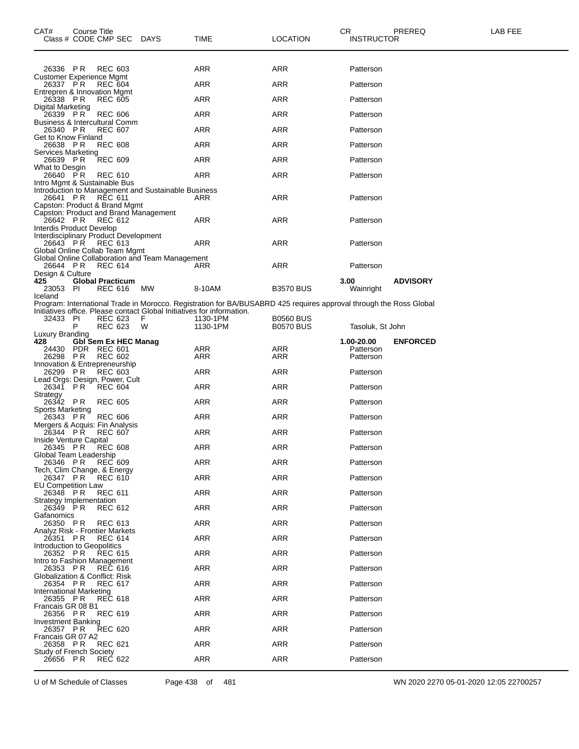| CAT#<br>Class # CODE CMP SEC                                                        | Course Title            |                |                             | DAYS                                                | TIME                                                                                                               | <b>LOCATION</b>  | CR<br>INSTRUCTOR        | PREREQ          | <b>LAB FEE</b> |
|-------------------------------------------------------------------------------------|-------------------------|----------------|-----------------------------|-----------------------------------------------------|--------------------------------------------------------------------------------------------------------------------|------------------|-------------------------|-----------------|----------------|
| 26336 PR                                                                            |                         | <b>REC 603</b> |                             |                                                     | ARR                                                                                                                | ARR              | Patterson               |                 |                |
| Customer Experience Mgmt<br>26337 PR                                                |                         | <b>REC 604</b> |                             |                                                     | ARR                                                                                                                | <b>ARR</b>       | Patterson               |                 |                |
| Entrepren & Innovation Mgmt<br>26338 PR                                             |                         | <b>REC 605</b> |                             |                                                     | ARR                                                                                                                | ARR              | Patterson               |                 |                |
| Digital Marketing                                                                   |                         |                |                             |                                                     |                                                                                                                    |                  |                         |                 |                |
| 26339 PR<br><b>Business &amp; Intercultural Comm</b>                                |                         | <b>REC 606</b> |                             |                                                     | ARR                                                                                                                | <b>ARR</b>       | Patterson               |                 |                |
| 26340 PR<br>Get to Know Finland                                                     |                         | <b>REC 607</b> |                             |                                                     | ARR                                                                                                                | <b>ARR</b>       | Patterson               |                 |                |
| 26638 PR<br>Services Marketing                                                      |                         | <b>REC 608</b> |                             |                                                     | ARR                                                                                                                | <b>ARR</b>       | Patterson               |                 |                |
| 26639 PR<br>What to Desgin                                                          |                         | <b>REC 609</b> |                             |                                                     | ARR                                                                                                                | <b>ARR</b>       | Patterson               |                 |                |
| 26640 PR<br>Intro Mgmt & Sustainable Bus                                            |                         | <b>REC 610</b> |                             |                                                     | ARR                                                                                                                | <b>ARR</b>       | Patterson               |                 |                |
| 26641 PR<br>Capston: Product & Brand Mgmt                                           |                         | REC 611        |                             | Introduction to Management and Sustainable Business | ARR                                                                                                                | <b>ARR</b>       | Patterson               |                 |                |
| 26642 PR<br>Interdis Product Develop                                                |                         | <b>REC 612</b> |                             | Capston: Product and Brand Management               | ARR                                                                                                                | <b>ARR</b>       | Patterson               |                 |                |
| Interdisciplinary Product Development<br>26643 PR<br>Global Online Collab Team Mgmt |                         | REC 613        |                             |                                                     | ARR                                                                                                                | <b>ARR</b>       | Patterson               |                 |                |
| 26644 PR                                                                            |                         | <b>REC 614</b> |                             | Global Online Collaboration and Team Management     | ARR                                                                                                                | <b>ARR</b>       | Patterson               |                 |                |
| Design & Culture<br>425<br>23053 PI                                                 | <b>Global Practicum</b> | REC 616        |                             | МW                                                  | 8-10AM                                                                                                             | <b>B3570 BUS</b> | 3.00<br>Wainright       | <b>ADVISORY</b> |                |
| Iceland                                                                             |                         |                |                             |                                                     | Program: International Trade in Morocco. Registration for BA/BUSABRD 425 requires approval through the Ross Global |                  |                         |                 |                |
| 32433 PI                                                                            |                         | <b>REC 623</b> |                             | F                                                   | Initiatives office. Please contact Global Initiatives for information.<br>1130-1PM                                 | <b>B0560 BUS</b> |                         |                 |                |
| Luxury Branding                                                                     | P                       | REC 623        |                             | W                                                   | 1130-1PM                                                                                                           | <b>B0570 BUS</b> | Tasoluk, St John        |                 |                |
| 428<br>24430 PDR REC 601                                                            |                         |                | <b>Gbl Sem Ex HEC Manag</b> |                                                     | ARR                                                                                                                | ARR              | 1.00-20.00<br>Patterson | <b>ENFORCED</b> |                |
| 26298 PR                                                                            |                         | <b>REC 602</b> |                             |                                                     | ARR                                                                                                                | ARR              | Patterson               |                 |                |
| Innovation & Entrepreneurship<br>26299 PR                                           |                         | <b>REC 603</b> |                             |                                                     | ARR                                                                                                                | <b>ARR</b>       | Patterson               |                 |                |
| Lead Orgs: Design, Power, Cult<br>26341 PR                                          |                         | REC 604        |                             |                                                     | ARR                                                                                                                | <b>ARR</b>       | Patterson               |                 |                |
| Strategy<br>26342 PR                                                                |                         | <b>REC 605</b> |                             |                                                     | ARR                                                                                                                | <b>ARR</b>       | Patterson               |                 |                |
| Sports Marketing<br>26343 PR                                                        |                         | <b>REC 606</b> |                             |                                                     | ARR                                                                                                                | ARR              | Patterson               |                 |                |
| Mergers & Acquis: Fin Analysis<br>26344 PR                                          |                         | <b>REC 607</b> |                             |                                                     | ARR                                                                                                                | <b>ARR</b>       | Patterson               |                 |                |
| Inside Venture Capital<br>26345 PR                                                  |                         | <b>REC 608</b> |                             |                                                     | ARR                                                                                                                | <b>ARR</b>       | Patterson               |                 |                |
| Global Team Leadership<br>26346 PR                                                  |                         | <b>REC 609</b> |                             |                                                     | ARR                                                                                                                | <b>ARR</b>       | Patterson               |                 |                |
| Tech, Clim Change, & Energy<br>26347 PR                                             |                         | REC 610        |                             |                                                     | ARR                                                                                                                | ARR              | Patterson               |                 |                |
| <b>EU Competition Law</b><br>26348 PR                                               |                         | REC 611        |                             |                                                     | ARR                                                                                                                | ARR              | Patterson               |                 |                |
| Strategy Implementation<br>26349 PR                                                 |                         | <b>REC 612</b> |                             |                                                     | ARR                                                                                                                | <b>ARR</b>       | Patterson               |                 |                |
| Gafanomics<br>26350 PR                                                              |                         | REC 613        |                             |                                                     | ARR                                                                                                                | ARR              | Patterson               |                 |                |
| Analyz Risk - Frontier Markets<br>26351 PR                                          |                         | <b>REC 614</b> |                             |                                                     | ARR                                                                                                                | ARR              | Patterson               |                 |                |
| Introduction to Geopolitics<br>26352 PR                                             |                         | <b>REC 615</b> |                             |                                                     | ARR                                                                                                                | <b>ARR</b>       | Patterson               |                 |                |
| Intro to Fashion Management                                                         |                         |                |                             |                                                     |                                                                                                                    |                  |                         |                 |                |
| 26353 PR<br><b>Globalization &amp; Conflict: Risk</b>                               |                         | <b>REC 616</b> |                             |                                                     | ARR                                                                                                                | ARR              | Patterson               |                 |                |
| 26354 PR<br>International Marketing                                                 |                         | REC 617        |                             |                                                     | ARR                                                                                                                | ARR              | Patterson               |                 |                |
| 26355 PR<br>Francais GR 08 B1                                                       |                         | <b>REC 618</b> |                             |                                                     | ARR                                                                                                                | <b>ARR</b>       | Patterson               |                 |                |
| 26356 PR<br>Investment Banking                                                      |                         | <b>REC 619</b> |                             |                                                     | ARR                                                                                                                | ARR              | Patterson               |                 |                |
| 26357 PR<br>Francais GR 07 A2                                                       |                         | <b>REC 620</b> |                             |                                                     | ARR                                                                                                                | ARR              | Patterson               |                 |                |
| 26358 PR<br>Study of French Society                                                 |                         | <b>REC 621</b> |                             |                                                     | ARR                                                                                                                | ARR              | Patterson               |                 |                |
| 26656 PR                                                                            |                         | <b>REC 622</b> |                             |                                                     | ARR                                                                                                                | ARR              | Patterson               |                 |                |

U of M Schedule of Classes Page 438 of 481 WN 2020 2270 05-01-2020 12:05 22700257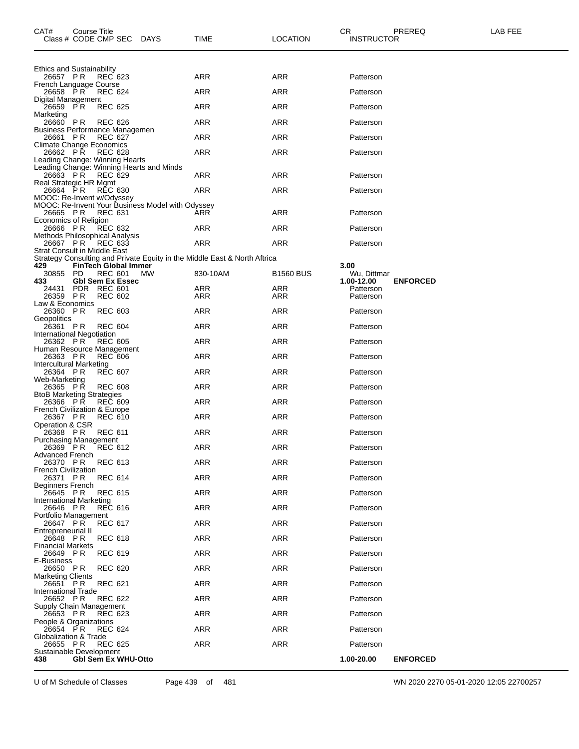| CAT#                                                | Course Title | Class # CODE CMP SEC DAYS              |                                                  | TIME                                                                      | <b>LOCATION</b>  | CR.<br><b>INSTRUCTOR</b> | PREREQ          | LAB FEE |
|-----------------------------------------------------|--------------|----------------------------------------|--------------------------------------------------|---------------------------------------------------------------------------|------------------|--------------------------|-----------------|---------|
|                                                     |              |                                        |                                                  |                                                                           |                  |                          |                 |         |
| <b>Ethics and Sustainability</b><br>26657 PR        |              | REC 623                                |                                                  | <b>ARR</b>                                                                | ARR              | Patterson                |                 |         |
| French Language Course                              |              | 26658 PR REC 624                       |                                                  | <b>ARR</b>                                                                | ARR              | Patterson                |                 |         |
| Digital Management<br>26659 PR                      |              | <b>REC 625</b>                         |                                                  | <b>ARR</b>                                                                | ARR              | Patterson                |                 |         |
| Marketing<br>26660 PR                               |              | REC 626                                |                                                  | ARR                                                                       | ARR              | Patterson                |                 |         |
| <b>Business Performance Managemen</b><br>26661 PR   |              | <b>REC 627</b>                         |                                                  | ARR                                                                       | ARR              | Patterson                |                 |         |
| <b>Climate Change Economics</b><br>26662 PŘ         |              |                                        |                                                  |                                                                           |                  |                          |                 |         |
| Leading Change: Winning Hearts                      |              | REC 628                                |                                                  | ARR                                                                       | ARR              | Patterson                |                 |         |
| 26663 PŘ                                            |              | REC 629                                | Leading Change: Winning Hearts and Minds         | ARR                                                                       | ARR              | Patterson                |                 |         |
| Real Strategic HR Mgmt<br>26664 PR                  |              | RĔC 630                                |                                                  | ARR                                                                       | <b>ARR</b>       | Patterson                |                 |         |
| MOOC: Re-Invent w/Odyssey                           |              |                                        | MOOC: Re-Invent Your Business Model with Odyssey |                                                                           |                  |                          |                 |         |
| 26665 PR<br>Economics of Religion                   |              | <b>REC 631</b>                         |                                                  | ARR                                                                       | ARR              | Patterson                |                 |         |
| 26666 PR<br>Methods Philosophical Analysis          |              | REC 632                                |                                                  | ARR                                                                       | ARR              | Patterson                |                 |         |
| 26667 PR                                            |              | REC 633                                |                                                  | ARR                                                                       | ARR              | Patterson                |                 |         |
| Strat Consult in Middle East                        |              |                                        |                                                  | Strategy Consulting and Private Equity in the Middle East & North Aftrica |                  |                          |                 |         |
| 429<br>30855 PD                                     |              | FinTech Global Immer<br>REC 601        | <b>MW</b>                                        | 830-10AM                                                                  | <b>B1560 BUS</b> | 3.00<br>Wu, Dittmar      |                 |         |
| 433<br>24431                                        |              | <b>GbI Sem Ex Essec</b><br>PDR REC 601 |                                                  | ARR                                                                       | ARR              | 1.00-12.00<br>Patterson  | <b>ENFORCED</b> |         |
| 26359 PR<br>Law & Economics                         |              | <b>REC 602</b>                         |                                                  | ARR                                                                       | ARR              | Patterson                |                 |         |
| 26360 PR<br>Geopolitics                             |              | <b>REC 603</b>                         |                                                  | ARR                                                                       | ARR              | Patterson                |                 |         |
| 26361 PR<br>International Negotiation               |              | <b>REC 604</b>                         |                                                  | ARR                                                                       | <b>ARR</b>       | Patterson                |                 |         |
| Human Resource Management                           |              | 26362 PR REC 605                       |                                                  | ARR                                                                       | ARR              | Patterson                |                 |         |
| 26363 PR<br>Intercultural Marketing                 |              | <b>REC 606</b>                         |                                                  | ARR                                                                       | <b>ARR</b>       | Patterson                |                 |         |
| 26364 PR                                            |              | <b>REC 607</b>                         |                                                  | <b>ARR</b>                                                                | ARR              | Patterson                |                 |         |
| Web-Marketing<br>26365 PR                           |              | <b>REC 608</b>                         |                                                  | ARR                                                                       | ARR              | Patterson                |                 |         |
| <b>BtoB Marketing Strategies</b><br>26366 PŘ        |              | <b>REC 609</b>                         |                                                  | <b>ARR</b>                                                                | <b>ARR</b>       | Patterson                |                 |         |
| <b>French Civilization &amp; Europe</b><br>26367 PR |              | <b>REC 610</b>                         |                                                  | ARR                                                                       | ARR              | Patterson                |                 |         |
| Operation & CSR<br>26368 PR                         |              | <b>REC 611</b>                         |                                                  | ARR                                                                       | ARR              | Patterson                |                 |         |
| <b>Purchasing Management</b>                        |              | 26369 PR REC 612                       |                                                  | ARR                                                                       | ARR              | Patterson                |                 |         |
| <b>Advanced French</b><br>26370 PR                  |              | <b>REC 613</b>                         |                                                  | ARR                                                                       | ARR              | Patterson                |                 |         |
| <b>French Civilization</b><br>26371 PR              |              | <b>REC 614</b>                         |                                                  | ARR                                                                       | ARR              | Patterson                |                 |         |
| <b>Beginners French</b><br>26645 PR                 |              | <b>REC 615</b>                         |                                                  | <b>ARR</b>                                                                | ARR              | Patterson                |                 |         |
| <b>International Marketing</b><br>26646 PR          |              | <b>REC 616</b>                         |                                                  | ARR                                                                       | ARR              | Patterson                |                 |         |
| Portfolio Management                                |              |                                        |                                                  |                                                                           |                  |                          |                 |         |
| 26647 PR<br>Entrepreneurial II                      |              | <b>REC 617</b>                         |                                                  | ARR                                                                       | ARR              | Patterson                |                 |         |
| 26648 PR<br><b>Financial Markets</b>                |              | <b>REC 618</b>                         |                                                  | ARR                                                                       | ARR              | Patterson                |                 |         |
| 26649 PR<br>E-Business                              |              | <b>REC 619</b>                         |                                                  | ARR                                                                       | ARR              | Patterson                |                 |         |
| 26650 PR<br><b>Marketing Clients</b>                |              | <b>REC 620</b>                         |                                                  | ARR                                                                       | ARR              | Patterson                |                 |         |
| 26651 PR<br><b>International Trade</b>              |              | <b>REC 621</b>                         |                                                  | ARR                                                                       | ARR              | Patterson                |                 |         |
| 26652 PR<br>Supply Chain Management                 |              | <b>REC 622</b>                         |                                                  | ARR                                                                       | ARR              | Patterson                |                 |         |
| 26653 PR<br>People & Organizations                  |              | <b>REC 623</b>                         |                                                  | ARR                                                                       | ARR              | Patterson                |                 |         |
| 26654 PR                                            |              | <b>REC 624</b>                         |                                                  | ARR                                                                       | ARR              | Patterson                |                 |         |
| Globalization & Trade<br>26655 PR                   |              | <b>REC 625</b>                         |                                                  | ARR                                                                       | ARR              | Patterson                |                 |         |
| Sustainable Development<br>438                      |              | <b>Gbl Sem Ex WHU-Otto</b>             |                                                  |                                                                           |                  | 1.00-20.00               | <b>ENFORCED</b> |         |

U of M Schedule of Classes Page 439 of 481 WN 2020 2270 05-01-2020 12:05 22700257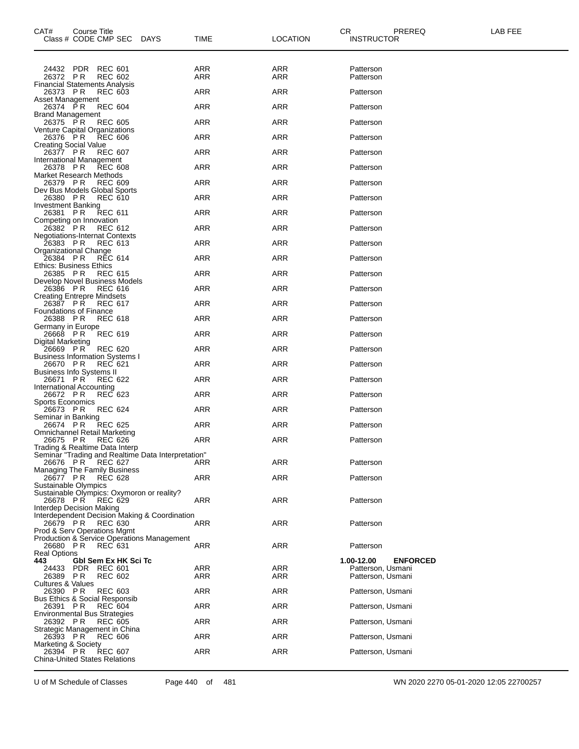| 24432 PDR<br><b>REC 601</b><br>ARR<br>ARR<br>Patterson<br>ARR<br>26372 PR<br>REC 602<br>ARR<br>Patterson<br><b>Financial Statements Analysis</b><br><b>ARR</b><br><b>ARR</b><br>26373 PR<br><b>REC 603</b><br>Patterson<br>Asset Management |  |
|---------------------------------------------------------------------------------------------------------------------------------------------------------------------------------------------------------------------------------------------|--|
|                                                                                                                                                                                                                                             |  |
|                                                                                                                                                                                                                                             |  |
|                                                                                                                                                                                                                                             |  |
| 26374 PR<br><b>REC 604</b><br>ARR<br>ARR<br>Patterson<br><b>Brand Management</b>                                                                                                                                                            |  |
| 26375 PR<br><b>REC 605</b><br>ARR<br>ARR<br>Patterson<br>Venture Capital Organizations                                                                                                                                                      |  |
| 26376 PR<br><b>ARR</b><br><b>ARR</b><br><b>REC 606</b><br>Patterson<br><b>Creating Social Value</b>                                                                                                                                         |  |
| 26377 PR<br><b>REC 607</b><br>ARR<br>ARR<br>Patterson<br>International Management                                                                                                                                                           |  |
| 26378 PR<br>ARR<br>ARR<br><b>REC 608</b><br>Patterson<br>Market Research Methods                                                                                                                                                            |  |
| <b>ARR</b><br><b>ARR</b><br>26379 PR<br><b>REC 609</b><br>Patterson<br>Dev Bus Models Global Sports                                                                                                                                         |  |
| 26380 PR<br><b>REC 610</b><br>ARR<br>ARR<br>Patterson<br><b>Investment Banking</b>                                                                                                                                                          |  |
| 26381 PR<br><b>REC 611</b><br>ARR<br>ARR<br>Patterson<br>Competing on Innovation                                                                                                                                                            |  |
| <b>ARR</b><br>26382 PR<br><b>REC 612</b><br>ARR<br>Patterson<br><b>Negotiations-Internat Contexts</b>                                                                                                                                       |  |
| 26383 PR<br><b>REC 613</b><br>ARR<br>ARR<br>Patterson<br>Organizational Change                                                                                                                                                              |  |
| 26384 PR<br>ARR<br>ARR<br>REC 614<br>Patterson<br>Ethics: Business Ethics                                                                                                                                                                   |  |
| <b>ARR</b><br>26385 PR<br><b>REC 615</b><br>ARR<br>Patterson<br>Develop Novel Business Models                                                                                                                                               |  |
| 26386 PR<br><b>REC 616</b><br>ARR<br>ARR<br>Patterson<br><b>Creating Entrepre Mindsets</b>                                                                                                                                                  |  |
| 26387 PR<br>ARR<br>ARR<br>REC 617<br>Patterson<br><b>Foundations of Finance</b>                                                                                                                                                             |  |
| 26388 PR<br><b>ARR</b><br><b>ARR</b><br><b>REC 618</b><br>Patterson                                                                                                                                                                         |  |
| Germany in Europe<br>26668 PR<br><b>REC 619</b><br>ARR<br>ARR<br>Patterson                                                                                                                                                                  |  |
| Digital Marketing<br>26669 PR<br><b>REC 620</b><br>ARR<br>ARR<br>Patterson                                                                                                                                                                  |  |
| <b>Business Information Systems I</b><br><b>ARR</b><br><b>ARR</b><br>26670 PR<br><b>REC 621</b><br>Patterson                                                                                                                                |  |
| <b>Business Info Systems II</b><br>26671 PR<br><b>REC 622</b><br>ARR<br>ARR<br>Patterson                                                                                                                                                    |  |
| International Accounting<br>26672 PR<br>ARR<br>ARR<br>REC 623<br>Patterson                                                                                                                                                                  |  |
| <b>Sports Economics</b><br><b>REC 624</b><br><b>ARR</b><br>26673 PR<br>ARR<br>Patterson                                                                                                                                                     |  |
| Seminar in Banking<br>26674 PR<br><b>REC 625</b><br>ARR<br>ARR<br>Patterson                                                                                                                                                                 |  |
| Omnichannel Retail Marketing<br>26675 PR<br>ARR<br>ARR<br>REC 626<br>Patterson                                                                                                                                                              |  |
| Trading & Realtime Data Interp<br>Seminar "Trading and Realtime Data Interpretation"                                                                                                                                                        |  |
| 26676 PR<br>ARR<br>REC 627<br>ARR<br>Patterson<br>Managing The Family Business                                                                                                                                                              |  |
| 26677 PR<br><b>ARR</b><br><b>ARR</b><br><b>REC 628</b><br>Patterson<br>Sustainable Olympics                                                                                                                                                 |  |
| Sustainable Olympics: Oxymoron or reality?<br>26678 PR<br><b>ARR</b><br>REC 629<br>ARR<br>Patterson                                                                                                                                         |  |
| <b>Interdep Decision Making</b><br>Interdependent Decision Making & Coordination                                                                                                                                                            |  |
| 26679 PR<br><b>REC 630</b><br>ARR<br>ARR<br>Patterson<br>Prod & Serv Operations Mgmt                                                                                                                                                        |  |
| <b>Production &amp; Service Operations Management</b><br>ARR<br><b>ARR</b><br>26680 PR<br><b>REC 631</b><br>Patterson                                                                                                                       |  |
| <b>Real Options</b><br>Gbl Sem Ex HK Sci Tc<br>1.00-12.00<br><b>ENFORCED</b><br>443                                                                                                                                                         |  |
| ARR<br>Patterson, Usmani<br>PDR<br><b>REC 601</b><br>ARR<br>24433<br>26389 PR<br><b>REC 602</b><br>ARR<br>ARR<br>Patterson, Usmani                                                                                                          |  |
| Cultures & Values<br>26390 PR<br><b>REC 603</b><br><b>ARR</b><br><b>ARR</b><br>Patterson, Usmani                                                                                                                                            |  |
| <b>Bus Ethics &amp; Social Responsib</b><br><b>ARR</b><br>26391 PR<br>ARR<br>Patterson, Usmani<br><b>REC 604</b>                                                                                                                            |  |
| <b>Environmental Bus Strategies</b><br><b>ARR</b><br>26392 PR<br>ARR<br>Patterson, Usmani<br><b>REC 605</b>                                                                                                                                 |  |
| Strategic Management in China                                                                                                                                                                                                               |  |
| <b>ARR</b><br><b>ARR</b><br>26393 PR<br>Patterson, Usmani<br><b>REC 606</b><br>Marketing & Society                                                                                                                                          |  |
| <b>ARR</b><br>26394 PR<br><b>REC 607</b><br>ARR<br>Patterson, Usmani<br><b>China-United States Relations</b>                                                                                                                                |  |

U of M Schedule of Classes Page 440 of 481 WN 2020 2270 05-01-2020 12:05 22700257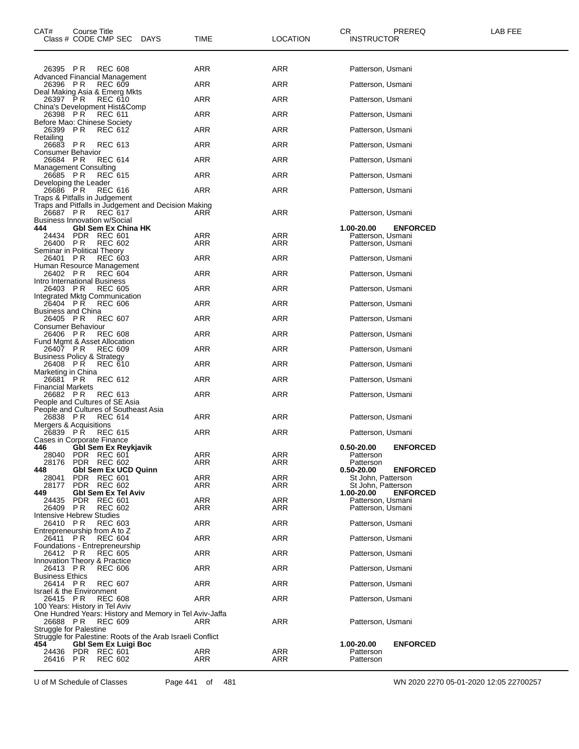| CAT#                                                | Course Title<br>Class # CODE CMP SEC DAYS  |                |                                                            | TIME       | <b>LOCATION</b> | CR<br><b>INSTRUCTOR</b>                | PREREQ          | LAB FEE |
|-----------------------------------------------------|--------------------------------------------|----------------|------------------------------------------------------------|------------|-----------------|----------------------------------------|-----------------|---------|
|                                                     |                                            |                |                                                            |            |                 |                                        |                 |         |
| 26395 PR<br>Advanced Financial Management           |                                            | <b>REC 608</b> |                                                            | ARR        | ARR             | Patterson, Usmani                      |                 |         |
| 26396 PR<br>Deal Making Asia & Emerg Mkts           |                                            | <b>REC 609</b> |                                                            | ARR        | <b>ARR</b>      | Patterson, Usmani                      |                 |         |
| 26397 PR                                            |                                            | <b>REC 610</b> |                                                            | ARR        | ARR             | Patterson, Usmani                      |                 |         |
| China's Development Hist&Comp<br>26398 PR           |                                            | REC 611        |                                                            | ARR        | ARR             | Patterson, Usmani                      |                 |         |
| Before Mao: Chinese Society<br>26399 PR             |                                            | REC 612        |                                                            | ARR        | ARR             | Patterson, Usmani                      |                 |         |
| Retailing<br>26683 PR                               |                                            | <b>REC 613</b> |                                                            | ARR        | ARR             | Patterson, Usmani                      |                 |         |
| Consumer Behavior<br>26684 PR                       |                                            | <b>REC 614</b> |                                                            | ARR        | ARR             | Patterson, Usmani                      |                 |         |
| <b>Management Consulting</b><br>26685 PR            |                                            | REC 615        |                                                            | ARR        | ARR             | Patterson, Usmani                      |                 |         |
| Developing the Leader<br>26686 PR                   |                                            | REC 616        |                                                            | ARR        | ARR             | Patterson, Usmani                      |                 |         |
| Traps & Pitfalls in Judgement                       |                                            |                |                                                            |            |                 |                                        |                 |         |
| 26687 PR                                            |                                            | REC 617        | Traps and Pitfalls in Judgement and Decision Making        | ARR        | ARR             | Patterson, Usmani                      |                 |         |
| <b>Business Innovation w/Social</b><br>444          | <b>Gbl Sem Ex China HK</b>                 |                |                                                            |            |                 | 1.00-20.00                             | <b>ENFORCED</b> |         |
| 24434<br>26400 PR                                   | PDR REC 601                                | <b>REC 602</b> |                                                            | ARR<br>ARR | ARR<br>ARR      | Patterson, Usmani<br>Patterson, Usmani |                 |         |
| Seminar in Political Theory<br>26401 PR             |                                            | <b>REC 603</b> |                                                            | ARR        | ARR             | Patterson, Usmani                      |                 |         |
| Human Resource Management<br>26402 PR               |                                            | <b>REC 604</b> |                                                            | ARR        | ARR             | Patterson, Usmani                      |                 |         |
| Intro International Business<br>26403 PR            |                                            | <b>REC 605</b> |                                                            | ARR        | ARR             | Patterson, Usmani                      |                 |         |
| Integrated Mktg Communication<br>26404 PR           |                                            | <b>REC 606</b> |                                                            | ARR        | ARR             | Patterson, Usmani                      |                 |         |
| Business and China<br>26405 PR                      |                                            | <b>REC 607</b> |                                                            | ARR        | ARR             | Patterson, Usmani                      |                 |         |
| Consumer Behaviour<br>26406 PR                      |                                            | <b>REC 608</b> |                                                            | ARR        | ARR             | Patterson, Usmani                      |                 |         |
| Fund Mgmt & Asset Allocation<br>26407 PR            |                                            | <b>REC 609</b> |                                                            | ARR        | ARR             | Patterson, Usmani                      |                 |         |
| <b>Business Policy &amp; Strategy</b>               |                                            |                |                                                            |            |                 |                                        |                 |         |
| 26408 PR<br>Marketing in China                      |                                            | <b>REC 610</b> |                                                            | ARR        | ARR             | Patterson, Usmani                      |                 |         |
| 26681 PR<br>Financial Markets                       |                                            | <b>REC 612</b> |                                                            | ARR        | ARR             | Patterson, Usmani                      |                 |         |
| 26682 PR<br>People and Cultures of SE Asia          |                                            | <b>REC 613</b> |                                                            | ARR        | ARR             | Patterson, Usmani                      |                 |         |
| People and Cultures of Southeast Asia<br>26838 PR   |                                            | <b>REC 614</b> |                                                            | ARR        | ARR             | Patterson, Usmani                      |                 |         |
| Mergers & Acquisitions<br>26839 PR                  |                                            | <b>REC 615</b> |                                                            | ARR        | ARR             | Patterson, Usmani                      |                 |         |
| Cases in Corporate Finance<br>446                   | <b>Gbl Sem Ex Reykjavik</b>                |                |                                                            |            |                 | 0.50-20.00                             | <b>ENFORCED</b> |         |
| 28040 PDR<br>28176                                  | PDR REC 602                                | <b>REC 601</b> |                                                            | ARR<br>ARR | ARR<br>ARR      | Patterson<br>Patterson                 |                 |         |
| 448<br>28041                                        | <b>Gbl Sem Ex UCD Quinn</b><br>PDR REC 601 |                |                                                            | ARR        | <b>ARR</b>      | 0.50-20.00<br>St John, Patterson       | <b>ENFORCED</b> |         |
| 28177<br>449                                        | PDR REC 602<br><b>Gbl Sem Ex Tel Aviv</b>  |                |                                                            | ARR        | ARR             | St John. Patterson<br>1.00-20.00       | <b>ENFORCED</b> |         |
| 24435                                               | PDR REC 601                                |                |                                                            | ARR        | <b>ARR</b>      | Patterson, Usmani                      |                 |         |
| 26409<br>Intensive Hebrew Studies                   | P R                                        | <b>REC 602</b> |                                                            | ARR        | <b>ARR</b>      | Patterson, Usmani                      |                 |         |
| 26410 PR<br>Entrepreneurship from A to Z            |                                            | <b>REC 603</b> |                                                            | ARR        | <b>ARR</b>      | Patterson, Usmani                      |                 |         |
| 26411 PR<br>Foundations - Entrepreneurship          |                                            | <b>REC 604</b> |                                                            | ARR        | <b>ARR</b>      | Patterson, Usmani                      |                 |         |
| 26412 PR<br><b>Innovation Theory &amp; Practice</b> |                                            | <b>REC 605</b> |                                                            | ARR        | <b>ARR</b>      | Patterson, Usmani                      |                 |         |
| 26413 PR<br><b>Business Ethics</b>                  |                                            | <b>REC 606</b> |                                                            | ARR        | ARR             | Patterson, Usmani                      |                 |         |
| 26414 PR<br>Israel & the Environment                |                                            | <b>REC 607</b> |                                                            | ARR        | <b>ARR</b>      | Patterson, Usmani                      |                 |         |
| 26415 PR<br>100 Years: History in Tel Aviv          |                                            | <b>REC 608</b> |                                                            | <b>ARR</b> | <b>ARR</b>      | Patterson, Usmani                      |                 |         |
| 26688 PR                                            |                                            | <b>REC 609</b> | One Hundred Years: History and Memory in Tel Aviv-Jaffa    | ARR        | <b>ARR</b>      | Patterson, Usmani                      |                 |         |
| Struggle for Palestine                              |                                            |                | Struggle for Palestine: Roots of the Arab Israeli Conflict |            |                 |                                        |                 |         |
| 454<br>24436 PDR                                    | Gbl Sem Ex Luigi Boc                       | REC 601        |                                                            | ARR        | ARR             | 1.00-20.00<br>Patterson                | <b>ENFORCED</b> |         |
| 26416 PR                                            |                                            | <b>REC 602</b> |                                                            | ARR        | ARR             | Patterson                              |                 |         |

U of M Schedule of Classes Page 441 of 481 WN 2020 2270 05-01-2020 12:05 22700257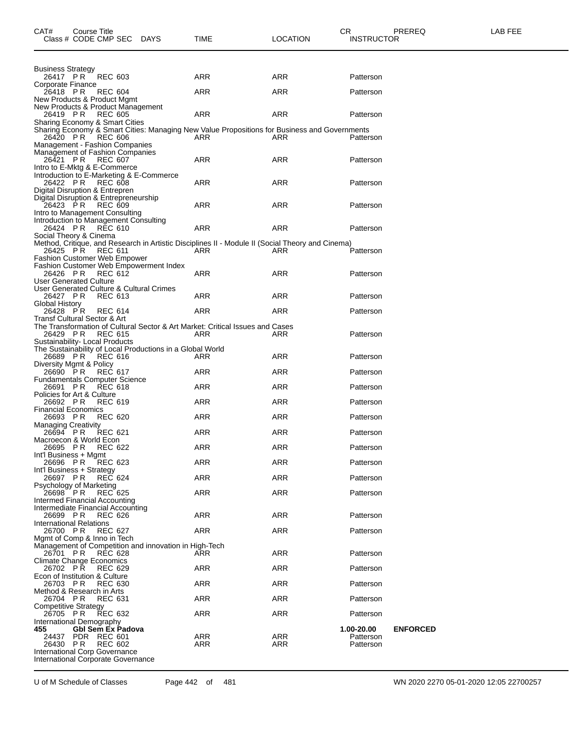| Class # CODE CMP SEC<br><b>DAYS</b>                                                                                            | TIME       | LOCATION   | <b>INSTRUCTOR</b>             |
|--------------------------------------------------------------------------------------------------------------------------------|------------|------------|-------------------------------|
|                                                                                                                                |            |            |                               |
| <b>Business Strategy</b><br><b>REC 603</b><br>26417 PR                                                                         | ARR        | ARR        | Patterson                     |
| Corporate Finance<br>26418 PR<br><b>REC 604</b>                                                                                | ARR        | ARR        | Patterson                     |
| New Products & Product Mgmt<br>New Products & Product Management                                                               |            |            |                               |
| <b>REC 605</b><br>26419 PR                                                                                                     | ARR        | ARR        | Patterson                     |
| Sharing Economy & Smart Cities<br>Sharing Economy & Smart Cities: Managing New Value Propositions for Business and Governments |            |            |                               |
| 26420 PR REC 606<br>Management - Fashion Companies                                                                             | ARR        | ARR        | Patterson                     |
| Management of Fashion Companies<br><b>REC 607</b><br>26421 PR                                                                  | ARR        | ARR        | Patterson                     |
| Intro to E-Mktg & E-Commerce<br>Introduction to E-Marketing & E-Commerce                                                       |            |            |                               |
| <b>REC 608</b><br>26422 PR                                                                                                     | <b>ARR</b> | ARR        | Patterson                     |
| Digital Disruption & Entrepren<br>Digital Disruption & Entrepreneurship                                                        |            |            |                               |
| 26423 PR<br><b>REC 609</b><br>Intro to Management Consulting                                                                   | ARR        | ARR        | Patterson                     |
| Introduction to Management Consulting                                                                                          |            |            |                               |
| 26424 PR<br><b>REC 610</b><br>Social Theory & Cinema                                                                           | ARR        | ARR        | Patterson                     |
| Method, Critique, and Research in Artistic Disciplines II - Module II (Social Theory and Cinema)<br>26425 PR<br><b>REC 611</b> | <b>ARR</b> | <b>ARR</b> | Patterson                     |
| <b>Fashion Customer Web Empower</b><br>Fashion Customer Web Empowerment Index                                                  |            |            |                               |
| <b>REC 612</b><br>26426 PR                                                                                                     | ARR        | ARR        | Patterson                     |
| <b>User Generated Culture</b><br>User Generated Culture & Cultural Crimes                                                      |            |            |                               |
| 26427 PR<br><b>REC 613</b><br>Global History                                                                                   | <b>ARR</b> | ARR        | Patterson                     |
| 26428 PR<br><b>REC 614</b><br>Transf Cultural Sector & Art                                                                     | ARR        | ARR        | Patterson                     |
| The Transformation of Cultural Sector & Art Market: Critical Issues and Cases                                                  |            |            |                               |
| 26429 PR<br><b>REC 615</b><br>Sustainability- Local Products                                                                   | ARR        | ARR        | Patterson                     |
| The Sustainability of Local Productions in a Global World<br>26689 PR<br>REC 616                                               | ARR        | ARR        | Patterson                     |
| Diversity Mgmt & Policy<br>26690 PR<br><b>REC 617</b>                                                                          | ARR        | ARR        | Patterson                     |
| <b>Fundamentals Computer Science</b>                                                                                           |            |            |                               |
| 26691 PR<br><b>REC 618</b><br>Policies for Art & Culture                                                                       | ARR        | ARR        | Patterson                     |
| 26692 PR<br><b>REC 619</b><br><b>Financial Economics</b>                                                                       | ARR        | ARR        | Patterson                     |
| <b>REC 620</b><br>26693 PR<br><b>Managing Creativity</b>                                                                       | ARR        | ARR        | Patterson                     |
| 26694 PR<br><b>REC 621</b>                                                                                                     | ARR        | ARR        | Patterson                     |
| Macroecon & World Econ<br>26695 PR<br>REC 622                                                                                  | ARR        | ARR        | Patterson                     |
| Int'l Business + Mgmt<br>26696 PR REC 623                                                                                      | ARR        | ARR        | Patterson                     |
| Int'l Business + Strategy<br>26697 PR<br><b>REC 624</b>                                                                        | ARR        | ARR        | Patterson                     |
| Psychology of Marketing                                                                                                        |            |            |                               |
| 26698 PR<br><b>REC 625</b><br>Intermed Financial Accounting                                                                    | ARR        | ARR        | Patterson                     |
| Intermediate Financial Accounting<br>26699 PR<br>REC 626                                                                       | ARR        | ARR        | Patterson                     |
| <b>International Relations</b><br>26700 PR<br><b>REC 627</b>                                                                   | ARR        | ARR        | Patterson                     |
| Mgmt of Comp & Inno in Tech                                                                                                    |            |            |                               |
| Management of Competition and innovation in High-Tech<br>26701 PR<br><b>REC 628</b>                                            | ARR        | ARR        | Patterson                     |
| Climate Change Economics<br>26702 PR<br><b>REC 629</b>                                                                         | <b>ARR</b> | ARR        | Patterson                     |
| Econ of Institution & Culture<br>26703 PR<br><b>REC 630</b>                                                                    | ARR        | ARR        | Patterson                     |
| Method & Research in Arts                                                                                                      |            |            |                               |
| 26704 PR<br><b>REC 631</b><br>Competitive Strategy                                                                             | ARR        | ARR        | Patterson                     |
| <b>REC 632</b><br>26705 PR<br>International Demography                                                                         | ARR        | ARR        | Patterson                     |
| Gbl Sem Ex Padova<br>455                                                                                                       | ARR        | ARR        | 1.00-20.00<br><b>ENFORCED</b> |
| PDR REC 601<br>24437<br>26430 PR<br><b>REC 602</b>                                                                             | ARR        | ARR        | Patterson<br>Patterson        |
| International Corp Governance<br>International Corporate Governance                                                            |            |            |                               |

U of M Schedule of Classes Page 442 of 481 WN 2020 2270 05-01-2020 12:05 22700257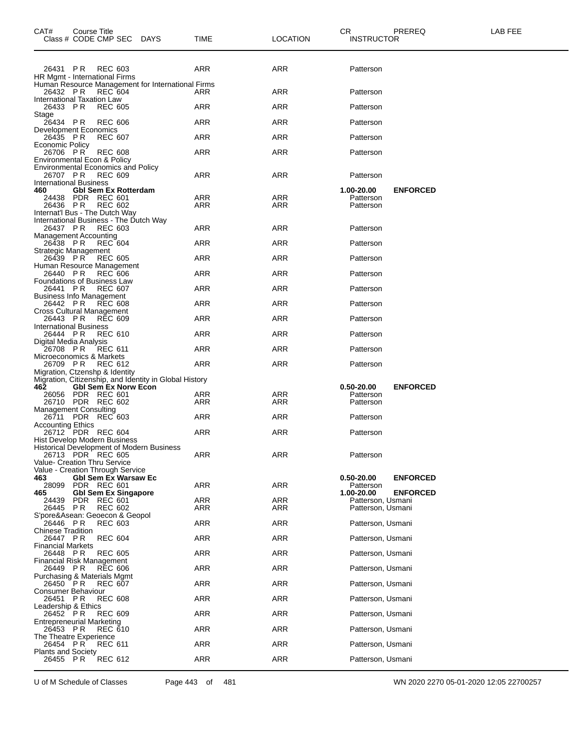| CAT#                                           | Course Title | Class # CODE CMP SEC DAYS                                       |                                                        | TIME       | <b>LOCATION</b> | CR<br><b>INSTRUCTOR</b> | PREREQ          | LAB FEE |
|------------------------------------------------|--------------|-----------------------------------------------------------------|--------------------------------------------------------|------------|-----------------|-------------------------|-----------------|---------|
|                                                |              | 26431 PR REC 603                                                |                                                        | ARR        | ARR             | Patterson               |                 |         |
|                                                |              | HR Mgmt - International Firms                                   | Human Resource Management for International Firms      |            |                 |                         |                 |         |
| 26432 PR<br>International Taxation Law         |              | REC 604                                                         |                                                        | ARR        | ARR             | Patterson               |                 |         |
| 26433 PR                                       |              | <b>REC 605</b>                                                  |                                                        | <b>ARR</b> | <b>ARR</b>      | Patterson               |                 |         |
| Stage<br>26434 PR                              |              | <b>REC 606</b>                                                  |                                                        | <b>ARR</b> | <b>ARR</b>      | Patterson               |                 |         |
| Development Economics<br>26435 PR              |              | <b>REC 607</b>                                                  |                                                        | ARR        | ARR             | Patterson               |                 |         |
| <b>Economic Policy</b><br>26706 PR             |              | <b>REC 608</b>                                                  |                                                        | ARR        | ARR             | Patterson               |                 |         |
| Environmental Econ & Policy                    |              |                                                                 |                                                        |            |                 |                         |                 |         |
|                                                |              | <b>Environmental Economics and Policy</b><br>26707 PR REC 609   |                                                        | ARR        | ARR             | Patterson               |                 |         |
| <b>International Business</b><br>460           |              | <b>GbI Sem Ex Rotterdam</b>                                     |                                                        |            |                 | 1.00-20.00              | <b>ENFORCED</b> |         |
|                                                |              | 24438 PDR REC 601                                               |                                                        | ARR        | ARR             | Patterson               |                 |         |
| 26436 PR                                       |              | <b>REC 602</b><br>Internat'l Bus - The Dutch Way                |                                                        | <b>ARR</b> | ARR             | Patterson               |                 |         |
| 26437 PR                                       |              | International Business - The Dutch Way<br>REC 603               |                                                        | ARR        | ARR             | Patterson               |                 |         |
| <b>Management Accounting</b>                   |              |                                                                 |                                                        |            |                 |                         |                 |         |
| 26438 PR<br>Strategic Management               |              | <b>REC 604</b>                                                  |                                                        | ARR        | <b>ARR</b>      | Patterson               |                 |         |
| 26439 PR                                       |              | REC 605<br>Human Resource Management                            |                                                        | <b>ARR</b> | <b>ARR</b>      | Patterson               |                 |         |
|                                                |              | 26440 PR REC 606                                                |                                                        | ARR        | ARR             | Patterson               |                 |         |
| <b>Foundations of Business Law</b><br>26441 PR |              | <b>REC 607</b>                                                  |                                                        | <b>ARR</b> | <b>ARR</b>      | Patterson               |                 |         |
| <b>Business Info Management</b><br>26442 PR    |              | REC 608                                                         |                                                        | <b>ARR</b> | <b>ARR</b>      | Patterson               |                 |         |
| Cross Cultural Management<br>26443 PR          |              | <b>REC 609</b>                                                  |                                                        | <b>ARR</b> | <b>ARR</b>      | Patterson               |                 |         |
| <b>International Business</b><br>26444 PR      |              | <b>REC 610</b>                                                  |                                                        | <b>ARR</b> | <b>ARR</b>      | Patterson               |                 |         |
| Digital Media Analysis<br>26708 PR             |              | <b>REC 611</b>                                                  |                                                        | ARR        | <b>ARR</b>      | Patterson               |                 |         |
| Microeconomics & Markets                       |              |                                                                 |                                                        |            |                 |                         |                 |         |
| 26709 PR                                       |              | REC 612<br>Migration, Ctzenshp & Identity                       |                                                        | ARR        | ARR             | Patterson               |                 |         |
| 462                                            |              | <b>Gbl Sem Ex Norw Econ</b>                                     | Migration, Citizenship, and Identity in Global History |            |                 | 0.50-20.00              | <b>ENFORCED</b> |         |
|                                                |              | 26056 PDR REC 601<br>26710 PDR REC 602                          |                                                        | ARR        | ARR<br>ARR      | Patterson               |                 |         |
| <b>Management Consulting</b>                   |              |                                                                 |                                                        | ARR        |                 | Patterson               |                 |         |
| <b>Accounting Ethics</b>                       |              | 26711 PDR REC 603                                               |                                                        | ARR        | ARR             | Patterson               |                 |         |
|                                                |              | 26712 PDR REC 604<br>Hist Develop Modern Business               |                                                        | ARR        | ARR             | Patterson               |                 |         |
|                                                |              |                                                                 | Historical Development of Modern Business              |            |                 |                         |                 |         |
| Value- Creation Thru Service                   |              | 26713 PDR REC 605                                               |                                                        | ARR        | <b>ARR</b>      | Patterson               |                 |         |
| 463                                            |              | Value - Creation Through Service<br><b>Gbl Sem Ex Warsaw Ec</b> |                                                        |            |                 | 0.50-20.00              | <b>ENFORCED</b> |         |
| 28099<br>465                                   |              | PDR REC 601<br><b>Gbl Sem Ex Singapore</b>                      |                                                        | <b>ARR</b> | ARR             | Patterson<br>1.00-20.00 | <b>ENFORCED</b> |         |
| 24439                                          |              | PDR REC 601                                                     |                                                        | ARR        | ARR             | Patterson, Usmani       |                 |         |
| 26445 PR                                       |              | <b>REC 602</b><br>S'pore&Asean: Geoecon & Geopol                |                                                        | ARR        | ARR             | Patterson, Usmani       |                 |         |
| 26446 PR<br><b>Chinese Tradition</b>           |              | <b>REC 603</b>                                                  |                                                        | ARR        | <b>ARR</b>      | Patterson, Usmani       |                 |         |
| 26447 PR                                       |              | <b>REC 604</b>                                                  |                                                        | ARR        | <b>ARR</b>      | Patterson, Usmani       |                 |         |
| <b>Financial Markets</b><br>26448 PR           |              | <b>REC 605</b>                                                  |                                                        | ARR        | <b>ARR</b>      | Patterson, Usmani       |                 |         |
| Financial Risk Management<br>26449 PR          |              | <b>REC 606</b>                                                  |                                                        | ARR        | <b>ARR</b>      | Patterson, Usmani       |                 |         |
|                                                |              | Purchasing & Materials Mgmt<br><b>REC 607</b>                   |                                                        | <b>ARR</b> | <b>ARR</b>      | Patterson, Usmani       |                 |         |
| 26450 PR<br>Consumer Behaviour                 |              |                                                                 |                                                        |            |                 |                         |                 |         |
| 26451 PR<br>Leadership & Ethics                |              | <b>REC 608</b>                                                  |                                                        | ARR        | <b>ARR</b>      | Patterson, Usmani       |                 |         |
| 26452 PR<br>Entrepreneurial Marketing          |              | <b>REC 609</b>                                                  |                                                        | ARR        | <b>ARR</b>      | Patterson, Usmani       |                 |         |
| 26453 PR<br>The Theatre Experience             |              | <b>REC 610</b>                                                  |                                                        | ARR        | <b>ARR</b>      | Patterson, Usmani       |                 |         |
| 26454 PR                                       |              | <b>REC 611</b>                                                  |                                                        | ARR        | <b>ARR</b>      | Patterson, Usmani       |                 |         |
| <b>Plants and Society</b><br>26455 PR          |              | <b>REC 612</b>                                                  |                                                        | <b>ARR</b> | <b>ARR</b>      | Patterson, Usmani       |                 |         |
|                                                |              |                                                                 |                                                        |            |                 |                         |                 |         |

U of M Schedule of Classes Page 443 of 481 WN 2020 2270 05-01-2020 12:05 22700257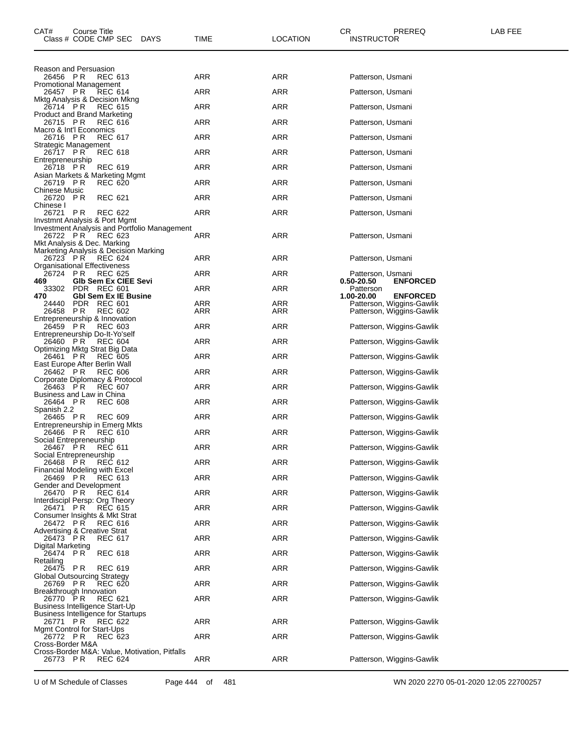| CAT#                                                | Course Title | Class # CODE CMP SEC                                        | DAYS                                          | TIME       | LOCATION   | CR.<br><b>INSTRUCTOR</b>        | PREREQ                                                 | LAB FEE |
|-----------------------------------------------------|--------------|-------------------------------------------------------------|-----------------------------------------------|------------|------------|---------------------------------|--------------------------------------------------------|---------|
| Reason and Persuasion<br>26456 PR                   |              | <b>REC 613</b>                                              |                                               | ARR        | ARR        | Patterson, Usmani               |                                                        |         |
| Promotional Management                              |              |                                                             |                                               |            |            |                                 |                                                        |         |
| 26457 PR                                            |              | REC 614<br>Mktg Analysis & Decision Mkng                    |                                               | ARR        | <b>ARR</b> | Patterson, Usmani               |                                                        |         |
| 26714 PR                                            |              | <b>REC 615</b><br>Product and Brand Marketing               |                                               | <b>ARR</b> | ARR        | Patterson, Usmani               |                                                        |         |
| 26715 PR<br>Macro & Int'l Economics                 |              | <b>REC 616</b>                                              |                                               | ARR        | <b>ARR</b> | Patterson, Usmani               |                                                        |         |
| 26716 PR                                            |              | <b>REC 617</b>                                              |                                               | ARR        | ARR        | Patterson, Usmani               |                                                        |         |
| Strategic Management<br>26717 PR                    |              | REC 618                                                     |                                               | ARR        | <b>ARR</b> | Patterson, Usmani               |                                                        |         |
| Entrepreneurship<br>26718 PR                        |              | REC 619                                                     |                                               | ARR        | ARR        | Patterson, Usmani               |                                                        |         |
| 26719 PR                                            |              | Asian Markets & Marketing Mgmt<br><b>REC 620</b>            |                                               | ARR        | ARR        | Patterson, Usmani               |                                                        |         |
| Chinese Music<br>26720 PR                           |              | <b>REC 621</b>                                              |                                               | <b>ARR</b> | ARR        | Patterson, Usmani               |                                                        |         |
| Chinese I<br>26721 PR                               |              | <b>REC 622</b>                                              |                                               | ARR        | ARR        | Patterson, Usmani               |                                                        |         |
|                                                     |              | Invstmnt Analysis & Port Mgmt                               | Investment Analysis and Portfolio Management  |            |            |                                 |                                                        |         |
| 26722 PR                                            |              | REC 623                                                     |                                               | ARR        | ARR        | Patterson, Usmani               |                                                        |         |
| Mkt Analysis & Dec. Marking                         |              | Marketing Analysis & Decision Marking                       |                                               |            |            |                                 |                                                        |         |
| 26723 PR<br>Organisational Effectiveness            |              | <b>REC 624</b>                                              |                                               | ARR        | ARR        | Patterson, Usmani               |                                                        |         |
| 26724 PR<br>469                                     |              | <b>REC 625</b><br>Glb Sem Ex CIEE Sevi                      |                                               | ARR        | ARR        | Patterson, Usmani<br>0.50-20.50 | <b>ENFORCED</b>                                        |         |
| 470                                                 |              | 33302 PDR REC 601<br><b>Gbl Sem Ex IE Busine</b>            |                                               | <b>ARR</b> | <b>ARR</b> | Patterson<br>1.00-20.00         | <b>ENFORCED</b>                                        |         |
| 24440<br>26458 PR                                   |              | PDR REC 601<br><b>REC 602</b>                               |                                               | ARR<br>ARR | ARR<br>ARR |                                 | Patterson, Wiggins-Gawlik<br>Patterson, Wiggins-Gawlik |         |
|                                                     |              | Entrepreneurship & Innovation                               |                                               | ARR        | ARR        |                                 |                                                        |         |
| 26459 PR                                            |              | REC 603<br>Entrepreneurship Do-It-Yo'self                   |                                               |            |            |                                 | Patterson, Wiggins-Gawlik                              |         |
| 26460 PR                                            |              | <b>REC 604</b><br>Optimizing Mktg Strat Big Data            |                                               | ARR        | ARR        |                                 | Patterson, Wiggins-Gawlik                              |         |
| 26461 PR<br>East Europe After Berlin Wall           |              | <b>REC 605</b>                                              |                                               | <b>ARR</b> | ARR        |                                 | Patterson, Wiggins-Gawlik                              |         |
| 26462 PR                                            |              | <b>REC 606</b><br>Corporate Diplomacy & Protocol            |                                               | ARR        | ARR        |                                 | Patterson, Wiggins-Gawlik                              |         |
| 26463 PR<br>Business and Law in China               |              | <b>REC 607</b>                                              |                                               | ARR        | ARR        |                                 | Patterson, Wiggins-Gawlik                              |         |
| 26464 PR<br>Spanish 2.2                             |              | <b>REC 608</b>                                              |                                               | ARR        | ARR        |                                 | Patterson, Wiggins-Gawlik                              |         |
| 26465 PR                                            |              | <b>REC 609</b><br>Entrepreneurship in Emerg Mkts            |                                               | ARR        | ARR        |                                 | Patterson, Wiggins-Gawlik                              |         |
| 26466 PR                                            |              | <b>REC 610</b>                                              |                                               | ARR        | ARR        |                                 | Patterson, Wiggins-Gawlik                              |         |
| Social Entrepreneurship<br>26467 PR                 |              | REC 611                                                     |                                               | <b>ARR</b> | <b>ARR</b> |                                 | Patterson, Wiggins-Gawlik                              |         |
| Social Entrepreneurship<br>26468 PR                 |              | REC 612                                                     |                                               | <b>ARR</b> | ARR        |                                 | Patterson, Wiggins-Gawlik                              |         |
| 26469 PR                                            |              | Financial Modeling with Excel<br><b>REC 613</b>             |                                               | <b>ARR</b> | <b>ARR</b> |                                 | Patterson, Wiggins-Gawlik                              |         |
| Gender and Development<br>26470 PR                  |              | REC 614                                                     |                                               | <b>ARR</b> | ARR        |                                 | Patterson, Wiggins-Gawlik                              |         |
| 26471 PR                                            |              | Interdiscipl Persp: Org Theory<br>REC 615                   |                                               | <b>ARR</b> | ARR        |                                 | Patterson, Wiggins-Gawlik                              |         |
| 26472 PR                                            |              | Consumer Insights & Mkt Strat<br><b>REC 616</b>             |                                               | <b>ARR</b> | ARR        |                                 | Patterson, Wiggins-Gawlik                              |         |
| <b>Advertising &amp; Creative Strat</b><br>26473 PR |              | REC 617                                                     |                                               | <b>ARR</b> | ARR        |                                 | Patterson, Wiggins-Gawlik                              |         |
| Digital Marketing                                   |              |                                                             |                                               |            |            |                                 |                                                        |         |
| 26474 PR<br>Retailing                               |              | <b>REC 618</b>                                              |                                               | <b>ARR</b> | ARR        |                                 | Patterson, Wiggins-Gawlik                              |         |
| 26475 PR<br>Global Outsourcing Strategy             |              | <b>REC 619</b>                                              |                                               | ARR        | <b>ARR</b> |                                 | Patterson, Wiggins-Gawlik                              |         |
| 26769 PR<br>Breakthrough Innovation                 |              | <b>REC 620</b>                                              |                                               | <b>ARR</b> | ARR        |                                 | Patterson, Wiggins-Gawlik                              |         |
| 26770 PR                                            |              | REC 621<br>Business Intelligence Start-Up                   |                                               | <b>ARR</b> | ARR        |                                 | Patterson, Wiggins-Gawlik                              |         |
| 26771 PR                                            |              | <b>Business Intelligence for Startups</b><br><b>REC 622</b> |                                               | <b>ARR</b> | ARR        |                                 | Patterson, Wiggins-Gawlik                              |         |
| Mgmt Control for Start-Ups                          |              |                                                             |                                               | <b>ARR</b> |            |                                 |                                                        |         |
| 26772 PR<br>Cross-Border M&A                        |              | <b>REC 623</b>                                              |                                               |            | ARR        |                                 | Patterson, Wiggins-Gawlik                              |         |
| 26773 PR                                            |              | <b>REC 624</b>                                              | Cross-Border M&A: Value, Motivation, Pitfalls | ARR        | ARR        |                                 | Patterson, Wiggins-Gawlik                              |         |

U of M Schedule of Classes Page 444 of 481 WN 2020 2270 05-01-2020 12:05 22700257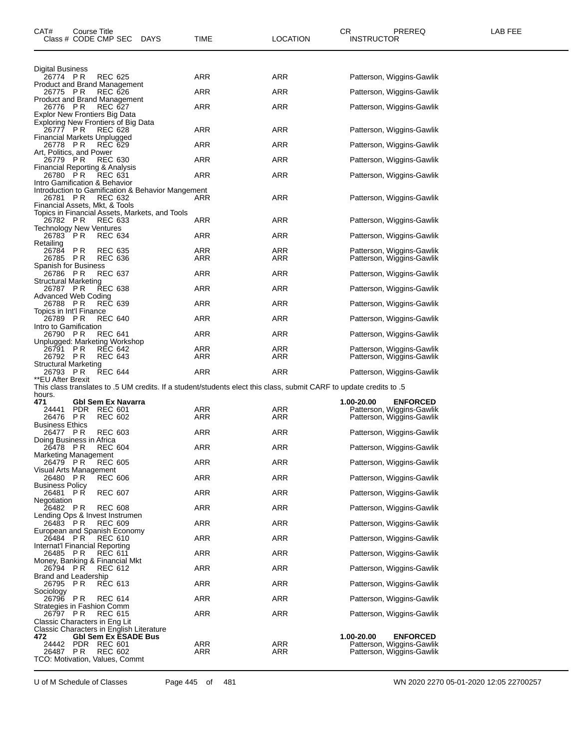| CAT#                                                                        | Course Title | Class # CODE CMP SEC             | DAYS                                              | TIME       | <b>LOCATION</b> | CR<br>PREREQ<br><b>INSTRUCTOR</b>                                                                                   | LAB FEE |
|-----------------------------------------------------------------------------|--------------|----------------------------------|---------------------------------------------------|------------|-----------------|---------------------------------------------------------------------------------------------------------------------|---------|
| Digital Business                                                            |              |                                  |                                                   |            |                 |                                                                                                                     |         |
| 26774 PR<br>Product and Brand Management                                    |              | <b>REC 625</b>                   |                                                   | ARR        | ARR             | Patterson, Wiggins-Gawlik                                                                                           |         |
| 26775 PR<br><b>Product and Brand Management</b>                             |              | <b>REC 626</b>                   |                                                   | ARR        | ARR             | Patterson, Wiggins-Gawlik                                                                                           |         |
| 26776 PR                                                                    |              | <b>REC 627</b>                   |                                                   | ARR        | ARR             | Patterson, Wiggins-Gawlik                                                                                           |         |
| Explor New Frontiers Big Data<br>Exploring New Frontiers of Big Data        |              |                                  |                                                   |            |                 |                                                                                                                     |         |
| 26777 PR<br>Financial Markets Unplugged                                     |              | <b>REC 628</b>                   |                                                   | ARR        | ARR             | Patterson, Wiggins-Gawlik                                                                                           |         |
| 26778 PR<br>Art, Politics, and Power                                        |              | REC 629                          |                                                   | ARR        | ARR             | Patterson, Wiggins-Gawlik                                                                                           |         |
| 26779 PR                                                                    |              | <b>REC 630</b>                   |                                                   | ARR        | ARR             | Patterson, Wiggins-Gawlik                                                                                           |         |
| Financial Reporting & Analysis<br>26780 PR                                  |              | <b>REC 631</b>                   |                                                   | ARR        | ARR             | Patterson, Wiggins-Gawlik                                                                                           |         |
| Intro Gamification & Behavior<br>26781 PR<br>Financial Assets, Mkt, & Tools |              | <b>REC 632</b>                   | Introduction to Gamification & Behavior Mangement | ARR        | ARR             | Patterson, Wiggins-Gawlik                                                                                           |         |
|                                                                             |              |                                  | Topics in Financial Assets, Markets, and Tools    | ARR        | ARR             |                                                                                                                     |         |
| 26782 PR<br><b>Technology New Ventures</b>                                  |              | <b>REC 633</b>                   |                                                   |            |                 | Patterson, Wiggins-Gawlik                                                                                           |         |
| 26783 PR<br>Retailing                                                       |              | <b>REC 634</b>                   |                                                   | ARR        | ARR             | Patterson, Wiggins-Gawlik                                                                                           |         |
| 26784<br>26785 PR                                                           | <b>PR</b>    | <b>REC 635</b><br><b>REC 636</b> |                                                   | ARR<br>ARR | ARR<br>ARR      | Patterson, Wiggins-Gawlik<br>Patterson, Wiggins-Gawlik                                                              |         |
| Spanish for Business                                                        |              | <b>REC 637</b>                   |                                                   | ARR        | <b>ARR</b>      |                                                                                                                     |         |
| 26786 PR<br><b>Structural Marketing</b>                                     |              |                                  |                                                   |            |                 | Patterson, Wiggins-Gawlik                                                                                           |         |
| 26787 PR<br>Advanced Web Coding                                             |              | <b>REC 638</b>                   |                                                   | ARR        | ARR             | Patterson, Wiggins-Gawlik                                                                                           |         |
| 26788 PR<br>Topics in Int'l Finance                                         |              | <b>REC 639</b>                   |                                                   | ARR        | ARR             | Patterson, Wiggins-Gawlik                                                                                           |         |
| 26789 PR<br>Intro to Gamification                                           |              | <b>REC 640</b>                   |                                                   | ARR        | ARR             | Patterson, Wiggins-Gawlik                                                                                           |         |
| 26790 PR                                                                    |              | <b>REC 641</b>                   |                                                   | ARR        | ARR             | Patterson, Wiggins-Gawlik                                                                                           |         |
| Unplugged: Marketing Workshop<br>26791                                      | P R          | <b>REC 642</b>                   |                                                   | ARR        | ARR             | Patterson, Wiggins-Gawlik                                                                                           |         |
| 26792 PR<br><b>Structural Marketing</b>                                     |              | <b>REC 643</b>                   |                                                   | ARR        | ARR             | Patterson, Wiggins-Gawlik                                                                                           |         |
| 26793 PR<br>**EU After Brexit                                               |              | <b>REC 644</b>                   |                                                   | ARR        | ARR             | Patterson, Wiggins-Gawlik                                                                                           |         |
| hours.                                                                      |              |                                  |                                                   |            |                 | 5. This class translates to .5 UM credits. If a student/students elect this class, submit CARF to update credits to |         |
| 471                                                                         |              | Gbl Sem Ex Navarra               |                                                   |            |                 | 1.00-20.00<br><b>ENFORCED</b>                                                                                       |         |
| 24441<br>26476 PR                                                           | PDR          | <b>REC 601</b><br><b>REC 602</b> |                                                   | ARR<br>ARR | ARR<br>ARR      | Patterson, Wiggins-Gawlik<br>Patterson, Wiggins-Gawlik                                                              |         |
| <b>Business Ethics</b><br>26477 PR                                          |              | <b>REC 603</b>                   |                                                   | ARR        | ARR             | Patterson, Wiggins-Gawlik                                                                                           |         |
| Doing Business in Africa<br>26478 PR                                        |              | <b>REC 604</b>                   |                                                   | ARR        | <b>ARR</b>      | Patterson, Wiggins-Gawlik                                                                                           |         |
| Marketing Management                                                        |              |                                  |                                                   |            |                 |                                                                                                                     |         |
| 26479 PR<br>Visual Arts Management                                          |              | <b>REC 605</b>                   |                                                   | <b>ARR</b> | ARR             | Patterson, Wiggins-Gawlik                                                                                           |         |
| 26480 PR<br><b>Business Policy</b>                                          |              | <b>REC 606</b>                   |                                                   | ARR        | ARR             | Patterson, Wiggins-Gawlik                                                                                           |         |
| 26481 PR<br>Negotiation                                                     |              | <b>REC 607</b>                   |                                                   | ARR        | ARR             | Patterson, Wiggins-Gawlik                                                                                           |         |
| 26482 PR<br>Lending Ops & Invest Instrumen                                  |              | <b>REC 608</b>                   |                                                   | ARR        | ARR             | Patterson, Wiggins-Gawlik                                                                                           |         |
| 26483 PR                                                                    |              | <b>REC 609</b>                   |                                                   | <b>ARR</b> | ARR             | Patterson, Wiggins-Gawlik                                                                                           |         |
| European and Spanish Economy<br>26484 PR                                    |              | <b>REC 610</b>                   |                                                   | ARR        | ARR             | Patterson, Wiggins-Gawlik                                                                                           |         |
| Internat'l Financial Reporting<br>26485                                     | P R          | REC 611                          |                                                   | ARR        | ARR             | Patterson, Wiggins-Gawlik                                                                                           |         |
| Money, Banking & Financial Mkt<br>26794 PR                                  |              | REC 612                          |                                                   | <b>ARR</b> | ARR             | Patterson, Wiggins-Gawlik                                                                                           |         |
| Brand and Leadership                                                        |              |                                  |                                                   |            |                 |                                                                                                                     |         |
| 26795 PR<br>Sociology                                                       |              | <b>REC 613</b>                   |                                                   | ARR        | ARR             | Patterson, Wiggins-Gawlik                                                                                           |         |
| 26796 PR<br>Strategies in Fashion Comm                                      |              | <b>REC 614</b>                   |                                                   | ARR        | ARR             | Patterson, Wiggins-Gawlik                                                                                           |         |
| 26797 PR<br>Classic Characters in Eng Lit                                   |              | REC 615                          |                                                   | ARR        | ARR             | Patterson, Wiggins-Gawlik                                                                                           |         |
|                                                                             |              |                                  | Classic Characters in English Literature          |            |                 |                                                                                                                     |         |
| 472<br>24442                                                                |              | PDR REC 601                      | <b>GbI Sem Ex ESADE Bus</b>                       | ARR        | ARR             | 1.00-20.00<br><b>ENFORCED</b><br>Patterson, Wiggins-Gawlik                                                          |         |
| 26487<br>TCO: Motivation, Values, Commt                                     | PR           | <b>REC 602</b>                   |                                                   | ARR        | ARR             | Patterson, Wiggins-Gawlik                                                                                           |         |

U of M Schedule of Classes Page 445 of 481 WN 2020 2270 05-01-2020 12:05 22700257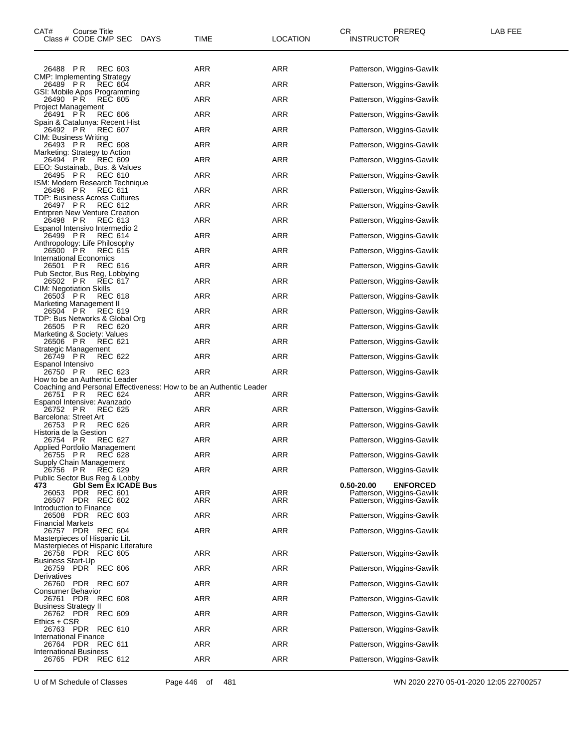| CAT#                                                                 | Course Title<br>Class # CODE CMP SEC |                           | <b>DAYS</b> | TIME                                                               | LOCATION   | CR.<br><b>INSTRUCTOR</b> | PREREQ                                                 | LAB FEE |
|----------------------------------------------------------------------|--------------------------------------|---------------------------|-------------|--------------------------------------------------------------------|------------|--------------------------|--------------------------------------------------------|---------|
| 26488                                                                | PR                                   | REC 603                   |             | ARR                                                                | ARR        |                          | Patterson, Wiggins-Gawlik                              |         |
| CMP: Implementing Strategy<br>26489 PR                               |                                      | <b>REC 604</b>            |             | <b>ARR</b>                                                         | <b>ARR</b> |                          | Patterson, Wiggins-Gawlik                              |         |
| GSI: Mobile Apps Programming<br>26490 PR                             |                                      | <b>REC 605</b>            |             | <b>ARR</b>                                                         | ARR        |                          | Patterson, Wiggins-Gawlik                              |         |
| Project Management<br>26491 PR                                       |                                      | <b>REC 606</b>            |             | ARR                                                                | <b>ARR</b> |                          | Patterson, Wiggins-Gawlik                              |         |
| Spain & Catalunya: Recent Hist<br>26492 PR                           |                                      | <b>REC 607</b>            |             | <b>ARR</b>                                                         | <b>ARR</b> |                          | Patterson, Wiggins-Gawlik                              |         |
| CIM: Business Writing<br>26493 PR                                    |                                      | <b>REC 608</b>            |             | ARR                                                                | <b>ARR</b> |                          |                                                        |         |
| Marketing: Strategy to Action                                        |                                      |                           |             |                                                                    |            |                          | Patterson, Wiggins-Gawlik                              |         |
| 26494 PR<br>EEO: Sustainab., Bus. & Values                           |                                      | <b>REC 609</b>            |             | <b>ARR</b>                                                         | ARR        |                          | Patterson, Wiggins-Gawlik                              |         |
| 26495 PR<br>ISM: Modern Research Technique                           |                                      | <b>REC 610</b>            |             | <b>ARR</b>                                                         | <b>ARR</b> |                          | Patterson, Wiggins-Gawlik                              |         |
| 26496 PR<br>TDP: Business Across Cultures                            |                                      | <b>REC 611</b>            |             | <b>ARR</b>                                                         | ARR        |                          | Patterson, Wiggins-Gawlik                              |         |
| 26497 PR<br>Entrpren New Venture Creation                            |                                      | <b>REC 612</b>            |             | ARR                                                                | <b>ARR</b> |                          | Patterson, Wiggins-Gawlik                              |         |
| 26498 PR<br>Espanol Intensivo Intermedio 2                           |                                      | REC 613                   |             | <b>ARR</b>                                                         | <b>ARR</b> |                          | Patterson, Wiggins-Gawlik                              |         |
| 26499 PR<br>Anthropology: Life Philosophy                            |                                      | REC 614                   |             | <b>ARR</b>                                                         | <b>ARR</b> |                          | Patterson, Wiggins-Gawlik                              |         |
| 26500 PR                                                             |                                      | REC 615                   |             | <b>ARR</b>                                                         | ARR        |                          | Patterson, Wiggins-Gawlik                              |         |
| <b>International Economics</b><br>26501 PR                           |                                      | <b>REC 616</b>            |             | <b>ARR</b>                                                         | <b>ARR</b> |                          | Patterson, Wiggins-Gawlik                              |         |
| Pub Sector, Bus Reg, Lobbying<br>26502 PR                            |                                      | REC 617                   |             | <b>ARR</b>                                                         | ARR        |                          | Patterson, Wiggins-Gawlik                              |         |
| CIM: Negotiation Skills<br>26503 PR                                  |                                      | REC 618                   |             | ARR                                                                | ARR        |                          | Patterson, Wiggins-Gawlik                              |         |
| Marketing Management II<br>26504 PR                                  |                                      | REC 619                   |             | <b>ARR</b>                                                         | <b>ARR</b> |                          | Patterson, Wiggins-Gawlik                              |         |
| TDP: Bus Networks & Global Org<br>26505 PR                           |                                      | <b>REC 620</b>            |             | <b>ARR</b>                                                         | ARR        |                          | Patterson, Wiggins-Gawlik                              |         |
| Marketing & Society: Values<br>26506 PR                              |                                      | <b>REC 621</b>            |             | <b>ARR</b>                                                         | ARR        |                          | Patterson, Wiggins-Gawlik                              |         |
| Strategic Management<br>26749 PR                                     |                                      | REC 622                   |             | ARR                                                                | ARR        |                          | Patterson, Wiggins-Gawlik                              |         |
| Espanol Intensivo<br>26750 PR                                        |                                      | REC 623                   |             | <b>ARR</b>                                                         | <b>ARR</b> |                          | Patterson, Wiggins-Gawlik                              |         |
| How to be an Authentic Leader                                        |                                      |                           |             | Coaching and Personal Effectiveness: How to be an Authentic Leader |            |                          |                                                        |         |
| 26751 PR                                                             |                                      | <b>REC 624</b>            |             | ARR                                                                | ARR        |                          | Patterson, Wiggins-Gawlik                              |         |
| Espanol Intensive: Avanzado<br>26752 PR                              |                                      | <b>REC 625</b>            |             | <b>ARR</b>                                                         | ARR        |                          | Patterson, Wiggins-Gawlik                              |         |
| Barcelona: Street Art<br>26753 PR                                    |                                      | <b>REC 626</b>            |             | <b>ARR</b>                                                         | <b>ARR</b> |                          | Patterson, Wiggins-Gawlik                              |         |
| Historia de la Gestion<br>26754 PR                                   |                                      | REC 627                   |             | <b>ARR</b>                                                         | ARR        |                          | Patterson, Wiggins-Gawlik                              |         |
| Applied Portfolio Management<br>26755 PR                             |                                      | <b>REC 628</b>            |             | ARR                                                                | ARR        |                          | Patterson, Wiggins-Gawlik                              |         |
| Supply Chain Management<br>26756                                     | P R                                  | REC 629                   |             | <b>ARR</b>                                                         | <b>ARR</b> |                          | Patterson, Wiggins-Gawlik                              |         |
| Public Sector Bus Reg & Lobby<br>473                                 | <b>GbI Sem Ex ICADE Bus</b>          |                           |             |                                                                    |            | 0.50-20.00               | <b>ENFORCED</b>                                        |         |
| 26053                                                                | PDR.<br>26507 PDR                    | REC 601<br><b>REC 602</b> |             | <b>ARR</b><br>ARR                                                  | ARR<br>ARR |                          | Patterson, Wiggins-Gawlik<br>Patterson, Wiggins-Gawlik |         |
| Introduction to Finance                                              | 26508 PDR REC 603                    |                           |             | <b>ARR</b>                                                         | <b>ARR</b> |                          | Patterson, Wiggins-Gawlik                              |         |
| Financial Markets                                                    | 26757 PDR REC 604                    |                           |             | <b>ARR</b>                                                         | <b>ARR</b> |                          | Patterson, Wiggins-Gawlik                              |         |
| Masterpieces of Hispanic Lit.<br>Masterpieces of Hispanic Literature |                                      |                           |             |                                                                    |            |                          |                                                        |         |
|                                                                      | 26758 PDR REC 605                    |                           |             | <b>ARR</b>                                                         | <b>ARR</b> |                          | Patterson, Wiggins-Gawlik                              |         |
| Business Start-Up                                                    | 26759 PDR REC 606                    |                           |             | <b>ARR</b>                                                         | <b>ARR</b> |                          | Patterson, Wiggins-Gawlik                              |         |
| Derivatives                                                          | 26760 PDR REC 607                    |                           |             | <b>ARR</b>                                                         | <b>ARR</b> |                          | Patterson, Wiggins-Gawlik                              |         |
| Consumer Behavior                                                    | 26761 PDR REC 608                    |                           |             | <b>ARR</b>                                                         | <b>ARR</b> |                          | Patterson, Wiggins-Gawlik                              |         |
| Business Strategy II                                                 | 26762 PDR REC 609                    |                           |             | <b>ARR</b>                                                         | <b>ARR</b> |                          | Patterson, Wiggins-Gawlik                              |         |
| Ethics + CSR                                                         | 26763 PDR REC 610                    |                           |             | <b>ARR</b>                                                         | <b>ARR</b> |                          | Patterson, Wiggins-Gawlik                              |         |
| International Finance                                                | 26764 PDR REC 611                    |                           |             | <b>ARR</b>                                                         | <b>ARR</b> |                          | Patterson, Wiggins-Gawlik                              |         |
| International Business                                               | 26765 PDR REC 612                    |                           |             | <b>ARR</b>                                                         | <b>ARR</b> |                          | Patterson, Wiggins-Gawlik                              |         |
|                                                                      |                                      |                           |             |                                                                    |            |                          |                                                        |         |

U of M Schedule of Classes Page 446 of 481 WN 2020 2270 05-01-2020 12:05 22700257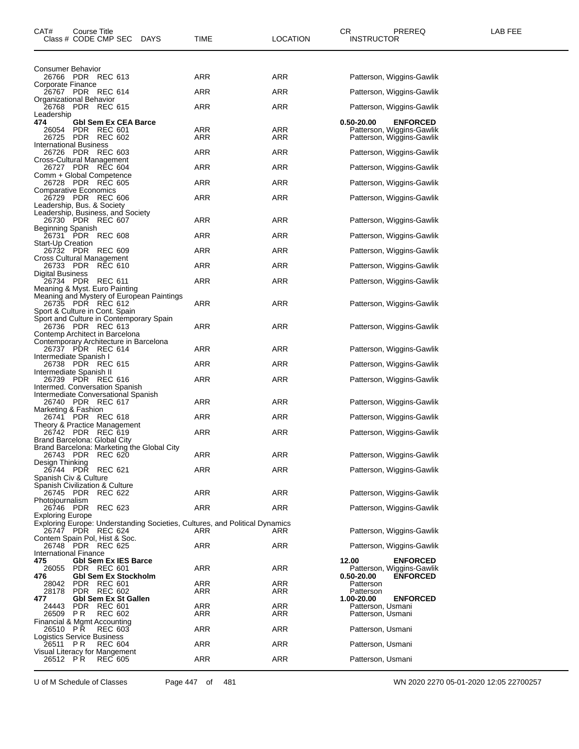| CAT#                                | Course Title<br>Class # CODE CMP SEC DAYS                                                        | TIME                                                                               | <b>LOCATION</b>   | CR.<br><b>INSTRUCTOR</b>               | <b>PREREQ</b>                                          | LAB FEE |
|-------------------------------------|--------------------------------------------------------------------------------------------------|------------------------------------------------------------------------------------|-------------------|----------------------------------------|--------------------------------------------------------|---------|
| Consumer Behavior                   |                                                                                                  |                                                                                    |                   |                                        |                                                        |         |
| Corporate Finance                   | 26766 PDR REC 613                                                                                | ARR                                                                                | ARR               |                                        | Patterson, Wiggins-Gawlik                              |         |
|                                     | 26767 PDR REC 614<br>Organizational Behavior                                                     | ARR                                                                                | ARR               |                                        | Patterson, Wiggins-Gawlik                              |         |
|                                     | 26768 PDR REC 615                                                                                | ARR                                                                                | ARR               |                                        | Patterson, Wiggins-Gawlik                              |         |
| Leadership<br>474                   | <b>Gbl Sem Ex CEA Barce</b>                                                                      |                                                                                    |                   | 0.50-20.00                             | <b>ENFORCED</b>                                        |         |
| 26054                               | PDR REC 601<br>26725 PDR REC 602                                                                 | ARR<br>ARR                                                                         | ARR<br>ARR        |                                        | Patterson, Wiggins-Gawlik<br>Patterson, Wiggins-Gawlik |         |
|                                     | <b>International Business</b><br>26726 PDR REC 603                                               | ARR                                                                                | ARR               |                                        | Patterson, Wiggins-Gawlik                              |         |
|                                     | Cross-Cultural Management<br>26727 PDR REC 604                                                   | ARR                                                                                | ARR               |                                        | Patterson, Wiggins-Gawlik                              |         |
|                                     | Comm + Global Competence<br>26728 PDR REC 605                                                    | <b>ARR</b>                                                                         | ARR               |                                        | Patterson, Wiggins-Gawlik                              |         |
|                                     | <b>Comparative Economics</b><br>26729 PDR REC 606                                                | ARR                                                                                | ARR               |                                        | Patterson, Wiggins-Gawlik                              |         |
|                                     | Leadership, Bus. & Society<br>Leadership, Business, and Society                                  |                                                                                    |                   |                                        |                                                        |         |
| Beginning Spanish                   | 26730 PDR REC 607                                                                                | ARR                                                                                | ARR               |                                        | Patterson, Wiggins-Gawlik                              |         |
| Start-Up Creation                   | 26731 PDR REC 608                                                                                | ARR                                                                                | ARR               |                                        | Patterson, Wiggins-Gawlik                              |         |
|                                     | 26732 PDR REC 609                                                                                | <b>ARR</b>                                                                         | ARR               |                                        | Patterson, Wiggins-Gawlik                              |         |
|                                     | Cross Cultural Management<br>26733 PDR REC 610                                                   | ARR                                                                                | ARR               |                                        | Patterson, Wiggins-Gawlik                              |         |
| Digital Business                    | 26734 PDR REC 611<br>Meaning & Myst. Euro Painting                                               | <b>ARR</b>                                                                         | ARR               |                                        | Patterson, Wiggins-Gawlik                              |         |
|                                     | Meaning and Mystery of European Paintings<br>26735 PDR REC 612<br>Sport & Culture in Cont. Spain | <b>ARR</b>                                                                         | ARR               |                                        | Patterson, Wiggins-Gawlik                              |         |
|                                     | Sport and Culture in Contemporary Spain<br>26736 PDR REC 613<br>Contemp Architect in Barcelona   | <b>ARR</b>                                                                         | ARR               |                                        | Patterson, Wiggins-Gawlik                              |         |
|                                     | Contemporary Architecture in Barcelona<br>26737 PDR REC 614<br>Intermediate Spanish I            | ARR                                                                                | ARR               |                                        | Patterson, Wiggins-Gawlik                              |         |
|                                     | 26738 PDR REC 615                                                                                | <b>ARR</b>                                                                         | ARR               |                                        | Patterson, Wiggins-Gawlik                              |         |
|                                     | Intermediate Spanish II<br>26739 PDR REC 616<br>Intermed. Conversation Spanish                   | ARR                                                                                | ARR               |                                        | Patterson, Wiggins-Gawlik                              |         |
| Marketing & Fashion                 | Intermediate Conversational Spanish<br>26740 PDR REC 617                                         | ARR                                                                                | ARR               |                                        | Patterson, Wiggins-Gawlik                              |         |
|                                     | 26741 PDR REC 618                                                                                | ARR                                                                                | ARR               |                                        | Patterson, Wiggins-Gawlik                              |         |
|                                     | Theory & Practice Management<br>26742 PDR REC 619                                                | <b>ARR</b>                                                                         | ARR               |                                        | Patterson, Wiggins-Gawlik                              |         |
|                                     | Brand Barcelona: Global City<br>Brand Barcelona: Marketing the Global City<br>26743 PDR REC 620  | <b>ARR</b>                                                                         | ARR               |                                        | Patterson, Wiggins-Gawlik                              |         |
| Design Thinking                     | 26744 PDR REC 621                                                                                | ARR                                                                                | ARR               |                                        | Patterson, Wiggins-Gawlik                              |         |
|                                     | Spanish Civ & Culture<br>Spanish Civilization & Culture                                          |                                                                                    |                   |                                        |                                                        |         |
|                                     | 26745 PDR REC 622                                                                                | ARR                                                                                | ARR               |                                        | Patterson, Wiggins-Gawlik                              |         |
| Photojournalism                     | 26746 PDR REC 623                                                                                | ARR                                                                                | ARR               |                                        | Patterson, Wiggins-Gawlik                              |         |
| Exploring Europe                    | 26747 PDR REC 624                                                                                | Exploring Europe: Understanding Societies, Cultures, and Political Dynamics<br>ARR | ARR               |                                        | Patterson, Wiggins-Gawlik                              |         |
|                                     | Contem Spain Pol, Hist & Soc.<br>26748 PDR REC 625                                               | <b>ARR</b>                                                                         | ARR               |                                        | Patterson, Wiggins-Gawlik                              |         |
| <b>International Finance</b><br>475 | <b>Gbl Sem Ex IES Barce</b>                                                                      |                                                                                    |                   | 12.00                                  | <b>ENFORCED</b>                                        |         |
| 26055<br>476                        | PDR REC 601<br>Gbl Sem Ex Stockholm                                                              | <b>ARR</b>                                                                         | ARR               | 0.50-20.00                             | Patterson, Wiggins-Gawlik<br><b>ENFORCED</b>           |         |
| 28042<br>28178                      | PDR REC 601<br>PDR REC 602                                                                       | ARR<br>ARR                                                                         | ARR<br>ARR        | Patterson<br>Patterson                 |                                                        |         |
| 477                                 | Gbl Sem Ex St Gallen                                                                             |                                                                                    |                   | 1.00-20.00                             | <b>ENFORCED</b>                                        |         |
| 24443<br>26509 PR                   | PDR REC 601<br><b>REC 602</b>                                                                    | ARR<br>ARR                                                                         | <b>ARR</b><br>ARR | Patterson, Usmani<br>Patterson, Usmani |                                                        |         |
| 26510 PR                            | Financial & Mgmt Accounting<br><b>REC 603</b>                                                    | <b>ARR</b>                                                                         | ARR               | Patterson, Usmani                      |                                                        |         |
| 26511 PR                            | Logistics Service Business<br><b>REC 604</b>                                                     | <b>ARR</b>                                                                         | ARR               | Patterson, Usmani                      |                                                        |         |
| 26512 PR                            | Visual Literacy for Mangement<br><b>REC 605</b>                                                  | <b>ARR</b>                                                                         | <b>ARR</b>        | Patterson, Usmani                      |                                                        |         |

U of M Schedule of Classes Page 447 of 481 WN 2020 2270 05-01-2020 12:05 22700257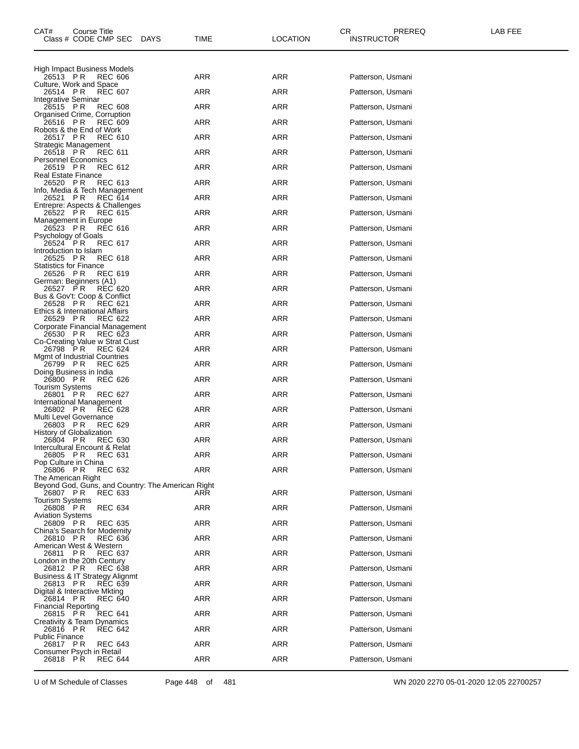| CAT#<br>Course Title<br>Class # CODE CMP SEC                             | <b>DAYS</b> | TIME       | LOCATION   | CR.<br>PREREQ<br><b>INSTRUCTOR</b> | LAB FEE |
|--------------------------------------------------------------------------|-------------|------------|------------|------------------------------------|---------|
| High Impact Business Models<br>26513 PR<br><b>REC 606</b>                |             | ARR        | ARR        | Patterson, Usmani                  |         |
| Culture, Work and Space<br><b>REC 607</b>                                |             | ARR        | ARR        |                                    |         |
| 26514 PR<br>Integrative Seminar                                          |             |            |            | Patterson, Usmani                  |         |
| 26515 PR<br><b>REC 608</b><br>Organised Crime, Corruption                |             | ARR        | ARR        | Patterson, Usmani                  |         |
| 26516 PR<br><b>REC 609</b><br>Robots & the End of Work                   |             | ARR        | ARR        | Patterson, Usmani                  |         |
| 26517 PR<br><b>REC 610</b><br>Strategic Management                       |             | ARR        | ARR        | Patterson, Usmani                  |         |
| 26518 PR<br><b>REC 611</b><br><b>Personnel Economics</b>                 |             | ARR        | ARR        | Patterson, Usmani                  |         |
| 26519 PR<br>REC 612<br>Real Estate Finance                               |             | ARR        | ARR        | Patterson, Usmani                  |         |
| P R<br><b>REC 613</b><br>26520<br>Info, Media & Tech Management          |             | ARR        | <b>ARR</b> | Patterson, Usmani                  |         |
| 26521 PR<br><b>REC 614</b>                                               |             | ARR        | ARR        | Patterson, Usmani                  |         |
| Entrepre: Aspects & Challenges<br>26522 PR<br>REC 615                    |             | ARR        | ARR        | Patterson, Usmani                  |         |
| Management in Europe<br><b>REC 616</b><br>26523 PR                       |             | ARR        | ARR        | Patterson, Usmani                  |         |
| Psychology of Goals<br>26524 PR<br><b>REC 617</b>                        |             | ARR        | ARR        | Patterson, Usmani                  |         |
| Introduction to Islam<br><b>REC 618</b><br>26525 PR                      |             | ARR        | ARR        | Patterson, Usmani                  |         |
| <b>Statistics for Finance</b><br>26526 PR<br><b>REC 619</b>              |             | ARR        | <b>ARR</b> | Patterson, Usmani                  |         |
| German: Beginners (A1)<br>26527 PR<br><b>REC 620</b>                     |             | ARR        | ARR        | Patterson, Usmani                  |         |
| Bus & Gov't: Coop & Conflict<br>26528 PR<br>REC 621                      |             | ARR        | ARR        | Patterson, Usmani                  |         |
| Ethics & International Affairs<br>P R<br>26529<br>REC 622                |             | ARR        | ARR        | Patterson, Usmani                  |         |
| Corporate Financial Management<br>26530 PR<br><b>REC 623</b>             |             | ARR        | ARR        | Patterson, Usmani                  |         |
| Co-Creating Value w Strat Cust<br>26798 PR<br>REC 624                    |             | ARR        | ARR        | Patterson, Usmani                  |         |
| Mgmt of Industrial Countries<br>26799 PR<br><b>REC 625</b>               |             | ARR        | <b>ARR</b> | Patterson, Usmani                  |         |
| Doing Business in India                                                  |             |            |            |                                    |         |
| 26800 PR<br><b>REC 626</b><br><b>Tourism Systems</b>                     |             | ARR        | ARR        | Patterson, Usmani                  |         |
| 26801 PR<br>REC 627<br>International Management                          |             | ARR        | ARR        | Patterson, Usmani                  |         |
| 26802 PR<br><b>REC 628</b><br>Multi Level Governance                     |             | ARR        | ARR        | Patterson, Usmani                  |         |
| 26803 PR<br><b>REC 629</b><br>History of Globalization                   |             | ARR        | ARR        | Patterson, Usmani                  |         |
| 26804 PR<br><b>REC 630</b><br>Intercultural Encount & Relat              |             | ARR        | ARR        | Patterson, Usmani                  |         |
| <b>REC 631</b><br>26805 PR<br>Pop Culture in China                       |             | ARR        | ARR        | Patterson, Usmani                  |         |
| <b>REC 632</b><br>26806<br>PR<br>The American Right                      |             | ARR        | ARR        | Patterson, Usmani                  |         |
| Beyond God, Guns, and Country: The American Right<br>26807 PR<br>REC 633 |             | ARR        | ARR        | Patterson, Usmani                  |         |
| <b>Tourism Systems</b><br>26808 PR<br><b>REC 634</b>                     |             | <b>ARR</b> | ARR        | Patterson, Usmani                  |         |
| <b>Aviation Systems</b><br>26809 PR<br><b>REC 635</b>                    |             | ARR        | ARR        | Patterson, Usmani                  |         |
| China's Search for Modernity<br>26810 PR<br><b>REC 636</b>               |             | ARR        | ARR        | Patterson, Usmani                  |         |
| American West & Western<br>26811                                         |             |            |            |                                    |         |
| P R<br>REC 637<br>London in the 20th Century                             |             | <b>ARR</b> | ARR        | Patterson, Usmani                  |         |
| 26812 PR<br><b>REC 638</b><br>Business & IT Strategy Alignmt             |             | ARR        | <b>ARR</b> | Patterson, Usmani                  |         |
| 26813 PR<br><b>REC 639</b><br>Digital & Interactive Mkting               |             | ARR        | ARR        | Patterson, Usmani                  |         |
| 26814 PR<br><b>REC 640</b><br><b>Financial Reporting</b>                 |             | <b>ARR</b> | ARR        | Patterson, Usmani                  |         |
| 26815 PR<br><b>REC 641</b><br>Creativity & Team Dynamics                 |             | ARR        | <b>ARR</b> | Patterson, Usmani                  |         |
| 26816 PR<br><b>REC 642</b><br><b>Public Finance</b>                      |             | ARR        | ARR        | Patterson, Usmani                  |         |
| 26817 PR<br>REC 643<br>Consumer Psych in Retail                          |             | <b>ARR</b> | ARR        | Patterson, Usmani                  |         |
| <b>REC 644</b><br>26818 PR                                               |             | <b>ARR</b> | ARR        | Patterson, Usmani                  |         |

U of M Schedule of Classes Page 448 of 481 WN 2020 2270 05-01-2020 12:05 22700257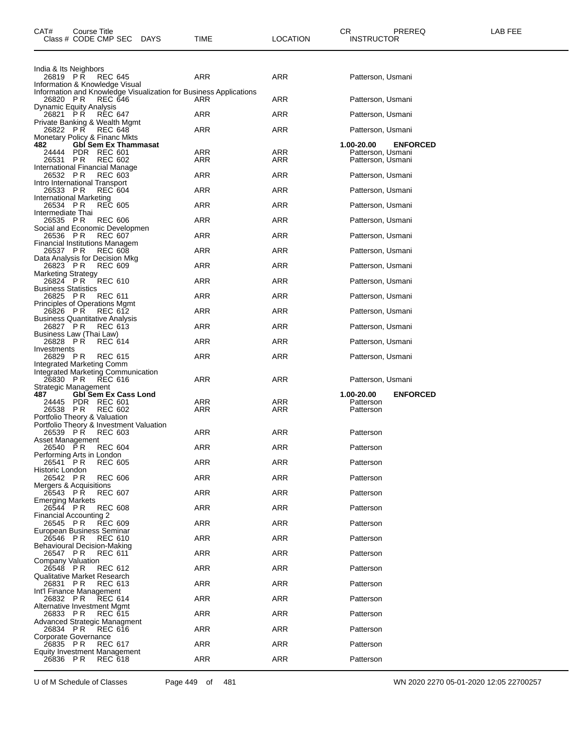| CAT# | Course Title<br>Class # CODE CMP SEC | <b>DAYS</b> | <b>TIME</b> | <b>OCATION</b> | СR<br><b>INSTRUCTOR</b> | PREREQ | ---<br>ΔR<br>--- |
|------|--------------------------------------|-------------|-------------|----------------|-------------------------|--------|------------------|
|      |                                      |             |             |                |                         |        |                  |

| India & Its Neighbors<br>26819 PR<br><b>REC 645</b>                                                 | ARR        | ARR        | Patterson, Usmani             |
|-----------------------------------------------------------------------------------------------------|------------|------------|-------------------------------|
| Information & Knowledge Visual<br>Information and Knowledge Visualization for Business Applications |            |            |                               |
| 26820 PR<br><b>REC 646</b><br>Dynamic Equity Analysis                                               | ARR        | ARR        | Patterson, Usmani             |
| 26821 PR<br><b>REC 647</b>                                                                          | ARR        | <b>ARR</b> | Patterson, Usmani             |
| Private Banking & Wealth Mgmt<br>26822 PR<br>REC 648                                                | ARR        | ARR        | Patterson, Usmani             |
| Monetary Policy & Financ Mkts<br><b>Gbl Sem Ex Thammasat</b><br>482                                 |            |            | 1.00-20.00<br><b>ENFORCED</b> |
| PDR REC 601<br>24444                                                                                | ARR        | ARR        | Patterson, Usmani             |
| 26531 PR<br><b>REC 602</b><br>International Financial Manage                                        | ARR        | ARR        | Patterson, Usmani             |
| 26532 PR<br>REC 603<br>Intro International Transport                                                | ARR        | ARR        | Patterson, Usmani             |
| 26533 PR<br><b>REC 604</b><br>International Marketing                                               | ARR        | ARR        | Patterson, Usmani             |
| 26534 PR<br><b>REC 605</b>                                                                          | <b>ARR</b> | <b>ARR</b> | Patterson, Usmani             |
| Intermediate Thai<br>26535 PR<br><b>REC 606</b>                                                     | ARR        | ARR        | Patterson, Usmani             |
| Social and Economic Developmen<br>26536 PR<br><b>REC 607</b>                                        | ARR        | ARR        | Patterson, Usmani             |
| Financial Institutions Managem<br>26537 PR<br><b>REC 608</b>                                        | ARR        | ARR        | Patterson, Usmani             |
| Data Analysis for Decision Mkg<br>26823 PR<br><b>REC 609</b>                                        | ARR        | ARR        | Patterson, Usmani             |
| <b>Marketing Strategy</b>                                                                           |            |            |                               |
| <b>REC 610</b><br>26824 PR<br><b>Business Statistics</b>                                            | ARR        | ARR        | Patterson, Usmani             |
| 26825 PR<br><b>REC 611</b><br>Principles of Operations Mgmt                                         | ARR        | <b>ARR</b> | Patterson, Usmani             |
| 26826 PR<br>REC 612<br><b>Business Quantitative Analysis</b>                                        | ARR        | ARR        | Patterson, Usmani             |
| 26827 PR<br><b>REC 613</b><br>Business Law (Thai Law)                                               | <b>ARR</b> | ARR        | Patterson, Usmani             |
| 26828 PR<br><b>REC 614</b>                                                                          | ARR        | ARR        | Patterson, Usmani             |
| Investments<br>26829 PR<br>REC 615                                                                  | ARR        | ARR        | Patterson, Usmani             |
| Integrated Marketing Comm                                                                           |            |            |                               |
| Integrated Marketing Communication                                                                  |            |            |                               |
| 26830 PR<br>REC 616                                                                                 | ARR        | ARR        | Patterson, Usmani             |
| Strategic Management<br>487<br><b>GbI Sem Ex Cass Lond</b>                                          |            |            | 1.00-20.00<br><b>ENFORCED</b> |
| PDR REC 601<br>24445<br>26538 PR<br><b>REC 602</b>                                                  | ARR<br>ARR | ARR<br>ARR | Patterson<br>Patterson        |
| Portfolio Theory & Valuation                                                                        |            |            |                               |
| Portfolio Theory & Investment Valuation<br>26539 PR<br><b>REC 603</b>                               | ARR        | ARR        | Patterson                     |
| Asset Management<br>26540 PR<br><b>REC 604</b>                                                      | ARR        | ARR        | Patterson                     |
| Performing Arts in London<br><b>REC 605</b><br>26541 PR                                             | ARR        | ARR        | Patterson                     |
| Historic London<br>26542 PR<br><b>REC 606</b>                                                       | ARR        | ARR        | Patterson                     |
| Mergers & Acquisitions                                                                              |            |            |                               |
| 26543 PR<br><b>REC 607</b><br><b>Emerging Markets</b>                                               | ARR        | ARR        | Patterson                     |
| 26544 PR<br><b>REC 608</b><br>Financial Accounting 2                                                | ARR        | ARR        | Patterson                     |
| 26545 PR<br><b>REC 609</b><br>European Business Seminar                                             | ARR        | ARR        | Patterson                     |
| 26546 PR<br>REC 610<br>Behavioural Decision-Making                                                  | ARR        | ARR        | Patterson                     |
| 26547 PR<br>REC 611<br>Company Valuation                                                            | ARR        | ARR        | Patterson                     |
| 26548 PR<br><b>REC 612</b><br><b>Qualitative Market Research</b>                                    | ARR        | ARR        | Patterson                     |
| 26831 PR<br>REC 613                                                                                 | ARR        | ARR        | Patterson                     |
| Int'l Finance Management<br><b>REC 614</b><br>26832 PR                                              | ARR        | ARR        | Patterson                     |
| Alternative Investment Mgmt<br>26833 PR<br><b>REC 615</b>                                           | ARR        | ARR        | Patterson                     |
| Advanced Strategic Managment<br>26834 PR<br><b>REC 616</b>                                          | ARR        | ARR        | Patterson                     |
| Corporate Governance<br><b>REC 617</b><br>26835 PR                                                  | ARR        | ARR        | Patterson                     |
| Equity Investment Management<br>26836 PR<br><b>REC 618</b>                                          | ARR        | ARR        | Patterson                     |

U of M Schedule of Classes Page 449 of 481 WN 2020 2270 05-01-2020 12:05 22700257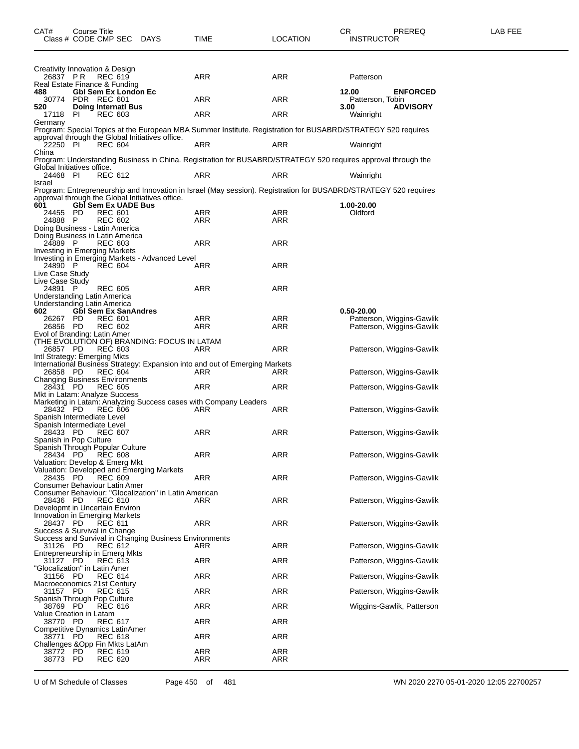| 26837 PR                                                 |                   | Creativity Innovation & Design<br><b>REC 619</b>                                                             | <b>ARR</b>        | ARR        | Patterson                                                                                                        |  |
|----------------------------------------------------------|-------------------|--------------------------------------------------------------------------------------------------------------|-------------------|------------|------------------------------------------------------------------------------------------------------------------|--|
| 488                                                      |                   | Real Estate Finance & Funding<br><b>GbI Sem Ex London Ec</b>                                                 |                   |            | 12.00<br><b>ENFORCED</b>                                                                                         |  |
|                                                          | 30774 PDR REC 601 |                                                                                                              | <b>ARR</b>        | <b>ARR</b> | Patterson, Tobin                                                                                                 |  |
| 520<br>17118 PI                                          |                   | <b>Doing Internati Bus</b><br><b>REC 603</b>                                                                 | ARR               | ARR        | <b>ADVISORY</b><br>3.00<br>Wainright                                                                             |  |
| Germany                                                  |                   |                                                                                                              |                   |            |                                                                                                                  |  |
|                                                          |                   | Program: Special Topics at the European MBA Summer Institute. Registration for BUSABRD/STRATEGY 520 requires |                   |            |                                                                                                                  |  |
| 22250 PI                                                 |                   | approval through the Global Initiatives office.<br><b>REC 604</b>                                            | ARR               | <b>ARR</b> | Wainright                                                                                                        |  |
| China                                                    |                   |                                                                                                              |                   |            |                                                                                                                  |  |
| Global Initiatives office.                               |                   |                                                                                                              |                   |            | Program: Understanding Business in China. Registration for BUSABRD/STRATEGY 520 requires approval through the    |  |
| 24468 PI                                                 |                   | <b>REC 612</b>                                                                                               | <b>ARR</b>        | ARR        | Wainright                                                                                                        |  |
| Israel                                                   |                   |                                                                                                              |                   |            | Program: Entrepreneurship and Innovation in Israel (May session). Registration for BUSABRD/STRATEGY 520 requires |  |
|                                                          |                   | approval through the Global Initiatives office.                                                              |                   |            |                                                                                                                  |  |
| 601<br>24455 PD                                          |                   | <b>GbI Sem Ex UADE Bus</b><br><b>REC 601</b>                                                                 | ARR               | ARR        | 1.00-20.00<br>Oldford                                                                                            |  |
| 24888 P                                                  |                   | <b>REC 602</b>                                                                                               | <b>ARR</b>        | ARR        |                                                                                                                  |  |
|                                                          |                   | Doing Business - Latin America                                                                               |                   |            |                                                                                                                  |  |
| 24889 P                                                  |                   | Doing Business in Latin America<br>REC 603                                                                   | ARR               | ARR        |                                                                                                                  |  |
| Investing in Emerging Markets                            |                   |                                                                                                              |                   |            |                                                                                                                  |  |
| 24890 P                                                  |                   | Investing in Emerging Markets - Advanced Level<br><b>REC 604</b>                                             | ARR               | ARR        |                                                                                                                  |  |
| Live Case Study                                          |                   |                                                                                                              |                   |            |                                                                                                                  |  |
| Live Case Study                                          |                   |                                                                                                              |                   |            |                                                                                                                  |  |
| 24891 P<br>Understanding Latin America                   |                   | <b>REC 605</b>                                                                                               | ARR               | <b>ARR</b> |                                                                                                                  |  |
| Understanding Latin America                              |                   |                                                                                                              |                   |            |                                                                                                                  |  |
| 602<br>26267 PD                                          |                   | Gbl Sem Ex SanAndres<br><b>REC 601</b>                                                                       |                   | ARR        | 0.50-20.00                                                                                                       |  |
| 26856 PD                                                 |                   | <b>REC 602</b>                                                                                               | ARR<br>ARR        | ARR        | Patterson, Wiggins-Gawlik<br>Patterson, Wiggins-Gawlik                                                           |  |
| Evol of Branding: Latin Amer                             |                   |                                                                                                              |                   |            |                                                                                                                  |  |
| 26857 PD                                                 |                   | (THE EVOLUTION OF) BRANDING: FOCUS IN LATAM<br><b>REC 603</b>                                                | ARR               | ARR        | Patterson, Wiggins-Gawlik                                                                                        |  |
| Intl Strategy: Emerging Mkts                             |                   |                                                                                                              |                   |            |                                                                                                                  |  |
| 26858 PD                                                 |                   | International Business Strategy: Expansion into and out of Emerging Markets<br><b>REC 604</b>                | ARR               | ARR        | Patterson, Wiggins-Gawlik                                                                                        |  |
|                                                          |                   | <b>Changing Business Environments</b>                                                                        |                   |            |                                                                                                                  |  |
| 28431 PD                                                 |                   | <b>REC 605</b>                                                                                               | ARR               | ARR        | Patterson, Wiggins-Gawlik                                                                                        |  |
|                                                          |                   | Mkt in Latam: Analyze Success<br>Marketing in Latam: Analyzing Success cases with Company Leaders            |                   |            |                                                                                                                  |  |
| 28432 PD                                                 |                   | <b>REC 606</b>                                                                                               | ARR               | ARR        | Patterson, Wiggins-Gawlik                                                                                        |  |
| Spanish Intermediate Level<br>Spanish Intermediate Level |                   |                                                                                                              |                   |            |                                                                                                                  |  |
| 28433 PD                                                 |                   | <b>REC 607</b>                                                                                               | ARR               | ARR        | Patterson, Wiggins-Gawlik                                                                                        |  |
| Spanish in Pop Culture                                   |                   |                                                                                                              |                   |            |                                                                                                                  |  |
| 28434 PD                                                 |                   | Spanish Through Popular Culture<br><b>REC 608</b>                                                            | ARR               | ARR        | Patterson, Wiggins-Gawlik                                                                                        |  |
|                                                          |                   | Valuation: Develop & Emerg Mkt                                                                               |                   |            |                                                                                                                  |  |
| 28435 PD                                                 |                   | Valuation: Developed and Emerging Markets<br><b>REC 609</b>                                                  | ARR               | ARR        | Patterson, Wiggins-Gawlik                                                                                        |  |
|                                                          |                   | Consumer Behaviour Latin Amer                                                                                |                   |            |                                                                                                                  |  |
|                                                          |                   | Consumer Behaviour: "Glocalization" in Latin American                                                        |                   |            |                                                                                                                  |  |
| 28436 PD                                                 |                   | <b>REC 610</b><br>Developmt in Uncertain Environ                                                             | ARR               | ARR        | Patterson, Wiggins-Gawlik                                                                                        |  |
|                                                          |                   | Innovation in Emerging Markets                                                                               |                   |            |                                                                                                                  |  |
| 28437 PD<br>Success & Survival in Change                 |                   | REC 611                                                                                                      | ARR               | ARR        | Patterson, Wiggins-Gawlik                                                                                        |  |
|                                                          |                   | Success and Survival in Changing Business Environments                                                       |                   |            |                                                                                                                  |  |
| 31126 PD                                                 |                   | <b>REC 612</b><br>Entrepreneurship in Emerg Mkts                                                             | ARR               | ARR        | Patterson, Wiggins-Gawlik                                                                                        |  |
| 31127 PD                                                 |                   | REC 613                                                                                                      | <b>ARR</b>        | ARR        | Patterson, Wiggins-Gawlik                                                                                        |  |
| "Glocalization" in Latin Amer                            |                   |                                                                                                              |                   |            |                                                                                                                  |  |
| 31156                                                    | <b>PD</b>         | REC 614<br>Macroeconomics 21st Century                                                                       | ARR               | ARR        | Patterson, Wiggins-Gawlik                                                                                        |  |
| 31157                                                    | PD.               | <b>REC 615</b>                                                                                               | <b>ARR</b>        | ARR        | Patterson, Wiggins-Gawlik                                                                                        |  |
| Spanish Through Pop Culture<br>38769 PD                  |                   | REC 616                                                                                                      | <b>ARR</b>        | ARR        | Wiggins-Gawlik, Patterson                                                                                        |  |
| Value Creation in Latam                                  |                   |                                                                                                              |                   |            |                                                                                                                  |  |
| 38770 PD                                                 |                   | <b>REC 617</b>                                                                                               | ARR               | <b>ARR</b> |                                                                                                                  |  |
| 38771                                                    | - PD              | Competitive Dynamics LatinAmer<br><b>REC 618</b>                                                             | ARR               | <b>ARR</b> |                                                                                                                  |  |
|                                                          |                   | Challenges & Opp Fin Mkts LatAm                                                                              |                   |            |                                                                                                                  |  |
| 38772 PD<br>38773 PD                                     |                   | REC 619<br><b>REC 620</b>                                                                                    | <b>ARR</b><br>ARR | ARR<br>ARR |                                                                                                                  |  |
|                                                          |                   |                                                                                                              |                   |            |                                                                                                                  |  |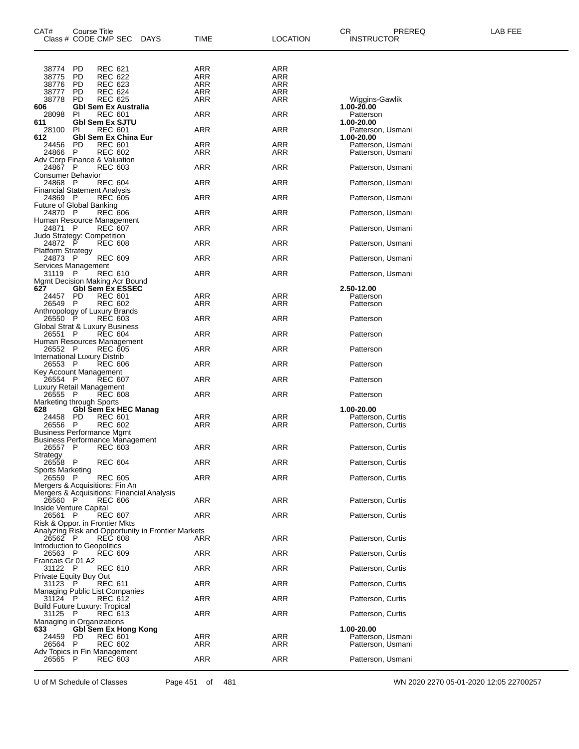| CAT#                                        | Course Title | Class # CODE CMP SEC                                                         | <b>DAYS</b>                                        | TIME              | LOCATION   | CR.<br>PREREQ<br><b>INSTRUCTOR</b>     | LAB FEE |
|---------------------------------------------|--------------|------------------------------------------------------------------------------|----------------------------------------------------|-------------------|------------|----------------------------------------|---------|
| 38774                                       | PD           | <b>REC 621</b>                                                               |                                                    | ARR               | ARR        |                                        |         |
| 38775<br>38776                              | PD<br>PD     | <b>REC 622</b><br>REC 623                                                    |                                                    | <b>ARR</b><br>ARR | ARR<br>ARR |                                        |         |
| 38777                                       | PD           | <b>REC 624</b>                                                               |                                                    | ARR               | <b>ARR</b> |                                        |         |
| 38778                                       | <b>PD</b>    | <b>REC 625</b>                                                               |                                                    | ARR               | <b>ARR</b> | Wiggins-Gawlik                         |         |
| 606                                         |              | <b>Gbl Sem Ex Australia</b>                                                  |                                                    |                   |            | 1.00-20.00                             |         |
| 28098<br>611                                | PI           | <b>REC 601</b><br><b>GbI Sem Ex SJTU</b>                                     |                                                    | ARR               | ARR        | Patterson<br>1.00-20.00                |         |
| 28100                                       | PI           | <b>REC 601</b>                                                               |                                                    | ARR               | ARR        | Patterson, Usmani                      |         |
| 612                                         |              | <b>Gbl Sem Ex China Eur</b>                                                  |                                                    |                   |            | 1.00-20.00                             |         |
| 24456<br>24866                              | PD<br>- P    | <b>REC 601</b><br><b>REC 602</b>                                             |                                                    | ARR<br>ARR        | ARR<br>ARR | Patterson, Usmani<br>Patterson, Usmani |         |
|                                             |              | Adv Corp Finance & Valuation                                                 |                                                    |                   |            |                                        |         |
| 24867 P                                     |              | <b>REC 603</b>                                                               |                                                    | ARR               | ARR        | Patterson, Usmani                      |         |
| Consumer Behavior<br>24868 P                |              | <b>REC 604</b>                                                               |                                                    | ARR               | ARR        | Patterson, Usmani                      |         |
| <b>Financial Statement Analysis</b>         |              |                                                                              |                                                    |                   |            |                                        |         |
| 24869 P                                     |              | <b>REC 605</b>                                                               |                                                    | ARR               | ARR        | Patterson, Usmani                      |         |
| Future of Global Banking<br>24870 P         |              |                                                                              |                                                    |                   |            |                                        |         |
|                                             |              | <b>REC 606</b><br>Human Resource Management                                  |                                                    | ARR               | ARR        | Patterson, Usmani                      |         |
| 24871 P                                     |              | <b>REC 607</b>                                                               |                                                    | ARR               | ARR        | Patterson, Usmani                      |         |
| Judo Strategy: Competition                  |              |                                                                              |                                                    |                   |            |                                        |         |
| 24872<br><b>Platform Strategy</b>           | P            | <b>REC 608</b>                                                               |                                                    | ARR               | ARR        | Patterson, Usmani                      |         |
| 24873 P                                     |              | <b>REC 609</b>                                                               |                                                    | ARR               | ARR        | Patterson, Usmani                      |         |
| Services Management                         |              |                                                                              |                                                    |                   |            |                                        |         |
| 31119 P                                     |              | <b>REC 610</b><br>Mgmt Decision Making Acr Bound                             |                                                    | ARR               | ARR        | Patterson, Usmani                      |         |
| 627                                         |              | <b>GbI Sem Ex ESSEC</b>                                                      |                                                    |                   |            | 2.50-12.00                             |         |
| 24457                                       | PD           | <b>REC 601</b>                                                               |                                                    | ARR               | ARR        | Patterson                              |         |
| 26549                                       | - P          | <b>REC 602</b><br>Anthropology of Luxury Brands                              |                                                    | ARR               | ARR        | Patterson                              |         |
| 26550 P                                     |              | <b>REC 603</b>                                                               |                                                    | ARR               | ARR        | Patterson                              |         |
|                                             |              | Global Strat & Luxury Business                                               |                                                    |                   |            |                                        |         |
| 26551 P                                     |              | <b>REC 604</b><br>Human Resources Management                                 |                                                    | ARR               | ARR        | Patterson                              |         |
| 26552 P                                     |              | <b>REC 605</b>                                                               |                                                    | ARR               | ARR        | Patterson                              |         |
| International Luxury Distrib                |              |                                                                              |                                                    |                   |            |                                        |         |
| 26553 P<br>Key Account Management           |              | <b>REC 606</b>                                                               |                                                    | ARR               | ARR        | Patterson                              |         |
| 26554 P                                     |              | <b>REC 607</b>                                                               |                                                    | ARR               | ARR        | Patterson                              |         |
| Luxury Retail Management                    |              |                                                                              |                                                    |                   |            |                                        |         |
| 26555 P<br>Marketing through Sports         |              | <b>REC 608</b>                                                               |                                                    | ARR               | ARR        | Patterson                              |         |
| 628                                         |              | <b>Gbl Sem Ex HEC Manag</b>                                                  |                                                    |                   |            | 1.00-20.00                             |         |
| 24458 PD                                    |              | <b>REC 601</b>                                                               |                                                    | ARR               | ARR        | Patterson, Curtis                      |         |
| 26556 P<br><b>Business Performance Mgmt</b> |              | REC 602                                                                      |                                                    | ARR               | ARR        | Patterson, Curtis                      |         |
|                                             |              | <b>Business Performance Management</b>                                       |                                                    |                   |            |                                        |         |
| 26557 P                                     |              | REC 603                                                                      |                                                    | <b>ARR</b>        | ARR        | Patterson, Curtis                      |         |
| Strategy<br>26558 P                         |              | <b>REC 604</b>                                                               |                                                    | ARR               | ARR        | Patterson, Curtis                      |         |
| Sports Marketing                            |              |                                                                              |                                                    |                   |            |                                        |         |
| 26559 P                                     |              | <b>REC 605</b>                                                               |                                                    | ARR               | ARR        | Patterson, Curtis                      |         |
|                                             |              | Mergers & Acquisitions: Fin An<br>Mergers & Acquisitions: Financial Analysis |                                                    |                   |            |                                        |         |
| 26560 P                                     |              | <b>REC 606</b>                                                               |                                                    | ARR               | ARR        | Patterson, Curtis                      |         |
| Inside Venture Capital                      |              |                                                                              |                                                    |                   |            |                                        |         |
| 26561 P                                     |              | <b>REC 607</b><br>Risk & Oppor. in Frontier Mkts                             |                                                    | <b>ARR</b>        | ARR        | Patterson, Curtis                      |         |
|                                             |              |                                                                              | Analyzing Risk and Opportunity in Frontier Markets |                   |            |                                        |         |
| 26562 P                                     |              | <b>REC 608</b>                                                               |                                                    | ARR               | ARR        | Patterson, Curtis                      |         |
| Introduction to Geopolitics<br>26563 P      |              | <b>REC 609</b>                                                               |                                                    | ARR               | <b>ARR</b> | Patterson, Curtis                      |         |
| Francais Gr 01 A2                           |              |                                                                              |                                                    |                   |            |                                        |         |
| 31122 P                                     |              | <b>REC 610</b>                                                               |                                                    | ARR               | ARR        | Patterson, Curtis                      |         |
| Private Equity Buy Out<br>31123 P           |              |                                                                              |                                                    | ARR               | ARR        | Patterson, Curtis                      |         |
|                                             |              | REC 611<br>Managing Public List Companies                                    |                                                    |                   |            |                                        |         |
| 31124 P                                     |              | REC 612                                                                      |                                                    | ARR               | ARR        | Patterson, Curtis                      |         |
| <b>Build Future Luxury: Tropical</b>        |              |                                                                              |                                                    |                   |            |                                        |         |
| 31125 P<br>Managing in Organizations        |              | <b>REC 613</b>                                                               |                                                    | ARR               | ARR        | Patterson, Curtis                      |         |
| 633                                         |              | <b>Gbl Sem Ex Hong Kong</b>                                                  |                                                    |                   |            | 1.00-20.00                             |         |
| 24459                                       | PD.          | <b>REC 601</b>                                                               |                                                    | ARR               | ARR        | Patterson, Usmani                      |         |
| 26564                                       | P.           | <b>REC 602</b><br>Adv Topics in Fin Management                               |                                                    | ARR               | ARR        | Patterson, Usmani                      |         |
| 26565                                       | P.           | <b>REC 603</b>                                                               |                                                    | ARR               | <b>ARR</b> | Patterson, Usmani                      |         |
|                                             |              |                                                                              |                                                    |                   |            |                                        |         |

U of M Schedule of Classes Page 451 of 481 WN 2020 2270 05-01-2020 12:05 22700257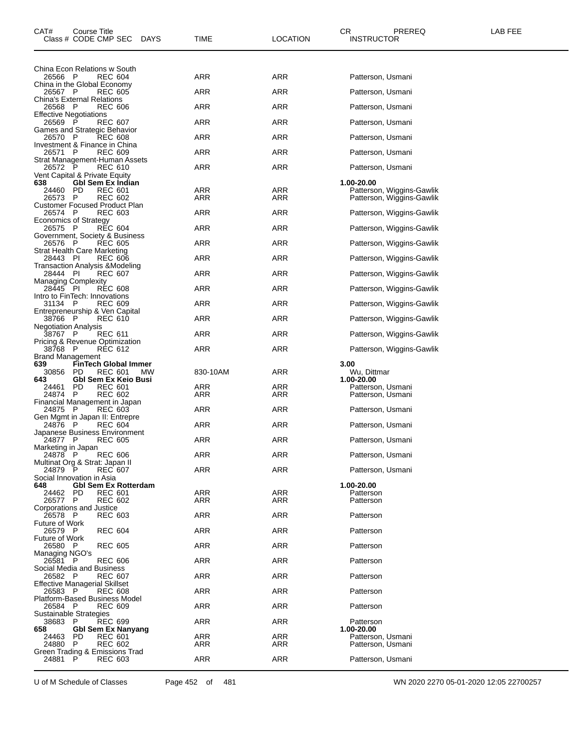| CAT#<br>Course Title<br>Class # CODE CMP SEC<br>DAYS                                    | TIME              | <b>LOCATION</b>   | CR<br>PREREQ<br><b>INSTRUCTOR</b>                      | LAB FEE |
|-----------------------------------------------------------------------------------------|-------------------|-------------------|--------------------------------------------------------|---------|
|                                                                                         |                   |                   |                                                        |         |
| China Econ Relations w South<br>26566 P<br><b>REC 604</b>                               | ARR               | ARR               | Patterson, Usmani                                      |         |
| China in the Global Economy                                                             |                   |                   |                                                        |         |
| 26567 P<br><b>REC 605</b><br>China's External Relations                                 | ARR               | <b>ARR</b>        | Patterson, Usmani                                      |         |
| 26568 P<br><b>REC 606</b><br><b>Effective Negotiations</b>                              | ARR               | <b>ARR</b>        | Patterson, Usmani                                      |         |
| 26569<br><b>REC 607</b><br>P<br>Games and Strategic Behavior                            | ARR               | ARR               | Patterson, Usmani                                      |         |
| 26570 P<br><b>REC 608</b>                                                               | ARR               | <b>ARR</b>        | Patterson, Usmani                                      |         |
| Investment & Finance in China<br><b>REC 609</b><br>26571 P                              | ARR               | <b>ARR</b>        | Patterson, Usmani                                      |         |
| Strat Management-Human Assets<br>26572 P<br><b>REC 610</b>                              | ARR               | <b>ARR</b>        | Patterson, Usmani                                      |         |
| Vent Capital & Private Equity<br><b>Gbl Sem Ex Indian</b><br>638                        |                   |                   | 1.00-20.00                                             |         |
| <b>PD</b><br>24460<br>REC 601<br>26573<br>- P<br><b>REC 602</b>                         | <b>ARR</b><br>ARR | ARR<br>ARR        | Patterson, Wiggins-Gawlik<br>Patterson, Wiggins-Gawlik |         |
| Customer Focused Product Plan                                                           |                   |                   |                                                        |         |
| <b>REC 603</b><br>26574 P<br><b>Economics of Strategy</b>                               | ARR               | <b>ARR</b>        | Patterson, Wiggins-Gawlik                              |         |
| 26575 P<br><b>REC 604</b><br>Government, Society & Business                             | ARR               | <b>ARR</b>        | Patterson, Wiggins-Gawlik                              |         |
| <b>REC 605</b><br>26576 P<br>Strat Health Care Marketing                                | ARR               | <b>ARR</b>        | Patterson, Wiggins-Gawlik                              |         |
| 28443 PI<br><b>REC 606</b><br>Transaction Analysis &Modeling                            | ARR               | ARR               | Patterson, Wiggins-Gawlik                              |         |
| 28444 PI<br><b>REC 607</b>                                                              | ARR               | <b>ARR</b>        | Patterson, Wiggins-Gawlik                              |         |
| <b>Managing Complexity</b><br>28445 PI<br><b>REC 608</b>                                | ARR               | <b>ARR</b>        | Patterson, Wiggins-Gawlik                              |         |
| Intro to FinTech: Innovations<br><b>REC 609</b><br>31134 P                              | ARR               | ARR               | Patterson, Wiggins-Gawlik                              |         |
| Entrepreneurship & Ven Capital<br>38766 P<br>REC 610                                    | ARR               | <b>ARR</b>        | Patterson, Wiggins-Gawlik                              |         |
| <b>Negotiation Analysis</b><br>38767 P<br><b>REC 611</b>                                | ARR               | <b>ARR</b>        | Patterson, Wiggins-Gawlik                              |         |
| Pricing & Revenue Optimization<br>38768 P                                               | ARR               | <b>ARR</b>        | Patterson, Wiggins-Gawlik                              |         |
| REC 612<br><b>Brand Management</b>                                                      |                   |                   |                                                        |         |
| 639<br><b>FinTech Global Immer</b><br><b>PD</b><br><b>REC 601</b><br>30856<br><b>MW</b> | 830-10AM          | ARR               | 3.00<br>Wu, Dittmar                                    |         |
| <b>Gbl Sem Ex Keio Busi</b><br>643<br>PD<br><b>REC 601</b><br>24461                     | ARR               | ARR               | 1.00-20.00<br>Patterson, Usmani                        |         |
| 24874<br><b>REC 602</b><br>P<br>Financial Management in Japan                           | ARR               | ARR               | Patterson, Usmani                                      |         |
| 24875<br>- P<br><b>REC 603</b><br>Gen Mgmt in Japan II: Entrepre                        | ARR               | <b>ARR</b>        | Patterson, Usmani                                      |         |
| <b>REC 604</b><br>24876 P                                                               | ARR               | <b>ARR</b>        | Patterson, Usmani                                      |         |
| Japanese Business Environment<br>24877 P<br><b>REC 605</b>                              | ARR               | ARR               | Patterson, Usmani                                      |         |
| Marketing in Japan<br>24878 P<br><b>REC 606</b>                                         | ARR               | ARR               | Patterson, Usmani                                      |         |
| Multinat Org & Strat: Japan II<br>$\mathsf{P}$<br>24879<br><b>REC 607</b>               | ARR               | <b>ARR</b>        | Patterson, Usmani                                      |         |
| Social Innovation in Asia<br><b>Gbl Sem Ex Rotterdam</b><br>648                         |                   |                   | 1.00-20.00                                             |         |
| PD.<br><b>REC 601</b><br>24462<br><b>REC 602</b><br>26577 P                             | ARR<br>ARR        | <b>ARR</b><br>ARR | Patterson<br>Patterson                                 |         |
| Corporations and Justice                                                                |                   |                   |                                                        |         |
| 26578 P<br><b>REC 603</b><br>Future of Work                                             | ARR               | <b>ARR</b>        | Patterson                                              |         |
| 26579 P<br><b>REC 604</b><br>Future of Work                                             | ARR               | ARR               | Patterson                                              |         |
| 26580 P<br><b>REC 605</b><br>Managing NGO's                                             | ARR               | ARR               | Patterson                                              |         |
| 26581 P<br><b>REC 606</b><br>Social Media and Business                                  | ARR               | <b>ARR</b>        | Patterson                                              |         |
| 26582 P<br><b>REC 607</b>                                                               | ARR               | ARR               | Patterson                                              |         |
| <b>Effective Managerial Skillset</b><br>26583 P<br><b>REC 608</b>                       | ARR               | ARR               | Patterson                                              |         |
| <b>Platform-Based Business Model</b><br>26584 P<br><b>REC 609</b>                       | ARR               | <b>ARR</b>        | Patterson                                              |         |
| Sustainable Strategies<br>38683<br>- P<br><b>REC 699</b>                                | ARR               | ARR               | Patterson                                              |         |
| <b>Gbl Sem Ex Nanyang</b><br>658<br>24463<br>PD<br><b>REC 601</b>                       | ARR               | ARR               | 1.00-20.00<br>Patterson, Usmani                        |         |
| 24880<br>P<br>REC 602<br>Green Trading & Emissions Trad                                 | ARR               | ARR               | Patterson, Usmani                                      |         |
| 24881<br>$\mathsf{P}$<br><b>REC 603</b>                                                 | <b>ARR</b>        | <b>ARR</b>        | Patterson, Usmani                                      |         |
|                                                                                         |                   |                   |                                                        |         |

U of M Schedule of Classes Page 452 of 481 WN 2020 2270 05-01-2020 12:05 22700257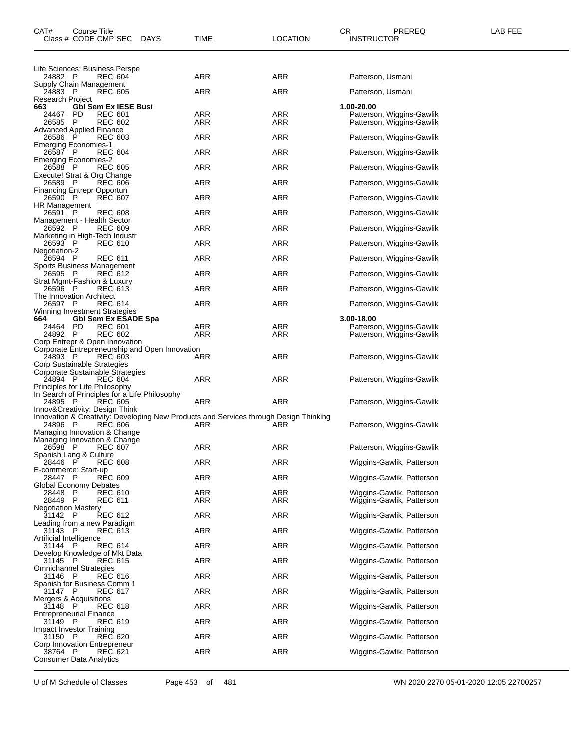| CAT#<br>Course Title<br>Class # CODE CMP SEC<br><b>DAYS</b>                                                             | TIME       | LOCATION          | CR.<br>PREREQ<br><b>INSTRUCTOR</b>                     | LAB FEE |
|-------------------------------------------------------------------------------------------------------------------------|------------|-------------------|--------------------------------------------------------|---------|
|                                                                                                                         |            |                   |                                                        |         |
| Life Sciences: Business Perspe<br>24882 P<br><b>REC 604</b>                                                             | ARR        | ARR               | Patterson, Usmani                                      |         |
| Supply Chain Management<br>24883 P<br><b>REC 605</b>                                                                    | ARR        | ARR               | Patterson, Usmani                                      |         |
| <b>Research Project</b><br>663<br><b>Gbl Sem Ex IESE Busi</b>                                                           |            |                   | 1.00-20.00                                             |         |
| 24467 PD<br><b>REC 601</b><br>26585 P<br>REC 602                                                                        | ARR<br>ARR | ARR<br>ARR        | Patterson, Wiggins-Gawlik                              |         |
| Advanced Applied Finance                                                                                                |            |                   | Patterson, Wiggins-Gawlik                              |         |
| 26586<br>- P<br><b>REC 603</b><br><b>Emerging Economies-1</b>                                                           | ARR        | ARR               | Patterson, Wiggins-Gawlik                              |         |
| <b>REC 604</b><br>26587 P<br><b>Emerging Economies-2</b>                                                                | ARR        | <b>ARR</b>        | Patterson, Wiggins-Gawlik                              |         |
| <b>REC 605</b><br>26588 P<br>Execute! Strat & Org Change                                                                | <b>ARR</b> | ARR               | Patterson, Wiggins-Gawlik                              |         |
| <b>REC 606</b><br>26589 P                                                                                               | ARR        | ARR               | Patterson, Wiggins-Gawlik                              |         |
| <b>Financing Entrepr Opportun</b><br>26590 P<br><b>REC 607</b>                                                          | ARR        | <b>ARR</b>        | Patterson, Wiggins-Gawlik                              |         |
| HR Management<br>26591 P<br><b>REC 608</b>                                                                              | <b>ARR</b> | ARR               | Patterson, Wiggins-Gawlik                              |         |
| Management - Health Sector<br>26592 P<br><b>REC 609</b>                                                                 | ARR        | ARR               | Patterson, Wiggins-Gawlik                              |         |
| Marketing in High-Tech Industr<br>26593 P<br><b>REC 610</b>                                                             | <b>ARR</b> | ARR               | Patterson, Wiggins-Gawlik                              |         |
| Negotiation-2<br><b>REC 611</b><br>26594 P                                                                              | <b>ARR</b> | ARR               | Patterson, Wiggins-Gawlik                              |         |
| Sports Business Management                                                                                              |            |                   |                                                        |         |
| <b>REC 612</b><br>26595 P<br>Strat Mgmt-Fashion & Luxury                                                                | ARR        | ARR               | Patterson, Wiggins-Gawlik                              |         |
| 26596 P<br>REC 613<br>The Innovation Architect                                                                          | ARR        | ARR               | Patterson, Wiggins-Gawlik                              |         |
| <b>REC 614</b><br>26597 P<br>Winning Investment Strategies                                                              | ARR        | ARR               | Patterson, Wiggins-Gawlik                              |         |
| <b>GbI Sem Ex ESADE Spa</b><br>664                                                                                      |            |                   | 3.00-18.00                                             |         |
| 24464 PD<br>REC 601<br><b>REC 602</b><br>24892 P                                                                        | ARR<br>ARR | <b>ARR</b><br>ARR | Patterson, Wiggins-Gawlik<br>Patterson, Wiggins-Gawlik |         |
| Corp Entrepr & Open Innovation<br>Corporate Entrepreneurship and Open Innovation                                        |            |                   |                                                        |         |
| 24893 P<br><b>REC 603</b><br>Corp Sustainable Strategies                                                                | ARR        | ARR               | Patterson, Wiggins-Gawlik                              |         |
| Corporate Sustainable Strategies<br><b>REC 604</b>                                                                      |            |                   |                                                        |         |
| 24894 P<br>Principles for Life Philosophy                                                                               | ARR        | ARR               | Patterson, Wiggins-Gawlik                              |         |
| In Search of Principles for a Life Philosophy<br>24895 P<br><b>REC 605</b>                                              | ARR        | ARR               | Patterson, Wiggins-Gawlik                              |         |
| Innov&Creativity: Design Think<br>Innovation & Creativity: Developing New Products and Services through Design Thinking |            |                   |                                                        |         |
| <b>REC 606</b><br>24896 P<br>Managing Innovation & Change                                                               | ARR        | ARR               | Patterson, Wiggins-Gawlik                              |         |
| Managing Innovation & Change                                                                                            | <b>ARR</b> | <b>ARR</b>        |                                                        |         |
| 26598 P<br>REC 607<br>Spanish Lang & Culture                                                                            |            |                   | Patterson, Wiggins-Gawlik                              |         |
| 28446 P<br><b>REC 608</b><br>E-commerce: Start-up                                                                       | ARR        | ARR               | Wiggins-Gawlik, Patterson                              |         |
| <b>REC 609</b><br>28447 P<br>Global Economy Debates                                                                     | ARR        | ARR               | Wiggins-Gawlik, Patterson                              |         |
| 28448<br>-P<br>REC 610<br>28449 P<br><b>REC 611</b>                                                                     | ARR<br>ARR | ARR<br>ARR        | Wiggins-Gawlik, Patterson<br>Wiggins-Gawlik, Patterson |         |
| <b>Negotiation Mastery</b>                                                                                              |            |                   |                                                        |         |
| REC 612<br>31142<br>P.<br>Leading from a new Paradigm                                                                   | <b>ARR</b> | ARR               | Wiggins-Gawlik, Patterson                              |         |
| 31143 P<br>REC 613<br>Artificial Intelligence                                                                           | ARR        | ARR               | Wiggins-Gawlik, Patterson                              |         |
| REC 614<br>31144 P<br>Develop Knowledge of Mkt Data                                                                     | ARR        | ARR               | Wiggins-Gawlik, Patterson                              |         |
| 31145<br>- P<br>REC 615<br><b>Omnichannel Strategies</b>                                                                | ARR        | ARR               | Wiggins-Gawlik, Patterson                              |         |
| 31146<br>REC 616<br>- P                                                                                                 | ARR        | ARR               | Wiggins-Gawlik, Patterson                              |         |
| Spanish for Business Comm 1<br>31147 P<br>REC 617                                                                       | ARR        | ARR               | Wiggins-Gawlik, Patterson                              |         |
| Mergers & Acquisitions<br><b>REC 618</b><br>31148 P                                                                     | <b>ARR</b> | ARR               | Wiggins-Gawlik, Patterson                              |         |
| <b>Entrepreneurial Finance</b><br>REC 619<br>31149 P                                                                    | ARR        | ARR               | Wiggins-Gawlik, Patterson                              |         |
| Impact Investor Training<br>REC 620<br>31150<br>- P                                                                     | ARR        | ARR               | Wiggins-Gawlik, Patterson                              |         |
| Corp Innovation Entrepreneur                                                                                            |            |                   |                                                        |         |
| 38764 P<br>REC 621<br><b>Consumer Data Analytics</b>                                                                    | <b>ARR</b> | ARR               | Wiggins-Gawlik, Patterson                              |         |
|                                                                                                                         |            |                   |                                                        |         |

U of M Schedule of Classes Page 453 of 481 WN 2020 2270 05-01-2020 12:05 22700257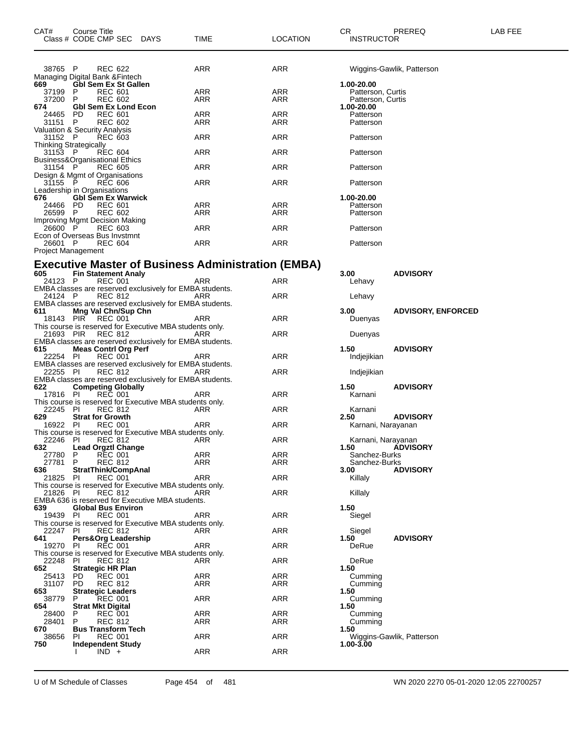| CAT#                                     | Course Title | Class # CODE CMP SEC DAYS                               |                                                          | TIME                                                      | <b>LOCATION</b> | CR<br><b>INSTRUCTOR</b>         | PREREQ                    | LAB FEE |
|------------------------------------------|--------------|---------------------------------------------------------|----------------------------------------------------------|-----------------------------------------------------------|-----------------|---------------------------------|---------------------------|---------|
| 38765 P                                  |              | <b>REC 622</b>                                          |                                                          | ARR                                                       | ARR             |                                 | Wiggins-Gawlik, Patterson |         |
| 669                                      |              | Managing Digital Bank & Fintech<br>Gbl Sem Ex St Gallen |                                                          |                                                           |                 | 1.00-20.00                      |                           |         |
| 37199                                    | P            | <b>REC 601</b>                                          |                                                          | ARR                                                       | ARR             | Patterson, Curtis               |                           |         |
| 37200<br>674                             | P            | <b>REC 602</b><br><b>GbI Sem Ex Lond Econ</b>           |                                                          | ARR                                                       | ARR             | Patterson, Curtis<br>1.00-20.00 |                           |         |
| 24465                                    | PD.          | <b>REC 601</b>                                          |                                                          | ARR                                                       | ARR             | Patterson                       |                           |         |
| 31151                                    | P.           | REC 602                                                 |                                                          | <b>ARR</b>                                                | ARR             | Patterson                       |                           |         |
| Valuation & Security Analysis<br>31152 P |              | <b>REC 603</b>                                          |                                                          | ARR                                                       | ARR             | Patterson                       |                           |         |
| <b>Thinking Strategically</b><br>31153 P |              | REC 604                                                 |                                                          | ARR                                                       | ARR             | Patterson                       |                           |         |
|                                          |              | Business&Organisational Ethics                          |                                                          |                                                           |                 |                                 |                           |         |
| 31154 P                                  |              | <b>REC 605</b><br>Design & Mgmt of Organisations        |                                                          | ARR                                                       | ARR             | Patterson                       |                           |         |
| 31155                                    | - P          | <b>REC 606</b>                                          |                                                          | ARR                                                       | ARR             | Patterson                       |                           |         |
| Leadership in Organisations<br>676       |              | <b>Gbl Sem Ex Warwick</b>                               |                                                          |                                                           |                 | 1.00-20.00                      |                           |         |
| 24466                                    | PD.          | <b>REC 601</b>                                          |                                                          | ARR                                                       | ARR             | Patterson                       |                           |         |
| 26599 P                                  |              | <b>REC 602</b>                                          |                                                          | ARR                                                       | ARR             | Patterson                       |                           |         |
| 26600 P                                  |              | Improving Mgmt Decision Making<br><b>REC 603</b>        |                                                          | ARR                                                       | ARR             | Patterson                       |                           |         |
|                                          |              | Econ of Overseas Bus Invstmnt                           |                                                          |                                                           |                 |                                 |                           |         |
| 26601 P<br>Project Management            |              | <b>REC 604</b>                                          |                                                          | ARR                                                       | ARR             | Patterson                       |                           |         |
|                                          |              |                                                         |                                                          | <b>Executive Master of Business Administration (EMBA)</b> |                 |                                 |                           |         |
| 605                                      |              | <b>Fin Statement Analy</b>                              |                                                          |                                                           |                 | 3.00                            | <b>ADVISORY</b>           |         |
| 24123 P                                  |              | <b>REC 001</b>                                          | EMBA classes are reserved exclusively for EMBA students. | ARR                                                       | ARR             | Lehavy                          |                           |         |
| 24124 P                                  |              | <b>REC 812</b>                                          |                                                          | ARR                                                       | ARR             | Lehavy                          |                           |         |
| 611                                      |              | Mng Val Chn/Sup Chn                                     | EMBA classes are reserved exclusively for EMBA students. |                                                           |                 | 3.00                            | <b>ADVISORY, ENFORCED</b> |         |
|                                          |              | 18143 PIR REC 001                                       |                                                          | ARR                                                       | ARR             | Duenyas                         |                           |         |
| 21693 PIR                                |              | REC 812                                                 | This course is reserved for Executive MBA students only. | ARR                                                       | ARR             | Duenyas                         |                           |         |
|                                          |              |                                                         | EMBA classes are reserved exclusively for EMBA students. |                                                           |                 |                                 |                           |         |
| 615<br>22254 PI                          |              | <b>Meas Contrl Org Perf</b><br><b>REC 001</b>           |                                                          | ARR                                                       | ARR             | 1.50<br>Indjejikian             | <b>ADVISORY</b>           |         |
|                                          |              |                                                         | EMBA classes are reserved exclusively for EMBA students. |                                                           |                 |                                 |                           |         |
| 22255 PI                                 |              | <b>REC 812</b>                                          |                                                          | ARR                                                       | ARR             | Indjejikian                     |                           |         |
| 622                                      |              | <b>Competing Globally</b>                               | EMBA classes are reserved exclusively for EMBA students. |                                                           |                 | 1.50                            | <b>ADVISORY</b>           |         |
| 17816 PI                                 |              | <b>REC 001</b>                                          |                                                          | ARR                                                       | ARR             | Karnani                         |                           |         |
| 22245                                    | - PI         | <b>REC 812</b>                                          | This course is reserved for Executive MBA students only. | ARR                                                       | ARR             | Karnani                         |                           |         |
| 629                                      |              | <b>Strat for Growth</b>                                 |                                                          |                                                           |                 | 2.50                            | <b>ADVISORY</b>           |         |
| 16922 PI                                 |              | <b>REC 001</b>                                          |                                                          | ARR                                                       | ARR             | Karnani, Narayanan              |                           |         |
| 22246 PI                                 |              | <b>REC 812</b>                                          | This course is reserved for Executive MBA students only. | ARR                                                       | ARR             | Karnani, Narayanan              |                           |         |
| 632                                      |              | <b>Lead Orgztl Change</b>                               |                                                          |                                                           |                 | 1.50                            | <b>ÁDVISORY</b>           |         |
| 27780 P<br>27781 P                       |              | <b>REC 001</b>                                          |                                                          | <b>ARR</b><br><b>ARR</b>                                  | ARR             | Sanchez-Burks                   |                           |         |
| 636                                      |              | <b>REC 812</b><br>StratThink/CompAnal                   |                                                          |                                                           | ARR             | Sanchez-Burks<br>3.00           | <b>ADVISORY</b>           |         |
| 21825 PI                                 |              | <b>REC 001</b>                                          |                                                          | <b>ARR</b>                                                | ARR             | Killaly                         |                           |         |
| 21826 PI                                 |              | <b>REC 812</b>                                          | This course is reserved for Executive MBA students only. | ARR                                                       | ARR             | Killaly                         |                           |         |
|                                          |              |                                                         | EMBA 636 is reserved for Executive MBA students.         |                                                           |                 |                                 |                           |         |
| 639                                      |              | <b>Global Bus Environ</b>                               |                                                          |                                                           |                 | 1.50                            |                           |         |
| 19439 PI                                 |              | <b>REC 001</b>                                          | This course is reserved for Executive MBA students only. | ARR                                                       | ARR             | Siegel                          |                           |         |
| 22247 PI                                 |              | <b>REC 812</b>                                          |                                                          | ARR                                                       | ARR             | Siegel                          |                           |         |
| 641                                      |              | Pers&Org Leadership                                     |                                                          |                                                           |                 | 1.50                            | <b>ADVISORY</b>           |         |
| 19270 PI                                 |              | <b>REC 001</b>                                          | This course is reserved for Executive MBA students only. | ARR                                                       | ARR             | DeRue                           |                           |         |
| 22248 PI                                 |              | REC 812                                                 |                                                          | ARR                                                       | ARR             | DeRue                           |                           |         |
| 652                                      |              | <b>Strategic HR Plan</b>                                |                                                          |                                                           |                 | 1.50                            |                           |         |
| 25413<br>31107                           | PD.<br>PD.   | <b>REC 001</b><br><b>REC 812</b>                        |                                                          | ARR<br>ARR                                                | ARR<br>ARR      | Cumming<br>Cumming              |                           |         |
| 653                                      |              | <b>Strategic Leaders</b>                                |                                                          |                                                           |                 | 1.50                            |                           |         |
| 38779                                    | P.           | <b>REC 001</b>                                          |                                                          | ARR                                                       | <b>ARR</b>      | Cumming                         |                           |         |
| 654<br>28400                             | P.           | <b>Strat Mkt Digital</b><br><b>REC 001</b>              |                                                          | ARR                                                       | ARR             | 1.50<br>Cumming                 |                           |         |
| 28401                                    | P.           | <b>REC 812</b>                                          |                                                          | ARR                                                       | ARR             | Cumming                         |                           |         |
| 670                                      |              | <b>Bus Transform Tech</b>                               |                                                          |                                                           | ARR             | 1.50                            |                           |         |
| 38656<br>750                             | PL           | <b>REC 001</b><br><b>Independent Study</b>              |                                                          | ARR                                                       |                 | 1.00-3.00                       | Wiggins-Gawlik, Patterson |         |
|                                          |              | $IND +$                                                 |                                                          | <b>ARR</b>                                                | <b>ARR</b>      |                                 |                           |         |

U of M Schedule of Classes Page 454 of 481 WN 2020 2270 05-01-2020 12:05 22700257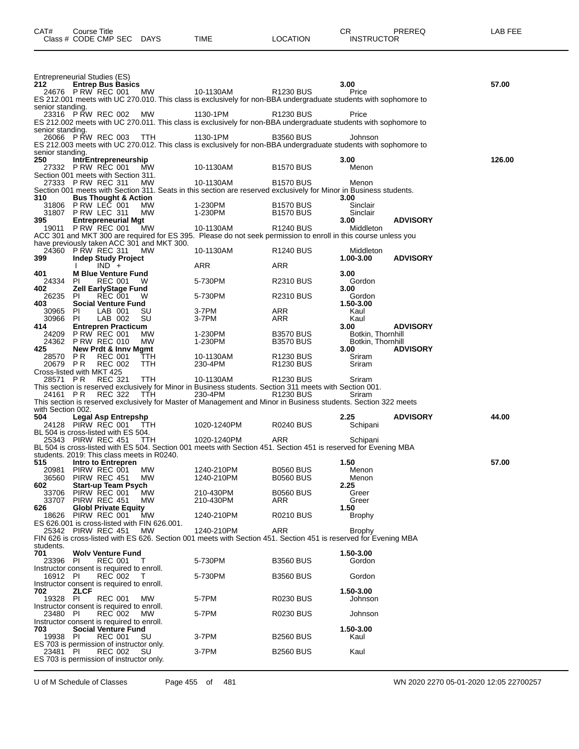|                      | Class # CODE CMP SEC DAYS                                               |            | TIME                                                                                                                           | LOCATION                | <b>INSTRUCTOR</b>         |                 |        |
|----------------------|-------------------------------------------------------------------------|------------|--------------------------------------------------------------------------------------------------------------------------------|-------------------------|---------------------------|-----------------|--------|
|                      |                                                                         |            |                                                                                                                                |                         |                           |                 |        |
| 212                  | Entrepreneurial Studies (ES)                                            |            |                                                                                                                                |                         | 3.00                      |                 | 57.00  |
|                      | <b>Entrep Bus Basics</b><br>24676 P RW REC 001                          | MW         | 10-1130AM                                                                                                                      | R1230 BUS               | Price                     |                 |        |
| senior standing.     |                                                                         |            | ES 212.001 meets with UC 270.010. This class is exclusively for non-BBA undergraduate students with sophomore to               |                         |                           |                 |        |
|                      | 23316 PRW REC 002                                                       | <b>MW</b>  | 1130-1PM                                                                                                                       | R1230 BUS               | Price                     |                 |        |
| senior standing.     |                                                                         |            | ES 212.002 meets with UC 270.011. This class is exclusively for non-BBA undergraduate students with sophomore to               |                         |                           |                 |        |
|                      | 26066 P RW REC 003 TTH                                                  |            | 1130-1PM<br>ES 212.003 meets with UC 270.012. This class is exclusively for non-BBA undergraduate students with sophomore to   | <b>B3560 BUS</b>        | Johnson                   |                 |        |
| senior standing.     |                                                                         |            |                                                                                                                                |                         |                           |                 |        |
| 250                  | IntrEntrepreneurship<br>27332 PRW REC 001                               | MW         | 10-1130AM                                                                                                                      | <b>B1570 BUS</b>        | 3.00<br>Menon             |                 | 126.00 |
|                      | Section 001 meets with Section 311.<br>27333 P RW REC 311               | MW         | 10-1130AM                                                                                                                      | <b>B1570 BUS</b>        | Menon                     |                 |        |
|                      |                                                                         |            | Section 001 meets with Section 311. Seats in this section are reserved exclusively for Minor in Business students.             |                         |                           |                 |        |
| 310                  | <b>Bus Thought &amp; Action</b><br>31806 PRW LEC 001                    | MW         | 1-230PM                                                                                                                        | <b>B1570 BUS</b>        | 3.00<br>Sinclair          |                 |        |
| 395                  | 31807 P RW LEC 311<br><b>Entrepreneurial Mgt</b>                        | MW         | 1-230PM                                                                                                                        | <b>B1570 BUS</b>        | Sinclair<br>3.00          | <b>ADVISORY</b> |        |
|                      | 19011 PRW REC 001 MW                                                    |            | 10-1130AM                                                                                                                      | R <sub>1240</sub> BUS   | Middleton                 |                 |        |
|                      | have previously taken ACC 301 and MKT 300.                              |            | ACC 301 and MKT 300 are required for ES 395. Please do not seek permission to enroll in this course unless you                 |                         |                           |                 |        |
| 399                  | 24360 PRW REC 311<br><b>Indep Study Project</b>                         | МW         | 10-1130AM                                                                                                                      | R <sub>1240</sub> BUS   | Middleton<br>1.00-3.00    | <b>ADVISORY</b> |        |
|                      | $IND +$<br>$\mathbf{L}$                                                 |            | ARR                                                                                                                            | ARR                     |                           |                 |        |
| 401<br>24334 PI      | <b>M Blue Venture Fund</b><br>REC 001                                   | W          | 5-730PM                                                                                                                        | <b>R2310 BUS</b>        | 3.00<br>Gordon            |                 |        |
| 402<br>26235 PI      | <b>Zell EarlyStage Fund</b><br><b>REC 001</b>                           | W          | 5-730PM                                                                                                                        | <b>R2310 BUS</b>        | 3.00<br>Gordon            |                 |        |
| 403                  | <b>Social Venture Fund</b>                                              |            | 3-7PM                                                                                                                          |                         | 1.50-3.00<br>Kaul         |                 |        |
| 30965 PI<br>30966 PI | LAB 001<br>LAB 002                                                      | SU<br>SU   | 3-7PM                                                                                                                          | ARR<br>ARR              | Kaul                      |                 |        |
| 414                  | <b>Entrepren Practicum</b><br>24209 P RW REC 001                        | МW         | 1-230PM                                                                                                                        | <b>B3570 BUS</b>        | 3.00<br>Botkin, Thornhill | <b>ADVISORY</b> |        |
| 425                  | 24362 P RW REC 010<br>New Prdt & Innv Mgmt                              | МW         | 1-230PM                                                                                                                        | <b>B3570 BUS</b>        | Botkin, Thornhill<br>3.00 | <b>ADVISORY</b> |        |
| 28570 PR             | <b>REC 001</b>                                                          | TTH        | 10-1130AM                                                                                                                      | R <sub>1230</sub> BUS   | Sriram                    |                 |        |
| 20679 PR             | <b>REC 002</b><br>Cross-listed with MKT 425                             | <b>TTH</b> | 230-4PM                                                                                                                        | R <sub>1230</sub> BUS   | Sriram                    |                 |        |
| 28571 PR             | <b>REC 321</b>                                                          | TTH        | 10-1130AM<br>This section is reserved exclusively for Minor in Business students. Section 311 meets with Section 001.          | R <sub>1230</sub> BUS   | Sriram                    |                 |        |
| 24161 PR             | <b>REC 322</b>                                                          | TTH.       | 230-4PM                                                                                                                        | R1230 BUS               | Sriram                    |                 |        |
| with Section 002.    |                                                                         |            | This section is reserved exclusively for Master of Management and Minor in Business students. Section 322 meets                |                         |                           |                 |        |
| 504                  | <b>Legal Asp Entrepshp</b><br>24128 PIRW REC 001 TTH                    |            | 1020-1240PM                                                                                                                    | <b>R0240 BUS</b>        | 2.25<br>Schipani          | <b>ADVISORY</b> | 44.00  |
|                      | BL 504 is cross-listed with ES 504.                                     |            |                                                                                                                                |                         |                           |                 |        |
|                      | 25343 PIRW REC 451                                                      | TTH        | 1020-1240PM<br>BL 504 is cross-listed with ES 504. Section 001 meets with Section 451. Section 451 is reserved for Evening MBA | ARR                     | Schipani                  |                 |        |
| 515                  | students. 2019: This class meets in R0240.<br>Intro to Entrepren        |            |                                                                                                                                |                         | 1.50                      |                 | 57.00  |
| 20981                | PIRW REC 001                                                            | МW         | 1240-210PM                                                                                                                     | <b>B0560 BUS</b>        | Menon                     |                 |        |
| 36560<br>602         | PIRW REC 451<br><b>Start-up Team Psych</b>                              | MW.        | 1240-210PM                                                                                                                     | <b>B0560 BUS</b>        | Menon<br>2.25             |                 |        |
| 33706<br>33707       | PIRW REC 001<br>PIRW REC 451                                            | MW<br>MW   | 210-430PM<br>210-430PM                                                                                                         | <b>B0560 BUS</b><br>ARR | Greer<br>Greer            |                 |        |
| 626                  | <b>Globl Private Equity</b><br>18626 PIRW REC 001                       | MW         | 1240-210PM                                                                                                                     | <b>R0210 BUS</b>        | 1.50<br><b>Brophy</b>     |                 |        |
|                      | ES 626.001 is cross-listed with FIN 626.001.                            |            |                                                                                                                                |                         |                           |                 |        |
|                      | 25342 PIRW REC 451                                                      | MW.        | 1240-210PM<br>FIN 626 is cross-listed with ES 626. Section 001 meets with Section 451. Section 451 is reserved for Evening MBA | <b>ARR</b>              | <b>Brophy</b>             |                 |        |
| students.<br>701     | <b>Wolv Venture Fund</b>                                                |            |                                                                                                                                |                         | 1.50-3.00                 |                 |        |
| 23396 PI             | REC 001                                                                 | T          | 5-730PM                                                                                                                        | <b>B3560 BUS</b>        | Gordon                    |                 |        |
| 16912 PI             | Instructor consent is required to enroll.<br><b>REC 002</b>             | T          | 5-730PM                                                                                                                        | <b>B3560 BUS</b>        | Gordon                    |                 |        |
| 702                  | Instructor consent is required to enroll.<br>ZLCF                       |            |                                                                                                                                |                         | 1.50-3.00                 |                 |        |
| 19328 PI             | <b>REC 001</b>                                                          | MW.        | 5-7PM                                                                                                                          | <b>R0230 BUS</b>        | Johnson                   |                 |        |
| 23480 PI             | Instructor consent is required to enroll.<br><b>REC 002</b>             | <b>MW</b>  | 5-7PM                                                                                                                          | <b>R0230 BUS</b>        | Johnson                   |                 |        |
| 703                  | Instructor consent is required to enroll.<br><b>Social Venture Fund</b> |            |                                                                                                                                |                         | 1.50-3.00                 |                 |        |
| 19938 PI             | <b>REC 001</b>                                                          | SU         | 3-7PM                                                                                                                          | <b>B2560 BUS</b>        | Kaul                      |                 |        |
| 23481 PI             | ES 703 is permission of instructor only.<br><b>REC 002</b>              | SU         | 3-7PM                                                                                                                          | <b>B2560 BUS</b>        | Kaul                      |                 |        |
|                      | ES 703 is permission of instructor only.                                |            |                                                                                                                                |                         |                           |                 |        |

CAT# Course Title Case CR PREREQ LAB FEE

U of M Schedule of Classes Page 455 of 481 WN 2020 2270 05-01-2020 12:05 22700257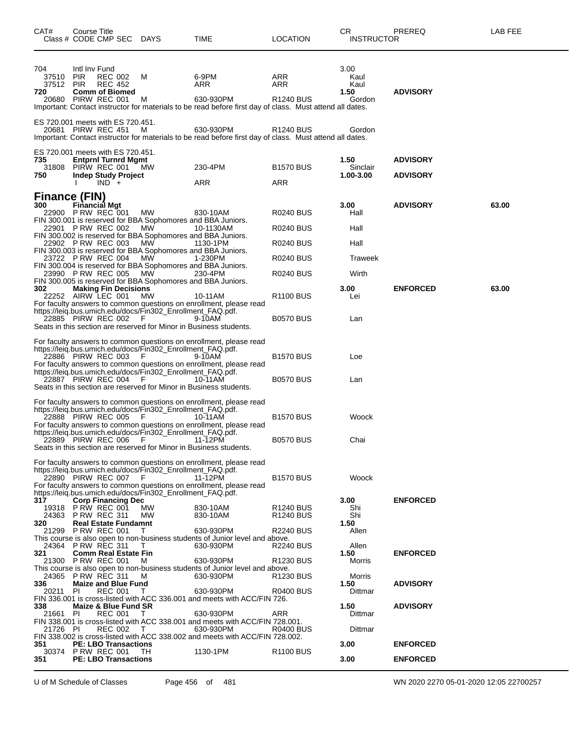| CAT#                             | <b>Course Title</b>         | Class # CODE CMP SEC DAYS                                                                                                  |                                                                                                                                        | TIME                                                                                                                                                                                                                                                                                                       | <b>LOCATION</b>                                                    | СR<br><b>INSTRUCTOR</b>                | PREREQ                             | <b>LAB FEE</b> |
|----------------------------------|-----------------------------|----------------------------------------------------------------------------------------------------------------------------|----------------------------------------------------------------------------------------------------------------------------------------|------------------------------------------------------------------------------------------------------------------------------------------------------------------------------------------------------------------------------------------------------------------------------------------------------------|--------------------------------------------------------------------|----------------------------------------|------------------------------------|----------------|
| 704<br>37510<br>37512 PIR<br>720 | Intl Inv Fund<br><b>PIR</b> | <b>REC 002</b><br><b>REC 452</b><br><b>Comm of Biomed</b><br>20680 PIRW REC 001                                            | м<br>м                                                                                                                                 | 6-9PM<br>ARR<br>630-930PM<br>Important: Contact instructor for materials to be read before first day of class. Must attend all dates.                                                                                                                                                                      | ARR<br>ARR<br>R <sub>1240</sub> BUS                                | 3.00<br>Kaul<br>Kaul<br>1.50<br>Gordon | <b>ADVISORY</b>                    |                |
|                                  |                             | ES 720.001 meets with ES 720.451.<br>20681 PIRW REC 451                                                                    | M                                                                                                                                      | 630-930PM<br>Important: Contact instructor for materials to be read before first day of class. Must attend all dates.                                                                                                                                                                                      | R <sub>1240</sub> BUS                                              | Gordon                                 |                                    |                |
| 735<br>31808<br>750              |                             | ES 720.001 meets with ES 720.451.<br><b>Entprnl Turnrd Mgmt</b><br>PIRW REC 001<br><b>Indep Study Project</b><br>$IND +$   | MW                                                                                                                                     | 230-4PM<br>ARR                                                                                                                                                                                                                                                                                             | <b>B1570 BUS</b><br>ARR                                            | 1.50<br>Sinclair<br>1.00-3.00          | <b>ADVISORY</b><br><b>ADVISORY</b> |                |
| Finance (FIN)<br>300             |                             | <b>Financial Mgt</b><br>22900 PRW REC 001<br>22901 PRW REC 002<br>22902 PRW REC 003                                        | MW.<br>MW<br><b>MW</b>                                                                                                                 | 830-10AM<br>FIN 300.001 is reserved for BBA Sophomores and BBA Juniors.<br>10-1130AM<br>FIN 300.002 is reserved for BBA Sophomores and BBA Juniors.<br>1130-1PM<br>FIN 300.003 is reserved for BBA Sophomores and BBA Juniors.                                                                             | R0240 BUS<br><b>R0240 BUS</b><br>R0240 BUS                         | 3.00<br>Hall<br>Hall<br>Hall           | <b>ADVISORY</b>                    | 63.00          |
| 302                              |                             | 23722 PRW REC 004<br>23990 PRW REC 005<br><b>Making Fin Decisions</b>                                                      | MW.<br>MW                                                                                                                              | 1-230PM<br>FIN 300.004 is reserved for BBA Sophomores and BBA Juniors.<br>230-4PM<br>FIN 300.005 is reserved for BBA Sophomores and BBA Juniors.                                                                                                                                                           | <b>R0240 BUS</b><br>R0240 BUS                                      | <b>Traweek</b><br>Wirth<br>3.00        | <b>ENFORCED</b>                    | 63.00          |
|                                  |                             | 22252 AIRW LEC 001<br>22885 PIRW REC 002                                                                                   | <b>MW</b><br>https://leiq.bus.umich.edu/docs/Fin302_Enrollment_FAQ.pdf.<br>- F                                                         | 10-11AM<br>For faculty answers to common questions on enrollment, please read<br>9-10AM<br>Seats in this section are reserved for Minor in Business students.                                                                                                                                              | R <sub>1100</sub> BUS<br><b>B0570 BUS</b>                          | Lei<br>Lan                             |                                    |                |
|                                  |                             | 22886 PIRW REC 003<br>22887 PIRW REC 004                                                                                   | https://leiq.bus.umich.edu/docs/Fin302_Enrollment_FAQ.pdf.<br>-F<br>https://leiq.bus.umich.edu/docs/Fin302_Enrollment_FAQ.pdf.<br>- F  | For faculty answers to common questions on enrollment, please read<br>9-10AM<br>For faculty answers to common questions on enrollment, please read<br>10-11AM                                                                                                                                              | <b>B1570 BUS</b><br><b>B0570 BUS</b>                               | Loe<br>Lan                             |                                    |                |
|                                  |                             | 22888 PIRW REC 005<br>22889 PIRW REC 006                                                                                   | https://leig.bus.umich.edu/docs/Fin302_Enrollment_FAQ.pdf.<br>- F<br>https://leig.bus.umich.edu/docs/Fin302_Enrollment_FAQ.pdf.<br>- F | Seats in this section are reserved for Minor in Business students.<br>For faculty answers to common questions on enrollment, please read<br>10-11AM<br>For faculty answers to common questions on enrollment, please read<br>11-12PM<br>Seats in this section are reserved for Minor in Business students. | <b>B1570 BUS</b><br><b>B0570 BUS</b>                               | Woock<br>Chai                          |                                    |                |
|                                  |                             | 22890 PIRW REC 007                                                                                                         | https://leig.bus.umich.edu/docs/Fin302_Enrollment_FAQ.pdf.<br>- F<br>https://leig.bus.umich.edu/docs/Fin302 Enrollment FAQ.pdf.        | For faculty answers to common questions on enrollment, please read<br>11-12PM<br>For faculty answers to common questions on enrollment, please read                                                                                                                                                        | <b>B1570 BUS</b>                                                   | Woock                                  |                                    |                |
| 317<br>320                       |                             | <b>Corp Financing Dec</b><br>19318 P RW REC 001<br>24363 P RW REC 311<br><b>Real Estate Fundamnt</b><br>21299 P RW REC 001 | <b>MW</b><br>MW<br>T.                                                                                                                  | 830-10AM<br>830-10AM<br>630-930PM                                                                                                                                                                                                                                                                          | R <sub>1240</sub> BUS<br>R <sub>1240</sub> BUS<br><b>R2240 BUS</b> | 3.00<br>Shi<br>Shi<br>1.50<br>Allen    | <b>ENFORCED</b>                    |                |
| 321                              |                             | 24364 P RW REC 311<br><b>Comm Real Estate Fin</b><br>21300 PRW REC 001<br>24365 P RW REC 311                               | т<br>м<br>м                                                                                                                            | This course is also open to non-business students of Junior level and above.<br>630-930PM<br>630-930PM<br>This course is also open to non-business students of Junior level and above.<br>630-930PM                                                                                                        | <b>R2240 BUS</b><br>R <sub>1230</sub> BUS<br>R <sub>1230</sub> BUS | Allen<br>1.50<br>Morris<br>Morris      | <b>ENFORCED</b>                    |                |
| 336<br>20211<br>338<br>21661     | PI<br><b>PI</b>             | <b>Maize and Blue Fund</b><br>REC 001<br>Maize & Blue Fund SR<br><b>REC 001</b>                                            | T<br>T                                                                                                                                 | 630-930PM<br>FIN 336.001 is cross-listed with ACC 336.001 and meets with ACC/FIN 726.<br>630-930PM                                                                                                                                                                                                         | <b>R0400 BUS</b><br>ARR                                            | 1.50<br>Dittmar<br>1.50<br>Dittmar     | <b>ADVISORY</b><br><b>ADVISORY</b> |                |
| 21726 PI<br>351<br>30374         |                             | <b>REC 002</b><br><b>PE: LBO Transactions</b><br><b>P RW REC 001</b>                                                       | т<br>TH.                                                                                                                               | FIN 338.001 is cross-listed with ACC 338.001 and meets with ACC/FIN 728.001.<br>630-930PM<br>FIN 338.002 is cross-listed with ACC 338.002 and meets with ACC/FIN 728.002.<br>1130-1PM                                                                                                                      | R0400 BUS<br><b>R1100 BUS</b>                                      | Dittmar<br>3.00                        | <b>ENFORCED</b>                    |                |
| 351                              |                             | <b>PE: LBO Transactions</b>                                                                                                |                                                                                                                                        |                                                                                                                                                                                                                                                                                                            |                                                                    | 3.00                                   | <b>ENFORCED</b>                    |                |

U of M Schedule of Classes Page 456 of 481 WN 2020 2270 05-01-2020 12:05 22700257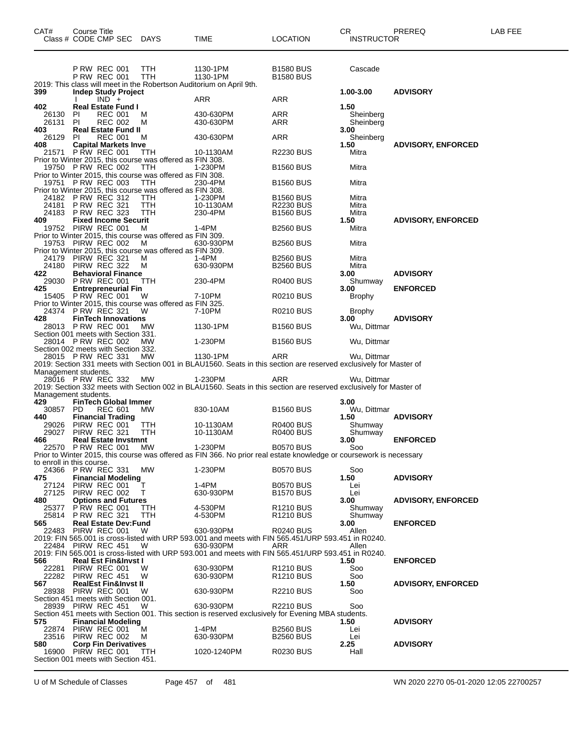| CAT#<br>Class # CODE CMP SEC                              | <b>Course Title</b>                        |                |                                 | <b>DAYS</b>                                                                                                                 | TIME                                                                                                                           | LOCATION                                                 | CR.<br><b>INSTRUCTOR</b> | PREREQ                    | LAB FEE |
|-----------------------------------------------------------|--------------------------------------------|----------------|---------------------------------|-----------------------------------------------------------------------------------------------------------------------------|--------------------------------------------------------------------------------------------------------------------------------|----------------------------------------------------------|--------------------------|---------------------------|---------|
|                                                           | <b>P RW REC 001</b><br><b>P RW REC 001</b> |                |                                 | TTH<br>TTH                                                                                                                  | 1130-1PM<br>1130-1PM<br>2019: This class will meet in the Robertson Auditorium on April 9th.                                   | <b>B1580 BUS</b><br><b>B1580 BUS</b>                     | Cascade                  |                           |         |
| 399                                                       |                                            | $IND +$        | <b>Indep Study Project</b>      |                                                                                                                             | ARR                                                                                                                            | ARR                                                      | 1.00-3.00                | <b>ADVISORY</b>           |         |
| 402<br>26130                                              | <b>PI</b>                                  | <b>REC 001</b> | <b>Real Estate Fund I</b>       | м                                                                                                                           | 430-630PM                                                                                                                      | ARR                                                      | 1.50<br>Sheinberg        |                           |         |
| 26131<br>403                                              | PI.                                        | <b>REC 002</b> | <b>Real Estate Fund II</b>      | м                                                                                                                           | 430-630PM                                                                                                                      | ARR                                                      | Sheinberg<br>3.00        |                           |         |
| 26129<br>408                                              | PI.                                        | <b>REC 001</b> | <b>Capital Markets Inve</b>     | м                                                                                                                           | 430-630PM                                                                                                                      | ARR                                                      | Sheinberg<br>1.50        | <b>ADVISORY, ENFORCED</b> |         |
| 21571 PRW REC 001                                         |                                            |                |                                 | TTH<br>Prior to Winter 2015, this course was offered as FIN 308.                                                            | 10-1130AM                                                                                                                      | <b>R2230 BUS</b>                                         | Mitra                    |                           |         |
| 19750 P RW REC 002                                        |                                            |                |                                 | TTH<br>Prior to Winter 2015, this course was offered as FIN 308.                                                            | 1-230PM                                                                                                                        | <b>B1560 BUS</b>                                         | Mitra                    |                           |         |
| 19751 P RW REC 003                                        |                                            |                |                                 | TTH<br>Prior to Winter 2015, this course was offered as FIN 308.                                                            | 230-4PM                                                                                                                        | <b>B1560 BUS</b>                                         | Mitra                    |                           |         |
| 24182 PRW REC 312<br>24181<br>24183                       | <b>P RW REC 321</b><br><b>P RW REC 323</b> |                |                                 | TTH<br>TTH<br>TTH                                                                                                           | 1-230PM<br>10-1130AM<br>230-4PM                                                                                                | <b>B1560 BUS</b><br><b>R2230 BUS</b><br><b>B1560 BUS</b> | Mitra<br>Mitra<br>Mitra  |                           |         |
| 409<br>19752                                              | PIRW REC 001                               |                | <b>Fixed Income Securit</b>     | м                                                                                                                           | $1-4PM$                                                                                                                        | <b>B2560 BUS</b>                                         | 1.50<br>Mitra            | <b>ADVISORY, ENFORCED</b> |         |
| 19753 PIRW REC 002                                        |                                            |                |                                 | Prior to Winter 2015, this course was offered as FIN 309.<br>М<br>Prior to Winter 2015, this course was offered as FIN 309. | 630-930PM                                                                                                                      | <b>B2560 BUS</b>                                         | Mitra                    |                           |         |
| 24179<br>24180                                            | PIRW REC 321<br>PIRW REC 322               |                |                                 | м<br>м                                                                                                                      | 1-4PM<br>630-930PM                                                                                                             | <b>B2560 BUS</b><br><b>B2560 BUS</b>                     | Mitra<br>Mitra           |                           |         |
| 422<br>29030 PRW REC 001                                  |                                            |                | <b>Behavioral Finance</b>       | TTH                                                                                                                         | 230-4PM                                                                                                                        | R0400 BUS                                                | 3.00<br>Shumway          | <b>ADVISORY</b>           |         |
| 425<br>15405 P RW REC 001                                 |                                            |                | <b>Entrepreneurial Fin</b>      | W                                                                                                                           | 7-10PM                                                                                                                         |                                                          | 3.00<br>Brophy           | <b>ENFORCED</b>           |         |
| 24374 PRW REC 321                                         |                                            |                |                                 | Prior to Winter 2015, this course was offered as FIN 325.<br>W                                                              | 7-10PM                                                                                                                         | R0210 BUS<br>R0210 BUS                                   |                          |                           |         |
| 428                                                       |                                            |                | <b>FinTech Innovations</b>      |                                                                                                                             |                                                                                                                                |                                                          | <b>Brophy</b><br>3.00    | <b>ADVISORY</b>           |         |
| 28013 PRW REC 001<br>Section 001 meets with Section 331.  |                                            |                |                                 | MW.                                                                                                                         | 1130-1PM                                                                                                                       | <b>B1560 BUS</b>                                         | Wu, Dittmar              |                           |         |
| 28014 PRW REC 002<br>Section 002 meets with Section 332.  |                                            |                |                                 | МW                                                                                                                          | 1-230PM                                                                                                                        | <b>B1560 BUS</b>                                         | Wu, Dittmar              |                           |         |
| 28015 PRW REC 331                                         |                                            |                |                                 | МW                                                                                                                          | 1130-1PM<br>2019: Section 331 meets with Section 001 in BLAU1560. Seats in this section are reserved exclusively for Master of | ARR                                                      | Wu, Dittmar              |                           |         |
| Management students.<br>28016 PRW REC 332                 |                                            |                |                                 | МW                                                                                                                          | 1-230PM                                                                                                                        | ARR                                                      | Wu, Dittmar              |                           |         |
| Management students.                                      |                                            |                |                                 |                                                                                                                             | 2019: Section 332 meets with Section 002 in BLAU1560. Seats in this section are reserved exclusively for Master of             |                                                          |                          |                           |         |
| 429<br>30857                                              | <b>PD</b>                                  | <b>REC 601</b> | <b>FinTech Global Immer</b>     | <b>MW</b>                                                                                                                   | 830-10AM                                                                                                                       | <b>B1560 BUS</b>                                         | 3.00<br>Wu, Dittmar      |                           |         |
| 440<br>29026                                              | <b>Financial Trading</b><br>PIRW REC 001   |                |                                 | TTH                                                                                                                         | 10-1130AM                                                                                                                      | R0400 BUS                                                | 1.50<br>Shumway          | <b>ADVISORY</b>           |         |
| 29027<br>466                                              | PIRW REC 321                               |                | <b>Real Estate Invstmnt</b>     | TTH                                                                                                                         | 10-1130AM                                                                                                                      | R0400 BUS                                                | Shumway<br>3.00          | <b>ENFORCED</b>           |         |
| 22570 PRW REC 001                                         |                                            |                |                                 | <b>MW</b>                                                                                                                   | 1-230PM<br>Prior to Winter 2015, this course was offered as FIN 366. No prior real estate knowledge or coursework is necessary | <b>B0570 BUS</b>                                         | Soo                      |                           |         |
| to enroll in this course.<br>24366 P RW REC 331           |                                            |                |                                 | MW.                                                                                                                         | 1-230PM                                                                                                                        | <b>B0570 BUS</b>                                         | Soo                      |                           |         |
| 475<br>27124                                              | PIRW REC 001                               |                | <b>Financial Modeling</b>       | т                                                                                                                           | 1-4PM                                                                                                                          | <b>B0570 BUS</b>                                         | 1.50<br>Lei              | <b>ADVISORY</b>           |         |
| 27125<br>480                                              | PIRW REC 002                               |                | <b>Options and Futures</b>      | T.                                                                                                                          | 630-930PM                                                                                                                      | <b>B1570 BUS</b>                                         | Lei<br>3.00              | <b>ADVISORY, ENFORCED</b> |         |
| 25377<br>25814 PRW REC 321                                | PRW REC 001                                |                |                                 | TTH<br><b>TTH</b>                                                                                                           | 4-530PM<br>4-530PM                                                                                                             | R <sub>1210</sub> BUS<br>R1210 BUS                       | Shumwav<br>Shumway       |                           |         |
| 565<br>22483                                              | PIRW REC 001                               |                | <b>Real Estate Dev:Fund</b>     | W                                                                                                                           | 630-930PM                                                                                                                      | <b>R0240 BUS</b>                                         | 3.00<br>Allen            | <b>ENFORCED</b>           |         |
| 22484 PIRW REC 451                                        |                                            |                |                                 | W                                                                                                                           | 2019: FIN 565.001 is cross-listed with URP 593.001 and meets with FIN 565.451/URP 593.451 in R0240.<br>630-930PM               | ARR                                                      | Allen                    |                           |         |
| 566                                                       |                                            |                | <b>Real Est Fin&amp;Invst I</b> |                                                                                                                             | 2019: FIN 565.001 is cross-listed with URP 593.001 and meets with FIN 565.451/URP 593.451 in R0240.                            |                                                          | 1.50                     | <b>ENFORCED</b>           |         |
| 22281                                                     | PIRW REC 001                               |                |                                 | W                                                                                                                           | 630-930PM                                                                                                                      | R1210 BUS                                                | Soo                      |                           |         |
| 22282<br>567                                              | PIRW REC 451                               |                | <b>RealEst Fin&amp;Invst II</b> | W                                                                                                                           | 630-930PM                                                                                                                      | R <sub>1210</sub> BUS                                    | Soo<br>1.50              | <b>ADVISORY, ENFORCED</b> |         |
| 28938 PIRW REC 001<br>Section 451 meets with Section 001. |                                            |                |                                 | W                                                                                                                           | 630-930PM                                                                                                                      | R2210 BUS                                                | Soo                      |                           |         |
| 28939 PIRW REC 451                                        |                                            |                |                                 | W                                                                                                                           | 630-930PM<br>Section 451 meets with Section 001. This section is reserved exclusively for Evening MBA students.                | R2210 BUS                                                | Soo                      |                           |         |
| 575<br>22874                                              | PIRW REC 001                               |                | <b>Financial Modeling</b>       | M                                                                                                                           | 1-4PM                                                                                                                          | <b>B2560 BUS</b>                                         | 1.50<br>Lei              | <b>ADVISORY</b>           |         |
| 23516 PIRW REC 002<br>580                                 |                                            |                | <b>Corp Fin Derivatives</b>     | M                                                                                                                           | 630-930PM                                                                                                                      | <b>B2560 BUS</b>                                         | Lei<br>2.25              | <b>ADVISORY</b>           |         |
| 16900<br>Section 001 meets with Section 451.              | PIRW REC 001                               |                |                                 | <b>TTH</b>                                                                                                                  | 1020-1240PM                                                                                                                    | R0230 BUS                                                | Hall                     |                           |         |

U of M Schedule of Classes Page 457 of 481 WN 2020 2270 05-01-2020 12:05 22700257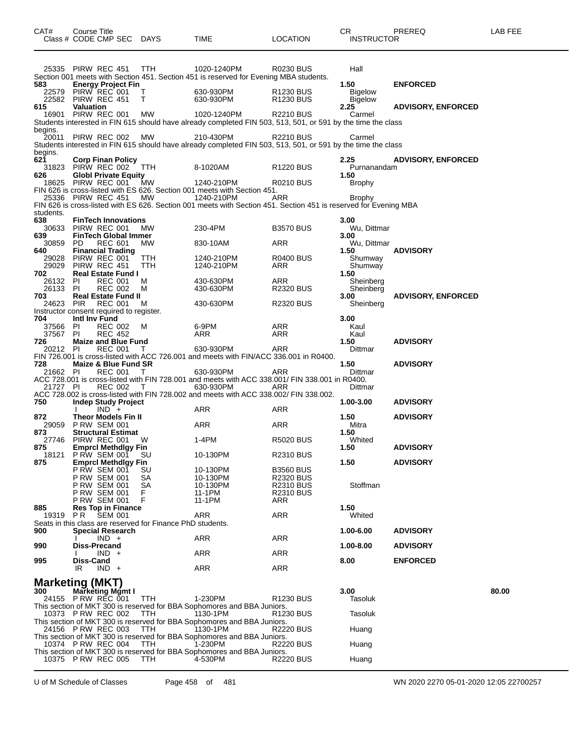| CAT#                    | Course Title<br>Class # CODE CMP SEC DAYS                                      |                                  |                                                            | TIME                                                                                                                           | <b>LOCATION</b>                                | CR.<br><b>INSTRUCTOR</b>         | PREREQ                             | LAB FEE |
|-------------------------|--------------------------------------------------------------------------------|----------------------------------|------------------------------------------------------------|--------------------------------------------------------------------------------------------------------------------------------|------------------------------------------------|----------------------------------|------------------------------------|---------|
| 583                     | 25335 PIRW REC 451<br><b>Energy Project Fin</b>                                |                                  | <b>TTH</b>                                                 | 1020-1240PM<br>Section 001 meets with Section 451. Section 451 is reserved for Evening MBA students.                           | R0230 BUS                                      | Hall<br>1.50                     | <b>ENFORCED</b>                    |         |
| 22579                   | PIRW REC 001<br>22582 PIRW REC 451                                             |                                  | T<br>Т                                                     | 630-930PM<br>630-930PM                                                                                                         | R <sub>1230</sub> BUS<br>R <sub>1230</sub> BUS | <b>Bigelow</b><br><b>Bigelow</b> |                                    |         |
| 615<br>16901            | <b>Valuation</b><br>PIRW REC 001                                               |                                  | МW                                                         | 1020-1240PM<br>Students interested in FIN 615 should have already completed FIN 503, 513, 501, or 591 by the time the class    | <b>R2210 BUS</b>                               | 2.25<br>Carmel                   | <b>ADVISORY, ENFORCED</b>          |         |
| begins.<br>20011        | PIRW REC 002                                                                   |                                  | МW                                                         | 210-430PM<br>Students interested in FIN 615 should have already completed FIN 503, 513, 501, or 591 by the time the class      | R2210 BUS                                      | Carmel                           |                                    |         |
| begins.<br>621<br>31823 | <b>Corp Finan Policy</b><br>PIRW REC 002                                       |                                  | <b>TTH</b>                                                 | 8-1020AM                                                                                                                       | <b>R1220 BUS</b>                               | 2.25<br>Purnanandam              | <b>ADVISORY, ENFORCED</b>          |         |
| 626<br>18625            | <b>Globl Private Equity</b><br>PIRW REC 001                                    |                                  | МW                                                         | 1240-210PM<br>FIN 626 is cross-listed with ES 626. Section 001 meets with Section 451.                                         | <b>R0210 BUS</b>                               | 1.50<br>Brophy                   |                                    |         |
| students.               | 25336 PIRW REC 451                                                             |                                  | МW                                                         | 1240-210PM<br>FIN 626 is cross-listed with ES 626. Section 001 meets with Section 451. Section 451 is reserved for Evening MBA | ARR                                            | Brophy                           |                                    |         |
| 638<br>30633<br>639     | <b>FinTech Innovations</b><br>PIRW REC 001<br><b>FinTech Global Immer</b>      |                                  | <b>MW</b>                                                  | 230-4PM                                                                                                                        | <b>B3570 BUS</b>                               | 3.00<br>Wu, Dittmar              |                                    |         |
| 30859<br>640            | PD.<br><b>Financial Trading</b>                                                | <b>REC 601</b>                   | <b>MW</b>                                                  | 830-10AM                                                                                                                       | ARR                                            | 3.00<br>Wu, Dittmar<br>1.50      | <b>ADVISORY</b>                    |         |
| 29028<br>29029<br>702   | PIRW REC 001<br>PIRW REC 451<br><b>Real Estate Fund I</b>                      |                                  | TTH<br>TTH                                                 | 1240-210PM<br>1240-210PM                                                                                                       | <b>R0400 BUS</b><br>ARR                        | Shumway<br>Shumway<br>1.50       |                                    |         |
| 26132<br>26133<br>703   | PI<br>-PI<br><b>Real Estate Fund II</b>                                        | <b>REC 001</b><br><b>REC 002</b> | м<br>м                                                     | 430-630PM<br>430-630PM                                                                                                         | ARR<br><b>R2320 BUS</b>                        | Sheinberg<br>Sheinberg<br>3.00   | <b>ADVISORY, ENFORCED</b>          |         |
| 24623<br>704            | PIR<br>Instructor consent required to register.<br>Intl Inv Fund               | <b>REC 001</b>                   | M                                                          | 430-630PM                                                                                                                      | <b>R2320 BUS</b>                               | Sheinberg<br>3.00                |                                    |         |
| 37566<br>37567<br>726   | PI<br>-PI<br><b>Maize and Blue Fund</b>                                        | <b>REC 002</b><br><b>REC 452</b> | M                                                          | 6-9PM<br>ARR                                                                                                                   | ARR<br>ARR                                     | Kaul<br>Kaul<br>1.50             | <b>ADVISORY</b>                    |         |
| 20212 PI<br>728         | Maize & Blue Fund SR                                                           | <b>REC 001</b>                   | $\top$                                                     | 630-930PM<br>FIN 726.001 is cross-listed with ACC 726.001 and meets with FIN/ACC 336.001 in R0400.                             | ARR                                            | Dittmar<br>1.50                  | <b>ADVISORY</b>                    |         |
| 21662 PI<br>21727 PI    |                                                                                | REC 001<br><b>REC 002</b>        | $\top$<br>$\top$                                           | 630-930PM<br>ACC 728.001 is cross-listed with FIN 728.001 and meets with ACC 338.001/ FIN 338.001 in R0400.<br>630-930PM       | ARR<br>ARR                                     | Dittmar<br>Dittmar               |                                    |         |
| 750                     | <b>Indep Study Project</b><br>$IND +$                                          |                                  |                                                            | ACC 728.002 is cross-listed with FIN 728.002 and meets with ACC 338.002/ FIN 338.002.<br>ARR                                   | ARR                                            | 1.00-3.00                        | <b>ADVISORY</b>                    |         |
| 872<br>29059<br>873     | <b>Theor Models Fin II</b><br><b>P RW SEM 001</b><br><b>Structural Estimat</b> |                                  |                                                            | ARR                                                                                                                            | ARR                                            | 1.50<br>Mitra<br>1.50            | <b>ADVISORY</b>                    |         |
| 27746<br>875<br>18121   | PIRW REC 001<br><b>EmprcI Methdlgy Fin</b><br>P RW SEM 001                     |                                  | - W<br>SU                                                  | 1-4PM<br>10-130PM                                                                                                              | <b>R5020 BUS</b><br><b>R2310 BUS</b>           | Whited<br>1.50                   | <b>ADVISORY</b>                    |         |
| 875                     | <b>EmprcI Methdlgy Fin</b><br><b>P RW SEM 001</b><br><b>P RW SEM 001</b>       |                                  | SU<br>SА                                                   | 10-130PM<br>10-130PM                                                                                                           | <b>B3560 BUS</b><br><b>R2320 BUS</b>           | 1.50                             | <b>ADVISORY</b>                    |         |
|                         | <b>P RW SEM 001</b><br><b>P RW SEM 001</b><br><b>P RW SEM 001</b>              |                                  | SA<br>F.<br>F                                              | 10-130PM<br>11-1PM<br>11-1PM                                                                                                   | <b>R2310 BUS</b><br>R2310 BUS<br>ARR           | Stoffman                         |                                    |         |
| 885<br>19319            | <b>Res Top in Finance</b><br>P R<br><b>SEM 001</b>                             |                                  | Seats in this class are reserved for Finance PhD students. | ARR                                                                                                                            | <b>ARR</b>                                     | 1.50<br>Whited                   |                                    |         |
| 900                     | <b>Special Research</b><br>$IND +$                                             |                                  |                                                            | ARR                                                                                                                            | ARR                                            | 1.00-6.00                        | <b>ADVISORY</b>                    |         |
| 990<br>995              | <b>Diss-Precand</b><br>$IND +$<br>Diss-Cand                                    |                                  |                                                            | ARR                                                                                                                            | ARR                                            | 1.00-8.00<br>8.00                | <b>ADVISORY</b><br><b>ENFORCED</b> |         |
|                         | IR<br>$IND +$<br><b>Marketing (MKT)</b>                                        |                                  |                                                            | ARR                                                                                                                            | ARR                                            |                                  |                                    |         |
| 300                     | <b>Marketing Mgmt I</b><br>24155 PRW REC 001                                   |                                  | TTH                                                        | 1-230PM<br>This section of MKT 300 is reserved for BBA Sophomores and BBA Juniors.                                             | R1230 BUS                                      | 3.00<br>Tasoluk                  |                                    | 80.00   |
|                         | 10373 P RW REC 002                                                             |                                  | TTH                                                        | 1130-1PM<br>This section of MKT 300 is reserved for BBA Sophomores and BBA Juniors.                                            | R1230 BUS                                      | Tasoluk                          |                                    |         |
|                         | 24156 P RW REC 003<br>10374 P RW REC 004                                       |                                  | TTH<br>TTH                                                 | 1130-1PM<br>This section of MKT 300 is reserved for BBA Sophomores and BBA Juniors.<br>1-230PM                                 | R2220 BUS<br>R2220 BUS                         | Huang<br>Huang                   |                                    |         |
|                         | 10375 P RW REC 005                                                             |                                  | <b>TTH</b>                                                 | This section of MKT 300 is reserved for BBA Sophomores and BBA Juniors.<br>4-530PM                                             | R2220 BUS                                      | Huang                            |                                    |         |

U of M Schedule of Classes Page 458 of 481 WN 2020 2270 05-01-2020 12:05 22700257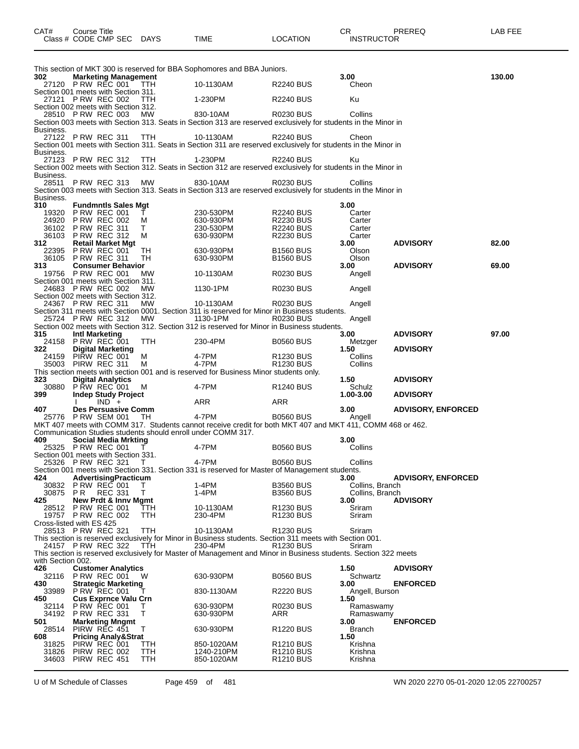| 302               | <b>Marketing Management</b>                                 |            | This section of MKT 300 is reserved for BBA Sophomores and BBA Juniors.                                                    |                                                | 3.00                               |                           | 130.00 |
|-------------------|-------------------------------------------------------------|------------|----------------------------------------------------------------------------------------------------------------------------|------------------------------------------------|------------------------------------|---------------------------|--------|
|                   | 27120 PRW REC 001 TTH                                       |            | 10-1130AM                                                                                                                  | R2240 BUS                                      | Cheon                              |                           |        |
|                   | Section 001 meets with Section 311.<br>27121 P RW REC 002   | TTH        | 1-230PM                                                                                                                    | R2240 BUS                                      | Ku                                 |                           |        |
|                   | Section 002 meets with Section 312.<br>28510 PRW REC 003 MW |            | 830-10AM                                                                                                                   | R0230 BUS                                      | Collins                            |                           |        |
|                   |                                                             |            | Section 003 meets with Section 313. Seats in Section 313 are reserved exclusively for students in the Minor in             |                                                |                                    |                           |        |
| Business.         | 27122 PRW REC 311 TTH                                       |            | 10-1130AM                                                                                                                  | <b>R2240 BUS</b>                               | Cheon                              |                           |        |
| Business.         |                                                             |            | Section 001 meets with Section 311. Seats in Section 311 are reserved exclusively for students in the Minor in             |                                                |                                    |                           |        |
|                   | 27123 P RW REC 312 TTH 1-230PM                              |            | Section 002 meets with Section 312. Seats in Section 312 are reserved exclusively for students in the Minor in             | <b>R2240 BUS</b>                               | Ku.                                |                           |        |
| Business.         |                                                             |            |                                                                                                                            |                                                |                                    |                           |        |
|                   | 28511 PRW REC 313 MW                                        |            | 830-10AM<br>Section 003 meets with Section 313. Seats in Section 313 are reserved exclusively for students in the Minor in | <b>R0230 BUS</b>                               | Collins                            |                           |        |
| Business.<br>310  | <b>Fundmntls Sales Mgt</b>                                  |            |                                                                                                                            |                                                | 3.00                               |                           |        |
|                   | 19320 P RW REC 001                                          | $\top$     | _Ju-530PM<br>630-930PM<br>230-530PM<br>630-930PM                                                                           | <b>R2240 BUS</b>                               | Carter                             |                           |        |
|                   | 24920 PRW REC 002 M<br>36102 P RW REC 311                   | $\top$     |                                                                                                                            | R2230 BUS<br><b>R2240 BUS</b>                  | Carter<br>Carter                   |                           |        |
|                   | 36103 PRW REC 312 M                                         |            |                                                                                                                            | R2230 BUS                                      | Carter                             |                           |        |
| 312               | <b>Retail Market Mgt</b><br>22395 PRW REC 001 TH            |            |                                                                                                                            |                                                | 3.00                               | <b>ADVISORY</b>           | 82.00  |
|                   | 36105 P RW REC 311                                          | TH         | 630-930PM<br>630-930PM                                                                                                     | <b>B1560 BUS</b><br>B1560 BUS                  | Olson<br>Olson                     |                           |        |
| 313 -             | <b>Consumer Behavior</b>                                    |            |                                                                                                                            |                                                | 3.00                               | <b>ADVISORY</b>           | 69.00  |
|                   | 19756 P RW REC 001<br>Section 001 meets with Section 311.   | MW         | 10-1130AM                                                                                                                  | R0230 BUS                                      | Angell                             |                           |        |
|                   | 24683 P RW REC 002<br>Section 002 meets with Section 312.   | MW         |                                                                                                                            | <b>R0230 BUS</b>                               | Angell                             |                           |        |
|                   | 24367 P RW REC 311                                          | MW         | 10-1130AM                                                                                                                  | <b>R0230 BUS</b>                               | Angell                             |                           |        |
|                   | 25724 PRW REC 312 MW                                        |            | Section 311 meets with Section 0001. Section 311 is reserved for Minor in Business students.<br>1130-1PM                   | <b>R0230 BUS</b>                               | Angell                             |                           |        |
|                   |                                                             |            | Section 002 meets with Section 312. Section 312 is reserved for Minor in Business students.                                |                                                |                                    |                           |        |
| 315.              | <b>Intl Marketing</b><br>24158 P RW REC 001                 | TTH        | 230-4PM                                                                                                                    | <b>B0560 BUS</b>                               | 3.00<br>Metzger                    | <b>ADVISORY</b>           | 97.00  |
| 322               | <b>Digital Marketing</b>                                    |            |                                                                                                                            |                                                | 1.50                               | <b>ADVISORY</b>           |        |
|                   | 24159 PIRW REC 001 M<br>35003 PIRW REC 311                  | M N        | 4-7PM<br>4-7PM                                                                                                             | R1230 BUS<br>R <sub>1230</sub> BUS             | Collins<br>Collins                 |                           |        |
|                   |                                                             |            | This section meets with section 001 and is reserved for Business Minor students only.                                      |                                                |                                    |                           |        |
| 323               | <b>Digital Analytics</b><br>30880 PRW REC 001 M             |            | 4-7PM                                                                                                                      | R1240 BUS                                      | 1.50<br>Schulz                     | <b>ADVISORY</b>           |        |
| 399 1990          | <b>Indep Study Project</b><br>$IND +$<br>$\mathbf{I}$       |            | ARR                                                                                                                        | ARR                                            | 1.00-3.00                          | <b>ADVISORY</b>           |        |
| 407 -             | Des Persuasive Comm                                         |            |                                                                                                                            |                                                | 3.00                               | <b>ADVISORY, ENFORCED</b> |        |
|                   | 25776 PRW SEM 001 TH                                        |            | 4-7PM<br>MKT 407 meets with COMM 317. Students cannot receive credit for both MKT 407 and MKT 411, COMM 468 or 462.        | <b>B0560 BUS</b>                               | Angell                             |                           |        |
|                   |                                                             |            | Communication Studies students should enroll under COMM 317.                                                               |                                                |                                    |                           |        |
| 409 -             | <b>Social Media Mrkting</b><br>25325 PRW REC 001 T          |            | 4-7PM                                                                                                                      | <b>B0560 BUS</b>                               | 3.00<br>Collins                    |                           |        |
|                   | Section 001 meets with Section 331.                         |            |                                                                                                                            |                                                |                                    |                           |        |
|                   | 25326 PRW REC 321 T                                         |            | 4-7PM<br>Section 001 meets with Section 331. Section 331 is reserved for Master of Management students.                    | <b>B0560 BUS</b>                               | Collins                            |                           |        |
| 424               | AdvertisingPracticum                                        |            |                                                                                                                            |                                                | 3.00                               | <b>ADVISORY, ENFORCED</b> |        |
| 30875 PR          | 30832 PRW REC 001<br>REC 331                                | T.<br>T.   | 1-4PM<br>1-4PM                                                                                                             | <b>B3560 BUS</b><br><b>B3560 BUS</b>           | Collins, Branch<br>Collins, Branch |                           |        |
| 425               | <b>New Prdt &amp; Inny Mamt</b>                             |            |                                                                                                                            |                                                | 3.00                               | <b>ADVISORY</b>           |        |
|                   | 28512 PRW REC 001                                           | TTH        | 10-1130AM                                                                                                                  | R <sub>1230</sub> BUS                          | Sriram                             |                           |        |
|                   | 19757 P RW REC 002<br>Cross-listed with ES 425              | TTH        | 230-4PM                                                                                                                    | R <sub>1230</sub> BUS                          | Sriram                             |                           |        |
|                   | 28513 PRW REC 321                                           | TTH        | 10-1130AM                                                                                                                  | R <sub>1230</sub> BUS                          | Sriram                             |                           |        |
|                   | 24157 P RW REC 322                                          | TTH        | This section is reserved exclusively for Minor in Business students. Section 311 meets with Section 001.<br>230-4PM        | R <sub>1230</sub> BUS                          | Sriram                             |                           |        |
| with Section 002. |                                                             |            | This section is reserved exclusively for Master of Management and Minor in Business students. Section 322 meets            |                                                |                                    |                           |        |
| 426               | <b>Customer Analytics</b>                                   |            |                                                                                                                            |                                                | 1.50                               | <b>ADVISORY</b>           |        |
|                   | 32116 PRW REC 001                                           | W          | 630-930PM                                                                                                                  | <b>B0560 BUS</b>                               | Schwartz                           | <b>ENFORCED</b>           |        |
| 430               | <b>Strategic Marketing</b><br>33989 P RW REC 001            |            | 830-1130AM                                                                                                                 | <b>R2220 BUS</b>                               | 3.00<br>Angell, Burson             |                           |        |
| 450<br>32114      | <b>Cus Exprnce Valu Crn</b><br><b>P RW REC 001</b>          | T          | 630-930PM                                                                                                                  | <b>R0230 BUS</b>                               | 1.50<br>Ramaswamy                  |                           |        |
|                   | 34192 P RW REC 331                                          | т          | 630-930PM                                                                                                                  | ARR                                            | Ramaswamy                          |                           |        |
| 501<br>28514      | <b>Marketing Mngmt</b><br>PIRW REC 451                      | T          | 630-930PM                                                                                                                  | R <sub>1220</sub> BUS                          | 3.00<br>Branch                     | <b>ENFORCED</b>           |        |
| 608               | <b>Pricing Analy&amp;Strat</b>                              |            |                                                                                                                            |                                                | 1.50                               |                           |        |
| 31825             | PIRW REC 001<br>31826 PIRW REC 002                          | TTH<br>ттн | 850-1020AM<br>1240-210PM                                                                                                   | R <sub>1210</sub> BUS<br>R <sub>1210</sub> BUS | Krishna<br>Krishna                 |                           |        |
| 34603             | PIRW REC 451                                                | TTH        | 850-1020AM                                                                                                                 | R <sub>1210</sub> BUS                          | Krishna                            |                           |        |

CAT# Course Title Case CR PREREQ LAB FEE

Class # CODE CMP SEC DAYS TIME LOCATION INSTRUCTOR

U of M Schedule of Classes Page 459 of 481 WN 2020 2270 05-01-2020 12:05 22700257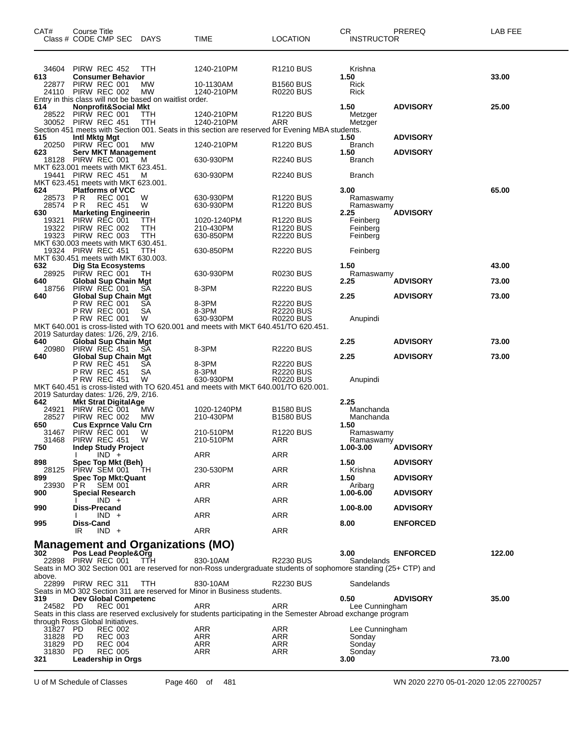| CAT#                         | Course Title     | Class # CODE CMP SEC                                                                             | <b>DAYS</b>                                                                 | TIME                                                                                                                         | <b>LOCATION</b>                                          | СR<br><b>INSTRUCTOR</b>                | PREREQ          | <b>LAB FEE</b> |
|------------------------------|------------------|--------------------------------------------------------------------------------------------------|-----------------------------------------------------------------------------|------------------------------------------------------------------------------------------------------------------------------|----------------------------------------------------------|----------------------------------------|-----------------|----------------|
| 34604<br>613                 |                  | PIRW REC 452<br><b>Consumer Behavior</b>                                                         | ттн                                                                         | 1240-210PM                                                                                                                   | R1210 BUS                                                | Krishna<br>1.50                        |                 | 33.00          |
| 22877<br>24110               |                  | PIRW REC 001<br>PIRW REC 002                                                                     | MW<br><b>MW</b><br>Entry in this class will not be based on waitlist order. | 10-1130AM<br>1240-210PM                                                                                                      | <b>B1560 BUS</b><br><b>R0220 BUS</b>                     | Rick<br>Rick                           |                 |                |
| 614<br>28522                 |                  | <b>Nonprofit&amp;Social Mkt</b><br>PIRW REC 001                                                  | TTH                                                                         | 1240-210PM                                                                                                                   | <b>R1220 BUS</b>                                         | 1.50<br>Metzger                        | <b>ADVISORY</b> | 25.00          |
|                              |                  | 30052 PIRW REC 451                                                                               | TTH                                                                         | 1240-210PM<br>Section 451 meets with Section 001. Seats in this section are reserved for Evening MBA students.               | ARR                                                      | Metzger                                |                 |                |
| 615<br>20250                 |                  | Intl Mktg Mgt<br>PIRW REC 001                                                                    | МW                                                                          | 1240-210PM                                                                                                                   | R1220 BUS                                                | 1.50<br><b>Branch</b>                  | <b>ADVISORY</b> |                |
| 623<br>18128                 |                  | <b>Serv MKT Management</b><br>PIRW REC 001                                                       | м                                                                           | 630-930PM                                                                                                                    | R2240 BUS                                                | 1.50<br><b>Branch</b>                  | <b>ADVISORY</b> |                |
|                              |                  | MKT 623.001 meets with MKT 623.451.<br>19441 PIRW REC 451<br>MKT 623.451 meets with MKT 623.001. | м                                                                           | 630-930PM                                                                                                                    | R2240 BUS                                                | <b>Branch</b>                          |                 |                |
| 624<br>28573 PR<br>28574     | PR.              | <b>Platforms of VCC</b><br><b>REC 001</b><br><b>REC 451</b>                                      | W<br>W                                                                      | 630-930PM<br>630-930PM                                                                                                       | R1220 BUS<br>R1220 BUS                                   | 3.00<br>Ramaswamy<br>Ramaswamy         |                 | 65.00          |
| 630<br>19321<br>19322        |                  | <b>Marketing Engineerin</b><br>PIRW REC 001<br>PIRW REC 002                                      | TТH<br>TTH                                                                  | 1020-1240PM<br>210-430PM                                                                                                     | R1220 BUS<br><b>R1220 BUS</b>                            | 2.25<br>Feinberg<br>Feinberg           | <b>ADVISORY</b> |                |
| 19323                        |                  | PIRW REC 003<br>MKT 630.003 meets with MKT 630.451.                                              | TTH                                                                         | 630-850PM                                                                                                                    | <b>R2220 BUS</b>                                         | Feinberg                               |                 |                |
| 632                          |                  | 19324 PIRW REC 451<br>MKT 630.451 meets with MKT 630.003.<br><b>Dig Sta Ecosystems</b>           | TTH                                                                         | 630-850PM                                                                                                                    | <b>R2220 BUS</b>                                         | Feinberg<br>1.50                       |                 | 43.00          |
| 28925<br>640                 |                  | PIRW REC 001<br><b>Global Sup Chain Mgt</b>                                                      | TН                                                                          | 630-930PM                                                                                                                    | <b>R0230 BUS</b>                                         | Ramaswamy<br>2.25                      | <b>ADVISORY</b> | 73.00          |
| 18756<br>640                 |                  | PIRW REC 001<br><b>Global Sup Chain Mgt</b>                                                      | SА                                                                          | 8-3PM                                                                                                                        | <b>R2220 BUS</b>                                         | 2.25                                   | <b>ADVISORY</b> | 73.00          |
|                              |                  | P RW REC 001<br><b>P RW REC 001</b><br><b>P RW REC 001</b>                                       | SА<br>SА<br>W                                                               | 8-3PM<br>8-3PM<br>630-930PM                                                                                                  | <b>R2220 BUS</b><br><b>R2220 BUS</b><br><b>R0220 BUS</b> | Anupindi                               |                 |                |
| 640                          |                  | 2019 Saturday dates: 1/26, 2/9, 2/16.<br><b>Global Sup Chain Mgt</b>                             |                                                                             | MKT 640.001 is cross-listed with TO 620.001 and meets with MKT 640.451/TO 620.451.                                           |                                                          | 2.25                                   | <b>ADVISORY</b> | 73.00          |
| 20980<br>640                 |                  | PIRW REC 451<br>Global Sup Chain Mgt                                                             | SA                                                                          | 8-3PM                                                                                                                        | <b>R2220 BUS</b>                                         | 2.25                                   | <b>ADVISORY</b> | 73.00          |
|                              |                  | P RW REC 451<br>P RW REC 451<br><b>P RW REC 451</b>                                              | SA<br>SА<br>W                                                               | 8-3PM<br>8-3PM<br>630-930PM                                                                                                  | <b>R2220 BUS</b><br><b>R2220 BUS</b><br><b>R0220 BUS</b> | Anupindi                               |                 |                |
|                              |                  | 2019 Saturday dates: 1/26, 2/9, 2/16.                                                            |                                                                             | MKT 640.451 is cross-listed with TO 620.451 and meets with MKT 640.001/TO 620.001.                                           |                                                          |                                        |                 |                |
| 642<br>24921<br>28527<br>650 |                  | <b>Mkt Strat DigitalAge</b><br>PIRW REC 001<br>PIRW REC 002<br><b>Cus Exprnce Valu Crn</b>       | МW<br><b>MW</b>                                                             | 1020-1240PM<br>210-430PM                                                                                                     | <b>B1580 BUS</b><br><b>B1580 BUS</b>                     | 2.25<br>Manchanda<br>Manchanda<br>1.50 |                 |                |
| 31467<br>31468<br>750        |                  | PIRW REC 001<br>PIRW REC 451<br>Indep Study Project                                              | W<br>W                                                                      | 210-510PM<br>210-510PM                                                                                                       | <b>R1220 BUS</b><br>ARR                                  | Ramaswamy<br>Ramaswamy<br>1.00-3.00    | <b>ADVISORY</b> |                |
| 898                          | L                | $IND +$<br>Spec Top Mkt (Beh)                                                                    |                                                                             | <b>ARR</b>                                                                                                                   | <b>ARR</b>                                               | 1.50                                   | <b>ADVISORY</b> |                |
| 28125<br>899<br>23930        | PR.              | PIRW SEM 001<br><b>Spec Top Mkt:Quant</b><br><b>SEM 001</b>                                      | TH.                                                                         | 230-530PM<br>ARR                                                                                                             | ARR<br>ARR                                               | Krishna<br>1.50<br>Aribarg             | <b>ADVISORY</b> |                |
| 900                          |                  | Special Research<br>$IND +$                                                                      |                                                                             | ARR                                                                                                                          | ARR                                                      | 1.00-6.00                              | <b>ADVISORY</b> |                |
| 990                          |                  | Diss-Precand<br>$IND +$                                                                          |                                                                             | <b>ARR</b>                                                                                                                   | ARR                                                      | 1.00-8.00                              | <b>ADVISORY</b> |                |
| 995                          | Diss-Cand<br>IR  | $IND +$                                                                                          |                                                                             | ARR                                                                                                                          | ARR                                                      | 8.00                                   | <b>ENFORCED</b> |                |
| 302                          |                  | Pos Lead People&Org                                                                              | <b>Management and Organizations (MO)</b>                                    |                                                                                                                              |                                                          | 3.00                                   | <b>ENFORCED</b> | 122.00         |
| above.                       |                  | 22898 PIRW REC 001                                                                               | TTH                                                                         | 830-10AM<br>Seats in MO 302 Section 001 are reserved for non-Ross undergraduate students of sophomore standing (25+ CTP) and | <b>R2230 BUS</b>                                         | Sandelands                             |                 |                |
|                              |                  | 22899 PIRW REC 311                                                                               | TTH                                                                         | 830-10AM<br>Seats in MO 302 Section 311 are reserved for Minor in Business students.                                         | R2230 BUS                                                | Sandelands                             |                 |                |
| 319<br>24582 PD              |                  | Dev Global Competenc<br><b>REC 001</b>                                                           |                                                                             | ARR                                                                                                                          | ARR                                                      | 0.50<br>Lee Cunningham                 | <b>ADVISORY</b> | 35.00          |
|                              |                  | through Ross Global Initiatives.                                                                 |                                                                             | Seats in this class are reserved exclusively for students participating in the Semester Abroad exchange program              |                                                          |                                        |                 |                |
| 31827 PD<br>31828 PD         |                  | REC 002<br><b>REC 003</b>                                                                        |                                                                             | ARR<br>ARR                                                                                                                   | ARR<br>ARR                                               | Lee Cunningham<br>Sonday               |                 |                |
| 31829<br>31830<br>321        | <b>PD</b><br>PD. | <b>REC 004</b><br><b>REC 005</b><br>Leadership in Orgs                                           |                                                                             | ARR<br>ARR                                                                                                                   | ARR<br>ARR                                               | Sonday<br>Sonday<br>3.00               |                 | 73.00          |

U of M Schedule of Classes Page 460 of 481 WN 2020 2270 05-01-2020 12:05 22700257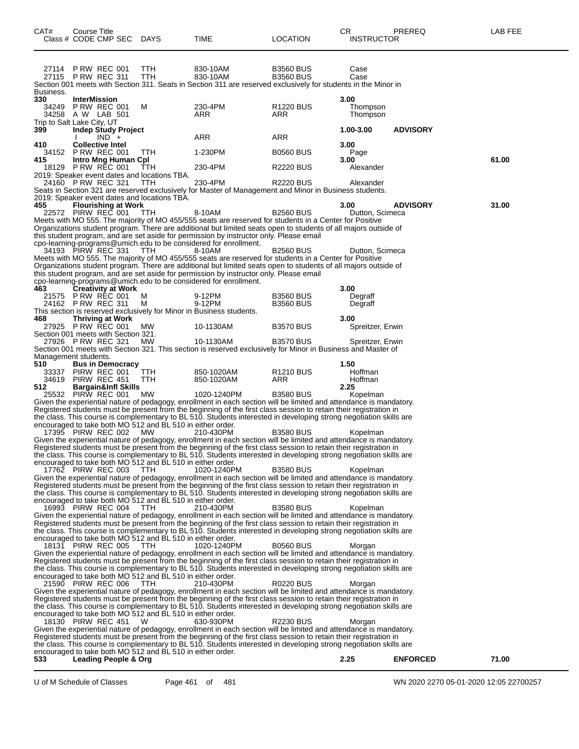|                | Class # CODE CMP SEC                                     |         | <b>DAYS</b>                                                       | TIME                                                                                                                                                                                                                                    | LOCATION                     | <b>INSTRUCTOR</b>       |                 |       |
|----------------|----------------------------------------------------------|---------|-------------------------------------------------------------------|-----------------------------------------------------------------------------------------------------------------------------------------------------------------------------------------------------------------------------------------|------------------------------|-------------------------|-----------------|-------|
|                |                                                          |         |                                                                   |                                                                                                                                                                                                                                         |                              |                         |                 |       |
|                | 27114 PRW REC 001                                        |         | ттн                                                               | 830-10AM                                                                                                                                                                                                                                | <b>B3560 BUS</b>             | Case                    |                 |       |
|                | 27115 PRW REC 311                                        |         | TTH                                                               | 830-10AM<br>Section 001 meets with Section 311. Seats in Section 311 are reserved exclusively for students in the Minor in                                                                                                              | <b>B3560 BUS</b>             | Case                    |                 |       |
| Business.      |                                                          |         |                                                                   |                                                                                                                                                                                                                                         |                              |                         |                 |       |
| 330<br>34249   | <b>InterMission</b><br><b>P RW REC 001</b>               |         | M                                                                 | 230-4PM                                                                                                                                                                                                                                 | R <sub>1220</sub> BUS        | 3.00<br>Thompson        |                 |       |
|                | 34258 A W LAB 501                                        |         |                                                                   | ARR                                                                                                                                                                                                                                     | ARR                          | Thompson                |                 |       |
| 399            | Trip to Salt Lake City, UT<br>Indep Study Project        |         |                                                                   |                                                                                                                                                                                                                                         |                              | 1.00-3.00               | <b>ADVISORY</b> |       |
| 410            | <b>Collective Intel</b>                                  | $IND +$ |                                                                   | ARR                                                                                                                                                                                                                                     | ARR                          | 3.00                    |                 |       |
|                | 34152 PRW REC 001                                        |         | TTH                                                               | 1-230PM                                                                                                                                                                                                                                 | <b>B0560 BUS</b>             | Page                    |                 |       |
| 415<br>18129   | Intro Mng Human Cpl<br><b>PRW REC 001</b>                |         | TTH                                                               | 230-4PM                                                                                                                                                                                                                                 | <b>R2220 BUS</b>             | 3.00<br>Alexander       |                 | 61.00 |
|                |                                                          |         | 2019: Speaker event dates and locations TBA.                      |                                                                                                                                                                                                                                         |                              |                         |                 |       |
|                | 24160 P RW REC 321                                       |         | <b>TTH</b>                                                        | 230-4PM<br>Seats in Section 321 are reserved exclusively for Master of Management and Minor in Business students.                                                                                                                       | <b>R2220 BUS</b>             | Alexander               |                 |       |
|                |                                                          |         | 2019: Speaker event dates and locations TBA.                      |                                                                                                                                                                                                                                         |                              |                         |                 |       |
| 455            | <b>Flourishing at Work</b><br>22572 PIRW REC 001         |         | TTH                                                               | 8-10AM                                                                                                                                                                                                                                  | <b>B2560 BUS</b>             | 3.00<br>Dutton, Scimeca | <b>ADVISORY</b> | 31.00 |
|                |                                                          |         |                                                                   | Meets with MO 555. The majority of MO 455/555 seats are reserved for students in a Center for Positive<br>Organizations student program. There are additional but limited seats open to students of all majors outside of               |                              |                         |                 |       |
|                |                                                          |         |                                                                   | this student program, and are set aside for permission by instructor only. Please email                                                                                                                                                 |                              |                         |                 |       |
|                | 34193 PIRW REC 331                                       |         | <b>TTH</b>                                                        | cpo-learning-programs@umich.edu to be considered for enrollment.<br>8-10AM                                                                                                                                                              | <b>B2560 BUS</b>             | Dutton, Scimeca         |                 |       |
|                |                                                          |         |                                                                   | Meets with MO 555. The majority of MO 455/555 seats are reserved for students in a Center for Positive                                                                                                                                  |                              |                         |                 |       |
|                |                                                          |         |                                                                   | Organizations student program. There are additional but limited seats open to students of all majors outside of<br>this student program, and are set aside for permission by instructor only. Please email                              |                              |                         |                 |       |
|                |                                                          |         |                                                                   | cpo-learning-programs@umich.edu to be considered for enrollment.                                                                                                                                                                        |                              |                         |                 |       |
| 463            | <b>Creativity at Work</b><br>21575 P RW REC 001          |         | M                                                                 | 9-12PM                                                                                                                                                                                                                                  | <b>B3560 BUS</b>             | 3.00<br>Degraff         |                 |       |
|                | 24162 P RW REC 311                                       |         | м                                                                 | 9-12PM<br>This section is reserved exclusively for Minor in Business students.                                                                                                                                                          | <b>B3560 BUS</b>             | Degraff                 |                 |       |
| 468            | <b>Thriving at Work</b>                                  |         |                                                                   |                                                                                                                                                                                                                                         |                              | 3.00                    |                 |       |
|                | 27925 PRW REC 001<br>Section 001 meets with Section 321. |         | МW                                                                | 10-1130AM                                                                                                                                                                                                                               | <b>B3570 BUS</b>             | Spreitzer, Erwin        |                 |       |
|                | 27926 PRW REC 321                                        |         | MW                                                                | 10-1130AM                                                                                                                                                                                                                               | <b>B3570 BUS</b>             | Spreitzer, Erwin        |                 |       |
|                | Management students.                                     |         |                                                                   | Section 001 meets with Section 321. This section is reserved exclusively for Minor in Business and Master of                                                                                                                            |                              |                         |                 |       |
| 510            | <b>Bus in Democracy</b>                                  |         |                                                                   |                                                                                                                                                                                                                                         |                              | 1.50                    |                 |       |
| 33337<br>34619 | PIRW REC 001<br>PIRW REC 451                             |         | TTH<br>TTH                                                        | 850-1020AM<br>850-1020AM                                                                                                                                                                                                                | R <sub>1210</sub> BUS<br>ARR | Hoffman<br>Hoffman      |                 |       |
| 512            | <b>Bargain&amp;Infl Skills</b><br>25532 PIRW REC 001     |         | МW                                                                | 1020-1240PM                                                                                                                                                                                                                             | <b>B3580 BUS</b>             | 2.25                    |                 |       |
|                |                                                          |         |                                                                   | Given the experiential nature of pedagogy, enrollment in each section will be limited and attendance is mandatory.                                                                                                                      |                              | Kopelman                |                 |       |
|                |                                                          |         |                                                                   | Registered students must be present from the beginning of the first class session to retain their registration in<br>the class. This course is complementary to BL 510. Students interested in developing strong negotiation skills are |                              |                         |                 |       |
|                |                                                          |         | encouraged to take both MO 512 and BL 510 in either order.        |                                                                                                                                                                                                                                         |                              |                         |                 |       |
|                | 17395 PIRW REC 002 MW                                    |         |                                                                   | 210-430PM<br>Given the experiential nature of pedagogy, enrollment in each section will be limited and attendance is mandatory.                                                                                                         | <b>B3580 BUS</b>             | Kopelman                |                 |       |
|                |                                                          |         |                                                                   | Registered students must be present from the beginning of the first class session to retain their registration in                                                                                                                       |                              |                         |                 |       |
|                |                                                          |         | encouraged to take both MO 512 and BL 510 in either order.        | the class. This course is complementary to BL 510. Students interested in developing strong negotiation skills are                                                                                                                      |                              |                         |                 |       |
|                | 17762 PIRW REC 003                                       |         | TTH                                                               | 1020-1240PM<br>Given the experiential nature of pedagogy, enrollment in each section will be limited and attendance is mandatory.                                                                                                       | <b>B3580 BUS</b>             | Kopelman                |                 |       |
|                |                                                          |         |                                                                   | Registered students must be present from the beginning of the first class session to retain their registration in                                                                                                                       |                              |                         |                 |       |
|                |                                                          |         | encouraged to take both MO 512 and BL 510 in either order.        | the class. This course is complementary to BL 510. Students interested in developing strong negotiation skills are                                                                                                                      |                              |                         |                 |       |
|                | 16993 PIRW REC 004                                       |         | TTH                                                               | 210-430PM                                                                                                                                                                                                                               | <b>B3580 BUS</b>             | Kopelman                |                 |       |
|                |                                                          |         |                                                                   | Given the experiential nature of pedagogy, enrollment in each section will be limited and attendance is mandatory.<br>Registered students must be present from the beginning of the first class session to retain their registration in |                              |                         |                 |       |
|                |                                                          |         |                                                                   | the class. This course is complementary to BL 510. Students interested in developing strong negotiation skills are                                                                                                                      |                              |                         |                 |       |
|                | 18131 PIRW REC 005 TTH                                   |         | encouraged to take both MO 512 and BL 510 in either order.        | 1020-1240PM                                                                                                                                                                                                                             | <b>B0560 BUS</b>             | Morgan                  |                 |       |
|                |                                                          |         |                                                                   | Given the experiential nature of pedagogy, enrollment in each section will be limited and attendance is mandatory.<br>Registered students must be present from the beginning of the first class session to retain their registration in |                              |                         |                 |       |
|                |                                                          |         |                                                                   | the class. This course is complementary to BL 510. Students interested in developing strong negotiation skills are                                                                                                                      |                              |                         |                 |       |
|                | 21590 PIRW REC 006                                       |         | encouraged to take both MO 512 and BL 510 in either order.<br>TTH | 210-430PM                                                                                                                                                                                                                               | R0220 BUS                    | Morgan                  |                 |       |
|                |                                                          |         |                                                                   | Given the experiential nature of pedagogy, enrollment in each section will be limited and attendance is mandatory.                                                                                                                      |                              |                         |                 |       |
|                |                                                          |         |                                                                   | Registered students must be present from the beginning of the first class session to retain their registration in<br>the class. This course is complementary to BL 510. Students interested in developing strong negotiation skills are |                              |                         |                 |       |
|                |                                                          |         | encouraged to take both MO 512 and BL 510 in either order.        |                                                                                                                                                                                                                                         |                              |                         |                 |       |
|                | 18130 PIRW REC 451                                       |         | W                                                                 | 630-930PM<br>Given the experiential nature of pedagogy, enrollment in each section will be limited and attendance is mandatory.                                                                                                         | <b>R2230 BUS</b>             | Morgan                  |                 |       |
|                |                                                          |         |                                                                   | Registered students must be present from the beginning of the first class session to retain their registration in                                                                                                                       |                              |                         |                 |       |
|                |                                                          |         | encouraged to take both MO 512 and BL 510 in either order.        | the class. This course is complementary to BL 510. Students interested in developing strong negotiation skills are                                                                                                                      |                              |                         |                 |       |
| 533            | <b>Leading People &amp; Org</b>                          |         |                                                                   |                                                                                                                                                                                                                                         |                              | 2.25                    | <b>ENFORCED</b> | 71.00 |

CAT# Course Title Case CR PREREQ LAB FEE

U of M Schedule of Classes Page 461 of 481 WN 2020 2270 05-01-2020 12:05 22700257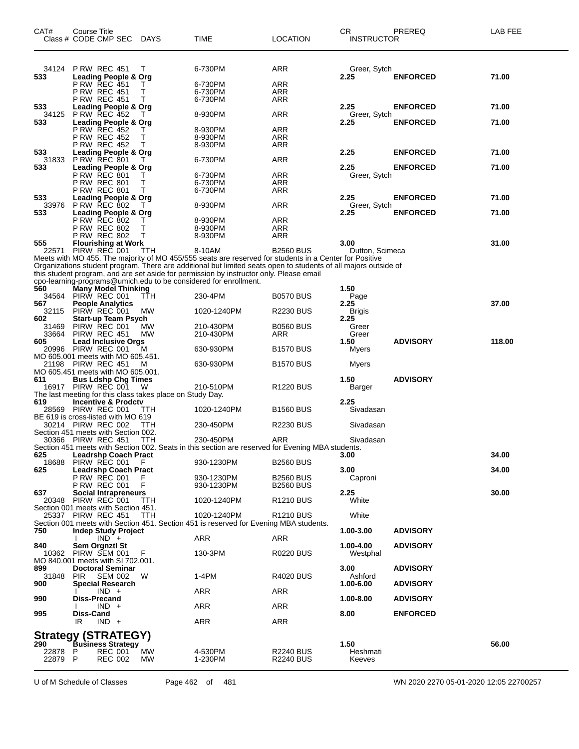| CAT#                      | Course Title<br>Class # CODE CMP SEC                                                                          | DAYS              | TIME                                                                                                                                                                                                                                                                                                                           | <b>LOCATION</b>                      | CR<br><b>INSTRUCTOR</b>    | PREREQ          | LAB FEE |
|---------------------------|---------------------------------------------------------------------------------------------------------------|-------------------|--------------------------------------------------------------------------------------------------------------------------------------------------------------------------------------------------------------------------------------------------------------------------------------------------------------------------------|--------------------------------------|----------------------------|-----------------|---------|
| 34124<br>533              | <b>P RW REC 451</b><br><b>Leading People &amp; Org</b><br><b>P RW REC 451</b>                                 | т<br>Т            | 6-730PM<br>6-730PM                                                                                                                                                                                                                                                                                                             | ARR<br>ARR                           | Greer, Sytch<br>2.25       | <b>ENFORCED</b> | 71.00   |
|                           | <b>P RW REC 451</b>                                                                                           | т                 | 6-730PM                                                                                                                                                                                                                                                                                                                        | ARR                                  |                            |                 |         |
| 533                       | <b>P RW REC 451</b><br><b>Leading People &amp; Org</b>                                                        | Т                 | 6-730PM                                                                                                                                                                                                                                                                                                                        | ARR                                  | 2.25                       | <b>ENFORCED</b> | 71.00   |
| 34125<br>533              | <b>P RW REC 452</b><br><b>Leading People &amp; Org</b>                                                        | T                 | 8-930PM                                                                                                                                                                                                                                                                                                                        | ARR                                  | Greer, Sytch<br>2.25       | <b>ENFORCED</b> | 71.00   |
|                           | <b>P RW REC 452</b>                                                                                           |                   | 8-930PM                                                                                                                                                                                                                                                                                                                        | ARR                                  |                            |                 |         |
|                           | <b>P RW REC 452</b><br><b>P RW REC 452</b>                                                                    | т<br>Т            | 8-930PM<br>8-930PM                                                                                                                                                                                                                                                                                                             | ARR<br>ARR                           |                            |                 |         |
| 533                       | <b>Leading People &amp; Org</b>                                                                               |                   |                                                                                                                                                                                                                                                                                                                                |                                      | 2.25                       | <b>ENFORCED</b> | 71.00   |
| 31833<br>533              | <b>P RW REC 801</b><br><b>Leading People &amp; Org</b>                                                        | т                 | 6-730PM                                                                                                                                                                                                                                                                                                                        | ARR                                  | 2.25                       | <b>ENFORCED</b> | 71.00   |
|                           | <b>P RW REC 801</b><br><b>P RW REC 801</b>                                                                    | $\mathbf{I}$<br>т | 6-730PM<br>6-730PM                                                                                                                                                                                                                                                                                                             | ARR<br>ARR                           | Greer, Sytch               |                 |         |
|                           | <b>P RW REC 801</b>                                                                                           | Т                 | 6-730PM                                                                                                                                                                                                                                                                                                                        | ARR                                  |                            |                 |         |
| 533<br>33976              | <b>Leading People &amp; Org</b><br><b>P RW REC 802</b>                                                        | т                 | 8-930PM                                                                                                                                                                                                                                                                                                                        | ARR                                  | 2.25                       | <b>ENFORCED</b> | 71.00   |
| 533                       | <b>Leading People &amp; Org</b>                                                                               |                   |                                                                                                                                                                                                                                                                                                                                |                                      | Greer, Sytch<br>2.25       | <b>ENFORCED</b> | 71.00   |
|                           | <b>P RW REC 802</b><br><b>P RW REC 802</b>                                                                    | $\mathbf{I}$<br>т | 8-930PM<br>8-930PM                                                                                                                                                                                                                                                                                                             | ARR<br>ARR                           |                            |                 |         |
|                           | <b>P RW REC 802</b>                                                                                           | т                 | 8-930PM                                                                                                                                                                                                                                                                                                                        | ARR                                  |                            |                 |         |
| 555                       | <b>Flourishing at Work</b>                                                                                    |                   |                                                                                                                                                                                                                                                                                                                                |                                      | 3.00                       |                 | 31.00   |
| 22571                     | PIRW REC 001                                                                                                  | TTH               | 8-10AM<br>Meets with MO 455. The majority of MO 455/555 seats are reserved for students in a Center for Positive<br>Organizations student program. There are additional but limited seats open to students of all majors outside of<br>this student program, and are set aside for permission by instructor only. Please email | <b>B2560 BUS</b>                     | Dutton, Scimeca            |                 |         |
|                           |                                                                                                               |                   | cpo-learning-programs@umich.edu to be considered for enrollment.                                                                                                                                                                                                                                                               |                                      |                            |                 |         |
| 560<br>34564              | <b>Many Model Thinking</b><br>PIRW REC 001                                                                    | ттн               | 230-4PM                                                                                                                                                                                                                                                                                                                        | <b>B0570 BUS</b>                     | 1.50<br>Page               |                 |         |
| 567                       | <b>People Analytics</b>                                                                                       |                   |                                                                                                                                                                                                                                                                                                                                |                                      | 2.25                       |                 | 37.00   |
| 32115<br>602              | PIRW REC 001<br><b>Start-up Team Psych</b>                                                                    | МW                | 1020-1240PM                                                                                                                                                                                                                                                                                                                    | <b>R2230 BUS</b>                     | Brigis<br>2.25             |                 |         |
| 31469                     | PIRW REC 001                                                                                                  | МW                | 210-430PM                                                                                                                                                                                                                                                                                                                      | <b>B0560 BUS</b>                     | Greer                      |                 |         |
| 33664<br>605              | PIRW REC 451<br><b>Lead Inclusive Orgs</b>                                                                    | MW                | 210-430PM                                                                                                                                                                                                                                                                                                                      | ARR                                  | Greer<br>1.50              | <b>ADVISORY</b> | 118.00  |
| 20996                     | PIRW REC 001                                                                                                  | м                 | 630-930PM                                                                                                                                                                                                                                                                                                                      | <b>B1570 BUS</b>                     | Myers                      |                 |         |
| 21198                     | MO 605.001 meets with MO 605.451.<br>PIRW REC 451                                                             | M                 | 630-930PM                                                                                                                                                                                                                                                                                                                      | <b>B1570 BUS</b>                     | Myers                      |                 |         |
| 611                       | MO 605.451 meets with MO 605.001.                                                                             |                   |                                                                                                                                                                                                                                                                                                                                |                                      | 1.50                       | <b>ADVISORY</b> |         |
|                           | <b>Bus Ldshp Chg Times</b><br>16917 PIRW REC 001<br>The last meeting for this class takes place on Study Day. | W.                | 210-510PM                                                                                                                                                                                                                                                                                                                      | R1220 BUS                            | Barger                     |                 |         |
| 619<br>28569              | <b>Incentive &amp; Prodctv</b><br>PIRW REC 001                                                                | TTH               | 1020-1240PM                                                                                                                                                                                                                                                                                                                    | <b>B1560 BUS</b>                     | 2.25<br>Sivadasan          |                 |         |
|                           | BE 619 is cross-listed with MO 619<br>30214 PIRW REC 002                                                      |                   | 230-450PM                                                                                                                                                                                                                                                                                                                      |                                      |                            |                 |         |
|                           | Section 451 meets with Section 002.                                                                           | ттн               |                                                                                                                                                                                                                                                                                                                                | R2230 BUS                            | Sivadasan                  |                 |         |
| 625                       | 30366 PIRW REC 451<br><b>Leadrshp Coach Pract</b>                                                             | TTH               | 230-450PM<br>Section 451 meets with Section 002. Seats in this section are reserved for Evening MBA students.                                                                                                                                                                                                                  | ARR                                  | Sivadasan<br>3.00          |                 | 34.00   |
| 18688                     | PIRW REC 001                                                                                                  | F                 | 930-1230PM                                                                                                                                                                                                                                                                                                                     | <b>B2560 BUS</b>                     |                            |                 |         |
| 625                       | <b>Leadrshp Coach Pract</b><br><b>P RW REC 001</b>                                                            |                   | 930-1230PM                                                                                                                                                                                                                                                                                                                     | <b>B2560 BUS</b>                     | 3.00<br>Caproni            |                 | 34.00   |
|                           | <b>P RW REC 001</b>                                                                                           | F                 | 930-1230PM                                                                                                                                                                                                                                                                                                                     | <b>B2560 BUS</b>                     |                            |                 |         |
| 637                       | <b>Social Intrapreneurs</b><br>20348 PIRW REC 001                                                             | TTH               | 1020-1240PM                                                                                                                                                                                                                                                                                                                    | R <sub>1210</sub> BUS                | 2.25<br>White              |                 | 30.00   |
|                           | Section 001 meets with Section 451.                                                                           |                   | 1020-1240PM                                                                                                                                                                                                                                                                                                                    | R1210 BUS                            | White                      |                 |         |
|                           | 25337 PIRW REC 451                                                                                            | TTH               | Section 001 meets with Section 451. Section 451 is reserved for Evening MBA students.                                                                                                                                                                                                                                          |                                      |                            |                 |         |
| 750                       | <b>Indep Study Project</b><br>$IND +$                                                                         |                   | ARR                                                                                                                                                                                                                                                                                                                            | ARR                                  | 1.00-3.00                  | <b>ADVISORY</b> |         |
| 840                       | Sem Orgnztl St                                                                                                |                   |                                                                                                                                                                                                                                                                                                                                |                                      | 1.00-4.00                  | <b>ADVISORY</b> |         |
| 10362                     | PIRW SEM 001<br>MO 840.001 meets with SI 702.001.                                                             | F                 | 130-3PM                                                                                                                                                                                                                                                                                                                        | R0220 BUS                            | Westphal                   |                 |         |
| 899                       | <b>Doctoral Seminar</b>                                                                                       |                   |                                                                                                                                                                                                                                                                                                                                |                                      | 3.00                       | <b>ADVISORY</b> |         |
| 31848<br>900              | PIR<br>SEM 002 W<br><b>Special Research</b>                                                                   |                   | 1-4PM                                                                                                                                                                                                                                                                                                                          | R4020 BUS                            | Ashford<br>1.00-6.00       | <b>ADVISORY</b> |         |
|                           | $IND +$                                                                                                       |                   | ARR                                                                                                                                                                                                                                                                                                                            | ARR                                  |                            |                 |         |
| 990                       | Diss-Precand<br>$IND +$                                                                                       |                   | ARR                                                                                                                                                                                                                                                                                                                            | ARR                                  | 1.00-8.00                  | <b>ADVISORY</b> |         |
| 995                       | Diss-Cand                                                                                                     |                   |                                                                                                                                                                                                                                                                                                                                |                                      | 8.00                       | <b>ENFORCED</b> |         |
|                           | IR.<br>$IND +$                                                                                                |                   | ARR                                                                                                                                                                                                                                                                                                                            | <b>ARR</b>                           |                            |                 |         |
|                           | <b>Strategy (STRATEGY)</b>                                                                                    |                   |                                                                                                                                                                                                                                                                                                                                |                                      |                            |                 |         |
| 290<br>22878 P<br>22879 P | <b>Business Strategy</b><br><b>REC 001</b><br><b>REC 002</b>                                                  | MW<br>МW          | 4-530PM<br>1-230PM                                                                                                                                                                                                                                                                                                             | <b>R2240 BUS</b><br><b>R2240 BUS</b> | 1.50<br>Heshmati<br>Keeves |                 | 56.00   |
|                           |                                                                                                               |                   |                                                                                                                                                                                                                                                                                                                                |                                      |                            |                 |         |

U of M Schedule of Classes Page 462 of 481 WN 2020 2270 05-01-2020 12:05 22700257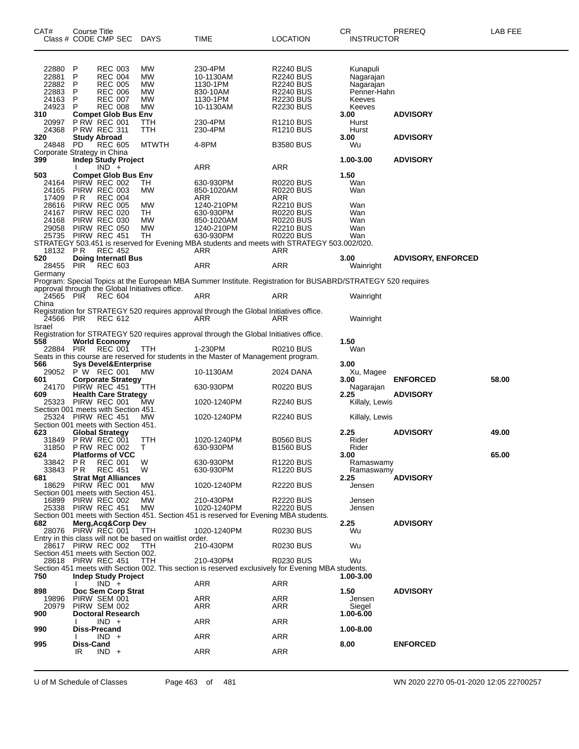| CAT#           | Course Title<br>Class # CODE CMP SEC                      | <b>DAYS</b>     | <b>TIME</b>                                                                                                  | LOCATION                             | CR.<br><b>INSTRUCTOR</b> | PREREQ                    | LAB FEE |
|----------------|-----------------------------------------------------------|-----------------|--------------------------------------------------------------------------------------------------------------|--------------------------------------|--------------------------|---------------------------|---------|
|                |                                                           |                 |                                                                                                              |                                      |                          |                           |         |
| 22880          | P<br><b>REC 003</b>                                       | МW              | 230-4PM                                                                                                      | R2240 BUS                            | Kunapuli                 |                           |         |
| 22881          | P<br><b>REC 004</b>                                       | МW              | 10-1130AM                                                                                                    | <b>R2240 BUS</b>                     | Nagarajan                |                           |         |
| 22882          | P<br><b>REC 005</b>                                       | МW              | 1130-1PM                                                                                                     | <b>R2240 BUS</b>                     | Nagarajan                |                           |         |
| 22883          | P<br><b>REC 006</b>                                       | МW              | 830-10AM                                                                                                     | <b>R2240 BUS</b>                     | Penner-Hahn              |                           |         |
| 24163          | <b>REC 007</b><br>P                                       | МW              | 1130-1PM                                                                                                     | <b>R2230 BUS</b>                     | Keeves                   |                           |         |
| 24923          | P<br><b>REC 008</b>                                       | MW              | 10-1130AM                                                                                                    | R2230 BUS                            | Keeves                   |                           |         |
| 310<br>20997   | <b>Compet Glob Bus Env</b><br><b>P RW REC 001</b>         | TTH             | 230-4PM                                                                                                      | R <sub>1210</sub> BUS                | 3.00<br>Hurst            | <b>ADVISORY</b>           |         |
| 24368          | <b>P RW REC 311</b>                                       | TTH             | 230-4PM                                                                                                      | R <sub>1210</sub> BUS                | Hurst                    |                           |         |
| 320            | Study Abroad                                              |                 |                                                                                                              |                                      | 3.00                     | <b>ADVISORY</b>           |         |
| 24848          | PD.<br><b>REC 605</b>                                     | <b>MTWTH</b>    | 4-8PM                                                                                                        | <b>B3580 BUS</b>                     | Wu                       |                           |         |
|                | Corporate Strategy in China                               |                 |                                                                                                              |                                      |                          |                           |         |
| 399            | Indep Study Project<br>$IND +$                            |                 | ARR                                                                                                          | ARR                                  | 1.00-3.00                | <b>ADVISORY</b>           |         |
| 503            | Compet Glob Bus Env                                       |                 |                                                                                                              |                                      | 1.50                     |                           |         |
| 24164          | PIRW REC 002                                              | ТH              | 630-930PM                                                                                                    | R0220 BUS                            | Wan                      |                           |         |
| 24165          | PIRW REC 003                                              | МW              | 850-1020AM                                                                                                   | <b>R0220 BUS</b>                     | Wan                      |                           |         |
| 17409          | P R<br><b>REC 004</b>                                     |                 | ARR                                                                                                          | ARR                                  |                          |                           |         |
| 28616          | PIRW REC 005                                              | МW              | 1240-210PM                                                                                                   | R2210 BUS                            | Wan                      |                           |         |
| 24167<br>24168 | PIRW REC 020<br>PIRW REC 030                              | TH<br>MW        | 630-930PM<br>850-1020AM                                                                                      | <b>R0220 BUS</b><br><b>R0220 BUS</b> | Wan<br>Wan               |                           |         |
| 29058          | PIRW REC 050                                              | MW              | 1240-210PM                                                                                                   | <b>R2210 BUS</b>                     | Wan                      |                           |         |
| 25735          | PIRW REC 451                                              | TH              | 630-930PM                                                                                                    | <b>R0220 BUS</b>                     | Wan                      |                           |         |
|                |                                                           |                 | STRATEGY 503.451 is reserved for Evening MBA students and meets with STRATEGY 503.002/020.                   |                                      |                          |                           |         |
| 18132 PR       | <b>REC 452</b>                                            |                 | ARR                                                                                                          | ARR                                  |                          |                           |         |
| 520<br>28455   | <b>Doing Internatl Bus</b><br>PIR<br><b>REC 603</b>       |                 | ARR                                                                                                          | ARR                                  | 3.00                     | <b>ADVISORY, ENFORCED</b> |         |
| Germany        |                                                           |                 |                                                                                                              |                                      | Wainright                |                           |         |
|                |                                                           |                 | Program: Special Topics at the European MBA Summer Institute. Registration for BUSABRD/STRATEGY 520 requires |                                      |                          |                           |         |
|                | approval through the Global Initiatives office.           |                 |                                                                                                              |                                      |                          |                           |         |
| 24565 PIR      | <b>REC 604</b>                                            |                 | ARR                                                                                                          | ARR                                  | Wainright                |                           |         |
| China          |                                                           |                 |                                                                                                              |                                      |                          |                           |         |
| 24566 PIR      | REC 612                                                   |                 | Registration for STRATEGY 520 requires approval through the Global Initiatives office.<br>ARR                | ARR                                  |                          |                           |         |
| Israel         |                                                           |                 |                                                                                                              |                                      | Wainright                |                           |         |
|                |                                                           |                 | Registration for STRATEGY 520 requires approval through the Global Initiatives office.                       |                                      |                          |                           |         |
| 558            | <b>World Economy</b>                                      |                 |                                                                                                              |                                      | 1.50                     |                           |         |
| 22884          | PIR<br><b>REC 001</b>                                     | ттн             | 1-230PM                                                                                                      | <b>R0210 BUS</b>                     | Wan                      |                           |         |
| 566            |                                                           |                 | Seats in this course are reserved for students in the Master of Management program.                          |                                      |                          |                           |         |
| 29052          | Sys Devel&Enterprise<br>P W REC 001                       | МW              | 10-1130AM                                                                                                    | 2024 DANA                            | 3.00<br>Xu, Magee        |                           |         |
| 601            | Corporate Strategy                                        |                 |                                                                                                              |                                      | 3.00                     | <b>ENFORCED</b>           | 58.00   |
| 24170          | PIRW REC 451                                              | TTH             | 630-930PM                                                                                                    | R0220 BUS                            | Nagarajan                |                           |         |
| 609            | <b>Health Care Strategy</b>                               |                 |                                                                                                              |                                      | 2.25                     | <b>ADVISORY</b>           |         |
| 25323          | PIRW REC 001                                              | МW              | 1020-1240PM                                                                                                  | <b>R2240 BUS</b>                     | Killaly, Lewis           |                           |         |
|                | Section 001 meets with Section 451.<br>25324 PIRW REC 451 | МW              | 1020-1240PM                                                                                                  | <b>R2240 BUS</b>                     | Killaly, Lewis           |                           |         |
|                | Section 001 meets with Section 451.                       |                 |                                                                                                              |                                      |                          |                           |         |
| 623            | Global Strategy                                           |                 |                                                                                                              |                                      | 2.25                     | <b>ADVISORY</b>           | 49.00   |
| 31849          | <b>P RW REC 001</b>                                       | TTH             | 1020-1240PM                                                                                                  | <b>B0560 BUS</b>                     | Rider                    |                           |         |
| 31850          | <b>P RW REC 002</b>                                       | т               | 630-930PM                                                                                                    | <b>B1560 BUS</b>                     | Rider                    |                           |         |
| 624<br>33842   | <b>Platforms of VCC</b><br>P R<br><b>REC 001</b>          | W               | 630-930PM                                                                                                    | R <sub>1220</sub> BUS                | 3.00<br>Ramaswamy        |                           | 65.00   |
| 33843          | <b>PR</b><br><b>REC 451</b>                               | W               | 630-930PM                                                                                                    | R <sub>1220</sub> BUS                | Ramaswamy                |                           |         |
| 681            | <b>Strat Mgt Alliances</b>                                |                 |                                                                                                              |                                      | 2.25                     | <b>ADVISORY</b>           |         |
| 18629          | PIRW REC 001                                              | <b>MW</b>       | 1020-1240PM                                                                                                  | <b>R2220 BUS</b>                     | Jensen                   |                           |         |
|                | Section 001 meets with Section 451.                       |                 |                                                                                                              |                                      |                          |                           |         |
| 16899          | PIRW REC 002                                              | MW<br><b>MW</b> | 210-430PM<br>1020-1240PM                                                                                     | <b>R2220 BUS</b>                     | Jensen                   |                           |         |
|                | 25338 PIRW REC 451                                        |                 | Section 001 meets with Section 451. Section 451 is reserved for Evening MBA students.                        | <b>R2220 BUS</b>                     | Jensen                   |                           |         |
| 682            | Merg, Acq&Corp Dev                                        |                 |                                                                                                              |                                      | 2.25                     | <b>ADVISORY</b>           |         |
|                | 28076 PIRW REC 001                                        | TTH             | 1020-1240PM                                                                                                  | <b>R0230 BUS</b>                     | Wu                       |                           |         |
|                | Entry in this class will not be based on waitlist order.  |                 |                                                                                                              |                                      |                          |                           |         |
|                | 28617 PIRW REC 002                                        | TTH             | 210-430PM                                                                                                    | <b>R0230 BUS</b>                     | Wu                       |                           |         |
|                | Section 451 meets with Section 002.<br>28618 PIRW REC 451 | TTH             | 210-430PM                                                                                                    | <b>R0230 BUS</b>                     | Wu                       |                           |         |
|                |                                                           |                 | Section 451 meets with Section 002. This section is reserved exclusively for Evening MBA students.           |                                      |                          |                           |         |
| 750            | <b>Indep Study Project</b>                                |                 |                                                                                                              |                                      | 1.00-3.00                |                           |         |
|                | $IND +$                                                   |                 | <b>ARR</b>                                                                                                   | ARR                                  |                          |                           |         |
| 898            | Doc Sem Corp Strat                                        |                 |                                                                                                              |                                      | 1.50                     | <b>ADVISORY</b>           |         |
| 19896<br>20979 | PIRW SEM 001<br>PIRW SEM 002                              |                 | ARR<br>ARR                                                                                                   | ARR<br>ARR                           | Jensen<br>Siegel         |                           |         |
| 900            | Doctoral Research                                         |                 |                                                                                                              |                                      | 1.00-6.00                |                           |         |
|                | $IND +$                                                   |                 | ARR                                                                                                          | ARR                                  |                          |                           |         |
| 990            | Diss-Precand                                              |                 |                                                                                                              |                                      | 1.00-8.00                |                           |         |
|                | $IND +$                                                   |                 | ARR                                                                                                          | <b>ARR</b>                           |                          |                           |         |
| 995            | Diss-Cand<br>IR.<br>$IND +$                               |                 |                                                                                                              | <b>ARR</b>                           | 8.00                     | <b>ENFORCED</b>           |         |
|                |                                                           |                 | ARR                                                                                                          |                                      |                          |                           |         |
|                |                                                           |                 |                                                                                                              |                                      |                          |                           |         |

U of M Schedule of Classes Page 463 of 481 WN 2020 2270 05-01-2020 12:05 22700257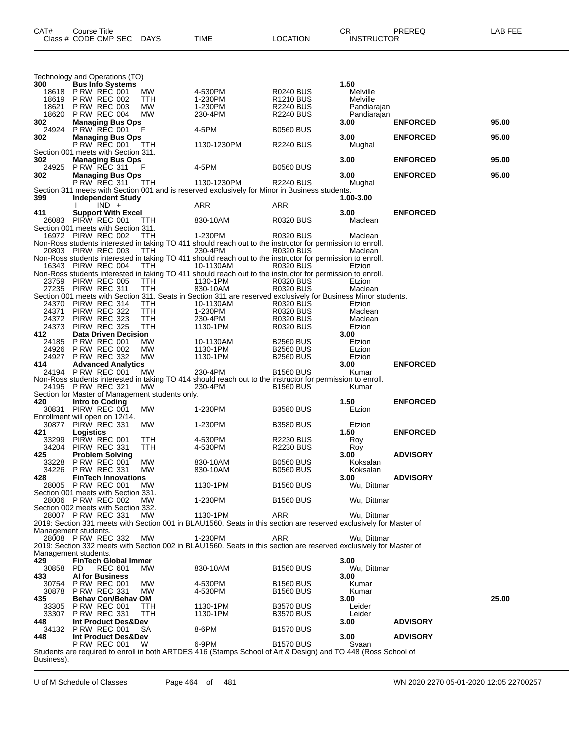| Technology and Operations (TO)             |                    |                                                   |                                                 |                                                                                                                        |                                           |                      |                 |       |
|--------------------------------------------|--------------------|---------------------------------------------------|-------------------------------------------------|------------------------------------------------------------------------------------------------------------------------|-------------------------------------------|----------------------|-----------------|-------|
| 300                                        |                    | <b>Bus Info Systems</b>                           |                                                 |                                                                                                                        |                                           | 1.50                 |                 |       |
| 18618<br>18619                             |                    | PRW REC 001<br><b>P RW REC 002</b>                | MW<br>TTH                                       | 4-530PM<br>1-230PM                                                                                                     | <b>R0240 BUS</b><br>R <sub>1210</sub> BUS | Melville<br>Melville |                 |       |
| 18621                                      |                    | <b>P RW REC 003</b>                               | MW.                                             | 1-230PM                                                                                                                | <b>R2240 BUS</b>                          | Pandiarajan          |                 |       |
| 18620                                      |                    | <b>P RW REC 004</b>                               | MW                                              | 230-4PM                                                                                                                | <b>R2240 BUS</b>                          | Pandiarajan          |                 |       |
| 302<br>24924                               |                    | <b>Managing Bus Ops</b><br>P RW REC 001           | F                                               | 4-5PM                                                                                                                  | <b>B0560 BUS</b>                          | 3.00                 | <b>ENFORCED</b> | 95.00 |
| 302                                        |                    | <b>Managing Bus Ops</b>                           |                                                 |                                                                                                                        |                                           | 3.00                 | <b>ENFORCED</b> | 95.00 |
|                                            |                    | P RW REC 001                                      | TTH.                                            | 1130-1230PM                                                                                                            | <b>R2240 BUS</b>                          | Mughal               |                 |       |
| Section 001 meets with Section 311.<br>302 |                    | <b>Managing Bus Ops</b>                           |                                                 |                                                                                                                        |                                           | 3.00                 | <b>ENFORCED</b> | 95.00 |
| 24925                                      |                    | <b>P RW REC 311</b>                               | F                                               | 4-5PM                                                                                                                  | <b>B0560 BUS</b>                          |                      |                 |       |
| 302                                        |                    | <b>Managing Bus Ops</b>                           |                                                 |                                                                                                                        |                                           | 3.00                 | <b>ENFORCED</b> | 95.00 |
|                                            |                    | P RW REC 311                                      | <b>TTH</b>                                      | 1130-1230PM<br>Section 311 meets with Section 001 and is reserved exclusively for Minor in Business students.          | R2240 BUS                                 | Mughal               |                 |       |
| 399                                        |                    | Independent Study                                 |                                                 |                                                                                                                        |                                           | 1.00-3.00            |                 |       |
|                                            |                    | $IND +$                                           |                                                 | ARR                                                                                                                    | ARR                                       |                      |                 |       |
| 411                                        |                    | <b>Support With Excel</b><br>26083 PIRW REC 001   | TTH                                             | 830-10AM                                                                                                               | R0320 BUS                                 | 3.00<br>Maclean      | <b>ENFORCED</b> |       |
| Section 001 meets with Section 311.        |                    |                                                   |                                                 |                                                                                                                        |                                           |                      |                 |       |
|                                            |                    | 16972 PIRW REC 002                                | TTH                                             | 1-230PM                                                                                                                | R0320 BUS                                 | Maclean              |                 |       |
|                                            |                    | 20803 PIRW REC 003                                | TTH                                             | Non-Ross students interested in taking TO 411 should reach out to the instructor for permission to enroll.<br>230-4PM  | <b>R0320 BUS</b>                          | Maclean              |                 |       |
|                                            |                    |                                                   |                                                 | Non-Ross students interested in taking TO 411 should reach out to the instructor for permission to enroll.             |                                           |                      |                 |       |
|                                            |                    | 16343 PIRW REC 004                                | TTH                                             | 10-1130AM                                                                                                              | R0320 BUS                                 | Etzion               |                 |       |
|                                            |                    | 23759 PIRW REC 005                                | ттн                                             | Non-Ross students interested in taking TO 411 should reach out to the instructor for permission to enroll.<br>1130-1PM | <b>R0320 BUS</b>                          | Etzion               |                 |       |
|                                            | 27235 PIRW REC 311 |                                                   | TTH                                             | 830-10AM                                                                                                               | R0320 BUS                                 | Maclean              |                 |       |
|                                            |                    |                                                   |                                                 | Section 001 meets with Section 311. Seats in Section 311 are reserved exclusively for Business Minor students.         |                                           |                      |                 |       |
| 24370<br>24371                             |                    | PIRW REC 314<br>PIRW REC 322                      | TTH<br>ттн                                      | 10-1130AM<br>1-230PM                                                                                                   | <b>R0320 BUS</b><br><b>R0320 BUS</b>      | Etzion<br>Maclean    |                 |       |
| 24372                                      |                    | PIRW REC 323                                      | ттн                                             | 230-4PM                                                                                                                | <b>R0320 BUS</b>                          | Maclean              |                 |       |
| 24373                                      |                    | PIRW REC 325                                      | TTH                                             | 1130-1PM                                                                                                               | <b>R0320 BUS</b>                          | Etzion               |                 |       |
| 412                                        |                    | <b>Data Driven Decision</b>                       |                                                 |                                                                                                                        |                                           | 3.00                 |                 |       |
| 24185<br>24926                             |                    | <b>P RW REC 001</b><br><b>P RW REC 002</b>        | MW<br>МW                                        | 10-1130AM<br>1130-1PM                                                                                                  | <b>B2560 BUS</b><br><b>B2560 BUS</b>      | Etzion<br>Etzion     |                 |       |
| 24927                                      | <b>PRW REC 332</b> |                                                   | MW                                              | 1130-1PM                                                                                                               | <b>B2560 BUS</b>                          |                      |                 |       |
|                                            |                    |                                                   |                                                 |                                                                                                                        |                                           | Etzion               |                 |       |
| 414                                        |                    | <b>Advanced Analytics</b>                         |                                                 |                                                                                                                        |                                           | 3.00                 | <b>ENFORCED</b> |       |
| 24194                                      |                    | PRW REC 001                                       | MW.                                             | 230-4PM                                                                                                                | <b>B1560 BUS</b>                          | Kumar                |                 |       |
|                                            |                    | 24195 P RW REC 321                                | МW                                              | Non-Ross students interested in taking TO 414 should reach out to the instructor for permission to enroll.<br>230-4PM  | <b>B1560 BUS</b>                          | Kumar                |                 |       |
|                                            |                    |                                                   | Section for Master of Management students only. |                                                                                                                        |                                           |                      |                 |       |
| 420                                        | Intro to Coding    |                                                   |                                                 |                                                                                                                        |                                           | 1.50                 | <b>ENFORCED</b> |       |
| Enrollment will open on 12/14.             |                    | 30831 PIRW REC 001                                | MW.                                             | 1-230PM                                                                                                                | <b>B3580 BUS</b>                          | Etzion               |                 |       |
|                                            |                    | 30877 PIRW REC 331                                | МW                                              | 1-230PM                                                                                                                | <b>B3580 BUS</b>                          | Etzion               |                 |       |
| 421                                        | Logistics          |                                                   |                                                 |                                                                                                                        |                                           | 1.50                 | <b>ENFORCED</b> |       |
| 33299<br>34204                             |                    | PIRW REC 001<br>PIRW REC 331                      | TТH<br>TTH                                      | 4-530PM<br>4-530PM                                                                                                     | R2230 BUS<br><b>R2230 BUS</b>             | Roy<br>Roy           |                 |       |
| 425                                        |                    | <b>Problem Solving</b>                            |                                                 |                                                                                                                        |                                           | 3.00                 | <b>ADVISORY</b> |       |
| 33228<br>34226                             |                    | <b>P RW REC 001</b>                               | МW<br>МW                                        | 830-10AM<br>830-10AM                                                                                                   | <b>B0560 BUS</b><br><b>B0560 BUS</b>      | Koksalan<br>Koksalan |                 |       |
| 428                                        |                    | <b>P RW REC 331</b><br><b>FinTech Innovations</b> |                                                 |                                                                                                                        |                                           | 3.00                 | <b>ADVISORY</b> |       |
|                                            |                    | 28005 P RW REC 001                                | MW                                              | 1130-1PM                                                                                                               | <b>B1560 BUS</b>                          | Wu, Dittmar          |                 |       |
| Section 001 meets with Section 331.        |                    | 28006 P RW REC 002                                | МW                                              |                                                                                                                        |                                           | Wu, Dittmar          |                 |       |
| Section 002 meets with Section 332.        |                    |                                                   |                                                 | 1-230PM                                                                                                                | <b>B1560 BUS</b>                          |                      |                 |       |
|                                            |                    | 28007 P RW REC 331                                | МW                                              | 1130-1PM                                                                                                               | ARR                                       | Wu, Dittmar          |                 |       |
|                                            |                    |                                                   |                                                 | 2019: Section 331 meets with Section 001 in BLAU1560. Seats in this section are reserved exclusively for Master of     |                                           |                      |                 |       |
| Management students.                       |                    | 28008 PRW REC 332                                 | MW                                              | 1-230PM                                                                                                                | ARR                                       | Wu, Dittmar          |                 |       |
|                                            |                    |                                                   |                                                 | 2019: Section 332 meets with Section 002 in BLAU1560. Seats in this section are reserved exclusively for Master of     |                                           |                      |                 |       |
| Management students.<br>429                |                    | <b>FinTech Global Immer</b>                       |                                                 |                                                                                                                        |                                           | 3.00                 |                 |       |
| 30858                                      | PD.                | <b>REC 601</b>                                    | MW.                                             | 830-10AM                                                                                                               | <b>B1560 BUS</b>                          | Wu, Dittmar          |                 |       |
| 433                                        |                    | <b>AI for Business</b>                            |                                                 |                                                                                                                        |                                           | 3.00                 |                 |       |
| 30754<br>30878                             |                    | <b>PRW REC 001</b><br><b>P RW REC 331</b>         | МW<br>МW                                        | 4-530PM<br>4-530PM                                                                                                     | <b>B1560 BUS</b>                          | Kumar                |                 |       |
| 435                                        |                    | <b>Behav Con/Behav OM</b>                         |                                                 |                                                                                                                        | <b>B1560 BUS</b>                          | Kumar<br>3.00        |                 | 25.00 |
| 33305                                      |                    | <b>PRW REC 001</b>                                | ттн                                             | 1130-1PM                                                                                                               | <b>B3570 BUS</b>                          | Leider               |                 |       |
| 33307<br>448.                              |                    | <b>P RW REC 331</b>                               | TTH                                             | 1130-1PM                                                                                                               | <b>B3570 BUS</b>                          | Leider<br>3.00       |                 |       |
|                                            |                    | Int Product Des&Dev<br>34132 P RW REC 001         | SA                                              | 8-6PM                                                                                                                  | <b>B1570 BUS</b>                          |                      | <b>ADVISORY</b> |       |
| 448                                        |                    | Int Product Des&Dev                               |                                                 |                                                                                                                        |                                           | 3.00                 | <b>ADVISORY</b> |       |
|                                            |                    | <b>P RW REC 001</b>                               | W                                               | 6-9PM<br>Students are required to enroll in both ARTDES 416 (Stamps School of Art & Design) and TO 448 (Ross School of | <b>B1570 BUS</b>                          | Svaan                |                 |       |

CAT# Course Title Case CR PREREQ LAB FEE

Class # CODE CMP SEC DAYS TIME LOCATION INSTRUCTOR

U of M Schedule of Classes Page 464 of 481 WN 2020 2270 05-01-2020 12:05 22700257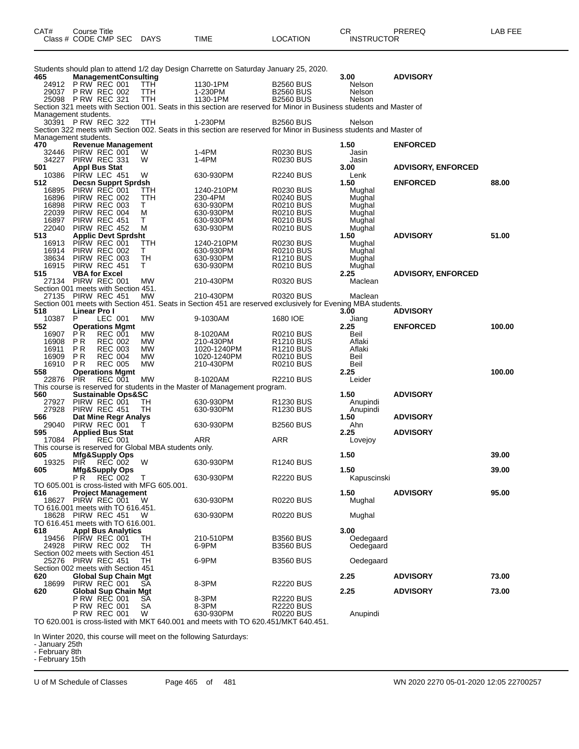| CAT# | Course Title<br>Class # CODE CMP SEC | <b>DAYS</b> | <b>TIME</b> | <b>LOCATION</b> | СR<br><b>INSTRUCTOR</b> | PREREQ | LAB FEE |
|------|--------------------------------------|-------------|-------------|-----------------|-------------------------|--------|---------|
|      |                                      |             |             |                 |                         |        |         |

|                                     |                                         |                |                               |                                                       | Students should plan to attend 1/2 day Design Charrette on Saturday January 25, 2020.                               |                                      |                        |                           |        |
|-------------------------------------|-----------------------------------------|----------------|-------------------------------|-------------------------------------------------------|---------------------------------------------------------------------------------------------------------------------|--------------------------------------|------------------------|---------------------------|--------|
| 465<br>24912                        | P RW REC 001                            |                | <b>ManagementConsulting</b>   | TTH.                                                  | 1130-1PM                                                                                                            | <b>B2560 BUS</b>                     | 3.00<br>Nelson         | <b>ADVISORY</b>           |        |
| 29037                               | <b>P RW REC 002</b>                     |                |                               | TTH                                                   | 1-230PM                                                                                                             | <b>B2560 BUS</b>                     | Nelson                 |                           |        |
|                                     | 25098 PRW REC 321                       |                |                               | TTH                                                   | 1130-1PM                                                                                                            | <b>B2560 BUS</b>                     | Nelson                 |                           |        |
|                                     |                                         |                |                               |                                                       | Section 321 meets with Section 001. Seats in this section are reserved for Minor in Business students and Master of |                                      |                        |                           |        |
| Management students.                |                                         |                |                               |                                                       |                                                                                                                     |                                      |                        |                           |        |
|                                     | 30391 PRW REC 322                       |                |                               | TTH                                                   | 1-230PM                                                                                                             | <b>B2560 BUS</b>                     | Nelson                 |                           |        |
|                                     |                                         |                |                               |                                                       | Section 322 meets with Section 002. Seats in this section are reserved for Minor in Business students and Master of |                                      |                        |                           |        |
| Management students.<br>470         |                                         |                | <b>Revenue Management</b>     |                                                       |                                                                                                                     |                                      | 1.50                   | <b>ENFORCED</b>           |        |
| 32446                               | PIRW REC 001                            |                |                               | W                                                     | 1-4PM                                                                                                               | <b>R0230 BUS</b>                     | Jasin                  |                           |        |
| 34227                               | PIRW REC 331                            |                |                               | W                                                     | $1-4PM$                                                                                                             | <b>R0230 BUS</b>                     | Jasin                  |                           |        |
| 501                                 | <b>Appl Bus Stat</b>                    |                |                               |                                                       |                                                                                                                     |                                      | 3.00                   | <b>ADVISORY, ENFORCED</b> |        |
| 10386                               | PIRW LEC 451                            |                |                               | W                                                     | 630-930PM                                                                                                           | <b>R2240 BUS</b>                     | Lenk                   |                           |        |
| 512                                 |                                         |                | <b>Decsn Supprt Sprdsh</b>    |                                                       |                                                                                                                     |                                      | 1.50                   | <b>ENFORCED</b>           | 88.00  |
| 16895<br>16896                      | PIRW REC 001<br>PIRW REC 002            |                |                               | ттн<br>TTH                                            | 1240-210PM<br>230-4PM                                                                                               | R0230 BUS<br><b>R0240 BUS</b>        | Mughal<br>Mughal       |                           |        |
| 16898                               | PIRW REC 003                            |                |                               | т                                                     | 630-930PM                                                                                                           | <b>R0210 BUS</b>                     | Mughal                 |                           |        |
| 22039                               | PIRW REC 004                            |                |                               | M                                                     | 630-930PM                                                                                                           | <b>R0210 BUS</b>                     | Mughal                 |                           |        |
| 16897                               | PIRW REC 451                            |                |                               | т                                                     | 630-930PM                                                                                                           | <b>R0210 BUS</b>                     | Mughal                 |                           |        |
| 22040                               | PIRW REC 452                            |                |                               | М                                                     | 630-930PM                                                                                                           | R0210 BUS                            | Mughal                 |                           |        |
| 513                                 |                                         |                | <b>Applic Devt Sprdsht</b>    |                                                       |                                                                                                                     |                                      | 1.50                   | <b>ADVISORY</b>           | 51.00  |
| 16913                               | PIRW REC 001                            |                |                               | TTH                                                   | 1240-210PM                                                                                                          | R0230 BUS                            | Mughal                 |                           |        |
| 16914<br>38634                      | PIRW REC 002<br>PIRW REC 003            |                |                               | т<br>TН                                               | 630-930PM<br>630-930PM                                                                                              | R0210 BUS<br><b>R1210 BUS</b>        | Mughal<br>Mughal       |                           |        |
| 16915                               | PIRW REC 451                            |                |                               | т                                                     | 630-930PM                                                                                                           | R0210 BUS                            | Mughal                 |                           |        |
| 515                                 | <b>VBA for Excel</b>                    |                |                               |                                                       |                                                                                                                     |                                      | 2.25                   | <b>ADVISORY, ENFORCED</b> |        |
|                                     | 27134 PIRW REC 001                      |                |                               | <b>MW</b>                                             | 210-430PM                                                                                                           | R0320 BUS                            | Maclean                |                           |        |
| Section 001 meets with Section 451. |                                         |                |                               |                                                       |                                                                                                                     |                                      |                        |                           |        |
|                                     | 27135 PIRW REC 451                      |                |                               | <b>MW</b>                                             | 210-430PM                                                                                                           | R0320 BUS                            | Maclean                |                           |        |
|                                     |                                         |                |                               |                                                       | Section 001 meets with Section 451. Seats in Section 451 are reserved exclusively for Evening MBA students.         |                                      |                        |                           |        |
| 518<br>10387                        | Linear Pro I<br>P                       | LEC 001        |                               | MW                                                    | 9-1030AM                                                                                                            | 1680 IOE                             | 3.00<br>Jiang          | <b>ADVISORY</b>           |        |
| 552                                 | <b>Operations Mgmt</b>                  |                |                               |                                                       |                                                                                                                     |                                      | 2.25                   | <b>ENFORCED</b>           | 100.00 |
| 16907                               | PR.                                     | <b>REC 001</b> |                               | МW                                                    | 8-1020AM                                                                                                            | R0210 BUS                            | Beil                   |                           |        |
| 16908                               | <b>PR</b>                               | <b>REC 002</b> |                               | <b>MW</b>                                             | 210-430PM                                                                                                           | R1210 BUS                            | Aflaki                 |                           |        |
| 16911                               | P R                                     | <b>REC 003</b> |                               | <b>MW</b>                                             | 1020-1240PM                                                                                                         | <b>R1210 BUS</b>                     | Aflaki                 |                           |        |
| 16909                               | P R                                     | <b>REC 004</b> |                               | МW                                                    | 1020-1240PM                                                                                                         | <b>R0210 BUS</b>                     | Beil                   |                           |        |
| 16910                               | <b>PR</b>                               | <b>REC 005</b> |                               | <b>MW</b>                                             | 210-430PM                                                                                                           | R0210 BUS                            | Beil                   |                           | 100.00 |
| 558<br>22876                        | <b>Operations Mgmt</b><br><b>PIR</b>    | <b>REC 001</b> |                               | <b>MW</b>                                             | 8-1020AM                                                                                                            | <b>R2210 BUS</b>                     | 2.25<br>Leider         |                           |        |
|                                     |                                         |                |                               |                                                       | This course is reserved for students in the Master of Management program.                                           |                                      |                        |                           |        |
| 560                                 |                                         |                | <b>Sustainable Ops&amp;SC</b> |                                                       |                                                                                                                     |                                      | 1.50                   | <b>ADVISORY</b>           |        |
| 27927                               | PIRW REC 001                            |                |                               | TН                                                    | 630-930PM                                                                                                           | R1230 BUS                            | Anupindi               |                           |        |
| 27928                               | PIRW REC 451                            |                |                               | TН                                                    | 630-930PM                                                                                                           | R1230 BUS                            | Anupindi               |                           |        |
| 566<br>29040                        |                                         |                | Dat Mine Regr Analys          |                                                       |                                                                                                                     |                                      | 1.50                   | <b>ADVISORY</b>           |        |
| 595                                 | PIRW REC 001<br><b>Applied Bus Stat</b> |                |                               |                                                       | 630-930PM                                                                                                           | <b>B2560 BUS</b>                     | Ahn<br>2.25            | <b>ADVISORY</b>           |        |
| 17084                               | PÍ                                      | <b>REC 001</b> |                               |                                                       | ARR                                                                                                                 | ARR                                  | Lovejoy                |                           |        |
|                                     |                                         |                |                               | This course is reserved for Global MBA students only. |                                                                                                                     |                                      |                        |                           |        |
| 605                                 | <b>Mfg&amp;Supply Ops</b>               |                |                               |                                                       |                                                                                                                     |                                      | 1.50                   |                           | 39.00  |
| 19325                               | PIŘ                                     | REC 002        |                               | W                                                     | 630-930PM                                                                                                           | R <sub>1240</sub> BUS                |                        |                           |        |
| 605                                 | <b>Mfg&amp;Supply Ops</b>               |                |                               |                                                       |                                                                                                                     |                                      | 1.50                   |                           | 39.00  |
|                                     | P R                                     | <b>REC 002</b> |                               | Τ<br>TO 605.001 is cross-listed with MFG 605.001.     | 630-930PM                                                                                                           | <b>R2220 BUS</b>                     | Kapuscinski            |                           |        |
| 616                                 |                                         |                | <b>Project Management</b>     |                                                       |                                                                                                                     |                                      | 1.50                   | <b>ADVISORY</b>           | 95.00  |
|                                     | 18627 PIRW REC 001                      |                |                               | W                                                     | 630-930PM                                                                                                           | <b>R0220 BUS</b>                     | Mughal                 |                           |        |
| TO 616.001 meets with TO 616.451.   |                                         |                |                               |                                                       |                                                                                                                     |                                      |                        |                           |        |
|                                     | 18628 PIRW REC 451                      |                |                               | W                                                     | 630-930PM                                                                                                           | <b>R0220 BUS</b>                     | Mughal                 |                           |        |
| TO 616.451 meets with TO 616.001.   |                                         |                |                               |                                                       |                                                                                                                     |                                      |                        |                           |        |
| 618                                 |                                         |                | <b>Appl Bus Analytics</b>     |                                                       |                                                                                                                     |                                      | 3.00                   |                           |        |
| 19456                               | PIRW REC 001<br>24928 PIRW REC 002      |                |                               | TН<br>TН                                              | 210-510PM<br>6-9PM                                                                                                  | <b>B3560 BUS</b><br><b>B3560 BUS</b> | Oedegaard<br>Oedegaard |                           |        |
| Section 002 meets with Section 451  |                                         |                |                               |                                                       |                                                                                                                     |                                      |                        |                           |        |
|                                     | 25276 PIRW REC 451                      |                |                               | TН                                                    | 6-9PM                                                                                                               | <b>B3560 BUS</b>                     | Oedegaard              |                           |        |
| Section 002 meets with Section 451  |                                         |                |                               |                                                       |                                                                                                                     |                                      |                        |                           |        |
| 620                                 |                                         |                | <b>Global Sup Chain Mgt</b>   |                                                       |                                                                                                                     |                                      | 2.25                   | <b>ADVISORY</b>           | 73.00  |
| 18699                               | PIRW REC 001                            |                |                               | SА                                                    | 8-3PM                                                                                                               | <b>R2220 BUS</b>                     |                        |                           |        |
| 620                                 | P RW REC 001                            |                | Global Sup Chain Mgt          |                                                       | 8-3PM                                                                                                               | <b>R2220 BUS</b>                     | 2.25                   | <b>ADVISORY</b>           | 73.00  |
|                                     | P RW REC 001                            |                |                               | SА<br>SA                                              | 8-3PM                                                                                                               | <b>R2220 BUS</b>                     |                        |                           |        |
|                                     | <b>P RW REC 001</b>                     |                |                               | W                                                     | 630-930PM                                                                                                           | <b>R0220 BUS</b>                     | Anupindi               |                           |        |
|                                     |                                         |                |                               |                                                       | TO 620.001 is cross-listed with MKT 640.001 and meets with TO 620.451/MKT 640.451.                                  |                                      |                        |                           |        |

In Winter 2020, this course will meet on the following Saturdays:

- January 25th

- February 8th

- February 15th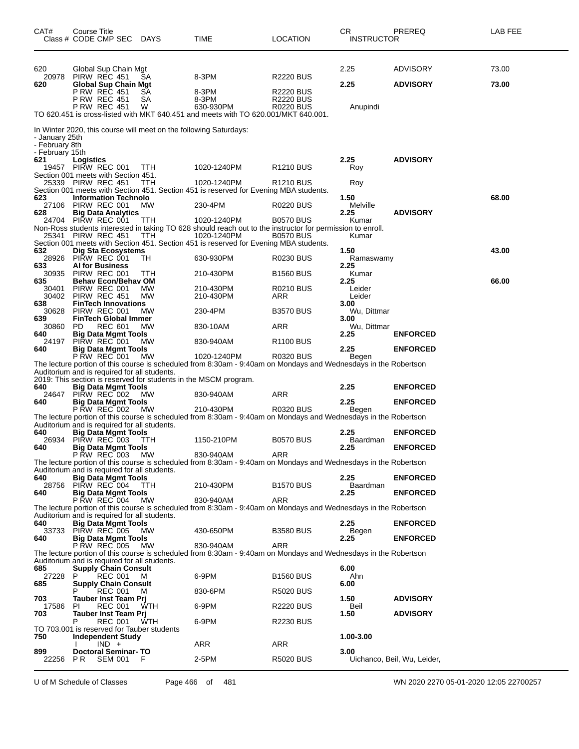| CAT#                              | Course Title | Class # CODE CMP SEC                                                       | DAYS                                       | TIME                                                                                                                         | LOCATION               | CR<br><b>INSTRUCTOR</b> | PREREQ                      | LAB FEE |
|-----------------------------------|--------------|----------------------------------------------------------------------------|--------------------------------------------|------------------------------------------------------------------------------------------------------------------------------|------------------------|-------------------------|-----------------------------|---------|
| 620                               |              | Global Sup Chain Mgt                                                       |                                            |                                                                                                                              |                        | 2.25                    | <b>ADVISORY</b>             | 73.00   |
| 20978<br>620                      |              | PIRW REC 451<br>Global Sup Chain Mgt                                       | SА                                         | 8-3PM                                                                                                                        | R2220 BUS              | 2.25                    | <b>ADVISORY</b>             | 73.00   |
|                                   |              | P RW REC 451                                                               | SА                                         | 8-3PM                                                                                                                        | <b>R2220 BUS</b>       |                         |                             |         |
|                                   |              | P RW REC 451<br><b>P RW REC 451</b>                                        | SА<br>W                                    | 8-3PM<br>630-930PM                                                                                                           | R2220 BUS<br>R0220 BUS |                         |                             |         |
|                                   |              |                                                                            |                                            | TO 620.451 is cross-listed with MKT 640.451 and meets with TO 620.001/MKT 640.001.                                           |                        | Anupindi                |                             |         |
|                                   |              |                                                                            |                                            | In Winter 2020, this course will meet on the following Saturdays:                                                            |                        |                         |                             |         |
| - January 25th                    |              |                                                                            |                                            |                                                                                                                              |                        |                         |                             |         |
| - February 8th<br>- February 15th |              |                                                                            |                                            |                                                                                                                              |                        |                         |                             |         |
| 621                               | Logistics    |                                                                            |                                            |                                                                                                                              |                        | 2.25                    | <b>ADVISORY</b>             |         |
|                                   |              | 19457 PIRW REC 001<br>Section 001 meets with Section 451.                  | TTH                                        | 1020-1240PM                                                                                                                  | R <sub>1210</sub> BUS  | Roy                     |                             |         |
|                                   |              | 25339 PIRW REC 451                                                         | TTH                                        | 1020-1240PM                                                                                                                  | R <sub>1210</sub> BUS  | Roy                     |                             |         |
|                                   |              |                                                                            |                                            | Section 001 meets with Section 451. Section 451 is reserved for Evening MBA students.                                        |                        |                         |                             |         |
| 623<br>27106                      |              | <b>Information Technolo</b><br>PIRW REC 001                                | мw                                         | 230-4PM                                                                                                                      | <b>R0220 BUS</b>       | 1.50<br>Melville        |                             | 68.00   |
| 628                               |              | <b>Big Data Analytics</b>                                                  |                                            |                                                                                                                              |                        | 2.25                    | <b>ADVISORY</b>             |         |
|                                   |              | 24704 PIRW REC 001                                                         | ттн                                        | 1020-1240PM                                                                                                                  | <b>B0570 BUS</b>       | Kumar                   |                             |         |
| 25341                             |              | PIRW REC 451                                                               | TTH                                        | Non-Ross students interested in taking TO 628 should reach out to the instructor for permission to enroll.<br>1020-1240PM    | <b>B0570 BUS</b>       | Kumar                   |                             |         |
|                                   |              |                                                                            |                                            | Section 001 meets with Section 451. Section 451 is reserved for Evening MBA students.                                        |                        |                         |                             |         |
| 632                               |              | Dig Sta Ecosystems                                                         |                                            |                                                                                                                              |                        | 1.50                    |                             | 43.00   |
| 28926<br>633                      |              | PIRW REC 001<br><b>AI for Business</b>                                     | TН                                         | 630-930PM                                                                                                                    | R0230 BUS              | Ramaswamy<br>2.25       |                             |         |
| 30935                             |              | PIRW REC 001                                                               | <b>TTH</b>                                 | 210-430PM                                                                                                                    | <b>B1560 BUS</b>       | Kumar                   |                             |         |
| 635<br>30401                      |              | <b>Behav Econ/Behav OM</b><br>PIRW REC 001                                 | МW                                         | 210-430PM                                                                                                                    | R0210 BUS              | 2.25<br>Leider          |                             | 66.00   |
| 30402                             |              | PIRW REC 451                                                               | MW                                         | 210-430PM                                                                                                                    | ARR                    | Leider                  |                             |         |
| 638                               |              | <b>FinTech Innovations</b>                                                 |                                            |                                                                                                                              |                        | 3.00                    |                             |         |
| 30628<br>639                      |              | PIRW REC 001<br><b>FinTech Global Immer</b>                                | МW                                         | 230-4PM                                                                                                                      | <b>B3570 BUS</b>       | Wu, Dittmar<br>3.00     |                             |         |
| 30860                             | PD.          | <b>REC 601</b>                                                             | MW                                         | 830-10AM                                                                                                                     | ARR                    | Wu, Dittmar             |                             |         |
| 640                               |              | Big Data Mgmt Tools                                                        |                                            |                                                                                                                              |                        | 2.25                    | <b>ENFORCED</b>             |         |
| 24197<br>640                      |              | PIRW REC 001<br><b>Big Data Mgmt Tools</b>                                 | МW                                         | 830-940AM                                                                                                                    | R <sub>1100</sub> BUS  | 2.25                    | <b>ENFORCED</b>             |         |
|                                   |              | P RW REC 001                                                               | МW                                         | 1020-1240PM                                                                                                                  | R0320 BUS              | Begen                   |                             |         |
|                                   |              | Auditorium and is required for all students.                               |                                            | The lecture portion of this course is scheduled from 8:30am - 9:40am on Mondays and Wednesdays in the Robertson              |                        |                         |                             |         |
|                                   |              |                                                                            |                                            | 2019: This section is reserved for students in the MSCM program.                                                             |                        |                         |                             |         |
| 640                               |              | <b>Big Data Mgmt Tools</b>                                                 |                                            |                                                                                                                              |                        | 2.25                    | <b>ENFORCED</b>             |         |
| 24647<br>640                      |              | PIRW REC 002<br><b>Big Data Mgmt Tools</b>                                 | <b>MW</b>                                  | 830-940AM                                                                                                                    | ARR                    | 2.25                    | <b>ENFORCED</b>             |         |
|                                   |              | <b>P RW REC 002</b>                                                        | МW                                         | 210-430PM                                                                                                                    | <b>R0320 BUS</b>       | Begen                   |                             |         |
|                                   |              | Auditorium and is required for all students.                               |                                            | The lecture portion of this course is scheduled from 8:30am - 9:40am on Mondays and Wednesdays in the Robertson              |                        |                         |                             |         |
| 640                               |              | <b>Big Data Mgmt Tools</b>                                                 |                                            |                                                                                                                              |                        | 2.25                    | <b>ENFORCED</b>             |         |
| 26934                             |              | PIRW REC 003                                                               | <b>TTH</b>                                 | 1150-210PM                                                                                                                   | <b>B0570 BUS</b>       | Baardman                |                             |         |
| 640                               |              | <b>Big Data Mgmt Tools</b><br>P RW REC 003                                 | MW                                         | 830-940AM                                                                                                                    | ARR                    | 2.25                    | <b>ENFORCED</b>             |         |
|                                   |              |                                                                            |                                            | The lecture portion of this course is scheduled from 8:30am - 9:40am on Mondays and Wednesdays in the Robertson              |                        |                         |                             |         |
| 640                               |              | Auditorium and is required for all students.<br><b>Big Data Mgmt Tools</b> |                                            |                                                                                                                              |                        | 2.25                    | <b>ENFORCED</b>             |         |
| 28756                             |              | PIRW REC 004                                                               | <b>TTH</b>                                 | 210-430PM                                                                                                                    | <b>B1570 BUS</b>       | Baardman                |                             |         |
| 640                               |              | <b>Big Data Mgmt Tools</b>                                                 |                                            |                                                                                                                              |                        | 2.25                    | <b>ENFORCED</b>             |         |
|                                   |              | P RW REC 004                                                               | МW                                         | 830-940AM<br>The lecture portion of this course is scheduled from 8:30am - 9:40am on Mondays and Wednesdays in the Robertson | ARR                    |                         |                             |         |
|                                   |              | Auditorium and is required for all students.                               |                                            |                                                                                                                              |                        |                         |                             |         |
| 640                               |              | <b>Big Data Mgmt Tools</b><br>PIRW REC 005                                 |                                            |                                                                                                                              |                        | 2.25                    | <b>ENFORCED</b>             |         |
| 33733<br>640                      |              | <b>Big Data Mgmt Tools</b>                                                 | МW                                         | 430-650PM                                                                                                                    | <b>B3580 BUS</b>       | Begen<br>2.25           | <b>ENFORCED</b>             |         |
|                                   |              | <b>P RW REC 005</b>                                                        | МW                                         | 830-940AM                                                                                                                    | <b>ARR</b>             |                         |                             |         |
|                                   |              | Auditorium and is required for all students.                               |                                            | The lecture portion of this course is scheduled from 8:30am - 9:40am on Mondays and Wednesdays in the Robertson              |                        |                         |                             |         |
| 685                               |              | <b>Supply Chain Consult</b>                                                |                                            |                                                                                                                              |                        | 6.00                    |                             |         |
| 27228                             | P            | <b>REC 001</b>                                                             | M                                          | 6-9PM                                                                                                                        | <b>B1560 BUS</b>       | Ahn                     |                             |         |
| 685                               |              | <b>Supply Chain Consult</b><br><b>REC 001</b>                              | м                                          | 830-6PM                                                                                                                      | R5020 BUS              | 6.00                    |                             |         |
| 703                               |              | Tauber Inst Team Prj                                                       |                                            |                                                                                                                              |                        | 1.50                    | <b>ADVISORY</b>             |         |
| 17586                             | PI           | <b>REC 001</b>                                                             | WTH                                        | 6-9PM                                                                                                                        | R2220 BUS              | Beil                    |                             |         |
| 703                               | Р            | <b>Tauber Inst Team Pri</b><br><b>REC 001</b>                              | WTH                                        | 6-9PM                                                                                                                        | R2230 BUS              | 1.50                    | <b>ADVISORY</b>             |         |
|                                   |              |                                                                            | TO 703.001 is reserved for Tauber students |                                                                                                                              |                        |                         |                             |         |
| 750                               |              | <b>Independent Study</b><br>$IND +$                                        |                                            | ARR                                                                                                                          | ARR                    | 1.00-3.00               |                             |         |
| 899                               |              | <b>Doctoral Seminar-TO</b>                                                 |                                            |                                                                                                                              |                        | 3.00                    |                             |         |
| 22256                             | P R          | <b>SEM 001</b>                                                             | - F                                        | 2-5PM                                                                                                                        | <b>R5020 BUS</b>       |                         | Uichanco, Beil, Wu, Leider, |         |
|                                   |              |                                                                            |                                            |                                                                                                                              |                        |                         |                             |         |

U of M Schedule of Classes Page 466 of 481 WN 2020 2270 05-01-2020 12:05 22700257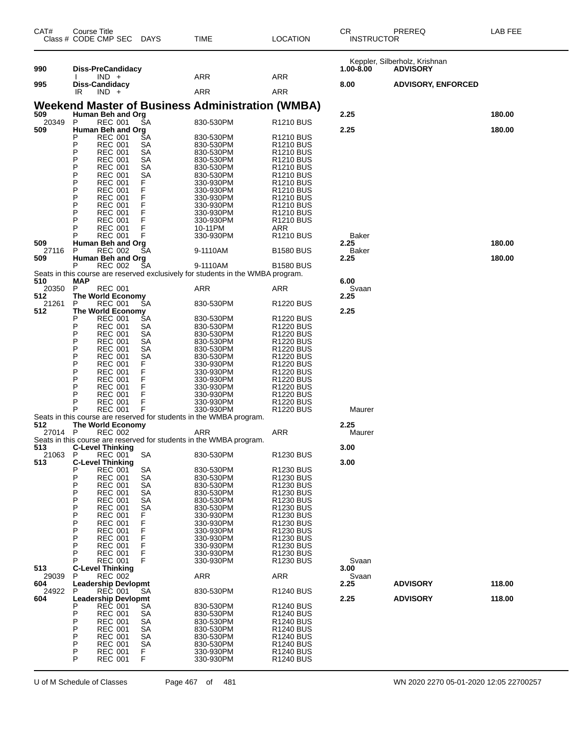| CAT#         | Course Title<br>Class # CODE CMP SEC DAYS         |                 | TIME                                                                             | LOCATION                                       | <b>CR</b><br><b>INSTRUCTOR</b> | PREREQ                                           | LAB FEE |
|--------------|---------------------------------------------------|-----------------|----------------------------------------------------------------------------------|------------------------------------------------|--------------------------------|--------------------------------------------------|---------|
| 990          | <b>Diss-PreCandidacy</b>                          |                 |                                                                                  |                                                | 1.00-8.00                      | Keppler, Silberholz, Krishnan<br><b>ADVISORY</b> |         |
|              | $IND +$                                           |                 | ARR                                                                              | <b>ARR</b>                                     |                                |                                                  |         |
| 995          | Diss-Candidacy<br>IR<br>$IND +$                   |                 | ARR                                                                              | ARR                                            | 8.00                           | <b>ADVISORY, ENFORCED</b>                        |         |
|              |                                                   |                 | <b>Weekend Master of Business Administration (WMBA)</b>                          |                                                |                                |                                                  |         |
| 509<br>20349 | Human Beh and Org<br><b>REC 001</b><br>P          | SA              | 830-530PM                                                                        | R <sub>1210</sub> BUS                          | 2.25                           |                                                  | 180.00  |
| 509          | Human Beh and Org<br>Ρ<br><b>REC 001</b>          | SА              | 830-530PM                                                                        | R <sub>1210</sub> BUS                          | 2.25                           |                                                  | 180.00  |
|              | P<br><b>REC 001</b>                               | SА              | 830-530PM                                                                        | R <sub>1210</sub> BUS                          |                                |                                                  |         |
|              | Ρ<br><b>REC 001</b><br>P<br><b>REC 001</b>        | SА<br>SА        | 830-530PM<br>830-530PM                                                           | R <sub>1210</sub> BUS<br><b>R1210 BUS</b>      |                                |                                                  |         |
|              | P<br><b>REC 001</b><br>P<br><b>REC 001</b>        | SА<br>SА        | 830-530PM<br>830-530PM                                                           | R <sub>1210</sub> BUS<br>R <sub>1210</sub> BUS |                                |                                                  |         |
|              | P<br><b>REC 001</b>                               | F<br>F          | 330-930PM                                                                        | R <sub>1210</sub> BUS                          |                                |                                                  |         |
|              | P<br><b>REC 001</b><br>P<br><b>REC 001</b>        | F               | 330-930PM<br>330-930PM                                                           | R1210 BUS<br>R <sub>1210</sub> BUS             |                                |                                                  |         |
|              | P<br><b>REC 001</b>                               | F<br>F          | 330-930PM                                                                        | R <sub>1210</sub> BUS                          |                                |                                                  |         |
|              | Ρ<br><b>REC 001</b><br>Р<br>REC 001               | F               | 330-930PM<br>330-930PM                                                           | R <sub>1210</sub> BUS<br>R <sub>1210</sub> BUS |                                |                                                  |         |
|              | <b>REC 001</b><br>Р                               | F<br>F          | 10-11PM                                                                          | ARR                                            |                                |                                                  |         |
| 509          | REC 001<br>Human Beh and Org                      |                 | 330-930PM                                                                        | R <sub>1210</sub> BUS                          | Baker<br>2.25                  |                                                  | 180.00  |
| 27116<br>509 | P<br><b>REC 002</b><br>Human Beh and Org          | SА              | 9-1110AM                                                                         | <b>B1580 BUS</b>                               | Baker<br>2.25                  |                                                  | 180.00  |
|              | Р<br><b>REC 002</b>                               | SА              | 9-1110AM                                                                         | <b>B1580 BUS</b>                               |                                |                                                  |         |
| 510          | <b>MAP</b>                                        |                 | Seats in this course are reserved exclusively for students in the WMBA program.  |                                                | 6.00                           |                                                  |         |
| 20350<br>512 | P<br><b>REC 001</b><br>The World Economy          |                 | ARR                                                                              | ARR                                            | Svaan<br>2.25                  |                                                  |         |
| 21261        | <b>REC 001</b><br>P                               | SА              | 830-530PM                                                                        | R <sub>1220</sub> BUS                          |                                |                                                  |         |
| 512          | <b>The World Economy</b><br>Р<br><b>REC 001</b>   | SА              | 830-530PM                                                                        | R <sub>1220</sub> BUS                          | 2.25                           |                                                  |         |
|              | P<br><b>REC 001</b>                               | SА              | 830-530PM                                                                        | R <sub>1220</sub> BUS                          |                                |                                                  |         |
|              | Ρ<br><b>REC 001</b><br>P<br><b>REC 001</b>        | SА<br>SА        | 830-530PM<br>830-530PM                                                           | R <sub>1220</sub> BUS<br>R <sub>1220</sub> BUS |                                |                                                  |         |
|              | P<br><b>REC 001</b><br>P<br><b>REC 001</b>        | SА<br>SА        | 830-530PM<br>830-530PM                                                           | R <sub>1220</sub> BUS<br>R <sub>1220</sub> BUS |                                |                                                  |         |
|              | P<br><b>REC 001</b>                               | F               | 330-930PM                                                                        | R <sub>1220</sub> BUS                          |                                |                                                  |         |
|              | P<br><b>REC 001</b><br>P<br>REC 001               | F<br>F          | 330-930PM<br>330-930PM                                                           | R <sub>1220</sub> BUS<br>R <sub>1220</sub> BUS |                                |                                                  |         |
|              | P<br><b>REC 001</b><br>P                          | F<br>F          | 330-930PM                                                                        | R <sub>1220</sub> BUS                          |                                |                                                  |         |
|              | <b>REC 001</b><br>Р<br>REC 001                    | F               | 330-930PM<br>330-930PM                                                           | R <sub>1220</sub> BUS<br>R <sub>1220</sub> BUS |                                |                                                  |         |
|              | <b>REC 001</b>                                    | F               | 330-930PM<br>Seats in this course are reserved for students in the WMBA program. | R <sub>1220</sub> BUS                          | Maurer                         |                                                  |         |
| 512          | The World Economy                                 |                 |                                                                                  |                                                | 2.25                           |                                                  |         |
| 27014 P      | <b>REC 002</b>                                    |                 | ARR<br>Seats in this course are reserved for students in the WMBA program.       | ARR                                            | Maurer                         |                                                  |         |
| 513<br>21063 | <b>C-Level Thinking</b><br>P                      | <b>SA</b>       | 830-530PM                                                                        | R1230 BUS                                      | 3.00                           |                                                  |         |
| 513          | <b>REC 001</b><br><b>C-Level Thinking</b>         |                 |                                                                                  |                                                | 3.00                           |                                                  |         |
|              | Р<br>REC 001<br>P<br><b>REC 001</b>               | SA<br><b>SA</b> | 830-530PM<br>830-530PM                                                           | R1230 BUS<br><b>R1230 BUS</b>                  |                                |                                                  |         |
|              | P<br><b>REC 001</b>                               | SA              | 830-530PM                                                                        | <b>R1230 BUS</b>                               |                                |                                                  |         |
|              | Ρ<br><b>REC 001</b><br>P<br><b>REC 001</b>        | <b>SA</b><br>SА | 830-530PM<br>830-530PM                                                           | <b>R1230 BUS</b><br><b>R1230 BUS</b>           |                                |                                                  |         |
|              | P<br><b>REC 001</b><br>Ρ<br><b>REC 001</b>        | SА<br>F         | 830-530PM<br>330-930PM                                                           | <b>R1230 BUS</b><br>R1230 BUS                  |                                |                                                  |         |
|              | P<br><b>REC 001</b>                               | F<br>F          | 330-930PM                                                                        | <b>R1230 BUS</b>                               |                                |                                                  |         |
|              | Ρ<br><b>REC 001</b><br>Ρ<br>REC 001               | F               | 330-930PM<br>330-930PM                                                           | <b>R1230 BUS</b><br>R1230 BUS                  |                                |                                                  |         |
|              | P<br><b>REC 001</b>                               | F<br>F          | 330-930PM                                                                        | <b>R1230 BUS</b>                               |                                |                                                  |         |
|              | P<br><b>REC 001</b><br>Р<br><b>REC 001</b>        | F               | 330-930PM<br>330-930PM                                                           | <b>R1230 BUS</b><br><b>R1230 BUS</b>           | Svaan                          |                                                  |         |
| 513<br>29039 | <b>C-Level Thinking</b><br>P<br>REC 002           |                 | <b>ARR</b>                                                                       | <b>ARR</b>                                     | 3.00<br>Svaan                  |                                                  |         |
| 604          | <b>Leadership Devlopmt</b>                        |                 |                                                                                  |                                                | 2.25                           | <b>ADVISORY</b>                                  | 118.00  |
| 24922<br>604 | P<br><b>REC 001</b><br><b>Leadership Devlopmt</b> | SА              | 830-530PM                                                                        | <b>R1240 BUS</b>                               | 2.25                           | <b>ADVISORY</b>                                  | 118.00  |
|              | REC 001<br>Р                                      | SА              | 830-530PM                                                                        | R1240 BUS                                      |                                |                                                  |         |
|              | P<br><b>REC 001</b><br>P<br><b>REC 001</b>        | SА<br><b>SA</b> | 830-530PM<br>830-530PM                                                           | R <sub>1240</sub> BUS<br>R1240 BUS             |                                |                                                  |         |
|              | P<br>REC 001<br>P<br><b>REC 001</b>               | SА<br>SА        | 830-530PM<br>830-530PM                                                           | R <sub>1240</sub> BUS<br>R1240 BUS             |                                |                                                  |         |
|              | P<br><b>REC 001</b>                               | SА              | 830-530PM                                                                        | R1240 BUS                                      |                                |                                                  |         |
|              | Ρ<br><b>REC 001</b><br>P<br><b>REC 001</b>        | F.<br>F         | 330-930PM<br>330-930PM                                                           | R1240 BUS<br><b>R1240 BUS</b>                  |                                |                                                  |         |
|              |                                                   |                 |                                                                                  |                                                |                                |                                                  |         |

U of M Schedule of Classes Page 467 of 481 WN 2020 2270 05-01-2020 12:05 22700257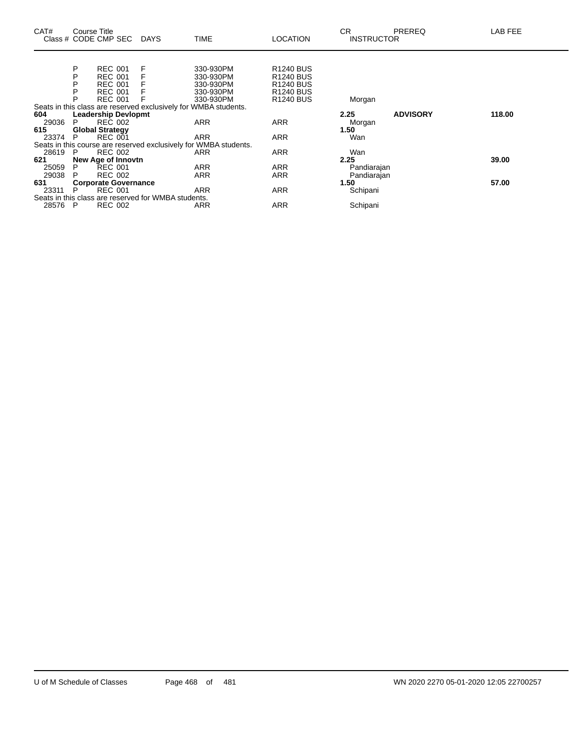| CAT#    | Course Title                | Class # CODE CMP SEC DAYS |                                                     | <b>TIME</b>                                                      | <b>LOCATION</b>       | <b>CR</b><br><b>INSTRUCTOR</b> | <b>PREREQ</b>   | LAB FEE |
|---------|-----------------------------|---------------------------|-----------------------------------------------------|------------------------------------------------------------------|-----------------------|--------------------------------|-----------------|---------|
|         |                             |                           |                                                     |                                                                  |                       |                                |                 |         |
|         | P                           | <b>REC 001</b>            | F                                                   | 330-930PM                                                        | <b>R1240 BUS</b>      |                                |                 |         |
|         | P                           | <b>REC 001</b>            |                                                     | 330-930PM                                                        | R <sub>1240</sub> BUS |                                |                 |         |
|         | P                           | <b>REC 001</b>            |                                                     | 330-930PM                                                        | R <sub>1240</sub> BUS |                                |                 |         |
|         | Р                           | <b>REC 001</b>            |                                                     | 330-930PM                                                        | R <sub>1240</sub> BUS |                                |                 |         |
|         | P                           | <b>REC 001</b>            |                                                     | 330-930PM                                                        | R <sub>1240</sub> BUS | Morgan                         |                 |         |
|         |                             |                           |                                                     | Seats in this class are reserved exclusively for WMBA students.  |                       |                                |                 |         |
| 604     | <b>Leadership Devlopmt</b>  |                           |                                                     |                                                                  |                       | 2.25                           | <b>ADVISORY</b> | 118.00  |
| 29036   | P.                          | <b>REC 002</b>            |                                                     | ARR                                                              | <b>ARR</b>            | Morgan                         |                 |         |
| 615     |                             | <b>Global Strategy</b>    |                                                     |                                                                  |                       | 1.50                           |                 |         |
| 23374   | P.                          | <b>REC 001</b>            |                                                     | <b>ARR</b>                                                       | ARR                   | Wan                            |                 |         |
|         |                             |                           |                                                     | Seats in this course are reserved exclusively for WMBA students. |                       |                                |                 |         |
| 28619   | P.                          | <b>REC 002</b>            |                                                     | ARR                                                              | <b>ARR</b>            | Wan                            |                 |         |
| 621     | New Age of Innovtn          |                           |                                                     |                                                                  | 2.25                  | 39.00                          |                 |         |
| 25059   | P                           | <b>REC 001</b>            |                                                     | <b>ARR</b>                                                       | <b>ARR</b>            | Pandiarajan                    |                 |         |
| 29038   | P.                          | <b>REC 002</b>            |                                                     | ARR                                                              | <b>ARR</b>            | Pandiarajan                    |                 |         |
| 631     | <b>Corporate Governance</b> |                           |                                                     |                                                                  |                       | 1.50                           |                 | 57.00   |
| 23311   | P.                          | <b>REC 001</b>            |                                                     | <b>ARR</b>                                                       | ARR                   | Schipani                       |                 |         |
|         |                             |                           | Seats in this class are reserved for WMBA students. |                                                                  |                       |                                |                 |         |
| 28576 P |                             | <b>REC 002</b>            |                                                     | ARR                                                              | <b>ARR</b>            | Schipani                       |                 |         |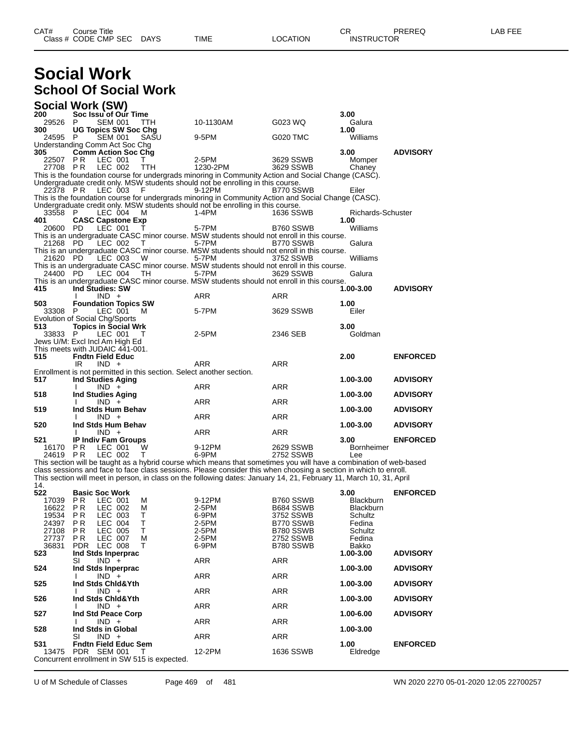| CAT# | Title<br>Course<br>Class # CODE CMP SEC | <b>DAYS</b> | TIME | LOCATION | ⌒冖<br>- UN<br><b>INSTRUCTOR</b> | EEE<br>ΔP |
|------|-----------------------------------------|-------------|------|----------|---------------------------------|-----------|
|      |                                         |             |      |          |                                 |           |

## **Social Work School Of Social Work**

| <b>Social Work (SW)</b>         |                                  |                    |                             |            |                                                                                                                     |                        |                             |                 |
|---------------------------------|----------------------------------|--------------------|-----------------------------|------------|---------------------------------------------------------------------------------------------------------------------|------------------------|-----------------------------|-----------------|
| 200                             |                                  |                    | Soc Issu of Our Time        |            |                                                                                                                     |                        | 3.00                        |                 |
| 29526                           | P.                               | <b>SEM 001</b>     |                             | <b>TTH</b> | 10-1130AM                                                                                                           | G023 WQ                | Galura                      |                 |
| 300                             |                                  |                    | <b>UG Topics SW Soc Chg</b> |            |                                                                                                                     |                        | 1.00                        |                 |
| 24595                           | P                                | <b>SEM 001</b>     |                             | SASU       | 9-5PM                                                                                                               | G020 TMC               | Williams                    |                 |
| Understanding Comm Act Soc Chg  |                                  |                    |                             |            |                                                                                                                     |                        |                             |                 |
| 305                             |                                  |                    | <b>Comm Action Soc Chg</b>  |            |                                                                                                                     |                        | 3.00                        | <b>ADVISORY</b> |
| 22507                           | P R                              | LEC 001            |                             | т          | 2-5PM                                                                                                               | 3629 SSWB              | Momper                      |                 |
| 27708 PR                        |                                  | LEC 002            |                             | TTH        | 1230-2PM                                                                                                            | 3629 SSWB              | Chaney                      |                 |
|                                 |                                  |                    |                             |            | This is the foundation course for undergrads minoring in Community Action and Social Change (CASC).                 |                        |                             |                 |
| 22378 PR                        |                                  | LEC 003            |                             | F          | Undergraduate credit only. MSW students should not be enrolling in this course.<br>9-12PM                           | B770 SSWB              | Eiler                       |                 |
|                                 |                                  |                    |                             |            | This is the foundation course for undergrads minoring in Community Action and Social Change (CASC).                 |                        |                             |                 |
|                                 |                                  |                    |                             |            | Undergraduate credit only. MSW students should not be enrolling in this course.                                     |                        |                             |                 |
| 33558                           | - P                              | LEC 004            |                             | м          | $1-4PM$                                                                                                             | 1636 SSWB              | Richards-Schuster           |                 |
| 401                             |                                  |                    | <b>CASC Capstone Exp</b>    |            |                                                                                                                     |                        | 1.00                        |                 |
| 20600                           | - PD                             | LEC 001            |                             | Τ          | 5-7PM                                                                                                               | B760 SSWB              | Williams                    |                 |
|                                 |                                  |                    |                             |            | This is an undergraduate CASC minor course. MSW students should not enroll in this course.                          |                        |                             |                 |
| 21268 PD                        |                                  | LEC 002            |                             | T          | 5-7PM                                                                                                               | B770 SSWB              | Galura                      |                 |
|                                 |                                  |                    |                             |            | This is an undergraduate CASC minor course. MSW students should not enroll in this course.                          |                        |                             |                 |
| 21620 PD                        |                                  | LEC 003            |                             | W          | 5-7PM                                                                                                               | 3752 SSWB              | Williams                    |                 |
|                                 |                                  |                    |                             |            | This is an undergraduate CASC minor course. MSW students should not enroll in this course.                          |                        |                             |                 |
| 24400 PD                        |                                  | LEC 004            |                             | TH         | 5-7PM                                                                                                               | 3629 SSWB              | Galura                      |                 |
|                                 | Ind Studies: SW                  |                    |                             |            | This is an undergraduate CASC minor course. MSW students should not enroll in this course.                          |                        |                             | <b>ADVISORY</b> |
| 415                             | -1                               | $IND +$            |                             |            | <b>ARR</b>                                                                                                          | <b>ARR</b>             | 1.00-3.00                   |                 |
| 503                             |                                  |                    | <b>Foundation Topics SW</b> |            |                                                                                                                     |                        | 1.00                        |                 |
| 33308 P                         |                                  | LEC 001            |                             | м          | 5-7PM                                                                                                               | 3629 SSWB              | Eiler                       |                 |
| Evolution of Social Chg/Sports  |                                  |                    |                             |            |                                                                                                                     |                        |                             |                 |
| 513                             |                                  |                    | <b>Topics in Social Wrk</b> |            |                                                                                                                     |                        | 3.00                        |                 |
| 33833                           | P                                | LEC 001            |                             | Т          | 2-5PM                                                                                                               | 2346 SEB               | Goldman                     |                 |
| Jews U/M: Excl Incl Am High Ed  |                                  |                    |                             |            |                                                                                                                     |                        |                             |                 |
| This meets with JUDAIC 441-001. |                                  |                    |                             |            |                                                                                                                     |                        |                             |                 |
| 515                             | <b>Fndtn Field Educ</b>          |                    |                             |            |                                                                                                                     |                        | 2.00                        | <b>ENFORCED</b> |
|                                 | IR                               | $IND +$            |                             |            | <b>ARR</b>                                                                                                          | <b>ARR</b>             |                             |                 |
|                                 |                                  |                    |                             |            | Enrollment is not permitted in this section. Select another section.                                                |                        |                             |                 |
| 517                             |                                  |                    | <b>Ind Studies Aging</b>    |            |                                                                                                                     |                        | 1.00-3.00                   | <b>ADVISORY</b> |
|                                 | Ι.                               | $IND +$            |                             |            | <b>ARR</b>                                                                                                          | <b>ARR</b>             |                             |                 |
| 518                             | I.                               | $IND +$            | <b>Ind Studies Aging</b>    |            | <b>ARR</b>                                                                                                          | <b>ARR</b>             | 1.00-3.00                   | <b>ADVISORY</b> |
| 519                             |                                  |                    | Ind Stds Hum Behav          |            |                                                                                                                     |                        | 1.00-3.00                   | <b>ADVISORY</b> |
|                                 | $\mathbf{I}$                     | $IND +$            |                             |            | ARR                                                                                                                 | ARR                    |                             |                 |
| 520                             |                                  |                    | Ind Stds Hum Behav          |            |                                                                                                                     |                        | 1.00-3.00                   | <b>ADVISORY</b> |
|                                 |                                  | $IND +$            |                             |            | ARR                                                                                                                 | ARR                    |                             |                 |
| 521                             |                                  |                    | <b>IP Indiv Fam Groups</b>  |            |                                                                                                                     |                        | 3.00                        | <b>ENFORCED</b> |
| 16170                           | P R                              | LEC 001            |                             | W          | 9-12PM                                                                                                              | 2629 SSWB              | <b>Bornheimer</b>           |                 |
| 24619                           | P R                              | LEC 002            |                             | т          | 6-9PM                                                                                                               | 2752 SSWB              | Lee                         |                 |
|                                 |                                  |                    |                             |            | This section will be taught as a hybrid course which means that sometimes you will have a combination of web-based  |                        |                             |                 |
|                                 |                                  |                    |                             |            | class sessions and face to face class sessions. Please consider this when choosing a section in which to enroll.    |                        |                             |                 |
|                                 |                                  |                    |                             |            | This section will meet in person, in class on the following dates: January 14, 21, February 11, March 10, 31, April |                        |                             |                 |
| 14.                             |                                  |                    |                             |            |                                                                                                                     |                        |                             |                 |
| 522                             | <b>Basic Soc Work</b>            |                    |                             |            |                                                                                                                     |                        | 3.00                        | <b>ENFORCED</b> |
| 17039                           | P <sub>R</sub><br>P <sub>R</sub> | LEC 001            |                             | М          | 9-12PM                                                                                                              | B760 SSWB              | <b>Blackburn</b>            |                 |
| 16622<br>19534                  | P <sub>R</sub>                   | LEC 002<br>LEC 003 |                             | M<br>т     | 2-5PM<br>6-9PM                                                                                                      | B684 SSWB<br>3752 SSWB | <b>Blackburn</b><br>Schultz |                 |
| 24397                           | P R                              | LEC 004            |                             | т          | 2-5PM                                                                                                               | B770 SSWB              | Fedina                      |                 |
| 27108                           | <b>PR</b>                        | LEC 005            |                             | т          | 2-5PM                                                                                                               | B780 SSWB              | Schultz                     |                 |
|                                 |                                  |                    |                             |            |                                                                                                                     |                        |                             |                 |

| 24397<br>27108<br>27737 | P R<br>LEC 004<br>LEC 005<br>P <sub>R</sub><br>LEC-<br>M<br>P <sub>R</sub><br>007 | 2-5PM<br>$2-5PM$<br>2-5PM | B770 SSWB<br>B780 SSWB<br>2752 SSWB | Fedina<br>Schultz<br>Fedina |                 |
|-------------------------|-----------------------------------------------------------------------------------|---------------------------|-------------------------------------|-----------------------------|-----------------|
| 36831<br>523            | LEC 008<br><b>PDR</b><br>Ind Stds Inperprac                                       | 6-9PM                     | B780 SSWB                           | Bakko<br>1.00-3.00          | <b>ADVISORY</b> |
|                         | SI<br>$IND +$                                                                     | <b>ARR</b>                | <b>ARR</b>                          |                             |                 |
| 524                     | Ind Stds Inperprac                                                                |                           |                                     | 1.00-3.00                   | <b>ADVISORY</b> |
|                         | $IND +$                                                                           | <b>ARR</b>                | <b>ARR</b>                          |                             |                 |
| 525                     | Ind Stds Chid&Yth                                                                 |                           |                                     | 1.00-3.00                   | <b>ADVISORY</b> |
| 526                     | $IND +$<br>Ind Stds Chid&Yth                                                      | <b>ARR</b>                | <b>ARR</b>                          | 1.00-3.00                   | <b>ADVISORY</b> |
|                         | $IND +$                                                                           | <b>ARR</b>                | <b>ARR</b>                          |                             |                 |
| 527                     | Ind Std Peace Corp                                                                |                           |                                     | 1.00-6.00                   | <b>ADVISORY</b> |
|                         | $IND +$                                                                           | <b>ARR</b>                | <b>ARR</b>                          |                             |                 |
| 528                     | Ind Stds in Global                                                                |                           |                                     | 1.00-3.00                   |                 |
| 531                     | SI<br>$IND +$<br><b>Fndtn Field Educ Sem</b>                                      | <b>ARR</b>                | <b>ARR</b>                          | 1.00                        | <b>ENFORCED</b> |
| 13475                   | PDR SEM 001                                                                       | 12-2PM                    | 1636 SSWB                           | Eldredge                    |                 |
|                         | Concurrent enrollment in SW 515 is expected.                                      |                           |                                     |                             |                 |
|                         |                                                                                   |                           |                                     |                             |                 |

U of M Schedule of Classes Page 469 of 481 WN 2020 2270 05-01-2020 12:05 22700257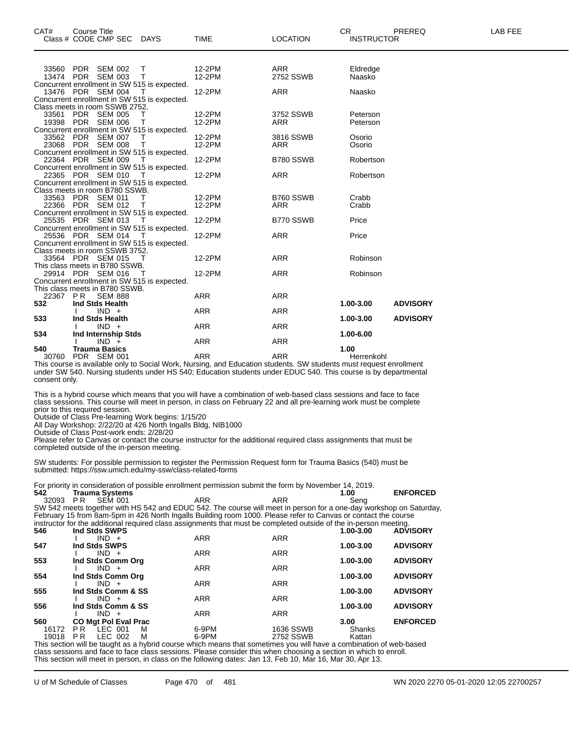| CAT# |                                                                                                                                                                                                                                                       | <b>Course Title</b><br>Class # CODE CMP SEC         | DAYS                                                   | <b>TIME</b>                                                                                                       | <b>LOCATION</b> | <b>CR</b><br><b>INSTRUCTOR</b> | PREREQ          | LAB FEE |  |  |
|------|-------------------------------------------------------------------------------------------------------------------------------------------------------------------------------------------------------------------------------------------------------|-----------------------------------------------------|--------------------------------------------------------|-------------------------------------------------------------------------------------------------------------------|-----------------|--------------------------------|-----------------|---------|--|--|
|      |                                                                                                                                                                                                                                                       |                                                     |                                                        |                                                                                                                   | <b>ARR</b>      |                                |                 |         |  |  |
|      |                                                                                                                                                                                                                                                       | 33560 PDR SEM 002<br>13474 PDR SEM 003              | т<br>T                                                 | 12-2PM<br>12-2PM                                                                                                  | 2752 SSWB       | Eldredge<br>Naasko             |                 |         |  |  |
|      |                                                                                                                                                                                                                                                       |                                                     | Concurrent enrollment in SW 515 is expected.           |                                                                                                                   |                 |                                |                 |         |  |  |
|      |                                                                                                                                                                                                                                                       | 13476 PDR SEM 004                                   | т                                                      | 12-2PM                                                                                                            | <b>ARR</b>      | Naasko                         |                 |         |  |  |
|      |                                                                                                                                                                                                                                                       |                                                     | Concurrent enrollment in SW 515 is expected.           |                                                                                                                   |                 |                                |                 |         |  |  |
|      |                                                                                                                                                                                                                                                       | Class meets in room SSWB 2752.<br>33561 PDR SEM 005 | т                                                      | 12-2PM                                                                                                            | 3752 SSWB       | Peterson                       |                 |         |  |  |
|      |                                                                                                                                                                                                                                                       | 19398 PDR SEM 006                                   | т                                                      | 12-2PM                                                                                                            | ARR             | Peterson                       |                 |         |  |  |
|      |                                                                                                                                                                                                                                                       |                                                     | Concurrent enrollment in SW 515 is expected.           |                                                                                                                   |                 |                                |                 |         |  |  |
|      |                                                                                                                                                                                                                                                       | 33562 PDR SEM 007                                   |                                                        | 12-2PM                                                                                                            | 3816 SSWB       | Osorio                         |                 |         |  |  |
|      |                                                                                                                                                                                                                                                       | 23068 PDR SEM 008                                   | Т                                                      | 12-2PM                                                                                                            | ARR             | Osorio                         |                 |         |  |  |
|      |                                                                                                                                                                                                                                                       |                                                     | Concurrent enrollment in SW 515 is expected.           |                                                                                                                   |                 |                                |                 |         |  |  |
|      |                                                                                                                                                                                                                                                       | 22364 PDR SEM 009                                   | - T<br>Concurrent enrollment in SW 515 is expected.    | 12-2PM                                                                                                            | B780 SSWB       | Robertson                      |                 |         |  |  |
|      |                                                                                                                                                                                                                                                       | 22365 PDR SEM 010                                   | - T                                                    | 12-2PM                                                                                                            | <b>ARR</b>      | Robertson                      |                 |         |  |  |
|      |                                                                                                                                                                                                                                                       |                                                     | Concurrent enrollment in SW 515 is expected.           |                                                                                                                   |                 |                                |                 |         |  |  |
|      |                                                                                                                                                                                                                                                       | Class meets in room B780 SSWB.                      |                                                        |                                                                                                                   |                 |                                |                 |         |  |  |
|      |                                                                                                                                                                                                                                                       | 33563 PDR SEM 011                                   | т                                                      | 12-2PM                                                                                                            | B760 SSWB       | Crabb                          |                 |         |  |  |
|      |                                                                                                                                                                                                                                                       | 22366 PDR SEM 012                                   | $\top$<br>Concurrent enrollment in SW 515 is expected. | 12-2PM                                                                                                            | <b>ARR</b>      | Crabb                          |                 |         |  |  |
|      |                                                                                                                                                                                                                                                       | 25535 PDR SEM 013                                   | т                                                      | 12-2PM                                                                                                            | B770 SSWB       | Price                          |                 |         |  |  |
|      |                                                                                                                                                                                                                                                       |                                                     | Concurrent enrollment in SW 515 is expected.           |                                                                                                                   |                 |                                |                 |         |  |  |
|      |                                                                                                                                                                                                                                                       | 25536 PDR SEM 014                                   | T                                                      | 12-2PM                                                                                                            | <b>ARR</b>      | Price                          |                 |         |  |  |
|      |                                                                                                                                                                                                                                                       |                                                     | Concurrent enrollment in SW 515 is expected.           |                                                                                                                   |                 |                                |                 |         |  |  |
|      |                                                                                                                                                                                                                                                       | Class meets in room SSWB 3752.                      |                                                        |                                                                                                                   |                 |                                |                 |         |  |  |
|      |                                                                                                                                                                                                                                                       | 33564 PDR SEM 015<br>This class meets in B780 SSWB. | т                                                      | 12-2PM                                                                                                            | <b>ARR</b>      | Robinson                       |                 |         |  |  |
|      |                                                                                                                                                                                                                                                       | 29914 PDR SEM 016                                   | $\top$                                                 | 12-2PM                                                                                                            | <b>ARR</b>      | Robinson                       |                 |         |  |  |
|      |                                                                                                                                                                                                                                                       |                                                     | Concurrent enrollment in SW 515 is expected.           |                                                                                                                   |                 |                                |                 |         |  |  |
|      |                                                                                                                                                                                                                                                       | This class meets in B780 SSWB.                      |                                                        |                                                                                                                   |                 |                                |                 |         |  |  |
|      |                                                                                                                                                                                                                                                       | 22367 PR SEM 888                                    |                                                        | <b>ARR</b>                                                                                                        | <b>ARR</b>      |                                |                 |         |  |  |
| 532  |                                                                                                                                                                                                                                                       | Ind Stds Health                                     |                                                        | <b>ARR</b>                                                                                                        | <b>ARR</b>      | 1.00-3.00                      | <b>ADVISORY</b> |         |  |  |
| 533  |                                                                                                                                                                                                                                                       | $IND +$<br>Ind Stds Health                          |                                                        |                                                                                                                   |                 | 1.00-3.00                      | <b>ADVISORY</b> |         |  |  |
|      |                                                                                                                                                                                                                                                       | $IND +$                                             |                                                        | <b>ARR</b>                                                                                                        | <b>ARR</b>      |                                |                 |         |  |  |
| 534  |                                                                                                                                                                                                                                                       | Ind Internship Stds                                 |                                                        |                                                                                                                   |                 | 1.00-6.00                      |                 |         |  |  |
|      |                                                                                                                                                                                                                                                       | $IND +$                                             |                                                        | ARR                                                                                                               | <b>ARR</b>      |                                |                 |         |  |  |
| 540  |                                                                                                                                                                                                                                                       | <b>Trauma Basics</b>                                |                                                        |                                                                                                                   |                 | 1.00                           |                 |         |  |  |
|      |                                                                                                                                                                                                                                                       | 30760 PDR SEM 001                                   |                                                        | <b>ARR</b>                                                                                                        | <b>ARR</b>      | Herrenkohl                     |                 |         |  |  |
|      | This course is available only to Social Work, Nursing, and Education students. SW students must request enrollment<br>under SW 540. Nursing students under HS 540; Education students under EDUC 540. This course is by departmental<br>consent only. |                                                     |                                                        |                                                                                                                   |                 |                                |                 |         |  |  |
|      |                                                                                                                                                                                                                                                       |                                                     |                                                        | This is a hybrid course which means that you will have a combination of web-based class sessions and face to face |                 |                                |                 |         |  |  |

class sessions. This course will meet in person, in class on February 22 and all pre-learning work must be complete prior to this required session.

Outside of Class Pre-learning Work begins: 1/15/20

All Day Workshop: 2/22/20 at 426 North Ingalls Bldg, NIB1000

Outside of Class Post-work ends: 2/28/20 Please refer to Canvas or contact the course instructor for the additional required class assignments that must be completed outside of the in-person meeting.

SW students: For possible permission to register the Permission Request form for Trauma Basics (540) must be submitted: https://ssw.umich.edu/my-ssw/class-related-forms

For priority in consideration of possible enrollment permission submit the form by November 14, 2019.

|       |                             | For priority in consideration of possible emoliment permission submit the form by November 14, 2019.                     |            |           |                 |
|-------|-----------------------------|--------------------------------------------------------------------------------------------------------------------------|------------|-----------|-----------------|
| 542   | <b>Trauma Systems</b>       |                                                                                                                          |            | 1.00      | <b>ENFORCED</b> |
| 32093 | SEM 001<br>PR               | ARR                                                                                                                      | ARR        | Seng      |                 |
|       |                             | SW 542 meets together with HS 542 and EDUC 542. The course will meet in person for a one-day workshop on Saturday,       |            |           |                 |
|       |                             | February 15 from 8am-5pm in 426 North Ingalls Building room 1000. Please refer to Canvas or contact the course           |            |           |                 |
|       |                             | instructor for the additional required class assignments that must be completed outside of the in-person meeting.        |            |           |                 |
| 546   | Ind Stds SWPS               |                                                                                                                          |            | 1.00-3.00 | <b>ADVISORY</b> |
|       | $IND +$                     | <b>ARR</b>                                                                                                               | <b>ARR</b> |           |                 |
| 547   | Ind Stds SWPS               |                                                                                                                          |            | 1.00-3.00 | <b>ADVISORY</b> |
|       | $IND +$                     | <b>ARR</b>                                                                                                               | <b>ARR</b> |           |                 |
| 553   | Ind Stds Comm Org           |                                                                                                                          |            | 1.00-3.00 | <b>ADVISORY</b> |
|       | $IND +$                     | <b>ARR</b>                                                                                                               | <b>ARR</b> |           |                 |
| 554   | Ind Stds Comm Org           |                                                                                                                          |            | 1.00-3.00 | <b>ADVISORY</b> |
|       | $IND +$                     | <b>ARR</b>                                                                                                               | <b>ARR</b> |           |                 |
| 555   | Ind Stds Comm & SS          |                                                                                                                          |            | 1.00-3.00 | <b>ADVISORY</b> |
|       | $IND +$                     | <b>ARR</b>                                                                                                               | <b>ARR</b> |           |                 |
| 556   | Ind Stds Comm & SS          |                                                                                                                          |            | 1.00-3.00 | <b>ADVISORY</b> |
|       | $IND +$                     | <b>ARR</b>                                                                                                               | <b>ARR</b> |           |                 |
| 560   | <b>CO Mat Pol Eval Prac</b> |                                                                                                                          |            | 3.00      | <b>ENFORCED</b> |
| 16172 | PR LEC 001<br>м             | 6-9PM                                                                                                                    | 1636 SSWB  | Shanks    |                 |
| 19018 | LEC 002<br>PR.<br>м         | 6-9PM                                                                                                                    | 2752 SSWB  | Kattari   |                 |
|       |                             | This section will be toward as a barbaid somes which access that seacctions were will begin a seachingtion of web bessel |            |           |                 |

This section will be taught as a hybrid course which means that sometimes you will have a combination of web-based class sessions and face to face class sessions. Please consider this when choosing a section in which to enroll. This section will meet in person, in class on the following dates: Jan 13, Feb 10, Mar 16, Mar 30, Apr 13.

U of M Schedule of Classes Page 470 of 481 WN 2020 2270 05-01-2020 12:05 22700257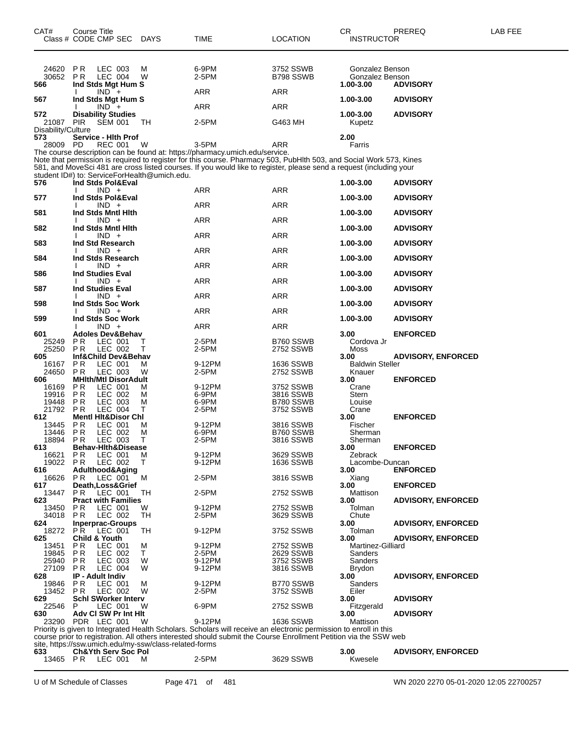| CAT#<br>Class # CODE CMP SEC                        | Course Title                                           |                           | <b>DAYS</b> | TIME                                                                        | <b>LOCATION</b>                                                                                                                                                                                                                            | CR.<br><b>INSTRUCTOR</b>                        | PREREQ                    | <b>LAB FEE</b> |
|-----------------------------------------------------|--------------------------------------------------------|---------------------------|-------------|-----------------------------------------------------------------------------|--------------------------------------------------------------------------------------------------------------------------------------------------------------------------------------------------------------------------------------------|-------------------------------------------------|---------------------------|----------------|
| 24620<br>30652<br>566                               | P <sub>R</sub><br>P <sub>R</sub><br>Ind Stds Mgt Hum S | LEC 003<br><b>LEC 004</b> | М<br>W      | 6-9PM<br>2-5PM                                                              | 3752 SSWB<br>B798 SSWB                                                                                                                                                                                                                     | Gonzalez Benson<br>Gonzalez Benson<br>1.00-3.00 | <b>ADVISORY</b>           |                |
| 567                                                 | Ind Stds Mgt Hum S                                     | $IND +$                   |             | ARR                                                                         | ARR                                                                                                                                                                                                                                        | 1.00-3.00                                       | <b>ADVISORY</b>           |                |
| 572<br>21087                                        | <b>Disability Studies</b><br><b>PIR</b>                | $IND +$<br><b>SEM 001</b> | ТH          | ARR<br>2-5PM                                                                | ARR<br>G463 MH                                                                                                                                                                                                                             | 1.00-3.00<br>Kupetz                             | <b>ADVISORY</b>           |                |
| Disability/Culture<br>573<br>28009                  | Service - Hith Prof<br>PD.                             | REC 001                   | W           | 3-5PM                                                                       | ARR                                                                                                                                                                                                                                        | 2.00<br>Farris                                  |                           |                |
|                                                     |                                                        |                           |             | The course description can be found at: https://pharmacy.umich.edu/service. | Note that permission is required to register for this course. Pharmacy 503, PubHlth 503, and Social Work 573, Kines<br>581, and MoveSci 481 are cross listed courses. If you would like to register, please send a request (including your |                                                 |                           |                |
| student ID#) to: ServiceForHealth@umich.edu.<br>576 | Ind Stds Pol&Eval                                      |                           |             |                                                                             |                                                                                                                                                                                                                                            | 1.00-3.00                                       | <b>ADVISORY</b>           |                |
| 577                                                 | Ind Stds Pol&Eval                                      | $IND +$                   |             | ARR                                                                         | ARR                                                                                                                                                                                                                                        | 1.00-3.00                                       | <b>ADVISORY</b>           |                |
| 581                                                 | Ind Stds Mntl Hith                                     | $IND +$                   |             | ARR                                                                         | ARR                                                                                                                                                                                                                                        | 1.00-3.00                                       | <b>ADVISORY</b>           |                |
|                                                     |                                                        | $IND +$                   |             | ARR                                                                         | ARR                                                                                                                                                                                                                                        |                                                 |                           |                |
| 582                                                 | Ind Stds Mntl Hith                                     | $IND +$                   |             | ARR                                                                         | ARR                                                                                                                                                                                                                                        | 1.00-3.00                                       | <b>ADVISORY</b>           |                |
| 583                                                 | Ind Std Research                                       | $IND +$                   |             | ARR                                                                         | ARR                                                                                                                                                                                                                                        | 1.00-3.00                                       | <b>ADVISORY</b>           |                |
| 584                                                 | Ind Stds Research                                      | $IND +$                   |             | ARR                                                                         | ARR                                                                                                                                                                                                                                        | 1.00-3.00                                       | <b>ADVISORY</b>           |                |
| 586                                                 | <b>Ind Studies Eval</b>                                | $IND +$                   |             | ARR                                                                         | <b>ARR</b>                                                                                                                                                                                                                                 | 1.00-3.00                                       | <b>ADVISORY</b>           |                |
| 587                                                 | <b>Ind Studies Eval</b>                                | $IND +$                   |             | ARR                                                                         | ARR                                                                                                                                                                                                                                        | 1.00-3.00                                       | <b>ADVISORY</b>           |                |
| 598                                                 | Ind Stds Soc Work                                      |                           |             |                                                                             |                                                                                                                                                                                                                                            | 1.00-3.00                                       | <b>ADVISORY</b>           |                |
| 599                                                 | Ind Stds Soc Work                                      | $IND +$                   |             | ARR                                                                         | ARR                                                                                                                                                                                                                                        | 1.00-3.00                                       | <b>ADVISORY</b>           |                |
| 601                                                 | <b>Adoles Dev&amp;Behav</b>                            | $IND +$                   |             | ARR                                                                         | <b>ARR</b>                                                                                                                                                                                                                                 | 3.00                                            | <b>ENFORCED</b>           |                |
| 25249<br>25250                                      | ΡR<br>P R                                              | LEC 001<br>LEC 002        | т<br>Т      | 2-5PM<br>2-5PM                                                              | B760 SSWB<br>2752 SSWB                                                                                                                                                                                                                     | Cordova Jr<br>Moss                              |                           |                |
| 605<br>16167                                        | Inf&Child Dev&Behav<br>P <sub>R</sub>                  | LEC 001                   | м           | 9-12PM                                                                      | 1636 SSWB                                                                                                                                                                                                                                  | 3.00<br><b>Baldwin Steller</b>                  | <b>ADVISORY, ENFORCED</b> |                |
| 24650                                               | <b>PR</b>                                              | LEC 003                   | W           | 2-5PM                                                                       | 2752 SSWB                                                                                                                                                                                                                                  | Knauer                                          |                           |                |
| 606<br>16169                                        | <b>MHIth/Mtl DisorAdult</b><br>ΡR                      | LEC 001                   | м           | 9-12PM                                                                      | 3752 SSWB                                                                                                                                                                                                                                  | 3.00<br>Crane                                   | <b>ENFORCED</b>           |                |
| 19916<br>19448                                      | P <sub>R</sub><br>P R                                  | LEC 002<br>LEC 003        | м<br>M      | 6-9PM<br>6-9PM                                                              | 3816 SSWB<br>B780 SSWB                                                                                                                                                                                                                     | Stern<br>Louise                                 |                           |                |
| 21792                                               | <b>PR</b>                                              | LEC 004                   | т           | 2-5PM                                                                       | 3752 SSWB                                                                                                                                                                                                                                  | Crane                                           |                           |                |
| 612<br>13445                                        | <b>Mentl Hit&amp;Disor Chl</b><br>P R                  | LEC 001                   | м           | 9-12PM                                                                      | 3816 SSWB                                                                                                                                                                                                                                  | 3.00<br>Fischer                                 | <b>ENFORCED</b>           |                |
| 13446                                               | P <sub>R</sub>                                         | LEC 002                   | М           | 6-9PM                                                                       | B760 SSWB                                                                                                                                                                                                                                  | Sherman                                         |                           |                |
| 18894<br>613                                        | P R<br><b>Behav-Hith&amp;Disease</b>                   | LEC 003                   | Τ           | 2-5PM                                                                       | 3816 SSWB                                                                                                                                                                                                                                  | Sherman<br>3.00                                 | <b>ENFORCED</b>           |                |
| 16621                                               | <b>PR</b>                                              | LEC 001                   | M           | 9-12PM                                                                      | 3629 SSWB                                                                                                                                                                                                                                  | Zebrack                                         |                           |                |
| 19022<br>616                                        | P R<br>Adulthood&Aging                                 | LEC 002                   | Τ           | 9-12PM                                                                      | 1636 SSWB                                                                                                                                                                                                                                  | Lacombe-Duncan<br>3.00                          | <b>ENFORCED</b>           |                |
| 16626<br>617                                        | P R<br>Death, Loss& Grief                              | LEC 001                   | м           | 2-5PM                                                                       | 3816 SSWB                                                                                                                                                                                                                                  | Xiang<br>3.00                                   | <b>ENFORCED</b>           |                |
| 13447                                               | P R                                                    | LEC 001                   | TН          | 2-5PM                                                                       | 2752 SSWB                                                                                                                                                                                                                                  | Mattison                                        |                           |                |
| 623<br>13450                                        | <b>Pract with Families</b><br>P R                      | LEC 001                   | W           | 9-12PM                                                                      | 2752 SSWB                                                                                                                                                                                                                                  | 3.00<br>Tolman                                  | <b>ADVISORY, ENFORCED</b> |                |
| 34018                                               | P R                                                    | LEC 002                   | TH          | 2-5PM                                                                       | 3629 SSWB                                                                                                                                                                                                                                  | Chute                                           |                           |                |
| 624<br>18272                                        | <b>Inperprac-Groups</b><br>PR.                         | LEC 001                   | TН          | 9-12PM                                                                      | 3752 SSWB                                                                                                                                                                                                                                  | 3.00<br>Tolman                                  | <b>ADVISORY, ENFORCED</b> |                |
| 625                                                 | <b>Child &amp; Youth</b>                               |                           |             |                                                                             |                                                                                                                                                                                                                                            | 3.00                                            | <b>ADVISORY, ENFORCED</b> |                |
| 13451<br>19845                                      | P R<br>P R                                             | LEC 001<br>LEC 002        | M<br>Τ      | 9-12PM<br>2-5PM                                                             | 2752 SSWB<br>2629 SSWB                                                                                                                                                                                                                     | Martinez-Gilliard<br>Sanders                    |                           |                |
| 25940                                               | P R                                                    | LEC 003                   | W           | 9-12PM                                                                      | 3752 SSWB                                                                                                                                                                                                                                  | Sanders                                         |                           |                |
| 27109<br>628                                        | P R<br><b>IP - Adult Indiv</b>                         | <b>LEC 004</b>            | W           | 9-12PM                                                                      | 3816 SSWB                                                                                                                                                                                                                                  | Brydon<br>3.00                                  | <b>ADVISORY, ENFORCED</b> |                |
| 19846                                               | P R                                                    | LEC 001                   | M           | 9-12PM                                                                      | B770 SSWB                                                                                                                                                                                                                                  | Sanders                                         |                           |                |
| 13452                                               | P R                                                    | LEC 002                   | W           | 2-5PM                                                                       | 3752 SSWB                                                                                                                                                                                                                                  | Eiler                                           |                           |                |
| 629<br>22546                                        | <b>Schl SWorker Interv</b><br>P                        | LEC 001                   | W           | 6-9PM                                                                       | 2752 SSWB                                                                                                                                                                                                                                  | 3.00<br>Fitzgerald                              | <b>ADVISORY</b>           |                |
| 630                                                 | Adv CI SW Pr Int HIt                                   |                           | W           | 9-12PM                                                                      | <b>1636 SSWB</b>                                                                                                                                                                                                                           | 3.00                                            | <b>ADVISORY</b>           |                |
| 23290                                               | PDR LEC 001                                            |                           |             |                                                                             | Priority is given to Integrated Health Scholars. Scholars will receive an electronic permission to enroll in this                                                                                                                          | Mattison                                        |                           |                |

course prior to registration. All others interested should submit the Course Enrollment Petition via the SSW web site, https://ssw.umich.edu/my-ssw/class-related-forms

**Ch&Yth Serv Soc Pol 3.00 ADVISORY, ENFORCED**

P R LEC 001 M 2-5PM 3629 SSWB Kwesele

U of M Schedule of Classes Page 471 of 481 WN 2020 2270 05-01-2020 12:05 22700257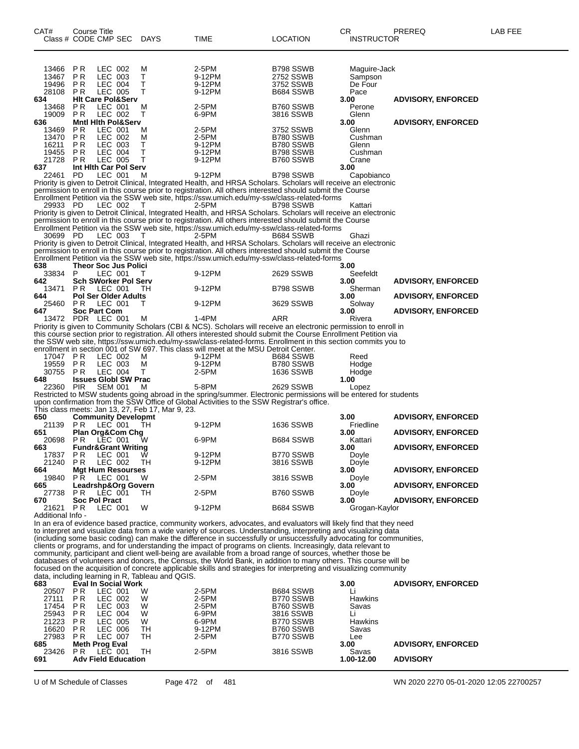| CAT#                 | Course Title                                     |                           |                                                  |                                                                                      |                                                                                                                                                                                                                                     | CR                | PREREQ                    | LAB FEE |
|----------------------|--------------------------------------------------|---------------------------|--------------------------------------------------|--------------------------------------------------------------------------------------|-------------------------------------------------------------------------------------------------------------------------------------------------------------------------------------------------------------------------------------|-------------------|---------------------------|---------|
| Class # CODE CMP SEC |                                                  |                           | <b>DAYS</b>                                      | TIME                                                                                 | LOCATION                                                                                                                                                                                                                            | <b>INSTRUCTOR</b> |                           |         |
|                      |                                                  |                           |                                                  |                                                                                      |                                                                                                                                                                                                                                     |                   |                           |         |
|                      |                                                  |                           |                                                  |                                                                                      |                                                                                                                                                                                                                                     |                   |                           |         |
| 13466                | ΡR                                               | LEC 002                   | М                                                | 2-5PM                                                                                | B798 SSWB                                                                                                                                                                                                                           | Maguire-Jack      |                           |         |
| 13467                | P <sub>R</sub>                                   | LEC 003                   | т                                                | 9-12PM                                                                               | 2752 SSWB                                                                                                                                                                                                                           | Sampson           |                           |         |
| 19496                | P R                                              | LEC 004                   | T                                                | 9-12PM                                                                               | 3752 SSWB                                                                                                                                                                                                                           | De Four           |                           |         |
| 28108                | P R                                              | LEC 005                   | т                                                | 9-12PM                                                                               | B684 SSWB                                                                                                                                                                                                                           | Pace              |                           |         |
| 634<br>13468         | <b>HIt Care Pol&amp;Serv</b><br>P R              | LEC 001                   | M                                                | 2-5PM                                                                                | B760 SSWB                                                                                                                                                                                                                           | 3.00<br>Perone    | <b>ADVISORY, ENFORCED</b> |         |
| 19009                | P <sub>R</sub>                                   | LEC 002                   | т                                                | 6-9PM                                                                                | 3816 SSWB                                                                                                                                                                                                                           | Glenn             |                           |         |
| 636                  | <b>Mntl Hith Pol&amp;Serv</b>                    |                           |                                                  |                                                                                      |                                                                                                                                                                                                                                     | 3.00              | <b>ADVISORY, ENFORCED</b> |         |
| 13469                | P R                                              | LEC 001                   | М                                                | 2-5PM                                                                                | 3752 SSWB                                                                                                                                                                                                                           | Glenn             |                           |         |
| 13470                | P <sub>R</sub>                                   | LEC 002                   | м                                                | 2-5PM                                                                                | B780 SSWB                                                                                                                                                                                                                           | Cushman           |                           |         |
| 16211<br>19455       | P <sub>R</sub><br>P R                            | LEC 003<br><b>LEC 004</b> | Т<br>T                                           | 9-12PM<br>9-12PM                                                                     | B780 SSWB<br>B798 SSWB                                                                                                                                                                                                              | Glenn<br>Cushman  |                           |         |
| 21728                | P <sub>R</sub>                                   | LEC 005                   | т                                                | 9-12PM                                                                               | B760 SSWB                                                                                                                                                                                                                           | Crane             |                           |         |
| 637                  | Int Hith Car Pol Serv                            |                           |                                                  |                                                                                      |                                                                                                                                                                                                                                     | 3.00              |                           |         |
| 22461                | <b>PD</b>                                        | LEC 001                   | м                                                | 9-12PM                                                                               | B798 SSWB                                                                                                                                                                                                                           | Capobianco        |                           |         |
|                      |                                                  |                           |                                                  |                                                                                      | Priority is given to Detroit Clinical, Integrated Health, and HRSA Scholars. Scholars will receive an electronic                                                                                                                    |                   |                           |         |
|                      |                                                  |                           |                                                  |                                                                                      | permission to enroll in this course prior to registration. All others interested should submit the Course                                                                                                                           |                   |                           |         |
| 29933 PD             |                                                  | LEC 002                   | т                                                | 2-5PM                                                                                | Enrollment Petition via the SSW web site, https://ssw.umich.edu/my-ssw/class-related-forms<br>B798 SSWB                                                                                                                             | Kattari           |                           |         |
|                      |                                                  |                           |                                                  |                                                                                      | Priority is given to Detroit Clinical, Integrated Health, and HRSA Scholars. Scholars will receive an electronic                                                                                                                    |                   |                           |         |
|                      |                                                  |                           |                                                  |                                                                                      | permission to enroll in this course prior to registration. All others interested should submit the Course                                                                                                                           |                   |                           |         |
|                      |                                                  |                           |                                                  |                                                                                      | Enrollment Petition via the SSW web site, https://ssw.umich.edu/my-ssw/class-related-forms                                                                                                                                          |                   |                           |         |
| 30699 PD             |                                                  | LEC 003                   | T                                                | 2-5PM                                                                                | B684 SSWB                                                                                                                                                                                                                           | Ghazi             |                           |         |
|                      |                                                  |                           |                                                  |                                                                                      | Priority is given to Detroit Clinical, Integrated Health, and HRSA Scholars. Scholars will receive an electronic<br>permission to enroll in this course prior to registration. All others interested should submit the Course       |                   |                           |         |
|                      |                                                  |                           |                                                  |                                                                                      | Enrollment Petition via the SSW web site, https://ssw.umich.edu/my-ssw/class-related-forms                                                                                                                                          |                   |                           |         |
| 638                  | Theor Soc Jus Polici                             |                           |                                                  |                                                                                      |                                                                                                                                                                                                                                     | 3.00              |                           |         |
| 33834                | P                                                | LEC 001                   | т                                                | 9-12PM                                                                               | 2629 SSWB                                                                                                                                                                                                                           | Seefeldt          |                           |         |
| 642                  | <b>Sch SWorker Pol Serv</b>                      |                           |                                                  |                                                                                      |                                                                                                                                                                                                                                     | 3.00              | <b>ADVISORY, ENFORCED</b> |         |
| 13471                | <b>PR LEC 001</b>                                |                           | TН                                               | 9-12PM                                                                               | B798 SSWB                                                                                                                                                                                                                           | Sherman           |                           |         |
| 644<br>25460         | <b>Pol Ser Older Adults</b><br><b>PR LEC 001</b> |                           | Т                                                | 9-12PM                                                                               | 3629 SSWB                                                                                                                                                                                                                           | 3.00<br>Solway    | <b>ADVISORY, ENFORCED</b> |         |
| 647                  | <b>Soc Part Com</b>                              |                           |                                                  |                                                                                      |                                                                                                                                                                                                                                     | 3.00              | <b>ADVISORY, ENFORCED</b> |         |
| 13472 PDR LEC 001    |                                                  |                           | м                                                | 1-4PM                                                                                | ARR                                                                                                                                                                                                                                 | Rivera            |                           |         |
|                      |                                                  |                           |                                                  |                                                                                      | Priority is given to Community Scholars (CBI & NCS). Scholars will receive an electronic permission to enroll in                                                                                                                    |                   |                           |         |
|                      |                                                  |                           |                                                  |                                                                                      | this course section prior to registration. All others interested should submit the Course Enrollment Petition via                                                                                                                   |                   |                           |         |
|                      |                                                  |                           |                                                  | enrollment in section 001 of SW 697. This class will meet at the MSU Detroit Center. | the SSW web site, https://ssw.umich.edu/my-ssw/class-related-forms. Enrollment in this section commits you to                                                                                                                       |                   |                           |         |
| 17047 PR             |                                                  | LEC 002                   | м                                                | 9-12PM                                                                               | B684 SSWB                                                                                                                                                                                                                           | Reed              |                           |         |
| 19559                | <b>PR</b>                                        | LEC 003                   | м                                                | 9-12PM                                                                               | B780 SSWB                                                                                                                                                                                                                           | Hodge             |                           |         |
| 30755                | P <sub>R</sub>                                   | LEC 004                   | т                                                | 2-5PM                                                                                | 1636 SSWB                                                                                                                                                                                                                           | Hodge             |                           |         |
| 648                  | <b>Issues Globl SW Prac</b>                      |                           |                                                  |                                                                                      |                                                                                                                                                                                                                                     | 1.00              |                           |         |
| 22360 PIR            |                                                  | <b>SEM 001</b>            | м                                                | 5-8PM                                                                                | 2629 SSWB                                                                                                                                                                                                                           | Lopez             |                           |         |
|                      |                                                  |                           |                                                  |                                                                                      | Restricted to MSW students going abroad in the spring/summer. Electronic permissions will be entered for students<br>upon confirmation from the SSW Office of Global Activities to the SSW Registrar's office.                      |                   |                           |         |
|                      |                                                  |                           | This class meets: Jan 13, 27, Feb 17, Mar 9, 23. |                                                                                      |                                                                                                                                                                                                                                     |                   |                           |         |
| 650                  | <b>Community Developmt</b>                       |                           |                                                  |                                                                                      |                                                                                                                                                                                                                                     | 3.00              | <b>ADVISORY, ENFORCED</b> |         |
| 21139                | P R                                              | LEC 001                   | TН                                               | 9-12PM                                                                               | 1636 SSWB                                                                                                                                                                                                                           | Friedline         |                           |         |
| 651                  | <b>Plan Org&amp;Com Chg</b>                      |                           |                                                  |                                                                                      |                                                                                                                                                                                                                                     | 3.00              | <b>ADVISORY, ENFORCED</b> |         |
| 20698<br>663         | P R                                              | LEC 001                   | w                                                | 6-9PM                                                                                | B684 SSWB                                                                                                                                                                                                                           | Kattari<br>3.00   | <b>ADVISORY, ENFORCED</b> |         |
| 17837                | <b>Fundr&amp;Grant Writing</b><br>PR             | LEC 001                   | Ŵ                                                | 9-12PM                                                                               | B770 SSWB                                                                                                                                                                                                                           | Doyle             |                           |         |
| 21240                | PR                                               | LEC 002                   | TH                                               | 9-12PM                                                                               | 3816 SSWB                                                                                                                                                                                                                           | Doyle             |                           |         |
| 664                  | <b>Mgt Hum Resourses</b>                         |                           |                                                  |                                                                                      |                                                                                                                                                                                                                                     | 3.00              | <b>ADVISORY, ENFORCED</b> |         |
| 19840                | PR.                                              | LEC 001                   | W                                                | 2-5PM                                                                                | 3816 SSWB                                                                                                                                                                                                                           | Doyle             |                           |         |
| 665                  | Leadrshp&Org Govern                              | LEC 001                   |                                                  | 2-5PM                                                                                |                                                                                                                                                                                                                                     | 3.00              | <b>ADVISORY, ENFORCED</b> |         |
| 27738<br>670         | P R<br><b>Soc Pol Pract</b>                      |                           | TH.                                              |                                                                                      | B760 SSWB                                                                                                                                                                                                                           | Doyle<br>3.00     | <b>ADVISORY, ENFORCED</b> |         |
| 21621 PR LEC 001     |                                                  |                           | W                                                | 9-12PM                                                                               | B684 SSWB                                                                                                                                                                                                                           | Grogan-Kaylor     |                           |         |
| Additional Info -    |                                                  |                           |                                                  |                                                                                      |                                                                                                                                                                                                                                     |                   |                           |         |
|                      |                                                  |                           |                                                  |                                                                                      | In an era of evidence based practice, community workers, advocates, and evaluators will likely find that they need                                                                                                                  |                   |                           |         |
|                      |                                                  |                           |                                                  |                                                                                      | to interpret and visualize data from a wide variety of sources. Understanding, interpreting and visualizing data                                                                                                                    |                   |                           |         |
|                      |                                                  |                           |                                                  |                                                                                      | (including some basic coding) can make the difference in successfully or unsuccessfully advocating for communities,<br>clients or programs, and for understanding the impact of programs on clients. Increasingly, data relevant to |                   |                           |         |
|                      |                                                  |                           |                                                  |                                                                                      | community, participant and client well-being are available from a broad range of sources, whether those be                                                                                                                          |                   |                           |         |
|                      |                                                  |                           |                                                  |                                                                                      | databases of volunteers and donors, the Census, the World Bank, in addition to many others. This course will be                                                                                                                     |                   |                           |         |
|                      |                                                  |                           |                                                  |                                                                                      | focused on the acquisition of concrete applicable skills and strategies for interpreting and visualizing community                                                                                                                  |                   |                           |         |
|                      |                                                  |                           | data, including learning in R, Tableau and QGIS. |                                                                                      |                                                                                                                                                                                                                                     |                   |                           |         |
| 683<br>20507         | <b>Eval In Social Work</b><br>P <sub>R</sub>     | LEC 001                   | W                                                | 2-5PM                                                                                | B684 SSWB                                                                                                                                                                                                                           | 3.00<br>Li        | <b>ADVISORY, ENFORCED</b> |         |
| 27111                | PR.                                              | LEC 002                   | W                                                | 2-5PM                                                                                | B770 SSWB                                                                                                                                                                                                                           | Hawkins           |                           |         |
| 17454                | P R                                              | LEC 003                   | W                                                | 2-5PM                                                                                | B760 SSWB                                                                                                                                                                                                                           | Savas             |                           |         |
| 25943                | P R                                              | LEC 004                   | W                                                | 6-9PM                                                                                | 3816 SSWB                                                                                                                                                                                                                           | Li                |                           |         |
| 21223                | PR.                                              | LEC 005                   | W                                                | 6-9PM                                                                                | B770 SSWB                                                                                                                                                                                                                           | Hawkins           |                           |         |
| 16620                | P R                                              | LEC 006                   | TH                                               | 9-12PM                                                                               | B760 SSWB                                                                                                                                                                                                                           | Savas             |                           |         |
| 27983<br>685         | P R<br><b>Meth Prog Eval</b>                     | LEC 007                   | TН                                               | 2-5PM                                                                                | B770 SSWB                                                                                                                                                                                                                           | Lee<br>3.00       | <b>ADVISORY, ENFORCED</b> |         |
| 23426                | P R                                              | LEC 001                   | TH                                               | 2-5PM                                                                                | 3816 SSWB                                                                                                                                                                                                                           | Savas             |                           |         |
| 691                  | <b>Adv Field Education</b>                       |                           |                                                  |                                                                                      |                                                                                                                                                                                                                                     | 1.00-12.00        | <b>ADVISORY</b>           |         |

U of M Schedule of Classes Page 472 of 481 WN 2020 2270 05-01-2020 12:05 22700257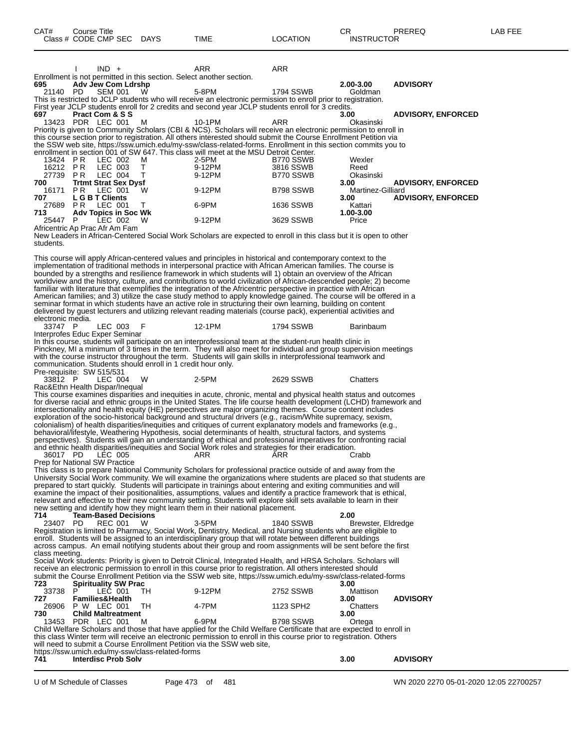|                                                  |                                    | $IND +$        |                                                              | ARR<br>Enrollment is not permitted in this section. Select another section.                                                                                                                                                              | ARR              |                           |                           |
|--------------------------------------------------|------------------------------------|----------------|--------------------------------------------------------------|------------------------------------------------------------------------------------------------------------------------------------------------------------------------------------------------------------------------------------------|------------------|---------------------------|---------------------------|
| 695                                              | <b>Adv Jew Com Ldrshp</b>          |                |                                                              |                                                                                                                                                                                                                                          |                  | 2.00-3.00                 | <b>ADVISORY</b>           |
| 21140 PD                                         |                                    | <b>SEM 001</b> | W                                                            | 5-8PM                                                                                                                                                                                                                                    | 1794 SSWB        | Goldman                   |                           |
|                                                  |                                    |                |                                                              | This is restricted to JCLP students who will receive an electronic permission to enroll prior to registration.<br>First year JCLP students enroll for 2 credits and second year JCLP students enroll for 3 credits.                      |                  |                           |                           |
| 697                                              | <b>Pract Com &amp; S S</b>         |                |                                                              |                                                                                                                                                                                                                                          |                  | 3.00                      | <b>ADVISORY, ENFORCED</b> |
|                                                  | 13423 PDR LEC 001                  |                | M                                                            | 10-1PM<br>Priority is given to Community Scholars (CBI & NCS). Scholars will receive an electronic permission to enroll in                                                                                                               | ARR              | Okasinski                 |                           |
|                                                  |                                    |                |                                                              | this course section prior to registration. All others interested should submit the Course Enrollment Petition via                                                                                                                        |                  |                           |                           |
|                                                  |                                    |                |                                                              | the SSW web site, https://ssw.umich.edu/my-ssw/class-related-forms. Enrollment in this section commits you to                                                                                                                            |                  |                           |                           |
| 13424 PR                                         |                                    | LEC 002        | м                                                            | enrollment in section 001 of SW 647. This class will meet at the MSU Detroit Center.<br>2-5PM                                                                                                                                            | B770 SSWB        | Wexler                    |                           |
| 16212 PR                                         |                                    | LEC 003        | Т                                                            | 9-12PM                                                                                                                                                                                                                                   | 3816 SSWB        | Reed                      |                           |
| 27739 PR                                         |                                    | LEC 004        | Т                                                            | 9-12PM                                                                                                                                                                                                                                   | B770 SSWB        | Okasinski                 |                           |
| 700<br>16171                                     | <b>Trtmt Strat Sex Dysf</b><br>PR. | LEC 001        | w                                                            | 9-12PM                                                                                                                                                                                                                                   | B798 SSWB        | 3.00<br>Martinez-Gilliard | <b>ADVISORY, ENFORCED</b> |
| 707                                              | L G B T Clients                    |                |                                                              |                                                                                                                                                                                                                                          |                  | 3.00                      | <b>ADVISORY, ENFORCED</b> |
| 27689 PR<br>713                                  | <b>Adv Topics in Soc Wk</b>        | LEC 001        | T.                                                           | 6-9PM                                                                                                                                                                                                                                    | 1636 SSWB        | Kattari<br>1.00-3.00      |                           |
| 25447                                            | P.                                 | LEC 002        | W                                                            | 9-12PM                                                                                                                                                                                                                                   | 3629 SSWB        | Price                     |                           |
| Africentric Ap Prac Afr Am Fam                   |                                    |                |                                                              |                                                                                                                                                                                                                                          |                  |                           |                           |
| students.                                        |                                    |                |                                                              | New Leaders in African-Centered Social Work Scholars are expected to enroll in this class but it is open to other                                                                                                                        |                  |                           |                           |
|                                                  |                                    |                |                                                              |                                                                                                                                                                                                                                          |                  |                           |                           |
|                                                  |                                    |                |                                                              | This course will apply African-centered values and principles in historical and contemporary context to the<br>implementation of traditional methods in interpersonal practice with African American families. The course is             |                  |                           |                           |
|                                                  |                                    |                |                                                              | bounded by a strengths and resilience framework in which students will 1) obtain an overview of the African                                                                                                                              |                  |                           |                           |
|                                                  |                                    |                |                                                              | worldview and the history, culture, and contributions to world civilization of African-descended people; 2) become                                                                                                                       |                  |                           |                           |
|                                                  |                                    |                |                                                              | familiar with literature that exemplifies the integration of the Africentric perspective in practice with African<br>American families; and 3) utilize the case study method to apply knowledge gained. The course will be offered in a  |                  |                           |                           |
|                                                  |                                    |                |                                                              | seminar format in which students have an active role in structuring their own learning, building on content                                                                                                                              |                  |                           |                           |
| electronic media.                                |                                    |                |                                                              | delivered by guest lecturers and utilizing relevant reading materials (course pack), experiential activities and                                                                                                                         |                  |                           |                           |
| 33747 P                                          |                                    | LEC 003        | F                                                            | 12-1PM                                                                                                                                                                                                                                   | 1794 SSWB        | Barinbaum                 |                           |
| Interprofes Educ Exper Seminar                   |                                    |                |                                                              |                                                                                                                                                                                                                                          |                  |                           |                           |
|                                                  |                                    |                |                                                              | In this course, students will participate on an interprofessional team at the student-run health clinic in<br>Pinckney, MI a minimum of 3 times in the term. They will also meet for individual and group supervision meetings           |                  |                           |                           |
|                                                  |                                    |                |                                                              | with the course instructor throughout the term. Students will gain skills in interprofessional teamwork and                                                                                                                              |                  |                           |                           |
|                                                  |                                    |                | communication. Students should enroll in 1 credit hour only. |                                                                                                                                                                                                                                          |                  |                           |                           |
| Pre-requisite: SW 515/531<br>33812 P             |                                    | LEC 004        | W                                                            | $2-5PM$                                                                                                                                                                                                                                  | 2629 SSWB        | Chatters                  |                           |
| Rac&Ethn Health Dispar/Inequal                   |                                    |                |                                                              |                                                                                                                                                                                                                                          |                  |                           |                           |
|                                                  |                                    |                |                                                              | This course examines disparities and inequities in acute, chronic, mental and physical health status and outcomes                                                                                                                        |                  |                           |                           |
|                                                  |                                    |                |                                                              | for diverse racial and ethnic groups in the United States. The life course health development (LCHD) framework and<br>intersectionality and health equity (HE) perspectives are major organizing themes. Course content includes         |                  |                           |                           |
|                                                  |                                    |                |                                                              | exploration of the socio-historical background and structural drivers (e.g., racism/White supremacy, sexism,                                                                                                                             |                  |                           |                           |
|                                                  |                                    |                |                                                              | colonialism) of health disparities/inequities and critiques of current explanatory models and frameworks (e.g.,<br>behavioral/lifestyle, Weathering Hypothesis, social determinants of health, structural factors, and systems           |                  |                           |                           |
|                                                  |                                    |                |                                                              | perspectives). Students will gain an understanding of ethical and professional imperatives for confronting racial                                                                                                                        |                  |                           |                           |
|                                                  |                                    |                |                                                              | and ethnic health disparities/inequities and Social Work roles and strategies for their eradication.                                                                                                                                     |                  |                           |                           |
| 36017 PD<br><b>Prep for National SW Practice</b> |                                    | LEC 005        |                                                              | ARR                                                                                                                                                                                                                                      | ARR              | Crabb                     |                           |
|                                                  |                                    |                |                                                              | This class is to prepare National Community Scholars for professional practice outside of and away from the                                                                                                                              |                  |                           |                           |
|                                                  |                                    |                |                                                              | University Social Work community. We will examine the organizations where students are placed so that students are                                                                                                                       |                  |                           |                           |
|                                                  |                                    |                |                                                              | prepared to start quickly. Students will participate in trainings about entering and exiting communities and will<br>examine the impact of their positionalities, assumptions, values and identify a practice framework that is ethical, |                  |                           |                           |
|                                                  |                                    |                |                                                              | relevant and effective to their new community setting. Students will explore skill sets available to learn in their                                                                                                                      |                  |                           |                           |
| 714                                              | <b>Team-Based Decisions</b>        |                |                                                              | new setting and identify how they might learn them in their national placement.                                                                                                                                                          |                  | 2.00                      |                           |
| 23407                                            | PD                                 | <b>REC 001</b> | w                                                            | 3-5PM                                                                                                                                                                                                                                    | <b>1840 SSWB</b> | Brewster, Eldredge        |                           |
|                                                  |                                    |                |                                                              | Registration is limited to Pharmacy, Social Work, Dentistry, Medical, and Nursing students who are eligible to                                                                                                                           |                  |                           |                           |
|                                                  |                                    |                |                                                              | enroll. Students will be assigned to an interdisciplinary group that will rotate between different buildings<br>across campus. An email notifying students about their group and room assignments will be sent before the first          |                  |                           |                           |
| class meeting.                                   |                                    |                |                                                              |                                                                                                                                                                                                                                          |                  |                           |                           |
|                                                  |                                    |                |                                                              | Social Work students: Priority is given to Detroit Clinical, Integrated Health, and HRSA Scholars. Scholars will<br>receive an electronic permission to enroll in this course prior to registration. All others interested should        |                  |                           |                           |
|                                                  |                                    |                |                                                              | submit the Course Enrollment Petition via the SSW web site, https://ssw.umich.edu/my-ssw/class-related-forms                                                                                                                             |                  |                           |                           |
| 723                                              | <b>Spirituality SW Prac</b>        |                |                                                              |                                                                                                                                                                                                                                          |                  | 3.00                      |                           |
| 33738<br>727                                     | P<br><b>Families&amp;Health</b>    | LEC 001        | TH.                                                          | 9-12PM                                                                                                                                                                                                                                   | 2752 SSWB        | Mattison<br>3.00          | <b>ADVISORY</b>           |
| 26906                                            | P W LEC 001                        |                | TH                                                           | 4-7PM                                                                                                                                                                                                                                    | 1123 SPH2        | Chatters                  |                           |
| 730                                              | <b>Child Maltreatment</b>          |                |                                                              |                                                                                                                                                                                                                                          |                  | 3.00                      |                           |
|                                                  | 13453 PDR LEC 001                  |                | м                                                            | 6-9PM<br>Child Welfare Scholars and those that have applied for the Child Welfare Certificate that are expected to enroll in                                                                                                             | B798 SSWB        | Ortega                    |                           |
|                                                  |                                    |                |                                                              | this class Winter term will receive an electronic permission to enroll in this course prior to registration. Others                                                                                                                      |                  |                           |                           |
|                                                  |                                    |                | https://ssw.umich.edu/my-ssw/class-related-forms             | will need to submit a Course Enrollment Petition via the SSW web site,                                                                                                                                                                   |                  |                           |                           |
| 741                                              | <b>Interdisc Prob Solv</b>         |                |                                                              |                                                                                                                                                                                                                                          |                  | 3.00                      | <b>ADVISORY</b>           |
|                                                  |                                    |                |                                                              |                                                                                                                                                                                                                                          |                  |                           |                           |

U of M Schedule of Classes Page 473 of 481 WN 2020 2270 05-01-2020 12:05 22700257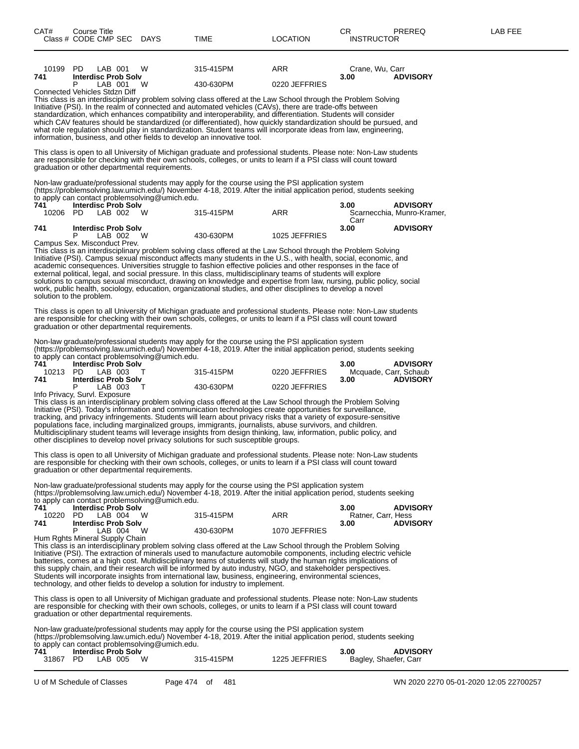| 10199 PD        | LAB 001<br>W                                                                                                                                                                                                                            | 315-415PM | ARR           | Crane, Wu, Carr    |                                               |
|-----------------|-----------------------------------------------------------------------------------------------------------------------------------------------------------------------------------------------------------------------------------------|-----------|---------------|--------------------|-----------------------------------------------|
| 741             | <b>Interdisc Prob Solv</b><br>P<br>W                                                                                                                                                                                                    |           |               | 3.00               | <b>ADVISORY</b>                               |
|                 | LAB 001<br>Connected Vehicles Stdzn Diff                                                                                                                                                                                                | 430-630PM | 0220 JEFFRIES |                    |                                               |
|                 | This class is an interdisciplinary problem solving class offered at the Law School through the Problem Solving                                                                                                                          |           |               |                    |                                               |
|                 | Initiative (PSI). In the realm of connected and automated vehicles (CAVs), there are trade-offs between                                                                                                                                 |           |               |                    |                                               |
|                 | standardization, which enhances compatibility and interoperability, and differentiation. Students will consider<br>which CAV features should be standardized (or differentiated), how quickly standardization should be pursued, and    |           |               |                    |                                               |
|                 | what role regulation should play in standardization. Student teams will incorporate ideas from law, engineering,                                                                                                                        |           |               |                    |                                               |
|                 | information, business, and other fields to develop an innovative tool.                                                                                                                                                                  |           |               |                    |                                               |
|                 | This class is open to all University of Michigan graduate and professional students. Please note: Non-Law students                                                                                                                      |           |               |                    |                                               |
|                 | are responsible for checking with their own schools, colleges, or units to learn if a PSI class will count toward                                                                                                                       |           |               |                    |                                               |
|                 | graduation or other departmental requirements.                                                                                                                                                                                          |           |               |                    |                                               |
|                 | Non-law graduate/professional students may apply for the course using the PSI application system                                                                                                                                        |           |               |                    |                                               |
|                 | (https://problemsolving.law.umich.edu/) November 4-18, 2019. After the initial application period, students seeking                                                                                                                     |           |               |                    |                                               |
|                 | to apply can contact problemsolving@umich.edu.                                                                                                                                                                                          |           |               |                    |                                               |
| 741<br>10206 PD | <b>Interdisc Prob Solv</b><br>LAB 002 W                                                                                                                                                                                                 | 315-415PM | ARR           | 3.00               | <b>ADVISORY</b><br>Scarnecchia, Munro-Kramer, |
|                 |                                                                                                                                                                                                                                         |           |               | Carr               |                                               |
| 741             | <b>Interdisc Prob Solv</b>                                                                                                                                                                                                              |           |               | 3.00               | <b>ADVISORY</b>                               |
|                 | P<br>LAB 002<br>W<br>Campus Sex. Misconduct Prev.                                                                                                                                                                                       | 430-630PM | 1025 JEFFRIES |                    |                                               |
|                 | This class is an interdisciplinary problem solving class offered at the Law School through the Problem Solving                                                                                                                          |           |               |                    |                                               |
|                 | Initiative (PSI). Campus sexual misconduct affects many students in the U.S., with health, social, economic, and                                                                                                                        |           |               |                    |                                               |
|                 | academic consequences. Universities struggle to fashion effective policies and other responses in the face of                                                                                                                           |           |               |                    |                                               |
|                 | external political, legal, and social pressure. In this class, multidisciplinary teams of students will explore<br>solutions to campus sexual misconduct, drawing on knowledge and expertise from law, nursing, public policy, social   |           |               |                    |                                               |
|                 | work, public health, sociology, education, organizational studies, and other disciplines to develop a novel                                                                                                                             |           |               |                    |                                               |
|                 | solution to the problem.                                                                                                                                                                                                                |           |               |                    |                                               |
|                 | This class is open to all University of Michigan graduate and professional students. Please note: Non-Law students                                                                                                                      |           |               |                    |                                               |
|                 | are responsible for checking with their own schools, colleges, or units to learn if a PSI class will count toward                                                                                                                       |           |               |                    |                                               |
|                 | graduation or other departmental requirements.                                                                                                                                                                                          |           |               |                    |                                               |
|                 | Non-law graduate/professional students may apply for the course using the PSI application system                                                                                                                                        |           |               |                    |                                               |
|                 | (https://problemsolving.law.umich.edu/) November 4-18, 2019. After the initial application period, students seeking                                                                                                                     |           |               |                    |                                               |
| 741             | to apply can contact problemsolving@umich.edu.<br><b>Interdisc Prob Solv</b>                                                                                                                                                            |           |               |                    | <b>ADVISORY</b>                               |
| 10213 PD        | LAB 003<br>$\top$                                                                                                                                                                                                                       | 315-415PM | 0220 JEFFRIES | 3.00               | Mcquade, Carr, Schaub                         |
| 741             | <b>Interdisc Prob Solv</b>                                                                                                                                                                                                              |           |               | 3.00               | <b>ADVISORY</b>                               |
|                 | P<br>LAB 003<br>$\mathsf{T}$                                                                                                                                                                                                            | 430-630PM | 0220 JEFFRIES |                    |                                               |
|                 | Info Privacy, Survl. Exposure<br>This class is an interdisciplinary problem solving class offered at the Law School through the Problem Solving                                                                                         |           |               |                    |                                               |
|                 | Initiative (PSI). Today's information and communication technologies create opportunities for surveillance,                                                                                                                             |           |               |                    |                                               |
|                 | tracking, and privacy infringements. Students will learn about privacy risks that a variety of exposure-sensitive                                                                                                                       |           |               |                    |                                               |
|                 | populations face, including marginalized groups, immigrants, journalists, abuse survivors, and children.<br>Multidisciplinary student teams will leverage insights from design thinking, law, information, public policy, and           |           |               |                    |                                               |
|                 | other disciplines to develop novel privacy solutions for such susceptible groups.                                                                                                                                                       |           |               |                    |                                               |
|                 |                                                                                                                                                                                                                                         |           |               |                    |                                               |
|                 | This class is open to all University of Michigan graduate and professional students. Please note: Non-Law students<br>are responsible for checking with their own schools, colleges, or units to learn if a PSI class will count toward |           |               |                    |                                               |
|                 | graduation or other departmental requirements.                                                                                                                                                                                          |           |               |                    |                                               |
|                 |                                                                                                                                                                                                                                         |           |               |                    |                                               |
|                 | Non-law graduate/professional students may apply for the course using the PSI application system                                                                                                                                        |           |               |                    |                                               |
|                 | (https://problemsolving.law.umich.edu/) November 4-18, 2019. After the initial application period, students seeking<br>to apply can contact problemsolving@umich.edu.                                                                   |           |               |                    |                                               |
| 741             | <b>Interdisc Prob Solv</b>                                                                                                                                                                                                              |           |               | 3.00               | <b>ADVISORY</b>                               |
| 10220           | PD.<br>LAB 004<br>W                                                                                                                                                                                                                     | 315-415PM | ARR           | Ratner, Carr, Hess |                                               |
| 741             | <b>Interdisc Prob Solv</b><br>P<br>LAB 004<br>W                                                                                                                                                                                         | 430-630PM | 1070 JEFFRIES | 3.00               | <b>ADVISORY</b>                               |
|                 | Hum Rghts Mineral Supply Chain                                                                                                                                                                                                          |           |               |                    |                                               |
|                 | This class is an interdisciplinary problem solving class offered at the Law School through the Problem Solving                                                                                                                          |           |               |                    |                                               |
|                 | Initiative (PSI). The extraction of minerals used to manufacture automobile components, including electric vehicle                                                                                                                      |           |               |                    |                                               |

Initiative (PSI). The extraction of minerals used to manufacture automobile components, including electric vehicle batteries, comes at a high cost. Multidisciplinary teams of students will study the human rights implications of this supply chain, and their research will be informed by auto industry, NGO, and stakeholder perspectives. Students will incorporate insights from international law, business, engineering, environmental sciences, technology, and other fields to develop a solution for industry to implement.

This class is open to all University of Michigan graduate and professional students. Please note: Non-Law students are responsible for checking with their own schools, colleges, or units to learn if a PSI class will count toward graduation or other departmental requirements.

Non-law graduate/professional students may apply for the course using the PSI application system (https://problemsolving.law.umich.edu/) November 4-18, 2019. After the initial application period, students seeking to apply can contact problemsolving@umich.edu.

| 1225 JEFFRIES<br>315-415PM<br>31867 PD<br>W<br>LAB 005<br>Bagley, Shaefer, Carr | 741 7 | <b>Interdisc Prob Solv</b> |  | 3.00 | <b>ADVISORY</b> |  |
|---------------------------------------------------------------------------------|-------|----------------------------|--|------|-----------------|--|
|                                                                                 |       |                            |  |      |                 |  |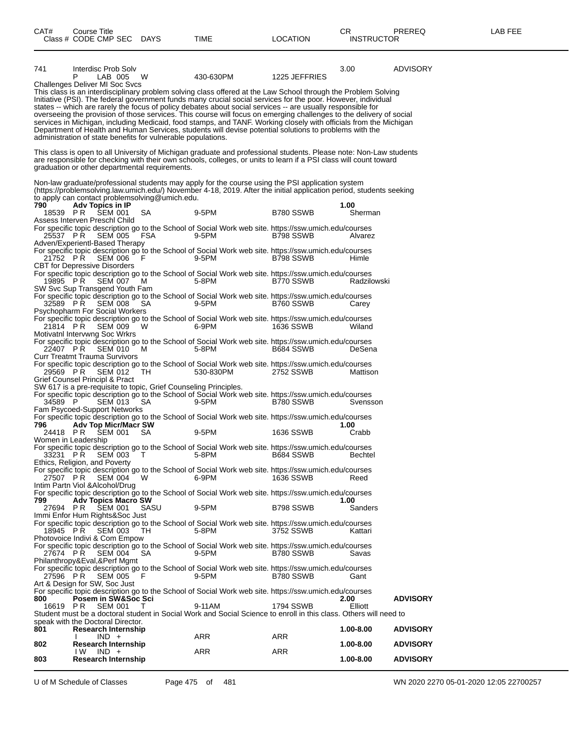| 741             | Interdisc Prob Solv<br>LAB 005<br>Р<br>W                                                                                                                                                                                                 | 430-630PM | 1225 JEFFRIES | 3.00            | <b>ADVISORY</b> |
|-----------------|------------------------------------------------------------------------------------------------------------------------------------------------------------------------------------------------------------------------------------------|-----------|---------------|-----------------|-----------------|
|                 | Challenges Deliver MI Soc Svcs                                                                                                                                                                                                           |           |               |                 |                 |
|                 | This class is an interdisciplinary problem solving class offered at the Law School through the Problem Solving<br>Initiative (PSI). The federal government funds many crucial social services for the poor. However, individual          |           |               |                 |                 |
|                 | states -- which are rarely the focus of policy debates about social services -- are usually responsible for                                                                                                                              |           |               |                 |                 |
|                 | overseeing the provision of those services. This course will focus on emerging challenges to the delivery of social<br>services in Michigan, including Medicaid, food stamps, and TANF. Working closely with officials from the Michigan |           |               |                 |                 |
|                 | Department of Health and Human Services, students will devise potential solutions to problems with the                                                                                                                                   |           |               |                 |                 |
|                 | administration of state benefits for vulnerable populations.                                                                                                                                                                             |           |               |                 |                 |
|                 | This class is open to all University of Michigan graduate and professional students. Please note: Non-Law students                                                                                                                       |           |               |                 |                 |
|                 | are responsible for checking with their own schools, colleges, or units to learn if a PSI class will count toward<br>graduation or other departmental requirements.                                                                      |           |               |                 |                 |
|                 | Non-law graduate/professional students may apply for the course using the PSI application system                                                                                                                                         |           |               |                 |                 |
|                 | (https://problemsolving.law.umich.edu/) November 4-18, 2019. After the initial application period, students seeking                                                                                                                      |           |               |                 |                 |
| 790             | to apply can contact problemsolving@umich.edu.<br>Adv Topics in IP                                                                                                                                                                       |           |               | 1.00            |                 |
|                 | 18539 PR SEM 001<br>SA.                                                                                                                                                                                                                  | 9-5PM     | B780 SSWB     | Sherman         |                 |
|                 | Assess Interven Preschl Child<br>For specific topic description go to the School of Social Work web site. https://ssw.umich.edu/courses                                                                                                  |           |               |                 |                 |
|                 | 25537 PR SEM 005<br>FSA                                                                                                                                                                                                                  | 9-5PM     | B798 SSWB     | Alvarez         |                 |
|                 | Adven/Experientl-Based Therapy<br>For specific topic description go to the School of Social Work web site. https://ssw.umich.edu/courses                                                                                                 |           |               |                 |                 |
|                 | 21752 PR SEM 006<br>- F<br><b>CBT</b> for Depressive Disorders                                                                                                                                                                           | 9-5PM     | B798 SSWB     | Himle           |                 |
|                 | For specific topic description go to the School of Social Work web site. https://ssw.umich.edu/courses                                                                                                                                   |           |               |                 |                 |
|                 | 19895 PR SEM 007<br>M<br>SW Svc Sup Transgend Youth Fam                                                                                                                                                                                  | 5-8PM     | B770 SSWB     | Radzilowski     |                 |
|                 | For specific topic description go to the School of Social Work web site. https://ssw.umich.edu/courses                                                                                                                                   |           |               |                 |                 |
|                 | 32589 PR SEM 008<br>SA.<br>Psychopharm For Social Workers                                                                                                                                                                                | 9-5PM     | B760 SSWB     | Carey           |                 |
|                 | For specific topic description go to the School of Social Work web site. https://ssw.umich.edu/courses<br>21814 PR SEM 009<br>W                                                                                                          | 6-9PM     | 1636 SSWB     | Wiland          |                 |
|                 | Motivatni Intervwng Soc Wrkrs                                                                                                                                                                                                            |           |               |                 |                 |
|                 | For specific topic description go to the School of Social Work web site. https://ssw.umich.edu/courses<br>22407 PR SEM 010<br>M                                                                                                          | 5-8PM     | B684 SSWB     | DeSena          |                 |
|                 | Curr Treatmt Trauma Survivors                                                                                                                                                                                                            |           |               |                 |                 |
|                 | For specific topic description go to the School of Social Work web site. https://ssw.umich.edu/courses<br>29569 PR SEM 012<br>TH.                                                                                                        | 530-830PM | 2752 SSWB     | Mattison        |                 |
|                 | Grief Counsel Principl & Pract<br>SW 617 is a pre-requisite to topic, Grief Counseling Principles.                                                                                                                                       |           |               |                 |                 |
|                 | For specific topic description go to the School of Social Work web site. https://ssw.umich.edu/courses                                                                                                                                   |           |               |                 |                 |
| 34589 P         | <b>SEM 013</b><br><b>SA</b><br>Fam Psycoed-Support Networks                                                                                                                                                                              | 9-5PM     | B780 SSWB     | Svensson        |                 |
| 796             | For specific topic description go to the School of Social Work web site. https://ssw.umich.edu/courses<br><b>Adv Top Micr/Macr SW</b>                                                                                                    |           |               | 1.00            |                 |
| 24418 PR        | SEM 001<br>SA.                                                                                                                                                                                                                           | 9-5PM     | 1636 SSWB     | Crabb           |                 |
|                 | Women in Leadership<br>For specific topic description go to the School of Social Work web site. https://ssw.umich.edu/courses                                                                                                            |           |               |                 |                 |
| 33231 PR        | SEM 003<br>T                                                                                                                                                                                                                             | 5-8PM     | B684 SSWB     | Bechtel         |                 |
|                 | Ethics, Religion, and Poverty<br>For specific topic description go to the School of Social Work web site. https://ssw.umich.edu/courses                                                                                                  |           |               |                 |                 |
|                 | 27507 PR SEM 004 W 6-9PM 1636 SSWB<br>Intim Partn Viol & Alcohol/Drug                                                                                                                                                                    |           |               | Reed            |                 |
|                 | For specific topic description go to the School of Social Work web site. https://ssw.umich.edu/courses                                                                                                                                   |           |               |                 |                 |
| 799<br>27694 PR | <b>Adv Topics Macro SW</b><br>SASU<br>SEM 001                                                                                                                                                                                            | 9-5PM     | B798 SSWB     | 1.00<br>Sanders |                 |
|                 | Immi Enfor Hum Rights&Soc Just<br>For specific topic description go to the School of Social Work web site. https://ssw.umich.edu/courses                                                                                                 |           |               |                 |                 |
|                 | 18945 PR SEM 003<br>TH.                                                                                                                                                                                                                  | 5-8PM     | 3752 SSWB     | Kattari         |                 |
|                 | Photovoice Indivi & Com Empow<br>For specific topic description go to the School of Social Work web site. https://ssw.umich.edu/courses                                                                                                  |           |               |                 |                 |
|                 | 27674 PR SEM 004<br>- SA                                                                                                                                                                                                                 | 9-5PM     | B780 SSWB     | Savas           |                 |
|                 | Philanthropy&Eval,&Perf Mgmt<br>For specific topic description go to the School of Social Work web site. https://ssw.umich.edu/courses                                                                                                   |           |               |                 |                 |
|                 | 27596 PR SEM 005<br>- F<br>Art & Design for SW, Soc Just                                                                                                                                                                                 | 9-5PM     | B780 SSWB     | Gant            |                 |
|                 | For specific topic description go to the School of Social Work web site. https://ssw.umich.edu/courses                                                                                                                                   |           |               |                 |                 |
| 800<br>16619 PR | Posem in SW&Soc Sci<br><b>SEM 001</b><br>T                                                                                                                                                                                               | 9-11AM    | 1794 SSWB     | 2.00<br>Elliott | <b>ADVISORY</b> |
|                 | Student must be a doctoral student in Social Work and Social Science to enroll in this class. Others will need to<br>speak with the Doctoral Director.                                                                                   |           |               |                 |                 |
| 801             | <b>Research Internship</b>                                                                                                                                                                                                               |           |               | 1.00-8.00       | <b>ADVISORY</b> |
| 802             | $IND +$<br><b>Research Internship</b>                                                                                                                                                                                                    | ARR       | ARR           | 1.00-8.00       | <b>ADVISORY</b> |
|                 | IND +<br>IW.                                                                                                                                                                                                                             | ARR       | ARR           |                 |                 |
| 803             | <b>Research Internship</b>                                                                                                                                                                                                               |           |               | 1.00-8.00       | <b>ADVISORY</b> |

U of M Schedule of Classes Page 475 of 481 WN 2020 2270 05-01-2020 12:05 22700257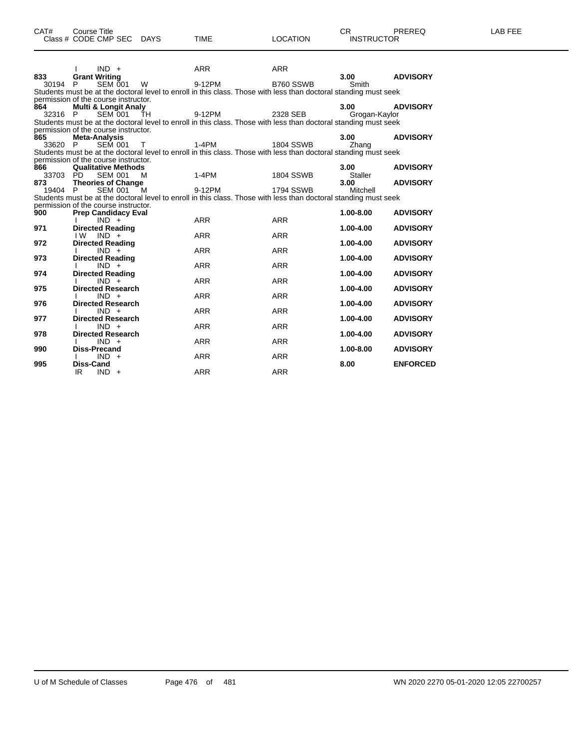|                | $IND +$                                |              | <b>ARR</b>                                                                                                       | <b>ARR</b>       | 3.00           |                 |
|----------------|----------------------------------------|--------------|------------------------------------------------------------------------------------------------------------------|------------------|----------------|-----------------|
| 833<br>30194 P | <b>Grant Writing</b><br><b>SEM 001</b> | W            | 9-12PM                                                                                                           | B760 SSWB        | Smith          | <b>ADVISORY</b> |
|                |                                        |              | Students must be at the doctoral level to enroll in this class. Those with less than doctoral standing must seek |                  |                |                 |
|                | permission of the course instructor.   |              |                                                                                                                  |                  |                |                 |
| 864            | <b>Multi &amp; Longit Analy</b>        |              |                                                                                                                  |                  | 3.00           | <b>ADVISORY</b> |
| 32316 P        | SEM 001 TH                             |              | 9-12PM                                                                                                           | 2328 SEB         | Grogan-Kaylor  |                 |
|                |                                        |              | Students must be at the doctoral level to enroll in this class. Those with less than doctoral standing must seek |                  |                |                 |
|                | permission of the course instructor.   |              |                                                                                                                  |                  |                |                 |
| 865            | Meta-Analysis                          |              |                                                                                                                  |                  | 3.00           | <b>ADVISORY</b> |
| 33620 P        | <b>SEM 001</b>                         | $\top$       | $1-4PM$                                                                                                          | 1804 SSWB        | Zhang          |                 |
|                | permission of the course instructor.   |              | Students must be at the doctoral level to enroll in this class. Those with less than doctoral standing must seek |                  |                |                 |
| 866            | <b>Qualitative Methods</b>             |              |                                                                                                                  |                  | 3.00           | <b>ADVISORY</b> |
| 33703 PD       | <b>SEM 001</b>                         | M            | 1-4PM                                                                                                            | <b>1804 SSWB</b> | <b>Staller</b> |                 |
| 873            | <b>Theories of Change</b>              |              |                                                                                                                  |                  | 3.00           | <b>ADVISORY</b> |
| 19404 P        | <b>SEM 001</b>                         | <sup>M</sup> | 9-12PM                                                                                                           | <b>1794 SSWB</b> | Mitchell       |                 |
|                |                                        |              | Students must be at the doctoral level to enroll in this class. Those with less than doctoral standing must seek |                  |                |                 |
|                | permission of the course instructor.   |              |                                                                                                                  |                  |                |                 |
| 900            | <b>Prep Candidacy Eval</b>             |              |                                                                                                                  |                  | $1.00 - 8.00$  | <b>ADVISORY</b> |
|                | $IND +$                                |              | <b>ARR</b>                                                                                                       | <b>ARR</b>       |                |                 |
| 971            | <b>Directed Reading</b>                |              |                                                                                                                  |                  | $1.00 - 4.00$  | <b>ADVISORY</b> |
| 972            | I W<br>$IND +$                         |              | <b>ARR</b>                                                                                                       | <b>ARR</b>       | $1.00 - 4.00$  |                 |
|                | <b>Directed Reading</b><br>$IND +$     |              | <b>ARR</b>                                                                                                       | <b>ARR</b>       |                | <b>ADVISORY</b> |
| 973            | <b>Directed Reading</b>                |              |                                                                                                                  |                  | $1.00 - 4.00$  | <b>ADVISORY</b> |
|                | $IND +$                                |              | <b>ARR</b>                                                                                                       | <b>ARR</b>       |                |                 |
| 974            | <b>Directed Reading</b>                |              |                                                                                                                  |                  | $1.00 - 4.00$  | <b>ADVISORY</b> |
|                | $IND +$                                |              | <b>ARR</b>                                                                                                       | <b>ARR</b>       |                |                 |
| 975            | <b>Directed Research</b>               |              |                                                                                                                  |                  | $1.00 - 4.00$  | <b>ADVISORY</b> |
|                | $IND +$                                |              | <b>ARR</b>                                                                                                       | <b>ARR</b>       |                |                 |
| 976            | <b>Directed Research</b>               |              |                                                                                                                  |                  | 1.00-4.00      | <b>ADVISORY</b> |
|                | $IND +$                                |              | <b>ARR</b>                                                                                                       | <b>ARR</b>       |                |                 |
| 977            | <b>Directed Research</b><br>$IND +$    |              | <b>ARR</b>                                                                                                       | <b>ARR</b>       | $1.00 - 4.00$  | <b>ADVISORY</b> |
| 978            | <b>Directed Research</b>               |              |                                                                                                                  |                  | 1.00-4.00      | <b>ADVISORY</b> |
|                | $IND +$                                |              | <b>ARR</b>                                                                                                       | <b>ARR</b>       |                |                 |
| 990            | Diss-Precand                           |              |                                                                                                                  |                  | $1.00 - 8.00$  | <b>ADVISORY</b> |
|                | $IND +$                                |              | <b>ARR</b>                                                                                                       | <b>ARR</b>       |                |                 |
| 995            | Diss-Cand                              |              |                                                                                                                  |                  | 8.00           | <b>ENFORCED</b> |
|                | $IND +$<br>IR                          |              | <b>ARR</b>                                                                                                       | <b>ARR</b>       |                |                 |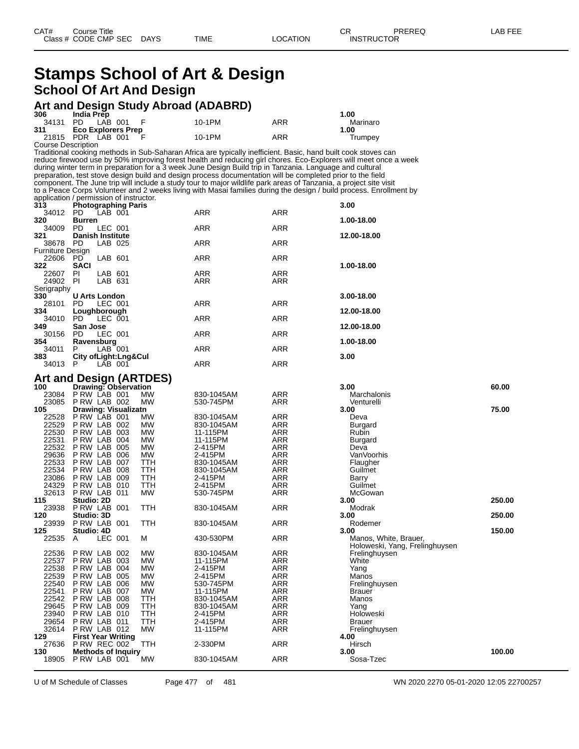## **Stamps School of Art & Design School Of Art And Design**

## **Art and Design Study Abroad (ADABRD)**

| 306                                | <b>India Prep</b>                                                     |         |            |                                                                                                                   |                          | 1.00                                                                                                               |        |  |  |
|------------------------------------|-----------------------------------------------------------------------|---------|------------|-------------------------------------------------------------------------------------------------------------------|--------------------------|--------------------------------------------------------------------------------------------------------------------|--------|--|--|
| 34131 PD                           |                                                                       | LAB 001 | F          | 10-1PM                                                                                                            | ARR                      | Marinaro                                                                                                           |        |  |  |
| 311                                | <b>Eco Explorers Prep</b>                                             |         |            |                                                                                                                   |                          | 1.00                                                                                                               |        |  |  |
| 21815<br><b>Course Description</b> | 10-1PM<br>ARR<br>PDR LAB 001<br>Trumpey                               |         |            |                                                                                                                   |                          |                                                                                                                    |        |  |  |
|                                    |                                                                       |         |            | Traditional cooking methods in Sub-Saharan Africa are typically inefficient. Basic, hand built cook stoves can    |                          |                                                                                                                    |        |  |  |
|                                    |                                                                       |         |            |                                                                                                                   |                          | reduce firewood use by 50% improving forest health and reducing girl chores. Eco-Explorers will meet once a week   |        |  |  |
|                                    |                                                                       |         |            | during winter term in preparation for a 3 week June Design Build trip in Tanzania. Language and cultural          |                          |                                                                                                                    |        |  |  |
|                                    |                                                                       |         |            | preparation, test stove design build and design process documentation will be completed prior to the field        |                          |                                                                                                                    |        |  |  |
|                                    |                                                                       |         |            | component. The June trip will include a study tour to major wildlife park areas of Tanzania, a project site visit |                          |                                                                                                                    |        |  |  |
|                                    |                                                                       |         |            |                                                                                                                   |                          | to a Peace Corps Volunteer and 2 weeks living with Masai families during the design / build process. Enrollment by |        |  |  |
| 313                                | application / permission of instructor.<br><b>Photographing Paris</b> |         |            |                                                                                                                   |                          | 3.00                                                                                                               |        |  |  |
| 34012 PD                           |                                                                       | LAB 001 |            | ARR                                                                                                               | ARR                      |                                                                                                                    |        |  |  |
| 320                                | <b>Burren</b>                                                         |         |            |                                                                                                                   |                          | 1.00-18.00                                                                                                         |        |  |  |
| 34009                              | PD.                                                                   | LEC 001 |            | ARR                                                                                                               | ARR                      |                                                                                                                    |        |  |  |
| 321                                | <b>Danish Institute</b>                                               |         |            |                                                                                                                   |                          | 12.00-18.00                                                                                                        |        |  |  |
| 38678 PD                           |                                                                       | LAB 025 |            | ARR                                                                                                               | ARR                      |                                                                                                                    |        |  |  |
| Furniture Design                   |                                                                       |         |            |                                                                                                                   |                          |                                                                                                                    |        |  |  |
| 22606 PD<br>322                    | <b>SACI</b>                                                           | LAB 601 |            | ARR                                                                                                               | ARR                      | 1.00-18.00                                                                                                         |        |  |  |
| 22607                              | <b>PI</b>                                                             | LAB 601 |            | ARR                                                                                                               | ARR                      |                                                                                                                    |        |  |  |
| 24902                              | PI                                                                    | LAB 631 |            | ARR                                                                                                               | ARR                      |                                                                                                                    |        |  |  |
| Serigraphy                         |                                                                       |         |            |                                                                                                                   |                          |                                                                                                                    |        |  |  |
| 330                                | <b>U Arts London</b>                                                  |         |            |                                                                                                                   |                          | 3.00-18.00                                                                                                         |        |  |  |
| 28101                              | PD.                                                                   | LEC 001 |            | ARR                                                                                                               | ARR                      |                                                                                                                    |        |  |  |
| 334                                | Loughborough                                                          |         |            |                                                                                                                   |                          | 12.00-18.00                                                                                                        |        |  |  |
| 34010<br>349                       | PD.<br>San Jose                                                       | LEC 001 |            | ARR                                                                                                               | ARR                      | 12.00-18.00                                                                                                        |        |  |  |
| 30156                              | PD                                                                    | LEC 001 |            | ARR                                                                                                               | ARR                      |                                                                                                                    |        |  |  |
| 354                                | Ravensburg                                                            |         |            |                                                                                                                   |                          | 1.00-18.00                                                                                                         |        |  |  |
| 34011                              | P                                                                     | LAB 001 |            | ARR                                                                                                               | ARR                      |                                                                                                                    |        |  |  |
| 383                                | City of Light: Lng& Cul                                               |         |            |                                                                                                                   |                          | 3.00                                                                                                               |        |  |  |
| 34013                              | P                                                                     | LAB 001 |            | ARR                                                                                                               | ARR                      |                                                                                                                    |        |  |  |
|                                    | Art and Design (ARTDES)                                               |         |            |                                                                                                                   |                          |                                                                                                                    |        |  |  |
| 100                                | <b>Drawing: Observation</b>                                           |         |            |                                                                                                                   |                          | 3.00                                                                                                               | 60.00  |  |  |
|                                    |                                                                       |         |            |                                                                                                                   |                          |                                                                                                                    |        |  |  |
|                                    |                                                                       |         |            |                                                                                                                   |                          |                                                                                                                    |        |  |  |
| 23085                              | 23084 PRW LAB 001<br>PRW LAB 002                                      |         | МW<br>МW   | 830-1045AM<br>530-745PM                                                                                           | ARR<br>ARR               | Marchalonis<br>Venturelli                                                                                          |        |  |  |
| 105                                | Drawing: Visualizatn                                                  |         |            |                                                                                                                   |                          | 3.00                                                                                                               | 75.00  |  |  |
| 22528                              | PRW LAB 001                                                           |         | МW         | 830-1045AM                                                                                                        | ARR                      | Deva                                                                                                               |        |  |  |
| 22529                              | PRW LAB 002                                                           |         | МW         | 830-1045AM                                                                                                        | ARR                      | Burgard                                                                                                            |        |  |  |
| 22530                              | PRW LAB 003                                                           |         | МW         | 11-115PM                                                                                                          | ARR                      | Rubin                                                                                                              |        |  |  |
| 22531                              | PRW LAB 004                                                           |         | МW         | 11-115PM                                                                                                          | ARR                      | Burgard                                                                                                            |        |  |  |
| 22532                              | PRW LAB 005                                                           |         | МW         | 2-415PM                                                                                                           | ARR                      | Deva                                                                                                               |        |  |  |
| 29636                              | PRW LAB 006                                                           |         | МW<br>TTH  | 2-415PM                                                                                                           | ARR<br>ARR               | VanVoorhis                                                                                                         |        |  |  |
| 22533<br>22534                     | PRW LAB 007<br>PRW LAB 008                                            |         | ттн        | 830-1045AM<br>830-1045AM                                                                                          | ARR                      | Flaugher<br>Guilmet                                                                                                |        |  |  |
| 23086                              | PRW LAB 009                                                           |         | ттн        | 2-415PM                                                                                                           | ARR                      | Barry                                                                                                              |        |  |  |
| 24329                              | PRW LAB 010                                                           |         | ттн        | 2-415PM                                                                                                           | ARR                      | Guilmet                                                                                                            |        |  |  |
| 32613                              | P RW LAB 011                                                          |         | МW         | 530-745PM                                                                                                         | ARR                      | McGowan                                                                                                            |        |  |  |
| 115                                | Studio: 2D                                                            |         |            |                                                                                                                   |                          | 3.00                                                                                                               | 250.00 |  |  |
| 23938                              | PRW LAB 001                                                           |         | ттн        | 830-1045AM                                                                                                        | ARR                      | Modrak                                                                                                             |        |  |  |
| 120                                | Studio: 3D                                                            |         |            | 830-1045AM                                                                                                        |                          | 3.00                                                                                                               | 250.00 |  |  |
| 23939<br>125                       | PRW LAB 001                                                           |         | ттн        |                                                                                                                   | ARR                      | Rodemer<br>3.00                                                                                                    | 150.00 |  |  |
| 22535 A                            | Studio: 4D                                                            | LEC 001 | Μ          | 430-530PM                                                                                                         | ARR                      | Manos, White, Brauer,                                                                                              |        |  |  |
|                                    |                                                                       |         |            |                                                                                                                   |                          | Holoweski, Yang, Frelinghuysen                                                                                     |        |  |  |
| 22536                              | PRW LAB 002                                                           |         | MW         | 830-1045AM                                                                                                        | <b>ARR</b>               | Frelinghuysen                                                                                                      |        |  |  |
| 22537                              | PRW LAB 003                                                           |         | MW         | 11-115PM                                                                                                          | <b>ARR</b>               | White                                                                                                              |        |  |  |
| 22538                              | P RW LAB 004                                                          |         | MW         | 2-415PM                                                                                                           | <b>ARR</b>               | Yang                                                                                                               |        |  |  |
| 22539<br>22540                     | PRW LAB 005                                                           |         | МW<br>MW   | 2-415PM                                                                                                           | <b>ARR</b>               | Manos                                                                                                              |        |  |  |
| 22541                              | PRW LAB 006<br>PRW LAB 007                                            |         | MW         | 530-745PM<br>11-115PM                                                                                             | <b>ARR</b><br><b>ARR</b> | Frelinghuysen<br><b>Brauer</b>                                                                                     |        |  |  |
| 22542                              | PRW LAB 008                                                           |         | TTH        | 830-1045AM                                                                                                        | <b>ARR</b>               | Manos                                                                                                              |        |  |  |
| 29645                              | PRW LAB 009                                                           |         | TTH        | 830-1045AM                                                                                                        | <b>ARR</b>               | Yang                                                                                                               |        |  |  |
| 23940                              | P RW LAB 010                                                          |         | <b>TTH</b> | 2-415PM                                                                                                           | <b>ARR</b>               | Holoweski                                                                                                          |        |  |  |
| 29654                              | PRW LAB 011                                                           |         | TTH        | 2-415PM                                                                                                           | <b>ARR</b>               | <b>Brauer</b>                                                                                                      |        |  |  |
| 32614                              | PRW LAB 012                                                           |         | МW         | 11-115PM                                                                                                          | ARR                      | Frelinghuysen                                                                                                      |        |  |  |
| 129<br>27636                       | <b>First Year Writing</b>                                             |         |            |                                                                                                                   |                          | 4.00                                                                                                               |        |  |  |
| 130                                | <b>P RW REC 002</b><br><b>Methods of Inquiry</b>                      |         | TTH        | 2-330PM                                                                                                           | ARR<br>ARR               | Hirsch<br>3.00                                                                                                     | 100.00 |  |  |

U of M Schedule of Classes Page 477 of 481 WN 2020 2270 05-01-2020 12:05 22700257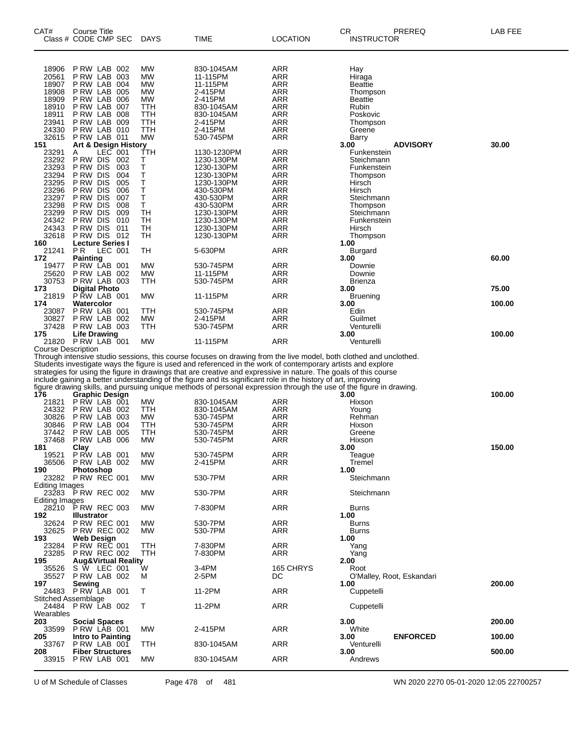| CAT#                                                                                                                   | Course Title<br>Class # CODE CMP SEC                                                                                                                                                                                                                                             | <b>DAYS</b>                                                                                     | TIME                                                                                                                                                                                                                                                                                                                                              | LOCATION                                                                                                     | СR<br>PREREQ<br><b>INSTRUCTOR</b>                                                                                                                                                                                                         | LAB FEE         |
|------------------------------------------------------------------------------------------------------------------------|----------------------------------------------------------------------------------------------------------------------------------------------------------------------------------------------------------------------------------------------------------------------------------|-------------------------------------------------------------------------------------------------|---------------------------------------------------------------------------------------------------------------------------------------------------------------------------------------------------------------------------------------------------------------------------------------------------------------------------------------------------|--------------------------------------------------------------------------------------------------------------|-------------------------------------------------------------------------------------------------------------------------------------------------------------------------------------------------------------------------------------------|-----------------|
| 18906<br>20561<br>18907<br>18908<br>18909<br>18910<br>18911<br>23941<br>24330<br>32615                                 | P RW LAB<br>002<br>P RW LAB<br>003<br>P RW LAB<br>004<br>P RW LAB<br>005<br>P RW LAB<br>006<br>P RW LAB<br>007<br>P RW LAB<br>008<br>P RW LAB<br>009<br>PRW LAB 010<br>PRW LAB 011                                                                                               | <b>MW</b><br>MW<br><b>MW</b><br><b>MW</b><br><b>MW</b><br>TTH<br>TTH<br>TTH<br>TTH<br><b>MW</b> | 830-1045AM<br>11-115PM<br>11-115PM<br>2-415PM<br>2-415PM<br>830-1045AM<br>830-1045AM<br>2-415PM<br>2-415PM<br>530-745PM                                                                                                                                                                                                                           | ARR<br>ARR<br>ARR<br><b>ARR</b><br>ARR<br>ARR<br><b>ARR</b><br>ARR<br>ARR<br><b>ARR</b>                      | Hay<br>Hiraga<br><b>Beattie</b><br>Thompson<br><b>Beattie</b><br>Rubin<br>Poskovic<br>Thompson<br>Greene<br>Barry                                                                                                                         |                 |
| 151<br>23291<br>23292<br>23293<br>23294<br>23295<br>23296<br>23297<br>23298<br>23299<br>24342<br>24343<br>32618<br>160 | Art & Design History<br>LEC 001<br>A<br>P RW DIS<br>002<br>P RW DIS<br>003<br>P RW DIS<br>004<br>P RW DIS<br>005<br>006<br>P RW DIS<br>P RW DIS<br>007<br>P RW DIS<br>008<br>P RW DIS<br>009<br>P RW DIS<br>010<br>P RW DIS<br>011<br>P RW DIS<br>012<br><b>Lecture Series I</b> | TTH<br>Т<br>Т<br>Т<br>Т<br>Т<br>Т<br>Т<br><b>TH</b><br>TН<br>TН<br>TН                           | 1130-1230PM<br>1230-130PM<br>1230-130PM<br>1230-130PM<br>1230-130PM<br>430-530PM<br>430-530PM<br>430-530PM<br>1230-130PM<br>1230-130PM<br>1230-130PM<br>1230-130PM                                                                                                                                                                                | ARR<br><b>ARR</b><br>ARR<br>ARR<br><b>ARR</b><br>ARR<br>ARR<br><b>ARR</b><br>ARR<br>ARR<br><b>ARR</b><br>ARR | <b>ADVISORY</b><br>3.00<br>Funkenstein<br>Steichmann<br>Funkenstein<br>Thompson<br>Hirsch<br>Hirsch<br>Steichmann<br>Thompson<br>Steichmann<br>Funkenstein<br>Hirsch<br>Thompson<br>1.00                                                  | 30.00           |
| 21241<br>172<br>19477<br>25620<br>30753                                                                                | PR.<br>LEC 001<br><b>Painting</b><br>PRW LAB 001<br>P RW LAB<br>002<br>P RW LAB 003                                                                                                                                                                                              | TН<br>MW<br><b>MW</b><br>TTH                                                                    | 5-630PM<br>530-745PM<br>11-115PM<br>530-745PM                                                                                                                                                                                                                                                                                                     | <b>ARR</b><br>ARR<br><b>ARR</b><br>ARR                                                                       | Burgard<br>3.00<br>Downie<br>Downie<br><b>Brienza</b>                                                                                                                                                                                     | 60.00           |
| 173<br>21819<br>174                                                                                                    | <b>Digital Photo</b><br>PRW LAB 001<br>Watercolor                                                                                                                                                                                                                                | MW                                                                                              | 11-115PM                                                                                                                                                                                                                                                                                                                                          | ARR                                                                                                          | 3.00<br><b>Bruening</b><br>3.00                                                                                                                                                                                                           | 75.00<br>100.00 |
| 23087<br>30827<br>37428                                                                                                | PRW LAB 001<br>P RW LAB<br>002<br>PRW LAB 003                                                                                                                                                                                                                                    | TTH<br><b>MW</b><br>TTH                                                                         | 530-745PM<br>2-415PM<br>530-745PM                                                                                                                                                                                                                                                                                                                 | ARR<br><b>ARR</b><br>ARR                                                                                     | Edin<br>Guilmet<br>Venturelli                                                                                                                                                                                                             |                 |
| 175                                                                                                                    | <b>Life Drawing</b><br>21820 P RW LAB 001                                                                                                                                                                                                                                        | MW                                                                                              | 11-115PM                                                                                                                                                                                                                                                                                                                                          | <b>ARR</b>                                                                                                   | 3.00<br>Venturelli                                                                                                                                                                                                                        | 100.00          |
| Course Description                                                                                                     |                                                                                                                                                                                                                                                                                  |                                                                                                 | Students investigate ways the figure is used and referenced in the work of contemporary artists and explore<br>strategies for using the figure in drawings that are creative and expressive in nature. The goals of this course<br>include gaining a better understanding of the figure and its significant role in the history of art, improving |                                                                                                              | Through intensive studio sessions, this course focuses on drawing from the live model, both clothed and unclothed.<br>figure drawing skills, and pursuing unique methods of personal expression through the use of the figure in drawing. |                 |
| 176<br>21821<br>24332                                                                                                  | <b>Graphic Design</b><br>PRW LAB 001<br>P RW LAB 002                                                                                                                                                                                                                             | MW<br>TTH                                                                                       | 830-1045AM<br>830-1045AM                                                                                                                                                                                                                                                                                                                          | ARR<br>ARR                                                                                                   | 3.00<br>Hixson<br>Young                                                                                                                                                                                                                   | 100.00          |
| 30826<br>30846<br>37442<br>37468                                                                                       | 003<br>PRW LAB<br>P RW LAB<br>004<br>P RW LAB<br>005<br>PRW LAB 006                                                                                                                                                                                                              | MW<br>TTH<br>TTH<br>MW                                                                          | 530-745PM<br>530-745PM<br>530-745PM<br>530-745PM                                                                                                                                                                                                                                                                                                  | ARR<br>ARR<br><b>ARR</b><br>ARR                                                                              | Rehman<br>Hixson<br>Greene<br>Hixson                                                                                                                                                                                                      |                 |
| 181<br>19521<br>36506                                                                                                  | Clay<br>PRW LAB 001<br>PRW LAB 002                                                                                                                                                                                                                                               | <b>MW</b><br>MW                                                                                 | 530-745PM<br>2-415PM                                                                                                                                                                                                                                                                                                                              | ARR<br>ARR                                                                                                   | 3.00<br>Teague<br>Tremel                                                                                                                                                                                                                  | 150.00          |
| 190<br>Editing Images                                                                                                  | <b>Photoshop</b><br>23282 PRW REC 001                                                                                                                                                                                                                                            | <b>MW</b>                                                                                       | 530-7PM                                                                                                                                                                                                                                                                                                                                           | <b>ARR</b>                                                                                                   | 1.00<br>Steichmann                                                                                                                                                                                                                        |                 |
| <b>Editing Images</b>                                                                                                  | 23283 P RW REC 002                                                                                                                                                                                                                                                               | <b>MW</b>                                                                                       | 530-7PM                                                                                                                                                                                                                                                                                                                                           | ARR                                                                                                          | Steichmann                                                                                                                                                                                                                                |                 |
| 28210<br>192                                                                                                           | P RW REC 003<br><b>Illustrator</b>                                                                                                                                                                                                                                               | МW                                                                                              | 7-830PM                                                                                                                                                                                                                                                                                                                                           | <b>ARR</b>                                                                                                   | <b>Burns</b><br>1.00                                                                                                                                                                                                                      |                 |
| 32624<br>32625<br>193                                                                                                  | <b>P RW REC 001</b><br><b>P RW REC 002</b><br><b>Web Design</b>                                                                                                                                                                                                                  | <b>MW</b><br>МW                                                                                 | 530-7PM<br>530-7PM                                                                                                                                                                                                                                                                                                                                | ARR<br>ARR                                                                                                   | Burns<br><b>Burns</b><br>1.00                                                                                                                                                                                                             |                 |
| 23284<br>23285<br>195                                                                                                  | <b>P RW REC 001</b><br><b>P RW REC 002</b><br><b>Aug&amp;Virtual Reality</b>                                                                                                                                                                                                     | TTH<br>TTH                                                                                      | 7-830PM<br>7-830PM                                                                                                                                                                                                                                                                                                                                | <b>ARR</b><br>ARR                                                                                            | Yang<br>Yang<br>2.00                                                                                                                                                                                                                      |                 |
| 35526<br>35527<br>197                                                                                                  | S W LEC 001<br>PRW LAB 002<br>Sewing                                                                                                                                                                                                                                             | W<br>M                                                                                          | 3-4PM<br>2-5PM                                                                                                                                                                                                                                                                                                                                    | 165 CHRYS<br>DC                                                                                              | Root<br>O'Malley, Root, Eskandari<br>1.00                                                                                                                                                                                                 | 200.00          |
| 24484                                                                                                                  | 24483 PRW LAB 001<br><b>Stitched Assemblage</b><br>PRW LAB 002                                                                                                                                                                                                                   | т<br>Т                                                                                          | 11-2PM<br>11-2PM                                                                                                                                                                                                                                                                                                                                  | <b>ARR</b><br>ARR                                                                                            | Cuppetelli<br>Cuppetelli                                                                                                                                                                                                                  |                 |
| Wearables<br>203                                                                                                       | <b>Social Spaces</b>                                                                                                                                                                                                                                                             |                                                                                                 |                                                                                                                                                                                                                                                                                                                                                   |                                                                                                              | 3.00                                                                                                                                                                                                                                      | 200.00          |
| 33599<br>205                                                                                                           | PRW LAB 001<br>Intro to Painting                                                                                                                                                                                                                                                 | МW                                                                                              | 2-415PM                                                                                                                                                                                                                                                                                                                                           | <b>ARR</b>                                                                                                   | White<br><b>ENFORCED</b><br>3.00                                                                                                                                                                                                          | 100.00          |
| 33767<br>208                                                                                                           | PRW LAB 001<br><b>Fiber Structures</b>                                                                                                                                                                                                                                           | TTH                                                                                             | 830-1045AM                                                                                                                                                                                                                                                                                                                                        | <b>ARR</b>                                                                                                   | Venturelli<br>3.00                                                                                                                                                                                                                        | 500.00          |
|                                                                                                                        | 33915 P RW LAB 001                                                                                                                                                                                                                                                               | MW                                                                                              | 830-1045AM                                                                                                                                                                                                                                                                                                                                        | ARR                                                                                                          | Andrews                                                                                                                                                                                                                                   |                 |

U of M Schedule of Classes Page 478 of 481 WN 2020 2270 05-01-2020 12:05 22700257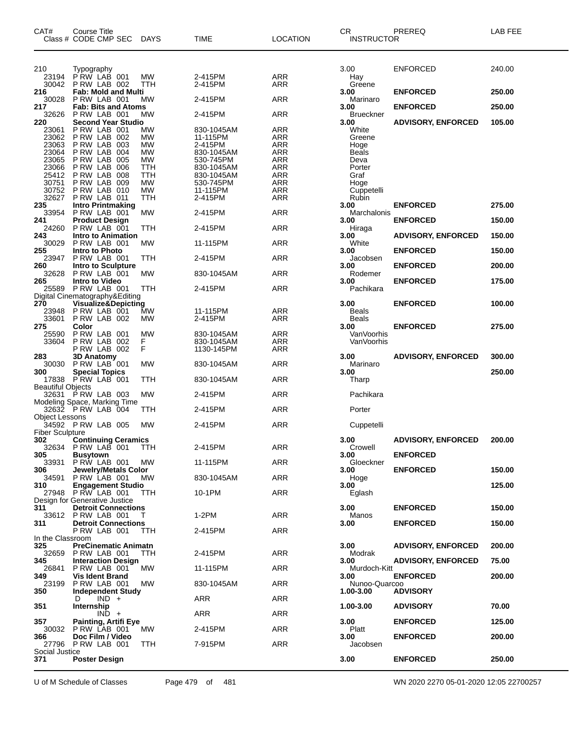| CAT#                          | Course Title<br>Class # CODE CMP SEC               | <b>DAYS</b>     | TIME                     | <b>LOCATION</b>   | CR<br><b>INSTRUCTOR</b> | PREREQ                    | LAB FEE |
|-------------------------------|----------------------------------------------------|-----------------|--------------------------|-------------------|-------------------------|---------------------------|---------|
| 210                           | Typography                                         |                 |                          |                   | 3.00                    | <b>ENFORCED</b>           | 240.00  |
| 23194<br>30042                | PRW LAB 001<br>PRW LAB 002                         | MW<br>TTH       | 2-415PM<br>2-415PM       | <b>ARR</b><br>ARR | Hay<br>Greene           |                           |         |
| 216                           | <b>Fab: Mold and Multi</b>                         |                 |                          |                   | 3.00                    | <b>ENFORCED</b>           | 250.00  |
| 30028<br>217                  | PRW LAB 001<br><b>Fab: Bits and Atoms</b>          | MW              | 2-415PM                  | <b>ARR</b>        | Marinaro<br>3.00        | <b>ENFORCED</b>           | 250.00  |
| 32626                         | PRW LAB 001                                        | МW              | 2-415PM                  | <b>ARR</b>        | <b>Brueckner</b>        |                           |         |
| 220                           | <b>Second Year Studio</b><br>PRW LAB 001           | МW              | 830-1045AM               | ARR               | 3.00<br>White           | <b>ADVISORY, ENFORCED</b> | 105.00  |
| 23061<br>23062                | PRW LAB 002                                        | МW              | 11-115PM                 | ARR               | Greene                  |                           |         |
| 23063                         | PRW LAB 003                                        | MW              | 2-415PM                  | <b>ARR</b>        | Hoge                    |                           |         |
| 23064<br>23065                | PRW LAB 004<br>PRW LAB 005                         | MW<br>MW        | 830-1045AM<br>530-745PM  | ARR<br>ARR        | Beals<br>Deva           |                           |         |
| 23066                         | P RW LAB 006                                       | ттн             | 830-1045AM               | <b>ARR</b>        | Porter                  |                           |         |
| 25412                         | PRW LAB 008                                        | TTH             | 830-1045AM               | ARR               | Graf                    |                           |         |
| 30751<br>30752                | PRW LAB 009<br>P RW LAB 010                        | <b>MW</b><br>MW | 530-745PM<br>11-115PM    | ARR<br><b>ARR</b> | Hoge<br>Cuppetelli      |                           |         |
| 32627                         | PRW LAB 011                                        | TTH             | 2-415PM                  | ARR               | Rubin                   |                           |         |
| 235<br>33954                  | <b>Intro Printmaking</b><br>P RW LAB 001           | MW              | 2-415PM                  | <b>ARR</b>        | 3.00<br>Marchalonis     | <b>ENFORCED</b>           | 275.00  |
| 241                           | <b>Product Design</b>                              |                 |                          |                   | 3.00                    | <b>ENFORCED</b>           | 150.00  |
| 24260                         | PRW LAB 001                                        | TTH             | 2-415PM                  | <b>ARR</b>        | Hiraga                  |                           |         |
| 243<br>30029                  | <b>Intro to Animation</b><br>PRW LAB 001           | МW              | 11-115PM                 | ARR               | 3.00<br>White           | <b>ADVISORY, ENFORCED</b> | 150.00  |
| 255                           | Intro to Photo                                     |                 |                          |                   | 3.00                    | <b>ENFORCED</b>           | 150.00  |
| 23947<br>260                  | PRW LAB 001<br>Intro to Sculpture                  | ттн             | 2-415PM                  | <b>ARR</b>        | Jacobsen<br>3.00        | <b>ENFORCED</b>           | 200.00  |
| 32628                         | PRW LAB 001                                        | МW              | 830-1045AM               | <b>ARR</b>        | Rodemer                 |                           |         |
| 265                           | <b>Intro to Video</b>                              |                 |                          |                   | 3.00                    | <b>ENFORCED</b>           | 175.00  |
| 25589                         | PRW LAB 001<br>Digital Cinematography&Editing      | ттн             | 2-415PM                  | ARR               | Pachikara               |                           |         |
| 270                           | <b>Visualize&amp;Depicting</b>                     |                 |                          |                   | 3.00                    | <b>ENFORCED</b>           | 100.00  |
| 23948<br>33601                | PRW LAB 001<br><b>PRW LAB 002</b>                  | МW<br>MW        | 11-115PM<br>2-415PM      | ARR<br><b>ARR</b> | Beals<br><b>Beals</b>   |                           |         |
| 275                           | Color                                              |                 |                          |                   | 3.00                    | <b>ENFORCED</b>           | 275.00  |
| 25590                         | PRW LAB 001                                        | MW              | 830-1045AM               | ARR               | VanVoorhis              |                           |         |
| 33604                         | PRW LAB 002<br>PRW LAB 002                         | F<br>F          | 830-1045AM<br>1130-145PM | ARR<br>ARR        | VanVoorhis              |                           |         |
| 283                           | <b>3D Anatomy</b>                                  |                 |                          |                   | 3.00                    | <b>ADVISORY, ENFORCED</b> | 300.00  |
| 300                           | 30030 PRW LAB 001<br><b>Special Topics</b>         | MW              | 830-1045AM               | <b>ARR</b>        | Marinaro<br>3.00        |                           | 250.00  |
| <b>Beautiful Objects</b>      | 17838 P RW LAB 001                                 | ттн             | 830-1045AM               | ARR               | Tharp                   |                           |         |
|                               | 32631 P RW LAB 003<br>Modeling Space, Marking Time | MW              | 2-415PM                  | <b>ARR</b>        | Pachikara               |                           |         |
| <b>Object Lessons</b>         | 32632 PRW LAB 004                                  | ттн             | 2-415PM                  | ARR               | Porter                  |                           |         |
|                               | 34592 PRW LAB 005                                  | МW              | 2-415PM                  | ARR               | Cuppetelli              |                           |         |
| <b>Fiber Sculpture</b><br>302 | <b>Continuing Ceramics</b>                         |                 |                          |                   | 3.00                    | <b>ADVISORY, ENFORCED</b> | 200.00  |
|                               | 32634 PRW LAB 001                                  | <b>TTH</b>      | 2-415PM                  | ARR               | Crowell                 |                           |         |
| 305<br>33931                  | <b>Busytown</b><br>PRW LAB 001                     | МW              | 11-115PM                 | ARR               | 3.00<br>Gloeckner       | <b>ENFORCED</b>           |         |
| 306                           | Jewelry/Metals Color                               |                 |                          |                   | 3.00                    | <b>ENFORCED</b>           | 150.00  |
| 34591                         | PRW LAB 001                                        | MW.             | 830-1045AM               | ARR               | Hoge                    |                           | 125.00  |
| 310                           | <b>Engagement Studio</b><br>27948 PRW LAB 001      | <b>TTH</b>      | 10-1PM                   | ARR               | 3.00<br>Eglash          |                           |         |
|                               | Design for Generative Justice                      |                 |                          |                   |                         |                           |         |
| 311                           | <b>Detroit Connections</b><br>33612 P RW LAB 001   | T               | $1-2PM$                  | ARR               | 3.00<br>Manos           | <b>ENFORCED</b>           | 150.00  |
| 311                           | <b>Detroit Connections</b>                         |                 |                          |                   | 3.00                    | <b>ENFORCED</b>           | 150.00  |
| In the Classroom              | PRW LAB 001                                        | TTH             | 2-415PM                  | ARR               |                         |                           |         |
| 325                           | <b>PreCinematic Animatn</b>                        |                 |                          |                   | 3.00                    | <b>ADVISORY, ENFORCED</b> | 200.00  |
| 32659<br>345                  | PRW LAB 001<br><b>Interaction Design</b>           | TTH             | 2-415PM                  | ARR               | Modrak<br>3.00          | <b>ADVISORY, ENFORCED</b> | 75.00   |
| 26841<br>349                  | P RW LAB 001<br><b>Vis Ident Brand</b>             | <b>MW</b>       | 11-115PM                 | ARR               | Murdoch-Kitt<br>3.00    | <b>ENFORCED</b>           | 200.00  |
| 23199                         | PRW LAB 001                                        | <b>MW</b>       | 830-1045AM               | ARR               | Nunoo-Quarcoo           |                           |         |
| 350                           | <b>Independent Study</b><br>$IND +$<br>D           |                 | ARR                      | ARR               | 1.00-3.00               | <b>ADVISORY</b>           |         |
| 351                           | Internship<br>$IND +$                              |                 | ARR                      | ARR               | 1.00-3.00               | <b>ADVISORY</b>           | 70.00   |
| 357                           | Painting, Artifi Eye<br>30032 P RW LAB 001         | МW              | 2-415PM                  | ARR               | 3.00<br>Platt           | <b>ENFORCED</b>           | 125.00  |
| 366                           | Doc Film / Video                                   |                 |                          |                   | 3.00                    | <b>ENFORCED</b>           | 200.00  |
| Social Justice                | 27796 P RW LAB 001                                 | <b>TTH</b>      | 7-915PM                  | ARR               | Jacobsen                |                           |         |
| 371                           | Poster Design                                      |                 |                          |                   | 3.00                    | <b>ENFORCED</b>           | 250.00  |

U of M Schedule of Classes Page 479 of 481 WN 2020 2270 05-01-2020 12:05 22700257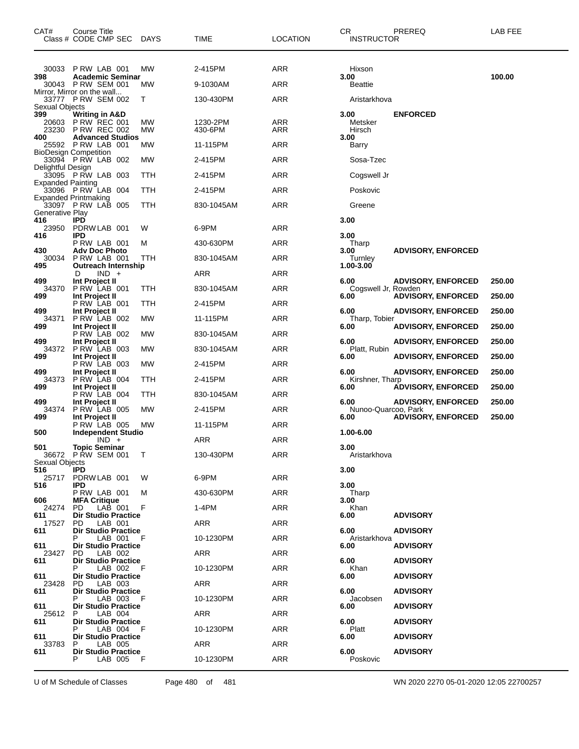| CAT#                                          | Course Title<br>Class # CODE CMP SEC DAYS                                 |                 | TIME                | <b>LOCATION</b> | CR<br>INSTRUCTOR            | PREREQ                                                 | LAB FEE |
|-----------------------------------------------|---------------------------------------------------------------------------|-----------------|---------------------|-----------------|-----------------------------|--------------------------------------------------------|---------|
|                                               | 30033 PRW LAB 001                                                         | <b>MW</b>       | 2-415PM             | ARR             | Hixson                      |                                                        |         |
| 398                                           | <b>Academic Seminar</b><br>30043 PRW SEM 001                              | МW              | 9-1030AM            | ARR             | 3.00<br><b>Beattie</b>      |                                                        | 100.00  |
|                                               | Mirror, Mirror on the wall<br>33777 PRW SEM 002                           | Т               | 130-430PM           | <b>ARR</b>      | Aristarkhova                |                                                        |         |
| <b>Sexual Objects</b>                         |                                                                           |                 |                     |                 |                             |                                                        |         |
| 399<br>20603<br>23230                         | <b>Writing in A&amp;D</b><br><b>P RW REC 001</b><br><b>PRW REC 002</b>    | <b>MW</b><br>MW | 1230-2PM<br>430-6PM | ARR<br>ARR      | 3.00<br>Metsker<br>Hirsch   | <b>ENFORCED</b>                                        |         |
| 400                                           | <b>Advanced Studios</b><br>25592 PRW LAB 001<br>BioDesign Competition     | МW              | 11-115PM            | <b>ARR</b>      | 3.00<br>Barry               |                                                        |         |
|                                               | 33094 PRW LAB 002                                                         | MW              | 2-415PM             | ARR             | Sosa-Tzec                   |                                                        |         |
| Delightful Design<br><b>Expanded Painting</b> | 33095 PRW LAB 003                                                         | TTH             | 2-415PM             | <b>ARR</b>      | Cogswell Jr                 |                                                        |         |
|                                               | 33096 PRW LAB 004<br>Expanded Printmaking                                 | TTH             | 2-415PM             | <b>ARR</b>      | Poskovic                    |                                                        |         |
| Generative Play                               | 33097 PRW LAB 005                                                         | TTH             | 830-1045AM          | ARR             | Greene                      |                                                        |         |
| 416<br>23950                                  | IPD<br>PDRW LAB 001                                                       | W               | 6-9PM               | ARR             | 3.00                        |                                                        |         |
| 416                                           | IPD<br>PRW LAB 001                                                        | М               | 430-630PM           | <b>ARR</b>      | 3.00<br>Tharp               |                                                        |         |
| 430                                           | <b>Adv Doc Photo</b>                                                      |                 |                     |                 | 3.00                        | <b>ADVISORY, ENFORCED</b>                              |         |
| 30034<br>495                                  | PRW LAB 001<br>Outreach Internship                                        | TTH             | 830-1045AM          | <b>ARR</b>      | Turnley<br>1.00-3.00        |                                                        |         |
| 499                                           | $IND +$<br>D<br>Int Project II                                            |                 | ARR                 | ARR             | 6.00                        | <b>ADVISORY, ENFORCED</b>                              | 250.00  |
| 34370<br>499                                  | PRW LAB 001<br>Int Project II                                             | TTH             | 830-1045AM          | <b>ARR</b>      | Cogswell Jr, Rowden<br>6.00 | <b>ADVISORY, ENFORCED</b>                              | 250.00  |
| 499                                           | PRW LAB 001<br>Int Project II                                             | TTH             | 2-415PM             | ARR             | 6.00                        | <b>ADVISORY, ENFORCED</b>                              | 250.00  |
| 34371<br>499                                  | PRW LAB 002<br>Int Project II                                             | MW              | 11-115PM            | ARR             | Tharp, Tobier<br>6.00       |                                                        | 250.00  |
| 499                                           | PRW LAB 002<br>Int Project II                                             | MW              | 830-1045AM          | <b>ARR</b>      | 6.00                        | <b>ADVISORY, ENFORCED</b><br><b>ADVISORY, ENFORCED</b> | 250.00  |
| 34372<br>499                                  | PRW LAB 003<br>Int Project II                                             | MW              | 830-1045AM          | <b>ARR</b>      | Platt, Rubin<br>6.00        | <b>ADVISORY, ENFORCED</b>                              | 250.00  |
| 499                                           | PRW LAB 003<br>Int Project II                                             | MW              | 2-415PM             | ARR             | 6.00                        | <b>ADVISORY, ENFORCED</b>                              | 250.00  |
| 34373<br>499                                  | PRW LAB 004<br>Int Project II                                             | TTH             | 2-415PM             | <b>ARR</b>      | Kirshner, Tharp<br>6.00     | <b>ADVISORY, ENFORCED</b>                              | 250.00  |
| 499                                           | PRW LAB 004<br>Int Project II                                             | TTH             | 830-1045AM          | ARR             | 6.00                        | <b>ADVISORY, ENFORCED</b>                              | 250.00  |
| 34374<br>499                                  | PRW LAB 005<br>Int Project II                                             | MW              | 2-415PM             | ARR             | Nunoo-Quarcoo, Park<br>6.00 | <b>ADVISORY, ENFORCED</b>                              | 250.00  |
| 500                                           | PRW LAB 005<br><b>Independent Studio</b>                                  | <b>MW</b>       | 11-115PM            | ARR             | 1.00-6.00                   |                                                        |         |
| 501                                           | $IND +$<br><b>Topic Seminar</b>                                           |                 | ARR                 | ARR             | 3.00                        |                                                        |         |
| Sexual Objects                                | 36672 P RW SEM 001                                                        | $\top$          | 130-430PM           | ARR             | Aristarkhova                |                                                        |         |
| 516<br>25717                                  | IPD<br>PDRW LAB 001                                                       | W               | 6-9PM               | ARR             | 3.00                        |                                                        |         |
| 516                                           | <b>IPD</b><br>PRW LAB 001                                                 | м               | 430-630PM           | ARR             | 3.00<br>Tharp               |                                                        |         |
| 606<br>24274                                  | <b>MFA Critique</b><br>PD.<br>LAB 001                                     | F               | 1-4PM               | ARR             | 3.00<br>Khan                |                                                        |         |
| 611<br>17527                                  | <b>Dir Studio Practice</b><br>LAB 001<br>PD.                              |                 | ARR                 | ARR             | 6.00                        | <b>ADVISORY</b>                                        |         |
| 611                                           | <b>Dir Studio Practice</b><br>P<br>LAB 001                                | F               | 10-1230PM           | ARR             | 6.00<br>Aristarkhova        | <b>ADVISORY</b>                                        |         |
| 611<br>23427                                  | <b>Dir Studio Practice</b><br>PD.<br>LAB 002                              |                 | ARR                 | ARR             | 6.00                        | <b>ADVISORY</b>                                        |         |
| 611                                           | <b>Dir Studio Practice</b><br>LAB 002 F<br>P.                             |                 | 10-1230PM           | ARR             | 6.00<br>Khan                | <b>ADVISORY</b>                                        |         |
| 611<br>23428                                  | <b>Dir Studio Practice</b><br>LAB 003<br>PD.                              |                 | ARR                 | ARR             | 6.00                        | <b>ADVISORY</b>                                        |         |
| 611                                           | <b>Dir Studio Practice</b><br>LAB 003<br>P                                | F               | 10-1230PM           | ARR             | 6.00<br>Jacobsen            | <b>ADVISORY</b>                                        |         |
| 611<br>25612                                  | <b>Dir Studio Practice</b><br>LAB 004<br>P.                               |                 | ARR                 | ARR             | 6.00<br>6.00                | <b>ADVISORY</b>                                        |         |
| 611<br>611                                    | <b>Dir Studio Practice</b><br>LAB 004<br>P.<br><b>Dir Studio Practice</b> | F               | 10-1230PM           | ARR             | Platt<br>6.00               | <b>ADVISORY</b><br><b>ADVISORY</b>                     |         |
| 33783                                         | LAB 005<br>P                                                              |                 | ARR                 | ARR             |                             |                                                        |         |
| 611                                           | <b>Dir Studio Practice</b><br>LAB 005<br>P                                | - F             | 10-1230PM           | ARR             | 6.00<br>Poskovic            | <b>ADVISORY</b>                                        |         |

U of M Schedule of Classes Page 480 of 481 WN 2020 2270 05-01-2020 12:05 22700257